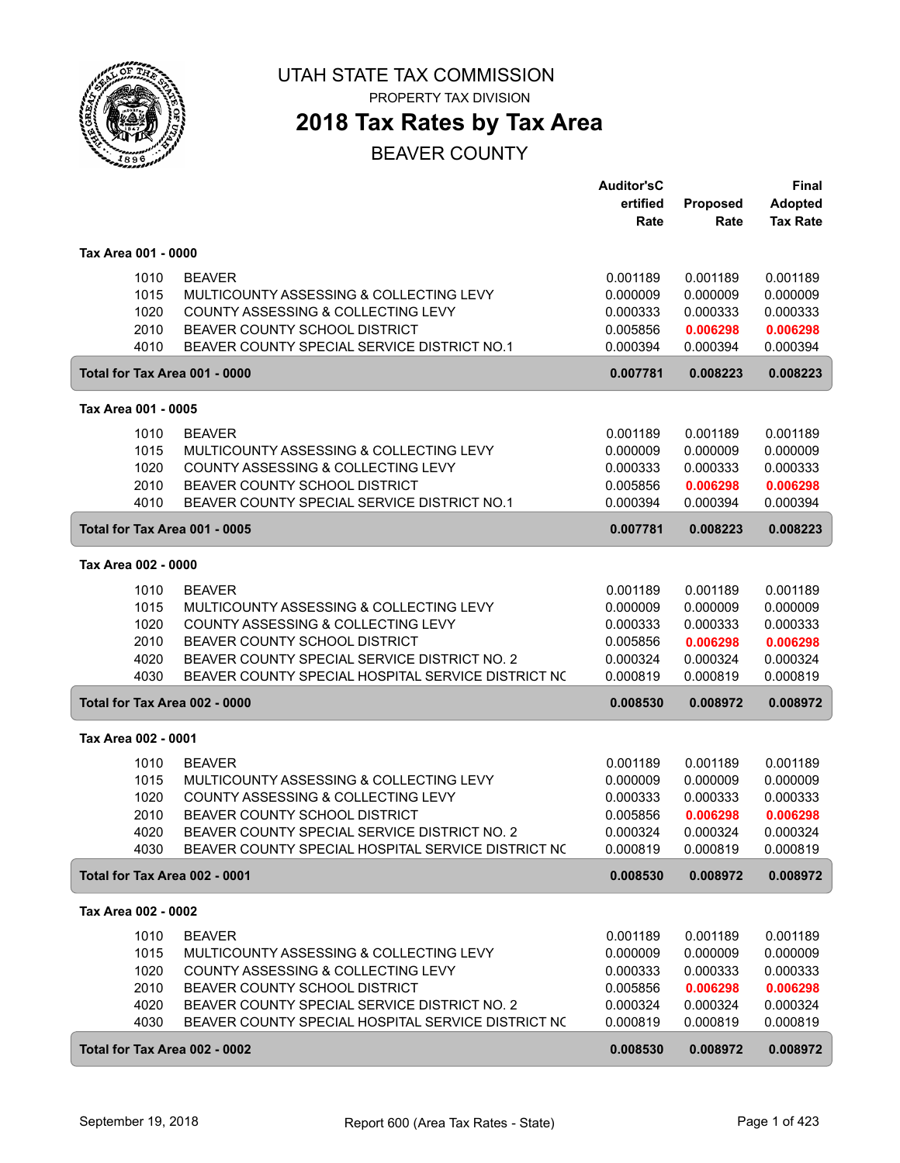

## **2018 Tax Rates by Tax Area**

|                               |                                                    | <b>Auditor'sC</b> |          | <b>Final</b>    |
|-------------------------------|----------------------------------------------------|-------------------|----------|-----------------|
|                               |                                                    | ertified          | Proposed | <b>Adopted</b>  |
|                               |                                                    | Rate              | Rate     | <b>Tax Rate</b> |
|                               |                                                    |                   |          |                 |
| Tax Area 001 - 0000           |                                                    |                   |          |                 |
| 1010                          | <b>BEAVER</b>                                      | 0.001189          | 0.001189 | 0.001189        |
| 1015                          | MULTICOUNTY ASSESSING & COLLECTING LEVY            | 0.000009          | 0.000009 | 0.000009        |
| 1020                          | COUNTY ASSESSING & COLLECTING LEVY                 | 0.000333          | 0.000333 | 0.000333        |
| 2010                          | BEAVER COUNTY SCHOOL DISTRICT                      | 0.005856          | 0.006298 | 0.006298        |
| 4010                          | BEAVER COUNTY SPECIAL SERVICE DISTRICT NO.1        | 0.000394          | 0.000394 | 0.000394        |
| Total for Tax Area 001 - 0000 |                                                    | 0.007781          | 0.008223 | 0.008223        |
| Tax Area 001 - 0005           |                                                    |                   |          |                 |
| 1010                          | <b>BEAVER</b>                                      | 0.001189          | 0.001189 | 0.001189        |
| 1015                          | MULTICOUNTY ASSESSING & COLLECTING LEVY            | 0.000009          | 0.000009 | 0.000009        |
| 1020                          | COUNTY ASSESSING & COLLECTING LEVY                 | 0.000333          | 0.000333 | 0.000333        |
| 2010                          | BEAVER COUNTY SCHOOL DISTRICT                      | 0.005856          | 0.006298 | 0.006298        |
| 4010                          | BEAVER COUNTY SPECIAL SERVICE DISTRICT NO.1        | 0.000394          | 0.000394 | 0.000394        |
| Total for Tax Area 001 - 0005 |                                                    | 0.007781          | 0.008223 | 0.008223        |
|                               |                                                    |                   |          |                 |
| Tax Area 002 - 0000           |                                                    |                   |          |                 |
| 1010                          | <b>BEAVER</b>                                      | 0.001189          | 0.001189 | 0.001189        |
| 1015                          | MULTICOUNTY ASSESSING & COLLECTING LEVY            | 0.000009          | 0.000009 | 0.000009        |
| 1020                          | COUNTY ASSESSING & COLLECTING LEVY                 | 0.000333          | 0.000333 | 0.000333        |
| 2010                          | BEAVER COUNTY SCHOOL DISTRICT                      | 0.005856          | 0.006298 | 0.006298        |
| 4020                          | BEAVER COUNTY SPECIAL SERVICE DISTRICT NO. 2       | 0.000324          | 0.000324 | 0.000324        |
| 4030                          | BEAVER COUNTY SPECIAL HOSPITAL SERVICE DISTRICT NO | 0.000819          | 0.000819 | 0.000819        |
| Total for Tax Area 002 - 0000 |                                                    | 0.008530          | 0.008972 | 0.008972        |
| Tax Area 002 - 0001           |                                                    |                   |          |                 |
| 1010                          | <b>BEAVER</b>                                      | 0.001189          | 0.001189 | 0.001189        |
| 1015                          | MULTICOUNTY ASSESSING & COLLECTING LEVY            | 0.000009          | 0.000009 | 0.000009        |
| 1020                          | <b>COUNTY ASSESSING &amp; COLLECTING LEVY</b>      | 0.000333          | 0.000333 | 0.000333        |
| 2010                          | BEAVER COUNTY SCHOOL DISTRICT                      | 0.005856          | 0.006298 | 0.006298        |
| 4020                          | BEAVER COUNTY SPECIAL SERVICE DISTRICT NO. 2       | 0.000324          | 0.000324 | 0.000324        |
| 4030                          | BEAVER COUNTY SPECIAL HOSPITAL SERVICE DISTRICT NO | 0.000819          | 0.000819 | 0.000819        |
| Total for Tax Area 002 - 0001 |                                                    | 0.008530          | 0.008972 | 0.008972        |
| Tax Area 002 - 0002           |                                                    |                   |          |                 |
| 1010                          | <b>BEAVER</b>                                      | 0.001189          | 0.001189 | 0.001189        |
| 1015                          | MULTICOUNTY ASSESSING & COLLECTING LEVY            | 0.000009          | 0.000009 | 0.000009        |
| 1020                          | COUNTY ASSESSING & COLLECTING LEVY                 | 0.000333          | 0.000333 | 0.000333        |
| 2010                          | BEAVER COUNTY SCHOOL DISTRICT                      | 0.005856          | 0.006298 | 0.006298        |
| 4020                          | BEAVER COUNTY SPECIAL SERVICE DISTRICT NO. 2       | 0.000324          | 0.000324 | 0.000324        |
| 4030                          | BEAVER COUNTY SPECIAL HOSPITAL SERVICE DISTRICT NO | 0.000819          | 0.000819 | 0.000819        |
| Total for Tax Area 002 - 0002 |                                                    | 0.008530          | 0.008972 | 0.008972        |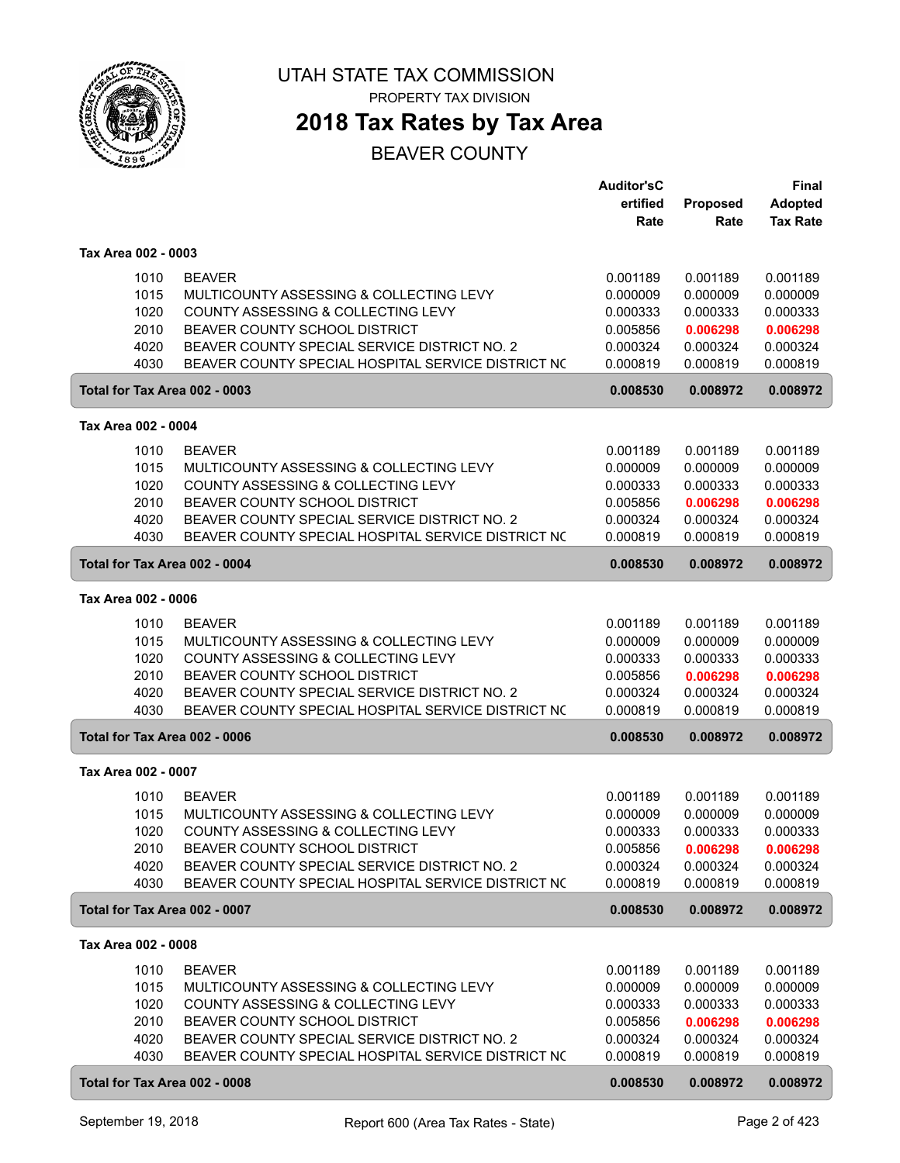

## **2018 Tax Rates by Tax Area**

|                                              |                                                                                                                                                                                                                                                  | <b>Auditor'sC</b><br>ertified                                        | Proposed                                                             | <b>Final</b><br><b>Adopted</b>                                       |
|----------------------------------------------|--------------------------------------------------------------------------------------------------------------------------------------------------------------------------------------------------------------------------------------------------|----------------------------------------------------------------------|----------------------------------------------------------------------|----------------------------------------------------------------------|
|                                              |                                                                                                                                                                                                                                                  | Rate                                                                 | Rate                                                                 | <b>Tax Rate</b>                                                      |
| Tax Area 002 - 0003                          |                                                                                                                                                                                                                                                  |                                                                      |                                                                      |                                                                      |
| 1010<br>1015<br>1020<br>2010<br>4020<br>4030 | <b>BEAVER</b><br>MULTICOUNTY ASSESSING & COLLECTING LEVY<br><b>COUNTY ASSESSING &amp; COLLECTING LEVY</b><br>BEAVER COUNTY SCHOOL DISTRICT<br>BEAVER COUNTY SPECIAL SERVICE DISTRICT NO. 2<br>BEAVER COUNTY SPECIAL HOSPITAL SERVICE DISTRICT NO | 0.001189<br>0.000009<br>0.000333<br>0.005856<br>0.000324<br>0.000819 | 0.001189<br>0.000009<br>0.000333<br>0.006298<br>0.000324<br>0.000819 | 0.001189<br>0.000009<br>0.000333<br>0.006298<br>0.000324<br>0.000819 |
| Total for Tax Area 002 - 0003                |                                                                                                                                                                                                                                                  | 0.008530                                                             | 0.008972                                                             | 0.008972                                                             |
| Tax Area 002 - 0004                          |                                                                                                                                                                                                                                                  |                                                                      |                                                                      |                                                                      |
| 1010                                         | <b>BEAVER</b>                                                                                                                                                                                                                                    | 0.001189                                                             | 0.001189                                                             | 0.001189                                                             |
| 1015<br>1020<br>2010<br>4020<br>4030         | MULTICOUNTY ASSESSING & COLLECTING LEVY<br>COUNTY ASSESSING & COLLECTING LEVY<br>BEAVER COUNTY SCHOOL DISTRICT<br>BEAVER COUNTY SPECIAL SERVICE DISTRICT NO. 2<br>BEAVER COUNTY SPECIAL HOSPITAL SERVICE DISTRICT NO                             | 0.000009<br>0.000333<br>0.005856<br>0.000324<br>0.000819             | 0.000009<br>0.000333<br>0.006298<br>0.000324<br>0.000819             | 0.000009<br>0.000333<br>0.006298<br>0.000324<br>0.000819             |
| Total for Tax Area 002 - 0004                |                                                                                                                                                                                                                                                  | 0.008530                                                             | 0.008972                                                             | 0.008972                                                             |
| Tax Area 002 - 0006                          |                                                                                                                                                                                                                                                  |                                                                      |                                                                      |                                                                      |
| 1010<br>1015<br>1020<br>2010<br>4020<br>4030 | <b>BEAVER</b><br>MULTICOUNTY ASSESSING & COLLECTING LEVY<br>COUNTY ASSESSING & COLLECTING LEVY<br>BEAVER COUNTY SCHOOL DISTRICT<br>BEAVER COUNTY SPECIAL SERVICE DISTRICT NO. 2<br>BEAVER COUNTY SPECIAL HOSPITAL SERVICE DISTRICT NO            | 0.001189<br>0.000009<br>0.000333<br>0.005856<br>0.000324<br>0.000819 | 0.001189<br>0.000009<br>0.000333<br>0.006298<br>0.000324<br>0.000819 | 0.001189<br>0.000009<br>0.000333<br>0.006298<br>0.000324<br>0.000819 |
| Total for Tax Area 002 - 0006                |                                                                                                                                                                                                                                                  | 0.008530                                                             | 0.008972                                                             | 0.008972                                                             |
| Tax Area 002 - 0007                          |                                                                                                                                                                                                                                                  |                                                                      |                                                                      |                                                                      |
| 1010<br>1015<br>1020<br>2010<br>4020<br>4030 | <b>BEAVER</b><br>MULTICOUNTY ASSESSING & COLLECTING LEVY<br>COUNTY ASSESSING & COLLECTING LEVY<br>BEAVER COUNTY SCHOOL DISTRICT<br>BEAVER COUNTY SPECIAL SERVICE DISTRICT NO. 2<br>BEAVER COUNTY SPECIAL HOSPITAL SERVICE DISTRICT NO            | 0.001189<br>0.000009<br>0.000333<br>0.005856<br>0.000324<br>0.000819 | 0.001189<br>0.000009<br>0.000333<br>0.006298<br>0.000324<br>0.000819 | 0.001189<br>0.000009<br>0.000333<br>0.006298<br>0.000324<br>0.000819 |
| Total for Tax Area 002 - 0007                |                                                                                                                                                                                                                                                  | 0.008530                                                             | 0.008972                                                             | 0.008972                                                             |
| Tax Area 002 - 0008                          |                                                                                                                                                                                                                                                  |                                                                      |                                                                      |                                                                      |
| 1010<br>1015<br>1020<br>2010<br>4020<br>4030 | <b>BEAVER</b><br>MULTICOUNTY ASSESSING & COLLECTING LEVY<br>COUNTY ASSESSING & COLLECTING LEVY<br>BEAVER COUNTY SCHOOL DISTRICT<br>BEAVER COUNTY SPECIAL SERVICE DISTRICT NO. 2<br>BEAVER COUNTY SPECIAL HOSPITAL SERVICE DISTRICT NO            | 0.001189<br>0.000009<br>0.000333<br>0.005856<br>0.000324<br>0.000819 | 0.001189<br>0.000009<br>0.000333<br>0.006298<br>0.000324<br>0.000819 | 0.001189<br>0.000009<br>0.000333<br>0.006298<br>0.000324<br>0.000819 |
| Total for Tax Area 002 - 0008                |                                                                                                                                                                                                                                                  | 0.008530                                                             | 0.008972                                                             | 0.008972                                                             |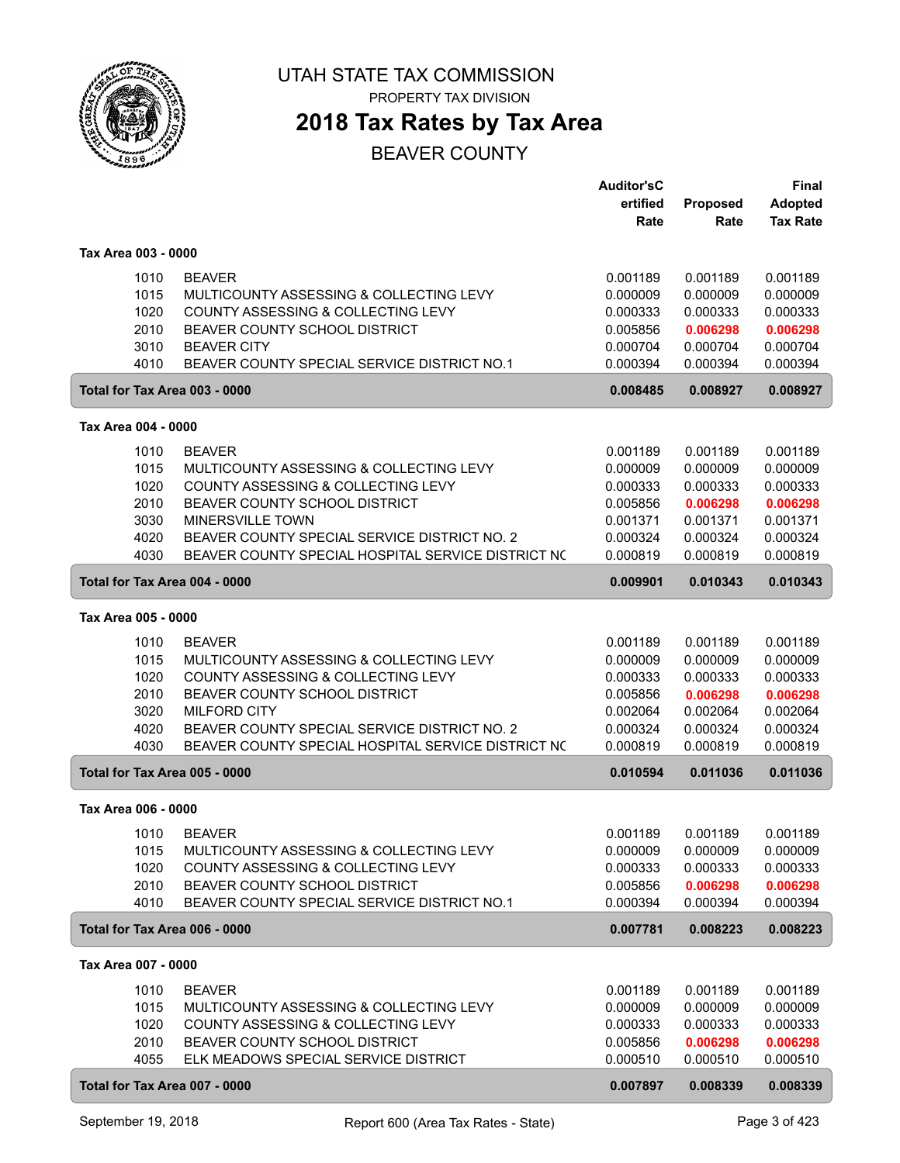

PROPERTY TAX DIVISION

## **2018 Tax Rates by Tax Area**

|                                                                       |                                                                                                                                                                                                                                                                     | <b>Auditor'sC</b><br>ertified<br>Rate                                            | Proposed<br>Rate                                                                 | Final<br><b>Adopted</b><br><b>Tax Rate</b>                                       |
|-----------------------------------------------------------------------|---------------------------------------------------------------------------------------------------------------------------------------------------------------------------------------------------------------------------------------------------------------------|----------------------------------------------------------------------------------|----------------------------------------------------------------------------------|----------------------------------------------------------------------------------|
| Tax Area 003 - 0000                                                   |                                                                                                                                                                                                                                                                     |                                                                                  |                                                                                  |                                                                                  |
| 1010<br>1015<br>1020<br>2010<br>3010<br>4010                          | <b>BEAVER</b><br>MULTICOUNTY ASSESSING & COLLECTING LEVY<br>COUNTY ASSESSING & COLLECTING LEVY<br>BEAVER COUNTY SCHOOL DISTRICT<br><b>BEAVER CITY</b><br>BEAVER COUNTY SPECIAL SERVICE DISTRICT NO.1                                                                | 0.001189<br>0.000009<br>0.000333<br>0.005856<br>0.000704<br>0.000394             | 0.001189<br>0.000009<br>0.000333<br>0.006298<br>0.000704<br>0.000394             | 0.001189<br>0.000009<br>0.000333<br>0.006298<br>0.000704<br>0.000394             |
| Total for Tax Area 003 - 0000                                         |                                                                                                                                                                                                                                                                     | 0.008485                                                                         | 0.008927                                                                         | 0.008927                                                                         |
| Tax Area 004 - 0000                                                   |                                                                                                                                                                                                                                                                     |                                                                                  |                                                                                  |                                                                                  |
| 1010<br>1015<br>1020<br>2010<br>3030<br>4020<br>4030                  | <b>BEAVER</b><br>MULTICOUNTY ASSESSING & COLLECTING LEVY<br>COUNTY ASSESSING & COLLECTING LEVY<br>BEAVER COUNTY SCHOOL DISTRICT<br><b>MINERSVILLE TOWN</b><br>BEAVER COUNTY SPECIAL SERVICE DISTRICT NO. 2<br>BEAVER COUNTY SPECIAL HOSPITAL SERVICE DISTRICT NO    | 0.001189<br>0.000009<br>0.000333<br>0.005856<br>0.001371<br>0.000324<br>0.000819 | 0.001189<br>0.000009<br>0.000333<br>0.006298<br>0.001371<br>0.000324<br>0.000819 | 0.001189<br>0.000009<br>0.000333<br>0.006298<br>0.001371<br>0.000324<br>0.000819 |
| Total for Tax Area 004 - 0000                                         |                                                                                                                                                                                                                                                                     | 0.009901                                                                         | 0.010343                                                                         | 0.010343                                                                         |
| Tax Area 005 - 0000                                                   |                                                                                                                                                                                                                                                                     |                                                                                  |                                                                                  |                                                                                  |
| 1010<br>1015<br>1020<br>2010<br>3020<br>4020<br>4030                  | <b>BEAVER</b><br>MULTICOUNTY ASSESSING & COLLECTING LEVY<br>COUNTY ASSESSING & COLLECTING LEVY<br><b>BEAVER COUNTY SCHOOL DISTRICT</b><br><b>MILFORD CITY</b><br>BEAVER COUNTY SPECIAL SERVICE DISTRICT NO. 2<br>BEAVER COUNTY SPECIAL HOSPITAL SERVICE DISTRICT NO | 0.001189<br>0.000009<br>0.000333<br>0.005856<br>0.002064<br>0.000324<br>0.000819 | 0.001189<br>0.000009<br>0.000333<br>0.006298<br>0.002064<br>0.000324<br>0.000819 | 0.001189<br>0.000009<br>0.000333<br>0.006298<br>0.002064<br>0.000324<br>0.000819 |
| Total for Tax Area 005 - 0000                                         |                                                                                                                                                                                                                                                                     | 0.010594                                                                         | 0.011036                                                                         | 0.011036                                                                         |
| Tax Area 006 - 0000                                                   |                                                                                                                                                                                                                                                                     |                                                                                  |                                                                                  |                                                                                  |
| 1010<br>1015<br>1020<br>2010<br>4010                                  | <b>BEAVER</b><br>MULTICOUNTY ASSESSING & COLLECTING LEVY<br>COUNTY ASSESSING & COLLECTING LEVY<br>BEAVER COUNTY SCHOOL DISTRICT<br>BEAVER COUNTY SPECIAL SERVICE DISTRICT NO.1                                                                                      | 0.001189<br>0.000009<br>0.000333<br>0.005856<br>0.000394                         | 0.001189<br>0.000009<br>0.000333<br>0.006298<br>0.000394                         | 0.001189<br>0.000009<br>0.000333<br>0.006298<br>0.000394                         |
| Total for Tax Area 006 - 0000                                         |                                                                                                                                                                                                                                                                     | 0.007781                                                                         | 0.008223                                                                         | 0.008223                                                                         |
| Tax Area 007 - 0000                                                   |                                                                                                                                                                                                                                                                     |                                                                                  |                                                                                  |                                                                                  |
| 1010<br>1015<br>1020<br>2010<br>4055<br>Total for Tax Area 007 - 0000 | <b>BEAVER</b><br>MULTICOUNTY ASSESSING & COLLECTING LEVY<br>COUNTY ASSESSING & COLLECTING LEVY<br>BEAVER COUNTY SCHOOL DISTRICT<br>ELK MEADOWS SPECIAL SERVICE DISTRICT                                                                                             | 0.001189<br>0.000009<br>0.000333<br>0.005856<br>0.000510                         | 0.001189<br>0.000009<br>0.000333<br>0.006298<br>0.000510                         | 0.001189<br>0.000009<br>0.000333<br>0.006298<br>0.000510                         |
|                                                                       |                                                                                                                                                                                                                                                                     | 0.007897                                                                         | 0.008339                                                                         | 0.008339                                                                         |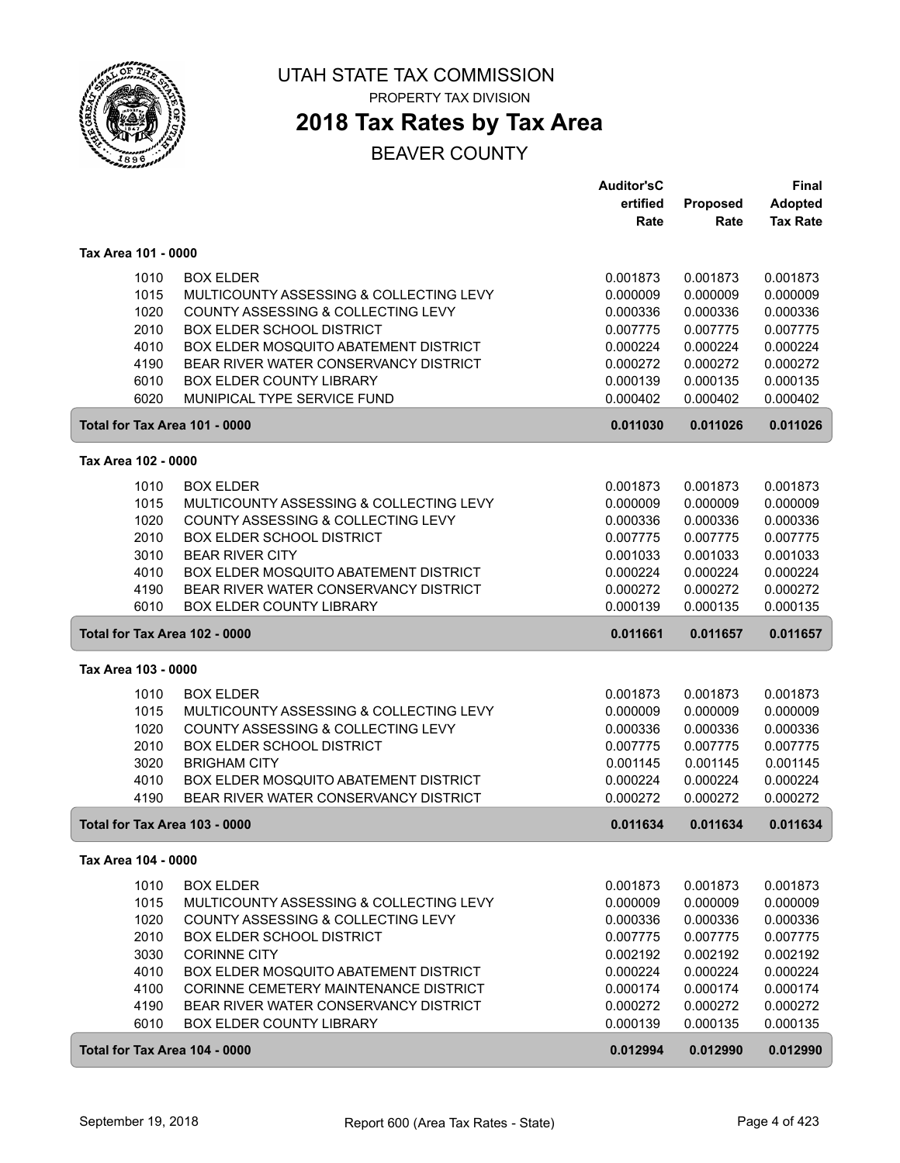

PROPERTY TAX DIVISION

## **2018 Tax Rates by Tax Area**

|                               |                                                                                | <b>Auditor'sC</b>    |                      | <b>Final</b>         |
|-------------------------------|--------------------------------------------------------------------------------|----------------------|----------------------|----------------------|
|                               |                                                                                | ertified             | Proposed             | <b>Adopted</b>       |
|                               |                                                                                | Rate                 | Rate                 | <b>Tax Rate</b>      |
| Tax Area 101 - 0000           |                                                                                |                      |                      |                      |
| 1010                          | <b>BOX ELDER</b>                                                               | 0.001873             | 0.001873             | 0.001873             |
| 1015                          | MULTICOUNTY ASSESSING & COLLECTING LEVY                                        | 0.000009             | 0.000009             | 0.000009             |
| 1020                          | <b>COUNTY ASSESSING &amp; COLLECTING LEVY</b>                                  | 0.000336             | 0.000336             | 0.000336             |
| 2010                          | <b>BOX ELDER SCHOOL DISTRICT</b>                                               | 0.007775             | 0.007775             | 0.007775             |
| 4010                          | BOX ELDER MOSQUITO ABATEMENT DISTRICT                                          | 0.000224             | 0.000224             | 0.000224             |
| 4190                          | BEAR RIVER WATER CONSERVANCY DISTRICT                                          | 0.000272             | 0.000272             | 0.000272             |
| 6010                          | <b>BOX ELDER COUNTY LIBRARY</b>                                                | 0.000139             | 0.000135             | 0.000135             |
| 6020                          | MUNIPICAL TYPE SERVICE FUND                                                    | 0.000402             | 0.000402             | 0.000402             |
| Total for Tax Area 101 - 0000 |                                                                                | 0.011030             | 0.011026             | 0.011026             |
| Tax Area 102 - 0000           |                                                                                |                      |                      |                      |
| 1010                          | <b>BOX ELDER</b>                                                               | 0.001873             | 0.001873             | 0.001873             |
| 1015                          | MULTICOUNTY ASSESSING & COLLECTING LEVY                                        | 0.000009             | 0.000009             | 0.000009             |
| 1020                          | COUNTY ASSESSING & COLLECTING LEVY                                             | 0.000336             | 0.000336             | 0.000336             |
| 2010                          | <b>BOX ELDER SCHOOL DISTRICT</b>                                               | 0.007775             | 0.007775             | 0.007775             |
| 3010                          | <b>BEAR RIVER CITY</b>                                                         | 0.001033             | 0.001033             | 0.001033             |
| 4010                          | <b>BOX ELDER MOSQUITO ABATEMENT DISTRICT</b>                                   | 0.000224             | 0.000224             | 0.000224             |
| 4190                          | BEAR RIVER WATER CONSERVANCY DISTRICT                                          | 0.000272             | 0.000272             | 0.000272             |
| 6010                          | <b>BOX ELDER COUNTY LIBRARY</b>                                                | 0.000139             | 0.000135             | 0.000135             |
| Total for Tax Area 102 - 0000 |                                                                                | 0.011661             | 0.011657             | 0.011657             |
| Tax Area 103 - 0000           |                                                                                |                      |                      |                      |
|                               |                                                                                |                      |                      |                      |
| 1010                          | <b>BOX ELDER</b>                                                               | 0.001873             | 0.001873             | 0.001873             |
| 1015                          | MULTICOUNTY ASSESSING & COLLECTING LEVY                                        | 0.000009             | 0.000009             | 0.000009             |
| 1020                          | COUNTY ASSESSING & COLLECTING LEVY                                             | 0.000336             | 0.000336             | 0.000336             |
| 2010                          | <b>BOX ELDER SCHOOL DISTRICT</b>                                               | 0.007775             | 0.007775             | 0.007775             |
| 3020                          | <b>BRIGHAM CITY</b>                                                            | 0.001145             | 0.001145             | 0.001145             |
| 4010<br>4190                  | BOX ELDER MOSQUITO ABATEMENT DISTRICT<br>BEAR RIVER WATER CONSERVANCY DISTRICT | 0.000224<br>0.000272 | 0.000224<br>0.000272 | 0.000224<br>0.000272 |
| Total for Tax Area 103 - 0000 |                                                                                | 0.011634             | 0.011634             | 0.011634             |
|                               |                                                                                |                      |                      |                      |
| Tax Area 104 - 0000           |                                                                                |                      |                      |                      |
| 1010                          | <b>BOX ELDER</b>                                                               | 0.001873             | 0.001873             | 0.001873             |
| 1015                          | MULTICOUNTY ASSESSING & COLLECTING LEVY                                        | 0.000009             | 0.000009             | 0.000009             |
| 1020                          | COUNTY ASSESSING & COLLECTING LEVY                                             | 0.000336             | 0.000336             | 0.000336             |
| 2010                          | <b>BOX ELDER SCHOOL DISTRICT</b>                                               | 0.007775             | 0.007775             | 0.007775             |
| 3030                          | <b>CORINNE CITY</b>                                                            | 0.002192             | 0.002192             | 0.002192             |
| 4010                          | <b>BOX ELDER MOSQUITO ABATEMENT DISTRICT</b>                                   | 0.000224             | 0.000224             | 0.000224             |
| 4100                          | CORINNE CEMETERY MAINTENANCE DISTRICT                                          | 0.000174             | 0.000174             | 0.000174             |
| 4190                          | BEAR RIVER WATER CONSERVANCY DISTRICT                                          | 0.000272             | 0.000272             | 0.000272             |
| 6010                          | <b>BOX ELDER COUNTY LIBRARY</b>                                                | 0.000139             | 0.000135             | 0.000135             |
|                               | Total for Tax Area 104 - 0000                                                  | 0.012994             | 0.012990             | 0.012990             |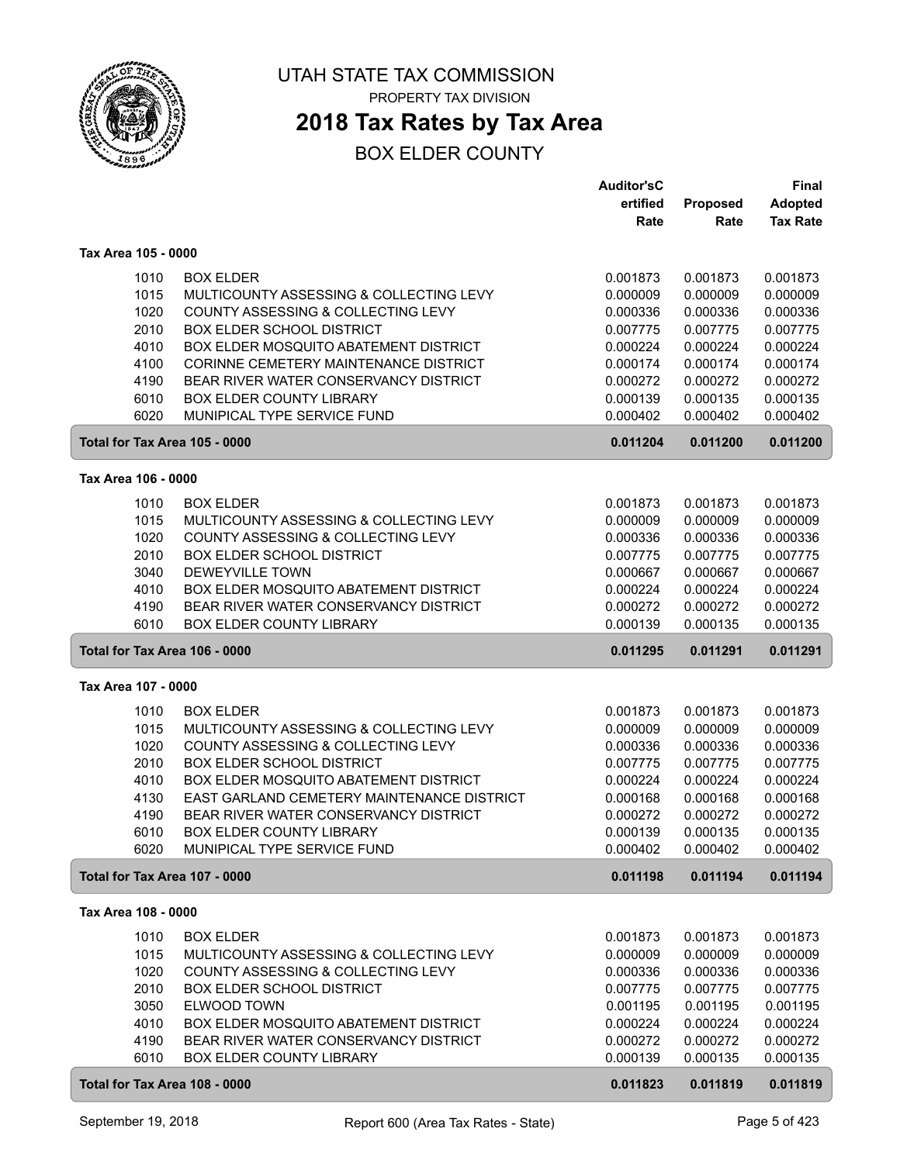

## **2018 Tax Rates by Tax Area**

|                                       |                                                                                     | <b>Auditor'sC</b>    |                      | <b>Final</b>         |
|---------------------------------------|-------------------------------------------------------------------------------------|----------------------|----------------------|----------------------|
|                                       |                                                                                     | ertified             | Proposed             | <b>Adopted</b>       |
|                                       |                                                                                     | Rate                 | Rate                 | <b>Tax Rate</b>      |
| Tax Area 105 - 0000                   |                                                                                     |                      |                      |                      |
|                                       |                                                                                     |                      |                      |                      |
| 1010                                  | <b>BOX ELDER</b>                                                                    | 0.001873             | 0.001873             | 0.001873             |
| 1015                                  | MULTICOUNTY ASSESSING & COLLECTING LEVY                                             | 0.000009             | 0.000009             | 0.000009             |
| 1020                                  | COUNTY ASSESSING & COLLECTING LEVY                                                  | 0.000336             | 0.000336             | 0.000336             |
| 2010                                  | <b>BOX ELDER SCHOOL DISTRICT</b>                                                    | 0.007775             | 0.007775             | 0.007775             |
| 4010                                  | BOX ELDER MOSQUITO ABATEMENT DISTRICT                                               | 0.000224             | 0.000224             | 0.000224             |
| 4100                                  | CORINNE CEMETERY MAINTENANCE DISTRICT                                               | 0.000174             | 0.000174             | 0.000174             |
| 4190                                  | BEAR RIVER WATER CONSERVANCY DISTRICT                                               | 0.000272             | 0.000272             | 0.000272             |
| 6010                                  | <b>BOX ELDER COUNTY LIBRARY</b>                                                     | 0.000139             | 0.000135             | 0.000135             |
| 6020                                  | MUNIPICAL TYPE SERVICE FUND                                                         | 0.000402             | 0.000402             | 0.000402             |
| Total for Tax Area 105 - 0000         |                                                                                     | 0.011204             | 0.011200             | 0.011200             |
| Tax Area 106 - 0000                   |                                                                                     |                      |                      |                      |
| 1010                                  | <b>BOX ELDER</b>                                                                    | 0.001873             | 0.001873             | 0.001873             |
| 1015                                  | MULTICOUNTY ASSESSING & COLLECTING LEVY                                             | 0.000009             | 0.000009             | 0.000009             |
| 1020                                  | COUNTY ASSESSING & COLLECTING LEVY                                                  | 0.000336             | 0.000336             | 0.000336             |
| 2010                                  | <b>BOX ELDER SCHOOL DISTRICT</b>                                                    | 0.007775             | 0.007775             | 0.007775             |
| 3040                                  | DEWEYVILLE TOWN                                                                     | 0.000667             | 0.000667             | 0.000667             |
| 4010                                  | BOX ELDER MOSQUITO ABATEMENT DISTRICT                                               | 0.000224             | 0.000224             | 0.000224             |
| 4190                                  | BEAR RIVER WATER CONSERVANCY DISTRICT                                               | 0.000272             | 0.000272             | 0.000272             |
| 6010                                  | <b>BOX ELDER COUNTY LIBRARY</b>                                                     | 0.000139             | 0.000135             | 0.000135             |
| Total for Tax Area 106 - 0000         |                                                                                     | 0.011295             | 0.011291             | 0.011291             |
|                                       |                                                                                     |                      |                      |                      |
|                                       |                                                                                     |                      |                      |                      |
| Tax Area 107 - 0000                   |                                                                                     |                      |                      |                      |
|                                       |                                                                                     |                      |                      |                      |
| 1010                                  | <b>BOX ELDER</b>                                                                    | 0.001873             | 0.001873             | 0.001873             |
| 1015                                  | MULTICOUNTY ASSESSING & COLLECTING LEVY                                             | 0.000009             | 0.000009             | 0.000009             |
| 1020                                  | COUNTY ASSESSING & COLLECTING LEVY                                                  | 0.000336             | 0.000336             | 0.000336             |
| 2010                                  | <b>BOX ELDER SCHOOL DISTRICT</b>                                                    | 0.007775             | 0.007775             | 0.007775             |
| 4010                                  | BOX ELDER MOSQUITO ABATEMENT DISTRICT<br>EAST GARLAND CEMETERY MAINTENANCE DISTRICT | 0.000224             | 0.000224             | 0.000224             |
| 4130                                  |                                                                                     | 0.000168             | 0.000168             | 0.000168             |
| 4190                                  | BEAR RIVER WATER CONSERVANCY DISTRICT<br><b>BOX ELDER COUNTY LIBRARY</b>            | 0.000272             | 0.000272             | 0.000272             |
| 6010<br>6020                          | MUNIPICAL TYPE SERVICE FUND                                                         | 0.000139<br>0.000402 | 0.000135<br>0.000402 | 0.000135<br>0.000402 |
| Total for Tax Area 107 - 0000         |                                                                                     | 0.011198             | 0.011194             | 0.011194             |
| Tax Area 108 - 0000                   |                                                                                     |                      |                      |                      |
|                                       |                                                                                     |                      |                      |                      |
| 1010                                  | <b>BOX ELDER</b>                                                                    | 0.001873             | 0.001873             | 0.001873             |
| 1015                                  | MULTICOUNTY ASSESSING & COLLECTING LEVY                                             | 0.000009             | 0.000009             | 0.000009             |
| 1020                                  | COUNTY ASSESSING & COLLECTING LEVY                                                  | 0.000336             | 0.000336             | 0.000336             |
| 2010                                  | <b>BOX ELDER SCHOOL DISTRICT</b>                                                    | 0.007775             | 0.007775             | 0.007775             |
| 3050                                  | ELWOOD TOWN                                                                         | 0.001195             | 0.001195             | 0.001195             |
| 4010                                  | BOX ELDER MOSQUITO ABATEMENT DISTRICT                                               | 0.000224             | 0.000224             | 0.000224             |
| 4190                                  | BEAR RIVER WATER CONSERVANCY DISTRICT                                               | 0.000272             | 0.000272             | 0.000272             |
| 6010<br>Total for Tax Area 108 - 0000 | BOX ELDER COUNTY LIBRARY                                                            | 0.000139<br>0.011823 | 0.000135<br>0.011819 | 0.000135<br>0.011819 |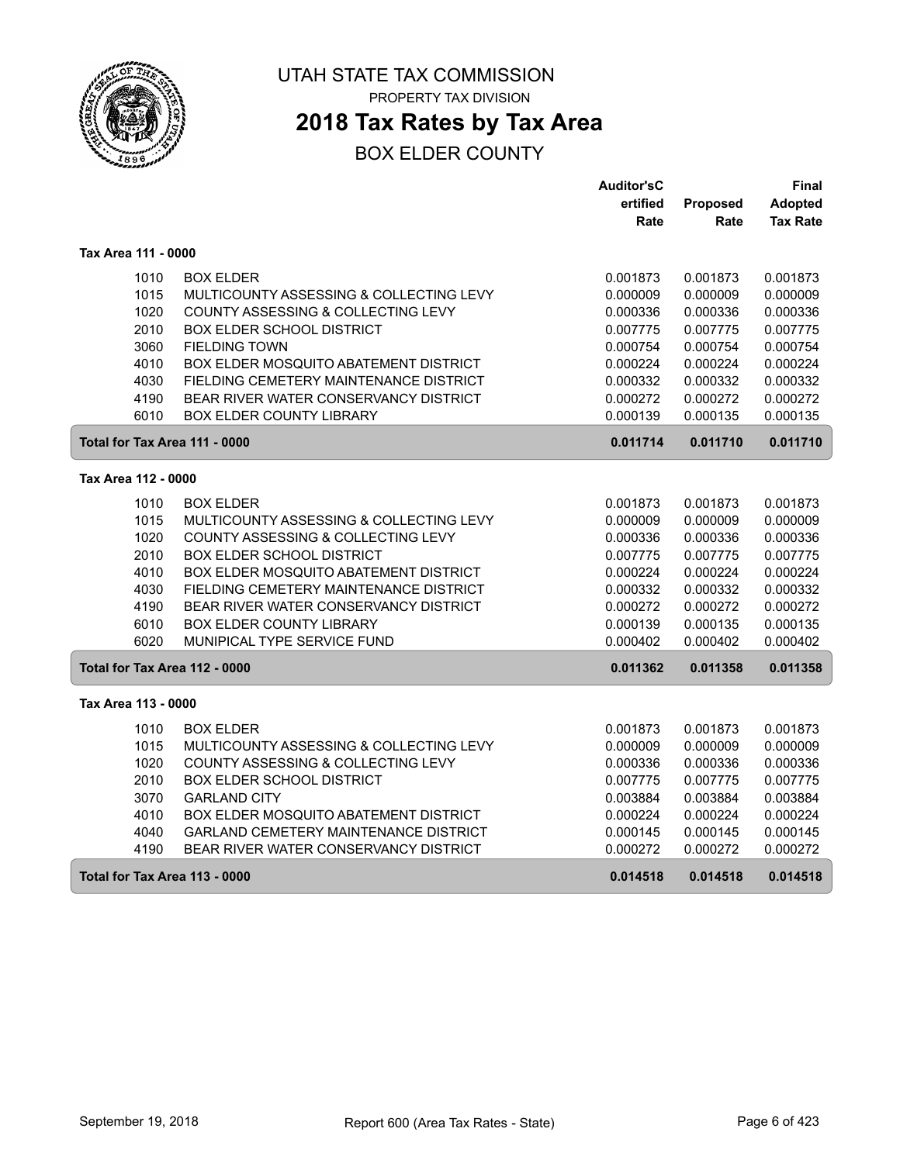

## **2018 Tax Rates by Tax Area**

|                               |                                              | <b>Auditor'sC</b> |                 | Final           |
|-------------------------------|----------------------------------------------|-------------------|-----------------|-----------------|
|                               |                                              | ertified          | <b>Proposed</b> | Adopted         |
|                               |                                              | Rate              | Rate            | <b>Tax Rate</b> |
| Tax Area 111 - 0000           |                                              |                   |                 |                 |
| 1010                          | <b>BOX ELDER</b>                             | 0.001873          | 0.001873        | 0.001873        |
| 1015                          | MULTICOUNTY ASSESSING & COLLECTING LEVY      | 0.000009          | 0.000009        | 0.000009        |
| 1020                          | COUNTY ASSESSING & COLLECTING LEVY           | 0.000336          | 0.000336        | 0.000336        |
| 2010                          | <b>BOX ELDER SCHOOL DISTRICT</b>             | 0.007775          | 0.007775        | 0.007775        |
| 3060                          | <b>FIELDING TOWN</b>                         | 0.000754          | 0.000754        | 0.000754        |
| 4010                          | <b>BOX ELDER MOSQUITO ABATEMENT DISTRICT</b> | 0.000224          | 0.000224        | 0.000224        |
| 4030                          | FIELDING CEMETERY MAINTENANCE DISTRICT       | 0.000332          | 0.000332        | 0.000332        |
| 4190                          | BEAR RIVER WATER CONSERVANCY DISTRICT        | 0.000272          | 0.000272        | 0.000272        |
| 6010                          | <b>BOX ELDER COUNTY LIBRARY</b>              | 0.000139          | 0.000135        | 0.000135        |
| Total for Tax Area 111 - 0000 |                                              | 0.011714          | 0.011710        | 0.011710        |
| Tax Area 112 - 0000           |                                              |                   |                 |                 |
| 1010                          | <b>BOX ELDER</b>                             | 0.001873          | 0.001873        | 0.001873        |
| 1015                          | MULTICOUNTY ASSESSING & COLLECTING LEVY      | 0.000009          | 0.000009        | 0.000009        |
| 1020                          | COUNTY ASSESSING & COLLECTING LEVY           | 0.000336          | 0.000336        | 0.000336        |
| 2010                          | BOX ELDER SCHOOL DISTRICT                    | 0.007775          | 0.007775        | 0.007775        |
| 4010                          | <b>BOX ELDER MOSQUITO ABATEMENT DISTRICT</b> | 0.000224          | 0.000224        | 0.000224        |
| 4030                          | FIELDING CEMETERY MAINTENANCE DISTRICT       | 0.000332          | 0.000332        | 0.000332        |
| 4190                          | BEAR RIVER WATER CONSERVANCY DISTRICT        | 0.000272          | 0.000272        | 0.000272        |
| 6010                          | BOX ELDER COUNTY LIBRARY                     | 0.000139          | 0.000135        | 0.000135        |
| 6020                          | MUNIPICAL TYPE SERVICE FUND                  | 0.000402          | 0.000402        | 0.000402        |
| Total for Tax Area 112 - 0000 |                                              | 0.011362          | 0.011358        | 0.011358        |
| Tax Area 113 - 0000           |                                              |                   |                 |                 |
| 1010                          | <b>BOX ELDER</b>                             | 0.001873          | 0.001873        | 0.001873        |
| 1015                          | MULTICOUNTY ASSESSING & COLLECTING LEVY      | 0.000009          | 0.000009        | 0.000009        |
| 1020                          | COUNTY ASSESSING & COLLECTING LEVY           | 0.000336          | 0.000336        | 0.000336        |
| 2010                          | <b>BOX ELDER SCHOOL DISTRICT</b>             | 0.007775          | 0.007775        | 0.007775        |
| 3070                          | <b>GARLAND CITY</b>                          | 0.003884          | 0.003884        | 0.003884        |
| 4010                          | BOX ELDER MOSQUITO ABATEMENT DISTRICT        | 0.000224          | 0.000224        | 0.000224        |
| 4040                          | GARLAND CEMETERY MAINTENANCE DISTRICT        | 0.000145          | 0.000145        | 0.000145        |
| 4190                          | BEAR RIVER WATER CONSERVANCY DISTRICT        | 0.000272          | 0.000272        | 0.000272        |
| Total for Tax Area 113 - 0000 |                                              | 0.014518          | 0.014518        | 0.014518        |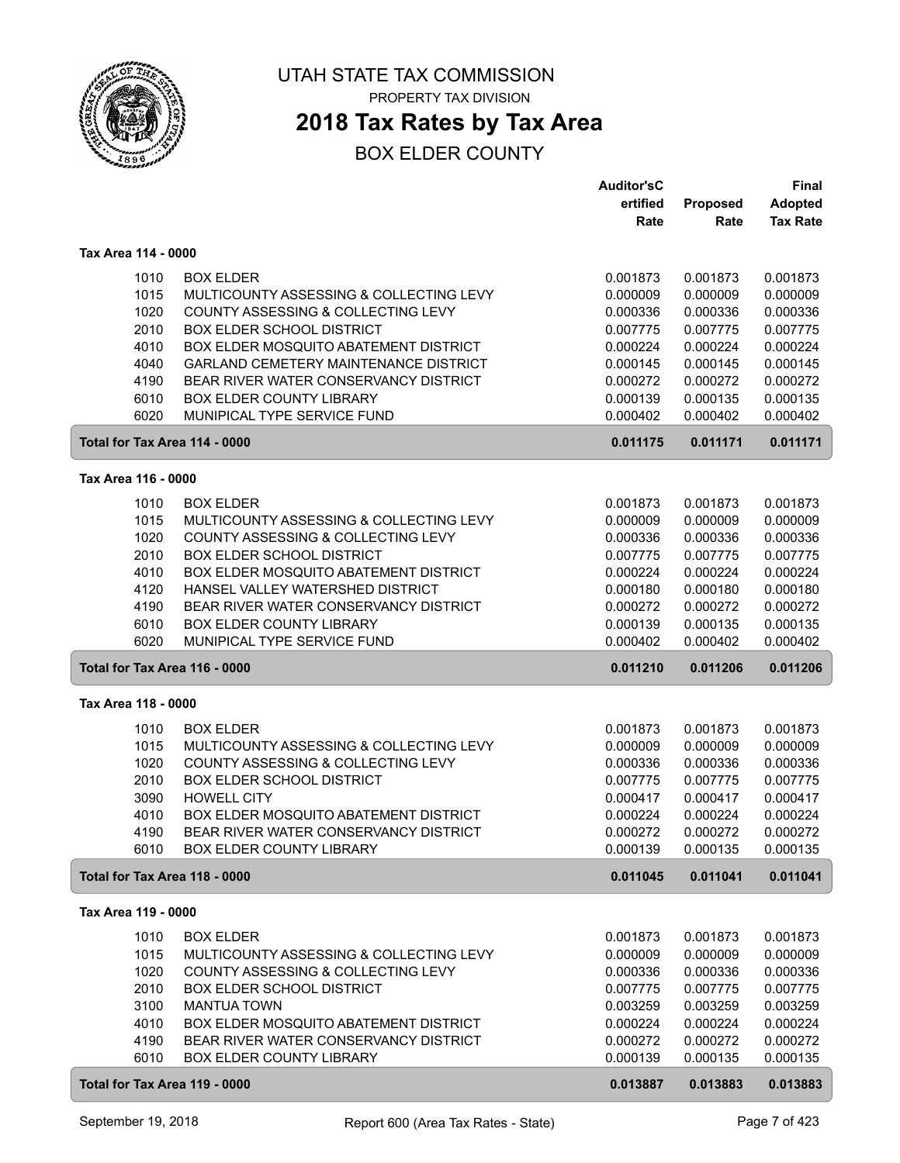

## **2018 Tax Rates by Tax Area**

|                               |                                                                                | <b>Auditor'sC</b>    |                      | <b>Final</b>         |
|-------------------------------|--------------------------------------------------------------------------------|----------------------|----------------------|----------------------|
|                               |                                                                                | ertified             | Proposed             | <b>Adopted</b>       |
|                               |                                                                                | Rate                 | Rate                 | <b>Tax Rate</b>      |
| Tax Area 114 - 0000           |                                                                                |                      |                      |                      |
|                               |                                                                                |                      |                      |                      |
| 1010                          | <b>BOX ELDER</b>                                                               | 0.001873             | 0.001873             | 0.001873             |
| 1015                          | MULTICOUNTY ASSESSING & COLLECTING LEVY                                        | 0.000009             | 0.000009             | 0.000009             |
| 1020                          | COUNTY ASSESSING & COLLECTING LEVY                                             | 0.000336             | 0.000336             | 0.000336             |
| 2010                          | <b>BOX ELDER SCHOOL DISTRICT</b>                                               | 0.007775             | 0.007775             | 0.007775             |
| 4010                          | BOX ELDER MOSQUITO ABATEMENT DISTRICT                                          | 0.000224             | 0.000224             | 0.000224             |
| 4040                          | GARLAND CEMETERY MAINTENANCE DISTRICT                                          | 0.000145             | 0.000145             | 0.000145             |
| 4190                          | BEAR RIVER WATER CONSERVANCY DISTRICT                                          | 0.000272             | 0.000272             | 0.000272             |
| 6010                          | BOX ELDER COUNTY LIBRARY                                                       | 0.000139             | 0.000135             | 0.000135             |
| 6020                          | MUNIPICAL TYPE SERVICE FUND                                                    | 0.000402             | 0.000402             | 0.000402             |
| Total for Tax Area 114 - 0000 |                                                                                | 0.011175             | 0.011171             | 0.011171             |
| Tax Area 116 - 0000           |                                                                                |                      |                      |                      |
| 1010                          | <b>BOX ELDER</b>                                                               | 0.001873             | 0.001873             | 0.001873             |
| 1015                          | MULTICOUNTY ASSESSING & COLLECTING LEVY                                        | 0.000009             | 0.000009             | 0.000009             |
| 1020                          |                                                                                |                      |                      |                      |
|                               | COUNTY ASSESSING & COLLECTING LEVY                                             | 0.000336             | 0.000336             | 0.000336             |
| 2010                          | BOX ELDER SCHOOL DISTRICT                                                      | 0.007775             | 0.007775             | 0.007775             |
| 4010                          | BOX ELDER MOSQUITO ABATEMENT DISTRICT                                          | 0.000224             | 0.000224             | 0.000224             |
| 4120                          | HANSEL VALLEY WATERSHED DISTRICT                                               | 0.000180             | 0.000180             | 0.000180             |
| 4190                          | BEAR RIVER WATER CONSERVANCY DISTRICT                                          | 0.000272             | 0.000272             | 0.000272             |
| 6010                          | BOX ELDER COUNTY LIBRARY                                                       | 0.000139             | 0.000135             | 0.000135             |
| 6020                          | MUNIPICAL TYPE SERVICE FUND                                                    | 0.000402             | 0.000402             | 0.000402             |
| Total for Tax Area 116 - 0000 |                                                                                | 0.011210             | 0.011206             | 0.011206             |
| Tax Area 118 - 0000           |                                                                                |                      |                      |                      |
| 1010                          | <b>BOX ELDER</b>                                                               | 0.001873             | 0.001873             | 0.001873             |
| 1015                          | MULTICOUNTY ASSESSING & COLLECTING LEVY                                        | 0.000009             | 0.000009             | 0.000009             |
| 1020                          | COUNTY ASSESSING & COLLECTING LEVY                                             | 0.000336             | 0.000336             | 0.000336             |
| 2010                          | <b>BOX ELDER SCHOOL DISTRICT</b>                                               | 0.007775             | 0.007775             | 0.007775             |
| 3090                          |                                                                                | 0.000417             |                      |                      |
|                               | <b>HOWELL CITY</b>                                                             | 0.000224             | 0.000417             | 0.000417             |
| 4010                          | BOX ELDER MOSQUITO ABATEMENT DISTRICT<br>BEAR RIVER WATER CONSERVANCY DISTRICT |                      | 0.000224             | 0.000224             |
| 4190<br>6010                  | <b>BOX ELDER COUNTY LIBRARY</b>                                                | 0.000272<br>0.000139 | 0.000272<br>0.000135 | 0.000272<br>0.000135 |
| Total for Tax Area 118 - 0000 |                                                                                | 0.011045             | 0.011041             | 0.011041             |
|                               |                                                                                |                      |                      |                      |
| Tax Area 119 - 0000           |                                                                                |                      |                      |                      |
| 1010                          | <b>BOX ELDER</b>                                                               | 0.001873             | 0.001873             | 0.001873             |
| 1015                          | MULTICOUNTY ASSESSING & COLLECTING LEVY                                        | 0.000009             | 0.000009             | 0.000009             |
| 1020                          | COUNTY ASSESSING & COLLECTING LEVY                                             | 0.000336             | 0.000336             | 0.000336             |
| 2010                          | <b>BOX ELDER SCHOOL DISTRICT</b>                                               | 0.007775             | 0.007775             | 0.007775             |
| 3100                          | <b>MANTUA TOWN</b>                                                             | 0.003259             | 0.003259             | 0.003259             |
| 4010                          | BOX ELDER MOSQUITO ABATEMENT DISTRICT                                          | 0.000224             | 0.000224             | 0.000224             |
| 4190                          | BEAR RIVER WATER CONSERVANCY DISTRICT                                          | 0.000272             | 0.000272             | 0.000272             |
| 6010                          | BOX ELDER COUNTY LIBRARY                                                       | 0.000139             | 0.000135             | 0.000135             |
| Total for Tax Area 119 - 0000 |                                                                                | 0.013887             | 0.013883             | 0.013883             |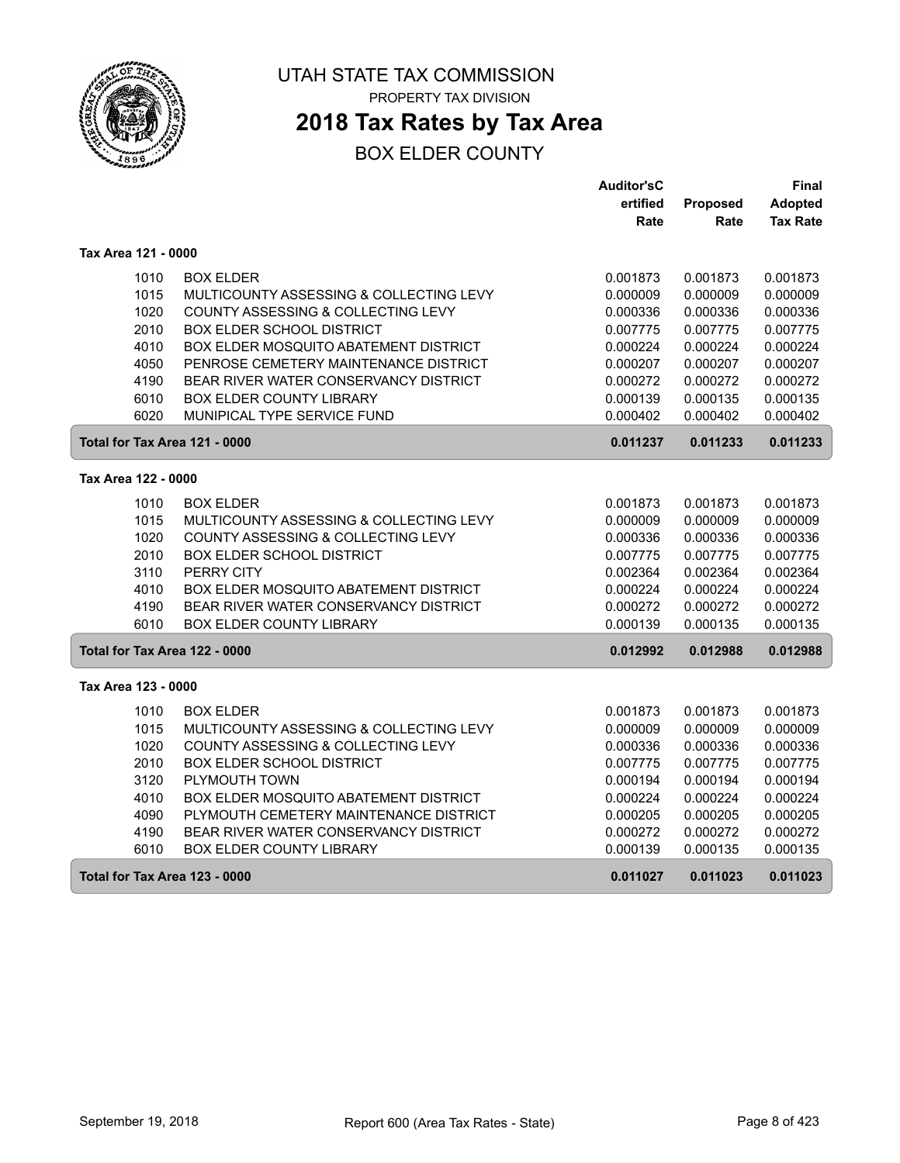

## **2018 Tax Rates by Tax Area**

|                     |                                              | <b>Auditor'sC</b> |                 | Final           |
|---------------------|----------------------------------------------|-------------------|-----------------|-----------------|
|                     |                                              | ertified          | <b>Proposed</b> | Adopted         |
|                     |                                              | Rate              | Rate            | <b>Tax Rate</b> |
| Tax Area 121 - 0000 |                                              |                   |                 |                 |
| 1010                | <b>BOX ELDER</b>                             | 0.001873          | 0.001873        | 0.001873        |
| 1015                | MULTICOUNTY ASSESSING & COLLECTING LEVY      | 0.000009          | 0.000009        | 0.000009        |
| 1020                | COUNTY ASSESSING & COLLECTING LEVY           | 0.000336          | 0.000336        | 0.000336        |
| 2010                | <b>BOX ELDER SCHOOL DISTRICT</b>             | 0.007775          | 0.007775        | 0.007775        |
| 4010                | BOX ELDER MOSQUITO ABATEMENT DISTRICT        | 0.000224          | 0.000224        | 0.000224        |
| 4050                | PENROSE CEMETERY MAINTENANCE DISTRICT        | 0.000207          | 0.000207        | 0.000207        |
| 4190                | BEAR RIVER WATER CONSERVANCY DISTRICT        | 0.000272          | 0.000272        | 0.000272        |
| 6010                | BOX ELDER COUNTY LIBRARY                     | 0.000139          | 0.000135        | 0.000135        |
| 6020                | MUNIPICAL TYPE SERVICE FUND                  | 0.000402          | 0.000402        | 0.000402        |
|                     | Total for Tax Area 121 - 0000                | 0.011237          | 0.011233        | 0.011233        |
| Tax Area 122 - 0000 |                                              |                   |                 |                 |
| 1010                | <b>BOX ELDER</b>                             | 0.001873          | 0.001873        | 0.001873        |
| 1015                | MULTICOUNTY ASSESSING & COLLECTING LEVY      | 0.000009          | 0.000009        | 0.000009        |
| 1020                | COUNTY ASSESSING & COLLECTING LEVY           | 0.000336          | 0.000336        | 0.000336        |
| 2010                | BOX ELDER SCHOOL DISTRICT                    | 0.007775          | 0.007775        | 0.007775        |
| 3110                | PERRY CITY                                   | 0.002364          | 0.002364        | 0.002364        |
| 4010                | BOX ELDER MOSQUITO ABATEMENT DISTRICT        | 0.000224          | 0.000224        | 0.000224        |
| 4190                | BEAR RIVER WATER CONSERVANCY DISTRICT        | 0.000272          | 0.000272        | 0.000272        |
| 6010                | <b>BOX ELDER COUNTY LIBRARY</b>              | 0.000139          | 0.000135        | 0.000135        |
|                     | Total for Tax Area 122 - 0000                | 0.012992          | 0.012988        | 0.012988        |
| Tax Area 123 - 0000 |                                              |                   |                 |                 |
| 1010                | <b>BOX ELDER</b>                             | 0.001873          | 0.001873        | 0.001873        |
| 1015                | MULTICOUNTY ASSESSING & COLLECTING LEVY      | 0.000009          | 0.000009        | 0.000009        |
| 1020                | COUNTY ASSESSING & COLLECTING LEVY           | 0.000336          | 0.000336        | 0.000336        |
| 2010                | <b>BOX ELDER SCHOOL DISTRICT</b>             | 0.007775          | 0.007775        | 0.007775        |
| 3120                | PLYMOUTH TOWN                                | 0.000194          | 0.000194        | 0.000194        |
| 4010                | <b>BOX ELDER MOSQUITO ABATEMENT DISTRICT</b> | 0.000224          | 0.000224        | 0.000224        |
| 4090                | PLYMOUTH CEMETERY MAINTENANCE DISTRICT       | 0.000205          | 0.000205        | 0.000205        |
| 4190                | BEAR RIVER WATER CONSERVANCY DISTRICT        | 0.000272          | 0.000272        | 0.000272        |
| 6010                | <b>BOX ELDER COUNTY LIBRARY</b>              | 0.000139          | 0.000135        | 0.000135        |
|                     | Total for Tax Area 123 - 0000                | 0.011027          | 0.011023        | 0.011023        |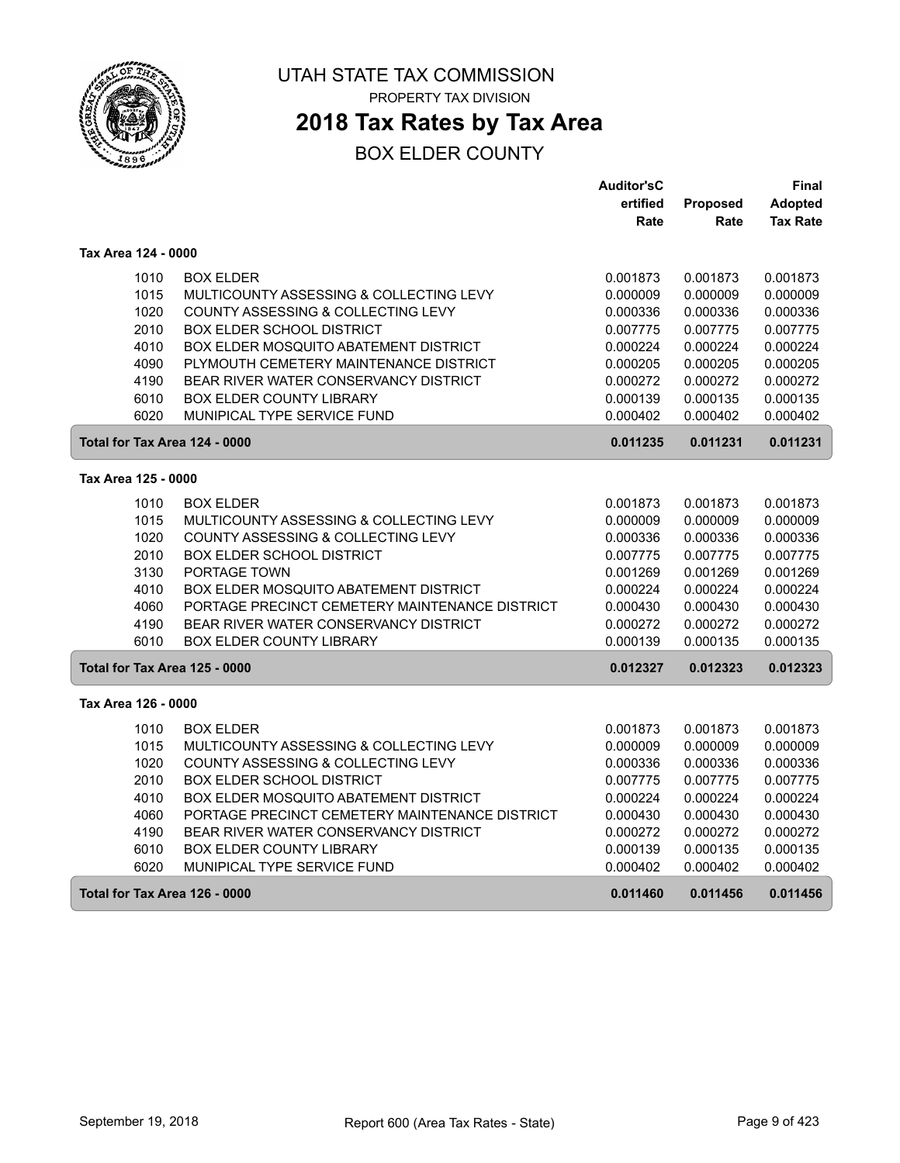

## **2018 Tax Rates by Tax Area**

|                               |                                                             | <b>Auditor'sC</b>    |                      | Final                |
|-------------------------------|-------------------------------------------------------------|----------------------|----------------------|----------------------|
|                               |                                                             | ertified             | Proposed             | Adopted              |
|                               |                                                             | Rate                 | Rate                 | <b>Tax Rate</b>      |
| Tax Area 124 - 0000           |                                                             |                      |                      |                      |
| 1010                          | <b>BOX ELDER</b>                                            | 0.001873             | 0.001873             | 0.001873             |
| 1015                          | MULTICOUNTY ASSESSING & COLLECTING LEVY                     | 0.000009             | 0.000009             | 0.000009             |
| 1020                          | COUNTY ASSESSING & COLLECTING LEVY                          | 0.000336             | 0.000336             | 0.000336             |
| 2010                          | <b>BOX ELDER SCHOOL DISTRICT</b>                            | 0.007775             | 0.007775             | 0.007775             |
| 4010                          | BOX ELDER MOSQUITO ABATEMENT DISTRICT                       | 0.000224             | 0.000224             | 0.000224             |
| 4090                          | PLYMOUTH CEMETERY MAINTENANCE DISTRICT                      | 0.000205             | 0.000205             | 0.000205             |
| 4190                          | BEAR RIVER WATER CONSERVANCY DISTRICT                       | 0.000272             | 0.000272             | 0.000272             |
| 6010                          | <b>BOX ELDER COUNTY LIBRARY</b>                             | 0.000139             | 0.000135             | 0.000135             |
| 6020                          | MUNIPICAL TYPE SERVICE FUND                                 | 0.000402             | 0.000402             | 0.000402             |
| Total for Tax Area 124 - 0000 |                                                             | 0.011235             | 0.011231             | 0.011231             |
| Tax Area 125 - 0000           |                                                             |                      |                      |                      |
|                               |                                                             |                      |                      |                      |
| 1010<br>1015                  | <b>BOX ELDER</b><br>MULTICOUNTY ASSESSING & COLLECTING LEVY | 0.001873<br>0.000009 | 0.001873<br>0.000009 | 0.001873<br>0.000009 |
| 1020                          | COUNTY ASSESSING & COLLECTING LEVY                          | 0.000336             | 0.000336             | 0.000336             |
| 2010                          | <b>BOX ELDER SCHOOL DISTRICT</b>                            | 0.007775             | 0.007775             | 0.007775             |
| 3130                          | PORTAGE TOWN                                                | 0.001269             | 0.001269             | 0.001269             |
| 4010                          | BOX ELDER MOSQUITO ABATEMENT DISTRICT                       | 0.000224             | 0.000224             | 0.000224             |
| 4060                          | PORTAGE PRECINCT CEMETERY MAINTENANCE DISTRICT              | 0.000430             | 0.000430             | 0.000430             |
| 4190                          | BEAR RIVER WATER CONSERVANCY DISTRICT                       | 0.000272             | 0.000272             | 0.000272             |
| 6010                          | <b>BOX ELDER COUNTY LIBRARY</b>                             | 0.000139             | 0.000135             | 0.000135             |
| Total for Tax Area 125 - 0000 |                                                             | 0.012327             | 0.012323             | 0.012323             |
| Tax Area 126 - 0000           |                                                             |                      |                      |                      |
|                               |                                                             |                      |                      |                      |
| 1010                          | <b>BOX ELDER</b>                                            | 0.001873             | 0.001873             | 0.001873             |
| 1015                          | MULTICOUNTY ASSESSING & COLLECTING LEVY                     | 0.000009             | 0.000009             | 0.000009             |
| 1020                          | COUNTY ASSESSING & COLLECTING LEVY                          | 0.000336             | 0.000336             | 0.000336             |
| 2010                          | BOX ELDER SCHOOL DISTRICT                                   | 0.007775             | 0.007775             | 0.007775             |
| 4010                          | BOX ELDER MOSQUITO ABATEMENT DISTRICT                       | 0.000224             | 0.000224             | 0.000224             |
| 4060                          | PORTAGE PRECINCT CEMETERY MAINTENANCE DISTRICT              | 0.000430             | 0.000430             | 0.000430             |
| 4190                          | BEAR RIVER WATER CONSERVANCY DISTRICT                       | 0.000272             | 0.000272             | 0.000272             |
| 6010                          | <b>BOX ELDER COUNTY LIBRARY</b>                             | 0.000139             | 0.000135             | 0.000135             |
| 6020                          | MUNIPICAL TYPE SERVICE FUND                                 | 0.000402             | 0.000402             | 0.000402             |
| Total for Tax Area 126 - 0000 |                                                             | 0.011460             | 0.011456             | 0.011456             |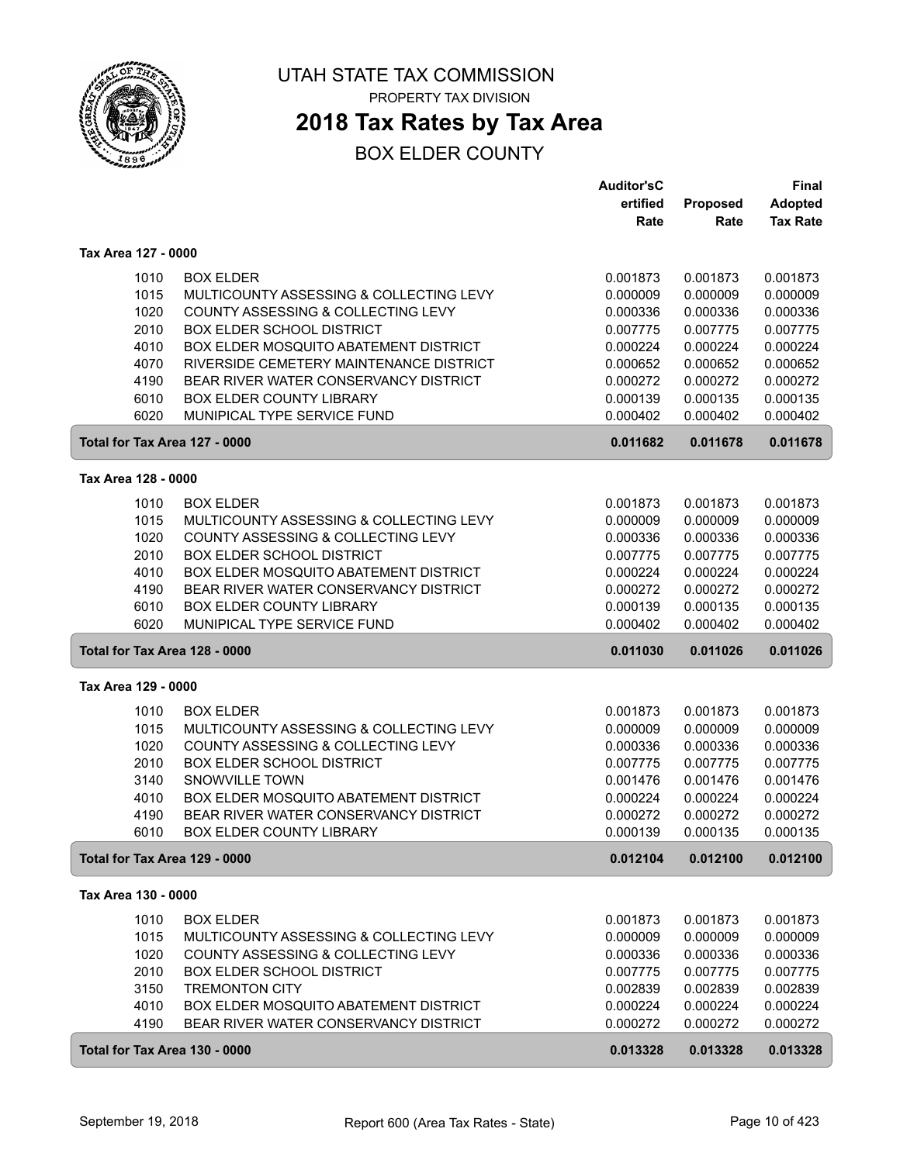

## **2018 Tax Rates by Tax Area**

|                               |                                         | <b>Auditor'sC</b> |                      | <b>Final</b>    |
|-------------------------------|-----------------------------------------|-------------------|----------------------|-----------------|
|                               |                                         | ertified          | Proposed             | <b>Adopted</b>  |
|                               |                                         | Rate              | Rate                 | <b>Tax Rate</b> |
| Tax Area 127 - 0000           |                                         |                   |                      |                 |
|                               |                                         |                   |                      |                 |
| 1010                          | <b>BOX ELDER</b>                        | 0.001873          | 0.001873             | 0.001873        |
| 1015                          | MULTICOUNTY ASSESSING & COLLECTING LEVY | 0.000009          | 0.000009             | 0.000009        |
| 1020                          | COUNTY ASSESSING & COLLECTING LEVY      | 0.000336          | 0.000336             | 0.000336        |
| 2010                          | <b>BOX ELDER SCHOOL DISTRICT</b>        | 0.007775          | 0.007775             | 0.007775        |
| 4010                          | BOX ELDER MOSQUITO ABATEMENT DISTRICT   | 0.000224          | 0.000224             | 0.000224        |
| 4070                          | RIVERSIDE CEMETERY MAINTENANCE DISTRICT | 0.000652          | 0.000652             | 0.000652        |
| 4190                          | BEAR RIVER WATER CONSERVANCY DISTRICT   | 0.000272          | 0.000272             | 0.000272        |
| 6010                          | BOX ELDER COUNTY LIBRARY                | 0.000139          | 0.000135             | 0.000135        |
| 6020                          | MUNIPICAL TYPE SERVICE FUND             | 0.000402          | 0.000402             | 0.000402        |
| Total for Tax Area 127 - 0000 |                                         | 0.011682          | 0.011678             | 0.011678        |
| Tax Area 128 - 0000           |                                         |                   |                      |                 |
|                               |                                         |                   |                      |                 |
| 1010                          | <b>BOX ELDER</b>                        | 0.001873          | 0.001873             | 0.001873        |
| 1015                          | MULTICOUNTY ASSESSING & COLLECTING LEVY | 0.000009          | 0.000009<br>0.000336 | 0.000009        |
| 1020                          | COUNTY ASSESSING & COLLECTING LEVY      | 0.000336          |                      | 0.000336        |
| 2010                          | <b>BOX ELDER SCHOOL DISTRICT</b>        | 0.007775          | 0.007775             | 0.007775        |
| 4010                          | BOX ELDER MOSQUITO ABATEMENT DISTRICT   | 0.000224          | 0.000224             | 0.000224        |
| 4190                          | BEAR RIVER WATER CONSERVANCY DISTRICT   | 0.000272          | 0.000272             | 0.000272        |
| 6010                          | <b>BOX ELDER COUNTY LIBRARY</b>         | 0.000139          | 0.000135             | 0.000135        |
| 6020                          | MUNIPICAL TYPE SERVICE FUND             | 0.000402          | 0.000402             | 0.000402        |
| Total for Tax Area 128 - 0000 |                                         | 0.011030          | 0.011026             | 0.011026        |
| Tax Area 129 - 0000           |                                         |                   |                      |                 |
| 1010                          | <b>BOX ELDER</b>                        | 0.001873          | 0.001873             | 0.001873        |
| 1015                          | MULTICOUNTY ASSESSING & COLLECTING LEVY | 0.000009          | 0.000009             | 0.000009        |
| 1020                          | COUNTY ASSESSING & COLLECTING LEVY      | 0.000336          | 0.000336             | 0.000336        |
| 2010                          | <b>BOX ELDER SCHOOL DISTRICT</b>        | 0.007775          | 0.007775             | 0.007775        |
| 3140                          | SNOWVILLE TOWN                          | 0.001476          | 0.001476             | 0.001476        |
| 4010                          | BOX ELDER MOSQUITO ABATEMENT DISTRICT   | 0.000224          | 0.000224             | 0.000224        |
| 4190                          | BEAR RIVER WATER CONSERVANCY DISTRICT   | 0.000272          | 0.000272             | 0.000272        |
| 6010                          | <b>BOX ELDER COUNTY LIBRARY</b>         | 0.000139          | 0.000135             | 0.000135        |
| Total for Tax Area 129 - 0000 |                                         | 0.012104          | 0.012100             | 0.012100        |
| Tax Area 130 - 0000           |                                         |                   |                      |                 |
| 1010                          | <b>BOX ELDER</b>                        | 0.001873          | 0.001873             | 0.001873        |
| 1015                          | MULTICOUNTY ASSESSING & COLLECTING LEVY | 0.000009          | 0.000009             | 0.000009        |
| 1020                          | COUNTY ASSESSING & COLLECTING LEVY      | 0.000336          | 0.000336             | 0.000336        |
| 2010                          | <b>BOX ELDER SCHOOL DISTRICT</b>        | 0.007775          | 0.007775             | 0.007775        |
| 3150                          | <b>TREMONTON CITY</b>                   | 0.002839          | 0.002839             | 0.002839        |
| 4010                          | BOX ELDER MOSQUITO ABATEMENT DISTRICT   | 0.000224          | 0.000224             | 0.000224        |
| 4190                          | BEAR RIVER WATER CONSERVANCY DISTRICT   | 0.000272          | 0.000272             | 0.000272        |
|                               |                                         |                   |                      |                 |
| Total for Tax Area 130 - 0000 |                                         | 0.013328          | 0.013328             | 0.013328        |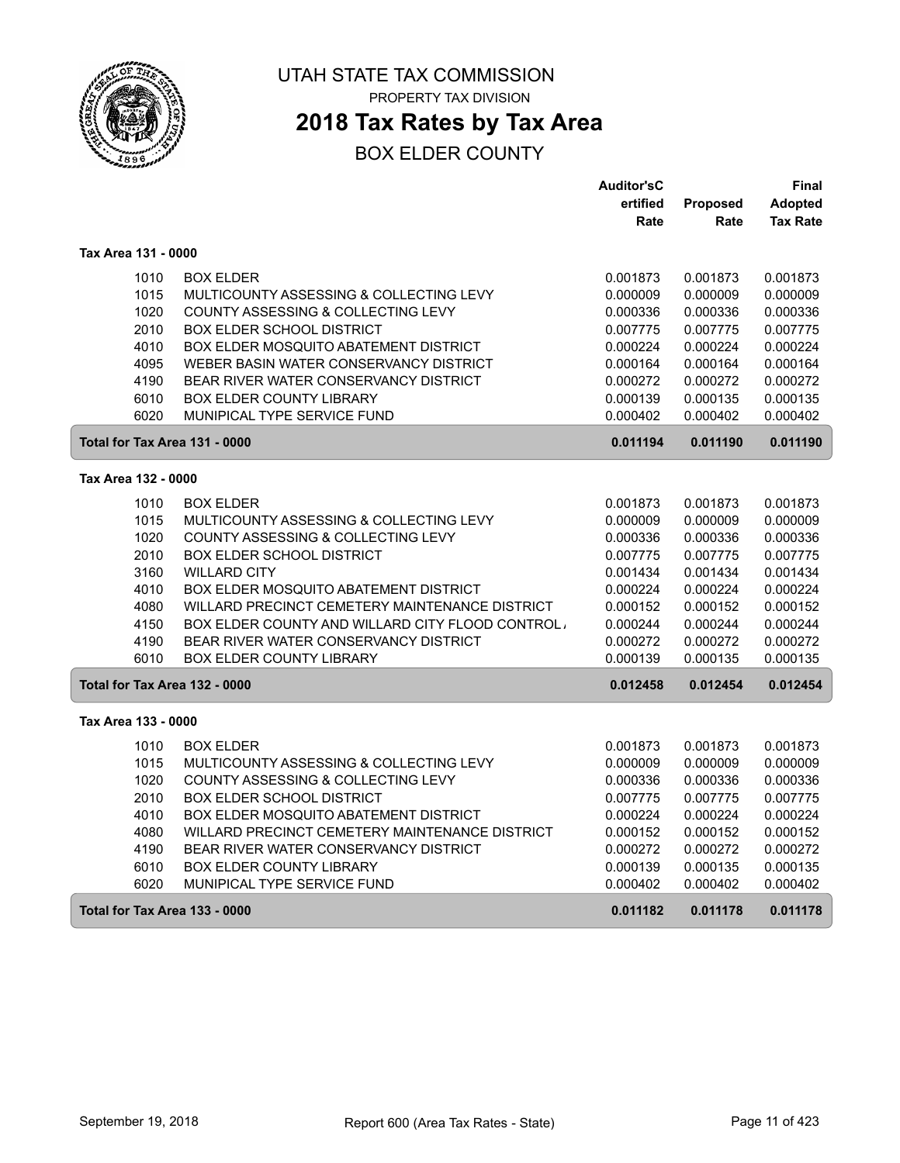

## **2018 Tax Rates by Tax Area**

|                               |                                                  | <b>Auditor'sC</b> |                 | Final           |
|-------------------------------|--------------------------------------------------|-------------------|-----------------|-----------------|
|                               |                                                  | ertified          | <b>Proposed</b> | <b>Adopted</b>  |
|                               |                                                  | Rate              | Rate            | <b>Tax Rate</b> |
| Tax Area 131 - 0000           |                                                  |                   |                 |                 |
| 1010                          | <b>BOX ELDER</b>                                 | 0.001873          | 0.001873        | 0.001873        |
| 1015                          | MULTICOUNTY ASSESSING & COLLECTING LEVY          | 0.000009          | 0.000009        | 0.000009        |
| 1020                          | COUNTY ASSESSING & COLLECTING LEVY               | 0.000336          | 0.000336        | 0.000336        |
| 2010                          | <b>BOX ELDER SCHOOL DISTRICT</b>                 | 0.007775          | 0.007775        | 0.007775        |
| 4010                          | BOX ELDER MOSQUITO ABATEMENT DISTRICT            | 0.000224          | 0.000224        | 0.000224        |
| 4095                          | WEBER BASIN WATER CONSERVANCY DISTRICT           | 0.000164          | 0.000164        | 0.000164        |
| 4190                          | <b>BEAR RIVER WATER CONSERVANCY DISTRICT</b>     | 0.000272          | 0.000272        | 0.000272        |
| 6010                          | <b>BOX ELDER COUNTY LIBRARY</b>                  | 0.000139          | 0.000135        | 0.000135        |
| 6020                          | MUNIPICAL TYPE SERVICE FUND                      | 0.000402          | 0.000402        | 0.000402        |
| Total for Tax Area 131 - 0000 |                                                  | 0.011194          | 0.011190        | 0.011190        |
| Tax Area 132 - 0000           |                                                  |                   |                 |                 |
| 1010                          | <b>BOX ELDER</b>                                 | 0.001873          | 0.001873        | 0.001873        |
| 1015                          | MULTICOUNTY ASSESSING & COLLECTING LEVY          | 0.000009          | 0.000009        | 0.000009        |
| 1020                          | COUNTY ASSESSING & COLLECTING LEVY               | 0.000336          | 0.000336        | 0.000336        |
| 2010                          | <b>BOX ELDER SCHOOL DISTRICT</b>                 | 0.007775          | 0.007775        | 0.007775        |
| 3160                          | <b>WILLARD CITY</b>                              | 0.001434          | 0.001434        | 0.001434        |
| 4010                          | <b>BOX ELDER MOSQUITO ABATEMENT DISTRICT</b>     | 0.000224          | 0.000224        | 0.000224        |
| 4080                          | WILLARD PRECINCT CEMETERY MAINTENANCE DISTRICT   | 0.000152          | 0.000152        | 0.000152        |
| 4150                          | BOX ELDER COUNTY AND WILLARD CITY FLOOD CONTROL. | 0.000244          | 0.000244        | 0.000244        |
| 4190                          | BEAR RIVER WATER CONSERVANCY DISTRICT            | 0.000272          | 0.000272        | 0.000272        |
| 6010                          | <b>BOX ELDER COUNTY LIBRARY</b>                  | 0.000139          | 0.000135        | 0.000135        |
| Total for Tax Area 132 - 0000 |                                                  | 0.012458          | 0.012454        | 0.012454        |
| Tax Area 133 - 0000           |                                                  |                   |                 |                 |
| 1010                          | <b>BOX ELDER</b>                                 | 0.001873          | 0.001873        | 0.001873        |
| 1015                          | MULTICOUNTY ASSESSING & COLLECTING LEVY          | 0.000009          | 0.000009        | 0.000009        |
| 1020                          | COUNTY ASSESSING & COLLECTING LEVY               | 0.000336          | 0.000336        | 0.000336        |
| 2010                          | <b>BOX ELDER SCHOOL DISTRICT</b>                 | 0.007775          | 0.007775        | 0.007775        |
| 4010                          | BOX ELDER MOSQUITO ABATEMENT DISTRICT            | 0.000224          | 0.000224        | 0.000224        |
| 4080                          | WILLARD PRECINCT CEMETERY MAINTENANCE DISTRICT   | 0.000152          | 0.000152        | 0.000152        |
| 4190                          | <b>BEAR RIVER WATER CONSERVANCY DISTRICT</b>     | 0.000272          | 0.000272        | 0.000272        |
| 6010                          | <b>BOX ELDER COUNTY LIBRARY</b>                  | 0.000139          | 0.000135        | 0.000135        |
| 6020                          | MUNIPICAL TYPE SERVICE FUND                      | 0.000402          | 0.000402        | 0.000402        |
| Total for Tax Area 133 - 0000 |                                                  | 0.011182          | 0.011178        | 0.011178        |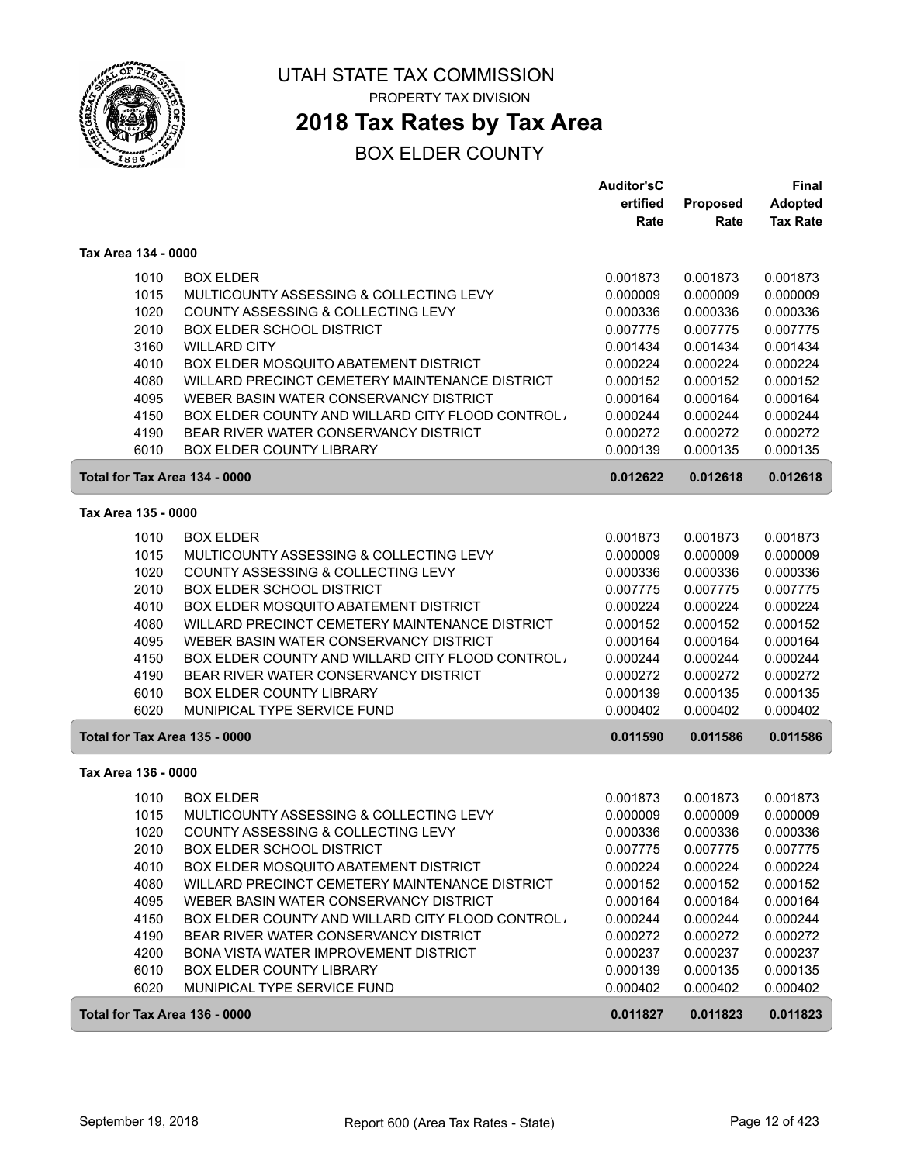

## **2018 Tax Rates by Tax Area**

|                               |                                                  | <b>Auditor'sC</b> |          | <b>Final</b>    |
|-------------------------------|--------------------------------------------------|-------------------|----------|-----------------|
|                               |                                                  | ertified          | Proposed | <b>Adopted</b>  |
|                               |                                                  | Rate              | Rate     | <b>Tax Rate</b> |
| Tax Area 134 - 0000           |                                                  |                   |          |                 |
| 1010                          | <b>BOX ELDER</b>                                 | 0.001873          | 0.001873 | 0.001873        |
| 1015                          | MULTICOUNTY ASSESSING & COLLECTING LEVY          | 0.000009          | 0.000009 | 0.000009        |
| 1020                          | COUNTY ASSESSING & COLLECTING LEVY               | 0.000336          | 0.000336 | 0.000336        |
| 2010                          | <b>BOX ELDER SCHOOL DISTRICT</b>                 | 0.007775          | 0.007775 | 0.007775        |
| 3160                          | <b>WILLARD CITY</b>                              | 0.001434          | 0.001434 | 0.001434        |
| 4010                          | BOX ELDER MOSQUITO ABATEMENT DISTRICT            | 0.000224          | 0.000224 | 0.000224        |
| 4080                          | WILLARD PRECINCT CEMETERY MAINTENANCE DISTRICT   | 0.000152          | 0.000152 | 0.000152        |
| 4095                          | WEBER BASIN WATER CONSERVANCY DISTRICT           | 0.000164          | 0.000164 | 0.000164        |
| 4150                          | BOX ELDER COUNTY AND WILLARD CITY FLOOD CONTROL. | 0.000244          | 0.000244 | 0.000244        |
| 4190                          | BEAR RIVER WATER CONSERVANCY DISTRICT            | 0.000272          | 0.000272 | 0.000272        |
| 6010                          | <b>BOX ELDER COUNTY LIBRARY</b>                  | 0.000139          | 0.000135 | 0.000135        |
| Total for Tax Area 134 - 0000 |                                                  | 0.012622          | 0.012618 | 0.012618        |
| Tax Area 135 - 0000           |                                                  |                   |          |                 |
| 1010                          | <b>BOX ELDER</b>                                 | 0.001873          | 0.001873 | 0.001873        |
| 1015                          | MULTICOUNTY ASSESSING & COLLECTING LEVY          | 0.000009          | 0.000009 | 0.000009        |
| 1020                          | COUNTY ASSESSING & COLLECTING LEVY               | 0.000336          | 0.000336 | 0.000336        |
| 2010                          | <b>BOX ELDER SCHOOL DISTRICT</b>                 | 0.007775          | 0.007775 | 0.007775        |
| 4010                          | BOX ELDER MOSQUITO ABATEMENT DISTRICT            | 0.000224          | 0.000224 | 0.000224        |
| 4080                          | WILLARD PRECINCT CEMETERY MAINTENANCE DISTRICT   | 0.000152          | 0.000152 | 0.000152        |
| 4095                          | WEBER BASIN WATER CONSERVANCY DISTRICT           | 0.000164          | 0.000164 | 0.000164        |
| 4150                          | BOX ELDER COUNTY AND WILLARD CITY FLOOD CONTROL, | 0.000244          | 0.000244 | 0.000244        |
| 4190                          | BEAR RIVER WATER CONSERVANCY DISTRICT            | 0.000272          | 0.000272 | 0.000272        |
| 6010                          | <b>BOX ELDER COUNTY LIBRARY</b>                  | 0.000139          | 0.000135 | 0.000135        |
| 6020                          | MUNIPICAL TYPE SERVICE FUND                      | 0.000402          | 0.000402 | 0.000402        |
| Total for Tax Area 135 - 0000 |                                                  | 0.011590          | 0.011586 | 0.011586        |
| Tax Area 136 - 0000           |                                                  |                   |          |                 |
| 1010                          | <b>BOX ELDER</b>                                 | 0.001873          | 0.001873 | 0.001873        |
| 1015                          | MULTICOUNTY ASSESSING & COLLECTING LEVY          | 0.000009          | 0.000009 | 0.000009        |
| 1020                          | COUNTY ASSESSING & COLLECTING LEVY               | 0.000336          | 0.000336 | 0.000336        |
| 2010                          | <b>BOX ELDER SCHOOL DISTRICT</b>                 | 0.007775          | 0.007775 | 0.007775        |
| 4010                          | <b>BOX ELDER MOSQUITO ABATEMENT DISTRICT</b>     | 0.000224          | 0.000224 | 0.000224        |
| 4080                          | WILLARD PRECINCT CEMETERY MAINTENANCE DISTRICT   | 0.000152          | 0.000152 | 0.000152        |
| 4095                          | WEBER BASIN WATER CONSERVANCY DISTRICT           | 0.000164          | 0.000164 | 0.000164        |
| 4150                          | BOX ELDER COUNTY AND WILLARD CITY FLOOD CONTROL  | 0.000244          | 0.000244 | 0.000244        |
| 4190                          | BEAR RIVER WATER CONSERVANCY DISTRICT            | 0.000272          | 0.000272 | 0.000272        |
| 4200                          | BONA VISTA WATER IMPROVEMENT DISTRICT            | 0.000237          | 0.000237 | 0.000237        |
| 6010                          | BOX ELDER COUNTY LIBRARY                         | 0.000139          | 0.000135 | 0.000135        |
| 6020                          | MUNIPICAL TYPE SERVICE FUND                      | 0.000402          | 0.000402 | 0.000402        |
| Total for Tax Area 136 - 0000 |                                                  | 0.011827          | 0.011823 | 0.011823        |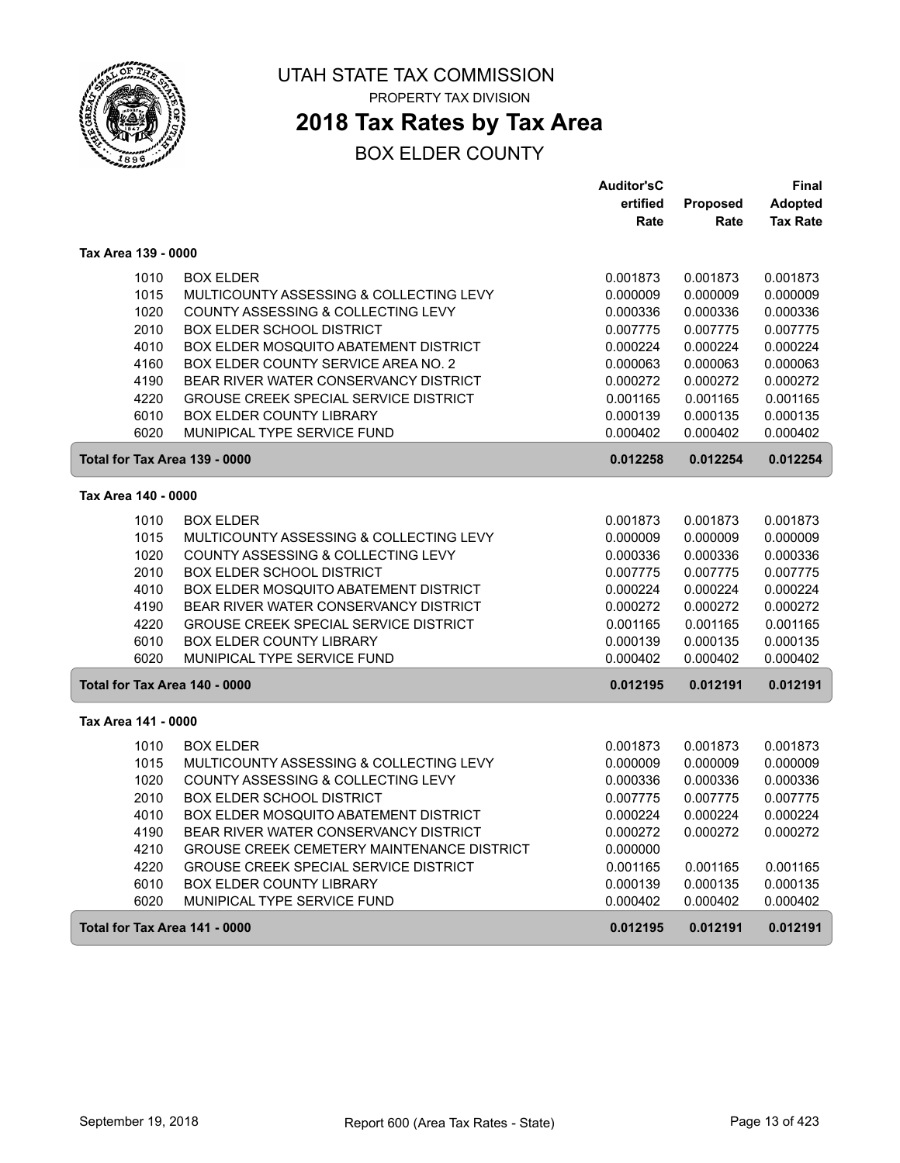

## **2018 Tax Rates by Tax Area**

|                               |                                               | <b>Auditor'sC</b> |          | Final           |
|-------------------------------|-----------------------------------------------|-------------------|----------|-----------------|
|                               |                                               | ertified          | Proposed | <b>Adopted</b>  |
|                               |                                               | Rate              | Rate     | <b>Tax Rate</b> |
| Tax Area 139 - 0000           |                                               |                   |          |                 |
| 1010                          | <b>BOX ELDER</b>                              | 0.001873          | 0.001873 | 0.001873        |
| 1015                          | MULTICOUNTY ASSESSING & COLLECTING LEVY       | 0.000009          | 0.000009 | 0.000009        |
| 1020                          | COUNTY ASSESSING & COLLECTING LEVY            | 0.000336          | 0.000336 | 0.000336        |
| 2010                          | <b>BOX ELDER SCHOOL DISTRICT</b>              | 0.007775          | 0.007775 | 0.007775        |
| 4010                          | BOX ELDER MOSQUITO ABATEMENT DISTRICT         | 0.000224          | 0.000224 | 0.000224        |
| 4160                          | BOX ELDER COUNTY SERVICE AREA NO. 2           | 0.000063          | 0.000063 | 0.000063        |
| 4190                          | BEAR RIVER WATER CONSERVANCY DISTRICT         | 0.000272          | 0.000272 | 0.000272        |
| 4220                          | <b>GROUSE CREEK SPECIAL SERVICE DISTRICT</b>  | 0.001165          | 0.001165 | 0.001165        |
| 6010                          | <b>BOX ELDER COUNTY LIBRARY</b>               | 0.000139          | 0.000135 | 0.000135        |
| 6020                          | MUNIPICAL TYPE SERVICE FUND                   | 0.000402          | 0.000402 | 0.000402        |
| Total for Tax Area 139 - 0000 |                                               | 0.012258          | 0.012254 | 0.012254        |
| Tax Area 140 - 0000           |                                               |                   |          |                 |
| 1010                          | <b>BOX ELDER</b>                              | 0.001873          | 0.001873 | 0.001873        |
| 1015                          | MULTICOUNTY ASSESSING & COLLECTING LEVY       | 0.000009          | 0.000009 | 0.000009        |
| 1020                          | COUNTY ASSESSING & COLLECTING LEVY            | 0.000336          | 0.000336 | 0.000336        |
| 2010                          | <b>BOX ELDER SCHOOL DISTRICT</b>              | 0.007775          | 0.007775 | 0.007775        |
| 4010                          | <b>BOX ELDER MOSQUITO ABATEMENT DISTRICT</b>  | 0.000224          | 0.000224 | 0.000224        |
| 4190                          | BEAR RIVER WATER CONSERVANCY DISTRICT         | 0.000272          | 0.000272 | 0.000272        |
| 4220                          | GROUSE CREEK SPECIAL SERVICE DISTRICT         | 0.001165          | 0.001165 | 0.001165        |
| 6010                          | <b>BOX ELDER COUNTY LIBRARY</b>               | 0.000139          | 0.000135 | 0.000135        |
| 6020                          | MUNIPICAL TYPE SERVICE FUND                   | 0.000402          | 0.000402 | 0.000402        |
| Total for Tax Area 140 - 0000 |                                               | 0.012195          | 0.012191 | 0.012191        |
| Tax Area 141 - 0000           |                                               |                   |          |                 |
| 1010                          | <b>BOX ELDER</b>                              | 0.001873          | 0.001873 | 0.001873        |
| 1015                          | MULTICOUNTY ASSESSING & COLLECTING LEVY       | 0.000009          | 0.000009 | 0.000009        |
| 1020                          | <b>COUNTY ASSESSING &amp; COLLECTING LEVY</b> | 0.000336          | 0.000336 | 0.000336        |
| 2010                          | <b>BOX ELDER SCHOOL DISTRICT</b>              | 0.007775          | 0.007775 | 0.007775        |
| 4010                          | BOX ELDER MOSQUITO ABATEMENT DISTRICT         | 0.000224          | 0.000224 | 0.000224        |
| 4190                          | BEAR RIVER WATER CONSERVANCY DISTRICT         | 0.000272          | 0.000272 | 0.000272        |
| 4210                          | GROUSE CREEK CEMETERY MAINTENANCE DISTRICT    | 0.000000          |          |                 |
| 4220                          | <b>GROUSE CREEK SPECIAL SERVICE DISTRICT</b>  | 0.001165          | 0.001165 | 0.001165        |
| 6010                          | <b>BOX ELDER COUNTY LIBRARY</b>               | 0.000139          | 0.000135 | 0.000135        |
| 6020                          | MUNIPICAL TYPE SERVICE FUND                   | 0.000402          | 0.000402 | 0.000402        |
| Total for Tax Area 141 - 0000 |                                               | 0.012195          | 0.012191 | 0.012191        |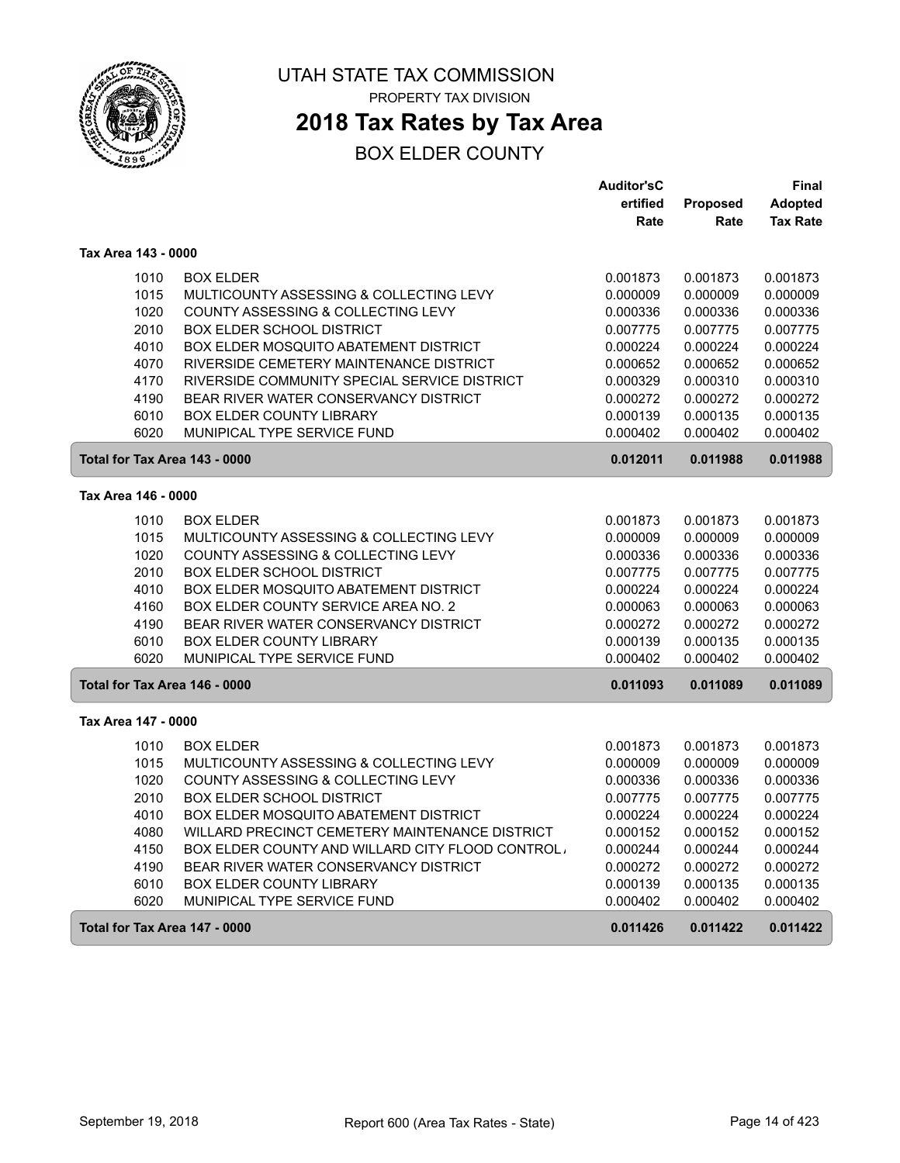

## **2018 Tax Rates by Tax Area**

|                     |                                                          | <b>Auditor'sC</b> |          | <b>Final</b>    |
|---------------------|----------------------------------------------------------|-------------------|----------|-----------------|
|                     |                                                          | ertified          | Proposed | <b>Adopted</b>  |
|                     |                                                          | Rate              | Rate     | <b>Tax Rate</b> |
| Tax Area 143 - 0000 |                                                          |                   |          |                 |
|                     | 1010<br><b>BOX ELDER</b>                                 | 0.001873          | 0.001873 | 0.001873        |
|                     | 1015<br>MULTICOUNTY ASSESSING & COLLECTING LEVY          | 0.000009          | 0.000009 | 0.000009        |
|                     | 1020<br>COUNTY ASSESSING & COLLECTING LEVY               | 0.000336          | 0.000336 | 0.000336        |
|                     | 2010<br><b>BOX ELDER SCHOOL DISTRICT</b>                 | 0.007775          | 0.007775 | 0.007775        |
|                     | 4010<br>BOX ELDER MOSQUITO ABATEMENT DISTRICT            | 0.000224          | 0.000224 | 0.000224        |
|                     | RIVERSIDE CEMETERY MAINTENANCE DISTRICT<br>4070          | 0.000652          | 0.000652 | 0.000652        |
|                     | 4170<br>RIVERSIDE COMMUNITY SPECIAL SERVICE DISTRICT     | 0.000329          | 0.000310 | 0.000310        |
|                     | 4190<br>BEAR RIVER WATER CONSERVANCY DISTRICT            | 0.000272          | 0.000272 | 0.000272        |
|                     | 6010<br>BOX ELDER COUNTY LIBRARY                         | 0.000139          | 0.000135 | 0.000135        |
|                     | MUNIPICAL TYPE SERVICE FUND<br>6020                      | 0.000402          | 0.000402 | 0.000402        |
|                     | Total for Tax Area 143 - 0000                            | 0.012011          | 0.011988 | 0.011988        |
| Tax Area 146 - 0000 |                                                          |                   |          |                 |
|                     | 1010<br><b>BOX ELDER</b>                                 | 0.001873          | 0.001873 | 0.001873        |
|                     | 1015<br>MULTICOUNTY ASSESSING & COLLECTING LEVY          | 0.000009          | 0.000009 | 0.000009        |
|                     | 1020<br>COUNTY ASSESSING & COLLECTING LEVY               | 0.000336          | 0.000336 | 0.000336        |
|                     | 2010<br><b>BOX ELDER SCHOOL DISTRICT</b>                 | 0.007775          | 0.007775 | 0.007775        |
|                     | 4010<br>BOX ELDER MOSQUITO ABATEMENT DISTRICT            | 0.000224          | 0.000224 | 0.000224        |
|                     | 4160<br>BOX ELDER COUNTY SERVICE AREA NO. 2              | 0.000063          | 0.000063 | 0.000063        |
|                     | 4190<br>BEAR RIVER WATER CONSERVANCY DISTRICT            | 0.000272          | 0.000272 | 0.000272        |
|                     | 6010<br><b>BOX ELDER COUNTY LIBRARY</b>                  | 0.000139          | 0.000135 | 0.000135        |
|                     | 6020<br>MUNIPICAL TYPE SERVICE FUND                      | 0.000402          | 0.000402 | 0.000402        |
|                     | Total for Tax Area 146 - 0000                            | 0.011093          | 0.011089 | 0.011089        |
| Tax Area 147 - 0000 |                                                          |                   |          |                 |
|                     | 1010<br><b>BOX ELDER</b>                                 | 0.001873          | 0.001873 | 0.001873        |
|                     | 1015<br>MULTICOUNTY ASSESSING & COLLECTING LEVY          | 0.000009          | 0.000009 | 0.000009        |
|                     | 1020<br>COUNTY ASSESSING & COLLECTING LEVY               | 0.000336          | 0.000336 | 0.000336        |
|                     | 2010<br><b>BOX ELDER SCHOOL DISTRICT</b>                 | 0.007775          | 0.007775 | 0.007775        |
|                     | 4010<br>BOX ELDER MOSQUITO ABATEMENT DISTRICT            | 0.000224          | 0.000224 | 0.000224        |
|                     | 4080<br>WILLARD PRECINCT CEMETERY MAINTENANCE DISTRICT   | 0.000152          | 0.000152 | 0.000152        |
|                     | 4150<br>BOX ELDER COUNTY AND WILLARD CITY FLOOD CONTROL. | 0.000244          | 0.000244 | 0.000244        |
|                     | 4190<br>BEAR RIVER WATER CONSERVANCY DISTRICT            | 0.000272          | 0.000272 | 0.000272        |
|                     | 6010<br><b>BOX ELDER COUNTY LIBRARY</b>                  | 0.000139          | 0.000135 | 0.000135        |
|                     | 6020<br>MUNIPICAL TYPE SERVICE FUND                      | 0.000402          | 0.000402 | 0.000402        |
|                     | Total for Tax Area 147 - 0000                            | 0.011426          | 0.011422 | 0.011422        |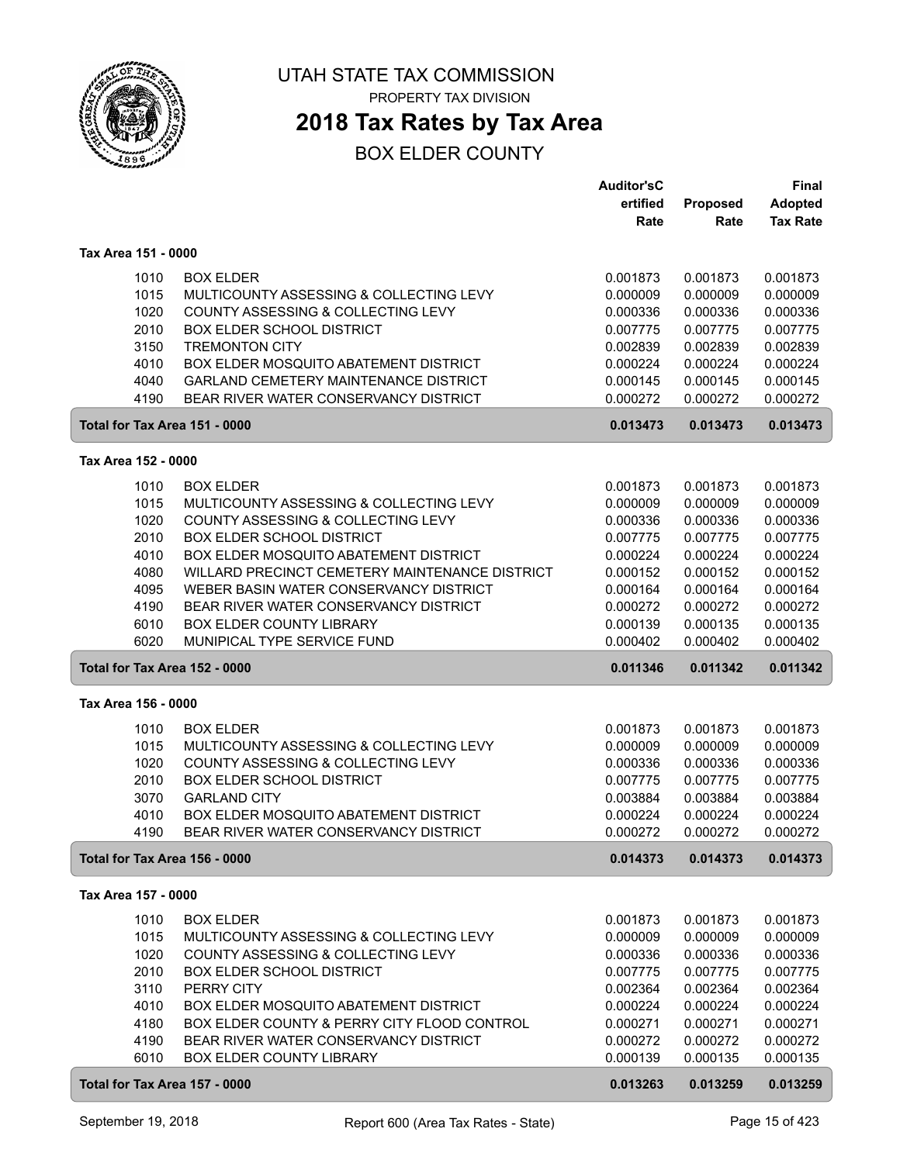

## **2018 Tax Rates by Tax Area**

|                                      |                                                                                       | <b>Auditor'sC</b> |          | <b>Final</b>    |
|--------------------------------------|---------------------------------------------------------------------------------------|-------------------|----------|-----------------|
|                                      |                                                                                       | ertified          | Proposed | <b>Adopted</b>  |
|                                      |                                                                                       | Rate              | Rate     | <b>Tax Rate</b> |
| Tax Area 151 - 0000                  |                                                                                       |                   |          |                 |
|                                      |                                                                                       |                   |          |                 |
| 1010                                 | <b>BOX ELDER</b>                                                                      | 0.001873          | 0.001873 | 0.001873        |
| 1015                                 | MULTICOUNTY ASSESSING & COLLECTING LEVY                                               | 0.000009          | 0.000009 | 0.000009        |
| 1020                                 | COUNTY ASSESSING & COLLECTING LEVY                                                    | 0.000336          | 0.000336 | 0.000336        |
| 2010                                 | <b>BOX ELDER SCHOOL DISTRICT</b>                                                      | 0.007775          | 0.007775 | 0.007775        |
| 3150                                 | <b>TREMONTON CITY</b>                                                                 | 0.002839          | 0.002839 | 0.002839        |
| 4010                                 | BOX ELDER MOSQUITO ABATEMENT DISTRICT                                                 | 0.000224          | 0.000224 | 0.000224        |
| 4040<br>4190                         | <b>GARLAND CEMETERY MAINTENANCE DISTRICT</b><br>BEAR RIVER WATER CONSERVANCY DISTRICT | 0.000145          | 0.000145 | 0.000145        |
|                                      |                                                                                       | 0.000272          | 0.000272 | 0.000272        |
| Total for Tax Area 151 - 0000        |                                                                                       | 0.013473          | 0.013473 | 0.013473        |
| Tax Area 152 - 0000                  |                                                                                       |                   |          |                 |
| 1010                                 | <b>BOX ELDER</b>                                                                      | 0.001873          | 0.001873 | 0.001873        |
| 1015                                 | MULTICOUNTY ASSESSING & COLLECTING LEVY                                               | 0.000009          | 0.000009 | 0.000009        |
| 1020                                 | COUNTY ASSESSING & COLLECTING LEVY                                                    | 0.000336          | 0.000336 | 0.000336        |
| 2010                                 | <b>BOX ELDER SCHOOL DISTRICT</b>                                                      | 0.007775          | 0.007775 | 0.007775        |
| 4010                                 | BOX ELDER MOSQUITO ABATEMENT DISTRICT                                                 | 0.000224          | 0.000224 | 0.000224        |
| 4080                                 | WILLARD PRECINCT CEMETERY MAINTENANCE DISTRICT                                        | 0.000152          | 0.000152 | 0.000152        |
| 4095                                 | WEBER BASIN WATER CONSERVANCY DISTRICT                                                | 0.000164          | 0.000164 | 0.000164        |
| 4190                                 | BEAR RIVER WATER CONSERVANCY DISTRICT                                                 | 0.000272          | 0.000272 | 0.000272        |
| 6010                                 | BOX ELDER COUNTY LIBRARY                                                              | 0.000139          | 0.000135 | 0.000135        |
| 6020                                 | MUNIPICAL TYPE SERVICE FUND                                                           | 0.000402          | 0.000402 | 0.000402        |
| Total for Tax Area 152 - 0000        |                                                                                       | 0.011346          | 0.011342 | 0.011342        |
| Tax Area 156 - 0000                  |                                                                                       |                   |          |                 |
|                                      |                                                                                       |                   |          |                 |
| 1010                                 | <b>BOX ELDER</b>                                                                      | 0.001873          | 0.001873 | 0.001873        |
| 1015                                 | MULTICOUNTY ASSESSING & COLLECTING LEVY                                               | 0.000009          | 0.000009 | 0.000009        |
| 1020                                 | COUNTY ASSESSING & COLLECTING LEVY                                                    | 0.000336          | 0.000336 | 0.000336        |
| 2010                                 | <b>BOX ELDER SCHOOL DISTRICT</b>                                                      | 0.007775          | 0.007775 | 0.007775        |
| 3070                                 | <b>GARLAND CITY</b>                                                                   | 0.003884          | 0.003884 | 0.003884        |
| 4010                                 | BOX ELDER MOSQUITO ABATEMENT DISTRICT                                                 | 0.000224          | 0.000224 | 0.000224        |
| 4190                                 | BEAR RIVER WATER CONSERVANCY DISTRICT                                                 | 0.000272          | 0.000272 | 0.000272        |
| <b>Total for Tax Area 156 - 0000</b> |                                                                                       | 0.014373          | 0.014373 | 0.014373        |
| Tax Area 157 - 0000                  |                                                                                       |                   |          |                 |
| 1010                                 | <b>BOX ELDER</b>                                                                      | 0.001873          | 0.001873 | 0.001873        |
| 1015                                 | MULTICOUNTY ASSESSING & COLLECTING LEVY                                               | 0.000009          | 0.000009 | 0.000009        |
| 1020                                 | COUNTY ASSESSING & COLLECTING LEVY                                                    | 0.000336          | 0.000336 | 0.000336        |
| 2010                                 | <b>BOX ELDER SCHOOL DISTRICT</b>                                                      | 0.007775          | 0.007775 | 0.007775        |
| 3110                                 | PERRY CITY                                                                            | 0.002364          | 0.002364 | 0.002364        |
| 4010                                 | <b>BOX ELDER MOSQUITO ABATEMENT DISTRICT</b>                                          | 0.000224          | 0.000224 | 0.000224        |
| 4180                                 | BOX ELDER COUNTY & PERRY CITY FLOOD CONTROL                                           | 0.000271          | 0.000271 | 0.000271        |
| 4190                                 | BEAR RIVER WATER CONSERVANCY DISTRICT                                                 | 0.000272          | 0.000272 | 0.000272        |
| 6010                                 | <b>BOX ELDER COUNTY LIBRARY</b>                                                       | 0.000139          | 0.000135 | 0.000135        |
| Total for Tax Area 157 - 0000        |                                                                                       | 0.013263          | 0.013259 | 0.013259        |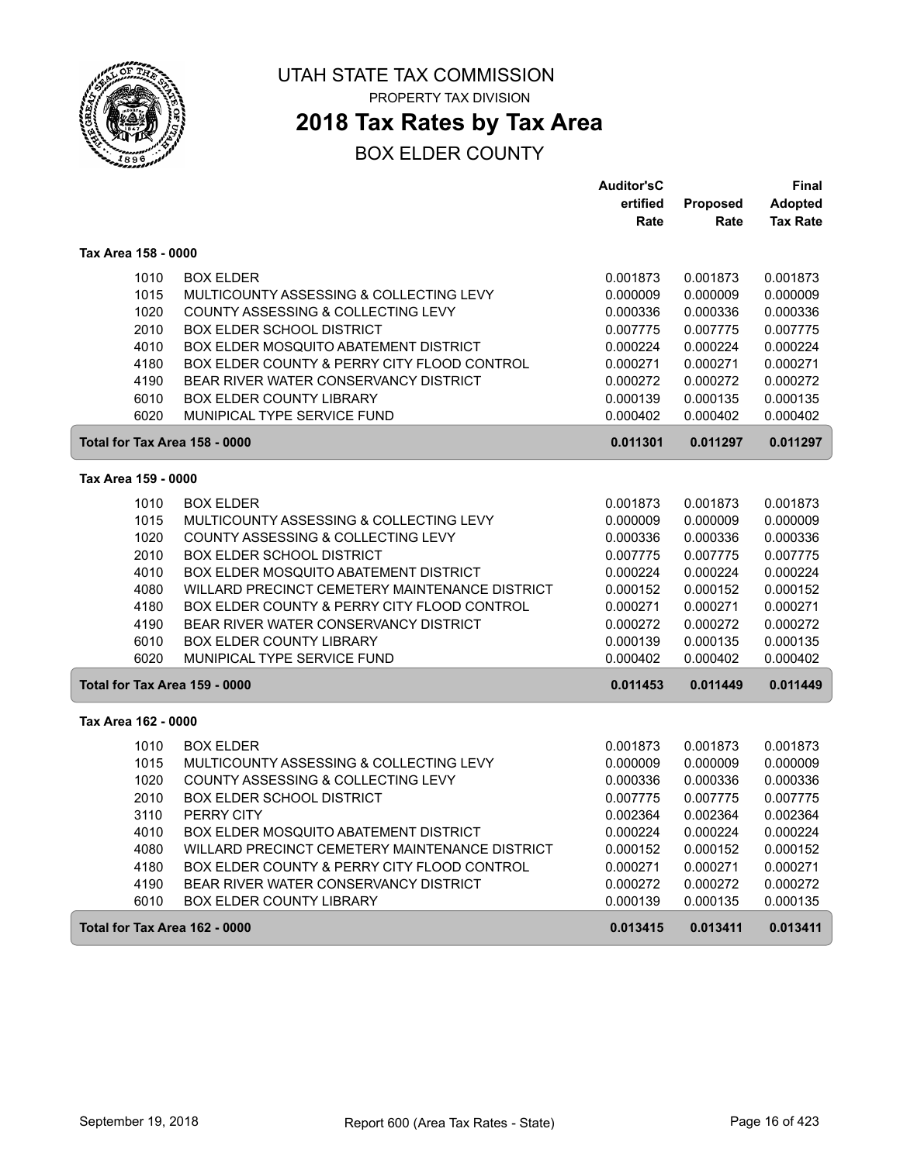

## **2018 Tax Rates by Tax Area**

|                               |                                                | <b>Auditor'sC</b> |                 | Final           |
|-------------------------------|------------------------------------------------|-------------------|-----------------|-----------------|
|                               |                                                | ertified          | <b>Proposed</b> | <b>Adopted</b>  |
|                               |                                                | Rate              | Rate            | <b>Tax Rate</b> |
| Tax Area 158 - 0000           |                                                |                   |                 |                 |
| 1010                          | <b>BOX ELDER</b>                               | 0.001873          | 0.001873        | 0.001873        |
| 1015                          | MULTICOUNTY ASSESSING & COLLECTING LEVY        | 0.000009          | 0.000009        | 0.000009        |
| 1020                          | COUNTY ASSESSING & COLLECTING LEVY             | 0.000336          | 0.000336        | 0.000336        |
| 2010                          | <b>BOX ELDER SCHOOL DISTRICT</b>               | 0.007775          | 0.007775        | 0.007775        |
| 4010                          | BOX ELDER MOSQUITO ABATEMENT DISTRICT          | 0.000224          | 0.000224        | 0.000224        |
| 4180                          | BOX ELDER COUNTY & PERRY CITY FLOOD CONTROL    | 0.000271          | 0.000271        | 0.000271        |
| 4190                          | BEAR RIVER WATER CONSERVANCY DISTRICT          | 0.000272          | 0.000272        | 0.000272        |
| 6010                          | <b>BOX ELDER COUNTY LIBRARY</b>                | 0.000139          | 0.000135        | 0.000135        |
| 6020                          | MUNIPICAL TYPE SERVICE FUND                    | 0.000402          | 0.000402        | 0.000402        |
| Total for Tax Area 158 - 0000 |                                                | 0.011301          | 0.011297        | 0.011297        |
| Tax Area 159 - 0000           |                                                |                   |                 |                 |
| 1010                          | <b>BOX ELDER</b>                               | 0.001873          | 0.001873        | 0.001873        |
| 1015                          | MULTICOUNTY ASSESSING & COLLECTING LEVY        | 0.000009          | 0.000009        | 0.000009        |
| 1020                          | COUNTY ASSESSING & COLLECTING LEVY             | 0.000336          | 0.000336        | 0.000336        |
| 2010                          | <b>BOX ELDER SCHOOL DISTRICT</b>               | 0.007775          | 0.007775        | 0.007775        |
| 4010                          | BOX ELDER MOSQUITO ABATEMENT DISTRICT          | 0.000224          | 0.000224        | 0.000224        |
| 4080                          | WILLARD PRECINCT CEMETERY MAINTENANCE DISTRICT | 0.000152          | 0.000152        | 0.000152        |
| 4180                          | BOX ELDER COUNTY & PERRY CITY FLOOD CONTROL    | 0.000271          | 0.000271        | 0.000271        |
| 4190                          | BEAR RIVER WATER CONSERVANCY DISTRICT          | 0.000272          | 0.000272        | 0.000272        |
| 6010                          | <b>BOX ELDER COUNTY LIBRARY</b>                | 0.000139          | 0.000135        | 0.000135        |
| 6020                          | MUNIPICAL TYPE SERVICE FUND                    | 0.000402          | 0.000402        | 0.000402        |
| Total for Tax Area 159 - 0000 |                                                | 0.011453          | 0.011449        | 0.011449        |
| Tax Area 162 - 0000           |                                                |                   |                 |                 |
| 1010                          | <b>BOX ELDER</b>                               | 0.001873          | 0.001873        | 0.001873        |
| 1015                          | MULTICOUNTY ASSESSING & COLLECTING LEVY        | 0.000009          | 0.000009        | 0.000009        |
| 1020                          | COUNTY ASSESSING & COLLECTING LEVY             | 0.000336          | 0.000336        | 0.000336        |
| 2010                          | <b>BOX ELDER SCHOOL DISTRICT</b>               | 0.007775          | 0.007775        | 0.007775        |
| 3110                          | PERRY CITY                                     | 0.002364          | 0.002364        | 0.002364        |
| 4010                          | BOX ELDER MOSQUITO ABATEMENT DISTRICT          | 0.000224          | 0.000224        | 0.000224        |
| 4080                          | WILLARD PRECINCT CEMETERY MAINTENANCE DISTRICT | 0.000152          | 0.000152        | 0.000152        |
| 4180                          | BOX ELDER COUNTY & PERRY CITY FLOOD CONTROL    | 0.000271          | 0.000271        | 0.000271        |
| 4190                          | BEAR RIVER WATER CONSERVANCY DISTRICT          | 0.000272          | 0.000272        | 0.000272        |
| 6010                          | <b>BOX ELDER COUNTY LIBRARY</b>                | 0.000139          | 0.000135        | 0.000135        |
| Total for Tax Area 162 - 0000 |                                                | 0.013415          | 0.013411        | 0.013411        |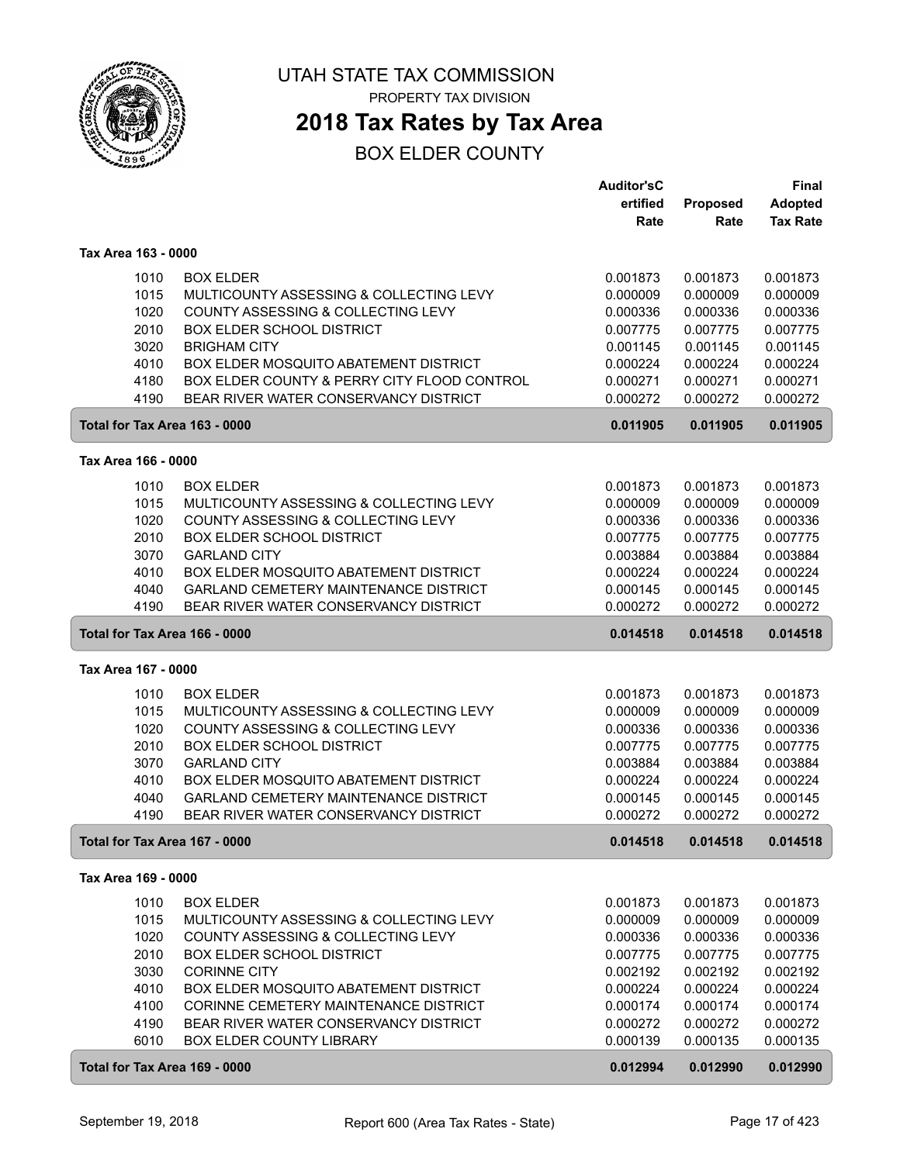

**2018 Tax Rates by Tax Area**

|                               |                                              | <b>Auditor'sC</b> |                 | <b>Final</b>    |
|-------------------------------|----------------------------------------------|-------------------|-----------------|-----------------|
|                               |                                              | ertified          | <b>Proposed</b> | <b>Adopted</b>  |
|                               |                                              | Rate              | Rate            | <b>Tax Rate</b> |
| Tax Area 163 - 0000           |                                              |                   |                 |                 |
|                               |                                              |                   |                 |                 |
| 1010                          | <b>BOX ELDER</b>                             | 0.001873          | 0.001873        | 0.001873        |
| 1015                          | MULTICOUNTY ASSESSING & COLLECTING LEVY      | 0.000009          | 0.000009        | 0.000009        |
| 1020                          | COUNTY ASSESSING & COLLECTING LEVY           | 0.000336          | 0.000336        | 0.000336        |
| 2010                          | <b>BOX ELDER SCHOOL DISTRICT</b>             | 0.007775          | 0.007775        | 0.007775        |
| 3020                          | <b>BRIGHAM CITY</b>                          | 0.001145          | 0.001145        | 0.001145        |
| 4010                          | BOX ELDER MOSQUITO ABATEMENT DISTRICT        | 0.000224          | 0.000224        | 0.000224        |
| 4180                          | BOX ELDER COUNTY & PERRY CITY FLOOD CONTROL  | 0.000271          | 0.000271        | 0.000271        |
| 4190                          | BEAR RIVER WATER CONSERVANCY DISTRICT        | 0.000272          | 0.000272        | 0.000272        |
| Total for Tax Area 163 - 0000 |                                              | 0.011905          | 0.011905        | 0.011905        |
| Tax Area 166 - 0000           |                                              |                   |                 |                 |
| 1010                          | <b>BOX ELDER</b>                             | 0.001873          | 0.001873        | 0.001873        |
| 1015                          | MULTICOUNTY ASSESSING & COLLECTING LEVY      | 0.000009          | 0.000009        | 0.000009        |
| 1020                          | COUNTY ASSESSING & COLLECTING LEVY           | 0.000336          | 0.000336        | 0.000336        |
| 2010                          | <b>BOX ELDER SCHOOL DISTRICT</b>             | 0.007775          | 0.007775        | 0.007775        |
| 3070                          | <b>GARLAND CITY</b>                          | 0.003884          | 0.003884        | 0.003884        |
| 4010                          | BOX ELDER MOSQUITO ABATEMENT DISTRICT        | 0.000224          | 0.000224        | 0.000224        |
| 4040                          | <b>GARLAND CEMETERY MAINTENANCE DISTRICT</b> | 0.000145          | 0.000145        | 0.000145        |
| 4190                          | BEAR RIVER WATER CONSERVANCY DISTRICT        | 0.000272          | 0.000272        | 0.000272        |
| Total for Tax Area 166 - 0000 |                                              | 0.014518          | 0.014518        | 0.014518        |
| Tax Area 167 - 0000           |                                              |                   |                 |                 |
| 1010                          | <b>BOX ELDER</b>                             | 0.001873          | 0.001873        | 0.001873        |
| 1015                          | MULTICOUNTY ASSESSING & COLLECTING LEVY      | 0.000009          | 0.000009        | 0.000009        |
| 1020                          | COUNTY ASSESSING & COLLECTING LEVY           | 0.000336          | 0.000336        | 0.000336        |
| 2010                          | <b>BOX ELDER SCHOOL DISTRICT</b>             | 0.007775          | 0.007775        | 0.007775        |
| 3070                          | <b>GARLAND CITY</b>                          | 0.003884          | 0.003884        | 0.003884        |
| 4010                          | BOX ELDER MOSQUITO ABATEMENT DISTRICT        | 0.000224          | 0.000224        | 0.000224        |
| 4040                          | <b>GARLAND CEMETERY MAINTENANCE DISTRICT</b> | 0.000145          | 0.000145        | 0.000145        |
| 4190                          | BEAR RIVER WATER CONSERVANCY DISTRICT        | 0.000272          | 0.000272        | 0.000272        |
| Total for Tax Area 167 - 0000 |                                              | 0.014518          | 0.014518        | 0.014518        |
| Tax Area 169 - 0000           |                                              |                   |                 |                 |
|                               |                                              |                   |                 |                 |
| 1010                          | <b>BOX ELDER</b>                             | 0.001873          | 0.001873        | 0.001873        |
| 1015                          | MULTICOUNTY ASSESSING & COLLECTING LEVY      | 0.000009          | 0.000009        | 0.000009        |
| 1020                          | COUNTY ASSESSING & COLLECTING LEVY           | 0.000336          | 0.000336        | 0.000336        |
| 2010                          | <b>BOX ELDER SCHOOL DISTRICT</b>             | 0.007775          | 0.007775        | 0.007775        |
| 3030                          | <b>CORINNE CITY</b>                          | 0.002192          | 0.002192        | 0.002192        |
| 4010                          | BOX ELDER MOSQUITO ABATEMENT DISTRICT        | 0.000224          | 0.000224        | 0.000224        |
| 4100                          | CORINNE CEMETERY MAINTENANCE DISTRICT        | 0.000174          | 0.000174        | 0.000174        |
| 4190                          | BEAR RIVER WATER CONSERVANCY DISTRICT        | 0.000272          | 0.000272        | 0.000272        |
| 6010                          | BOX ELDER COUNTY LIBRARY                     | 0.000139          | 0.000135        | 0.000135        |
| Total for Tax Area 169 - 0000 |                                              | 0.012994          | 0.012990        | 0.012990        |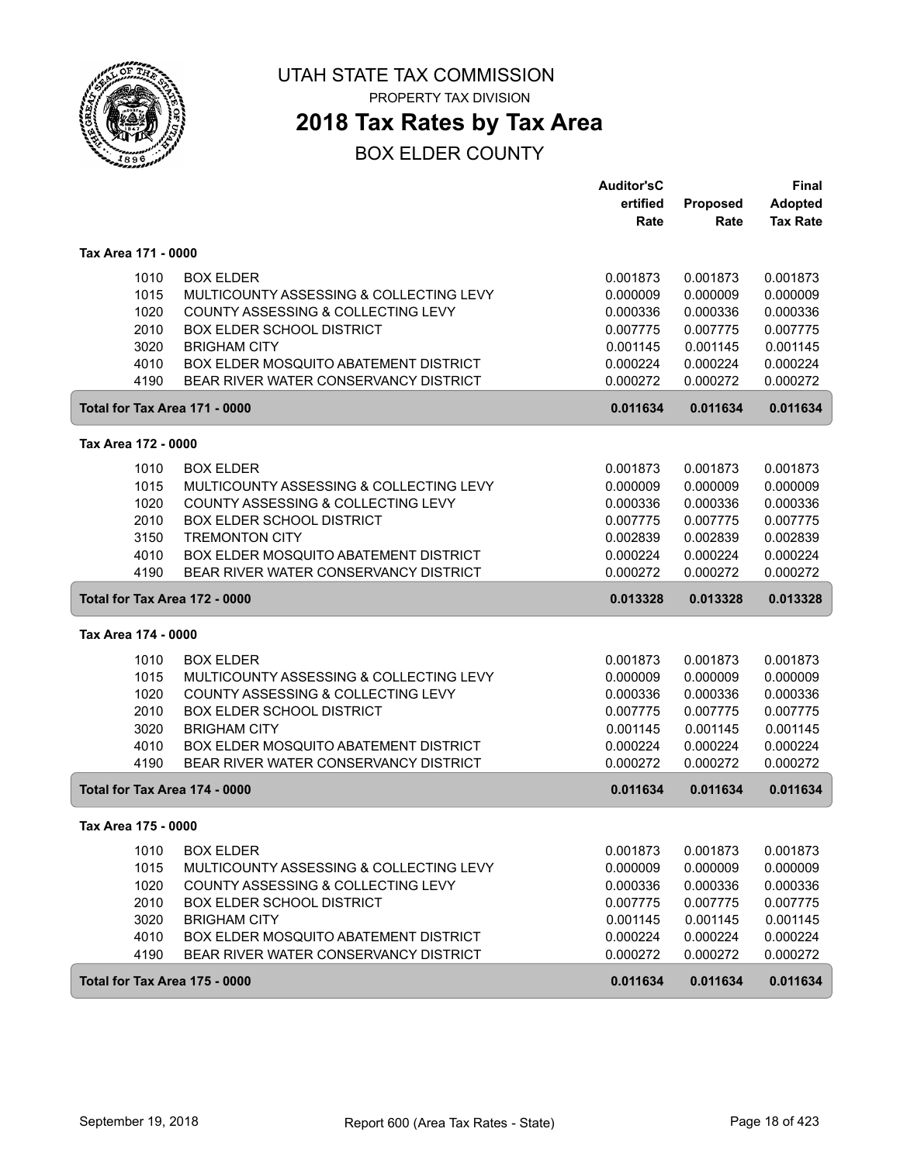

PROPERTY TAX DIVISION

## **2018 Tax Rates by Tax Area**

|                               |                                              | <b>Auditor'sC</b> |                 | Final           |
|-------------------------------|----------------------------------------------|-------------------|-----------------|-----------------|
|                               |                                              | ertified          | <b>Proposed</b> | <b>Adopted</b>  |
|                               |                                              | Rate              | Rate            | <b>Tax Rate</b> |
| Tax Area 171 - 0000           |                                              |                   |                 |                 |
| 1010                          | <b>BOX ELDER</b>                             | 0.001873          | 0.001873        | 0.001873        |
| 1015                          | MULTICOUNTY ASSESSING & COLLECTING LEVY      | 0.000009          | 0.000009        | 0.000009        |
| 1020                          | COUNTY ASSESSING & COLLECTING LEVY           | 0.000336          | 0.000336        | 0.000336        |
| 2010                          | <b>BOX ELDER SCHOOL DISTRICT</b>             | 0.007775          | 0.007775        | 0.007775        |
| 3020                          | <b>BRIGHAM CITY</b>                          | 0.001145          | 0.001145        | 0.001145        |
| 4010                          | BOX ELDER MOSQUITO ABATEMENT DISTRICT        | 0.000224          | 0.000224        | 0.000224        |
| 4190                          | BEAR RIVER WATER CONSERVANCY DISTRICT        | 0.000272          | 0.000272        | 0.000272        |
| Total for Tax Area 171 - 0000 |                                              | 0.011634          | 0.011634        | 0.011634        |
| Tax Area 172 - 0000           |                                              |                   |                 |                 |
| 1010                          | <b>BOX ELDER</b>                             | 0.001873          | 0.001873        | 0.001873        |
| 1015                          | MULTICOUNTY ASSESSING & COLLECTING LEVY      | 0.000009          | 0.000009        | 0.000009        |
| 1020                          | COUNTY ASSESSING & COLLECTING LEVY           | 0.000336          | 0.000336        | 0.000336        |
| 2010                          | <b>BOX ELDER SCHOOL DISTRICT</b>             | 0.007775          | 0.007775        | 0.007775        |
| 3150                          | <b>TREMONTON CITY</b>                        | 0.002839          | 0.002839        | 0.002839        |
| 4010                          | BOX ELDER MOSQUITO ABATEMENT DISTRICT        | 0.000224          | 0.000224        | 0.000224        |
| 4190                          | BEAR RIVER WATER CONSERVANCY DISTRICT        | 0.000272          | 0.000272        | 0.000272        |
| Total for Tax Area 172 - 0000 |                                              | 0.013328          | 0.013328        | 0.013328        |
| Tax Area 174 - 0000           |                                              |                   |                 |                 |
| 1010                          | <b>BOX ELDER</b>                             | 0.001873          | 0.001873        | 0.001873        |
| 1015                          | MULTICOUNTY ASSESSING & COLLECTING LEVY      | 0.000009          | 0.000009        | 0.000009        |
| 1020                          | COUNTY ASSESSING & COLLECTING LEVY           | 0.000336          | 0.000336        | 0.000336        |
| 2010                          | <b>BOX ELDER SCHOOL DISTRICT</b>             | 0.007775          | 0.007775        | 0.007775        |
| 3020                          | <b>BRIGHAM CITY</b>                          | 0.001145          | 0.001145        | 0.001145        |
| 4010                          | BOX ELDER MOSQUITO ABATEMENT DISTRICT        | 0.000224          | 0.000224        | 0.000224        |
| 4190                          | BEAR RIVER WATER CONSERVANCY DISTRICT        | 0.000272          | 0.000272        | 0.000272        |
| Total for Tax Area 174 - 0000 |                                              | 0.011634          | 0.011634        | 0.011634        |
| Tax Area 175 - 0000           |                                              |                   |                 |                 |
| 1010                          | <b>BOX ELDER</b>                             | 0.001873          | 0.001873        | 0.001873        |
| 1015                          | MULTICOUNTY ASSESSING & COLLECTING LEVY      | 0.000009          | 0.000009        | 0.000009        |
| 1020                          | COUNTY ASSESSING & COLLECTING LEVY           | 0.000336          | 0.000336        | 0.000336        |
| 2010                          | <b>BOX ELDER SCHOOL DISTRICT</b>             | 0.007775          | 0.007775        | 0.007775        |
| 3020                          | <b>BRIGHAM CITY</b>                          | 0.001145          | 0.001145        | 0.001145        |
| 4010                          | <b>BOX ELDER MOSQUITO ABATEMENT DISTRICT</b> | 0.000224          | 0.000224        | 0.000224        |
| 4190                          | BEAR RIVER WATER CONSERVANCY DISTRICT        | 0.000272          | 0.000272        | 0.000272        |
| Total for Tax Area 175 - 0000 |                                              | 0.011634          | 0.011634        | 0.011634        |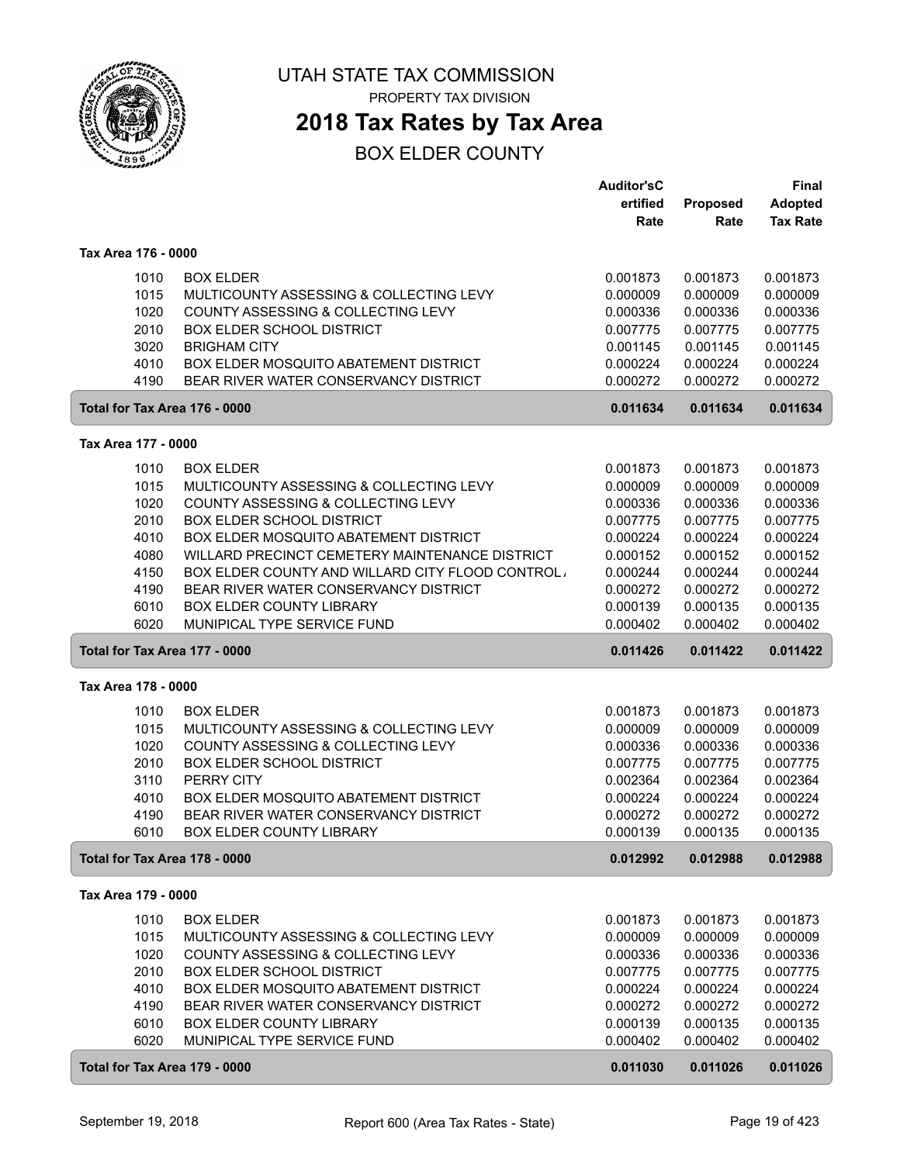

**2018 Tax Rates by Tax Area**

|                     |                                                                        | <b>Auditor'sC</b>    |          | Final           |
|---------------------|------------------------------------------------------------------------|----------------------|----------|-----------------|
|                     |                                                                        | ertified             | Proposed | <b>Adopted</b>  |
|                     |                                                                        | Rate                 | Rate     | <b>Tax Rate</b> |
|                     |                                                                        |                      |          |                 |
| Tax Area 176 - 0000 |                                                                        |                      |          |                 |
| 1010                | <b>BOX ELDER</b>                                                       | 0.001873             | 0.001873 | 0.001873        |
| 1015                | MULTICOUNTY ASSESSING & COLLECTING LEVY                                | 0.000009             | 0.000009 | 0.000009        |
| 1020                | COUNTY ASSESSING & COLLECTING LEVY                                     | 0.000336             | 0.000336 | 0.000336        |
| 2010                | <b>BOX ELDER SCHOOL DISTRICT</b>                                       | 0.007775             | 0.007775 | 0.007775        |
| 3020                | <b>BRIGHAM CITY</b>                                                    | 0.001145             | 0.001145 | 0.001145        |
| 4010                | BOX ELDER MOSQUITO ABATEMENT DISTRICT                                  | 0.000224             | 0.000224 | 0.000224        |
| 4190                | BEAR RIVER WATER CONSERVANCY DISTRICT                                  | 0.000272             | 0.000272 | 0.000272        |
|                     | Total for Tax Area 176 - 0000                                          | 0.011634             | 0.011634 | 0.011634        |
|                     |                                                                        |                      |          |                 |
| Tax Area 177 - 0000 |                                                                        |                      |          |                 |
| 1010                | <b>BOX ELDER</b>                                                       | 0.001873             | 0.001873 | 0.001873        |
| 1015                | MULTICOUNTY ASSESSING & COLLECTING LEVY                                | 0.000009             | 0.000009 | 0.000009        |
| 1020                | COUNTY ASSESSING & COLLECTING LEVY                                     | 0.000336             | 0.000336 | 0.000336        |
| 2010                | <b>BOX ELDER SCHOOL DISTRICT</b>                                       | 0.007775             | 0.007775 | 0.007775        |
| 4010                | BOX ELDER MOSQUITO ABATEMENT DISTRICT                                  | 0.000224             | 0.000224 | 0.000224        |
| 4080                | WILLARD PRECINCT CEMETERY MAINTENANCE DISTRICT                         | 0.000152             | 0.000152 | 0.000152        |
| 4150                | BOX ELDER COUNTY AND WILLARD CITY FLOOD CONTROL,                       | 0.000244             | 0.000244 | 0.000244        |
| 4190                | BEAR RIVER WATER CONSERVANCY DISTRICT                                  | 0.000272             | 0.000272 | 0.000272        |
| 6010                | <b>BOX ELDER COUNTY LIBRARY</b>                                        | 0.000139             | 0.000135 | 0.000135        |
| 6020                | MUNIPICAL TYPE SERVICE FUND                                            | 0.000402             | 0.000402 | 0.000402        |
|                     | Total for Tax Area 177 - 0000                                          | 0.011426             | 0.011422 | 0.011422        |
| Tax Area 178 - 0000 |                                                                        |                      |          |                 |
| 1010                | <b>BOX ELDER</b>                                                       | 0.001873             | 0.001873 | 0.001873        |
| 1015                | MULTICOUNTY ASSESSING & COLLECTING LEVY                                | 0.000009             | 0.000009 | 0.000009        |
|                     |                                                                        |                      |          |                 |
| 1020                | COUNTY ASSESSING & COLLECTING LEVY<br><b>BOX ELDER SCHOOL DISTRICT</b> | 0.000336<br>0.007775 | 0.000336 | 0.000336        |
| 2010                |                                                                        |                      | 0.007775 | 0.007775        |
| 3110                | PERRY CITY                                                             | 0.002364             | 0.002364 | 0.002364        |
| 4010                | BOX ELDER MOSQUITO ABATEMENT DISTRICT                                  | 0.000224             | 0.000224 | 0.000224        |
| 4190                | BEAR RIVER WATER CONSERVANCY DISTRICT                                  | 0.000272             | 0.000272 | 0.000272        |
| 6010                | <b>BOX ELDER COUNTY LIBRARY</b>                                        | 0.000139             | 0.000135 | 0.000135        |
|                     | Total for Tax Area 178 - 0000                                          | 0.012992             | 0.012988 | 0.012988        |
| Tax Area 179 - 0000 |                                                                        |                      |          |                 |
| 1010                | <b>BOX ELDER</b>                                                       | 0.001873             | 0.001873 | 0.001873        |
| 1015                | MULTICOUNTY ASSESSING & COLLECTING LEVY                                | 0.000009             | 0.000009 | 0.000009        |
| 1020                | COUNTY ASSESSING & COLLECTING LEVY                                     | 0.000336             | 0.000336 | 0.000336        |
| 2010                | <b>BOX ELDER SCHOOL DISTRICT</b>                                       | 0.007775             | 0.007775 | 0.007775        |
| 4010                | BOX ELDER MOSQUITO ABATEMENT DISTRICT                                  | 0.000224             | 0.000224 | 0.000224        |
| 4190                | BEAR RIVER WATER CONSERVANCY DISTRICT                                  | 0.000272             | 0.000272 | 0.000272        |
| 6010                | <b>BOX ELDER COUNTY LIBRARY</b>                                        | 0.000139             | 0.000135 | 0.000135        |
| 6020                | MUNIPICAL TYPE SERVICE FUND                                            | 0.000402             | 0.000402 | 0.000402        |
|                     | Total for Tax Area 179 - 0000                                          | 0.011030             | 0.011026 | 0.011026        |
|                     |                                                                        |                      |          |                 |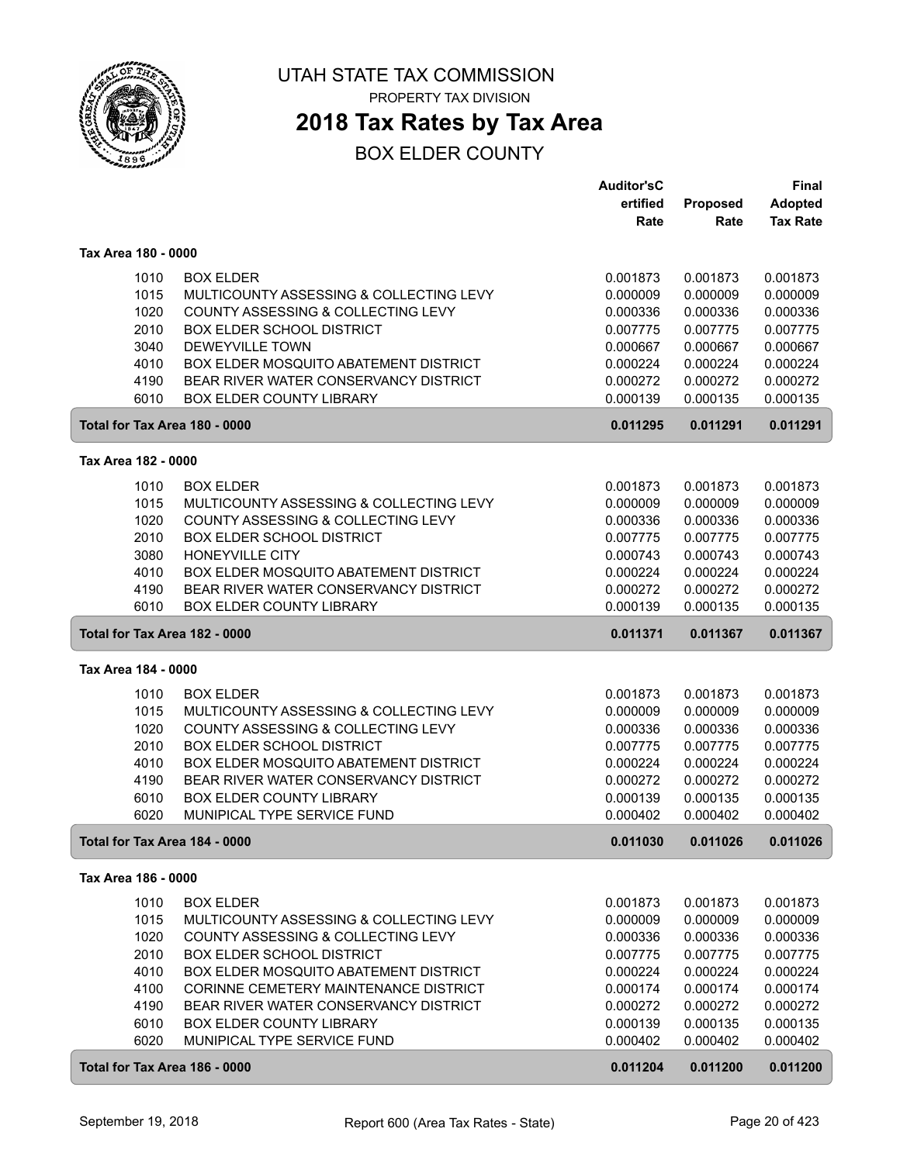

**2018 Tax Rates by Tax Area**

|                     |                                              | Auditor'sC |          | <b>Final</b>    |
|---------------------|----------------------------------------------|------------|----------|-----------------|
|                     |                                              | ertified   | Proposed | <b>Adopted</b>  |
|                     |                                              | Rate       | Rate     | <b>Tax Rate</b> |
| Tax Area 180 - 0000 |                                              |            |          |                 |
| 1010                | <b>BOX ELDER</b>                             | 0.001873   | 0.001873 | 0.001873        |
| 1015                | MULTICOUNTY ASSESSING & COLLECTING LEVY      | 0.000009   | 0.000009 | 0.000009        |
| 1020                | COUNTY ASSESSING & COLLECTING LEVY           | 0.000336   | 0.000336 | 0.000336        |
| 2010                | <b>BOX ELDER SCHOOL DISTRICT</b>             | 0.007775   | 0.007775 | 0.007775        |
| 3040                | DEWEYVILLE TOWN                              | 0.000667   | 0.000667 | 0.000667        |
| 4010                | BOX ELDER MOSQUITO ABATEMENT DISTRICT        | 0.000224   | 0.000224 | 0.000224        |
| 4190                | BEAR RIVER WATER CONSERVANCY DISTRICT        | 0.000272   | 0.000272 | 0.000272        |
| 6010                | <b>BOX ELDER COUNTY LIBRARY</b>              | 0.000139   | 0.000135 | 0.000135        |
|                     | Total for Tax Area 180 - 0000                | 0.011295   | 0.011291 | 0.011291        |
| Tax Area 182 - 0000 |                                              |            |          |                 |
|                     |                                              |            |          |                 |
| 1010                | <b>BOX ELDER</b>                             | 0.001873   | 0.001873 | 0.001873        |
| 1015                | MULTICOUNTY ASSESSING & COLLECTING LEVY      | 0.000009   | 0.000009 | 0.000009        |
| 1020                | COUNTY ASSESSING & COLLECTING LEVY           | 0.000336   | 0.000336 | 0.000336        |
| 2010                | <b>BOX ELDER SCHOOL DISTRICT</b>             | 0.007775   | 0.007775 | 0.007775        |
| 3080                | <b>HONEYVILLE CITY</b>                       | 0.000743   | 0.000743 | 0.000743        |
| 4010                | <b>BOX ELDER MOSQUITO ABATEMENT DISTRICT</b> | 0.000224   | 0.000224 | 0.000224        |
| 4190                | BEAR RIVER WATER CONSERVANCY DISTRICT        | 0.000272   | 0.000272 | 0.000272        |
| 6010                | <b>BOX ELDER COUNTY LIBRARY</b>              | 0.000139   | 0.000135 | 0.000135        |
|                     | Total for Tax Area 182 - 0000                | 0.011371   | 0.011367 | 0.011367        |
| Tax Area 184 - 0000 |                                              |            |          |                 |
| 1010                | <b>BOX ELDER</b>                             | 0.001873   | 0.001873 | 0.001873        |
| 1015                | MULTICOUNTY ASSESSING & COLLECTING LEVY      | 0.000009   | 0.000009 | 0.000009        |
| 1020                | COUNTY ASSESSING & COLLECTING LEVY           | 0.000336   | 0.000336 | 0.000336        |
| 2010                | <b>BOX ELDER SCHOOL DISTRICT</b>             | 0.007775   | 0.007775 | 0.007775        |
| 4010                | BOX ELDER MOSQUITO ABATEMENT DISTRICT        | 0.000224   | 0.000224 | 0.000224        |
| 4190                | BEAR RIVER WATER CONSERVANCY DISTRICT        | 0.000272   | 0.000272 | 0.000272        |
| 6010                | <b>BOX ELDER COUNTY LIBRARY</b>              | 0.000139   | 0.000135 | 0.000135        |
| 6020                | MUNIPICAL TYPE SERVICE FUND                  | 0.000402   | 0.000402 | 0.000402        |
|                     | Total for Tax Area 184 - 0000                | 0.011030   | 0.011026 | 0.011026        |
| Tax Area 186 - 0000 |                                              |            |          |                 |
| 1010                | <b>BOX ELDER</b>                             | 0.001873   | 0.001873 | 0.001873        |
| 1015                | MULTICOUNTY ASSESSING & COLLECTING LEVY      | 0.000009   | 0.000009 | 0.000009        |
| 1020                | COUNTY ASSESSING & COLLECTING LEVY           | 0.000336   | 0.000336 | 0.000336        |
| 2010                | <b>BOX ELDER SCHOOL DISTRICT</b>             | 0.007775   | 0.007775 | 0.007775        |
| 4010                | BOX ELDER MOSQUITO ABATEMENT DISTRICT        | 0.000224   | 0.000224 | 0.000224        |
| 4100                | CORINNE CEMETERY MAINTENANCE DISTRICT        | 0.000174   | 0.000174 | 0.000174        |
| 4190                | BEAR RIVER WATER CONSERVANCY DISTRICT        | 0.000272   | 0.000272 | 0.000272        |
| 6010                | BOX ELDER COUNTY LIBRARY                     | 0.000139   | 0.000135 | 0.000135        |
| 6020                | MUNIPICAL TYPE SERVICE FUND                  | 0.000402   | 0.000402 | 0.000402        |
|                     |                                              |            |          |                 |
|                     | Total for Tax Area 186 - 0000                | 0.011204   | 0.011200 | 0.011200        |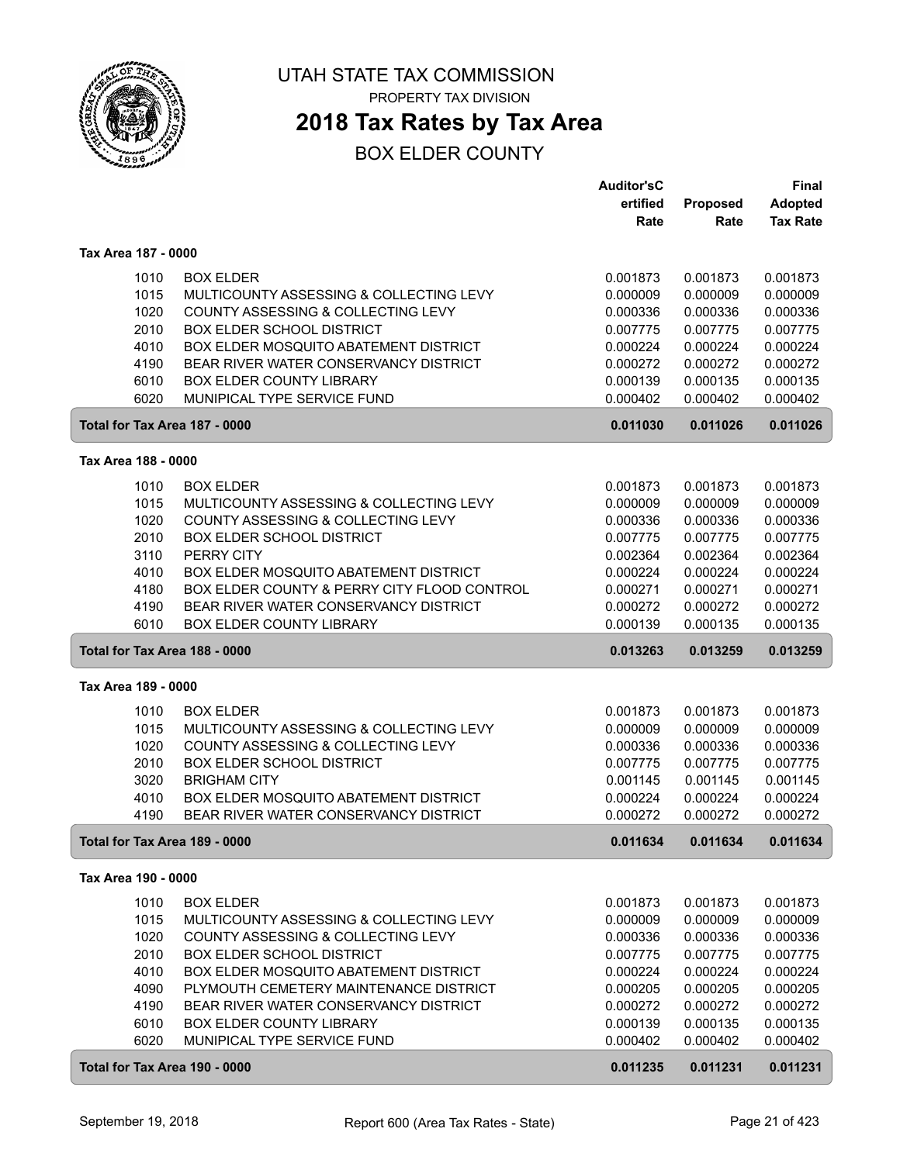

## **2018 Tax Rates by Tax Area**

|                               |                                                                          | <b>Auditor'sC</b>    |                      | <b>Final</b>         |
|-------------------------------|--------------------------------------------------------------------------|----------------------|----------------------|----------------------|
|                               |                                                                          | ertified             | Proposed             | <b>Adopted</b>       |
|                               |                                                                          | Rate                 | Rate                 | <b>Tax Rate</b>      |
| Tax Area 187 - 0000           |                                                                          |                      |                      |                      |
|                               |                                                                          |                      |                      |                      |
| 1010                          | <b>BOX ELDER</b>                                                         | 0.001873             | 0.001873             | 0.001873             |
| 1015                          | MULTICOUNTY ASSESSING & COLLECTING LEVY                                  | 0.000009             | 0.000009             | 0.000009             |
| 1020                          | COUNTY ASSESSING & COLLECTING LEVY                                       | 0.000336             | 0.000336             | 0.000336             |
| 2010                          | <b>BOX ELDER SCHOOL DISTRICT</b>                                         | 0.007775             | 0.007775             | 0.007775             |
| 4010                          | BOX ELDER MOSQUITO ABATEMENT DISTRICT                                    | 0.000224             | 0.000224             | 0.000224             |
| 4190                          | BEAR RIVER WATER CONSERVANCY DISTRICT<br><b>BOX ELDER COUNTY LIBRARY</b> | 0.000272             | 0.000272             | 0.000272             |
| 6010<br>6020                  | MUNIPICAL TYPE SERVICE FUND                                              | 0.000139<br>0.000402 | 0.000135<br>0.000402 | 0.000135<br>0.000402 |
|                               |                                                                          |                      |                      |                      |
| Total for Tax Area 187 - 0000 |                                                                          | 0.011030             | 0.011026             | 0.011026             |
| Tax Area 188 - 0000           |                                                                          |                      |                      |                      |
| 1010                          | <b>BOX ELDER</b>                                                         | 0.001873             | 0.001873             | 0.001873             |
| 1015                          | MULTICOUNTY ASSESSING & COLLECTING LEVY                                  | 0.000009             | 0.000009             | 0.000009             |
| 1020                          | COUNTY ASSESSING & COLLECTING LEVY                                       | 0.000336             | 0.000336             | 0.000336             |
| 2010                          | <b>BOX ELDER SCHOOL DISTRICT</b>                                         | 0.007775             | 0.007775             | 0.007775             |
| 3110                          | PERRY CITY                                                               | 0.002364             | 0.002364             | 0.002364             |
| 4010                          | BOX ELDER MOSQUITO ABATEMENT DISTRICT                                    | 0.000224             | 0.000224             | 0.000224             |
| 4180                          | BOX ELDER COUNTY & PERRY CITY FLOOD CONTROL                              | 0.000271             | 0.000271             | 0.000271             |
| 4190                          | BEAR RIVER WATER CONSERVANCY DISTRICT                                    | 0.000272             | 0.000272             | 0.000272             |
| 6010                          | <b>BOX ELDER COUNTY LIBRARY</b>                                          | 0.000139             | 0.000135             | 0.000135             |
| Total for Tax Area 188 - 0000 |                                                                          | 0.013263             | 0.013259             | 0.013259             |
| Tax Area 189 - 0000           |                                                                          |                      |                      |                      |
| 1010                          | <b>BOX ELDER</b>                                                         | 0.001873             | 0.001873             | 0.001873             |
| 1015                          | MULTICOUNTY ASSESSING & COLLECTING LEVY                                  | 0.000009             | 0.000009             | 0.000009             |
| 1020                          | COUNTY ASSESSING & COLLECTING LEVY                                       | 0.000336             | 0.000336             | 0.000336             |
| 2010                          | <b>BOX ELDER SCHOOL DISTRICT</b>                                         | 0.007775             | 0.007775             | 0.007775             |
| 3020                          | <b>BRIGHAM CITY</b>                                                      | 0.001145             | 0.001145             | 0.001145             |
| 4010                          | BOX ELDER MOSQUITO ABATEMENT DISTRICT                                    | 0.000224             | 0.000224             | 0.000224             |
| 4190                          | BEAR RIVER WATER CONSERVANCY DISTRICT                                    | 0.000272             | 0.000272             | 0.000272             |
| Total for Tax Area 189 - 0000 |                                                                          | 0.011634             | 0.011634             | 0.011634             |
| Tax Area 190 - 0000           |                                                                          |                      |                      |                      |
| 1010                          | <b>BOX ELDER</b>                                                         | 0.001873             | 0.001873             | 0.001873             |
| 1015                          | MULTICOUNTY ASSESSING & COLLECTING LEVY                                  | 0.000009             | 0.000009             | 0.000009             |
| 1020                          | COUNTY ASSESSING & COLLECTING LEVY                                       | 0.000336             | 0.000336             | 0.000336             |
| 2010                          | <b>BOX ELDER SCHOOL DISTRICT</b>                                         | 0.007775             | 0.007775             | 0.007775             |
| 4010                          | BOX ELDER MOSQUITO ABATEMENT DISTRICT                                    | 0.000224             | 0.000224             | 0.000224             |
| 4090                          | PLYMOUTH CEMETERY MAINTENANCE DISTRICT                                   | 0.000205             | 0.000205             | 0.000205             |
| 4190                          | BEAR RIVER WATER CONSERVANCY DISTRICT                                    | 0.000272             | 0.000272             | 0.000272             |
| 6010                          | BOX ELDER COUNTY LIBRARY                                                 | 0.000139             | 0.000135             | 0.000135             |
| 6020                          | MUNIPICAL TYPE SERVICE FUND                                              | 0.000402             | 0.000402             | 0.000402             |
| Total for Tax Area 190 - 0000 |                                                                          | 0.011235             | 0.011231             | 0.011231             |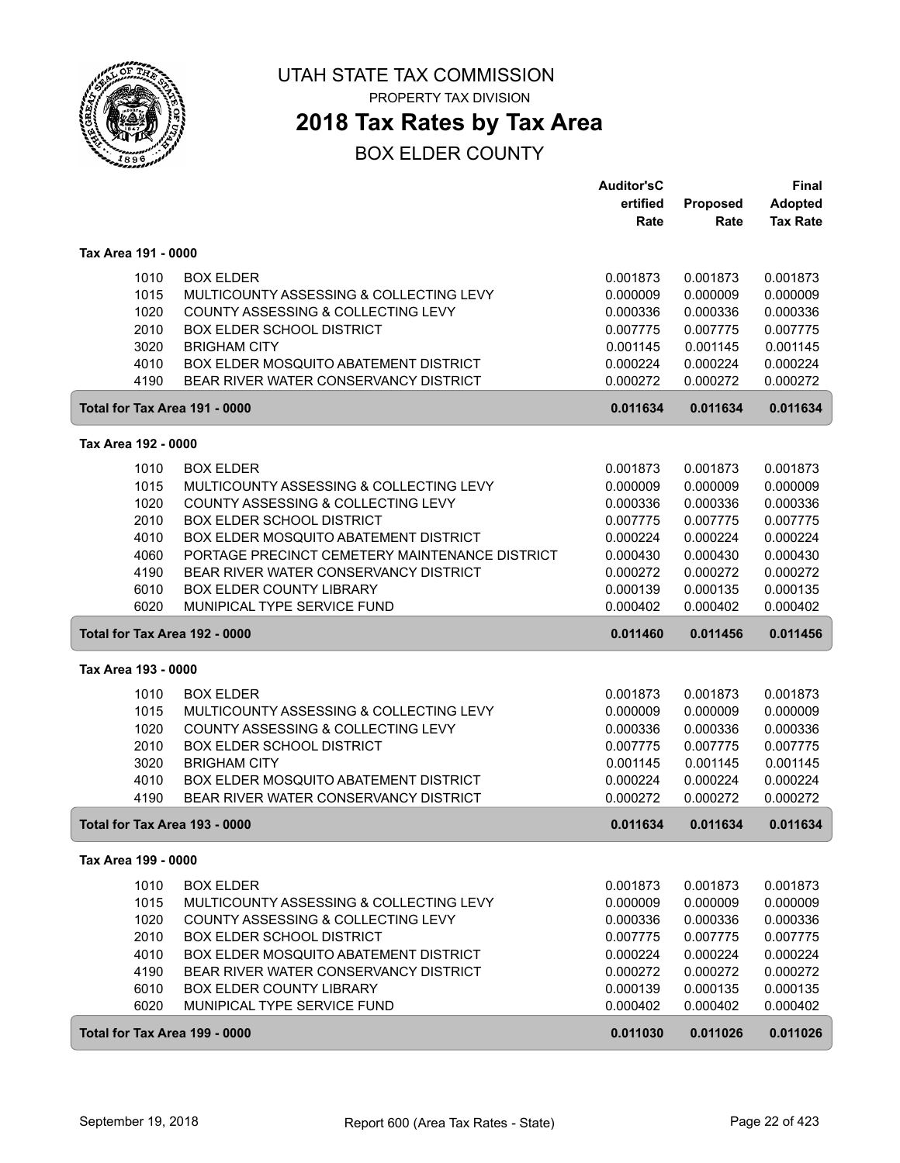

**2018 Tax Rates by Tax Area**

|                               |                                                | Auditor'sC |          | <b>Final</b>    |
|-------------------------------|------------------------------------------------|------------|----------|-----------------|
|                               |                                                | ertified   | Proposed | <b>Adopted</b>  |
|                               |                                                | Rate       | Rate     | <b>Tax Rate</b> |
| Tax Area 191 - 0000           |                                                |            |          |                 |
| 1010                          | <b>BOX ELDER</b>                               | 0.001873   | 0.001873 | 0.001873        |
| 1015                          | MULTICOUNTY ASSESSING & COLLECTING LEVY        | 0.000009   | 0.000009 | 0.000009        |
| 1020                          | COUNTY ASSESSING & COLLECTING LEVY             | 0.000336   | 0.000336 | 0.000336        |
| 2010                          | <b>BOX ELDER SCHOOL DISTRICT</b>               | 0.007775   | 0.007775 | 0.007775        |
| 3020                          | <b>BRIGHAM CITY</b>                            | 0.001145   | 0.001145 | 0.001145        |
| 4010                          | BOX ELDER MOSQUITO ABATEMENT DISTRICT          | 0.000224   | 0.000224 | 0.000224        |
| 4190                          | BEAR RIVER WATER CONSERVANCY DISTRICT          | 0.000272   | 0.000272 | 0.000272        |
| Total for Tax Area 191 - 0000 |                                                | 0.011634   | 0.011634 | 0.011634        |
| Tax Area 192 - 0000           |                                                |            |          |                 |
| 1010                          | <b>BOX ELDER</b>                               | 0.001873   | 0.001873 | 0.001873        |
| 1015                          | MULTICOUNTY ASSESSING & COLLECTING LEVY        | 0.000009   | 0.000009 | 0.000009        |
| 1020                          | COUNTY ASSESSING & COLLECTING LEVY             | 0.000336   | 0.000336 | 0.000336        |
| 2010                          | <b>BOX ELDER SCHOOL DISTRICT</b>               | 0.007775   | 0.007775 | 0.007775        |
| 4010                          | BOX ELDER MOSQUITO ABATEMENT DISTRICT          | 0.000224   | 0.000224 | 0.000224        |
| 4060                          | PORTAGE PRECINCT CEMETERY MAINTENANCE DISTRICT | 0.000430   | 0.000430 | 0.000430        |
| 4190                          | BEAR RIVER WATER CONSERVANCY DISTRICT          | 0.000272   | 0.000272 | 0.000272        |
| 6010                          | BOX ELDER COUNTY LIBRARY                       | 0.000139   | 0.000135 | 0.000135        |
| 6020                          | MUNIPICAL TYPE SERVICE FUND                    | 0.000402   | 0.000402 | 0.000402        |
| Total for Tax Area 192 - 0000 |                                                | 0.011460   | 0.011456 | 0.011456        |
| Tax Area 193 - 0000           |                                                |            |          |                 |
| 1010                          | <b>BOX ELDER</b>                               | 0.001873   | 0.001873 | 0.001873        |
| 1015                          | MULTICOUNTY ASSESSING & COLLECTING LEVY        | 0.000009   | 0.000009 | 0.000009        |
| 1020                          | COUNTY ASSESSING & COLLECTING LEVY             | 0.000336   | 0.000336 | 0.000336        |
| 2010                          | <b>BOX ELDER SCHOOL DISTRICT</b>               | 0.007775   | 0.007775 | 0.007775        |
| 3020                          | <b>BRIGHAM CITY</b>                            | 0.001145   | 0.001145 | 0.001145        |
| 4010                          | BOX ELDER MOSQUITO ABATEMENT DISTRICT          | 0.000224   | 0.000224 | 0.000224        |
| 4190                          | BEAR RIVER WATER CONSERVANCY DISTRICT          | 0.000272   | 0.000272 | 0.000272        |
| Total for Tax Area 193 - 0000 |                                                | 0.011634   | 0.011634 | 0.011634        |
| Tax Area 199 - 0000           |                                                |            |          |                 |
| 1010                          | <b>BOX ELDER</b>                               | 0.001873   | 0.001873 | 0.001873        |
| 1015                          | MULTICOUNTY ASSESSING & COLLECTING LEVY        | 0.000009   | 0.000009 | 0.000009        |
| 1020                          | COUNTY ASSESSING & COLLECTING LEVY             | 0.000336   | 0.000336 | 0.000336        |
| 2010                          | <b>BOX ELDER SCHOOL DISTRICT</b>               | 0.007775   | 0.007775 | 0.007775        |
| 4010                          | BOX ELDER MOSQUITO ABATEMENT DISTRICT          | 0.000224   | 0.000224 | 0.000224        |
| 4190                          | BEAR RIVER WATER CONSERVANCY DISTRICT          | 0.000272   | 0.000272 | 0.000272        |
| 6010                          | BOX ELDER COUNTY LIBRARY                       | 0.000139   | 0.000135 | 0.000135        |
| 6020                          | MUNIPICAL TYPE SERVICE FUND                    | 0.000402   | 0.000402 | 0.000402        |
| Total for Tax Area 199 - 0000 |                                                | 0.011030   | 0.011026 | 0.011026        |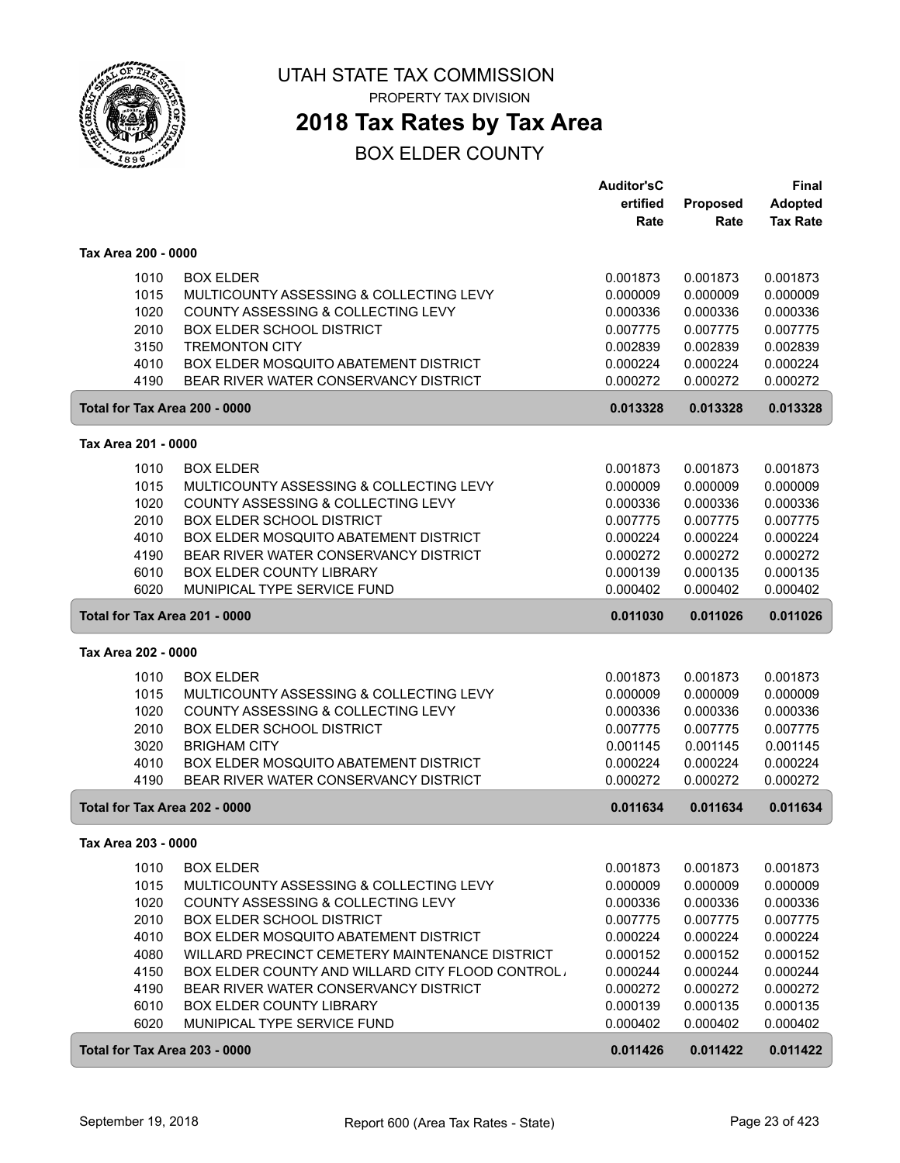

PROPERTY TAX DIVISION

## **2018 Tax Rates by Tax Area**

|                     |                                                                          | Auditor'sC |          | <b>Final</b>    |
|---------------------|--------------------------------------------------------------------------|------------|----------|-----------------|
|                     |                                                                          | ertified   | Proposed | <b>Adopted</b>  |
|                     |                                                                          | Rate       | Rate     | <b>Tax Rate</b> |
| Tax Area 200 - 0000 |                                                                          |            |          |                 |
| 1010                | <b>BOX ELDER</b>                                                         | 0.001873   | 0.001873 | 0.001873        |
| 1015                | MULTICOUNTY ASSESSING & COLLECTING LEVY                                  | 0.000009   | 0.000009 | 0.000009        |
| 1020                | COUNTY ASSESSING & COLLECTING LEVY                                       | 0.000336   | 0.000336 | 0.000336        |
| 2010                | <b>BOX ELDER SCHOOL DISTRICT</b>                                         | 0.007775   | 0.007775 | 0.007775        |
| 3150                | <b>TREMONTON CITY</b>                                                    | 0.002839   | 0.002839 | 0.002839        |
| 4010                | BOX ELDER MOSQUITO ABATEMENT DISTRICT                                    | 0.000224   | 0.000224 | 0.000224        |
| 4190                | BEAR RIVER WATER CONSERVANCY DISTRICT                                    | 0.000272   | 0.000272 | 0.000272        |
|                     | Total for Tax Area 200 - 0000                                            | 0.013328   | 0.013328 | 0.013328        |
| Tax Area 201 - 0000 |                                                                          |            |          |                 |
|                     |                                                                          |            |          |                 |
| 1010                | <b>BOX ELDER</b>                                                         | 0.001873   | 0.001873 | 0.001873        |
| 1015                | MULTICOUNTY ASSESSING & COLLECTING LEVY                                  | 0.000009   | 0.000009 | 0.000009        |
| 1020                | COUNTY ASSESSING & COLLECTING LEVY                                       | 0.000336   | 0.000336 | 0.000336        |
| 2010                | <b>BOX ELDER SCHOOL DISTRICT</b>                                         | 0.007775   | 0.007775 | 0.007775        |
| 4010                | BOX ELDER MOSQUITO ABATEMENT DISTRICT                                    | 0.000224   | 0.000224 | 0.000224        |
| 4190                | BEAR RIVER WATER CONSERVANCY DISTRICT<br><b>BOX ELDER COUNTY LIBRARY</b> | 0.000272   | 0.000272 | 0.000272        |
| 6010                |                                                                          | 0.000139   | 0.000135 | 0.000135        |
| 6020                | MUNIPICAL TYPE SERVICE FUND                                              | 0.000402   | 0.000402 | 0.000402        |
|                     | Total for Tax Area 201 - 0000                                            | 0.011030   | 0.011026 | 0.011026        |
| Tax Area 202 - 0000 |                                                                          |            |          |                 |
| 1010                | <b>BOX ELDER</b>                                                         | 0.001873   | 0.001873 | 0.001873        |
| 1015                | MULTICOUNTY ASSESSING & COLLECTING LEVY                                  | 0.000009   | 0.000009 | 0.000009        |
| 1020                | COUNTY ASSESSING & COLLECTING LEVY                                       | 0.000336   | 0.000336 | 0.000336        |
| 2010                | <b>BOX ELDER SCHOOL DISTRICT</b>                                         | 0.007775   | 0.007775 | 0.007775        |
| 3020                | <b>BRIGHAM CITY</b>                                                      | 0.001145   | 0.001145 | 0.001145        |
| 4010                | BOX ELDER MOSQUITO ABATEMENT DISTRICT                                    | 0.000224   | 0.000224 | 0.000224        |
| 4190                | BEAR RIVER WATER CONSERVANCY DISTRICT                                    | 0.000272   | 0.000272 | 0.000272        |
|                     | Total for Tax Area 202 - 0000                                            | 0.011634   | 0.011634 | 0.011634        |
| Tax Area 203 - 0000 |                                                                          |            |          |                 |
| 1010                | <b>BOX ELDER</b>                                                         | 0.001873   | 0.001873 | 0.001873        |
| 1015                | MULTICOUNTY ASSESSING & COLLECTING LEVY                                  | 0.000009   | 0.000009 | 0.000009        |
| 1020                | COUNTY ASSESSING & COLLECTING LEVY                                       | 0.000336   | 0.000336 | 0.000336        |
| 2010                | <b>BOX ELDER SCHOOL DISTRICT</b>                                         | 0.007775   | 0.007775 | 0.007775        |
| 4010                | BOX ELDER MOSQUITO ABATEMENT DISTRICT                                    | 0.000224   | 0.000224 | 0.000224        |
| 4080                | WILLARD PRECINCT CEMETERY MAINTENANCE DISTRICT                           | 0.000152   | 0.000152 | 0.000152        |
| 4150                | <b>BOX ELDER COUNTY AND WILLARD CITY FLOOD CONTROL,</b>                  | 0.000244   | 0.000244 | 0.000244        |
| 4190                | BEAR RIVER WATER CONSERVANCY DISTRICT                                    | 0.000272   | 0.000272 | 0.000272        |
| 6010                | BOX ELDER COUNTY LIBRARY                                                 | 0.000139   | 0.000135 | 0.000135        |
| 6020                | MUNIPICAL TYPE SERVICE FUND                                              | 0.000402   | 0.000402 | 0.000402        |
|                     | Total for Tax Area 203 - 0000                                            | 0.011426   | 0.011422 | 0.011422        |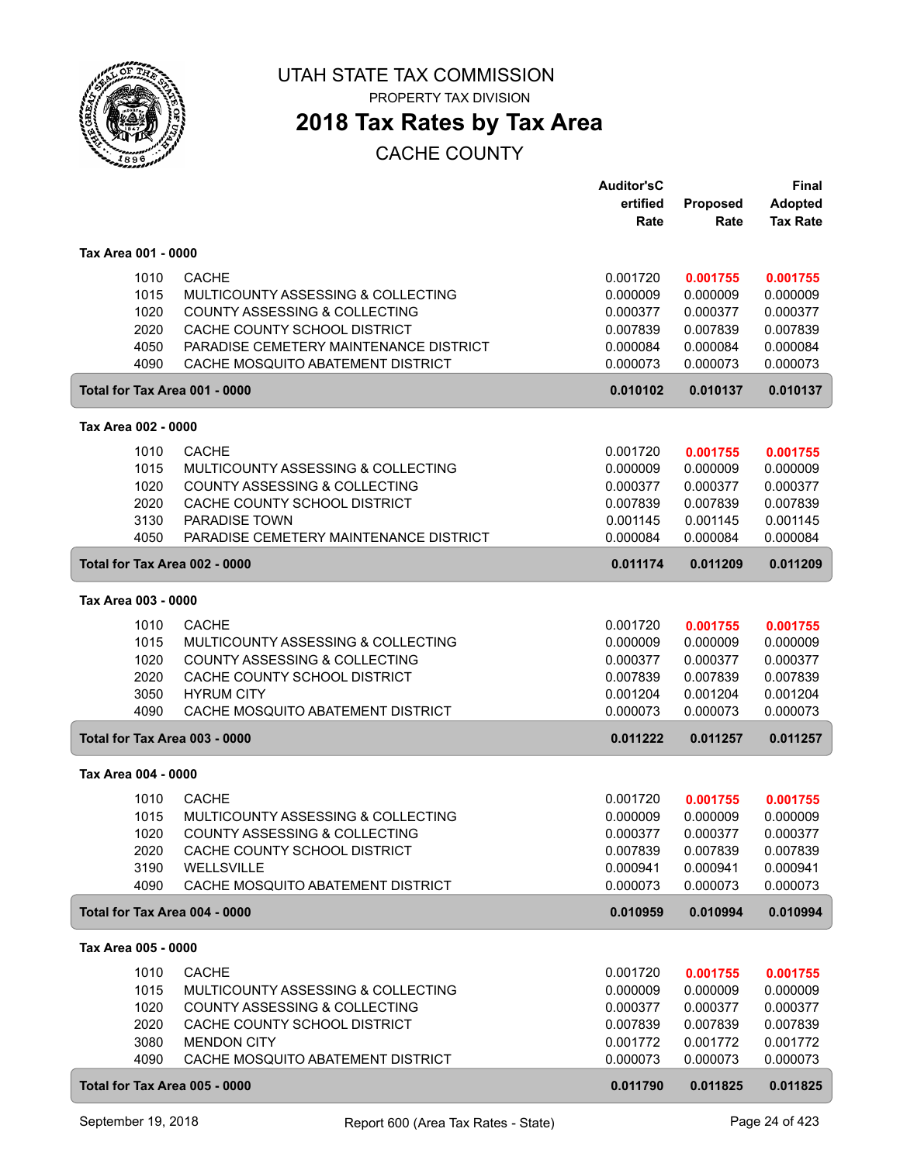

PROPERTY TAX DIVISION

## **2018 Tax Rates by Tax Area**

|                               |                                                                        | <b>Auditor'sC</b><br>ertified | Proposed             | <b>Final</b><br>Adopted |
|-------------------------------|------------------------------------------------------------------------|-------------------------------|----------------------|-------------------------|
|                               |                                                                        | Rate                          | Rate                 | <b>Tax Rate</b>         |
|                               |                                                                        |                               |                      |                         |
| Tax Area 001 - 0000           |                                                                        |                               |                      |                         |
| 1010                          | <b>CACHE</b>                                                           | 0.001720                      | 0.001755             | 0.001755                |
| 1015                          | MULTICOUNTY ASSESSING & COLLECTING                                     | 0.000009                      | 0.000009             | 0.000009                |
| 1020<br>2020                  | <b>COUNTY ASSESSING &amp; COLLECTING</b>                               | 0.000377                      | 0.000377             | 0.000377                |
| 4050                          | CACHE COUNTY SCHOOL DISTRICT<br>PARADISE CEMETERY MAINTENANCE DISTRICT | 0.007839<br>0.000084          | 0.007839<br>0.000084 | 0.007839<br>0.000084    |
| 4090                          | CACHE MOSQUITO ABATEMENT DISTRICT                                      | 0.000073                      | 0.000073             | 0.000073                |
| Total for Tax Area 001 - 0000 |                                                                        | 0.010102                      | 0.010137             | 0.010137                |
| Tax Area 002 - 0000           |                                                                        |                               |                      |                         |
|                               | <b>CACHE</b>                                                           |                               |                      |                         |
| 1010<br>1015                  | MULTICOUNTY ASSESSING & COLLECTING                                     | 0.001720<br>0.000009          | 0.001755<br>0.000009 | 0.001755<br>0.000009    |
| 1020                          | COUNTY ASSESSING & COLLECTING                                          | 0.000377                      | 0.000377             | 0.000377                |
| 2020                          | CACHE COUNTY SCHOOL DISTRICT                                           | 0.007839                      | 0.007839             | 0.007839                |
| 3130                          | <b>PARADISE TOWN</b>                                                   | 0.001145                      | 0.001145             | 0.001145                |
| 4050                          | PARADISE CEMETERY MAINTENANCE DISTRICT                                 | 0.000084                      | 0.000084             | 0.000084                |
| Total for Tax Area 002 - 0000 |                                                                        | 0.011174                      | 0.011209             | 0.011209                |
| Tax Area 003 - 0000           |                                                                        |                               |                      |                         |
| 1010                          | <b>CACHE</b>                                                           | 0.001720                      | 0.001755             | 0.001755                |
| 1015                          | MULTICOUNTY ASSESSING & COLLECTING                                     | 0.000009                      | 0.000009             | 0.000009                |
| 1020                          | COUNTY ASSESSING & COLLECTING                                          | 0.000377                      | 0.000377             | 0.000377                |
| 2020                          | CACHE COUNTY SCHOOL DISTRICT                                           | 0.007839                      | 0.007839             | 0.007839                |
| 3050                          | <b>HYRUM CITY</b>                                                      | 0.001204                      | 0.001204             | 0.001204                |
| 4090                          | CACHE MOSQUITO ABATEMENT DISTRICT                                      | 0.000073                      | 0.000073             | 0.000073                |
| Total for Tax Area 003 - 0000 |                                                                        | 0.011222                      | 0.011257             | 0.011257                |
| Tax Area 004 - 0000           |                                                                        |                               |                      |                         |
| 1010                          | <b>CACHE</b>                                                           | 0.001720                      | 0.001755             | 0.001755                |
| 1015                          | MULTICOUNTY ASSESSING & COLLECTING                                     | 0.000009                      | 0.000009             | 0.000009                |
| 1020                          | COUNTY ASSESSING & COLLECTING                                          | 0.000377                      | 0.000377             | 0.000377                |
| 2020                          | CACHE COUNTY SCHOOL DISTRICT                                           | 0.007839                      | 0.007839             | 0.007839                |
| 3190                          | WELLSVILLE                                                             | 0.000941                      | 0.000941             | 0.000941                |
| 4090                          | CACHE MOSQUITO ABATEMENT DISTRICT                                      | 0.000073                      | 0.000073             | 0.000073                |
| Total for Tax Area 004 - 0000 |                                                                        | 0.010959                      | 0.010994             | 0.010994                |
| Tax Area 005 - 0000           |                                                                        |                               |                      |                         |
| 1010                          | <b>CACHE</b>                                                           | 0.001720                      | 0.001755             | 0.001755                |
| 1015                          | MULTICOUNTY ASSESSING & COLLECTING                                     | 0.000009                      | 0.000009             | 0.000009                |
| 1020                          | COUNTY ASSESSING & COLLECTING                                          | 0.000377                      | 0.000377             | 0.000377                |
| 2020                          | CACHE COUNTY SCHOOL DISTRICT                                           | 0.007839                      | 0.007839             | 0.007839                |
| 3080                          | <b>MENDON CITY</b>                                                     | 0.001772                      | 0.001772             | 0.001772                |
| 4090                          | CACHE MOSQUITO ABATEMENT DISTRICT                                      | 0.000073                      | 0.000073             | 0.000073                |
| Total for Tax Area 005 - 0000 |                                                                        | 0.011790                      | 0.011825             | 0.011825                |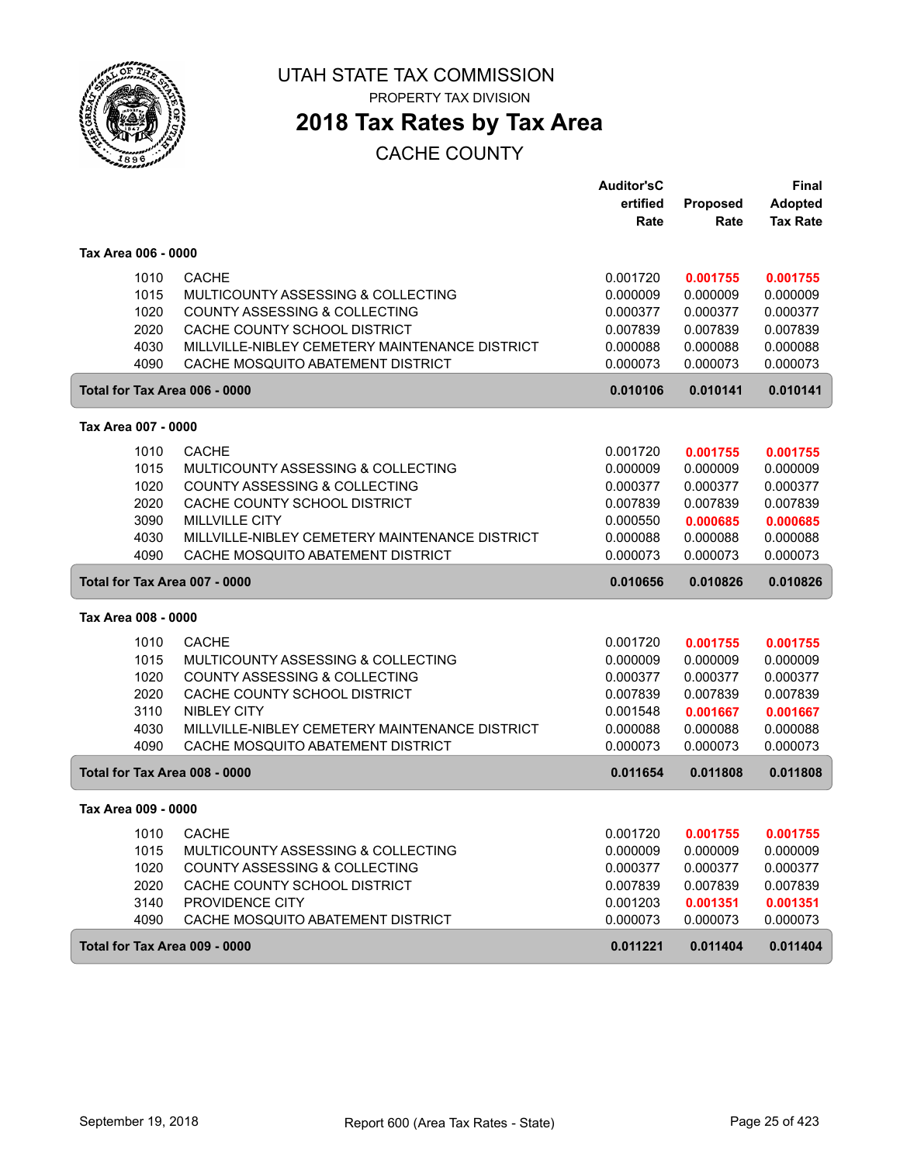

PROPERTY TAX DIVISION

## **2018 Tax Rates by Tax Area**

|                               |                                                | <b>Auditor'sC</b> |                 | Final           |
|-------------------------------|------------------------------------------------|-------------------|-----------------|-----------------|
|                               |                                                | ertified          | <b>Proposed</b> | <b>Adopted</b>  |
|                               |                                                | Rate              | Rate            | <b>Tax Rate</b> |
| Tax Area 006 - 0000           |                                                |                   |                 |                 |
| 1010                          | <b>CACHE</b>                                   | 0.001720          | 0.001755        | 0.001755        |
| 1015                          | MULTICOUNTY ASSESSING & COLLECTING             | 0.000009          | 0.000009        | 0.000009        |
| 1020                          | <b>COUNTY ASSESSING &amp; COLLECTING</b>       | 0.000377          | 0.000377        | 0.000377        |
| 2020                          | CACHE COUNTY SCHOOL DISTRICT                   | 0.007839          | 0.007839        | 0.007839        |
| 4030                          | MILLVILLE-NIBLEY CEMETERY MAINTENANCE DISTRICT | 0.000088          | 0.000088        | 0.000088        |
| 4090                          | CACHE MOSQUITO ABATEMENT DISTRICT              | 0.000073          | 0.000073        | 0.000073        |
| Total for Tax Area 006 - 0000 |                                                | 0.010106          | 0.010141        | 0.010141        |
| Tax Area 007 - 0000           |                                                |                   |                 |                 |
| 1010                          | <b>CACHE</b>                                   | 0.001720          | 0.001755        | 0.001755        |
| 1015                          | MULTICOUNTY ASSESSING & COLLECTING             | 0.000009          | 0.000009        | 0.000009        |
| 1020                          | COUNTY ASSESSING & COLLECTING                  | 0.000377          | 0.000377        | 0.000377        |
| 2020                          | CACHE COUNTY SCHOOL DISTRICT                   | 0.007839          | 0.007839        | 0.007839        |
| 3090                          | <b>MILLVILLE CITY</b>                          | 0.000550          | 0.000685        | 0.000685        |
| 4030                          | MILLVILLE-NIBLEY CEMETERY MAINTENANCE DISTRICT | 0.000088          | 0.000088        | 0.000088        |
| 4090                          | CACHE MOSQUITO ABATEMENT DISTRICT              | 0.000073          | 0.000073        | 0.000073        |
| Total for Tax Area 007 - 0000 |                                                | 0.010656          | 0.010826        | 0.010826        |
| Tax Area 008 - 0000           |                                                |                   |                 |                 |
| 1010                          | <b>CACHE</b>                                   | 0.001720          | 0.001755        | 0.001755        |
| 1015                          | MULTICOUNTY ASSESSING & COLLECTING             | 0.000009          | 0.000009        | 0.000009        |
| 1020                          | COUNTY ASSESSING & COLLECTING                  | 0.000377          | 0.000377        | 0.000377        |
| 2020                          | CACHE COUNTY SCHOOL DISTRICT                   | 0.007839          | 0.007839        | 0.007839        |
| 3110                          | <b>NIBLEY CITY</b>                             | 0.001548          | 0.001667        | 0.001667        |
| 4030                          | MILLVILLE-NIBLEY CEMETERY MAINTENANCE DISTRICT | 0.000088          | 0.000088        | 0.000088        |
| 4090                          | CACHE MOSQUITO ABATEMENT DISTRICT              | 0.000073          | 0.000073        | 0.000073        |
| Total for Tax Area 008 - 0000 |                                                | 0.011654          | 0.011808        | 0.011808        |
| Tax Area 009 - 0000           |                                                |                   |                 |                 |
| 1010                          | CACHE                                          | 0.001720          | 0.001755        | 0.001755        |
| 1015                          | MULTICOUNTY ASSESSING & COLLECTING             | 0.000009          | 0.000009        | 0.000009        |
| 1020                          | COUNTY ASSESSING & COLLECTING                  | 0.000377          | 0.000377        | 0.000377        |
| 2020                          | CACHE COUNTY SCHOOL DISTRICT                   | 0.007839          | 0.007839        | 0.007839        |
| 3140                          | PROVIDENCE CITY                                | 0.001203          | 0.001351        | 0.001351        |
| 4090                          | CACHE MOSQUITO ABATEMENT DISTRICT              | 0.000073          | 0.000073        | 0.000073        |
| Total for Tax Area 009 - 0000 |                                                | 0.011221          | 0.011404        | 0.011404        |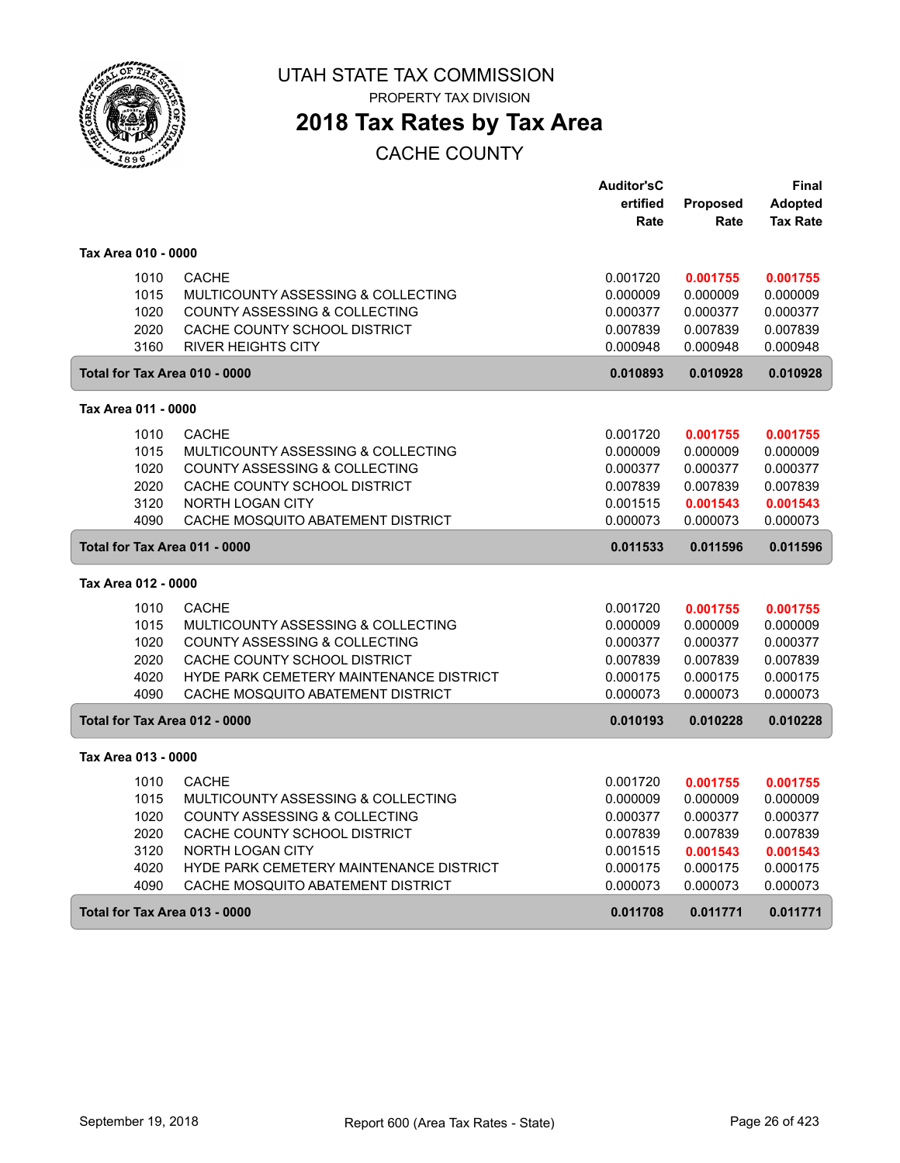

PROPERTY TAX DIVISION

## **2018 Tax Rates by Tax Area**

|                     |      |                                                | <b>Auditor'sC</b> |                 | Final           |
|---------------------|------|------------------------------------------------|-------------------|-----------------|-----------------|
|                     |      |                                                | ertified          | <b>Proposed</b> | <b>Adopted</b>  |
|                     |      |                                                | Rate              | Rate            | <b>Tax Rate</b> |
| Tax Area 010 - 0000 |      |                                                |                   |                 |                 |
|                     | 1010 | <b>CACHE</b>                                   | 0.001720          | 0.001755        | 0.001755        |
|                     | 1015 | MULTICOUNTY ASSESSING & COLLECTING             | 0.000009          | 0.000009        | 0.000009        |
|                     | 1020 | <b>COUNTY ASSESSING &amp; COLLECTING</b>       | 0.000377          | 0.000377        | 0.000377        |
|                     | 2020 | CACHE COUNTY SCHOOL DISTRICT                   | 0.007839          | 0.007839        | 0.007839        |
|                     | 3160 | <b>RIVER HEIGHTS CITY</b>                      | 0.000948          | 0.000948        | 0.000948        |
|                     |      | Total for Tax Area 010 - 0000                  | 0.010893          | 0.010928        | 0.010928        |
| Tax Area 011 - 0000 |      |                                                |                   |                 |                 |
|                     | 1010 | <b>CACHE</b>                                   | 0.001720          | 0.001755        | 0.001755        |
|                     | 1015 | MULTICOUNTY ASSESSING & COLLECTING             | 0.000009          | 0.000009        | 0.000009        |
|                     | 1020 | COUNTY ASSESSING & COLLECTING                  | 0.000377          | 0.000377        | 0.000377        |
|                     | 2020 | CACHE COUNTY SCHOOL DISTRICT                   | 0.007839          | 0.007839        | 0.007839        |
|                     | 3120 | <b>NORTH LOGAN CITY</b>                        | 0.001515          | 0.001543        | 0.001543        |
|                     | 4090 | CACHE MOSQUITO ABATEMENT DISTRICT              | 0.000073          | 0.000073        | 0.000073        |
|                     |      | Total for Tax Area 011 - 0000                  | 0.011533          | 0.011596        | 0.011596        |
| Tax Area 012 - 0000 |      |                                                |                   |                 |                 |
|                     | 1010 | <b>CACHE</b>                                   | 0.001720          | 0.001755        | 0.001755        |
|                     | 1015 | MULTICOUNTY ASSESSING & COLLECTING             | 0.000009          | 0.000009        | 0.000009        |
|                     | 1020 | COUNTY ASSESSING & COLLECTING                  | 0.000377          | 0.000377        | 0.000377        |
|                     | 2020 | CACHE COUNTY SCHOOL DISTRICT                   | 0.007839          | 0.007839        | 0.007839        |
|                     | 4020 | <b>HYDE PARK CEMETERY MAINTENANCE DISTRICT</b> | 0.000175          | 0.000175        | 0.000175        |
|                     | 4090 | CACHE MOSQUITO ABATEMENT DISTRICT              | 0.000073          | 0.000073        | 0.000073        |
|                     |      | Total for Tax Area 012 - 0000                  | 0.010193          | 0.010228        | 0.010228        |
| Tax Area 013 - 0000 |      |                                                |                   |                 |                 |
|                     | 1010 | <b>CACHE</b>                                   | 0.001720          | 0.001755        | 0.001755        |
|                     | 1015 | MULTICOUNTY ASSESSING & COLLECTING             | 0.000009          | 0.000009        | 0.000009        |
|                     | 1020 | COUNTY ASSESSING & COLLECTING                  | 0.000377          | 0.000377        | 0.000377        |
|                     | 2020 | CACHE COUNTY SCHOOL DISTRICT                   | 0.007839          | 0.007839        | 0.007839        |
|                     | 3120 | <b>NORTH LOGAN CITY</b>                        | 0.001515          | 0.001543        | 0.001543        |
|                     | 4020 | HYDE PARK CEMETERY MAINTENANCE DISTRICT        | 0.000175          | 0.000175        | 0.000175        |
|                     | 4090 | CACHE MOSQUITO ABATEMENT DISTRICT              | 0.000073          | 0.000073        | 0.000073        |
|                     |      | Total for Tax Area 013 - 0000                  | 0.011708          | 0.011771        | 0.011771        |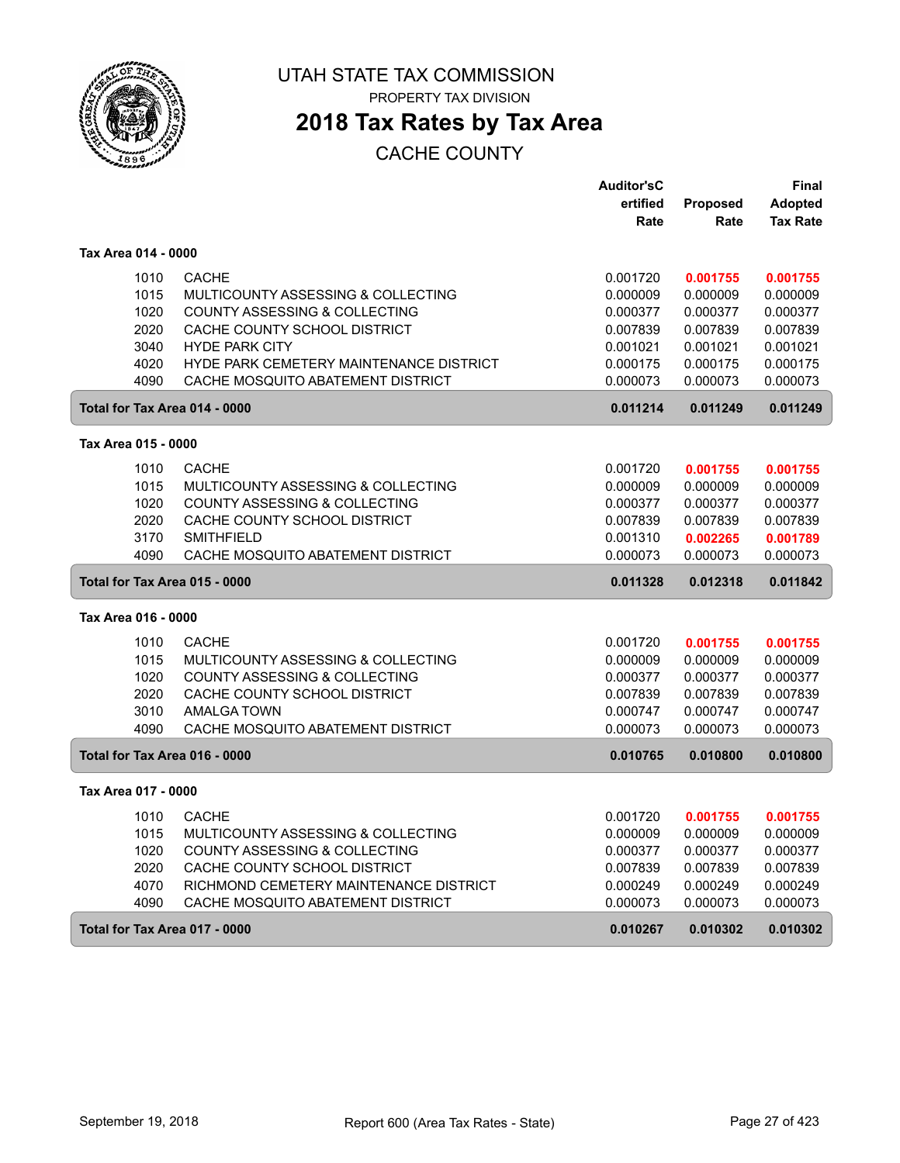

PROPERTY TAX DIVISION

## **2018 Tax Rates by Tax Area**

|                               |                                         | <b>Auditor'sC</b> |          | Final           |
|-------------------------------|-----------------------------------------|-------------------|----------|-----------------|
|                               |                                         | ertified          | Proposed | <b>Adopted</b>  |
|                               |                                         | Rate              | Rate     | <b>Tax Rate</b> |
| Tax Area 014 - 0000           |                                         |                   |          |                 |
| 1010                          | <b>CACHE</b>                            | 0.001720          | 0.001755 | 0.001755        |
| 1015                          | MULTICOUNTY ASSESSING & COLLECTING      | 0.000009          | 0.000009 | 0.000009        |
| 1020                          | COUNTY ASSESSING & COLLECTING           | 0.000377          | 0.000377 | 0.000377        |
| 2020                          | CACHE COUNTY SCHOOL DISTRICT            | 0.007839          | 0.007839 | 0.007839        |
| 3040                          | <b>HYDE PARK CITY</b>                   | 0.001021          | 0.001021 | 0.001021        |
| 4020                          | HYDE PARK CEMETERY MAINTENANCE DISTRICT | 0.000175          | 0.000175 | 0.000175        |
| 4090                          | CACHE MOSQUITO ABATEMENT DISTRICT       | 0.000073          | 0.000073 | 0.000073        |
| Total for Tax Area 014 - 0000 |                                         | 0.011214          | 0.011249 | 0.011249        |
| Tax Area 015 - 0000           |                                         |                   |          |                 |
| 1010                          | <b>CACHE</b>                            | 0.001720          | 0.001755 | 0.001755        |
| 1015                          | MULTICOUNTY ASSESSING & COLLECTING      | 0.000009          | 0.000009 | 0.000009        |
| 1020                          | COUNTY ASSESSING & COLLECTING           | 0.000377          | 0.000377 | 0.000377        |
| 2020                          | CACHE COUNTY SCHOOL DISTRICT            | 0.007839          | 0.007839 | 0.007839        |
| 3170                          | <b>SMITHFIELD</b>                       | 0.001310          | 0.002265 | 0.001789        |
| 4090                          | CACHE MOSQUITO ABATEMENT DISTRICT       | 0.000073          | 0.000073 | 0.000073        |
| Total for Tax Area 015 - 0000 |                                         | 0.011328          | 0.012318 | 0.011842        |
| Tax Area 016 - 0000           |                                         |                   |          |                 |
| 1010                          | <b>CACHE</b>                            | 0.001720          | 0.001755 | 0.001755        |
| 1015                          | MULTICOUNTY ASSESSING & COLLECTING      | 0.000009          | 0.000009 | 0.000009        |
| 1020                          | COUNTY ASSESSING & COLLECTING           | 0.000377          | 0.000377 | 0.000377        |
| 2020                          | CACHE COUNTY SCHOOL DISTRICT            | 0.007839          | 0.007839 | 0.007839        |
| 3010                          | <b>AMALGA TOWN</b>                      | 0.000747          | 0.000747 | 0.000747        |
| 4090                          | CACHE MOSQUITO ABATEMENT DISTRICT       | 0.000073          | 0.000073 | 0.000073        |
| Total for Tax Area 016 - 0000 |                                         | 0.010765          | 0.010800 | 0.010800        |
| Tax Area 017 - 0000           |                                         |                   |          |                 |
| 1010                          | <b>CACHE</b>                            | 0.001720          | 0.001755 | 0.001755        |
| 1015                          | MULTICOUNTY ASSESSING & COLLECTING      | 0.000009          | 0.000009 | 0.000009        |
| 1020                          | COUNTY ASSESSING & COLLECTING           | 0.000377          | 0.000377 | 0.000377        |
| 2020                          | CACHE COUNTY SCHOOL DISTRICT            | 0.007839          | 0.007839 | 0.007839        |
| 4070                          | RICHMOND CEMETERY MAINTENANCE DISTRICT  | 0.000249          | 0.000249 | 0.000249        |
| 4090                          | CACHE MOSQUITO ABATEMENT DISTRICT       | 0.000073          | 0.000073 | 0.000073        |
| Total for Tax Area 017 - 0000 |                                         | 0.010267          | 0.010302 | 0.010302        |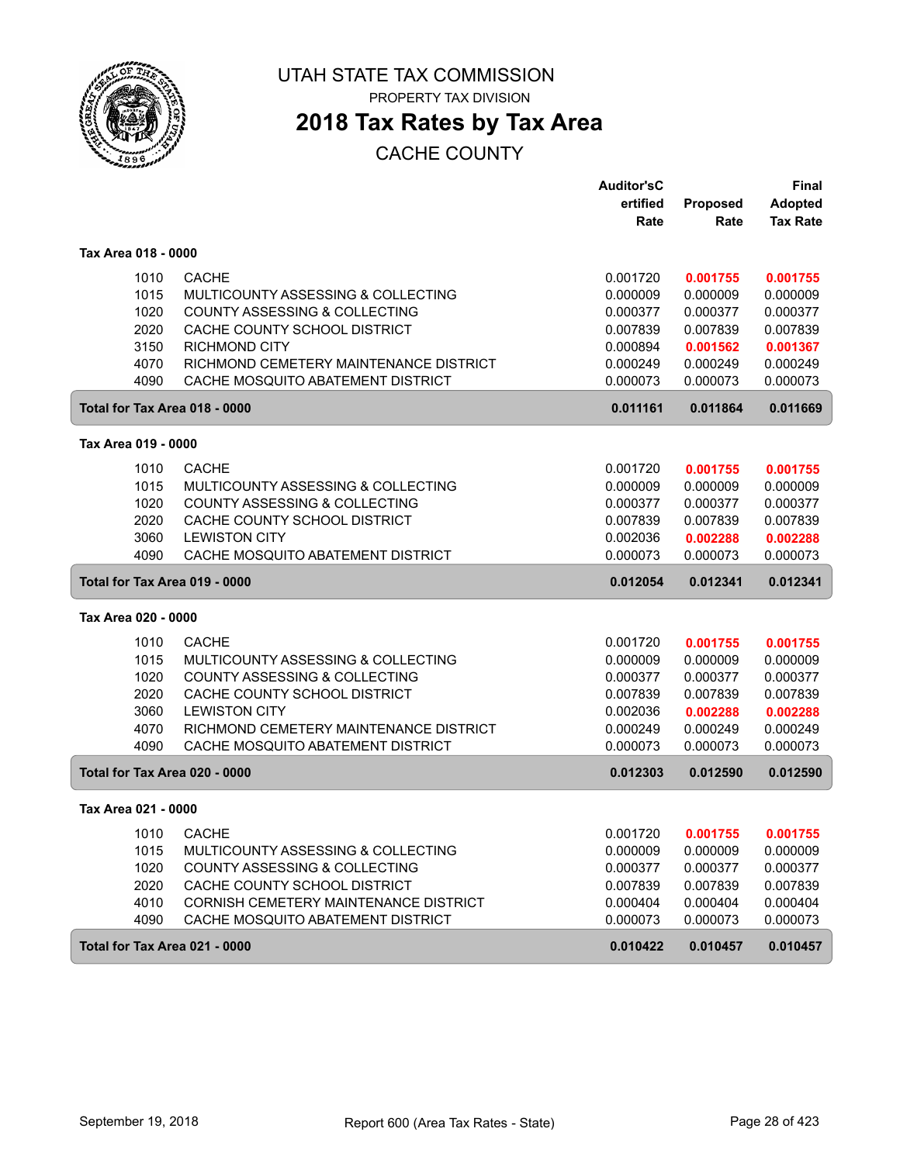

PROPERTY TAX DIVISION

## **2018 Tax Rates by Tax Area**

|                               |                                        | <b>Auditor'sC</b> |          | Final           |
|-------------------------------|----------------------------------------|-------------------|----------|-----------------|
|                               |                                        | ertified          | Proposed | <b>Adopted</b>  |
|                               |                                        | Rate              | Rate     | <b>Tax Rate</b> |
| Tax Area 018 - 0000           |                                        |                   |          |                 |
| 1010                          | <b>CACHE</b>                           | 0.001720          | 0.001755 | 0.001755        |
| 1015                          | MULTICOUNTY ASSESSING & COLLECTING     | 0.000009          | 0.000009 | 0.000009        |
| 1020                          | COUNTY ASSESSING & COLLECTING          | 0.000377          | 0.000377 | 0.000377        |
| 2020                          | CACHE COUNTY SCHOOL DISTRICT           | 0.007839          | 0.007839 | 0.007839        |
| 3150                          | <b>RICHMOND CITY</b>                   | 0.000894          | 0.001562 | 0.001367        |
| 4070                          | RICHMOND CEMETERY MAINTENANCE DISTRICT | 0.000249          | 0.000249 | 0.000249        |
| 4090                          | CACHE MOSQUITO ABATEMENT DISTRICT      | 0.000073          | 0.000073 | 0.000073        |
| Total for Tax Area 018 - 0000 |                                        | 0.011161          | 0.011864 | 0.011669        |
| Tax Area 019 - 0000           |                                        |                   |          |                 |
| 1010                          | <b>CACHE</b>                           | 0.001720          | 0.001755 | 0.001755        |
| 1015                          | MULTICOUNTY ASSESSING & COLLECTING     | 0.000009          | 0.000009 | 0.000009        |
| 1020                          | COUNTY ASSESSING & COLLECTING          | 0.000377          | 0.000377 | 0.000377        |
| 2020                          | CACHE COUNTY SCHOOL DISTRICT           | 0.007839          | 0.007839 | 0.007839        |
| 3060                          | <b>LEWISTON CITY</b>                   | 0.002036          | 0.002288 | 0.002288        |
| 4090                          | CACHE MOSQUITO ABATEMENT DISTRICT      | 0.000073          | 0.000073 | 0.000073        |
| Total for Tax Area 019 - 0000 |                                        | 0.012054          | 0.012341 | 0.012341        |
| Tax Area 020 - 0000           |                                        |                   |          |                 |
| 1010                          | <b>CACHE</b>                           | 0.001720          | 0.001755 | 0.001755        |
| 1015                          | MULTICOUNTY ASSESSING & COLLECTING     | 0.000009          | 0.000009 | 0.000009        |
| 1020                          | COUNTY ASSESSING & COLLECTING          | 0.000377          | 0.000377 | 0.000377        |
| 2020                          | CACHE COUNTY SCHOOL DISTRICT           | 0.007839          | 0.007839 | 0.007839        |
| 3060                          | <b>LEWISTON CITY</b>                   | 0.002036          | 0.002288 | 0.002288        |
| 4070                          | RICHMOND CEMETERY MAINTENANCE DISTRICT | 0.000249          | 0.000249 | 0.000249        |
| 4090                          | CACHE MOSQUITO ABATEMENT DISTRICT      | 0.000073          | 0.000073 | 0.000073        |
| Total for Tax Area 020 - 0000 |                                        | 0.012303          | 0.012590 | 0.012590        |
| Tax Area 021 - 0000           |                                        |                   |          |                 |
| 1010                          | <b>CACHE</b>                           | 0.001720          | 0.001755 | 0.001755        |
| 1015                          | MULTICOUNTY ASSESSING & COLLECTING     | 0.000009          | 0.000009 | 0.000009        |
| 1020                          | COUNTY ASSESSING & COLLECTING          | 0.000377          | 0.000377 | 0.000377        |
| 2020                          | CACHE COUNTY SCHOOL DISTRICT           | 0.007839          | 0.007839 | 0.007839        |
| 4010                          | CORNISH CEMETERY MAINTENANCE DISTRICT  | 0.000404          | 0.000404 | 0.000404        |
| 4090                          | CACHE MOSQUITO ABATEMENT DISTRICT      | 0.000073          | 0.000073 | 0.000073        |
| Total for Tax Area 021 - 0000 |                                        | 0.010422          | 0.010457 | 0.010457        |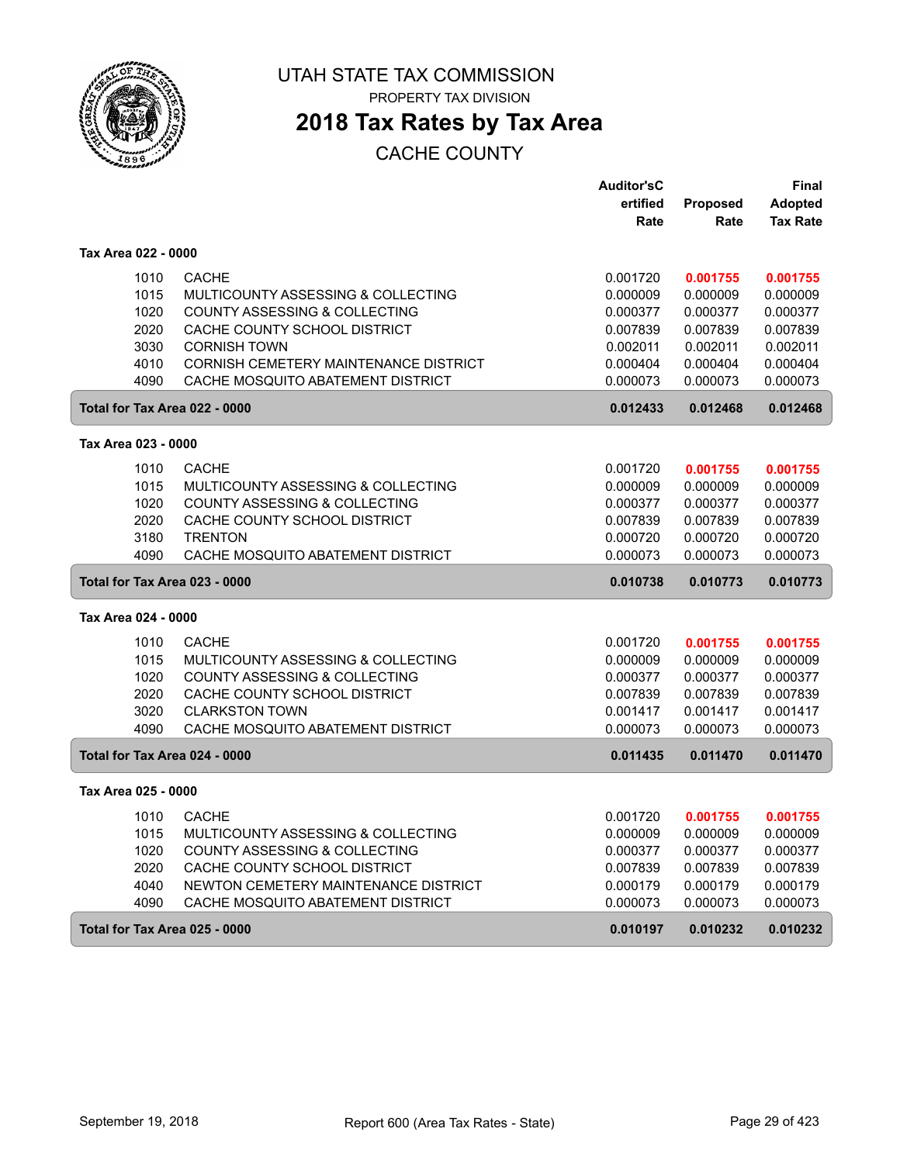

PROPERTY TAX DIVISION

## **2018 Tax Rates by Tax Area**

|                               |                                              | <b>Auditor'sC</b> |          | <b>Final</b>    |
|-------------------------------|----------------------------------------------|-------------------|----------|-----------------|
|                               |                                              | ertified          | Proposed | <b>Adopted</b>  |
|                               |                                              | Rate              | Rate     | <b>Tax Rate</b> |
| Tax Area 022 - 0000           |                                              |                   |          |                 |
| 1010                          | <b>CACHE</b>                                 | 0.001720          | 0.001755 | 0.001755        |
| 1015                          | MULTICOUNTY ASSESSING & COLLECTING           | 0.000009          | 0.000009 | 0.000009        |
| 1020                          | <b>COUNTY ASSESSING &amp; COLLECTING</b>     | 0.000377          | 0.000377 | 0.000377        |
| 2020                          | CACHE COUNTY SCHOOL DISTRICT                 | 0.007839          | 0.007839 | 0.007839        |
| 3030                          | <b>CORNISH TOWN</b>                          | 0.002011          | 0.002011 | 0.002011        |
| 4010                          | <b>CORNISH CEMETERY MAINTENANCE DISTRICT</b> | 0.000404          | 0.000404 | 0.000404        |
| 4090                          | CACHE MOSQUITO ABATEMENT DISTRICT            | 0.000073          | 0.000073 | 0.000073        |
| Total for Tax Area 022 - 0000 |                                              | 0.012433          | 0.012468 | 0.012468        |
| Tax Area 023 - 0000           |                                              |                   |          |                 |
| 1010                          | <b>CACHE</b>                                 | 0.001720          | 0.001755 | 0.001755        |
| 1015                          | MULTICOUNTY ASSESSING & COLLECTING           | 0.000009          | 0.000009 | 0.000009        |
| 1020                          | COUNTY ASSESSING & COLLECTING                | 0.000377          | 0.000377 | 0.000377        |
| 2020                          | CACHE COUNTY SCHOOL DISTRICT                 | 0.007839          | 0.007839 | 0.007839        |
| 3180                          | <b>TRENTON</b>                               | 0.000720          | 0.000720 | 0.000720        |
| 4090                          | CACHE MOSQUITO ABATEMENT DISTRICT            | 0.000073          | 0.000073 | 0.000073        |
| Total for Tax Area 023 - 0000 |                                              | 0.010738          | 0.010773 | 0.010773        |
| Tax Area 024 - 0000           |                                              |                   |          |                 |
| 1010                          | <b>CACHE</b>                                 | 0.001720          | 0.001755 | 0.001755        |
| 1015                          | MULTICOUNTY ASSESSING & COLLECTING           | 0.000009          | 0.000009 | 0.000009        |
| 1020                          | <b>COUNTY ASSESSING &amp; COLLECTING</b>     | 0.000377          | 0.000377 | 0.000377        |
| 2020                          | CACHE COUNTY SCHOOL DISTRICT                 | 0.007839          | 0.007839 | 0.007839        |
| 3020                          | <b>CLARKSTON TOWN</b>                        | 0.001417          | 0.001417 | 0.001417        |
| 4090                          | CACHE MOSQUITO ABATEMENT DISTRICT            | 0.000073          | 0.000073 | 0.000073        |
| Total for Tax Area 024 - 0000 |                                              | 0.011435          | 0.011470 | 0.011470        |
| Tax Area 025 - 0000           |                                              |                   |          |                 |
| 1010                          | <b>CACHE</b>                                 | 0.001720          | 0.001755 | 0.001755        |
| 1015                          | MULTICOUNTY ASSESSING & COLLECTING           | 0.000009          | 0.000009 | 0.000009        |
| 1020                          | COUNTY ASSESSING & COLLECTING                | 0.000377          | 0.000377 | 0.000377        |
| 2020                          | CACHE COUNTY SCHOOL DISTRICT                 | 0.007839          | 0.007839 | 0.007839        |
| 4040                          | NEWTON CEMETERY MAINTENANCE DISTRICT         | 0.000179          | 0.000179 | 0.000179        |
| 4090                          | CACHE MOSQUITO ABATEMENT DISTRICT            | 0.000073          | 0.000073 | 0.000073        |
| Total for Tax Area 025 - 0000 |                                              | 0.010197          | 0.010232 | 0.010232        |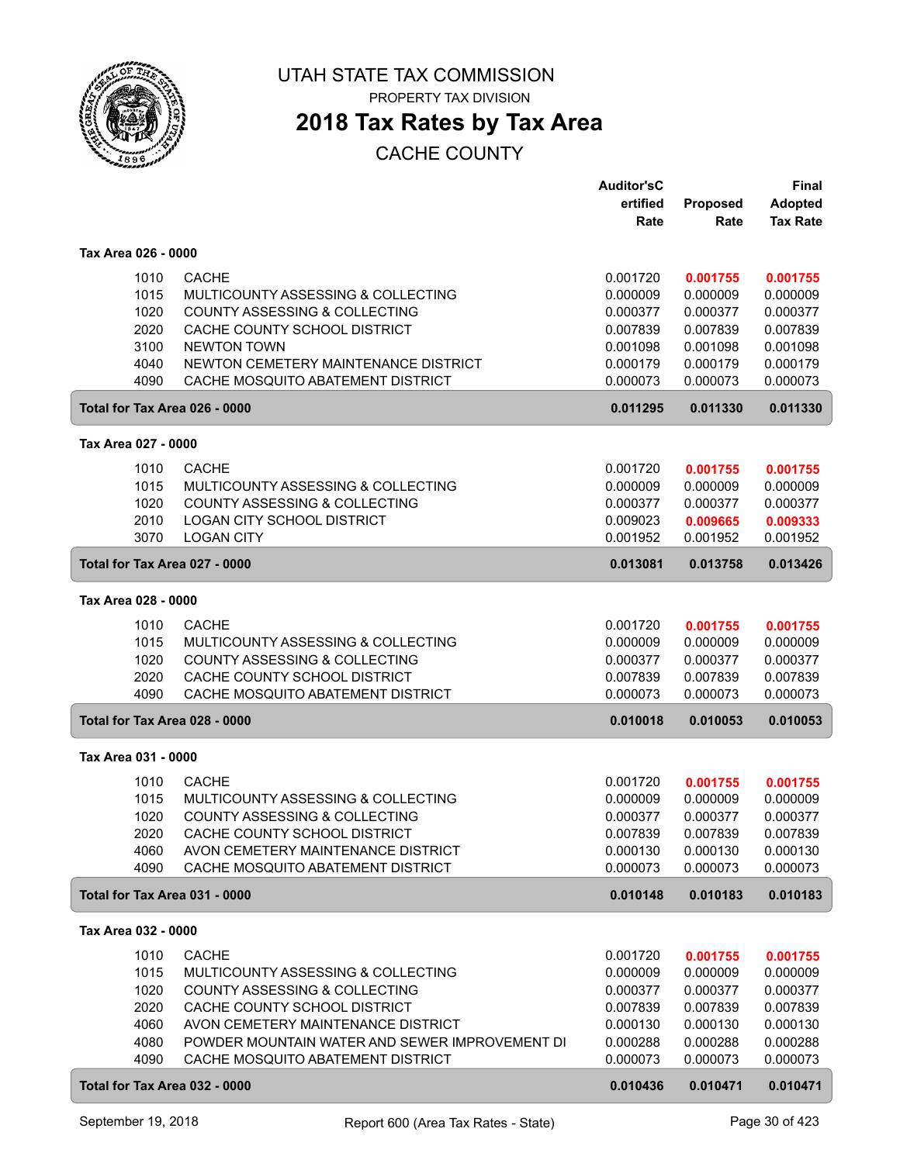

PROPERTY TAX DIVISION

## **2018 Tax Rates by Tax Area**

|                               |                                                | <b>Auditor'sC</b> |                  | Final                             |
|-------------------------------|------------------------------------------------|-------------------|------------------|-----------------------------------|
|                               |                                                | ertified<br>Rate  | Proposed<br>Rate | <b>Adopted</b><br><b>Tax Rate</b> |
|                               |                                                |                   |                  |                                   |
| Tax Area 026 - 0000           |                                                |                   |                  |                                   |
| 1010                          | <b>CACHE</b>                                   | 0.001720          | 0.001755         | 0.001755                          |
| 1015                          | MULTICOUNTY ASSESSING & COLLECTING             | 0.000009          | 0.000009         | 0.000009                          |
| 1020                          | <b>COUNTY ASSESSING &amp; COLLECTING</b>       | 0.000377          | 0.000377         | 0.000377                          |
| 2020                          | CACHE COUNTY SCHOOL DISTRICT                   | 0.007839          | 0.007839         | 0.007839                          |
| 3100                          | <b>NEWTON TOWN</b>                             | 0.001098          | 0.001098         | 0.001098                          |
| 4040                          | NEWTON CEMETERY MAINTENANCE DISTRICT           | 0.000179          | 0.000179         | 0.000179                          |
| 4090                          | CACHE MOSQUITO ABATEMENT DISTRICT              | 0.000073          | 0.000073         | 0.000073                          |
| Total for Tax Area 026 - 0000 |                                                | 0.011295          | 0.011330         | 0.011330                          |
| Tax Area 027 - 0000           |                                                |                   |                  |                                   |
| 1010                          | <b>CACHE</b>                                   | 0.001720          | 0.001755         | 0.001755                          |
| 1015                          | MULTICOUNTY ASSESSING & COLLECTING             | 0.000009          | 0.000009         | 0.000009                          |
| 1020                          | COUNTY ASSESSING & COLLECTING                  | 0.000377          | 0.000377         | 0.000377                          |
| 2010                          | LOGAN CITY SCHOOL DISTRICT                     | 0.009023          | 0.009665         | 0.009333                          |
| 3070                          | <b>LOGAN CITY</b>                              | 0.001952          | 0.001952         | 0.001952                          |
| Total for Tax Area 027 - 0000 |                                                | 0.013081          | 0.013758         | 0.013426                          |
| Tax Area 028 - 0000           |                                                |                   |                  |                                   |
| 1010                          | <b>CACHE</b>                                   | 0.001720          | 0.001755         | 0.001755                          |
| 1015                          | MULTICOUNTY ASSESSING & COLLECTING             | 0.000009          | 0.000009         | 0.000009                          |
| 1020                          | COUNTY ASSESSING & COLLECTING                  | 0.000377          | 0.000377         | 0.000377                          |
| 2020                          | CACHE COUNTY SCHOOL DISTRICT                   | 0.007839          | 0.007839         | 0.007839                          |
| 4090                          | CACHE MOSQUITO ABATEMENT DISTRICT              | 0.000073          | 0.000073         | 0.000073                          |
| Total for Tax Area 028 - 0000 |                                                | 0.010018          | 0.010053         | 0.010053                          |
| Tax Area 031 - 0000           |                                                |                   |                  |                                   |
| 1010                          | <b>CACHE</b>                                   | 0.001720          | 0.001755         | 0.001755                          |
| 1015                          | MULTICOUNTY ASSESSING & COLLECTING             | 0.000009          | 0.000009         | 0.000009                          |
| 1020                          | COUNTY ASSESSING & COLLECTING                  | 0.000377          | 0.000377         | 0.000377                          |
| 2020                          | CACHE COUNTY SCHOOL DISTRICT                   | 0.007839          | 0.007839         | 0.007839                          |
| 4060                          | AVON CEMETERY MAINTENANCE DISTRICT             | 0.000130          | 0.000130         | 0.000130                          |
| 4090                          | CACHE MOSQUITO ABATEMENT DISTRICT              | 0.000073          | 0.000073         | 0.000073                          |
| Total for Tax Area 031 - 0000 |                                                | 0.010148          | 0.010183         | 0.010183                          |
| Tax Area 032 - 0000           |                                                |                   |                  |                                   |
| 1010                          | <b>CACHE</b>                                   | 0.001720          | 0.001755         | 0.001755                          |
| 1015                          | MULTICOUNTY ASSESSING & COLLECTING             | 0.000009          | 0.000009         | 0.000009                          |
| 1020                          | COUNTY ASSESSING & COLLECTING                  | 0.000377          | 0.000377         | 0.000377                          |
| 2020                          | CACHE COUNTY SCHOOL DISTRICT                   | 0.007839          | 0.007839         | 0.007839                          |
| 4060                          | AVON CEMETERY MAINTENANCE DISTRICT             | 0.000130          | 0.000130         | 0.000130                          |
| 4080                          | POWDER MOUNTAIN WATER AND SEWER IMPROVEMENT DI | 0.000288          | 0.000288         | 0.000288                          |
| 4090                          | CACHE MOSQUITO ABATEMENT DISTRICT              | 0.000073          | 0.000073         | 0.000073                          |
| Total for Tax Area 032 - 0000 |                                                | 0.010436          | 0.010471         | 0.010471                          |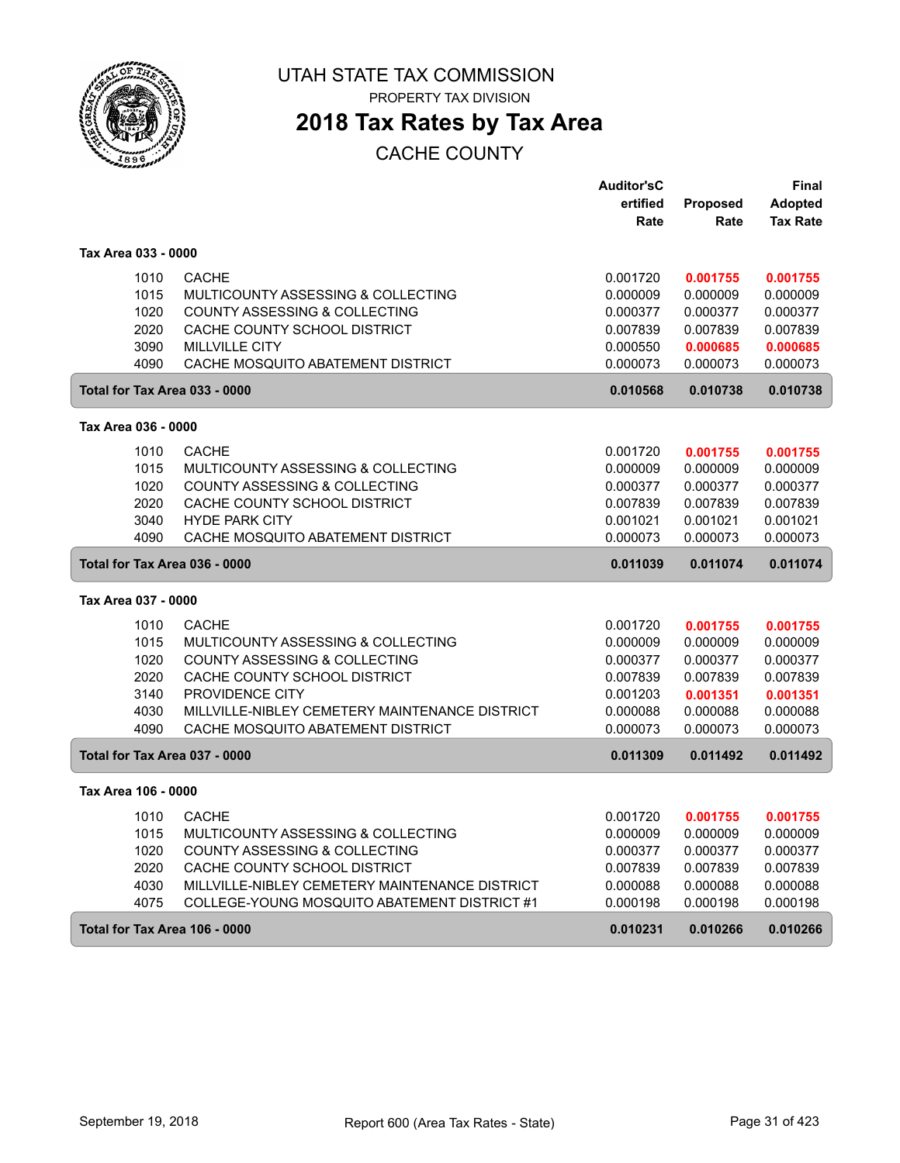

PROPERTY TAX DIVISION

## **2018 Tax Rates by Tax Area**

|                               |                                                | <b>Auditor'sC</b> |          | <b>Final</b>    |
|-------------------------------|------------------------------------------------|-------------------|----------|-----------------|
|                               |                                                | ertified          | Proposed | <b>Adopted</b>  |
|                               |                                                | Rate              | Rate     | <b>Tax Rate</b> |
| Tax Area 033 - 0000           |                                                |                   |          |                 |
| 1010                          | <b>CACHE</b>                                   | 0.001720          | 0.001755 | 0.001755        |
| 1015                          | MULTICOUNTY ASSESSING & COLLECTING             | 0.000009          | 0.000009 | 0.000009        |
| 1020                          | <b>COUNTY ASSESSING &amp; COLLECTING</b>       | 0.000377          | 0.000377 | 0.000377        |
| 2020                          | CACHE COUNTY SCHOOL DISTRICT                   | 0.007839          | 0.007839 | 0.007839        |
| 3090                          | <b>MILLVILLE CITY</b>                          | 0.000550          | 0.000685 | 0.000685        |
| 4090                          | CACHE MOSQUITO ABATEMENT DISTRICT              | 0.000073          | 0.000073 | 0.000073        |
| Total for Tax Area 033 - 0000 |                                                | 0.010568          | 0.010738 | 0.010738        |
| Tax Area 036 - 0000           |                                                |                   |          |                 |
|                               |                                                |                   |          |                 |
| 1010                          | <b>CACHE</b>                                   | 0.001720          | 0.001755 | 0.001755        |
| 1015                          | MULTICOUNTY ASSESSING & COLLECTING             | 0.000009          | 0.000009 | 0.000009        |
| 1020                          | COUNTY ASSESSING & COLLECTING                  | 0.000377          | 0.000377 | 0.000377        |
| 2020                          | CACHE COUNTY SCHOOL DISTRICT                   | 0.007839          | 0.007839 | 0.007839        |
| 3040                          | <b>HYDE PARK CITY</b>                          | 0.001021          | 0.001021 | 0.001021        |
| 4090                          | CACHE MOSQUITO ABATEMENT DISTRICT              | 0.000073          | 0.000073 | 0.000073        |
|                               | Total for Tax Area 036 - 0000                  |                   | 0.011074 | 0.011074        |
| Tax Area 037 - 0000           |                                                |                   |          |                 |
| 1010                          | <b>CACHE</b>                                   | 0.001720          | 0.001755 | 0.001755        |
| 1015                          | MULTICOUNTY ASSESSING & COLLECTING             | 0.000009          | 0.000009 | 0.000009        |
| 1020                          | COUNTY ASSESSING & COLLECTING                  | 0.000377          | 0.000377 | 0.000377        |
| 2020                          | CACHE COUNTY SCHOOL DISTRICT                   | 0.007839          | 0.007839 | 0.007839        |
| 3140                          | PROVIDENCE CITY                                | 0.001203          | 0.001351 | 0.001351        |
| 4030                          | MILLVILLE-NIBLEY CEMETERY MAINTENANCE DISTRICT | 0.000088          | 0.000088 | 0.000088        |
| 4090                          | CACHE MOSQUITO ABATEMENT DISTRICT              | 0.000073          | 0.000073 | 0.000073        |
| Total for Tax Area 037 - 0000 |                                                | 0.011309          | 0.011492 | 0.011492        |
| Tax Area 106 - 0000           |                                                |                   |          |                 |
| 1010                          | <b>CACHE</b>                                   | 0.001720          | 0.001755 | 0.001755        |
| 1015                          | <b>MULTICOUNTY ASSESSING &amp; COLLECTING</b>  | 0.000009          | 0.000009 | 0.000009        |
| 1020                          | COUNTY ASSESSING & COLLECTING                  | 0.000377          | 0.000377 | 0.000377        |
| 2020                          | CACHE COUNTY SCHOOL DISTRICT                   | 0.007839          | 0.007839 | 0.007839        |
| 4030                          | MILLVILLE-NIBLEY CEMETERY MAINTENANCE DISTRICT | 0.000088          | 0.000088 | 0.000088        |
| 4075                          | COLLEGE-YOUNG MOSQUITO ABATEMENT DISTRICT #1   | 0.000198          | 0.000198 | 0.000198        |
| Total for Tax Area 106 - 0000 |                                                | 0.010231          | 0.010266 | 0.010266        |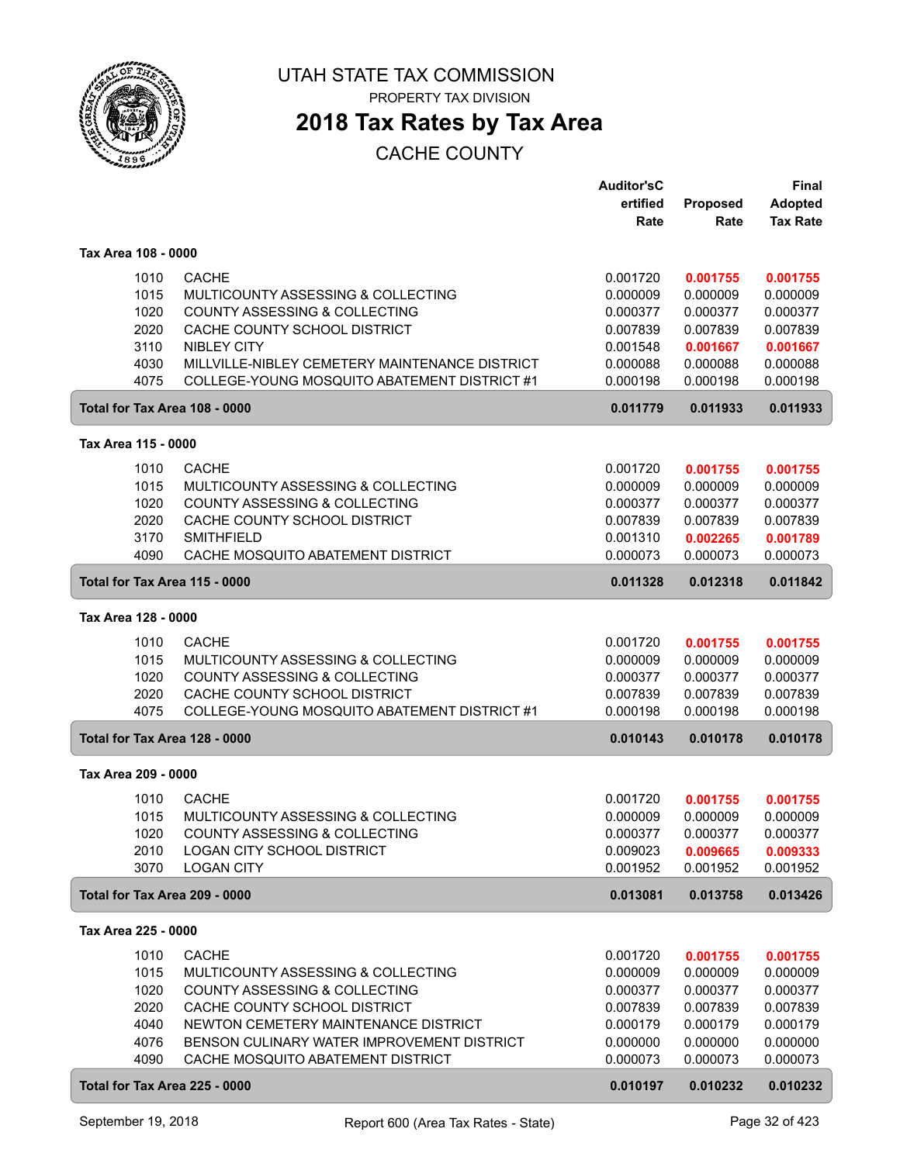

PROPERTY TAX DIVISION

## **2018 Tax Rates by Tax Area**

|                               |                                                | <b>Auditor'sC</b> |          | <b>Final</b>    |
|-------------------------------|------------------------------------------------|-------------------|----------|-----------------|
|                               |                                                | ertified          | Proposed | <b>Adopted</b>  |
|                               |                                                | Rate              | Rate     | <b>Tax Rate</b> |
| Tax Area 108 - 0000           |                                                |                   |          |                 |
| 1010                          | <b>CACHE</b>                                   | 0.001720          | 0.001755 | 0.001755        |
| 1015                          | MULTICOUNTY ASSESSING & COLLECTING             | 0.000009          | 0.000009 | 0.000009        |
| 1020                          | COUNTY ASSESSING & COLLECTING                  | 0.000377          | 0.000377 | 0.000377        |
| 2020                          | CACHE COUNTY SCHOOL DISTRICT                   | 0.007839          | 0.007839 | 0.007839        |
| 3110                          | <b>NIBLEY CITY</b>                             | 0.001548          | 0.001667 | 0.001667        |
| 4030                          | MILLVILLE-NIBLEY CEMETERY MAINTENANCE DISTRICT | 0.000088          | 0.000088 | 0.000088        |
| 4075                          | COLLEGE-YOUNG MOSQUITO ABATEMENT DISTRICT #1   | 0.000198          | 0.000198 | 0.000198        |
| Total for Tax Area 108 - 0000 |                                                | 0.011779          | 0.011933 | 0.011933        |
| Tax Area 115 - 0000           |                                                |                   |          |                 |
| 1010                          | <b>CACHE</b>                                   | 0.001720          | 0.001755 | 0.001755        |
| 1015                          | MULTICOUNTY ASSESSING & COLLECTING             | 0.000009          | 0.000009 | 0.000009        |
| 1020                          | COUNTY ASSESSING & COLLECTING                  | 0.000377          | 0.000377 | 0.000377        |
| 2020                          | CACHE COUNTY SCHOOL DISTRICT                   | 0.007839          | 0.007839 | 0.007839        |
| 3170                          | <b>SMITHFIELD</b>                              | 0.001310          | 0.002265 | 0.001789        |
| 4090                          | CACHE MOSQUITO ABATEMENT DISTRICT              | 0.000073          | 0.000073 | 0.000073        |
| Total for Tax Area 115 - 0000 |                                                | 0.011328          | 0.012318 | 0.011842        |
| Tax Area 128 - 0000           |                                                |                   |          |                 |
| 1010                          | <b>CACHE</b>                                   | 0.001720          | 0.001755 | 0.001755        |
| 1015                          | MULTICOUNTY ASSESSING & COLLECTING             | 0.000009          | 0.000009 | 0.000009        |
| 1020                          | COUNTY ASSESSING & COLLECTING                  | 0.000377          | 0.000377 | 0.000377        |
| 2020                          | CACHE COUNTY SCHOOL DISTRICT                   | 0.007839          | 0.007839 | 0.007839        |
| 4075                          | COLLEGE-YOUNG MOSQUITO ABATEMENT DISTRICT #1   | 0.000198          | 0.000198 | 0.000198        |
| Total for Tax Area 128 - 0000 |                                                | 0.010143          | 0.010178 | 0.010178        |
| Tax Area 209 - 0000           |                                                |                   |          |                 |
| 1010                          | <b>CACHE</b>                                   | 0.001720          | 0.001755 | 0.001755        |
| 1015                          | MULTICOUNTY ASSESSING & COLLECTING             | 0.000009          | 0.000009 | 0.000009        |
| 1020                          | COUNTY ASSESSING & COLLECTING                  | 0.000377          | 0.000377 | 0.000377        |
| 2010                          | LOGAN CITY SCHOOL DISTRICT                     | 0.009023          | 0.009665 | 0.009333        |
| 3070                          | <b>LOGAN CITY</b>                              | 0.001952          | 0.001952 | 0.001952        |
| Total for Tax Area 209 - 0000 |                                                | 0.013081          | 0.013758 | 0.013426        |
| Tax Area 225 - 0000           |                                                |                   |          |                 |
| 1010                          | <b>CACHE</b>                                   | 0.001720          | 0.001755 | 0.001755        |
| 1015                          | MULTICOUNTY ASSESSING & COLLECTING             | 0.000009          | 0.000009 | 0.000009        |
| 1020                          | COUNTY ASSESSING & COLLECTING                  | 0.000377          | 0.000377 | 0.000377        |
| 2020                          | CACHE COUNTY SCHOOL DISTRICT                   | 0.007839          | 0.007839 | 0.007839        |
| 4040                          | NEWTON CEMETERY MAINTENANCE DISTRICT           | 0.000179          | 0.000179 | 0.000179        |
| 4076                          | BENSON CULINARY WATER IMPROVEMENT DISTRICT     | 0.000000          | 0.000000 | 0.000000        |
| 4090                          | CACHE MOSQUITO ABATEMENT DISTRICT              | 0.000073          | 0.000073 | 0.000073        |
| Total for Tax Area 225 - 0000 |                                                | 0.010197          | 0.010232 | 0.010232        |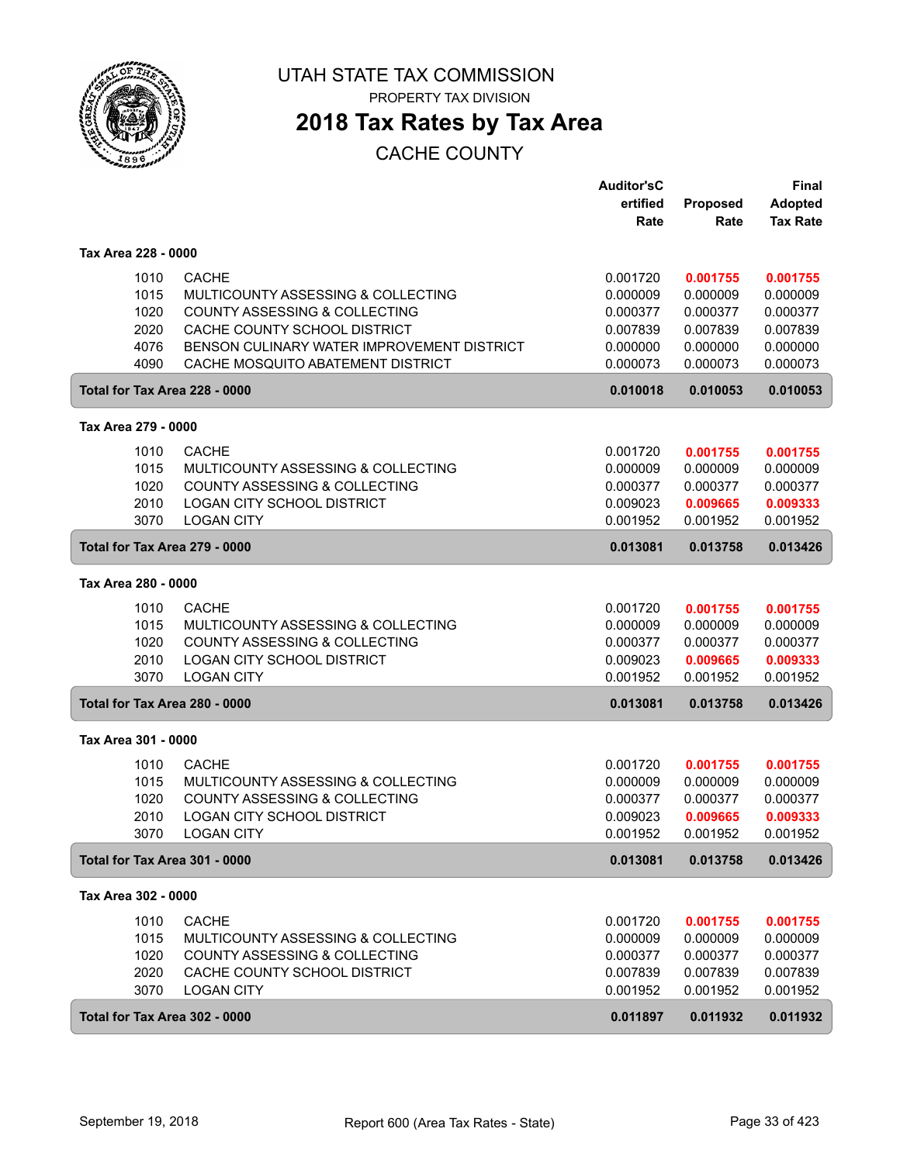

PROPERTY TAX DIVISION

## **2018 Tax Rates by Tax Area**

|                               |                                            | <b>Auditor'sC</b> |          | Final           |
|-------------------------------|--------------------------------------------|-------------------|----------|-----------------|
|                               |                                            | ertified          | Proposed | Adopted         |
|                               |                                            | Rate              | Rate     | <b>Tax Rate</b> |
| Tax Area 228 - 0000           |                                            |                   |          |                 |
| 1010                          | <b>CACHE</b>                               | 0.001720          | 0.001755 | 0.001755        |
| 1015                          | MULTICOUNTY ASSESSING & COLLECTING         | 0.000009          | 0.000009 | 0.000009        |
| 1020                          | COUNTY ASSESSING & COLLECTING              | 0.000377          | 0.000377 | 0.000377        |
| 2020                          | CACHE COUNTY SCHOOL DISTRICT               | 0.007839          | 0.007839 | 0.007839        |
| 4076                          | BENSON CULINARY WATER IMPROVEMENT DISTRICT | 0.000000          | 0.000000 | 0.000000        |
| 4090                          | CACHE MOSQUITO ABATEMENT DISTRICT          | 0.000073          | 0.000073 | 0.000073        |
| Total for Tax Area 228 - 0000 |                                            | 0.010018          | 0.010053 | 0.010053        |
| Tax Area 279 - 0000           |                                            |                   |          |                 |
| 1010                          | <b>CACHE</b>                               | 0.001720          | 0.001755 | 0.001755        |
| 1015                          | MULTICOUNTY ASSESSING & COLLECTING         | 0.000009          | 0.000009 | 0.000009        |
| 1020                          | COUNTY ASSESSING & COLLECTING              | 0.000377          | 0.000377 | 0.000377        |
| 2010                          | <b>LOGAN CITY SCHOOL DISTRICT</b>          | 0.009023          | 0.009665 | 0.009333        |
| 3070                          | <b>LOGAN CITY</b>                          | 0.001952          | 0.001952 | 0.001952        |
| Total for Tax Area 279 - 0000 |                                            | 0.013081          | 0.013758 | 0.013426        |
| Tax Area 280 - 0000           |                                            |                   |          |                 |
| 1010                          | <b>CACHE</b>                               | 0.001720          | 0.001755 | 0.001755        |
| 1015                          | MULTICOUNTY ASSESSING & COLLECTING         | 0.000009          | 0.000009 | 0.000009        |
| 1020                          | COUNTY ASSESSING & COLLECTING              | 0.000377          | 0.000377 | 0.000377        |
| 2010                          | <b>LOGAN CITY SCHOOL DISTRICT</b>          | 0.009023          | 0.009665 | 0.009333        |
| 3070                          | <b>LOGAN CITY</b>                          | 0.001952          | 0.001952 | 0.001952        |
| Total for Tax Area 280 - 0000 |                                            | 0.013081          | 0.013758 | 0.013426        |
| Tax Area 301 - 0000           |                                            |                   |          |                 |
| 1010                          | <b>CACHE</b>                               | 0.001720          | 0.001755 | 0.001755        |
| 1015                          | MULTICOUNTY ASSESSING & COLLECTING         | 0.000009          | 0.000009 | 0.000009        |
| 1020                          | COUNTY ASSESSING & COLLECTING              | 0.000377          | 0.000377 | 0.000377        |
| 2010                          | <b>LOGAN CITY SCHOOL DISTRICT</b>          | 0.009023          | 0.009665 | 0.009333        |
| 3070                          | <b>LOGAN CITY</b>                          | 0.001952          | 0.001952 | 0.001952        |
| Total for Tax Area 301 - 0000 |                                            | 0.013081          | 0.013758 | 0.013426        |
|                               |                                            |                   |          |                 |
| Tax Area 302 - 0000           |                                            |                   |          |                 |
| 1010                          | <b>CACHE</b>                               | 0.001720          | 0.001755 | 0.001755        |
| 1015                          | MULTICOUNTY ASSESSING & COLLECTING         | 0.000009          | 0.000009 | 0.000009        |
| 1020                          | COUNTY ASSESSING & COLLECTING              | 0.000377          | 0.000377 | 0.000377        |
| 2020                          | CACHE COUNTY SCHOOL DISTRICT               | 0.007839          | 0.007839 | 0.007839        |
| 3070                          | <b>LOGAN CITY</b>                          | 0.001952          | 0.001952 | 0.001952        |
| Total for Tax Area 302 - 0000 |                                            | 0.011897          | 0.011932 | 0.011932        |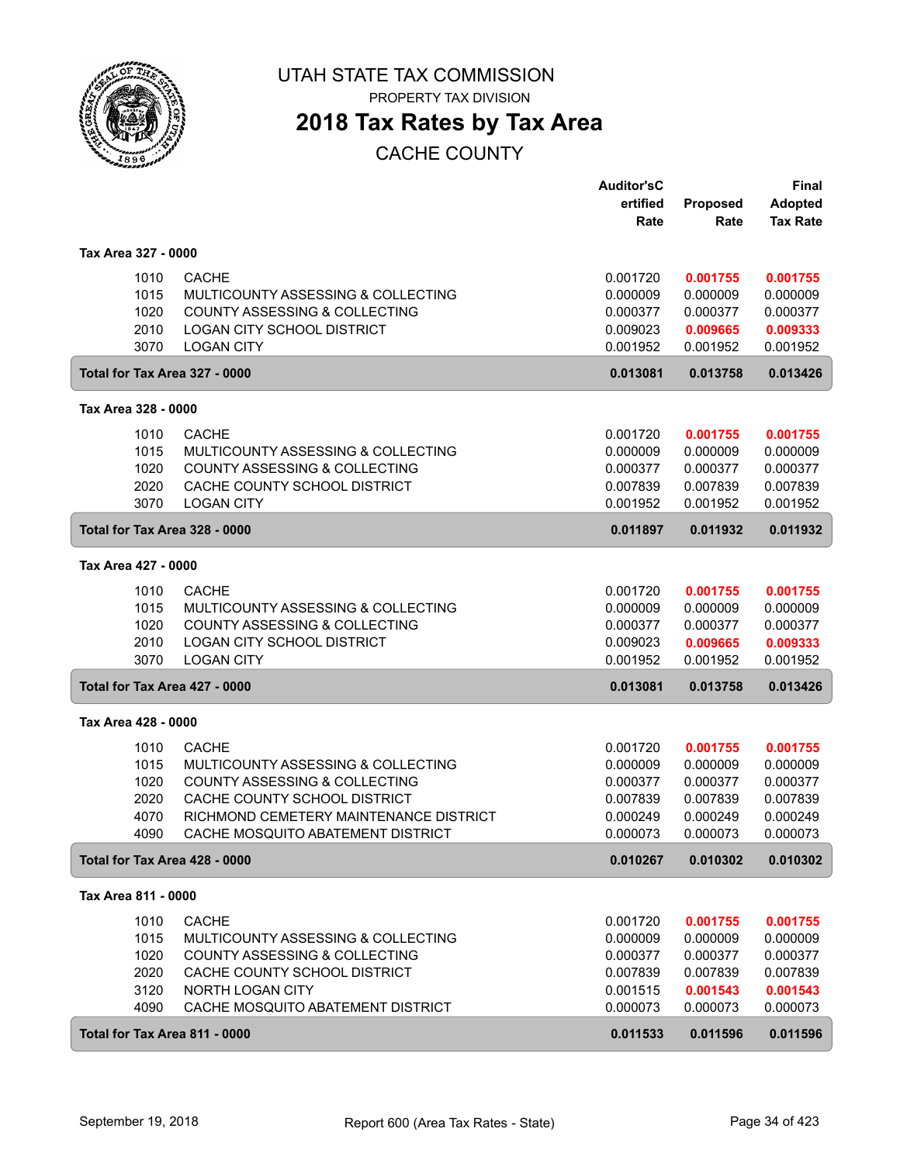

PROPERTY TAX DIVISION

## **2018 Tax Rates by Tax Area**

|                     |              |                                                        | <b>Auditor'sC</b><br>ertified | <b>Proposed</b>      | Final<br><b>Adopted</b> |
|---------------------|--------------|--------------------------------------------------------|-------------------------------|----------------------|-------------------------|
|                     |              |                                                        | Rate                          | Rate                 | <b>Tax Rate</b>         |
| Tax Area 327 - 0000 |              |                                                        |                               |                      |                         |
|                     | 1010         | <b>CACHE</b>                                           | 0.001720                      | 0.001755             | 0.001755                |
|                     | 1015         | <b>MULTICOUNTY ASSESSING &amp; COLLECTING</b>          | 0.000009                      | 0.000009             | 0.000009                |
|                     | 1020         | COUNTY ASSESSING & COLLECTING                          | 0.000377                      | 0.000377             | 0.000377                |
|                     | 2010<br>3070 | <b>LOGAN CITY SCHOOL DISTRICT</b><br><b>LOGAN CITY</b> | 0.009023<br>0.001952          | 0.009665<br>0.001952 | 0.009333<br>0.001952    |
|                     |              | Total for Tax Area 327 - 0000                          | 0.013081                      | 0.013758             | 0.013426                |
| Tax Area 328 - 0000 |              |                                                        |                               |                      |                         |
|                     | 1010         | <b>CACHE</b>                                           | 0.001720                      | 0.001755             | 0.001755                |
|                     | 1015         | MULTICOUNTY ASSESSING & COLLECTING                     | 0.000009                      | 0.000009             | 0.000009                |
|                     | 1020         | <b>COUNTY ASSESSING &amp; COLLECTING</b>               | 0.000377                      | 0.000377             | 0.000377                |
|                     | 2020         | CACHE COUNTY SCHOOL DISTRICT                           | 0.007839                      | 0.007839             | 0.007839                |
|                     | 3070         | <b>LOGAN CITY</b>                                      | 0.001952                      | 0.001952             | 0.001952                |
|                     |              | Total for Tax Area 328 - 0000                          | 0.011897                      | 0.011932             | 0.011932                |
| Tax Area 427 - 0000 |              |                                                        |                               |                      |                         |
|                     | 1010         | <b>CACHE</b>                                           | 0.001720                      | 0.001755             | 0.001755                |
|                     | 1015         | MULTICOUNTY ASSESSING & COLLECTING                     | 0.000009                      | 0.000009             | 0.000009                |
|                     | 1020         | COUNTY ASSESSING & COLLECTING                          | 0.000377                      | 0.000377             | 0.000377                |
|                     | 2010         | <b>LOGAN CITY SCHOOL DISTRICT</b>                      | 0.009023                      | 0.009665             | 0.009333                |
|                     | 3070         | <b>LOGAN CITY</b>                                      | 0.001952                      | 0.001952             | 0.001952                |
|                     |              | Total for Tax Area 427 - 0000                          | 0.013081                      | 0.013758             | 0.013426                |
| Tax Area 428 - 0000 |              |                                                        |                               |                      |                         |
|                     | 1010         | <b>CACHE</b>                                           | 0.001720                      | 0.001755             | 0.001755                |
|                     | 1015         | MULTICOUNTY ASSESSING & COLLECTING                     | 0.000009                      | 0.000009             | 0.000009                |
|                     | 1020         | <b>COUNTY ASSESSING &amp; COLLECTING</b>               | 0.000377                      | 0.000377             | 0.000377                |
|                     | 2020         | CACHE COUNTY SCHOOL DISTRICT                           | 0.007839                      | 0.007839             | 0.007839                |
|                     | 4070         | RICHMOND CEMETERY MAINTENANCE DISTRICT                 | 0.000249                      | 0.000249             | 0.000249                |
|                     | 4090         | CACHE MOSQUITO ABATEMENT DISTRICT                      | 0.000073                      | 0.000073             | 0.000073                |
|                     |              | Total for Tax Area 428 - 0000                          | 0.010267                      | 0.010302             | 0.010302                |
| Tax Area 811 - 0000 |              |                                                        |                               |                      |                         |
|                     | 1010         | <b>CACHE</b>                                           | 0.001720                      | 0.001755             | 0.001755                |
|                     | 1015         | MULTICOUNTY ASSESSING & COLLECTING                     | 0.000009                      | 0.000009             | 0.000009                |
|                     | 1020         | COUNTY ASSESSING & COLLECTING                          | 0.000377                      | 0.000377             | 0.000377                |
|                     | 2020         | CACHE COUNTY SCHOOL DISTRICT                           | 0.007839                      | 0.007839             | 0.007839                |
|                     | 3120         | NORTH LOGAN CITY                                       | 0.001515                      | 0.001543             | 0.001543                |
|                     | 4090         | CACHE MOSQUITO ABATEMENT DISTRICT                      | 0.000073                      | 0.000073             | 0.000073                |
|                     |              | Total for Tax Area 811 - 0000                          | 0.011533                      | 0.011596             | 0.011596                |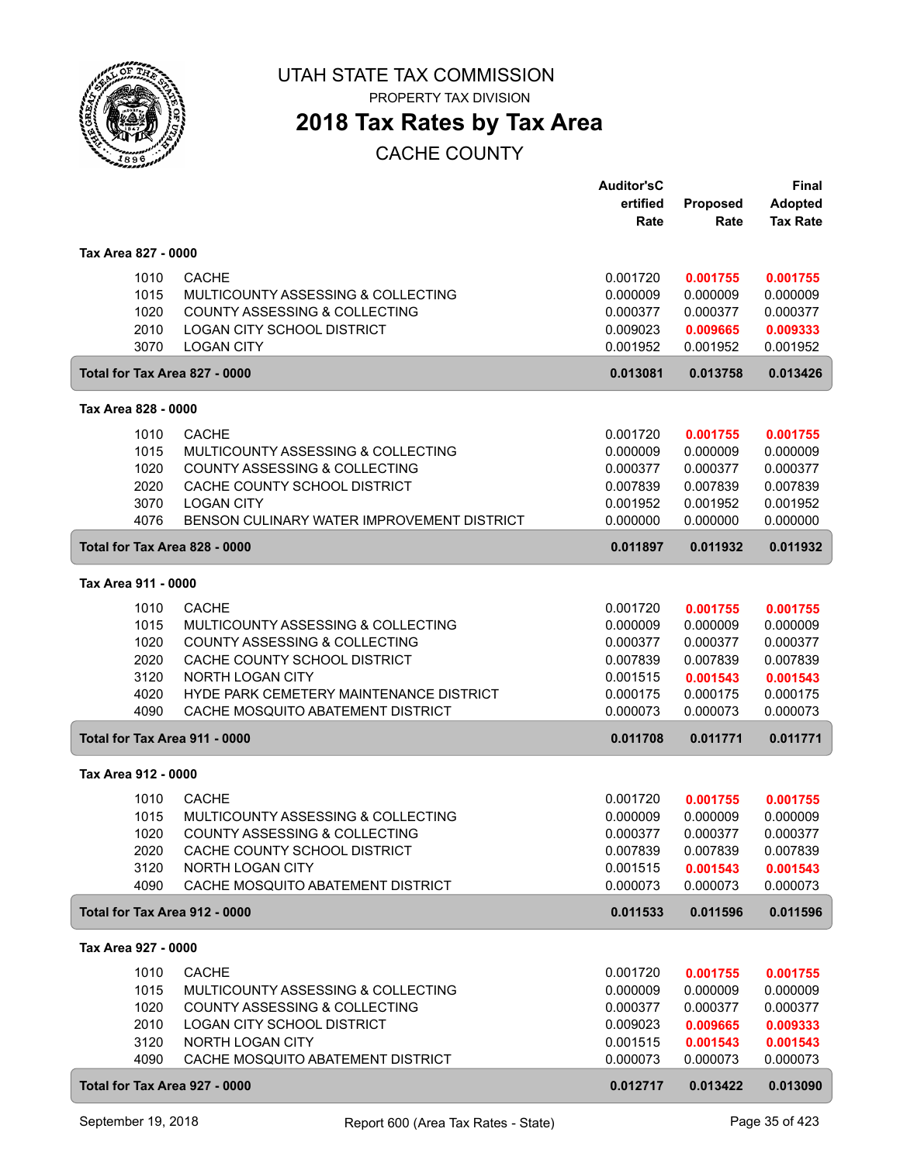

PROPERTY TAX DIVISION

## **2018 Tax Rates by Tax Area**

|                     |                                                         | <b>Auditor'sC</b><br>ertified | <b>Proposed</b>      | <b>Final</b><br><b>Adopted</b> |
|---------------------|---------------------------------------------------------|-------------------------------|----------------------|--------------------------------|
|                     |                                                         | Rate                          | Rate                 | <b>Tax Rate</b>                |
| Tax Area 827 - 0000 |                                                         |                               |                      |                                |
| 1010                | <b>CACHE</b>                                            | 0.001720                      | 0.001755             | 0.001755                       |
| 1015                | MULTICOUNTY ASSESSING & COLLECTING                      | 0.000009                      | 0.000009             | 0.000009                       |
| 1020                | COUNTY ASSESSING & COLLECTING                           | 0.000377                      | 0.000377             | 0.000377                       |
| 2010<br>3070        | LOGAN CITY SCHOOL DISTRICT<br><b>LOGAN CITY</b>         | 0.009023<br>0.001952          | 0.009665<br>0.001952 | 0.009333<br>0.001952           |
|                     | Total for Tax Area 827 - 0000                           | 0.013081                      | 0.013758             | 0.013426                       |
| Tax Area 828 - 0000 |                                                         |                               |                      |                                |
| 1010                | <b>CACHE</b>                                            | 0.001720                      | 0.001755             | 0.001755                       |
| 1015                | MULTICOUNTY ASSESSING & COLLECTING                      | 0.000009                      | 0.000009             | 0.000009                       |
| 1020                | COUNTY ASSESSING & COLLECTING                           | 0.000377                      | 0.000377             | 0.000377                       |
| 2020<br>3070        | CACHE COUNTY SCHOOL DISTRICT<br><b>LOGAN CITY</b>       | 0.007839<br>0.001952          | 0.007839<br>0.001952 | 0.007839<br>0.001952           |
| 4076                | BENSON CULINARY WATER IMPROVEMENT DISTRICT              | 0.000000                      | 0.000000             | 0.000000                       |
|                     | Total for Tax Area 828 - 0000                           | 0.011897                      | 0.011932             | 0.011932                       |
| Tax Area 911 - 0000 |                                                         |                               |                      |                                |
| 1010                | <b>CACHE</b>                                            | 0.001720                      | 0.001755             | 0.001755                       |
| 1015                | MULTICOUNTY ASSESSING & COLLECTING                      | 0.000009                      | 0.000009             | 0.000009                       |
| 1020                | COUNTY ASSESSING & COLLECTING                           | 0.000377                      | 0.000377             | 0.000377                       |
| 2020<br>3120        | CACHE COUNTY SCHOOL DISTRICT<br>NORTH LOGAN CITY        | 0.007839<br>0.001515          | 0.007839<br>0.001543 | 0.007839<br>0.001543           |
| 4020                | HYDE PARK CEMETERY MAINTENANCE DISTRICT                 | 0.000175                      | 0.000175             | 0.000175                       |
| 4090                | CACHE MOSQUITO ABATEMENT DISTRICT                       | 0.000073                      | 0.000073             | 0.000073                       |
|                     | Total for Tax Area 911 - 0000                           | 0.011708                      | 0.011771             | 0.011771                       |
| Tax Area 912 - 0000 |                                                         |                               |                      |                                |
| 1010                | <b>CACHE</b>                                            | 0.001720                      | 0.001755             | 0.001755                       |
| 1015                | MULTICOUNTY ASSESSING & COLLECTING                      | 0.000009                      | 0.000009             | 0.000009                       |
| 1020                | COUNTY ASSESSING & COLLECTING                           | 0.000377                      | 0.000377             | 0.000377                       |
| 2020<br>3120        | CACHE COUNTY SCHOOL DISTRICT<br><b>NORTH LOGAN CITY</b> | 0.007839<br>0.001515          | 0.007839<br>0.001543 | 0.007839<br>0.001543           |
| 4090                | CACHE MOSQUITO ABATEMENT DISTRICT                       | 0.000073                      | 0.000073             | 0.000073                       |
|                     | Total for Tax Area 912 - 0000                           | 0.011533                      | 0.011596             | 0.011596                       |
| Tax Area 927 - 0000 |                                                         |                               |                      |                                |
| 1010                | <b>CACHE</b>                                            | 0.001720                      | 0.001755             | 0.001755                       |
| 1015                | MULTICOUNTY ASSESSING & COLLECTING                      | 0.000009                      | 0.000009             | 0.000009                       |
| 1020                | COUNTY ASSESSING & COLLECTING                           | 0.000377                      | 0.000377             | 0.000377                       |
| 2010<br>3120        | LOGAN CITY SCHOOL DISTRICT<br>NORTH LOGAN CITY          | 0.009023<br>0.001515          | 0.009665<br>0.001543 | 0.009333<br>0.001543           |
| 4090                | CACHE MOSQUITO ABATEMENT DISTRICT                       | 0.000073                      | 0.000073             | 0.000073                       |
|                     | Total for Tax Area 927 - 0000                           | 0.012717                      | 0.013422             | 0.013090                       |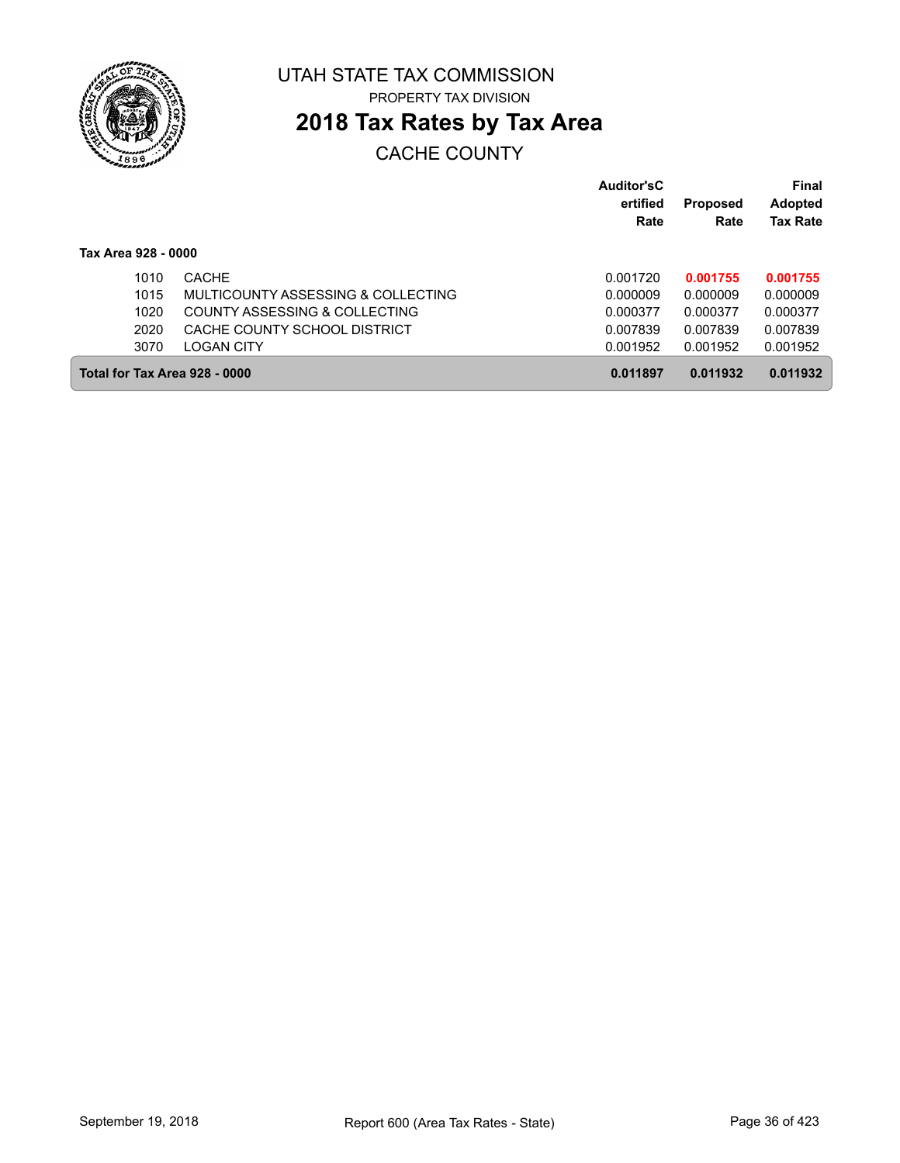

PROPERTY TAX DIVISION

## **2018 Tax Rates by Tax Area**

|                               |                                    | Auditor'sC<br>ertified<br>Rate | <b>Proposed</b><br>Rate | Final<br><b>Adopted</b><br><b>Tax Rate</b> |
|-------------------------------|------------------------------------|--------------------------------|-------------------------|--------------------------------------------|
| Tax Area 928 - 0000           |                                    |                                |                         |                                            |
| 1010                          | <b>CACHE</b>                       | 0.001720                       | 0.001755                | 0.001755                                   |
| 1015                          | MULTICOUNTY ASSESSING & COLLECTING | 0.000009                       | 0.000009                | 0.000009                                   |
| 1020                          | COUNTY ASSESSING & COLLECTING      | 0.000377                       | 0.000377                | 0.000377                                   |
| 2020                          | CACHE COUNTY SCHOOL DISTRICT       | 0.007839                       | 0.007839                | 0.007839                                   |
| 3070                          | <b>LOGAN CITY</b>                  | 0.001952                       | 0.001952                | 0.001952                                   |
| Total for Tax Area 928 - 0000 |                                    | 0.011897                       | 0.011932                | 0.011932                                   |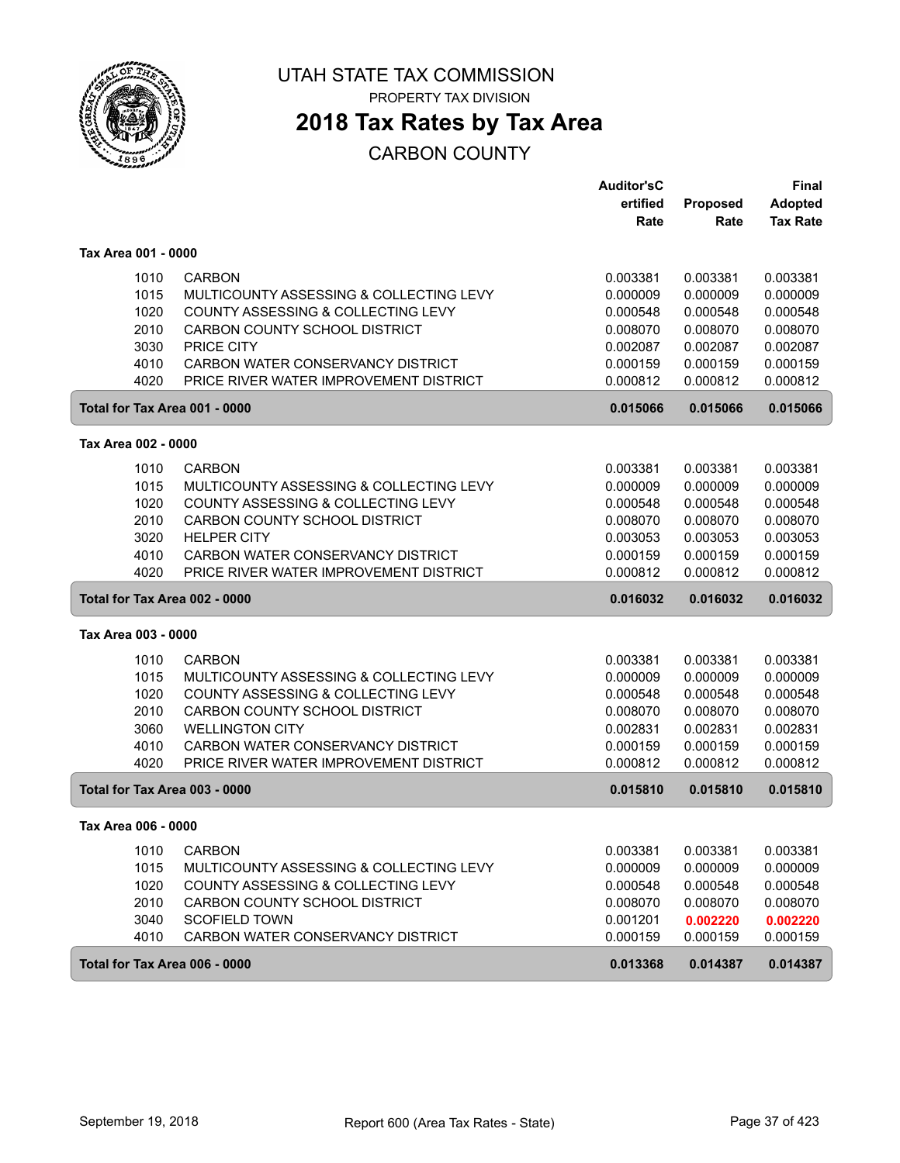

PROPERTY TAX DIVISION

### **2018 Tax Rates by Tax Area**

|                               |                                         | <b>Auditor'sC</b> |                 | <b>Final</b>    |
|-------------------------------|-----------------------------------------|-------------------|-----------------|-----------------|
|                               |                                         | ertified          | <b>Proposed</b> | <b>Adopted</b>  |
|                               |                                         | Rate              | Rate            | <b>Tax Rate</b> |
| Tax Area 001 - 0000           |                                         |                   |                 |                 |
| 1010                          | <b>CARBON</b>                           | 0.003381          | 0.003381        | 0.003381        |
| 1015                          | MULTICOUNTY ASSESSING & COLLECTING LEVY | 0.000009          | 0.000009        | 0.000009        |
| 1020                          | COUNTY ASSESSING & COLLECTING LEVY      | 0.000548          | 0.000548        | 0.000548        |
| 2010                          | CARBON COUNTY SCHOOL DISTRICT           | 0.008070          | 0.008070        | 0.008070        |
| 3030                          | <b>PRICE CITY</b>                       | 0.002087          | 0.002087        | 0.002087        |
| 4010                          | CARBON WATER CONSERVANCY DISTRICT       | 0.000159          | 0.000159        | 0.000159        |
| 4020                          | PRICE RIVER WATER IMPROVEMENT DISTRICT  | 0.000812          | 0.000812        | 0.000812        |
| Total for Tax Area 001 - 0000 |                                         | 0.015066          | 0.015066        | 0.015066        |
| Tax Area 002 - 0000           |                                         |                   |                 |                 |
| 1010                          | <b>CARBON</b>                           | 0.003381          | 0.003381        | 0.003381        |
| 1015                          | MULTICOUNTY ASSESSING & COLLECTING LEVY | 0.000009          | 0.000009        | 0.000009        |
| 1020                          | COUNTY ASSESSING & COLLECTING LEVY      | 0.000548          | 0.000548        | 0.000548        |
| 2010                          | CARBON COUNTY SCHOOL DISTRICT           | 0.008070          | 0.008070        | 0.008070        |
| 3020                          | <b>HELPER CITY</b>                      | 0.003053          | 0.003053        | 0.003053        |
| 4010                          | CARBON WATER CONSERVANCY DISTRICT       | 0.000159          | 0.000159        | 0.000159        |
| 4020                          | PRICE RIVER WATER IMPROVEMENT DISTRICT  | 0.000812          | 0.000812        | 0.000812        |
| Total for Tax Area 002 - 0000 |                                         | 0.016032          | 0.016032        | 0.016032        |
| Tax Area 003 - 0000           |                                         |                   |                 |                 |
| 1010                          | <b>CARBON</b>                           | 0.003381          | 0.003381        | 0.003381        |
| 1015                          | MULTICOUNTY ASSESSING & COLLECTING LEVY | 0.000009          | 0.000009        | 0.000009        |
| 1020                          | COUNTY ASSESSING & COLLECTING LEVY      | 0.000548          | 0.000548        | 0.000548        |
| 2010                          | CARBON COUNTY SCHOOL DISTRICT           | 0.008070          | 0.008070        | 0.008070        |
| 3060                          | <b>WELLINGTON CITY</b>                  | 0.002831          | 0.002831        | 0.002831        |
| 4010                          | CARBON WATER CONSERVANCY DISTRICT       | 0.000159          | 0.000159        | 0.000159        |
| 4020                          | PRICE RIVER WATER IMPROVEMENT DISTRICT  | 0.000812          | 0.000812        | 0.000812        |
| Total for Tax Area 003 - 0000 |                                         | 0.015810          | 0.015810        | 0.015810        |
| Tax Area 006 - 0000           |                                         |                   |                 |                 |
| 1010                          | <b>CARBON</b>                           | 0.003381          | 0.003381        | 0.003381        |
| 1015                          | MULTICOUNTY ASSESSING & COLLECTING LEVY | 0.000009          | 0.000009        | 0.000009        |
| 1020                          | COUNTY ASSESSING & COLLECTING LEVY      | 0.000548          | 0.000548        | 0.000548        |
| 2010                          | CARBON COUNTY SCHOOL DISTRICT           | 0.008070          | 0.008070        | 0.008070        |
| 3040                          | <b>SCOFIELD TOWN</b>                    | 0.001201          | 0.002220        | 0.002220        |
| 4010                          | CARBON WATER CONSERVANCY DISTRICT       | 0.000159          | 0.000159        | 0.000159        |
| Total for Tax Area 006 - 0000 |                                         | 0.013368          | 0.014387        | 0.014387        |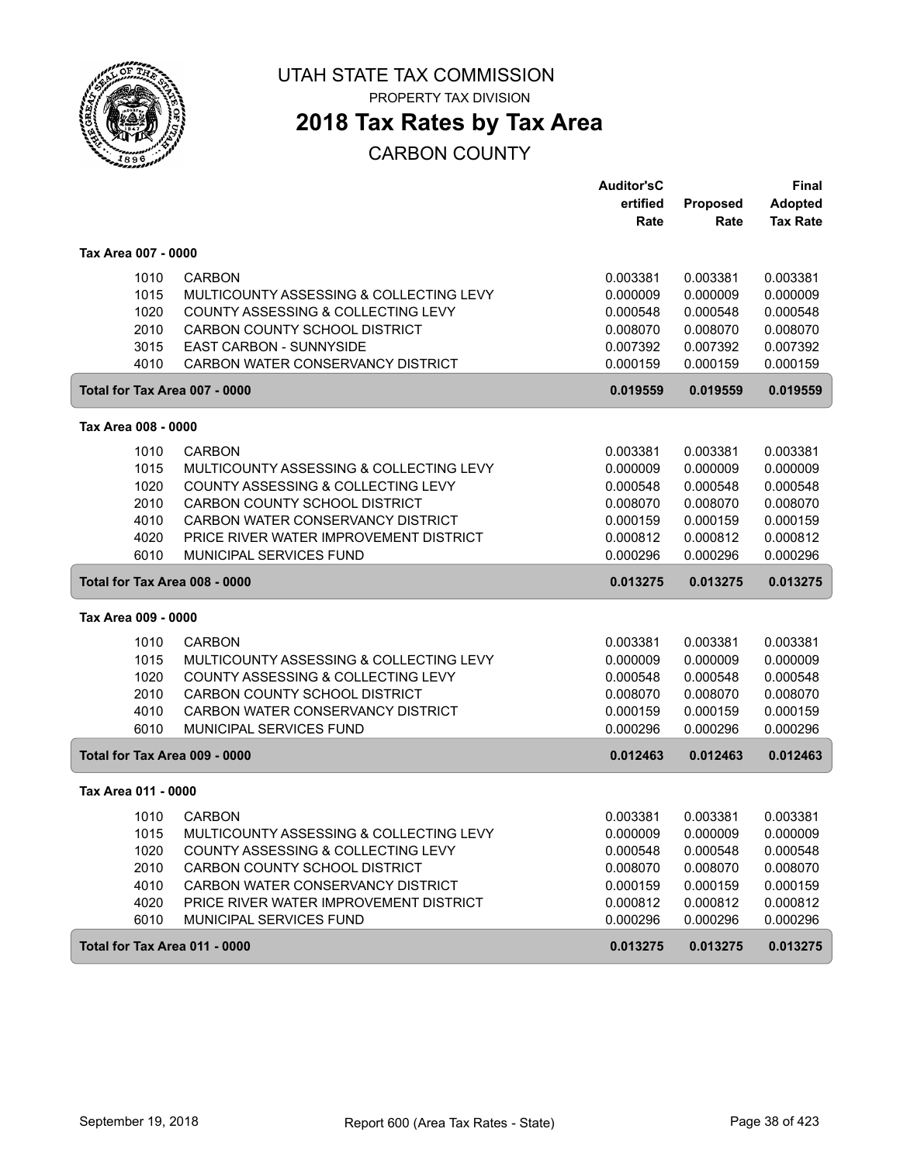

### **2018 Tax Rates by Tax Area**

|                               |                                         | <b>Auditor'sC</b> |          | <b>Final</b>    |
|-------------------------------|-----------------------------------------|-------------------|----------|-----------------|
|                               |                                         | ertified          | Proposed | <b>Adopted</b>  |
|                               |                                         | Rate              | Rate     | <b>Tax Rate</b> |
| Tax Area 007 - 0000           |                                         |                   |          |                 |
| 1010                          | <b>CARBON</b>                           | 0.003381          | 0.003381 | 0.003381        |
| 1015                          | MULTICOUNTY ASSESSING & COLLECTING LEVY | 0.000009          | 0.000009 | 0.000009        |
| 1020                          | COUNTY ASSESSING & COLLECTING LEVY      | 0.000548          | 0.000548 | 0.000548        |
| 2010                          | CARBON COUNTY SCHOOL DISTRICT           | 0.008070          | 0.008070 | 0.008070        |
| 3015                          | EAST CARBON - SUNNYSIDE                 | 0.007392          | 0.007392 | 0.007392        |
| 4010                          | CARBON WATER CONSERVANCY DISTRICT       | 0.000159          | 0.000159 | 0.000159        |
| Total for Tax Area 007 - 0000 |                                         | 0.019559          | 0.019559 | 0.019559        |
| Tax Area 008 - 0000           |                                         |                   |          |                 |
| 1010                          | <b>CARBON</b>                           | 0.003381          | 0.003381 | 0.003381        |
| 1015                          | MULTICOUNTY ASSESSING & COLLECTING LEVY | 0.000009          | 0.000009 | 0.000009        |
| 1020                          | COUNTY ASSESSING & COLLECTING LEVY      | 0.000548          | 0.000548 | 0.000548        |
| 2010                          | CARBON COUNTY SCHOOL DISTRICT           | 0.008070          | 0.008070 | 0.008070        |
| 4010                          | CARBON WATER CONSERVANCY DISTRICT       | 0.000159          | 0.000159 | 0.000159        |
| 4020                          | PRICE RIVER WATER IMPROVEMENT DISTRICT  | 0.000812          | 0.000812 | 0.000812        |
| 6010                          | MUNICIPAL SERVICES FUND                 | 0.000296          | 0.000296 | 0.000296        |
| Total for Tax Area 008 - 0000 |                                         | 0.013275          | 0.013275 | 0.013275        |
| Tax Area 009 - 0000           |                                         |                   |          |                 |
| 1010                          | <b>CARBON</b>                           | 0.003381          | 0.003381 | 0.003381        |
| 1015                          | MULTICOUNTY ASSESSING & COLLECTING LEVY | 0.000009          | 0.000009 | 0.000009        |
| 1020                          | COUNTY ASSESSING & COLLECTING LEVY      | 0.000548          | 0.000548 | 0.000548        |
| 2010                          | CARBON COUNTY SCHOOL DISTRICT           | 0.008070          | 0.008070 | 0.008070        |
| 4010                          | CARBON WATER CONSERVANCY DISTRICT       | 0.000159          | 0.000159 | 0.000159        |
| 6010                          | MUNICIPAL SERVICES FUND                 | 0.000296          | 0.000296 | 0.000296        |
| Total for Tax Area 009 - 0000 |                                         | 0.012463          | 0.012463 | 0.012463        |
| Tax Area 011 - 0000           |                                         |                   |          |                 |
| 1010                          | <b>CARBON</b>                           | 0.003381          | 0.003381 | 0.003381        |
| 1015                          | MULTICOUNTY ASSESSING & COLLECTING LEVY | 0.000009          | 0.000009 | 0.000009        |
| 1020                          | COUNTY ASSESSING & COLLECTING LEVY      | 0.000548          | 0.000548 | 0.000548        |
| 2010                          | CARBON COUNTY SCHOOL DISTRICT           | 0.008070          | 0.008070 | 0.008070        |
| 4010                          | CARBON WATER CONSERVANCY DISTRICT       | 0.000159          | 0.000159 | 0.000159        |
| 4020                          | PRICE RIVER WATER IMPROVEMENT DISTRICT  | 0.000812          | 0.000812 | 0.000812        |
| 6010                          | MUNICIPAL SERVICES FUND                 | 0.000296          | 0.000296 | 0.000296        |
| Total for Tax Area 011 - 0000 |                                         | 0.013275          | 0.013275 | 0.013275        |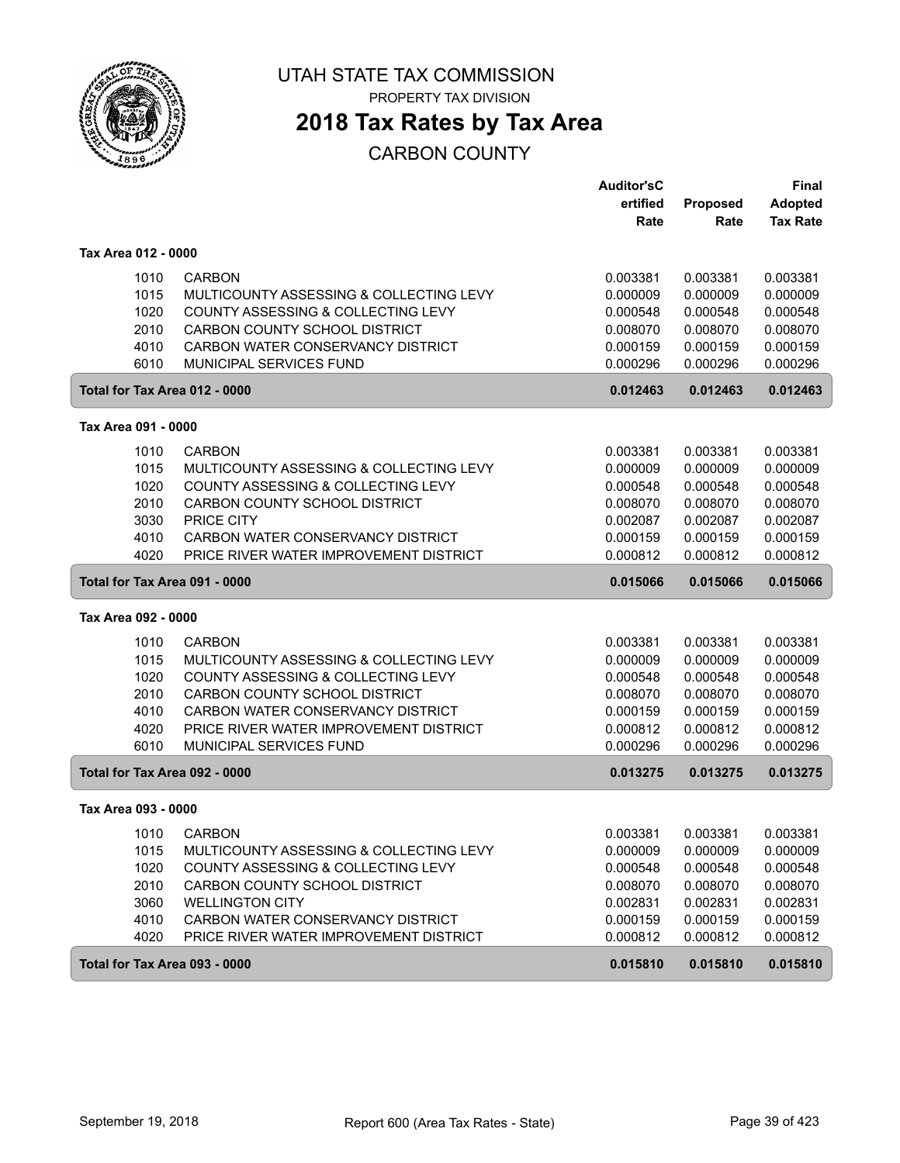

PROPERTY TAX DIVISION

### **2018 Tax Rates by Tax Area**

|                               |                                         | <b>Auditor'sC</b> |          | <b>Final</b>    |
|-------------------------------|-----------------------------------------|-------------------|----------|-----------------|
|                               |                                         | ertified          | Proposed | <b>Adopted</b>  |
|                               |                                         | Rate              | Rate     | <b>Tax Rate</b> |
| Tax Area 012 - 0000           |                                         |                   |          |                 |
| 1010                          | <b>CARBON</b>                           | 0.003381          | 0.003381 | 0.003381        |
| 1015                          | MULTICOUNTY ASSESSING & COLLECTING LEVY | 0.000009          | 0.000009 | 0.000009        |
| 1020                          | COUNTY ASSESSING & COLLECTING LEVY      | 0.000548          | 0.000548 | 0.000548        |
| 2010                          | CARBON COUNTY SCHOOL DISTRICT           | 0.008070          | 0.008070 | 0.008070        |
| 4010                          | CARBON WATER CONSERVANCY DISTRICT       | 0.000159          | 0.000159 | 0.000159        |
| 6010                          | MUNICIPAL SERVICES FUND                 | 0.000296          | 0.000296 | 0.000296        |
| Total for Tax Area 012 - 0000 |                                         | 0.012463          | 0.012463 | 0.012463        |
| Tax Area 091 - 0000           |                                         |                   |          |                 |
| 1010                          | <b>CARBON</b>                           | 0.003381          | 0.003381 | 0.003381        |
| 1015                          | MULTICOUNTY ASSESSING & COLLECTING LEVY | 0.000009          | 0.000009 | 0.000009        |
| 1020                          | COUNTY ASSESSING & COLLECTING LEVY      | 0.000548          | 0.000548 | 0.000548        |
| 2010                          | CARBON COUNTY SCHOOL DISTRICT           | 0.008070          | 0.008070 | 0.008070        |
| 3030                          | PRICE CITY                              | 0.002087          | 0.002087 | 0.002087        |
| 4010                          | CARBON WATER CONSERVANCY DISTRICT       | 0.000159          | 0.000159 | 0.000159        |
| 4020                          | PRICE RIVER WATER IMPROVEMENT DISTRICT  | 0.000812          | 0.000812 | 0.000812        |
| Total for Tax Area 091 - 0000 |                                         | 0.015066          | 0.015066 | 0.015066        |
| Tax Area 092 - 0000           |                                         |                   |          |                 |
| 1010                          | <b>CARBON</b>                           | 0.003381          | 0.003381 | 0.003381        |
| 1015                          | MULTICOUNTY ASSESSING & COLLECTING LEVY | 0.000009          | 0.000009 | 0.000009        |
| 1020                          | COUNTY ASSESSING & COLLECTING LEVY      | 0.000548          | 0.000548 | 0.000548        |
| 2010                          | CARBON COUNTY SCHOOL DISTRICT           | 0.008070          | 0.008070 | 0.008070        |
| 4010                          | CARBON WATER CONSERVANCY DISTRICT       | 0.000159          | 0.000159 | 0.000159        |
| 4020                          | PRICE RIVER WATER IMPROVEMENT DISTRICT  | 0.000812          | 0.000812 | 0.000812        |
| 6010                          | MUNICIPAL SERVICES FUND                 | 0.000296          | 0.000296 | 0.000296        |
| Total for Tax Area 092 - 0000 |                                         | 0.013275          | 0.013275 | 0.013275        |
| Tax Area 093 - 0000           |                                         |                   |          |                 |
| 1010                          | <b>CARBON</b>                           | 0.003381          | 0.003381 | 0.003381        |
| 1015                          | MULTICOUNTY ASSESSING & COLLECTING LEVY | 0.000009          | 0.000009 | 0.000009        |
| 1020                          | COUNTY ASSESSING & COLLECTING LEVY      | 0.000548          | 0.000548 | 0.000548        |
| 2010                          | CARBON COUNTY SCHOOL DISTRICT           | 0.008070          | 0.008070 | 0.008070        |
| 3060                          | <b>WELLINGTON CITY</b>                  | 0.002831          | 0.002831 | 0.002831        |
| 4010                          | CARBON WATER CONSERVANCY DISTRICT       | 0.000159          | 0.000159 | 0.000159        |
| 4020                          | PRICE RIVER WATER IMPROVEMENT DISTRICT  | 0.000812          | 0.000812 | 0.000812        |
| Total for Tax Area 093 - 0000 |                                         | 0.015810          | 0.015810 | 0.015810        |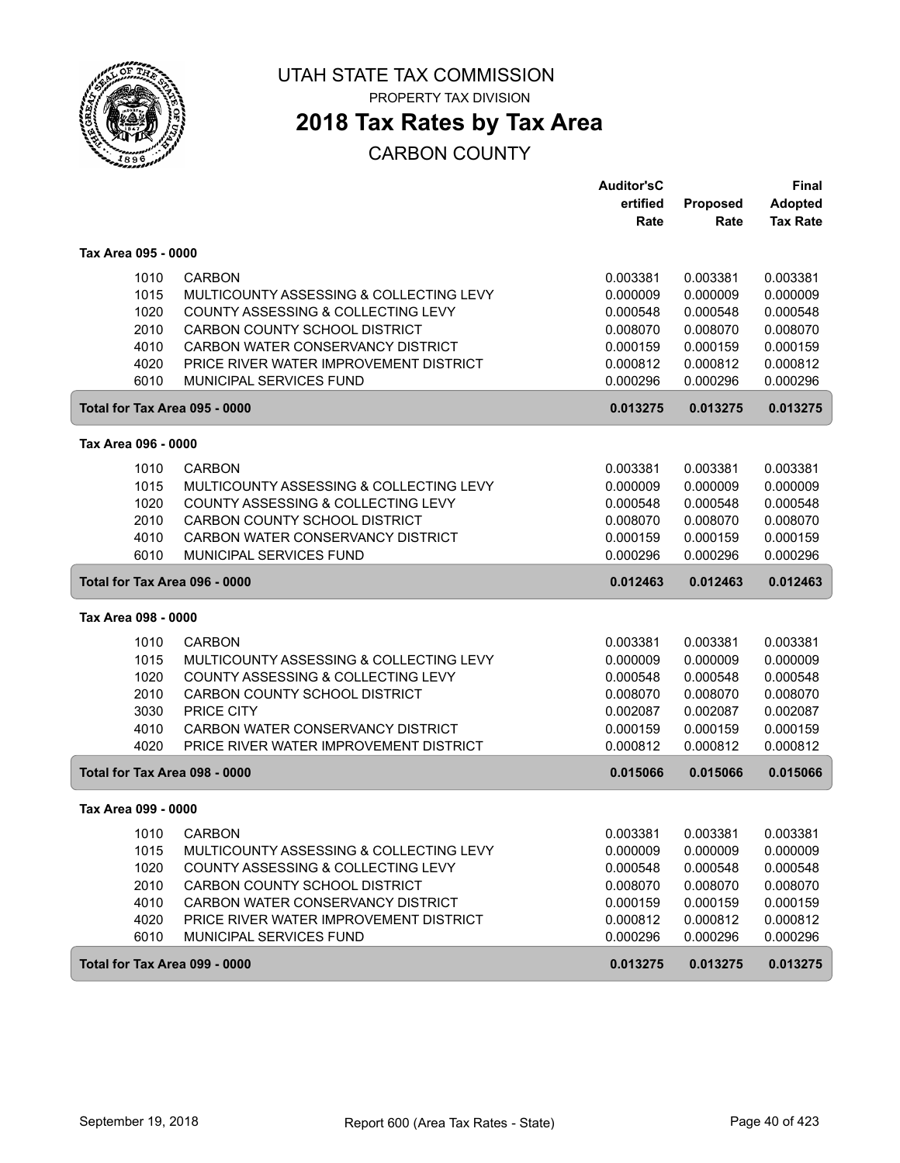

PROPERTY TAX DIVISION

### **2018 Tax Rates by Tax Area**

|                               |                                         | <b>Auditor'sC</b> |                 | <b>Final</b>    |
|-------------------------------|-----------------------------------------|-------------------|-----------------|-----------------|
|                               |                                         | ertified          | <b>Proposed</b> | <b>Adopted</b>  |
|                               |                                         | Rate              | Rate            | <b>Tax Rate</b> |
| Tax Area 095 - 0000           |                                         |                   |                 |                 |
| 1010                          | <b>CARBON</b>                           | 0.003381          | 0.003381        | 0.003381        |
| 1015                          | MULTICOUNTY ASSESSING & COLLECTING LEVY | 0.000009          | 0.000009        | 0.000009        |
| 1020                          | COUNTY ASSESSING & COLLECTING LEVY      | 0.000548          | 0.000548        | 0.000548        |
| 2010                          | CARBON COUNTY SCHOOL DISTRICT           | 0.008070          | 0.008070        | 0.008070        |
| 4010                          | CARBON WATER CONSERVANCY DISTRICT       | 0.000159          | 0.000159        | 0.000159        |
| 4020                          | PRICE RIVER WATER IMPROVEMENT DISTRICT  | 0.000812          | 0.000812        | 0.000812        |
| 6010                          | MUNICIPAL SERVICES FUND                 | 0.000296          | 0.000296        | 0.000296        |
| Total for Tax Area 095 - 0000 |                                         | 0.013275          | 0.013275        | 0.013275        |
| Tax Area 096 - 0000           |                                         |                   |                 |                 |
| 1010                          | <b>CARBON</b>                           | 0.003381          | 0.003381        | 0.003381        |
| 1015                          | MULTICOUNTY ASSESSING & COLLECTING LEVY | 0.000009          | 0.000009        | 0.000009        |
| 1020                          | COUNTY ASSESSING & COLLECTING LEVY      | 0.000548          | 0.000548        | 0.000548        |
| 2010                          | <b>CARBON COUNTY SCHOOL DISTRICT</b>    | 0.008070          | 0.008070        | 0.008070        |
| 4010                          | CARBON WATER CONSERVANCY DISTRICT       | 0.000159          | 0.000159        | 0.000159        |
| 6010                          | MUNICIPAL SERVICES FUND                 | 0.000296          | 0.000296        | 0.000296        |
| Total for Tax Area 096 - 0000 |                                         | 0.012463          | 0.012463        | 0.012463        |
| Tax Area 098 - 0000           |                                         |                   |                 |                 |
| 1010                          | <b>CARBON</b>                           | 0.003381          | 0.003381        | 0.003381        |
| 1015                          | MULTICOUNTY ASSESSING & COLLECTING LEVY | 0.000009          | 0.000009        | 0.000009        |
| 1020                          | COUNTY ASSESSING & COLLECTING LEVY      | 0.000548          | 0.000548        | 0.000548        |
| 2010                          | CARBON COUNTY SCHOOL DISTRICT           | 0.008070          | 0.008070        | 0.008070        |
| 3030                          | PRICE CITY                              | 0.002087          | 0.002087        | 0.002087        |
| 4010                          | CARBON WATER CONSERVANCY DISTRICT       | 0.000159          | 0.000159        | 0.000159        |
| 4020                          | PRICE RIVER WATER IMPROVEMENT DISTRICT  | 0.000812          | 0.000812        | 0.000812        |
| Total for Tax Area 098 - 0000 |                                         | 0.015066          | 0.015066        | 0.015066        |
| Tax Area 099 - 0000           |                                         |                   |                 |                 |
| 1010                          | <b>CARBON</b>                           | 0.003381          | 0.003381        | 0.003381        |
| 1015                          | MULTICOUNTY ASSESSING & COLLECTING LEVY | 0.000009          | 0.000009        | 0.000009        |
| 1020                          | COUNTY ASSESSING & COLLECTING LEVY      | 0.000548          | 0.000548        | 0.000548        |
| 2010                          | CARBON COUNTY SCHOOL DISTRICT           | 0.008070          | 0.008070        | 0.008070        |
| 4010                          | CARBON WATER CONSERVANCY DISTRICT       | 0.000159          | 0.000159        | 0.000159        |
| 4020                          | PRICE RIVER WATER IMPROVEMENT DISTRICT  | 0.000812          | 0.000812        | 0.000812        |
| 6010                          | MUNICIPAL SERVICES FUND                 | 0.000296          | 0.000296        | 0.000296        |
| Total for Tax Area 099 - 0000 |                                         | 0.013275          | 0.013275        | 0.013275        |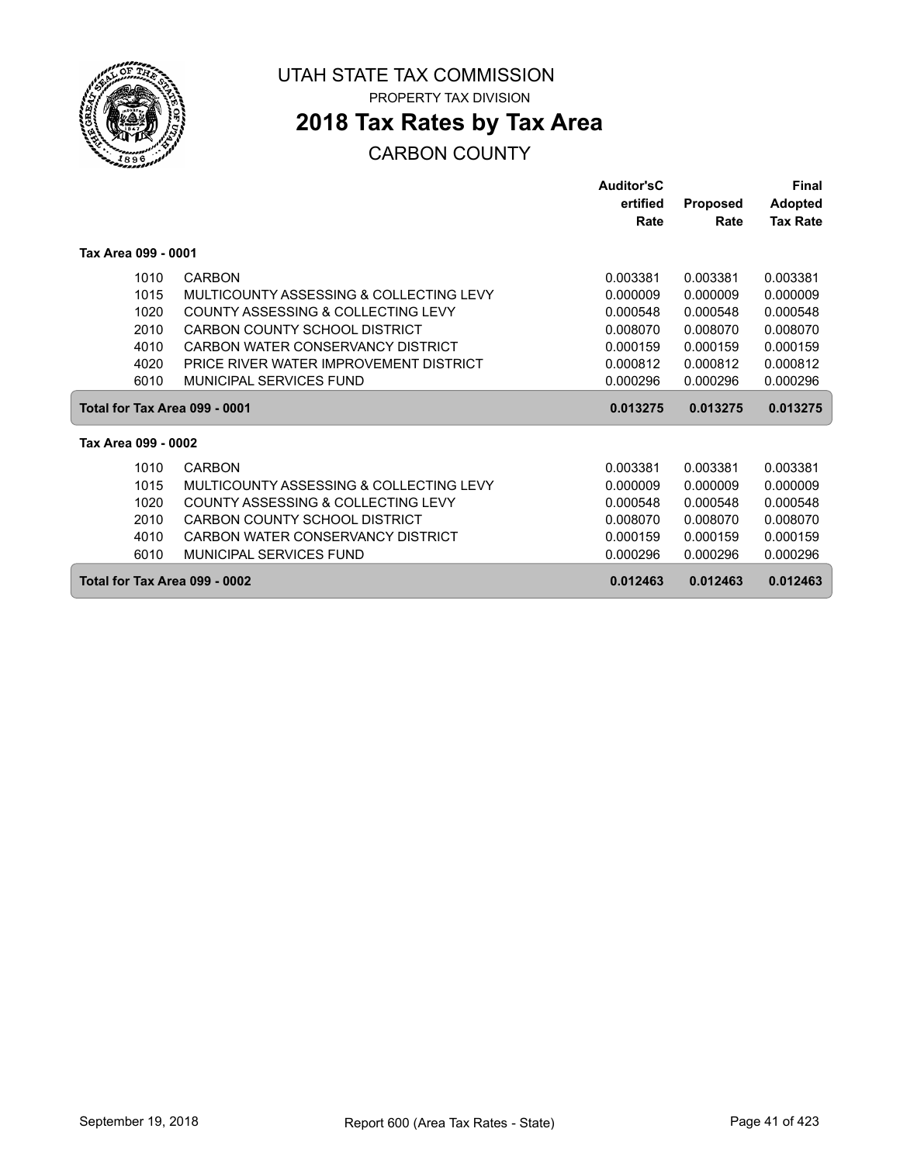

### **2018 Tax Rates by Tax Area**

|                     |                                         | <b>Auditor'sC</b> |                 | Final           |
|---------------------|-----------------------------------------|-------------------|-----------------|-----------------|
|                     |                                         | ertified          | <b>Proposed</b> | <b>Adopted</b>  |
|                     |                                         | Rate              | Rate            | <b>Tax Rate</b> |
| Tax Area 099 - 0001 |                                         |                   |                 |                 |
| 1010                | <b>CARBON</b>                           | 0.003381          | 0.003381        | 0.003381        |
| 1015                | MULTICOUNTY ASSESSING & COLLECTING LEVY | 0.000009          | 0.000009        | 0.000009        |
| 1020                | COUNTY ASSESSING & COLLECTING LEVY      | 0.000548          | 0.000548        | 0.000548        |
| 2010                | CARBON COUNTY SCHOOL DISTRICT           | 0.008070          | 0.008070        | 0.008070        |
| 4010                | CARBON WATER CONSERVANCY DISTRICT       | 0.000159          | 0.000159        | 0.000159        |
| 4020                | PRICE RIVER WATER IMPROVEMENT DISTRICT  | 0.000812          | 0.000812        | 0.000812        |
| 6010                | MUNICIPAL SERVICES FUND                 | 0.000296          | 0.000296        | 0.000296        |
|                     | Total for Tax Area 099 - 0001           | 0.013275          | 0.013275        | 0.013275        |
| Tax Area 099 - 0002 |                                         |                   |                 |                 |
| 1010                | <b>CARBON</b>                           | 0.003381          | 0.003381        | 0.003381        |
| 1015                | MULTICOUNTY ASSESSING & COLLECTING LEVY | 0.000009          | 0.000009        | 0.000009        |
| 1020                | COUNTY ASSESSING & COLLECTING LEVY      | 0.000548          | 0.000548        | 0.000548        |
| 2010                | CARBON COUNTY SCHOOL DISTRICT           | 0.008070          | 0.008070        | 0.008070        |
| 4010                | CARBON WATER CONSERVANCY DISTRICT       | 0.000159          | 0.000159        | 0.000159        |
| 6010                | <b>MUNICIPAL SERVICES FUND</b>          | 0.000296          | 0.000296        | 0.000296        |
|                     | Total for Tax Area 099 - 0002           | 0.012463          | 0.012463        | 0.012463        |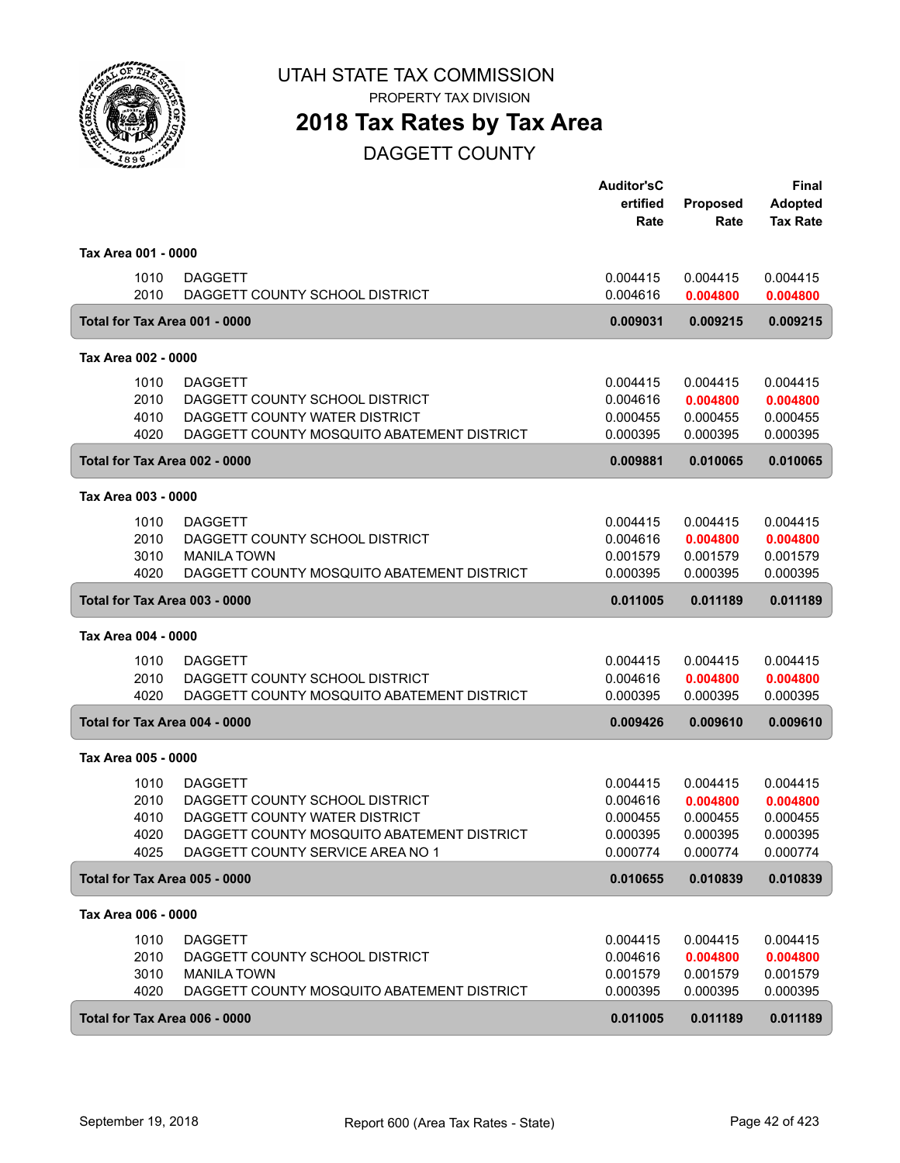

PROPERTY TAX DIVISION

### **2018 Tax Rates by Tax Area**

DAGGETT COUNTY

|                               |                                            | <b>Auditor'sC</b><br>ertified<br>Rate | <b>Proposed</b><br>Rate | <b>Final</b><br><b>Adopted</b><br><b>Tax Rate</b> |
|-------------------------------|--------------------------------------------|---------------------------------------|-------------------------|---------------------------------------------------|
| Tax Area 001 - 0000           |                                            |                                       |                         |                                                   |
| 1010                          | <b>DAGGETT</b>                             | 0.004415                              | 0.004415                | 0.004415                                          |
| 2010                          | DAGGETT COUNTY SCHOOL DISTRICT             | 0.004616                              | 0.004800                | 0.004800                                          |
| Total for Tax Area 001 - 0000 |                                            | 0.009031                              | 0.009215                | 0.009215                                          |
| Tax Area 002 - 0000           |                                            |                                       |                         |                                                   |
| 1010                          | <b>DAGGETT</b>                             | 0.004415                              | 0.004415                | 0.004415                                          |
| 2010                          | DAGGETT COUNTY SCHOOL DISTRICT             | 0.004616                              | 0.004800                | 0.004800                                          |
| 4010                          | DAGGETT COUNTY WATER DISTRICT              | 0.000455                              | 0.000455                | 0.000455                                          |
| 4020                          | DAGGETT COUNTY MOSQUITO ABATEMENT DISTRICT | 0.000395                              | 0.000395                | 0.000395                                          |
| Total for Tax Area 002 - 0000 |                                            | 0.009881                              | 0.010065                | 0.010065                                          |
| Tax Area 003 - 0000           |                                            |                                       |                         |                                                   |
| 1010                          | <b>DAGGETT</b>                             | 0.004415                              | 0.004415                | 0.004415                                          |
| 2010                          | DAGGETT COUNTY SCHOOL DISTRICT             | 0.004616                              | 0.004800                | 0.004800                                          |
| 3010                          | <b>MANILA TOWN</b>                         | 0.001579                              | 0.001579                | 0.001579                                          |
| 4020                          | DAGGETT COUNTY MOSQUITO ABATEMENT DISTRICT | 0.000395                              | 0.000395                | 0.000395                                          |
| Total for Tax Area 003 - 0000 |                                            | 0.011005                              | 0.011189                | 0.011189                                          |
| Tax Area 004 - 0000           |                                            |                                       |                         |                                                   |
| 1010                          | <b>DAGGETT</b>                             | 0.004415                              | 0.004415                | 0.004415                                          |
| 2010                          | DAGGETT COUNTY SCHOOL DISTRICT             | 0.004616                              | 0.004800                | 0.004800                                          |
| 4020                          | DAGGETT COUNTY MOSQUITO ABATEMENT DISTRICT | 0.000395                              | 0.000395                | 0.000395                                          |
| Total for Tax Area 004 - 0000 |                                            | 0.009426                              | 0.009610                | 0.009610                                          |
| Tax Area 005 - 0000           |                                            |                                       |                         |                                                   |
| 1010                          | <b>DAGGETT</b>                             | 0.004415                              | 0.004415                | 0.004415                                          |
| 2010                          | DAGGETT COUNTY SCHOOL DISTRICT             | 0.004616                              | 0.004800                | 0.004800                                          |
| 4010                          | DAGGETT COUNTY WATER DISTRICT              | 0.000455                              | 0.000455                | 0.000455                                          |
| 4020                          | DAGGETT COUNTY MOSQUITO ABATEMENT DISTRICT | 0.000395                              | 0.000395                | 0.000395                                          |
| 4025                          | DAGGETT COUNTY SERVICE AREA NO 1           | 0.000774                              | 0.000774                | 0.000774                                          |
| Total for Tax Area 005 - 0000 |                                            | 0.010655                              | 0.010839                | 0.010839                                          |
| Tax Area 006 - 0000           |                                            |                                       |                         |                                                   |
| 1010                          | <b>DAGGETT</b>                             | 0.004415                              | 0.004415                | 0.004415                                          |
| 2010                          | DAGGETT COUNTY SCHOOL DISTRICT             | 0.004616                              | 0.004800                | 0.004800                                          |
| 3010                          | <b>MANILA TOWN</b>                         | 0.001579                              | 0.001579                | 0.001579                                          |
| 4020                          | DAGGETT COUNTY MOSQUITO ABATEMENT DISTRICT | 0.000395                              | 0.000395                | 0.000395                                          |
| Total for Tax Area 006 - 0000 |                                            | 0.011005                              | 0.011189                | 0.011189                                          |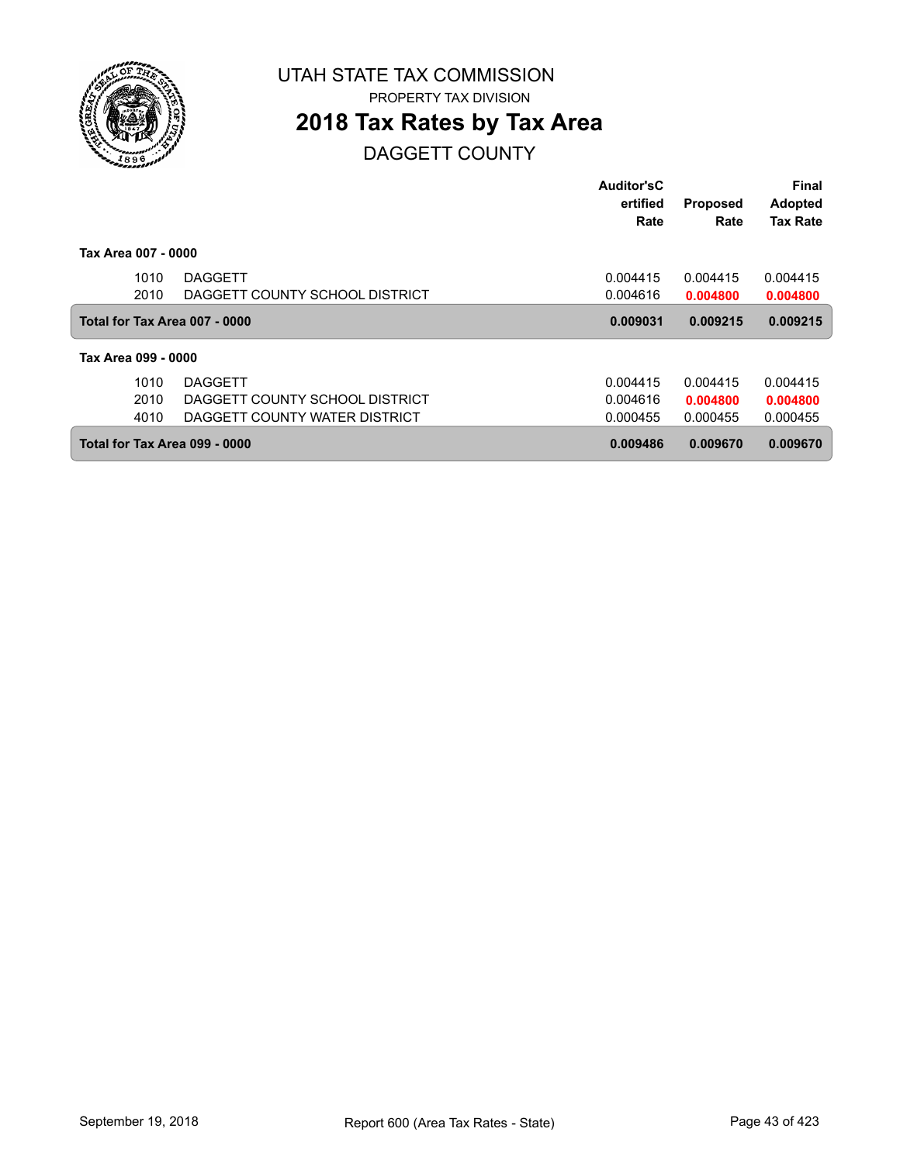

### **2018 Tax Rates by Tax Area**

DAGGETT COUNTY

|                               |                                | Auditor'sC |                 | <b>Final</b>    |
|-------------------------------|--------------------------------|------------|-----------------|-----------------|
|                               |                                | ertified   | <b>Proposed</b> | <b>Adopted</b>  |
|                               |                                | Rate       | Rate            | <b>Tax Rate</b> |
| Tax Area 007 - 0000           |                                |            |                 |                 |
| 1010                          | <b>DAGGETT</b>                 | 0.004415   | 0.004415        | 0.004415        |
| 2010                          | DAGGETT COUNTY SCHOOL DISTRICT | 0.004616   | 0.004800        | 0.004800        |
| Total for Tax Area 007 - 0000 |                                | 0.009031   | 0.009215        | 0.009215        |
| Tax Area 099 - 0000           |                                |            |                 |                 |
| 1010                          | <b>DAGGETT</b>                 | 0.004415   | 0.004415        | 0.004415        |
| 2010                          | DAGGETT COUNTY SCHOOL DISTRICT | 0.004616   | 0.004800        | 0.004800        |
| 4010                          | DAGGETT COUNTY WATER DISTRICT  | 0.000455   | 0.000455        | 0.000455        |
| Total for Tax Area 099 - 0000 |                                | 0.009486   | 0.009670        | 0.009670        |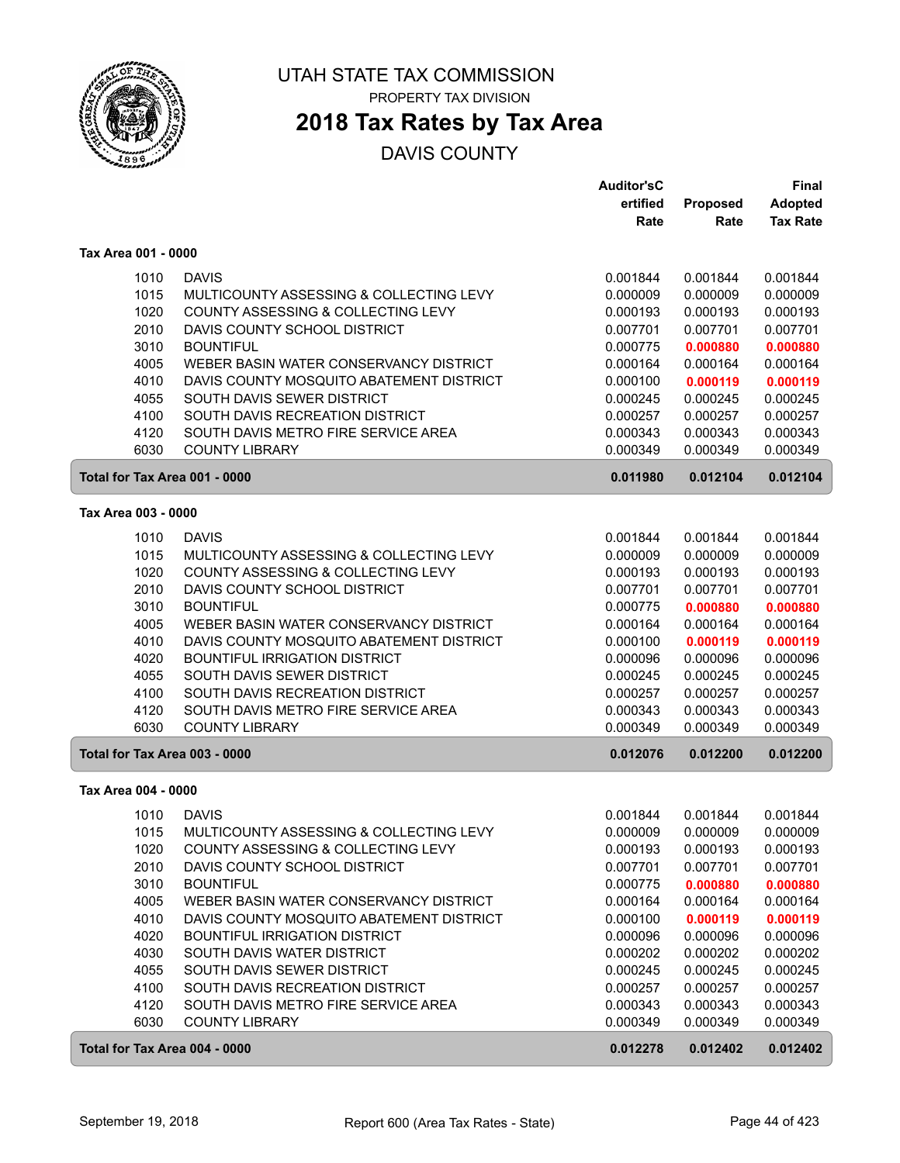

PROPERTY TAX DIVISION

### **2018 Tax Rates by Tax Area**

|                               |                                          | <b>Auditor'sC</b> |                 | Final           |
|-------------------------------|------------------------------------------|-------------------|-----------------|-----------------|
|                               |                                          | ertified          | <b>Proposed</b> | <b>Adopted</b>  |
|                               |                                          | Rate              | Rate            | <b>Tax Rate</b> |
| Tax Area 001 - 0000           |                                          |                   |                 |                 |
|                               |                                          |                   |                 |                 |
| 1010                          | <b>DAVIS</b>                             | 0.001844          | 0.001844        | 0.001844        |
| 1015                          | MULTICOUNTY ASSESSING & COLLECTING LEVY  | 0.000009          | 0.000009        | 0.000009        |
| 1020                          | COUNTY ASSESSING & COLLECTING LEVY       | 0.000193          | 0.000193        | 0.000193        |
| 2010                          | DAVIS COUNTY SCHOOL DISTRICT             | 0.007701          | 0.007701        | 0.007701        |
| 3010                          | <b>BOUNTIFUL</b>                         | 0.000775          | 0.000880        | 0.000880        |
| 4005                          | WEBER BASIN WATER CONSERVANCY DISTRICT   | 0.000164          | 0.000164        | 0.000164        |
| 4010                          | DAVIS COUNTY MOSQUITO ABATEMENT DISTRICT | 0.000100          | 0.000119        | 0.000119        |
| 4055                          | SOUTH DAVIS SEWER DISTRICT               | 0.000245          | 0.000245        | 0.000245        |
| 4100                          | SOUTH DAVIS RECREATION DISTRICT          | 0.000257          | 0.000257        | 0.000257        |
| 4120                          | SOUTH DAVIS METRO FIRE SERVICE AREA      | 0.000343          | 0.000343        | 0.000343        |
| 6030                          | <b>COUNTY LIBRARY</b>                    | 0.000349          | 0.000349        | 0.000349        |
| Total for Tax Area 001 - 0000 |                                          | 0.011980          | 0.012104        | 0.012104        |
| Tax Area 003 - 0000           |                                          |                   |                 |                 |
| 1010                          | <b>DAVIS</b>                             | 0.001844          | 0.001844        | 0.001844        |
|                               | MULTICOUNTY ASSESSING & COLLECTING LEVY  |                   |                 |                 |
| 1015<br>1020                  | COUNTY ASSESSING & COLLECTING LEVY       | 0.000009          | 0.000009        | 0.000009        |
|                               |                                          | 0.000193          | 0.000193        | 0.000193        |
| 2010                          | DAVIS COUNTY SCHOOL DISTRICT             | 0.007701          | 0.007701        | 0.007701        |
| 3010                          | <b>BOUNTIFUL</b>                         | 0.000775          | 0.000880        | 0.000880        |
| 4005                          | WEBER BASIN WATER CONSERVANCY DISTRICT   | 0.000164          | 0.000164        | 0.000164        |
| 4010                          | DAVIS COUNTY MOSQUITO ABATEMENT DISTRICT | 0.000100          | 0.000119        | 0.000119        |
| 4020                          | <b>BOUNTIFUL IRRIGATION DISTRICT</b>     | 0.000096          | 0.000096        | 0.000096        |
| 4055                          | SOUTH DAVIS SEWER DISTRICT               | 0.000245          | 0.000245        | 0.000245        |
| 4100                          | SOUTH DAVIS RECREATION DISTRICT          | 0.000257          | 0.000257        | 0.000257        |
| 4120                          | SOUTH DAVIS METRO FIRE SERVICE AREA      | 0.000343          | 0.000343        | 0.000343        |
| 6030                          | <b>COUNTY LIBRARY</b>                    | 0.000349          | 0.000349        | 0.000349        |
| Total for Tax Area 003 - 0000 |                                          | 0.012076          | 0.012200        | 0.012200        |
| Tax Area 004 - 0000           |                                          |                   |                 |                 |
| 1010                          | <b>DAVIS</b>                             | 0.001844          | 0.001844        | 0.001844        |
| 1015                          | MULTICOUNTY ASSESSING & COLLECTING LEVY  | 0.000009          | 0.000009        | 0.000009        |
| 1020                          | COUNTY ASSESSING & COLLECTING LEVY       | 0.000193          | 0.000193        | 0.000193        |
| 2010                          | DAVIS COUNTY SCHOOL DISTRICT             | 0.007701          | 0.007701        | 0.007701        |
| 3010                          | <b>BOUNTIFUL</b>                         | 0.000775          | 0.000880        | 0.000880        |
| 4005                          | WEBER BASIN WATER CONSERVANCY DISTRICT   | 0.000164          | 0.000164        | 0.000164        |
| 4010                          | DAVIS COUNTY MOSQUITO ABATEMENT DISTRICT | 0.000100          | 0.000119        | 0.000119        |
| 4020                          | <b>BOUNTIFUL IRRIGATION DISTRICT</b>     | 0.000096          | 0.000096        | 0.000096        |
| 4030                          | SOUTH DAVIS WATER DISTRICT               | 0.000202          | 0.000202        | 0.000202        |
| 4055                          | SOUTH DAVIS SEWER DISTRICT               | 0.000245          | 0.000245        | 0.000245        |
| 4100                          | SOUTH DAVIS RECREATION DISTRICT          | 0.000257          | 0.000257        | 0.000257        |
| 4120                          | SOUTH DAVIS METRO FIRE SERVICE AREA      | 0.000343          | 0.000343        | 0.000343        |
| 6030                          | <b>COUNTY LIBRARY</b>                    | 0.000349          | 0.000349        | 0.000349        |
| Total for Tax Area 004 - 0000 |                                          | 0.012278          | 0.012402        | 0.012402        |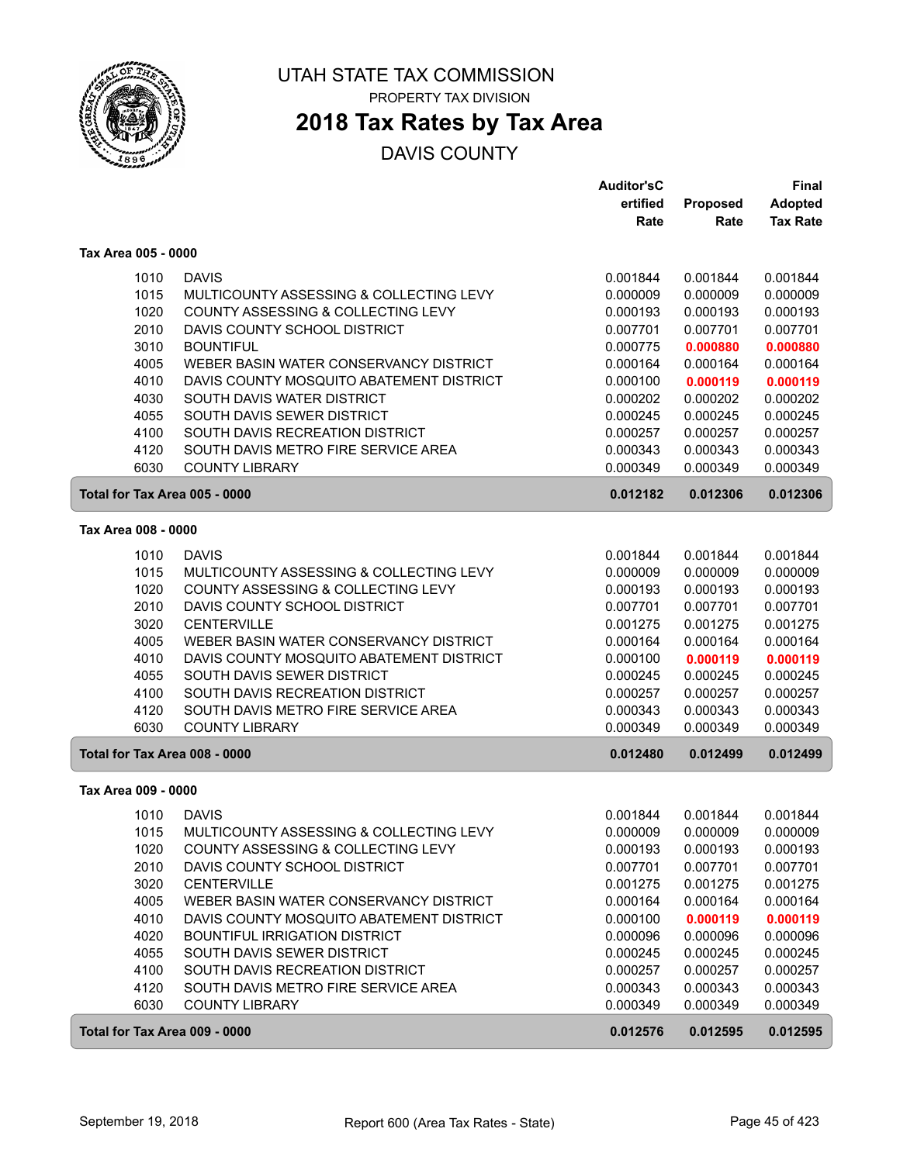

### **2018 Tax Rates by Tax Area**

|                               |                                          | <b>Auditor'sC</b> |                 | <b>Final</b>    |
|-------------------------------|------------------------------------------|-------------------|-----------------|-----------------|
|                               |                                          | ertified          | <b>Proposed</b> | <b>Adopted</b>  |
|                               |                                          | Rate              | Rate            | <b>Tax Rate</b> |
| Tax Area 005 - 0000           |                                          |                   |                 |                 |
| 1010                          | <b>DAVIS</b>                             | 0.001844          | 0.001844        | 0.001844        |
| 1015                          | MULTICOUNTY ASSESSING & COLLECTING LEVY  | 0.000009          | 0.000009        | 0.000009        |
| 1020                          | COUNTY ASSESSING & COLLECTING LEVY       | 0.000193          | 0.000193        | 0.000193        |
| 2010                          | DAVIS COUNTY SCHOOL DISTRICT             | 0.007701          | 0.007701        | 0.007701        |
| 3010                          | <b>BOUNTIFUL</b>                         | 0.000775          | 0.000880        | 0.000880        |
| 4005                          | WEBER BASIN WATER CONSERVANCY DISTRICT   | 0.000164          | 0.000164        | 0.000164        |
| 4010                          | DAVIS COUNTY MOSQUITO ABATEMENT DISTRICT | 0.000100          | 0.000119        | 0.000119        |
| 4030                          | SOUTH DAVIS WATER DISTRICT               | 0.000202          | 0.000202        | 0.000202        |
| 4055                          | SOUTH DAVIS SEWER DISTRICT               | 0.000245          | 0.000245        | 0.000245        |
| 4100                          | SOUTH DAVIS RECREATION DISTRICT          | 0.000257          | 0.000257        | 0.000257        |
| 4120                          | SOUTH DAVIS METRO FIRE SERVICE AREA      | 0.000343          | 0.000343        | 0.000343        |
| 6030                          | <b>COUNTY LIBRARY</b>                    | 0.000349          | 0.000349        | 0.000349        |
| Total for Tax Area 005 - 0000 |                                          | 0.012182          | 0.012306        | 0.012306        |
| Tax Area 008 - 0000           |                                          |                   |                 |                 |
|                               |                                          |                   |                 |                 |
| 1010                          | <b>DAVIS</b>                             | 0.001844          | 0.001844        | 0.001844        |
| 1015                          | MULTICOUNTY ASSESSING & COLLECTING LEVY  | 0.000009          | 0.000009        | 0.000009        |
| 1020                          | COUNTY ASSESSING & COLLECTING LEVY       | 0.000193          | 0.000193        | 0.000193        |
| 2010                          | DAVIS COUNTY SCHOOL DISTRICT             | 0.007701          | 0.007701        | 0.007701        |
| 3020                          | <b>CENTERVILLE</b>                       | 0.001275          | 0.001275        | 0.001275        |
| 4005                          | WEBER BASIN WATER CONSERVANCY DISTRICT   | 0.000164          | 0.000164        | 0.000164        |
| 4010                          | DAVIS COUNTY MOSQUITO ABATEMENT DISTRICT | 0.000100          | 0.000119        | 0.000119        |
| 4055                          | SOUTH DAVIS SEWER DISTRICT               | 0.000245          | 0.000245        | 0.000245        |
| 4100                          | SOUTH DAVIS RECREATION DISTRICT          | 0.000257          | 0.000257        | 0.000257        |
| 4120                          | SOUTH DAVIS METRO FIRE SERVICE AREA      | 0.000343          | 0.000343        | 0.000343        |
| 6030                          | <b>COUNTY LIBRARY</b>                    | 0.000349          | 0.000349        | 0.000349        |
| Total for Tax Area 008 - 0000 |                                          | 0.012480          | 0.012499        | 0.012499        |
| Tax Area 009 - 0000           |                                          |                   |                 |                 |
| 1010                          | <b>DAVIS</b>                             | 0.001844          | 0.001844        | 0.001844        |
| 1015                          | MULTICOUNTY ASSESSING & COLLECTING LEVY  | 0.000009          | 0.000009        | 0.000009        |
| 1020                          | COUNTY ASSESSING & COLLECTING LEVY       | 0.000193          | 0.000193        | 0.000193        |
| 2010                          | DAVIS COUNTY SCHOOL DISTRICT             | 0.007701          | 0.007701        | 0.007701        |
| 3020                          | <b>CENTERVILLE</b>                       | 0.001275          | 0.001275        | 0.001275        |
| 4005                          | WEBER BASIN WATER CONSERVANCY DISTRICT   | 0.000164          | 0.000164        | 0.000164        |
| 4010                          | DAVIS COUNTY MOSQUITO ABATEMENT DISTRICT | 0.000100          | 0.000119        | 0.000119        |
| 4020                          | BOUNTIFUL IRRIGATION DISTRICT            | 0.000096          | 0.000096        | 0.000096        |
| 4055                          | SOUTH DAVIS SEWER DISTRICT               | 0.000245          | 0.000245        | 0.000245        |
| 4100                          | SOUTH DAVIS RECREATION DISTRICT          | 0.000257          | 0.000257        | 0.000257        |
| 4120                          | SOUTH DAVIS METRO FIRE SERVICE AREA      | 0.000343          | 0.000343        | 0.000343        |
| 6030                          | <b>COUNTY LIBRARY</b>                    | 0.000349          | 0.000349        | 0.000349        |
| Total for Tax Area 009 - 0000 |                                          | 0.012576          | 0.012595        | 0.012595        |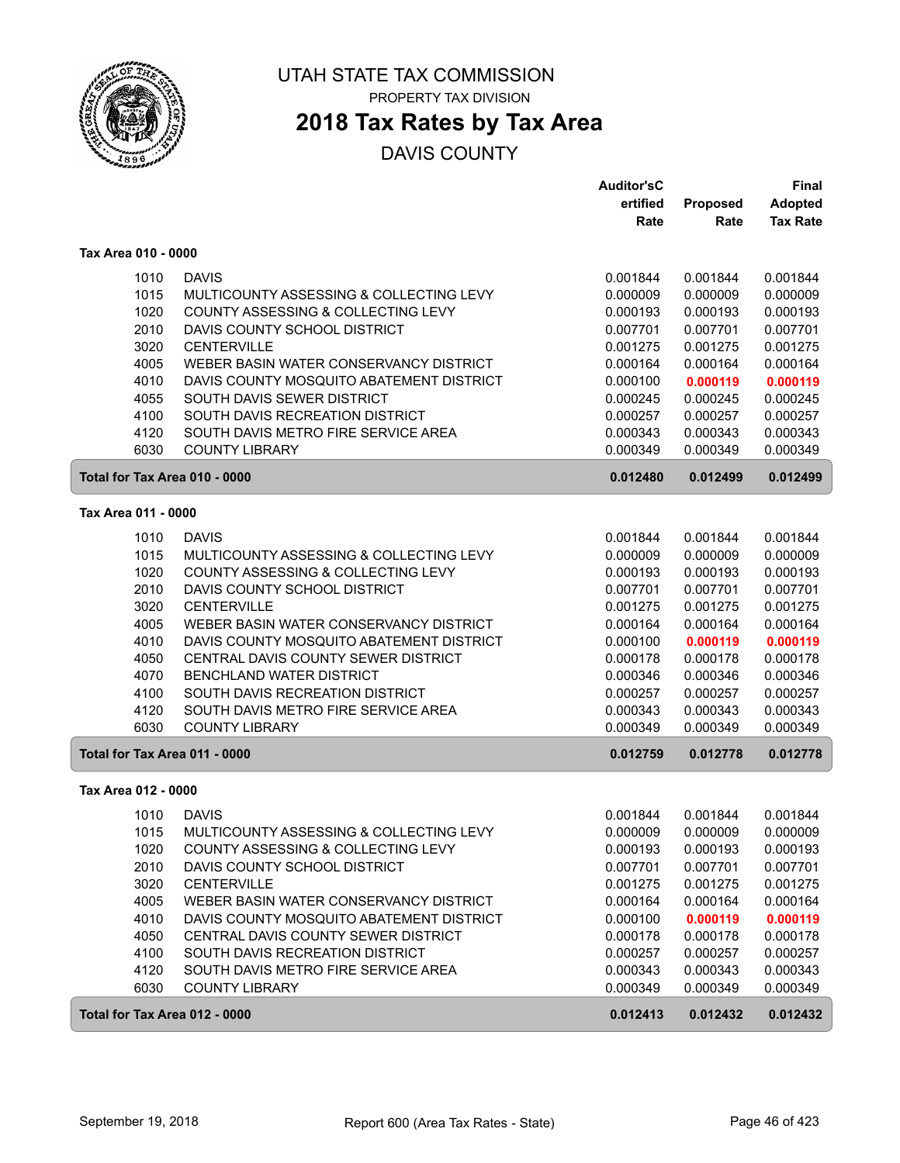

# **2018 Tax Rates by Tax Area**

|                               |                                          | <b>Auditor'sC</b> |          | <b>Final</b>    |
|-------------------------------|------------------------------------------|-------------------|----------|-----------------|
|                               |                                          | ertified          | Proposed | <b>Adopted</b>  |
|                               |                                          | Rate              | Rate     | <b>Tax Rate</b> |
| Tax Area 010 - 0000           |                                          |                   |          |                 |
| 1010                          | <b>DAVIS</b>                             | 0.001844          | 0.001844 | 0.001844        |
| 1015                          | MULTICOUNTY ASSESSING & COLLECTING LEVY  | 0.000009          | 0.000009 | 0.000009        |
| 1020                          | COUNTY ASSESSING & COLLECTING LEVY       | 0.000193          | 0.000193 | 0.000193        |
| 2010                          | DAVIS COUNTY SCHOOL DISTRICT             | 0.007701          | 0.007701 | 0.007701        |
| 3020                          | <b>CENTERVILLE</b>                       | 0.001275          | 0.001275 | 0.001275        |
| 4005                          | WEBER BASIN WATER CONSERVANCY DISTRICT   | 0.000164          | 0.000164 | 0.000164        |
| 4010                          | DAVIS COUNTY MOSQUITO ABATEMENT DISTRICT | 0.000100          | 0.000119 | 0.000119        |
| 4055                          | SOUTH DAVIS SEWER DISTRICT               | 0.000245          | 0.000245 | 0.000245        |
| 4100                          | SOUTH DAVIS RECREATION DISTRICT          | 0.000257          | 0.000257 | 0.000257        |
| 4120                          | SOUTH DAVIS METRO FIRE SERVICE AREA      | 0.000343          | 0.000343 | 0.000343        |
| 6030                          | <b>COUNTY LIBRARY</b>                    | 0.000349          | 0.000349 | 0.000349        |
| Total for Tax Area 010 - 0000 |                                          | 0.012480          | 0.012499 | 0.012499        |
| Tax Area 011 - 0000           |                                          |                   |          |                 |
| 1010                          | <b>DAVIS</b>                             | 0.001844          | 0.001844 | 0.001844        |
| 1015                          | MULTICOUNTY ASSESSING & COLLECTING LEVY  | 0.000009          | 0.000009 | 0.000009        |
| 1020                          | COUNTY ASSESSING & COLLECTING LEVY       | 0.000193          | 0.000193 | 0.000193        |
| 2010                          | DAVIS COUNTY SCHOOL DISTRICT             | 0.007701          | 0.007701 | 0.007701        |
| 3020                          | <b>CENTERVILLE</b>                       | 0.001275          | 0.001275 | 0.001275        |
| 4005                          | WEBER BASIN WATER CONSERVANCY DISTRICT   | 0.000164          | 0.000164 | 0.000164        |
| 4010                          | DAVIS COUNTY MOSQUITO ABATEMENT DISTRICT | 0.000100          | 0.000119 | 0.000119        |
| 4050                          | CENTRAL DAVIS COUNTY SEWER DISTRICT      | 0.000178          | 0.000178 | 0.000178        |
| 4070                          | BENCHLAND WATER DISTRICT                 | 0.000346          | 0.000346 | 0.000346        |
| 4100                          | SOUTH DAVIS RECREATION DISTRICT          | 0.000257          | 0.000257 | 0.000257        |
| 4120                          | SOUTH DAVIS METRO FIRE SERVICE AREA      | 0.000343          | 0.000343 | 0.000343        |
| 6030                          | <b>COUNTY LIBRARY</b>                    | 0.000349          | 0.000349 | 0.000349        |
| Total for Tax Area 011 - 0000 |                                          | 0.012759          | 0.012778 | 0.012778        |
| Tax Area 012 - 0000           |                                          |                   |          |                 |
| 1010                          | <b>DAVIS</b>                             | 0.001844          | 0.001844 | 0.001844        |
| 1015                          | MULTICOUNTY ASSESSING & COLLECTING LEVY  | 0.000009          | 0.000009 | 0.000009        |
| 1020                          | COUNTY ASSESSING & COLLECTING LEVY       | 0.000193          | 0.000193 | 0.000193        |
| 2010                          | DAVIS COUNTY SCHOOL DISTRICT             | 0.007701          | 0.007701 | 0.007701        |
| 3020                          | <b>CENTERVILLE</b>                       | 0.001275          | 0.001275 | 0.001275        |
| 4005                          | WEBER BASIN WATER CONSERVANCY DISTRICT   | 0.000164          | 0.000164 | 0.000164        |
| 4010                          | DAVIS COUNTY MOSQUITO ABATEMENT DISTRICT | 0.000100          | 0.000119 | 0.000119        |
| 4050                          | CENTRAL DAVIS COUNTY SEWER DISTRICT      | 0.000178          | 0.000178 | 0.000178        |
| 4100                          | SOUTH DAVIS RECREATION DISTRICT          | 0.000257          | 0.000257 | 0.000257        |
| 4120                          | SOUTH DAVIS METRO FIRE SERVICE AREA      | 0.000343          | 0.000343 | 0.000343        |
| 6030                          | <b>COUNTY LIBRARY</b>                    | 0.000349          | 0.000349 | 0.000349        |
| Total for Tax Area 012 - 0000 |                                          | 0.012413          | 0.012432 | 0.012432        |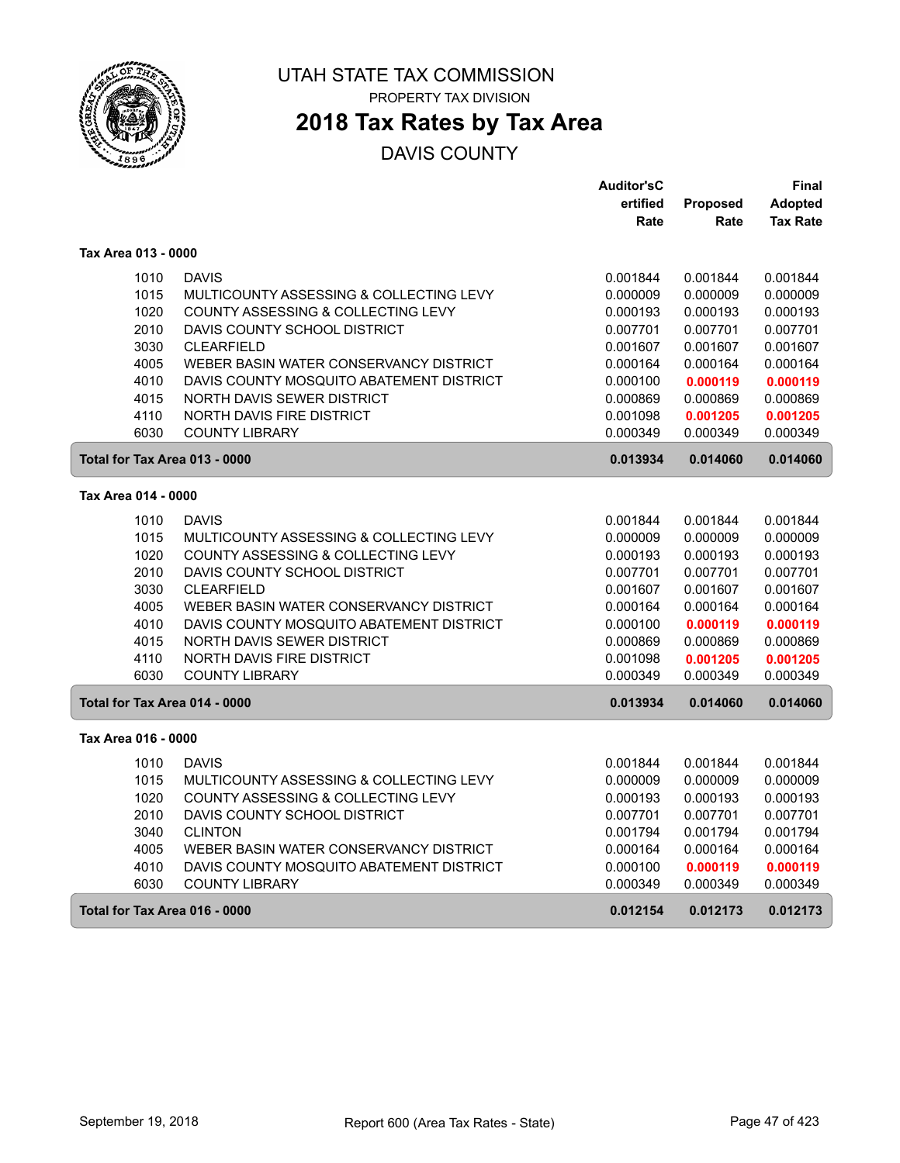

PROPERTY TAX DIVISION

### **2018 Tax Rates by Tax Area**

|                               |                                          | <b>Auditor'sC</b> |          | Final           |
|-------------------------------|------------------------------------------|-------------------|----------|-----------------|
|                               |                                          | ertified          | Proposed | <b>Adopted</b>  |
|                               |                                          | Rate              | Rate     | <b>Tax Rate</b> |
| Tax Area 013 - 0000           |                                          |                   |          |                 |
| 1010                          | <b>DAVIS</b>                             | 0.001844          | 0.001844 | 0.001844        |
| 1015                          | MULTICOUNTY ASSESSING & COLLECTING LEVY  | 0.000009          | 0.000009 | 0.000009        |
| 1020                          | COUNTY ASSESSING & COLLECTING LEVY       | 0.000193          | 0.000193 | 0.000193        |
| 2010                          | DAVIS COUNTY SCHOOL DISTRICT             | 0.007701          | 0.007701 | 0.007701        |
| 3030                          | <b>CLEARFIELD</b>                        | 0.001607          | 0.001607 | 0.001607        |
| 4005                          | WEBER BASIN WATER CONSERVANCY DISTRICT   | 0.000164          | 0.000164 | 0.000164        |
| 4010                          | DAVIS COUNTY MOSQUITO ABATEMENT DISTRICT | 0.000100          | 0.000119 | 0.000119        |
| 4015                          | NORTH DAVIS SEWER DISTRICT               | 0.000869          | 0.000869 | 0.000869        |
| 4110                          | <b>NORTH DAVIS FIRE DISTRICT</b>         | 0.001098          | 0.001205 | 0.001205        |
| 6030                          | <b>COUNTY LIBRARY</b>                    | 0.000349          | 0.000349 | 0.000349        |
| Total for Tax Area 013 - 0000 |                                          | 0.013934          | 0.014060 | 0.014060        |
| Tax Area 014 - 0000           |                                          |                   |          |                 |
| 1010                          | <b>DAVIS</b>                             | 0.001844          | 0.001844 | 0.001844        |
| 1015                          | MULTICOUNTY ASSESSING & COLLECTING LEVY  | 0.000009          | 0.000009 | 0.000009        |
| 1020                          | COUNTY ASSESSING & COLLECTING LEVY       | 0.000193          | 0.000193 | 0.000193        |
| 2010                          | DAVIS COUNTY SCHOOL DISTRICT             | 0.007701          | 0.007701 | 0.007701        |
| 3030                          | <b>CLEARFIELD</b>                        | 0.001607          | 0.001607 | 0.001607        |
| 4005                          | WEBER BASIN WATER CONSERVANCY DISTRICT   | 0.000164          | 0.000164 | 0.000164        |
| 4010                          | DAVIS COUNTY MOSQUITO ABATEMENT DISTRICT | 0.000100          | 0.000119 | 0.000119        |
| 4015                          | NORTH DAVIS SEWER DISTRICT               | 0.000869          | 0.000869 | 0.000869        |
| 4110                          | NORTH DAVIS FIRE DISTRICT                | 0.001098          | 0.001205 | 0.001205        |
| 6030                          | <b>COUNTY LIBRARY</b>                    | 0.000349          | 0.000349 | 0.000349        |
| Total for Tax Area 014 - 0000 |                                          | 0.013934          | 0.014060 | 0.014060        |
| Tax Area 016 - 0000           |                                          |                   |          |                 |
| 1010                          | <b>DAVIS</b>                             | 0.001844          | 0.001844 | 0.001844        |
| 1015                          | MULTICOUNTY ASSESSING & COLLECTING LEVY  | 0.000009          | 0.000009 | 0.000009        |
| 1020                          | COUNTY ASSESSING & COLLECTING LEVY       | 0.000193          | 0.000193 | 0.000193        |
| 2010                          | DAVIS COUNTY SCHOOL DISTRICT             | 0.007701          | 0.007701 | 0.007701        |
| 3040                          | <b>CLINTON</b>                           | 0.001794          | 0.001794 | 0.001794        |
| 4005                          | WEBER BASIN WATER CONSERVANCY DISTRICT   | 0.000164          | 0.000164 | 0.000164        |
| 4010                          | DAVIS COUNTY MOSQUITO ABATEMENT DISTRICT | 0.000100          | 0.000119 | 0.000119        |
| 6030                          | <b>COUNTY LIBRARY</b>                    | 0.000349          | 0.000349 | 0.000349        |
| Total for Tax Area 016 - 0000 |                                          | 0.012154          | 0.012173 | 0.012173        |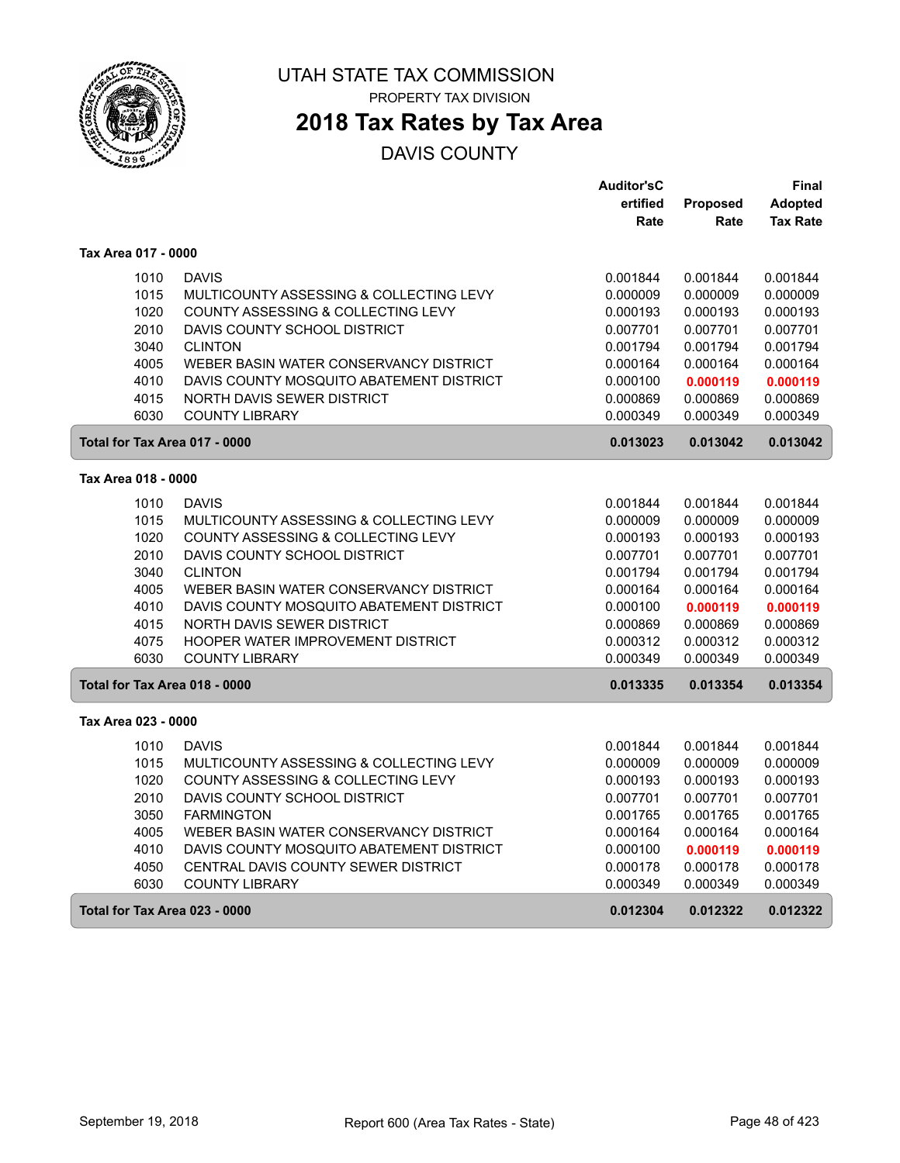

PROPERTY TAX DIVISION

### **2018 Tax Rates by Tax Area**

|                               |                                          | <b>Auditor'sC</b> |          | Final           |
|-------------------------------|------------------------------------------|-------------------|----------|-----------------|
|                               |                                          | ertified          | Proposed | Adopted         |
|                               |                                          | Rate              | Rate     | <b>Tax Rate</b> |
| Tax Area 017 - 0000           |                                          |                   |          |                 |
| 1010                          | <b>DAVIS</b>                             | 0.001844          | 0.001844 | 0.001844        |
| 1015                          | MULTICOUNTY ASSESSING & COLLECTING LEVY  | 0.000009          | 0.000009 | 0.000009        |
| 1020                          | COUNTY ASSESSING & COLLECTING LEVY       | 0.000193          | 0.000193 | 0.000193        |
| 2010                          | DAVIS COUNTY SCHOOL DISTRICT             | 0.007701          | 0.007701 | 0.007701        |
| 3040                          | <b>CLINTON</b>                           | 0.001794          | 0.001794 | 0.001794        |
| 4005                          | WEBER BASIN WATER CONSERVANCY DISTRICT   | 0.000164          | 0.000164 | 0.000164        |
| 4010                          | DAVIS COUNTY MOSQUITO ABATEMENT DISTRICT | 0.000100          | 0.000119 | 0.000119        |
| 4015                          | NORTH DAVIS SEWER DISTRICT               | 0.000869          | 0.000869 | 0.000869        |
| 6030                          | <b>COUNTY LIBRARY</b>                    | 0.000349          | 0.000349 | 0.000349        |
| Total for Tax Area 017 - 0000 |                                          | 0.013023          | 0.013042 | 0.013042        |
| Tax Area 018 - 0000           |                                          |                   |          |                 |
| 1010                          | <b>DAVIS</b>                             | 0.001844          | 0.001844 | 0.001844        |
| 1015                          | MULTICOUNTY ASSESSING & COLLECTING LEVY  | 0.000009          | 0.000009 | 0.000009        |
| 1020                          | COUNTY ASSESSING & COLLECTING LEVY       | 0.000193          | 0.000193 | 0.000193        |
| 2010                          | DAVIS COUNTY SCHOOL DISTRICT             | 0.007701          | 0.007701 | 0.007701        |
| 3040                          | <b>CLINTON</b>                           | 0.001794          | 0.001794 | 0.001794        |
| 4005                          | WEBER BASIN WATER CONSERVANCY DISTRICT   | 0.000164          | 0.000164 | 0.000164        |
| 4010                          | DAVIS COUNTY MOSQUITO ABATEMENT DISTRICT | 0.000100          | 0.000119 | 0.000119        |
| 4015                          | <b>NORTH DAVIS SEWER DISTRICT</b>        | 0.000869          | 0.000869 | 0.000869        |
| 4075                          | HOOPER WATER IMPROVEMENT DISTRICT        | 0.000312          | 0.000312 | 0.000312        |
| 6030                          | <b>COUNTY LIBRARY</b>                    | 0.000349          | 0.000349 | 0.000349        |
| Total for Tax Area 018 - 0000 |                                          | 0.013335          | 0.013354 | 0.013354        |
| Tax Area 023 - 0000           |                                          |                   |          |                 |
| 1010                          | <b>DAVIS</b>                             | 0.001844          | 0.001844 | 0.001844        |
| 1015                          | MULTICOUNTY ASSESSING & COLLECTING LEVY  | 0.000009          | 0.000009 | 0.000009        |
| 1020                          | COUNTY ASSESSING & COLLECTING LEVY       | 0.000193          | 0.000193 | 0.000193        |
| 2010                          | DAVIS COUNTY SCHOOL DISTRICT             | 0.007701          | 0.007701 | 0.007701        |
| 3050                          | <b>FARMINGTON</b>                        | 0.001765          | 0.001765 | 0.001765        |
| 4005                          | WEBER BASIN WATER CONSERVANCY DISTRICT   | 0.000164          | 0.000164 | 0.000164        |
| 4010                          | DAVIS COUNTY MOSQUITO ABATEMENT DISTRICT | 0.000100          | 0.000119 | 0.000119        |
| 4050                          | CENTRAL DAVIS COUNTY SEWER DISTRICT      | 0.000178          | 0.000178 | 0.000178        |
| 6030                          | <b>COUNTY LIBRARY</b>                    | 0.000349          | 0.000349 | 0.000349        |
| Total for Tax Area 023 - 0000 |                                          | 0.012304          | 0.012322 | 0.012322        |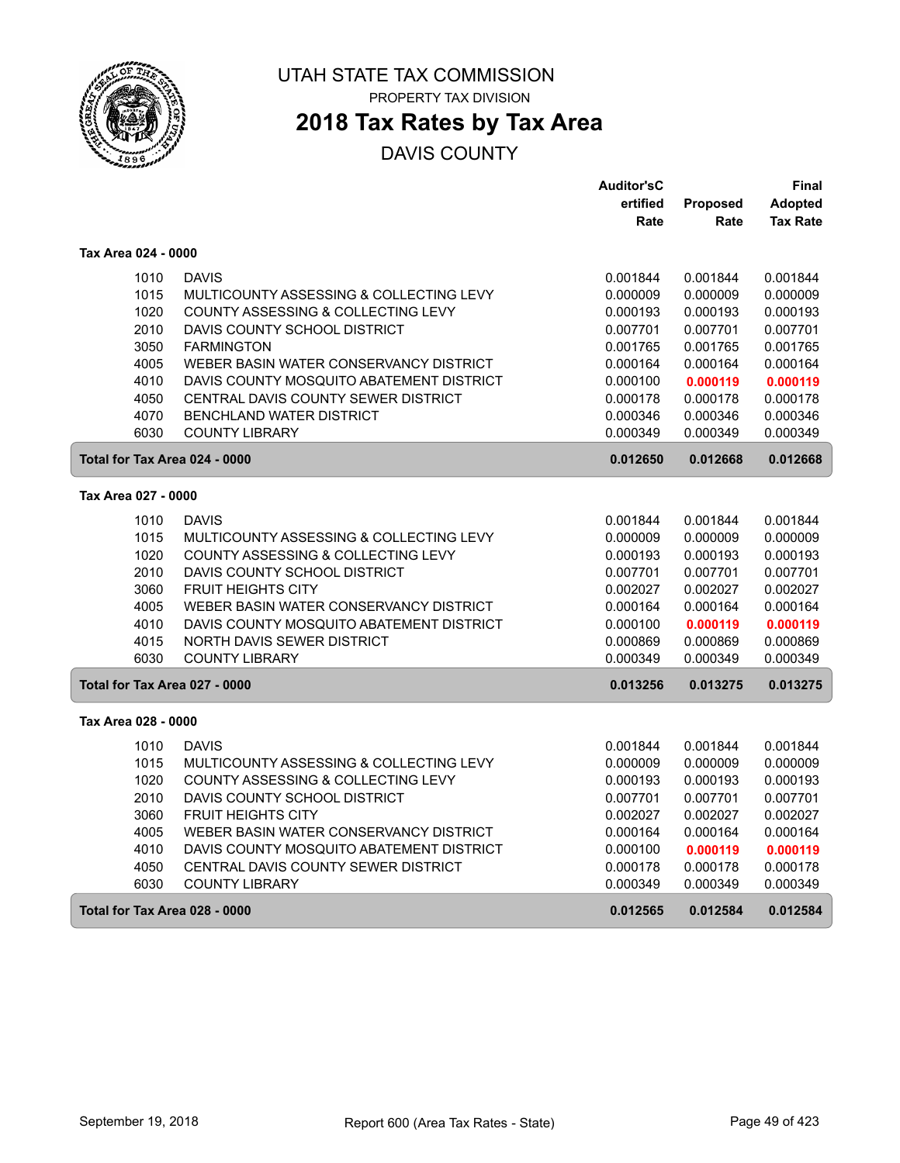

PROPERTY TAX DIVISION

### **2018 Tax Rates by Tax Area**

|                               |                                          | <b>Auditor'sC</b> |                 | Final           |
|-------------------------------|------------------------------------------|-------------------|-----------------|-----------------|
|                               |                                          | ertified          | <b>Proposed</b> | <b>Adopted</b>  |
|                               |                                          | Rate              | Rate            | <b>Tax Rate</b> |
| Tax Area 024 - 0000           |                                          |                   |                 |                 |
| 1010                          | <b>DAVIS</b>                             | 0.001844          | 0.001844        | 0.001844        |
| 1015                          | MULTICOUNTY ASSESSING & COLLECTING LEVY  | 0.000009          | 0.000009        | 0.000009        |
| 1020                          | COUNTY ASSESSING & COLLECTING LEVY       | 0.000193          | 0.000193        | 0.000193        |
| 2010                          | DAVIS COUNTY SCHOOL DISTRICT             | 0.007701          | 0.007701        | 0.007701        |
| 3050                          | <b>FARMINGTON</b>                        | 0.001765          | 0.001765        | 0.001765        |
| 4005                          | WEBER BASIN WATER CONSERVANCY DISTRICT   | 0.000164          | 0.000164        | 0.000164        |
| 4010                          | DAVIS COUNTY MOSQUITO ABATEMENT DISTRICT | 0.000100          | 0.000119        | 0.000119        |
| 4050                          | CENTRAL DAVIS COUNTY SEWER DISTRICT      | 0.000178          | 0.000178        | 0.000178        |
| 4070                          | <b>BENCHLAND WATER DISTRICT</b>          | 0.000346          | 0.000346        | 0.000346        |
| 6030                          | <b>COUNTY LIBRARY</b>                    | 0.000349          | 0.000349        | 0.000349        |
| Total for Tax Area 024 - 0000 |                                          | 0.012650          | 0.012668        | 0.012668        |
| Tax Area 027 - 0000           |                                          |                   |                 |                 |
| 1010                          | <b>DAVIS</b>                             | 0.001844          | 0.001844        | 0.001844        |
| 1015                          | MULTICOUNTY ASSESSING & COLLECTING LEVY  | 0.000009          | 0.000009        | 0.000009        |
| 1020                          | COUNTY ASSESSING & COLLECTING LEVY       | 0.000193          | 0.000193        | 0.000193        |
| 2010                          | DAVIS COUNTY SCHOOL DISTRICT             | 0.007701          | 0.007701        | 0.007701        |
| 3060                          | <b>FRUIT HEIGHTS CITY</b>                | 0.002027          | 0.002027        | 0.002027        |
| 4005                          | WEBER BASIN WATER CONSERVANCY DISTRICT   | 0.000164          | 0.000164        | 0.000164        |
| 4010                          | DAVIS COUNTY MOSQUITO ABATEMENT DISTRICT | 0.000100          | 0.000119        | 0.000119        |
| 4015                          | NORTH DAVIS SEWER DISTRICT               | 0.000869          | 0.000869        | 0.000869        |
| 6030                          | <b>COUNTY LIBRARY</b>                    | 0.000349          | 0.000349        | 0.000349        |
| Total for Tax Area 027 - 0000 |                                          | 0.013256          | 0.013275        | 0.013275        |
| Tax Area 028 - 0000           |                                          |                   |                 |                 |
| 1010                          | <b>DAVIS</b>                             | 0.001844          | 0.001844        | 0.001844        |
| 1015                          | MULTICOUNTY ASSESSING & COLLECTING LEVY  | 0.000009          | 0.000009        | 0.000009        |
| 1020                          | COUNTY ASSESSING & COLLECTING LEVY       | 0.000193          | 0.000193        | 0.000193        |
| 2010                          | DAVIS COUNTY SCHOOL DISTRICT             | 0.007701          | 0.007701        | 0.007701        |
| 3060                          | <b>FRUIT HEIGHTS CITY</b>                | 0.002027          | 0.002027        | 0.002027        |
| 4005                          | WEBER BASIN WATER CONSERVANCY DISTRICT   | 0.000164          | 0.000164        | 0.000164        |
| 4010                          | DAVIS COUNTY MOSQUITO ABATEMENT DISTRICT | 0.000100          | 0.000119        | 0.000119        |
| 4050                          | CENTRAL DAVIS COUNTY SEWER DISTRICT      | 0.000178          | 0.000178        | 0.000178        |
| 6030                          | <b>COUNTY LIBRARY</b>                    | 0.000349          | 0.000349        | 0.000349        |
| Total for Tax Area 028 - 0000 |                                          | 0.012565          | 0.012584        | 0.012584        |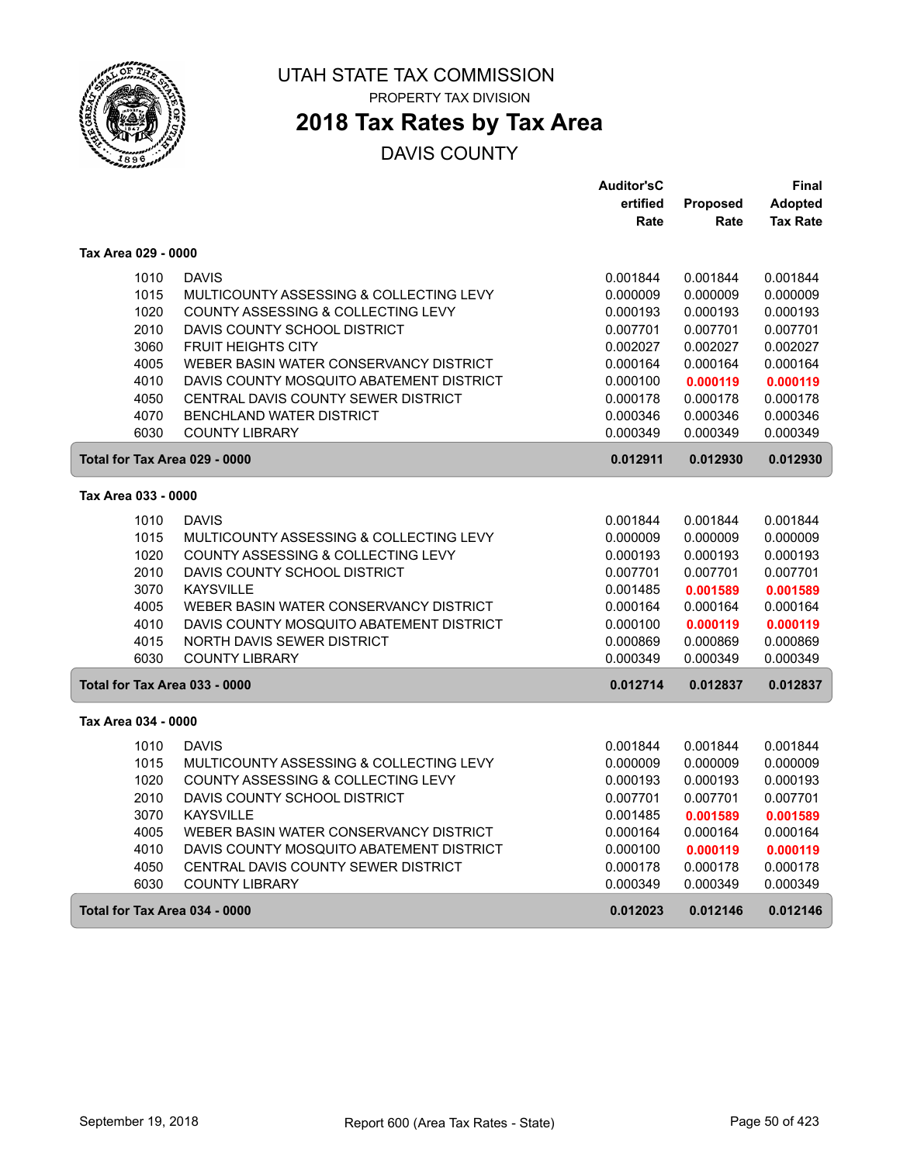

PROPERTY TAX DIVISION

### **2018 Tax Rates by Tax Area**

|                               |                                          | <b>Auditor'sC</b> |          | Final           |
|-------------------------------|------------------------------------------|-------------------|----------|-----------------|
|                               |                                          | ertified          | Proposed | <b>Adopted</b>  |
|                               |                                          | Rate              | Rate     | <b>Tax Rate</b> |
| Tax Area 029 - 0000           |                                          |                   |          |                 |
| 1010                          | <b>DAVIS</b>                             | 0.001844          | 0.001844 | 0.001844        |
| 1015                          | MULTICOUNTY ASSESSING & COLLECTING LEVY  | 0.000009          | 0.000009 | 0.000009        |
| 1020                          | COUNTY ASSESSING & COLLECTING LEVY       | 0.000193          | 0.000193 | 0.000193        |
| 2010                          | DAVIS COUNTY SCHOOL DISTRICT             | 0.007701          | 0.007701 | 0.007701        |
| 3060                          | <b>FRUIT HEIGHTS CITY</b>                | 0.002027          | 0.002027 | 0.002027        |
| 4005                          | WEBER BASIN WATER CONSERVANCY DISTRICT   | 0.000164          | 0.000164 | 0.000164        |
| 4010                          | DAVIS COUNTY MOSQUITO ABATEMENT DISTRICT | 0.000100          | 0.000119 | 0.000119        |
| 4050                          | CENTRAL DAVIS COUNTY SEWER DISTRICT      | 0.000178          | 0.000178 | 0.000178        |
| 4070                          | <b>BENCHLAND WATER DISTRICT</b>          | 0.000346          | 0.000346 | 0.000346        |
| 6030                          | <b>COUNTY LIBRARY</b>                    | 0.000349          | 0.000349 | 0.000349        |
| Total for Tax Area 029 - 0000 |                                          | 0.012911          | 0.012930 | 0.012930        |
| Tax Area 033 - 0000           |                                          |                   |          |                 |
| 1010                          | <b>DAVIS</b>                             | 0.001844          | 0.001844 | 0.001844        |
| 1015                          | MULTICOUNTY ASSESSING & COLLECTING LEVY  | 0.000009          | 0.000009 | 0.000009        |
| 1020                          | COUNTY ASSESSING & COLLECTING LEVY       | 0.000193          | 0.000193 | 0.000193        |
| 2010                          | DAVIS COUNTY SCHOOL DISTRICT             | 0.007701          | 0.007701 | 0.007701        |
| 3070                          | <b>KAYSVILLE</b>                         | 0.001485          | 0.001589 | 0.001589        |
| 4005                          | WEBER BASIN WATER CONSERVANCY DISTRICT   | 0.000164          | 0.000164 | 0.000164        |
| 4010                          | DAVIS COUNTY MOSQUITO ABATEMENT DISTRICT | 0.000100          | 0.000119 | 0.000119        |
| 4015                          | <b>NORTH DAVIS SEWER DISTRICT</b>        | 0.000869          | 0.000869 | 0.000869        |
| 6030                          | <b>COUNTY LIBRARY</b>                    | 0.000349          | 0.000349 | 0.000349        |
| Total for Tax Area 033 - 0000 |                                          | 0.012714          | 0.012837 | 0.012837        |
| Tax Area 034 - 0000           |                                          |                   |          |                 |
| 1010                          | <b>DAVIS</b>                             | 0.001844          | 0.001844 | 0.001844        |
| 1015                          | MULTICOUNTY ASSESSING & COLLECTING LEVY  | 0.000009          | 0.000009 | 0.000009        |
| 1020                          | COUNTY ASSESSING & COLLECTING LEVY       | 0.000193          | 0.000193 | 0.000193        |
| 2010                          | DAVIS COUNTY SCHOOL DISTRICT             | 0.007701          | 0.007701 | 0.007701        |
| 3070                          | <b>KAYSVILLE</b>                         | 0.001485          | 0.001589 | 0.001589        |
| 4005                          | WEBER BASIN WATER CONSERVANCY DISTRICT   | 0.000164          | 0.000164 | 0.000164        |
| 4010                          | DAVIS COUNTY MOSQUITO ABATEMENT DISTRICT | 0.000100          | 0.000119 | 0.000119        |
| 4050                          | CENTRAL DAVIS COUNTY SEWER DISTRICT      | 0.000178          | 0.000178 | 0.000178        |
| 6030                          | <b>COUNTY LIBRARY</b>                    | 0.000349          | 0.000349 | 0.000349        |
| Total for Tax Area 034 - 0000 |                                          | 0.012023          | 0.012146 | 0.012146        |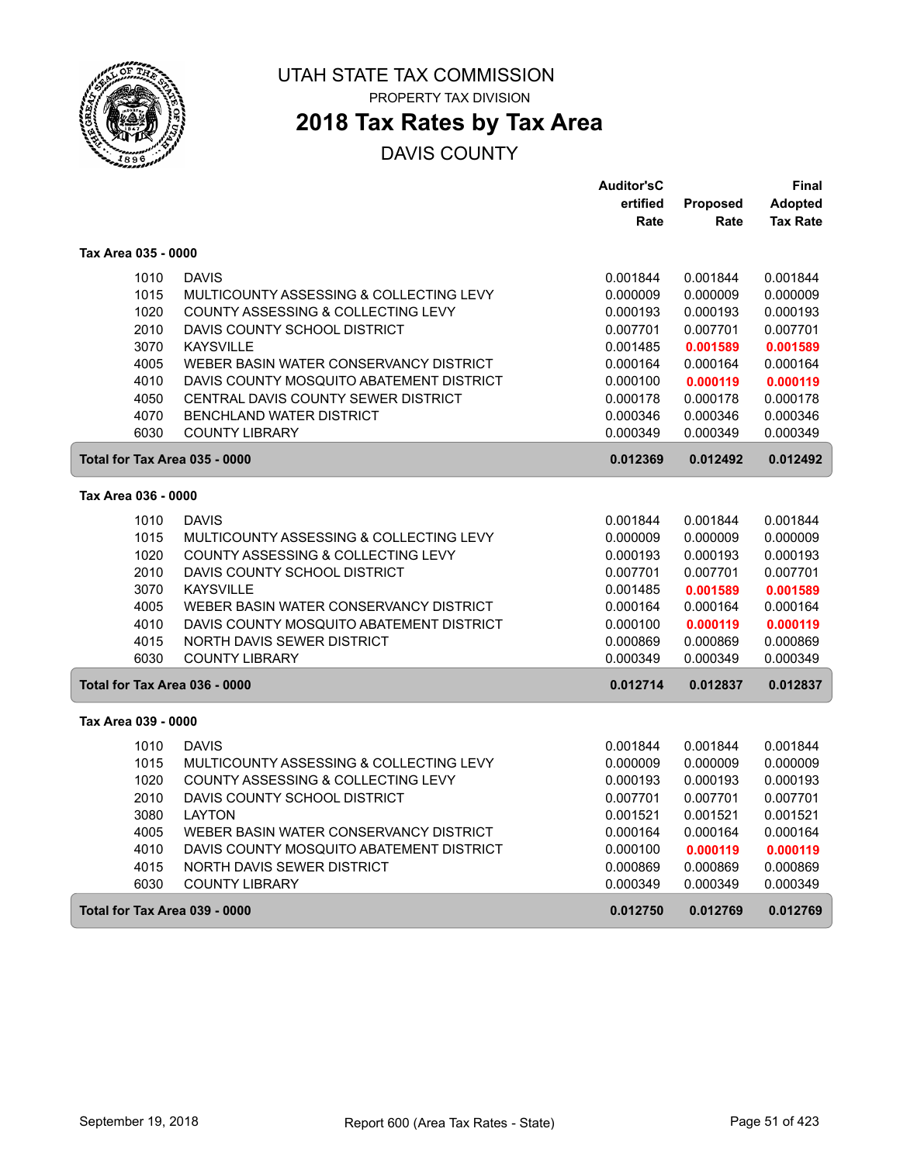

PROPERTY TAX DIVISION

### **2018 Tax Rates by Tax Area**

|                               |                                          | <b>Auditor'sC</b> |                 | Final           |
|-------------------------------|------------------------------------------|-------------------|-----------------|-----------------|
|                               |                                          | ertified          | <b>Proposed</b> | Adopted         |
|                               |                                          | Rate              | Rate            | <b>Tax Rate</b> |
| Tax Area 035 - 0000           |                                          |                   |                 |                 |
| 1010                          | <b>DAVIS</b>                             | 0.001844          | 0.001844        | 0.001844        |
| 1015                          | MULTICOUNTY ASSESSING & COLLECTING LEVY  | 0.000009          | 0.000009        | 0.000009        |
| 1020                          | COUNTY ASSESSING & COLLECTING LEVY       | 0.000193          | 0.000193        | 0.000193        |
| 2010                          | DAVIS COUNTY SCHOOL DISTRICT             | 0.007701          | 0.007701        | 0.007701        |
| 3070                          | <b>KAYSVILLE</b>                         | 0.001485          | 0.001589        | 0.001589        |
| 4005                          | WEBER BASIN WATER CONSERVANCY DISTRICT   | 0.000164          | 0.000164        | 0.000164        |
| 4010                          | DAVIS COUNTY MOSQUITO ABATEMENT DISTRICT | 0.000100          | 0.000119        | 0.000119        |
| 4050                          | CENTRAL DAVIS COUNTY SEWER DISTRICT      | 0.000178          | 0.000178        | 0.000178        |
| 4070                          | <b>BENCHLAND WATER DISTRICT</b>          | 0.000346          | 0.000346        | 0.000346        |
| 6030                          | <b>COUNTY LIBRARY</b>                    | 0.000349          | 0.000349        | 0.000349        |
| Total for Tax Area 035 - 0000 |                                          | 0.012369          | 0.012492        | 0.012492        |
| Tax Area 036 - 0000           |                                          |                   |                 |                 |
| 1010                          | <b>DAVIS</b>                             | 0.001844          | 0.001844        | 0.001844        |
| 1015                          | MULTICOUNTY ASSESSING & COLLECTING LEVY  | 0.000009          | 0.000009        | 0.000009        |
| 1020                          | COUNTY ASSESSING & COLLECTING LEVY       | 0.000193          | 0.000193        | 0.000193        |
| 2010                          | DAVIS COUNTY SCHOOL DISTRICT             | 0.007701          | 0.007701        | 0.007701        |
| 3070                          | <b>KAYSVILLE</b>                         | 0.001485          | 0.001589        | 0.001589        |
| 4005                          | WEBER BASIN WATER CONSERVANCY DISTRICT   | 0.000164          | 0.000164        | 0.000164        |
| 4010                          | DAVIS COUNTY MOSQUITO ABATEMENT DISTRICT | 0.000100          | 0.000119        | 0.000119        |
| 4015                          | <b>NORTH DAVIS SEWER DISTRICT</b>        | 0.000869          | 0.000869        | 0.000869        |
| 6030                          | <b>COUNTY LIBRARY</b>                    | 0.000349          | 0.000349        | 0.000349        |
| Total for Tax Area 036 - 0000 |                                          | 0.012714          | 0.012837        | 0.012837        |
| Tax Area 039 - 0000           |                                          |                   |                 |                 |
| 1010                          | <b>DAVIS</b>                             | 0.001844          | 0.001844        | 0.001844        |
| 1015                          | MULTICOUNTY ASSESSING & COLLECTING LEVY  | 0.000009          | 0.000009        | 0.000009        |
| 1020                          | COUNTY ASSESSING & COLLECTING LEVY       | 0.000193          | 0.000193        | 0.000193        |
| 2010                          | DAVIS COUNTY SCHOOL DISTRICT             | 0.007701          | 0.007701        | 0.007701        |
| 3080                          | <b>LAYTON</b>                            | 0.001521          | 0.001521        | 0.001521        |
| 4005                          | WEBER BASIN WATER CONSERVANCY DISTRICT   | 0.000164          | 0.000164        | 0.000164        |
| 4010                          | DAVIS COUNTY MOSQUITO ABATEMENT DISTRICT | 0.000100          | 0.000119        | 0.000119        |
| 4015                          | NORTH DAVIS SEWER DISTRICT               | 0.000869          | 0.000869        | 0.000869        |
| 6030                          | <b>COUNTY LIBRARY</b>                    | 0.000349          | 0.000349        | 0.000349        |
| Total for Tax Area 039 - 0000 |                                          | 0.012750          | 0.012769        | 0.012769        |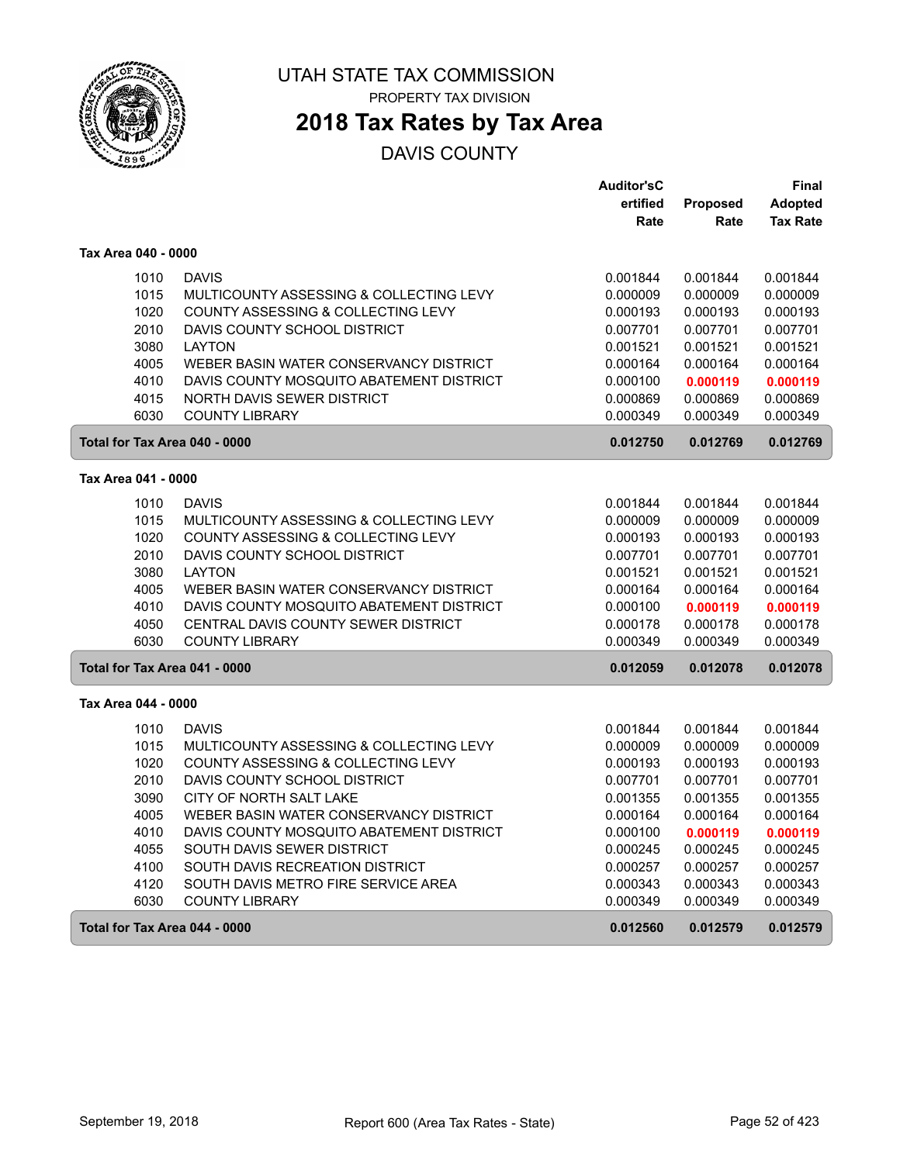

PROPERTY TAX DIVISION

### **2018 Tax Rates by Tax Area**

|                     |                                          | <b>Auditor'sC</b> |                 | Final           |
|---------------------|------------------------------------------|-------------------|-----------------|-----------------|
|                     |                                          | ertified          | <b>Proposed</b> | <b>Adopted</b>  |
|                     |                                          | Rate              | Rate            | <b>Tax Rate</b> |
| Tax Area 040 - 0000 |                                          |                   |                 |                 |
| 1010                | <b>DAVIS</b>                             | 0.001844          | 0.001844        | 0.001844        |
| 1015                | MULTICOUNTY ASSESSING & COLLECTING LEVY  | 0.000009          | 0.000009        | 0.000009        |
| 1020                | COUNTY ASSESSING & COLLECTING LEVY       | 0.000193          | 0.000193        | 0.000193        |
| 2010                | DAVIS COUNTY SCHOOL DISTRICT             | 0.007701          | 0.007701        | 0.007701        |
| 3080                | <b>LAYTON</b>                            | 0.001521          | 0.001521        | 0.001521        |
| 4005                | WEBER BASIN WATER CONSERVANCY DISTRICT   | 0.000164          | 0.000164        | 0.000164        |
| 4010                | DAVIS COUNTY MOSQUITO ABATEMENT DISTRICT | 0.000100          | 0.000119        | 0.000119        |
| 4015                | NORTH DAVIS SEWER DISTRICT               | 0.000869          | 0.000869        | 0.000869        |
| 6030                | <b>COUNTY LIBRARY</b>                    | 0.000349          | 0.000349        | 0.000349        |
|                     | Total for Tax Area 040 - 0000            | 0.012750          | 0.012769        | 0.012769        |
| Tax Area 041 - 0000 |                                          |                   |                 |                 |
| 1010                | <b>DAVIS</b>                             | 0.001844          | 0.001844        | 0.001844        |
| 1015                | MULTICOUNTY ASSESSING & COLLECTING LEVY  | 0.000009          | 0.000009        | 0.000009        |
| 1020                | COUNTY ASSESSING & COLLECTING LEVY       | 0.000193          | 0.000193        | 0.000193        |
| 2010                | DAVIS COUNTY SCHOOL DISTRICT             | 0.007701          | 0.007701        | 0.007701        |
| 3080                | <b>LAYTON</b>                            | 0.001521          | 0.001521        | 0.001521        |
| 4005                | WEBER BASIN WATER CONSERVANCY DISTRICT   | 0.000164          | 0.000164        | 0.000164        |
| 4010                | DAVIS COUNTY MOSQUITO ABATEMENT DISTRICT | 0.000100          | 0.000119        | 0.000119        |
| 4050                | CENTRAL DAVIS COUNTY SEWER DISTRICT      | 0.000178          | 0.000178        | 0.000178        |
| 6030                | <b>COUNTY LIBRARY</b>                    | 0.000349          | 0.000349        | 0.000349        |
|                     | Total for Tax Area 041 - 0000            | 0.012059          | 0.012078        | 0.012078        |
| Tax Area 044 - 0000 |                                          |                   |                 |                 |
| 1010                | <b>DAVIS</b>                             | 0.001844          | 0.001844        | 0.001844        |
| 1015                | MULTICOUNTY ASSESSING & COLLECTING LEVY  | 0.000009          | 0.000009        | 0.000009        |
| 1020                | COUNTY ASSESSING & COLLECTING LEVY       | 0.000193          | 0.000193        | 0.000193        |
| 2010                | DAVIS COUNTY SCHOOL DISTRICT             | 0.007701          | 0.007701        | 0.007701        |
| 3090                | CITY OF NORTH SALT LAKE                  | 0.001355          | 0.001355        | 0.001355        |
| 4005                | WEBER BASIN WATER CONSERVANCY DISTRICT   | 0.000164          | 0.000164        | 0.000164        |
| 4010                | DAVIS COUNTY MOSQUITO ABATEMENT DISTRICT | 0.000100          | 0.000119        | 0.000119        |
| 4055                | SOUTH DAVIS SEWER DISTRICT               | 0.000245          | 0.000245        | 0.000245        |
| 4100                | SOUTH DAVIS RECREATION DISTRICT          | 0.000257          | 0.000257        | 0.000257        |
| 4120                | SOUTH DAVIS METRO FIRE SERVICE AREA      | 0.000343          | 0.000343        | 0.000343        |
| 6030                | <b>COUNTY LIBRARY</b>                    | 0.000349          | 0.000349        | 0.000349        |
|                     | Total for Tax Area 044 - 0000            | 0.012560          | 0.012579        | 0.012579        |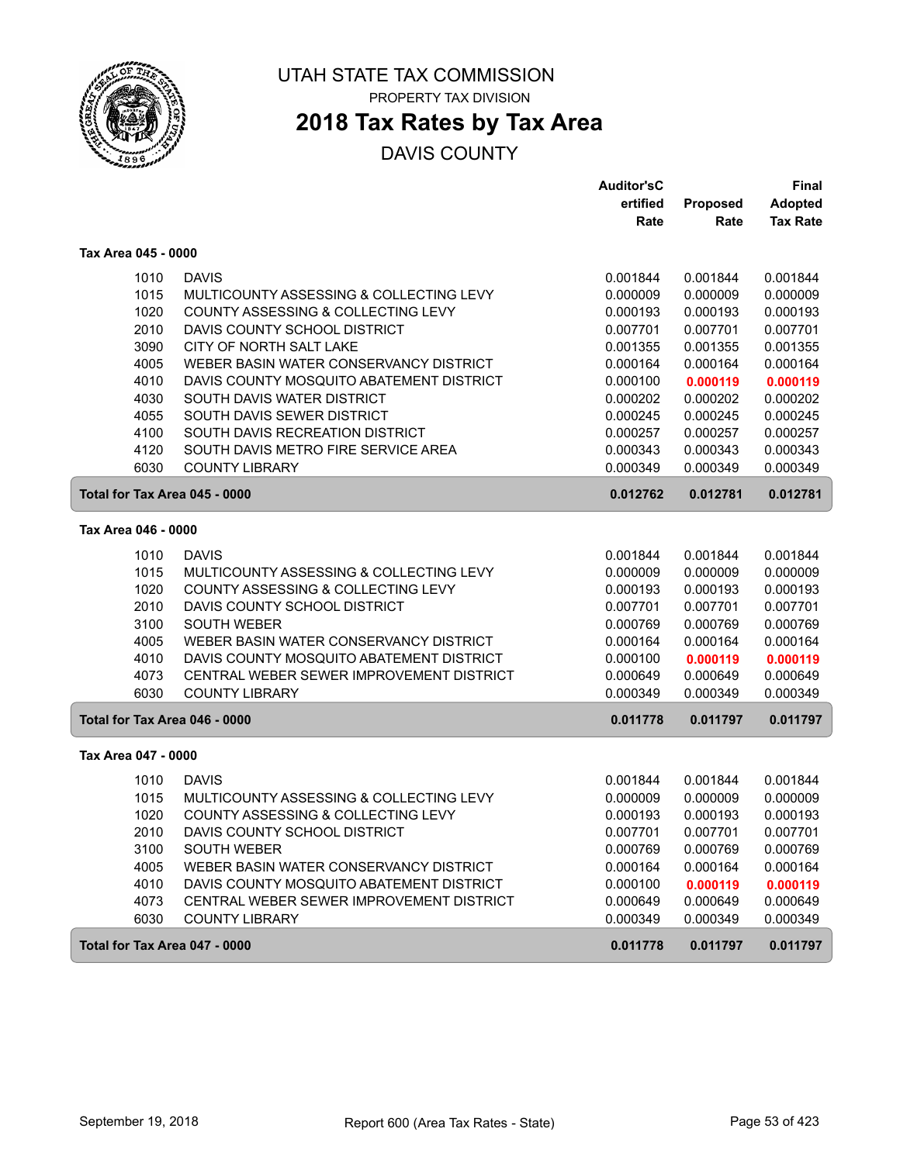

### **2018 Tax Rates by Tax Area**

|                               |                                          | <b>Auditor'sC</b> |          | Final           |
|-------------------------------|------------------------------------------|-------------------|----------|-----------------|
|                               |                                          | ertified          | Proposed | <b>Adopted</b>  |
|                               |                                          | Rate              | Rate     | <b>Tax Rate</b> |
| Tax Area 045 - 0000           |                                          |                   |          |                 |
| 1010                          | <b>DAVIS</b>                             | 0.001844          | 0.001844 | 0.001844        |
| 1015                          | MULTICOUNTY ASSESSING & COLLECTING LEVY  | 0.000009          | 0.000009 | 0.000009        |
| 1020                          | COUNTY ASSESSING & COLLECTING LEVY       | 0.000193          | 0.000193 | 0.000193        |
| 2010                          | DAVIS COUNTY SCHOOL DISTRICT             | 0.007701          | 0.007701 | 0.007701        |
| 3090                          | CITY OF NORTH SALT LAKE                  | 0.001355          | 0.001355 | 0.001355        |
| 4005                          | WEBER BASIN WATER CONSERVANCY DISTRICT   | 0.000164          | 0.000164 | 0.000164        |
| 4010                          | DAVIS COUNTY MOSQUITO ABATEMENT DISTRICT | 0.000100          | 0.000119 | 0.000119        |
| 4030                          | SOUTH DAVIS WATER DISTRICT               | 0.000202          | 0.000202 | 0.000202        |
| 4055                          | SOUTH DAVIS SEWER DISTRICT               | 0.000245          | 0.000245 | 0.000245        |
| 4100                          | SOUTH DAVIS RECREATION DISTRICT          | 0.000257          | 0.000257 | 0.000257        |
| 4120                          | SOUTH DAVIS METRO FIRE SERVICE AREA      | 0.000343          | 0.000343 | 0.000343        |
| 6030                          | <b>COUNTY LIBRARY</b>                    | 0.000349          | 0.000349 | 0.000349        |
| Total for Tax Area 045 - 0000 |                                          | 0.012762          | 0.012781 | 0.012781        |
| Tax Area 046 - 0000           |                                          |                   |          |                 |
| 1010                          | <b>DAVIS</b>                             | 0.001844          | 0.001844 | 0.001844        |
| 1015                          | MULTICOUNTY ASSESSING & COLLECTING LEVY  | 0.000009          | 0.000009 | 0.000009        |
| 1020                          | COUNTY ASSESSING & COLLECTING LEVY       | 0.000193          | 0.000193 | 0.000193        |
| 2010                          | DAVIS COUNTY SCHOOL DISTRICT             | 0.007701          | 0.007701 | 0.007701        |
| 3100                          | <b>SOUTH WEBER</b>                       | 0.000769          | 0.000769 | 0.000769        |
| 4005                          | WEBER BASIN WATER CONSERVANCY DISTRICT   | 0.000164          | 0.000164 | 0.000164        |
| 4010                          | DAVIS COUNTY MOSQUITO ABATEMENT DISTRICT | 0.000100          | 0.000119 | 0.000119        |
| 4073                          | CENTRAL WEBER SEWER IMPROVEMENT DISTRICT | 0.000649          | 0.000649 | 0.000649        |
| 6030                          | <b>COUNTY LIBRARY</b>                    | 0.000349          | 0.000349 | 0.000349        |
| Total for Tax Area 046 - 0000 |                                          | 0.011778          | 0.011797 | 0.011797        |
| Tax Area 047 - 0000           |                                          |                   |          |                 |
| 1010                          | <b>DAVIS</b>                             | 0.001844          | 0.001844 | 0.001844        |
| 1015                          | MULTICOUNTY ASSESSING & COLLECTING LEVY  | 0.000009          | 0.000009 | 0.000009        |
| 1020                          | COUNTY ASSESSING & COLLECTING LEVY       | 0.000193          | 0.000193 | 0.000193        |
| 2010                          | DAVIS COUNTY SCHOOL DISTRICT             | 0.007701          | 0.007701 | 0.007701        |
| 3100                          | <b>SOUTH WEBER</b>                       | 0.000769          | 0.000769 | 0.000769        |
| 4005                          | WEBER BASIN WATER CONSERVANCY DISTRICT   | 0.000164          | 0.000164 | 0.000164        |
| 4010                          | DAVIS COUNTY MOSQUITO ABATEMENT DISTRICT | 0.000100          | 0.000119 | 0.000119        |
| 4073                          | CENTRAL WEBER SEWER IMPROVEMENT DISTRICT | 0.000649          | 0.000649 | 0.000649        |
| 6030                          | <b>COUNTY LIBRARY</b>                    | 0.000349          | 0.000349 | 0.000349        |
| Total for Tax Area 047 - 0000 |                                          | 0.011778          | 0.011797 | 0.011797        |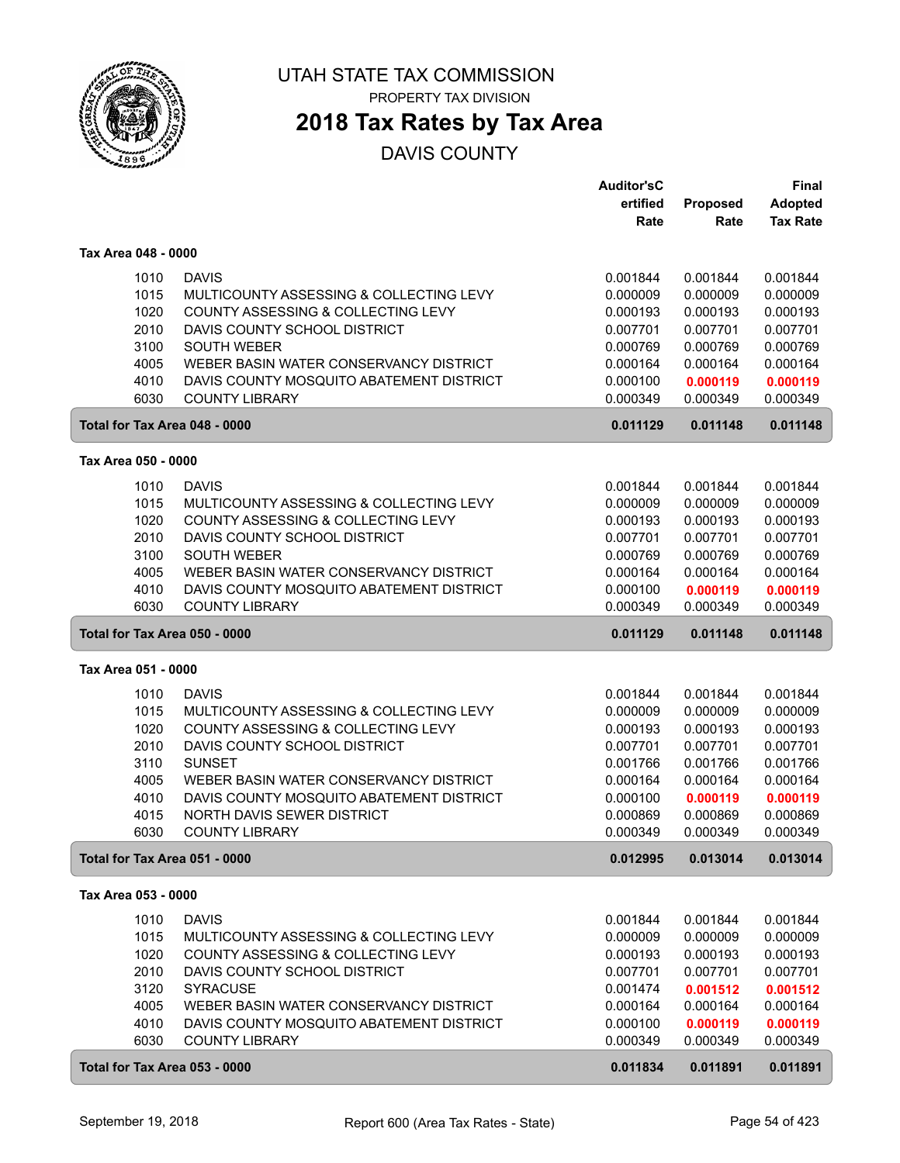

PROPERTY TAX DIVISION

### **2018 Tax Rates by Tax Area**

|                                           |                                                                                    | <b>Auditor'sC</b> |          | Final           |
|-------------------------------------------|------------------------------------------------------------------------------------|-------------------|----------|-----------------|
|                                           |                                                                                    | ertified          | Proposed | <b>Adopted</b>  |
|                                           |                                                                                    | Rate              | Rate     | <b>Tax Rate</b> |
| Tax Area 048 - 0000                       |                                                                                    |                   |          |                 |
| 1010                                      | <b>DAVIS</b>                                                                       | 0.001844          | 0.001844 | 0.001844        |
| 1015                                      | MULTICOUNTY ASSESSING & COLLECTING LEVY                                            | 0.000009          | 0.000009 | 0.000009        |
| 1020                                      | COUNTY ASSESSING & COLLECTING LEVY                                                 | 0.000193          | 0.000193 | 0.000193        |
| 2010                                      | DAVIS COUNTY SCHOOL DISTRICT                                                       | 0.007701          | 0.007701 | 0.007701        |
| 3100                                      | <b>SOUTH WEBER</b>                                                                 | 0.000769          | 0.000769 | 0.000769        |
| 4005                                      | WEBER BASIN WATER CONSERVANCY DISTRICT                                             | 0.000164          | 0.000164 | 0.000164        |
| 4010                                      | DAVIS COUNTY MOSQUITO ABATEMENT DISTRICT                                           | 0.000100          | 0.000119 | 0.000119        |
| 6030                                      | <b>COUNTY LIBRARY</b>                                                              | 0.000349          | 0.000349 | 0.000349        |
| Total for Tax Area 048 - 0000             |                                                                                    | 0.011129          | 0.011148 | 0.011148        |
| Tax Area 050 - 0000                       |                                                                                    |                   |          |                 |
|                                           |                                                                                    |                   |          |                 |
| 1010                                      | <b>DAVIS</b>                                                                       | 0.001844          | 0.001844 | 0.001844        |
| 1015                                      | MULTICOUNTY ASSESSING & COLLECTING LEVY                                            | 0.000009          | 0.000009 | 0.000009        |
| 1020                                      | COUNTY ASSESSING & COLLECTING LEVY                                                 | 0.000193          | 0.000193 | 0.000193        |
| 2010                                      | DAVIS COUNTY SCHOOL DISTRICT                                                       | 0.007701          | 0.007701 | 0.007701        |
| 3100                                      | <b>SOUTH WEBER</b>                                                                 | 0.000769          | 0.000769 | 0.000769        |
| 4005                                      | WEBER BASIN WATER CONSERVANCY DISTRICT<br>DAVIS COUNTY MOSQUITO ABATEMENT DISTRICT | 0.000164          | 0.000164 | 0.000164        |
| 4010                                      | <b>COUNTY LIBRARY</b>                                                              | 0.000100          | 0.000119 | 0.000119        |
| 6030                                      |                                                                                    | 0.000349          | 0.000349 | 0.000349        |
| Total for Tax Area 050 - 0000<br>0.011129 |                                                                                    | 0.011148          | 0.011148 |                 |
| Tax Area 051 - 0000                       |                                                                                    |                   |          |                 |
| 1010                                      | <b>DAVIS</b>                                                                       | 0.001844          | 0.001844 | 0.001844        |
| 1015                                      | MULTICOUNTY ASSESSING & COLLECTING LEVY                                            | 0.000009          | 0.000009 | 0.000009        |
| 1020                                      | COUNTY ASSESSING & COLLECTING LEVY                                                 | 0.000193          | 0.000193 | 0.000193        |
| 2010                                      | DAVIS COUNTY SCHOOL DISTRICT                                                       | 0.007701          | 0.007701 | 0.007701        |
| 3110                                      | <b>SUNSET</b>                                                                      | 0.001766          | 0.001766 | 0.001766        |
| 4005                                      | WEBER BASIN WATER CONSERVANCY DISTRICT                                             | 0.000164          | 0.000164 | 0.000164        |
| 4010                                      | DAVIS COUNTY MOSQUITO ABATEMENT DISTRICT                                           | 0.000100          | 0.000119 | 0.000119        |
| 4015                                      | NORTH DAVIS SEWER DISTRICT                                                         | 0.000869          | 0.000869 | 0.000869        |
| 6030                                      | <b>COUNTY LIBRARY</b>                                                              | 0.000349          | 0.000349 | 0.000349        |
| Total for Tax Area 051 - 0000             |                                                                                    | 0.012995          | 0.013014 | 0.013014        |
| Tax Area 053 - 0000                       |                                                                                    |                   |          |                 |
| 1010                                      | <b>DAVIS</b>                                                                       | 0.001844          | 0.001844 | 0.001844        |
| 1015                                      | MULTICOUNTY ASSESSING & COLLECTING LEVY                                            | 0.000009          | 0.000009 | 0.000009        |
| 1020                                      | COUNTY ASSESSING & COLLECTING LEVY                                                 | 0.000193          | 0.000193 | 0.000193        |
| 2010                                      | DAVIS COUNTY SCHOOL DISTRICT                                                       | 0.007701          | 0.007701 | 0.007701        |
| 3120                                      | <b>SYRACUSE</b>                                                                    | 0.001474          | 0.001512 | 0.001512        |
| 4005                                      | WEBER BASIN WATER CONSERVANCY DISTRICT                                             | 0.000164          | 0.000164 | 0.000164        |
| 4010                                      | DAVIS COUNTY MOSQUITO ABATEMENT DISTRICT                                           | 0.000100          | 0.000119 | 0.000119        |
| 6030                                      | <b>COUNTY LIBRARY</b>                                                              | 0.000349          | 0.000349 | 0.000349        |
| Total for Tax Area 053 - 0000             |                                                                                    | 0.011834          | 0.011891 | 0.011891        |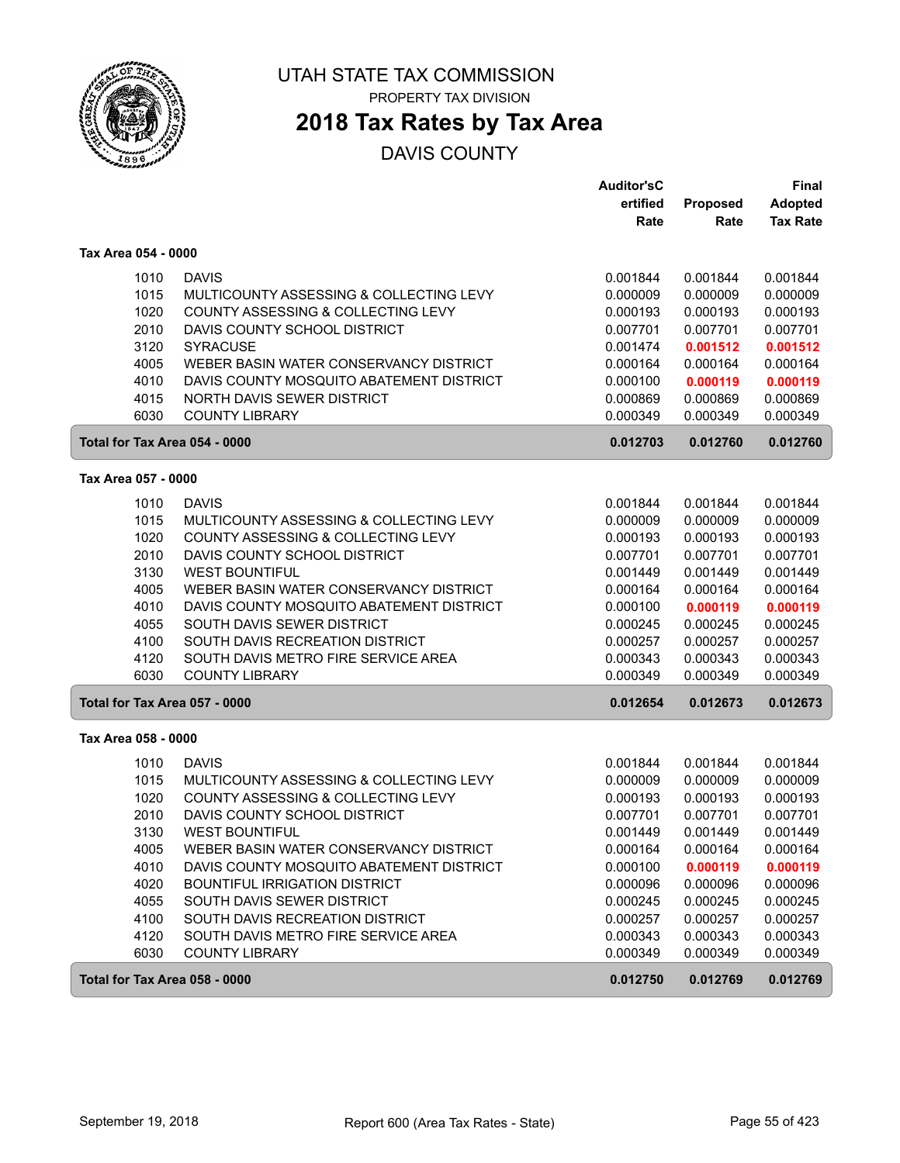

PROPERTY TAX DIVISION

# **2018 Tax Rates by Tax Area**

|                               |                                          | <b>Auditor'sC</b> |          | Final           |
|-------------------------------|------------------------------------------|-------------------|----------|-----------------|
|                               |                                          | ertified          | Proposed | <b>Adopted</b>  |
|                               |                                          | Rate              | Rate     | <b>Tax Rate</b> |
| Tax Area 054 - 0000           |                                          |                   |          |                 |
| 1010                          | <b>DAVIS</b>                             | 0.001844          | 0.001844 | 0.001844        |
| 1015                          | MULTICOUNTY ASSESSING & COLLECTING LEVY  | 0.000009          | 0.000009 | 0.000009        |
| 1020                          | COUNTY ASSESSING & COLLECTING LEVY       | 0.000193          | 0.000193 | 0.000193        |
| 2010                          | DAVIS COUNTY SCHOOL DISTRICT             | 0.007701          | 0.007701 | 0.007701        |
| 3120                          | <b>SYRACUSE</b>                          | 0.001474          | 0.001512 | 0.001512        |
| 4005                          | WEBER BASIN WATER CONSERVANCY DISTRICT   | 0.000164          | 0.000164 | 0.000164        |
| 4010                          | DAVIS COUNTY MOSQUITO ABATEMENT DISTRICT | 0.000100          | 0.000119 | 0.000119        |
| 4015                          | NORTH DAVIS SEWER DISTRICT               | 0.000869          | 0.000869 | 0.000869        |
| 6030                          | <b>COUNTY LIBRARY</b>                    | 0.000349          | 0.000349 | 0.000349        |
| Total for Tax Area 054 - 0000 |                                          | 0.012703          | 0.012760 | 0.012760        |
| Tax Area 057 - 0000           |                                          |                   |          |                 |
| 1010                          | <b>DAVIS</b>                             | 0.001844          | 0.001844 | 0.001844        |
| 1015                          | MULTICOUNTY ASSESSING & COLLECTING LEVY  | 0.000009          | 0.000009 | 0.000009        |
| 1020                          | COUNTY ASSESSING & COLLECTING LEVY       | 0.000193          | 0.000193 | 0.000193        |
| 2010                          | DAVIS COUNTY SCHOOL DISTRICT             | 0.007701          | 0.007701 | 0.007701        |
| 3130                          | <b>WEST BOUNTIFUL</b>                    | 0.001449          | 0.001449 | 0.001449        |
| 4005                          | WEBER BASIN WATER CONSERVANCY DISTRICT   | 0.000164          | 0.000164 | 0.000164        |
| 4010                          | DAVIS COUNTY MOSQUITO ABATEMENT DISTRICT | 0.000100          | 0.000119 | 0.000119        |
| 4055                          | SOUTH DAVIS SEWER DISTRICT               | 0.000245          | 0.000245 | 0.000245        |
| 4100                          | SOUTH DAVIS RECREATION DISTRICT          | 0.000257          | 0.000257 | 0.000257        |
| 4120                          | SOUTH DAVIS METRO FIRE SERVICE AREA      | 0.000343          | 0.000343 | 0.000343        |
| 6030                          | <b>COUNTY LIBRARY</b>                    | 0.000349          | 0.000349 | 0.000349        |
| Total for Tax Area 057 - 0000 |                                          | 0.012654          | 0.012673 | 0.012673        |
| Tax Area 058 - 0000           |                                          |                   |          |                 |
| 1010                          | <b>DAVIS</b>                             | 0.001844          | 0.001844 | 0.001844        |
| 1015                          | MULTICOUNTY ASSESSING & COLLECTING LEVY  | 0.000009          | 0.000009 | 0.000009        |
| 1020                          | COUNTY ASSESSING & COLLECTING LEVY       | 0.000193          | 0.000193 | 0.000193        |
| 2010                          | DAVIS COUNTY SCHOOL DISTRICT             | 0.007701          | 0.007701 | 0.007701        |
| 3130                          | <b>WEST BOUNTIFUL</b>                    | 0.001449          | 0.001449 | 0.001449        |
| 4005                          | WEBER BASIN WATER CONSERVANCY DISTRICT   | 0.000164          | 0.000164 | 0.000164        |
| 4010                          | DAVIS COUNTY MOSQUITO ABATEMENT DISTRICT | 0.000100          | 0.000119 | 0.000119        |
| 4020                          | <b>BOUNTIFUL IRRIGATION DISTRICT</b>     | 0.000096          | 0.000096 | 0.000096        |
| 4055                          | SOUTH DAVIS SEWER DISTRICT               | 0.000245          | 0.000245 | 0.000245        |
| 4100                          | SOUTH DAVIS RECREATION DISTRICT          | 0.000257          | 0.000257 | 0.000257        |
| 4120                          | SOUTH DAVIS METRO FIRE SERVICE AREA      | 0.000343          | 0.000343 | 0.000343        |
| 6030                          | <b>COUNTY LIBRARY</b>                    | 0.000349          | 0.000349 | 0.000349        |
| Total for Tax Area 058 - 0000 |                                          | 0.012750          | 0.012769 | 0.012769        |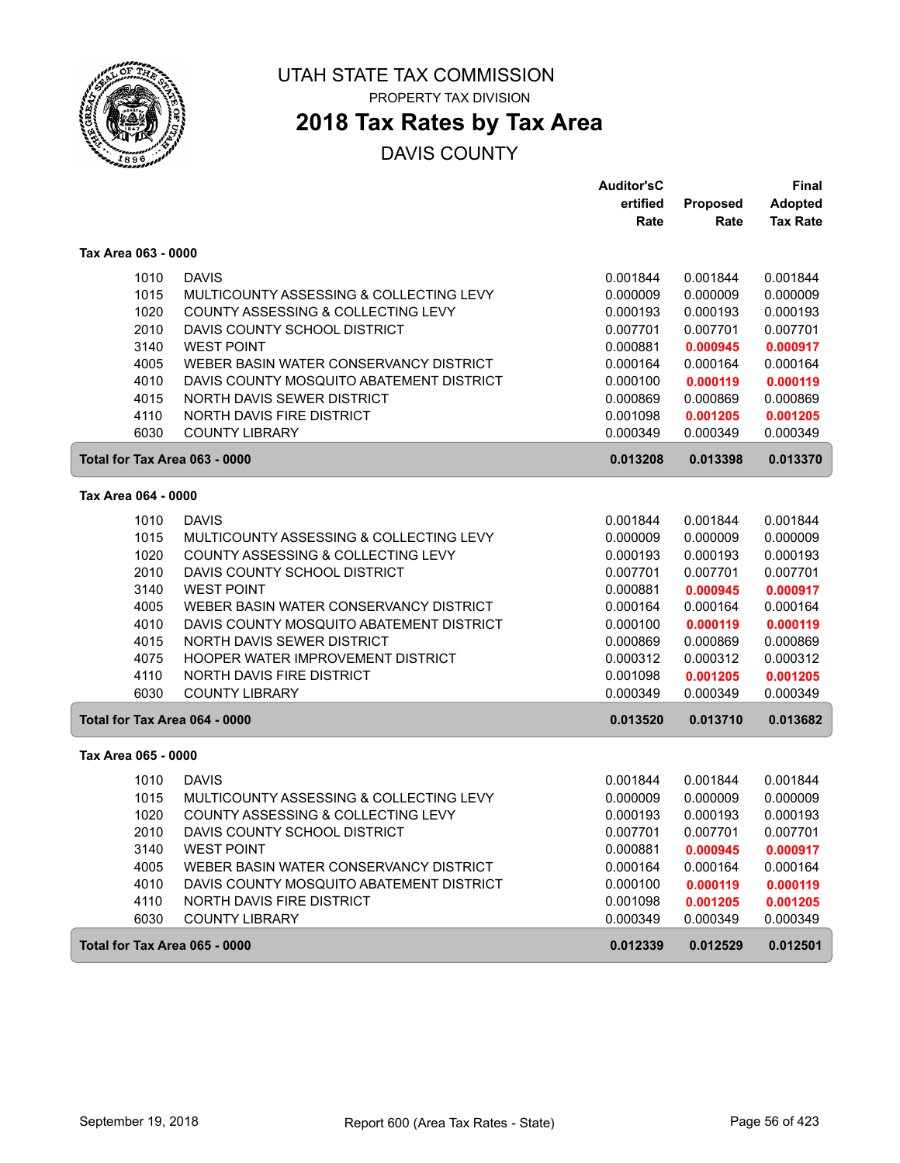

PROPERTY TAX DIVISION

### **2018 Tax Rates by Tax Area**

|                               |                                          | <b>Auditor'sC</b> |          | <b>Final</b>    |
|-------------------------------|------------------------------------------|-------------------|----------|-----------------|
|                               |                                          | ertified          | Proposed | <b>Adopted</b>  |
|                               |                                          | Rate              | Rate     | <b>Tax Rate</b> |
| Tax Area 063 - 0000           |                                          |                   |          |                 |
| 1010                          | <b>DAVIS</b>                             | 0.001844          | 0.001844 | 0.001844        |
| 1015                          | MULTICOUNTY ASSESSING & COLLECTING LEVY  | 0.000009          | 0.000009 | 0.000009        |
| 1020                          | COUNTY ASSESSING & COLLECTING LEVY       | 0.000193          | 0.000193 | 0.000193        |
| 2010                          | DAVIS COUNTY SCHOOL DISTRICT             | 0.007701          | 0.007701 | 0.007701        |
| 3140                          | <b>WEST POINT</b>                        | 0.000881          | 0.000945 | 0.000917        |
| 4005                          | WEBER BASIN WATER CONSERVANCY DISTRICT   | 0.000164          | 0.000164 | 0.000164        |
| 4010                          | DAVIS COUNTY MOSQUITO ABATEMENT DISTRICT | 0.000100          | 0.000119 | 0.000119        |
| 4015                          | NORTH DAVIS SEWER DISTRICT               | 0.000869          | 0.000869 | 0.000869        |
| 4110                          | <b>NORTH DAVIS FIRE DISTRICT</b>         | 0.001098          | 0.001205 | 0.001205        |
| 6030                          | <b>COUNTY LIBRARY</b>                    | 0.000349          | 0.000349 | 0.000349        |
| Total for Tax Area 063 - 0000 |                                          | 0.013208          | 0.013398 | 0.013370        |
| Tax Area 064 - 0000           |                                          |                   |          |                 |
| 1010                          | <b>DAVIS</b>                             | 0.001844          | 0.001844 | 0.001844        |
| 1015                          | MULTICOUNTY ASSESSING & COLLECTING LEVY  | 0.000009          | 0.000009 | 0.000009        |
| 1020                          | COUNTY ASSESSING & COLLECTING LEVY       | 0.000193          | 0.000193 | 0.000193        |
| 2010                          | DAVIS COUNTY SCHOOL DISTRICT             | 0.007701          | 0.007701 | 0.007701        |
| 3140                          | <b>WEST POINT</b>                        | 0.000881          | 0.000945 | 0.000917        |
| 4005                          | WEBER BASIN WATER CONSERVANCY DISTRICT   | 0.000164          | 0.000164 | 0.000164        |
| 4010                          | DAVIS COUNTY MOSQUITO ABATEMENT DISTRICT | 0.000100          | 0.000119 | 0.000119        |
| 4015                          | NORTH DAVIS SEWER DISTRICT               | 0.000869          | 0.000869 | 0.000869        |
| 4075                          | HOOPER WATER IMPROVEMENT DISTRICT        | 0.000312          | 0.000312 | 0.000312        |
| 4110                          | NORTH DAVIS FIRE DISTRICT                | 0.001098          | 0.001205 | 0.001205        |
| 6030                          | <b>COUNTY LIBRARY</b>                    | 0.000349          | 0.000349 | 0.000349        |
| Total for Tax Area 064 - 0000 |                                          | 0.013520          | 0.013710 | 0.013682        |
| Tax Area 065 - 0000           |                                          |                   |          |                 |
| 1010                          | <b>DAVIS</b>                             | 0.001844          | 0.001844 | 0.001844        |
| 1015                          | MULTICOUNTY ASSESSING & COLLECTING LEVY  | 0.000009          | 0.000009 | 0.000009        |
| 1020                          | COUNTY ASSESSING & COLLECTING LEVY       | 0.000193          | 0.000193 | 0.000193        |
| 2010                          | DAVIS COUNTY SCHOOL DISTRICT             | 0.007701          | 0.007701 | 0.007701        |
| 3140                          | <b>WEST POINT</b>                        | 0.000881          | 0.000945 | 0.000917        |
| 4005                          | WEBER BASIN WATER CONSERVANCY DISTRICT   | 0.000164          | 0.000164 | 0.000164        |
| 4010                          | DAVIS COUNTY MOSQUITO ABATEMENT DISTRICT | 0.000100          | 0.000119 | 0.000119        |
| 4110                          | NORTH DAVIS FIRE DISTRICT                | 0.001098          | 0.001205 | 0.001205        |
| 6030                          | <b>COUNTY LIBRARY</b>                    | 0.000349          | 0.000349 | 0.000349        |
| Total for Tax Area 065 - 0000 |                                          | 0.012339          | 0.012529 | 0.012501        |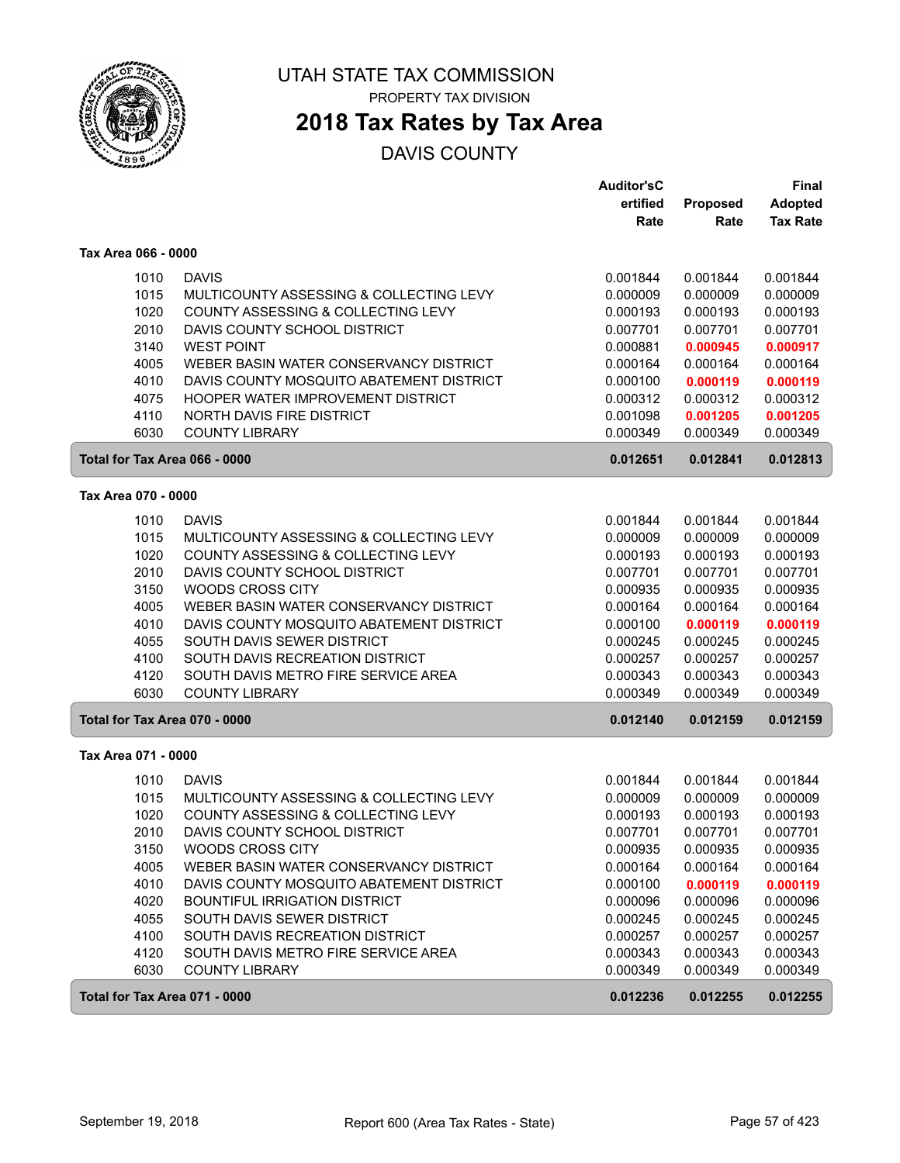

PROPERTY TAX DIVISION

# **2018 Tax Rates by Tax Area**

|                               |                                                                                    | <b>Auditor'sC</b><br>ertified | Proposed             | Final<br><b>Adopted</b> |
|-------------------------------|------------------------------------------------------------------------------------|-------------------------------|----------------------|-------------------------|
|                               |                                                                                    | Rate                          | Rate                 | <b>Tax Rate</b>         |
| Tax Area 066 - 0000           |                                                                                    |                               |                      |                         |
| 1010                          | <b>DAVIS</b>                                                                       | 0.001844                      | 0.001844             | 0.001844                |
| 1015                          | MULTICOUNTY ASSESSING & COLLECTING LEVY                                            | 0.000009                      | 0.000009             | 0.000009                |
| 1020                          | COUNTY ASSESSING & COLLECTING LEVY                                                 | 0.000193                      | 0.000193             | 0.000193                |
| 2010<br>3140                  | DAVIS COUNTY SCHOOL DISTRICT                                                       | 0.007701                      | 0.007701             | 0.007701                |
| 4005                          | <b>WEST POINT</b><br>WEBER BASIN WATER CONSERVANCY DISTRICT                        | 0.000881<br>0.000164          | 0.000945<br>0.000164 | 0.000917<br>0.000164    |
| 4010                          | DAVIS COUNTY MOSQUITO ABATEMENT DISTRICT                                           | 0.000100                      | 0.000119             | 0.000119                |
| 4075                          | HOOPER WATER IMPROVEMENT DISTRICT                                                  | 0.000312                      | 0.000312             | 0.000312                |
| 4110                          | <b>NORTH DAVIS FIRE DISTRICT</b>                                                   | 0.001098                      | 0.001205             | 0.001205                |
| 6030                          | <b>COUNTY LIBRARY</b>                                                              | 0.000349                      | 0.000349             | 0.000349                |
| Total for Tax Area 066 - 0000 |                                                                                    | 0.012651                      | 0.012841             | 0.012813                |
| Tax Area 070 - 0000           |                                                                                    |                               |                      |                         |
| 1010                          | <b>DAVIS</b>                                                                       | 0.001844                      | 0.001844             | 0.001844                |
| 1015                          | MULTICOUNTY ASSESSING & COLLECTING LEVY                                            | 0.000009                      | 0.000009             | 0.000009                |
| 1020                          | COUNTY ASSESSING & COLLECTING LEVY                                                 | 0.000193                      | 0.000193             | 0.000193                |
| 2010                          | DAVIS COUNTY SCHOOL DISTRICT                                                       | 0.007701                      | 0.007701             | 0.007701                |
| 3150                          | <b>WOODS CROSS CITY</b>                                                            | 0.000935                      | 0.000935             | 0.000935                |
| 4005<br>4010                  | WEBER BASIN WATER CONSERVANCY DISTRICT<br>DAVIS COUNTY MOSQUITO ABATEMENT DISTRICT | 0.000164<br>0.000100          | 0.000164<br>0.000119 | 0.000164<br>0.000119    |
| 4055                          | SOUTH DAVIS SEWER DISTRICT                                                         | 0.000245                      | 0.000245             | 0.000245                |
| 4100                          | SOUTH DAVIS RECREATION DISTRICT                                                    | 0.000257                      | 0.000257             | 0.000257                |
| 4120                          | SOUTH DAVIS METRO FIRE SERVICE AREA                                                | 0.000343                      | 0.000343             | 0.000343                |
| 6030                          | <b>COUNTY LIBRARY</b>                                                              | 0.000349                      | 0.000349             | 0.000349                |
| Total for Tax Area 070 - 0000 |                                                                                    | 0.012140                      | 0.012159             | 0.012159                |
| Tax Area 071 - 0000           |                                                                                    |                               |                      |                         |
| 1010                          | <b>DAVIS</b>                                                                       | 0.001844                      | 0.001844             | 0.001844                |
| 1015                          | MULTICOUNTY ASSESSING & COLLECTING LEVY                                            | 0.000009                      | 0.000009             | 0.000009                |
| 1020                          | COUNTY ASSESSING & COLLECTING LEVY                                                 | 0.000193                      | 0.000193             | 0.000193                |
| 2010                          | DAVIS COUNTY SCHOOL DISTRICT                                                       | 0.007701                      | 0.007701             | 0.007701                |
| 3150                          | WOODS CROSS CITY                                                                   | 0.000935                      | 0.000935             | 0.000935                |
| 4005<br>4010                  | WEBER BASIN WATER CONSERVANCY DISTRICT<br>DAVIS COUNTY MOSQUITO ABATEMENT DISTRICT | 0.000164<br>0.000100          | 0.000164<br>0.000119 | 0.000164                |
| 4020                          | BOUNTIFUL IRRIGATION DISTRICT                                                      | 0.000096                      | 0.000096             | 0.000119<br>0.000096    |
| 4055                          | SOUTH DAVIS SEWER DISTRICT                                                         | 0.000245                      | 0.000245             | 0.000245                |
| 4100                          | SOUTH DAVIS RECREATION DISTRICT                                                    | 0.000257                      | 0.000257             | 0.000257                |
| 4120                          | SOUTH DAVIS METRO FIRE SERVICE AREA                                                | 0.000343                      | 0.000343             | 0.000343                |
| 6030                          | <b>COUNTY LIBRARY</b>                                                              | 0.000349                      | 0.000349             | 0.000349                |
| Total for Tax Area 071 - 0000 |                                                                                    | 0.012236                      | 0.012255             | 0.012255                |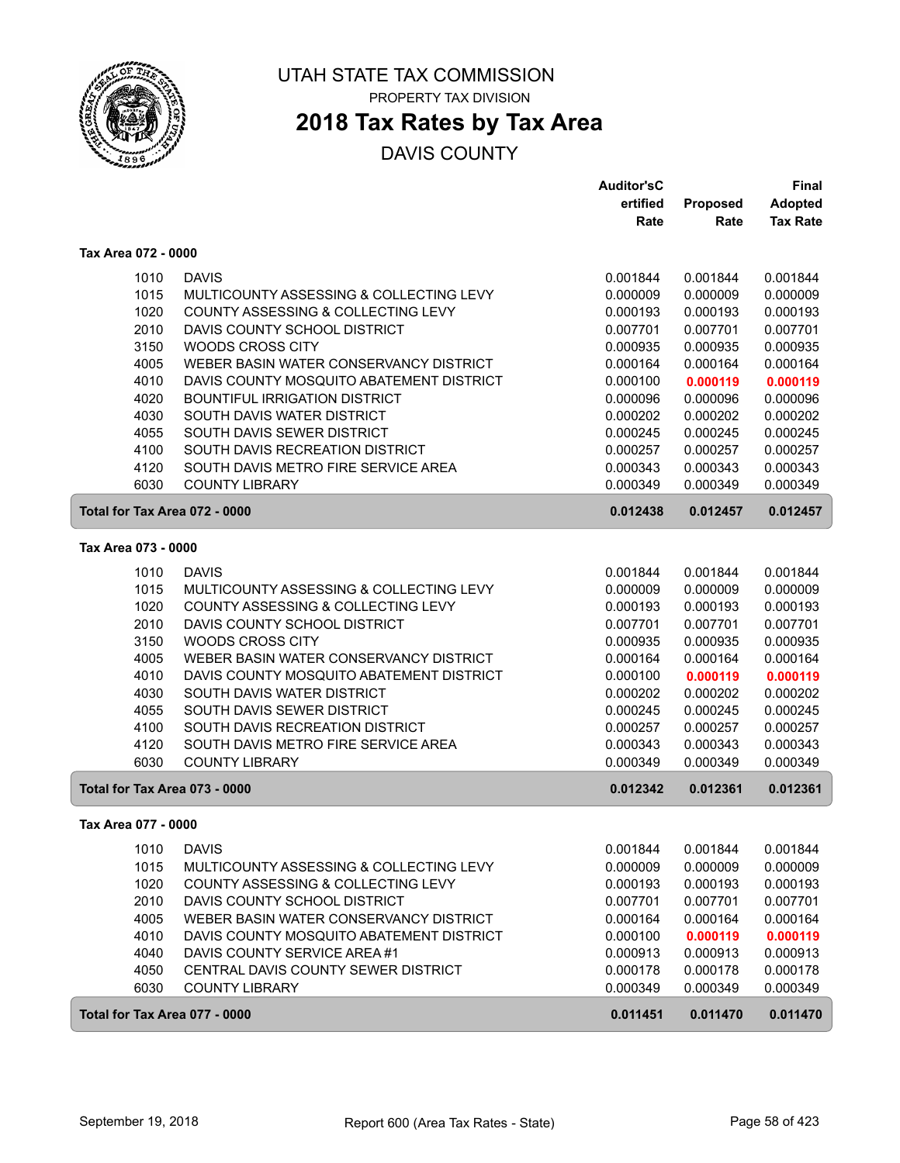

### **2018 Tax Rates by Tax Area**

|                               |                                          | <b>Auditor'sC</b> |          | <b>Final</b>    |
|-------------------------------|------------------------------------------|-------------------|----------|-----------------|
|                               |                                          | ertified          | Proposed | <b>Adopted</b>  |
|                               |                                          | Rate              | Rate     | <b>Tax Rate</b> |
| Tax Area 072 - 0000           |                                          |                   |          |                 |
| 1010                          | <b>DAVIS</b>                             | 0.001844          | 0.001844 | 0.001844        |
| 1015                          | MULTICOUNTY ASSESSING & COLLECTING LEVY  | 0.000009          | 0.000009 | 0.000009        |
| 1020                          | COUNTY ASSESSING & COLLECTING LEVY       | 0.000193          | 0.000193 | 0.000193        |
| 2010                          | DAVIS COUNTY SCHOOL DISTRICT             | 0.007701          | 0.007701 | 0.007701        |
| 3150                          | <b>WOODS CROSS CITY</b>                  | 0.000935          | 0.000935 | 0.000935        |
| 4005                          | WEBER BASIN WATER CONSERVANCY DISTRICT   | 0.000164          | 0.000164 | 0.000164        |
| 4010                          | DAVIS COUNTY MOSQUITO ABATEMENT DISTRICT | 0.000100          | 0.000119 | 0.000119        |
| 4020                          | <b>BOUNTIFUL IRRIGATION DISTRICT</b>     | 0.000096          | 0.000096 | 0.000096        |
| 4030                          | SOUTH DAVIS WATER DISTRICT               | 0.000202          | 0.000202 | 0.000202        |
| 4055                          | SOUTH DAVIS SEWER DISTRICT               | 0.000245          | 0.000245 | 0.000245        |
| 4100                          | SOUTH DAVIS RECREATION DISTRICT          | 0.000257          | 0.000257 | 0.000257        |
| 4120                          | SOUTH DAVIS METRO FIRE SERVICE AREA      | 0.000343          | 0.000343 | 0.000343        |
| 6030                          | <b>COUNTY LIBRARY</b>                    | 0.000349          | 0.000349 | 0.000349        |
| Total for Tax Area 072 - 0000 |                                          | 0.012438          | 0.012457 | 0.012457        |
| Tax Area 073 - 0000           |                                          |                   |          |                 |
| 1010                          | <b>DAVIS</b>                             | 0.001844          | 0.001844 | 0.001844        |
| 1015                          | MULTICOUNTY ASSESSING & COLLECTING LEVY  | 0.000009          | 0.000009 | 0.000009        |
| 1020                          | COUNTY ASSESSING & COLLECTING LEVY       | 0.000193          | 0.000193 | 0.000193        |
| 2010                          | DAVIS COUNTY SCHOOL DISTRICT             | 0.007701          | 0.007701 | 0.007701        |
| 3150                          | <b>WOODS CROSS CITY</b>                  | 0.000935          | 0.000935 | 0.000935        |
| 4005                          | WEBER BASIN WATER CONSERVANCY DISTRICT   | 0.000164          | 0.000164 | 0.000164        |
| 4010                          | DAVIS COUNTY MOSQUITO ABATEMENT DISTRICT | 0.000100          | 0.000119 | 0.000119        |
| 4030                          | SOUTH DAVIS WATER DISTRICT               | 0.000202          | 0.000202 | 0.000202        |
| 4055                          | SOUTH DAVIS SEWER DISTRICT               | 0.000245          | 0.000245 | 0.000245        |
| 4100                          | SOUTH DAVIS RECREATION DISTRICT          | 0.000257          | 0.000257 | 0.000257        |
| 4120                          | SOUTH DAVIS METRO FIRE SERVICE AREA      | 0.000343          | 0.000343 | 0.000343        |
| 6030                          | <b>COUNTY LIBRARY</b>                    | 0.000349          | 0.000349 | 0.000349        |
| Total for Tax Area 073 - 0000 |                                          | 0.012342          | 0.012361 | 0.012361        |
| Tax Area 077 - 0000           |                                          |                   |          |                 |
| 1010                          | <b>DAVIS</b>                             | 0.001844          | 0.001844 | 0.001844        |
| 1015                          | MULTICOUNTY ASSESSING & COLLECTING LEVY  | 0.000009          | 0.000009 | 0.000009        |
| 1020                          | COUNTY ASSESSING & COLLECTING LEVY       | 0.000193          | 0.000193 | 0.000193        |
| 2010                          | DAVIS COUNTY SCHOOL DISTRICT             | 0.007701          | 0.007701 | 0.007701        |
| 4005                          | WEBER BASIN WATER CONSERVANCY DISTRICT   | 0.000164          | 0.000164 | 0.000164        |
| 4010                          | DAVIS COUNTY MOSQUITO ABATEMENT DISTRICT | 0.000100          | 0.000119 | 0.000119        |
| 4040                          | DAVIS COUNTY SERVICE AREA #1             | 0.000913          | 0.000913 | 0.000913        |
| 4050                          | CENTRAL DAVIS COUNTY SEWER DISTRICT      | 0.000178          | 0.000178 | 0.000178        |
| 6030                          | <b>COUNTY LIBRARY</b>                    | 0.000349          | 0.000349 | 0.000349        |
| Total for Tax Area 077 - 0000 |                                          | 0.011451          | 0.011470 | 0.011470        |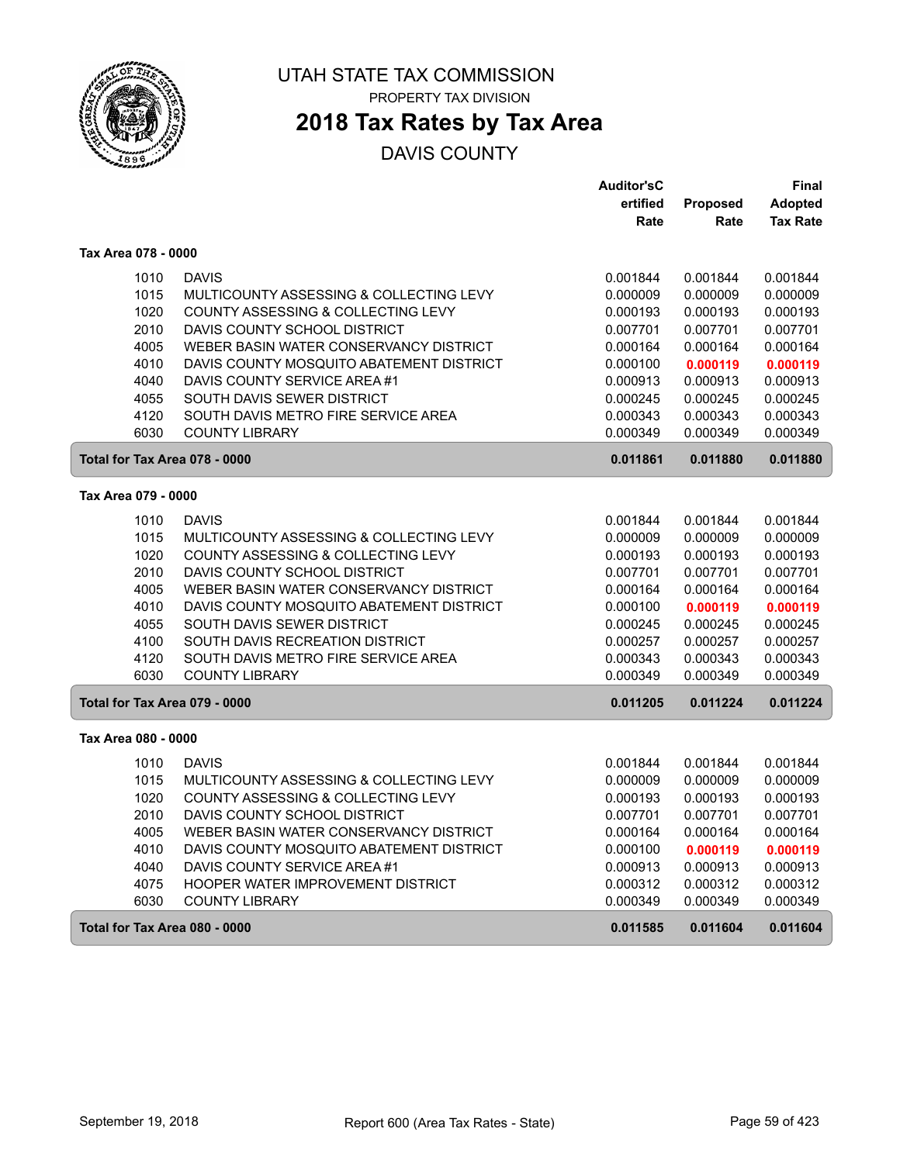

# **2018 Tax Rates by Tax Area**

|                               |                                          | <b>Auditor'sC</b> |          | Final           |
|-------------------------------|------------------------------------------|-------------------|----------|-----------------|
|                               |                                          | ertified          | Proposed | <b>Adopted</b>  |
|                               |                                          | Rate              | Rate     | <b>Tax Rate</b> |
| Tax Area 078 - 0000           |                                          |                   |          |                 |
| 1010                          | <b>DAVIS</b>                             | 0.001844          | 0.001844 | 0.001844        |
| 1015                          | MULTICOUNTY ASSESSING & COLLECTING LEVY  | 0.000009          | 0.000009 | 0.000009        |
| 1020                          | COUNTY ASSESSING & COLLECTING LEVY       | 0.000193          | 0.000193 | 0.000193        |
| 2010                          | DAVIS COUNTY SCHOOL DISTRICT             | 0.007701          | 0.007701 | 0.007701        |
| 4005                          | WEBER BASIN WATER CONSERVANCY DISTRICT   | 0.000164          | 0.000164 | 0.000164        |
| 4010                          | DAVIS COUNTY MOSQUITO ABATEMENT DISTRICT | 0.000100          | 0.000119 | 0.000119        |
| 4040                          | DAVIS COUNTY SERVICE AREA #1             | 0.000913          | 0.000913 | 0.000913        |
| 4055                          | SOUTH DAVIS SEWER DISTRICT               | 0.000245          | 0.000245 | 0.000245        |
| 4120                          | SOUTH DAVIS METRO FIRE SERVICE AREA      | 0.000343          | 0.000343 | 0.000343        |
| 6030                          | <b>COUNTY LIBRARY</b>                    | 0.000349          | 0.000349 | 0.000349        |
| Total for Tax Area 078 - 0000 |                                          | 0.011861          | 0.011880 | 0.011880        |
| Tax Area 079 - 0000           |                                          |                   |          |                 |
| 1010                          | <b>DAVIS</b>                             | 0.001844          | 0.001844 | 0.001844        |
| 1015                          | MULTICOUNTY ASSESSING & COLLECTING LEVY  | 0.000009          | 0.000009 | 0.000009        |
| 1020                          | COUNTY ASSESSING & COLLECTING LEVY       | 0.000193          | 0.000193 | 0.000193        |
| 2010                          | DAVIS COUNTY SCHOOL DISTRICT             | 0.007701          | 0.007701 | 0.007701        |
| 4005                          | WEBER BASIN WATER CONSERVANCY DISTRICT   | 0.000164          | 0.000164 | 0.000164        |
| 4010                          | DAVIS COUNTY MOSQUITO ABATEMENT DISTRICT | 0.000100          | 0.000119 | 0.000119        |
| 4055                          | SOUTH DAVIS SEWER DISTRICT               | 0.000245          | 0.000245 | 0.000245        |
| 4100                          | SOUTH DAVIS RECREATION DISTRICT          | 0.000257          | 0.000257 | 0.000257        |
| 4120                          | SOUTH DAVIS METRO FIRE SERVICE AREA      | 0.000343          | 0.000343 | 0.000343        |
| 6030                          | <b>COUNTY LIBRARY</b>                    | 0.000349          | 0.000349 | 0.000349        |
| Total for Tax Area 079 - 0000 |                                          | 0.011205          | 0.011224 | 0.011224        |
| Tax Area 080 - 0000           |                                          |                   |          |                 |
| 1010                          | <b>DAVIS</b>                             | 0.001844          | 0.001844 | 0.001844        |
| 1015                          | MULTICOUNTY ASSESSING & COLLECTING LEVY  | 0.000009          | 0.000009 | 0.000009        |
| 1020                          | COUNTY ASSESSING & COLLECTING LEVY       | 0.000193          | 0.000193 | 0.000193        |
| 2010                          | DAVIS COUNTY SCHOOL DISTRICT             | 0.007701          | 0.007701 | 0.007701        |
| 4005                          | WEBER BASIN WATER CONSERVANCY DISTRICT   | 0.000164          | 0.000164 | 0.000164        |
| 4010                          | DAVIS COUNTY MOSQUITO ABATEMENT DISTRICT | 0.000100          | 0.000119 | 0.000119        |
| 4040                          | DAVIS COUNTY SERVICE AREA #1             | 0.000913          | 0.000913 | 0.000913        |
| 4075                          | <b>HOOPER WATER IMPROVEMENT DISTRICT</b> | 0.000312          | 0.000312 | 0.000312        |
| 6030                          | <b>COUNTY LIBRARY</b>                    | 0.000349          | 0.000349 | 0.000349        |
| Total for Tax Area 080 - 0000 |                                          | 0.011585          | 0.011604 | 0.011604        |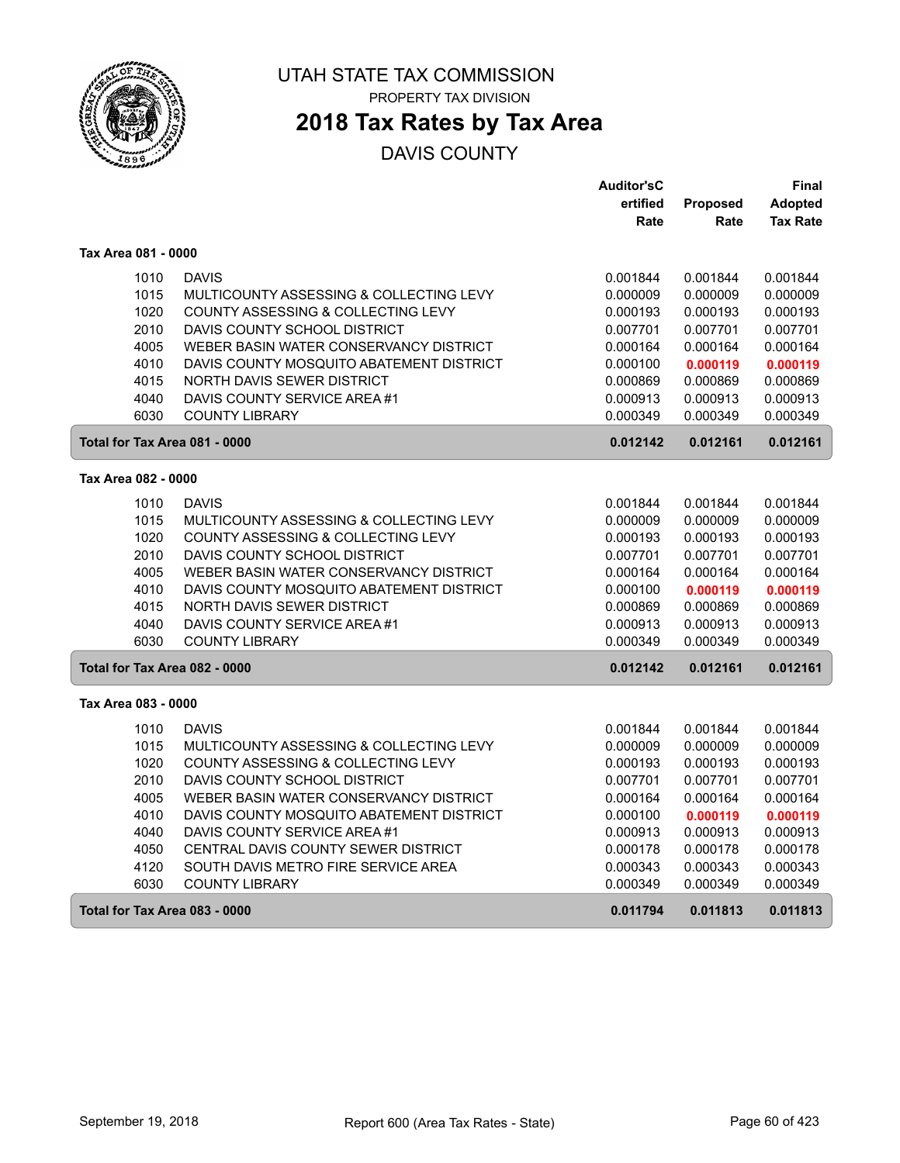

### **2018 Tax Rates by Tax Area**

|                               |                                          | <b>Auditor'sC</b> |          | Final           |
|-------------------------------|------------------------------------------|-------------------|----------|-----------------|
|                               |                                          | ertified          | Proposed | <b>Adopted</b>  |
|                               |                                          | Rate              | Rate     | <b>Tax Rate</b> |
| Tax Area 081 - 0000           |                                          |                   |          |                 |
| 1010                          | <b>DAVIS</b>                             | 0.001844          | 0.001844 | 0.001844        |
| 1015                          | MULTICOUNTY ASSESSING & COLLECTING LEVY  | 0.000009          | 0.000009 | 0.000009        |
| 1020                          | COUNTY ASSESSING & COLLECTING LEVY       | 0.000193          | 0.000193 | 0.000193        |
| 2010                          | DAVIS COUNTY SCHOOL DISTRICT             | 0.007701          | 0.007701 | 0.007701        |
| 4005                          | WEBER BASIN WATER CONSERVANCY DISTRICT   | 0.000164          | 0.000164 | 0.000164        |
| 4010                          | DAVIS COUNTY MOSQUITO ABATEMENT DISTRICT | 0.000100          | 0.000119 | 0.000119        |
| 4015                          | NORTH DAVIS SEWER DISTRICT               | 0.000869          | 0.000869 | 0.000869        |
| 4040                          | DAVIS COUNTY SERVICE AREA #1             | 0.000913          | 0.000913 | 0.000913        |
| 6030                          | <b>COUNTY LIBRARY</b>                    | 0.000349          | 0.000349 | 0.000349        |
| Total for Tax Area 081 - 0000 |                                          | 0.012142          | 0.012161 | 0.012161        |
| Tax Area 082 - 0000           |                                          |                   |          |                 |
| 1010                          | <b>DAVIS</b>                             | 0.001844          | 0.001844 | 0.001844        |
| 1015                          | MULTICOUNTY ASSESSING & COLLECTING LEVY  | 0.000009          | 0.000009 | 0.000009        |
| 1020                          | COUNTY ASSESSING & COLLECTING LEVY       | 0.000193          | 0.000193 | 0.000193        |
| 2010                          | DAVIS COUNTY SCHOOL DISTRICT             | 0.007701          | 0.007701 | 0.007701        |
| 4005                          | WEBER BASIN WATER CONSERVANCY DISTRICT   | 0.000164          | 0.000164 | 0.000164        |
| 4010                          | DAVIS COUNTY MOSQUITO ABATEMENT DISTRICT | 0.000100          | 0.000119 | 0.000119        |
| 4015                          | <b>NORTH DAVIS SEWER DISTRICT</b>        | 0.000869          | 0.000869 | 0.000869        |
| 4040                          | DAVIS COUNTY SERVICE AREA #1             | 0.000913          | 0.000913 | 0.000913        |
| 6030                          | <b>COUNTY LIBRARY</b>                    | 0.000349          | 0.000349 | 0.000349        |
| Total for Tax Area 082 - 0000 |                                          | 0.012142          | 0.012161 | 0.012161        |
| Tax Area 083 - 0000           |                                          |                   |          |                 |
| 1010                          | <b>DAVIS</b>                             | 0.001844          | 0.001844 | 0.001844        |
| 1015                          | MULTICOUNTY ASSESSING & COLLECTING LEVY  | 0.000009          | 0.000009 | 0.000009        |
| 1020                          | COUNTY ASSESSING & COLLECTING LEVY       | 0.000193          | 0.000193 | 0.000193        |
| 2010                          | DAVIS COUNTY SCHOOL DISTRICT             | 0.007701          | 0.007701 | 0.007701        |
| 4005                          | WEBER BASIN WATER CONSERVANCY DISTRICT   | 0.000164          | 0.000164 | 0.000164        |
| 4010                          | DAVIS COUNTY MOSQUITO ABATEMENT DISTRICT | 0.000100          | 0.000119 | 0.000119        |
| 4040                          | DAVIS COUNTY SERVICE AREA #1             | 0.000913          | 0.000913 | 0.000913        |
| 4050                          | CENTRAL DAVIS COUNTY SEWER DISTRICT      | 0.000178          | 0.000178 | 0.000178        |
| 4120                          | SOUTH DAVIS METRO FIRE SERVICE AREA      | 0.000343          | 0.000343 | 0.000343        |
| 6030                          | <b>COUNTY LIBRARY</b>                    | 0.000349          | 0.000349 | 0.000349        |
| Total for Tax Area 083 - 0000 |                                          | 0.011794          | 0.011813 | 0.011813        |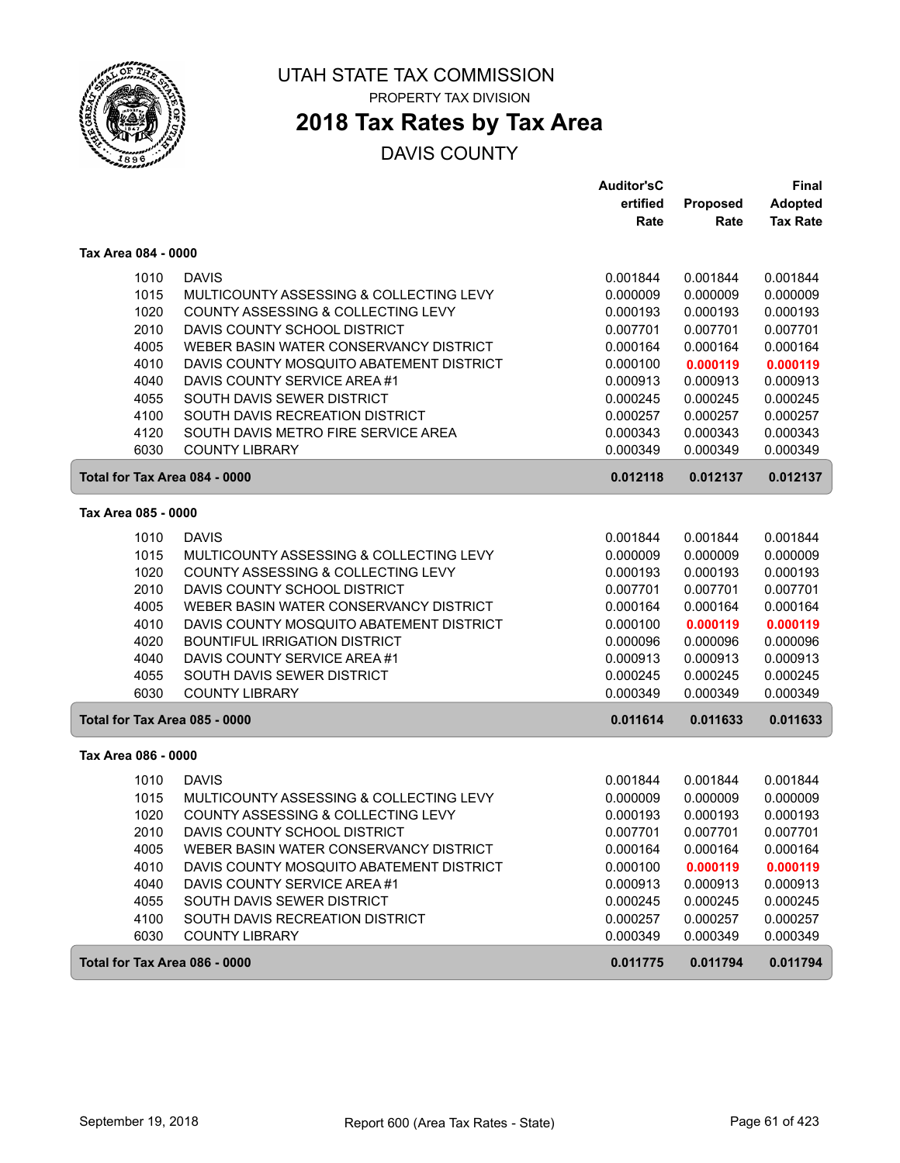

# **2018 Tax Rates by Tax Area**

|                               |                                          | <b>Auditor'sC</b> |          | Final           |
|-------------------------------|------------------------------------------|-------------------|----------|-----------------|
|                               |                                          | ertified          | Proposed | <b>Adopted</b>  |
|                               |                                          | Rate              | Rate     | <b>Tax Rate</b> |
| Tax Area 084 - 0000           |                                          |                   |          |                 |
| 1010                          | <b>DAVIS</b>                             | 0.001844          | 0.001844 | 0.001844        |
| 1015                          | MULTICOUNTY ASSESSING & COLLECTING LEVY  | 0.000009          | 0.000009 | 0.000009        |
| 1020                          | COUNTY ASSESSING & COLLECTING LEVY       | 0.000193          | 0.000193 | 0.000193        |
| 2010                          | DAVIS COUNTY SCHOOL DISTRICT             | 0.007701          | 0.007701 | 0.007701        |
| 4005                          | WEBER BASIN WATER CONSERVANCY DISTRICT   | 0.000164          | 0.000164 | 0.000164        |
| 4010                          | DAVIS COUNTY MOSQUITO ABATEMENT DISTRICT | 0.000100          | 0.000119 | 0.000119        |
| 4040                          | DAVIS COUNTY SERVICE AREA #1             | 0.000913          | 0.000913 | 0.000913        |
| 4055                          | SOUTH DAVIS SEWER DISTRICT               | 0.000245          | 0.000245 | 0.000245        |
| 4100                          | SOUTH DAVIS RECREATION DISTRICT          | 0.000257          | 0.000257 | 0.000257        |
| 4120                          | SOUTH DAVIS METRO FIRE SERVICE AREA      | 0.000343          | 0.000343 | 0.000343        |
| 6030                          | <b>COUNTY LIBRARY</b>                    | 0.000349          | 0.000349 | 0.000349        |
| Total for Tax Area 084 - 0000 |                                          | 0.012118          | 0.012137 | 0.012137        |
| Tax Area 085 - 0000           |                                          |                   |          |                 |
| 1010                          | <b>DAVIS</b>                             | 0.001844          | 0.001844 | 0.001844        |
| 1015                          | MULTICOUNTY ASSESSING & COLLECTING LEVY  | 0.000009          | 0.000009 | 0.000009        |
| 1020                          | COUNTY ASSESSING & COLLECTING LEVY       | 0.000193          | 0.000193 | 0.000193        |
| 2010                          | DAVIS COUNTY SCHOOL DISTRICT             | 0.007701          | 0.007701 | 0.007701        |
| 4005                          | WEBER BASIN WATER CONSERVANCY DISTRICT   | 0.000164          | 0.000164 | 0.000164        |
| 4010                          | DAVIS COUNTY MOSQUITO ABATEMENT DISTRICT | 0.000100          | 0.000119 | 0.000119        |
| 4020                          | <b>BOUNTIFUL IRRIGATION DISTRICT</b>     | 0.000096          | 0.000096 | 0.000096        |
| 4040                          | DAVIS COUNTY SERVICE AREA #1             | 0.000913          | 0.000913 | 0.000913        |
| 4055                          | SOUTH DAVIS SEWER DISTRICT               | 0.000245          | 0.000245 | 0.000245        |
| 6030                          | <b>COUNTY LIBRARY</b>                    | 0.000349          | 0.000349 | 0.000349        |
| Total for Tax Area 085 - 0000 |                                          | 0.011614          | 0.011633 | 0.011633        |
| Tax Area 086 - 0000           |                                          |                   |          |                 |
| 1010                          | <b>DAVIS</b>                             | 0.001844          | 0.001844 | 0.001844        |
| 1015                          | MULTICOUNTY ASSESSING & COLLECTING LEVY  | 0.000009          | 0.000009 | 0.000009        |
| 1020                          | COUNTY ASSESSING & COLLECTING LEVY       | 0.000193          | 0.000193 | 0.000193        |
| 2010                          | DAVIS COUNTY SCHOOL DISTRICT             | 0.007701          | 0.007701 | 0.007701        |
| 4005                          | WEBER BASIN WATER CONSERVANCY DISTRICT   | 0.000164          | 0.000164 | 0.000164        |
| 4010                          | DAVIS COUNTY MOSQUITO ABATEMENT DISTRICT | 0.000100          | 0.000119 | 0.000119        |
| 4040                          | DAVIS COUNTY SERVICE AREA #1             | 0.000913          | 0.000913 | 0.000913        |
| 4055                          | SOUTH DAVIS SEWER DISTRICT               | 0.000245          | 0.000245 | 0.000245        |
| 4100                          | SOUTH DAVIS RECREATION DISTRICT          | 0.000257          | 0.000257 | 0.000257        |
| 6030                          | <b>COUNTY LIBRARY</b>                    | 0.000349          | 0.000349 | 0.000349        |
| Total for Tax Area 086 - 0000 |                                          | 0.011775          | 0.011794 | 0.011794        |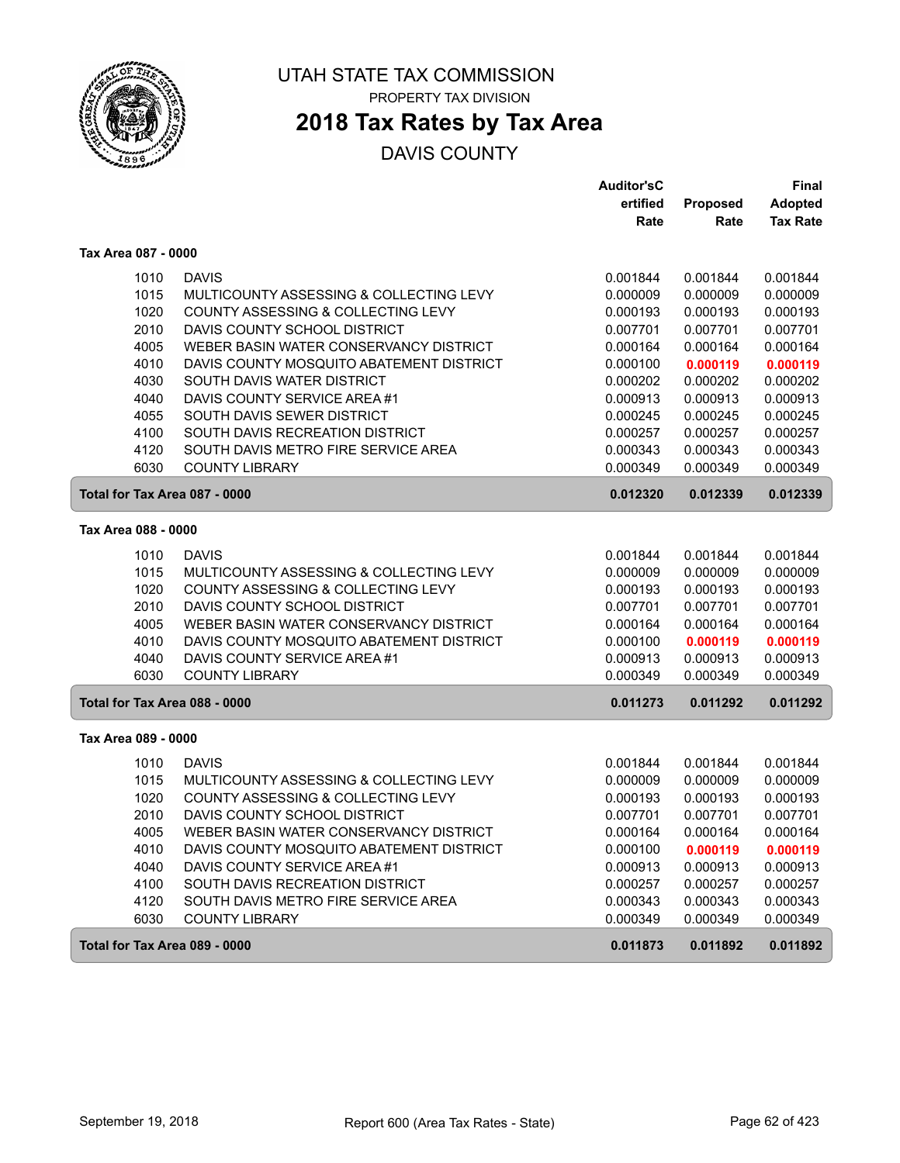

### **2018 Tax Rates by Tax Area**

|                               |                                          | <b>Auditor'sC</b> |                 | <b>Final</b>    |
|-------------------------------|------------------------------------------|-------------------|-----------------|-----------------|
|                               |                                          | ertified          | <b>Proposed</b> | <b>Adopted</b>  |
|                               |                                          | Rate              | Rate            | <b>Tax Rate</b> |
| Tax Area 087 - 0000           |                                          |                   |                 |                 |
| 1010                          | <b>DAVIS</b>                             | 0.001844          | 0.001844        | 0.001844        |
| 1015                          | MULTICOUNTY ASSESSING & COLLECTING LEVY  | 0.000009          | 0.000009        | 0.000009        |
| 1020                          | COUNTY ASSESSING & COLLECTING LEVY       | 0.000193          | 0.000193        | 0.000193        |
| 2010                          | DAVIS COUNTY SCHOOL DISTRICT             | 0.007701          | 0.007701        | 0.007701        |
| 4005                          | WEBER BASIN WATER CONSERVANCY DISTRICT   | 0.000164          | 0.000164        | 0.000164        |
| 4010                          | DAVIS COUNTY MOSQUITO ABATEMENT DISTRICT | 0.000100          | 0.000119        | 0.000119        |
| 4030                          | SOUTH DAVIS WATER DISTRICT               | 0.000202          | 0.000202        | 0.000202        |
| 4040                          | DAVIS COUNTY SERVICE AREA #1             | 0.000913          | 0.000913        | 0.000913        |
| 4055                          | SOUTH DAVIS SEWER DISTRICT               | 0.000245          | 0.000245        | 0.000245        |
| 4100                          | SOUTH DAVIS RECREATION DISTRICT          | 0.000257          | 0.000257        | 0.000257        |
| 4120                          | SOUTH DAVIS METRO FIRE SERVICE AREA      | 0.000343          | 0.000343        | 0.000343        |
| 6030                          | <b>COUNTY LIBRARY</b>                    | 0.000349          | 0.000349        | 0.000349        |
| Total for Tax Area 087 - 0000 |                                          | 0.012320          | 0.012339        | 0.012339        |
| Tax Area 088 - 0000           |                                          |                   |                 |                 |
| 1010                          | <b>DAVIS</b>                             | 0.001844          | 0.001844        | 0.001844        |
| 1015                          | MULTICOUNTY ASSESSING & COLLECTING LEVY  | 0.000009          | 0.000009        | 0.000009        |
| 1020                          | COUNTY ASSESSING & COLLECTING LEVY       | 0.000193          | 0.000193        | 0.000193        |
| 2010                          | DAVIS COUNTY SCHOOL DISTRICT             | 0.007701          | 0.007701        | 0.007701        |
| 4005                          | WEBER BASIN WATER CONSERVANCY DISTRICT   | 0.000164          | 0.000164        | 0.000164        |
| 4010                          | DAVIS COUNTY MOSQUITO ABATEMENT DISTRICT | 0.000100          | 0.000119        | 0.000119        |
| 4040                          | DAVIS COUNTY SERVICE AREA #1             | 0.000913          | 0.000913        | 0.000913        |
| 6030                          | <b>COUNTY LIBRARY</b>                    | 0.000349          | 0.000349        | 0.000349        |
| Total for Tax Area 088 - 0000 |                                          | 0.011273          | 0.011292        | 0.011292        |
| Tax Area 089 - 0000           |                                          |                   |                 |                 |
| 1010                          | <b>DAVIS</b>                             | 0.001844          | 0.001844        | 0.001844        |
| 1015                          | MULTICOUNTY ASSESSING & COLLECTING LEVY  | 0.000009          | 0.000009        | 0.000009        |
| 1020                          | COUNTY ASSESSING & COLLECTING LEVY       | 0.000193          | 0.000193        | 0.000193        |
| 2010                          | DAVIS COUNTY SCHOOL DISTRICT             | 0.007701          | 0.007701        | 0.007701        |
| 4005                          | WEBER BASIN WATER CONSERVANCY DISTRICT   | 0.000164          | 0.000164        | 0.000164        |
| 4010                          | DAVIS COUNTY MOSQUITO ABATEMENT DISTRICT | 0.000100          | 0.000119        | 0.000119        |
| 4040                          | DAVIS COUNTY SERVICE AREA #1             | 0.000913          | 0.000913        | 0.000913        |
| 4100                          | SOUTH DAVIS RECREATION DISTRICT          | 0.000257          | 0.000257        | 0.000257        |
| 4120                          | SOUTH DAVIS METRO FIRE SERVICE AREA      | 0.000343          | 0.000343        | 0.000343        |
| 6030                          | <b>COUNTY LIBRARY</b>                    | 0.000349          | 0.000349        | 0.000349        |
| Total for Tax Area 089 - 0000 |                                          | 0.011873          | 0.011892        | 0.011892        |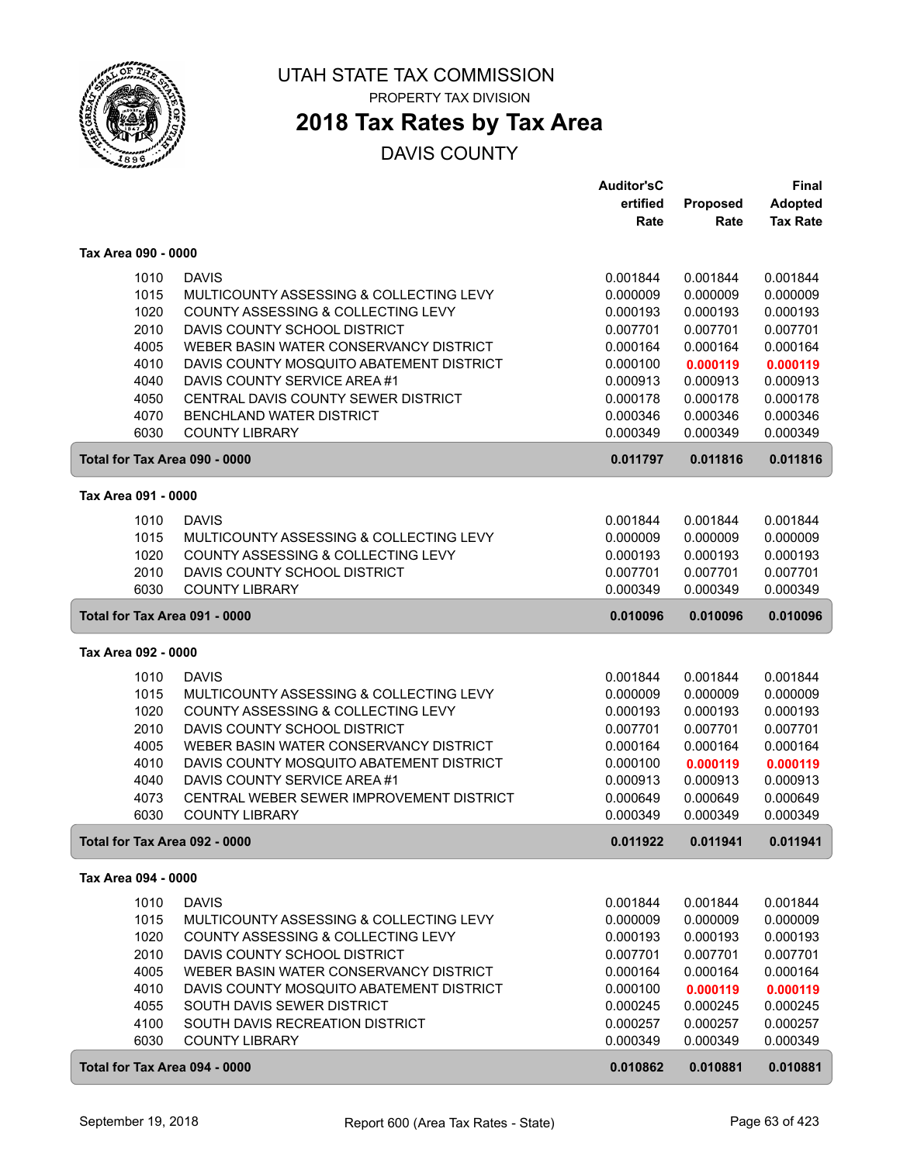

# **2018 Tax Rates by Tax Area**

|                               |                                                       | <b>Auditor'sC</b> |          | Final           |
|-------------------------------|-------------------------------------------------------|-------------------|----------|-----------------|
|                               |                                                       | ertified          | Proposed | <b>Adopted</b>  |
|                               |                                                       | Rate              | Rate     | <b>Tax Rate</b> |
| Tax Area 090 - 0000           |                                                       |                   |          |                 |
| 1010                          | <b>DAVIS</b>                                          | 0.001844          | 0.001844 | 0.001844        |
| 1015                          | MULTICOUNTY ASSESSING & COLLECTING LEVY               | 0.000009          | 0.000009 | 0.000009        |
| 1020                          | COUNTY ASSESSING & COLLECTING LEVY                    | 0.000193          | 0.000193 | 0.000193        |
| 2010                          | DAVIS COUNTY SCHOOL DISTRICT                          | 0.007701          | 0.007701 | 0.007701        |
| 4005                          | WEBER BASIN WATER CONSERVANCY DISTRICT                | 0.000164          | 0.000164 | 0.000164        |
| 4010                          | DAVIS COUNTY MOSQUITO ABATEMENT DISTRICT              | 0.000100          | 0.000119 | 0.000119        |
| 4040                          | DAVIS COUNTY SERVICE AREA #1                          | 0.000913          | 0.000913 | 0.000913        |
| 4050                          | CENTRAL DAVIS COUNTY SEWER DISTRICT                   | 0.000178          | 0.000178 | 0.000178        |
| 4070                          | BENCHLAND WATER DISTRICT                              | 0.000346          | 0.000346 | 0.000346        |
| 6030                          | <b>COUNTY LIBRARY</b>                                 | 0.000349          | 0.000349 | 0.000349        |
| Total for Tax Area 090 - 0000 |                                                       | 0.011797          | 0.011816 | 0.011816        |
| Tax Area 091 - 0000           |                                                       |                   |          |                 |
|                               |                                                       |                   |          |                 |
| 1010                          | <b>DAVIS</b>                                          | 0.001844          | 0.001844 | 0.001844        |
| 1015                          | MULTICOUNTY ASSESSING & COLLECTING LEVY               | 0.000009          | 0.000009 | 0.000009        |
| 1020                          | COUNTY ASSESSING & COLLECTING LEVY                    | 0.000193          | 0.000193 | 0.000193        |
| 2010                          | DAVIS COUNTY SCHOOL DISTRICT<br><b>COUNTY LIBRARY</b> | 0.007701          | 0.007701 | 0.007701        |
| 6030                          |                                                       | 0.000349          | 0.000349 | 0.000349        |
| Total for Tax Area 091 - 0000 |                                                       | 0.010096          | 0.010096 | 0.010096        |
| Tax Area 092 - 0000           |                                                       |                   |          |                 |
| 1010                          | <b>DAVIS</b>                                          | 0.001844          | 0.001844 | 0.001844        |
| 1015                          | MULTICOUNTY ASSESSING & COLLECTING LEVY               | 0.000009          | 0.000009 | 0.000009        |
| 1020                          | COUNTY ASSESSING & COLLECTING LEVY                    | 0.000193          | 0.000193 | 0.000193        |
| 2010                          | DAVIS COUNTY SCHOOL DISTRICT                          | 0.007701          | 0.007701 | 0.007701        |
| 4005                          | WEBER BASIN WATER CONSERVANCY DISTRICT                | 0.000164          | 0.000164 | 0.000164        |
| 4010                          | DAVIS COUNTY MOSQUITO ABATEMENT DISTRICT              | 0.000100          | 0.000119 | 0.000119        |
| 4040                          | DAVIS COUNTY SERVICE AREA #1                          | 0.000913          | 0.000913 | 0.000913        |
| 4073                          | CENTRAL WEBER SEWER IMPROVEMENT DISTRICT              | 0.000649          | 0.000649 | 0.000649        |
| 6030                          | <b>COUNTY LIBRARY</b>                                 | 0.000349          | 0.000349 | 0.000349        |
| Total for Tax Area 092 - 0000 |                                                       | 0.011922          | 0.011941 | 0.011941        |
| Tax Area 094 - 0000           |                                                       |                   |          |                 |
| 1010                          | <b>DAVIS</b>                                          | 0.001844          | 0.001844 | 0.001844        |
| 1015                          | MULTICOUNTY ASSESSING & COLLECTING LEVY               | 0.000009          | 0.000009 | 0.000009        |
| 1020                          | COUNTY ASSESSING & COLLECTING LEVY                    | 0.000193          | 0.000193 | 0.000193        |
| 2010                          | DAVIS COUNTY SCHOOL DISTRICT                          | 0.007701          | 0.007701 | 0.007701        |
| 4005                          | WEBER BASIN WATER CONSERVANCY DISTRICT                | 0.000164          | 0.000164 | 0.000164        |
| 4010                          | DAVIS COUNTY MOSQUITO ABATEMENT DISTRICT              | 0.000100          | 0.000119 | 0.000119        |
| 4055                          | SOUTH DAVIS SEWER DISTRICT                            | 0.000245          | 0.000245 | 0.000245        |
| 4100                          | SOUTH DAVIS RECREATION DISTRICT                       | 0.000257          | 0.000257 | 0.000257        |
| 6030                          | <b>COUNTY LIBRARY</b>                                 | 0.000349          | 0.000349 | 0.000349        |
| Total for Tax Area 094 - 0000 |                                                       | 0.010862          | 0.010881 | 0.010881        |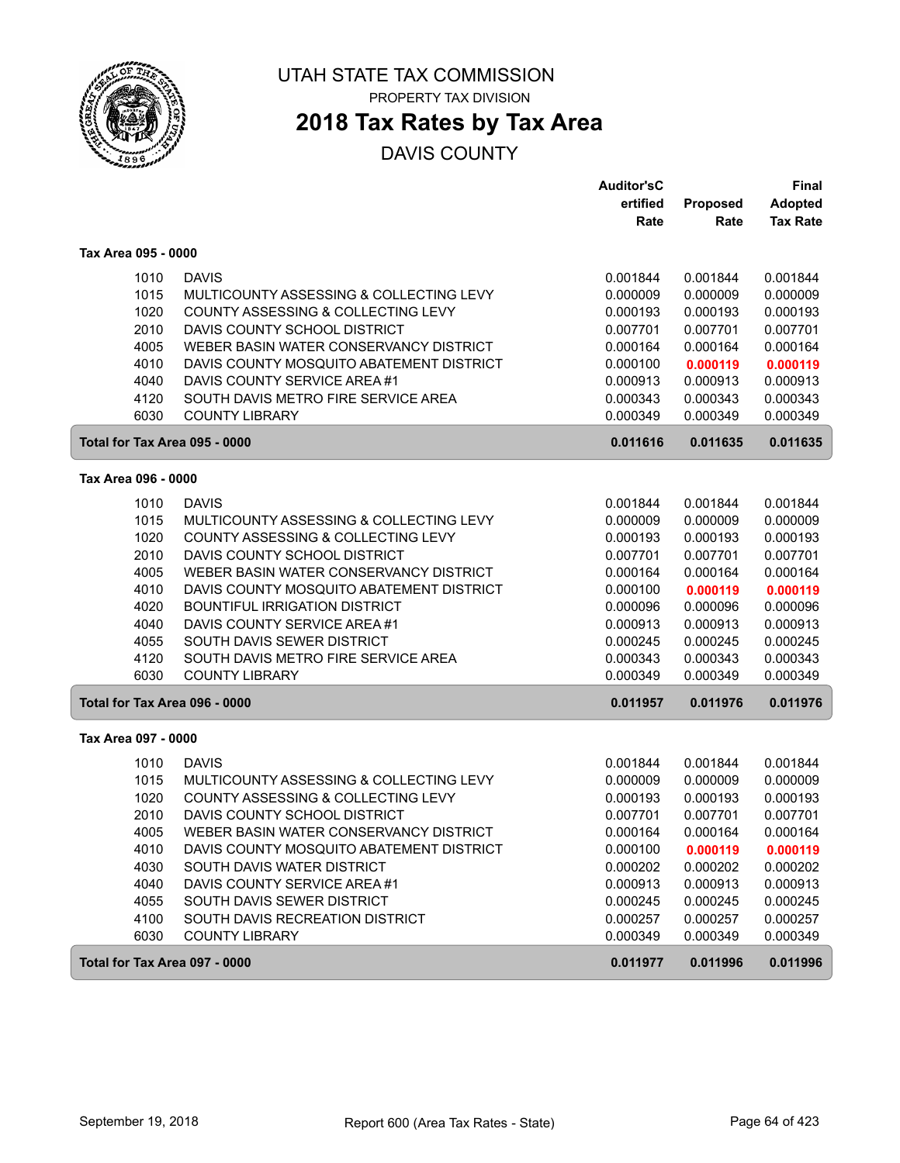

# **2018 Tax Rates by Tax Area**

| ertified<br>Proposed<br>Rate<br>Rate<br>Tax Area 095 - 0000<br><b>DAVIS</b><br>1010<br>0.001844<br>0.001844<br>1015<br>MULTICOUNTY ASSESSING & COLLECTING LEVY<br>0.000009<br>0.000009<br>1020<br>COUNTY ASSESSING & COLLECTING LEVY<br>0.000193<br>0.000193<br>2010<br>DAVIS COUNTY SCHOOL DISTRICT<br>0.007701<br>0.007701<br>4005<br>WEBER BASIN WATER CONSERVANCY DISTRICT<br>0.000164<br>0.000164<br>4010<br>DAVIS COUNTY MOSQUITO ABATEMENT DISTRICT<br>0.000100<br>0.000119 | <b>Adopted</b><br><b>Tax Rate</b><br>0.001844<br>0.000009<br>0.000193<br>0.007701<br>0.000164<br>0.000119<br>0.000913 |
|------------------------------------------------------------------------------------------------------------------------------------------------------------------------------------------------------------------------------------------------------------------------------------------------------------------------------------------------------------------------------------------------------------------------------------------------------------------------------------|-----------------------------------------------------------------------------------------------------------------------|
|                                                                                                                                                                                                                                                                                                                                                                                                                                                                                    |                                                                                                                       |
|                                                                                                                                                                                                                                                                                                                                                                                                                                                                                    |                                                                                                                       |
|                                                                                                                                                                                                                                                                                                                                                                                                                                                                                    |                                                                                                                       |
|                                                                                                                                                                                                                                                                                                                                                                                                                                                                                    |                                                                                                                       |
|                                                                                                                                                                                                                                                                                                                                                                                                                                                                                    |                                                                                                                       |
|                                                                                                                                                                                                                                                                                                                                                                                                                                                                                    |                                                                                                                       |
|                                                                                                                                                                                                                                                                                                                                                                                                                                                                                    |                                                                                                                       |
|                                                                                                                                                                                                                                                                                                                                                                                                                                                                                    |                                                                                                                       |
|                                                                                                                                                                                                                                                                                                                                                                                                                                                                                    |                                                                                                                       |
| 4040<br>DAVIS COUNTY SERVICE AREA #1<br>0.000913<br>0.000913                                                                                                                                                                                                                                                                                                                                                                                                                       |                                                                                                                       |
| 4120<br>SOUTH DAVIS METRO FIRE SERVICE AREA<br>0.000343<br>0.000343                                                                                                                                                                                                                                                                                                                                                                                                                | 0.000343                                                                                                              |
| 6030<br><b>COUNTY LIBRARY</b><br>0.000349<br>0.000349                                                                                                                                                                                                                                                                                                                                                                                                                              | 0.000349                                                                                                              |
| Total for Tax Area 095 - 0000<br>0.011616<br>0.011635                                                                                                                                                                                                                                                                                                                                                                                                                              | 0.011635                                                                                                              |
| Tax Area 096 - 0000                                                                                                                                                                                                                                                                                                                                                                                                                                                                |                                                                                                                       |
| 1010<br><b>DAVIS</b><br>0.001844<br>0.001844                                                                                                                                                                                                                                                                                                                                                                                                                                       | 0.001844                                                                                                              |
| 1015<br>MULTICOUNTY ASSESSING & COLLECTING LEVY<br>0.000009<br>0.000009                                                                                                                                                                                                                                                                                                                                                                                                            | 0.000009                                                                                                              |
| 1020<br>COUNTY ASSESSING & COLLECTING LEVY<br>0.000193<br>0.000193                                                                                                                                                                                                                                                                                                                                                                                                                 | 0.000193                                                                                                              |
| 2010<br>DAVIS COUNTY SCHOOL DISTRICT<br>0.007701<br>0.007701                                                                                                                                                                                                                                                                                                                                                                                                                       | 0.007701                                                                                                              |
| WEBER BASIN WATER CONSERVANCY DISTRICT<br>4005<br>0.000164<br>0.000164                                                                                                                                                                                                                                                                                                                                                                                                             | 0.000164                                                                                                              |
| 4010<br>DAVIS COUNTY MOSQUITO ABATEMENT DISTRICT<br>0.000100<br>0.000119                                                                                                                                                                                                                                                                                                                                                                                                           | 0.000119                                                                                                              |
| 4020<br><b>BOUNTIFUL IRRIGATION DISTRICT</b><br>0.000096<br>0.000096                                                                                                                                                                                                                                                                                                                                                                                                               | 0.000096                                                                                                              |
| DAVIS COUNTY SERVICE AREA #1<br>4040<br>0.000913<br>0.000913                                                                                                                                                                                                                                                                                                                                                                                                                       | 0.000913                                                                                                              |
| 4055<br>SOUTH DAVIS SEWER DISTRICT<br>0.000245<br>0.000245                                                                                                                                                                                                                                                                                                                                                                                                                         | 0.000245                                                                                                              |
| 4120<br>SOUTH DAVIS METRO FIRE SERVICE AREA<br>0.000343<br>0.000343                                                                                                                                                                                                                                                                                                                                                                                                                | 0.000343                                                                                                              |
| 6030<br><b>COUNTY LIBRARY</b><br>0.000349<br>0.000349                                                                                                                                                                                                                                                                                                                                                                                                                              | 0.000349                                                                                                              |
| Total for Tax Area 096 - 0000<br>0.011957<br>0.011976                                                                                                                                                                                                                                                                                                                                                                                                                              | 0.011976                                                                                                              |
| Tax Area 097 - 0000                                                                                                                                                                                                                                                                                                                                                                                                                                                                |                                                                                                                       |
| <b>DAVIS</b>                                                                                                                                                                                                                                                                                                                                                                                                                                                                       |                                                                                                                       |
| 1010<br>0.001844<br>0.001844<br>1015<br>MULTICOUNTY ASSESSING & COLLECTING LEVY<br>0.000009<br>0.000009                                                                                                                                                                                                                                                                                                                                                                            | 0.001844<br>0.000009                                                                                                  |
| 1020<br>COUNTY ASSESSING & COLLECTING LEVY<br>0.000193<br>0.000193                                                                                                                                                                                                                                                                                                                                                                                                                 | 0.000193                                                                                                              |
| 2010<br>DAVIS COUNTY SCHOOL DISTRICT<br>0.007701<br>0.007701                                                                                                                                                                                                                                                                                                                                                                                                                       | 0.007701                                                                                                              |
| 4005<br>WEBER BASIN WATER CONSERVANCY DISTRICT<br>0.000164<br>0.000164                                                                                                                                                                                                                                                                                                                                                                                                             | 0.000164                                                                                                              |
| 0.000100<br>4010<br>DAVIS COUNTY MOSQUITO ABATEMENT DISTRICT<br>0.000119                                                                                                                                                                                                                                                                                                                                                                                                           | 0.000119                                                                                                              |
| 4030<br>SOUTH DAVIS WATER DISTRICT<br>0.000202<br>0.000202                                                                                                                                                                                                                                                                                                                                                                                                                         | 0.000202                                                                                                              |
| 4040<br>DAVIS COUNTY SERVICE AREA #1<br>0.000913<br>0.000913                                                                                                                                                                                                                                                                                                                                                                                                                       | 0.000913                                                                                                              |
| 4055<br>SOUTH DAVIS SEWER DISTRICT<br>0.000245<br>0.000245                                                                                                                                                                                                                                                                                                                                                                                                                         | 0.000245                                                                                                              |
| 4100<br>SOUTH DAVIS RECREATION DISTRICT<br>0.000257<br>0.000257                                                                                                                                                                                                                                                                                                                                                                                                                    | 0.000257                                                                                                              |
| 6030<br><b>COUNTY LIBRARY</b><br>0.000349<br>0.000349                                                                                                                                                                                                                                                                                                                                                                                                                              | 0.000349                                                                                                              |
| Total for Tax Area 097 - 0000<br>0.011977<br>0.011996                                                                                                                                                                                                                                                                                                                                                                                                                              | 0.011996                                                                                                              |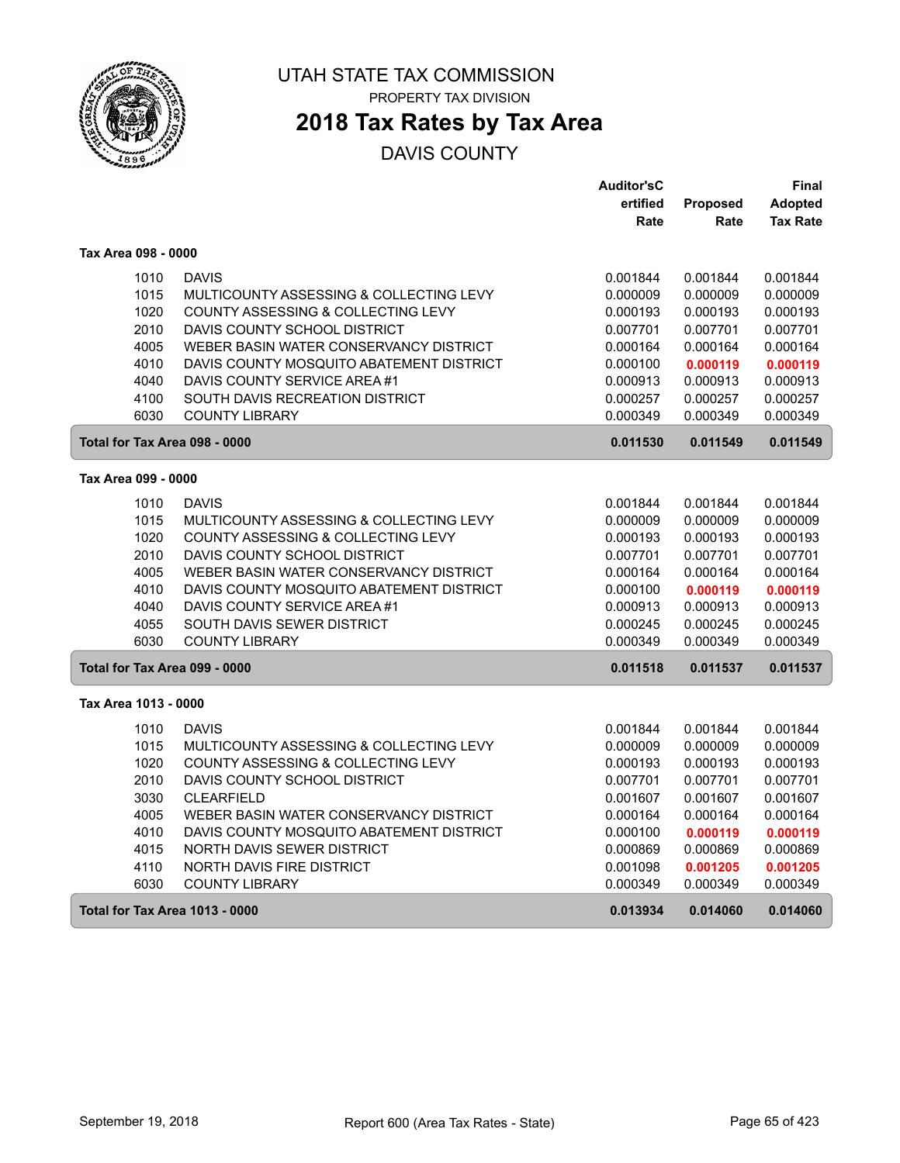

### **2018 Tax Rates by Tax Area**

|                                       |                                          | <b>Auditor'sC</b> |          | Final           |
|---------------------------------------|------------------------------------------|-------------------|----------|-----------------|
|                                       |                                          | ertified          | Proposed | Adopted         |
|                                       |                                          | Rate              | Rate     | <b>Tax Rate</b> |
| Tax Area 098 - 0000                   |                                          |                   |          |                 |
| 1010                                  | <b>DAVIS</b>                             | 0.001844          | 0.001844 | 0.001844        |
| 1015                                  | MULTICOUNTY ASSESSING & COLLECTING LEVY  | 0.000009          | 0.000009 | 0.000009        |
| 1020                                  | COUNTY ASSESSING & COLLECTING LEVY       | 0.000193          | 0.000193 | 0.000193        |
| 2010                                  | DAVIS COUNTY SCHOOL DISTRICT             | 0.007701          | 0.007701 | 0.007701        |
| 4005                                  | WEBER BASIN WATER CONSERVANCY DISTRICT   | 0.000164          | 0.000164 | 0.000164        |
| 4010                                  | DAVIS COUNTY MOSQUITO ABATEMENT DISTRICT | 0.000100          | 0.000119 | 0.000119        |
| 4040                                  | DAVIS COUNTY SERVICE AREA #1             | 0.000913          | 0.000913 | 0.000913        |
| 4100                                  | SOUTH DAVIS RECREATION DISTRICT          | 0.000257          | 0.000257 | 0.000257        |
| 6030                                  | <b>COUNTY LIBRARY</b>                    | 0.000349          | 0.000349 | 0.000349        |
| Total for Tax Area 098 - 0000         |                                          | 0.011530          | 0.011549 | 0.011549        |
| Tax Area 099 - 0000                   |                                          |                   |          |                 |
| 1010                                  | <b>DAVIS</b>                             | 0.001844          | 0.001844 | 0.001844        |
| 1015                                  | MULTICOUNTY ASSESSING & COLLECTING LEVY  | 0.000009          | 0.000009 | 0.000009        |
| 1020                                  | COUNTY ASSESSING & COLLECTING LEVY       | 0.000193          | 0.000193 | 0.000193        |
| 2010                                  | DAVIS COUNTY SCHOOL DISTRICT             | 0.007701          | 0.007701 | 0.007701        |
| 4005                                  | WEBER BASIN WATER CONSERVANCY DISTRICT   | 0.000164          | 0.000164 | 0.000164        |
| 4010                                  | DAVIS COUNTY MOSQUITO ABATEMENT DISTRICT | 0.000100          | 0.000119 | 0.000119        |
| 4040                                  | DAVIS COUNTY SERVICE AREA #1             | 0.000913          | 0.000913 | 0.000913        |
| 4055                                  | SOUTH DAVIS SEWER DISTRICT               | 0.000245          | 0.000245 | 0.000245        |
| 6030                                  | <b>COUNTY LIBRARY</b>                    | 0.000349          | 0.000349 | 0.000349        |
| Total for Tax Area 099 - 0000         |                                          | 0.011518          | 0.011537 | 0.011537        |
| Tax Area 1013 - 0000                  |                                          |                   |          |                 |
| 1010                                  | <b>DAVIS</b>                             | 0.001844          | 0.001844 | 0.001844        |
| 1015                                  | MULTICOUNTY ASSESSING & COLLECTING LEVY  | 0.000009          | 0.000009 | 0.000009        |
| 1020                                  | COUNTY ASSESSING & COLLECTING LEVY       | 0.000193          | 0.000193 | 0.000193        |
| 2010                                  | DAVIS COUNTY SCHOOL DISTRICT             | 0.007701          | 0.007701 | 0.007701        |
| 3030                                  | <b>CLEARFIELD</b>                        | 0.001607          | 0.001607 | 0.001607        |
| 4005                                  | WEBER BASIN WATER CONSERVANCY DISTRICT   | 0.000164          | 0.000164 | 0.000164        |
| 4010                                  | DAVIS COUNTY MOSQUITO ABATEMENT DISTRICT | 0.000100          | 0.000119 | 0.000119        |
| 4015                                  | NORTH DAVIS SEWER DISTRICT               | 0.000869          | 0.000869 | 0.000869        |
| 4110                                  | <b>NORTH DAVIS FIRE DISTRICT</b>         | 0.001098          | 0.001205 | 0.001205        |
| 6030                                  | <b>COUNTY LIBRARY</b>                    | 0.000349          | 0.000349 | 0.000349        |
| <b>Total for Tax Area 1013 - 0000</b> |                                          | 0.013934          | 0.014060 | 0.014060        |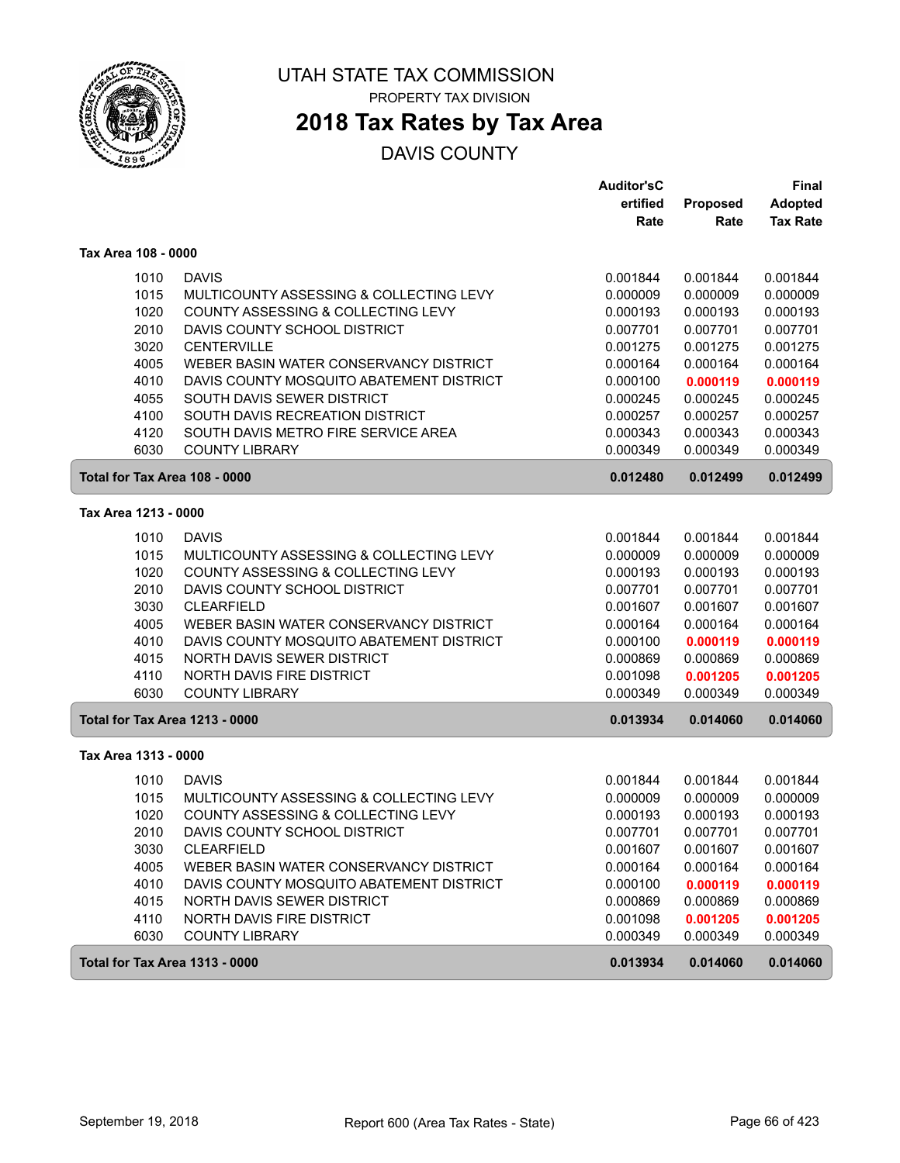

PROPERTY TAX DIVISION

# **2018 Tax Rates by Tax Area**

|                                       |                                          | <b>Auditor'sC</b> |          | <b>Final</b>    |
|---------------------------------------|------------------------------------------|-------------------|----------|-----------------|
|                                       |                                          | ertified          | Proposed | <b>Adopted</b>  |
|                                       |                                          | Rate              | Rate     | <b>Tax Rate</b> |
| Tax Area 108 - 0000                   |                                          |                   |          |                 |
| 1010                                  | <b>DAVIS</b>                             | 0.001844          | 0.001844 | 0.001844        |
| 1015                                  | MULTICOUNTY ASSESSING & COLLECTING LEVY  | 0.000009          | 0.000009 | 0.000009        |
| 1020                                  | COUNTY ASSESSING & COLLECTING LEVY       | 0.000193          | 0.000193 | 0.000193        |
| 2010                                  | DAVIS COUNTY SCHOOL DISTRICT             | 0.007701          | 0.007701 | 0.007701        |
| 3020                                  | <b>CENTERVILLE</b>                       | 0.001275          | 0.001275 | 0.001275        |
| 4005                                  | WEBER BASIN WATER CONSERVANCY DISTRICT   | 0.000164          | 0.000164 | 0.000164        |
| 4010                                  | DAVIS COUNTY MOSQUITO ABATEMENT DISTRICT | 0.000100          | 0.000119 | 0.000119        |
| 4055                                  | SOUTH DAVIS SEWER DISTRICT               | 0.000245          | 0.000245 | 0.000245        |
| 4100                                  | SOUTH DAVIS RECREATION DISTRICT          | 0.000257          | 0.000257 | 0.000257        |
| 4120                                  | SOUTH DAVIS METRO FIRE SERVICE AREA      | 0.000343          | 0.000343 | 0.000343        |
| 6030                                  | <b>COUNTY LIBRARY</b>                    | 0.000349          | 0.000349 | 0.000349        |
| Total for Tax Area 108 - 0000         |                                          | 0.012480          | 0.012499 | 0.012499        |
| Tax Area 1213 - 0000                  |                                          |                   |          |                 |
| 1010                                  | <b>DAVIS</b>                             | 0.001844          | 0.001844 | 0.001844        |
| 1015                                  | MULTICOUNTY ASSESSING & COLLECTING LEVY  | 0.000009          | 0.000009 | 0.000009        |
| 1020                                  | COUNTY ASSESSING & COLLECTING LEVY       | 0.000193          | 0.000193 | 0.000193        |
| 2010                                  | DAVIS COUNTY SCHOOL DISTRICT             | 0.007701          | 0.007701 | 0.007701        |
| 3030                                  | <b>CLEARFIELD</b>                        | 0.001607          | 0.001607 | 0.001607        |
| 4005                                  | WEBER BASIN WATER CONSERVANCY DISTRICT   | 0.000164          | 0.000164 | 0.000164        |
| 4010                                  | DAVIS COUNTY MOSQUITO ABATEMENT DISTRICT | 0.000100          | 0.000119 | 0.000119        |
| 4015                                  | NORTH DAVIS SEWER DISTRICT               | 0.000869          | 0.000869 | 0.000869        |
| 4110                                  | NORTH DAVIS FIRE DISTRICT                | 0.001098          | 0.001205 | 0.001205        |
| 6030                                  | <b>COUNTY LIBRARY</b>                    | 0.000349          | 0.000349 | 0.000349        |
| <b>Total for Tax Area 1213 - 0000</b> |                                          | 0.013934          | 0.014060 | 0.014060        |
| Tax Area 1313 - 0000                  |                                          |                   |          |                 |
| 1010                                  | <b>DAVIS</b>                             | 0.001844          | 0.001844 | 0.001844        |
| 1015                                  | MULTICOUNTY ASSESSING & COLLECTING LEVY  | 0.000009          | 0.000009 | 0.000009        |
| 1020                                  | COUNTY ASSESSING & COLLECTING LEVY       | 0.000193          | 0.000193 | 0.000193        |
| 2010                                  | DAVIS COUNTY SCHOOL DISTRICT             | 0.007701          | 0.007701 | 0.007701        |
| 3030                                  | <b>CLEARFIELD</b>                        | 0.001607          | 0.001607 | 0.001607        |
| 4005                                  | WEBER BASIN WATER CONSERVANCY DISTRICT   | 0.000164          | 0.000164 | 0.000164        |
| 4010                                  | DAVIS COUNTY MOSQUITO ABATEMENT DISTRICT | 0.000100          | 0.000119 | 0.000119        |
| 4015                                  | NORTH DAVIS SEWER DISTRICT               | 0.000869          | 0.000869 | 0.000869        |
| 4110                                  | NORTH DAVIS FIRE DISTRICT                | 0.001098          | 0.001205 | 0.001205        |
| 6030                                  | <b>COUNTY LIBRARY</b>                    | 0.000349          | 0.000349 | 0.000349        |
| <b>Total for Tax Area 1313 - 0000</b> |                                          | 0.013934          | 0.014060 | 0.014060        |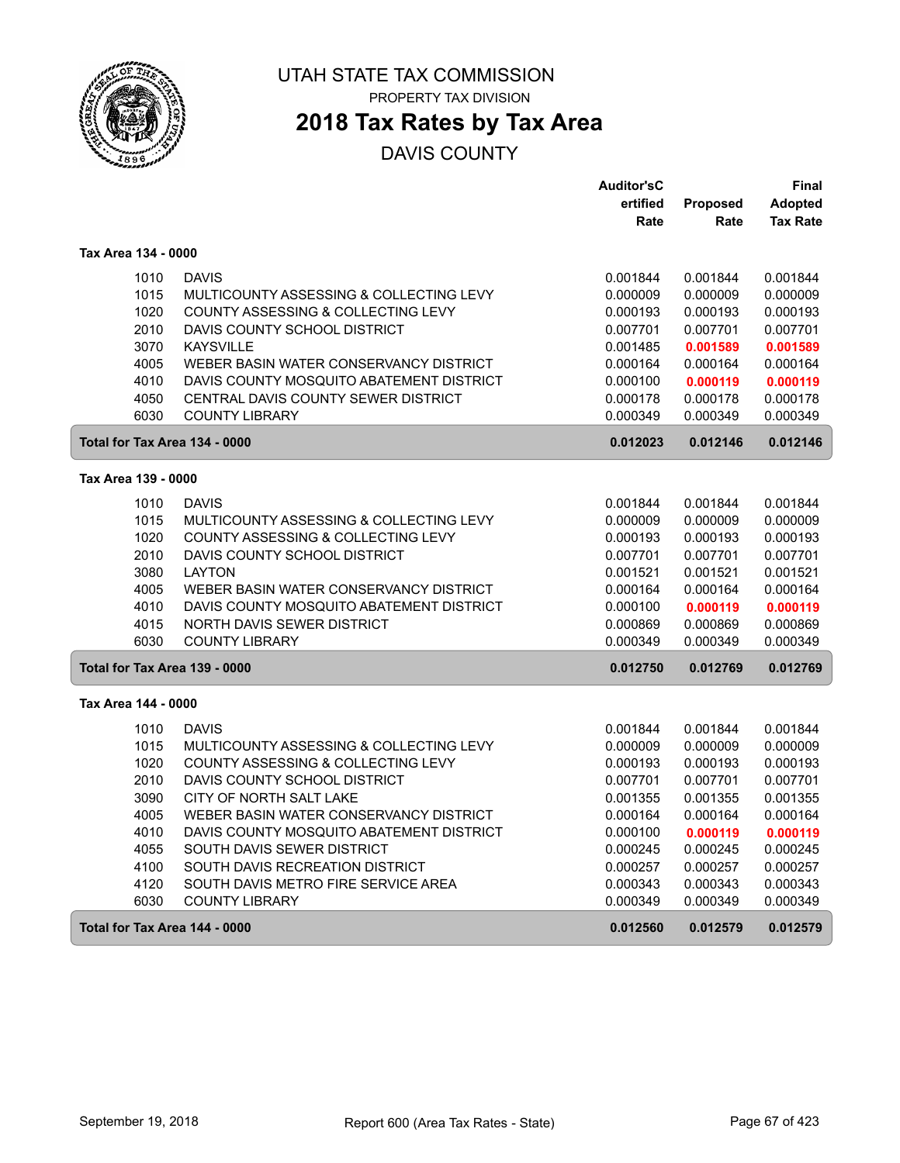

PROPERTY TAX DIVISION

### **2018 Tax Rates by Tax Area**

|                               |                                          | <b>Auditor'sC</b> |          | Final           |
|-------------------------------|------------------------------------------|-------------------|----------|-----------------|
|                               |                                          | ertified          | Proposed | <b>Adopted</b>  |
|                               |                                          | Rate              | Rate     | <b>Tax Rate</b> |
| Tax Area 134 - 0000           |                                          |                   |          |                 |
| 1010                          | <b>DAVIS</b>                             | 0.001844          | 0.001844 | 0.001844        |
| 1015                          | MULTICOUNTY ASSESSING & COLLECTING LEVY  | 0.000009          | 0.000009 | 0.000009        |
| 1020                          | COUNTY ASSESSING & COLLECTING LEVY       | 0.000193          | 0.000193 | 0.000193        |
| 2010                          | DAVIS COUNTY SCHOOL DISTRICT             | 0.007701          | 0.007701 | 0.007701        |
| 3070                          | <b>KAYSVILLE</b>                         | 0.001485          | 0.001589 | 0.001589        |
| 4005                          | WEBER BASIN WATER CONSERVANCY DISTRICT   | 0.000164          | 0.000164 | 0.000164        |
| 4010                          | DAVIS COUNTY MOSQUITO ABATEMENT DISTRICT | 0.000100          | 0.000119 | 0.000119        |
| 4050                          | CENTRAL DAVIS COUNTY SEWER DISTRICT      | 0.000178          | 0.000178 | 0.000178        |
| 6030                          | <b>COUNTY LIBRARY</b>                    | 0.000349          | 0.000349 | 0.000349        |
| Total for Tax Area 134 - 0000 |                                          | 0.012023          | 0.012146 | 0.012146        |
| Tax Area 139 - 0000           |                                          |                   |          |                 |
| 1010                          | <b>DAVIS</b>                             | 0.001844          | 0.001844 | 0.001844        |
| 1015                          | MULTICOUNTY ASSESSING & COLLECTING LEVY  | 0.000009          | 0.000009 | 0.000009        |
| 1020                          | COUNTY ASSESSING & COLLECTING LEVY       | 0.000193          | 0.000193 | 0.000193        |
| 2010                          | DAVIS COUNTY SCHOOL DISTRICT             | 0.007701          | 0.007701 | 0.007701        |
| 3080                          | <b>LAYTON</b>                            | 0.001521          | 0.001521 | 0.001521        |
| 4005                          | WEBER BASIN WATER CONSERVANCY DISTRICT   | 0.000164          | 0.000164 | 0.000164        |
| 4010                          | DAVIS COUNTY MOSQUITO ABATEMENT DISTRICT | 0.000100          | 0.000119 | 0.000119        |
| 4015                          | NORTH DAVIS SEWER DISTRICT               | 0.000869          | 0.000869 | 0.000869        |
| 6030                          | <b>COUNTY LIBRARY</b>                    | 0.000349          | 0.000349 | 0.000349        |
| Total for Tax Area 139 - 0000 |                                          | 0.012750          | 0.012769 | 0.012769        |
| Tax Area 144 - 0000           |                                          |                   |          |                 |
| 1010                          | <b>DAVIS</b>                             | 0.001844          | 0.001844 | 0.001844        |
| 1015                          | MULTICOUNTY ASSESSING & COLLECTING LEVY  | 0.000009          | 0.000009 | 0.000009        |
| 1020                          | COUNTY ASSESSING & COLLECTING LEVY       | 0.000193          | 0.000193 | 0.000193        |
| 2010                          | DAVIS COUNTY SCHOOL DISTRICT             | 0.007701          | 0.007701 | 0.007701        |
| 3090                          | CITY OF NORTH SALT LAKE                  | 0.001355          | 0.001355 | 0.001355        |
| 4005                          | WEBER BASIN WATER CONSERVANCY DISTRICT   | 0.000164          | 0.000164 | 0.000164        |
| 4010                          | DAVIS COUNTY MOSQUITO ABATEMENT DISTRICT | 0.000100          | 0.000119 | 0.000119        |
| 4055                          | SOUTH DAVIS SEWER DISTRICT               | 0.000245          | 0.000245 | 0.000245        |
| 4100                          | SOUTH DAVIS RECREATION DISTRICT          | 0.000257          | 0.000257 | 0.000257        |
| 4120                          | SOUTH DAVIS METRO FIRE SERVICE AREA      | 0.000343          | 0.000343 | 0.000343        |
| 6030                          | <b>COUNTY LIBRARY</b>                    | 0.000349          | 0.000349 | 0.000349        |
| Total for Tax Area 144 - 0000 |                                          | 0.012560          | 0.012579 | 0.012579        |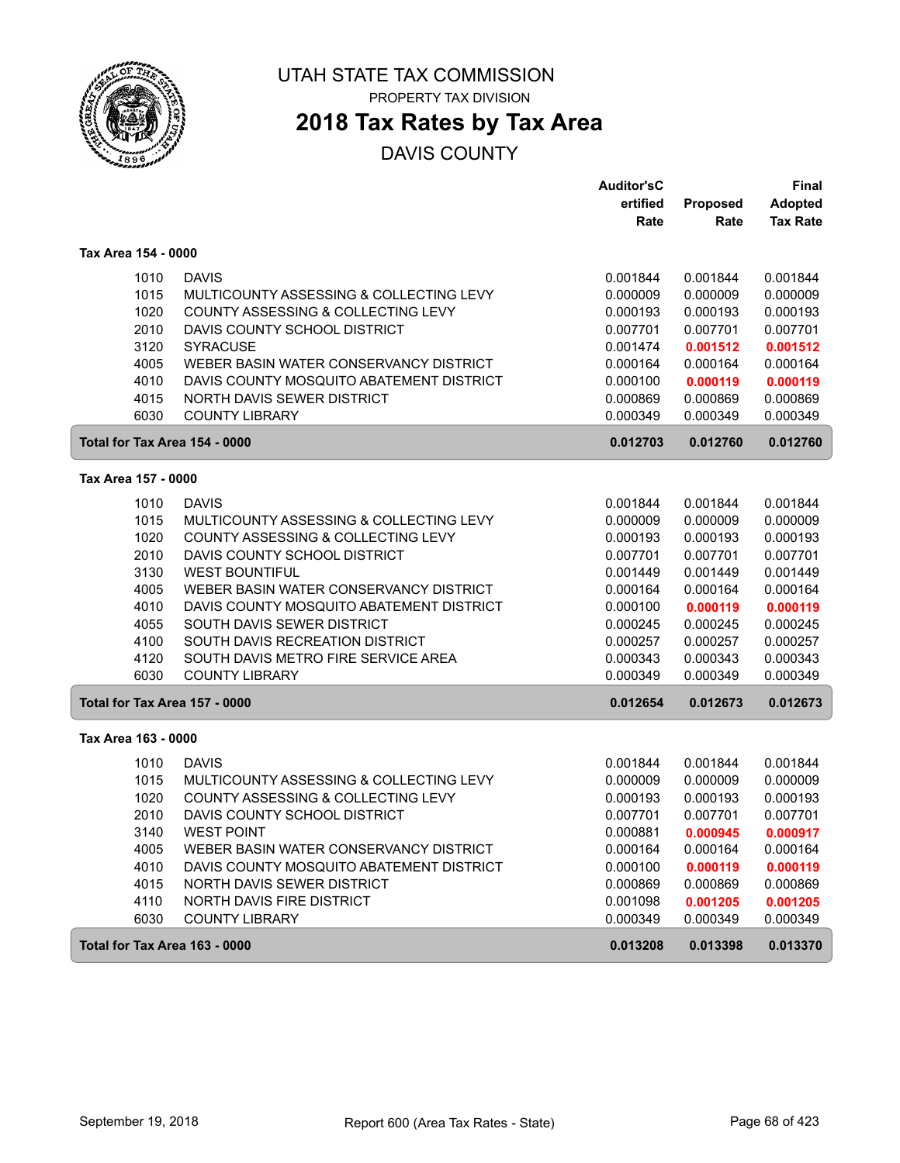

PROPERTY TAX DIVISION

### **2018 Tax Rates by Tax Area**

|                               |                                          | <b>Auditor'sC</b> |                 | Final           |
|-------------------------------|------------------------------------------|-------------------|-----------------|-----------------|
|                               |                                          | ertified          | <b>Proposed</b> | <b>Adopted</b>  |
|                               |                                          | Rate              | Rate            | <b>Tax Rate</b> |
| Tax Area 154 - 0000           |                                          |                   |                 |                 |
| 1010                          | <b>DAVIS</b>                             | 0.001844          | 0.001844        | 0.001844        |
| 1015                          | MULTICOUNTY ASSESSING & COLLECTING LEVY  | 0.000009          | 0.000009        | 0.000009        |
| 1020                          | COUNTY ASSESSING & COLLECTING LEVY       | 0.000193          | 0.000193        | 0.000193        |
| 2010                          | DAVIS COUNTY SCHOOL DISTRICT             | 0.007701          | 0.007701        | 0.007701        |
| 3120                          | <b>SYRACUSE</b>                          | 0.001474          | 0.001512        | 0.001512        |
| 4005                          | WEBER BASIN WATER CONSERVANCY DISTRICT   | 0.000164          | 0.000164        | 0.000164        |
| 4010                          | DAVIS COUNTY MOSQUITO ABATEMENT DISTRICT | 0.000100          | 0.000119        | 0.000119        |
| 4015                          | NORTH DAVIS SEWER DISTRICT               | 0.000869          | 0.000869        | 0.000869        |
| 6030                          | <b>COUNTY LIBRARY</b>                    | 0.000349          | 0.000349        | 0.000349        |
| Total for Tax Area 154 - 0000 |                                          | 0.012703          | 0.012760        | 0.012760        |
| Tax Area 157 - 0000           |                                          |                   |                 |                 |
| 1010                          | <b>DAVIS</b>                             | 0.001844          | 0.001844        | 0.001844        |
| 1015                          | MULTICOUNTY ASSESSING & COLLECTING LEVY  | 0.000009          | 0.000009        | 0.000009        |
| 1020                          | COUNTY ASSESSING & COLLECTING LEVY       | 0.000193          | 0.000193        | 0.000193        |
| 2010                          | DAVIS COUNTY SCHOOL DISTRICT             | 0.007701          | 0.007701        | 0.007701        |
| 3130                          | <b>WEST BOUNTIFUL</b>                    | 0.001449          | 0.001449        | 0.001449        |
| 4005                          | WEBER BASIN WATER CONSERVANCY DISTRICT   | 0.000164          | 0.000164        | 0.000164        |
| 4010                          | DAVIS COUNTY MOSQUITO ABATEMENT DISTRICT | 0.000100          | 0.000119        | 0.000119        |
| 4055                          | SOUTH DAVIS SEWER DISTRICT               | 0.000245          | 0.000245        | 0.000245        |
| 4100                          | SOUTH DAVIS RECREATION DISTRICT          | 0.000257          | 0.000257        | 0.000257        |
| 4120                          | SOUTH DAVIS METRO FIRE SERVICE AREA      | 0.000343          | 0.000343        | 0.000343        |
| 6030                          | <b>COUNTY LIBRARY</b>                    | 0.000349          | 0.000349        | 0.000349        |
| Total for Tax Area 157 - 0000 |                                          | 0.012654          | 0.012673        | 0.012673        |
| Tax Area 163 - 0000           |                                          |                   |                 |                 |
| 1010                          | <b>DAVIS</b>                             | 0.001844          | 0.001844        | 0.001844        |
| 1015                          | MULTICOUNTY ASSESSING & COLLECTING LEVY  | 0.000009          | 0.000009        | 0.000009        |
| 1020                          | COUNTY ASSESSING & COLLECTING LEVY       | 0.000193          | 0.000193        | 0.000193        |
| 2010                          | DAVIS COUNTY SCHOOL DISTRICT             | 0.007701          | 0.007701        | 0.007701        |
| 3140                          | <b>WEST POINT</b>                        | 0.000881          | 0.000945        | 0.000917        |
| 4005                          | WEBER BASIN WATER CONSERVANCY DISTRICT   | 0.000164          | 0.000164        | 0.000164        |
| 4010                          | DAVIS COUNTY MOSQUITO ABATEMENT DISTRICT | 0.000100          | 0.000119        | 0.000119        |
| 4015                          | NORTH DAVIS SEWER DISTRICT               | 0.000869          | 0.000869        | 0.000869        |
| 4110                          | NORTH DAVIS FIRE DISTRICT                | 0.001098          | 0.001205        | 0.001205        |
| 6030                          | <b>COUNTY LIBRARY</b>                    | 0.000349          | 0.000349        | 0.000349        |
| Total for Tax Area 163 - 0000 |                                          | 0.013208          | 0.013398        | 0.013370        |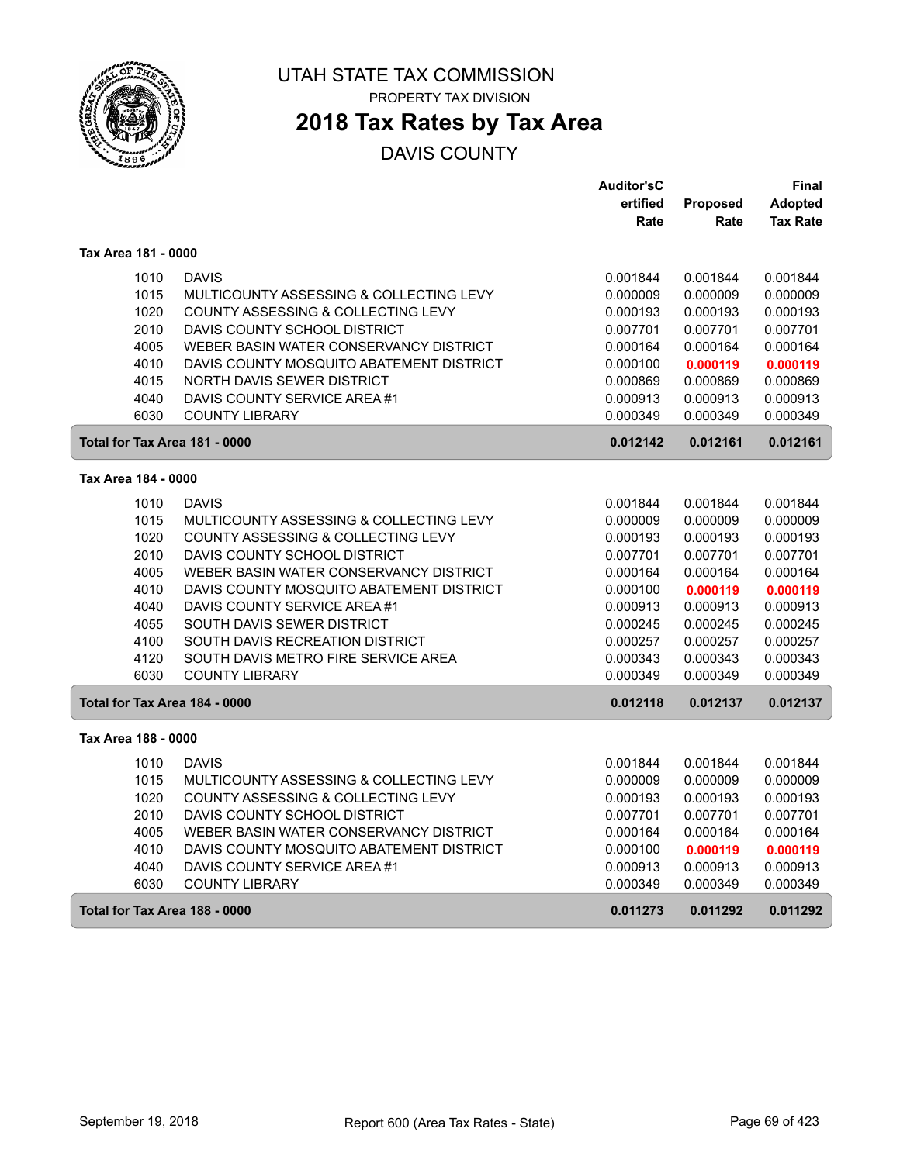

### **2018 Tax Rates by Tax Area**

|                               |                                          | <b>Auditor'sC</b> |                 | Final           |
|-------------------------------|------------------------------------------|-------------------|-----------------|-----------------|
|                               |                                          | ertified          | <b>Proposed</b> | <b>Adopted</b>  |
|                               |                                          | Rate              | Rate            | <b>Tax Rate</b> |
| Tax Area 181 - 0000           |                                          |                   |                 |                 |
| 1010                          | <b>DAVIS</b>                             | 0.001844          | 0.001844        | 0.001844        |
| 1015                          | MULTICOUNTY ASSESSING & COLLECTING LEVY  | 0.000009          | 0.000009        | 0.000009        |
| 1020                          | COUNTY ASSESSING & COLLECTING LEVY       | 0.000193          | 0.000193        | 0.000193        |
| 2010                          | DAVIS COUNTY SCHOOL DISTRICT             | 0.007701          | 0.007701        | 0.007701        |
| 4005                          | WEBER BASIN WATER CONSERVANCY DISTRICT   | 0.000164          | 0.000164        | 0.000164        |
| 4010                          | DAVIS COUNTY MOSQUITO ABATEMENT DISTRICT | 0.000100          | 0.000119        | 0.000119        |
| 4015                          | <b>NORTH DAVIS SEWER DISTRICT</b>        | 0.000869          | 0.000869        | 0.000869        |
| 4040                          | DAVIS COUNTY SERVICE AREA #1             | 0.000913          | 0.000913        | 0.000913        |
| 6030                          | <b>COUNTY LIBRARY</b>                    | 0.000349          | 0.000349        | 0.000349        |
| Total for Tax Area 181 - 0000 |                                          | 0.012142          | 0.012161        | 0.012161        |
| Tax Area 184 - 0000           |                                          |                   |                 |                 |
| 1010                          | <b>DAVIS</b>                             | 0.001844          | 0.001844        | 0.001844        |
| 1015                          | MULTICOUNTY ASSESSING & COLLECTING LEVY  | 0.000009          | 0.000009        | 0.000009        |
| 1020                          | COUNTY ASSESSING & COLLECTING LEVY       | 0.000193          | 0.000193        | 0.000193        |
| 2010                          | DAVIS COUNTY SCHOOL DISTRICT             | 0.007701          | 0.007701        | 0.007701        |
| 4005                          | WEBER BASIN WATER CONSERVANCY DISTRICT   | 0.000164          | 0.000164        | 0.000164        |
| 4010                          | DAVIS COUNTY MOSQUITO ABATEMENT DISTRICT | 0.000100          | 0.000119        | 0.000119        |
| 4040                          | DAVIS COUNTY SERVICE AREA #1             | 0.000913          | 0.000913        | 0.000913        |
| 4055                          | SOUTH DAVIS SEWER DISTRICT               | 0.000245          | 0.000245        | 0.000245        |
| 4100                          | SOUTH DAVIS RECREATION DISTRICT          | 0.000257          | 0.000257        | 0.000257        |
| 4120                          | SOUTH DAVIS METRO FIRE SERVICE AREA      | 0.000343          | 0.000343        | 0.000343        |
| 6030                          | <b>COUNTY LIBRARY</b>                    | 0.000349          | 0.000349        | 0.000349        |
| Total for Tax Area 184 - 0000 |                                          | 0.012118          | 0.012137        | 0.012137        |
| Tax Area 188 - 0000           |                                          |                   |                 |                 |
| 1010                          | <b>DAVIS</b>                             | 0.001844          | 0.001844        | 0.001844        |
| 1015                          | MULTICOUNTY ASSESSING & COLLECTING LEVY  | 0.000009          | 0.000009        | 0.000009        |
| 1020                          | COUNTY ASSESSING & COLLECTING LEVY       | 0.000193          | 0.000193        | 0.000193        |
| 2010                          | DAVIS COUNTY SCHOOL DISTRICT             | 0.007701          | 0.007701        | 0.007701        |
| 4005                          | WEBER BASIN WATER CONSERVANCY DISTRICT   | 0.000164          | 0.000164        | 0.000164        |
| 4010                          | DAVIS COUNTY MOSQUITO ABATEMENT DISTRICT | 0.000100          | 0.000119        | 0.000119        |
| 4040                          | DAVIS COUNTY SERVICE AREA #1             | 0.000913          | 0.000913        | 0.000913        |
| 6030                          | <b>COUNTY LIBRARY</b>                    | 0.000349          | 0.000349        | 0.000349        |
| Total for Tax Area 188 - 0000 |                                          | 0.011273          | 0.011292        | 0.011292        |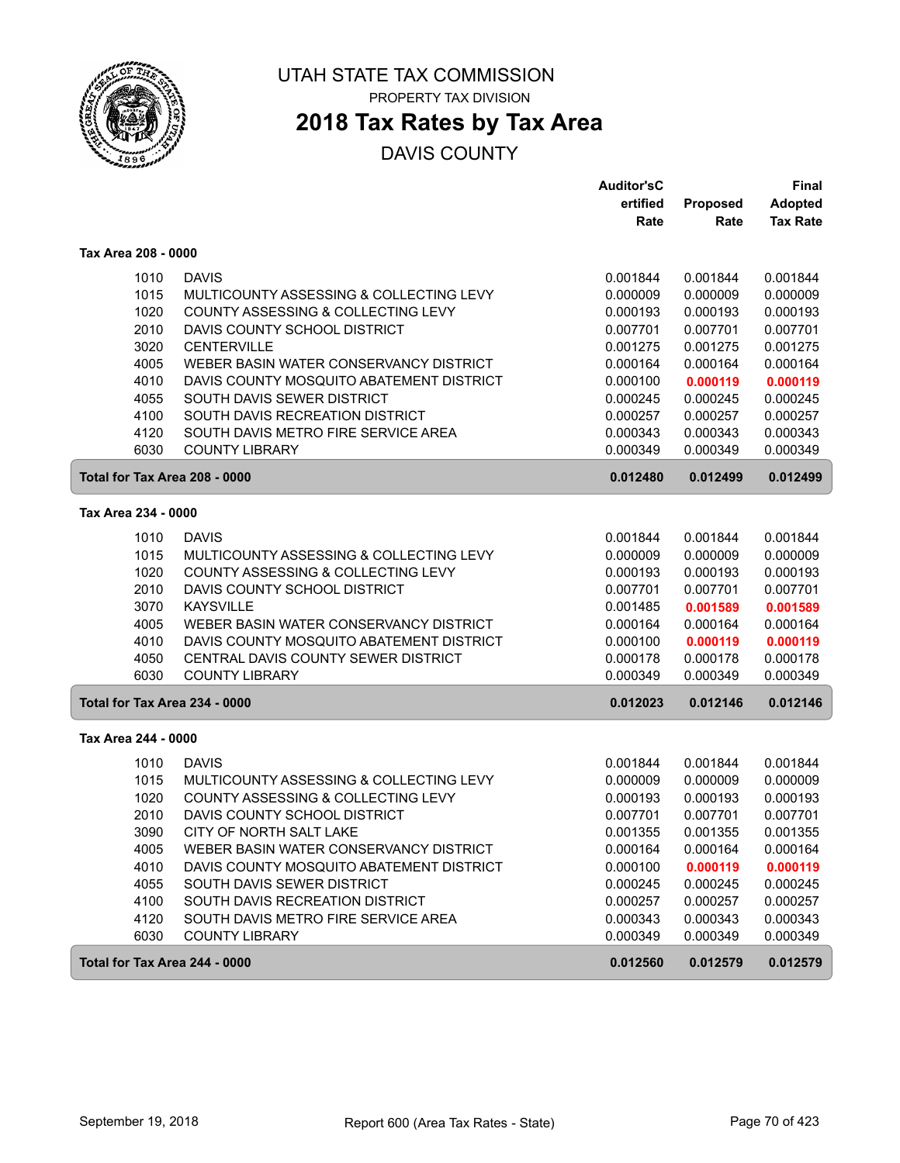

PROPERTY TAX DIVISION

# **2018 Tax Rates by Tax Area**

|                               |                                          | <b>Auditor'sC</b> |          | <b>Final</b>    |
|-------------------------------|------------------------------------------|-------------------|----------|-----------------|
|                               |                                          | ertified          | Proposed | <b>Adopted</b>  |
|                               |                                          | Rate              | Rate     | <b>Tax Rate</b> |
| Tax Area 208 - 0000           |                                          |                   |          |                 |
| 1010                          | <b>DAVIS</b>                             | 0.001844          | 0.001844 | 0.001844        |
| 1015                          | MULTICOUNTY ASSESSING & COLLECTING LEVY  | 0.000009          | 0.000009 | 0.000009        |
| 1020                          | COUNTY ASSESSING & COLLECTING LEVY       | 0.000193          | 0.000193 | 0.000193        |
| 2010                          | DAVIS COUNTY SCHOOL DISTRICT             | 0.007701          | 0.007701 | 0.007701        |
| 3020                          | <b>CENTERVILLE</b>                       | 0.001275          | 0.001275 | 0.001275        |
| 4005                          | WEBER BASIN WATER CONSERVANCY DISTRICT   | 0.000164          | 0.000164 | 0.000164        |
| 4010                          | DAVIS COUNTY MOSQUITO ABATEMENT DISTRICT | 0.000100          | 0.000119 | 0.000119        |
| 4055                          | SOUTH DAVIS SEWER DISTRICT               | 0.000245          | 0.000245 | 0.000245        |
| 4100                          | SOUTH DAVIS RECREATION DISTRICT          | 0.000257          | 0.000257 | 0.000257        |
| 4120                          | SOUTH DAVIS METRO FIRE SERVICE AREA      | 0.000343          | 0.000343 | 0.000343        |
| 6030                          | <b>COUNTY LIBRARY</b>                    | 0.000349          | 0.000349 | 0.000349        |
| Total for Tax Area 208 - 0000 |                                          | 0.012480          | 0.012499 | 0.012499        |
| Tax Area 234 - 0000           |                                          |                   |          |                 |
| 1010                          | <b>DAVIS</b>                             | 0.001844          | 0.001844 | 0.001844        |
| 1015                          | MULTICOUNTY ASSESSING & COLLECTING LEVY  | 0.000009          | 0.000009 | 0.000009        |
| 1020                          | COUNTY ASSESSING & COLLECTING LEVY       | 0.000193          | 0.000193 | 0.000193        |
| 2010                          | DAVIS COUNTY SCHOOL DISTRICT             | 0.007701          | 0.007701 | 0.007701        |
| 3070                          | <b>KAYSVILLE</b>                         | 0.001485          | 0.001589 | 0.001589        |
| 4005                          | WEBER BASIN WATER CONSERVANCY DISTRICT   | 0.000164          | 0.000164 | 0.000164        |
| 4010                          | DAVIS COUNTY MOSQUITO ABATEMENT DISTRICT | 0.000100          | 0.000119 | 0.000119        |
| 4050                          | CENTRAL DAVIS COUNTY SEWER DISTRICT      | 0.000178          | 0.000178 | 0.000178        |
| 6030                          | <b>COUNTY LIBRARY</b>                    | 0.000349          | 0.000349 | 0.000349        |
| Total for Tax Area 234 - 0000 |                                          | 0.012023          | 0.012146 | 0.012146        |
| Tax Area 244 - 0000           |                                          |                   |          |                 |
| 1010                          | <b>DAVIS</b>                             | 0.001844          | 0.001844 | 0.001844        |
| 1015                          | MULTICOUNTY ASSESSING & COLLECTING LEVY  | 0.000009          | 0.000009 | 0.000009        |
| 1020                          | COUNTY ASSESSING & COLLECTING LEVY       | 0.000193          | 0.000193 | 0.000193        |
| 2010                          | DAVIS COUNTY SCHOOL DISTRICT             | 0.007701          | 0.007701 | 0.007701        |
| 3090                          | CITY OF NORTH SALT LAKE                  | 0.001355          | 0.001355 | 0.001355        |
| 4005                          | WEBER BASIN WATER CONSERVANCY DISTRICT   | 0.000164          | 0.000164 | 0.000164        |
| 4010                          | DAVIS COUNTY MOSQUITO ABATEMENT DISTRICT | 0.000100          | 0.000119 | 0.000119        |
| 4055                          | SOUTH DAVIS SEWER DISTRICT               | 0.000245          | 0.000245 | 0.000245        |
| 4100                          | SOUTH DAVIS RECREATION DISTRICT          | 0.000257          | 0.000257 | 0.000257        |
| 4120                          | SOUTH DAVIS METRO FIRE SERVICE AREA      | 0.000343          | 0.000343 | 0.000343        |
| 6030                          | <b>COUNTY LIBRARY</b>                    | 0.000349          | 0.000349 | 0.000349        |
| Total for Tax Area 244 - 0000 |                                          | 0.012560          | 0.012579 | 0.012579        |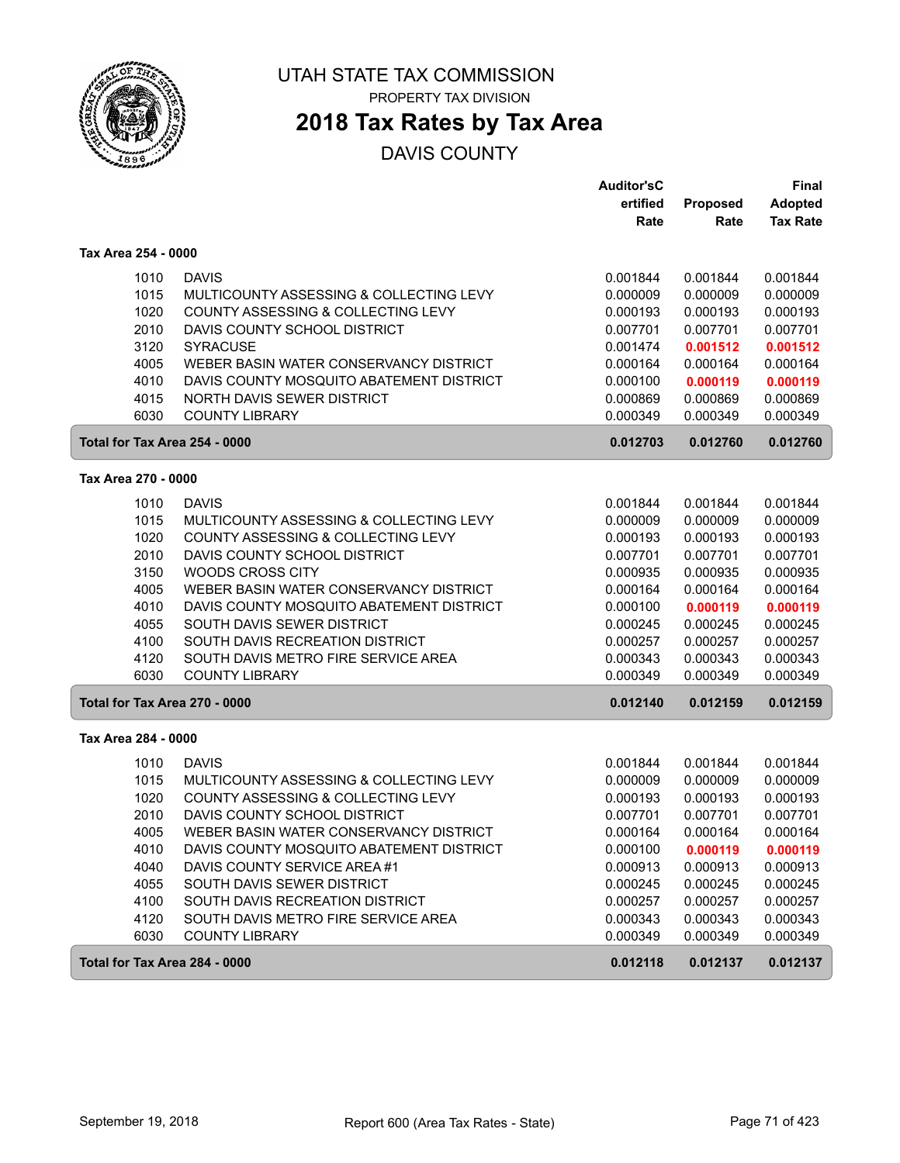

PROPERTY TAX DIVISION

# **2018 Tax Rates by Tax Area**

|                               |                                          | <b>Auditor'sC</b> |          | Final           |
|-------------------------------|------------------------------------------|-------------------|----------|-----------------|
|                               |                                          | ertified          | Proposed | <b>Adopted</b>  |
|                               |                                          | Rate              | Rate     | <b>Tax Rate</b> |
| Tax Area 254 - 0000           |                                          |                   |          |                 |
| 1010                          | <b>DAVIS</b>                             | 0.001844          | 0.001844 | 0.001844        |
| 1015                          | MULTICOUNTY ASSESSING & COLLECTING LEVY  | 0.000009          | 0.000009 | 0.000009        |
| 1020                          | COUNTY ASSESSING & COLLECTING LEVY       | 0.000193          | 0.000193 | 0.000193        |
| 2010                          | DAVIS COUNTY SCHOOL DISTRICT             | 0.007701          | 0.007701 | 0.007701        |
| 3120                          | <b>SYRACUSE</b>                          | 0.001474          | 0.001512 | 0.001512        |
| 4005                          | WEBER BASIN WATER CONSERVANCY DISTRICT   | 0.000164          | 0.000164 | 0.000164        |
| 4010                          | DAVIS COUNTY MOSQUITO ABATEMENT DISTRICT | 0.000100          | 0.000119 | 0.000119        |
| 4015                          | NORTH DAVIS SEWER DISTRICT               | 0.000869          | 0.000869 | 0.000869        |
| 6030                          | <b>COUNTY LIBRARY</b>                    | 0.000349          | 0.000349 | 0.000349        |
| Total for Tax Area 254 - 0000 |                                          | 0.012703          | 0.012760 | 0.012760        |
| Tax Area 270 - 0000           |                                          |                   |          |                 |
| 1010                          | <b>DAVIS</b>                             | 0.001844          | 0.001844 | 0.001844        |
| 1015                          | MULTICOUNTY ASSESSING & COLLECTING LEVY  | 0.000009          | 0.000009 | 0.000009        |
| 1020                          | COUNTY ASSESSING & COLLECTING LEVY       | 0.000193          | 0.000193 | 0.000193        |
| 2010                          | DAVIS COUNTY SCHOOL DISTRICT             | 0.007701          | 0.007701 | 0.007701        |
| 3150                          | <b>WOODS CROSS CITY</b>                  | 0.000935          | 0.000935 | 0.000935        |
| 4005                          | WEBER BASIN WATER CONSERVANCY DISTRICT   | 0.000164          | 0.000164 | 0.000164        |
| 4010                          | DAVIS COUNTY MOSQUITO ABATEMENT DISTRICT | 0.000100          | 0.000119 | 0.000119        |
| 4055                          | SOUTH DAVIS SEWER DISTRICT               | 0.000245          | 0.000245 | 0.000245        |
| 4100                          | SOUTH DAVIS RECREATION DISTRICT          | 0.000257          | 0.000257 | 0.000257        |
| 4120                          | SOUTH DAVIS METRO FIRE SERVICE AREA      | 0.000343          | 0.000343 | 0.000343        |
| 6030                          | <b>COUNTY LIBRARY</b>                    | 0.000349          | 0.000349 | 0.000349        |
| Total for Tax Area 270 - 0000 |                                          | 0.012140          | 0.012159 | 0.012159        |
| Tax Area 284 - 0000           |                                          |                   |          |                 |
| 1010                          | <b>DAVIS</b>                             | 0.001844          | 0.001844 | 0.001844        |
| 1015                          | MULTICOUNTY ASSESSING & COLLECTING LEVY  | 0.000009          | 0.000009 | 0.000009        |
| 1020                          | COUNTY ASSESSING & COLLECTING LEVY       | 0.000193          | 0.000193 | 0.000193        |
| 2010                          | DAVIS COUNTY SCHOOL DISTRICT             | 0.007701          | 0.007701 | 0.007701        |
| 4005                          | WEBER BASIN WATER CONSERVANCY DISTRICT   | 0.000164          | 0.000164 | 0.000164        |
| 4010                          | DAVIS COUNTY MOSQUITO ABATEMENT DISTRICT | 0.000100          | 0.000119 | 0.000119        |
| 4040                          | DAVIS COUNTY SERVICE AREA #1             | 0.000913          | 0.000913 | 0.000913        |
| 4055                          | SOUTH DAVIS SEWER DISTRICT               | 0.000245          | 0.000245 | 0.000245        |
| 4100                          | SOUTH DAVIS RECREATION DISTRICT          | 0.000257          | 0.000257 | 0.000257        |
| 4120                          | SOUTH DAVIS METRO FIRE SERVICE AREA      | 0.000343          | 0.000343 | 0.000343        |
| 6030                          | <b>COUNTY LIBRARY</b>                    | 0.000349          | 0.000349 | 0.000349        |
| Total for Tax Area 284 - 0000 |                                          | 0.012118          | 0.012137 | 0.012137        |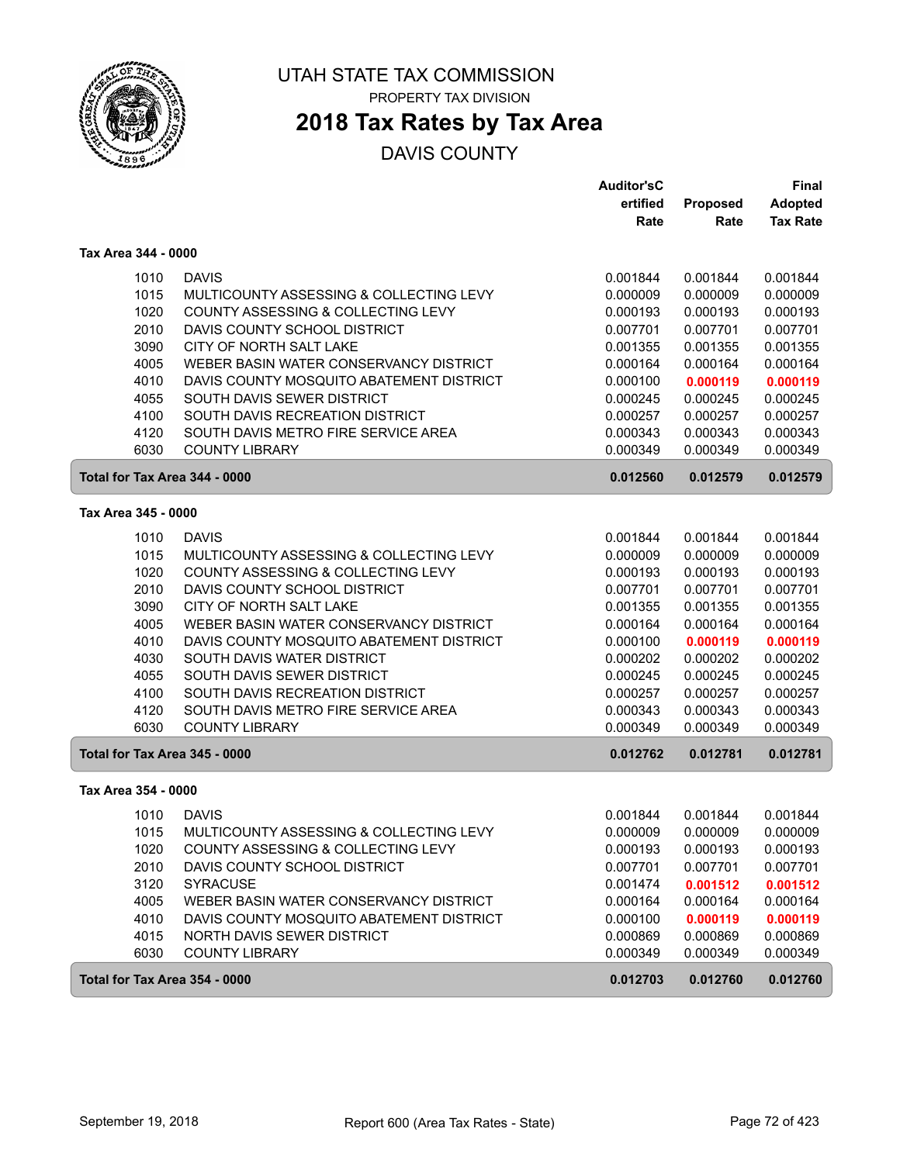

## **2018 Tax Rates by Tax Area**

|                               |                                          | <b>Auditor'sC</b> |                 | <b>Final</b>    |
|-------------------------------|------------------------------------------|-------------------|-----------------|-----------------|
|                               |                                          | ertified          | <b>Proposed</b> | <b>Adopted</b>  |
|                               |                                          | Rate              | Rate            | <b>Tax Rate</b> |
| Tax Area 344 - 0000           |                                          |                   |                 |                 |
| 1010                          | <b>DAVIS</b>                             | 0.001844          | 0.001844        | 0.001844        |
| 1015                          | MULTICOUNTY ASSESSING & COLLECTING LEVY  | 0.000009          | 0.000009        | 0.000009        |
| 1020                          | COUNTY ASSESSING & COLLECTING LEVY       | 0.000193          | 0.000193        | 0.000193        |
| 2010                          | DAVIS COUNTY SCHOOL DISTRICT             | 0.007701          | 0.007701        | 0.007701        |
| 3090                          | CITY OF NORTH SALT LAKE                  | 0.001355          | 0.001355        | 0.001355        |
| 4005                          | WEBER BASIN WATER CONSERVANCY DISTRICT   | 0.000164          | 0.000164        | 0.000164        |
| 4010                          | DAVIS COUNTY MOSQUITO ABATEMENT DISTRICT | 0.000100          | 0.000119        | 0.000119        |
| 4055                          | SOUTH DAVIS SEWER DISTRICT               | 0.000245          | 0.000245        | 0.000245        |
| 4100                          | SOUTH DAVIS RECREATION DISTRICT          | 0.000257          | 0.000257        | 0.000257        |
| 4120                          | SOUTH DAVIS METRO FIRE SERVICE AREA      | 0.000343          | 0.000343        | 0.000343        |
| 6030                          | <b>COUNTY LIBRARY</b>                    | 0.000349          | 0.000349        | 0.000349        |
| Total for Tax Area 344 - 0000 |                                          | 0.012560          | 0.012579        | 0.012579        |
| Tax Area 345 - 0000           |                                          |                   |                 |                 |
| 1010                          | <b>DAVIS</b>                             | 0.001844          | 0.001844        | 0.001844        |
| 1015                          | MULTICOUNTY ASSESSING & COLLECTING LEVY  | 0.000009          | 0.000009        | 0.000009        |
| 1020                          | COUNTY ASSESSING & COLLECTING LEVY       | 0.000193          | 0.000193        | 0.000193        |
| 2010                          | DAVIS COUNTY SCHOOL DISTRICT             | 0.007701          | 0.007701        | 0.007701        |
| 3090                          | CITY OF NORTH SALT LAKE                  | 0.001355          | 0.001355        | 0.001355        |
| 4005                          | WEBER BASIN WATER CONSERVANCY DISTRICT   | 0.000164          | 0.000164        | 0.000164        |
| 4010                          | DAVIS COUNTY MOSQUITO ABATEMENT DISTRICT | 0.000100          | 0.000119        | 0.000119        |
| 4030                          | SOUTH DAVIS WATER DISTRICT               | 0.000202          | 0.000202        | 0.000202        |
| 4055                          | SOUTH DAVIS SEWER DISTRICT               | 0.000245          | 0.000245        | 0.000245        |
| 4100                          | SOUTH DAVIS RECREATION DISTRICT          | 0.000257          | 0.000257        | 0.000257        |
| 4120                          | SOUTH DAVIS METRO FIRE SERVICE AREA      | 0.000343          | 0.000343        | 0.000343        |
| 6030                          | <b>COUNTY LIBRARY</b>                    | 0.000349          | 0.000349        | 0.000349        |
| Total for Tax Area 345 - 0000 |                                          | 0.012762          | 0.012781        | 0.012781        |
| Tax Area 354 - 0000           |                                          |                   |                 |                 |
| 1010                          | <b>DAVIS</b>                             | 0.001844          | 0.001844        | 0.001844        |
| 1015                          | MULTICOUNTY ASSESSING & COLLECTING LEVY  | 0.000009          | 0.000009        | 0.000009        |
| 1020                          | COUNTY ASSESSING & COLLECTING LEVY       | 0.000193          | 0.000193        | 0.000193        |
| 2010                          | DAVIS COUNTY SCHOOL DISTRICT             | 0.007701          | 0.007701        | 0.007701        |
| 3120                          | <b>SYRACUSE</b>                          | 0.001474          | 0.001512        | 0.001512        |
| 4005                          | WEBER BASIN WATER CONSERVANCY DISTRICT   | 0.000164          | 0.000164        | 0.000164        |
| 4010                          | DAVIS COUNTY MOSQUITO ABATEMENT DISTRICT | 0.000100          | 0.000119        | 0.000119        |
| 4015                          | NORTH DAVIS SEWER DISTRICT               | 0.000869          | 0.000869        | 0.000869        |
| 6030                          | <b>COUNTY LIBRARY</b>                    | 0.000349          | 0.000349        | 0.000349        |
| Total for Tax Area 354 - 0000 |                                          | 0.012703          | 0.012760        | 0.012760        |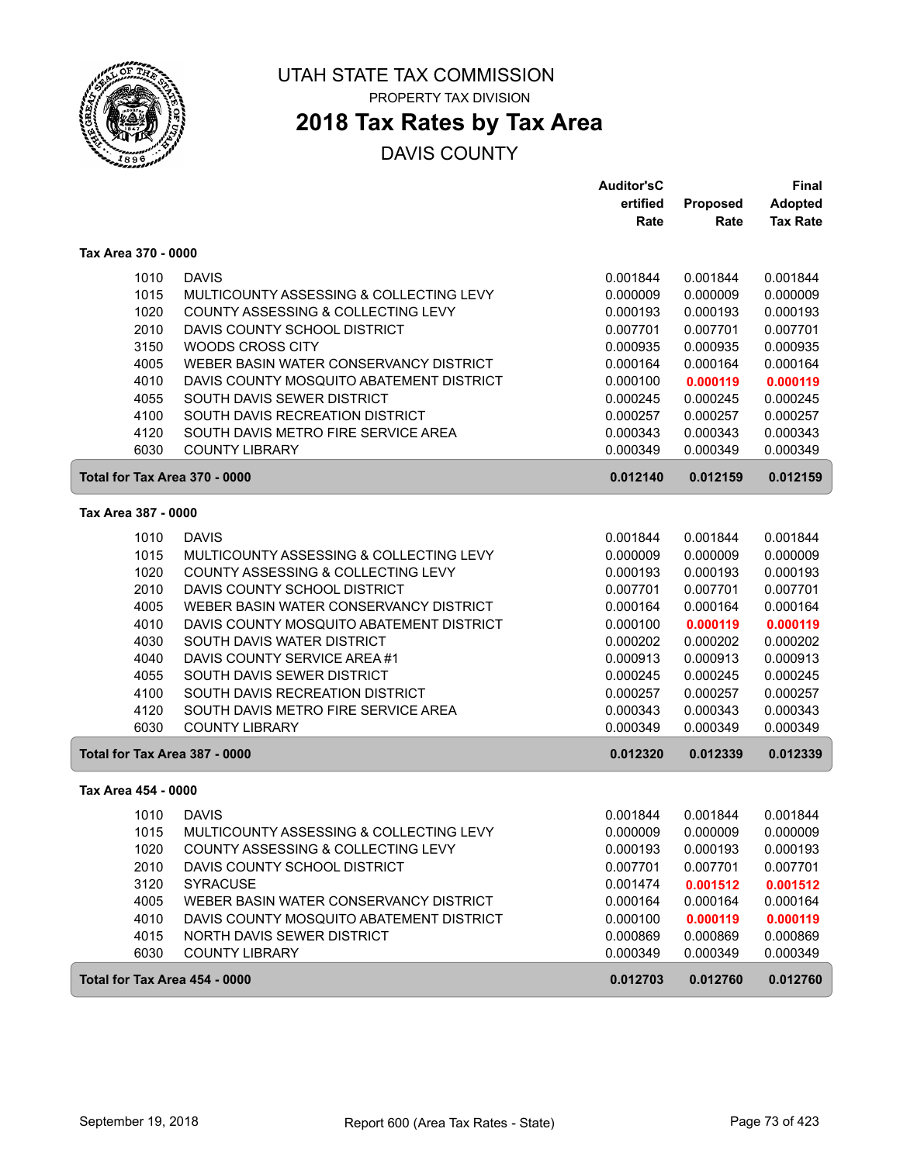

# **2018 Tax Rates by Tax Area**

|                               |                                          | <b>Auditor'sC</b> |                 | <b>Final</b>    |
|-------------------------------|------------------------------------------|-------------------|-----------------|-----------------|
|                               |                                          | ertified          | <b>Proposed</b> | <b>Adopted</b>  |
|                               |                                          | Rate              | Rate            | <b>Tax Rate</b> |
| Tax Area 370 - 0000           |                                          |                   |                 |                 |
| 1010                          | <b>DAVIS</b>                             | 0.001844          | 0.001844        | 0.001844        |
| 1015                          | MULTICOUNTY ASSESSING & COLLECTING LEVY  | 0.000009          | 0.000009        | 0.000009        |
| 1020                          | COUNTY ASSESSING & COLLECTING LEVY       | 0.000193          | 0.000193        | 0.000193        |
| 2010                          | DAVIS COUNTY SCHOOL DISTRICT             | 0.007701          | 0.007701        | 0.007701        |
| 3150                          | WOODS CROSS CITY                         | 0.000935          | 0.000935        | 0.000935        |
| 4005                          | WEBER BASIN WATER CONSERVANCY DISTRICT   | 0.000164          | 0.000164        | 0.000164        |
| 4010                          | DAVIS COUNTY MOSQUITO ABATEMENT DISTRICT | 0.000100          | 0.000119        | 0.000119        |
| 4055                          | SOUTH DAVIS SEWER DISTRICT               | 0.000245          | 0.000245        | 0.000245        |
| 4100                          | SOUTH DAVIS RECREATION DISTRICT          | 0.000257          | 0.000257        | 0.000257        |
| 4120                          | SOUTH DAVIS METRO FIRE SERVICE AREA      | 0.000343          | 0.000343        | 0.000343        |
| 6030                          | <b>COUNTY LIBRARY</b>                    | 0.000349          | 0.000349        | 0.000349        |
| Total for Tax Area 370 - 0000 |                                          | 0.012140          | 0.012159        | 0.012159        |
| Tax Area 387 - 0000           |                                          |                   |                 |                 |
| 1010                          | <b>DAVIS</b>                             | 0.001844          | 0.001844        | 0.001844        |
| 1015                          | MULTICOUNTY ASSESSING & COLLECTING LEVY  | 0.000009          | 0.000009        | 0.000009        |
| 1020                          | COUNTY ASSESSING & COLLECTING LEVY       | 0.000193          | 0.000193        | 0.000193        |
| 2010                          | DAVIS COUNTY SCHOOL DISTRICT             | 0.007701          | 0.007701        | 0.007701        |
| 4005                          | WEBER BASIN WATER CONSERVANCY DISTRICT   | 0.000164          | 0.000164        | 0.000164        |
| 4010                          | DAVIS COUNTY MOSQUITO ABATEMENT DISTRICT | 0.000100          | 0.000119        | 0.000119        |
| 4030                          | SOUTH DAVIS WATER DISTRICT               | 0.000202          | 0.000202        | 0.000202        |
| 4040                          | DAVIS COUNTY SERVICE AREA #1             | 0.000913          | 0.000913        | 0.000913        |
| 4055                          | SOUTH DAVIS SEWER DISTRICT               | 0.000245          | 0.000245        | 0.000245        |
| 4100                          | SOUTH DAVIS RECREATION DISTRICT          | 0.000257          | 0.000257        | 0.000257        |
| 4120                          | SOUTH DAVIS METRO FIRE SERVICE AREA      | 0.000343          | 0.000343        | 0.000343        |
| 6030                          | <b>COUNTY LIBRARY</b>                    | 0.000349          | 0.000349        | 0.000349        |
| Total for Tax Area 387 - 0000 |                                          | 0.012320          | 0.012339        | 0.012339        |
| Tax Area 454 - 0000           |                                          |                   |                 |                 |
| 1010                          | <b>DAVIS</b>                             | 0.001844          | 0.001844        | 0.001844        |
| 1015                          | MULTICOUNTY ASSESSING & COLLECTING LEVY  | 0.000009          | 0.000009        | 0.000009        |
| 1020                          | COUNTY ASSESSING & COLLECTING LEVY       | 0.000193          | 0.000193        | 0.000193        |
| 2010                          | DAVIS COUNTY SCHOOL DISTRICT             | 0.007701          | 0.007701        | 0.007701        |
| 3120                          | <b>SYRACUSE</b>                          | 0.001474          | 0.001512        | 0.001512        |
| 4005                          | WEBER BASIN WATER CONSERVANCY DISTRICT   | 0.000164          | 0.000164        | 0.000164        |
| 4010                          | DAVIS COUNTY MOSQUITO ABATEMENT DISTRICT | 0.000100          | 0.000119        | 0.000119        |
| 4015                          | NORTH DAVIS SEWER DISTRICT               | 0.000869          | 0.000869        | 0.000869        |
| 6030                          | <b>COUNTY LIBRARY</b>                    | 0.000349          | 0.000349        | 0.000349        |
| Total for Tax Area 454 - 0000 |                                          | 0.012703          | 0.012760        | 0.012760        |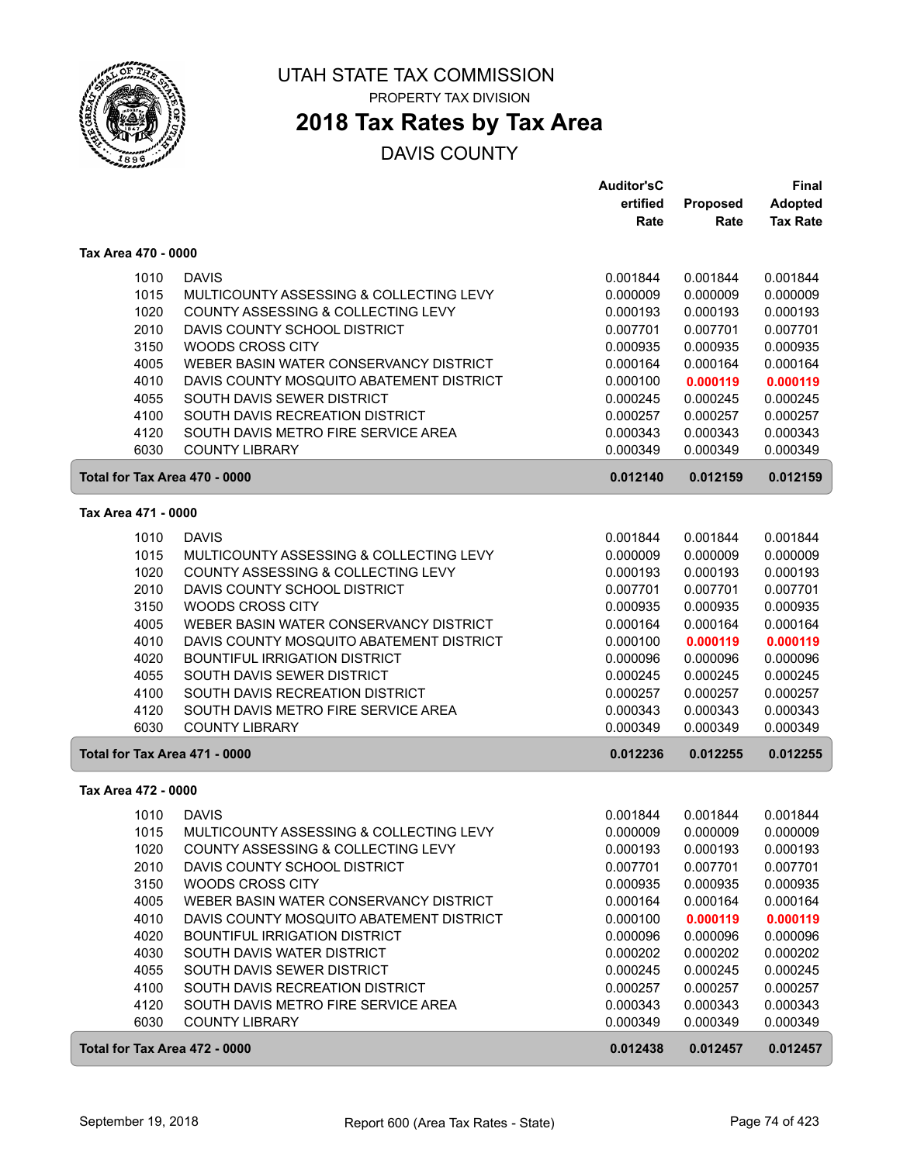

## **2018 Tax Rates by Tax Area**

|                               |                                          | <b>Auditor'sC</b> |          | Final           |
|-------------------------------|------------------------------------------|-------------------|----------|-----------------|
|                               |                                          | ertified          | Proposed | <b>Adopted</b>  |
|                               |                                          | Rate              | Rate     | <b>Tax Rate</b> |
| Tax Area 470 - 0000           |                                          |                   |          |                 |
| 1010                          | <b>DAVIS</b>                             | 0.001844          | 0.001844 | 0.001844        |
| 1015                          | MULTICOUNTY ASSESSING & COLLECTING LEVY  | 0.000009          | 0.000009 | 0.000009        |
| 1020                          | COUNTY ASSESSING & COLLECTING LEVY       | 0.000193          | 0.000193 | 0.000193        |
| 2010                          | DAVIS COUNTY SCHOOL DISTRICT             | 0.007701          | 0.007701 | 0.007701        |
| 3150                          | <b>WOODS CROSS CITY</b>                  | 0.000935          | 0.000935 | 0.000935        |
| 4005                          | WEBER BASIN WATER CONSERVANCY DISTRICT   | 0.000164          | 0.000164 | 0.000164        |
| 4010                          | DAVIS COUNTY MOSQUITO ABATEMENT DISTRICT | 0.000100          | 0.000119 | 0.000119        |
| 4055                          | SOUTH DAVIS SEWER DISTRICT               | 0.000245          | 0.000245 | 0.000245        |
| 4100                          | SOUTH DAVIS RECREATION DISTRICT          | 0.000257          | 0.000257 | 0.000257        |
| 4120                          | SOUTH DAVIS METRO FIRE SERVICE AREA      | 0.000343          | 0.000343 | 0.000343        |
| 6030                          | <b>COUNTY LIBRARY</b>                    | 0.000349          | 0.000349 | 0.000349        |
| Total for Tax Area 470 - 0000 |                                          | 0.012140          | 0.012159 | 0.012159        |
| Tax Area 471 - 0000           |                                          |                   |          |                 |
|                               |                                          |                   |          |                 |
| 1010                          | <b>DAVIS</b>                             | 0.001844          | 0.001844 | 0.001844        |
| 1015                          | MULTICOUNTY ASSESSING & COLLECTING LEVY  | 0.000009          | 0.000009 | 0.000009        |
| 1020                          | COUNTY ASSESSING & COLLECTING LEVY       | 0.000193          | 0.000193 | 0.000193        |
| 2010                          | DAVIS COUNTY SCHOOL DISTRICT             | 0.007701          | 0.007701 | 0.007701        |
| 3150                          | WOODS CROSS CITY                         | 0.000935          | 0.000935 | 0.000935        |
| 4005                          | WEBER BASIN WATER CONSERVANCY DISTRICT   | 0.000164          | 0.000164 | 0.000164        |
| 4010                          | DAVIS COUNTY MOSQUITO ABATEMENT DISTRICT | 0.000100          | 0.000119 | 0.000119        |
| 4020                          | <b>BOUNTIFUL IRRIGATION DISTRICT</b>     | 0.000096          | 0.000096 | 0.000096        |
| 4055                          | SOUTH DAVIS SEWER DISTRICT               | 0.000245          | 0.000245 | 0.000245        |
| 4100                          | SOUTH DAVIS RECREATION DISTRICT          | 0.000257          | 0.000257 | 0.000257        |
| 4120                          | SOUTH DAVIS METRO FIRE SERVICE AREA      | 0.000343          | 0.000343 | 0.000343        |
| 6030                          | <b>COUNTY LIBRARY</b>                    | 0.000349          | 0.000349 | 0.000349        |
| Total for Tax Area 471 - 0000 |                                          | 0.012236          | 0.012255 | 0.012255        |
| Tax Area 472 - 0000           |                                          |                   |          |                 |
| 1010                          | <b>DAVIS</b>                             | 0.001844          | 0.001844 | 0.001844        |
| 1015                          | MULTICOUNTY ASSESSING & COLLECTING LEVY  | 0.000009          | 0.000009 | 0.000009        |
| 1020                          | COUNTY ASSESSING & COLLECTING LEVY       | 0.000193          | 0.000193 | 0.000193        |
| 2010                          | DAVIS COUNTY SCHOOL DISTRICT             | 0.007701          | 0.007701 | 0.007701        |
| 3150                          | WOODS CROSS CITY                         | 0.000935          | 0.000935 | 0.000935        |
| 4005                          | WEBER BASIN WATER CONSERVANCY DISTRICT   | 0.000164          | 0.000164 | 0.000164        |
| 4010                          | DAVIS COUNTY MOSQUITO ABATEMENT DISTRICT | 0.000100          | 0.000119 | 0.000119        |
| 4020                          | <b>BOUNTIFUL IRRIGATION DISTRICT</b>     | 0.000096          | 0.000096 | 0.000096        |
| 4030                          | SOUTH DAVIS WATER DISTRICT               | 0.000202          | 0.000202 | 0.000202        |
| 4055                          | SOUTH DAVIS SEWER DISTRICT               | 0.000245          | 0.000245 | 0.000245        |
| 4100                          | SOUTH DAVIS RECREATION DISTRICT          | 0.000257          | 0.000257 | 0.000257        |
| 4120                          | SOUTH DAVIS METRO FIRE SERVICE AREA      | 0.000343          | 0.000343 | 0.000343        |
| 6030                          | <b>COUNTY LIBRARY</b>                    | 0.000349          | 0.000349 | 0.000349        |
| Total for Tax Area 472 - 0000 |                                          | 0.012438          | 0.012457 | 0.012457        |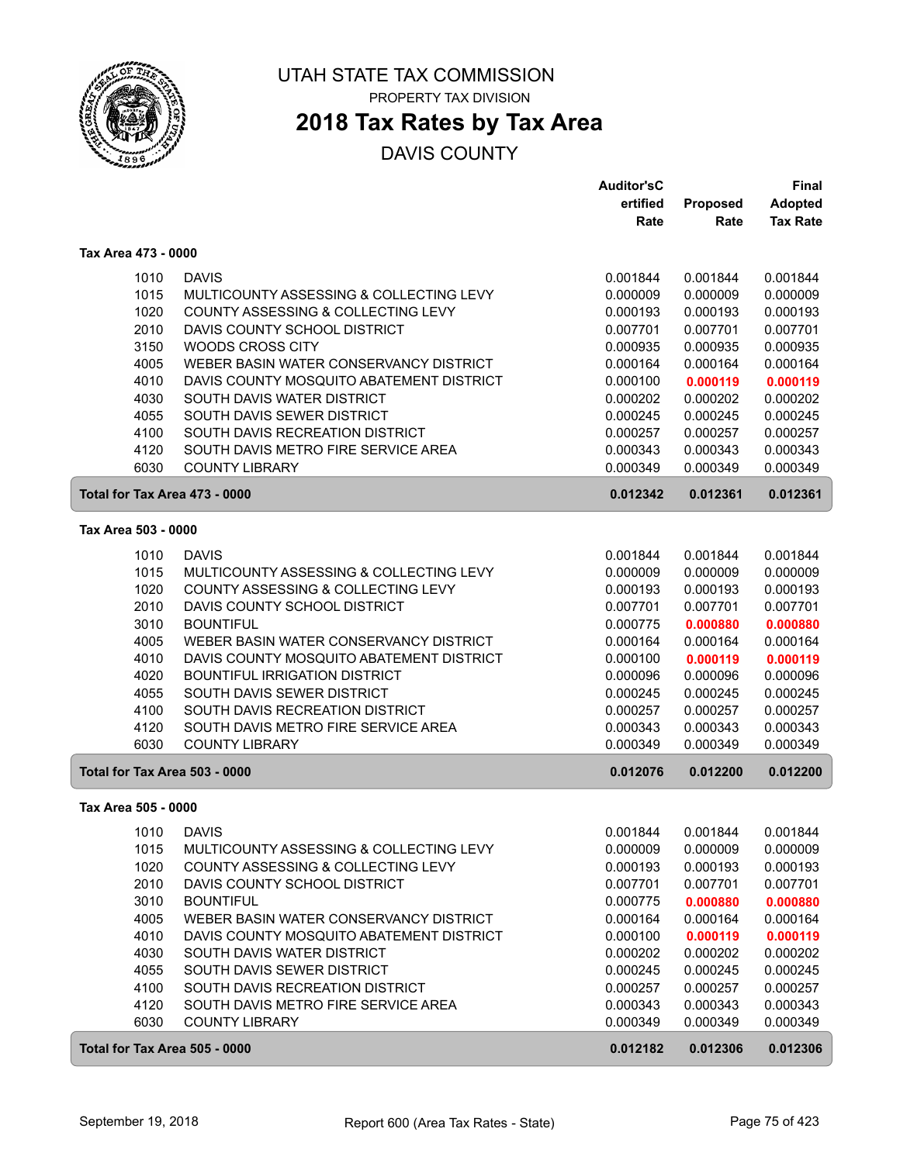

## **2018 Tax Rates by Tax Area**

|                               |                                          | <b>Auditor'sC</b> |                 | <b>Final</b>    |
|-------------------------------|------------------------------------------|-------------------|-----------------|-----------------|
|                               |                                          | ertified          | <b>Proposed</b> | <b>Adopted</b>  |
|                               |                                          | Rate              | Rate            | <b>Tax Rate</b> |
| Tax Area 473 - 0000           |                                          |                   |                 |                 |
| 1010                          | <b>DAVIS</b>                             | 0.001844          | 0.001844        | 0.001844        |
| 1015                          | MULTICOUNTY ASSESSING & COLLECTING LEVY  | 0.000009          | 0.000009        | 0.000009        |
| 1020                          | COUNTY ASSESSING & COLLECTING LEVY       | 0.000193          | 0.000193        | 0.000193        |
| 2010                          | DAVIS COUNTY SCHOOL DISTRICT             | 0.007701          | 0.007701        | 0.007701        |
| 3150                          | WOODS CROSS CITY                         | 0.000935          | 0.000935        | 0.000935        |
| 4005                          | WEBER BASIN WATER CONSERVANCY DISTRICT   | 0.000164          | 0.000164        | 0.000164        |
| 4010                          | DAVIS COUNTY MOSQUITO ABATEMENT DISTRICT | 0.000100          | 0.000119        | 0.000119        |
| 4030                          | SOUTH DAVIS WATER DISTRICT               | 0.000202          | 0.000202        | 0.000202        |
| 4055                          | SOUTH DAVIS SEWER DISTRICT               | 0.000245          | 0.000245        | 0.000245        |
| 4100                          | SOUTH DAVIS RECREATION DISTRICT          | 0.000257          | 0.000257        | 0.000257        |
| 4120                          | SOUTH DAVIS METRO FIRE SERVICE AREA      | 0.000343          | 0.000343        | 0.000343        |
| 6030                          | <b>COUNTY LIBRARY</b>                    | 0.000349          | 0.000349        | 0.000349        |
| Total for Tax Area 473 - 0000 |                                          | 0.012342          | 0.012361        | 0.012361        |
| Tax Area 503 - 0000           |                                          |                   |                 |                 |
|                               |                                          |                   |                 |                 |
| 1010                          | <b>DAVIS</b>                             | 0.001844          | 0.001844        | 0.001844        |
| 1015                          | MULTICOUNTY ASSESSING & COLLECTING LEVY  | 0.000009          | 0.000009        | 0.000009        |
| 1020                          | COUNTY ASSESSING & COLLECTING LEVY       | 0.000193          | 0.000193        | 0.000193        |
| 2010                          | DAVIS COUNTY SCHOOL DISTRICT             | 0.007701          | 0.007701        | 0.007701        |
| 3010                          | <b>BOUNTIFUL</b>                         | 0.000775          | 0.000880        | 0.000880        |
| 4005                          | WEBER BASIN WATER CONSERVANCY DISTRICT   | 0.000164          | 0.000164        | 0.000164        |
| 4010                          | DAVIS COUNTY MOSQUITO ABATEMENT DISTRICT | 0.000100          | 0.000119        | 0.000119        |
| 4020                          | <b>BOUNTIFUL IRRIGATION DISTRICT</b>     | 0.000096          | 0.000096        | 0.000096        |
| 4055                          | SOUTH DAVIS SEWER DISTRICT               | 0.000245          | 0.000245        | 0.000245        |
| 4100                          | SOUTH DAVIS RECREATION DISTRICT          | 0.000257          | 0.000257        | 0.000257        |
| 4120                          | SOUTH DAVIS METRO FIRE SERVICE AREA      | 0.000343          | 0.000343        | 0.000343        |
| 6030                          | <b>COUNTY LIBRARY</b>                    | 0.000349          | 0.000349        | 0.000349        |
| Total for Tax Area 503 - 0000 |                                          | 0.012076          | 0.012200        | 0.012200        |
| Tax Area 505 - 0000           |                                          |                   |                 |                 |
|                               | 1010 DAVIS                               | 0.001844          | 0.001844        | 0.001844        |
| 1015                          | MULTICOUNTY ASSESSING & COLLECTING LEVY  | 0.000009          | 0.000009        | 0.000009        |
| 1020                          | COUNTY ASSESSING & COLLECTING LEVY       | 0.000193          | 0.000193        | 0.000193        |
| 2010                          | DAVIS COUNTY SCHOOL DISTRICT             | 0.007701          | 0.007701        | 0.007701        |
| 3010                          | <b>BOUNTIFUL</b>                         | 0.000775          | 0.000880        | 0.000880        |
| 4005                          | WEBER BASIN WATER CONSERVANCY DISTRICT   | 0.000164          | 0.000164        | 0.000164        |
| 4010                          | DAVIS COUNTY MOSQUITO ABATEMENT DISTRICT | 0.000100          | 0.000119        | 0.000119        |
| 4030                          | SOUTH DAVIS WATER DISTRICT               | 0.000202          | 0.000202        | 0.000202        |
| 4055                          | SOUTH DAVIS SEWER DISTRICT               | 0.000245          | 0.000245        | 0.000245        |
| 4100                          | SOUTH DAVIS RECREATION DISTRICT          | 0.000257          | 0.000257        | 0.000257        |
| 4120                          | SOUTH DAVIS METRO FIRE SERVICE AREA      | 0.000343          | 0.000343        | 0.000343        |
| 6030                          | <b>COUNTY LIBRARY</b>                    | 0.000349          | 0.000349        | 0.000349        |
| Total for Tax Area 505 - 0000 |                                          | 0.012182          | 0.012306        | 0.012306        |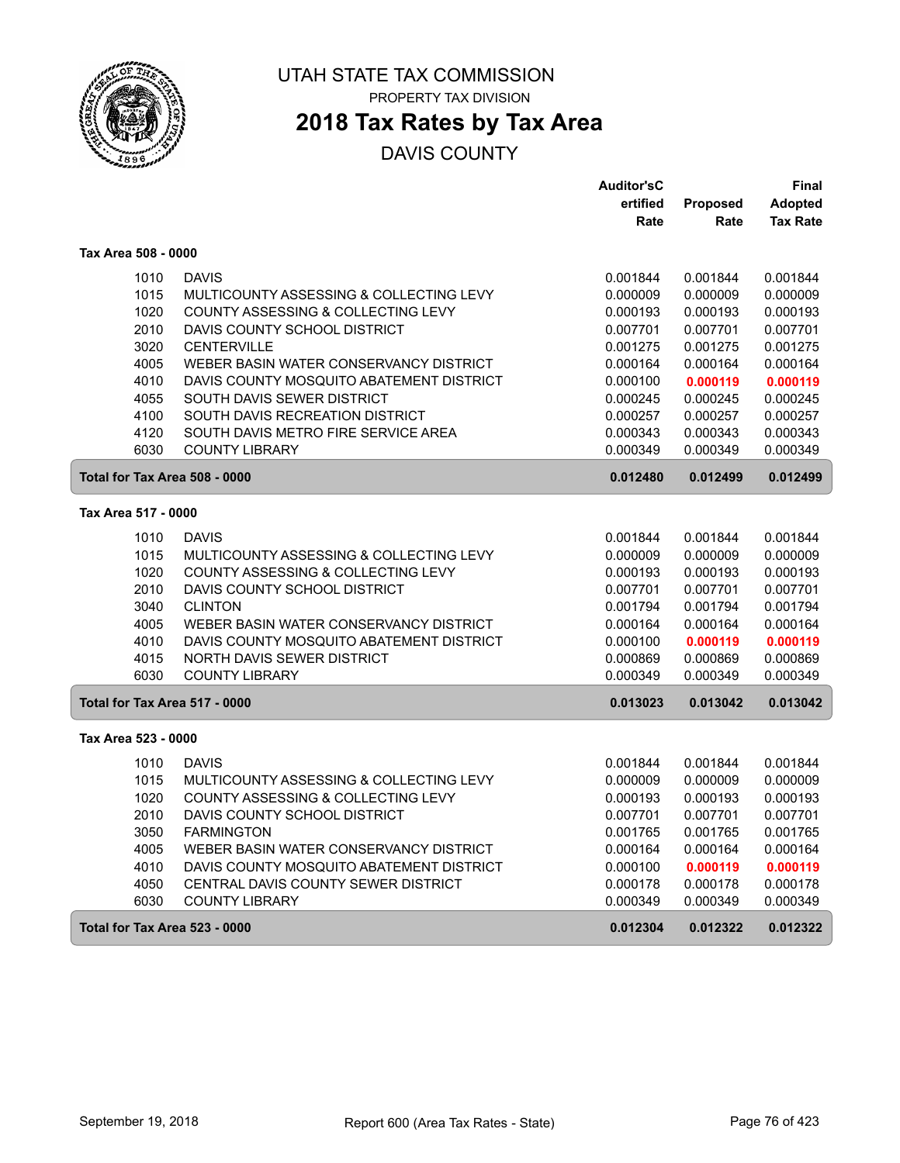

PROPERTY TAX DIVISION

# **2018 Tax Rates by Tax Area**

|                               |                                          | <b>Auditor'sC</b> |          | Final           |
|-------------------------------|------------------------------------------|-------------------|----------|-----------------|
|                               |                                          | ertified          | Proposed | <b>Adopted</b>  |
|                               |                                          | Rate              | Rate     | <b>Tax Rate</b> |
| Tax Area 508 - 0000           |                                          |                   |          |                 |
| 1010                          | <b>DAVIS</b>                             | 0.001844          | 0.001844 | 0.001844        |
| 1015                          | MULTICOUNTY ASSESSING & COLLECTING LEVY  | 0.000009          | 0.000009 | 0.000009        |
| 1020                          | COUNTY ASSESSING & COLLECTING LEVY       | 0.000193          | 0.000193 | 0.000193        |
| 2010                          | DAVIS COUNTY SCHOOL DISTRICT             | 0.007701          | 0.007701 | 0.007701        |
| 3020                          | <b>CENTERVILLE</b>                       | 0.001275          | 0.001275 | 0.001275        |
| 4005                          | WEBER BASIN WATER CONSERVANCY DISTRICT   | 0.000164          | 0.000164 | 0.000164        |
| 4010                          | DAVIS COUNTY MOSQUITO ABATEMENT DISTRICT | 0.000100          | 0.000119 | 0.000119        |
| 4055                          | SOUTH DAVIS SEWER DISTRICT               | 0.000245          | 0.000245 | 0.000245        |
| 4100                          | SOUTH DAVIS RECREATION DISTRICT          | 0.000257          | 0.000257 | 0.000257        |
| 4120                          | SOUTH DAVIS METRO FIRE SERVICE AREA      | 0.000343          | 0.000343 | 0.000343        |
| 6030                          | <b>COUNTY LIBRARY</b>                    | 0.000349          | 0.000349 | 0.000349        |
| Total for Tax Area 508 - 0000 |                                          | 0.012480          | 0.012499 | 0.012499        |
| Tax Area 517 - 0000           |                                          |                   |          |                 |
| 1010                          | <b>DAVIS</b>                             | 0.001844          | 0.001844 | 0.001844        |
| 1015                          | MULTICOUNTY ASSESSING & COLLECTING LEVY  | 0.000009          | 0.000009 | 0.000009        |
| 1020                          | COUNTY ASSESSING & COLLECTING LEVY       | 0.000193          | 0.000193 | 0.000193        |
| 2010                          | DAVIS COUNTY SCHOOL DISTRICT             | 0.007701          | 0.007701 | 0.007701        |
| 3040                          | <b>CLINTON</b>                           | 0.001794          | 0.001794 | 0.001794        |
| 4005                          | WEBER BASIN WATER CONSERVANCY DISTRICT   | 0.000164          | 0.000164 | 0.000164        |
| 4010                          | DAVIS COUNTY MOSQUITO ABATEMENT DISTRICT | 0.000100          | 0.000119 | 0.000119        |
| 4015                          | <b>NORTH DAVIS SEWER DISTRICT</b>        | 0.000869          | 0.000869 | 0.000869        |
| 6030                          | <b>COUNTY LIBRARY</b>                    | 0.000349          | 0.000349 | 0.000349        |
| Total for Tax Area 517 - 0000 |                                          | 0.013023          | 0.013042 | 0.013042        |
| Tax Area 523 - 0000           |                                          |                   |          |                 |
| 1010                          | <b>DAVIS</b>                             | 0.001844          | 0.001844 | 0.001844        |
| 1015                          | MULTICOUNTY ASSESSING & COLLECTING LEVY  | 0.000009          | 0.000009 | 0.000009        |
| 1020                          | COUNTY ASSESSING & COLLECTING LEVY       | 0.000193          | 0.000193 | 0.000193        |
| 2010                          | DAVIS COUNTY SCHOOL DISTRICT             | 0.007701          | 0.007701 | 0.007701        |
| 3050                          | <b>FARMINGTON</b>                        | 0.001765          | 0.001765 | 0.001765        |
| 4005                          | WEBER BASIN WATER CONSERVANCY DISTRICT   | 0.000164          | 0.000164 | 0.000164        |
| 4010                          | DAVIS COUNTY MOSQUITO ABATEMENT DISTRICT | 0.000100          | 0.000119 | 0.000119        |
| 4050                          | CENTRAL DAVIS COUNTY SEWER DISTRICT      | 0.000178          | 0.000178 | 0.000178        |
| 6030                          | <b>COUNTY LIBRARY</b>                    | 0.000349          | 0.000349 | 0.000349        |
| Total for Tax Area 523 - 0000 |                                          | 0.012304          | 0.012322 | 0.012322        |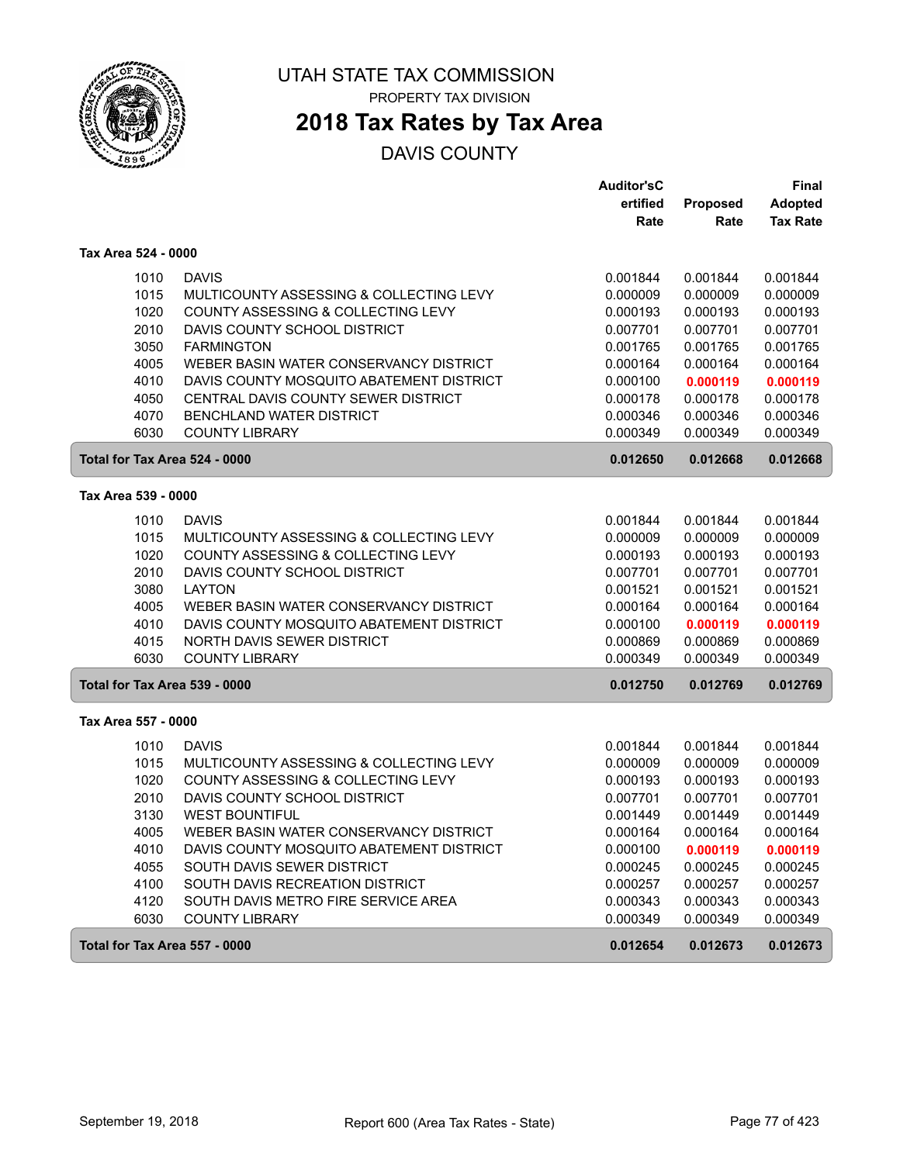

PROPERTY TAX DIVISION

# **2018 Tax Rates by Tax Area**

|                               |                                               | <b>Auditor'sC</b>    |                      | <b>Final</b>         |
|-------------------------------|-----------------------------------------------|----------------------|----------------------|----------------------|
|                               |                                               | ertified             | Proposed             | <b>Adopted</b>       |
|                               |                                               | Rate                 | Rate                 | <b>Tax Rate</b>      |
| Tax Area 524 - 0000           |                                               |                      |                      |                      |
| 1010                          | <b>DAVIS</b>                                  | 0.001844             | 0.001844             | 0.001844             |
| 1015                          | MULTICOUNTY ASSESSING & COLLECTING LEVY       | 0.000009             | 0.000009             | 0.000009             |
| 1020                          | COUNTY ASSESSING & COLLECTING LEVY            | 0.000193             | 0.000193             | 0.000193             |
| 2010                          | DAVIS COUNTY SCHOOL DISTRICT                  | 0.007701             | 0.007701             | 0.007701             |
| 3050                          | <b>FARMINGTON</b>                             | 0.001765             | 0.001765             | 0.001765             |
| 4005                          | WEBER BASIN WATER CONSERVANCY DISTRICT        | 0.000164             | 0.000164             | 0.000164             |
| 4010                          | DAVIS COUNTY MOSQUITO ABATEMENT DISTRICT      | 0.000100             | 0.000119             | 0.000119             |
| 4050                          | CENTRAL DAVIS COUNTY SEWER DISTRICT           | 0.000178             | 0.000178             | 0.000178             |
| 4070                          | <b>BENCHLAND WATER DISTRICT</b>               | 0.000346             | 0.000346             | 0.000346             |
| 6030                          | <b>COUNTY LIBRARY</b>                         | 0.000349             | 0.000349             | 0.000349             |
| Total for Tax Area 524 - 0000 |                                               | 0.012650             | 0.012668             | 0.012668             |
| Tax Area 539 - 0000           |                                               |                      |                      |                      |
|                               |                                               |                      |                      |                      |
| 1010                          | <b>DAVIS</b>                                  | 0.001844             | 0.001844             | 0.001844             |
| 1015                          | MULTICOUNTY ASSESSING & COLLECTING LEVY       | 0.000009             | 0.000009             | 0.000009             |
| 1020                          | COUNTY ASSESSING & COLLECTING LEVY            | 0.000193             | 0.000193             | 0.000193             |
| 2010                          | DAVIS COUNTY SCHOOL DISTRICT<br><b>LAYTON</b> | 0.007701             | 0.007701             | 0.007701             |
| 3080                          | WEBER BASIN WATER CONSERVANCY DISTRICT        | 0.001521             | 0.001521             | 0.001521             |
| 4005<br>4010                  | DAVIS COUNTY MOSQUITO ABATEMENT DISTRICT      | 0.000164<br>0.000100 | 0.000164             | 0.000164             |
| 4015                          | <b>NORTH DAVIS SEWER DISTRICT</b>             | 0.000869             | 0.000119<br>0.000869 | 0.000119<br>0.000869 |
| 6030                          | <b>COUNTY LIBRARY</b>                         | 0.000349             | 0.000349             | 0.000349             |
| Total for Tax Area 539 - 0000 |                                               | 0.012750             | 0.012769             | 0.012769             |
|                               |                                               |                      |                      |                      |
| Tax Area 557 - 0000           |                                               |                      |                      |                      |
| 1010                          | <b>DAVIS</b>                                  | 0.001844             | 0.001844             | 0.001844             |
| 1015                          | MULTICOUNTY ASSESSING & COLLECTING LEVY       | 0.000009             | 0.000009             | 0.000009             |
| 1020                          | COUNTY ASSESSING & COLLECTING LEVY            | 0.000193             | 0.000193             | 0.000193             |
| 2010                          | DAVIS COUNTY SCHOOL DISTRICT                  | 0.007701             | 0.007701             | 0.007701             |
| 3130                          | <b>WEST BOUNTIFUL</b>                         | 0.001449             | 0.001449             | 0.001449             |
| 4005                          | WEBER BASIN WATER CONSERVANCY DISTRICT        | 0.000164             | 0.000164             | 0.000164             |
| 4010                          | DAVIS COUNTY MOSQUITO ABATEMENT DISTRICT      | 0.000100             | 0.000119             | 0.000119             |
| 4055                          | SOUTH DAVIS SEWER DISTRICT                    | 0.000245             | 0.000245             | 0.000245             |
| 4100                          | SOUTH DAVIS RECREATION DISTRICT               | 0.000257             | 0.000257             | 0.000257             |
| 4120                          | SOUTH DAVIS METRO FIRE SERVICE AREA           | 0.000343             | 0.000343             | 0.000343             |
| 6030                          | <b>COUNTY LIBRARY</b>                         | 0.000349             | 0.000349             | 0.000349             |
| Total for Tax Area 557 - 0000 |                                               | 0.012654             | 0.012673             | 0.012673             |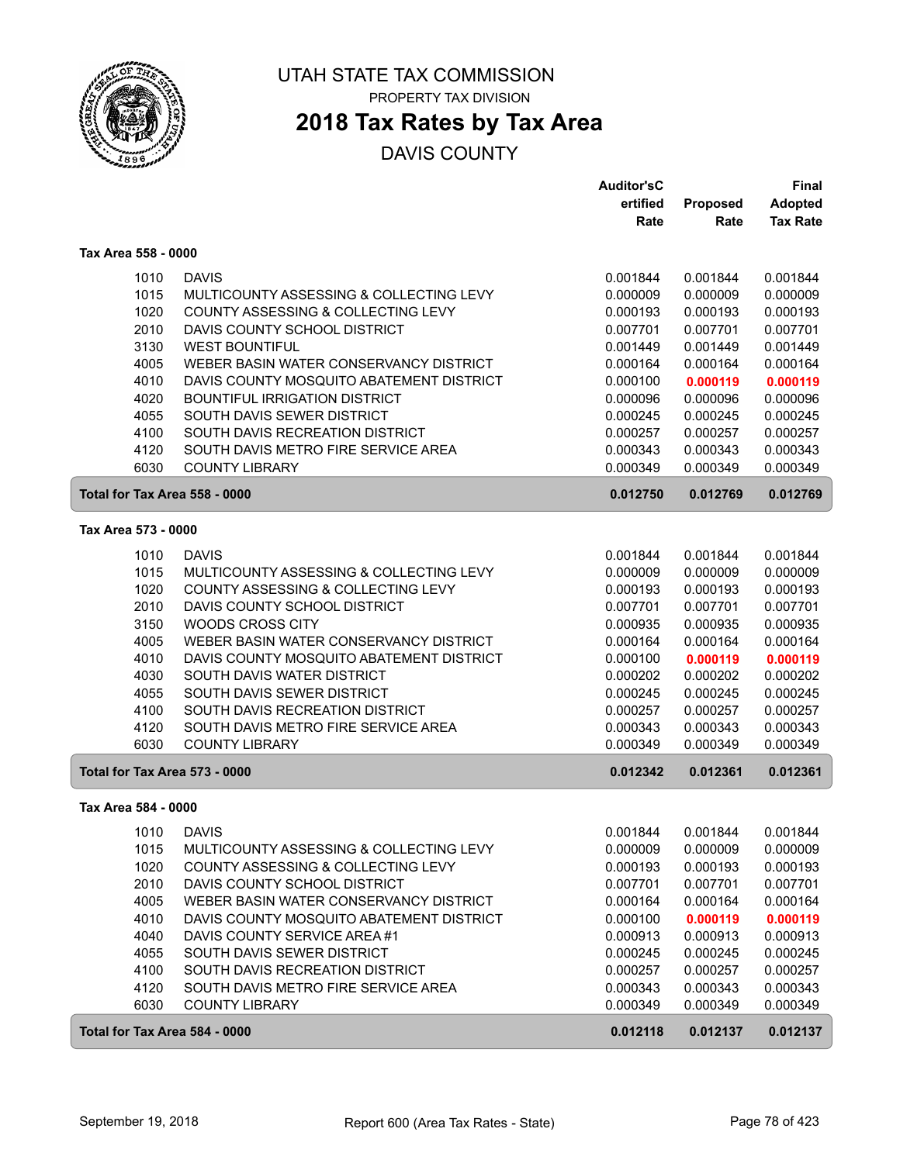

# **2018 Tax Rates by Tax Area**

|                               |                                                              | <b>Auditor'sC</b> |          | <b>Final</b>    |
|-------------------------------|--------------------------------------------------------------|-------------------|----------|-----------------|
|                               |                                                              | ertified          | Proposed | <b>Adopted</b>  |
|                               |                                                              | Rate              | Rate     | <b>Tax Rate</b> |
| Tax Area 558 - 0000           |                                                              |                   |          |                 |
| 1010                          | <b>DAVIS</b>                                                 | 0.001844          | 0.001844 | 0.001844        |
| 1015                          | MULTICOUNTY ASSESSING & COLLECTING LEVY                      | 0.000009          | 0.000009 | 0.000009        |
| 1020                          | COUNTY ASSESSING & COLLECTING LEVY                           | 0.000193          | 0.000193 | 0.000193        |
| 2010                          | DAVIS COUNTY SCHOOL DISTRICT                                 | 0.007701          | 0.007701 | 0.007701        |
| 3130                          | <b>WEST BOUNTIFUL</b>                                        | 0.001449          | 0.001449 | 0.001449        |
| 4005                          | WEBER BASIN WATER CONSERVANCY DISTRICT                       | 0.000164          | 0.000164 | 0.000164        |
| 4010                          | DAVIS COUNTY MOSQUITO ABATEMENT DISTRICT                     | 0.000100          | 0.000119 | 0.000119        |
| 4020                          | <b>BOUNTIFUL IRRIGATION DISTRICT</b>                         | 0.000096          | 0.000096 | 0.000096        |
| 4055                          | SOUTH DAVIS SEWER DISTRICT                                   | 0.000245          | 0.000245 | 0.000245        |
| 4100                          | SOUTH DAVIS RECREATION DISTRICT                              | 0.000257          | 0.000257 | 0.000257        |
| 4120                          | SOUTH DAVIS METRO FIRE SERVICE AREA                          | 0.000343          | 0.000343 | 0.000343        |
| 6030                          | <b>COUNTY LIBRARY</b>                                        | 0.000349          | 0.000349 | 0.000349        |
| Total for Tax Area 558 - 0000 |                                                              | 0.012750          | 0.012769 | 0.012769        |
| Tax Area 573 - 0000           |                                                              |                   |          |                 |
|                               |                                                              |                   |          |                 |
| 1010                          | <b>DAVIS</b>                                                 | 0.001844          | 0.001844 | 0.001844        |
| 1015                          | MULTICOUNTY ASSESSING & COLLECTING LEVY                      | 0.000009          | 0.000009 | 0.000009        |
| 1020                          | COUNTY ASSESSING & COLLECTING LEVY                           | 0.000193          | 0.000193 | 0.000193        |
| 2010                          | DAVIS COUNTY SCHOOL DISTRICT                                 | 0.007701          | 0.007701 | 0.007701        |
| 3150                          | WOODS CROSS CITY                                             | 0.000935          | 0.000935 | 0.000935        |
| 4005                          | WEBER BASIN WATER CONSERVANCY DISTRICT                       | 0.000164          | 0.000164 | 0.000164        |
| 4010                          | DAVIS COUNTY MOSQUITO ABATEMENT DISTRICT                     | 0.000100          | 0.000119 | 0.000119        |
| 4030                          | SOUTH DAVIS WATER DISTRICT                                   | 0.000202          | 0.000202 | 0.000202        |
| 4055                          | SOUTH DAVIS SEWER DISTRICT                                   | 0.000245          | 0.000245 | 0.000245        |
| 4100                          | SOUTH DAVIS RECREATION DISTRICT                              | 0.000257          | 0.000257 | 0.000257        |
| 4120<br>6030                  | SOUTH DAVIS METRO FIRE SERVICE AREA<br><b>COUNTY LIBRARY</b> | 0.000343          | 0.000343 | 0.000343        |
|                               |                                                              | 0.000349          | 0.000349 | 0.000349        |
| Total for Tax Area 573 - 0000 |                                                              | 0.012342          | 0.012361 | 0.012361        |
| Tax Area 584 - 0000           |                                                              |                   |          |                 |
| 1010                          | <b>DAVIS</b>                                                 | 0.001844          | 0.001844 | 0.001844        |
| 1015                          | MULTICOUNTY ASSESSING & COLLECTING LEVY                      | 0.000009          | 0.000009 | 0.000009        |
| 1020                          | COUNTY ASSESSING & COLLECTING LEVY                           | 0.000193          | 0.000193 | 0.000193        |
| 2010                          | DAVIS COUNTY SCHOOL DISTRICT                                 | 0.007701          | 0.007701 | 0.007701        |
| 4005                          | WEBER BASIN WATER CONSERVANCY DISTRICT                       | 0.000164          | 0.000164 | 0.000164        |
| 4010                          | DAVIS COUNTY MOSQUITO ABATEMENT DISTRICT                     | 0.000100          | 0.000119 | 0.000119        |
| 4040                          | DAVIS COUNTY SERVICE AREA #1                                 | 0.000913          | 0.000913 | 0.000913        |
| 4055                          | SOUTH DAVIS SEWER DISTRICT                                   | 0.000245          | 0.000245 | 0.000245        |
| 4100                          | SOUTH DAVIS RECREATION DISTRICT                              | 0.000257          | 0.000257 | 0.000257        |
| 4120                          | SOUTH DAVIS METRO FIRE SERVICE AREA                          | 0.000343          | 0.000343 | 0.000343        |
| 6030                          | <b>COUNTY LIBRARY</b>                                        | 0.000349          | 0.000349 | 0.000349        |
| Total for Tax Area 584 - 0000 |                                                              | 0.012118          | 0.012137 | 0.012137        |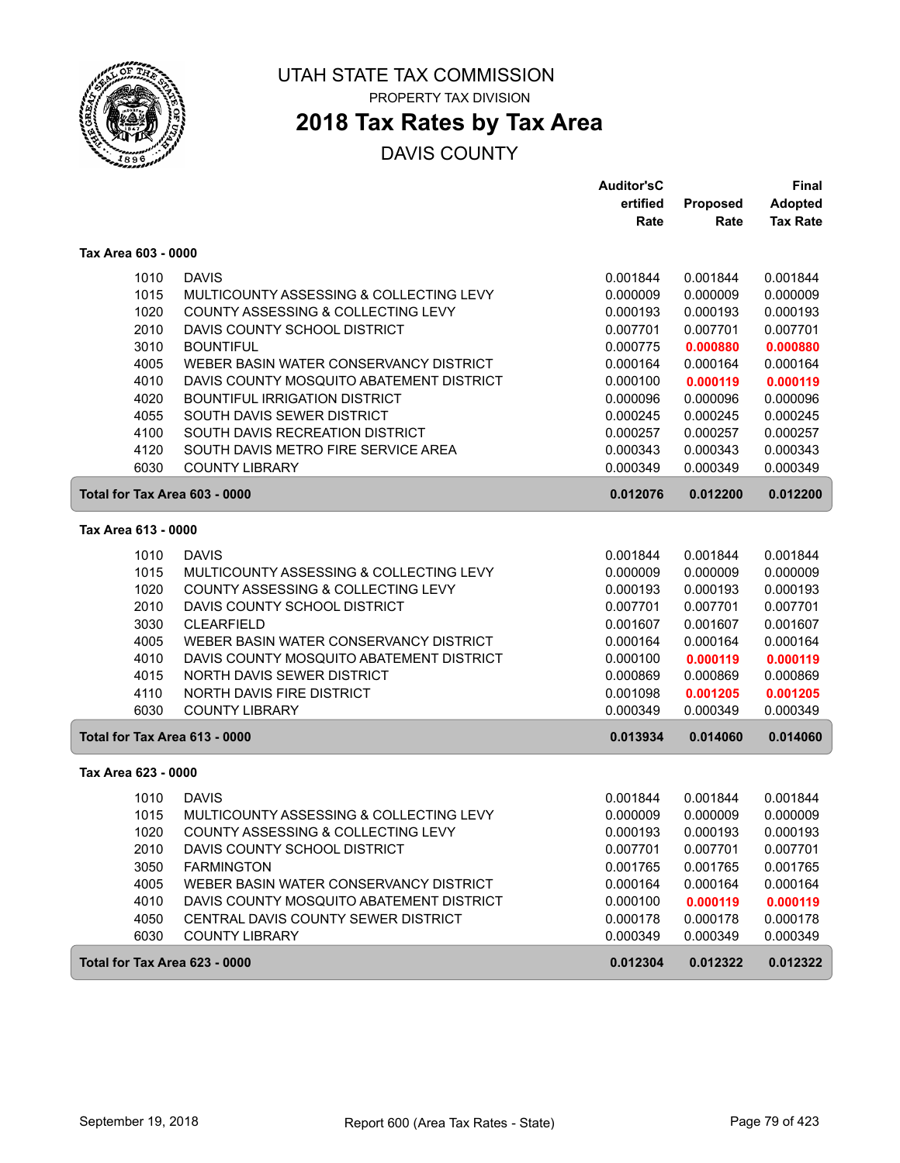

# **2018 Tax Rates by Tax Area**

|                               |                                          | <b>Auditor'sC</b> |                 | Final           |
|-------------------------------|------------------------------------------|-------------------|-----------------|-----------------|
|                               |                                          | ertified          | <b>Proposed</b> | <b>Adopted</b>  |
|                               |                                          | Rate              | Rate            | <b>Tax Rate</b> |
| Tax Area 603 - 0000           |                                          |                   |                 |                 |
| 1010                          | <b>DAVIS</b>                             | 0.001844          | 0.001844        | 0.001844        |
| 1015                          | MULTICOUNTY ASSESSING & COLLECTING LEVY  | 0.000009          | 0.000009        | 0.000009        |
| 1020                          | COUNTY ASSESSING & COLLECTING LEVY       | 0.000193          | 0.000193        | 0.000193        |
| 2010                          | DAVIS COUNTY SCHOOL DISTRICT             | 0.007701          | 0.007701        | 0.007701        |
| 3010                          | <b>BOUNTIFUL</b>                         | 0.000775          | 0.000880        | 0.000880        |
| 4005                          | WEBER BASIN WATER CONSERVANCY DISTRICT   | 0.000164          | 0.000164        | 0.000164        |
| 4010                          | DAVIS COUNTY MOSQUITO ABATEMENT DISTRICT | 0.000100          | 0.000119        | 0.000119        |
| 4020                          | <b>BOUNTIFUL IRRIGATION DISTRICT</b>     | 0.000096          | 0.000096        | 0.000096        |
| 4055                          | SOUTH DAVIS SEWER DISTRICT               | 0.000245          | 0.000245        | 0.000245        |
| 4100                          | SOUTH DAVIS RECREATION DISTRICT          | 0.000257          | 0.000257        | 0.000257        |
| 4120                          | SOUTH DAVIS METRO FIRE SERVICE AREA      | 0.000343          | 0.000343        | 0.000343        |
| 6030                          | <b>COUNTY LIBRARY</b>                    | 0.000349          | 0.000349        | 0.000349        |
| Total for Tax Area 603 - 0000 |                                          | 0.012076          | 0.012200        | 0.012200        |
| Tax Area 613 - 0000           |                                          |                   |                 |                 |
| 1010                          | <b>DAVIS</b>                             | 0.001844          | 0.001844        | 0.001844        |
| 1015                          | MULTICOUNTY ASSESSING & COLLECTING LEVY  | 0.000009          | 0.000009        | 0.000009        |
| 1020                          | COUNTY ASSESSING & COLLECTING LEVY       | 0.000193          | 0.000193        | 0.000193        |
| 2010                          | DAVIS COUNTY SCHOOL DISTRICT             | 0.007701          | 0.007701        | 0.007701        |
| 3030                          | <b>CLEARFIELD</b>                        | 0.001607          | 0.001607        | 0.001607        |
| 4005                          | WEBER BASIN WATER CONSERVANCY DISTRICT   | 0.000164          | 0.000164        | 0.000164        |
| 4010                          | DAVIS COUNTY MOSQUITO ABATEMENT DISTRICT | 0.000100          | 0.000119        | 0.000119        |
| 4015                          | NORTH DAVIS SEWER DISTRICT               | 0.000869          | 0.000869        | 0.000869        |
| 4110                          | NORTH DAVIS FIRE DISTRICT                | 0.001098          | 0.001205        | 0.001205        |
| 6030                          | <b>COUNTY LIBRARY</b>                    | 0.000349          | 0.000349        | 0.000349        |
| Total for Tax Area 613 - 0000 |                                          | 0.013934          | 0.014060        | 0.014060        |
| Tax Area 623 - 0000           |                                          |                   |                 |                 |
| 1010                          | <b>DAVIS</b>                             | 0.001844          | 0.001844        | 0.001844        |
| 1015                          | MULTICOUNTY ASSESSING & COLLECTING LEVY  | 0.000009          | 0.000009        | 0.000009        |
| 1020                          | COUNTY ASSESSING & COLLECTING LEVY       | 0.000193          | 0.000193        | 0.000193        |
| 2010                          | DAVIS COUNTY SCHOOL DISTRICT             | 0.007701          | 0.007701        | 0.007701        |
| 3050                          | <b>FARMINGTON</b>                        | 0.001765          | 0.001765        | 0.001765        |
| 4005                          | WEBER BASIN WATER CONSERVANCY DISTRICT   | 0.000164          | 0.000164        | 0.000164        |
| 4010                          | DAVIS COUNTY MOSQUITO ABATEMENT DISTRICT | 0.000100          | 0.000119        | 0.000119        |
| 4050                          | CENTRAL DAVIS COUNTY SEWER DISTRICT      | 0.000178          | 0.000178        | 0.000178        |
| 6030                          | <b>COUNTY LIBRARY</b>                    | 0.000349          | 0.000349        | 0.000349        |
| Total for Tax Area 623 - 0000 |                                          | 0.012304          | 0.012322        | 0.012322        |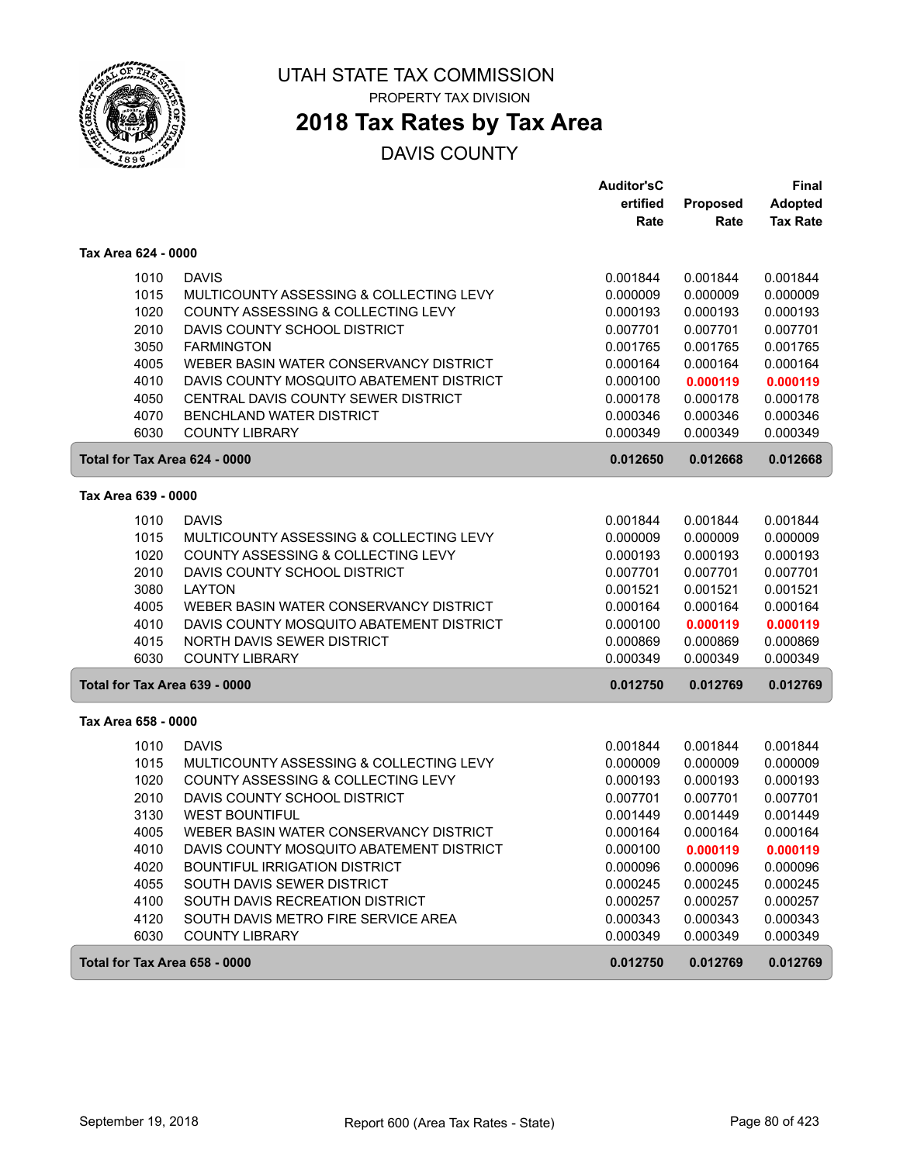

PROPERTY TAX DIVISION

# **2018 Tax Rates by Tax Area**

|                     |                                          | <b>Auditor'sC</b> |          | <b>Final</b>    |
|---------------------|------------------------------------------|-------------------|----------|-----------------|
|                     |                                          | ertified          | Proposed | <b>Adopted</b>  |
|                     |                                          | Rate              | Rate     | <b>Tax Rate</b> |
| Tax Area 624 - 0000 |                                          |                   |          |                 |
| 1010                | <b>DAVIS</b>                             | 0.001844          | 0.001844 | 0.001844        |
| 1015                | MULTICOUNTY ASSESSING & COLLECTING LEVY  | 0.000009          | 0.000009 | 0.000009        |
| 1020                | COUNTY ASSESSING & COLLECTING LEVY       | 0.000193          | 0.000193 | 0.000193        |
| 2010                | DAVIS COUNTY SCHOOL DISTRICT             | 0.007701          | 0.007701 | 0.007701        |
| 3050                | <b>FARMINGTON</b>                        | 0.001765          | 0.001765 | 0.001765        |
| 4005                | WEBER BASIN WATER CONSERVANCY DISTRICT   | 0.000164          | 0.000164 | 0.000164        |
| 4010                | DAVIS COUNTY MOSQUITO ABATEMENT DISTRICT | 0.000100          | 0.000119 | 0.000119        |
| 4050                | CENTRAL DAVIS COUNTY SEWER DISTRICT      | 0.000178          | 0.000178 | 0.000178        |
| 4070                | BENCHLAND WATER DISTRICT                 | 0.000346          | 0.000346 | 0.000346        |
| 6030                | <b>COUNTY LIBRARY</b>                    | 0.000349          | 0.000349 | 0.000349        |
|                     | Total for Tax Area 624 - 0000            | 0.012650          | 0.012668 | 0.012668        |
| Tax Area 639 - 0000 |                                          |                   |          |                 |
| 1010                | <b>DAVIS</b>                             | 0.001844          | 0.001844 | 0.001844        |
| 1015                | MULTICOUNTY ASSESSING & COLLECTING LEVY  | 0.000009          | 0.000009 | 0.000009        |
| 1020                | COUNTY ASSESSING & COLLECTING LEVY       | 0.000193          | 0.000193 | 0.000193        |
| 2010                | DAVIS COUNTY SCHOOL DISTRICT             | 0.007701          | 0.007701 | 0.007701        |
| 3080                | <b>LAYTON</b>                            | 0.001521          | 0.001521 | 0.001521        |
| 4005                | WEBER BASIN WATER CONSERVANCY DISTRICT   | 0.000164          | 0.000164 | 0.000164        |
| 4010                | DAVIS COUNTY MOSQUITO ABATEMENT DISTRICT | 0.000100          | 0.000119 | 0.000119        |
| 4015                | <b>NORTH DAVIS SEWER DISTRICT</b>        | 0.000869          | 0.000869 | 0.000869        |
| 6030                | <b>COUNTY LIBRARY</b>                    | 0.000349          | 0.000349 | 0.000349        |
|                     | Total for Tax Area 639 - 0000            | 0.012750          | 0.012769 | 0.012769        |
| Tax Area 658 - 0000 |                                          |                   |          |                 |
| 1010                | <b>DAVIS</b>                             | 0.001844          | 0.001844 | 0.001844        |
| 1015                | MULTICOUNTY ASSESSING & COLLECTING LEVY  | 0.000009          | 0.000009 | 0.000009        |
| 1020                | COUNTY ASSESSING & COLLECTING LEVY       | 0.000193          | 0.000193 | 0.000193        |
| 2010                | DAVIS COUNTY SCHOOL DISTRICT             | 0.007701          | 0.007701 | 0.007701        |
| 3130                | <b>WEST BOUNTIFUL</b>                    | 0.001449          | 0.001449 | 0.001449        |
| 4005                | WEBER BASIN WATER CONSERVANCY DISTRICT   | 0.000164          | 0.000164 | 0.000164        |
| 4010                | DAVIS COUNTY MOSQUITO ABATEMENT DISTRICT | 0.000100          | 0.000119 | 0.000119        |
| 4020                | <b>BOUNTIFUL IRRIGATION DISTRICT</b>     | 0.000096          | 0.000096 | 0.000096        |
| 4055                | SOUTH DAVIS SEWER DISTRICT               | 0.000245          | 0.000245 | 0.000245        |
| 4100                | SOUTH DAVIS RECREATION DISTRICT          | 0.000257          | 0.000257 | 0.000257        |
| 4120                | SOUTH DAVIS METRO FIRE SERVICE AREA      | 0.000343          | 0.000343 | 0.000343        |
| 6030                | <b>COUNTY LIBRARY</b>                    | 0.000349          | 0.000349 | 0.000349        |
|                     | Total for Tax Area 658 - 0000            | 0.012750          | 0.012769 | 0.012769        |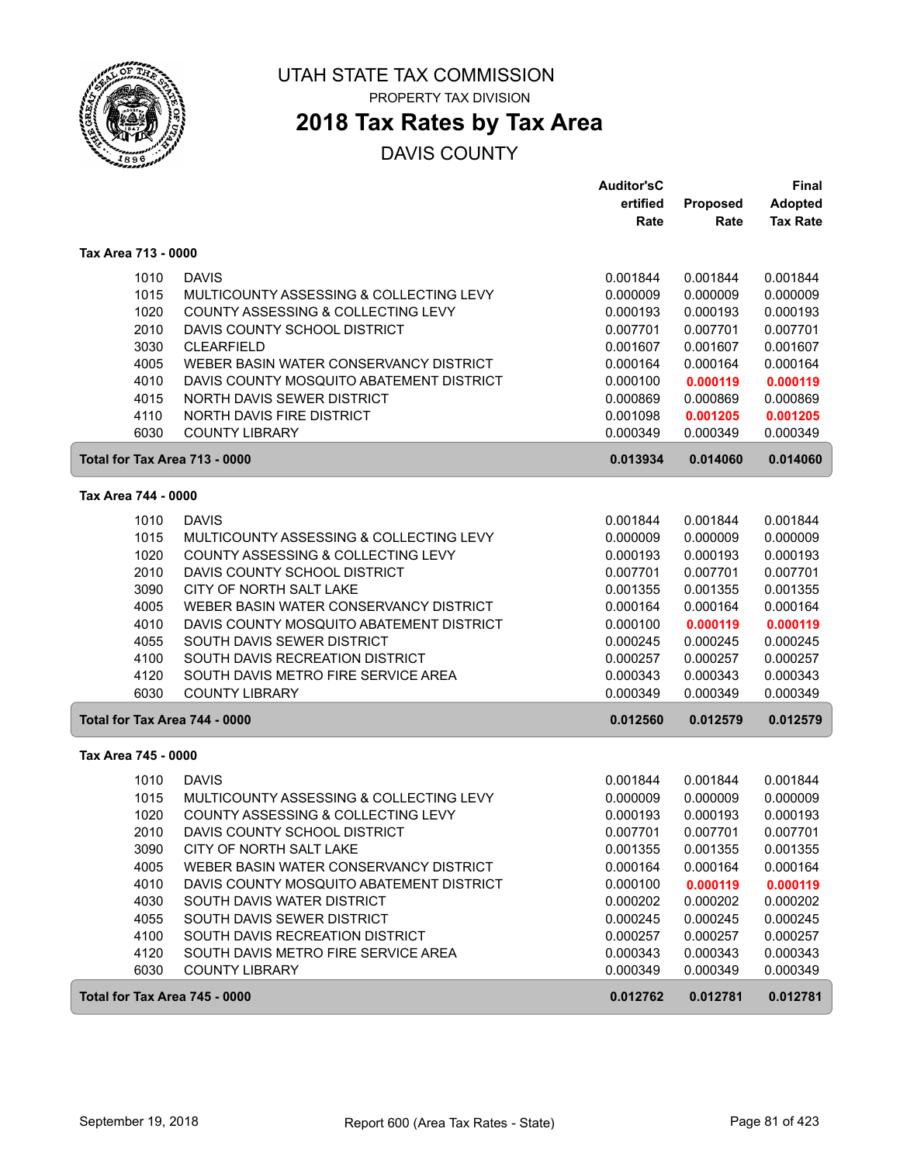

PROPERTY TAX DIVISION

# **2018 Tax Rates by Tax Area**

|                               |                                                                        | <b>Auditor'sC</b><br>ertified | Proposed             | Final<br><b>Adopted</b> |
|-------------------------------|------------------------------------------------------------------------|-------------------------------|----------------------|-------------------------|
|                               |                                                                        | Rate                          | Rate                 | <b>Tax Rate</b>         |
| Tax Area 713 - 0000           |                                                                        |                               |                      |                         |
| 1010                          | <b>DAVIS</b>                                                           | 0.001844                      | 0.001844             | 0.001844                |
| 1015                          | MULTICOUNTY ASSESSING & COLLECTING LEVY                                | 0.000009                      | 0.000009             | 0.000009                |
| 1020                          | COUNTY ASSESSING & COLLECTING LEVY                                     | 0.000193                      | 0.000193             | 0.000193                |
| 2010                          | DAVIS COUNTY SCHOOL DISTRICT                                           | 0.007701                      | 0.007701             | 0.007701                |
| 3030                          | <b>CLEARFIELD</b>                                                      | 0.001607                      | 0.001607             | 0.001607                |
| 4005                          | WEBER BASIN WATER CONSERVANCY DISTRICT                                 | 0.000164                      | 0.000164             | 0.000164                |
| 4010<br>4015                  | DAVIS COUNTY MOSQUITO ABATEMENT DISTRICT<br>NORTH DAVIS SEWER DISTRICT | 0.000100<br>0.000869          | 0.000119<br>0.000869 | 0.000119<br>0.000869    |
| 4110                          | NORTH DAVIS FIRE DISTRICT                                              | 0.001098                      | 0.001205             | 0.001205                |
| 6030                          | <b>COUNTY LIBRARY</b>                                                  | 0.000349                      | 0.000349             | 0.000349                |
| Total for Tax Area 713 - 0000 |                                                                        | 0.013934                      | 0.014060             | 0.014060                |
| Tax Area 744 - 0000           |                                                                        |                               |                      |                         |
| 1010                          | <b>DAVIS</b>                                                           | 0.001844                      | 0.001844             | 0.001844                |
| 1015                          | MULTICOUNTY ASSESSING & COLLECTING LEVY                                | 0.000009                      | 0.000009             | 0.000009                |
| 1020                          | COUNTY ASSESSING & COLLECTING LEVY                                     | 0.000193                      | 0.000193             | 0.000193                |
| 2010                          | DAVIS COUNTY SCHOOL DISTRICT                                           | 0.007701                      | 0.007701             | 0.007701                |
| 3090                          | CITY OF NORTH SALT LAKE                                                | 0.001355                      | 0.001355             | 0.001355                |
| 4005                          | WEBER BASIN WATER CONSERVANCY DISTRICT                                 | 0.000164                      | 0.000164             | 0.000164                |
| 4010                          | DAVIS COUNTY MOSQUITO ABATEMENT DISTRICT                               | 0.000100                      | 0.000119             | 0.000119                |
| 4055                          | SOUTH DAVIS SEWER DISTRICT                                             | 0.000245                      | 0.000245             | 0.000245                |
| 4100                          | SOUTH DAVIS RECREATION DISTRICT                                        | 0.000257                      | 0.000257             | 0.000257                |
| 4120                          | SOUTH DAVIS METRO FIRE SERVICE AREA                                    | 0.000343                      | 0.000343             | 0.000343                |
| 6030                          | <b>COUNTY LIBRARY</b>                                                  | 0.000349                      | 0.000349             | 0.000349                |
| Total for Tax Area 744 - 0000 |                                                                        | 0.012560                      | 0.012579             | 0.012579                |
| Tax Area 745 - 0000           |                                                                        |                               |                      |                         |
| 1010                          | <b>DAVIS</b>                                                           | 0.001844                      | 0.001844             | 0.001844                |
| 1015                          | MULTICOUNTY ASSESSING & COLLECTING LEVY                                | 0.000009                      | 0.000009             | 0.000009                |
| 1020                          | COUNTY ASSESSING & COLLECTING LEVY                                     | 0.000193                      | 0.000193             | 0.000193                |
| 2010                          | DAVIS COUNTY SCHOOL DISTRICT                                           | 0.007701                      | 0.007701             | 0.007701                |
| 3090                          | CITY OF NORTH SALT LAKE                                                | 0.001355                      | 0.001355             | 0.001355                |
| 4005                          | WEBER BASIN WATER CONSERVANCY DISTRICT                                 | 0.000164                      | 0.000164             | 0.000164                |
| 4010<br>4030                  | DAVIS COUNTY MOSQUITO ABATEMENT DISTRICT<br>SOUTH DAVIS WATER DISTRICT | 0.000100<br>0.000202          | 0.000119<br>0.000202 | 0.000119<br>0.000202    |
| 4055                          | SOUTH DAVIS SEWER DISTRICT                                             | 0.000245                      | 0.000245             | 0.000245                |
| 4100                          | SOUTH DAVIS RECREATION DISTRICT                                        | 0.000257                      | 0.000257             | 0.000257                |
| 4120                          | SOUTH DAVIS METRO FIRE SERVICE AREA                                    | 0.000343                      | 0.000343             | 0.000343                |
| 6030                          | <b>COUNTY LIBRARY</b>                                                  | 0.000349                      | 0.000349             | 0.000349                |
| Total for Tax Area 745 - 0000 |                                                                        | 0.012762                      | 0.012781             | 0.012781                |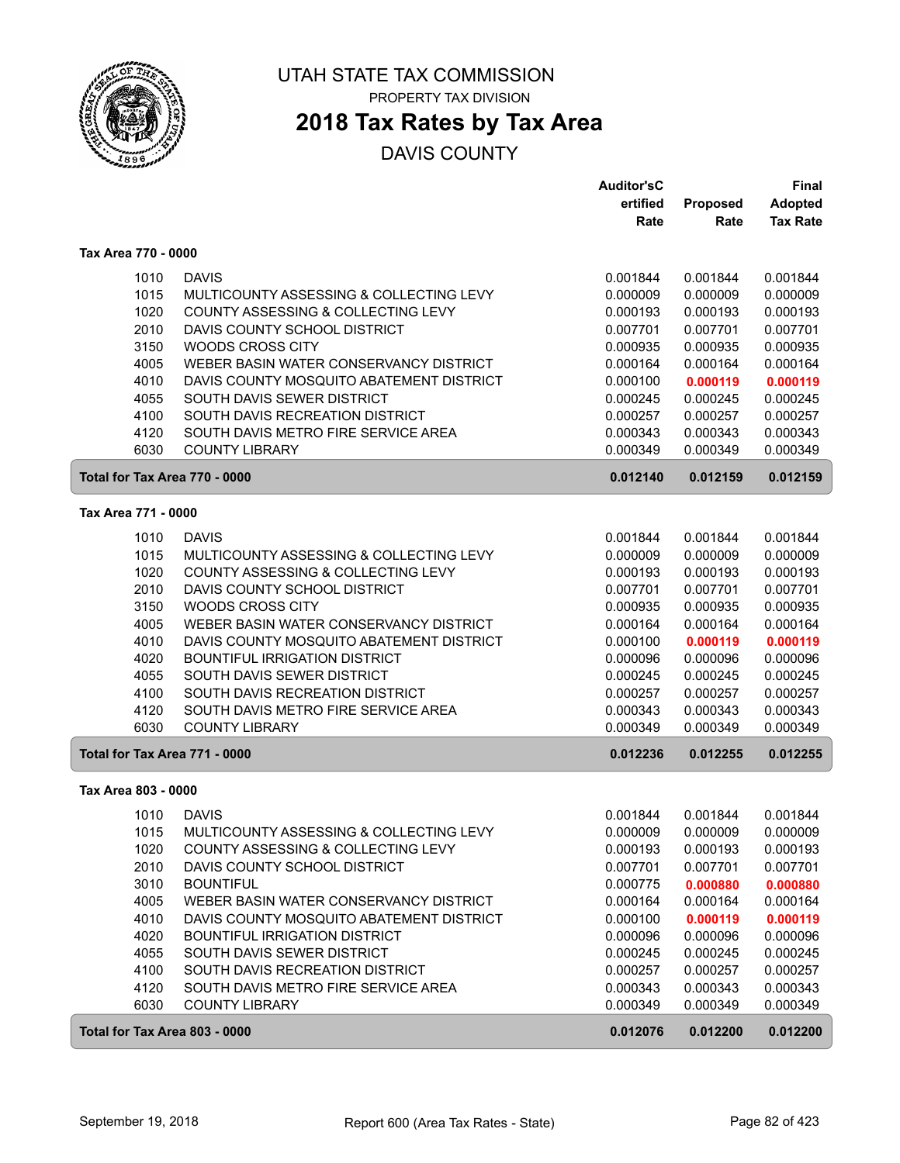

## **2018 Tax Rates by Tax Area**

|                               |                                          | <b>Auditor'sC</b> |          | Final           |
|-------------------------------|------------------------------------------|-------------------|----------|-----------------|
|                               |                                          | ertified          | Proposed | <b>Adopted</b>  |
|                               |                                          | Rate              | Rate     | <b>Tax Rate</b> |
| Tax Area 770 - 0000           |                                          |                   |          |                 |
| 1010                          | <b>DAVIS</b>                             | 0.001844          | 0.001844 | 0.001844        |
| 1015                          | MULTICOUNTY ASSESSING & COLLECTING LEVY  | 0.000009          | 0.000009 | 0.000009        |
| 1020                          | COUNTY ASSESSING & COLLECTING LEVY       | 0.000193          | 0.000193 | 0.000193        |
| 2010                          | DAVIS COUNTY SCHOOL DISTRICT             | 0.007701          | 0.007701 | 0.007701        |
| 3150                          | <b>WOODS CROSS CITY</b>                  | 0.000935          | 0.000935 | 0.000935        |
| 4005                          | WEBER BASIN WATER CONSERVANCY DISTRICT   | 0.000164          | 0.000164 | 0.000164        |
| 4010                          | DAVIS COUNTY MOSQUITO ABATEMENT DISTRICT | 0.000100          | 0.000119 | 0.000119        |
| 4055                          | SOUTH DAVIS SEWER DISTRICT               | 0.000245          | 0.000245 | 0.000245        |
| 4100                          | SOUTH DAVIS RECREATION DISTRICT          | 0.000257          | 0.000257 | 0.000257        |
| 4120                          | SOUTH DAVIS METRO FIRE SERVICE AREA      | 0.000343          | 0.000343 | 0.000343        |
| 6030                          | <b>COUNTY LIBRARY</b>                    | 0.000349          | 0.000349 | 0.000349        |
| Total for Tax Area 770 - 0000 |                                          | 0.012140          | 0.012159 | 0.012159        |
| Tax Area 771 - 0000           |                                          |                   |          |                 |
| 1010                          | <b>DAVIS</b>                             | 0.001844          | 0.001844 | 0.001844        |
| 1015                          | MULTICOUNTY ASSESSING & COLLECTING LEVY  | 0.000009          | 0.000009 | 0.000009        |
| 1020                          | COUNTY ASSESSING & COLLECTING LEVY       | 0.000193          | 0.000193 | 0.000193        |
| 2010                          | DAVIS COUNTY SCHOOL DISTRICT             | 0.007701          | 0.007701 | 0.007701        |
| 3150                          | WOODS CROSS CITY                         | 0.000935          | 0.000935 | 0.000935        |
| 4005                          | WEBER BASIN WATER CONSERVANCY DISTRICT   | 0.000164          | 0.000164 | 0.000164        |
| 4010                          | DAVIS COUNTY MOSQUITO ABATEMENT DISTRICT | 0.000100          | 0.000119 | 0.000119        |
| 4020                          | <b>BOUNTIFUL IRRIGATION DISTRICT</b>     | 0.000096          | 0.000096 | 0.000096        |
| 4055                          | SOUTH DAVIS SEWER DISTRICT               | 0.000245          | 0.000245 | 0.000245        |
| 4100                          | SOUTH DAVIS RECREATION DISTRICT          | 0.000257          | 0.000257 | 0.000257        |
| 4120                          | SOUTH DAVIS METRO FIRE SERVICE AREA      | 0.000343          | 0.000343 | 0.000343        |
| 6030                          | <b>COUNTY LIBRARY</b>                    | 0.000349          | 0.000349 | 0.000349        |
| Total for Tax Area 771 - 0000 |                                          | 0.012236          | 0.012255 | 0.012255        |
| Tax Area 803 - 0000           |                                          |                   |          |                 |
| 1010                          | <b>DAVIS</b>                             | 0.001844          | 0.001844 | 0.001844        |
| 1015                          | MULTICOUNTY ASSESSING & COLLECTING LEVY  | 0.000009          | 0.000009 | 0.000009        |
| 1020                          | COUNTY ASSESSING & COLLECTING LEVY       | 0.000193          | 0.000193 | 0.000193        |
| 2010                          | DAVIS COUNTY SCHOOL DISTRICT             | 0.007701          | 0.007701 | 0.007701        |
| 3010                          | <b>BOUNTIFUL</b>                         | 0.000775          | 0.000880 | 0.000880        |
| 4005                          | WEBER BASIN WATER CONSERVANCY DISTRICT   | 0.000164          | 0.000164 | 0.000164        |
| 4010                          | DAVIS COUNTY MOSQUITO ABATEMENT DISTRICT | 0.000100          | 0.000119 | 0.000119        |
| 4020                          | <b>BOUNTIFUL IRRIGATION DISTRICT</b>     | 0.000096          | 0.000096 | 0.000096        |
| 4055                          | SOUTH DAVIS SEWER DISTRICT               | 0.000245          | 0.000245 | 0.000245        |
| 4100                          | SOUTH DAVIS RECREATION DISTRICT          | 0.000257          | 0.000257 | 0.000257        |
| 4120                          | SOUTH DAVIS METRO FIRE SERVICE AREA      | 0.000343          | 0.000343 | 0.000343        |
| 6030                          | <b>COUNTY LIBRARY</b>                    | 0.000349          | 0.000349 | 0.000349        |
| Total for Tax Area 803 - 0000 |                                          | 0.012076          | 0.012200 | 0.012200        |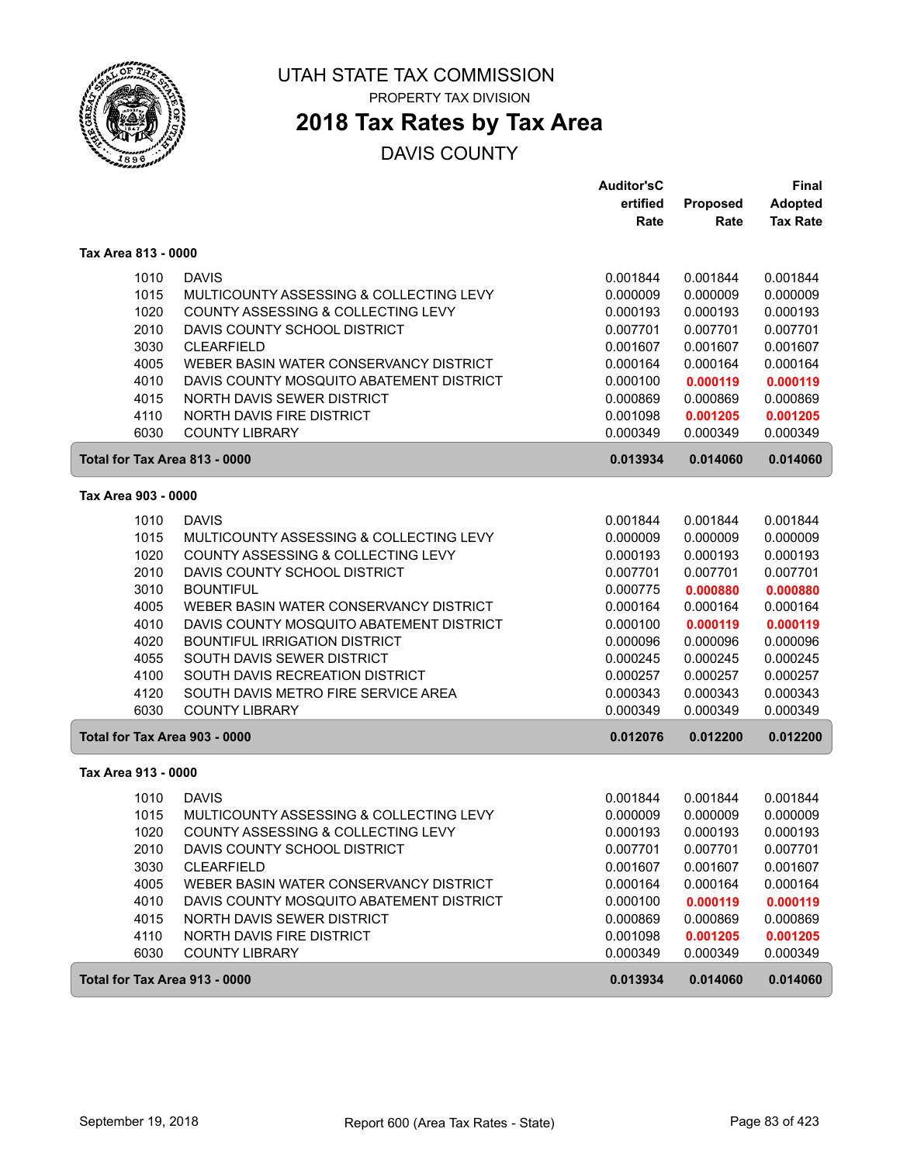

PROPERTY TAX DIVISION

# **2018 Tax Rates by Tax Area**

|                               |                                          | <b>Auditor'sC</b> |          | <b>Final</b>    |
|-------------------------------|------------------------------------------|-------------------|----------|-----------------|
|                               |                                          | ertified          | Proposed | <b>Adopted</b>  |
|                               |                                          | Rate              | Rate     | <b>Tax Rate</b> |
| Tax Area 813 - 0000           |                                          |                   |          |                 |
| 1010                          | <b>DAVIS</b>                             | 0.001844          | 0.001844 | 0.001844        |
| 1015                          | MULTICOUNTY ASSESSING & COLLECTING LEVY  | 0.000009          | 0.000009 | 0.000009        |
| 1020                          | COUNTY ASSESSING & COLLECTING LEVY       | 0.000193          | 0.000193 | 0.000193        |
| 2010                          | DAVIS COUNTY SCHOOL DISTRICT             | 0.007701          | 0.007701 | 0.007701        |
| 3030                          | <b>CLEARFIELD</b>                        | 0.001607          | 0.001607 | 0.001607        |
| 4005                          | WEBER BASIN WATER CONSERVANCY DISTRICT   | 0.000164          | 0.000164 | 0.000164        |
| 4010                          | DAVIS COUNTY MOSQUITO ABATEMENT DISTRICT | 0.000100          | 0.000119 | 0.000119        |
| 4015                          | NORTH DAVIS SEWER DISTRICT               | 0.000869          | 0.000869 | 0.000869        |
| 4110                          | NORTH DAVIS FIRE DISTRICT                | 0.001098          | 0.001205 | 0.001205        |
| 6030                          | <b>COUNTY LIBRARY</b>                    | 0.000349          | 0.000349 | 0.000349        |
| Total for Tax Area 813 - 0000 |                                          | 0.013934          | 0.014060 | 0.014060        |
| Tax Area 903 - 0000           |                                          |                   |          |                 |
| 1010                          | <b>DAVIS</b>                             | 0.001844          | 0.001844 | 0.001844        |
| 1015                          | MULTICOUNTY ASSESSING & COLLECTING LEVY  | 0.000009          | 0.000009 | 0.000009        |
| 1020                          | COUNTY ASSESSING & COLLECTING LEVY       | 0.000193          | 0.000193 | 0.000193        |
| 2010                          | DAVIS COUNTY SCHOOL DISTRICT             | 0.007701          | 0.007701 | 0.007701        |
| 3010                          | <b>BOUNTIFUL</b>                         | 0.000775          | 0.000880 | 0.000880        |
| 4005                          | WEBER BASIN WATER CONSERVANCY DISTRICT   | 0.000164          | 0.000164 | 0.000164        |
| 4010                          | DAVIS COUNTY MOSQUITO ABATEMENT DISTRICT | 0.000100          | 0.000119 | 0.000119        |
| 4020                          | <b>BOUNTIFUL IRRIGATION DISTRICT</b>     | 0.000096          | 0.000096 | 0.000096        |
| 4055                          | SOUTH DAVIS SEWER DISTRICT               | 0.000245          | 0.000245 | 0.000245        |
| 4100                          | SOUTH DAVIS RECREATION DISTRICT          | 0.000257          | 0.000257 | 0.000257        |
| 4120                          | SOUTH DAVIS METRO FIRE SERVICE AREA      | 0.000343          | 0.000343 | 0.000343        |
| 6030                          | <b>COUNTY LIBRARY</b>                    | 0.000349          | 0.000349 | 0.000349        |
| Total for Tax Area 903 - 0000 |                                          | 0.012076          | 0.012200 | 0.012200        |
| Tax Area 913 - 0000           |                                          |                   |          |                 |
| 1010                          | <b>DAVIS</b>                             | 0.001844          | 0.001844 | 0.001844        |
| 1015                          | MULTICOUNTY ASSESSING & COLLECTING LEVY  | 0.000009          | 0.000009 | 0.000009        |
| 1020                          | COUNTY ASSESSING & COLLECTING LEVY       | 0.000193          | 0.000193 | 0.000193        |
| 2010                          | DAVIS COUNTY SCHOOL DISTRICT             | 0.007701          | 0.007701 | 0.007701        |
| 3030                          | CLEARFIELD                               | 0.001607          | 0.001607 | 0.001607        |
| 4005                          | WEBER BASIN WATER CONSERVANCY DISTRICT   | 0.000164          | 0.000164 | 0.000164        |
| 4010                          | DAVIS COUNTY MOSQUITO ABATEMENT DISTRICT | 0.000100          | 0.000119 | 0.000119        |
| 4015                          | NORTH DAVIS SEWER DISTRICT               | 0.000869          | 0.000869 | 0.000869        |
| 4110                          | NORTH DAVIS FIRE DISTRICT                | 0.001098          | 0.001205 | 0.001205        |
| 6030                          | <b>COUNTY LIBRARY</b>                    | 0.000349          | 0.000349 | 0.000349        |
| Total for Tax Area 913 - 0000 |                                          | 0.013934          | 0.014060 | 0.014060        |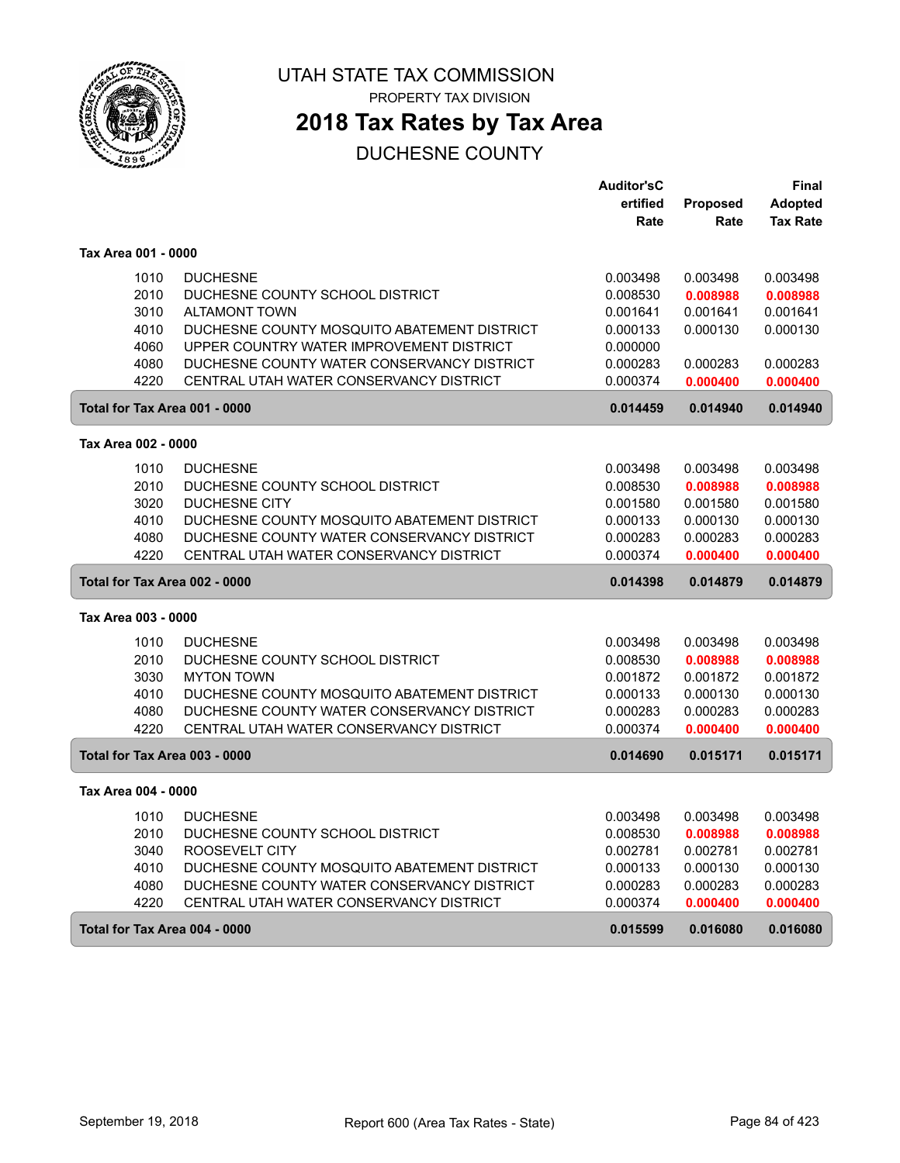

PROPERTY TAX DIVISION

# **2018 Tax Rates by Tax Area**

|                               |                                             | <b>Auditor'sC</b> |          | Final           |
|-------------------------------|---------------------------------------------|-------------------|----------|-----------------|
|                               |                                             | ertified          | Proposed | <b>Adopted</b>  |
|                               |                                             | Rate              | Rate     | <b>Tax Rate</b> |
| Tax Area 001 - 0000           |                                             |                   |          |                 |
| 1010                          | <b>DUCHESNE</b>                             | 0.003498          | 0.003498 | 0.003498        |
| 2010                          | DUCHESNE COUNTY SCHOOL DISTRICT             | 0.008530          | 0.008988 | 0.008988        |
| 3010                          | <b>ALTAMONT TOWN</b>                        | 0.001641          | 0.001641 | 0.001641        |
| 4010                          | DUCHESNE COUNTY MOSQUITO ABATEMENT DISTRICT | 0.000133          | 0.000130 | 0.000130        |
| 4060                          | UPPER COUNTRY WATER IMPROVEMENT DISTRICT    | 0.000000          |          |                 |
| 4080                          | DUCHESNE COUNTY WATER CONSERVANCY DISTRICT  | 0.000283          | 0.000283 | 0.000283        |
| 4220                          | CENTRAL UTAH WATER CONSERVANCY DISTRICT     | 0.000374          | 0.000400 | 0.000400        |
| Total for Tax Area 001 - 0000 |                                             | 0.014459          | 0.014940 | 0.014940        |
| Tax Area 002 - 0000           |                                             |                   |          |                 |
| 1010                          | <b>DUCHESNE</b>                             | 0.003498          | 0.003498 | 0.003498        |
| 2010                          | DUCHESNE COUNTY SCHOOL DISTRICT             | 0.008530          | 0.008988 | 0.008988        |
| 3020                          | DUCHESNE CITY                               | 0.001580          | 0.001580 | 0.001580        |
| 4010                          | DUCHESNE COUNTY MOSQUITO ABATEMENT DISTRICT | 0.000133          | 0.000130 | 0.000130        |
| 4080                          | DUCHESNE COUNTY WATER CONSERVANCY DISTRICT  | 0.000283          | 0.000283 | 0.000283        |
| 4220                          | CENTRAL UTAH WATER CONSERVANCY DISTRICT     | 0.000374          | 0.000400 | 0.000400        |
| Total for Tax Area 002 - 0000 |                                             | 0.014398          | 0.014879 | 0.014879        |
| Tax Area 003 - 0000           |                                             |                   |          |                 |
| 1010                          | <b>DUCHESNE</b>                             | 0.003498          | 0.003498 | 0.003498        |
| 2010                          | DUCHESNE COUNTY SCHOOL DISTRICT             | 0.008530          | 0.008988 | 0.008988        |
| 3030                          | <b>MYTON TOWN</b>                           | 0.001872          | 0.001872 | 0.001872        |
| 4010                          | DUCHESNE COUNTY MOSQUITO ABATEMENT DISTRICT | 0.000133          | 0.000130 | 0.000130        |
| 4080                          | DUCHESNE COUNTY WATER CONSERVANCY DISTRICT  | 0.000283          | 0.000283 | 0.000283        |
| 4220                          | CENTRAL UTAH WATER CONSERVANCY DISTRICT     | 0.000374          | 0.000400 | 0.000400        |
| Total for Tax Area 003 - 0000 |                                             | 0.014690          | 0.015171 | 0.015171        |
| Tax Area 004 - 0000           |                                             |                   |          |                 |
| 1010                          | <b>DUCHESNE</b>                             | 0.003498          | 0.003498 | 0.003498        |
| 2010                          | DUCHESNE COUNTY SCHOOL DISTRICT             | 0.008530          | 0.008988 | 0.008988        |
| 3040                          | ROOSEVELT CITY                              | 0.002781          | 0.002781 | 0.002781        |
| 4010                          | DUCHESNE COUNTY MOSQUITO ABATEMENT DISTRICT | 0.000133          | 0.000130 | 0.000130        |
| 4080                          | DUCHESNE COUNTY WATER CONSERVANCY DISTRICT  | 0.000283          | 0.000283 | 0.000283        |
| 4220                          | CENTRAL UTAH WATER CONSERVANCY DISTRICT     | 0.000374          | 0.000400 | 0.000400        |
| Total for Tax Area 004 - 0000 |                                             | 0.015599          | 0.016080 | 0.016080        |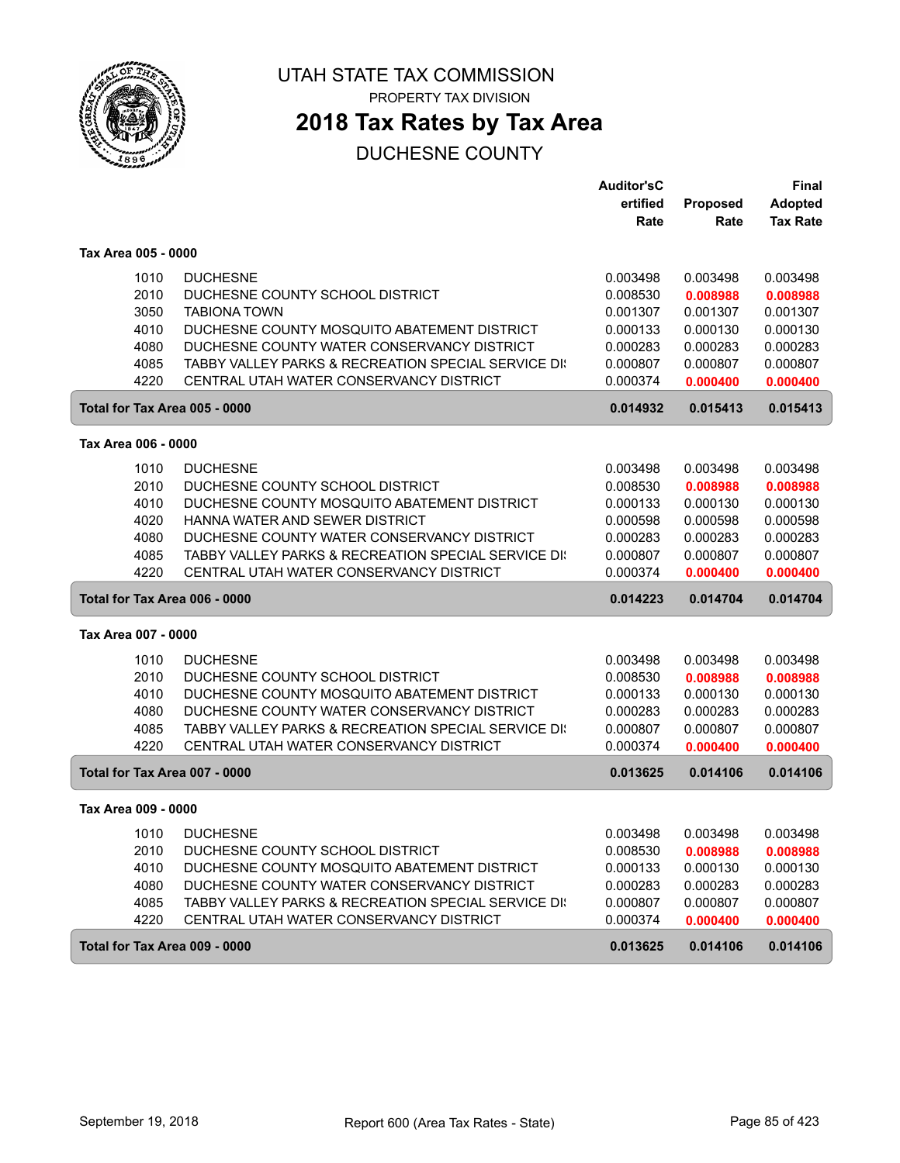

PROPERTY TAX DIVISION

# **2018 Tax Rates by Tax Area**

|                               |                                                     | <b>Auditor'sC</b> |                 | <b>Final</b>    |
|-------------------------------|-----------------------------------------------------|-------------------|-----------------|-----------------|
|                               |                                                     | ertified          | <b>Proposed</b> | <b>Adopted</b>  |
|                               |                                                     | Rate              | Rate            | <b>Tax Rate</b> |
| Tax Area 005 - 0000           |                                                     |                   |                 |                 |
| 1010                          | <b>DUCHESNE</b>                                     | 0.003498          | 0.003498        | 0.003498        |
| 2010                          | DUCHESNE COUNTY SCHOOL DISTRICT                     | 0.008530          | 0.008988        | 0.008988        |
| 3050                          | <b>TABIONA TOWN</b>                                 | 0.001307          | 0.001307        | 0.001307        |
| 4010                          | DUCHESNE COUNTY MOSQUITO ABATEMENT DISTRICT         | 0.000133          | 0.000130        | 0.000130        |
| 4080                          | DUCHESNE COUNTY WATER CONSERVANCY DISTRICT          | 0.000283          | 0.000283        | 0.000283        |
| 4085                          | TABBY VALLEY PARKS & RECREATION SPECIAL SERVICE DI: | 0.000807          | 0.000807        | 0.000807        |
| 4220                          | CENTRAL UTAH WATER CONSERVANCY DISTRICT             | 0.000374          | 0.000400        | 0.000400        |
| Total for Tax Area 005 - 0000 |                                                     | 0.014932          | 0.015413        | 0.015413        |
| Tax Area 006 - 0000           |                                                     |                   |                 |                 |
| 1010                          | <b>DUCHESNE</b>                                     | 0.003498          | 0.003498        | 0.003498        |
| 2010                          | DUCHESNE COUNTY SCHOOL DISTRICT                     | 0.008530          | 0.008988        | 0.008988        |
| 4010                          | DUCHESNE COUNTY MOSQUITO ABATEMENT DISTRICT         | 0.000133          | 0.000130        | 0.000130        |
| 4020                          | HANNA WATER AND SEWER DISTRICT                      | 0.000598          | 0.000598        | 0.000598        |
| 4080                          | DUCHESNE COUNTY WATER CONSERVANCY DISTRICT          | 0.000283          | 0.000283        | 0.000283        |
| 4085                          | TABBY VALLEY PARKS & RECREATION SPECIAL SERVICE DI: | 0.000807          | 0.000807        | 0.000807        |
| 4220                          | CENTRAL UTAH WATER CONSERVANCY DISTRICT             | 0.000374          | 0.000400        | 0.000400        |
| Total for Tax Area 006 - 0000 |                                                     | 0.014223          | 0.014704        | 0.014704        |
| Tax Area 007 - 0000           |                                                     |                   |                 |                 |
| 1010                          | <b>DUCHESNE</b>                                     | 0.003498          | 0.003498        | 0.003498        |
| 2010                          | DUCHESNE COUNTY SCHOOL DISTRICT                     | 0.008530          | 0.008988        | 0.008988        |
| 4010                          | DUCHESNE COUNTY MOSQUITO ABATEMENT DISTRICT         | 0.000133          | 0.000130        | 0.000130        |
| 4080                          | DUCHESNE COUNTY WATER CONSERVANCY DISTRICT          | 0.000283          | 0.000283        | 0.000283        |
| 4085                          | TABBY VALLEY PARKS & RECREATION SPECIAL SERVICE DI: | 0.000807          | 0.000807        | 0.000807        |
| 4220                          | CENTRAL UTAH WATER CONSERVANCY DISTRICT             | 0.000374          | 0.000400        | 0.000400        |
| Total for Tax Area 007 - 0000 |                                                     | 0.013625          | 0.014106        | 0.014106        |
| Tax Area 009 - 0000           |                                                     |                   |                 |                 |
| 1010                          | <b>DUCHESNE</b>                                     | 0.003498          | 0.003498        | 0.003498        |
| 2010                          | DUCHESNE COUNTY SCHOOL DISTRICT                     | 0.008530          | 0.008988        | 0.008988        |
| 4010                          | DUCHESNE COUNTY MOSQUITO ABATEMENT DISTRICT         | 0.000133          | 0.000130        | 0.000130        |
| 4080                          | DUCHESNE COUNTY WATER CONSERVANCY DISTRICT          | 0.000283          | 0.000283        | 0.000283        |
| 4085                          | TABBY VALLEY PARKS & RECREATION SPECIAL SERVICE DI: | 0.000807          | 0.000807        | 0.000807        |
| 4220                          | CENTRAL UTAH WATER CONSERVANCY DISTRICT             | 0.000374          | 0.000400        | 0.000400        |
| Total for Tax Area 009 - 0000 |                                                     | 0.013625          | 0.014106        | 0.014106        |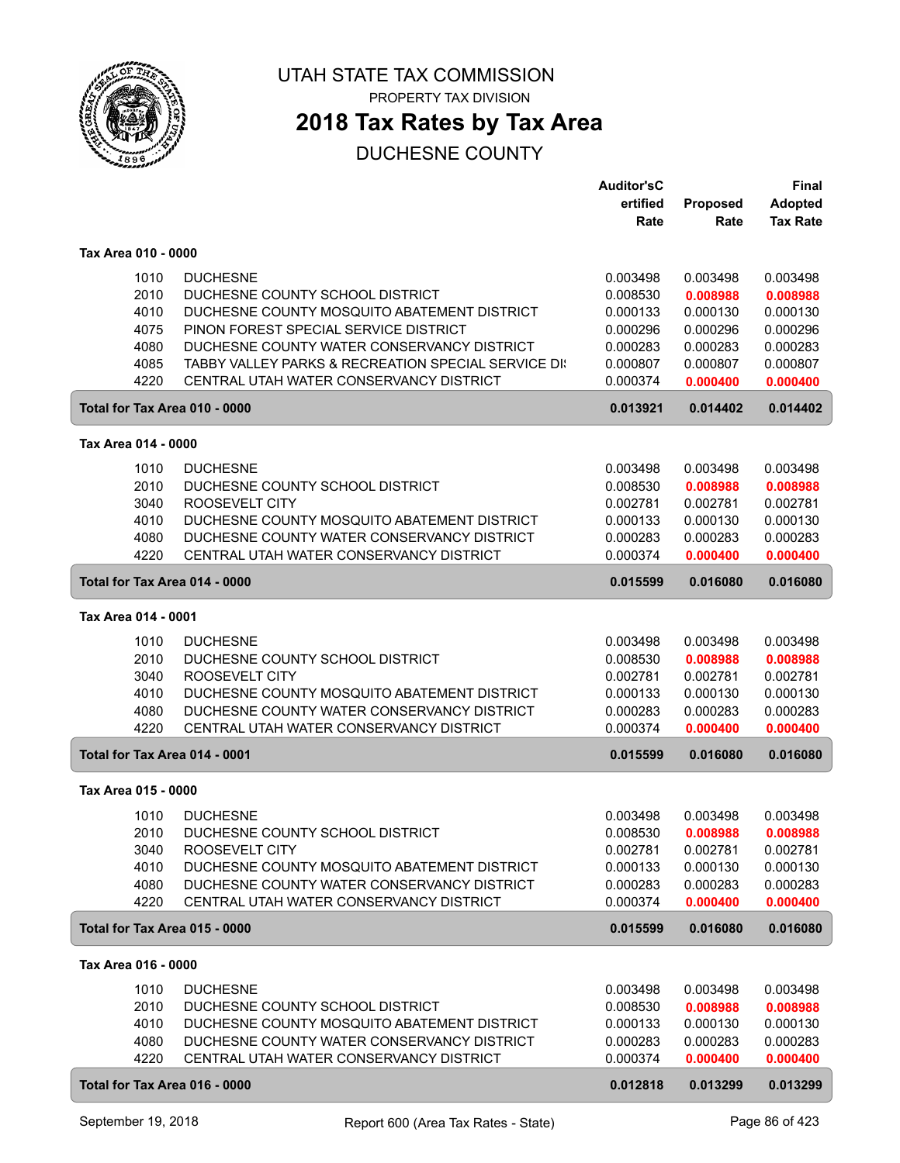

# **2018 Tax Rates by Tax Area**

|                               |                                                     | <b>Auditor'sC</b> |          | Final           |
|-------------------------------|-----------------------------------------------------|-------------------|----------|-----------------|
|                               |                                                     | ertified          | Proposed | <b>Adopted</b>  |
|                               |                                                     | Rate              | Rate     | <b>Tax Rate</b> |
|                               |                                                     |                   |          |                 |
| Tax Area 010 - 0000           |                                                     |                   |          |                 |
| 1010                          | <b>DUCHESNE</b>                                     | 0.003498          | 0.003498 | 0.003498        |
| 2010                          | DUCHESNE COUNTY SCHOOL DISTRICT                     | 0.008530          | 0.008988 | 0.008988        |
| 4010                          | DUCHESNE COUNTY MOSQUITO ABATEMENT DISTRICT         | 0.000133          | 0.000130 | 0.000130        |
| 4075                          | PINON FOREST SPECIAL SERVICE DISTRICT               | 0.000296          | 0.000296 | 0.000296        |
| 4080                          | DUCHESNE COUNTY WATER CONSERVANCY DISTRICT          | 0.000283          | 0.000283 | 0.000283        |
| 4085                          | TABBY VALLEY PARKS & RECREATION SPECIAL SERVICE DI: | 0.000807          | 0.000807 | 0.000807        |
| 4220                          | CENTRAL UTAH WATER CONSERVANCY DISTRICT             | 0.000374          | 0.000400 | 0.000400        |
| Total for Tax Area 010 - 0000 |                                                     | 0.013921          | 0.014402 | 0.014402        |
| Tax Area 014 - 0000           |                                                     |                   |          |                 |
| 1010                          | <b>DUCHESNE</b>                                     | 0.003498          | 0.003498 | 0.003498        |
| 2010                          | DUCHESNE COUNTY SCHOOL DISTRICT                     | 0.008530          | 0.008988 | 0.008988        |
| 3040                          | ROOSEVELT CITY                                      | 0.002781          | 0.002781 | 0.002781        |
| 4010                          | DUCHESNE COUNTY MOSQUITO ABATEMENT DISTRICT         | 0.000133          | 0.000130 | 0.000130        |
| 4080                          | DUCHESNE COUNTY WATER CONSERVANCY DISTRICT          | 0.000283          | 0.000283 | 0.000283        |
| 4220                          | CENTRAL UTAH WATER CONSERVANCY DISTRICT             | 0.000374          | 0.000400 | 0.000400        |
| Total for Tax Area 014 - 0000 |                                                     | 0.015599          | 0.016080 | 0.016080        |
| Tax Area 014 - 0001           |                                                     |                   |          |                 |
| 1010                          | <b>DUCHESNE</b>                                     | 0.003498          | 0.003498 | 0.003498        |
| 2010                          | DUCHESNE COUNTY SCHOOL DISTRICT                     | 0.008530          | 0.008988 | 0.008988        |
| 3040                          | ROOSEVELT CITY                                      | 0.002781          | 0.002781 | 0.002781        |
| 4010                          | DUCHESNE COUNTY MOSQUITO ABATEMENT DISTRICT         | 0.000133          | 0.000130 | 0.000130        |
| 4080                          | DUCHESNE COUNTY WATER CONSERVANCY DISTRICT          | 0.000283          | 0.000283 | 0.000283        |
| 4220                          | CENTRAL UTAH WATER CONSERVANCY DISTRICT             | 0.000374          | 0.000400 | 0.000400        |
| Total for Tax Area 014 - 0001 |                                                     | 0.015599          | 0.016080 | 0.016080        |
| Tax Area 015 - 0000           |                                                     |                   |          |                 |
| 1010                          | <b>DUCHESNE</b>                                     | 0.003498          | 0.003498 | 0.003498        |
| 2010                          | DUCHESNE COUNTY SCHOOL DISTRICT                     | 0.008530          | 0.008988 | 0.008988        |
| 3040                          | ROOSEVELT CITY                                      | 0.002781          | 0.002781 | 0.002781        |
| 4010                          | DUCHESNE COUNTY MOSQUITO ABATEMENT DISTRICT         | 0.000133          | 0.000130 | 0.000130        |
| 4080                          | DUCHESNE COUNTY WATER CONSERVANCY DISTRICT          | 0.000283          | 0.000283 | 0.000283        |
| 4220                          | CENTRAL UTAH WATER CONSERVANCY DISTRICT             | 0.000374          | 0.000400 | 0.000400        |
| Total for Tax Area 015 - 0000 |                                                     | 0.015599          | 0.016080 | 0.016080        |
| Tax Area 016 - 0000           |                                                     |                   |          |                 |
| 1010                          | <b>DUCHESNE</b>                                     | 0.003498          | 0.003498 | 0.003498        |
| 2010                          | DUCHESNE COUNTY SCHOOL DISTRICT                     | 0.008530          | 0.008988 | 0.008988        |
| 4010                          | DUCHESNE COUNTY MOSQUITO ABATEMENT DISTRICT         | 0.000133          | 0.000130 | 0.000130        |
| 4080                          | DUCHESNE COUNTY WATER CONSERVANCY DISTRICT          | 0.000283          | 0.000283 | 0.000283        |
| 4220                          | CENTRAL UTAH WATER CONSERVANCY DISTRICT             | 0.000374          | 0.000400 | 0.000400        |
| Total for Tax Area 016 - 0000 |                                                     | 0.012818          | 0.013299 | 0.013299        |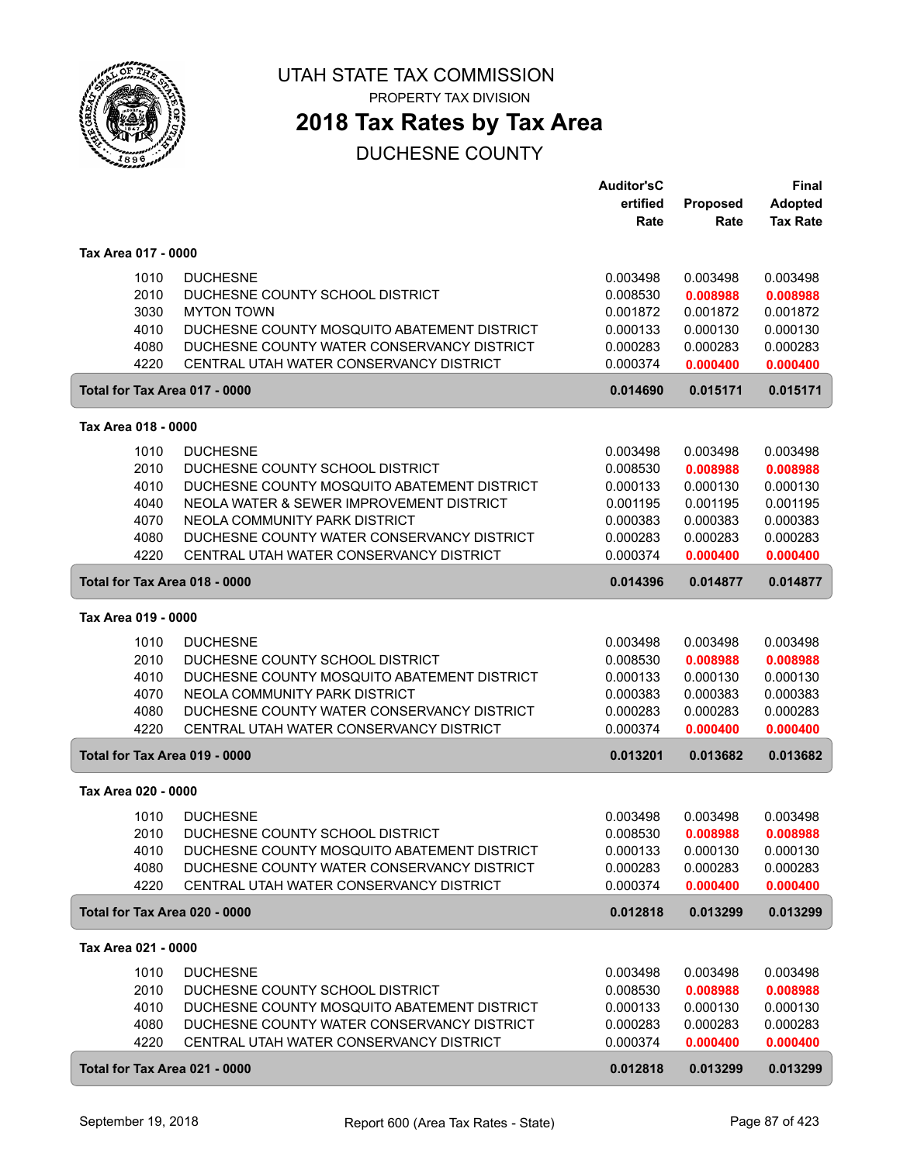

PROPERTY TAX DIVISION

## **2018 Tax Rates by Tax Area**

|                               |                                             | <b>Auditor'sC</b> |          | <b>Final</b>    |
|-------------------------------|---------------------------------------------|-------------------|----------|-----------------|
|                               |                                             | ertified          | Proposed | <b>Adopted</b>  |
|                               |                                             | Rate              | Rate     | <b>Tax Rate</b> |
| Tax Area 017 - 0000           |                                             |                   |          |                 |
| 1010                          | <b>DUCHESNE</b>                             | 0.003498          | 0.003498 | 0.003498        |
| 2010                          | DUCHESNE COUNTY SCHOOL DISTRICT             | 0.008530          | 0.008988 | 0.008988        |
| 3030                          | <b>MYTON TOWN</b>                           | 0.001872          | 0.001872 | 0.001872        |
| 4010                          | DUCHESNE COUNTY MOSQUITO ABATEMENT DISTRICT | 0.000133          | 0.000130 | 0.000130        |
| 4080                          | DUCHESNE COUNTY WATER CONSERVANCY DISTRICT  | 0.000283          | 0.000283 | 0.000283        |
| 4220                          | CENTRAL UTAH WATER CONSERVANCY DISTRICT     | 0.000374          | 0.000400 | 0.000400        |
| Total for Tax Area 017 - 0000 |                                             | 0.014690          | 0.015171 | 0.015171        |
| Tax Area 018 - 0000           |                                             |                   |          |                 |
| 1010                          | <b>DUCHESNE</b>                             | 0.003498          | 0.003498 | 0.003498        |
| 2010                          | DUCHESNE COUNTY SCHOOL DISTRICT             | 0.008530          | 0.008988 | 0.008988        |
| 4010                          | DUCHESNE COUNTY MOSQUITO ABATEMENT DISTRICT | 0.000133          | 0.000130 | 0.000130        |
| 4040                          | NEOLA WATER & SEWER IMPROVEMENT DISTRICT    | 0.001195          | 0.001195 | 0.001195        |
| 4070                          | NEOLA COMMUNITY PARK DISTRICT               | 0.000383          | 0.000383 | 0.000383        |
| 4080                          | DUCHESNE COUNTY WATER CONSERVANCY DISTRICT  | 0.000283          | 0.000283 | 0.000283        |
| 4220                          | CENTRAL UTAH WATER CONSERVANCY DISTRICT     | 0.000374          | 0.000400 | 0.000400        |
| Total for Tax Area 018 - 0000 |                                             | 0.014396          | 0.014877 | 0.014877        |
| Tax Area 019 - 0000           |                                             |                   |          |                 |
| 1010                          | <b>DUCHESNE</b>                             | 0.003498          | 0.003498 | 0.003498        |
| 2010                          | DUCHESNE COUNTY SCHOOL DISTRICT             | 0.008530          | 0.008988 | 0.008988        |
| 4010                          | DUCHESNE COUNTY MOSQUITO ABATEMENT DISTRICT | 0.000133          | 0.000130 | 0.000130        |
| 4070                          | NEOLA COMMUNITY PARK DISTRICT               | 0.000383          | 0.000383 | 0.000383        |
| 4080                          | DUCHESNE COUNTY WATER CONSERVANCY DISTRICT  | 0.000283          | 0.000283 | 0.000283        |
| 4220                          | CENTRAL UTAH WATER CONSERVANCY DISTRICT     | 0.000374          | 0.000400 | 0.000400        |
| Total for Tax Area 019 - 0000 |                                             | 0.013201          | 0.013682 | 0.013682        |
| Tax Area 020 - 0000           |                                             |                   |          |                 |
| 1010                          | <b>DUCHESNE</b>                             | 0.003498          | 0.003498 | 0.003498        |
| 2010                          | DUCHESNE COUNTY SCHOOL DISTRICT             | 0.008530          | 0.008988 | 0.008988        |
| 4010                          | DUCHESNE COUNTY MOSQUITO ABATEMENT DISTRICT | 0.000133          | 0.000130 | 0.000130        |
| 4080                          | DUCHESNE COUNTY WATER CONSERVANCY DISTRICT  | 0.000283          | 0.000283 | 0.000283        |
| 4220                          | CENTRAL UTAH WATER CONSERVANCY DISTRICT     | 0.000374          | 0.000400 | 0.000400        |
| Total for Tax Area 020 - 0000 |                                             | 0.012818          | 0.013299 | 0.013299        |
| Tax Area 021 - 0000           |                                             |                   |          |                 |
| 1010                          | <b>DUCHESNE</b>                             | 0.003498          | 0.003498 | 0.003498        |
| 2010                          | DUCHESNE COUNTY SCHOOL DISTRICT             | 0.008530          | 0.008988 | 0.008988        |
| 4010                          | DUCHESNE COUNTY MOSQUITO ABATEMENT DISTRICT | 0.000133          | 0.000130 | 0.000130        |
| 4080                          | DUCHESNE COUNTY WATER CONSERVANCY DISTRICT  | 0.000283          | 0.000283 | 0.000283        |
| 4220                          | CENTRAL UTAH WATER CONSERVANCY DISTRICT     | 0.000374          | 0.000400 | 0.000400        |
| Total for Tax Area 021 - 0000 |                                             | 0.012818          | 0.013299 | 0.013299        |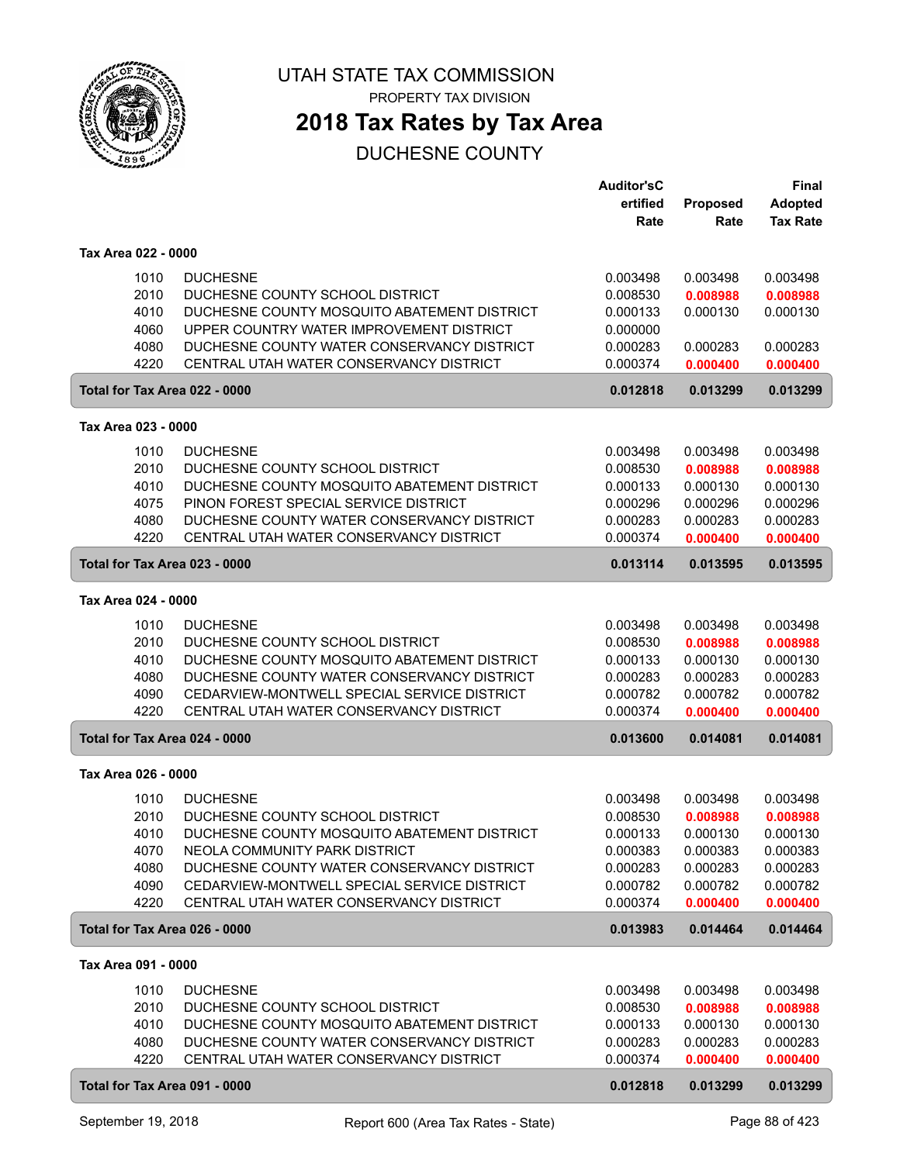

## **2018 Tax Rates by Tax Area**

|                               |                                                                                        | <b>Auditor'sC</b><br>ertified | Proposed | <b>Final</b><br><b>Adopted</b> |
|-------------------------------|----------------------------------------------------------------------------------------|-------------------------------|----------|--------------------------------|
|                               |                                                                                        | Rate                          | Rate     | <b>Tax Rate</b>                |
|                               |                                                                                        |                               |          |                                |
| Tax Area 022 - 0000           |                                                                                        |                               |          |                                |
| 1010                          | <b>DUCHESNE</b>                                                                        | 0.003498                      | 0.003498 | 0.003498                       |
| 2010                          | DUCHESNE COUNTY SCHOOL DISTRICT                                                        | 0.008530                      | 0.008988 | 0.008988                       |
| 4010                          | DUCHESNE COUNTY MOSQUITO ABATEMENT DISTRICT                                            | 0.000133                      | 0.000130 | 0.000130                       |
| 4060<br>4080                  | UPPER COUNTRY WATER IMPROVEMENT DISTRICT<br>DUCHESNE COUNTY WATER CONSERVANCY DISTRICT | 0.000000<br>0.000283          | 0.000283 | 0.000283                       |
| 4220                          | CENTRAL UTAH WATER CONSERVANCY DISTRICT                                                | 0.000374                      | 0.000400 | 0.000400                       |
| Total for Tax Area 022 - 0000 |                                                                                        | 0.012818                      | 0.013299 | 0.013299                       |
| Tax Area 023 - 0000           |                                                                                        |                               |          |                                |
| 1010                          | <b>DUCHESNE</b>                                                                        | 0.003498                      | 0.003498 | 0.003498                       |
| 2010                          | DUCHESNE COUNTY SCHOOL DISTRICT                                                        | 0.008530                      | 0.008988 | 0.008988                       |
| 4010                          | DUCHESNE COUNTY MOSQUITO ABATEMENT DISTRICT                                            | 0.000133                      | 0.000130 | 0.000130                       |
| 4075                          | PINON FOREST SPECIAL SERVICE DISTRICT                                                  | 0.000296                      | 0.000296 | 0.000296                       |
| 4080                          | DUCHESNE COUNTY WATER CONSERVANCY DISTRICT                                             | 0.000283                      | 0.000283 | 0.000283                       |
| 4220                          | CENTRAL UTAH WATER CONSERVANCY DISTRICT                                                | 0.000374                      | 0.000400 | 0.000400                       |
| Total for Tax Area 023 - 0000 |                                                                                        | 0.013114                      | 0.013595 | 0.013595                       |
| Tax Area 024 - 0000           |                                                                                        |                               |          |                                |
| 1010                          | <b>DUCHESNE</b>                                                                        | 0.003498                      | 0.003498 | 0.003498                       |
| 2010                          | DUCHESNE COUNTY SCHOOL DISTRICT                                                        | 0.008530                      | 0.008988 | 0.008988                       |
| 4010                          | DUCHESNE COUNTY MOSQUITO ABATEMENT DISTRICT                                            | 0.000133                      | 0.000130 | 0.000130                       |
| 4080                          | DUCHESNE COUNTY WATER CONSERVANCY DISTRICT                                             | 0.000283                      | 0.000283 | 0.000283                       |
| 4090                          | CEDARVIEW-MONTWELL SPECIAL SERVICE DISTRICT                                            | 0.000782                      | 0.000782 | 0.000782                       |
| 4220                          | CENTRAL UTAH WATER CONSERVANCY DISTRICT                                                | 0.000374                      | 0.000400 | 0.000400                       |
| Total for Tax Area 024 - 0000 |                                                                                        | 0.013600                      | 0.014081 | 0.014081                       |
| Tax Area 026 - 0000           |                                                                                        |                               |          |                                |
| 1010                          | <b>DUCHESNE</b>                                                                        | 0.003498                      | 0.003498 | 0.003498                       |
| 2010                          | DUCHESNE COUNTY SCHOOL DISTRICT                                                        | 0.008530                      | 0.008988 | 0.008988                       |
| 4010                          | DUCHESNE COUNTY MOSQUITO ABATEMENT DISTRICT                                            | 0.000133                      | 0.000130 | 0.000130                       |
| 4070                          | NEOLA COMMUNITY PARK DISTRICT                                                          | 0.000383                      | 0.000383 | 0.000383                       |
| 4080                          | DUCHESNE COUNTY WATER CONSERVANCY DISTRICT                                             | 0.000283                      | 0.000283 | 0.000283                       |
| 4090                          | CEDARVIEW-MONTWELL SPECIAL SERVICE DISTRICT                                            | 0.000782                      | 0.000782 | 0.000782                       |
| 4220                          | CENTRAL UTAH WATER CONSERVANCY DISTRICT                                                | 0.000374                      | 0.000400 | 0.000400                       |
| Total for Tax Area 026 - 0000 |                                                                                        | 0.013983                      | 0.014464 | 0.014464                       |
| Tax Area 091 - 0000           |                                                                                        |                               |          |                                |
| 1010                          | <b>DUCHESNE</b>                                                                        | 0.003498                      | 0.003498 | 0.003498                       |
| 2010                          | DUCHESNE COUNTY SCHOOL DISTRICT                                                        | 0.008530                      | 0.008988 | 0.008988                       |
| 4010                          | DUCHESNE COUNTY MOSQUITO ABATEMENT DISTRICT                                            | 0.000133                      | 0.000130 | 0.000130                       |
| 4080                          | DUCHESNE COUNTY WATER CONSERVANCY DISTRICT                                             | 0.000283                      | 0.000283 | 0.000283                       |
| 4220                          | CENTRAL UTAH WATER CONSERVANCY DISTRICT                                                | 0.000374                      | 0.000400 | 0.000400                       |
| Total for Tax Area 091 - 0000 |                                                                                        | 0.012818                      | 0.013299 | 0.013299                       |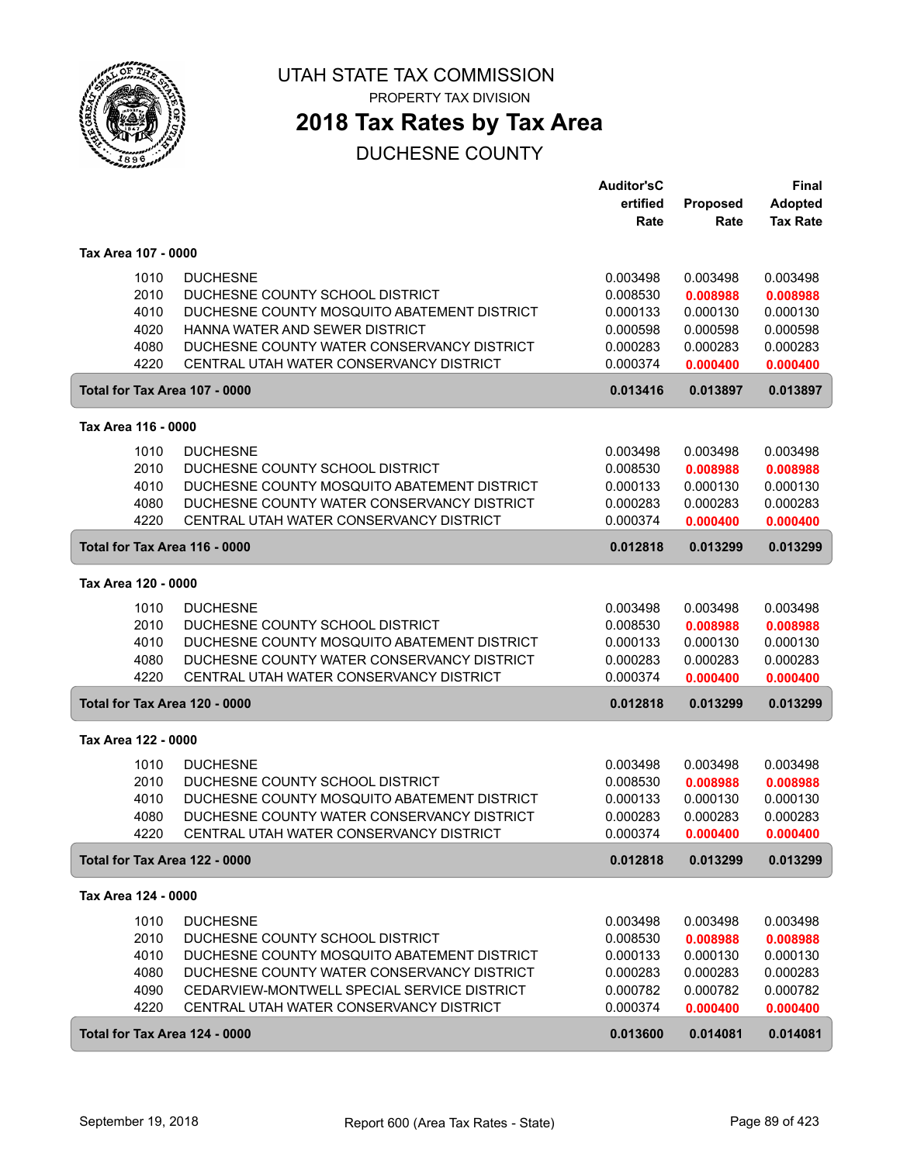

**2018 Tax Rates by Tax Area**

|                     |                                             | <b>Auditor'sC</b> |          | Final           |
|---------------------|---------------------------------------------|-------------------|----------|-----------------|
|                     |                                             | ertified          | Proposed | <b>Adopted</b>  |
|                     |                                             | Rate              | Rate     | <b>Tax Rate</b> |
| Tax Area 107 - 0000 |                                             |                   |          |                 |
| 1010                | <b>DUCHESNE</b>                             | 0.003498          | 0.003498 | 0.003498        |
| 2010                | DUCHESNE COUNTY SCHOOL DISTRICT             | 0.008530          | 0.008988 | 0.008988        |
| 4010                | DUCHESNE COUNTY MOSQUITO ABATEMENT DISTRICT | 0.000133          | 0.000130 | 0.000130        |
| 4020                | HANNA WATER AND SEWER DISTRICT              | 0.000598          | 0.000598 | 0.000598        |
| 4080                | DUCHESNE COUNTY WATER CONSERVANCY DISTRICT  | 0.000283          | 0.000283 | 0.000283        |
| 4220                | CENTRAL UTAH WATER CONSERVANCY DISTRICT     | 0.000374          | 0.000400 | 0.000400        |
|                     | Total for Tax Area 107 - 0000               | 0.013416          | 0.013897 | 0.013897        |
| Tax Area 116 - 0000 |                                             |                   |          |                 |
| 1010                | <b>DUCHESNE</b>                             | 0.003498          | 0.003498 | 0.003498        |
| 2010                | DUCHESNE COUNTY SCHOOL DISTRICT             | 0.008530          | 0.008988 | 0.008988        |
| 4010                | DUCHESNE COUNTY MOSQUITO ABATEMENT DISTRICT | 0.000133          | 0.000130 | 0.000130        |
| 4080                | DUCHESNE COUNTY WATER CONSERVANCY DISTRICT  | 0.000283          | 0.000283 | 0.000283        |
| 4220                | CENTRAL UTAH WATER CONSERVANCY DISTRICT     | 0.000374          | 0.000400 | 0.000400        |
|                     | Total for Tax Area 116 - 0000               | 0.012818          | 0.013299 | 0.013299        |
| Tax Area 120 - 0000 |                                             |                   |          |                 |
| 1010                | <b>DUCHESNE</b>                             | 0.003498          | 0.003498 | 0.003498        |
| 2010                | DUCHESNE COUNTY SCHOOL DISTRICT             | 0.008530          | 0.008988 | 0.008988        |
| 4010                | DUCHESNE COUNTY MOSQUITO ABATEMENT DISTRICT | 0.000133          | 0.000130 | 0.000130        |
| 4080                | DUCHESNE COUNTY WATER CONSERVANCY DISTRICT  | 0.000283          | 0.000283 | 0.000283        |
| 4220                | CENTRAL UTAH WATER CONSERVANCY DISTRICT     | 0.000374          | 0.000400 | 0.000400        |
|                     | Total for Tax Area 120 - 0000               | 0.012818          | 0.013299 | 0.013299        |
| Tax Area 122 - 0000 |                                             |                   |          |                 |
| 1010                | <b>DUCHESNE</b>                             | 0.003498          | 0.003498 | 0.003498        |
| 2010                | DUCHESNE COUNTY SCHOOL DISTRICT             | 0.008530          | 0.008988 | 0.008988        |
| 4010                | DUCHESNE COUNTY MOSQUITO ABATEMENT DISTRICT | 0.000133          | 0.000130 | 0.000130        |
| 4080                | DUCHESNE COUNTY WATER CONSERVANCY DISTRICT  | 0.000283          | 0.000283 | 0.000283        |
| 4220                | CENTRAL UTAH WATER CONSERVANCY DISTRICT     | 0.000374          | 0.000400 | 0.000400        |
|                     | Total for Tax Area 122 - 0000               | 0.012818          | 0.013299 | 0.013299        |
| Tax Area 124 - 0000 |                                             |                   |          |                 |
| 1010                | <b>DUCHESNE</b>                             | 0.003498          | 0.003498 | 0.003498        |
| 2010                | DUCHESNE COUNTY SCHOOL DISTRICT             | 0.008530          | 0.008988 | 0.008988        |
| 4010                | DUCHESNE COUNTY MOSQUITO ABATEMENT DISTRICT | 0.000133          | 0.000130 | 0.000130        |
| 4080                | DUCHESNE COUNTY WATER CONSERVANCY DISTRICT  | 0.000283          | 0.000283 | 0.000283        |
| 4090                | CEDARVIEW-MONTWELL SPECIAL SERVICE DISTRICT | 0.000782          | 0.000782 | 0.000782        |
| 4220                | CENTRAL UTAH WATER CONSERVANCY DISTRICT     | 0.000374          | 0.000400 | 0.000400        |
|                     | Total for Tax Area 124 - 0000               | 0.013600          | 0.014081 | 0.014081        |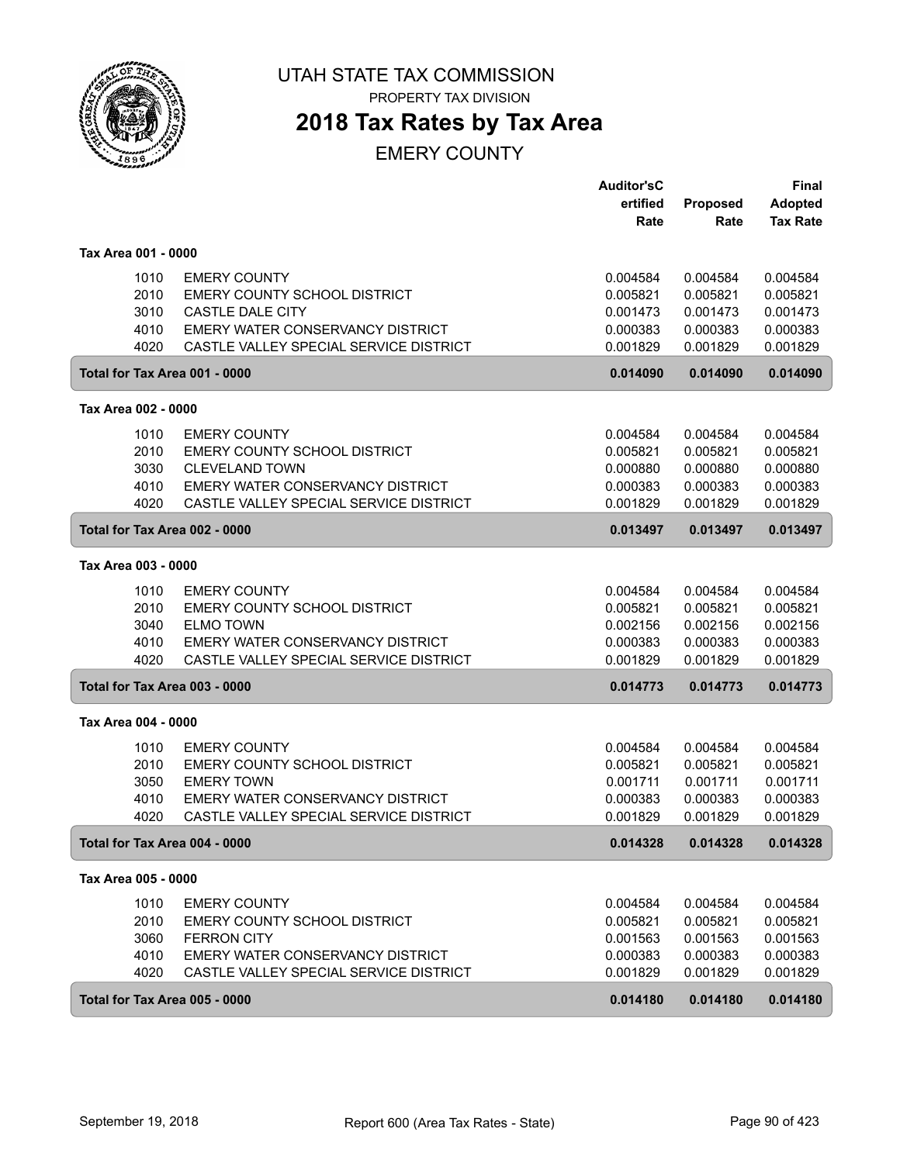

PROPERTY TAX DIVISION

## **2018 Tax Rates by Tax Area**

|                     |                                        | <b>Auditor'sC</b><br>ertified | <b>Proposed</b> | <b>Final</b><br><b>Adopted</b> |
|---------------------|----------------------------------------|-------------------------------|-----------------|--------------------------------|
|                     |                                        | Rate                          | Rate            | <b>Tax Rate</b>                |
| Tax Area 001 - 0000 |                                        |                               |                 |                                |
| 1010                | <b>EMERY COUNTY</b>                    | 0.004584                      | 0.004584        | 0.004584                       |
| 2010                | EMERY COUNTY SCHOOL DISTRICT           | 0.005821                      | 0.005821        | 0.005821                       |
| 3010                | CASTLE DALE CITY                       | 0.001473                      | 0.001473        | 0.001473                       |
| 4010                | EMERY WATER CONSERVANCY DISTRICT       | 0.000383                      | 0.000383        | 0.000383                       |
| 4020                | CASTLE VALLEY SPECIAL SERVICE DISTRICT | 0.001829                      | 0.001829        | 0.001829                       |
|                     | Total for Tax Area 001 - 0000          | 0.014090                      | 0.014090        | 0.014090                       |
| Tax Area 002 - 0000 |                                        |                               |                 |                                |
| 1010                | <b>EMERY COUNTY</b>                    | 0.004584                      | 0.004584        | 0.004584                       |
| 2010                | EMERY COUNTY SCHOOL DISTRICT           | 0.005821                      | 0.005821        | 0.005821                       |
| 3030                | <b>CLEVELAND TOWN</b>                  | 0.000880                      | 0.000880        | 0.000880                       |
| 4010                | EMERY WATER CONSERVANCY DISTRICT       | 0.000383                      | 0.000383        | 0.000383                       |
| 4020                | CASTLE VALLEY SPECIAL SERVICE DISTRICT | 0.001829                      | 0.001829        | 0.001829                       |
|                     | Total for Tax Area 002 - 0000          | 0.013497                      | 0.013497        | 0.013497                       |
| Tax Area 003 - 0000 |                                        |                               |                 |                                |
| 1010                | <b>EMERY COUNTY</b>                    | 0.004584                      | 0.004584        | 0.004584                       |
| 2010                | EMERY COUNTY SCHOOL DISTRICT           | 0.005821                      | 0.005821        | 0.005821                       |
| 3040                | <b>ELMO TOWN</b>                       | 0.002156                      | 0.002156        | 0.002156                       |
| 4010                | EMERY WATER CONSERVANCY DISTRICT       | 0.000383                      | 0.000383        | 0.000383                       |
| 4020                | CASTLE VALLEY SPECIAL SERVICE DISTRICT | 0.001829                      | 0.001829        | 0.001829                       |
|                     | Total for Tax Area 003 - 0000          | 0.014773                      | 0.014773        | 0.014773                       |
| Tax Area 004 - 0000 |                                        |                               |                 |                                |
| 1010                | <b>EMERY COUNTY</b>                    | 0.004584                      | 0.004584        | 0.004584                       |
| 2010                | EMERY COUNTY SCHOOL DISTRICT           | 0.005821                      | 0.005821        | 0.005821                       |
| 3050                | <b>EMERY TOWN</b>                      | 0.001711                      | 0.001711        | 0.001711                       |
| 4010                | EMERY WATER CONSERVANCY DISTRICT       | 0.000383                      | 0.000383        | 0.000383                       |
| 4020                | CASTLE VALLEY SPECIAL SERVICE DISTRICT | 0.001829                      | 0.001829        | 0.001829                       |
|                     | Total for Tax Area 004 - 0000          | 0.014328                      | 0.014328        | 0.014328                       |
| Tax Area 005 - 0000 |                                        |                               |                 |                                |
| 1010                | <b>EMERY COUNTY</b>                    | 0.004584                      | 0.004584        | 0.004584                       |
| 2010                | EMERY COUNTY SCHOOL DISTRICT           | 0.005821                      | 0.005821        | 0.005821                       |
| 3060                | <b>FERRON CITY</b>                     | 0.001563                      | 0.001563        | 0.001563                       |
| 4010                | EMERY WATER CONSERVANCY DISTRICT       | 0.000383                      | 0.000383        | 0.000383                       |
| 4020                | CASTLE VALLEY SPECIAL SERVICE DISTRICT | 0.001829                      | 0.001829        | 0.001829                       |
|                     | Total for Tax Area 005 - 0000          | 0.014180                      | 0.014180        | 0.014180                       |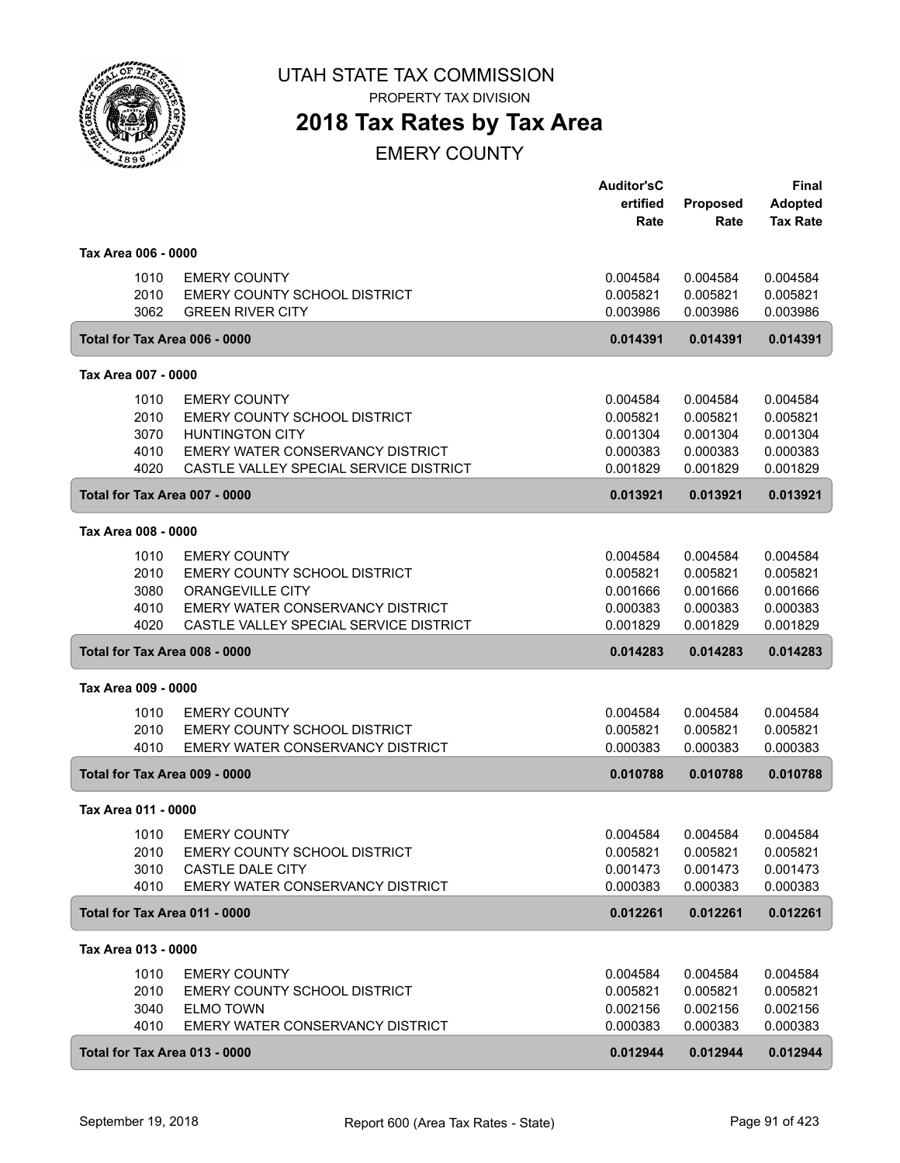

PROPERTY TAX DIVISION

# **2018 Tax Rates by Tax Area**

|                               |                                         | <b>Auditor'sC</b> |          | Final           |
|-------------------------------|-----------------------------------------|-------------------|----------|-----------------|
|                               |                                         | ertified          | Proposed | <b>Adopted</b>  |
|                               |                                         | Rate              | Rate     | <b>Tax Rate</b> |
| Tax Area 006 - 0000           |                                         |                   |          |                 |
| 1010                          | <b>EMERY COUNTY</b>                     | 0.004584          | 0.004584 | 0.004584        |
| 2010                          | EMERY COUNTY SCHOOL DISTRICT            | 0.005821          | 0.005821 | 0.005821        |
| 3062                          | <b>GREEN RIVER CITY</b>                 | 0.003986          | 0.003986 | 0.003986        |
| Total for Tax Area 006 - 0000 |                                         | 0.014391          | 0.014391 | 0.014391        |
| Tax Area 007 - 0000           |                                         |                   |          |                 |
| 1010                          | <b>EMERY COUNTY</b>                     | 0.004584          | 0.004584 | 0.004584        |
| 2010                          | EMERY COUNTY SCHOOL DISTRICT            | 0.005821          | 0.005821 | 0.005821        |
| 3070                          | <b>HUNTINGTON CITY</b>                  | 0.001304          | 0.001304 | 0.001304        |
| 4010                          | <b>EMERY WATER CONSERVANCY DISTRICT</b> | 0.000383          | 0.000383 | 0.000383        |
| 4020                          | CASTLE VALLEY SPECIAL SERVICE DISTRICT  | 0.001829          | 0.001829 | 0.001829        |
| Total for Tax Area 007 - 0000 |                                         | 0.013921          | 0.013921 | 0.013921        |
| Tax Area 008 - 0000           |                                         |                   |          |                 |
| 1010                          | <b>EMERY COUNTY</b>                     | 0.004584          | 0.004584 | 0.004584        |
| 2010                          | EMERY COUNTY SCHOOL DISTRICT            | 0.005821          | 0.005821 | 0.005821        |
| 3080                          | <b>ORANGEVILLE CITY</b>                 | 0.001666          | 0.001666 | 0.001666        |
| 4010                          | EMERY WATER CONSERVANCY DISTRICT        | 0.000383          | 0.000383 | 0.000383        |
| 4020                          | CASTLE VALLEY SPECIAL SERVICE DISTRICT  | 0.001829          | 0.001829 | 0.001829        |
| Total for Tax Area 008 - 0000 |                                         | 0.014283          | 0.014283 | 0.014283        |
| Tax Area 009 - 0000           |                                         |                   |          |                 |
| 1010                          | <b>EMERY COUNTY</b>                     | 0.004584          | 0.004584 | 0.004584        |
| 2010                          | EMERY COUNTY SCHOOL DISTRICT            | 0.005821          | 0.005821 | 0.005821        |
| 4010                          | EMERY WATER CONSERVANCY DISTRICT        | 0.000383          | 0.000383 | 0.000383        |
| Total for Tax Area 009 - 0000 |                                         | 0.010788          | 0.010788 | 0.010788        |
| Tax Area 011 - 0000           |                                         |                   |          |                 |
| 1010                          | <b>EMERY COUNTY</b>                     | 0.004584          | 0.004584 | 0.004584        |
| 2010                          | EMERY COUNTY SCHOOL DISTRICT            | 0.005821          | 0.005821 | 0.005821        |
| 3010                          | CASTLE DALE CITY                        | 0.001473          | 0.001473 | 0.001473        |
| 4010                          | EMERY WATER CONSERVANCY DISTRICT        | 0.000383          | 0.000383 | 0.000383        |
| Total for Tax Area 011 - 0000 |                                         | 0.012261          | 0.012261 | 0.012261        |
| Tax Area 013 - 0000           |                                         |                   |          |                 |
| 1010                          | <b>EMERY COUNTY</b>                     | 0.004584          | 0.004584 | 0.004584        |
| 2010                          | EMERY COUNTY SCHOOL DISTRICT            | 0.005821          | 0.005821 | 0.005821        |
| 3040                          | <b>ELMO TOWN</b>                        | 0.002156          | 0.002156 | 0.002156        |
| 4010                          | EMERY WATER CONSERVANCY DISTRICT        | 0.000383          | 0.000383 | 0.000383        |
| Total for Tax Area 013 - 0000 |                                         | 0.012944          | 0.012944 | 0.012944        |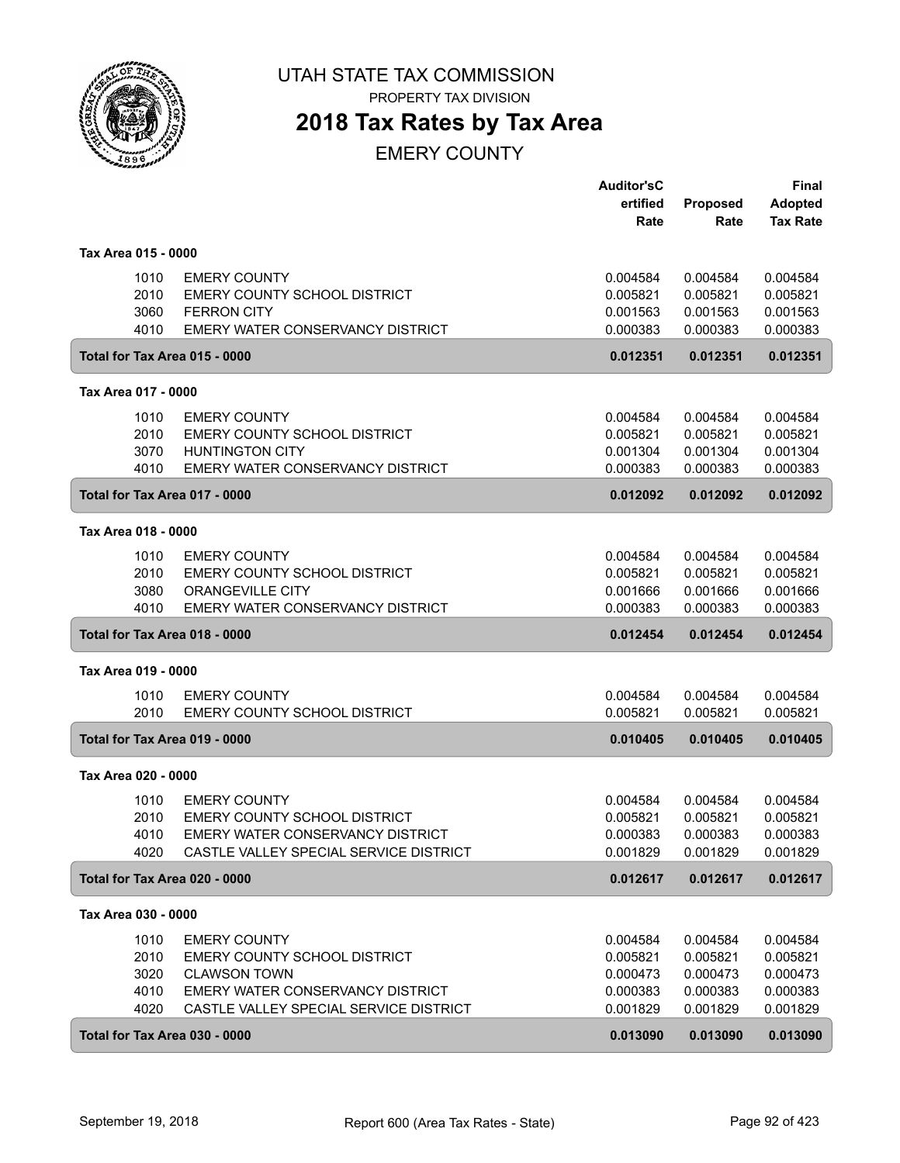

PROPERTY TAX DIVISION

# **2018 Tax Rates by Tax Area**

|                     |                                                                                                                                                                                                  | <b>Auditor'sC</b><br>ertified                            | <b>Proposed</b>                                          | Final<br><b>Adopted</b>                                  |
|---------------------|--------------------------------------------------------------------------------------------------------------------------------------------------------------------------------------------------|----------------------------------------------------------|----------------------------------------------------------|----------------------------------------------------------|
|                     |                                                                                                                                                                                                  | Rate                                                     | Rate                                                     | <b>Tax Rate</b>                                          |
| Tax Area 015 - 0000 |                                                                                                                                                                                                  |                                                          |                                                          |                                                          |
|                     | 1010<br><b>EMERY COUNTY</b><br>2010<br>EMERY COUNTY SCHOOL DISTRICT<br>3060<br><b>FERRON CITY</b><br>4010<br>EMERY WATER CONSERVANCY DISTRICT                                                    | 0.004584<br>0.005821<br>0.001563<br>0.000383             | 0.004584<br>0.005821<br>0.001563<br>0.000383             | 0.004584<br>0.005821<br>0.001563<br>0.000383             |
|                     | Total for Tax Area 015 - 0000                                                                                                                                                                    | 0.012351                                                 | 0.012351                                                 | 0.012351                                                 |
| Tax Area 017 - 0000 |                                                                                                                                                                                                  |                                                          |                                                          |                                                          |
|                     | 1010<br><b>EMERY COUNTY</b><br>2010<br>EMERY COUNTY SCHOOL DISTRICT<br>3070<br><b>HUNTINGTON CITY</b><br>4010<br>EMERY WATER CONSERVANCY DISTRICT                                                | 0.004584<br>0.005821<br>0.001304<br>0.000383             | 0.004584<br>0.005821<br>0.001304<br>0.000383             | 0.004584<br>0.005821<br>0.001304<br>0.000383             |
|                     | Total for Tax Area 017 - 0000                                                                                                                                                                    | 0.012092                                                 | 0.012092                                                 | 0.012092                                                 |
| Tax Area 018 - 0000 |                                                                                                                                                                                                  |                                                          |                                                          |                                                          |
|                     | 1010<br><b>EMERY COUNTY</b><br>2010<br>EMERY COUNTY SCHOOL DISTRICT<br>3080<br><b>ORANGEVILLE CITY</b><br>4010<br><b>EMERY WATER CONSERVANCY DISTRICT</b>                                        | 0.004584<br>0.005821<br>0.001666<br>0.000383             | 0.004584<br>0.005821<br>0.001666<br>0.000383             | 0.004584<br>0.005821<br>0.001666<br>0.000383             |
|                     | Total for Tax Area 018 - 0000                                                                                                                                                                    | 0.012454                                                 | 0.012454                                                 | 0.012454                                                 |
| Tax Area 019 - 0000 |                                                                                                                                                                                                  |                                                          |                                                          |                                                          |
|                     | 1010<br><b>EMERY COUNTY</b><br>2010<br><b>EMERY COUNTY SCHOOL DISTRICT</b>                                                                                                                       | 0.004584<br>0.005821                                     | 0.004584<br>0.005821                                     | 0.004584<br>0.005821                                     |
|                     | Total for Tax Area 019 - 0000                                                                                                                                                                    | 0.010405                                                 | 0.010405                                                 | 0.010405                                                 |
| Tax Area 020 - 0000 |                                                                                                                                                                                                  |                                                          |                                                          |                                                          |
|                     | 1010<br><b>EMERY COUNTY</b><br>EMERY COUNTY SCHOOL DISTRICT<br>2010<br>EMERY WATER CONSERVANCY DISTRICT<br>4010<br>CASTLE VALLEY SPECIAL SERVICE DISTRICT<br>4020                                | 0.004584<br>0.005821<br>0.000383<br>0.001829             | 0.004584<br>0.005821<br>0.000383<br>0.001829             | 0.004584<br>0.005821<br>0.000383<br>0.001829             |
|                     | Total for Tax Area 020 - 0000                                                                                                                                                                    | 0.012617                                                 | 0.012617                                                 | 0.012617                                                 |
| Tax Area 030 - 0000 |                                                                                                                                                                                                  |                                                          |                                                          |                                                          |
|                     | 1010<br><b>EMERY COUNTY</b><br>2010<br>EMERY COUNTY SCHOOL DISTRICT<br>3020<br><b>CLAWSON TOWN</b><br>4010<br>EMERY WATER CONSERVANCY DISTRICT<br>4020<br>CASTLE VALLEY SPECIAL SERVICE DISTRICT | 0.004584<br>0.005821<br>0.000473<br>0.000383<br>0.001829 | 0.004584<br>0.005821<br>0.000473<br>0.000383<br>0.001829 | 0.004584<br>0.005821<br>0.000473<br>0.000383<br>0.001829 |
|                     | Total for Tax Area 030 - 0000                                                                                                                                                                    | 0.013090                                                 | 0.013090                                                 | 0.013090                                                 |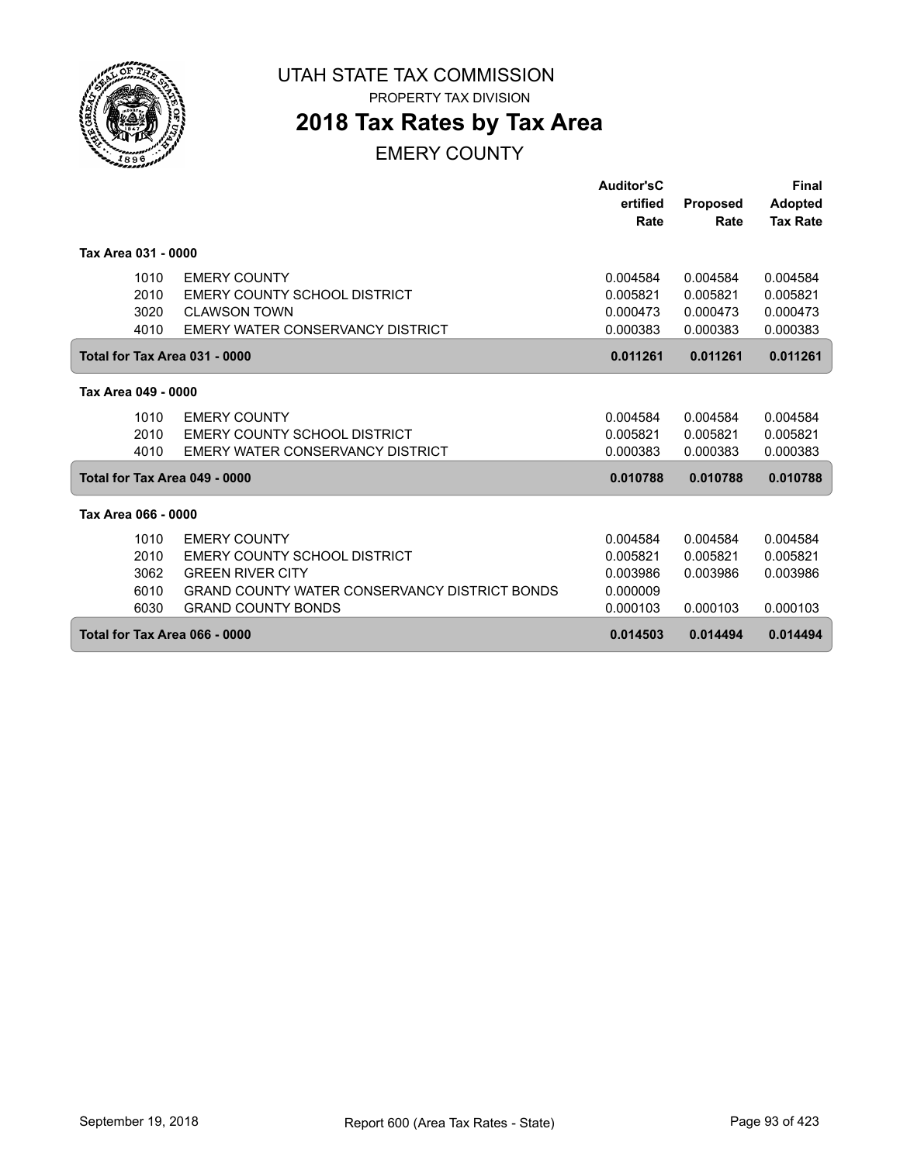

PROPERTY TAX DIVISION

## **2018 Tax Rates by Tax Area**

|                     |                                                      | <b>Auditor'sC</b> |                 | <b>Final</b>    |
|---------------------|------------------------------------------------------|-------------------|-----------------|-----------------|
|                     |                                                      | ertified          | <b>Proposed</b> | <b>Adopted</b>  |
|                     |                                                      | Rate              | Rate            | <b>Tax Rate</b> |
|                     |                                                      |                   |                 |                 |
| Tax Area 031 - 0000 |                                                      |                   |                 |                 |
| 1010                | <b>EMERY COUNTY</b>                                  | 0.004584          | 0.004584        | 0.004584        |
| 2010                | EMERY COUNTY SCHOOL DISTRICT                         | 0.005821          | 0.005821        | 0.005821        |
| 3020                | <b>CLAWSON TOWN</b>                                  | 0.000473          | 0.000473        | 0.000473        |
| 4010                | EMERY WATER CONSERVANCY DISTRICT                     | 0.000383          | 0.000383        | 0.000383        |
|                     | Total for Tax Area 031 - 0000                        | 0.011261          | 0.011261        | 0.011261        |
| Tax Area 049 - 0000 |                                                      |                   |                 |                 |
| 1010                | <b>EMERY COUNTY</b>                                  | 0.004584          | 0.004584        | 0.004584        |
| 2010                | <b>EMERY COUNTY SCHOOL DISTRICT</b>                  | 0.005821          | 0.005821        | 0.005821        |
| 4010                | EMERY WATER CONSERVANCY DISTRICT                     | 0.000383          | 0.000383        | 0.000383        |
|                     | Total for Tax Area 049 - 0000                        | 0.010788          | 0.010788        | 0.010788        |
|                     |                                                      |                   |                 |                 |
| Tax Area 066 - 0000 |                                                      |                   |                 |                 |
| 1010                | <b>EMERY COUNTY</b>                                  | 0.004584          | 0.004584        | 0.004584        |
| 2010                | EMERY COUNTY SCHOOL DISTRICT                         | 0.005821          | 0.005821        | 0.005821        |
| 3062                | <b>GREEN RIVER CITY</b>                              | 0.003986          | 0.003986        | 0.003986        |
| 6010                | <b>GRAND COUNTY WATER CONSERVANCY DISTRICT BONDS</b> | 0.000009          |                 |                 |
| 6030                | <b>GRAND COUNTY BONDS</b>                            | 0.000103          | 0.000103        | 0.000103        |
|                     | Total for Tax Area 066 - 0000                        |                   | 0.014494        | 0.014494        |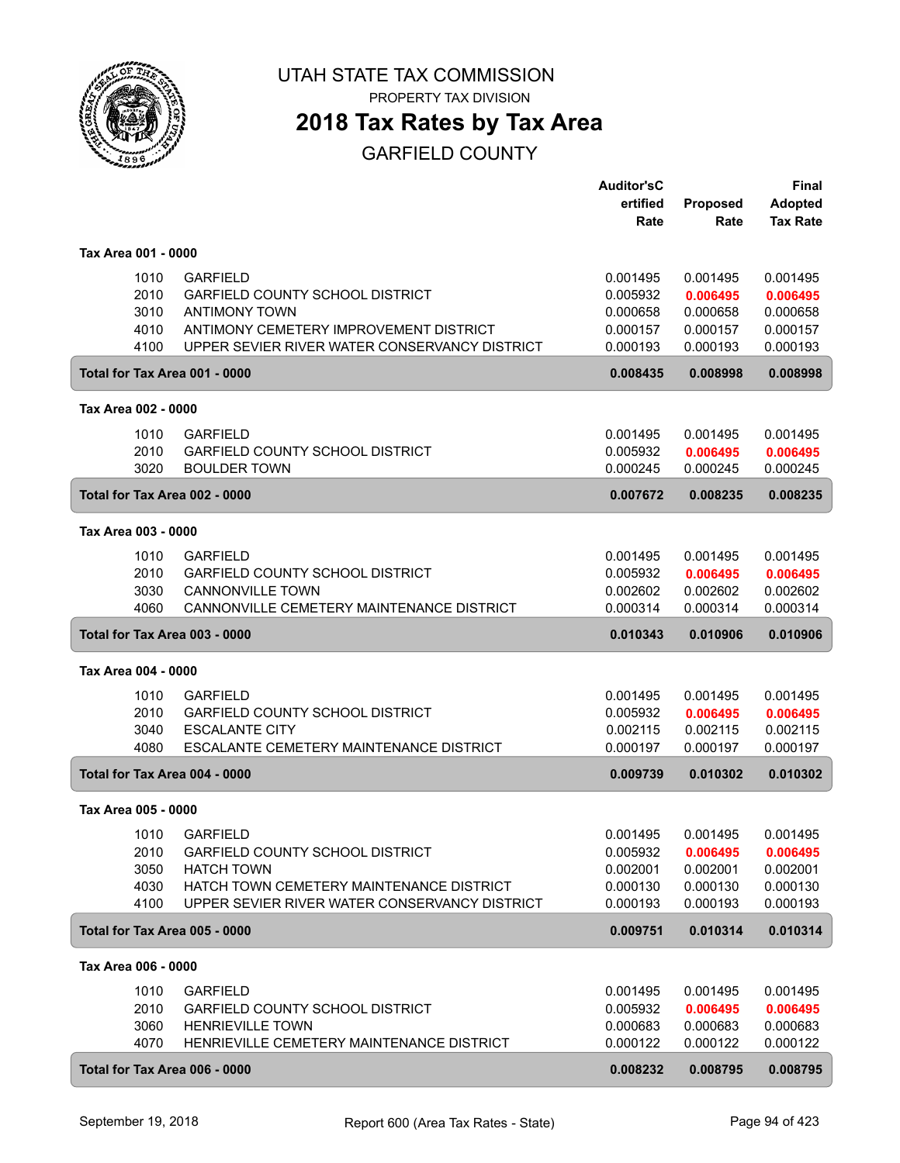

# **2018 Tax Rates by Tax Area**

|                               |                                               | <b>Auditor'sC</b> |                 | <b>Final</b>    |
|-------------------------------|-----------------------------------------------|-------------------|-----------------|-----------------|
|                               |                                               | ertified          | <b>Proposed</b> | <b>Adopted</b>  |
|                               |                                               | Rate              | Rate            | <b>Tax Rate</b> |
|                               |                                               |                   |                 |                 |
| Tax Area 001 - 0000           |                                               |                   |                 |                 |
| 1010                          | <b>GARFIELD</b>                               | 0.001495          | 0.001495        | 0.001495        |
| 2010                          | <b>GARFIELD COUNTY SCHOOL DISTRICT</b>        | 0.005932          | 0.006495        | 0.006495        |
| 3010                          | <b>ANTIMONY TOWN</b>                          | 0.000658          | 0.000658        | 0.000658        |
| 4010                          | ANTIMONY CEMETERY IMPROVEMENT DISTRICT        | 0.000157          | 0.000157        | 0.000157        |
| 4100                          | UPPER SEVIER RIVER WATER CONSERVANCY DISTRICT | 0.000193          | 0.000193        | 0.000193        |
| Total for Tax Area 001 - 0000 |                                               | 0.008435          | 0.008998        | 0.008998        |
| Tax Area 002 - 0000           |                                               |                   |                 |                 |
| 1010                          | <b>GARFIELD</b>                               | 0.001495          | 0.001495        | 0.001495        |
| 2010                          | <b>GARFIELD COUNTY SCHOOL DISTRICT</b>        | 0.005932          | 0.006495        | 0.006495        |
| 3020                          | <b>BOULDER TOWN</b>                           | 0.000245          | 0.000245        | 0.000245        |
|                               |                                               |                   |                 |                 |
| Total for Tax Area 002 - 0000 |                                               | 0.007672          | 0.008235        | 0.008235        |
| Tax Area 003 - 0000           |                                               |                   |                 |                 |
| 1010                          | <b>GARFIELD</b>                               | 0.001495          | 0.001495        | 0.001495        |
| 2010                          | <b>GARFIELD COUNTY SCHOOL DISTRICT</b>        | 0.005932          | 0.006495        | 0.006495        |
| 3030                          | <b>CANNONVILLE TOWN</b>                       | 0.002602          | 0.002602        | 0.002602        |
| 4060                          | CANNONVILLE CEMETERY MAINTENANCE DISTRICT     | 0.000314          | 0.000314        | 0.000314        |
| Total for Tax Area 003 - 0000 |                                               | 0.010343          | 0.010906        | 0.010906        |
| Tax Area 004 - 0000           |                                               |                   |                 |                 |
| 1010                          | <b>GARFIELD</b>                               | 0.001495          | 0.001495        | 0.001495        |
| 2010                          | <b>GARFIELD COUNTY SCHOOL DISTRICT</b>        | 0.005932          | 0.006495        | 0.006495        |
| 3040                          | <b>ESCALANTE CITY</b>                         | 0.002115          | 0.002115        | 0.002115        |
| 4080                          | ESCALANTE CEMETERY MAINTENANCE DISTRICT       | 0.000197          | 0.000197        | 0.000197        |
| Total for Tax Area 004 - 0000 |                                               | 0.009739          | 0.010302        | 0.010302        |
| Tax Area 005 - 0000           |                                               |                   |                 |                 |
|                               |                                               |                   |                 |                 |
| 1010                          | <b>GARFIELD</b>                               | 0.001495          | 0.001495        | 0.001495        |
| 2010                          | <b>GARFIELD COUNTY SCHOOL DISTRICT</b>        | 0.005932          | 0.006495        | 0.006495        |
| 3050                          | <b>HATCH TOWN</b>                             | 0.002001          | 0.002001        | 0.002001        |
| 4030                          | HATCH TOWN CEMETERY MAINTENANCE DISTRICT      | 0.000130          | 0.000130        | 0.000130        |
| 4100                          | UPPER SEVIER RIVER WATER CONSERVANCY DISTRICT | 0.000193          | 0.000193        | 0.000193        |
| Total for Tax Area 005 - 0000 |                                               | 0.009751          | 0.010314        | 0.010314        |
| Tax Area 006 - 0000           |                                               |                   |                 |                 |
| 1010                          | <b>GARFIELD</b>                               | 0.001495          | 0.001495        | 0.001495        |
| 2010                          | <b>GARFIELD COUNTY SCHOOL DISTRICT</b>        | 0.005932          | 0.006495        | 0.006495        |
| 3060                          | <b>HENRIEVILLE TOWN</b>                       | 0.000683          | 0.000683        | 0.000683        |
| 4070                          | HENRIEVILLE CEMETERY MAINTENANCE DISTRICT     | 0.000122          | 0.000122        | 0.000122        |
| Total for Tax Area 006 - 0000 |                                               | 0.008232          | 0.008795        | 0.008795        |
|                               |                                               |                   |                 |                 |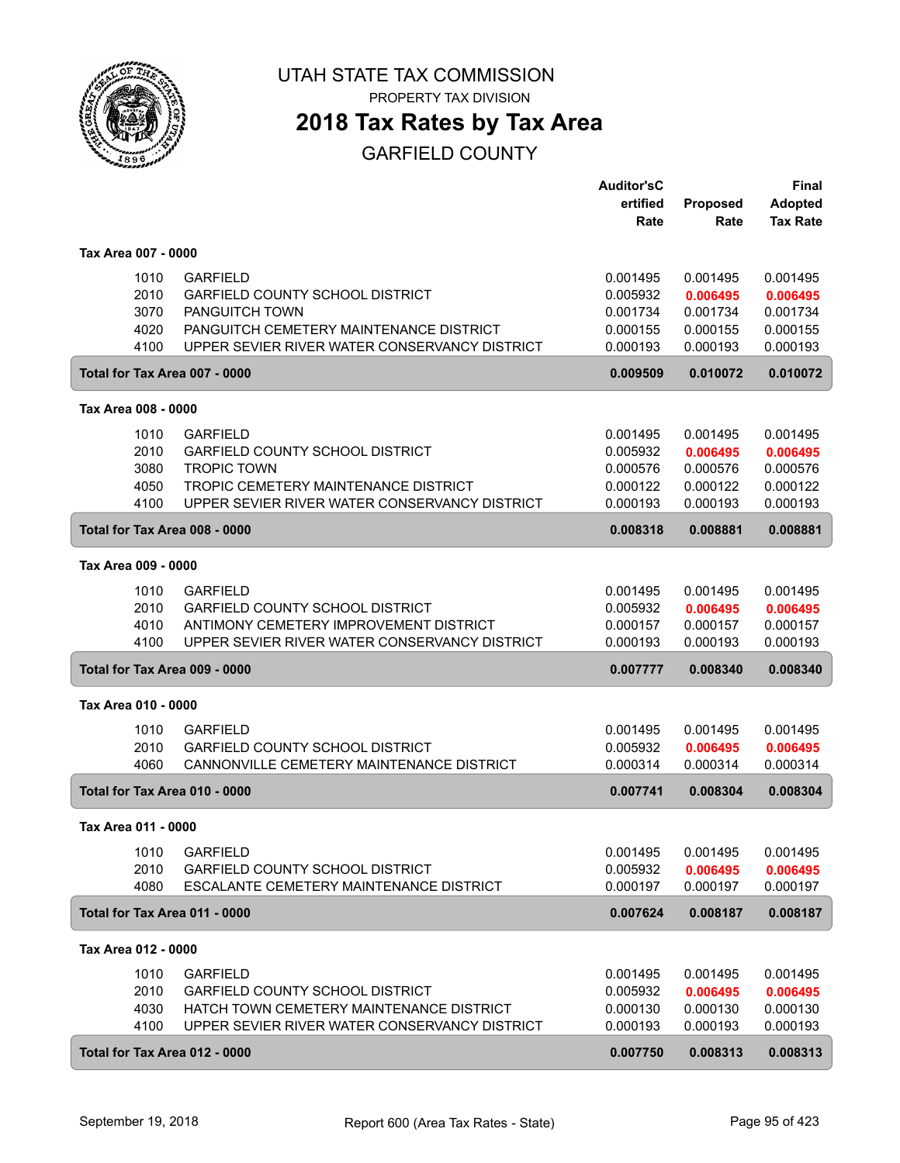

**2018 Tax Rates by Tax Area**

|                                      |                                                                                                                                                                         | <b>Auditor'sC</b><br>ertified<br>Rate                    | <b>Proposed</b><br>Rate                                  | Final<br><b>Adopted</b><br><b>Tax Rate</b>               |
|--------------------------------------|-------------------------------------------------------------------------------------------------------------------------------------------------------------------------|----------------------------------------------------------|----------------------------------------------------------|----------------------------------------------------------|
| Tax Area 007 - 0000                  |                                                                                                                                                                         |                                                          |                                                          |                                                          |
| 1010<br>2010<br>3070<br>4020<br>4100 | <b>GARFIELD</b><br><b>GARFIELD COUNTY SCHOOL DISTRICT</b><br>PANGUITCH TOWN<br>PANGUITCH CEMETERY MAINTENANCE DISTRICT<br>UPPER SEVIER RIVER WATER CONSERVANCY DISTRICT | 0.001495<br>0.005932<br>0.001734<br>0.000155<br>0.000193 | 0.001495<br>0.006495<br>0.001734<br>0.000155<br>0.000193 | 0.001495<br>0.006495<br>0.001734<br>0.000155<br>0.000193 |
| Total for Tax Area 007 - 0000        |                                                                                                                                                                         | 0.009509                                                 | 0.010072                                                 | 0.010072                                                 |
| Tax Area 008 - 0000                  |                                                                                                                                                                         |                                                          |                                                          |                                                          |
| 1010<br>2010<br>3080<br>4050<br>4100 | <b>GARFIELD</b><br>GARFIELD COUNTY SCHOOL DISTRICT<br><b>TROPIC TOWN</b><br>TROPIC CEMETERY MAINTENANCE DISTRICT<br>UPPER SEVIER RIVER WATER CONSERVANCY DISTRICT       | 0.001495<br>0.005932<br>0.000576<br>0.000122<br>0.000193 | 0.001495<br>0.006495<br>0.000576<br>0.000122<br>0.000193 | 0.001495<br>0.006495<br>0.000576<br>0.000122<br>0.000193 |
| Total for Tax Area 008 - 0000        |                                                                                                                                                                         | 0.008318                                                 | 0.008881                                                 | 0.008881                                                 |
| Tax Area 009 - 0000                  |                                                                                                                                                                         |                                                          |                                                          |                                                          |
| 1010<br>2010<br>4010<br>4100         | <b>GARFIELD</b><br><b>GARFIELD COUNTY SCHOOL DISTRICT</b><br>ANTIMONY CEMETERY IMPROVEMENT DISTRICT<br>UPPER SEVIER RIVER WATER CONSERVANCY DISTRICT                    | 0.001495<br>0.005932<br>0.000157<br>0.000193             | 0.001495<br>0.006495<br>0.000157<br>0.000193             | 0.001495<br>0.006495<br>0.000157<br>0.000193             |
| Total for Tax Area 009 - 0000        |                                                                                                                                                                         | 0.007777                                                 | 0.008340                                                 | 0.008340                                                 |
| Tax Area 010 - 0000                  |                                                                                                                                                                         |                                                          |                                                          |                                                          |
| 1010<br>2010<br>4060                 | <b>GARFIELD</b><br><b>GARFIELD COUNTY SCHOOL DISTRICT</b><br>CANNONVILLE CEMETERY MAINTENANCE DISTRICT                                                                  | 0.001495<br>0.005932<br>0.000314                         | 0.001495<br>0.006495<br>0.000314                         | 0.001495<br>0.006495<br>0.000314                         |
| Total for Tax Area 010 - 0000        |                                                                                                                                                                         | 0.007741                                                 | 0.008304                                                 | 0.008304                                                 |
| Tax Area 011 - 0000                  |                                                                                                                                                                         |                                                          |                                                          |                                                          |
| 1010<br>2010<br>4080                 | <b>GARFIELD</b><br><b>GARFIELD COUNTY SCHOOL DISTRICT</b><br>ESCALANTE CEMETERY MAINTENANCE DISTRICT                                                                    | 0.001495<br>0.005932<br>0.000197                         | 0.001495<br>0.006495<br>0.000197                         | 0.001495<br>0.006495<br>0.000197                         |
| Total for Tax Area 011 - 0000        |                                                                                                                                                                         | 0.007624                                                 | 0.008187                                                 | 0.008187                                                 |
| Tax Area 012 - 0000                  |                                                                                                                                                                         |                                                          |                                                          |                                                          |
| 1010<br>2010<br>4030<br>4100         | <b>GARFIELD</b><br><b>GARFIELD COUNTY SCHOOL DISTRICT</b><br>HATCH TOWN CEMETERY MAINTENANCE DISTRICT<br>UPPER SEVIER RIVER WATER CONSERVANCY DISTRICT                  | 0.001495<br>0.005932<br>0.000130<br>0.000193             | 0.001495<br>0.006495<br>0.000130<br>0.000193             | 0.001495<br>0.006495<br>0.000130<br>0.000193             |
| Total for Tax Area 012 - 0000        |                                                                                                                                                                         | 0.007750                                                 | 0.008313                                                 | 0.008313                                                 |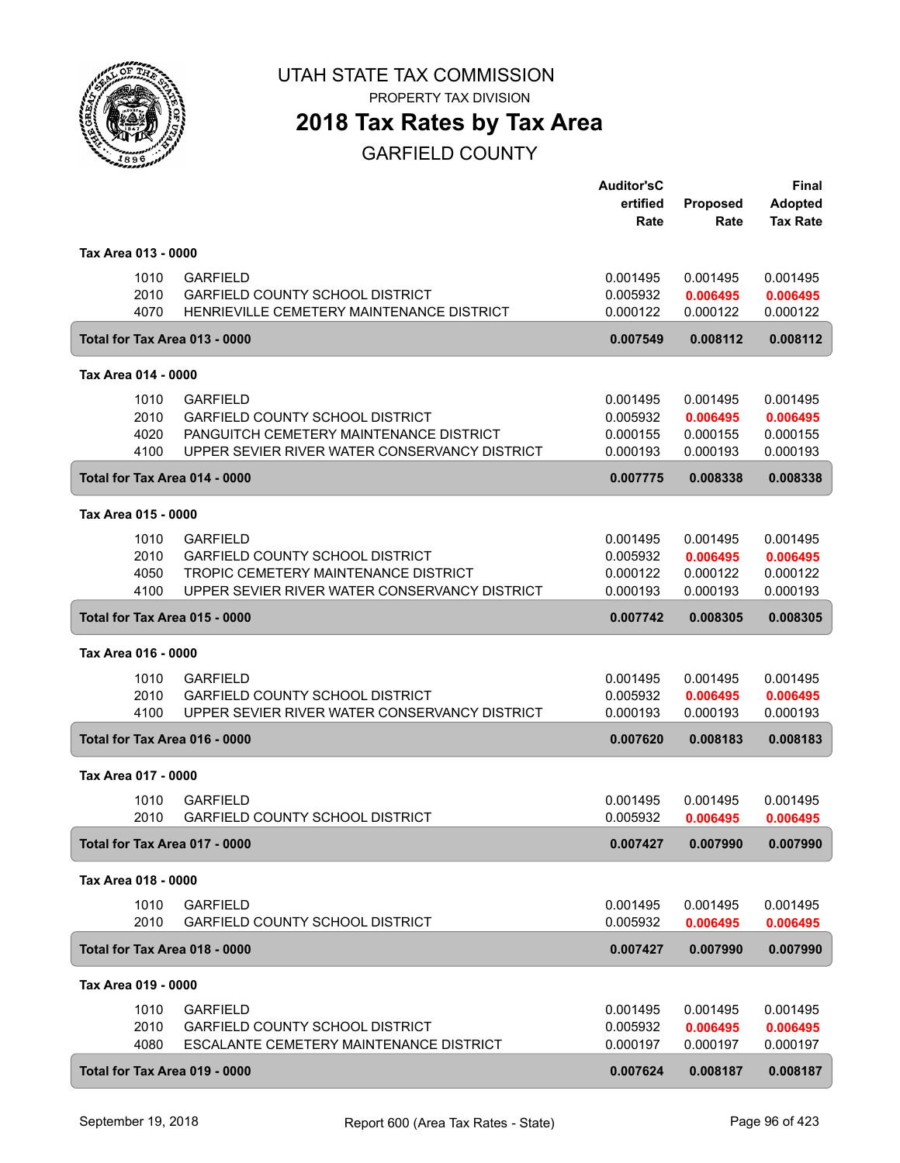

PROPERTY TAX DIVISION

# **2018 Tax Rates by Tax Area**

|                               |              |                                                                                         | <b>Auditor'sC</b><br>ertified | Proposed             | Final<br><b>Adopted</b> |
|-------------------------------|--------------|-----------------------------------------------------------------------------------------|-------------------------------|----------------------|-------------------------|
|                               |              |                                                                                         | Rate                          | Rate                 | <b>Tax Rate</b>         |
| Tax Area 013 - 0000           |              |                                                                                         |                               |                      |                         |
|                               | 1010         | <b>GARFIELD</b>                                                                         | 0.001495                      | 0.001495             | 0.001495                |
|                               | 2010         | <b>GARFIELD COUNTY SCHOOL DISTRICT</b>                                                  | 0.005932                      | 0.006495             | 0.006495                |
|                               | 4070         | HENRIEVILLE CEMETERY MAINTENANCE DISTRICT                                               | 0.000122                      | 0.000122             | 0.000122                |
|                               |              | Total for Tax Area 013 - 0000                                                           | 0.007549                      | 0.008112             | 0.008112                |
| Tax Area 014 - 0000           |              |                                                                                         |                               |                      |                         |
|                               | 1010         | <b>GARFIELD</b>                                                                         | 0.001495                      | 0.001495             | 0.001495                |
|                               | 2010         | <b>GARFIELD COUNTY SCHOOL DISTRICT</b>                                                  | 0.005932                      | 0.006495             | 0.006495                |
|                               | 4020         | PANGUITCH CEMETERY MAINTENANCE DISTRICT                                                 | 0.000155                      | 0.000155             | 0.000155                |
|                               | 4100         | UPPER SEVIER RIVER WATER CONSERVANCY DISTRICT                                           | 0.000193                      | 0.000193             | 0.000193                |
|                               |              | Total for Tax Area 014 - 0000                                                           | 0.007775                      | 0.008338             | 0.008338                |
| Tax Area 015 - 0000           |              |                                                                                         |                               |                      |                         |
|                               | 1010         | <b>GARFIELD</b>                                                                         | 0.001495                      | 0.001495             | 0.001495                |
|                               | 2010         | <b>GARFIELD COUNTY SCHOOL DISTRICT</b>                                                  | 0.005932                      | 0.006495             | 0.006495                |
|                               | 4050<br>4100 | TROPIC CEMETERY MAINTENANCE DISTRICT<br>UPPER SEVIER RIVER WATER CONSERVANCY DISTRICT   | 0.000122<br>0.000193          | 0.000122<br>0.000193 | 0.000122<br>0.000193    |
|                               |              |                                                                                         | 0.007742                      | 0.008305             | 0.008305                |
| Total for Tax Area 015 - 0000 |              |                                                                                         |                               |                      |                         |
| Tax Area 016 - 0000           |              |                                                                                         |                               |                      |                         |
|                               | 1010         | <b>GARFIELD</b>                                                                         | 0.001495                      | 0.001495             | 0.001495                |
|                               | 2010<br>4100 | <b>GARFIELD COUNTY SCHOOL DISTRICT</b><br>UPPER SEVIER RIVER WATER CONSERVANCY DISTRICT | 0.005932<br>0.000193          | 0.006495<br>0.000193 | 0.006495<br>0.000193    |
|                               |              | Total for Tax Area 016 - 0000                                                           | 0.007620                      | 0.008183             | 0.008183                |
|                               |              |                                                                                         |                               |                      |                         |
| Tax Area 017 - 0000           |              |                                                                                         |                               |                      |                         |
|                               | 1010<br>2010 | <b>GARFIELD</b><br><b>GARFIELD COUNTY SCHOOL DISTRICT</b>                               | 0.001495<br>0.005932          | 0.001495             | 0.001495<br>0.006495    |
|                               |              |                                                                                         |                               | 0.006495             |                         |
|                               |              | Total for Tax Area 017 - 0000                                                           | 0.007427                      | 0.007990             | 0.007990                |
| Tax Area 018 - 0000           |              |                                                                                         |                               |                      |                         |
|                               | 1010         | <b>GARFIELD</b>                                                                         | 0.001495                      | 0.001495             | 0.001495                |
|                               | 2010         | GARFIELD COUNTY SCHOOL DISTRICT                                                         | 0.005932                      | 0.006495             | 0.006495                |
|                               |              | Total for Tax Area 018 - 0000                                                           | 0.007427                      | 0.007990             | 0.007990                |
| Tax Area 019 - 0000           |              |                                                                                         |                               |                      |                         |
|                               | 1010         | <b>GARFIELD</b>                                                                         | 0.001495                      | 0.001495             | 0.001495                |
|                               | 2010         | <b>GARFIELD COUNTY SCHOOL DISTRICT</b>                                                  | 0.005932                      | 0.006495             | 0.006495                |
|                               | 4080         | ESCALANTE CEMETERY MAINTENANCE DISTRICT                                                 | 0.000197                      | 0.000197             | 0.000197                |
|                               |              | Total for Tax Area 019 - 0000                                                           | 0.007624                      | 0.008187             | 0.008187                |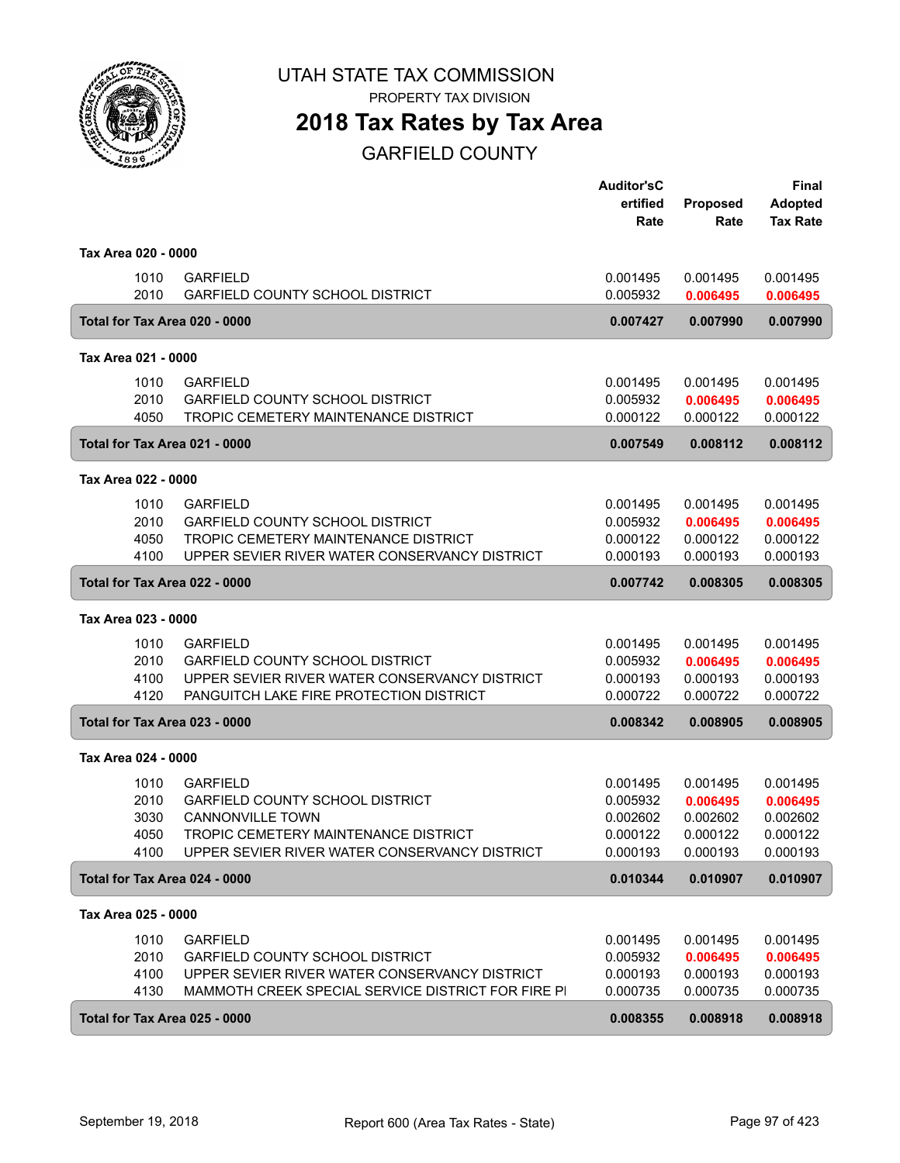

PROPERTY TAX DIVISION

## **2018 Tax Rates by Tax Area**

|                                       |                                                                                                     | <b>Auditor'sC</b><br>ertified | Proposed             | <b>Final</b><br><b>Adopted</b> |
|---------------------------------------|-----------------------------------------------------------------------------------------------------|-------------------------------|----------------------|--------------------------------|
|                                       |                                                                                                     | Rate                          | Rate                 | <b>Tax Rate</b>                |
| Tax Area 020 - 0000                   |                                                                                                     |                               |                      |                                |
| 1010                                  | <b>GARFIELD</b>                                                                                     | 0.001495                      | 0.001495             | 0.001495                       |
| 2010<br>Total for Tax Area 020 - 0000 | <b>GARFIELD COUNTY SCHOOL DISTRICT</b>                                                              | 0.005932<br>0.007427          | 0.006495<br>0.007990 | 0.006495<br>0.007990           |
|                                       |                                                                                                     |                               |                      |                                |
| Tax Area 021 - 0000                   |                                                                                                     |                               |                      |                                |
| 1010                                  | <b>GARFIELD</b>                                                                                     | 0.001495                      | 0.001495             | 0.001495                       |
| 2010<br>4050                          | <b>GARFIELD COUNTY SCHOOL DISTRICT</b><br>TROPIC CEMETERY MAINTENANCE DISTRICT                      | 0.005932<br>0.000122          | 0.006495<br>0.000122 | 0.006495<br>0.000122           |
| Total for Tax Area 021 - 0000         |                                                                                                     | 0.007549                      | 0.008112             | 0.008112                       |
| Tax Area 022 - 0000                   |                                                                                                     |                               |                      |                                |
| 1010                                  | <b>GARFIELD</b>                                                                                     | 0.001495                      | 0.001495             | 0.001495                       |
| 2010                                  | <b>GARFIELD COUNTY SCHOOL DISTRICT</b>                                                              | 0.005932                      | 0.006495             | 0.006495                       |
| 4050<br>4100                          | TROPIC CEMETERY MAINTENANCE DISTRICT<br>UPPER SEVIER RIVER WATER CONSERVANCY DISTRICT               | 0.000122<br>0.000193          | 0.000122<br>0.000193 | 0.000122<br>0.000193           |
| Total for Tax Area 022 - 0000         |                                                                                                     | 0.007742                      | 0.008305             | 0.008305                       |
| Tax Area 023 - 0000                   |                                                                                                     |                               |                      |                                |
| 1010                                  | <b>GARFIELD</b>                                                                                     | 0.001495                      | 0.001495             | 0.001495                       |
| 2010                                  | <b>GARFIELD COUNTY SCHOOL DISTRICT</b>                                                              | 0.005932                      | 0.006495             | 0.006495                       |
| 4100<br>4120                          | UPPER SEVIER RIVER WATER CONSERVANCY DISTRICT<br>PANGUITCH LAKE FIRE PROTECTION DISTRICT            | 0.000193<br>0.000722          | 0.000193<br>0.000722 | 0.000193<br>0.000722           |
| Total for Tax Area 023 - 0000         |                                                                                                     | 0.008342                      | 0.008905             | 0.008905                       |
| Tax Area 024 - 0000                   |                                                                                                     |                               |                      |                                |
| 1010                                  | <b>GARFIELD</b>                                                                                     | 0.001495                      | 0.001495             | 0.001495                       |
| 2010                                  | <b>GARFIELD COUNTY SCHOOL DISTRICT</b>                                                              | 0.005932                      | 0.006495             | 0.006495                       |
| 3030<br>4050                          | <b>CANNONVILLE TOWN</b><br>TROPIC CEMETERY MAINTENANCE DISTRICT                                     | 0.002602<br>0.000122          | 0.002602<br>0.000122 | 0.002602<br>0.000122           |
| 4100                                  | UPPER SEVIER RIVER WATER CONSERVANCY DISTRICT                                                       | 0.000193                      | 0.000193             | 0.000193                       |
| Total for Tax Area 024 - 0000         |                                                                                                     | 0.010344                      | 0.010907             | 0.010907                       |
| Tax Area 025 - 0000                   |                                                                                                     |                               |                      |                                |
| 1010                                  | <b>GARFIELD</b>                                                                                     | 0.001495                      | 0.001495             | 0.001495                       |
| 2010                                  | <b>GARFIELD COUNTY SCHOOL DISTRICT</b>                                                              | 0.005932                      | 0.006495             | 0.006495                       |
| 4100<br>4130                          | UPPER SEVIER RIVER WATER CONSERVANCY DISTRICT<br>MAMMOTH CREEK SPECIAL SERVICE DISTRICT FOR FIRE PI | 0.000193<br>0.000735          | 0.000193<br>0.000735 | 0.000193<br>0.000735           |
| Total for Tax Area 025 - 0000         |                                                                                                     | 0.008355                      | 0.008918             | 0.008918                       |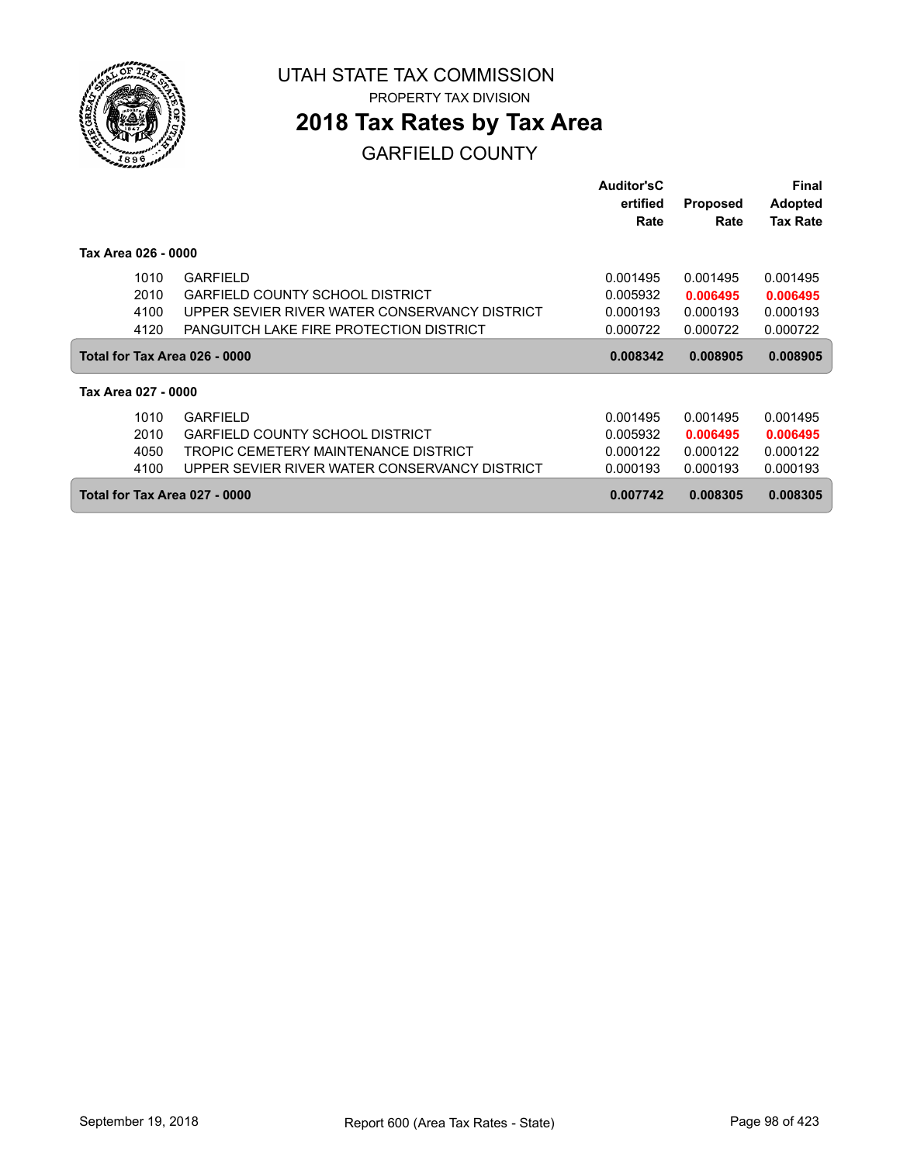

## **2018 Tax Rates by Tax Area**

|                               |                                               | <b>Auditor'sC</b> |                 | Final           |
|-------------------------------|-----------------------------------------------|-------------------|-----------------|-----------------|
|                               |                                               | ertified          | <b>Proposed</b> | <b>Adopted</b>  |
|                               |                                               | Rate              | Rate            | <b>Tax Rate</b> |
| Tax Area 026 - 0000           |                                               |                   |                 |                 |
| 1010                          | <b>GARFIELD</b>                               | 0.001495          | 0.001495        | 0.001495        |
| 2010                          | <b>GARFIELD COUNTY SCHOOL DISTRICT</b>        | 0.005932          | 0.006495        | 0.006495        |
| 4100                          | UPPER SEVIER RIVER WATER CONSERVANCY DISTRICT | 0.000193          | 0.000193        | 0.000193        |
| 4120                          | PANGUITCH LAKE FIRE PROTECTION DISTRICT       | 0.000722          | 0.000722        | 0.000722        |
| Total for Tax Area 026 - 0000 |                                               | 0.008342          | 0.008905        | 0.008905        |
| Tax Area 027 - 0000           |                                               |                   |                 |                 |
| 1010                          | <b>GARFIELD</b>                               | 0.001495          | 0.001495        | 0.001495        |
| 2010                          | GARFIELD COUNTY SCHOOL DISTRICT               | 0.005932          | 0.006495        | 0.006495        |
| 4050                          | TROPIC CEMETERY MAINTENANCE DISTRICT          | 0.000122          | 0.000122        | 0.000122        |
| 4100                          | UPPER SEVIER RIVER WATER CONSERVANCY DISTRICT | 0.000193          | 0.000193        | 0.000193        |
| Total for Tax Area 027 - 0000 |                                               | 0.007742          | 0.008305        | 0.008305        |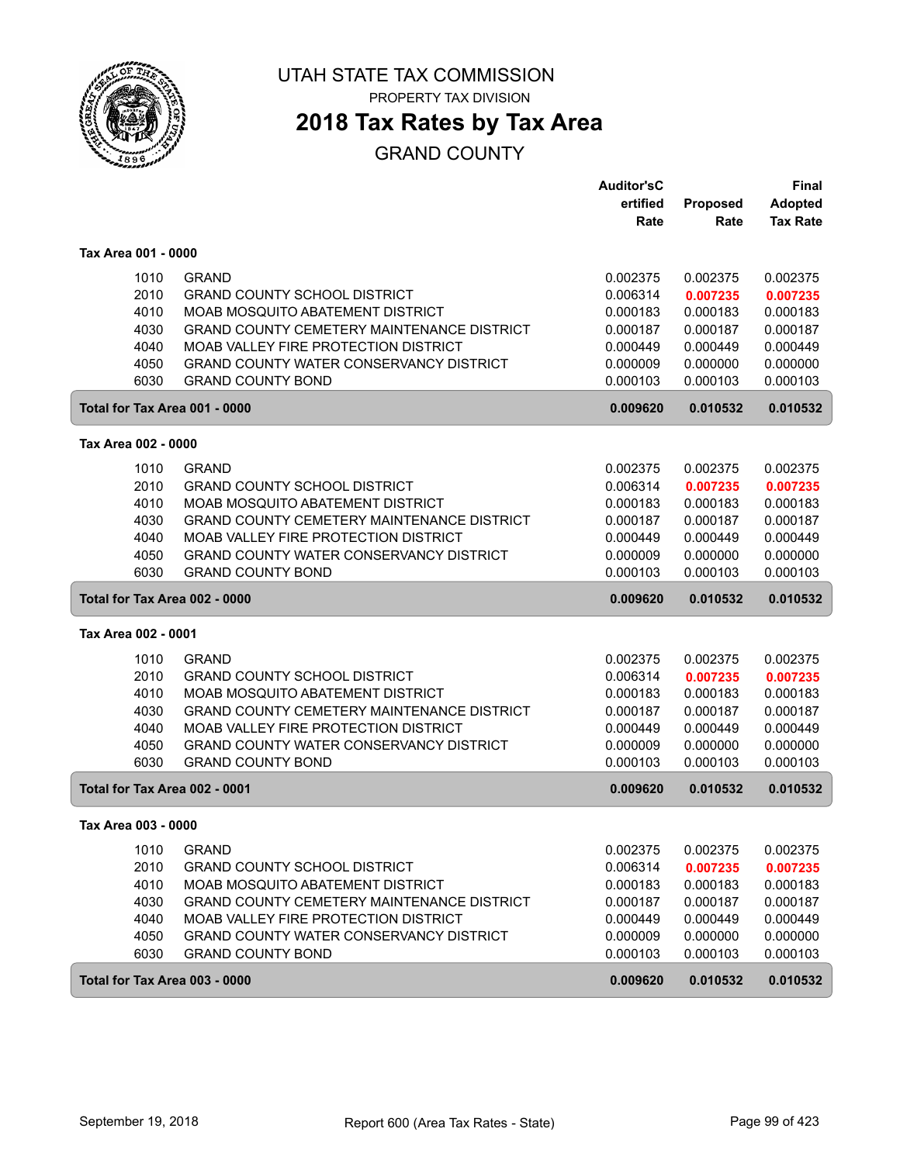

# **2018 Tax Rates by Tax Area**

### GRAND COUNTY

|                               |                                                   | <b>Auditor'sC</b> |          | Final           |
|-------------------------------|---------------------------------------------------|-------------------|----------|-----------------|
|                               |                                                   | ertified          | Proposed | <b>Adopted</b>  |
|                               |                                                   | Rate              | Rate     | <b>Tax Rate</b> |
| Tax Area 001 - 0000           |                                                   |                   |          |                 |
| 1010                          | <b>GRAND</b>                                      | 0.002375          | 0.002375 | 0.002375        |
| 2010                          | <b>GRAND COUNTY SCHOOL DISTRICT</b>               | 0.006314          | 0.007235 | 0.007235        |
| 4010                          | <b>MOAB MOSQUITO ABATEMENT DISTRICT</b>           | 0.000183          | 0.000183 | 0.000183        |
| 4030                          | <b>GRAND COUNTY CEMETERY MAINTENANCE DISTRICT</b> | 0.000187          | 0.000187 | 0.000187        |
| 4040                          | MOAB VALLEY FIRE PROTECTION DISTRICT              | 0.000449          | 0.000449 | 0.000449        |
| 4050                          | GRAND COUNTY WATER CONSERVANCY DISTRICT           | 0.000009          | 0.000000 | 0.000000        |
| 6030                          | <b>GRAND COUNTY BOND</b>                          | 0.000103          | 0.000103 | 0.000103        |
| Total for Tax Area 001 - 0000 |                                                   | 0.009620          | 0.010532 | 0.010532        |
| Tax Area 002 - 0000           |                                                   |                   |          |                 |
| 1010                          | <b>GRAND</b>                                      | 0.002375          | 0.002375 | 0.002375        |
| 2010                          | <b>GRAND COUNTY SCHOOL DISTRICT</b>               | 0.006314          | 0.007235 | 0.007235        |
| 4010                          | MOAB MOSQUITO ABATEMENT DISTRICT                  | 0.000183          | 0.000183 | 0.000183        |
| 4030                          | <b>GRAND COUNTY CEMETERY MAINTENANCE DISTRICT</b> | 0.000187          | 0.000187 | 0.000187        |
| 4040                          | MOAB VALLEY FIRE PROTECTION DISTRICT              | 0.000449          | 0.000449 | 0.000449        |
| 4050                          | GRAND COUNTY WATER CONSERVANCY DISTRICT           | 0.000009          | 0.000000 | 0.000000        |
| 6030                          | <b>GRAND COUNTY BOND</b>                          | 0.000103          | 0.000103 | 0.000103        |
| Total for Tax Area 002 - 0000 |                                                   | 0.009620          | 0.010532 | 0.010532        |
| Tax Area 002 - 0001           |                                                   |                   |          |                 |
| 1010                          | <b>GRAND</b>                                      | 0.002375          | 0.002375 | 0.002375        |
| 2010                          | <b>GRAND COUNTY SCHOOL DISTRICT</b>               | 0.006314          | 0.007235 | 0.007235        |
| 4010                          | MOAB MOSQUITO ABATEMENT DISTRICT                  | 0.000183          | 0.000183 | 0.000183        |
| 4030                          | <b>GRAND COUNTY CEMETERY MAINTENANCE DISTRICT</b> | 0.000187          | 0.000187 | 0.000187        |
| 4040                          | MOAB VALLEY FIRE PROTECTION DISTRICT              | 0.000449          | 0.000449 | 0.000449        |
| 4050                          | GRAND COUNTY WATER CONSERVANCY DISTRICT           | 0.000009          | 0.000000 | 0.000000        |
| 6030                          | <b>GRAND COUNTY BOND</b>                          | 0.000103          | 0.000103 | 0.000103        |
| Total for Tax Area 002 - 0001 |                                                   | 0.009620          | 0.010532 | 0.010532        |
| Tax Area 003 - 0000           |                                                   |                   |          |                 |
| 1010                          | <b>GRAND</b>                                      | 0.002375          | 0.002375 | 0.002375        |
| 2010                          | <b>GRAND COUNTY SCHOOL DISTRICT</b>               | 0.006314          | 0.007235 | 0.007235        |
| 4010                          | MOAB MOSQUITO ABATEMENT DISTRICT                  | 0.000183          | 0.000183 | 0.000183        |
|                               |                                                   |                   |          |                 |
| 4030                          | <b>GRAND COUNTY CEMETERY MAINTENANCE DISTRICT</b> | 0.000187          | 0.000187 | 0.000187        |
| 4040                          | MOAB VALLEY FIRE PROTECTION DISTRICT              | 0.000449          | 0.000449 | 0.000449        |
| 4050                          | GRAND COUNTY WATER CONSERVANCY DISTRICT           | 0.000009          | 0.000000 | 0.000000        |
| 6030                          | <b>GRAND COUNTY BOND</b>                          | 0.000103          | 0.000103 | 0.000103        |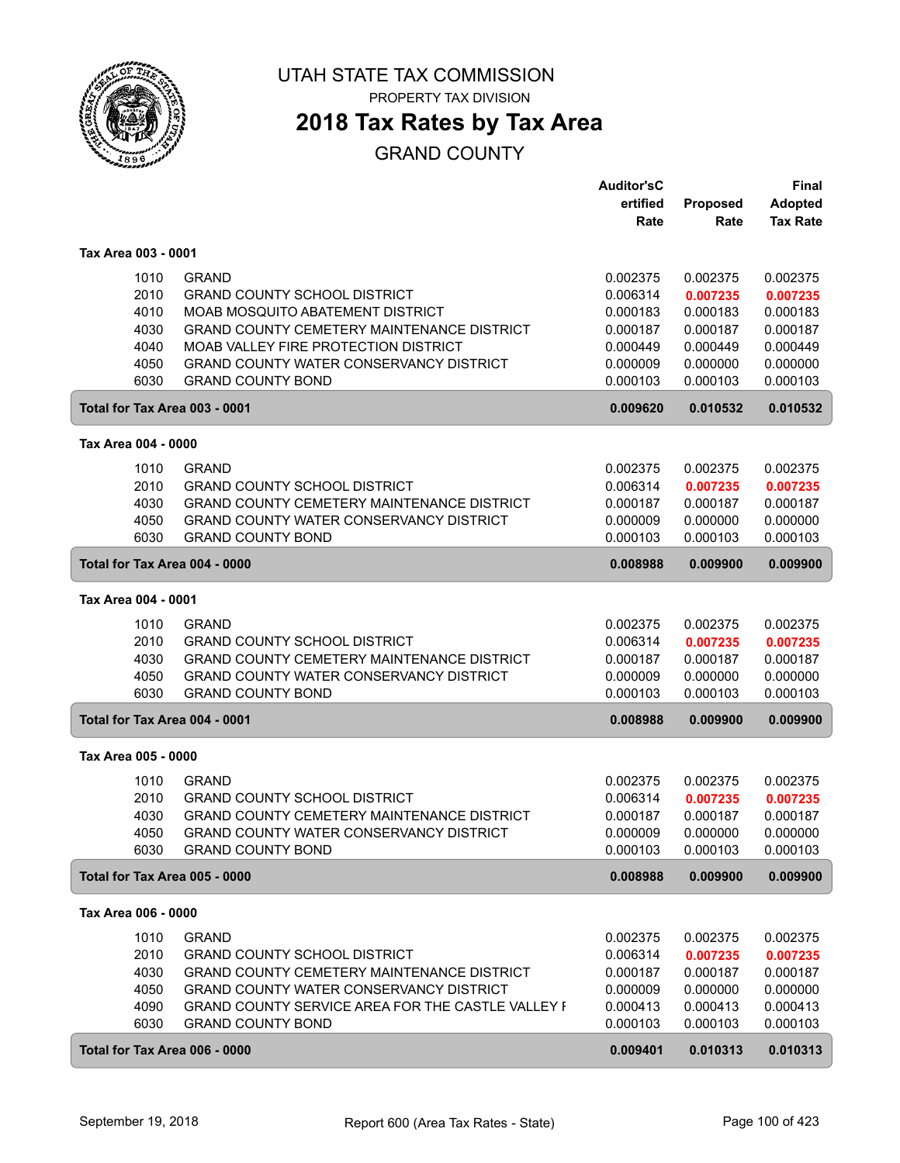

# **2018 Tax Rates by Tax Area**

### GRAND COUNTY

|                               |                                                          | <b>Auditor'sC</b> |          | <b>Final</b>    |
|-------------------------------|----------------------------------------------------------|-------------------|----------|-----------------|
|                               |                                                          | ertified          | Proposed | <b>Adopted</b>  |
|                               |                                                          | Rate              | Rate     | <b>Tax Rate</b> |
| Tax Area 003 - 0001           |                                                          |                   |          |                 |
| 1010                          | <b>GRAND</b>                                             | 0.002375          | 0.002375 | 0.002375        |
| 2010                          | <b>GRAND COUNTY SCHOOL DISTRICT</b>                      | 0.006314          | 0.007235 | 0.007235        |
| 4010                          | <b>MOAB MOSQUITO ABATEMENT DISTRICT</b>                  | 0.000183          | 0.000183 | 0.000183        |
| 4030                          | <b>GRAND COUNTY CEMETERY MAINTENANCE DISTRICT</b>        | 0.000187          | 0.000187 | 0.000187        |
| 4040                          | MOAB VALLEY FIRE PROTECTION DISTRICT                     | 0.000449          | 0.000449 | 0.000449        |
| 4050                          | <b>GRAND COUNTY WATER CONSERVANCY DISTRICT</b>           | 0.000009          | 0.000000 | 0.000000        |
| 6030                          | <b>GRAND COUNTY BOND</b>                                 | 0.000103          | 0.000103 | 0.000103        |
| Total for Tax Area 003 - 0001 |                                                          | 0.009620          | 0.010532 | 0.010532        |
| Tax Area 004 - 0000           |                                                          |                   |          |                 |
| 1010                          | <b>GRAND</b>                                             | 0.002375          | 0.002375 | 0.002375        |
| 2010                          | <b>GRAND COUNTY SCHOOL DISTRICT</b>                      | 0.006314          | 0.007235 | 0.007235        |
| 4030                          | <b>GRAND COUNTY CEMETERY MAINTENANCE DISTRICT</b>        | 0.000187          | 0.000187 | 0.000187        |
| 4050                          | <b>GRAND COUNTY WATER CONSERVANCY DISTRICT</b>           | 0.000009          | 0.000000 | 0.000000        |
| 6030                          | <b>GRAND COUNTY BOND</b>                                 | 0.000103          | 0.000103 | 0.000103        |
| Total for Tax Area 004 - 0000 |                                                          | 0.008988          | 0.009900 | 0.009900        |
| Tax Area 004 - 0001           |                                                          |                   |          |                 |
| 1010                          | <b>GRAND</b>                                             | 0.002375          | 0.002375 | 0.002375        |
| 2010                          | <b>GRAND COUNTY SCHOOL DISTRICT</b>                      | 0.006314          | 0.007235 | 0.007235        |
| 4030                          | <b>GRAND COUNTY CEMETERY MAINTENANCE DISTRICT</b>        | 0.000187          | 0.000187 | 0.000187        |
| 4050                          | <b>GRAND COUNTY WATER CONSERVANCY DISTRICT</b>           | 0.000009          | 0.000000 | 0.000000        |
| 6030                          | <b>GRAND COUNTY BOND</b>                                 | 0.000103          | 0.000103 | 0.000103        |
| Total for Tax Area 004 - 0001 |                                                          | 0.008988          | 0.009900 | 0.009900        |
| Tax Area 005 - 0000           |                                                          |                   |          |                 |
| 1010                          | <b>GRAND</b>                                             | 0.002375          | 0.002375 | 0.002375        |
| 2010                          | <b>GRAND COUNTY SCHOOL DISTRICT</b>                      | 0.006314          | 0.007235 | 0.007235        |
| 4030                          | GRAND COUNTY CEMETERY MAINTENANCE DISTRICT               | 0.000187          | 0.000187 | 0.000187        |
| 4050                          | <b>GRAND COUNTY WATER CONSERVANCY DISTRICT</b>           | 0.000009          | 0.000000 | 0.000000        |
| 6030                          | <b>GRAND COUNTY BOND</b>                                 | 0.000103          | 0.000103 | 0.000103        |
| Total for Tax Area 005 - 0000 |                                                          | 0.008988          | 0.009900 | 0.009900        |
| Tax Area 006 - 0000           |                                                          |                   |          |                 |
| 1010                          | <b>GRAND</b>                                             | 0.002375          | 0.002375 | 0.002375        |
| 2010                          | <b>GRAND COUNTY SCHOOL DISTRICT</b>                      | 0.006314          | 0.007235 | 0.007235        |
| 4030                          | <b>GRAND COUNTY CEMETERY MAINTENANCE DISTRICT</b>        | 0.000187          | 0.000187 | 0.000187        |
| 4050                          | <b>GRAND COUNTY WATER CONSERVANCY DISTRICT</b>           | 0.000009          | 0.000000 | 0.000000        |
| 4090                          | <b>GRAND COUNTY SERVICE AREA FOR THE CASTLE VALLEY F</b> | 0.000413          | 0.000413 | 0.000413        |
| 6030                          | <b>GRAND COUNTY BOND</b>                                 | 0.000103          | 0.000103 | 0.000103        |
| Total for Tax Area 006 - 0000 |                                                          | 0.009401          | 0.010313 | 0.010313        |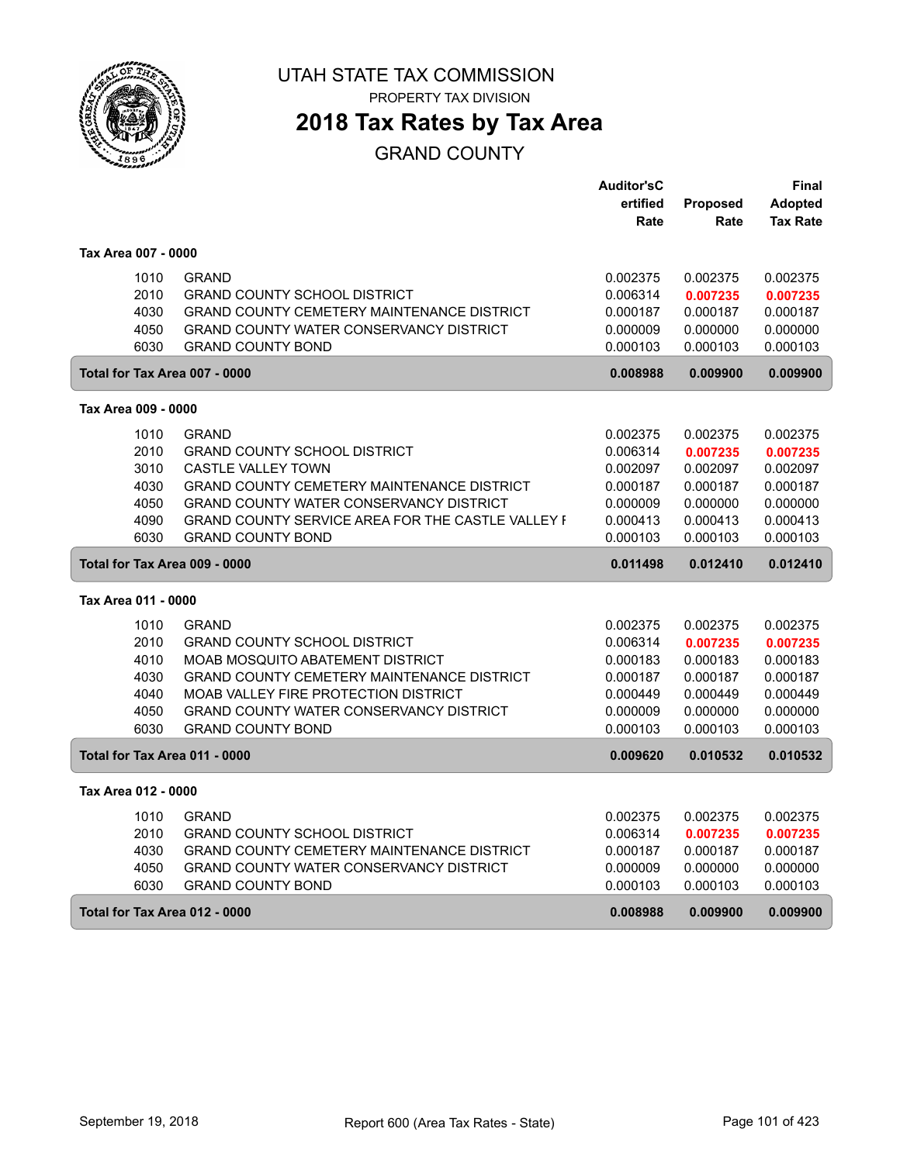

# **2018 Tax Rates by Tax Area**

### GRAND COUNTY

|                               |                                                          | <b>Auditor'sC</b> |                 | Final           |
|-------------------------------|----------------------------------------------------------|-------------------|-----------------|-----------------|
|                               |                                                          | ertified          | <b>Proposed</b> | <b>Adopted</b>  |
|                               |                                                          | Rate              | Rate            | <b>Tax Rate</b> |
| Tax Area 007 - 0000           |                                                          |                   |                 |                 |
| 1010                          | <b>GRAND</b>                                             | 0.002375          | 0.002375        | 0.002375        |
| 2010                          | <b>GRAND COUNTY SCHOOL DISTRICT</b>                      | 0.006314          | 0.007235        | 0.007235        |
| 4030                          | GRAND COUNTY CEMETERY MAINTENANCE DISTRICT               | 0.000187          | 0.000187        | 0.000187        |
| 4050                          | GRAND COUNTY WATER CONSERVANCY DISTRICT                  | 0.000009          | 0.000000        | 0.000000        |
| 6030                          | <b>GRAND COUNTY BOND</b>                                 | 0.000103          | 0.000103        | 0.000103        |
| Total for Tax Area 007 - 0000 |                                                          | 0.008988          | 0.009900        | 0.009900        |
| Tax Area 009 - 0000           |                                                          |                   |                 |                 |
| 1010                          | <b>GRAND</b>                                             | 0.002375          | 0.002375        | 0.002375        |
| 2010                          | <b>GRAND COUNTY SCHOOL DISTRICT</b>                      | 0.006314          | 0.007235        | 0.007235        |
| 3010                          | <b>CASTLE VALLEY TOWN</b>                                | 0.002097          | 0.002097        | 0.002097        |
| 4030                          | GRAND COUNTY CEMETERY MAINTENANCE DISTRICT               | 0.000187          | 0.000187        | 0.000187        |
| 4050                          | GRAND COUNTY WATER CONSERVANCY DISTRICT                  | 0.000009          | 0.000000        | 0.000000        |
| 4090                          | <b>GRAND COUNTY SERVICE AREA FOR THE CASTLE VALLEY F</b> | 0.000413          | 0.000413        | 0.000413        |
| 6030                          | <b>GRAND COUNTY BOND</b>                                 | 0.000103          | 0.000103        | 0.000103        |
| Total for Tax Area 009 - 0000 |                                                          | 0.011498          | 0.012410        | 0.012410        |
| Tax Area 011 - 0000           |                                                          |                   |                 |                 |
| 1010                          | <b>GRAND</b>                                             | 0.002375          | 0.002375        | 0.002375        |
| 2010                          | <b>GRAND COUNTY SCHOOL DISTRICT</b>                      | 0.006314          | 0.007235        | 0.007235        |
| 4010                          | MOAB MOSQUITO ABATEMENT DISTRICT                         | 0.000183          | 0.000183        | 0.000183        |
| 4030                          | <b>GRAND COUNTY CEMETERY MAINTENANCE DISTRICT</b>        | 0.000187          | 0.000187        | 0.000187        |
| 4040                          | MOAB VALLEY FIRE PROTECTION DISTRICT                     | 0.000449          | 0.000449        | 0.000449        |
| 4050                          | GRAND COUNTY WATER CONSERVANCY DISTRICT                  | 0.000009          | 0.000000        | 0.000000        |
| 6030                          | <b>GRAND COUNTY BOND</b>                                 | 0.000103          | 0.000103        | 0.000103        |
| Total for Tax Area 011 - 0000 |                                                          | 0.009620          | 0.010532        | 0.010532        |
| Tax Area 012 - 0000           |                                                          |                   |                 |                 |
| 1010                          | <b>GRAND</b>                                             | 0.002375          | 0.002375        | 0.002375        |
| 2010                          | <b>GRAND COUNTY SCHOOL DISTRICT</b>                      | 0.006314          | 0.007235        | 0.007235        |
| 4030                          | GRAND COUNTY CEMETERY MAINTENANCE DISTRICT               | 0.000187          | 0.000187        | 0.000187        |
| 4050                          | GRAND COUNTY WATER CONSERVANCY DISTRICT                  | 0.000009          | 0.000000        | 0.000000        |
| 6030                          | <b>GRAND COUNTY BOND</b>                                 | 0.000103          | 0.000103        | 0.000103        |
| Total for Tax Area 012 - 0000 |                                                          | 0.008988          | 0.009900        | 0.009900        |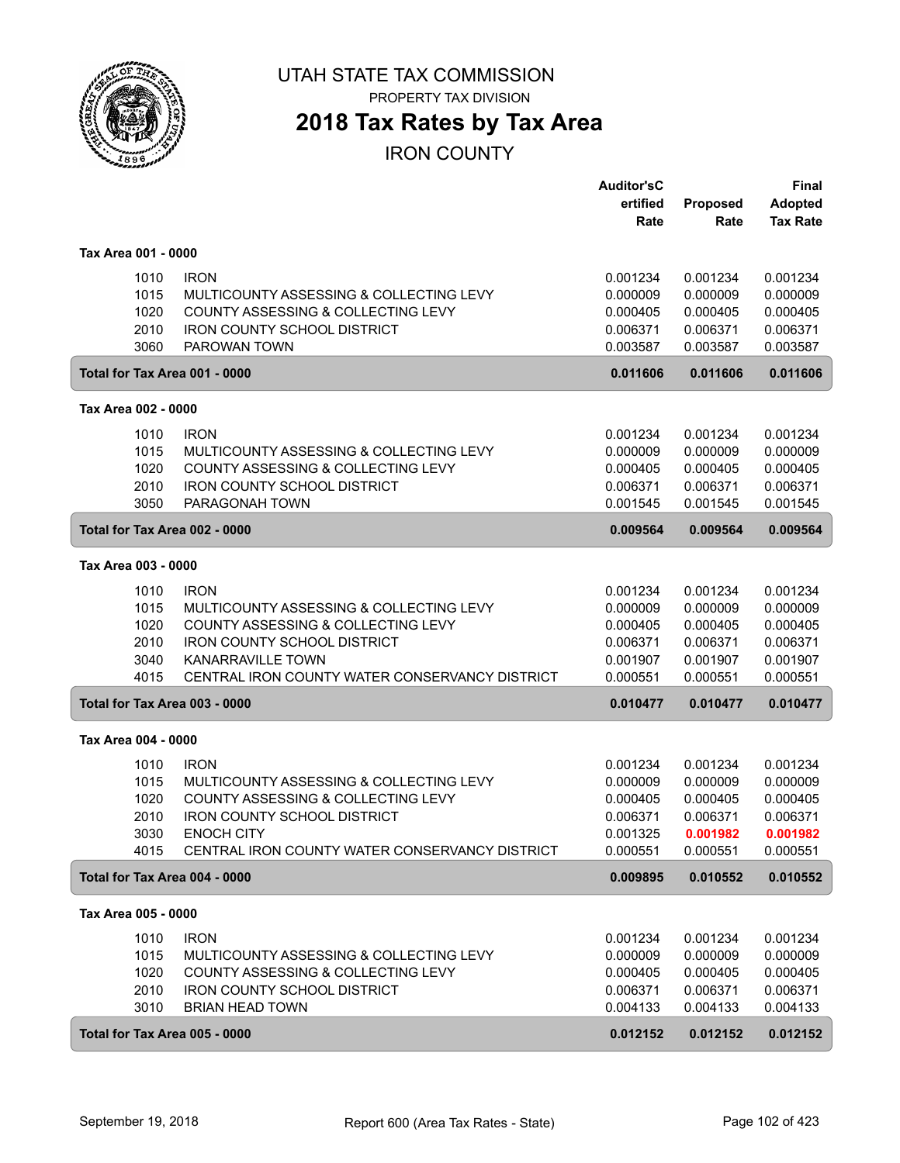

PROPERTY TAX DIVISION

## **2018 Tax Rates by Tax Area**

|                     |                                                                     | <b>Auditor'sC</b><br>ertified | Proposed             | <b>Final</b><br><b>Adopted</b> |
|---------------------|---------------------------------------------------------------------|-------------------------------|----------------------|--------------------------------|
|                     |                                                                     | Rate                          | Rate                 | <b>Tax Rate</b>                |
| Tax Area 001 - 0000 |                                                                     |                               |                      |                                |
| 1010                | <b>IRON</b>                                                         | 0.001234                      | 0.001234             | 0.001234                       |
| 1015                | MULTICOUNTY ASSESSING & COLLECTING LEVY                             | 0.000009                      | 0.000009             | 0.000009                       |
| 1020                | COUNTY ASSESSING & COLLECTING LEVY                                  | 0.000405                      | 0.000405             | 0.000405                       |
| 2010<br>3060        | <b>IRON COUNTY SCHOOL DISTRICT</b><br>PAROWAN TOWN                  | 0.006371<br>0.003587          | 0.006371<br>0.003587 | 0.006371<br>0.003587           |
|                     | Total for Tax Area 001 - 0000                                       | 0.011606                      | 0.011606             | 0.011606                       |
| Tax Area 002 - 0000 |                                                                     |                               |                      |                                |
| 1010                | <b>IRON</b>                                                         | 0.001234                      | 0.001234             | 0.001234                       |
| 1015                | MULTICOUNTY ASSESSING & COLLECTING LEVY                             | 0.000009                      | 0.000009             | 0.000009                       |
| 1020                | COUNTY ASSESSING & COLLECTING LEVY                                  | 0.000405                      | 0.000405             | 0.000405                       |
| 2010                | <b>IRON COUNTY SCHOOL DISTRICT</b>                                  | 0.006371                      | 0.006371             | 0.006371                       |
| 3050                | PARAGONAH TOWN                                                      | 0.001545                      | 0.001545             | 0.001545                       |
|                     | Total for Tax Area 002 - 0000                                       | 0.009564                      | 0.009564             | 0.009564                       |
| Tax Area 003 - 0000 |                                                                     |                               |                      |                                |
| 1010                | <b>IRON</b>                                                         | 0.001234                      | 0.001234             | 0.001234                       |
| 1015                | MULTICOUNTY ASSESSING & COLLECTING LEVY                             | 0.000009                      | 0.000009             | 0.000009                       |
| 1020                | COUNTY ASSESSING & COLLECTING LEVY                                  | 0.000405                      | 0.000405             | 0.000405                       |
| 2010                | <b>IRON COUNTY SCHOOL DISTRICT</b>                                  | 0.006371                      | 0.006371             | 0.006371                       |
| 3040                | <b>KANARRAVILLE TOWN</b>                                            | 0.001907                      | 0.001907             | 0.001907                       |
| 4015                | CENTRAL IRON COUNTY WATER CONSERVANCY DISTRICT                      | 0.000551                      | 0.000551             | 0.000551                       |
|                     | Total for Tax Area 003 - 0000                                       | 0.010477                      | 0.010477             | 0.010477                       |
| Tax Area 004 - 0000 |                                                                     |                               |                      |                                |
| 1010                | <b>IRON</b>                                                         | 0.001234                      | 0.001234             | 0.001234                       |
| 1015                | MULTICOUNTY ASSESSING & COLLECTING LEVY                             | 0.000009                      | 0.000009             | 0.000009                       |
| 1020                | COUNTY ASSESSING & COLLECTING LEVY                                  | 0.000405                      | 0.000405             | 0.000405                       |
| 2010                | <b>IRON COUNTY SCHOOL DISTRICT</b>                                  | 0.006371                      | 0.006371             | 0.006371                       |
| 3030<br>4015        | <b>ENOCH CITY</b><br>CENTRAL IRON COUNTY WATER CONSERVANCY DISTRICT | 0.001325<br>0.000551          | 0.001982<br>0.000551 | 0.001982<br>0.000551           |
|                     | Total for Tax Area 004 - 0000                                       | 0.009895                      | 0.010552             | 0.010552                       |
| Tax Area 005 - 0000 |                                                                     |                               |                      |                                |
| 1010                | <b>IRON</b>                                                         | 0.001234                      | 0.001234             | 0.001234                       |
| 1015                | MULTICOUNTY ASSESSING & COLLECTING LEVY                             | 0.000009                      | 0.000009             | 0.000009                       |
| 1020                | COUNTY ASSESSING & COLLECTING LEVY                                  | 0.000405                      | 0.000405             | 0.000405                       |
| 2010                | IRON COUNTY SCHOOL DISTRICT                                         | 0.006371                      | 0.006371             | 0.006371                       |
| 3010                | <b>BRIAN HEAD TOWN</b>                                              | 0.004133                      | 0.004133             | 0.004133                       |
|                     | Total for Tax Area 005 - 0000                                       | 0.012152                      | 0.012152             | 0.012152                       |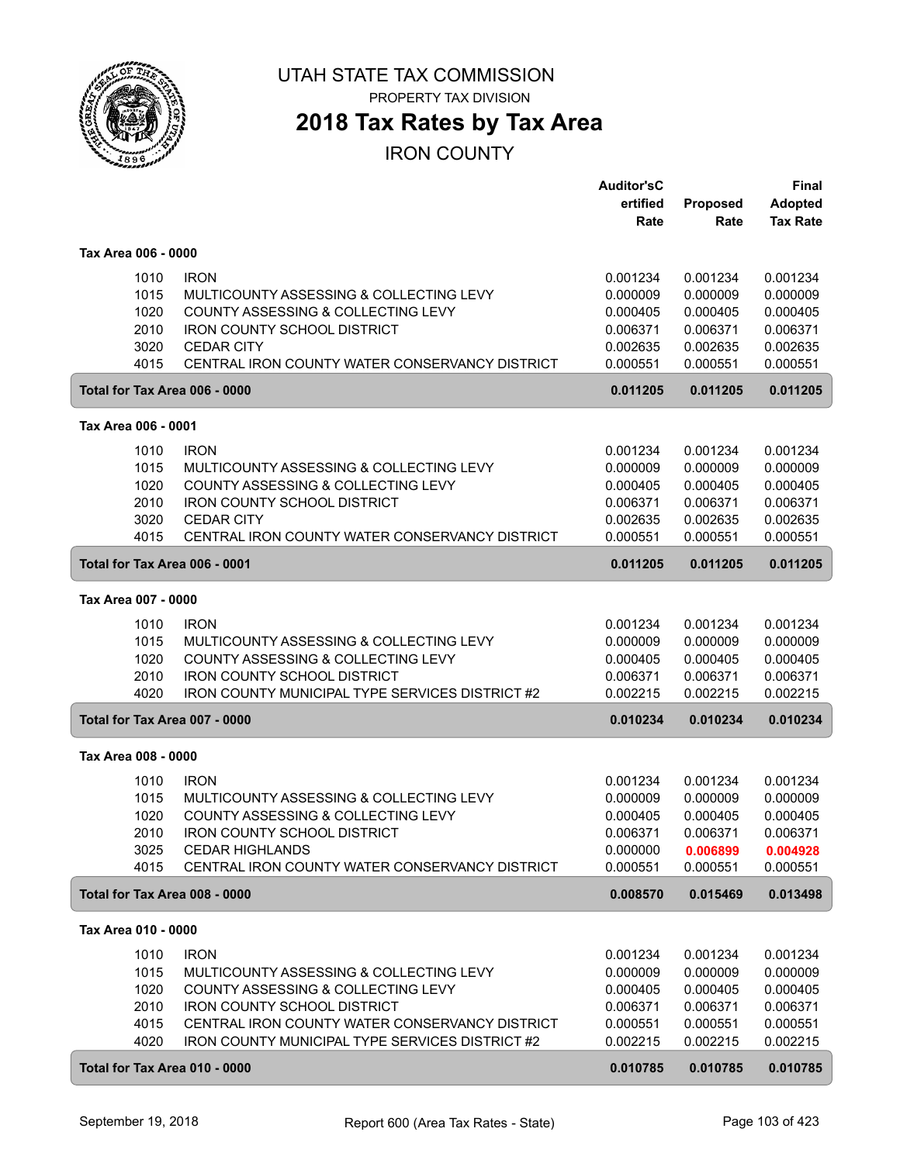

**2018 Tax Rates by Tax Area**

|                     |                                                                                          | <b>Auditor'sC</b><br>ertified | Proposed             | <b>Final</b><br><b>Adopted</b> |
|---------------------|------------------------------------------------------------------------------------------|-------------------------------|----------------------|--------------------------------|
|                     |                                                                                          | Rate                          | Rate                 | <b>Tax Rate</b>                |
| Tax Area 006 - 0000 |                                                                                          |                               |                      |                                |
|                     | 1010<br><b>IRON</b>                                                                      | 0.001234                      | 0.001234             | 0.001234                       |
|                     | 1015<br>MULTICOUNTY ASSESSING & COLLECTING LEVY                                          | 0.000009                      | 0.000009             | 0.000009                       |
|                     | 1020<br>COUNTY ASSESSING & COLLECTING LEVY<br>2010<br><b>IRON COUNTY SCHOOL DISTRICT</b> | 0.000405<br>0.006371          | 0.000405<br>0.006371 | 0.000405<br>0.006371           |
|                     | 3020<br><b>CEDAR CITY</b>                                                                | 0.002635                      | 0.002635             | 0.002635                       |
|                     | 4015<br>CENTRAL IRON COUNTY WATER CONSERVANCY DISTRICT                                   | 0.000551                      | 0.000551             | 0.000551                       |
|                     | Total for Tax Area 006 - 0000                                                            | 0.011205                      | 0.011205             | 0.011205                       |
| Tax Area 006 - 0001 |                                                                                          |                               |                      |                                |
|                     | <b>IRON</b><br>1010                                                                      | 0.001234                      | 0.001234             | 0.001234                       |
|                     | 1015<br>MULTICOUNTY ASSESSING & COLLECTING LEVY                                          | 0.000009                      | 0.000009             | 0.000009                       |
|                     | 1020<br>COUNTY ASSESSING & COLLECTING LEVY                                               | 0.000405                      | 0.000405             | 0.000405                       |
|                     | 2010<br><b>IRON COUNTY SCHOOL DISTRICT</b>                                               | 0.006371                      | 0.006371             | 0.006371                       |
|                     | 3020<br><b>CEDAR CITY</b><br>4015<br>CENTRAL IRON COUNTY WATER CONSERVANCY DISTRICT      | 0.002635<br>0.000551          | 0.002635<br>0.000551 | 0.002635<br>0.000551           |
|                     | Total for Tax Area 006 - 0001                                                            | 0.011205                      | 0.011205             | 0.011205                       |
| Tax Area 007 - 0000 |                                                                                          |                               |                      |                                |
|                     | <b>IRON</b><br>1010                                                                      | 0.001234                      | 0.001234             | 0.001234                       |
|                     | 1015<br>MULTICOUNTY ASSESSING & COLLECTING LEVY                                          | 0.000009                      | 0.000009             | 0.000009                       |
|                     | 1020<br>COUNTY ASSESSING & COLLECTING LEVY                                               | 0.000405                      | 0.000405             | 0.000405                       |
|                     | <b>IRON COUNTY SCHOOL DISTRICT</b><br>2010                                               | 0.006371                      | 0.006371             | 0.006371                       |
|                     | <b>IRON COUNTY MUNICIPAL TYPE SERVICES DISTRICT #2</b><br>4020                           | 0.002215                      | 0.002215             | 0.002215                       |
|                     | Total for Tax Area 007 - 0000                                                            | 0.010234                      | 0.010234             | 0.010234                       |
| Tax Area 008 - 0000 |                                                                                          |                               |                      |                                |
|                     | <b>IRON</b><br>1010                                                                      | 0.001234                      | 0.001234             | 0.001234                       |
|                     | 1015<br>MULTICOUNTY ASSESSING & COLLECTING LEVY                                          | 0.000009                      | 0.000009             | 0.000009                       |
|                     | 1020<br>COUNTY ASSESSING & COLLECTING LEVY                                               | 0.000405                      | 0.000405             | 0.000405                       |
|                     | IRON COUNTY SCHOOL DISTRICT<br>2010                                                      | 0.006371                      | 0.006371             | 0.006371                       |
|                     | 3025<br><b>CEDAR HIGHLANDS</b><br>4015<br>CENTRAL IRON COUNTY WATER CONSERVANCY DISTRICT | 0.000000<br>0.000551          | 0.006899<br>0.000551 | 0.004928<br>0.000551           |
|                     | Total for Tax Area 008 - 0000                                                            | 0.008570                      | 0.015469             | 0.013498                       |
| Tax Area 010 - 0000 |                                                                                          |                               |                      |                                |
|                     | 1010<br><b>IRON</b>                                                                      | 0.001234                      | 0.001234             | 0.001234                       |
|                     | 1015<br>MULTICOUNTY ASSESSING & COLLECTING LEVY                                          | 0.000009                      | 0.000009             | 0.000009                       |
|                     | 1020<br>COUNTY ASSESSING & COLLECTING LEVY                                               | 0.000405                      | 0.000405             | 0.000405                       |
|                     | 2010<br><b>IRON COUNTY SCHOOL DISTRICT</b>                                               | 0.006371                      | 0.006371             | 0.006371                       |
|                     | 4015<br>CENTRAL IRON COUNTY WATER CONSERVANCY DISTRICT                                   | 0.000551                      | 0.000551             | 0.000551                       |
|                     | 4020<br>IRON COUNTY MUNICIPAL TYPE SERVICES DISTRICT #2                                  | 0.002215                      | 0.002215             | 0.002215                       |
|                     | Total for Tax Area 010 - 0000                                                            | 0.010785                      | 0.010785             | 0.010785                       |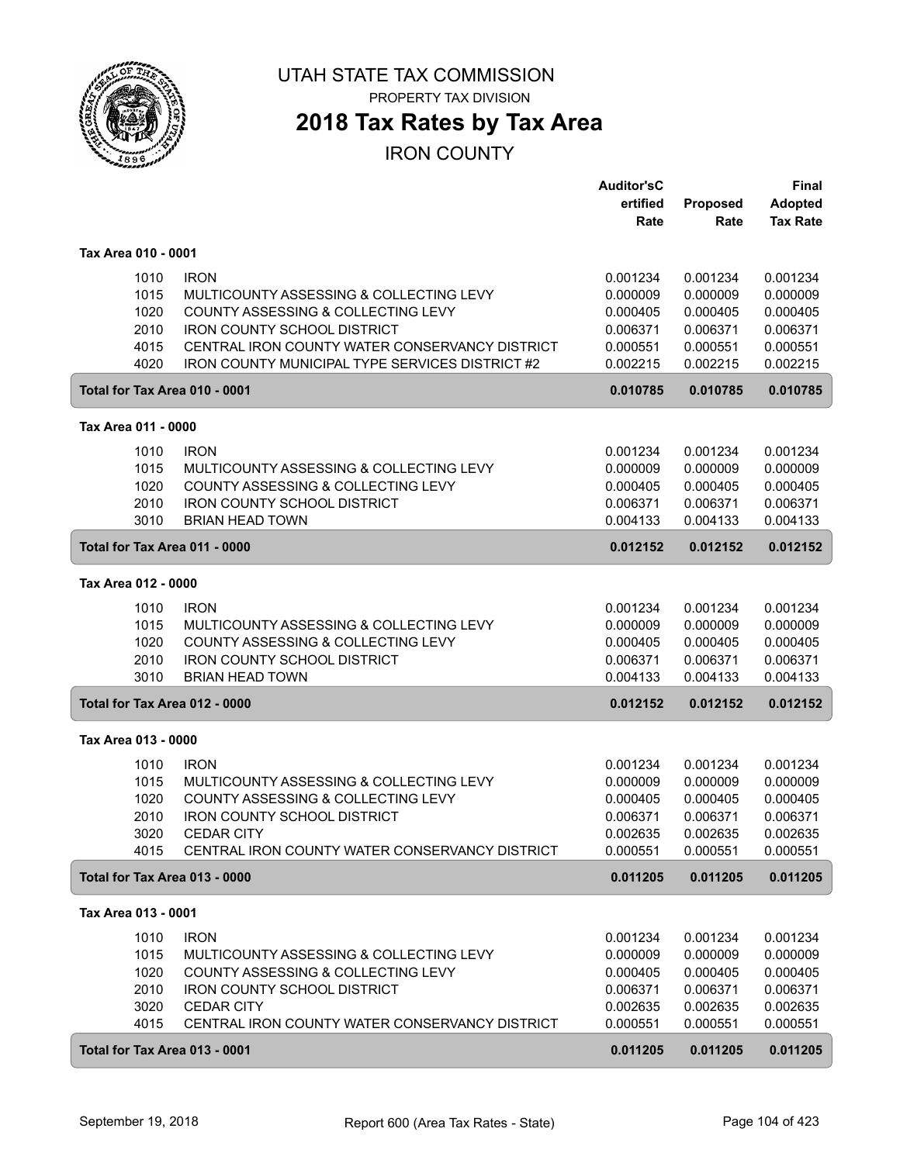

## **2018 Tax Rates by Tax Area**

|                               |                                                        | <b>Auditor'sC</b> |          | Final           |
|-------------------------------|--------------------------------------------------------|-------------------|----------|-----------------|
|                               |                                                        | ertified          | Proposed | <b>Adopted</b>  |
|                               |                                                        | Rate              | Rate     | <b>Tax Rate</b> |
|                               |                                                        |                   |          |                 |
| Tax Area 010 - 0001           |                                                        |                   |          |                 |
| 1010                          | <b>IRON</b>                                            | 0.001234          | 0.001234 | 0.001234        |
| 1015                          | MULTICOUNTY ASSESSING & COLLECTING LEVY                | 0.000009          | 0.000009 | 0.000009        |
| 1020                          | COUNTY ASSESSING & COLLECTING LEVY                     | 0.000405          | 0.000405 | 0.000405        |
| 2010                          | <b>IRON COUNTY SCHOOL DISTRICT</b>                     | 0.006371          | 0.006371 | 0.006371        |
| 4015                          | CENTRAL IRON COUNTY WATER CONSERVANCY DISTRICT         | 0.000551          | 0.000551 | 0.000551        |
| 4020                          | <b>IRON COUNTY MUNICIPAL TYPE SERVICES DISTRICT #2</b> | 0.002215          | 0.002215 | 0.002215        |
| Total for Tax Area 010 - 0001 |                                                        | 0.010785          | 0.010785 | 0.010785        |
|                               |                                                        |                   |          |                 |
| Tax Area 011 - 0000           |                                                        |                   |          |                 |
| 1010                          | <b>IRON</b>                                            | 0.001234          | 0.001234 | 0.001234        |
| 1015                          | MULTICOUNTY ASSESSING & COLLECTING LEVY                | 0.000009          | 0.000009 | 0.000009        |
| 1020                          | COUNTY ASSESSING & COLLECTING LEVY                     | 0.000405          | 0.000405 | 0.000405        |
| 2010                          | <b>IRON COUNTY SCHOOL DISTRICT</b>                     | 0.006371          | 0.006371 | 0.006371        |
| 3010                          | <b>BRIAN HEAD TOWN</b>                                 | 0.004133          | 0.004133 | 0.004133        |
| Total for Tax Area 011 - 0000 |                                                        | 0.012152          | 0.012152 | 0.012152        |
|                               |                                                        |                   |          |                 |
| Tax Area 012 - 0000           |                                                        |                   |          |                 |
| 1010                          | <b>IRON</b>                                            | 0.001234          | 0.001234 | 0.001234        |
| 1015                          | MULTICOUNTY ASSESSING & COLLECTING LEVY                | 0.000009          | 0.000009 | 0.000009        |
| 1020                          | COUNTY ASSESSING & COLLECTING LEVY                     | 0.000405          | 0.000405 | 0.000405        |
| 2010                          | <b>IRON COUNTY SCHOOL DISTRICT</b>                     | 0.006371          | 0.006371 | 0.006371        |
| 3010                          | <b>BRIAN HEAD TOWN</b>                                 | 0.004133          | 0.004133 | 0.004133        |
| Total for Tax Area 012 - 0000 |                                                        | 0.012152          | 0.012152 | 0.012152        |
| Tax Area 013 - 0000           |                                                        |                   |          |                 |
|                               |                                                        |                   |          |                 |
| 1010                          | <b>IRON</b>                                            | 0.001234          | 0.001234 | 0.001234        |
| 1015                          | MULTICOUNTY ASSESSING & COLLECTING LEVY                | 0.000009          | 0.000009 | 0.000009        |
| 1020                          | COUNTY ASSESSING & COLLECTING LEVY                     | 0.000405          | 0.000405 | 0.000405        |
| 2010                          | <b>IRON COUNTY SCHOOL DISTRICT</b>                     | 0.006371          | 0.006371 | 0.006371        |
| 3020                          | <b>CEDAR CITY</b>                                      | 0.002635          | 0.002635 | 0.002635        |
| 4015                          | CENTRAL IRON COUNTY WATER CONSERVANCY DISTRICT         | 0.000551          | 0.000551 | 0.000551        |
| Total for Tax Area 013 - 0000 |                                                        | 0.011205          | 0.011205 | 0.011205        |
| Tax Area 013 - 0001           |                                                        |                   |          |                 |
| 1010                          | <b>IRON</b>                                            | 0.001234          | 0.001234 | 0.001234        |
| 1015                          | MULTICOUNTY ASSESSING & COLLECTING LEVY                | 0.000009          | 0.000009 | 0.000009        |
| 1020                          | COUNTY ASSESSING & COLLECTING LEVY                     | 0.000405          | 0.000405 | 0.000405        |
| 2010                          | <b>IRON COUNTY SCHOOL DISTRICT</b>                     | 0.006371          | 0.006371 | 0.006371        |
| 3020                          | <b>CEDAR CITY</b>                                      | 0.002635          | 0.002635 | 0.002635        |
| 4015                          | CENTRAL IRON COUNTY WATER CONSERVANCY DISTRICT         | 0.000551          | 0.000551 | 0.000551        |
|                               |                                                        |                   |          |                 |
| Total for Tax Area 013 - 0001 |                                                        | 0.011205          | 0.011205 | 0.011205        |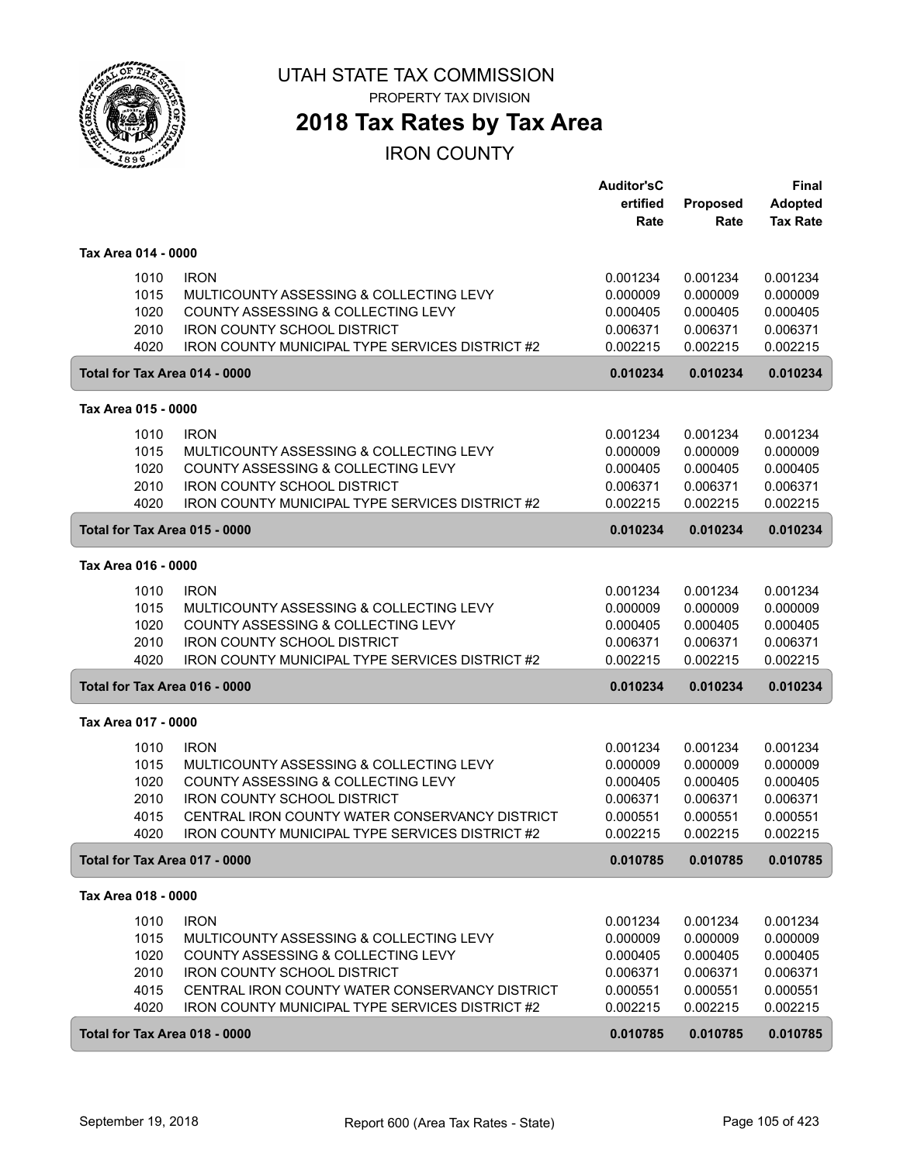

## **2018 Tax Rates by Tax Area**

|                     |                                                        | <b>Auditor'sC</b> |          | Final           |
|---------------------|--------------------------------------------------------|-------------------|----------|-----------------|
|                     |                                                        | ertified          | Proposed | <b>Adopted</b>  |
|                     |                                                        | Rate              | Rate     | <b>Tax Rate</b> |
| Tax Area 014 - 0000 |                                                        |                   |          |                 |
| 1010                | <b>IRON</b>                                            | 0.001234          | 0.001234 | 0.001234        |
| 1015                | MULTICOUNTY ASSESSING & COLLECTING LEVY                | 0.000009          | 0.000009 | 0.000009        |
| 1020                | COUNTY ASSESSING & COLLECTING LEVY                     | 0.000405          | 0.000405 | 0.000405        |
| 2010                | <b>IRON COUNTY SCHOOL DISTRICT</b>                     | 0.006371          | 0.006371 | 0.006371        |
| 4020                | <b>IRON COUNTY MUNICIPAL TYPE SERVICES DISTRICT #2</b> | 0.002215          | 0.002215 | 0.002215        |
|                     | Total for Tax Area 014 - 0000                          | 0.010234          | 0.010234 | 0.010234        |
| Tax Area 015 - 0000 |                                                        |                   |          |                 |
| 1010                | <b>IRON</b>                                            | 0.001234          | 0.001234 | 0.001234        |
| 1015                | MULTICOUNTY ASSESSING & COLLECTING LEVY                | 0.000009          | 0.000009 | 0.000009        |
| 1020                | COUNTY ASSESSING & COLLECTING LEVY                     | 0.000405          | 0.000405 | 0.000405        |
| 2010                | <b>IRON COUNTY SCHOOL DISTRICT</b>                     | 0.006371          | 0.006371 | 0.006371        |
| 4020                | IRON COUNTY MUNICIPAL TYPE SERVICES DISTRICT #2        | 0.002215          | 0.002215 | 0.002215        |
|                     | Total for Tax Area 015 - 0000                          | 0.010234          | 0.010234 | 0.010234        |
| Tax Area 016 - 0000 |                                                        |                   |          |                 |
| 1010                | <b>IRON</b>                                            | 0.001234          | 0.001234 | 0.001234        |
| 1015                | MULTICOUNTY ASSESSING & COLLECTING LEVY                | 0.000009          | 0.000009 | 0.000009        |
| 1020                | COUNTY ASSESSING & COLLECTING LEVY                     | 0.000405          | 0.000405 | 0.000405        |
| 2010                | <b>IRON COUNTY SCHOOL DISTRICT</b>                     | 0.006371          | 0.006371 | 0.006371        |
| 4020                | IRON COUNTY MUNICIPAL TYPE SERVICES DISTRICT #2        | 0.002215          | 0.002215 | 0.002215        |
|                     | Total for Tax Area 016 - 0000                          | 0.010234          | 0.010234 | 0.010234        |
| Tax Area 017 - 0000 |                                                        |                   |          |                 |
| 1010                | <b>IRON</b>                                            | 0.001234          | 0.001234 | 0.001234        |
| 1015                | MULTICOUNTY ASSESSING & COLLECTING LEVY                | 0.000009          | 0.000009 | 0.000009        |
| 1020                | COUNTY ASSESSING & COLLECTING LEVY                     | 0.000405          | 0.000405 | 0.000405        |
| 2010                | <b>IRON COUNTY SCHOOL DISTRICT</b>                     | 0.006371          | 0.006371 | 0.006371        |
| 4015                | CENTRAL IRON COUNTY WATER CONSERVANCY DISTRICT         | 0.000551          | 0.000551 | 0.000551        |
| 4020                | <b>IRON COUNTY MUNICIPAL TYPE SERVICES DISTRICT #2</b> | 0.002215          | 0.002215 | 0.002215        |
|                     | Total for Tax Area 017 - 0000                          | 0.010785          | 0.010785 | 0.010785        |
| Tax Area 018 - 0000 |                                                        |                   |          |                 |
| 1010                | <b>IRON</b>                                            | 0.001234          | 0.001234 | 0.001234        |
| 1015                | MULTICOUNTY ASSESSING & COLLECTING LEVY                | 0.000009          | 0.000009 | 0.000009        |
| 1020                | COUNTY ASSESSING & COLLECTING LEVY                     | 0.000405          | 0.000405 | 0.000405        |
| 2010                | <b>IRON COUNTY SCHOOL DISTRICT</b>                     | 0.006371          | 0.006371 | 0.006371        |
| 4015                | CENTRAL IRON COUNTY WATER CONSERVANCY DISTRICT         | 0.000551          | 0.000551 | 0.000551        |
| 4020                | <b>IRON COUNTY MUNICIPAL TYPE SERVICES DISTRICT #2</b> | 0.002215          | 0.002215 | 0.002215        |
|                     | Total for Tax Area 018 - 0000                          | 0.010785          | 0.010785 | 0.010785        |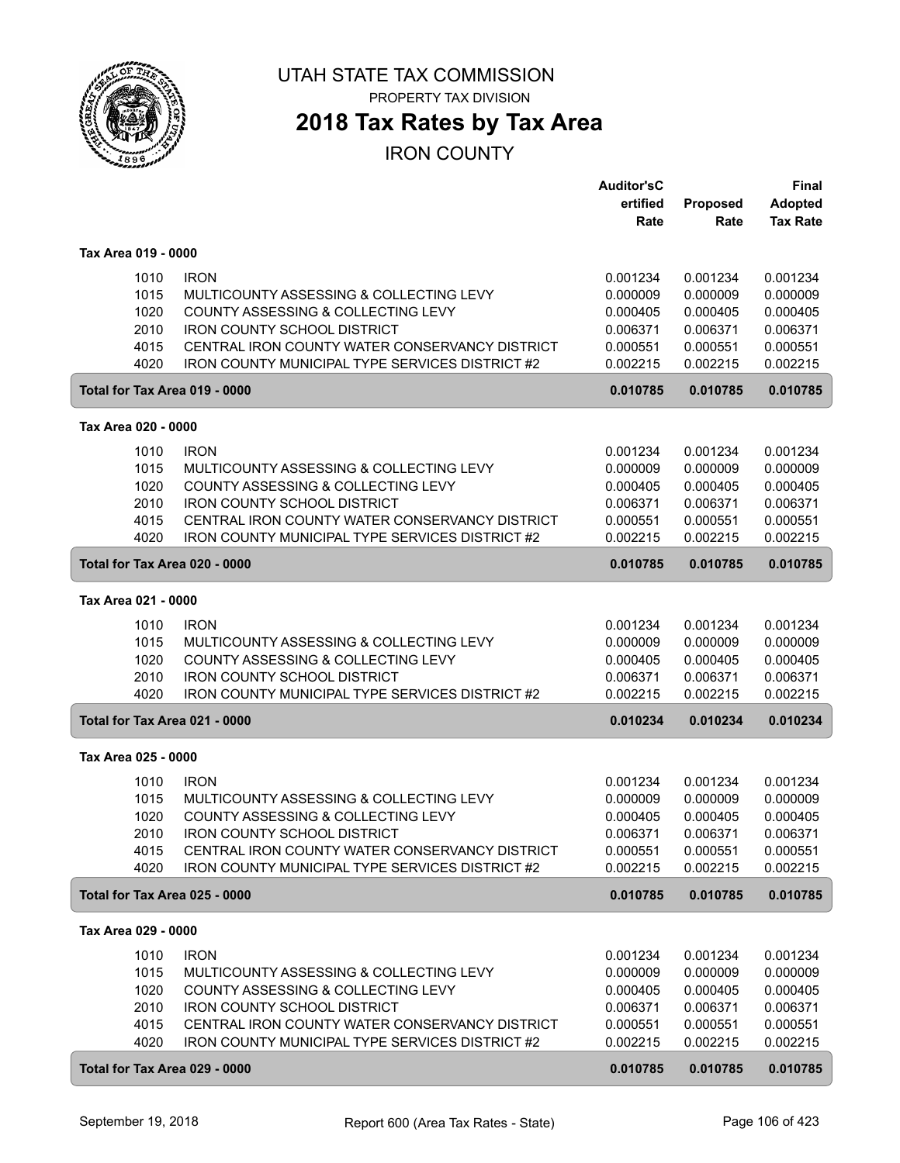

## **2018 Tax Rates by Tax Area**

|                               |                                                        | <b>Auditor'sC</b> |          | <b>Final</b>    |
|-------------------------------|--------------------------------------------------------|-------------------|----------|-----------------|
|                               |                                                        | ertified          | Proposed | <b>Adopted</b>  |
|                               |                                                        | Rate              | Rate     | <b>Tax Rate</b> |
|                               |                                                        |                   |          |                 |
| Tax Area 019 - 0000           |                                                        |                   |          |                 |
| 1010                          | <b>IRON</b>                                            | 0.001234          | 0.001234 | 0.001234        |
| 1015                          | MULTICOUNTY ASSESSING & COLLECTING LEVY                | 0.000009          | 0.000009 | 0.000009        |
| 1020                          | COUNTY ASSESSING & COLLECTING LEVY                     | 0.000405          | 0.000405 | 0.000405        |
| 2010                          | <b>IRON COUNTY SCHOOL DISTRICT</b>                     | 0.006371          | 0.006371 | 0.006371        |
| 4015                          | CENTRAL IRON COUNTY WATER CONSERVANCY DISTRICT         | 0.000551          | 0.000551 | 0.000551        |
| 4020                          | <b>IRON COUNTY MUNICIPAL TYPE SERVICES DISTRICT #2</b> | 0.002215          | 0.002215 | 0.002215        |
| Total for Tax Area 019 - 0000 |                                                        | 0.010785          | 0.010785 | 0.010785        |
| Tax Area 020 - 0000           |                                                        |                   |          |                 |
| 1010                          | <b>IRON</b>                                            | 0.001234          | 0.001234 | 0.001234        |
| 1015                          | MULTICOUNTY ASSESSING & COLLECTING LEVY                | 0.000009          | 0.000009 | 0.000009        |
| 1020                          | COUNTY ASSESSING & COLLECTING LEVY                     | 0.000405          | 0.000405 | 0.000405        |
| 2010                          | <b>IRON COUNTY SCHOOL DISTRICT</b>                     | 0.006371          | 0.006371 | 0.006371        |
| 4015                          | CENTRAL IRON COUNTY WATER CONSERVANCY DISTRICT         | 0.000551          | 0.000551 | 0.000551        |
| 4020                          | <b>IRON COUNTY MUNICIPAL TYPE SERVICES DISTRICT #2</b> | 0.002215          | 0.002215 | 0.002215        |
| Total for Tax Area 020 - 0000 |                                                        | 0.010785          | 0.010785 | 0.010785        |
|                               |                                                        |                   |          |                 |
| Tax Area 021 - 0000           |                                                        |                   |          |                 |
| 1010                          | <b>IRON</b>                                            | 0.001234          | 0.001234 | 0.001234        |
| 1015                          | MULTICOUNTY ASSESSING & COLLECTING LEVY                | 0.000009          | 0.000009 | 0.000009        |
| 1020                          | COUNTY ASSESSING & COLLECTING LEVY                     | 0.000405          | 0.000405 | 0.000405        |
| 2010                          | <b>IRON COUNTY SCHOOL DISTRICT</b>                     | 0.006371          | 0.006371 | 0.006371        |
| 4020                          | IRON COUNTY MUNICIPAL TYPE SERVICES DISTRICT #2        | 0.002215          | 0.002215 | 0.002215        |
| Total for Tax Area 021 - 0000 |                                                        | 0.010234          | 0.010234 | 0.010234        |
| Tax Area 025 - 0000           |                                                        |                   |          |                 |
| 1010                          | <b>IRON</b>                                            | 0.001234          | 0.001234 | 0.001234        |
| 1015                          | MULTICOUNTY ASSESSING & COLLECTING LEVY                | 0.000009          | 0.000009 | 0.000009        |
| 1020                          | COUNTY ASSESSING & COLLECTING LEVY                     | 0.000405          | 0.000405 | 0.000405        |
| 2010                          | <b>IRON COUNTY SCHOOL DISTRICT</b>                     | 0.006371          | 0.006371 | 0.006371        |
| 4015                          | CENTRAL IRON COUNTY WATER CONSERVANCY DISTRICT         | 0.000551          | 0.000551 | 0.000551        |
| 4020                          | IRON COUNTY MUNICIPAL TYPE SERVICES DISTRICT #2        | 0.002215          | 0.002215 | 0.002215        |
| Total for Tax Area 025 - 0000 |                                                        | 0.010785          | 0.010785 | 0.010785        |
| Tax Area 029 - 0000           |                                                        |                   |          |                 |
|                               |                                                        |                   |          |                 |
| 1010                          | <b>IRON</b>                                            | 0.001234          | 0.001234 | 0.001234        |
| 1015                          | MULTICOUNTY ASSESSING & COLLECTING LEVY                | 0.000009          | 0.000009 | 0.000009        |
| 1020                          | COUNTY ASSESSING & COLLECTING LEVY                     | 0.000405          | 0.000405 | 0.000405        |
| 2010                          | <b>IRON COUNTY SCHOOL DISTRICT</b>                     | 0.006371          | 0.006371 | 0.006371        |
| 4015                          | CENTRAL IRON COUNTY WATER CONSERVANCY DISTRICT         | 0.000551          | 0.000551 | 0.000551        |
| 4020                          | IRON COUNTY MUNICIPAL TYPE SERVICES DISTRICT #2        | 0.002215          | 0.002215 | 0.002215        |
| Total for Tax Area 029 - 0000 |                                                        | 0.010785          | 0.010785 | 0.010785        |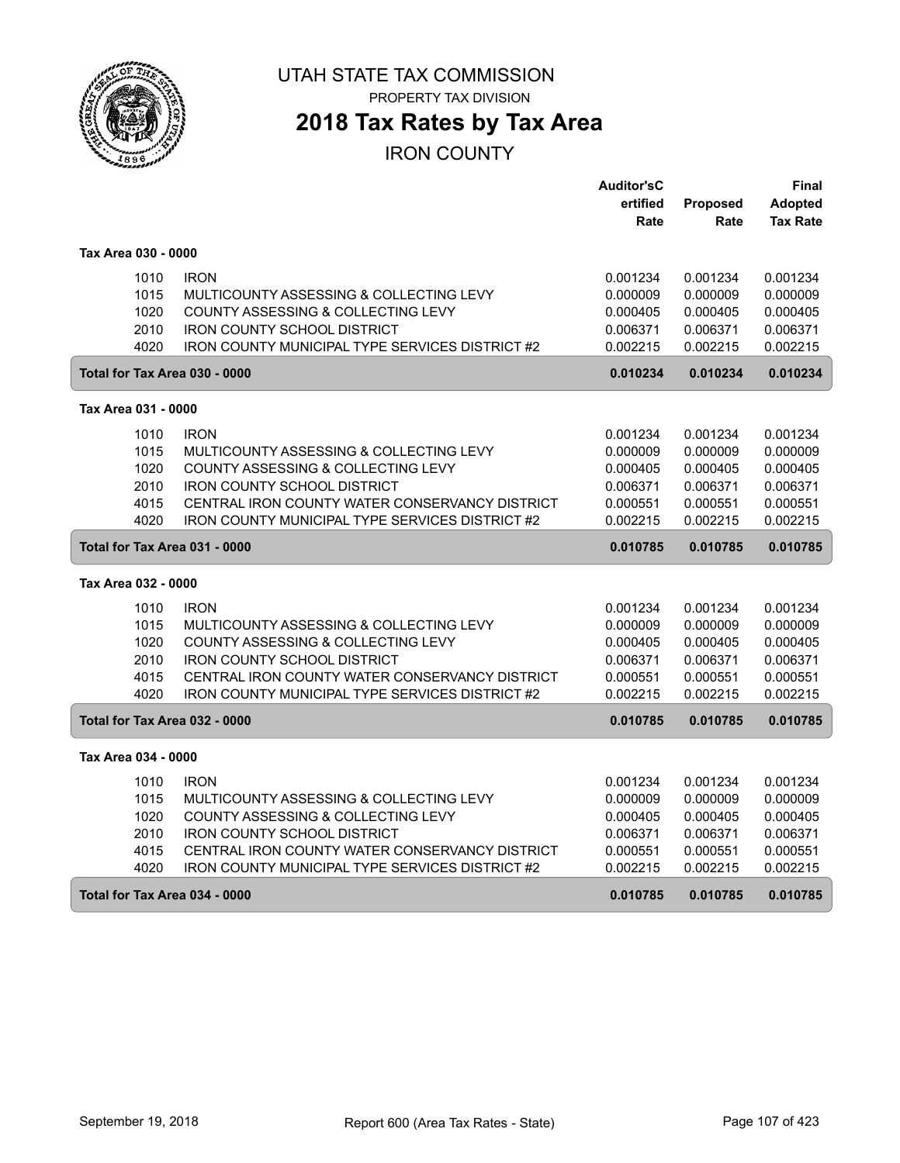

# **2018 Tax Rates by Tax Area**

|                     |                                                        | <b>Auditor'sC</b> |          | Final           |
|---------------------|--------------------------------------------------------|-------------------|----------|-----------------|
|                     |                                                        | ertified          | Proposed | <b>Adopted</b>  |
|                     |                                                        | Rate              | Rate     | <b>Tax Rate</b> |
|                     |                                                        |                   |          |                 |
| Tax Area 030 - 0000 |                                                        |                   |          |                 |
| 1010                | <b>IRON</b>                                            | 0.001234          | 0.001234 | 0.001234        |
| 1015                | MULTICOUNTY ASSESSING & COLLECTING LEVY                | 0.000009          | 0.000009 | 0.000009        |
| 1020                | COUNTY ASSESSING & COLLECTING LEVY                     | 0.000405          | 0.000405 | 0.000405        |
| 2010                | <b>IRON COUNTY SCHOOL DISTRICT</b>                     | 0.006371          | 0.006371 | 0.006371        |
| 4020                | IRON COUNTY MUNICIPAL TYPE SERVICES DISTRICT #2        | 0.002215          | 0.002215 | 0.002215        |
|                     | Total for Tax Area 030 - 0000                          | 0.010234          | 0.010234 | 0.010234        |
| Tax Area 031 - 0000 |                                                        |                   |          |                 |
| 1010                | <b>IRON</b>                                            | 0.001234          | 0.001234 | 0.001234        |
| 1015                | MULTICOUNTY ASSESSING & COLLECTING LEVY                | 0.000009          | 0.000009 | 0.000009        |
| 1020                | COUNTY ASSESSING & COLLECTING LEVY                     | 0.000405          | 0.000405 | 0.000405        |
| 2010                | <b>IRON COUNTY SCHOOL DISTRICT</b>                     | 0.006371          | 0.006371 | 0.006371        |
| 4015                | CENTRAL IRON COUNTY WATER CONSERVANCY DISTRICT         | 0.000551          | 0.000551 | 0.000551        |
| 4020                | <b>IRON COUNTY MUNICIPAL TYPE SERVICES DISTRICT #2</b> | 0.002215          | 0.002215 | 0.002215        |
|                     | Total for Tax Area 031 - 0000                          | 0.010785          | 0.010785 | 0.010785        |
| Tax Area 032 - 0000 |                                                        |                   |          |                 |
| 1010                | <b>IRON</b>                                            | 0.001234          | 0.001234 | 0.001234        |
| 1015                | MULTICOUNTY ASSESSING & COLLECTING LEVY                | 0.000009          | 0.000009 | 0.000009        |
| 1020                | COUNTY ASSESSING & COLLECTING LEVY                     | 0.000405          | 0.000405 | 0.000405        |
| 2010                | <b>IRON COUNTY SCHOOL DISTRICT</b>                     | 0.006371          | 0.006371 | 0.006371        |
| 4015                | CENTRAL IRON COUNTY WATER CONSERVANCY DISTRICT         | 0.000551          | 0.000551 | 0.000551        |
| 4020                | IRON COUNTY MUNICIPAL TYPE SERVICES DISTRICT #2        | 0.002215          | 0.002215 | 0.002215        |
|                     |                                                        |                   |          |                 |
|                     | Total for Tax Area 032 - 0000                          | 0.010785          | 0.010785 | 0.010785        |
| Tax Area 034 - 0000 |                                                        |                   |          |                 |
| 1010                | <b>IRON</b>                                            | 0.001234          | 0.001234 | 0.001234        |
| 1015                | MULTICOUNTY ASSESSING & COLLECTING LEVY                | 0.000009          | 0.000009 | 0.000009        |
| 1020                | COUNTY ASSESSING & COLLECTING LEVY                     | 0.000405          | 0.000405 | 0.000405        |
| 2010                | <b>IRON COUNTY SCHOOL DISTRICT</b>                     | 0.006371          | 0.006371 | 0.006371        |
| 4015                | CENTRAL IRON COUNTY WATER CONSERVANCY DISTRICT         | 0.000551          | 0.000551 | 0.000551        |
| 4020                | <b>IRON COUNTY MUNICIPAL TYPE SERVICES DISTRICT #2</b> | 0.002215          | 0.002215 | 0.002215        |
|                     | Total for Tax Area 034 - 0000                          | 0.010785          | 0.010785 | 0.010785        |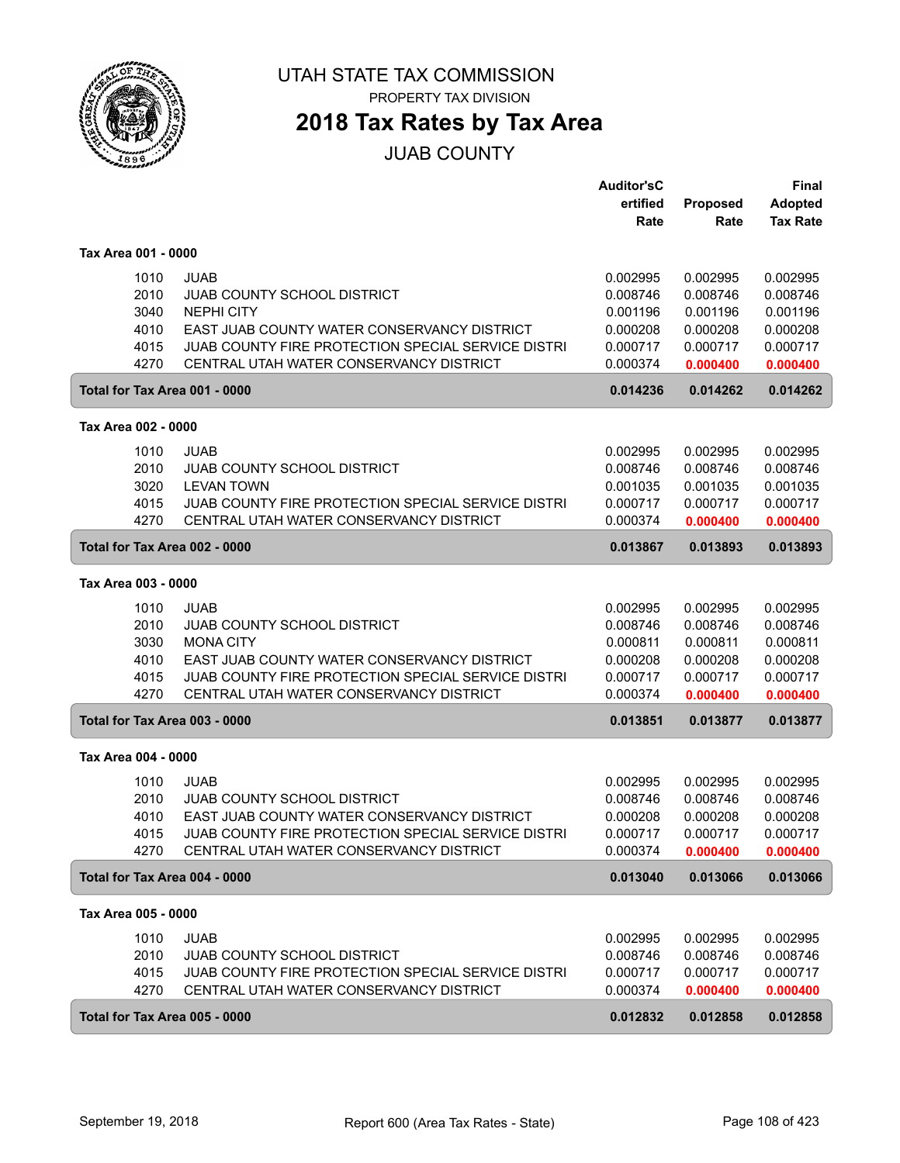

PROPERTY TAX DIVISION

# **2018 Tax Rates by Tax Area**

JUAB COUNTY

|                               |                                                    | <b>Auditor'sC</b> |          | <b>Final</b>    |
|-------------------------------|----------------------------------------------------|-------------------|----------|-----------------|
|                               |                                                    | ertified          | Proposed | <b>Adopted</b>  |
|                               |                                                    | Rate              | Rate     | <b>Tax Rate</b> |
|                               |                                                    |                   |          |                 |
| Tax Area 001 - 0000           |                                                    |                   |          |                 |
| 1010                          | <b>JUAB</b>                                        | 0.002995          | 0.002995 | 0.002995        |
| 2010                          | <b>JUAB COUNTY SCHOOL DISTRICT</b>                 | 0.008746          | 0.008746 | 0.008746        |
| 3040                          | <b>NEPHI CITY</b>                                  | 0.001196          | 0.001196 | 0.001196        |
| 4010                          | EAST JUAB COUNTY WATER CONSERVANCY DISTRICT        | 0.000208          | 0.000208 | 0.000208        |
| 4015                          | JUAB COUNTY FIRE PROTECTION SPECIAL SERVICE DISTRI | 0.000717          | 0.000717 | 0.000717        |
| 4270                          | CENTRAL UTAH WATER CONSERVANCY DISTRICT            | 0.000374          | 0.000400 | 0.000400        |
| Total for Tax Area 001 - 0000 |                                                    | 0.014236          | 0.014262 | 0.014262        |
|                               |                                                    |                   |          |                 |
| Tax Area 002 - 0000           |                                                    |                   |          |                 |
| 1010                          | <b>JUAB</b>                                        | 0.002995          | 0.002995 | 0.002995        |
| 2010                          | JUAB COUNTY SCHOOL DISTRICT                        | 0.008746          | 0.008746 | 0.008746        |
| 3020                          | <b>LEVAN TOWN</b>                                  | 0.001035          | 0.001035 | 0.001035        |
| 4015                          | JUAB COUNTY FIRE PROTECTION SPECIAL SERVICE DISTRI | 0.000717          | 0.000717 | 0.000717        |
| 4270                          | CENTRAL UTAH WATER CONSERVANCY DISTRICT            | 0.000374          | 0.000400 | 0.000400        |
|                               |                                                    |                   |          | 0.013893        |
| Total for Tax Area 002 - 0000 |                                                    | 0.013867          | 0.013893 |                 |
| Tax Area 003 - 0000           |                                                    |                   |          |                 |
| 1010                          | <b>JUAB</b>                                        | 0.002995          | 0.002995 | 0.002995        |
| 2010                          | JUAB COUNTY SCHOOL DISTRICT                        | 0.008746          | 0.008746 | 0.008746        |
| 3030                          | <b>MONA CITY</b>                                   | 0.000811          | 0.000811 | 0.000811        |
| 4010                          | EAST JUAB COUNTY WATER CONSERVANCY DISTRICT        | 0.000208          | 0.000208 | 0.000208        |
| 4015                          | JUAB COUNTY FIRE PROTECTION SPECIAL SERVICE DISTRI | 0.000717          | 0.000717 | 0.000717        |
| 4270                          | CENTRAL UTAH WATER CONSERVANCY DISTRICT            | 0.000374          | 0.000400 | 0.000400        |
|                               |                                                    |                   |          |                 |
| Total for Tax Area 003 - 0000 |                                                    | 0.013851          | 0.013877 | 0.013877        |
| Tax Area 004 - 0000           |                                                    |                   |          |                 |
| 1010                          | JUAB                                               | 0.002995          | 0.002995 | 0.002995        |
| 2010                          | <b>JUAB COUNTY SCHOOL DISTRICT</b>                 | 0.008746          | 0.008746 | 0.008746        |
| 4010                          | EAST JUAB COUNTY WATER CONSERVANCY DISTRICT        | 0.000208          | 0.000208 | 0.000208        |
|                               |                                                    |                   |          |                 |
| 4015                          | JUAB COUNTY FIRE PROTECTION SPECIAL SERVICE DISTRI | 0.000717          | 0.000717 | 0.000717        |
| 4270                          | CENTRAL UTAH WATER CONSERVANCY DISTRICT            | 0.000374          | 0.000400 | 0.000400        |
| Total for Tax Area 004 - 0000 |                                                    | 0.013040          | 0.013066 | 0.013066        |
| Tax Area 005 - 0000           |                                                    |                   |          |                 |
|                               | <b>JUAB</b>                                        |                   | 0.002995 | 0.002995        |
| 1010                          |                                                    | 0.002995          |          |                 |
| 2010                          | <b>JUAB COUNTY SCHOOL DISTRICT</b>                 | 0.008746          | 0.008746 | 0.008746        |
| 4015                          | JUAB COUNTY FIRE PROTECTION SPECIAL SERVICE DISTRI | 0.000717          | 0.000717 | 0.000717        |
| 4270                          | CENTRAL UTAH WATER CONSERVANCY DISTRICT            | 0.000374          | 0.000400 | 0.000400        |
| Total for Tax Area 005 - 0000 |                                                    | 0.012832          | 0.012858 | 0.012858        |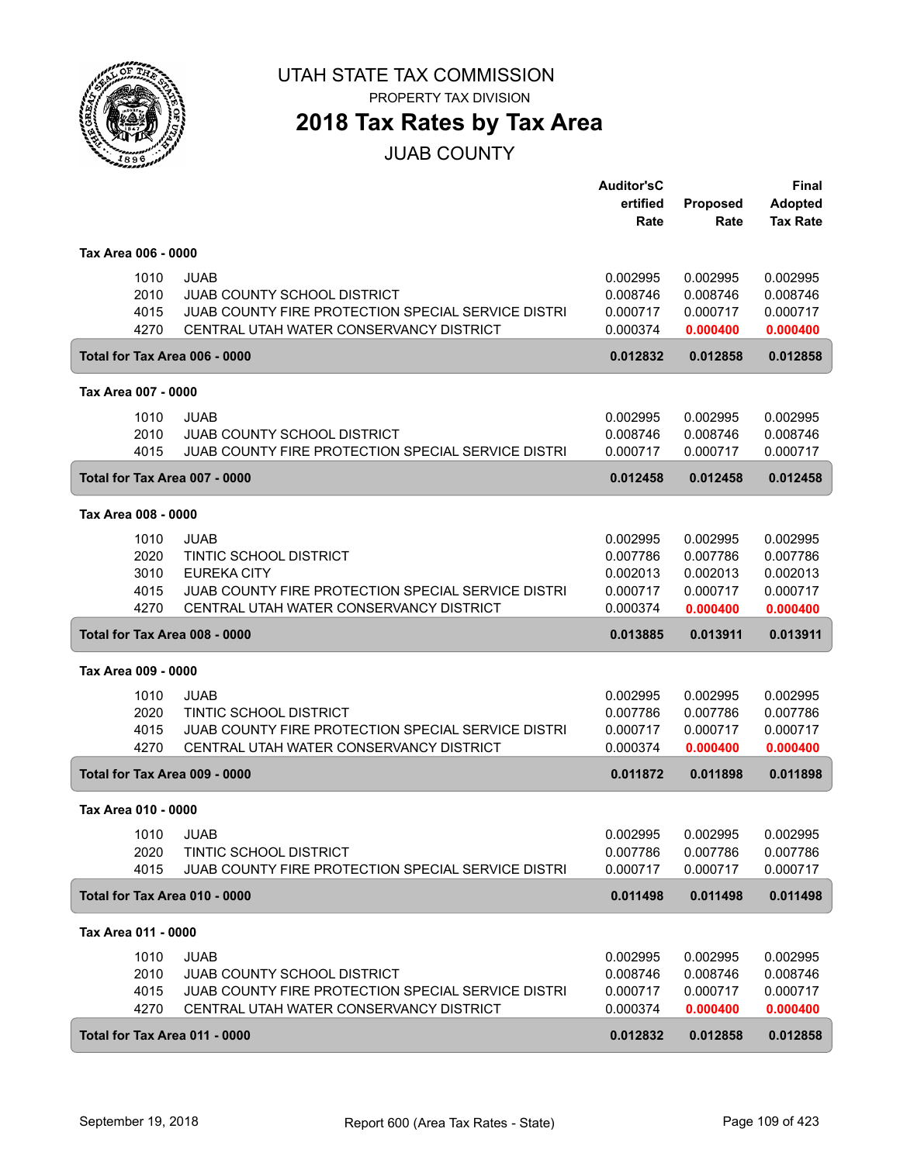

PROPERTY TAX DIVISION

### **2018 Tax Rates by Tax Area**

JUAB COUNTY

|                     |      |                                                    | <b>Auditor'sC</b> |                         | <b>Final</b>                      |
|---------------------|------|----------------------------------------------------|-------------------|-------------------------|-----------------------------------|
|                     |      |                                                    | ertified<br>Rate  | <b>Proposed</b><br>Rate | <b>Adopted</b><br><b>Tax Rate</b> |
|                     |      |                                                    |                   |                         |                                   |
| Tax Area 006 - 0000 |      |                                                    |                   |                         |                                   |
|                     | 1010 | <b>JUAB</b>                                        | 0.002995          | 0.002995                | 0.002995                          |
|                     | 2010 | <b>JUAB COUNTY SCHOOL DISTRICT</b>                 | 0.008746          | 0.008746                | 0.008746                          |
|                     | 4015 | JUAB COUNTY FIRE PROTECTION SPECIAL SERVICE DISTRI | 0.000717          | 0.000717                | 0.000717                          |
|                     | 4270 | CENTRAL UTAH WATER CONSERVANCY DISTRICT            | 0.000374          | 0.000400                | 0.000400                          |
|                     |      | Total for Tax Area 006 - 0000                      | 0.012832          | 0.012858                | 0.012858                          |
| Tax Area 007 - 0000 |      |                                                    |                   |                         |                                   |
|                     | 1010 | <b>JUAB</b>                                        | 0.002995          | 0.002995                | 0.002995                          |
|                     | 2010 | <b>JUAB COUNTY SCHOOL DISTRICT</b>                 | 0.008746          | 0.008746                | 0.008746                          |
|                     | 4015 | JUAB COUNTY FIRE PROTECTION SPECIAL SERVICE DISTRI | 0.000717          | 0.000717                | 0.000717                          |
|                     |      | Total for Tax Area 007 - 0000                      | 0.012458          | 0.012458                | 0.012458                          |
| Tax Area 008 - 0000 |      |                                                    |                   |                         |                                   |
|                     | 1010 | <b>JUAB</b>                                        | 0.002995          | 0.002995                | 0.002995                          |
|                     | 2020 | TINTIC SCHOOL DISTRICT                             | 0.007786          | 0.007786                | 0.007786                          |
|                     | 3010 | <b>EUREKA CITY</b>                                 | 0.002013          | 0.002013                | 0.002013                          |
|                     | 4015 | JUAB COUNTY FIRE PROTECTION SPECIAL SERVICE DISTRI | 0.000717          | 0.000717                | 0.000717                          |
|                     | 4270 | CENTRAL UTAH WATER CONSERVANCY DISTRICT            | 0.000374          | 0.000400                | 0.000400                          |
|                     |      | Total for Tax Area 008 - 0000                      | 0.013885          | 0.013911                | 0.013911                          |
| Tax Area 009 - 0000 |      |                                                    |                   |                         |                                   |
|                     | 1010 | <b>JUAB</b>                                        | 0.002995          | 0.002995                | 0.002995                          |
|                     | 2020 | <b>TINTIC SCHOOL DISTRICT</b>                      | 0.007786          | 0.007786                | 0.007786                          |
|                     | 4015 | JUAB COUNTY FIRE PROTECTION SPECIAL SERVICE DISTRI | 0.000717          | 0.000717                | 0.000717                          |
|                     | 4270 | CENTRAL UTAH WATER CONSERVANCY DISTRICT            | 0.000374          | 0.000400                | 0.000400                          |
|                     |      | Total for Tax Area 009 - 0000                      | 0.011872          | 0.011898                | 0.011898                          |
| Tax Area 010 - 0000 |      |                                                    |                   |                         |                                   |
|                     | 1010 | <b>JUAB</b>                                        | 0.002995          | 0.002995                | 0.002995                          |
|                     | 2020 | TINTIC SCHOOL DISTRICT                             | 0.007786          | 0.007786                | 0.007786                          |
|                     | 4015 | JUAB COUNTY FIRE PROTECTION SPECIAL SERVICE DISTRI | 0.000717          | 0.000717                | 0.000717                          |
|                     |      | Total for Tax Area 010 - 0000                      | 0.011498          | 0.011498                | 0.011498                          |
| Tax Area 011 - 0000 |      |                                                    |                   |                         |                                   |
|                     | 1010 | <b>JUAB</b>                                        | 0.002995          | 0.002995                | 0.002995                          |
|                     | 2010 | <b>JUAB COUNTY SCHOOL DISTRICT</b>                 | 0.008746          | 0.008746                | 0.008746                          |
|                     | 4015 | JUAB COUNTY FIRE PROTECTION SPECIAL SERVICE DISTRI | 0.000717          | 0.000717                | 0.000717                          |
|                     | 4270 | CENTRAL UTAH WATER CONSERVANCY DISTRICT            | 0.000374          | 0.000400                | 0.000400                          |
|                     |      | Total for Tax Area 011 - 0000                      | 0.012832          | 0.012858                | 0.012858                          |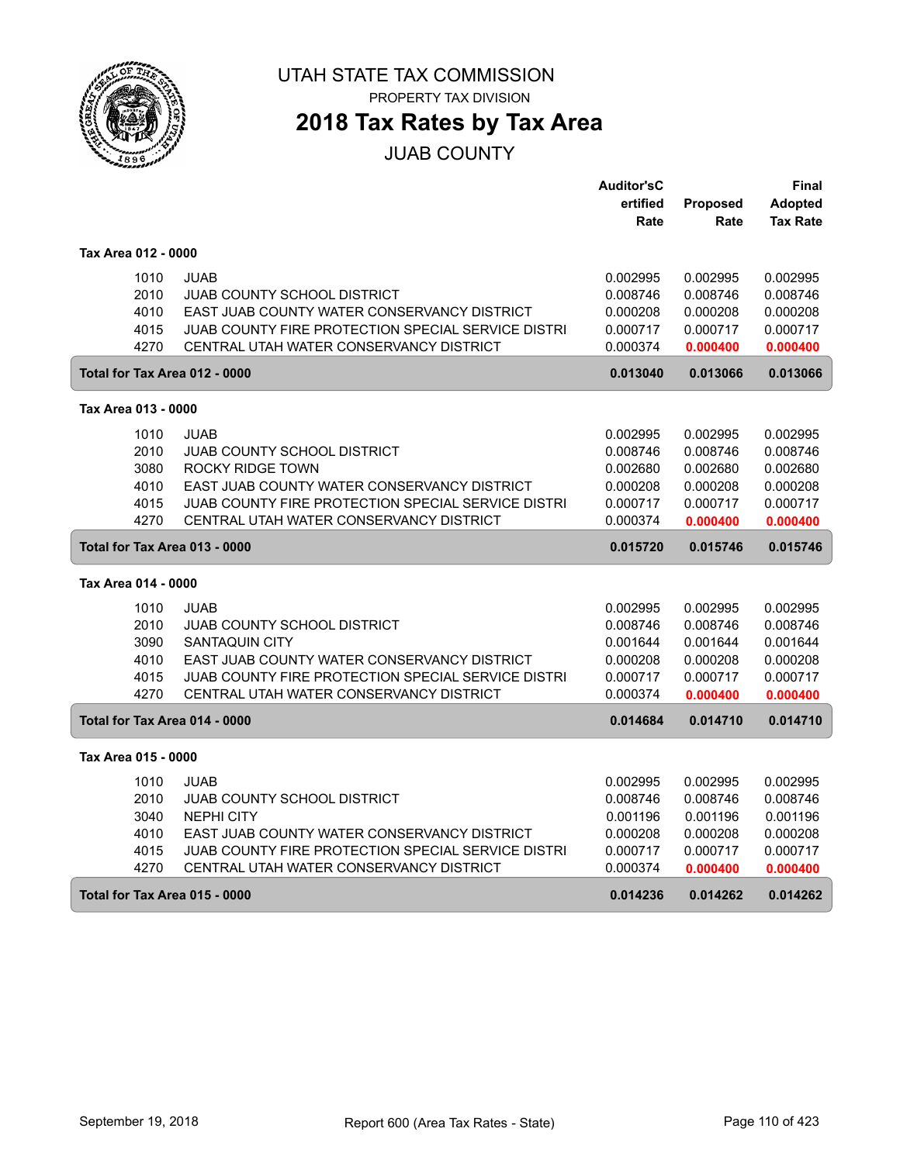

# **2018 Tax Rates by Tax Area**

#### JUAB COUNTY

|                               |                                                    | <b>Auditor'sC</b> |                 | Final           |
|-------------------------------|----------------------------------------------------|-------------------|-----------------|-----------------|
|                               |                                                    | ertified          | <b>Proposed</b> | <b>Adopted</b>  |
|                               |                                                    | Rate              | Rate            | <b>Tax Rate</b> |
| Tax Area 012 - 0000           |                                                    |                   |                 |                 |
| 1010                          | <b>JUAB</b>                                        | 0.002995          | 0.002995        | 0.002995        |
| 2010                          | JUAB COUNTY SCHOOL DISTRICT                        | 0.008746          | 0.008746        | 0.008746        |
| 4010                          | EAST JUAB COUNTY WATER CONSERVANCY DISTRICT        | 0.000208          | 0.000208        | 0.000208        |
| 4015                          | JUAB COUNTY FIRE PROTECTION SPECIAL SERVICE DISTRI | 0.000717          | 0.000717        | 0.000717        |
| 4270                          | CENTRAL UTAH WATER CONSERVANCY DISTRICT            | 0.000374          | 0.000400        | 0.000400        |
| Total for Tax Area 012 - 0000 |                                                    | 0.013040          | 0.013066        | 0.013066        |
| Tax Area 013 - 0000           |                                                    |                   |                 |                 |
| 1010                          | <b>JUAB</b>                                        | 0.002995          | 0.002995        | 0.002995        |
| 2010                          | <b>JUAB COUNTY SCHOOL DISTRICT</b>                 | 0.008746          | 0.008746        | 0.008746        |
| 3080                          | ROCKY RIDGE TOWN                                   | 0.002680          | 0.002680        | 0.002680        |
| 4010                          | EAST JUAB COUNTY WATER CONSERVANCY DISTRICT        | 0.000208          | 0.000208        | 0.000208        |
| 4015                          | JUAB COUNTY FIRE PROTECTION SPECIAL SERVICE DISTRI | 0.000717          | 0.000717        | 0.000717        |
| 4270                          | CENTRAL UTAH WATER CONSERVANCY DISTRICT            | 0.000374          | 0.000400        | 0.000400        |
|                               | Total for Tax Area 013 - 0000                      | 0.015720          | 0.015746        | 0.015746        |
| Tax Area 014 - 0000           |                                                    |                   |                 |                 |
| 1010                          | <b>JUAB</b>                                        | 0.002995          | 0.002995        | 0.002995        |
| 2010                          | <b>JUAB COUNTY SCHOOL DISTRICT</b>                 | 0.008746          | 0.008746        | 0.008746        |
| 3090                          | <b>SANTAQUIN CITY</b>                              | 0.001644          | 0.001644        | 0.001644        |
| 4010                          | EAST JUAB COUNTY WATER CONSERVANCY DISTRICT        | 0.000208          | 0.000208        | 0.000208        |
| 4015                          | JUAB COUNTY FIRE PROTECTION SPECIAL SERVICE DISTRI | 0.000717          | 0.000717        | 0.000717        |
| 4270                          | CENTRAL UTAH WATER CONSERVANCY DISTRICT            | 0.000374          | 0.000400        | 0.000400        |
| Total for Tax Area 014 - 0000 |                                                    | 0.014684          | 0.014710        | 0.014710        |
| Tax Area 015 - 0000           |                                                    |                   |                 |                 |
| 1010                          | <b>JUAB</b>                                        | 0.002995          | 0.002995        | 0.002995        |
| 2010                          | <b>JUAB COUNTY SCHOOL DISTRICT</b>                 | 0.008746          | 0.008746        | 0.008746        |
| 3040                          | <b>NEPHI CITY</b>                                  | 0.001196          | 0.001196        | 0.001196        |
| 4010                          | EAST JUAB COUNTY WATER CONSERVANCY DISTRICT        | 0.000208          | 0.000208        | 0.000208        |
| 4015                          | JUAB COUNTY FIRE PROTECTION SPECIAL SERVICE DISTRI | 0.000717          | 0.000717        | 0.000717        |
| 4270                          | CENTRAL UTAH WATER CONSERVANCY DISTRICT            | 0.000374          | 0.000400        | 0.000400        |
| Total for Tax Area 015 - 0000 |                                                    | 0.014236          | 0.014262        | 0.014262        |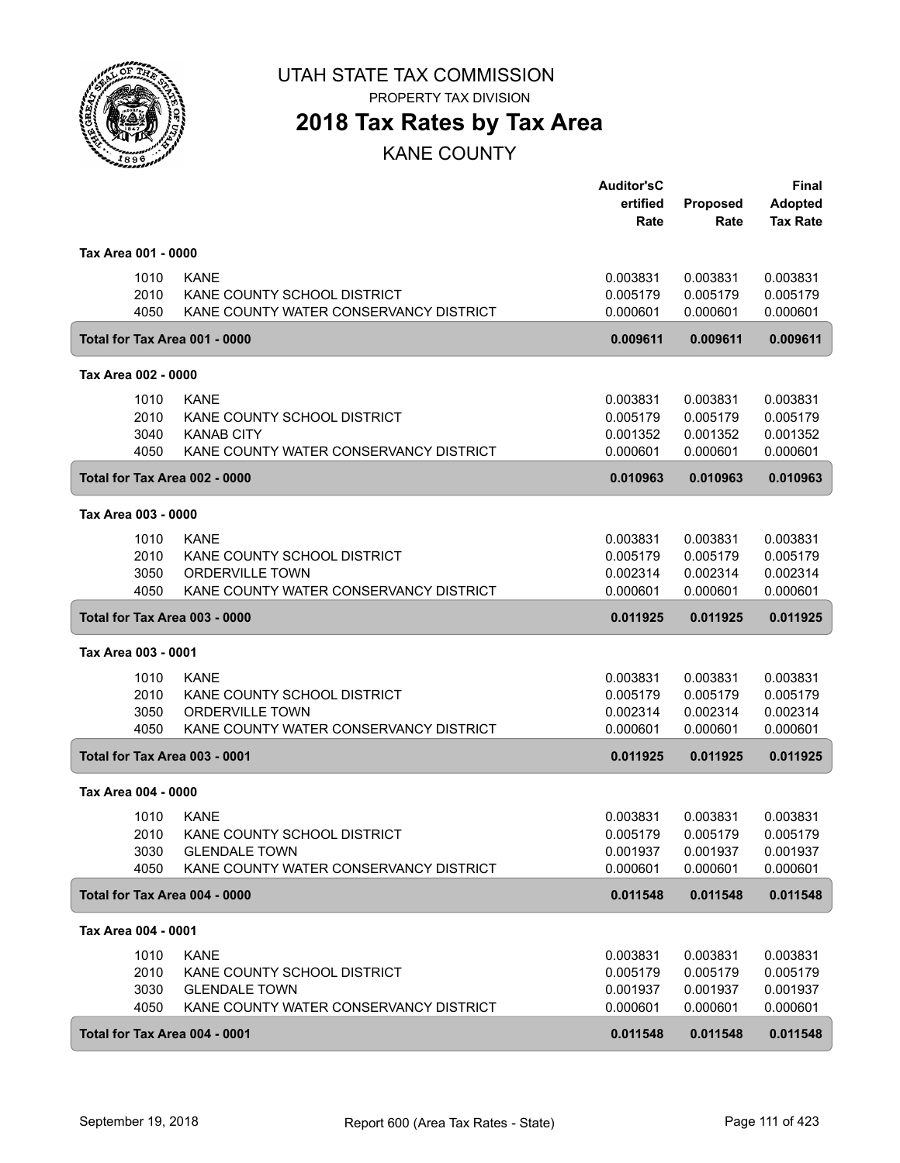

PROPERTY TAX DIVISION

### **2018 Tax Rates by Tax Area**

KANE COUNTY

|                               |                                        | <b>Auditor'sC</b> |                 | Final           |
|-------------------------------|----------------------------------------|-------------------|-----------------|-----------------|
|                               |                                        | ertified          | <b>Proposed</b> | <b>Adopted</b>  |
|                               |                                        | Rate              | Rate            | <b>Tax Rate</b> |
| Tax Area 001 - 0000           |                                        |                   |                 |                 |
| 1010                          | <b>KANE</b>                            | 0.003831          | 0.003831        | 0.003831        |
| 2010                          | KANE COUNTY SCHOOL DISTRICT            | 0.005179          | 0.005179        | 0.005179        |
| 4050                          | KANE COUNTY WATER CONSERVANCY DISTRICT | 0.000601          | 0.000601        | 0.000601        |
| Total for Tax Area 001 - 0000 |                                        | 0.009611          | 0.009611        | 0.009611        |
| Tax Area 002 - 0000           |                                        |                   |                 |                 |
| 1010                          | <b>KANE</b>                            | 0.003831          | 0.003831        | 0.003831        |
| 2010                          | KANE COUNTY SCHOOL DISTRICT            | 0.005179          | 0.005179        | 0.005179        |
| 3040                          | <b>KANAB CITY</b>                      | 0.001352          | 0.001352        | 0.001352        |
| 4050                          | KANE COUNTY WATER CONSERVANCY DISTRICT | 0.000601          | 0.000601        | 0.000601        |
| Total for Tax Area 002 - 0000 |                                        | 0.010963          | 0.010963        | 0.010963        |
| Tax Area 003 - 0000           |                                        |                   |                 |                 |
| 1010                          | <b>KANE</b>                            | 0.003831          | 0.003831        | 0.003831        |
| 2010                          | KANE COUNTY SCHOOL DISTRICT            | 0.005179          | 0.005179        | 0.005179        |
| 3050                          | <b>ORDERVILLE TOWN</b>                 | 0.002314          | 0.002314        | 0.002314        |
| 4050                          | KANE COUNTY WATER CONSERVANCY DISTRICT | 0.000601          | 0.000601        | 0.000601        |
| Total for Tax Area 003 - 0000 |                                        | 0.011925          | 0.011925        | 0.011925        |
| Tax Area 003 - 0001           |                                        |                   |                 |                 |
| 1010                          | <b>KANE</b>                            | 0.003831          | 0.003831        | 0.003831        |
| 2010                          | KANE COUNTY SCHOOL DISTRICT            | 0.005179          | 0.005179        | 0.005179        |
| 3050                          | <b>ORDERVILLE TOWN</b>                 | 0.002314          | 0.002314        | 0.002314        |
| 4050                          | KANE COUNTY WATER CONSERVANCY DISTRICT | 0.000601          | 0.000601        | 0.000601        |
| Total for Tax Area 003 - 0001 |                                        | 0.011925          | 0.011925        | 0.011925        |
| Tax Area 004 - 0000           |                                        |                   |                 |                 |
| 1010                          | <b>KANE</b>                            | 0.003831          | 0.003831        | 0.003831        |
| 2010                          | KANE COUNTY SCHOOL DISTRICT            | 0.005179          | 0.005179        | 0.005179        |
| 3030                          | <b>GLENDALE TOWN</b>                   | 0.001937          | 0.001937        | 0.001937        |
| 4050                          | KANE COUNTY WATER CONSERVANCY DISTRICT | 0.000601          | 0.000601        | 0.000601        |
| Total for Tax Area 004 - 0000 |                                        | 0.011548          | 0.011548        | 0.011548        |
| Tax Area 004 - 0001           |                                        |                   |                 |                 |
| 1010                          | <b>KANE</b>                            | 0.003831          | 0.003831        | 0.003831        |
| 2010                          | KANE COUNTY SCHOOL DISTRICT            | 0.005179          | 0.005179        | 0.005179        |
| 3030                          | <b>GLENDALE TOWN</b>                   | 0.001937          | 0.001937        | 0.001937        |
| 4050                          | KANE COUNTY WATER CONSERVANCY DISTRICT | 0.000601          | 0.000601        | 0.000601        |
| Total for Tax Area 004 - 0001 |                                        | 0.011548          | 0.011548        | 0.011548        |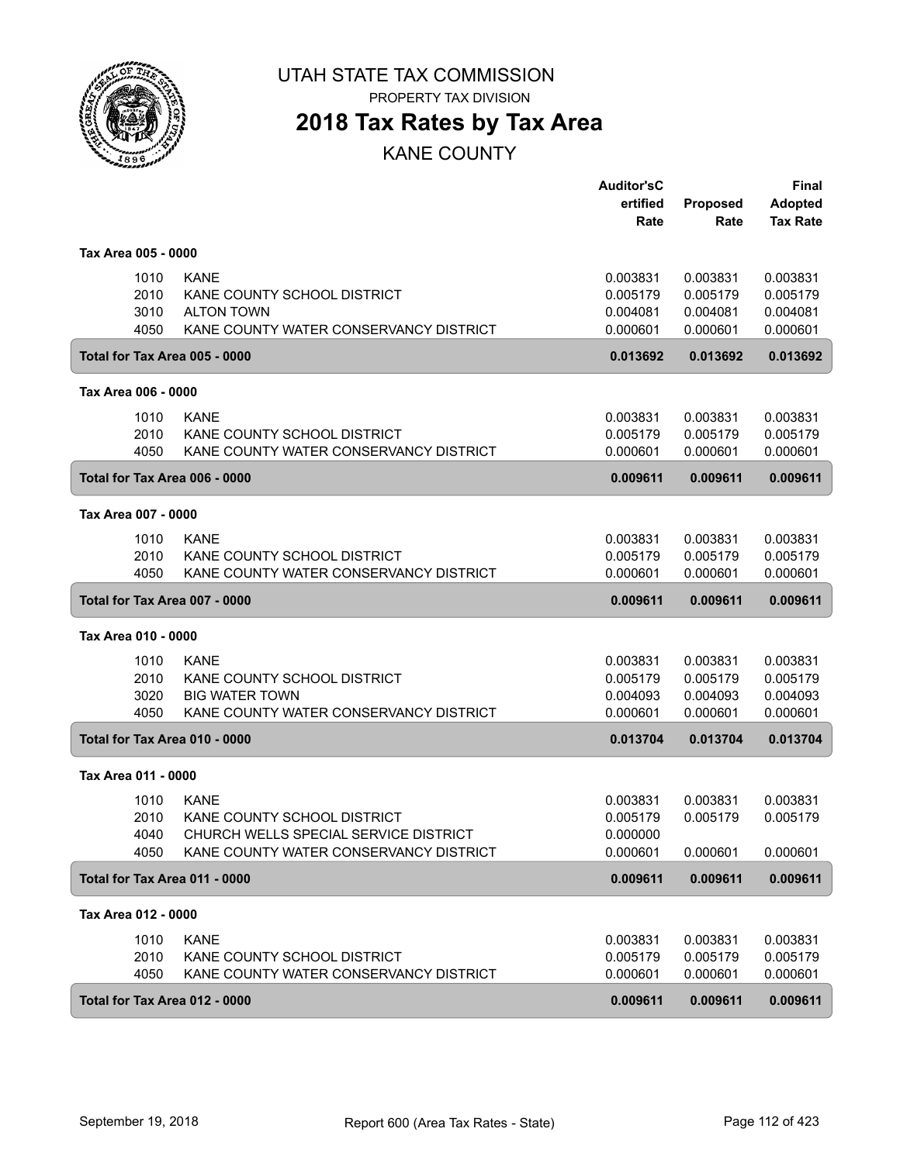

# **2018 Tax Rates by Tax Area**

KANE COUNTY

|                               |                                        | <b>Auditor'sC</b> |                 | <b>Final</b>    |
|-------------------------------|----------------------------------------|-------------------|-----------------|-----------------|
|                               |                                        | ertified          | <b>Proposed</b> | <b>Adopted</b>  |
|                               |                                        | Rate              | Rate            | <b>Tax Rate</b> |
| Tax Area 005 - 0000           |                                        |                   |                 |                 |
| 1010                          | <b>KANE</b>                            | 0.003831          | 0.003831        | 0.003831        |
| 2010                          | KANE COUNTY SCHOOL DISTRICT            | 0.005179          | 0.005179        | 0.005179        |
| 3010                          | <b>ALTON TOWN</b>                      | 0.004081          | 0.004081        | 0.004081        |
| 4050                          | KANE COUNTY WATER CONSERVANCY DISTRICT | 0.000601          | 0.000601        | 0.000601        |
|                               | Total for Tax Area 005 - 0000          | 0.013692          | 0.013692        | 0.013692        |
| Tax Area 006 - 0000           |                                        |                   |                 |                 |
| 1010                          | <b>KANE</b>                            | 0.003831          | 0.003831        | 0.003831        |
| 2010                          | KANE COUNTY SCHOOL DISTRICT            | 0.005179          | 0.005179        | 0.005179        |
| 4050                          | KANE COUNTY WATER CONSERVANCY DISTRICT | 0.000601          | 0.000601        | 0.000601        |
|                               | Total for Tax Area 006 - 0000          | 0.009611          | 0.009611        | 0.009611        |
| Tax Area 007 - 0000           |                                        |                   |                 |                 |
| 1010                          | <b>KANE</b>                            | 0.003831          | 0.003831        | 0.003831        |
| 2010                          | KANE COUNTY SCHOOL DISTRICT            | 0.005179          | 0.005179        | 0.005179        |
| 4050                          | KANE COUNTY WATER CONSERVANCY DISTRICT | 0.000601          | 0.000601        | 0.000601        |
|                               |                                        |                   |                 |                 |
|                               | Total for Tax Area 007 - 0000          | 0.009611          | 0.009611        | 0.009611        |
| Tax Area 010 - 0000           |                                        |                   |                 |                 |
| 1010                          | <b>KANE</b>                            | 0.003831          | 0.003831        | 0.003831        |
| 2010                          | KANE COUNTY SCHOOL DISTRICT            | 0.005179          | 0.005179        | 0.005179        |
| 3020                          | <b>BIG WATER TOWN</b>                  | 0.004093          | 0.004093        | 0.004093        |
| 4050                          | KANE COUNTY WATER CONSERVANCY DISTRICT | 0.000601          | 0.000601        | 0.000601        |
| Total for Tax Area 010 - 0000 |                                        | 0.013704          | 0.013704        | 0.013704        |
| Tax Area 011 - 0000           |                                        |                   |                 |                 |
| 1010                          | <b>KANE</b>                            | 0.003831          | 0.003831        | 0.003831        |
| 2010                          | KANE COUNTY SCHOOL DISTRICT            | 0.005179          | 0.005179        | 0.005179        |
| 4040                          | CHURCH WELLS SPECIAL SERVICE DISTRICT  | 0.000000          |                 |                 |
| 4050                          | KANE COUNTY WATER CONSERVANCY DISTRICT | 0.000601          | 0.000601        | 0.000601        |
| Total for Tax Area 011 - 0000 |                                        | 0.009611          | 0.009611        | 0.009611        |
| Tax Area 012 - 0000           |                                        |                   |                 |                 |
| 1010                          | <b>KANE</b>                            | 0.003831          | 0.003831        | 0.003831        |
| 2010                          | KANE COUNTY SCHOOL DISTRICT            | 0.005179          | 0.005179        | 0.005179        |
| 4050                          | KANE COUNTY WATER CONSERVANCY DISTRICT | 0.000601          | 0.000601        | 0.000601        |
|                               |                                        |                   |                 |                 |
| Total for Tax Area 012 - 0000 |                                        | 0.009611          | 0.009611        | 0.009611        |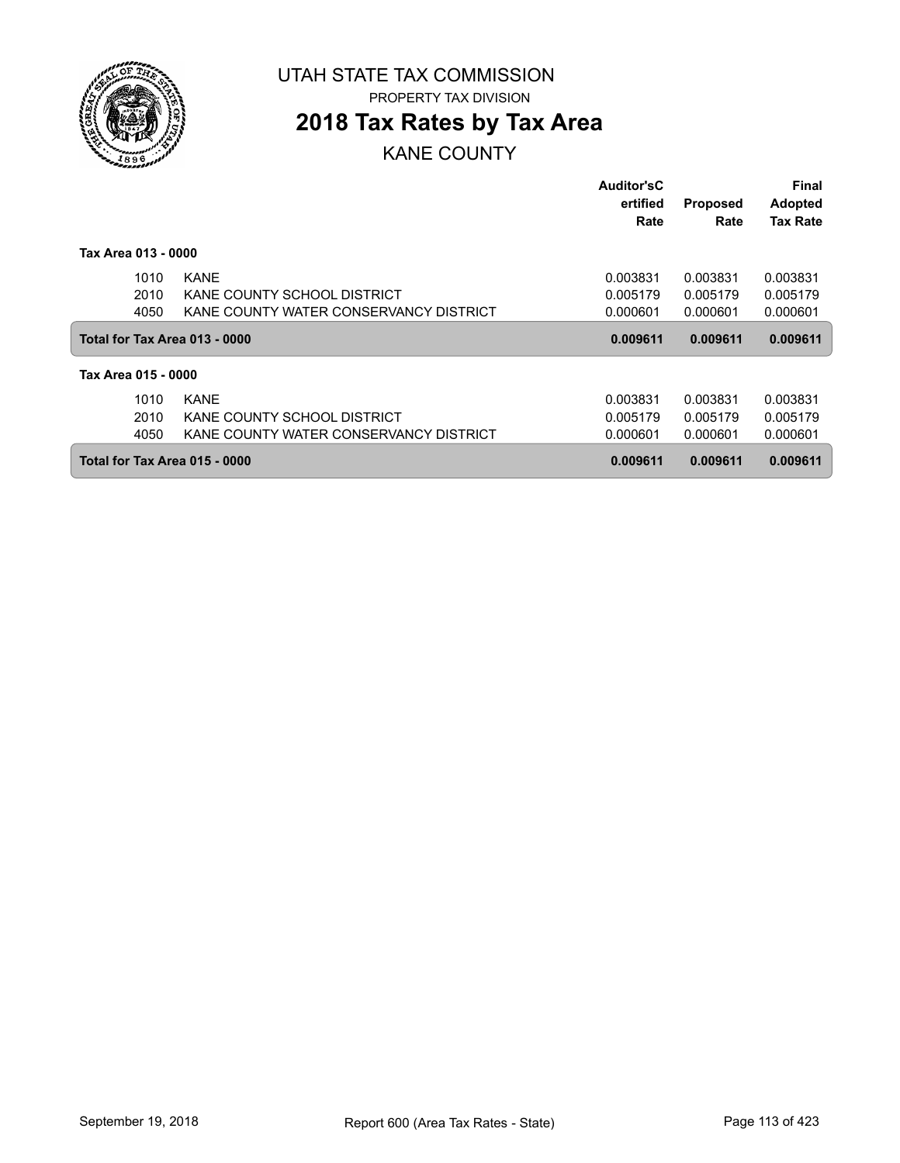

ſ

UTAH STATE TAX COMMISSION PROPERTY TAX DIVISION

### **2018 Tax Rates by Tax Area**

KANE COUNTY

|                               |                                        | <b>Auditor'sC</b> |                 | Final           |
|-------------------------------|----------------------------------------|-------------------|-----------------|-----------------|
|                               |                                        | ertified          | <b>Proposed</b> | <b>Adopted</b>  |
|                               |                                        | Rate              | Rate            | <b>Tax Rate</b> |
| Tax Area 013 - 0000           |                                        |                   |                 |                 |
| 1010                          | <b>KANE</b>                            | 0.003831          | 0.003831        | 0.003831        |
| 2010                          | KANE COUNTY SCHOOL DISTRICT            | 0.005179          | 0.005179        | 0.005179        |
| 4050                          | KANE COUNTY WATER CONSERVANCY DISTRICT | 0.000601          | 0.000601        | 0.000601        |
| Total for Tax Area 013 - 0000 |                                        | 0.009611          | 0.009611        | 0.009611        |
| Tax Area 015 - 0000           |                                        |                   |                 |                 |
| 1010                          | <b>KANE</b>                            | 0.003831          | 0.003831        | 0.003831        |
| 2010                          | KANE COUNTY SCHOOL DISTRICT            | 0.005179          | 0.005179        | 0.005179        |
| 4050                          |                                        |                   |                 |                 |
|                               | KANE COUNTY WATER CONSERVANCY DISTRICT | 0.000601          | 0.000601        | 0.000601        |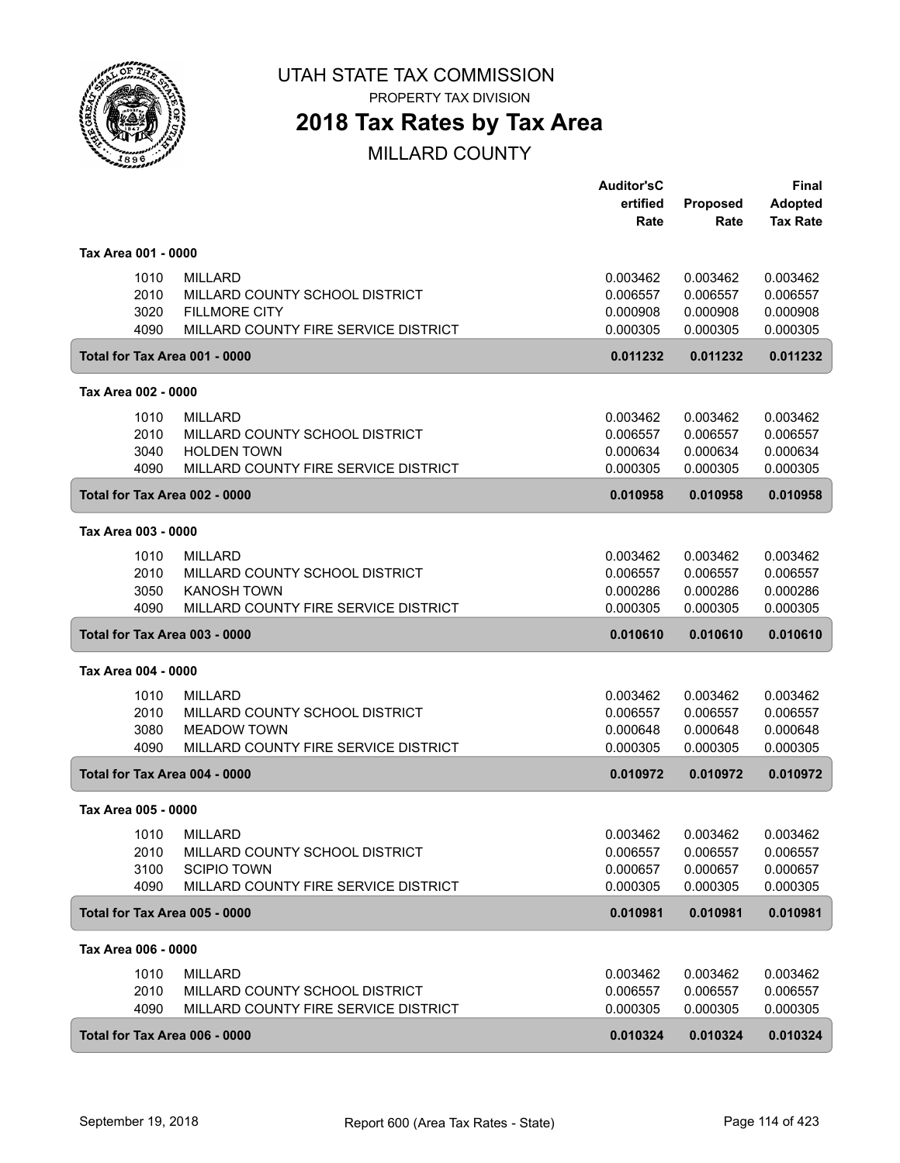

PROPERTY TAX DIVISION

### **2018 Tax Rates by Tax Area**

|                               |                                      | <b>Auditor'sC</b> |          | <b>Final</b>    |
|-------------------------------|--------------------------------------|-------------------|----------|-----------------|
|                               |                                      | ertified          | Proposed | <b>Adopted</b>  |
|                               |                                      | Rate              | Rate     | <b>Tax Rate</b> |
| Tax Area 001 - 0000           |                                      |                   |          |                 |
| 1010                          | <b>MILLARD</b>                       | 0.003462          | 0.003462 | 0.003462        |
| 2010                          | MILLARD COUNTY SCHOOL DISTRICT       | 0.006557          | 0.006557 | 0.006557        |
| 3020                          | <b>FILLMORE CITY</b>                 | 0.000908          | 0.000908 | 0.000908        |
| 4090                          | MILLARD COUNTY FIRE SERVICE DISTRICT | 0.000305          | 0.000305 | 0.000305        |
| Total for Tax Area 001 - 0000 |                                      | 0.011232          | 0.011232 | 0.011232        |
| Tax Area 002 - 0000           |                                      |                   |          |                 |
| 1010                          | <b>MILLARD</b>                       | 0.003462          | 0.003462 | 0.003462        |
| 2010                          | MILLARD COUNTY SCHOOL DISTRICT       | 0.006557          | 0.006557 | 0.006557        |
| 3040                          | <b>HOLDEN TOWN</b>                   | 0.000634          | 0.000634 | 0.000634        |
| 4090                          | MILLARD COUNTY FIRE SERVICE DISTRICT | 0.000305          | 0.000305 | 0.000305        |
| Total for Tax Area 002 - 0000 |                                      | 0.010958          | 0.010958 | 0.010958        |
| Tax Area 003 - 0000           |                                      |                   |          |                 |
| 1010                          | <b>MILLARD</b>                       | 0.003462          | 0.003462 | 0.003462        |
| 2010                          | MILLARD COUNTY SCHOOL DISTRICT       | 0.006557          | 0.006557 | 0.006557        |
| 3050                          | <b>KANOSH TOWN</b>                   | 0.000286          | 0.000286 | 0.000286        |
| 4090                          | MILLARD COUNTY FIRE SERVICE DISTRICT | 0.000305          | 0.000305 | 0.000305        |
| Total for Tax Area 003 - 0000 |                                      | 0.010610          | 0.010610 | 0.010610        |
| Tax Area 004 - 0000           |                                      |                   |          |                 |
| 1010                          | <b>MILLARD</b>                       | 0.003462          | 0.003462 | 0.003462        |
| 2010                          | MILLARD COUNTY SCHOOL DISTRICT       | 0.006557          | 0.006557 | 0.006557        |
| 3080                          | <b>MEADOW TOWN</b>                   | 0.000648          | 0.000648 | 0.000648        |
| 4090                          | MILLARD COUNTY FIRE SERVICE DISTRICT | 0.000305          | 0.000305 | 0.000305        |
| Total for Tax Area 004 - 0000 |                                      | 0.010972          | 0.010972 | 0.010972        |
| Tax Area 005 - 0000           |                                      |                   |          |                 |
| 1010                          | <b>MILLARD</b>                       | 0.003462          | 0.003462 | 0.003462        |
| 2010                          | MILLARD COUNTY SCHOOL DISTRICT       | 0.006557          | 0.006557 | 0.006557        |
| 3100                          | <b>SCIPIO TOWN</b>                   | 0.000657          | 0.000657 | 0.000657        |
| 4090                          | MILLARD COUNTY FIRE SERVICE DISTRICT | 0.000305          | 0.000305 | 0.000305        |
| Total for Tax Area 005 - 0000 |                                      | 0.010981          | 0.010981 | 0.010981        |
| Tax Area 006 - 0000           |                                      |                   |          |                 |
| 1010                          | <b>MILLARD</b>                       | 0.003462          | 0.003462 | 0.003462        |
| 2010                          | MILLARD COUNTY SCHOOL DISTRICT       | 0.006557          | 0.006557 | 0.006557        |
| 4090                          | MILLARD COUNTY FIRE SERVICE DISTRICT | 0.000305          | 0.000305 | 0.000305        |
| Total for Tax Area 006 - 0000 |                                      | 0.010324          | 0.010324 | 0.010324        |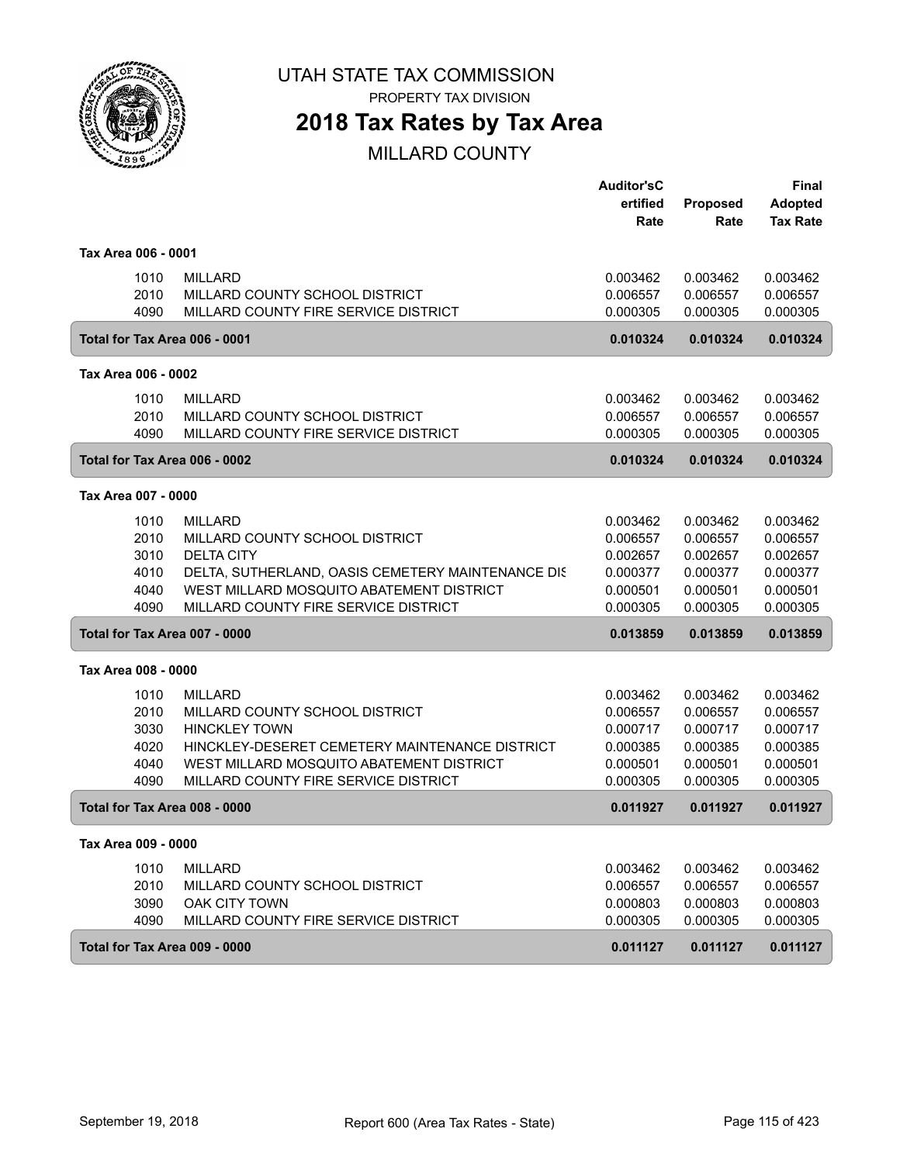

PROPERTY TAX DIVISION

## **2018 Tax Rates by Tax Area**

|                               |                                                   | <b>Auditor'sC</b> |          | Final           |
|-------------------------------|---------------------------------------------------|-------------------|----------|-----------------|
|                               |                                                   | ertified          | Proposed | <b>Adopted</b>  |
|                               |                                                   | Rate              | Rate     | <b>Tax Rate</b> |
| Tax Area 006 - 0001           |                                                   |                   |          |                 |
| 1010                          | <b>MILLARD</b>                                    | 0.003462          | 0.003462 | 0.003462        |
| 2010                          | MILLARD COUNTY SCHOOL DISTRICT                    | 0.006557          | 0.006557 | 0.006557        |
| 4090                          | MILLARD COUNTY FIRE SERVICE DISTRICT              | 0.000305          | 0.000305 | 0.000305        |
|                               |                                                   |                   |          |                 |
| Total for Tax Area 006 - 0001 |                                                   | 0.010324          | 0.010324 | 0.010324        |
| Tax Area 006 - 0002           |                                                   |                   |          |                 |
| 1010                          | <b>MILLARD</b>                                    | 0.003462          | 0.003462 | 0.003462        |
| 2010                          | MILLARD COUNTY SCHOOL DISTRICT                    | 0.006557          | 0.006557 | 0.006557        |
| 4090                          | MILLARD COUNTY FIRE SERVICE DISTRICT              | 0.000305          | 0.000305 | 0.000305        |
| Total for Tax Area 006 - 0002 |                                                   | 0.010324          | 0.010324 | 0.010324        |
| Tax Area 007 - 0000           |                                                   |                   |          |                 |
| 1010                          | <b>MILLARD</b>                                    | 0.003462          | 0.003462 | 0.003462        |
| 2010                          | MILLARD COUNTY SCHOOL DISTRICT                    | 0.006557          | 0.006557 | 0.006557        |
| 3010                          | <b>DELTA CITY</b>                                 | 0.002657          | 0.002657 | 0.002657        |
| 4010                          | DELTA, SUTHERLAND, OASIS CEMETERY MAINTENANCE DIS | 0.000377          | 0.000377 | 0.000377        |
| 4040                          | WEST MILLARD MOSQUITO ABATEMENT DISTRICT          | 0.000501          | 0.000501 | 0.000501        |
| 4090                          | MILLARD COUNTY FIRE SERVICE DISTRICT              | 0.000305          | 0.000305 | 0.000305        |
| Total for Tax Area 007 - 0000 |                                                   | 0.013859          | 0.013859 | 0.013859        |
|                               |                                                   |                   |          |                 |
| Tax Area 008 - 0000           |                                                   |                   |          |                 |
| 1010                          | <b>MILLARD</b>                                    | 0.003462          | 0.003462 | 0.003462        |
| 2010                          | MILLARD COUNTY SCHOOL DISTRICT                    | 0.006557          | 0.006557 | 0.006557        |
| 3030                          | <b>HINCKLEY TOWN</b>                              | 0.000717          | 0.000717 | 0.000717        |
| 4020                          | HINCKLEY-DESERET CEMETERY MAINTENANCE DISTRICT    | 0.000385          | 0.000385 | 0.000385        |
| 4040                          | WEST MILLARD MOSQUITO ABATEMENT DISTRICT          | 0.000501          | 0.000501 | 0.000501        |
| 4090                          | MILLARD COUNTY FIRE SERVICE DISTRICT              | 0.000305          | 0.000305 | 0.000305        |
| Total for Tax Area 008 - 0000 |                                                   | 0.011927          | 0.011927 | 0.011927        |
| Tax Area 009 - 0000           |                                                   |                   |          |                 |
| 1010                          | <b>MILLARD</b>                                    | 0.003462          | 0.003462 | 0.003462        |
| 2010                          | MILLARD COUNTY SCHOOL DISTRICT                    | 0.006557          | 0.006557 | 0.006557        |
| 3090                          | <b>OAK CITY TOWN</b>                              | 0.000803          | 0.000803 | 0.000803        |
| 4090                          | MILLARD COUNTY FIRE SERVICE DISTRICT              | 0.000305          | 0.000305 | 0.000305        |
| Total for Tax Area 009 - 0000 |                                                   | 0.011127          | 0.011127 | 0.011127        |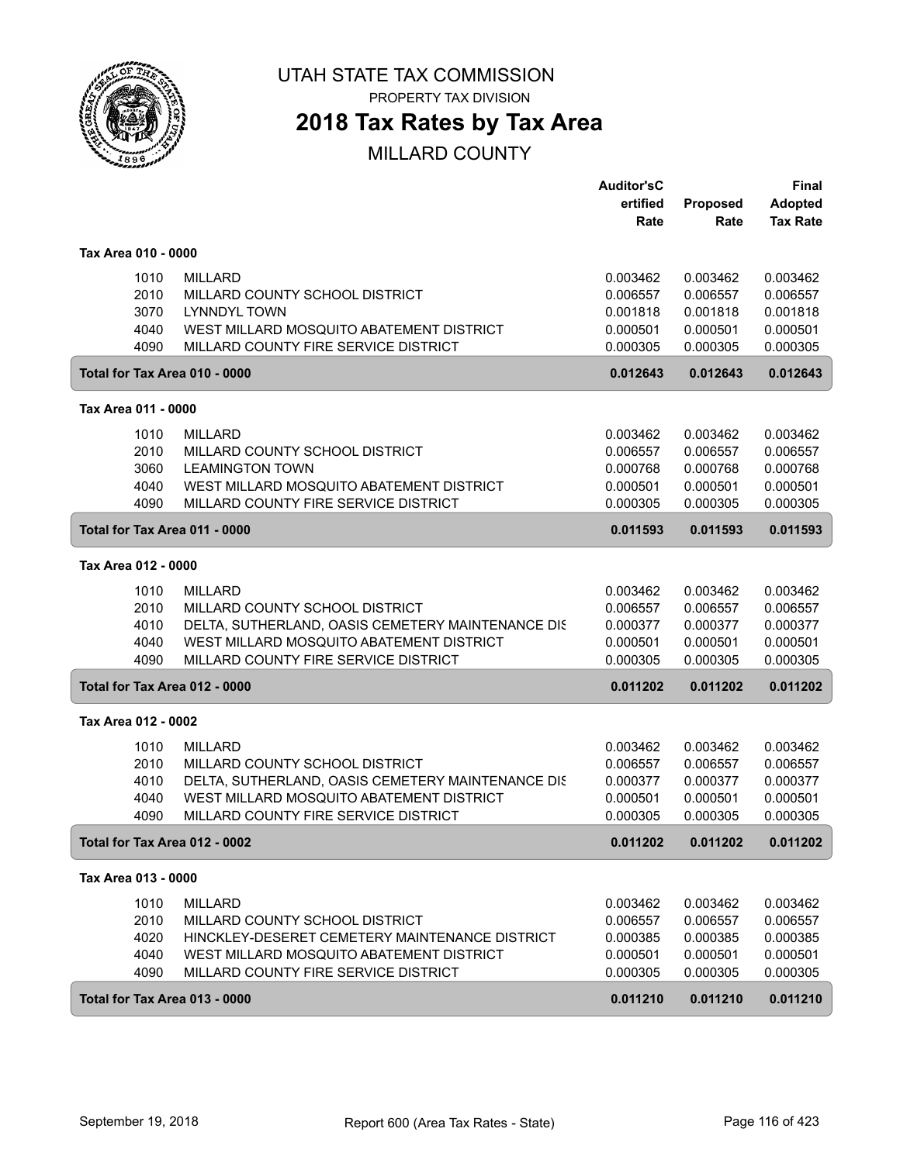

PROPERTY TAX DIVISION

### **2018 Tax Rates by Tax Area**

|                               |                                                   | <b>Auditor'sC</b><br>ertified<br>Rate | <b>Proposed</b><br>Rate | <b>Final</b><br><b>Adopted</b><br><b>Tax Rate</b> |
|-------------------------------|---------------------------------------------------|---------------------------------------|-------------------------|---------------------------------------------------|
| Tax Area 010 - 0000           |                                                   |                                       |                         |                                                   |
| 1010                          | <b>MILLARD</b>                                    | 0.003462                              | 0.003462                | 0.003462                                          |
| 2010                          | MILLARD COUNTY SCHOOL DISTRICT                    | 0.006557                              | 0.006557                | 0.006557                                          |
| 3070                          | <b>LYNNDYL TOWN</b>                               | 0.001818                              | 0.001818                | 0.001818                                          |
| 4040                          | WEST MILLARD MOSQUITO ABATEMENT DISTRICT          | 0.000501                              | 0.000501                | 0.000501                                          |
| 4090                          | MILLARD COUNTY FIRE SERVICE DISTRICT              | 0.000305                              | 0.000305                | 0.000305                                          |
| Total for Tax Area 010 - 0000 |                                                   | 0.012643                              | 0.012643                | 0.012643                                          |
| Tax Area 011 - 0000           |                                                   |                                       |                         |                                                   |
| 1010                          | <b>MILLARD</b>                                    | 0.003462                              | 0.003462                | 0.003462                                          |
| 2010                          | MILLARD COUNTY SCHOOL DISTRICT                    | 0.006557                              | 0.006557                | 0.006557                                          |
| 3060                          | <b>LEAMINGTON TOWN</b>                            | 0.000768                              | 0.000768                | 0.000768                                          |
| 4040                          | WEST MILLARD MOSQUITO ABATEMENT DISTRICT          | 0.000501                              | 0.000501                | 0.000501                                          |
| 4090                          | MILLARD COUNTY FIRE SERVICE DISTRICT              | 0.000305                              | 0.000305                | 0.000305                                          |
| Total for Tax Area 011 - 0000 |                                                   | 0.011593                              | 0.011593                | 0.011593                                          |
| Tax Area 012 - 0000           |                                                   |                                       |                         |                                                   |
| 1010                          | <b>MILLARD</b>                                    | 0.003462                              | 0.003462                | 0.003462                                          |
| 2010                          | MILLARD COUNTY SCHOOL DISTRICT                    | 0.006557                              | 0.006557                | 0.006557                                          |
| 4010                          | DELTA, SUTHERLAND, OASIS CEMETERY MAINTENANCE DIS | 0.000377                              | 0.000377                | 0.000377                                          |
| 4040                          | WEST MILLARD MOSQUITO ABATEMENT DISTRICT          | 0.000501                              | 0.000501                | 0.000501                                          |
| 4090                          | MILLARD COUNTY FIRE SERVICE DISTRICT              | 0.000305                              | 0.000305                | 0.000305                                          |
| Total for Tax Area 012 - 0000 |                                                   | 0.011202                              | 0.011202                | 0.011202                                          |
| Tax Area 012 - 0002           |                                                   |                                       |                         |                                                   |
| 1010                          | <b>MILLARD</b>                                    | 0.003462                              | 0.003462                | 0.003462                                          |
| 2010                          | MILLARD COUNTY SCHOOL DISTRICT                    | 0.006557                              | 0.006557                | 0.006557                                          |
| 4010                          | DELTA, SUTHERLAND, OASIS CEMETERY MAINTENANCE DIS | 0.000377                              | 0.000377                | 0.000377                                          |
| 4040                          | WEST MILLARD MOSQUITO ABATEMENT DISTRICT          | 0.000501                              | 0.000501                | 0.000501                                          |
| 4090                          | MILLARD COUNTY FIRE SERVICE DISTRICT              | 0.000305                              | 0.000305                | 0.000305                                          |
| Total for Tax Area 012 - 0002 |                                                   | 0.011202                              | 0.011202                | 0.011202                                          |
| Tax Area 013 - 0000           |                                                   |                                       |                         |                                                   |
| 1010                          | MILLARD                                           | 0.003462                              | 0.003462                | 0.003462                                          |
| 2010                          | MILLARD COUNTY SCHOOL DISTRICT                    | 0.006557                              | 0.006557                | 0.006557                                          |
| 4020                          | HINCKLEY-DESERET CEMETERY MAINTENANCE DISTRICT    | 0.000385                              | 0.000385                | 0.000385                                          |
| 4040                          | WEST MILLARD MOSQUITO ABATEMENT DISTRICT          | 0.000501                              | 0.000501                | 0.000501                                          |
| 4090                          | MILLARD COUNTY FIRE SERVICE DISTRICT              | 0.000305                              | 0.000305                | 0.000305                                          |
| Total for Tax Area 013 - 0000 |                                                   | 0.011210                              | 0.011210                | 0.011210                                          |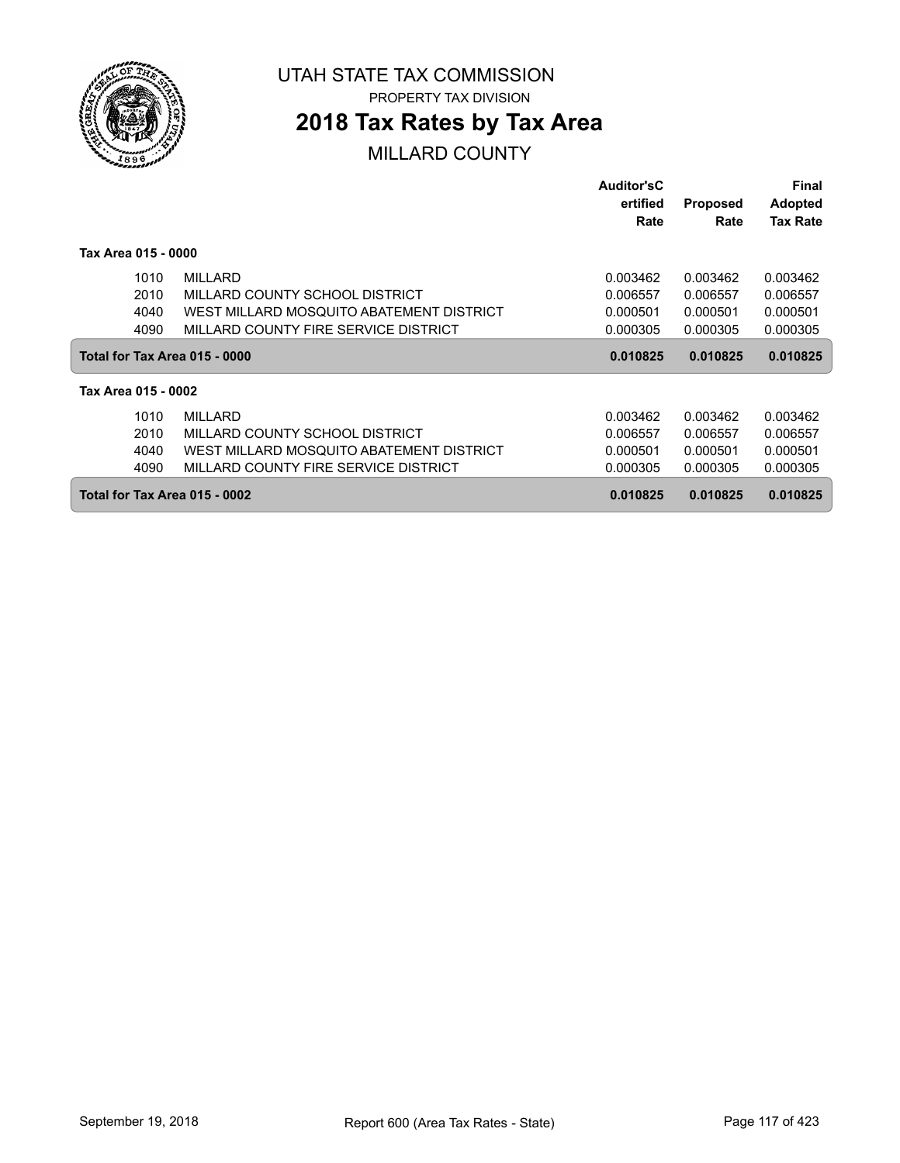

PROPERTY TAX DIVISION

### **2018 Tax Rates by Tax Area**

|                               |                                          | <b>Auditor'sC</b><br>ertified | <b>Proposed</b> | Final<br><b>Adopted</b> |
|-------------------------------|------------------------------------------|-------------------------------|-----------------|-------------------------|
|                               |                                          | Rate                          | Rate            | <b>Tax Rate</b>         |
| Tax Area 015 - 0000           |                                          |                               |                 |                         |
| 1010                          | <b>MILLARD</b>                           | 0.003462                      | 0.003462        | 0.003462                |
| 2010                          | MILLARD COUNTY SCHOOL DISTRICT           | 0.006557                      | 0.006557        | 0.006557                |
| 4040                          | WEST MILLARD MOSQUITO ABATEMENT DISTRICT | 0.000501                      | 0.000501        | 0.000501                |
| 4090                          | MILLARD COUNTY FIRE SERVICE DISTRICT     | 0.000305                      | 0.000305        | 0.000305                |
| Total for Tax Area 015 - 0000 |                                          | 0.010825                      | 0.010825        | 0.010825                |
| Tax Area 015 - 0002           |                                          |                               |                 |                         |
| 1010                          | <b>MILLARD</b>                           | 0.003462                      | 0.003462        | 0.003462                |
| 2010                          | MILLARD COUNTY SCHOOL DISTRICT           | 0.006557                      | 0.006557        | 0.006557                |
| 4040                          | WEST MILLARD MOSQUITO ABATEMENT DISTRICT | 0.000501                      | 0.000501        | 0.000501                |
| 4090                          | MILLARD COUNTY FIRE SERVICE DISTRICT     | 0.000305                      | 0.000305        | 0.000305                |
| Total for Tax Area 015 - 0002 |                                          | 0.010825                      | 0.010825        | 0.010825                |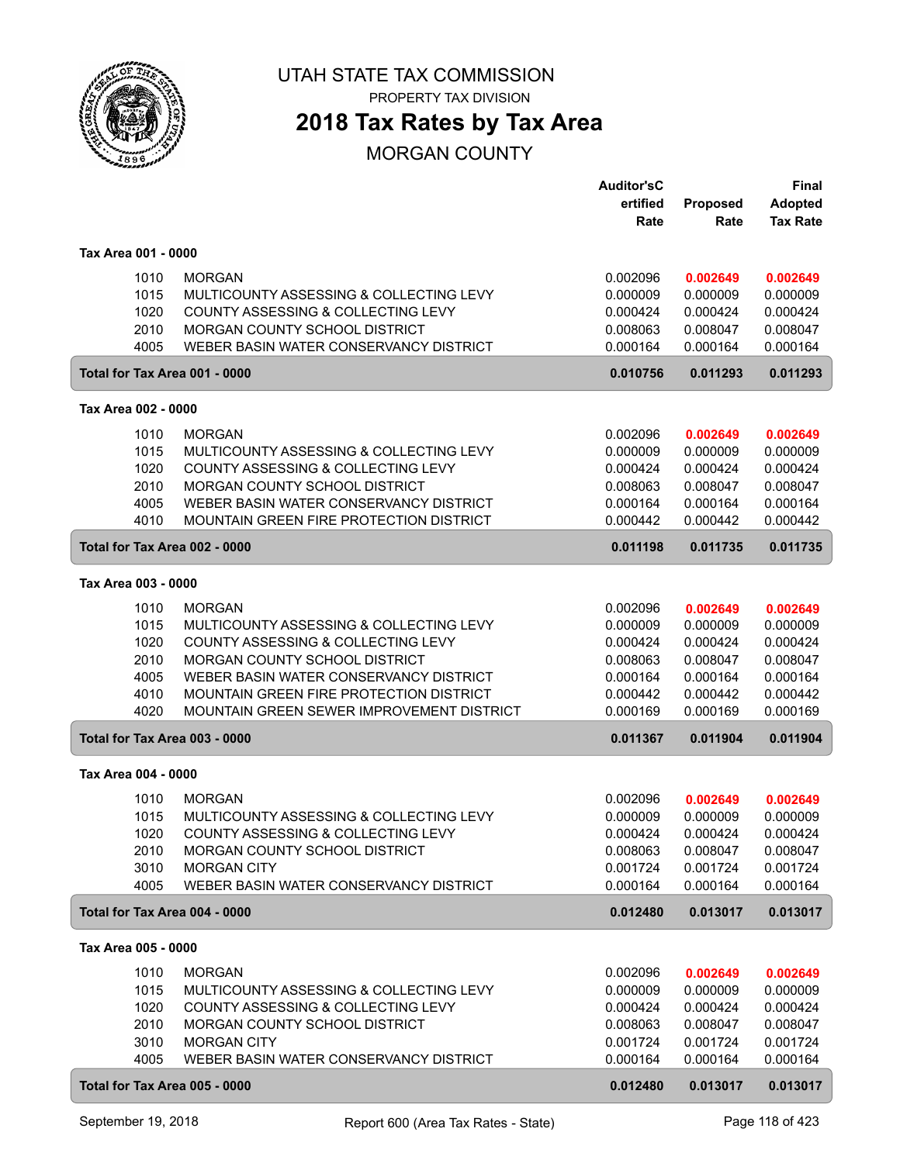

PROPERTY TAX DIVISION

## **2018 Tax Rates by Tax Area**

MORGAN COUNTY

| Proposed<br>Rate<br>Rate<br>Tax Area 001 - 0000<br>1010<br><b>MORGAN</b><br>0.002096<br>0.002649                                        | <b>Adopted</b><br><b>Tax Rate</b><br>0.002649 |
|-----------------------------------------------------------------------------------------------------------------------------------------|-----------------------------------------------|
|                                                                                                                                         |                                               |
|                                                                                                                                         |                                               |
|                                                                                                                                         |                                               |
| 1015<br>MULTICOUNTY ASSESSING & COLLECTING LEVY<br>0.000009<br>0.000009                                                                 | 0.000009                                      |
| 1020<br>COUNTY ASSESSING & COLLECTING LEVY<br>0.000424<br>0.000424                                                                      | 0.000424                                      |
| 2010<br>MORGAN COUNTY SCHOOL DISTRICT<br>0.008063<br>0.008047<br>4005<br>WEBER BASIN WATER CONSERVANCY DISTRICT<br>0.000164<br>0.000164 | 0.008047<br>0.000164                          |
| Total for Tax Area 001 - 0000<br>0.010756<br>0.011293                                                                                   | 0.011293                                      |
|                                                                                                                                         |                                               |
| Tax Area 002 - 0000                                                                                                                     |                                               |
| <b>MORGAN</b><br>1010<br>0.002096<br>0.002649                                                                                           | 0.002649                                      |
| 1015<br>MULTICOUNTY ASSESSING & COLLECTING LEVY<br>0.000009<br>0.000009                                                                 | 0.000009                                      |
| 1020<br>COUNTY ASSESSING & COLLECTING LEVY<br>0.000424<br>0.000424                                                                      | 0.000424                                      |
| 2010<br>MORGAN COUNTY SCHOOL DISTRICT<br>0.008063<br>0.008047<br>WEBER BASIN WATER CONSERVANCY DISTRICT<br>4005<br>0.000164<br>0.000164 | 0.008047<br>0.000164                          |
| 4010<br><b>MOUNTAIN GREEN FIRE PROTECTION DISTRICT</b><br>0.000442<br>0.000442                                                          | 0.000442                                      |
| Total for Tax Area 002 - 0000<br>0.011198<br>0.011735                                                                                   | 0.011735                                      |
|                                                                                                                                         |                                               |
| Tax Area 003 - 0000                                                                                                                     |                                               |
| 1010<br><b>MORGAN</b><br>0.002096<br>0.002649<br>1015<br>MULTICOUNTY ASSESSING & COLLECTING LEVY<br>0.000009<br>0.000009                | 0.002649<br>0.000009                          |
| COUNTY ASSESSING & COLLECTING LEVY<br>1020<br>0.000424<br>0.000424                                                                      | 0.000424                                      |
| 2010<br>MORGAN COUNTY SCHOOL DISTRICT<br>0.008063<br>0.008047                                                                           | 0.008047                                      |
| 4005<br>WEBER BASIN WATER CONSERVANCY DISTRICT<br>0.000164<br>0.000164                                                                  | 0.000164                                      |
| 4010<br>MOUNTAIN GREEN FIRE PROTECTION DISTRICT<br>0.000442<br>0.000442                                                                 | 0.000442                                      |
| 4020<br>MOUNTAIN GREEN SEWER IMPROVEMENT DISTRICT<br>0.000169<br>0.000169                                                               | 0.000169                                      |
| Total for Tax Area 003 - 0000<br>0.011367<br>0.011904                                                                                   | 0.011904                                      |
| Tax Area 004 - 0000                                                                                                                     |                                               |
| <b>MORGAN</b><br>1010<br>0.002096<br>0.002649                                                                                           | 0.002649                                      |
| 1015<br>MULTICOUNTY ASSESSING & COLLECTING LEVY<br>0.000009<br>0.000009                                                                 | 0.000009                                      |
| 1020<br>COUNTY ASSESSING & COLLECTING LEVY<br>0.000424<br>0.000424                                                                      | 0.000424                                      |
| 2010<br>MORGAN COUNTY SCHOOL DISTRICT<br>0.008063<br>0.008047                                                                           | 0.008047                                      |
| 3010<br>0.001724<br><b>MORGAN CITY</b><br>0.001724                                                                                      | 0.001724                                      |
| 4005<br>WEBER BASIN WATER CONSERVANCY DISTRICT<br>0.000164<br>0.000164                                                                  | 0.000164                                      |
| Total for Tax Area 004 - 0000<br>0.012480<br>0.013017                                                                                   | 0.013017                                      |
| Tax Area 005 - 0000                                                                                                                     |                                               |
| 1010<br><b>MORGAN</b><br>0.002096<br>0.002649                                                                                           | 0.002649                                      |
| 1015<br>MULTICOUNTY ASSESSING & COLLECTING LEVY<br>0.000009<br>0.000009                                                                 | 0.000009                                      |
| 1020<br>COUNTY ASSESSING & COLLECTING LEVY<br>0.000424<br>0.000424                                                                      | 0.000424                                      |
| 2010<br>MORGAN COUNTY SCHOOL DISTRICT<br>0.008063<br>0.008047                                                                           | 0.008047                                      |
| 3010<br><b>MORGAN CITY</b><br>0.001724<br>0.001724                                                                                      | 0.001724                                      |
| 4005<br>WEBER BASIN WATER CONSERVANCY DISTRICT<br>0.000164<br>0.000164                                                                  | 0.000164                                      |
| Total for Tax Area 005 - 0000<br>0.012480<br>0.013017                                                                                   | 0.013017                                      |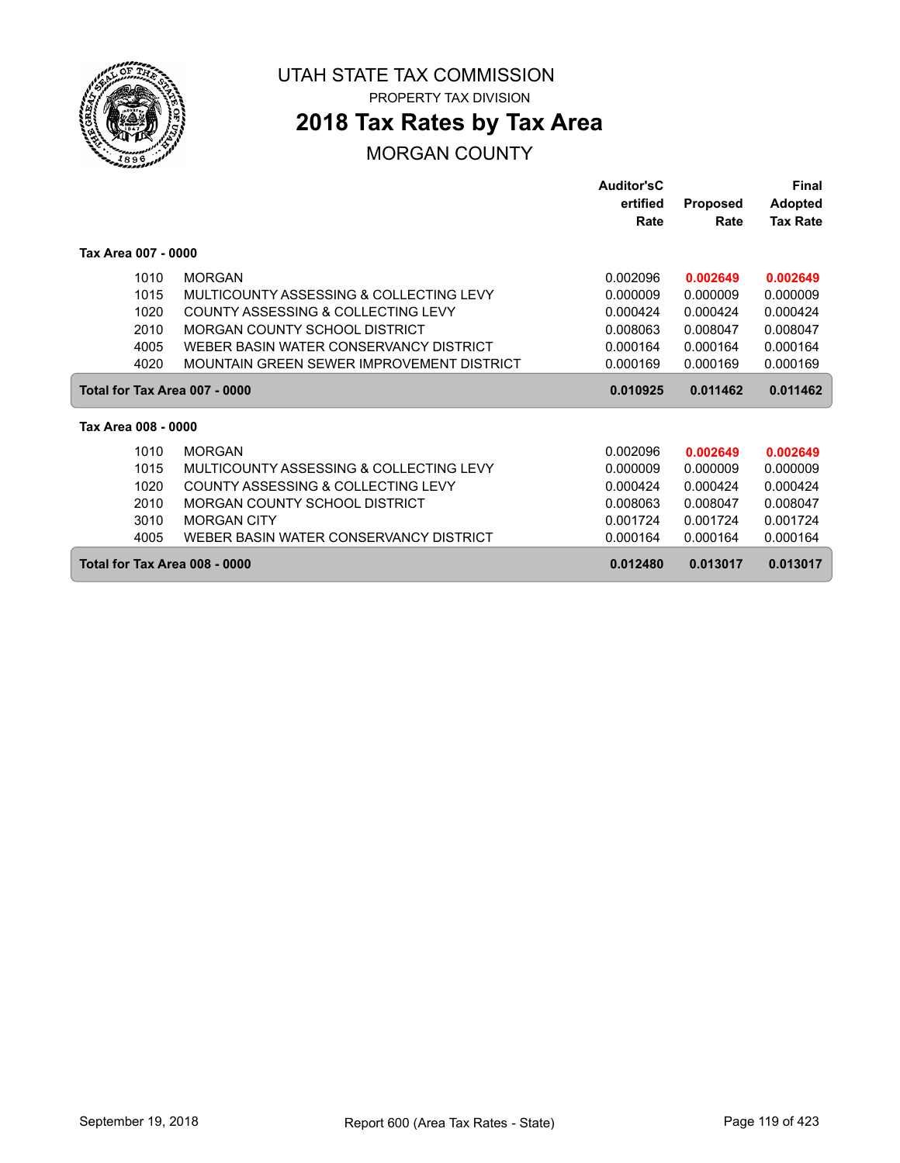

## **2018 Tax Rates by Tax Area**

#### MORGAN COUNTY

|                               |                                           | <b>Auditor'sC</b> |                 | Final           |
|-------------------------------|-------------------------------------------|-------------------|-----------------|-----------------|
|                               |                                           | ertified          | <b>Proposed</b> | <b>Adopted</b>  |
|                               |                                           | Rate              | Rate            | <b>Tax Rate</b> |
| Tax Area 007 - 0000           |                                           |                   |                 |                 |
| 1010                          | <b>MORGAN</b>                             | 0.002096          | 0.002649        | 0.002649        |
| 1015                          | MULTICOUNTY ASSESSING & COLLECTING LEVY   | 0.000009          | 0.000009        | 0.000009        |
| 1020                          | COUNTY ASSESSING & COLLECTING LEVY        | 0.000424          | 0.000424        | 0.000424        |
| 2010                          | MORGAN COUNTY SCHOOL DISTRICT             | 0.008063          | 0.008047        | 0.008047        |
| 4005                          | WEBER BASIN WATER CONSERVANCY DISTRICT    | 0.000164          | 0.000164        | 0.000164        |
| 4020                          | MOUNTAIN GREEN SEWER IMPROVEMENT DISTRICT | 0.000169          | 0.000169        | 0.000169        |
| Total for Tax Area 007 - 0000 |                                           | 0.010925          | 0.011462        | 0.011462        |
| Tax Area 008 - 0000           |                                           |                   |                 |                 |
| 1010                          | <b>MORGAN</b>                             | 0.002096          | 0.002649        | 0.002649        |
| 1015                          | MULTICOUNTY ASSESSING & COLLECTING LEVY   | 0.000009          | 0.000009        | 0.000009        |
| 1020                          | COUNTY ASSESSING & COLLECTING LEVY        | 0.000424          | 0.000424        | 0.000424        |
| 2010                          | MORGAN COUNTY SCHOOL DISTRICT             | 0.008063          | 0.008047        | 0.008047        |
| 3010                          | <b>MORGAN CITY</b>                        | 0.001724          | 0.001724        | 0.001724        |
| 4005                          | WEBER BASIN WATER CONSERVANCY DISTRICT    | 0.000164          | 0.000164        | 0.000164        |
| Total for Tax Area 008 - 0000 |                                           | 0.012480          | 0.013017        | 0.013017        |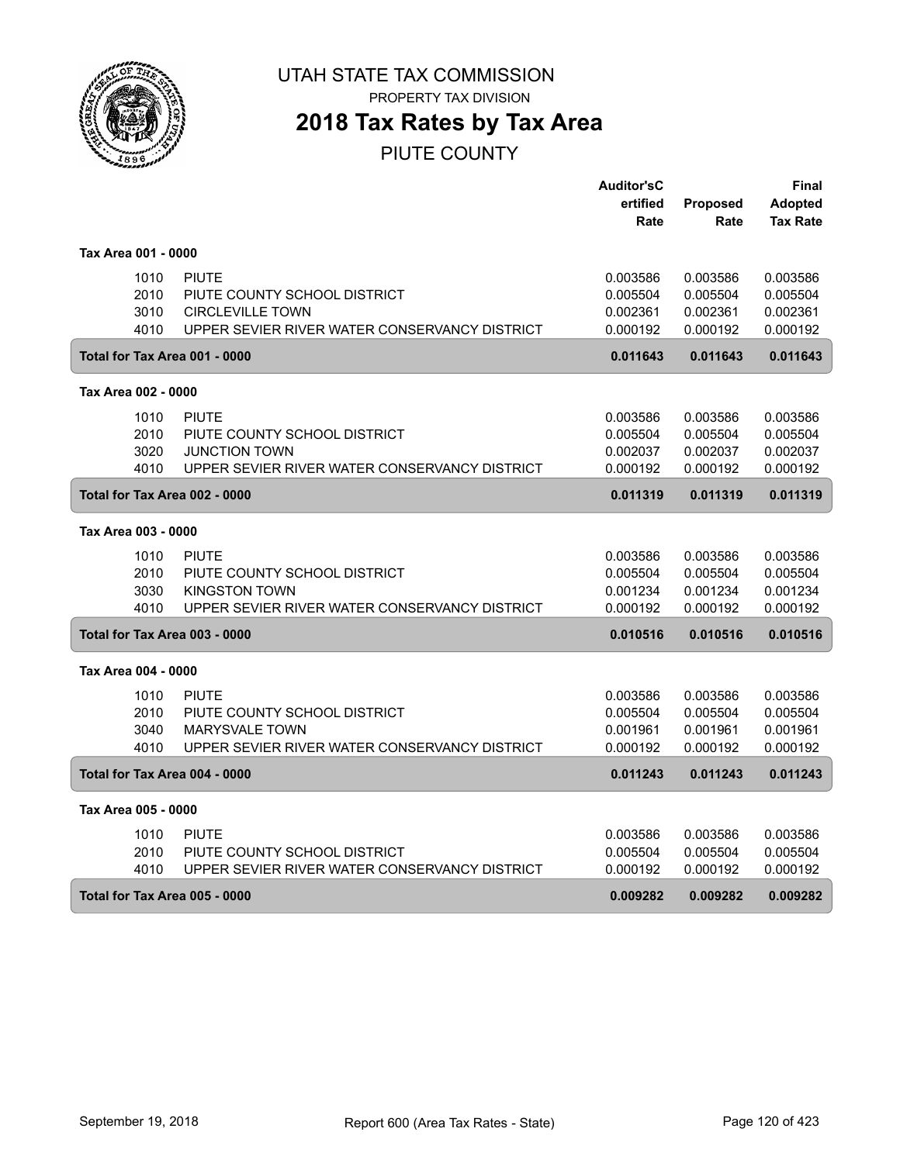

# **2018 Tax Rates by Tax Area**

PIUTE COUNTY

|                               |                                               | <b>Auditor'sC</b> |          | Final           |
|-------------------------------|-----------------------------------------------|-------------------|----------|-----------------|
|                               |                                               | ertified          | Proposed | <b>Adopted</b>  |
|                               |                                               | Rate              | Rate     | <b>Tax Rate</b> |
| Tax Area 001 - 0000           |                                               |                   |          |                 |
| 1010                          | <b>PIUTE</b>                                  | 0.003586          | 0.003586 | 0.003586        |
| 2010                          | PIUTE COUNTY SCHOOL DISTRICT                  | 0.005504          | 0.005504 | 0.005504        |
| 3010                          | <b>CIRCLEVILLE TOWN</b>                       | 0.002361          | 0.002361 | 0.002361        |
| 4010                          | UPPER SEVIER RIVER WATER CONSERVANCY DISTRICT | 0.000192          | 0.000192 | 0.000192        |
| Total for Tax Area 001 - 0000 |                                               | 0.011643          | 0.011643 | 0.011643        |
| Tax Area 002 - 0000           |                                               |                   |          |                 |
| 1010                          | <b>PIUTE</b>                                  | 0.003586          | 0.003586 | 0.003586        |
| 2010                          | PIUTE COUNTY SCHOOL DISTRICT                  | 0.005504          | 0.005504 | 0.005504        |
| 3020                          | <b>JUNCTION TOWN</b>                          | 0.002037          | 0.002037 | 0.002037        |
| 4010                          | UPPER SEVIER RIVER WATER CONSERVANCY DISTRICT | 0.000192          | 0.000192 | 0.000192        |
| Total for Tax Area 002 - 0000 |                                               | 0.011319          | 0.011319 | 0.011319        |
| Tax Area 003 - 0000           |                                               |                   |          |                 |
| 1010                          | <b>PIUTE</b>                                  | 0.003586          | 0.003586 | 0.003586        |
| 2010                          | PIUTE COUNTY SCHOOL DISTRICT                  | 0.005504          | 0.005504 | 0.005504        |
| 3030                          | <b>KINGSTON TOWN</b>                          | 0.001234          | 0.001234 | 0.001234        |
| 4010                          | UPPER SEVIER RIVER WATER CONSERVANCY DISTRICT | 0.000192          | 0.000192 | 0.000192        |
| Total for Tax Area 003 - 0000 |                                               | 0.010516          | 0.010516 | 0.010516        |
| Tax Area 004 - 0000           |                                               |                   |          |                 |
| 1010                          | <b>PIUTE</b>                                  | 0.003586          | 0.003586 | 0.003586        |
| 2010                          | PIUTE COUNTY SCHOOL DISTRICT                  | 0.005504          | 0.005504 | 0.005504        |
| 3040                          | <b>MARYSVALE TOWN</b>                         | 0.001961          | 0.001961 | 0.001961        |
| 4010                          | UPPER SEVIER RIVER WATER CONSERVANCY DISTRICT | 0.000192          | 0.000192 | 0.000192        |
| Total for Tax Area 004 - 0000 |                                               | 0.011243          | 0.011243 | 0.011243        |
| Tax Area 005 - 0000           |                                               |                   |          |                 |
| 1010                          | <b>PIUTE</b>                                  | 0.003586          | 0.003586 | 0.003586        |
| 2010                          | PIUTE COUNTY SCHOOL DISTRICT                  | 0.005504          | 0.005504 | 0.005504        |
| 4010                          | UPPER SEVIER RIVER WATER CONSERVANCY DISTRICT | 0.000192          | 0.000192 | 0.000192        |
| Total for Tax Area 005 - 0000 |                                               | 0.009282          | 0.009282 | 0.009282        |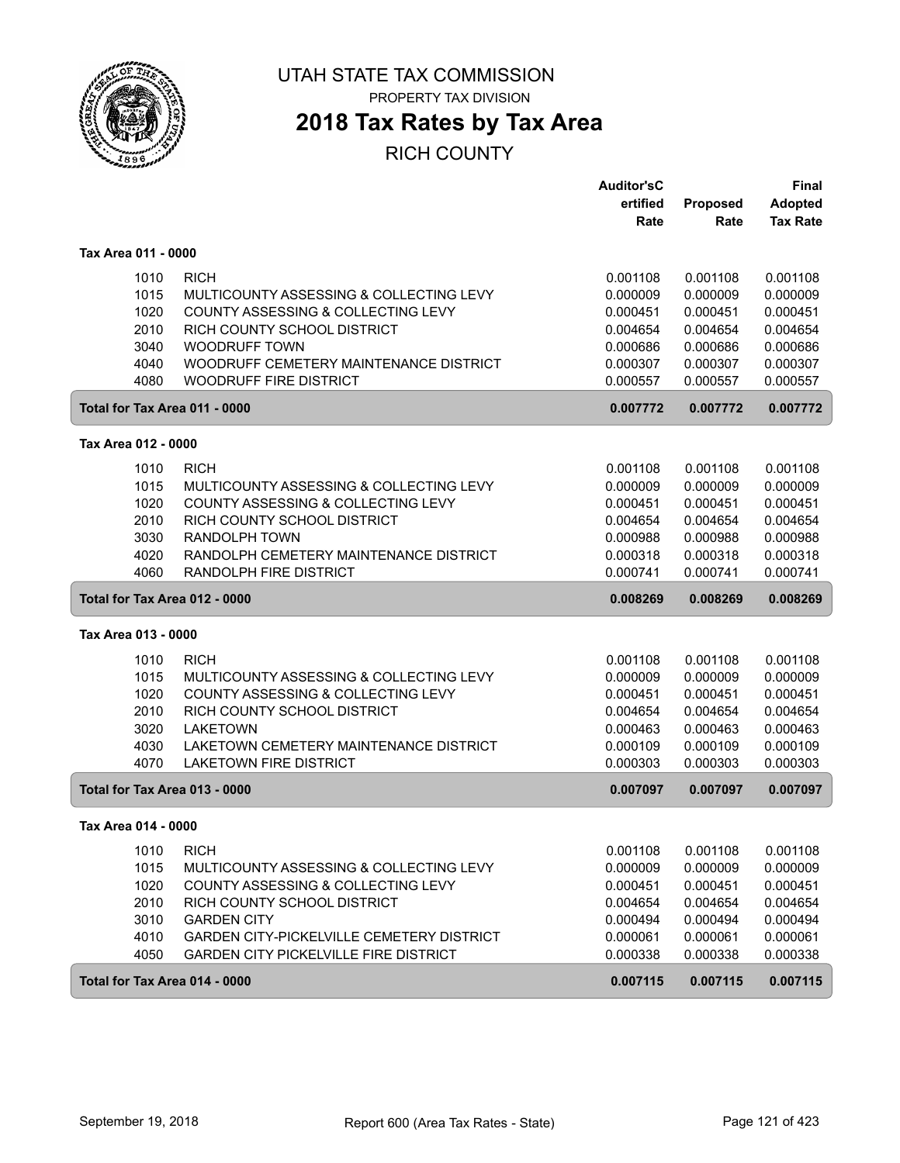

PROPERTY TAX DIVISION

# **2018 Tax Rates by Tax Area**

|                               |                                              | <b>Auditor'sC</b> |          | <b>Final</b>    |
|-------------------------------|----------------------------------------------|-------------------|----------|-----------------|
|                               |                                              | ertified          | Proposed | <b>Adopted</b>  |
|                               |                                              | Rate              | Rate     | <b>Tax Rate</b> |
| Tax Area 011 - 0000           |                                              |                   |          |                 |
| 1010                          | <b>RICH</b>                                  | 0.001108          | 0.001108 | 0.001108        |
| 1015                          | MULTICOUNTY ASSESSING & COLLECTING LEVY      | 0.000009          | 0.000009 | 0.000009        |
| 1020                          | COUNTY ASSESSING & COLLECTING LEVY           | 0.000451          | 0.000451 | 0.000451        |
| 2010                          | RICH COUNTY SCHOOL DISTRICT                  | 0.004654          | 0.004654 | 0.004654        |
| 3040                          | <b>WOODRUFF TOWN</b>                         | 0.000686          | 0.000686 | 0.000686        |
| 4040                          | WOODRUFF CEMETERY MAINTENANCE DISTRICT       | 0.000307          | 0.000307 | 0.000307        |
| 4080                          | <b>WOODRUFF FIRE DISTRICT</b>                | 0.000557          | 0.000557 | 0.000557        |
| Total for Tax Area 011 - 0000 |                                              | 0.007772          | 0.007772 | 0.007772        |
| Tax Area 012 - 0000           |                                              |                   |          |                 |
| 1010                          | <b>RICH</b>                                  | 0.001108          | 0.001108 | 0.001108        |
| 1015                          | MULTICOUNTY ASSESSING & COLLECTING LEVY      | 0.000009          | 0.000009 | 0.000009        |
| 1020                          | COUNTY ASSESSING & COLLECTING LEVY           | 0.000451          | 0.000451 | 0.000451        |
| 2010                          | RICH COUNTY SCHOOL DISTRICT                  | 0.004654          | 0.004654 | 0.004654        |
| 3030                          | <b>RANDOLPH TOWN</b>                         | 0.000988          | 0.000988 | 0.000988        |
| 4020                          | RANDOLPH CEMETERY MAINTENANCE DISTRICT       | 0.000318          | 0.000318 | 0.000318        |
| 4060                          | <b>RANDOLPH FIRE DISTRICT</b>                | 0.000741          | 0.000741 | 0.000741        |
|                               |                                              |                   |          |                 |
| Total for Tax Area 012 - 0000 |                                              | 0.008269          | 0.008269 | 0.008269        |
| Tax Area 013 - 0000           |                                              |                   |          |                 |
| 1010                          | <b>RICH</b>                                  | 0.001108          | 0.001108 | 0.001108        |
| 1015                          | MULTICOUNTY ASSESSING & COLLECTING LEVY      | 0.000009          | 0.000009 | 0.000009        |
| 1020                          | COUNTY ASSESSING & COLLECTING LEVY           | 0.000451          | 0.000451 | 0.000451        |
| 2010                          | RICH COUNTY SCHOOL DISTRICT                  | 0.004654          | 0.004654 | 0.004654        |
| 3020                          | <b>LAKETOWN</b>                              | 0.000463          | 0.000463 | 0.000463        |
| 4030                          | LAKETOWN CEMETERY MAINTENANCE DISTRICT       | 0.000109          | 0.000109 | 0.000109        |
| 4070                          | <b>LAKETOWN FIRE DISTRICT</b>                | 0.000303          | 0.000303 | 0.000303        |
| Total for Tax Area 013 - 0000 |                                              | 0.007097          | 0.007097 | 0.007097        |
| Tax Area 014 - 0000           |                                              |                   |          |                 |
| 1010                          | <b>RICH</b>                                  | 0.001108          | 0.001108 | 0.001108        |
| 1015                          | MULTICOUNTY ASSESSING & COLLECTING LEVY      | 0.000009          | 0.000009 | 0.000009        |
| 1020                          | COUNTY ASSESSING & COLLECTING LEVY           | 0.000451          | 0.000451 | 0.000451        |
| 2010                          | RICH COUNTY SCHOOL DISTRICT                  | 0.004654          | 0.004654 | 0.004654        |
| 3010                          | <b>GARDEN CITY</b>                           | 0.000494          | 0.000494 | 0.000494        |
| 4010                          | GARDEN CITY-PICKELVILLE CEMETERY DISTRICT    | 0.000061          | 0.000061 | 0.000061        |
| 4050                          | <b>GARDEN CITY PICKELVILLE FIRE DISTRICT</b> | 0.000338          | 0.000338 | 0.000338        |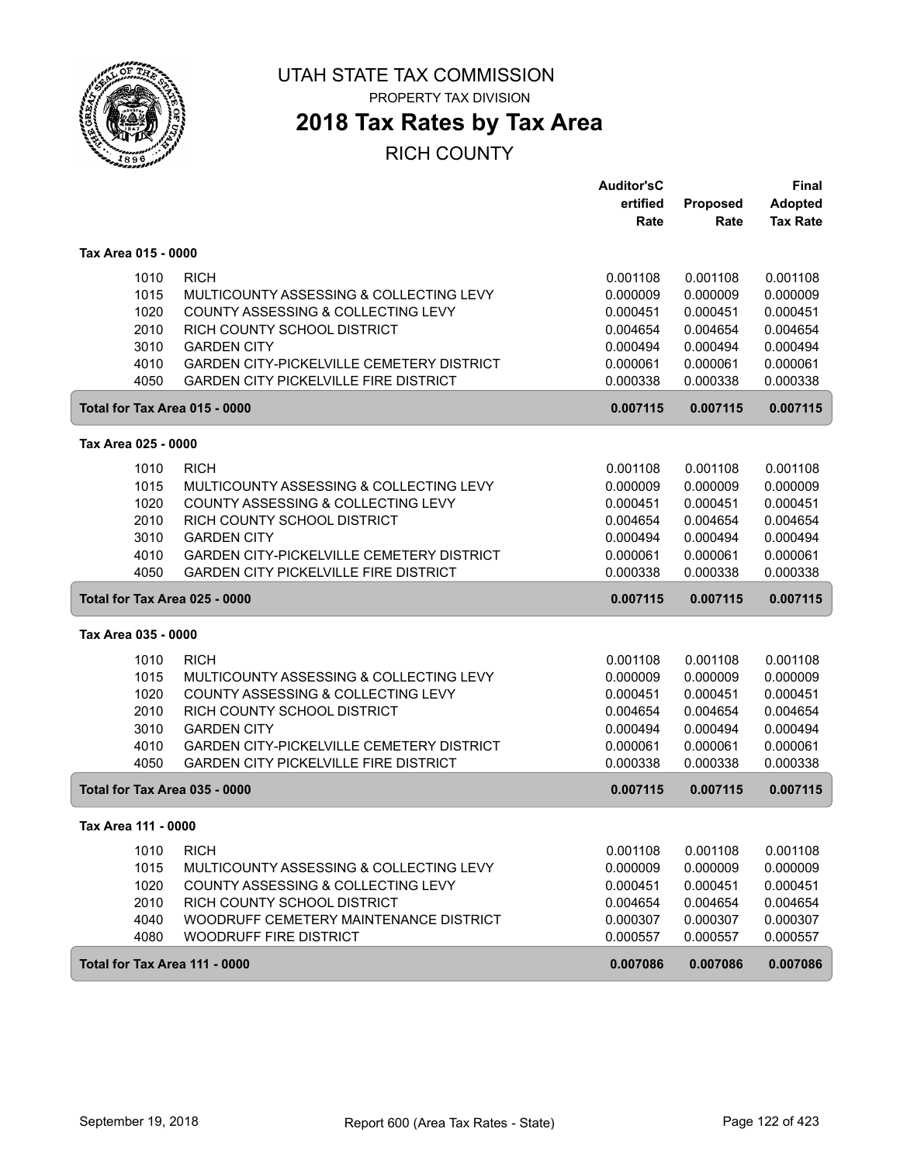

PROPERTY TAX DIVISION

# **2018 Tax Rates by Tax Area**

|                               |                                                                   | <b>Auditor'sC</b>    |                      | <b>Final</b>    |
|-------------------------------|-------------------------------------------------------------------|----------------------|----------------------|-----------------|
|                               |                                                                   | ertified             | <b>Proposed</b>      | <b>Adopted</b>  |
|                               |                                                                   | Rate                 | Rate                 | <b>Tax Rate</b> |
| Tax Area 015 - 0000           |                                                                   |                      |                      |                 |
| 1010                          | <b>RICH</b>                                                       | 0.001108             | 0.001108             | 0.001108        |
| 1015                          | MULTICOUNTY ASSESSING & COLLECTING LEVY                           | 0.000009             | 0.000009             | 0.000009        |
| 1020                          | COUNTY ASSESSING & COLLECTING LEVY                                | 0.000451             | 0.000451             | 0.000451        |
| 2010                          | RICH COUNTY SCHOOL DISTRICT                                       | 0.004654             | 0.004654             | 0.004654        |
| 3010                          | <b>GARDEN CITY</b>                                                | 0.000494             | 0.000494             | 0.000494        |
| 4010                          | GARDEN CITY-PICKELVILLE CEMETERY DISTRICT                         | 0.000061             | 0.000061             | 0.000061        |
| 4050                          | <b>GARDEN CITY PICKELVILLE FIRE DISTRICT</b>                      | 0.000338             | 0.000338             | 0.000338        |
| Total for Tax Area 015 - 0000 |                                                                   | 0.007115             | 0.007115             | 0.007115        |
| Tax Area 025 - 0000           |                                                                   |                      |                      |                 |
| 1010                          | <b>RICH</b>                                                       | 0.001108             | 0.001108             | 0.001108        |
| 1015                          | MULTICOUNTY ASSESSING & COLLECTING LEVY                           | 0.000009             | 0.000009             | 0.000009        |
|                               |                                                                   |                      |                      | 0.000451        |
| 1020<br>2010                  | COUNTY ASSESSING & COLLECTING LEVY<br>RICH COUNTY SCHOOL DISTRICT | 0.000451<br>0.004654 | 0.000451<br>0.004654 | 0.004654        |
| 3010                          | <b>GARDEN CITY</b>                                                | 0.000494             | 0.000494             | 0.000494        |
| 4010                          | <b>GARDEN CITY-PICKELVILLE CEMETERY DISTRICT</b>                  | 0.000061             | 0.000061             | 0.000061        |
| 4050                          | <b>GARDEN CITY PICKELVILLE FIRE DISTRICT</b>                      | 0.000338             | 0.000338             | 0.000338        |
|                               |                                                                   |                      |                      |                 |
| Total for Tax Area 025 - 0000 |                                                                   | 0.007115             | 0.007115             | 0.007115        |
| Tax Area 035 - 0000           |                                                                   |                      |                      |                 |
| 1010                          | <b>RICH</b>                                                       | 0.001108             | 0.001108             | 0.001108        |
| 1015                          | MULTICOUNTY ASSESSING & COLLECTING LEVY                           | 0.000009             | 0.000009             | 0.000009        |
| 1020                          | COUNTY ASSESSING & COLLECTING LEVY                                | 0.000451             | 0.000451             | 0.000451        |
| 2010                          | RICH COUNTY SCHOOL DISTRICT                                       | 0.004654             | 0.004654             | 0.004654        |
| 3010                          | <b>GARDEN CITY</b>                                                | 0.000494             | 0.000494             | 0.000494        |
| 4010                          | GARDEN CITY-PICKELVILLE CEMETERY DISTRICT                         | 0.000061             | 0.000061             | 0.000061        |
| 4050                          | <b>GARDEN CITY PICKELVILLE FIRE DISTRICT</b>                      | 0.000338             | 0.000338             | 0.000338        |
| Total for Tax Area 035 - 0000 |                                                                   | 0.007115             | 0.007115             | 0.007115        |
| Tax Area 111 - 0000           |                                                                   |                      |                      |                 |
| 1010                          | <b>RICH</b>                                                       | 0.001108             | 0.001108             | 0.001108        |
| 1015                          | MULTICOUNTY ASSESSING & COLLECTING LEVY                           | 0.000009             | 0.000009             | 0.000009        |
| 1020                          | COUNTY ASSESSING & COLLECTING LEVY                                | 0.000451             | 0.000451             | 0.000451        |
| 2010                          | RICH COUNTY SCHOOL DISTRICT                                       | 0.004654             | 0.004654             | 0.004654        |
| 4040                          | WOODRUFF CEMETERY MAINTENANCE DISTRICT                            | 0.000307             | 0.000307             | 0.000307        |
| 4080                          | WOODRUFF FIRE DISTRICT                                            | 0.000557             | 0.000557             | 0.000557        |
| Total for Tax Area 111 - 0000 |                                                                   | 0.007086             | 0.007086             | 0.007086        |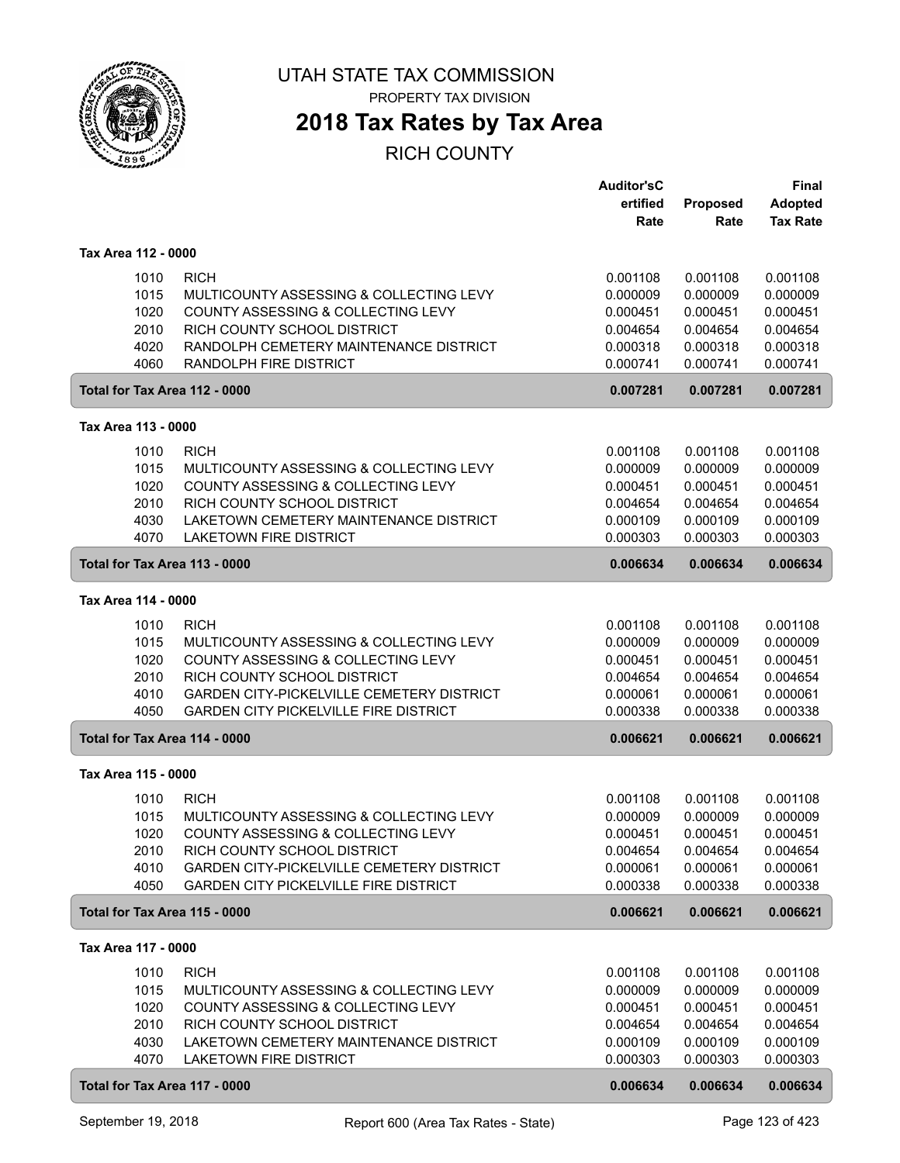

# **2018 Tax Rates by Tax Area**

|                                                                               |                                                                                                                                                                                                                          | <b>Auditor'sC</b><br>ertified<br>Rate                                            | Proposed<br>Rate                                                                 | <b>Final</b><br><b>Adopted</b><br><b>Tax Rate</b>                                |
|-------------------------------------------------------------------------------|--------------------------------------------------------------------------------------------------------------------------------------------------------------------------------------------------------------------------|----------------------------------------------------------------------------------|----------------------------------------------------------------------------------|----------------------------------------------------------------------------------|
| Tax Area 112 - 0000                                                           |                                                                                                                                                                                                                          |                                                                                  |                                                                                  |                                                                                  |
| 1010<br>1015<br>1020<br>2010<br>4020<br>4060                                  | <b>RICH</b><br>MULTICOUNTY ASSESSING & COLLECTING LEVY<br>COUNTY ASSESSING & COLLECTING LEVY<br>RICH COUNTY SCHOOL DISTRICT<br>RANDOLPH CEMETERY MAINTENANCE DISTRICT<br><b>RANDOLPH FIRE DISTRICT</b>                   | 0.001108<br>0.000009<br>0.000451<br>0.004654<br>0.000318<br>0.000741             | 0.001108<br>0.000009<br>0.000451<br>0.004654<br>0.000318<br>0.000741             | 0.001108<br>0.000009<br>0.000451<br>0.004654<br>0.000318<br>0.000741             |
| Total for Tax Area 112 - 0000                                                 |                                                                                                                                                                                                                          | 0.007281                                                                         | 0.007281                                                                         | 0.007281                                                                         |
| Tax Area 113 - 0000                                                           |                                                                                                                                                                                                                          |                                                                                  |                                                                                  |                                                                                  |
| 1010<br>1015<br>1020<br>2010<br>4030<br>4070                                  | <b>RICH</b><br>MULTICOUNTY ASSESSING & COLLECTING LEVY<br>COUNTY ASSESSING & COLLECTING LEVY<br>RICH COUNTY SCHOOL DISTRICT<br>LAKETOWN CEMETERY MAINTENANCE DISTRICT<br><b>LAKETOWN FIRE DISTRICT</b>                   | 0.001108<br>0.000009<br>0.000451<br>0.004654<br>0.000109<br>0.000303             | 0.001108<br>0.000009<br>0.000451<br>0.004654<br>0.000109<br>0.000303             | 0.001108<br>0.000009<br>0.000451<br>0.004654<br>0.000109<br>0.000303             |
| Total for Tax Area 113 - 0000                                                 |                                                                                                                                                                                                                          | 0.006634                                                                         | 0.006634                                                                         | 0.006634                                                                         |
| Tax Area 114 - 0000                                                           |                                                                                                                                                                                                                          |                                                                                  |                                                                                  |                                                                                  |
| 1010<br>1015<br>1020<br>2010<br>4010<br>4050                                  | <b>RICH</b><br>MULTICOUNTY ASSESSING & COLLECTING LEVY<br>COUNTY ASSESSING & COLLECTING LEVY<br>RICH COUNTY SCHOOL DISTRICT<br>GARDEN CITY-PICKELVILLE CEMETERY DISTRICT<br><b>GARDEN CITY PICKELVILLE FIRE DISTRICT</b> | 0.001108<br>0.000009<br>0.000451<br>0.004654<br>0.000061<br>0.000338             | 0.001108<br>0.000009<br>0.000451<br>0.004654<br>0.000061<br>0.000338             | 0.001108<br>0.000009<br>0.000451<br>0.004654<br>0.000061<br>0.000338             |
| Total for Tax Area 114 - 0000                                                 |                                                                                                                                                                                                                          | 0.006621                                                                         | 0.006621                                                                         | 0.006621                                                                         |
| Tax Area 115 - 0000                                                           |                                                                                                                                                                                                                          |                                                                                  |                                                                                  |                                                                                  |
| 1010<br>1015<br>1020<br>2010<br>4010<br>4050                                  | <b>RICH</b><br>MULTICOUNTY ASSESSING & COLLECTING LEVY<br>COUNTY ASSESSING & COLLECTING LEVY<br>RICH COUNTY SCHOOL DISTRICT<br>GARDEN CITY-PICKELVILLE CEMETERY DISTRICT<br><b>GARDEN CITY PICKELVILLE FIRE DISTRICT</b> | 0.001108<br>0.000009<br>0.000451<br>0.004654<br>0.000061<br>0.000338             | 0.001108<br>0.000009<br>0.000451<br>0.004654<br>0.000061<br>0.000338             | 0.001108<br>0.000009<br>0.000451<br>0.004654<br>0.000061<br>0.000338             |
| Total for Tax Area 115 - 0000                                                 |                                                                                                                                                                                                                          | 0.006621                                                                         | 0.006621                                                                         | 0.006621                                                                         |
| Tax Area 117 - 0000                                                           |                                                                                                                                                                                                                          |                                                                                  |                                                                                  |                                                                                  |
| 1010<br>1015<br>1020<br>2010<br>4030<br>4070<br>Total for Tax Area 117 - 0000 | <b>RICH</b><br>MULTICOUNTY ASSESSING & COLLECTING LEVY<br>COUNTY ASSESSING & COLLECTING LEVY<br>RICH COUNTY SCHOOL DISTRICT<br>LAKETOWN CEMETERY MAINTENANCE DISTRICT<br><b>LAKETOWN FIRE DISTRICT</b>                   | 0.001108<br>0.000009<br>0.000451<br>0.004654<br>0.000109<br>0.000303<br>0.006634 | 0.001108<br>0.000009<br>0.000451<br>0.004654<br>0.000109<br>0.000303<br>0.006634 | 0.001108<br>0.000009<br>0.000451<br>0.004654<br>0.000109<br>0.000303<br>0.006634 |
|                                                                               |                                                                                                                                                                                                                          |                                                                                  |                                                                                  |                                                                                  |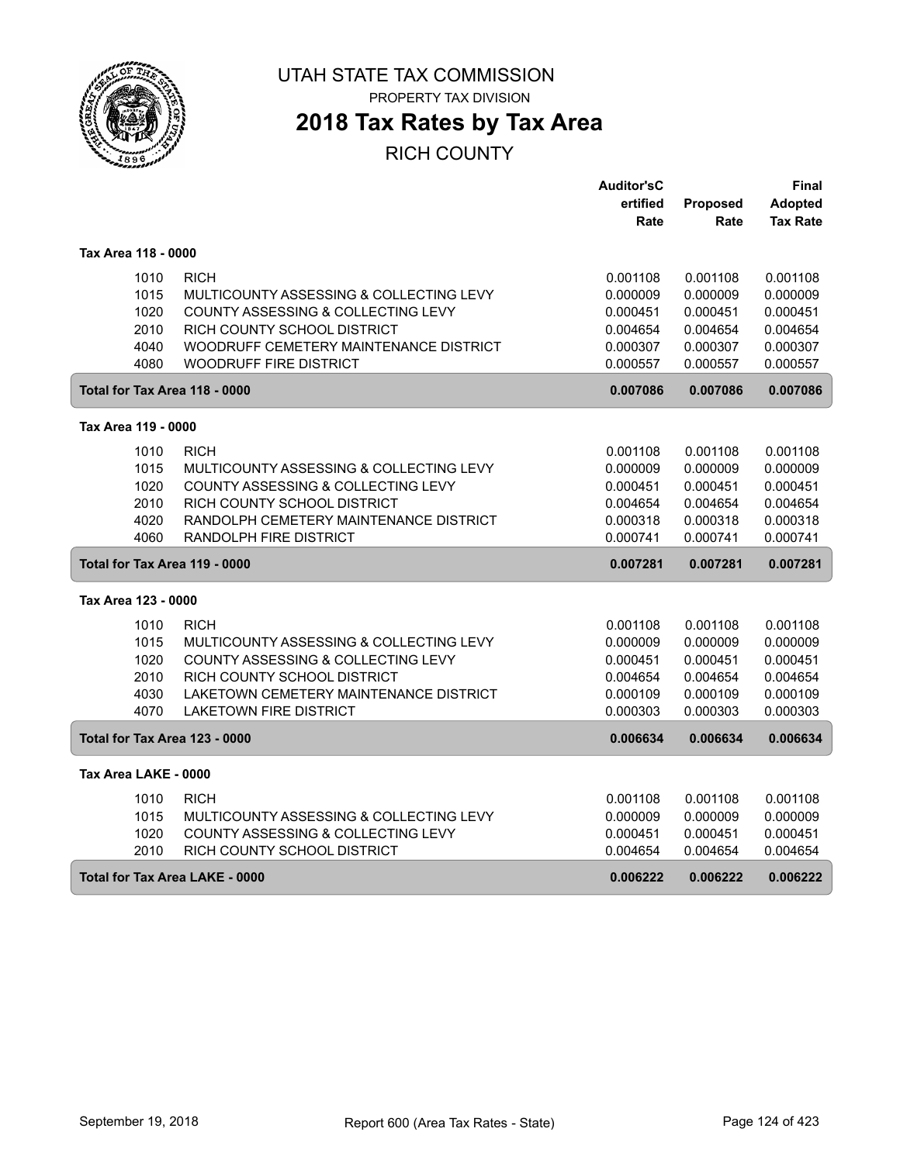

### **2018 Tax Rates by Tax Area**

|                                      |                                         | <b>Auditor'sC</b> |          | Final           |
|--------------------------------------|-----------------------------------------|-------------------|----------|-----------------|
|                                      |                                         | ertified          | Proposed | <b>Adopted</b>  |
|                                      |                                         | Rate              | Rate     | <b>Tax Rate</b> |
|                                      |                                         |                   |          |                 |
| Tax Area 118 - 0000                  |                                         |                   |          |                 |
| 1010                                 | <b>RICH</b>                             | 0.001108          | 0.001108 | 0.001108        |
| 1015                                 | MULTICOUNTY ASSESSING & COLLECTING LEVY | 0.000009          | 0.000009 | 0.000009        |
| 1020                                 | COUNTY ASSESSING & COLLECTING LEVY      | 0.000451          | 0.000451 | 0.000451        |
| 2010                                 | RICH COUNTY SCHOOL DISTRICT             | 0.004654          | 0.004654 | 0.004654        |
| 4040                                 | WOODRUFF CEMETERY MAINTENANCE DISTRICT  | 0.000307          | 0.000307 | 0.000307        |
| 4080                                 | <b>WOODRUFF FIRE DISTRICT</b>           | 0.000557          | 0.000557 | 0.000557        |
| Total for Tax Area 118 - 0000        |                                         | 0.007086          | 0.007086 | 0.007086        |
|                                      |                                         |                   |          |                 |
| Tax Area 119 - 0000                  |                                         |                   |          |                 |
| 1010                                 | <b>RICH</b>                             | 0.001108          | 0.001108 | 0.001108        |
| 1015                                 | MULTICOUNTY ASSESSING & COLLECTING LEVY | 0.000009          | 0.000009 | 0.000009        |
| 1020                                 | COUNTY ASSESSING & COLLECTING LEVY      | 0.000451          | 0.000451 | 0.000451        |
| 2010                                 | RICH COUNTY SCHOOL DISTRICT             | 0.004654          | 0.004654 | 0.004654        |
| 4020                                 | RANDOLPH CEMETERY MAINTENANCE DISTRICT  | 0.000318          | 0.000318 | 0.000318        |
| 4060                                 | RANDOLPH FIRE DISTRICT                  | 0.000741          | 0.000741 | 0.000741        |
| Total for Tax Area 119 - 0000        |                                         | 0.007281          | 0.007281 | 0.007281        |
| Tax Area 123 - 0000                  |                                         |                   |          |                 |
| 1010                                 | <b>RICH</b>                             | 0.001108          | 0.001108 | 0.001108        |
| 1015                                 | MULTICOUNTY ASSESSING & COLLECTING LEVY | 0.000009          | 0.000009 | 0.000009        |
| 1020                                 | COUNTY ASSESSING & COLLECTING LEVY      | 0.000451          | 0.000451 | 0.000451        |
| 2010                                 | RICH COUNTY SCHOOL DISTRICT             | 0.004654          | 0.004654 | 0.004654        |
| 4030                                 | LAKETOWN CEMETERY MAINTENANCE DISTRICT  | 0.000109          | 0.000109 | 0.000109        |
| 4070                                 | <b>LAKETOWN FIRE DISTRICT</b>           | 0.000303          | 0.000303 | 0.000303        |
|                                      |                                         |                   |          |                 |
| <b>Total for Tax Area 123 - 0000</b> |                                         | 0.006634          | 0.006634 | 0.006634        |
| Tax Area LAKE - 0000                 |                                         |                   |          |                 |
| 1010                                 | <b>RICH</b>                             | 0.001108          | 0.001108 | 0.001108        |
| 1015                                 | MULTICOUNTY ASSESSING & COLLECTING LEVY | 0.000009          | 0.000009 | 0.000009        |
| 1020                                 | COUNTY ASSESSING & COLLECTING LEVY      | 0.000451          | 0.000451 | 0.000451        |
| 2010                                 | RICH COUNTY SCHOOL DISTRICT             | 0.004654          | 0.004654 | 0.004654        |
| Total for Tax Area LAKE - 0000       |                                         | 0.006222          | 0.006222 | 0.006222        |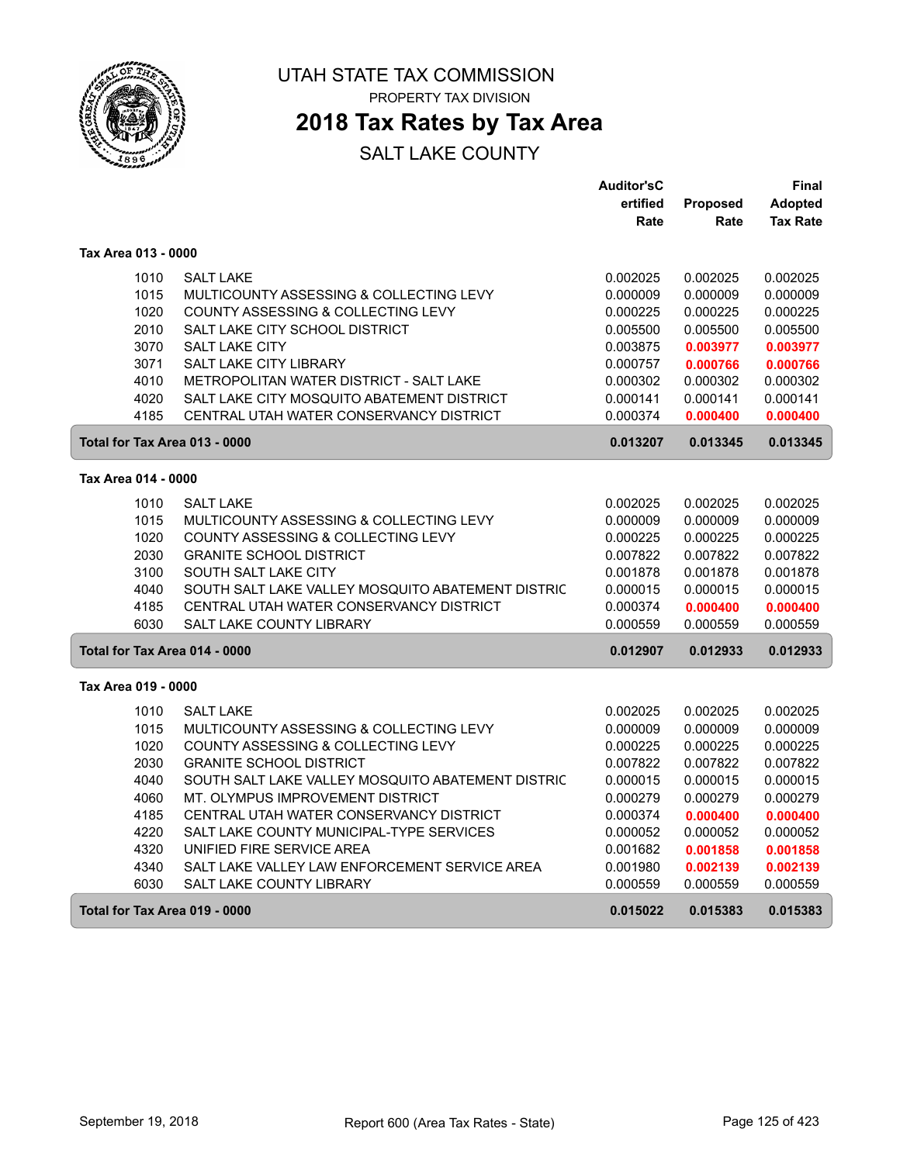

PROPERTY TAX DIVISION

### **2018 Tax Rates by Tax Area**

|                               |                                                   | Auditor'sC |          | Final           |
|-------------------------------|---------------------------------------------------|------------|----------|-----------------|
|                               |                                                   | ertified   | Proposed | Adopted         |
|                               |                                                   | Rate       | Rate     | <b>Tax Rate</b> |
| Tax Area 013 - 0000           |                                                   |            |          |                 |
| 1010                          | <b>SALT LAKE</b>                                  | 0.002025   | 0.002025 | 0.002025        |
| 1015                          | MULTICOUNTY ASSESSING & COLLECTING LEVY           | 0.000009   | 0.000009 | 0.000009        |
| 1020                          | COUNTY ASSESSING & COLLECTING LEVY                | 0.000225   | 0.000225 | 0.000225        |
| 2010                          | SALT LAKE CITY SCHOOL DISTRICT                    | 0.005500   | 0.005500 | 0.005500        |
| 3070                          | <b>SALT LAKE CITY</b>                             | 0.003875   | 0.003977 | 0.003977        |
| 3071                          | SALT LAKE CITY LIBRARY                            | 0.000757   | 0.000766 | 0.000766        |
| 4010                          | METROPOLITAN WATER DISTRICT - SALT LAKE           | 0.000302   | 0.000302 | 0.000302        |
| 4020                          | SALT LAKE CITY MOSQUITO ABATEMENT DISTRICT        | 0.000141   | 0.000141 | 0.000141        |
| 4185                          | CENTRAL UTAH WATER CONSERVANCY DISTRICT           | 0.000374   | 0.000400 | 0.000400        |
| Total for Tax Area 013 - 0000 |                                                   | 0.013207   | 0.013345 | 0.013345        |
| Tax Area 014 - 0000           |                                                   |            |          |                 |
| 1010                          | <b>SALT LAKE</b>                                  | 0.002025   | 0.002025 | 0.002025        |
| 1015                          | MULTICOUNTY ASSESSING & COLLECTING LEVY           | 0.000009   | 0.000009 | 0.000009        |
| 1020                          | COUNTY ASSESSING & COLLECTING LEVY                | 0.000225   | 0.000225 | 0.000225        |
| 2030                          | <b>GRANITE SCHOOL DISTRICT</b>                    | 0.007822   | 0.007822 | 0.007822        |
| 3100                          | SOUTH SALT LAKE CITY                              | 0.001878   | 0.001878 | 0.001878        |
| 4040                          | SOUTH SALT LAKE VALLEY MOSQUITO ABATEMENT DISTRIC | 0.000015   | 0.000015 | 0.000015        |
| 4185                          | CENTRAL UTAH WATER CONSERVANCY DISTRICT           | 0.000374   | 0.000400 | 0.000400        |
| 6030                          | <b>SALT LAKE COUNTY LIBRARY</b>                   | 0.000559   | 0.000559 | 0.000559        |
| Total for Tax Area 014 - 0000 |                                                   | 0.012907   | 0.012933 | 0.012933        |
| Tax Area 019 - 0000           |                                                   |            |          |                 |
| 1010                          | <b>SALT LAKE</b>                                  | 0.002025   | 0.002025 | 0.002025        |
| 1015                          | MULTICOUNTY ASSESSING & COLLECTING LEVY           | 0.000009   | 0.000009 | 0.000009        |
| 1020                          | COUNTY ASSESSING & COLLECTING LEVY                | 0.000225   | 0.000225 | 0.000225        |
| 2030                          | <b>GRANITE SCHOOL DISTRICT</b>                    | 0.007822   | 0.007822 | 0.007822        |
| 4040                          | SOUTH SALT LAKE VALLEY MOSQUITO ABATEMENT DISTRIC | 0.000015   | 0.000015 | 0.000015        |
| 4060                          | MT. OLYMPUS IMPROVEMENT DISTRICT                  | 0.000279   | 0.000279 | 0.000279        |
| 4185                          | CENTRAL UTAH WATER CONSERVANCY DISTRICT           | 0.000374   | 0.000400 | 0.000400        |
| 4220                          | SALT LAKE COUNTY MUNICIPAL-TYPE SERVICES          | 0.000052   | 0.000052 | 0.000052        |
| 4320                          | UNIFIED FIRE SERVICE AREA                         | 0.001682   | 0.001858 | 0.001858        |
| 4340                          | SALT LAKE VALLEY LAW ENFORCEMENT SERVICE AREA     | 0.001980   | 0.002139 | 0.002139        |
| 6030                          | SALT LAKE COUNTY LIBRARY                          | 0.000559   | 0.000559 | 0.000559        |
| Total for Tax Area 019 - 0000 |                                                   | 0.015022   | 0.015383 | 0.015383        |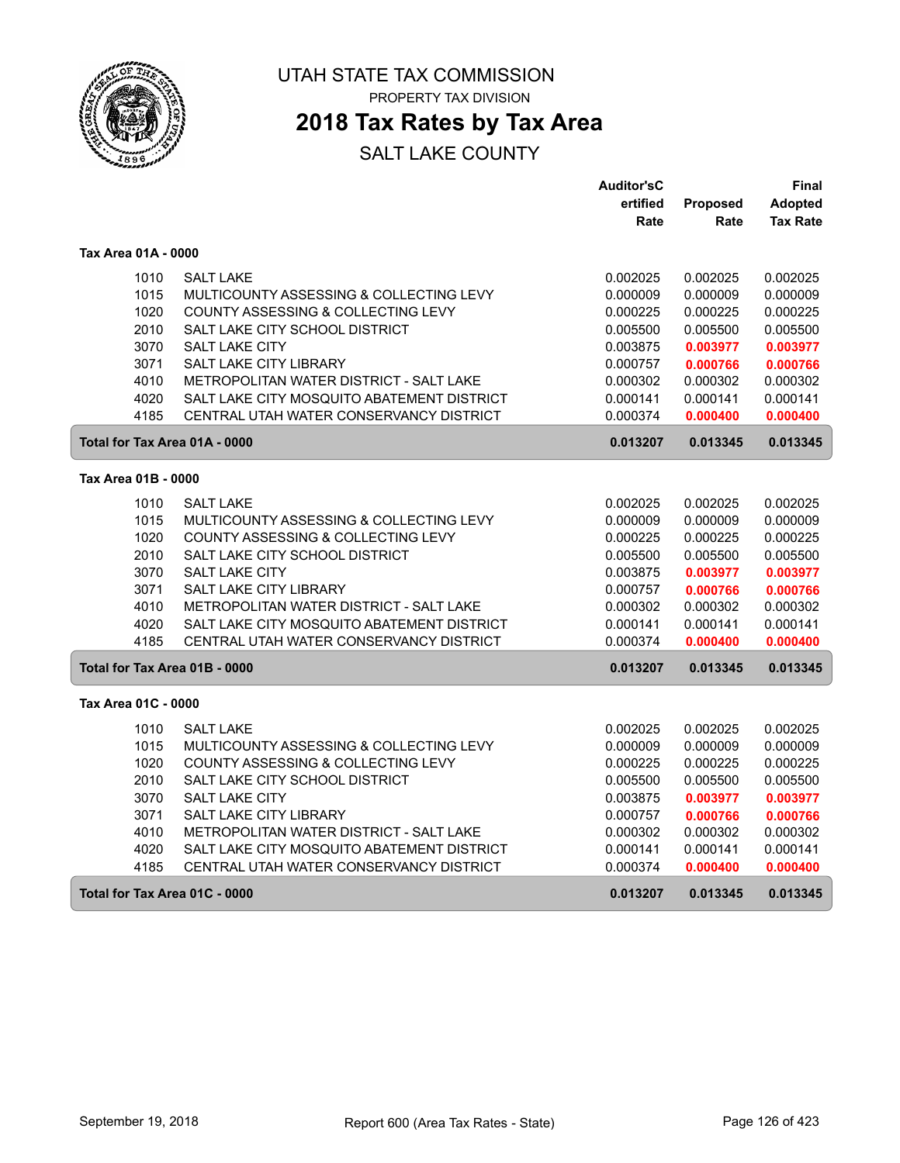

PROPERTY TAX DIVISION

### **2018 Tax Rates by Tax Area**

|                               |                                               | <b>Auditor'sC</b> |          | Final           |
|-------------------------------|-----------------------------------------------|-------------------|----------|-----------------|
|                               |                                               | ertified          | Proposed | Adopted         |
|                               |                                               | Rate              | Rate     | <b>Tax Rate</b> |
| Tax Area 01A - 0000           |                                               |                   |          |                 |
| 1010                          | <b>SALT LAKE</b>                              | 0.002025          | 0.002025 | 0.002025        |
| 1015                          | MULTICOUNTY ASSESSING & COLLECTING LEVY       | 0.000009          | 0.000009 | 0.000009        |
| 1020                          | <b>COUNTY ASSESSING &amp; COLLECTING LEVY</b> | 0.000225          | 0.000225 | 0.000225        |
| 2010                          | SALT LAKE CITY SCHOOL DISTRICT                | 0.005500          | 0.005500 | 0.005500        |
| 3070                          | <b>SALT LAKE CITY</b>                         | 0.003875          | 0.003977 | 0.003977        |
| 3071                          | SALT LAKE CITY LIBRARY                        | 0.000757          | 0.000766 | 0.000766        |
| 4010                          | METROPOLITAN WATER DISTRICT - SALT LAKE       | 0.000302          | 0.000302 | 0.000302        |
| 4020                          | SALT LAKE CITY MOSQUITO ABATEMENT DISTRICT    | 0.000141          | 0.000141 | 0.000141        |
| 4185                          | CENTRAL UTAH WATER CONSERVANCY DISTRICT       | 0.000374          | 0.000400 | 0.000400        |
| Total for Tax Area 01A - 0000 |                                               | 0.013207          | 0.013345 | 0.013345        |
| Tax Area 01B - 0000           |                                               |                   |          |                 |
| 1010                          | <b>SALT LAKE</b>                              | 0.002025          | 0.002025 | 0.002025        |
| 1015                          | MULTICOUNTY ASSESSING & COLLECTING LEVY       | 0.000009          | 0.000009 | 0.000009        |
| 1020                          | COUNTY ASSESSING & COLLECTING LEVY            | 0.000225          | 0.000225 | 0.000225        |
| 2010                          | SALT LAKE CITY SCHOOL DISTRICT                | 0.005500          | 0.005500 | 0.005500        |
| 3070                          | <b>SALT LAKE CITY</b>                         | 0.003875          | 0.003977 | 0.003977        |
| 3071                          | SALT LAKE CITY LIBRARY                        | 0.000757          | 0.000766 | 0.000766        |
| 4010                          | METROPOLITAN WATER DISTRICT - SALT LAKE       | 0.000302          | 0.000302 | 0.000302        |
| 4020                          | SALT LAKE CITY MOSQUITO ABATEMENT DISTRICT    | 0.000141          | 0.000141 | 0.000141        |
| 4185                          | CENTRAL UTAH WATER CONSERVANCY DISTRICT       | 0.000374          | 0.000400 | 0.000400        |
| Total for Tax Area 01B - 0000 |                                               | 0.013207          | 0.013345 | 0.013345        |
| Tax Area 01C - 0000           |                                               |                   |          |                 |
| 1010                          | <b>SALT LAKE</b>                              | 0.002025          | 0.002025 | 0.002025        |
| 1015                          | MULTICOUNTY ASSESSING & COLLECTING LEVY       | 0.000009          | 0.000009 | 0.000009        |
| 1020                          | COUNTY ASSESSING & COLLECTING LEVY            | 0.000225          | 0.000225 | 0.000225        |
| 2010                          | SALT LAKE CITY SCHOOL DISTRICT                | 0.005500          | 0.005500 | 0.005500        |
| 3070                          | SALT LAKE CITY                                | 0.003875          | 0.003977 | 0.003977        |
| 3071                          | <b>SALT LAKE CITY LIBRARY</b>                 | 0.000757          | 0.000766 | 0.000766        |
| 4010                          | METROPOLITAN WATER DISTRICT - SALT LAKE       | 0.000302          | 0.000302 | 0.000302        |
| 4020                          | SALT LAKE CITY MOSQUITO ABATEMENT DISTRICT    | 0.000141          | 0.000141 | 0.000141        |
| 4185                          | CENTRAL UTAH WATER CONSERVANCY DISTRICT       | 0.000374          | 0.000400 | 0.000400        |
| Total for Tax Area 01C - 0000 |                                               | 0.013207          | 0.013345 | 0.013345        |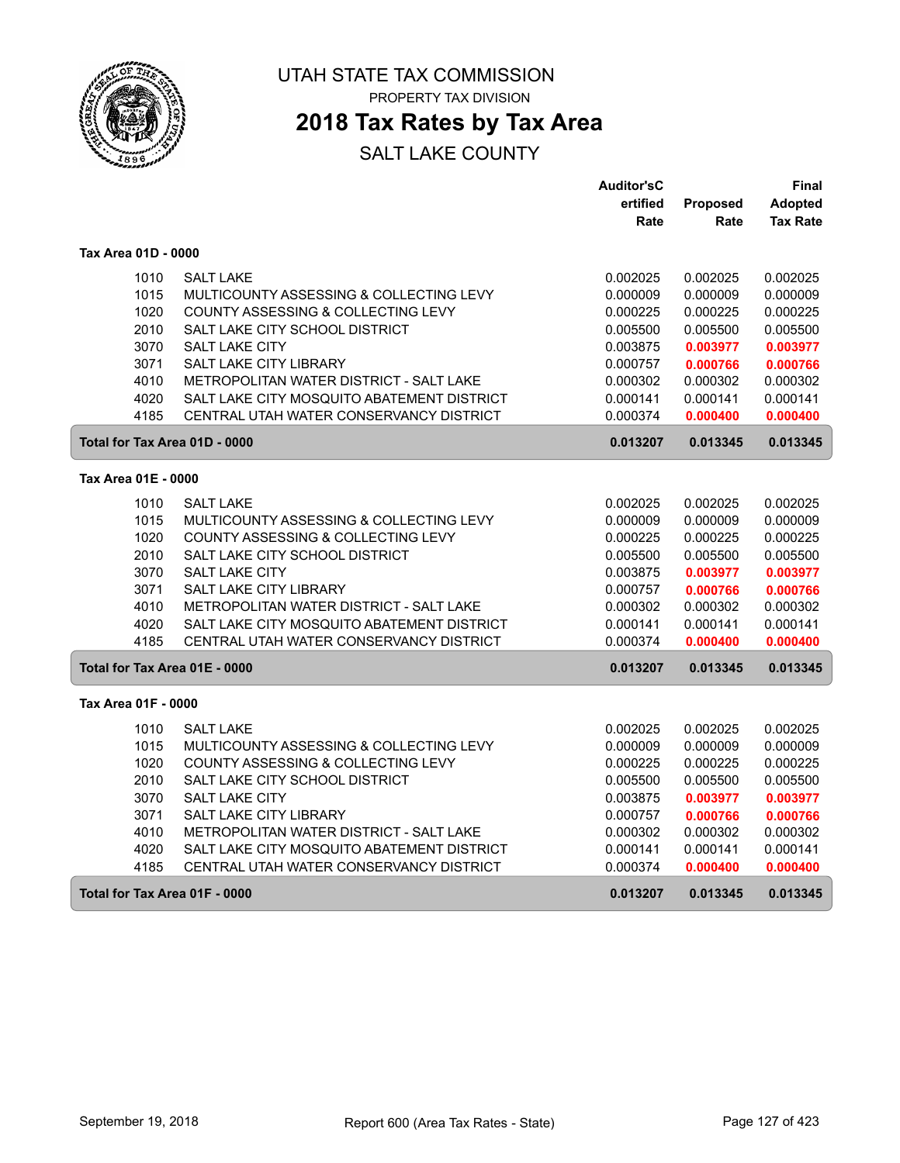

PROPERTY TAX DIVISION

### **2018 Tax Rates by Tax Area**

|                               |                                            | <b>Auditor'sC</b> |          | Final           |
|-------------------------------|--------------------------------------------|-------------------|----------|-----------------|
|                               |                                            | ertified          | Proposed | Adopted         |
|                               |                                            | Rate              | Rate     | <b>Tax Rate</b> |
| Tax Area 01D - 0000           |                                            |                   |          |                 |
| 1010                          | <b>SALT LAKE</b>                           | 0.002025          | 0.002025 | 0.002025        |
| 1015                          | MULTICOUNTY ASSESSING & COLLECTING LEVY    | 0.000009          | 0.000009 | 0.000009        |
| 1020                          | COUNTY ASSESSING & COLLECTING LEVY         | 0.000225          | 0.000225 | 0.000225        |
| 2010                          | SALT LAKE CITY SCHOOL DISTRICT             | 0.005500          | 0.005500 | 0.005500        |
| 3070                          | SALT LAKE CITY                             | 0.003875          | 0.003977 | 0.003977        |
| 3071                          | SALT LAKE CITY LIBRARY                     | 0.000757          | 0.000766 | 0.000766        |
| 4010                          | METROPOLITAN WATER DISTRICT - SALT LAKE    | 0.000302          | 0.000302 | 0.000302        |
| 4020                          | SALT LAKE CITY MOSQUITO ABATEMENT DISTRICT | 0.000141          | 0.000141 | 0.000141        |
| 4185                          | CENTRAL UTAH WATER CONSERVANCY DISTRICT    | 0.000374          | 0.000400 | 0.000400        |
| Total for Tax Area 01D - 0000 |                                            | 0.013207          | 0.013345 | 0.013345        |
| Tax Area 01E - 0000           |                                            |                   |          |                 |
| 1010                          | <b>SALT LAKE</b>                           | 0.002025          | 0.002025 | 0.002025        |
| 1015                          | MULTICOUNTY ASSESSING & COLLECTING LEVY    | 0.000009          | 0.000009 | 0.000009        |
| 1020                          | COUNTY ASSESSING & COLLECTING LEVY         | 0.000225          | 0.000225 | 0.000225        |
| 2010                          | SALT LAKE CITY SCHOOL DISTRICT             | 0.005500          | 0.005500 | 0.005500        |
| 3070                          | <b>SALT LAKE CITY</b>                      | 0.003875          | 0.003977 | 0.003977        |
| 3071                          | <b>SALT LAKE CITY LIBRARY</b>              | 0.000757          | 0.000766 | 0.000766        |
| 4010                          | METROPOLITAN WATER DISTRICT - SALT LAKE    | 0.000302          | 0.000302 | 0.000302        |
| 4020                          | SALT LAKE CITY MOSQUITO ABATEMENT DISTRICT | 0.000141          | 0.000141 | 0.000141        |
| 4185                          | CENTRAL UTAH WATER CONSERVANCY DISTRICT    | 0.000374          | 0.000400 | 0.000400        |
| Total for Tax Area 01E - 0000 |                                            | 0.013207          | 0.013345 | 0.013345        |
| Tax Area 01F - 0000           |                                            |                   |          |                 |
| 1010                          | <b>SALT LAKE</b>                           | 0.002025          | 0.002025 | 0.002025        |
| 1015                          | MULTICOUNTY ASSESSING & COLLECTING LEVY    | 0.000009          | 0.000009 | 0.000009        |
| 1020                          | COUNTY ASSESSING & COLLECTING LEVY         | 0.000225          | 0.000225 | 0.000225        |
| 2010                          | SALT LAKE CITY SCHOOL DISTRICT             | 0.005500          | 0.005500 | 0.005500        |
| 3070                          | <b>SALT LAKE CITY</b>                      | 0.003875          | 0.003977 | 0.003977        |
| 3071                          | <b>SALT LAKE CITY LIBRARY</b>              | 0.000757          | 0.000766 | 0.000766        |
| 4010                          | METROPOLITAN WATER DISTRICT - SALT LAKE    | 0.000302          | 0.000302 | 0.000302        |
| 4020                          | SALT LAKE CITY MOSQUITO ABATEMENT DISTRICT | 0.000141          | 0.000141 | 0.000141        |
| 4185                          | CENTRAL UTAH WATER CONSERVANCY DISTRICT    | 0.000374          | 0.000400 | 0.000400        |
| Total for Tax Area 01F - 0000 |                                            | 0.013207          | 0.013345 | 0.013345        |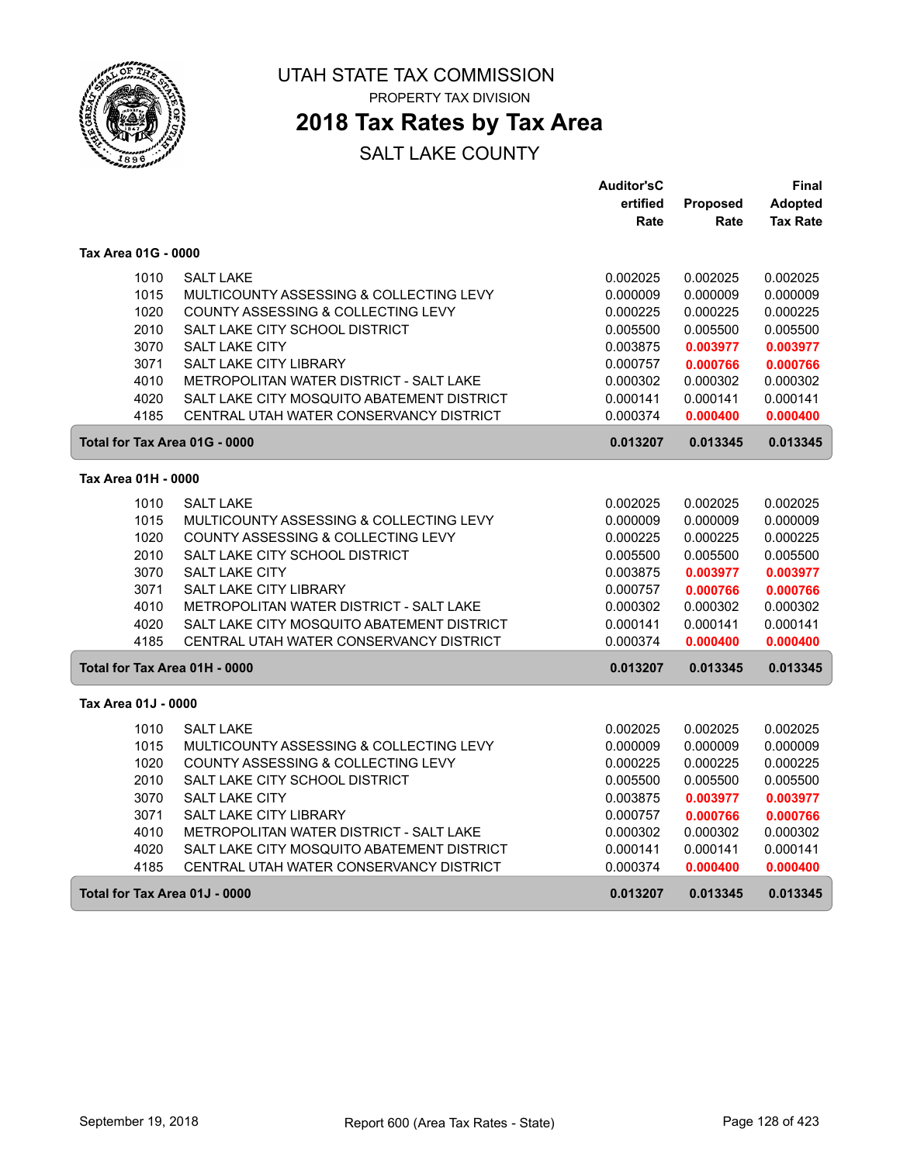

PROPERTY TAX DIVISION

### **2018 Tax Rates by Tax Area**

|                               |                                            | <b>Auditor'sC</b> |          | Final           |
|-------------------------------|--------------------------------------------|-------------------|----------|-----------------|
|                               |                                            | ertified          | Proposed | <b>Adopted</b>  |
|                               |                                            | Rate              | Rate     | <b>Tax Rate</b> |
| Tax Area 01G - 0000           |                                            |                   |          |                 |
|                               |                                            |                   |          |                 |
| 1010                          | <b>SALT LAKE</b>                           | 0.002025          | 0.002025 | 0.002025        |
| 1015                          | MULTICOUNTY ASSESSING & COLLECTING LEVY    | 0.000009          | 0.000009 | 0.000009        |
| 1020                          | COUNTY ASSESSING & COLLECTING LEVY         | 0.000225          | 0.000225 | 0.000225        |
| 2010                          | SALT LAKE CITY SCHOOL DISTRICT             | 0.005500          | 0.005500 | 0.005500        |
| 3070                          | <b>SALT LAKE CITY</b>                      | 0.003875          | 0.003977 | 0.003977        |
| 3071                          | SALT LAKE CITY LIBRARY                     | 0.000757          | 0.000766 | 0.000766        |
| 4010                          | METROPOLITAN WATER DISTRICT - SALT LAKE    | 0.000302          | 0.000302 | 0.000302        |
| 4020                          | SALT LAKE CITY MOSQUITO ABATEMENT DISTRICT | 0.000141          | 0.000141 | 0.000141        |
| 4185                          | CENTRAL UTAH WATER CONSERVANCY DISTRICT    | 0.000374          | 0.000400 | 0.000400        |
| Total for Tax Area 01G - 0000 |                                            | 0.013207          | 0.013345 | 0.013345        |
| Tax Area 01H - 0000           |                                            |                   |          |                 |
| 1010                          | <b>SALT LAKE</b>                           | 0.002025          | 0.002025 | 0.002025        |
| 1015                          | MULTICOUNTY ASSESSING & COLLECTING LEVY    | 0.000009          | 0.000009 | 0.000009        |
| 1020                          | COUNTY ASSESSING & COLLECTING LEVY         | 0.000225          | 0.000225 | 0.000225        |
| 2010                          | SALT LAKE CITY SCHOOL DISTRICT             | 0.005500          | 0.005500 | 0.005500        |
| 3070                          | SALT LAKE CITY                             | 0.003875          | 0.003977 | 0.003977        |
| 3071                          | SALT LAKE CITY LIBRARY                     | 0.000757          | 0.000766 | 0.000766        |
| 4010                          | METROPOLITAN WATER DISTRICT - SALT LAKE    | 0.000302          | 0.000302 | 0.000302        |
| 4020                          | SALT LAKE CITY MOSQUITO ABATEMENT DISTRICT | 0.000141          | 0.000141 | 0.000141        |
| 4185                          | CENTRAL UTAH WATER CONSERVANCY DISTRICT    | 0.000374          | 0.000400 | 0.000400        |
| Total for Tax Area 01H - 0000 |                                            | 0.013207          | 0.013345 | 0.013345        |
| Tax Area 01J - 0000           |                                            |                   |          |                 |
| 1010                          | <b>SALT LAKE</b>                           | 0.002025          | 0.002025 | 0.002025        |
| 1015                          | MULTICOUNTY ASSESSING & COLLECTING LEVY    | 0.000009          | 0.000009 | 0.000009        |
| 1020                          | COUNTY ASSESSING & COLLECTING LEVY         | 0.000225          | 0.000225 | 0.000225        |
| 2010                          | SALT LAKE CITY SCHOOL DISTRICT             | 0.005500          | 0.005500 | 0.005500        |
| 3070                          | SALT LAKE CITY                             | 0.003875          | 0.003977 | 0.003977        |
| 3071                          | SALT LAKE CITY LIBRARY                     | 0.000757          | 0.000766 | 0.000766        |
| 4010                          | METROPOLITAN WATER DISTRICT - SALT LAKE    | 0.000302          | 0.000302 | 0.000302        |
| 4020                          | SALT LAKE CITY MOSQUITO ABATEMENT DISTRICT | 0.000141          | 0.000141 | 0.000141        |
| 4185                          | CENTRAL UTAH WATER CONSERVANCY DISTRICT    | 0.000374          | 0.000400 | 0.000400        |
| Total for Tax Area 01J - 0000 |                                            | 0.013207          | 0.013345 | 0.013345        |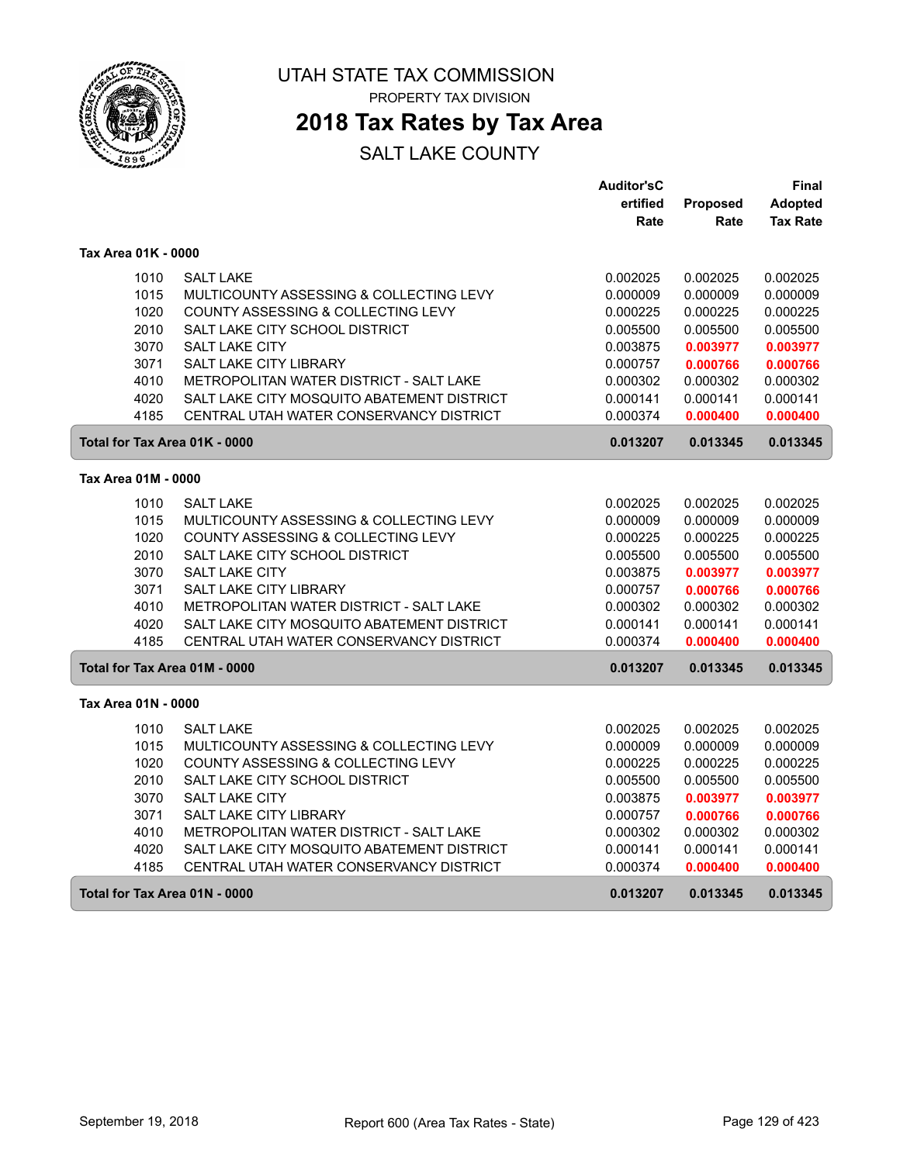

PROPERTY TAX DIVISION

### **2018 Tax Rates by Tax Area**

|                               |                                            | <b>Auditor'sC</b> |          | Final           |
|-------------------------------|--------------------------------------------|-------------------|----------|-----------------|
|                               |                                            | ertified          | Proposed | <b>Adopted</b>  |
|                               |                                            | Rate              | Rate     | <b>Tax Rate</b> |
| Tax Area 01K - 0000           |                                            |                   |          |                 |
| 1010                          | <b>SALT LAKE</b>                           | 0.002025          | 0.002025 | 0.002025        |
| 1015                          | MULTICOUNTY ASSESSING & COLLECTING LEVY    | 0.000009          | 0.000009 | 0.000009        |
| 1020                          | COUNTY ASSESSING & COLLECTING LEVY         | 0.000225          | 0.000225 | 0.000225        |
| 2010                          | SALT LAKE CITY SCHOOL DISTRICT             | 0.005500          | 0.005500 | 0.005500        |
| 3070                          | <b>SALT LAKE CITY</b>                      | 0.003875          | 0.003977 | 0.003977        |
| 3071                          | SALT LAKE CITY LIBRARY                     | 0.000757          | 0.000766 | 0.000766        |
| 4010                          | METROPOLITAN WATER DISTRICT - SALT LAKE    | 0.000302          | 0.000302 | 0.000302        |
| 4020                          | SALT LAKE CITY MOSQUITO ABATEMENT DISTRICT | 0.000141          | 0.000141 | 0.000141        |
| 4185                          | CENTRAL UTAH WATER CONSERVANCY DISTRICT    | 0.000374          | 0.000400 | 0.000400        |
| Total for Tax Area 01K - 0000 |                                            | 0.013207          | 0.013345 | 0.013345        |
| Tax Area 01M - 0000           |                                            |                   |          |                 |
| 1010                          | <b>SALT LAKE</b>                           | 0.002025          | 0.002025 | 0.002025        |
| 1015                          | MULTICOUNTY ASSESSING & COLLECTING LEVY    | 0.000009          | 0.000009 | 0.000009        |
| 1020                          | COUNTY ASSESSING & COLLECTING LEVY         | 0.000225          | 0.000225 | 0.000225        |
| 2010                          | SALT LAKE CITY SCHOOL DISTRICT             | 0.005500          | 0.005500 | 0.005500        |
| 3070                          | SALT LAKE CITY                             | 0.003875          | 0.003977 | 0.003977        |
| 3071                          | SALT LAKE CITY LIBRARY                     | 0.000757          | 0.000766 | 0.000766        |
| 4010                          | METROPOLITAN WATER DISTRICT - SALT LAKE    | 0.000302          | 0.000302 | 0.000302        |
| 4020                          | SALT LAKE CITY MOSQUITO ABATEMENT DISTRICT | 0.000141          | 0.000141 | 0.000141        |
| 4185                          | CENTRAL UTAH WATER CONSERVANCY DISTRICT    | 0.000374          | 0.000400 | 0.000400        |
| Total for Tax Area 01M - 0000 |                                            | 0.013207          | 0.013345 | 0.013345        |
| Tax Area 01N - 0000           |                                            |                   |          |                 |
| 1010                          | <b>SALT LAKE</b>                           | 0.002025          | 0.002025 | 0.002025        |
| 1015                          | MULTICOUNTY ASSESSING & COLLECTING LEVY    | 0.000009          | 0.000009 | 0.000009        |
| 1020                          | COUNTY ASSESSING & COLLECTING LEVY         | 0.000225          | 0.000225 | 0.000225        |
| 2010                          | SALT LAKE CITY SCHOOL DISTRICT             | 0.005500          | 0.005500 | 0.005500        |
| 3070                          | SALT LAKE CITY                             | 0.003875          | 0.003977 | 0.003977        |
| 3071                          | SALT LAKE CITY LIBRARY                     | 0.000757          | 0.000766 | 0.000766        |
| 4010                          | METROPOLITAN WATER DISTRICT - SALT LAKE    | 0.000302          | 0.000302 | 0.000302        |
| 4020                          | SALT LAKE CITY MOSQUITO ABATEMENT DISTRICT | 0.000141          | 0.000141 | 0.000141        |
| 4185                          | CENTRAL UTAH WATER CONSERVANCY DISTRICT    | 0.000374          | 0.000400 | 0.000400        |
| Total for Tax Area 01N - 0000 |                                            | 0.013207          | 0.013345 | 0.013345        |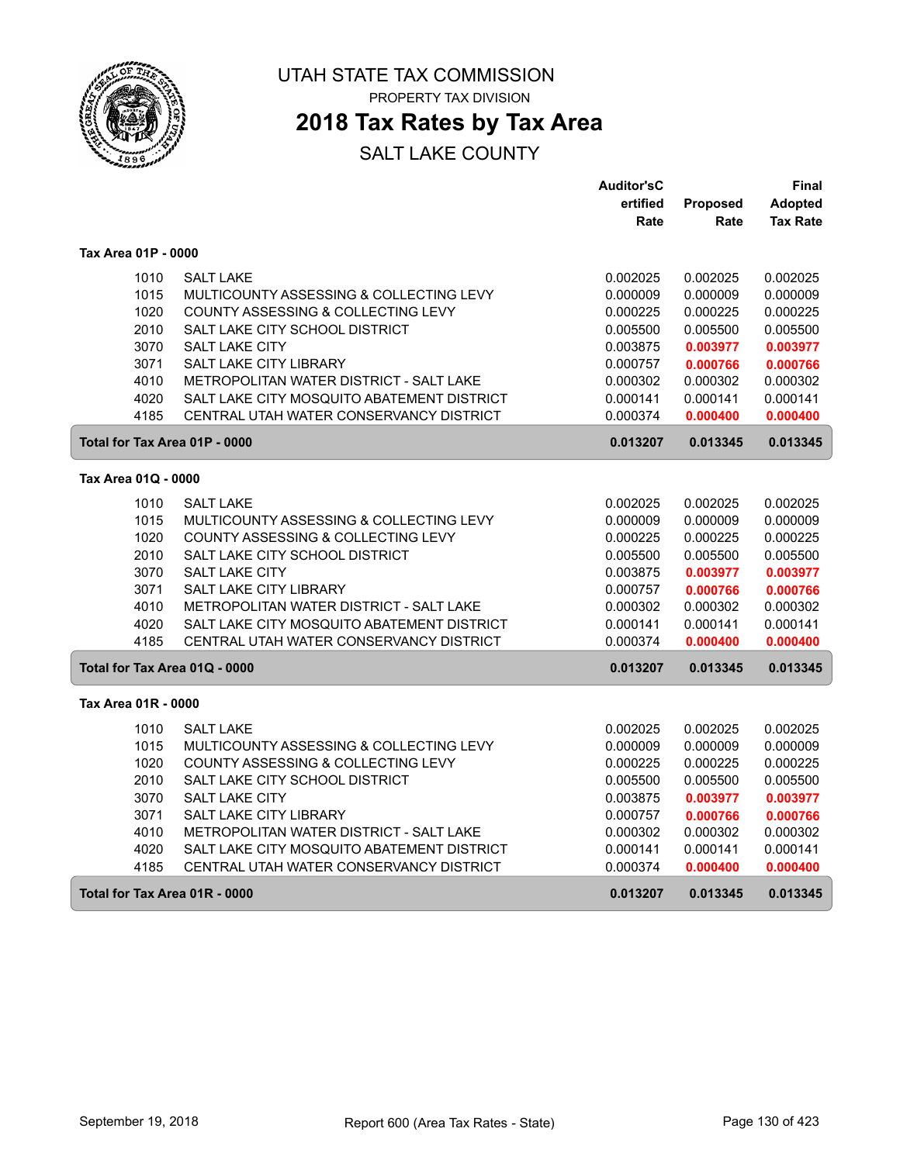

PROPERTY TAX DIVISION

### **2018 Tax Rates by Tax Area**

|                               |                                            | <b>Auditor'sC</b> |          | Final           |
|-------------------------------|--------------------------------------------|-------------------|----------|-----------------|
|                               |                                            | ertified          | Proposed | Adopted         |
|                               |                                            | Rate              | Rate     | <b>Tax Rate</b> |
| Tax Area 01P - 0000           |                                            |                   |          |                 |
| 1010                          | <b>SALT LAKE</b>                           | 0.002025          | 0.002025 | 0.002025        |
| 1015                          | MULTICOUNTY ASSESSING & COLLECTING LEVY    | 0.000009          | 0.000009 | 0.000009        |
| 1020                          | COUNTY ASSESSING & COLLECTING LEVY         | 0.000225          | 0.000225 | 0.000225        |
| 2010                          | SALT LAKE CITY SCHOOL DISTRICT             | 0.005500          | 0.005500 | 0.005500        |
| 3070                          | SALT LAKE CITY                             | 0.003875          | 0.003977 | 0.003977        |
| 3071                          | SALT LAKE CITY LIBRARY                     | 0.000757          | 0.000766 | 0.000766        |
| 4010                          | METROPOLITAN WATER DISTRICT - SALT LAKE    | 0.000302          | 0.000302 | 0.000302        |
| 4020                          | SALT LAKE CITY MOSQUITO ABATEMENT DISTRICT | 0.000141          | 0.000141 | 0.000141        |
| 4185                          | CENTRAL UTAH WATER CONSERVANCY DISTRICT    | 0.000374          | 0.000400 | 0.000400        |
| Total for Tax Area 01P - 0000 |                                            | 0.013207          | 0.013345 | 0.013345        |
| Tax Area 01Q - 0000           |                                            |                   |          |                 |
| 1010                          | <b>SALT LAKE</b>                           | 0.002025          | 0.002025 | 0.002025        |
| 1015                          | MULTICOUNTY ASSESSING & COLLECTING LEVY    | 0.000009          | 0.000009 | 0.000009        |
| 1020                          | COUNTY ASSESSING & COLLECTING LEVY         | 0.000225          | 0.000225 | 0.000225        |
| 2010                          | SALT LAKE CITY SCHOOL DISTRICT             | 0.005500          | 0.005500 | 0.005500        |
| 3070                          | <b>SALT LAKE CITY</b>                      | 0.003875          | 0.003977 | 0.003977        |
| 3071                          | <b>SALT LAKE CITY LIBRARY</b>              | 0.000757          | 0.000766 | 0.000766        |
| 4010                          | METROPOLITAN WATER DISTRICT - SALT LAKE    | 0.000302          | 0.000302 | 0.000302        |
| 4020                          | SALT LAKE CITY MOSQUITO ABATEMENT DISTRICT | 0.000141          | 0.000141 | 0.000141        |
| 4185                          | CENTRAL UTAH WATER CONSERVANCY DISTRICT    | 0.000374          | 0.000400 | 0.000400        |
| Total for Tax Area 01Q - 0000 |                                            | 0.013207          | 0.013345 | 0.013345        |
| Tax Area 01R - 0000           |                                            |                   |          |                 |
| 1010                          | <b>SALT LAKE</b>                           | 0.002025          | 0.002025 | 0.002025        |
| 1015                          | MULTICOUNTY ASSESSING & COLLECTING LEVY    | 0.000009          | 0.000009 | 0.000009        |
| 1020                          | COUNTY ASSESSING & COLLECTING LEVY         | 0.000225          | 0.000225 | 0.000225        |
| 2010                          | SALT LAKE CITY SCHOOL DISTRICT             | 0.005500          | 0.005500 | 0.005500        |
| 3070                          | SALT LAKE CITY                             | 0.003875          | 0.003977 | 0.003977        |
| 3071                          | SALT LAKE CITY LIBRARY                     | 0.000757          | 0.000766 | 0.000766        |
| 4010                          | METROPOLITAN WATER DISTRICT - SALT LAKE    | 0.000302          | 0.000302 | 0.000302        |
| 4020                          | SALT LAKE CITY MOSQUITO ABATEMENT DISTRICT | 0.000141          | 0.000141 | 0.000141        |
| 4185                          | CENTRAL UTAH WATER CONSERVANCY DISTRICT    | 0.000374          | 0.000400 | 0.000400        |
| Total for Tax Area 01R - 0000 |                                            | 0.013207          | 0.013345 | 0.013345        |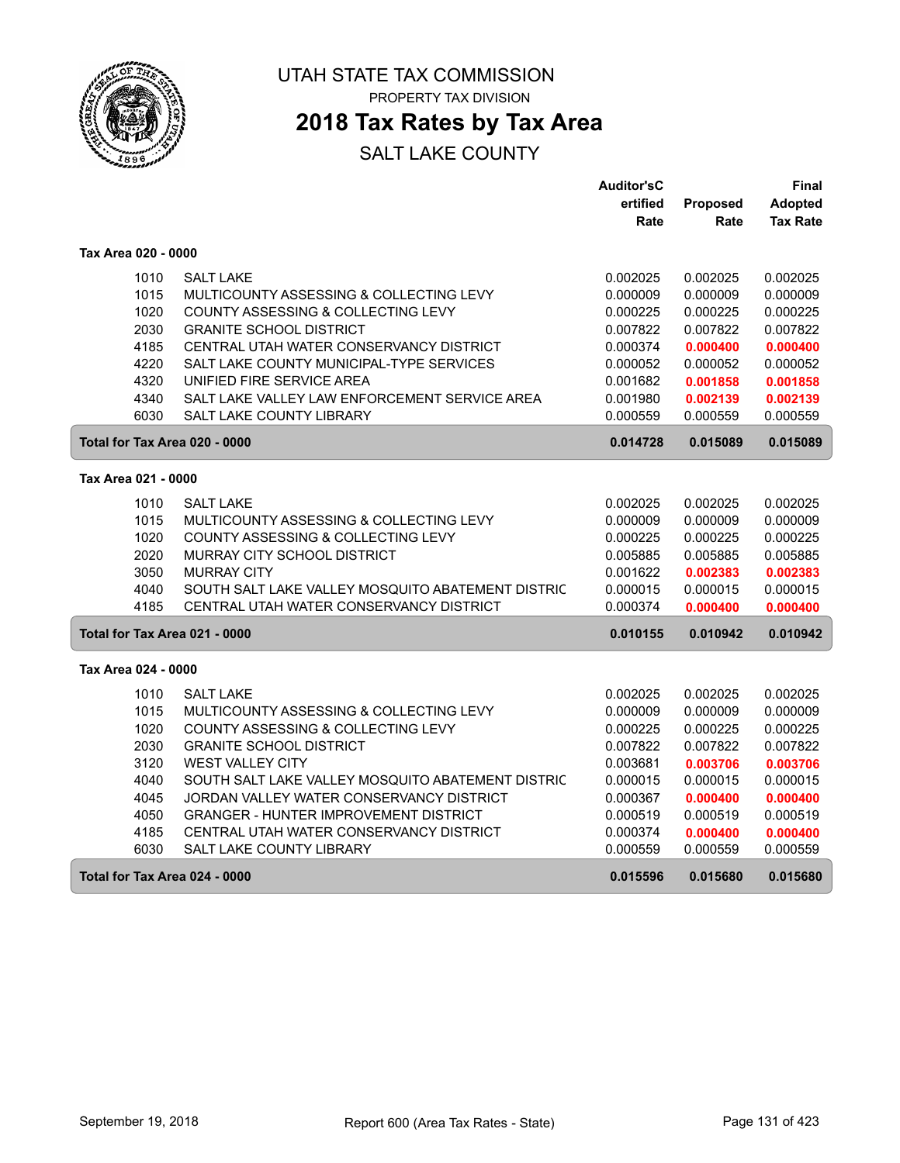

## **2018 Tax Rates by Tax Area**

|                     |                                                   | <b>Auditor'sC</b> |          | Final           |
|---------------------|---------------------------------------------------|-------------------|----------|-----------------|
|                     |                                                   | ertified          | Proposed | Adopted         |
|                     |                                                   | Rate              | Rate     | <b>Tax Rate</b> |
| Tax Area 020 - 0000 |                                                   |                   |          |                 |
| 1010                | <b>SALT LAKE</b>                                  | 0.002025          | 0.002025 | 0.002025        |
| 1015                | MULTICOUNTY ASSESSING & COLLECTING LEVY           | 0.000009          | 0.000009 | 0.000009        |
| 1020                | COUNTY ASSESSING & COLLECTING LEVY                | 0.000225          | 0.000225 | 0.000225        |
| 2030                | <b>GRANITE SCHOOL DISTRICT</b>                    | 0.007822          | 0.007822 | 0.007822        |
| 4185                | CENTRAL UTAH WATER CONSERVANCY DISTRICT           | 0.000374          | 0.000400 | 0.000400        |
| 4220                | SALT LAKE COUNTY MUNICIPAL-TYPE SERVICES          | 0.000052          | 0.000052 | 0.000052        |
| 4320                | UNIFIED FIRE SERVICE AREA                         | 0.001682          | 0.001858 | 0.001858        |
| 4340                | SALT LAKE VALLEY LAW ENFORCEMENT SERVICE AREA     | 0.001980          | 0.002139 | 0.002139        |
| 6030                | SALT LAKE COUNTY LIBRARY                          | 0.000559          | 0.000559 | 0.000559        |
|                     | Total for Tax Area 020 - 0000                     | 0.014728          | 0.015089 | 0.015089        |
| Tax Area 021 - 0000 |                                                   |                   |          |                 |
| 1010                | <b>SALT LAKE</b>                                  | 0.002025          | 0.002025 | 0.002025        |
| 1015                | MULTICOUNTY ASSESSING & COLLECTING LEVY           | 0.000009          | 0.000009 | 0.000009        |
| 1020                | COUNTY ASSESSING & COLLECTING LEVY                | 0.000225          | 0.000225 | 0.000225        |
| 2020                | MURRAY CITY SCHOOL DISTRICT                       | 0.005885          | 0.005885 | 0.005885        |
| 3050                | <b>MURRAY CITY</b>                                | 0.001622          | 0.002383 | 0.002383        |
| 4040                | SOUTH SALT LAKE VALLEY MOSQUITO ABATEMENT DISTRIC | 0.000015          | 0.000015 | 0.000015        |
| 4185                | CENTRAL UTAH WATER CONSERVANCY DISTRICT           | 0.000374          | 0.000400 | 0.000400        |
|                     | Total for Tax Area 021 - 0000                     | 0.010155          | 0.010942 | 0.010942        |
| Tax Area 024 - 0000 |                                                   |                   |          |                 |
| 1010                | <b>SALT LAKE</b>                                  | 0.002025          | 0.002025 | 0.002025        |
| 1015                | MULTICOUNTY ASSESSING & COLLECTING LEVY           | 0.000009          | 0.000009 | 0.000009        |
| 1020                | COUNTY ASSESSING & COLLECTING LEVY                | 0.000225          | 0.000225 | 0.000225        |
| 2030                | <b>GRANITE SCHOOL DISTRICT</b>                    | 0.007822          | 0.007822 | 0.007822        |
| 3120                | <b>WEST VALLEY CITY</b>                           | 0.003681          | 0.003706 | 0.003706        |
| 4040                | SOUTH SALT LAKE VALLEY MOSQUITO ABATEMENT DISTRIC | 0.000015          | 0.000015 | 0.000015        |
| 4045                | JORDAN VALLEY WATER CONSERVANCY DISTRICT          | 0.000367          | 0.000400 | 0.000400        |
| 4050                | <b>GRANGER - HUNTER IMPROVEMENT DISTRICT</b>      | 0.000519          | 0.000519 | 0.000519        |
| 4185                | CENTRAL UTAH WATER CONSERVANCY DISTRICT           | 0.000374          | 0.000400 | 0.000400        |
| 6030                | SALT LAKE COUNTY LIBRARY                          | 0.000559          | 0.000559 | 0.000559        |
|                     | Total for Tax Area 024 - 0000                     | 0.015596          | 0.015680 | 0.015680        |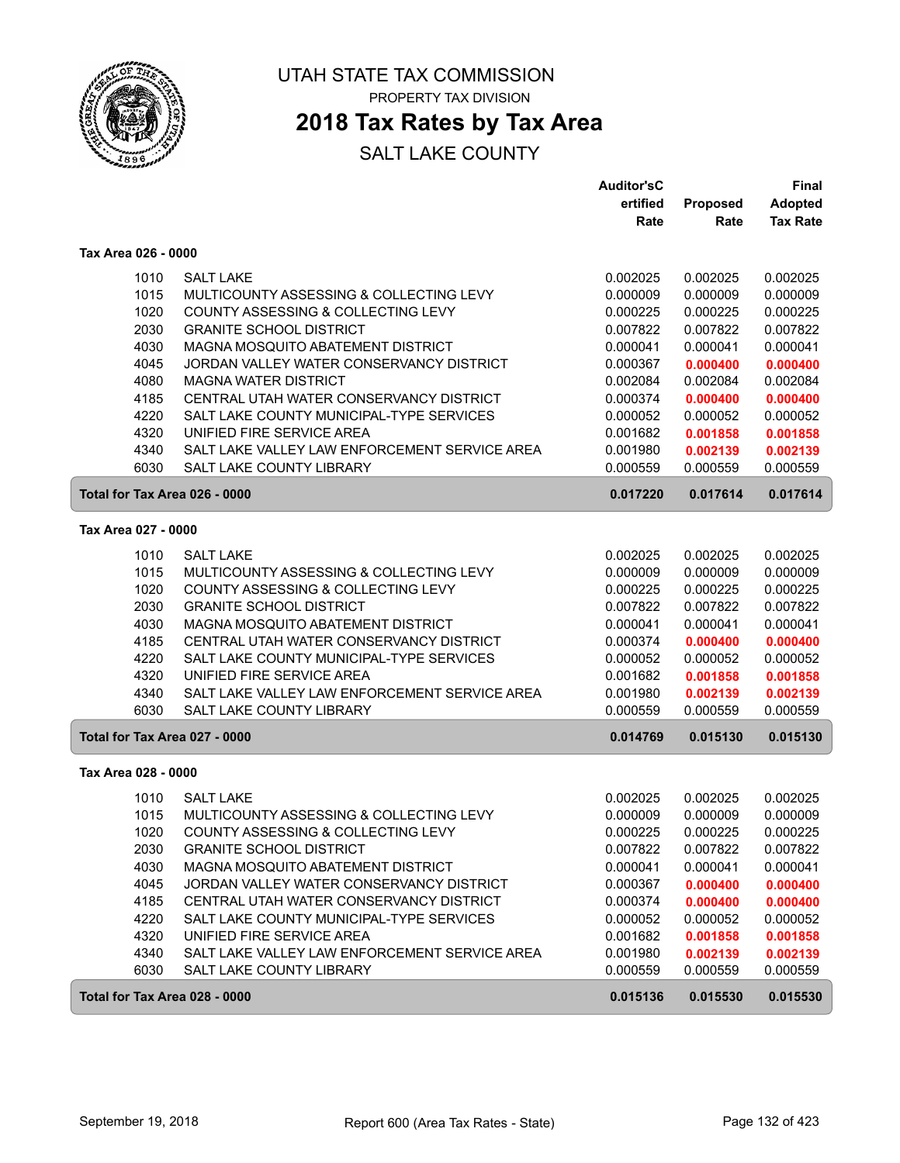

### **2018 Tax Rates by Tax Area**

|                               |                                               | <b>Auditor'sC</b> |          | Final           |
|-------------------------------|-----------------------------------------------|-------------------|----------|-----------------|
|                               |                                               | ertified          | Proposed | <b>Adopted</b>  |
|                               |                                               | Rate              | Rate     | <b>Tax Rate</b> |
| Tax Area 026 - 0000           |                                               |                   |          |                 |
| 1010                          | <b>SALT LAKE</b>                              | 0.002025          | 0.002025 | 0.002025        |
| 1015                          | MULTICOUNTY ASSESSING & COLLECTING LEVY       | 0.000009          | 0.000009 | 0.000009        |
| 1020                          | COUNTY ASSESSING & COLLECTING LEVY            | 0.000225          | 0.000225 | 0.000225        |
| 2030                          | <b>GRANITE SCHOOL DISTRICT</b>                | 0.007822          | 0.007822 | 0.007822        |
| 4030                          | MAGNA MOSQUITO ABATEMENT DISTRICT             | 0.000041          | 0.000041 | 0.000041        |
| 4045                          | JORDAN VALLEY WATER CONSERVANCY DISTRICT      | 0.000367          | 0.000400 | 0.000400        |
| 4080                          | <b>MAGNA WATER DISTRICT</b>                   | 0.002084          | 0.002084 | 0.002084        |
| 4185                          | CENTRAL UTAH WATER CONSERVANCY DISTRICT       | 0.000374          | 0.000400 | 0.000400        |
| 4220                          | SALT LAKE COUNTY MUNICIPAL-TYPE SERVICES      | 0.000052          | 0.000052 | 0.000052        |
| 4320                          | UNIFIED FIRE SERVICE AREA                     | 0.001682          | 0.001858 | 0.001858        |
| 4340                          | SALT LAKE VALLEY LAW ENFORCEMENT SERVICE AREA | 0.001980          | 0.002139 | 0.002139        |
| 6030                          | <b>SALT LAKE COUNTY LIBRARY</b>               | 0.000559          | 0.000559 | 0.000559        |
| Total for Tax Area 026 - 0000 |                                               | 0.017220          | 0.017614 | 0.017614        |
| Tax Area 027 - 0000           |                                               |                   |          |                 |
| 1010                          | <b>SALT LAKE</b>                              | 0.002025          | 0.002025 | 0.002025        |
| 1015                          | MULTICOUNTY ASSESSING & COLLECTING LEVY       | 0.000009          | 0.000009 | 0.000009        |
| 1020                          | COUNTY ASSESSING & COLLECTING LEVY            | 0.000225          | 0.000225 | 0.000225        |
| 2030                          | <b>GRANITE SCHOOL DISTRICT</b>                | 0.007822          | 0.007822 | 0.007822        |
| 4030                          | MAGNA MOSQUITO ABATEMENT DISTRICT             | 0.000041          | 0.000041 | 0.000041        |
| 4185                          | CENTRAL UTAH WATER CONSERVANCY DISTRICT       | 0.000374          | 0.000400 | 0.000400        |
| 4220                          | SALT LAKE COUNTY MUNICIPAL-TYPE SERVICES      | 0.000052          | 0.000052 | 0.000052        |
| 4320                          | UNIFIED FIRE SERVICE AREA                     | 0.001682          | 0.001858 | 0.001858        |
| 4340                          | SALT LAKE VALLEY LAW ENFORCEMENT SERVICE AREA | 0.001980          | 0.002139 | 0.002139        |
| 6030                          | <b>SALT LAKE COUNTY LIBRARY</b>               | 0.000559          | 0.000559 | 0.000559        |
| Total for Tax Area 027 - 0000 |                                               | 0.014769          | 0.015130 | 0.015130        |
| Tax Area 028 - 0000           |                                               |                   |          |                 |
| 1010                          | <b>SALT LAKE</b>                              | 0.002025          | 0.002025 | 0.002025        |
| 1015                          | MULTICOUNTY ASSESSING & COLLECTING LEVY       | 0.000009          | 0.000009 | 0.000009        |
| 1020                          | COUNTY ASSESSING & COLLECTING LEVY            | 0.000225          | 0.000225 | 0.000225        |
| 2030                          | <b>GRANITE SCHOOL DISTRICT</b>                | 0.007822          | 0.007822 | 0.007822        |
| 4030                          | MAGNA MOSQUITO ABATEMENT DISTRICT             | 0.000041          | 0.000041 | 0.000041        |
| 4045                          | JORDAN VALLEY WATER CONSERVANCY DISTRICT      | 0.000367          | 0.000400 | 0.000400        |
| 4185                          | CENTRAL UTAH WATER CONSERVANCY DISTRICT       | 0.000374          | 0.000400 | 0.000400        |
| 4220                          | SALT LAKE COUNTY MUNICIPAL-TYPE SERVICES      | 0.000052          | 0.000052 | 0.000052        |
| 4320                          | UNIFIED FIRE SERVICE AREA                     | 0.001682          | 0.001858 | 0.001858        |
| 4340                          | SALT LAKE VALLEY LAW ENFORCEMENT SERVICE AREA | 0.001980          | 0.002139 | 0.002139        |
| 6030                          | SALT LAKE COUNTY LIBRARY                      | 0.000559          | 0.000559 | 0.000559        |
| Total for Tax Area 028 - 0000 |                                               | 0.015136          | 0.015530 | 0.015530        |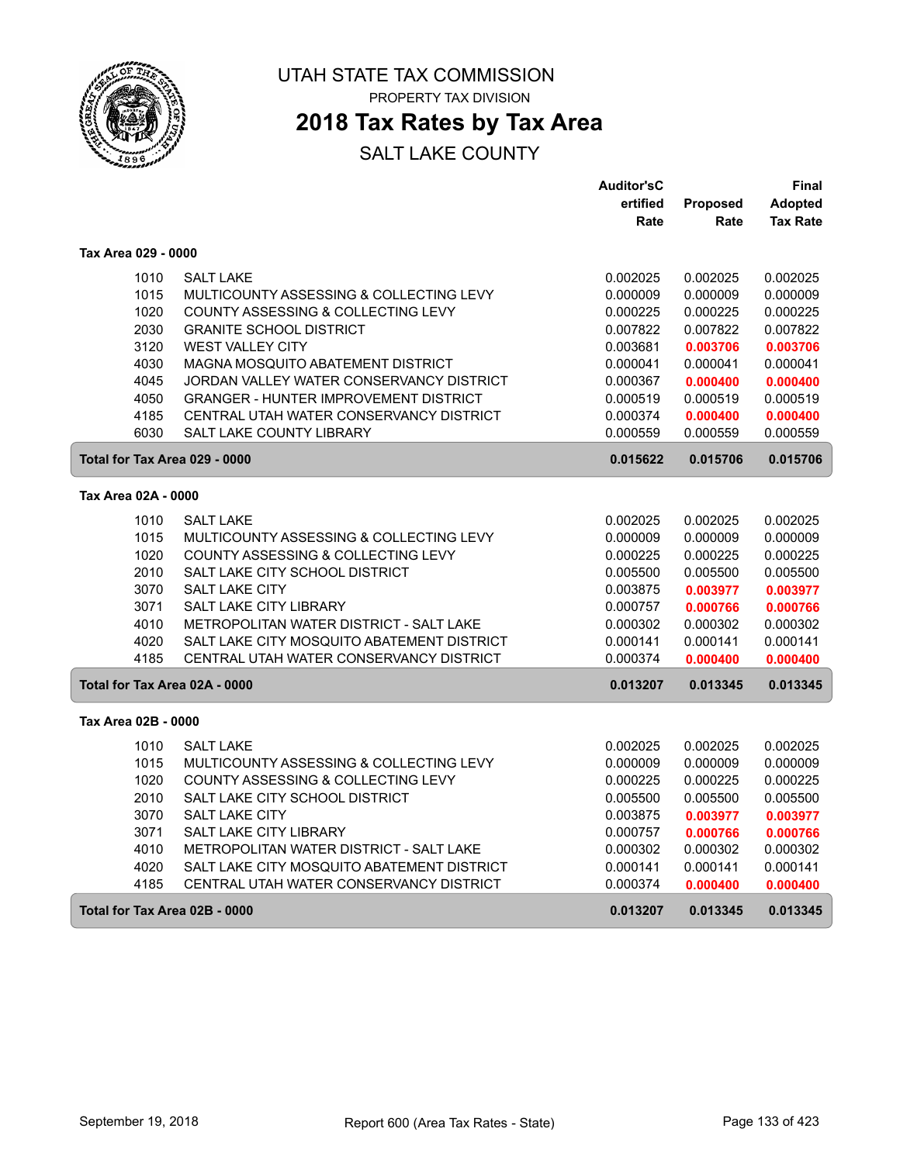

## **2018 Tax Rates by Tax Area**

|                               |                                              | <b>Auditor'sC</b> |          | Final           |
|-------------------------------|----------------------------------------------|-------------------|----------|-----------------|
|                               |                                              | ertified          | Proposed | <b>Adopted</b>  |
|                               |                                              | Rate              | Rate     | <b>Tax Rate</b> |
| Tax Area 029 - 0000           |                                              |                   |          |                 |
| 1010                          | <b>SALT LAKE</b>                             | 0.002025          | 0.002025 | 0.002025        |
| 1015                          | MULTICOUNTY ASSESSING & COLLECTING LEVY      | 0.000009          | 0.000009 | 0.000009        |
| 1020                          | COUNTY ASSESSING & COLLECTING LEVY           | 0.000225          | 0.000225 | 0.000225        |
| 2030                          | <b>GRANITE SCHOOL DISTRICT</b>               | 0.007822          | 0.007822 | 0.007822        |
| 3120                          | <b>WEST VALLEY CITY</b>                      | 0.003681          | 0.003706 | 0.003706        |
| 4030                          | MAGNA MOSQUITO ABATEMENT DISTRICT            | 0.000041          | 0.000041 | 0.000041        |
| 4045                          | JORDAN VALLEY WATER CONSERVANCY DISTRICT     | 0.000367          | 0.000400 | 0.000400        |
| 4050                          | <b>GRANGER - HUNTER IMPROVEMENT DISTRICT</b> | 0.000519          | 0.000519 | 0.000519        |
| 4185                          | CENTRAL UTAH WATER CONSERVANCY DISTRICT      | 0.000374          | 0.000400 | 0.000400        |
| 6030                          | <b>SALT LAKE COUNTY LIBRARY</b>              | 0.000559          | 0.000559 | 0.000559        |
| Total for Tax Area 029 - 0000 |                                              | 0.015622          | 0.015706 | 0.015706        |
| Tax Area 02A - 0000           |                                              |                   |          |                 |
| 1010                          | <b>SALT LAKE</b>                             | 0.002025          | 0.002025 | 0.002025        |
| 1015                          | MULTICOUNTY ASSESSING & COLLECTING LEVY      | 0.000009          | 0.000009 | 0.000009        |
| 1020                          | COUNTY ASSESSING & COLLECTING LEVY           | 0.000225          | 0.000225 | 0.000225        |
| 2010                          | SALT LAKE CITY SCHOOL DISTRICT               | 0.005500          | 0.005500 | 0.005500        |
| 3070                          | <b>SALT LAKE CITY</b>                        | 0.003875          | 0.003977 | 0.003977        |
| 3071                          | <b>SALT LAKE CITY LIBRARY</b>                | 0.000757          | 0.000766 | 0.000766        |
| 4010                          | METROPOLITAN WATER DISTRICT - SALT LAKE      | 0.000302          | 0.000302 | 0.000302        |
| 4020                          | SALT LAKE CITY MOSQUITO ABATEMENT DISTRICT   | 0.000141          | 0.000141 | 0.000141        |
| 4185                          | CENTRAL UTAH WATER CONSERVANCY DISTRICT      | 0.000374          | 0.000400 | 0.000400        |
| Total for Tax Area 02A - 0000 |                                              | 0.013207          | 0.013345 | 0.013345        |
| Tax Area 02B - 0000           |                                              |                   |          |                 |
| 1010                          | <b>SALT LAKE</b>                             | 0.002025          | 0.002025 | 0.002025        |
| 1015                          | MULTICOUNTY ASSESSING & COLLECTING LEVY      | 0.000009          | 0.000009 | 0.000009        |
| 1020                          | COUNTY ASSESSING & COLLECTING LEVY           | 0.000225          | 0.000225 | 0.000225        |
| 2010                          | SALT LAKE CITY SCHOOL DISTRICT               | 0.005500          | 0.005500 | 0.005500        |
| 3070                          | SALT LAKE CITY                               | 0.003875          | 0.003977 | 0.003977        |
| 3071                          | SALT LAKE CITY LIBRARY                       | 0.000757          | 0.000766 | 0.000766        |
| 4010                          | METROPOLITAN WATER DISTRICT - SALT LAKE      | 0.000302          | 0.000302 | 0.000302        |
| 4020                          | SALT LAKE CITY MOSQUITO ABATEMENT DISTRICT   | 0.000141          | 0.000141 | 0.000141        |
| 4185                          | CENTRAL UTAH WATER CONSERVANCY DISTRICT      | 0.000374          | 0.000400 | 0.000400        |
| Total for Tax Area 02B - 0000 |                                              | 0.013207          | 0.013345 | 0.013345        |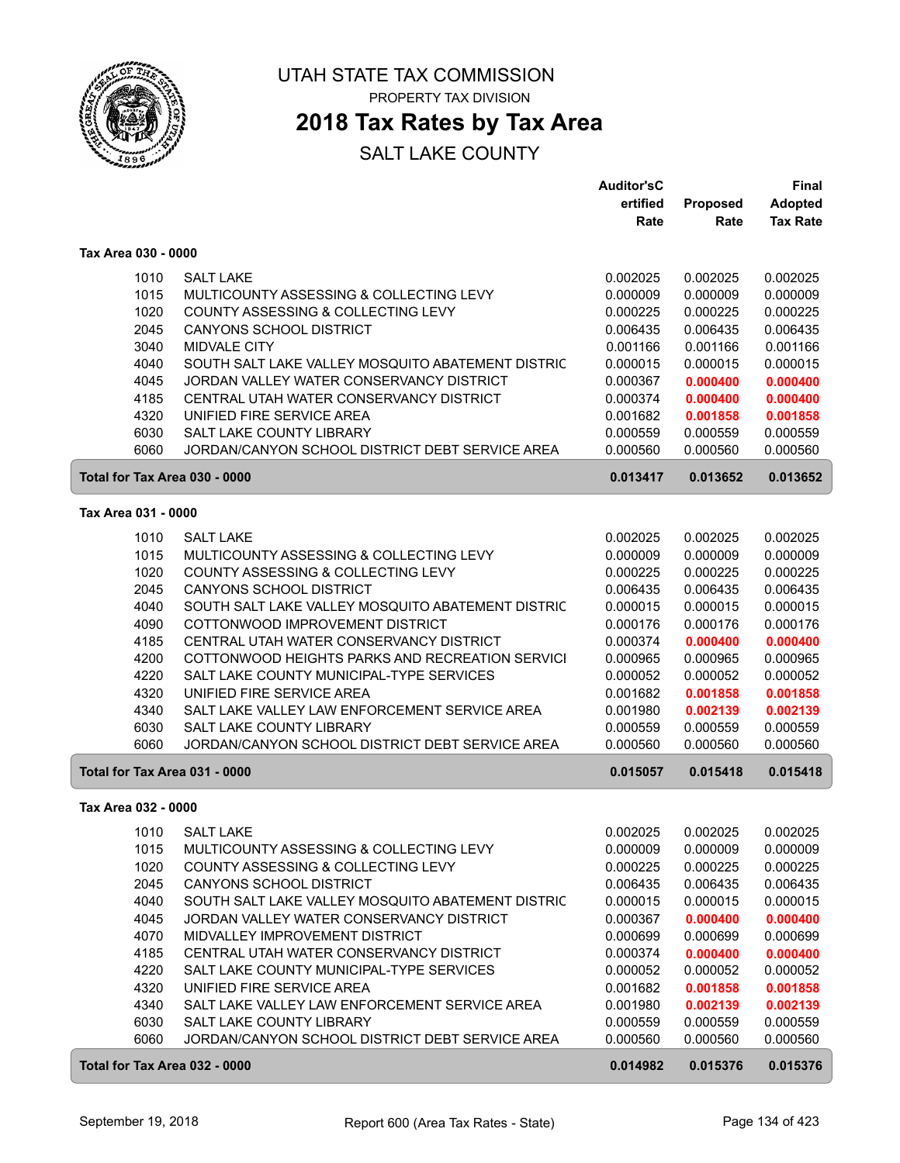

### **2018 Tax Rates by Tax Area**

|                               |                                                   | <b>Auditor'sC</b> |                 | <b>Final</b>    |
|-------------------------------|---------------------------------------------------|-------------------|-----------------|-----------------|
|                               |                                                   | ertified          | <b>Proposed</b> | Adopted         |
|                               |                                                   | Rate              | Rate            | <b>Tax Rate</b> |
| Tax Area 030 - 0000           |                                                   |                   |                 |                 |
| 1010                          | <b>SALT LAKE</b>                                  | 0.002025          | 0.002025        | 0.002025        |
| 1015                          | MULTICOUNTY ASSESSING & COLLECTING LEVY           | 0.000009          | 0.000009        | 0.000009        |
| 1020                          | COUNTY ASSESSING & COLLECTING LEVY                | 0.000225          | 0.000225        | 0.000225        |
| 2045                          | CANYONS SCHOOL DISTRICT                           | 0.006435          | 0.006435        | 0.006435        |
| 3040                          | MIDVALE CITY                                      | 0.001166          | 0.001166        | 0.001166        |
| 4040                          | SOUTH SALT LAKE VALLEY MOSQUITO ABATEMENT DISTRIC | 0.000015          | 0.000015        | 0.000015        |
| 4045                          | JORDAN VALLEY WATER CONSERVANCY DISTRICT          | 0.000367          | 0.000400        | 0.000400        |
| 4185                          | CENTRAL UTAH WATER CONSERVANCY DISTRICT           | 0.000374          | 0.000400        | 0.000400        |
| 4320                          | UNIFIED FIRE SERVICE AREA                         | 0.001682          | 0.001858        | 0.001858        |
| 6030                          | SALT LAKE COUNTY LIBRARY                          | 0.000559          | 0.000559        | 0.000559        |
| 6060                          | JORDAN/CANYON SCHOOL DISTRICT DEBT SERVICE AREA   | 0.000560          | 0.000560        | 0.000560        |
| Total for Tax Area 030 - 0000 |                                                   | 0.013417          | 0.013652        | 0.013652        |
| Tax Area 031 - 0000           |                                                   |                   |                 |                 |
| 1010                          | <b>SALT LAKE</b>                                  | 0.002025          | 0.002025        | 0.002025        |
| 1015                          | MULTICOUNTY ASSESSING & COLLECTING LEVY           | 0.000009          | 0.000009        | 0.000009        |
| 1020                          | COUNTY ASSESSING & COLLECTING LEVY                | 0.000225          | 0.000225        | 0.000225        |
| 2045                          | <b>CANYONS SCHOOL DISTRICT</b>                    | 0.006435          | 0.006435        | 0.006435        |
| 4040                          | SOUTH SALT LAKE VALLEY MOSQUITO ABATEMENT DISTRIC | 0.000015          | 0.000015        | 0.000015        |
| 4090                          | COTTONWOOD IMPROVEMENT DISTRICT                   | 0.000176          | 0.000176        | 0.000176        |
| 4185                          | CENTRAL UTAH WATER CONSERVANCY DISTRICT           | 0.000374          | 0.000400        | 0.000400        |
| 4200                          | COTTONWOOD HEIGHTS PARKS AND RECREATION SERVICI   | 0.000965          | 0.000965        | 0.000965        |
| 4220                          | SALT LAKE COUNTY MUNICIPAL-TYPE SERVICES          | 0.000052          | 0.000052        | 0.000052        |
| 4320                          | UNIFIED FIRE SERVICE AREA                         | 0.001682          | 0.001858        | 0.001858        |
| 4340                          | SALT LAKE VALLEY LAW ENFORCEMENT SERVICE AREA     | 0.001980          | 0.002139        | 0.002139        |
| 6030                          | <b>SALT LAKE COUNTY LIBRARY</b>                   | 0.000559          | 0.000559        | 0.000559        |
| 6060                          | JORDAN/CANYON SCHOOL DISTRICT DEBT SERVICE AREA   | 0.000560          | 0.000560        | 0.000560        |
| Total for Tax Area 031 - 0000 |                                                   | 0.015057          | 0.015418        | 0.015418        |
| Tax Area 032 - 0000           |                                                   |                   |                 |                 |
|                               | 1010 SALT LAKE                                    | 0.002025          | 0.002025        | 0.002025        |
| 1015                          | MULTICOUNTY ASSESSING & COLLECTING LEVY           | 0.000009          | 0.000009        | 0.000009        |
| 1020                          | COUNTY ASSESSING & COLLECTING LEVY                | 0.000225          | 0.000225        | 0.000225        |
| 2045                          | <b>CANYONS SCHOOL DISTRICT</b>                    | 0.006435          | 0.006435        | 0.006435        |
| 4040                          | SOUTH SALT LAKE VALLEY MOSQUITO ABATEMENT DISTRIC | 0.000015          | 0.000015        | 0.000015        |
| 4045                          | JORDAN VALLEY WATER CONSERVANCY DISTRICT          | 0.000367          | 0.000400        | 0.000400        |
| 4070                          | MIDVALLEY IMPROVEMENT DISTRICT                    | 0.000699          | 0.000699        | 0.000699        |
| 4185                          | CENTRAL UTAH WATER CONSERVANCY DISTRICT           | 0.000374          | 0.000400        | 0.000400        |
| 4220                          | SALT LAKE COUNTY MUNICIPAL-TYPE SERVICES          | 0.000052          | 0.000052        | 0.000052        |
| 4320                          | UNIFIED FIRE SERVICE AREA                         | 0.001682          | 0.001858        | 0.001858        |
| 4340                          | SALT LAKE VALLEY LAW ENFORCEMENT SERVICE AREA     | 0.001980          | 0.002139        | 0.002139        |
| 6030                          | SALT LAKE COUNTY LIBRARY                          | 0.000559          | 0.000559        | 0.000559        |
| 6060                          | JORDAN/CANYON SCHOOL DISTRICT DEBT SERVICE AREA   | 0.000560          | 0.000560        | 0.000560        |
| Total for Tax Area 032 - 0000 |                                                   | 0.014982          | 0.015376        | 0.015376        |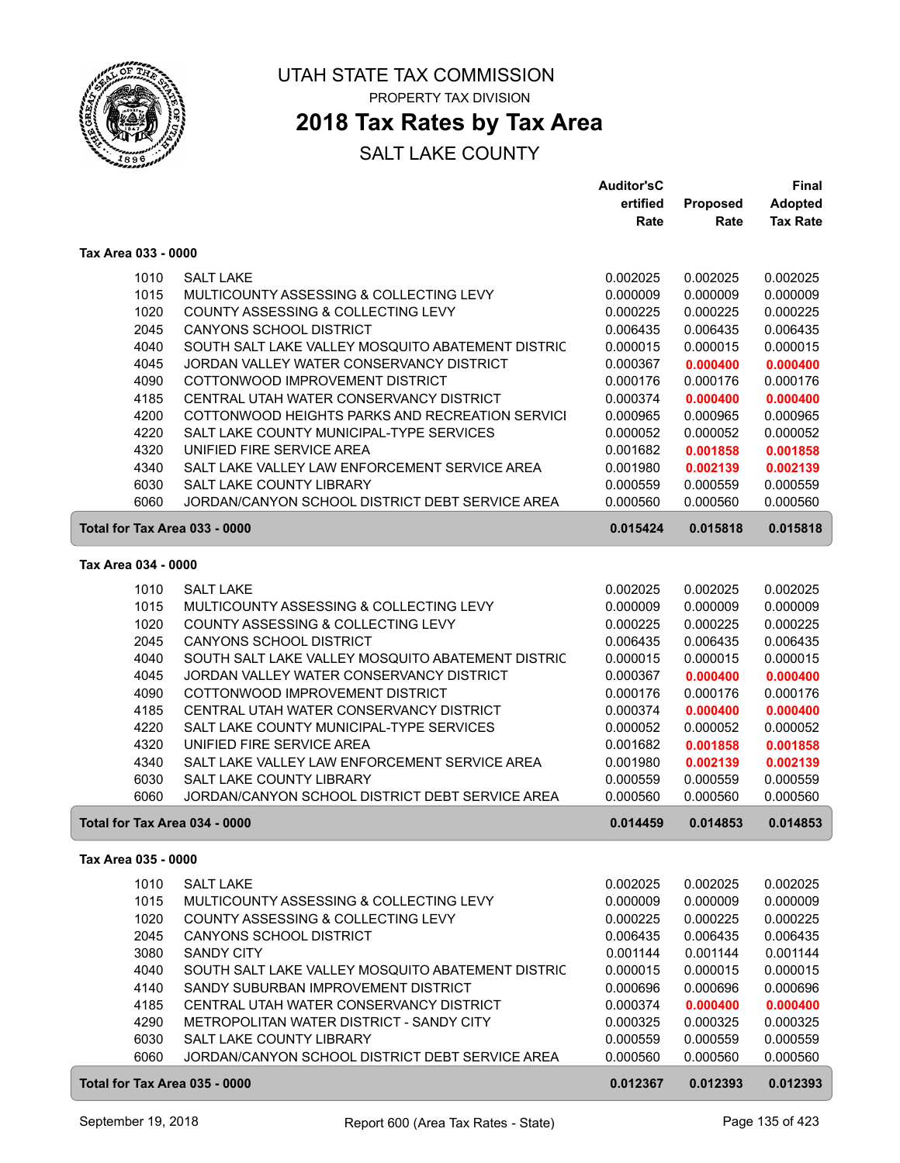

### **2018 Tax Rates by Tax Area**

|                     |                                                   | <b>Auditor'sC</b> |                 | Final           |
|---------------------|---------------------------------------------------|-------------------|-----------------|-----------------|
|                     |                                                   | ertified          | <b>Proposed</b> | <b>Adopted</b>  |
|                     |                                                   | Rate              | Rate            | <b>Tax Rate</b> |
| Tax Area 033 - 0000 |                                                   |                   |                 |                 |
| 1010                | <b>SALT LAKE</b>                                  | 0.002025          | 0.002025        | 0.002025        |
| 1015                | MULTICOUNTY ASSESSING & COLLECTING LEVY           | 0.000009          | 0.000009        | 0.000009        |
| 1020                | COUNTY ASSESSING & COLLECTING LEVY                | 0.000225          | 0.000225        | 0.000225        |
| 2045                | <b>CANYONS SCHOOL DISTRICT</b>                    | 0.006435          | 0.006435        | 0.006435        |
| 4040                | SOUTH SALT LAKE VALLEY MOSQUITO ABATEMENT DISTRIC | 0.000015          | 0.000015        | 0.000015        |
| 4045                | JORDAN VALLEY WATER CONSERVANCY DISTRICT          | 0.000367          | 0.000400        | 0.000400        |
| 4090                | COTTONWOOD IMPROVEMENT DISTRICT                   | 0.000176          | 0.000176        | 0.000176        |
| 4185                | CENTRAL UTAH WATER CONSERVANCY DISTRICT           | 0.000374          | 0.000400        | 0.000400        |
| 4200                | COTTONWOOD HEIGHTS PARKS AND RECREATION SERVICI   | 0.000965          | 0.000965        | 0.000965        |
| 4220                | SALT LAKE COUNTY MUNICIPAL-TYPE SERVICES          | 0.000052          | 0.000052        | 0.000052        |
| 4320                | UNIFIED FIRE SERVICE AREA                         | 0.001682          | 0.001858        | 0.001858        |
| 4340                | SALT LAKE VALLEY LAW ENFORCEMENT SERVICE AREA     | 0.001980          | 0.002139        | 0.002139        |
| 6030                | <b>SALT LAKE COUNTY LIBRARY</b>                   | 0.000559          | 0.000559        | 0.000559        |
| 6060                | JORDAN/CANYON SCHOOL DISTRICT DEBT SERVICE AREA   | 0.000560          | 0.000560        | 0.000560        |
|                     | Total for Tax Area 033 - 0000                     | 0.015424          | 0.015818        | 0.015818        |
| Tax Area 034 - 0000 |                                                   |                   |                 |                 |
| 1010                | <b>SALT LAKE</b>                                  | 0.002025          | 0.002025        | 0.002025        |
| 1015                | MULTICOUNTY ASSESSING & COLLECTING LEVY           | 0.000009          | 0.000009        | 0.000009        |
| 1020                | COUNTY ASSESSING & COLLECTING LEVY                | 0.000225          | 0.000225        | 0.000225        |
| 2045                | <b>CANYONS SCHOOL DISTRICT</b>                    | 0.006435          | 0.006435        | 0.006435        |
| 4040                | SOUTH SALT LAKE VALLEY MOSQUITO ABATEMENT DISTRIC | 0.000015          | 0.000015        | 0.000015        |
| 4045                | JORDAN VALLEY WATER CONSERVANCY DISTRICT          | 0.000367          | 0.000400        | 0.000400        |
| 4090                | COTTONWOOD IMPROVEMENT DISTRICT                   | 0.000176          | 0.000176        | 0.000176        |
| 4185                | CENTRAL UTAH WATER CONSERVANCY DISTRICT           | 0.000374          | 0.000400        | 0.000400        |
| 4220                | SALT LAKE COUNTY MUNICIPAL-TYPE SERVICES          | 0.000052          | 0.000052        | 0.000052        |
| 4320                | UNIFIED FIRE SERVICE AREA                         | 0.001682          | 0.001858        | 0.001858        |
| 4340                | SALT LAKE VALLEY LAW ENFORCEMENT SERVICE AREA     | 0.001980          | 0.002139        | 0.002139        |
| 6030                | <b>SALT LAKE COUNTY LIBRARY</b>                   | 0.000559          | 0.000559        | 0.000559        |
| 6060                | JORDAN/CANYON SCHOOL DISTRICT DEBT SERVICE AREA   | 0.000560          | 0.000560        | 0.000560        |
|                     | Total for Tax Area 034 - 0000                     | 0.014459          | 0.014853        | 0.014853        |
| Tax Area 035 - 0000 |                                                   |                   |                 |                 |
| 1010                | <b>SALT LAKE</b>                                  | 0.002025          | 0.002025        | 0.002025        |
| 1015                | MULTICOUNTY ASSESSING & COLLECTING LEVY           | 0.000009          | 0.000009        | 0.000009        |
| 1020                | COUNTY ASSESSING & COLLECTING LEVY                | 0.000225          | 0.000225        | 0.000225        |
| 2045                | <b>CANYONS SCHOOL DISTRICT</b>                    | 0.006435          | 0.006435        | 0.006435        |
| 3080                | <b>SANDY CITY</b>                                 | 0.001144          | 0.001144        | 0.001144        |
| 4040                | SOUTH SALT LAKE VALLEY MOSQUITO ABATEMENT DISTRIC | 0.000015          | 0.000015        | 0.000015        |
| 4140                | SANDY SUBURBAN IMPROVEMENT DISTRICT               | 0.000696          | 0.000696        | 0.000696        |
| 4185                | CENTRAL UTAH WATER CONSERVANCY DISTRICT           | 0.000374          | 0.000400        | 0.000400        |
| 4290                | METROPOLITAN WATER DISTRICT - SANDY CITY          | 0.000325          | 0.000325        | 0.000325        |
| 6030                | SALT LAKE COUNTY LIBRARY                          | 0.000559          | 0.000559        | 0.000559        |
| 6060                | JORDAN/CANYON SCHOOL DISTRICT DEBT SERVICE AREA   | 0.000560          | 0.000560        | 0.000560        |
|                     | Total for Tax Area 035 - 0000                     | 0.012367          | 0.012393        | 0.012393        |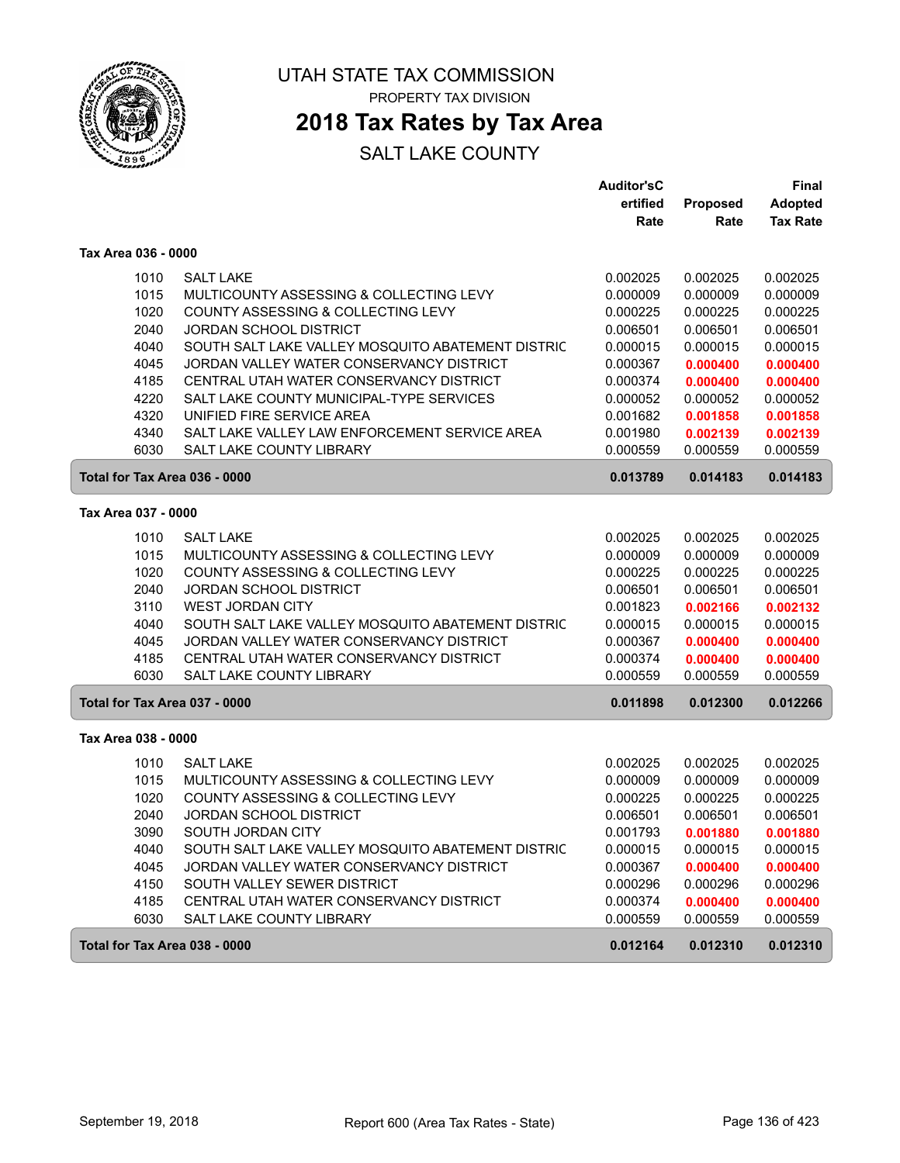

### **2018 Tax Rates by Tax Area**

#### SALT LAKE COUNTY

|                               |                                                   | <b>Auditor'sC</b> |          | Final           |
|-------------------------------|---------------------------------------------------|-------------------|----------|-----------------|
|                               |                                                   | ertified          | Proposed | Adopted         |
|                               |                                                   | Rate              | Rate     | <b>Tax Rate</b> |
| Tax Area 036 - 0000           |                                                   |                   |          |                 |
| 1010                          | <b>SALT LAKE</b>                                  | 0.002025          | 0.002025 | 0.002025        |
| 1015                          | MULTICOUNTY ASSESSING & COLLECTING LEVY           | 0.000009          | 0.000009 | 0.000009        |
| 1020                          | COUNTY ASSESSING & COLLECTING LEVY                | 0.000225          | 0.000225 | 0.000225        |
| 2040                          | <b>JORDAN SCHOOL DISTRICT</b>                     | 0.006501          | 0.006501 | 0.006501        |
| 4040                          | SOUTH SALT LAKE VALLEY MOSQUITO ABATEMENT DISTRIC | 0.000015          | 0.000015 | 0.000015        |
| 4045                          | JORDAN VALLEY WATER CONSERVANCY DISTRICT          | 0.000367          | 0.000400 | 0.000400        |
| 4185                          | CENTRAL UTAH WATER CONSERVANCY DISTRICT           | 0.000374          | 0.000400 | 0.000400        |
| 4220                          | SALT LAKE COUNTY MUNICIPAL-TYPE SERVICES          | 0.000052          | 0.000052 | 0.000052        |
| 4320                          | UNIFIED FIRE SERVICE AREA                         | 0.001682          | 0.001858 | 0.001858        |
| 4340                          | SALT LAKE VALLEY LAW ENFORCEMENT SERVICE AREA     | 0.001980          | 0.002139 | 0.002139        |
| 6030                          | SALT LAKE COUNTY LIBRARY                          | 0.000559          | 0.000559 | 0.000559        |
| Total for Tax Area 036 - 0000 |                                                   | 0.013789          | 0.014183 | 0.014183        |
| Tax Area 037 - 0000           |                                                   |                   |          |                 |
| 1010                          | <b>SALT LAKE</b>                                  | 0.002025          | 0.002025 | 0.002025        |
| 1015                          | MULTICOUNTY ASSESSING & COLLECTING LEVY           | 0.000009          | 0.000009 | 0.000009        |
| 1020                          | COUNTY ASSESSING & COLLECTING LEVY                | 0.000225          | 0.000225 | 0.000225        |
| 2040                          | JORDAN SCHOOL DISTRICT                            | 0.006501          | 0.006501 | 0.006501        |
| 3110                          | <b>WEST JORDAN CITY</b>                           | 0.001823          | 0.002166 | 0.002132        |
| 4040                          | SOUTH SALT LAKE VALLEY MOSQUITO ABATEMENT DISTRIC | 0.000015          | 0.000015 | 0.000015        |
| 4045                          | JORDAN VALLEY WATER CONSERVANCY DISTRICT          | 0.000367          | 0.000400 | 0.000400        |
| 4185                          | CENTRAL UTAH WATER CONSERVANCY DISTRICT           | 0.000374          | 0.000400 | 0.000400        |
| 6030                          | <b>SALT LAKE COUNTY LIBRARY</b>                   | 0.000559          | 0.000559 | 0.000559        |
| Total for Tax Area 037 - 0000 |                                                   | 0.011898          | 0.012300 | 0.012266        |
| Tax Area 038 - 0000           |                                                   |                   |          |                 |
| 1010                          | <b>SALT LAKE</b>                                  | 0.002025          | 0.002025 | 0.002025        |
| 1015                          | MULTICOUNTY ASSESSING & COLLECTING LEVY           | 0.000009          | 0.000009 | 0.000009        |
| 1020                          | COUNTY ASSESSING & COLLECTING LEVY                | 0.000225          | 0.000225 | 0.000225        |
| 2040                          | <b>JORDAN SCHOOL DISTRICT</b>                     | 0.006501          | 0.006501 | 0.006501        |
| 3090                          | SOUTH JORDAN CITY                                 | 0.001793          | 0.001880 | 0.001880        |
| 4040                          | SOUTH SALT LAKE VALLEY MOSQUITO ABATEMENT DISTRIC | 0.000015          | 0.000015 | 0.000015        |
| 4045                          | JORDAN VALLEY WATER CONSERVANCY DISTRICT          | 0.000367          | 0.000400 | 0.000400        |
| 4150                          | SOUTH VALLEY SEWER DISTRICT                       | 0.000296          | 0.000296 | 0.000296        |
| 4185                          | CENTRAL UTAH WATER CONSERVANCY DISTRICT           | 0.000374          | 0.000400 | 0.000400        |
| 6030                          | SALT LAKE COUNTY LIBRARY                          | 0.000559          | 0.000559 | 0.000559        |
| Total for Tax Area 038 - 0000 |                                                   | 0.012164          | 0.012310 | 0.012310        |

ſ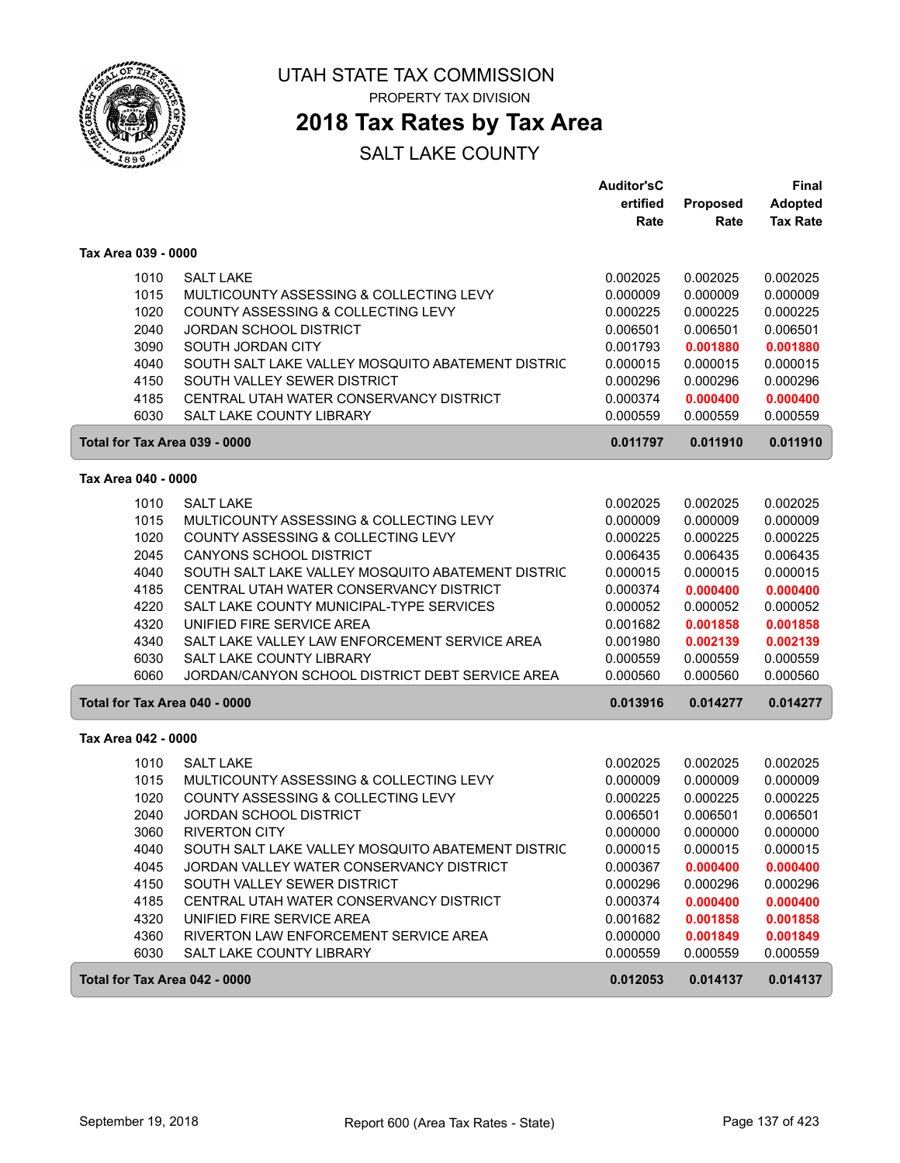

### **2018 Tax Rates by Tax Area**

|                               |                                                   | <b>Auditor'sC</b> |          | Final           |
|-------------------------------|---------------------------------------------------|-------------------|----------|-----------------|
|                               |                                                   | ertified          | Proposed | <b>Adopted</b>  |
|                               |                                                   | Rate              | Rate     | <b>Tax Rate</b> |
| Tax Area 039 - 0000           |                                                   |                   |          |                 |
| 1010                          | <b>SALT LAKE</b>                                  | 0.002025          | 0.002025 | 0.002025        |
| 1015                          | MULTICOUNTY ASSESSING & COLLECTING LEVY           | 0.000009          | 0.000009 | 0.000009        |
| 1020                          | COUNTY ASSESSING & COLLECTING LEVY                | 0.000225          | 0.000225 | 0.000225        |
| 2040                          | <b>JORDAN SCHOOL DISTRICT</b>                     | 0.006501          | 0.006501 | 0.006501        |
| 3090                          | SOUTH JORDAN CITY                                 | 0.001793          | 0.001880 | 0.001880        |
| 4040                          | SOUTH SALT LAKE VALLEY MOSQUITO ABATEMENT DISTRIC | 0.000015          | 0.000015 | 0.000015        |
| 4150                          | SOUTH VALLEY SEWER DISTRICT                       | 0.000296          | 0.000296 | 0.000296        |
| 4185                          | CENTRAL UTAH WATER CONSERVANCY DISTRICT           | 0.000374          | 0.000400 | 0.000400        |
| 6030                          | SALT LAKE COUNTY LIBRARY                          | 0.000559          | 0.000559 | 0.000559        |
| Total for Tax Area 039 - 0000 |                                                   | 0.011797          | 0.011910 | 0.011910        |
| Tax Area 040 - 0000           |                                                   |                   |          |                 |
| 1010                          | <b>SALT LAKE</b>                                  | 0.002025          | 0.002025 | 0.002025        |
| 1015                          | MULTICOUNTY ASSESSING & COLLECTING LEVY           | 0.000009          | 0.000009 | 0.000009        |
| 1020                          | COUNTY ASSESSING & COLLECTING LEVY                | 0.000225          | 0.000225 | 0.000225        |
| 2045                          | <b>CANYONS SCHOOL DISTRICT</b>                    | 0.006435          | 0.006435 | 0.006435        |
| 4040                          | SOUTH SALT LAKE VALLEY MOSQUITO ABATEMENT DISTRIC | 0.000015          | 0.000015 | 0.000015        |
| 4185                          | CENTRAL UTAH WATER CONSERVANCY DISTRICT           | 0.000374          | 0.000400 | 0.000400        |
| 4220                          | SALT LAKE COUNTY MUNICIPAL-TYPE SERVICES          | 0.000052          | 0.000052 | 0.000052        |
| 4320                          | UNIFIED FIRE SERVICE AREA                         | 0.001682          | 0.001858 | 0.001858        |
| 4340                          | SALT LAKE VALLEY LAW ENFORCEMENT SERVICE AREA     | 0.001980          | 0.002139 | 0.002139        |
| 6030                          | <b>SALT LAKE COUNTY LIBRARY</b>                   | 0.000559          | 0.000559 | 0.000559        |
| 6060                          | JORDAN/CANYON SCHOOL DISTRICT DEBT SERVICE AREA   | 0.000560          | 0.000560 | 0.000560        |
| Total for Tax Area 040 - 0000 |                                                   | 0.013916          | 0.014277 | 0.014277        |
| Tax Area 042 - 0000           |                                                   |                   |          |                 |
| 1010                          | <b>SALT LAKE</b>                                  | 0.002025          | 0.002025 | 0.002025        |
| 1015                          | MULTICOUNTY ASSESSING & COLLECTING LEVY           | 0.000009          | 0.000009 | 0.000009        |
| 1020                          | COUNTY ASSESSING & COLLECTING LEVY                | 0.000225          | 0.000225 | 0.000225        |
| 2040                          | <b>JORDAN SCHOOL DISTRICT</b>                     | 0.006501          | 0.006501 | 0.006501        |
| 3060                          | <b>RIVERTON CITY</b>                              | 0.000000          | 0.000000 | 0.000000        |
| 4040                          | SOUTH SALT LAKE VALLEY MOSQUITO ABATEMENT DISTRIC | 0.000015          | 0.000015 | 0.000015        |
| 4045                          | JORDAN VALLEY WATER CONSERVANCY DISTRICT          | 0.000367          | 0.000400 | 0.000400        |
| 4150                          | SOUTH VALLEY SEWER DISTRICT                       | 0.000296          | 0.000296 | 0.000296        |
| 4185                          | CENTRAL UTAH WATER CONSERVANCY DISTRICT           | 0.000374          | 0.000400 | 0.000400        |
| 4320                          | UNIFIED FIRE SERVICE AREA                         | 0.001682          | 0.001858 | 0.001858        |
| 4360                          | RIVERTON LAW ENFORCEMENT SERVICE AREA             | 0.000000          | 0.001849 | 0.001849        |
| 6030                          | SALT LAKE COUNTY LIBRARY                          | 0.000559          | 0.000559 | 0.000559        |
| Total for Tax Area 042 - 0000 |                                                   | 0.012053          | 0.014137 | 0.014137        |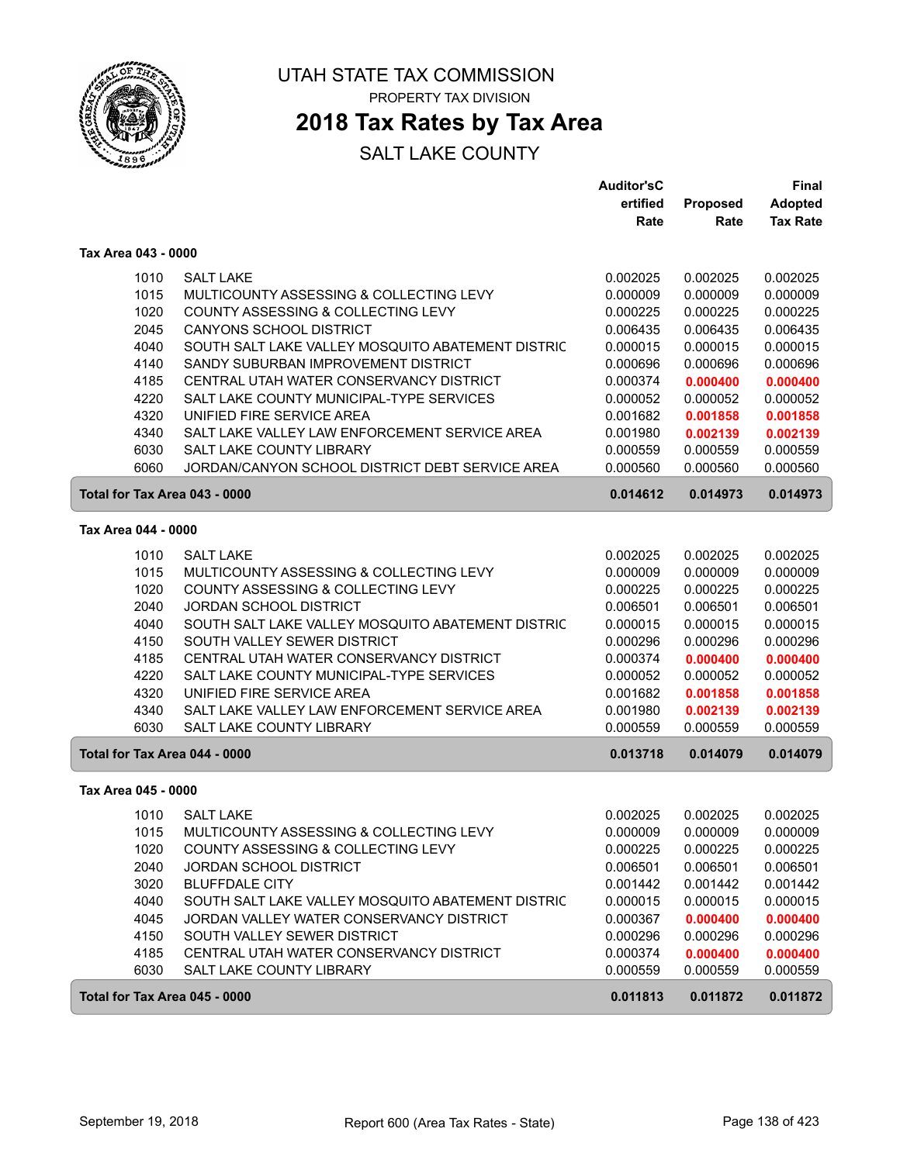

### **2018 Tax Rates by Tax Area**

|                     |                                                   | <b>Auditor'sC</b> |                 | Final           |
|---------------------|---------------------------------------------------|-------------------|-----------------|-----------------|
|                     |                                                   | ertified          | <b>Proposed</b> | <b>Adopted</b>  |
|                     |                                                   | Rate              | Rate            | <b>Tax Rate</b> |
| Tax Area 043 - 0000 |                                                   |                   |                 |                 |
| 1010                | <b>SALT LAKE</b>                                  | 0.002025          | 0.002025        | 0.002025        |
| 1015                | MULTICOUNTY ASSESSING & COLLECTING LEVY           | 0.000009          | 0.000009        | 0.000009        |
| 1020                | COUNTY ASSESSING & COLLECTING LEVY                | 0.000225          | 0.000225        | 0.000225        |
| 2045                | <b>CANYONS SCHOOL DISTRICT</b>                    | 0.006435          | 0.006435        | 0.006435        |
| 4040                | SOUTH SALT LAKE VALLEY MOSQUITO ABATEMENT DISTRIC | 0.000015          | 0.000015        | 0.000015        |
| 4140                | SANDY SUBURBAN IMPROVEMENT DISTRICT               | 0.000696          | 0.000696        | 0.000696        |
| 4185                | CENTRAL UTAH WATER CONSERVANCY DISTRICT           | 0.000374          | 0.000400        | 0.000400        |
| 4220                | SALT LAKE COUNTY MUNICIPAL-TYPE SERVICES          | 0.000052          | 0.000052        | 0.000052        |
| 4320                | UNIFIED FIRE SERVICE AREA                         | 0.001682          | 0.001858        | 0.001858        |
| 4340                | SALT LAKE VALLEY LAW ENFORCEMENT SERVICE AREA     | 0.001980          | 0.002139        | 0.002139        |
| 6030                | SALT LAKE COUNTY LIBRARY                          | 0.000559          | 0.000559        | 0.000559        |
| 6060                | JORDAN/CANYON SCHOOL DISTRICT DEBT SERVICE AREA   | 0.000560          | 0.000560        | 0.000560        |
|                     | Total for Tax Area 043 - 0000                     | 0.014612          | 0.014973        | 0.014973        |
| Tax Area 044 - 0000 |                                                   |                   |                 |                 |
| 1010                | <b>SALT LAKE</b>                                  | 0.002025          | 0.002025        | 0.002025        |
| 1015                | MULTICOUNTY ASSESSING & COLLECTING LEVY           | 0.000009          | 0.000009        | 0.000009        |
| 1020                | COUNTY ASSESSING & COLLECTING LEVY                | 0.000225          | 0.000225        | 0.000225        |
| 2040                | <b>JORDAN SCHOOL DISTRICT</b>                     | 0.006501          | 0.006501        | 0.006501        |
| 4040                | SOUTH SALT LAKE VALLEY MOSQUITO ABATEMENT DISTRIC | 0.000015          | 0.000015        | 0.000015        |
| 4150                | SOUTH VALLEY SEWER DISTRICT                       | 0.000296          | 0.000296        | 0.000296        |
| 4185                | CENTRAL UTAH WATER CONSERVANCY DISTRICT           | 0.000374          | 0.000400        | 0.000400        |
| 4220                | SALT LAKE COUNTY MUNICIPAL-TYPE SERVICES          | 0.000052          | 0.000052        | 0.000052        |
| 4320                | UNIFIED FIRE SERVICE AREA                         | 0.001682          | 0.001858        | 0.001858        |
| 4340                | SALT LAKE VALLEY LAW ENFORCEMENT SERVICE AREA     | 0.001980          | 0.002139        | 0.002139        |
| 6030                | SALT LAKE COUNTY LIBRARY                          | 0.000559          | 0.000559        | 0.000559        |
|                     | Total for Tax Area 044 - 0000                     | 0.013718          | 0.014079        | 0.014079        |
| Tax Area 045 - 0000 |                                                   |                   |                 |                 |
| 1010                | <b>SALT LAKE</b>                                  | 0.002025          | 0.002025        | 0.002025        |
| 1015                | MULTICOUNTY ASSESSING & COLLECTING LEVY           | 0.000009          | 0.000009        | 0.000009        |
| 1020                | COUNTY ASSESSING & COLLECTING LEVY                | 0.000225          | 0.000225        | 0.000225        |
| 2040                | JORDAN SCHOOL DISTRICT                            | 0.006501          | 0.006501        | 0.006501        |
| 3020                | <b>BLUFFDALE CITY</b>                             | 0.001442          | 0.001442        | 0.001442        |
| 4040                | SOUTH SALT LAKE VALLEY MOSQUITO ABATEMENT DISTRIC | 0.000015          | 0.000015        | 0.000015        |
| 4045                | JORDAN VALLEY WATER CONSERVANCY DISTRICT          | 0.000367          | 0.000400        | 0.000400        |
| 4150                | SOUTH VALLEY SEWER DISTRICT                       | 0.000296          | 0.000296        | 0.000296        |
| 4185                | CENTRAL UTAH WATER CONSERVANCY DISTRICT           | 0.000374          | 0.000400        | 0.000400        |
| 6030                | SALT LAKE COUNTY LIBRARY                          | 0.000559          | 0.000559        | 0.000559        |
|                     | Total for Tax Area 045 - 0000                     | 0.011813          | 0.011872        | 0.011872        |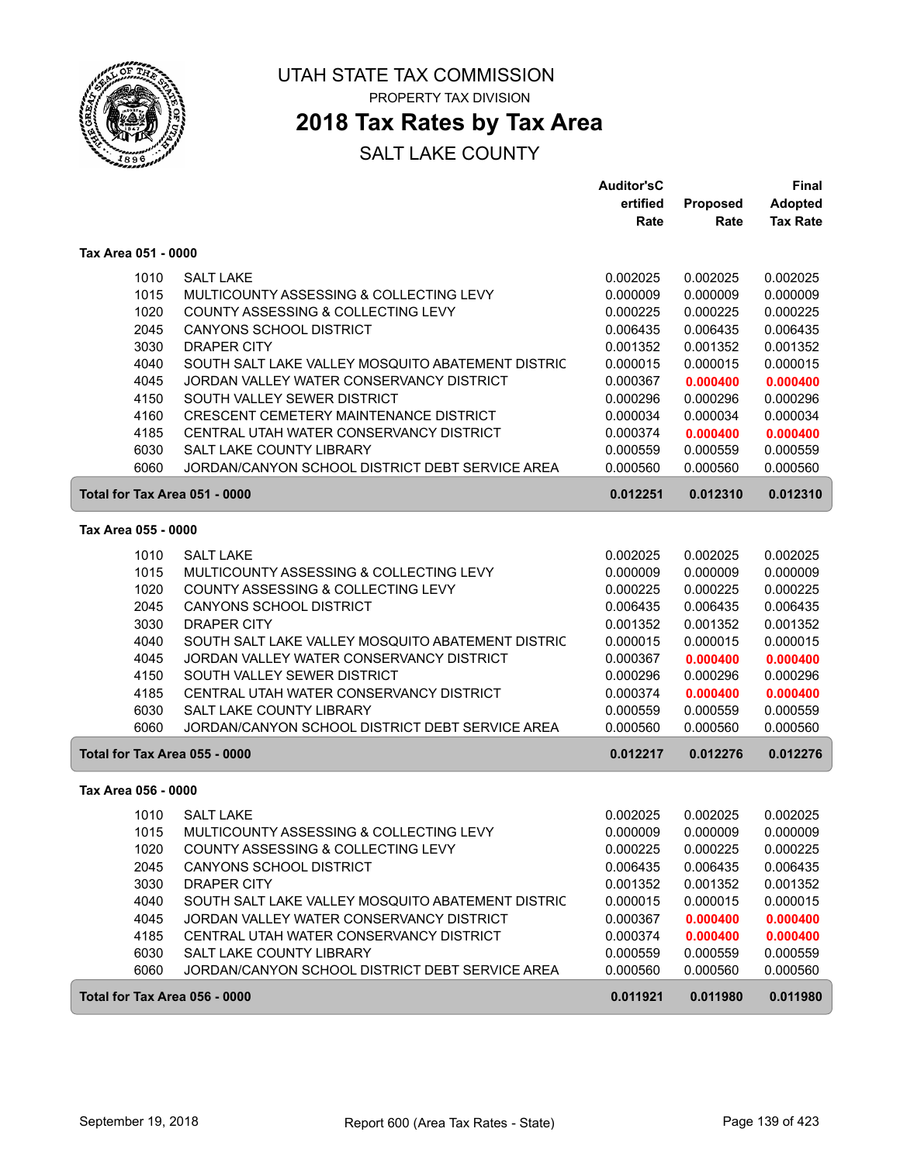

### **2018 Tax Rates by Tax Area**

|                     |                                                   | <b>Auditor'sC</b> |                 | Final           |
|---------------------|---------------------------------------------------|-------------------|-----------------|-----------------|
|                     |                                                   | ertified          | <b>Proposed</b> | <b>Adopted</b>  |
|                     |                                                   | Rate              | Rate            | <b>Tax Rate</b> |
| Tax Area 051 - 0000 |                                                   |                   |                 |                 |
| 1010                | <b>SALT LAKE</b>                                  | 0.002025          | 0.002025        | 0.002025        |
| 1015                | MULTICOUNTY ASSESSING & COLLECTING LEVY           | 0.000009          | 0.000009        | 0.000009        |
| 1020                | COUNTY ASSESSING & COLLECTING LEVY                | 0.000225          | 0.000225        | 0.000225        |
| 2045                | <b>CANYONS SCHOOL DISTRICT</b>                    | 0.006435          | 0.006435        | 0.006435        |
| 3030                | <b>DRAPER CITY</b>                                | 0.001352          | 0.001352        | 0.001352        |
| 4040                | SOUTH SALT LAKE VALLEY MOSQUITO ABATEMENT DISTRIC | 0.000015          | 0.000015        | 0.000015        |
| 4045                | JORDAN VALLEY WATER CONSERVANCY DISTRICT          | 0.000367          | 0.000400        | 0.000400        |
| 4150                | SOUTH VALLEY SEWER DISTRICT                       | 0.000296          | 0.000296        | 0.000296        |
| 4160                | CRESCENT CEMETERY MAINTENANCE DISTRICT            | 0.000034          | 0.000034        | 0.000034        |
| 4185                | CENTRAL UTAH WATER CONSERVANCY DISTRICT           | 0.000374          | 0.000400        | 0.000400        |
| 6030                | SALT LAKE COUNTY LIBRARY                          | 0.000559          | 0.000559        | 0.000559        |
| 6060                | JORDAN/CANYON SCHOOL DISTRICT DEBT SERVICE AREA   | 0.000560          | 0.000560        | 0.000560        |
|                     | Total for Tax Area 051 - 0000                     | 0.012251          | 0.012310        | 0.012310        |
|                     |                                                   |                   |                 |                 |
| Tax Area 055 - 0000 |                                                   |                   |                 |                 |
| 1010                | <b>SALT LAKE</b>                                  | 0.002025          | 0.002025        | 0.002025        |
| 1015                | MULTICOUNTY ASSESSING & COLLECTING LEVY           | 0.000009          | 0.000009        | 0.000009        |
| 1020                | COUNTY ASSESSING & COLLECTING LEVY                | 0.000225          | 0.000225        | 0.000225        |
| 2045                | <b>CANYONS SCHOOL DISTRICT</b>                    | 0.006435          | 0.006435        | 0.006435        |
| 3030                | <b>DRAPER CITY</b>                                | 0.001352          | 0.001352        | 0.001352        |
| 4040                | SOUTH SALT LAKE VALLEY MOSQUITO ABATEMENT DISTRIC | 0.000015          | 0.000015        | 0.000015        |
| 4045                | JORDAN VALLEY WATER CONSERVANCY DISTRICT          | 0.000367          | 0.000400        | 0.000400        |
| 4150                | SOUTH VALLEY SEWER DISTRICT                       | 0.000296          | 0.000296        | 0.000296        |
| 4185                | CENTRAL UTAH WATER CONSERVANCY DISTRICT           | 0.000374          | 0.000400        | 0.000400        |
| 6030                | <b>SALT LAKE COUNTY LIBRARY</b>                   | 0.000559          | 0.000559        | 0.000559        |
| 6060                | JORDAN/CANYON SCHOOL DISTRICT DEBT SERVICE AREA   | 0.000560          | 0.000560        | 0.000560        |
|                     | Total for Tax Area 055 - 0000                     | 0.012217          | 0.012276        | 0.012276        |
| Tax Area 056 - 0000 |                                                   |                   |                 |                 |
| 1010                | <b>SALT LAKE</b>                                  | 0.002025          | 0.002025        | 0.002025        |
| 1015                | MULTICOUNTY ASSESSING & COLLECTING LEVY           | 0.000009          | 0.000009        | 0.000009        |
| 1020                | COUNTY ASSESSING & COLLECTING LEVY                | 0.000225          | 0.000225        | 0.000225        |
| 2045                | <b>CANYONS SCHOOL DISTRICT</b>                    | 0.006435          | 0.006435        | 0.006435        |
| 3030                | DRAPER CITY                                       | 0.001352          | 0.001352        | 0.001352        |
| 4040                | SOUTH SALT LAKE VALLEY MOSQUITO ABATEMENT DISTRIC | 0.000015          | 0.000015        | 0.000015        |
| 4045                | JORDAN VALLEY WATER CONSERVANCY DISTRICT          | 0.000367          | 0.000400        | 0.000400        |
| 4185                | CENTRAL UTAH WATER CONSERVANCY DISTRICT           | 0.000374          | 0.000400        | 0.000400        |
| 6030                | SALT LAKE COUNTY LIBRARY                          | 0.000559          | 0.000559        | 0.000559        |
| 6060                | JORDAN/CANYON SCHOOL DISTRICT DEBT SERVICE AREA   | 0.000560          | 0.000560        | 0.000560        |
|                     | Total for Tax Area 056 - 0000                     | 0.011921          | 0.011980        | 0.011980        |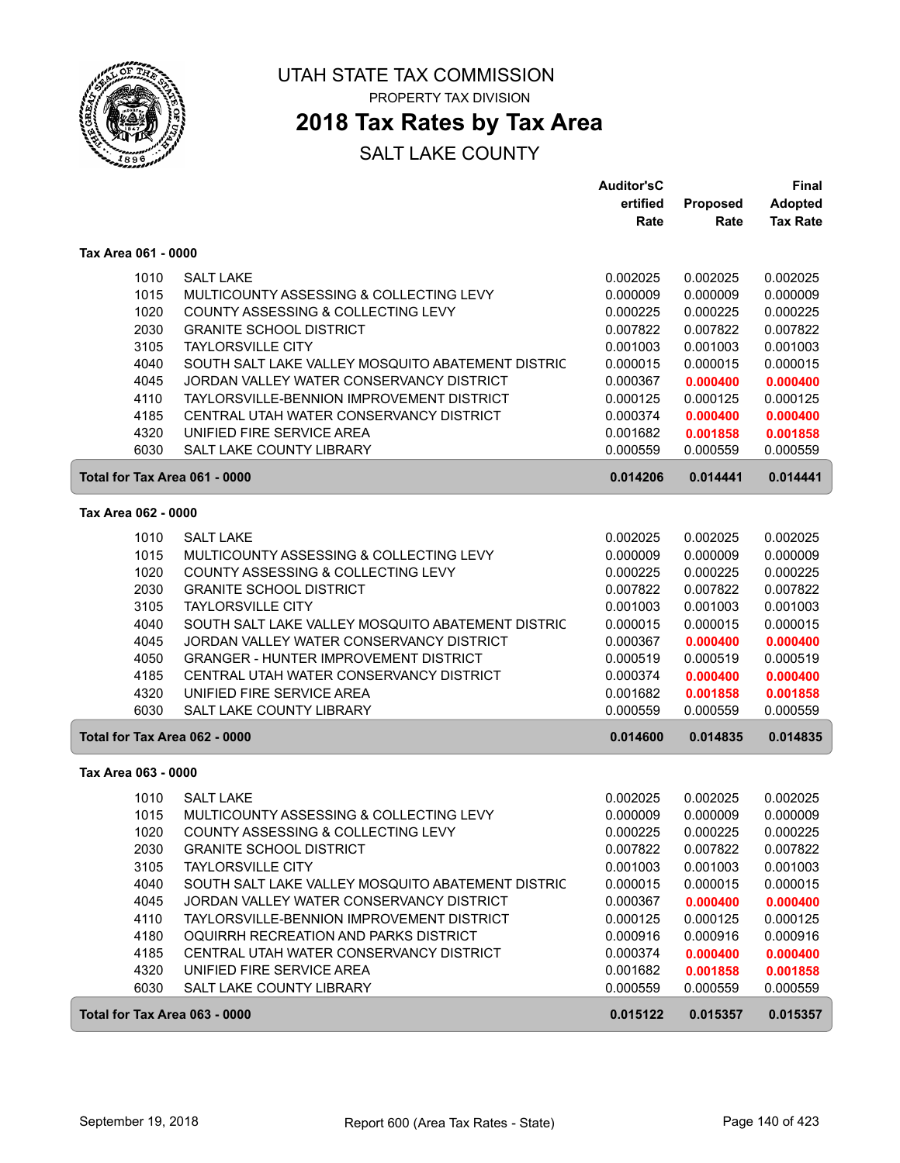

### **2018 Tax Rates by Tax Area**

|                               |                                                                                               | <b>Auditor'sC</b>    |                      | Final                |
|-------------------------------|-----------------------------------------------------------------------------------------------|----------------------|----------------------|----------------------|
|                               |                                                                                               | ertified             | Proposed             | <b>Adopted</b>       |
|                               |                                                                                               | Rate                 | Rate                 | <b>Tax Rate</b>      |
| Tax Area 061 - 0000           |                                                                                               |                      |                      |                      |
| 1010                          | <b>SALT LAKE</b>                                                                              | 0.002025             | 0.002025             | 0.002025             |
| 1015                          | MULTICOUNTY ASSESSING & COLLECTING LEVY                                                       | 0.000009             | 0.000009             | 0.000009             |
| 1020                          | COUNTY ASSESSING & COLLECTING LEVY                                                            | 0.000225             | 0.000225             | 0.000225             |
| 2030                          | <b>GRANITE SCHOOL DISTRICT</b>                                                                | 0.007822             | 0.007822             | 0.007822             |
| 3105                          | <b>TAYLORSVILLE CITY</b>                                                                      | 0.001003             | 0.001003             | 0.001003             |
| 4040                          | SOUTH SALT LAKE VALLEY MOSQUITO ABATEMENT DISTRIC                                             | 0.000015             | 0.000015             | 0.000015             |
| 4045                          | JORDAN VALLEY WATER CONSERVANCY DISTRICT                                                      | 0.000367             | 0.000400             | 0.000400             |
| 4110                          | TAYLORSVILLE-BENNION IMPROVEMENT DISTRICT                                                     | 0.000125             | 0.000125             | 0.000125             |
| 4185                          | CENTRAL UTAH WATER CONSERVANCY DISTRICT                                                       | 0.000374             | 0.000400             | 0.000400             |
| 4320                          | UNIFIED FIRE SERVICE AREA                                                                     | 0.001682             | 0.001858             | 0.001858             |
| 6030                          | <b>SALT LAKE COUNTY LIBRARY</b>                                                               | 0.000559             | 0.000559             | 0.000559             |
| Total for Tax Area 061 - 0000 |                                                                                               | 0.014206             | 0.014441             | 0.014441             |
| Tax Area 062 - 0000           |                                                                                               |                      |                      |                      |
|                               |                                                                                               |                      |                      |                      |
| 1010                          | <b>SALT LAKE</b>                                                                              | 0.002025             | 0.002025             | 0.002025             |
| 1015<br>1020                  | MULTICOUNTY ASSESSING & COLLECTING LEVY                                                       | 0.000009<br>0.000225 | 0.000009             | 0.000009<br>0.000225 |
|                               | COUNTY ASSESSING & COLLECTING LEVY                                                            |                      | 0.000225             |                      |
| 2030                          | <b>GRANITE SCHOOL DISTRICT</b>                                                                | 0.007822             | 0.007822             | 0.007822             |
| 3105                          | <b>TAYLORSVILLE CITY</b>                                                                      | 0.001003             | 0.001003             | 0.001003             |
| 4040<br>4045                  | SOUTH SALT LAKE VALLEY MOSQUITO ABATEMENT DISTRIC<br>JORDAN VALLEY WATER CONSERVANCY DISTRICT | 0.000015<br>0.000367 | 0.000015             | 0.000015             |
|                               | <b>GRANGER - HUNTER IMPROVEMENT DISTRICT</b>                                                  |                      | 0.000400             | 0.000400             |
| 4050                          |                                                                                               | 0.000519             | 0.000519             | 0.000519             |
| 4185<br>4320                  | CENTRAL UTAH WATER CONSERVANCY DISTRICT<br>UNIFIED FIRE SERVICE AREA                          | 0.000374             | 0.000400             | 0.000400             |
| 6030                          | SALT LAKE COUNTY LIBRARY                                                                      | 0.001682<br>0.000559 | 0.001858<br>0.000559 | 0.001858<br>0.000559 |
|                               |                                                                                               |                      |                      |                      |
| Total for Tax Area 062 - 0000 |                                                                                               | 0.014600             | 0.014835             | 0.014835             |
| Tax Area 063 - 0000           |                                                                                               |                      |                      |                      |
| 1010                          | <b>SALT LAKE</b>                                                                              | 0.002025             | 0.002025             | 0.002025             |
| 1015                          | MULTICOUNTY ASSESSING & COLLECTING LEVY                                                       | 0.000009             | 0.000009             | 0.000009             |
| 1020                          | COUNTY ASSESSING & COLLECTING LEVY                                                            | 0.000225             | 0.000225             | 0.000225             |
| 2030                          | <b>GRANITE SCHOOL DISTRICT</b>                                                                | 0.007822             | 0.007822             | 0.007822             |
| 3105                          | <b>TAYLORSVILLE CITY</b>                                                                      | 0.001003             | 0.001003             | 0.001003             |
| 4040                          | SOUTH SALT LAKE VALLEY MOSQUITO ABATEMENT DISTRIC                                             | 0.000015             | 0.000015             | 0.000015             |
| 4045                          | JORDAN VALLEY WATER CONSERVANCY DISTRICT                                                      | 0.000367             | 0.000400             | 0.000400             |
| 4110                          | TAYLORSVILLE-BENNION IMPROVEMENT DISTRICT                                                     | 0.000125             | 0.000125             | 0.000125             |
| 4180                          | OQUIRRH RECREATION AND PARKS DISTRICT                                                         | 0.000916             | 0.000916             | 0.000916             |
| 4185                          | CENTRAL UTAH WATER CONSERVANCY DISTRICT                                                       | 0.000374             | 0.000400             | 0.000400             |
| 4320                          | UNIFIED FIRE SERVICE AREA                                                                     | 0.001682             | 0.001858             | 0.001858             |
| 6030                          | SALT LAKE COUNTY LIBRARY                                                                      | 0.000559             | 0.000559             | 0.000559             |
| Total for Tax Area 063 - 0000 |                                                                                               | 0.015122             | 0.015357             | 0.015357             |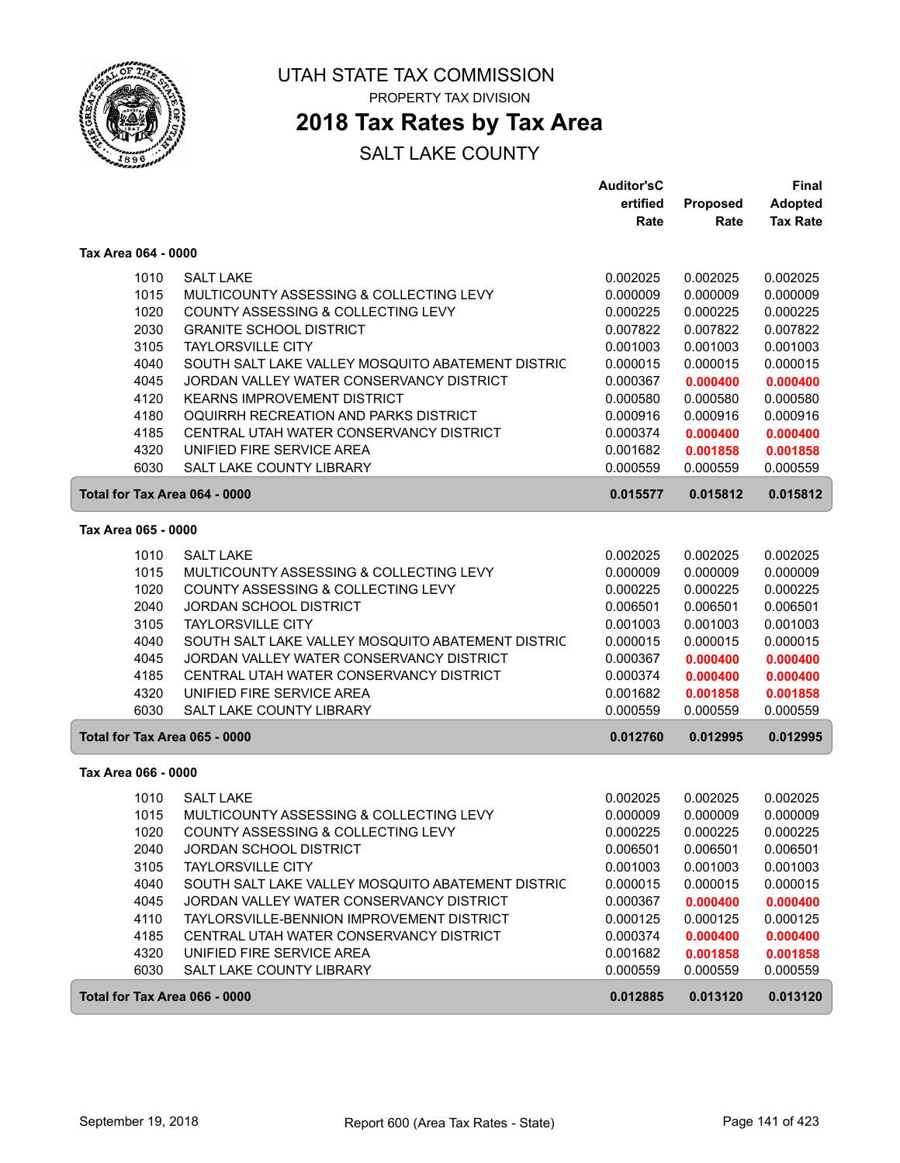

### **2018 Tax Rates by Tax Area**

|                     |                                                           | <b>Auditor'sC</b> |          | <b>Final</b>    |
|---------------------|-----------------------------------------------------------|-------------------|----------|-----------------|
|                     |                                                           | ertified          | Proposed | <b>Adopted</b>  |
|                     |                                                           | Rate              | Rate     | <b>Tax Rate</b> |
| Tax Area 064 - 0000 |                                                           |                   |          |                 |
|                     | 1010<br><b>SALT LAKE</b>                                  | 0.002025          | 0.002025 | 0.002025        |
|                     | 1015<br>MULTICOUNTY ASSESSING & COLLECTING LEVY           | 0.000009          | 0.000009 | 0.000009        |
|                     | 1020<br>COUNTY ASSESSING & COLLECTING LEVY                | 0.000225          | 0.000225 | 0.000225        |
|                     | 2030<br><b>GRANITE SCHOOL DISTRICT</b>                    | 0.007822          | 0.007822 | 0.007822        |
|                     | 3105<br><b>TAYLORSVILLE CITY</b>                          | 0.001003          | 0.001003 | 0.001003        |
|                     | 4040<br>SOUTH SALT LAKE VALLEY MOSQUITO ABATEMENT DISTRIC | 0.000015          | 0.000015 | 0.000015        |
|                     | 4045<br>JORDAN VALLEY WATER CONSERVANCY DISTRICT          | 0.000367          | 0.000400 | 0.000400        |
|                     | 4120<br><b>KEARNS IMPROVEMENT DISTRICT</b>                | 0.000580          | 0.000580 | 0.000580        |
|                     | 4180<br>OQUIRRH RECREATION AND PARKS DISTRICT             | 0.000916          | 0.000916 | 0.000916        |
|                     | 4185<br>CENTRAL UTAH WATER CONSERVANCY DISTRICT           | 0.000374          | 0.000400 | 0.000400        |
|                     | 4320<br>UNIFIED FIRE SERVICE AREA                         | 0.001682          | 0.001858 | 0.001858        |
|                     | 6030<br>SALT LAKE COUNTY LIBRARY                          | 0.000559          | 0.000559 | 0.000559        |
|                     | Total for Tax Area 064 - 0000                             | 0.015577          | 0.015812 | 0.015812        |
| Tax Area 065 - 0000 |                                                           |                   |          |                 |
|                     | 1010<br><b>SALT LAKE</b>                                  | 0.002025          | 0.002025 | 0.002025        |
|                     | 1015<br>MULTICOUNTY ASSESSING & COLLECTING LEVY           | 0.000009          | 0.000009 | 0.000009        |
|                     | 1020<br>COUNTY ASSESSING & COLLECTING LEVY                | 0.000225          | 0.000225 | 0.000225        |
|                     | 2040<br><b>JORDAN SCHOOL DISTRICT</b>                     | 0.006501          | 0.006501 | 0.006501        |
|                     | 3105<br><b>TAYLORSVILLE CITY</b>                          | 0.001003          | 0.001003 | 0.001003        |
|                     | 4040<br>SOUTH SALT LAKE VALLEY MOSQUITO ABATEMENT DISTRIC | 0.000015          | 0.000015 | 0.000015        |
|                     | 4045<br>JORDAN VALLEY WATER CONSERVANCY DISTRICT          | 0.000367          | 0.000400 | 0.000400        |
|                     | 4185<br>CENTRAL UTAH WATER CONSERVANCY DISTRICT           | 0.000374          | 0.000400 | 0.000400        |
|                     | 4320<br>UNIFIED FIRE SERVICE AREA                         | 0.001682          | 0.001858 | 0.001858        |
|                     | 6030<br><b>SALT LAKE COUNTY LIBRARY</b>                   | 0.000559          | 0.000559 | 0.000559        |
|                     | Total for Tax Area 065 - 0000                             | 0.012760          | 0.012995 | 0.012995        |
| Tax Area 066 - 0000 |                                                           |                   |          |                 |
|                     | <b>SALT LAKE</b><br>1010                                  | 0.002025          | 0.002025 | 0.002025        |
|                     | 1015<br>MULTICOUNTY ASSESSING & COLLECTING LEVY           | 0.000009          | 0.000009 | 0.000009        |
|                     | COUNTY ASSESSING & COLLECTING LEVY<br>1020                | 0.000225          | 0.000225 | 0.000225        |
|                     | JORDAN SCHOOL DISTRICT<br>2040                            | 0.006501          | 0.006501 | 0.006501        |
|                     | 3105<br><b>TAYLORSVILLE CITY</b>                          | 0.001003          | 0.001003 | 0.001003        |
|                     | 4040<br>SOUTH SALT LAKE VALLEY MOSQUITO ABATEMENT DISTRIC | 0.000015          | 0.000015 | 0.000015        |
|                     | 4045<br>JORDAN VALLEY WATER CONSERVANCY DISTRICT          | 0.000367          | 0.000400 | 0.000400        |
|                     | TAYLORSVILLE-BENNION IMPROVEMENT DISTRICT<br>4110         | 0.000125          | 0.000125 | 0.000125        |
|                     | 4185<br>CENTRAL UTAH WATER CONSERVANCY DISTRICT           | 0.000374          | 0.000400 | 0.000400        |
|                     | 4320<br>UNIFIED FIRE SERVICE AREA                         | 0.001682          | 0.001858 | 0.001858        |
|                     | 6030<br>SALT LAKE COUNTY LIBRARY                          | 0.000559          | 0.000559 | 0.000559        |
|                     | Total for Tax Area 066 - 0000                             | 0.012885          | 0.013120 | 0.013120        |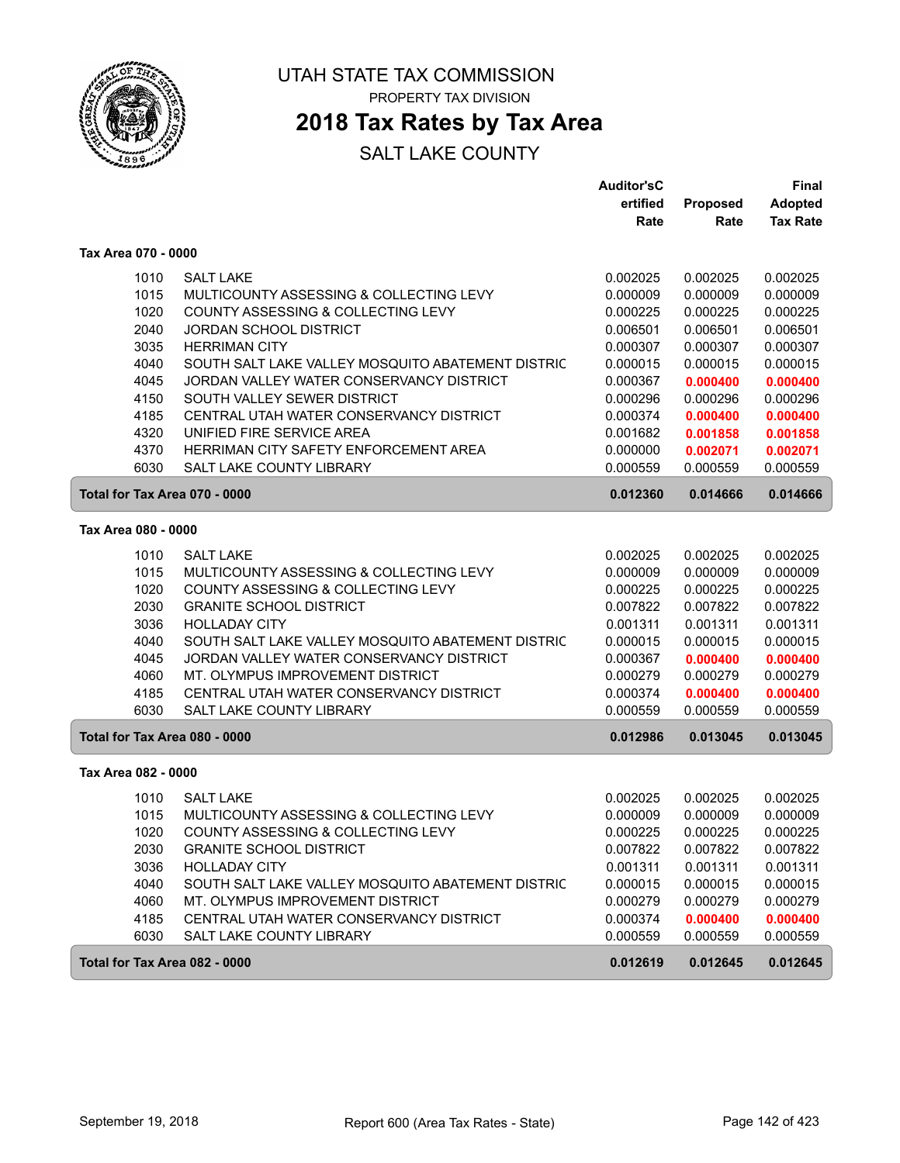

## **2018 Tax Rates by Tax Area**

|                               |                                                   | <b>Auditor'sC</b> |          | Final           |
|-------------------------------|---------------------------------------------------|-------------------|----------|-----------------|
|                               |                                                   | ertified          | Proposed | Adopted         |
|                               |                                                   | Rate              | Rate     | <b>Tax Rate</b> |
| Tax Area 070 - 0000           |                                                   |                   |          |                 |
| 1010                          | <b>SALT LAKE</b>                                  | 0.002025          | 0.002025 | 0.002025        |
| 1015                          | MULTICOUNTY ASSESSING & COLLECTING LEVY           | 0.000009          | 0.000009 | 0.000009        |
| 1020                          | COUNTY ASSESSING & COLLECTING LEVY                | 0.000225          | 0.000225 | 0.000225        |
| 2040                          | <b>JORDAN SCHOOL DISTRICT</b>                     | 0.006501          | 0.006501 | 0.006501        |
| 3035                          | <b>HERRIMAN CITY</b>                              | 0.000307          | 0.000307 | 0.000307        |
| 4040                          | SOUTH SALT LAKE VALLEY MOSQUITO ABATEMENT DISTRIC | 0.000015          | 0.000015 | 0.000015        |
| 4045                          | JORDAN VALLEY WATER CONSERVANCY DISTRICT          | 0.000367          | 0.000400 | 0.000400        |
| 4150                          | SOUTH VALLEY SEWER DISTRICT                       | 0.000296          | 0.000296 | 0.000296        |
| 4185                          | CENTRAL UTAH WATER CONSERVANCY DISTRICT           | 0.000374          | 0.000400 | 0.000400        |
| 4320                          | UNIFIED FIRE SERVICE AREA                         | 0.001682          | 0.001858 | 0.001858        |
| 4370                          | HERRIMAN CITY SAFETY ENFORCEMENT AREA             | 0.000000          | 0.002071 | 0.002071        |
| 6030                          | <b>SALT LAKE COUNTY LIBRARY</b>                   | 0.000559          | 0.000559 | 0.000559        |
| Total for Tax Area 070 - 0000 |                                                   | 0.012360          | 0.014666 | 0.014666        |
| Tax Area 080 - 0000           |                                                   |                   |          |                 |
| 1010                          | <b>SALT LAKE</b>                                  | 0.002025          | 0.002025 | 0.002025        |
| 1015                          | MULTICOUNTY ASSESSING & COLLECTING LEVY           | 0.000009          | 0.000009 | 0.000009        |
| 1020                          | COUNTY ASSESSING & COLLECTING LEVY                | 0.000225          | 0.000225 | 0.000225        |
| 2030                          | <b>GRANITE SCHOOL DISTRICT</b>                    | 0.007822          | 0.007822 | 0.007822        |
| 3036                          | <b>HOLLADAY CITY</b>                              | 0.001311          | 0.001311 | 0.001311        |
| 4040                          | SOUTH SALT LAKE VALLEY MOSQUITO ABATEMENT DISTRIC | 0.000015          | 0.000015 | 0.000015        |
| 4045                          | JORDAN VALLEY WATER CONSERVANCY DISTRICT          | 0.000367          | 0.000400 | 0.000400        |
| 4060                          | MT. OLYMPUS IMPROVEMENT DISTRICT                  | 0.000279          | 0.000279 | 0.000279        |
| 4185                          | CENTRAL UTAH WATER CONSERVANCY DISTRICT           | 0.000374          | 0.000400 | 0.000400        |
| 6030                          | <b>SALT LAKE COUNTY LIBRARY</b>                   | 0.000559          | 0.000559 | 0.000559        |
| Total for Tax Area 080 - 0000 |                                                   | 0.012986          | 0.013045 | 0.013045        |
| Tax Area 082 - 0000           |                                                   |                   |          |                 |
| 1010                          | <b>SALT LAKE</b>                                  | 0.002025          | 0.002025 | 0.002025        |
| 1015                          | MULTICOUNTY ASSESSING & COLLECTING LEVY           | 0.000009          | 0.000009 | 0.000009        |
| 1020                          | COUNTY ASSESSING & COLLECTING LEVY                | 0.000225          | 0.000225 | 0.000225        |
| 2030                          | <b>GRANITE SCHOOL DISTRICT</b>                    | 0.007822          | 0.007822 | 0.007822        |
| 3036                          | <b>HOLLADAY CITY</b>                              | 0.001311          | 0.001311 | 0.001311        |
| 4040                          | SOUTH SALT LAKE VALLEY MOSQUITO ABATEMENT DISTRIC | 0.000015          | 0.000015 | 0.000015        |
| 4060                          | MT. OLYMPUS IMPROVEMENT DISTRICT                  | 0.000279          | 0.000279 | 0.000279        |
| 4185                          | CENTRAL UTAH WATER CONSERVANCY DISTRICT           | 0.000374          | 0.000400 | 0.000400        |
| 6030                          | SALT LAKE COUNTY LIBRARY                          | 0.000559          | 0.000559 | 0.000559        |
| Total for Tax Area 082 - 0000 |                                                   | 0.012619          | 0.012645 | 0.012645        |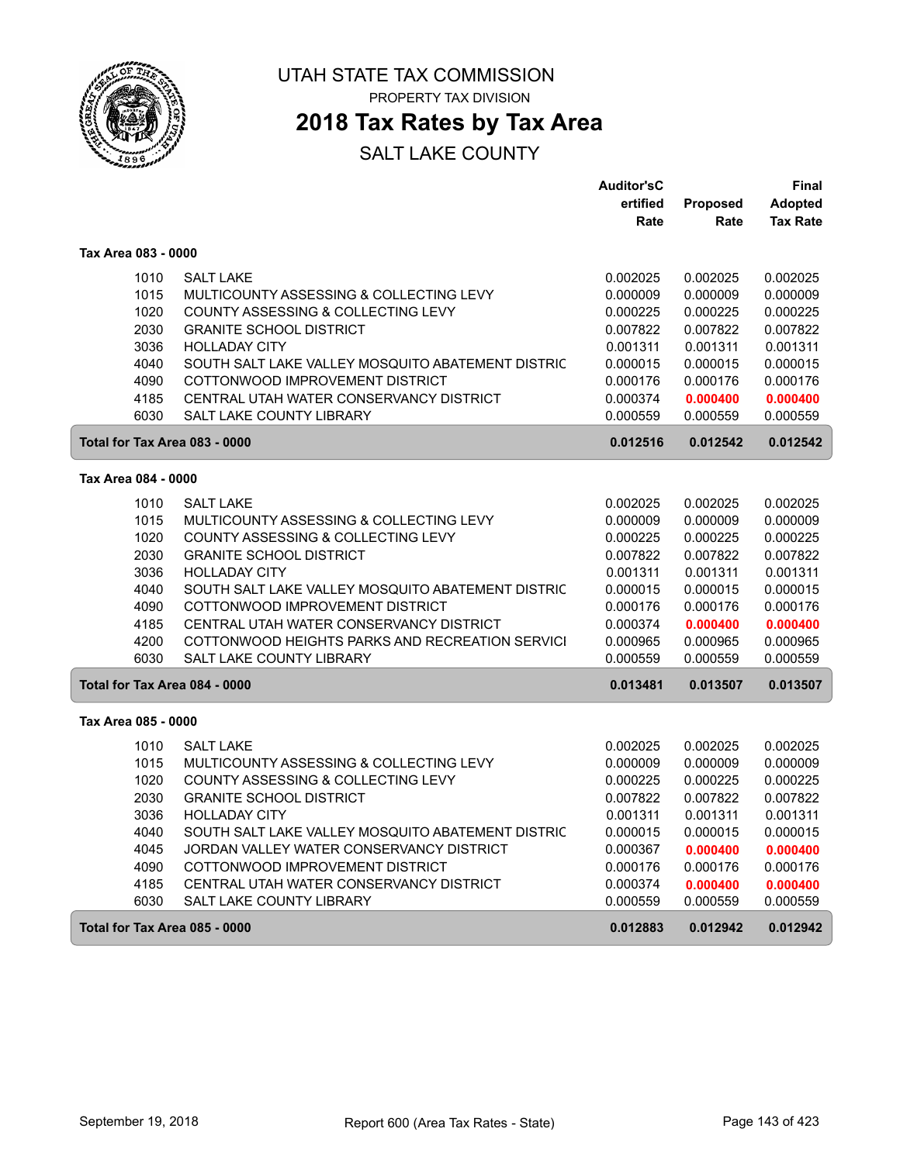

## **2018 Tax Rates by Tax Area**

|                               |                                                                               | <b>Auditor'sC</b>    |                      | Final                |
|-------------------------------|-------------------------------------------------------------------------------|----------------------|----------------------|----------------------|
|                               |                                                                               | ertified             | <b>Proposed</b>      | <b>Adopted</b>       |
|                               |                                                                               | Rate                 | Rate                 | <b>Tax Rate</b>      |
| Tax Area 083 - 0000           |                                                                               |                      |                      |                      |
| 1010                          | <b>SALT LAKE</b>                                                              | 0.002025             | 0.002025             | 0.002025             |
| 1015                          | MULTICOUNTY ASSESSING & COLLECTING LEVY                                       | 0.000009             | 0.000009             | 0.000009             |
| 1020                          | COUNTY ASSESSING & COLLECTING LEVY                                            | 0.000225             | 0.000225             | 0.000225             |
| 2030                          | <b>GRANITE SCHOOL DISTRICT</b>                                                | 0.007822             | 0.007822             | 0.007822             |
| 3036                          | <b>HOLLADAY CITY</b>                                                          | 0.001311             | 0.001311             | 0.001311             |
| 4040                          | SOUTH SALT LAKE VALLEY MOSQUITO ABATEMENT DISTRIC                             | 0.000015             | 0.000015             | 0.000015             |
| 4090                          | COTTONWOOD IMPROVEMENT DISTRICT                                               | 0.000176             | 0.000176             | 0.000176             |
| 4185                          | CENTRAL UTAH WATER CONSERVANCY DISTRICT                                       | 0.000374             | 0.000400             | 0.000400             |
| 6030                          | <b>SALT LAKE COUNTY LIBRARY</b>                                               | 0.000559             | 0.000559             | 0.000559             |
| Total for Tax Area 083 - 0000 |                                                                               | 0.012516             | 0.012542             | 0.012542             |
| Tax Area 084 - 0000           |                                                                               |                      |                      |                      |
|                               |                                                                               |                      |                      |                      |
| 1010                          | <b>SALT LAKE</b>                                                              | 0.002025             | 0.002025             | 0.002025             |
| 1015<br>1020                  | MULTICOUNTY ASSESSING & COLLECTING LEVY<br>COUNTY ASSESSING & COLLECTING LEVY | 0.000009             | 0.000009             | 0.000009             |
| 2030                          | <b>GRANITE SCHOOL DISTRICT</b>                                                | 0.000225<br>0.007822 | 0.000225<br>0.007822 | 0.000225<br>0.007822 |
| 3036                          | <b>HOLLADAY CITY</b>                                                          | 0.001311             | 0.001311             | 0.001311             |
| 4040                          | SOUTH SALT LAKE VALLEY MOSQUITO ABATEMENT DISTRIC                             | 0.000015             | 0.000015             | 0.000015             |
| 4090                          | COTTONWOOD IMPROVEMENT DISTRICT                                               | 0.000176             | 0.000176             | 0.000176             |
| 4185                          | CENTRAL UTAH WATER CONSERVANCY DISTRICT                                       | 0.000374             | 0.000400             | 0.000400             |
| 4200                          | COTTONWOOD HEIGHTS PARKS AND RECREATION SERVICI                               | 0.000965             | 0.000965             | 0.000965             |
| 6030                          | <b>SALT LAKE COUNTY LIBRARY</b>                                               | 0.000559             | 0.000559             | 0.000559             |
| Total for Tax Area 084 - 0000 |                                                                               | 0.013481             | 0.013507             | 0.013507             |
|                               |                                                                               |                      |                      |                      |
| Tax Area 085 - 0000           |                                                                               |                      |                      |                      |
| 1010                          | <b>SALT LAKE</b>                                                              | 0.002025             | 0.002025             | 0.002025             |
| 1015                          | MULTICOUNTY ASSESSING & COLLECTING LEVY                                       | 0.000009             | 0.000009             | 0.000009             |
| 1020                          | COUNTY ASSESSING & COLLECTING LEVY                                            | 0.000225             | 0.000225             | 0.000225             |
| 2030                          | <b>GRANITE SCHOOL DISTRICT</b>                                                | 0.007822             | 0.007822             | 0.007822             |
| 3036                          | <b>HOLLADAY CITY</b>                                                          | 0.001311             | 0.001311             | 0.001311             |
| 4040                          | SOUTH SALT LAKE VALLEY MOSQUITO ABATEMENT DISTRIC                             | 0.000015             | 0.000015             | 0.000015             |
| 4045                          | JORDAN VALLEY WATER CONSERVANCY DISTRICT                                      | 0.000367             | 0.000400             | 0.000400             |
| 4090                          | COTTONWOOD IMPROVEMENT DISTRICT                                               | 0.000176             | 0.000176             | 0.000176             |
| 4185                          | CENTRAL UTAH WATER CONSERVANCY DISTRICT                                       | 0.000374             | 0.000400             | 0.000400             |
| 6030                          | SALT LAKE COUNTY LIBRARY                                                      | 0.000559             | 0.000559             | 0.000559             |
| Total for Tax Area 085 - 0000 |                                                                               | 0.012883             | 0.012942             | 0.012942             |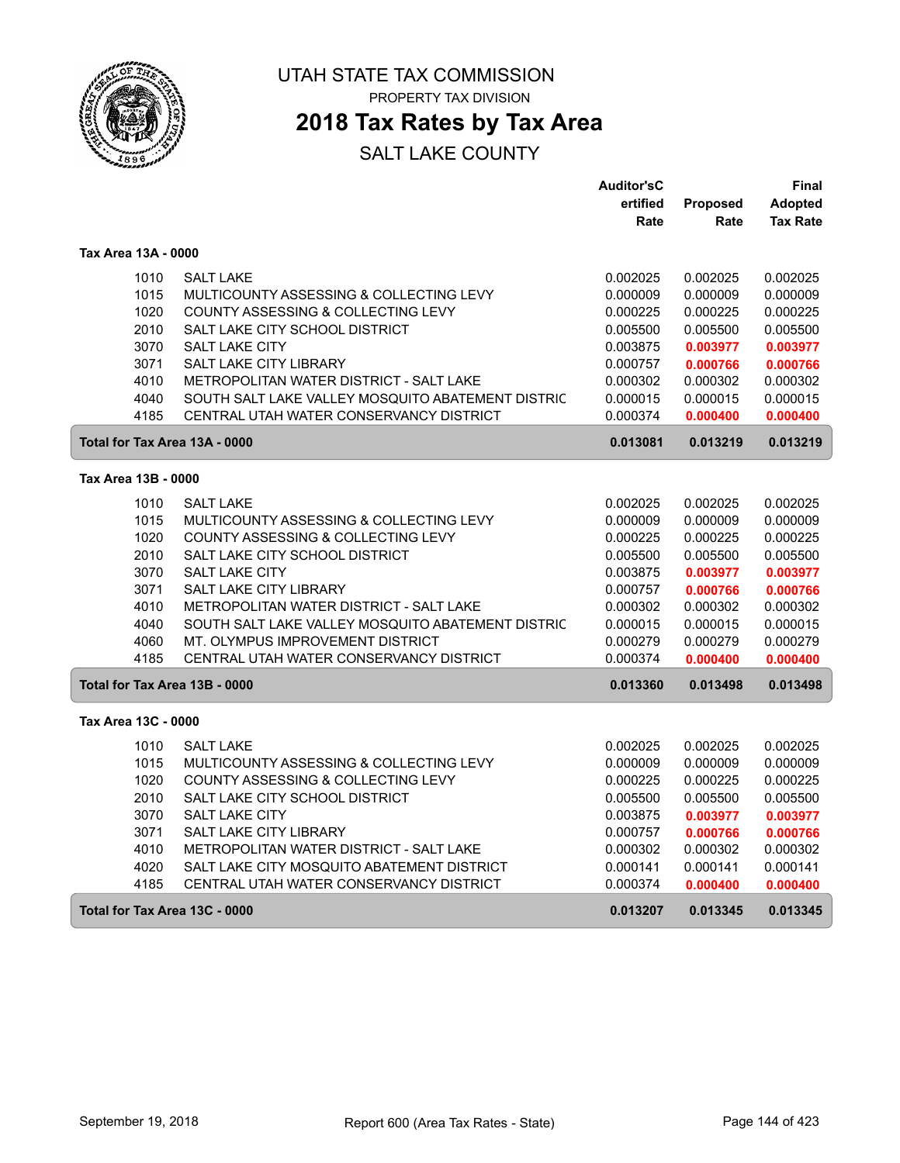

PROPERTY TAX DIVISION

### **2018 Tax Rates by Tax Area**

|                               |                                                   | <b>Auditor'sC</b> |                 | Final           |
|-------------------------------|---------------------------------------------------|-------------------|-----------------|-----------------|
|                               |                                                   | ertified          | <b>Proposed</b> | <b>Adopted</b>  |
|                               |                                                   | Rate              | Rate            | <b>Tax Rate</b> |
|                               |                                                   |                   |                 |                 |
| Tax Area 13A - 0000           |                                                   |                   |                 |                 |
| 1010                          | <b>SALT LAKE</b>                                  | 0.002025          | 0.002025        | 0.002025        |
| 1015                          | MULTICOUNTY ASSESSING & COLLECTING LEVY           | 0.000009          | 0.000009        | 0.000009        |
| 1020                          | COUNTY ASSESSING & COLLECTING LEVY                | 0.000225          | 0.000225        | 0.000225        |
| 2010                          | SALT LAKE CITY SCHOOL DISTRICT                    | 0.005500          | 0.005500        | 0.005500        |
| 3070                          | <b>SALT LAKE CITY</b>                             | 0.003875          | 0.003977        | 0.003977        |
| 3071                          | <b>SALT LAKE CITY LIBRARY</b>                     | 0.000757          | 0.000766        | 0.000766        |
| 4010                          | METROPOLITAN WATER DISTRICT - SALT LAKE           | 0.000302          | 0.000302        | 0.000302        |
| 4040                          | SOUTH SALT LAKE VALLEY MOSQUITO ABATEMENT DISTRIC | 0.000015          | 0.000015        | 0.000015        |
| 4185                          | CENTRAL UTAH WATER CONSERVANCY DISTRICT           | 0.000374          | 0.000400        | 0.000400        |
| Total for Tax Area 13A - 0000 |                                                   | 0.013081          | 0.013219        | 0.013219        |
|                               |                                                   |                   |                 |                 |
| Tax Area 13B - 0000           |                                                   |                   |                 |                 |
| 1010                          | <b>SALT LAKE</b>                                  | 0.002025          | 0.002025        | 0.002025        |
| 1015                          | MULTICOUNTY ASSESSING & COLLECTING LEVY           | 0.000009          | 0.000009        | 0.000009        |
| 1020                          | COUNTY ASSESSING & COLLECTING LEVY                | 0.000225          | 0.000225        | 0.000225        |
| 2010                          | SALT LAKE CITY SCHOOL DISTRICT                    | 0.005500          | 0.005500        | 0.005500        |
| 3070                          | SALT LAKE CITY                                    | 0.003875          | 0.003977        | 0.003977        |
| 3071                          | SALT LAKE CITY LIBRARY                            | 0.000757          | 0.000766        | 0.000766        |
| 4010                          | METROPOLITAN WATER DISTRICT - SALT LAKE           | 0.000302          | 0.000302        | 0.000302        |
| 4040                          | SOUTH SALT LAKE VALLEY MOSQUITO ABATEMENT DISTRIC | 0.000015          | 0.000015        | 0.000015        |
| 4060                          | MT. OLYMPUS IMPROVEMENT DISTRICT                  | 0.000279          | 0.000279        | 0.000279        |
| 4185                          | CENTRAL UTAH WATER CONSERVANCY DISTRICT           | 0.000374          | 0.000400        | 0.000400        |
| Total for Tax Area 13B - 0000 |                                                   | 0.013360          | 0.013498        | 0.013498        |
| Tax Area 13C - 0000           |                                                   |                   |                 |                 |
| 1010                          | <b>SALT LAKE</b>                                  | 0.002025          | 0.002025        | 0.002025        |
| 1015                          | MULTICOUNTY ASSESSING & COLLECTING LEVY           | 0.000009          | 0.000009        | 0.000009        |
| 1020                          | COUNTY ASSESSING & COLLECTING LEVY                | 0.000225          | 0.000225        | 0.000225        |
| 2010                          | SALT LAKE CITY SCHOOL DISTRICT                    | 0.005500          | 0.005500        | 0.005500        |
| 3070                          | <b>SALT LAKE CITY</b>                             | 0.003875          | 0.003977        | 0.003977        |
| 3071                          | SALT LAKE CITY LIBRARY                            | 0.000757          | 0.000766        | 0.000766        |
| 4010                          | METROPOLITAN WATER DISTRICT - SALT LAKE           | 0.000302          | 0.000302        | 0.000302        |
| 4020                          | SALT LAKE CITY MOSQUITO ABATEMENT DISTRICT        | 0.000141          | 0.000141        | 0.000141        |
| 4185                          | CENTRAL UTAH WATER CONSERVANCY DISTRICT           | 0.000374          | 0.000400        | 0.000400        |
| Total for Tax Area 13C - 0000 |                                                   | 0.013207          | 0.013345        | 0.013345        |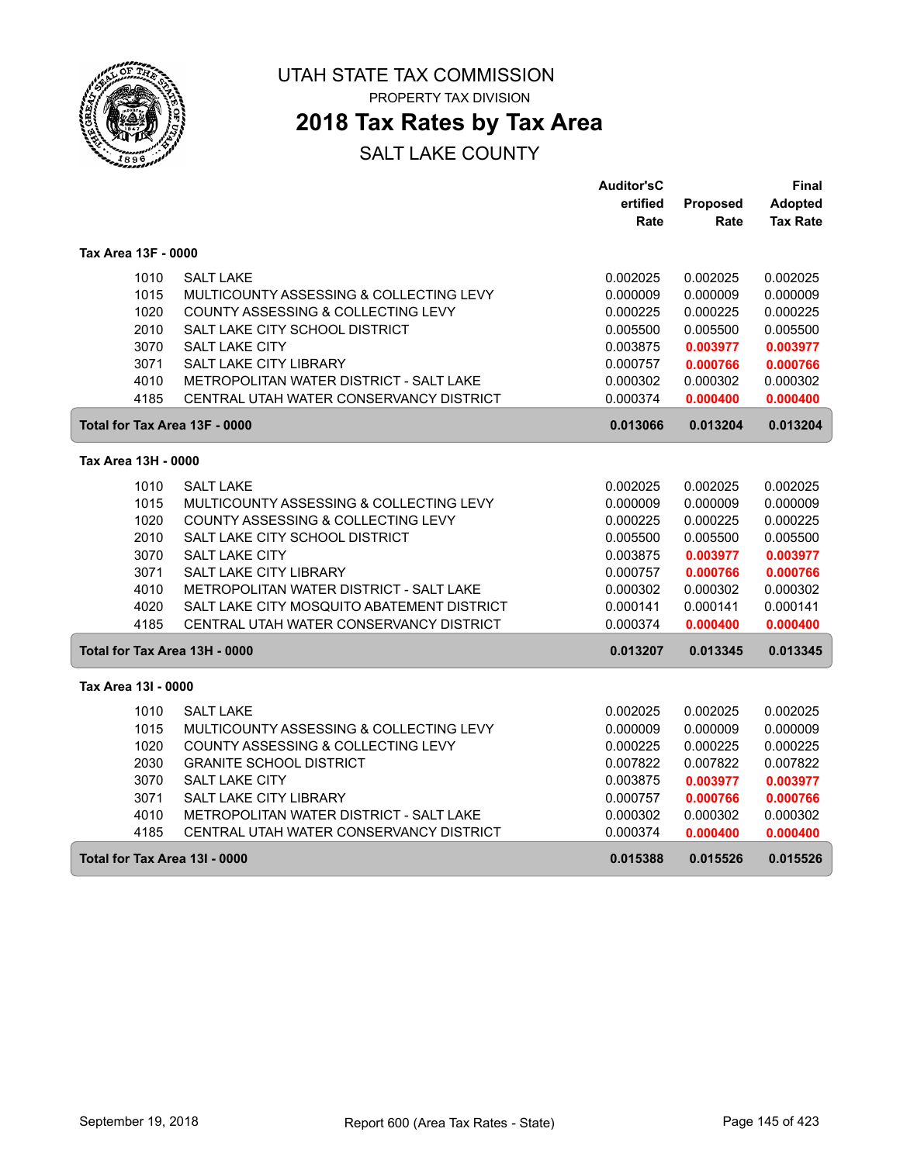

PROPERTY TAX DIVISION

## **2018 Tax Rates by Tax Area**

|                               |                                            | <b>Auditor'sC</b> |                 | Final           |
|-------------------------------|--------------------------------------------|-------------------|-----------------|-----------------|
|                               |                                            | ertified          | <b>Proposed</b> | <b>Adopted</b>  |
|                               |                                            | Rate              | Rate            | <b>Tax Rate</b> |
| Tax Area 13F - 0000           |                                            |                   |                 |                 |
| 1010                          | <b>SALT LAKE</b>                           | 0.002025          | 0.002025        | 0.002025        |
| 1015                          | MULTICOUNTY ASSESSING & COLLECTING LEVY    | 0.000009          | 0.000009        | 0.000009        |
| 1020                          | COUNTY ASSESSING & COLLECTING LEVY         | 0.000225          | 0.000225        | 0.000225        |
| 2010                          | SALT LAKE CITY SCHOOL DISTRICT             | 0.005500          | 0.005500        | 0.005500        |
| 3070                          | <b>SALT LAKE CITY</b>                      | 0.003875          | 0.003977        | 0.003977        |
| 3071                          | SALT LAKE CITY LIBRARY                     | 0.000757          | 0.000766        | 0.000766        |
| 4010                          | METROPOLITAN WATER DISTRICT - SALT LAKE    | 0.000302          | 0.000302        | 0.000302        |
| 4185                          | CENTRAL UTAH WATER CONSERVANCY DISTRICT    | 0.000374          | 0.000400        | 0.000400        |
| Total for Tax Area 13F - 0000 |                                            | 0.013066          | 0.013204        | 0.013204        |
| Tax Area 13H - 0000           |                                            |                   |                 |                 |
| 1010                          | <b>SALT LAKE</b>                           | 0.002025          | 0.002025        | 0.002025        |
| 1015                          | MULTICOUNTY ASSESSING & COLLECTING LEVY    | 0.000009          | 0.000009        | 0.000009        |
| 1020                          | COUNTY ASSESSING & COLLECTING LEVY         | 0.000225          | 0.000225        | 0.000225        |
| 2010                          | SALT LAKE CITY SCHOOL DISTRICT             | 0.005500          | 0.005500        | 0.005500        |
| 3070                          | <b>SALT LAKE CITY</b>                      | 0.003875          | 0.003977        | 0.003977        |
| 3071                          | SALT LAKE CITY LIBRARY                     | 0.000757          | 0.000766        | 0.000766        |
| 4010                          | METROPOLITAN WATER DISTRICT - SALT LAKE    | 0.000302          | 0.000302        | 0.000302        |
| 4020                          | SALT LAKE CITY MOSQUITO ABATEMENT DISTRICT | 0.000141          | 0.000141        | 0.000141        |
| 4185                          | CENTRAL UTAH WATER CONSERVANCY DISTRICT    | 0.000374          | 0.000400        | 0.000400        |
| Total for Tax Area 13H - 0000 |                                            | 0.013207          | 0.013345        | 0.013345        |
| Tax Area 13I - 0000           |                                            |                   |                 |                 |
| 1010                          | <b>SALT LAKE</b>                           | 0.002025          | 0.002025        | 0.002025        |
| 1015                          | MULTICOUNTY ASSESSING & COLLECTING LEVY    | 0.000009          | 0.000009        | 0.000009        |
| 1020                          | COUNTY ASSESSING & COLLECTING LEVY         | 0.000225          | 0.000225        | 0.000225        |
| 2030                          | <b>GRANITE SCHOOL DISTRICT</b>             | 0.007822          | 0.007822        | 0.007822        |
| 3070                          | <b>SALT LAKE CITY</b>                      | 0.003875          | 0.003977        | 0.003977        |
| 3071                          | SALT LAKE CITY LIBRARY                     | 0.000757          | 0.000766        | 0.000766        |
| 4010                          | METROPOLITAN WATER DISTRICT - SALT LAKE    | 0.000302          | 0.000302        | 0.000302        |
| 4185                          | CENTRAL UTAH WATER CONSERVANCY DISTRICT    | 0.000374          | 0.000400        | 0.000400        |
| Total for Tax Area 13I - 0000 |                                            | 0.015388          | 0.015526        | 0.015526        |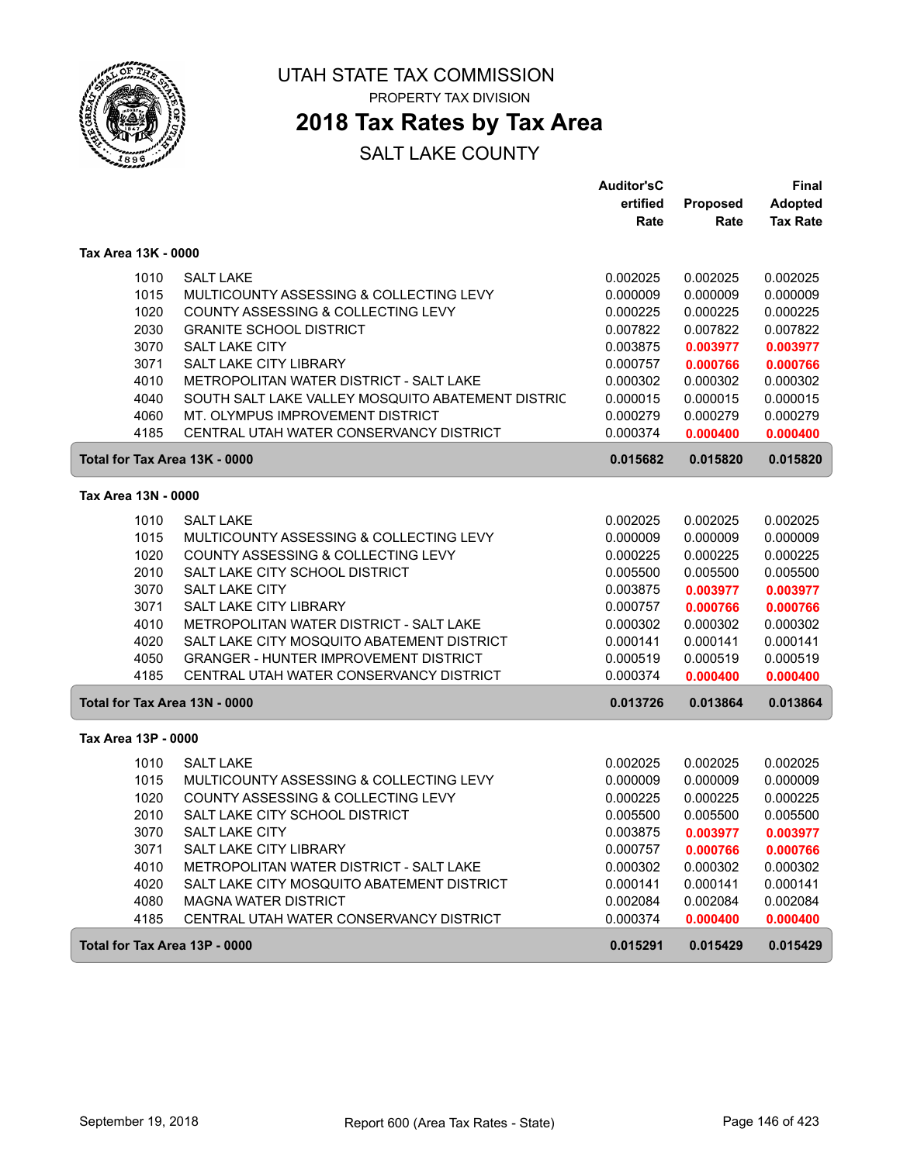

PROPERTY TAX DIVISION

# **2018 Tax Rates by Tax Area**

|                               |                                                   | <b>Auditor'sC</b> |          | Final           |
|-------------------------------|---------------------------------------------------|-------------------|----------|-----------------|
|                               |                                                   | ertified          | Proposed | <b>Adopted</b>  |
|                               |                                                   | Rate              | Rate     | <b>Tax Rate</b> |
| Tax Area 13K - 0000           |                                                   |                   |          |                 |
| 1010                          | <b>SALT LAKE</b>                                  | 0.002025          | 0.002025 | 0.002025        |
| 1015                          | MULTICOUNTY ASSESSING & COLLECTING LEVY           | 0.000009          | 0.000009 | 0.000009        |
| 1020                          | COUNTY ASSESSING & COLLECTING LEVY                | 0.000225          | 0.000225 | 0.000225        |
| 2030                          | <b>GRANITE SCHOOL DISTRICT</b>                    | 0.007822          | 0.007822 | 0.007822        |
| 3070                          | <b>SALT LAKE CITY</b>                             | 0.003875          | 0.003977 | 0.003977        |
| 3071                          | <b>SALT LAKE CITY LIBRARY</b>                     | 0.000757          | 0.000766 | 0.000766        |
| 4010                          | METROPOLITAN WATER DISTRICT - SALT LAKE           | 0.000302          | 0.000302 | 0.000302        |
| 4040                          | SOUTH SALT LAKE VALLEY MOSQUITO ABATEMENT DISTRIC | 0.000015          | 0.000015 | 0.000015        |
| 4060                          | MT. OLYMPUS IMPROVEMENT DISTRICT                  | 0.000279          | 0.000279 | 0.000279        |
| 4185                          | CENTRAL UTAH WATER CONSERVANCY DISTRICT           | 0.000374          | 0.000400 | 0.000400        |
| Total for Tax Area 13K - 0000 |                                                   | 0.015682          | 0.015820 | 0.015820        |
| Tax Area 13N - 0000           |                                                   |                   |          |                 |
| 1010                          | <b>SALT LAKE</b>                                  | 0.002025          | 0.002025 | 0.002025        |
| 1015                          | MULTICOUNTY ASSESSING & COLLECTING LEVY           | 0.000009          | 0.000009 | 0.000009        |
| 1020                          | COUNTY ASSESSING & COLLECTING LEVY                | 0.000225          | 0.000225 | 0.000225        |
| 2010                          | SALT LAKE CITY SCHOOL DISTRICT                    | 0.005500          | 0.005500 | 0.005500        |
| 3070                          | <b>SALT LAKE CITY</b>                             | 0.003875          | 0.003977 | 0.003977        |
| 3071                          | SALT LAKE CITY LIBRARY                            | 0.000757          | 0.000766 | 0.000766        |
| 4010                          | METROPOLITAN WATER DISTRICT - SALT LAKE           | 0.000302          | 0.000302 | 0.000302        |
| 4020                          | SALT LAKE CITY MOSQUITO ABATEMENT DISTRICT        | 0.000141          | 0.000141 | 0.000141        |
| 4050                          | <b>GRANGER - HUNTER IMPROVEMENT DISTRICT</b>      | 0.000519          | 0.000519 | 0.000519        |
| 4185                          | CENTRAL UTAH WATER CONSERVANCY DISTRICT           | 0.000374          | 0.000400 | 0.000400        |
| Total for Tax Area 13N - 0000 |                                                   | 0.013726          | 0.013864 | 0.013864        |
| Tax Area 13P - 0000           |                                                   |                   |          |                 |
| 1010                          | <b>SALT LAKE</b>                                  | 0.002025          | 0.002025 | 0.002025        |
| 1015                          | MULTICOUNTY ASSESSING & COLLECTING LEVY           | 0.000009          | 0.000009 | 0.000009        |
| 1020                          | COUNTY ASSESSING & COLLECTING LEVY                | 0.000225          | 0.000225 | 0.000225        |
| 2010                          | SALT LAKE CITY SCHOOL DISTRICT                    | 0.005500          | 0.005500 | 0.005500        |
| 3070                          | <b>SALT LAKE CITY</b>                             | 0.003875          | 0.003977 | 0.003977        |
| 3071                          | <b>SALT LAKE CITY LIBRARY</b>                     | 0.000757          | 0.000766 | 0.000766        |
| 4010                          | METROPOLITAN WATER DISTRICT - SALT LAKE           | 0.000302          | 0.000302 | 0.000302        |
| 4020                          | SALT LAKE CITY MOSQUITO ABATEMENT DISTRICT        | 0.000141          | 0.000141 | 0.000141        |
| 4080                          | <b>MAGNA WATER DISTRICT</b>                       | 0.002084          | 0.002084 | 0.002084        |
| 4185                          | CENTRAL UTAH WATER CONSERVANCY DISTRICT           | 0.000374          | 0.000400 | 0.000400        |
| Total for Tax Area 13P - 0000 |                                                   | 0.015291          | 0.015429 | 0.015429        |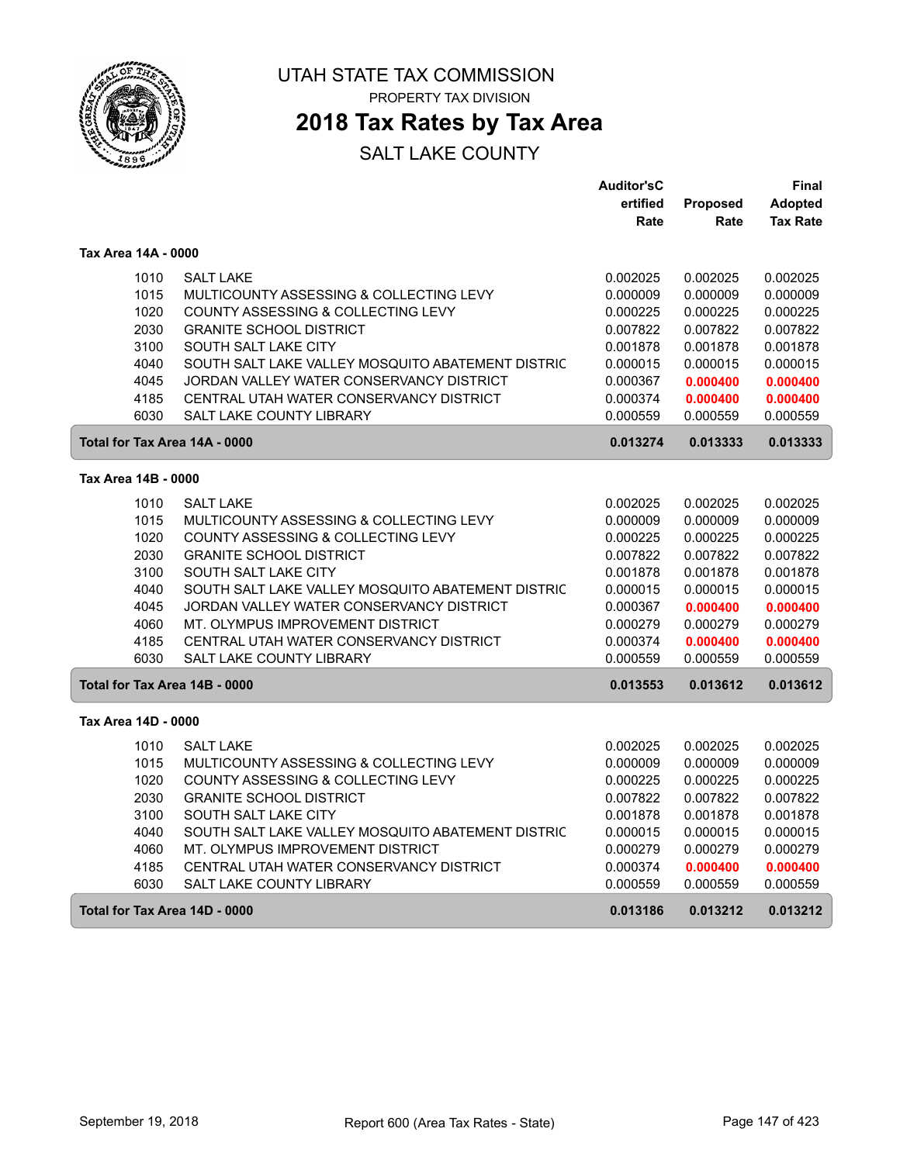

# **2018 Tax Rates by Tax Area**

|                               |                                                             | <b>Auditor'sC</b>    |                      | Final                |
|-------------------------------|-------------------------------------------------------------|----------------------|----------------------|----------------------|
|                               |                                                             | ertified             | Proposed             | <b>Adopted</b>       |
|                               |                                                             | Rate                 | Rate                 | <b>Tax Rate</b>      |
| Tax Area 14A - 0000           |                                                             |                      |                      |                      |
| 1010                          | <b>SALT LAKE</b>                                            | 0.002025             | 0.002025             | 0.002025             |
| 1015                          | MULTICOUNTY ASSESSING & COLLECTING LEVY                     | 0.000009             | 0.000009             | 0.000009             |
| 1020                          | COUNTY ASSESSING & COLLECTING LEVY                          | 0.000225             | 0.000225             | 0.000225             |
| 2030                          | <b>GRANITE SCHOOL DISTRICT</b>                              | 0.007822             | 0.007822             | 0.007822             |
| 3100                          | SOUTH SALT LAKE CITY                                        | 0.001878             | 0.001878             | 0.001878             |
| 4040                          | SOUTH SALT LAKE VALLEY MOSQUITO ABATEMENT DISTRIC           | 0.000015             | 0.000015             | 0.000015             |
| 4045                          | JORDAN VALLEY WATER CONSERVANCY DISTRICT                    | 0.000367             | 0.000400             | 0.000400             |
| 4185                          | CENTRAL UTAH WATER CONSERVANCY DISTRICT                     | 0.000374             | 0.000400             | 0.000400             |
| 6030                          | <b>SALT LAKE COUNTY LIBRARY</b>                             | 0.000559             | 0.000559             | 0.000559             |
| Total for Tax Area 14A - 0000 |                                                             | 0.013274             | 0.013333             | 0.013333             |
| Tax Area 14B - 0000           |                                                             |                      |                      |                      |
|                               |                                                             |                      |                      |                      |
| 1010<br>1015                  | <b>SALT LAKE</b><br>MULTICOUNTY ASSESSING & COLLECTING LEVY | 0.002025             | 0.002025<br>0.000009 | 0.002025<br>0.000009 |
| 1020                          | COUNTY ASSESSING & COLLECTING LEVY                          | 0.000009             | 0.000225             | 0.000225             |
| 2030                          | <b>GRANITE SCHOOL DISTRICT</b>                              | 0.000225<br>0.007822 | 0.007822             | 0.007822             |
| 3100                          | SOUTH SALT LAKE CITY                                        | 0.001878             |                      | 0.001878             |
| 4040                          | SOUTH SALT LAKE VALLEY MOSQUITO ABATEMENT DISTRIC           | 0.000015             | 0.001878<br>0.000015 | 0.000015             |
| 4045                          | JORDAN VALLEY WATER CONSERVANCY DISTRICT                    | 0.000367             | 0.000400             | 0.000400             |
| 4060                          | MT. OLYMPUS IMPROVEMENT DISTRICT                            | 0.000279             | 0.000279             | 0.000279             |
| 4185                          | CENTRAL UTAH WATER CONSERVANCY DISTRICT                     | 0.000374             | 0.000400             | 0.000400             |
| 6030                          | <b>SALT LAKE COUNTY LIBRARY</b>                             | 0.000559             | 0.000559             | 0.000559             |
|                               |                                                             |                      |                      |                      |
| Total for Tax Area 14B - 0000 |                                                             | 0.013553             | 0.013612             | 0.013612             |
| Tax Area 14D - 0000           |                                                             |                      |                      |                      |
| 1010                          | <b>SALT LAKE</b>                                            | 0.002025             | 0.002025             | 0.002025             |
| 1015                          | MULTICOUNTY ASSESSING & COLLECTING LEVY                     | 0.000009             | 0.000009             | 0.000009             |
| 1020                          | COUNTY ASSESSING & COLLECTING LEVY                          | 0.000225             | 0.000225             | 0.000225             |
| 2030                          | <b>GRANITE SCHOOL DISTRICT</b>                              | 0.007822             | 0.007822             | 0.007822             |
| 3100                          | SOUTH SALT LAKE CITY                                        | 0.001878             | 0.001878             | 0.001878             |
| 4040                          | SOUTH SALT LAKE VALLEY MOSQUITO ABATEMENT DISTRIC           | 0.000015             | 0.000015             | 0.000015             |
| 4060                          | MT. OLYMPUS IMPROVEMENT DISTRICT                            | 0.000279             | 0.000279             | 0.000279             |
| 4185                          | CENTRAL UTAH WATER CONSERVANCY DISTRICT                     | 0.000374             | 0.000400             | 0.000400             |
| 6030                          | SALT LAKE COUNTY LIBRARY                                    | 0.000559             | 0.000559             | 0.000559             |
| Total for Tax Area 14D - 0000 |                                                             | 0.013186             | 0.013212             | 0.013212             |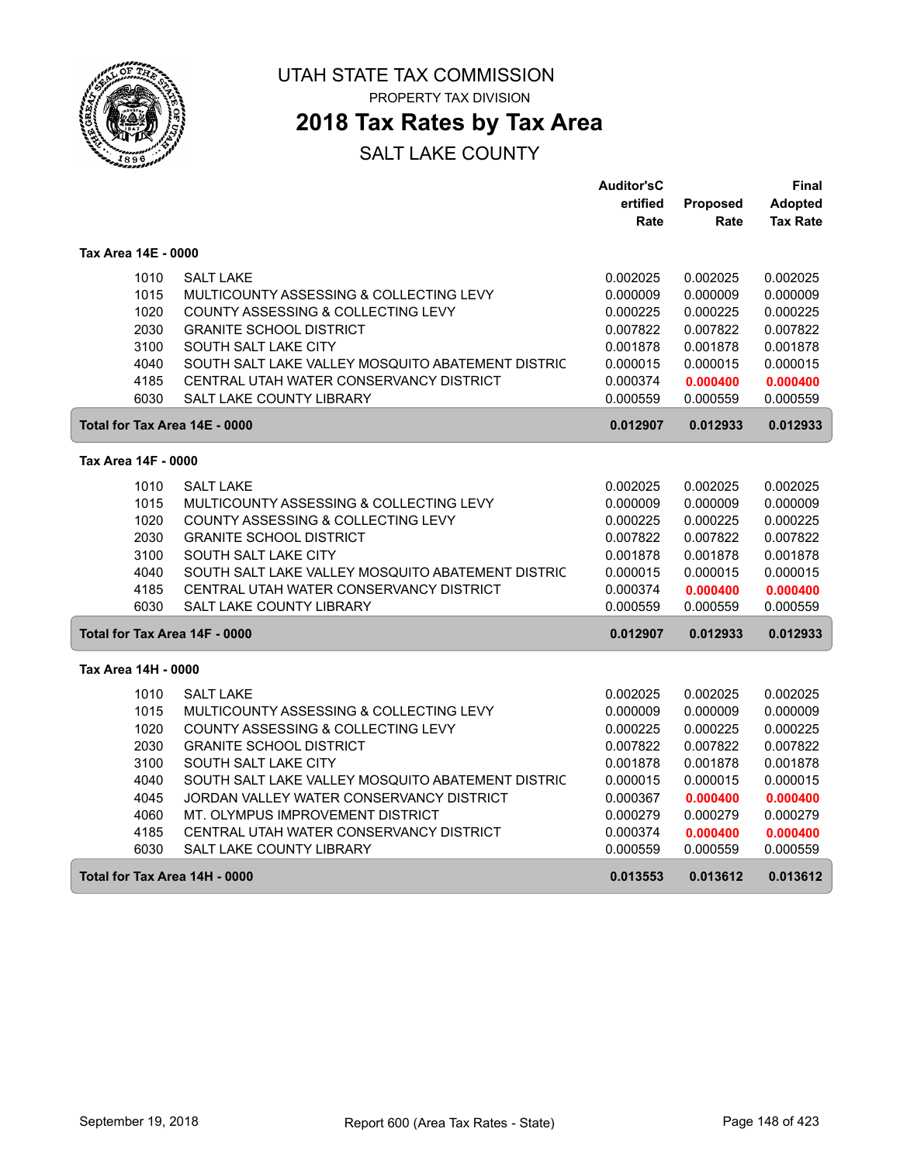

# **2018 Tax Rates by Tax Area**

|                     |                                                           | <b>Auditor'sC</b> |          | Final           |
|---------------------|-----------------------------------------------------------|-------------------|----------|-----------------|
|                     |                                                           | ertified          | Proposed | <b>Adopted</b>  |
|                     |                                                           | Rate              | Rate     | <b>Tax Rate</b> |
| Tax Area 14E - 0000 |                                                           |                   |          |                 |
|                     | 1010<br><b>SALT LAKE</b>                                  | 0.002025          | 0.002025 | 0.002025        |
|                     | 1015<br>MULTICOUNTY ASSESSING & COLLECTING LEVY           | 0.000009          | 0.000009 | 0.000009        |
|                     | 1020<br>COUNTY ASSESSING & COLLECTING LEVY                | 0.000225          | 0.000225 | 0.000225        |
|                     | 2030<br><b>GRANITE SCHOOL DISTRICT</b>                    | 0.007822          | 0.007822 | 0.007822        |
|                     | 3100<br>SOUTH SALT LAKE CITY                              | 0.001878          | 0.001878 | 0.001878        |
|                     | 4040<br>SOUTH SALT LAKE VALLEY MOSQUITO ABATEMENT DISTRIC | 0.000015          | 0.000015 | 0.000015        |
|                     | 4185<br>CENTRAL UTAH WATER CONSERVANCY DISTRICT           | 0.000374          | 0.000400 | 0.000400        |
|                     | 6030<br><b>SALT LAKE COUNTY LIBRARY</b>                   | 0.000559          | 0.000559 | 0.000559        |
|                     | Total for Tax Area 14E - 0000                             | 0.012907          | 0.012933 | 0.012933        |
| Tax Area 14F - 0000 |                                                           |                   |          |                 |
|                     | 1010<br><b>SALT LAKE</b>                                  | 0.002025          | 0.002025 | 0.002025        |
|                     | 1015<br>MULTICOUNTY ASSESSING & COLLECTING LEVY           | 0.000009          | 0.000009 | 0.000009        |
|                     | 1020<br>COUNTY ASSESSING & COLLECTING LEVY                | 0.000225          | 0.000225 | 0.000225        |
|                     | 2030<br><b>GRANITE SCHOOL DISTRICT</b>                    | 0.007822          | 0.007822 | 0.007822        |
|                     | 3100<br>SOUTH SALT LAKE CITY                              | 0.001878          | 0.001878 | 0.001878        |
|                     | 4040<br>SOUTH SALT LAKE VALLEY MOSQUITO ABATEMENT DISTRIC | 0.000015          | 0.000015 | 0.000015        |
|                     | 4185<br>CENTRAL UTAH WATER CONSERVANCY DISTRICT           | 0.000374          | 0.000400 | 0.000400        |
|                     | 6030<br><b>SALT LAKE COUNTY LIBRARY</b>                   | 0.000559          | 0.000559 | 0.000559        |
|                     | Total for Tax Area 14F - 0000                             | 0.012907          | 0.012933 | 0.012933        |
| Tax Area 14H - 0000 |                                                           |                   |          |                 |
|                     | 1010<br><b>SALT LAKE</b>                                  | 0.002025          | 0.002025 | 0.002025        |
|                     | 1015<br>MULTICOUNTY ASSESSING & COLLECTING LEVY           | 0.000009          | 0.000009 | 0.000009        |
|                     | 1020<br>COUNTY ASSESSING & COLLECTING LEVY                | 0.000225          | 0.000225 | 0.000225        |
|                     | 2030<br><b>GRANITE SCHOOL DISTRICT</b>                    | 0.007822          | 0.007822 | 0.007822        |
|                     | 3100<br>SOUTH SALT LAKE CITY                              | 0.001878          | 0.001878 | 0.001878        |
|                     | 4040<br>SOUTH SALT LAKE VALLEY MOSQUITO ABATEMENT DISTRIC | 0.000015          | 0.000015 | 0.000015        |
|                     | JORDAN VALLEY WATER CONSERVANCY DISTRICT<br>4045          | 0.000367          | 0.000400 | 0.000400        |
|                     | 4060<br>MT. OLYMPUS IMPROVEMENT DISTRICT                  | 0.000279          | 0.000279 | 0.000279        |
|                     | 4185<br>CENTRAL UTAH WATER CONSERVANCY DISTRICT           | 0.000374          | 0.000400 | 0.000400        |
|                     | 6030<br>SALT LAKE COUNTY LIBRARY                          | 0.000559          | 0.000559 | 0.000559        |
|                     | Total for Tax Area 14H - 0000                             | 0.013553          | 0.013612 | 0.013612        |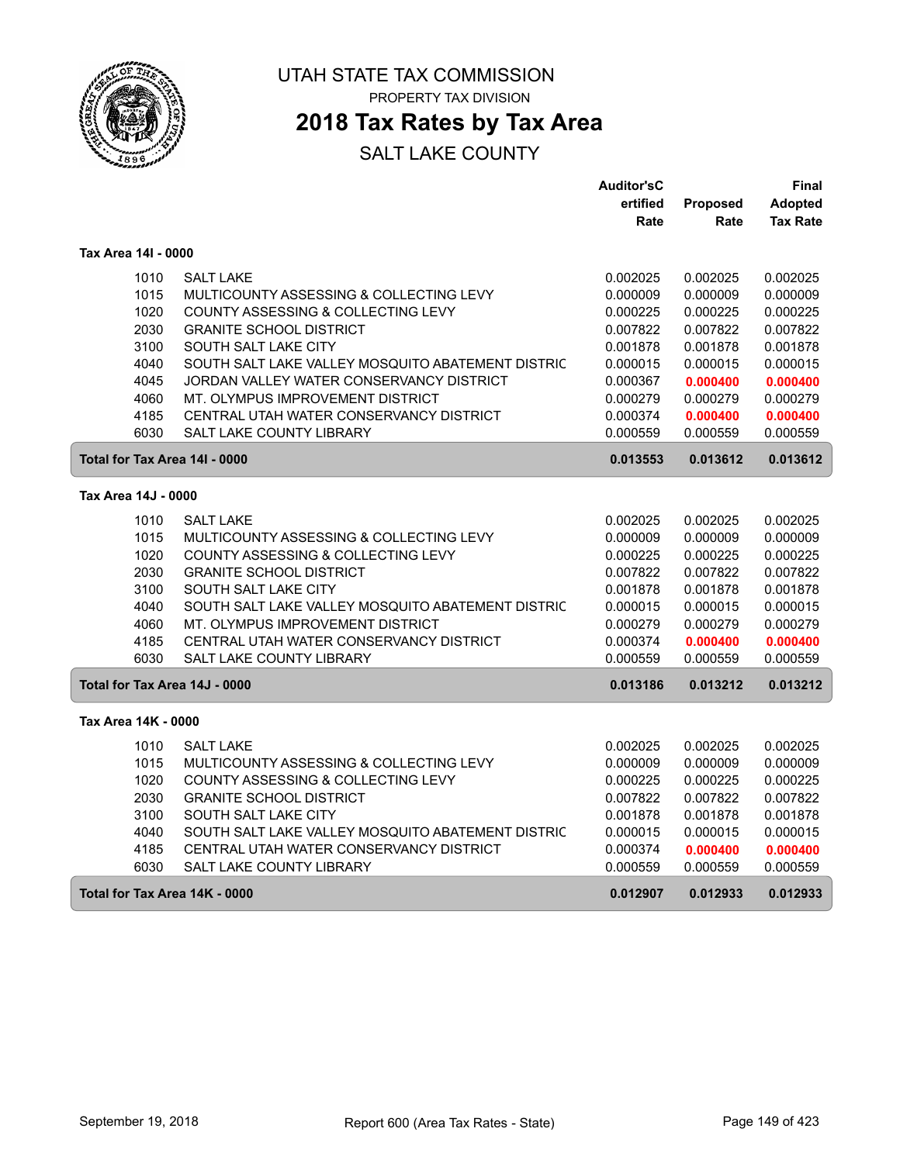

# **2018 Tax Rates by Tax Area**

|                               |                                                   | <b>Auditor'sC</b> |          | Final           |
|-------------------------------|---------------------------------------------------|-------------------|----------|-----------------|
|                               |                                                   | ertified          | Proposed | Adopted         |
|                               |                                                   | Rate              | Rate     | <b>Tax Rate</b> |
| Tax Area 14I - 0000           |                                                   |                   |          |                 |
| 1010                          | <b>SALT LAKE</b>                                  | 0.002025          | 0.002025 | 0.002025        |
| 1015                          | MULTICOUNTY ASSESSING & COLLECTING LEVY           | 0.000009          | 0.000009 | 0.000009        |
| 1020                          | COUNTY ASSESSING & COLLECTING LEVY                | 0.000225          | 0.000225 | 0.000225        |
| 2030                          | <b>GRANITE SCHOOL DISTRICT</b>                    | 0.007822          | 0.007822 | 0.007822        |
| 3100                          | SOUTH SALT LAKE CITY                              | 0.001878          | 0.001878 | 0.001878        |
| 4040                          | SOUTH SALT LAKE VALLEY MOSQUITO ABATEMENT DISTRIC | 0.000015          | 0.000015 | 0.000015        |
| 4045                          | JORDAN VALLEY WATER CONSERVANCY DISTRICT          | 0.000367          | 0.000400 | 0.000400        |
| 4060                          | MT. OLYMPUS IMPROVEMENT DISTRICT                  | 0.000279          | 0.000279 | 0.000279        |
| 4185                          | CENTRAL UTAH WATER CONSERVANCY DISTRICT           | 0.000374          | 0.000400 | 0.000400        |
| 6030                          | SALT LAKE COUNTY LIBRARY                          | 0.000559          | 0.000559 | 0.000559        |
| Total for Tax Area 14I - 0000 |                                                   | 0.013553          | 0.013612 | 0.013612        |
| Tax Area 14J - 0000           |                                                   |                   |          |                 |
| 1010                          | <b>SALT LAKE</b>                                  | 0.002025          | 0.002025 | 0.002025        |
| 1015                          | MULTICOUNTY ASSESSING & COLLECTING LEVY           | 0.000009          | 0.000009 | 0.000009        |
| 1020                          | COUNTY ASSESSING & COLLECTING LEVY                | 0.000225          | 0.000225 | 0.000225        |
| 2030                          | <b>GRANITE SCHOOL DISTRICT</b>                    | 0.007822          | 0.007822 | 0.007822        |
| 3100                          | SOUTH SALT LAKE CITY                              | 0.001878          | 0.001878 | 0.001878        |
| 4040                          | SOUTH SALT LAKE VALLEY MOSQUITO ABATEMENT DISTRIC | 0.000015          | 0.000015 | 0.000015        |
| 4060                          | MT. OLYMPUS IMPROVEMENT DISTRICT                  | 0.000279          | 0.000279 | 0.000279        |
| 4185                          | CENTRAL UTAH WATER CONSERVANCY DISTRICT           | 0.000374          | 0.000400 | 0.000400        |
| 6030                          | <b>SALT LAKE COUNTY LIBRARY</b>                   | 0.000559          | 0.000559 | 0.000559        |
| Total for Tax Area 14J - 0000 |                                                   | 0.013186          | 0.013212 | 0.013212        |
| Tax Area 14K - 0000           |                                                   |                   |          |                 |
| 1010                          | <b>SALT LAKE</b>                                  | 0.002025          | 0.002025 | 0.002025        |
| 1015                          | MULTICOUNTY ASSESSING & COLLECTING LEVY           | 0.000009          | 0.000009 | 0.000009        |
| 1020                          | COUNTY ASSESSING & COLLECTING LEVY                | 0.000225          | 0.000225 | 0.000225        |
| 2030                          | <b>GRANITE SCHOOL DISTRICT</b>                    | 0.007822          | 0.007822 | 0.007822        |
| 3100                          | SOUTH SALT LAKE CITY                              | 0.001878          | 0.001878 | 0.001878        |
| 4040                          | SOUTH SALT LAKE VALLEY MOSQUITO ABATEMENT DISTRIC | 0.000015          | 0.000015 | 0.000015        |
| 4185                          | CENTRAL UTAH WATER CONSERVANCY DISTRICT           | 0.000374          | 0.000400 | 0.000400        |
| 6030                          | <b>SALT LAKE COUNTY LIBRARY</b>                   | 0.000559          | 0.000559 | 0.000559        |
| Total for Tax Area 14K - 0000 |                                                   | 0.012907          | 0.012933 | 0.012933        |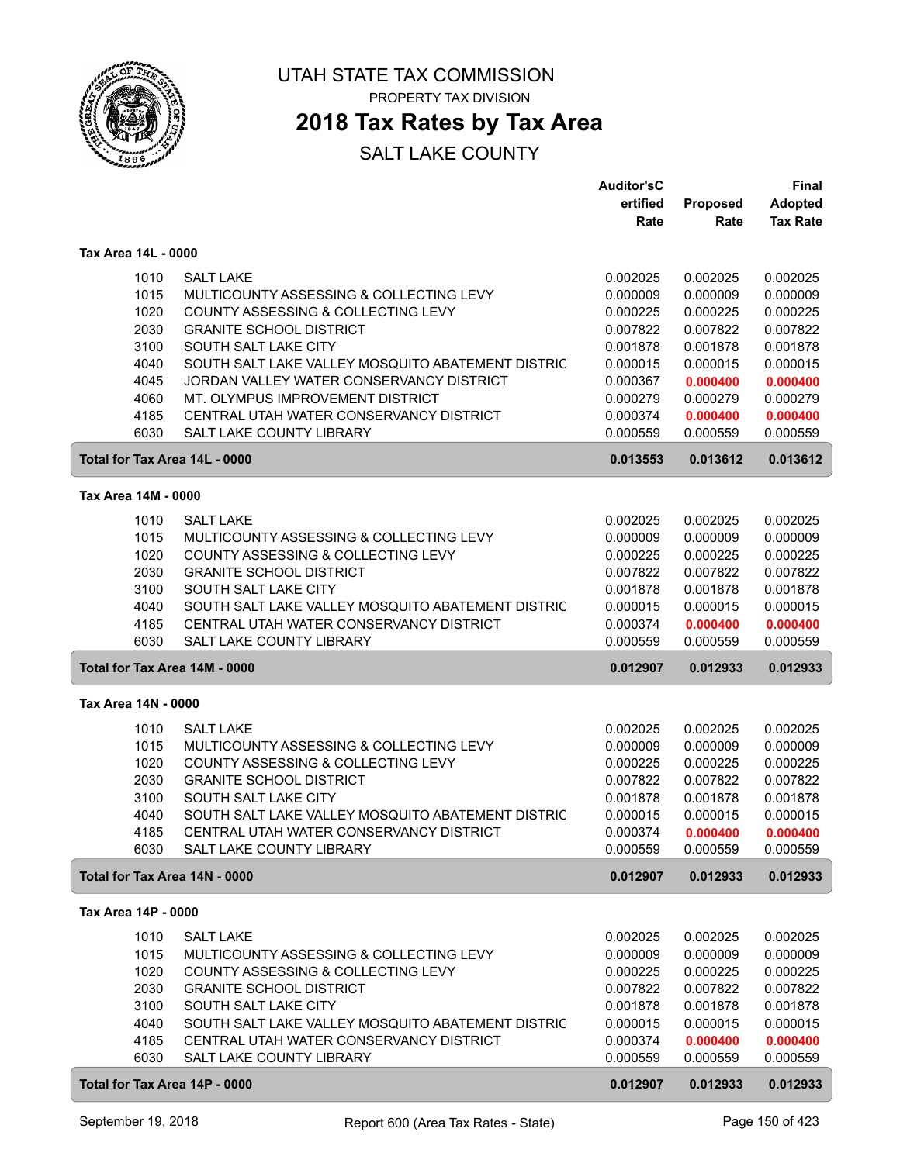

# **2018 Tax Rates by Tax Area**

|                     |      |                                                   | <b>Auditor'sC</b> |          | Final           |
|---------------------|------|---------------------------------------------------|-------------------|----------|-----------------|
|                     |      |                                                   | ertified          | Proposed | <b>Adopted</b>  |
|                     |      |                                                   | Rate              | Rate     | <b>Tax Rate</b> |
|                     |      |                                                   |                   |          |                 |
| Tax Area 14L - 0000 |      |                                                   |                   |          |                 |
|                     | 1010 | <b>SALT LAKE</b>                                  | 0.002025          | 0.002025 | 0.002025        |
|                     | 1015 | MULTICOUNTY ASSESSING & COLLECTING LEVY           | 0.000009          | 0.000009 | 0.000009        |
|                     | 1020 | COUNTY ASSESSING & COLLECTING LEVY                | 0.000225          | 0.000225 | 0.000225        |
|                     | 2030 | <b>GRANITE SCHOOL DISTRICT</b>                    | 0.007822          | 0.007822 | 0.007822        |
|                     | 3100 | SOUTH SALT LAKE CITY                              | 0.001878          | 0.001878 | 0.001878        |
|                     | 4040 | SOUTH SALT LAKE VALLEY MOSQUITO ABATEMENT DISTRIC | 0.000015          | 0.000015 | 0.000015        |
|                     | 4045 | JORDAN VALLEY WATER CONSERVANCY DISTRICT          | 0.000367          | 0.000400 | 0.000400        |
|                     | 4060 | MT. OLYMPUS IMPROVEMENT DISTRICT                  | 0.000279          | 0.000279 | 0.000279        |
|                     | 4185 | CENTRAL UTAH WATER CONSERVANCY DISTRICT           | 0.000374          | 0.000400 | 0.000400        |
|                     | 6030 | SALT LAKE COUNTY LIBRARY                          | 0.000559          | 0.000559 | 0.000559        |
|                     |      | Total for Tax Area 14L - 0000                     | 0.013553          | 0.013612 | 0.013612        |
|                     |      |                                                   |                   |          |                 |
| Tax Area 14M - 0000 |      |                                                   |                   |          |                 |
|                     | 1010 | <b>SALT LAKE</b>                                  | 0.002025          | 0.002025 | 0.002025        |
|                     | 1015 | MULTICOUNTY ASSESSING & COLLECTING LEVY           | 0.000009          | 0.000009 | 0.000009        |
|                     | 1020 | COUNTY ASSESSING & COLLECTING LEVY                | 0.000225          | 0.000225 | 0.000225        |
|                     | 2030 | <b>GRANITE SCHOOL DISTRICT</b>                    | 0.007822          | 0.007822 | 0.007822        |
|                     | 3100 | SOUTH SALT LAKE CITY                              | 0.001878          | 0.001878 | 0.001878        |
|                     | 4040 | SOUTH SALT LAKE VALLEY MOSQUITO ABATEMENT DISTRIC | 0.000015          | 0.000015 | 0.000015        |
|                     | 4185 | CENTRAL UTAH WATER CONSERVANCY DISTRICT           | 0.000374          | 0.000400 | 0.000400        |
|                     | 6030 | <b>SALT LAKE COUNTY LIBRARY</b>                   | 0.000559          | 0.000559 | 0.000559        |
|                     |      | Total for Tax Area 14M - 0000                     | 0.012907          | 0.012933 | 0.012933        |
|                     |      |                                                   |                   |          |                 |
| Tax Area 14N - 0000 |      |                                                   |                   |          |                 |
|                     | 1010 | <b>SALT LAKE</b>                                  | 0.002025          | 0.002025 | 0.002025        |
|                     | 1015 | MULTICOUNTY ASSESSING & COLLECTING LEVY           | 0.000009          | 0.000009 | 0.000009        |
|                     | 1020 | COUNTY ASSESSING & COLLECTING LEVY                | 0.000225          | 0.000225 | 0.000225        |
|                     | 2030 | <b>GRANITE SCHOOL DISTRICT</b>                    | 0.007822          | 0.007822 | 0.007822        |
|                     | 3100 | SOUTH SALT LAKE CITY                              | 0.001878          | 0.001878 | 0.001878        |
|                     | 4040 | SOUTH SALT LAKE VALLEY MOSQUITO ABATEMENT DISTRIC | 0.000015          | 0.000015 | 0.000015        |
|                     | 4185 | CENTRAL UTAH WATER CONSERVANCY DISTRICT           | 0.000374          | 0.000400 | 0.000400        |
|                     | 6030 | SALT LAKE COUNTY LIBRARY                          | 0.000559          | 0.000559 | 0.000559        |
|                     |      | Total for Tax Area 14N - 0000                     | 0.012907          | 0.012933 | 0.012933        |
| Tax Area 14P - 0000 |      |                                                   |                   |          |                 |
|                     |      |                                                   |                   |          |                 |
|                     | 1010 | <b>SALT LAKE</b>                                  | 0.002025          | 0.002025 | 0.002025        |
|                     | 1015 | MULTICOUNTY ASSESSING & COLLECTING LEVY           | 0.000009          | 0.000009 | 0.000009        |
|                     | 1020 | COUNTY ASSESSING & COLLECTING LEVY                | 0.000225          | 0.000225 | 0.000225        |
|                     | 2030 | <b>GRANITE SCHOOL DISTRICT</b>                    | 0.007822          | 0.007822 | 0.007822        |
|                     | 3100 | SOUTH SALT LAKE CITY                              | 0.001878          | 0.001878 | 0.001878        |
|                     | 4040 | SOUTH SALT LAKE VALLEY MOSQUITO ABATEMENT DISTRIC | 0.000015          | 0.000015 | 0.000015        |
|                     | 4185 | CENTRAL UTAH WATER CONSERVANCY DISTRICT           | 0.000374          | 0.000400 | 0.000400        |
|                     | 6030 | SALT LAKE COUNTY LIBRARY                          | 0.000559          | 0.000559 | 0.000559        |
|                     |      | Total for Tax Area 14P - 0000                     | 0.012907          | 0.012933 | 0.012933        |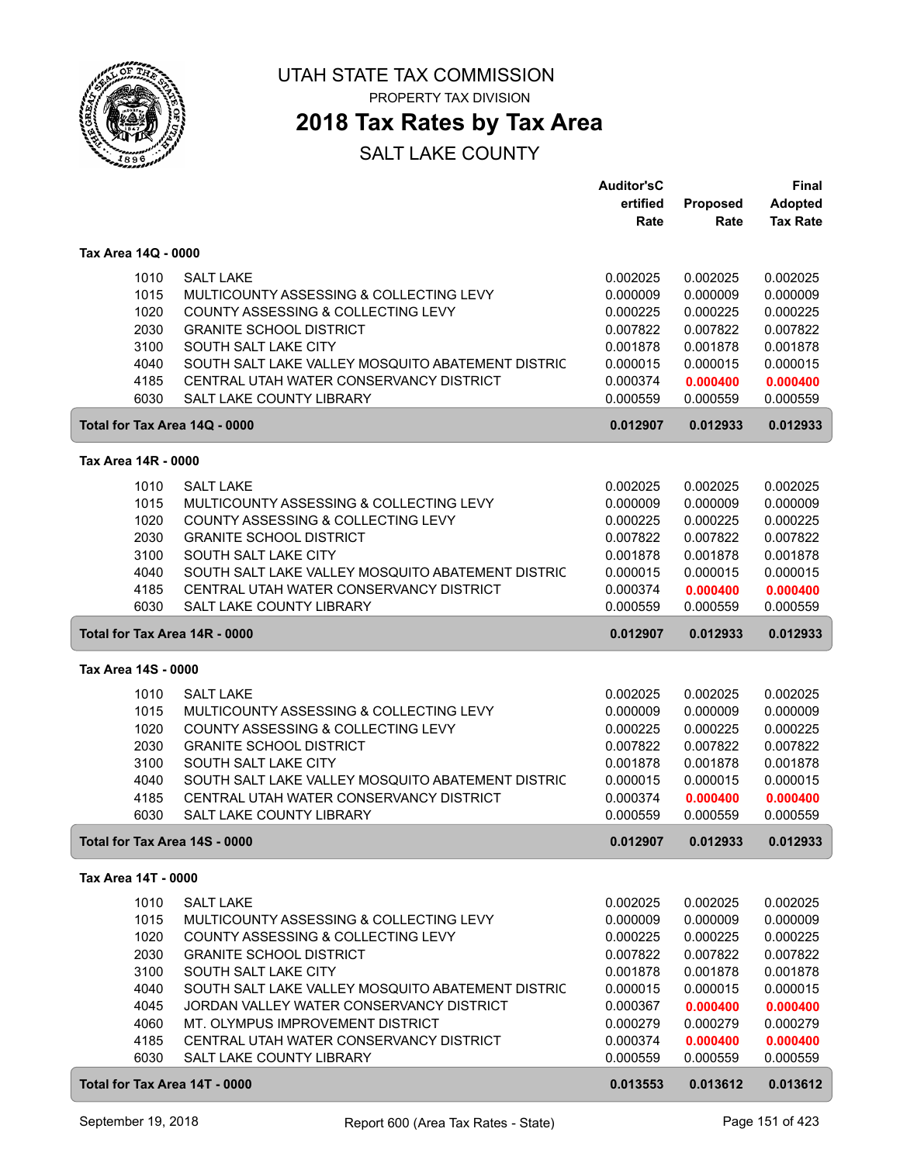

# **2018 Tax Rates by Tax Area**

|                               |                                                   | <b>Auditor'sC</b> |          | Final           |
|-------------------------------|---------------------------------------------------|-------------------|----------|-----------------|
|                               |                                                   | ertified          | Proposed | Adopted         |
|                               |                                                   | Rate              | Rate     | <b>Tax Rate</b> |
|                               |                                                   |                   |          |                 |
| Tax Area 14Q - 0000           |                                                   |                   |          |                 |
| 1010                          | <b>SALT LAKE</b>                                  | 0.002025          | 0.002025 | 0.002025        |
| 1015                          | MULTICOUNTY ASSESSING & COLLECTING LEVY           | 0.000009          | 0.000009 | 0.000009        |
| 1020                          | COUNTY ASSESSING & COLLECTING LEVY                | 0.000225          | 0.000225 | 0.000225        |
| 2030                          | <b>GRANITE SCHOOL DISTRICT</b>                    | 0.007822          | 0.007822 | 0.007822        |
| 3100                          | SOUTH SALT LAKE CITY                              | 0.001878          | 0.001878 | 0.001878        |
| 4040                          | SOUTH SALT LAKE VALLEY MOSQUITO ABATEMENT DISTRIC | 0.000015          | 0.000015 | 0.000015        |
| 4185                          | CENTRAL UTAH WATER CONSERVANCY DISTRICT           | 0.000374          | 0.000400 | 0.000400        |
| 6030                          | SALT LAKE COUNTY LIBRARY                          | 0.000559          | 0.000559 | 0.000559        |
| Total for Tax Area 14Q - 0000 |                                                   | 0.012907          | 0.012933 | 0.012933        |
|                               |                                                   |                   |          |                 |
| Tax Area 14R - 0000           |                                                   |                   |          |                 |
| 1010                          | <b>SALT LAKE</b>                                  | 0.002025          | 0.002025 | 0.002025        |
| 1015                          | MULTICOUNTY ASSESSING & COLLECTING LEVY           | 0.000009          | 0.000009 | 0.000009        |
| 1020                          | COUNTY ASSESSING & COLLECTING LEVY                | 0.000225          | 0.000225 | 0.000225        |
| 2030                          | <b>GRANITE SCHOOL DISTRICT</b>                    | 0.007822          | 0.007822 | 0.007822        |
| 3100                          | SOUTH SALT LAKE CITY                              | 0.001878          | 0.001878 | 0.001878        |
| 4040                          | SOUTH SALT LAKE VALLEY MOSQUITO ABATEMENT DISTRIC | 0.000015          | 0.000015 | 0.000015        |
| 4185                          | CENTRAL UTAH WATER CONSERVANCY DISTRICT           | 0.000374          | 0.000400 | 0.000400        |
| 6030                          | <b>SALT LAKE COUNTY LIBRARY</b>                   | 0.000559          | 0.000559 | 0.000559        |
|                               |                                                   |                   |          |                 |
| Total for Tax Area 14R - 0000 |                                                   | 0.012907          | 0.012933 | 0.012933        |
| Tax Area 14S - 0000           |                                                   |                   |          |                 |
|                               |                                                   |                   |          |                 |
| 1010                          | <b>SALT LAKE</b>                                  | 0.002025          | 0.002025 | 0.002025        |
| 1015                          | MULTICOUNTY ASSESSING & COLLECTING LEVY           | 0.000009          | 0.000009 | 0.000009        |
| 1020                          | COUNTY ASSESSING & COLLECTING LEVY                | 0.000225          | 0.000225 | 0.000225        |
| 2030                          | <b>GRANITE SCHOOL DISTRICT</b>                    | 0.007822          | 0.007822 | 0.007822        |
| 3100                          | SOUTH SALT LAKE CITY                              | 0.001878          | 0.001878 | 0.001878        |
| 4040                          | SOUTH SALT LAKE VALLEY MOSQUITO ABATEMENT DISTRIC | 0.000015          | 0.000015 | 0.000015        |
| 4185                          | CENTRAL UTAH WATER CONSERVANCY DISTRICT           | 0.000374          | 0.000400 | 0.000400        |
| 6030                          | <b>SALT LAKE COUNTY LIBRARY</b>                   | 0.000559          | 0.000559 | 0.000559        |
| Total for Tax Area 14S - 0000 |                                                   | 0.012907          | 0.012933 | 0.012933        |
| Tax Area 14T - 0000           |                                                   |                   |          |                 |
|                               |                                                   |                   |          |                 |
| 1010                          | <b>SALT LAKE</b>                                  | 0.002025          | 0.002025 | 0.002025        |
| 1015                          | MULTICOUNTY ASSESSING & COLLECTING LEVY           | 0.000009          | 0.000009 | 0.000009        |
| 1020                          | COUNTY ASSESSING & COLLECTING LEVY                | 0.000225          | 0.000225 | 0.000225        |
| 2030                          | <b>GRANITE SCHOOL DISTRICT</b>                    | 0.007822          | 0.007822 | 0.007822        |
| 3100                          | SOUTH SALT LAKE CITY                              | 0.001878          | 0.001878 | 0.001878        |
| 4040                          | SOUTH SALT LAKE VALLEY MOSQUITO ABATEMENT DISTRIC | 0.000015          | 0.000015 | 0.000015        |
| 4045                          | JORDAN VALLEY WATER CONSERVANCY DISTRICT          | 0.000367          | 0.000400 | 0.000400        |
| 4060                          | MT. OLYMPUS IMPROVEMENT DISTRICT                  | 0.000279          | 0.000279 | 0.000279        |
| 4185                          | CENTRAL UTAH WATER CONSERVANCY DISTRICT           | 0.000374          | 0.000400 | 0.000400        |
| 6030                          | SALT LAKE COUNTY LIBRARY                          | 0.000559          | 0.000559 | 0.000559        |
| Total for Tax Area 14T - 0000 |                                                   | 0.013553          | 0.013612 | 0.013612        |
|                               |                                                   |                   |          |                 |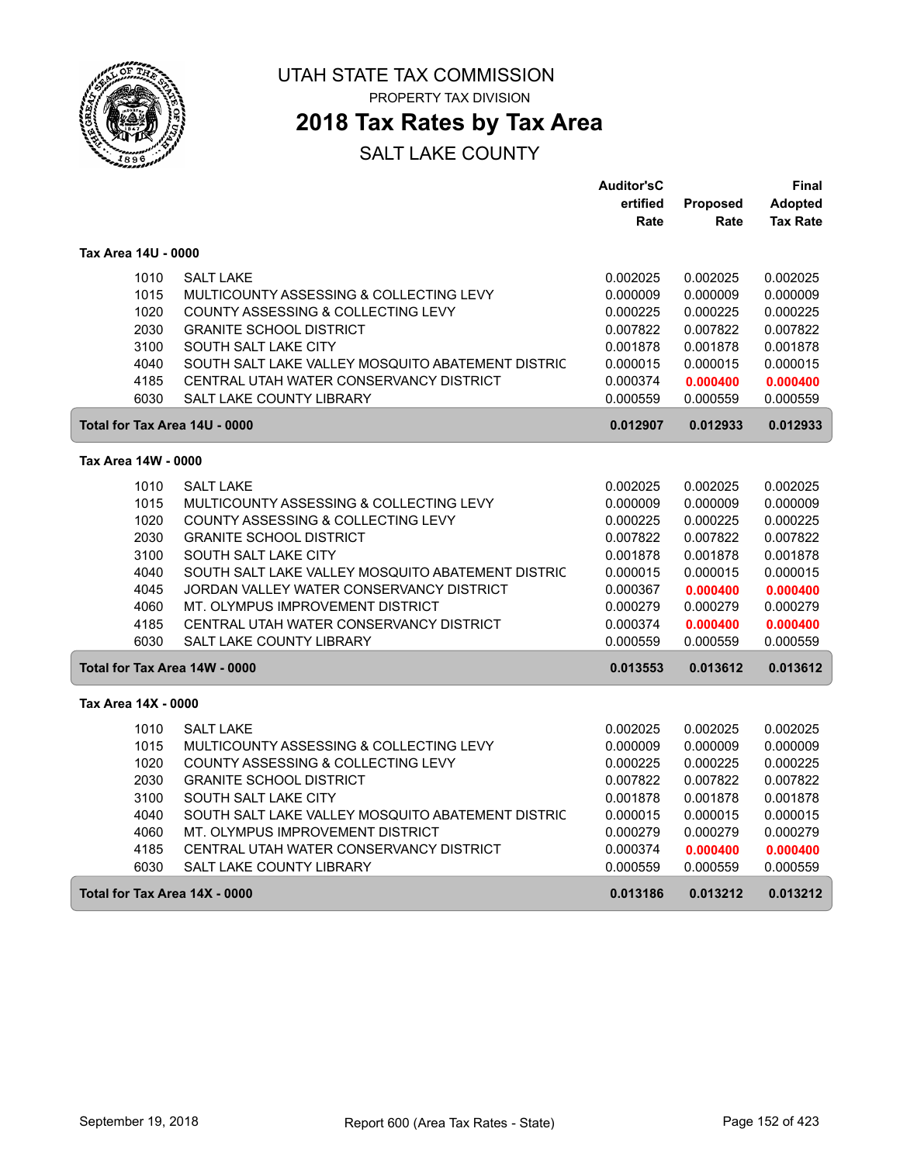

# **2018 Tax Rates by Tax Area**

|                               |                                                   | <b>Auditor'sC</b> |          | Final           |
|-------------------------------|---------------------------------------------------|-------------------|----------|-----------------|
|                               |                                                   | ertified          | Proposed | Adopted         |
|                               |                                                   | Rate              | Rate     | <b>Tax Rate</b> |
| Tax Area 14U - 0000           |                                                   |                   |          |                 |
| 1010                          | <b>SALT LAKE</b>                                  | 0.002025          | 0.002025 | 0.002025        |
| 1015                          | MULTICOUNTY ASSESSING & COLLECTING LEVY           | 0.000009          | 0.000009 | 0.000009        |
| 1020                          | COUNTY ASSESSING & COLLECTING LEVY                | 0.000225          | 0.000225 | 0.000225        |
| 2030                          | <b>GRANITE SCHOOL DISTRICT</b>                    | 0.007822          | 0.007822 | 0.007822        |
| 3100                          | SOUTH SALT LAKE CITY                              | 0.001878          | 0.001878 | 0.001878        |
| 4040                          | SOUTH SALT LAKE VALLEY MOSQUITO ABATEMENT DISTRIC | 0.000015          | 0.000015 | 0.000015        |
| 4185                          | CENTRAL UTAH WATER CONSERVANCY DISTRICT           | 0.000374          | 0.000400 | 0.000400        |
| 6030                          | <b>SALT LAKE COUNTY LIBRARY</b>                   | 0.000559          | 0.000559 | 0.000559        |
| Total for Tax Area 14U - 0000 |                                                   | 0.012907          | 0.012933 | 0.012933        |
| Tax Area 14W - 0000           |                                                   |                   |          |                 |
| 1010                          | <b>SALT LAKE</b>                                  | 0.002025          | 0.002025 | 0.002025        |
| 1015                          | MULTICOUNTY ASSESSING & COLLECTING LEVY           | 0.000009          | 0.000009 | 0.000009        |
| 1020                          | COUNTY ASSESSING & COLLECTING LEVY                | 0.000225          | 0.000225 | 0.000225        |
| 2030                          | <b>GRANITE SCHOOL DISTRICT</b>                    | 0.007822          | 0.007822 | 0.007822        |
| 3100                          | SOUTH SALT LAKE CITY                              | 0.001878          | 0.001878 | 0.001878        |
| 4040                          | SOUTH SALT LAKE VALLEY MOSQUITO ABATEMENT DISTRIC | 0.000015          | 0.000015 | 0.000015        |
| 4045                          | JORDAN VALLEY WATER CONSERVANCY DISTRICT          | 0.000367          | 0.000400 | 0.000400        |
| 4060                          | MT. OLYMPUS IMPROVEMENT DISTRICT                  | 0.000279          | 0.000279 | 0.000279        |
| 4185                          | CENTRAL UTAH WATER CONSERVANCY DISTRICT           | 0.000374          | 0.000400 | 0.000400        |
| 6030                          | <b>SALT LAKE COUNTY LIBRARY</b>                   | 0.000559          | 0.000559 | 0.000559        |
| Total for Tax Area 14W - 0000 |                                                   | 0.013553          | 0.013612 | 0.013612        |
| Tax Area 14X - 0000           |                                                   |                   |          |                 |
| 1010                          | <b>SALT LAKE</b>                                  | 0.002025          | 0.002025 | 0.002025        |
| 1015                          | MULTICOUNTY ASSESSING & COLLECTING LEVY           | 0.000009          | 0.000009 | 0.000009        |
| 1020                          | COUNTY ASSESSING & COLLECTING LEVY                | 0.000225          | 0.000225 | 0.000225        |
| 2030                          | <b>GRANITE SCHOOL DISTRICT</b>                    | 0.007822          | 0.007822 | 0.007822        |
| 3100                          | SOUTH SALT LAKE CITY                              | 0.001878          | 0.001878 | 0.001878        |
| 4040                          | SOUTH SALT LAKE VALLEY MOSQUITO ABATEMENT DISTRIC | 0.000015          | 0.000015 | 0.000015        |
| 4060                          | MT. OLYMPUS IMPROVEMENT DISTRICT                  | 0.000279          | 0.000279 | 0.000279        |
| 4185                          | CENTRAL UTAH WATER CONSERVANCY DISTRICT           | 0.000374          | 0.000400 | 0.000400        |
| 6030                          | SALT LAKE COUNTY LIBRARY                          | 0.000559          | 0.000559 | 0.000559        |
| Total for Tax Area 14X - 0000 |                                                   | 0.013186          | 0.013212 | 0.013212        |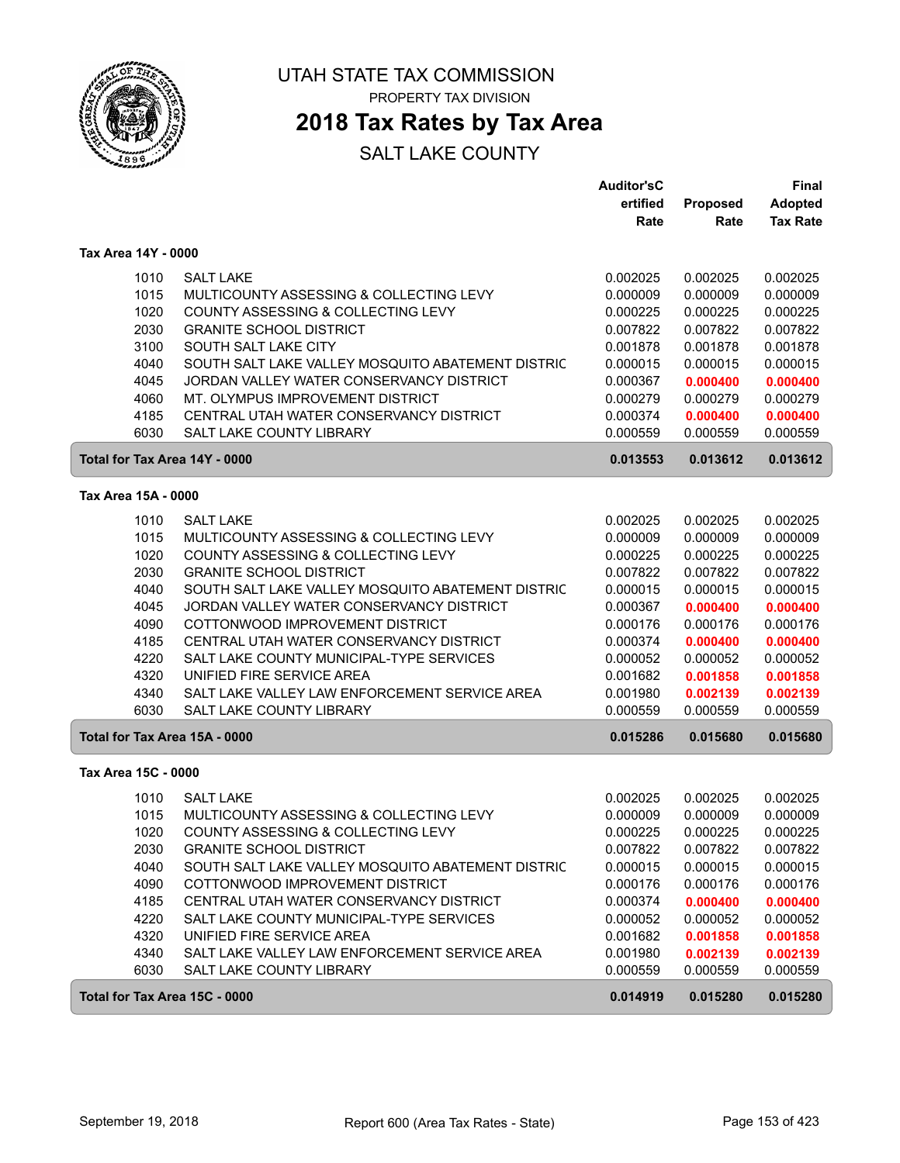

# **2018 Tax Rates by Tax Area**

|                               |                                                   | <b>Auditor'sC</b> |                 | Final           |
|-------------------------------|---------------------------------------------------|-------------------|-----------------|-----------------|
|                               |                                                   | ertified          | <b>Proposed</b> | Adopted         |
|                               |                                                   | Rate              | Rate            | <b>Tax Rate</b> |
| Tax Area 14Y - 0000           |                                                   |                   |                 |                 |
| 1010                          | <b>SALT LAKE</b>                                  | 0.002025          | 0.002025        | 0.002025        |
| 1015                          | MULTICOUNTY ASSESSING & COLLECTING LEVY           | 0.000009          | 0.000009        | 0.000009        |
| 1020                          | COUNTY ASSESSING & COLLECTING LEVY                | 0.000225          | 0.000225        | 0.000225        |
| 2030                          | <b>GRANITE SCHOOL DISTRICT</b>                    | 0.007822          | 0.007822        | 0.007822        |
| 3100                          | SOUTH SALT LAKE CITY                              | 0.001878          | 0.001878        | 0.001878        |
| 4040                          | SOUTH SALT LAKE VALLEY MOSQUITO ABATEMENT DISTRIC | 0.000015          | 0.000015        | 0.000015        |
| 4045                          | JORDAN VALLEY WATER CONSERVANCY DISTRICT          | 0.000367          | 0.000400        | 0.000400        |
| 4060                          | MT. OLYMPUS IMPROVEMENT DISTRICT                  | 0.000279          | 0.000279        | 0.000279        |
| 4185                          | CENTRAL UTAH WATER CONSERVANCY DISTRICT           | 0.000374          | 0.000400        | 0.000400        |
| 6030                          | SALT LAKE COUNTY LIBRARY                          | 0.000559          | 0.000559        | 0.000559        |
| Total for Tax Area 14Y - 0000 |                                                   | 0.013553          | 0.013612        | 0.013612        |
| Tax Area 15A - 0000           |                                                   |                   |                 |                 |
| 1010                          | <b>SALT LAKE</b>                                  | 0.002025          | 0.002025        | 0.002025        |
| 1015                          | MULTICOUNTY ASSESSING & COLLECTING LEVY           | 0.000009          | 0.000009        | 0.000009        |
| 1020                          | COUNTY ASSESSING & COLLECTING LEVY                | 0.000225          | 0.000225        | 0.000225        |
| 2030                          | <b>GRANITE SCHOOL DISTRICT</b>                    | 0.007822          | 0.007822        | 0.007822        |
| 4040                          | SOUTH SALT LAKE VALLEY MOSQUITO ABATEMENT DISTRIC | 0.000015          | 0.000015        | 0.000015        |
| 4045                          | JORDAN VALLEY WATER CONSERVANCY DISTRICT          | 0.000367          | 0.000400        | 0.000400        |
| 4090                          | COTTONWOOD IMPROVEMENT DISTRICT                   | 0.000176          | 0.000176        | 0.000176        |
| 4185                          | CENTRAL UTAH WATER CONSERVANCY DISTRICT           | 0.000374          | 0.000400        | 0.000400        |
| 4220                          | SALT LAKE COUNTY MUNICIPAL-TYPE SERVICES          | 0.000052          | 0.000052        | 0.000052        |
| 4320                          | UNIFIED FIRE SERVICE AREA                         | 0.001682          | 0.001858        | 0.001858        |
| 4340                          | SALT LAKE VALLEY LAW ENFORCEMENT SERVICE AREA     | 0.001980          | 0.002139        | 0.002139        |
| 6030                          | <b>SALT LAKE COUNTY LIBRARY</b>                   | 0.000559          | 0.000559        | 0.000559        |
| Total for Tax Area 15A - 0000 |                                                   | 0.015286          | 0.015680        | 0.015680        |
| Tax Area 15C - 0000           |                                                   |                   |                 |                 |
| 1010                          | <b>SALT LAKE</b>                                  | 0.002025          | 0.002025        | 0.002025        |
| 1015                          | MULTICOUNTY ASSESSING & COLLECTING LEVY           | 0.000009          | 0.000009        | 0.000009        |
| 1020                          | COUNTY ASSESSING & COLLECTING LEVY                | 0.000225          | 0.000225        | 0.000225        |
| 2030                          | <b>GRANITE SCHOOL DISTRICT</b>                    | 0.007822          | 0.007822        | 0.007822        |
| 4040                          | SOUTH SALT LAKE VALLEY MOSQUITO ABATEMENT DISTRIC | 0.000015          | 0.000015        | 0.000015        |
| 4090                          | COTTONWOOD IMPROVEMENT DISTRICT                   | 0.000176          | 0.000176        | 0.000176        |
| 4185                          | CENTRAL UTAH WATER CONSERVANCY DISTRICT           | 0.000374          | 0.000400        | 0.000400        |
| 4220                          | SALT LAKE COUNTY MUNICIPAL-TYPE SERVICES          | 0.000052          | 0.000052        | 0.000052        |
| 4320                          | UNIFIED FIRE SERVICE AREA                         | 0.001682          | 0.001858        | 0.001858        |
| 4340                          | SALT LAKE VALLEY LAW ENFORCEMENT SERVICE AREA     | 0.001980          | 0.002139        | 0.002139        |
| 6030                          | SALT LAKE COUNTY LIBRARY                          | 0.000559          | 0.000559        | 0.000559        |
| Total for Tax Area 15C - 0000 |                                                   | 0.014919          | 0.015280        | 0.015280        |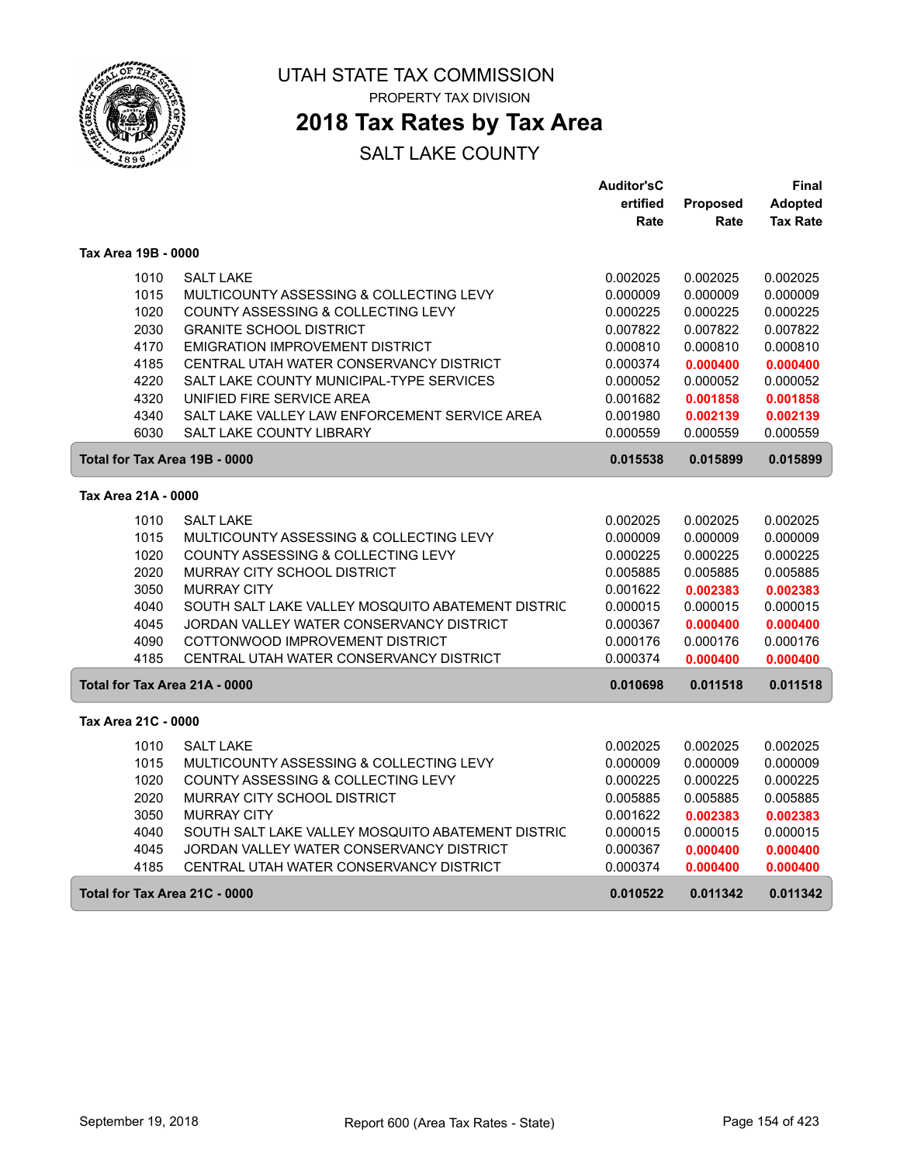

PROPERTY TAX DIVISION

## **2018 Tax Rates by Tax Area**

|                               |                                                   | <b>Auditor'sC</b> |          | Final           |
|-------------------------------|---------------------------------------------------|-------------------|----------|-----------------|
|                               |                                                   | ertified          | Proposed | <b>Adopted</b>  |
|                               |                                                   | Rate              | Rate     | <b>Tax Rate</b> |
| Tax Area 19B - 0000           |                                                   |                   |          |                 |
| 1010                          | <b>SALT LAKE</b>                                  | 0.002025          | 0.002025 | 0.002025        |
| 1015                          | MULTICOUNTY ASSESSING & COLLECTING LEVY           | 0.000009          | 0.000009 | 0.000009        |
| 1020                          | COUNTY ASSESSING & COLLECTING LEVY                | 0.000225          | 0.000225 | 0.000225        |
| 2030                          | <b>GRANITE SCHOOL DISTRICT</b>                    | 0.007822          | 0.007822 | 0.007822        |
| 4170                          | <b>EMIGRATION IMPROVEMENT DISTRICT</b>            | 0.000810          | 0.000810 | 0.000810        |
| 4185                          | CENTRAL UTAH WATER CONSERVANCY DISTRICT           | 0.000374          | 0.000400 | 0.000400        |
| 4220                          | SALT LAKE COUNTY MUNICIPAL-TYPE SERVICES          | 0.000052          | 0.000052 | 0.000052        |
| 4320                          | UNIFIED FIRE SERVICE AREA                         | 0.001682          | 0.001858 | 0.001858        |
| 4340                          | SALT LAKE VALLEY LAW ENFORCEMENT SERVICE AREA     | 0.001980          | 0.002139 | 0.002139        |
| 6030                          | <b>SALT LAKE COUNTY LIBRARY</b>                   | 0.000559          | 0.000559 | 0.000559        |
| Total for Tax Area 19B - 0000 |                                                   | 0.015538          | 0.015899 | 0.015899        |
| Tax Area 21A - 0000           |                                                   |                   |          |                 |
| 1010                          | <b>SALT LAKE</b>                                  | 0.002025          | 0.002025 | 0.002025        |
| 1015                          | MULTICOUNTY ASSESSING & COLLECTING LEVY           | 0.000009          | 0.000009 | 0.000009        |
| 1020                          | COUNTY ASSESSING & COLLECTING LEVY                | 0.000225          | 0.000225 | 0.000225        |
| 2020                          | MURRAY CITY SCHOOL DISTRICT                       | 0.005885          | 0.005885 | 0.005885        |
| 3050                          | <b>MURRAY CITY</b>                                | 0.001622          | 0.002383 | 0.002383        |
| 4040                          | SOUTH SALT LAKE VALLEY MOSQUITO ABATEMENT DISTRIC | 0.000015          | 0.000015 | 0.000015        |
| 4045                          | JORDAN VALLEY WATER CONSERVANCY DISTRICT          | 0.000367          | 0.000400 | 0.000400        |
| 4090                          | COTTONWOOD IMPROVEMENT DISTRICT                   | 0.000176          | 0.000176 | 0.000176        |
| 4185                          | CENTRAL UTAH WATER CONSERVANCY DISTRICT           | 0.000374          | 0.000400 | 0.000400        |
| Total for Tax Area 21A - 0000 |                                                   | 0.010698          | 0.011518 | 0.011518        |
| Tax Area 21C - 0000           |                                                   |                   |          |                 |
| 1010                          | <b>SALT LAKE</b>                                  | 0.002025          | 0.002025 | 0.002025        |
| 1015                          | MULTICOUNTY ASSESSING & COLLECTING LEVY           | 0.000009          | 0.000009 | 0.000009        |
| 1020                          | COUNTY ASSESSING & COLLECTING LEVY                | 0.000225          | 0.000225 | 0.000225        |
| 2020                          | MURRAY CITY SCHOOL DISTRICT                       | 0.005885          | 0.005885 | 0.005885        |
| 3050                          | <b>MURRAY CITY</b>                                | 0.001622          | 0.002383 | 0.002383        |
| 4040                          | SOUTH SALT LAKE VALLEY MOSQUITO ABATEMENT DISTRIC | 0.000015          | 0.000015 | 0.000015        |
| 4045                          | JORDAN VALLEY WATER CONSERVANCY DISTRICT          | 0.000367          | 0.000400 | 0.000400        |
| 4185                          | CENTRAL UTAH WATER CONSERVANCY DISTRICT           | 0.000374          | 0.000400 | 0.000400        |
| Total for Tax Area 21C - 0000 |                                                   | 0.010522          | 0.011342 | 0.011342        |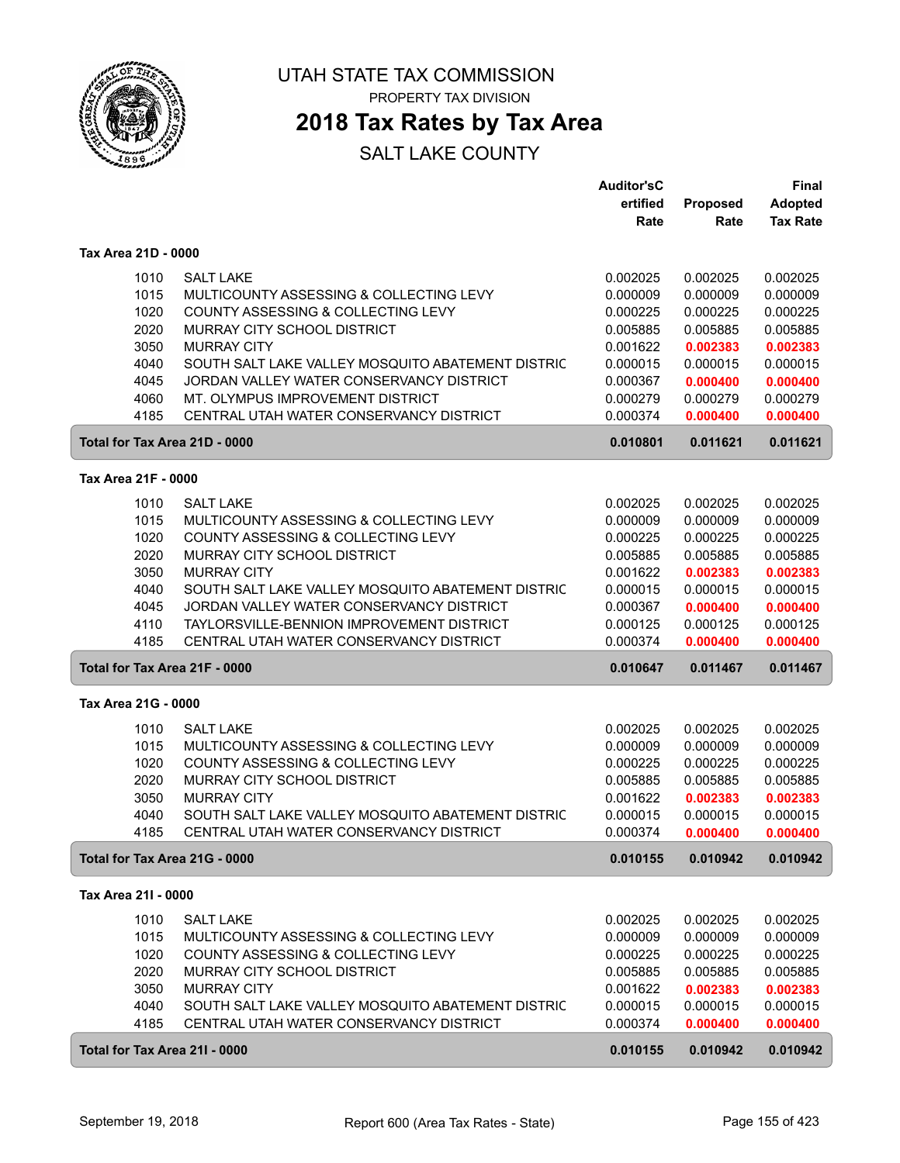

**2018 Tax Rates by Tax Area**

|                               |                                                   | <b>Auditor'sC</b> |                      | Final                |
|-------------------------------|---------------------------------------------------|-------------------|----------------------|----------------------|
|                               |                                                   | ertified          | <b>Proposed</b>      | <b>Adopted</b>       |
|                               |                                                   | Rate              | Rate                 | <b>Tax Rate</b>      |
| Tax Area 21D - 0000           |                                                   |                   |                      |                      |
| 1010                          | <b>SALT LAKE</b>                                  | 0.002025          | 0.002025             | 0.002025             |
| 1015                          | MULTICOUNTY ASSESSING & COLLECTING LEVY           | 0.000009          | 0.000009             | 0.000009             |
| 1020                          | COUNTY ASSESSING & COLLECTING LEVY                | 0.000225          | 0.000225             | 0.000225             |
| 2020                          | MURRAY CITY SCHOOL DISTRICT                       | 0.005885          | 0.005885             | 0.005885             |
| 3050                          | <b>MURRAY CITY</b>                                | 0.001622          | 0.002383             | 0.002383             |
| 4040                          | SOUTH SALT LAKE VALLEY MOSQUITO ABATEMENT DISTRIC | 0.000015          | 0.000015             | 0.000015             |
| 4045                          | JORDAN VALLEY WATER CONSERVANCY DISTRICT          | 0.000367          |                      |                      |
| 4060                          | MT. OLYMPUS IMPROVEMENT DISTRICT                  | 0.000279          | 0.000400<br>0.000279 | 0.000400<br>0.000279 |
| 4185                          | CENTRAL UTAH WATER CONSERVANCY DISTRICT           | 0.000374          |                      |                      |
|                               |                                                   |                   | 0.000400             | 0.000400             |
| Total for Tax Area 21D - 0000 |                                                   | 0.010801          | 0.011621             | 0.011621             |
| Tax Area 21F - 0000           |                                                   |                   |                      |                      |
| 1010                          | <b>SALT LAKE</b>                                  | 0.002025          | 0.002025             | 0.002025             |
| 1015                          | MULTICOUNTY ASSESSING & COLLECTING LEVY           | 0.000009          | 0.000009             | 0.000009             |
| 1020                          | COUNTY ASSESSING & COLLECTING LEVY                | 0.000225          | 0.000225             | 0.000225             |
| 2020                          | MURRAY CITY SCHOOL DISTRICT                       | 0.005885          | 0.005885             | 0.005885             |
| 3050                          | <b>MURRAY CITY</b>                                | 0.001622          | 0.002383             | 0.002383             |
| 4040                          | SOUTH SALT LAKE VALLEY MOSQUITO ABATEMENT DISTRIC | 0.000015          | 0.000015             | 0.000015             |
| 4045                          | JORDAN VALLEY WATER CONSERVANCY DISTRICT          | 0.000367          | 0.000400             | 0.000400             |
| 4110                          | TAYLORSVILLE-BENNION IMPROVEMENT DISTRICT         | 0.000125          | 0.000125             | 0.000125             |
| 4185                          | CENTRAL UTAH WATER CONSERVANCY DISTRICT           | 0.000374          | 0.000400             | 0.000400             |
| Total for Tax Area 21F - 0000 |                                                   | 0.010647          | 0.011467             | 0.011467             |
| Tax Area 21G - 0000           |                                                   |                   |                      |                      |
| 1010                          | <b>SALT LAKE</b>                                  | 0.002025          | 0.002025             | 0.002025             |
| 1015                          | MULTICOUNTY ASSESSING & COLLECTING LEVY           | 0.000009          | 0.000009             | 0.000009             |
| 1020                          | COUNTY ASSESSING & COLLECTING LEVY                | 0.000225          | 0.000225             | 0.000225             |
| 2020                          | MURRAY CITY SCHOOL DISTRICT                       | 0.005885          | 0.005885             | 0.005885             |
| 3050                          | <b>MURRAY CITY</b>                                | 0.001622          | 0.002383             | 0.002383             |
| 4040                          | SOUTH SALT LAKE VALLEY MOSQUITO ABATEMENT DISTRIC | 0.000015          | 0.000015             | 0.000015             |
| 4185                          | CENTRAL UTAH WATER CONSERVANCY DISTRICT           | 0.000374          | 0.000400             | 0.000400             |
| Total for Tax Area 21G - 0000 |                                                   | 0.010155          | 0.010942             | 0.010942             |
| Tax Area 21I - 0000           |                                                   |                   |                      |                      |
| 1010                          | <b>SALT LAKE</b>                                  | 0.002025          | 0.002025             | 0.002025             |
| 1015                          | MULTICOUNTY ASSESSING & COLLECTING LEVY           | 0.000009          | 0.000009             | 0.000009             |
| 1020                          | COUNTY ASSESSING & COLLECTING LEVY                | 0.000225          | 0.000225             | 0.000225             |
| 2020                          | MURRAY CITY SCHOOL DISTRICT                       | 0.005885          | 0.005885             | 0.005885             |
| 3050                          | <b>MURRAY CITY</b>                                | 0.001622          | 0.002383             | 0.002383             |
| 4040                          | SOUTH SALT LAKE VALLEY MOSQUITO ABATEMENT DISTRIC | 0.000015          | 0.000015             | 0.000015             |
| 4185                          | CENTRAL UTAH WATER CONSERVANCY DISTRICT           | 0.000374          | 0.000400             | 0.000400             |
|                               |                                                   |                   |                      |                      |
| Total for Tax Area 211 - 0000 |                                                   | 0.010155          | 0.010942             | 0.010942             |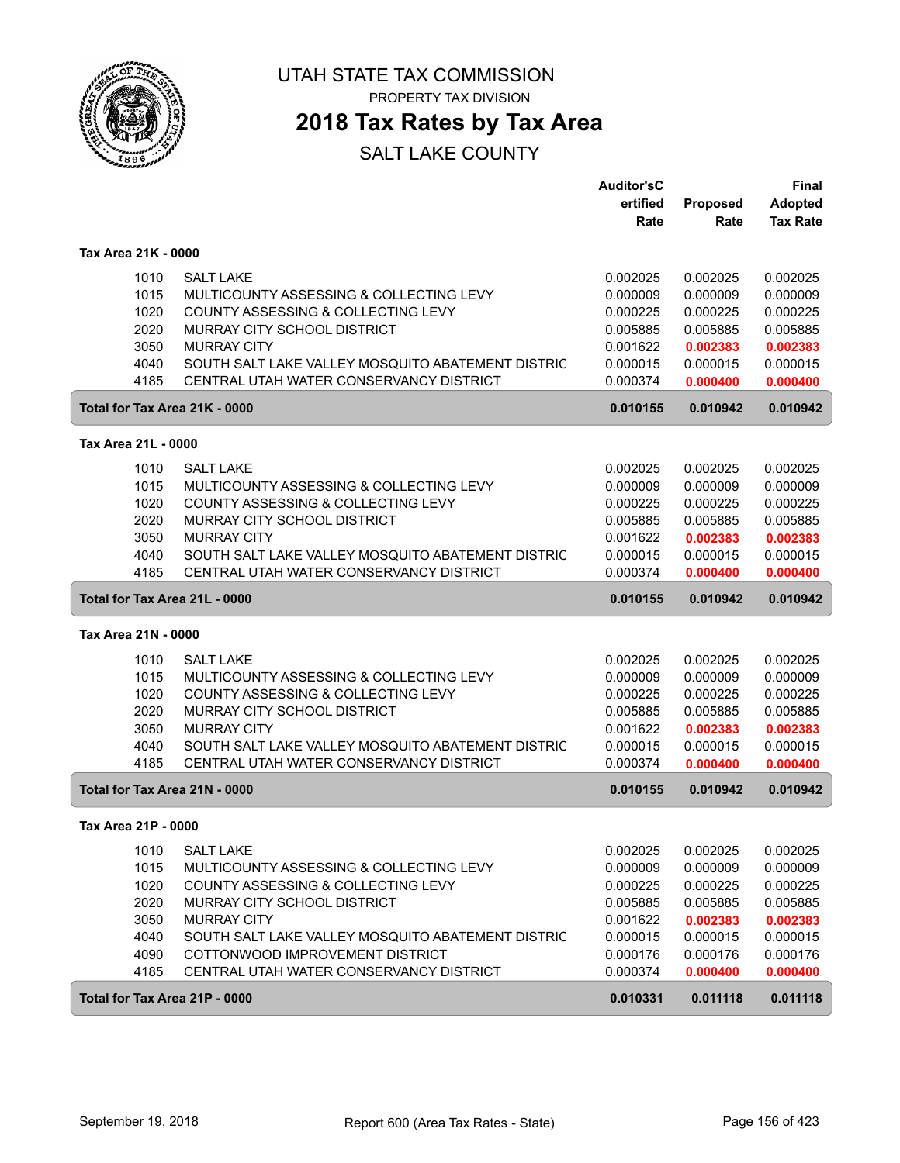

PROPERTY TAX DIVISION

## **2018 Tax Rates by Tax Area**

|                               |                                                                                              | <b>Auditor'sC</b><br>ertified | <b>Proposed</b>      | <b>Final</b><br><b>Adopted</b> |
|-------------------------------|----------------------------------------------------------------------------------------------|-------------------------------|----------------------|--------------------------------|
|                               |                                                                                              | Rate                          | Rate                 | <b>Tax Rate</b>                |
| Tax Area 21K - 0000           |                                                                                              |                               |                      |                                |
| 1010                          | <b>SALT LAKE</b>                                                                             | 0.002025                      | 0.002025             | 0.002025                       |
| 1015                          | MULTICOUNTY ASSESSING & COLLECTING LEVY                                                      | 0.000009                      | 0.000009             | 0.000009                       |
| 1020                          | COUNTY ASSESSING & COLLECTING LEVY                                                           | 0.000225                      | 0.000225             | 0.000225                       |
| 2020                          | MURRAY CITY SCHOOL DISTRICT                                                                  | 0.005885                      | 0.005885             | 0.005885                       |
| 3050                          | <b>MURRAY CITY</b>                                                                           | 0.001622                      | 0.002383             | 0.002383                       |
| 4040<br>4185                  | SOUTH SALT LAKE VALLEY MOSQUITO ABATEMENT DISTRIC<br>CENTRAL UTAH WATER CONSERVANCY DISTRICT | 0.000015<br>0.000374          | 0.000015<br>0.000400 | 0.000015<br>0.000400           |
| Total for Tax Area 21K - 0000 |                                                                                              | 0.010155                      | 0.010942             | 0.010942                       |
| Tax Area 21L - 0000           |                                                                                              |                               |                      |                                |
| 1010                          | <b>SALT LAKE</b>                                                                             | 0.002025                      | 0.002025             | 0.002025                       |
| 1015                          | MULTICOUNTY ASSESSING & COLLECTING LEVY                                                      | 0.000009                      | 0.000009             | 0.000009                       |
| 1020                          | COUNTY ASSESSING & COLLECTING LEVY                                                           | 0.000225                      | 0.000225             | 0.000225                       |
| 2020                          | MURRAY CITY SCHOOL DISTRICT                                                                  | 0.005885                      | 0.005885             | 0.005885                       |
| 3050                          | <b>MURRAY CITY</b>                                                                           | 0.001622                      | 0.002383             | 0.002383                       |
| 4040                          | SOUTH SALT LAKE VALLEY MOSQUITO ABATEMENT DISTRIC                                            | 0.000015                      | 0.000015             | 0.000015                       |
| 4185                          | CENTRAL UTAH WATER CONSERVANCY DISTRICT                                                      | 0.000374                      | 0.000400             | 0.000400                       |
| Total for Tax Area 21L - 0000 |                                                                                              | 0.010155                      | 0.010942             | 0.010942                       |
| Tax Area 21N - 0000           |                                                                                              |                               |                      |                                |
| 1010                          | <b>SALT LAKE</b>                                                                             | 0.002025                      | 0.002025             | 0.002025                       |
| 1015                          | MULTICOUNTY ASSESSING & COLLECTING LEVY                                                      | 0.000009                      | 0.000009             | 0.000009                       |
| 1020                          | COUNTY ASSESSING & COLLECTING LEVY                                                           | 0.000225                      | 0.000225             | 0.000225                       |
| 2020                          | MURRAY CITY SCHOOL DISTRICT                                                                  | 0.005885                      | 0.005885             | 0.005885                       |
| 3050                          | <b>MURRAY CITY</b>                                                                           | 0.001622                      | 0.002383             | 0.002383                       |
| 4040                          | SOUTH SALT LAKE VALLEY MOSQUITO ABATEMENT DISTRIC                                            | 0.000015                      | 0.000015             | 0.000015                       |
| 4185                          | CENTRAL UTAH WATER CONSERVANCY DISTRICT                                                      | 0.000374                      | 0.000400             | 0.000400                       |
| Total for Tax Area 21N - 0000 |                                                                                              | 0.010155                      | 0.010942             | 0.010942                       |
| Tax Area 21P - 0000           |                                                                                              |                               |                      |                                |
| 1010                          | <b>SALT LAKE</b>                                                                             | 0.002025                      | 0.002025             | 0.002025                       |
| 1015                          | MULTICOUNTY ASSESSING & COLLECTING LEVY                                                      | 0.000009                      | 0.000009             | 0.000009                       |
| 1020                          | COUNTY ASSESSING & COLLECTING LEVY                                                           | 0.000225                      | 0.000225             | 0.000225                       |
| 2020                          | MURRAY CITY SCHOOL DISTRICT                                                                  | 0.005885                      | 0.005885             | 0.005885                       |
| 3050                          | <b>MURRAY CITY</b>                                                                           | 0.001622                      | 0.002383             | 0.002383                       |
| 4040<br>4090                  | SOUTH SALT LAKE VALLEY MOSQUITO ABATEMENT DISTRIC<br>COTTONWOOD IMPROVEMENT DISTRICT         | 0.000015<br>0.000176          | 0.000015<br>0.000176 | 0.000015<br>0.000176           |
| 4185                          | CENTRAL UTAH WATER CONSERVANCY DISTRICT                                                      | 0.000374                      | 0.000400             | 0.000400                       |
| Total for Tax Area 21P - 0000 |                                                                                              | 0.010331                      | 0.011118             | 0.011118                       |
|                               |                                                                                              |                               |                      |                                |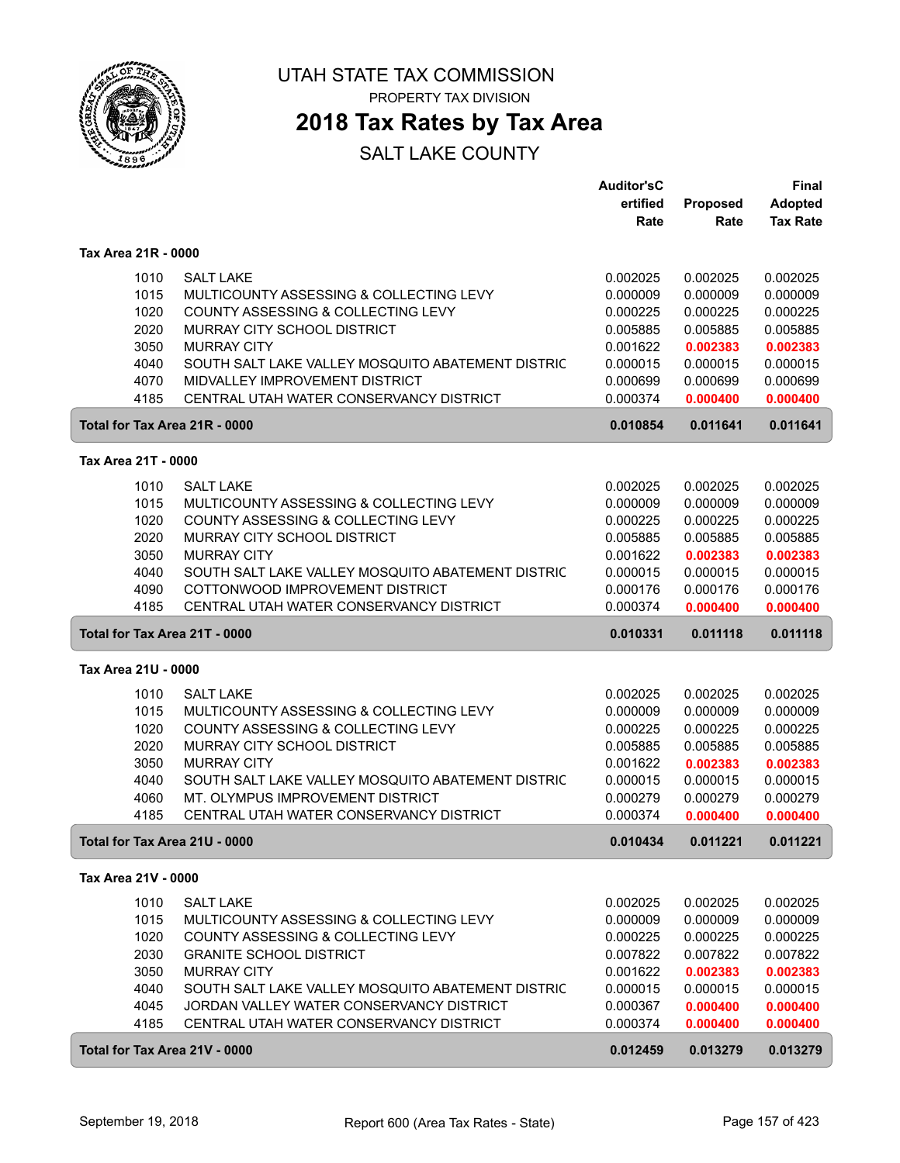

PROPERTY TAX DIVISION

## **2018 Tax Rates by Tax Area**

|                                       |                                                   | <b>Auditor'sC</b>    |                      | <b>Final</b>         |
|---------------------------------------|---------------------------------------------------|----------------------|----------------------|----------------------|
|                                       |                                                   | ertified             | Proposed             | <b>Adopted</b>       |
|                                       |                                                   | Rate                 | Rate                 | <b>Tax Rate</b>      |
| Tax Area 21R - 0000                   |                                                   |                      |                      |                      |
| 1010                                  | <b>SALT LAKE</b>                                  | 0.002025             | 0.002025             | 0.002025             |
| 1015                                  | MULTICOUNTY ASSESSING & COLLECTING LEVY           | 0.000009             | 0.000009             | 0.000009             |
| 1020                                  | COUNTY ASSESSING & COLLECTING LEVY                | 0.000225             | 0.000225             | 0.000225             |
| 2020                                  | MURRAY CITY SCHOOL DISTRICT                       | 0.005885             | 0.005885             | 0.005885             |
| 3050                                  | <b>MURRAY CITY</b>                                | 0.001622             | 0.002383             | 0.002383             |
| 4040                                  | SOUTH SALT LAKE VALLEY MOSQUITO ABATEMENT DISTRIC | 0.000015             | 0.000015             | 0.000015             |
| 4070                                  | MIDVALLEY IMPROVEMENT DISTRICT                    | 0.000699             | 0.000699             | 0.000699             |
| 4185                                  | CENTRAL UTAH WATER CONSERVANCY DISTRICT           | 0.000374             | 0.000400             | 0.000400             |
| Total for Tax Area 21R - 0000         |                                                   | 0.010854             | 0.011641             | 0.011641             |
|                                       |                                                   |                      |                      |                      |
| Tax Area 21T - 0000                   |                                                   |                      |                      |                      |
| 1010                                  | <b>SALT LAKE</b>                                  | 0.002025             | 0.002025             | 0.002025             |
| 1015                                  | MULTICOUNTY ASSESSING & COLLECTING LEVY           | 0.000009             | 0.000009             | 0.000009             |
| 1020                                  | COUNTY ASSESSING & COLLECTING LEVY                | 0.000225             | 0.000225             | 0.000225             |
| 2020                                  | MURRAY CITY SCHOOL DISTRICT                       | 0.005885             | 0.005885             | 0.005885             |
| 3050                                  | <b>MURRAY CITY</b>                                | 0.001622             | 0.002383             | 0.002383             |
| 4040                                  | SOUTH SALT LAKE VALLEY MOSQUITO ABATEMENT DISTRIC | 0.000015             | 0.000015             | 0.000015             |
| 4090                                  | COTTONWOOD IMPROVEMENT DISTRICT                   | 0.000176             | 0.000176             | 0.000176             |
| 4185                                  | CENTRAL UTAH WATER CONSERVANCY DISTRICT           | 0.000374             | 0.000400             | 0.000400             |
| Total for Tax Area 21T - 0000         |                                                   | 0.010331             | 0.011118             | 0.011118             |
| Tax Area 21U - 0000                   |                                                   |                      |                      |                      |
| 1010                                  | <b>SALT LAKE</b>                                  | 0.002025             | 0.002025             | 0.002025             |
| 1015                                  | MULTICOUNTY ASSESSING & COLLECTING LEVY           | 0.000009             | 0.000009             | 0.000009             |
| 1020                                  | COUNTY ASSESSING & COLLECTING LEVY                | 0.000225             | 0.000225             | 0.000225             |
| 2020                                  | MURRAY CITY SCHOOL DISTRICT                       | 0.005885             | 0.005885             | 0.005885             |
| 3050                                  | <b>MURRAY CITY</b>                                | 0.001622             | 0.002383             | 0.002383             |
| 4040                                  | SOUTH SALT LAKE VALLEY MOSQUITO ABATEMENT DISTRIC | 0.000015             | 0.000015             | 0.000015             |
| 4060                                  | MT. OLYMPUS IMPROVEMENT DISTRICT                  | 0.000279             | 0.000279             | 0.000279             |
| 4185                                  | CENTRAL UTAH WATER CONSERVANCY DISTRICT           | 0.000374             | 0.000400             | 0.000400             |
| Total for Tax Area 21U - 0000         |                                                   | 0.010434             | 0.011221             | 0.011221             |
| Tax Area 21V - 0000                   |                                                   |                      |                      |                      |
|                                       |                                                   |                      |                      |                      |
|                                       |                                                   |                      |                      |                      |
| 1010                                  | <b>SALT LAKE</b>                                  | 0.002025             | 0.002025             | 0.002025             |
| 1015                                  | MULTICOUNTY ASSESSING & COLLECTING LEVY           | 0.000009             | 0.000009             | 0.000009             |
| 1020                                  | COUNTY ASSESSING & COLLECTING LEVY                | 0.000225             | 0.000225             | 0.000225             |
| 2030                                  | <b>GRANITE SCHOOL DISTRICT</b>                    | 0.007822             | 0.007822             | 0.007822             |
| 3050                                  | <b>MURRAY CITY</b>                                | 0.001622             | 0.002383             | 0.002383             |
| 4040                                  | SOUTH SALT LAKE VALLEY MOSQUITO ABATEMENT DISTRIC | 0.000015             | 0.000015             | 0.000015             |
| 4045                                  | JORDAN VALLEY WATER CONSERVANCY DISTRICT          | 0.000367             | 0.000400             | 0.000400             |
| 4185<br>Total for Tax Area 21V - 0000 | CENTRAL UTAH WATER CONSERVANCY DISTRICT           | 0.000374<br>0.012459 | 0.000400<br>0.013279 | 0.000400<br>0.013279 |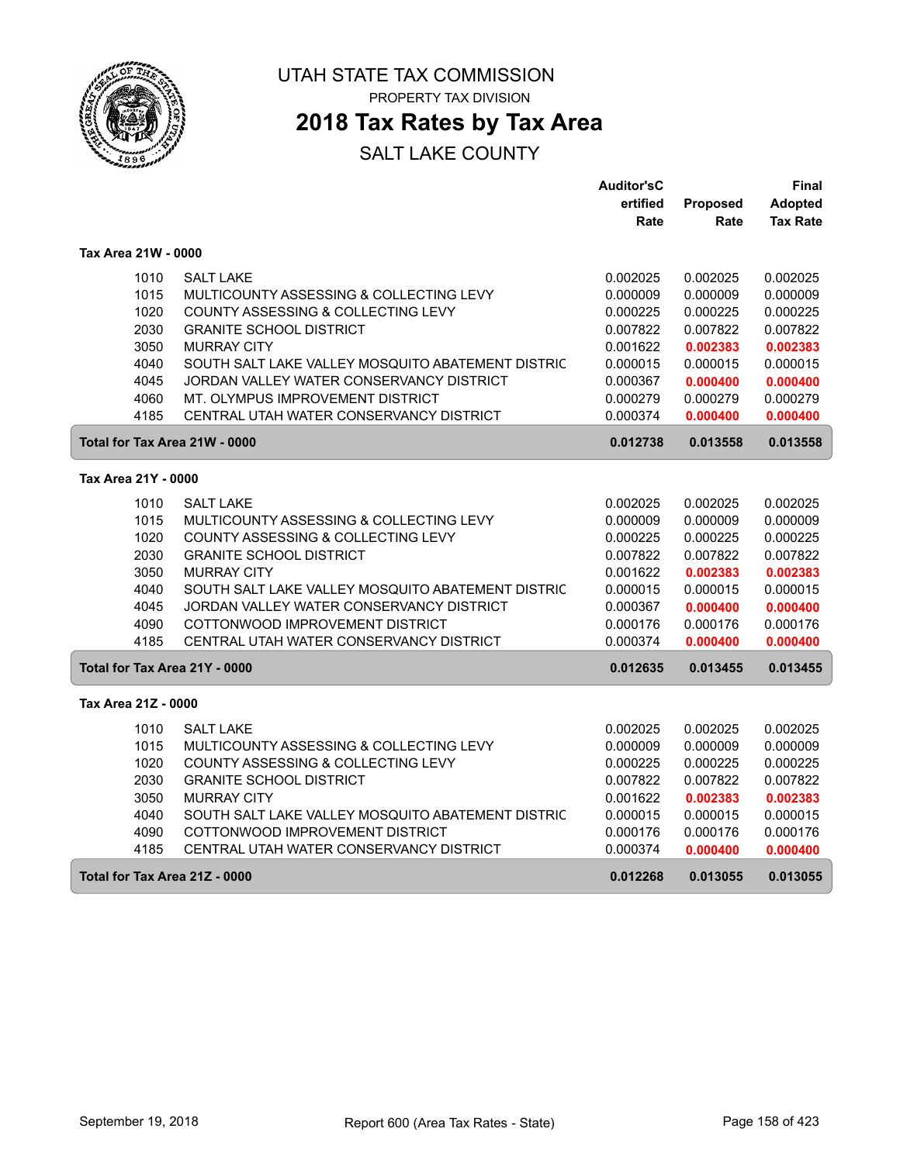

# **2018 Tax Rates by Tax Area**

|                     |                                                   | <b>Auditor'sC</b> |          | Final           |
|---------------------|---------------------------------------------------|-------------------|----------|-----------------|
|                     |                                                   | ertified          | Proposed | <b>Adopted</b>  |
|                     |                                                   | Rate              | Rate     | <b>Tax Rate</b> |
| Tax Area 21W - 0000 |                                                   |                   |          |                 |
| 1010                | <b>SALT LAKE</b>                                  | 0.002025          | 0.002025 | 0.002025        |
| 1015                | MULTICOUNTY ASSESSING & COLLECTING LEVY           | 0.000009          | 0.000009 | 0.000009        |
| 1020                | COUNTY ASSESSING & COLLECTING LEVY                | 0.000225          | 0.000225 | 0.000225        |
| 2030                | <b>GRANITE SCHOOL DISTRICT</b>                    | 0.007822          | 0.007822 | 0.007822        |
| 3050                | <b>MURRAY CITY</b>                                | 0.001622          | 0.002383 | 0.002383        |
| 4040                | SOUTH SALT LAKE VALLEY MOSQUITO ABATEMENT DISTRIC | 0.000015          | 0.000015 | 0.000015        |
| 4045                | JORDAN VALLEY WATER CONSERVANCY DISTRICT          | 0.000367          | 0.000400 | 0.000400        |
| 4060                | MT. OLYMPUS IMPROVEMENT DISTRICT                  | 0.000279          | 0.000279 | 0.000279        |
| 4185                | CENTRAL UTAH WATER CONSERVANCY DISTRICT           | 0.000374          | 0.000400 | 0.000400        |
|                     | Total for Tax Area 21W - 0000                     | 0.012738          | 0.013558 | 0.013558        |
| Tax Area 21Y - 0000 |                                                   |                   |          |                 |
| 1010                | <b>SALT LAKE</b>                                  | 0.002025          | 0.002025 | 0.002025        |
| 1015                | MULTICOUNTY ASSESSING & COLLECTING LEVY           | 0.000009          | 0.000009 | 0.000009        |
| 1020                | COUNTY ASSESSING & COLLECTING LEVY                | 0.000225          | 0.000225 | 0.000225        |
| 2030                | <b>GRANITE SCHOOL DISTRICT</b>                    | 0.007822          | 0.007822 | 0.007822        |
| 3050                | <b>MURRAY CITY</b>                                | 0.001622          | 0.002383 | 0.002383        |
| 4040                | SOUTH SALT LAKE VALLEY MOSQUITO ABATEMENT DISTRIC | 0.000015          | 0.000015 | 0.000015        |
| 4045                | JORDAN VALLEY WATER CONSERVANCY DISTRICT          | 0.000367          | 0.000400 | 0.000400        |
| 4090                | COTTONWOOD IMPROVEMENT DISTRICT                   | 0.000176          | 0.000176 | 0.000176        |
| 4185                | CENTRAL UTAH WATER CONSERVANCY DISTRICT           | 0.000374          | 0.000400 | 0.000400        |
|                     | Total for Tax Area 21Y - 0000                     | 0.012635          | 0.013455 | 0.013455        |
| Tax Area 21Z - 0000 |                                                   |                   |          |                 |
| 1010                | <b>SALT LAKE</b>                                  | 0.002025          | 0.002025 | 0.002025        |
| 1015                | MULTICOUNTY ASSESSING & COLLECTING LEVY           | 0.000009          | 0.000009 | 0.000009        |
| 1020                | COUNTY ASSESSING & COLLECTING LEVY                | 0.000225          | 0.000225 | 0.000225        |
| 2030                | <b>GRANITE SCHOOL DISTRICT</b>                    | 0.007822          | 0.007822 | 0.007822        |
| 3050                | <b>MURRAY CITY</b>                                | 0.001622          | 0.002383 | 0.002383        |
| 4040                | SOUTH SALT LAKE VALLEY MOSQUITO ABATEMENT DISTRIC | 0.000015          | 0.000015 | 0.000015        |
| 4090                | COTTONWOOD IMPROVEMENT DISTRICT                   | 0.000176          | 0.000176 | 0.000176        |
| 4185                | CENTRAL UTAH WATER CONSERVANCY DISTRICT           | 0.000374          | 0.000400 | 0.000400        |
|                     | Total for Tax Area 21Z - 0000                     | 0.012268          | 0.013055 | 0.013055        |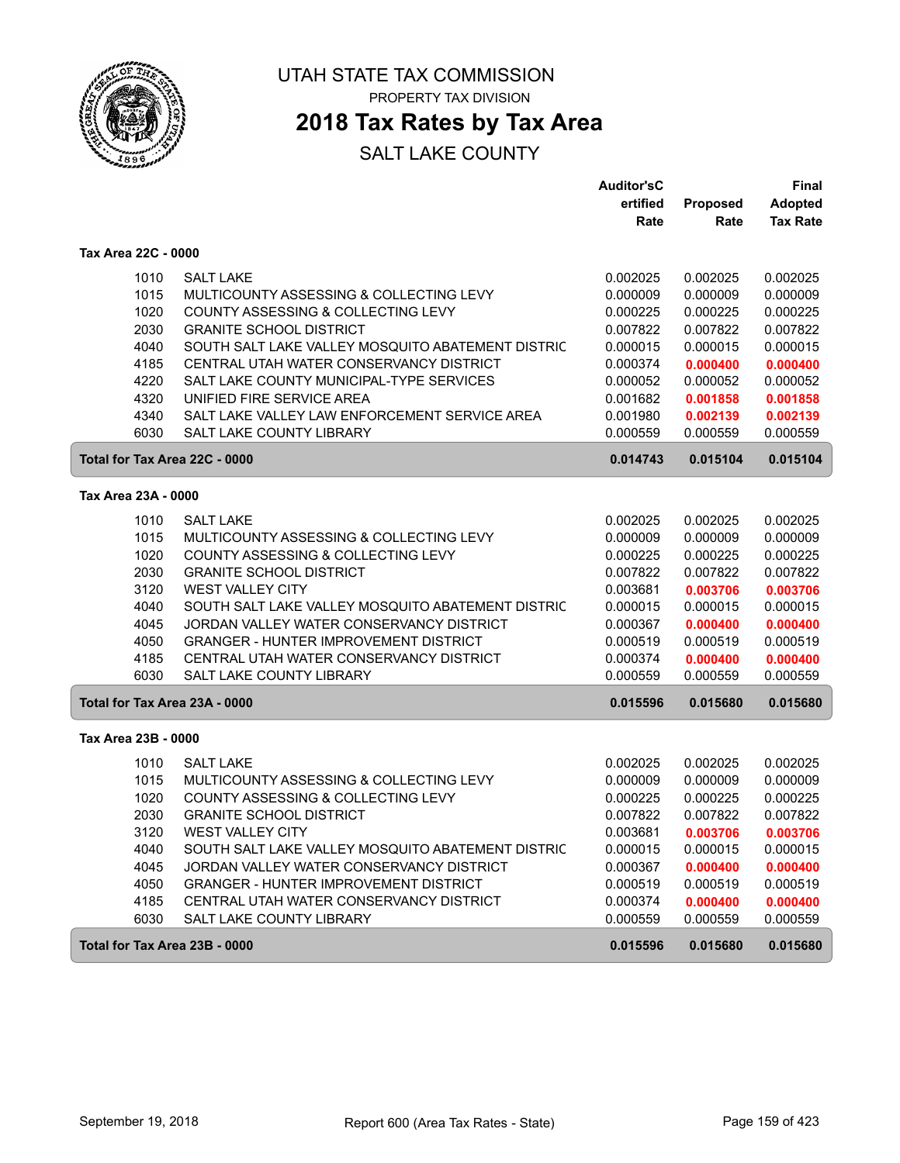

ſ

ſ

UTAH STATE TAX COMMISSION PROPERTY TAX DIVISION

# **2018 Tax Rates by Tax Area**

|                                                           | <b>Auditor'sC</b>    |                      | <b>Final</b>         |
|-----------------------------------------------------------|----------------------|----------------------|----------------------|
|                                                           | ertified             | Proposed             | <b>Adopted</b>       |
|                                                           | Rate                 | Rate                 | <b>Tax Rate</b>      |
| Tax Area 22C - 0000                                       |                      |                      |                      |
| 1010<br><b>SALT LAKE</b>                                  | 0.002025             | 0.002025             | 0.002025             |
| 1015<br>MULTICOUNTY ASSESSING & COLLECTING LEVY           | 0.000009             | 0.000009             | 0.000009             |
| 1020<br>COUNTY ASSESSING & COLLECTING LEVY                | 0.000225             | 0.000225             | 0.000225             |
| 2030<br><b>GRANITE SCHOOL DISTRICT</b>                    | 0.007822             | 0.007822             | 0.007822             |
| 4040<br>SOUTH SALT LAKE VALLEY MOSQUITO ABATEMENT DISTRIC | 0.000015             | 0.000015             | 0.000015             |
| 4185<br>CENTRAL UTAH WATER CONSERVANCY DISTRICT           | 0.000374             | 0.000400             | 0.000400             |
| SALT LAKE COUNTY MUNICIPAL-TYPE SERVICES<br>4220          | 0.000052             | 0.000052             | 0.000052             |
| 4320<br>UNIFIED FIRE SERVICE AREA                         | 0.001682             | 0.001858             | 0.001858             |
| 4340<br>SALT LAKE VALLEY LAW ENFORCEMENT SERVICE AREA     | 0.001980             | 0.002139             | 0.002139             |
| 6030<br><b>SALT LAKE COUNTY LIBRARY</b>                   | 0.000559             | 0.000559             | 0.000559             |
| Total for Tax Area 22C - 0000                             | 0.014743             | 0.015104             | 0.015104             |
| Tax Area 23A - 0000                                       |                      |                      |                      |
| 1010<br><b>SALT LAKE</b>                                  | 0.002025             | 0.002025             | 0.002025             |
| 1015<br>MULTICOUNTY ASSESSING & COLLECTING LEVY           | 0.000009             | 0.000009             | 0.000009             |
| 1020<br><b>COUNTY ASSESSING &amp; COLLECTING LEVY</b>     | 0.000225             | 0.000225             | 0.000225             |
| 2030<br><b>GRANITE SCHOOL DISTRICT</b>                    | 0.007822             | 0.007822             | 0.007822             |
| 3120<br><b>WEST VALLEY CITY</b>                           | 0.003681             | 0.003706             | 0.003706             |
| 4040<br>SOUTH SALT LAKE VALLEY MOSQUITO ABATEMENT DISTRIC | 0.000015             | 0.000015             | 0.000015             |
| 4045<br>JORDAN VALLEY WATER CONSERVANCY DISTRICT          | 0.000367             | 0.000400             | 0.000400             |
| 4050<br><b>GRANGER - HUNTER IMPROVEMENT DISTRICT</b>      | 0.000519             | 0.000519             | 0.000519             |
| 4185<br>CENTRAL UTAH WATER CONSERVANCY DISTRICT           | 0.000374             | 0.000400             | 0.000400             |
| 6030<br>SALT LAKE COUNTY LIBRARY                          | 0.000559             | 0.000559             | 0.000559             |
| Total for Tax Area 23A - 0000                             | 0.015596             | 0.015680             | 0.015680             |
| Tax Area 23B - 0000                                       |                      |                      |                      |
| 1010<br><b>SALT LAKE</b>                                  | 0.002025             | 0.002025             | 0.002025             |
| 1015<br>MULTICOUNTY ASSESSING & COLLECTING LEVY           | 0.000009             | 0.000009             | 0.000009             |
| 1020<br>COUNTY ASSESSING & COLLECTING LEVY                | 0.000225             | 0.000225             | 0.000225             |
| 2030<br><b>GRANITE SCHOOL DISTRICT</b>                    | 0.007822             | 0.007822             | 0.007822             |
| 3120<br><b>WEST VALLEY CITY</b>                           | 0.003681             | 0.003706             | 0.003706             |
| SOUTH SALT LAKE VALLEY MOSQUITO ABATEMENT DISTRIC         |                      |                      |                      |
| 4040<br>4045<br>JORDAN VALLEY WATER CONSERVANCY DISTRICT  | 0.000015<br>0.000367 | 0.000015<br>0.000400 | 0.000015<br>0.000400 |
| 4050<br><b>GRANGER - HUNTER IMPROVEMENT DISTRICT</b>      | 0.000519             | 0.000519             | 0.000519             |
| 4185<br>CENTRAL UTAH WATER CONSERVANCY DISTRICT           | 0.000374             | 0.000400             | 0.000400             |
| 6030<br>SALT LAKE COUNTY LIBRARY                          | 0.000559             | 0.000559             | 0.000559             |
| Total for Tax Area 23B - 0000                             | 0.015596             | 0.015680             | 0.015680             |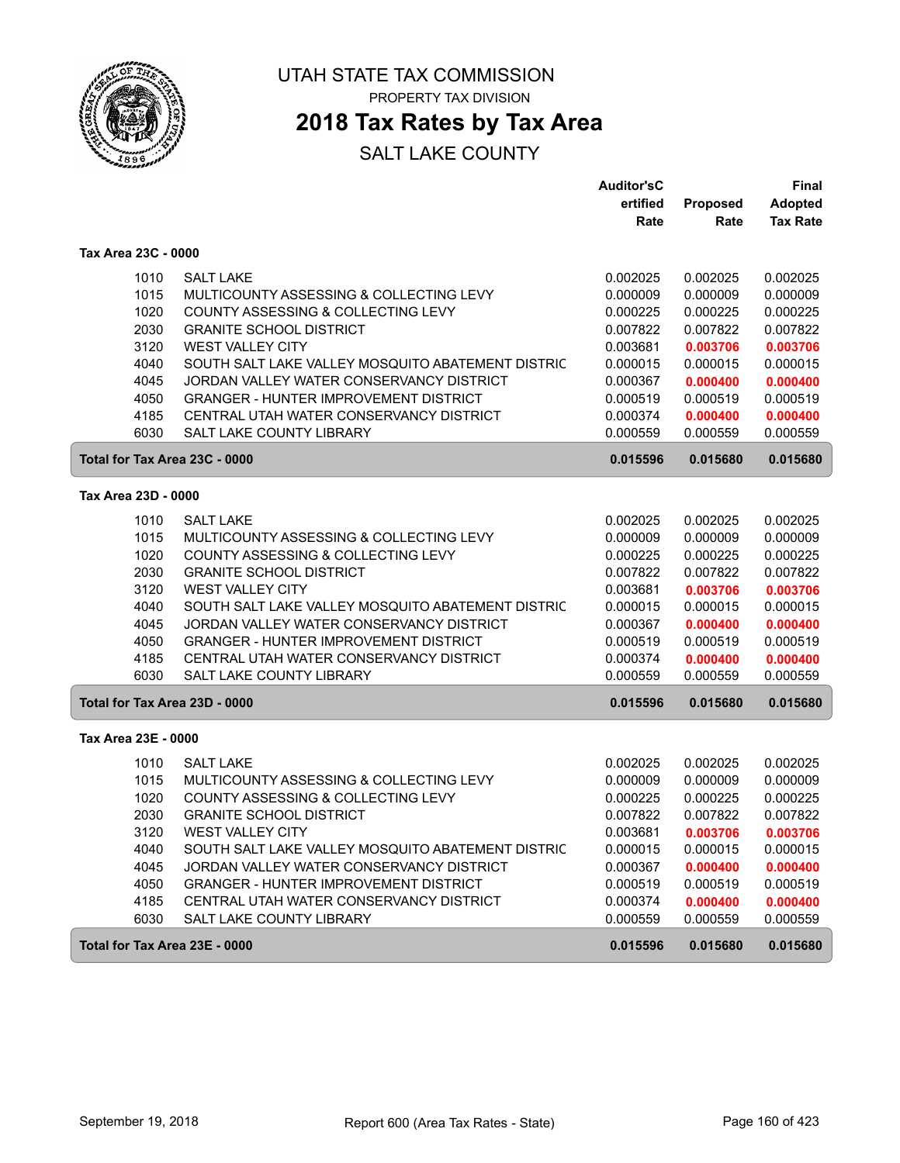

ſ

ſ

UTAH STATE TAX COMMISSION PROPERTY TAX DIVISION

## **2018 Tax Rates by Tax Area**

|                               |                                                   | <b>Auditor'sC</b> |          | <b>Final</b>    |
|-------------------------------|---------------------------------------------------|-------------------|----------|-----------------|
|                               |                                                   | ertified          | Proposed | <b>Adopted</b>  |
|                               |                                                   | Rate              | Rate     | <b>Tax Rate</b> |
| Tax Area 23C - 0000           |                                                   |                   |          |                 |
| 1010                          | <b>SALT LAKE</b>                                  | 0.002025          | 0.002025 | 0.002025        |
| 1015                          | MULTICOUNTY ASSESSING & COLLECTING LEVY           | 0.000009          | 0.000009 | 0.000009        |
| 1020                          | COUNTY ASSESSING & COLLECTING LEVY                | 0.000225          | 0.000225 | 0.000225        |
| 2030                          | <b>GRANITE SCHOOL DISTRICT</b>                    | 0.007822          | 0.007822 | 0.007822        |
| 3120                          | <b>WEST VALLEY CITY</b>                           | 0.003681          | 0.003706 | 0.003706        |
| 4040                          | SOUTH SALT LAKE VALLEY MOSQUITO ABATEMENT DISTRIC | 0.000015          | 0.000015 | 0.000015        |
| 4045                          | JORDAN VALLEY WATER CONSERVANCY DISTRICT          | 0.000367          | 0.000400 | 0.000400        |
| 4050                          | <b>GRANGER - HUNTER IMPROVEMENT DISTRICT</b>      | 0.000519          | 0.000519 | 0.000519        |
| 4185                          | CENTRAL UTAH WATER CONSERVANCY DISTRICT           | 0.000374          | 0.000400 | 0.000400        |
| 6030                          | SALT LAKE COUNTY LIBRARY                          | 0.000559          | 0.000559 | 0.000559        |
| Total for Tax Area 23C - 0000 |                                                   | 0.015596          | 0.015680 | 0.015680        |
| Tax Area 23D - 0000           |                                                   |                   |          |                 |
|                               |                                                   |                   |          |                 |
| 1010                          | <b>SALT LAKE</b>                                  | 0.002025          | 0.002025 | 0.002025        |
| 1015                          | MULTICOUNTY ASSESSING & COLLECTING LEVY           | 0.000009          | 0.000009 | 0.000009        |
| 1020                          | COUNTY ASSESSING & COLLECTING LEVY                | 0.000225          | 0.000225 | 0.000225        |
| 2030                          | <b>GRANITE SCHOOL DISTRICT</b>                    | 0.007822          | 0.007822 | 0.007822        |
| 3120                          | <b>WEST VALLEY CITY</b>                           | 0.003681          | 0.003706 | 0.003706        |
| 4040                          | SOUTH SALT LAKE VALLEY MOSQUITO ABATEMENT DISTRIC | 0.000015          | 0.000015 | 0.000015        |
| 4045                          | JORDAN VALLEY WATER CONSERVANCY DISTRICT          | 0.000367          | 0.000400 | 0.000400        |
| 4050                          | <b>GRANGER - HUNTER IMPROVEMENT DISTRICT</b>      | 0.000519          | 0.000519 | 0.000519        |
| 4185                          | CENTRAL UTAH WATER CONSERVANCY DISTRICT           | 0.000374          | 0.000400 | 0.000400        |
| 6030                          | SALT LAKE COUNTY LIBRARY                          | 0.000559          | 0.000559 | 0.000559        |
| Total for Tax Area 23D - 0000 |                                                   | 0.015596          | 0.015680 | 0.015680        |
| Tax Area 23E - 0000           |                                                   |                   |          |                 |
| 1010                          | <b>SALT LAKE</b>                                  | 0.002025          | 0.002025 | 0.002025        |
| 1015                          | MULTICOUNTY ASSESSING & COLLECTING LEVY           | 0.000009          | 0.000009 | 0.000009        |
| 1020                          | COUNTY ASSESSING & COLLECTING LEVY                | 0.000225          | 0.000225 | 0.000225        |
| 2030                          | <b>GRANITE SCHOOL DISTRICT</b>                    | 0.007822          | 0.007822 | 0.007822        |
| 3120                          | <b>WEST VALLEY CITY</b>                           | 0.003681          | 0.003706 | 0.003706        |
| 4040                          | SOUTH SALT LAKE VALLEY MOSQUITO ABATEMENT DISTRIC | 0.000015          | 0.000015 | 0.000015        |
| 4045                          | JORDAN VALLEY WATER CONSERVANCY DISTRICT          | 0.000367          | 0.000400 | 0.000400        |
| 4050                          | <b>GRANGER - HUNTER IMPROVEMENT DISTRICT</b>      | 0.000519          | 0.000519 | 0.000519        |
| 4185                          | CENTRAL UTAH WATER CONSERVANCY DISTRICT           | 0.000374          | 0.000400 | 0.000400        |
| 6030                          | SALT LAKE COUNTY LIBRARY                          | 0.000559          | 0.000559 | 0.000559        |
| Total for Tax Area 23E - 0000 |                                                   | 0.015596          | 0.015680 | 0.015680        |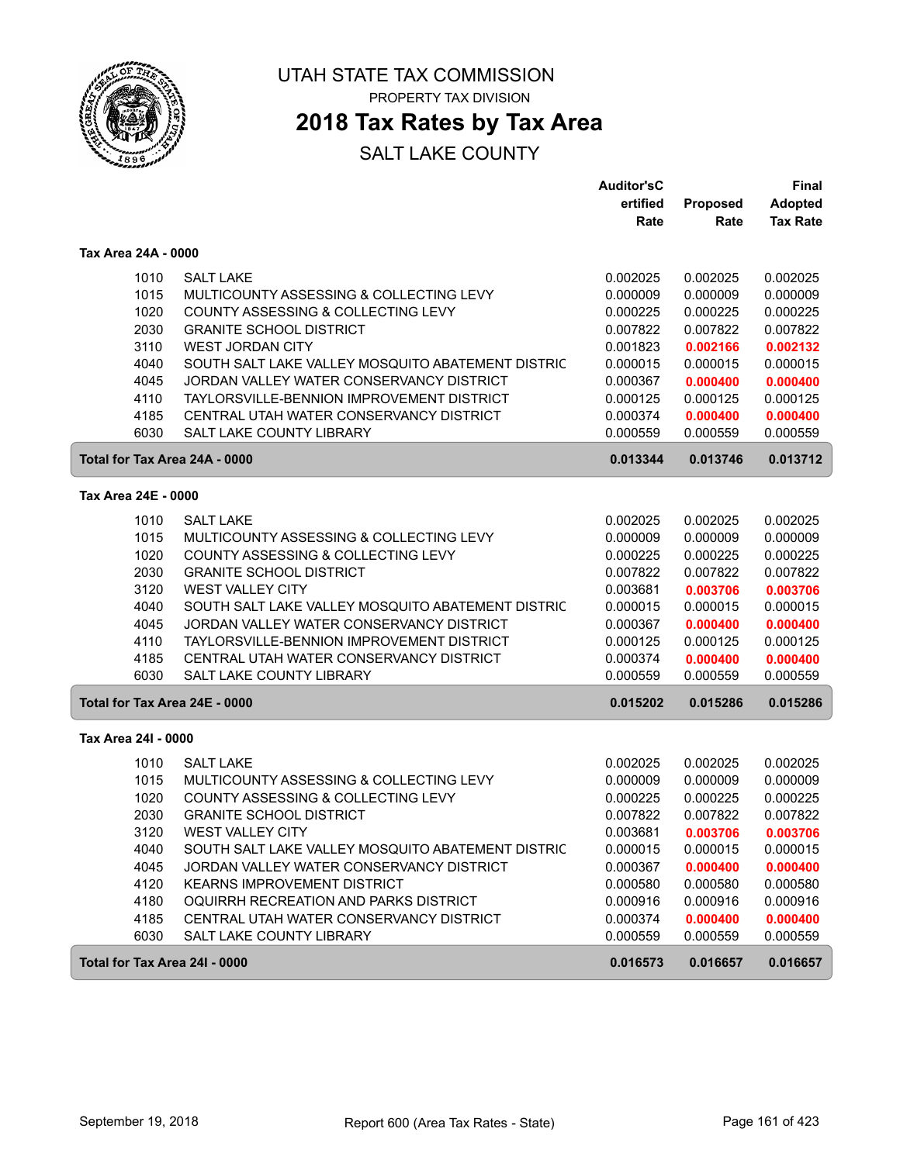

# **2018 Tax Rates by Tax Area**

|                               |                                                   | <b>Auditor'sC</b>    |                      | Final                |
|-------------------------------|---------------------------------------------------|----------------------|----------------------|----------------------|
|                               |                                                   | ertified             | Proposed             | <b>Adopted</b>       |
|                               |                                                   | Rate                 | Rate                 | <b>Tax Rate</b>      |
| Tax Area 24A - 0000           |                                                   |                      |                      |                      |
| 1010                          | <b>SALT LAKE</b>                                  | 0.002025             | 0.002025             | 0.002025             |
| 1015                          | MULTICOUNTY ASSESSING & COLLECTING LEVY           | 0.000009             | 0.000009             | 0.000009             |
| 1020                          | COUNTY ASSESSING & COLLECTING LEVY                | 0.000225             | 0.000225             | 0.000225             |
| 2030                          | <b>GRANITE SCHOOL DISTRICT</b>                    | 0.007822             | 0.007822             | 0.007822             |
| 3110                          | <b>WEST JORDAN CITY</b>                           | 0.001823             | 0.002166             | 0.002132             |
| 4040                          | SOUTH SALT LAKE VALLEY MOSQUITO ABATEMENT DISTRIC | 0.000015             | 0.000015             | 0.000015             |
| 4045                          | JORDAN VALLEY WATER CONSERVANCY DISTRICT          | 0.000367             | 0.000400             | 0.000400             |
| 4110                          | TAYLORSVILLE-BENNION IMPROVEMENT DISTRICT         | 0.000125             | 0.000125             | 0.000125             |
| 4185                          | CENTRAL UTAH WATER CONSERVANCY DISTRICT           | 0.000374             | 0.000400             | 0.000400             |
| 6030                          | SALT LAKE COUNTY LIBRARY                          | 0.000559             | 0.000559             | 0.000559             |
| Total for Tax Area 24A - 0000 |                                                   | 0.013344             | 0.013746             | 0.013712             |
| Tax Area 24E - 0000           |                                                   |                      |                      |                      |
| 1010                          | <b>SALT LAKE</b>                                  | 0.002025             | 0.002025             | 0.002025             |
| 1015                          | MULTICOUNTY ASSESSING & COLLECTING LEVY           | 0.000009             | 0.000009             | 0.000009             |
| 1020                          | COUNTY ASSESSING & COLLECTING LEVY                | 0.000225             | 0.000225             | 0.000225             |
| 2030                          | <b>GRANITE SCHOOL DISTRICT</b>                    | 0.007822             | 0.007822             | 0.007822             |
| 3120                          | <b>WEST VALLEY CITY</b>                           | 0.003681             | 0.003706             | 0.003706             |
| 4040                          | SOUTH SALT LAKE VALLEY MOSQUITO ABATEMENT DISTRIC | 0.000015             | 0.000015             | 0.000015             |
| 4045                          | JORDAN VALLEY WATER CONSERVANCY DISTRICT          | 0.000367             | 0.000400             | 0.000400             |
| 4110                          | TAYLORSVILLE-BENNION IMPROVEMENT DISTRICT         | 0.000125             | 0.000125             | 0.000125             |
| 4185                          | CENTRAL UTAH WATER CONSERVANCY DISTRICT           | 0.000374             | 0.000400             | 0.000400             |
| 6030                          | SALT LAKE COUNTY LIBRARY                          | 0.000559             | 0.000559             | 0.000559             |
| Total for Tax Area 24E - 0000 |                                                   | 0.015202             | 0.015286             | 0.015286             |
| Tax Area 24I - 0000           |                                                   |                      |                      |                      |
| 1010                          | <b>SALT LAKE</b>                                  |                      |                      |                      |
| 1015                          | MULTICOUNTY ASSESSING & COLLECTING LEVY           | 0.002025<br>0.000009 | 0.002025<br>0.000009 | 0.002025<br>0.000009 |
| 1020                          | COUNTY ASSESSING & COLLECTING LEVY                | 0.000225             | 0.000225             | 0.000225             |
| 2030                          | <b>GRANITE SCHOOL DISTRICT</b>                    | 0.007822             | 0.007822             | 0.007822             |
| 3120                          | <b>WEST VALLEY CITY</b>                           | 0.003681             | 0.003706             | 0.003706             |
| 4040                          | SOUTH SALT LAKE VALLEY MOSQUITO ABATEMENT DISTRIC | 0.000015             | 0.000015             | 0.000015             |
| 4045                          | JORDAN VALLEY WATER CONSERVANCY DISTRICT          | 0.000367             | 0.000400             | 0.000400             |
| 4120                          | <b>KEARNS IMPROVEMENT DISTRICT</b>                | 0.000580             | 0.000580             | 0.000580             |
| 4180                          | OQUIRRH RECREATION AND PARKS DISTRICT             | 0.000916             | 0.000916             | 0.000916             |
| 4185                          | CENTRAL UTAH WATER CONSERVANCY DISTRICT           | 0.000374             | 0.000400             | 0.000400             |
| 6030                          | SALT LAKE COUNTY LIBRARY                          | 0.000559             | 0.000559             | 0.000559             |
| Total for Tax Area 24I - 0000 |                                                   | 0.016573             | 0.016657             | 0.016657             |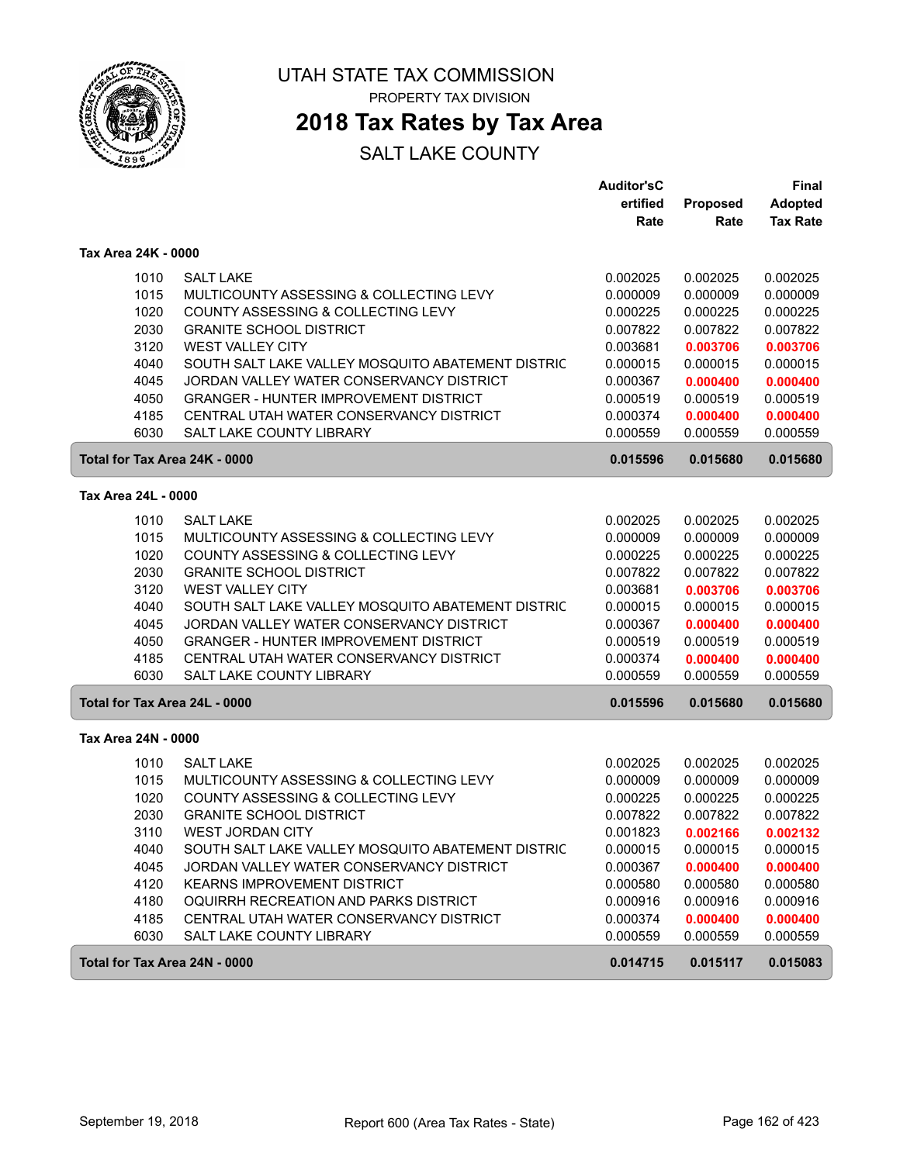

## **2018 Tax Rates by Tax Area**

|                               |                                                   | <b>Auditor'sC</b> |          | Final           |
|-------------------------------|---------------------------------------------------|-------------------|----------|-----------------|
|                               |                                                   | ertified          | Proposed | <b>Adopted</b>  |
|                               |                                                   | Rate              | Rate     | <b>Tax Rate</b> |
| Tax Area 24K - 0000           |                                                   |                   |          |                 |
| 1010                          | <b>SALT LAKE</b>                                  | 0.002025          | 0.002025 | 0.002025        |
| 1015                          | MULTICOUNTY ASSESSING & COLLECTING LEVY           | 0.000009          | 0.000009 | 0.000009        |
| 1020                          | COUNTY ASSESSING & COLLECTING LEVY                | 0.000225          | 0.000225 | 0.000225        |
| 2030                          | <b>GRANITE SCHOOL DISTRICT</b>                    | 0.007822          | 0.007822 | 0.007822        |
| 3120                          | WEST VALLEY CITY                                  | 0.003681          | 0.003706 | 0.003706        |
| 4040                          | SOUTH SALT LAKE VALLEY MOSQUITO ABATEMENT DISTRIC | 0.000015          | 0.000015 | 0.000015        |
| 4045                          | JORDAN VALLEY WATER CONSERVANCY DISTRICT          | 0.000367          | 0.000400 | 0.000400        |
| 4050                          | <b>GRANGER - HUNTER IMPROVEMENT DISTRICT</b>      | 0.000519          | 0.000519 | 0.000519        |
| 4185                          | CENTRAL UTAH WATER CONSERVANCY DISTRICT           | 0.000374          | 0.000400 | 0.000400        |
| 6030                          | SALT LAKE COUNTY LIBRARY                          | 0.000559          | 0.000559 | 0.000559        |
| Total for Tax Area 24K - 0000 |                                                   | 0.015596          | 0.015680 | 0.015680        |
| Tax Area 24L - 0000           |                                                   |                   |          |                 |
| 1010                          | <b>SALT LAKE</b>                                  | 0.002025          | 0.002025 | 0.002025        |
| 1015                          | MULTICOUNTY ASSESSING & COLLECTING LEVY           | 0.000009          | 0.000009 | 0.000009        |
| 1020                          | COUNTY ASSESSING & COLLECTING LEVY                | 0.000225          | 0.000225 | 0.000225        |
| 2030                          | <b>GRANITE SCHOOL DISTRICT</b>                    | 0.007822          | 0.007822 | 0.007822        |
| 3120                          | <b>WEST VALLEY CITY</b>                           | 0.003681          | 0.003706 | 0.003706        |
| 4040                          | SOUTH SALT LAKE VALLEY MOSQUITO ABATEMENT DISTRIC | 0.000015          | 0.000015 | 0.000015        |
| 4045                          | JORDAN VALLEY WATER CONSERVANCY DISTRICT          | 0.000367          | 0.000400 | 0.000400        |
| 4050                          | <b>GRANGER - HUNTER IMPROVEMENT DISTRICT</b>      | 0.000519          | 0.000519 | 0.000519        |
| 4185                          | CENTRAL UTAH WATER CONSERVANCY DISTRICT           | 0.000374          | 0.000400 | 0.000400        |
| 6030                          | SALT LAKE COUNTY LIBRARY                          | 0.000559          | 0.000559 | 0.000559        |
| Total for Tax Area 24L - 0000 |                                                   | 0.015596          | 0.015680 | 0.015680        |
| Tax Area 24N - 0000           |                                                   |                   |          |                 |
| 1010                          | <b>SALT LAKE</b>                                  | 0.002025          | 0.002025 | 0.002025        |
| 1015                          | MULTICOUNTY ASSESSING & COLLECTING LEVY           | 0.000009          | 0.000009 | 0.000009        |
| 1020                          | COUNTY ASSESSING & COLLECTING LEVY                | 0.000225          | 0.000225 | 0.000225        |
| 2030                          | <b>GRANITE SCHOOL DISTRICT</b>                    | 0.007822          | 0.007822 | 0.007822        |
| 3110                          | <b>WEST JORDAN CITY</b>                           | 0.001823          | 0.002166 | 0.002132        |
| 4040                          | SOUTH SALT LAKE VALLEY MOSQUITO ABATEMENT DISTRIC | 0.000015          | 0.000015 | 0.000015        |
| 4045                          | JORDAN VALLEY WATER CONSERVANCY DISTRICT          | 0.000367          | 0.000400 | 0.000400        |
| 4120                          | <b>KEARNS IMPROVEMENT DISTRICT</b>                | 0.000580          | 0.000580 | 0.000580        |
| 4180                          | OQUIRRH RECREATION AND PARKS DISTRICT             | 0.000916          | 0.000916 | 0.000916        |
| 4185                          | CENTRAL UTAH WATER CONSERVANCY DISTRICT           | 0.000374          | 0.000400 | 0.000400        |
| 6030                          | SALT LAKE COUNTY LIBRARY                          | 0.000559          | 0.000559 | 0.000559        |
| Total for Tax Area 24N - 0000 |                                                   | 0.014715          | 0.015117 | 0.015083        |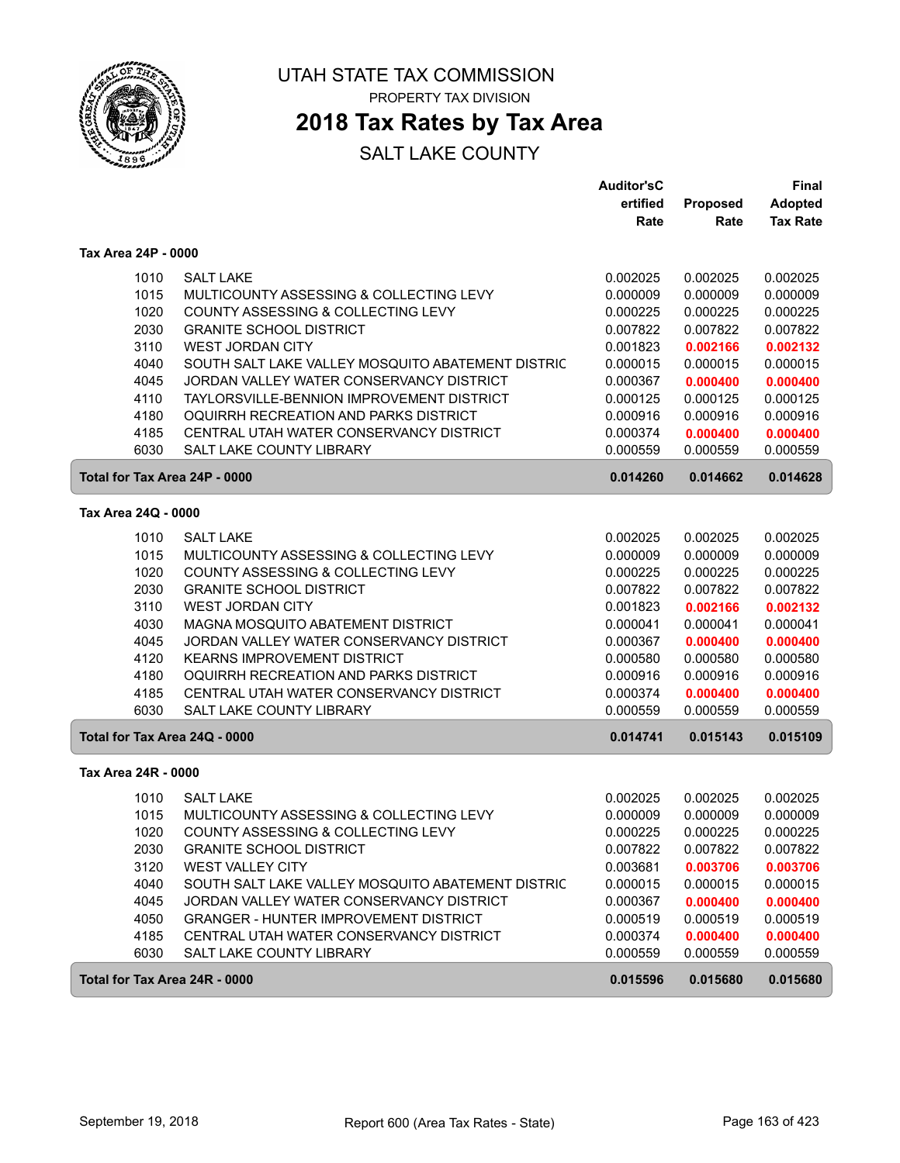

# **2018 Tax Rates by Tax Area**

|                               |                                                   | <b>Auditor'sC</b> |          | Final           |
|-------------------------------|---------------------------------------------------|-------------------|----------|-----------------|
|                               |                                                   | ertified          | Proposed | <b>Adopted</b>  |
|                               |                                                   | Rate              | Rate     | <b>Tax Rate</b> |
| Tax Area 24P - 0000           |                                                   |                   |          |                 |
| 1010                          | <b>SALT LAKE</b>                                  | 0.002025          | 0.002025 | 0.002025        |
| 1015                          | MULTICOUNTY ASSESSING & COLLECTING LEVY           | 0.000009          | 0.000009 | 0.000009        |
| 1020                          | COUNTY ASSESSING & COLLECTING LEVY                | 0.000225          | 0.000225 | 0.000225        |
| 2030                          | <b>GRANITE SCHOOL DISTRICT</b>                    | 0.007822          | 0.007822 | 0.007822        |
| 3110                          | <b>WEST JORDAN CITY</b>                           | 0.001823          | 0.002166 | 0.002132        |
| 4040                          | SOUTH SALT LAKE VALLEY MOSQUITO ABATEMENT DISTRIC | 0.000015          | 0.000015 | 0.000015        |
| 4045                          | JORDAN VALLEY WATER CONSERVANCY DISTRICT          | 0.000367          | 0.000400 | 0.000400        |
| 4110                          | TAYLORSVILLE-BENNION IMPROVEMENT DISTRICT         | 0.000125          | 0.000125 | 0.000125        |
| 4180                          | OQUIRRH RECREATION AND PARKS DISTRICT             | 0.000916          | 0.000916 | 0.000916        |
| 4185                          | CENTRAL UTAH WATER CONSERVANCY DISTRICT           | 0.000374          | 0.000400 | 0.000400        |
| 6030                          | SALT LAKE COUNTY LIBRARY                          | 0.000559          | 0.000559 | 0.000559        |
| Total for Tax Area 24P - 0000 |                                                   | 0.014260          | 0.014662 | 0.014628        |
| Tax Area 24Q - 0000           |                                                   |                   |          |                 |
| 1010                          | <b>SALT LAKE</b>                                  | 0.002025          | 0.002025 | 0.002025        |
| 1015                          | MULTICOUNTY ASSESSING & COLLECTING LEVY           | 0.000009          | 0.000009 | 0.000009        |
| 1020                          | COUNTY ASSESSING & COLLECTING LEVY                | 0.000225          | 0.000225 | 0.000225        |
| 2030                          | <b>GRANITE SCHOOL DISTRICT</b>                    | 0.007822          | 0.007822 | 0.007822        |
| 3110                          | <b>WEST JORDAN CITY</b>                           | 0.001823          | 0.002166 | 0.002132        |
| 4030                          | MAGNA MOSQUITO ABATEMENT DISTRICT                 | 0.000041          | 0.000041 | 0.000041        |
| 4045                          | JORDAN VALLEY WATER CONSERVANCY DISTRICT          | 0.000367          | 0.000400 | 0.000400        |
| 4120                          | <b>KEARNS IMPROVEMENT DISTRICT</b>                | 0.000580          | 0.000580 | 0.000580        |
| 4180                          | OQUIRRH RECREATION AND PARKS DISTRICT             | 0.000916          | 0.000916 | 0.000916        |
| 4185                          | CENTRAL UTAH WATER CONSERVANCY DISTRICT           | 0.000374          | 0.000400 | 0.000400        |
| 6030                          | <b>SALT LAKE COUNTY LIBRARY</b>                   | 0.000559          | 0.000559 | 0.000559        |
| Total for Tax Area 24Q - 0000 |                                                   | 0.014741          | 0.015143 | 0.015109        |
| Tax Area 24R - 0000           |                                                   |                   |          |                 |
| 1010                          | <b>SALT LAKE</b>                                  | 0.002025          | 0.002025 | 0.002025        |
| 1015                          | MULTICOUNTY ASSESSING & COLLECTING LEVY           | 0.000009          | 0.000009 | 0.000009        |
| 1020                          | COUNTY ASSESSING & COLLECTING LEVY                | 0.000225          | 0.000225 | 0.000225        |
| 2030                          | <b>GRANITE SCHOOL DISTRICT</b>                    | 0.007822          | 0.007822 | 0.007822        |
| 3120                          | <b>WEST VALLEY CITY</b>                           | 0.003681          | 0.003706 | 0.003706        |
| 4040                          | SOUTH SALT LAKE VALLEY MOSQUITO ABATEMENT DISTRIC | 0.000015          | 0.000015 | 0.000015        |
| 4045                          | JORDAN VALLEY WATER CONSERVANCY DISTRICT          | 0.000367          | 0.000400 | 0.000400        |
| 4050                          | <b>GRANGER - HUNTER IMPROVEMENT DISTRICT</b>      | 0.000519          | 0.000519 | 0.000519        |
| 4185                          | CENTRAL UTAH WATER CONSERVANCY DISTRICT           | 0.000374          | 0.000400 | 0.000400        |
| 6030                          | SALT LAKE COUNTY LIBRARY                          | 0.000559          | 0.000559 | 0.000559        |
| Total for Tax Area 24R - 0000 |                                                   | 0.015596          | 0.015680 | 0.015680        |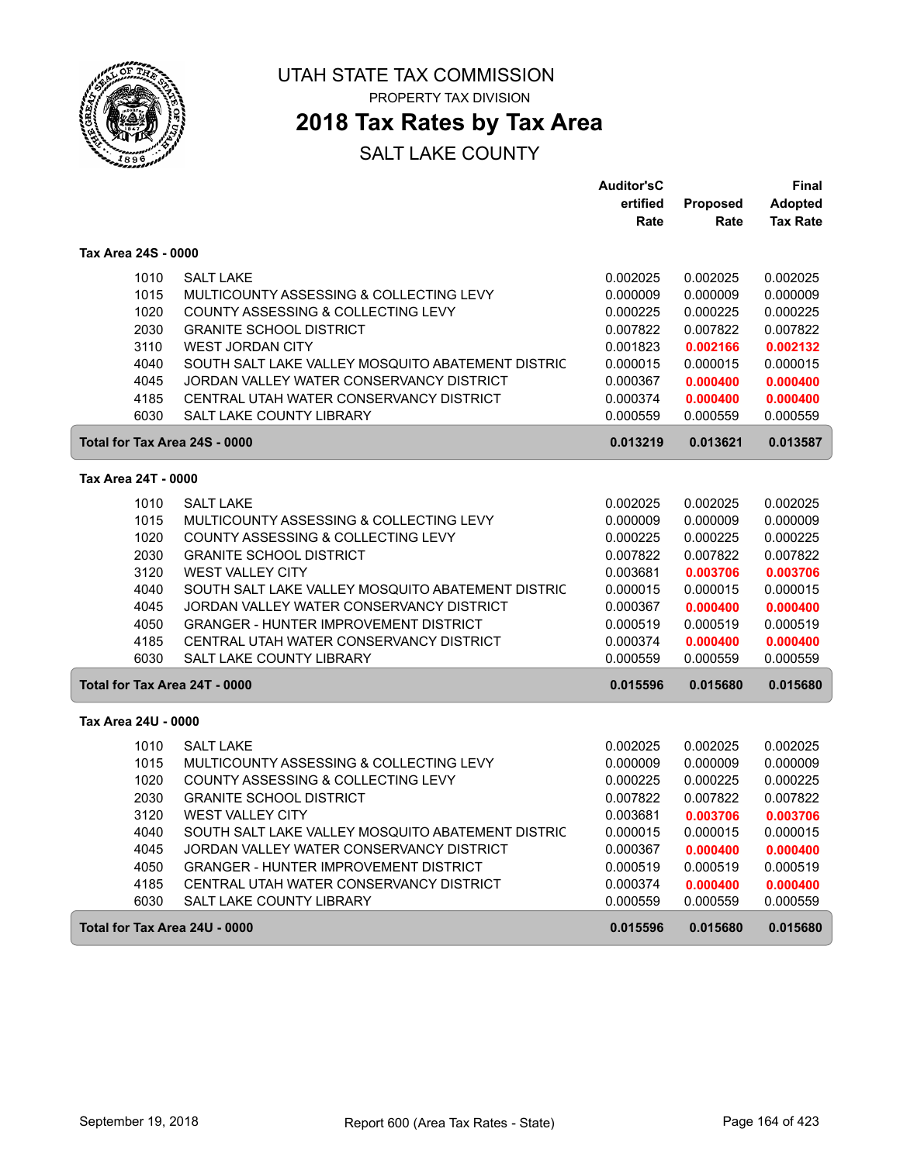

# **2018 Tax Rates by Tax Area**

|                               |                                                   | <b>Auditor'sC</b> |          | Final           |
|-------------------------------|---------------------------------------------------|-------------------|----------|-----------------|
|                               |                                                   | ertified          | Proposed | <b>Adopted</b>  |
|                               |                                                   | Rate              | Rate     | <b>Tax Rate</b> |
| Tax Area 24S - 0000           |                                                   |                   |          |                 |
| 1010                          | <b>SALT LAKE</b>                                  | 0.002025          | 0.002025 | 0.002025        |
| 1015                          | MULTICOUNTY ASSESSING & COLLECTING LEVY           | 0.000009          | 0.000009 | 0.000009        |
| 1020                          | COUNTY ASSESSING & COLLECTING LEVY                | 0.000225          | 0.000225 | 0.000225        |
| 2030                          | <b>GRANITE SCHOOL DISTRICT</b>                    | 0.007822          | 0.007822 | 0.007822        |
| 3110                          | <b>WEST JORDAN CITY</b>                           | 0.001823          | 0.002166 | 0.002132        |
| 4040                          | SOUTH SALT LAKE VALLEY MOSQUITO ABATEMENT DISTRIC | 0.000015          | 0.000015 | 0.000015        |
| 4045                          | JORDAN VALLEY WATER CONSERVANCY DISTRICT          | 0.000367          | 0.000400 | 0.000400        |
| 4185                          | CENTRAL UTAH WATER CONSERVANCY DISTRICT           | 0.000374          | 0.000400 | 0.000400        |
| 6030                          | SALT LAKE COUNTY LIBRARY                          | 0.000559          | 0.000559 | 0.000559        |
| Total for Tax Area 24S - 0000 |                                                   | 0.013219          | 0.013621 | 0.013587        |
| Tax Area 24T - 0000           |                                                   |                   |          |                 |
| 1010                          | <b>SALT LAKE</b>                                  | 0.002025          | 0.002025 | 0.002025        |
| 1015                          | MULTICOUNTY ASSESSING & COLLECTING LEVY           | 0.000009          | 0.000009 | 0.000009        |
| 1020                          | COUNTY ASSESSING & COLLECTING LEVY                | 0.000225          | 0.000225 | 0.000225        |
| 2030                          | <b>GRANITE SCHOOL DISTRICT</b>                    | 0.007822          | 0.007822 | 0.007822        |
| 3120                          | <b>WEST VALLEY CITY</b>                           | 0.003681          | 0.003706 | 0.003706        |
| 4040                          | SOUTH SALT LAKE VALLEY MOSQUITO ABATEMENT DISTRIC | 0.000015          | 0.000015 | 0.000015        |
| 4045                          | JORDAN VALLEY WATER CONSERVANCY DISTRICT          | 0.000367          | 0.000400 | 0.000400        |
| 4050                          | <b>GRANGER - HUNTER IMPROVEMENT DISTRICT</b>      | 0.000519          | 0.000519 | 0.000519        |
| 4185                          | CENTRAL UTAH WATER CONSERVANCY DISTRICT           | 0.000374          | 0.000400 | 0.000400        |
| 6030                          | SALT LAKE COUNTY LIBRARY                          | 0.000559          | 0.000559 | 0.000559        |
| Total for Tax Area 24T - 0000 |                                                   | 0.015596          | 0.015680 | 0.015680        |
| Tax Area 24U - 0000           |                                                   |                   |          |                 |
| 1010                          | <b>SALT LAKE</b>                                  | 0.002025          | 0.002025 | 0.002025        |
| 1015                          | MULTICOUNTY ASSESSING & COLLECTING LEVY           | 0.000009          | 0.000009 | 0.000009        |
| 1020                          | COUNTY ASSESSING & COLLECTING LEVY                | 0.000225          | 0.000225 | 0.000225        |
| 2030                          | <b>GRANITE SCHOOL DISTRICT</b>                    | 0.007822          | 0.007822 | 0.007822        |
| 3120                          | <b>WEST VALLEY CITY</b>                           | 0.003681          | 0.003706 | 0.003706        |
| 4040                          | SOUTH SALT LAKE VALLEY MOSQUITO ABATEMENT DISTRIC | 0.000015          | 0.000015 | 0.000015        |
| 4045                          | JORDAN VALLEY WATER CONSERVANCY DISTRICT          | 0.000367          | 0.000400 | 0.000400        |
| 4050                          | <b>GRANGER - HUNTER IMPROVEMENT DISTRICT</b>      | 0.000519          | 0.000519 | 0.000519        |
| 4185                          | CENTRAL UTAH WATER CONSERVANCY DISTRICT           | 0.000374          | 0.000400 | 0.000400        |
| 6030                          | SALT LAKE COUNTY LIBRARY                          | 0.000559          | 0.000559 | 0.000559        |
| Total for Tax Area 24U - 0000 |                                                   | 0.015596          | 0.015680 | 0.015680        |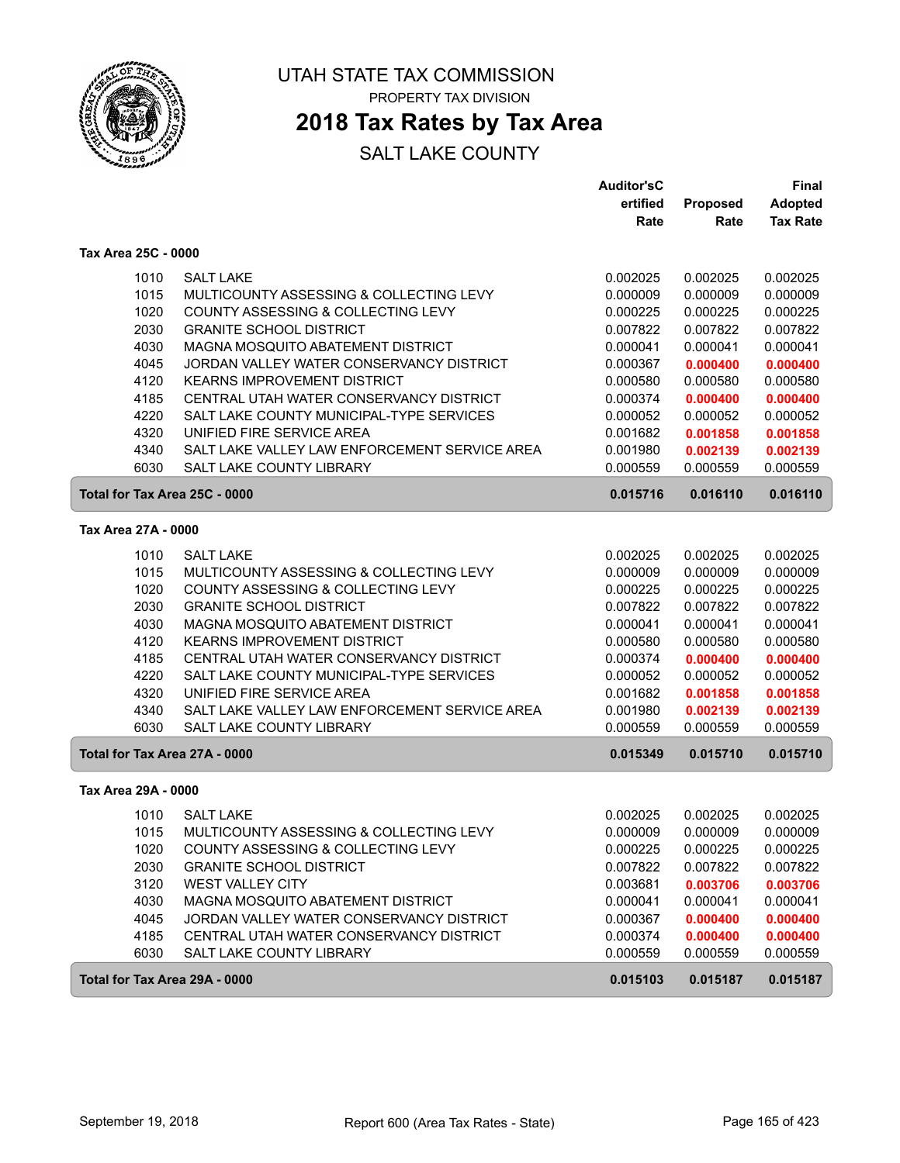

# **2018 Tax Rates by Tax Area**

|                               |                                               | <b>Auditor'sC</b> |                 | <b>Final</b>    |
|-------------------------------|-----------------------------------------------|-------------------|-----------------|-----------------|
|                               |                                               | ertified          | <b>Proposed</b> | <b>Adopted</b>  |
|                               |                                               | Rate              | Rate            | <b>Tax Rate</b> |
| Tax Area 25C - 0000           |                                               |                   |                 |                 |
| 1010                          | <b>SALT LAKE</b>                              | 0.002025          | 0.002025        | 0.002025        |
| 1015                          | MULTICOUNTY ASSESSING & COLLECTING LEVY       | 0.000009          | 0.000009        | 0.000009        |
| 1020                          | COUNTY ASSESSING & COLLECTING LEVY            | 0.000225          | 0.000225        | 0.000225        |
| 2030                          | <b>GRANITE SCHOOL DISTRICT</b>                | 0.007822          | 0.007822        | 0.007822        |
| 4030                          | MAGNA MOSQUITO ABATEMENT DISTRICT             | 0.000041          | 0.000041        | 0.000041        |
| 4045                          | JORDAN VALLEY WATER CONSERVANCY DISTRICT      | 0.000367          | 0.000400        | 0.000400        |
| 4120                          | <b>KEARNS IMPROVEMENT DISTRICT</b>            | 0.000580          | 0.000580        | 0.000580        |
| 4185                          | CENTRAL UTAH WATER CONSERVANCY DISTRICT       | 0.000374          | 0.000400        | 0.000400        |
| 4220                          | SALT LAKE COUNTY MUNICIPAL-TYPE SERVICES      | 0.000052          | 0.000052        | 0.000052        |
| 4320                          | UNIFIED FIRE SERVICE AREA                     | 0.001682          | 0.001858        | 0.001858        |
| 4340                          | SALT LAKE VALLEY LAW ENFORCEMENT SERVICE AREA | 0.001980          | 0.002139        | 0.002139        |
| 6030                          | <b>SALT LAKE COUNTY LIBRARY</b>               | 0.000559          | 0.000559        | 0.000559        |
| Total for Tax Area 25C - 0000 |                                               | 0.015716          | 0.016110        | 0.016110        |
| Tax Area 27A - 0000           |                                               |                   |                 |                 |
|                               |                                               |                   |                 |                 |
| 1010                          | <b>SALT LAKE</b>                              | 0.002025          | 0.002025        | 0.002025        |
| 1015                          | MULTICOUNTY ASSESSING & COLLECTING LEVY       | 0.000009          | 0.000009        | 0.000009        |
| 1020                          | COUNTY ASSESSING & COLLECTING LEVY            | 0.000225          | 0.000225        | 0.000225        |
| 2030                          | <b>GRANITE SCHOOL DISTRICT</b>                | 0.007822          | 0.007822        | 0.007822        |
| 4030                          | MAGNA MOSQUITO ABATEMENT DISTRICT             | 0.000041          | 0.000041        | 0.000041        |
| 4120                          | <b>KEARNS IMPROVEMENT DISTRICT</b>            | 0.000580          | 0.000580        | 0.000580        |
| 4185                          | CENTRAL UTAH WATER CONSERVANCY DISTRICT       | 0.000374          | 0.000400        | 0.000400        |
| 4220                          | SALT LAKE COUNTY MUNICIPAL-TYPE SERVICES      | 0.000052          | 0.000052        | 0.000052        |
| 4320                          | UNIFIED FIRE SERVICE AREA                     | 0.001682          | 0.001858        | 0.001858        |
| 4340                          | SALT LAKE VALLEY LAW ENFORCEMENT SERVICE AREA | 0.001980          | 0.002139        | 0.002139        |
| 6030                          | SALT LAKE COUNTY LIBRARY                      | 0.000559          | 0.000559        | 0.000559        |
| Total for Tax Area 27A - 0000 |                                               | 0.015349          | 0.015710        | 0.015710        |
| Tax Area 29A - 0000           |                                               |                   |                 |                 |
| 1010                          | <b>SALT LAKE</b>                              | 0.002025          | 0.002025        | 0.002025        |
| 1015                          | MULTICOUNTY ASSESSING & COLLECTING LEVY       | 0.000009          | 0.000009        | 0.000009        |
| 1020                          | COUNTY ASSESSING & COLLECTING LEVY            | 0.000225          | 0.000225        | 0.000225        |
| 2030                          | <b>GRANITE SCHOOL DISTRICT</b>                | 0.007822          | 0.007822        | 0.007822        |
| 3120                          | <b>WEST VALLEY CITY</b>                       | 0.003681          | 0.003706        | 0.003706        |
| 4030                          | MAGNA MOSQUITO ABATEMENT DISTRICT             | 0.000041          | 0.000041        | 0.000041        |
| 4045                          | JORDAN VALLEY WATER CONSERVANCY DISTRICT      | 0.000367          | 0.000400        | 0.000400        |
| 4185                          | CENTRAL UTAH WATER CONSERVANCY DISTRICT       | 0.000374          | 0.000400        | 0.000400        |
| 6030                          | SALT LAKE COUNTY LIBRARY                      | 0.000559          | 0.000559        | 0.000559        |
| Total for Tax Area 29A - 0000 |                                               | 0.015103          | 0.015187        | 0.015187        |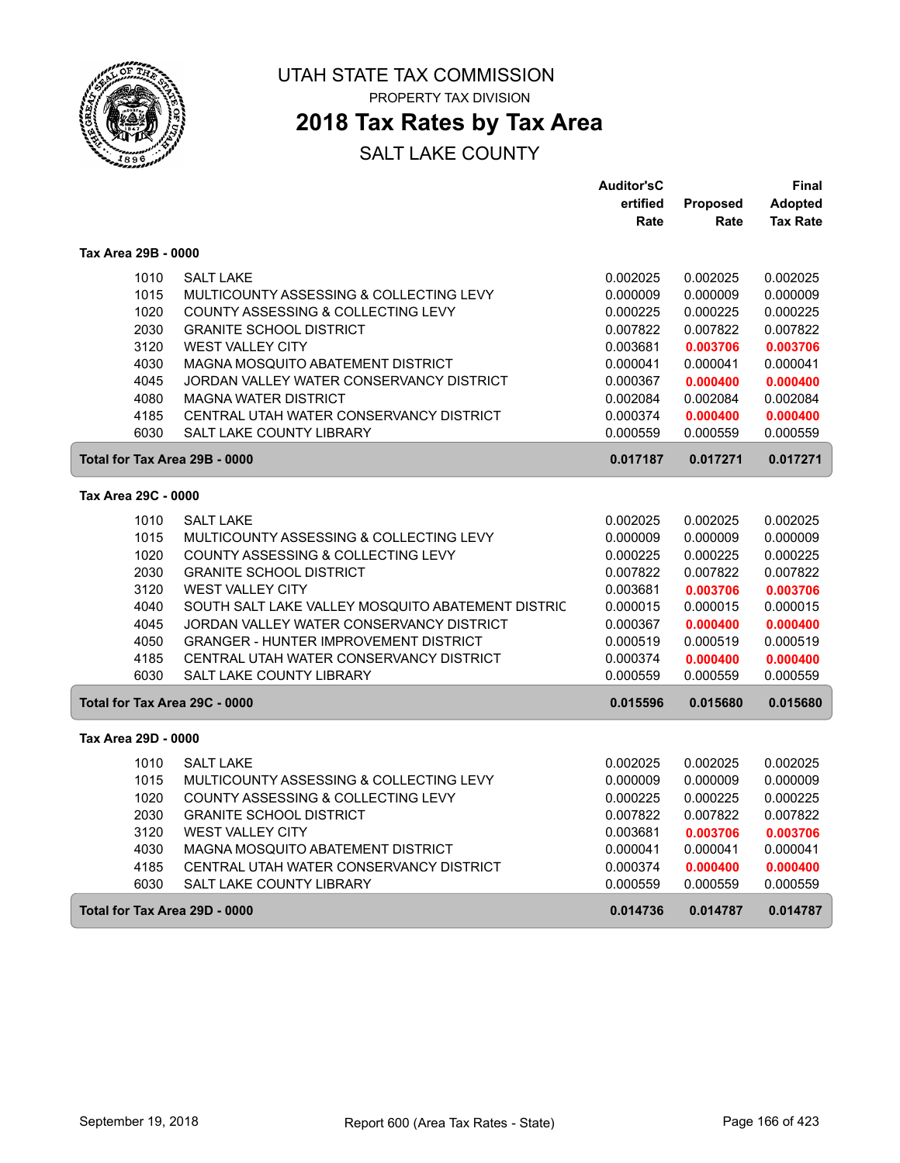

PROPERTY TAX DIVISION

## **2018 Tax Rates by Tax Area**

|                               |                                                   | <b>Auditor'sC</b> |          | Final           |
|-------------------------------|---------------------------------------------------|-------------------|----------|-----------------|
|                               |                                                   | ertified          | Proposed | <b>Adopted</b>  |
|                               |                                                   | Rate              | Rate     | <b>Tax Rate</b> |
| Tax Area 29B - 0000           |                                                   |                   |          |                 |
| 1010                          | <b>SALT LAKE</b>                                  | 0.002025          | 0.002025 | 0.002025        |
| 1015                          | MULTICOUNTY ASSESSING & COLLECTING LEVY           | 0.000009          | 0.000009 | 0.000009        |
| 1020                          | COUNTY ASSESSING & COLLECTING LEVY                | 0.000225          | 0.000225 | 0.000225        |
| 2030                          | <b>GRANITE SCHOOL DISTRICT</b>                    | 0.007822          | 0.007822 | 0.007822        |
| 3120                          | <b>WEST VALLEY CITY</b>                           | 0.003681          | 0.003706 | 0.003706        |
| 4030                          | MAGNA MOSQUITO ABATEMENT DISTRICT                 | 0.000041          | 0.000041 | 0.000041        |
| 4045                          | JORDAN VALLEY WATER CONSERVANCY DISTRICT          | 0.000367          | 0.000400 | 0.000400        |
| 4080                          | <b>MAGNA WATER DISTRICT</b>                       | 0.002084          | 0.002084 | 0.002084        |
| 4185                          | CENTRAL UTAH WATER CONSERVANCY DISTRICT           | 0.000374          | 0.000400 | 0.000400        |
| 6030                          | SALT LAKE COUNTY LIBRARY                          | 0.000559          | 0.000559 | 0.000559        |
| Total for Tax Area 29B - 0000 |                                                   | 0.017187          | 0.017271 | 0.017271        |
| Tax Area 29C - 0000           |                                                   |                   |          |                 |
| 1010                          | <b>SALT LAKE</b>                                  | 0.002025          | 0.002025 | 0.002025        |
| 1015                          | MULTICOUNTY ASSESSING & COLLECTING LEVY           | 0.000009          | 0.000009 | 0.000009        |
| 1020                          | COUNTY ASSESSING & COLLECTING LEVY                | 0.000225          | 0.000225 | 0.000225        |
| 2030                          | <b>GRANITE SCHOOL DISTRICT</b>                    | 0.007822          | 0.007822 | 0.007822        |
| 3120                          | <b>WEST VALLEY CITY</b>                           | 0.003681          | 0.003706 | 0.003706        |
| 4040                          | SOUTH SALT LAKE VALLEY MOSQUITO ABATEMENT DISTRIC | 0.000015          | 0.000015 | 0.000015        |
| 4045                          | JORDAN VALLEY WATER CONSERVANCY DISTRICT          | 0.000367          | 0.000400 | 0.000400        |
| 4050                          | <b>GRANGER - HUNTER IMPROVEMENT DISTRICT</b>      | 0.000519          | 0.000519 | 0.000519        |
| 4185                          | CENTRAL UTAH WATER CONSERVANCY DISTRICT           | 0.000374          | 0.000400 | 0.000400        |
| 6030                          | <b>SALT LAKE COUNTY LIBRARY</b>                   | 0.000559          | 0.000559 | 0.000559        |
| Total for Tax Area 29C - 0000 |                                                   | 0.015596          | 0.015680 | 0.015680        |
| Tax Area 29D - 0000           |                                                   |                   |          |                 |
| 1010                          | <b>SALT LAKE</b>                                  | 0.002025          | 0.002025 | 0.002025        |
| 1015                          | MULTICOUNTY ASSESSING & COLLECTING LEVY           | 0.000009          | 0.000009 | 0.000009        |
| 1020                          | COUNTY ASSESSING & COLLECTING LEVY                | 0.000225          | 0.000225 | 0.000225        |
| 2030                          | <b>GRANITE SCHOOL DISTRICT</b>                    | 0.007822          | 0.007822 | 0.007822        |
| 3120                          | <b>WEST VALLEY CITY</b>                           | 0.003681          | 0.003706 | 0.003706        |
| 4030                          | MAGNA MOSQUITO ABATEMENT DISTRICT                 | 0.000041          | 0.000041 | 0.000041        |
| 4185                          | CENTRAL UTAH WATER CONSERVANCY DISTRICT           | 0.000374          | 0.000400 | 0.000400        |
| 6030                          | <b>SALT LAKE COUNTY LIBRARY</b>                   | 0.000559          | 0.000559 | 0.000559        |
| Total for Tax Area 29D - 0000 |                                                   | 0.014736          | 0.014787 | 0.014787        |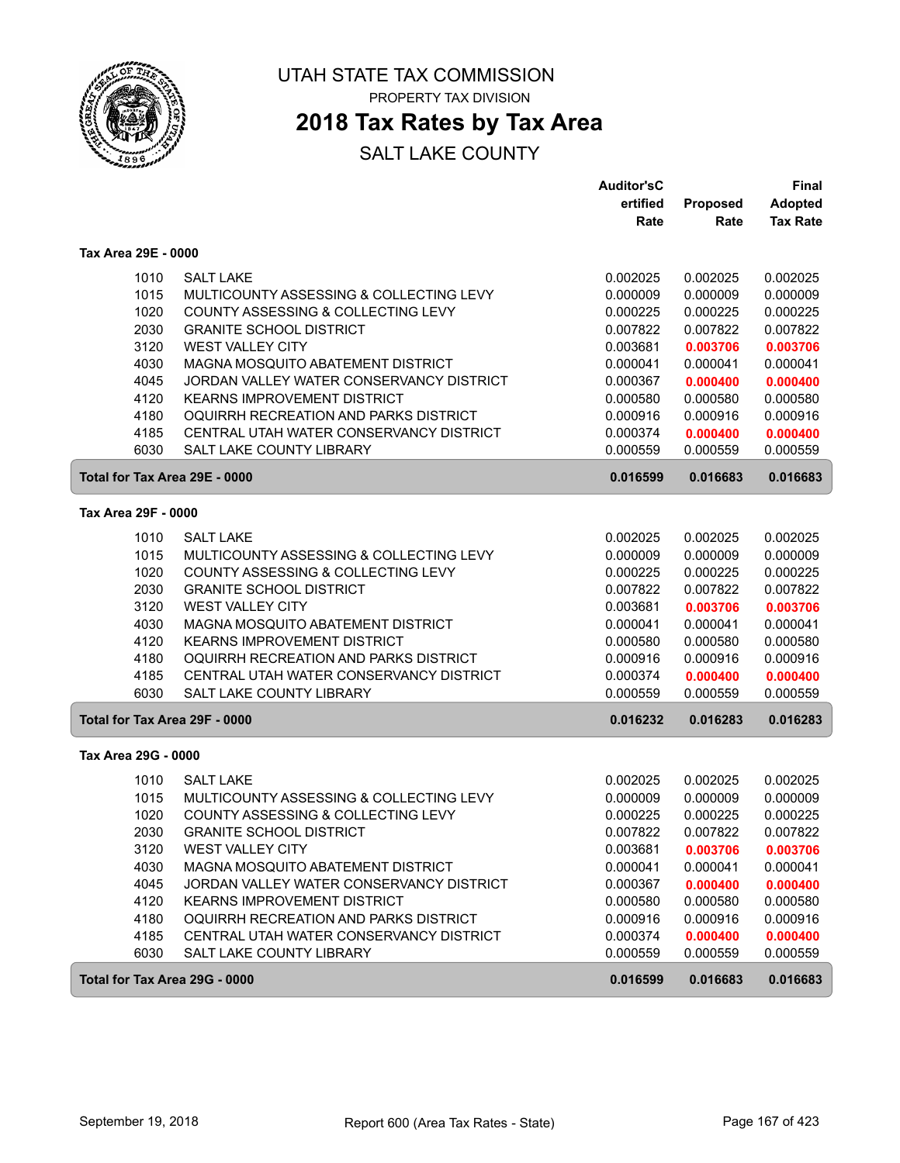

# **2018 Tax Rates by Tax Area**

|                               |                                          | <b>Auditor'sC</b> |                 | <b>Final</b>    |
|-------------------------------|------------------------------------------|-------------------|-----------------|-----------------|
|                               |                                          | ertified          | <b>Proposed</b> | <b>Adopted</b>  |
|                               |                                          | Rate              | Rate            | <b>Tax Rate</b> |
| Tax Area 29E - 0000           |                                          |                   |                 |                 |
| 1010                          | <b>SALT LAKE</b>                         | 0.002025          | 0.002025        | 0.002025        |
| 1015                          | MULTICOUNTY ASSESSING & COLLECTING LEVY  | 0.000009          | 0.000009        | 0.000009        |
| 1020                          | COUNTY ASSESSING & COLLECTING LEVY       | 0.000225          | 0.000225        | 0.000225        |
| 2030                          | <b>GRANITE SCHOOL DISTRICT</b>           | 0.007822          | 0.007822        | 0.007822        |
| 3120                          | <b>WEST VALLEY CITY</b>                  | 0.003681          | 0.003706        | 0.003706        |
| 4030                          | MAGNA MOSQUITO ABATEMENT DISTRICT        | 0.000041          | 0.000041        | 0.000041        |
| 4045                          | JORDAN VALLEY WATER CONSERVANCY DISTRICT | 0.000367          | 0.000400        | 0.000400        |
| 4120                          | <b>KEARNS IMPROVEMENT DISTRICT</b>       | 0.000580          | 0.000580        | 0.000580        |
| 4180                          | OQUIRRH RECREATION AND PARKS DISTRICT    | 0.000916          | 0.000916        | 0.000916        |
| 4185                          | CENTRAL UTAH WATER CONSERVANCY DISTRICT  | 0.000374          | 0.000400        | 0.000400        |
| 6030                          | <b>SALT LAKE COUNTY LIBRARY</b>          | 0.000559          | 0.000559        | 0.000559        |
| Total for Tax Area 29E - 0000 |                                          | 0.016599          | 0.016683        | 0.016683        |
| Tax Area 29F - 0000           |                                          |                   |                 |                 |
| 1010                          | <b>SALT LAKE</b>                         | 0.002025          | 0.002025        | 0.002025        |
| 1015                          | MULTICOUNTY ASSESSING & COLLECTING LEVY  | 0.000009          | 0.000009        | 0.000009        |
| 1020                          | COUNTY ASSESSING & COLLECTING LEVY       | 0.000225          | 0.000225        | 0.000225        |
| 2030                          | <b>GRANITE SCHOOL DISTRICT</b>           | 0.007822          | 0.007822        | 0.007822        |
| 3120                          | <b>WEST VALLEY CITY</b>                  | 0.003681          | 0.003706        | 0.003706        |
| 4030                          | MAGNA MOSQUITO ABATEMENT DISTRICT        | 0.000041          | 0.000041        | 0.000041        |
| 4120                          | <b>KEARNS IMPROVEMENT DISTRICT</b>       | 0.000580          | 0.000580        | 0.000580        |
| 4180                          | OQUIRRH RECREATION AND PARKS DISTRICT    | 0.000916          | 0.000916        | 0.000916        |
| 4185                          | CENTRAL UTAH WATER CONSERVANCY DISTRICT  | 0.000374          | 0.000400        | 0.000400        |
| 6030                          | SALT LAKE COUNTY LIBRARY                 | 0.000559          | 0.000559        | 0.000559        |
| Total for Tax Area 29F - 0000 |                                          | 0.016232          | 0.016283        | 0.016283        |
| Tax Area 29G - 0000           |                                          |                   |                 |                 |
| 1010                          | <b>SALT LAKE</b>                         | 0.002025          | 0.002025        | 0.002025        |
| 1015                          | MULTICOUNTY ASSESSING & COLLECTING LEVY  | 0.000009          | 0.000009        | 0.000009        |
| 1020                          | COUNTY ASSESSING & COLLECTING LEVY       | 0.000225          | 0.000225        | 0.000225        |
| 2030                          | <b>GRANITE SCHOOL DISTRICT</b>           | 0.007822          | 0.007822        | 0.007822        |
| 3120                          | <b>WEST VALLEY CITY</b>                  | 0.003681          | 0.003706        | 0.003706        |
| 4030                          | MAGNA MOSQUITO ABATEMENT DISTRICT        | 0.000041          | 0.000041        | 0.000041        |
| 4045                          | JORDAN VALLEY WATER CONSERVANCY DISTRICT | 0.000367          | 0.000400        | 0.000400        |
| 4120                          | KEARNS IMPROVEMENT DISTRICT              | 0.000580          | 0.000580        | 0.000580        |
| 4180                          | OQUIRRH RECREATION AND PARKS DISTRICT    | 0.000916          | 0.000916        | 0.000916        |
| 4185                          | CENTRAL UTAH WATER CONSERVANCY DISTRICT  | 0.000374          | 0.000400        | 0.000400        |
| 6030                          | SALT LAKE COUNTY LIBRARY                 | 0.000559          | 0.000559        | 0.000559        |
| Total for Tax Area 29G - 0000 |                                          | 0.016599          | 0.016683        | 0.016683        |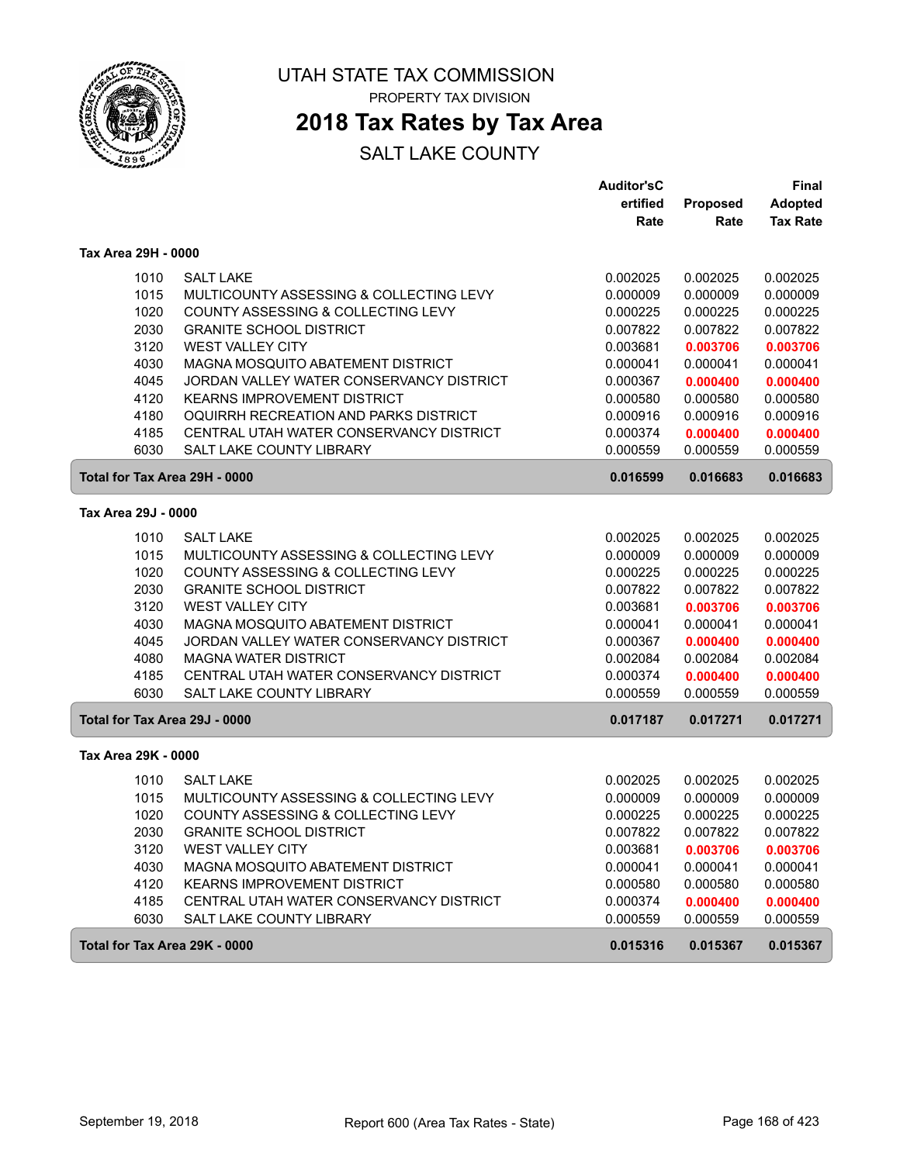

# **2018 Tax Rates by Tax Area**

|                               |                                          | <b>Auditor'sC</b> |          | Final           |
|-------------------------------|------------------------------------------|-------------------|----------|-----------------|
|                               |                                          | ertified          | Proposed | <b>Adopted</b>  |
|                               |                                          | Rate              | Rate     | <b>Tax Rate</b> |
| Tax Area 29H - 0000           |                                          |                   |          |                 |
| 1010                          | <b>SALT LAKE</b>                         | 0.002025          | 0.002025 | 0.002025        |
| 1015                          | MULTICOUNTY ASSESSING & COLLECTING LEVY  | 0.000009          | 0.000009 | 0.000009        |
| 1020                          | COUNTY ASSESSING & COLLECTING LEVY       | 0.000225          | 0.000225 | 0.000225        |
| 2030                          | <b>GRANITE SCHOOL DISTRICT</b>           | 0.007822          | 0.007822 | 0.007822        |
| 3120                          | <b>WEST VALLEY CITY</b>                  | 0.003681          | 0.003706 | 0.003706        |
| 4030                          | MAGNA MOSQUITO ABATEMENT DISTRICT        | 0.000041          | 0.000041 | 0.000041        |
| 4045                          | JORDAN VALLEY WATER CONSERVANCY DISTRICT | 0.000367          | 0.000400 | 0.000400        |
| 4120                          | <b>KEARNS IMPROVEMENT DISTRICT</b>       | 0.000580          | 0.000580 | 0.000580        |
| 4180                          | OQUIRRH RECREATION AND PARKS DISTRICT    | 0.000916          | 0.000916 | 0.000916        |
| 4185                          | CENTRAL UTAH WATER CONSERVANCY DISTRICT  | 0.000374          | 0.000400 | 0.000400        |
| 6030                          | SALT LAKE COUNTY LIBRARY                 | 0.000559          | 0.000559 | 0.000559        |
| Total for Tax Area 29H - 0000 |                                          | 0.016599          | 0.016683 | 0.016683        |
| Tax Area 29J - 0000           |                                          |                   |          |                 |
| 1010                          | <b>SALT LAKE</b>                         | 0.002025          | 0.002025 | 0.002025        |
| 1015                          | MULTICOUNTY ASSESSING & COLLECTING LEVY  | 0.000009          | 0.000009 | 0.000009        |
| 1020                          | COUNTY ASSESSING & COLLECTING LEVY       | 0.000225          | 0.000225 | 0.000225        |
| 2030                          | <b>GRANITE SCHOOL DISTRICT</b>           | 0.007822          | 0.007822 | 0.007822        |
| 3120                          | WEST VALLEY CITY                         | 0.003681          | 0.003706 | 0.003706        |
| 4030                          | MAGNA MOSQUITO ABATEMENT DISTRICT        | 0.000041          | 0.000041 | 0.000041        |
| 4045                          | JORDAN VALLEY WATER CONSERVANCY DISTRICT | 0.000367          | 0.000400 | 0.000400        |
| 4080                          | <b>MAGNA WATER DISTRICT</b>              | 0.002084          | 0.002084 | 0.002084        |
| 4185                          | CENTRAL UTAH WATER CONSERVANCY DISTRICT  | 0.000374          | 0.000400 | 0.000400        |
| 6030                          | SALT LAKE COUNTY LIBRARY                 | 0.000559          | 0.000559 | 0.000559        |
| Total for Tax Area 29J - 0000 |                                          | 0.017187          | 0.017271 | 0.017271        |
| Tax Area 29K - 0000           |                                          |                   |          |                 |
| 1010                          | <b>SALT LAKE</b>                         | 0.002025          | 0.002025 | 0.002025        |
| 1015                          | MULTICOUNTY ASSESSING & COLLECTING LEVY  | 0.000009          | 0.000009 | 0.000009        |
| 1020                          | COUNTY ASSESSING & COLLECTING LEVY       | 0.000225          | 0.000225 | 0.000225        |
| 2030                          | <b>GRANITE SCHOOL DISTRICT</b>           | 0.007822          | 0.007822 | 0.007822        |
| 3120                          | WEST VALLEY CITY                         | 0.003681          | 0.003706 | 0.003706        |
| 4030                          | MAGNA MOSQUITO ABATEMENT DISTRICT        | 0.000041          | 0.000041 | 0.000041        |
| 4120                          | <b>KEARNS IMPROVEMENT DISTRICT</b>       | 0.000580          | 0.000580 | 0.000580        |
| 4185                          | CENTRAL UTAH WATER CONSERVANCY DISTRICT  | 0.000374          | 0.000400 | 0.000400        |
| 6030                          | SALT LAKE COUNTY LIBRARY                 | 0.000559          | 0.000559 | 0.000559        |
| Total for Tax Area 29K - 0000 |                                          | 0.015316          | 0.015367 | 0.015367        |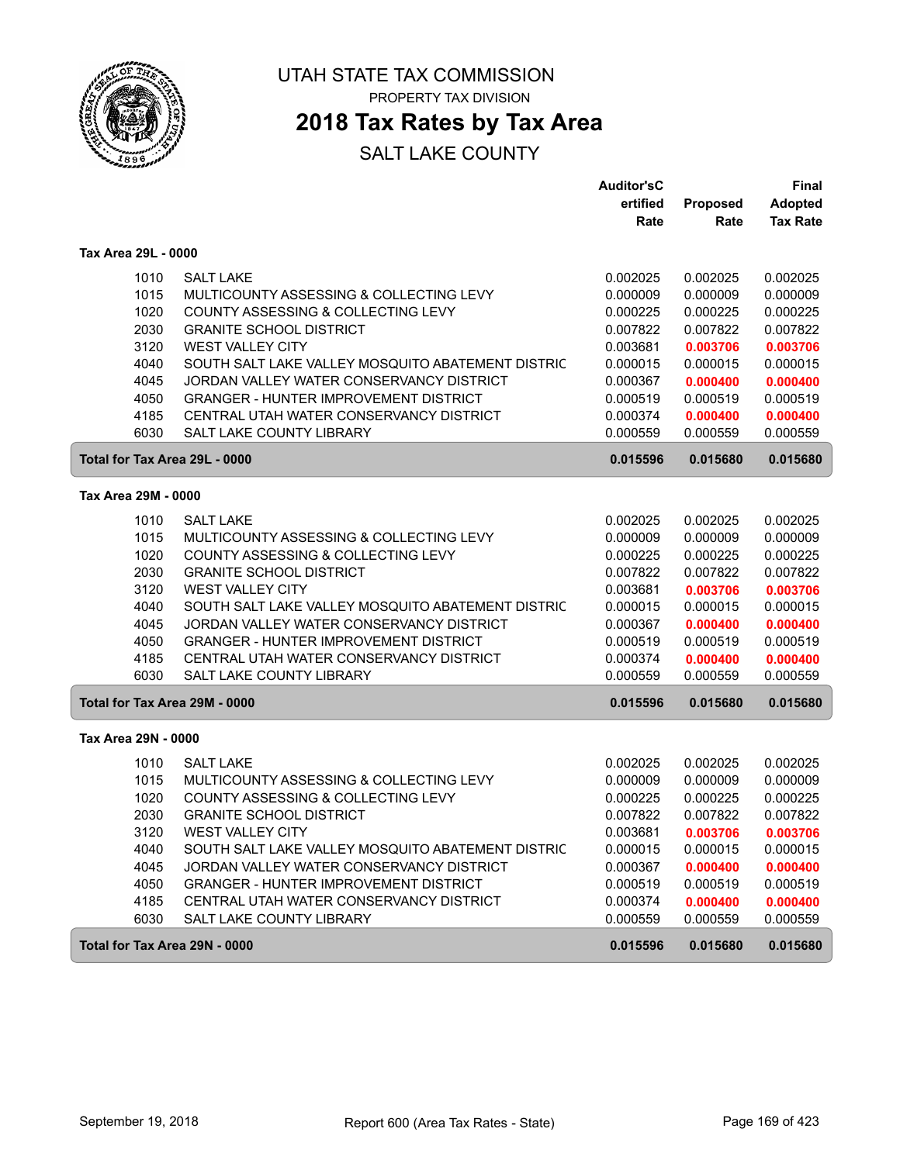

## **2018 Tax Rates by Tax Area**

|                               |                                                   | <b>Auditor'sC</b> |                 | <b>Final</b>    |
|-------------------------------|---------------------------------------------------|-------------------|-----------------|-----------------|
|                               |                                                   | ertified          | <b>Proposed</b> | <b>Adopted</b>  |
|                               |                                                   | Rate              | Rate            | <b>Tax Rate</b> |
| Tax Area 29L - 0000           |                                                   |                   |                 |                 |
| 1010                          | <b>SALT LAKE</b>                                  | 0.002025          | 0.002025        | 0.002025        |
| 1015                          | MULTICOUNTY ASSESSING & COLLECTING LEVY           | 0.000009          | 0.000009        | 0.000009        |
| 1020                          | COUNTY ASSESSING & COLLECTING LEVY                | 0.000225          | 0.000225        | 0.000225        |
| 2030                          | <b>GRANITE SCHOOL DISTRICT</b>                    | 0.007822          | 0.007822        | 0.007822        |
| 3120                          | <b>WEST VALLEY CITY</b>                           | 0.003681          | 0.003706        | 0.003706        |
| 4040                          | SOUTH SALT LAKE VALLEY MOSQUITO ABATEMENT DISTRIC | 0.000015          | 0.000015        | 0.000015        |
| 4045                          | JORDAN VALLEY WATER CONSERVANCY DISTRICT          | 0.000367          | 0.000400        | 0.000400        |
| 4050                          | <b>GRANGER - HUNTER IMPROVEMENT DISTRICT</b>      | 0.000519          | 0.000519        | 0.000519        |
| 4185                          | CENTRAL UTAH WATER CONSERVANCY DISTRICT           | 0.000374          | 0.000400        | 0.000400        |
| 6030                          | SALT LAKE COUNTY LIBRARY                          | 0.000559          | 0.000559        | 0.000559        |
| Total for Tax Area 29L - 0000 |                                                   | 0.015596          | 0.015680        | 0.015680        |
| Tax Area 29M - 0000           |                                                   |                   |                 |                 |
|                               |                                                   |                   |                 |                 |
| 1010                          | <b>SALT LAKE</b>                                  | 0.002025          | 0.002025        | 0.002025        |
| 1015                          | MULTICOUNTY ASSESSING & COLLECTING LEVY           | 0.000009          | 0.000009        | 0.000009        |
| 1020                          | COUNTY ASSESSING & COLLECTING LEVY                | 0.000225          | 0.000225        | 0.000225        |
| 2030                          | <b>GRANITE SCHOOL DISTRICT</b>                    | 0.007822          | 0.007822        | 0.007822        |
| 3120                          | <b>WEST VALLEY CITY</b>                           | 0.003681          | 0.003706        | 0.003706        |
| 4040                          | SOUTH SALT LAKE VALLEY MOSQUITO ABATEMENT DISTRIC | 0.000015          | 0.000015        | 0.000015        |
| 4045                          | JORDAN VALLEY WATER CONSERVANCY DISTRICT          | 0.000367          | 0.000400        | 0.000400        |
| 4050                          | <b>GRANGER - HUNTER IMPROVEMENT DISTRICT</b>      | 0.000519          | 0.000519        | 0.000519        |
| 4185                          | CENTRAL UTAH WATER CONSERVANCY DISTRICT           | 0.000374          | 0.000400        | 0.000400        |
| 6030                          | SALT LAKE COUNTY LIBRARY                          | 0.000559          | 0.000559        | 0.000559        |
| Total for Tax Area 29M - 0000 |                                                   | 0.015596          | 0.015680        | 0.015680        |
| Tax Area 29N - 0000           |                                                   |                   |                 |                 |
| 1010                          | <b>SALT LAKE</b>                                  | 0.002025          | 0.002025        | 0.002025        |
| 1015                          | MULTICOUNTY ASSESSING & COLLECTING LEVY           | 0.000009          | 0.000009        | 0.000009        |
| 1020                          | COUNTY ASSESSING & COLLECTING LEVY                | 0.000225          | 0.000225        | 0.000225        |
| 2030                          | <b>GRANITE SCHOOL DISTRICT</b>                    | 0.007822          | 0.007822        | 0.007822        |
| 3120                          | <b>WEST VALLEY CITY</b>                           | 0.003681          | 0.003706        | 0.003706        |
| 4040                          | SOUTH SALT LAKE VALLEY MOSQUITO ABATEMENT DISTRIC | 0.000015          | 0.000015        | 0.000015        |
| 4045                          | JORDAN VALLEY WATER CONSERVANCY DISTRICT          | 0.000367          | 0.000400        | 0.000400        |
| 4050                          | <b>GRANGER - HUNTER IMPROVEMENT DISTRICT</b>      | 0.000519          | 0.000519        | 0.000519        |
| 4185                          | CENTRAL UTAH WATER CONSERVANCY DISTRICT           | 0.000374          | 0.000400        | 0.000400        |
| 6030                          | SALT LAKE COUNTY LIBRARY                          | 0.000559          | 0.000559        | 0.000559        |
| Total for Tax Area 29N - 0000 |                                                   | 0.015596          | 0.015680        | 0.015680        |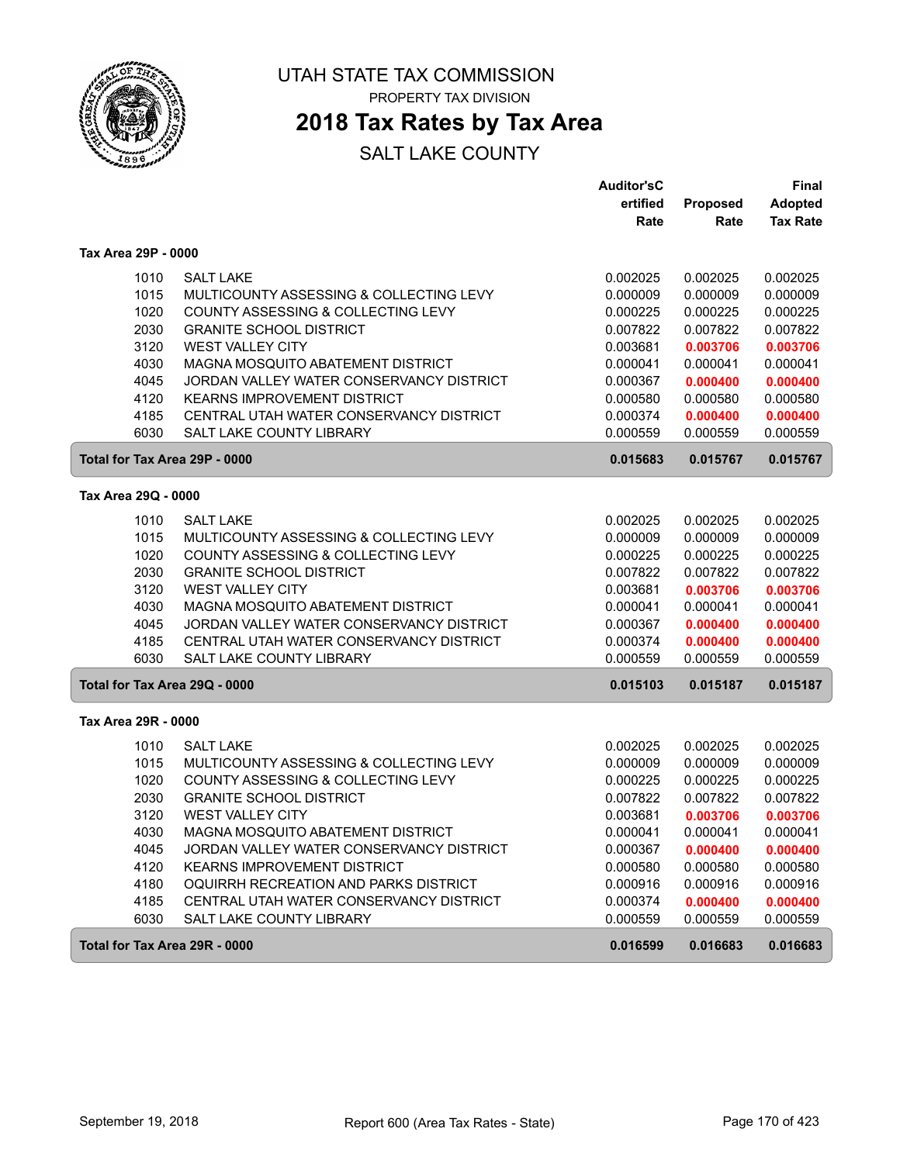

PROPERTY TAX DIVISION

## **2018 Tax Rates by Tax Area**

|                               |                                          | <b>Auditor'sC</b> |                 | Final           |
|-------------------------------|------------------------------------------|-------------------|-----------------|-----------------|
|                               |                                          | ertified          | <b>Proposed</b> | <b>Adopted</b>  |
|                               |                                          | Rate              | Rate            | <b>Tax Rate</b> |
| Tax Area 29P - 0000           |                                          |                   |                 |                 |
| 1010                          | <b>SALT LAKE</b>                         | 0.002025          | 0.002025        | 0.002025        |
| 1015                          | MULTICOUNTY ASSESSING & COLLECTING LEVY  | 0.000009          | 0.000009        | 0.000009        |
| 1020                          | COUNTY ASSESSING & COLLECTING LEVY       | 0.000225          | 0.000225        | 0.000225        |
| 2030                          | <b>GRANITE SCHOOL DISTRICT</b>           | 0.007822          | 0.007822        | 0.007822        |
| 3120                          | <b>WEST VALLEY CITY</b>                  | 0.003681          | 0.003706        | 0.003706        |
| 4030                          | MAGNA MOSQUITO ABATEMENT DISTRICT        | 0.000041          | 0.000041        | 0.000041        |
| 4045                          | JORDAN VALLEY WATER CONSERVANCY DISTRICT | 0.000367          | 0.000400        | 0.000400        |
| 4120                          | <b>KEARNS IMPROVEMENT DISTRICT</b>       | 0.000580          | 0.000580        | 0.000580        |
| 4185                          | CENTRAL UTAH WATER CONSERVANCY DISTRICT  | 0.000374          | 0.000400        | 0.000400        |
| 6030                          | <b>SALT LAKE COUNTY LIBRARY</b>          | 0.000559          | 0.000559        | 0.000559        |
| Total for Tax Area 29P - 0000 |                                          | 0.015683          | 0.015767        | 0.015767        |
| Tax Area 29Q - 0000           |                                          |                   |                 |                 |
|                               |                                          |                   |                 |                 |
| 1010                          | <b>SALT LAKE</b>                         | 0.002025          | 0.002025        | 0.002025        |
| 1015                          | MULTICOUNTY ASSESSING & COLLECTING LEVY  | 0.000009          | 0.000009        | 0.000009        |
| 1020                          | COUNTY ASSESSING & COLLECTING LEVY       | 0.000225          | 0.000225        | 0.000225        |
| 2030                          | <b>GRANITE SCHOOL DISTRICT</b>           | 0.007822          | 0.007822        | 0.007822        |
| 3120                          | WEST VALLEY CITY                         | 0.003681          | 0.003706        | 0.003706        |
| 4030                          | MAGNA MOSQUITO ABATEMENT DISTRICT        | 0.000041          | 0.000041        | 0.000041        |
| 4045                          | JORDAN VALLEY WATER CONSERVANCY DISTRICT | 0.000367          | 0.000400        | 0.000400        |
| 4185                          | CENTRAL UTAH WATER CONSERVANCY DISTRICT  | 0.000374          | 0.000400        | 0.000400        |
| 6030                          | <b>SALT LAKE COUNTY LIBRARY</b>          | 0.000559          | 0.000559        | 0.000559        |
| Total for Tax Area 29Q - 0000 |                                          | 0.015103          | 0.015187        | 0.015187        |
| Tax Area 29R - 0000           |                                          |                   |                 |                 |
| 1010                          | <b>SALT LAKE</b>                         | 0.002025          | 0.002025        | 0.002025        |
| 1015                          | MULTICOUNTY ASSESSING & COLLECTING LEVY  | 0.000009          | 0.000009        | 0.000009        |
| 1020                          | COUNTY ASSESSING & COLLECTING LEVY       | 0.000225          | 0.000225        | 0.000225        |
| 2030                          | <b>GRANITE SCHOOL DISTRICT</b>           | 0.007822          | 0.007822        | 0.007822        |
| 3120                          | <b>WEST VALLEY CITY</b>                  | 0.003681          | 0.003706        | 0.003706        |
| 4030                          | MAGNA MOSQUITO ABATEMENT DISTRICT        | 0.000041          | 0.000041        | 0.000041        |
| 4045                          | JORDAN VALLEY WATER CONSERVANCY DISTRICT | 0.000367          | 0.000400        | 0.000400        |
| 4120                          | <b>KEARNS IMPROVEMENT DISTRICT</b>       | 0.000580          | 0.000580        | 0.000580        |
| 4180                          | OQUIRRH RECREATION AND PARKS DISTRICT    | 0.000916          | 0.000916        | 0.000916        |
| 4185                          | CENTRAL UTAH WATER CONSERVANCY DISTRICT  | 0.000374          | 0.000400        | 0.000400        |
| 6030                          | <b>SALT LAKE COUNTY LIBRARY</b>          | 0.000559          | 0.000559        | 0.000559        |
| Total for Tax Area 29R - 0000 |                                          | 0.016599          | 0.016683        | 0.016683        |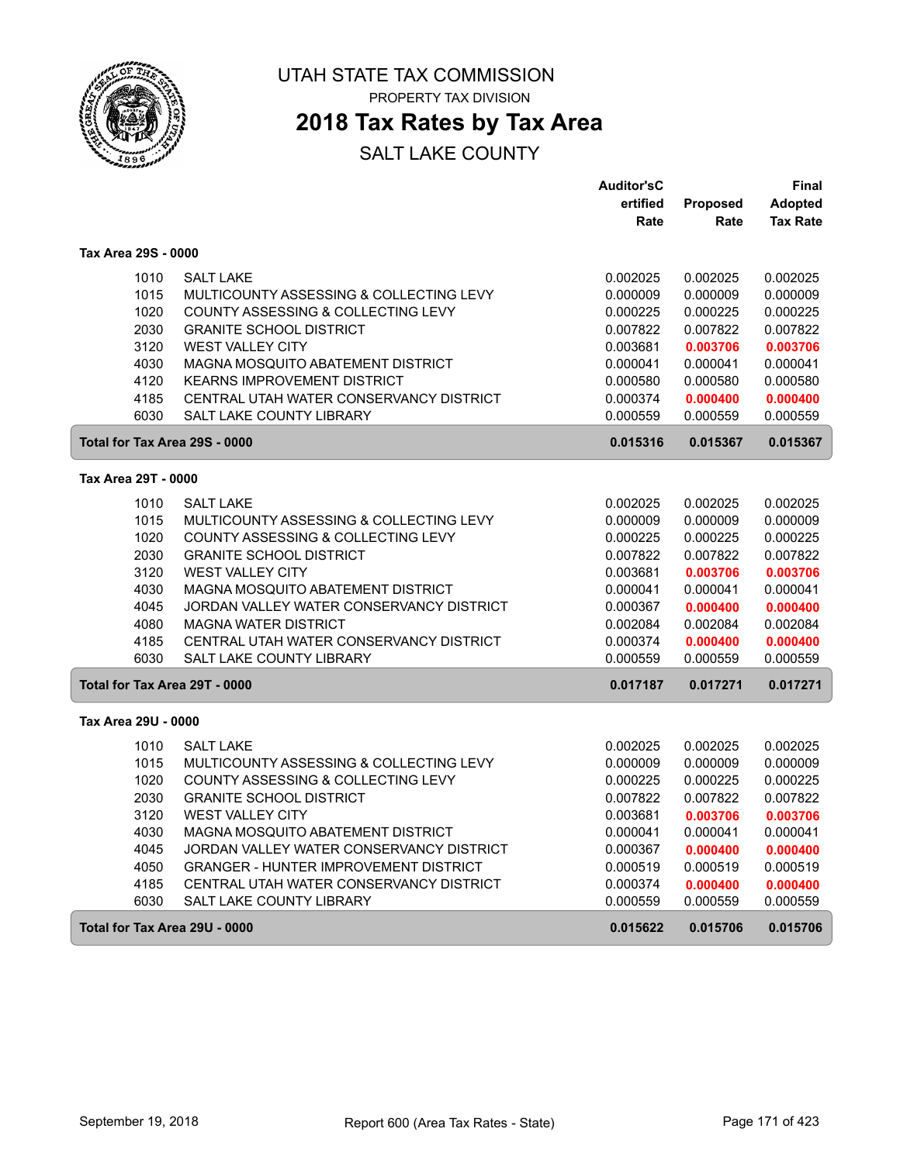

PROPERTY TAX DIVISION

## **2018 Tax Rates by Tax Area**

|                               |                                                                         | <b>Auditor'sC</b>    |                      | Final                |
|-------------------------------|-------------------------------------------------------------------------|----------------------|----------------------|----------------------|
|                               |                                                                         | ertified             | Proposed             | <b>Adopted</b>       |
|                               |                                                                         | Rate                 | Rate                 | <b>Tax Rate</b>      |
| Tax Area 29S - 0000           |                                                                         |                      |                      |                      |
| 1010                          | <b>SALT LAKE</b>                                                        | 0.002025             | 0.002025             | 0.002025             |
| 1015                          | MULTICOUNTY ASSESSING & COLLECTING LEVY                                 | 0.000009             | 0.000009             | 0.000009             |
| 1020                          | COUNTY ASSESSING & COLLECTING LEVY                                      | 0.000225             | 0.000225             | 0.000225             |
| 2030                          | <b>GRANITE SCHOOL DISTRICT</b>                                          | 0.007822             | 0.007822             | 0.007822             |
| 3120                          | <b>WEST VALLEY CITY</b>                                                 | 0.003681             | 0.003706             | 0.003706             |
| 4030                          | MAGNA MOSQUITO ABATEMENT DISTRICT                                       | 0.000041             | 0.000041             | 0.000041             |
| 4120                          | <b>KEARNS IMPROVEMENT DISTRICT</b>                                      | 0.000580             | 0.000580             | 0.000580             |
| 4185                          | CENTRAL UTAH WATER CONSERVANCY DISTRICT                                 | 0.000374             | 0.000400             | 0.000400             |
| 6030                          | <b>SALT LAKE COUNTY LIBRARY</b>                                         | 0.000559             | 0.000559             | 0.000559             |
| Total for Tax Area 29S - 0000 |                                                                         | 0.015316             | 0.015367             | 0.015367             |
| Tax Area 29T - 0000           |                                                                         |                      |                      |                      |
|                               |                                                                         |                      |                      |                      |
| 1010                          | <b>SALT LAKE</b>                                                        | 0.002025             | 0.002025             | 0.002025             |
| 1015                          | MULTICOUNTY ASSESSING & COLLECTING LEVY                                 | 0.000009             | 0.000009             | 0.000009             |
| 1020                          | COUNTY ASSESSING & COLLECTING LEVY                                      | 0.000225             | 0.000225             | 0.000225             |
| 2030                          | <b>GRANITE SCHOOL DISTRICT</b>                                          | 0.007822             | 0.007822             | 0.007822             |
| 3120                          | <b>WEST VALLEY CITY</b>                                                 | 0.003681             | 0.003706             | 0.003706             |
| 4030<br>4045                  | MAGNA MOSQUITO ABATEMENT DISTRICT                                       | 0.000041             | 0.000041             | 0.000041             |
| 4080                          | JORDAN VALLEY WATER CONSERVANCY DISTRICT<br><b>MAGNA WATER DISTRICT</b> | 0.000367             | 0.000400<br>0.002084 | 0.000400<br>0.002084 |
| 4185                          | CENTRAL UTAH WATER CONSERVANCY DISTRICT                                 | 0.002084             |                      |                      |
| 6030                          | <b>SALT LAKE COUNTY LIBRARY</b>                                         | 0.000374<br>0.000559 | 0.000400<br>0.000559 | 0.000400<br>0.000559 |
|                               |                                                                         |                      |                      |                      |
| Total for Tax Area 29T - 0000 |                                                                         | 0.017187             | 0.017271             | 0.017271             |
| Tax Area 29U - 0000           |                                                                         |                      |                      |                      |
| 1010                          | <b>SALT LAKE</b>                                                        | 0.002025             | 0.002025             | 0.002025             |
| 1015                          | MULTICOUNTY ASSESSING & COLLECTING LEVY                                 | 0.000009             | 0.000009             | 0.000009             |
| 1020                          | COUNTY ASSESSING & COLLECTING LEVY                                      | 0.000225             | 0.000225             | 0.000225             |
| 2030                          | <b>GRANITE SCHOOL DISTRICT</b>                                          | 0.007822             | 0.007822             | 0.007822             |
| 3120                          | <b>WEST VALLEY CITY</b>                                                 | 0.003681             | 0.003706             | 0.003706             |
| 4030                          | MAGNA MOSQUITO ABATEMENT DISTRICT                                       | 0.000041             | 0.000041             | 0.000041             |
| 4045                          | JORDAN VALLEY WATER CONSERVANCY DISTRICT                                | 0.000367             | 0.000400             | 0.000400             |
| 4050                          | <b>GRANGER - HUNTER IMPROVEMENT DISTRICT</b>                            | 0.000519             | 0.000519             | 0.000519             |
| 4185                          | CENTRAL UTAH WATER CONSERVANCY DISTRICT                                 | 0.000374             | 0.000400             | 0.000400             |
| 6030                          | SALT LAKE COUNTY LIBRARY                                                | 0.000559             | 0.000559             | 0.000559             |
| Total for Tax Area 29U - 0000 |                                                                         | 0.015622             | 0.015706             | 0.015706             |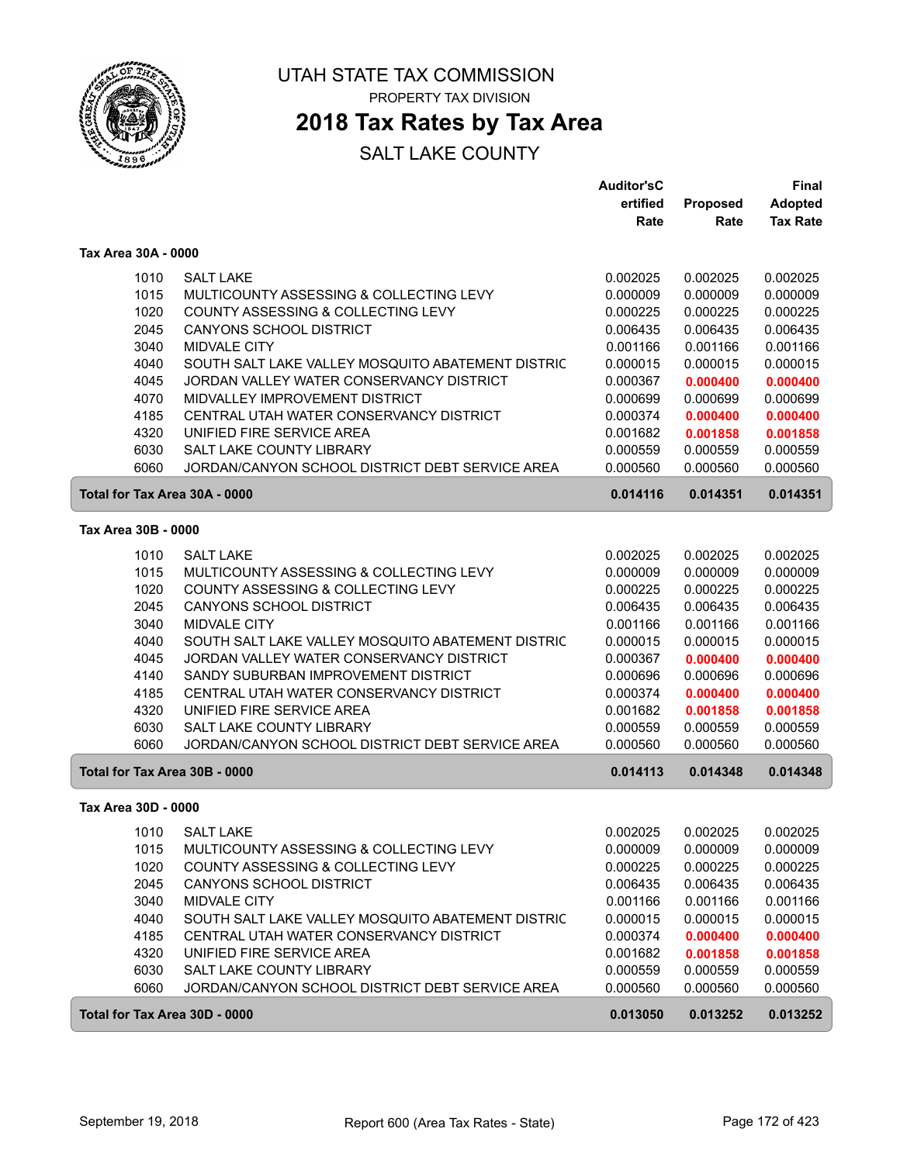

## **2018 Tax Rates by Tax Area**

|                               |                                                   | <b>Auditor'sC</b> |          | <b>Final</b>    |
|-------------------------------|---------------------------------------------------|-------------------|----------|-----------------|
|                               |                                                   | ertified          | Proposed | <b>Adopted</b>  |
|                               |                                                   | Rate              | Rate     | <b>Tax Rate</b> |
| Tax Area 30A - 0000           |                                                   |                   |          |                 |
| 1010                          | <b>SALT LAKE</b>                                  | 0.002025          | 0.002025 | 0.002025        |
| 1015                          | MULTICOUNTY ASSESSING & COLLECTING LEVY           | 0.000009          | 0.000009 | 0.000009        |
| 1020                          | COUNTY ASSESSING & COLLECTING LEVY                | 0.000225          | 0.000225 | 0.000225        |
| 2045                          | <b>CANYONS SCHOOL DISTRICT</b>                    | 0.006435          | 0.006435 | 0.006435        |
| 3040                          | <b>MIDVALE CITY</b>                               | 0.001166          | 0.001166 | 0.001166        |
| 4040                          | SOUTH SALT LAKE VALLEY MOSQUITO ABATEMENT DISTRIC | 0.000015          | 0.000015 | 0.000015        |
| 4045                          | JORDAN VALLEY WATER CONSERVANCY DISTRICT          | 0.000367          | 0.000400 | 0.000400        |
| 4070                          | MIDVALLEY IMPROVEMENT DISTRICT                    | 0.000699          | 0.000699 | 0.000699        |
| 4185                          | CENTRAL UTAH WATER CONSERVANCY DISTRICT           | 0.000374          | 0.000400 | 0.000400        |
| 4320                          | UNIFIED FIRE SERVICE AREA                         | 0.001682          | 0.001858 | 0.001858        |
| 6030                          | SALT LAKE COUNTY LIBRARY                          | 0.000559          | 0.000559 | 0.000559        |
| 6060                          | JORDAN/CANYON SCHOOL DISTRICT DEBT SERVICE AREA   | 0.000560          | 0.000560 | 0.000560        |
| Total for Tax Area 30A - 0000 |                                                   | 0.014116          | 0.014351 | 0.014351        |
| Tax Area 30B - 0000           |                                                   |                   |          |                 |
| 1010                          | <b>SALT LAKE</b>                                  | 0.002025          | 0.002025 | 0.002025        |
| 1015                          | MULTICOUNTY ASSESSING & COLLECTING LEVY           | 0.000009          | 0.000009 | 0.000009        |
| 1020                          | COUNTY ASSESSING & COLLECTING LEVY                | 0.000225          | 0.000225 | 0.000225        |
| 2045                          | CANYONS SCHOOL DISTRICT                           | 0.006435          | 0.006435 | 0.006435        |
| 3040                          | <b>MIDVALE CITY</b>                               | 0.001166          | 0.001166 | 0.001166        |
| 4040                          | SOUTH SALT LAKE VALLEY MOSQUITO ABATEMENT DISTRIC | 0.000015          | 0.000015 | 0.000015        |
| 4045                          | JORDAN VALLEY WATER CONSERVANCY DISTRICT          | 0.000367          | 0.000400 | 0.000400        |
| 4140                          | SANDY SUBURBAN IMPROVEMENT DISTRICT               | 0.000696          | 0.000696 | 0.000696        |
| 4185                          | CENTRAL UTAH WATER CONSERVANCY DISTRICT           | 0.000374          | 0.000400 | 0.000400        |
| 4320                          | UNIFIED FIRE SERVICE AREA                         | 0.001682          | 0.001858 | 0.001858        |
| 6030                          | SALT LAKE COUNTY LIBRARY                          | 0.000559          | 0.000559 | 0.000559        |
| 6060                          | JORDAN/CANYON SCHOOL DISTRICT DEBT SERVICE AREA   | 0.000560          | 0.000560 | 0.000560        |
| Total for Tax Area 30B - 0000 |                                                   | 0.014113          | 0.014348 | 0.014348        |
| Tax Area 30D - 0000           |                                                   |                   |          |                 |
| 1010                          | <b>SALT LAKE</b>                                  | 0.002025          | 0.002025 | 0.002025        |
| 1015                          | MULTICOUNTY ASSESSING & COLLECTING LEVY           | 0.000009          | 0.000009 | 0.000009        |
| 1020                          | COUNTY ASSESSING & COLLECTING LEVY                | 0.000225          | 0.000225 | 0.000225        |
| 2045                          | <b>CANYONS SCHOOL DISTRICT</b>                    | 0.006435          | 0.006435 | 0.006435        |
| 3040                          | MIDVALE CITY                                      | 0.001166          | 0.001166 | 0.001166        |
| 4040                          | SOUTH SALT LAKE VALLEY MOSQUITO ABATEMENT DISTRIC | 0.000015          | 0.000015 | 0.000015        |
| 4185                          | CENTRAL UTAH WATER CONSERVANCY DISTRICT           | 0.000374          | 0.000400 | 0.000400        |
| 4320                          | UNIFIED FIRE SERVICE AREA                         | 0.001682          | 0.001858 | 0.001858        |
| 6030                          | SALT LAKE COUNTY LIBRARY                          | 0.000559          | 0.000559 | 0.000559        |
| 6060                          | JORDAN/CANYON SCHOOL DISTRICT DEBT SERVICE AREA   | 0.000560          | 0.000560 | 0.000560        |
| Total for Tax Area 30D - 0000 |                                                   | 0.013050          | 0.013252 | 0.013252        |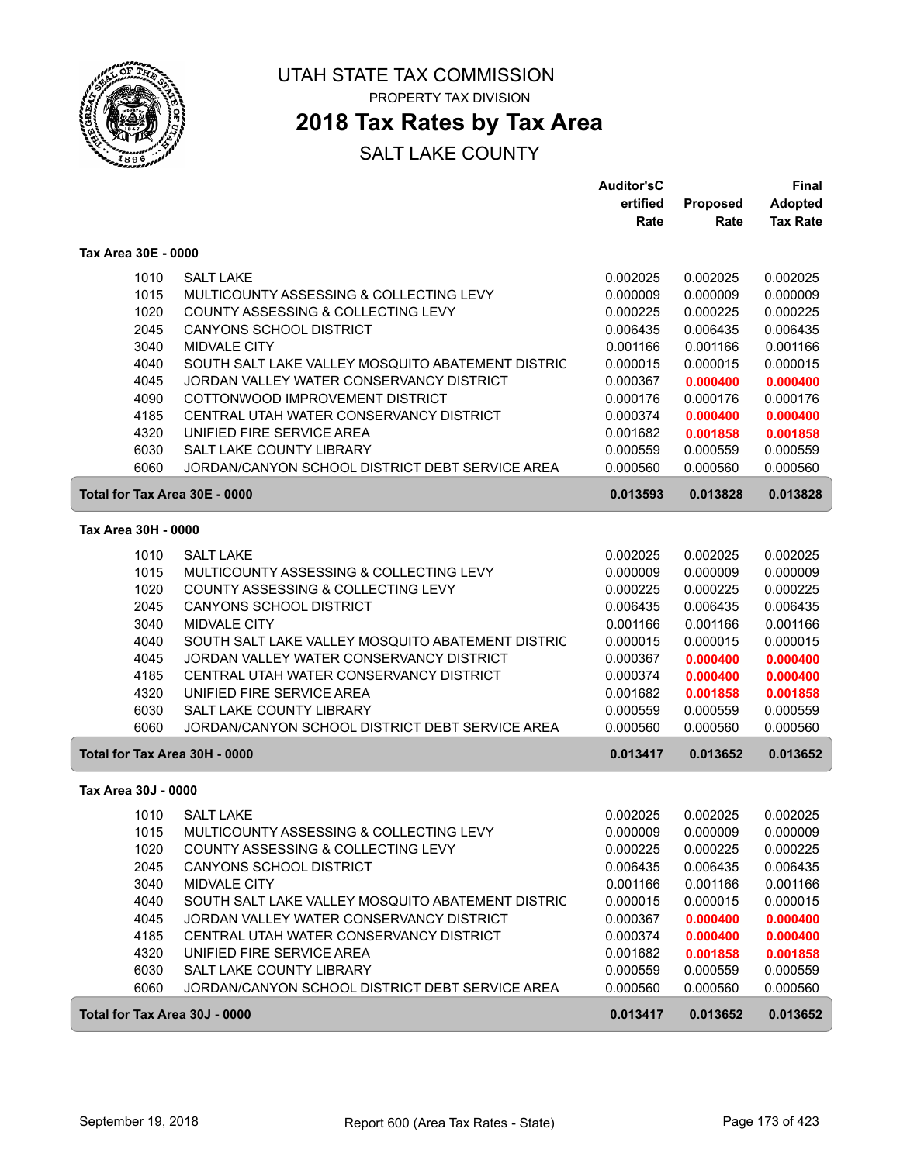

# **2018 Tax Rates by Tax Area**

|                               |                                                   | <b>Auditor'sC</b> |                 | Final           |
|-------------------------------|---------------------------------------------------|-------------------|-----------------|-----------------|
|                               |                                                   | ertified          | <b>Proposed</b> | <b>Adopted</b>  |
|                               |                                                   | Rate              | Rate            | <b>Tax Rate</b> |
| Tax Area 30E - 0000           |                                                   |                   |                 |                 |
| 1010                          | <b>SALT LAKE</b>                                  | 0.002025          | 0.002025        | 0.002025        |
| 1015                          | MULTICOUNTY ASSESSING & COLLECTING LEVY           | 0.000009          | 0.000009        | 0.000009        |
| 1020                          | <b>COUNTY ASSESSING &amp; COLLECTING LEVY</b>     | 0.000225          | 0.000225        | 0.000225        |
| 2045                          | <b>CANYONS SCHOOL DISTRICT</b>                    | 0.006435          | 0.006435        | 0.006435        |
| 3040                          | MIDVALE CITY                                      | 0.001166          | 0.001166        | 0.001166        |
| 4040                          | SOUTH SALT LAKE VALLEY MOSQUITO ABATEMENT DISTRIC | 0.000015          | 0.000015        | 0.000015        |
| 4045                          | JORDAN VALLEY WATER CONSERVANCY DISTRICT          | 0.000367          | 0.000400        | 0.000400        |
| 4090                          | COTTONWOOD IMPROVEMENT DISTRICT                   | 0.000176          | 0.000176        | 0.000176        |
| 4185                          | CENTRAL UTAH WATER CONSERVANCY DISTRICT           | 0.000374          | 0.000400        | 0.000400        |
| 4320                          | UNIFIED FIRE SERVICE AREA                         | 0.001682          | 0.001858        | 0.001858        |
| 6030                          | SALT LAKE COUNTY LIBRARY                          | 0.000559          | 0.000559        | 0.000559        |
| 6060                          | JORDAN/CANYON SCHOOL DISTRICT DEBT SERVICE AREA   | 0.000560          | 0.000560        | 0.000560        |
| Total for Tax Area 30E - 0000 |                                                   | 0.013593          | 0.013828        | 0.013828        |
| Tax Area 30H - 0000           |                                                   |                   |                 |                 |
| 1010                          | <b>SALT LAKE</b>                                  | 0.002025          | 0.002025        | 0.002025        |
| 1015                          | MULTICOUNTY ASSESSING & COLLECTING LEVY           | 0.000009          | 0.000009        | 0.000009        |
| 1020                          | COUNTY ASSESSING & COLLECTING LEVY                | 0.000225          | 0.000225        | 0.000225        |
| 2045                          | <b>CANYONS SCHOOL DISTRICT</b>                    | 0.006435          | 0.006435        | 0.006435        |
| 3040                          | <b>MIDVALE CITY</b>                               | 0.001166          | 0.001166        | 0.001166        |
| 4040                          | SOUTH SALT LAKE VALLEY MOSQUITO ABATEMENT DISTRIC | 0.000015          | 0.000015        | 0.000015        |
| 4045                          | JORDAN VALLEY WATER CONSERVANCY DISTRICT          | 0.000367          | 0.000400        | 0.000400        |
| 4185                          | CENTRAL UTAH WATER CONSERVANCY DISTRICT           | 0.000374          | 0.000400        | 0.000400        |
| 4320                          | UNIFIED FIRE SERVICE AREA                         | 0.001682          | 0.001858        | 0.001858        |
| 6030                          | SALT LAKE COUNTY LIBRARY                          | 0.000559          | 0.000559        | 0.000559        |
| 6060                          | JORDAN/CANYON SCHOOL DISTRICT DEBT SERVICE AREA   | 0.000560          | 0.000560        | 0.000560        |
| Total for Tax Area 30H - 0000 |                                                   | 0.013417          | 0.013652        | 0.013652        |
| Tax Area 30J - 0000           |                                                   |                   |                 |                 |
| 1010                          | <b>SALT LAKE</b>                                  | 0.002025          | 0.002025        | 0.002025        |
| 1015                          | MULTICOUNTY ASSESSING & COLLECTING LEVY           | 0.000009          | 0.000009        | 0.000009        |
| 1020                          | COUNTY ASSESSING & COLLECTING LEVY                | 0.000225          | 0.000225        | 0.000225        |
| 2045                          | CANYONS SCHOOL DISTRICT                           | 0.006435          | 0.006435        | 0.006435        |
| 3040                          | MIDVALE CITY                                      | 0.001166          | 0.001166        | 0.001166        |
| 4040                          | SOUTH SALT LAKE VALLEY MOSQUITO ABATEMENT DISTRIC | 0.000015          | 0.000015        | 0.000015        |
| 4045                          | JORDAN VALLEY WATER CONSERVANCY DISTRICT          | 0.000367          | 0.000400        | 0.000400        |
| 4185                          | CENTRAL UTAH WATER CONSERVANCY DISTRICT           | 0.000374          | 0.000400        | 0.000400        |
| 4320                          | UNIFIED FIRE SERVICE AREA                         | 0.001682          | 0.001858        | 0.001858        |
| 6030                          | SALT LAKE COUNTY LIBRARY                          | 0.000559          | 0.000559        | 0.000559        |
| 6060                          | JORDAN/CANYON SCHOOL DISTRICT DEBT SERVICE AREA   | 0.000560          | 0.000560        | 0.000560        |
| Total for Tax Area 30J - 0000 |                                                   | 0.013417          | 0.013652        | 0.013652        |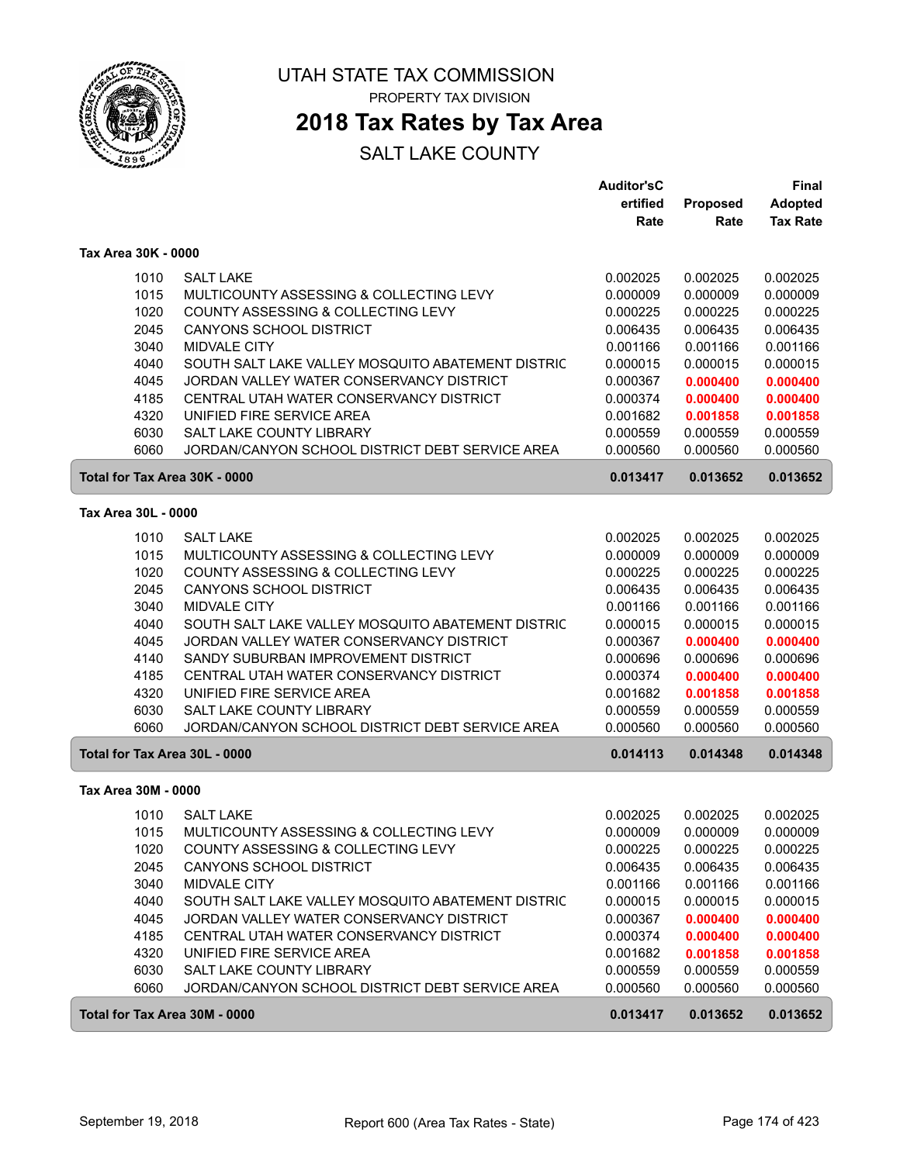

## **2018 Tax Rates by Tax Area**

|                               |                                                                               | <b>Auditor'sC</b>    |                      | <b>Final</b>         |
|-------------------------------|-------------------------------------------------------------------------------|----------------------|----------------------|----------------------|
|                               |                                                                               | ertified             | <b>Proposed</b>      | <b>Adopted</b>       |
|                               |                                                                               | Rate                 | Rate                 | <b>Tax Rate</b>      |
| Tax Area 30K - 0000           |                                                                               |                      |                      |                      |
| 1010                          | <b>SALT LAKE</b>                                                              | 0.002025             | 0.002025             | 0.002025             |
| 1015                          | MULTICOUNTY ASSESSING & COLLECTING LEVY                                       | 0.000009             | 0.000009             | 0.000009             |
| 1020                          | COUNTY ASSESSING & COLLECTING LEVY                                            | 0.000225             | 0.000225             | 0.000225             |
| 2045                          | <b>CANYONS SCHOOL DISTRICT</b>                                                | 0.006435             | 0.006435             | 0.006435             |
| 3040                          | <b>MIDVALE CITY</b>                                                           | 0.001166             | 0.001166             | 0.001166             |
| 4040                          | SOUTH SALT LAKE VALLEY MOSQUITO ABATEMENT DISTRIC                             | 0.000015             | 0.000015             | 0.000015             |
| 4045                          | JORDAN VALLEY WATER CONSERVANCY DISTRICT                                      | 0.000367             | 0.000400             | 0.000400             |
| 4185                          | CENTRAL UTAH WATER CONSERVANCY DISTRICT                                       | 0.000374             | 0.000400             | 0.000400             |
| 4320                          | UNIFIED FIRE SERVICE AREA                                                     | 0.001682             | 0.001858             | 0.001858             |
| 6030                          | SALT LAKE COUNTY LIBRARY                                                      | 0.000559             | 0.000559             | 0.000559             |
| 6060                          | JORDAN/CANYON SCHOOL DISTRICT DEBT SERVICE AREA                               | 0.000560             | 0.000560             | 0.000560             |
| Total for Tax Area 30K - 0000 |                                                                               | 0.013417             | 0.013652             | 0.013652             |
| Tax Area 30L - 0000           |                                                                               |                      |                      |                      |
|                               |                                                                               |                      |                      |                      |
| 1010                          | <b>SALT LAKE</b>                                                              | 0.002025             | 0.002025             | 0.002025             |
| 1015<br>1020                  | MULTICOUNTY ASSESSING & COLLECTING LEVY<br>COUNTY ASSESSING & COLLECTING LEVY | 0.000009<br>0.000225 | 0.000009<br>0.000225 | 0.000009<br>0.000225 |
| 2045                          | <b>CANYONS SCHOOL DISTRICT</b>                                                | 0.006435             | 0.006435             | 0.006435             |
| 3040                          | MIDVALE CITY                                                                  | 0.001166             | 0.001166             | 0.001166             |
| 4040                          | SOUTH SALT LAKE VALLEY MOSQUITO ABATEMENT DISTRIC                             | 0.000015             | 0.000015             | 0.000015             |
| 4045                          | JORDAN VALLEY WATER CONSERVANCY DISTRICT                                      | 0.000367             | 0.000400             | 0.000400             |
| 4140                          | SANDY SUBURBAN IMPROVEMENT DISTRICT                                           | 0.000696             | 0.000696             | 0.000696             |
| 4185                          | CENTRAL UTAH WATER CONSERVANCY DISTRICT                                       | 0.000374             | 0.000400             | 0.000400             |
| 4320                          | UNIFIED FIRE SERVICE AREA                                                     | 0.001682             | 0.001858             | 0.001858             |
| 6030                          | SALT LAKE COUNTY LIBRARY                                                      | 0.000559             | 0.000559             | 0.000559             |
| 6060                          | JORDAN/CANYON SCHOOL DISTRICT DEBT SERVICE AREA                               | 0.000560             | 0.000560             | 0.000560             |
| Total for Tax Area 30L - 0000 |                                                                               | 0.014113             | 0.014348             | 0.014348             |
| Tax Area 30M - 0000           |                                                                               |                      |                      |                      |
| 1010                          | <b>SALT LAKE</b>                                                              | 0.002025             | 0.002025             | 0.002025             |
| 1015                          | MULTICOUNTY ASSESSING & COLLECTING LEVY                                       | 0.000009             | 0.000009             | 0.000009             |
| 1020                          | COUNTY ASSESSING & COLLECTING LEVY                                            | 0.000225             | 0.000225             | 0.000225             |
| 2045                          | <b>CANYONS SCHOOL DISTRICT</b>                                                | 0.006435             | 0.006435             | 0.006435             |
| 3040                          | MIDVALE CITY                                                                  | 0.001166             | 0.001166             | 0.001166             |
| 4040                          | SOUTH SALT LAKE VALLEY MOSQUITO ABATEMENT DISTRIC                             | 0.000015             | 0.000015             | 0.000015             |
| 4045                          | JORDAN VALLEY WATER CONSERVANCY DISTRICT                                      | 0.000367             | 0.000400             | 0.000400             |
| 4185                          | CENTRAL UTAH WATER CONSERVANCY DISTRICT                                       | 0.000374             | 0.000400             | 0.000400             |
| 4320                          | UNIFIED FIRE SERVICE AREA                                                     | 0.001682             | 0.001858             | 0.001858             |
| 6030                          | SALT LAKE COUNTY LIBRARY                                                      | 0.000559             | 0.000559             | 0.000559             |
| 6060                          | JORDAN/CANYON SCHOOL DISTRICT DEBT SERVICE AREA                               | 0.000560             | 0.000560             | 0.000560             |
| Total for Tax Area 30M - 0000 |                                                                               | 0.013417             | 0.013652             | 0.013652             |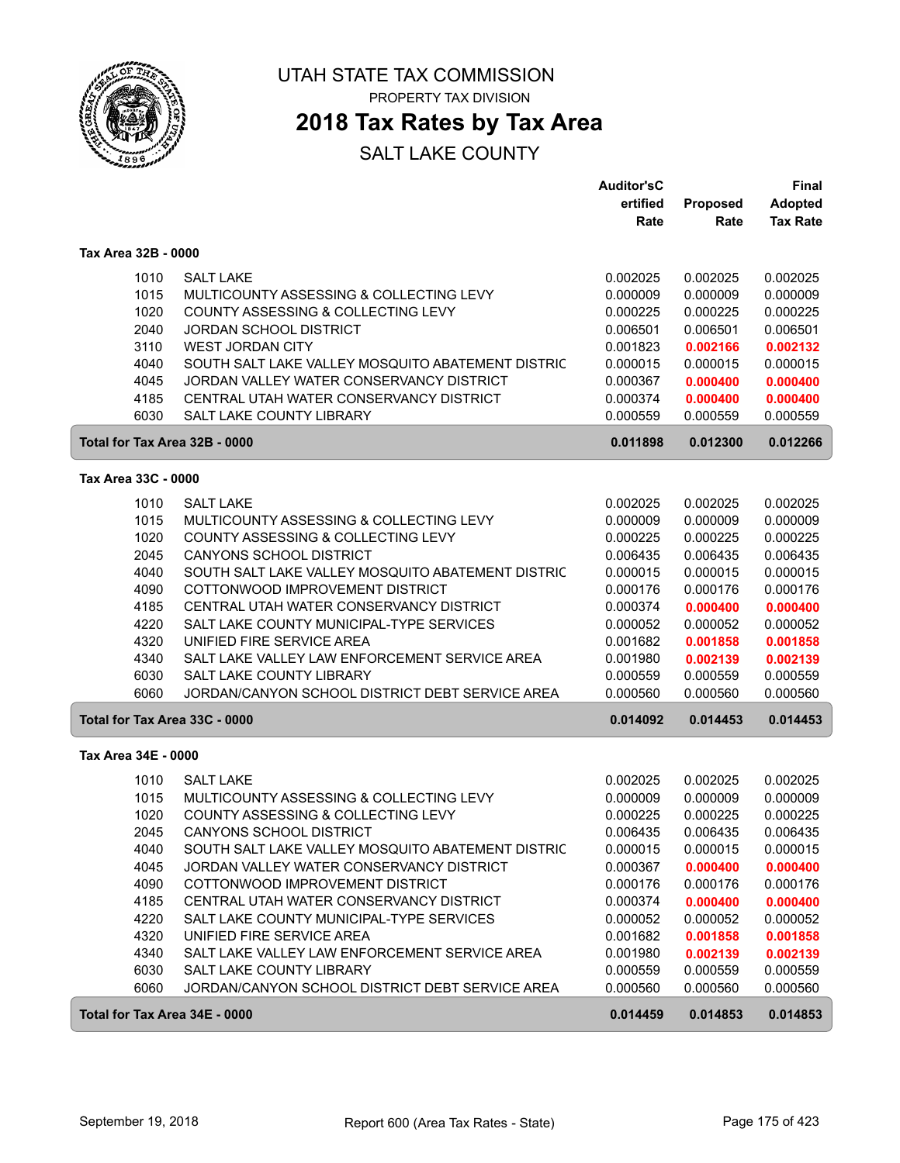

# **2018 Tax Rates by Tax Area**

### SALT LAKE COUNTY

|                               |                                                   | <b>Auditor'sC</b> |          | Final           |
|-------------------------------|---------------------------------------------------|-------------------|----------|-----------------|
|                               |                                                   | ertified          | Proposed | <b>Adopted</b>  |
|                               |                                                   | Rate              | Rate     | <b>Tax Rate</b> |
| Tax Area 32B - 0000           |                                                   |                   |          |                 |
| 1010                          | <b>SALT LAKE</b>                                  | 0.002025          | 0.002025 | 0.002025        |
| 1015                          | MULTICOUNTY ASSESSING & COLLECTING LEVY           | 0.000009          | 0.000009 | 0.000009        |
| 1020                          | COUNTY ASSESSING & COLLECTING LEVY                | 0.000225          | 0.000225 | 0.000225        |
| 2040                          | <b>JORDAN SCHOOL DISTRICT</b>                     | 0.006501          | 0.006501 | 0.006501        |
| 3110                          | <b>WEST JORDAN CITY</b>                           | 0.001823          | 0.002166 | 0.002132        |
| 4040                          | SOUTH SALT LAKE VALLEY MOSQUITO ABATEMENT DISTRIC | 0.000015          | 0.000015 | 0.000015        |
| 4045                          | JORDAN VALLEY WATER CONSERVANCY DISTRICT          | 0.000367          | 0.000400 | 0.000400        |
| 4185                          | CENTRAL UTAH WATER CONSERVANCY DISTRICT           | 0.000374          | 0.000400 | 0.000400        |
| 6030                          | SALT LAKE COUNTY LIBRARY                          | 0.000559          | 0.000559 | 0.000559        |
| Total for Tax Area 32B - 0000 |                                                   | 0.011898          | 0.012300 | 0.012266        |
| Tax Area 33C - 0000           |                                                   |                   |          |                 |
| 1010                          | <b>SALT LAKE</b>                                  | 0.002025          | 0.002025 | 0.002025        |
| 1015                          | MULTICOUNTY ASSESSING & COLLECTING LEVY           | 0.000009          | 0.000009 | 0.000009        |
| 1020                          | COUNTY ASSESSING & COLLECTING LEVY                | 0.000225          | 0.000225 | 0.000225        |
| 2045                          | <b>CANYONS SCHOOL DISTRICT</b>                    | 0.006435          | 0.006435 | 0.006435        |
| 4040                          | SOUTH SALT LAKE VALLEY MOSQUITO ABATEMENT DISTRIC | 0.000015          | 0.000015 | 0.000015        |
| 4090                          | COTTONWOOD IMPROVEMENT DISTRICT                   | 0.000176          | 0.000176 | 0.000176        |
| 4185                          | CENTRAL UTAH WATER CONSERVANCY DISTRICT           | 0.000374          | 0.000400 | 0.000400        |
| 4220                          | SALT LAKE COUNTY MUNICIPAL-TYPE SERVICES          | 0.000052          | 0.000052 | 0.000052        |
| 4320                          | UNIFIED FIRE SERVICE AREA                         | 0.001682          | 0.001858 | 0.001858        |
| 4340                          | SALT LAKE VALLEY LAW ENFORCEMENT SERVICE AREA     | 0.001980          | 0.002139 | 0.002139        |
| 6030                          | SALT LAKE COUNTY LIBRARY                          | 0.000559          | 0.000559 | 0.000559        |
| 6060                          | JORDAN/CANYON SCHOOL DISTRICT DEBT SERVICE AREA   | 0.000560          | 0.000560 | 0.000560        |
| Total for Tax Area 33C - 0000 |                                                   | 0.014092          | 0.014453 | 0.014453        |
| Tax Area 34E - 0000           |                                                   |                   |          |                 |
| 1010                          | <b>SALT LAKE</b>                                  | 0.002025          | 0.002025 | 0.002025        |
| 1015                          | MULTICOUNTY ASSESSING & COLLECTING LEVY           | 0.000009          | 0.000009 | 0.000009        |
| 1020                          | COUNTY ASSESSING & COLLECTING LEVY                | 0.000225          | 0.000225 | 0.000225        |
| 2045                          | <b>CANYONS SCHOOL DISTRICT</b>                    | 0.006435          | 0.006435 | 0.006435        |
| 4040                          | SOUTH SALT LAKE VALLEY MOSQUITO ABATEMENT DISTRIC | 0.000015          | 0.000015 | 0.000015        |
| 4045                          | JORDAN VALLEY WATER CONSERVANCY DISTRICT          | 0.000367          | 0.000400 | 0.000400        |
| 4090                          | COTTONWOOD IMPROVEMENT DISTRICT                   | 0.000176          | 0.000176 | 0.000176        |
| 4185                          | CENTRAL UTAH WATER CONSERVANCY DISTRICT           | 0.000374          | 0.000400 | 0.000400        |
| 4220                          | SALT LAKE COUNTY MUNICIPAL-TYPE SERVICES          | 0.000052          | 0.000052 | 0.000052        |
| 4320                          | UNIFIED FIRE SERVICE AREA                         | 0.001682          | 0.001858 | 0.001858        |
| 4340                          | SALT LAKE VALLEY LAW ENFORCEMENT SERVICE AREA     | 0.001980          | 0.002139 | 0.002139        |
| 6030                          | SALT LAKE COUNTY LIBRARY                          | 0.000559          | 0.000559 | 0.000559        |
| 6060                          | JORDAN/CANYON SCHOOL DISTRICT DEBT SERVICE AREA   | 0.000560          | 0.000560 | 0.000560        |
| Total for Tax Area 34E - 0000 |                                                   | 0.014459          | 0.014853 | 0.014853        |

ſ

ſ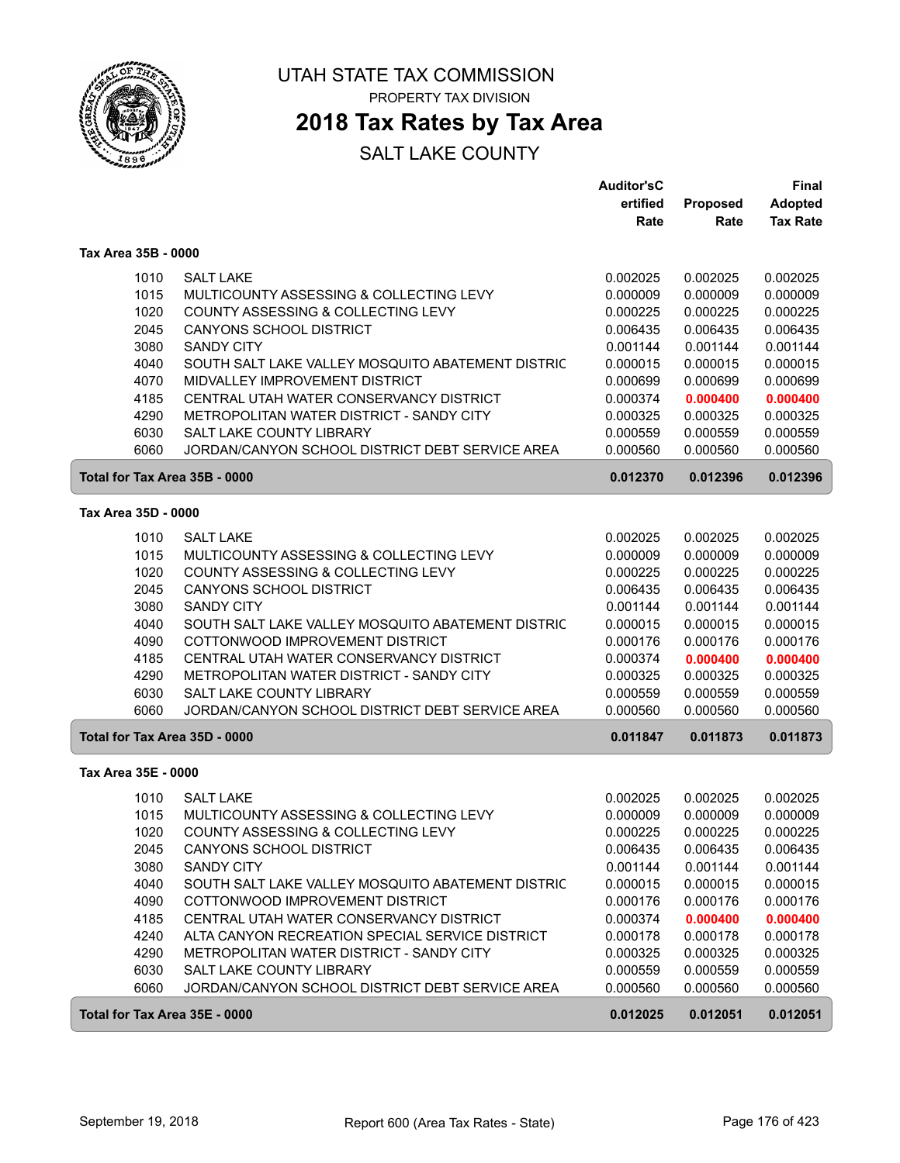

# **2018 Tax Rates by Tax Area**

|                               |                                                   | <b>Auditor'sC</b> |          | Final           |
|-------------------------------|---------------------------------------------------|-------------------|----------|-----------------|
|                               |                                                   | ertified          | Proposed | <b>Adopted</b>  |
|                               |                                                   | Rate              | Rate     | <b>Tax Rate</b> |
| Tax Area 35B - 0000           |                                                   |                   |          |                 |
| 1010                          | <b>SALT LAKE</b>                                  | 0.002025          | 0.002025 | 0.002025        |
| 1015                          | MULTICOUNTY ASSESSING & COLLECTING LEVY           | 0.000009          | 0.000009 | 0.000009        |
| 1020                          | COUNTY ASSESSING & COLLECTING LEVY                | 0.000225          | 0.000225 | 0.000225        |
| 2045                          | <b>CANYONS SCHOOL DISTRICT</b>                    | 0.006435          | 0.006435 | 0.006435        |
| 3080                          | <b>SANDY CITY</b>                                 | 0.001144          | 0.001144 | 0.001144        |
| 4040                          | SOUTH SALT LAKE VALLEY MOSQUITO ABATEMENT DISTRIC | 0.000015          | 0.000015 | 0.000015        |
| 4070                          | MIDVALLEY IMPROVEMENT DISTRICT                    | 0.000699          | 0.000699 | 0.000699        |
| 4185                          | CENTRAL UTAH WATER CONSERVANCY DISTRICT           | 0.000374          | 0.000400 | 0.000400        |
| 4290                          | METROPOLITAN WATER DISTRICT - SANDY CITY          | 0.000325          | 0.000325 | 0.000325        |
| 6030                          | SALT LAKE COUNTY LIBRARY                          | 0.000559          | 0.000559 | 0.000559        |
| 6060                          | JORDAN/CANYON SCHOOL DISTRICT DEBT SERVICE AREA   | 0.000560          | 0.000560 | 0.000560        |
| Total for Tax Area 35B - 0000 |                                                   | 0.012370          | 0.012396 | 0.012396        |
| Tax Area 35D - 0000           |                                                   |                   |          |                 |
| 1010                          | <b>SALT LAKE</b>                                  | 0.002025          | 0.002025 | 0.002025        |
| 1015                          | MULTICOUNTY ASSESSING & COLLECTING LEVY           | 0.000009          | 0.000009 | 0.000009        |
| 1020                          | COUNTY ASSESSING & COLLECTING LEVY                | 0.000225          | 0.000225 | 0.000225        |
| 2045                          | CANYONS SCHOOL DISTRICT                           | 0.006435          | 0.006435 | 0.006435        |
| 3080                          | <b>SANDY CITY</b>                                 | 0.001144          | 0.001144 | 0.001144        |
| 4040                          | SOUTH SALT LAKE VALLEY MOSQUITO ABATEMENT DISTRIC | 0.000015          | 0.000015 | 0.000015        |
| 4090                          | COTTONWOOD IMPROVEMENT DISTRICT                   | 0.000176          | 0.000176 | 0.000176        |
| 4185                          | CENTRAL UTAH WATER CONSERVANCY DISTRICT           | 0.000374          | 0.000400 | 0.000400        |
| 4290                          | METROPOLITAN WATER DISTRICT - SANDY CITY          | 0.000325          | 0.000325 | 0.000325        |
| 6030                          | SALT LAKE COUNTY LIBRARY                          | 0.000559          | 0.000559 | 0.000559        |
| 6060                          | JORDAN/CANYON SCHOOL DISTRICT DEBT SERVICE AREA   | 0.000560          | 0.000560 | 0.000560        |
| Total for Tax Area 35D - 0000 |                                                   | 0.011847          | 0.011873 | 0.011873        |
| Tax Area 35E - 0000           |                                                   |                   |          |                 |
| 1010                          | <b>SALT LAKE</b>                                  | 0.002025          | 0.002025 | 0.002025        |
| 1015                          | MULTICOUNTY ASSESSING & COLLECTING LEVY           | 0.000009          | 0.000009 | 0.000009        |
| 1020                          | COUNTY ASSESSING & COLLECTING LEVY                | 0.000225          | 0.000225 | 0.000225        |
| 2045                          | CANYONS SCHOOL DISTRICT                           | 0.006435          | 0.006435 | 0.006435        |
| 3080                          | <b>SANDY CITY</b>                                 | 0.001144          | 0.001144 | 0.001144        |
| 4040                          | SOUTH SALT LAKE VALLEY MOSQUITO ABATEMENT DISTRIC | 0.000015          | 0.000015 | 0.000015        |
| 4090                          | COTTONWOOD IMPROVEMENT DISTRICT                   | 0.000176          | 0.000176 | 0.000176        |
| 4185                          | CENTRAL UTAH WATER CONSERVANCY DISTRICT           | 0.000374          | 0.000400 | 0.000400        |
| 4240                          | ALTA CANYON RECREATION SPECIAL SERVICE DISTRICT   | 0.000178          | 0.000178 | 0.000178        |
| 4290                          | METROPOLITAN WATER DISTRICT - SANDY CITY          | 0.000325          | 0.000325 | 0.000325        |
| 6030                          | SALT LAKE COUNTY LIBRARY                          | 0.000559          | 0.000559 | 0.000559        |
| 6060                          | JORDAN/CANYON SCHOOL DISTRICT DEBT SERVICE AREA   | 0.000560          | 0.000560 | 0.000560        |
| Total for Tax Area 35E - 0000 |                                                   | 0.012025          | 0.012051 | 0.012051        |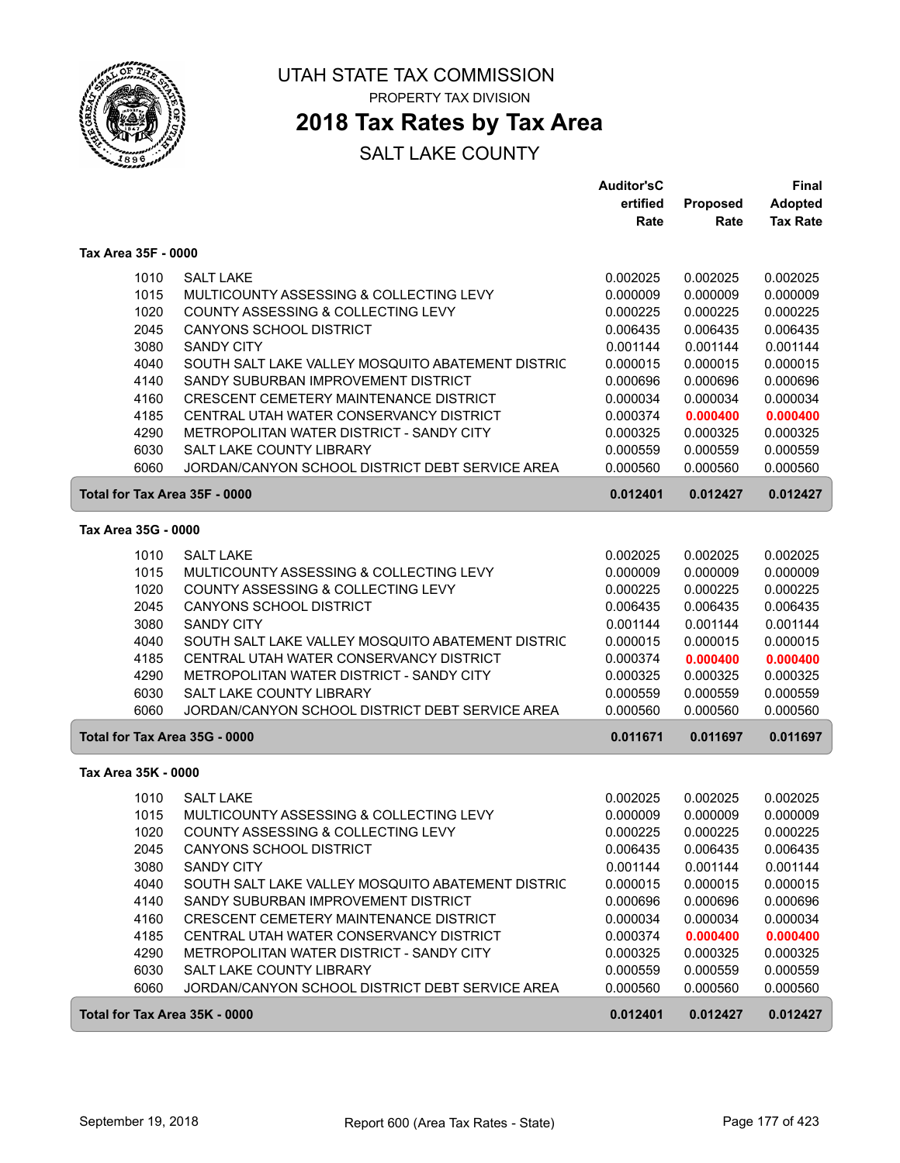

## **2018 Tax Rates by Tax Area**

|                               |                                                   | <b>Auditor'sC</b> |          | Final           |
|-------------------------------|---------------------------------------------------|-------------------|----------|-----------------|
|                               |                                                   | ertified          | Proposed | <b>Adopted</b>  |
|                               |                                                   | Rate              | Rate     | <b>Tax Rate</b> |
| Tax Area 35F - 0000           |                                                   |                   |          |                 |
| 1010                          | <b>SALT LAKE</b>                                  | 0.002025          | 0.002025 | 0.002025        |
| 1015                          | MULTICOUNTY ASSESSING & COLLECTING LEVY           | 0.000009          | 0.000009 | 0.000009        |
| 1020                          | COUNTY ASSESSING & COLLECTING LEVY                | 0.000225          | 0.000225 | 0.000225        |
| 2045                          | <b>CANYONS SCHOOL DISTRICT</b>                    | 0.006435          | 0.006435 | 0.006435        |
| 3080                          | <b>SANDY CITY</b>                                 | 0.001144          | 0.001144 | 0.001144        |
| 4040                          | SOUTH SALT LAKE VALLEY MOSQUITO ABATEMENT DISTRIC | 0.000015          | 0.000015 | 0.000015        |
| 4140                          | SANDY SUBURBAN IMPROVEMENT DISTRICT               | 0.000696          | 0.000696 | 0.000696        |
| 4160                          | CRESCENT CEMETERY MAINTENANCE DISTRICT            | 0.000034          | 0.000034 | 0.000034        |
| 4185                          | CENTRAL UTAH WATER CONSERVANCY DISTRICT           | 0.000374          | 0.000400 | 0.000400        |
| 4290                          | METROPOLITAN WATER DISTRICT - SANDY CITY          | 0.000325          | 0.000325 | 0.000325        |
| 6030                          | SALT LAKE COUNTY LIBRARY                          | 0.000559          | 0.000559 | 0.000559        |
| 6060                          | JORDAN/CANYON SCHOOL DISTRICT DEBT SERVICE AREA   | 0.000560          | 0.000560 | 0.000560        |
| Total for Tax Area 35F - 0000 |                                                   | 0.012401          | 0.012427 | 0.012427        |
| Tax Area 35G - 0000           |                                                   |                   |          |                 |
|                               |                                                   |                   |          |                 |
| 1010                          | <b>SALT LAKE</b>                                  | 0.002025          | 0.002025 | 0.002025        |
| 1015                          | MULTICOUNTY ASSESSING & COLLECTING LEVY           | 0.000009          | 0.000009 | 0.000009        |
| 1020                          | COUNTY ASSESSING & COLLECTING LEVY                | 0.000225          | 0.000225 | 0.000225        |
| 2045                          | <b>CANYONS SCHOOL DISTRICT</b>                    | 0.006435          | 0.006435 | 0.006435        |
| 3080                          | <b>SANDY CITY</b>                                 | 0.001144          | 0.001144 | 0.001144        |
| 4040                          | SOUTH SALT LAKE VALLEY MOSQUITO ABATEMENT DISTRIC | 0.000015          | 0.000015 | 0.000015        |
| 4185                          | CENTRAL UTAH WATER CONSERVANCY DISTRICT           | 0.000374          | 0.000400 | 0.000400        |
| 4290                          | METROPOLITAN WATER DISTRICT - SANDY CITY          | 0.000325          | 0.000325 | 0.000325        |
| 6030                          | SALT LAKE COUNTY LIBRARY                          | 0.000559          | 0.000559 | 0.000559        |
| 6060                          | JORDAN/CANYON SCHOOL DISTRICT DEBT SERVICE AREA   | 0.000560          | 0.000560 | 0.000560        |
| Total for Tax Area 35G - 0000 |                                                   | 0.011671          | 0.011697 | 0.011697        |
| Tax Area 35K - 0000           |                                                   |                   |          |                 |
| 1010                          | <b>SALT LAKE</b>                                  | 0.002025          | 0.002025 | 0.002025        |
| 1015                          | MULTICOUNTY ASSESSING & COLLECTING LEVY           | 0.000009          | 0.000009 | 0.000009        |
| 1020                          | COUNTY ASSESSING & COLLECTING LEVY                | 0.000225          | 0.000225 | 0.000225        |
| 2045                          | CANYONS SCHOOL DISTRICT                           | 0.006435          | 0.006435 | 0.006435        |
| 3080                          | <b>SANDY CITY</b>                                 | 0.001144          | 0.001144 | 0.001144        |
| 4040                          | SOUTH SALT LAKE VALLEY MOSQUITO ABATEMENT DISTRIC | 0.000015          | 0.000015 | 0.000015        |
| 4140                          | SANDY SUBURBAN IMPROVEMENT DISTRICT               | 0.000696          | 0.000696 | 0.000696        |
| 4160                          | CRESCENT CEMETERY MAINTENANCE DISTRICT            | 0.000034          | 0.000034 | 0.000034        |
| 4185                          | CENTRAL UTAH WATER CONSERVANCY DISTRICT           | 0.000374          | 0.000400 | 0.000400        |
| 4290                          | METROPOLITAN WATER DISTRICT - SANDY CITY          | 0.000325          | 0.000325 | 0.000325        |
| 6030                          | SALT LAKE COUNTY LIBRARY                          | 0.000559          | 0.000559 | 0.000559        |
| 6060                          | JORDAN/CANYON SCHOOL DISTRICT DEBT SERVICE AREA   | 0.000560          | 0.000560 | 0.000560        |
| Total for Tax Area 35K - 0000 |                                                   | 0.012401          | 0.012427 | 0.012427        |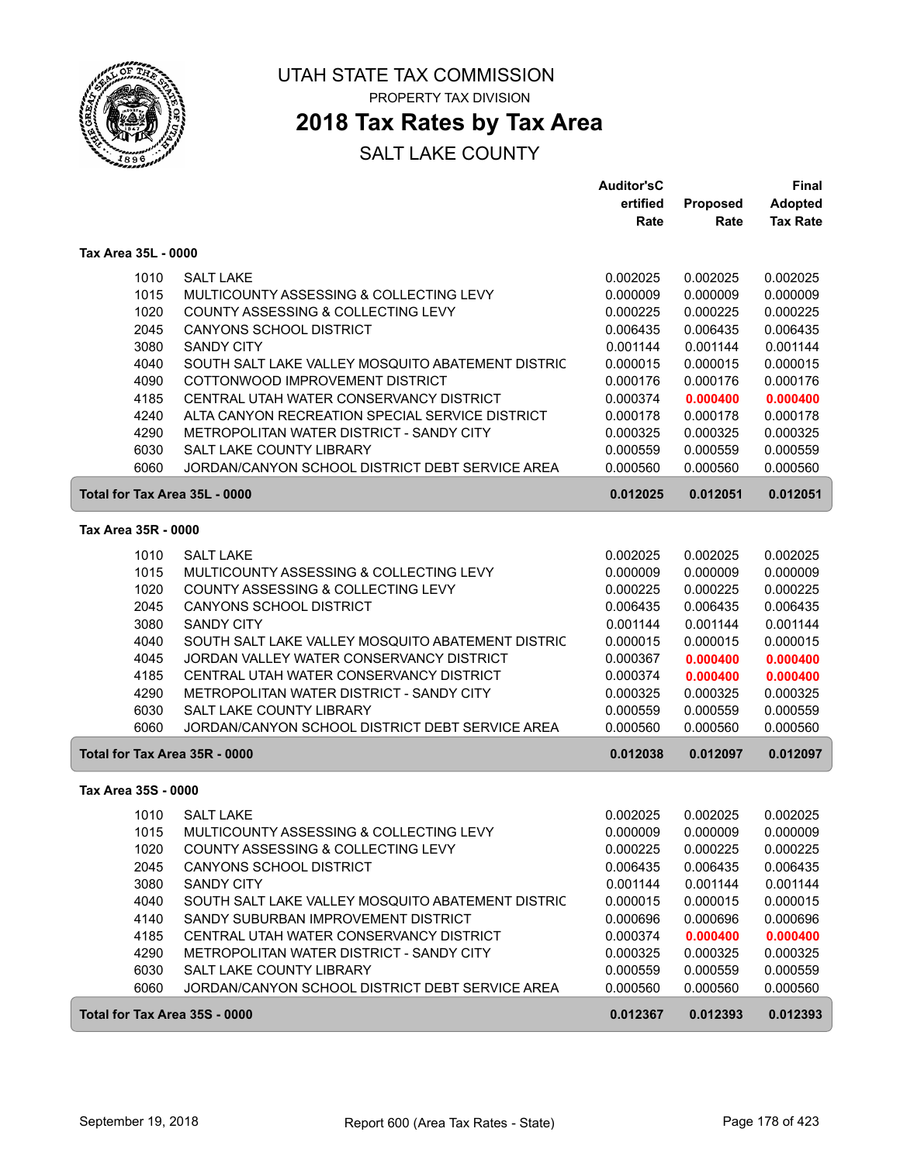

# **2018 Tax Rates by Tax Area**

|                               |                                                   | <b>Auditor'sC</b> |          | <b>Final</b>    |
|-------------------------------|---------------------------------------------------|-------------------|----------|-----------------|
|                               |                                                   | ertified          | Proposed | <b>Adopted</b>  |
|                               |                                                   | Rate              | Rate     | <b>Tax Rate</b> |
| Tax Area 35L - 0000           |                                                   |                   |          |                 |
| 1010                          | <b>SALT LAKE</b>                                  | 0.002025          | 0.002025 | 0.002025        |
| 1015                          | MULTICOUNTY ASSESSING & COLLECTING LEVY           | 0.000009          | 0.000009 | 0.000009        |
| 1020                          | COUNTY ASSESSING & COLLECTING LEVY                | 0.000225          | 0.000225 | 0.000225        |
| 2045                          | <b>CANYONS SCHOOL DISTRICT</b>                    | 0.006435          | 0.006435 | 0.006435        |
| 3080                          | <b>SANDY CITY</b>                                 | 0.001144          | 0.001144 | 0.001144        |
| 4040                          | SOUTH SALT LAKE VALLEY MOSQUITO ABATEMENT DISTRIC | 0.000015          | 0.000015 | 0.000015        |
| 4090                          | COTTONWOOD IMPROVEMENT DISTRICT                   | 0.000176          | 0.000176 | 0.000176        |
| 4185                          | CENTRAL UTAH WATER CONSERVANCY DISTRICT           | 0.000374          | 0.000400 | 0.000400        |
| 4240                          | ALTA CANYON RECREATION SPECIAL SERVICE DISTRICT   | 0.000178          | 0.000178 | 0.000178        |
| 4290                          | METROPOLITAN WATER DISTRICT - SANDY CITY          | 0.000325          | 0.000325 | 0.000325        |
| 6030                          | SALT LAKE COUNTY LIBRARY                          | 0.000559          | 0.000559 | 0.000559        |
| 6060                          | JORDAN/CANYON SCHOOL DISTRICT DEBT SERVICE AREA   | 0.000560          | 0.000560 | 0.000560        |
| Total for Tax Area 35L - 0000 |                                                   | 0.012025          | 0.012051 | 0.012051        |
| Tax Area 35R - 0000           |                                                   |                   |          |                 |
| 1010                          | <b>SALT LAKE</b>                                  | 0.002025          | 0.002025 | 0.002025        |
| 1015                          | MULTICOUNTY ASSESSING & COLLECTING LEVY           | 0.000009          | 0.000009 | 0.000009        |
| 1020                          | COUNTY ASSESSING & COLLECTING LEVY                | 0.000225          | 0.000225 | 0.000225        |
| 2045                          | CANYONS SCHOOL DISTRICT                           | 0.006435          | 0.006435 | 0.006435        |
| 3080                          | <b>SANDY CITY</b>                                 | 0.001144          | 0.001144 | 0.001144        |
| 4040                          | SOUTH SALT LAKE VALLEY MOSQUITO ABATEMENT DISTRIC | 0.000015          | 0.000015 | 0.000015        |
| 4045                          | JORDAN VALLEY WATER CONSERVANCY DISTRICT          | 0.000367          | 0.000400 | 0.000400        |
| 4185                          | CENTRAL UTAH WATER CONSERVANCY DISTRICT           | 0.000374          | 0.000400 | 0.000400        |
| 4290                          | METROPOLITAN WATER DISTRICT - SANDY CITY          | 0.000325          | 0.000325 | 0.000325        |
| 6030                          | SALT LAKE COUNTY LIBRARY                          | 0.000559          | 0.000559 | 0.000559        |
| 6060                          | JORDAN/CANYON SCHOOL DISTRICT DEBT SERVICE AREA   | 0.000560          | 0.000560 | 0.000560        |
| Total for Tax Area 35R - 0000 |                                                   | 0.012038          | 0.012097 | 0.012097        |
| Tax Area 35S - 0000           |                                                   |                   |          |                 |
| 1010                          | <b>SALT LAKE</b>                                  | 0.002025          | 0.002025 | 0.002025        |
| 1015                          | MULTICOUNTY ASSESSING & COLLECTING LEVY           | 0.000009          | 0.000009 | 0.000009        |
| 1020                          | COUNTY ASSESSING & COLLECTING LEVY                | 0.000225          | 0.000225 | 0.000225        |
| 2045                          | CANYONS SCHOOL DISTRICT                           | 0.006435          | 0.006435 | 0.006435        |
| 3080                          | SANDY CITY                                        | 0.001144          | 0.001144 | 0.001144        |
| 4040                          | SOUTH SALT LAKE VALLEY MOSQUITO ABATEMENT DISTRIC | 0.000015          | 0.000015 | 0.000015        |
| 4140                          | SANDY SUBURBAN IMPROVEMENT DISTRICT               | 0.000696          | 0.000696 | 0.000696        |
| 4185                          | CENTRAL UTAH WATER CONSERVANCY DISTRICT           | 0.000374          | 0.000400 | 0.000400        |
| 4290                          | METROPOLITAN WATER DISTRICT - SANDY CITY          | 0.000325          | 0.000325 | 0.000325        |
| 6030                          | SALT LAKE COUNTY LIBRARY                          | 0.000559          | 0.000559 | 0.000559        |
| 6060                          | JORDAN/CANYON SCHOOL DISTRICT DEBT SERVICE AREA   | 0.000560          | 0.000560 | 0.000560        |
| Total for Tax Area 35S - 0000 |                                                   | 0.012367          | 0.012393 | 0.012393        |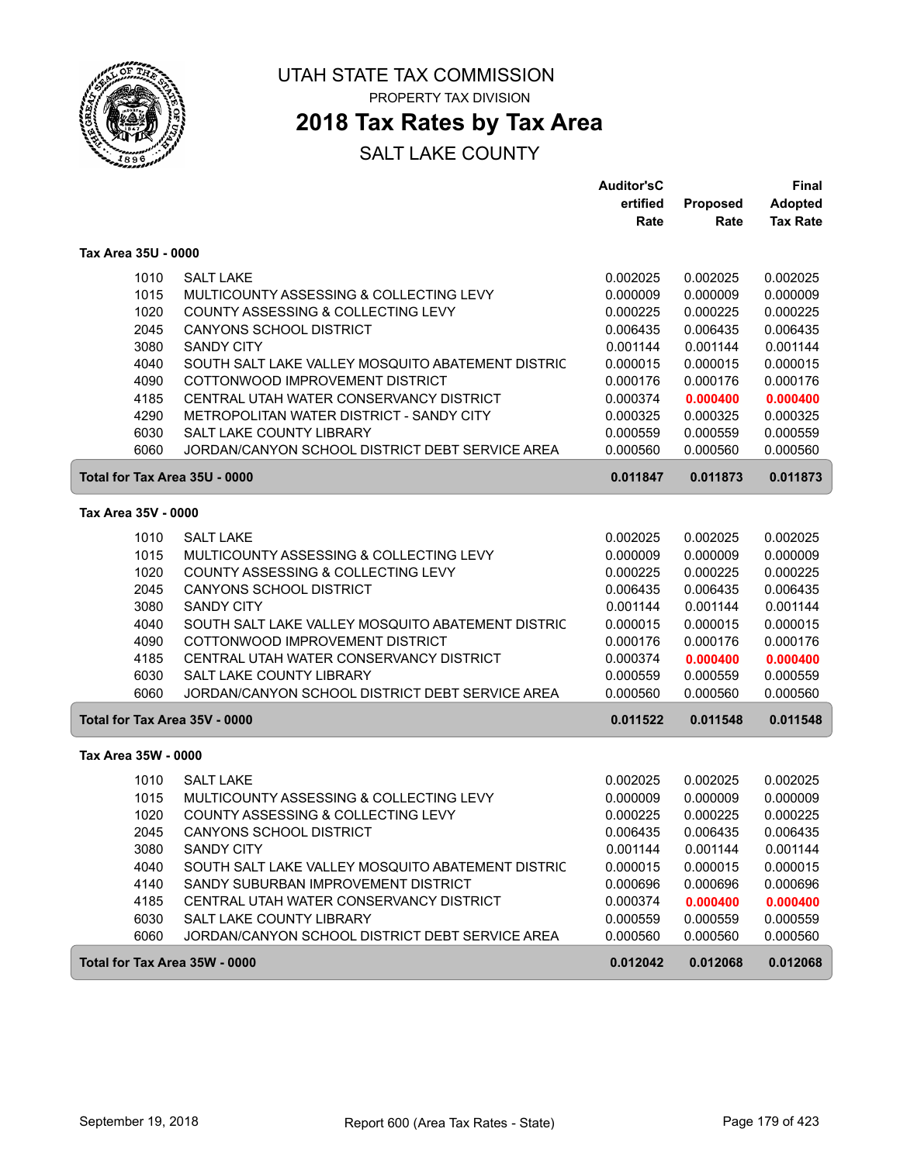

# **2018 Tax Rates by Tax Area**

|                               |                                                   | <b>Auditor'sC</b> |          | <b>Final</b>    |
|-------------------------------|---------------------------------------------------|-------------------|----------|-----------------|
|                               |                                                   | ertified          | Proposed | <b>Adopted</b>  |
|                               |                                                   | Rate              | Rate     | <b>Tax Rate</b> |
| Tax Area 35U - 0000           |                                                   |                   |          |                 |
| 1010                          | <b>SALT LAKE</b>                                  | 0.002025          | 0.002025 | 0.002025        |
| 1015                          | MULTICOUNTY ASSESSING & COLLECTING LEVY           | 0.000009          | 0.000009 | 0.000009        |
| 1020                          | COUNTY ASSESSING & COLLECTING LEVY                | 0.000225          | 0.000225 | 0.000225        |
| 2045                          | <b>CANYONS SCHOOL DISTRICT</b>                    | 0.006435          | 0.006435 | 0.006435        |
| 3080                          | <b>SANDY CITY</b>                                 | 0.001144          | 0.001144 | 0.001144        |
| 4040                          | SOUTH SALT LAKE VALLEY MOSQUITO ABATEMENT DISTRIC | 0.000015          | 0.000015 | 0.000015        |
| 4090                          | COTTONWOOD IMPROVEMENT DISTRICT                   | 0.000176          | 0.000176 | 0.000176        |
| 4185                          | CENTRAL UTAH WATER CONSERVANCY DISTRICT           | 0.000374          | 0.000400 | 0.000400        |
| 4290                          | METROPOLITAN WATER DISTRICT - SANDY CITY          | 0.000325          | 0.000325 | 0.000325        |
| 6030                          | SALT LAKE COUNTY LIBRARY                          | 0.000559          | 0.000559 | 0.000559        |
| 6060                          | JORDAN/CANYON SCHOOL DISTRICT DEBT SERVICE AREA   | 0.000560          | 0.000560 | 0.000560        |
| Total for Tax Area 35U - 0000 |                                                   | 0.011847          | 0.011873 | 0.011873        |
| Tax Area 35V - 0000           |                                                   |                   |          |                 |
| 1010                          | <b>SALT LAKE</b>                                  | 0.002025          | 0.002025 | 0.002025        |
| 1015                          | MULTICOUNTY ASSESSING & COLLECTING LEVY           | 0.000009          | 0.000009 | 0.000009        |
| 1020                          | COUNTY ASSESSING & COLLECTING LEVY                | 0.000225          | 0.000225 | 0.000225        |
| 2045                          | <b>CANYONS SCHOOL DISTRICT</b>                    | 0.006435          | 0.006435 | 0.006435        |
| 3080                          | <b>SANDY CITY</b>                                 | 0.001144          | 0.001144 | 0.001144        |
| 4040                          | SOUTH SALT LAKE VALLEY MOSQUITO ABATEMENT DISTRIC | 0.000015          | 0.000015 | 0.000015        |
| 4090                          | COTTONWOOD IMPROVEMENT DISTRICT                   | 0.000176          | 0.000176 | 0.000176        |
| 4185                          | CENTRAL UTAH WATER CONSERVANCY DISTRICT           | 0.000374          | 0.000400 | 0.000400        |
| 6030                          | SALT LAKE COUNTY LIBRARY                          | 0.000559          | 0.000559 | 0.000559        |
| 6060                          | JORDAN/CANYON SCHOOL DISTRICT DEBT SERVICE AREA   | 0.000560          | 0.000560 | 0.000560        |
| Total for Tax Area 35V - 0000 |                                                   | 0.011522          | 0.011548 | 0.011548        |
| Tax Area 35W - 0000           |                                                   |                   |          |                 |
| 1010                          | <b>SALT LAKE</b>                                  | 0.002025          | 0.002025 | 0.002025        |
| 1015                          | MULTICOUNTY ASSESSING & COLLECTING LEVY           | 0.000009          | 0.000009 | 0.000009        |
| 1020                          | COUNTY ASSESSING & COLLECTING LEVY                | 0.000225          | 0.000225 | 0.000225        |
| 2045                          | <b>CANYONS SCHOOL DISTRICT</b>                    | 0.006435          | 0.006435 | 0.006435        |
| 3080                          | <b>SANDY CITY</b>                                 | 0.001144          | 0.001144 | 0.001144        |
| 4040                          | SOUTH SALT LAKE VALLEY MOSQUITO ABATEMENT DISTRIC | 0.000015          | 0.000015 | 0.000015        |
| 4140                          | SANDY SUBURBAN IMPROVEMENT DISTRICT               | 0.000696          | 0.000696 | 0.000696        |
| 4185                          | CENTRAL UTAH WATER CONSERVANCY DISTRICT           | 0.000374          | 0.000400 | 0.000400        |
| 6030                          | SALT LAKE COUNTY LIBRARY                          | 0.000559          | 0.000559 | 0.000559        |
| 6060                          | JORDAN/CANYON SCHOOL DISTRICT DEBT SERVICE AREA   | 0.000560          | 0.000560 | 0.000560        |
| Total for Tax Area 35W - 0000 |                                                   | 0.012042          | 0.012068 | 0.012068        |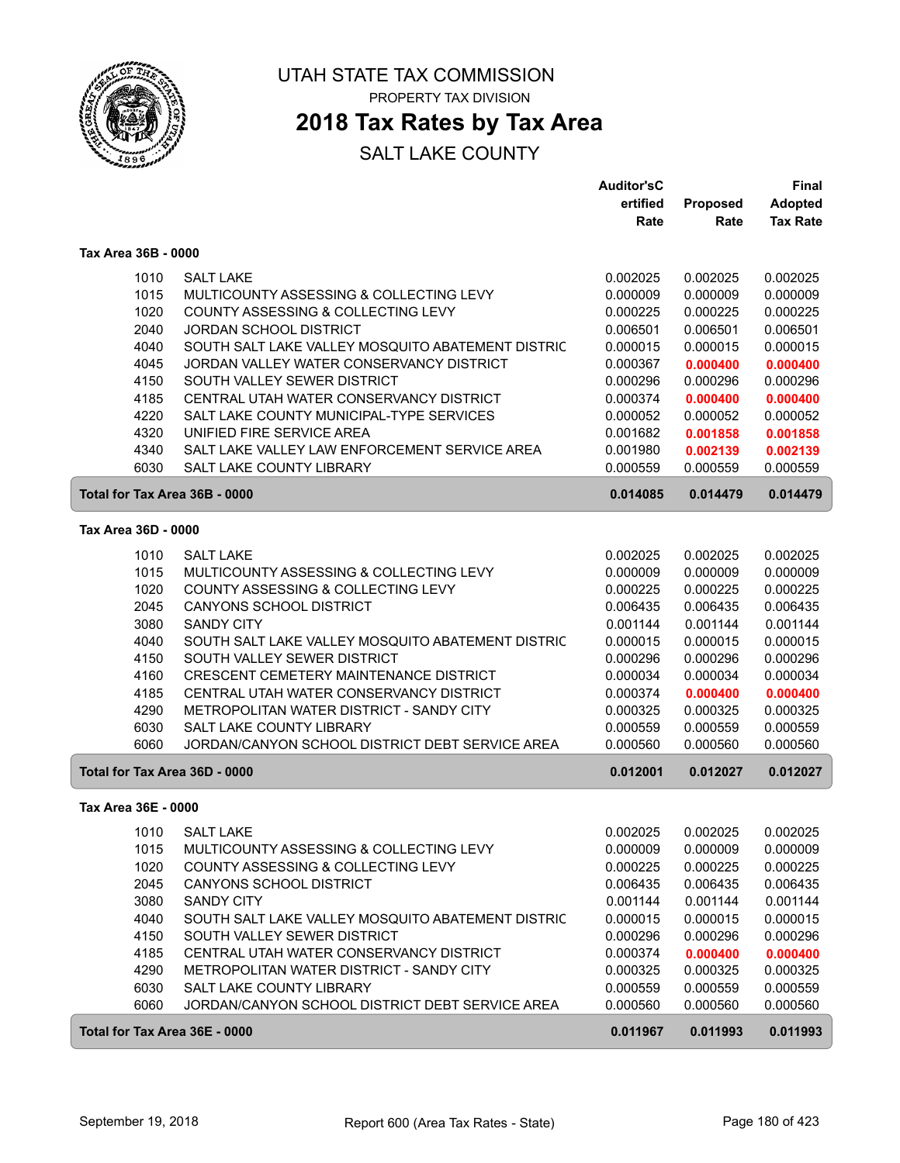

## **2018 Tax Rates by Tax Area**

|                               |                                                   | <b>Auditor'sC</b> |          | Final           |
|-------------------------------|---------------------------------------------------|-------------------|----------|-----------------|
|                               |                                                   | ertified          | Proposed | <b>Adopted</b>  |
|                               |                                                   | Rate              | Rate     | <b>Tax Rate</b> |
| Tax Area 36B - 0000           |                                                   |                   |          |                 |
| 1010                          | <b>SALT LAKE</b>                                  | 0.002025          | 0.002025 | 0.002025        |
| 1015                          | MULTICOUNTY ASSESSING & COLLECTING LEVY           | 0.000009          | 0.000009 | 0.000009        |
| 1020                          | <b>COUNTY ASSESSING &amp; COLLECTING LEVY</b>     | 0.000225          | 0.000225 | 0.000225        |
| 2040                          | JORDAN SCHOOL DISTRICT                            | 0.006501          | 0.006501 | 0.006501        |
| 4040                          | SOUTH SALT LAKE VALLEY MOSQUITO ABATEMENT DISTRIC | 0.000015          | 0.000015 | 0.000015        |
| 4045                          | JORDAN VALLEY WATER CONSERVANCY DISTRICT          | 0.000367          | 0.000400 | 0.000400        |
| 4150                          | SOUTH VALLEY SEWER DISTRICT                       | 0.000296          | 0.000296 | 0.000296        |
| 4185                          | CENTRAL UTAH WATER CONSERVANCY DISTRICT           | 0.000374          | 0.000400 | 0.000400        |
| 4220                          | SALT LAKE COUNTY MUNICIPAL-TYPE SERVICES          | 0.000052          | 0.000052 | 0.000052        |
| 4320                          | UNIFIED FIRE SERVICE AREA                         | 0.001682          | 0.001858 | 0.001858        |
| 4340                          | SALT LAKE VALLEY LAW ENFORCEMENT SERVICE AREA     | 0.001980          | 0.002139 | 0.002139        |
| 6030                          | <b>SALT LAKE COUNTY LIBRARY</b>                   | 0.000559          | 0.000559 | 0.000559        |
| Total for Tax Area 36B - 0000 |                                                   | 0.014085          | 0.014479 | 0.014479        |
| Tax Area 36D - 0000           |                                                   |                   |          |                 |
|                               |                                                   |                   |          |                 |
| 1010                          | <b>SALT LAKE</b>                                  | 0.002025          | 0.002025 | 0.002025        |
| 1015                          | MULTICOUNTY ASSESSING & COLLECTING LEVY           | 0.000009          | 0.000009 | 0.000009        |
| 1020                          | COUNTY ASSESSING & COLLECTING LEVY                | 0.000225          | 0.000225 | 0.000225        |
| 2045                          | CANYONS SCHOOL DISTRICT                           | 0.006435          | 0.006435 | 0.006435        |
| 3080                          | <b>SANDY CITY</b>                                 | 0.001144          | 0.001144 | 0.001144        |
| 4040                          | SOUTH SALT LAKE VALLEY MOSQUITO ABATEMENT DISTRIC | 0.000015          | 0.000015 | 0.000015        |
| 4150                          | SOUTH VALLEY SEWER DISTRICT                       | 0.000296          | 0.000296 | 0.000296        |
| 4160                          | CRESCENT CEMETERY MAINTENANCE DISTRICT            | 0.000034          | 0.000034 | 0.000034        |
| 4185                          | CENTRAL UTAH WATER CONSERVANCY DISTRICT           | 0.000374          | 0.000400 | 0.000400        |
| 4290                          | METROPOLITAN WATER DISTRICT - SANDY CITY          | 0.000325          | 0.000325 | 0.000325        |
| 6030                          | <b>SALT LAKE COUNTY LIBRARY</b>                   | 0.000559          | 0.000559 | 0.000559        |
| 6060                          | JORDAN/CANYON SCHOOL DISTRICT DEBT SERVICE AREA   | 0.000560          | 0.000560 | 0.000560        |
| Total for Tax Area 36D - 0000 |                                                   | 0.012001          | 0.012027 | 0.012027        |
| Tax Area 36E - 0000           |                                                   |                   |          |                 |
| 1010                          | <b>SALT LAKE</b>                                  | 0.002025          | 0.002025 | 0.002025        |
| 1015                          | MULTICOUNTY ASSESSING & COLLECTING LEVY           | 0.000009          | 0.000009 | 0.000009        |
| 1020                          | COUNTY ASSESSING & COLLECTING LEVY                | 0.000225          | 0.000225 | 0.000225        |
| 2045                          | CANYONS SCHOOL DISTRICT                           | 0.006435          | 0.006435 | 0.006435        |
| 3080                          | <b>SANDY CITY</b>                                 | 0.001144          | 0.001144 | 0.001144        |
| 4040                          | SOUTH SALT LAKE VALLEY MOSQUITO ABATEMENT DISTRIC | 0.000015          | 0.000015 | 0.000015        |
| 4150                          | SOUTH VALLEY SEWER DISTRICT                       | 0.000296          | 0.000296 | 0.000296        |
| 4185                          | CENTRAL UTAH WATER CONSERVANCY DISTRICT           | 0.000374          | 0.000400 | 0.000400        |
| 4290                          | METROPOLITAN WATER DISTRICT - SANDY CITY          | 0.000325          | 0.000325 | 0.000325        |
| 6030                          | SALT LAKE COUNTY LIBRARY                          | 0.000559          | 0.000559 | 0.000559        |
| 6060                          | JORDAN/CANYON SCHOOL DISTRICT DEBT SERVICE AREA   | 0.000560          | 0.000560 | 0.000560        |
| Total for Tax Area 36E - 0000 |                                                   | 0.011967          | 0.011993 | 0.011993        |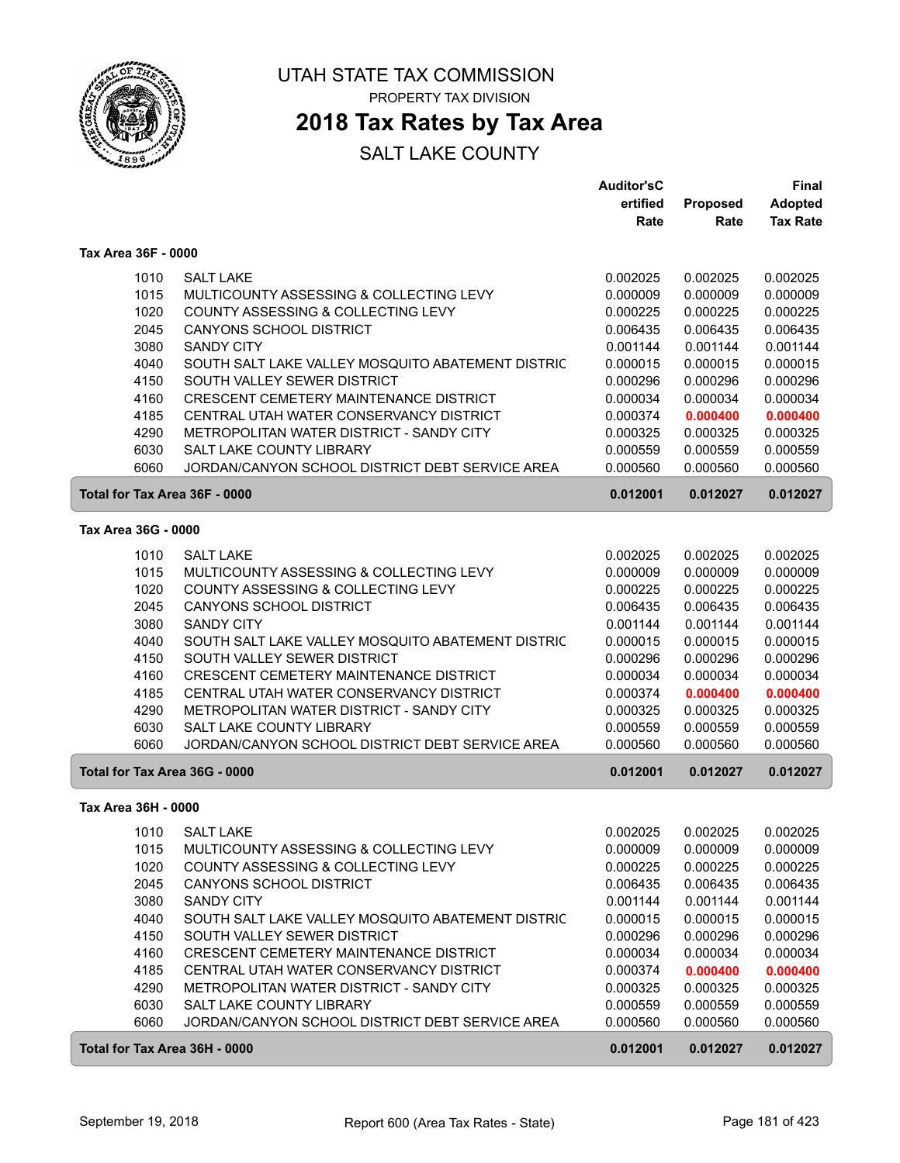

### **2018 Tax Rates by Tax Area**

|                     |                                                   | <b>Auditor'sC</b> |                 | Final           |
|---------------------|---------------------------------------------------|-------------------|-----------------|-----------------|
|                     |                                                   | ertified          | <b>Proposed</b> | <b>Adopted</b>  |
|                     |                                                   | Rate              | Rate            | <b>Tax Rate</b> |
| Tax Area 36F - 0000 |                                                   |                   |                 |                 |
| 1010                | <b>SALT LAKE</b>                                  | 0.002025          | 0.002025        | 0.002025        |
| 1015                | MULTICOUNTY ASSESSING & COLLECTING LEVY           | 0.000009          | 0.000009        | 0.000009        |
| 1020                | <b>COUNTY ASSESSING &amp; COLLECTING LEVY</b>     | 0.000225          | 0.000225        | 0.000225        |
| 2045                | CANYONS SCHOOL DISTRICT                           | 0.006435          | 0.006435        | 0.006435        |
| 3080                | <b>SANDY CITY</b>                                 | 0.001144          | 0.001144        | 0.001144        |
| 4040                | SOUTH SALT LAKE VALLEY MOSQUITO ABATEMENT DISTRIC | 0.000015          | 0.000015        | 0.000015        |
| 4150                | SOUTH VALLEY SEWER DISTRICT                       | 0.000296          | 0.000296        | 0.000296        |
| 4160                | CRESCENT CEMETERY MAINTENANCE DISTRICT            | 0.000034          | 0.000034        | 0.000034        |
| 4185                | CENTRAL UTAH WATER CONSERVANCY DISTRICT           | 0.000374          | 0.000400        | 0.000400        |
| 4290                | METROPOLITAN WATER DISTRICT - SANDY CITY          | 0.000325          | 0.000325        | 0.000325        |
| 6030                | SALT LAKE COUNTY LIBRARY                          | 0.000559          | 0.000559        | 0.000559        |
| 6060                | JORDAN/CANYON SCHOOL DISTRICT DEBT SERVICE AREA   | 0.000560          | 0.000560        | 0.000560        |
|                     | Total for Tax Area 36F - 0000                     | 0.012001          | 0.012027        | 0.012027        |
| Tax Area 36G - 0000 |                                                   |                   |                 |                 |
| 1010                | <b>SALT LAKE</b>                                  | 0.002025          | 0.002025        | 0.002025        |
| 1015                | MULTICOUNTY ASSESSING & COLLECTING LEVY           | 0.000009          | 0.000009        | 0.000009        |
| 1020                | COUNTY ASSESSING & COLLECTING LEVY                | 0.000225          | 0.000225        | 0.000225        |
| 2045                | <b>CANYONS SCHOOL DISTRICT</b>                    | 0.006435          | 0.006435        | 0.006435        |
| 3080                | <b>SANDY CITY</b>                                 | 0.001144          | 0.001144        | 0.001144        |
| 4040                | SOUTH SALT LAKE VALLEY MOSQUITO ABATEMENT DISTRIC | 0.000015          | 0.000015        | 0.000015        |
| 4150                | SOUTH VALLEY SEWER DISTRICT                       | 0.000296          | 0.000296        | 0.000296        |
| 4160                | CRESCENT CEMETERY MAINTENANCE DISTRICT            | 0.000034          | 0.000034        | 0.000034        |
| 4185                | CENTRAL UTAH WATER CONSERVANCY DISTRICT           | 0.000374          | 0.000400        | 0.000400        |
| 4290                | METROPOLITAN WATER DISTRICT - SANDY CITY          | 0.000325          | 0.000325        | 0.000325        |
| 6030                | <b>SALT LAKE COUNTY LIBRARY</b>                   | 0.000559          | 0.000559        | 0.000559        |
| 6060                | JORDAN/CANYON SCHOOL DISTRICT DEBT SERVICE AREA   | 0.000560          | 0.000560        | 0.000560        |
|                     | Total for Tax Area 36G - 0000                     | 0.012001          | 0.012027        | 0.012027        |
| Tax Area 36H - 0000 |                                                   |                   |                 |                 |
|                     | 1010 SALT LAKE                                    | 0.002025          | 0.002025        | 0.002025        |
| 1015                | MULTICOUNTY ASSESSING & COLLECTING LEVY           | 0.000009          | 0.000009        | 0.000009        |
| 1020                | COUNTY ASSESSING & COLLECTING LEVY                | 0.000225          | 0.000225        | 0.000225        |
| 2045                | <b>CANYONS SCHOOL DISTRICT</b>                    | 0.006435          | 0.006435        | 0.006435        |
| 3080                | <b>SANDY CITY</b>                                 | 0.001144          | 0.001144        | 0.001144        |
| 4040                | SOUTH SALT LAKE VALLEY MOSQUITO ABATEMENT DISTRIC | 0.000015          | 0.000015        | 0.000015        |
| 4150                | SOUTH VALLEY SEWER DISTRICT                       | 0.000296          | 0.000296        | 0.000296        |
| 4160                | CRESCENT CEMETERY MAINTENANCE DISTRICT            | 0.000034          | 0.000034        | 0.000034        |
| 4185                | CENTRAL UTAH WATER CONSERVANCY DISTRICT           | 0.000374          | 0.000400        | 0.000400        |
| 4290                | METROPOLITAN WATER DISTRICT - SANDY CITY          | 0.000325          | 0.000325        | 0.000325        |
| 6030                | SALT LAKE COUNTY LIBRARY                          | 0.000559          | 0.000559        | 0.000559        |
| 6060                | JORDAN/CANYON SCHOOL DISTRICT DEBT SERVICE AREA   | 0.000560          | 0.000560        | 0.000560        |
|                     | Total for Tax Area 36H - 0000                     | 0.012001          | 0.012027        | 0.012027        |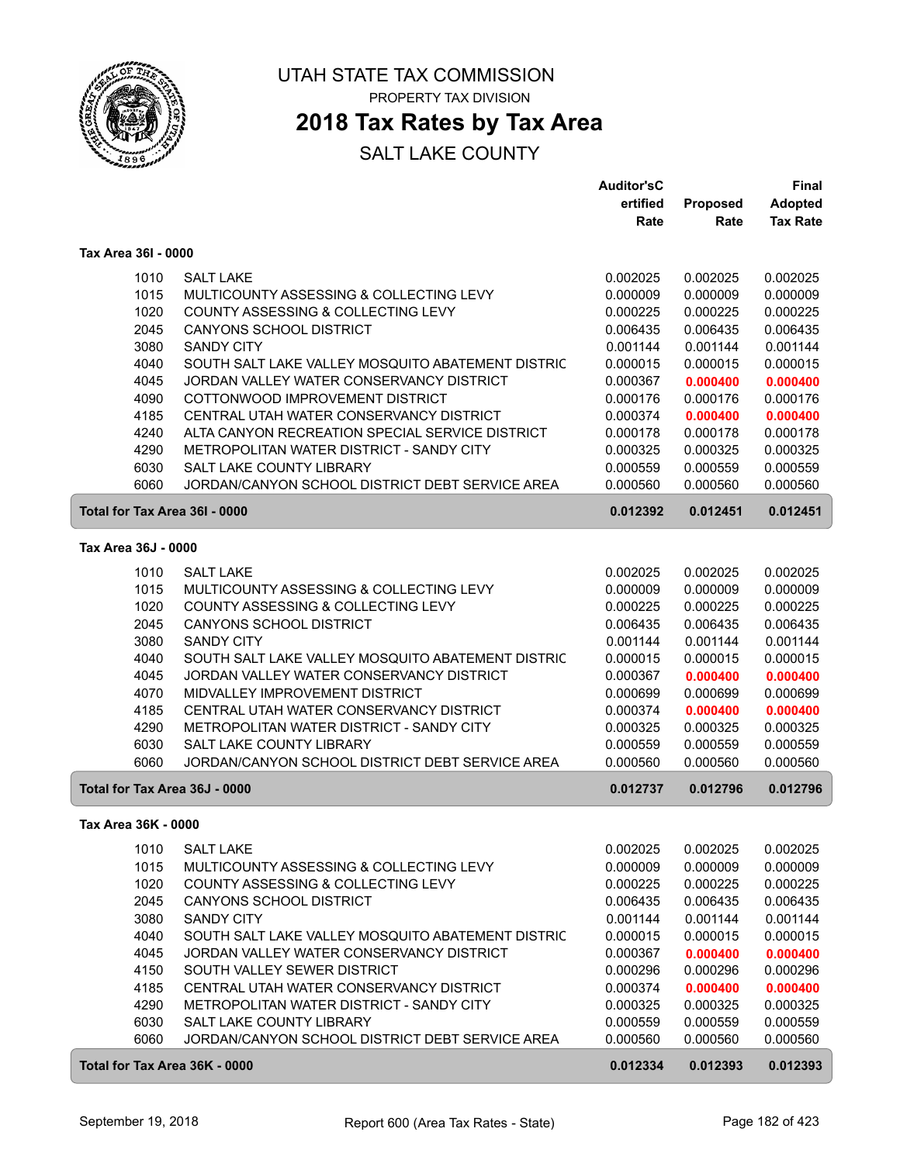

### **2018 Tax Rates by Tax Area**

|                               |                                                                             | <b>Auditor'sC</b>    |                      | <b>Final</b>         |
|-------------------------------|-----------------------------------------------------------------------------|----------------------|----------------------|----------------------|
|                               |                                                                             | ertified             | Proposed             | <b>Adopted</b>       |
|                               |                                                                             | Rate                 | Rate                 | <b>Tax Rate</b>      |
| Tax Area 36I - 0000           |                                                                             |                      |                      |                      |
| 1010                          | <b>SALT LAKE</b>                                                            | 0.002025             | 0.002025             | 0.002025             |
| 1015                          | MULTICOUNTY ASSESSING & COLLECTING LEVY                                     | 0.000009             | 0.000009             | 0.000009             |
| 1020                          | COUNTY ASSESSING & COLLECTING LEVY                                          | 0.000225             | 0.000225             | 0.000225             |
| 2045                          | CANYONS SCHOOL DISTRICT                                                     | 0.006435             | 0.006435             | 0.006435             |
| 3080                          | <b>SANDY CITY</b>                                                           | 0.001144             | 0.001144             | 0.001144             |
| 4040                          | SOUTH SALT LAKE VALLEY MOSQUITO ABATEMENT DISTRIC                           | 0.000015             | 0.000015             | 0.000015             |
| 4045                          | JORDAN VALLEY WATER CONSERVANCY DISTRICT                                    | 0.000367             | 0.000400             | 0.000400             |
| 4090                          | COTTONWOOD IMPROVEMENT DISTRICT                                             | 0.000176             | 0.000176             | 0.000176             |
| 4185                          | CENTRAL UTAH WATER CONSERVANCY DISTRICT                                     | 0.000374             | 0.000400             | 0.000400             |
| 4240                          | ALTA CANYON RECREATION SPECIAL SERVICE DISTRICT                             | 0.000178             | 0.000178             | 0.000178             |
| 4290                          | METROPOLITAN WATER DISTRICT - SANDY CITY                                    | 0.000325             | 0.000325             | 0.000325             |
| 6030                          | <b>SALT LAKE COUNTY LIBRARY</b>                                             | 0.000559             | 0.000559             | 0.000559             |
| 6060                          | JORDAN/CANYON SCHOOL DISTRICT DEBT SERVICE AREA                             | 0.000560             | 0.000560             | 0.000560             |
| Total for Tax Area 36I - 0000 |                                                                             | 0.012392             | 0.012451             | 0.012451             |
| Tax Area 36J - 0000           |                                                                             |                      |                      |                      |
| 1010                          | <b>SALT LAKE</b>                                                            | 0.002025             | 0.002025             | 0.002025             |
| 1015                          | MULTICOUNTY ASSESSING & COLLECTING LEVY                                     | 0.000009             | 0.000009             | 0.000009             |
| 1020                          | COUNTY ASSESSING & COLLECTING LEVY                                          | 0.000225             | 0.000225             | 0.000225             |
| 2045                          | <b>CANYONS SCHOOL DISTRICT</b>                                              | 0.006435             | 0.006435             | 0.006435             |
| 3080                          | <b>SANDY CITY</b>                                                           | 0.001144             | 0.001144             | 0.001144             |
| 4040                          | SOUTH SALT LAKE VALLEY MOSQUITO ABATEMENT DISTRIC                           | 0.000015             | 0.000015             | 0.000015             |
| 4045                          | JORDAN VALLEY WATER CONSERVANCY DISTRICT                                    | 0.000367             | 0.000400             | 0.000400             |
| 4070                          | MIDVALLEY IMPROVEMENT DISTRICT                                              | 0.000699             | 0.000699             | 0.000699             |
| 4185                          | CENTRAL UTAH WATER CONSERVANCY DISTRICT                                     | 0.000374             | 0.000400             | 0.000400             |
| 4290                          | METROPOLITAN WATER DISTRICT - SANDY CITY                                    | 0.000325             | 0.000325             | 0.000325             |
| 6030                          | <b>SALT LAKE COUNTY LIBRARY</b>                                             | 0.000559             | 0.000559             | 0.000559             |
| 6060                          | JORDAN/CANYON SCHOOL DISTRICT DEBT SERVICE AREA                             | 0.000560             | 0.000560             | 0.000560             |
| Total for Tax Area 36J - 0000 |                                                                             | 0.012737             | 0.012796             | 0.012796             |
| Tax Area 36K - 0000           |                                                                             |                      |                      |                      |
|                               | <b>SALT LAKE</b>                                                            |                      |                      | 0.002025             |
| 1010                          | MULTICOUNTY ASSESSING & COLLECTING LEVY                                     | 0.002025             | 0.002025             |                      |
| 1015<br>1020                  | COUNTY ASSESSING & COLLECTING LEVY                                          | 0.000009             | 0.000009<br>0.000225 | 0.000009<br>0.000225 |
| 2045                          |                                                                             | 0.000225             | 0.006435             |                      |
|                               | CANYONS SCHOOL DISTRICT                                                     | 0.006435             |                      | 0.006435<br>0.001144 |
| 3080                          | <b>SANDY CITY</b>                                                           | 0.001144             | 0.001144             | 0.000015             |
| 4040                          | SOUTH SALT LAKE VALLEY MOSQUITO ABATEMENT DISTRIC                           | 0.000015             | 0.000015             |                      |
| 4045<br>4150                  | JORDAN VALLEY WATER CONSERVANCY DISTRICT<br>SOUTH VALLEY SEWER DISTRICT     | 0.000367             | 0.000400             | 0.000400<br>0.000296 |
|                               |                                                                             | 0.000296             | 0.000296             |                      |
| 4185                          | CENTRAL UTAH WATER CONSERVANCY DISTRICT                                     | 0.000374             | 0.000400             | 0.000400             |
| 4290                          | METROPOLITAN WATER DISTRICT - SANDY CITY                                    | 0.000325             | 0.000325             | 0.000325             |
| 6030<br>6060                  | SALT LAKE COUNTY LIBRARY<br>JORDAN/CANYON SCHOOL DISTRICT DEBT SERVICE AREA | 0.000559<br>0.000560 | 0.000559<br>0.000560 | 0.000559<br>0.000560 |
| Total for Tax Area 36K - 0000 |                                                                             | 0.012334             | 0.012393             | 0.012393             |
|                               |                                                                             |                      |                      |                      |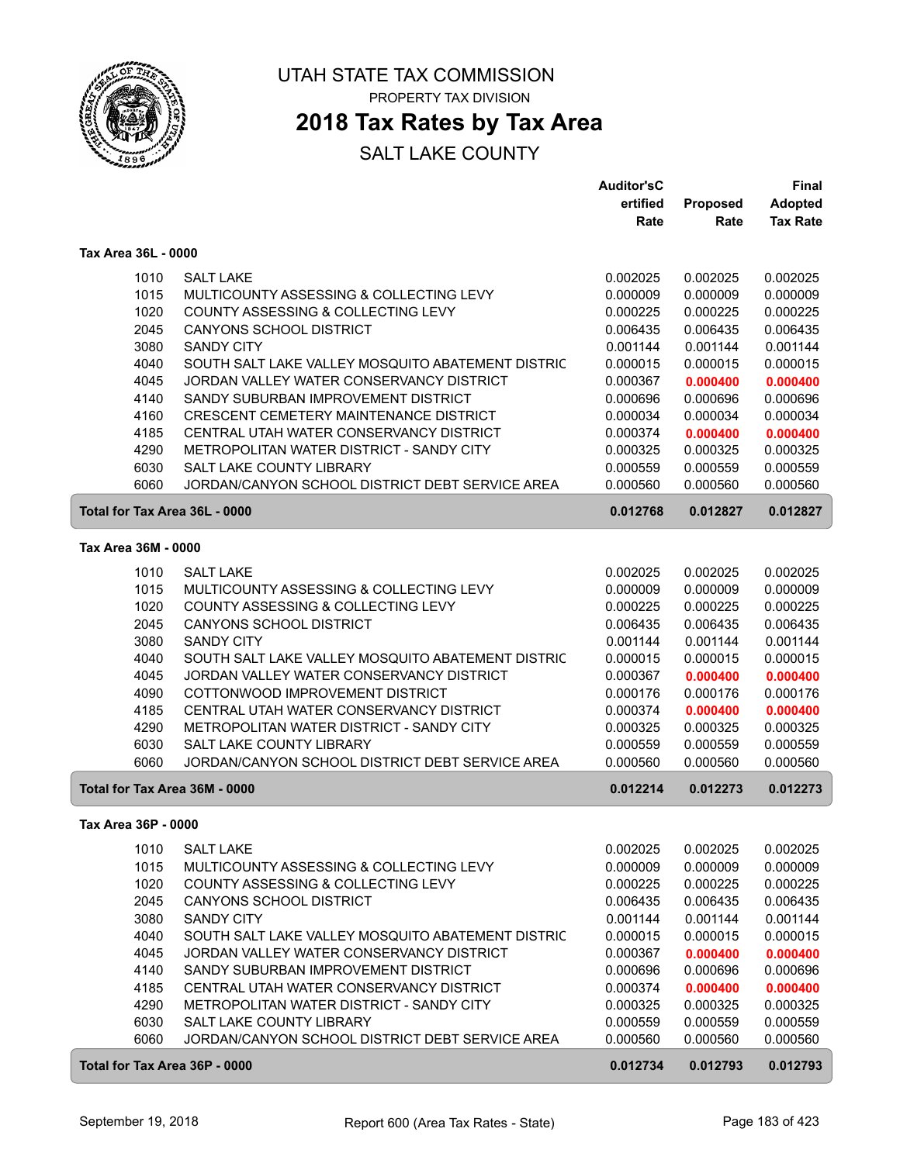

### **2018 Tax Rates by Tax Area**

|                               |                                                   | <b>Auditor'sC</b> |          | <b>Final</b>    |
|-------------------------------|---------------------------------------------------|-------------------|----------|-----------------|
|                               |                                                   | ertified          | Proposed | <b>Adopted</b>  |
|                               |                                                   | Rate              | Rate     | <b>Tax Rate</b> |
| Tax Area 36L - 0000           |                                                   |                   |          |                 |
| 1010                          | <b>SALT LAKE</b>                                  | 0.002025          | 0.002025 | 0.002025        |
| 1015                          | MULTICOUNTY ASSESSING & COLLECTING LEVY           | 0.000009          | 0.000009 | 0.000009        |
| 1020                          | COUNTY ASSESSING & COLLECTING LEVY                | 0.000225          | 0.000225 | 0.000225        |
| 2045                          | <b>CANYONS SCHOOL DISTRICT</b>                    | 0.006435          | 0.006435 | 0.006435        |
| 3080                          | <b>SANDY CITY</b>                                 | 0.001144          | 0.001144 | 0.001144        |
| 4040                          | SOUTH SALT LAKE VALLEY MOSQUITO ABATEMENT DISTRIC | 0.000015          | 0.000015 | 0.000015        |
| 4045                          | JORDAN VALLEY WATER CONSERVANCY DISTRICT          | 0.000367          | 0.000400 | 0.000400        |
| 4140                          | SANDY SUBURBAN IMPROVEMENT DISTRICT               | 0.000696          | 0.000696 | 0.000696        |
| 4160                          | CRESCENT CEMETERY MAINTENANCE DISTRICT            | 0.000034          | 0.000034 | 0.000034        |
| 4185                          | CENTRAL UTAH WATER CONSERVANCY DISTRICT           | 0.000374          | 0.000400 | 0.000400        |
| 4290                          | METROPOLITAN WATER DISTRICT - SANDY CITY          | 0.000325          | 0.000325 | 0.000325        |
| 6030                          | SALT LAKE COUNTY LIBRARY                          | 0.000559          | 0.000559 | 0.000559        |
| 6060                          | JORDAN/CANYON SCHOOL DISTRICT DEBT SERVICE AREA   | 0.000560          | 0.000560 | 0.000560        |
| Total for Tax Area 36L - 0000 |                                                   | 0.012768          | 0.012827 | 0.012827        |
| Tax Area 36M - 0000           |                                                   |                   |          |                 |
| 1010                          | <b>SALT LAKE</b>                                  | 0.002025          | 0.002025 | 0.002025        |
| 1015                          | MULTICOUNTY ASSESSING & COLLECTING LEVY           | 0.000009          | 0.000009 | 0.000009        |
| 1020                          | COUNTY ASSESSING & COLLECTING LEVY                | 0.000225          | 0.000225 | 0.000225        |
| 2045                          | <b>CANYONS SCHOOL DISTRICT</b>                    | 0.006435          | 0.006435 | 0.006435        |
| 3080                          | <b>SANDY CITY</b>                                 | 0.001144          | 0.001144 | 0.001144        |
| 4040                          | SOUTH SALT LAKE VALLEY MOSQUITO ABATEMENT DISTRIC | 0.000015          | 0.000015 | 0.000015        |
| 4045                          | JORDAN VALLEY WATER CONSERVANCY DISTRICT          | 0.000367          | 0.000400 | 0.000400        |
| 4090                          | COTTONWOOD IMPROVEMENT DISTRICT                   | 0.000176          | 0.000176 | 0.000176        |
| 4185                          | CENTRAL UTAH WATER CONSERVANCY DISTRICT           | 0.000374          | 0.000400 | 0.000400        |
| 4290                          | METROPOLITAN WATER DISTRICT - SANDY CITY          | 0.000325          | 0.000325 | 0.000325        |
| 6030                          | SALT LAKE COUNTY LIBRARY                          | 0.000559          | 0.000559 | 0.000559        |
| 6060                          | JORDAN/CANYON SCHOOL DISTRICT DEBT SERVICE AREA   | 0.000560          | 0.000560 | 0.000560        |
| Total for Tax Area 36M - 0000 |                                                   | 0.012214          | 0.012273 | 0.012273        |
| Tax Area 36P - 0000           |                                                   |                   |          |                 |
| 1010                          | <b>SALT LAKE</b>                                  | 0.002025          | 0.002025 | 0.002025        |
| 1015                          | MULTICOUNTY ASSESSING & COLLECTING LEVY           | 0.000009          | 0.000009 | 0.000009        |
| 1020                          | COUNTY ASSESSING & COLLECTING LEVY                | 0.000225          | 0.000225 | 0.000225        |
| 2045                          | CANYONS SCHOOL DISTRICT                           | 0.006435          | 0.006435 | 0.006435        |
| 3080                          | <b>SANDY CITY</b>                                 | 0.001144          | 0.001144 | 0.001144        |
| 4040                          | SOUTH SALT LAKE VALLEY MOSQUITO ABATEMENT DISTRIC | 0.000015          | 0.000015 | 0.000015        |
| 4045                          | JORDAN VALLEY WATER CONSERVANCY DISTRICT          | 0.000367          | 0.000400 | 0.000400        |
| 4140                          | SANDY SUBURBAN IMPROVEMENT DISTRICT               | 0.000696          | 0.000696 | 0.000696        |
| 4185                          | CENTRAL UTAH WATER CONSERVANCY DISTRICT           | 0.000374          | 0.000400 | 0.000400        |
| 4290                          | METROPOLITAN WATER DISTRICT - SANDY CITY          | 0.000325          | 0.000325 | 0.000325        |
| 6030                          | SALT LAKE COUNTY LIBRARY                          | 0.000559          | 0.000559 | 0.000559        |
| 6060                          | JORDAN/CANYON SCHOOL DISTRICT DEBT SERVICE AREA   | 0.000560          | 0.000560 | 0.000560        |
| Total for Tax Area 36P - 0000 |                                                   | 0.012734          | 0.012793 | 0.012793        |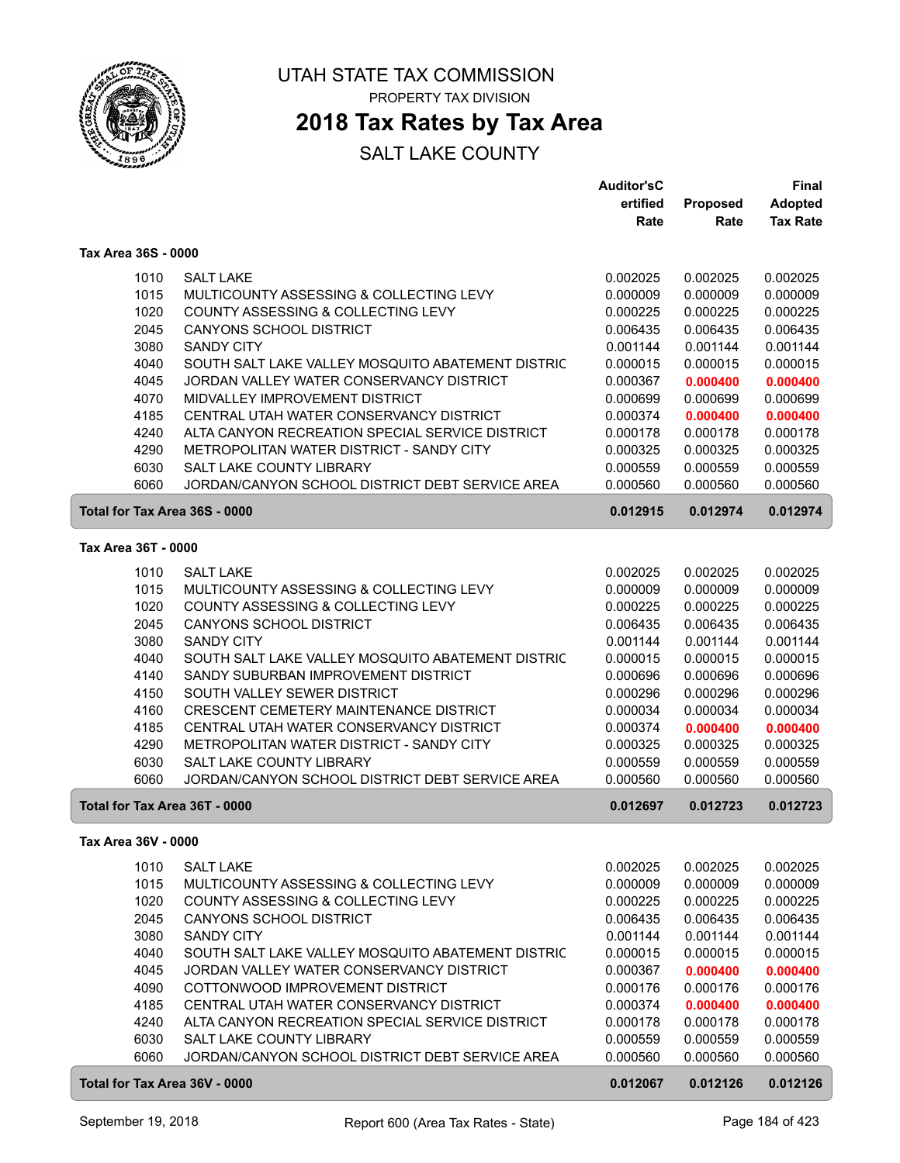

### **2018 Tax Rates by Tax Area**

|                               |                                                   | <b>Auditor'sC</b> |          | Final           |
|-------------------------------|---------------------------------------------------|-------------------|----------|-----------------|
|                               |                                                   | ertified          | Proposed | <b>Adopted</b>  |
|                               |                                                   | Rate              | Rate     | <b>Tax Rate</b> |
| Tax Area 36S - 0000           |                                                   |                   |          |                 |
| 1010                          | <b>SALT LAKE</b>                                  | 0.002025          | 0.002025 | 0.002025        |
| 1015                          | MULTICOUNTY ASSESSING & COLLECTING LEVY           | 0.000009          | 0.000009 | 0.000009        |
| 1020                          | COUNTY ASSESSING & COLLECTING LEVY                | 0.000225          | 0.000225 | 0.000225        |
| 2045                          | <b>CANYONS SCHOOL DISTRICT</b>                    | 0.006435          | 0.006435 | 0.006435        |
| 3080                          | <b>SANDY CITY</b>                                 | 0.001144          | 0.001144 | 0.001144        |
| 4040                          | SOUTH SALT LAKE VALLEY MOSQUITO ABATEMENT DISTRIC | 0.000015          | 0.000015 | 0.000015        |
| 4045                          | JORDAN VALLEY WATER CONSERVANCY DISTRICT          | 0.000367          | 0.000400 | 0.000400        |
| 4070                          | MIDVALLEY IMPROVEMENT DISTRICT                    | 0.000699          | 0.000699 | 0.000699        |
| 4185                          | CENTRAL UTAH WATER CONSERVANCY DISTRICT           | 0.000374          | 0.000400 | 0.000400        |
| 4240                          | ALTA CANYON RECREATION SPECIAL SERVICE DISTRICT   | 0.000178          | 0.000178 | 0.000178        |
| 4290                          | METROPOLITAN WATER DISTRICT - SANDY CITY          | 0.000325          | 0.000325 | 0.000325        |
| 6030                          | SALT LAKE COUNTY LIBRARY                          | 0.000559          | 0.000559 | 0.000559        |
| 6060                          | JORDAN/CANYON SCHOOL DISTRICT DEBT SERVICE AREA   | 0.000560          | 0.000560 | 0.000560        |
| Total for Tax Area 36S - 0000 |                                                   | 0.012915          | 0.012974 | 0.012974        |
|                               |                                                   |                   |          |                 |
| Tax Area 36T - 0000           |                                                   |                   |          |                 |
| 1010                          | <b>SALT LAKE</b>                                  | 0.002025          | 0.002025 | 0.002025        |
| 1015                          | MULTICOUNTY ASSESSING & COLLECTING LEVY           | 0.000009          | 0.000009 | 0.000009        |
| 1020                          | COUNTY ASSESSING & COLLECTING LEVY                | 0.000225          | 0.000225 | 0.000225        |
| 2045                          | <b>CANYONS SCHOOL DISTRICT</b>                    | 0.006435          | 0.006435 | 0.006435        |
| 3080                          | <b>SANDY CITY</b>                                 | 0.001144          | 0.001144 | 0.001144        |
| 4040                          | SOUTH SALT LAKE VALLEY MOSQUITO ABATEMENT DISTRIC | 0.000015          | 0.000015 | 0.000015        |
| 4140                          | SANDY SUBURBAN IMPROVEMENT DISTRICT               | 0.000696          | 0.000696 | 0.000696        |
| 4150                          | SOUTH VALLEY SEWER DISTRICT                       | 0.000296          | 0.000296 | 0.000296        |
| 4160                          | CRESCENT CEMETERY MAINTENANCE DISTRICT            | 0.000034          | 0.000034 | 0.000034        |
| 4185                          | CENTRAL UTAH WATER CONSERVANCY DISTRICT           | 0.000374          | 0.000400 | 0.000400        |
| 4290                          | METROPOLITAN WATER DISTRICT - SANDY CITY          | 0.000325          | 0.000325 | 0.000325        |
| 6030                          | SALT LAKE COUNTY LIBRARY                          | 0.000559          | 0.000559 | 0.000559        |
| 6060                          | JORDAN/CANYON SCHOOL DISTRICT DEBT SERVICE AREA   | 0.000560          | 0.000560 | 0.000560        |
| Total for Tax Area 36T - 0000 |                                                   | 0.012697          | 0.012723 | 0.012723        |
| Tax Area 36V - 0000           |                                                   |                   |          |                 |
| 1010                          | <b>SALT LAKE</b>                                  | 0.002025          | 0.002025 | 0.002025        |
| 1015                          | MULTICOUNTY ASSESSING & COLLECTING LEVY           | 0.000009          | 0.000009 | 0.000009        |
| 1020                          | COUNTY ASSESSING & COLLECTING LEVY                | 0.000225          | 0.000225 | 0.000225        |
| 2045                          | CANYONS SCHOOL DISTRICT                           | 0.006435          | 0.006435 | 0.006435        |
| 3080                          | <b>SANDY CITY</b>                                 | 0.001144          | 0.001144 | 0.001144        |
| 4040                          | SOUTH SALT LAKE VALLEY MOSQUITO ABATEMENT DISTRIC | 0.000015          | 0.000015 | 0.000015        |
| 4045                          | JORDAN VALLEY WATER CONSERVANCY DISTRICT          | 0.000367          | 0.000400 | 0.000400        |
| 4090                          | COTTONWOOD IMPROVEMENT DISTRICT                   | 0.000176          | 0.000176 | 0.000176        |
| 4185                          | CENTRAL UTAH WATER CONSERVANCY DISTRICT           | 0.000374          | 0.000400 | 0.000400        |
| 4240                          | ALTA CANYON RECREATION SPECIAL SERVICE DISTRICT   | 0.000178          | 0.000178 | 0.000178        |
| 6030                          | SALT LAKE COUNTY LIBRARY                          | 0.000559          | 0.000559 | 0.000559        |
| 6060                          | JORDAN/CANYON SCHOOL DISTRICT DEBT SERVICE AREA   | 0.000560          | 0.000560 | 0.000560        |
| Total for Tax Area 36V - 0000 |                                                   | 0.012067          | 0.012126 | 0.012126        |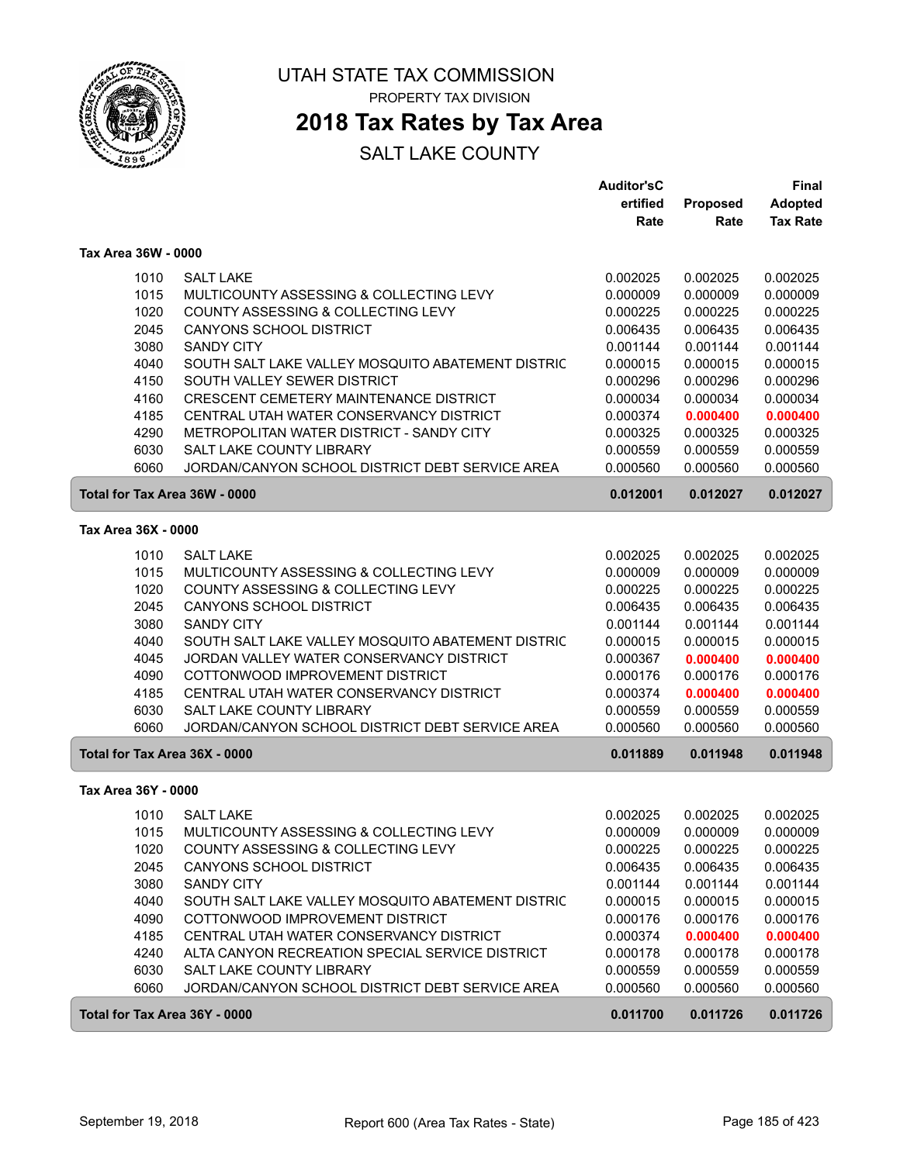

### **2018 Tax Rates by Tax Area**

|                               |                                                   | <b>Auditor'sC</b> |                         | <b>Final</b>                      |
|-------------------------------|---------------------------------------------------|-------------------|-------------------------|-----------------------------------|
|                               |                                                   | ertified<br>Rate  | <b>Proposed</b><br>Rate | <b>Adopted</b><br><b>Tax Rate</b> |
| Tax Area 36W - 0000           |                                                   |                   |                         |                                   |
| 1010                          | <b>SALT LAKE</b>                                  | 0.002025          | 0.002025                | 0.002025                          |
| 1015                          | MULTICOUNTY ASSESSING & COLLECTING LEVY           | 0.000009          | 0.000009                | 0.000009                          |
| 1020                          | <b>COUNTY ASSESSING &amp; COLLECTING LEVY</b>     | 0.000225          | 0.000225                | 0.000225                          |
| 2045                          | <b>CANYONS SCHOOL DISTRICT</b>                    | 0.006435          | 0.006435                | 0.006435                          |
| 3080                          | <b>SANDY CITY</b>                                 | 0.001144          | 0.001144                | 0.001144                          |
| 4040                          | SOUTH SALT LAKE VALLEY MOSQUITO ABATEMENT DISTRIC | 0.000015          | 0.000015                | 0.000015                          |
| 4150                          | SOUTH VALLEY SEWER DISTRICT                       | 0.000296          | 0.000296                | 0.000296                          |
| 4160                          | CRESCENT CEMETERY MAINTENANCE DISTRICT            | 0.000034          | 0.000034                | 0.000034                          |
| 4185                          | CENTRAL UTAH WATER CONSERVANCY DISTRICT           | 0.000374          | 0.000400                | 0.000400                          |
| 4290                          | METROPOLITAN WATER DISTRICT - SANDY CITY          | 0.000325          | 0.000325                | 0.000325                          |
| 6030                          | SALT LAKE COUNTY LIBRARY                          | 0.000559          | 0.000559                | 0.000559                          |
| 6060                          | JORDAN/CANYON SCHOOL DISTRICT DEBT SERVICE AREA   | 0.000560          | 0.000560                | 0.000560                          |
|                               | Total for Tax Area 36W - 0000                     | 0.012001          | 0.012027                | 0.012027                          |
| Tax Area 36X - 0000           |                                                   |                   |                         |                                   |
| 1010                          | <b>SALT LAKE</b>                                  | 0.002025          | 0.002025                | 0.002025                          |
| 1015                          | MULTICOUNTY ASSESSING & COLLECTING LEVY           | 0.000009          | 0.000009                | 0.000009                          |
| 1020                          | COUNTY ASSESSING & COLLECTING LEVY                | 0.000225          | 0.000225                | 0.000225                          |
| 2045                          | <b>CANYONS SCHOOL DISTRICT</b>                    | 0.006435          | 0.006435                | 0.006435                          |
| 3080                          | <b>SANDY CITY</b>                                 | 0.001144          | 0.001144                | 0.001144                          |
| 4040                          | SOUTH SALT LAKE VALLEY MOSQUITO ABATEMENT DISTRIC | 0.000015          | 0.000015                | 0.000015                          |
| 4045                          | JORDAN VALLEY WATER CONSERVANCY DISTRICT          | 0.000367          | 0.000400                | 0.000400                          |
| 4090                          | COTTONWOOD IMPROVEMENT DISTRICT                   | 0.000176          | 0.000176                | 0.000176                          |
| 4185                          | CENTRAL UTAH WATER CONSERVANCY DISTRICT           | 0.000374          | 0.000400                | 0.000400                          |
| 6030                          | SALT LAKE COUNTY LIBRARY                          | 0.000559          | 0.000559                | 0.000559                          |
| 6060                          | JORDAN/CANYON SCHOOL DISTRICT DEBT SERVICE AREA   | 0.000560          | 0.000560                | 0.000560                          |
| Total for Tax Area 36X - 0000 |                                                   | 0.011889          | 0.011948                | 0.011948                          |
| Tax Area 36Y - 0000           |                                                   |                   |                         |                                   |
| 1010                          | <b>SALT LAKE</b>                                  | 0.002025          | 0.002025                | 0.002025                          |
| 1015                          | MULTICOUNTY ASSESSING & COLLECTING LEVY           | 0.000009          | 0.000009                | 0.000009                          |
| 1020                          | COUNTY ASSESSING & COLLECTING LEVY                | 0.000225          | 0.000225                | 0.000225                          |
| 2045                          | <b>CANYONS SCHOOL DISTRICT</b>                    | 0.006435          | 0.006435                | 0.006435                          |
| 3080                          | <b>SANDY CITY</b>                                 | 0.001144          | 0.001144                | 0.001144                          |
| 4040                          | SOUTH SALT LAKE VALLEY MOSQUITO ABATEMENT DISTRIC | 0.000015          | 0.000015                | 0.000015                          |
| 4090                          | COTTONWOOD IMPROVEMENT DISTRICT                   | 0.000176          | 0.000176                | 0.000176                          |
| 4185                          | CENTRAL UTAH WATER CONSERVANCY DISTRICT           | 0.000374          | 0.000400                | 0.000400                          |
| 4240                          | ALTA CANYON RECREATION SPECIAL SERVICE DISTRICT   | 0.000178          | 0.000178                | 0.000178                          |
| 6030                          | SALT LAKE COUNTY LIBRARY                          | 0.000559          | 0.000559                | 0.000559                          |
| 6060                          | JORDAN/CANYON SCHOOL DISTRICT DEBT SERVICE AREA   | 0.000560          | 0.000560                | 0.000560                          |
| Total for Tax Area 36Y - 0000 |                                                   | 0.011700          | 0.011726                | 0.011726                          |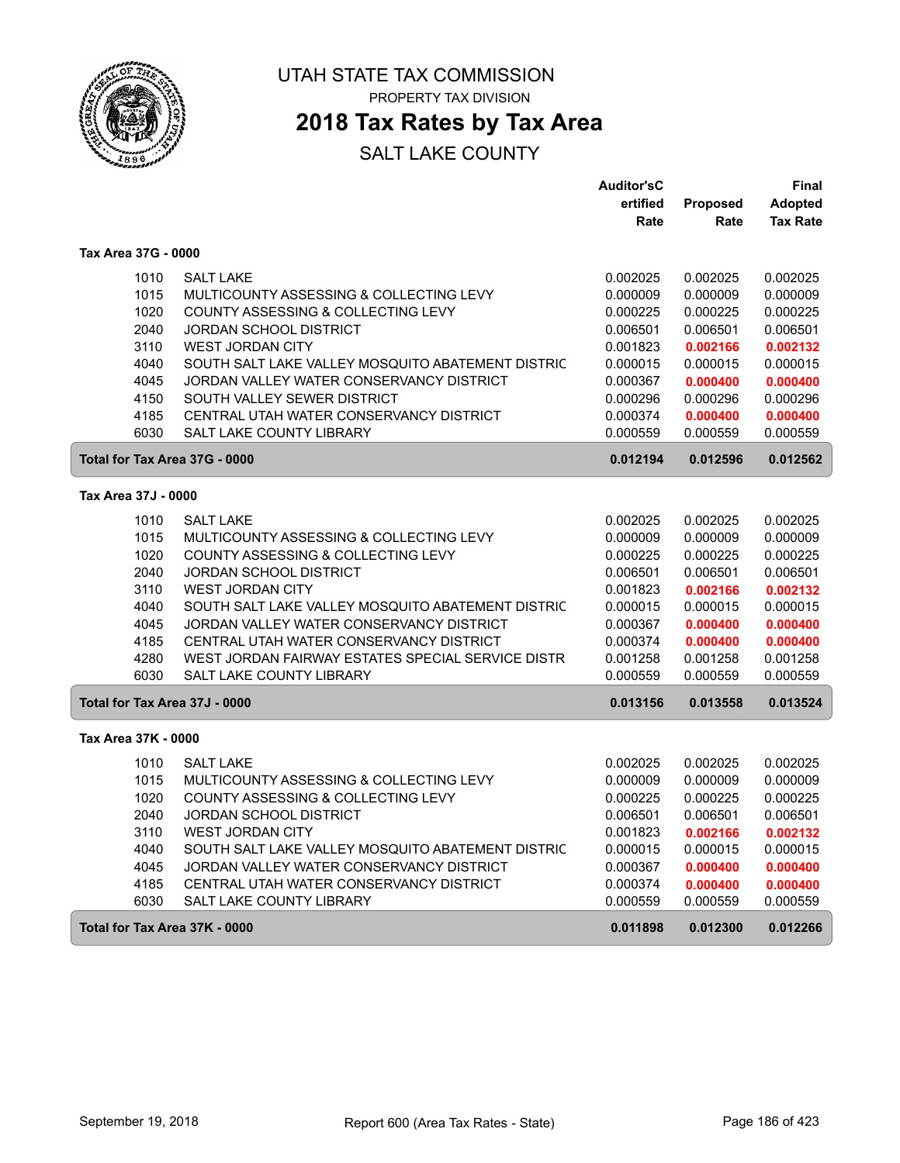

## **2018 Tax Rates by Tax Area**

#### SALT LAKE COUNTY

|                               |                                                   | <b>Auditor'sC</b> |                 | Final           |
|-------------------------------|---------------------------------------------------|-------------------|-----------------|-----------------|
|                               |                                                   | ertified          | <b>Proposed</b> | <b>Adopted</b>  |
|                               |                                                   | Rate              | Rate            | <b>Tax Rate</b> |
| Tax Area 37G - 0000           |                                                   |                   |                 |                 |
| 1010                          | <b>SALT LAKE</b>                                  | 0.002025          | 0.002025        | 0.002025        |
| 1015                          | MULTICOUNTY ASSESSING & COLLECTING LEVY           | 0.000009          | 0.000009        | 0.000009        |
| 1020                          | COUNTY ASSESSING & COLLECTING LEVY                | 0.000225          | 0.000225        | 0.000225        |
| 2040                          | JORDAN SCHOOL DISTRICT                            | 0.006501          | 0.006501        | 0.006501        |
| 3110                          | <b>WEST JORDAN CITY</b>                           | 0.001823          | 0.002166        | 0.002132        |
| 4040                          | SOUTH SALT LAKE VALLEY MOSQUITO ABATEMENT DISTRIC | 0.000015          | 0.000015        | 0.000015        |
| 4045                          | JORDAN VALLEY WATER CONSERVANCY DISTRICT          | 0.000367          | 0.000400        | 0.000400        |
| 4150                          | SOUTH VALLEY SEWER DISTRICT                       | 0.000296          | 0.000296        | 0.000296        |
| 4185                          | CENTRAL UTAH WATER CONSERVANCY DISTRICT           | 0.000374          | 0.000400        | 0.000400        |
| 6030                          | <b>SALT LAKE COUNTY LIBRARY</b>                   | 0.000559          | 0.000559        | 0.000559        |
| Total for Tax Area 37G - 0000 |                                                   | 0.012194          | 0.012596        | 0.012562        |
|                               |                                                   |                   |                 |                 |
| Tax Area 37J - 0000           |                                                   |                   |                 |                 |
| 1010                          | <b>SALT LAKE</b>                                  | 0.002025          | 0.002025        | 0.002025        |
| 1015                          | MULTICOUNTY ASSESSING & COLLECTING LEVY           | 0.000009          | 0.000009        | 0.000009        |
| 1020                          | COUNTY ASSESSING & COLLECTING LEVY                | 0.000225          | 0.000225        | 0.000225        |
| 2040                          | <b>JORDAN SCHOOL DISTRICT</b>                     | 0.006501          | 0.006501        | 0.006501        |
| 3110                          | <b>WEST JORDAN CITY</b>                           | 0.001823          | 0.002166        | 0.002132        |
| 4040                          | SOUTH SALT LAKE VALLEY MOSQUITO ABATEMENT DISTRIC | 0.000015          | 0.000015        | 0.000015        |
| 4045                          | JORDAN VALLEY WATER CONSERVANCY DISTRICT          | 0.000367          | 0.000400        | 0.000400        |
| 4185                          | CENTRAL UTAH WATER CONSERVANCY DISTRICT           | 0.000374          | 0.000400        | 0.000400        |
| 4280                          | WEST JORDAN FAIRWAY ESTATES SPECIAL SERVICE DISTR | 0.001258          | 0.001258        | 0.001258        |
| 6030                          | <b>SALT LAKE COUNTY LIBRARY</b>                   | 0.000559          | 0.000559        | 0.000559        |
| Total for Tax Area 37J - 0000 |                                                   | 0.013156          | 0.013558        | 0.013524        |
| Tax Area 37K - 0000           |                                                   |                   |                 |                 |
| 1010                          | <b>SALT LAKE</b>                                  | 0.002025          | 0.002025        | 0.002025        |
| 1015                          | MULTICOUNTY ASSESSING & COLLECTING LEVY           | 0.000009          | 0.000009        | 0.000009        |
| 1020                          | COUNTY ASSESSING & COLLECTING LEVY                | 0.000225          | 0.000225        | 0.000225        |
| 2040                          | JORDAN SCHOOL DISTRICT                            | 0.006501          | 0.006501        | 0.006501        |
| 3110                          | <b>WEST JORDAN CITY</b>                           | 0.001823          | 0.002166        | 0.002132        |
| 4040                          | SOUTH SALT LAKE VALLEY MOSQUITO ABATEMENT DISTRIC | 0.000015          | 0.000015        | 0.000015        |
| 4045                          | JORDAN VALLEY WATER CONSERVANCY DISTRICT          | 0.000367          | 0.000400        | 0.000400        |
| 4185                          | CENTRAL UTAH WATER CONSERVANCY DISTRICT           | 0.000374          | 0.000400        | 0.000400        |
| 6030                          | <b>SALT LAKE COUNTY LIBRARY</b>                   | 0.000559          | 0.000559        | 0.000559        |
| Total for Tax Area 37K - 0000 |                                                   | 0.011898          | 0.012300        | 0.012266        |
|                               |                                                   |                   |                 |                 |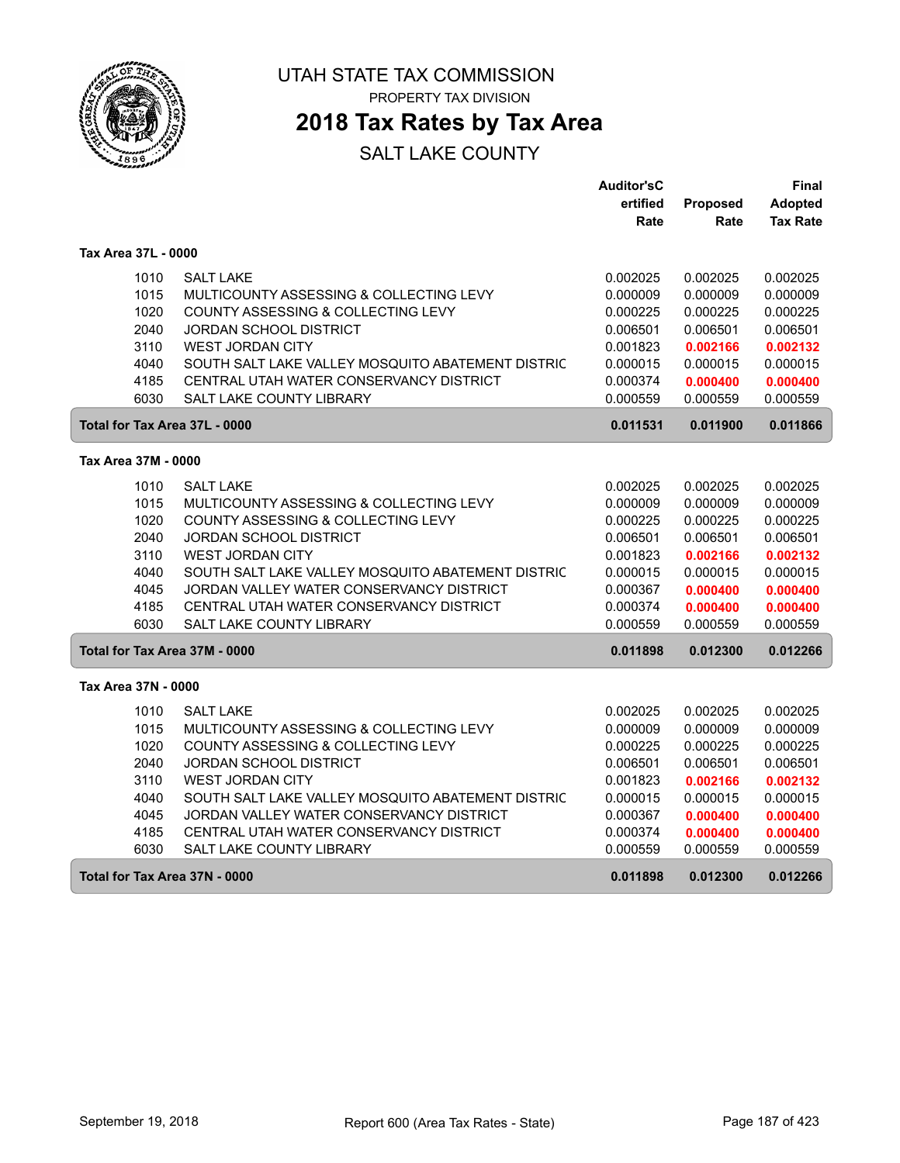

## **2018 Tax Rates by Tax Area**

|                               |                                                   | <b>Auditor'sC</b> |                 | Final           |
|-------------------------------|---------------------------------------------------|-------------------|-----------------|-----------------|
|                               |                                                   | ertified          | <b>Proposed</b> | <b>Adopted</b>  |
|                               |                                                   | Rate              | Rate            | <b>Tax Rate</b> |
| Tax Area 37L - 0000           |                                                   |                   |                 |                 |
| 1010                          | <b>SALT LAKE</b>                                  | 0.002025          | 0.002025        | 0.002025        |
| 1015                          | MULTICOUNTY ASSESSING & COLLECTING LEVY           | 0.000009          | 0.000009        | 0.000009        |
| 1020                          | COUNTY ASSESSING & COLLECTING LEVY                | 0.000225          | 0.000225        | 0.000225        |
| 2040                          | <b>JORDAN SCHOOL DISTRICT</b>                     | 0.006501          | 0.006501        | 0.006501        |
| 3110                          | <b>WEST JORDAN CITY</b>                           | 0.001823          | 0.002166        | 0.002132        |
| 4040                          | SOUTH SALT LAKE VALLEY MOSQUITO ABATEMENT DISTRIC | 0.000015          | 0.000015        | 0.000015        |
| 4185                          | CENTRAL UTAH WATER CONSERVANCY DISTRICT           | 0.000374          | 0.000400        | 0.000400        |
| 6030                          | <b>SALT LAKE COUNTY LIBRARY</b>                   | 0.000559          | 0.000559        | 0.000559        |
| Total for Tax Area 37L - 0000 |                                                   | 0.011531          | 0.011900        | 0.011866        |
| Tax Area 37M - 0000           |                                                   |                   |                 |                 |
| 1010                          | <b>SALT LAKE</b>                                  | 0.002025          | 0.002025        | 0.002025        |
| 1015                          | MULTICOUNTY ASSESSING & COLLECTING LEVY           | 0.000009          | 0.000009        | 0.000009        |
| 1020                          | COUNTY ASSESSING & COLLECTING LEVY                | 0.000225          | 0.000225        | 0.000225        |
| 2040                          | <b>JORDAN SCHOOL DISTRICT</b>                     | 0.006501          | 0.006501        | 0.006501        |
| 3110                          | <b>WEST JORDAN CITY</b>                           | 0.001823          | 0.002166        | 0.002132        |
| 4040                          | SOUTH SALT LAKE VALLEY MOSQUITO ABATEMENT DISTRIC | 0.000015          | 0.000015        | 0.000015        |
| 4045                          | JORDAN VALLEY WATER CONSERVANCY DISTRICT          | 0.000367          | 0.000400        | 0.000400        |
| 4185                          | CENTRAL UTAH WATER CONSERVANCY DISTRICT           | 0.000374          | 0.000400        | 0.000400        |
| 6030                          | SALT LAKE COUNTY LIBRARY                          | 0.000559          | 0.000559        | 0.000559        |
| Total for Tax Area 37M - 0000 |                                                   | 0.011898          | 0.012300        | 0.012266        |
| Tax Area 37N - 0000           |                                                   |                   |                 |                 |
| 1010                          | <b>SALT LAKE</b>                                  | 0.002025          | 0.002025        | 0.002025        |
| 1015                          | MULTICOUNTY ASSESSING & COLLECTING LEVY           | 0.000009          | 0.000009        | 0.000009        |
| 1020                          | COUNTY ASSESSING & COLLECTING LEVY                | 0.000225          | 0.000225        | 0.000225        |
| 2040                          | JORDAN SCHOOL DISTRICT                            | 0.006501          | 0.006501        | 0.006501        |
| 3110                          | <b>WEST JORDAN CITY</b>                           | 0.001823          | 0.002166        | 0.002132        |
| 4040                          | SOUTH SALT LAKE VALLEY MOSQUITO ABATEMENT DISTRIC | 0.000015          | 0.000015        | 0.000015        |
| 4045                          | JORDAN VALLEY WATER CONSERVANCY DISTRICT          | 0.000367          | 0.000400        | 0.000400        |
| 4185                          | CENTRAL UTAH WATER CONSERVANCY DISTRICT           | 0.000374          | 0.000400        | 0.000400        |
| 6030                          | SALT LAKE COUNTY LIBRARY                          | 0.000559          | 0.000559        | 0.000559        |
| Total for Tax Area 37N - 0000 |                                                   | 0.011898          | 0.012300        | 0.012266        |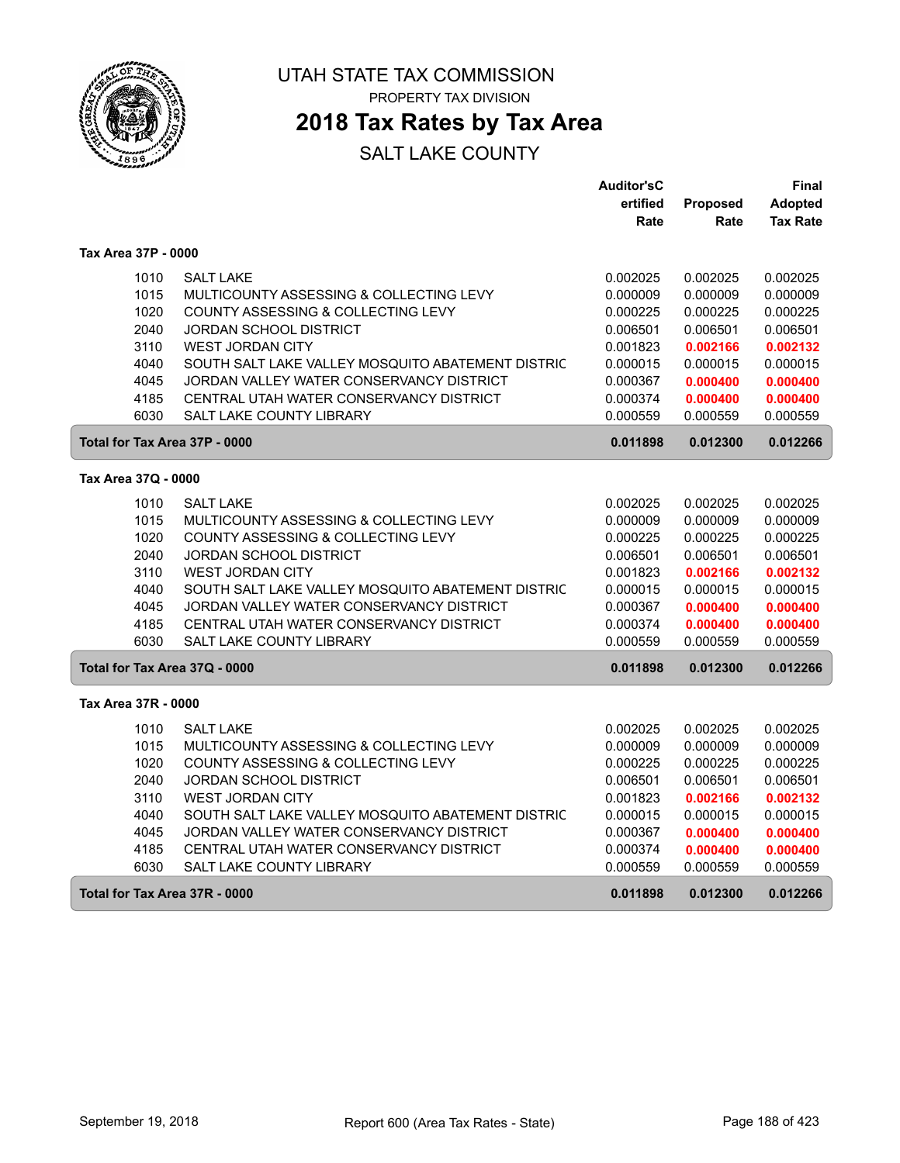

 $\sqrt{2}$ 

ſ

UTAH STATE TAX COMMISSION PROPERTY TAX DIVISION

### **2018 Tax Rates by Tax Area**

|                               |                                                   | <b>Auditor'sC</b> |          | Final           |
|-------------------------------|---------------------------------------------------|-------------------|----------|-----------------|
|                               |                                                   | ertified          | Proposed | Adopted         |
|                               |                                                   | Rate              | Rate     | <b>Tax Rate</b> |
| Tax Area 37P - 0000           |                                                   |                   |          |                 |
| 1010                          | <b>SALT LAKE</b>                                  | 0.002025          | 0.002025 | 0.002025        |
| 1015                          | MULTICOUNTY ASSESSING & COLLECTING LEVY           | 0.000009          | 0.000009 | 0.000009        |
| 1020                          | COUNTY ASSESSING & COLLECTING LEVY                | 0.000225          | 0.000225 | 0.000225        |
| 2040                          | <b>JORDAN SCHOOL DISTRICT</b>                     | 0.006501          | 0.006501 | 0.006501        |
| 3110                          | <b>WEST JORDAN CITY</b>                           | 0.001823          | 0.002166 | 0.002132        |
| 4040                          | SOUTH SALT LAKE VALLEY MOSQUITO ABATEMENT DISTRIC | 0.000015          | 0.000015 | 0.000015        |
| 4045                          | JORDAN VALLEY WATER CONSERVANCY DISTRICT          | 0.000367          | 0.000400 | 0.000400        |
| 4185                          | CENTRAL UTAH WATER CONSERVANCY DISTRICT           | 0.000374          | 0.000400 | 0.000400        |
| 6030                          | <b>SALT LAKE COUNTY LIBRARY</b>                   | 0.000559          | 0.000559 | 0.000559        |
| Total for Tax Area 37P - 0000 |                                                   | 0.011898          | 0.012300 | 0.012266        |
| Tax Area 37Q - 0000           |                                                   |                   |          |                 |
| 1010                          | <b>SALT LAKE</b>                                  | 0.002025          | 0.002025 | 0.002025        |
| 1015                          | MULTICOUNTY ASSESSING & COLLECTING LEVY           | 0.000009          | 0.000009 | 0.000009        |
| 1020                          | COUNTY ASSESSING & COLLECTING LEVY                | 0.000225          | 0.000225 | 0.000225        |
| 2040                          | JORDAN SCHOOL DISTRICT                            | 0.006501          | 0.006501 | 0.006501        |
| 3110                          | <b>WEST JORDAN CITY</b>                           | 0.001823          | 0.002166 | 0.002132        |
| 4040                          | SOUTH SALT LAKE VALLEY MOSQUITO ABATEMENT DISTRIC | 0.000015          | 0.000015 | 0.000015        |
| 4045                          | JORDAN VALLEY WATER CONSERVANCY DISTRICT          | 0.000367          | 0.000400 | 0.000400        |
| 4185                          | CENTRAL UTAH WATER CONSERVANCY DISTRICT           | 0.000374          | 0.000400 | 0.000400        |
| 6030                          | <b>SALT LAKE COUNTY LIBRARY</b>                   | 0.000559          | 0.000559 | 0.000559        |
| Total for Tax Area 37Q - 0000 |                                                   | 0.011898          | 0.012300 | 0.012266        |
| Tax Area 37R - 0000           |                                                   |                   |          |                 |
| 1010                          | <b>SALT LAKE</b>                                  | 0.002025          | 0.002025 | 0.002025        |
| 1015                          | MULTICOUNTY ASSESSING & COLLECTING LEVY           | 0.000009          | 0.000009 | 0.000009        |
| 1020                          | COUNTY ASSESSING & COLLECTING LEVY                | 0.000225          | 0.000225 | 0.000225        |
| 2040                          | <b>JORDAN SCHOOL DISTRICT</b>                     | 0.006501          | 0.006501 | 0.006501        |
| 3110                          | <b>WEST JORDAN CITY</b>                           | 0.001823          | 0.002166 | 0.002132        |
| 4040                          | SOUTH SALT LAKE VALLEY MOSQUITO ABATEMENT DISTRIC | 0.000015          | 0.000015 | 0.000015        |
| 4045                          | JORDAN VALLEY WATER CONSERVANCY DISTRICT          | 0.000367          | 0.000400 | 0.000400        |
| 4185                          | CENTRAL UTAH WATER CONSERVANCY DISTRICT           | 0.000374          | 0.000400 | 0.000400        |
| 6030                          | <b>SALT LAKE COUNTY LIBRARY</b>                   | 0.000559          | 0.000559 | 0.000559        |
| Total for Tax Area 37R - 0000 |                                                   | 0.011898          | 0.012300 | 0.012266        |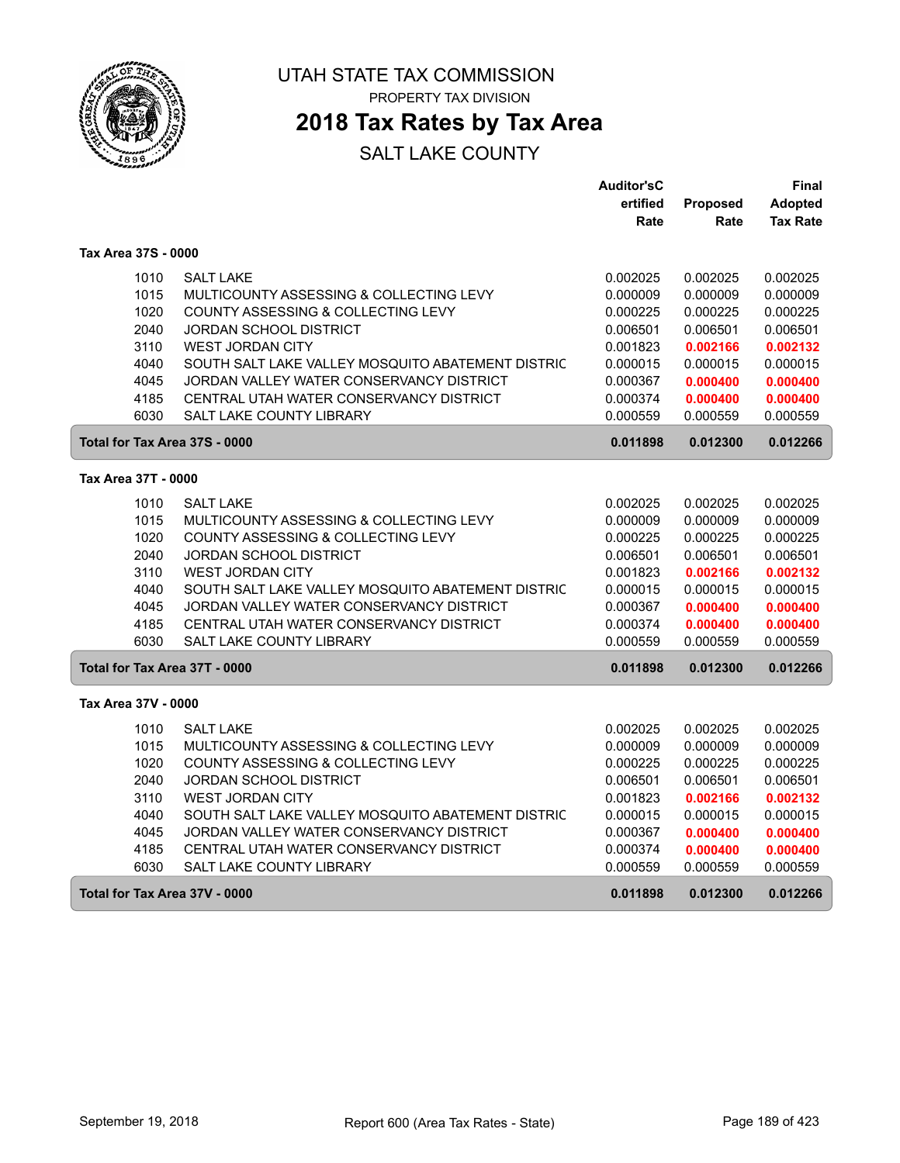

ſ

ſ

UTAH STATE TAX COMMISSION PROPERTY TAX DIVISION

### **2018 Tax Rates by Tax Area**

|                               |                                                   | <b>Auditor'sC</b> |          | Final           |
|-------------------------------|---------------------------------------------------|-------------------|----------|-----------------|
|                               |                                                   | ertified          | Proposed | <b>Adopted</b>  |
|                               |                                                   | Rate              | Rate     | <b>Tax Rate</b> |
| Tax Area 37S - 0000           |                                                   |                   |          |                 |
| 1010                          | <b>SALT LAKE</b>                                  | 0.002025          | 0.002025 | 0.002025        |
| 1015                          | MULTICOUNTY ASSESSING & COLLECTING LEVY           | 0.000009          | 0.000009 | 0.000009        |
| 1020                          | COUNTY ASSESSING & COLLECTING LEVY                | 0.000225          | 0.000225 | 0.000225        |
| 2040                          | <b>JORDAN SCHOOL DISTRICT</b>                     | 0.006501          | 0.006501 | 0.006501        |
| 3110                          | <b>WEST JORDAN CITY</b>                           | 0.001823          | 0.002166 | 0.002132        |
| 4040                          | SOUTH SALT LAKE VALLEY MOSQUITO ABATEMENT DISTRIC | 0.000015          | 0.000015 | 0.000015        |
| 4045                          | JORDAN VALLEY WATER CONSERVANCY DISTRICT          | 0.000367          | 0.000400 | 0.000400        |
| 4185                          | CENTRAL UTAH WATER CONSERVANCY DISTRICT           | 0.000374          | 0.000400 | 0.000400        |
| 6030                          | <b>SALT LAKE COUNTY LIBRARY</b>                   | 0.000559          | 0.000559 | 0.000559        |
| Total for Tax Area 37S - 0000 |                                                   | 0.011898          | 0.012300 | 0.012266        |
| Tax Area 37T - 0000           |                                                   |                   |          |                 |
| 1010                          | <b>SALT LAKE</b>                                  | 0.002025          | 0.002025 | 0.002025        |
| 1015                          | MULTICOUNTY ASSESSING & COLLECTING LEVY           | 0.000009          | 0.000009 | 0.000009        |
| 1020                          | COUNTY ASSESSING & COLLECTING LEVY                | 0.000225          | 0.000225 | 0.000225        |
| 2040                          | <b>JORDAN SCHOOL DISTRICT</b>                     | 0.006501          | 0.006501 | 0.006501        |
| 3110                          | <b>WEST JORDAN CITY</b>                           | 0.001823          | 0.002166 | 0.002132        |
| 4040                          | SOUTH SALT LAKE VALLEY MOSQUITO ABATEMENT DISTRIC | 0.000015          | 0.000015 | 0.000015        |
| 4045                          | JORDAN VALLEY WATER CONSERVANCY DISTRICT          | 0.000367          | 0.000400 | 0.000400        |
| 4185                          | CENTRAL UTAH WATER CONSERVANCY DISTRICT           | 0.000374          | 0.000400 | 0.000400        |
| 6030                          | <b>SALT LAKE COUNTY LIBRARY</b>                   | 0.000559          | 0.000559 | 0.000559        |
| Total for Tax Area 37T - 0000 |                                                   | 0.011898          | 0.012300 | 0.012266        |
| Tax Area 37V - 0000           |                                                   |                   |          |                 |
| 1010                          | <b>SALT LAKE</b>                                  | 0.002025          | 0.002025 | 0.002025        |
| 1015                          | MULTICOUNTY ASSESSING & COLLECTING LEVY           | 0.000009          | 0.000009 | 0.000009        |
| 1020                          | COUNTY ASSESSING & COLLECTING LEVY                | 0.000225          | 0.000225 | 0.000225        |
| 2040                          | <b>JORDAN SCHOOL DISTRICT</b>                     | 0.006501          | 0.006501 | 0.006501        |
| 3110                          | <b>WEST JORDAN CITY</b>                           | 0.001823          | 0.002166 | 0.002132        |
| 4040                          | SOUTH SALT LAKE VALLEY MOSQUITO ABATEMENT DISTRIC | 0.000015          | 0.000015 | 0.000015        |
| 4045                          | JORDAN VALLEY WATER CONSERVANCY DISTRICT          | 0.000367          | 0.000400 | 0.000400        |
| 4185                          | CENTRAL UTAH WATER CONSERVANCY DISTRICT           | 0.000374          | 0.000400 | 0.000400        |
| 6030                          | SALT LAKE COUNTY LIBRARY                          | 0.000559          | 0.000559 | 0.000559        |
| Total for Tax Area 37V - 0000 |                                                   | 0.011898          | 0.012300 | 0.012266        |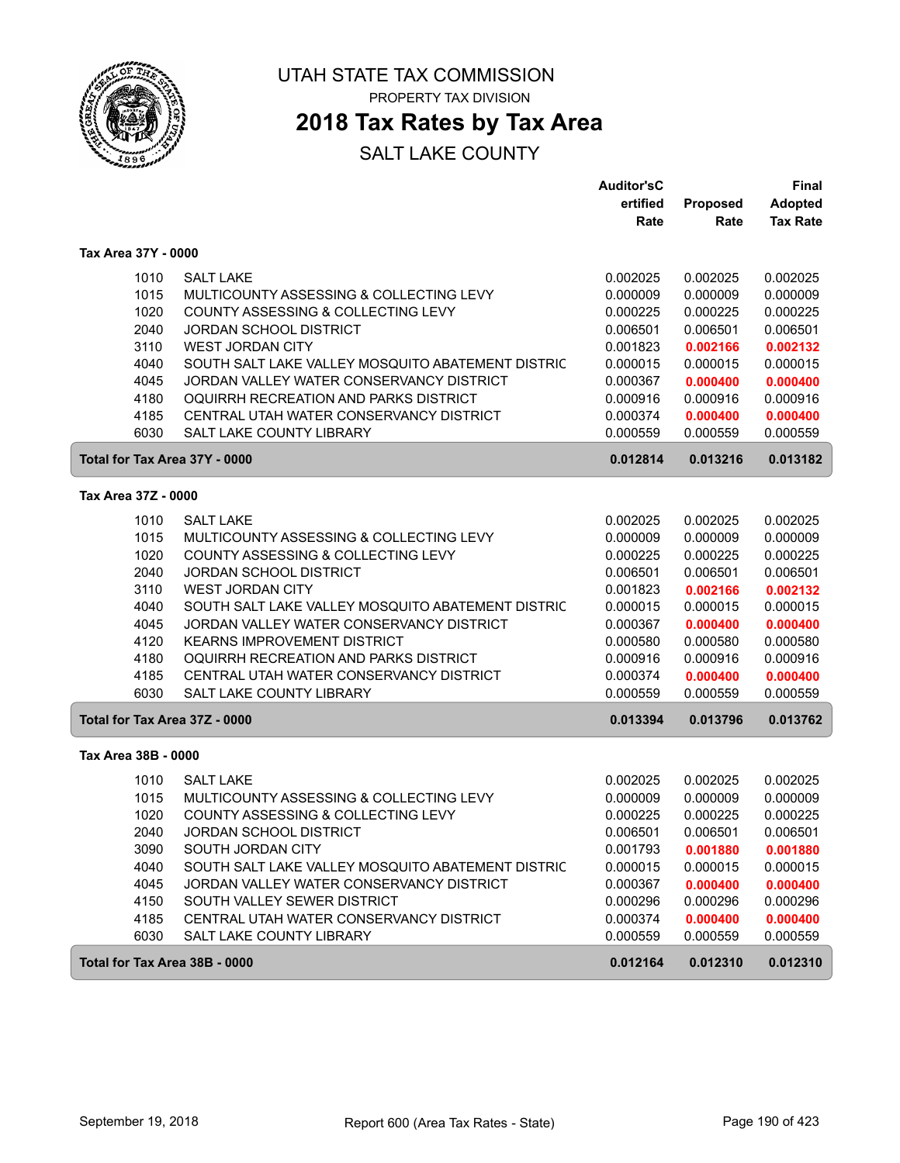

### **2018 Tax Rates by Tax Area**

|                               |                                                   | <b>Auditor'sC</b> |          | <b>Final</b>    |
|-------------------------------|---------------------------------------------------|-------------------|----------|-----------------|
|                               |                                                   | ertified          | Proposed | <b>Adopted</b>  |
|                               |                                                   | Rate              | Rate     | <b>Tax Rate</b> |
| Tax Area 37Y - 0000           |                                                   |                   |          |                 |
| 1010                          | <b>SALT LAKE</b>                                  | 0.002025          | 0.002025 | 0.002025        |
| 1015                          | MULTICOUNTY ASSESSING & COLLECTING LEVY           | 0.000009          | 0.000009 | 0.000009        |
| 1020                          | COUNTY ASSESSING & COLLECTING LEVY                | 0.000225          | 0.000225 | 0.000225        |
| 2040                          | <b>JORDAN SCHOOL DISTRICT</b>                     | 0.006501          | 0.006501 | 0.006501        |
| 3110                          | <b>WEST JORDAN CITY</b>                           | 0.001823          | 0.002166 | 0.002132        |
| 4040                          | SOUTH SALT LAKE VALLEY MOSQUITO ABATEMENT DISTRIC | 0.000015          | 0.000015 | 0.000015        |
| 4045                          | JORDAN VALLEY WATER CONSERVANCY DISTRICT          | 0.000367          | 0.000400 | 0.000400        |
| 4180                          | OQUIRRH RECREATION AND PARKS DISTRICT             | 0.000916          | 0.000916 | 0.000916        |
| 4185                          | CENTRAL UTAH WATER CONSERVANCY DISTRICT           | 0.000374          | 0.000400 | 0.000400        |
| 6030                          | SALT LAKE COUNTY LIBRARY                          | 0.000559          | 0.000559 | 0.000559        |
| Total for Tax Area 37Y - 0000 |                                                   | 0.012814          | 0.013216 | 0.013182        |
| Tax Area 37Z - 0000           |                                                   |                   |          |                 |
| 1010                          | <b>SALT LAKE</b>                                  | 0.002025          | 0.002025 | 0.002025        |
| 1015                          | MULTICOUNTY ASSESSING & COLLECTING LEVY           | 0.000009          | 0.000009 | 0.000009        |
| 1020                          | COUNTY ASSESSING & COLLECTING LEVY                | 0.000225          | 0.000225 | 0.000225        |
| 2040                          | JORDAN SCHOOL DISTRICT                            | 0.006501          | 0.006501 | 0.006501        |
| 3110                          | <b>WEST JORDAN CITY</b>                           | 0.001823          | 0.002166 | 0.002132        |
| 4040                          | SOUTH SALT LAKE VALLEY MOSQUITO ABATEMENT DISTRIC | 0.000015          | 0.000015 | 0.000015        |
| 4045                          | JORDAN VALLEY WATER CONSERVANCY DISTRICT          | 0.000367          | 0.000400 | 0.000400        |
| 4120                          | <b>KEARNS IMPROVEMENT DISTRICT</b>                | 0.000580          | 0.000580 | 0.000580        |
| 4180                          | OQUIRRH RECREATION AND PARKS DISTRICT             | 0.000916          | 0.000916 | 0.000916        |
| 4185                          | CENTRAL UTAH WATER CONSERVANCY DISTRICT           | 0.000374          | 0.000400 | 0.000400        |
| 6030                          | <b>SALT LAKE COUNTY LIBRARY</b>                   | 0.000559          | 0.000559 | 0.000559        |
| Total for Tax Area 37Z - 0000 |                                                   | 0.013394          | 0.013796 | 0.013762        |
| Tax Area 38B - 0000           |                                                   |                   |          |                 |
| 1010                          | <b>SALT LAKE</b>                                  | 0.002025          | 0.002025 | 0.002025        |
| 1015                          | MULTICOUNTY ASSESSING & COLLECTING LEVY           | 0.000009          | 0.000009 | 0.000009        |
| 1020                          | COUNTY ASSESSING & COLLECTING LEVY                | 0.000225          | 0.000225 | 0.000225        |
| 2040                          | <b>JORDAN SCHOOL DISTRICT</b>                     | 0.006501          | 0.006501 | 0.006501        |
| 3090                          | SOUTH JORDAN CITY                                 | 0.001793          | 0.001880 | 0.001880        |
| 4040                          | SOUTH SALT LAKE VALLEY MOSQUITO ABATEMENT DISTRIC | 0.000015          | 0.000015 | 0.000015        |
| 4045                          | JORDAN VALLEY WATER CONSERVANCY DISTRICT          | 0.000367          | 0.000400 | 0.000400        |
| 4150                          | SOUTH VALLEY SEWER DISTRICT                       | 0.000296          | 0.000296 | 0.000296        |
| 4185                          | CENTRAL UTAH WATER CONSERVANCY DISTRICT           | 0.000374          | 0.000400 | 0.000400        |
| 6030                          | SALT LAKE COUNTY LIBRARY                          | 0.000559          | 0.000559 | 0.000559        |
| Total for Tax Area 38B - 0000 |                                                   | 0.012164          | 0.012310 | 0.012310        |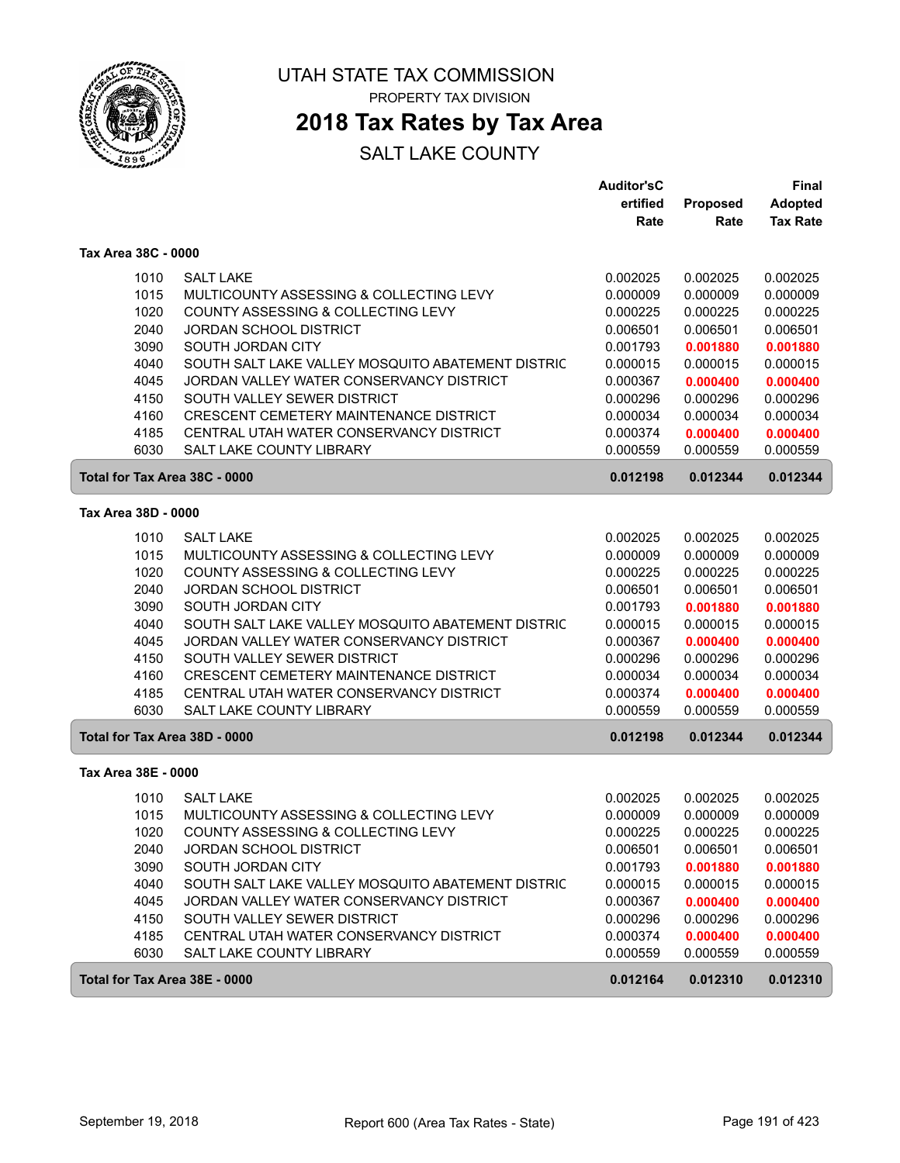

### **2018 Tax Rates by Tax Area**

|                               |                                                   | <b>Auditor'sC</b> |          | Final           |
|-------------------------------|---------------------------------------------------|-------------------|----------|-----------------|
|                               |                                                   | ertified          | Proposed | Adopted         |
|                               |                                                   | Rate              | Rate     | <b>Tax Rate</b> |
| Tax Area 38C - 0000           |                                                   |                   |          |                 |
| 1010                          | <b>SALT LAKE</b>                                  | 0.002025          | 0.002025 | 0.002025        |
| 1015                          | MULTICOUNTY ASSESSING & COLLECTING LEVY           | 0.000009          | 0.000009 | 0.000009        |
| 1020                          | COUNTY ASSESSING & COLLECTING LEVY                | 0.000225          | 0.000225 | 0.000225        |
| 2040                          | <b>JORDAN SCHOOL DISTRICT</b>                     | 0.006501          | 0.006501 | 0.006501        |
| 3090                          | SOUTH JORDAN CITY                                 | 0.001793          | 0.001880 | 0.001880        |
| 4040                          | SOUTH SALT LAKE VALLEY MOSQUITO ABATEMENT DISTRIC | 0.000015          | 0.000015 | 0.000015        |
| 4045                          | JORDAN VALLEY WATER CONSERVANCY DISTRICT          | 0.000367          | 0.000400 | 0.000400        |
| 4150                          | SOUTH VALLEY SEWER DISTRICT                       | 0.000296          | 0.000296 | 0.000296        |
| 4160                          | <b>CRESCENT CEMETERY MAINTENANCE DISTRICT</b>     | 0.000034          | 0.000034 | 0.000034        |
| 4185                          | CENTRAL UTAH WATER CONSERVANCY DISTRICT           | 0.000374          | 0.000400 | 0.000400        |
| 6030                          | SALT LAKE COUNTY LIBRARY                          | 0.000559          | 0.000559 | 0.000559        |
| Total for Tax Area 38C - 0000 |                                                   | 0.012198          | 0.012344 | 0.012344        |
| Tax Area 38D - 0000           |                                                   |                   |          |                 |
| 1010                          | <b>SALT LAKE</b>                                  | 0.002025          | 0.002025 | 0.002025        |
| 1015                          | MULTICOUNTY ASSESSING & COLLECTING LEVY           | 0.000009          | 0.000009 | 0.000009        |
| 1020                          | COUNTY ASSESSING & COLLECTING LEVY                | 0.000225          | 0.000225 | 0.000225        |
| 2040                          | <b>JORDAN SCHOOL DISTRICT</b>                     | 0.006501          | 0.006501 | 0.006501        |
| 3090                          | SOUTH JORDAN CITY                                 | 0.001793          | 0.001880 | 0.001880        |
| 4040                          | SOUTH SALT LAKE VALLEY MOSQUITO ABATEMENT DISTRIC | 0.000015          | 0.000015 | 0.000015        |
| 4045                          | JORDAN VALLEY WATER CONSERVANCY DISTRICT          | 0.000367          | 0.000400 | 0.000400        |
| 4150                          | SOUTH VALLEY SEWER DISTRICT                       | 0.000296          | 0.000296 | 0.000296        |
| 4160                          | CRESCENT CEMETERY MAINTENANCE DISTRICT            | 0.000034          | 0.000034 | 0.000034        |
| 4185                          | CENTRAL UTAH WATER CONSERVANCY DISTRICT           | 0.000374          | 0.000400 | 0.000400        |
| 6030                          | <b>SALT LAKE COUNTY LIBRARY</b>                   | 0.000559          | 0.000559 | 0.000559        |
| Total for Tax Area 38D - 0000 |                                                   | 0.012198          | 0.012344 | 0.012344        |
| Tax Area 38E - 0000           |                                                   |                   |          |                 |
| 1010                          | <b>SALT LAKE</b>                                  | 0.002025          | 0.002025 | 0.002025        |
| 1015                          | MULTICOUNTY ASSESSING & COLLECTING LEVY           | 0.000009          | 0.000009 | 0.000009        |
| 1020                          | COUNTY ASSESSING & COLLECTING LEVY                | 0.000225          | 0.000225 | 0.000225        |
| 2040                          | JORDAN SCHOOL DISTRICT                            | 0.006501          | 0.006501 | 0.006501        |
| 3090                          | SOUTH JORDAN CITY                                 | 0.001793          | 0.001880 | 0.001880        |
| 4040                          | SOUTH SALT LAKE VALLEY MOSQUITO ABATEMENT DISTRIC | 0.000015          | 0.000015 | 0.000015        |
| 4045                          | JORDAN VALLEY WATER CONSERVANCY DISTRICT          | 0.000367          | 0.000400 | 0.000400        |
| 4150                          | SOUTH VALLEY SEWER DISTRICT                       | 0.000296          | 0.000296 | 0.000296        |
| 4185                          | CENTRAL UTAH WATER CONSERVANCY DISTRICT           | 0.000374          | 0.000400 | 0.000400        |
| 6030                          | SALT LAKE COUNTY LIBRARY                          | 0.000559          | 0.000559 | 0.000559        |
| Total for Tax Area 38E - 0000 |                                                   | 0.012164          | 0.012310 | 0.012310        |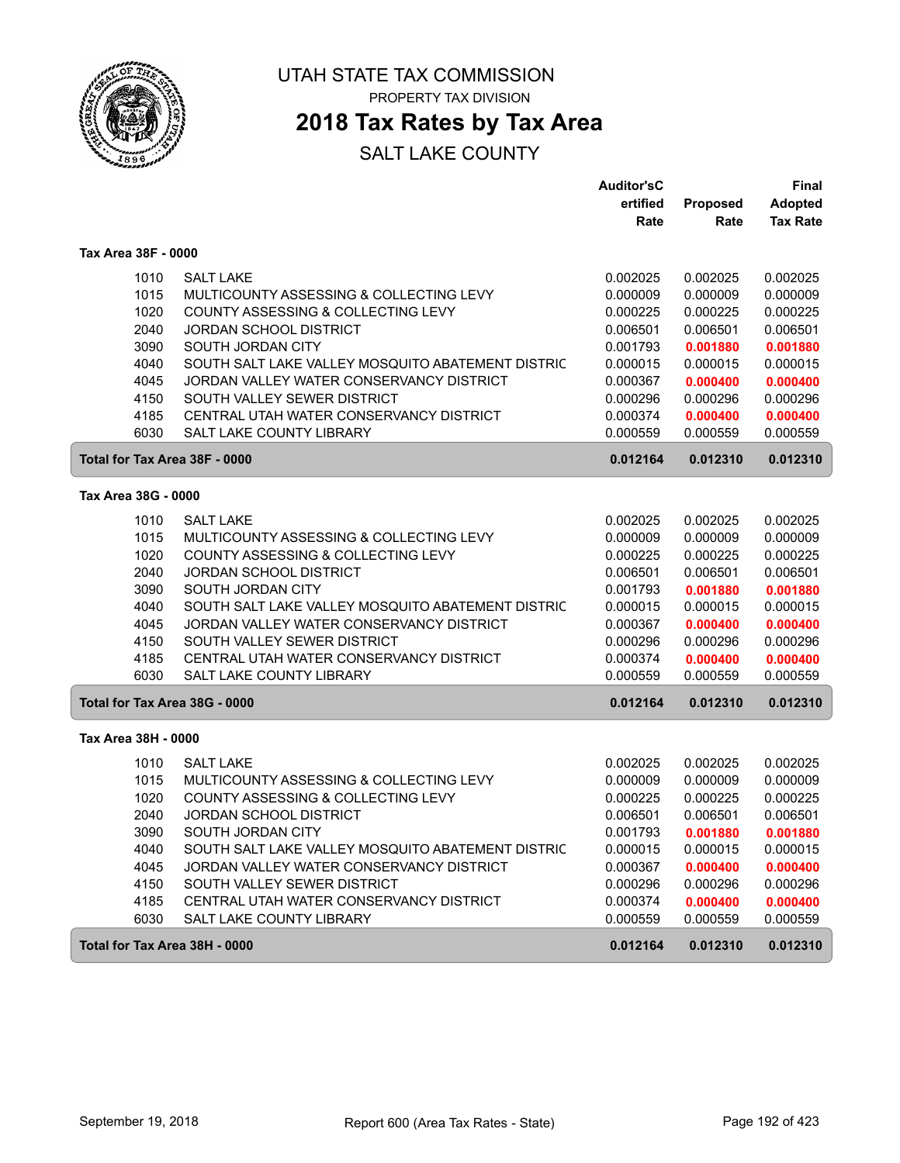

### **2018 Tax Rates by Tax Area**

|                               |                                                                     | <b>Auditor'sC</b>    |                      | <b>Final</b>         |
|-------------------------------|---------------------------------------------------------------------|----------------------|----------------------|----------------------|
|                               |                                                                     | ertified             | <b>Proposed</b>      | <b>Adopted</b>       |
|                               |                                                                     | Rate                 | Rate                 | <b>Tax Rate</b>      |
| Tax Area 38F - 0000           |                                                                     |                      |                      |                      |
| 1010                          | <b>SALT LAKE</b>                                                    | 0.002025             | 0.002025             | 0.002025             |
| 1015                          | MULTICOUNTY ASSESSING & COLLECTING LEVY                             | 0.000009             | 0.000009             | 0.000009             |
| 1020                          | COUNTY ASSESSING & COLLECTING LEVY                                  | 0.000225             | 0.000225             | 0.000225             |
| 2040                          | <b>JORDAN SCHOOL DISTRICT</b>                                       | 0.006501             | 0.006501             | 0.006501             |
| 3090                          | SOUTH JORDAN CITY                                                   | 0.001793             | 0.001880             | 0.001880             |
| 4040                          | SOUTH SALT LAKE VALLEY MOSQUITO ABATEMENT DISTRIC                   | 0.000015             | 0.000015             | 0.000015             |
| 4045                          | JORDAN VALLEY WATER CONSERVANCY DISTRICT                            | 0.000367             | 0.000400             | 0.000400             |
| 4150                          | SOUTH VALLEY SEWER DISTRICT                                         | 0.000296             | 0.000296             | 0.000296             |
| 4185                          | CENTRAL UTAH WATER CONSERVANCY DISTRICT                             | 0.000374             | 0.000400             | 0.000400             |
| 6030                          | SALT LAKE COUNTY LIBRARY                                            | 0.000559             | 0.000559             | 0.000559             |
| Total for Tax Area 38F - 0000 |                                                                     | 0.012164             | 0.012310             | 0.012310             |
| Tax Area 38G - 0000           |                                                                     |                      |                      |                      |
|                               |                                                                     |                      |                      |                      |
| 1010                          | <b>SALT LAKE</b>                                                    | 0.002025             | 0.002025             | 0.002025             |
| 1015                          | MULTICOUNTY ASSESSING & COLLECTING LEVY                             | 0.000009             | 0.000009             | 0.000009             |
| 1020                          | COUNTY ASSESSING & COLLECTING LEVY                                  | 0.000225             | 0.000225             | 0.000225             |
| 2040                          | <b>JORDAN SCHOOL DISTRICT</b>                                       | 0.006501<br>0.001793 | 0.006501             | 0.006501             |
| 3090                          | SOUTH JORDAN CITY                                                   |                      | 0.001880             | 0.001880             |
| 4040                          | SOUTH SALT LAKE VALLEY MOSQUITO ABATEMENT DISTRIC                   | 0.000015             | 0.000015             | 0.000015             |
| 4045                          | JORDAN VALLEY WATER CONSERVANCY DISTRICT                            | 0.000367             | 0.000400             | 0.000400             |
| 4150                          | SOUTH VALLEY SEWER DISTRICT                                         | 0.000296             | 0.000296             | 0.000296             |
| 4185<br>6030                  | CENTRAL UTAH WATER CONSERVANCY DISTRICT<br>SALT LAKE COUNTY LIBRARY | 0.000374<br>0.000559 | 0.000400<br>0.000559 | 0.000400<br>0.000559 |
|                               |                                                                     |                      |                      |                      |
| Total for Tax Area 38G - 0000 |                                                                     | 0.012164             | 0.012310             | 0.012310             |
| Tax Area 38H - 0000           |                                                                     |                      |                      |                      |
| 1010                          | <b>SALT LAKE</b>                                                    | 0.002025             | 0.002025             | 0.002025             |
| 1015                          | MULTICOUNTY ASSESSING & COLLECTING LEVY                             | 0.000009             | 0.000009             | 0.000009             |
| 1020                          | COUNTY ASSESSING & COLLECTING LEVY                                  | 0.000225             | 0.000225             | 0.000225             |
| 2040                          | <b>JORDAN SCHOOL DISTRICT</b>                                       | 0.006501             | 0.006501             | 0.006501             |
| 3090                          | SOUTH JORDAN CITY                                                   | 0.001793             | 0.001880             | 0.001880             |
| 4040                          | SOUTH SALT LAKE VALLEY MOSQUITO ABATEMENT DISTRIC                   | 0.000015             | 0.000015             | 0.000015             |
| 4045                          | JORDAN VALLEY WATER CONSERVANCY DISTRICT                            | 0.000367             | 0.000400             | 0.000400             |
| 4150                          | SOUTH VALLEY SEWER DISTRICT                                         | 0.000296             | 0.000296             | 0.000296             |
| 4185                          | CENTRAL UTAH WATER CONSERVANCY DISTRICT                             | 0.000374             | 0.000400             | 0.000400             |
| 6030                          | SALT LAKE COUNTY LIBRARY                                            | 0.000559             | 0.000559             | 0.000559             |
| Total for Tax Area 38H - 0000 |                                                                     | 0.012164             | 0.012310             | 0.012310             |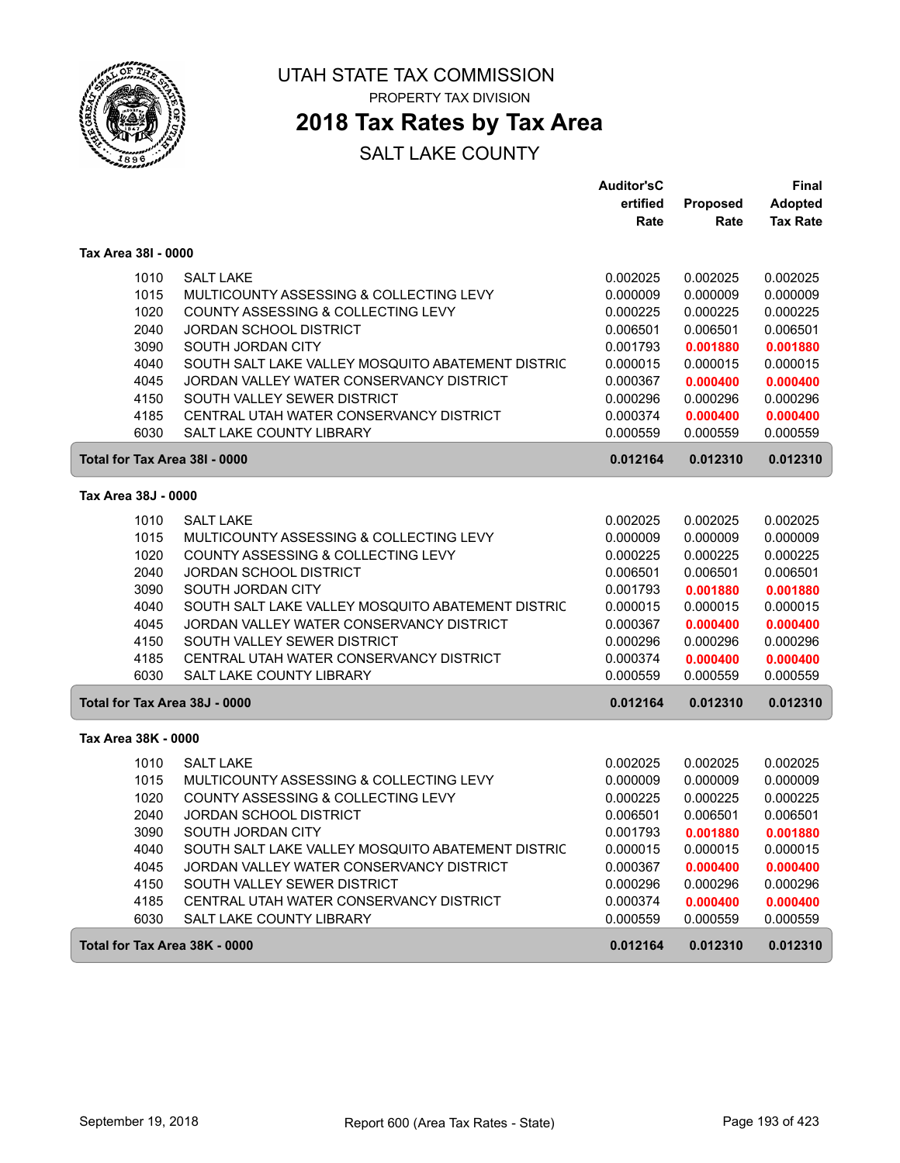

### **2018 Tax Rates by Tax Area**

|                               |                                                                     | <b>Auditor'sC</b>    |                      | <b>Final</b>         |
|-------------------------------|---------------------------------------------------------------------|----------------------|----------------------|----------------------|
|                               |                                                                     | ertified             | <b>Proposed</b>      | <b>Adopted</b>       |
|                               |                                                                     | Rate                 | Rate                 | <b>Tax Rate</b>      |
| Tax Area 38I - 0000           |                                                                     |                      |                      |                      |
| 1010                          | <b>SALT LAKE</b>                                                    | 0.002025             | 0.002025             | 0.002025             |
| 1015                          | MULTICOUNTY ASSESSING & COLLECTING LEVY                             | 0.000009             | 0.000009             | 0.000009             |
| 1020                          | COUNTY ASSESSING & COLLECTING LEVY                                  | 0.000225             | 0.000225             | 0.000225             |
| 2040                          | <b>JORDAN SCHOOL DISTRICT</b>                                       | 0.006501             | 0.006501             | 0.006501             |
| 3090                          | SOUTH JORDAN CITY                                                   | 0.001793             | 0.001880             | 0.001880             |
| 4040                          | SOUTH SALT LAKE VALLEY MOSQUITO ABATEMENT DISTRIC                   | 0.000015             | 0.000015             | 0.000015             |
| 4045                          | JORDAN VALLEY WATER CONSERVANCY DISTRICT                            | 0.000367             | 0.000400             | 0.000400             |
| 4150                          | SOUTH VALLEY SEWER DISTRICT                                         | 0.000296             | 0.000296             | 0.000296             |
| 4185                          | CENTRAL UTAH WATER CONSERVANCY DISTRICT                             | 0.000374             | 0.000400             | 0.000400             |
| 6030                          | SALT LAKE COUNTY LIBRARY                                            | 0.000559             | 0.000559             | 0.000559             |
| Total for Tax Area 38I - 0000 |                                                                     | 0.012164             | 0.012310             | 0.012310             |
| Tax Area 38J - 0000           |                                                                     |                      |                      |                      |
|                               |                                                                     |                      |                      |                      |
| 1010                          | <b>SALT LAKE</b>                                                    | 0.002025             | 0.002025             | 0.002025             |
| 1015                          | MULTICOUNTY ASSESSING & COLLECTING LEVY                             | 0.000009             | 0.000009             | 0.000009             |
| 1020                          | COUNTY ASSESSING & COLLECTING LEVY                                  | 0.000225             | 0.000225             | 0.000225             |
| 2040                          | <b>JORDAN SCHOOL DISTRICT</b>                                       | 0.006501<br>0.001793 | 0.006501             | 0.006501             |
| 3090                          | SOUTH JORDAN CITY                                                   |                      | 0.001880             | 0.001880             |
| 4040                          | SOUTH SALT LAKE VALLEY MOSQUITO ABATEMENT DISTRIC                   | 0.000015             | 0.000015             | 0.000015             |
| 4045                          | JORDAN VALLEY WATER CONSERVANCY DISTRICT                            | 0.000367             | 0.000400             | 0.000400             |
| 4150                          | SOUTH VALLEY SEWER DISTRICT                                         | 0.000296             | 0.000296             | 0.000296             |
| 4185<br>6030                  | CENTRAL UTAH WATER CONSERVANCY DISTRICT<br>SALT LAKE COUNTY LIBRARY | 0.000374<br>0.000559 | 0.000400<br>0.000559 | 0.000400<br>0.000559 |
|                               |                                                                     |                      |                      |                      |
| Total for Tax Area 38J - 0000 |                                                                     | 0.012164             | 0.012310             | 0.012310             |
| Tax Area 38K - 0000           |                                                                     |                      |                      |                      |
| 1010                          | <b>SALT LAKE</b>                                                    | 0.002025             | 0.002025             | 0.002025             |
| 1015                          | MULTICOUNTY ASSESSING & COLLECTING LEVY                             | 0.000009             | 0.000009             | 0.000009             |
| 1020                          | COUNTY ASSESSING & COLLECTING LEVY                                  | 0.000225             | 0.000225             | 0.000225             |
| 2040                          | <b>JORDAN SCHOOL DISTRICT</b>                                       | 0.006501             | 0.006501             | 0.006501             |
| 3090                          | SOUTH JORDAN CITY                                                   | 0.001793             | 0.001880             | 0.001880             |
| 4040                          | SOUTH SALT LAKE VALLEY MOSQUITO ABATEMENT DISTRIC                   | 0.000015             | 0.000015             | 0.000015             |
| 4045                          | JORDAN VALLEY WATER CONSERVANCY DISTRICT                            | 0.000367             | 0.000400             | 0.000400             |
| 4150                          | SOUTH VALLEY SEWER DISTRICT                                         | 0.000296             | 0.000296             | 0.000296             |
| 4185                          | CENTRAL UTAH WATER CONSERVANCY DISTRICT                             | 0.000374             | 0.000400             | 0.000400             |
| 6030                          | SALT LAKE COUNTY LIBRARY                                            | 0.000559             | 0.000559             | 0.000559             |
| Total for Tax Area 38K - 0000 |                                                                     | 0.012164             | 0.012310             | 0.012310             |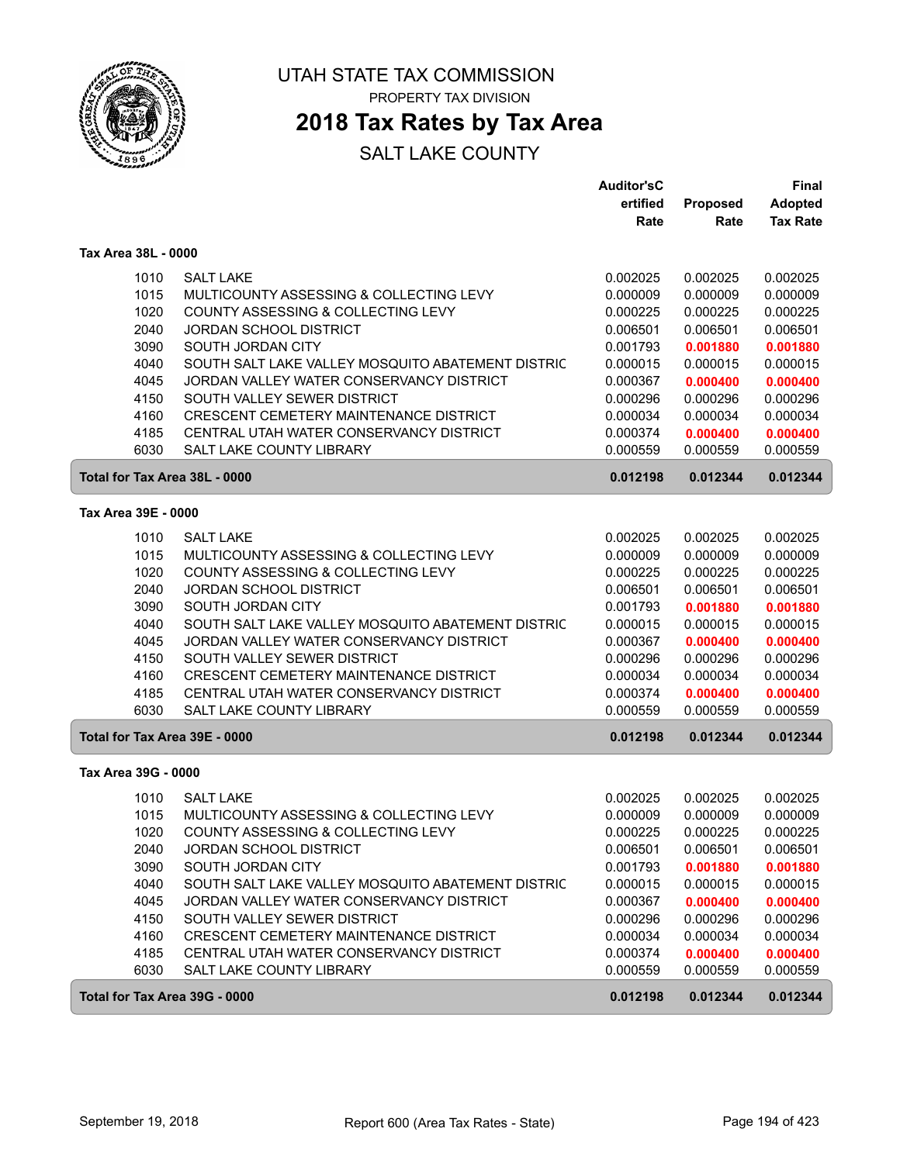

### **2018 Tax Rates by Tax Area**

|                     |                                                           | <b>Auditor'sC</b> |          | Final           |
|---------------------|-----------------------------------------------------------|-------------------|----------|-----------------|
|                     |                                                           | ertified          | Proposed | <b>Adopted</b>  |
|                     |                                                           | Rate              | Rate     | <b>Tax Rate</b> |
| Tax Area 38L - 0000 |                                                           |                   |          |                 |
|                     | <b>SALT LAKE</b><br>1010                                  | 0.002025          | 0.002025 | 0.002025        |
|                     | 1015<br>MULTICOUNTY ASSESSING & COLLECTING LEVY           | 0.000009          | 0.000009 | 0.000009        |
|                     | 1020<br><b>COUNTY ASSESSING &amp; COLLECTING LEVY</b>     | 0.000225          | 0.000225 | 0.000225        |
|                     | 2040<br><b>JORDAN SCHOOL DISTRICT</b>                     | 0.006501          | 0.006501 | 0.006501        |
|                     | 3090<br>SOUTH JORDAN CITY                                 | 0.001793          | 0.001880 | 0.001880        |
|                     | 4040<br>SOUTH SALT LAKE VALLEY MOSQUITO ABATEMENT DISTRIC | 0.000015          | 0.000015 | 0.000015        |
|                     | 4045<br>JORDAN VALLEY WATER CONSERVANCY DISTRICT          | 0.000367          | 0.000400 | 0.000400        |
|                     | 4150<br>SOUTH VALLEY SEWER DISTRICT                       | 0.000296          | 0.000296 | 0.000296        |
|                     | CRESCENT CEMETERY MAINTENANCE DISTRICT<br>4160            | 0.000034          | 0.000034 | 0.000034        |
|                     | 4185<br>CENTRAL UTAH WATER CONSERVANCY DISTRICT           | 0.000374          | 0.000400 | 0.000400        |
|                     | 6030<br>SALT LAKE COUNTY LIBRARY                          | 0.000559          | 0.000559 | 0.000559        |
|                     | Total for Tax Area 38L - 0000                             | 0.012198          | 0.012344 | 0.012344        |
| Tax Area 39E - 0000 |                                                           |                   |          |                 |
|                     | <b>SALT LAKE</b><br>1010                                  | 0.002025          | 0.002025 | 0.002025        |
|                     | 1015<br>MULTICOUNTY ASSESSING & COLLECTING LEVY           | 0.000009          | 0.000009 | 0.000009        |
|                     | 1020<br>COUNTY ASSESSING & COLLECTING LEVY                | 0.000225          | 0.000225 | 0.000225        |
|                     | 2040<br>JORDAN SCHOOL DISTRICT                            | 0.006501          | 0.006501 | 0.006501        |
|                     | 3090<br>SOUTH JORDAN CITY                                 | 0.001793          | 0.001880 | 0.001880        |
|                     | 4040<br>SOUTH SALT LAKE VALLEY MOSQUITO ABATEMENT DISTRIC | 0.000015          | 0.000015 | 0.000015        |
|                     | 4045<br>JORDAN VALLEY WATER CONSERVANCY DISTRICT          | 0.000367          | 0.000400 | 0.000400        |
|                     | SOUTH VALLEY SEWER DISTRICT<br>4150                       | 0.000296          | 0.000296 | 0.000296        |
|                     | 4160<br>CRESCENT CEMETERY MAINTENANCE DISTRICT            | 0.000034          | 0.000034 | 0.000034        |
|                     | 4185<br>CENTRAL UTAH WATER CONSERVANCY DISTRICT           | 0.000374          | 0.000400 | 0.000400        |
|                     | 6030<br>SALT LAKE COUNTY LIBRARY                          | 0.000559          | 0.000559 | 0.000559        |
|                     | Total for Tax Area 39E - 0000                             | 0.012198          | 0.012344 | 0.012344        |
| Tax Area 39G - 0000 |                                                           |                   |          |                 |
|                     | <b>SALT LAKE</b><br>1010                                  | 0.002025          | 0.002025 | 0.002025        |
|                     | 1015<br>MULTICOUNTY ASSESSING & COLLECTING LEVY           | 0.000009          | 0.000009 | 0.000009        |
|                     | 1020<br>COUNTY ASSESSING & COLLECTING LEVY                | 0.000225          | 0.000225 | 0.000225        |
|                     | 2040<br>JORDAN SCHOOL DISTRICT                            | 0.006501          | 0.006501 | 0.006501        |
|                     | 3090<br>SOUTH JORDAN CITY                                 | 0.001793          | 0.001880 | 0.001880        |
|                     | 4040<br>SOUTH SALT LAKE VALLEY MOSQUITO ABATEMENT DISTRIC | 0.000015          | 0.000015 | 0.000015        |
|                     | 4045<br>JORDAN VALLEY WATER CONSERVANCY DISTRICT          | 0.000367          | 0.000400 | 0.000400        |
|                     | 4150<br>SOUTH VALLEY SEWER DISTRICT                       | 0.000296          | 0.000296 | 0.000296        |
|                     | 4160<br>CRESCENT CEMETERY MAINTENANCE DISTRICT            | 0.000034          | 0.000034 | 0.000034        |
|                     | 4185<br>CENTRAL UTAH WATER CONSERVANCY DISTRICT           | 0.000374          | 0.000400 | 0.000400        |
|                     | 6030<br>SALT LAKE COUNTY LIBRARY                          | 0.000559          | 0.000559 | 0.000559        |
|                     | Total for Tax Area 39G - 0000                             | 0.012198          | 0.012344 | 0.012344        |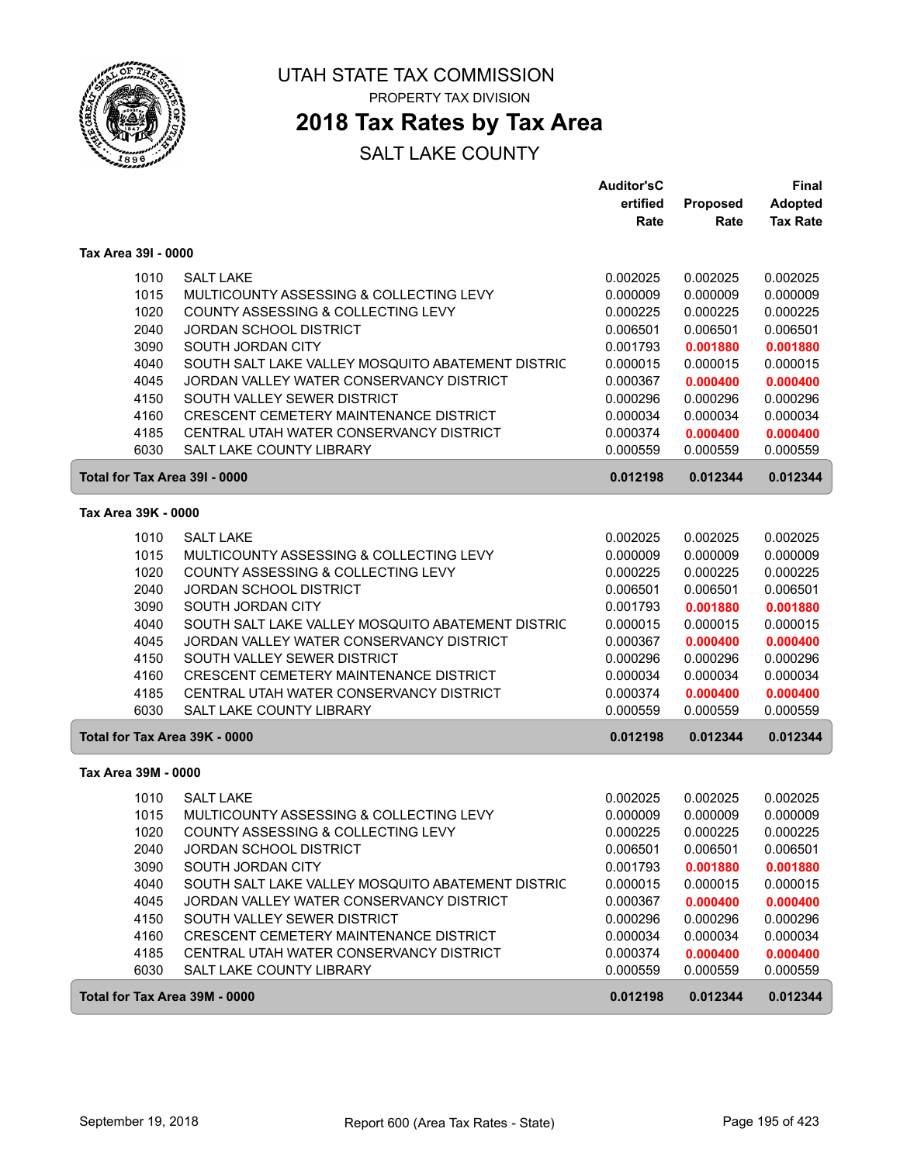

### **2018 Tax Rates by Tax Area**

|                               |                                                   | <b>Auditor'sC</b> |          | Final           |
|-------------------------------|---------------------------------------------------|-------------------|----------|-----------------|
|                               |                                                   | ertified          | Proposed | <b>Adopted</b>  |
|                               |                                                   | Rate              | Rate     | <b>Tax Rate</b> |
| Tax Area 39I - 0000           |                                                   |                   |          |                 |
| 1010                          | <b>SALT LAKE</b>                                  | 0.002025          | 0.002025 | 0.002025        |
| 1015                          | MULTICOUNTY ASSESSING & COLLECTING LEVY           | 0.000009          | 0.000009 | 0.000009        |
| 1020                          | COUNTY ASSESSING & COLLECTING LEVY                | 0.000225          | 0.000225 | 0.000225        |
| 2040                          | <b>JORDAN SCHOOL DISTRICT</b>                     | 0.006501          | 0.006501 | 0.006501        |
| 3090                          | SOUTH JORDAN CITY                                 | 0.001793          | 0.001880 | 0.001880        |
| 4040                          | SOUTH SALT LAKE VALLEY MOSQUITO ABATEMENT DISTRIC | 0.000015          | 0.000015 | 0.000015        |
| 4045                          | JORDAN VALLEY WATER CONSERVANCY DISTRICT          | 0.000367          | 0.000400 | 0.000400        |
| 4150                          | SOUTH VALLEY SEWER DISTRICT                       | 0.000296          | 0.000296 | 0.000296        |
| 4160                          | CRESCENT CEMETERY MAINTENANCE DISTRICT            | 0.000034          | 0.000034 | 0.000034        |
| 4185                          | CENTRAL UTAH WATER CONSERVANCY DISTRICT           | 0.000374          | 0.000400 | 0.000400        |
| 6030                          | <b>SALT LAKE COUNTY LIBRARY</b>                   | 0.000559          | 0.000559 | 0.000559        |
| Total for Tax Area 39I - 0000 |                                                   | 0.012198          | 0.012344 | 0.012344        |
| Tax Area 39K - 0000           |                                                   |                   |          |                 |
| 1010                          | <b>SALT LAKE</b>                                  | 0.002025          | 0.002025 | 0.002025        |
| 1015                          | MULTICOUNTY ASSESSING & COLLECTING LEVY           | 0.000009          | 0.000009 | 0.000009        |
| 1020                          | COUNTY ASSESSING & COLLECTING LEVY                | 0.000225          | 0.000225 | 0.000225        |
| 2040                          | <b>JORDAN SCHOOL DISTRICT</b>                     | 0.006501          | 0.006501 | 0.006501        |
| 3090                          | SOUTH JORDAN CITY                                 | 0.001793          | 0.001880 | 0.001880        |
| 4040                          | SOUTH SALT LAKE VALLEY MOSQUITO ABATEMENT DISTRIC | 0.000015          | 0.000015 | 0.000015        |
| 4045                          | JORDAN VALLEY WATER CONSERVANCY DISTRICT          | 0.000367          | 0.000400 | 0.000400        |
| 4150                          | SOUTH VALLEY SEWER DISTRICT                       | 0.000296          | 0.000296 | 0.000296        |
| 4160                          | CRESCENT CEMETERY MAINTENANCE DISTRICT            | 0.000034          | 0.000034 | 0.000034        |
| 4185                          | CENTRAL UTAH WATER CONSERVANCY DISTRICT           | 0.000374          | 0.000400 | 0.000400        |
| 6030                          | SALT LAKE COUNTY LIBRARY                          | 0.000559          | 0.000559 | 0.000559        |
| Total for Tax Area 39K - 0000 |                                                   | 0.012198          | 0.012344 | 0.012344        |
| Tax Area 39M - 0000           |                                                   |                   |          |                 |
| 1010                          | <b>SALT LAKE</b>                                  | 0.002025          | 0.002025 | 0.002025        |
| 1015                          | MULTICOUNTY ASSESSING & COLLECTING LEVY           | 0.000009          | 0.000009 | 0.000009        |
| 1020                          | COUNTY ASSESSING & COLLECTING LEVY                | 0.000225          | 0.000225 | 0.000225        |
| 2040                          | <b>JORDAN SCHOOL DISTRICT</b>                     | 0.006501          | 0.006501 | 0.006501        |
| 3090                          | SOUTH JORDAN CITY                                 | 0.001793          | 0.001880 | 0.001880        |
| 4040                          | SOUTH SALT LAKE VALLEY MOSQUITO ABATEMENT DISTRIC | 0.000015          | 0.000015 | 0.000015        |
| 4045                          | JORDAN VALLEY WATER CONSERVANCY DISTRICT          | 0.000367          | 0.000400 | 0.000400        |
| 4150                          | SOUTH VALLEY SEWER DISTRICT                       | 0.000296          | 0.000296 | 0.000296        |
| 4160                          | CRESCENT CEMETERY MAINTENANCE DISTRICT            | 0.000034          | 0.000034 | 0.000034        |
| 4185                          | CENTRAL UTAH WATER CONSERVANCY DISTRICT           | 0.000374          | 0.000400 | 0.000400        |
| 6030                          | SALT LAKE COUNTY LIBRARY                          | 0.000559          | 0.000559 | 0.000559        |
| Total for Tax Area 39M - 0000 |                                                   | 0.012198          | 0.012344 | 0.012344        |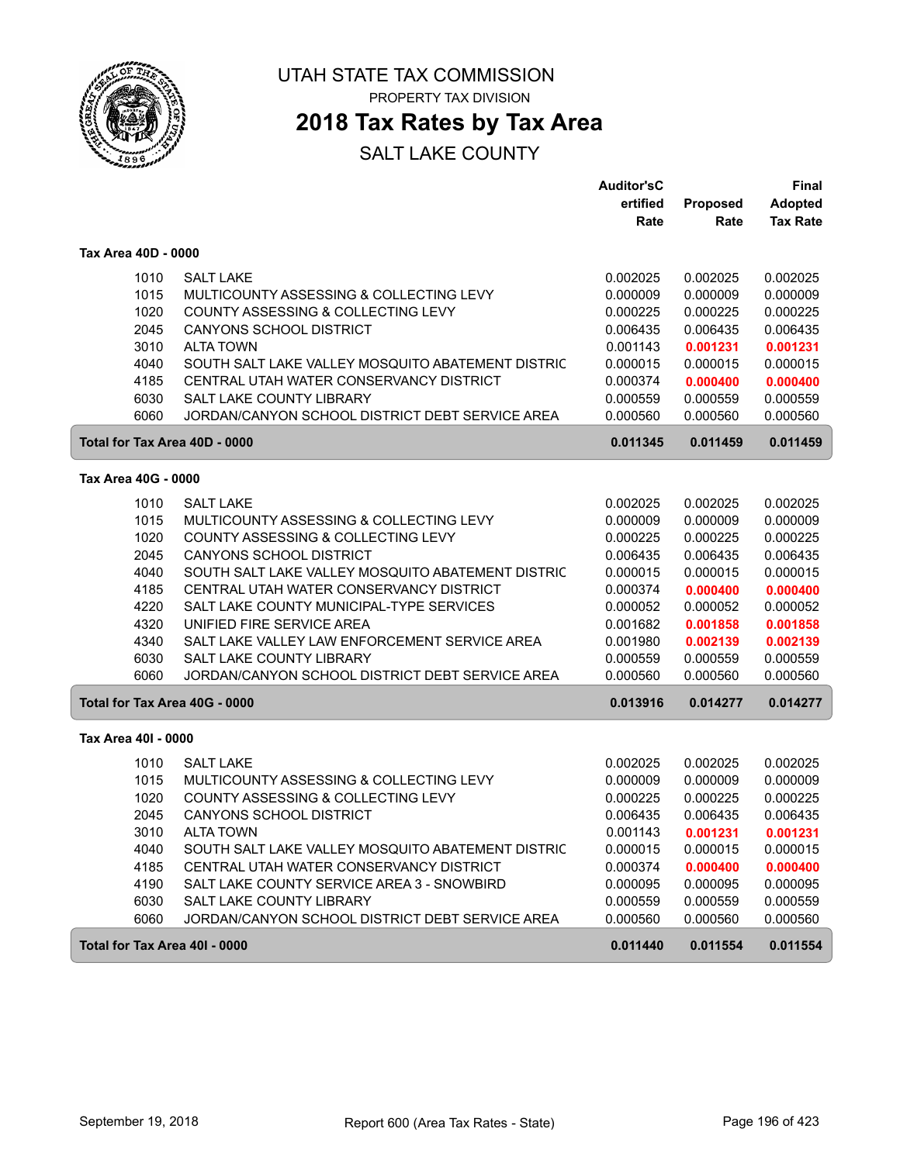

**2018 Tax Rates by Tax Area**

|                               |                                                   | <b>Auditor'sC</b> |                 | <b>Final</b>    |
|-------------------------------|---------------------------------------------------|-------------------|-----------------|-----------------|
|                               |                                                   | ertified          | <b>Proposed</b> | <b>Adopted</b>  |
|                               |                                                   | Rate              | Rate            | <b>Tax Rate</b> |
| Tax Area 40D - 0000           |                                                   |                   |                 |                 |
| 1010                          | <b>SALT LAKE</b>                                  | 0.002025          | 0.002025        | 0.002025        |
| 1015                          | MULTICOUNTY ASSESSING & COLLECTING LEVY           | 0.000009          | 0.000009        | 0.000009        |
| 1020                          | COUNTY ASSESSING & COLLECTING LEVY                | 0.000225          | 0.000225        | 0.000225        |
| 2045                          | <b>CANYONS SCHOOL DISTRICT</b>                    | 0.006435          | 0.006435        | 0.006435        |
| 3010                          | <b>ALTA TOWN</b>                                  | 0.001143          | 0.001231        | 0.001231        |
| 4040                          | SOUTH SALT LAKE VALLEY MOSQUITO ABATEMENT DISTRIC | 0.000015          | 0.000015        | 0.000015        |
| 4185                          | CENTRAL UTAH WATER CONSERVANCY DISTRICT           | 0.000374          | 0.000400        | 0.000400        |
| 6030                          | SALT LAKE COUNTY LIBRARY                          | 0.000559          | 0.000559        | 0.000559        |
| 6060                          | JORDAN/CANYON SCHOOL DISTRICT DEBT SERVICE AREA   | 0.000560          | 0.000560        | 0.000560        |
| Total for Tax Area 40D - 0000 |                                                   | 0.011345          | 0.011459        | 0.011459        |
| Tax Area 40G - 0000           |                                                   |                   |                 |                 |
| 1010                          | <b>SALT LAKE</b>                                  | 0.002025          | 0.002025        | 0.002025        |
| 1015                          | MULTICOUNTY ASSESSING & COLLECTING LEVY           | 0.000009          | 0.000009        | 0.000009        |
| 1020                          | COUNTY ASSESSING & COLLECTING LEVY                | 0.000225          | 0.000225        | 0.000225        |
| 2045                          | <b>CANYONS SCHOOL DISTRICT</b>                    | 0.006435          | 0.006435        | 0.006435        |
| 4040                          | SOUTH SALT LAKE VALLEY MOSQUITO ABATEMENT DISTRIC | 0.000015          | 0.000015        | 0.000015        |
| 4185                          | CENTRAL UTAH WATER CONSERVANCY DISTRICT           | 0.000374          | 0.000400        | 0.000400        |
| 4220                          | SALT LAKE COUNTY MUNICIPAL-TYPE SERVICES          | 0.000052          | 0.000052        | 0.000052        |
| 4320                          | UNIFIED FIRE SERVICE AREA                         | 0.001682          | 0.001858        | 0.001858        |
| 4340                          | SALT LAKE VALLEY LAW ENFORCEMENT SERVICE AREA     | 0.001980          | 0.002139        | 0.002139        |
| 6030                          | <b>SALT LAKE COUNTY LIBRARY</b>                   | 0.000559          | 0.000559        | 0.000559        |
| 6060                          | JORDAN/CANYON SCHOOL DISTRICT DEBT SERVICE AREA   | 0.000560          | 0.000560        | 0.000560        |
| Total for Tax Area 40G - 0000 |                                                   | 0.013916          | 0.014277        | 0.014277        |
| Tax Area 40I - 0000           |                                                   |                   |                 |                 |
| 1010                          | <b>SALT LAKE</b>                                  | 0.002025          | 0.002025        | 0.002025        |
| 1015                          | MULTICOUNTY ASSESSING & COLLECTING LEVY           | 0.000009          | 0.000009        | 0.000009        |
| 1020                          | COUNTY ASSESSING & COLLECTING LEVY                | 0.000225          | 0.000225        | 0.000225        |
| 2045                          | <b>CANYONS SCHOOL DISTRICT</b>                    | 0.006435          | 0.006435        | 0.006435        |
| 3010                          | ALTA TOWN                                         | 0.001143          | 0.001231        | 0.001231        |
| 4040                          | SOUTH SALT LAKE VALLEY MOSQUITO ABATEMENT DISTRIC | 0.000015          | 0.000015        | 0.000015        |
| 4185                          | CENTRAL UTAH WATER CONSERVANCY DISTRICT           | 0.000374          | 0.000400        | 0.000400        |
| 4190                          | SALT LAKE COUNTY SERVICE AREA 3 - SNOWBIRD        | 0.000095          | 0.000095        | 0.000095        |
| 6030                          | SALT LAKE COUNTY LIBRARY                          | 0.000559          | 0.000559        | 0.000559        |
| 6060                          | JORDAN/CANYON SCHOOL DISTRICT DEBT SERVICE AREA   | 0.000560          | 0.000560        | 0.000560        |
| Total for Tax Area 40I - 0000 |                                                   | 0.011440          | 0.011554        | 0.011554        |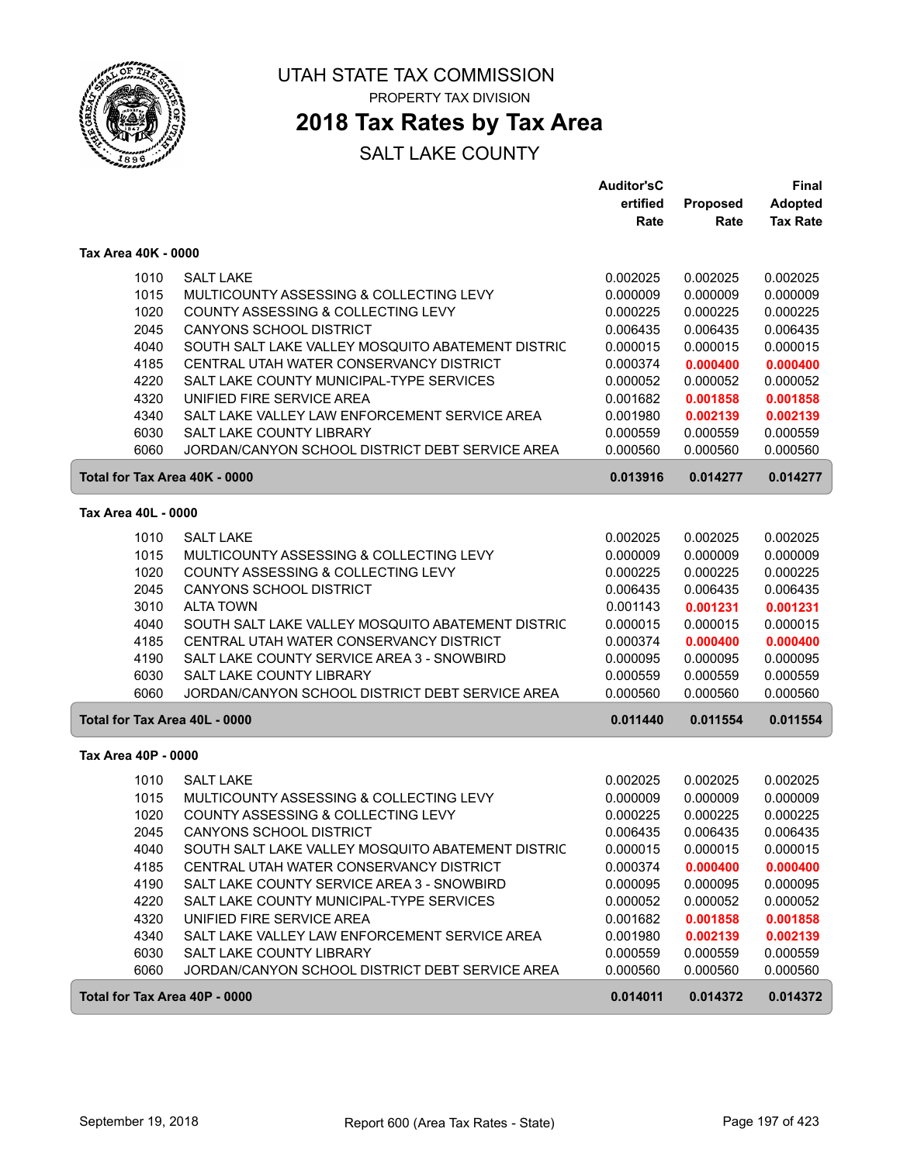

UTAH STATE TAX COMMISSION PROPERTY TAX DIVISION

### **2018 Tax Rates by Tax Area**

|                               |                                                   | <b>Auditor'sC</b> |          | <b>Final</b>    |
|-------------------------------|---------------------------------------------------|-------------------|----------|-----------------|
|                               |                                                   | ertified          | Proposed | <b>Adopted</b>  |
|                               |                                                   | Rate              | Rate     | <b>Tax Rate</b> |
| Tax Area 40K - 0000           |                                                   |                   |          |                 |
| 1010                          | <b>SALT LAKE</b>                                  | 0.002025          | 0.002025 | 0.002025        |
| 1015                          | MULTICOUNTY ASSESSING & COLLECTING LEVY           | 0.000009          | 0.000009 | 0.000009        |
| 1020                          | COUNTY ASSESSING & COLLECTING LEVY                | 0.000225          | 0.000225 | 0.000225        |
| 2045                          | <b>CANYONS SCHOOL DISTRICT</b>                    | 0.006435          | 0.006435 | 0.006435        |
| 4040                          | SOUTH SALT LAKE VALLEY MOSQUITO ABATEMENT DISTRIC | 0.000015          | 0.000015 | 0.000015        |
| 4185                          | CENTRAL UTAH WATER CONSERVANCY DISTRICT           | 0.000374          | 0.000400 | 0.000400        |
| 4220                          | SALT LAKE COUNTY MUNICIPAL-TYPE SERVICES          | 0.000052          | 0.000052 | 0.000052        |
| 4320                          | UNIFIED FIRE SERVICE AREA                         | 0.001682          | 0.001858 | 0.001858        |
| 4340                          | SALT LAKE VALLEY LAW ENFORCEMENT SERVICE AREA     | 0.001980          | 0.002139 | 0.002139        |
| 6030                          | <b>SALT LAKE COUNTY LIBRARY</b>                   | 0.000559          | 0.000559 | 0.000559        |
| 6060                          | JORDAN/CANYON SCHOOL DISTRICT DEBT SERVICE AREA   | 0.000560          | 0.000560 | 0.000560        |
| Total for Tax Area 40K - 0000 |                                                   | 0.013916          | 0.014277 | 0.014277        |
| Tax Area 40L - 0000           |                                                   |                   |          |                 |
| 1010                          | <b>SALT LAKE</b>                                  | 0.002025          | 0.002025 | 0.002025        |
| 1015                          | MULTICOUNTY ASSESSING & COLLECTING LEVY           | 0.000009          | 0.000009 | 0.000009        |
| 1020                          | COUNTY ASSESSING & COLLECTING LEVY                | 0.000225          | 0.000225 | 0.000225        |
| 2045                          | <b>CANYONS SCHOOL DISTRICT</b>                    | 0.006435          | 0.006435 | 0.006435        |
| 3010                          | <b>ALTA TOWN</b>                                  | 0.001143          | 0.001231 | 0.001231        |
| 4040                          | SOUTH SALT LAKE VALLEY MOSQUITO ABATEMENT DISTRIC | 0.000015          | 0.000015 | 0.000015        |
| 4185                          | CENTRAL UTAH WATER CONSERVANCY DISTRICT           | 0.000374          | 0.000400 | 0.000400        |
| 4190                          | SALT LAKE COUNTY SERVICE AREA 3 - SNOWBIRD        | 0.000095          | 0.000095 | 0.000095        |
| 6030                          | SALT LAKE COUNTY LIBRARY                          | 0.000559          | 0.000559 | 0.000559        |
| 6060                          | JORDAN/CANYON SCHOOL DISTRICT DEBT SERVICE AREA   | 0.000560          | 0.000560 | 0.000560        |
| Total for Tax Area 40L - 0000 |                                                   | 0.011440          | 0.011554 | 0.011554        |
| Tax Area 40P - 0000           |                                                   |                   |          |                 |
| 1010                          | <b>SALT LAKE</b>                                  | 0.002025          | 0.002025 | 0.002025        |
| 1015                          | MULTICOUNTY ASSESSING & COLLECTING LEVY           | 0.000009          | 0.000009 | 0.000009        |
| 1020                          | COUNTY ASSESSING & COLLECTING LEVY                | 0.000225          | 0.000225 | 0.000225        |
| 2045                          | <b>CANYONS SCHOOL DISTRICT</b>                    | 0.006435          | 0.006435 | 0.006435        |
| 4040                          | SOUTH SALT LAKE VALLEY MOSQUITO ABATEMENT DISTRIC | 0.000015          | 0.000015 | 0.000015        |
| 4185                          | CENTRAL UTAH WATER CONSERVANCY DISTRICT           | 0.000374          | 0.000400 | 0.000400        |
| 4190                          | SALT LAKE COUNTY SERVICE AREA 3 - SNOWBIRD        | 0.000095          | 0.000095 | 0.000095        |
| 4220                          | SALT LAKE COUNTY MUNICIPAL-TYPE SERVICES          | 0.000052          | 0.000052 | 0.000052        |
| 4320                          | UNIFIED FIRE SERVICE AREA                         | 0.001682          | 0.001858 | 0.001858        |
| 4340                          | SALT LAKE VALLEY LAW ENFORCEMENT SERVICE AREA     | 0.001980          | 0.002139 | 0.002139        |
| 6030                          | SALT LAKE COUNTY LIBRARY                          | 0.000559          | 0.000559 | 0.000559        |
| 6060                          | JORDAN/CANYON SCHOOL DISTRICT DEBT SERVICE AREA   | 0.000560          | 0.000560 | 0.000560        |
| Total for Tax Area 40P - 0000 |                                                   | 0.014011          | 0.014372 | 0.014372        |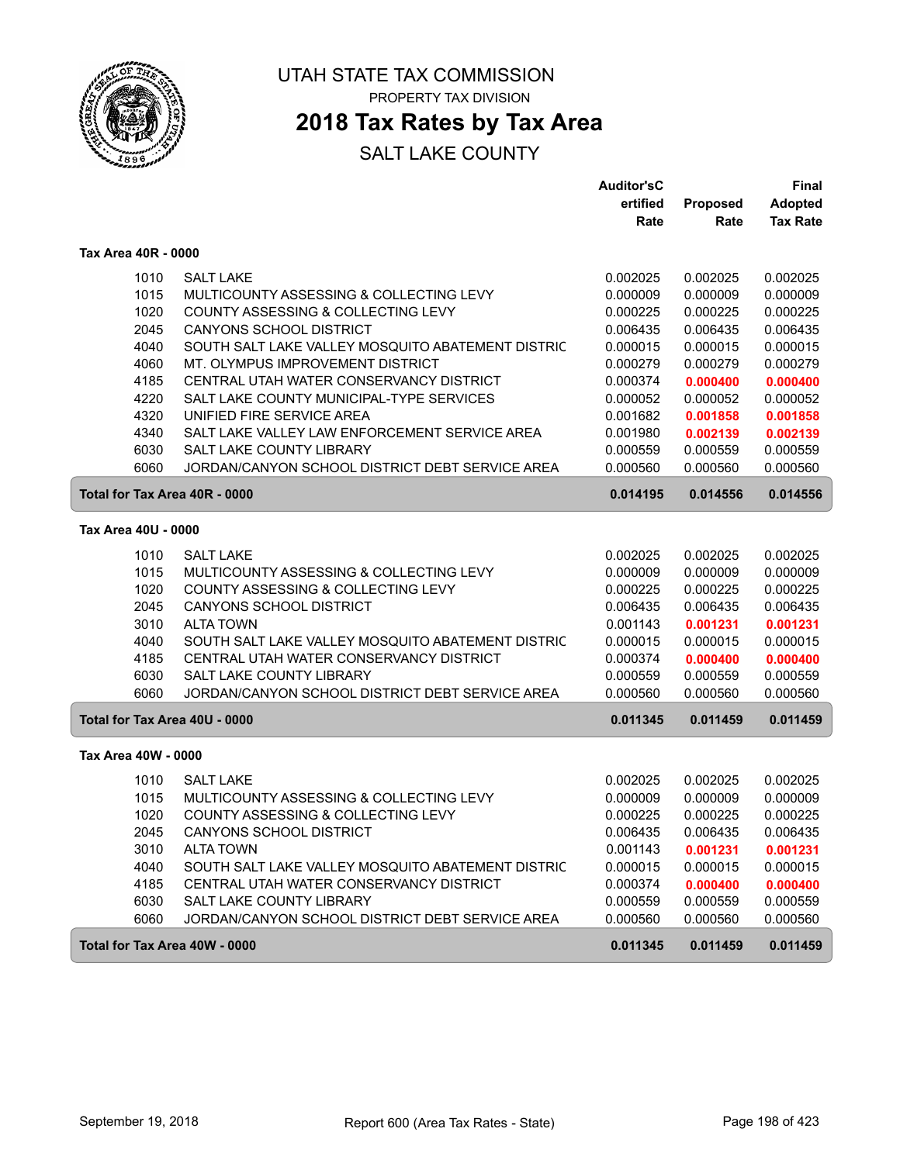

# **2018 Tax Rates by Tax Area**

|                            |                                                                               | <b>Auditor'sC</b>    |                      | Final                |
|----------------------------|-------------------------------------------------------------------------------|----------------------|----------------------|----------------------|
|                            |                                                                               | ertified             | Proposed             | <b>Adopted</b>       |
|                            |                                                                               | Rate                 | Rate                 | <b>Tax Rate</b>      |
| <b>Tax Area 40R - 0000</b> |                                                                               |                      |                      |                      |
| 1010                       | <b>SALT LAKE</b>                                                              | 0.002025             | 0.002025             | 0.002025             |
| 1015                       | MULTICOUNTY ASSESSING & COLLECTING LEVY                                       | 0.000009             | 0.000009             | 0.000009             |
| 1020                       | COUNTY ASSESSING & COLLECTING LEVY                                            | 0.000225             | 0.000225             | 0.000225             |
| 2045                       | <b>CANYONS SCHOOL DISTRICT</b>                                                | 0.006435             | 0.006435             | 0.006435             |
| 4040                       | SOUTH SALT LAKE VALLEY MOSQUITO ABATEMENT DISTRIC                             | 0.000015             | 0.000015             | 0.000015             |
| 4060                       | MT. OLYMPUS IMPROVEMENT DISTRICT                                              | 0.000279             | 0.000279             | 0.000279             |
| 4185                       | CENTRAL UTAH WATER CONSERVANCY DISTRICT                                       | 0.000374             | 0.000400             | 0.000400             |
| 4220                       | SALT LAKE COUNTY MUNICIPAL-TYPE SERVICES                                      | 0.000052             | 0.000052             | 0.000052             |
| 4320                       | UNIFIED FIRE SERVICE AREA                                                     | 0.001682             | 0.001858             | 0.001858             |
| 4340                       | SALT LAKE VALLEY LAW ENFORCEMENT SERVICE AREA                                 | 0.001980             | 0.002139             | 0.002139             |
| 6030                       | <b>SALT LAKE COUNTY LIBRARY</b>                                               | 0.000559             | 0.000559             | 0.000559             |
| 6060                       | JORDAN/CANYON SCHOOL DISTRICT DEBT SERVICE AREA                               | 0.000560             | 0.000560             | 0.000560             |
|                            | Total for Tax Area 40R - 0000                                                 | 0.014195             | 0.014556             | 0.014556             |
| Tax Area 40U - 0000        |                                                                               |                      |                      |                      |
|                            |                                                                               |                      |                      |                      |
| 1010                       | <b>SALT LAKE</b>                                                              | 0.002025             | 0.002025<br>0.000009 | 0.002025             |
| 1015<br>1020               | MULTICOUNTY ASSESSING & COLLECTING LEVY<br>COUNTY ASSESSING & COLLECTING LEVY | 0.000009<br>0.000225 | 0.000225             | 0.000009<br>0.000225 |
| 2045                       | <b>CANYONS SCHOOL DISTRICT</b>                                                | 0.006435             | 0.006435             | 0.006435             |
| 3010                       | <b>ALTA TOWN</b>                                                              | 0.001143             | 0.001231             | 0.001231             |
| 4040                       | SOUTH SALT LAKE VALLEY MOSQUITO ABATEMENT DISTRIC                             | 0.000015             | 0.000015             | 0.000015             |
| 4185                       | CENTRAL UTAH WATER CONSERVANCY DISTRICT                                       | 0.000374             | 0.000400             | 0.000400             |
| 6030                       | <b>SALT LAKE COUNTY LIBRARY</b>                                               | 0.000559             | 0.000559             | 0.000559             |
| 6060                       | JORDAN/CANYON SCHOOL DISTRICT DEBT SERVICE AREA                               | 0.000560             | 0.000560             | 0.000560             |
|                            | Total for Tax Area 40U - 0000                                                 | 0.011345             | 0.011459             | 0.011459             |
|                            |                                                                               |                      |                      |                      |
| Tax Area 40W - 0000        |                                                                               |                      |                      |                      |
| 1010                       | <b>SALT LAKE</b>                                                              | 0.002025             | 0.002025             | 0.002025             |
| 1015                       | MULTICOUNTY ASSESSING & COLLECTING LEVY                                       | 0.000009             | 0.000009             | 0.000009             |
| 1020                       | COUNTY ASSESSING & COLLECTING LEVY                                            | 0.000225             | 0.000225             | 0.000225             |
| 2045                       | CANYONS SCHOOL DISTRICT                                                       | 0.006435             | 0.006435             | 0.006435             |
| 3010                       | <b>ALTA TOWN</b>                                                              | 0.001143             | 0.001231             | 0.001231             |
| 4040                       | SOUTH SALT LAKE VALLEY MOSQUITO ABATEMENT DISTRIC                             | 0.000015             | 0.000015             | 0.000015             |
| 4185                       | CENTRAL UTAH WATER CONSERVANCY DISTRICT                                       | 0.000374             | 0.000400             | 0.000400             |
| 6030                       | SALT LAKE COUNTY LIBRARY                                                      | 0.000559             | 0.000559             | 0.000559             |
| 6060                       | JORDAN/CANYON SCHOOL DISTRICT DEBT SERVICE AREA                               | 0.000560             | 0.000560             | 0.000560             |
|                            | Total for Tax Area 40W - 0000                                                 | 0.011345             | 0.011459             | 0.011459             |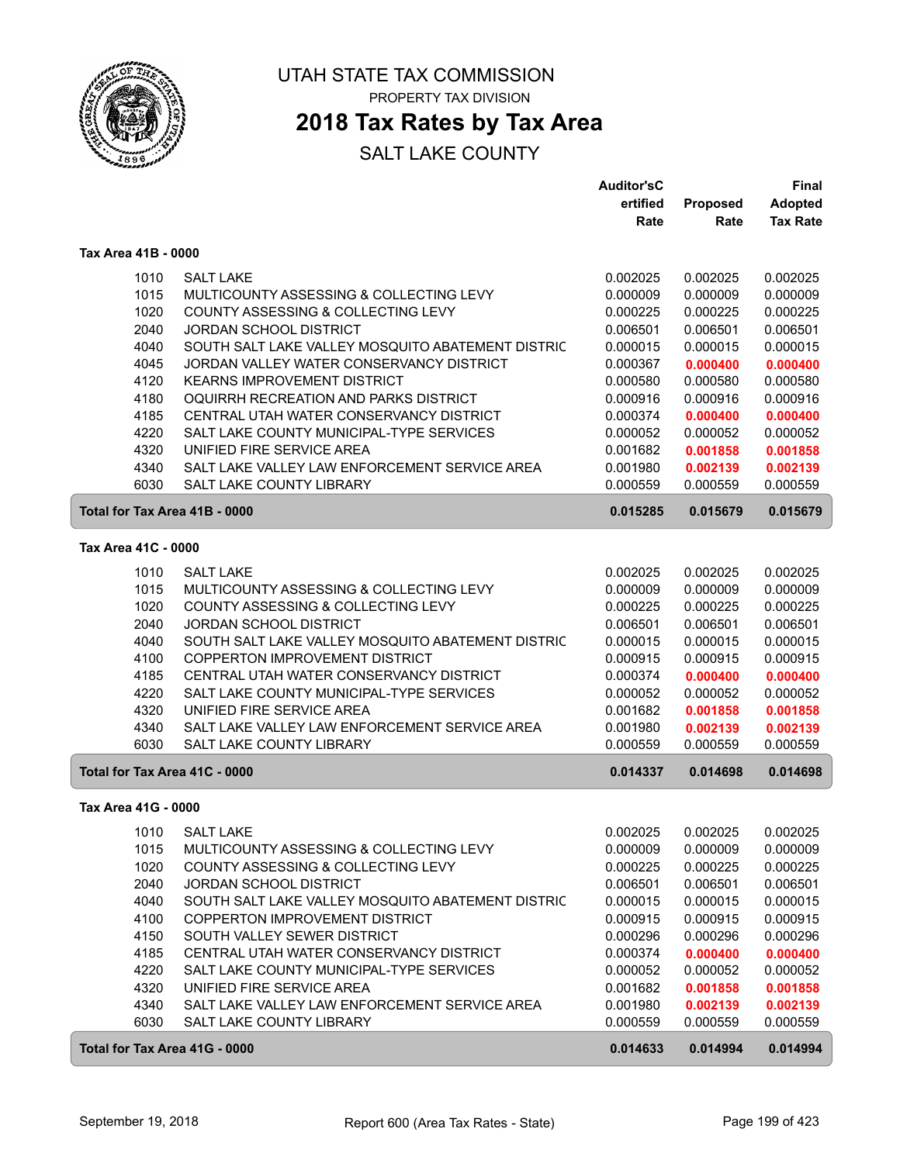

### **2018 Tax Rates by Tax Area**

|                               |                                                   | <b>Auditor'sC</b> |          | <b>Final</b>    |  |
|-------------------------------|---------------------------------------------------|-------------------|----------|-----------------|--|
|                               |                                                   | ertified          | Proposed | <b>Adopted</b>  |  |
|                               |                                                   | Rate              | Rate     | <b>Tax Rate</b> |  |
| Tax Area 41B - 0000           |                                                   |                   |          |                 |  |
| 1010                          | <b>SALT LAKE</b>                                  | 0.002025          | 0.002025 | 0.002025        |  |
| 1015                          | MULTICOUNTY ASSESSING & COLLECTING LEVY           | 0.000009          | 0.000009 | 0.000009        |  |
| 1020                          | COUNTY ASSESSING & COLLECTING LEVY                | 0.000225          | 0.000225 | 0.000225        |  |
| 2040                          | <b>JORDAN SCHOOL DISTRICT</b>                     | 0.006501          | 0.006501 | 0.006501        |  |
| 4040                          | SOUTH SALT LAKE VALLEY MOSQUITO ABATEMENT DISTRIC | 0.000015          | 0.000015 | 0.000015        |  |
| 4045                          | JORDAN VALLEY WATER CONSERVANCY DISTRICT          | 0.000367          | 0.000400 | 0.000400        |  |
| 4120                          | <b>KEARNS IMPROVEMENT DISTRICT</b>                | 0.000580          | 0.000580 | 0.000580        |  |
| 4180                          | OQUIRRH RECREATION AND PARKS DISTRICT             | 0.000916          | 0.000916 | 0.000916        |  |
| 4185                          | CENTRAL UTAH WATER CONSERVANCY DISTRICT           | 0.000374          | 0.000400 | 0.000400        |  |
| 4220                          | SALT LAKE COUNTY MUNICIPAL-TYPE SERVICES          | 0.000052          | 0.000052 | 0.000052        |  |
| 4320                          | UNIFIED FIRE SERVICE AREA                         | 0.001682          | 0.001858 | 0.001858        |  |
| 4340                          | SALT LAKE VALLEY LAW ENFORCEMENT SERVICE AREA     | 0.001980          | 0.002139 | 0.002139        |  |
| 6030                          | SALT LAKE COUNTY LIBRARY                          | 0.000559          | 0.000559 | 0.000559        |  |
| Total for Tax Area 41B - 0000 |                                                   | 0.015285          | 0.015679 | 0.015679        |  |
| Tax Area 41C - 0000           |                                                   |                   |          |                 |  |
| 1010                          | <b>SALT LAKE</b>                                  | 0.002025          | 0.002025 | 0.002025        |  |
| 1015                          | MULTICOUNTY ASSESSING & COLLECTING LEVY           | 0.000009          | 0.000009 | 0.000009        |  |
| 1020                          | COUNTY ASSESSING & COLLECTING LEVY                | 0.000225          | 0.000225 | 0.000225        |  |
| 2040                          | <b>JORDAN SCHOOL DISTRICT</b>                     | 0.006501          | 0.006501 | 0.006501        |  |
| 4040                          | SOUTH SALT LAKE VALLEY MOSQUITO ABATEMENT DISTRIC | 0.000015          | 0.000015 | 0.000015        |  |
| 4100                          | <b>COPPERTON IMPROVEMENT DISTRICT</b>             | 0.000915          | 0.000915 | 0.000915        |  |
| 4185                          | CENTRAL UTAH WATER CONSERVANCY DISTRICT           | 0.000374          | 0.000400 | 0.000400        |  |
| 4220                          | SALT LAKE COUNTY MUNICIPAL-TYPE SERVICES          | 0.000052          | 0.000052 | 0.000052        |  |
| 4320                          | UNIFIED FIRE SERVICE AREA                         | 0.001682          | 0.001858 | 0.001858        |  |
| 4340                          | SALT LAKE VALLEY LAW ENFORCEMENT SERVICE AREA     | 0.001980          | 0.002139 | 0.002139        |  |
| 6030                          | SALT LAKE COUNTY LIBRARY                          | 0.000559          | 0.000559 | 0.000559        |  |
| Total for Tax Area 41C - 0000 |                                                   | 0.014337          | 0.014698 | 0.014698        |  |
| Tax Area 41G - 0000           |                                                   |                   |          |                 |  |
|                               | 1010 SALT LAKE                                    | 0.002025          | 0.002025 | 0.002025        |  |
| 1015                          | MULTICOUNTY ASSESSING & COLLECTING LEVY           | 0.000009          | 0.000009 | 0.000009        |  |
| 1020                          | COUNTY ASSESSING & COLLECTING LEVY                | 0.000225          | 0.000225 | 0.000225        |  |
| 2040                          | <b>JORDAN SCHOOL DISTRICT</b>                     | 0.006501          | 0.006501 | 0.006501        |  |
| 4040                          | SOUTH SALT LAKE VALLEY MOSQUITO ABATEMENT DISTRIC | 0.000015          | 0.000015 | 0.000015        |  |
| 4100                          | COPPERTON IMPROVEMENT DISTRICT                    | 0.000915          | 0.000915 | 0.000915        |  |
| 4150                          | SOUTH VALLEY SEWER DISTRICT                       | 0.000296          | 0.000296 | 0.000296        |  |
| 4185                          | CENTRAL UTAH WATER CONSERVANCY DISTRICT           | 0.000374          | 0.000400 | 0.000400        |  |
| 4220                          | SALT LAKE COUNTY MUNICIPAL-TYPE SERVICES          | 0.000052          | 0.000052 | 0.000052        |  |
| 4320                          | UNIFIED FIRE SERVICE AREA                         | 0.001682          | 0.001858 | 0.001858        |  |
| 4340                          | SALT LAKE VALLEY LAW ENFORCEMENT SERVICE AREA     | 0.001980          | 0.002139 | 0.002139        |  |
| 6030                          | SALT LAKE COUNTY LIBRARY                          | 0.000559          | 0.000559 | 0.000559        |  |
| Total for Tax Area 41G - 0000 |                                                   | 0.014633          | 0.014994 | 0.014994        |  |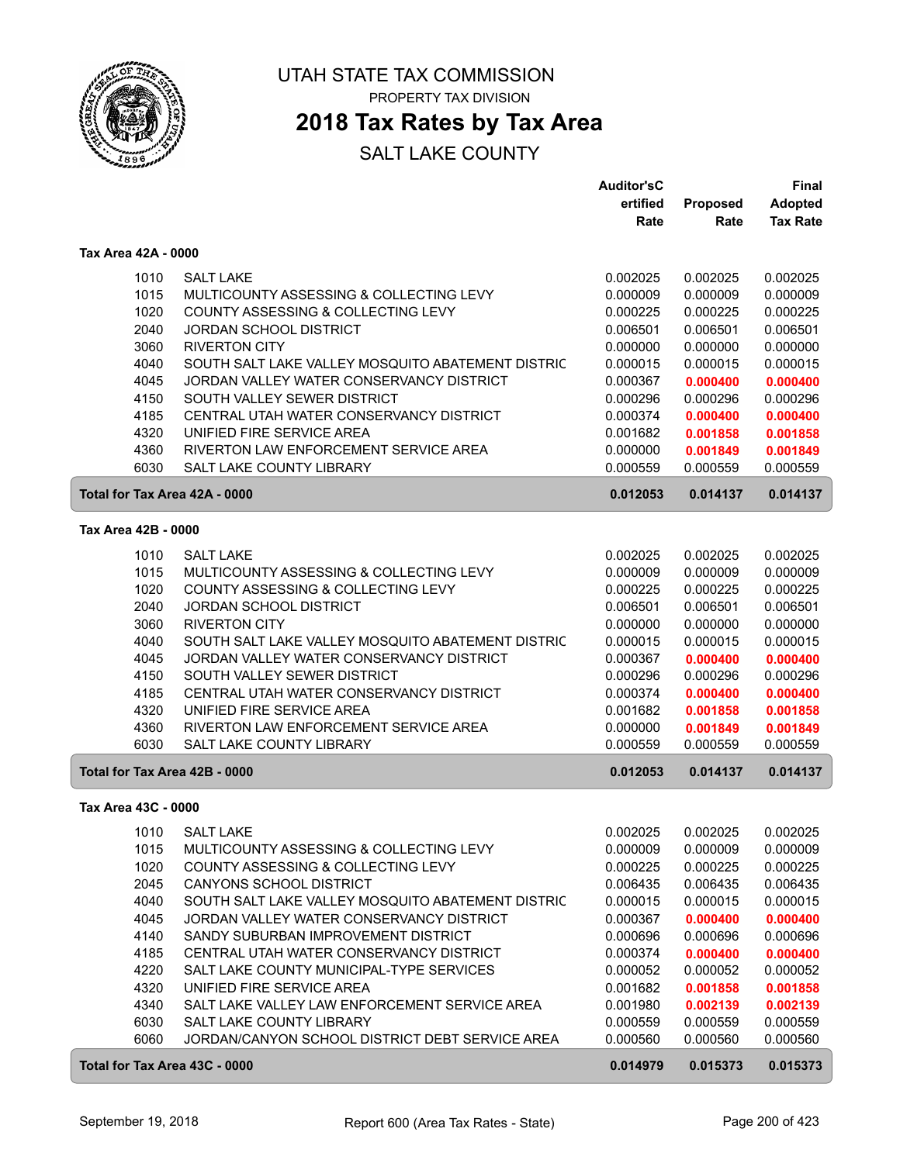

### **2018 Tax Rates by Tax Area**

|                               |                                                   | <b>Auditor'sC</b> |                 | Final           |
|-------------------------------|---------------------------------------------------|-------------------|-----------------|-----------------|
|                               |                                                   | ertified          | <b>Proposed</b> | <b>Adopted</b>  |
|                               |                                                   | Rate              | Rate            | <b>Tax Rate</b> |
| Tax Area 42A - 0000           |                                                   |                   |                 |                 |
| 1010                          | <b>SALT LAKE</b>                                  | 0.002025          | 0.002025        | 0.002025        |
| 1015                          | MULTICOUNTY ASSESSING & COLLECTING LEVY           | 0.000009          | 0.000009        | 0.000009        |
| 1020                          | COUNTY ASSESSING & COLLECTING LEVY                | 0.000225          | 0.000225        | 0.000225        |
| 2040                          | <b>JORDAN SCHOOL DISTRICT</b>                     | 0.006501          | 0.006501        | 0.006501        |
| 3060                          | <b>RIVERTON CITY</b>                              | 0.000000          | 0.000000        | 0.000000        |
| 4040                          | SOUTH SALT LAKE VALLEY MOSQUITO ABATEMENT DISTRIC | 0.000015          | 0.000015        | 0.000015        |
| 4045                          | JORDAN VALLEY WATER CONSERVANCY DISTRICT          | 0.000367          | 0.000400        | 0.000400        |
| 4150                          | SOUTH VALLEY SEWER DISTRICT                       | 0.000296          | 0.000296        | 0.000296        |
| 4185                          | CENTRAL UTAH WATER CONSERVANCY DISTRICT           | 0.000374          | 0.000400        | 0.000400        |
| 4320                          | UNIFIED FIRE SERVICE AREA                         | 0.001682          | 0.001858        | 0.001858        |
| 4360                          | RIVERTON LAW ENFORCEMENT SERVICE AREA             | 0.000000          | 0.001849        | 0.001849        |
| 6030                          | SALT LAKE COUNTY LIBRARY                          | 0.000559          | 0.000559        | 0.000559        |
| Total for Tax Area 42A - 0000 |                                                   | 0.012053          | 0.014137        | 0.014137        |
| Tax Area 42B - 0000           |                                                   |                   |                 |                 |
| 1010                          | <b>SALT LAKE</b>                                  | 0.002025          | 0.002025        | 0.002025        |
| 1015                          | MULTICOUNTY ASSESSING & COLLECTING LEVY           | 0.000009          | 0.000009        | 0.000009        |
| 1020                          | COUNTY ASSESSING & COLLECTING LEVY                | 0.000225          | 0.000225        | 0.000225        |
| 2040                          | <b>JORDAN SCHOOL DISTRICT</b>                     | 0.006501          | 0.006501        | 0.006501        |
| 3060                          | <b>RIVERTON CITY</b>                              | 0.000000          | 0.000000        | 0.000000        |
| 4040                          | SOUTH SALT LAKE VALLEY MOSQUITO ABATEMENT DISTRIC | 0.000015          | 0.000015        | 0.000015        |
| 4045                          | JORDAN VALLEY WATER CONSERVANCY DISTRICT          | 0.000367          | 0.000400        | 0.000400        |
| 4150                          | SOUTH VALLEY SEWER DISTRICT                       | 0.000296          | 0.000296        | 0.000296        |
| 4185                          | CENTRAL UTAH WATER CONSERVANCY DISTRICT           | 0.000374          | 0.000400        | 0.000400        |
| 4320                          | UNIFIED FIRE SERVICE AREA                         | 0.001682          | 0.001858        | 0.001858        |
| 4360                          | RIVERTON LAW ENFORCEMENT SERVICE AREA             | 0.000000          | 0.001849        | 0.001849        |
| 6030                          | <b>SALT LAKE COUNTY LIBRARY</b>                   | 0.000559          | 0.000559        | 0.000559        |
| Total for Tax Area 42B - 0000 |                                                   | 0.012053          | 0.014137        | 0.014137        |
| Tax Area 43C - 0000           |                                                   |                   |                 |                 |
|                               | 1010 SALT LAKE                                    | 0.002025          | 0.002025        | 0.002025        |
| 1015                          | MULTICOUNTY ASSESSING & COLLECTING LEVY           | 0.000009          | 0.000009        | 0.000009        |
| 1020                          | COUNTY ASSESSING & COLLECTING LEVY                | 0.000225          | 0.000225        | 0.000225        |
| 2045                          | <b>CANYONS SCHOOL DISTRICT</b>                    | 0.006435          | 0.006435        | 0.006435        |
| 4040                          | SOUTH SALT LAKE VALLEY MOSQUITO ABATEMENT DISTRIC | 0.000015          | 0.000015        | 0.000015        |
| 4045                          | JORDAN VALLEY WATER CONSERVANCY DISTRICT          | 0.000367          | 0.000400        | 0.000400        |
| 4140                          | SANDY SUBURBAN IMPROVEMENT DISTRICT               | 0.000696          | 0.000696        | 0.000696        |
| 4185                          | CENTRAL UTAH WATER CONSERVANCY DISTRICT           | 0.000374          | 0.000400        | 0.000400        |
| 4220                          | SALT LAKE COUNTY MUNICIPAL-TYPE SERVICES          | 0.000052          | 0.000052        | 0.000052        |
| 4320                          | UNIFIED FIRE SERVICE AREA                         | 0.001682          | 0.001858        | 0.001858        |
| 4340                          | SALT LAKE VALLEY LAW ENFORCEMENT SERVICE AREA     | 0.001980          | 0.002139        | 0.002139        |
| 6030                          | SALT LAKE COUNTY LIBRARY                          | 0.000559          | 0.000559        | 0.000559        |
| 6060                          | JORDAN/CANYON SCHOOL DISTRICT DEBT SERVICE AREA   | 0.000560          | 0.000560        | 0.000560        |
| Total for Tax Area 43C - 0000 |                                                   | 0.014979          | 0.015373        | 0.015373        |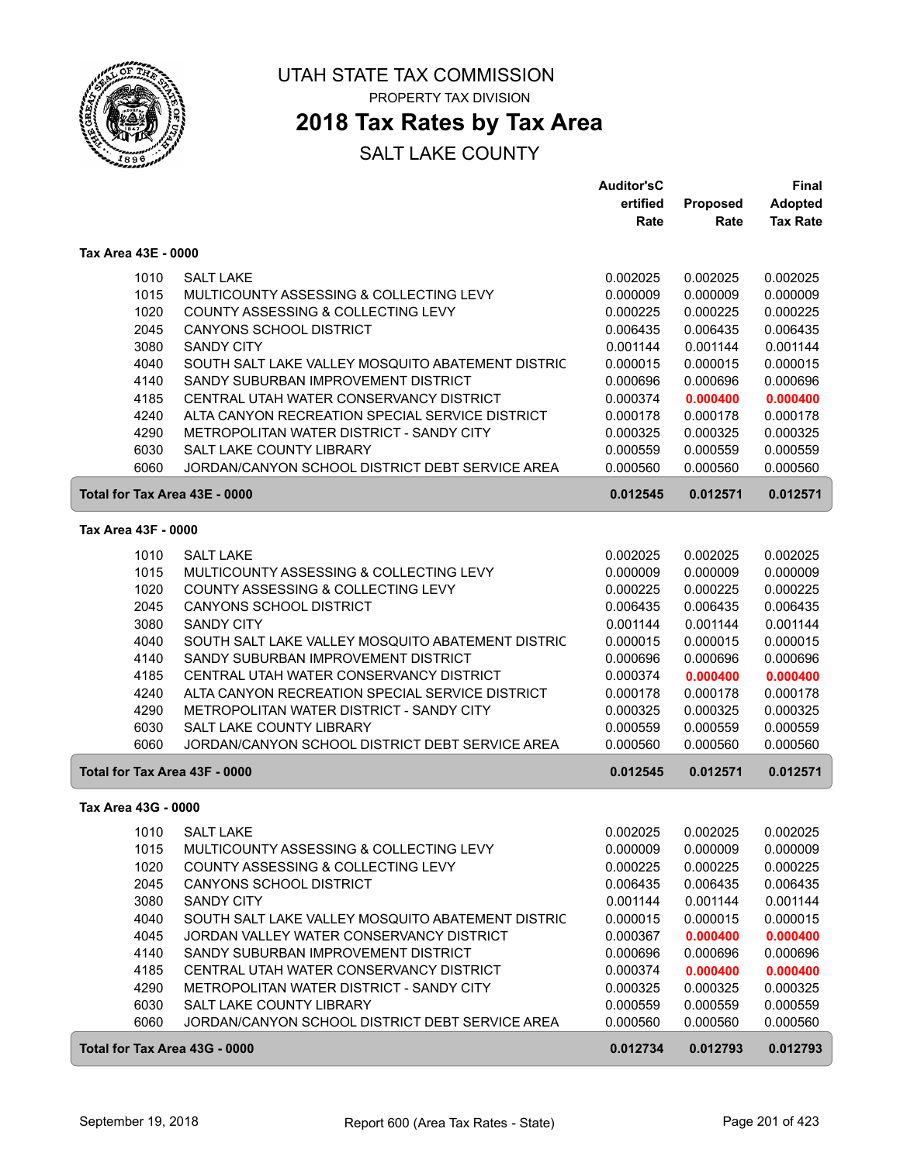

### **2018 Tax Rates by Tax Area**

|                               |                                                   | <b>Auditor'sC</b> |                 | <b>Final</b>    |
|-------------------------------|---------------------------------------------------|-------------------|-----------------|-----------------|
|                               |                                                   | ertified          | <b>Proposed</b> | <b>Adopted</b>  |
|                               |                                                   | Rate              | Rate            | <b>Tax Rate</b> |
| Tax Area 43E - 0000           |                                                   |                   |                 |                 |
| 1010                          | <b>SALT LAKE</b>                                  | 0.002025          | 0.002025        | 0.002025        |
| 1015                          | MULTICOUNTY ASSESSING & COLLECTING LEVY           | 0.000009          | 0.000009        | 0.000009        |
| 1020                          | COUNTY ASSESSING & COLLECTING LEVY                | 0.000225          | 0.000225        | 0.000225        |
| 2045                          | CANYONS SCHOOL DISTRICT                           | 0.006435          | 0.006435        | 0.006435        |
| 3080                          | <b>SANDY CITY</b>                                 | 0.001144          | 0.001144        | 0.001144        |
| 4040                          | SOUTH SALT LAKE VALLEY MOSQUITO ABATEMENT DISTRIC | 0.000015          | 0.000015        | 0.000015        |
| 4140                          | SANDY SUBURBAN IMPROVEMENT DISTRICT               | 0.000696          | 0.000696        | 0.000696        |
| 4185                          | CENTRAL UTAH WATER CONSERVANCY DISTRICT           | 0.000374          | 0.000400        | 0.000400        |
| 4240                          | ALTA CANYON RECREATION SPECIAL SERVICE DISTRICT   | 0.000178          | 0.000178        | 0.000178        |
| 4290                          | METROPOLITAN WATER DISTRICT - SANDY CITY          | 0.000325          | 0.000325        | 0.000325        |
| 6030                          | <b>SALT LAKE COUNTY LIBRARY</b>                   | 0.000559          | 0.000559        | 0.000559        |
| 6060                          | JORDAN/CANYON SCHOOL DISTRICT DEBT SERVICE AREA   | 0.000560          | 0.000560        | 0.000560        |
| Total for Tax Area 43E - 0000 |                                                   | 0.012545          | 0.012571        | 0.012571        |
| Tax Area 43F - 0000           |                                                   |                   |                 |                 |
| 1010                          | <b>SALT LAKE</b>                                  | 0.002025          | 0.002025        | 0.002025        |
| 1015                          | MULTICOUNTY ASSESSING & COLLECTING LEVY           | 0.000009          | 0.000009        | 0.000009        |
| 1020                          | COUNTY ASSESSING & COLLECTING LEVY                | 0.000225          | 0.000225        | 0.000225        |
| 2045                          | <b>CANYONS SCHOOL DISTRICT</b>                    | 0.006435          | 0.006435        | 0.006435        |
| 3080                          | <b>SANDY CITY</b>                                 | 0.001144          | 0.001144        | 0.001144        |
| 4040                          | SOUTH SALT LAKE VALLEY MOSQUITO ABATEMENT DISTRIC | 0.000015          | 0.000015        | 0.000015        |
| 4140                          | SANDY SUBURBAN IMPROVEMENT DISTRICT               | 0.000696          | 0.000696        | 0.000696        |
| 4185                          | CENTRAL UTAH WATER CONSERVANCY DISTRICT           | 0.000374          | 0.000400        | 0.000400        |
| 4240                          | ALTA CANYON RECREATION SPECIAL SERVICE DISTRICT   | 0.000178          | 0.000178        | 0.000178        |
| 4290                          | METROPOLITAN WATER DISTRICT - SANDY CITY          | 0.000325          | 0.000325        | 0.000325        |
| 6030                          | <b>SALT LAKE COUNTY LIBRARY</b>                   | 0.000559          | 0.000559        | 0.000559        |
| 6060                          | JORDAN/CANYON SCHOOL DISTRICT DEBT SERVICE AREA   | 0.000560          | 0.000560        | 0.000560        |
| Total for Tax Area 43F - 0000 |                                                   | 0.012545          | 0.012571        | 0.012571        |
| Tax Area 43G - 0000           |                                                   |                   |                 |                 |
|                               | 1010 SALT LAKE                                    | 0.002025          | 0.002025        | 0.002025        |
| 1015                          | MULTICOUNTY ASSESSING & COLLECTING LEVY           | 0.000009          | 0.000009        | 0.000009        |
| 1020                          | COUNTY ASSESSING & COLLECTING LEVY                | 0.000225          | 0.000225        | 0.000225        |
| 2045                          | <b>CANYONS SCHOOL DISTRICT</b>                    | 0.006435          | 0.006435        | 0.006435        |
| 3080                          | <b>SANDY CITY</b>                                 | 0.001144          | 0.001144        | 0.001144        |
| 4040                          | SOUTH SALT LAKE VALLEY MOSQUITO ABATEMENT DISTRIC | 0.000015          | 0.000015        | 0.000015        |
| 4045                          | JORDAN VALLEY WATER CONSERVANCY DISTRICT          | 0.000367          | 0.000400        | 0.000400        |
| 4140                          | SANDY SUBURBAN IMPROVEMENT DISTRICT               | 0.000696          | 0.000696        | 0.000696        |
| 4185                          | CENTRAL UTAH WATER CONSERVANCY DISTRICT           | 0.000374          | 0.000400        | 0.000400        |
| 4290                          | METROPOLITAN WATER DISTRICT - SANDY CITY          | 0.000325          | 0.000325        | 0.000325        |
| 6030                          | SALT LAKE COUNTY LIBRARY                          | 0.000559          | 0.000559        | 0.000559        |
| 6060                          | JORDAN/CANYON SCHOOL DISTRICT DEBT SERVICE AREA   | 0.000560          | 0.000560        | 0.000560        |
| Total for Tax Area 43G - 0000 |                                                   | 0.012734          | 0.012793        | 0.012793        |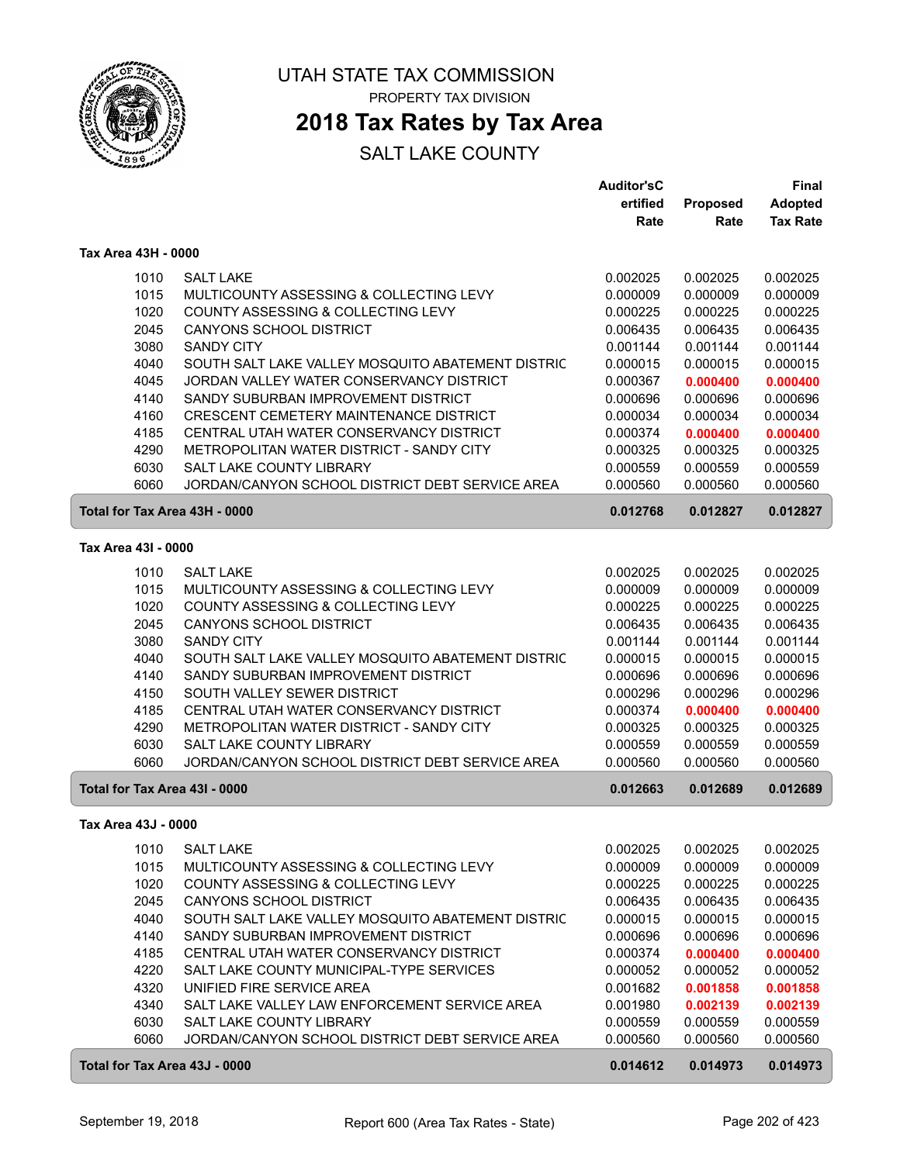

### **2018 Tax Rates by Tax Area**

|                               |                                                   | <b>Auditor'sC</b> |          | <b>Final</b>    |
|-------------------------------|---------------------------------------------------|-------------------|----------|-----------------|
|                               |                                                   | ertified          | Proposed | <b>Adopted</b>  |
|                               |                                                   | Rate              | Rate     | <b>Tax Rate</b> |
| Tax Area 43H - 0000           |                                                   |                   |          |                 |
| 1010                          | <b>SALT LAKE</b>                                  | 0.002025          | 0.002025 | 0.002025        |
| 1015                          | MULTICOUNTY ASSESSING & COLLECTING LEVY           | 0.000009          | 0.000009 | 0.000009        |
| 1020                          | COUNTY ASSESSING & COLLECTING LEVY                | 0.000225          | 0.000225 | 0.000225        |
| 2045                          | <b>CANYONS SCHOOL DISTRICT</b>                    | 0.006435          | 0.006435 | 0.006435        |
| 3080                          | <b>SANDY CITY</b>                                 | 0.001144          | 0.001144 | 0.001144        |
| 4040                          | SOUTH SALT LAKE VALLEY MOSQUITO ABATEMENT DISTRIC | 0.000015          | 0.000015 | 0.000015        |
| 4045                          | JORDAN VALLEY WATER CONSERVANCY DISTRICT          | 0.000367          | 0.000400 | 0.000400        |
| 4140                          | SANDY SUBURBAN IMPROVEMENT DISTRICT               | 0.000696          | 0.000696 | 0.000696        |
| 4160                          | CRESCENT CEMETERY MAINTENANCE DISTRICT            | 0.000034          | 0.000034 | 0.000034        |
| 4185                          | CENTRAL UTAH WATER CONSERVANCY DISTRICT           | 0.000374          | 0.000400 | 0.000400        |
| 4290                          | METROPOLITAN WATER DISTRICT - SANDY CITY          | 0.000325          | 0.000325 | 0.000325        |
| 6030                          | SALT LAKE COUNTY LIBRARY                          | 0.000559          | 0.000559 | 0.000559        |
| 6060                          | JORDAN/CANYON SCHOOL DISTRICT DEBT SERVICE AREA   | 0.000560          | 0.000560 | 0.000560        |
| Total for Tax Area 43H - 0000 |                                                   | 0.012768          | 0.012827 | 0.012827        |
| Tax Area 43I - 0000           |                                                   |                   |          |                 |
|                               |                                                   |                   |          |                 |
| 1010                          | <b>SALT LAKE</b>                                  | 0.002025          | 0.002025 | 0.002025        |
| 1015                          | MULTICOUNTY ASSESSING & COLLECTING LEVY           | 0.000009          | 0.000009 | 0.000009        |
| 1020                          | COUNTY ASSESSING & COLLECTING LEVY                | 0.000225          | 0.000225 | 0.000225        |
| 2045                          | <b>CANYONS SCHOOL DISTRICT</b>                    | 0.006435          | 0.006435 | 0.006435        |
| 3080                          | <b>SANDY CITY</b>                                 | 0.001144          | 0.001144 | 0.001144        |
| 4040                          | SOUTH SALT LAKE VALLEY MOSQUITO ABATEMENT DISTRIC | 0.000015          | 0.000015 | 0.000015        |
| 4140                          | SANDY SUBURBAN IMPROVEMENT DISTRICT               | 0.000696          | 0.000696 | 0.000696        |
| 4150                          | SOUTH VALLEY SEWER DISTRICT                       | 0.000296          | 0.000296 | 0.000296        |
| 4185                          | CENTRAL UTAH WATER CONSERVANCY DISTRICT           | 0.000374          | 0.000400 | 0.000400        |
| 4290                          | METROPOLITAN WATER DISTRICT - SANDY CITY          | 0.000325          | 0.000325 | 0.000325        |
| 6030                          | <b>SALT LAKE COUNTY LIBRARY</b>                   | 0.000559          | 0.000559 | 0.000559        |
| 6060                          | JORDAN/CANYON SCHOOL DISTRICT DEBT SERVICE AREA   | 0.000560          | 0.000560 | 0.000560        |
| Total for Tax Area 43I - 0000 |                                                   | 0.012663          | 0.012689 | 0.012689        |
| Tax Area 43J - 0000           |                                                   |                   |          |                 |
| 1010                          | <b>SALT LAKE</b>                                  | 0.002025          | 0.002025 | 0.002025        |
| 1015                          | MULTICOUNTY ASSESSING & COLLECTING LEVY           | 0.000009          | 0.000009 | 0.000009        |
| 1020                          | COUNTY ASSESSING & COLLECTING LEVY                | 0.000225          | 0.000225 | 0.000225        |
| 2045                          | <b>CANYONS SCHOOL DISTRICT</b>                    | 0.006435          | 0.006435 | 0.006435        |
| 4040                          | SOUTH SALT LAKE VALLEY MOSQUITO ABATEMENT DISTRIC | 0.000015          | 0.000015 | 0.000015        |
| 4140                          | SANDY SUBURBAN IMPROVEMENT DISTRICT               | 0.000696          | 0.000696 | 0.000696        |
| 4185                          | CENTRAL UTAH WATER CONSERVANCY DISTRICT           | 0.000374          | 0.000400 | 0.000400        |
| 4220                          | SALT LAKE COUNTY MUNICIPAL-TYPE SERVICES          | 0.000052          | 0.000052 | 0.000052        |
| 4320                          | UNIFIED FIRE SERVICE AREA                         | 0.001682          | 0.001858 | 0.001858        |
| 4340                          | SALT LAKE VALLEY LAW ENFORCEMENT SERVICE AREA     | 0.001980          | 0.002139 | 0.002139        |
| 6030                          | SALT LAKE COUNTY LIBRARY                          | 0.000559          | 0.000559 | 0.000559        |
| 6060                          | JORDAN/CANYON SCHOOL DISTRICT DEBT SERVICE AREA   | 0.000560          | 0.000560 | 0.000560        |
| Total for Tax Area 43J - 0000 |                                                   | 0.014612          | 0.014973 | 0.014973        |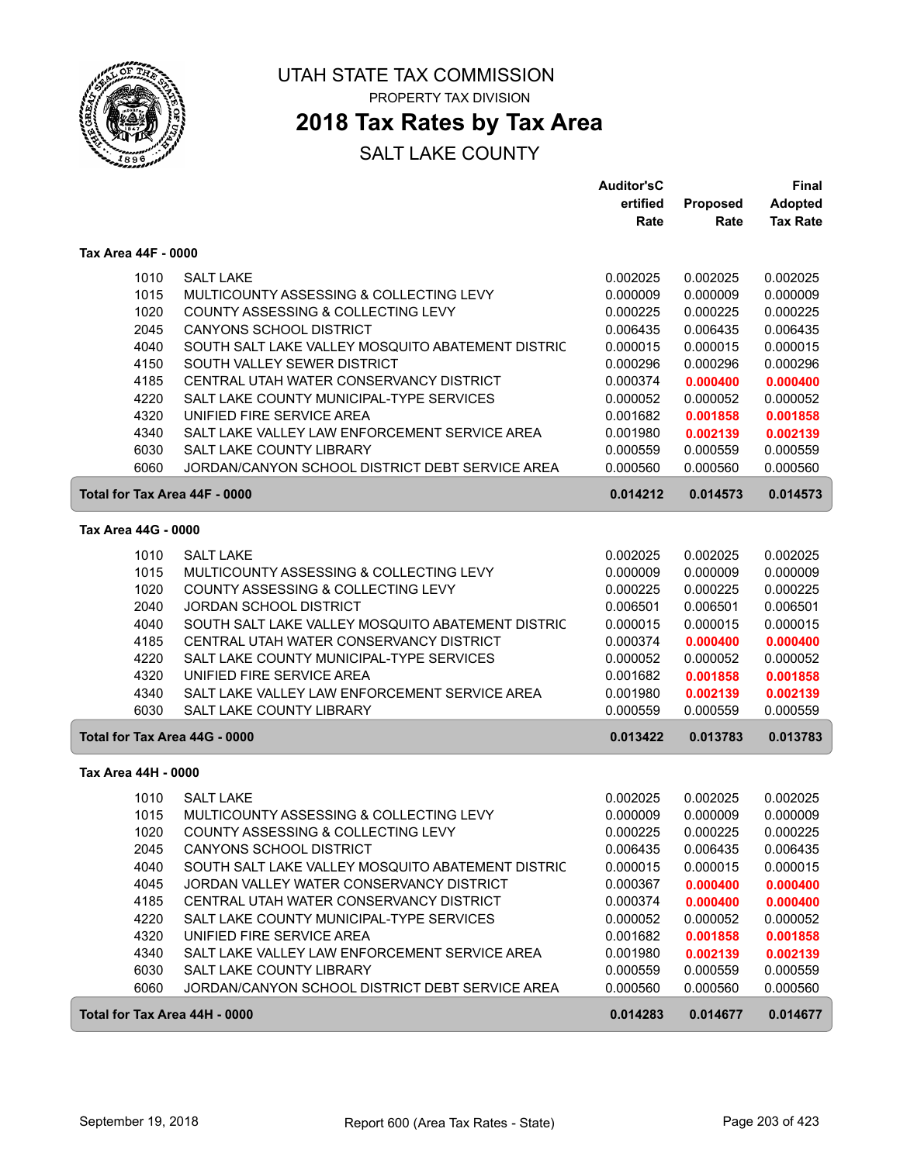

ſ

UTAH STATE TAX COMMISSION PROPERTY TAX DIVISION

### **2018 Tax Rates by Tax Area**

|                               |                                                   | <b>Auditor'sC</b> |          | Final           |
|-------------------------------|---------------------------------------------------|-------------------|----------|-----------------|
|                               |                                                   | ertified          | Proposed | <b>Adopted</b>  |
|                               |                                                   | Rate              | Rate     | <b>Tax Rate</b> |
| Tax Area 44F - 0000           |                                                   |                   |          |                 |
| 1010                          | <b>SALT LAKE</b>                                  | 0.002025          | 0.002025 | 0.002025        |
| 1015                          | MULTICOUNTY ASSESSING & COLLECTING LEVY           | 0.000009          | 0.000009 | 0.000009        |
| 1020                          | COUNTY ASSESSING & COLLECTING LEVY                | 0.000225          | 0.000225 | 0.000225        |
| 2045                          | <b>CANYONS SCHOOL DISTRICT</b>                    | 0.006435          | 0.006435 | 0.006435        |
| 4040                          | SOUTH SALT LAKE VALLEY MOSQUITO ABATEMENT DISTRIC | 0.000015          | 0.000015 | 0.000015        |
| 4150                          | SOUTH VALLEY SEWER DISTRICT                       | 0.000296          | 0.000296 | 0.000296        |
| 4185                          | CENTRAL UTAH WATER CONSERVANCY DISTRICT           | 0.000374          | 0.000400 | 0.000400        |
| 4220                          | SALT LAKE COUNTY MUNICIPAL-TYPE SERVICES          | 0.000052          | 0.000052 | 0.000052        |
| 4320                          | UNIFIED FIRE SERVICE AREA                         | 0.001682          | 0.001858 | 0.001858        |
| 4340                          | SALT LAKE VALLEY LAW ENFORCEMENT SERVICE AREA     | 0.001980          | 0.002139 | 0.002139        |
| 6030                          | SALT LAKE COUNTY LIBRARY                          | 0.000559          | 0.000559 | 0.000559        |
| 6060                          | JORDAN/CANYON SCHOOL DISTRICT DEBT SERVICE AREA   | 0.000560          | 0.000560 | 0.000560        |
| Total for Tax Area 44F - 0000 |                                                   | 0.014212          | 0.014573 | 0.014573        |
| Tax Area 44G - 0000           |                                                   |                   |          |                 |
| 1010                          | <b>SALT LAKE</b>                                  | 0.002025          | 0.002025 | 0.002025        |
| 1015                          | MULTICOUNTY ASSESSING & COLLECTING LEVY           | 0.000009          | 0.000009 | 0.000009        |
| 1020                          | COUNTY ASSESSING & COLLECTING LEVY                | 0.000225          | 0.000225 | 0.000225        |
| 2040                          | <b>JORDAN SCHOOL DISTRICT</b>                     | 0.006501          | 0.006501 | 0.006501        |
| 4040                          | SOUTH SALT LAKE VALLEY MOSQUITO ABATEMENT DISTRIC | 0.000015          | 0.000015 | 0.000015        |
| 4185                          | CENTRAL UTAH WATER CONSERVANCY DISTRICT           | 0.000374          | 0.000400 | 0.000400        |
| 4220                          | SALT LAKE COUNTY MUNICIPAL-TYPE SERVICES          | 0.000052          | 0.000052 | 0.000052        |
| 4320                          | UNIFIED FIRE SERVICE AREA                         | 0.001682          | 0.001858 | 0.001858        |
| 4340                          | SALT LAKE VALLEY LAW ENFORCEMENT SERVICE AREA     | 0.001980          | 0.002139 | 0.002139        |
| 6030                          | SALT LAKE COUNTY LIBRARY                          | 0.000559          | 0.000559 | 0.000559        |
| Total for Tax Area 44G - 0000 |                                                   | 0.013422          | 0.013783 | 0.013783        |
| Tax Area 44H - 0000           |                                                   |                   |          |                 |
| 1010                          | <b>SALT LAKE</b>                                  | 0.002025          | 0.002025 | 0.002025        |
| 1015                          | MULTICOUNTY ASSESSING & COLLECTING LEVY           | 0.000009          | 0.000009 | 0.000009        |
| 1020                          | COUNTY ASSESSING & COLLECTING LEVY                | 0.000225          | 0.000225 | 0.000225        |
| 2045                          | <b>CANYONS SCHOOL DISTRICT</b>                    | 0.006435          | 0.006435 | 0.006435        |
| 4040                          | SOUTH SALT LAKE VALLEY MOSQUITO ABATEMENT DISTRIC | 0.000015          | 0.000015 | 0.000015        |
| 4045                          | JORDAN VALLEY WATER CONSERVANCY DISTRICT          | 0.000367          | 0.000400 | 0.000400        |
| 4185                          | CENTRAL UTAH WATER CONSERVANCY DISTRICT           | 0.000374          | 0.000400 | 0.000400        |
| 4220                          | SALT LAKE COUNTY MUNICIPAL-TYPE SERVICES          | 0.000052          | 0.000052 | 0.000052        |
| 4320                          | UNIFIED FIRE SERVICE AREA                         | 0.001682          | 0.001858 | 0.001858        |
| 4340                          | SALT LAKE VALLEY LAW ENFORCEMENT SERVICE AREA     | 0.001980          | 0.002139 | 0.002139        |
| 6030                          | SALT LAKE COUNTY LIBRARY                          | 0.000559          | 0.000559 | 0.000559        |
| 6060                          | JORDAN/CANYON SCHOOL DISTRICT DEBT SERVICE AREA   | 0.000560          | 0.000560 | 0.000560        |
| Total for Tax Area 44H - 0000 |                                                   | 0.014283          | 0.014677 | 0.014677        |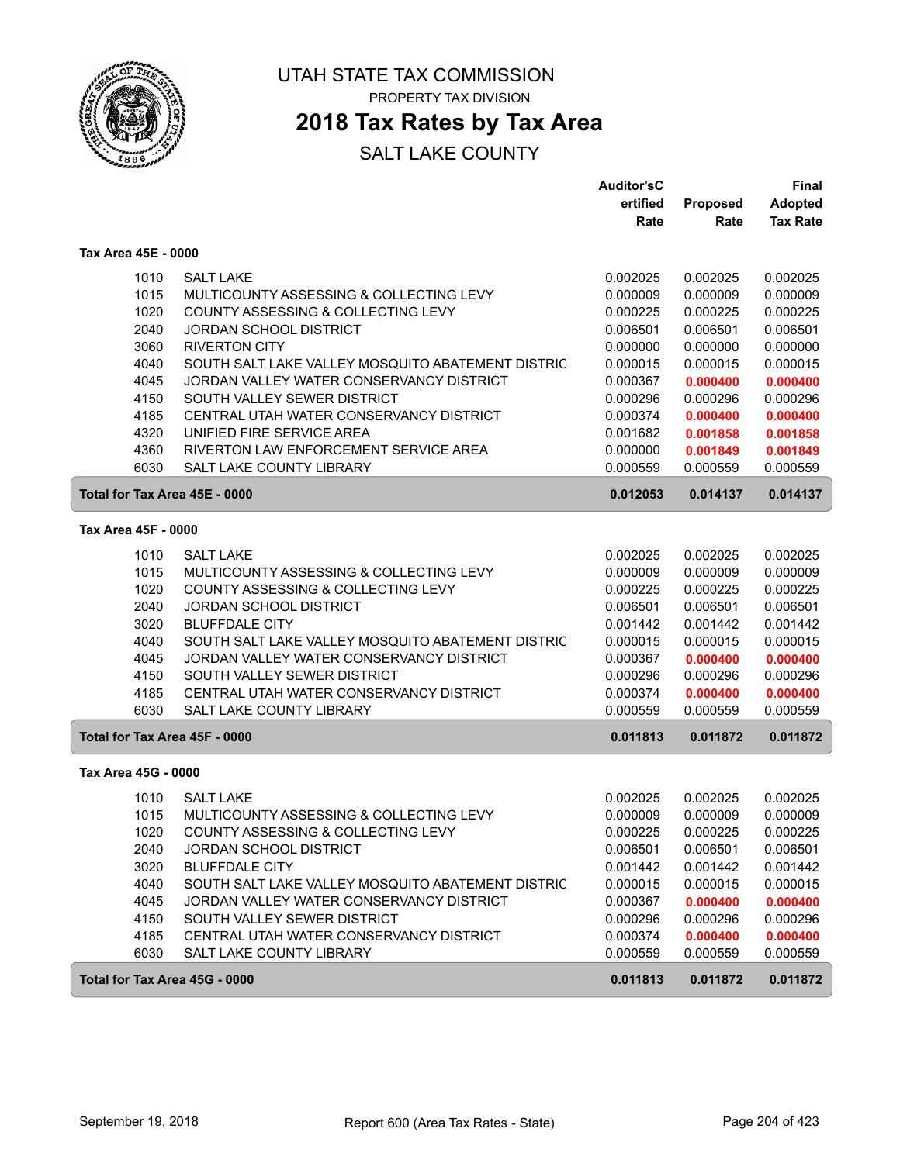

### **2018 Tax Rates by Tax Area**

|                               |                                                             | <b>Auditor'sC</b>    |                      | Final                |
|-------------------------------|-------------------------------------------------------------|----------------------|----------------------|----------------------|
|                               |                                                             | ertified             | Proposed             | <b>Adopted</b>       |
|                               |                                                             | Rate                 | Rate                 | <b>Tax Rate</b>      |
| Tax Area 45E - 0000           |                                                             |                      |                      |                      |
| 1010                          | <b>SALT LAKE</b>                                            | 0.002025             | 0.002025             | 0.002025             |
| 1015                          | MULTICOUNTY ASSESSING & COLLECTING LEVY                     | 0.000009             | 0.000009             | 0.000009             |
| 1020                          | COUNTY ASSESSING & COLLECTING LEVY                          | 0.000225             | 0.000225             | 0.000225             |
| 2040                          | <b>JORDAN SCHOOL DISTRICT</b>                               | 0.006501             | 0.006501             | 0.006501             |
| 3060                          | <b>RIVERTON CITY</b>                                        | 0.000000             | 0.000000             | 0.000000             |
| 4040                          | SOUTH SALT LAKE VALLEY MOSQUITO ABATEMENT DISTRIC           | 0.000015             | 0.000015             | 0.000015             |
| 4045                          | JORDAN VALLEY WATER CONSERVANCY DISTRICT                    | 0.000367             | 0.000400             | 0.000400             |
| 4150                          | SOUTH VALLEY SEWER DISTRICT                                 | 0.000296             | 0.000296             | 0.000296             |
| 4185                          | CENTRAL UTAH WATER CONSERVANCY DISTRICT                     | 0.000374             | 0.000400             | 0.000400             |
| 4320                          | UNIFIED FIRE SERVICE AREA                                   | 0.001682             | 0.001858             | 0.001858             |
| 4360                          | RIVERTON LAW ENFORCEMENT SERVICE AREA                       | 0.000000             | 0.001849             | 0.001849             |
| 6030                          | <b>SALT LAKE COUNTY LIBRARY</b>                             | 0.000559             | 0.000559             | 0.000559             |
| Total for Tax Area 45E - 0000 |                                                             | 0.012053             | 0.014137             | 0.014137             |
| Tax Area 45F - 0000           |                                                             |                      |                      |                      |
|                               |                                                             |                      |                      |                      |
| 1010<br>1015                  | <b>SALT LAKE</b><br>MULTICOUNTY ASSESSING & COLLECTING LEVY | 0.002025             | 0.002025<br>0.000009 | 0.002025<br>0.000009 |
| 1020                          | COUNTY ASSESSING & COLLECTING LEVY                          | 0.000009<br>0.000225 | 0.000225             | 0.000225             |
| 2040                          | <b>JORDAN SCHOOL DISTRICT</b>                               | 0.006501             | 0.006501             | 0.006501             |
| 3020                          | <b>BLUFFDALE CITY</b>                                       | 0.001442             | 0.001442             | 0.001442             |
| 4040                          | SOUTH SALT LAKE VALLEY MOSQUITO ABATEMENT DISTRIC           | 0.000015             | 0.000015             | 0.000015             |
| 4045                          | JORDAN VALLEY WATER CONSERVANCY DISTRICT                    | 0.000367             | 0.000400             | 0.000400             |
| 4150                          | SOUTH VALLEY SEWER DISTRICT                                 | 0.000296             | 0.000296             | 0.000296             |
| 4185                          | CENTRAL UTAH WATER CONSERVANCY DISTRICT                     | 0.000374             | 0.000400             | 0.000400             |
| 6030                          | <b>SALT LAKE COUNTY LIBRARY</b>                             | 0.000559             | 0.000559             | 0.000559             |
| Total for Tax Area 45F - 0000 |                                                             | 0.011813             | 0.011872             | 0.011872             |
| Tax Area 45G - 0000           |                                                             |                      |                      |                      |
| 1010                          | <b>SALT LAKE</b>                                            | 0.002025             | 0.002025             | 0.002025             |
| 1015                          | MULTICOUNTY ASSESSING & COLLECTING LEVY                     | 0.000009             | 0.000009             | 0.000009             |
| 1020                          | COUNTY ASSESSING & COLLECTING LEVY                          | 0.000225             | 0.000225             | 0.000225             |
| 2040                          | <b>JORDAN SCHOOL DISTRICT</b>                               | 0.006501             | 0.006501             | 0.006501             |
| 3020                          | <b>BLUFFDALE CITY</b>                                       | 0.001442             | 0.001442             | 0.001442             |
| 4040                          | SOUTH SALT LAKE VALLEY MOSQUITO ABATEMENT DISTRIC           | 0.000015             | 0.000015             | 0.000015             |
| 4045                          | JORDAN VALLEY WATER CONSERVANCY DISTRICT                    | 0.000367             | 0.000400             | 0.000400             |
| 4150                          | SOUTH VALLEY SEWER DISTRICT                                 | 0.000296             | 0.000296             | 0.000296             |
| 4185                          | CENTRAL UTAH WATER CONSERVANCY DISTRICT                     | 0.000374             | 0.000400             | 0.000400             |
| 6030                          | SALT LAKE COUNTY LIBRARY                                    | 0.000559             | 0.000559             | 0.000559             |
| Total for Tax Area 45G - 0000 |                                                             | 0.011813             | 0.011872             | 0.011872             |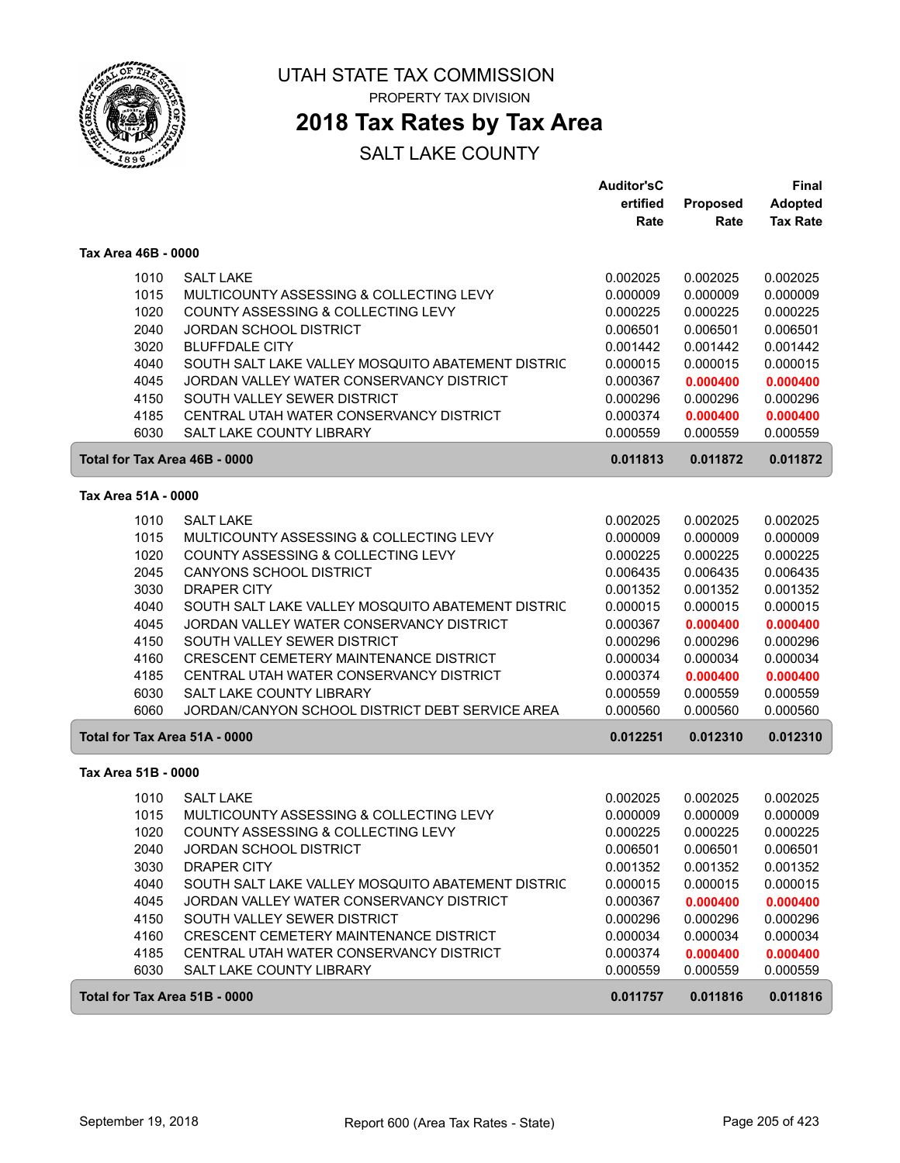

# **2018 Tax Rates by Tax Area**

|                     |      |                                                   | Auditor'sC |                 | Final           |
|---------------------|------|---------------------------------------------------|------------|-----------------|-----------------|
|                     |      |                                                   | ertified   | <b>Proposed</b> | <b>Adopted</b>  |
|                     |      |                                                   | Rate       | Rate            | <b>Tax Rate</b> |
| Tax Area 46B - 0000 |      |                                                   |            |                 |                 |
|                     | 1010 | <b>SALT LAKE</b>                                  | 0.002025   | 0.002025        | 0.002025        |
|                     | 1015 | MULTICOUNTY ASSESSING & COLLECTING LEVY           | 0.000009   | 0.000009        | 0.000009        |
|                     | 1020 | <b>COUNTY ASSESSING &amp; COLLECTING LEVY</b>     | 0.000225   | 0.000225        | 0.000225        |
|                     | 2040 | <b>JORDAN SCHOOL DISTRICT</b>                     | 0.006501   | 0.006501        | 0.006501        |
|                     | 3020 | <b>BLUFFDALE CITY</b>                             | 0.001442   | 0.001442        | 0.001442        |
|                     | 4040 | SOUTH SALT LAKE VALLEY MOSQUITO ABATEMENT DISTRIC | 0.000015   | 0.000015        | 0.000015        |
|                     | 4045 | JORDAN VALLEY WATER CONSERVANCY DISTRICT          | 0.000367   | 0.000400        | 0.000400        |
|                     | 4150 | SOUTH VALLEY SEWER DISTRICT                       | 0.000296   | 0.000296        | 0.000296        |
|                     | 4185 | CENTRAL UTAH WATER CONSERVANCY DISTRICT           | 0.000374   | 0.000400        | 0.000400        |
|                     | 6030 | SALT LAKE COUNTY LIBRARY                          | 0.000559   | 0.000559        | 0.000559        |
|                     |      | Total for Tax Area 46B - 0000                     | 0.011813   | 0.011872        | 0.011872        |
| Tax Area 51A - 0000 |      |                                                   |            |                 |                 |
|                     | 1010 | <b>SALT LAKE</b>                                  | 0.002025   | 0.002025        | 0.002025        |
|                     | 1015 | MULTICOUNTY ASSESSING & COLLECTING LEVY           | 0.000009   | 0.000009        | 0.000009        |
|                     | 1020 | COUNTY ASSESSING & COLLECTING LEVY                | 0.000225   | 0.000225        | 0.000225        |
|                     | 2045 | <b>CANYONS SCHOOL DISTRICT</b>                    | 0.006435   | 0.006435        | 0.006435        |
|                     | 3030 | <b>DRAPER CITY</b>                                | 0.001352   | 0.001352        | 0.001352        |
|                     | 4040 | SOUTH SALT LAKE VALLEY MOSQUITO ABATEMENT DISTRIC | 0.000015   | 0.000015        | 0.000015        |
|                     | 4045 | JORDAN VALLEY WATER CONSERVANCY DISTRICT          | 0.000367   | 0.000400        | 0.000400        |
|                     | 4150 | SOUTH VALLEY SEWER DISTRICT                       | 0.000296   | 0.000296        | 0.000296        |
|                     | 4160 | CRESCENT CEMETERY MAINTENANCE DISTRICT            | 0.000034   | 0.000034        | 0.000034        |
|                     | 4185 | CENTRAL UTAH WATER CONSERVANCY DISTRICT           | 0.000374   | 0.000400        | 0.000400        |
|                     | 6030 | SALT LAKE COUNTY LIBRARY                          | 0.000559   | 0.000559        | 0.000559        |
|                     | 6060 | JORDAN/CANYON SCHOOL DISTRICT DEBT SERVICE AREA   | 0.000560   | 0.000560        | 0.000560        |
|                     |      | Total for Tax Area 51A - 0000                     | 0.012251   | 0.012310        | 0.012310        |
| Tax Area 51B - 0000 |      |                                                   |            |                 |                 |
|                     | 1010 | <b>SALT LAKE</b>                                  | 0.002025   | 0.002025        | 0.002025        |
|                     | 1015 | MULTICOUNTY ASSESSING & COLLECTING LEVY           | 0.000009   | 0.000009        | 0.000009        |
|                     | 1020 | COUNTY ASSESSING & COLLECTING LEVY                | 0.000225   | 0.000225        | 0.000225        |
|                     | 2040 | JORDAN SCHOOL DISTRICT                            | 0.006501   | 0.006501        | 0.006501        |
|                     | 3030 | <b>DRAPER CITY</b>                                | 0.001352   | 0.001352        | 0.001352        |
|                     | 4040 | SOUTH SALT LAKE VALLEY MOSQUITO ABATEMENT DISTRIC | 0.000015   | 0.000015        | 0.000015        |
|                     | 4045 | JORDAN VALLEY WATER CONSERVANCY DISTRICT          | 0.000367   | 0.000400        | 0.000400        |
|                     | 4150 | SOUTH VALLEY SEWER DISTRICT                       | 0.000296   | 0.000296        | 0.000296        |
|                     | 4160 | <b>CRESCENT CEMETERY MAINTENANCE DISTRICT</b>     | 0.000034   | 0.000034        | 0.000034        |
|                     | 4185 | CENTRAL UTAH WATER CONSERVANCY DISTRICT           | 0.000374   | 0.000400        | 0.000400        |
|                     | 6030 | SALT LAKE COUNTY LIBRARY                          | 0.000559   | 0.000559        | 0.000559        |
|                     |      | Total for Tax Area 51B - 0000                     | 0.011757   | 0.011816        | 0.011816        |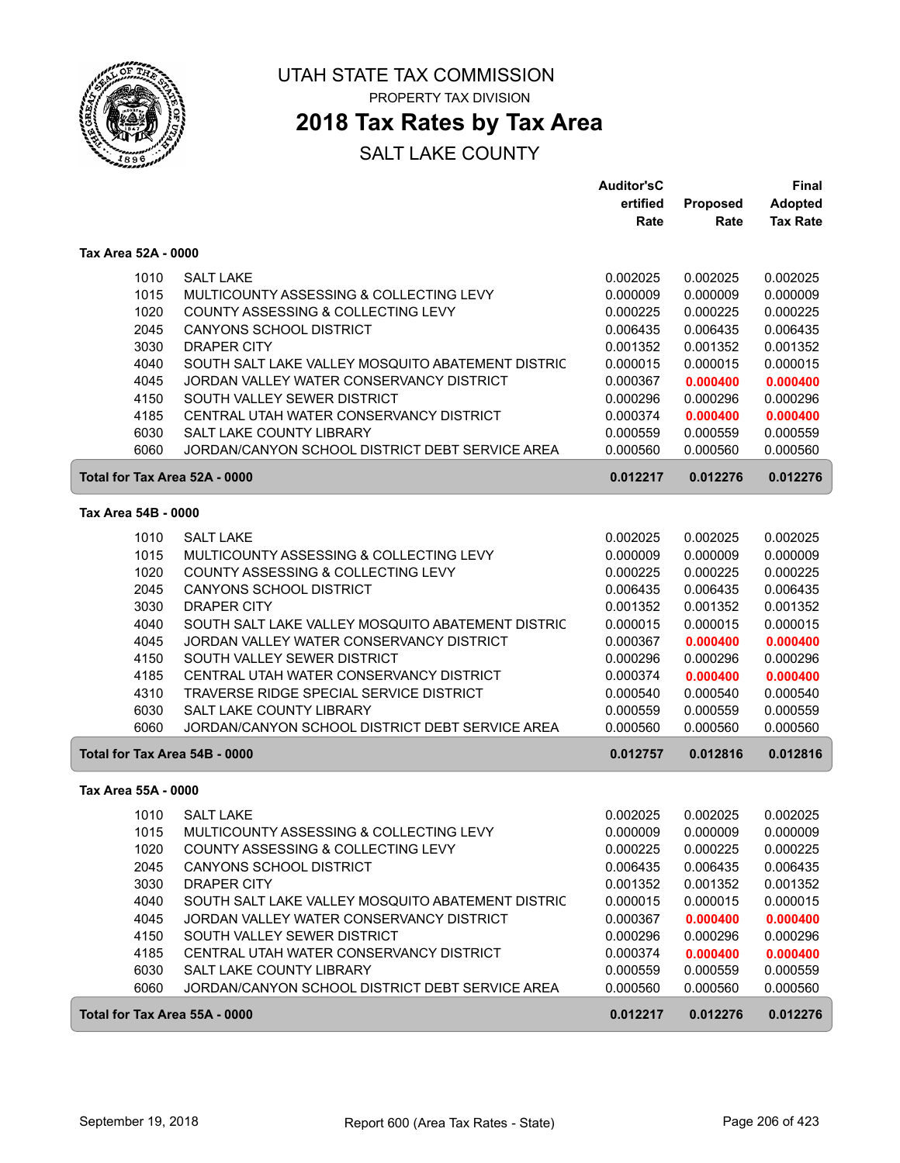

**2018 Tax Rates by Tax Area**

|                               |                                                                             | <b>Auditor'sC</b> |          | Final           |
|-------------------------------|-----------------------------------------------------------------------------|-------------------|----------|-----------------|
|                               |                                                                             | ertified          | Proposed | <b>Adopted</b>  |
|                               |                                                                             | Rate              | Rate     | <b>Tax Rate</b> |
| Tax Area 52A - 0000           |                                                                             |                   |          |                 |
| 1010                          | <b>SALT LAKE</b>                                                            | 0.002025          | 0.002025 | 0.002025        |
| 1015                          | MULTICOUNTY ASSESSING & COLLECTING LEVY                                     | 0.000009          | 0.000009 | 0.000009        |
| 1020                          | COUNTY ASSESSING & COLLECTING LEVY                                          | 0.000225          | 0.000225 | 0.000225        |
| 2045                          | <b>CANYONS SCHOOL DISTRICT</b>                                              | 0.006435          | 0.006435 | 0.006435        |
| 3030                          | <b>DRAPER CITY</b>                                                          | 0.001352          | 0.001352 | 0.001352        |
| 4040                          | SOUTH SALT LAKE VALLEY MOSQUITO ABATEMENT DISTRIC                           | 0.000015          | 0.000015 | 0.000015        |
| 4045                          | JORDAN VALLEY WATER CONSERVANCY DISTRICT                                    | 0.000367          | 0.000400 | 0.000400        |
| 4150                          | SOUTH VALLEY SEWER DISTRICT                                                 | 0.000296          | 0.000296 | 0.000296        |
| 4185                          | CENTRAL UTAH WATER CONSERVANCY DISTRICT                                     | 0.000374          | 0.000400 | 0.000400        |
| 6030                          | <b>SALT LAKE COUNTY LIBRARY</b>                                             | 0.000559          | 0.000559 | 0.000559        |
| 6060                          | JORDAN/CANYON SCHOOL DISTRICT DEBT SERVICE AREA                             | 0.000560          | 0.000560 | 0.000560        |
| Total for Tax Area 52A - 0000 |                                                                             | 0.012217          | 0.012276 | 0.012276        |
| Tax Area 54B - 0000           |                                                                             |                   |          |                 |
|                               |                                                                             |                   |          |                 |
| 1010                          | <b>SALT LAKE</b>                                                            | 0.002025          | 0.002025 | 0.002025        |
| 1015                          | MULTICOUNTY ASSESSING & COLLECTING LEVY                                     | 0.000009          | 0.000009 | 0.000009        |
| 1020                          | COUNTY ASSESSING & COLLECTING LEVY                                          | 0.000225          | 0.000225 | 0.000225        |
| 2045                          | <b>CANYONS SCHOOL DISTRICT</b>                                              | 0.006435          | 0.006435 | 0.006435        |
| 3030                          | <b>DRAPER CITY</b>                                                          | 0.001352          | 0.001352 | 0.001352        |
| 4040                          | SOUTH SALT LAKE VALLEY MOSQUITO ABATEMENT DISTRIC                           | 0.000015          | 0.000015 | 0.000015        |
| 4045                          | JORDAN VALLEY WATER CONSERVANCY DISTRICT                                    | 0.000367          | 0.000400 | 0.000400        |
| 4150                          | SOUTH VALLEY SEWER DISTRICT                                                 | 0.000296          | 0.000296 | 0.000296        |
| 4185                          | CENTRAL UTAH WATER CONSERVANCY DISTRICT                                     | 0.000374          | 0.000400 | 0.000400        |
| 4310                          | TRAVERSE RIDGE SPECIAL SERVICE DISTRICT                                     | 0.000540          | 0.000540 | 0.000540        |
| 6030<br>6060                  | SALT LAKE COUNTY LIBRARY<br>JORDAN/CANYON SCHOOL DISTRICT DEBT SERVICE AREA | 0.000559          | 0.000559 | 0.000559        |
|                               |                                                                             | 0.000560          | 0.000560 | 0.000560        |
| Total for Tax Area 54B - 0000 |                                                                             | 0.012757          | 0.012816 | 0.012816        |
| Tax Area 55A - 0000           |                                                                             |                   |          |                 |
| 1010                          | <b>SALT LAKE</b>                                                            | 0.002025          | 0.002025 | 0.002025        |
| 1015                          | MULTICOUNTY ASSESSING & COLLECTING LEVY                                     | 0.000009          | 0.000009 | 0.000009        |
| 1020                          | COUNTY ASSESSING & COLLECTING LEVY                                          | 0.000225          | 0.000225 | 0.000225        |
| 2045                          | <b>CANYONS SCHOOL DISTRICT</b>                                              | 0.006435          | 0.006435 | 0.006435        |
| 3030                          | DRAPER CITY                                                                 | 0.001352          | 0.001352 | 0.001352        |
| 4040                          | SOUTH SALT LAKE VALLEY MOSQUITO ABATEMENT DISTRIC                           | 0.000015          | 0.000015 | 0.000015        |
| 4045                          | JORDAN VALLEY WATER CONSERVANCY DISTRICT                                    | 0.000367          | 0.000400 | 0.000400        |
| 4150                          | SOUTH VALLEY SEWER DISTRICT                                                 | 0.000296          | 0.000296 | 0.000296        |
| 4185                          | CENTRAL UTAH WATER CONSERVANCY DISTRICT                                     | 0.000374          | 0.000400 | 0.000400        |
| 6030                          | SALT LAKE COUNTY LIBRARY                                                    | 0.000559          | 0.000559 | 0.000559        |
| 6060                          | JORDAN/CANYON SCHOOL DISTRICT DEBT SERVICE AREA                             | 0.000560          | 0.000560 | 0.000560        |
| Total for Tax Area 55A - 0000 |                                                                             | 0.012217          | 0.012276 | 0.012276        |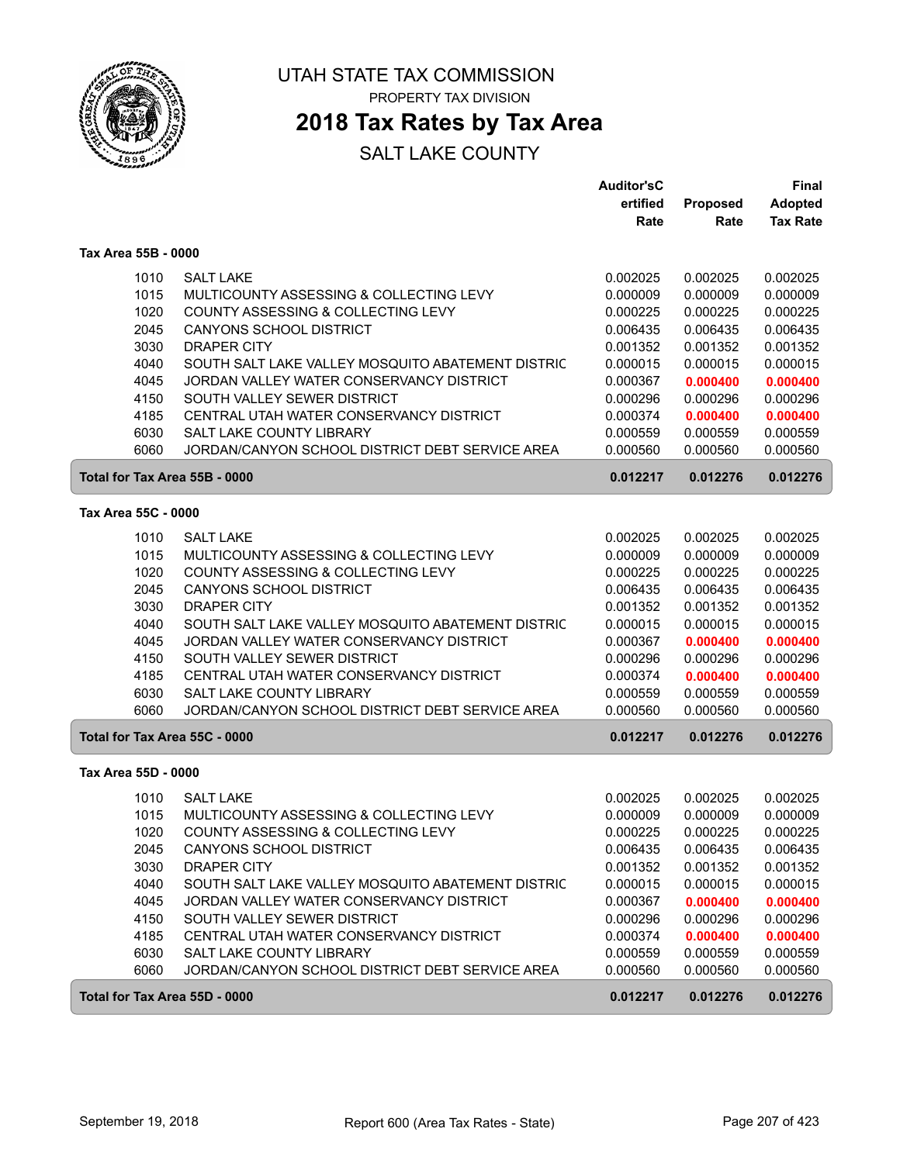

# **2018 Tax Rates by Tax Area**

|                     |      |                                                   | <b>Auditor'sC</b> |          | <b>Final</b>    |
|---------------------|------|---------------------------------------------------|-------------------|----------|-----------------|
|                     |      |                                                   | ertified          | Proposed | <b>Adopted</b>  |
|                     |      |                                                   | Rate              | Rate     | <b>Tax Rate</b> |
| Tax Area 55B - 0000 |      |                                                   |                   |          |                 |
|                     | 1010 | <b>SALT LAKE</b>                                  | 0.002025          | 0.002025 | 0.002025        |
|                     | 1015 | MULTICOUNTY ASSESSING & COLLECTING LEVY           | 0.000009          | 0.000009 | 0.000009        |
|                     | 1020 | COUNTY ASSESSING & COLLECTING LEVY                | 0.000225          | 0.000225 | 0.000225        |
|                     | 2045 | <b>CANYONS SCHOOL DISTRICT</b>                    | 0.006435          | 0.006435 | 0.006435        |
|                     | 3030 | <b>DRAPER CITY</b>                                | 0.001352          | 0.001352 | 0.001352        |
|                     | 4040 | SOUTH SALT LAKE VALLEY MOSQUITO ABATEMENT DISTRIC | 0.000015          | 0.000015 | 0.000015        |
|                     | 4045 | JORDAN VALLEY WATER CONSERVANCY DISTRICT          | 0.000367          | 0.000400 | 0.000400        |
|                     | 4150 | SOUTH VALLEY SEWER DISTRICT                       | 0.000296          | 0.000296 | 0.000296        |
|                     | 4185 | CENTRAL UTAH WATER CONSERVANCY DISTRICT           | 0.000374          | 0.000400 | 0.000400        |
|                     | 6030 | SALT LAKE COUNTY LIBRARY                          | 0.000559          | 0.000559 | 0.000559        |
|                     | 6060 | JORDAN/CANYON SCHOOL DISTRICT DEBT SERVICE AREA   | 0.000560          | 0.000560 | 0.000560        |
|                     |      | Total for Tax Area 55B - 0000                     | 0.012217          | 0.012276 | 0.012276        |
| Tax Area 55C - 0000 |      |                                                   |                   |          |                 |
|                     | 1010 | <b>SALT LAKE</b>                                  | 0.002025          | 0.002025 | 0.002025        |
|                     | 1015 | MULTICOUNTY ASSESSING & COLLECTING LEVY           | 0.000009          | 0.000009 | 0.000009        |
|                     | 1020 | COUNTY ASSESSING & COLLECTING LEVY                | 0.000225          | 0.000225 | 0.000225        |
|                     | 2045 | <b>CANYONS SCHOOL DISTRICT</b>                    | 0.006435          | 0.006435 | 0.006435        |
|                     | 3030 | <b>DRAPER CITY</b>                                | 0.001352          | 0.001352 | 0.001352        |
|                     | 4040 | SOUTH SALT LAKE VALLEY MOSQUITO ABATEMENT DISTRIC | 0.000015          | 0.000015 | 0.000015        |
|                     | 4045 | JORDAN VALLEY WATER CONSERVANCY DISTRICT          | 0.000367          | 0.000400 | 0.000400        |
|                     | 4150 | SOUTH VALLEY SEWER DISTRICT                       | 0.000296          | 0.000296 | 0.000296        |
|                     | 4185 | CENTRAL UTAH WATER CONSERVANCY DISTRICT           | 0.000374          | 0.000400 | 0.000400        |
|                     | 6030 | SALT LAKE COUNTY LIBRARY                          | 0.000559          | 0.000559 | 0.000559        |
|                     | 6060 | JORDAN/CANYON SCHOOL DISTRICT DEBT SERVICE AREA   | 0.000560          | 0.000560 | 0.000560        |
|                     |      | Total for Tax Area 55C - 0000                     | 0.012217          | 0.012276 | 0.012276        |
| Tax Area 55D - 0000 |      |                                                   |                   |          |                 |
|                     | 1010 | <b>SALT LAKE</b>                                  | 0.002025          | 0.002025 | 0.002025        |
|                     | 1015 | MULTICOUNTY ASSESSING & COLLECTING LEVY           | 0.000009          | 0.000009 | 0.000009        |
|                     | 1020 | COUNTY ASSESSING & COLLECTING LEVY                | 0.000225          | 0.000225 | 0.000225        |
|                     | 2045 | <b>CANYONS SCHOOL DISTRICT</b>                    | 0.006435          | 0.006435 | 0.006435        |
|                     | 3030 | DRAPER CITY                                       | 0.001352          | 0.001352 | 0.001352        |
|                     | 4040 | SOUTH SALT LAKE VALLEY MOSQUITO ABATEMENT DISTRIC | 0.000015          | 0.000015 | 0.000015        |
|                     | 4045 | JORDAN VALLEY WATER CONSERVANCY DISTRICT          | 0.000367          | 0.000400 | 0.000400        |
|                     | 4150 | SOUTH VALLEY SEWER DISTRICT                       | 0.000296          | 0.000296 | 0.000296        |
|                     | 4185 | CENTRAL UTAH WATER CONSERVANCY DISTRICT           | 0.000374          | 0.000400 | 0.000400        |
|                     | 6030 | SALT LAKE COUNTY LIBRARY                          | 0.000559          | 0.000559 | 0.000559        |
|                     | 6060 | JORDAN/CANYON SCHOOL DISTRICT DEBT SERVICE AREA   | 0.000560          | 0.000560 | 0.000560        |
|                     |      | Total for Tax Area 55D - 0000                     | 0.012217          | 0.012276 | 0.012276        |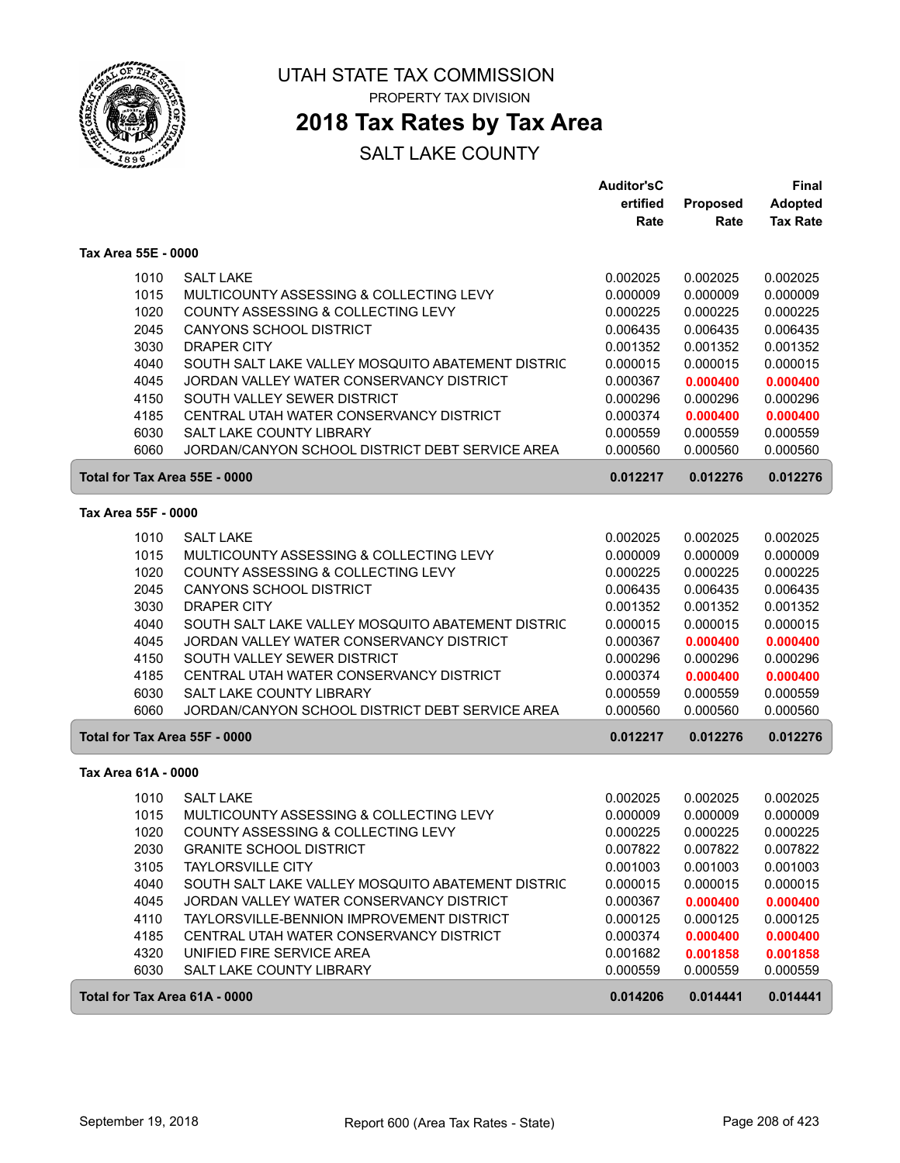

### **2018 Tax Rates by Tax Area**

|                     |      |                                                   | <b>Auditor'sC</b> |          | Final           |
|---------------------|------|---------------------------------------------------|-------------------|----------|-----------------|
|                     |      |                                                   | ertified          | Proposed | <b>Adopted</b>  |
|                     |      |                                                   | Rate              | Rate     | <b>Tax Rate</b> |
| Tax Area 55E - 0000 |      |                                                   |                   |          |                 |
|                     | 1010 | <b>SALT LAKE</b>                                  | 0.002025          | 0.002025 | 0.002025        |
|                     | 1015 | MULTICOUNTY ASSESSING & COLLECTING LEVY           | 0.000009          | 0.000009 | 0.000009        |
|                     | 1020 | COUNTY ASSESSING & COLLECTING LEVY                | 0.000225          | 0.000225 | 0.000225        |
|                     | 2045 | <b>CANYONS SCHOOL DISTRICT</b>                    | 0.006435          | 0.006435 | 0.006435        |
|                     | 3030 | <b>DRAPER CITY</b>                                | 0.001352          | 0.001352 | 0.001352        |
|                     | 4040 | SOUTH SALT LAKE VALLEY MOSQUITO ABATEMENT DISTRIC | 0.000015          | 0.000015 | 0.000015        |
|                     | 4045 | JORDAN VALLEY WATER CONSERVANCY DISTRICT          | 0.000367          | 0.000400 | 0.000400        |
|                     | 4150 | SOUTH VALLEY SEWER DISTRICT                       | 0.000296          | 0.000296 | 0.000296        |
|                     | 4185 | CENTRAL UTAH WATER CONSERVANCY DISTRICT           | 0.000374          | 0.000400 | 0.000400        |
|                     | 6030 | SALT LAKE COUNTY LIBRARY                          | 0.000559          | 0.000559 | 0.000559        |
|                     | 6060 | JORDAN/CANYON SCHOOL DISTRICT DEBT SERVICE AREA   | 0.000560          | 0.000560 | 0.000560        |
|                     |      | Total for Tax Area 55E - 0000                     | 0.012217          | 0.012276 | 0.012276        |
| Tax Area 55F - 0000 |      |                                                   |                   |          |                 |
|                     | 1010 | <b>SALT LAKE</b>                                  | 0.002025          | 0.002025 | 0.002025        |
|                     | 1015 | MULTICOUNTY ASSESSING & COLLECTING LEVY           | 0.000009          | 0.000009 | 0.000009        |
|                     | 1020 | COUNTY ASSESSING & COLLECTING LEVY                | 0.000225          | 0.000225 | 0.000225        |
|                     | 2045 | CANYONS SCHOOL DISTRICT                           | 0.006435          | 0.006435 | 0.006435        |
|                     | 3030 | <b>DRAPER CITY</b>                                | 0.001352          | 0.001352 | 0.001352        |
|                     | 4040 | SOUTH SALT LAKE VALLEY MOSQUITO ABATEMENT DISTRIC | 0.000015          | 0.000015 | 0.000015        |
|                     | 4045 | JORDAN VALLEY WATER CONSERVANCY DISTRICT          | 0.000367          | 0.000400 | 0.000400        |
|                     | 4150 | SOUTH VALLEY SEWER DISTRICT                       | 0.000296          | 0.000296 | 0.000296        |
|                     | 4185 | CENTRAL UTAH WATER CONSERVANCY DISTRICT           | 0.000374          | 0.000400 | 0.000400        |
|                     | 6030 | SALT LAKE COUNTY LIBRARY                          | 0.000559          | 0.000559 | 0.000559        |
|                     | 6060 | JORDAN/CANYON SCHOOL DISTRICT DEBT SERVICE AREA   | 0.000560          | 0.000560 | 0.000560        |
|                     |      | Total for Tax Area 55F - 0000                     | 0.012217          | 0.012276 | 0.012276        |
| Tax Area 61A - 0000 |      |                                                   |                   |          |                 |
|                     | 1010 | <b>SALT LAKE</b>                                  | 0.002025          | 0.002025 | 0.002025        |
|                     | 1015 | MULTICOUNTY ASSESSING & COLLECTING LEVY           | 0.000009          | 0.000009 | 0.000009        |
|                     | 1020 | COUNTY ASSESSING & COLLECTING LEVY                | 0.000225          | 0.000225 | 0.000225        |
|                     | 2030 | <b>GRANITE SCHOOL DISTRICT</b>                    | 0.007822          | 0.007822 | 0.007822        |
|                     | 3105 | <b>TAYLORSVILLE CITY</b>                          | 0.001003          | 0.001003 | 0.001003        |
|                     | 4040 | SOUTH SALT LAKE VALLEY MOSQUITO ABATEMENT DISTRIC | 0.000015          | 0.000015 | 0.000015        |
|                     | 4045 | JORDAN VALLEY WATER CONSERVANCY DISTRICT          | 0.000367          | 0.000400 | 0.000400        |
|                     | 4110 | TAYLORSVILLE-BENNION IMPROVEMENT DISTRICT         | 0.000125          | 0.000125 | 0.000125        |
|                     | 4185 | CENTRAL UTAH WATER CONSERVANCY DISTRICT           | 0.000374          | 0.000400 | 0.000400        |
|                     | 4320 | UNIFIED FIRE SERVICE AREA                         | 0.001682          | 0.001858 | 0.001858        |
|                     | 6030 | SALT LAKE COUNTY LIBRARY                          | 0.000559          | 0.000559 | 0.000559        |
|                     |      | Total for Tax Area 61A - 0000                     | 0.014206          | 0.014441 | 0.014441        |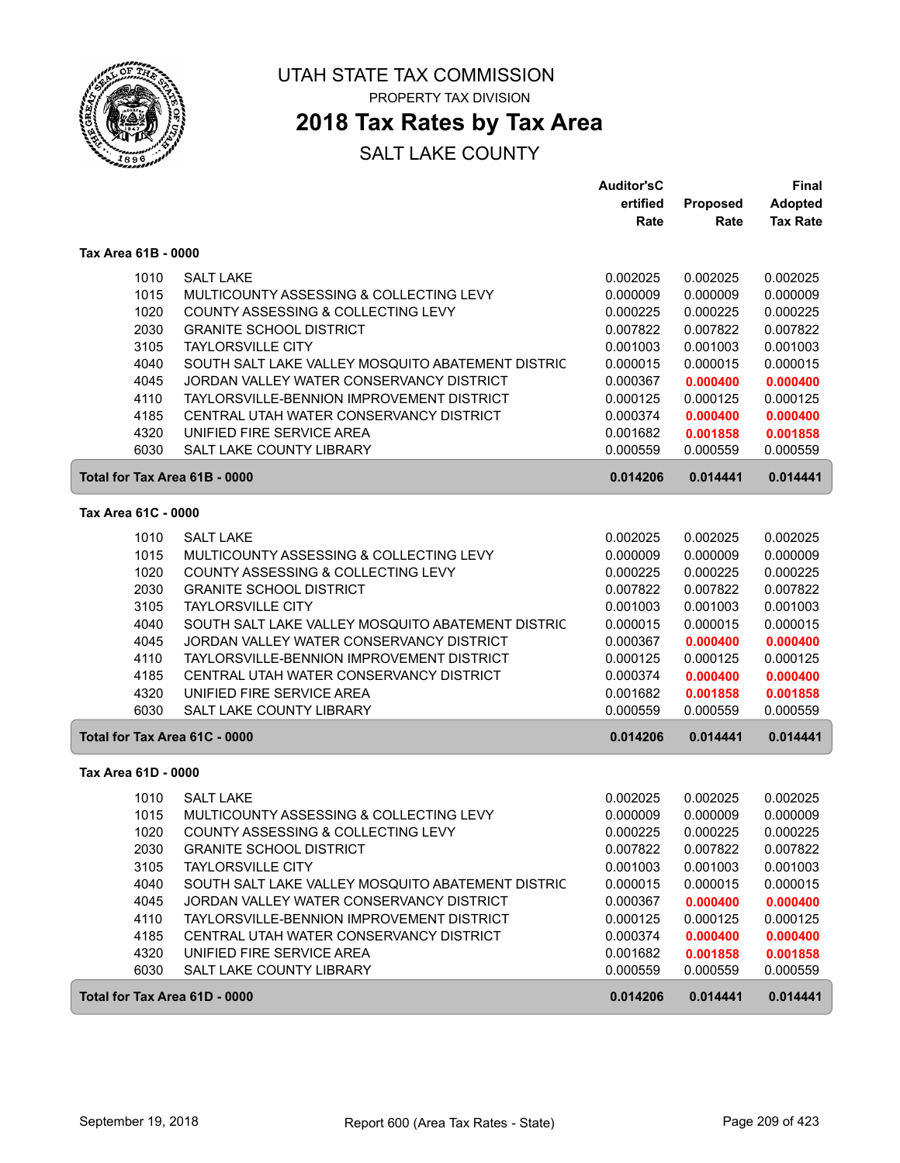

### **2018 Tax Rates by Tax Area**

|                     |                                                           | <b>Auditor'sC</b> |          | Final           |
|---------------------|-----------------------------------------------------------|-------------------|----------|-----------------|
|                     |                                                           | ertified          | Proposed | <b>Adopted</b>  |
|                     |                                                           | Rate              | Rate     | <b>Tax Rate</b> |
| Tax Area 61B - 0000 |                                                           |                   |          |                 |
|                     | <b>SALT LAKE</b><br>1010                                  | 0.002025          | 0.002025 | 0.002025        |
|                     | 1015<br>MULTICOUNTY ASSESSING & COLLECTING LEVY           | 0.000009          | 0.000009 | 0.000009        |
|                     | 1020<br><b>COUNTY ASSESSING &amp; COLLECTING LEVY</b>     | 0.000225          | 0.000225 | 0.000225        |
|                     | 2030<br><b>GRANITE SCHOOL DISTRICT</b>                    | 0.007822          | 0.007822 | 0.007822        |
|                     | 3105<br><b>TAYLORSVILLE CITY</b>                          | 0.001003          | 0.001003 | 0.001003        |
|                     | 4040<br>SOUTH SALT LAKE VALLEY MOSQUITO ABATEMENT DISTRIC | 0.000015          | 0.000015 | 0.000015        |
|                     | 4045<br>JORDAN VALLEY WATER CONSERVANCY DISTRICT          | 0.000367          | 0.000400 | 0.000400        |
|                     | 4110<br>TAYLORSVILLE-BENNION IMPROVEMENT DISTRICT         | 0.000125          | 0.000125 | 0.000125        |
|                     | 4185<br>CENTRAL UTAH WATER CONSERVANCY DISTRICT           | 0.000374          | 0.000400 | 0.000400        |
|                     | 4320<br>UNIFIED FIRE SERVICE AREA                         | 0.001682          | 0.001858 | 0.001858        |
|                     | 6030<br><b>SALT LAKE COUNTY LIBRARY</b>                   | 0.000559          | 0.000559 | 0.000559        |
|                     | Total for Tax Area 61B - 0000                             | 0.014206          | 0.014441 | 0.014441        |
| Tax Area 61C - 0000 |                                                           |                   |          |                 |
|                     | <b>SALT LAKE</b><br>1010                                  | 0.002025          | 0.002025 | 0.002025        |
|                     | 1015<br>MULTICOUNTY ASSESSING & COLLECTING LEVY           | 0.000009          | 0.000009 | 0.000009        |
|                     | 1020<br>COUNTY ASSESSING & COLLECTING LEVY                | 0.000225          | 0.000225 | 0.000225        |
|                     | 2030<br><b>GRANITE SCHOOL DISTRICT</b>                    | 0.007822          | 0.007822 | 0.007822        |
|                     | 3105<br><b>TAYLORSVILLE CITY</b>                          | 0.001003          | 0.001003 | 0.001003        |
|                     | 4040<br>SOUTH SALT LAKE VALLEY MOSQUITO ABATEMENT DISTRIC | 0.000015          | 0.000015 | 0.000015        |
|                     | 4045<br>JORDAN VALLEY WATER CONSERVANCY DISTRICT          | 0.000367          | 0.000400 | 0.000400        |
|                     | 4110<br>TAYLORSVILLE-BENNION IMPROVEMENT DISTRICT         | 0.000125          | 0.000125 | 0.000125        |
|                     | 4185<br>CENTRAL UTAH WATER CONSERVANCY DISTRICT           | 0.000374          | 0.000400 | 0.000400        |
|                     | 4320<br>UNIFIED FIRE SERVICE AREA                         | 0.001682          | 0.001858 | 0.001858        |
|                     | 6030<br>SALT LAKE COUNTY LIBRARY                          | 0.000559          | 0.000559 | 0.000559        |
|                     | Total for Tax Area 61C - 0000                             | 0.014206          | 0.014441 | 0.014441        |
| Tax Area 61D - 0000 |                                                           |                   |          |                 |
|                     | 1010<br><b>SALT LAKE</b>                                  | 0.002025          | 0.002025 | 0.002025        |
|                     | 1015<br>MULTICOUNTY ASSESSING & COLLECTING LEVY           | 0.000009          | 0.000009 | 0.000009        |
|                     | 1020<br>COUNTY ASSESSING & COLLECTING LEVY                | 0.000225          | 0.000225 | 0.000225        |
|                     | 2030<br><b>GRANITE SCHOOL DISTRICT</b>                    | 0.007822          | 0.007822 | 0.007822        |
|                     | 3105<br><b>TAYLORSVILLE CITY</b>                          | 0.001003          | 0.001003 | 0.001003        |
|                     | 4040<br>SOUTH SALT LAKE VALLEY MOSQUITO ABATEMENT DISTRIC | 0.000015          | 0.000015 | 0.000015        |
|                     | 4045<br>JORDAN VALLEY WATER CONSERVANCY DISTRICT          | 0.000367          | 0.000400 | 0.000400        |
|                     | 4110<br>TAYLORSVILLE-BENNION IMPROVEMENT DISTRICT         | 0.000125          | 0.000125 | 0.000125        |
|                     | 4185<br>CENTRAL UTAH WATER CONSERVANCY DISTRICT           | 0.000374          | 0.000400 | 0.000400        |
|                     | 4320<br>UNIFIED FIRE SERVICE AREA                         | 0.001682          | 0.001858 | 0.001858        |
|                     | 6030<br>SALT LAKE COUNTY LIBRARY                          | 0.000559          | 0.000559 | 0.000559        |
|                     | Total for Tax Area 61D - 0000                             | 0.014206          | 0.014441 | 0.014441        |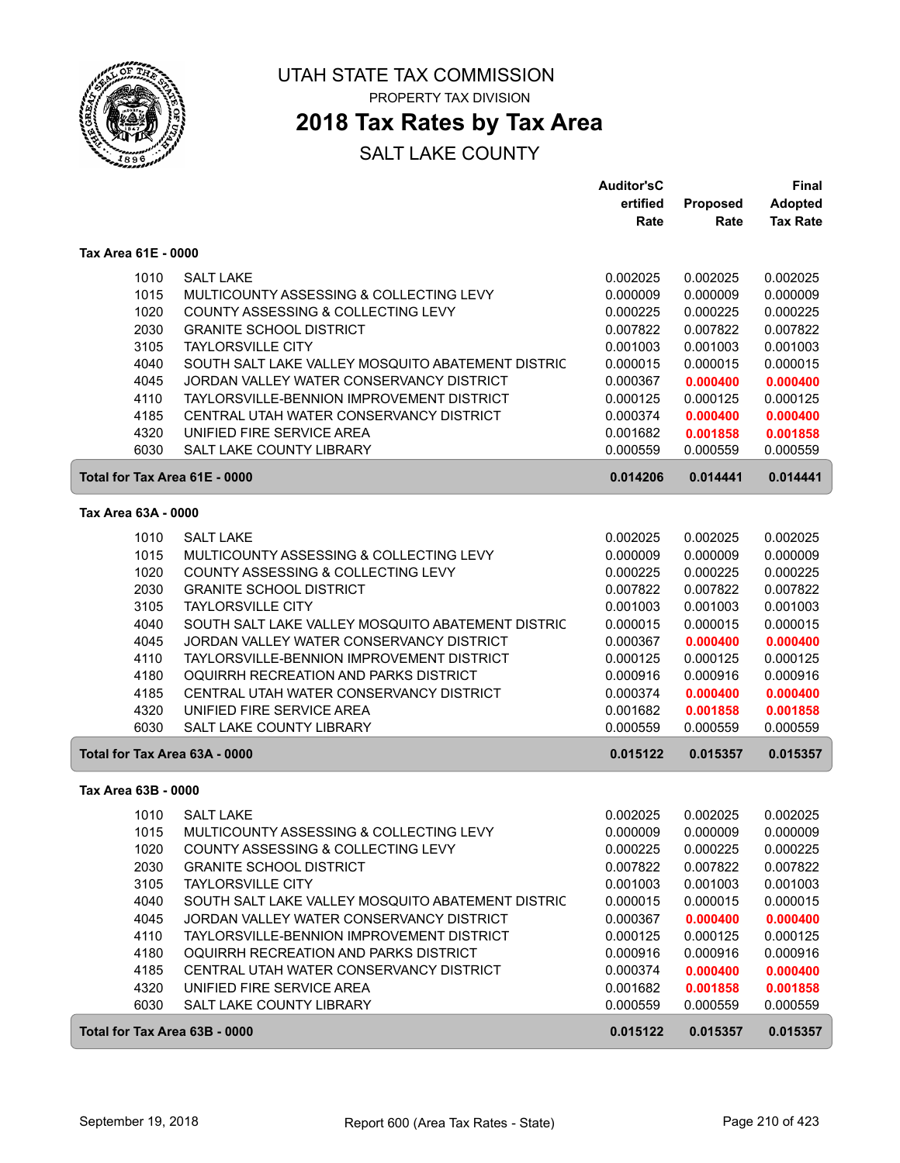

### **2018 Tax Rates by Tax Area**

|                               |                                                   | <b>Auditor'sC</b> |                 | <b>Final</b>    |
|-------------------------------|---------------------------------------------------|-------------------|-----------------|-----------------|
|                               |                                                   | ertified          | <b>Proposed</b> | <b>Adopted</b>  |
|                               |                                                   | Rate              | Rate            | <b>Tax Rate</b> |
| Tax Area 61E - 0000           |                                                   |                   |                 |                 |
| 1010                          | <b>SALT LAKE</b>                                  | 0.002025          | 0.002025        | 0.002025        |
| 1015                          | MULTICOUNTY ASSESSING & COLLECTING LEVY           | 0.000009          | 0.000009        | 0.000009        |
| 1020                          | COUNTY ASSESSING & COLLECTING LEVY                | 0.000225          | 0.000225        | 0.000225        |
| 2030                          | <b>GRANITE SCHOOL DISTRICT</b>                    | 0.007822          | 0.007822        | 0.007822        |
| 3105                          | <b>TAYLORSVILLE CITY</b>                          | 0.001003          | 0.001003        | 0.001003        |
| 4040                          | SOUTH SALT LAKE VALLEY MOSQUITO ABATEMENT DISTRIC | 0.000015          | 0.000015        | 0.000015        |
| 4045                          | JORDAN VALLEY WATER CONSERVANCY DISTRICT          | 0.000367          | 0.000400        | 0.000400        |
| 4110                          | TAYLORSVILLE-BENNION IMPROVEMENT DISTRICT         | 0.000125          | 0.000125        | 0.000125        |
| 4185                          | CENTRAL UTAH WATER CONSERVANCY DISTRICT           | 0.000374          | 0.000400        | 0.000400        |
| 4320                          | UNIFIED FIRE SERVICE AREA                         | 0.001682          | 0.001858        | 0.001858        |
| 6030                          | <b>SALT LAKE COUNTY LIBRARY</b>                   | 0.000559          | 0.000559        | 0.000559        |
| Total for Tax Area 61E - 0000 |                                                   | 0.014206          | 0.014441        | 0.014441        |
| Tax Area 63A - 0000           |                                                   |                   |                 |                 |
|                               |                                                   |                   |                 |                 |
| 1010                          | <b>SALT LAKE</b>                                  | 0.002025          | 0.002025        | 0.002025        |
| 1015                          | MULTICOUNTY ASSESSING & COLLECTING LEVY           | 0.000009          | 0.000009        | 0.000009        |
| 1020                          | COUNTY ASSESSING & COLLECTING LEVY                | 0.000225          | 0.000225        | 0.000225        |
| 2030                          | <b>GRANITE SCHOOL DISTRICT</b>                    | 0.007822          | 0.007822        | 0.007822        |
| 3105                          | <b>TAYLORSVILLE CITY</b>                          | 0.001003          | 0.001003        | 0.001003        |
| 4040                          | SOUTH SALT LAKE VALLEY MOSQUITO ABATEMENT DISTRIC | 0.000015          | 0.000015        | 0.000015        |
| 4045                          | JORDAN VALLEY WATER CONSERVANCY DISTRICT          | 0.000367          | 0.000400        | 0.000400        |
| 4110                          | TAYLORSVILLE-BENNION IMPROVEMENT DISTRICT         | 0.000125          | 0.000125        | 0.000125        |
| 4180                          | OQUIRRH RECREATION AND PARKS DISTRICT             | 0.000916          | 0.000916        | 0.000916        |
| 4185                          | CENTRAL UTAH WATER CONSERVANCY DISTRICT           | 0.000374          | 0.000400        | 0.000400        |
| 4320                          | UNIFIED FIRE SERVICE AREA                         | 0.001682          | 0.001858        | 0.001858        |
| 6030                          | SALT LAKE COUNTY LIBRARY                          | 0.000559          | 0.000559        | 0.000559        |
| Total for Tax Area 63A - 0000 |                                                   | 0.015122          | 0.015357        | 0.015357        |
| Tax Area 63B - 0000           |                                                   |                   |                 |                 |
| 1010                          | <b>SALT LAKE</b>                                  | 0.002025          | 0.002025        | 0.002025        |
| 1015                          | MULTICOUNTY ASSESSING & COLLECTING LEVY           | 0.000009          | 0.000009        | 0.000009        |
| 1020                          | COUNTY ASSESSING & COLLECTING LEVY                | 0.000225          | 0.000225        | 0.000225        |
| 2030                          | <b>GRANITE SCHOOL DISTRICT</b>                    | 0.007822          | 0.007822        | 0.007822        |
| 3105                          | <b>TAYLORSVILLE CITY</b>                          | 0.001003          | 0.001003        | 0.001003        |
| 4040                          | SOUTH SALT LAKE VALLEY MOSQUITO ABATEMENT DISTRIC | 0.000015          | 0.000015        | 0.000015        |
| 4045                          | JORDAN VALLEY WATER CONSERVANCY DISTRICT          | 0.000367          | 0.000400        | 0.000400        |
| 4110                          | TAYLORSVILLE-BENNION IMPROVEMENT DISTRICT         | 0.000125          | 0.000125        | 0.000125        |
| 4180                          | OQUIRRH RECREATION AND PARKS DISTRICT             | 0.000916          | 0.000916        | 0.000916        |
| 4185                          | CENTRAL UTAH WATER CONSERVANCY DISTRICT           | 0.000374          | 0.000400        | 0.000400        |
| 4320                          | UNIFIED FIRE SERVICE AREA                         | 0.001682          | 0.001858        | 0.001858        |
| 6030                          | SALT LAKE COUNTY LIBRARY                          | 0.000559          | 0.000559        | 0.000559        |
| Total for Tax Area 63B - 0000 |                                                   | 0.015122          | 0.015357        | 0.015357        |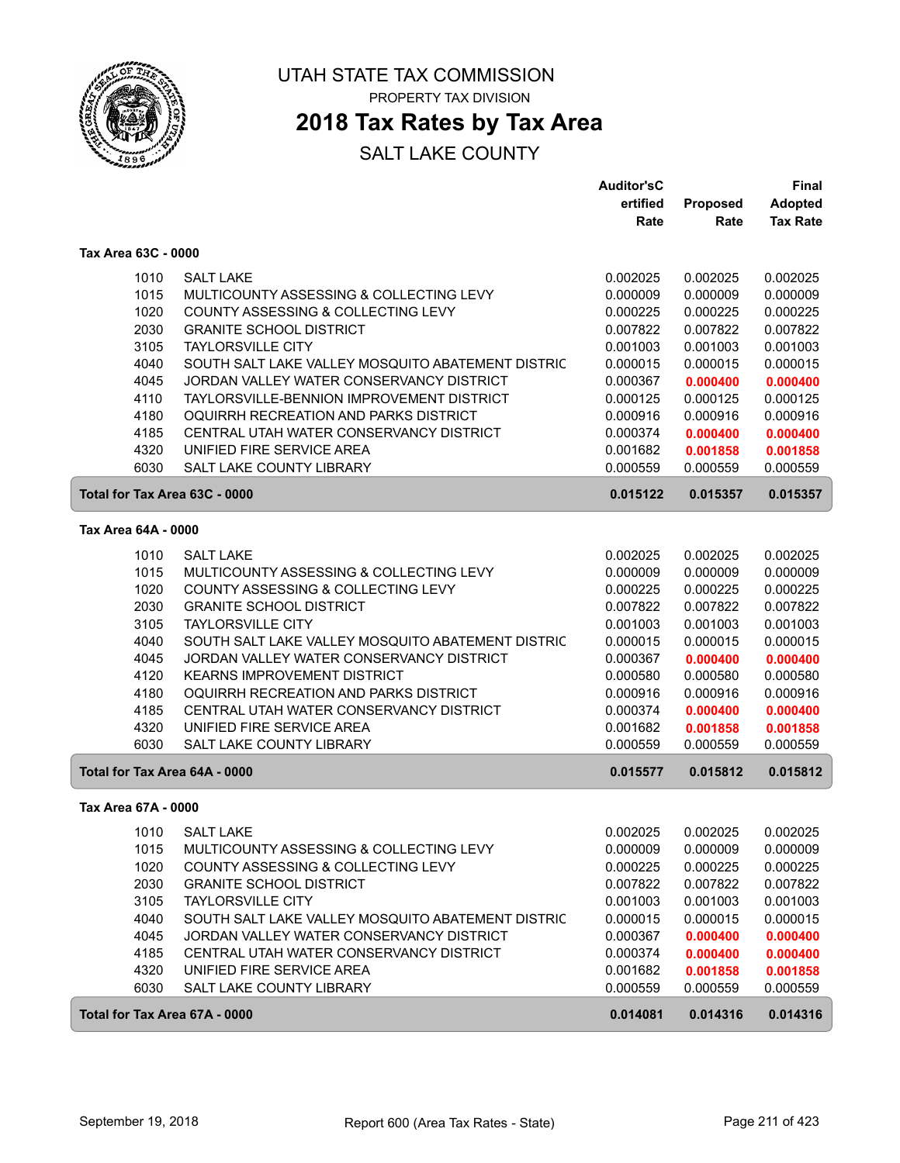

### **2018 Tax Rates by Tax Area**

|                               |                                                   | <b>Auditor'sC</b> |          | <b>Final</b>    |
|-------------------------------|---------------------------------------------------|-------------------|----------|-----------------|
|                               |                                                   | ertified          | Proposed | <b>Adopted</b>  |
|                               |                                                   | Rate              | Rate     | <b>Tax Rate</b> |
| Tax Area 63C - 0000           |                                                   |                   |          |                 |
| 1010                          | <b>SALT LAKE</b>                                  | 0.002025          | 0.002025 | 0.002025        |
| 1015                          | MULTICOUNTY ASSESSING & COLLECTING LEVY           | 0.000009          | 0.000009 | 0.000009        |
| 1020                          | COUNTY ASSESSING & COLLECTING LEVY                | 0.000225          | 0.000225 | 0.000225        |
| 2030                          | <b>GRANITE SCHOOL DISTRICT</b>                    | 0.007822          | 0.007822 | 0.007822        |
| 3105                          | <b>TAYLORSVILLE CITY</b>                          | 0.001003          | 0.001003 | 0.001003        |
| 4040                          | SOUTH SALT LAKE VALLEY MOSQUITO ABATEMENT DISTRIC | 0.000015          | 0.000015 | 0.000015        |
| 4045                          | JORDAN VALLEY WATER CONSERVANCY DISTRICT          | 0.000367          | 0.000400 | 0.000400        |
| 4110                          | TAYLORSVILLE-BENNION IMPROVEMENT DISTRICT         | 0.000125          | 0.000125 | 0.000125        |
| 4180                          | OQUIRRH RECREATION AND PARKS DISTRICT             | 0.000916          | 0.000916 | 0.000916        |
| 4185                          | CENTRAL UTAH WATER CONSERVANCY DISTRICT           | 0.000374          | 0.000400 | 0.000400        |
| 4320                          | UNIFIED FIRE SERVICE AREA                         | 0.001682          | 0.001858 | 0.001858        |
| 6030                          | <b>SALT LAKE COUNTY LIBRARY</b>                   | 0.000559          | 0.000559 | 0.000559        |
| Total for Tax Area 63C - 0000 |                                                   | 0.015122          | 0.015357 | 0.015357        |
| Tax Area 64A - 0000           |                                                   |                   |          |                 |
| 1010                          | <b>SALT LAKE</b>                                  | 0.002025          | 0.002025 | 0.002025        |
| 1015                          | MULTICOUNTY ASSESSING & COLLECTING LEVY           | 0.000009          | 0.000009 | 0.000009        |
| 1020                          | COUNTY ASSESSING & COLLECTING LEVY                | 0.000225          | 0.000225 | 0.000225        |
| 2030                          | <b>GRANITE SCHOOL DISTRICT</b>                    | 0.007822          | 0.007822 | 0.007822        |
| 3105                          | <b>TAYLORSVILLE CITY</b>                          | 0.001003          | 0.001003 | 0.001003        |
| 4040                          | SOUTH SALT LAKE VALLEY MOSQUITO ABATEMENT DISTRIC | 0.000015          | 0.000015 | 0.000015        |
| 4045                          | JORDAN VALLEY WATER CONSERVANCY DISTRICT          | 0.000367          | 0.000400 | 0.000400        |
| 4120                          | <b>KEARNS IMPROVEMENT DISTRICT</b>                | 0.000580          | 0.000580 | 0.000580        |
| 4180                          | OQUIRRH RECREATION AND PARKS DISTRICT             | 0.000916          | 0.000916 | 0.000916        |
| 4185                          | CENTRAL UTAH WATER CONSERVANCY DISTRICT           | 0.000374          | 0.000400 | 0.000400        |
| 4320                          | UNIFIED FIRE SERVICE AREA                         | 0.001682          | 0.001858 | 0.001858        |
| 6030                          | SALT LAKE COUNTY LIBRARY                          | 0.000559          | 0.000559 | 0.000559        |
| Total for Tax Area 64A - 0000 |                                                   | 0.015577          | 0.015812 | 0.015812        |
| Tax Area 67A - 0000           |                                                   |                   |          |                 |
| 1010                          | <b>SALT LAKE</b>                                  | 0.002025          | 0.002025 | 0.002025        |
| 1015                          | MULTICOUNTY ASSESSING & COLLECTING LEVY           | 0.000009          | 0.000009 | 0.000009        |
| 1020                          | COUNTY ASSESSING & COLLECTING LEVY                | 0.000225          | 0.000225 | 0.000225        |
| 2030                          | <b>GRANITE SCHOOL DISTRICT</b>                    | 0.007822          | 0.007822 | 0.007822        |
| 3105                          | <b>TAYLORSVILLE CITY</b>                          | 0.001003          | 0.001003 | 0.001003        |
| 4040                          | SOUTH SALT LAKE VALLEY MOSQUITO ABATEMENT DISTRIC | 0.000015          | 0.000015 | 0.000015        |
| 4045                          | JORDAN VALLEY WATER CONSERVANCY DISTRICT          | 0.000367          | 0.000400 | 0.000400        |
| 4185                          | CENTRAL UTAH WATER CONSERVANCY DISTRICT           | 0.000374          | 0.000400 | 0.000400        |
| 4320                          | UNIFIED FIRE SERVICE AREA                         | 0.001682          | 0.001858 | 0.001858        |
| 6030                          | SALT LAKE COUNTY LIBRARY                          | 0.000559          | 0.000559 | 0.000559        |
| Total for Tax Area 67A - 0000 |                                                   | 0.014081          | 0.014316 | 0.014316        |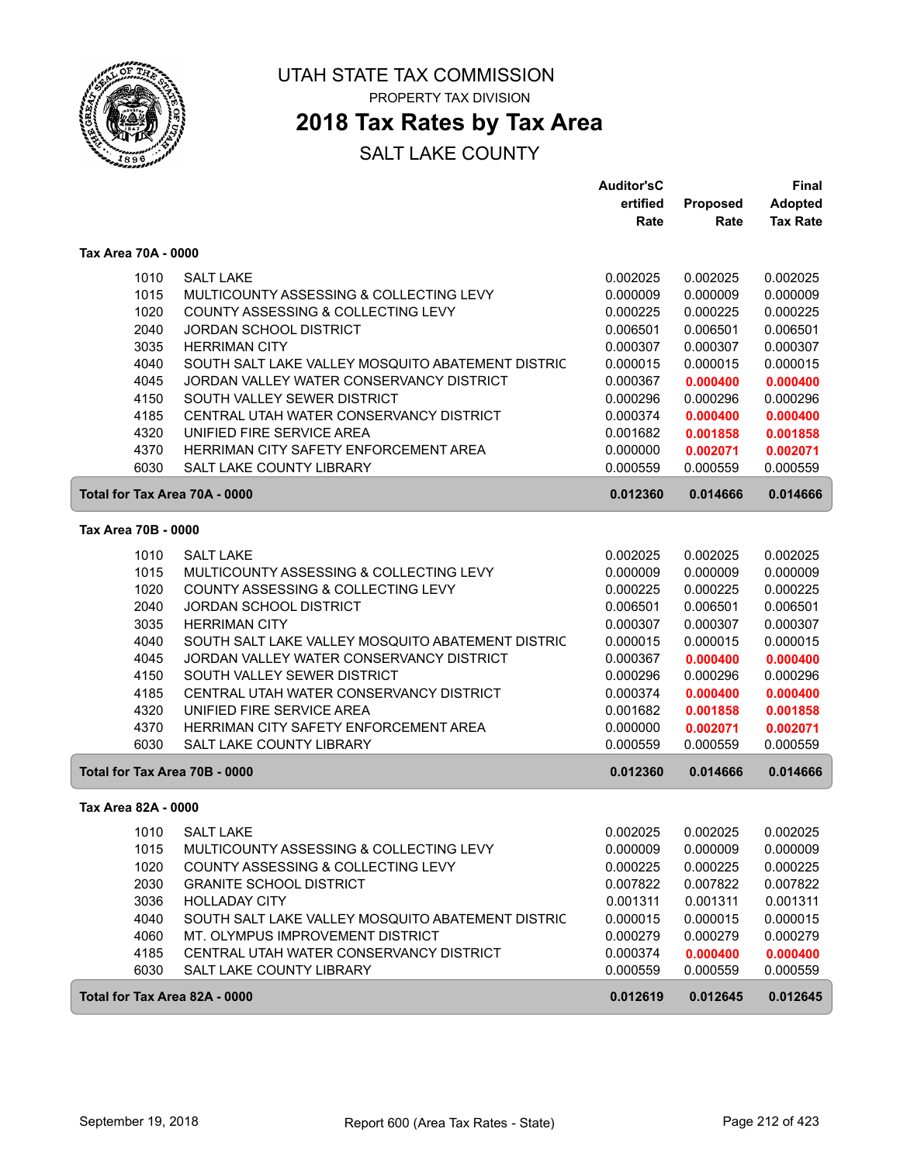

### **2018 Tax Rates by Tax Area**

|                               |                                                                               | <b>Auditor'sC</b>    |                      | <b>Final</b>         |
|-------------------------------|-------------------------------------------------------------------------------|----------------------|----------------------|----------------------|
|                               |                                                                               | ertified             | <b>Proposed</b>      | <b>Adopted</b>       |
|                               |                                                                               | Rate                 | Rate                 | <b>Tax Rate</b>      |
| Tax Area 70A - 0000           |                                                                               |                      |                      |                      |
| 1010                          | <b>SALT LAKE</b>                                                              | 0.002025             | 0.002025             | 0.002025             |
| 1015                          | MULTICOUNTY ASSESSING & COLLECTING LEVY                                       | 0.000009             | 0.000009             | 0.000009             |
| 1020                          | COUNTY ASSESSING & COLLECTING LEVY                                            | 0.000225             | 0.000225             | 0.000225             |
| 2040                          | JORDAN SCHOOL DISTRICT                                                        | 0.006501             | 0.006501             | 0.006501             |
| 3035                          | <b>HERRIMAN CITY</b>                                                          | 0.000307             | 0.000307             | 0.000307             |
| 4040                          | SOUTH SALT LAKE VALLEY MOSQUITO ABATEMENT DISTRIC                             | 0.000015             | 0.000015             | 0.000015             |
| 4045                          | JORDAN VALLEY WATER CONSERVANCY DISTRICT                                      | 0.000367             | 0.000400             | 0.000400             |
| 4150                          | SOUTH VALLEY SEWER DISTRICT                                                   | 0.000296             | 0.000296             | 0.000296             |
| 4185                          | CENTRAL UTAH WATER CONSERVANCY DISTRICT                                       | 0.000374             | 0.000400             | 0.000400             |
| 4320                          | UNIFIED FIRE SERVICE AREA                                                     | 0.001682             | 0.001858             | 0.001858             |
| 4370                          | HERRIMAN CITY SAFETY ENFORCEMENT AREA                                         | 0.000000             | 0.002071             | 0.002071             |
| 6030                          | SALT LAKE COUNTY LIBRARY                                                      | 0.000559             | 0.000559             | 0.000559             |
| Total for Tax Area 70A - 0000 |                                                                               | 0.012360             | 0.014666             | 0.014666             |
| Tax Area 70B - 0000           |                                                                               |                      |                      |                      |
|                               |                                                                               |                      |                      |                      |
| 1010                          | <b>SALT LAKE</b>                                                              | 0.002025             | 0.002025             | 0.002025             |
| 1015<br>1020                  | MULTICOUNTY ASSESSING & COLLECTING LEVY<br>COUNTY ASSESSING & COLLECTING LEVY | 0.000009<br>0.000225 | 0.000009<br>0.000225 | 0.000009<br>0.000225 |
| 2040                          | <b>JORDAN SCHOOL DISTRICT</b>                                                 | 0.006501             | 0.006501             | 0.006501             |
| 3035                          | <b>HERRIMAN CITY</b>                                                          | 0.000307             | 0.000307             | 0.000307             |
| 4040                          | SOUTH SALT LAKE VALLEY MOSQUITO ABATEMENT DISTRIC                             | 0.000015             | 0.000015             | 0.000015             |
| 4045                          | JORDAN VALLEY WATER CONSERVANCY DISTRICT                                      | 0.000367             | 0.000400             | 0.000400             |
| 4150                          | SOUTH VALLEY SEWER DISTRICT                                                   | 0.000296             | 0.000296             | 0.000296             |
| 4185                          | CENTRAL UTAH WATER CONSERVANCY DISTRICT                                       | 0.000374             | 0.000400             | 0.000400             |
| 4320                          | UNIFIED FIRE SERVICE AREA                                                     | 0.001682             | 0.001858             | 0.001858             |
| 4370                          | HERRIMAN CITY SAFETY ENFORCEMENT AREA                                         | 0.000000             | 0.002071             | 0.002071             |
| 6030                          | SALT LAKE COUNTY LIBRARY                                                      | 0.000559             | 0.000559             | 0.000559             |
| Total for Tax Area 70B - 0000 |                                                                               | 0.012360             | 0.014666             | 0.014666             |
|                               |                                                                               |                      |                      |                      |
| Tax Area 82A - 0000           |                                                                               |                      |                      |                      |
|                               | 1010 SALT LAKE                                                                | 0.002025             | 0.002025             | 0.002025             |
| 1015                          | MULTICOUNTY ASSESSING & COLLECTING LEVY                                       | 0.000009             | 0.000009             | 0.000009             |
| 1020                          | COUNTY ASSESSING & COLLECTING LEVY                                            | 0.000225             | 0.000225             | 0.000225             |
| 2030                          | <b>GRANITE SCHOOL DISTRICT</b>                                                | 0.007822             | 0.007822             | 0.007822             |
| 3036                          | <b>HOLLADAY CITY</b>                                                          | 0.001311             | 0.001311             | 0.001311             |
| 4040                          | SOUTH SALT LAKE VALLEY MOSQUITO ABATEMENT DISTRIC                             | 0.000015             | 0.000015             | 0.000015             |
| 4060                          | MT. OLYMPUS IMPROVEMENT DISTRICT                                              | 0.000279             | 0.000279             | 0.000279             |
| 4185                          | CENTRAL UTAH WATER CONSERVANCY DISTRICT                                       | 0.000374             | 0.000400             | 0.000400             |
| 6030                          | SALT LAKE COUNTY LIBRARY                                                      | 0.000559             | 0.000559             | 0.000559             |
| Total for Tax Area 82A - 0000 |                                                                               | 0.012619             | 0.012645             | 0.012645             |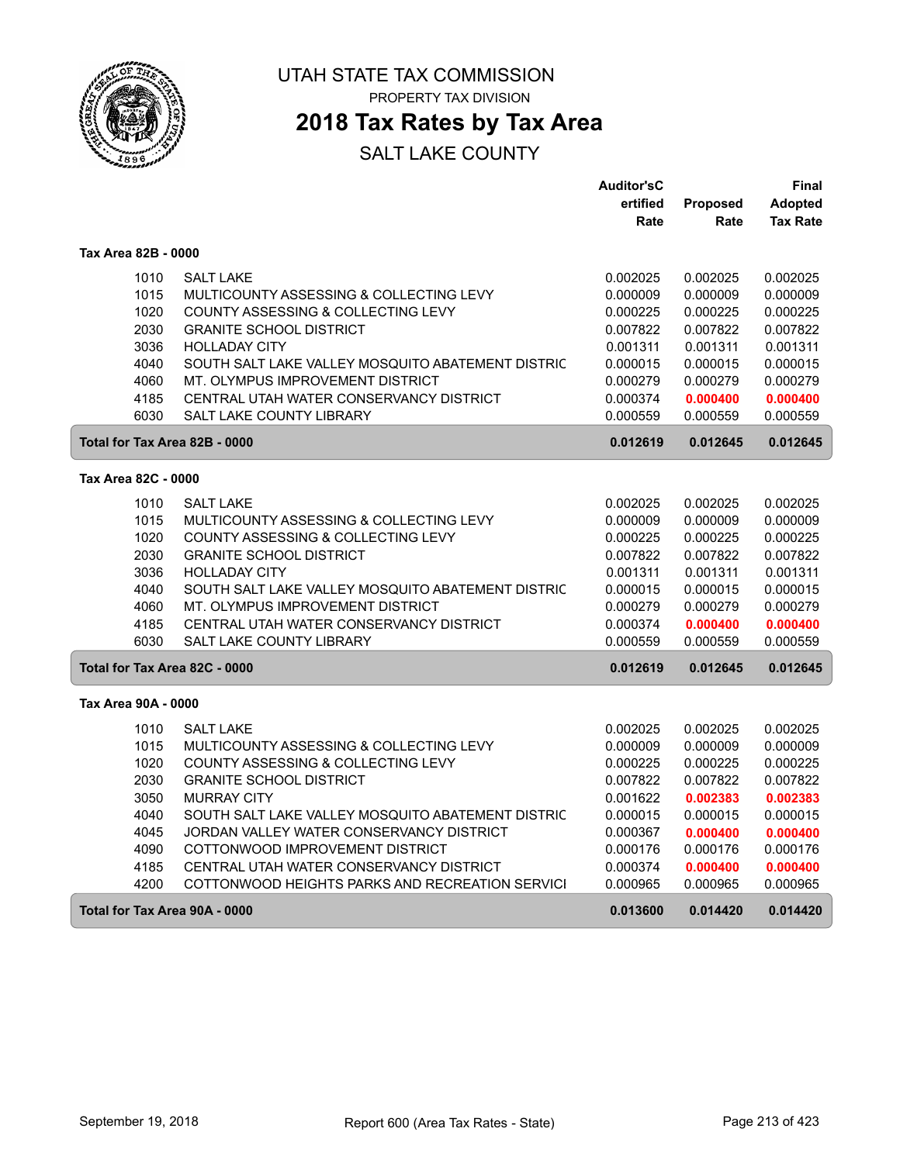

**2018 Tax Rates by Tax Area**

|                               |                                                   | <b>Auditor'sC</b> |          | Final           |
|-------------------------------|---------------------------------------------------|-------------------|----------|-----------------|
|                               |                                                   | ertified          | Proposed | <b>Adopted</b>  |
|                               |                                                   | Rate              | Rate     | <b>Tax Rate</b> |
| Tax Area 82B - 0000           |                                                   |                   |          |                 |
| 1010                          | <b>SALT LAKE</b>                                  | 0.002025          | 0.002025 | 0.002025        |
| 1015                          | MULTICOUNTY ASSESSING & COLLECTING LEVY           | 0.000009          | 0.000009 | 0.000009        |
| 1020                          | COUNTY ASSESSING & COLLECTING LEVY                | 0.000225          | 0.000225 | 0.000225        |
| 2030                          | <b>GRANITE SCHOOL DISTRICT</b>                    | 0.007822          | 0.007822 | 0.007822        |
| 3036                          | <b>HOLLADAY CITY</b>                              | 0.001311          | 0.001311 | 0.001311        |
| 4040                          | SOUTH SALT LAKE VALLEY MOSQUITO ABATEMENT DISTRIC | 0.000015          | 0.000015 | 0.000015        |
| 4060                          | MT. OLYMPUS IMPROVEMENT DISTRICT                  | 0.000279          | 0.000279 | 0.000279        |
| 4185                          | CENTRAL UTAH WATER CONSERVANCY DISTRICT           | 0.000374          | 0.000400 | 0.000400        |
| 6030                          | <b>SALT LAKE COUNTY LIBRARY</b>                   | 0.000559          | 0.000559 | 0.000559        |
| Total for Tax Area 82B - 0000 |                                                   | 0.012619          | 0.012645 | 0.012645        |
| Tax Area 82C - 0000           |                                                   |                   |          |                 |
| 1010                          | <b>SALT LAKE</b>                                  | 0.002025          | 0.002025 | 0.002025        |
| 1015                          | MULTICOUNTY ASSESSING & COLLECTING LEVY           | 0.000009          | 0.000009 | 0.000009        |
| 1020                          | COUNTY ASSESSING & COLLECTING LEVY                | 0.000225          | 0.000225 | 0.000225        |
| 2030                          | <b>GRANITE SCHOOL DISTRICT</b>                    | 0.007822          | 0.007822 | 0.007822        |
| 3036                          | <b>HOLLADAY CITY</b>                              | 0.001311          | 0.001311 | 0.001311        |
| 4040                          | SOUTH SALT LAKE VALLEY MOSQUITO ABATEMENT DISTRIC | 0.000015          | 0.000015 | 0.000015        |
| 4060                          | MT. OLYMPUS IMPROVEMENT DISTRICT                  | 0.000279          | 0.000279 | 0.000279        |
| 4185                          | CENTRAL UTAH WATER CONSERVANCY DISTRICT           | 0.000374          | 0.000400 | 0.000400        |
| 6030                          | <b>SALT LAKE COUNTY LIBRARY</b>                   | 0.000559          | 0.000559 | 0.000559        |
| Total for Tax Area 82C - 0000 |                                                   | 0.012619          | 0.012645 | 0.012645        |
| Tax Area 90A - 0000           |                                                   |                   |          |                 |
| 1010                          | <b>SALT LAKE</b>                                  | 0.002025          | 0.002025 | 0.002025        |
| 1015                          | MULTICOUNTY ASSESSING & COLLECTING LEVY           | 0.000009          | 0.000009 | 0.000009        |
| 1020                          | COUNTY ASSESSING & COLLECTING LEVY                | 0.000225          | 0.000225 | 0.000225        |
| 2030                          | <b>GRANITE SCHOOL DISTRICT</b>                    | 0.007822          | 0.007822 | 0.007822        |
| 3050                          | <b>MURRAY CITY</b>                                | 0.001622          | 0.002383 | 0.002383        |
| 4040                          | SOUTH SALT LAKE VALLEY MOSQUITO ABATEMENT DISTRIC | 0.000015          | 0.000015 | 0.000015        |
| 4045                          | JORDAN VALLEY WATER CONSERVANCY DISTRICT          | 0.000367          | 0.000400 | 0.000400        |
| 4090                          | COTTONWOOD IMPROVEMENT DISTRICT                   | 0.000176          | 0.000176 | 0.000176        |
| 4185                          | CENTRAL UTAH WATER CONSERVANCY DISTRICT           | 0.000374          | 0.000400 | 0.000400        |
| 4200                          | COTTONWOOD HEIGHTS PARKS AND RECREATION SERVICI   | 0.000965          | 0.000965 | 0.000965        |
| Total for Tax Area 90A - 0000 |                                                   | 0.013600          | 0.014420 | 0.014420        |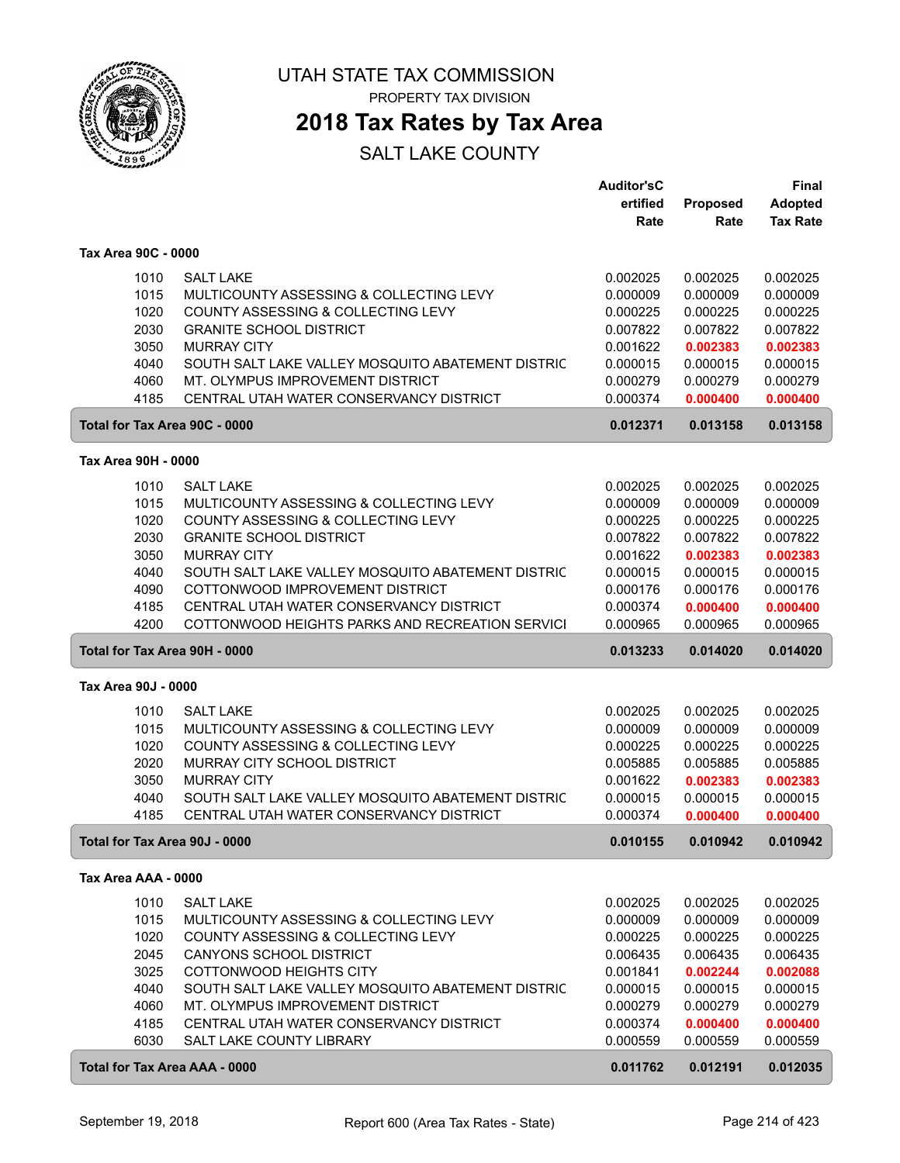

# **2018 Tax Rates by Tax Area**

|                               |                                                   | Auditor'sC |                 | <b>Final</b>    |
|-------------------------------|---------------------------------------------------|------------|-----------------|-----------------|
|                               |                                                   | ertified   | <b>Proposed</b> | Adopted         |
|                               |                                                   | Rate       | Rate            | <b>Tax Rate</b> |
| Tax Area 90C - 0000           |                                                   |            |                 |                 |
| 1010                          | <b>SALT LAKE</b>                                  | 0.002025   | 0.002025        | 0.002025        |
| 1015                          | MULTICOUNTY ASSESSING & COLLECTING LEVY           | 0.000009   | 0.000009        | 0.000009        |
| 1020                          | COUNTY ASSESSING & COLLECTING LEVY                | 0.000225   | 0.000225        | 0.000225        |
| 2030                          | <b>GRANITE SCHOOL DISTRICT</b>                    | 0.007822   | 0.007822        | 0.007822        |
| 3050                          | <b>MURRAY CITY</b>                                | 0.001622   | 0.002383        | 0.002383        |
| 4040                          | SOUTH SALT LAKE VALLEY MOSQUITO ABATEMENT DISTRIC | 0.000015   | 0.000015        | 0.000015        |
| 4060                          | MT. OLYMPUS IMPROVEMENT DISTRICT                  | 0.000279   | 0.000279        | 0.000279        |
| 4185                          | CENTRAL UTAH WATER CONSERVANCY DISTRICT           | 0.000374   | 0.000400        | 0.000400        |
|                               |                                                   |            |                 |                 |
| Total for Tax Area 90C - 0000 |                                                   | 0.012371   | 0.013158        | 0.013158        |
| Tax Area 90H - 0000           |                                                   |            |                 |                 |
| 1010                          | <b>SALT LAKE</b>                                  | 0.002025   | 0.002025        | 0.002025        |
| 1015                          | MULTICOUNTY ASSESSING & COLLECTING LEVY           | 0.000009   | 0.000009        | 0.000009        |
| 1020                          | COUNTY ASSESSING & COLLECTING LEVY                | 0.000225   | 0.000225        | 0.000225        |
| 2030                          | <b>GRANITE SCHOOL DISTRICT</b>                    | 0.007822   | 0.007822        | 0.007822        |
| 3050                          | <b>MURRAY CITY</b>                                | 0.001622   | 0.002383        | 0.002383        |
| 4040                          | SOUTH SALT LAKE VALLEY MOSQUITO ABATEMENT DISTRIC | 0.000015   | 0.000015        | 0.000015        |
| 4090                          | COTTONWOOD IMPROVEMENT DISTRICT                   | 0.000176   | 0.000176        | 0.000176        |
| 4185                          | CENTRAL UTAH WATER CONSERVANCY DISTRICT           | 0.000374   | 0.000400        | 0.000400        |
| 4200                          | COTTONWOOD HEIGHTS PARKS AND RECREATION SERVICI   | 0.000965   | 0.000965        | 0.000965        |
| Total for Tax Area 90H - 0000 |                                                   | 0.013233   | 0.014020        | 0.014020        |
| Tax Area 90J - 0000           |                                                   |            |                 |                 |
| 1010                          | <b>SALT LAKE</b>                                  | 0.002025   | 0.002025        | 0.002025        |
| 1015                          | MULTICOUNTY ASSESSING & COLLECTING LEVY           | 0.000009   | 0.000009        | 0.000009        |
| 1020                          | COUNTY ASSESSING & COLLECTING LEVY                | 0.000225   | 0.000225        | 0.000225        |
| 2020                          | MURRAY CITY SCHOOL DISTRICT                       | 0.005885   | 0.005885        | 0.005885        |
| 3050                          | <b>MURRAY CITY</b>                                | 0.001622   | 0.002383        | 0.002383        |
| 4040                          | SOUTH SALT LAKE VALLEY MOSQUITO ABATEMENT DISTRIC | 0.000015   | 0.000015        | 0.000015        |
| 4185                          | CENTRAL UTAH WATER CONSERVANCY DISTRICT           | 0.000374   | 0.000400        | 0.000400        |
| Total for Tax Area 90J - 0000 |                                                   | 0.010155   | 0.010942        | 0.010942        |
|                               |                                                   |            |                 |                 |
| Tax Area AAA - 0000           |                                                   |            |                 |                 |
| 1010                          | <b>SALT LAKE</b>                                  | 0.002025   | 0.002025        | 0.002025        |
| 1015                          | MULTICOUNTY ASSESSING & COLLECTING LEVY           | 0.000009   | 0.000009        | 0.000009        |
| 1020                          | COUNTY ASSESSING & COLLECTING LEVY                | 0.000225   | 0.000225        | 0.000225        |
| 2045                          | CANYONS SCHOOL DISTRICT                           | 0.006435   | 0.006435        | 0.006435        |
| 3025                          | COTTONWOOD HEIGHTS CITY                           | 0.001841   | 0.002244        | 0.002088        |
| 4040                          | SOUTH SALT LAKE VALLEY MOSQUITO ABATEMENT DISTRIC | 0.000015   | 0.000015        | 0.000015        |
| 4060                          | MT. OLYMPUS IMPROVEMENT DISTRICT                  | 0.000279   | 0.000279        | 0.000279        |
| 4185                          | CENTRAL UTAH WATER CONSERVANCY DISTRICT           | 0.000374   | 0.000400        | 0.000400        |
| 6030                          | SALT LAKE COUNTY LIBRARY                          | 0.000559   | 0.000559        | 0.000559        |
| Total for Tax Area AAA - 0000 |                                                   | 0.011762   | 0.012191        | 0.012035        |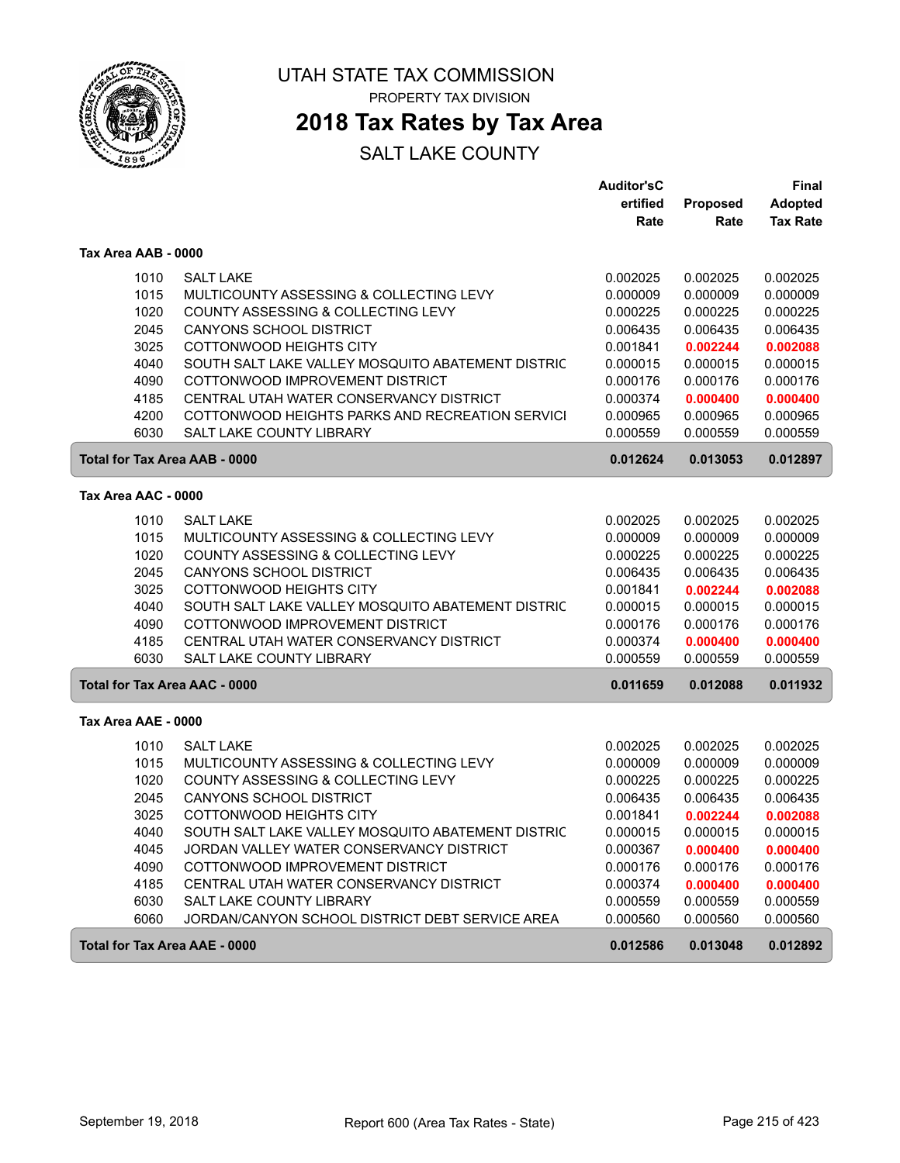

ſ

UTAH STATE TAX COMMISSION PROPERTY TAX DIVISION

### **2018 Tax Rates by Tax Area**

|                                      |                                                   | <b>Auditor'sC</b> |          | Final           |
|--------------------------------------|---------------------------------------------------|-------------------|----------|-----------------|
|                                      |                                                   | ertified          | Proposed | <b>Adopted</b>  |
|                                      |                                                   | Rate              | Rate     | <b>Tax Rate</b> |
| Tax Area AAB - 0000                  |                                                   |                   |          |                 |
| 1010                                 | <b>SALT LAKE</b>                                  | 0.002025          | 0.002025 | 0.002025        |
| 1015                                 | MULTICOUNTY ASSESSING & COLLECTING LEVY           | 0.000009          | 0.000009 | 0.000009        |
| 1020                                 | COUNTY ASSESSING & COLLECTING LEVY                | 0.000225          | 0.000225 | 0.000225        |
| 2045                                 | <b>CANYONS SCHOOL DISTRICT</b>                    | 0.006435          | 0.006435 | 0.006435        |
| 3025                                 | COTTONWOOD HEIGHTS CITY                           | 0.001841          | 0.002244 | 0.002088        |
| 4040                                 | SOUTH SALT LAKE VALLEY MOSQUITO ABATEMENT DISTRIC | 0.000015          | 0.000015 | 0.000015        |
| 4090                                 | COTTONWOOD IMPROVEMENT DISTRICT                   | 0.000176          | 0.000176 | 0.000176        |
| 4185                                 | CENTRAL UTAH WATER CONSERVANCY DISTRICT           | 0.000374          | 0.000400 | 0.000400        |
| 4200                                 | COTTONWOOD HEIGHTS PARKS AND RECREATION SERVICI   | 0.000965          | 0.000965 | 0.000965        |
| 6030                                 | SALT LAKE COUNTY LIBRARY                          | 0.000559          | 0.000559 | 0.000559        |
| <b>Total for Tax Area AAB - 0000</b> |                                                   | 0.012624          | 0.013053 | 0.012897        |
| Tax Area AAC - 0000                  |                                                   |                   |          |                 |
|                                      |                                                   |                   |          |                 |
| 1010                                 | <b>SALT LAKE</b>                                  | 0.002025          | 0.002025 | 0.002025        |
| 1015                                 | MULTICOUNTY ASSESSING & COLLECTING LEVY           | 0.000009          | 0.000009 | 0.000009        |
| 1020                                 | COUNTY ASSESSING & COLLECTING LEVY                | 0.000225          | 0.000225 | 0.000225        |
| 2045                                 | <b>CANYONS SCHOOL DISTRICT</b>                    | 0.006435          | 0.006435 | 0.006435        |
| 3025                                 | COTTONWOOD HEIGHTS CITY                           | 0.001841          | 0.002244 | 0.002088        |
| 4040                                 | SOUTH SALT LAKE VALLEY MOSQUITO ABATEMENT DISTRIC | 0.000015          | 0.000015 | 0.000015        |
| 4090                                 | COTTONWOOD IMPROVEMENT DISTRICT                   | 0.000176          | 0.000176 | 0.000176        |
| 4185                                 | CENTRAL UTAH WATER CONSERVANCY DISTRICT           | 0.000374          | 0.000400 | 0.000400        |
| 6030                                 | SALT LAKE COUNTY LIBRARY                          | 0.000559          | 0.000559 | 0.000559        |
| <b>Total for Tax Area AAC - 0000</b> |                                                   | 0.011659          | 0.012088 | 0.011932        |
| Tax Area AAE - 0000                  |                                                   |                   |          |                 |
| 1010                                 | <b>SALT LAKE</b>                                  | 0.002025          | 0.002025 | 0.002025        |
| 1015                                 | MULTICOUNTY ASSESSING & COLLECTING LEVY           | 0.000009          | 0.000009 | 0.000009        |
| 1020                                 | COUNTY ASSESSING & COLLECTING LEVY                | 0.000225          | 0.000225 | 0.000225        |
| 2045                                 | <b>CANYONS SCHOOL DISTRICT</b>                    | 0.006435          | 0.006435 | 0.006435        |
| 3025                                 | COTTONWOOD HEIGHTS CITY                           | 0.001841          | 0.002244 | 0.002088        |
| 4040                                 | SOUTH SALT LAKE VALLEY MOSQUITO ABATEMENT DISTRIC | 0.000015          | 0.000015 | 0.000015        |
| 4045                                 | JORDAN VALLEY WATER CONSERVANCY DISTRICT          | 0.000367          | 0.000400 | 0.000400        |
| 4090                                 | COTTONWOOD IMPROVEMENT DISTRICT                   | 0.000176          | 0.000176 | 0.000176        |
| 4185                                 | CENTRAL UTAH WATER CONSERVANCY DISTRICT           | 0.000374          | 0.000400 | 0.000400        |
| 6030                                 | SALT LAKE COUNTY LIBRARY                          | 0.000559          | 0.000559 | 0.000559        |
| 6060                                 | JORDAN/CANYON SCHOOL DISTRICT DEBT SERVICE AREA   | 0.000560          | 0.000560 | 0.000560        |
| <b>Total for Tax Area AAE - 0000</b> |                                                   | 0.012586          | 0.013048 | 0.012892        |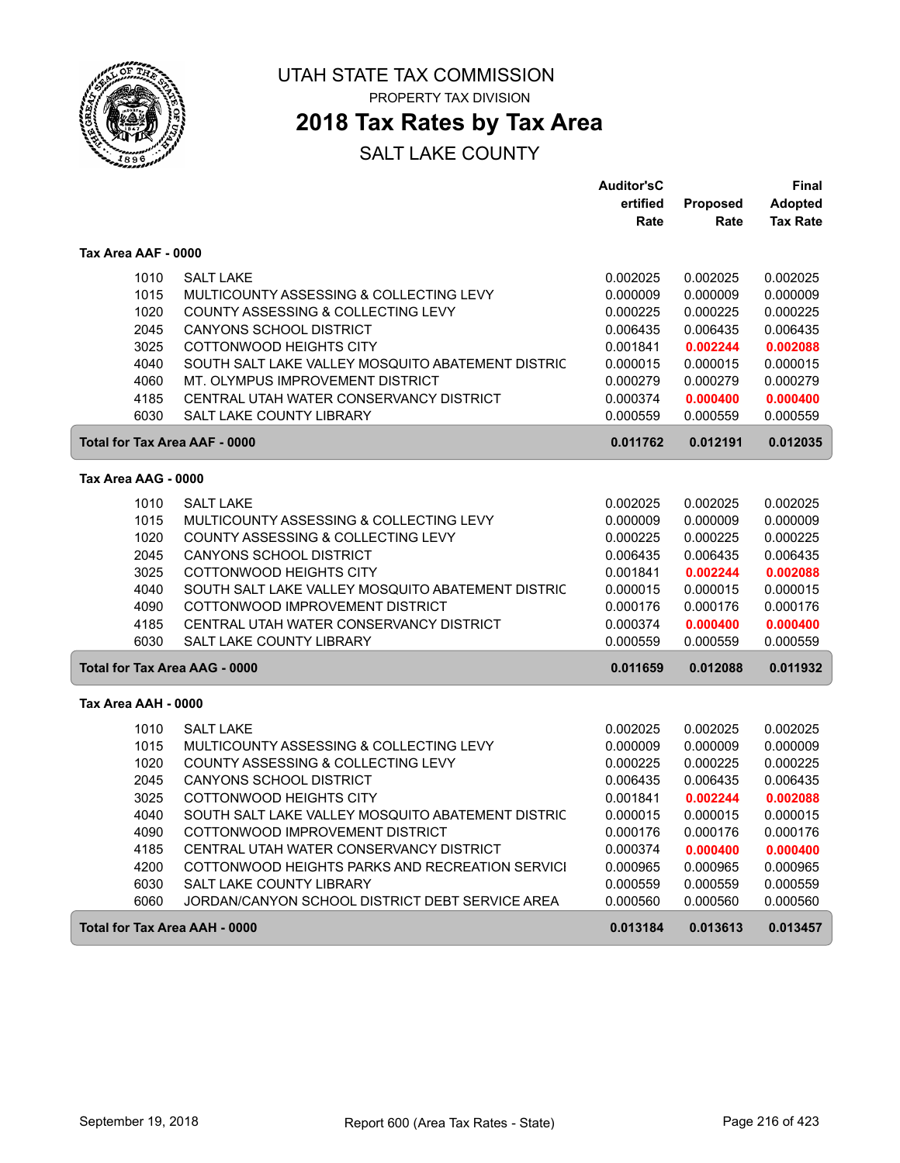

### **2018 Tax Rates by Tax Area**

|                     |                                                   | <b>Auditor'sC</b> |                 | <b>Final</b>    |
|---------------------|---------------------------------------------------|-------------------|-----------------|-----------------|
|                     |                                                   | ertified          | <b>Proposed</b> | <b>Adopted</b>  |
|                     |                                                   | Rate              | Rate            | <b>Tax Rate</b> |
| Tax Area AAF - 0000 |                                                   |                   |                 |                 |
| 1010                | <b>SALT LAKE</b>                                  | 0.002025          | 0.002025        | 0.002025        |
| 1015                | MULTICOUNTY ASSESSING & COLLECTING LEVY           | 0.000009          | 0.000009        | 0.000009        |
| 1020                | COUNTY ASSESSING & COLLECTING LEVY                | 0.000225          | 0.000225        | 0.000225        |
| 2045                | <b>CANYONS SCHOOL DISTRICT</b>                    | 0.006435          | 0.006435        | 0.006435        |
| 3025                | COTTONWOOD HEIGHTS CITY                           | 0.001841          | 0.002244        | 0.002088        |
| 4040                | SOUTH SALT LAKE VALLEY MOSQUITO ABATEMENT DISTRIC | 0.000015          | 0.000015        | 0.000015        |
| 4060                | MT. OLYMPUS IMPROVEMENT DISTRICT                  | 0.000279          | 0.000279        | 0.000279        |
| 4185                | CENTRAL UTAH WATER CONSERVANCY DISTRICT           | 0.000374          | 0.000400        | 0.000400        |
| 6030                | <b>SALT LAKE COUNTY LIBRARY</b>                   | 0.000559          | 0.000559        | 0.000559        |
|                     | <b>Total for Tax Area AAF - 0000</b>              | 0.011762          | 0.012191        | 0.012035        |
| Tax Area AAG - 0000 |                                                   |                   |                 |                 |
| 1010                | <b>SALT LAKE</b>                                  | 0.002025          | 0.002025        | 0.002025        |
| 1015                | MULTICOUNTY ASSESSING & COLLECTING LEVY           | 0.000009          | 0.000009        | 0.000009        |
| 1020                | COUNTY ASSESSING & COLLECTING LEVY                | 0.000225          | 0.000225        | 0.000225        |
| 2045                | <b>CANYONS SCHOOL DISTRICT</b>                    | 0.006435          | 0.006435        | 0.006435        |
| 3025                | COTTONWOOD HEIGHTS CITY                           | 0.001841          | 0.002244        | 0.002088        |
| 4040                | SOUTH SALT LAKE VALLEY MOSQUITO ABATEMENT DISTRIC | 0.000015          | 0.000015        | 0.000015        |
| 4090                | COTTONWOOD IMPROVEMENT DISTRICT                   | 0.000176          | 0.000176        | 0.000176        |
| 4185                | CENTRAL UTAH WATER CONSERVANCY DISTRICT           | 0.000374          | 0.000400        | 0.000400        |
| 6030                | <b>SALT LAKE COUNTY LIBRARY</b>                   | 0.000559          | 0.000559        | 0.000559        |
|                     | <b>Total for Tax Area AAG - 0000</b>              | 0.011659          | 0.012088        | 0.011932        |
| Tax Area AAH - 0000 |                                                   |                   |                 |                 |
| 1010                | <b>SALT LAKE</b>                                  | 0.002025          | 0.002025        | 0.002025        |
| 1015                | MULTICOUNTY ASSESSING & COLLECTING LEVY           | 0.000009          | 0.000009        | 0.000009        |
| 1020                | COUNTY ASSESSING & COLLECTING LEVY                | 0.000225          | 0.000225        | 0.000225        |
| 2045                | CANYONS SCHOOL DISTRICT                           | 0.006435          | 0.006435        | 0.006435        |
| 3025                | COTTONWOOD HEIGHTS CITY                           | 0.001841          | 0.002244        | 0.002088        |
| 4040                | SOUTH SALT LAKE VALLEY MOSQUITO ABATEMENT DISTRIC | 0.000015          | 0.000015        | 0.000015        |
| 4090                | COTTONWOOD IMPROVEMENT DISTRICT                   | 0.000176          | 0.000176        | 0.000176        |
| 4185                | CENTRAL UTAH WATER CONSERVANCY DISTRICT           | 0.000374          | 0.000400        | 0.000400        |
| 4200                | COTTONWOOD HEIGHTS PARKS AND RECREATION SERVICI   | 0.000965          | 0.000965        | 0.000965        |
| 6030                | SALT LAKE COUNTY LIBRARY                          | 0.000559          | 0.000559        | 0.000559        |
| 6060                | JORDAN/CANYON SCHOOL DISTRICT DEBT SERVICE AREA   | 0.000560          | 0.000560        | 0.000560        |
|                     | Total for Tax Area AAH - 0000                     | 0.013184          | 0.013613        | 0.013457        |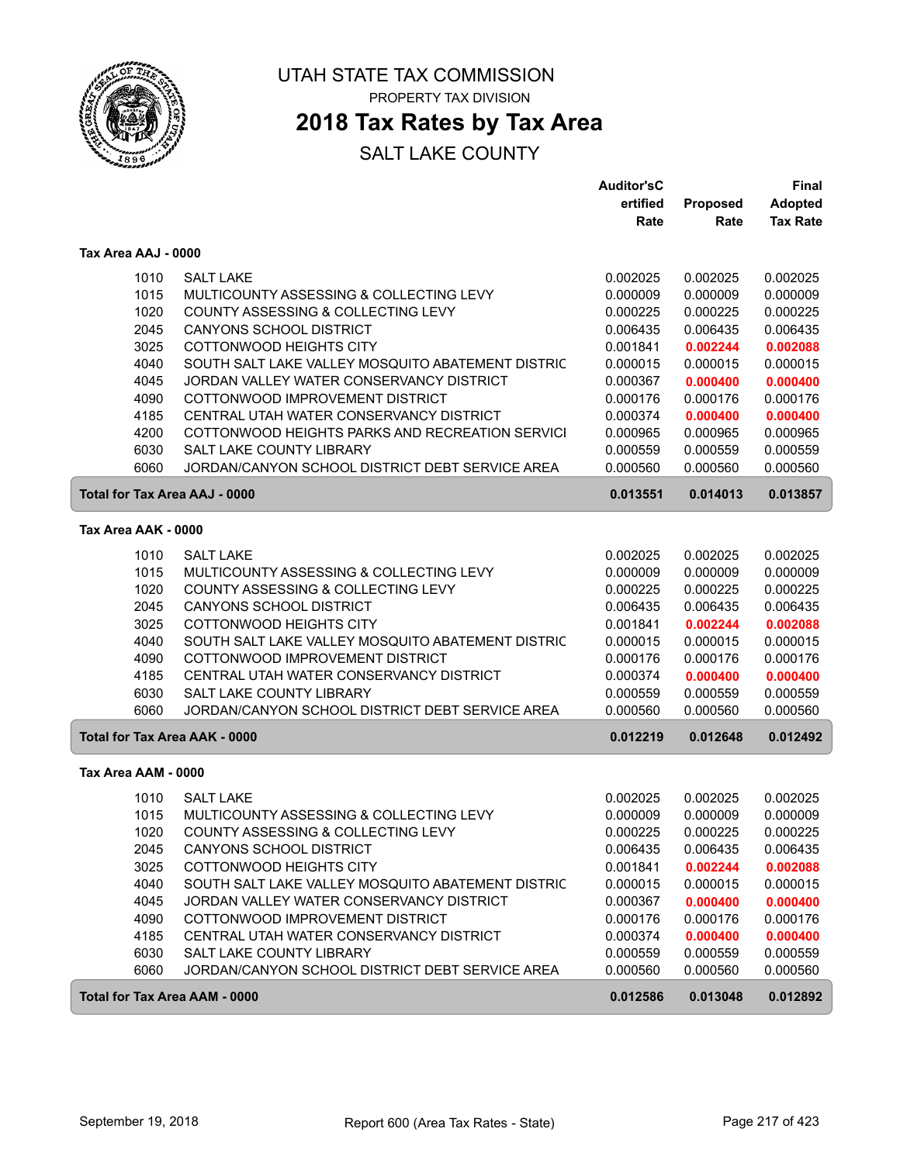

### **2018 Tax Rates by Tax Area**

|                                      |                                                   | <b>Auditor'sC</b> |          | Final           |
|--------------------------------------|---------------------------------------------------|-------------------|----------|-----------------|
|                                      |                                                   | ertified          | Proposed | <b>Adopted</b>  |
|                                      |                                                   | Rate              | Rate     | <b>Tax Rate</b> |
| Tax Area AAJ - 0000                  |                                                   |                   |          |                 |
| 1010                                 | <b>SALT LAKE</b>                                  | 0.002025          | 0.002025 | 0.002025        |
| 1015                                 | MULTICOUNTY ASSESSING & COLLECTING LEVY           | 0.000009          | 0.000009 | 0.000009        |
| 1020                                 | COUNTY ASSESSING & COLLECTING LEVY                | 0.000225          | 0.000225 | 0.000225        |
| 2045                                 | <b>CANYONS SCHOOL DISTRICT</b>                    | 0.006435          | 0.006435 | 0.006435        |
| 3025                                 | COTTONWOOD HEIGHTS CITY                           | 0.001841          | 0.002244 | 0.002088        |
| 4040                                 | SOUTH SALT LAKE VALLEY MOSQUITO ABATEMENT DISTRIC | 0.000015          | 0.000015 | 0.000015        |
| 4045                                 | JORDAN VALLEY WATER CONSERVANCY DISTRICT          | 0.000367          | 0.000400 | 0.000400        |
| 4090                                 | COTTONWOOD IMPROVEMENT DISTRICT                   | 0.000176          | 0.000176 | 0.000176        |
| 4185                                 | CENTRAL UTAH WATER CONSERVANCY DISTRICT           | 0.000374          | 0.000400 | 0.000400        |
| 4200                                 | COTTONWOOD HEIGHTS PARKS AND RECREATION SERVICI   | 0.000965          | 0.000965 | 0.000965        |
| 6030                                 | SALT LAKE COUNTY LIBRARY                          | 0.000559          | 0.000559 | 0.000559        |
| 6060                                 | JORDAN/CANYON SCHOOL DISTRICT DEBT SERVICE AREA   | 0.000560          | 0.000560 | 0.000560        |
| Total for Tax Area AAJ - 0000        |                                                   | 0.013551          | 0.014013 | 0.013857        |
| Tax Area AAK - 0000                  |                                                   |                   |          |                 |
| 1010                                 | <b>SALT LAKE</b>                                  | 0.002025          | 0.002025 | 0.002025        |
| 1015                                 | MULTICOUNTY ASSESSING & COLLECTING LEVY           | 0.000009          | 0.000009 | 0.000009        |
| 1020                                 | COUNTY ASSESSING & COLLECTING LEVY                | 0.000225          | 0.000225 | 0.000225        |
| 2045                                 | <b>CANYONS SCHOOL DISTRICT</b>                    | 0.006435          | 0.006435 | 0.006435        |
| 3025                                 | COTTONWOOD HEIGHTS CITY                           | 0.001841          | 0.002244 | 0.002088        |
| 4040                                 | SOUTH SALT LAKE VALLEY MOSQUITO ABATEMENT DISTRIC | 0.000015          | 0.000015 | 0.000015        |
| 4090                                 | COTTONWOOD IMPROVEMENT DISTRICT                   | 0.000176          | 0.000176 | 0.000176        |
| 4185                                 | CENTRAL UTAH WATER CONSERVANCY DISTRICT           | 0.000374          | 0.000400 | 0.000400        |
| 6030                                 | SALT LAKE COUNTY LIBRARY                          | 0.000559          | 0.000559 | 0.000559        |
| 6060                                 | JORDAN/CANYON SCHOOL DISTRICT DEBT SERVICE AREA   | 0.000560          | 0.000560 | 0.000560        |
| <b>Total for Tax Area AAK - 0000</b> |                                                   | 0.012219          | 0.012648 | 0.012492        |
| Tax Area AAM - 0000                  |                                                   |                   |          |                 |
| 1010                                 | <b>SALT LAKE</b>                                  | 0.002025          | 0.002025 | 0.002025        |
| 1015                                 | MULTICOUNTY ASSESSING & COLLECTING LEVY           | 0.000009          | 0.000009 | 0.000009        |
| 1020                                 | COUNTY ASSESSING & COLLECTING LEVY                | 0.000225          | 0.000225 | 0.000225        |
| 2045                                 | CANYONS SCHOOL DISTRICT                           | 0.006435          | 0.006435 | 0.006435        |
| 3025                                 | COTTONWOOD HEIGHTS CITY                           | 0.001841          | 0.002244 | 0.002088        |
| 4040                                 | SOUTH SALT LAKE VALLEY MOSQUITO ABATEMENT DISTRIC | 0.000015          | 0.000015 | 0.000015        |
| 4045                                 | JORDAN VALLEY WATER CONSERVANCY DISTRICT          | 0.000367          | 0.000400 | 0.000400        |
| 4090                                 | COTTONWOOD IMPROVEMENT DISTRICT                   | 0.000176          | 0.000176 | 0.000176        |
| 4185                                 | CENTRAL UTAH WATER CONSERVANCY DISTRICT           | 0.000374          | 0.000400 | 0.000400        |
| 6030                                 | SALT LAKE COUNTY LIBRARY                          | 0.000559          | 0.000559 | 0.000559        |
| 6060                                 | JORDAN/CANYON SCHOOL DISTRICT DEBT SERVICE AREA   | 0.000560          | 0.000560 | 0.000560        |
| <b>Total for Tax Area AAM - 0000</b> |                                                   | 0.012586          | 0.013048 | 0.012892        |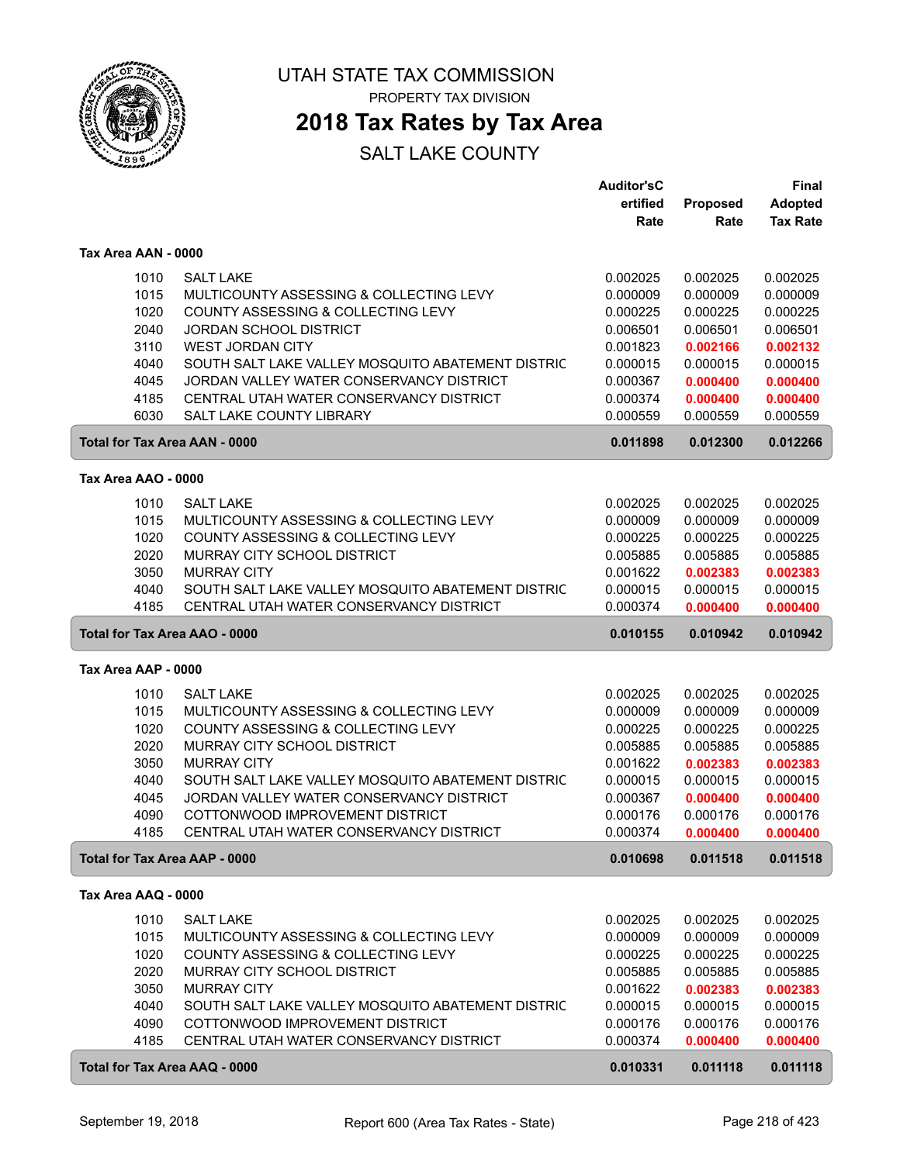

PROPERTY TAX DIVISION

### **2018 Tax Rates by Tax Area**

|                                      |                                                   | <b>Auditor'sC</b> |          | <b>Final</b>    |
|--------------------------------------|---------------------------------------------------|-------------------|----------|-----------------|
|                                      |                                                   | ertified          | Proposed | <b>Adopted</b>  |
|                                      |                                                   | Rate              | Rate     | <b>Tax Rate</b> |
|                                      |                                                   |                   |          |                 |
| Tax Area AAN - 0000                  |                                                   |                   |          |                 |
| 1010                                 | <b>SALT LAKE</b>                                  | 0.002025          | 0.002025 | 0.002025        |
| 1015                                 | MULTICOUNTY ASSESSING & COLLECTING LEVY           | 0.000009          | 0.000009 | 0.000009        |
| 1020                                 | COUNTY ASSESSING & COLLECTING LEVY                | 0.000225          | 0.000225 | 0.000225        |
| 2040                                 | <b>JORDAN SCHOOL DISTRICT</b>                     | 0.006501          | 0.006501 | 0.006501        |
| 3110                                 | <b>WEST JORDAN CITY</b>                           | 0.001823          | 0.002166 | 0.002132        |
| 4040                                 | SOUTH SALT LAKE VALLEY MOSQUITO ABATEMENT DISTRIC | 0.000015          | 0.000015 | 0.000015        |
| 4045                                 | JORDAN VALLEY WATER CONSERVANCY DISTRICT          | 0.000367          | 0.000400 | 0.000400        |
| 4185                                 | CENTRAL UTAH WATER CONSERVANCY DISTRICT           | 0.000374          | 0.000400 | 0.000400        |
| 6030                                 | <b>SALT LAKE COUNTY LIBRARY</b>                   | 0.000559          | 0.000559 | 0.000559        |
| <b>Total for Tax Area AAN - 0000</b> |                                                   | 0.011898          | 0.012300 | 0.012266        |
| Tax Area AAO - 0000                  |                                                   |                   |          |                 |
| 1010                                 | <b>SALT LAKE</b>                                  | 0.002025          | 0.002025 | 0.002025        |
| 1015                                 | MULTICOUNTY ASSESSING & COLLECTING LEVY           | 0.000009          | 0.000009 | 0.000009        |
| 1020                                 | COUNTY ASSESSING & COLLECTING LEVY                | 0.000225          | 0.000225 | 0.000225        |
| 2020                                 | MURRAY CITY SCHOOL DISTRICT                       | 0.005885          | 0.005885 | 0.005885        |
| 3050                                 | <b>MURRAY CITY</b>                                | 0.001622          | 0.002383 | 0.002383        |
| 4040                                 | SOUTH SALT LAKE VALLEY MOSQUITO ABATEMENT DISTRIC | 0.000015          | 0.000015 | 0.000015        |
| 4185                                 | CENTRAL UTAH WATER CONSERVANCY DISTRICT           | 0.000374          | 0.000400 | 0.000400        |
|                                      |                                                   |                   |          |                 |
| Total for Tax Area AAO - 0000        |                                                   | 0.010155          | 0.010942 | 0.010942        |
| Tax Area AAP - 0000                  |                                                   |                   |          |                 |
| 1010                                 | <b>SALT LAKE</b>                                  | 0.002025          | 0.002025 | 0.002025        |
| 1015                                 | MULTICOUNTY ASSESSING & COLLECTING LEVY           | 0.000009          | 0.000009 | 0.000009        |
| 1020                                 | COUNTY ASSESSING & COLLECTING LEVY                | 0.000225          | 0.000225 | 0.000225        |
| 2020                                 | MURRAY CITY SCHOOL DISTRICT                       | 0.005885          | 0.005885 | 0.005885        |
| 3050                                 | <b>MURRAY CITY</b>                                | 0.001622          | 0.002383 | 0.002383        |
| 4040                                 | SOUTH SALT LAKE VALLEY MOSQUITO ABATEMENT DISTRIC | 0.000015          | 0.000015 | 0.000015        |
| 4045                                 | JORDAN VALLEY WATER CONSERVANCY DISTRICT          | 0.000367          | 0.000400 | 0.000400        |
| 4090                                 | COTTONWOOD IMPROVEMENT DISTRICT                   | 0.000176          | 0.000176 | 0.000176        |
| 4185                                 | CENTRAL UTAH WATER CONSERVANCY DISTRICT           | 0.000374          | 0.000400 | 0.000400        |
| Total for Tax Area AAP - 0000        |                                                   | 0.010698          | 0.011518 | 0.011518        |
| Tax Area AAQ - 0000                  |                                                   |                   |          |                 |
| 1010                                 | <b>SALT LAKE</b>                                  | 0.002025          | 0.002025 | 0.002025        |
| 1015                                 | MULTICOUNTY ASSESSING & COLLECTING LEVY           | 0.000009          | 0.000009 | 0.000009        |
| 1020                                 | COUNTY ASSESSING & COLLECTING LEVY                | 0.000225          | 0.000225 | 0.000225        |
| 2020                                 | MURRAY CITY SCHOOL DISTRICT                       | 0.005885          | 0.005885 | 0.005885        |
| 3050                                 | <b>MURRAY CITY</b>                                | 0.001622          | 0.002383 | 0.002383        |
| 4040                                 | SOUTH SALT LAKE VALLEY MOSQUITO ABATEMENT DISTRIC | 0.000015          | 0.000015 | 0.000015        |
| 4090                                 | COTTONWOOD IMPROVEMENT DISTRICT                   | 0.000176          | 0.000176 | 0.000176        |
| 4185                                 | CENTRAL UTAH WATER CONSERVANCY DISTRICT           | 0.000374          | 0.000400 | 0.000400        |
| Total for Tax Area AAQ - 0000        |                                                   | 0.010331          | 0.011118 | 0.011118        |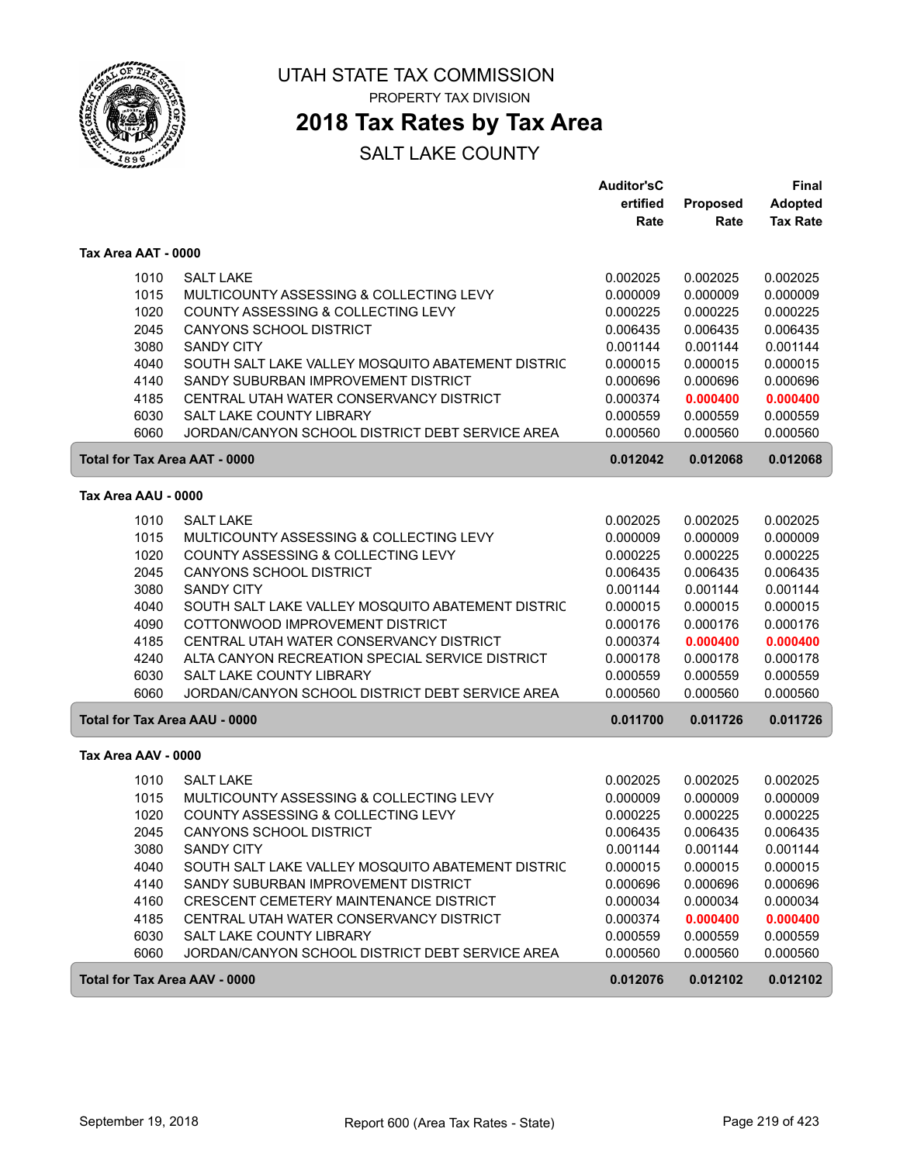

### **2018 Tax Rates by Tax Area**

|                                      |                                                   | <b>Auditor'sC</b><br>ertified | <b>Proposed</b> | <b>Final</b><br><b>Adopted</b> |
|--------------------------------------|---------------------------------------------------|-------------------------------|-----------------|--------------------------------|
|                                      |                                                   | Rate                          | Rate            | <b>Tax Rate</b>                |
| Tax Area AAT - 0000                  |                                                   |                               |                 |                                |
| 1010                                 | <b>SALT LAKE</b>                                  | 0.002025                      | 0.002025        | 0.002025                       |
| 1015                                 | MULTICOUNTY ASSESSING & COLLECTING LEVY           | 0.000009                      | 0.000009        | 0.000009                       |
| 1020                                 | COUNTY ASSESSING & COLLECTING LEVY                | 0.000225                      | 0.000225        | 0.000225                       |
| 2045                                 | <b>CANYONS SCHOOL DISTRICT</b>                    | 0.006435                      | 0.006435        | 0.006435                       |
| 3080                                 | <b>SANDY CITY</b>                                 | 0.001144                      | 0.001144        | 0.001144                       |
| 4040                                 | SOUTH SALT LAKE VALLEY MOSQUITO ABATEMENT DISTRIC | 0.000015                      | 0.000015        | 0.000015                       |
| 4140                                 | SANDY SUBURBAN IMPROVEMENT DISTRICT               | 0.000696                      | 0.000696        | 0.000696                       |
| 4185                                 | CENTRAL UTAH WATER CONSERVANCY DISTRICT           | 0.000374                      | 0.000400        | 0.000400                       |
| 6030                                 | SALT LAKE COUNTY LIBRARY                          | 0.000559                      | 0.000559        | 0.000559                       |
| 6060                                 | JORDAN/CANYON SCHOOL DISTRICT DEBT SERVICE AREA   | 0.000560                      | 0.000560        | 0.000560                       |
| <b>Total for Tax Area AAT - 0000</b> |                                                   | 0.012042                      | 0.012068        | 0.012068                       |
| Tax Area AAU - 0000                  |                                                   |                               |                 |                                |
| 1010                                 | <b>SALT LAKE</b>                                  | 0.002025                      | 0.002025        | 0.002025                       |
| 1015                                 | MULTICOUNTY ASSESSING & COLLECTING LEVY           | 0.000009                      | 0.000009        | 0.000009                       |
| 1020                                 | COUNTY ASSESSING & COLLECTING LEVY                | 0.000225                      | 0.000225        | 0.000225                       |
| 2045                                 | <b>CANYONS SCHOOL DISTRICT</b>                    | 0.006435                      | 0.006435        | 0.006435                       |
| 3080                                 | <b>SANDY CITY</b>                                 | 0.001144                      | 0.001144        | 0.001144                       |
| 4040                                 | SOUTH SALT LAKE VALLEY MOSQUITO ABATEMENT DISTRIC | 0.000015                      | 0.000015        | 0.000015                       |
| 4090                                 | COTTONWOOD IMPROVEMENT DISTRICT                   | 0.000176                      | 0.000176        | 0.000176                       |
| 4185                                 | CENTRAL UTAH WATER CONSERVANCY DISTRICT           | 0.000374                      | 0.000400        | 0.000400                       |
| 4240                                 | ALTA CANYON RECREATION SPECIAL SERVICE DISTRICT   | 0.000178                      | 0.000178        | 0.000178                       |
| 6030                                 | SALT LAKE COUNTY LIBRARY                          | 0.000559                      | 0.000559        | 0.000559                       |
| 6060                                 | JORDAN/CANYON SCHOOL DISTRICT DEBT SERVICE AREA   | 0.000560                      | 0.000560        | 0.000560                       |
| <b>Total for Tax Area AAU - 0000</b> |                                                   | 0.011700                      | 0.011726        | 0.011726                       |
| Tax Area AAV - 0000                  |                                                   |                               |                 |                                |
| 1010                                 | <b>SALT LAKE</b>                                  | 0.002025                      | 0.002025        | 0.002025                       |
| 1015                                 | MULTICOUNTY ASSESSING & COLLECTING LEVY           | 0.000009                      | 0.000009        | 0.000009                       |
| 1020                                 | COUNTY ASSESSING & COLLECTING LEVY                | 0.000225                      | 0.000225        | 0.000225                       |
| 2045                                 | <b>CANYONS SCHOOL DISTRICT</b>                    | 0.006435                      | 0.006435        | 0.006435                       |
| 3080                                 | <b>SANDY CITY</b>                                 | 0.001144                      | 0.001144        | 0.001144                       |
| 4040                                 | SOUTH SALT LAKE VALLEY MOSQUITO ABATEMENT DISTRIC | 0.000015                      | 0.000015        | 0.000015                       |
| 4140                                 | SANDY SUBURBAN IMPROVEMENT DISTRICT               | 0.000696                      | 0.000696        | 0.000696                       |
| 4160                                 | CRESCENT CEMETERY MAINTENANCE DISTRICT            | 0.000034                      | 0.000034        | 0.000034                       |
| 4185                                 | CENTRAL UTAH WATER CONSERVANCY DISTRICT           | 0.000374                      | 0.000400        | 0.000400                       |
| 6030                                 | SALT LAKE COUNTY LIBRARY                          | 0.000559                      | 0.000559        | 0.000559                       |
| 6060                                 | JORDAN/CANYON SCHOOL DISTRICT DEBT SERVICE AREA   | 0.000560                      | 0.000560        | 0.000560                       |
| Total for Tax Area AAV - 0000        |                                                   | 0.012076                      | 0.012102        | 0.012102                       |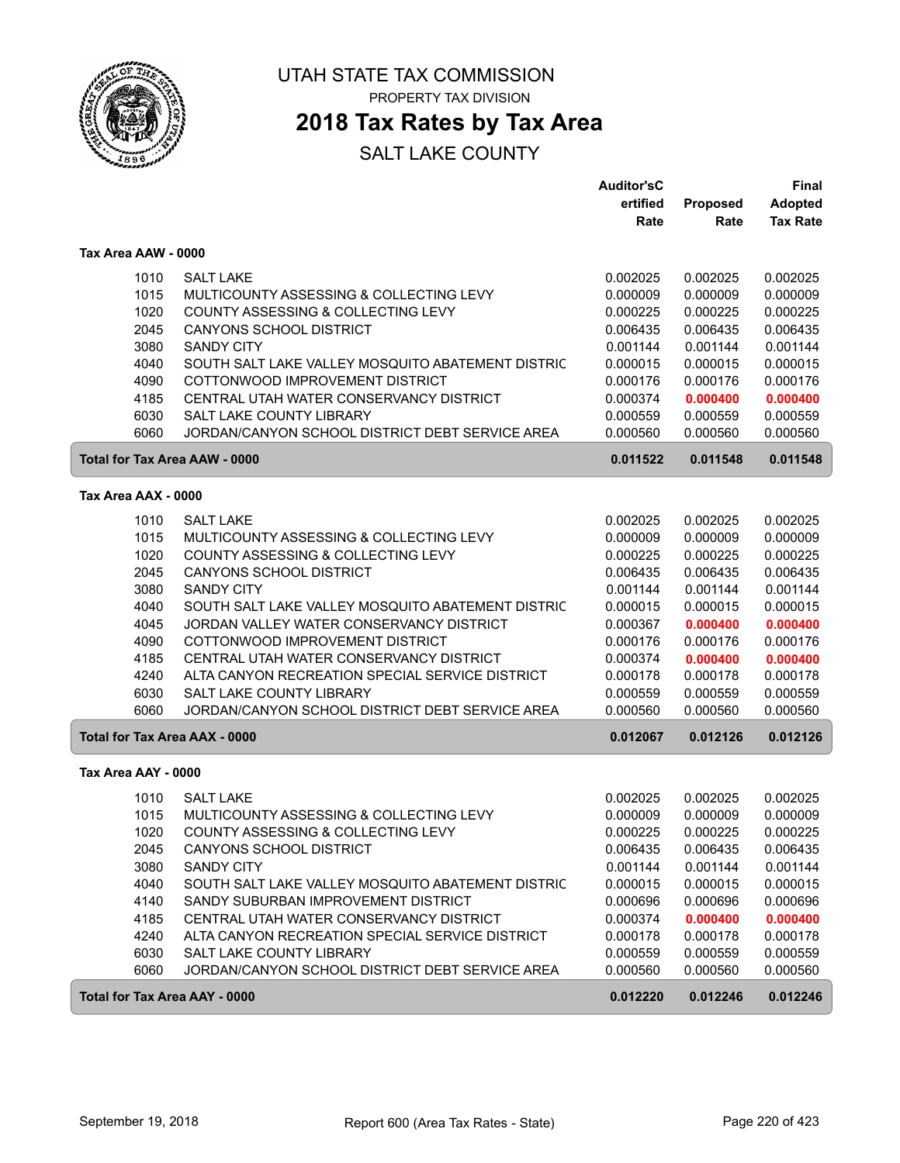

## **2018 Tax Rates by Tax Area**

|                     |                                                                                    | <b>Auditor'sC</b><br>ertified | Proposed             | Final<br><b>Adopted</b> |
|---------------------|------------------------------------------------------------------------------------|-------------------------------|----------------------|-------------------------|
|                     |                                                                                    | Rate                          | Rate                 | <b>Tax Rate</b>         |
| Tax Area AAW - 0000 |                                                                                    |                               |                      |                         |
| 1010                | <b>SALT LAKE</b>                                                                   | 0.002025                      | 0.002025             | 0.002025                |
| 1015                | MULTICOUNTY ASSESSING & COLLECTING LEVY                                            | 0.000009                      | 0.000009             | 0.000009                |
| 1020                | COUNTY ASSESSING & COLLECTING LEVY                                                 | 0.000225                      | 0.000225             | 0.000225                |
| 2045                | <b>CANYONS SCHOOL DISTRICT</b>                                                     | 0.006435                      | 0.006435             | 0.006435                |
| 3080                | <b>SANDY CITY</b>                                                                  | 0.001144                      | 0.001144             | 0.001144                |
| 4040                | SOUTH SALT LAKE VALLEY MOSQUITO ABATEMENT DISTRIC                                  | 0.000015                      | 0.000015             | 0.000015                |
| 4090                | COTTONWOOD IMPROVEMENT DISTRICT                                                    | 0.000176                      | 0.000176             | 0.000176                |
| 4185                | CENTRAL UTAH WATER CONSERVANCY DISTRICT                                            | 0.000374                      | 0.000400             | 0.000400                |
| 6030<br>6060        | <b>SALT LAKE COUNTY LIBRARY</b><br>JORDAN/CANYON SCHOOL DISTRICT DEBT SERVICE AREA | 0.000559<br>0.000560          | 0.000559<br>0.000560 | 0.000559<br>0.000560    |
|                     | <b>Total for Tax Area AAW - 0000</b>                                               | 0.011522                      | 0.011548             | 0.011548                |
| Tax Area AAX - 0000 |                                                                                    |                               |                      |                         |
| 1010                | <b>SALT LAKE</b>                                                                   | 0.002025                      | 0.002025             | 0.002025                |
| 1015                | MULTICOUNTY ASSESSING & COLLECTING LEVY                                            | 0.000009                      | 0.000009             | 0.000009                |
| 1020                | COUNTY ASSESSING & COLLECTING LEVY                                                 | 0.000225                      | 0.000225             | 0.000225                |
| 2045                | CANYONS SCHOOL DISTRICT                                                            | 0.006435                      | 0.006435             | 0.006435                |
| 3080                | <b>SANDY CITY</b>                                                                  | 0.001144                      | 0.001144             | 0.001144                |
| 4040                | SOUTH SALT LAKE VALLEY MOSQUITO ABATEMENT DISTRIC                                  | 0.000015                      | 0.000015             | 0.000015                |
| 4045                | JORDAN VALLEY WATER CONSERVANCY DISTRICT                                           | 0.000367                      | 0.000400             | 0.000400                |
| 4090                | COTTONWOOD IMPROVEMENT DISTRICT                                                    | 0.000176                      | 0.000176             | 0.000176                |
| 4185                | CENTRAL UTAH WATER CONSERVANCY DISTRICT                                            | 0.000374                      | 0.000400             | 0.000400                |
| 4240                | ALTA CANYON RECREATION SPECIAL SERVICE DISTRICT                                    | 0.000178                      | 0.000178             | 0.000178                |
| 6030<br>6060        | SALT LAKE COUNTY LIBRARY<br>JORDAN/CANYON SCHOOL DISTRICT DEBT SERVICE AREA        | 0.000559<br>0.000560          | 0.000559<br>0.000560 | 0.000559<br>0.000560    |
|                     | <b>Total for Tax Area AAX - 0000</b>                                               | 0.012067                      | 0.012126             | 0.012126                |
| Tax Area AAY - 0000 |                                                                                    |                               |                      |                         |
| 1010                | <b>SALT LAKE</b>                                                                   | 0.002025                      | 0.002025             | 0.002025                |
| 1015                | MULTICOUNTY ASSESSING & COLLECTING LEVY                                            | 0.000009                      | 0.000009             | 0.000009                |
| 1020                | COUNTY ASSESSING & COLLECTING LEVY                                                 | 0.000225                      | 0.000225             | 0.000225                |
| 2045                | CANYONS SCHOOL DISTRICT                                                            | 0.006435                      | 0.006435             | 0.006435                |
| 3080                | <b>SANDY CITY</b>                                                                  | 0.001144                      | 0.001144             | 0.001144                |
| 4040                | SOUTH SALT LAKE VALLEY MOSQUITO ABATEMENT DISTRIC                                  | 0.000015                      | 0.000015             | 0.000015                |
| 4140                | SANDY SUBURBAN IMPROVEMENT DISTRICT                                                | 0.000696                      | 0.000696             | 0.000696                |
| 4185                | CENTRAL UTAH WATER CONSERVANCY DISTRICT                                            | 0.000374                      | 0.000400             | 0.000400                |
| 4240                | ALTA CANYON RECREATION SPECIAL SERVICE DISTRICT                                    | 0.000178                      | 0.000178             | 0.000178                |
| 6030                | SALT LAKE COUNTY LIBRARY                                                           | 0.000559                      | 0.000559             | 0.000559                |
| 6060                | JORDAN/CANYON SCHOOL DISTRICT DEBT SERVICE AREA                                    | 0.000560                      | 0.000560             | 0.000560                |
|                     | Total for Tax Area AAY - 0000                                                      | 0.012220                      | 0.012246             | 0.012246                |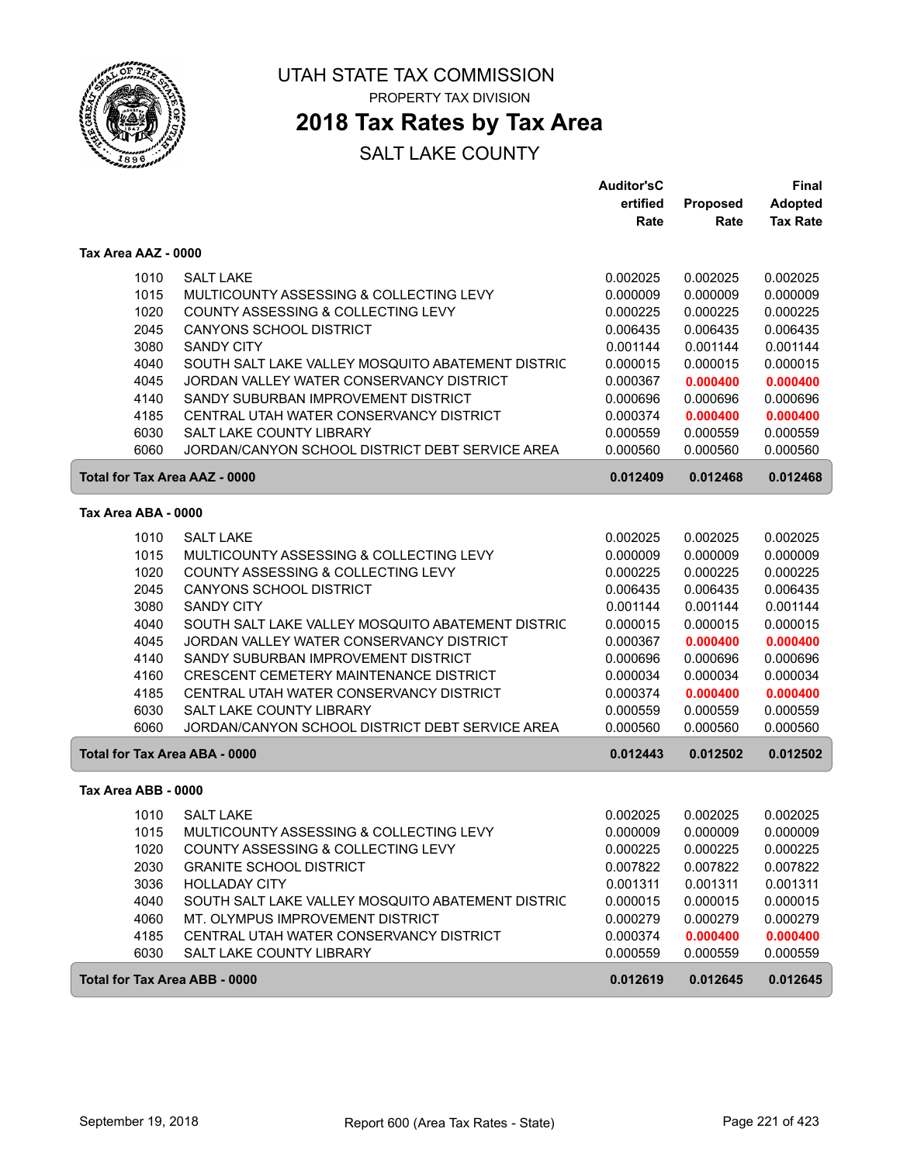

### **2018 Tax Rates by Tax Area**

|                                      |                                                   | <b>Auditor'sC</b> |                      | <b>Final</b>         |
|--------------------------------------|---------------------------------------------------|-------------------|----------------------|----------------------|
|                                      |                                                   | ertified          | <b>Proposed</b>      | <b>Adopted</b>       |
|                                      |                                                   | Rate              | Rate                 | <b>Tax Rate</b>      |
| Tax Area AAZ - 0000                  |                                                   |                   |                      |                      |
| 1010                                 | <b>SALT LAKE</b>                                  | 0.002025          | 0.002025             | 0.002025             |
| 1015                                 | MULTICOUNTY ASSESSING & COLLECTING LEVY           | 0.000009          | 0.000009             | 0.000009             |
| 1020                                 | COUNTY ASSESSING & COLLECTING LEVY                | 0.000225          | 0.000225             | 0.000225             |
| 2045                                 | <b>CANYONS SCHOOL DISTRICT</b>                    | 0.006435          | 0.006435             | 0.006435             |
| 3080                                 | <b>SANDY CITY</b>                                 | 0.001144          | 0.001144             | 0.001144             |
| 4040                                 | SOUTH SALT LAKE VALLEY MOSQUITO ABATEMENT DISTRIC | 0.000015          | 0.000015             | 0.000015             |
| 4045                                 | JORDAN VALLEY WATER CONSERVANCY DISTRICT          | 0.000367          | 0.000400             | 0.000400             |
| 4140                                 | SANDY SUBURBAN IMPROVEMENT DISTRICT               | 0.000696          | 0.000696             | 0.000696             |
| 4185                                 | CENTRAL UTAH WATER CONSERVANCY DISTRICT           | 0.000374          | 0.000400             | 0.000400             |
| 6030                                 | SALT LAKE COUNTY LIBRARY                          | 0.000559          | 0.000559             | 0.000559             |
| 6060                                 | JORDAN/CANYON SCHOOL DISTRICT DEBT SERVICE AREA   | 0.000560          | 0.000560             | 0.000560             |
| Total for Tax Area AAZ - 0000        |                                                   | 0.012409          | 0.012468             | 0.012468             |
| Tax Area ABA - 0000                  |                                                   |                   |                      |                      |
|                                      | <b>SALT LAKE</b>                                  | 0.002025          |                      |                      |
| 1010<br>1015                         | MULTICOUNTY ASSESSING & COLLECTING LEVY           | 0.000009          | 0.002025<br>0.000009 | 0.002025<br>0.000009 |
| 1020                                 | COUNTY ASSESSING & COLLECTING LEVY                | 0.000225          | 0.000225             | 0.000225             |
| 2045                                 | <b>CANYONS SCHOOL DISTRICT</b>                    | 0.006435          | 0.006435             | 0.006435             |
| 3080                                 | <b>SANDY CITY</b>                                 | 0.001144          | 0.001144             | 0.001144             |
| 4040                                 | SOUTH SALT LAKE VALLEY MOSQUITO ABATEMENT DISTRIC | 0.000015          | 0.000015             | 0.000015             |
| 4045                                 | JORDAN VALLEY WATER CONSERVANCY DISTRICT          | 0.000367          | 0.000400             | 0.000400             |
| 4140                                 | SANDY SUBURBAN IMPROVEMENT DISTRICT               | 0.000696          | 0.000696             | 0.000696             |
| 4160                                 | CRESCENT CEMETERY MAINTENANCE DISTRICT            | 0.000034          | 0.000034             | 0.000034             |
| 4185                                 | CENTRAL UTAH WATER CONSERVANCY DISTRICT           | 0.000374          | 0.000400             | 0.000400             |
| 6030                                 | SALT LAKE COUNTY LIBRARY                          | 0.000559          | 0.000559             | 0.000559             |
| 6060                                 | JORDAN/CANYON SCHOOL DISTRICT DEBT SERVICE AREA   | 0.000560          | 0.000560             | 0.000560             |
| <b>Total for Tax Area ABA - 0000</b> |                                                   | 0.012443          | 0.012502             | 0.012502             |
| Tax Area ABB - 0000                  |                                                   |                   |                      |                      |
| 1010                                 | <b>SALT LAKE</b>                                  | 0.002025          | 0.002025             | 0.002025             |
| 1015                                 | MULTICOUNTY ASSESSING & COLLECTING LEVY           | 0.000009          | 0.000009             | 0.000009             |
| 1020                                 | COUNTY ASSESSING & COLLECTING LEVY                | 0.000225          | 0.000225             | 0.000225             |
| 2030                                 | <b>GRANITE SCHOOL DISTRICT</b>                    | 0.007822          | 0.007822             | 0.007822             |
| 3036                                 | <b>HOLLADAY CITY</b>                              | 0.001311          | 0.001311             | 0.001311             |
| 4040                                 | SOUTH SALT LAKE VALLEY MOSQUITO ABATEMENT DISTRIC | 0.000015          | 0.000015             | 0.000015             |
| 4060                                 | MT. OLYMPUS IMPROVEMENT DISTRICT                  | 0.000279          | 0.000279             | 0.000279             |
| 4185                                 | CENTRAL UTAH WATER CONSERVANCY DISTRICT           | 0.000374          | 0.000400             | 0.000400             |
| 6030                                 | SALT LAKE COUNTY LIBRARY                          | 0.000559          | 0.000559             | 0.000559             |
| <b>Total for Tax Area ABB - 0000</b> |                                                   | 0.012619          | 0.012645             | 0.012645             |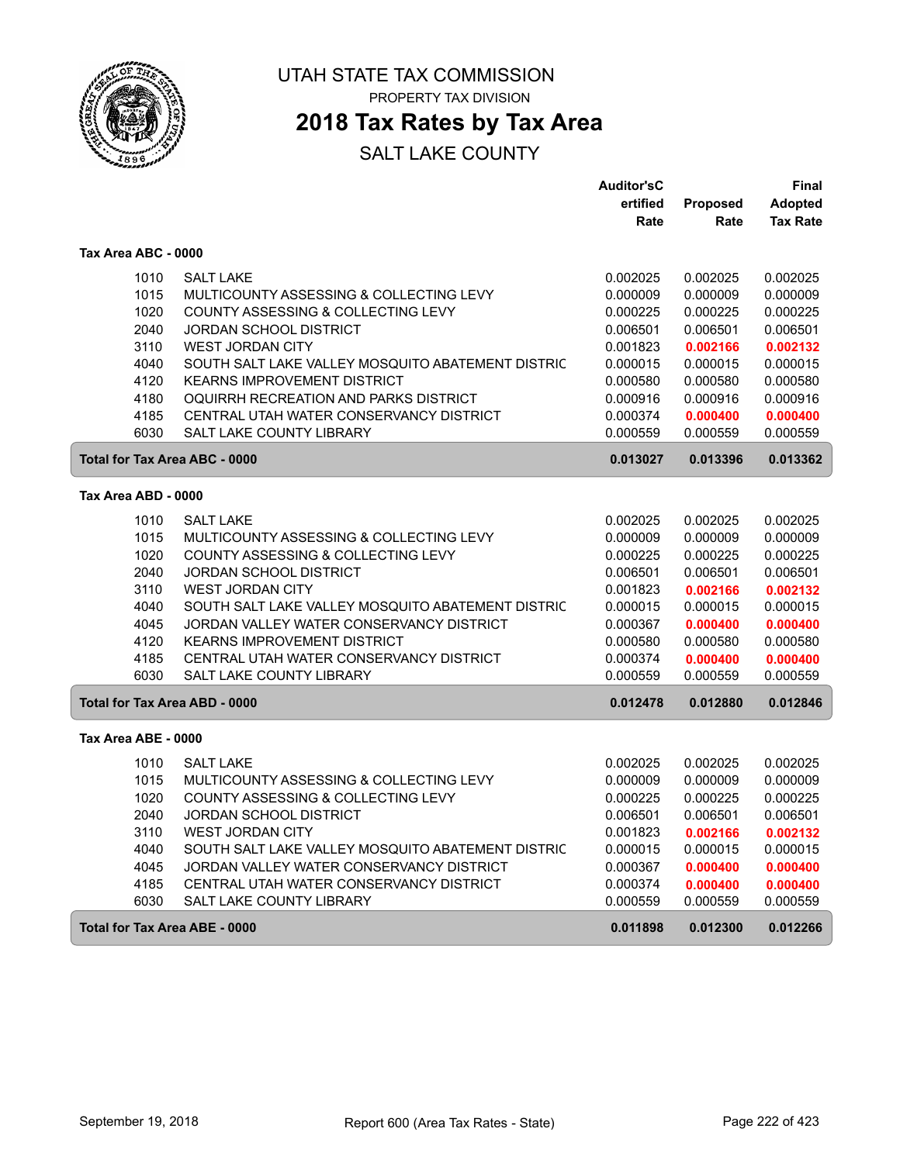

 $\sqrt{2}$ 

ſ

ſ

UTAH STATE TAX COMMISSION PROPERTY TAX DIVISION

### **2018 Tax Rates by Tax Area**

|                                      |                                                   | <b>Auditor'sC</b> |                 | Final           |
|--------------------------------------|---------------------------------------------------|-------------------|-----------------|-----------------|
|                                      |                                                   | ertified          | <b>Proposed</b> | <b>Adopted</b>  |
|                                      |                                                   | Rate              | Rate            | <b>Tax Rate</b> |
| Tax Area ABC - 0000                  |                                                   |                   |                 |                 |
| 1010                                 | <b>SALT LAKE</b>                                  | 0.002025          | 0.002025        | 0.002025        |
| 1015                                 | MULTICOUNTY ASSESSING & COLLECTING LEVY           | 0.000009          | 0.000009        | 0.000009        |
| 1020                                 | COUNTY ASSESSING & COLLECTING LEVY                | 0.000225          | 0.000225        | 0.000225        |
| 2040                                 | <b>JORDAN SCHOOL DISTRICT</b>                     | 0.006501          | 0.006501        | 0.006501        |
| 3110                                 | <b>WEST JORDAN CITY</b>                           | 0.001823          | 0.002166        | 0.002132        |
| 4040                                 | SOUTH SALT LAKE VALLEY MOSQUITO ABATEMENT DISTRIC | 0.000015          | 0.000015        | 0.000015        |
| 4120                                 | <b>KEARNS IMPROVEMENT DISTRICT</b>                | 0.000580          | 0.000580        | 0.000580        |
| 4180                                 | OQUIRRH RECREATION AND PARKS DISTRICT             | 0.000916          | 0.000916        | 0.000916        |
| 4185                                 | CENTRAL UTAH WATER CONSERVANCY DISTRICT           | 0.000374          | 0.000400        | 0.000400        |
| 6030                                 | SALT LAKE COUNTY LIBRARY                          | 0.000559          | 0.000559        | 0.000559        |
| <b>Total for Tax Area ABC - 0000</b> |                                                   | 0.013027          | 0.013396        | 0.013362        |
| Tax Area ABD - 0000                  |                                                   |                   |                 |                 |
| 1010                                 | <b>SALT LAKE</b>                                  | 0.002025          | 0.002025        | 0.002025        |
| 1015                                 | MULTICOUNTY ASSESSING & COLLECTING LEVY           | 0.000009          | 0.000009        | 0.000009        |
| 1020                                 | COUNTY ASSESSING & COLLECTING LEVY                | 0.000225          | 0.000225        | 0.000225        |
| 2040                                 | <b>JORDAN SCHOOL DISTRICT</b>                     | 0.006501          | 0.006501        | 0.006501        |
| 3110                                 | <b>WEST JORDAN CITY</b>                           | 0.001823          | 0.002166        | 0.002132        |
| 4040                                 | SOUTH SALT LAKE VALLEY MOSQUITO ABATEMENT DISTRIC | 0.000015          | 0.000015        | 0.000015        |
| 4045                                 | JORDAN VALLEY WATER CONSERVANCY DISTRICT          | 0.000367          | 0.000400        | 0.000400        |
| 4120                                 | <b>KEARNS IMPROVEMENT DISTRICT</b>                | 0.000580          | 0.000580        | 0.000580        |
| 4185                                 | CENTRAL UTAH WATER CONSERVANCY DISTRICT           | 0.000374          | 0.000400        | 0.000400        |
| 6030                                 | <b>SALT LAKE COUNTY LIBRARY</b>                   | 0.000559          | 0.000559        | 0.000559        |
| <b>Total for Tax Area ABD - 0000</b> |                                                   | 0.012478          | 0.012880        | 0.012846        |
| Tax Area ABE - 0000                  |                                                   |                   |                 |                 |
| 1010                                 | <b>SALT LAKE</b>                                  | 0.002025          | 0.002025        | 0.002025        |
| 1015                                 | MULTICOUNTY ASSESSING & COLLECTING LEVY           | 0.000009          | 0.000009        | 0.000009        |
| 1020                                 | COUNTY ASSESSING & COLLECTING LEVY                | 0.000225          | 0.000225        | 0.000225        |
| 2040                                 | <b>JORDAN SCHOOL DISTRICT</b>                     | 0.006501          | 0.006501        | 0.006501        |
| 3110                                 | <b>WEST JORDAN CITY</b>                           | 0.001823          | 0.002166        | 0.002132        |
| 4040                                 | SOUTH SALT LAKE VALLEY MOSQUITO ABATEMENT DISTRIC | 0.000015          | 0.000015        | 0.000015        |
| 4045                                 | JORDAN VALLEY WATER CONSERVANCY DISTRICT          | 0.000367          | 0.000400        | 0.000400        |
| 4185                                 | CENTRAL UTAH WATER CONSERVANCY DISTRICT           | 0.000374          | 0.000400        | 0.000400        |
| 6030                                 | <b>SALT LAKE COUNTY LIBRARY</b>                   | 0.000559          | 0.000559        | 0.000559        |
| Total for Tax Area ABE - 0000        |                                                   | 0.011898          | 0.012300        | 0.012266        |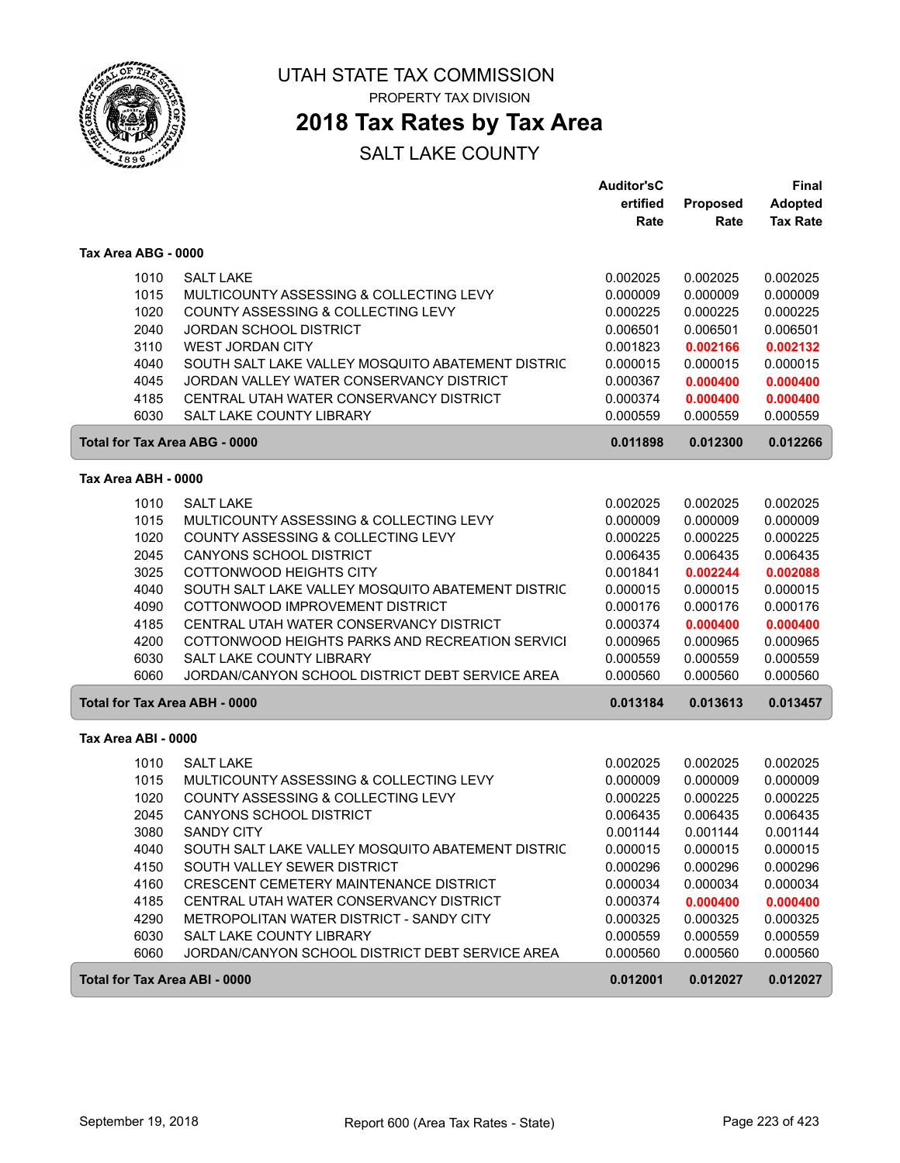

ſ

ſ

UTAH STATE TAX COMMISSION PROPERTY TAX DIVISION

### **2018 Tax Rates by Tax Area**

|                                      |                                                   | <b>Auditor'sC</b> |                  | <b>Final</b>               |
|--------------------------------------|---------------------------------------------------|-------------------|------------------|----------------------------|
|                                      |                                                   | ertified<br>Rate  | Proposed<br>Rate | Adopted<br><b>Tax Rate</b> |
| Tax Area ABG - 0000                  |                                                   |                   |                  |                            |
| 1010                                 | <b>SALT LAKE</b>                                  | 0.002025          | 0.002025         | 0.002025                   |
| 1015                                 | MULTICOUNTY ASSESSING & COLLECTING LEVY           | 0.000009          | 0.000009         | 0.000009                   |
| 1020                                 | COUNTY ASSESSING & COLLECTING LEVY                | 0.000225          | 0.000225         | 0.000225                   |
| 2040                                 | <b>JORDAN SCHOOL DISTRICT</b>                     | 0.006501          | 0.006501         | 0.006501                   |
| 3110                                 | <b>WEST JORDAN CITY</b>                           | 0.001823          | 0.002166         | 0.002132                   |
| 4040                                 | SOUTH SALT LAKE VALLEY MOSQUITO ABATEMENT DISTRIC | 0.000015          | 0.000015         | 0.000015                   |
| 4045                                 | JORDAN VALLEY WATER CONSERVANCY DISTRICT          | 0.000367          | 0.000400         | 0.000400                   |
| 4185                                 | CENTRAL UTAH WATER CONSERVANCY DISTRICT           | 0.000374          | 0.000400         | 0.000400                   |
| 6030                                 | SALT LAKE COUNTY LIBRARY                          | 0.000559          | 0.000559         | 0.000559                   |
| <b>Total for Tax Area ABG - 0000</b> |                                                   | 0.011898          | 0.012300         | 0.012266                   |
| Tax Area ABH - 0000                  |                                                   |                   |                  |                            |
| 1010                                 | <b>SALT LAKE</b>                                  | 0.002025          | 0.002025         | 0.002025                   |
| 1015                                 | MULTICOUNTY ASSESSING & COLLECTING LEVY           | 0.000009          | 0.000009         | 0.000009                   |
| 1020                                 | COUNTY ASSESSING & COLLECTING LEVY                | 0.000225          | 0.000225         | 0.000225                   |
| 2045                                 | CANYONS SCHOOL DISTRICT                           | 0.006435          | 0.006435         | 0.006435                   |
| 3025                                 | COTTONWOOD HEIGHTS CITY                           | 0.001841          | 0.002244         | 0.002088                   |
| 4040                                 | SOUTH SALT LAKE VALLEY MOSQUITO ABATEMENT DISTRIC | 0.000015          | 0.000015         | 0.000015                   |
| 4090                                 | COTTONWOOD IMPROVEMENT DISTRICT                   | 0.000176          | 0.000176         | 0.000176                   |
| 4185                                 | CENTRAL UTAH WATER CONSERVANCY DISTRICT           | 0.000374          | 0.000400         | 0.000400                   |
| 4200                                 | COTTONWOOD HEIGHTS PARKS AND RECREATION SERVICI   | 0.000965          | 0.000965         | 0.000965                   |
| 6030                                 | <b>SALT LAKE COUNTY LIBRARY</b>                   | 0.000559          | 0.000559         | 0.000559                   |
| 6060                                 | JORDAN/CANYON SCHOOL DISTRICT DEBT SERVICE AREA   | 0.000560          | 0.000560         | 0.000560                   |
| Total for Tax Area ABH - 0000        |                                                   | 0.013184          | 0.013613         | 0.013457                   |
| Tax Area ABI - 0000                  |                                                   |                   |                  |                            |
| 1010                                 | <b>SALT LAKE</b>                                  | 0.002025          | 0.002025         | 0.002025                   |
| 1015                                 | MULTICOUNTY ASSESSING & COLLECTING LEVY           | 0.000009          | 0.000009         | 0.000009                   |
| 1020                                 | COUNTY ASSESSING & COLLECTING LEVY                | 0.000225          | 0.000225         | 0.000225                   |
| 2045                                 | CANYONS SCHOOL DISTRICT                           | 0.006435          | 0.006435         | 0.006435                   |
| 3080                                 | <b>SANDY CITY</b>                                 | 0.001144          | 0.001144         | 0.001144                   |
| 4040                                 | SOUTH SALT LAKE VALLEY MOSQUITO ABATEMENT DISTRIC | 0.000015          | 0.000015         | 0.000015                   |
| 4150                                 | SOUTH VALLEY SEWER DISTRICT                       | 0.000296          | 0.000296         | 0.000296                   |
| 4160                                 | CRESCENT CEMETERY MAINTENANCE DISTRICT            | 0.000034          | 0.000034         | 0.000034                   |
| 4185                                 | CENTRAL UTAH WATER CONSERVANCY DISTRICT           | 0.000374          | 0.000400         | 0.000400                   |
| 4290                                 | METROPOLITAN WATER DISTRICT - SANDY CITY          | 0.000325          | 0.000325         | 0.000325                   |
| 6030                                 | SALT LAKE COUNTY LIBRARY                          | 0.000559          | 0.000559         | 0.000559                   |
| 6060                                 | JORDAN/CANYON SCHOOL DISTRICT DEBT SERVICE AREA   | 0.000560          | 0.000560         | 0.000560                   |
| <b>Total for Tax Area ABI - 0000</b> |                                                   | 0.012001          | 0.012027         | 0.012027                   |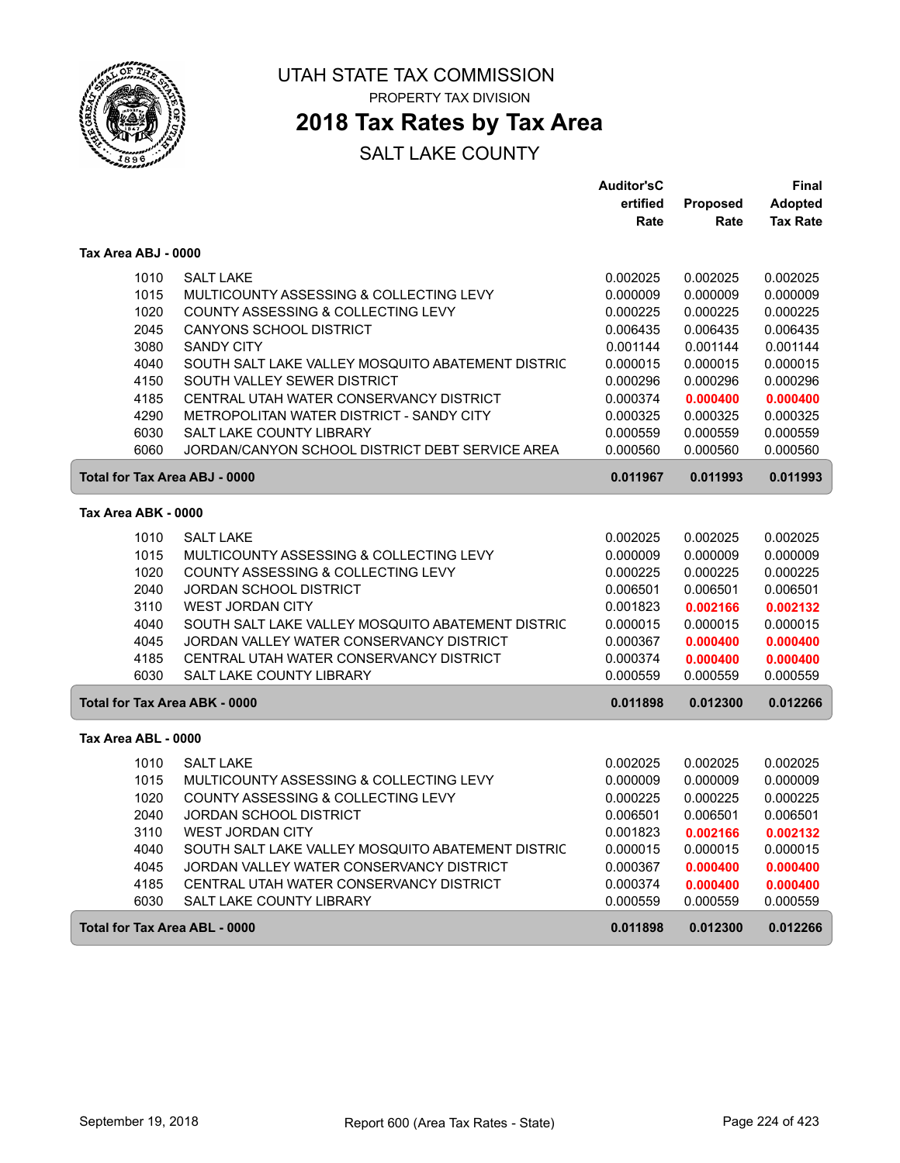

UTAH STATE TAX COMMISSION PROPERTY TAX DIVISION

**2018 Tax Rates by Tax Area**

|                               |                                                                                    | <b>Auditor'sC</b><br>ertified | Proposed             | <b>Final</b><br><b>Adopted</b> |
|-------------------------------|------------------------------------------------------------------------------------|-------------------------------|----------------------|--------------------------------|
|                               |                                                                                    | Rate                          | Rate                 | <b>Tax Rate</b>                |
| Tax Area ABJ - 0000           |                                                                                    |                               |                      |                                |
| 1010                          | <b>SALT LAKE</b>                                                                   | 0.002025                      | 0.002025             | 0.002025                       |
| 1015                          | MULTICOUNTY ASSESSING & COLLECTING LEVY                                            | 0.000009                      | 0.000009             | 0.000009                       |
| 1020                          | COUNTY ASSESSING & COLLECTING LEVY                                                 | 0.000225                      | 0.000225             | 0.000225                       |
| 2045                          | <b>CANYONS SCHOOL DISTRICT</b>                                                     | 0.006435                      | 0.006435             | 0.006435                       |
| 3080                          | <b>SANDY CITY</b>                                                                  | 0.001144                      | 0.001144             | 0.001144                       |
| 4040                          | SOUTH SALT LAKE VALLEY MOSQUITO ABATEMENT DISTRIC                                  | 0.000015                      | 0.000015             | 0.000015                       |
| 4150                          | SOUTH VALLEY SEWER DISTRICT                                                        | 0.000296                      | 0.000296             | 0.000296                       |
| 4185                          | CENTRAL UTAH WATER CONSERVANCY DISTRICT                                            | 0.000374                      | 0.000400             | 0.000400                       |
| 4290                          | METROPOLITAN WATER DISTRICT - SANDY CITY                                           | 0.000325                      | 0.000325             | 0.000325                       |
| 6030<br>6060                  | <b>SALT LAKE COUNTY LIBRARY</b><br>JORDAN/CANYON SCHOOL DISTRICT DEBT SERVICE AREA | 0.000559<br>0.000560          | 0.000559<br>0.000560 | 0.000559<br>0.000560           |
|                               |                                                                                    |                               |                      |                                |
| Total for Tax Area ABJ - 0000 |                                                                                    | 0.011967                      | 0.011993             | 0.011993                       |
| Tax Area ABK - 0000           |                                                                                    |                               |                      |                                |
| 1010                          | <b>SALT LAKE</b>                                                                   | 0.002025                      | 0.002025             | 0.002025                       |
| 1015                          | MULTICOUNTY ASSESSING & COLLECTING LEVY                                            | 0.000009                      | 0.000009             | 0.000009                       |
| 1020                          | COUNTY ASSESSING & COLLECTING LEVY                                                 | 0.000225                      | 0.000225             | 0.000225                       |
| 2040                          | JORDAN SCHOOL DISTRICT                                                             | 0.006501                      | 0.006501             | 0.006501                       |
| 3110                          | <b>WEST JORDAN CITY</b>                                                            | 0.001823                      | 0.002166             | 0.002132                       |
| 4040                          | SOUTH SALT LAKE VALLEY MOSQUITO ABATEMENT DISTRIC                                  | 0.000015                      | 0.000015             | 0.000015                       |
| 4045                          | JORDAN VALLEY WATER CONSERVANCY DISTRICT                                           | 0.000367                      | 0.000400             | 0.000400                       |
| 4185                          | CENTRAL UTAH WATER CONSERVANCY DISTRICT                                            | 0.000374                      | 0.000400             | 0.000400                       |
| 6030                          | <b>SALT LAKE COUNTY LIBRARY</b>                                                    | 0.000559                      | 0.000559             | 0.000559                       |
| Total for Tax Area ABK - 0000 |                                                                                    | 0.011898                      | 0.012300             | 0.012266                       |
| Tax Area ABL - 0000           |                                                                                    |                               |                      |                                |
| 1010                          | <b>SALT LAKE</b>                                                                   | 0.002025                      | 0.002025             | 0.002025                       |
| 1015                          | MULTICOUNTY ASSESSING & COLLECTING LEVY                                            | 0.000009                      | 0.000009             | 0.000009                       |
| 1020                          | COUNTY ASSESSING & COLLECTING LEVY                                                 | 0.000225                      | 0.000225             | 0.000225                       |
| 2040                          | JORDAN SCHOOL DISTRICT                                                             | 0.006501                      | 0.006501             | 0.006501                       |
| 3110                          | <b>WEST JORDAN CITY</b>                                                            | 0.001823                      | 0.002166             | 0.002132                       |
| 4040                          | SOUTH SALT LAKE VALLEY MOSQUITO ABATEMENT DISTRIC                                  | 0.000015                      | 0.000015             | 0.000015                       |
| 4045                          | JORDAN VALLEY WATER CONSERVANCY DISTRICT                                           | 0.000367                      | 0.000400             | 0.000400                       |
| 4185                          | CENTRAL UTAH WATER CONSERVANCY DISTRICT                                            | 0.000374                      | 0.000400             | 0.000400                       |
| 6030                          | SALT LAKE COUNTY LIBRARY                                                           | 0.000559                      | 0.000559             | 0.000559                       |
| Total for Tax Area ABL - 0000 |                                                                                    | 0.011898                      | 0.012300             | 0.012266                       |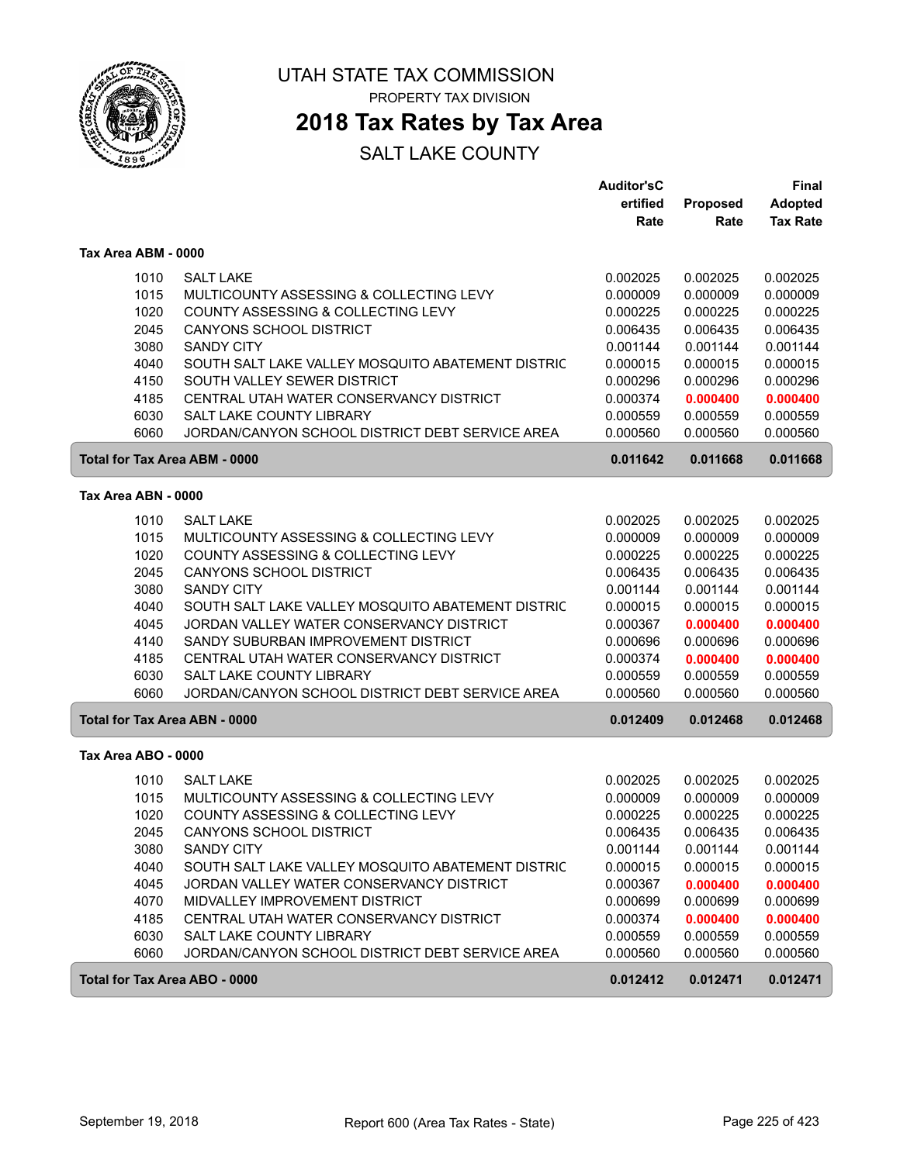

## **2018 Tax Rates by Tax Area**

|                                      |                                                   | <b>Auditor'sC</b><br>ertified | Proposed | Final<br><b>Adopted</b> |
|--------------------------------------|---------------------------------------------------|-------------------------------|----------|-------------------------|
|                                      |                                                   | Rate                          | Rate     | <b>Tax Rate</b>         |
| Tax Area ABM - 0000                  |                                                   |                               |          |                         |
| 1010                                 | <b>SALT LAKE</b>                                  | 0.002025                      | 0.002025 | 0.002025                |
| 1015                                 | MULTICOUNTY ASSESSING & COLLECTING LEVY           | 0.000009                      | 0.000009 | 0.000009                |
| 1020                                 | COUNTY ASSESSING & COLLECTING LEVY                | 0.000225                      | 0.000225 | 0.000225                |
| 2045                                 | <b>CANYONS SCHOOL DISTRICT</b>                    | 0.006435                      | 0.006435 | 0.006435                |
| 3080                                 | <b>SANDY CITY</b>                                 | 0.001144                      | 0.001144 | 0.001144                |
| 4040                                 | SOUTH SALT LAKE VALLEY MOSQUITO ABATEMENT DISTRIC | 0.000015                      | 0.000015 | 0.000015                |
| 4150                                 | SOUTH VALLEY SEWER DISTRICT                       | 0.000296                      | 0.000296 | 0.000296                |
| 4185                                 | CENTRAL UTAH WATER CONSERVANCY DISTRICT           | 0.000374                      | 0.000400 | 0.000400                |
| 6030                                 | <b>SALT LAKE COUNTY LIBRARY</b>                   | 0.000559                      | 0.000559 | 0.000559                |
| 6060                                 | JORDAN/CANYON SCHOOL DISTRICT DEBT SERVICE AREA   | 0.000560                      | 0.000560 | 0.000560                |
| <b>Total for Tax Area ABM - 0000</b> |                                                   | 0.011642                      | 0.011668 | 0.011668                |
| Tax Area ABN - 0000                  |                                                   |                               |          |                         |
| 1010                                 | <b>SALT LAKE</b>                                  | 0.002025                      | 0.002025 | 0.002025                |
| 1015                                 | MULTICOUNTY ASSESSING & COLLECTING LEVY           | 0.000009                      | 0.000009 | 0.000009                |
| 1020                                 | COUNTY ASSESSING & COLLECTING LEVY                | 0.000225                      | 0.000225 | 0.000225                |
| 2045                                 | CANYONS SCHOOL DISTRICT                           | 0.006435                      | 0.006435 | 0.006435                |
| 3080                                 | <b>SANDY CITY</b>                                 | 0.001144                      | 0.001144 | 0.001144                |
| 4040                                 | SOUTH SALT LAKE VALLEY MOSQUITO ABATEMENT DISTRIC | 0.000015                      | 0.000015 | 0.000015                |
| 4045                                 | JORDAN VALLEY WATER CONSERVANCY DISTRICT          | 0.000367                      | 0.000400 | 0.000400                |
| 4140                                 | SANDY SUBURBAN IMPROVEMENT DISTRICT               | 0.000696                      | 0.000696 | 0.000696                |
| 4185                                 | CENTRAL UTAH WATER CONSERVANCY DISTRICT           | 0.000374                      | 0.000400 | 0.000400                |
| 6030                                 | SALT LAKE COUNTY LIBRARY                          | 0.000559                      | 0.000559 | 0.000559                |
| 6060                                 | JORDAN/CANYON SCHOOL DISTRICT DEBT SERVICE AREA   | 0.000560                      | 0.000560 | 0.000560                |
| <b>Total for Tax Area ABN - 0000</b> |                                                   | 0.012409                      | 0.012468 | 0.012468                |
| Tax Area ABO - 0000                  |                                                   |                               |          |                         |
| 1010                                 | <b>SALT LAKE</b>                                  | 0.002025                      | 0.002025 | 0.002025                |
| 1015                                 | MULTICOUNTY ASSESSING & COLLECTING LEVY           | 0.000009                      | 0.000009 | 0.000009                |
| 1020                                 | COUNTY ASSESSING & COLLECTING LEVY                | 0.000225                      | 0.000225 | 0.000225                |
| 2045                                 | <b>CANYONS SCHOOL DISTRICT</b>                    | 0.006435                      | 0.006435 | 0.006435                |
| 3080                                 | <b>SANDY CITY</b>                                 | 0.001144                      | 0.001144 | 0.001144                |
| 4040                                 | SOUTH SALT LAKE VALLEY MOSQUITO ABATEMENT DISTRIC | 0.000015                      | 0.000015 | 0.000015                |
| 4045                                 | JORDAN VALLEY WATER CONSERVANCY DISTRICT          | 0.000367                      | 0.000400 | 0.000400                |
| 4070                                 | MIDVALLEY IMPROVEMENT DISTRICT                    | 0.000699                      | 0.000699 | 0.000699                |
| 4185                                 | CENTRAL UTAH WATER CONSERVANCY DISTRICT           | 0.000374                      | 0.000400 | 0.000400                |
| 6030                                 | SALT LAKE COUNTY LIBRARY                          | 0.000559                      | 0.000559 | 0.000559                |
| 6060                                 | JORDAN/CANYON SCHOOL DISTRICT DEBT SERVICE AREA   | 0.000560                      | 0.000560 | 0.000560                |
| <b>Total for Tax Area ABO - 0000</b> |                                                   | 0.012412                      | 0.012471 | 0.012471                |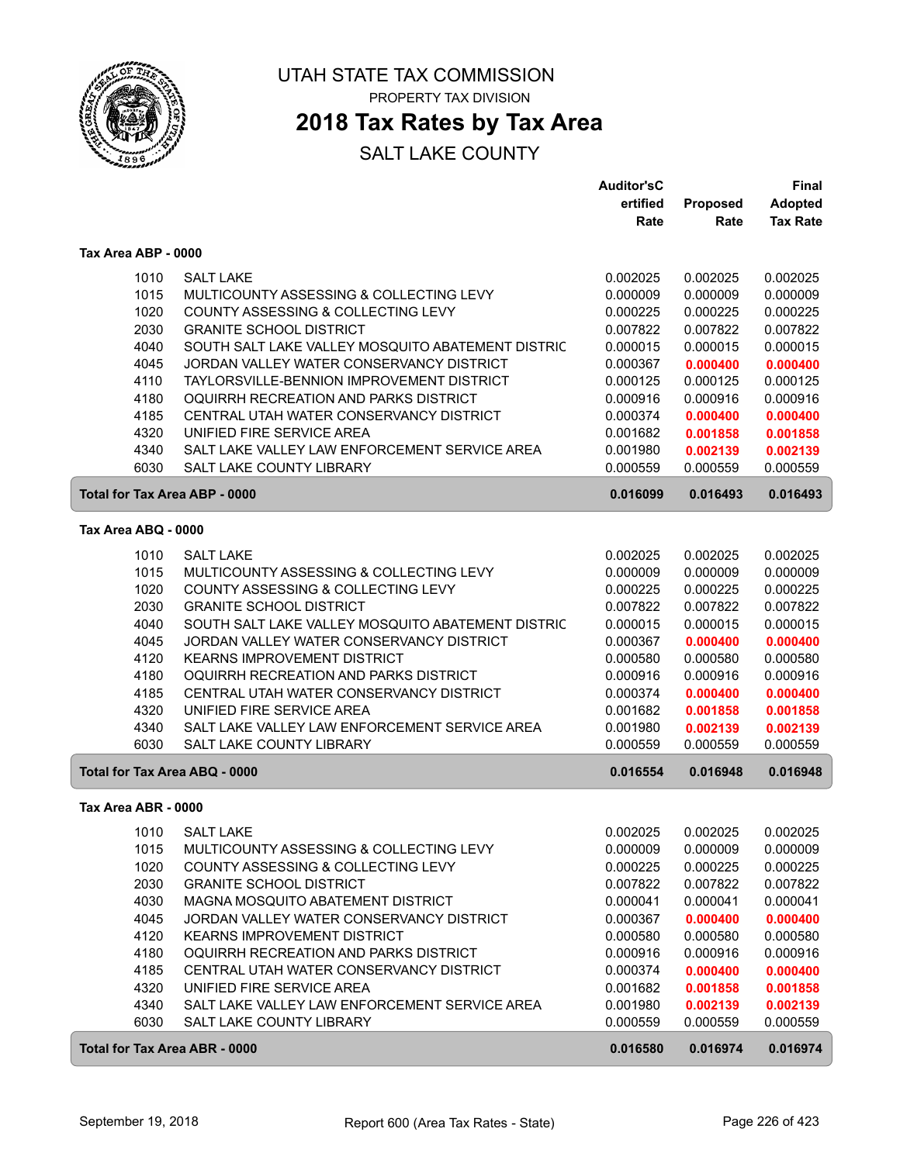

### **2018 Tax Rates by Tax Area**

|                               |                                                   | <b>Auditor'sC</b> |                 | <b>Final</b>    |
|-------------------------------|---------------------------------------------------|-------------------|-----------------|-----------------|
|                               |                                                   | ertified          | <b>Proposed</b> | <b>Adopted</b>  |
|                               |                                                   | Rate              | Rate            | <b>Tax Rate</b> |
| Tax Area ABP - 0000           |                                                   |                   |                 |                 |
| 1010                          | <b>SALT LAKE</b>                                  | 0.002025          | 0.002025        | 0.002025        |
| 1015                          | MULTICOUNTY ASSESSING & COLLECTING LEVY           | 0.000009          | 0.000009        | 0.000009        |
| 1020                          | COUNTY ASSESSING & COLLECTING LEVY                | 0.000225          | 0.000225        | 0.000225        |
| 2030                          | <b>GRANITE SCHOOL DISTRICT</b>                    | 0.007822          | 0.007822        | 0.007822        |
| 4040                          | SOUTH SALT LAKE VALLEY MOSQUITO ABATEMENT DISTRIC | 0.000015          | 0.000015        | 0.000015        |
| 4045                          | JORDAN VALLEY WATER CONSERVANCY DISTRICT          | 0.000367          | 0.000400        | 0.000400        |
| 4110                          | TAYLORSVILLE-BENNION IMPROVEMENT DISTRICT         | 0.000125          | 0.000125        | 0.000125        |
| 4180                          | OQUIRRH RECREATION AND PARKS DISTRICT             | 0.000916          | 0.000916        | 0.000916        |
| 4185                          | CENTRAL UTAH WATER CONSERVANCY DISTRICT           | 0.000374          | 0.000400        | 0.000400        |
| 4320                          | UNIFIED FIRE SERVICE AREA                         | 0.001682          | 0.001858        | 0.001858        |
| 4340                          | SALT LAKE VALLEY LAW ENFORCEMENT SERVICE AREA     | 0.001980          | 0.002139        | 0.002139        |
| 6030                          | <b>SALT LAKE COUNTY LIBRARY</b>                   | 0.000559          | 0.000559        | 0.000559        |
| Total for Tax Area ABP - 0000 |                                                   | 0.016099          | 0.016493        | 0.016493        |
| Tax Area ABQ - 0000           |                                                   |                   |                 |                 |
| 1010                          | <b>SALT LAKE</b>                                  | 0.002025          | 0.002025        | 0.002025        |
| 1015                          | MULTICOUNTY ASSESSING & COLLECTING LEVY           | 0.000009          | 0.000009        | 0.000009        |
| 1020                          | COUNTY ASSESSING & COLLECTING LEVY                | 0.000225          | 0.000225        | 0.000225        |
| 2030                          | <b>GRANITE SCHOOL DISTRICT</b>                    | 0.007822          | 0.007822        | 0.007822        |
| 4040                          | SOUTH SALT LAKE VALLEY MOSQUITO ABATEMENT DISTRIC | 0.000015          | 0.000015        | 0.000015        |
| 4045                          | JORDAN VALLEY WATER CONSERVANCY DISTRICT          | 0.000367          | 0.000400        | 0.000400        |
| 4120                          | <b>KEARNS IMPROVEMENT DISTRICT</b>                | 0.000580          | 0.000580        | 0.000580        |
| 4180                          | OQUIRRH RECREATION AND PARKS DISTRICT             | 0.000916          | 0.000916        | 0.000916        |
| 4185                          | CENTRAL UTAH WATER CONSERVANCY DISTRICT           | 0.000374          | 0.000400        | 0.000400        |
| 4320                          | UNIFIED FIRE SERVICE AREA                         | 0.001682          | 0.001858        | 0.001858        |
| 4340                          | SALT LAKE VALLEY LAW ENFORCEMENT SERVICE AREA     | 0.001980          | 0.002139        | 0.002139        |
| 6030                          | SALT LAKE COUNTY LIBRARY                          | 0.000559          | 0.000559        | 0.000559        |
| Total for Tax Area ABQ - 0000 |                                                   | 0.016554          | 0.016948        | 0.016948        |
| Tax Area ABR - 0000           |                                                   |                   |                 |                 |
| 1010                          | <b>SALT LAKE</b>                                  | 0.002025          | 0.002025        | 0.002025        |
| 1015                          | MULTICOUNTY ASSESSING & COLLECTING LEVY           | 0.000009          | 0.000009        | 0.000009        |
| 1020                          | COUNTY ASSESSING & COLLECTING LEVY                | 0.000225          | 0.000225        | 0.000225        |
| 2030                          | <b>GRANITE SCHOOL DISTRICT</b>                    | 0.007822          | 0.007822        | 0.007822        |
| 4030                          | MAGNA MOSQUITO ABATEMENT DISTRICT                 | 0.000041          | 0.000041        | 0.000041        |
| 4045                          | JORDAN VALLEY WATER CONSERVANCY DISTRICT          | 0.000367          | 0.000400        | 0.000400        |
| 4120                          | <b>KEARNS IMPROVEMENT DISTRICT</b>                | 0.000580          | 0.000580        | 0.000580        |
| 4180                          | OQUIRRH RECREATION AND PARKS DISTRICT             | 0.000916          | 0.000916        | 0.000916        |
| 4185                          | CENTRAL UTAH WATER CONSERVANCY DISTRICT           | 0.000374          | 0.000400        | 0.000400        |
| 4320                          | UNIFIED FIRE SERVICE AREA                         | 0.001682          | 0.001858        | 0.001858        |
| 4340                          | SALT LAKE VALLEY LAW ENFORCEMENT SERVICE AREA     | 0.001980          | 0.002139        | 0.002139        |
| 6030                          | SALT LAKE COUNTY LIBRARY                          | 0.000559          | 0.000559        | 0.000559        |
| Total for Tax Area ABR - 0000 |                                                   | 0.016580          | 0.016974        | 0.016974        |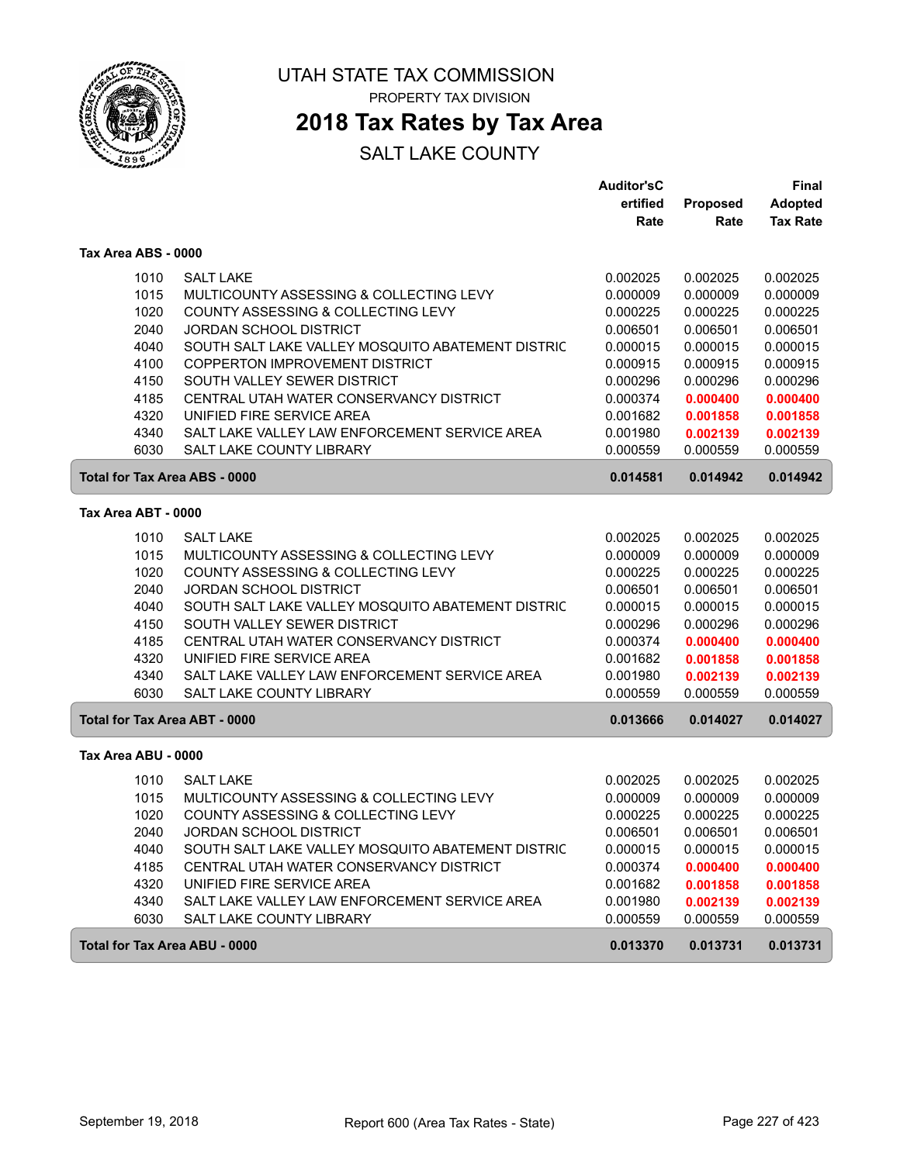

### **2018 Tax Rates by Tax Area**

#### SALT LAKE COUNTY

|                                      |                                                   | <b>Auditor'sC</b> |                 | <b>Final</b>    |
|--------------------------------------|---------------------------------------------------|-------------------|-----------------|-----------------|
|                                      |                                                   | ertified          | <b>Proposed</b> | <b>Adopted</b>  |
|                                      |                                                   | Rate              | Rate            | <b>Tax Rate</b> |
| Tax Area ABS - 0000                  |                                                   |                   |                 |                 |
| 1010                                 | <b>SALT LAKE</b>                                  | 0.002025          | 0.002025        | 0.002025        |
| 1015                                 | MULTICOUNTY ASSESSING & COLLECTING LEVY           | 0.000009          | 0.000009        | 0.000009        |
| 1020                                 | <b>COUNTY ASSESSING &amp; COLLECTING LEVY</b>     | 0.000225          | 0.000225        | 0.000225        |
| 2040                                 | <b>JORDAN SCHOOL DISTRICT</b>                     | 0.006501          | 0.006501        | 0.006501        |
| 4040                                 | SOUTH SALT LAKE VALLEY MOSQUITO ABATEMENT DISTRIC | 0.000015          | 0.000015        | 0.000015        |
| 4100                                 | COPPERTON IMPROVEMENT DISTRICT                    | 0.000915          | 0.000915        | 0.000915        |
| 4150                                 | SOUTH VALLEY SEWER DISTRICT                       | 0.000296          | 0.000296        | 0.000296        |
| 4185                                 | CENTRAL UTAH WATER CONSERVANCY DISTRICT           | 0.000374          | 0.000400        | 0.000400        |
| 4320                                 | UNIFIED FIRE SERVICE AREA                         | 0.001682          | 0.001858        | 0.001858        |
| 4340                                 | SALT LAKE VALLEY LAW ENFORCEMENT SERVICE AREA     | 0.001980          | 0.002139        | 0.002139        |
| 6030                                 | SALT LAKE COUNTY LIBRARY                          | 0.000559          | 0.000559        | 0.000559        |
| <b>Total for Tax Area ABS - 0000</b> |                                                   | 0.014581          | 0.014942        | 0.014942        |
| Tax Area ABT - 0000                  |                                                   |                   |                 |                 |
| 1010                                 | <b>SALT LAKE</b>                                  | 0.002025          | 0.002025        | 0.002025        |
| 1015                                 | MULTICOUNTY ASSESSING & COLLECTING LEVY           | 0.000009          | 0.000009        | 0.000009        |
| 1020                                 | COUNTY ASSESSING & COLLECTING LEVY                | 0.000225          | 0.000225        | 0.000225        |
| 2040                                 | JORDAN SCHOOL DISTRICT                            | 0.006501          | 0.006501        | 0.006501        |
| 4040                                 | SOUTH SALT LAKE VALLEY MOSQUITO ABATEMENT DISTRIC | 0.000015          | 0.000015        | 0.000015        |
| 4150                                 | SOUTH VALLEY SEWER DISTRICT                       | 0.000296          | 0.000296        | 0.000296        |
| 4185                                 | CENTRAL UTAH WATER CONSERVANCY DISTRICT           | 0.000374          | 0.000400        | 0.000400        |
| 4320                                 | UNIFIED FIRE SERVICE AREA                         | 0.001682          | 0.001858        | 0.001858        |
| 4340                                 | SALT LAKE VALLEY LAW ENFORCEMENT SERVICE AREA     | 0.001980          | 0.002139        | 0.002139        |
| 6030                                 | SALT LAKE COUNTY LIBRARY                          | 0.000559          | 0.000559        | 0.000559        |
| <b>Total for Tax Area ABT - 0000</b> |                                                   | 0.013666          | 0.014027        | 0.014027        |
| Tax Area ABU - 0000                  |                                                   |                   |                 |                 |
| 1010                                 | <b>SALT LAKE</b>                                  | 0.002025          | 0.002025        | 0.002025        |
| 1015                                 | MULTICOUNTY ASSESSING & COLLECTING LEVY           | 0.000009          | 0.000009        | 0.000009        |
| 1020                                 | COUNTY ASSESSING & COLLECTING LEVY                | 0.000225          | 0.000225        | 0.000225        |
| 2040                                 | <b>JORDAN SCHOOL DISTRICT</b>                     | 0.006501          | 0.006501        | 0.006501        |
| 4040                                 | SOUTH SALT LAKE VALLEY MOSQUITO ABATEMENT DISTRIC | 0.000015          | 0.000015        | 0.000015        |
| 4185                                 | CENTRAL UTAH WATER CONSERVANCY DISTRICT           | 0.000374          | 0.000400        | 0.000400        |
| 4320                                 | UNIFIED FIRE SERVICE AREA                         | 0.001682          | 0.001858        | 0.001858        |
| 4340                                 | SALT LAKE VALLEY LAW ENFORCEMENT SERVICE AREA     | 0.001980          | 0.002139        | 0.002139        |
| 6030                                 | SALT LAKE COUNTY LIBRARY                          | 0.000559          | 0.000559        | 0.000559        |
| <b>Total for Tax Area ABU - 0000</b> |                                                   | 0.013370          | 0.013731        | 0.013731        |

ſ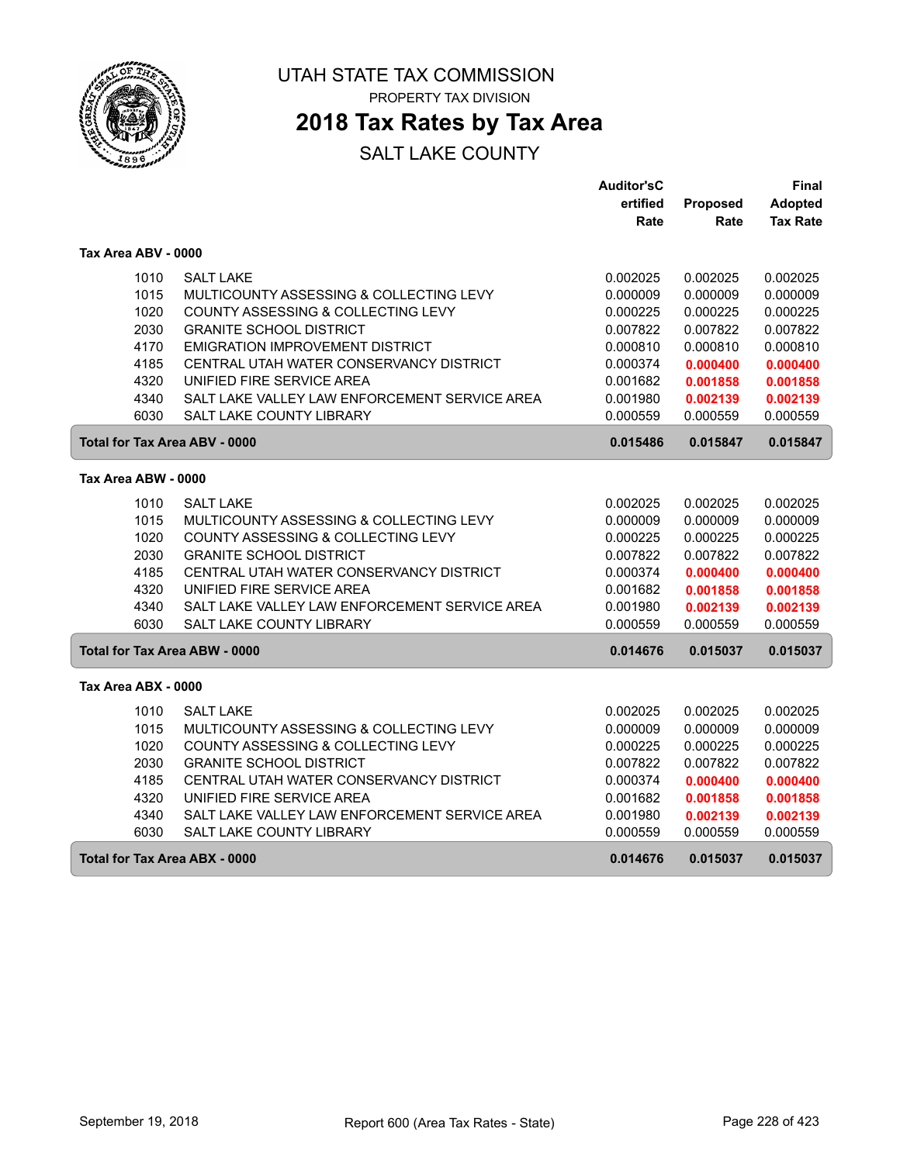

### **2018 Tax Rates by Tax Area**

|                     |                                                       | <b>Auditor'sC</b> |          | <b>Final</b>    |
|---------------------|-------------------------------------------------------|-------------------|----------|-----------------|
|                     |                                                       | ertified          | Proposed | <b>Adopted</b>  |
|                     |                                                       | Rate              | Rate     | <b>Tax Rate</b> |
| Tax Area ABV - 0000 |                                                       |                   |          |                 |
|                     | 1010<br><b>SALT LAKE</b>                              | 0.002025          | 0.002025 | 0.002025        |
|                     | 1015<br>MULTICOUNTY ASSESSING & COLLECTING LEVY       | 0.000009          | 0.000009 | 0.000009        |
|                     | 1020<br>COUNTY ASSESSING & COLLECTING LEVY            | 0.000225          | 0.000225 | 0.000225        |
|                     | 2030<br><b>GRANITE SCHOOL DISTRICT</b>                | 0.007822          | 0.007822 | 0.007822        |
|                     | 4170<br><b>EMIGRATION IMPROVEMENT DISTRICT</b>        | 0.000810          | 0.000810 | 0.000810        |
|                     | 4185<br>CENTRAL UTAH WATER CONSERVANCY DISTRICT       | 0.000374          | 0.000400 | 0.000400        |
|                     | 4320<br>UNIFIED FIRE SERVICE AREA                     | 0.001682          | 0.001858 | 0.001858        |
|                     | 4340<br>SALT LAKE VALLEY LAW ENFORCEMENT SERVICE AREA | 0.001980          | 0.002139 | 0.002139        |
|                     | 6030<br>SALT LAKE COUNTY LIBRARY                      | 0.000559          | 0.000559 | 0.000559        |
|                     | Total for Tax Area ABV - 0000                         | 0.015486          | 0.015847 | 0.015847        |
| Tax Area ABW - 0000 |                                                       |                   |          |                 |
|                     | 1010<br><b>SALT LAKE</b>                              | 0.002025          | 0.002025 | 0.002025        |
|                     | 1015<br>MULTICOUNTY ASSESSING & COLLECTING LEVY       | 0.000009          | 0.000009 | 0.000009        |
|                     | 1020<br><b>COUNTY ASSESSING &amp; COLLECTING LEVY</b> | 0.000225          | 0.000225 | 0.000225        |
|                     | 2030<br><b>GRANITE SCHOOL DISTRICT</b>                | 0.007822          | 0.007822 | 0.007822        |
|                     | 4185<br>CENTRAL UTAH WATER CONSERVANCY DISTRICT       | 0.000374          | 0.000400 | 0.000400        |
|                     | 4320<br>UNIFIED FIRE SERVICE AREA                     | 0.001682          | 0.001858 | 0.001858        |
|                     | 4340<br>SALT LAKE VALLEY LAW ENFORCEMENT SERVICE AREA | 0.001980          | 0.002139 | 0.002139        |
|                     | 6030<br>SALT LAKE COUNTY LIBRARY                      | 0.000559          | 0.000559 | 0.000559        |
|                     | Total for Tax Area ABW - 0000                         | 0.014676          | 0.015037 | 0.015037        |
| Tax Area ABX - 0000 |                                                       |                   |          |                 |
|                     | 1010<br><b>SALT LAKE</b>                              | 0.002025          | 0.002025 | 0.002025        |
|                     | 1015<br>MULTICOUNTY ASSESSING & COLLECTING LEVY       | 0.000009          | 0.000009 | 0.000009        |
|                     | 1020<br>COUNTY ASSESSING & COLLECTING LEVY            | 0.000225          | 0.000225 | 0.000225        |
|                     | 2030<br><b>GRANITE SCHOOL DISTRICT</b>                | 0.007822          | 0.007822 | 0.007822        |
|                     | 4185<br>CENTRAL UTAH WATER CONSERVANCY DISTRICT       | 0.000374          | 0.000400 | 0.000400        |
|                     | 4320<br>UNIFIED FIRE SERVICE AREA                     | 0.001682          | 0.001858 | 0.001858        |
|                     | 4340<br>SALT LAKE VALLEY LAW ENFORCEMENT SERVICE AREA | 0.001980          | 0.002139 | 0.002139        |
|                     | 6030<br>SALT LAKE COUNTY LIBRARY                      | 0.000559          | 0.000559 | 0.000559        |
|                     | Total for Tax Area ABX - 0000                         | 0.014676          | 0.015037 | 0.015037        |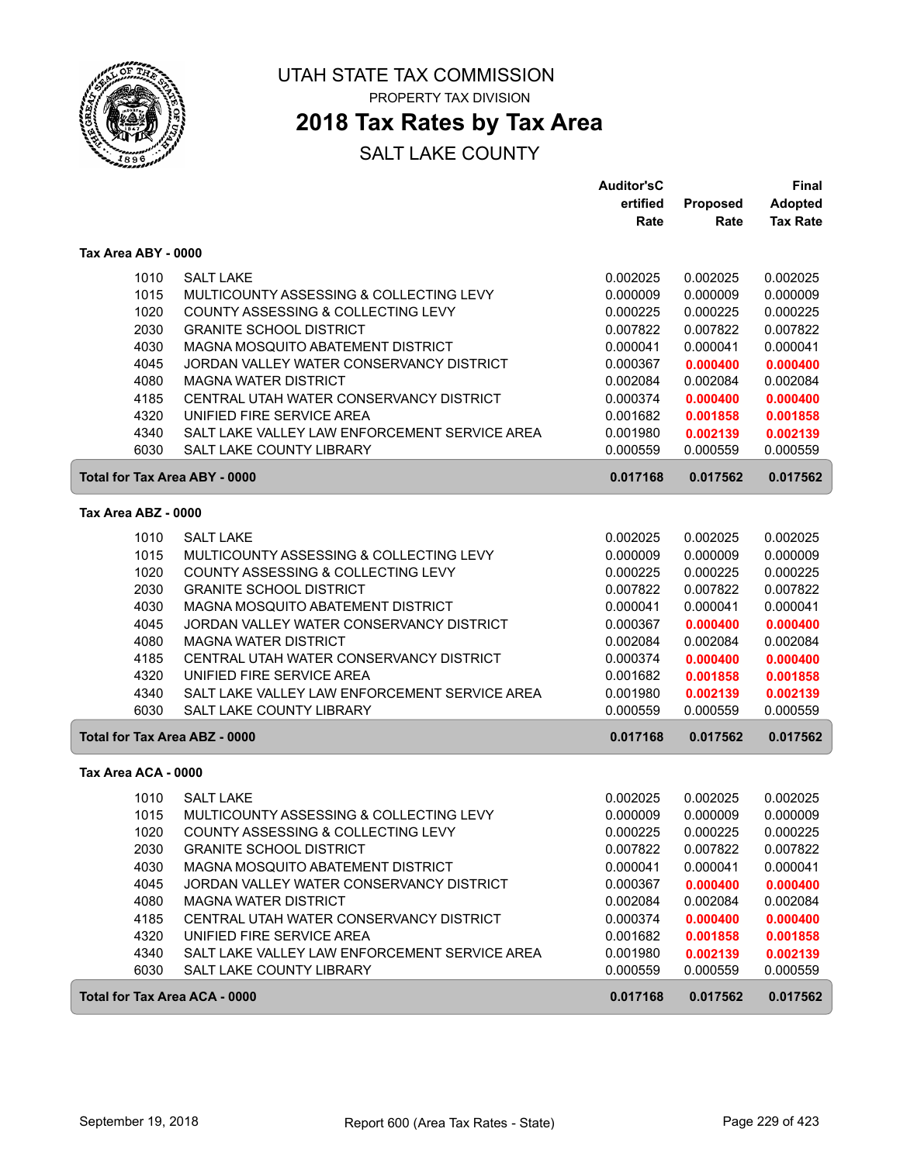

### **2018 Tax Rates by Tax Area**

|                                      |                                               | <b>Auditor'sC</b> |          | Final           |
|--------------------------------------|-----------------------------------------------|-------------------|----------|-----------------|
|                                      |                                               | ertified          | Proposed | <b>Adopted</b>  |
|                                      |                                               | Rate              | Rate     | <b>Tax Rate</b> |
| Tax Area ABY - 0000                  |                                               |                   |          |                 |
| 1010                                 | <b>SALT LAKE</b>                              | 0.002025          | 0.002025 | 0.002025        |
| 1015                                 | MULTICOUNTY ASSESSING & COLLECTING LEVY       | 0.000009          | 0.000009 | 0.000009        |
| 1020                                 | COUNTY ASSESSING & COLLECTING LEVY            | 0.000225          | 0.000225 | 0.000225        |
| 2030                                 | <b>GRANITE SCHOOL DISTRICT</b>                | 0.007822          | 0.007822 | 0.007822        |
| 4030                                 | MAGNA MOSQUITO ABATEMENT DISTRICT             | 0.000041          | 0.000041 | 0.000041        |
| 4045                                 | JORDAN VALLEY WATER CONSERVANCY DISTRICT      | 0.000367          | 0.000400 | 0.000400        |
| 4080                                 | <b>MAGNA WATER DISTRICT</b>                   | 0.002084          | 0.002084 | 0.002084        |
| 4185                                 | CENTRAL UTAH WATER CONSERVANCY DISTRICT       | 0.000374          | 0.000400 | 0.000400        |
| 4320                                 | UNIFIED FIRE SERVICE AREA                     | 0.001682          | 0.001858 | 0.001858        |
| 4340                                 | SALT LAKE VALLEY LAW ENFORCEMENT SERVICE AREA | 0.001980          | 0.002139 | 0.002139        |
| 6030                                 | SALT LAKE COUNTY LIBRARY                      | 0.000559          | 0.000559 | 0.000559        |
| <b>Total for Tax Area ABY - 0000</b> |                                               | 0.017168          | 0.017562 | 0.017562        |
| Tax Area ABZ - 0000                  |                                               |                   |          |                 |
| 1010                                 | <b>SALT LAKE</b>                              | 0.002025          | 0.002025 | 0.002025        |
| 1015                                 | MULTICOUNTY ASSESSING & COLLECTING LEVY       | 0.000009          | 0.000009 | 0.000009        |
| 1020                                 | COUNTY ASSESSING & COLLECTING LEVY            | 0.000225          | 0.000225 | 0.000225        |
| 2030                                 | <b>GRANITE SCHOOL DISTRICT</b>                | 0.007822          | 0.007822 | 0.007822        |
| 4030                                 | MAGNA MOSQUITO ABATEMENT DISTRICT             | 0.000041          | 0.000041 | 0.000041        |
| 4045                                 | JORDAN VALLEY WATER CONSERVANCY DISTRICT      | 0.000367          | 0.000400 | 0.000400        |
| 4080                                 | <b>MAGNA WATER DISTRICT</b>                   | 0.002084          | 0.002084 | 0.002084        |
| 4185                                 | CENTRAL UTAH WATER CONSERVANCY DISTRICT       | 0.000374          | 0.000400 | 0.000400        |
| 4320                                 | UNIFIED FIRE SERVICE AREA                     | 0.001682          | 0.001858 | 0.001858        |
| 4340                                 | SALT LAKE VALLEY LAW ENFORCEMENT SERVICE AREA | 0.001980          | 0.002139 | 0.002139        |
| 6030                                 | <b>SALT LAKE COUNTY LIBRARY</b>               | 0.000559          | 0.000559 | 0.000559        |
| Total for Tax Area ABZ - 0000        |                                               | 0.017168          | 0.017562 | 0.017562        |
| Tax Area ACA - 0000                  |                                               |                   |          |                 |
| 1010                                 | <b>SALT LAKE</b>                              | 0.002025          | 0.002025 | 0.002025        |
| 1015                                 | MULTICOUNTY ASSESSING & COLLECTING LEVY       | 0.000009          | 0.000009 | 0.000009        |
| 1020                                 | COUNTY ASSESSING & COLLECTING LEVY            | 0.000225          | 0.000225 | 0.000225        |
| 2030                                 | <b>GRANITE SCHOOL DISTRICT</b>                | 0.007822          | 0.007822 | 0.007822        |
| 4030                                 | MAGNA MOSQUITO ABATEMENT DISTRICT             | 0.000041          | 0.000041 | 0.000041        |
| 4045                                 | JORDAN VALLEY WATER CONSERVANCY DISTRICT      | 0.000367          | 0.000400 | 0.000400        |
| 4080                                 | <b>MAGNA WATER DISTRICT</b>                   | 0.002084          | 0.002084 | 0.002084        |
| 4185                                 | CENTRAL UTAH WATER CONSERVANCY DISTRICT       | 0.000374          | 0.000400 | 0.000400        |
| 4320                                 | UNIFIED FIRE SERVICE AREA                     | 0.001682          | 0.001858 | 0.001858        |
| 4340                                 | SALT LAKE VALLEY LAW ENFORCEMENT SERVICE AREA | 0.001980          | 0.002139 | 0.002139        |
| 6030                                 | SALT LAKE COUNTY LIBRARY                      | 0.000559          | 0.000559 | 0.000559        |
| Total for Tax Area ACA - 0000        |                                               | 0.017168          | 0.017562 | 0.017562        |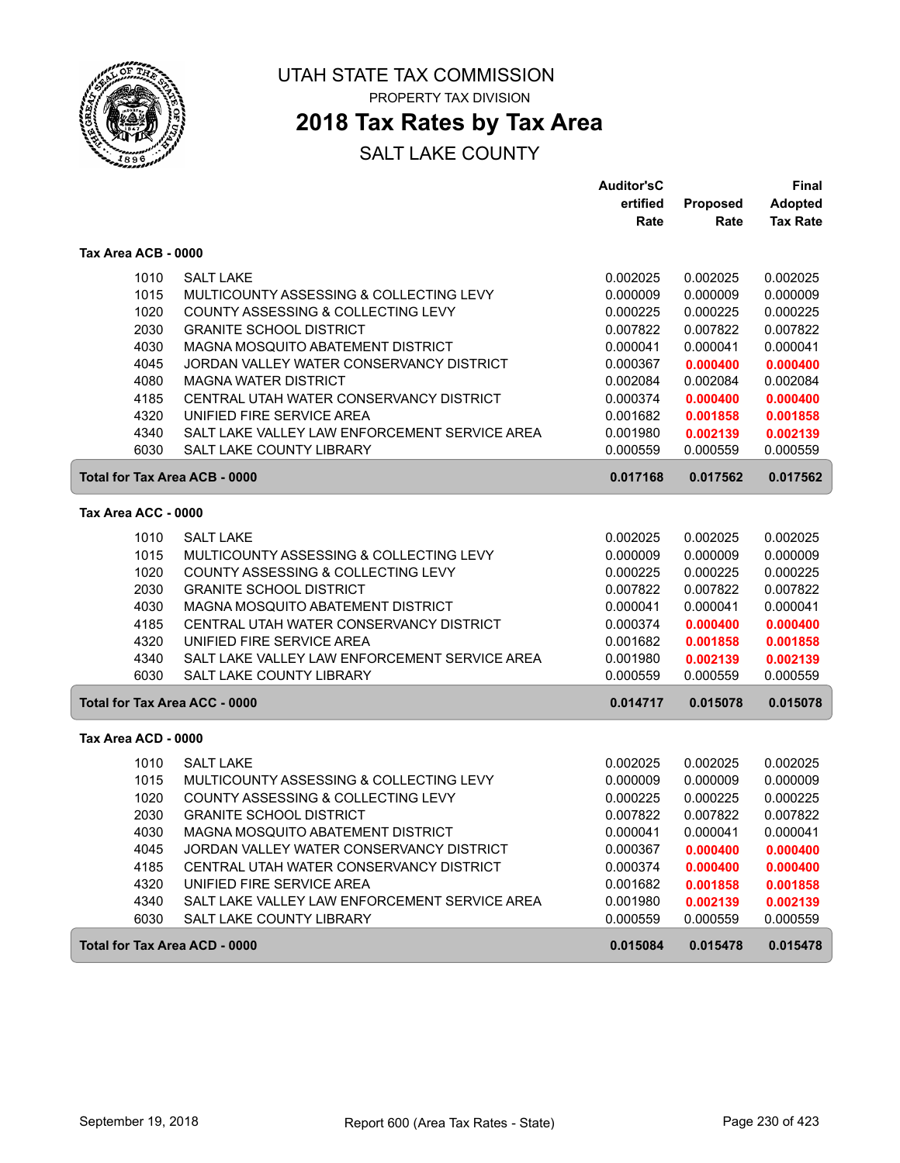

### **2018 Tax Rates by Tax Area**

|                                                              |                                               | <b>Auditor'sC</b> |                 | Final           |
|--------------------------------------------------------------|-----------------------------------------------|-------------------|-----------------|-----------------|
|                                                              |                                               | ertified          | <b>Proposed</b> | <b>Adopted</b>  |
|                                                              |                                               | Rate              | Rate            | <b>Tax Rate</b> |
| Tax Area ACB - 0000                                          |                                               |                   |                 |                 |
| 1010                                                         | <b>SALT LAKE</b>                              | 0.002025          | 0.002025        | 0.002025        |
| 1015                                                         | MULTICOUNTY ASSESSING & COLLECTING LEVY       | 0.000009          | 0.000009        | 0.000009        |
| 1020                                                         | COUNTY ASSESSING & COLLECTING LEVY            | 0.000225          | 0.000225        | 0.000225        |
| 2030                                                         | <b>GRANITE SCHOOL DISTRICT</b>                | 0.007822          | 0.007822        | 0.007822        |
| 4030                                                         | MAGNA MOSQUITO ABATEMENT DISTRICT             | 0.000041          | 0.000041        | 0.000041        |
| 4045                                                         | JORDAN VALLEY WATER CONSERVANCY DISTRICT      | 0.000367          | 0.000400        | 0.000400        |
| 4080                                                         | <b>MAGNA WATER DISTRICT</b>                   | 0.002084          | 0.002084        | 0.002084        |
| 4185                                                         | CENTRAL UTAH WATER CONSERVANCY DISTRICT       | 0.000374          | 0.000400        | 0.000400        |
| 4320                                                         | UNIFIED FIRE SERVICE AREA                     | 0.001682          | 0.001858        | 0.001858        |
| 4340                                                         | SALT LAKE VALLEY LAW ENFORCEMENT SERVICE AREA | 0.001980          | 0.002139        | 0.002139        |
| 6030                                                         | <b>SALT LAKE COUNTY LIBRARY</b>               | 0.000559          | 0.000559        | 0.000559        |
| <b>Total for Tax Area ACB - 0000</b><br>0.017168<br>0.017562 |                                               |                   |                 | 0.017562        |
| Tax Area ACC - 0000                                          |                                               |                   |                 |                 |
| 1010                                                         | <b>SALT LAKE</b>                              | 0.002025          | 0.002025        | 0.002025        |
| 1015                                                         | MULTICOUNTY ASSESSING & COLLECTING LEVY       | 0.000009          | 0.000009        | 0.000009        |
| 1020                                                         | COUNTY ASSESSING & COLLECTING LEVY            | 0.000225          | 0.000225        | 0.000225        |
| 2030                                                         | <b>GRANITE SCHOOL DISTRICT</b>                | 0.007822          | 0.007822        | 0.007822        |
| 4030                                                         | MAGNA MOSQUITO ABATEMENT DISTRICT             | 0.000041          | 0.000041        | 0.000041        |
| 4185                                                         | CENTRAL UTAH WATER CONSERVANCY DISTRICT       | 0.000374          | 0.000400        | 0.000400        |
| 4320                                                         | UNIFIED FIRE SERVICE AREA                     | 0.001682          | 0.001858        | 0.001858        |
| 4340                                                         | SALT LAKE VALLEY LAW ENFORCEMENT SERVICE AREA | 0.001980          | 0.002139        | 0.002139        |
| 6030                                                         | <b>SALT LAKE COUNTY LIBRARY</b>               | 0.000559          | 0.000559        | 0.000559        |
| <b>Total for Tax Area ACC - 0000</b>                         |                                               | 0.014717          | 0.015078        | 0.015078        |
| Tax Area ACD - 0000                                          |                                               |                   |                 |                 |
| 1010                                                         | <b>SALT LAKE</b>                              | 0.002025          | 0.002025        | 0.002025        |
| 1015                                                         | MULTICOUNTY ASSESSING & COLLECTING LEVY       | 0.000009          | 0.000009        | 0.000009        |
| 1020                                                         | COUNTY ASSESSING & COLLECTING LEVY            | 0.000225          | 0.000225        | 0.000225        |
| 2030                                                         | <b>GRANITE SCHOOL DISTRICT</b>                | 0.007822          | 0.007822        | 0.007822        |
| 4030                                                         | MAGNA MOSQUITO ABATEMENT DISTRICT             | 0.000041          | 0.000041        | 0.000041        |
| 4045                                                         | JORDAN VALLEY WATER CONSERVANCY DISTRICT      | 0.000367          | 0.000400        | 0.000400        |
| 4185                                                         | CENTRAL UTAH WATER CONSERVANCY DISTRICT       | 0.000374          | 0.000400        | 0.000400        |
| 4320                                                         | UNIFIED FIRE SERVICE AREA                     | 0.001682          | 0.001858        | 0.001858        |
| 4340                                                         | SALT LAKE VALLEY LAW ENFORCEMENT SERVICE AREA | 0.001980          | 0.002139        | 0.002139        |
| 6030                                                         | SALT LAKE COUNTY LIBRARY                      | 0.000559          | 0.000559        | 0.000559        |
| Total for Tax Area ACD - 0000                                |                                               | 0.015084          | 0.015478        | 0.015478        |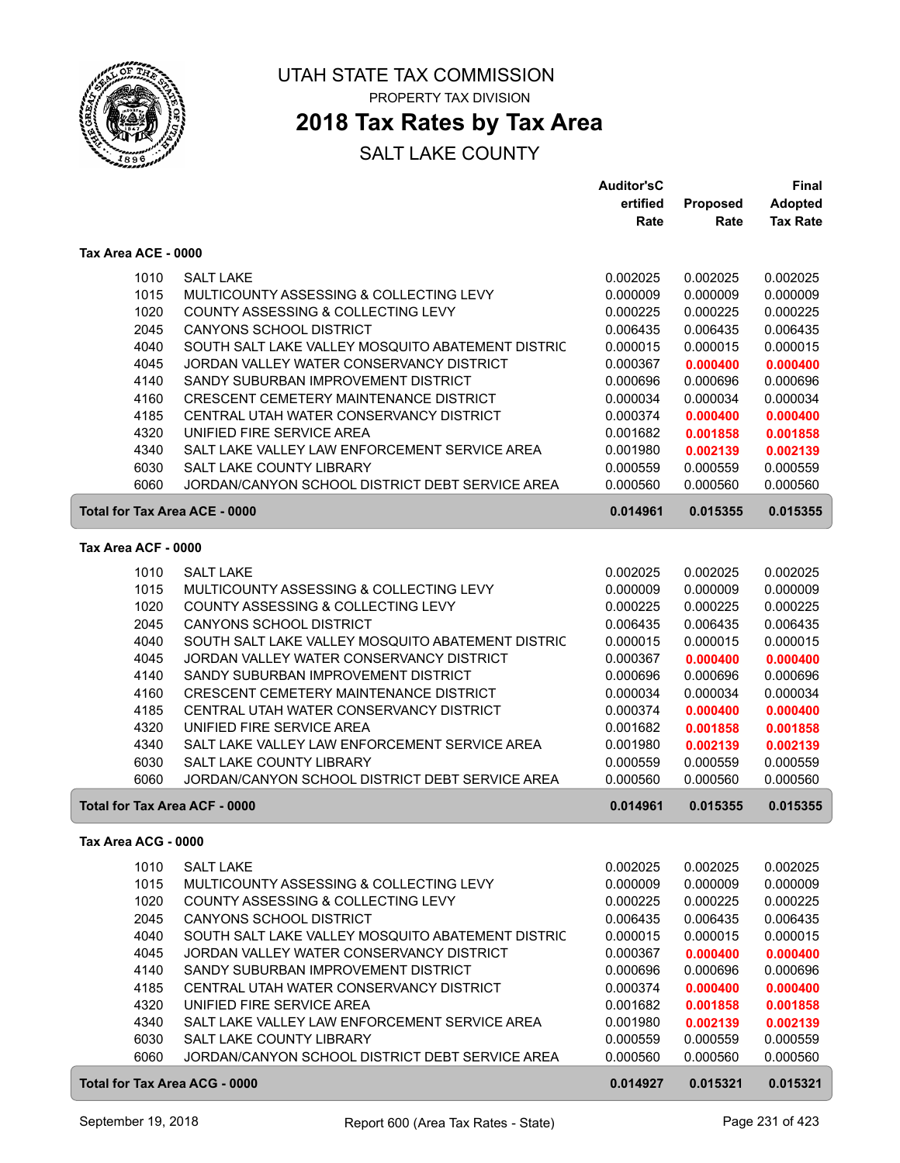

### **2018 Tax Rates by Tax Area**

|                                      |                                                   | <b>Auditor'sC</b> |                 | <b>Final</b>    |
|--------------------------------------|---------------------------------------------------|-------------------|-----------------|-----------------|
|                                      |                                                   | ertified          | <b>Proposed</b> | <b>Adopted</b>  |
|                                      |                                                   | Rate              | Rate            | <b>Tax Rate</b> |
| Tax Area ACE - 0000                  |                                                   |                   |                 |                 |
| 1010                                 | <b>SALT LAKE</b>                                  | 0.002025          | 0.002025        | 0.002025        |
| 1015                                 | MULTICOUNTY ASSESSING & COLLECTING LEVY           | 0.000009          | 0.000009        | 0.000009        |
| 1020                                 | COUNTY ASSESSING & COLLECTING LEVY                | 0.000225          | 0.000225        | 0.000225        |
| 2045                                 | <b>CANYONS SCHOOL DISTRICT</b>                    | 0.006435          | 0.006435        | 0.006435        |
| 4040                                 | SOUTH SALT LAKE VALLEY MOSQUITO ABATEMENT DISTRIC | 0.000015          | 0.000015        | 0.000015        |
| 4045                                 | JORDAN VALLEY WATER CONSERVANCY DISTRICT          | 0.000367          | 0.000400        | 0.000400        |
| 4140                                 | SANDY SUBURBAN IMPROVEMENT DISTRICT               | 0.000696          | 0.000696        | 0.000696        |
| 4160                                 | CRESCENT CEMETERY MAINTENANCE DISTRICT            | 0.000034          | 0.000034        | 0.000034        |
| 4185                                 | CENTRAL UTAH WATER CONSERVANCY DISTRICT           | 0.000374          | 0.000400        | 0.000400        |
| 4320                                 | UNIFIED FIRE SERVICE AREA                         | 0.001682          | 0.001858        | 0.001858        |
| 4340                                 | SALT LAKE VALLEY LAW ENFORCEMENT SERVICE AREA     | 0.001980          | 0.002139        | 0.002139        |
| 6030                                 | SALT LAKE COUNTY LIBRARY                          | 0.000559          | 0.000559        | 0.000559        |
| 6060                                 | JORDAN/CANYON SCHOOL DISTRICT DEBT SERVICE AREA   | 0.000560          | 0.000560        | 0.000560        |
| <b>Total for Tax Area ACE - 0000</b> |                                                   | 0.014961          | 0.015355        | 0.015355        |
|                                      |                                                   |                   |                 |                 |
| Tax Area ACF - 0000                  |                                                   |                   |                 |                 |
| 1010                                 | <b>SALT LAKE</b>                                  | 0.002025          | 0.002025        | 0.002025        |
| 1015                                 | MULTICOUNTY ASSESSING & COLLECTING LEVY           | 0.000009          | 0.000009        | 0.000009        |
| 1020                                 | COUNTY ASSESSING & COLLECTING LEVY                | 0.000225          | 0.000225        | 0.000225        |
| 2045                                 | CANYONS SCHOOL DISTRICT                           | 0.006435          | 0.006435        | 0.006435        |
| 4040                                 | SOUTH SALT LAKE VALLEY MOSQUITO ABATEMENT DISTRIC | 0.000015          | 0.000015        | 0.000015        |
| 4045                                 | JORDAN VALLEY WATER CONSERVANCY DISTRICT          | 0.000367          | 0.000400        | 0.000400        |
| 4140                                 | SANDY SUBURBAN IMPROVEMENT DISTRICT               | 0.000696          | 0.000696        | 0.000696        |
| 4160                                 | CRESCENT CEMETERY MAINTENANCE DISTRICT            | 0.000034          | 0.000034        | 0.000034        |
| 4185                                 | CENTRAL UTAH WATER CONSERVANCY DISTRICT           | 0.000374          | 0.000400        | 0.000400        |
| 4320                                 | UNIFIED FIRE SERVICE AREA                         | 0.001682          | 0.001858        | 0.001858        |
| 4340                                 | SALT LAKE VALLEY LAW ENFORCEMENT SERVICE AREA     | 0.001980          | 0.002139        | 0.002139        |
| 6030                                 | <b>SALT LAKE COUNTY LIBRARY</b>                   | 0.000559          | 0.000559        | 0.000559        |
| 6060                                 | JORDAN/CANYON SCHOOL DISTRICT DEBT SERVICE AREA   | 0.000560          | 0.000560        | 0.000560        |
| Total for Tax Area ACF - 0000        |                                                   | 0.014961          | 0.015355        | 0.015355        |
| Tax Area ACG - 0000                  |                                                   |                   |                 |                 |
| 1010                                 | <b>SALT LAKE</b>                                  | 0.002025          | 0.002025        | 0.002025        |
| 1015                                 | MULTICOUNTY ASSESSING & COLLECTING LEVY           | 0.000009          | 0.000009        | 0.000009        |
| 1020                                 | COUNTY ASSESSING & COLLECTING LEVY                | 0.000225          | 0.000225        | 0.000225        |
| 2045                                 | <b>CANYONS SCHOOL DISTRICT</b>                    | 0.006435          | 0.006435        | 0.006435        |
| 4040                                 | SOUTH SALT LAKE VALLEY MOSQUITO ABATEMENT DISTRIC | 0.000015          | 0.000015        | 0.000015        |
| 4045                                 | JORDAN VALLEY WATER CONSERVANCY DISTRICT          | 0.000367          | 0.000400        | 0.000400        |
| 4140                                 | SANDY SUBURBAN IMPROVEMENT DISTRICT               | 0.000696          | 0.000696        | 0.000696        |
| 4185                                 | CENTRAL UTAH WATER CONSERVANCY DISTRICT           | 0.000374          | 0.000400        | 0.000400        |
| 4320                                 | UNIFIED FIRE SERVICE AREA                         | 0.001682          | 0.001858        | 0.001858        |
| 4340                                 | SALT LAKE VALLEY LAW ENFORCEMENT SERVICE AREA     | 0.001980          | 0.002139        | 0.002139        |
| 6030                                 | SALT LAKE COUNTY LIBRARY                          | 0.000559          | 0.000559        | 0.000559        |
| 6060                                 | JORDAN/CANYON SCHOOL DISTRICT DEBT SERVICE AREA   | 0.000560          | 0.000560        | 0.000560        |
| Total for Tax Area ACG - 0000        |                                                   | 0.014927          | 0.015321        | 0.015321        |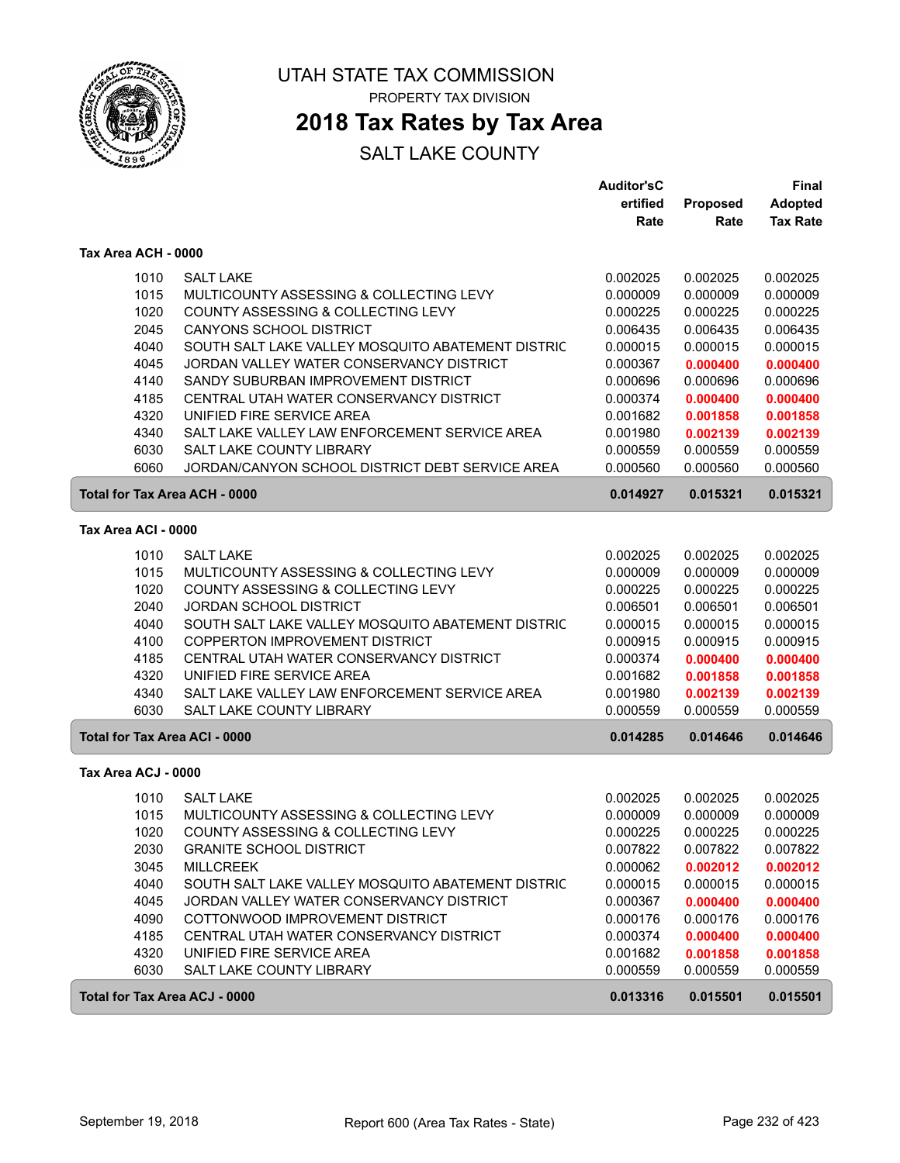

ſ

UTAH STATE TAX COMMISSION PROPERTY TAX DIVISION

### **2018 Tax Rates by Tax Area**

|                     |                                                           | <b>Auditor'sC</b> |          | Final           |
|---------------------|-----------------------------------------------------------|-------------------|----------|-----------------|
|                     |                                                           | ertified          | Proposed | <b>Adopted</b>  |
|                     |                                                           | Rate              | Rate     | <b>Tax Rate</b> |
|                     | Tax Area ACH - 0000                                       |                   |          |                 |
|                     | <b>SALT LAKE</b><br>1010                                  | 0.002025          | 0.002025 | 0.002025        |
|                     | 1015<br>MULTICOUNTY ASSESSING & COLLECTING LEVY           | 0.000009          | 0.000009 | 0.000009        |
|                     | 1020<br>COUNTY ASSESSING & COLLECTING LEVY                | 0.000225          | 0.000225 | 0.000225        |
|                     | 2045<br>CANYONS SCHOOL DISTRICT                           | 0.006435          | 0.006435 | 0.006435        |
|                     | 4040<br>SOUTH SALT LAKE VALLEY MOSQUITO ABATEMENT DISTRIC | 0.000015          | 0.000015 | 0.000015        |
|                     | 4045<br>JORDAN VALLEY WATER CONSERVANCY DISTRICT          | 0.000367          | 0.000400 | 0.000400        |
|                     | 4140<br>SANDY SUBURBAN IMPROVEMENT DISTRICT               | 0.000696          | 0.000696 | 0.000696        |
|                     | 4185<br>CENTRAL UTAH WATER CONSERVANCY DISTRICT           | 0.000374          | 0.000400 | 0.000400        |
|                     | UNIFIED FIRE SERVICE AREA<br>4320                         | 0.001682          | 0.001858 | 0.001858        |
|                     | 4340<br>SALT LAKE VALLEY LAW ENFORCEMENT SERVICE AREA     | 0.001980          | 0.002139 | 0.002139        |
|                     | 6030<br>SALT LAKE COUNTY LIBRARY                          | 0.000559          | 0.000559 | 0.000559        |
|                     | 6060<br>JORDAN/CANYON SCHOOL DISTRICT DEBT SERVICE AREA   | 0.000560          | 0.000560 | 0.000560        |
|                     | <b>Total for Tax Area ACH - 0000</b>                      | 0.014927          | 0.015321 | 0.015321        |
| Tax Area ACI - 0000 |                                                           |                   |          |                 |
|                     | 1010<br><b>SALT LAKE</b>                                  | 0.002025          | 0.002025 | 0.002025        |
|                     | 1015<br>MULTICOUNTY ASSESSING & COLLECTING LEVY           | 0.000009          | 0.000009 | 0.000009        |
|                     | 1020<br>COUNTY ASSESSING & COLLECTING LEVY                | 0.000225          | 0.000225 | 0.000225        |
|                     | 2040<br><b>JORDAN SCHOOL DISTRICT</b>                     | 0.006501          | 0.006501 | 0.006501        |
|                     | 4040<br>SOUTH SALT LAKE VALLEY MOSQUITO ABATEMENT DISTRIC | 0.000015          | 0.000015 | 0.000015        |
|                     | 4100<br>COPPERTON IMPROVEMENT DISTRICT                    | 0.000915          | 0.000915 | 0.000915        |
|                     | 4185<br>CENTRAL UTAH WATER CONSERVANCY DISTRICT           | 0.000374          | 0.000400 | 0.000400        |
|                     | 4320<br>UNIFIED FIRE SERVICE AREA                         | 0.001682          | 0.001858 | 0.001858        |
|                     | 4340<br>SALT LAKE VALLEY LAW ENFORCEMENT SERVICE AREA     | 0.001980          | 0.002139 | 0.002139        |
|                     | 6030<br>SALT LAKE COUNTY LIBRARY                          | 0.000559          | 0.000559 | 0.000559        |
|                     | <b>Total for Tax Area ACI - 0000</b>                      | 0.014285          | 0.014646 | 0.014646        |
|                     | Tax Area ACJ - 0000                                       |                   |          |                 |
|                     | 1010<br><b>SALT LAKE</b>                                  | 0.002025          | 0.002025 | 0.002025        |
|                     | 1015<br>MULTICOUNTY ASSESSING & COLLECTING LEVY           | 0.000009          | 0.000009 | 0.000009        |
|                     | 1020<br>COUNTY ASSESSING & COLLECTING LEVY                | 0.000225          | 0.000225 | 0.000225        |
|                     | 2030<br><b>GRANITE SCHOOL DISTRICT</b>                    | 0.007822          | 0.007822 | 0.007822        |
|                     | 3045<br><b>MILLCREEK</b>                                  | 0.000062          | 0.002012 | 0.002012        |
|                     | 4040<br>SOUTH SALT LAKE VALLEY MOSQUITO ABATEMENT DISTRIC | 0.000015          | 0.000015 | 0.000015        |
|                     | 4045<br>JORDAN VALLEY WATER CONSERVANCY DISTRICT          | 0.000367          | 0.000400 | 0.000400        |
|                     | 4090<br>COTTONWOOD IMPROVEMENT DISTRICT                   | 0.000176          | 0.000176 | 0.000176        |
|                     | 4185<br>CENTRAL UTAH WATER CONSERVANCY DISTRICT           | 0.000374          | 0.000400 | 0.000400        |
|                     | 4320<br>UNIFIED FIRE SERVICE AREA                         | 0.001682          | 0.001858 | 0.001858        |
|                     | 6030<br>SALT LAKE COUNTY LIBRARY                          | 0.000559          | 0.000559 | 0.000559        |
|                     | Total for Tax Area ACJ - 0000                             | 0.013316          | 0.015501 | 0.015501        |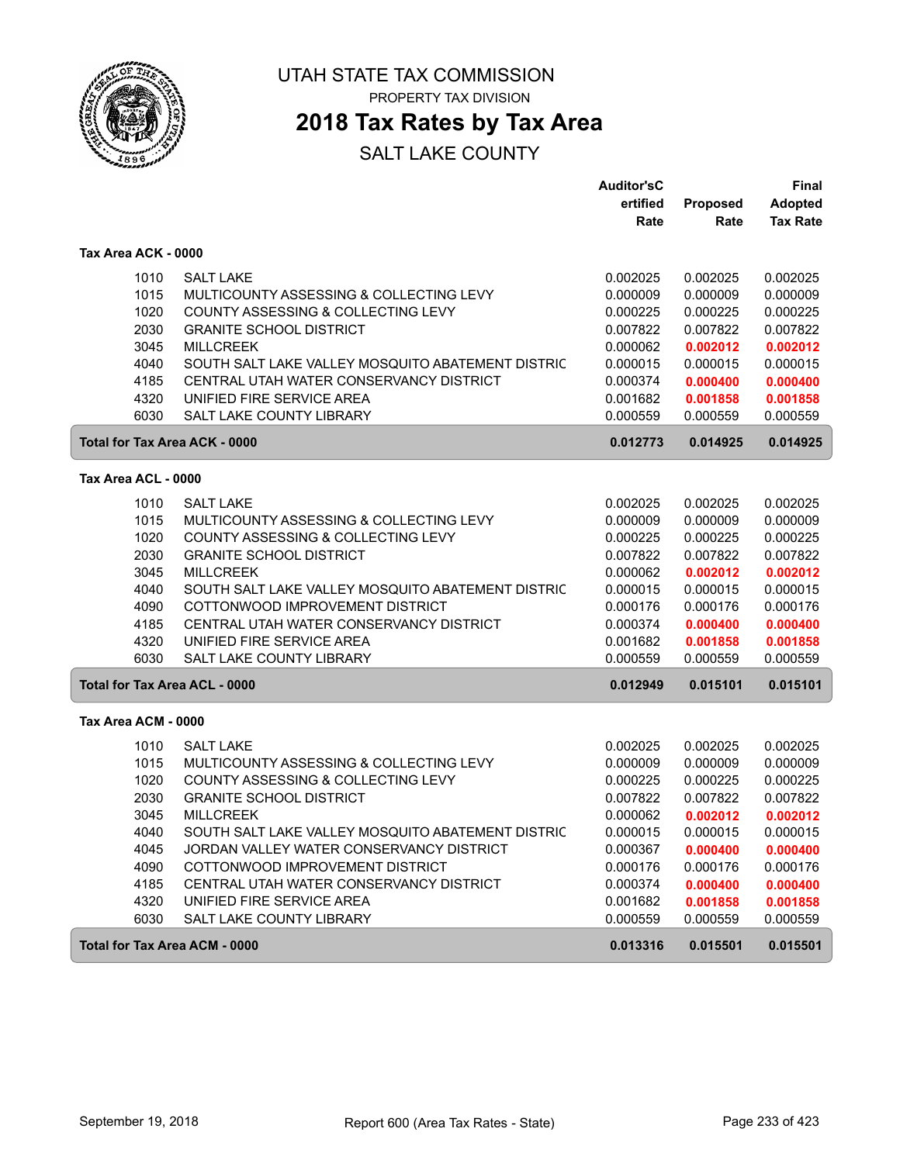

**2018 Tax Rates by Tax Area**

|                                      |                                                                            | <b>Auditor'sC</b>    |                      | Final                |
|--------------------------------------|----------------------------------------------------------------------------|----------------------|----------------------|----------------------|
|                                      |                                                                            | ertified             | Proposed             | <b>Adopted</b>       |
|                                      |                                                                            | Rate                 | Rate                 | <b>Tax Rate</b>      |
| Tax Area ACK - 0000                  |                                                                            |                      |                      |                      |
| 1010                                 | <b>SALT LAKE</b>                                                           | 0.002025             | 0.002025             | 0.002025             |
| 1015                                 | MULTICOUNTY ASSESSING & COLLECTING LEVY                                    | 0.000009             | 0.000009             | 0.000009             |
| 1020                                 | COUNTY ASSESSING & COLLECTING LEVY                                         | 0.000225             | 0.000225             | 0.000225             |
| 2030                                 | <b>GRANITE SCHOOL DISTRICT</b>                                             | 0.007822             | 0.007822             | 0.007822             |
| 3045                                 | <b>MILLCREEK</b>                                                           | 0.000062             | 0.002012             | 0.002012             |
| 4040                                 | SOUTH SALT LAKE VALLEY MOSQUITO ABATEMENT DISTRIC                          | 0.000015             | 0.000015             | 0.000015             |
| 4185                                 | CENTRAL UTAH WATER CONSERVANCY DISTRICT                                    | 0.000374             | 0.000400             | 0.000400             |
| 4320                                 | UNIFIED FIRE SERVICE AREA                                                  | 0.001682             | 0.001858             | 0.001858             |
| 6030                                 | SALT LAKE COUNTY LIBRARY                                                   | 0.000559             | 0.000559             | 0.000559             |
| Total for Tax Area ACK - 0000        | 0.012773                                                                   | 0.014925             | 0.014925             |                      |
| Tax Area ACL - 0000                  |                                                                            |                      |                      |                      |
| 1010                                 | <b>SALT LAKE</b>                                                           | 0.002025             | 0.002025             | 0.002025             |
| 1015                                 | MULTICOUNTY ASSESSING & COLLECTING LEVY                                    | 0.000009             | 0.000009             | 0.000009             |
| 1020                                 | COUNTY ASSESSING & COLLECTING LEVY                                         | 0.000225             | 0.000225             | 0.000225             |
| 2030                                 | <b>GRANITE SCHOOL DISTRICT</b>                                             | 0.007822             | 0.007822             | 0.007822             |
| 3045                                 | <b>MILLCREEK</b>                                                           | 0.000062             | 0.002012             | 0.002012             |
| 4040                                 | SOUTH SALT LAKE VALLEY MOSQUITO ABATEMENT DISTRIC                          | 0.000015             | 0.000015             | 0.000015             |
| 4090                                 | COTTONWOOD IMPROVEMENT DISTRICT                                            | 0.000176             | 0.000176             | 0.000176             |
| 4185                                 | CENTRAL UTAH WATER CONSERVANCY DISTRICT                                    | 0.000374             | 0.000400             | 0.000400             |
| 4320                                 | UNIFIED FIRE SERVICE AREA                                                  | 0.001682             | 0.001858             | 0.001858             |
| 6030                                 | <b>SALT LAKE COUNTY LIBRARY</b>                                            | 0.000559             | 0.000559             | 0.000559             |
| <b>Total for Tax Area ACL - 0000</b> |                                                                            | 0.012949             | 0.015101             | 0.015101             |
| Tax Area ACM - 0000                  |                                                                            |                      |                      |                      |
|                                      |                                                                            |                      |                      |                      |
| 1010                                 | <b>SALT LAKE</b>                                                           | 0.002025             | 0.002025             | 0.002025             |
| 1015                                 | MULTICOUNTY ASSESSING & COLLECTING LEVY                                    | 0.000009             | 0.000009             | 0.000009             |
| 1020                                 | COUNTY ASSESSING & COLLECTING LEVY<br><b>GRANITE SCHOOL DISTRICT</b>       | 0.000225             | 0.000225             | 0.000225             |
| 2030                                 |                                                                            | 0.007822             | 0.007822             | 0.007822             |
| 3045                                 | <b>MILLCREEK</b>                                                           | 0.000062             | 0.002012             | 0.002012             |
| 4040                                 | SOUTH SALT LAKE VALLEY MOSQUITO ABATEMENT DISTRIC                          | 0.000015             | 0.000015             | 0.000015             |
| 4045                                 | JORDAN VALLEY WATER CONSERVANCY DISTRICT                                   | 0.000367             | 0.000400             | 0.000400             |
| 4090<br>4185                         | COTTONWOOD IMPROVEMENT DISTRICT<br>CENTRAL UTAH WATER CONSERVANCY DISTRICT | 0.000176<br>0.000374 | 0.000176             | 0.000176             |
| 4320                                 | UNIFIED FIRE SERVICE AREA                                                  | 0.001682             | 0.000400<br>0.001858 | 0.000400<br>0.001858 |
| 6030                                 | SALT LAKE COUNTY LIBRARY                                                   | 0.000559             | 0.000559             | 0.000559             |
|                                      |                                                                            |                      |                      |                      |
| <b>Total for Tax Area ACM - 0000</b> |                                                                            | 0.013316             | 0.015501             | 0.015501             |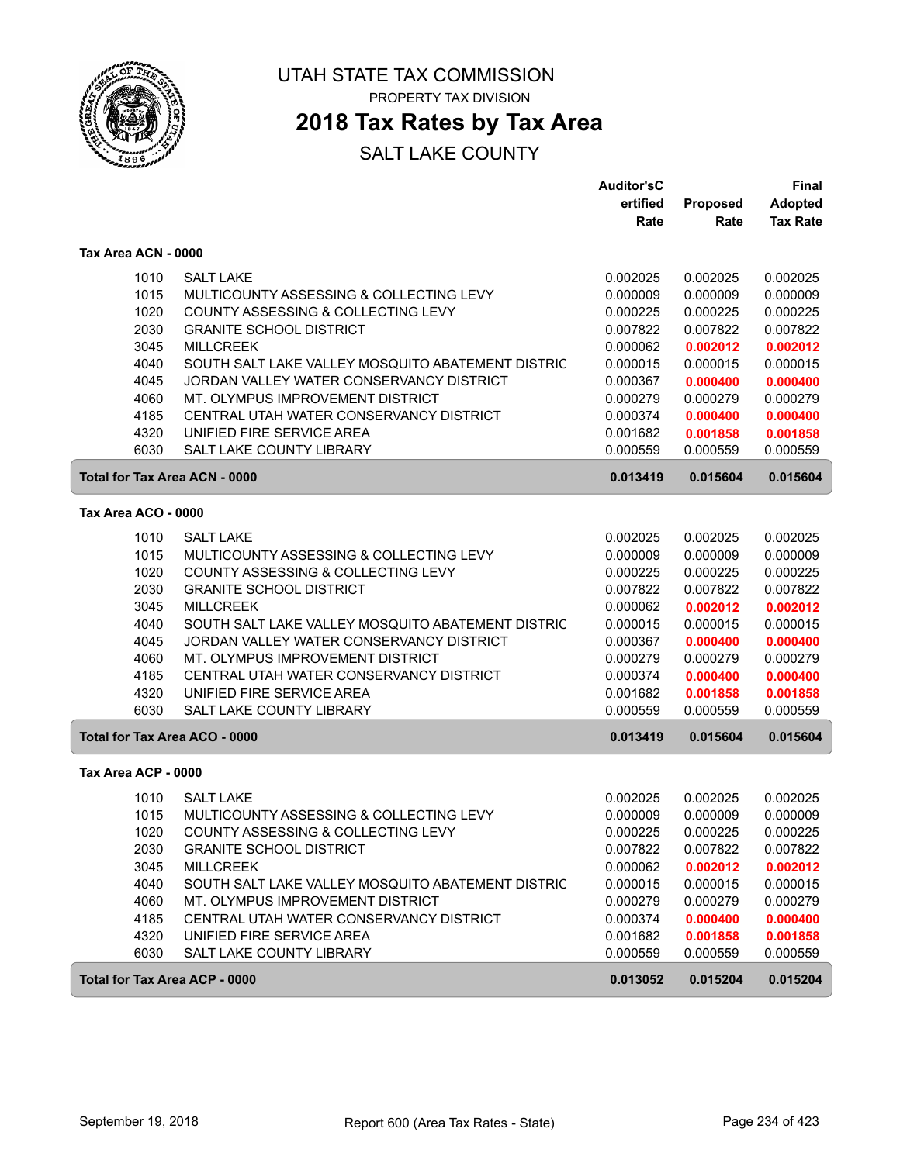

### **2018 Tax Rates by Tax Area**

|                                      |                                                   | <b>Auditor'sC</b> |          | Final           |
|--------------------------------------|---------------------------------------------------|-------------------|----------|-----------------|
|                                      |                                                   | ertified          | Proposed | <b>Adopted</b>  |
|                                      |                                                   | Rate              | Rate     | <b>Tax Rate</b> |
| Tax Area ACN - 0000                  |                                                   |                   |          |                 |
| 1010                                 | <b>SALT LAKE</b>                                  | 0.002025          | 0.002025 | 0.002025        |
| 1015                                 | MULTICOUNTY ASSESSING & COLLECTING LEVY           | 0.000009          | 0.000009 | 0.000009        |
| 1020                                 | COUNTY ASSESSING & COLLECTING LEVY                | 0.000225          | 0.000225 | 0.000225        |
| 2030                                 | <b>GRANITE SCHOOL DISTRICT</b>                    | 0.007822          | 0.007822 | 0.007822        |
| 3045                                 | <b>MILLCREEK</b>                                  | 0.000062          | 0.002012 | 0.002012        |
| 4040                                 | SOUTH SALT LAKE VALLEY MOSQUITO ABATEMENT DISTRIC | 0.000015          | 0.000015 | 0.000015        |
| 4045                                 | JORDAN VALLEY WATER CONSERVANCY DISTRICT          | 0.000367          | 0.000400 | 0.000400        |
| 4060                                 | MT. OLYMPUS IMPROVEMENT DISTRICT                  | 0.000279          | 0.000279 | 0.000279        |
| 4185                                 | CENTRAL UTAH WATER CONSERVANCY DISTRICT           | 0.000374          | 0.000400 | 0.000400        |
| 4320                                 | UNIFIED FIRE SERVICE AREA                         | 0.001682          | 0.001858 | 0.001858        |
| 6030                                 | <b>SALT LAKE COUNTY LIBRARY</b>                   | 0.000559          | 0.000559 | 0.000559        |
| <b>Total for Tax Area ACN - 0000</b> |                                                   |                   | 0.015604 | 0.015604        |
| Tax Area ACO - 0000                  |                                                   |                   |          |                 |
| 1010                                 | <b>SALT LAKE</b>                                  | 0.002025          | 0.002025 | 0.002025        |
| 1015                                 | MULTICOUNTY ASSESSING & COLLECTING LEVY           | 0.000009          | 0.000009 | 0.000009        |
| 1020                                 | COUNTY ASSESSING & COLLECTING LEVY                | 0.000225          | 0.000225 | 0.000225        |
| 2030                                 | <b>GRANITE SCHOOL DISTRICT</b>                    | 0.007822          | 0.007822 | 0.007822        |
| 3045                                 | <b>MILLCREEK</b>                                  | 0.000062          | 0.002012 | 0.002012        |
| 4040                                 | SOUTH SALT LAKE VALLEY MOSQUITO ABATEMENT DISTRIC | 0.000015          | 0.000015 | 0.000015        |
| 4045                                 | JORDAN VALLEY WATER CONSERVANCY DISTRICT          | 0.000367          | 0.000400 | 0.000400        |
| 4060                                 | MT. OLYMPUS IMPROVEMENT DISTRICT                  | 0.000279          | 0.000279 | 0.000279        |
| 4185                                 | CENTRAL UTAH WATER CONSERVANCY DISTRICT           | 0.000374          | 0.000400 | 0.000400        |
| 4320                                 | UNIFIED FIRE SERVICE AREA                         | 0.001682          | 0.001858 | 0.001858        |
| 6030                                 | <b>SALT LAKE COUNTY LIBRARY</b>                   | 0.000559          | 0.000559 | 0.000559        |
| Total for Tax Area ACO - 0000        |                                                   | 0.013419          | 0.015604 | 0.015604        |
|                                      |                                                   |                   |          |                 |
| Tax Area ACP - 0000                  |                                                   |                   |          |                 |
| 1010                                 | <b>SALT LAKE</b>                                  | 0.002025          | 0.002025 | 0.002025        |
| 1015                                 | MULTICOUNTY ASSESSING & COLLECTING LEVY           | 0.000009          | 0.000009 | 0.000009        |
| 1020                                 | COUNTY ASSESSING & COLLECTING LEVY                | 0.000225          | 0.000225 | 0.000225        |
| 2030                                 | <b>GRANITE SCHOOL DISTRICT</b>                    | 0.007822          | 0.007822 | 0.007822        |
| 3045                                 | <b>MILLCREEK</b>                                  | 0.000062          | 0.002012 | 0.002012        |
| 4040                                 | SOUTH SALT LAKE VALLEY MOSQUITO ABATEMENT DISTRIC | 0.000015          | 0.000015 | 0.000015        |
| 4060                                 | MT. OLYMPUS IMPROVEMENT DISTRICT                  | 0.000279          | 0.000279 | 0.000279        |
| 4185                                 | CENTRAL UTAH WATER CONSERVANCY DISTRICT           | 0.000374          | 0.000400 | 0.000400        |
| 4320                                 | UNIFIED FIRE SERVICE AREA                         | 0.001682          | 0.001858 | 0.001858        |
| 6030                                 | SALT LAKE COUNTY LIBRARY                          | 0.000559          | 0.000559 | 0.000559        |
| <b>Total for Tax Area ACP - 0000</b> |                                                   | 0.013052          | 0.015204 | 0.015204        |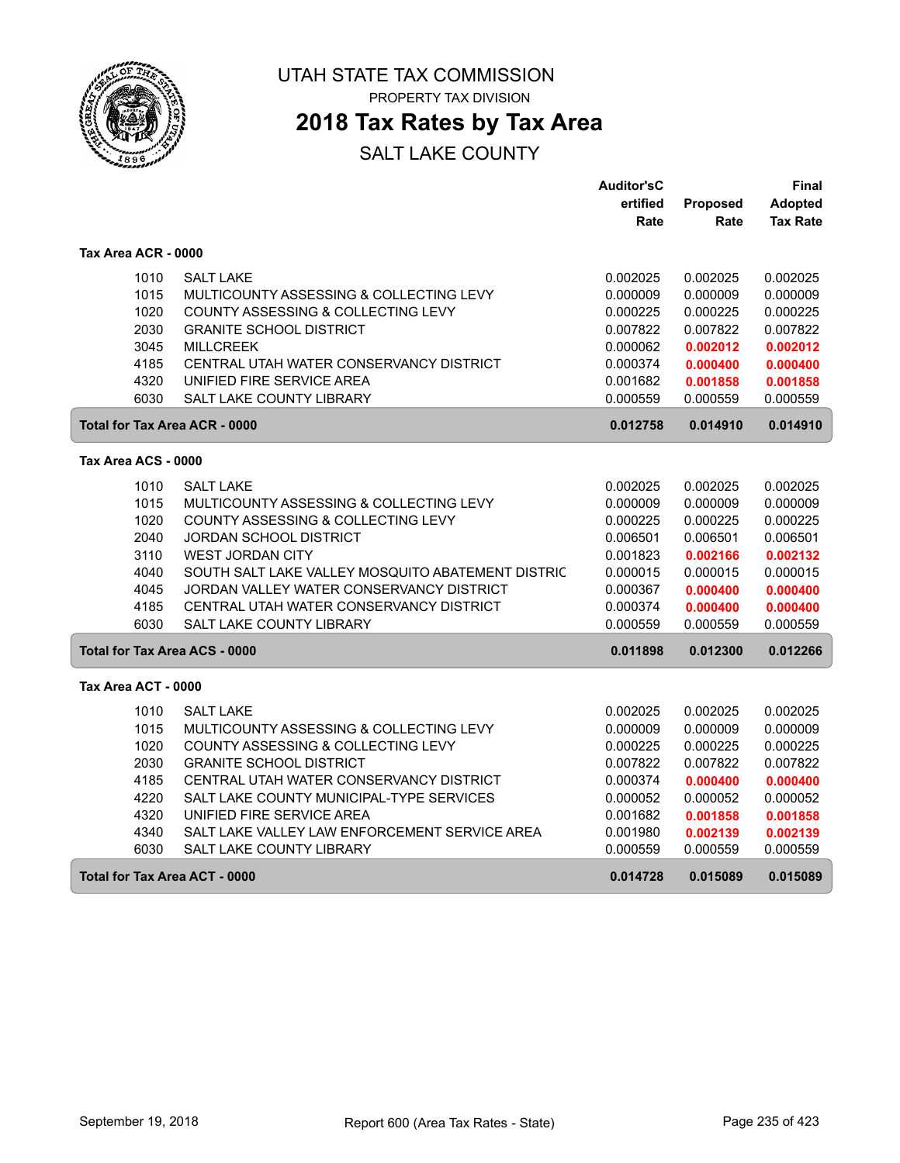

PROPERTY TAX DIVISION

### **2018 Tax Rates by Tax Area**

|                                      |                                                   | <b>Auditor'sC</b> |                 | Final           |
|--------------------------------------|---------------------------------------------------|-------------------|-----------------|-----------------|
|                                      |                                                   | ertified          | <b>Proposed</b> | <b>Adopted</b>  |
|                                      |                                                   | Rate              | Rate            | <b>Tax Rate</b> |
| Tax Area ACR - 0000                  |                                                   |                   |                 |                 |
| 1010                                 | <b>SALT LAKE</b>                                  | 0.002025          | 0.002025        | 0.002025        |
| 1015                                 | MULTICOUNTY ASSESSING & COLLECTING LEVY           | 0.000009          | 0.000009        | 0.000009        |
| 1020                                 | COUNTY ASSESSING & COLLECTING LEVY                | 0.000225          | 0.000225        | 0.000225        |
| 2030                                 | <b>GRANITE SCHOOL DISTRICT</b>                    | 0.007822          | 0.007822        | 0.007822        |
| 3045                                 | <b>MILLCREEK</b>                                  | 0.000062          | 0.002012        | 0.002012        |
| 4185                                 | CENTRAL UTAH WATER CONSERVANCY DISTRICT           | 0.000374          | 0.000400        | 0.000400        |
| 4320                                 | UNIFIED FIRE SERVICE AREA                         | 0.001682          | 0.001858        | 0.001858        |
| 6030                                 | SALT LAKE COUNTY LIBRARY                          | 0.000559          | 0.000559        | 0.000559        |
| <b>Total for Tax Area ACR - 0000</b> |                                                   | 0.012758          | 0.014910        | 0.014910        |
| Tax Area ACS - 0000                  |                                                   |                   |                 |                 |
|                                      |                                                   |                   |                 |                 |
| 1010                                 | <b>SALT LAKE</b>                                  | 0.002025          | 0.002025        | 0.002025        |
| 1015                                 | MULTICOUNTY ASSESSING & COLLECTING LEVY           | 0.000009          | 0.000009        | 0.000009        |
| 1020                                 | COUNTY ASSESSING & COLLECTING LEVY                | 0.000225          | 0.000225        | 0.000225        |
| 2040                                 | JORDAN SCHOOL DISTRICT                            | 0.006501          | 0.006501        | 0.006501        |
| 3110                                 | <b>WEST JORDAN CITY</b>                           | 0.001823          | 0.002166        | 0.002132        |
| 4040                                 | SOUTH SALT LAKE VALLEY MOSQUITO ABATEMENT DISTRIC | 0.000015          | 0.000015        | 0.000015        |
| 4045                                 | JORDAN VALLEY WATER CONSERVANCY DISTRICT          | 0.000367          | 0.000400        | 0.000400        |
| 4185                                 | CENTRAL UTAH WATER CONSERVANCY DISTRICT           | 0.000374          | 0.000400        | 0.000400        |
| 6030                                 | <b>SALT LAKE COUNTY LIBRARY</b>                   | 0.000559          | 0.000559        | 0.000559        |
| <b>Total for Tax Area ACS - 0000</b> |                                                   | 0.011898          | 0.012300        | 0.012266        |
| Tax Area ACT - 0000                  |                                                   |                   |                 |                 |
| 1010                                 | <b>SALT LAKE</b>                                  | 0.002025          | 0.002025        | 0.002025        |
| 1015                                 | MULTICOUNTY ASSESSING & COLLECTING LEVY           | 0.000009          | 0.000009        | 0.000009        |
| 1020                                 | COUNTY ASSESSING & COLLECTING LEVY                | 0.000225          | 0.000225        | 0.000225        |
| 2030                                 | <b>GRANITE SCHOOL DISTRICT</b>                    | 0.007822          | 0.007822        | 0.007822        |
| 4185                                 | CENTRAL UTAH WATER CONSERVANCY DISTRICT           | 0.000374          | 0.000400        | 0.000400        |
| 4220                                 | SALT LAKE COUNTY MUNICIPAL-TYPE SERVICES          | 0.000052          | 0.000052        | 0.000052        |
| 4320                                 | UNIFIED FIRE SERVICE AREA                         | 0.001682          | 0.001858        | 0.001858        |
| 4340                                 | SALT LAKE VALLEY LAW ENFORCEMENT SERVICE AREA     | 0.001980          | 0.002139        | 0.002139        |
| 6030                                 | SALT LAKE COUNTY LIBRARY                          | 0.000559          | 0.000559        | 0.000559        |
| <b>Total for Tax Area ACT - 0000</b> |                                                   | 0.014728          | 0.015089        | 0.015089        |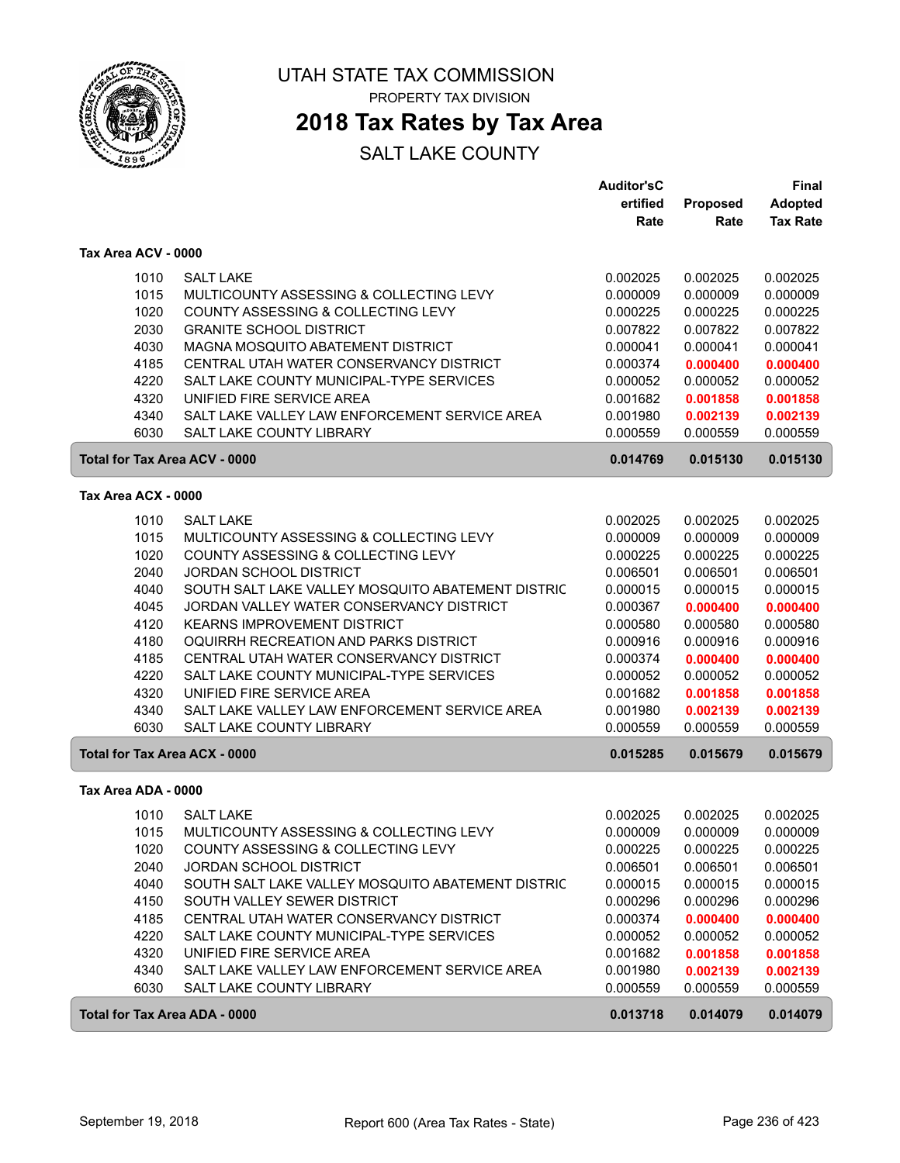

PROPERTY TAX DIVISION

### **2018 Tax Rates by Tax Area**

|                                      |                                                   | <b>Auditor'sC</b> |                 | <b>Final</b>    |
|--------------------------------------|---------------------------------------------------|-------------------|-----------------|-----------------|
|                                      |                                                   | ertified          | <b>Proposed</b> | <b>Adopted</b>  |
|                                      |                                                   | Rate              | Rate            | <b>Tax Rate</b> |
| Tax Area ACV - 0000                  |                                                   |                   |                 |                 |
| 1010                                 | <b>SALT LAKE</b>                                  | 0.002025          | 0.002025        | 0.002025        |
| 1015                                 | MULTICOUNTY ASSESSING & COLLECTING LEVY           | 0.000009          | 0.000009        | 0.000009        |
| 1020                                 | COUNTY ASSESSING & COLLECTING LEVY                | 0.000225          | 0.000225        | 0.000225        |
| 2030                                 | <b>GRANITE SCHOOL DISTRICT</b>                    | 0.007822          | 0.007822        | 0.007822        |
| 4030                                 | MAGNA MOSQUITO ABATEMENT DISTRICT                 | 0.000041          | 0.000041        | 0.000041        |
| 4185                                 | CENTRAL UTAH WATER CONSERVANCY DISTRICT           | 0.000374          | 0.000400        | 0.000400        |
| 4220                                 | SALT LAKE COUNTY MUNICIPAL-TYPE SERVICES          | 0.000052          | 0.000052        | 0.000052        |
| 4320                                 | UNIFIED FIRE SERVICE AREA                         | 0.001682          | 0.001858        | 0.001858        |
| 4340                                 | SALT LAKE VALLEY LAW ENFORCEMENT SERVICE AREA     | 0.001980          | 0.002139        | 0.002139        |
| 6030                                 | <b>SALT LAKE COUNTY LIBRARY</b>                   | 0.000559          | 0.000559        | 0.000559        |
| Total for Tax Area ACV - 0000        |                                                   | 0.014769          | 0.015130        | 0.015130        |
| Tax Area ACX - 0000                  |                                                   |                   |                 |                 |
| 1010                                 | <b>SALT LAKE</b>                                  | 0.002025          | 0.002025        | 0.002025        |
| 1015                                 | MULTICOUNTY ASSESSING & COLLECTING LEVY           | 0.000009          | 0.000009        | 0.000009        |
| 1020                                 | COUNTY ASSESSING & COLLECTING LEVY                | 0.000225          | 0.000225        | 0.000225        |
| 2040                                 | <b>JORDAN SCHOOL DISTRICT</b>                     | 0.006501          | 0.006501        | 0.006501        |
| 4040                                 | SOUTH SALT LAKE VALLEY MOSQUITO ABATEMENT DISTRIC | 0.000015          | 0.000015        | 0.000015        |
| 4045                                 | JORDAN VALLEY WATER CONSERVANCY DISTRICT          | 0.000367          | 0.000400        | 0.000400        |
| 4120                                 | <b>KEARNS IMPROVEMENT DISTRICT</b>                | 0.000580          | 0.000580        | 0.000580        |
| 4180                                 | OQUIRRH RECREATION AND PARKS DISTRICT             | 0.000916          | 0.000916        | 0.000916        |
| 4185                                 | CENTRAL UTAH WATER CONSERVANCY DISTRICT           | 0.000374          | 0.000400        | 0.000400        |
| 4220                                 | SALT LAKE COUNTY MUNICIPAL-TYPE SERVICES          | 0.000052          | 0.000052        | 0.000052        |
| 4320                                 | UNIFIED FIRE SERVICE AREA                         | 0.001682          | 0.001858        | 0.001858        |
| 4340                                 | SALT LAKE VALLEY LAW ENFORCEMENT SERVICE AREA     | 0.001980          | 0.002139        | 0.002139        |
| 6030                                 | SALT LAKE COUNTY LIBRARY                          | 0.000559          | 0.000559        | 0.000559        |
| <b>Total for Tax Area ACX - 0000</b> |                                                   | 0.015285          | 0.015679        | 0.015679        |
| Tax Area ADA - 0000                  |                                                   |                   |                 |                 |
| 1010                                 | <b>SALT LAKE</b>                                  | 0.002025          | 0.002025        | 0.002025        |
| 1015                                 | MULTICOUNTY ASSESSING & COLLECTING LEVY           | 0.000009          | 0.000009        | 0.000009        |
| 1020                                 | COUNTY ASSESSING & COLLECTING LEVY                | 0.000225          | 0.000225        | 0.000225        |
| 2040                                 | <b>JORDAN SCHOOL DISTRICT</b>                     | 0.006501          | 0.006501        | 0.006501        |
| 4040                                 | SOUTH SALT LAKE VALLEY MOSQUITO ABATEMENT DISTRIC | 0.000015          | 0.000015        | 0.000015        |
| 4150                                 | SOUTH VALLEY SEWER DISTRICT                       | 0.000296          | 0.000296        | 0.000296        |
| 4185                                 | CENTRAL UTAH WATER CONSERVANCY DISTRICT           | 0.000374          | 0.000400        | 0.000400        |
| 4220                                 | SALT LAKE COUNTY MUNICIPAL-TYPE SERVICES          | 0.000052          | 0.000052        | 0.000052        |
| 4320                                 | UNIFIED FIRE SERVICE AREA                         | 0.001682          | 0.001858        | 0.001858        |
| 4340                                 | SALT LAKE VALLEY LAW ENFORCEMENT SERVICE AREA     | 0.001980          | 0.002139        | 0.002139        |
| 6030                                 | SALT LAKE COUNTY LIBRARY                          | 0.000559          | 0.000559        | 0.000559        |
| <b>Total for Tax Area ADA - 0000</b> |                                                   | 0.013718          | 0.014079        | 0.014079        |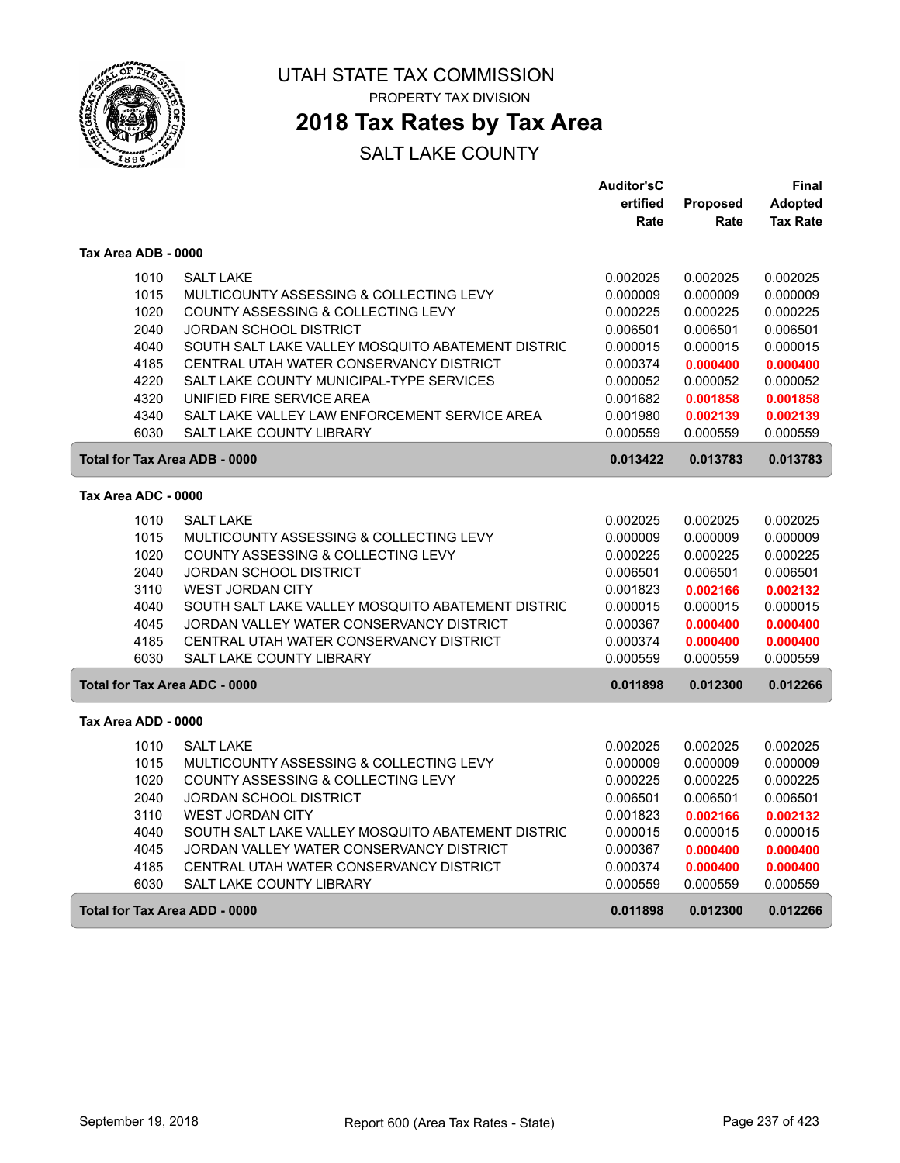

### **2018 Tax Rates by Tax Area**

|                                                  |                                                   | <b>Auditor'sC</b> |          | Final           |
|--------------------------------------------------|---------------------------------------------------|-------------------|----------|-----------------|
|                                                  |                                                   | ertified          | Proposed | <b>Adopted</b>  |
|                                                  |                                                   | Rate              | Rate     | <b>Tax Rate</b> |
| Tax Area ADB - 0000                              |                                                   |                   |          |                 |
| 1010                                             | <b>SALT LAKE</b>                                  | 0.002025          | 0.002025 | 0.002025        |
| 1015                                             | MULTICOUNTY ASSESSING & COLLECTING LEVY           | 0.000009          | 0.000009 | 0.000009        |
| 1020                                             | COUNTY ASSESSING & COLLECTING LEVY                | 0.000225          | 0.000225 | 0.000225        |
| 2040                                             | JORDAN SCHOOL DISTRICT                            | 0.006501          | 0.006501 | 0.006501        |
| 4040                                             | SOUTH SALT LAKE VALLEY MOSQUITO ABATEMENT DISTRIC | 0.000015          | 0.000015 | 0.000015        |
| 4185                                             | CENTRAL UTAH WATER CONSERVANCY DISTRICT           | 0.000374          | 0.000400 | 0.000400        |
| 4220                                             | SALT LAKE COUNTY MUNICIPAL-TYPE SERVICES          | 0.000052          | 0.000052 | 0.000052        |
| 4320                                             | UNIFIED FIRE SERVICE AREA                         | 0.001682          | 0.001858 | 0.001858        |
| 4340                                             | SALT LAKE VALLEY LAW ENFORCEMENT SERVICE AREA     | 0.001980          | 0.002139 | 0.002139        |
| 6030                                             | <b>SALT LAKE COUNTY LIBRARY</b>                   | 0.000559          | 0.000559 | 0.000559        |
| <b>Total for Tax Area ADB - 0000</b><br>0.013422 |                                                   |                   | 0.013783 | 0.013783        |
| Tax Area ADC - 0000                              |                                                   |                   |          |                 |
| 1010                                             | <b>SALT LAKE</b>                                  | 0.002025          | 0.002025 | 0.002025        |
| 1015                                             | MULTICOUNTY ASSESSING & COLLECTING LEVY           | 0.000009          | 0.000009 | 0.000009        |
| 1020                                             | COUNTY ASSESSING & COLLECTING LEVY                | 0.000225          | 0.000225 | 0.000225        |
| 2040                                             | JORDAN SCHOOL DISTRICT                            | 0.006501          | 0.006501 | 0.006501        |
| 3110                                             | <b>WEST JORDAN CITY</b>                           | 0.001823          | 0.002166 | 0.002132        |
| 4040                                             | SOUTH SALT LAKE VALLEY MOSQUITO ABATEMENT DISTRIC | 0.000015          | 0.000015 | 0.000015        |
| 4045                                             | JORDAN VALLEY WATER CONSERVANCY DISTRICT          | 0.000367          | 0.000400 | 0.000400        |
| 4185                                             | CENTRAL UTAH WATER CONSERVANCY DISTRICT           | 0.000374          | 0.000400 | 0.000400        |
| 6030                                             | <b>SALT LAKE COUNTY LIBRARY</b>                   | 0.000559          | 0.000559 | 0.000559        |
| <b>Total for Tax Area ADC - 0000</b>             |                                                   | 0.011898          | 0.012300 | 0.012266        |
| Tax Area ADD - 0000                              |                                                   |                   |          |                 |
| 1010                                             | <b>SALT LAKE</b>                                  | 0.002025          | 0.002025 | 0.002025        |
| 1015                                             | MULTICOUNTY ASSESSING & COLLECTING LEVY           | 0.000009          | 0.000009 | 0.000009        |
| 1020                                             | COUNTY ASSESSING & COLLECTING LEVY                | 0.000225          | 0.000225 | 0.000225        |
| 2040                                             | JORDAN SCHOOL DISTRICT                            | 0.006501          | 0.006501 | 0.006501        |
| 3110                                             | <b>WEST JORDAN CITY</b>                           | 0.001823          | 0.002166 | 0.002132        |
| 4040                                             | SOUTH SALT LAKE VALLEY MOSQUITO ABATEMENT DISTRIC | 0.000015          | 0.000015 | 0.000015        |
| 4045                                             | JORDAN VALLEY WATER CONSERVANCY DISTRICT          | 0.000367          | 0.000400 | 0.000400        |
| 4185                                             | CENTRAL UTAH WATER CONSERVANCY DISTRICT           | 0.000374          | 0.000400 | 0.000400        |
| 6030                                             | <b>SALT LAKE COUNTY LIBRARY</b>                   | 0.000559          | 0.000559 | 0.000559        |
| Total for Tax Area ADD - 0000                    |                                                   | 0.011898          | 0.012300 | 0.012266        |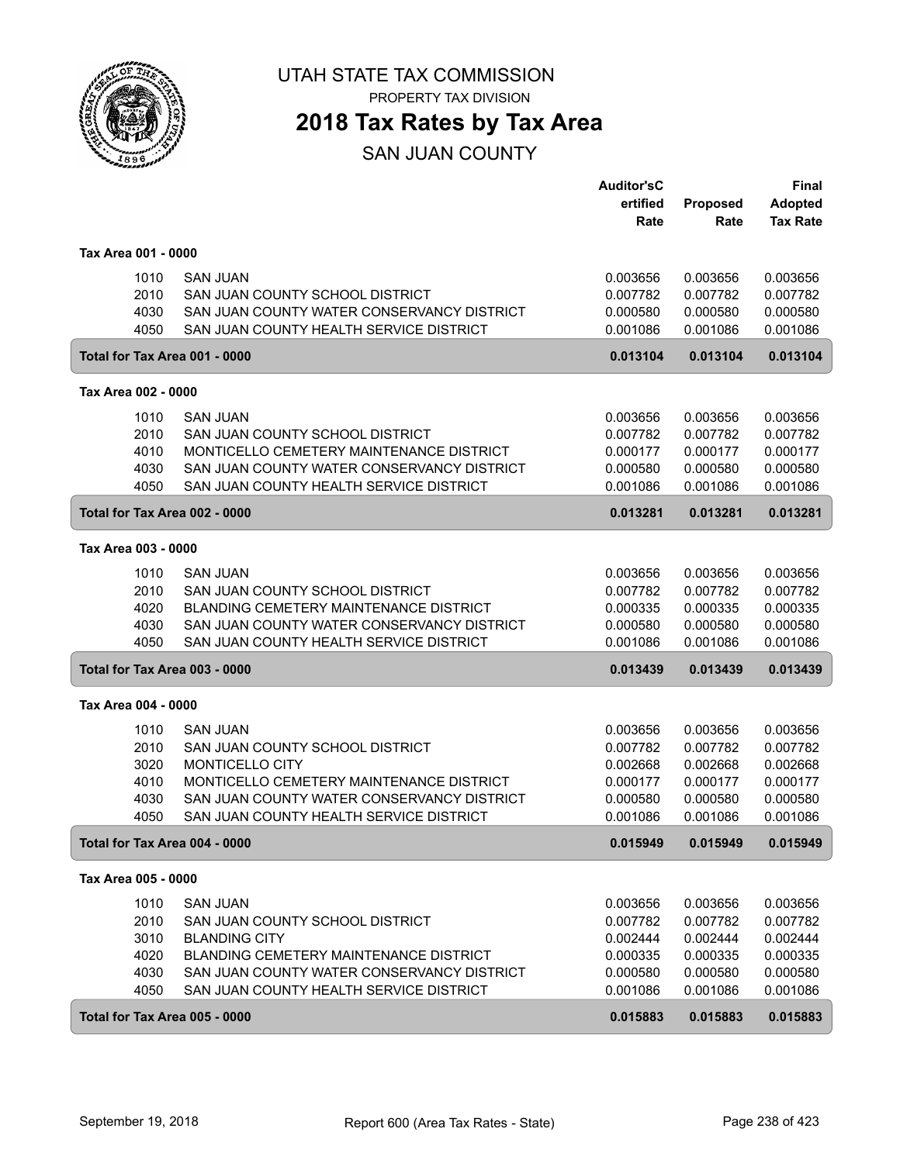

PROPERTY TAX DIVISION

## **2018 Tax Rates by Tax Area**

SAN JUAN COUNTY

|                                           |                                               | <b>Auditor'sC</b> |          | <b>Final</b>    |
|-------------------------------------------|-----------------------------------------------|-------------------|----------|-----------------|
|                                           |                                               | ertified          | Proposed | <b>Adopted</b>  |
|                                           |                                               | Rate              | Rate     | <b>Tax Rate</b> |
| Tax Area 001 - 0000                       |                                               |                   |          |                 |
| 1010                                      | <b>SAN JUAN</b>                               | 0.003656          | 0.003656 | 0.003656        |
| 2010                                      | SAN JUAN COUNTY SCHOOL DISTRICT               | 0.007782          | 0.007782 | 0.007782        |
| 4030                                      | SAN JUAN COUNTY WATER CONSERVANCY DISTRICT    | 0.000580          | 0.000580 | 0.000580        |
| 4050                                      | SAN JUAN COUNTY HEALTH SERVICE DISTRICT       | 0.001086          | 0.001086 | 0.001086        |
| Total for Tax Area 001 - 0000             |                                               | 0.013104          | 0.013104 | 0.013104        |
| Tax Area 002 - 0000                       |                                               |                   |          |                 |
| 1010                                      | <b>SAN JUAN</b>                               | 0.003656          | 0.003656 | 0.003656        |
| 2010                                      | SAN JUAN COUNTY SCHOOL DISTRICT               | 0.007782          | 0.007782 | 0.007782        |
| 4010                                      | MONTICELLO CEMETERY MAINTENANCE DISTRICT      | 0.000177          | 0.000177 | 0.000177        |
| 4030                                      | SAN JUAN COUNTY WATER CONSERVANCY DISTRICT    | 0.000580          | 0.000580 | 0.000580        |
| 4050                                      | SAN JUAN COUNTY HEALTH SERVICE DISTRICT       | 0.001086          | 0.001086 | 0.001086        |
| Total for Tax Area 002 - 0000<br>0.013281 |                                               |                   | 0.013281 | 0.013281        |
| Tax Area 003 - 0000                       |                                               |                   |          |                 |
| 1010                                      | <b>SAN JUAN</b>                               | 0.003656          | 0.003656 | 0.003656        |
| 2010                                      | SAN JUAN COUNTY SCHOOL DISTRICT               | 0.007782          | 0.007782 | 0.007782        |
| 4020                                      | BLANDING CEMETERY MAINTENANCE DISTRICT        | 0.000335          | 0.000335 | 0.000335        |
| 4030                                      | SAN JUAN COUNTY WATER CONSERVANCY DISTRICT    | 0.000580          | 0.000580 | 0.000580        |
| 4050                                      | SAN JUAN COUNTY HEALTH SERVICE DISTRICT       | 0.001086          | 0.001086 | 0.001086        |
| Total for Tax Area 003 - 0000             |                                               | 0.013439          | 0.013439 | 0.013439        |
| Tax Area 004 - 0000                       |                                               |                   |          |                 |
| 1010                                      | SAN JUAN                                      | 0.003656          | 0.003656 | 0.003656        |
| 2010                                      | SAN JUAN COUNTY SCHOOL DISTRICT               | 0.007782          | 0.007782 | 0.007782        |
| 3020                                      | MONTICELLO CITY                               | 0.002668          | 0.002668 | 0.002668        |
| 4010                                      | MONTICELLO CEMETERY MAINTENANCE DISTRICT      | 0.000177          | 0.000177 | 0.000177        |
| 4030                                      | SAN JUAN COUNTY WATER CONSERVANCY DISTRICT    | 0.000580          | 0.000580 | 0.000580        |
| 4050                                      | SAN JUAN COUNTY HEALTH SERVICE DISTRICT       | 0.001086          | 0.001086 | 0.001086        |
| Total for Tax Area 004 - 0000             |                                               | 0.015949          | 0.015949 | 0.015949        |
| Tax Area 005 - 0000                       |                                               |                   |          |                 |
| 1010                                      | <b>SAN JUAN</b>                               | 0.003656          | 0.003656 | 0.003656        |
| 2010                                      | SAN JUAN COUNTY SCHOOL DISTRICT               | 0.007782          | 0.007782 | 0.007782        |
| 3010                                      | <b>BLANDING CITY</b>                          | 0.002444          | 0.002444 | 0.002444        |
| 4020                                      | <b>BLANDING CEMETERY MAINTENANCE DISTRICT</b> | 0.000335          | 0.000335 | 0.000335        |
| 4030                                      | SAN JUAN COUNTY WATER CONSERVANCY DISTRICT    | 0.000580          | 0.000580 | 0.000580        |
| 4050                                      | SAN JUAN COUNTY HEALTH SERVICE DISTRICT       | 0.001086          | 0.001086 | 0.001086        |
| Total for Tax Area 005 - 0000             |                                               | 0.015883          | 0.015883 | 0.015883        |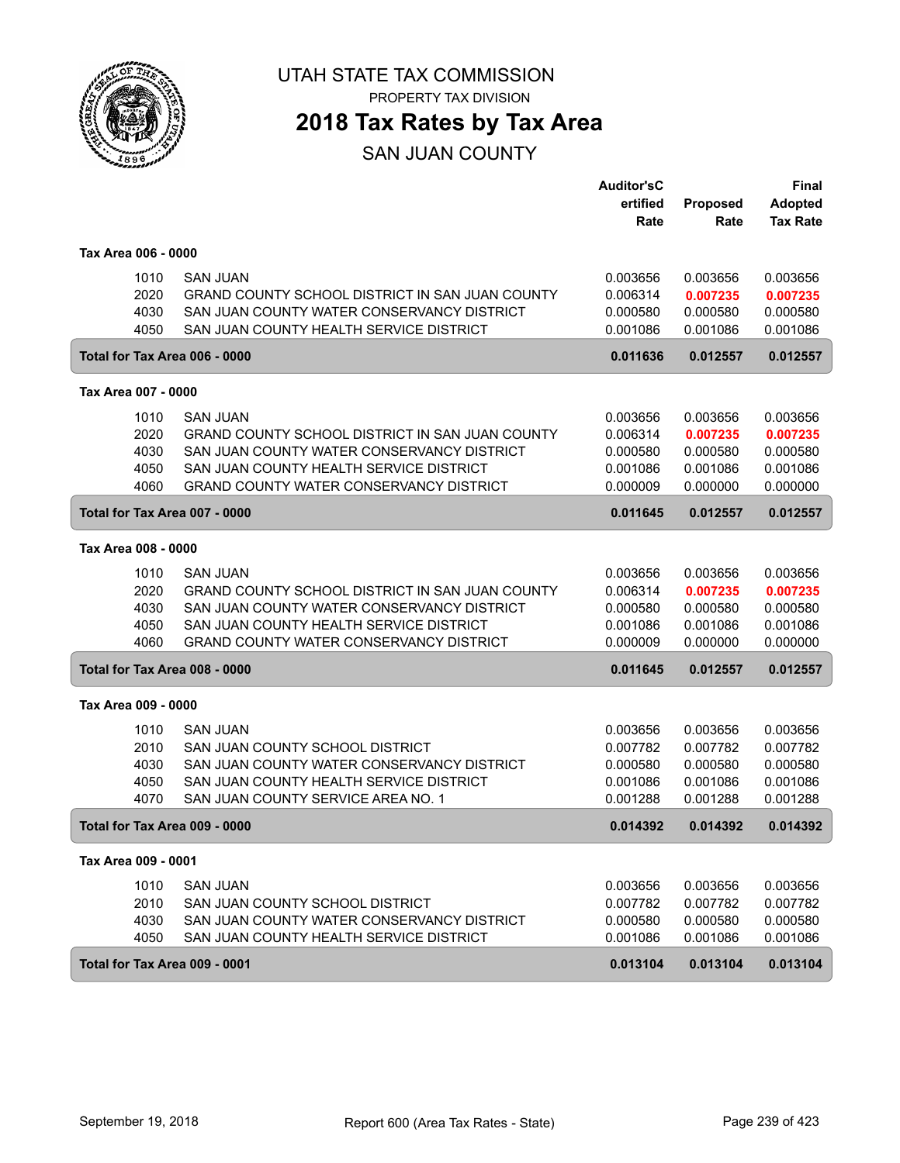

## **2018 Tax Rates by Tax Area**

SAN JUAN COUNTY

|                               |                               |                                                 | <b>Auditor'sC</b><br>ertified | <b>Proposed</b> | <b>Final</b><br><b>Adopted</b> |
|-------------------------------|-------------------------------|-------------------------------------------------|-------------------------------|-----------------|--------------------------------|
|                               |                               |                                                 | Rate                          | Rate            | <b>Tax Rate</b>                |
| Tax Area 006 - 0000           |                               |                                                 |                               |                 |                                |
|                               | <b>SAN JUAN</b><br>1010       |                                                 | 0.003656                      | 0.003656        | 0.003656                       |
|                               | 2020                          | GRAND COUNTY SCHOOL DISTRICT IN SAN JUAN COUNTY | 0.006314                      | 0.007235        | 0.007235                       |
|                               | 4030                          | SAN JUAN COUNTY WATER CONSERVANCY DISTRICT      | 0.000580                      | 0.000580        | 0.000580                       |
|                               | 4050                          | SAN JUAN COUNTY HEALTH SERVICE DISTRICT         | 0.001086                      | 0.001086        | 0.001086                       |
| Total for Tax Area 006 - 0000 |                               |                                                 | 0.011636                      | 0.012557        | 0.012557                       |
| Tax Area 007 - 0000           |                               |                                                 |                               |                 |                                |
|                               | <b>SAN JUAN</b><br>1010       |                                                 | 0.003656                      | 0.003656        | 0.003656                       |
|                               | 2020                          | GRAND COUNTY SCHOOL DISTRICT IN SAN JUAN COUNTY | 0.006314                      | 0.007235        | 0.007235                       |
|                               | 4030                          | SAN JUAN COUNTY WATER CONSERVANCY DISTRICT      | 0.000580                      | 0.000580        | 0.000580                       |
|                               | 4050                          | SAN JUAN COUNTY HEALTH SERVICE DISTRICT         | 0.001086                      | 0.001086        | 0.001086                       |
|                               | 4060                          | <b>GRAND COUNTY WATER CONSERVANCY DISTRICT</b>  | 0.000009                      | 0.000000        | 0.000000                       |
|                               | Total for Tax Area 007 - 0000 |                                                 | 0.011645                      | 0.012557        | 0.012557                       |
| Tax Area 008 - 0000           |                               |                                                 |                               |                 |                                |
|                               | 1010<br>SAN JUAN              |                                                 | 0.003656                      | 0.003656        | 0.003656                       |
|                               | 2020                          | GRAND COUNTY SCHOOL DISTRICT IN SAN JUAN COUNTY | 0.006314                      | 0.007235        | 0.007235                       |
|                               | 4030                          | SAN JUAN COUNTY WATER CONSERVANCY DISTRICT      | 0.000580                      | 0.000580        | 0.000580                       |
|                               | 4050                          | SAN JUAN COUNTY HEALTH SERVICE DISTRICT         | 0.001086                      | 0.001086        | 0.001086                       |
|                               | 4060                          | GRAND COUNTY WATER CONSERVANCY DISTRICT         | 0.000009                      | 0.000000        | 0.000000                       |
|                               | Total for Tax Area 008 - 0000 |                                                 | 0.011645                      | 0.012557        | 0.012557                       |
| Tax Area 009 - 0000           |                               |                                                 |                               |                 |                                |
|                               | 1010<br><b>SAN JUAN</b>       |                                                 | 0.003656                      | 0.003656        | 0.003656                       |
|                               | 2010                          | SAN JUAN COUNTY SCHOOL DISTRICT                 | 0.007782                      | 0.007782        | 0.007782                       |
|                               | 4030                          | SAN JUAN COUNTY WATER CONSERVANCY DISTRICT      | 0.000580                      | 0.000580        | 0.000580                       |
|                               | 4050                          | SAN JUAN COUNTY HEALTH SERVICE DISTRICT         | 0.001086                      | 0.001086        | 0.001086                       |
|                               | 4070                          | SAN JUAN COUNTY SERVICE AREA NO. 1              | 0.001288                      | 0.001288        | 0.001288                       |
|                               | Total for Tax Area 009 - 0000 |                                                 | 0.014392                      | 0.014392        | 0.014392                       |
| Tax Area 009 - 0001           |                               |                                                 |                               |                 |                                |
|                               | 1010<br><b>SAN JUAN</b>       |                                                 | 0.003656                      | 0.003656        | 0.003656                       |
|                               | 2010                          | SAN JUAN COUNTY SCHOOL DISTRICT                 | 0.007782                      | 0.007782        | 0.007782                       |
|                               | 4030                          | SAN JUAN COUNTY WATER CONSERVANCY DISTRICT      | 0.000580                      | 0.000580        | 0.000580                       |
|                               | 4050                          | SAN JUAN COUNTY HEALTH SERVICE DISTRICT         | 0.001086                      | 0.001086        | 0.001086                       |
|                               | Total for Tax Area 009 - 0001 |                                                 | 0.013104                      | 0.013104        | 0.013104                       |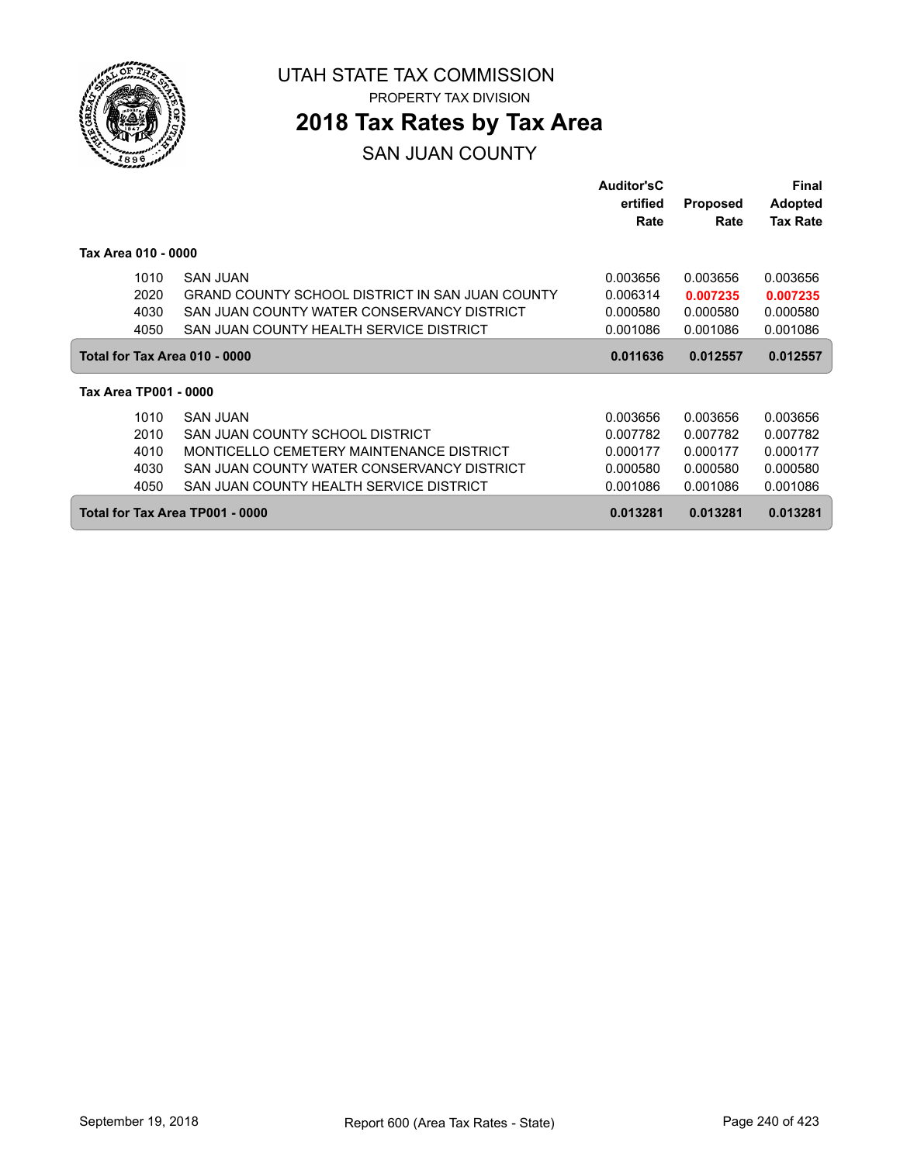

ſ

UTAH STATE TAX COMMISSION PROPERTY TAX DIVISION

### **2018 Tax Rates by Tax Area**

#### SAN JUAN COUNTY

|                                 |                                                 | <b>Auditor'sC</b> |                 | <b>Final</b>    |  |
|---------------------------------|-------------------------------------------------|-------------------|-----------------|-----------------|--|
|                                 |                                                 | ertified          | <b>Proposed</b> | <b>Adopted</b>  |  |
|                                 |                                                 | Rate              | Rate            | <b>Tax Rate</b> |  |
| Tax Area 010 - 0000             |                                                 |                   |                 |                 |  |
| 1010                            | SAN JUAN                                        | 0.003656          | 0.003656        | 0.003656        |  |
| 2020                            | GRAND COUNTY SCHOOL DISTRICT IN SAN JUAN COUNTY | 0.006314          | 0.007235        | 0.007235        |  |
| 4030                            | SAN JUAN COUNTY WATER CONSERVANCY DISTRICT      | 0.000580          | 0.000580        | 0.000580        |  |
| 4050                            | SAN JUAN COUNTY HEALTH SERVICE DISTRICT         | 0.001086          | 0.001086        | 0.001086        |  |
| Total for Tax Area 010 - 0000   |                                                 | 0.011636          | 0.012557        | 0.012557        |  |
| Tax Area TP001 - 0000           |                                                 |                   |                 |                 |  |
| 1010                            | <b>SAN JUAN</b>                                 | 0.003656          | 0.003656        | 0.003656        |  |
| 2010                            | SAN JUAN COUNTY SCHOOL DISTRICT                 | 0.007782          | 0.007782        | 0.007782        |  |
| 4010                            | MONTICELLO CEMETERY MAINTENANCE DISTRICT        | 0.000177          | 0.000177        | 0.000177        |  |
| 4030                            | SAN JUAN COUNTY WATER CONSERVANCY DISTRICT      | 0.000580          | 0.000580        | 0.000580        |  |
| 4050                            | SAN JUAN COUNTY HEALTH SERVICE DISTRICT         | 0.001086          | 0.001086        | 0.001086        |  |
| Total for Tax Area TP001 - 0000 |                                                 | 0.013281          | 0.013281        | 0.013281        |  |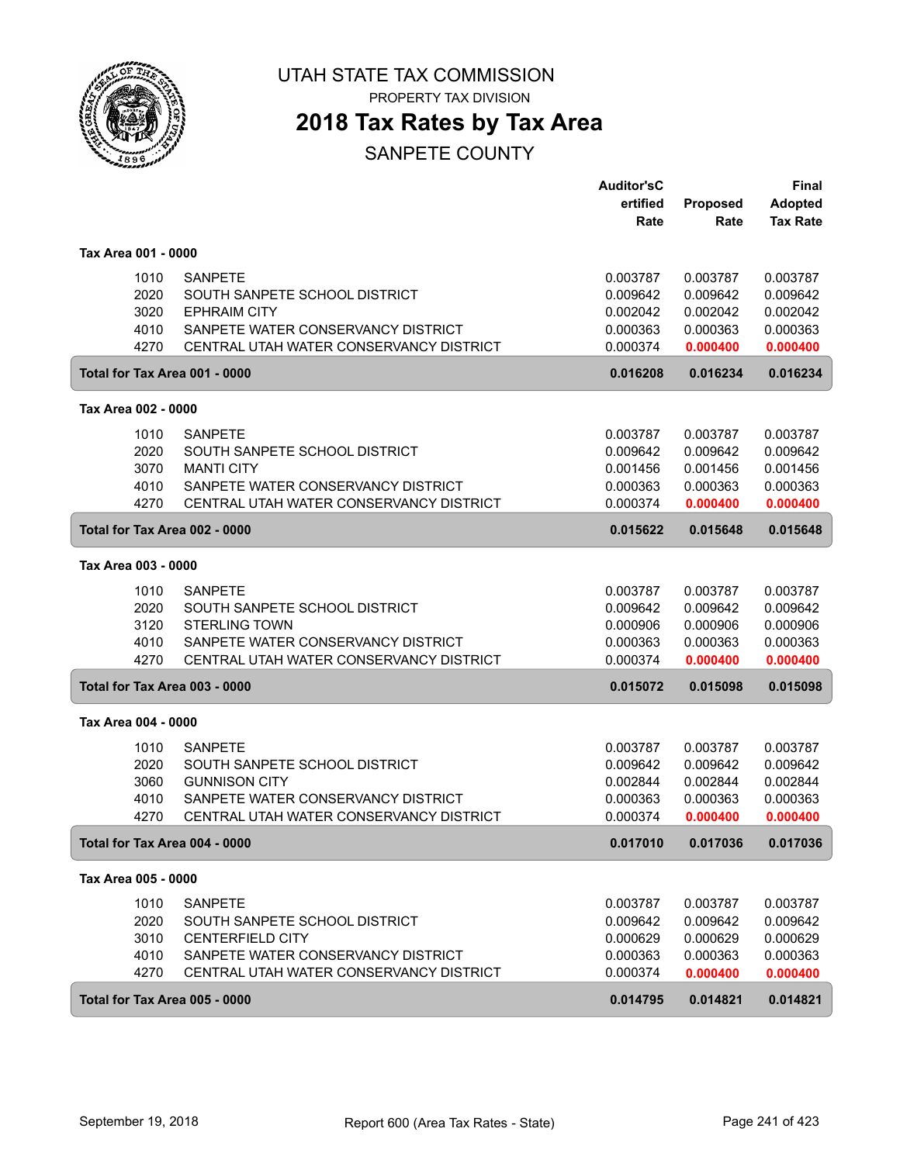

PROPERTY TAX DIVISION

### **2018 Tax Rates by Tax Area**

|                               |                                         | <b>Auditor'sC</b><br>ertified | Proposed | <b>Final</b><br><b>Adopted</b> |
|-------------------------------|-----------------------------------------|-------------------------------|----------|--------------------------------|
|                               |                                         | Rate                          | Rate     | <b>Tax Rate</b>                |
| Tax Area 001 - 0000           |                                         |                               |          |                                |
| 1010                          | <b>SANPETE</b>                          | 0.003787                      | 0.003787 | 0.003787                       |
| 2020                          | SOUTH SANPETE SCHOOL DISTRICT           | 0.009642                      | 0.009642 | 0.009642                       |
| 3020                          | <b>EPHRAIM CITY</b>                     | 0.002042                      | 0.002042 | 0.002042                       |
| 4010                          | SANPETE WATER CONSERVANCY DISTRICT      | 0.000363                      | 0.000363 | 0.000363                       |
| 4270                          | CENTRAL UTAH WATER CONSERVANCY DISTRICT | 0.000374                      | 0.000400 | 0.000400                       |
| Total for Tax Area 001 - 0000 |                                         | 0.016208                      | 0.016234 | 0.016234                       |
| Tax Area 002 - 0000           |                                         |                               |          |                                |
| 1010                          | <b>SANPETE</b>                          | 0.003787                      | 0.003787 | 0.003787                       |
| 2020                          | SOUTH SANPETE SCHOOL DISTRICT           | 0.009642                      | 0.009642 | 0.009642                       |
| 3070                          | <b>MANTI CITY</b>                       | 0.001456                      | 0.001456 | 0.001456                       |
| 4010                          | SANPETE WATER CONSERVANCY DISTRICT      | 0.000363                      | 0.000363 | 0.000363                       |
| 4270                          | CENTRAL UTAH WATER CONSERVANCY DISTRICT | 0.000374                      | 0.000400 | 0.000400                       |
| Total for Tax Area 002 - 0000 |                                         | 0.015622                      | 0.015648 | 0.015648                       |
| Tax Area 003 - 0000           |                                         |                               |          |                                |
| 1010                          | <b>SANPETE</b>                          | 0.003787                      | 0.003787 | 0.003787                       |
| 2020                          | SOUTH SANPETE SCHOOL DISTRICT           | 0.009642                      | 0.009642 | 0.009642                       |
| 3120                          | <b>STERLING TOWN</b>                    | 0.000906                      | 0.000906 | 0.000906                       |
| 4010                          | SANPETE WATER CONSERVANCY DISTRICT      | 0.000363                      | 0.000363 | 0.000363                       |
| 4270                          | CENTRAL UTAH WATER CONSERVANCY DISTRICT | 0.000374                      | 0.000400 | 0.000400                       |
| Total for Tax Area 003 - 0000 |                                         | 0.015072                      | 0.015098 | 0.015098                       |
| Tax Area 004 - 0000           |                                         |                               |          |                                |
| 1010                          | <b>SANPETE</b>                          | 0.003787                      | 0.003787 | 0.003787                       |
| 2020                          | SOUTH SANPETE SCHOOL DISTRICT           | 0.009642                      | 0.009642 | 0.009642                       |
| 3060                          | <b>GUNNISON CITY</b>                    | 0.002844                      | 0.002844 | 0.002844                       |
| 4010                          | SANPETE WATER CONSERVANCY DISTRICT      | 0.000363                      | 0.000363 | 0.000363                       |
| 4270                          | CENTRAL UTAH WATER CONSERVANCY DISTRICT | 0.000374                      | 0.000400 | 0.000400                       |
| Total for Tax Area 004 - 0000 |                                         | 0.017010                      | 0.017036 | 0.017036                       |
| Tax Area 005 - 0000           |                                         |                               |          |                                |
| 1010                          | <b>SANPETE</b>                          | 0.003787                      | 0.003787 | 0.003787                       |
| 2020                          | SOUTH SANPETE SCHOOL DISTRICT           | 0.009642                      | 0.009642 | 0.009642                       |
| 3010                          | <b>CENTERFIELD CITY</b>                 | 0.000629                      | 0.000629 | 0.000629                       |
| 4010                          | SANPETE WATER CONSERVANCY DISTRICT      | 0.000363                      | 0.000363 | 0.000363                       |
| 4270                          | CENTRAL UTAH WATER CONSERVANCY DISTRICT | 0.000374                      | 0.000400 | 0.000400                       |
| Total for Tax Area 005 - 0000 |                                         | 0.014795                      | 0.014821 | 0.014821                       |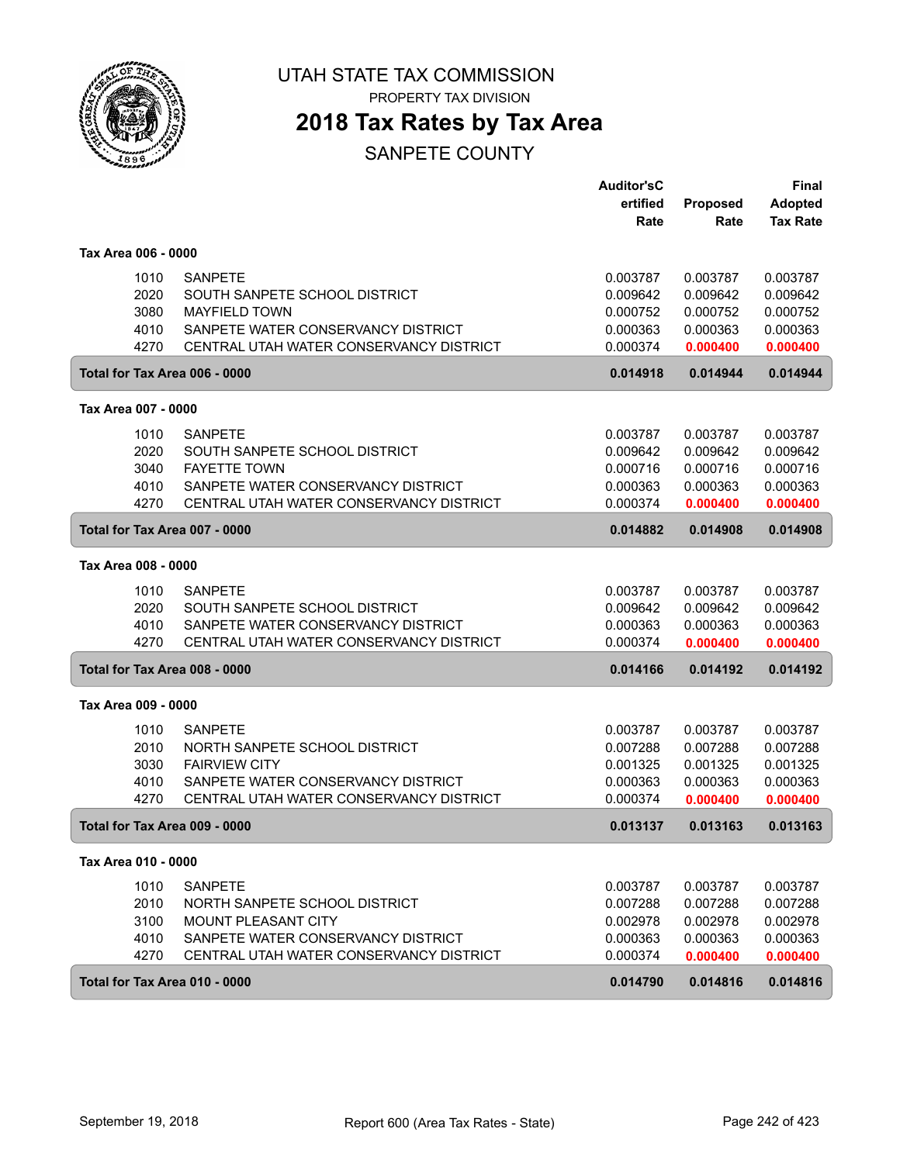

PROPERTY TAX DIVISION

### **2018 Tax Rates by Tax Area**

|                               |                                         | <b>Auditor'sC</b> |                  | Final                             |
|-------------------------------|-----------------------------------------|-------------------|------------------|-----------------------------------|
|                               |                                         | ertified<br>Rate  | Proposed<br>Rate | <b>Adopted</b><br><b>Tax Rate</b> |
| Tax Area 006 - 0000           |                                         |                   |                  |                                   |
| 1010                          | <b>SANPETE</b>                          | 0.003787          | 0.003787         | 0.003787                          |
| 2020                          | SOUTH SANPETE SCHOOL DISTRICT           | 0.009642          | 0.009642         | 0.009642                          |
| 3080                          | <b>MAYFIELD TOWN</b>                    | 0.000752          | 0.000752         | 0.000752                          |
| 4010                          | SANPETE WATER CONSERVANCY DISTRICT      | 0.000363          | 0.000363         | 0.000363                          |
| 4270                          | CENTRAL UTAH WATER CONSERVANCY DISTRICT | 0.000374          | 0.000400         | 0.000400                          |
| Total for Tax Area 006 - 0000 |                                         | 0.014918          | 0.014944         | 0.014944                          |
| Tax Area 007 - 0000           |                                         |                   |                  |                                   |
| 1010                          | <b>SANPETE</b>                          | 0.003787          | 0.003787         | 0.003787                          |
| 2020                          | SOUTH SANPETE SCHOOL DISTRICT           | 0.009642          | 0.009642         | 0.009642                          |
| 3040                          | <b>FAYETTE TOWN</b>                     | 0.000716          | 0.000716         | 0.000716                          |
| 4010                          | SANPETE WATER CONSERVANCY DISTRICT      | 0.000363          | 0.000363         | 0.000363                          |
| 4270                          | CENTRAL UTAH WATER CONSERVANCY DISTRICT | 0.000374          | 0.000400         | 0.000400                          |
| Total for Tax Area 007 - 0000 |                                         | 0.014882          | 0.014908         | 0.014908                          |
| Tax Area 008 - 0000           |                                         |                   |                  |                                   |
| 1010                          | <b>SANPETE</b>                          | 0.003787          | 0.003787         | 0.003787                          |
| 2020                          | SOUTH SANPETE SCHOOL DISTRICT           | 0.009642          | 0.009642         | 0.009642                          |
| 4010                          | SANPETE WATER CONSERVANCY DISTRICT      | 0.000363          | 0.000363         | 0.000363                          |
| 4270                          | CENTRAL UTAH WATER CONSERVANCY DISTRICT | 0.000374          | 0.000400         | 0.000400                          |
| Total for Tax Area 008 - 0000 |                                         | 0.014166          | 0.014192         | 0.014192                          |
| Tax Area 009 - 0000           |                                         |                   |                  |                                   |
| 1010                          | <b>SANPETE</b>                          | 0.003787          | 0.003787         | 0.003787                          |
| 2010                          | NORTH SANPETE SCHOOL DISTRICT           | 0.007288          | 0.007288         | 0.007288                          |
| 3030                          | <b>FAIRVIEW CITY</b>                    | 0.001325          | 0.001325         | 0.001325                          |
| 4010                          | SANPETE WATER CONSERVANCY DISTRICT      | 0.000363          | 0.000363         | 0.000363                          |
| 4270                          | CENTRAL UTAH WATER CONSERVANCY DISTRICT | 0.000374          | 0.000400         | 0.000400                          |
| Total for Tax Area 009 - 0000 |                                         | 0.013137          | 0.013163         | 0.013163                          |
| Tax Area 010 - 0000           |                                         |                   |                  |                                   |
| 1010                          | <b>SANPETE</b>                          | 0.003787          | 0.003787         | 0.003787                          |
| 2010                          | NORTH SANPETE SCHOOL DISTRICT           | 0.007288          | 0.007288         | 0.007288                          |
| 3100                          | MOUNT PLEASANT CITY                     | 0.002978          | 0.002978         | 0.002978                          |
| 4010                          | SANPETE WATER CONSERVANCY DISTRICT      | 0.000363          | 0.000363         | 0.000363                          |
| 4270                          | CENTRAL UTAH WATER CONSERVANCY DISTRICT | 0.000374          | 0.000400         | 0.000400                          |
| Total for Tax Area 010 - 0000 |                                         | 0.014790          | 0.014816         | 0.014816                          |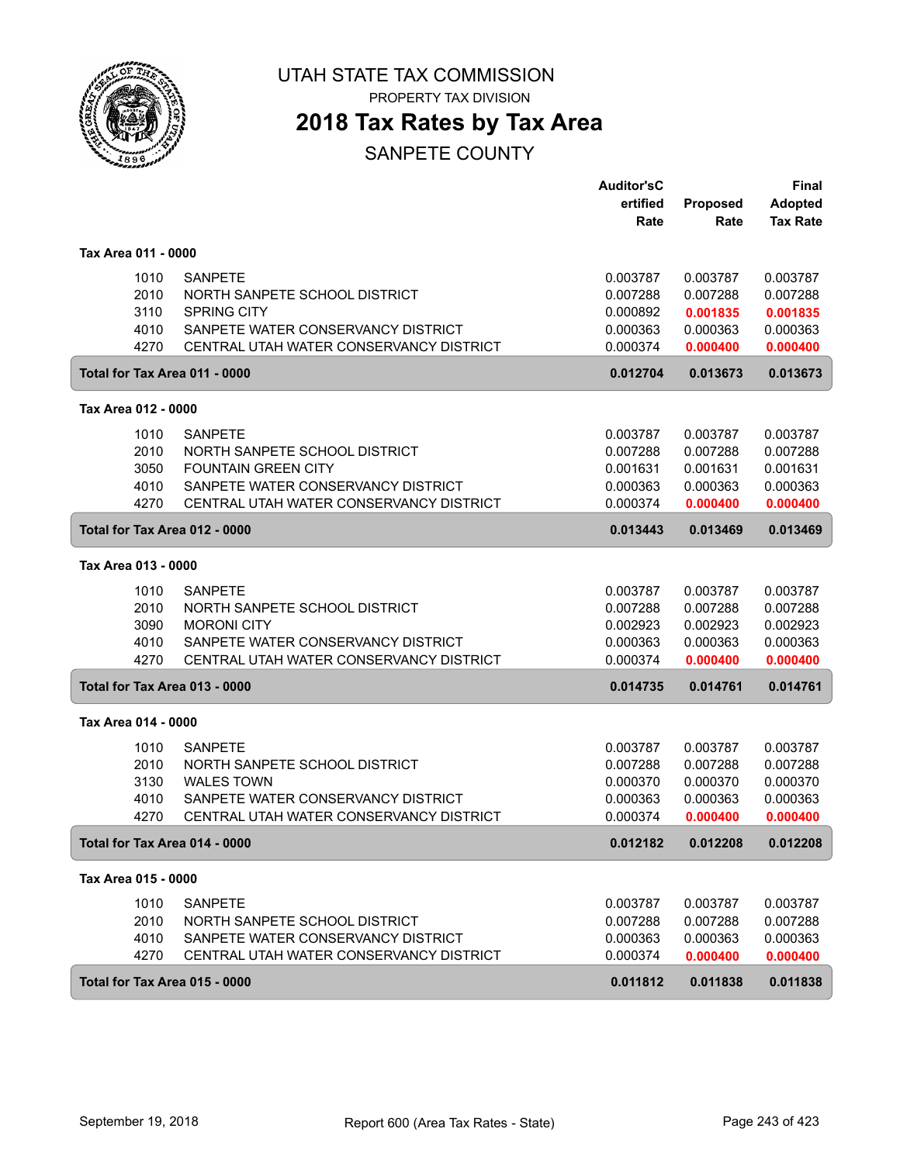

PROPERTY TAX DIVISION

### **2018 Tax Rates by Tax Area**

|                               |                                         | <b>Auditor'sC</b> |                 | Final           |
|-------------------------------|-----------------------------------------|-------------------|-----------------|-----------------|
|                               |                                         | ertified          | <b>Proposed</b> | <b>Adopted</b>  |
|                               |                                         | Rate              | Rate            | <b>Tax Rate</b> |
| Tax Area 011 - 0000           |                                         |                   |                 |                 |
| 1010                          | <b>SANPETE</b>                          | 0.003787          | 0.003787        | 0.003787        |
| 2010                          | NORTH SANPETE SCHOOL DISTRICT           | 0.007288          | 0.007288        | 0.007288        |
| 3110                          | <b>SPRING CITY</b>                      | 0.000892          | 0.001835        | 0.001835        |
| 4010                          | SANPETE WATER CONSERVANCY DISTRICT      | 0.000363          | 0.000363        | 0.000363        |
| 4270                          | CENTRAL UTAH WATER CONSERVANCY DISTRICT | 0.000374          | 0.000400        | 0.000400        |
| Total for Tax Area 011 - 0000 |                                         | 0.012704          | 0.013673        | 0.013673        |
| Tax Area 012 - 0000           |                                         |                   |                 |                 |
| 1010                          | <b>SANPETE</b>                          | 0.003787          | 0.003787        | 0.003787        |
| 2010                          | NORTH SANPETE SCHOOL DISTRICT           | 0.007288          | 0.007288        | 0.007288        |
| 3050                          | <b>FOUNTAIN GREEN CITY</b>              | 0.001631          | 0.001631        | 0.001631        |
| 4010                          | SANPETE WATER CONSERVANCY DISTRICT      | 0.000363          | 0.000363        | 0.000363        |
| 4270                          | CENTRAL UTAH WATER CONSERVANCY DISTRICT | 0.000374          | 0.000400        | 0.000400        |
| Total for Tax Area 012 - 0000 |                                         | 0.013443          | 0.013469        | 0.013469        |
| Tax Area 013 - 0000           |                                         |                   |                 |                 |
| 1010                          | <b>SANPETE</b>                          | 0.003787          | 0.003787        | 0.003787        |
| 2010                          | NORTH SANPETE SCHOOL DISTRICT           | 0.007288          | 0.007288        | 0.007288        |
| 3090                          | <b>MORONI CITY</b>                      | 0.002923          | 0.002923        | 0.002923        |
| 4010                          | SANPETE WATER CONSERVANCY DISTRICT      | 0.000363          | 0.000363        | 0.000363        |
| 4270                          | CENTRAL UTAH WATER CONSERVANCY DISTRICT | 0.000374          | 0.000400        | 0.000400        |
| Total for Tax Area 013 - 0000 |                                         | 0.014735          | 0.014761        | 0.014761        |
| Tax Area 014 - 0000           |                                         |                   |                 |                 |
| 1010                          | <b>SANPETE</b>                          | 0.003787          | 0.003787        | 0.003787        |
| 2010                          | NORTH SANPETE SCHOOL DISTRICT           | 0.007288          | 0.007288        | 0.007288        |
| 3130                          | <b>WALES TOWN</b>                       | 0.000370          | 0.000370        | 0.000370        |
| 4010                          | SANPETE WATER CONSERVANCY DISTRICT      | 0.000363          | 0.000363        | 0.000363        |
| 4270                          | CENTRAL UTAH WATER CONSERVANCY DISTRICT | 0.000374          | 0.000400        | 0.000400        |
| Total for Tax Area 014 - 0000 |                                         | 0.012182          | 0.012208        | 0.012208        |
| Tax Area 015 - 0000           |                                         |                   |                 |                 |
| 1010                          | <b>SANPETE</b>                          | 0.003787          | 0.003787        | 0.003787        |
| 2010                          | NORTH SANPETE SCHOOL DISTRICT           | 0.007288          | 0.007288        | 0.007288        |
| 4010                          | SANPETE WATER CONSERVANCY DISTRICT      | 0.000363          | 0.000363        | 0.000363        |
| 4270                          | CENTRAL UTAH WATER CONSERVANCY DISTRICT | 0.000374          | 0.000400        | 0.000400        |
| Total for Tax Area 015 - 0000 |                                         | 0.011812          | 0.011838        | 0.011838        |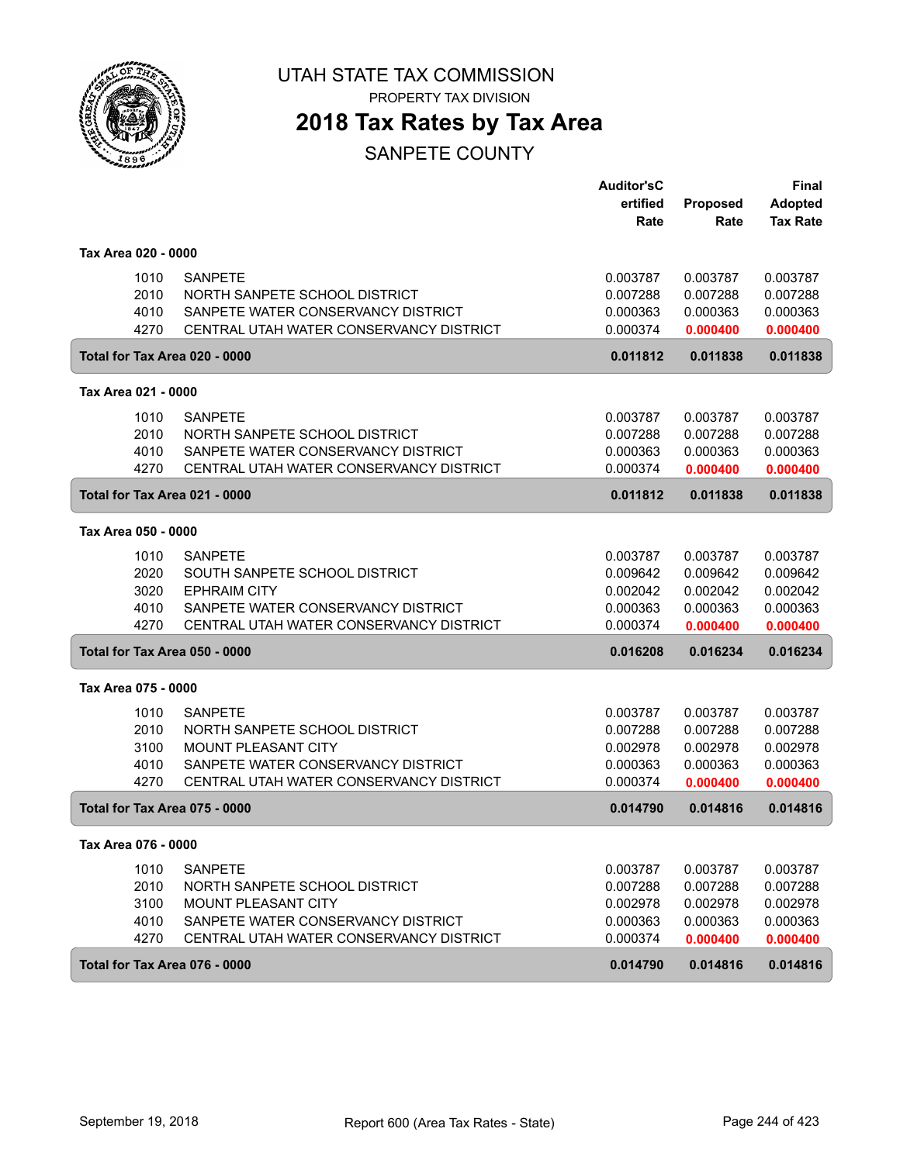

PROPERTY TAX DIVISION

### **2018 Tax Rates by Tax Area**

|                     |      |                                         | <b>Auditor'sC</b> |          | Final           |
|---------------------|------|-----------------------------------------|-------------------|----------|-----------------|
|                     |      |                                         | ertified          | Proposed | <b>Adopted</b>  |
|                     |      |                                         | Rate              | Rate     | <b>Tax Rate</b> |
| Tax Area 020 - 0000 |      |                                         |                   |          |                 |
|                     | 1010 | <b>SANPETE</b>                          | 0.003787          | 0.003787 | 0.003787        |
|                     | 2010 | NORTH SANPETE SCHOOL DISTRICT           | 0.007288          | 0.007288 | 0.007288        |
|                     | 4010 | SANPETE WATER CONSERVANCY DISTRICT      | 0.000363          | 0.000363 | 0.000363        |
|                     | 4270 | CENTRAL UTAH WATER CONSERVANCY DISTRICT | 0.000374          | 0.000400 | 0.000400        |
|                     |      | Total for Tax Area 020 - 0000           | 0.011812          | 0.011838 | 0.011838        |
| Tax Area 021 - 0000 |      |                                         |                   |          |                 |
|                     | 1010 | <b>SANPETE</b>                          | 0.003787          | 0.003787 | 0.003787        |
|                     | 2010 | NORTH SANPETE SCHOOL DISTRICT           | 0.007288          | 0.007288 | 0.007288        |
|                     | 4010 | SANPETE WATER CONSERVANCY DISTRICT      | 0.000363          | 0.000363 | 0.000363        |
|                     | 4270 | CENTRAL UTAH WATER CONSERVANCY DISTRICT | 0.000374          | 0.000400 | 0.000400        |
|                     |      | Total for Tax Area 021 - 0000           | 0.011812          | 0.011838 | 0.011838        |
| Tax Area 050 - 0000 |      |                                         |                   |          |                 |
|                     | 1010 | <b>SANPETE</b>                          | 0.003787          | 0.003787 | 0.003787        |
|                     | 2020 | SOUTH SANPETE SCHOOL DISTRICT           | 0.009642          | 0.009642 | 0.009642        |
|                     | 3020 | <b>EPHRAIM CITY</b>                     | 0.002042          | 0.002042 | 0.002042        |
|                     | 4010 | SANPETE WATER CONSERVANCY DISTRICT      | 0.000363          | 0.000363 | 0.000363        |
|                     | 4270 | CENTRAL UTAH WATER CONSERVANCY DISTRICT | 0.000374          | 0.000400 | 0.000400        |
|                     |      | Total for Tax Area 050 - 0000           | 0.016208          | 0.016234 | 0.016234        |
| Tax Area 075 - 0000 |      |                                         |                   |          |                 |
|                     | 1010 | <b>SANPETE</b>                          | 0.003787          | 0.003787 | 0.003787        |
|                     | 2010 | NORTH SANPETE SCHOOL DISTRICT           | 0.007288          | 0.007288 | 0.007288        |
|                     | 3100 | MOUNT PLEASANT CITY                     | 0.002978          | 0.002978 | 0.002978        |
|                     | 4010 | SANPETE WATER CONSERVANCY DISTRICT      | 0.000363          | 0.000363 | 0.000363        |
|                     | 4270 | CENTRAL UTAH WATER CONSERVANCY DISTRICT | 0.000374          | 0.000400 | 0.000400        |
|                     |      | Total for Tax Area 075 - 0000           | 0.014790          | 0.014816 | 0.014816        |
| Tax Area 076 - 0000 |      |                                         |                   |          |                 |
|                     | 1010 | <b>SANPETE</b>                          | 0.003787          | 0.003787 | 0.003787        |
|                     | 2010 | NORTH SANPETE SCHOOL DISTRICT           | 0.007288          | 0.007288 | 0.007288        |
|                     | 3100 | <b>MOUNT PLEASANT CITY</b>              | 0.002978          | 0.002978 | 0.002978        |
|                     | 4010 | SANPETE WATER CONSERVANCY DISTRICT      | 0.000363          | 0.000363 | 0.000363        |
|                     | 4270 | CENTRAL UTAH WATER CONSERVANCY DISTRICT | 0.000374          | 0.000400 | 0.000400        |
|                     |      | Total for Tax Area 076 - 0000           | 0.014790          | 0.014816 | 0.014816        |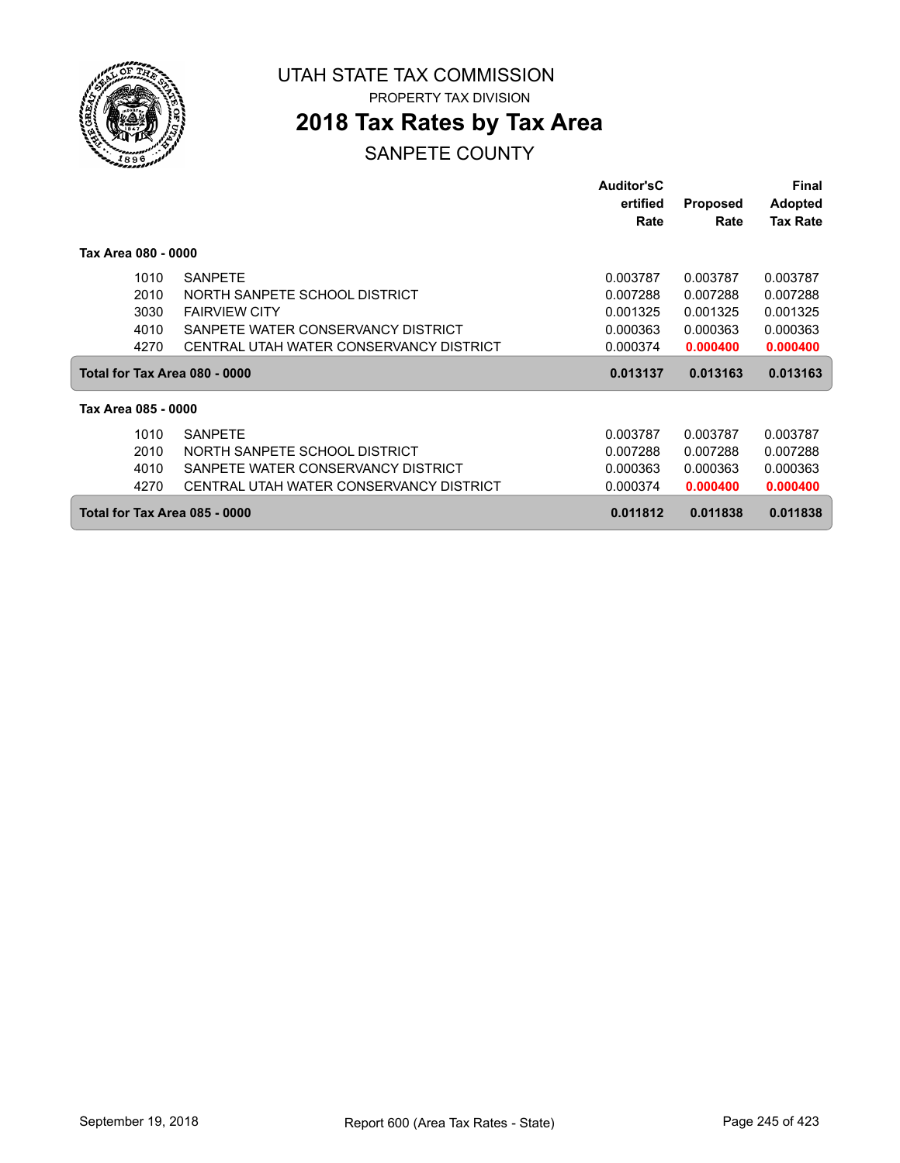

PROPERTY TAX DIVISION

### **2018 Tax Rates by Tax Area**

|                     |                                         | <b>Auditor'sC</b> |                 | Final           |
|---------------------|-----------------------------------------|-------------------|-----------------|-----------------|
|                     |                                         | ertified          | <b>Proposed</b> | <b>Adopted</b>  |
|                     |                                         | Rate              | Rate            | <b>Tax Rate</b> |
| Tax Area 080 - 0000 |                                         |                   |                 |                 |
| 1010                | <b>SANPETE</b>                          | 0.003787          | 0.003787        | 0.003787        |
| 2010                | NORTH SANPETE SCHOOL DISTRICT           | 0.007288          | 0.007288        | 0.007288        |
| 3030                | <b>FAIRVIEW CITY</b>                    | 0.001325          | 0.001325        | 0.001325        |
| 4010                | SANPETE WATER CONSERVANCY DISTRICT      | 0.000363          | 0.000363        | 0.000363        |
| 4270                | CENTRAL UTAH WATER CONSERVANCY DISTRICT | 0.000374          | 0.000400        | 0.000400        |
|                     | Total for Tax Area 080 - 0000           | 0.013137          | 0.013163        | 0.013163        |
| Tax Area 085 - 0000 |                                         |                   |                 |                 |
| 1010                | <b>SANPETE</b>                          | 0.003787          | 0.003787        | 0.003787        |
| 2010                | NORTH SANPETE SCHOOL DISTRICT           | 0.007288          | 0.007288        | 0.007288        |
| 4010                | SANPETE WATER CONSERVANCY DISTRICT      | 0.000363          | 0.000363        | 0.000363        |
| 4270                | CENTRAL UTAH WATER CONSERVANCY DISTRICT | 0.000374          | 0.000400        | 0.000400        |
|                     | Total for Tax Area 085 - 0000           | 0.011812          | 0.011838        | 0.011838        |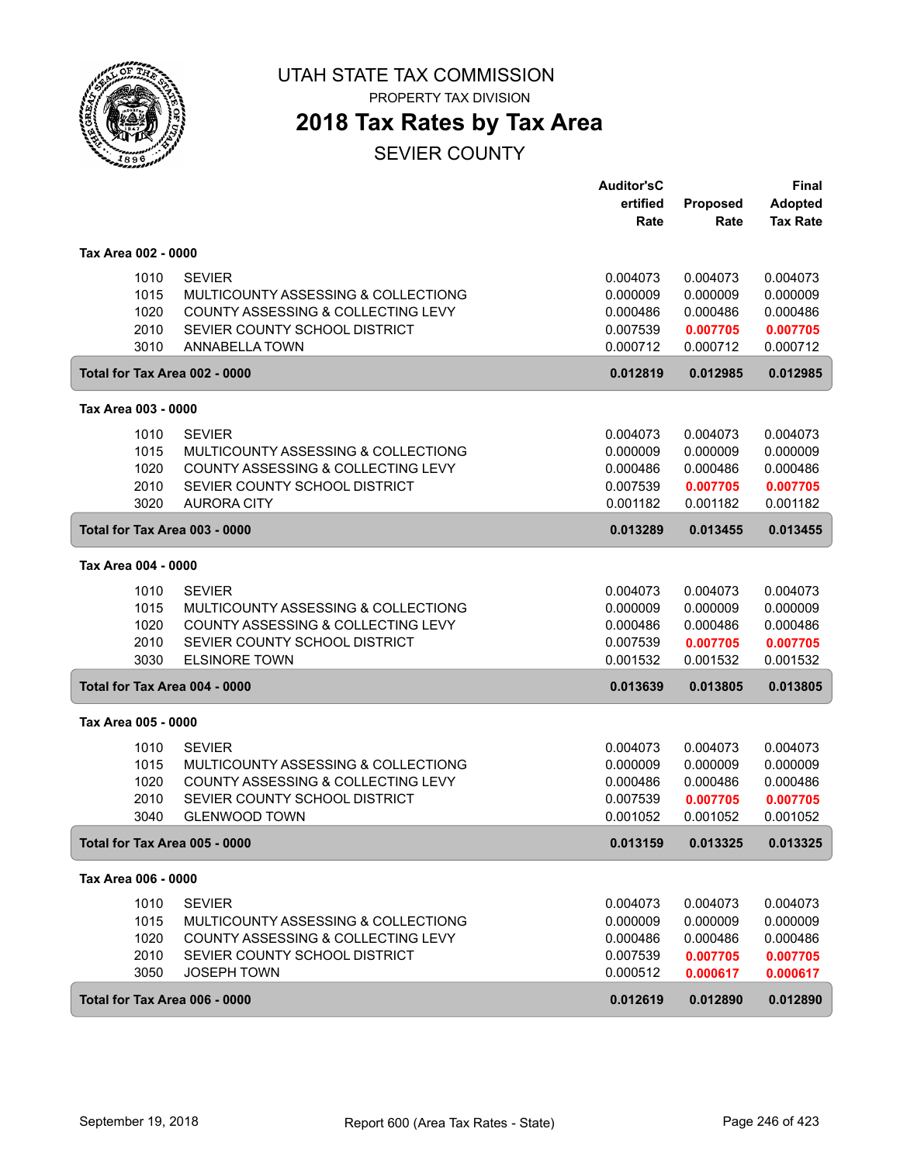

PROPERTY TAX DIVISION

### **2018 Tax Rates by Tax Area**

SEVIER COUNTY

|                                      |                                                                                                                                                     | <b>Auditor'sC</b><br>ertified<br>Rate                    | Proposed<br>Rate                                         | <b>Final</b><br><b>Adopted</b><br><b>Tax Rate</b>        |
|--------------------------------------|-----------------------------------------------------------------------------------------------------------------------------------------------------|----------------------------------------------------------|----------------------------------------------------------|----------------------------------------------------------|
| Tax Area 002 - 0000                  |                                                                                                                                                     |                                                          |                                                          |                                                          |
| 1010<br>1015<br>1020<br>2010<br>3010 | <b>SEVIER</b><br>MULTICOUNTY ASSESSING & COLLECTIONG<br>COUNTY ASSESSING & COLLECTING LEVY<br>SEVIER COUNTY SCHOOL DISTRICT<br>ANNABELLA TOWN       | 0.004073<br>0.000009<br>0.000486<br>0.007539<br>0.000712 | 0.004073<br>0.000009<br>0.000486<br>0.007705<br>0.000712 | 0.004073<br>0.000009<br>0.000486<br>0.007705<br>0.000712 |
| Total for Tax Area 002 - 0000        |                                                                                                                                                     | 0.012819                                                 | 0.012985                                                 | 0.012985                                                 |
| Tax Area 003 - 0000                  |                                                                                                                                                     |                                                          |                                                          |                                                          |
| 1010<br>1015<br>1020<br>2010<br>3020 | <b>SEVIER</b><br>MULTICOUNTY ASSESSING & COLLECTIONG<br>COUNTY ASSESSING & COLLECTING LEVY<br>SEVIER COUNTY SCHOOL DISTRICT<br><b>AURORA CITY</b>   | 0.004073<br>0.000009<br>0.000486<br>0.007539<br>0.001182 | 0.004073<br>0.000009<br>0.000486<br>0.007705<br>0.001182 | 0.004073<br>0.000009<br>0.000486<br>0.007705<br>0.001182 |
| Total for Tax Area 003 - 0000        |                                                                                                                                                     | 0.013289                                                 | 0.013455                                                 | 0.013455                                                 |
| Tax Area 004 - 0000                  |                                                                                                                                                     |                                                          |                                                          |                                                          |
| 1010<br>1015<br>1020<br>2010<br>3030 | <b>SEVIER</b><br>MULTICOUNTY ASSESSING & COLLECTIONG<br>COUNTY ASSESSING & COLLECTING LEVY<br>SEVIER COUNTY SCHOOL DISTRICT<br><b>ELSINORE TOWN</b> | 0.004073<br>0.000009<br>0.000486<br>0.007539<br>0.001532 | 0.004073<br>0.000009<br>0.000486<br>0.007705<br>0.001532 | 0.004073<br>0.000009<br>0.000486<br>0.007705<br>0.001532 |
| Total for Tax Area 004 - 0000        |                                                                                                                                                     | 0.013639                                                 | 0.013805                                                 | 0.013805                                                 |
| Tax Area 005 - 0000                  |                                                                                                                                                     |                                                          |                                                          |                                                          |
| 1010<br>1015<br>1020<br>2010<br>3040 | <b>SEVIER</b><br>MULTICOUNTY ASSESSING & COLLECTIONG<br>COUNTY ASSESSING & COLLECTING LEVY<br>SEVIER COUNTY SCHOOL DISTRICT<br><b>GLENWOOD TOWN</b> | 0.004073<br>0.000009<br>0.000486<br>0.007539<br>0.001052 | 0.004073<br>0.000009<br>0.000486<br>0.007705<br>0.001052 | 0.004073<br>0.000009<br>0.000486<br>0.007705<br>0.001052 |
| Total for Tax Area 005 - 0000        |                                                                                                                                                     | 0.013159                                                 | 0.013325                                                 | 0.013325                                                 |
| Tax Area 006 - 0000                  |                                                                                                                                                     |                                                          |                                                          |                                                          |
| 1010<br>1015<br>1020<br>2010<br>3050 | <b>SEVIER</b><br>MULTICOUNTY ASSESSING & COLLECTIONG<br>COUNTY ASSESSING & COLLECTING LEVY<br>SEVIER COUNTY SCHOOL DISTRICT<br><b>JOSEPH TOWN</b>   | 0.004073<br>0.000009<br>0.000486<br>0.007539<br>0.000512 | 0.004073<br>0.000009<br>0.000486<br>0.007705<br>0.000617 | 0.004073<br>0.000009<br>0.000486<br>0.007705<br>0.000617 |
| Total for Tax Area 006 - 0000        |                                                                                                                                                     | 0.012619                                                 | 0.012890                                                 | 0.012890                                                 |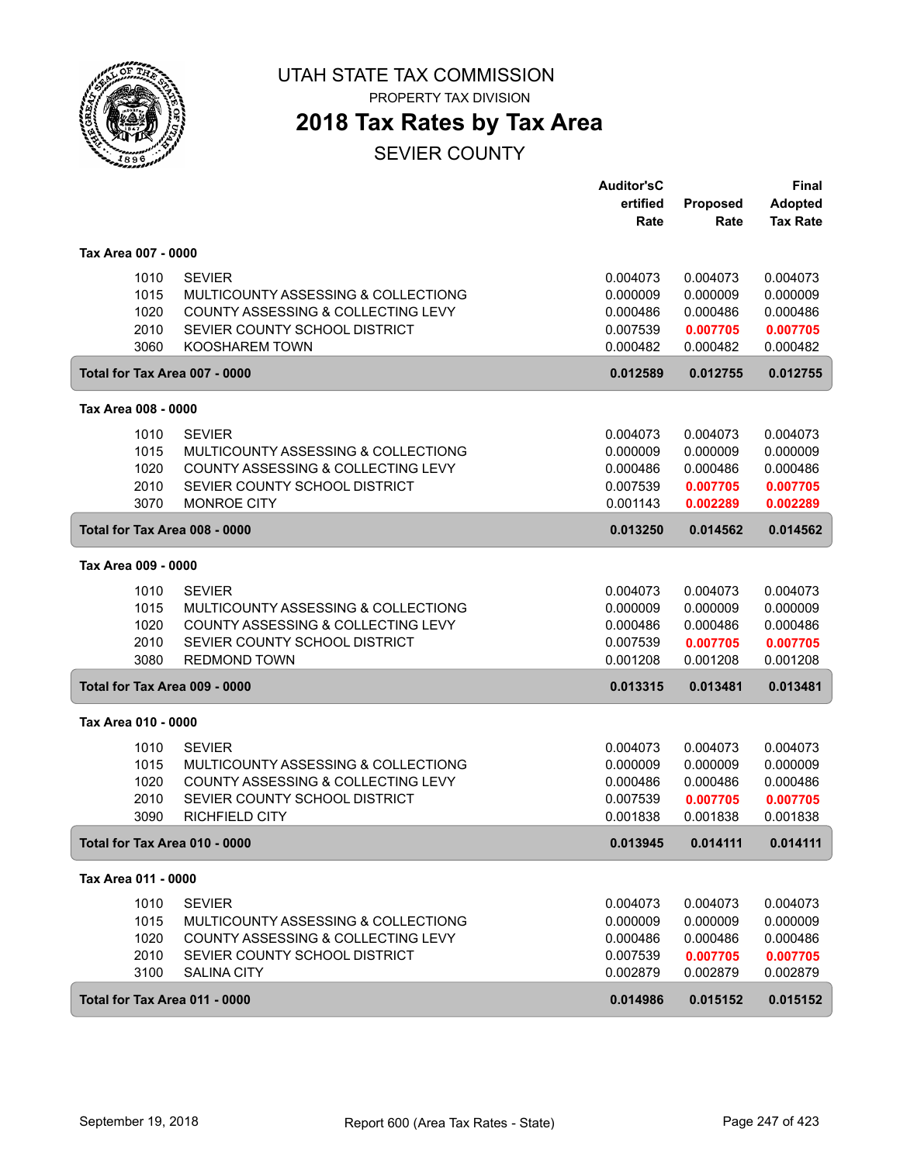

PROPERTY TAX DIVISION

### **2018 Tax Rates by Tax Area**

SEVIER COUNTY

|                                      |                                                                                                                                                      | <b>Auditor'sC</b><br>ertified<br>Rate                    | Proposed<br>Rate                                         | <b>Final</b><br><b>Adopted</b><br><b>Tax Rate</b>        |
|--------------------------------------|------------------------------------------------------------------------------------------------------------------------------------------------------|----------------------------------------------------------|----------------------------------------------------------|----------------------------------------------------------|
| Tax Area 007 - 0000                  |                                                                                                                                                      |                                                          |                                                          |                                                          |
| 1010<br>1015<br>1020<br>2010<br>3060 | <b>SEVIER</b><br>MULTICOUNTY ASSESSING & COLLECTIONG<br>COUNTY ASSESSING & COLLECTING LEVY<br>SEVIER COUNTY SCHOOL DISTRICT<br><b>KOOSHAREM TOWN</b> | 0.004073<br>0.000009<br>0.000486<br>0.007539<br>0.000482 | 0.004073<br>0.000009<br>0.000486<br>0.007705<br>0.000482 | 0.004073<br>0.000009<br>0.000486<br>0.007705<br>0.000482 |
| Total for Tax Area 007 - 0000        |                                                                                                                                                      | 0.012589                                                 | 0.012755                                                 | 0.012755                                                 |
| Tax Area 008 - 0000                  |                                                                                                                                                      |                                                          |                                                          |                                                          |
| 1010<br>1015<br>1020<br>2010<br>3070 | <b>SEVIER</b><br>MULTICOUNTY ASSESSING & COLLECTIONG<br>COUNTY ASSESSING & COLLECTING LEVY<br>SEVIER COUNTY SCHOOL DISTRICT<br><b>MONROE CITY</b>    | 0.004073<br>0.000009<br>0.000486<br>0.007539<br>0.001143 | 0.004073<br>0.000009<br>0.000486<br>0.007705<br>0.002289 | 0.004073<br>0.000009<br>0.000486<br>0.007705<br>0.002289 |
| Total for Tax Area 008 - 0000        |                                                                                                                                                      | 0.013250                                                 | 0.014562                                                 | 0.014562                                                 |
| Tax Area 009 - 0000                  |                                                                                                                                                      |                                                          |                                                          |                                                          |
| 1010<br>1015<br>1020<br>2010<br>3080 | <b>SEVIER</b><br>MULTICOUNTY ASSESSING & COLLECTIONG<br>COUNTY ASSESSING & COLLECTING LEVY<br>SEVIER COUNTY SCHOOL DISTRICT<br><b>REDMOND TOWN</b>   | 0.004073<br>0.000009<br>0.000486<br>0.007539<br>0.001208 | 0.004073<br>0.000009<br>0.000486<br>0.007705<br>0.001208 | 0.004073<br>0.000009<br>0.000486<br>0.007705<br>0.001208 |
| Total for Tax Area 009 - 0000        |                                                                                                                                                      | 0.013315                                                 | 0.013481                                                 | 0.013481                                                 |
| Tax Area 010 - 0000                  |                                                                                                                                                      |                                                          |                                                          |                                                          |
| 1010<br>1015<br>1020<br>2010<br>3090 | <b>SEVIER</b><br>MULTICOUNTY ASSESSING & COLLECTIONG<br>COUNTY ASSESSING & COLLECTING LEVY<br>SEVIER COUNTY SCHOOL DISTRICT<br><b>RICHFIELD CITY</b> | 0.004073<br>0.000009<br>0.000486<br>0.007539<br>0.001838 | 0.004073<br>0.000009<br>0.000486<br>0.007705<br>0.001838 | 0.004073<br>0.000009<br>0.000486<br>0.007705<br>0.001838 |
| Total for Tax Area 010 - 0000        |                                                                                                                                                      | 0.013945                                                 | 0.014111                                                 | 0.014111                                                 |
| Tax Area 011 - 0000                  |                                                                                                                                                      |                                                          |                                                          |                                                          |
| 1010<br>1015<br>1020<br>2010<br>3100 | <b>SEVIER</b><br>MULTICOUNTY ASSESSING & COLLECTIONG<br>COUNTY ASSESSING & COLLECTING LEVY<br>SEVIER COUNTY SCHOOL DISTRICT<br><b>SALINA CITY</b>    | 0.004073<br>0.000009<br>0.000486<br>0.007539<br>0.002879 | 0.004073<br>0.000009<br>0.000486<br>0.007705<br>0.002879 | 0.004073<br>0.000009<br>0.000486<br>0.007705<br>0.002879 |
| Total for Tax Area 011 - 0000        |                                                                                                                                                      | 0.014986                                                 | 0.015152                                                 | 0.015152                                                 |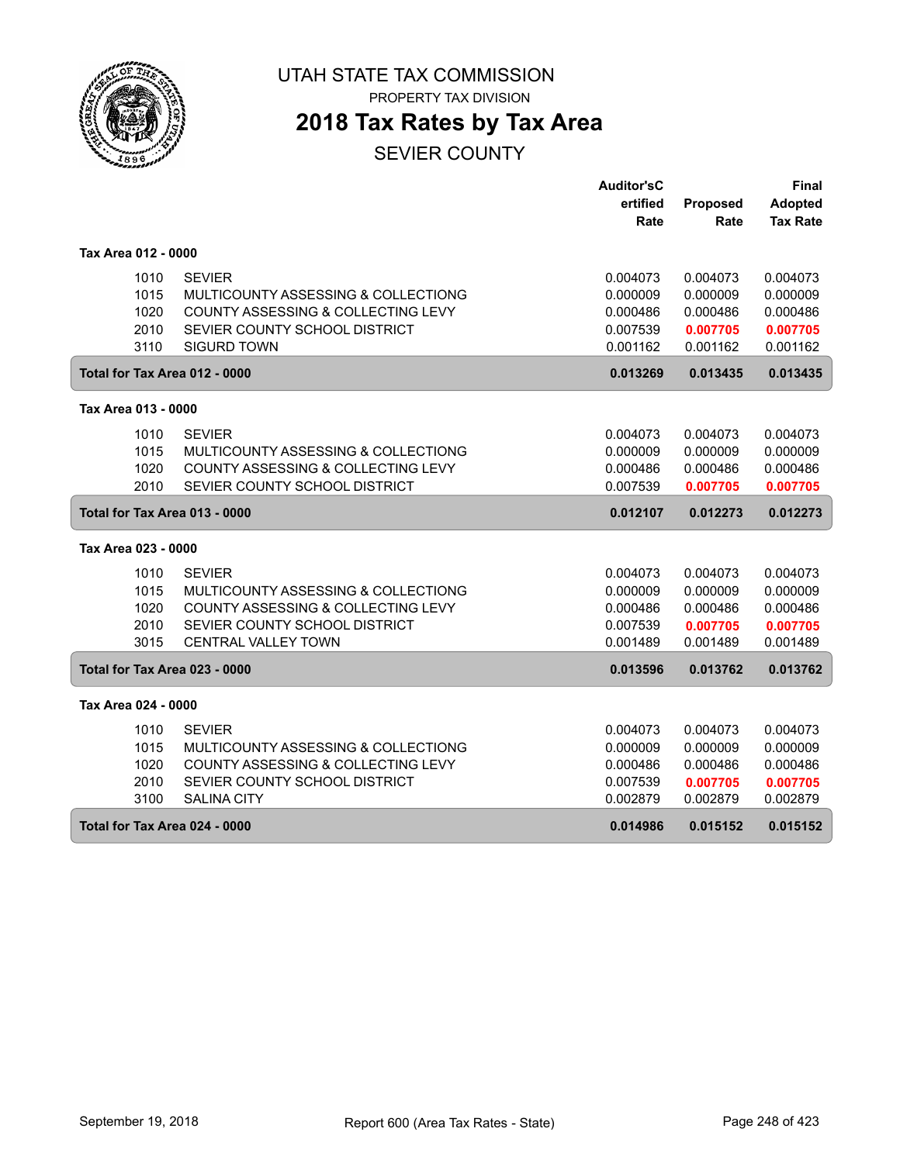

PROPERTY TAX DIVISION

# **2018 Tax Rates by Tax Area**

SEVIER COUNTY

|                               |                                     | <b>Auditor'sC</b> |                 | <b>Final</b>    |
|-------------------------------|-------------------------------------|-------------------|-----------------|-----------------|
|                               |                                     | ertified          | <b>Proposed</b> | <b>Adopted</b>  |
|                               |                                     | Rate              | Rate            | <b>Tax Rate</b> |
|                               |                                     |                   |                 |                 |
| Tax Area 012 - 0000           |                                     |                   |                 |                 |
| 1010                          | <b>SEVIER</b>                       | 0.004073          | 0.004073        | 0.004073        |
| 1015                          | MULTICOUNTY ASSESSING & COLLECTIONG | 0.000009          | 0.000009        | 0.000009        |
| 1020                          | COUNTY ASSESSING & COLLECTING LEVY  | 0.000486          | 0.000486        | 0.000486        |
| 2010                          | SEVIER COUNTY SCHOOL DISTRICT       | 0.007539          | 0.007705        | 0.007705        |
| 3110                          | <b>SIGURD TOWN</b>                  | 0.001162          | 0.001162        | 0.001162        |
| Total for Tax Area 012 - 0000 |                                     | 0.013269          | 0.013435        | 0.013435        |
|                               |                                     |                   |                 |                 |
| Tax Area 013 - 0000           |                                     |                   |                 |                 |
| 1010                          | <b>SEVIER</b>                       | 0.004073          | 0.004073        | 0.004073        |
| 1015                          | MULTICOUNTY ASSESSING & COLLECTIONG | 0.000009          | 0.000009        | 0.000009        |
| 1020                          | COUNTY ASSESSING & COLLECTING LEVY  | 0.000486          | 0.000486        | 0.000486        |
| 2010                          | SEVIER COUNTY SCHOOL DISTRICT       | 0.007539          | 0.007705        | 0.007705        |
| Total for Tax Area 013 - 0000 |                                     | 0.012107          | 0.012273        | 0.012273        |
| Tax Area 023 - 0000           |                                     |                   |                 |                 |
| 1010                          | <b>SEVIER</b>                       | 0.004073          | 0.004073        | 0.004073        |
| 1015                          | MULTICOUNTY ASSESSING & COLLECTIONG | 0.000009          | 0.000009        | 0.000009        |
| 1020                          | COUNTY ASSESSING & COLLECTING LEVY  | 0.000486          | 0.000486        | 0.000486        |
| 2010                          | SEVIER COUNTY SCHOOL DISTRICT       | 0.007539          | 0.007705        | 0.007705        |
| 3015                          | <b>CENTRAL VALLEY TOWN</b>          | 0.001489          | 0.001489        | 0.001489        |
|                               |                                     |                   |                 |                 |
| Total for Tax Area 023 - 0000 |                                     | 0.013596          | 0.013762        | 0.013762        |
| Tax Area 024 - 0000           |                                     |                   |                 |                 |
| 1010                          | <b>SEVIER</b>                       | 0.004073          | 0.004073        | 0.004073        |
| 1015                          | MULTICOUNTY ASSESSING & COLLECTIONG | 0.000009          | 0.000009        | 0.000009        |
| 1020                          | COUNTY ASSESSING & COLLECTING LEVY  | 0.000486          | 0.000486        | 0.000486        |
| 2010                          | SEVIER COUNTY SCHOOL DISTRICT       | 0.007539          | 0.007705        | 0.007705        |
| 3100                          | <b>SALINA CITY</b>                  | 0.002879          | 0.002879        | 0.002879        |
| Total for Tax Area 024 - 0000 |                                     | 0.014986          | 0.015152        | 0.015152        |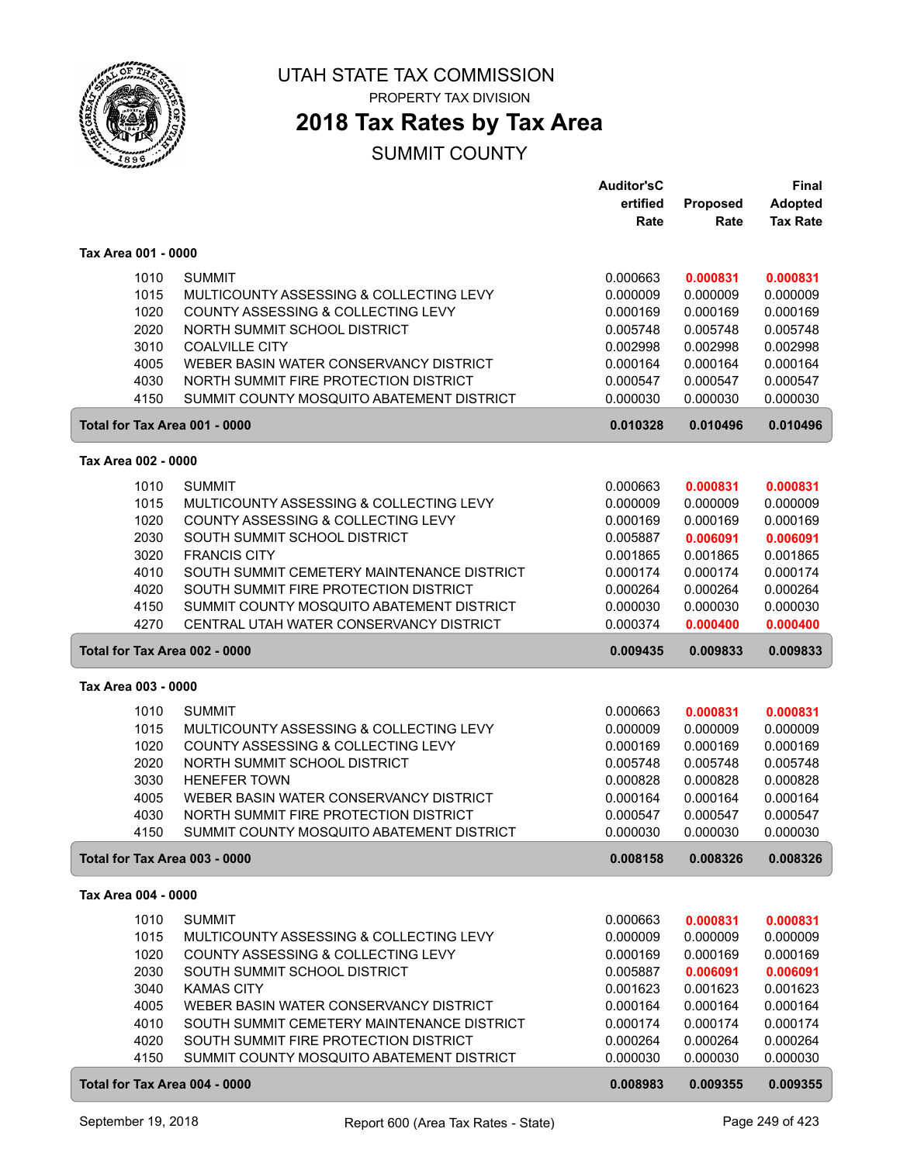

PROPERTY TAX DIVISION

### **2018 Tax Rates by Tax Area**

|                               |                                                                    | <b>Auditor'sC</b>    |                      | <b>Final</b>         |
|-------------------------------|--------------------------------------------------------------------|----------------------|----------------------|----------------------|
|                               |                                                                    | ertified             | Proposed             | <b>Adopted</b>       |
|                               |                                                                    | Rate                 | Rate                 | <b>Tax Rate</b>      |
| Tax Area 001 - 0000           |                                                                    |                      |                      |                      |
|                               |                                                                    |                      |                      |                      |
| 1010                          | <b>SUMMIT</b>                                                      | 0.000663             | 0.000831             | 0.000831             |
| 1015                          | MULTICOUNTY ASSESSING & COLLECTING LEVY                            | 0.000009             | 0.000009             | 0.000009             |
| 1020<br>2020                  | COUNTY ASSESSING & COLLECTING LEVY<br>NORTH SUMMIT SCHOOL DISTRICT | 0.000169<br>0.005748 | 0.000169<br>0.005748 | 0.000169<br>0.005748 |
| 3010                          | <b>COALVILLE CITY</b>                                              | 0.002998             | 0.002998             | 0.002998             |
| 4005                          | WEBER BASIN WATER CONSERVANCY DISTRICT                             | 0.000164             | 0.000164             | 0.000164             |
| 4030                          | NORTH SUMMIT FIRE PROTECTION DISTRICT                              | 0.000547             | 0.000547             | 0.000547             |
| 4150                          | SUMMIT COUNTY MOSQUITO ABATEMENT DISTRICT                          | 0.000030             | 0.000030             | 0.000030             |
| Total for Tax Area 001 - 0000 |                                                                    | 0.010328             | 0.010496             | 0.010496             |
|                               |                                                                    |                      |                      |                      |
| Tax Area 002 - 0000           |                                                                    |                      |                      |                      |
| 1010                          | <b>SUMMIT</b>                                                      | 0.000663             | 0.000831             | 0.000831             |
| 1015                          | MULTICOUNTY ASSESSING & COLLECTING LEVY                            | 0.000009             | 0.000009             | 0.000009             |
| 1020                          | COUNTY ASSESSING & COLLECTING LEVY                                 | 0.000169             | 0.000169             | 0.000169             |
| 2030                          | SOUTH SUMMIT SCHOOL DISTRICT                                       | 0.005887             | 0.006091             | 0.006091             |
| 3020                          | <b>FRANCIS CITY</b>                                                | 0.001865             | 0.001865             | 0.001865             |
| 4010                          | SOUTH SUMMIT CEMETERY MAINTENANCE DISTRICT                         | 0.000174             | 0.000174             | 0.000174             |
| 4020                          | SOUTH SUMMIT FIRE PROTECTION DISTRICT                              | 0.000264             | 0.000264             | 0.000264             |
| 4150                          | SUMMIT COUNTY MOSQUITO ABATEMENT DISTRICT                          | 0.000030             | 0.000030             | 0.000030             |
| 4270                          | CENTRAL UTAH WATER CONSERVANCY DISTRICT                            | 0.000374             | 0.000400             | 0.000400             |
| Total for Tax Area 002 - 0000 |                                                                    | 0.009435             | 0.009833             | 0.009833             |
|                               |                                                                    |                      |                      |                      |
| Tax Area 003 - 0000           |                                                                    |                      |                      |                      |
|                               |                                                                    |                      |                      |                      |
| 1010                          | <b>SUMMIT</b>                                                      | 0.000663             | 0.000831             | 0.000831             |
| 1015                          | MULTICOUNTY ASSESSING & COLLECTING LEVY                            | 0.000009             | 0.000009             | 0.000009             |
| 1020                          | COUNTY ASSESSING & COLLECTING LEVY                                 | 0.000169             | 0.000169             | 0.000169             |
| 2020                          | NORTH SUMMIT SCHOOL DISTRICT<br><b>HENEFER TOWN</b>                | 0.005748             | 0.005748             | 0.005748             |
| 3030                          | WEBER BASIN WATER CONSERVANCY DISTRICT                             | 0.000828             | 0.000828             | 0.000828             |
| 4005<br>4030                  | NORTH SUMMIT FIRE PROTECTION DISTRICT                              | 0.000164<br>0.000547 | 0.000164<br>0.000547 | 0.000164<br>0.000547 |
| 4150                          | SUMMIT COUNTY MOSQUITO ABATEMENT DISTRICT                          | 0.000030             | 0.000030             | 0.000030             |
| Total for Tax Area 003 - 0000 |                                                                    | 0.008158             | 0.008326             | 0.008326             |
| Tax Area 004 - 0000           |                                                                    |                      |                      |                      |
|                               |                                                                    |                      |                      |                      |
| 1010                          | <b>SUMMIT</b><br>MULTICOUNTY ASSESSING & COLLECTING LEVY           | 0.000663             | 0.000831             | 0.000831             |
| 1015<br>1020                  | COUNTY ASSESSING & COLLECTING LEVY                                 | 0.000009<br>0.000169 | 0.000009<br>0.000169 | 0.000009<br>0.000169 |
| 2030                          | SOUTH SUMMIT SCHOOL DISTRICT                                       | 0.005887             | 0.006091             | 0.006091             |
| 3040                          | <b>KAMAS CITY</b>                                                  | 0.001623             | 0.001623             | 0.001623             |
| 4005                          | WEBER BASIN WATER CONSERVANCY DISTRICT                             | 0.000164             | 0.000164             | 0.000164             |
| 4010                          | SOUTH SUMMIT CEMETERY MAINTENANCE DISTRICT                         | 0.000174             | 0.000174             | 0.000174             |
| 4020                          | SOUTH SUMMIT FIRE PROTECTION DISTRICT                              | 0.000264             | 0.000264             | 0.000264             |
| 4150                          | SUMMIT COUNTY MOSQUITO ABATEMENT DISTRICT                          | 0.000030             | 0.000030             | 0.000030             |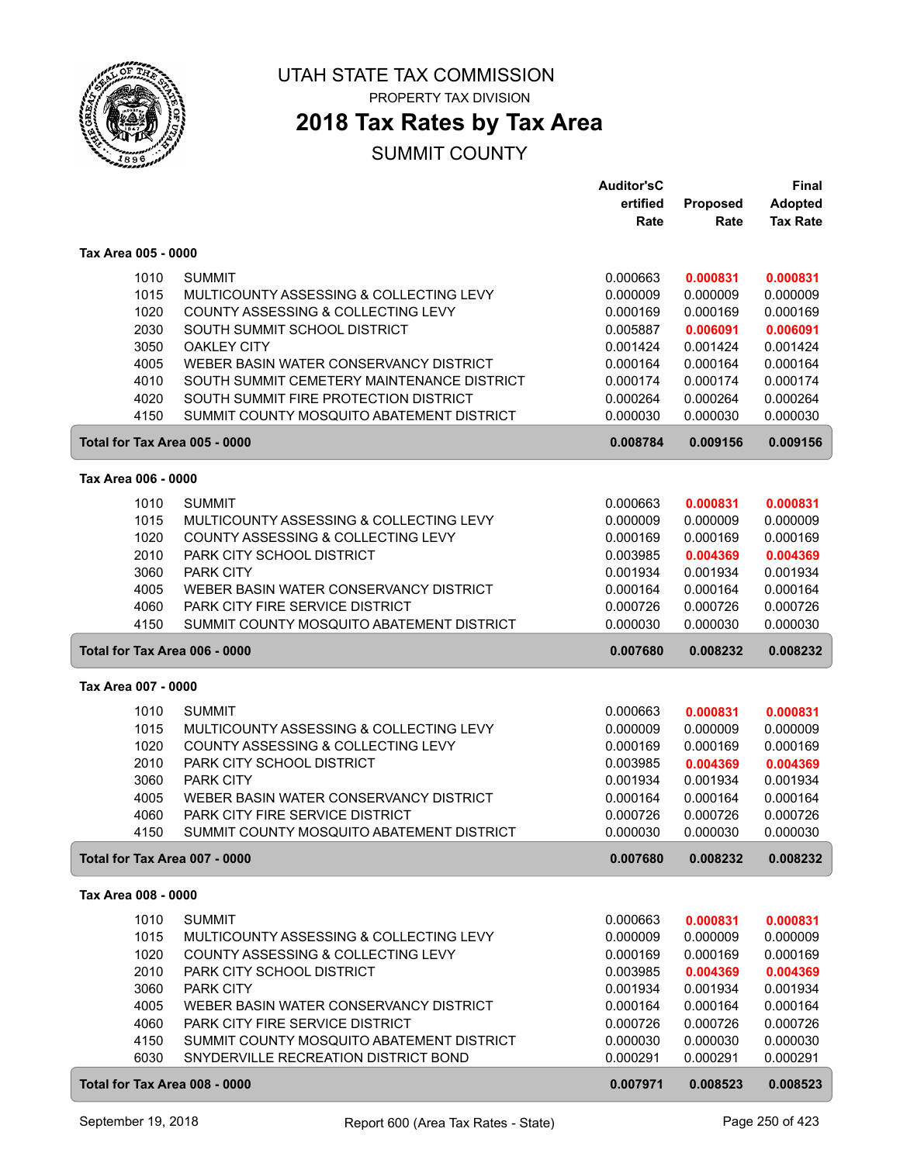

PROPERTY TAX DIVISION

## **2018 Tax Rates by Tax Area**

|                     |                                                                                   | <b>Auditor'sC</b>    |                      | <b>Final</b>         |
|---------------------|-----------------------------------------------------------------------------------|----------------------|----------------------|----------------------|
|                     |                                                                                   | ertified             | Proposed             | <b>Adopted</b>       |
|                     |                                                                                   | Rate                 | Rate                 | <b>Tax Rate</b>      |
| Tax Area 005 - 0000 |                                                                                   |                      |                      |                      |
|                     |                                                                                   |                      |                      |                      |
| 1010                | <b>SUMMIT</b>                                                                     | 0.000663             | 0.000831             | 0.000831             |
| 1015                | MULTICOUNTY ASSESSING & COLLECTING LEVY                                           | 0.000009             | 0.000009             | 0.000009             |
| 1020                | COUNTY ASSESSING & COLLECTING LEVY                                                | 0.000169             | 0.000169             | 0.000169             |
| 2030                | SOUTH SUMMIT SCHOOL DISTRICT                                                      | 0.005887             | 0.006091             | 0.006091             |
| 3050                | <b>OAKLEY CITY</b>                                                                | 0.001424             | 0.001424             | 0.001424             |
| 4005                | WEBER BASIN WATER CONSERVANCY DISTRICT                                            | 0.000164             | 0.000164             | 0.000164             |
| 4010                | SOUTH SUMMIT CEMETERY MAINTENANCE DISTRICT                                        | 0.000174             | 0.000174             | 0.000174             |
| 4020                | SOUTH SUMMIT FIRE PROTECTION DISTRICT                                             | 0.000264             | 0.000264             | 0.000264             |
| 4150                | SUMMIT COUNTY MOSQUITO ABATEMENT DISTRICT                                         | 0.000030             | 0.000030             | 0.000030             |
|                     | Total for Tax Area 005 - 0000                                                     | 0.008784             | 0.009156             | 0.009156             |
| Tax Area 006 - 0000 |                                                                                   |                      |                      |                      |
| 1010                | <b>SUMMIT</b>                                                                     | 0.000663             | 0.000831             | 0.000831             |
| 1015                | MULTICOUNTY ASSESSING & COLLECTING LEVY                                           | 0.000009             | 0.000009             | 0.000009             |
| 1020                | COUNTY ASSESSING & COLLECTING LEVY                                                | 0.000169             | 0.000169             | 0.000169             |
| 2010                | PARK CITY SCHOOL DISTRICT                                                         | 0.003985             | 0.004369             | 0.004369             |
| 3060                | <b>PARK CITY</b>                                                                  | 0.001934             | 0.001934             | 0.001934             |
| 4005                | WEBER BASIN WATER CONSERVANCY DISTRICT                                            | 0.000164             | 0.000164             | 0.000164             |
| 4060                | PARK CITY FIRE SERVICE DISTRICT                                                   | 0.000726             | 0.000726             | 0.000726             |
| 4150                | SUMMIT COUNTY MOSQUITO ABATEMENT DISTRICT                                         | 0.000030             | 0.000030             | 0.000030             |
|                     |                                                                                   |                      |                      |                      |
|                     | Total for Tax Area 006 - 0000                                                     | 0.007680             | 0.008232             | 0.008232             |
| Tax Area 007 - 0000 |                                                                                   |                      |                      |                      |
| 1010                | <b>SUMMIT</b>                                                                     | 0.000663             | 0.000831             | 0.000831             |
| 1015                | MULTICOUNTY ASSESSING & COLLECTING LEVY                                           | 0.000009             | 0.000009             | 0.000009             |
| 1020                | COUNTY ASSESSING & COLLECTING LEVY                                                | 0.000169             | 0.000169             | 0.000169             |
| 2010                | PARK CITY SCHOOL DISTRICT                                                         | 0.003985             | 0.004369             | 0.004369             |
| 3060                | <b>PARK CITY</b>                                                                  | 0.001934             | 0.001934             | 0.001934             |
| 4005                | WEBER BASIN WATER CONSERVANCY DISTRICT                                            | 0.000164             | 0.000164             | 0.000164             |
| 4060                | <b>PARK CITY FIRE SERVICE DISTRICT</b>                                            | 0.000726             | 0.000726             | 0.000726             |
| 4150                | SUMMIT COUNTY MOSQUITO ABATEMENT DISTRICT                                         | 0.000030             | 0.000030             | 0.000030             |
|                     | Total for Tax Area 007 - 0000                                                     | 0.007680             | 0.008232             | 0.008232             |
| Tax Area 008 - 0000 |                                                                                   |                      |                      |                      |
|                     |                                                                                   |                      |                      |                      |
| 1010                | <b>SUMMIT</b>                                                                     | 0.000663             | 0.000831             | 0.000831             |
| 1015                | MULTICOUNTY ASSESSING & COLLECTING LEVY                                           | 0.000009             | 0.000009<br>0.000169 | 0.000009             |
| 1020                | COUNTY ASSESSING & COLLECTING LEVY<br>PARK CITY SCHOOL DISTRICT                   | 0.000169             |                      | 0.000169             |
| 2010                |                                                                                   | 0.003985             | 0.004369             | 0.004369<br>0.001934 |
| 3060                | PARK CITY                                                                         | 0.001934             | 0.001934             |                      |
| 4005<br>4060        | WEBER BASIN WATER CONSERVANCY DISTRICT<br>PARK CITY FIRE SERVICE DISTRICT         | 0.000164<br>0.000726 | 0.000164             | 0.000164<br>0.000726 |
| 4150                |                                                                                   |                      | 0.000726<br>0.000030 | 0.000030             |
| 6030                | SUMMIT COUNTY MOSQUITO ABATEMENT DISTRICT<br>SNYDERVILLE RECREATION DISTRICT BOND | 0.000030<br>0.000291 | 0.000291             | 0.000291             |
|                     |                                                                                   |                      |                      |                      |
|                     | Total for Tax Area 008 - 0000                                                     | 0.007971             | 0.008523             | 0.008523             |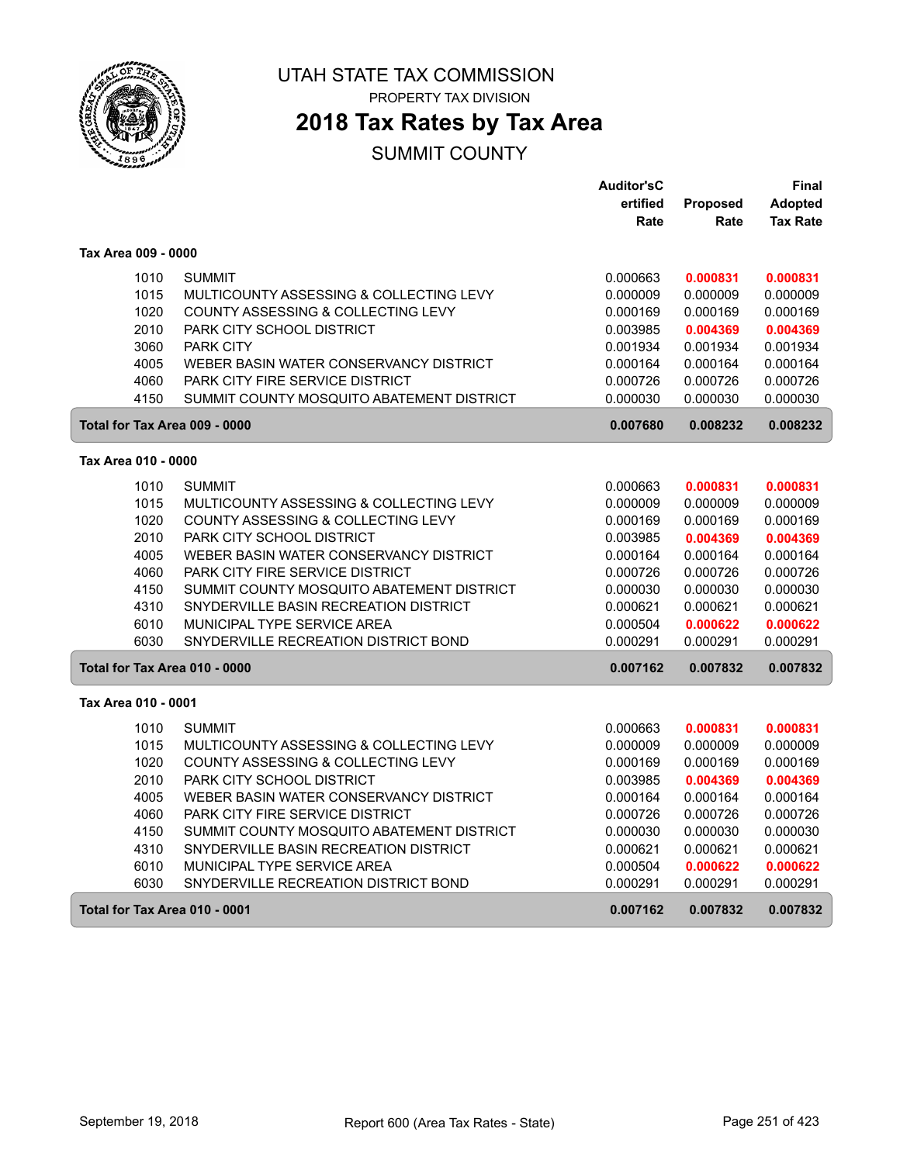

PROPERTY TAX DIVISION

### **2018 Tax Rates by Tax Area**

|                               |                                           | <b>Auditor'sC</b> |          | Final           |
|-------------------------------|-------------------------------------------|-------------------|----------|-----------------|
|                               |                                           | ertified          | Proposed | <b>Adopted</b>  |
|                               |                                           | Rate              | Rate     | <b>Tax Rate</b> |
| Tax Area 009 - 0000           |                                           |                   |          |                 |
| 1010                          | <b>SUMMIT</b>                             | 0.000663          | 0.000831 | 0.000831        |
| 1015                          | MULTICOUNTY ASSESSING & COLLECTING LEVY   | 0.000009          | 0.000009 | 0.000009        |
| 1020                          | COUNTY ASSESSING & COLLECTING LEVY        | 0.000169          | 0.000169 | 0.000169        |
| 2010                          | PARK CITY SCHOOL DISTRICT                 | 0.003985          | 0.004369 | 0.004369        |
| 3060                          | <b>PARK CITY</b>                          | 0.001934          | 0.001934 | 0.001934        |
| 4005                          | WEBER BASIN WATER CONSERVANCY DISTRICT    | 0.000164          | 0.000164 | 0.000164        |
| 4060                          | PARK CITY FIRE SERVICE DISTRICT           | 0.000726          | 0.000726 | 0.000726        |
| 4150                          | SUMMIT COUNTY MOSQUITO ABATEMENT DISTRICT | 0.000030          | 0.000030 | 0.000030        |
| Total for Tax Area 009 - 0000 |                                           | 0.007680          | 0.008232 | 0.008232        |
| Tax Area 010 - 0000           |                                           |                   |          |                 |
| 1010                          | <b>SUMMIT</b>                             | 0.000663          | 0.000831 | 0.000831        |
| 1015                          | MULTICOUNTY ASSESSING & COLLECTING LEVY   | 0.000009          | 0.000009 | 0.000009        |
| 1020                          | COUNTY ASSESSING & COLLECTING LEVY        | 0.000169          | 0.000169 | 0.000169        |
| 2010                          | PARK CITY SCHOOL DISTRICT                 | 0.003985          | 0.004369 | 0.004369        |
| 4005                          | WEBER BASIN WATER CONSERVANCY DISTRICT    | 0.000164          | 0.000164 | 0.000164        |
| 4060                          | <b>PARK CITY FIRE SERVICE DISTRICT</b>    | 0.000726          | 0.000726 | 0.000726        |
| 4150                          | SUMMIT COUNTY MOSQUITO ABATEMENT DISTRICT | 0.000030          | 0.000030 | 0.000030        |
| 4310                          | SNYDERVILLE BASIN RECREATION DISTRICT     | 0.000621          | 0.000621 | 0.000621        |
| 6010                          | MUNICIPAL TYPE SERVICE AREA               | 0.000504          | 0.000622 | 0.000622        |
| 6030                          | SNYDERVILLE RECREATION DISTRICT BOND      | 0.000291          | 0.000291 | 0.000291        |
| Total for Tax Area 010 - 0000 |                                           | 0.007162          | 0.007832 | 0.007832        |
| Tax Area 010 - 0001           |                                           |                   |          |                 |
| 1010                          | <b>SUMMIT</b>                             | 0.000663          | 0.000831 | 0.000831        |
| 1015                          | MULTICOUNTY ASSESSING & COLLECTING LEVY   | 0.000009          | 0.000009 | 0.000009        |
| 1020                          | COUNTY ASSESSING & COLLECTING LEVY        | 0.000169          | 0.000169 | 0.000169        |
| 2010                          | PARK CITY SCHOOL DISTRICT                 | 0.003985          | 0.004369 | 0.004369        |
| 4005                          | WEBER BASIN WATER CONSERVANCY DISTRICT    | 0.000164          | 0.000164 | 0.000164        |
| 4060                          | <b>PARK CITY FIRE SERVICE DISTRICT</b>    | 0.000726          | 0.000726 | 0.000726        |
| 4150                          | SUMMIT COUNTY MOSQUITO ABATEMENT DISTRICT | 0.000030          | 0.000030 | 0.000030        |
| 4310                          | SNYDERVILLE BASIN RECREATION DISTRICT     | 0.000621          | 0.000621 | 0.000621        |
| 6010                          | MUNICIPAL TYPE SERVICE AREA               | 0.000504          | 0.000622 | 0.000622        |
| 6030                          | SNYDERVILLE RECREATION DISTRICT BOND      | 0.000291          | 0.000291 | 0.000291        |
| Total for Tax Area 010 - 0001 |                                           | 0.007162          | 0.007832 | 0.007832        |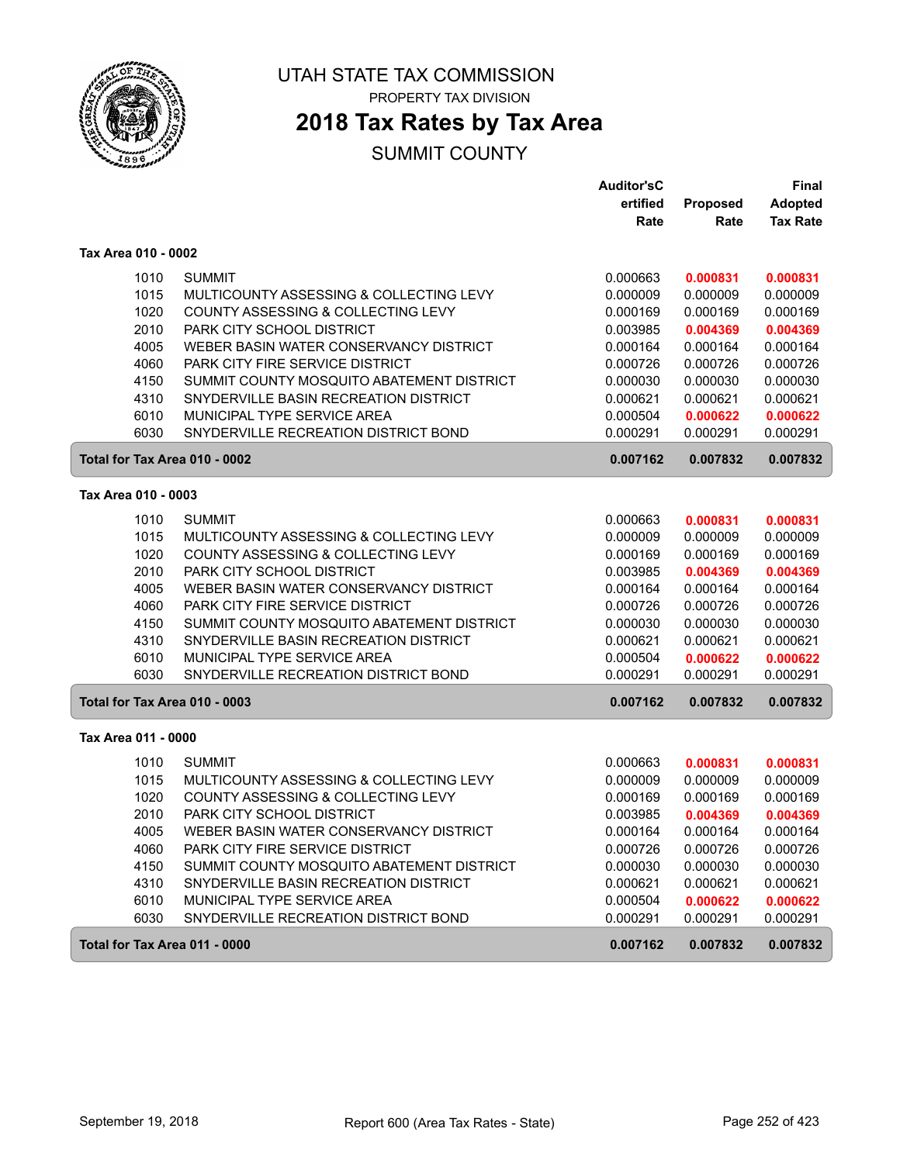

PROPERTY TAX DIVISION

### **2018 Tax Rates by Tax Area**

|                               |                                           | <b>Auditor'sC</b> |          | <b>Final</b>    |
|-------------------------------|-------------------------------------------|-------------------|----------|-----------------|
|                               |                                           | ertified          | Proposed | <b>Adopted</b>  |
|                               |                                           | Rate              | Rate     | <b>Tax Rate</b> |
| Tax Area 010 - 0002           |                                           |                   |          |                 |
| 1010                          | <b>SUMMIT</b>                             | 0.000663          | 0.000831 | 0.000831        |
| 1015                          | MULTICOUNTY ASSESSING & COLLECTING LEVY   | 0.000009          | 0.000009 | 0.000009        |
| 1020                          | COUNTY ASSESSING & COLLECTING LEVY        | 0.000169          | 0.000169 | 0.000169        |
| 2010                          | PARK CITY SCHOOL DISTRICT                 | 0.003985          | 0.004369 | 0.004369        |
| 4005                          | WEBER BASIN WATER CONSERVANCY DISTRICT    | 0.000164          | 0.000164 | 0.000164        |
| 4060                          | PARK CITY FIRE SERVICE DISTRICT           | 0.000726          | 0.000726 | 0.000726        |
| 4150                          | SUMMIT COUNTY MOSQUITO ABATEMENT DISTRICT | 0.000030          | 0.000030 | 0.000030        |
| 4310                          | SNYDERVILLE BASIN RECREATION DISTRICT     | 0.000621          | 0.000621 | 0.000621        |
| 6010                          | MUNICIPAL TYPE SERVICE AREA               | 0.000504          | 0.000622 | 0.000622        |
| 6030                          | SNYDERVILLE RECREATION DISTRICT BOND      | 0.000291          | 0.000291 | 0.000291        |
| Total for Tax Area 010 - 0002 |                                           | 0.007162          | 0.007832 | 0.007832        |
| Tax Area 010 - 0003           |                                           |                   |          |                 |
| 1010                          | <b>SUMMIT</b>                             | 0.000663          | 0.000831 | 0.000831        |
| 1015                          | MULTICOUNTY ASSESSING & COLLECTING LEVY   | 0.000009          | 0.000009 | 0.000009        |
| 1020                          | COUNTY ASSESSING & COLLECTING LEVY        | 0.000169          | 0.000169 | 0.000169        |
| 2010                          | PARK CITY SCHOOL DISTRICT                 | 0.003985          | 0.004369 | 0.004369        |
| 4005                          | WEBER BASIN WATER CONSERVANCY DISTRICT    | 0.000164          | 0.000164 | 0.000164        |
| 4060                          | PARK CITY FIRE SERVICE DISTRICT           | 0.000726          | 0.000726 | 0.000726        |
| 4150                          | SUMMIT COUNTY MOSQUITO ABATEMENT DISTRICT | 0.000030          | 0.000030 | 0.000030        |
| 4310                          | SNYDERVILLE BASIN RECREATION DISTRICT     | 0.000621          | 0.000621 | 0.000621        |
| 6010                          | MUNICIPAL TYPE SERVICE AREA               | 0.000504          | 0.000622 | 0.000622        |
| 6030                          | SNYDERVILLE RECREATION DISTRICT BOND      | 0.000291          | 0.000291 | 0.000291        |
| Total for Tax Area 010 - 0003 |                                           | 0.007162          | 0.007832 | 0.007832        |
| Tax Area 011 - 0000           |                                           |                   |          |                 |
| 1010                          | <b>SUMMIT</b>                             | 0.000663          | 0.000831 | 0.000831        |
| 1015                          | MULTICOUNTY ASSESSING & COLLECTING LEVY   | 0.000009          | 0.000009 | 0.000009        |
| 1020                          | COUNTY ASSESSING & COLLECTING LEVY        | 0.000169          | 0.000169 | 0.000169        |
| 2010                          | PARK CITY SCHOOL DISTRICT                 | 0.003985          | 0.004369 | 0.004369        |
| 4005                          | WEBER BASIN WATER CONSERVANCY DISTRICT    | 0.000164          | 0.000164 | 0.000164        |
| 4060                          | <b>PARK CITY FIRE SERVICE DISTRICT</b>    | 0.000726          | 0.000726 | 0.000726        |
| 4150                          | SUMMIT COUNTY MOSQUITO ABATEMENT DISTRICT | 0.000030          | 0.000030 | 0.000030        |
| 4310                          | SNYDERVILLE BASIN RECREATION DISTRICT     | 0.000621          | 0.000621 | 0.000621        |
| 6010                          | MUNICIPAL TYPE SERVICE AREA               | 0.000504          | 0.000622 | 0.000622        |
| 6030                          | SNYDERVILLE RECREATION DISTRICT BOND      | 0.000291          | 0.000291 | 0.000291        |
| Total for Tax Area 011 - 0000 |                                           | 0.007162          | 0.007832 | 0.007832        |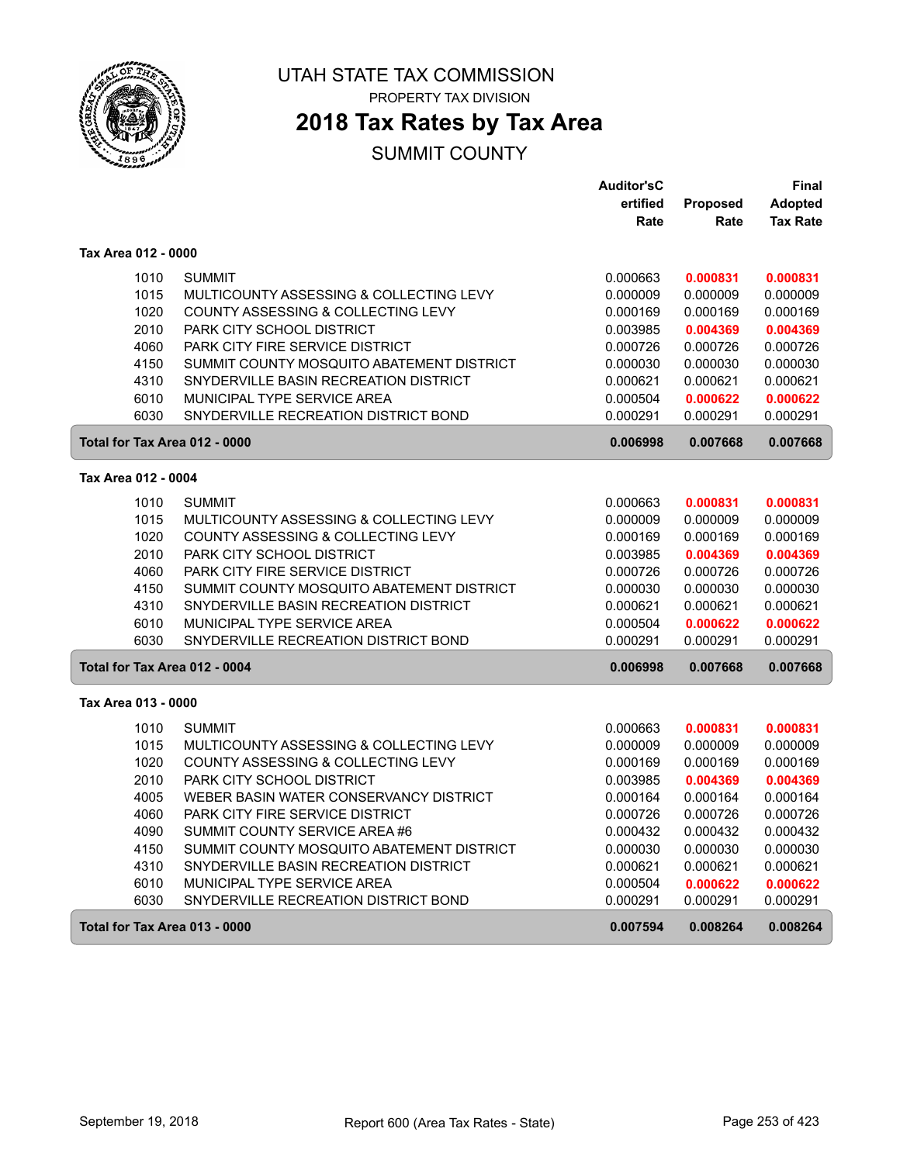

PROPERTY TAX DIVISION

## **2018 Tax Rates by Tax Area**

|                     |                                           | <b>Auditor'sC</b> |                 | Final           |
|---------------------|-------------------------------------------|-------------------|-----------------|-----------------|
|                     |                                           | ertified          | <b>Proposed</b> | Adopted         |
|                     |                                           | Rate              | Rate            | <b>Tax Rate</b> |
| Tax Area 012 - 0000 |                                           |                   |                 |                 |
| 1010                | <b>SUMMIT</b>                             | 0.000663          | 0.000831        | 0.000831        |
| 1015                | MULTICOUNTY ASSESSING & COLLECTING LEVY   | 0.000009          | 0.000009        | 0.000009        |
| 1020                | COUNTY ASSESSING & COLLECTING LEVY        | 0.000169          | 0.000169        | 0.000169        |
| 2010                | PARK CITY SCHOOL DISTRICT                 | 0.003985          | 0.004369        | 0.004369        |
| 4060                | <b>PARK CITY FIRE SERVICE DISTRICT</b>    | 0.000726          | 0.000726        | 0.000726        |
| 4150                | SUMMIT COUNTY MOSQUITO ABATEMENT DISTRICT | 0.000030          | 0.000030        | 0.000030        |
| 4310                | SNYDERVILLE BASIN RECREATION DISTRICT     | 0.000621          | 0.000621        | 0.000621        |
| 6010                | MUNICIPAL TYPE SERVICE AREA               | 0.000504          | 0.000622        | 0.000622        |
| 6030                | SNYDERVILLE RECREATION DISTRICT BOND      | 0.000291          | 0.000291        | 0.000291        |
|                     | Total for Tax Area 012 - 0000             | 0.006998          | 0.007668        | 0.007668        |
| Tax Area 012 - 0004 |                                           |                   |                 |                 |
| 1010                | <b>SUMMIT</b>                             | 0.000663          | 0.000831        | 0.000831        |
| 1015                | MULTICOUNTY ASSESSING & COLLECTING LEVY   | 0.000009          | 0.000009        | 0.000009        |
| 1020                | COUNTY ASSESSING & COLLECTING LEVY        | 0.000169          | 0.000169        | 0.000169        |
| 2010                | PARK CITY SCHOOL DISTRICT                 | 0.003985          | 0.004369        | 0.004369        |
| 4060                | PARK CITY FIRE SERVICE DISTRICT           | 0.000726          | 0.000726        | 0.000726        |
| 4150                | SUMMIT COUNTY MOSQUITO ABATEMENT DISTRICT | 0.000030          | 0.000030        | 0.000030        |
| 4310                | SNYDERVILLE BASIN RECREATION DISTRICT     | 0.000621          | 0.000621        | 0.000621        |
| 6010                | MUNICIPAL TYPE SERVICE AREA               | 0.000504          | 0.000622        | 0.000622        |
| 6030                | SNYDERVILLE RECREATION DISTRICT BOND      | 0.000291          | 0.000291        | 0.000291        |
|                     | Total for Tax Area 012 - 0004             | 0.006998          | 0.007668        | 0.007668        |
| Tax Area 013 - 0000 |                                           |                   |                 |                 |
| 1010                | <b>SUMMIT</b>                             | 0.000663          | 0.000831        | 0.000831        |
| 1015                | MULTICOUNTY ASSESSING & COLLECTING LEVY   | 0.000009          | 0.000009        | 0.000009        |
| 1020                | COUNTY ASSESSING & COLLECTING LEVY        | 0.000169          | 0.000169        | 0.000169        |
| 2010                | PARK CITY SCHOOL DISTRICT                 | 0.003985          | 0.004369        | 0.004369        |
| 4005                | WEBER BASIN WATER CONSERVANCY DISTRICT    | 0.000164          | 0.000164        | 0.000164        |
| 4060                | <b>PARK CITY FIRE SERVICE DISTRICT</b>    | 0.000726          | 0.000726        | 0.000726        |
| 4090                | SUMMIT COUNTY SERVICE AREA #6             | 0.000432          | 0.000432        | 0.000432        |
| 4150                | SUMMIT COUNTY MOSQUITO ABATEMENT DISTRICT | 0.000030          | 0.000030        | 0.000030        |
| 4310                | SNYDERVILLE BASIN RECREATION DISTRICT     | 0.000621          | 0.000621        | 0.000621        |
| 6010                | MUNICIPAL TYPE SERVICE AREA               | 0.000504          | 0.000622        | 0.000622        |
| 6030                | SNYDERVILLE RECREATION DISTRICT BOND      | 0.000291          | 0.000291        | 0.000291        |
|                     | Total for Tax Area 013 - 0000             | 0.007594          | 0.008264        | 0.008264        |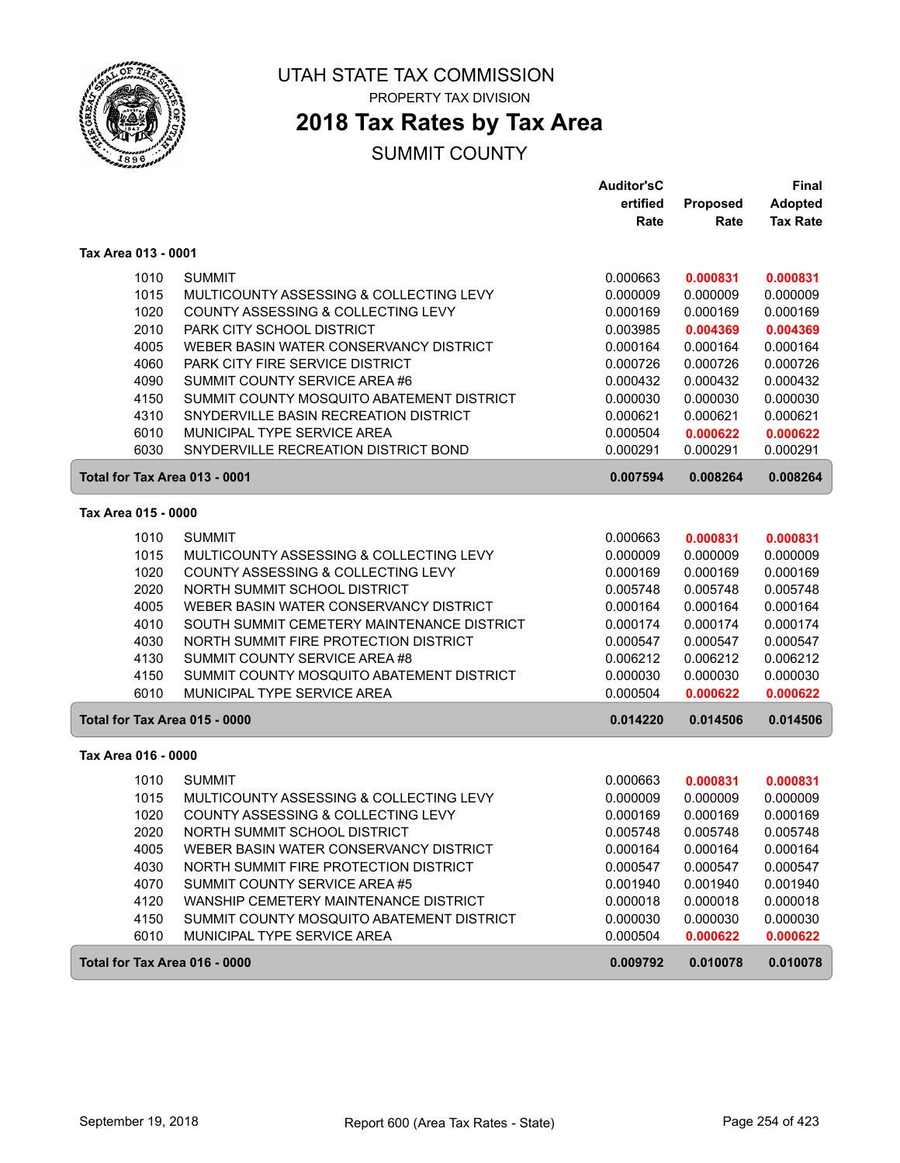

PROPERTY TAX DIVISION

# **2018 Tax Rates by Tax Area**

|                               |                                            | Auditor'sC |          | <b>Final</b>    |
|-------------------------------|--------------------------------------------|------------|----------|-----------------|
|                               |                                            | ertified   | Proposed | <b>Adopted</b>  |
|                               |                                            | Rate       | Rate     | <b>Tax Rate</b> |
| Tax Area 013 - 0001           |                                            |            |          |                 |
| 1010                          | <b>SUMMIT</b>                              | 0.000663   | 0.000831 | 0.000831        |
| 1015                          | MULTICOUNTY ASSESSING & COLLECTING LEVY    | 0.000009   | 0.000009 | 0.000009        |
| 1020                          | COUNTY ASSESSING & COLLECTING LEVY         | 0.000169   | 0.000169 | 0.000169        |
| 2010                          | PARK CITY SCHOOL DISTRICT                  | 0.003985   | 0.004369 | 0.004369        |
| 4005                          | WEBER BASIN WATER CONSERVANCY DISTRICT     | 0.000164   | 0.000164 | 0.000164        |
| 4060                          | <b>PARK CITY FIRE SERVICE DISTRICT</b>     | 0.000726   | 0.000726 | 0.000726        |
| 4090                          | SUMMIT COUNTY SERVICE AREA #6              | 0.000432   | 0.000432 | 0.000432        |
| 4150                          | SUMMIT COUNTY MOSQUITO ABATEMENT DISTRICT  | 0.000030   | 0.000030 | 0.000030        |
| 4310                          | SNYDERVILLE BASIN RECREATION DISTRICT      | 0.000621   | 0.000621 | 0.000621        |
| 6010                          | MUNICIPAL TYPE SERVICE AREA                | 0.000504   | 0.000622 | 0.000622        |
| 6030                          | SNYDERVILLE RECREATION DISTRICT BOND       | 0.000291   | 0.000291 | 0.000291        |
| Total for Tax Area 013 - 0001 |                                            | 0.007594   | 0.008264 | 0.008264        |
| Tax Area 015 - 0000           |                                            |            |          |                 |
| 1010                          | <b>SUMMIT</b>                              | 0.000663   | 0.000831 | 0.000831        |
| 1015                          | MULTICOUNTY ASSESSING & COLLECTING LEVY    | 0.000009   | 0.000009 | 0.000009        |
| 1020                          | COUNTY ASSESSING & COLLECTING LEVY         | 0.000169   | 0.000169 | 0.000169        |
| 2020                          | NORTH SUMMIT SCHOOL DISTRICT               | 0.005748   | 0.005748 | 0.005748        |
| 4005                          | WEBER BASIN WATER CONSERVANCY DISTRICT     | 0.000164   | 0.000164 | 0.000164        |
| 4010                          | SOUTH SUMMIT CEMETERY MAINTENANCE DISTRICT | 0.000174   | 0.000174 | 0.000174        |
| 4030                          | NORTH SUMMIT FIRE PROTECTION DISTRICT      | 0.000547   | 0.000547 | 0.000547        |
| 4130                          | SUMMIT COUNTY SERVICE AREA #8              | 0.006212   | 0.006212 | 0.006212        |
| 4150                          | SUMMIT COUNTY MOSQUITO ABATEMENT DISTRICT  | 0.000030   | 0.000030 | 0.000030        |
| 6010                          | MUNICIPAL TYPE SERVICE AREA                | 0.000504   | 0.000622 | 0.000622        |
| Total for Tax Area 015 - 0000 |                                            | 0.014220   | 0.014506 | 0.014506        |
| Tax Area 016 - 0000           |                                            |            |          |                 |
| 1010                          | <b>SUMMIT</b>                              | 0.000663   | 0.000831 | 0.000831        |
| 1015                          | MULTICOUNTY ASSESSING & COLLECTING LEVY    | 0.000009   | 0.000009 | 0.000009        |
| 1020                          | COUNTY ASSESSING & COLLECTING LEVY         | 0.000169   | 0.000169 | 0.000169        |
| 2020                          | NORTH SUMMIT SCHOOL DISTRICT               | 0.005748   | 0.005748 | 0.005748        |
| 4005                          | WEBER BASIN WATER CONSERVANCY DISTRICT     | 0.000164   | 0.000164 | 0.000164        |
| 4030                          | NORTH SUMMIT FIRE PROTECTION DISTRICT      | 0.000547   | 0.000547 | 0.000547        |
| 4070                          | SUMMIT COUNTY SERVICE AREA #5              | 0.001940   | 0.001940 | 0.001940        |
| 4120                          | WANSHIP CEMETERY MAINTENANCE DISTRICT      | 0.000018   | 0.000018 | 0.000018        |
| 4150                          | SUMMIT COUNTY MOSQUITO ABATEMENT DISTRICT  | 0.000030   | 0.000030 | 0.000030        |
| 6010                          | MUNICIPAL TYPE SERVICE AREA                | 0.000504   | 0.000622 | 0.000622        |
| Total for Tax Area 016 - 0000 |                                            | 0.009792   | 0.010078 | 0.010078        |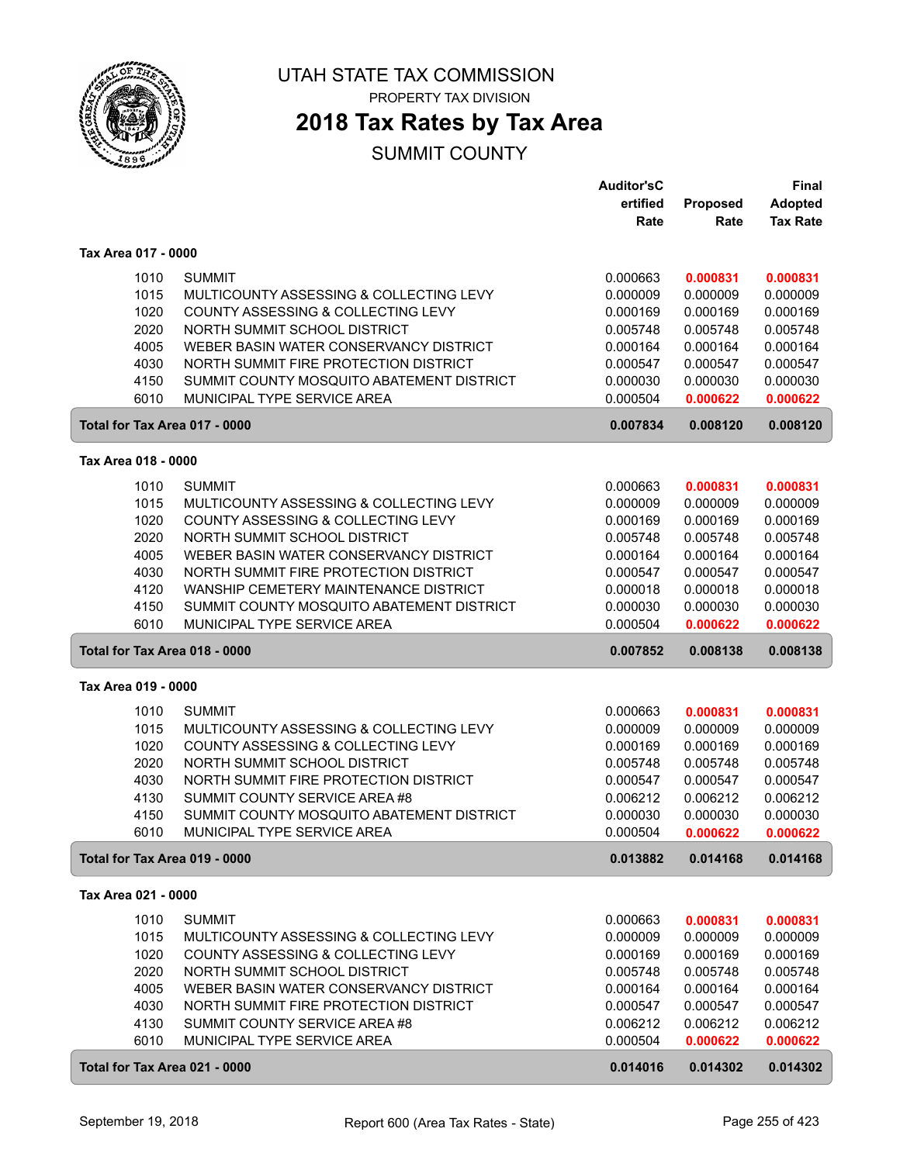

PROPERTY TAX DIVISION

### **2018 Tax Rates by Tax Area**

|                               |                                                              | <b>Auditor'sC</b>    |                      | <b>Final</b>         |
|-------------------------------|--------------------------------------------------------------|----------------------|----------------------|----------------------|
|                               |                                                              | ertified             | Proposed             | <b>Adopted</b>       |
|                               |                                                              | Rate                 | Rate                 | <b>Tax Rate</b>      |
| Tax Area 017 - 0000           |                                                              |                      |                      |                      |
| 1010                          | <b>SUMMIT</b>                                                | 0.000663             | 0.000831             | 0.000831             |
| 1015                          | MULTICOUNTY ASSESSING & COLLECTING LEVY                      | 0.000009             | 0.000009             | 0.000009             |
| 1020                          | COUNTY ASSESSING & COLLECTING LEVY                           | 0.000169             | 0.000169             | 0.000169             |
| 2020                          | NORTH SUMMIT SCHOOL DISTRICT                                 | 0.005748             | 0.005748             | 0.005748             |
| 4005                          | WEBER BASIN WATER CONSERVANCY DISTRICT                       | 0.000164             | 0.000164             | 0.000164             |
| 4030                          | NORTH SUMMIT FIRE PROTECTION DISTRICT                        | 0.000547             | 0.000547             | 0.000547             |
| 4150                          | SUMMIT COUNTY MOSQUITO ABATEMENT DISTRICT                    | 0.000030             | 0.000030             | 0.000030             |
| 6010                          | MUNICIPAL TYPE SERVICE AREA                                  | 0.000504             | 0.000622             | 0.000622             |
| Total for Tax Area 017 - 0000 |                                                              | 0.007834             | 0.008120             | 0.008120             |
| Tax Area 018 - 0000           |                                                              |                      |                      |                      |
| 1010                          | <b>SUMMIT</b>                                                | 0.000663             | 0.000831             | 0.000831             |
| 1015                          | MULTICOUNTY ASSESSING & COLLECTING LEVY                      | 0.000009             | 0.000009             | 0.000009             |
| 1020                          | COUNTY ASSESSING & COLLECTING LEVY                           | 0.000169             | 0.000169             | 0.000169             |
| 2020                          | NORTH SUMMIT SCHOOL DISTRICT                                 | 0.005748             | 0.005748             | 0.005748             |
| 4005                          | WEBER BASIN WATER CONSERVANCY DISTRICT                       | 0.000164             | 0.000164             | 0.000164             |
| 4030                          | NORTH SUMMIT FIRE PROTECTION DISTRICT                        | 0.000547             | 0.000547             | 0.000547             |
| 4120                          | WANSHIP CEMETERY MAINTENANCE DISTRICT                        | 0.000018             | 0.000018             | 0.000018             |
| 4150                          | SUMMIT COUNTY MOSQUITO ABATEMENT DISTRICT                    | 0.000030             | 0.000030             | 0.000030             |
| 6010                          | MUNICIPAL TYPE SERVICE AREA                                  | 0.000504             | 0.000622             | 0.000622             |
| Total for Tax Area 018 - 0000 |                                                              | 0.007852             | 0.008138             | 0.008138             |
| Tax Area 019 - 0000           |                                                              |                      |                      |                      |
| 1010                          | <b>SUMMIT</b>                                                | 0.000663             | 0.000831             | 0.000831             |
| 1015                          | MULTICOUNTY ASSESSING & COLLECTING LEVY                      | 0.000009             | 0.000009             | 0.000009             |
| 1020                          | COUNTY ASSESSING & COLLECTING LEVY                           | 0.000169             | 0.000169             | 0.000169             |
| 2020                          | NORTH SUMMIT SCHOOL DISTRICT                                 | 0.005748             | 0.005748             | 0.005748             |
| 4030                          | NORTH SUMMIT FIRE PROTECTION DISTRICT                        | 0.000547             | 0.000547             | 0.000547             |
| 4130                          | SUMMIT COUNTY SERVICE AREA #8                                | 0.006212             | 0.006212             | 0.006212             |
| 4150                          | SUMMIT COUNTY MOSQUITO ABATEMENT DISTRICT                    | 0.000030             | 0.000030             | 0.000030             |
| 6010                          | MUNICIPAL TYPE SERVICE AREA                                  | 0.000504             | 0.000622             | 0.000622             |
| Total for Tax Area 019 - 0000 |                                                              | 0.013882             | 0.014168             | 0.014168             |
| Tax Area 021 - 0000           |                                                              |                      |                      |                      |
| 1010                          | <b>SUMMIT</b>                                                | 0.000663             | 0.000831             | 0.000831             |
| 1015                          | MULTICOUNTY ASSESSING & COLLECTING LEVY                      | 0.000009             | 0.000009             | 0.000009             |
| 1020                          | COUNTY ASSESSING & COLLECTING LEVY                           | 0.000169             | 0.000169             | 0.000169             |
| 2020                          | NORTH SUMMIT SCHOOL DISTRICT                                 | 0.005748             | 0.005748             | 0.005748             |
| 4005                          | WEBER BASIN WATER CONSERVANCY DISTRICT                       | 0.000164             | 0.000164             | 0.000164             |
| 4030                          | NORTH SUMMIT FIRE PROTECTION DISTRICT                        | 0.000547             | 0.000547             | 0.000547             |
| 4130<br>6010                  | SUMMIT COUNTY SERVICE AREA #8<br>MUNICIPAL TYPE SERVICE AREA | 0.006212<br>0.000504 | 0.006212<br>0.000622 | 0.006212<br>0.000622 |
|                               |                                                              |                      |                      |                      |
| Total for Tax Area 021 - 0000 |                                                              | 0.014016             | 0.014302             | 0.014302             |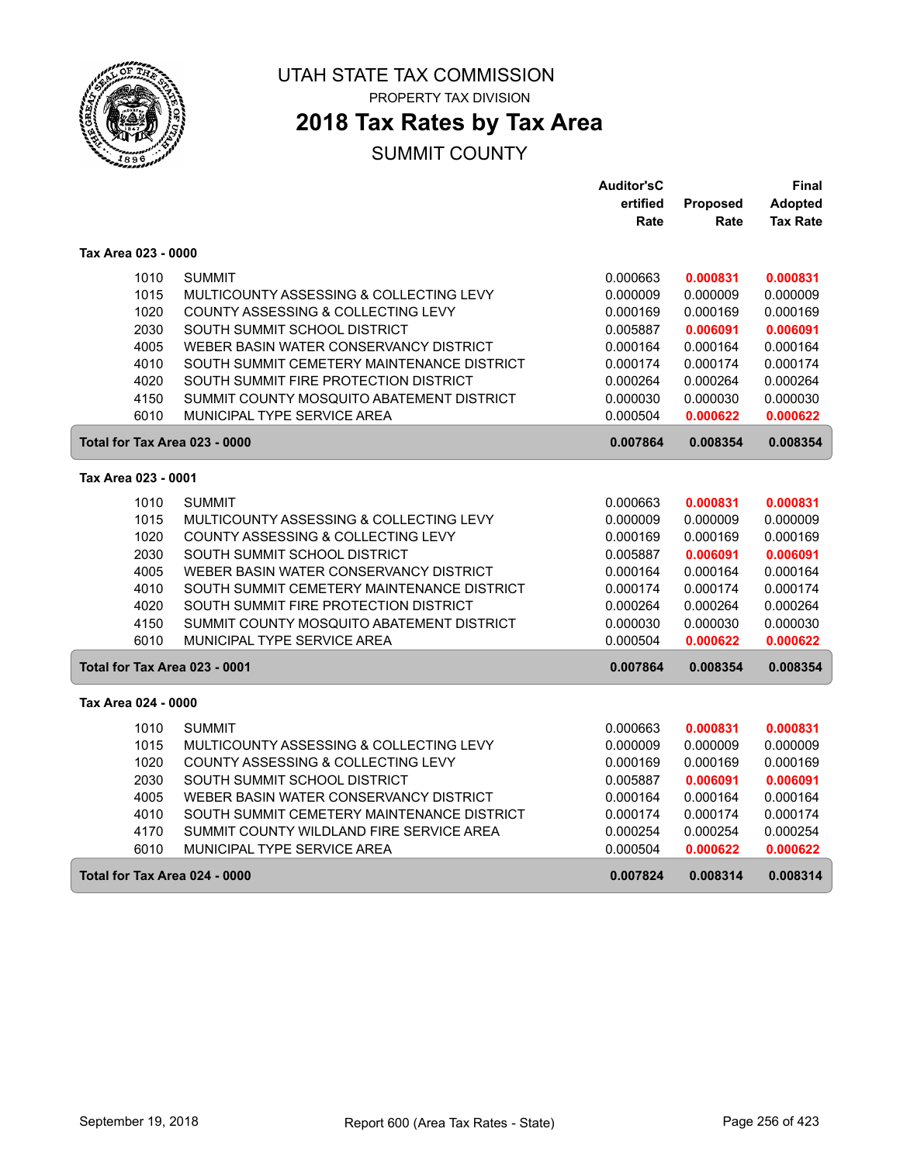

PROPERTY TAX DIVISION

## **2018 Tax Rates by Tax Area**

|                               |                                            | <b>Auditor'sC</b> |          | Final           |
|-------------------------------|--------------------------------------------|-------------------|----------|-----------------|
|                               |                                            | ertified          | Proposed | Adopted         |
|                               |                                            | Rate              | Rate     | <b>Tax Rate</b> |
| Tax Area 023 - 0000           |                                            |                   |          |                 |
| 1010                          | <b>SUMMIT</b>                              | 0.000663          | 0.000831 | 0.000831        |
| 1015                          | MULTICOUNTY ASSESSING & COLLECTING LEVY    | 0.000009          | 0.000009 | 0.000009        |
| 1020                          | COUNTY ASSESSING & COLLECTING LEVY         | 0.000169          | 0.000169 | 0.000169        |
| 2030                          | SOUTH SUMMIT SCHOOL DISTRICT               | 0.005887          | 0.006091 | 0.006091        |
| 4005                          | WEBER BASIN WATER CONSERVANCY DISTRICT     | 0.000164          | 0.000164 | 0.000164        |
| 4010                          | SOUTH SUMMIT CEMETERY MAINTENANCE DISTRICT | 0.000174          | 0.000174 | 0.000174        |
| 4020                          | SOUTH SUMMIT FIRE PROTECTION DISTRICT      | 0.000264          | 0.000264 | 0.000264        |
| 4150                          | SUMMIT COUNTY MOSQUITO ABATEMENT DISTRICT  | 0.000030          | 0.000030 | 0.000030        |
| 6010                          | MUNICIPAL TYPE SERVICE AREA                | 0.000504          | 0.000622 | 0.000622        |
| Total for Tax Area 023 - 0000 |                                            | 0.007864          | 0.008354 | 0.008354        |
| Tax Area 023 - 0001           |                                            |                   |          |                 |
| 1010                          | <b>SUMMIT</b>                              | 0.000663          | 0.000831 | 0.000831        |
| 1015                          | MULTICOUNTY ASSESSING & COLLECTING LEVY    | 0.000009          | 0.000009 | 0.000009        |
| 1020                          | COUNTY ASSESSING & COLLECTING LEVY         | 0.000169          | 0.000169 | 0.000169        |
| 2030                          | SOUTH SUMMIT SCHOOL DISTRICT               | 0.005887          | 0.006091 | 0.006091        |
| 4005                          | WEBER BASIN WATER CONSERVANCY DISTRICT     | 0.000164          | 0.000164 | 0.000164        |
| 4010                          | SOUTH SUMMIT CEMETERY MAINTENANCE DISTRICT | 0.000174          | 0.000174 | 0.000174        |
| 4020                          | SOUTH SUMMIT FIRE PROTECTION DISTRICT      | 0.000264          | 0.000264 | 0.000264        |
| 4150                          | SUMMIT COUNTY MOSQUITO ABATEMENT DISTRICT  | 0.000030          | 0.000030 | 0.000030        |
| 6010                          | <b>MUNICIPAL TYPE SERVICE AREA</b>         | 0.000504          | 0.000622 | 0.000622        |
| Total for Tax Area 023 - 0001 |                                            | 0.007864          | 0.008354 | 0.008354        |
| Tax Area 024 - 0000           |                                            |                   |          |                 |
| 1010                          | <b>SUMMIT</b>                              | 0.000663          | 0.000831 | 0.000831        |
| 1015                          | MULTICOUNTY ASSESSING & COLLECTING LEVY    | 0.000009          | 0.000009 | 0.000009        |
| 1020                          | COUNTY ASSESSING & COLLECTING LEVY         | 0.000169          | 0.000169 | 0.000169        |
| 2030                          | SOUTH SUMMIT SCHOOL DISTRICT               | 0.005887          | 0.006091 | 0.006091        |
| 4005                          | WEBER BASIN WATER CONSERVANCY DISTRICT     | 0.000164          | 0.000164 | 0.000164        |
| 4010                          | SOUTH SUMMIT CEMETERY MAINTENANCE DISTRICT | 0.000174          | 0.000174 | 0.000174        |
| 4170                          | SUMMIT COUNTY WILDLAND FIRE SERVICE AREA   | 0.000254          | 0.000254 | 0.000254        |
| 6010                          | <b>MUNICIPAL TYPE SERVICE AREA</b>         | 0.000504          | 0.000622 | 0.000622        |
| Total for Tax Area 024 - 0000 |                                            | 0.007824          | 0.008314 | 0.008314        |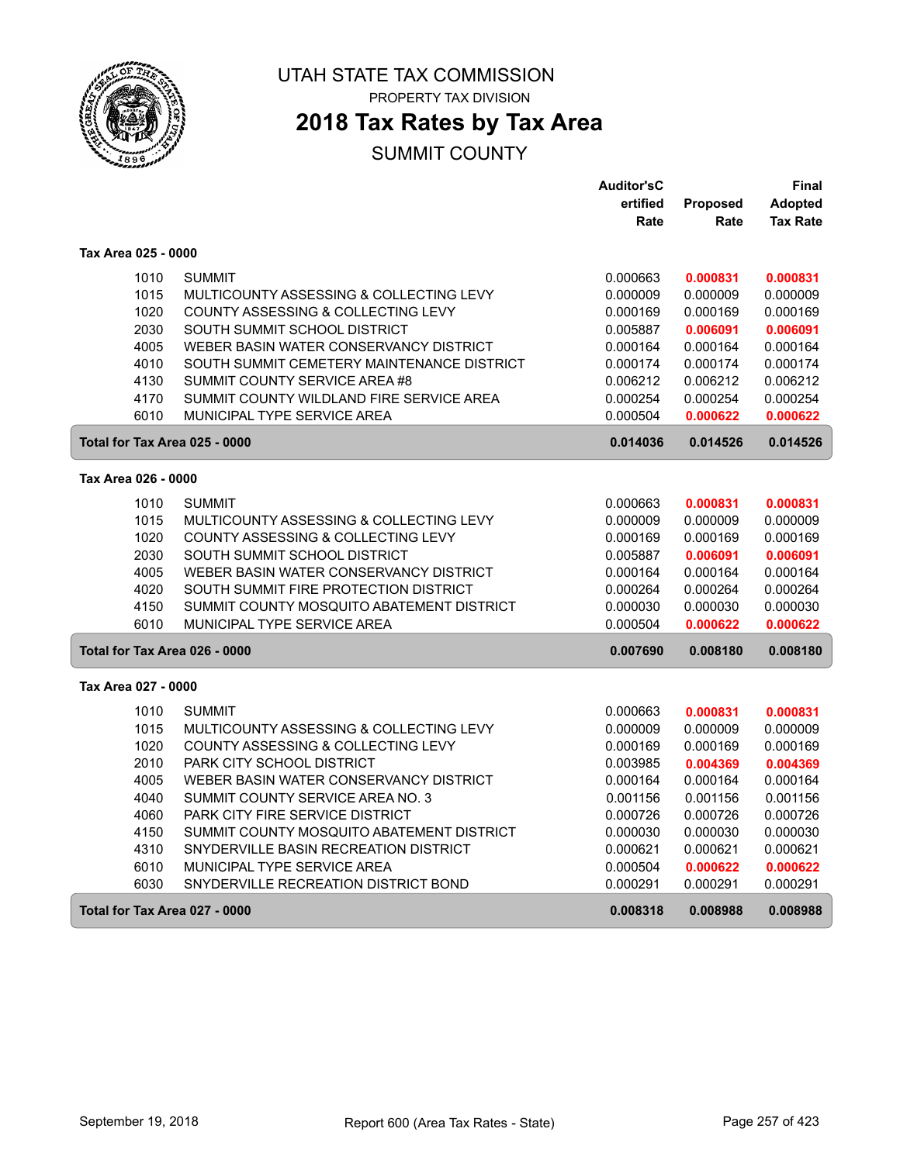

PROPERTY TAX DIVISION

# **2018 Tax Rates by Tax Area**

|                               |                                            | <b>Auditor'sC</b> |          | Final           |
|-------------------------------|--------------------------------------------|-------------------|----------|-----------------|
|                               |                                            | ertified          | Proposed | <b>Adopted</b>  |
|                               |                                            | Rate              | Rate     | <b>Tax Rate</b> |
| Tax Area 025 - 0000           |                                            |                   |          |                 |
| 1010                          | <b>SUMMIT</b>                              | 0.000663          | 0.000831 | 0.000831        |
| 1015                          | MULTICOUNTY ASSESSING & COLLECTING LEVY    | 0.000009          | 0.000009 | 0.000009        |
| 1020                          | COUNTY ASSESSING & COLLECTING LEVY         | 0.000169          | 0.000169 | 0.000169        |
| 2030                          | SOUTH SUMMIT SCHOOL DISTRICT               | 0.005887          | 0.006091 | 0.006091        |
| 4005                          | WEBER BASIN WATER CONSERVANCY DISTRICT     | 0.000164          | 0.000164 | 0.000164        |
| 4010                          | SOUTH SUMMIT CEMETERY MAINTENANCE DISTRICT | 0.000174          | 0.000174 | 0.000174        |
| 4130                          | SUMMIT COUNTY SERVICE AREA #8              | 0.006212          | 0.006212 | 0.006212        |
| 4170                          | SUMMIT COUNTY WILDLAND FIRE SERVICE AREA   | 0.000254          | 0.000254 | 0.000254        |
| 6010                          | MUNICIPAL TYPE SERVICE AREA                | 0.000504          | 0.000622 | 0.000622        |
| Total for Tax Area 025 - 0000 |                                            | 0.014036          | 0.014526 | 0.014526        |
| Tax Area 026 - 0000           |                                            |                   |          |                 |
| 1010                          | <b>SUMMIT</b>                              | 0.000663          | 0.000831 | 0.000831        |
| 1015                          | MULTICOUNTY ASSESSING & COLLECTING LEVY    | 0.000009          | 0.000009 | 0.000009        |
| 1020                          | COUNTY ASSESSING & COLLECTING LEVY         | 0.000169          | 0.000169 | 0.000169        |
| 2030                          | SOUTH SUMMIT SCHOOL DISTRICT               | 0.005887          | 0.006091 | 0.006091        |
| 4005                          | WEBER BASIN WATER CONSERVANCY DISTRICT     | 0.000164          | 0.000164 | 0.000164        |
| 4020                          | SOUTH SUMMIT FIRE PROTECTION DISTRICT      | 0.000264          | 0.000264 | 0.000264        |
| 4150                          | SUMMIT COUNTY MOSQUITO ABATEMENT DISTRICT  | 0.000030          | 0.000030 | 0.000030        |
| 6010                          | MUNICIPAL TYPE SERVICE AREA                | 0.000504          | 0.000622 | 0.000622        |
| Total for Tax Area 026 - 0000 |                                            | 0.007690          | 0.008180 | 0.008180        |
| Tax Area 027 - 0000           |                                            |                   |          |                 |
| 1010                          | <b>SUMMIT</b>                              | 0.000663          | 0.000831 | 0.000831        |
| 1015                          | MULTICOUNTY ASSESSING & COLLECTING LEVY    | 0.000009          | 0.000009 | 0.000009        |
| 1020                          | COUNTY ASSESSING & COLLECTING LEVY         | 0.000169          | 0.000169 | 0.000169        |
| 2010                          | PARK CITY SCHOOL DISTRICT                  | 0.003985          | 0.004369 | 0.004369        |
| 4005                          | WEBER BASIN WATER CONSERVANCY DISTRICT     | 0.000164          | 0.000164 | 0.000164        |
| 4040                          | SUMMIT COUNTY SERVICE AREA NO. 3           | 0.001156          | 0.001156 | 0.001156        |
| 4060                          | PARK CITY FIRE SERVICE DISTRICT            | 0.000726          | 0.000726 | 0.000726        |
| 4150                          | SUMMIT COUNTY MOSQUITO ABATEMENT DISTRICT  | 0.000030          | 0.000030 | 0.000030        |
| 4310                          | SNYDERVILLE BASIN RECREATION DISTRICT      | 0.000621          | 0.000621 | 0.000621        |
| 6010                          | MUNICIPAL TYPE SERVICE AREA                | 0.000504          | 0.000622 | 0.000622        |
| 6030                          | SNYDERVILLE RECREATION DISTRICT BOND       | 0.000291          | 0.000291 | 0.000291        |
| Total for Tax Area 027 - 0000 |                                            | 0.008318          | 0.008988 | 0.008988        |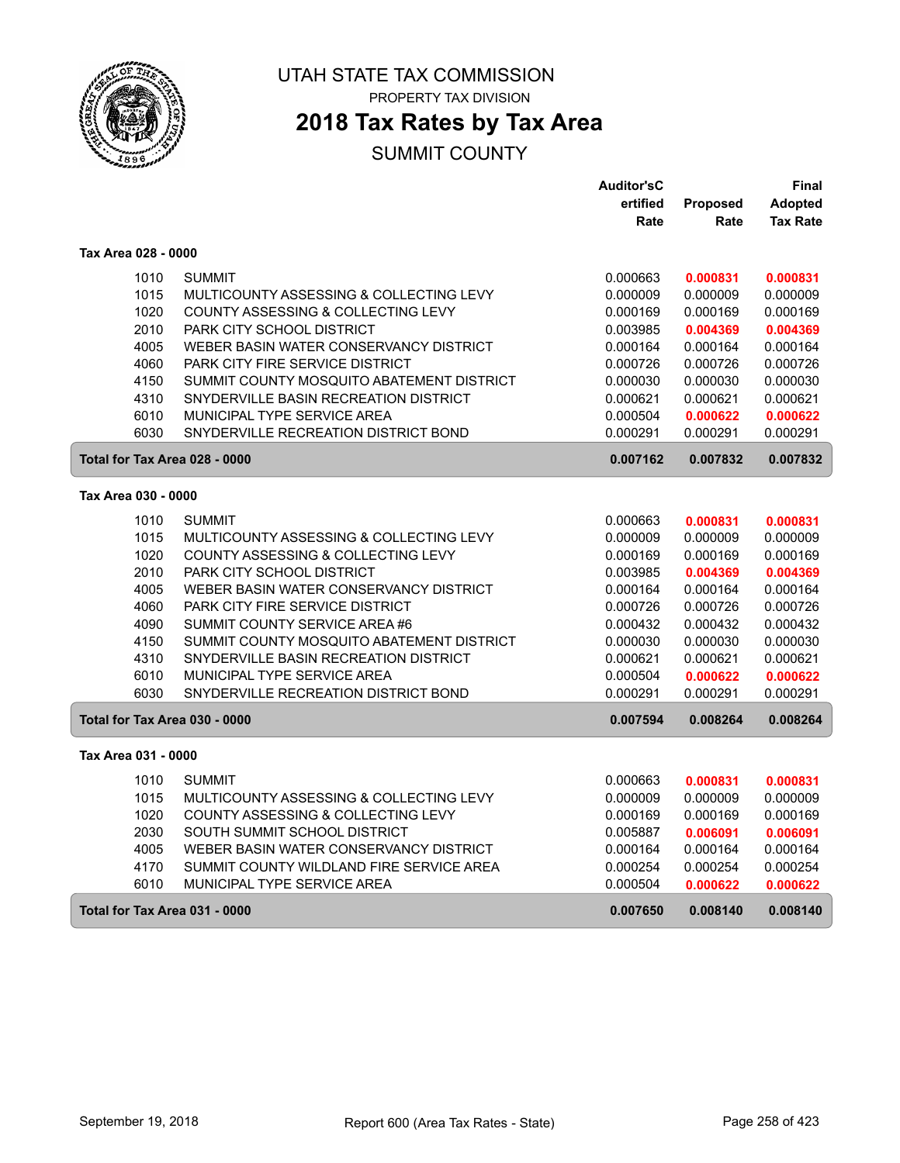

PROPERTY TAX DIVISION

## **2018 Tax Rates by Tax Area**

|                               |                                           | <b>Auditor'sC</b> |          | <b>Final</b>    |
|-------------------------------|-------------------------------------------|-------------------|----------|-----------------|
|                               |                                           | ertified          | Proposed | Adopted         |
|                               |                                           | Rate              | Rate     | <b>Tax Rate</b> |
| Tax Area 028 - 0000           |                                           |                   |          |                 |
| 1010                          | <b>SUMMIT</b>                             | 0.000663          | 0.000831 | 0.000831        |
| 1015                          | MULTICOUNTY ASSESSING & COLLECTING LEVY   | 0.000009          | 0.000009 | 0.000009        |
| 1020                          | COUNTY ASSESSING & COLLECTING LEVY        | 0.000169          | 0.000169 | 0.000169        |
| 2010                          | <b>PARK CITY SCHOOL DISTRICT</b>          | 0.003985          | 0.004369 | 0.004369        |
| 4005                          | WEBER BASIN WATER CONSERVANCY DISTRICT    | 0.000164          | 0.000164 | 0.000164        |
| 4060                          | PARK CITY FIRE SERVICE DISTRICT           | 0.000726          | 0.000726 | 0.000726        |
| 4150                          | SUMMIT COUNTY MOSQUITO ABATEMENT DISTRICT | 0.000030          | 0.000030 | 0.000030        |
| 4310                          | SNYDERVILLE BASIN RECREATION DISTRICT     | 0.000621          | 0.000621 | 0.000621        |
| 6010                          | MUNICIPAL TYPE SERVICE AREA               | 0.000504          | 0.000622 | 0.000622        |
| 6030                          | SNYDERVILLE RECREATION DISTRICT BOND      | 0.000291          | 0.000291 | 0.000291        |
| Total for Tax Area 028 - 0000 |                                           | 0.007162          | 0.007832 | 0.007832        |
| Tax Area 030 - 0000           |                                           |                   |          |                 |
| 1010                          | <b>SUMMIT</b>                             | 0.000663          | 0.000831 | 0.000831        |
| 1015                          | MULTICOUNTY ASSESSING & COLLECTING LEVY   | 0.000009          | 0.000009 | 0.000009        |
| 1020                          | COUNTY ASSESSING & COLLECTING LEVY        | 0.000169          | 0.000169 | 0.000169        |
| 2010                          | PARK CITY SCHOOL DISTRICT                 | 0.003985          | 0.004369 | 0.004369        |
| 4005                          | WEBER BASIN WATER CONSERVANCY DISTRICT    | 0.000164          | 0.000164 | 0.000164        |
| 4060                          | <b>PARK CITY FIRE SERVICE DISTRICT</b>    | 0.000726          | 0.000726 | 0.000726        |
| 4090                          | SUMMIT COUNTY SERVICE AREA #6             | 0.000432          | 0.000432 | 0.000432        |
| 4150                          | SUMMIT COUNTY MOSQUITO ABATEMENT DISTRICT | 0.000030          | 0.000030 | 0.000030        |
| 4310                          | SNYDERVILLE BASIN RECREATION DISTRICT     | 0.000621          | 0.000621 | 0.000621        |
| 6010                          | MUNICIPAL TYPE SERVICE AREA               | 0.000504          | 0.000622 | 0.000622        |
| 6030                          | SNYDERVILLE RECREATION DISTRICT BOND      | 0.000291          | 0.000291 | 0.000291        |
| Total for Tax Area 030 - 0000 |                                           | 0.007594          | 0.008264 | 0.008264        |
| Tax Area 031 - 0000           |                                           |                   |          |                 |
| 1010                          | <b>SUMMIT</b>                             | 0.000663          | 0.000831 | 0.000831        |
| 1015                          | MULTICOUNTY ASSESSING & COLLECTING LEVY   | 0.000009          | 0.000009 | 0.000009        |
| 1020                          | COUNTY ASSESSING & COLLECTING LEVY        | 0.000169          | 0.000169 | 0.000169        |
| 2030                          | SOUTH SUMMIT SCHOOL DISTRICT              | 0.005887          | 0.006091 | 0.006091        |
| 4005                          | WEBER BASIN WATER CONSERVANCY DISTRICT    | 0.000164          | 0.000164 | 0.000164        |
| 4170                          | SUMMIT COUNTY WILDLAND FIRE SERVICE AREA  | 0.000254          | 0.000254 | 0.000254        |
| 6010                          | <b>MUNICIPAL TYPE SERVICE AREA</b>        | 0.000504          | 0.000622 | 0.000622        |
| Total for Tax Area 031 - 0000 |                                           | 0.007650          | 0.008140 | 0.008140        |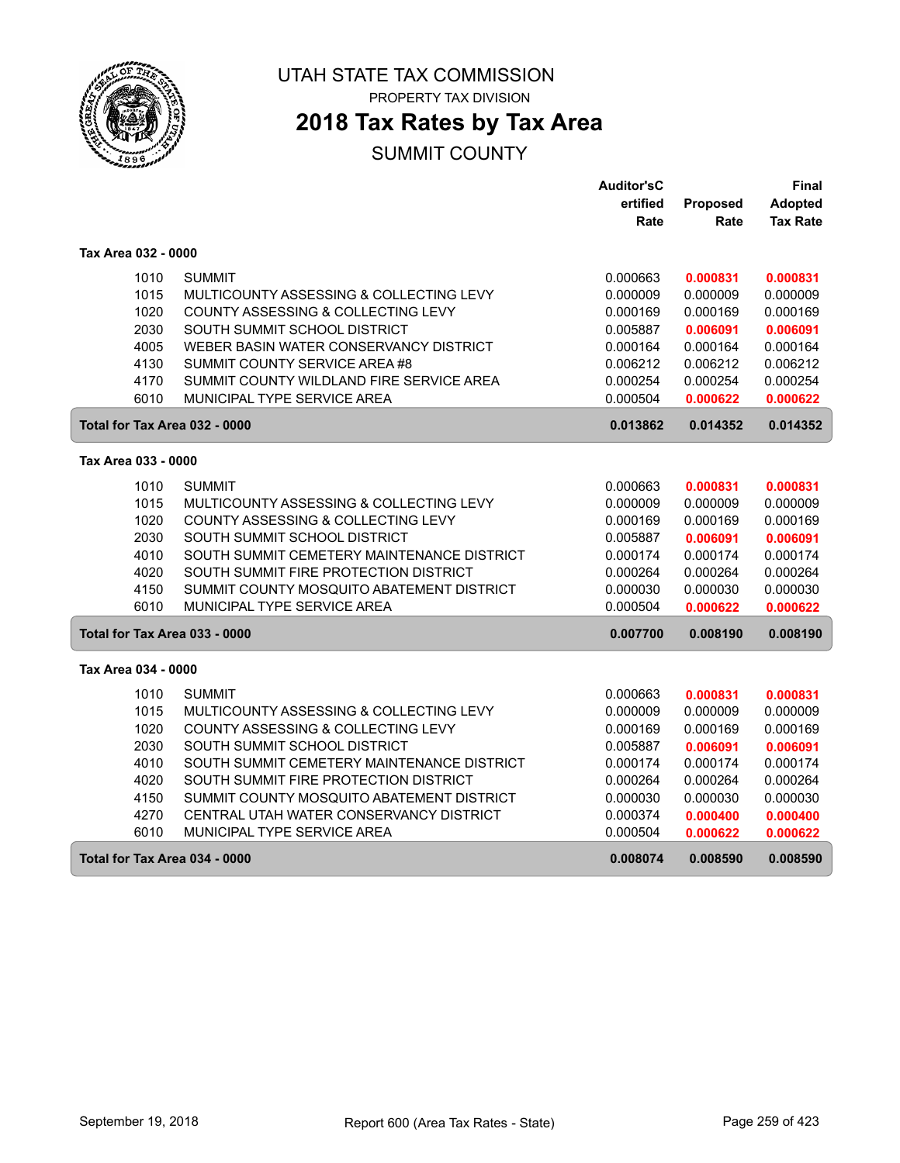

PROPERTY TAX DIVISION

## **2018 Tax Rates by Tax Area**

|                               |                                            | <b>Auditor'sC</b> |          | <b>Final</b>    |
|-------------------------------|--------------------------------------------|-------------------|----------|-----------------|
|                               |                                            | ertified          | Proposed | Adopted         |
|                               |                                            | Rate              | Rate     | <b>Tax Rate</b> |
| Tax Area 032 - 0000           |                                            |                   |          |                 |
| 1010                          | <b>SUMMIT</b>                              | 0.000663          | 0.000831 | 0.000831        |
| 1015                          | MULTICOUNTY ASSESSING & COLLECTING LEVY    | 0.000009          | 0.000009 | 0.000009        |
| 1020                          | COUNTY ASSESSING & COLLECTING LEVY         | 0.000169          | 0.000169 | 0.000169        |
| 2030                          | SOUTH SUMMIT SCHOOL DISTRICT               | 0.005887          | 0.006091 | 0.006091        |
| 4005                          | WEBER BASIN WATER CONSERVANCY DISTRICT     | 0.000164          | 0.000164 | 0.000164        |
| 4130                          | SUMMIT COUNTY SERVICE AREA #8              | 0.006212          | 0.006212 | 0.006212        |
| 4170                          | SUMMIT COUNTY WILDLAND FIRE SERVICE AREA   | 0.000254          | 0.000254 | 0.000254        |
| 6010                          | MUNICIPAL TYPE SERVICE AREA                | 0.000504          | 0.000622 | 0.000622        |
| Total for Tax Area 032 - 0000 |                                            | 0.013862          | 0.014352 | 0.014352        |
| Tax Area 033 - 0000           |                                            |                   |          |                 |
| 1010                          | <b>SUMMIT</b>                              | 0.000663          | 0.000831 | 0.000831        |
| 1015                          | MULTICOUNTY ASSESSING & COLLECTING LEVY    | 0.000009          | 0.000009 | 0.000009        |
| 1020                          | COUNTY ASSESSING & COLLECTING LEVY         | 0.000169          | 0.000169 | 0.000169        |
| 2030                          | SOUTH SUMMIT SCHOOL DISTRICT               | 0.005887          | 0.006091 | 0.006091        |
| 4010                          | SOUTH SUMMIT CEMETERY MAINTENANCE DISTRICT | 0.000174          | 0.000174 | 0.000174        |
| 4020                          | SOUTH SUMMIT FIRE PROTECTION DISTRICT      | 0.000264          | 0.000264 | 0.000264        |
| 4150                          | SUMMIT COUNTY MOSQUITO ABATEMENT DISTRICT  | 0.000030          | 0.000030 | 0.000030        |
| 6010                          | MUNICIPAL TYPE SERVICE AREA                | 0.000504          | 0.000622 | 0.000622        |
| Total for Tax Area 033 - 0000 |                                            | 0.007700          | 0.008190 | 0.008190        |
| Tax Area 034 - 0000           |                                            |                   |          |                 |
|                               |                                            |                   |          |                 |
| 1010                          | <b>SUMMIT</b>                              | 0.000663          | 0.000831 | 0.000831        |
| 1015                          | MULTICOUNTY ASSESSING & COLLECTING LEVY    | 0.000009          | 0.000009 | 0.000009        |
| 1020                          | COUNTY ASSESSING & COLLECTING LEVY         | 0.000169          | 0.000169 | 0.000169        |
| 2030                          | SOUTH SUMMIT SCHOOL DISTRICT               | 0.005887          | 0.006091 | 0.006091        |
| 4010                          | SOUTH SUMMIT CEMETERY MAINTENANCE DISTRICT | 0.000174          | 0.000174 | 0.000174        |
| 4020                          | SOUTH SUMMIT FIRE PROTECTION DISTRICT      | 0.000264          | 0.000264 | 0.000264        |
| 4150                          | SUMMIT COUNTY MOSQUITO ABATEMENT DISTRICT  | 0.000030          | 0.000030 | 0.000030        |
| 4270                          | CENTRAL UTAH WATER CONSERVANCY DISTRICT    | 0.000374          | 0.000400 | 0.000400        |
| 6010                          | MUNICIPAL TYPE SERVICE AREA                | 0.000504          | 0.000622 | 0.000622        |
| Total for Tax Area 034 - 0000 |                                            | 0.008074          | 0.008590 | 0.008590        |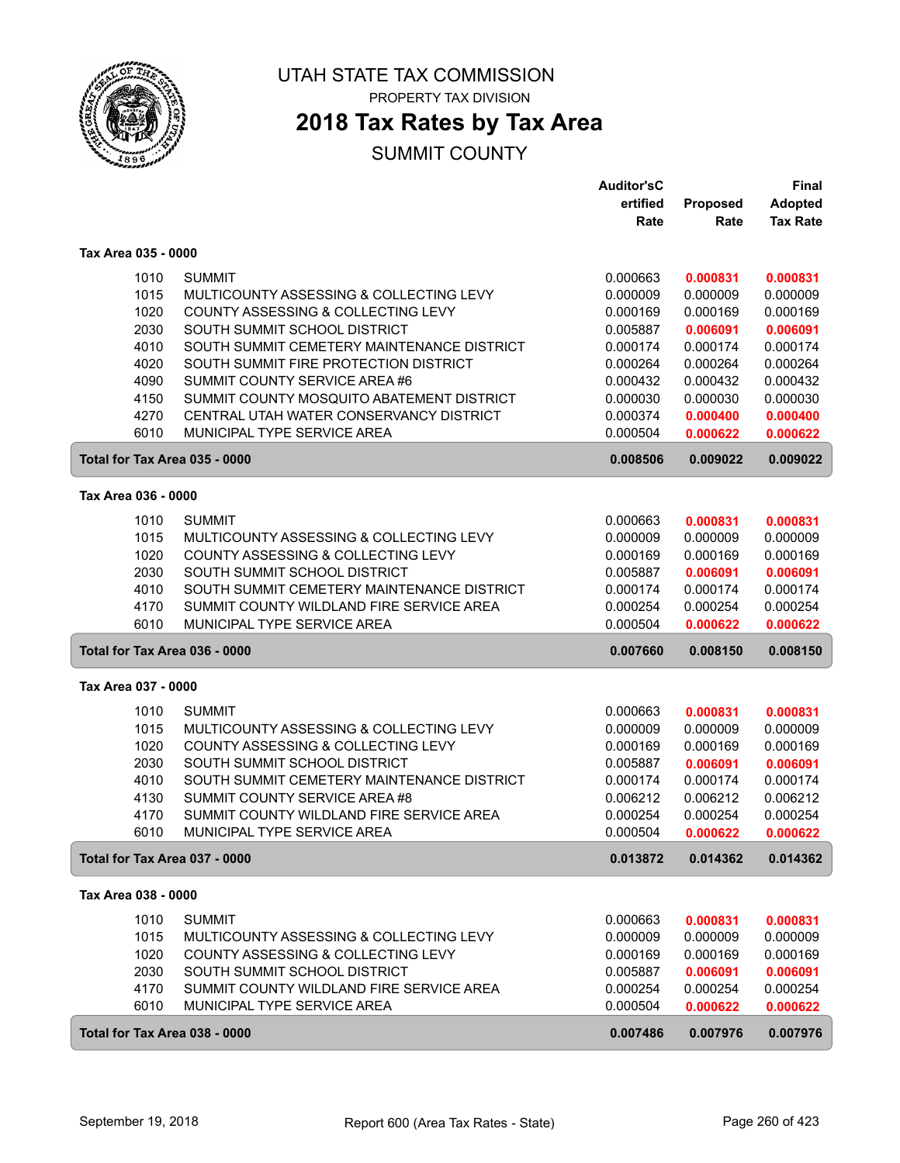

PROPERTY TAX DIVISION

### **2018 Tax Rates by Tax Area**

|                               |                                            | <b>Auditor'sC</b> |          | <b>Final</b>    |
|-------------------------------|--------------------------------------------|-------------------|----------|-----------------|
|                               |                                            | ertified          | Proposed | Adopted         |
|                               |                                            | Rate              | Rate     | <b>Tax Rate</b> |
| Tax Area 035 - 0000           |                                            |                   |          |                 |
|                               |                                            |                   |          |                 |
| 1010                          | <b>SUMMIT</b>                              | 0.000663          | 0.000831 | 0.000831        |
| 1015                          | MULTICOUNTY ASSESSING & COLLECTING LEVY    | 0.000009          | 0.000009 | 0.000009        |
| 1020                          | COUNTY ASSESSING & COLLECTING LEVY         | 0.000169          | 0.000169 | 0.000169        |
| 2030                          | SOUTH SUMMIT SCHOOL DISTRICT               | 0.005887          | 0.006091 | 0.006091        |
| 4010                          | SOUTH SUMMIT CEMETERY MAINTENANCE DISTRICT | 0.000174          | 0.000174 | 0.000174        |
| 4020                          | SOUTH SUMMIT FIRE PROTECTION DISTRICT      | 0.000264          | 0.000264 | 0.000264        |
| 4090                          | SUMMIT COUNTY SERVICE AREA #6              | 0.000432          | 0.000432 | 0.000432        |
| 4150                          | SUMMIT COUNTY MOSQUITO ABATEMENT DISTRICT  | 0.000030          | 0.000030 | 0.000030        |
| 4270                          | CENTRAL UTAH WATER CONSERVANCY DISTRICT    | 0.000374          | 0.000400 | 0.000400        |
| 6010                          | MUNICIPAL TYPE SERVICE AREA                | 0.000504          | 0.000622 | 0.000622        |
| Total for Tax Area 035 - 0000 |                                            | 0.008506          | 0.009022 | 0.009022        |
| Tax Area 036 - 0000           |                                            |                   |          |                 |
| 1010                          | <b>SUMMIT</b>                              | 0.000663          | 0.000831 | 0.000831        |
| 1015                          | MULTICOUNTY ASSESSING & COLLECTING LEVY    | 0.000009          | 0.000009 | 0.000009        |
| 1020                          | COUNTY ASSESSING & COLLECTING LEVY         | 0.000169          | 0.000169 | 0.000169        |
| 2030                          | SOUTH SUMMIT SCHOOL DISTRICT               | 0.005887          | 0.006091 | 0.006091        |
| 4010                          | SOUTH SUMMIT CEMETERY MAINTENANCE DISTRICT | 0.000174          | 0.000174 | 0.000174        |
| 4170                          | SUMMIT COUNTY WILDLAND FIRE SERVICE AREA   | 0.000254          | 0.000254 | 0.000254        |
| 6010                          | MUNICIPAL TYPE SERVICE AREA                | 0.000504          | 0.000622 | 0.000622        |
| Total for Tax Area 036 - 0000 |                                            | 0.007660          | 0.008150 | 0.008150        |
| Tax Area 037 - 0000           |                                            |                   |          |                 |
| 1010                          | <b>SUMMIT</b>                              | 0.000663          | 0.000831 | 0.000831        |
| 1015                          | MULTICOUNTY ASSESSING & COLLECTING LEVY    | 0.000009          | 0.000009 | 0.000009        |
| 1020                          | COUNTY ASSESSING & COLLECTING LEVY         | 0.000169          | 0.000169 | 0.000169        |
| 2030                          | SOUTH SUMMIT SCHOOL DISTRICT               | 0.005887          | 0.006091 | 0.006091        |
| 4010                          | SOUTH SUMMIT CEMETERY MAINTENANCE DISTRICT | 0.000174          | 0.000174 | 0.000174        |
| 4130                          | SUMMIT COUNTY SERVICE AREA #8              | 0.006212          | 0.006212 | 0.006212        |
| 4170                          | SUMMIT COUNTY WILDLAND FIRE SERVICE AREA   | 0.000254          | 0.000254 | 0.000254        |
| 6010                          | MUNICIPAL TYPE SERVICE AREA                | 0.000504          | 0.000622 | 0.000622        |
| Total for Tax Area 037 - 0000 |                                            | 0.013872          | 0.014362 | 0.014362        |
| Tax Area 038 - 0000           |                                            |                   |          |                 |
|                               |                                            |                   |          |                 |
| 1010                          | <b>SUMMIT</b>                              | 0.000663          | 0.000831 | 0.000831        |
| 1015                          | MULTICOUNTY ASSESSING & COLLECTING LEVY    | 0.000009          | 0.000009 | 0.000009        |
| 1020                          | COUNTY ASSESSING & COLLECTING LEVY         | 0.000169          | 0.000169 | 0.000169        |
| 2030                          | SOUTH SUMMIT SCHOOL DISTRICT               | 0.005887          | 0.006091 | 0.006091        |
| 4170                          | SUMMIT COUNTY WILDLAND FIRE SERVICE AREA   | 0.000254          | 0.000254 | 0.000254        |
| 6010                          | MUNICIPAL TYPE SERVICE AREA                | 0.000504          | 0.000622 | 0.000622        |
| Total for Tax Area 038 - 0000 |                                            | 0.007486          | 0.007976 | 0.007976        |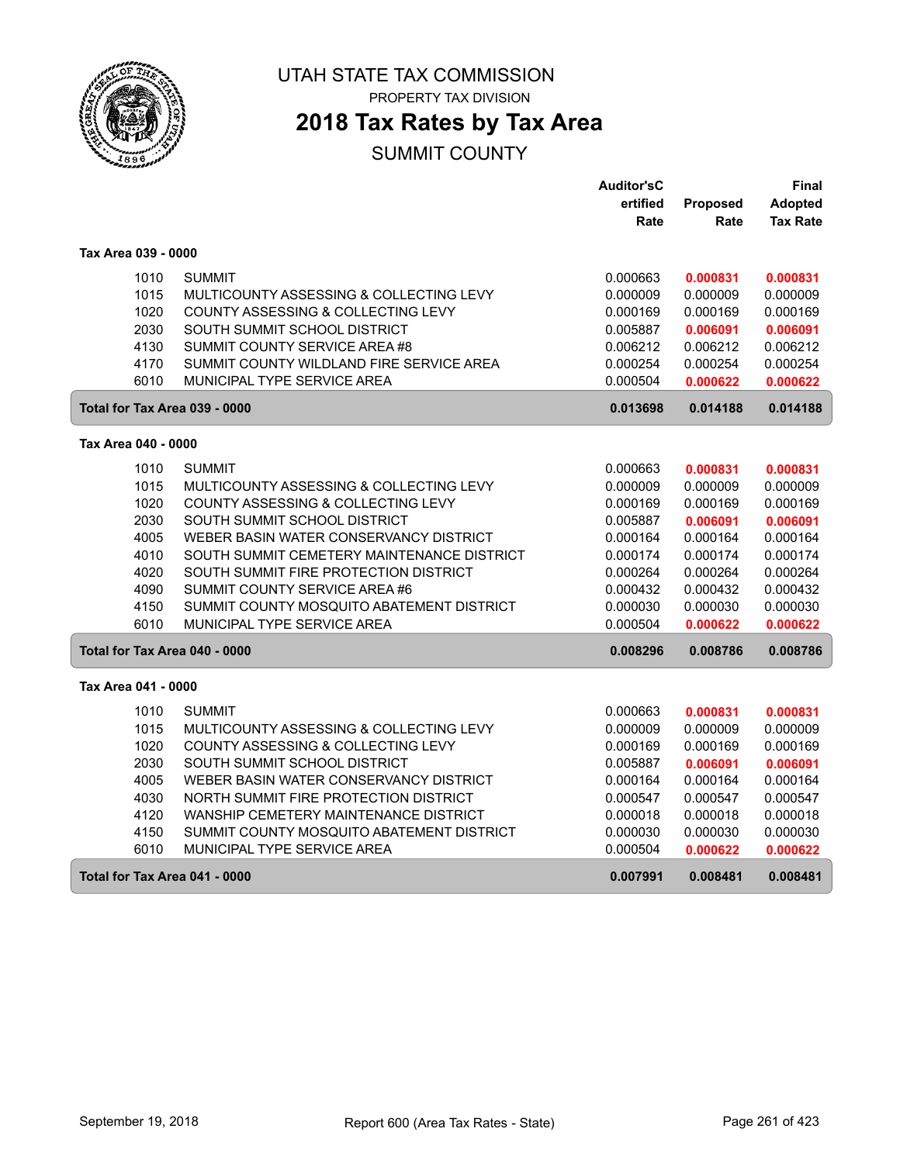

PROPERTY TAX DIVISION

## **2018 Tax Rates by Tax Area**

|                               |                                            | <b>Auditor'sC</b> |          | Final           |
|-------------------------------|--------------------------------------------|-------------------|----------|-----------------|
|                               |                                            | ertified          | Proposed | Adopted         |
|                               |                                            | Rate              | Rate     | <b>Tax Rate</b> |
| Tax Area 039 - 0000           |                                            |                   |          |                 |
| 1010                          | <b>SUMMIT</b>                              | 0.000663          | 0.000831 | 0.000831        |
| 1015                          | MULTICOUNTY ASSESSING & COLLECTING LEVY    | 0.000009          | 0.000009 | 0.000009        |
| 1020                          | COUNTY ASSESSING & COLLECTING LEVY         | 0.000169          | 0.000169 | 0.000169        |
| 2030                          | SOUTH SUMMIT SCHOOL DISTRICT               | 0.005887          | 0.006091 | 0.006091        |
| 4130                          | SUMMIT COUNTY SERVICE AREA #8              | 0.006212          | 0.006212 | 0.006212        |
| 4170                          | SUMMIT COUNTY WILDLAND FIRE SERVICE AREA   | 0.000254          | 0.000254 | 0.000254        |
| 6010                          | MUNICIPAL TYPE SERVICE AREA                | 0.000504          | 0.000622 | 0.000622        |
| Total for Tax Area 039 - 0000 |                                            | 0.013698          | 0.014188 | 0.014188        |
| Tax Area 040 - 0000           |                                            |                   |          |                 |
| 1010                          | <b>SUMMIT</b>                              | 0.000663          | 0.000831 | 0.000831        |
| 1015                          | MULTICOUNTY ASSESSING & COLLECTING LEVY    | 0.000009          | 0.000009 | 0.000009        |
| 1020                          | COUNTY ASSESSING & COLLECTING LEVY         | 0.000169          | 0.000169 | 0.000169        |
| 2030                          | SOUTH SUMMIT SCHOOL DISTRICT               | 0.005887          | 0.006091 | 0.006091        |
| 4005                          | WEBER BASIN WATER CONSERVANCY DISTRICT     | 0.000164          | 0.000164 | 0.000164        |
| 4010                          | SOUTH SUMMIT CEMETERY MAINTENANCE DISTRICT | 0.000174          | 0.000174 | 0.000174        |
| 4020                          | SOUTH SUMMIT FIRE PROTECTION DISTRICT      | 0.000264          | 0.000264 | 0.000264        |
| 4090                          | SUMMIT COUNTY SERVICE AREA #6              | 0.000432          | 0.000432 | 0.000432        |
| 4150                          | SUMMIT COUNTY MOSQUITO ABATEMENT DISTRICT  | 0.000030          | 0.000030 | 0.000030        |
| 6010                          | MUNICIPAL TYPE SERVICE AREA                | 0.000504          | 0.000622 | 0.000622        |
| Total for Tax Area 040 - 0000 |                                            | 0.008296          | 0.008786 | 0.008786        |
| Tax Area 041 - 0000           |                                            |                   |          |                 |
| 1010                          | <b>SUMMIT</b>                              | 0.000663          | 0.000831 | 0.000831        |
| 1015                          | MULTICOUNTY ASSESSING & COLLECTING LEVY    | 0.000009          | 0.000009 | 0.000009        |
| 1020                          | COUNTY ASSESSING & COLLECTING LEVY         | 0.000169          | 0.000169 | 0.000169        |
| 2030                          | SOUTH SUMMIT SCHOOL DISTRICT               | 0.005887          | 0.006091 | 0.006091        |
| 4005                          | WEBER BASIN WATER CONSERVANCY DISTRICT     | 0.000164          | 0.000164 | 0.000164        |
| 4030                          | NORTH SUMMIT FIRE PROTECTION DISTRICT      | 0.000547          | 0.000547 | 0.000547        |
| 4120                          | WANSHIP CEMETERY MAINTENANCE DISTRICT      | 0.000018          | 0.000018 | 0.000018        |
| 4150                          | SUMMIT COUNTY MOSQUITO ABATEMENT DISTRICT  | 0.000030          | 0.000030 | 0.000030        |
| 6010                          | MUNICIPAL TYPE SERVICE AREA                | 0.000504          | 0.000622 | 0.000622        |
| Total for Tax Area 041 - 0000 |                                            | 0.007991          | 0.008481 | 0.008481        |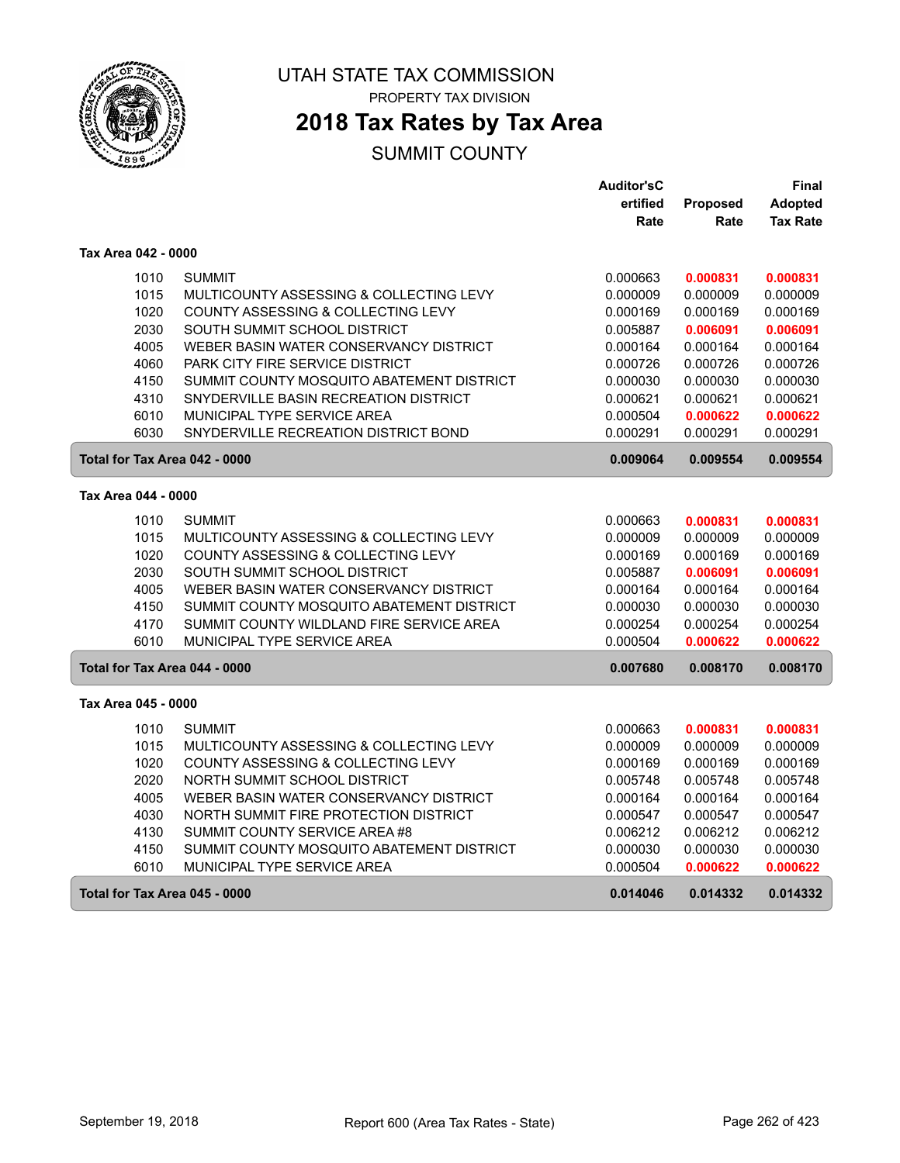

PROPERTY TAX DIVISION

## **2018 Tax Rates by Tax Area**

|                               |                                           | <b>Auditor'sC</b> |          | Final           |
|-------------------------------|-------------------------------------------|-------------------|----------|-----------------|
|                               |                                           | ertified          | Proposed | Adopted         |
|                               |                                           | Rate              | Rate     | <b>Tax Rate</b> |
| Tax Area 042 - 0000           |                                           |                   |          |                 |
| 1010                          | <b>SUMMIT</b>                             | 0.000663          | 0.000831 | 0.000831        |
| 1015                          | MULTICOUNTY ASSESSING & COLLECTING LEVY   | 0.000009          | 0.000009 | 0.000009        |
| 1020                          | COUNTY ASSESSING & COLLECTING LEVY        | 0.000169          | 0.000169 | 0.000169        |
| 2030                          | SOUTH SUMMIT SCHOOL DISTRICT              | 0.005887          | 0.006091 | 0.006091        |
| 4005                          | WEBER BASIN WATER CONSERVANCY DISTRICT    | 0.000164          | 0.000164 | 0.000164        |
| 4060                          | PARK CITY FIRE SERVICE DISTRICT           | 0.000726          | 0.000726 | 0.000726        |
| 4150                          | SUMMIT COUNTY MOSQUITO ABATEMENT DISTRICT | 0.000030          | 0.000030 | 0.000030        |
| 4310                          | SNYDERVILLE BASIN RECREATION DISTRICT     | 0.000621          | 0.000621 | 0.000621        |
| 6010                          | MUNICIPAL TYPE SERVICE AREA               | 0.000504          | 0.000622 | 0.000622        |
| 6030                          | SNYDERVILLE RECREATION DISTRICT BOND      | 0.000291          | 0.000291 | 0.000291        |
| Total for Tax Area 042 - 0000 |                                           | 0.009064          | 0.009554 | 0.009554        |
| Tax Area 044 - 0000           |                                           |                   |          |                 |
| 1010                          | <b>SUMMIT</b>                             | 0.000663          | 0.000831 | 0.000831        |
| 1015                          | MULTICOUNTY ASSESSING & COLLECTING LEVY   | 0.000009          | 0.000009 | 0.000009        |
| 1020                          | COUNTY ASSESSING & COLLECTING LEVY        | 0.000169          | 0.000169 | 0.000169        |
| 2030                          | SOUTH SUMMIT SCHOOL DISTRICT              | 0.005887          | 0.006091 | 0.006091        |
| 4005                          | WEBER BASIN WATER CONSERVANCY DISTRICT    | 0.000164          | 0.000164 | 0.000164        |
| 4150                          | SUMMIT COUNTY MOSQUITO ABATEMENT DISTRICT | 0.000030          | 0.000030 | 0.000030        |
| 4170                          | SUMMIT COUNTY WILDLAND FIRE SERVICE AREA  | 0.000254          | 0.000254 | 0.000254        |
| 6010                          | MUNICIPAL TYPE SERVICE AREA               | 0.000504          | 0.000622 | 0.000622        |
| Total for Tax Area 044 - 0000 |                                           | 0.007680          | 0.008170 | 0.008170        |
| Tax Area 045 - 0000           |                                           |                   |          |                 |
| 1010                          | <b>SUMMIT</b>                             | 0.000663          | 0.000831 | 0.000831        |
| 1015                          | MULTICOUNTY ASSESSING & COLLECTING LEVY   | 0.000009          | 0.000009 | 0.000009        |
| 1020                          | COUNTY ASSESSING & COLLECTING LEVY        | 0.000169          | 0.000169 | 0.000169        |
| 2020                          | NORTH SUMMIT SCHOOL DISTRICT              | 0.005748          | 0.005748 | 0.005748        |
| 4005                          | WEBER BASIN WATER CONSERVANCY DISTRICT    | 0.000164          | 0.000164 | 0.000164        |
| 4030                          | NORTH SUMMIT FIRE PROTECTION DISTRICT     | 0.000547          | 0.000547 | 0.000547        |
| 4130                          | SUMMIT COUNTY SERVICE AREA#8              | 0.006212          | 0.006212 | 0.006212        |
| 4150                          | SUMMIT COUNTY MOSQUITO ABATEMENT DISTRICT | 0.000030          | 0.000030 | 0.000030        |
| 6010                          | MUNICIPAL TYPE SERVICE AREA               | 0.000504          | 0.000622 | 0.000622        |
| Total for Tax Area 045 - 0000 |                                           | 0.014046          | 0.014332 | 0.014332        |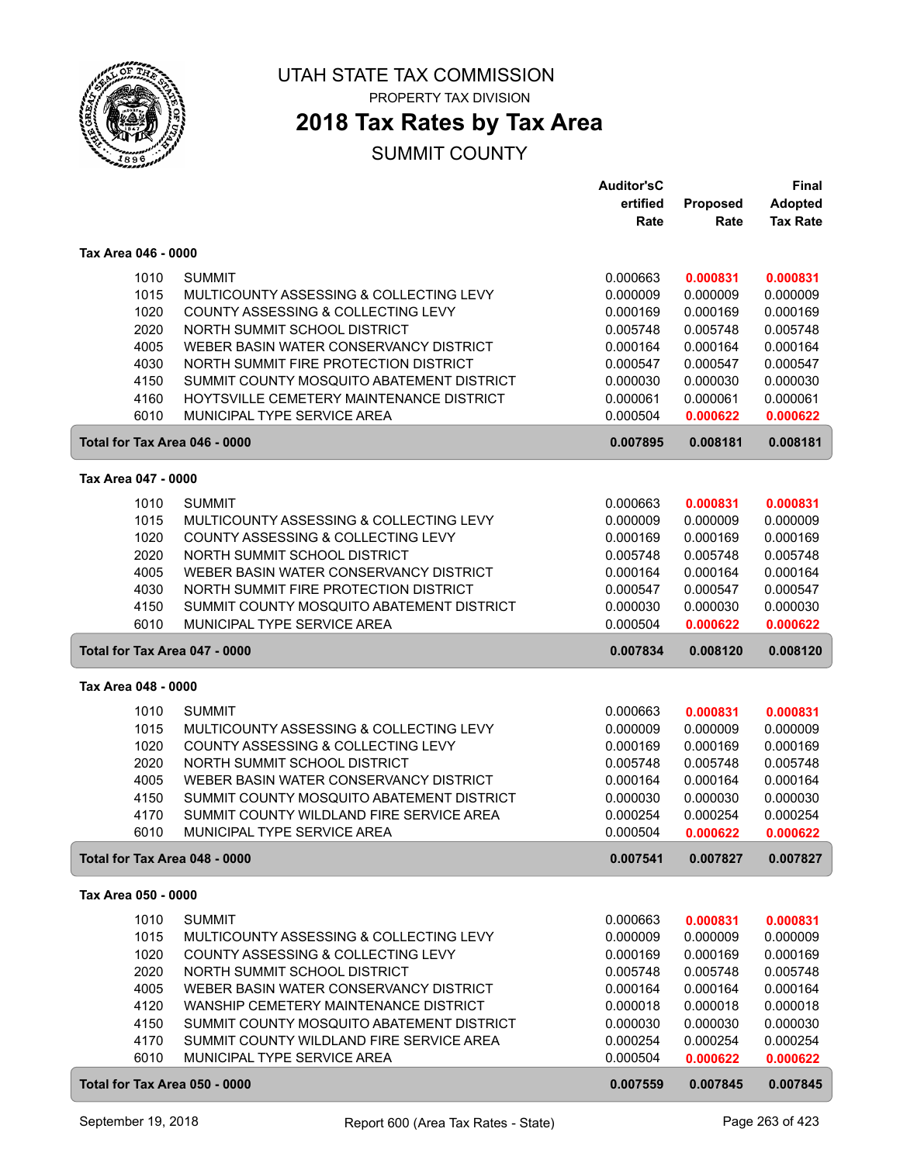

PROPERTY TAX DIVISION

### **2018 Tax Rates by Tax Area**

|                                       |                                                                         | <b>Auditor'sC</b>    |                      | Final                |
|---------------------------------------|-------------------------------------------------------------------------|----------------------|----------------------|----------------------|
|                                       |                                                                         | ertified             | Proposed             | <b>Adopted</b>       |
|                                       |                                                                         | Rate                 | Rate                 | <b>Tax Rate</b>      |
| Tax Area 046 - 0000                   |                                                                         |                      |                      |                      |
|                                       |                                                                         |                      |                      |                      |
| 1010                                  | <b>SUMMIT</b>                                                           | 0.000663             | 0.000831             | 0.000831             |
| 1015                                  | MULTICOUNTY ASSESSING & COLLECTING LEVY                                 | 0.000009             | 0.000009             | 0.000009             |
| 1020                                  | COUNTY ASSESSING & COLLECTING LEVY                                      | 0.000169             | 0.000169             | 0.000169             |
| 2020                                  | NORTH SUMMIT SCHOOL DISTRICT                                            | 0.005748             | 0.005748             | 0.005748             |
| 4005                                  | WEBER BASIN WATER CONSERVANCY DISTRICT                                  | 0.000164             | 0.000164             | 0.000164             |
| 4030                                  | NORTH SUMMIT FIRE PROTECTION DISTRICT                                   | 0.000547             | 0.000547             | 0.000547             |
| 4150                                  | SUMMIT COUNTY MOSQUITO ABATEMENT DISTRICT                               | 0.000030             | 0.000030             | 0.000030             |
| 4160                                  | HOYTSVILLE CEMETERY MAINTENANCE DISTRICT<br>MUNICIPAL TYPE SERVICE AREA | 0.000061             | 0.000061             | 0.000061             |
| 6010                                  |                                                                         | 0.000504             | 0.000622             | 0.000622             |
| Total for Tax Area 046 - 0000         |                                                                         | 0.007895             | 0.008181             | 0.008181             |
| Tax Area 047 - 0000                   |                                                                         |                      |                      |                      |
| 1010                                  | <b>SUMMIT</b>                                                           | 0.000663             | 0.000831             | 0.000831             |
| 1015                                  | MULTICOUNTY ASSESSING & COLLECTING LEVY                                 | 0.000009             | 0.000009             | 0.000009             |
| 1020                                  | COUNTY ASSESSING & COLLECTING LEVY                                      | 0.000169             | 0.000169             | 0.000169             |
| 2020                                  | NORTH SUMMIT SCHOOL DISTRICT                                            | 0.005748             | 0.005748             | 0.005748             |
| 4005                                  | WEBER BASIN WATER CONSERVANCY DISTRICT                                  | 0.000164             | 0.000164             | 0.000164             |
| 4030                                  | NORTH SUMMIT FIRE PROTECTION DISTRICT                                   | 0.000547             | 0.000547             | 0.000547             |
| 4150                                  | SUMMIT COUNTY MOSQUITO ABATEMENT DISTRICT                               | 0.000030             | 0.000030             | 0.000030             |
| 6010                                  | MUNICIPAL TYPE SERVICE AREA                                             | 0.000504             | 0.000622             | 0.000622             |
| Total for Tax Area 047 - 0000         |                                                                         |                      |                      |                      |
|                                       |                                                                         |                      |                      |                      |
|                                       |                                                                         | 0.007834             | 0.008120             | 0.008120             |
| Tax Area 048 - 0000                   |                                                                         |                      |                      |                      |
|                                       |                                                                         |                      |                      |                      |
| 1010<br>1015                          | <b>SUMMIT</b><br>MULTICOUNTY ASSESSING & COLLECTING LEVY                | 0.000663             | 0.000831             | 0.000831             |
|                                       | COUNTY ASSESSING & COLLECTING LEVY                                      | 0.000009<br>0.000169 | 0.000009<br>0.000169 | 0.000009<br>0.000169 |
| 1020<br>2020                          | NORTH SUMMIT SCHOOL DISTRICT                                            | 0.005748             | 0.005748             | 0.005748             |
| 4005                                  | WEBER BASIN WATER CONSERVANCY DISTRICT                                  | 0.000164             | 0.000164             | 0.000164             |
| 4150                                  | SUMMIT COUNTY MOSQUITO ABATEMENT DISTRICT                               | 0.000030             | 0.000030             | 0.000030             |
| 4170                                  | SUMMIT COUNTY WILDLAND FIRE SERVICE AREA                                | 0.000254             | 0.000254             | 0.000254             |
| 6010                                  | MUNICIPAL TYPE SERVICE AREA                                             | 0.000504             | 0.000622             | 0.000622             |
| Total for Tax Area 048 - 0000         |                                                                         | 0.007541             | 0.007827             | 0.007827             |
| Tax Area 050 - 0000                   |                                                                         |                      |                      |                      |
|                                       |                                                                         |                      |                      |                      |
| 1010                                  | <b>SUMMIT</b>                                                           | 0.000663             | 0.000831             | 0.000831             |
| 1015                                  | MULTICOUNTY ASSESSING & COLLECTING LEVY                                 | 0.000009             | 0.000009             | 0.000009             |
| 1020                                  | COUNTY ASSESSING & COLLECTING LEVY                                      | 0.000169             | 0.000169             | 0.000169             |
| 2020                                  | NORTH SUMMIT SCHOOL DISTRICT                                            | 0.005748             | 0.005748             | 0.005748             |
| 4005                                  | WEBER BASIN WATER CONSERVANCY DISTRICT                                  | 0.000164             | 0.000164             | 0.000164             |
| 4120                                  | WANSHIP CEMETERY MAINTENANCE DISTRICT                                   | 0.000018             | 0.000018             | 0.000018             |
| 4150                                  | SUMMIT COUNTY MOSQUITO ABATEMENT DISTRICT                               | 0.000030             | 0.000030             | 0.000030             |
| 4170                                  | SUMMIT COUNTY WILDLAND FIRE SERVICE AREA                                | 0.000254             | 0.000254             | 0.000254             |
| 6010<br>Total for Tax Area 050 - 0000 | MUNICIPAL TYPE SERVICE AREA                                             | 0.000504<br>0.007559 | 0.000622<br>0.007845 | 0.000622<br>0.007845 |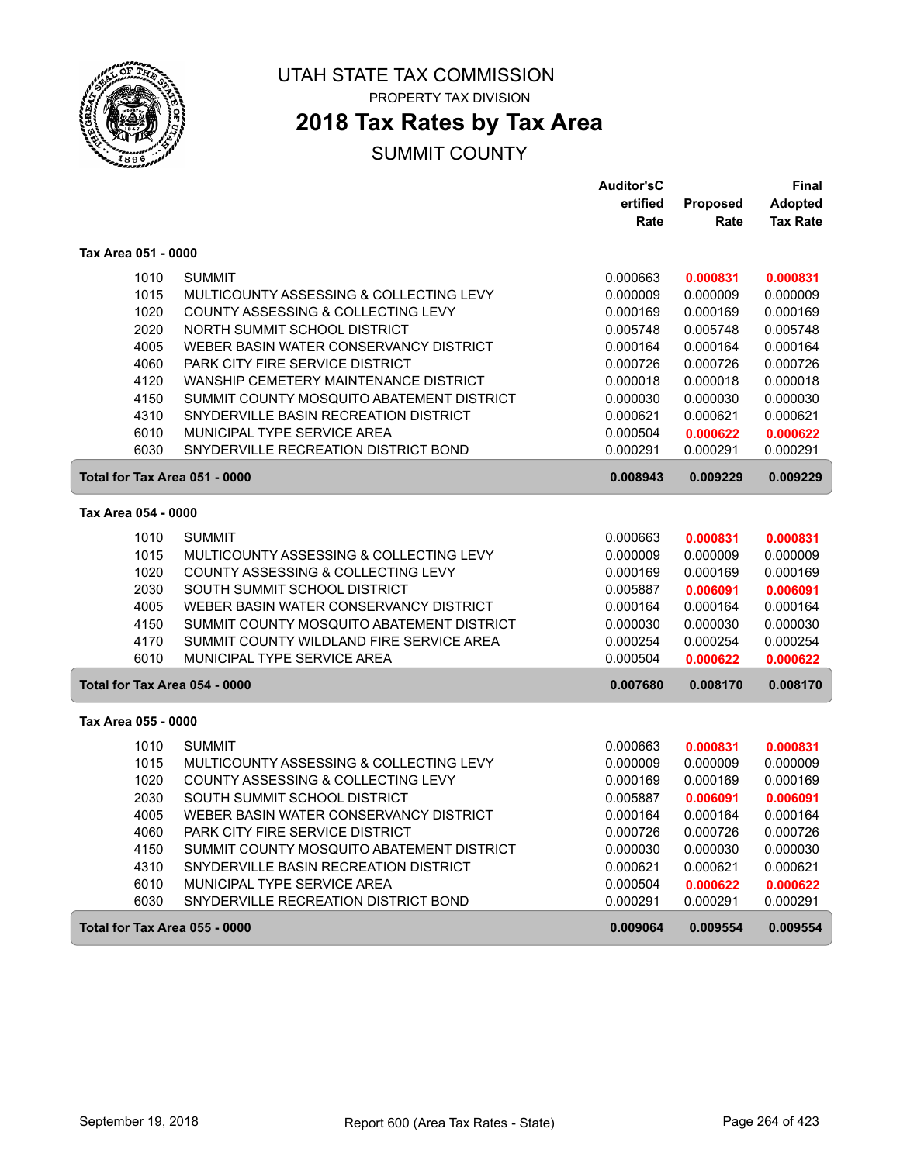

PROPERTY TAX DIVISION

# **2018 Tax Rates by Tax Area**

|                     |                                                                                       | <b>Auditor'sC</b>    |                      | Final                |
|---------------------|---------------------------------------------------------------------------------------|----------------------|----------------------|----------------------|
|                     |                                                                                       | ertified             | <b>Proposed</b>      | <b>Adopted</b>       |
|                     |                                                                                       | Rate                 | Rate                 | <b>Tax Rate</b>      |
| Tax Area 051 - 0000 |                                                                                       |                      |                      |                      |
|                     | 1010<br><b>SUMMIT</b>                                                                 | 0.000663             | 0.000831             | 0.000831             |
|                     | 1015<br>MULTICOUNTY ASSESSING & COLLECTING LEVY                                       | 0.000009             | 0.000009             | 0.000009             |
|                     | 1020<br>COUNTY ASSESSING & COLLECTING LEVY                                            | 0.000169             | 0.000169             | 0.000169             |
|                     | 2020<br>NORTH SUMMIT SCHOOL DISTRICT                                                  | 0.005748             | 0.005748             | 0.005748             |
|                     | 4005<br>WEBER BASIN WATER CONSERVANCY DISTRICT                                        | 0.000164             | 0.000164             | 0.000164             |
|                     | PARK CITY FIRE SERVICE DISTRICT<br>4060                                               | 0.000726             | 0.000726             | 0.000726             |
|                     | 4120<br>WANSHIP CEMETERY MAINTENANCE DISTRICT                                         | 0.000018             | 0.000018             | 0.000018             |
|                     | 4150<br>SUMMIT COUNTY MOSQUITO ABATEMENT DISTRICT                                     | 0.000030             | 0.000030             | 0.000030             |
|                     | 4310<br>SNYDERVILLE BASIN RECREATION DISTRICT                                         | 0.000621             | 0.000621             | 0.000621             |
|                     | 6010<br>MUNICIPAL TYPE SERVICE AREA                                                   | 0.000504             | 0.000622             | 0.000622             |
|                     | 6030<br>SNYDERVILLE RECREATION DISTRICT BOND                                          | 0.000291             | 0.000291             | 0.000291             |
|                     | Total for Tax Area 051 - 0000                                                         | 0.008943             | 0.009229             | 0.009229             |
| Tax Area 054 - 0000 |                                                                                       |                      |                      |                      |
|                     | 1010<br><b>SUMMIT</b>                                                                 | 0.000663             | 0.000831             | 0.000831             |
|                     | 1015<br>MULTICOUNTY ASSESSING & COLLECTING LEVY                                       | 0.000009             | 0.000009             | 0.000009             |
|                     | 1020<br>COUNTY ASSESSING & COLLECTING LEVY                                            | 0.000169             | 0.000169             | 0.000169             |
|                     | 2030<br>SOUTH SUMMIT SCHOOL DISTRICT                                                  | 0.005887             | 0.006091             | 0.006091             |
|                     | 4005<br>WEBER BASIN WATER CONSERVANCY DISTRICT                                        | 0.000164             | 0.000164             | 0.000164             |
|                     | 4150<br>SUMMIT COUNTY MOSQUITO ABATEMENT DISTRICT                                     | 0.000030             | 0.000030             | 0.000030             |
|                     | 4170<br>SUMMIT COUNTY WILDLAND FIRE SERVICE AREA                                      | 0.000254             | 0.000254             | 0.000254             |
|                     | 6010<br>MUNICIPAL TYPE SERVICE AREA                                                   | 0.000504             | 0.000622             | 0.000622             |
|                     | Total for Tax Area 054 - 0000                                                         | 0.007680             | 0.008170             | 0.008170             |
| Tax Area 055 - 0000 |                                                                                       |                      |                      |                      |
|                     |                                                                                       |                      |                      |                      |
|                     | 1010<br><b>SUMMIT</b><br>1015                                                         | 0.000663             | 0.000831             | 0.000831             |
|                     | MULTICOUNTY ASSESSING & COLLECTING LEVY<br>1020<br>COUNTY ASSESSING & COLLECTING LEVY | 0.000009             | 0.000009             | 0.000009             |
|                     | 2030<br>SOUTH SUMMIT SCHOOL DISTRICT                                                  | 0.000169<br>0.005887 | 0.000169<br>0.006091 | 0.000169<br>0.006091 |
|                     | 4005<br>WEBER BASIN WATER CONSERVANCY DISTRICT                                        | 0.000164             | 0.000164             | 0.000164             |
|                     | PARK CITY FIRE SERVICE DISTRICT<br>4060                                               | 0.000726             | 0.000726             | 0.000726             |
|                     | 4150<br>SUMMIT COUNTY MOSQUITO ABATEMENT DISTRICT                                     | 0.000030             | 0.000030             | 0.000030             |
|                     | 4310<br>SNYDERVILLE BASIN RECREATION DISTRICT                                         | 0.000621             | 0.000621             | 0.000621             |
|                     | 6010<br>MUNICIPAL TYPE SERVICE AREA                                                   | 0.000504             | 0.000622             | 0.000622             |
|                     | 6030<br>SNYDERVILLE RECREATION DISTRICT BOND                                          | 0.000291             | 0.000291             | 0.000291             |
|                     |                                                                                       |                      |                      |                      |
|                     | Total for Tax Area 055 - 0000                                                         | 0.009064             | 0.009554             | 0.009554             |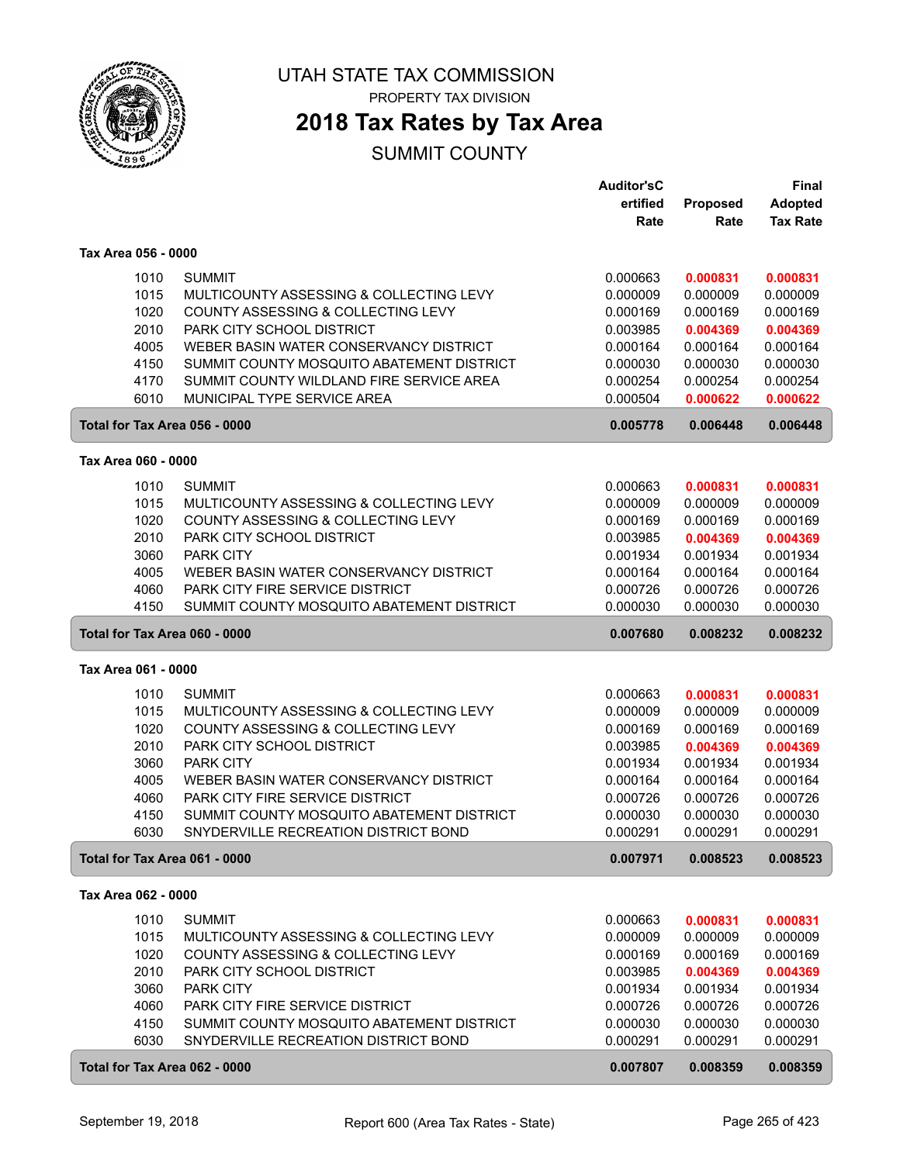

PROPERTY TAX DIVISION

# **2018 Tax Rates by Tax Area**

|                               |                                                                              | Auditor'sC           |                      | Final                |
|-------------------------------|------------------------------------------------------------------------------|----------------------|----------------------|----------------------|
|                               |                                                                              | ertified             | Proposed             | <b>Adopted</b>       |
|                               |                                                                              | Rate                 | Rate                 | <b>Tax Rate</b>      |
| Tax Area 056 - 0000           |                                                                              |                      |                      |                      |
| 1010                          | <b>SUMMIT</b>                                                                | 0.000663             | 0.000831             | 0.000831             |
| 1015                          | MULTICOUNTY ASSESSING & COLLECTING LEVY                                      | 0.000009             | 0.000009             | 0.000009             |
| 1020                          | COUNTY ASSESSING & COLLECTING LEVY                                           | 0.000169             | 0.000169             | 0.000169             |
| 2010                          | PARK CITY SCHOOL DISTRICT                                                    | 0.003985             | 0.004369             | 0.004369             |
| 4005                          | WEBER BASIN WATER CONSERVANCY DISTRICT                                       | 0.000164             | 0.000164             | 0.000164             |
| 4150                          | SUMMIT COUNTY MOSQUITO ABATEMENT DISTRICT                                    | 0.000030             | 0.000030             | 0.000030             |
| 4170                          | SUMMIT COUNTY WILDLAND FIRE SERVICE AREA                                     | 0.000254             | 0.000254             | 0.000254             |
| 6010                          | MUNICIPAL TYPE SERVICE AREA                                                  | 0.000504             | 0.000622             | 0.000622             |
| Total for Tax Area 056 - 0000 |                                                                              | 0.005778             | 0.006448             | 0.006448             |
| Tax Area 060 - 0000           |                                                                              |                      |                      |                      |
| 1010                          | <b>SUMMIT</b>                                                                | 0.000663             | 0.000831             | 0.000831             |
| 1015                          | MULTICOUNTY ASSESSING & COLLECTING LEVY                                      | 0.000009             | 0.000009             | 0.000009             |
| 1020                          | COUNTY ASSESSING & COLLECTING LEVY                                           | 0.000169             | 0.000169             | 0.000169             |
| 2010                          | PARK CITY SCHOOL DISTRICT                                                    | 0.003985             | 0.004369             | 0.004369             |
| 3060                          | <b>PARK CITY</b>                                                             | 0.001934             | 0.001934             | 0.001934             |
| 4005                          | WEBER BASIN WATER CONSERVANCY DISTRICT                                       | 0.000164             | 0.000164             | 0.000164             |
| 4060                          | PARK CITY FIRE SERVICE DISTRICT<br>SUMMIT COUNTY MOSQUITO ABATEMENT DISTRICT | 0.000726             | 0.000726             | 0.000726             |
| 4150                          |                                                                              | 0.000030             | 0.000030             | 0.000030             |
| Total for Tax Area 060 - 0000 |                                                                              | 0.007680             | 0.008232             | 0.008232             |
| Tax Area 061 - 0000           |                                                                              |                      |                      |                      |
| 1010                          | <b>SUMMIT</b>                                                                | 0.000663             | 0.000831             | 0.000831             |
| 1015                          | MULTICOUNTY ASSESSING & COLLECTING LEVY                                      | 0.000009             | 0.000009             | 0.000009             |
| 1020                          | COUNTY ASSESSING & COLLECTING LEVY                                           | 0.000169             | 0.000169             | 0.000169             |
| 2010                          | PARK CITY SCHOOL DISTRICT                                                    | 0.003985             | 0.004369             | 0.004369             |
| 3060<br>4005                  | <b>PARK CITY</b><br>WEBER BASIN WATER CONSERVANCY DISTRICT                   | 0.001934<br>0.000164 | 0.001934<br>0.000164 | 0.001934<br>0.000164 |
| 4060                          | PARK CITY FIRE SERVICE DISTRICT                                              | 0.000726             | 0.000726             | 0.000726             |
| 4150                          | SUMMIT COUNTY MOSQUITO ABATEMENT DISTRICT                                    | 0.000030             | 0.000030             | 0.000030             |
| 6030                          | SNYDERVILLE RECREATION DISTRICT BOND                                         | 0.000291             | 0.000291             | 0.000291             |
| Total for Tax Area 061 - 0000 |                                                                              | 0.007971             | 0.008523             | 0.008523             |
| Tax Area 062 - 0000           |                                                                              |                      |                      |                      |
| 1010                          | <b>SUMMIT</b>                                                                | 0.000663             | 0.000831             | 0.000831             |
| 1015                          | MULTICOUNTY ASSESSING & COLLECTING LEVY                                      | 0.000009             | 0.000009             | 0.000009             |
| 1020                          | COUNTY ASSESSING & COLLECTING LEVY                                           | 0.000169             | 0.000169             | 0.000169             |
| 2010                          | PARK CITY SCHOOL DISTRICT                                                    | 0.003985             | 0.004369             | 0.004369             |
| 3060                          | <b>PARK CITY</b>                                                             | 0.001934             | 0.001934             | 0.001934             |
| 4060                          | PARK CITY FIRE SERVICE DISTRICT                                              | 0.000726             | 0.000726             | 0.000726             |
| 4150                          | SUMMIT COUNTY MOSQUITO ABATEMENT DISTRICT                                    | 0.000030             | 0.000030             | 0.000030             |
| 6030                          | SNYDERVILLE RECREATION DISTRICT BOND                                         | 0.000291             | 0.000291             | 0.000291             |
| Total for Tax Area 062 - 0000 |                                                                              | 0.007807             | 0.008359             | 0.008359             |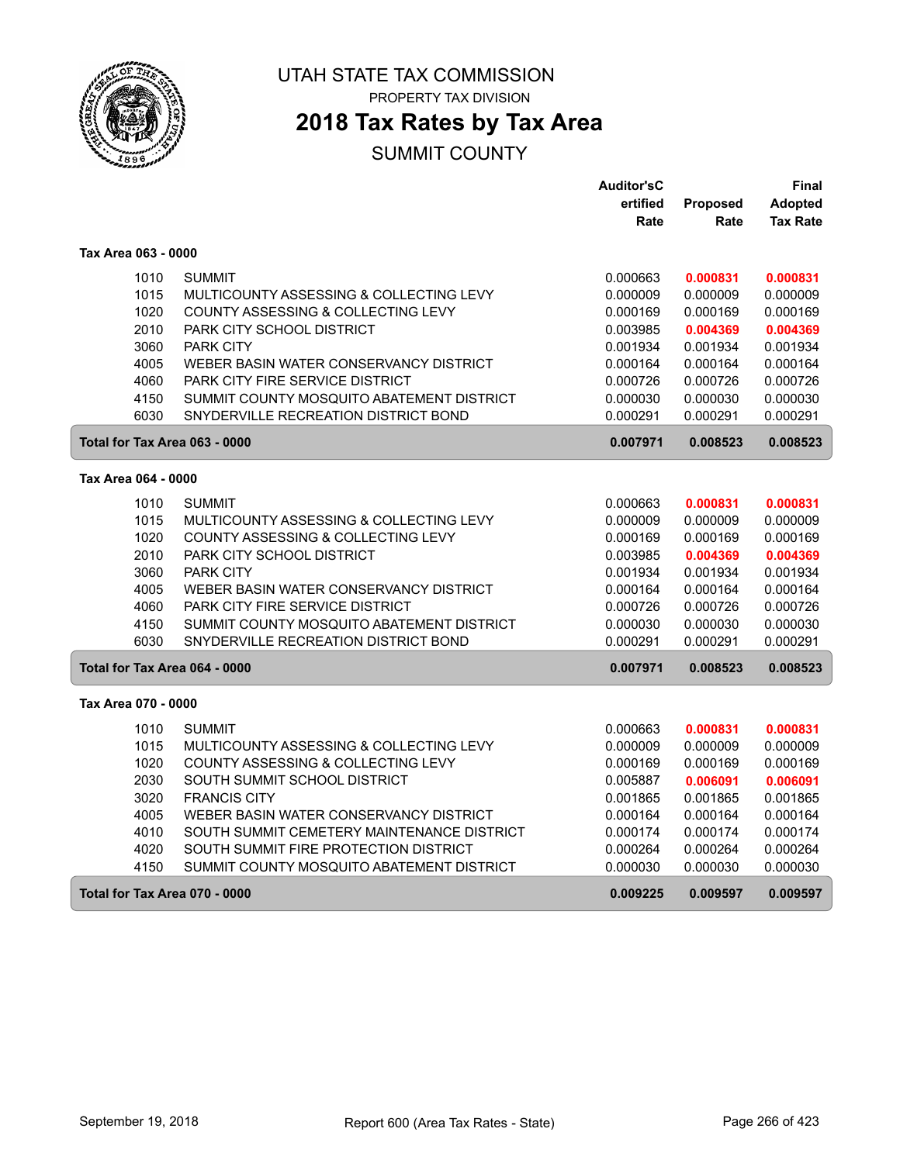

PROPERTY TAX DIVISION

# **2018 Tax Rates by Tax Area**

|                               |                                            | <b>Auditor'sC</b> |          | Final           |
|-------------------------------|--------------------------------------------|-------------------|----------|-----------------|
|                               |                                            | ertified          | Proposed | <b>Adopted</b>  |
|                               |                                            | Rate              | Rate     | <b>Tax Rate</b> |
| Tax Area 063 - 0000           |                                            |                   |          |                 |
| 1010                          | <b>SUMMIT</b>                              | 0.000663          | 0.000831 | 0.000831        |
| 1015                          | MULTICOUNTY ASSESSING & COLLECTING LEVY    | 0.000009          | 0.000009 | 0.000009        |
| 1020                          | COUNTY ASSESSING & COLLECTING LEVY         | 0.000169          | 0.000169 | 0.000169        |
| 2010                          | PARK CITY SCHOOL DISTRICT                  | 0.003985          | 0.004369 | 0.004369        |
| 3060                          | <b>PARK CITY</b>                           | 0.001934          | 0.001934 | 0.001934        |
| 4005                          | WEBER BASIN WATER CONSERVANCY DISTRICT     | 0.000164          | 0.000164 | 0.000164        |
| 4060                          | PARK CITY FIRE SERVICE DISTRICT            | 0.000726          | 0.000726 | 0.000726        |
| 4150                          | SUMMIT COUNTY MOSQUITO ABATEMENT DISTRICT  | 0.000030          | 0.000030 | 0.000030        |
| 6030                          | SNYDERVILLE RECREATION DISTRICT BOND       | 0.000291          | 0.000291 | 0.000291        |
| Total for Tax Area 063 - 0000 |                                            | 0.007971          | 0.008523 | 0.008523        |
| Tax Area 064 - 0000           |                                            |                   |          |                 |
| 1010                          | <b>SUMMIT</b>                              | 0.000663          | 0.000831 | 0.000831        |
| 1015                          | MULTICOUNTY ASSESSING & COLLECTING LEVY    | 0.000009          | 0.000009 | 0.000009        |
| 1020                          | COUNTY ASSESSING & COLLECTING LEVY         | 0.000169          | 0.000169 | 0.000169        |
| 2010                          | PARK CITY SCHOOL DISTRICT                  | 0.003985          | 0.004369 | 0.004369        |
| 3060                          | <b>PARK CITY</b>                           | 0.001934          | 0.001934 | 0.001934        |
| 4005                          | WEBER BASIN WATER CONSERVANCY DISTRICT     | 0.000164          | 0.000164 | 0.000164        |
| 4060                          | PARK CITY FIRE SERVICE DISTRICT            | 0.000726          | 0.000726 | 0.000726        |
| 4150                          | SUMMIT COUNTY MOSQUITO ABATEMENT DISTRICT  | 0.000030          | 0.000030 | 0.000030        |
| 6030                          | SNYDERVILLE RECREATION DISTRICT BOND       | 0.000291          | 0.000291 | 0.000291        |
| Total for Tax Area 064 - 0000 |                                            | 0.007971          | 0.008523 | 0.008523        |
| Tax Area 070 - 0000           |                                            |                   |          |                 |
| 1010                          | <b>SUMMIT</b>                              | 0.000663          | 0.000831 | 0.000831        |
| 1015                          | MULTICOUNTY ASSESSING & COLLECTING LEVY    | 0.000009          | 0.000009 | 0.000009        |
| 1020                          | COUNTY ASSESSING & COLLECTING LEVY         | 0.000169          | 0.000169 | 0.000169        |
| 2030                          | SOUTH SUMMIT SCHOOL DISTRICT               | 0.005887          | 0.006091 | 0.006091        |
| 3020                          | <b>FRANCIS CITY</b>                        | 0.001865          | 0.001865 | 0.001865        |
| 4005                          | WEBER BASIN WATER CONSERVANCY DISTRICT     | 0.000164          | 0.000164 | 0.000164        |
| 4010                          | SOUTH SUMMIT CEMETERY MAINTENANCE DISTRICT | 0.000174          | 0.000174 | 0.000174        |
| 4020                          | SOUTH SUMMIT FIRE PROTECTION DISTRICT      | 0.000264          | 0.000264 | 0.000264        |
| 4150                          | SUMMIT COUNTY MOSQUITO ABATEMENT DISTRICT  | 0.000030          | 0.000030 | 0.000030        |
| Total for Tax Area 070 - 0000 |                                            | 0.009225          | 0.009597 | 0.009597        |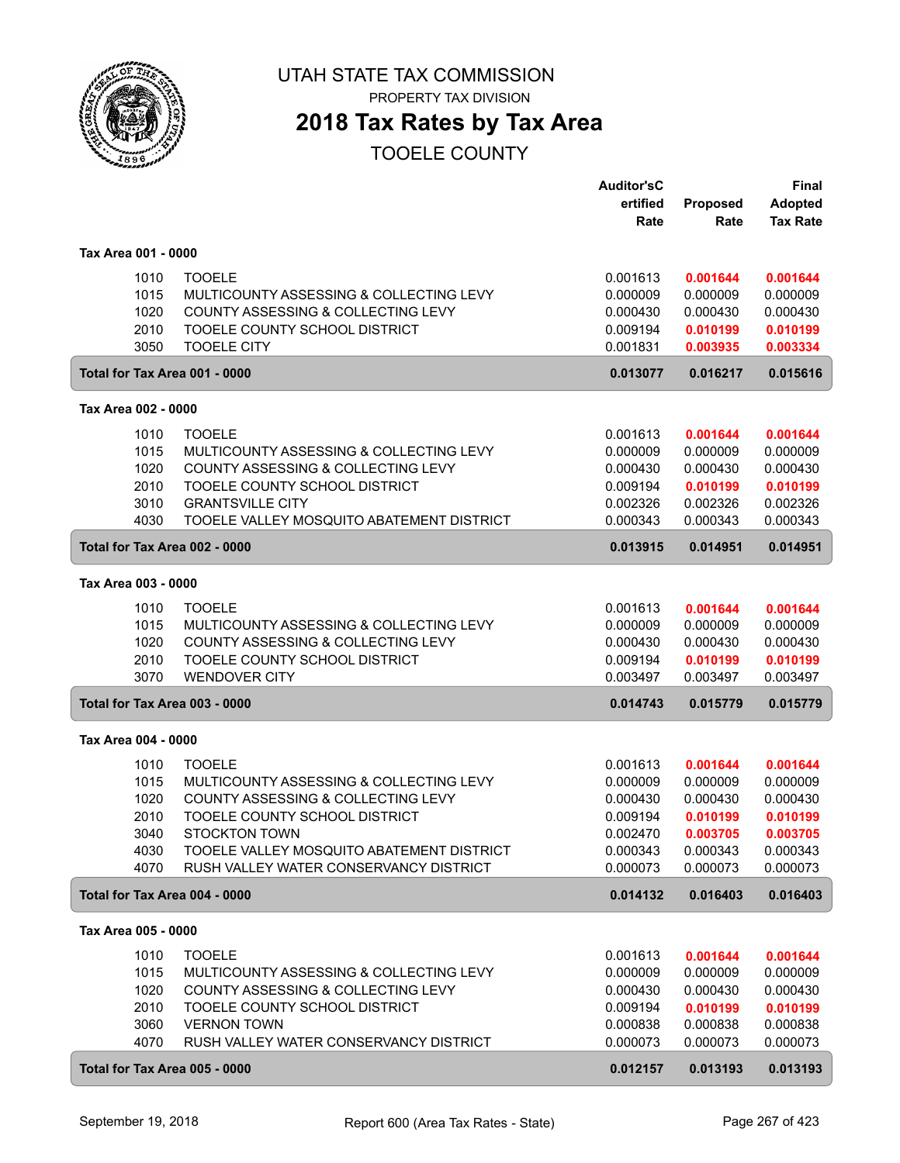

PROPERTY TAX DIVISION

### **2018 Tax Rates by Tax Area**

|                     |              |                                                       | <b>Auditor'sC</b>    |                      | <b>Final</b>         |
|---------------------|--------------|-------------------------------------------------------|----------------------|----------------------|----------------------|
|                     |              |                                                       | ertified             | <b>Proposed</b>      | <b>Adopted</b>       |
|                     |              |                                                       | Rate                 | Rate                 | <b>Tax Rate</b>      |
| Tax Area 001 - 0000 |              |                                                       |                      |                      |                      |
|                     | 1010         | <b>TOOELE</b>                                         | 0.001613             | 0.001644             | 0.001644             |
|                     | 1015         | MULTICOUNTY ASSESSING & COLLECTING LEVY               | 0.000009             | 0.000009             | 0.000009             |
|                     | 1020         | COUNTY ASSESSING & COLLECTING LEVY                    | 0.000430             | 0.000430             | 0.000430             |
|                     | 2010         | TOOELE COUNTY SCHOOL DISTRICT                         | 0.009194             | 0.010199             | 0.010199             |
|                     | 3050         | <b>TOOELE CITY</b>                                    | 0.001831             | 0.003935             | 0.003334             |
|                     |              | Total for Tax Area 001 - 0000                         | 0.013077             | 0.016217             | 0.015616             |
| Tax Area 002 - 0000 |              |                                                       |                      |                      |                      |
|                     | 1010         | <b>TOOELE</b>                                         | 0.001613             | 0.001644             | 0.001644             |
|                     | 1015         | MULTICOUNTY ASSESSING & COLLECTING LEVY               | 0.000009             | 0.000009             | 0.000009             |
|                     | 1020         | COUNTY ASSESSING & COLLECTING LEVY                    | 0.000430             | 0.000430             | 0.000430             |
|                     | 2010         | TOOELE COUNTY SCHOOL DISTRICT                         | 0.009194             | 0.010199             | 0.010199             |
|                     | 3010         | <b>GRANTSVILLE CITY</b>                               | 0.002326             | 0.002326             | 0.002326             |
|                     | 4030         | TOOELE VALLEY MOSQUITO ABATEMENT DISTRICT             | 0.000343             | 0.000343             | 0.000343             |
|                     |              | Total for Tax Area 002 - 0000                         | 0.013915             | 0.014951             | 0.014951             |
| Tax Area 003 - 0000 |              |                                                       |                      |                      |                      |
|                     |              |                                                       |                      |                      |                      |
|                     | 1010         | <b>TOOELE</b>                                         | 0.001613             | 0.001644             | 0.001644             |
|                     | 1015         | MULTICOUNTY ASSESSING & COLLECTING LEVY               | 0.000009             | 0.000009             | 0.000009             |
|                     | 1020         | COUNTY ASSESSING & COLLECTING LEVY                    | 0.000430             | 0.000430             | 0.000430             |
|                     | 2010<br>3070 | TOOELE COUNTY SCHOOL DISTRICT<br><b>WENDOVER CITY</b> | 0.009194<br>0.003497 | 0.010199<br>0.003497 | 0.010199<br>0.003497 |
|                     |              | Total for Tax Area 003 - 0000                         | 0.014743             | 0.015779             | 0.015779             |
|                     |              |                                                       |                      |                      |                      |
| Tax Area 004 - 0000 |              |                                                       |                      |                      |                      |
|                     | 1010         | <b>TOOELE</b>                                         | 0.001613             | 0.001644             | 0.001644             |
|                     | 1015         | MULTICOUNTY ASSESSING & COLLECTING LEVY               | 0.000009             | 0.000009             | 0.000009             |
|                     | 1020         | COUNTY ASSESSING & COLLECTING LEVY                    | 0.000430             | 0.000430             | 0.000430             |
|                     | 2010         | TOOELE COUNTY SCHOOL DISTRICT                         | 0.009194             | 0.010199             | 0.010199             |
|                     | 3040         | <b>STOCKTON TOWN</b>                                  | 0.002470             | 0.003705             | 0.003705             |
|                     | 4030         | TOOELE VALLEY MOSQUITO ABATEMENT DISTRICT             | 0.000343             | 0.000343             | 0.000343             |
|                     | 4070         | RUSH VALLEY WATER CONSERVANCY DISTRICT                | 0.000073             | 0.000073             | 0.000073             |
|                     |              | Total for Tax Area 004 - 0000                         | 0.014132             | 0.016403             | 0.016403             |
| Tax Area 005 - 0000 |              |                                                       |                      |                      |                      |
|                     | 1010         | <b>TOOELE</b>                                         | 0.001613             | 0.001644             | 0.001644             |
|                     | 1015         | MULTICOUNTY ASSESSING & COLLECTING LEVY               | 0.000009             | 0.000009             | 0.000009             |
|                     | 1020         | COUNTY ASSESSING & COLLECTING LEVY                    | 0.000430             | 0.000430             | 0.000430             |
|                     | 2010         | TOOELE COUNTY SCHOOL DISTRICT                         | 0.009194             | 0.010199             | 0.010199             |
|                     | 3060         | <b>VERNON TOWN</b>                                    | 0.000838             | 0.000838             | 0.000838             |
|                     | 4070         | RUSH VALLEY WATER CONSERVANCY DISTRICT                | 0.000073             | 0.000073             | 0.000073             |
|                     |              | Total for Tax Area 005 - 0000                         | 0.012157             | 0.013193             | 0.013193             |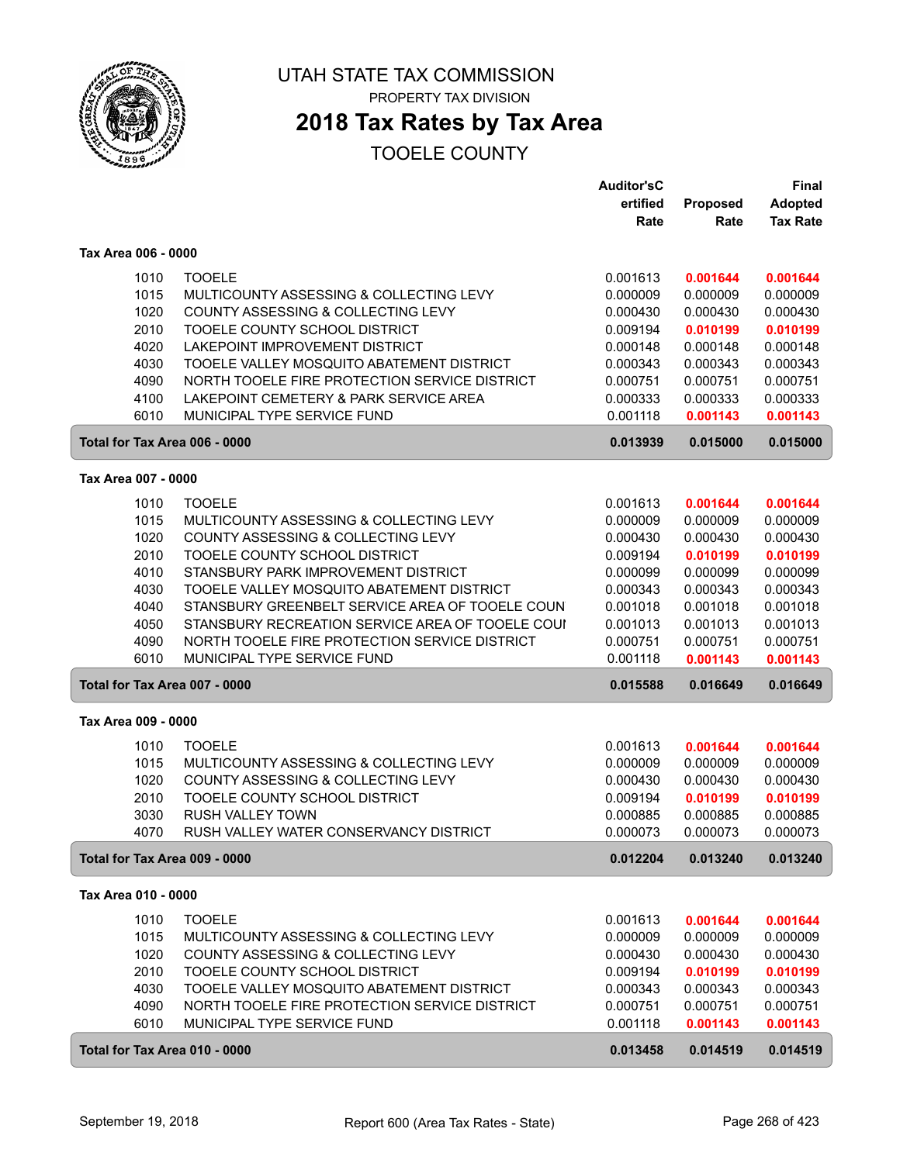

# **2018 Tax Rates by Tax Area**

|                               |                                                          | <b>Auditor'sC</b>    |                      | <b>Final</b>         |
|-------------------------------|----------------------------------------------------------|----------------------|----------------------|----------------------|
|                               |                                                          | ertified             | <b>Proposed</b>      | <b>Adopted</b>       |
|                               |                                                          | Rate                 | Rate                 | <b>Tax Rate</b>      |
| Tax Area 006 - 0000           |                                                          |                      |                      |                      |
| 1010                          | <b>TOOELE</b>                                            | 0.001613             | 0.001644             | 0.001644             |
| 1015                          | MULTICOUNTY ASSESSING & COLLECTING LEVY                  | 0.000009             | 0.000009             | 0.000009             |
| 1020                          | COUNTY ASSESSING & COLLECTING LEVY                       | 0.000430             | 0.000430             | 0.000430             |
| 2010                          | TOOELE COUNTY SCHOOL DISTRICT                            | 0.009194             | 0.010199             | 0.010199             |
| 4020                          | LAKEPOINT IMPROVEMENT DISTRICT                           | 0.000148             | 0.000148             | 0.000148             |
| 4030                          | TOOELE VALLEY MOSQUITO ABATEMENT DISTRICT                | 0.000343             | 0.000343             | 0.000343             |
| 4090                          | NORTH TOOELE FIRE PROTECTION SERVICE DISTRICT            | 0.000751             | 0.000751             | 0.000751             |
| 4100                          | LAKEPOINT CEMETERY & PARK SERVICE AREA                   | 0.000333             | 0.000333             | 0.000333             |
| 6010                          | MUNICIPAL TYPE SERVICE FUND                              | 0.001118             | 0.001143             | 0.001143             |
| Total for Tax Area 006 - 0000 |                                                          | 0.013939             | 0.015000             | 0.015000             |
| Tax Area 007 - 0000           |                                                          |                      |                      |                      |
| 1010                          | <b>TOOELE</b>                                            | 0.001613             | 0.001644             | 0.001644             |
| 1015                          | MULTICOUNTY ASSESSING & COLLECTING LEVY                  | 0.000009             | 0.000009             | 0.000009             |
| 1020                          | COUNTY ASSESSING & COLLECTING LEVY                       | 0.000430             | 0.000430             | 0.000430             |
| 2010                          | TOOELE COUNTY SCHOOL DISTRICT                            | 0.009194             | 0.010199             | 0.010199             |
| 4010                          | STANSBURY PARK IMPROVEMENT DISTRICT                      | 0.000099             | 0.000099             | 0.000099             |
| 4030                          | TOOELE VALLEY MOSQUITO ABATEMENT DISTRICT                | 0.000343             | 0.000343             | 0.000343             |
| 4040                          | STANSBURY GREENBELT SERVICE AREA OF TOOELE COUN          | 0.001018             | 0.001018             | 0.001018             |
| 4050                          | STANSBURY RECREATION SERVICE AREA OF TOOELE COUI         | 0.001013             | 0.001013             | 0.001013             |
| 4090                          | NORTH TOOELE FIRE PROTECTION SERVICE DISTRICT            | 0.000751             | 0.000751             | 0.000751             |
| 6010                          | MUNICIPAL TYPE SERVICE FUND                              | 0.001118             | 0.001143             | 0.001143             |
| Total for Tax Area 007 - 0000 |                                                          | 0.015588             | 0.016649             | 0.016649             |
| Tax Area 009 - 0000           |                                                          |                      |                      |                      |
|                               |                                                          |                      |                      |                      |
| 1010<br>1015                  | <b>TOOELE</b><br>MULTICOUNTY ASSESSING & COLLECTING LEVY | 0.001613<br>0.000009 | 0.001644             | 0.001644             |
| 1020                          | COUNTY ASSESSING & COLLECTING LEVY                       | 0.000430             | 0.000009<br>0.000430 | 0.000009<br>0.000430 |
| 2010                          | TOOELE COUNTY SCHOOL DISTRICT                            | 0.009194             | 0.010199             | 0.010199             |
| 3030                          | <b>RUSH VALLEY TOWN</b>                                  | 0.000885             | 0.000885             | 0.000885             |
| 4070                          | RUSH VALLEY WATER CONSERVANCY DISTRICT                   | 0.000073             | 0.000073             | 0.000073             |
| Total for Tax Area 009 - 0000 |                                                          | 0.012204             | 0.013240             | 0.013240             |
| Tax Area 010 - 0000           |                                                          |                      |                      |                      |
| 1010                          | <b>TOOELE</b>                                            | 0.001613             | 0.001644             | 0.001644             |
| 1015                          | MULTICOUNTY ASSESSING & COLLECTING LEVY                  | 0.000009             | 0.000009             | 0.000009             |
| 1020                          | COUNTY ASSESSING & COLLECTING LEVY                       | 0.000430             | 0.000430             | 0.000430             |
| 2010                          | TOOELE COUNTY SCHOOL DISTRICT                            | 0.009194             | 0.010199             | 0.010199             |
| 4030                          | TOOELE VALLEY MOSQUITO ABATEMENT DISTRICT                | 0.000343             | 0.000343             | 0.000343             |
| 4090                          | NORTH TOOELE FIRE PROTECTION SERVICE DISTRICT            | 0.000751             | 0.000751             | 0.000751             |
| 6010                          | MUNICIPAL TYPE SERVICE FUND                              | 0.001118             | 0.001143             | 0.001143             |
| Total for Tax Area 010 - 0000 |                                                          | 0.013458             | 0.014519             | 0.014519             |
|                               |                                                          |                      |                      |                      |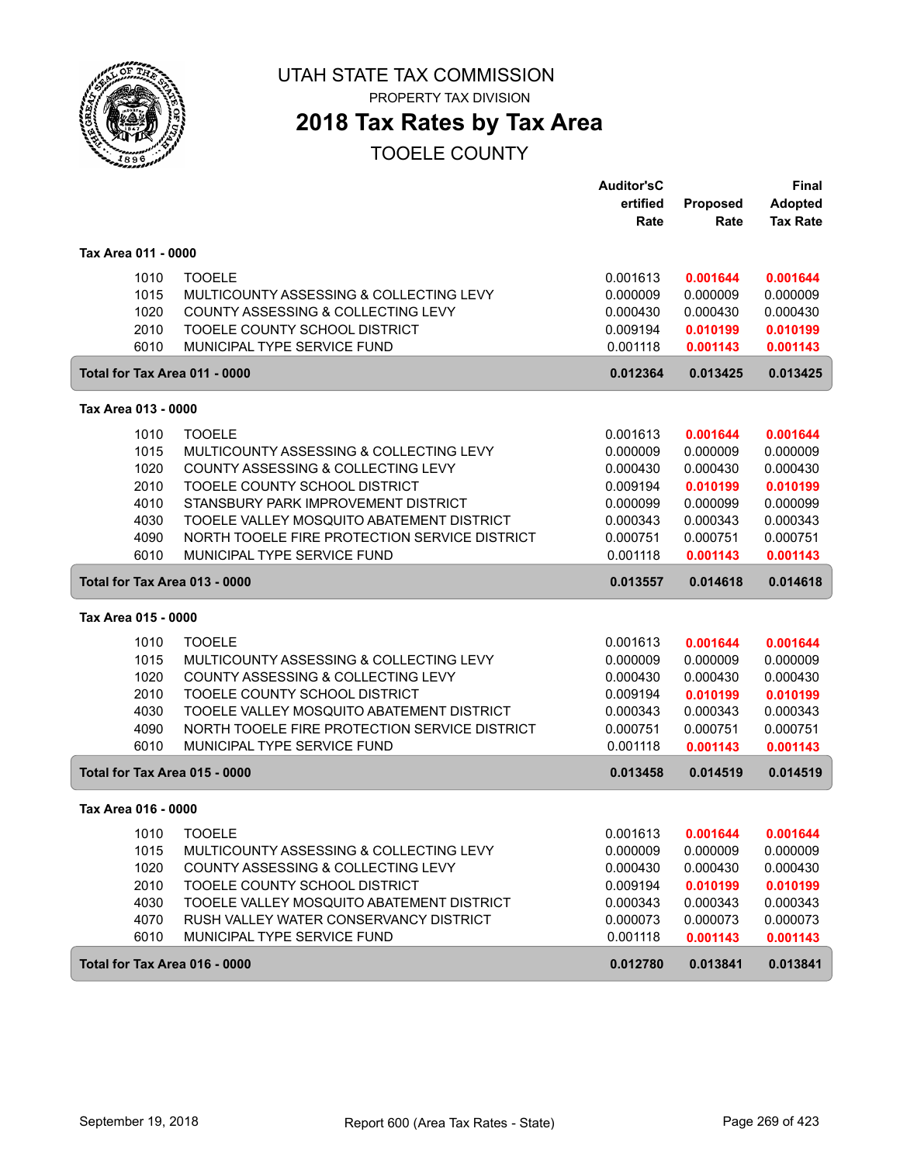

**2018 Tax Rates by Tax Area**

|                               |                                               | <b>Auditor'sC</b> |                 | <b>Final</b>    |
|-------------------------------|-----------------------------------------------|-------------------|-----------------|-----------------|
|                               |                                               | ertified          | <b>Proposed</b> | <b>Adopted</b>  |
|                               |                                               | Rate              | Rate            | <b>Tax Rate</b> |
| Tax Area 011 - 0000           |                                               |                   |                 |                 |
| 1010                          | <b>TOOELE</b>                                 | 0.001613          | 0.001644        | 0.001644        |
| 1015                          | MULTICOUNTY ASSESSING & COLLECTING LEVY       | 0.000009          | 0.000009        | 0.000009        |
| 1020                          | COUNTY ASSESSING & COLLECTING LEVY            | 0.000430          | 0.000430        | 0.000430        |
| 2010                          | TOOELE COUNTY SCHOOL DISTRICT                 | 0.009194          | 0.010199        | 0.010199        |
| 6010                          | MUNICIPAL TYPE SERVICE FUND                   | 0.001118          | 0.001143        | 0.001143        |
| Total for Tax Area 011 - 0000 |                                               | 0.012364          | 0.013425        | 0.013425        |
|                               |                                               |                   |                 |                 |
| Tax Area 013 - 0000           |                                               |                   |                 |                 |
| 1010                          | <b>TOOELE</b>                                 | 0.001613          | 0.001644        | 0.001644        |
| 1015                          | MULTICOUNTY ASSESSING & COLLECTING LEVY       | 0.000009          | 0.000009        | 0.000009        |
| 1020                          | COUNTY ASSESSING & COLLECTING LEVY            | 0.000430          | 0.000430        | 0.000430        |
| 2010                          | TOOELE COUNTY SCHOOL DISTRICT                 | 0.009194          | 0.010199        | 0.010199        |
| 4010                          | STANSBURY PARK IMPROVEMENT DISTRICT           | 0.000099          | 0.000099        | 0.000099        |
| 4030                          | TOOELE VALLEY MOSQUITO ABATEMENT DISTRICT     | 0.000343          | 0.000343        | 0.000343        |
| 4090                          | NORTH TOOELE FIRE PROTECTION SERVICE DISTRICT | 0.000751          | 0.000751        | 0.000751        |
| 6010                          | MUNICIPAL TYPE SERVICE FUND                   | 0.001118          | 0.001143        | 0.001143        |
| Total for Tax Area 013 - 0000 |                                               | 0.013557          | 0.014618        | 0.014618        |
| Tax Area 015 - 0000           |                                               |                   |                 |                 |
| 1010                          | <b>TOOELE</b>                                 | 0.001613          | 0.001644        | 0.001644        |
| 1015                          | MULTICOUNTY ASSESSING & COLLECTING LEVY       | 0.000009          | 0.000009        | 0.000009        |
| 1020                          | COUNTY ASSESSING & COLLECTING LEVY            | 0.000430          | 0.000430        | 0.000430        |
| 2010                          | TOOELE COUNTY SCHOOL DISTRICT                 | 0.009194          | 0.010199        | 0.010199        |
| 4030                          | TOOELE VALLEY MOSQUITO ABATEMENT DISTRICT     | 0.000343          | 0.000343        | 0.000343        |
| 4090                          | NORTH TOOELE FIRE PROTECTION SERVICE DISTRICT | 0.000751          | 0.000751        | 0.000751        |
| 6010                          | MUNICIPAL TYPE SERVICE FUND                   | 0.001118          | 0.001143        | 0.001143        |
| Total for Tax Area 015 - 0000 |                                               | 0.013458          | 0.014519        | 0.014519        |
| Tax Area 016 - 0000           |                                               |                   |                 |                 |
| 1010                          | <b>TOOELE</b>                                 | 0.001613          | 0.001644        | 0.001644        |
| 1015                          | MULTICOUNTY ASSESSING & COLLECTING LEVY       | 0.000009          | 0.000009        | 0.000009        |
| 1020                          | COUNTY ASSESSING & COLLECTING LEVY            | 0.000430          | 0.000430        | 0.000430        |
| 2010                          | TOOELE COUNTY SCHOOL DISTRICT                 | 0.009194          | 0.010199        | 0.010199        |
| 4030                          | TOOELE VALLEY MOSQUITO ABATEMENT DISTRICT     | 0.000343          | 0.000343        | 0.000343        |
| 4070                          | RUSH VALLEY WATER CONSERVANCY DISTRICT        | 0.000073          | 0.000073        | 0.000073        |
| 6010                          | MUNICIPAL TYPE SERVICE FUND                   | 0.001118          | 0.001143        | 0.001143        |
| Total for Tax Area 016 - 0000 |                                               | 0.012780          | 0.013841        | 0.013841        |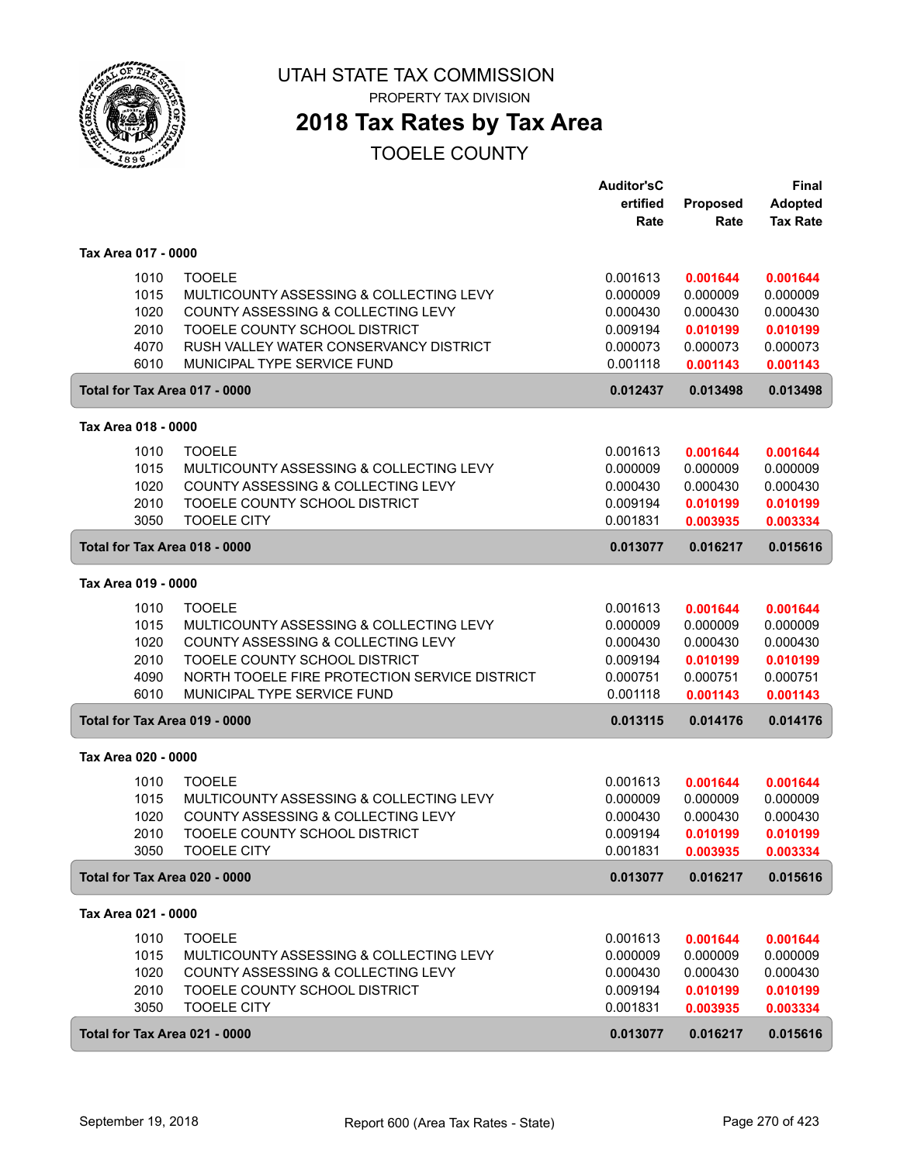

## **2018 Tax Rates by Tax Area**

|                               |                                               | <b>Auditor'sC</b> |          | <b>Final</b>    |
|-------------------------------|-----------------------------------------------|-------------------|----------|-----------------|
|                               |                                               | ertified          | Proposed | <b>Adopted</b>  |
|                               |                                               | Rate              | Rate     | <b>Tax Rate</b> |
| Tax Area 017 - 0000           |                                               |                   |          |                 |
|                               |                                               |                   |          |                 |
| 1010                          | <b>TOOELE</b>                                 | 0.001613          | 0.001644 | 0.001644        |
| 1015                          | MULTICOUNTY ASSESSING & COLLECTING LEVY       | 0.000009          | 0.000009 | 0.000009        |
| 1020                          | COUNTY ASSESSING & COLLECTING LEVY            | 0.000430          | 0.000430 | 0.000430        |
| 2010                          | TOOELE COUNTY SCHOOL DISTRICT                 | 0.009194          | 0.010199 | 0.010199        |
| 4070                          | RUSH VALLEY WATER CONSERVANCY DISTRICT        | 0.000073          | 0.000073 | 0.000073        |
| 6010                          | MUNICIPAL TYPE SERVICE FUND                   | 0.001118          | 0.001143 | 0.001143        |
| Total for Tax Area 017 - 0000 |                                               | 0.012437          | 0.013498 | 0.013498        |
| Tax Area 018 - 0000           |                                               |                   |          |                 |
| 1010                          | <b>TOOELE</b>                                 | 0.001613          | 0.001644 | 0.001644        |
| 1015                          | MULTICOUNTY ASSESSING & COLLECTING LEVY       | 0.000009          | 0.000009 | 0.000009        |
| 1020                          | COUNTY ASSESSING & COLLECTING LEVY            | 0.000430          | 0.000430 | 0.000430        |
| 2010                          | TOOELE COUNTY SCHOOL DISTRICT                 | 0.009194          | 0.010199 | 0.010199        |
| 3050                          | <b>TOOELE CITY</b>                            | 0.001831          | 0.003935 | 0.003334        |
| Total for Tax Area 018 - 0000 |                                               | 0.013077          | 0.016217 | 0.015616        |
|                               |                                               |                   |          |                 |
| Tax Area 019 - 0000           |                                               |                   |          |                 |
| 1010                          | <b>TOOELE</b>                                 | 0.001613          | 0.001644 | 0.001644        |
| 1015                          | MULTICOUNTY ASSESSING & COLLECTING LEVY       | 0.000009          | 0.000009 | 0.000009        |
| 1020                          | COUNTY ASSESSING & COLLECTING LEVY            | 0.000430          | 0.000430 | 0.000430        |
| 2010                          | TOOELE COUNTY SCHOOL DISTRICT                 | 0.009194          | 0.010199 | 0.010199        |
| 4090                          | NORTH TOOELE FIRE PROTECTION SERVICE DISTRICT | 0.000751          | 0.000751 | 0.000751        |
| 6010                          | MUNICIPAL TYPE SERVICE FUND                   | 0.001118          | 0.001143 | 0.001143        |
| Total for Tax Area 019 - 0000 |                                               | 0.013115          | 0.014176 | 0.014176        |
| Tax Area 020 - 0000           |                                               |                   |          |                 |
|                               |                                               |                   |          |                 |
| 1010                          | <b>TOOELE</b>                                 | 0.001613          | 0.001644 | 0.001644        |
| 1015                          | MULTICOUNTY ASSESSING & COLLECTING LEVY       | 0.000009          | 0.000009 | 0.000009        |
| 1020                          | COUNTY ASSESSING & COLLECTING LEVY            | 0.000430          | 0.000430 | 0.000430        |
| 2010                          | TOOELE COUNTY SCHOOL DISTRICT                 | 0.009194          | 0.010199 | 0.010199        |
| 3050                          | <b>TOOELE CITY</b>                            | 0.001831          | 0.003935 | 0.003334        |
| Total for Tax Area 020 - 0000 |                                               | 0.013077          | 0.016217 | 0.015616        |
| Tax Area 021 - 0000           |                                               |                   |          |                 |
| 1010                          | <b>TOOELE</b>                                 | 0.001613          | 0.001644 | 0.001644        |
| 1015                          | MULTICOUNTY ASSESSING & COLLECTING LEVY       | 0.000009          | 0.000009 | 0.000009        |
| 1020                          | COUNTY ASSESSING & COLLECTING LEVY            | 0.000430          | 0.000430 | 0.000430        |
| 2010                          | TOOELE COUNTY SCHOOL DISTRICT                 | 0.009194          | 0.010199 | 0.010199        |
| 3050                          | <b>TOOELE CITY</b>                            | 0.001831          | 0.003935 | 0.003334        |
| Total for Tax Area 021 - 0000 |                                               | 0.013077          | 0.016217 | 0.015616        |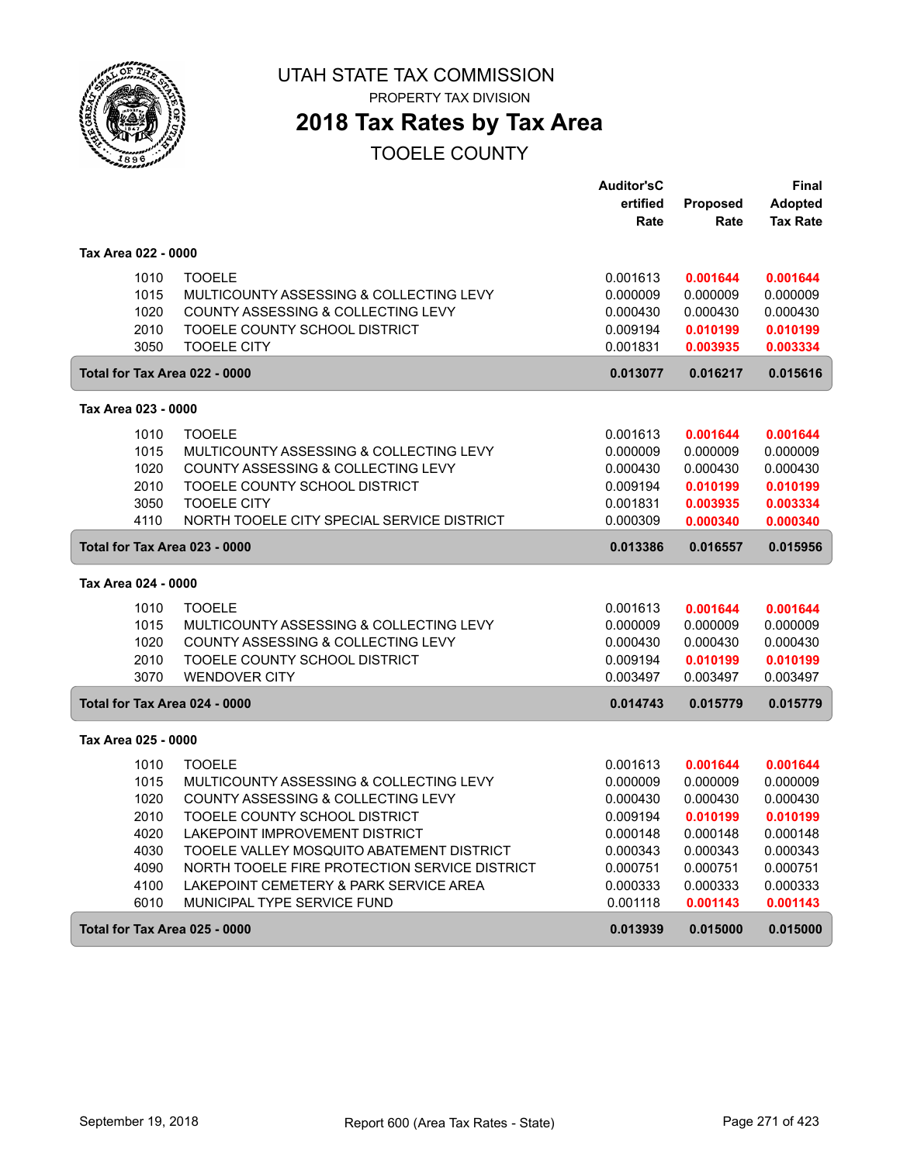

PROPERTY TAX DIVISION

### **2018 Tax Rates by Tax Area**

|                     |      |                                               | <b>Auditor'sC</b> |          | Final           |
|---------------------|------|-----------------------------------------------|-------------------|----------|-----------------|
|                     |      |                                               | ertified          | Proposed | <b>Adopted</b>  |
|                     |      |                                               | Rate              | Rate     | <b>Tax Rate</b> |
| Tax Area 022 - 0000 |      |                                               |                   |          |                 |
|                     | 1010 | <b>TOOELE</b>                                 | 0.001613          | 0.001644 | 0.001644        |
|                     | 1015 | MULTICOUNTY ASSESSING & COLLECTING LEVY       | 0.000009          | 0.000009 | 0.000009        |
|                     | 1020 | COUNTY ASSESSING & COLLECTING LEVY            | 0.000430          | 0.000430 | 0.000430        |
|                     | 2010 | TOOELE COUNTY SCHOOL DISTRICT                 | 0.009194          | 0.010199 | 0.010199        |
|                     | 3050 | <b>TOOELE CITY</b>                            | 0.001831          | 0.003935 | 0.003334        |
|                     |      | Total for Tax Area 022 - 0000                 | 0.013077          | 0.016217 | 0.015616        |
| Tax Area 023 - 0000 |      |                                               |                   |          |                 |
|                     | 1010 | <b>TOOELE</b>                                 | 0.001613          | 0.001644 | 0.001644        |
|                     | 1015 | MULTICOUNTY ASSESSING & COLLECTING LEVY       | 0.000009          | 0.000009 | 0.000009        |
|                     | 1020 | COUNTY ASSESSING & COLLECTING LEVY            | 0.000430          | 0.000430 | 0.000430        |
|                     | 2010 | TOOELE COUNTY SCHOOL DISTRICT                 | 0.009194          | 0.010199 | 0.010199        |
|                     | 3050 | <b>TOOELE CITY</b>                            | 0.001831          | 0.003935 | 0.003334        |
|                     | 4110 | NORTH TOOELE CITY SPECIAL SERVICE DISTRICT    | 0.000309          | 0.000340 | 0.000340        |
|                     |      | Total for Tax Area 023 - 0000                 | 0.013386          | 0.016557 | 0.015956        |
| Tax Area 024 - 0000 |      |                                               |                   |          |                 |
|                     | 1010 | <b>TOOELE</b>                                 | 0.001613          | 0.001644 | 0.001644        |
|                     | 1015 | MULTICOUNTY ASSESSING & COLLECTING LEVY       | 0.000009          | 0.000009 | 0.000009        |
|                     | 1020 | COUNTY ASSESSING & COLLECTING LEVY            | 0.000430          | 0.000430 | 0.000430        |
|                     | 2010 | TOOELE COUNTY SCHOOL DISTRICT                 | 0.009194          | 0.010199 | 0.010199        |
|                     | 3070 | <b>WENDOVER CITY</b>                          | 0.003497          | 0.003497 | 0.003497        |
|                     |      | Total for Tax Area 024 - 0000                 | 0.014743          | 0.015779 | 0.015779        |
| Tax Area 025 - 0000 |      |                                               |                   |          |                 |
|                     | 1010 | <b>TOOELE</b>                                 | 0.001613          | 0.001644 | 0.001644        |
|                     | 1015 | MULTICOUNTY ASSESSING & COLLECTING LEVY       | 0.000009          | 0.000009 | 0.000009        |
|                     | 1020 | COUNTY ASSESSING & COLLECTING LEVY            | 0.000430          | 0.000430 | 0.000430        |
|                     | 2010 | TOOELE COUNTY SCHOOL DISTRICT                 | 0.009194          | 0.010199 | 0.010199        |
|                     | 4020 | LAKEPOINT IMPROVEMENT DISTRICT                | 0.000148          | 0.000148 | 0.000148        |
|                     | 4030 | TOOELE VALLEY MOSQUITO ABATEMENT DISTRICT     | 0.000343          | 0.000343 | 0.000343        |
|                     | 4090 | NORTH TOOELE FIRE PROTECTION SERVICE DISTRICT | 0.000751          | 0.000751 | 0.000751        |
|                     |      |                                               |                   |          |                 |
|                     | 4100 | LAKEPOINT CEMETERY & PARK SERVICE AREA        | 0.000333          | 0.000333 | 0.000333        |
|                     | 6010 | <b>MUNICIPAL TYPE SERVICE FUND</b>            | 0.001118          | 0.001143 | 0.001143        |
|                     |      | Total for Tax Area 025 - 0000                 | 0.013939          | 0.015000 | 0.015000        |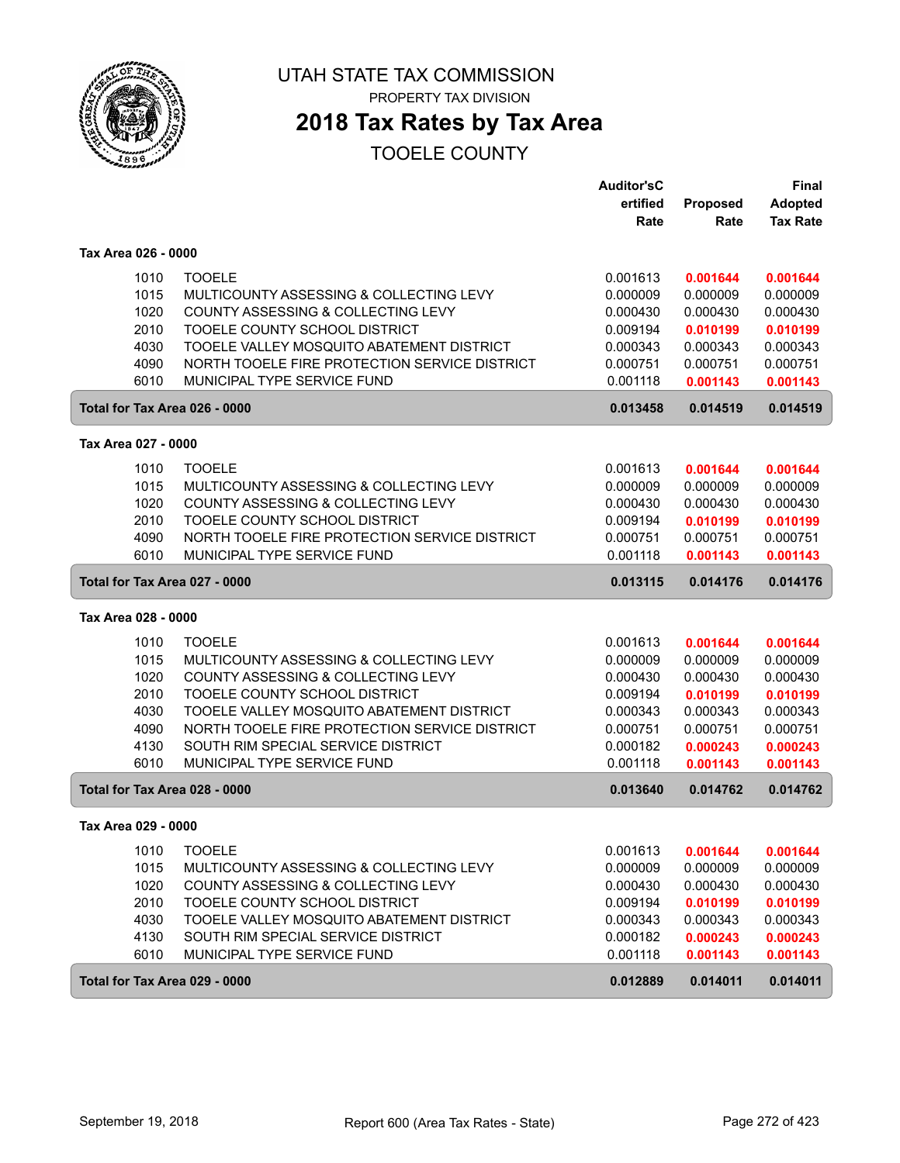

# **2018 Tax Rates by Tax Area**

|                               |                                               | <b>Auditor'sC</b> |          | <b>Final</b>    |
|-------------------------------|-----------------------------------------------|-------------------|----------|-----------------|
|                               |                                               | ertified          | Proposed | <b>Adopted</b>  |
|                               |                                               | Rate              | Rate     | <b>Tax Rate</b> |
| Tax Area 026 - 0000           |                                               |                   |          |                 |
| 1010                          | <b>TOOELE</b>                                 | 0.001613          | 0.001644 | 0.001644        |
| 1015                          | MULTICOUNTY ASSESSING & COLLECTING LEVY       | 0.000009          | 0.000009 | 0.000009        |
| 1020                          | COUNTY ASSESSING & COLLECTING LEVY            | 0.000430          | 0.000430 | 0.000430        |
| 2010                          | TOOELE COUNTY SCHOOL DISTRICT                 | 0.009194          | 0.010199 | 0.010199        |
| 4030                          | TOOELE VALLEY MOSQUITO ABATEMENT DISTRICT     | 0.000343          | 0.000343 | 0.000343        |
| 4090                          | NORTH TOOELE FIRE PROTECTION SERVICE DISTRICT | 0.000751          | 0.000751 | 0.000751        |
| 6010                          | MUNICIPAL TYPE SERVICE FUND                   | 0.001118          | 0.001143 | 0.001143        |
| Total for Tax Area 026 - 0000 |                                               | 0.013458          | 0.014519 | 0.014519        |
| Tax Area 027 - 0000           |                                               |                   |          |                 |
| 1010                          | <b>TOOELE</b>                                 | 0.001613          | 0.001644 | 0.001644        |
| 1015                          | MULTICOUNTY ASSESSING & COLLECTING LEVY       | 0.000009          | 0.000009 | 0.000009        |
| 1020                          | COUNTY ASSESSING & COLLECTING LEVY            | 0.000430          | 0.000430 | 0.000430        |
| 2010                          | TOOELE COUNTY SCHOOL DISTRICT                 | 0.009194          | 0.010199 | 0.010199        |
| 4090                          | NORTH TOOELE FIRE PROTECTION SERVICE DISTRICT | 0.000751          | 0.000751 | 0.000751        |
| 6010                          | MUNICIPAL TYPE SERVICE FUND                   | 0.001118          | 0.001143 | 0.001143        |
|                               |                                               |                   |          |                 |
| Total for Tax Area 027 - 0000 |                                               | 0.013115          | 0.014176 | 0.014176        |
| Tax Area 028 - 0000           |                                               |                   |          |                 |
| 1010                          | <b>TOOELE</b>                                 | 0.001613          | 0.001644 | 0.001644        |
| 1015                          | MULTICOUNTY ASSESSING & COLLECTING LEVY       | 0.000009          | 0.000009 | 0.000009        |
| 1020                          | COUNTY ASSESSING & COLLECTING LEVY            | 0.000430          | 0.000430 | 0.000430        |
| 2010                          | TOOELE COUNTY SCHOOL DISTRICT                 | 0.009194          | 0.010199 | 0.010199        |
| 4030                          | TOOELE VALLEY MOSQUITO ABATEMENT DISTRICT     | 0.000343          | 0.000343 | 0.000343        |
| 4090                          | NORTH TOOELE FIRE PROTECTION SERVICE DISTRICT | 0.000751          | 0.000751 | 0.000751        |
| 4130                          | SOUTH RIM SPECIAL SERVICE DISTRICT            | 0.000182          | 0.000243 | 0.000243        |
| 6010                          | MUNICIPAL TYPE SERVICE FUND                   | 0.001118          | 0.001143 | 0.001143        |
| Total for Tax Area 028 - 0000 |                                               | 0.013640          | 0.014762 | 0.014762        |
| Tax Area 029 - 0000           |                                               |                   |          |                 |
| 1010                          | <b>TOOELE</b>                                 | 0.001613          | 0.001644 | 0.001644        |
| 1015                          | MULTICOUNTY ASSESSING & COLLECTING LEVY       | 0.000009          | 0.000009 | 0.000009        |
| 1020                          | COUNTY ASSESSING & COLLECTING LEVY            | 0.000430          | 0.000430 | 0.000430        |
| 2010                          | TOOELE COUNTY SCHOOL DISTRICT                 | 0.009194          | 0.010199 | 0.010199        |
| 4030                          | TOOELE VALLEY MOSQUITO ABATEMENT DISTRICT     | 0.000343          | 0.000343 | 0.000343        |
| 4130                          | SOUTH RIM SPECIAL SERVICE DISTRICT            | 0.000182          | 0.000243 | 0.000243        |
| 6010                          | MUNICIPAL TYPE SERVICE FUND                   | 0.001118          | 0.001143 | 0.001143        |
| Total for Tax Area 029 - 0000 |                                               | 0.012889          | 0.014011 | 0.014011        |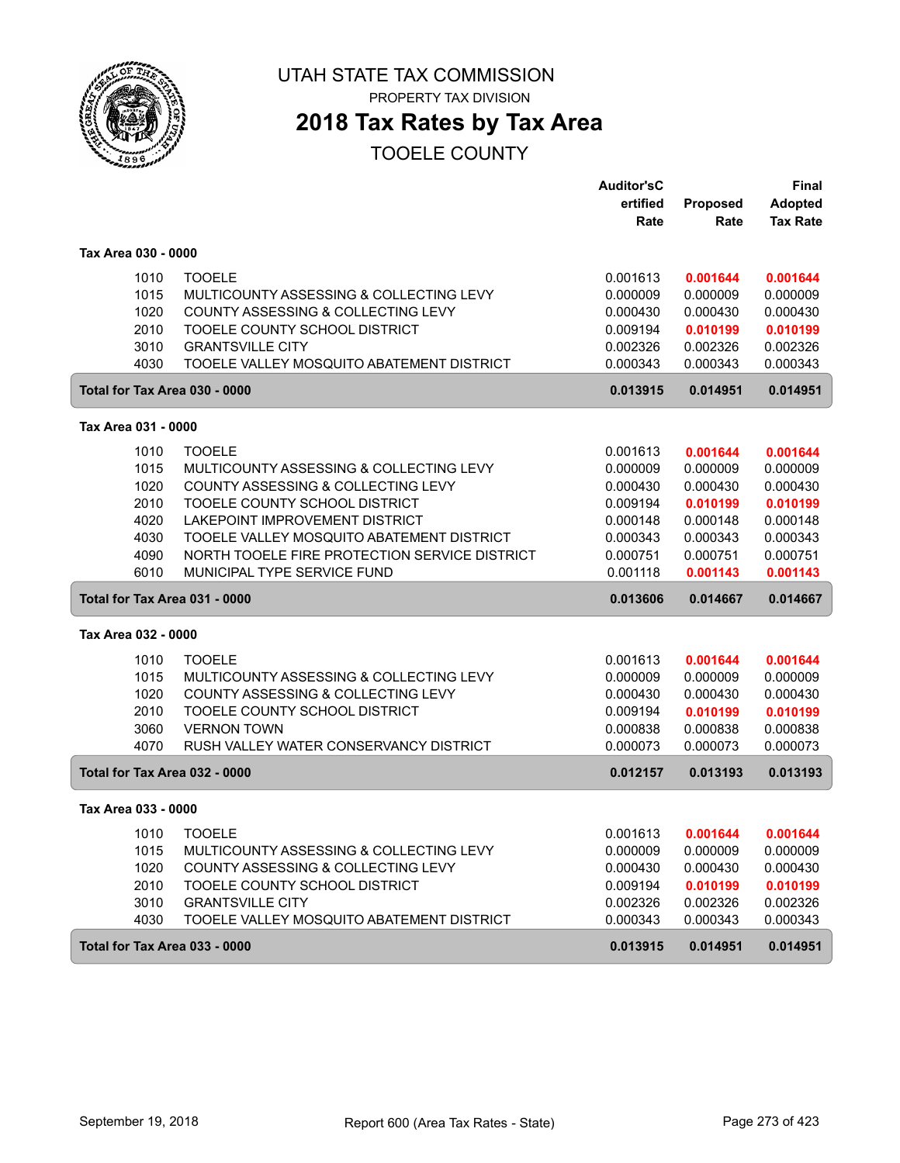

PROPERTY TAX DIVISION

# **2018 Tax Rates by Tax Area**

|                               |                                               | <b>Auditor'sC</b> |          | <b>Final</b>    |
|-------------------------------|-----------------------------------------------|-------------------|----------|-----------------|
|                               |                                               | ertified          | Proposed | <b>Adopted</b>  |
|                               |                                               | Rate              | Rate     | <b>Tax Rate</b> |
| Tax Area 030 - 0000           |                                               |                   |          |                 |
| 1010                          | <b>TOOELE</b>                                 | 0.001613          | 0.001644 | 0.001644        |
| 1015                          | MULTICOUNTY ASSESSING & COLLECTING LEVY       | 0.000009          | 0.000009 | 0.000009        |
| 1020                          | COUNTY ASSESSING & COLLECTING LEVY            | 0.000430          | 0.000430 | 0.000430        |
| 2010                          | TOOELE COUNTY SCHOOL DISTRICT                 | 0.009194          | 0.010199 | 0.010199        |
| 3010                          | <b>GRANTSVILLE CITY</b>                       | 0.002326          | 0.002326 | 0.002326        |
| 4030                          | TOOELE VALLEY MOSQUITO ABATEMENT DISTRICT     | 0.000343          | 0.000343 | 0.000343        |
| Total for Tax Area 030 - 0000 |                                               | 0.013915          | 0.014951 | 0.014951        |
| Tax Area 031 - 0000           |                                               |                   |          |                 |
| 1010                          | <b>TOOELE</b>                                 | 0.001613          | 0.001644 | 0.001644        |
| 1015                          | MULTICOUNTY ASSESSING & COLLECTING LEVY       | 0.000009          | 0.000009 | 0.000009        |
| 1020                          | COUNTY ASSESSING & COLLECTING LEVY            | 0.000430          | 0.000430 | 0.000430        |
| 2010                          | TOOELE COUNTY SCHOOL DISTRICT                 | 0.009194          | 0.010199 | 0.010199        |
| 4020                          | LAKEPOINT IMPROVEMENT DISTRICT                | 0.000148          | 0.000148 | 0.000148        |
| 4030                          | TOOELE VALLEY MOSQUITO ABATEMENT DISTRICT     | 0.000343          | 0.000343 | 0.000343        |
| 4090                          | NORTH TOOELE FIRE PROTECTION SERVICE DISTRICT | 0.000751          | 0.000751 | 0.000751        |
| 6010                          | MUNICIPAL TYPE SERVICE FUND                   | 0.001118          | 0.001143 | 0.001143        |
| Total for Tax Area 031 - 0000 |                                               | 0.013606          | 0.014667 | 0.014667        |
| Tax Area 032 - 0000           |                                               |                   |          |                 |
| 1010                          | <b>TOOELE</b>                                 | 0.001613          | 0.001644 | 0.001644        |
| 1015                          | MULTICOUNTY ASSESSING & COLLECTING LEVY       | 0.000009          | 0.000009 | 0.000009        |
| 1020                          | COUNTY ASSESSING & COLLECTING LEVY            | 0.000430          | 0.000430 | 0.000430        |
| 2010                          | TOOELE COUNTY SCHOOL DISTRICT                 | 0.009194          | 0.010199 | 0.010199        |
| 3060                          | <b>VERNON TOWN</b>                            | 0.000838          | 0.000838 | 0.000838        |
| 4070                          | RUSH VALLEY WATER CONSERVANCY DISTRICT        | 0.000073          | 0.000073 | 0.000073        |
| Total for Tax Area 032 - 0000 |                                               | 0.012157          | 0.013193 | 0.013193        |
| Tax Area 033 - 0000           |                                               |                   |          |                 |
| 1010                          | <b>TOOELE</b>                                 | 0.001613          | 0.001644 | 0.001644        |
| 1015                          | MULTICOUNTY ASSESSING & COLLECTING LEVY       | 0.000009          | 0.000009 | 0.000009        |
| 1020                          | COUNTY ASSESSING & COLLECTING LEVY            | 0.000430          | 0.000430 | 0.000430        |
| 2010                          | TOOELE COUNTY SCHOOL DISTRICT                 | 0.009194          | 0.010199 | 0.010199        |
| 3010                          | <b>GRANTSVILLE CITY</b>                       | 0.002326          | 0.002326 | 0.002326        |
| 4030                          | TOOELE VALLEY MOSQUITO ABATEMENT DISTRICT     | 0.000343          | 0.000343 | 0.000343        |
| Total for Tax Area 033 - 0000 |                                               | 0.013915          | 0.014951 | 0.014951        |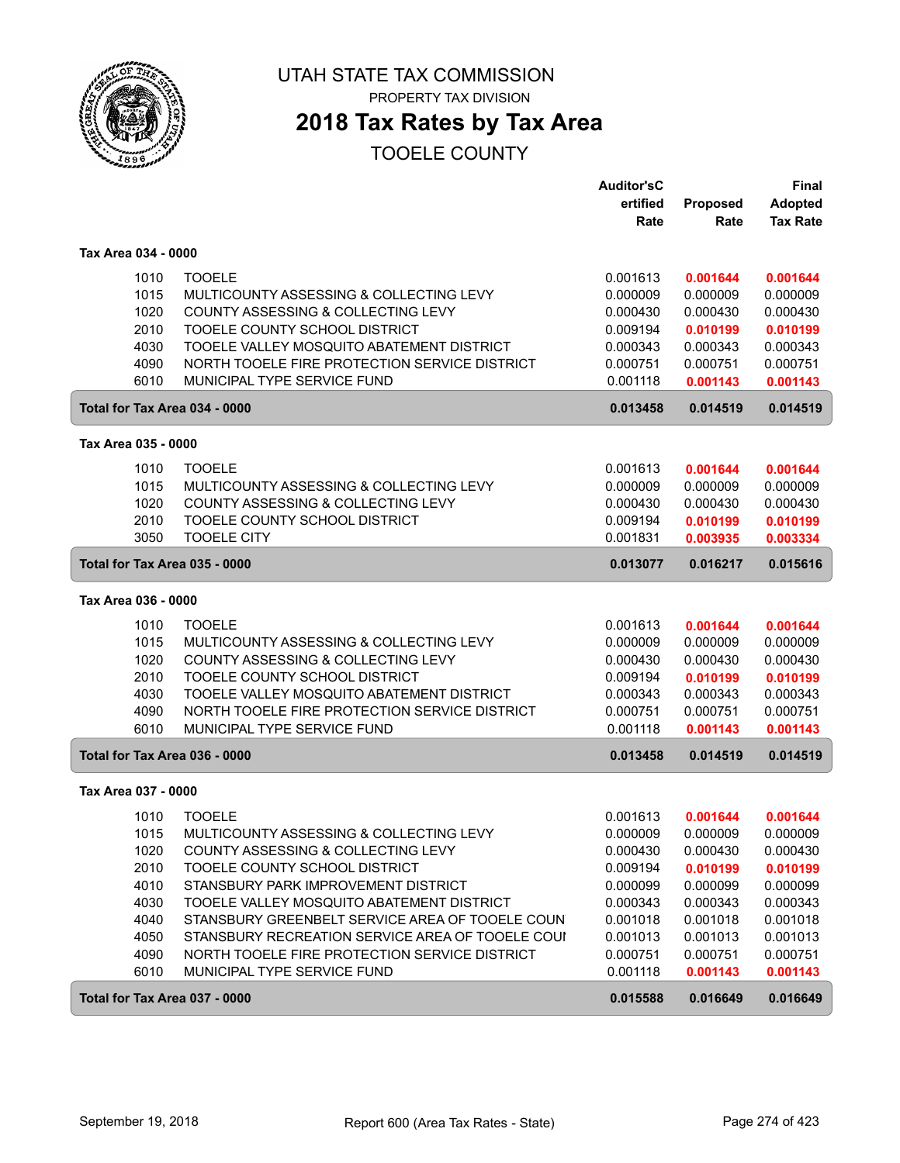

# **2018 Tax Rates by Tax Area**

|                               |                                                  | <b>Auditor'sC</b><br>ertified | Proposed | <b>Final</b><br><b>Adopted</b> |
|-------------------------------|--------------------------------------------------|-------------------------------|----------|--------------------------------|
|                               |                                                  | Rate                          | Rate     | <b>Tax Rate</b>                |
| Tax Area 034 - 0000           |                                                  |                               |          |                                |
| 1010                          | <b>TOOELE</b>                                    | 0.001613                      | 0.001644 | 0.001644                       |
| 1015                          | MULTICOUNTY ASSESSING & COLLECTING LEVY          | 0.000009                      | 0.000009 | 0.000009                       |
| 1020                          | COUNTY ASSESSING & COLLECTING LEVY               | 0.000430                      | 0.000430 | 0.000430                       |
| 2010                          | TOOELE COUNTY SCHOOL DISTRICT                    | 0.009194                      | 0.010199 | 0.010199                       |
| 4030                          | TOOELE VALLEY MOSQUITO ABATEMENT DISTRICT        | 0.000343                      | 0.000343 | 0.000343                       |
| 4090                          | NORTH TOOELE FIRE PROTECTION SERVICE DISTRICT    | 0.000751                      | 0.000751 | 0.000751                       |
| 6010                          | MUNICIPAL TYPE SERVICE FUND                      | 0.001118                      | 0.001143 | 0.001143                       |
| Total for Tax Area 034 - 0000 |                                                  | 0.013458                      | 0.014519 | 0.014519                       |
| Tax Area 035 - 0000           |                                                  |                               |          |                                |
| 1010                          | <b>TOOELE</b>                                    | 0.001613                      | 0.001644 | 0.001644                       |
| 1015                          | MULTICOUNTY ASSESSING & COLLECTING LEVY          | 0.000009                      | 0.000009 | 0.000009                       |
| 1020                          | COUNTY ASSESSING & COLLECTING LEVY               | 0.000430                      | 0.000430 | 0.000430                       |
| 2010                          | TOOELE COUNTY SCHOOL DISTRICT                    | 0.009194                      | 0.010199 | 0.010199                       |
| 3050                          | <b>TOOELE CITY</b>                               | 0.001831                      | 0.003935 | 0.003334                       |
| Total for Tax Area 035 - 0000 |                                                  | 0.013077                      | 0.016217 | 0.015616                       |
| Tax Area 036 - 0000           |                                                  |                               |          |                                |
| 1010                          | <b>TOOELE</b>                                    | 0.001613                      | 0.001644 | 0.001644                       |
| 1015                          | MULTICOUNTY ASSESSING & COLLECTING LEVY          | 0.000009                      | 0.000009 | 0.000009                       |
| 1020                          | COUNTY ASSESSING & COLLECTING LEVY               | 0.000430                      | 0.000430 | 0.000430                       |
| 2010                          | TOOELE COUNTY SCHOOL DISTRICT                    | 0.009194                      | 0.010199 | 0.010199                       |
| 4030                          | TOOELE VALLEY MOSQUITO ABATEMENT DISTRICT        | 0.000343                      | 0.000343 | 0.000343                       |
| 4090                          | NORTH TOOELE FIRE PROTECTION SERVICE DISTRICT    | 0.000751                      | 0.000751 | 0.000751                       |
| 6010                          | MUNICIPAL TYPE SERVICE FUND                      | 0.001118                      | 0.001143 | 0.001143                       |
| Total for Tax Area 036 - 0000 |                                                  | 0.013458                      | 0.014519 | 0.014519                       |
| Tax Area 037 - 0000           |                                                  |                               |          |                                |
| 1010                          | <b>TOOELE</b>                                    | 0.001613                      | 0.001644 | 0.001644                       |
| 1015                          | MULTICOUNTY ASSESSING & COLLECTING LEVY          | 0.000009                      | 0.000009 | 0.000009                       |
| 1020                          | COUNTY ASSESSING & COLLECTING LEVY               | 0.000430                      | 0.000430 | 0.000430                       |
| 2010                          | TOOELE COUNTY SCHOOL DISTRICT                    | 0.009194                      | 0.010199 | 0.010199                       |
| 4010                          | STANSBURY PARK IMPROVEMENT DISTRICT              | 0.000099                      | 0.000099 | 0.000099                       |
| 4030                          | TOOELE VALLEY MOSQUITO ABATEMENT DISTRICT        | 0.000343                      | 0.000343 | 0.000343                       |
| 4040                          | STANSBURY GREENBELT SERVICE AREA OF TOOELE COUN  | 0.001018                      | 0.001018 | 0.001018                       |
| 4050                          | STANSBURY RECREATION SERVICE AREA OF TOOELE COUI | 0.001013                      | 0.001013 | 0.001013                       |
| 4090                          | NORTH TOOELE FIRE PROTECTION SERVICE DISTRICT    | 0.000751                      | 0.000751 | 0.000751                       |
| 6010                          | MUNICIPAL TYPE SERVICE FUND                      | 0.001118                      | 0.001143 | 0.001143                       |
| Total for Tax Area 037 - 0000 |                                                  | 0.015588                      | 0.016649 | 0.016649                       |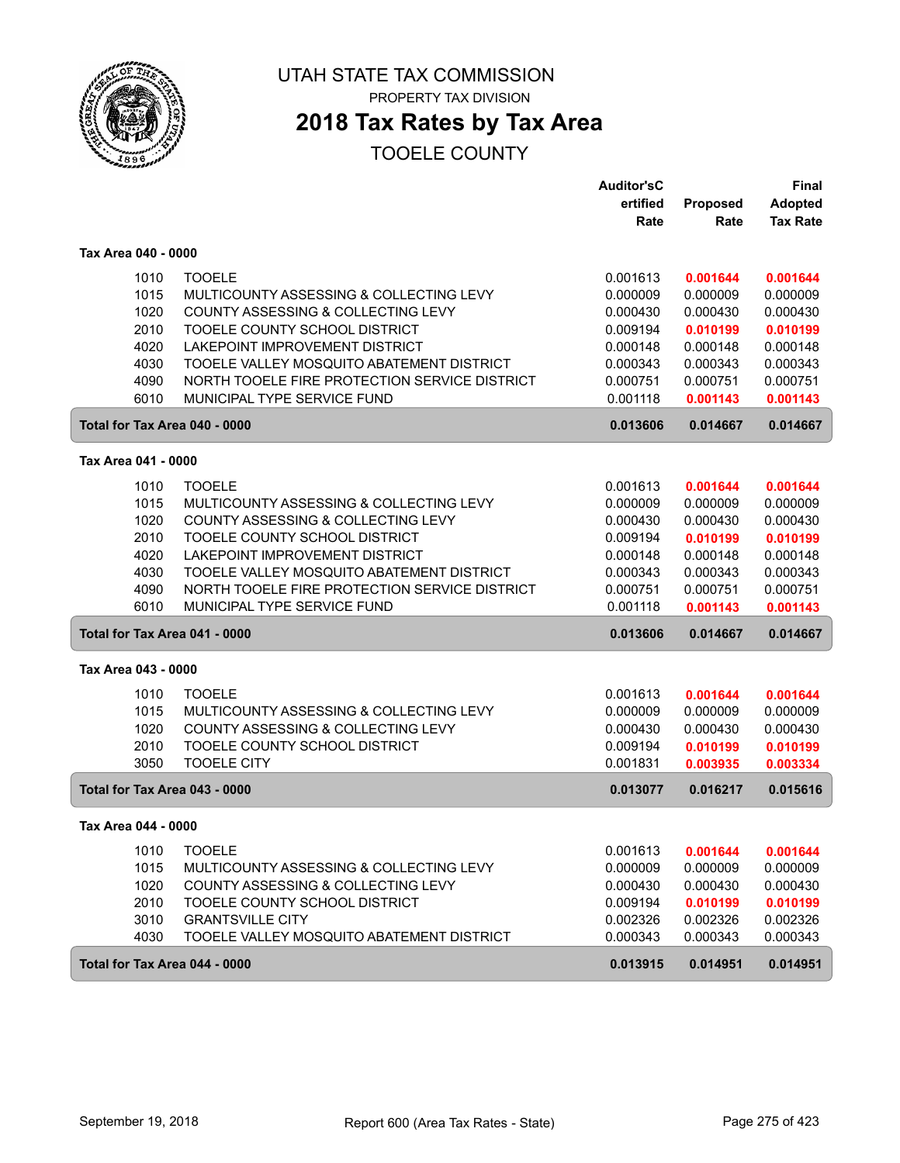

# **2018 Tax Rates by Tax Area**

|                               |                                               | <b>Auditor'sC</b> |          | <b>Final</b>    |
|-------------------------------|-----------------------------------------------|-------------------|----------|-----------------|
|                               |                                               | ertified          | Proposed | <b>Adopted</b>  |
|                               |                                               | Rate              | Rate     | <b>Tax Rate</b> |
| Tax Area 040 - 0000           |                                               |                   |          |                 |
| 1010                          | <b>TOOELE</b>                                 | 0.001613          | 0.001644 | 0.001644        |
| 1015                          | MULTICOUNTY ASSESSING & COLLECTING LEVY       | 0.000009          | 0.000009 | 0.000009        |
| 1020                          | COUNTY ASSESSING & COLLECTING LEVY            | 0.000430          | 0.000430 | 0.000430        |
| 2010                          | TOOELE COUNTY SCHOOL DISTRICT                 | 0.009194          | 0.010199 | 0.010199        |
| 4020                          | LAKEPOINT IMPROVEMENT DISTRICT                | 0.000148          | 0.000148 | 0.000148        |
| 4030                          | TOOELE VALLEY MOSQUITO ABATEMENT DISTRICT     | 0.000343          | 0.000343 | 0.000343        |
| 4090                          | NORTH TOOELE FIRE PROTECTION SERVICE DISTRICT | 0.000751          | 0.000751 | 0.000751        |
| 6010                          | MUNICIPAL TYPE SERVICE FUND                   | 0.001118          | 0.001143 | 0.001143        |
| Total for Tax Area 040 - 0000 |                                               | 0.013606          | 0.014667 | 0.014667        |
| Tax Area 041 - 0000           |                                               |                   |          |                 |
| 1010                          | <b>TOOELE</b>                                 | 0.001613          | 0.001644 | 0.001644        |
| 1015                          | MULTICOUNTY ASSESSING & COLLECTING LEVY       | 0.000009          | 0.000009 | 0.000009        |
| 1020                          | COUNTY ASSESSING & COLLECTING LEVY            | 0.000430          | 0.000430 | 0.000430        |
| 2010                          | TOOELE COUNTY SCHOOL DISTRICT                 | 0.009194          | 0.010199 | 0.010199        |
| 4020                          | LAKEPOINT IMPROVEMENT DISTRICT                | 0.000148          | 0.000148 | 0.000148        |
| 4030                          | TOOELE VALLEY MOSQUITO ABATEMENT DISTRICT     | 0.000343          | 0.000343 | 0.000343        |
| 4090                          | NORTH TOOELE FIRE PROTECTION SERVICE DISTRICT | 0.000751          | 0.000751 | 0.000751        |
| 6010                          | MUNICIPAL TYPE SERVICE FUND                   | 0.001118          | 0.001143 | 0.001143        |
| Total for Tax Area 041 - 0000 |                                               | 0.013606          | 0.014667 | 0.014667        |
| Tax Area 043 - 0000           |                                               |                   |          |                 |
| 1010                          | <b>TOOELE</b>                                 | 0.001613          | 0.001644 | 0.001644        |
| 1015                          | MULTICOUNTY ASSESSING & COLLECTING LEVY       | 0.000009          | 0.000009 | 0.000009        |
| 1020                          | COUNTY ASSESSING & COLLECTING LEVY            | 0.000430          | 0.000430 | 0.000430        |
| 2010                          | TOOELE COUNTY SCHOOL DISTRICT                 | 0.009194          | 0.010199 | 0.010199        |
| 3050                          | <b>TOOELE CITY</b>                            | 0.001831          | 0.003935 | 0.003334        |
| Total for Tax Area 043 - 0000 |                                               | 0.013077          | 0.016217 | 0.015616        |
| Tax Area 044 - 0000           |                                               |                   |          |                 |
| 1010                          | <b>TOOELE</b>                                 | 0.001613          | 0.001644 | 0.001644        |
| 1015                          | MULTICOUNTY ASSESSING & COLLECTING LEVY       | 0.000009          | 0.000009 | 0.000009        |
| 1020                          | COUNTY ASSESSING & COLLECTING LEVY            | 0.000430          | 0.000430 | 0.000430        |
| 2010                          | TOOELE COUNTY SCHOOL DISTRICT                 | 0.009194          | 0.010199 | 0.010199        |
| 3010                          | <b>GRANTSVILLE CITY</b>                       | 0.002326          | 0.002326 | 0.002326        |
| 4030                          | TOOELE VALLEY MOSQUITO ABATEMENT DISTRICT     | 0.000343          | 0.000343 | 0.000343        |
| Total for Tax Area 044 - 0000 |                                               | 0.013915          | 0.014951 | 0.014951        |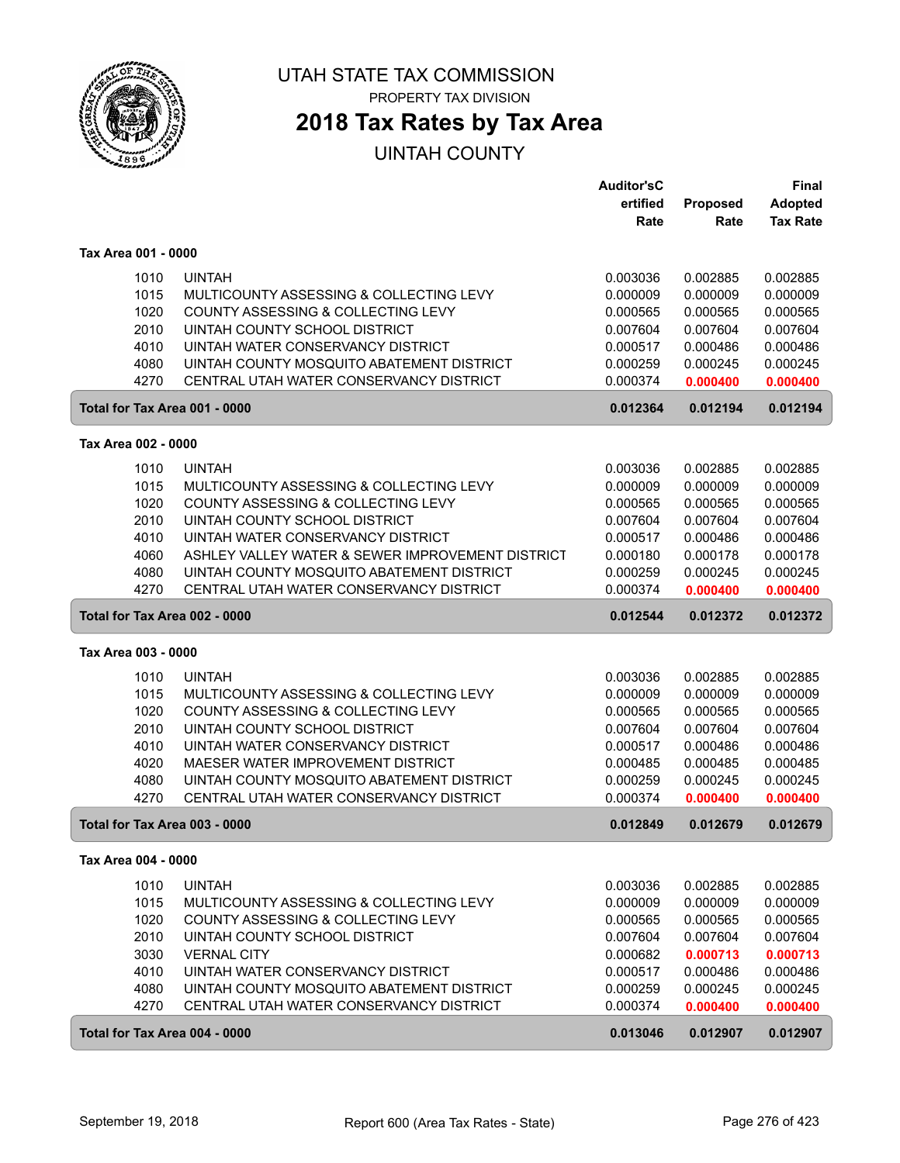

## **2018 Tax Rates by Tax Area**

|                               |                                                                                      | <b>Auditor'sC</b>    |                      | <b>Final</b>         |
|-------------------------------|--------------------------------------------------------------------------------------|----------------------|----------------------|----------------------|
|                               |                                                                                      | ertified             | Proposed             | <b>Adopted</b>       |
|                               |                                                                                      | Rate                 | Rate                 | <b>Tax Rate</b>      |
|                               |                                                                                      |                      |                      |                      |
| Tax Area 001 - 0000           |                                                                                      |                      |                      |                      |
| 1010                          | <b>UINTAH</b>                                                                        | 0.003036             | 0.002885             | 0.002885             |
| 1015                          | MULTICOUNTY ASSESSING & COLLECTING LEVY                                              | 0.000009             | 0.000009             | 0.000009             |
| 1020                          | COUNTY ASSESSING & COLLECTING LEVY                                                   | 0.000565             | 0.000565             | 0.000565             |
| 2010                          | UINTAH COUNTY SCHOOL DISTRICT                                                        | 0.007604             | 0.007604             | 0.007604             |
| 4010                          | UINTAH WATER CONSERVANCY DISTRICT                                                    | 0.000517             | 0.000486             | 0.000486             |
| 4080                          | UINTAH COUNTY MOSQUITO ABATEMENT DISTRICT                                            | 0.000259             | 0.000245             | 0.000245             |
| 4270                          | CENTRAL UTAH WATER CONSERVANCY DISTRICT                                              | 0.000374             | 0.000400             | 0.000400             |
| Total for Tax Area 001 - 0000 |                                                                                      | 0.012364             | 0.012194             | 0.012194             |
| Tax Area 002 - 0000           |                                                                                      |                      |                      |                      |
|                               |                                                                                      |                      |                      |                      |
| 1010                          | <b>UINTAH</b>                                                                        | 0.003036             | 0.002885             | 0.002885             |
| 1015                          | MULTICOUNTY ASSESSING & COLLECTING LEVY                                              | 0.000009             | 0.000009             | 0.000009             |
| 1020                          | COUNTY ASSESSING & COLLECTING LEVY                                                   | 0.000565             | 0.000565             | 0.000565             |
| 2010                          | UINTAH COUNTY SCHOOL DISTRICT                                                        | 0.007604             | 0.007604             | 0.007604             |
| 4010                          | UINTAH WATER CONSERVANCY DISTRICT                                                    | 0.000517             | 0.000486             | 0.000486             |
| 4060                          | ASHLEY VALLEY WATER & SEWER IMPROVEMENT DISTRICT                                     | 0.000180             | 0.000178<br>0.000245 | 0.000178             |
| 4080<br>4270                  | UINTAH COUNTY MOSQUITO ABATEMENT DISTRICT<br>CENTRAL UTAH WATER CONSERVANCY DISTRICT | 0.000259<br>0.000374 | 0.000400             | 0.000245<br>0.000400 |
|                               |                                                                                      |                      |                      |                      |
| Total for Tax Area 002 - 0000 |                                                                                      | 0.012544             | 0.012372             | 0.012372             |
| Tax Area 003 - 0000           |                                                                                      |                      |                      |                      |
| 1010                          | <b>UINTAH</b>                                                                        | 0.003036             | 0.002885             | 0.002885             |
| 1015                          | MULTICOUNTY ASSESSING & COLLECTING LEVY                                              | 0.000009             | 0.000009             | 0.000009             |
| 1020                          | COUNTY ASSESSING & COLLECTING LEVY                                                   | 0.000565             | 0.000565             | 0.000565             |
| 2010                          | UINTAH COUNTY SCHOOL DISTRICT                                                        | 0.007604             | 0.007604             | 0.007604             |
| 4010                          | UINTAH WATER CONSERVANCY DISTRICT                                                    | 0.000517             | 0.000486             | 0.000486             |
| 4020                          | MAESER WATER IMPROVEMENT DISTRICT                                                    | 0.000485             | 0.000485             | 0.000485             |
| 4080                          | UINTAH COUNTY MOSQUITO ABATEMENT DISTRICT                                            | 0.000259             | 0.000245             | 0.000245             |
| 4270                          | CENTRAL UTAH WATER CONSERVANCY DISTRICT                                              | 0.000374             | 0.000400             | 0.000400             |
| Total for Tax Area 003 - 0000 |                                                                                      | 0.012849             | 0.012679             | 0.012679             |
| Tax Area 004 - 0000           |                                                                                      |                      |                      |                      |
| 1010                          | <b>UINTAH</b>                                                                        | 0.003036             | 0.002885             | 0.002885             |
| 1015                          | MULTICOUNTY ASSESSING & COLLECTING LEVY                                              | 0.000009             | 0.000009             | 0.000009             |
| 1020                          | COUNTY ASSESSING & COLLECTING LEVY                                                   | 0.000565             | 0.000565             | 0.000565             |
| 2010                          | UINTAH COUNTY SCHOOL DISTRICT                                                        | 0.007604             | 0.007604             | 0.007604             |
| 3030                          | <b>VERNAL CITY</b>                                                                   | 0.000682             | 0.000713             | 0.000713             |
| 4010                          | UINTAH WATER CONSERVANCY DISTRICT                                                    | 0.000517             | 0.000486             | 0.000486             |
| 4080                          | UINTAH COUNTY MOSQUITO ABATEMENT DISTRICT                                            | 0.000259             | 0.000245             | 0.000245             |
| 4270                          | CENTRAL UTAH WATER CONSERVANCY DISTRICT                                              | 0.000374             | 0.000400             | 0.000400             |
| Total for Tax Area 004 - 0000 |                                                                                      | 0.013046             | 0.012907             | 0.012907             |
|                               |                                                                                      |                      |                      |                      |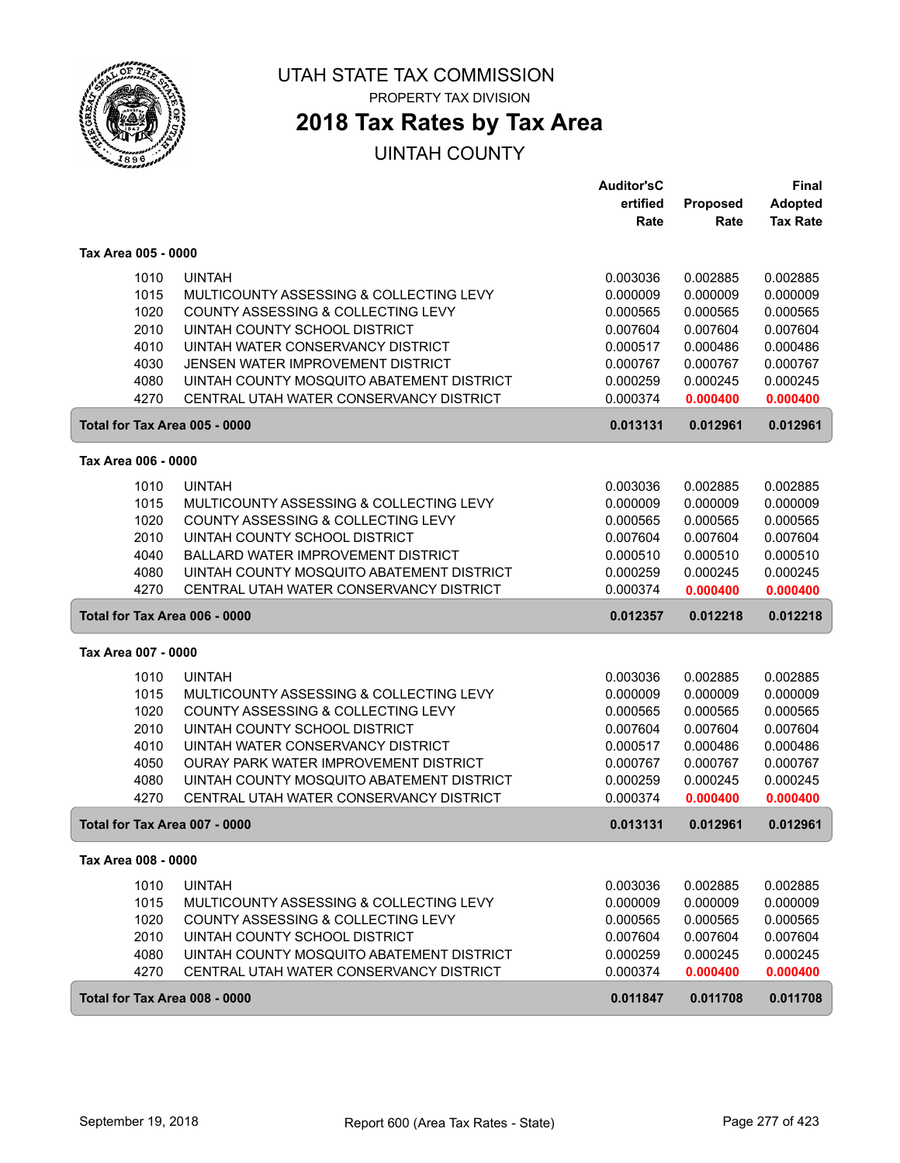

# **2018 Tax Rates by Tax Area**

|                               |                                           | <b>Auditor'sC</b> |          | <b>Final</b>    |
|-------------------------------|-------------------------------------------|-------------------|----------|-----------------|
|                               |                                           | ertified          | Proposed | <b>Adopted</b>  |
|                               |                                           | Rate              | Rate     | <b>Tax Rate</b> |
| Tax Area 005 - 0000           |                                           |                   |          |                 |
| 1010                          | <b>UINTAH</b>                             | 0.003036          | 0.002885 | 0.002885        |
| 1015                          | MULTICOUNTY ASSESSING & COLLECTING LEVY   | 0.000009          | 0.000009 | 0.000009        |
| 1020                          | COUNTY ASSESSING & COLLECTING LEVY        | 0.000565          | 0.000565 | 0.000565        |
| 2010                          | UINTAH COUNTY SCHOOL DISTRICT             | 0.007604          | 0.007604 | 0.007604        |
| 4010                          | UINTAH WATER CONSERVANCY DISTRICT         | 0.000517          | 0.000486 | 0.000486        |
| 4030                          | JENSEN WATER IMPROVEMENT DISTRICT         | 0.000767          | 0.000767 | 0.000767        |
| 4080                          | UINTAH COUNTY MOSQUITO ABATEMENT DISTRICT | 0.000259          | 0.000245 | 0.000245        |
| 4270                          | CENTRAL UTAH WATER CONSERVANCY DISTRICT   | 0.000374          | 0.000400 | 0.000400        |
| Total for Tax Area 005 - 0000 |                                           | 0.013131          | 0.012961 | 0.012961        |
| Tax Area 006 - 0000           |                                           |                   |          |                 |
| 1010                          | <b>UINTAH</b>                             | 0.003036          | 0.002885 | 0.002885        |
| 1015                          | MULTICOUNTY ASSESSING & COLLECTING LEVY   | 0.000009          | 0.000009 | 0.000009        |
| 1020                          | COUNTY ASSESSING & COLLECTING LEVY        | 0.000565          | 0.000565 | 0.000565        |
| 2010                          | UINTAH COUNTY SCHOOL DISTRICT             | 0.007604          | 0.007604 | 0.007604        |
| 4040                          | BALLARD WATER IMPROVEMENT DISTRICT        | 0.000510          | 0.000510 | 0.000510        |
| 4080                          | UINTAH COUNTY MOSQUITO ABATEMENT DISTRICT | 0.000259          | 0.000245 | 0.000245        |
| 4270                          | CENTRAL UTAH WATER CONSERVANCY DISTRICT   | 0.000374          | 0.000400 | 0.000400        |
| Total for Tax Area 006 - 0000 |                                           | 0.012357          | 0.012218 | 0.012218        |
| Tax Area 007 - 0000           |                                           |                   |          |                 |
| 1010                          | <b>UINTAH</b>                             | 0.003036          | 0.002885 | 0.002885        |
| 1015                          | MULTICOUNTY ASSESSING & COLLECTING LEVY   | 0.000009          | 0.000009 | 0.000009        |
| 1020                          | COUNTY ASSESSING & COLLECTING LEVY        | 0.000565          | 0.000565 | 0.000565        |
| 2010                          | UINTAH COUNTY SCHOOL DISTRICT             | 0.007604          | 0.007604 | 0.007604        |
| 4010                          | UINTAH WATER CONSERVANCY DISTRICT         | 0.000517          | 0.000486 | 0.000486        |
| 4050                          | OURAY PARK WATER IMPROVEMENT DISTRICT     | 0.000767          | 0.000767 | 0.000767        |
| 4080                          | UINTAH COUNTY MOSQUITO ABATEMENT DISTRICT | 0.000259          | 0.000245 | 0.000245        |
| 4270                          | CENTRAL UTAH WATER CONSERVANCY DISTRICT   | 0.000374          | 0.000400 | 0.000400        |
| Total for Tax Area 007 - 0000 |                                           | 0.013131          | 0.012961 | 0.012961        |
| Tax Area 008 - 0000           |                                           |                   |          |                 |
| 1010                          | <b>UINTAH</b>                             | 0.003036          | 0.002885 | 0.002885        |
| 1015                          | MULTICOUNTY ASSESSING & COLLECTING LEVY   | 0.000009          | 0.000009 | 0.000009        |
| 1020                          | COUNTY ASSESSING & COLLECTING LEVY        | 0.000565          | 0.000565 | 0.000565        |
| 2010                          | UINTAH COUNTY SCHOOL DISTRICT             | 0.007604          | 0.007604 | 0.007604        |
| 4080                          | UINTAH COUNTY MOSQUITO ABATEMENT DISTRICT | 0.000259          | 0.000245 | 0.000245        |
| 4270                          | CENTRAL UTAH WATER CONSERVANCY DISTRICT   | 0.000374          | 0.000400 | 0.000400        |
| Total for Tax Area 008 - 0000 |                                           | 0.011847          | 0.011708 | 0.011708        |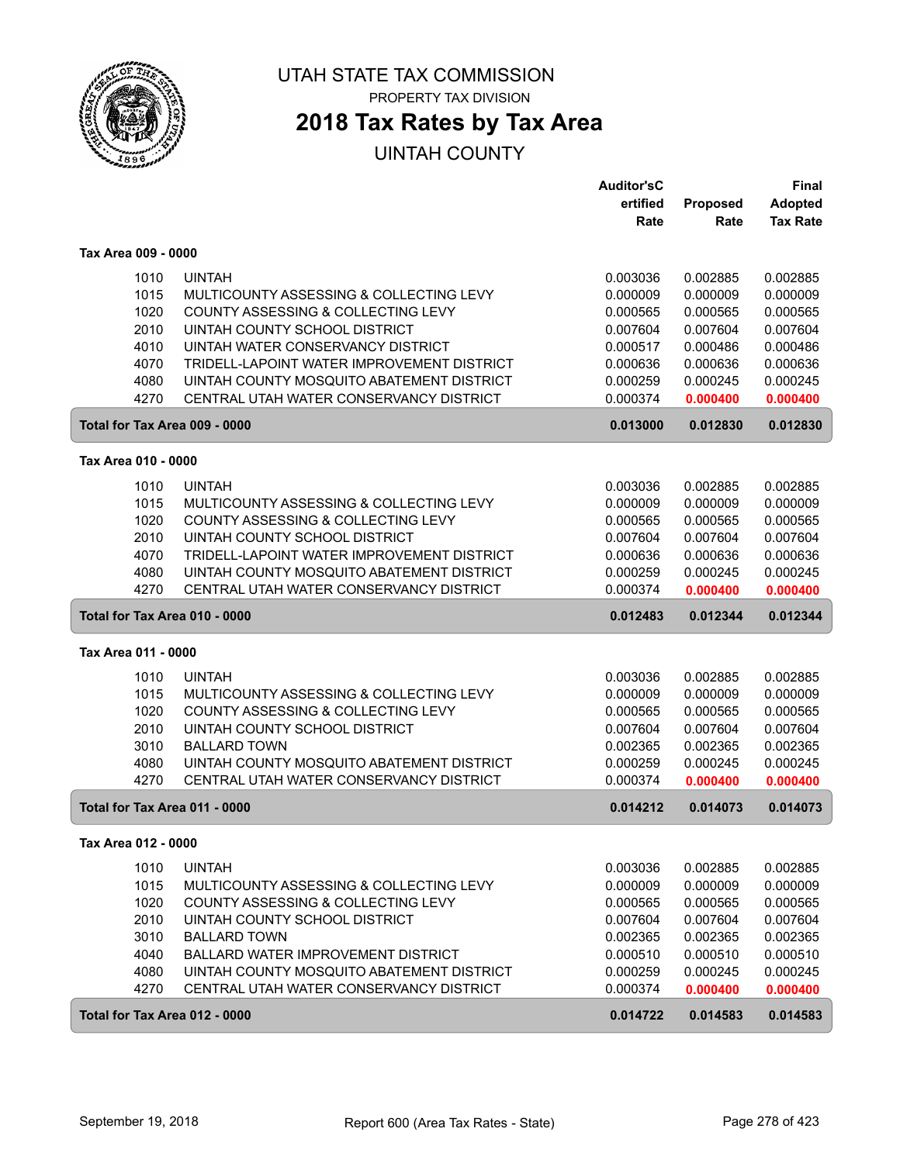

## **2018 Tax Rates by Tax Area**

|                               |                                            | <b>Auditor'sC</b> |          | <b>Final</b>    |
|-------------------------------|--------------------------------------------|-------------------|----------|-----------------|
|                               |                                            | ertified          | Proposed | <b>Adopted</b>  |
|                               |                                            | Rate              | Rate     | <b>Tax Rate</b> |
| Tax Area 009 - 0000           |                                            |                   |          |                 |
| 1010                          | <b>UINTAH</b>                              | 0.003036          | 0.002885 | 0.002885        |
| 1015                          | MULTICOUNTY ASSESSING & COLLECTING LEVY    | 0.000009          | 0.000009 | 0.000009        |
| 1020                          | COUNTY ASSESSING & COLLECTING LEVY         | 0.000565          | 0.000565 | 0.000565        |
| 2010                          | UINTAH COUNTY SCHOOL DISTRICT              | 0.007604          | 0.007604 | 0.007604        |
| 4010                          | UINTAH WATER CONSERVANCY DISTRICT          | 0.000517          | 0.000486 | 0.000486        |
| 4070                          | TRIDELL-LAPOINT WATER IMPROVEMENT DISTRICT | 0.000636          | 0.000636 | 0.000636        |
| 4080                          | UINTAH COUNTY MOSQUITO ABATEMENT DISTRICT  | 0.000259          | 0.000245 | 0.000245        |
| 4270                          | CENTRAL UTAH WATER CONSERVANCY DISTRICT    | 0.000374          | 0.000400 | 0.000400        |
| Total for Tax Area 009 - 0000 |                                            | 0.013000          | 0.012830 | 0.012830        |
| Tax Area 010 - 0000           |                                            |                   |          |                 |
| 1010                          | <b>UINTAH</b>                              | 0.003036          | 0.002885 | 0.002885        |
| 1015                          | MULTICOUNTY ASSESSING & COLLECTING LEVY    | 0.000009          | 0.000009 | 0.000009        |
| 1020                          | COUNTY ASSESSING & COLLECTING LEVY         | 0.000565          | 0.000565 | 0.000565        |
| 2010                          | UINTAH COUNTY SCHOOL DISTRICT              | 0.007604          | 0.007604 | 0.007604        |
| 4070                          | TRIDELL-LAPOINT WATER IMPROVEMENT DISTRICT | 0.000636          | 0.000636 | 0.000636        |
| 4080                          | UINTAH COUNTY MOSQUITO ABATEMENT DISTRICT  | 0.000259          | 0.000245 | 0.000245        |
| 4270                          | CENTRAL UTAH WATER CONSERVANCY DISTRICT    | 0.000374          | 0.000400 | 0.000400        |
| Total for Tax Area 010 - 0000 |                                            | 0.012483          | 0.012344 | 0.012344        |
| Tax Area 011 - 0000           |                                            |                   |          |                 |
| 1010                          | <b>UINTAH</b>                              | 0.003036          | 0.002885 | 0.002885        |
| 1015                          | MULTICOUNTY ASSESSING & COLLECTING LEVY    | 0.000009          | 0.000009 | 0.000009        |
| 1020                          | COUNTY ASSESSING & COLLECTING LEVY         | 0.000565          | 0.000565 | 0.000565        |
| 2010                          | UINTAH COUNTY SCHOOL DISTRICT              | 0.007604          | 0.007604 | 0.007604        |
| 3010                          | <b>BALLARD TOWN</b>                        | 0.002365          | 0.002365 | 0.002365        |
| 4080                          | UINTAH COUNTY MOSQUITO ABATEMENT DISTRICT  | 0.000259          | 0.000245 | 0.000245        |
| 4270                          | CENTRAL UTAH WATER CONSERVANCY DISTRICT    | 0.000374          | 0.000400 | 0.000400        |
| Total for Tax Area 011 - 0000 |                                            | 0.014212          | 0.014073 | 0.014073        |
| Tax Area 012 - 0000           |                                            |                   |          |                 |
| 1010                          | <b>UINTAH</b>                              | 0.003036          | 0.002885 | 0.002885        |
| 1015                          | MULTICOUNTY ASSESSING & COLLECTING LEVY    | 0.000009          | 0.000009 | 0.000009        |
| 1020                          | COUNTY ASSESSING & COLLECTING LEVY         | 0.000565          | 0.000565 | 0.000565        |
| 2010                          | UINTAH COUNTY SCHOOL DISTRICT              | 0.007604          | 0.007604 | 0.007604        |
| 3010                          | <b>BALLARD TOWN</b>                        | 0.002365          | 0.002365 | 0.002365        |
| 4040                          | BALLARD WATER IMPROVEMENT DISTRICT         | 0.000510          | 0.000510 | 0.000510        |
| 4080                          | UINTAH COUNTY MOSQUITO ABATEMENT DISTRICT  | 0.000259          | 0.000245 | 0.000245        |
| 4270                          | CENTRAL UTAH WATER CONSERVANCY DISTRICT    | 0.000374          | 0.000400 | 0.000400        |
| Total for Tax Area 012 - 0000 |                                            | 0.014722          | 0.014583 | 0.014583        |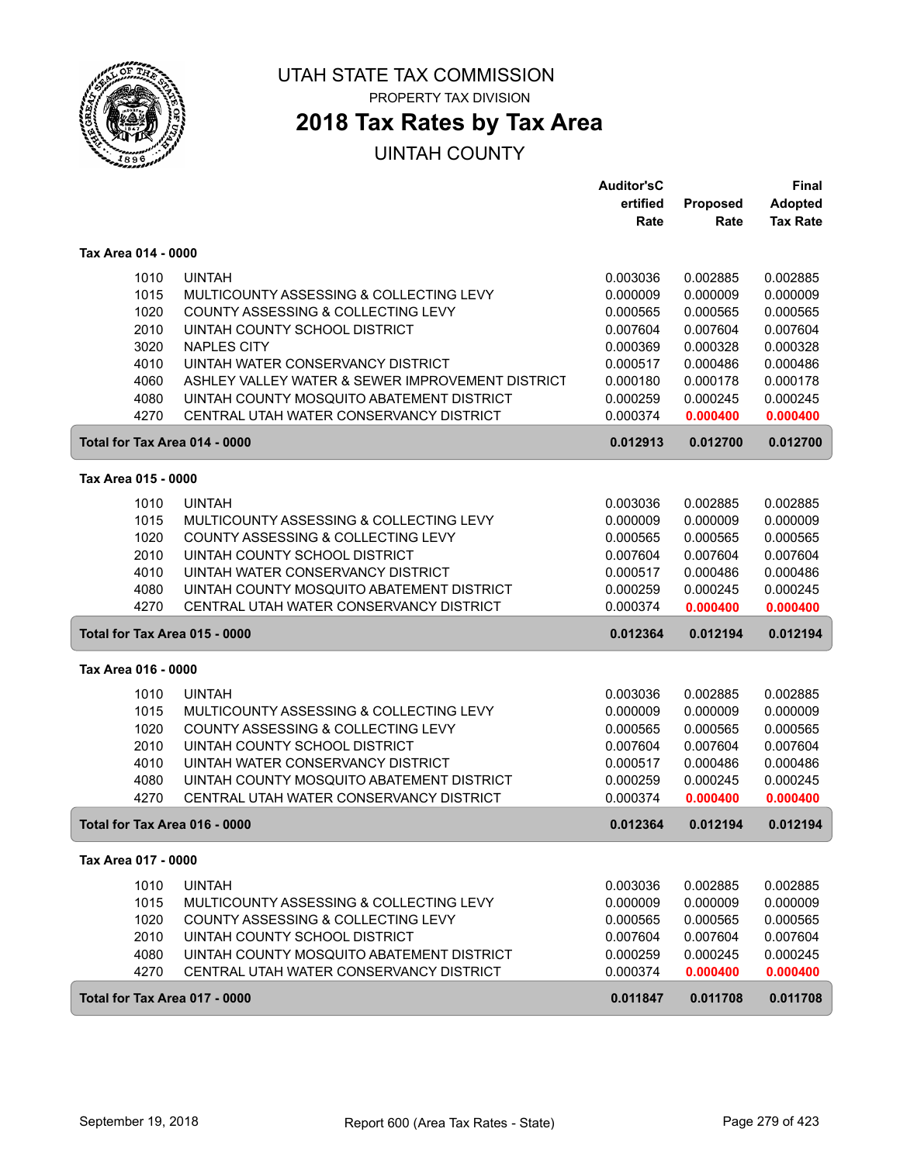

# **2018 Tax Rates by Tax Area**

|                     |                                                  | Auditor'sC |                 | Final           |
|---------------------|--------------------------------------------------|------------|-----------------|-----------------|
|                     |                                                  | ertified   | <b>Proposed</b> | <b>Adopted</b>  |
|                     |                                                  | Rate       | Rate            | <b>Tax Rate</b> |
| Tax Area 014 - 0000 |                                                  |            |                 |                 |
| 1010                | <b>UINTAH</b>                                    | 0.003036   | 0.002885        | 0.002885        |
| 1015                | MULTICOUNTY ASSESSING & COLLECTING LEVY          | 0.000009   | 0.000009        | 0.000009        |
| 1020                | COUNTY ASSESSING & COLLECTING LEVY               | 0.000565   | 0.000565        | 0.000565        |
| 2010                | UINTAH COUNTY SCHOOL DISTRICT                    | 0.007604   | 0.007604        | 0.007604        |
| 3020                | <b>NAPLES CITY</b>                               | 0.000369   | 0.000328        | 0.000328        |
| 4010                | UINTAH WATER CONSERVANCY DISTRICT                | 0.000517   | 0.000486        | 0.000486        |
| 4060                | ASHLEY VALLEY WATER & SEWER IMPROVEMENT DISTRICT | 0.000180   | 0.000178        | 0.000178        |
| 4080                | UINTAH COUNTY MOSQUITO ABATEMENT DISTRICT        | 0.000259   | 0.000245        | 0.000245        |
| 4270                | CENTRAL UTAH WATER CONSERVANCY DISTRICT          | 0.000374   | 0.000400        | 0.000400        |
|                     | Total for Tax Area 014 - 0000                    | 0.012913   | 0.012700        | 0.012700        |
| Tax Area 015 - 0000 |                                                  |            |                 |                 |
| 1010                | <b>UINTAH</b>                                    | 0.003036   | 0.002885        | 0.002885        |
| 1015                | MULTICOUNTY ASSESSING & COLLECTING LEVY          | 0.000009   | 0.000009        | 0.000009        |
| 1020                | COUNTY ASSESSING & COLLECTING LEVY               | 0.000565   | 0.000565        | 0.000565        |
| 2010                | UINTAH COUNTY SCHOOL DISTRICT                    | 0.007604   | 0.007604        | 0.007604        |
| 4010                | UINTAH WATER CONSERVANCY DISTRICT                | 0.000517   | 0.000486        | 0.000486        |
| 4080                | UINTAH COUNTY MOSQUITO ABATEMENT DISTRICT        | 0.000259   | 0.000245        | 0.000245        |
| 4270                | CENTRAL UTAH WATER CONSERVANCY DISTRICT          | 0.000374   | 0.000400        | 0.000400        |
|                     | Total for Tax Area 015 - 0000                    | 0.012364   | 0.012194        | 0.012194        |
| Tax Area 016 - 0000 |                                                  |            |                 |                 |
| 1010                | <b>UINTAH</b>                                    | 0.003036   | 0.002885        | 0.002885        |
| 1015                | MULTICOUNTY ASSESSING & COLLECTING LEVY          | 0.000009   | 0.000009        | 0.000009        |
| 1020                | COUNTY ASSESSING & COLLECTING LEVY               | 0.000565   | 0.000565        | 0.000565        |
| 2010                | UINTAH COUNTY SCHOOL DISTRICT                    | 0.007604   | 0.007604        | 0.007604        |
| 4010                | UINTAH WATER CONSERVANCY DISTRICT                | 0.000517   | 0.000486        | 0.000486        |
| 4080                | UINTAH COUNTY MOSQUITO ABATEMENT DISTRICT        | 0.000259   | 0.000245        | 0.000245        |
| 4270                | CENTRAL UTAH WATER CONSERVANCY DISTRICT          | 0.000374   | 0.000400        | 0.000400        |
|                     | Total for Tax Area 016 - 0000                    | 0.012364   | 0.012194        | 0.012194        |
| Tax Area 017 - 0000 |                                                  |            |                 |                 |
| 1010                | <b>UINTAH</b>                                    | 0.003036   | 0.002885        | 0.002885        |
| 1015                | MULTICOUNTY ASSESSING & COLLECTING LEVY          | 0.000009   | 0.000009        | 0.000009        |
| 1020                | COUNTY ASSESSING & COLLECTING LEVY               | 0.000565   | 0.000565        | 0.000565        |
| 2010                | UINTAH COUNTY SCHOOL DISTRICT                    | 0.007604   | 0.007604        | 0.007604        |
| 4080                | UINTAH COUNTY MOSQUITO ABATEMENT DISTRICT        | 0.000259   | 0.000245        | 0.000245        |
| 4270                | CENTRAL UTAH WATER CONSERVANCY DISTRICT          | 0.000374   | 0.000400        | 0.000400        |
|                     | Total for Tax Area 017 - 0000                    | 0.011847   | 0.011708        | 0.011708        |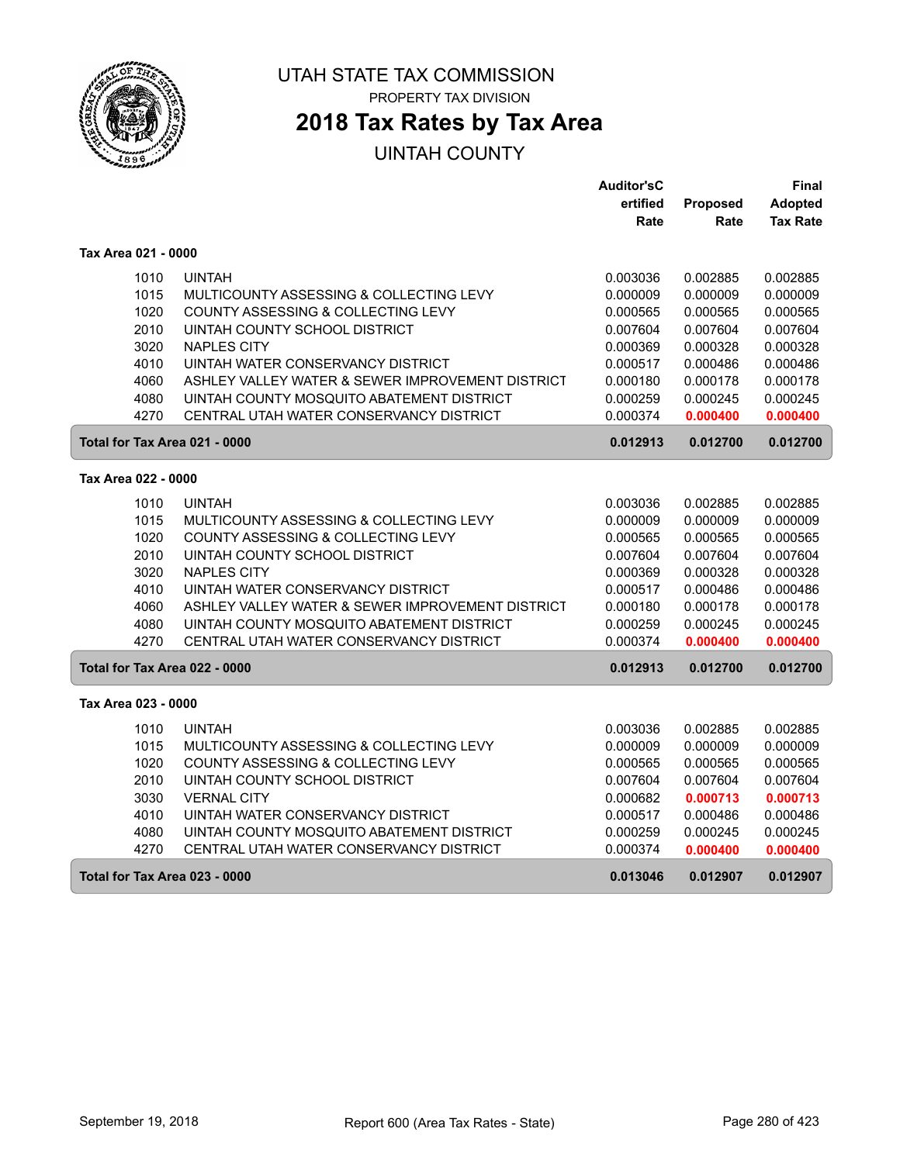

# **2018 Tax Rates by Tax Area**

### UINTAH COUNTY

|                               |                                                  | <b>Auditor'sC</b> |          | Final           |
|-------------------------------|--------------------------------------------------|-------------------|----------|-----------------|
|                               |                                                  | ertified          | Proposed | <b>Adopted</b>  |
|                               |                                                  | Rate              | Rate     | <b>Tax Rate</b> |
| Tax Area 021 - 0000           |                                                  |                   |          |                 |
| 1010                          | <b>UINTAH</b>                                    | 0.003036          | 0.002885 | 0.002885        |
| 1015                          | MULTICOUNTY ASSESSING & COLLECTING LEVY          | 0.000009          | 0.000009 | 0.000009        |
| 1020                          | COUNTY ASSESSING & COLLECTING LEVY               | 0.000565          | 0.000565 | 0.000565        |
| 2010                          | UINTAH COUNTY SCHOOL DISTRICT                    | 0.007604          | 0.007604 | 0.007604        |
| 3020                          | <b>NAPLES CITY</b>                               | 0.000369          | 0.000328 | 0.000328        |
| 4010                          | UINTAH WATER CONSERVANCY DISTRICT                | 0.000517          | 0.000486 | 0.000486        |
| 4060                          | ASHLEY VALLEY WATER & SEWER IMPROVEMENT DISTRICT | 0.000180          | 0.000178 | 0.000178        |
| 4080                          | UINTAH COUNTY MOSQUITO ABATEMENT DISTRICT        | 0.000259          | 0.000245 | 0.000245        |
| 4270                          | CENTRAL UTAH WATER CONSERVANCY DISTRICT          | 0.000374          | 0.000400 | 0.000400        |
| Total for Tax Area 021 - 0000 |                                                  | 0.012913          | 0.012700 | 0.012700        |
| Tax Area 022 - 0000           |                                                  |                   |          |                 |
| 1010                          | <b>UINTAH</b>                                    | 0.003036          | 0.002885 | 0.002885        |
| 1015                          | MULTICOUNTY ASSESSING & COLLECTING LEVY          | 0.000009          | 0.000009 | 0.000009        |
| 1020                          | COUNTY ASSESSING & COLLECTING LEVY               | 0.000565          | 0.000565 | 0.000565        |
| 2010                          | UINTAH COUNTY SCHOOL DISTRICT                    | 0.007604          | 0.007604 | 0.007604        |
| 3020                          | <b>NAPLES CITY</b>                               | 0.000369          | 0.000328 | 0.000328        |
| 4010                          | UINTAH WATER CONSERVANCY DISTRICT                | 0.000517          | 0.000486 | 0.000486        |
| 4060                          | ASHLEY VALLEY WATER & SEWER IMPROVEMENT DISTRICT | 0.000180          | 0.000178 | 0.000178        |
| 4080                          | UINTAH COUNTY MOSQUITO ABATEMENT DISTRICT        | 0.000259          | 0.000245 | 0.000245        |
| 4270                          | CENTRAL UTAH WATER CONSERVANCY DISTRICT          | 0.000374          | 0.000400 | 0.000400        |
| Total for Tax Area 022 - 0000 |                                                  | 0.012913          | 0.012700 | 0.012700        |
| Tax Area 023 - 0000           |                                                  |                   |          |                 |
| 1010                          | <b>UINTAH</b>                                    | 0.003036          | 0.002885 | 0.002885        |
| 1015                          | MULTICOUNTY ASSESSING & COLLECTING LEVY          | 0.000009          | 0.000009 | 0.000009        |
| 1020                          | COUNTY ASSESSING & COLLECTING LEVY               | 0.000565          | 0.000565 | 0.000565        |
| 2010                          | UINTAH COUNTY SCHOOL DISTRICT                    | 0.007604          | 0.007604 | 0.007604        |
| 3030                          | <b>VERNAL CITY</b>                               | 0.000682          | 0.000713 | 0.000713        |
| 4010                          | UINTAH WATER CONSERVANCY DISTRICT                | 0.000517          | 0.000486 | 0.000486        |
| 4080                          | UINTAH COUNTY MOSQUITO ABATEMENT DISTRICT        | 0.000259          | 0.000245 | 0.000245        |
| 4270                          | CENTRAL UTAH WATER CONSERVANCY DISTRICT          | 0.000374          | 0.000400 | 0.000400        |
| Total for Tax Area 023 - 0000 |                                                  | 0.013046          | 0.012907 | 0.012907        |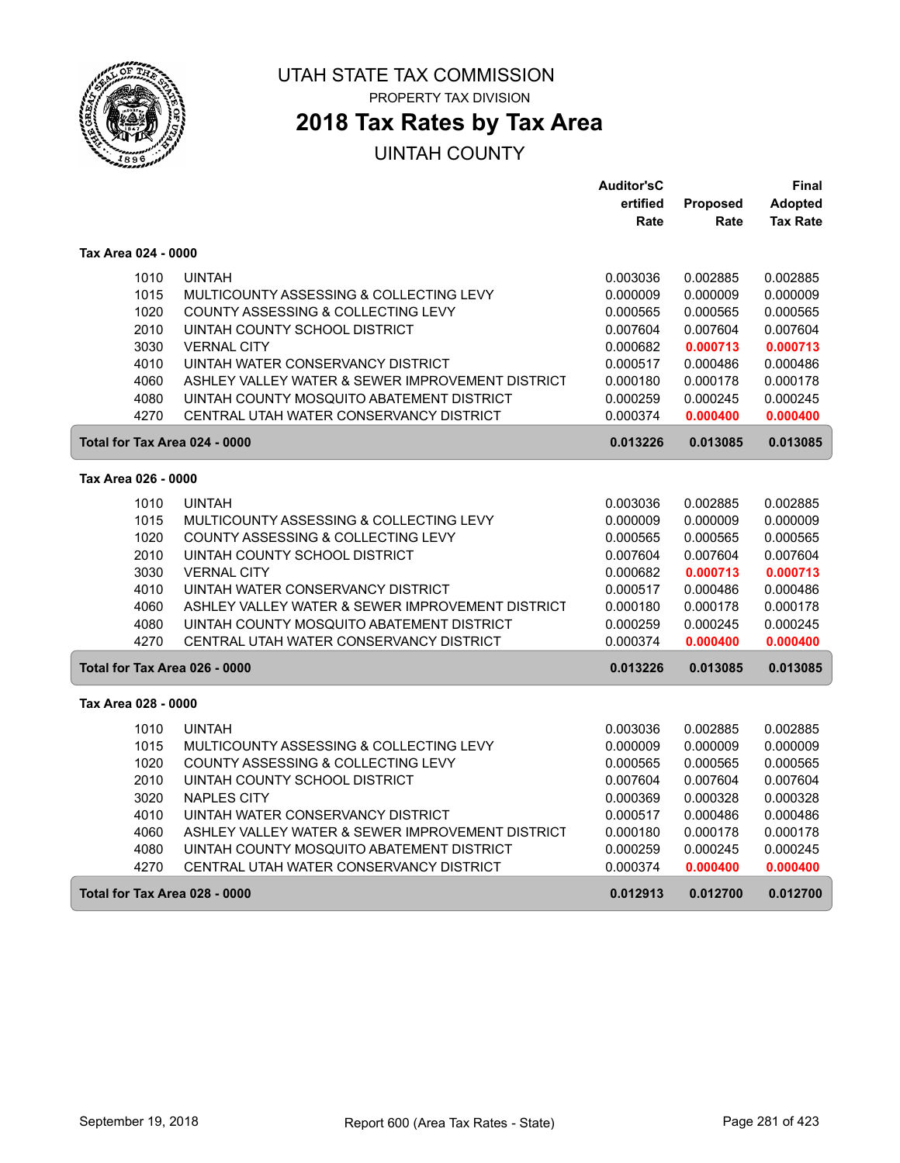

ſ

ſ

#### UTAH STATE TAX COMMISSION PROPERTY TAX DIVISION

# **2018 Tax Rates by Tax Area**

|                               |                                                  | <b>Auditor'sC</b> |                 | Final           |
|-------------------------------|--------------------------------------------------|-------------------|-----------------|-----------------|
|                               |                                                  | ertified          | <b>Proposed</b> | <b>Adopted</b>  |
|                               |                                                  | Rate              | Rate            | <b>Tax Rate</b> |
| Tax Area 024 - 0000           |                                                  |                   |                 |                 |
| 1010                          | <b>UINTAH</b>                                    | 0.003036          | 0.002885        | 0.002885        |
| 1015                          | MULTICOUNTY ASSESSING & COLLECTING LEVY          | 0.000009          | 0.000009        | 0.000009        |
| 1020                          | COUNTY ASSESSING & COLLECTING LEVY               | 0.000565          | 0.000565        | 0.000565        |
| 2010                          | UINTAH COUNTY SCHOOL DISTRICT                    | 0.007604          | 0.007604        | 0.007604        |
| 3030                          | <b>VERNAL CITY</b>                               | 0.000682          | 0.000713        | 0.000713        |
| 4010                          | UINTAH WATER CONSERVANCY DISTRICT                | 0.000517          | 0.000486        | 0.000486        |
| 4060                          | ASHLEY VALLEY WATER & SEWER IMPROVEMENT DISTRICT | 0.000180          | 0.000178        | 0.000178        |
| 4080                          | UINTAH COUNTY MOSQUITO ABATEMENT DISTRICT        | 0.000259          | 0.000245        | 0.000245        |
| 4270                          | CENTRAL UTAH WATER CONSERVANCY DISTRICT          | 0.000374          | 0.000400        | 0.000400        |
| Total for Tax Area 024 - 0000 |                                                  | 0.013226          | 0.013085        | 0.013085        |
| Tax Area 026 - 0000           |                                                  |                   |                 |                 |
| 1010                          | <b>UINTAH</b>                                    | 0.003036          | 0.002885        | 0.002885        |
| 1015                          | MULTICOUNTY ASSESSING & COLLECTING LEVY          | 0.000009          | 0.000009        | 0.000009        |
| 1020                          | COUNTY ASSESSING & COLLECTING LEVY               | 0.000565          | 0.000565        | 0.000565        |
| 2010                          | UINTAH COUNTY SCHOOL DISTRICT                    | 0.007604          | 0.007604        | 0.007604        |
| 3030                          | <b>VERNAL CITY</b>                               | 0.000682          | 0.000713        | 0.000713        |
| 4010                          | UINTAH WATER CONSERVANCY DISTRICT                | 0.000517          | 0.000486        | 0.000486        |
| 4060                          | ASHLEY VALLEY WATER & SEWER IMPROVEMENT DISTRICT | 0.000180          | 0.000178        | 0.000178        |
| 4080                          | UINTAH COUNTY MOSQUITO ABATEMENT DISTRICT        | 0.000259          | 0.000245        | 0.000245        |
| 4270                          | CENTRAL UTAH WATER CONSERVANCY DISTRICT          | 0.000374          | 0.000400        | 0.000400        |
| Total for Tax Area 026 - 0000 |                                                  | 0.013226          | 0.013085        | 0.013085        |
| Tax Area 028 - 0000           |                                                  |                   |                 |                 |
| 1010                          | <b>UINTAH</b>                                    | 0.003036          | 0.002885        | 0.002885        |
| 1015                          | MULTICOUNTY ASSESSING & COLLECTING LEVY          | 0.000009          | 0.000009        | 0.000009        |
| 1020                          | COUNTY ASSESSING & COLLECTING LEVY               | 0.000565          | 0.000565        | 0.000565        |
| 2010                          | UINTAH COUNTY SCHOOL DISTRICT                    | 0.007604          | 0.007604        | 0.007604        |
| 3020                          | <b>NAPLES CITY</b>                               | 0.000369          | 0.000328        | 0.000328        |
| 4010                          | UINTAH WATER CONSERVANCY DISTRICT                | 0.000517          | 0.000486        | 0.000486        |
| 4060                          | ASHLEY VALLEY WATER & SEWER IMPROVEMENT DISTRICT | 0.000180          | 0.000178        | 0.000178        |
| 4080                          | UINTAH COUNTY MOSQUITO ABATEMENT DISTRICT        | 0.000259          | 0.000245        | 0.000245        |
| 4270                          | CENTRAL UTAH WATER CONSERVANCY DISTRICT          | 0.000374          | 0.000400        | 0.000400        |
| Total for Tax Area 028 - 0000 |                                                  | 0.012913          | 0.012700        | 0.012700        |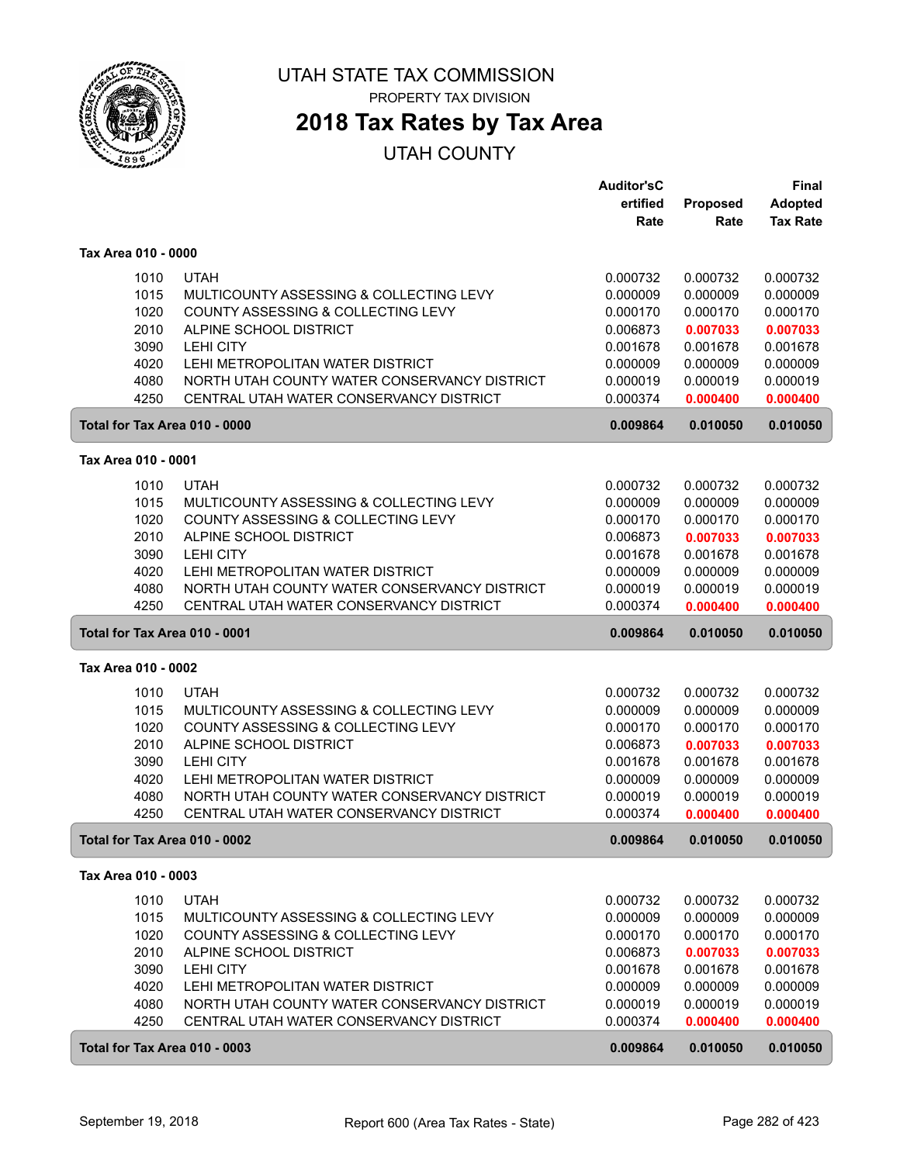

**2018 Tax Rates by Tax Area**

|                     |              |                                                                                         | <b>Auditor'sC</b>    |                      | <b>Final</b>         |
|---------------------|--------------|-----------------------------------------------------------------------------------------|----------------------|----------------------|----------------------|
|                     |              |                                                                                         | ertified             | Proposed             | Adopted              |
|                     |              |                                                                                         | Rate                 | Rate                 | <b>Tax Rate</b>      |
| Tax Area 010 - 0000 |              |                                                                                         |                      |                      |                      |
|                     | 1010         | <b>UTAH</b>                                                                             | 0.000732             | 0.000732             | 0.000732             |
|                     | 1015         | MULTICOUNTY ASSESSING & COLLECTING LEVY                                                 | 0.000009             | 0.000009             | 0.000009             |
|                     | 1020         | COUNTY ASSESSING & COLLECTING LEVY                                                      | 0.000170             | 0.000170             | 0.000170             |
|                     | 2010         | ALPINE SCHOOL DISTRICT                                                                  | 0.006873             | 0.007033             | 0.007033             |
|                     | 3090         | <b>LEHI CITY</b>                                                                        | 0.001678             | 0.001678             | 0.001678             |
|                     | 4020         | LEHI METROPOLITAN WATER DISTRICT                                                        | 0.000009             | 0.000009             | 0.000009             |
|                     | 4080         | NORTH UTAH COUNTY WATER CONSERVANCY DISTRICT                                            | 0.000019             | 0.000019             | 0.000019             |
|                     | 4250         | CENTRAL UTAH WATER CONSERVANCY DISTRICT                                                 | 0.000374             | 0.000400             | 0.000400             |
|                     |              | Total for Tax Area 010 - 0000                                                           | 0.009864             | 0.010050             | 0.010050             |
| Tax Area 010 - 0001 |              |                                                                                         |                      |                      |                      |
|                     |              | <b>UTAH</b>                                                                             |                      |                      |                      |
|                     | 1010         |                                                                                         | 0.000732             | 0.000732             | 0.000732             |
|                     | 1015         | MULTICOUNTY ASSESSING & COLLECTING LEVY                                                 | 0.000009             | 0.000009             | 0.000009             |
|                     | 1020         | COUNTY ASSESSING & COLLECTING LEVY                                                      | 0.000170             | 0.000170             | 0.000170             |
|                     | 2010         | ALPINE SCHOOL DISTRICT                                                                  | 0.006873             | 0.007033<br>0.001678 | 0.007033<br>0.001678 |
|                     | 3090         | <b>LEHI CITY</b>                                                                        | 0.001678             |                      |                      |
|                     | 4020         | LEHI METROPOLITAN WATER DISTRICT                                                        | 0.000009             | 0.000009             | 0.000009             |
|                     | 4080<br>4250 | NORTH UTAH COUNTY WATER CONSERVANCY DISTRICT<br>CENTRAL UTAH WATER CONSERVANCY DISTRICT | 0.000019<br>0.000374 | 0.000019             | 0.000019             |
|                     |              |                                                                                         |                      | 0.000400             | 0.000400             |
|                     |              | Total for Tax Area 010 - 0001                                                           | 0.009864             | 0.010050             | 0.010050             |
| Tax Area 010 - 0002 |              |                                                                                         |                      |                      |                      |
|                     | 1010         | <b>UTAH</b>                                                                             | 0.000732             | 0.000732             | 0.000732             |
|                     | 1015         | MULTICOUNTY ASSESSING & COLLECTING LEVY                                                 | 0.000009             | 0.000009             | 0.000009             |
|                     | 1020         | COUNTY ASSESSING & COLLECTING LEVY                                                      | 0.000170             | 0.000170             | 0.000170             |
|                     | 2010         | ALPINE SCHOOL DISTRICT                                                                  | 0.006873             | 0.007033             | 0.007033             |
|                     | 3090         | <b>LEHI CITY</b>                                                                        | 0.001678             | 0.001678             | 0.001678             |
|                     | 4020         | LEHI METROPOLITAN WATER DISTRICT                                                        | 0.000009             | 0.000009             | 0.000009             |
|                     | 4080         | NORTH UTAH COUNTY WATER CONSERVANCY DISTRICT                                            | 0.000019             | 0.000019             | 0.000019             |
|                     | 4250         | CENTRAL UTAH WATER CONSERVANCY DISTRICT                                                 | 0.000374             | 0.000400             | 0.000400             |
|                     |              | Total for Tax Area 010 - 0002                                                           | 0.009864             | 0.010050             | 0.010050             |
| Tax Area 010 - 0003 |              |                                                                                         |                      |                      |                      |
|                     | 1010         | <b>UTAH</b>                                                                             | 0.000732             | 0.000732             | 0.000732             |
|                     | 1015         | MULTICOUNTY ASSESSING & COLLECTING LEVY                                                 | 0.000009             | 0.000009             | 0.000009             |
|                     | 1020         | COUNTY ASSESSING & COLLECTING LEVY                                                      | 0.000170             | 0.000170             | 0.000170             |
|                     | 2010         | ALPINE SCHOOL DISTRICT                                                                  | 0.006873             | 0.007033             | 0.007033             |
|                     | 3090         | LEHI CITY                                                                               | 0.001678             | 0.001678             | 0.001678             |
|                     | 4020         | LEHI METROPOLITAN WATER DISTRICT                                                        | 0.000009             | 0.000009             | 0.000009             |
|                     | 4080         | NORTH UTAH COUNTY WATER CONSERVANCY DISTRICT                                            | 0.000019             | 0.000019             | 0.000019             |
|                     | 4250         | CENTRAL UTAH WATER CONSERVANCY DISTRICT                                                 | 0.000374             | 0.000400             | 0.000400             |
|                     |              | Total for Tax Area 010 - 0003                                                           | 0.009864             | 0.010050             | 0.010050             |
|                     |              |                                                                                         |                      |                      |                      |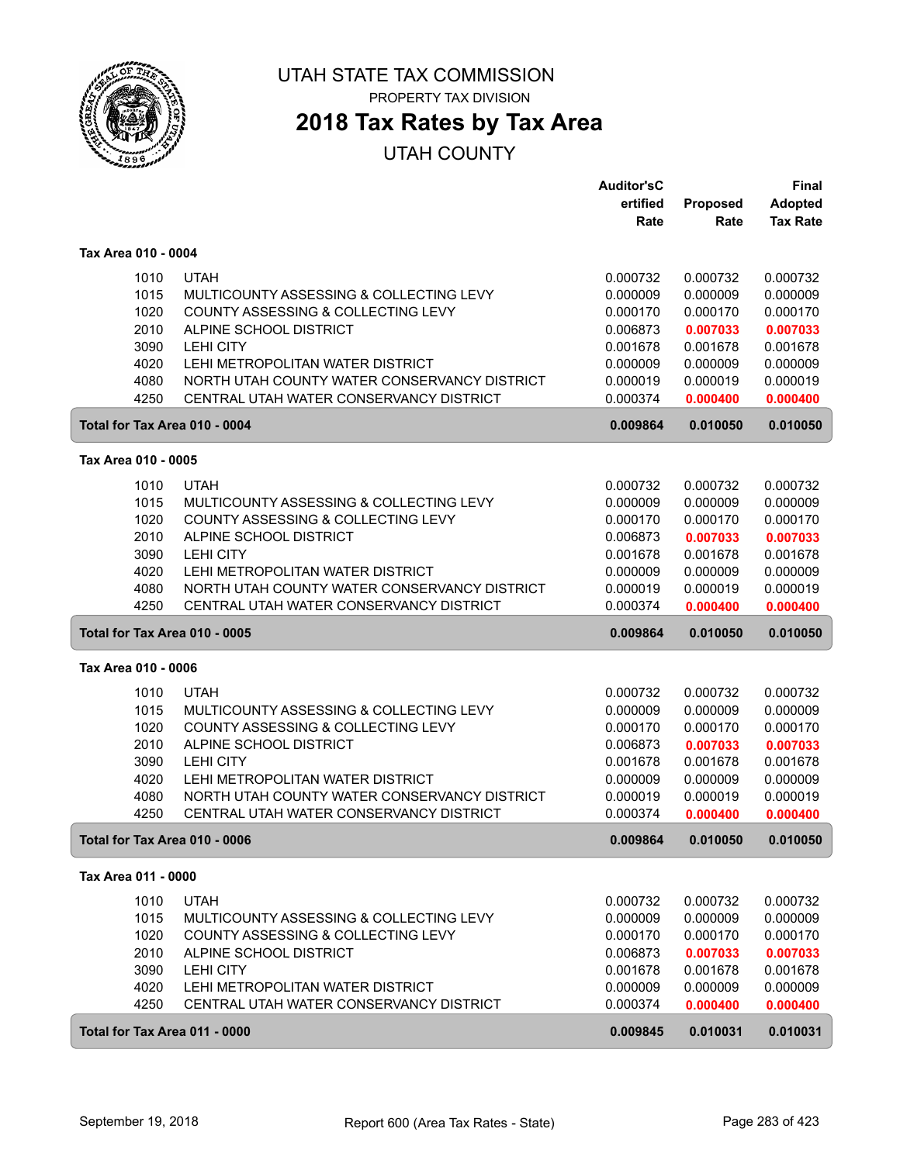

## **2018 Tax Rates by Tax Area**

|                               |                                              | <b>Auditor'sC</b> |          | <b>Final</b>    |
|-------------------------------|----------------------------------------------|-------------------|----------|-----------------|
|                               |                                              | ertified          | Proposed | Adopted         |
|                               |                                              | Rate              | Rate     | <b>Tax Rate</b> |
| Tax Area 010 - 0004           |                                              |                   |          |                 |
| 1010                          | <b>UTAH</b>                                  | 0.000732          | 0.000732 | 0.000732        |
| 1015                          | MULTICOUNTY ASSESSING & COLLECTING LEVY      | 0.000009          | 0.000009 | 0.000009        |
| 1020                          | COUNTY ASSESSING & COLLECTING LEVY           | 0.000170          | 0.000170 | 0.000170        |
| 2010                          | ALPINE SCHOOL DISTRICT                       | 0.006873          | 0.007033 | 0.007033        |
| 3090                          | <b>LEHI CITY</b>                             | 0.001678          | 0.001678 | 0.001678        |
| 4020                          | LEHI METROPOLITAN WATER DISTRICT             | 0.000009          | 0.000009 | 0.000009        |
| 4080                          | NORTH UTAH COUNTY WATER CONSERVANCY DISTRICT | 0.000019          | 0.000019 | 0.000019        |
| 4250                          | CENTRAL UTAH WATER CONSERVANCY DISTRICT      | 0.000374          | 0.000400 | 0.000400        |
| Total for Tax Area 010 - 0004 |                                              | 0.009864          | 0.010050 | 0.010050        |
|                               |                                              |                   |          |                 |
| Tax Area 010 - 0005           |                                              |                   |          |                 |
| 1010                          | <b>UTAH</b>                                  | 0.000732          | 0.000732 | 0.000732        |
| 1015                          | MULTICOUNTY ASSESSING & COLLECTING LEVY      | 0.000009          | 0.000009 | 0.000009        |
| 1020                          | COUNTY ASSESSING & COLLECTING LEVY           | 0.000170          | 0.000170 | 0.000170        |
| 2010                          | ALPINE SCHOOL DISTRICT                       | 0.006873          | 0.007033 | 0.007033        |
| 3090                          | <b>LEHI CITY</b>                             | 0.001678          | 0.001678 | 0.001678        |
| 4020                          | LEHI METROPOLITAN WATER DISTRICT             | 0.000009          | 0.000009 | 0.000009        |
| 4080                          | NORTH UTAH COUNTY WATER CONSERVANCY DISTRICT | 0.000019          | 0.000019 | 0.000019        |
| 4250                          | CENTRAL UTAH WATER CONSERVANCY DISTRICT      | 0.000374          | 0.000400 | 0.000400        |
| Total for Tax Area 010 - 0005 |                                              | 0.009864          | 0.010050 | 0.010050        |
| Tax Area 010 - 0006           |                                              |                   |          |                 |
| 1010                          | <b>UTAH</b>                                  | 0.000732          | 0.000732 | 0.000732        |
| 1015                          | MULTICOUNTY ASSESSING & COLLECTING LEVY      | 0.000009          | 0.000009 | 0.000009        |
| 1020                          | COUNTY ASSESSING & COLLECTING LEVY           | 0.000170          | 0.000170 | 0.000170        |
| 2010                          | ALPINE SCHOOL DISTRICT                       | 0.006873          | 0.007033 | 0.007033        |
| 3090                          | <b>LEHI CITY</b>                             | 0.001678          | 0.001678 | 0.001678        |
| 4020                          | LEHI METROPOLITAN WATER DISTRICT             | 0.000009          | 0.000009 | 0.000009        |
| 4080                          | NORTH UTAH COUNTY WATER CONSERVANCY DISTRICT | 0.000019          | 0.000019 | 0.000019        |
| 4250                          | CENTRAL UTAH WATER CONSERVANCY DISTRICT      | 0.000374          | 0.000400 | 0.000400        |
| Total for Tax Area 010 - 0006 |                                              | 0.009864          | 0.010050 | 0.010050        |
| Tax Area 011 - 0000           |                                              |                   |          |                 |
| 1010                          | <b>UTAH</b>                                  | 0.000732          | 0.000732 | 0.000732        |
| 1015                          | MULTICOUNTY ASSESSING & COLLECTING LEVY      | 0.000009          | 0.000009 | 0.000009        |
| 1020                          | COUNTY ASSESSING & COLLECTING LEVY           | 0.000170          | 0.000170 | 0.000170        |
| 2010                          | ALPINE SCHOOL DISTRICT                       | 0.006873          | 0.007033 | 0.007033        |
| 3090                          | LEHI CITY                                    | 0.001678          | 0.001678 | 0.001678        |
| 4020                          | LEHI METROPOLITAN WATER DISTRICT             | 0.000009          | 0.000009 | 0.000009        |
| 4250                          | CENTRAL UTAH WATER CONSERVANCY DISTRICT      | 0.000374          | 0.000400 | 0.000400        |
| Total for Tax Area 011 - 0000 |                                              | 0.009845          | 0.010031 | 0.010031        |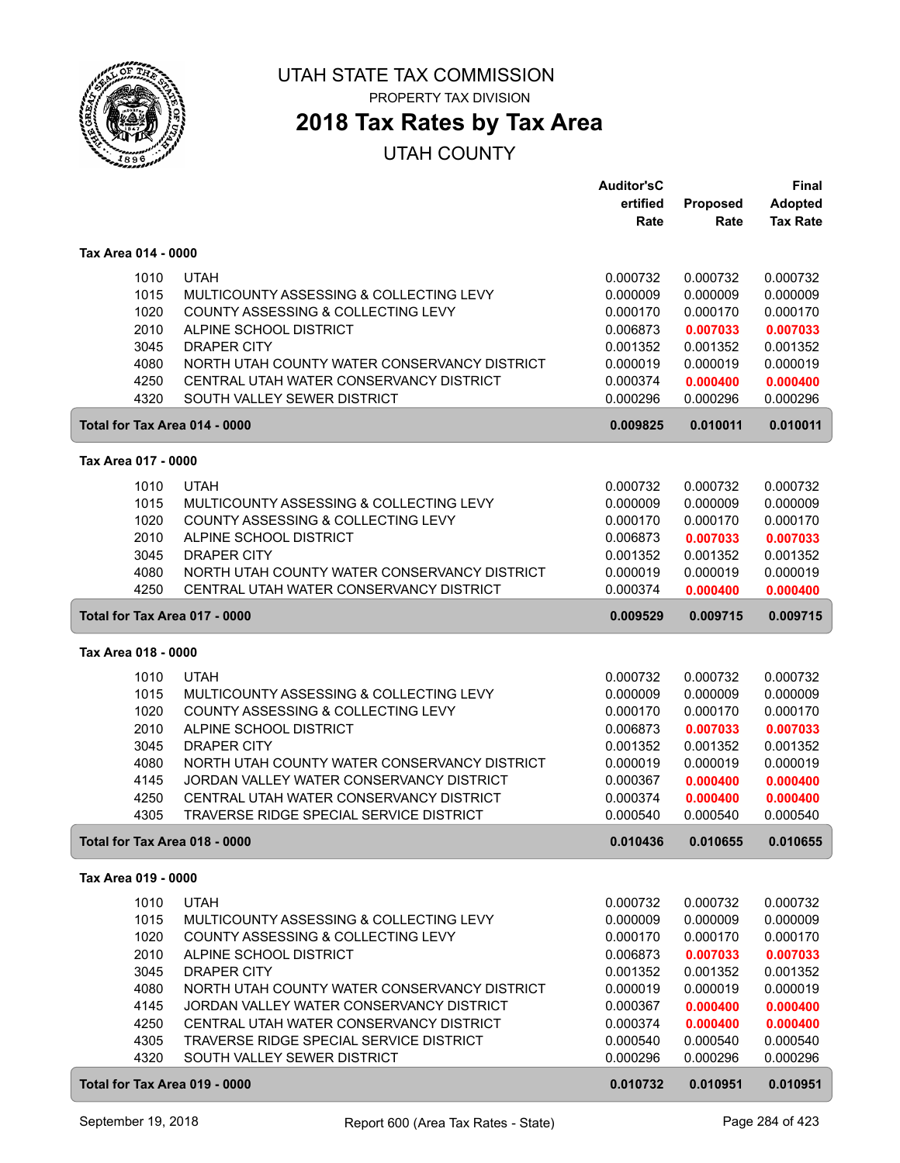

ſ

#### UTAH STATE TAX COMMISSION PROPERTY TAX DIVISION

## **2018 Tax Rates by Tax Area**

|                               |                                              | <b>Auditor'sC</b><br>ertified | Proposed | <b>Final</b><br><b>Adopted</b> |
|-------------------------------|----------------------------------------------|-------------------------------|----------|--------------------------------|
|                               |                                              | Rate                          | Rate     | <b>Tax Rate</b>                |
| Tax Area 014 - 0000           |                                              |                               |          |                                |
| 1010                          | <b>UTAH</b>                                  | 0.000732                      | 0.000732 | 0.000732                       |
| 1015                          | MULTICOUNTY ASSESSING & COLLECTING LEVY      | 0.000009                      | 0.000009 | 0.000009                       |
| 1020                          | COUNTY ASSESSING & COLLECTING LEVY           | 0.000170                      | 0.000170 | 0.000170                       |
| 2010                          | ALPINE SCHOOL DISTRICT                       | 0.006873                      | 0.007033 | 0.007033                       |
| 3045                          | <b>DRAPER CITY</b>                           | 0.001352                      | 0.001352 | 0.001352                       |
| 4080                          | NORTH UTAH COUNTY WATER CONSERVANCY DISTRICT | 0.000019                      | 0.000019 | 0.000019                       |
| 4250                          | CENTRAL UTAH WATER CONSERVANCY DISTRICT      | 0.000374                      | 0.000400 | 0.000400                       |
| 4320                          | SOUTH VALLEY SEWER DISTRICT                  | 0.000296                      | 0.000296 | 0.000296                       |
| Total for Tax Area 014 - 0000 |                                              | 0.009825                      | 0.010011 | 0.010011                       |
| Tax Area 017 - 0000           |                                              |                               |          |                                |
| 1010                          | <b>UTAH</b>                                  | 0.000732                      | 0.000732 | 0.000732                       |
| 1015                          | MULTICOUNTY ASSESSING & COLLECTING LEVY      | 0.000009                      | 0.000009 | 0.000009                       |
| 1020                          | COUNTY ASSESSING & COLLECTING LEVY           | 0.000170                      | 0.000170 | 0.000170                       |
| 2010                          | ALPINE SCHOOL DISTRICT                       | 0.006873                      | 0.007033 | 0.007033                       |
| 3045                          | <b>DRAPER CITY</b>                           | 0.001352                      | 0.001352 | 0.001352                       |
| 4080                          | NORTH UTAH COUNTY WATER CONSERVANCY DISTRICT | 0.000019                      | 0.000019 | 0.000019                       |
| 4250                          | CENTRAL UTAH WATER CONSERVANCY DISTRICT      | 0.000374                      | 0.000400 | 0.000400                       |
| Total for Tax Area 017 - 0000 |                                              | 0.009529                      | 0.009715 | 0.009715                       |
| Tax Area 018 - 0000           |                                              |                               |          |                                |
| 1010                          | <b>UTAH</b>                                  | 0.000732                      | 0.000732 | 0.000732                       |
| 1015                          | MULTICOUNTY ASSESSING & COLLECTING LEVY      | 0.000009                      | 0.000009 | 0.000009                       |
| 1020                          | COUNTY ASSESSING & COLLECTING LEVY           | 0.000170                      | 0.000170 | 0.000170                       |
| 2010                          | ALPINE SCHOOL DISTRICT                       | 0.006873                      | 0.007033 | 0.007033                       |
| 3045                          | <b>DRAPER CITY</b>                           | 0.001352                      | 0.001352 | 0.001352                       |
| 4080                          | NORTH UTAH COUNTY WATER CONSERVANCY DISTRICT | 0.000019                      | 0.000019 | 0.000019                       |
| 4145                          | JORDAN VALLEY WATER CONSERVANCY DISTRICT     | 0.000367                      | 0.000400 | 0.000400                       |
| 4250                          | CENTRAL UTAH WATER CONSERVANCY DISTRICT      | 0.000374                      | 0.000400 | 0.000400                       |
| 4305                          | TRAVERSE RIDGE SPECIAL SERVICE DISTRICT      | 0.000540                      | 0.000540 | 0.000540                       |
| Total for Tax Area 018 - 0000 |                                              | 0.010436                      | 0.010655 | 0.010655                       |
| Tax Area 019 - 0000           |                                              |                               |          |                                |
| 1010                          | <b>UTAH</b>                                  | 0.000732                      | 0.000732 | 0.000732                       |
| 1015                          | MULTICOUNTY ASSESSING & COLLECTING LEVY      | 0.000009                      | 0.000009 | 0.000009                       |
| 1020                          | COUNTY ASSESSING & COLLECTING LEVY           | 0.000170                      | 0.000170 | 0.000170                       |
| 2010                          | ALPINE SCHOOL DISTRICT                       | 0.006873                      | 0.007033 | 0.007033                       |
| 3045                          | DRAPER CITY                                  | 0.001352                      | 0.001352 | 0.001352                       |
| 4080                          | NORTH UTAH COUNTY WATER CONSERVANCY DISTRICT | 0.000019                      | 0.000019 | 0.000019                       |
| 4145                          | JORDAN VALLEY WATER CONSERVANCY DISTRICT     | 0.000367                      | 0.000400 | 0.000400                       |
| 4250                          | CENTRAL UTAH WATER CONSERVANCY DISTRICT      | 0.000374                      | 0.000400 | 0.000400                       |
| 4305                          | TRAVERSE RIDGE SPECIAL SERVICE DISTRICT      | 0.000540                      | 0.000540 | 0.000540                       |
| 4320                          | SOUTH VALLEY SEWER DISTRICT                  | 0.000296                      | 0.000296 | 0.000296                       |
| Total for Tax Area 019 - 0000 |                                              | 0.010732                      | 0.010951 | 0.010951                       |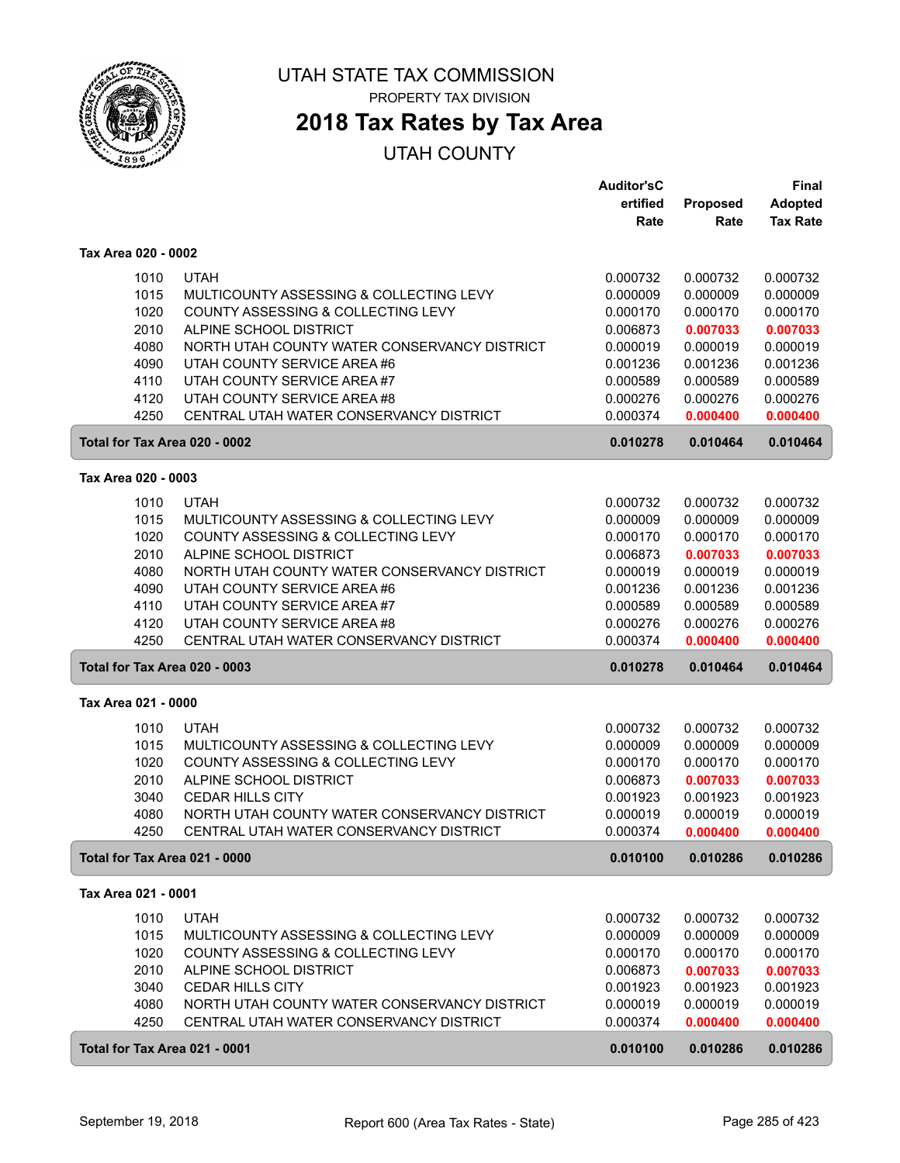

# **2018 Tax Rates by Tax Area**

|                               |                                              | <b>Auditor'sC</b> |          | Final           |
|-------------------------------|----------------------------------------------|-------------------|----------|-----------------|
|                               |                                              | ertified          | Proposed | <b>Adopted</b>  |
|                               |                                              | Rate              | Rate     | <b>Tax Rate</b> |
| Tax Area 020 - 0002           |                                              |                   |          |                 |
| 1010                          | <b>UTAH</b>                                  | 0.000732          | 0.000732 | 0.000732        |
| 1015                          | MULTICOUNTY ASSESSING & COLLECTING LEVY      | 0.000009          | 0.000009 | 0.000009        |
| 1020                          | COUNTY ASSESSING & COLLECTING LEVY           | 0.000170          | 0.000170 | 0.000170        |
| 2010                          | ALPINE SCHOOL DISTRICT                       | 0.006873          | 0.007033 | 0.007033        |
| 4080                          | NORTH UTAH COUNTY WATER CONSERVANCY DISTRICT | 0.000019          | 0.000019 | 0.000019        |
| 4090                          | UTAH COUNTY SERVICE AREA #6                  | 0.001236          | 0.001236 | 0.001236        |
| 4110                          | UTAH COUNTY SERVICE AREA #7                  | 0.000589          | 0.000589 | 0.000589        |
| 4120                          | UTAH COUNTY SERVICE AREA #8                  | 0.000276          | 0.000276 | 0.000276        |
| 4250                          | CENTRAL UTAH WATER CONSERVANCY DISTRICT      | 0.000374          | 0.000400 | 0.000400        |
| Total for Tax Area 020 - 0002 |                                              | 0.010278          | 0.010464 | 0.010464        |
|                               |                                              |                   |          |                 |
| Tax Area 020 - 0003           |                                              |                   |          |                 |
| 1010                          | <b>UTAH</b>                                  | 0.000732          | 0.000732 | 0.000732        |
| 1015                          | MULTICOUNTY ASSESSING & COLLECTING LEVY      | 0.000009          | 0.000009 | 0.000009        |
| 1020                          | COUNTY ASSESSING & COLLECTING LEVY           | 0.000170          | 0.000170 | 0.000170        |
| 2010                          | ALPINE SCHOOL DISTRICT                       | 0.006873          | 0.007033 | 0.007033        |
| 4080                          | NORTH UTAH COUNTY WATER CONSERVANCY DISTRICT | 0.000019          | 0.000019 | 0.000019        |
| 4090                          | UTAH COUNTY SERVICE AREA #6                  | 0.001236          | 0.001236 | 0.001236        |
| 4110                          | UTAH COUNTY SERVICE AREA #7                  | 0.000589          | 0.000589 | 0.000589        |
| 4120                          | UTAH COUNTY SERVICE AREA #8                  | 0.000276          | 0.000276 | 0.000276        |
| 4250                          | CENTRAL UTAH WATER CONSERVANCY DISTRICT      | 0.000374          | 0.000400 | 0.000400        |
| Total for Tax Area 020 - 0003 |                                              | 0.010278          | 0.010464 | 0.010464        |
| Tax Area 021 - 0000           |                                              |                   |          |                 |
| 1010                          | <b>UTAH</b>                                  | 0.000732          | 0.000732 | 0.000732        |
| 1015                          | MULTICOUNTY ASSESSING & COLLECTING LEVY      | 0.000009          | 0.000009 | 0.000009        |
| 1020                          | COUNTY ASSESSING & COLLECTING LEVY           | 0.000170          | 0.000170 | 0.000170        |
| 2010                          | ALPINE SCHOOL DISTRICT                       | 0.006873          | 0.007033 | 0.007033        |
| 3040                          | <b>CEDAR HILLS CITY</b>                      | 0.001923          | 0.001923 | 0.001923        |
| 4080                          | NORTH UTAH COUNTY WATER CONSERVANCY DISTRICT | 0.000019          | 0.000019 | 0.000019        |
| 4250                          | CENTRAL UTAH WATER CONSERVANCY DISTRICT      | 0.000374          | 0.000400 | 0.000400        |
| Total for Tax Area 021 - 0000 |                                              | 0.010100          | 0.010286 | 0.010286        |
| Tax Area 021 - 0001           |                                              |                   |          |                 |
| 1010                          | <b>UTAH</b>                                  | 0.000732          | 0.000732 | 0.000732        |
| 1015                          | MULTICOUNTY ASSESSING & COLLECTING LEVY      | 0.000009          | 0.000009 | 0.000009        |
| 1020                          | COUNTY ASSESSING & COLLECTING LEVY           | 0.000170          | 0.000170 | 0.000170        |
| 2010                          | ALPINE SCHOOL DISTRICT                       | 0.006873          | 0.007033 | 0.007033        |
| 3040                          | <b>CEDAR HILLS CITY</b>                      | 0.001923          | 0.001923 | 0.001923        |
| 4080                          | NORTH UTAH COUNTY WATER CONSERVANCY DISTRICT | 0.000019          | 0.000019 | 0.000019        |
| 4250                          | CENTRAL UTAH WATER CONSERVANCY DISTRICT      | 0.000374          | 0.000400 | 0.000400        |
| Total for Tax Area 021 - 0001 |                                              | 0.010100          | 0.010286 | 0.010286        |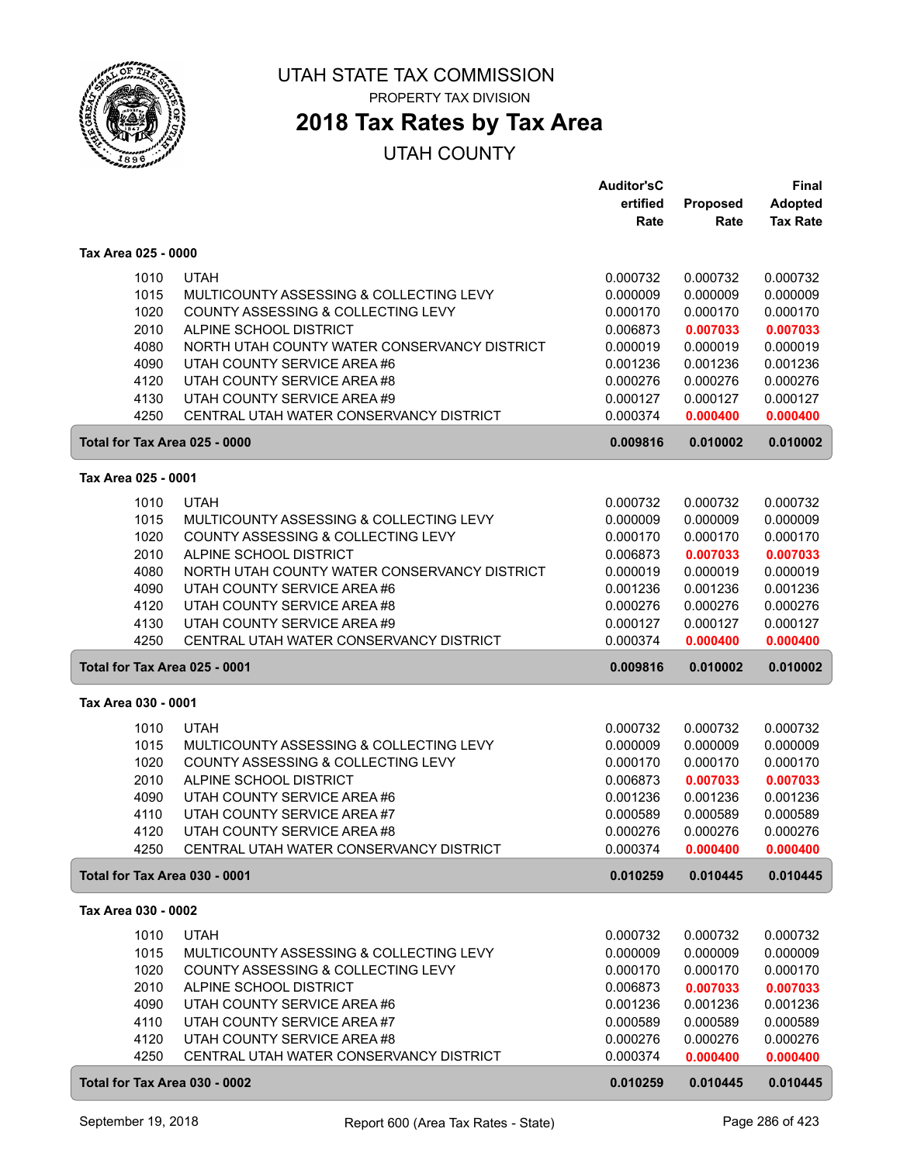

# **2018 Tax Rates by Tax Area**

|                     |      |                                              | <b>Auditor'sC</b> |          | <b>Final</b>    |
|---------------------|------|----------------------------------------------|-------------------|----------|-----------------|
|                     |      |                                              | ertified          | Proposed | <b>Adopted</b>  |
|                     |      |                                              | Rate              | Rate     | <b>Tax Rate</b> |
| Tax Area 025 - 0000 |      |                                              |                   |          |                 |
|                     | 1010 | <b>UTAH</b>                                  | 0.000732          | 0.000732 | 0.000732        |
|                     | 1015 | MULTICOUNTY ASSESSING & COLLECTING LEVY      | 0.000009          | 0.000009 | 0.000009        |
|                     | 1020 | COUNTY ASSESSING & COLLECTING LEVY           | 0.000170          | 0.000170 | 0.000170        |
|                     | 2010 | ALPINE SCHOOL DISTRICT                       | 0.006873          | 0.007033 | 0.007033        |
|                     | 4080 | NORTH UTAH COUNTY WATER CONSERVANCY DISTRICT | 0.000019          | 0.000019 | 0.000019        |
|                     | 4090 | UTAH COUNTY SERVICE AREA #6                  | 0.001236          | 0.001236 | 0.001236        |
|                     | 4120 | UTAH COUNTY SERVICE AREA #8                  | 0.000276          | 0.000276 | 0.000276        |
|                     | 4130 | UTAH COUNTY SERVICE AREA #9                  | 0.000127          | 0.000127 | 0.000127        |
|                     | 4250 | CENTRAL UTAH WATER CONSERVANCY DISTRICT      | 0.000374          | 0.000400 | 0.000400        |
|                     |      | Total for Tax Area 025 - 0000                | 0.009816          | 0.010002 | 0.010002        |
| Tax Area 025 - 0001 |      |                                              |                   |          |                 |
|                     | 1010 | <b>UTAH</b>                                  | 0.000732          | 0.000732 | 0.000732        |
|                     | 1015 | MULTICOUNTY ASSESSING & COLLECTING LEVY      | 0.000009          | 0.000009 | 0.000009        |
|                     | 1020 | COUNTY ASSESSING & COLLECTING LEVY           | 0.000170          | 0.000170 | 0.000170        |
|                     | 2010 | ALPINE SCHOOL DISTRICT                       | 0.006873          | 0.007033 | 0.007033        |
|                     | 4080 | NORTH UTAH COUNTY WATER CONSERVANCY DISTRICT | 0.000019          | 0.000019 | 0.000019        |
|                     | 4090 | UTAH COUNTY SERVICE AREA #6                  | 0.001236          | 0.001236 | 0.001236        |
|                     | 4120 | UTAH COUNTY SERVICE AREA #8                  | 0.000276          | 0.000276 | 0.000276        |
|                     | 4130 | UTAH COUNTY SERVICE AREA #9                  | 0.000127          | 0.000127 | 0.000127        |
|                     | 4250 | CENTRAL UTAH WATER CONSERVANCY DISTRICT      | 0.000374          | 0.000400 | 0.000400        |
|                     |      | Total for Tax Area 025 - 0001                | 0.009816          | 0.010002 | 0.010002        |
| Tax Area 030 - 0001 |      |                                              |                   |          |                 |
|                     | 1010 | <b>UTAH</b>                                  | 0.000732          | 0.000732 | 0.000732        |
|                     | 1015 | MULTICOUNTY ASSESSING & COLLECTING LEVY      | 0.000009          | 0.000009 | 0.000009        |
|                     | 1020 | COUNTY ASSESSING & COLLECTING LEVY           | 0.000170          | 0.000170 | 0.000170        |
|                     | 2010 | ALPINE SCHOOL DISTRICT                       | 0.006873          | 0.007033 | 0.007033        |
|                     | 4090 | UTAH COUNTY SERVICE AREA #6                  | 0.001236          | 0.001236 | 0.001236        |
|                     | 4110 | UTAH COUNTY SERVICE AREA #7                  | 0.000589          | 0.000589 | 0.000589        |
|                     | 4120 | UTAH COUNTY SERVICE AREA #8                  | 0.000276          | 0.000276 | 0.000276        |
|                     | 4250 | CENTRAL UTAH WATER CONSERVANCY DISTRICT      | 0.000374          | 0.000400 | 0.000400        |
|                     |      | Total for Tax Area 030 - 0001                | 0.010259          | 0.010445 | 0.010445        |
| Tax Area 030 - 0002 |      |                                              |                   |          |                 |
|                     | 1010 | <b>UTAH</b>                                  | 0.000732          | 0.000732 | 0.000732        |
|                     | 1015 | MULTICOUNTY ASSESSING & COLLECTING LEVY      | 0.000009          | 0.000009 | 0.000009        |
|                     | 1020 | COUNTY ASSESSING & COLLECTING LEVY           | 0.000170          | 0.000170 | 0.000170        |
|                     | 2010 | ALPINE SCHOOL DISTRICT                       | 0.006873          | 0.007033 | 0.007033        |
|                     | 4090 | UTAH COUNTY SERVICE AREA #6                  | 0.001236          | 0.001236 | 0.001236        |
|                     | 4110 | UTAH COUNTY SERVICE AREA #7                  | 0.000589          | 0.000589 | 0.000589        |
|                     | 4120 | UTAH COUNTY SERVICE AREA #8                  | 0.000276          | 0.000276 | 0.000276        |
|                     | 4250 | CENTRAL UTAH WATER CONSERVANCY DISTRICT      | 0.000374          | 0.000400 | 0.000400        |
|                     |      | Total for Tax Area 030 - 0002                | 0.010259          | 0.010445 | 0.010445        |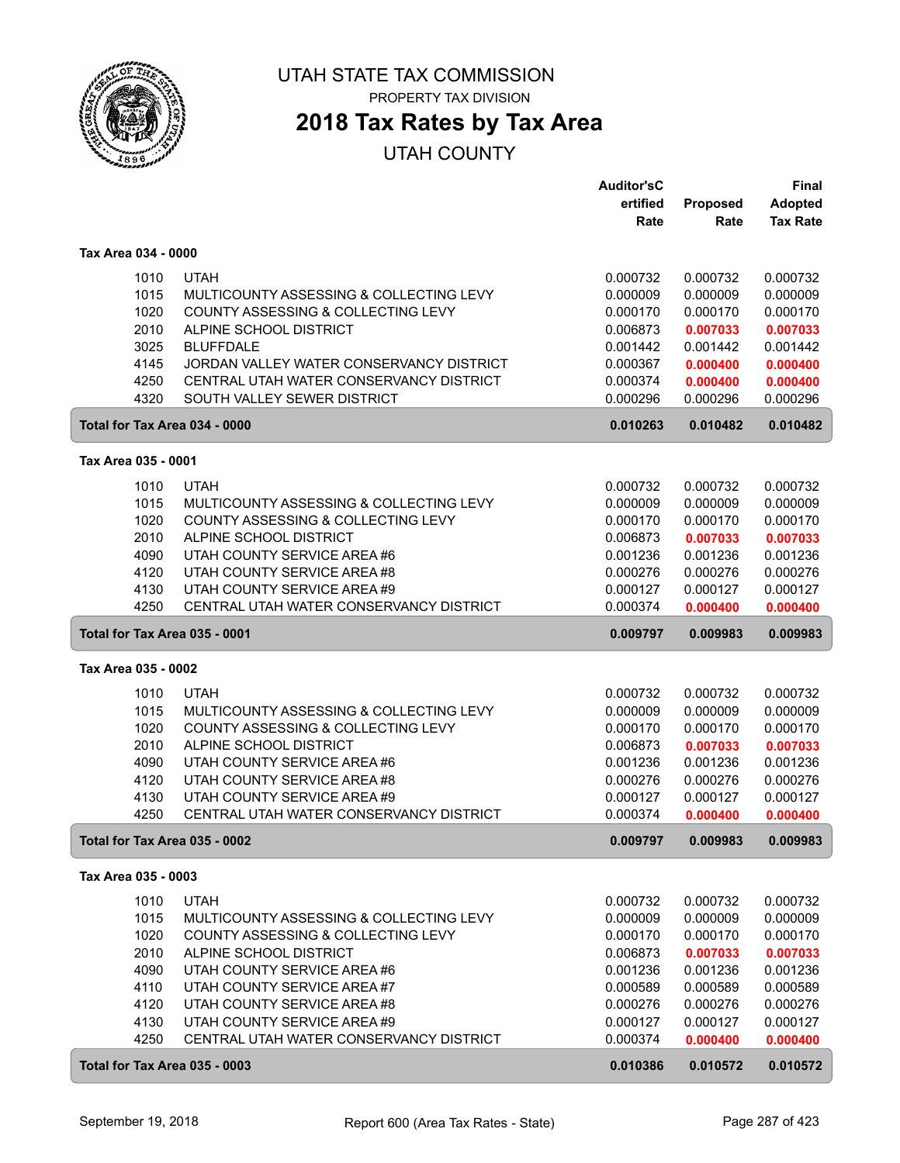

## **2018 Tax Rates by Tax Area**

|                     |      |                                          | <b>Auditor'sC</b> |          | Final           |
|---------------------|------|------------------------------------------|-------------------|----------|-----------------|
|                     |      |                                          | ertified          | Proposed | Adopted         |
|                     |      |                                          | Rate              | Rate     | <b>Tax Rate</b> |
| Tax Area 034 - 0000 |      |                                          |                   |          |                 |
|                     | 1010 | <b>UTAH</b>                              | 0.000732          | 0.000732 | 0.000732        |
|                     | 1015 | MULTICOUNTY ASSESSING & COLLECTING LEVY  | 0.000009          | 0.000009 | 0.000009        |
|                     | 1020 | COUNTY ASSESSING & COLLECTING LEVY       | 0.000170          | 0.000170 | 0.000170        |
|                     | 2010 | ALPINE SCHOOL DISTRICT                   | 0.006873          | 0.007033 | 0.007033        |
|                     | 3025 | <b>BLUFFDALE</b>                         | 0.001442          | 0.001442 | 0.001442        |
|                     | 4145 | JORDAN VALLEY WATER CONSERVANCY DISTRICT | 0.000367          | 0.000400 | 0.000400        |
|                     | 4250 | CENTRAL UTAH WATER CONSERVANCY DISTRICT  | 0.000374          | 0.000400 | 0.000400        |
|                     | 4320 | SOUTH VALLEY SEWER DISTRICT              | 0.000296          | 0.000296 | 0.000296        |
|                     |      | Total for Tax Area 034 - 0000            | 0.010263          | 0.010482 | 0.010482        |
| Tax Area 035 - 0001 |      |                                          |                   |          |                 |
|                     | 1010 | <b>UTAH</b>                              | 0.000732          | 0.000732 | 0.000732        |
|                     | 1015 | MULTICOUNTY ASSESSING & COLLECTING LEVY  | 0.000009          | 0.000009 | 0.000009        |
|                     | 1020 | COUNTY ASSESSING & COLLECTING LEVY       | 0.000170          | 0.000170 | 0.000170        |
|                     | 2010 | ALPINE SCHOOL DISTRICT                   | 0.006873          | 0.007033 | 0.007033        |
|                     | 4090 | UTAH COUNTY SERVICE AREA #6              | 0.001236          | 0.001236 | 0.001236        |
|                     | 4120 | UTAH COUNTY SERVICE AREA #8              | 0.000276          | 0.000276 | 0.000276        |
|                     | 4130 | UTAH COUNTY SERVICE AREA #9              | 0.000127          | 0.000127 | 0.000127        |
|                     | 4250 | CENTRAL UTAH WATER CONSERVANCY DISTRICT  | 0.000374          | 0.000400 | 0.000400        |
|                     |      | Total for Tax Area 035 - 0001            | 0.009797          | 0.009983 | 0.009983        |
| Tax Area 035 - 0002 |      |                                          |                   |          |                 |
|                     | 1010 | <b>UTAH</b>                              | 0.000732          | 0.000732 | 0.000732        |
|                     | 1015 | MULTICOUNTY ASSESSING & COLLECTING LEVY  | 0.000009          | 0.000009 | 0.000009        |
|                     | 1020 | COUNTY ASSESSING & COLLECTING LEVY       | 0.000170          | 0.000170 | 0.000170        |
|                     | 2010 | ALPINE SCHOOL DISTRICT                   | 0.006873          | 0.007033 | 0.007033        |
|                     | 4090 | UTAH COUNTY SERVICE AREA #6              | 0.001236          | 0.001236 | 0.001236        |
|                     | 4120 | UTAH COUNTY SERVICE AREA #8              | 0.000276          | 0.000276 | 0.000276        |
|                     | 4130 | UTAH COUNTY SERVICE AREA #9              | 0.000127          | 0.000127 | 0.000127        |
|                     | 4250 | CENTRAL UTAH WATER CONSERVANCY DISTRICT  | 0.000374          | 0.000400 | 0.000400        |
|                     |      | Total for Tax Area 035 - 0002            | 0.009797          | 0.009983 | 0.009983        |
| Tax Area 035 - 0003 |      |                                          |                   |          |                 |
|                     | 1010 | <b>UTAH</b>                              | 0.000732          | 0.000732 | 0.000732        |
|                     | 1015 | MULTICOUNTY ASSESSING & COLLECTING LEVY  | 0.000009          | 0.000009 | 0.000009        |
|                     | 1020 | COUNTY ASSESSING & COLLECTING LEVY       | 0.000170          | 0.000170 | 0.000170        |
|                     | 2010 | ALPINE SCHOOL DISTRICT                   | 0.006873          | 0.007033 | 0.007033        |
|                     | 4090 | UTAH COUNTY SERVICE AREA #6              | 0.001236          | 0.001236 | 0.001236        |
|                     | 4110 | UTAH COUNTY SERVICE AREA #7              | 0.000589          | 0.000589 | 0.000589        |
|                     | 4120 | UTAH COUNTY SERVICE AREA #8              | 0.000276          | 0.000276 | 0.000276        |
|                     | 4130 | UTAH COUNTY SERVICE AREA #9              | 0.000127          | 0.000127 | 0.000127        |
|                     | 4250 | CENTRAL UTAH WATER CONSERVANCY DISTRICT  | 0.000374          | 0.000400 | 0.000400        |
|                     |      | Total for Tax Area 035 - 0003            | 0.010386          | 0.010572 | 0.010572        |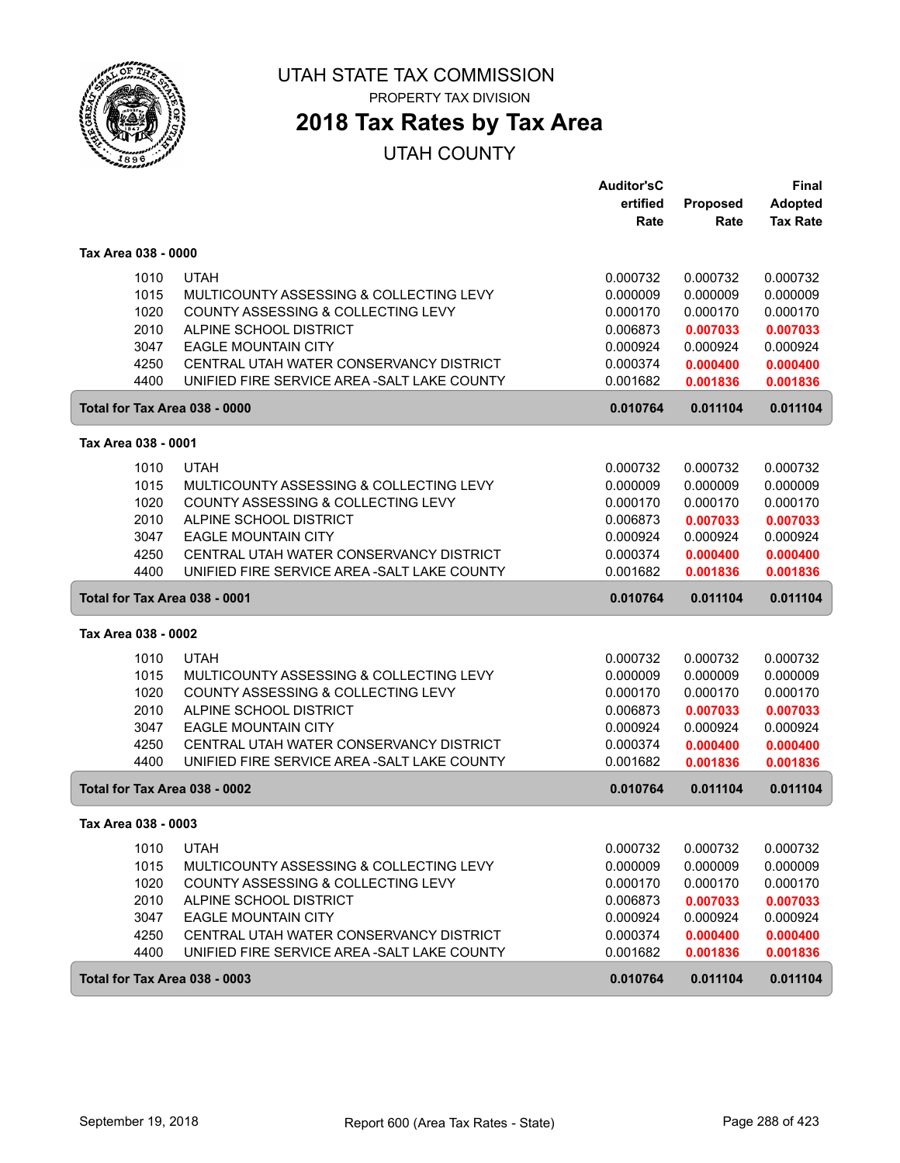

PROPERTY TAX DIVISION

# **2018 Tax Rates by Tax Area**

|                               |                                                                       | <b>Auditor'sC</b>    |                      | <b>Final</b>         |
|-------------------------------|-----------------------------------------------------------------------|----------------------|----------------------|----------------------|
|                               |                                                                       | ertified             | Proposed             | <b>Adopted</b>       |
|                               |                                                                       | Rate                 | Rate                 | <b>Tax Rate</b>      |
| Tax Area 038 - 0000           |                                                                       |                      |                      |                      |
| 1010                          | <b>UTAH</b>                                                           | 0.000732             | 0.000732             | 0.000732             |
| 1015                          | MULTICOUNTY ASSESSING & COLLECTING LEVY                               | 0.000009             | 0.000009             | 0.000009             |
| 1020                          | COUNTY ASSESSING & COLLECTING LEVY                                    | 0.000170             | 0.000170             | 0.000170             |
| 2010                          | ALPINE SCHOOL DISTRICT                                                | 0.006873             | 0.007033             | 0.007033             |
| 3047                          | <b>EAGLE MOUNTAIN CITY</b>                                            | 0.000924             | 0.000924             | 0.000924             |
| 4250                          | CENTRAL UTAH WATER CONSERVANCY DISTRICT                               | 0.000374             | 0.000400             | 0.000400             |
| 4400                          | UNIFIED FIRE SERVICE AREA - SALT LAKE COUNTY                          | 0.001682             | 0.001836             | 0.001836             |
| Total for Tax Area 038 - 0000 |                                                                       | 0.010764             | 0.011104             | 0.011104             |
| Tax Area 038 - 0001           |                                                                       |                      |                      |                      |
| 1010                          | <b>UTAH</b>                                                           | 0.000732             | 0.000732             | 0.000732             |
| 1015                          | MULTICOUNTY ASSESSING & COLLECTING LEVY                               | 0.000009             | 0.000009             | 0.000009             |
| 1020                          | COUNTY ASSESSING & COLLECTING LEVY                                    | 0.000170             | 0.000170             | 0.000170             |
| 2010                          | ALPINE SCHOOL DISTRICT                                                | 0.006873             | 0.007033             | 0.007033             |
| 3047                          | <b>EAGLE MOUNTAIN CITY</b>                                            | 0.000924             | 0.000924             | 0.000924             |
| 4250                          | CENTRAL UTAH WATER CONSERVANCY DISTRICT                               | 0.000374             | 0.000400             | 0.000400             |
| 4400                          | UNIFIED FIRE SERVICE AREA - SALT LAKE COUNTY                          | 0.001682             | 0.001836             | 0.001836             |
|                               |                                                                       |                      |                      |                      |
| Total for Tax Area 038 - 0001 |                                                                       | 0.010764             | 0.011104             | 0.011104             |
| Tax Area 038 - 0002           |                                                                       |                      |                      |                      |
|                               |                                                                       |                      |                      |                      |
| 1010                          | <b>UTAH</b>                                                           | 0.000732             | 0.000732             | 0.000732             |
| 1015                          | MULTICOUNTY ASSESSING & COLLECTING LEVY                               | 0.000009             | 0.000009             | 0.000009             |
| 1020                          | COUNTY ASSESSING & COLLECTING LEVY                                    | 0.000170             | 0.000170             | 0.000170             |
| 2010                          | ALPINE SCHOOL DISTRICT                                                | 0.006873             | 0.007033             | 0.007033             |
| 3047                          | <b>EAGLE MOUNTAIN CITY</b><br>CENTRAL UTAH WATER CONSERVANCY DISTRICT | 0.000924             | 0.000924             | 0.000924             |
| 4250<br>4400                  | UNIFIED FIRE SERVICE AREA - SALT LAKE COUNTY                          | 0.000374<br>0.001682 | 0.000400<br>0.001836 | 0.000400<br>0.001836 |
| Total for Tax Area 038 - 0002 |                                                                       | 0.010764             | 0.011104             | 0.011104             |
| Tax Area 038 - 0003           |                                                                       |                      |                      |                      |
|                               |                                                                       |                      |                      |                      |
| 1010<br>1015                  | <b>UTAH</b><br>MULTICOUNTY ASSESSING & COLLECTING LEVY                | 0.000732             | 0.000732<br>0.000009 | 0.000732<br>0.000009 |
| 1020                          | COUNTY ASSESSING & COLLECTING LEVY                                    | 0.000009<br>0.000170 | 0.000170             | 0.000170             |
| 2010                          | ALPINE SCHOOL DISTRICT                                                | 0.006873             |                      |                      |
|                               |                                                                       |                      | 0.007033<br>0.000924 | 0.007033             |
| 3047<br>4250                  | <b>EAGLE MOUNTAIN CITY</b><br>CENTRAL UTAH WATER CONSERVANCY DISTRICT | 0.000924<br>0.000374 | 0.000400             | 0.000924<br>0.000400 |
| 4400                          | UNIFIED FIRE SERVICE AREA-SALT LAKE COUNTY                            | 0.001682             | 0.001836             | 0.001836             |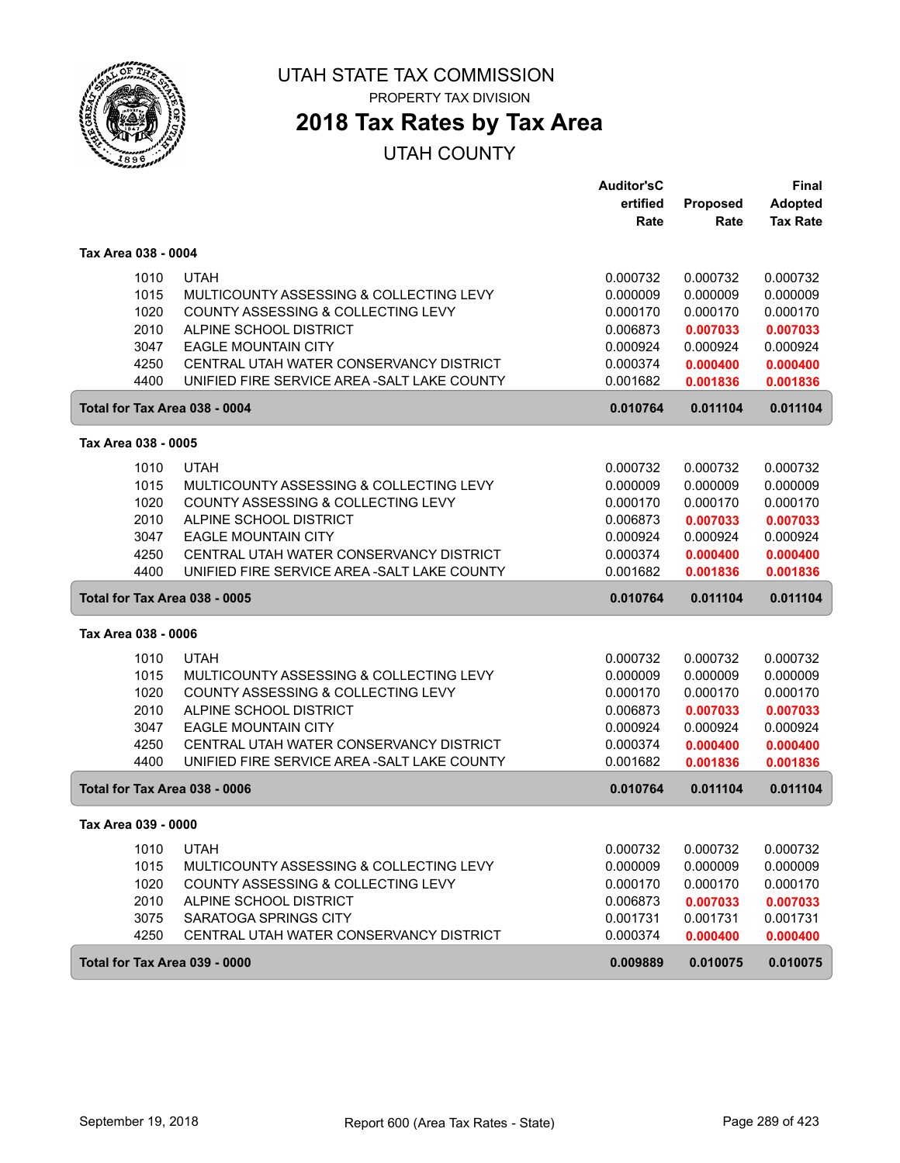

PROPERTY TAX DIVISION

# **2018 Tax Rates by Tax Area**

|                               |                                               | <b>Auditor'sC</b> |          | <b>Final</b>    |
|-------------------------------|-----------------------------------------------|-------------------|----------|-----------------|
|                               |                                               | ertified          | Proposed | <b>Adopted</b>  |
|                               |                                               | Rate              | Rate     | <b>Tax Rate</b> |
| Tax Area 038 - 0004           |                                               |                   |          |                 |
| 1010                          | <b>UTAH</b>                                   | 0.000732          | 0.000732 | 0.000732        |
| 1015                          | MULTICOUNTY ASSESSING & COLLECTING LEVY       | 0.000009          | 0.000009 | 0.000009        |
| 1020                          | <b>COUNTY ASSESSING &amp; COLLECTING LEVY</b> | 0.000170          | 0.000170 | 0.000170        |
| 2010                          | ALPINE SCHOOL DISTRICT                        | 0.006873          | 0.007033 | 0.007033        |
| 3047                          | <b>EAGLE MOUNTAIN CITY</b>                    | 0.000924          | 0.000924 | 0.000924        |
| 4250                          | CENTRAL UTAH WATER CONSERVANCY DISTRICT       | 0.000374          | 0.000400 | 0.000400        |
| 4400                          | UNIFIED FIRE SERVICE AREA - SALT LAKE COUNTY  | 0.001682          | 0.001836 | 0.001836        |
| Total for Tax Area 038 - 0004 |                                               | 0.010764          | 0.011104 | 0.011104        |
| Tax Area 038 - 0005           |                                               |                   |          |                 |
|                               |                                               |                   |          |                 |
| 1010                          | <b>UTAH</b>                                   | 0.000732          | 0.000732 | 0.000732        |
| 1015                          | MULTICOUNTY ASSESSING & COLLECTING LEVY       | 0.000009          | 0.000009 | 0.000009        |
| 1020                          | COUNTY ASSESSING & COLLECTING LEVY            | 0.000170          | 0.000170 | 0.000170        |
| 2010                          | ALPINE SCHOOL DISTRICT                        | 0.006873          | 0.007033 | 0.007033        |
| 3047                          | <b>EAGLE MOUNTAIN CITY</b>                    | 0.000924          | 0.000924 | 0.000924        |
| 4250                          | CENTRAL UTAH WATER CONSERVANCY DISTRICT       | 0.000374          | 0.000400 | 0.000400        |
| 4400                          | UNIFIED FIRE SERVICE AREA - SALT LAKE COUNTY  | 0.001682          | 0.001836 | 0.001836        |
| Total for Tax Area 038 - 0005 |                                               | 0.010764          | 0.011104 | 0.011104        |
| Tax Area 038 - 0006           |                                               |                   |          |                 |
| 1010                          | <b>UTAH</b>                                   | 0.000732          | 0.000732 | 0.000732        |
| 1015                          | MULTICOUNTY ASSESSING & COLLECTING LEVY       | 0.000009          | 0.000009 | 0.000009        |
| 1020                          | COUNTY ASSESSING & COLLECTING LEVY            | 0.000170          | 0.000170 | 0.000170        |
| 2010                          | ALPINE SCHOOL DISTRICT                        | 0.006873          | 0.007033 | 0.007033        |
| 3047                          | <b>EAGLE MOUNTAIN CITY</b>                    | 0.000924          | 0.000924 | 0.000924        |
| 4250                          | CENTRAL UTAH WATER CONSERVANCY DISTRICT       | 0.000374          | 0.000400 | 0.000400        |
| 4400                          | UNIFIED FIRE SERVICE AREA - SALT LAKE COUNTY  | 0.001682          | 0.001836 | 0.001836        |
| Total for Tax Area 038 - 0006 |                                               | 0.010764          | 0.011104 | 0.011104        |
| Tax Area 039 - 0000           |                                               |                   |          |                 |
| 1010                          | <b>UTAH</b>                                   | 0.000732          | 0.000732 | 0.000732        |
| 1015                          | MULTICOUNTY ASSESSING & COLLECTING LEVY       | 0.000009          | 0.000009 | 0.000009        |
| 1020                          | COUNTY ASSESSING & COLLECTING LEVY            | 0.000170          | 0.000170 | 0.000170        |
| 2010                          | ALPINE SCHOOL DISTRICT                        | 0.006873          | 0.007033 | 0.007033        |
| 3075                          | SARATOGA SPRINGS CITY                         | 0.001731          | 0.001731 | 0.001731        |
| 4250                          | CENTRAL UTAH WATER CONSERVANCY DISTRICT       | 0.000374          | 0.000400 | 0.000400        |
| Total for Tax Area 039 - 0000 |                                               | 0.009889          | 0.010075 | 0.010075        |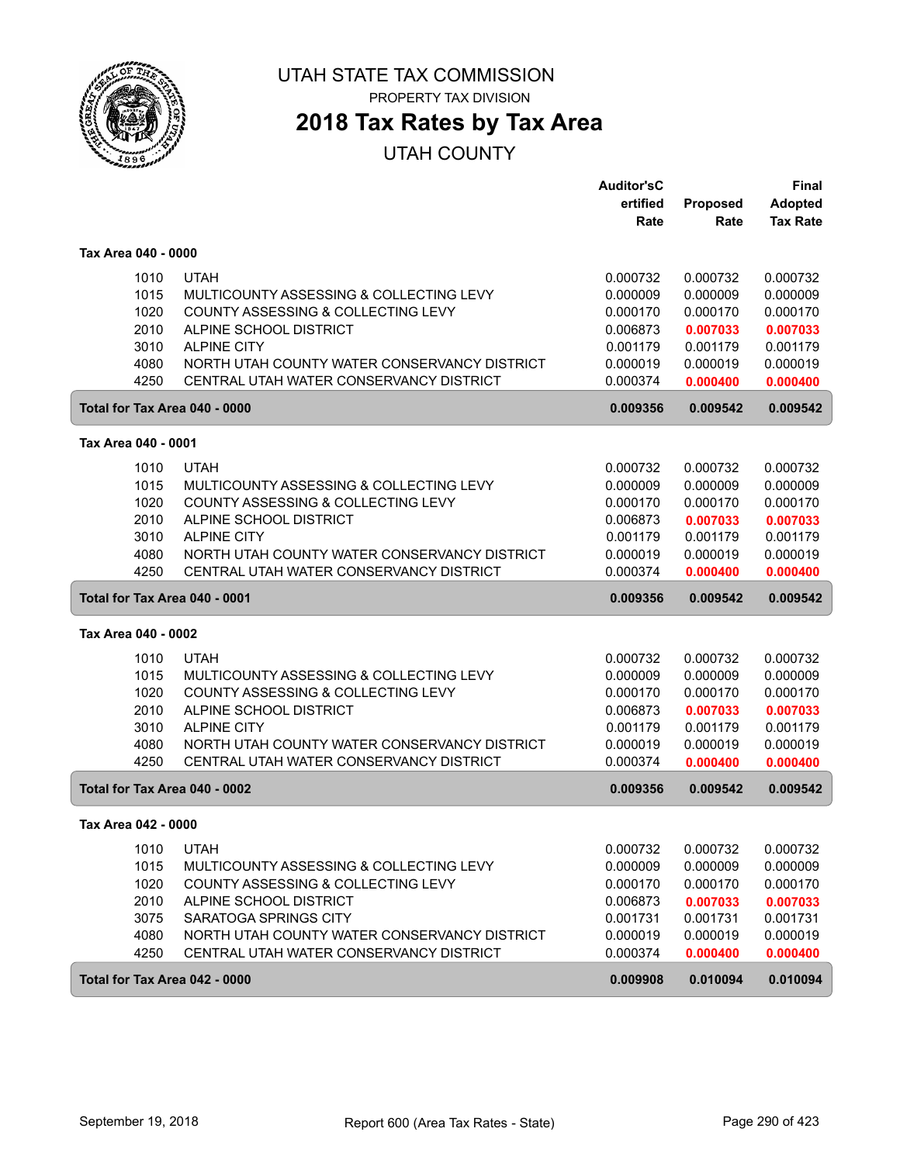

PROPERTY TAX DIVISION

# **2018 Tax Rates by Tax Area**

|                     |      |                                              | <b>Auditor'sC</b> |                 | <b>Final</b>    |
|---------------------|------|----------------------------------------------|-------------------|-----------------|-----------------|
|                     |      |                                              | ertified          | <b>Proposed</b> | <b>Adopted</b>  |
|                     |      |                                              | Rate              | Rate            | <b>Tax Rate</b> |
| Tax Area 040 - 0000 |      |                                              |                   |                 |                 |
|                     | 1010 | <b>UTAH</b>                                  | 0.000732          | 0.000732        | 0.000732        |
|                     | 1015 | MULTICOUNTY ASSESSING & COLLECTING LEVY      | 0.000009          | 0.000009        | 0.000009        |
|                     | 1020 | COUNTY ASSESSING & COLLECTING LEVY           | 0.000170          | 0.000170        | 0.000170        |
|                     | 2010 | ALPINE SCHOOL DISTRICT                       | 0.006873          | 0.007033        | 0.007033        |
|                     | 3010 | <b>ALPINE CITY</b>                           | 0.001179          | 0.001179        | 0.001179        |
|                     | 4080 | NORTH UTAH COUNTY WATER CONSERVANCY DISTRICT | 0.000019          | 0.000019        | 0.000019        |
|                     | 4250 | CENTRAL UTAH WATER CONSERVANCY DISTRICT      | 0.000374          | 0.000400        | 0.000400        |
|                     |      | Total for Tax Area 040 - 0000                | 0.009356          | 0.009542        | 0.009542        |
| Tax Area 040 - 0001 |      |                                              |                   |                 |                 |
|                     | 1010 | <b>UTAH</b>                                  | 0.000732          | 0.000732        | 0.000732        |
|                     | 1015 | MULTICOUNTY ASSESSING & COLLECTING LEVY      | 0.000009          | 0.000009        | 0.000009        |
|                     | 1020 | COUNTY ASSESSING & COLLECTING LEVY           | 0.000170          | 0.000170        | 0.000170        |
|                     | 2010 | ALPINE SCHOOL DISTRICT                       | 0.006873          | 0.007033        | 0.007033        |
|                     | 3010 | <b>ALPINE CITY</b>                           | 0.001179          | 0.001179        | 0.001179        |
|                     | 4080 | NORTH UTAH COUNTY WATER CONSERVANCY DISTRICT | 0.000019          | 0.000019        | 0.000019        |
|                     | 4250 | CENTRAL UTAH WATER CONSERVANCY DISTRICT      | 0.000374          | 0.000400        | 0.000400        |
|                     |      |                                              |                   |                 |                 |
|                     |      | Total for Tax Area 040 - 0001                | 0.009356          | 0.009542        | 0.009542        |
| Tax Area 040 - 0002 |      |                                              |                   |                 |                 |
|                     | 1010 | <b>UTAH</b>                                  | 0.000732          | 0.000732        | 0.000732        |
|                     | 1015 | MULTICOUNTY ASSESSING & COLLECTING LEVY      | 0.000009          | 0.000009        | 0.000009        |
|                     | 1020 | COUNTY ASSESSING & COLLECTING LEVY           | 0.000170          | 0.000170        | 0.000170        |
|                     | 2010 | ALPINE SCHOOL DISTRICT                       | 0.006873          | 0.007033        | 0.007033        |
|                     | 3010 | <b>ALPINE CITY</b>                           | 0.001179          | 0.001179        | 0.001179        |
|                     | 4080 | NORTH UTAH COUNTY WATER CONSERVANCY DISTRICT | 0.000019          | 0.000019        | 0.000019        |
|                     | 4250 | CENTRAL UTAH WATER CONSERVANCY DISTRICT      | 0.000374          | 0.000400        | 0.000400        |
|                     |      | Total for Tax Area 040 - 0002                | 0.009356          | 0.009542        | 0.009542        |
| Tax Area 042 - 0000 |      |                                              |                   |                 |                 |
|                     | 1010 | <b>UTAH</b>                                  | 0.000732          | 0.000732        | 0.000732        |
|                     | 1015 | MULTICOUNTY ASSESSING & COLLECTING LEVY      | 0.000009          | 0.000009        | 0.000009        |
|                     | 1020 | COUNTY ASSESSING & COLLECTING LEVY           | 0.000170          | 0.000170        | 0.000170        |
|                     | 2010 | ALPINE SCHOOL DISTRICT                       | 0.006873          | 0.007033        | 0.007033        |
|                     | 3075 | SARATOGA SPRINGS CITY                        | 0.001731          | 0.001731        | 0.001731        |
|                     | 4080 | NORTH UTAH COUNTY WATER CONSERVANCY DISTRICT | 0.000019          | 0.000019        | 0.000019        |
|                     | 4250 | CENTRAL UTAH WATER CONSERVANCY DISTRICT      | 0.000374          | 0.000400        | 0.000400        |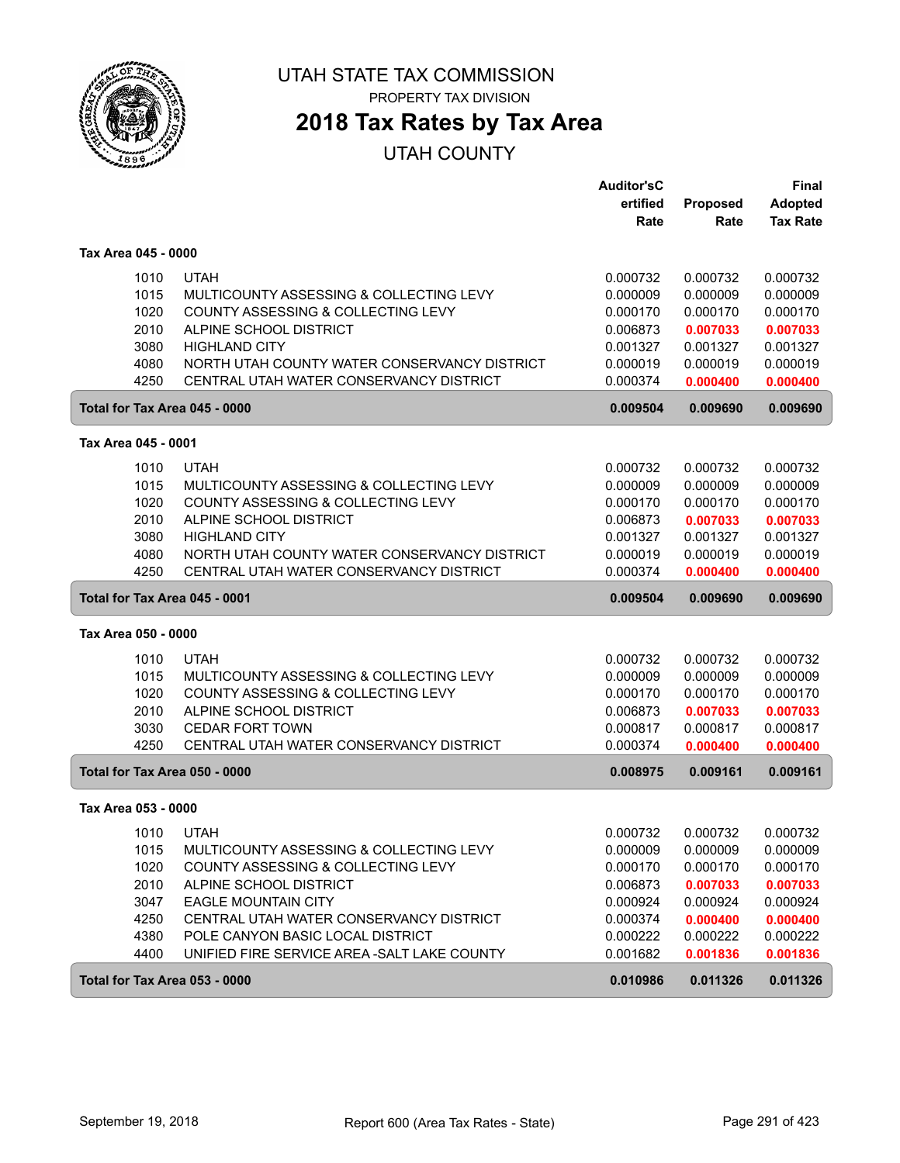

# **2018 Tax Rates by Tax Area**

|                               |                                              | <b>Auditor'sC</b> |          | <b>Final</b>    |
|-------------------------------|----------------------------------------------|-------------------|----------|-----------------|
|                               |                                              | ertified          | Proposed | <b>Adopted</b>  |
|                               |                                              | Rate              | Rate     | <b>Tax Rate</b> |
| Tax Area 045 - 0000           |                                              |                   |          |                 |
| 1010                          | <b>UTAH</b>                                  | 0.000732          | 0.000732 | 0.000732        |
| 1015                          | MULTICOUNTY ASSESSING & COLLECTING LEVY      | 0.000009          | 0.000009 | 0.000009        |
| 1020                          | COUNTY ASSESSING & COLLECTING LEVY           | 0.000170          | 0.000170 | 0.000170        |
| 2010                          | ALPINE SCHOOL DISTRICT                       | 0.006873          | 0.007033 | 0.007033        |
| 3080                          | <b>HIGHLAND CITY</b>                         | 0.001327          | 0.001327 | 0.001327        |
| 4080                          | NORTH UTAH COUNTY WATER CONSERVANCY DISTRICT | 0.000019          | 0.000019 | 0.000019        |
| 4250                          | CENTRAL UTAH WATER CONSERVANCY DISTRICT      | 0.000374          | 0.000400 | 0.000400        |
| Total for Tax Area 045 - 0000 |                                              | 0.009504          | 0.009690 | 0.009690        |
| Tax Area 045 - 0001           |                                              |                   |          |                 |
| 1010                          | <b>UTAH</b>                                  | 0.000732          | 0.000732 | 0.000732        |
| 1015                          | MULTICOUNTY ASSESSING & COLLECTING LEVY      | 0.000009          | 0.000009 | 0.000009        |
| 1020                          | COUNTY ASSESSING & COLLECTING LEVY           | 0.000170          | 0.000170 | 0.000170        |
| 2010                          | ALPINE SCHOOL DISTRICT                       | 0.006873          | 0.007033 | 0.007033        |
| 3080                          | <b>HIGHLAND CITY</b>                         | 0.001327          | 0.001327 | 0.001327        |
| 4080                          | NORTH UTAH COUNTY WATER CONSERVANCY DISTRICT | 0.000019          | 0.000019 | 0.000019        |
| 4250                          | CENTRAL UTAH WATER CONSERVANCY DISTRICT      | 0.000374          | 0.000400 | 0.000400        |
| Total for Tax Area 045 - 0001 |                                              | 0.009504          | 0.009690 | 0.009690        |
| Tax Area 050 - 0000           |                                              |                   |          |                 |
| 1010                          | <b>UTAH</b>                                  | 0.000732          | 0.000732 | 0.000732        |
| 1015                          | MULTICOUNTY ASSESSING & COLLECTING LEVY      | 0.000009          | 0.000009 | 0.000009        |
| 1020                          | COUNTY ASSESSING & COLLECTING LEVY           | 0.000170          | 0.000170 | 0.000170        |
| 2010                          | ALPINE SCHOOL DISTRICT                       | 0.006873          | 0.007033 | 0.007033        |
| 3030                          | <b>CEDAR FORT TOWN</b>                       | 0.000817          | 0.000817 | 0.000817        |
| 4250                          | CENTRAL UTAH WATER CONSERVANCY DISTRICT      | 0.000374          | 0.000400 | 0.000400        |
| Total for Tax Area 050 - 0000 |                                              | 0.008975          | 0.009161 | 0.009161        |
| Tax Area 053 - 0000           |                                              |                   |          |                 |
| 1010                          | <b>UTAH</b>                                  | 0.000732          | 0.000732 | 0.000732        |
| 1015                          | MULTICOUNTY ASSESSING & COLLECTING LEVY      | 0.000009          | 0.000009 | 0.000009        |
| 1020                          | COUNTY ASSESSING & COLLECTING LEVY           | 0.000170          | 0.000170 | 0.000170        |
| 2010                          | ALPINE SCHOOL DISTRICT                       | 0.006873          | 0.007033 | 0.007033        |
| 3047                          | <b>EAGLE MOUNTAIN CITY</b>                   | 0.000924          | 0.000924 | 0.000924        |
| 4250                          | CENTRAL UTAH WATER CONSERVANCY DISTRICT      | 0.000374          | 0.000400 | 0.000400        |
| 4380                          | POLE CANYON BASIC LOCAL DISTRICT             | 0.000222          | 0.000222 | 0.000222        |
| 4400                          | UNIFIED FIRE SERVICE AREA - SALT LAKE COUNTY | 0.001682          | 0.001836 | 0.001836        |
| Total for Tax Area 053 - 0000 |                                              | 0.010986          | 0.011326 | 0.011326        |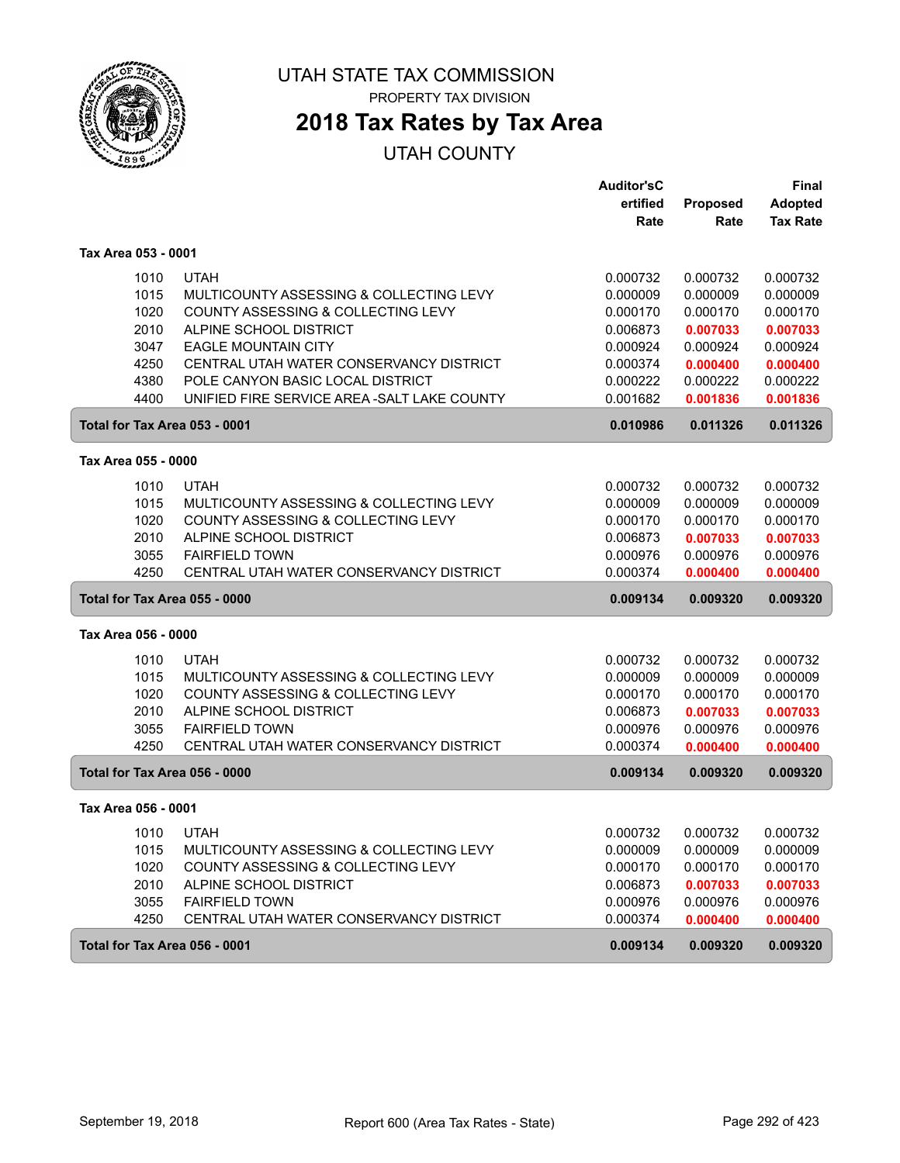

# **2018 Tax Rates by Tax Area**

|                               |                                              | <b>Auditor'sC</b> |          | Final           |
|-------------------------------|----------------------------------------------|-------------------|----------|-----------------|
|                               |                                              | ertified          | Proposed | <b>Adopted</b>  |
|                               |                                              | Rate              | Rate     | <b>Tax Rate</b> |
| Tax Area 053 - 0001           |                                              |                   |          |                 |
| 1010                          | <b>UTAH</b>                                  | 0.000732          | 0.000732 | 0.000732        |
| 1015                          | MULTICOUNTY ASSESSING & COLLECTING LEVY      | 0.000009          | 0.000009 | 0.000009        |
| 1020                          | COUNTY ASSESSING & COLLECTING LEVY           | 0.000170          | 0.000170 | 0.000170        |
| 2010                          | ALPINE SCHOOL DISTRICT                       | 0.006873          | 0.007033 | 0.007033        |
| 3047                          | <b>EAGLE MOUNTAIN CITY</b>                   | 0.000924          | 0.000924 | 0.000924        |
| 4250                          | CENTRAL UTAH WATER CONSERVANCY DISTRICT      | 0.000374          | 0.000400 | 0.000400        |
| 4380                          | POLE CANYON BASIC LOCAL DISTRICT             | 0.000222          | 0.000222 | 0.000222        |
| 4400                          | UNIFIED FIRE SERVICE AREA - SALT LAKE COUNTY | 0.001682          | 0.001836 | 0.001836        |
| Total for Tax Area 053 - 0001 |                                              | 0.010986          | 0.011326 | 0.011326        |
| Tax Area 055 - 0000           |                                              |                   |          |                 |
| 1010                          | <b>UTAH</b>                                  | 0.000732          | 0.000732 | 0.000732        |
| 1015                          | MULTICOUNTY ASSESSING & COLLECTING LEVY      | 0.000009          | 0.000009 | 0.000009        |
| 1020                          | COUNTY ASSESSING & COLLECTING LEVY           | 0.000170          | 0.000170 | 0.000170        |
| 2010                          | ALPINE SCHOOL DISTRICT                       | 0.006873          | 0.007033 | 0.007033        |
| 3055                          | <b>FAIRFIELD TOWN</b>                        | 0.000976          | 0.000976 | 0.000976        |
| 4250                          | CENTRAL UTAH WATER CONSERVANCY DISTRICT      | 0.000374          | 0.000400 | 0.000400        |
| Total for Tax Area 055 - 0000 |                                              | 0.009134          | 0.009320 | 0.009320        |
| Tax Area 056 - 0000           |                                              |                   |          |                 |
| 1010                          | <b>UTAH</b>                                  | 0.000732          | 0.000732 | 0.000732        |
| 1015                          | MULTICOUNTY ASSESSING & COLLECTING LEVY      | 0.000009          | 0.000009 | 0.000009        |
| 1020                          | COUNTY ASSESSING & COLLECTING LEVY           | 0.000170          | 0.000170 | 0.000170        |
| 2010                          | ALPINE SCHOOL DISTRICT                       | 0.006873          | 0.007033 | 0.007033        |
| 3055                          | <b>FAIRFIELD TOWN</b>                        | 0.000976          | 0.000976 | 0.000976        |
| 4250                          | CENTRAL UTAH WATER CONSERVANCY DISTRICT      | 0.000374          | 0.000400 | 0.000400        |
| Total for Tax Area 056 - 0000 |                                              | 0.009134          | 0.009320 | 0.009320        |
| Tax Area 056 - 0001           |                                              |                   |          |                 |
| 1010                          | <b>UTAH</b>                                  | 0.000732          | 0.000732 | 0.000732        |
| 1015                          | MULTICOUNTY ASSESSING & COLLECTING LEVY      | 0.000009          | 0.000009 | 0.000009        |
| 1020                          | COUNTY ASSESSING & COLLECTING LEVY           | 0.000170          | 0.000170 | 0.000170        |
| 2010                          | ALPINE SCHOOL DISTRICT                       | 0.006873          | 0.007033 | 0.007033        |
| 3055                          | <b>FAIRFIELD TOWN</b>                        | 0.000976          | 0.000976 | 0.000976        |
| 4250                          | CENTRAL UTAH WATER CONSERVANCY DISTRICT      | 0.000374          | 0.000400 | 0.000400        |
| Total for Tax Area 056 - 0001 |                                              | 0.009134          | 0.009320 | 0.009320        |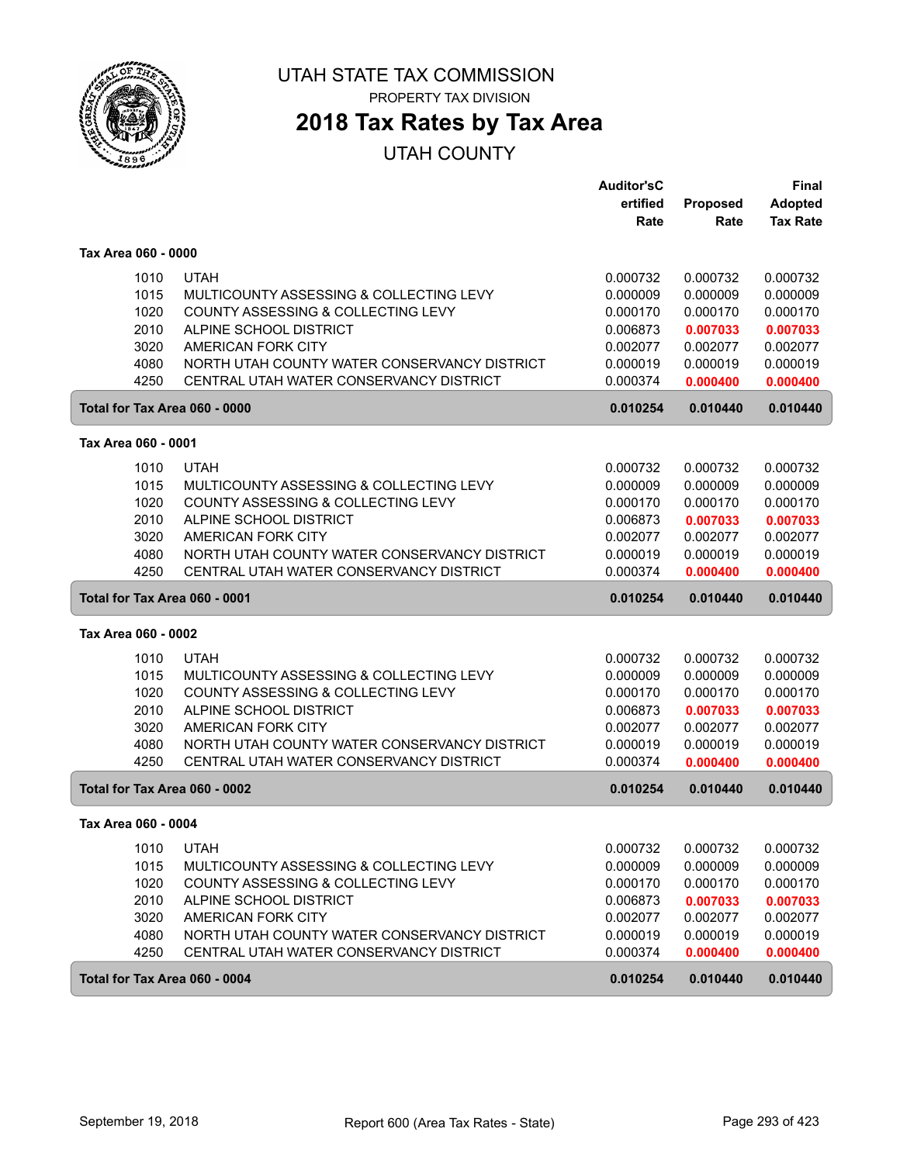

**2018 Tax Rates by Tax Area**

|                               |                                              | <b>Auditor'sC</b> |                 | <b>Final</b>    |
|-------------------------------|----------------------------------------------|-------------------|-----------------|-----------------|
|                               |                                              | ertified          | <b>Proposed</b> | <b>Adopted</b>  |
|                               |                                              | Rate              | Rate            | <b>Tax Rate</b> |
| Tax Area 060 - 0000           |                                              |                   |                 |                 |
| 1010                          | <b>UTAH</b>                                  | 0.000732          | 0.000732        | 0.000732        |
| 1015                          | MULTICOUNTY ASSESSING & COLLECTING LEVY      | 0.000009          | 0.000009        | 0.000009        |
| 1020                          | COUNTY ASSESSING & COLLECTING LEVY           | 0.000170          | 0.000170        | 0.000170        |
| 2010                          | ALPINE SCHOOL DISTRICT                       | 0.006873          | 0.007033        | 0.007033        |
| 3020                          | AMERICAN FORK CITY                           | 0.002077          | 0.002077        | 0.002077        |
| 4080                          | NORTH UTAH COUNTY WATER CONSERVANCY DISTRICT | 0.000019          | 0.000019        | 0.000019        |
| 4250                          | CENTRAL UTAH WATER CONSERVANCY DISTRICT      | 0.000374          | 0.000400        | 0.000400        |
|                               | Total for Tax Area 060 - 0000                | 0.010254          | 0.010440        | 0.010440        |
| Tax Area 060 - 0001           |                                              |                   |                 |                 |
| 1010                          | <b>UTAH</b>                                  | 0.000732          | 0.000732        | 0.000732        |
| 1015                          | MULTICOUNTY ASSESSING & COLLECTING LEVY      | 0.000009          | 0.000009        | 0.000009        |
| 1020                          | COUNTY ASSESSING & COLLECTING LEVY           | 0.000170          | 0.000170        | 0.000170        |
| 2010                          | ALPINE SCHOOL DISTRICT                       | 0.006873          | 0.007033        | 0.007033        |
| 3020                          | AMERICAN FORK CITY                           | 0.002077          | 0.002077        | 0.002077        |
| 4080                          | NORTH UTAH COUNTY WATER CONSERVANCY DISTRICT | 0.000019          | 0.000019        | 0.000019        |
| 4250                          | CENTRAL UTAH WATER CONSERVANCY DISTRICT      | 0.000374          | 0.000400        | 0.000400        |
|                               |                                              |                   |                 |                 |
| Total for Tax Area 060 - 0001 |                                              | 0.010254          | 0.010440        | 0.010440        |
| Tax Area 060 - 0002           |                                              |                   |                 |                 |
| 1010                          | <b>UTAH</b>                                  | 0.000732          | 0.000732        | 0.000732        |
| 1015                          | MULTICOUNTY ASSESSING & COLLECTING LEVY      | 0.000009          | 0.000009        | 0.000009        |
| 1020                          | COUNTY ASSESSING & COLLECTING LEVY           | 0.000170          | 0.000170        | 0.000170        |
| 2010                          | ALPINE SCHOOL DISTRICT                       | 0.006873          | 0.007033        | 0.007033        |
| 3020                          | AMERICAN FORK CITY                           | 0.002077          | 0.002077        | 0.002077        |
| 4080                          | NORTH UTAH COUNTY WATER CONSERVANCY DISTRICT | 0.000019          | 0.000019        | 0.000019        |
| 4250                          | CENTRAL UTAH WATER CONSERVANCY DISTRICT      | 0.000374          | 0.000400        | 0.000400        |
|                               | Total for Tax Area 060 - 0002                | 0.010254          | 0.010440        | 0.010440        |
| Tax Area 060 - 0004           |                                              |                   |                 |                 |
| 1010                          | <b>UTAH</b>                                  | 0.000732          | 0.000732        | 0.000732        |
| 1015                          | MULTICOUNTY ASSESSING & COLLECTING LEVY      | 0.000009          | 0.000009        | 0.000009        |
| 1020                          | COUNTY ASSESSING & COLLECTING LEVY           | 0.000170          | 0.000170        | 0.000170        |
| 2010                          | ALPINE SCHOOL DISTRICT                       | 0.006873          | 0.007033        | 0.007033        |
| 3020                          | AMERICAN FORK CITY                           | 0.002077          | 0.002077        | 0.002077        |
| 4080                          | NORTH UTAH COUNTY WATER CONSERVANCY DISTRICT | 0.000019          | 0.000019        | 0.000019        |
| 4250                          | CENTRAL UTAH WATER CONSERVANCY DISTRICT      | 0.000374          | 0.000400        | 0.000400        |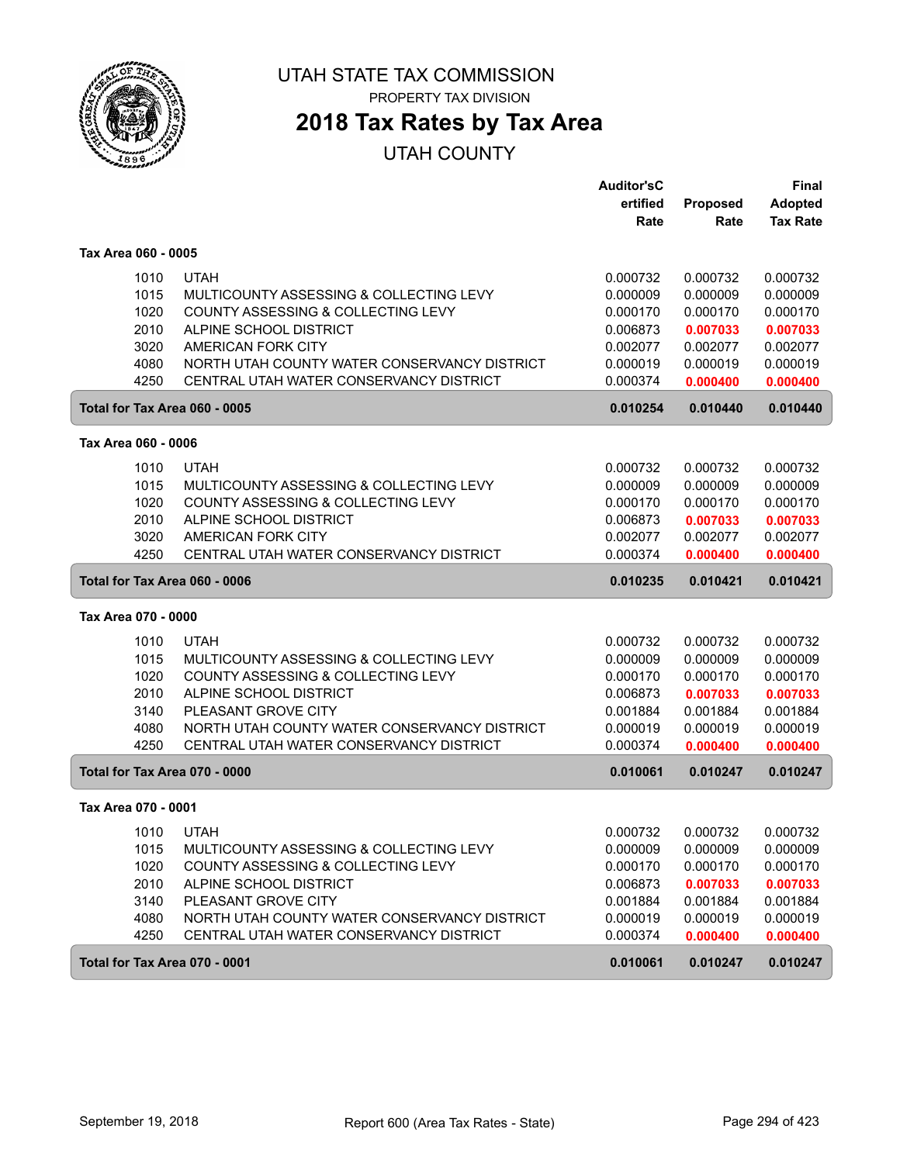

**2018 Tax Rates by Tax Area**

|                               |                                              | <b>Auditor'sC</b> |                 | <b>Final</b>    |
|-------------------------------|----------------------------------------------|-------------------|-----------------|-----------------|
|                               |                                              | ertified          | <b>Proposed</b> | <b>Adopted</b>  |
|                               |                                              | Rate              | Rate            | <b>Tax Rate</b> |
| Tax Area 060 - 0005           |                                              |                   |                 |                 |
| 1010                          | <b>UTAH</b>                                  | 0.000732          | 0.000732        | 0.000732        |
| 1015                          | MULTICOUNTY ASSESSING & COLLECTING LEVY      | 0.000009          | 0.000009        | 0.000009        |
| 1020                          | COUNTY ASSESSING & COLLECTING LEVY           | 0.000170          | 0.000170        | 0.000170        |
| 2010                          | ALPINE SCHOOL DISTRICT                       | 0.006873          | 0.007033        | 0.007033        |
| 3020                          | AMERICAN FORK CITY                           | 0.002077          | 0.002077        | 0.002077        |
| 4080                          | NORTH UTAH COUNTY WATER CONSERVANCY DISTRICT | 0.000019          | 0.000019        | 0.000019        |
| 4250                          | CENTRAL UTAH WATER CONSERVANCY DISTRICT      | 0.000374          | 0.000400        | 0.000400        |
| Total for Tax Area 060 - 0005 |                                              | 0.010254          | 0.010440        | 0.010440        |
| Tax Area 060 - 0006           |                                              |                   |                 |                 |
| 1010                          | <b>UTAH</b>                                  | 0.000732          | 0.000732        | 0.000732        |
| 1015                          | MULTICOUNTY ASSESSING & COLLECTING LEVY      | 0.000009          | 0.000009        | 0.000009        |
| 1020                          | COUNTY ASSESSING & COLLECTING LEVY           | 0.000170          | 0.000170        | 0.000170        |
| 2010                          | ALPINE SCHOOL DISTRICT                       | 0.006873          | 0.007033        | 0.007033        |
| 3020                          | AMERICAN FORK CITY                           | 0.002077          | 0.002077        | 0.002077        |
| 4250                          | CENTRAL UTAH WATER CONSERVANCY DISTRICT      | 0.000374          | 0.000400        | 0.000400        |
| Total for Tax Area 060 - 0006 |                                              | 0.010235          | 0.010421        | 0.010421        |
| Tax Area 070 - 0000           |                                              |                   |                 |                 |
| 1010                          | <b>UTAH</b>                                  | 0.000732          | 0.000732        | 0.000732        |
| 1015                          | MULTICOUNTY ASSESSING & COLLECTING LEVY      | 0.000009          | 0.000009        | 0.000009        |
| 1020                          | COUNTY ASSESSING & COLLECTING LEVY           | 0.000170          | 0.000170        | 0.000170        |
| 2010                          | ALPINE SCHOOL DISTRICT                       | 0.006873          | 0.007033        | 0.007033        |
| 3140                          | PLEASANT GROVE CITY                          | 0.001884          | 0.001884        | 0.001884        |
| 4080                          | NORTH UTAH COUNTY WATER CONSERVANCY DISTRICT | 0.000019          | 0.000019        | 0.000019        |
| 4250                          | CENTRAL UTAH WATER CONSERVANCY DISTRICT      | 0.000374          | 0.000400        | 0.000400        |
| Total for Tax Area 070 - 0000 |                                              | 0.010061          | 0.010247        | 0.010247        |
| Tax Area 070 - 0001           |                                              |                   |                 |                 |
| 1010                          | <b>UTAH</b>                                  | 0.000732          | 0.000732        | 0.000732        |
| 1015                          | MULTICOUNTY ASSESSING & COLLECTING LEVY      | 0.000009          | 0.000009        | 0.000009        |
| 1020                          | COUNTY ASSESSING & COLLECTING LEVY           | 0.000170          | 0.000170        | 0.000170        |
| 2010                          | ALPINE SCHOOL DISTRICT                       | 0.006873          | 0.007033        | 0.007033        |
| 3140                          | PLEASANT GROVE CITY                          | 0.001884          | 0.001884        | 0.001884        |
| 4080                          | NORTH UTAH COUNTY WATER CONSERVANCY DISTRICT | 0.000019          | 0.000019        | 0.000019        |
| 4250                          | CENTRAL UTAH WATER CONSERVANCY DISTRICT      | 0.000374          | 0.000400        | 0.000400        |
| Total for Tax Area 070 - 0001 |                                              | 0.010061          | 0.010247        | 0.010247        |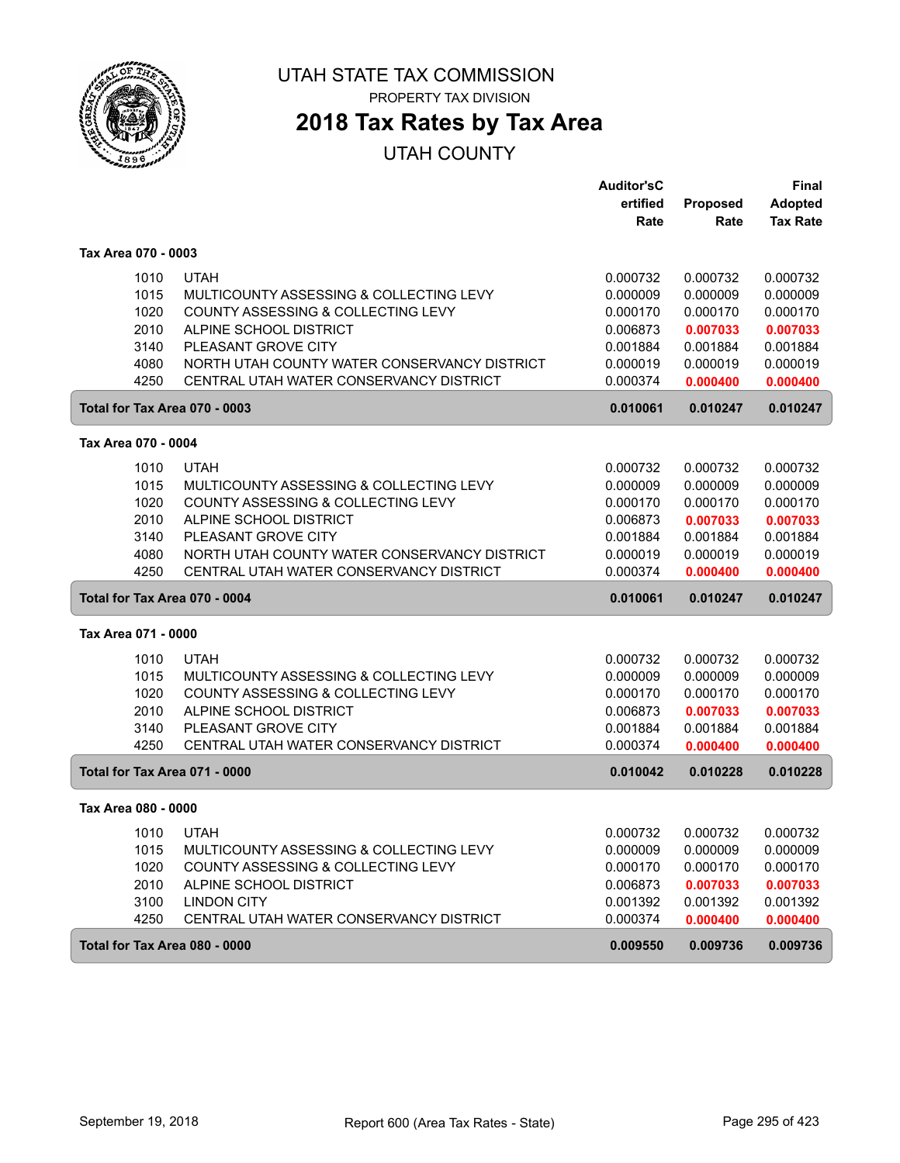

# **2018 Tax Rates by Tax Area**

|                               |                                              | <b>Auditor'sC</b> |                 | <b>Final</b>    |
|-------------------------------|----------------------------------------------|-------------------|-----------------|-----------------|
|                               |                                              | ertified          | <b>Proposed</b> | <b>Adopted</b>  |
|                               |                                              | Rate              | Rate            | <b>Tax Rate</b> |
| Tax Area 070 - 0003           |                                              |                   |                 |                 |
| 1010                          | <b>UTAH</b>                                  | 0.000732          | 0.000732        | 0.000732        |
| 1015                          | MULTICOUNTY ASSESSING & COLLECTING LEVY      | 0.000009          | 0.000009        | 0.000009        |
| 1020                          | COUNTY ASSESSING & COLLECTING LEVY           | 0.000170          | 0.000170        | 0.000170        |
| 2010                          | ALPINE SCHOOL DISTRICT                       | 0.006873          | 0.007033        | 0.007033        |
| 3140                          | PLEASANT GROVE CITY                          | 0.001884          | 0.001884        | 0.001884        |
| 4080                          | NORTH UTAH COUNTY WATER CONSERVANCY DISTRICT | 0.000019          | 0.000019        | 0.000019        |
| 4250                          | CENTRAL UTAH WATER CONSERVANCY DISTRICT      | 0.000374          | 0.000400        | 0.000400        |
| Total for Tax Area 070 - 0003 |                                              | 0.010061          | 0.010247        | 0.010247        |
| Tax Area 070 - 0004           |                                              |                   |                 |                 |
| 1010                          | <b>UTAH</b>                                  | 0.000732          | 0.000732        | 0.000732        |
| 1015                          | MULTICOUNTY ASSESSING & COLLECTING LEVY      | 0.000009          | 0.000009        | 0.000009        |
| 1020                          | COUNTY ASSESSING & COLLECTING LEVY           | 0.000170          | 0.000170        | 0.000170        |
| 2010                          | ALPINE SCHOOL DISTRICT                       | 0.006873          | 0.007033        | 0.007033        |
| 3140                          | PLEASANT GROVE CITY                          | 0.001884          | 0.001884        | 0.001884        |
| 4080                          | NORTH UTAH COUNTY WATER CONSERVANCY DISTRICT | 0.000019          | 0.000019        | 0.000019        |
| 4250                          | CENTRAL UTAH WATER CONSERVANCY DISTRICT      | 0.000374          | 0.000400        | 0.000400        |
| Total for Tax Area 070 - 0004 |                                              | 0.010061          | 0.010247        | 0.010247        |
| Tax Area 071 - 0000           |                                              |                   |                 |                 |
| 1010                          | <b>UTAH</b>                                  | 0.000732          | 0.000732        | 0.000732        |
| 1015                          | MULTICOUNTY ASSESSING & COLLECTING LEVY      | 0.000009          | 0.000009        | 0.000009        |
| 1020                          | COUNTY ASSESSING & COLLECTING LEVY           | 0.000170          | 0.000170        | 0.000170        |
| 2010                          | ALPINE SCHOOL DISTRICT                       | 0.006873          | 0.007033        | 0.007033        |
| 3140                          | PLEASANT GROVE CITY                          | 0.001884          | 0.001884        | 0.001884        |
| 4250                          | CENTRAL UTAH WATER CONSERVANCY DISTRICT      | 0.000374          | 0.000400        | 0.000400        |
| Total for Tax Area 071 - 0000 |                                              | 0.010042          | 0.010228        | 0.010228        |
| Tax Area 080 - 0000           |                                              |                   |                 |                 |
| 1010                          | <b>UTAH</b>                                  | 0.000732          | 0.000732        | 0.000732        |
| 1015                          | MULTICOUNTY ASSESSING & COLLECTING LEVY      | 0.000009          | 0.000009        | 0.000009        |
| 1020                          | COUNTY ASSESSING & COLLECTING LEVY           | 0.000170          | 0.000170        | 0.000170        |
| 2010                          | ALPINE SCHOOL DISTRICT                       | 0.006873          | 0.007033        | 0.007033        |
| 3100                          | <b>LINDON CITY</b>                           | 0.001392          | 0.001392        | 0.001392        |
| 4250                          | CENTRAL UTAH WATER CONSERVANCY DISTRICT      | 0.000374          | 0.000400        | 0.000400        |
| Total for Tax Area 080 - 0000 |                                              | 0.009550          | 0.009736        | 0.009736        |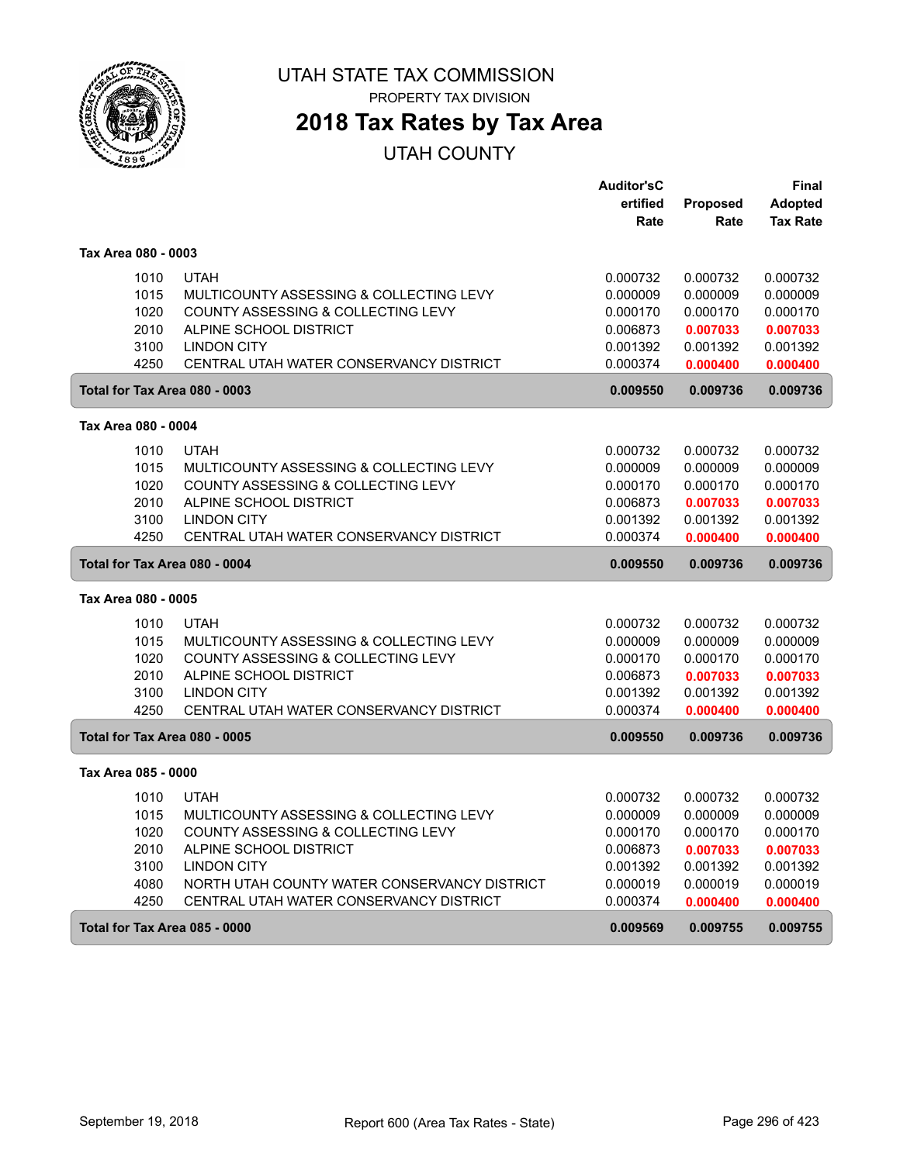

# **2018 Tax Rates by Tax Area**

|                               |                                                               | <b>Auditor'sC</b>    |                 | Final           |
|-------------------------------|---------------------------------------------------------------|----------------------|-----------------|-----------------|
|                               |                                                               | ertified             | <b>Proposed</b> | <b>Adopted</b>  |
|                               |                                                               | Rate                 | Rate            | <b>Tax Rate</b> |
| Tax Area 080 - 0003           |                                                               |                      |                 |                 |
| 1010                          | <b>UTAH</b>                                                   | 0.000732             | 0.000732        | 0.000732        |
| 1015                          | MULTICOUNTY ASSESSING & COLLECTING LEVY                       | 0.000009             | 0.000009        | 0.000009        |
| 1020                          | COUNTY ASSESSING & COLLECTING LEVY                            | 0.000170             | 0.000170        | 0.000170        |
| 2010                          | ALPINE SCHOOL DISTRICT                                        | 0.006873             | 0.007033        | 0.007033        |
| 3100                          | <b>LINDON CITY</b>                                            | 0.001392             | 0.001392        | 0.001392        |
| 4250                          | CENTRAL UTAH WATER CONSERVANCY DISTRICT                       | 0.000374             | 0.000400        | 0.000400        |
| Total for Tax Area 080 - 0003 |                                                               | 0.009550             | 0.009736        | 0.009736        |
| Tax Area 080 - 0004           |                                                               |                      |                 |                 |
| 1010                          | <b>UTAH</b>                                                   | 0.000732             | 0.000732        | 0.000732        |
| 1015                          | MULTICOUNTY ASSESSING & COLLECTING LEVY                       | 0.000009             | 0.000009        | 0.000009        |
| 1020                          | COUNTY ASSESSING & COLLECTING LEVY                            | 0.000170             | 0.000170        | 0.000170        |
| 2010                          | ALPINE SCHOOL DISTRICT                                        | 0.006873             | 0.007033        | 0.007033        |
| 3100                          | <b>LINDON CITY</b>                                            | 0.001392             | 0.001392        | 0.001392        |
| 4250                          | CENTRAL UTAH WATER CONSERVANCY DISTRICT                       | 0.000374             | 0.000400        | 0.000400        |
| Total for Tax Area 080 - 0004 |                                                               | 0.009550             | 0.009736        | 0.009736        |
| Tax Area 080 - 0005           |                                                               |                      |                 |                 |
|                               |                                                               |                      |                 |                 |
| 1010                          | <b>UTAH</b>                                                   | 0.000732             | 0.000732        | 0.000732        |
| 1015                          | MULTICOUNTY ASSESSING & COLLECTING LEVY                       | 0.000009             | 0.000009        | 0.000009        |
| 1020                          | COUNTY ASSESSING & COLLECTING LEVY                            | 0.000170             | 0.000170        | 0.000170        |
| 2010                          | ALPINE SCHOOL DISTRICT                                        | 0.006873             | 0.007033        | 0.007033        |
| 3100<br>4250                  | <b>LINDON CITY</b><br>CENTRAL UTAH WATER CONSERVANCY DISTRICT | 0.001392<br>0.000374 | 0.001392        | 0.001392        |
|                               |                                                               |                      | 0.000400        | 0.000400        |
| Total for Tax Area 080 - 0005 |                                                               | 0.009550             | 0.009736        | 0.009736        |
| Tax Area 085 - 0000           |                                                               |                      |                 |                 |
| 1010                          | <b>UTAH</b>                                                   | 0.000732             | 0.000732        | 0.000732        |
| 1015                          | MULTICOUNTY ASSESSING & COLLECTING LEVY                       | 0.000009             | 0.000009        | 0.000009        |
| 1020                          | COUNTY ASSESSING & COLLECTING LEVY                            | 0.000170             | 0.000170        | 0.000170        |
| 2010                          | ALPINE SCHOOL DISTRICT                                        | 0.006873             | 0.007033        | 0.007033        |
| 3100                          | <b>LINDON CITY</b>                                            | 0.001392             | 0.001392        | 0.001392        |
| 4080                          | NORTH UTAH COUNTY WATER CONSERVANCY DISTRICT                  | 0.000019             | 0.000019        | 0.000019        |
| 4250                          | CENTRAL UTAH WATER CONSERVANCY DISTRICT                       | 0.000374             | 0.000400        | 0.000400        |
| Total for Tax Area 085 - 0000 |                                                               | 0.009569             | 0.009755        | 0.009755        |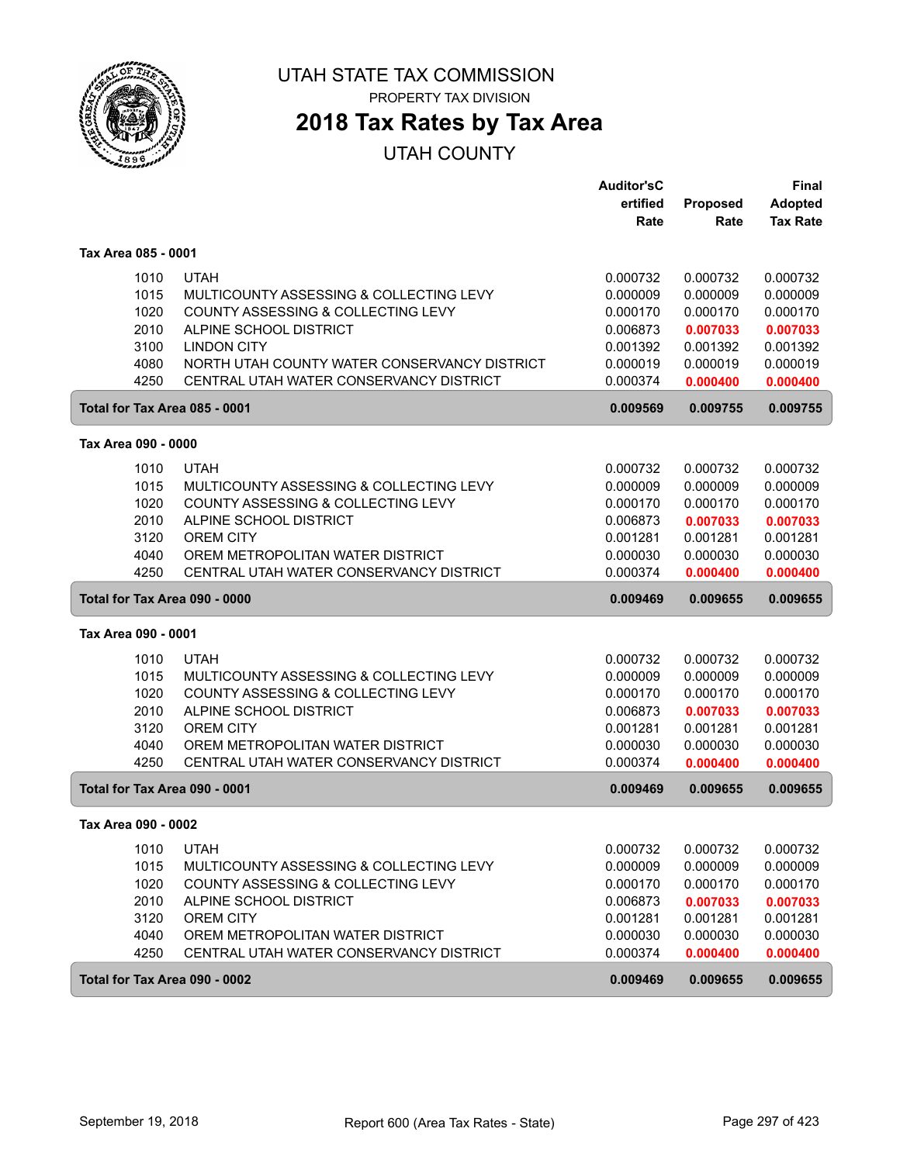

# **2018 Tax Rates by Tax Area**

|                     |                                              | <b>Auditor'sC</b> |                 | <b>Final</b>    |
|---------------------|----------------------------------------------|-------------------|-----------------|-----------------|
|                     |                                              | ertified          | <b>Proposed</b> | <b>Adopted</b>  |
|                     |                                              | Rate              | Rate            | <b>Tax Rate</b> |
| Tax Area 085 - 0001 |                                              |                   |                 |                 |
| 1010                | <b>UTAH</b>                                  | 0.000732          | 0.000732        | 0.000732        |
| 1015                | MULTICOUNTY ASSESSING & COLLECTING LEVY      | 0.000009          | 0.000009        | 0.000009        |
| 1020                | COUNTY ASSESSING & COLLECTING LEVY           | 0.000170          | 0.000170        | 0.000170        |
| 2010                | ALPINE SCHOOL DISTRICT                       | 0.006873          | 0.007033        | 0.007033        |
| 3100                | <b>LINDON CITY</b>                           | 0.001392          | 0.001392        | 0.001392        |
| 4080                | NORTH UTAH COUNTY WATER CONSERVANCY DISTRICT | 0.000019          | 0.000019        | 0.000019        |
| 4250                | CENTRAL UTAH WATER CONSERVANCY DISTRICT      | 0.000374          | 0.000400        | 0.000400        |
|                     | Total for Tax Area 085 - 0001                | 0.009569          | 0.009755        | 0.009755        |
| Tax Area 090 - 0000 |                                              |                   |                 |                 |
| 1010                | <b>UTAH</b>                                  | 0.000732          | 0.000732        | 0.000732        |
| 1015                | MULTICOUNTY ASSESSING & COLLECTING LEVY      | 0.000009          | 0.000009        | 0.000009        |
| 1020                | COUNTY ASSESSING & COLLECTING LEVY           | 0.000170          | 0.000170        | 0.000170        |
| 2010                | ALPINE SCHOOL DISTRICT                       | 0.006873          | 0.007033        | 0.007033        |
| 3120                | <b>OREM CITY</b>                             | 0.001281          | 0.001281        | 0.001281        |
| 4040                | OREM METROPOLITAN WATER DISTRICT             | 0.000030          | 0.000030        | 0.000030        |
| 4250                | CENTRAL UTAH WATER CONSERVANCY DISTRICT      | 0.000374          | 0.000400        | 0.000400        |
|                     | Total for Tax Area 090 - 0000                | 0.009469          | 0.009655        | 0.009655        |
| Tax Area 090 - 0001 |                                              |                   |                 |                 |
| 1010                | <b>UTAH</b>                                  | 0.000732          | 0.000732        | 0.000732        |
| 1015                | MULTICOUNTY ASSESSING & COLLECTING LEVY      | 0.000009          | 0.000009        | 0.000009        |
| 1020                | COUNTY ASSESSING & COLLECTING LEVY           | 0.000170          | 0.000170        | 0.000170        |
| 2010                | ALPINE SCHOOL DISTRICT                       | 0.006873          | 0.007033        | 0.007033        |
| 3120                | <b>OREM CITY</b>                             | 0.001281          | 0.001281        | 0.001281        |
| 4040                | OREM METROPOLITAN WATER DISTRICT             | 0.000030          | 0.000030        | 0.000030        |
| 4250                | CENTRAL UTAH WATER CONSERVANCY DISTRICT      | 0.000374          | 0.000400        | 0.000400        |
|                     | Total for Tax Area 090 - 0001                | 0.009469          | 0.009655        | 0.009655        |
| Tax Area 090 - 0002 |                                              |                   |                 |                 |
| 1010                | <b>UTAH</b>                                  | 0.000732          | 0.000732        | 0.000732        |
| 1015                | MULTICOUNTY ASSESSING & COLLECTING LEVY      | 0.000009          | 0.000009        | 0.000009        |
| 1020                | COUNTY ASSESSING & COLLECTING LEVY           | 0.000170          | 0.000170        | 0.000170        |
| 2010                | ALPINE SCHOOL DISTRICT                       | 0.006873          | 0.007033        | 0.007033        |
| 3120                | OREM CITY                                    | 0.001281          | 0.001281        | 0.001281        |
| 4040                | OREM METROPOLITAN WATER DISTRICT             | 0.000030          | 0.000030        | 0.000030        |
| 4250                |                                              |                   |                 |                 |
|                     | CENTRAL UTAH WATER CONSERVANCY DISTRICT      | 0.000374          | 0.000400        | 0.000400        |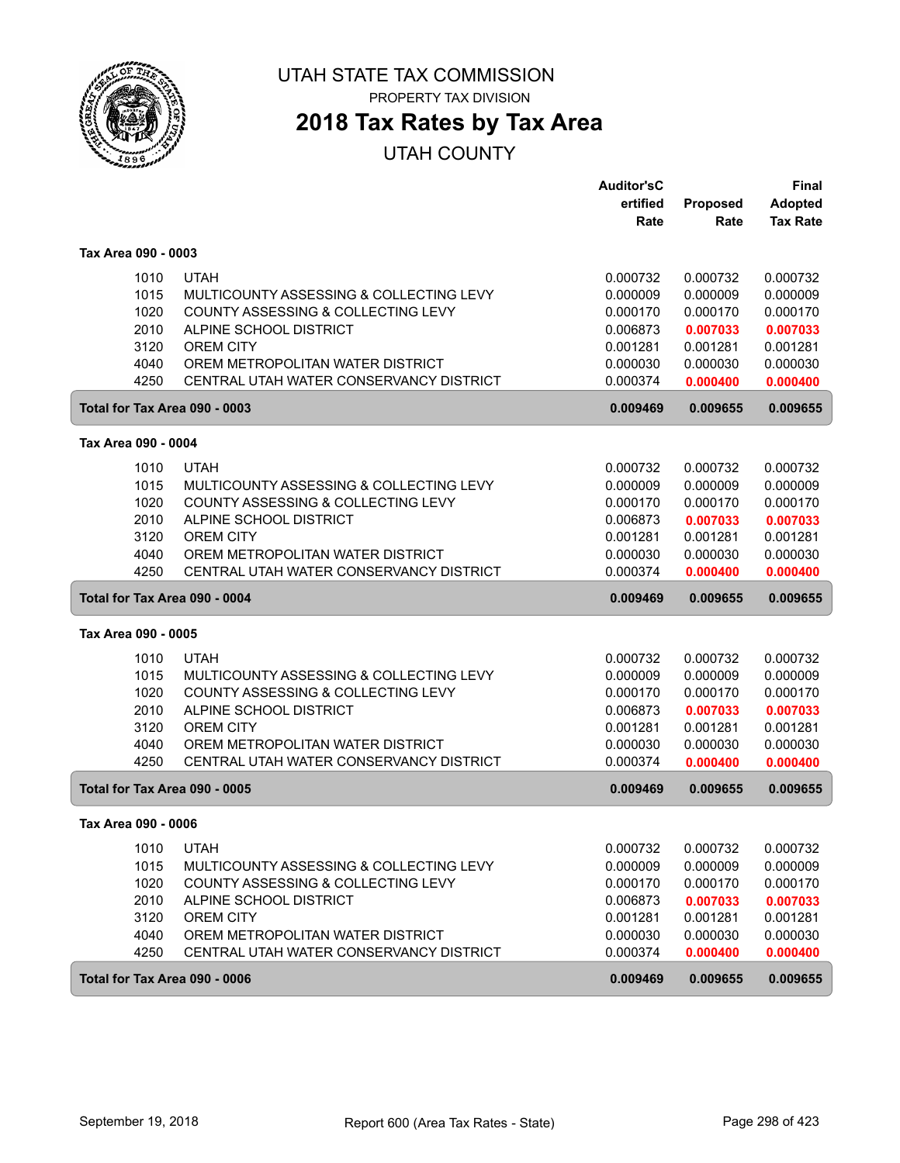

PROPERTY TAX DIVISION

# **2018 Tax Rates by Tax Area**

|                     |                                         | <b>Auditor'sC</b> |          | <b>Final</b>    |
|---------------------|-----------------------------------------|-------------------|----------|-----------------|
|                     |                                         | ertified          | Proposed | <b>Adopted</b>  |
|                     |                                         | Rate              | Rate     | <b>Tax Rate</b> |
| Tax Area 090 - 0003 |                                         |                   |          |                 |
| 1010                | <b>UTAH</b>                             | 0.000732          | 0.000732 | 0.000732        |
| 1015                | MULTICOUNTY ASSESSING & COLLECTING LEVY | 0.000009          | 0.000009 | 0.000009        |
| 1020                | COUNTY ASSESSING & COLLECTING LEVY      | 0.000170          | 0.000170 | 0.000170        |
| 2010                | ALPINE SCHOOL DISTRICT                  | 0.006873          | 0.007033 | 0.007033        |
| 3120                | <b>OREM CITY</b>                        | 0.001281          | 0.001281 | 0.001281        |
| 4040                | OREM METROPOLITAN WATER DISTRICT        | 0.000030          | 0.000030 | 0.000030        |
| 4250                | CENTRAL UTAH WATER CONSERVANCY DISTRICT | 0.000374          | 0.000400 | 0.000400        |
|                     | Total for Tax Area 090 - 0003           | 0.009469          | 0.009655 | 0.009655        |
| Tax Area 090 - 0004 |                                         |                   |          |                 |
| 1010                | <b>UTAH</b>                             | 0.000732          | 0.000732 | 0.000732        |
| 1015                | MULTICOUNTY ASSESSING & COLLECTING LEVY | 0.000009          | 0.000009 | 0.000009        |
| 1020                | COUNTY ASSESSING & COLLECTING LEVY      | 0.000170          | 0.000170 | 0.000170        |
| 2010                | ALPINE SCHOOL DISTRICT                  | 0.006873          | 0.007033 | 0.007033        |
| 3120                | <b>OREM CITY</b>                        | 0.001281          | 0.001281 | 0.001281        |
| 4040                | OREM METROPOLITAN WATER DISTRICT        | 0.000030          | 0.000030 | 0.000030        |
| 4250                | CENTRAL UTAH WATER CONSERVANCY DISTRICT | 0.000374          | 0.000400 | 0.000400        |
|                     | Total for Tax Area 090 - 0004           | 0.009469          | 0.009655 | 0.009655        |
|                     |                                         |                   |          |                 |
| Tax Area 090 - 0005 |                                         |                   |          |                 |
| 1010                | <b>UTAH</b>                             | 0.000732          | 0.000732 | 0.000732        |
| 1015                | MULTICOUNTY ASSESSING & COLLECTING LEVY | 0.000009          | 0.000009 | 0.000009        |
| 1020                | COUNTY ASSESSING & COLLECTING LEVY      | 0.000170          | 0.000170 | 0.000170        |
| 2010                | ALPINE SCHOOL DISTRICT                  | 0.006873          | 0.007033 | 0.007033        |
| 3120                | <b>OREM CITY</b>                        | 0.001281          | 0.001281 | 0.001281        |
| 4040                | OREM METROPOLITAN WATER DISTRICT        | 0.000030          | 0.000030 | 0.000030        |
| 4250                | CENTRAL UTAH WATER CONSERVANCY DISTRICT | 0.000374          | 0.000400 | 0.000400        |
|                     | Total for Tax Area 090 - 0005           | 0.009469          | 0.009655 | 0.009655        |
| Tax Area 090 - 0006 |                                         |                   |          |                 |
| 1010                | <b>UTAH</b>                             | 0.000732          | 0.000732 | 0.000732        |
| 1015                | MULTICOUNTY ASSESSING & COLLECTING LEVY | 0.000009          | 0.000009 | 0.000009        |
| 1020                | COUNTY ASSESSING & COLLECTING LEVY      | 0.000170          | 0.000170 | 0.000170        |
| 2010                | ALPINE SCHOOL DISTRICT                  | 0.006873          | 0.007033 | 0.007033        |
| 3120                | OREM CITY                               | 0.001281          | 0.001281 | 0.001281        |
| 4040                | OREM METROPOLITAN WATER DISTRICT        | 0.000030          | 0.000030 | 0.000030        |
| 4250                | CENTRAL UTAH WATER CONSERVANCY DISTRICT | 0.000374          | 0.000400 | 0.000400        |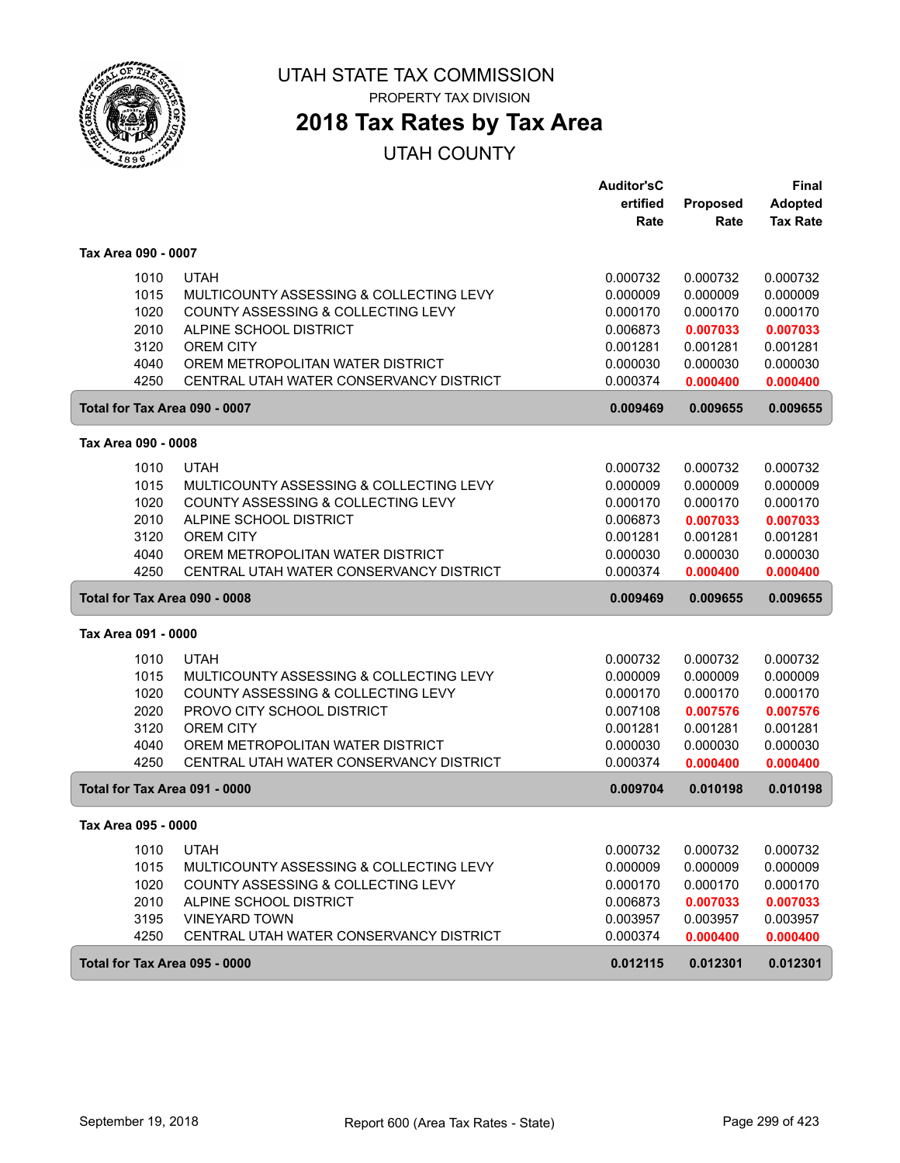

PROPERTY TAX DIVISION

# **2018 Tax Rates by Tax Area**

|                               |                                         | <b>Auditor'sC</b> |                      | <b>Final</b>         |
|-------------------------------|-----------------------------------------|-------------------|----------------------|----------------------|
|                               |                                         | ertified          | <b>Proposed</b>      | <b>Adopted</b>       |
|                               |                                         | Rate              | Rate                 | <b>Tax Rate</b>      |
| Tax Area 090 - 0007           |                                         |                   |                      |                      |
| 1010                          | <b>UTAH</b>                             | 0.000732          | 0.000732             | 0.000732             |
| 1015                          | MULTICOUNTY ASSESSING & COLLECTING LEVY | 0.000009          | 0.000009             | 0.000009             |
| 1020                          | COUNTY ASSESSING & COLLECTING LEVY      | 0.000170          | 0.000170             | 0.000170             |
| 2010                          | ALPINE SCHOOL DISTRICT                  | 0.006873          | 0.007033             | 0.007033             |
| 3120                          | <b>OREM CITY</b>                        | 0.001281          | 0.001281             | 0.001281             |
| 4040                          | OREM METROPOLITAN WATER DISTRICT        | 0.000030          | 0.000030             | 0.000030             |
| 4250                          | CENTRAL UTAH WATER CONSERVANCY DISTRICT | 0.000374          | 0.000400             | 0.000400             |
| Total for Tax Area 090 - 0007 |                                         | 0.009469          | 0.009655             | 0.009655             |
| Tax Area 090 - 0008           |                                         |                   |                      |                      |
|                               | <b>UTAH</b>                             | 0.000732          |                      |                      |
| 1010<br>1015                  | MULTICOUNTY ASSESSING & COLLECTING LEVY | 0.000009          | 0.000732<br>0.000009 | 0.000732<br>0.000009 |
| 1020                          | COUNTY ASSESSING & COLLECTING LEVY      | 0.000170          | 0.000170             | 0.000170             |
| 2010                          | ALPINE SCHOOL DISTRICT                  | 0.006873          | 0.007033             | 0.007033             |
| 3120                          | <b>OREM CITY</b>                        | 0.001281          | 0.001281             | 0.001281             |
| 4040                          | OREM METROPOLITAN WATER DISTRICT        | 0.000030          | 0.000030             | 0.000030             |
| 4250                          | CENTRAL UTAH WATER CONSERVANCY DISTRICT | 0.000374          | 0.000400             | 0.000400             |
|                               |                                         |                   |                      |                      |
| Total for Tax Area 090 - 0008 |                                         | 0.009469          | 0.009655             | 0.009655             |
| Tax Area 091 - 0000           |                                         |                   |                      |                      |
| 1010                          | <b>UTAH</b>                             | 0.000732          | 0.000732             | 0.000732             |
| 1015                          | MULTICOUNTY ASSESSING & COLLECTING LEVY | 0.000009          | 0.000009             | 0.000009             |
| 1020                          | COUNTY ASSESSING & COLLECTING LEVY      | 0.000170          | 0.000170             | 0.000170             |
| 2020                          | PROVO CITY SCHOOL DISTRICT              | 0.007108          | 0.007576             | 0.007576             |
| 3120                          | <b>OREM CITY</b>                        | 0.001281          | 0.001281             | 0.001281             |
| 4040                          | OREM METROPOLITAN WATER DISTRICT        | 0.000030          | 0.000030             | 0.000030             |
| 4250                          | CENTRAL UTAH WATER CONSERVANCY DISTRICT | 0.000374          | 0.000400             | 0.000400             |
| Total for Tax Area 091 - 0000 |                                         | 0.009704          | 0.010198             | 0.010198             |
| Tax Area 095 - 0000           |                                         |                   |                      |                      |
| 1010                          | <b>UTAH</b>                             | 0.000732          | 0.000732             | 0.000732             |
| 1015                          | MULTICOUNTY ASSESSING & COLLECTING LEVY | 0.000009          | 0.000009             | 0.000009             |
| 1020                          | COUNTY ASSESSING & COLLECTING LEVY      | 0.000170          | 0.000170             | 0.000170             |
| 2010                          | ALPINE SCHOOL DISTRICT                  | 0.006873          | 0.007033             | 0.007033             |
| 3195                          | <b>VINEYARD TOWN</b>                    | 0.003957          | 0.003957             | 0.003957             |
| 4250                          | CENTRAL UTAH WATER CONSERVANCY DISTRICT | 0.000374          | 0.000400             | 0.000400             |
| Total for Tax Area 095 - 0000 |                                         | 0.012115          | 0.012301             | 0.012301             |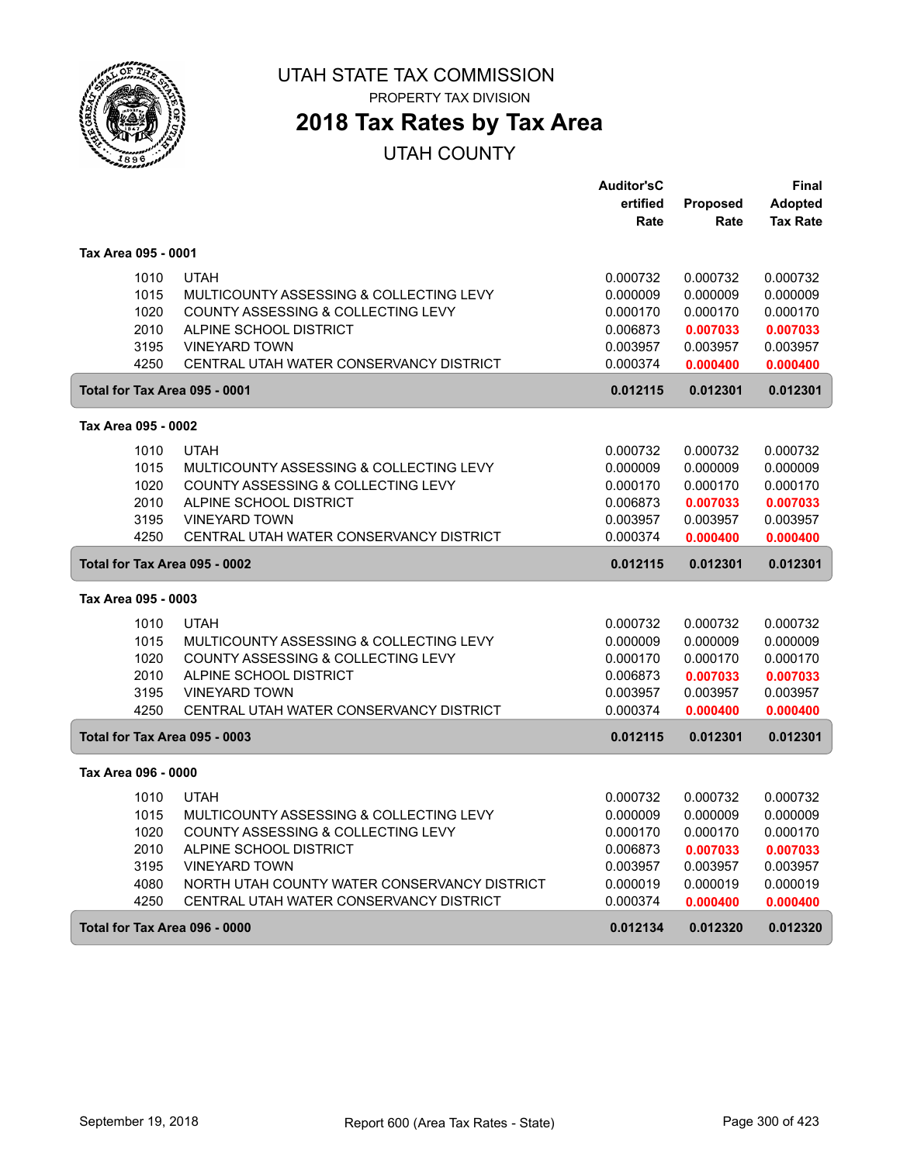

## **2018 Tax Rates by Tax Area**

|                               |                                              | <b>Auditor'sC</b>    |                      | Final                |
|-------------------------------|----------------------------------------------|----------------------|----------------------|----------------------|
|                               |                                              | ertified             | <b>Proposed</b>      | <b>Adopted</b>       |
|                               |                                              | Rate                 | Rate                 | <b>Tax Rate</b>      |
| Tax Area 095 - 0001           |                                              |                      |                      |                      |
| 1010                          | <b>UTAH</b>                                  | 0.000732             | 0.000732             | 0.000732             |
| 1015                          | MULTICOUNTY ASSESSING & COLLECTING LEVY      | 0.000009             | 0.000009             | 0.000009             |
| 1020                          | COUNTY ASSESSING & COLLECTING LEVY           | 0.000170             | 0.000170             | 0.000170             |
| 2010                          | ALPINE SCHOOL DISTRICT                       | 0.006873             | 0.007033             | 0.007033             |
| 3195                          | <b>VINEYARD TOWN</b>                         | 0.003957             | 0.003957             | 0.003957             |
| 4250                          | CENTRAL UTAH WATER CONSERVANCY DISTRICT      | 0.000374             | 0.000400             | 0.000400             |
| Total for Tax Area 095 - 0001 |                                              | 0.012115             | 0.012301             | 0.012301             |
| Tax Area 095 - 0002           |                                              |                      |                      |                      |
| 1010                          | <b>UTAH</b>                                  |                      |                      |                      |
| 1015                          | MULTICOUNTY ASSESSING & COLLECTING LEVY      | 0.000732<br>0.000009 | 0.000732<br>0.000009 | 0.000732<br>0.000009 |
| 1020                          | COUNTY ASSESSING & COLLECTING LEVY           | 0.000170             | 0.000170             |                      |
| 2010                          | ALPINE SCHOOL DISTRICT                       | 0.006873             | 0.007033             | 0.000170<br>0.007033 |
| 3195                          | <b>VINEYARD TOWN</b>                         | 0.003957             | 0.003957             | 0.003957             |
| 4250                          | CENTRAL UTAH WATER CONSERVANCY DISTRICT      | 0.000374             | 0.000400             | 0.000400             |
|                               |                                              |                      |                      |                      |
| Total for Tax Area 095 - 0002 |                                              | 0.012115             | 0.012301             | 0.012301             |
| Tax Area 095 - 0003           |                                              |                      |                      |                      |
| 1010                          | <b>UTAH</b>                                  | 0.000732             | 0.000732             | 0.000732             |
| 1015                          | MULTICOUNTY ASSESSING & COLLECTING LEVY      | 0.000009             | 0.000009             | 0.000009             |
| 1020                          | COUNTY ASSESSING & COLLECTING LEVY           | 0.000170             | 0.000170             | 0.000170             |
| 2010                          | ALPINE SCHOOL DISTRICT                       | 0.006873             | 0.007033             | 0.007033             |
| 3195                          | <b>VINEYARD TOWN</b>                         | 0.003957             | 0.003957             | 0.003957             |
| 4250                          | CENTRAL UTAH WATER CONSERVANCY DISTRICT      | 0.000374             | 0.000400             | 0.000400             |
| Total for Tax Area 095 - 0003 |                                              | 0.012115             | 0.012301             | 0.012301             |
| Tax Area 096 - 0000           |                                              |                      |                      |                      |
| 1010                          | <b>UTAH</b>                                  | 0.000732             | 0.000732             | 0.000732             |
| 1015                          | MULTICOUNTY ASSESSING & COLLECTING LEVY      | 0.000009             | 0.000009             | 0.000009             |
| 1020                          | COUNTY ASSESSING & COLLECTING LEVY           | 0.000170             | 0.000170             | 0.000170             |
| 2010                          | ALPINE SCHOOL DISTRICT                       | 0.006873             | 0.007033             | 0.007033             |
| 3195                          | <b>VINEYARD TOWN</b>                         | 0.003957             | 0.003957             | 0.003957             |
| 4080                          | NORTH UTAH COUNTY WATER CONSERVANCY DISTRICT | 0.000019             | 0.000019             | 0.000019             |
| 4250                          | CENTRAL UTAH WATER CONSERVANCY DISTRICT      | 0.000374             | 0.000400             | 0.000400             |
| Total for Tax Area 096 - 0000 |                                              | 0.012134             | 0.012320             | 0.012320             |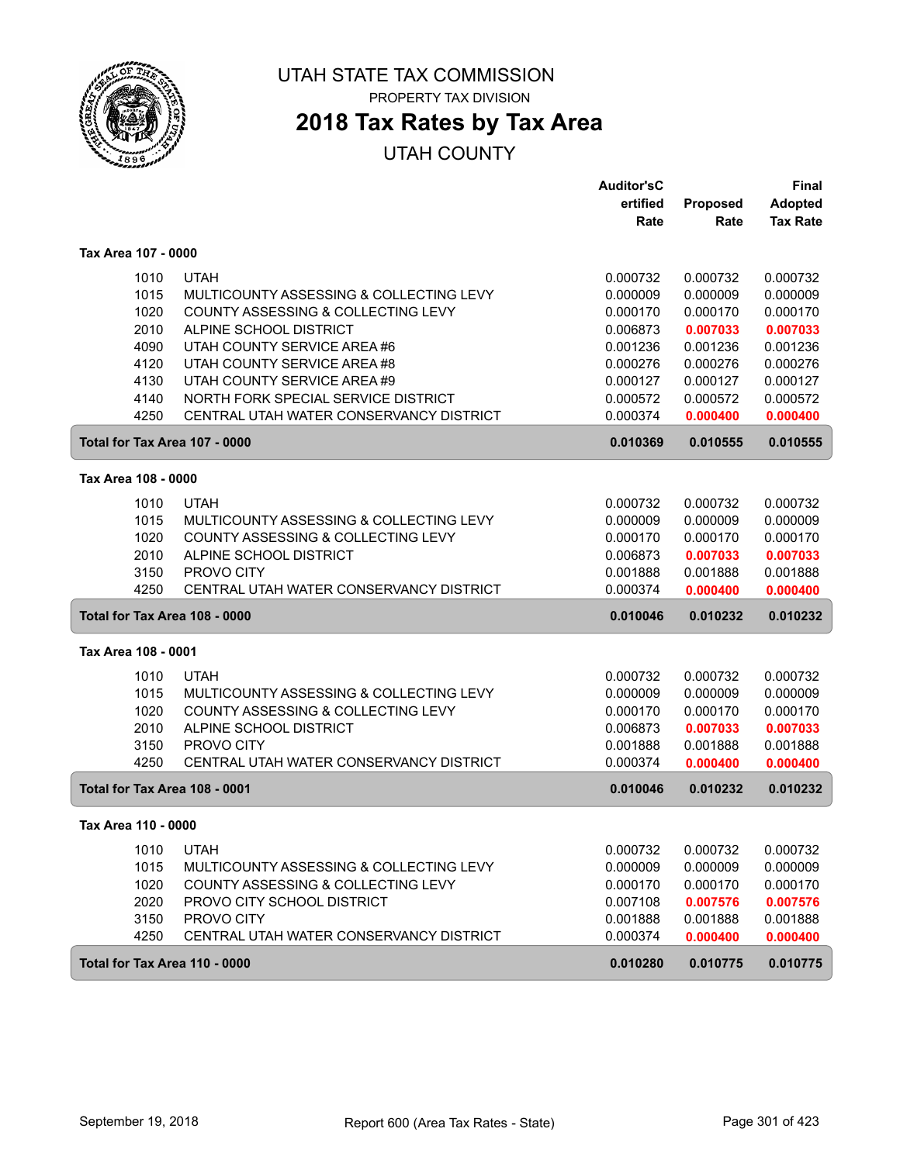

# **2018 Tax Rates by Tax Area**

|                     |                                         | <b>Auditor'sC</b> |          | <b>Final</b>    |
|---------------------|-----------------------------------------|-------------------|----------|-----------------|
|                     |                                         | ertified          | Proposed | <b>Adopted</b>  |
|                     |                                         | Rate              | Rate     | <b>Tax Rate</b> |
| Tax Area 107 - 0000 |                                         |                   |          |                 |
| 1010                | <b>UTAH</b>                             | 0.000732          | 0.000732 | 0.000732        |
| 1015                | MULTICOUNTY ASSESSING & COLLECTING LEVY | 0.000009          | 0.000009 | 0.000009        |
| 1020                | COUNTY ASSESSING & COLLECTING LEVY      | 0.000170          | 0.000170 | 0.000170        |
| 2010                | ALPINE SCHOOL DISTRICT                  | 0.006873          | 0.007033 | 0.007033        |
| 4090                | UTAH COUNTY SERVICE AREA #6             | 0.001236          | 0.001236 | 0.001236        |
| 4120                | UTAH COUNTY SERVICE AREA #8             | 0.000276          | 0.000276 | 0.000276        |
| 4130                | UTAH COUNTY SERVICE AREA #9             | 0.000127          | 0.000127 | 0.000127        |
| 4140                | NORTH FORK SPECIAL SERVICE DISTRICT     | 0.000572          | 0.000572 | 0.000572        |
| 4250                | CENTRAL UTAH WATER CONSERVANCY DISTRICT | 0.000374          | 0.000400 | 0.000400        |
|                     | Total for Tax Area 107 - 0000           | 0.010369          | 0.010555 | 0.010555        |
| Tax Area 108 - 0000 |                                         |                   |          |                 |
| 1010                | <b>UTAH</b>                             | 0.000732          | 0.000732 | 0.000732        |
| 1015                | MULTICOUNTY ASSESSING & COLLECTING LEVY | 0.000009          | 0.000009 | 0.000009        |
| 1020                | COUNTY ASSESSING & COLLECTING LEVY      | 0.000170          | 0.000170 | 0.000170        |
| 2010                | ALPINE SCHOOL DISTRICT                  | 0.006873          | 0.007033 | 0.007033        |
| 3150                | PROVO CITY                              | 0.001888          | 0.001888 | 0.001888        |
| 4250                | CENTRAL UTAH WATER CONSERVANCY DISTRICT | 0.000374          | 0.000400 | 0.000400        |
|                     | Total for Tax Area 108 - 0000           | 0.010046          | 0.010232 | 0.010232        |
| Tax Area 108 - 0001 |                                         |                   |          |                 |
| 1010                | <b>UTAH</b>                             | 0.000732          | 0.000732 | 0.000732        |
| 1015                | MULTICOUNTY ASSESSING & COLLECTING LEVY | 0.000009          | 0.000009 | 0.000009        |
| 1020                | COUNTY ASSESSING & COLLECTING LEVY      | 0.000170          | 0.000170 | 0.000170        |
| 2010                | ALPINE SCHOOL DISTRICT                  | 0.006873          | 0.007033 | 0.007033        |
| 3150                | PROVO CITY                              | 0.001888          | 0.001888 | 0.001888        |
| 4250                | CENTRAL UTAH WATER CONSERVANCY DISTRICT | 0.000374          | 0.000400 | 0.000400        |
|                     | Total for Tax Area 108 - 0001           | 0.010046          | 0.010232 | 0.010232        |
| Tax Area 110 - 0000 |                                         |                   |          |                 |
| 1010                | <b>UTAH</b>                             | 0.000732          | 0.000732 | 0.000732        |
| 1015                | MULTICOUNTY ASSESSING & COLLECTING LEVY | 0.000009          | 0.000009 | 0.000009        |
| 1020                | COUNTY ASSESSING & COLLECTING LEVY      | 0.000170          | 0.000170 | 0.000170        |
| 2020                | PROVO CITY SCHOOL DISTRICT              | 0.007108          | 0.007576 | 0.007576        |
| 3150                | PROVO CITY                              | 0.001888          | 0.001888 | 0.001888        |
| 4250                | CENTRAL UTAH WATER CONSERVANCY DISTRICT | 0.000374          | 0.000400 | 0.000400        |
|                     | Total for Tax Area 110 - 0000           | 0.010280          | 0.010775 | 0.010775        |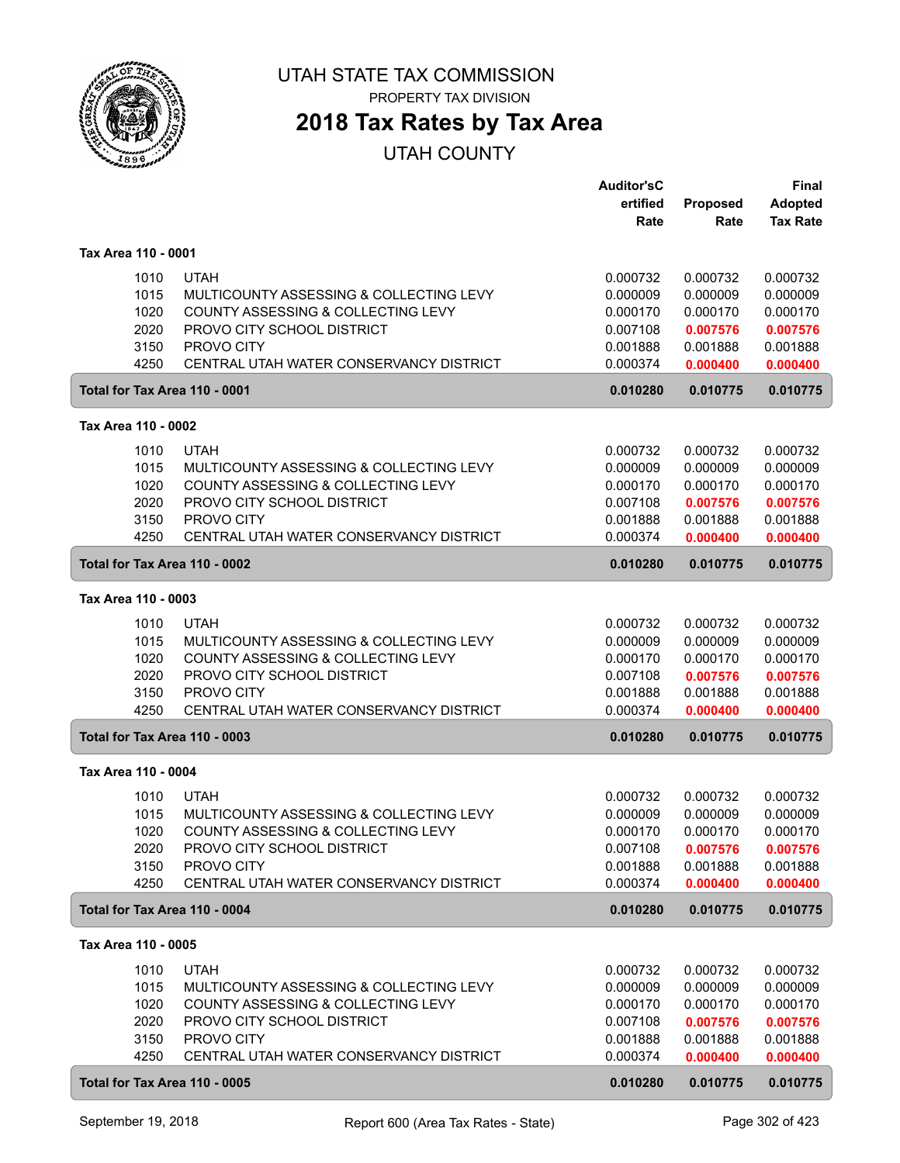

## **2018 Tax Rates by Tax Area**

|                     |                                                                  | <b>Auditor'sC</b><br>ertified | <b>Proposed</b>      | <b>Final</b><br><b>Adopted</b> |
|---------------------|------------------------------------------------------------------|-------------------------------|----------------------|--------------------------------|
|                     |                                                                  | Rate                          | Rate                 | <b>Tax Rate</b>                |
| Tax Area 110 - 0001 |                                                                  |                               |                      |                                |
| 1010                | <b>UTAH</b>                                                      | 0.000732                      | 0.000732             | 0.000732                       |
| 1015                | MULTICOUNTY ASSESSING & COLLECTING LEVY                          | 0.000009                      | 0.000009             | 0.000009                       |
| 1020<br>2020        | COUNTY ASSESSING & COLLECTING LEVY<br>PROVO CITY SCHOOL DISTRICT | 0.000170<br>0.007108          | 0.000170<br>0.007576 | 0.000170<br>0.007576           |
| 3150                | PROVO CITY                                                       | 0.001888                      | 0.001888             | 0.001888                       |
| 4250                | CENTRAL UTAH WATER CONSERVANCY DISTRICT                          | 0.000374                      | 0.000400             | 0.000400                       |
|                     | Total for Tax Area 110 - 0001                                    | 0.010280                      | 0.010775             | 0.010775                       |
| Tax Area 110 - 0002 |                                                                  |                               |                      |                                |
| 1010                | <b>UTAH</b>                                                      | 0.000732                      | 0.000732             | 0.000732                       |
| 1015                | MULTICOUNTY ASSESSING & COLLECTING LEVY                          | 0.000009                      | 0.000009             | 0.000009                       |
| 1020                | COUNTY ASSESSING & COLLECTING LEVY                               | 0.000170                      | 0.000170             | 0.000170                       |
| 2020                | PROVO CITY SCHOOL DISTRICT                                       | 0.007108                      | 0.007576             | 0.007576                       |
| 3150<br>4250        | PROVO CITY<br>CENTRAL UTAH WATER CONSERVANCY DISTRICT            | 0.001888<br>0.000374          | 0.001888<br>0.000400 | 0.001888<br>0.000400           |
|                     | Total for Tax Area 110 - 0002                                    | 0.010280                      | 0.010775             | 0.010775                       |
| Tax Area 110 - 0003 |                                                                  |                               |                      |                                |
|                     | <b>UTAH</b>                                                      |                               |                      |                                |
| 1010<br>1015        | MULTICOUNTY ASSESSING & COLLECTING LEVY                          | 0.000732<br>0.000009          | 0.000732<br>0.000009 | 0.000732<br>0.000009           |
| 1020                | COUNTY ASSESSING & COLLECTING LEVY                               | 0.000170                      | 0.000170             | 0.000170                       |
| 2020                | PROVO CITY SCHOOL DISTRICT                                       | 0.007108                      | 0.007576             | 0.007576                       |
| 3150                | PROVO CITY                                                       | 0.001888                      | 0.001888             | 0.001888                       |
| 4250                | CENTRAL UTAH WATER CONSERVANCY DISTRICT                          | 0.000374                      | 0.000400             | 0.000400                       |
|                     | Total for Tax Area 110 - 0003                                    | 0.010280                      | 0.010775             | 0.010775                       |
| Tax Area 110 - 0004 |                                                                  |                               |                      |                                |
| 1010                | <b>UTAH</b>                                                      | 0.000732                      | 0.000732             | 0.000732                       |
| 1015                | MULTICOUNTY ASSESSING & COLLECTING LEVY                          | 0.000009                      | 0.000009             | 0.000009                       |
| 1020                | COUNTY ASSESSING & COLLECTING LEVY                               | 0.000170                      | 0.000170             | 0.000170                       |
| 2020<br>3150        | PROVO CITY SCHOOL DISTRICT<br>PROVO CITY                         | 0.007108<br>0.001888          | 0.007576<br>0.001888 | 0.007576<br>0.001888           |
| 4250                | CENTRAL UTAH WATER CONSERVANCY DISTRICT                          | 0.000374                      | 0.000400             | 0.000400                       |
|                     | Total for Tax Area 110 - 0004                                    | 0.010280                      | 0.010775             | 0.010775                       |
| Tax Area 110 - 0005 |                                                                  |                               |                      |                                |
| 1010                | <b>UTAH</b>                                                      | 0.000732                      | 0.000732             | 0.000732                       |
| 1015                | MULTICOUNTY ASSESSING & COLLECTING LEVY                          | 0.000009                      | 0.000009             | 0.000009                       |
| 1020                | COUNTY ASSESSING & COLLECTING LEVY                               | 0.000170                      | 0.000170             | 0.000170                       |
| 2020                | PROVO CITY SCHOOL DISTRICT                                       | 0.007108                      | 0.007576             | 0.007576                       |
| 3150                | PROVO CITY                                                       | 0.001888                      | 0.001888             | 0.001888                       |
| 4250                | CENTRAL UTAH WATER CONSERVANCY DISTRICT                          | 0.000374                      | 0.000400             | 0.000400                       |
|                     | Total for Tax Area 110 - 0005                                    | 0.010280                      | 0.010775             | 0.010775                       |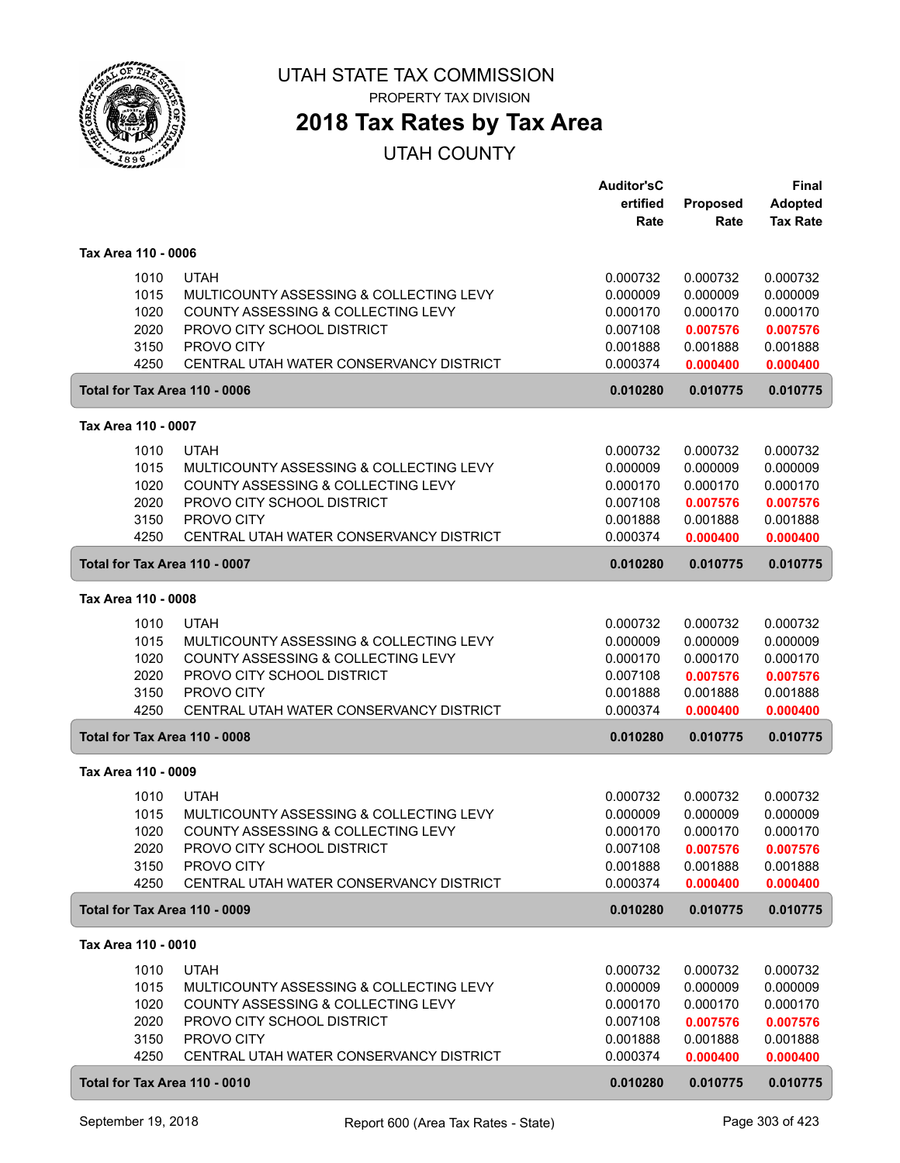

# **2018 Tax Rates by Tax Area**

|                                              |                                                                                                                                                                                     | <b>Auditor'sC</b><br>ertified<br>Rate                                | <b>Proposed</b><br>Rate                                              | <b>Final</b><br><b>Adopted</b><br><b>Tax Rate</b>                    |
|----------------------------------------------|-------------------------------------------------------------------------------------------------------------------------------------------------------------------------------------|----------------------------------------------------------------------|----------------------------------------------------------------------|----------------------------------------------------------------------|
| Tax Area 110 - 0006                          |                                                                                                                                                                                     |                                                                      |                                                                      |                                                                      |
| 1010<br>1015<br>1020<br>2020<br>3150<br>4250 | <b>UTAH</b><br>MULTICOUNTY ASSESSING & COLLECTING LEVY<br>COUNTY ASSESSING & COLLECTING LEVY<br>PROVO CITY SCHOOL DISTRICT<br>PROVO CITY<br>CENTRAL UTAH WATER CONSERVANCY DISTRICT | 0.000732<br>0.000009<br>0.000170<br>0.007108<br>0.001888<br>0.000374 | 0.000732<br>0.000009<br>0.000170<br>0.007576<br>0.001888<br>0.000400 | 0.000732<br>0.000009<br>0.000170<br>0.007576<br>0.001888<br>0.000400 |
| Total for Tax Area 110 - 0006                |                                                                                                                                                                                     | 0.010280                                                             | 0.010775                                                             | 0.010775                                                             |
| Tax Area 110 - 0007                          |                                                                                                                                                                                     |                                                                      |                                                                      |                                                                      |
| 1010<br>1015<br>1020<br>2020<br>3150<br>4250 | <b>UTAH</b><br>MULTICOUNTY ASSESSING & COLLECTING LEVY<br>COUNTY ASSESSING & COLLECTING LEVY<br>PROVO CITY SCHOOL DISTRICT<br>PROVO CITY<br>CENTRAL UTAH WATER CONSERVANCY DISTRICT | 0.000732<br>0.000009<br>0.000170<br>0.007108<br>0.001888<br>0.000374 | 0.000732<br>0.000009<br>0.000170<br>0.007576<br>0.001888<br>0.000400 | 0.000732<br>0.000009<br>0.000170<br>0.007576<br>0.001888<br>0.000400 |
| Total for Tax Area 110 - 0007                |                                                                                                                                                                                     | 0.010280                                                             | 0.010775                                                             | 0.010775                                                             |
| Tax Area 110 - 0008                          |                                                                                                                                                                                     |                                                                      |                                                                      |                                                                      |
| 1010<br>1015<br>1020<br>2020<br>3150<br>4250 | <b>UTAH</b><br>MULTICOUNTY ASSESSING & COLLECTING LEVY<br>COUNTY ASSESSING & COLLECTING LEVY<br>PROVO CITY SCHOOL DISTRICT<br>PROVO CITY<br>CENTRAL UTAH WATER CONSERVANCY DISTRICT | 0.000732<br>0.000009<br>0.000170<br>0.007108<br>0.001888<br>0.000374 | 0.000732<br>0.000009<br>0.000170<br>0.007576<br>0.001888<br>0.000400 | 0.000732<br>0.000009<br>0.000170<br>0.007576<br>0.001888<br>0.000400 |
| Total for Tax Area 110 - 0008                |                                                                                                                                                                                     | 0.010280                                                             | 0.010775                                                             | 0.010775                                                             |
| Tax Area 110 - 0009                          |                                                                                                                                                                                     |                                                                      |                                                                      |                                                                      |
| 1010<br>1015<br>1020<br>2020<br>3150<br>4250 | <b>UTAH</b><br>MULTICOUNTY ASSESSING & COLLECTING LEVY<br>COUNTY ASSESSING & COLLECTING LEVY<br>PROVO CITY SCHOOL DISTRICT<br>PROVO CITY<br>CENTRAL UTAH WATER CONSERVANCY DISTRICT | 0.000732<br>0.000009<br>0.000170<br>0.007108<br>0.001888<br>0.000374 | 0.000732<br>0.000009<br>0.000170<br>0.007576<br>0.001888<br>0.000400 | 0.000732<br>0.000009<br>0.000170<br>0.007576<br>0.001888<br>0.000400 |
| Total for Tax Area 110 - 0009                |                                                                                                                                                                                     | 0.010280                                                             | 0.010775                                                             | 0.010775                                                             |
| Tax Area 110 - 0010                          |                                                                                                                                                                                     |                                                                      |                                                                      |                                                                      |
| 1010<br>1015<br>1020<br>2020<br>3150<br>4250 | <b>UTAH</b><br>MULTICOUNTY ASSESSING & COLLECTING LEVY<br>COUNTY ASSESSING & COLLECTING LEVY<br>PROVO CITY SCHOOL DISTRICT<br>PROVO CITY<br>CENTRAL UTAH WATER CONSERVANCY DISTRICT | 0.000732<br>0.000009<br>0.000170<br>0.007108<br>0.001888<br>0.000374 | 0.000732<br>0.000009<br>0.000170<br>0.007576<br>0.001888<br>0.000400 | 0.000732<br>0.000009<br>0.000170<br>0.007576<br>0.001888<br>0.000400 |
| Total for Tax Area 110 - 0010                |                                                                                                                                                                                     | 0.010280                                                             | 0.010775                                                             | 0.010775                                                             |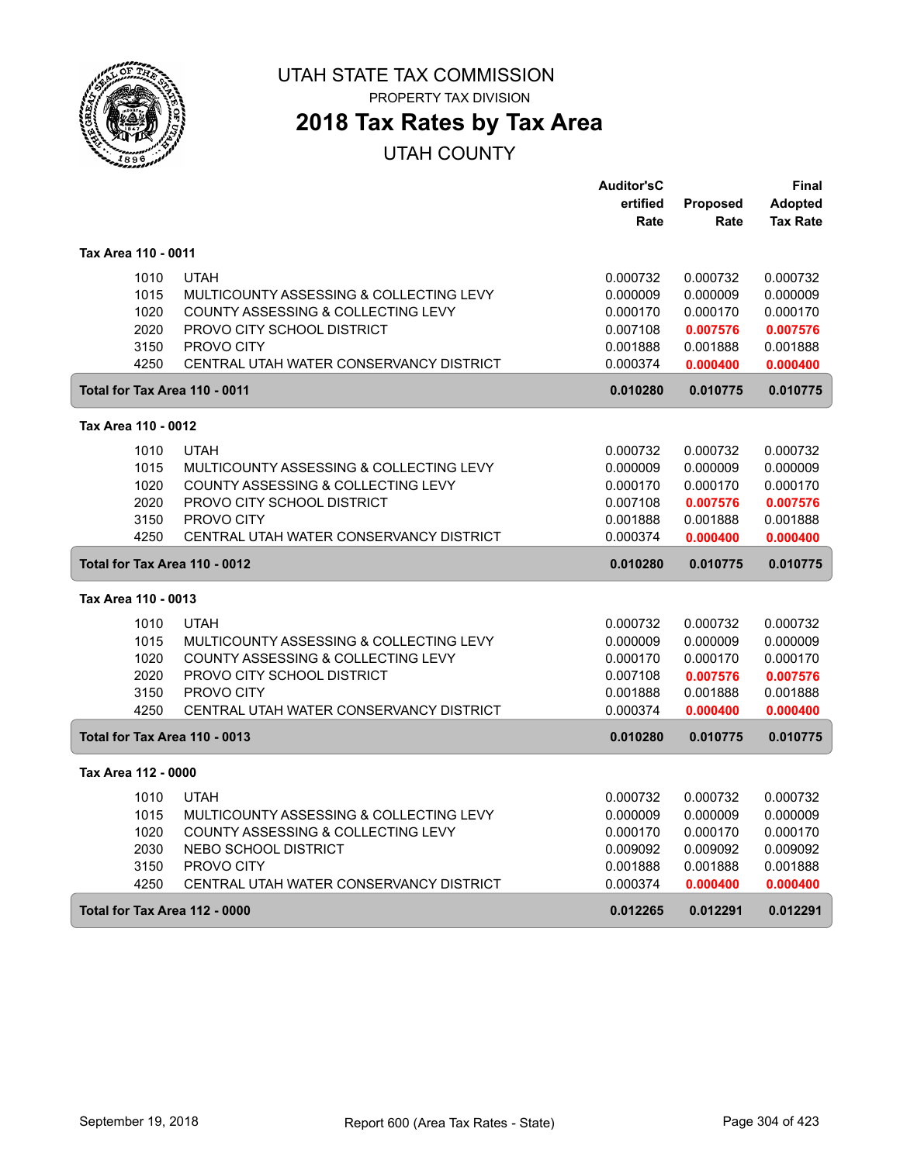

## **2018 Tax Rates by Tax Area**

|                               |                                         | <b>Auditor'sC</b> |                 | Final           |
|-------------------------------|-----------------------------------------|-------------------|-----------------|-----------------|
|                               |                                         | ertified          | <b>Proposed</b> | <b>Adopted</b>  |
|                               |                                         | Rate              | Rate            | <b>Tax Rate</b> |
| Tax Area 110 - 0011           |                                         |                   |                 |                 |
| 1010                          | <b>UTAH</b>                             | 0.000732          | 0.000732        | 0.000732        |
| 1015                          | MULTICOUNTY ASSESSING & COLLECTING LEVY | 0.000009          | 0.000009        | 0.000009        |
| 1020                          | COUNTY ASSESSING & COLLECTING LEVY      | 0.000170          | 0.000170        | 0.000170        |
| 2020                          | PROVO CITY SCHOOL DISTRICT              | 0.007108          | 0.007576        | 0.007576        |
| 3150                          | PROVO CITY                              | 0.001888          | 0.001888        | 0.001888        |
| 4250                          | CENTRAL UTAH WATER CONSERVANCY DISTRICT | 0.000374          | 0.000400        | 0.000400        |
| Total for Tax Area 110 - 0011 |                                         | 0.010280          | 0.010775        | 0.010775        |
| Tax Area 110 - 0012           |                                         |                   |                 |                 |
| 1010                          | <b>UTAH</b>                             | 0.000732          | 0.000732        | 0.000732        |
| 1015                          | MULTICOUNTY ASSESSING & COLLECTING LEVY | 0.000009          | 0.000009        | 0.000009        |
| 1020                          | COUNTY ASSESSING & COLLECTING LEVY      | 0.000170          | 0.000170        | 0.000170        |
| 2020                          | PROVO CITY SCHOOL DISTRICT              | 0.007108          | 0.007576        | 0.007576        |
| 3150                          | PROVO CITY                              | 0.001888          | 0.001888        | 0.001888        |
| 4250                          | CENTRAL UTAH WATER CONSERVANCY DISTRICT | 0.000374          | 0.000400        | 0.000400        |
| Total for Tax Area 110 - 0012 |                                         | 0.010280          | 0.010775        | 0.010775        |
| Tax Area 110 - 0013           |                                         |                   |                 |                 |
| 1010                          | <b>UTAH</b>                             | 0.000732          | 0.000732        | 0.000732        |
| 1015                          | MULTICOUNTY ASSESSING & COLLECTING LEVY | 0.000009          | 0.000009        | 0.000009        |
| 1020                          | COUNTY ASSESSING & COLLECTING LEVY      | 0.000170          | 0.000170        | 0.000170        |
| 2020                          | PROVO CITY SCHOOL DISTRICT              | 0.007108          | 0.007576        | 0.007576        |
| 3150                          | PROVO CITY                              | 0.001888          | 0.001888        | 0.001888        |
| 4250                          | CENTRAL UTAH WATER CONSERVANCY DISTRICT | 0.000374          | 0.000400        | 0.000400        |
| Total for Tax Area 110 - 0013 |                                         | 0.010280          | 0.010775        | 0.010775        |
| Tax Area 112 - 0000           |                                         |                   |                 |                 |
| 1010                          | <b>UTAH</b>                             | 0.000732          | 0.000732        | 0.000732        |
| 1015                          | MULTICOUNTY ASSESSING & COLLECTING LEVY | 0.000009          | 0.000009        | 0.000009        |
| 1020                          | COUNTY ASSESSING & COLLECTING LEVY      | 0.000170          | 0.000170        | 0.000170        |
| 2030                          | NEBO SCHOOL DISTRICT                    | 0.009092          | 0.009092        | 0.009092        |
| 3150                          | PROVO CITY                              | 0.001888          | 0.001888        | 0.001888        |
| 4250                          | CENTRAL UTAH WATER CONSERVANCY DISTRICT | 0.000374          | 0.000400        | 0.000400        |
| Total for Tax Area 112 - 0000 |                                         | 0.012265          | 0.012291        | 0.012291        |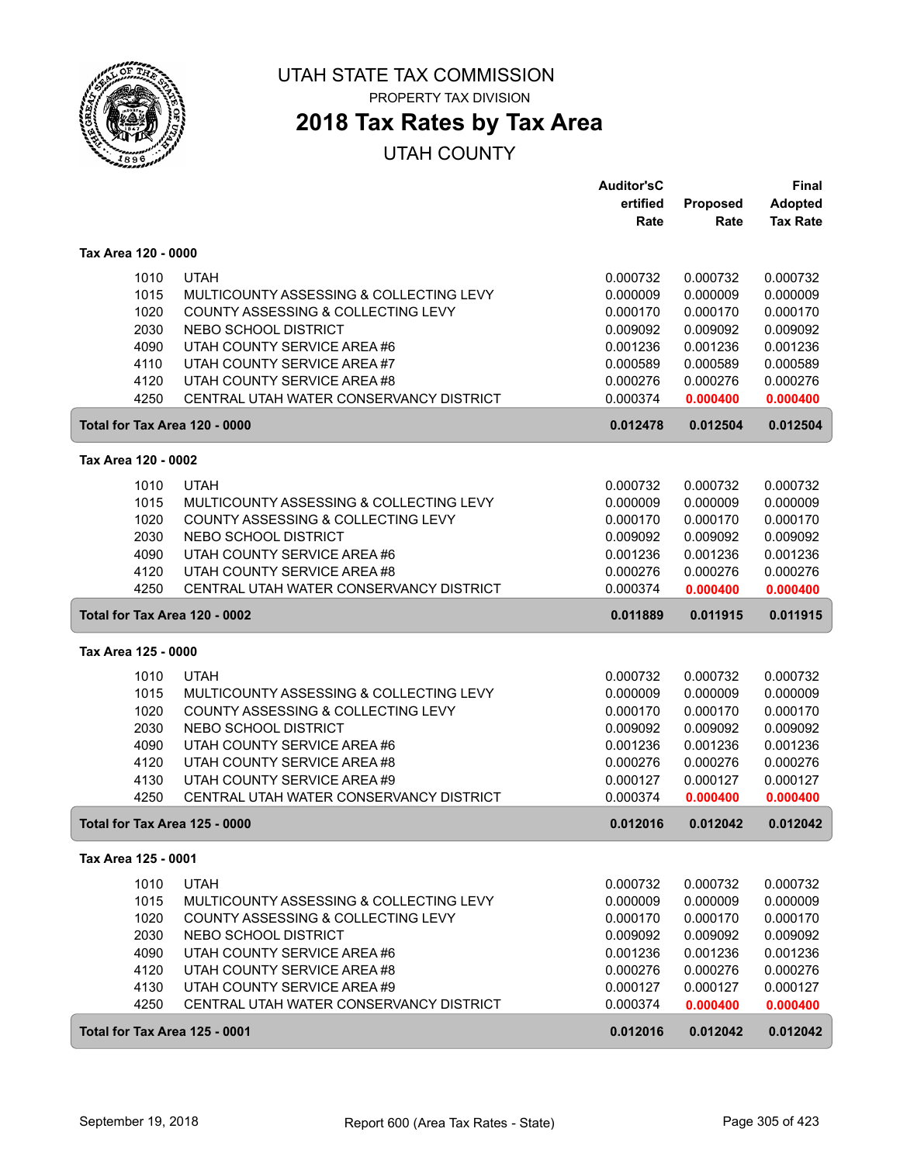

PROPERTY TAX DIVISION

## **2018 Tax Rates by Tax Area**

|                     |      |                                         | <b>Auditor'sC</b> |          | <b>Final</b>    |
|---------------------|------|-----------------------------------------|-------------------|----------|-----------------|
|                     |      |                                         | ertified          | Proposed | <b>Adopted</b>  |
|                     |      |                                         | Rate              | Rate     | <b>Tax Rate</b> |
| Tax Area 120 - 0000 |      |                                         |                   |          |                 |
|                     | 1010 | <b>UTAH</b>                             | 0.000732          | 0.000732 | 0.000732        |
|                     | 1015 | MULTICOUNTY ASSESSING & COLLECTING LEVY | 0.000009          | 0.000009 | 0.000009        |
|                     | 1020 | COUNTY ASSESSING & COLLECTING LEVY      | 0.000170          | 0.000170 | 0.000170        |
|                     | 2030 | NEBO SCHOOL DISTRICT                    | 0.009092          | 0.009092 | 0.009092        |
|                     | 4090 | UTAH COUNTY SERVICE AREA #6             | 0.001236          | 0.001236 | 0.001236        |
|                     | 4110 | UTAH COUNTY SERVICE AREA #7             | 0.000589          | 0.000589 | 0.000589        |
|                     | 4120 | UTAH COUNTY SERVICE AREA #8             | 0.000276          | 0.000276 | 0.000276        |
|                     | 4250 | CENTRAL UTAH WATER CONSERVANCY DISTRICT | 0.000374          | 0.000400 | 0.000400        |
|                     |      | Total for Tax Area 120 - 0000           | 0.012478          | 0.012504 | 0.012504        |
|                     |      |                                         |                   |          |                 |
| Tax Area 120 - 0002 |      |                                         |                   |          |                 |
|                     | 1010 | <b>UTAH</b>                             | 0.000732          | 0.000732 | 0.000732        |
|                     | 1015 | MULTICOUNTY ASSESSING & COLLECTING LEVY | 0.000009          | 0.000009 | 0.000009        |
|                     | 1020 | COUNTY ASSESSING & COLLECTING LEVY      | 0.000170          | 0.000170 | 0.000170        |
|                     | 2030 | NEBO SCHOOL DISTRICT                    | 0.009092          | 0.009092 | 0.009092        |
|                     | 4090 | UTAH COUNTY SERVICE AREA #6             | 0.001236          | 0.001236 | 0.001236        |
|                     | 4120 | UTAH COUNTY SERVICE AREA #8             | 0.000276          | 0.000276 | 0.000276        |
|                     | 4250 | CENTRAL UTAH WATER CONSERVANCY DISTRICT | 0.000374          | 0.000400 | 0.000400        |
|                     |      | Total for Tax Area 120 - 0002           | 0.011889          | 0.011915 | 0.011915        |
| Tax Area 125 - 0000 |      |                                         |                   |          |                 |
|                     | 1010 | <b>UTAH</b>                             | 0.000732          | 0.000732 | 0.000732        |
|                     | 1015 | MULTICOUNTY ASSESSING & COLLECTING LEVY | 0.000009          | 0.000009 | 0.000009        |
|                     | 1020 | COUNTY ASSESSING & COLLECTING LEVY      | 0.000170          | 0.000170 | 0.000170        |
|                     | 2030 | NEBO SCHOOL DISTRICT                    | 0.009092          | 0.009092 | 0.009092        |
|                     | 4090 | UTAH COUNTY SERVICE AREA #6             | 0.001236          | 0.001236 | 0.001236        |
|                     | 4120 | UTAH COUNTY SERVICE AREA #8             | 0.000276          | 0.000276 | 0.000276        |
|                     | 4130 | UTAH COUNTY SERVICE AREA #9             | 0.000127          | 0.000127 | 0.000127        |
|                     | 4250 | CENTRAL UTAH WATER CONSERVANCY DISTRICT | 0.000374          | 0.000400 | 0.000400        |
|                     |      | Total for Tax Area 125 - 0000           | 0.012016          | 0.012042 | 0.012042        |
| Tax Area 125 - 0001 |      |                                         |                   |          |                 |
|                     | 1010 | <b>UTAH</b>                             | 0.000732          | 0.000732 | 0.000732        |
|                     | 1015 | MULTICOUNTY ASSESSING & COLLECTING LEVY | 0.000009          | 0.000009 | 0.000009        |
|                     | 1020 | COUNTY ASSESSING & COLLECTING LEVY      | 0.000170          | 0.000170 | 0.000170        |
|                     | 2030 | NEBO SCHOOL DISTRICT                    | 0.009092          | 0.009092 | 0.009092        |
|                     | 4090 | UTAH COUNTY SERVICE AREA #6             | 0.001236          | 0.001236 | 0.001236        |
|                     | 4120 | UTAH COUNTY SERVICE AREA #8             | 0.000276          | 0.000276 | 0.000276        |
|                     | 4130 | UTAH COUNTY SERVICE AREA #9             | 0.000127          | 0.000127 | 0.000127        |
|                     | 4250 | CENTRAL UTAH WATER CONSERVANCY DISTRICT | 0.000374          | 0.000400 | 0.000400        |
|                     |      | Total for Tax Area 125 - 0001           | 0.012016          | 0.012042 | 0.012042        |
|                     |      |                                         |                   |          |                 |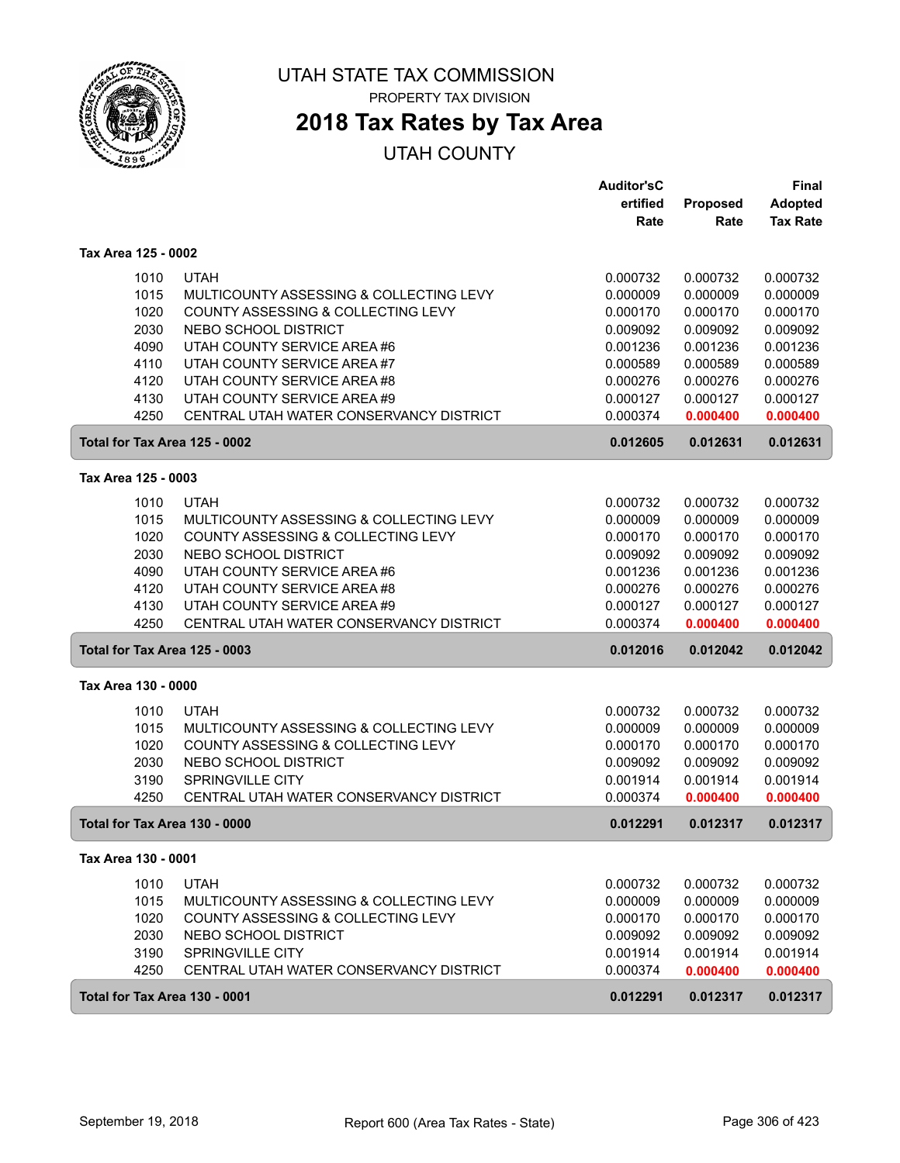

# **2018 Tax Rates by Tax Area**

|                     |                                                                                               | <b>Auditor'sC</b><br>ertified | Proposed             | <b>Final</b><br><b>Adopted</b> |
|---------------------|-----------------------------------------------------------------------------------------------|-------------------------------|----------------------|--------------------------------|
|                     |                                                                                               | Rate                          | Rate                 | <b>Tax Rate</b>                |
| Tax Area 125 - 0002 |                                                                                               |                               |                      |                                |
|                     |                                                                                               |                               |                      |                                |
|                     | <b>UTAH</b><br>1010                                                                           | 0.000732                      | 0.000732             | 0.000732                       |
|                     | 1015<br>MULTICOUNTY ASSESSING & COLLECTING LEVY<br>1020<br>COUNTY ASSESSING & COLLECTING LEVY | 0.000009<br>0.000170          | 0.000009<br>0.000170 | 0.000009<br>0.000170           |
|                     | 2030<br>NEBO SCHOOL DISTRICT                                                                  | 0.009092                      | 0.009092             | 0.009092                       |
|                     | 4090<br>UTAH COUNTY SERVICE AREA #6                                                           | 0.001236                      | 0.001236             | 0.001236                       |
|                     | UTAH COUNTY SERVICE AREA #7<br>4110                                                           | 0.000589                      | 0.000589             | 0.000589                       |
|                     | UTAH COUNTY SERVICE AREA #8<br>4120                                                           | 0.000276                      | 0.000276             | 0.000276                       |
|                     | 4130<br>UTAH COUNTY SERVICE AREA #9                                                           | 0.000127                      | 0.000127             | 0.000127                       |
|                     | 4250<br>CENTRAL UTAH WATER CONSERVANCY DISTRICT                                               | 0.000374                      | 0.000400             | 0.000400                       |
|                     | Total for Tax Area 125 - 0002                                                                 | 0.012605                      | 0.012631             | 0.012631                       |
| Tax Area 125 - 0003 |                                                                                               |                               |                      |                                |
|                     | 1010<br><b>UTAH</b>                                                                           | 0.000732                      | 0.000732             | 0.000732                       |
|                     | 1015<br>MULTICOUNTY ASSESSING & COLLECTING LEVY                                               | 0.000009                      | 0.000009             | 0.000009                       |
|                     | 1020<br>COUNTY ASSESSING & COLLECTING LEVY                                                    | 0.000170                      | 0.000170             | 0.000170                       |
|                     | 2030<br>NEBO SCHOOL DISTRICT                                                                  | 0.009092                      | 0.009092             | 0.009092                       |
|                     | 4090<br>UTAH COUNTY SERVICE AREA #6                                                           | 0.001236                      | 0.001236             | 0.001236                       |
|                     | 4120<br>UTAH COUNTY SERVICE AREA #8                                                           | 0.000276                      | 0.000276             | 0.000276                       |
|                     | 4130<br>UTAH COUNTY SERVICE AREA #9                                                           | 0.000127                      | 0.000127             | 0.000127                       |
|                     | 4250<br>CENTRAL UTAH WATER CONSERVANCY DISTRICT                                               | 0.000374                      | 0.000400             | 0.000400                       |
|                     | Total for Tax Area 125 - 0003                                                                 | 0.012016                      | 0.012042             | 0.012042                       |
| Tax Area 130 - 0000 |                                                                                               |                               |                      |                                |
|                     | 1010<br><b>UTAH</b>                                                                           | 0.000732                      | 0.000732             | 0.000732                       |
|                     | 1015<br>MULTICOUNTY ASSESSING & COLLECTING LEVY                                               | 0.000009                      | 0.000009             | 0.000009                       |
|                     | 1020<br>COUNTY ASSESSING & COLLECTING LEVY                                                    | 0.000170                      | 0.000170             | 0.000170                       |
|                     | 2030<br>NEBO SCHOOL DISTRICT                                                                  | 0.009092                      | 0.009092             | 0.009092                       |
|                     | 3190<br>SPRINGVILLE CITY<br>4250<br>CENTRAL UTAH WATER CONSERVANCY DISTRICT                   | 0.001914<br>0.000374          | 0.001914<br>0.000400 | 0.001914<br>0.000400           |
|                     | Total for Tax Area 130 - 0000                                                                 | 0.012291                      | 0.012317             | 0.012317                       |
| Tax Area 130 - 0001 |                                                                                               |                               |                      |                                |
|                     | 1010<br><b>UTAH</b>                                                                           | 0.000732                      | 0.000732             | 0.000732                       |
|                     | 1015<br>MULTICOUNTY ASSESSING & COLLECTING LEVY                                               | 0.000009                      | 0.000009             | 0.000009                       |
|                     | 1020<br>COUNTY ASSESSING & COLLECTING LEVY                                                    | 0.000170                      | 0.000170             | 0.000170                       |
|                     | 2030<br>NEBO SCHOOL DISTRICT                                                                  | 0.009092                      | 0.009092             | 0.009092                       |
|                     | 3190<br>SPRINGVILLE CITY                                                                      | 0.001914                      | 0.001914             | 0.001914                       |
|                     | 4250<br>CENTRAL UTAH WATER CONSERVANCY DISTRICT                                               | 0.000374                      | 0.000400             | 0.000400                       |
|                     | Total for Tax Area 130 - 0001                                                                 | 0.012291                      | 0.012317             | 0.012317                       |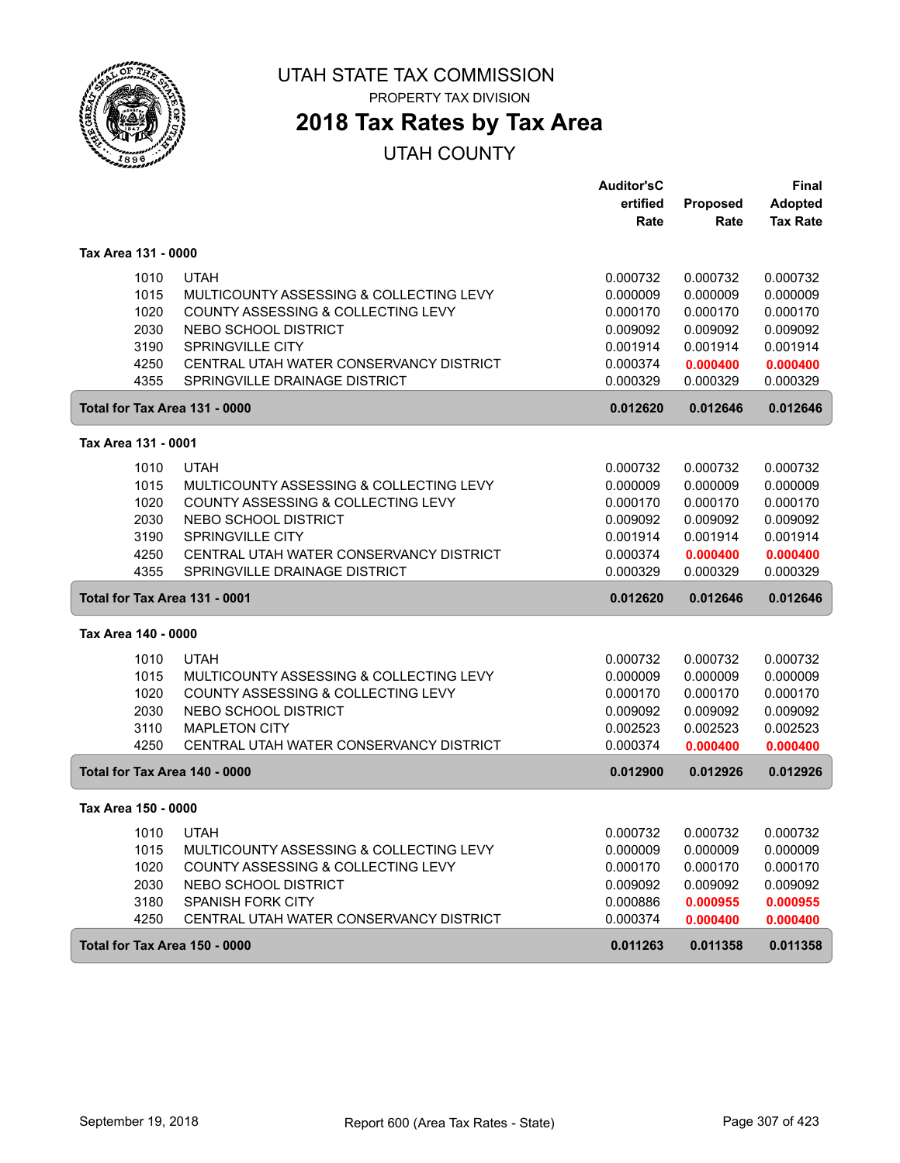

PROPERTY TAX DIVISION

# **2018 Tax Rates by Tax Area**

|                               |                                         | <b>Auditor'sC</b> |          | <b>Final</b>    |
|-------------------------------|-----------------------------------------|-------------------|----------|-----------------|
|                               |                                         | ertified          | Proposed | <b>Adopted</b>  |
|                               |                                         | Rate              | Rate     | <b>Tax Rate</b> |
| Tax Area 131 - 0000           |                                         |                   |          |                 |
| 1010                          | <b>UTAH</b>                             | 0.000732          | 0.000732 | 0.000732        |
| 1015                          | MULTICOUNTY ASSESSING & COLLECTING LEVY | 0.000009          | 0.000009 | 0.000009        |
| 1020                          | COUNTY ASSESSING & COLLECTING LEVY      | 0.000170          | 0.000170 | 0.000170        |
| 2030                          | NEBO SCHOOL DISTRICT                    | 0.009092          | 0.009092 | 0.009092        |
| 3190                          | SPRINGVILLE CITY                        | 0.001914          | 0.001914 | 0.001914        |
| 4250                          | CENTRAL UTAH WATER CONSERVANCY DISTRICT | 0.000374          | 0.000400 | 0.000400        |
| 4355                          | SPRINGVILLE DRAINAGE DISTRICT           | 0.000329          | 0.000329 | 0.000329        |
| Total for Tax Area 131 - 0000 |                                         | 0.012620          | 0.012646 | 0.012646        |
| Tax Area 131 - 0001           |                                         |                   |          |                 |
| 1010                          | <b>UTAH</b>                             | 0.000732          | 0.000732 | 0.000732        |
| 1015                          | MULTICOUNTY ASSESSING & COLLECTING LEVY | 0.000009          | 0.000009 | 0.000009        |
| 1020                          | COUNTY ASSESSING & COLLECTING LEVY      | 0.000170          | 0.000170 | 0.000170        |
| 2030                          | NEBO SCHOOL DISTRICT                    | 0.009092          | 0.009092 | 0.009092        |
| 3190                          | <b>SPRINGVILLE CITY</b>                 | 0.001914          | 0.001914 | 0.001914        |
| 4250                          | CENTRAL UTAH WATER CONSERVANCY DISTRICT | 0.000374          | 0.000400 | 0.000400        |
| 4355                          | SPRINGVILLE DRAINAGE DISTRICT           | 0.000329          | 0.000329 | 0.000329        |
| Total for Tax Area 131 - 0001 |                                         | 0.012620          | 0.012646 | 0.012646        |
| Tax Area 140 - 0000           |                                         |                   |          |                 |
| 1010                          | <b>UTAH</b>                             | 0.000732          | 0.000732 | 0.000732        |
| 1015                          | MULTICOUNTY ASSESSING & COLLECTING LEVY | 0.000009          | 0.000009 | 0.000009        |
| 1020                          | COUNTY ASSESSING & COLLECTING LEVY      | 0.000170          | 0.000170 | 0.000170        |
| 2030                          | NEBO SCHOOL DISTRICT                    | 0.009092          | 0.009092 | 0.009092        |
| 3110                          | <b>MAPLETON CITY</b>                    | 0.002523          | 0.002523 | 0.002523        |
| 4250                          | CENTRAL UTAH WATER CONSERVANCY DISTRICT | 0.000374          | 0.000400 | 0.000400        |
| Total for Tax Area 140 - 0000 |                                         | 0.012900          | 0.012926 | 0.012926        |
| Tax Area 150 - 0000           |                                         |                   |          |                 |
| 1010                          | <b>UTAH</b>                             | 0.000732          | 0.000732 | 0.000732        |
| 1015                          | MULTICOUNTY ASSESSING & COLLECTING LEVY | 0.000009          | 0.000009 | 0.000009        |
| 1020                          | COUNTY ASSESSING & COLLECTING LEVY      | 0.000170          | 0.000170 | 0.000170        |
| 2030                          | NEBO SCHOOL DISTRICT                    | 0.009092          | 0.009092 | 0.009092        |
| 3180                          | SPANISH FORK CITY                       | 0.000886          | 0.000955 | 0.000955        |
| 4250                          | CENTRAL UTAH WATER CONSERVANCY DISTRICT | 0.000374          | 0.000400 | 0.000400        |
| Total for Tax Area 150 - 0000 |                                         | 0.011263          | 0.011358 | 0.011358        |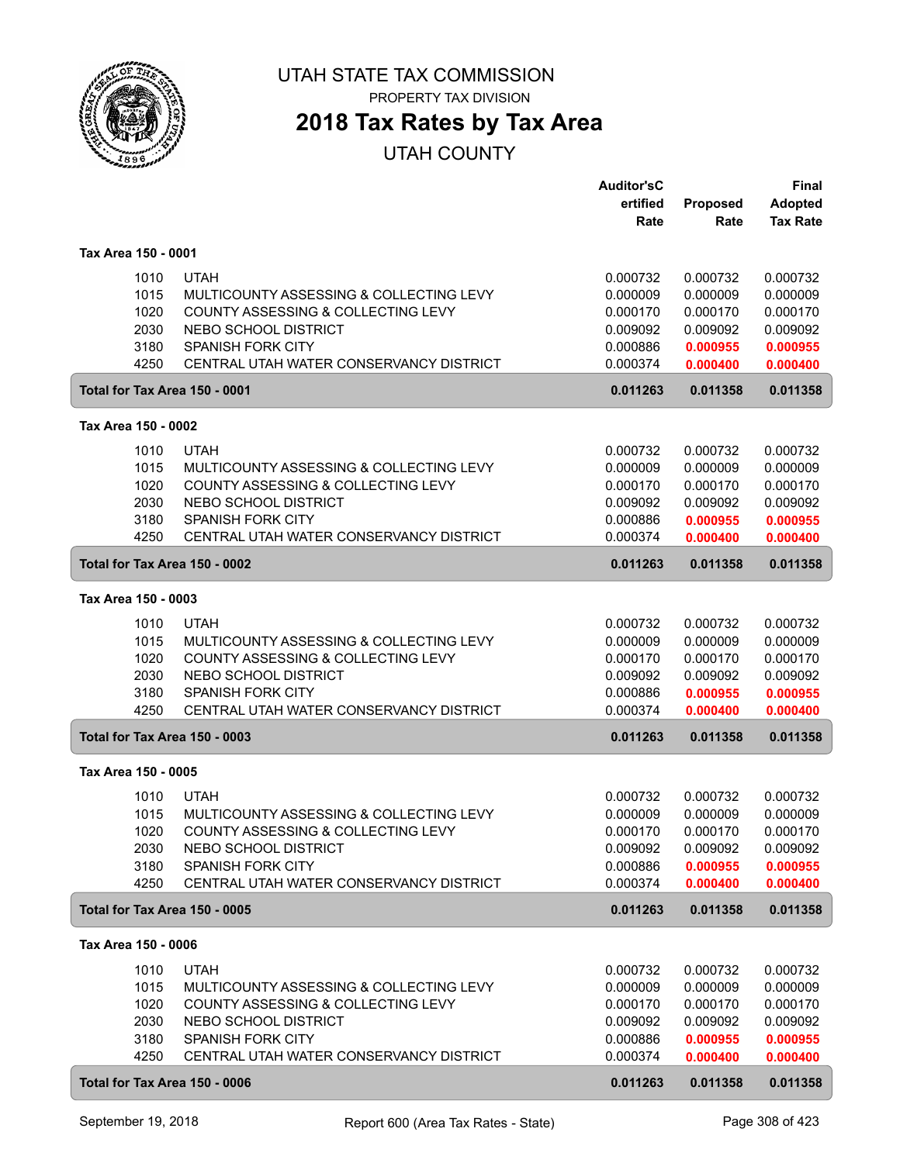

## **2018 Tax Rates by Tax Area**

|                               |                                                                               | <b>Auditor'sC</b>    |                      | Final                |
|-------------------------------|-------------------------------------------------------------------------------|----------------------|----------------------|----------------------|
|                               |                                                                               | ertified             | Proposed             | <b>Adopted</b>       |
|                               |                                                                               | Rate                 | Rate                 | <b>Tax Rate</b>      |
|                               |                                                                               |                      |                      |                      |
| Tax Area 150 - 0001           |                                                                               |                      |                      |                      |
| 1010                          | <b>UTAH</b>                                                                   | 0.000732             | 0.000732             | 0.000732             |
| 1015                          | MULTICOUNTY ASSESSING & COLLECTING LEVY                                       | 0.000009             | 0.000009             | 0.000009             |
| 1020                          | COUNTY ASSESSING & COLLECTING LEVY                                            | 0.000170             | 0.000170             | 0.000170             |
| 2030                          | NEBO SCHOOL DISTRICT                                                          | 0.009092             | 0.009092             | 0.009092             |
| 3180                          | <b>SPANISH FORK CITY</b>                                                      | 0.000886             | 0.000955             | 0.000955             |
| 4250                          | CENTRAL UTAH WATER CONSERVANCY DISTRICT                                       | 0.000374             | 0.000400             | 0.000400             |
| Total for Tax Area 150 - 0001 |                                                                               | 0.011263             | 0.011358             | 0.011358             |
| Tax Area 150 - 0002           |                                                                               |                      |                      |                      |
| 1010                          | <b>UTAH</b>                                                                   | 0.000732             | 0.000732             | 0.000732             |
| 1015                          | MULTICOUNTY ASSESSING & COLLECTING LEVY                                       | 0.000009             | 0.000009             | 0.000009             |
| 1020                          | COUNTY ASSESSING & COLLECTING LEVY                                            | 0.000170             | 0.000170             | 0.000170             |
| 2030                          | NEBO SCHOOL DISTRICT                                                          | 0.009092             | 0.009092             | 0.009092             |
| 3180                          | <b>SPANISH FORK CITY</b>                                                      | 0.000886             | 0.000955             | 0.000955             |
| 4250                          | CENTRAL UTAH WATER CONSERVANCY DISTRICT                                       | 0.000374             | 0.000400             | 0.000400             |
| Total for Tax Area 150 - 0002 |                                                                               | 0.011263             | 0.011358             | 0.011358             |
| Tax Area 150 - 0003           |                                                                               |                      |                      |                      |
|                               |                                                                               |                      |                      |                      |
| 1010<br>1015                  | <b>UTAH</b>                                                                   | 0.000732             | 0.000732             | 0.000732             |
| 1020                          | MULTICOUNTY ASSESSING & COLLECTING LEVY<br>COUNTY ASSESSING & COLLECTING LEVY | 0.000009<br>0.000170 | 0.000009<br>0.000170 | 0.000009<br>0.000170 |
| 2030                          | NEBO SCHOOL DISTRICT                                                          | 0.009092             | 0.009092             | 0.009092             |
| 3180                          | <b>SPANISH FORK CITY</b>                                                      | 0.000886             |                      |                      |
| 4250                          | CENTRAL UTAH WATER CONSERVANCY DISTRICT                                       | 0.000374             | 0.000955<br>0.000400 | 0.000955<br>0.000400 |
| Total for Tax Area 150 - 0003 |                                                                               | 0.011263             | 0.011358             | 0.011358             |
|                               |                                                                               |                      |                      |                      |
| Tax Area 150 - 0005           |                                                                               |                      |                      |                      |
| 1010                          | <b>UTAH</b>                                                                   | 0.000732             | 0.000732             | 0.000732             |
| 1015                          | MULTICOUNTY ASSESSING & COLLECTING LEVY                                       | 0.000009             | 0.000009             | 0.000009             |
| 1020                          | COUNTY ASSESSING & COLLECTING LEVY                                            | 0.000170             | 0.000170             | 0.000170             |
| 2030                          | NEBO SCHOOL DISTRICT                                                          | 0.009092             | 0.009092             | 0.009092             |
| 3180                          | <b>SPANISH FORK CITY</b>                                                      | 0.000886             | 0.000955             | 0.000955             |
| 4250                          | CENTRAL UTAH WATER CONSERVANCY DISTRICT                                       | 0.000374             | 0.000400             | 0.000400             |
| Total for Tax Area 150 - 0005 |                                                                               | 0.011263             | 0.011358             | 0.011358             |
| Tax Area 150 - 0006           |                                                                               |                      |                      |                      |
| 1010                          | <b>UTAH</b>                                                                   | 0.000732             | 0.000732             | 0.000732             |
| 1015                          | MULTICOUNTY ASSESSING & COLLECTING LEVY                                       | 0.000009             | 0.000009             | 0.000009             |
| 1020                          | COUNTY ASSESSING & COLLECTING LEVY                                            | 0.000170             | 0.000170             | 0.000170             |
| 2030                          | NEBO SCHOOL DISTRICT                                                          | 0.009092             | 0.009092             | 0.009092             |
| 3180                          | SPANISH FORK CITY                                                             | 0.000886             | 0.000955             | 0.000955             |
| 4250                          | CENTRAL UTAH WATER CONSERVANCY DISTRICT                                       | 0.000374             | 0.000400             | 0.000400             |
| Total for Tax Area 150 - 0006 |                                                                               | 0.011263             | 0.011358             | 0.011358             |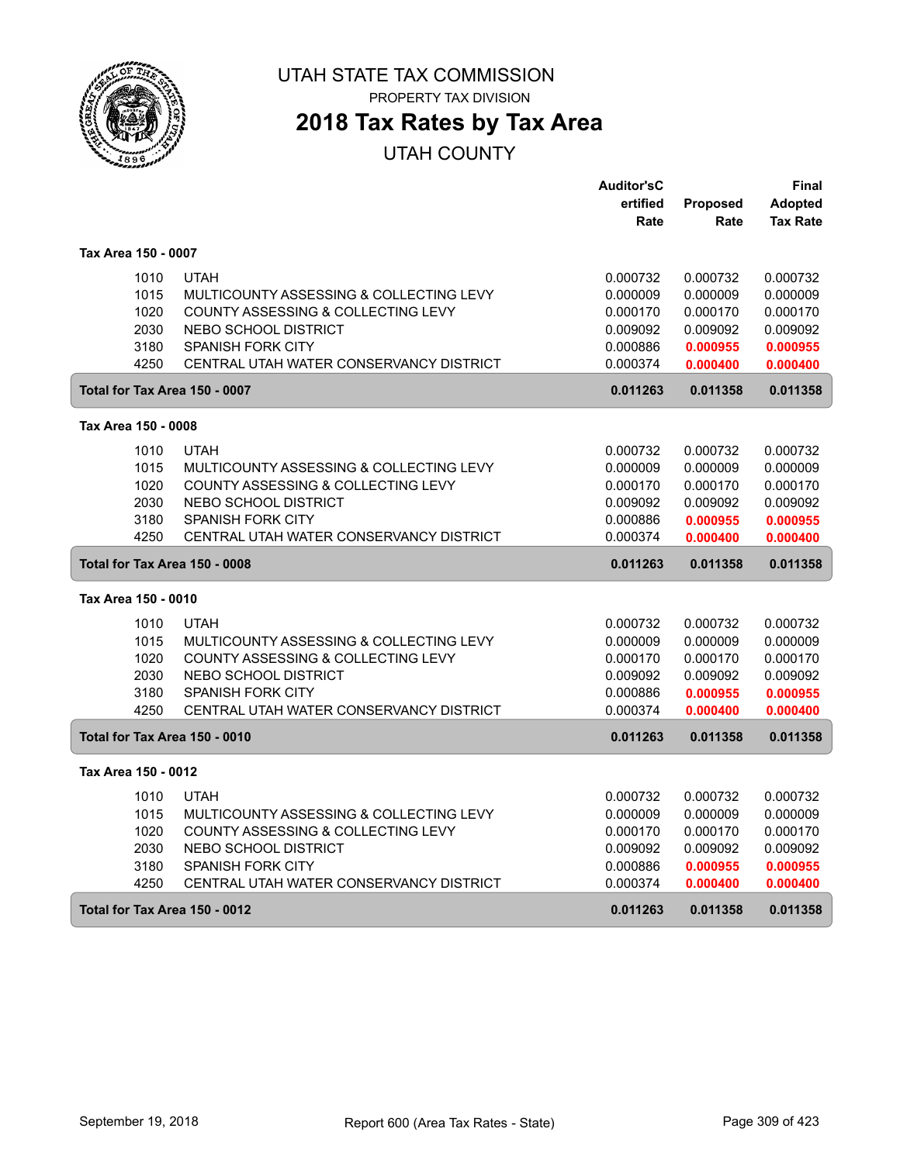

**2018 Tax Rates by Tax Area**

|                               |                                         | <b>Auditor'sC</b> |          | Final           |
|-------------------------------|-----------------------------------------|-------------------|----------|-----------------|
|                               |                                         | ertified          | Proposed | <b>Adopted</b>  |
|                               |                                         | Rate              | Rate     | <b>Tax Rate</b> |
| Tax Area 150 - 0007           |                                         |                   |          |                 |
| 1010                          | <b>UTAH</b>                             | 0.000732          | 0.000732 | 0.000732        |
| 1015                          | MULTICOUNTY ASSESSING & COLLECTING LEVY | 0.000009          | 0.000009 | 0.000009        |
| 1020                          | COUNTY ASSESSING & COLLECTING LEVY      | 0.000170          | 0.000170 | 0.000170        |
| 2030                          | <b>NEBO SCHOOL DISTRICT</b>             | 0.009092          | 0.009092 | 0.009092        |
| 3180                          | <b>SPANISH FORK CITY</b>                | 0.000886          | 0.000955 | 0.000955        |
| 4250                          | CENTRAL UTAH WATER CONSERVANCY DISTRICT | 0.000374          | 0.000400 | 0.000400        |
| Total for Tax Area 150 - 0007 |                                         | 0.011263          | 0.011358 | 0.011358        |
| Tax Area 150 - 0008           |                                         |                   |          |                 |
| 1010                          | <b>UTAH</b>                             | 0.000732          | 0.000732 | 0.000732        |
| 1015                          | MULTICOUNTY ASSESSING & COLLECTING LEVY | 0.000009          | 0.000009 | 0.000009        |
| 1020                          | COUNTY ASSESSING & COLLECTING LEVY      | 0.000170          | 0.000170 | 0.000170        |
| 2030                          | <b>NEBO SCHOOL DISTRICT</b>             | 0.009092          | 0.009092 | 0.009092        |
| 3180                          | <b>SPANISH FORK CITY</b>                | 0.000886          | 0.000955 | 0.000955        |
| 4250                          | CENTRAL UTAH WATER CONSERVANCY DISTRICT | 0.000374          | 0.000400 | 0.000400        |
| Total for Tax Area 150 - 0008 |                                         | 0.011263          | 0.011358 | 0.011358        |
| Tax Area 150 - 0010           |                                         |                   |          |                 |
| 1010                          | <b>UTAH</b>                             | 0.000732          | 0.000732 | 0.000732        |
| 1015                          | MULTICOUNTY ASSESSING & COLLECTING LEVY | 0.000009          | 0.000009 | 0.000009        |
| 1020                          | COUNTY ASSESSING & COLLECTING LEVY      | 0.000170          | 0.000170 | 0.000170        |
| 2030                          | <b>NEBO SCHOOL DISTRICT</b>             | 0.009092          | 0.009092 | 0.009092        |
| 3180                          | <b>SPANISH FORK CITY</b>                | 0.000886          | 0.000955 | 0.000955        |
| 4250                          | CENTRAL UTAH WATER CONSERVANCY DISTRICT | 0.000374          | 0.000400 | 0.000400        |
| Total for Tax Area 150 - 0010 |                                         | 0.011263          | 0.011358 | 0.011358        |
| Tax Area 150 - 0012           |                                         |                   |          |                 |
| 1010                          | <b>UTAH</b>                             | 0.000732          | 0.000732 | 0.000732        |
| 1015                          | MULTICOUNTY ASSESSING & COLLECTING LEVY | 0.000009          | 0.000009 | 0.000009        |
| 1020                          | COUNTY ASSESSING & COLLECTING LEVY      | 0.000170          | 0.000170 | 0.000170        |
| 2030                          | <b>NEBO SCHOOL DISTRICT</b>             | 0.009092          | 0.009092 | 0.009092        |
| 3180                          | SPANISH FORK CITY                       | 0.000886          | 0.000955 | 0.000955        |
| 4250                          | CENTRAL UTAH WATER CONSERVANCY DISTRICT | 0.000374          | 0.000400 | 0.000400        |
| Total for Tax Area 150 - 0012 |                                         | 0.011263          | 0.011358 | 0.011358        |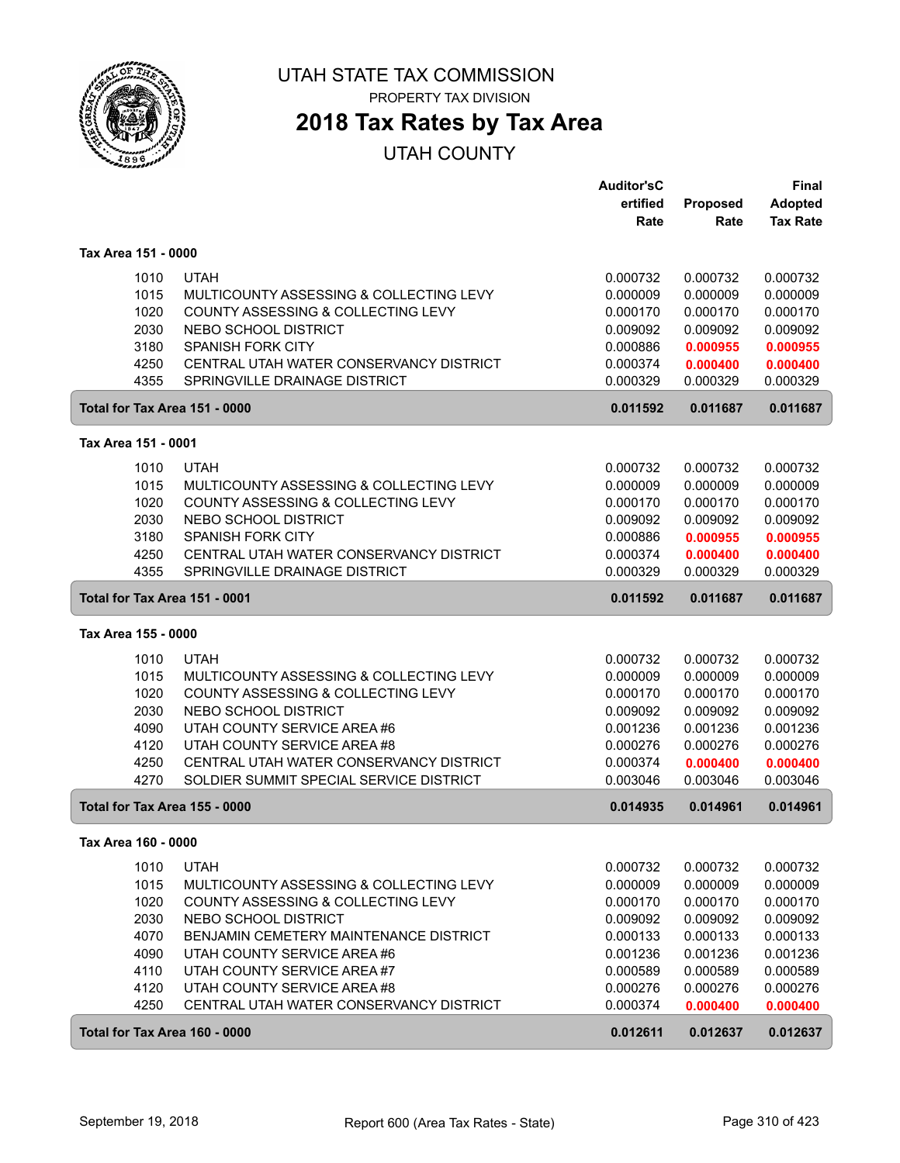

PROPERTY TAX DIVISION

## **2018 Tax Rates by Tax Area**

|                     |                                               | <b>Auditor'sC</b><br>ertified | <b>Proposed</b> | Final<br><b>Adopted</b> |
|---------------------|-----------------------------------------------|-------------------------------|-----------------|-------------------------|
|                     |                                               | Rate                          | Rate            | <b>Tax Rate</b>         |
| Tax Area 151 - 0000 |                                               |                               |                 |                         |
| 1010                | <b>UTAH</b>                                   | 0.000732                      | 0.000732        | 0.000732                |
| 1015                | MULTICOUNTY ASSESSING & COLLECTING LEVY       | 0.000009                      | 0.000009        | 0.000009                |
| 1020                | COUNTY ASSESSING & COLLECTING LEVY            | 0.000170                      | 0.000170        | 0.000170                |
| 2030                | NEBO SCHOOL DISTRICT                          | 0.009092                      | 0.009092        | 0.009092                |
| 3180                | <b>SPANISH FORK CITY</b>                      | 0.000886                      | 0.000955        | 0.000955                |
| 4250                | CENTRAL UTAH WATER CONSERVANCY DISTRICT       | 0.000374                      | 0.000400        | 0.000400                |
| 4355                | SPRINGVILLE DRAINAGE DISTRICT                 | 0.000329                      | 0.000329        | 0.000329                |
|                     | Total for Tax Area 151 - 0000                 | 0.011592                      | 0.011687        | 0.011687                |
| Tax Area 151 - 0001 |                                               |                               |                 |                         |
| 1010                | <b>UTAH</b>                                   | 0.000732                      | 0.000732        | 0.000732                |
| 1015                | MULTICOUNTY ASSESSING & COLLECTING LEVY       | 0.000009                      | 0.000009        | 0.000009                |
| 1020                | COUNTY ASSESSING & COLLECTING LEVY            | 0.000170                      | 0.000170        | 0.000170                |
| 2030                | NEBO SCHOOL DISTRICT                          | 0.009092                      | 0.009092        | 0.009092                |
| 3180                | <b>SPANISH FORK CITY</b>                      | 0.000886                      | 0.000955        | 0.000955                |
| 4250                | CENTRAL UTAH WATER CONSERVANCY DISTRICT       | 0.000374                      | 0.000400        | 0.000400                |
| 4355                | SPRINGVILLE DRAINAGE DISTRICT                 | 0.000329                      | 0.000329        | 0.000329                |
|                     | Total for Tax Area 151 - 0001                 | 0.011592                      | 0.011687        | 0.011687                |
| Tax Area 155 - 0000 |                                               |                               |                 |                         |
| 1010                | <b>UTAH</b>                                   | 0.000732                      | 0.000732        | 0.000732                |
| 1015                | MULTICOUNTY ASSESSING & COLLECTING LEVY       | 0.000009                      | 0.000009        | 0.000009                |
| 1020                | COUNTY ASSESSING & COLLECTING LEVY            | 0.000170                      | 0.000170        | 0.000170                |
| 2030                | NEBO SCHOOL DISTRICT                          | 0.009092                      | 0.009092        | 0.009092                |
| 4090                | UTAH COUNTY SERVICE AREA #6                   | 0.001236                      | 0.001236        | 0.001236                |
| 4120                | UTAH COUNTY SERVICE AREA #8                   | 0.000276                      | 0.000276        | 0.000276                |
| 4250                | CENTRAL UTAH WATER CONSERVANCY DISTRICT       | 0.000374                      | 0.000400        | 0.000400                |
| 4270                | SOLDIER SUMMIT SPECIAL SERVICE DISTRICT       | 0.003046                      | 0.003046        | 0.003046                |
|                     | Total for Tax Area 155 - 0000                 | 0.014935                      | 0.014961        | 0.014961                |
| Tax Area 160 - 0000 |                                               |                               |                 |                         |
| 1010                | <b>UTAH</b>                                   | 0.000732                      | 0.000732        | 0.000732                |
| 1015                | MULTICOUNTY ASSESSING & COLLECTING LEVY       | 0.000009                      | 0.000009        | 0.000009                |
| 1020                | COUNTY ASSESSING & COLLECTING LEVY            | 0.000170                      | 0.000170        | 0.000170                |
| 2030                | NEBO SCHOOL DISTRICT                          | 0.009092                      | 0.009092        | 0.009092                |
| 4070                | <b>BENJAMIN CEMETERY MAINTENANCE DISTRICT</b> | 0.000133                      | 0.000133        | 0.000133                |
| 4090                | UTAH COUNTY SERVICE AREA #6                   | 0.001236                      | 0.001236        | 0.001236                |
| 4110                | UTAH COUNTY SERVICE AREA #7                   | 0.000589                      | 0.000589        | 0.000589                |
| 4120                | UTAH COUNTY SERVICE AREA #8                   | 0.000276                      | 0.000276        | 0.000276                |
| 4250                | CENTRAL UTAH WATER CONSERVANCY DISTRICT       | 0.000374                      | 0.000400        | 0.000400                |
|                     | Total for Tax Area 160 - 0000                 | 0.012611                      | 0.012637        | 0.012637                |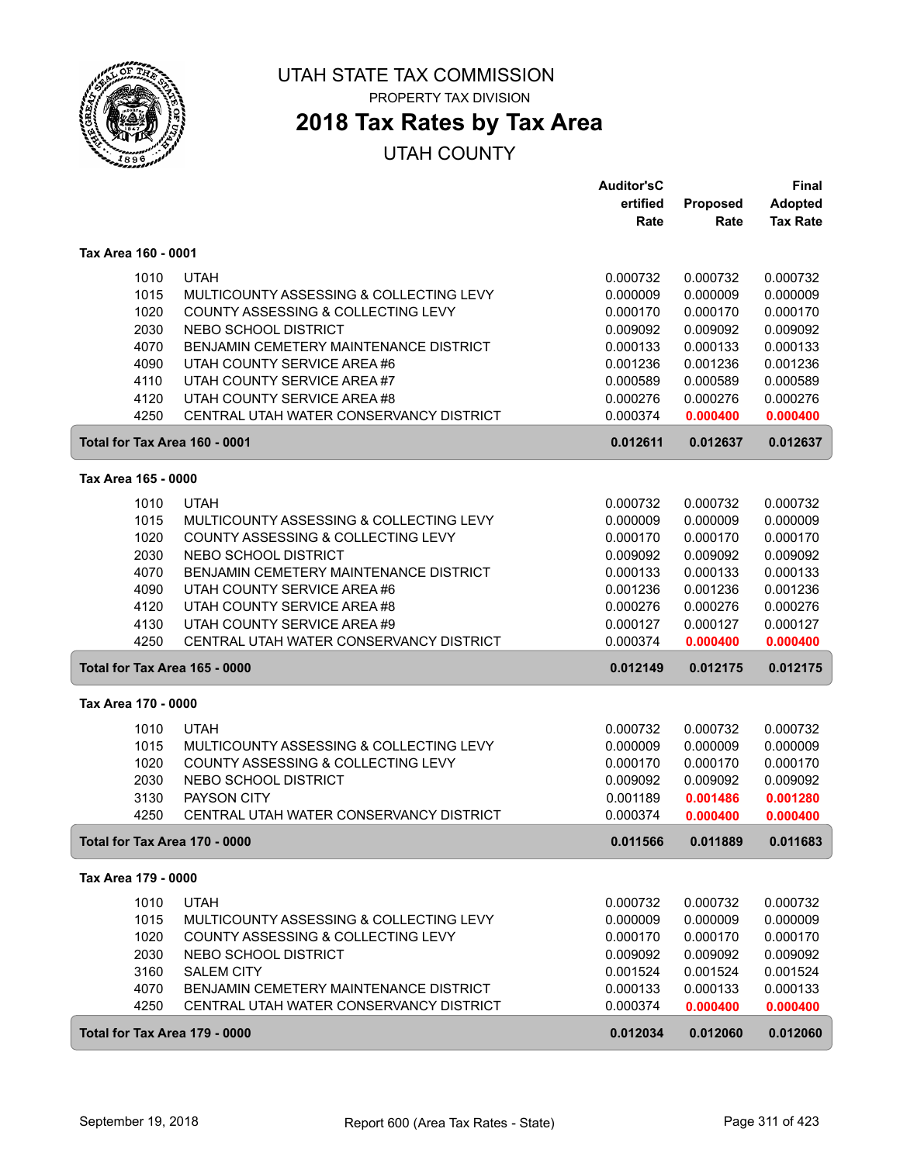

## **2018 Tax Rates by Tax Area**

|                                      |                                         | <b>Auditor'sC</b> |          | Final           |
|--------------------------------------|-----------------------------------------|-------------------|----------|-----------------|
|                                      |                                         | ertified          | Proposed | <b>Adopted</b>  |
|                                      |                                         | Rate              | Rate     | <b>Tax Rate</b> |
| Tax Area 160 - 0001                  |                                         |                   |          |                 |
| 1010                                 | <b>UTAH</b>                             | 0.000732          | 0.000732 | 0.000732        |
| 1015                                 | MULTICOUNTY ASSESSING & COLLECTING LEVY | 0.000009          | 0.000009 | 0.000009        |
| 1020                                 | COUNTY ASSESSING & COLLECTING LEVY      | 0.000170          | 0.000170 | 0.000170        |
| 2030                                 | NEBO SCHOOL DISTRICT                    | 0.009092          | 0.009092 | 0.009092        |
| 4070                                 | BENJAMIN CEMETERY MAINTENANCE DISTRICT  | 0.000133          | 0.000133 | 0.000133        |
| 4090                                 | UTAH COUNTY SERVICE AREA #6             | 0.001236          | 0.001236 | 0.001236        |
| 4110                                 | UTAH COUNTY SERVICE AREA #7             | 0.000589          | 0.000589 | 0.000589        |
| 4120                                 | UTAH COUNTY SERVICE AREA #8             | 0.000276          | 0.000276 | 0.000276        |
| 4250                                 | CENTRAL UTAH WATER CONSERVANCY DISTRICT | 0.000374          | 0.000400 | 0.000400        |
| Total for Tax Area 160 - 0001        |                                         | 0.012611          | 0.012637 | 0.012637        |
| Tax Area 165 - 0000                  |                                         |                   |          |                 |
| 1010                                 | <b>UTAH</b>                             | 0.000732          | 0.000732 | 0.000732        |
| 1015                                 | MULTICOUNTY ASSESSING & COLLECTING LEVY | 0.000009          | 0.000009 | 0.000009        |
| 1020                                 | COUNTY ASSESSING & COLLECTING LEVY      | 0.000170          | 0.000170 | 0.000170        |
| 2030                                 | NEBO SCHOOL DISTRICT                    | 0.009092          | 0.009092 | 0.009092        |
| 4070                                 | BENJAMIN CEMETERY MAINTENANCE DISTRICT  | 0.000133          | 0.000133 | 0.000133        |
| 4090                                 | UTAH COUNTY SERVICE AREA #6             | 0.001236          | 0.001236 | 0.001236        |
| 4120                                 | UTAH COUNTY SERVICE AREA #8             | 0.000276          | 0.000276 | 0.000276        |
| 4130                                 | UTAH COUNTY SERVICE AREA #9             | 0.000127          | 0.000127 | 0.000127        |
| 4250                                 | CENTRAL UTAH WATER CONSERVANCY DISTRICT | 0.000374          | 0.000400 | 0.000400        |
| <b>Total for Tax Area 165 - 0000</b> |                                         | 0.012149          | 0.012175 | 0.012175        |
| Tax Area 170 - 0000                  |                                         |                   |          |                 |
| 1010                                 | <b>UTAH</b>                             | 0.000732          | 0.000732 | 0.000732        |
| 1015                                 | MULTICOUNTY ASSESSING & COLLECTING LEVY | 0.000009          | 0.000009 | 0.000009        |
| 1020                                 | COUNTY ASSESSING & COLLECTING LEVY      | 0.000170          | 0.000170 | 0.000170        |
| 2030                                 | NEBO SCHOOL DISTRICT                    | 0.009092          | 0.009092 | 0.009092        |
| 3130                                 | PAYSON CITY                             | 0.001189          | 0.001486 | 0.001280        |
| 4250                                 | CENTRAL UTAH WATER CONSERVANCY DISTRICT | 0.000374          | 0.000400 | 0.000400        |
| Total for Tax Area 170 - 0000        |                                         | 0.011566          | 0.011889 | 0.011683        |
| Tax Area 179 - 0000                  |                                         |                   |          |                 |
| 1010                                 | <b>UTAH</b>                             | 0.000732          | 0.000732 | 0.000732        |
| 1015                                 | MULTICOUNTY ASSESSING & COLLECTING LEVY | 0.000009          | 0.000009 | 0.000009        |
| 1020                                 | COUNTY ASSESSING & COLLECTING LEVY      | 0.000170          | 0.000170 | 0.000170        |
| 2030                                 | NEBO SCHOOL DISTRICT                    | 0.009092          | 0.009092 | 0.009092        |
| 3160                                 | <b>SALEM CITY</b>                       | 0.001524          | 0.001524 | 0.001524        |
| 4070                                 | BENJAMIN CEMETERY MAINTENANCE DISTRICT  | 0.000133          | 0.000133 | 0.000133        |
| 4250                                 | CENTRAL UTAH WATER CONSERVANCY DISTRICT | 0.000374          | 0.000400 | 0.000400        |
| Total for Tax Area 179 - 0000        |                                         | 0.012034          | 0.012060 | 0.012060        |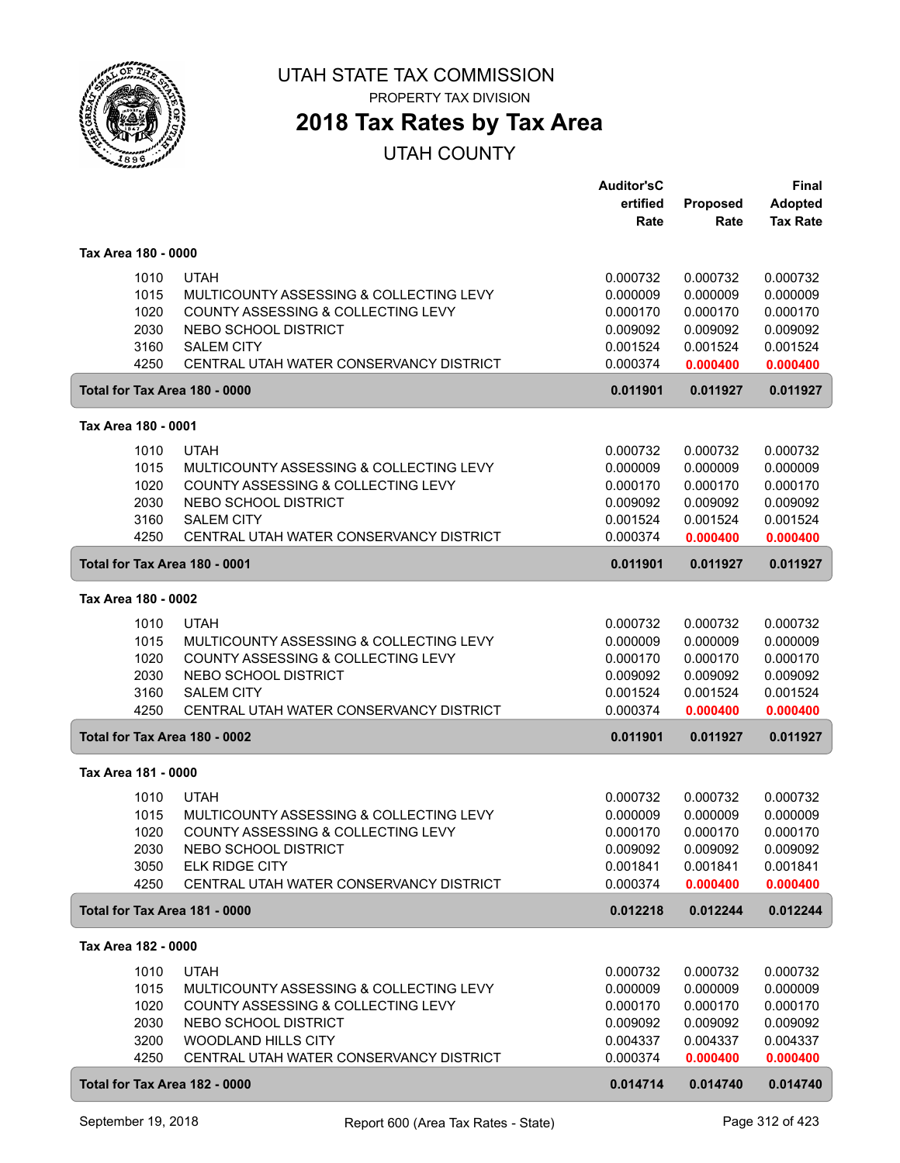

**2018 Tax Rates by Tax Area**

|                               |                                                                               | <b>Auditor'sC</b><br>ertified | Proposed             | <b>Final</b><br><b>Adopted</b> |
|-------------------------------|-------------------------------------------------------------------------------|-------------------------------|----------------------|--------------------------------|
|                               |                                                                               | Rate                          | Rate                 | <b>Tax Rate</b>                |
| Tax Area 180 - 0000           |                                                                               |                               |                      |                                |
| 1010                          | <b>UTAH</b>                                                                   | 0.000732                      | 0.000732             | 0.000732                       |
| 1015<br>1020                  | MULTICOUNTY ASSESSING & COLLECTING LEVY<br>COUNTY ASSESSING & COLLECTING LEVY | 0.000009<br>0.000170          | 0.000009<br>0.000170 | 0.000009<br>0.000170           |
| 2030                          | NEBO SCHOOL DISTRICT                                                          | 0.009092                      | 0.009092             | 0.009092                       |
| 3160                          | <b>SALEM CITY</b>                                                             | 0.001524                      | 0.001524             | 0.001524                       |
| 4250                          | CENTRAL UTAH WATER CONSERVANCY DISTRICT                                       | 0.000374                      | 0.000400             | 0.000400                       |
| Total for Tax Area 180 - 0000 |                                                                               | 0.011901                      | 0.011927             | 0.011927                       |
| Tax Area 180 - 0001           |                                                                               |                               |                      |                                |
| 1010                          | <b>UTAH</b>                                                                   | 0.000732                      | 0.000732             | 0.000732                       |
| 1015                          | MULTICOUNTY ASSESSING & COLLECTING LEVY                                       | 0.000009                      | 0.000009             | 0.000009                       |
| 1020<br>2030                  | COUNTY ASSESSING & COLLECTING LEVY<br>NEBO SCHOOL DISTRICT                    | 0.000170<br>0.009092          | 0.000170<br>0.009092 | 0.000170<br>0.009092           |
| 3160                          | <b>SALEM CITY</b>                                                             | 0.001524                      | 0.001524             | 0.001524                       |
| 4250                          | CENTRAL UTAH WATER CONSERVANCY DISTRICT                                       | 0.000374                      | 0.000400             | 0.000400                       |
| Total for Tax Area 180 - 0001 |                                                                               | 0.011901                      | 0.011927             | 0.011927                       |
| Tax Area 180 - 0002           |                                                                               |                               |                      |                                |
| 1010                          | <b>UTAH</b>                                                                   | 0.000732                      | 0.000732             | 0.000732                       |
| 1015                          | MULTICOUNTY ASSESSING & COLLECTING LEVY                                       | 0.000009                      | 0.000009             | 0.000009                       |
| 1020                          | COUNTY ASSESSING & COLLECTING LEVY                                            | 0.000170                      | 0.000170             | 0.000170                       |
| 2030<br>3160                  | NEBO SCHOOL DISTRICT<br><b>SALEM CITY</b>                                     | 0.009092<br>0.001524          | 0.009092<br>0.001524 | 0.009092<br>0.001524           |
| 4250                          | CENTRAL UTAH WATER CONSERVANCY DISTRICT                                       | 0.000374                      | 0.000400             | 0.000400                       |
| Total for Tax Area 180 - 0002 |                                                                               | 0.011901                      | 0.011927             | 0.011927                       |
| Tax Area 181 - 0000           |                                                                               |                               |                      |                                |
| 1010                          | <b>UTAH</b>                                                                   | 0.000732                      | 0.000732             | 0.000732                       |
| 1015                          | MULTICOUNTY ASSESSING & COLLECTING LEVY                                       | 0.000009                      | 0.000009             | 0.000009                       |
| 1020                          | COUNTY ASSESSING & COLLECTING LEVY                                            | 0.000170                      | 0.000170             | 0.000170                       |
| 2030                          | NEBO SCHOOL DISTRICT                                                          | 0.009092                      | 0.009092             | 0.009092                       |
| 3050<br>4250                  | <b>ELK RIDGE CITY</b><br>CENTRAL UTAH WATER CONSERVANCY DISTRICT              | 0.001841<br>0.000374          | 0.001841<br>0.000400 | 0.001841<br>0.000400           |
| Total for Tax Area 181 - 0000 |                                                                               | 0.012218                      | 0.012244             | 0.012244                       |
| Tax Area 182 - 0000           |                                                                               |                               |                      |                                |
| 1010                          | <b>UTAH</b>                                                                   | 0.000732                      | 0.000732             | 0.000732                       |
| 1015                          | MULTICOUNTY ASSESSING & COLLECTING LEVY                                       | 0.000009                      | 0.000009             | 0.000009                       |
| 1020                          | COUNTY ASSESSING & COLLECTING LEVY                                            | 0.000170                      | 0.000170             | 0.000170                       |
| 2030                          | NEBO SCHOOL DISTRICT                                                          | 0.009092                      | 0.009092             | 0.009092                       |
| 3200                          | WOODLAND HILLS CITY                                                           | 0.004337                      | 0.004337             | 0.004337                       |
| 4250                          | CENTRAL UTAH WATER CONSERVANCY DISTRICT                                       | 0.000374                      | 0.000400             | 0.000400                       |
| Total for Tax Area 182 - 0000 |                                                                               | 0.014714                      | 0.014740             | 0.014740                       |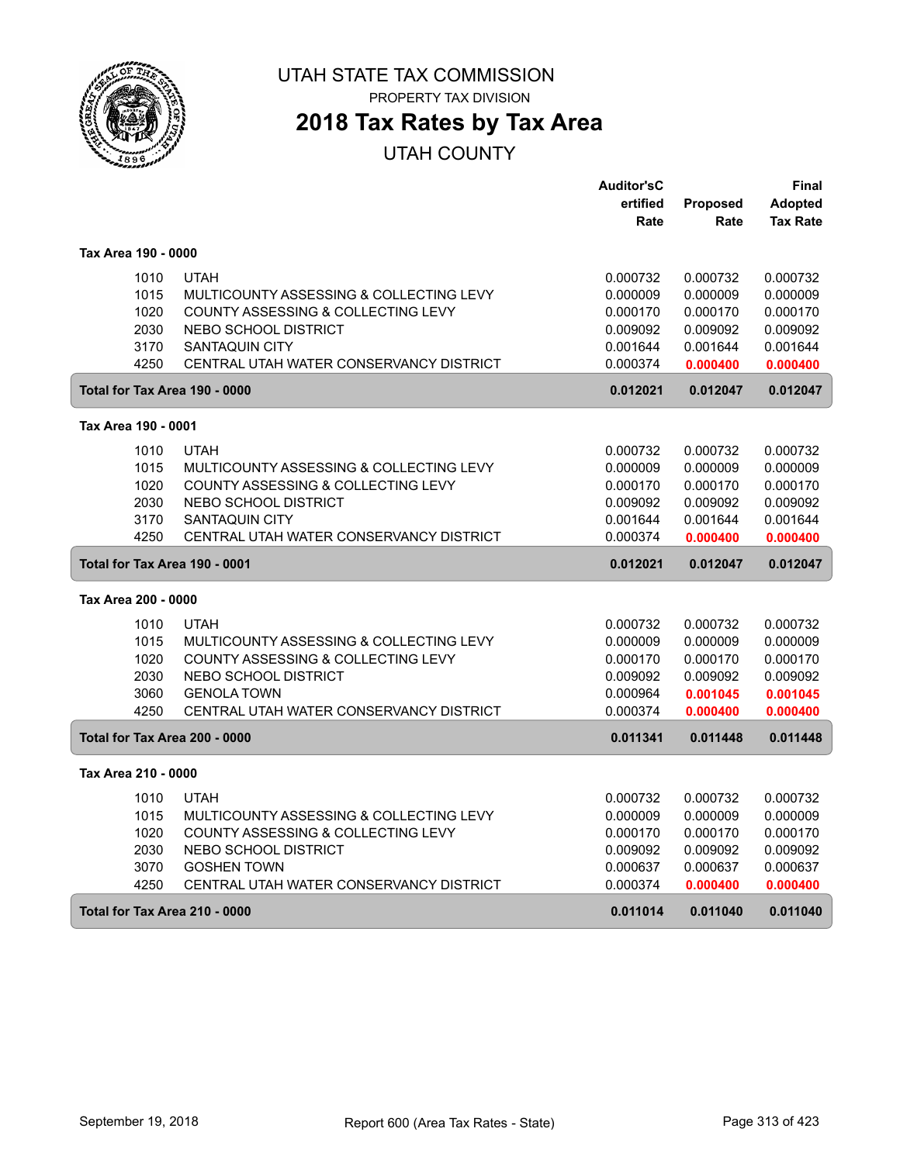

**2018 Tax Rates by Tax Area**

|                               |                                         | <b>Auditor'sC</b> |                 | Final           |
|-------------------------------|-----------------------------------------|-------------------|-----------------|-----------------|
|                               |                                         | ertified          | <b>Proposed</b> | <b>Adopted</b>  |
|                               |                                         | Rate              | Rate            | <b>Tax Rate</b> |
| Tax Area 190 - 0000           |                                         |                   |                 |                 |
| 1010                          | <b>UTAH</b>                             | 0.000732          | 0.000732        | 0.000732        |
| 1015                          | MULTICOUNTY ASSESSING & COLLECTING LEVY | 0.000009          | 0.000009        | 0.000009        |
| 1020                          | COUNTY ASSESSING & COLLECTING LEVY      | 0.000170          | 0.000170        | 0.000170        |
| 2030                          | NEBO SCHOOL DISTRICT                    | 0.009092          | 0.009092        | 0.009092        |
| 3170                          | <b>SANTAQUIN CITY</b>                   | 0.001644          | 0.001644        | 0.001644        |
| 4250                          | CENTRAL UTAH WATER CONSERVANCY DISTRICT | 0.000374          | 0.000400        | 0.000400        |
| Total for Tax Area 190 - 0000 |                                         | 0.012021          | 0.012047        | 0.012047        |
| Tax Area 190 - 0001           |                                         |                   |                 |                 |
| 1010                          | <b>UTAH</b>                             | 0.000732          | 0.000732        | 0.000732        |
| 1015                          | MULTICOUNTY ASSESSING & COLLECTING LEVY | 0.000009          | 0.000009        | 0.000009        |
| 1020                          | COUNTY ASSESSING & COLLECTING LEVY      | 0.000170          | 0.000170        | 0.000170        |
| 2030                          | <b>NEBO SCHOOL DISTRICT</b>             | 0.009092          | 0.009092        | 0.009092        |
| 3170                          | <b>SANTAQUIN CITY</b>                   | 0.001644          | 0.001644        | 0.001644        |
| 4250                          | CENTRAL UTAH WATER CONSERVANCY DISTRICT | 0.000374          | 0.000400        | 0.000400        |
| Total for Tax Area 190 - 0001 |                                         | 0.012021          | 0.012047        | 0.012047        |
| Tax Area 200 - 0000           |                                         |                   |                 |                 |
| 1010                          | <b>UTAH</b>                             | 0.000732          | 0.000732        | 0.000732        |
| 1015                          | MULTICOUNTY ASSESSING & COLLECTING LEVY | 0.000009          | 0.000009        | 0.000009        |
| 1020                          | COUNTY ASSESSING & COLLECTING LEVY      | 0.000170          | 0.000170        | 0.000170        |
| 2030                          | <b>NEBO SCHOOL DISTRICT</b>             | 0.009092          | 0.009092        | 0.009092        |
| 3060                          | <b>GENOLA TOWN</b>                      | 0.000964          | 0.001045        | 0.001045        |
| 4250                          | CENTRAL UTAH WATER CONSERVANCY DISTRICT | 0.000374          | 0.000400        | 0.000400        |
| Total for Tax Area 200 - 0000 |                                         | 0.011341          | 0.011448        | 0.011448        |
| Tax Area 210 - 0000           |                                         |                   |                 |                 |
| 1010                          | <b>UTAH</b>                             | 0.000732          | 0.000732        | 0.000732        |
| 1015                          | MULTICOUNTY ASSESSING & COLLECTING LEVY | 0.000009          | 0.000009        | 0.000009        |
| 1020                          | COUNTY ASSESSING & COLLECTING LEVY      | 0.000170          | 0.000170        | 0.000170        |
| 2030                          | NEBO SCHOOL DISTRICT                    | 0.009092          | 0.009092        | 0.009092        |
| 3070                          | <b>GOSHEN TOWN</b>                      | 0.000637          | 0.000637        | 0.000637        |
| 4250                          | CENTRAL UTAH WATER CONSERVANCY DISTRICT | 0.000374          | 0.000400        | 0.000400        |
|                               | Total for Tax Area 210 - 0000           | 0.011014          | 0.011040        | 0.011040        |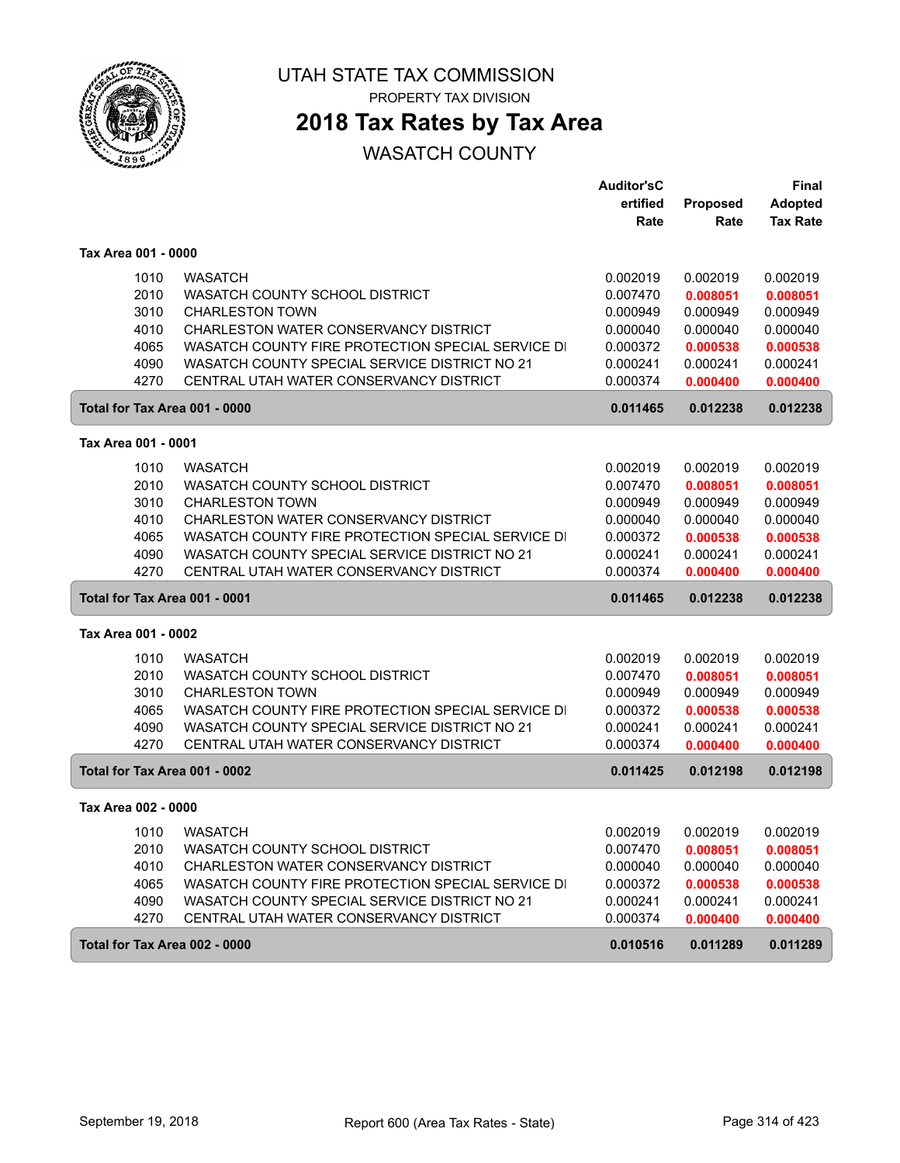

PROPERTY TAX DIVISION

## **2018 Tax Rates by Tax Area**

|                               |                                                   | <b>Auditor'sC</b> |                 | <b>Final</b>    |
|-------------------------------|---------------------------------------------------|-------------------|-----------------|-----------------|
|                               |                                                   | ertified          | <b>Proposed</b> | <b>Adopted</b>  |
|                               |                                                   | Rate              | Rate            | <b>Tax Rate</b> |
| Tax Area 001 - 0000           |                                                   |                   |                 |                 |
| 1010                          | <b>WASATCH</b>                                    | 0.002019          | 0.002019        | 0.002019        |
| 2010                          | WASATCH COUNTY SCHOOL DISTRICT                    | 0.007470          | 0.008051        | 0.008051        |
| 3010                          | <b>CHARLESTON TOWN</b>                            | 0.000949          | 0.000949        | 0.000949        |
| 4010                          | CHARLESTON WATER CONSERVANCY DISTRICT             | 0.000040          | 0.000040        | 0.000040        |
| 4065                          | WASATCH COUNTY FIRE PROTECTION SPECIAL SERVICE DI | 0.000372          | 0.000538        | 0.000538        |
| 4090                          | WASATCH COUNTY SPECIAL SERVICE DISTRICT NO 21     | 0.000241          | 0.000241        | 0.000241        |
| 4270                          | CENTRAL UTAH WATER CONSERVANCY DISTRICT           | 0.000374          | 0.000400        | 0.000400        |
| Total for Tax Area 001 - 0000 |                                                   | 0.011465          | 0.012238        | 0.012238        |
| Tax Area 001 - 0001           |                                                   |                   |                 |                 |
| 1010                          | <b>WASATCH</b>                                    | 0.002019          | 0.002019        | 0.002019        |
| 2010                          | WASATCH COUNTY SCHOOL DISTRICT                    | 0.007470          | 0.008051        | 0.008051        |
| 3010                          | <b>CHARLESTON TOWN</b>                            | 0.000949          | 0.000949        | 0.000949        |
| 4010                          | CHARLESTON WATER CONSERVANCY DISTRICT             | 0.000040          | 0.000040        | 0.000040        |
| 4065                          | WASATCH COUNTY FIRE PROTECTION SPECIAL SERVICE DI | 0.000372          | 0.000538        | 0.000538        |
| 4090                          | WASATCH COUNTY SPECIAL SERVICE DISTRICT NO 21     | 0.000241          | 0.000241        | 0.000241        |
| 4270                          | CENTRAL UTAH WATER CONSERVANCY DISTRICT           | 0.000374          | 0.000400        | 0.000400        |
| Total for Tax Area 001 - 0001 |                                                   | 0.011465          | 0.012238        | 0.012238        |
| Tax Area 001 - 0002           |                                                   |                   |                 |                 |
| 1010                          | <b>WASATCH</b>                                    | 0.002019          | 0.002019        | 0.002019        |
| 2010                          | WASATCH COUNTY SCHOOL DISTRICT                    | 0.007470          | 0.008051        | 0.008051        |
| 3010                          | <b>CHARLESTON TOWN</b>                            | 0.000949          | 0.000949        | 0.000949        |
| 4065                          | WASATCH COUNTY FIRE PROTECTION SPECIAL SERVICE DI | 0.000372          | 0.000538        | 0.000538        |
| 4090                          | WASATCH COUNTY SPECIAL SERVICE DISTRICT NO 21     | 0.000241          | 0.000241        | 0.000241        |
| 4270                          | CENTRAL UTAH WATER CONSERVANCY DISTRICT           | 0.000374          | 0.000400        | 0.000400        |
| Total for Tax Area 001 - 0002 |                                                   | 0.011425          | 0.012198        | 0.012198        |
| Tax Area 002 - 0000           |                                                   |                   |                 |                 |
| 1010                          | <b>WASATCH</b>                                    | 0.002019          | 0.002019        | 0.002019        |
| 2010                          | WASATCH COUNTY SCHOOL DISTRICT                    | 0.007470          | 0.008051        | 0.008051        |
| 4010                          | CHARLESTON WATER CONSERVANCY DISTRICT             | 0.000040          | 0.000040        | 0.000040        |
| 4065                          | WASATCH COUNTY FIRE PROTECTION SPECIAL SERVICE DI | 0.000372          | 0.000538        | 0.000538        |
| 4090                          | WASATCH COUNTY SPECIAL SERVICE DISTRICT NO 21     | 0.000241          | 0.000241        | 0.000241        |
| 4270                          | CENTRAL UTAH WATER CONSERVANCY DISTRICT           | 0.000374          | 0.000400        | 0.000400        |
| Total for Tax Area 002 - 0000 |                                                   | 0.010516          | 0.011289        | 0.011289        |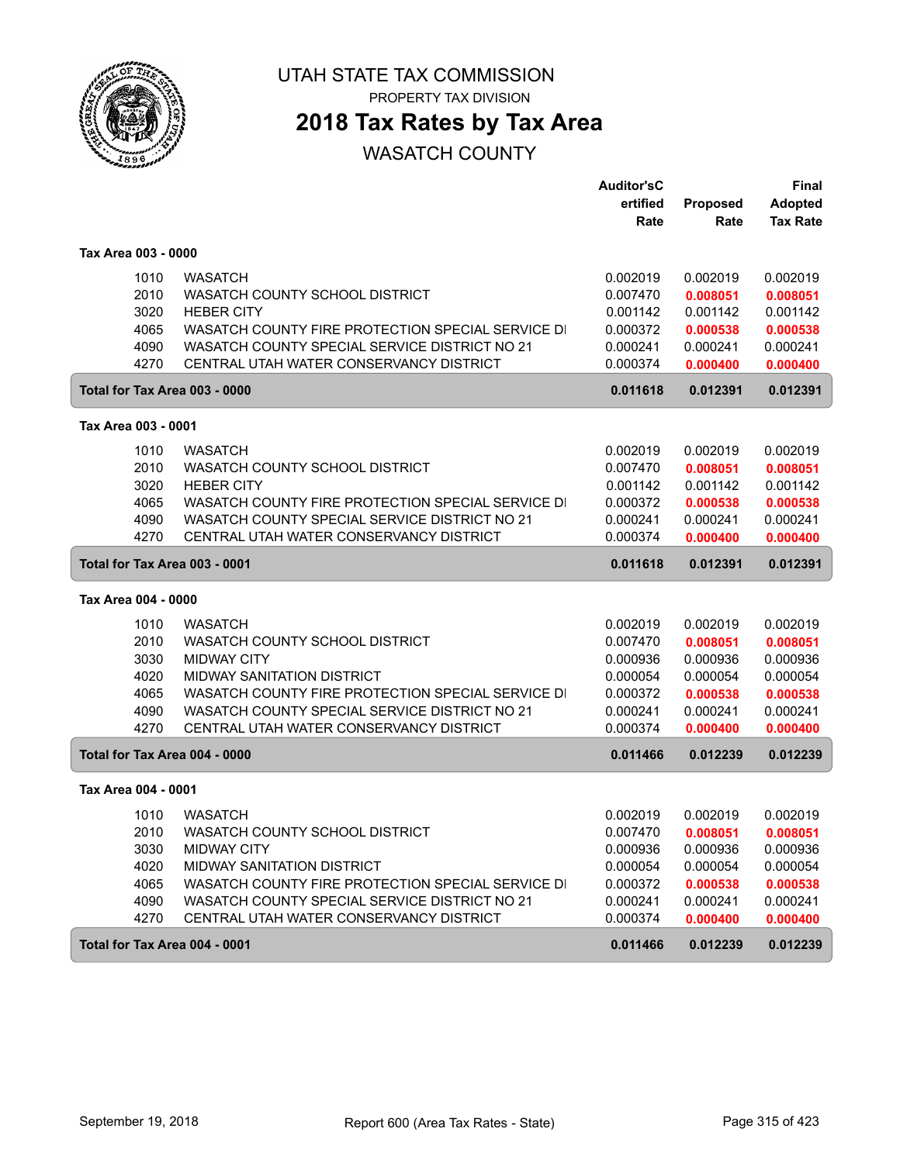

PROPERTY TAX DIVISION

## **2018 Tax Rates by Tax Area**

|                               |                                                   | <b>Auditor'sC</b> |                 | Final           |
|-------------------------------|---------------------------------------------------|-------------------|-----------------|-----------------|
|                               |                                                   | ertified          | <b>Proposed</b> | <b>Adopted</b>  |
|                               |                                                   | Rate              | Rate            | <b>Tax Rate</b> |
| Tax Area 003 - 0000           |                                                   |                   |                 |                 |
| 1010                          | <b>WASATCH</b>                                    | 0.002019          | 0.002019        | 0.002019        |
| 2010                          | WASATCH COUNTY SCHOOL DISTRICT                    | 0.007470          | 0.008051        | 0.008051        |
| 3020                          | <b>HEBER CITY</b>                                 | 0.001142          | 0.001142        | 0.001142        |
| 4065                          | WASATCH COUNTY FIRE PROTECTION SPECIAL SERVICE DI | 0.000372          | 0.000538        | 0.000538        |
| 4090                          | WASATCH COUNTY SPECIAL SERVICE DISTRICT NO 21     | 0.000241          | 0.000241        | 0.000241        |
| 4270                          | CENTRAL UTAH WATER CONSERVANCY DISTRICT           | 0.000374          | 0.000400        | 0.000400        |
| Total for Tax Area 003 - 0000 |                                                   | 0.011618          | 0.012391        | 0.012391        |
| Tax Area 003 - 0001           |                                                   |                   |                 |                 |
| 1010                          | <b>WASATCH</b>                                    | 0.002019          | 0.002019        | 0.002019        |
| 2010                          | WASATCH COUNTY SCHOOL DISTRICT                    | 0.007470          | 0.008051        | 0.008051        |
| 3020                          | <b>HEBER CITY</b>                                 | 0.001142          | 0.001142        | 0.001142        |
| 4065                          | WASATCH COUNTY FIRE PROTECTION SPECIAL SERVICE DI | 0.000372          | 0.000538        | 0.000538        |
| 4090                          | WASATCH COUNTY SPECIAL SERVICE DISTRICT NO 21     | 0.000241          | 0.000241        | 0.000241        |
| 4270                          | CENTRAL UTAH WATER CONSERVANCY DISTRICT           | 0.000374          | 0.000400        | 0.000400        |
| Total for Tax Area 003 - 0001 |                                                   | 0.011618          | 0.012391        | 0.012391        |
| Tax Area 004 - 0000           |                                                   |                   |                 |                 |
| 1010                          | <b>WASATCH</b>                                    | 0.002019          | 0.002019        | 0.002019        |
| 2010                          | WASATCH COUNTY SCHOOL DISTRICT                    | 0.007470          | 0.008051        | 0.008051        |
| 3030                          | <b>MIDWAY CITY</b>                                | 0.000936          | 0.000936        | 0.000936        |
| 4020                          | <b>MIDWAY SANITATION DISTRICT</b>                 | 0.000054          | 0.000054        | 0.000054        |
| 4065                          | WASATCH COUNTY FIRE PROTECTION SPECIAL SERVICE DI | 0.000372          | 0.000538        | 0.000538        |
| 4090                          | WASATCH COUNTY SPECIAL SERVICE DISTRICT NO 21     | 0.000241          | 0.000241        | 0.000241        |
| 4270                          | CENTRAL UTAH WATER CONSERVANCY DISTRICT           | 0.000374          | 0.000400        | 0.000400        |
| Total for Tax Area 004 - 0000 |                                                   | 0.011466          | 0.012239        | 0.012239        |
| Tax Area 004 - 0001           |                                                   |                   |                 |                 |
| 1010                          | <b>WASATCH</b>                                    | 0.002019          | 0.002019        | 0.002019        |
| 2010                          | WASATCH COUNTY SCHOOL DISTRICT                    | 0.007470          | 0.008051        | 0.008051        |
| 3030                          | <b>MIDWAY CITY</b>                                | 0.000936          | 0.000936        | 0.000936        |
| 4020                          | <b>MIDWAY SANITATION DISTRICT</b>                 | 0.000054          | 0.000054        | 0.000054        |
| 4065                          | WASATCH COUNTY FIRE PROTECTION SPECIAL SERVICE DI | 0.000372          | 0.000538        | 0.000538        |
| 4090                          | WASATCH COUNTY SPECIAL SERVICE DISTRICT NO 21     | 0.000241          | 0.000241        | 0.000241        |
| 4270                          | CENTRAL UTAH WATER CONSERVANCY DISTRICT           | 0.000374          | 0.000400        | 0.000400        |
| Total for Tax Area 004 - 0001 |                                                   | 0.011466          | 0.012239        | 0.012239        |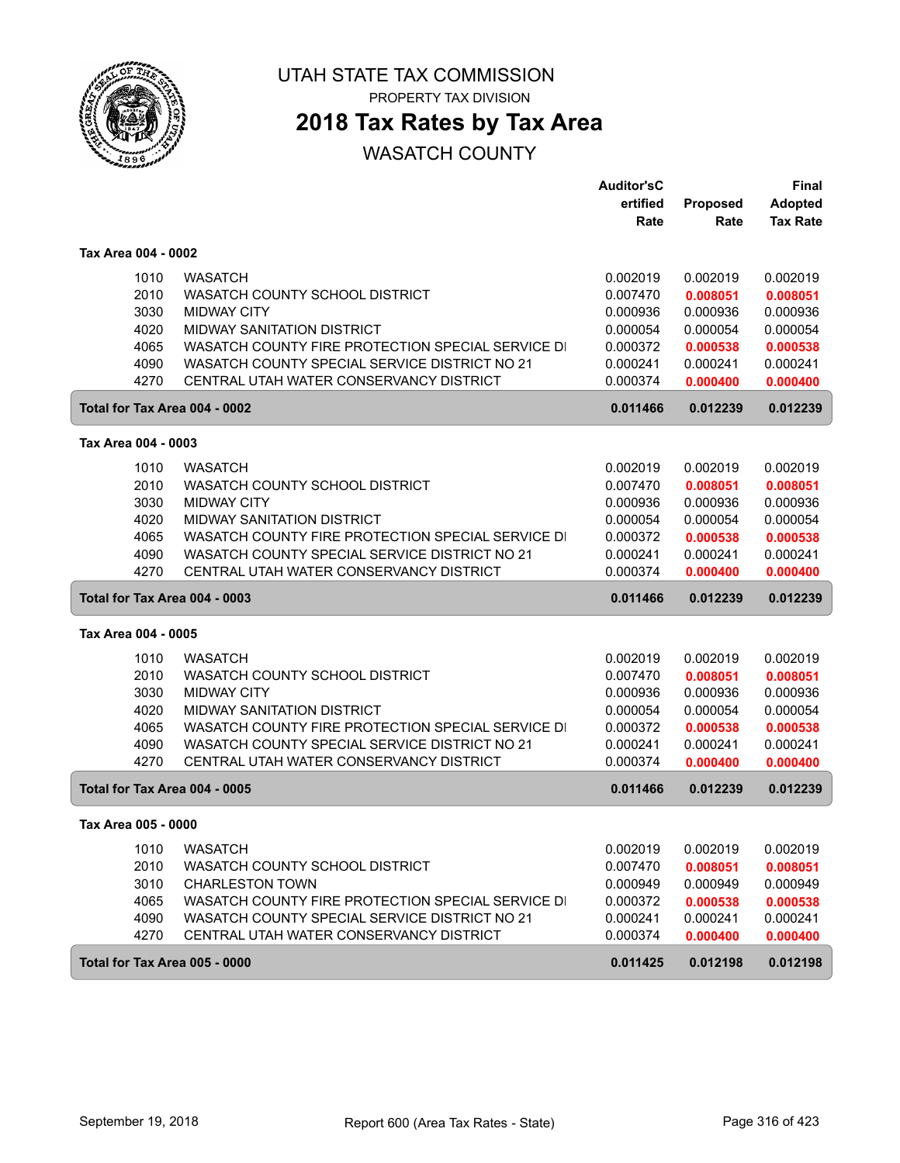

PROPERTY TAX DIVISION

# **2018 Tax Rates by Tax Area**

|                               |                                                   | <b>Auditor'sC</b> |          | Final           |
|-------------------------------|---------------------------------------------------|-------------------|----------|-----------------|
|                               |                                                   | ertified          | Proposed | <b>Adopted</b>  |
|                               |                                                   | Rate              | Rate     | <b>Tax Rate</b> |
| Tax Area 004 - 0002           |                                                   |                   |          |                 |
| 1010                          | <b>WASATCH</b>                                    | 0.002019          | 0.002019 | 0.002019        |
| 2010                          | WASATCH COUNTY SCHOOL DISTRICT                    | 0.007470          | 0.008051 | 0.008051        |
| 3030                          | <b>MIDWAY CITY</b>                                | 0.000936          | 0.000936 | 0.000936        |
| 4020                          | <b>MIDWAY SANITATION DISTRICT</b>                 | 0.000054          | 0.000054 | 0.000054        |
| 4065                          | WASATCH COUNTY FIRE PROTECTION SPECIAL SERVICE DI | 0.000372          | 0.000538 | 0.000538        |
| 4090                          | WASATCH COUNTY SPECIAL SERVICE DISTRICT NO 21     | 0.000241          | 0.000241 | 0.000241        |
| 4270                          | CENTRAL UTAH WATER CONSERVANCY DISTRICT           | 0.000374          | 0.000400 | 0.000400        |
| Total for Tax Area 004 - 0002 |                                                   | 0.011466          | 0.012239 | 0.012239        |
| Tax Area 004 - 0003           |                                                   |                   |          |                 |
| 1010                          | <b>WASATCH</b>                                    | 0.002019          | 0.002019 | 0.002019        |
| 2010                          | WASATCH COUNTY SCHOOL DISTRICT                    | 0.007470          | 0.008051 | 0.008051        |
| 3030                          | <b>MIDWAY CITY</b>                                | 0.000936          | 0.000936 | 0.000936        |
| 4020                          | <b>MIDWAY SANITATION DISTRICT</b>                 | 0.000054          | 0.000054 | 0.000054        |
| 4065                          | WASATCH COUNTY FIRE PROTECTION SPECIAL SERVICE DI | 0.000372          | 0.000538 | 0.000538        |
| 4090                          | WASATCH COUNTY SPECIAL SERVICE DISTRICT NO 21     | 0.000241          | 0.000241 | 0.000241        |
| 4270                          | CENTRAL UTAH WATER CONSERVANCY DISTRICT           | 0.000374          | 0.000400 | 0.000400        |
| Total for Tax Area 004 - 0003 |                                                   | 0.011466          | 0.012239 | 0.012239        |
| Tax Area 004 - 0005           |                                                   |                   |          |                 |
| 1010                          | <b>WASATCH</b>                                    | 0.002019          | 0.002019 | 0.002019        |
| 2010                          | WASATCH COUNTY SCHOOL DISTRICT                    | 0.007470          | 0.008051 | 0.008051        |
| 3030                          | <b>MIDWAY CITY</b>                                | 0.000936          | 0.000936 | 0.000936        |
| 4020                          | <b>MIDWAY SANITATION DISTRICT</b>                 | 0.000054          | 0.000054 | 0.000054        |
| 4065                          | WASATCH COUNTY FIRE PROTECTION SPECIAL SERVICE DI | 0.000372          | 0.000538 | 0.000538        |
| 4090                          | WASATCH COUNTY SPECIAL SERVICE DISTRICT NO 21     | 0.000241          | 0.000241 | 0.000241        |
| 4270                          | CENTRAL UTAH WATER CONSERVANCY DISTRICT           | 0.000374          | 0.000400 | 0.000400        |
| Total for Tax Area 004 - 0005 |                                                   | 0.011466          | 0.012239 | 0.012239        |
| Tax Area 005 - 0000           |                                                   |                   |          |                 |
| 1010                          | <b>WASATCH</b>                                    | 0.002019          | 0.002019 | 0.002019        |
| 2010                          | WASATCH COUNTY SCHOOL DISTRICT                    | 0.007470          | 0.008051 | 0.008051        |
| 3010                          | <b>CHARLESTON TOWN</b>                            | 0.000949          | 0.000949 | 0.000949        |
| 4065                          | WASATCH COUNTY FIRE PROTECTION SPECIAL SERVICE DI | 0.000372          | 0.000538 | 0.000538        |
| 4090                          | WASATCH COUNTY SPECIAL SERVICE DISTRICT NO 21     | 0.000241          | 0.000241 | 0.000241        |
| 4270                          | CENTRAL UTAH WATER CONSERVANCY DISTRICT           | 0.000374          | 0.000400 | 0.000400        |
| Total for Tax Area 005 - 0000 |                                                   | 0.011425          | 0.012198 | 0.012198        |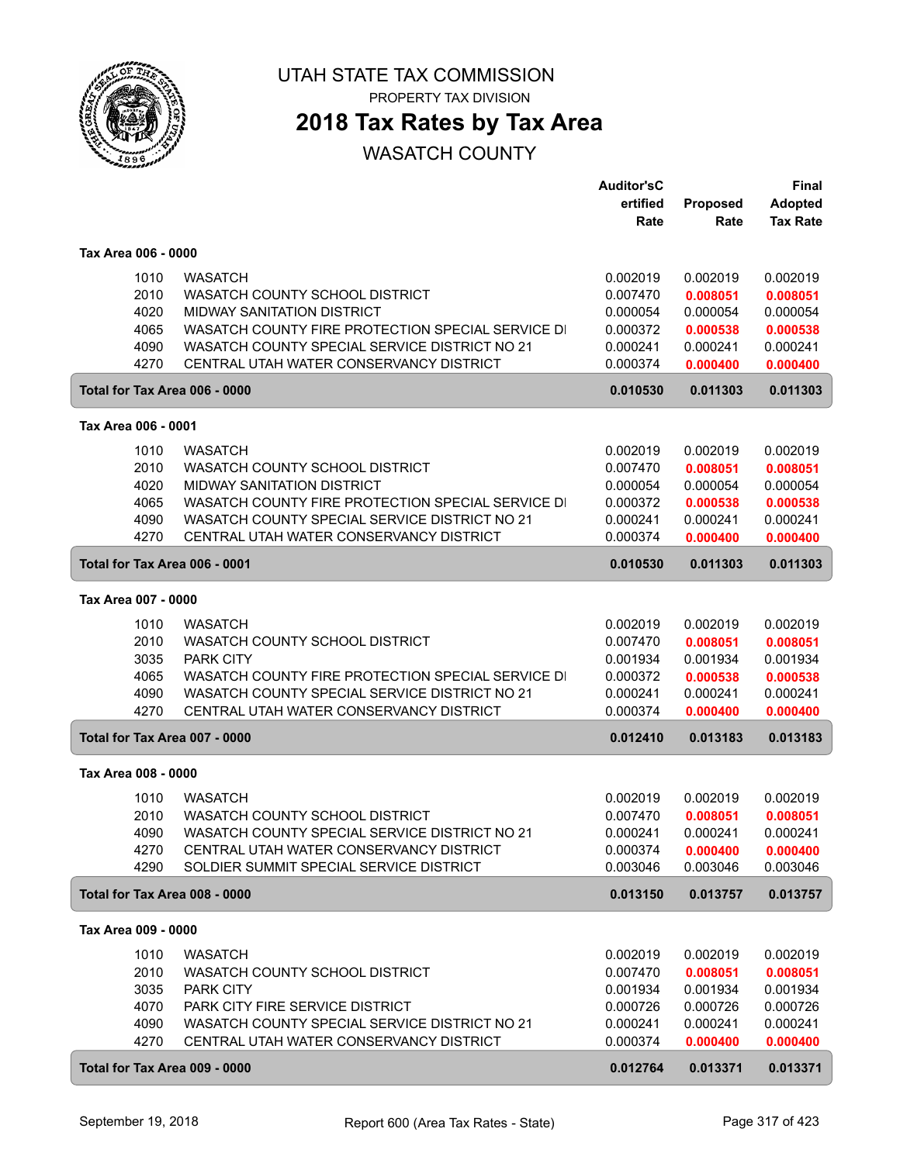

**2018 Tax Rates by Tax Area**

|                     |                                                   | <b>Auditor'sC</b> |                 | Final           |
|---------------------|---------------------------------------------------|-------------------|-----------------|-----------------|
|                     |                                                   | ertified          | <b>Proposed</b> | <b>Adopted</b>  |
|                     |                                                   | Rate              | Rate            | <b>Tax Rate</b> |
| Tax Area 006 - 0000 |                                                   |                   |                 |                 |
| 1010                | <b>WASATCH</b>                                    | 0.002019          | 0.002019        | 0.002019        |
| 2010                | WASATCH COUNTY SCHOOL DISTRICT                    | 0.007470          | 0.008051        | 0.008051        |
| 4020                | <b>MIDWAY SANITATION DISTRICT</b>                 | 0.000054          | 0.000054        | 0.000054        |
| 4065                | WASATCH COUNTY FIRE PROTECTION SPECIAL SERVICE DI | 0.000372          | 0.000538        | 0.000538        |
| 4090                | WASATCH COUNTY SPECIAL SERVICE DISTRICT NO 21     | 0.000241          | 0.000241        | 0.000241        |
| 4270                | CENTRAL UTAH WATER CONSERVANCY DISTRICT           | 0.000374          | 0.000400        | 0.000400        |
|                     | Total for Tax Area 006 - 0000                     | 0.010530          | 0.011303        | 0.011303        |
| Tax Area 006 - 0001 |                                                   |                   |                 |                 |
| 1010                | <b>WASATCH</b>                                    | 0.002019          | 0.002019        | 0.002019        |
| 2010                | WASATCH COUNTY SCHOOL DISTRICT                    | 0.007470          | 0.008051        | 0.008051        |
| 4020                | <b>MIDWAY SANITATION DISTRICT</b>                 | 0.000054          | 0.000054        | 0.000054        |
| 4065                | WASATCH COUNTY FIRE PROTECTION SPECIAL SERVICE DI | 0.000372          | 0.000538        | 0.000538        |
| 4090                | WASATCH COUNTY SPECIAL SERVICE DISTRICT NO 21     | 0.000241          | 0.000241        | 0.000241        |
| 4270                | CENTRAL UTAH WATER CONSERVANCY DISTRICT           | 0.000374          | 0.000400        | 0.000400        |
|                     | Total for Tax Area 006 - 0001                     | 0.010530          | 0.011303        | 0.011303        |
| Tax Area 007 - 0000 |                                                   |                   |                 |                 |
| 1010                | <b>WASATCH</b>                                    | 0.002019          | 0.002019        | 0.002019        |
| 2010                | WASATCH COUNTY SCHOOL DISTRICT                    | 0.007470          | 0.008051        | 0.008051        |
| 3035                | <b>PARK CITY</b>                                  | 0.001934          | 0.001934        | 0.001934        |
| 4065                | WASATCH COUNTY FIRE PROTECTION SPECIAL SERVICE DI | 0.000372          | 0.000538        | 0.000538        |
| 4090                | WASATCH COUNTY SPECIAL SERVICE DISTRICT NO 21     | 0.000241          | 0.000241        | 0.000241        |
| 4270                | CENTRAL UTAH WATER CONSERVANCY DISTRICT           | 0.000374          | 0.000400        | 0.000400        |
|                     | Total for Tax Area 007 - 0000                     | 0.012410          | 0.013183        | 0.013183        |
| Tax Area 008 - 0000 |                                                   |                   |                 |                 |
| 1010                | <b>WASATCH</b>                                    | 0.002019          | 0.002019        | 0.002019        |
| 2010                | WASATCH COUNTY SCHOOL DISTRICT                    | 0.007470          | 0.008051        | 0.008051        |
| 4090                | WASATCH COUNTY SPECIAL SERVICE DISTRICT NO 21     | 0.000241          | 0.000241        | 0.000241        |
| 4270                | CENTRAL UTAH WATER CONSERVANCY DISTRICT           | 0.000374          | 0.000400        | 0.000400        |
| 4290                | SOLDIER SUMMIT SPECIAL SERVICE DISTRICT           | 0.003046          | 0.003046        | 0.003046        |
|                     | Total for Tax Area 008 - 0000                     | 0.013150          | 0.013757        | 0.013757        |
| Tax Area 009 - 0000 |                                                   |                   |                 |                 |
| 1010                | <b>WASATCH</b>                                    | 0.002019          | 0.002019        | 0.002019        |
| 2010                | WASATCH COUNTY SCHOOL DISTRICT                    | 0.007470          | 0.008051        | 0.008051        |
| 3035                | PARK CITY                                         | 0.001934          | 0.001934        | 0.001934        |
| 4070                | PARK CITY FIRE SERVICE DISTRICT                   | 0.000726          | 0.000726        | 0.000726        |
| 4090                | WASATCH COUNTY SPECIAL SERVICE DISTRICT NO 21     | 0.000241          | 0.000241        | 0.000241        |
| 4270                | CENTRAL UTAH WATER CONSERVANCY DISTRICT           | 0.000374          | 0.000400        | 0.000400        |
|                     | Total for Tax Area 009 - 0000                     | 0.012764          | 0.013371        | 0.013371        |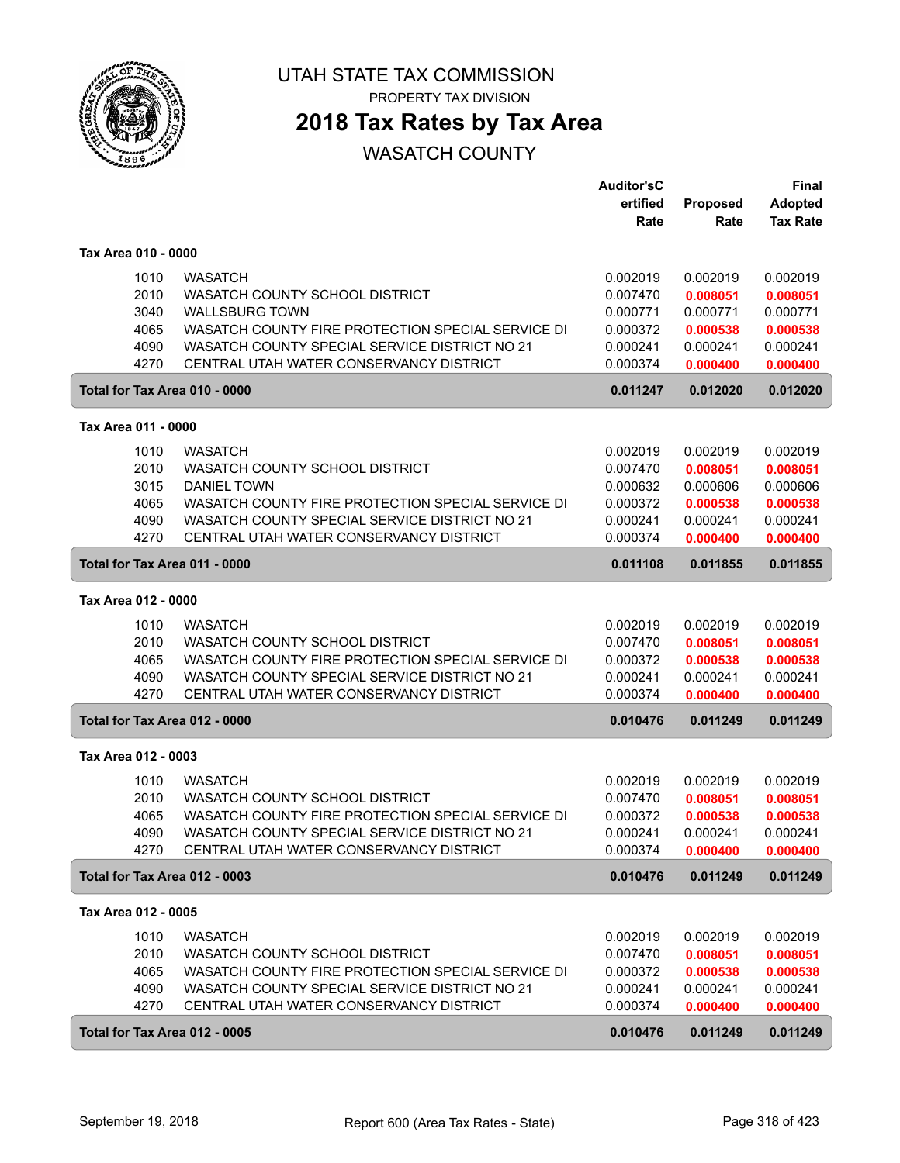

PROPERTY TAX DIVISION

## **2018 Tax Rates by Tax Area**

|                               |                                                   | <b>Auditor'sC</b> |          | <b>Final</b>    |
|-------------------------------|---------------------------------------------------|-------------------|----------|-----------------|
|                               |                                                   | ertified          | Proposed | <b>Adopted</b>  |
|                               |                                                   | Rate              | Rate     | <b>Tax Rate</b> |
| Tax Area 010 - 0000           |                                                   |                   |          |                 |
| 1010                          | <b>WASATCH</b>                                    | 0.002019          | 0.002019 | 0.002019        |
| 2010                          | WASATCH COUNTY SCHOOL DISTRICT                    | 0.007470          | 0.008051 | 0.008051        |
| 3040                          | <b>WALLSBURG TOWN</b>                             | 0.000771          | 0.000771 | 0.000771        |
| 4065                          | WASATCH COUNTY FIRE PROTECTION SPECIAL SERVICE DI | 0.000372          | 0.000538 | 0.000538        |
| 4090                          | WASATCH COUNTY SPECIAL SERVICE DISTRICT NO 21     | 0.000241          | 0.000241 | 0.000241        |
| 4270                          | CENTRAL UTAH WATER CONSERVANCY DISTRICT           | 0.000374          | 0.000400 | 0.000400        |
| Total for Tax Area 010 - 0000 |                                                   | 0.011247          | 0.012020 | 0.012020        |
| Tax Area 011 - 0000           |                                                   |                   |          |                 |
|                               |                                                   |                   |          |                 |
| 1010                          | <b>WASATCH</b>                                    | 0.002019          | 0.002019 | 0.002019        |
| 2010                          | WASATCH COUNTY SCHOOL DISTRICT                    | 0.007470          | 0.008051 | 0.008051        |
| 3015                          | <b>DANIEL TOWN</b>                                | 0.000632          | 0.000606 | 0.000606        |
| 4065                          | WASATCH COUNTY FIRE PROTECTION SPECIAL SERVICE DI | 0.000372          | 0.000538 | 0.000538        |
| 4090                          | WASATCH COUNTY SPECIAL SERVICE DISTRICT NO 21     | 0.000241          | 0.000241 | 0.000241        |
| 4270                          | CENTRAL UTAH WATER CONSERVANCY DISTRICT           | 0.000374          | 0.000400 | 0.000400        |
| Total for Tax Area 011 - 0000 |                                                   | 0.011108          | 0.011855 | 0.011855        |
| Tax Area 012 - 0000           |                                                   |                   |          |                 |
| 1010                          | <b>WASATCH</b>                                    | 0.002019          | 0.002019 | 0.002019        |
| 2010                          | WASATCH COUNTY SCHOOL DISTRICT                    | 0.007470          | 0.008051 | 0.008051        |
| 4065                          | WASATCH COUNTY FIRE PROTECTION SPECIAL SERVICE DI | 0.000372          | 0.000538 | 0.000538        |
| 4090                          | WASATCH COUNTY SPECIAL SERVICE DISTRICT NO 21     | 0.000241          | 0.000241 | 0.000241        |
| 4270                          | CENTRAL UTAH WATER CONSERVANCY DISTRICT           | 0.000374          | 0.000400 | 0.000400        |
| Total for Tax Area 012 - 0000 |                                                   | 0.010476          | 0.011249 | 0.011249        |
| Tax Area 012 - 0003           |                                                   |                   |          |                 |
| 1010                          | <b>WASATCH</b>                                    | 0.002019          | 0.002019 | 0.002019        |
| 2010                          | WASATCH COUNTY SCHOOL DISTRICT                    | 0.007470          | 0.008051 | 0.008051        |
| 4065                          | WASATCH COUNTY FIRE PROTECTION SPECIAL SERVICE DI | 0.000372          | 0.000538 | 0.000538        |
| 4090                          | WASATCH COUNTY SPECIAL SERVICE DISTRICT NO 21     | 0.000241          | 0.000241 | 0.000241        |
| 4270                          | CENTRAL UTAH WATER CONSERVANCY DISTRICT           | 0.000374          | 0.000400 | 0.000400        |
| Total for Tax Area 012 - 0003 |                                                   | 0.010476          | 0.011249 | 0.011249        |
| Tax Area 012 - 0005           |                                                   |                   |          |                 |
| 1010                          | <b>WASATCH</b>                                    | 0.002019          | 0.002019 | 0.002019        |
| 2010                          | WASATCH COUNTY SCHOOL DISTRICT                    | 0.007470          | 0.008051 | 0.008051        |
| 4065                          | WASATCH COUNTY FIRE PROTECTION SPECIAL SERVICE DI | 0.000372          | 0.000538 | 0.000538        |
| 4090                          | WASATCH COUNTY SPECIAL SERVICE DISTRICT NO 21     | 0.000241          | 0.000241 | 0.000241        |
| 4270                          | CENTRAL UTAH WATER CONSERVANCY DISTRICT           | 0.000374          | 0.000400 | 0.000400        |
|                               |                                                   |                   |          |                 |
| Total for Tax Area 012 - 0005 |                                                   | 0.010476          | 0.011249 | 0.011249        |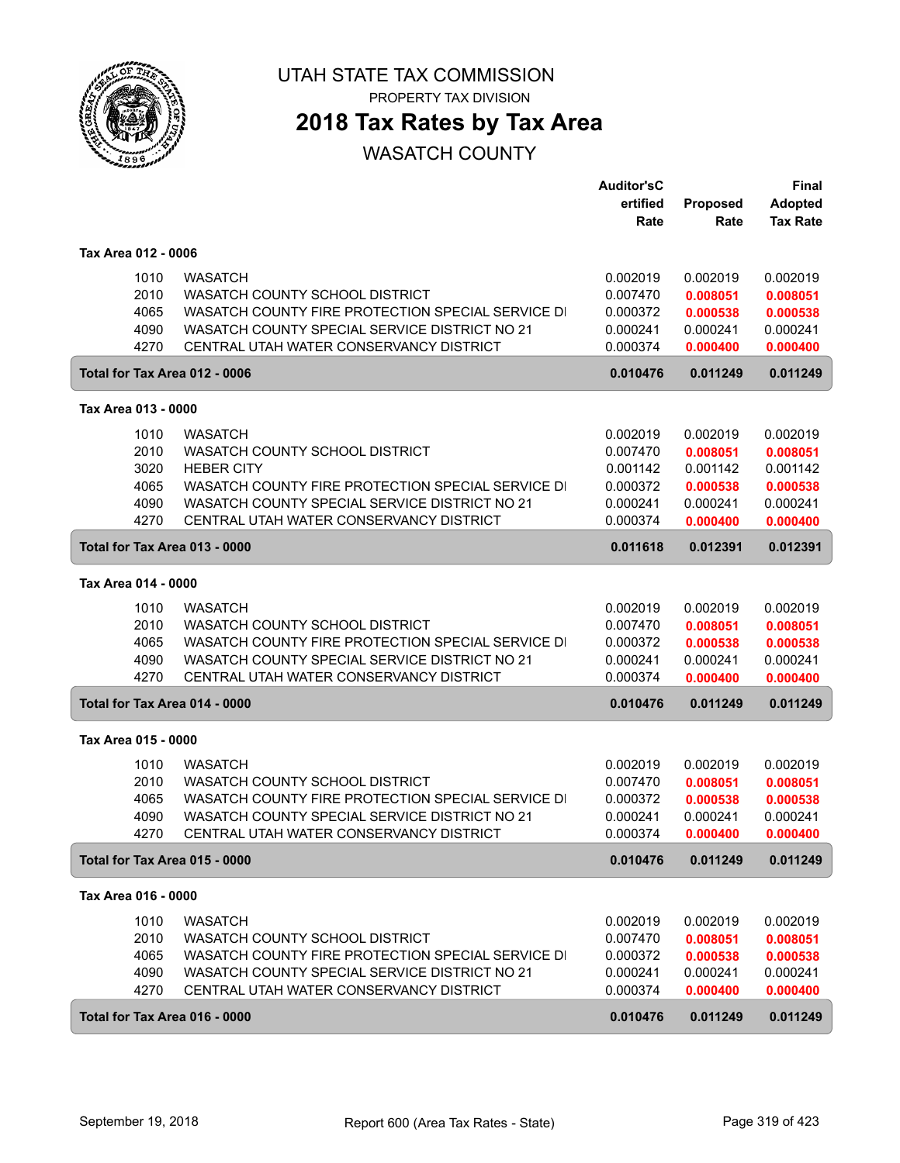

## **2018 Tax Rates by Tax Area**

|                               |                                                                                          | <b>Auditor'sC</b>    |                      | <b>Final</b>         |
|-------------------------------|------------------------------------------------------------------------------------------|----------------------|----------------------|----------------------|
|                               |                                                                                          | ertified             | Proposed             | <b>Adopted</b>       |
|                               |                                                                                          | Rate                 | Rate                 | <b>Tax Rate</b>      |
| Tax Area 012 - 0006           |                                                                                          |                      |                      |                      |
| 1010                          | <b>WASATCH</b>                                                                           | 0.002019             | 0.002019             | 0.002019             |
| 2010                          | WASATCH COUNTY SCHOOL DISTRICT                                                           | 0.007470             | 0.008051             | 0.008051             |
| 4065                          | WASATCH COUNTY FIRE PROTECTION SPECIAL SERVICE DI                                        | 0.000372             | 0.000538             | 0.000538             |
| 4090                          | WASATCH COUNTY SPECIAL SERVICE DISTRICT NO 21                                            | 0.000241             | 0.000241             | 0.000241             |
| 4270                          | CENTRAL UTAH WATER CONSERVANCY DISTRICT                                                  | 0.000374             | 0.000400             | 0.000400             |
| Total for Tax Area 012 - 0006 |                                                                                          | 0.010476             | 0.011249             | 0.011249             |
| Tax Area 013 - 0000           |                                                                                          |                      |                      |                      |
|                               | <b>WASATCH</b>                                                                           |                      |                      |                      |
| 1010                          |                                                                                          | 0.002019             | 0.002019             | 0.002019             |
| 2010                          | WASATCH COUNTY SCHOOL DISTRICT                                                           | 0.007470             | 0.008051<br>0.001142 | 0.008051<br>0.001142 |
| 3020                          | <b>HEBER CITY</b>                                                                        | 0.001142<br>0.000372 |                      |                      |
| 4065                          | WASATCH COUNTY FIRE PROTECTION SPECIAL SERVICE DI                                        | 0.000241             | 0.000538             | 0.000538<br>0.000241 |
| 4090<br>4270                  | WASATCH COUNTY SPECIAL SERVICE DISTRICT NO 21<br>CENTRAL UTAH WATER CONSERVANCY DISTRICT | 0.000374             | 0.000241<br>0.000400 | 0.000400             |
| Total for Tax Area 013 - 0000 |                                                                                          | 0.011618             | 0.012391             | 0.012391             |
|                               |                                                                                          |                      |                      |                      |
| Tax Area 014 - 0000           |                                                                                          |                      |                      |                      |
| 1010                          | <b>WASATCH</b>                                                                           | 0.002019             | 0.002019             | 0.002019             |
| 2010                          | WASATCH COUNTY SCHOOL DISTRICT                                                           | 0.007470             | 0.008051             | 0.008051             |
| 4065                          | WASATCH COUNTY FIRE PROTECTION SPECIAL SERVICE DI                                        | 0.000372             | 0.000538             | 0.000538             |
| 4090                          | WASATCH COUNTY SPECIAL SERVICE DISTRICT NO 21                                            | 0.000241             | 0.000241             | 0.000241             |
| 4270                          | CENTRAL UTAH WATER CONSERVANCY DISTRICT                                                  | 0.000374             | 0.000400             | 0.000400             |
| Total for Tax Area 014 - 0000 |                                                                                          | 0.010476             | 0.011249             | 0.011249             |
| Tax Area 015 - 0000           |                                                                                          |                      |                      |                      |
| 1010                          | <b>WASATCH</b>                                                                           | 0.002019             | 0.002019             | 0.002019             |
| 2010                          | WASATCH COUNTY SCHOOL DISTRICT                                                           | 0.007470             | 0.008051             | 0.008051             |
| 4065                          | WASATCH COUNTY FIRE PROTECTION SPECIAL SERVICE DI                                        | 0.000372             | 0.000538             | 0.000538             |
| 4090                          | WASATCH COUNTY SPECIAL SERVICE DISTRICT NO 21                                            | 0.000241             | 0.000241             | 0.000241             |
| 4270                          | CENTRAL UTAH WATER CONSERVANCY DISTRICT                                                  | 0.000374             | 0.000400             | 0.000400             |
| Total for Tax Area 015 - 0000 |                                                                                          | 0.010476             | 0.011249             | 0.011249             |
| Tax Area 016 - 0000           |                                                                                          |                      |                      |                      |
|                               |                                                                                          |                      |                      |                      |
| 1010                          | <b>WASATCH</b>                                                                           | 0.002019             | 0.002019             | 0.002019             |
| 2010                          | WASATCH COUNTY SCHOOL DISTRICT                                                           | 0.007470             | 0.008051             | 0.008051             |
| 4065                          | WASATCH COUNTY FIRE PROTECTION SPECIAL SERVICE DI                                        | 0.000372             | 0.000538             | 0.000538             |
| 4090                          | WASATCH COUNTY SPECIAL SERVICE DISTRICT NO 21                                            | 0.000241             | 0.000241             | 0.000241             |
| 4270                          | CENTRAL UTAH WATER CONSERVANCY DISTRICT                                                  | 0.000374             | 0.000400             | 0.000400             |
| Total for Tax Area 016 - 0000 |                                                                                          | 0.010476             | 0.011249             | 0.011249             |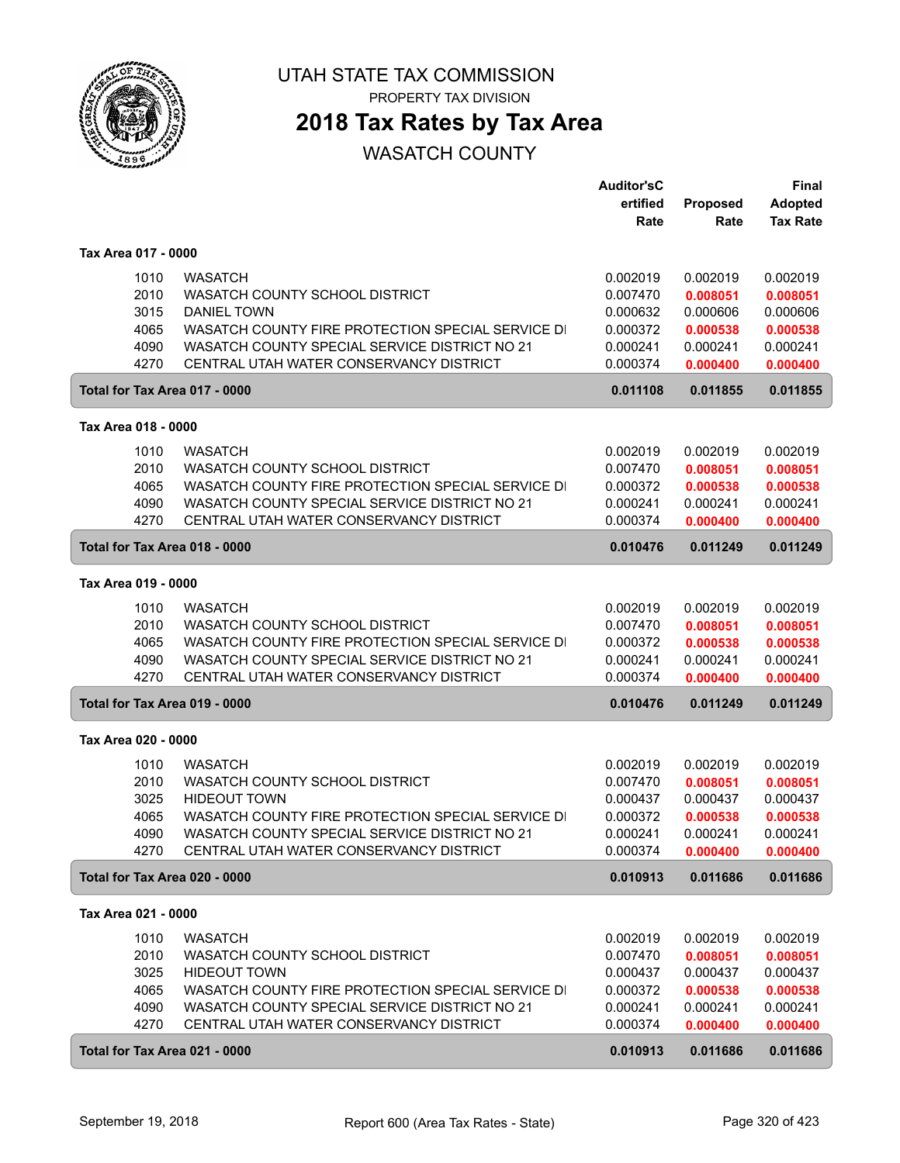

PROPERTY TAX DIVISION

## **2018 Tax Rates by Tax Area**

|                               |                                                   | <b>Auditor'sC</b> |                 | <b>Final</b>    |
|-------------------------------|---------------------------------------------------|-------------------|-----------------|-----------------|
|                               |                                                   | ertified          | <b>Proposed</b> | <b>Adopted</b>  |
|                               |                                                   | Rate              | Rate            | <b>Tax Rate</b> |
| Tax Area 017 - 0000           |                                                   |                   |                 |                 |
| 1010                          | <b>WASATCH</b>                                    | 0.002019          | 0.002019        | 0.002019        |
| 2010                          | WASATCH COUNTY SCHOOL DISTRICT                    | 0.007470          | 0.008051        | 0.008051        |
| 3015                          | <b>DANIEL TOWN</b>                                | 0.000632          | 0.000606        | 0.000606        |
| 4065                          | WASATCH COUNTY FIRE PROTECTION SPECIAL SERVICE DI | 0.000372          | 0.000538        | 0.000538        |
| 4090                          | WASATCH COUNTY SPECIAL SERVICE DISTRICT NO 21     | 0.000241          | 0.000241        | 0.000241        |
| 4270                          | CENTRAL UTAH WATER CONSERVANCY DISTRICT           | 0.000374          | 0.000400        | 0.000400        |
| Total for Tax Area 017 - 0000 |                                                   | 0.011108          | 0.011855        | 0.011855        |
|                               |                                                   |                   |                 |                 |
| Tax Area 018 - 0000           |                                                   |                   |                 |                 |
| 1010                          | <b>WASATCH</b>                                    | 0.002019          | 0.002019        | 0.002019        |
| 2010                          | WASATCH COUNTY SCHOOL DISTRICT                    | 0.007470          | 0.008051        | 0.008051        |
| 4065                          | WASATCH COUNTY FIRE PROTECTION SPECIAL SERVICE DI | 0.000372          | 0.000538        | 0.000538        |
| 4090                          | WASATCH COUNTY SPECIAL SERVICE DISTRICT NO 21     | 0.000241          | 0.000241        | 0.000241        |
| 4270                          | CENTRAL UTAH WATER CONSERVANCY DISTRICT           | 0.000374          | 0.000400        | 0.000400        |
| Total for Tax Area 018 - 0000 |                                                   | 0.010476          | 0.011249        | 0.011249        |
| Tax Area 019 - 0000           |                                                   |                   |                 |                 |
| 1010                          | <b>WASATCH</b>                                    | 0.002019          | 0.002019        | 0.002019        |
| 2010                          | WASATCH COUNTY SCHOOL DISTRICT                    | 0.007470          | 0.008051        | 0.008051        |
| 4065                          | WASATCH COUNTY FIRE PROTECTION SPECIAL SERVICE DI | 0.000372          | 0.000538        | 0.000538        |
| 4090                          | WASATCH COUNTY SPECIAL SERVICE DISTRICT NO 21     | 0.000241          | 0.000241        | 0.000241        |
| 4270                          | CENTRAL UTAH WATER CONSERVANCY DISTRICT           | 0.000374          | 0.000400        | 0.000400        |
| Total for Tax Area 019 - 0000 |                                                   | 0.010476          | 0.011249        | 0.011249        |
| Tax Area 020 - 0000           |                                                   |                   |                 |                 |
| 1010                          | <b>WASATCH</b>                                    | 0.002019          | 0.002019        | 0.002019        |
| 2010                          | WASATCH COUNTY SCHOOL DISTRICT                    | 0.007470          | 0.008051        | 0.008051        |
| 3025                          | <b>HIDEOUT TOWN</b>                               | 0.000437          | 0.000437        | 0.000437        |
| 4065                          | WASATCH COUNTY FIRE PROTECTION SPECIAL SERVICE DI | 0.000372          | 0.000538        | 0.000538        |
| 4090                          | WASATCH COUNTY SPECIAL SERVICE DISTRICT NO 21     | 0.000241          | 0.000241        | 0.000241        |
| 4270                          | CENTRAL UTAH WATER CONSERVANCY DISTRICT           | 0.000374          | 0.000400        | 0.000400        |
| Total for Tax Area 020 - 0000 |                                                   | 0.010913          | 0.011686        | 0.011686        |
| Tax Area 021 - 0000           |                                                   |                   |                 |                 |
| 1010                          | <b>WASATCH</b>                                    | 0.002019          | 0.002019        | 0.002019        |
| 2010                          | WASATCH COUNTY SCHOOL DISTRICT                    | 0.007470          | 0.008051        | 0.008051        |
| 3025                          | <b>HIDEOUT TOWN</b>                               | 0.000437          | 0.000437        | 0.000437        |
| 4065                          | WASATCH COUNTY FIRE PROTECTION SPECIAL SERVICE DI | 0.000372          | 0.000538        | 0.000538        |
| 4090                          | WASATCH COUNTY SPECIAL SERVICE DISTRICT NO 21     | 0.000241          | 0.000241        | 0.000241        |
| 4270                          | CENTRAL UTAH WATER CONSERVANCY DISTRICT           | 0.000374          | 0.000400        | 0.000400        |
| Total for Tax Area 021 - 0000 |                                                   | 0.010913          | 0.011686        | 0.011686        |
|                               |                                                   |                   |                 |                 |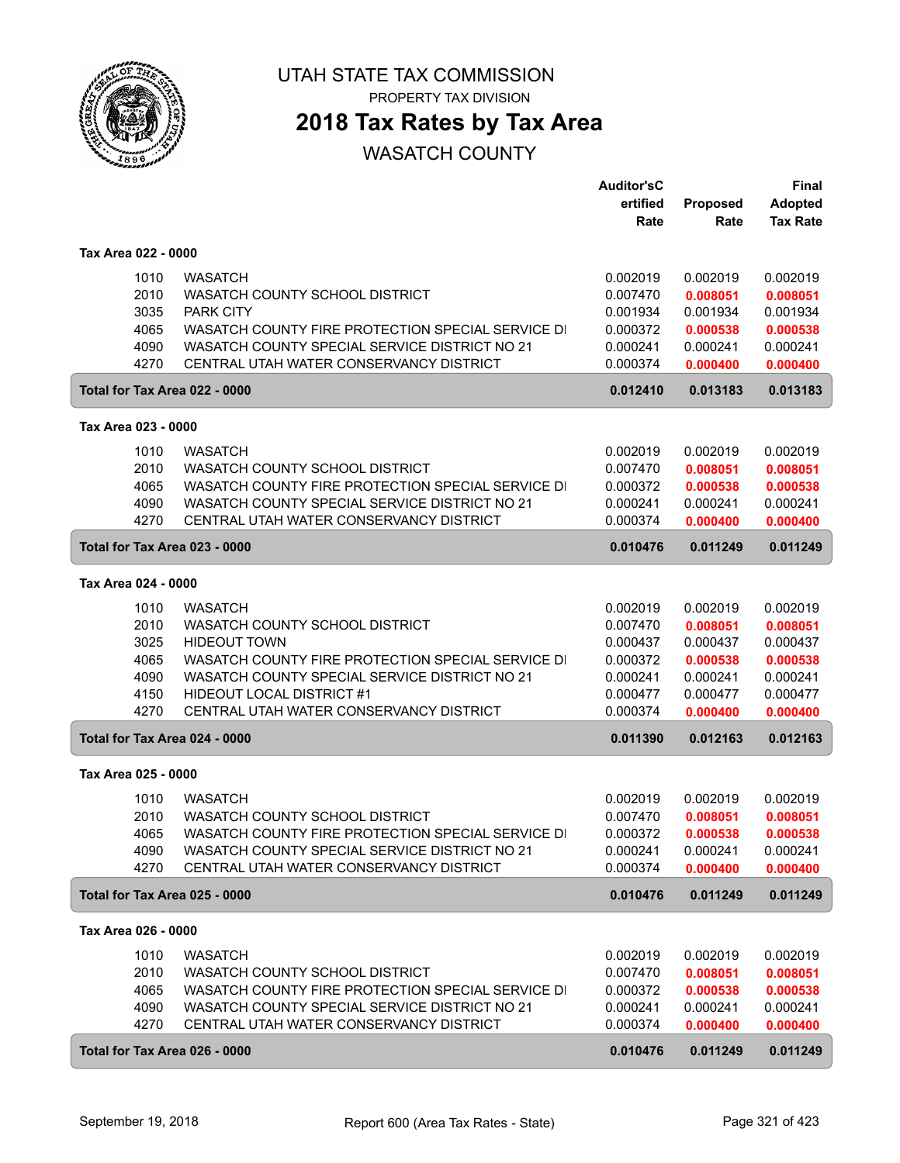

PROPERTY TAX DIVISION

## **2018 Tax Rates by Tax Area**

|                               |                                                   | <b>Auditor'sC</b> |                 | <b>Final</b>    |
|-------------------------------|---------------------------------------------------|-------------------|-----------------|-----------------|
|                               |                                                   | ertified          | <b>Proposed</b> | <b>Adopted</b>  |
|                               |                                                   | Rate              | Rate            | <b>Tax Rate</b> |
| Tax Area 022 - 0000           |                                                   |                   |                 |                 |
| 1010                          | <b>WASATCH</b>                                    | 0.002019          | 0.002019        | 0.002019        |
| 2010                          | WASATCH COUNTY SCHOOL DISTRICT                    | 0.007470          | 0.008051        | 0.008051        |
| 3035                          | <b>PARK CITY</b>                                  | 0.001934          | 0.001934        | 0.001934        |
| 4065                          | WASATCH COUNTY FIRE PROTECTION SPECIAL SERVICE DI | 0.000372          | 0.000538        | 0.000538        |
| 4090                          | WASATCH COUNTY SPECIAL SERVICE DISTRICT NO 21     | 0.000241          | 0.000241        | 0.000241        |
| 4270                          | CENTRAL UTAH WATER CONSERVANCY DISTRICT           | 0.000374          | 0.000400        | 0.000400        |
| Total for Tax Area 022 - 0000 |                                                   | 0.012410          | 0.013183        | 0.013183        |
| Tax Area 023 - 0000           |                                                   |                   |                 |                 |
| 1010                          | <b>WASATCH</b>                                    | 0.002019          | 0.002019        | 0.002019        |
| 2010                          | WASATCH COUNTY SCHOOL DISTRICT                    | 0.007470          | 0.008051        | 0.008051        |
| 4065                          | WASATCH COUNTY FIRE PROTECTION SPECIAL SERVICE DI | 0.000372          | 0.000538        | 0.000538        |
| 4090                          | WASATCH COUNTY SPECIAL SERVICE DISTRICT NO 21     | 0.000241          | 0.000241        | 0.000241        |
| 4270                          | CENTRAL UTAH WATER CONSERVANCY DISTRICT           | 0.000374          | 0.000400        | 0.000400        |
| Total for Tax Area 023 - 0000 |                                                   | 0.010476          | 0.011249        | 0.011249        |
| Tax Area 024 - 0000           |                                                   |                   |                 |                 |
| 1010                          | <b>WASATCH</b>                                    | 0.002019          | 0.002019        | 0.002019        |
| 2010                          | WASATCH COUNTY SCHOOL DISTRICT                    | 0.007470          | 0.008051        | 0.008051        |
| 3025                          | <b>HIDEOUT TOWN</b>                               | 0.000437          | 0.000437        | 0.000437        |
| 4065                          | WASATCH COUNTY FIRE PROTECTION SPECIAL SERVICE DI | 0.000372          | 0.000538        | 0.000538        |
| 4090                          | WASATCH COUNTY SPECIAL SERVICE DISTRICT NO 21     | 0.000241          | 0.000241        | 0.000241        |
| 4150                          | <b>HIDEOUT LOCAL DISTRICT #1</b>                  | 0.000477          | 0.000477        | 0.000477        |
| 4270                          | CENTRAL UTAH WATER CONSERVANCY DISTRICT           | 0.000374          | 0.000400        | 0.000400        |
| Total for Tax Area 024 - 0000 |                                                   | 0.011390          | 0.012163        | 0.012163        |
| Tax Area 025 - 0000           |                                                   |                   |                 |                 |
| 1010                          | <b>WASATCH</b>                                    | 0.002019          | 0.002019        | 0.002019        |
| 2010                          | WASATCH COUNTY SCHOOL DISTRICT                    | 0.007470          | 0.008051        | 0.008051        |
| 4065                          | WASATCH COUNTY FIRE PROTECTION SPECIAL SERVICE DI | 0.000372          | 0.000538        | 0.000538        |
| 4090                          | WASATCH COUNTY SPECIAL SERVICE DISTRICT NO 21     | 0.000241          | 0.000241        | 0.000241        |
| 4270                          | CENTRAL UTAH WATER CONSERVANCY DISTRICT           | 0.000374          | 0.000400        | 0.000400        |
| Total for Tax Area 025 - 0000 |                                                   | 0.010476          | 0.011249        | 0.011249        |
| Tax Area 026 - 0000           |                                                   |                   |                 |                 |
| 1010                          | <b>WASATCH</b>                                    | 0.002019          | 0.002019        | 0.002019        |
| 2010                          | WASATCH COUNTY SCHOOL DISTRICT                    | 0.007470          | 0.008051        | 0.008051        |
| 4065                          | WASATCH COUNTY FIRE PROTECTION SPECIAL SERVICE DI | 0.000372          | 0.000538        | 0.000538        |
| 4090                          | WASATCH COUNTY SPECIAL SERVICE DISTRICT NO 21     | 0.000241          | 0.000241        | 0.000241        |
| 4270                          | CENTRAL UTAH WATER CONSERVANCY DISTRICT           | 0.000374          | 0.000400        | 0.000400        |
| Total for Tax Area 026 - 0000 |                                                   | 0.010476          | 0.011249        | 0.011249        |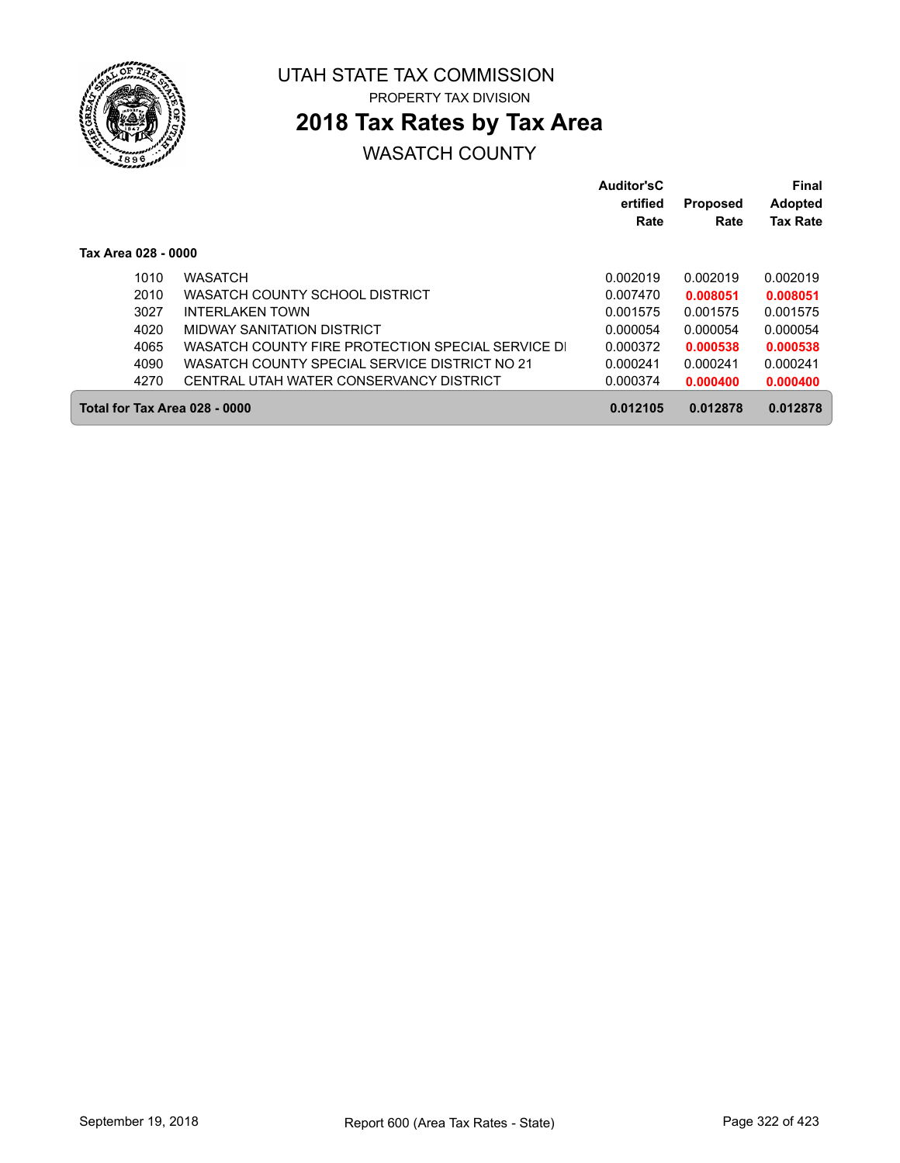

## **2018 Tax Rates by Tax Area**

|                               |                                                   | Auditor'sC<br>ertified<br>Rate | <b>Proposed</b><br>Rate | Final<br><b>Adopted</b><br><b>Tax Rate</b> |
|-------------------------------|---------------------------------------------------|--------------------------------|-------------------------|--------------------------------------------|
| Tax Area 028 - 0000           |                                                   |                                |                         |                                            |
| 1010                          | <b>WASATCH</b>                                    | 0.002019                       | 0.002019                | 0.002019                                   |
| 2010                          | WASATCH COUNTY SCHOOL DISTRICT                    | 0.007470                       | 0.008051                | 0.008051                                   |
| 3027                          | INTERI AKEN TOWN                                  | 0.001575                       | 0.001575                | 0.001575                                   |
| 4020                          | MIDWAY SANITATION DISTRICT                        | 0.000054                       | 0.000054                | 0.000054                                   |
| 4065                          | WASATCH COUNTY FIRE PROTECTION SPECIAL SERVICE DI | 0.000372                       | 0.000538                | 0.000538                                   |
| 4090                          | WASATCH COUNTY SPECIAL SERVICE DISTRICT NO 21     | 0.000241                       | 0.000241                | 0.000241                                   |
| 4270                          | CENTRAL UTAH WATER CONSERVANCY DISTRICT           | 0.000374                       | 0.000400                | 0.000400                                   |
| Total for Tax Area 028 - 0000 |                                                   | 0.012105                       | 0.012878                | 0.012878                                   |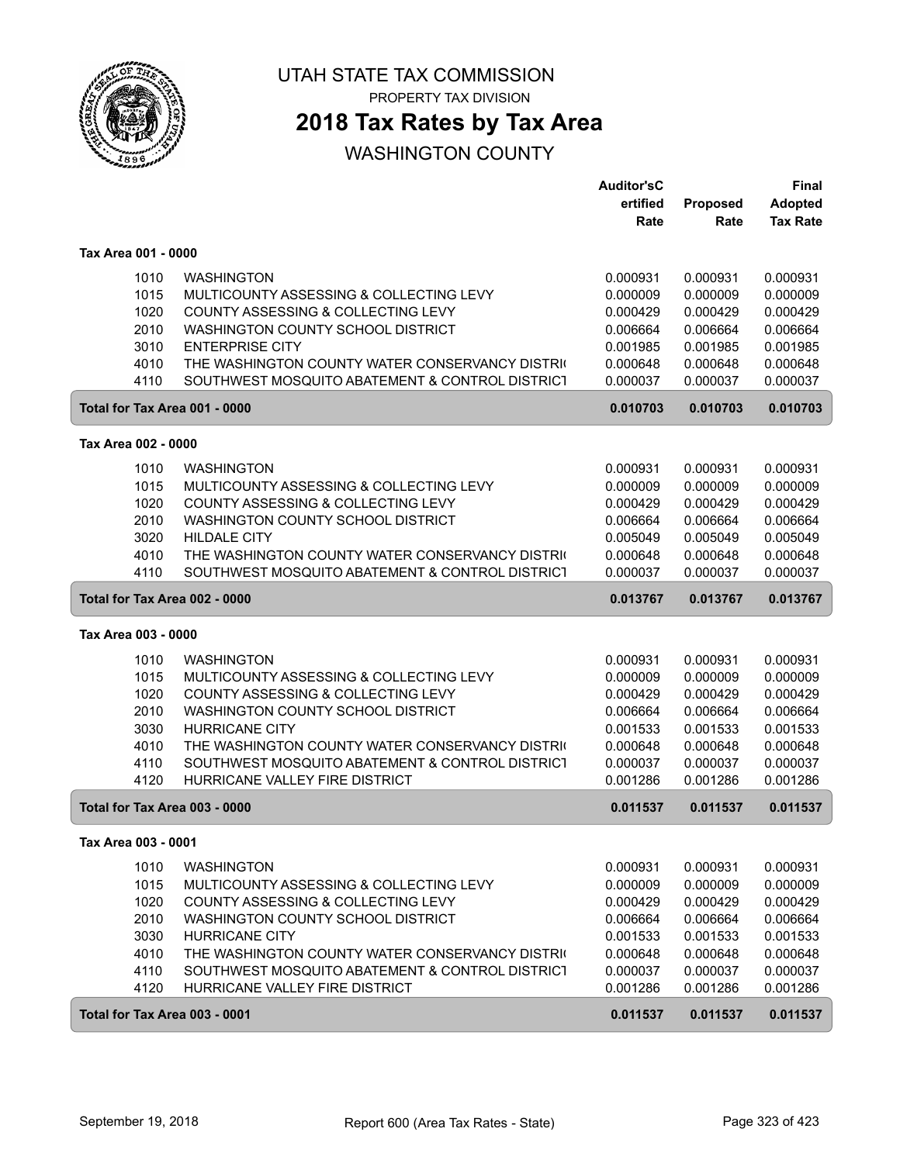

PROPERTY TAX DIVISION

## **2018 Tax Rates by Tax Area**

### WASHINGTON COUNTY

|                               |                                                 | <b>Auditor'sC</b> |          | Final           |
|-------------------------------|-------------------------------------------------|-------------------|----------|-----------------|
|                               |                                                 | ertified          | Proposed | <b>Adopted</b>  |
|                               |                                                 | Rate              | Rate     | <b>Tax Rate</b> |
| Tax Area 001 - 0000           |                                                 |                   |          |                 |
| 1010                          | <b>WASHINGTON</b>                               | 0.000931          | 0.000931 | 0.000931        |
| 1015                          | MULTICOUNTY ASSESSING & COLLECTING LEVY         | 0.000009          | 0.000009 | 0.000009        |
| 1020                          | COUNTY ASSESSING & COLLECTING LEVY              | 0.000429          | 0.000429 | 0.000429        |
| 2010                          | WASHINGTON COUNTY SCHOOL DISTRICT               | 0.006664          | 0.006664 | 0.006664        |
| 3010                          | <b>ENTERPRISE CITY</b>                          | 0.001985          | 0.001985 | 0.001985        |
| 4010                          | THE WASHINGTON COUNTY WATER CONSERVANCY DISTRIC | 0.000648          | 0.000648 | 0.000648        |
| 4110                          | SOUTHWEST MOSQUITO ABATEMENT & CONTROL DISTRICT | 0.000037          | 0.000037 | 0.000037        |
| Total for Tax Area 001 - 0000 |                                                 | 0.010703          | 0.010703 | 0.010703        |
| Tax Area 002 - 0000           |                                                 |                   |          |                 |
| 1010                          | <b>WASHINGTON</b>                               | 0.000931          | 0.000931 | 0.000931        |
| 1015                          | MULTICOUNTY ASSESSING & COLLECTING LEVY         | 0.000009          | 0.000009 | 0.000009        |
| 1020                          | COUNTY ASSESSING & COLLECTING LEVY              | 0.000429          | 0.000429 | 0.000429        |
| 2010                          | WASHINGTON COUNTY SCHOOL DISTRICT               | 0.006664          | 0.006664 | 0.006664        |
| 3020                          | <b>HILDALE CITY</b>                             | 0.005049          | 0.005049 | 0.005049        |
| 4010                          | THE WASHINGTON COUNTY WATER CONSERVANCY DISTRIC | 0.000648          | 0.000648 | 0.000648        |
| 4110                          | SOUTHWEST MOSQUITO ABATEMENT & CONTROL DISTRICT | 0.000037          | 0.000037 | 0.000037        |
| Total for Tax Area 002 - 0000 |                                                 | 0.013767          | 0.013767 | 0.013767        |
| Tax Area 003 - 0000           |                                                 |                   |          |                 |
| 1010                          | <b>WASHINGTON</b>                               | 0.000931          | 0.000931 | 0.000931        |
| 1015                          | MULTICOUNTY ASSESSING & COLLECTING LEVY         | 0.000009          | 0.000009 | 0.000009        |
| 1020                          | COUNTY ASSESSING & COLLECTING LEVY              | 0.000429          | 0.000429 | 0.000429        |
| 2010                          | WASHINGTON COUNTY SCHOOL DISTRICT               | 0.006664          | 0.006664 | 0.006664        |
| 3030                          | <b>HURRICANE CITY</b>                           | 0.001533          | 0.001533 | 0.001533        |
| 4010                          | THE WASHINGTON COUNTY WATER CONSERVANCY DISTRIC | 0.000648          | 0.000648 | 0.000648        |
| 4110                          | SOUTHWEST MOSQUITO ABATEMENT & CONTROL DISTRICT | 0.000037          | 0.000037 | 0.000037        |
| 4120                          | HURRICANE VALLEY FIRE DISTRICT                  | 0.001286          | 0.001286 | 0.001286        |
| Total for Tax Area 003 - 0000 |                                                 | 0.011537          | 0.011537 | 0.011537        |
| Tax Area 003 - 0001           |                                                 |                   |          |                 |
| 1010                          | <b>WASHINGTON</b>                               | 0.000931          | 0.000931 | 0.000931        |
| 1015                          | MULTICOUNTY ASSESSING & COLLECTING LEVY         | 0.000009          | 0.000009 | 0.000009        |
| 1020                          | COUNTY ASSESSING & COLLECTING LEVY              | 0.000429          | 0.000429 | 0.000429        |
| 2010                          | WASHINGTON COUNTY SCHOOL DISTRICT               | 0.006664          | 0.006664 | 0.006664        |
| 3030                          | <b>HURRICANE CITY</b>                           | 0.001533          | 0.001533 | 0.001533        |
| 4010                          | THE WASHINGTON COUNTY WATER CONSERVANCY DISTRIC | 0.000648          | 0.000648 | 0.000648        |
| 4110                          | SOUTHWEST MOSQUITO ABATEMENT & CONTROL DISTRICT | 0.000037          | 0.000037 | 0.000037        |
| 4120                          | HURRICANE VALLEY FIRE DISTRICT                  | 0.001286          | 0.001286 | 0.001286        |
| Total for Tax Area 003 - 0001 |                                                 | 0.011537          | 0.011537 | 0.011537        |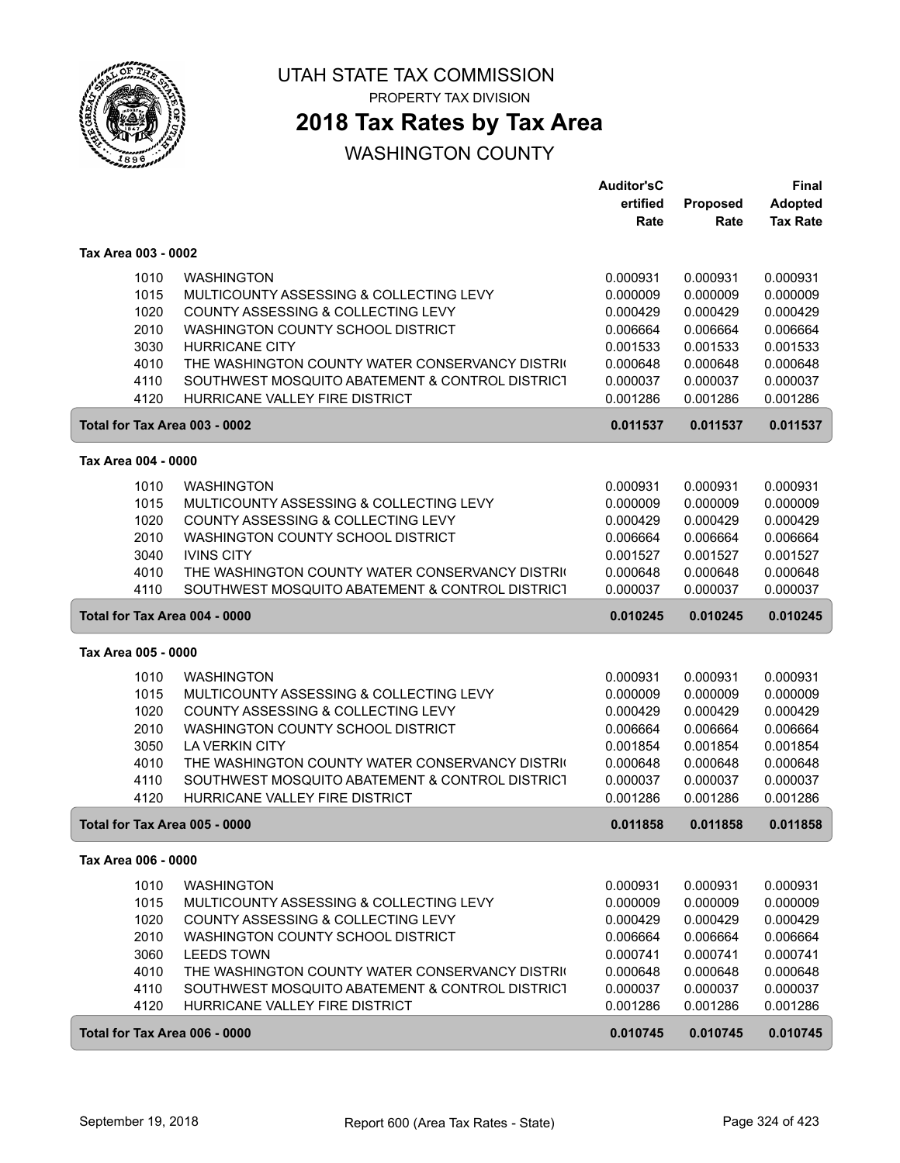

PROPERTY TAX DIVISION

## **2018 Tax Rates by Tax Area**

### WASHINGTON COUNTY

|                                                         | <b>Auditor'sC</b> |          | <b>Final</b>    |
|---------------------------------------------------------|-------------------|----------|-----------------|
|                                                         | ertified          | Proposed | <b>Adopted</b>  |
|                                                         | Rate              | Rate     | <b>Tax Rate</b> |
| Tax Area 003 - 0002                                     |                   |          |                 |
| 1010<br><b>WASHINGTON</b>                               | 0.000931          | 0.000931 | 0.000931        |
| 1015<br>MULTICOUNTY ASSESSING & COLLECTING LEVY         | 0.000009          | 0.000009 | 0.000009        |
| 1020<br>COUNTY ASSESSING & COLLECTING LEVY              | 0.000429          | 0.000429 | 0.000429        |
| 2010<br>WASHINGTON COUNTY SCHOOL DISTRICT               | 0.006664          | 0.006664 | 0.006664        |
| 3030<br><b>HURRICANE CITY</b>                           | 0.001533          | 0.001533 | 0.001533        |
| 4010<br>THE WASHINGTON COUNTY WATER CONSERVANCY DISTRIC | 0.000648          | 0.000648 | 0.000648        |
| 4110<br>SOUTHWEST MOSQUITO ABATEMENT & CONTROL DISTRICT | 0.000037          | 0.000037 | 0.000037        |
| HURRICANE VALLEY FIRE DISTRICT<br>4120                  | 0.001286          | 0.001286 | 0.001286        |
| Total for Tax Area 003 - 0002                           | 0.011537          | 0.011537 | 0.011537        |
| Tax Area 004 - 0000                                     |                   |          |                 |
| 1010<br><b>WASHINGTON</b>                               | 0.000931          | 0.000931 | 0.000931        |
| 1015<br>MULTICOUNTY ASSESSING & COLLECTING LEVY         | 0.000009          | 0.000009 | 0.000009        |
| 1020<br>COUNTY ASSESSING & COLLECTING LEVY              | 0.000429          | 0.000429 | 0.000429        |
| 2010<br>WASHINGTON COUNTY SCHOOL DISTRICT               | 0.006664          | 0.006664 | 0.006664        |
| 3040<br><b>IVINS CITY</b>                               | 0.001527          | 0.001527 | 0.001527        |
| 4010<br>THE WASHINGTON COUNTY WATER CONSERVANCY DISTRIC | 0.000648          | 0.000648 | 0.000648        |
| 4110<br>SOUTHWEST MOSQUITO ABATEMENT & CONTROL DISTRICT | 0.000037          | 0.000037 | 0.000037        |
| Total for Tax Area 004 - 0000                           | 0.010245          | 0.010245 | 0.010245        |
| Tax Area 005 - 0000                                     |                   |          |                 |
| 1010<br><b>WASHINGTON</b>                               | 0.000931          | 0.000931 | 0.000931        |
| 1015<br>MULTICOUNTY ASSESSING & COLLECTING LEVY         | 0.000009          | 0.000009 | 0.000009        |
| 1020<br>COUNTY ASSESSING & COLLECTING LEVY              | 0.000429          | 0.000429 | 0.000429        |
| 2010<br>WASHINGTON COUNTY SCHOOL DISTRICT               | 0.006664          | 0.006664 | 0.006664        |
| 3050<br><b>LA VERKIN CITY</b>                           | 0.001854          | 0.001854 | 0.001854        |
| 4010<br>THE WASHINGTON COUNTY WATER CONSERVANCY DISTRIC | 0.000648          | 0.000648 | 0.000648        |
| 4110<br>SOUTHWEST MOSQUITO ABATEMENT & CONTROL DISTRICT | 0.000037          | 0.000037 | 0.000037        |
| 4120<br>HURRICANE VALLEY FIRE DISTRICT                  | 0.001286          | 0.001286 | 0.001286        |
| Total for Tax Area 005 - 0000                           | 0.011858          | 0.011858 | 0.011858        |
| Tax Area 006 - 0000                                     |                   |          |                 |
| 1010<br><b>WASHINGTON</b>                               | 0.000931          | 0.000931 | 0.000931        |
| 1015<br>MULTICOUNTY ASSESSING & COLLECTING LEVY         | 0.000009          | 0.000009 | 0.000009        |
| 1020<br>COUNTY ASSESSING & COLLECTING LEVY              | 0.000429          | 0.000429 | 0.000429        |
| 2010<br>WASHINGTON COUNTY SCHOOL DISTRICT               | 0.006664          | 0.006664 | 0.006664        |
| 3060<br><b>LEEDS TOWN</b>                               | 0.000741          | 0.000741 | 0.000741        |
| 4010<br>THE WASHINGTON COUNTY WATER CONSERVANCY DISTRIC | 0.000648          | 0.000648 | 0.000648        |
| 4110<br>SOUTHWEST MOSQUITO ABATEMENT & CONTROL DISTRICT | 0.000037          | 0.000037 | 0.000037        |
| 4120<br>HURRICANE VALLEY FIRE DISTRICT                  | 0.001286          | 0.001286 | 0.001286        |
| Total for Tax Area 006 - 0000                           | 0.010745          | 0.010745 | 0.010745        |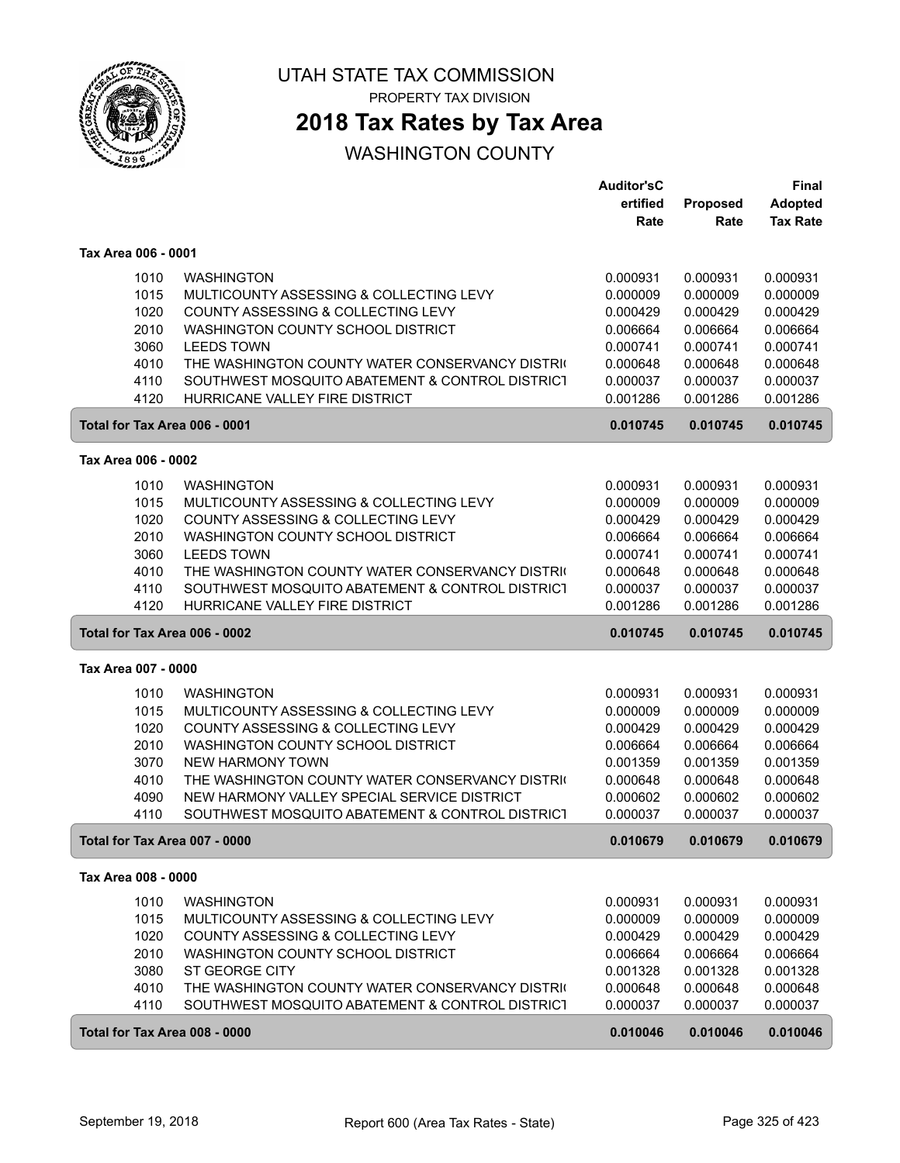

PROPERTY TAX DIVISION

## **2018 Tax Rates by Tax Area**

|                               |                                                                                                | <b>Auditor'sC</b>    |                      | Final                |
|-------------------------------|------------------------------------------------------------------------------------------------|----------------------|----------------------|----------------------|
|                               |                                                                                                | ertified             | Proposed             | <b>Adopted</b>       |
|                               |                                                                                                | Rate                 | Rate                 | <b>Tax Rate</b>      |
|                               |                                                                                                |                      |                      |                      |
| Tax Area 006 - 0001           |                                                                                                |                      |                      |                      |
| 1010                          | <b>WASHINGTON</b>                                                                              | 0.000931             | 0.000931             | 0.000931             |
| 1015                          | MULTICOUNTY ASSESSING & COLLECTING LEVY                                                        | 0.000009             | 0.000009             | 0.000009             |
| 1020                          | COUNTY ASSESSING & COLLECTING LEVY                                                             | 0.000429             | 0.000429             | 0.000429             |
| 2010                          | WASHINGTON COUNTY SCHOOL DISTRICT                                                              | 0.006664             | 0.006664             | 0.006664             |
| 3060                          | <b>LEEDS TOWN</b>                                                                              | 0.000741             | 0.000741             | 0.000741             |
| 4010                          | THE WASHINGTON COUNTY WATER CONSERVANCY DISTRIC                                                | 0.000648             | 0.000648             | 0.000648             |
| 4110                          | SOUTHWEST MOSQUITO ABATEMENT & CONTROL DISTRICT                                                | 0.000037             | 0.000037             | 0.000037             |
| 4120                          | HURRICANE VALLEY FIRE DISTRICT                                                                 | 0.001286             | 0.001286             | 0.001286             |
| Total for Tax Area 006 - 0001 |                                                                                                | 0.010745             | 0.010745             | 0.010745             |
| Tax Area 006 - 0002           |                                                                                                |                      |                      |                      |
| 1010                          | <b>WASHINGTON</b>                                                                              | 0.000931             | 0.000931             | 0.000931             |
| 1015                          | MULTICOUNTY ASSESSING & COLLECTING LEVY                                                        | 0.000009             | 0.000009             | 0.000009             |
| 1020                          | COUNTY ASSESSING & COLLECTING LEVY                                                             | 0.000429             | 0.000429             | 0.000429             |
| 2010                          | WASHINGTON COUNTY SCHOOL DISTRICT                                                              | 0.006664             | 0.006664             | 0.006664             |
| 3060                          | <b>LEEDS TOWN</b>                                                                              | 0.000741             | 0.000741             | 0.000741             |
| 4010                          | THE WASHINGTON COUNTY WATER CONSERVANCY DISTRIC                                                | 0.000648             | 0.000648             | 0.000648             |
| 4110                          | SOUTHWEST MOSQUITO ABATEMENT & CONTROL DISTRICT                                                | 0.000037             | 0.000037             | 0.000037             |
| 4120                          | HURRICANE VALLEY FIRE DISTRICT                                                                 | 0.001286             | 0.001286             | 0.001286             |
| Total for Tax Area 006 - 0002 |                                                                                                | 0.010745             | 0.010745             | 0.010745             |
| Tax Area 007 - 0000           |                                                                                                |                      |                      |                      |
|                               |                                                                                                |                      |                      |                      |
| 1010                          | <b>WASHINGTON</b>                                                                              | 0.000931             | 0.000931             | 0.000931             |
| 1015                          | MULTICOUNTY ASSESSING & COLLECTING LEVY                                                        | 0.000009             | 0.000009             | 0.000009             |
| 1020                          | COUNTY ASSESSING & COLLECTING LEVY                                                             | 0.000429             | 0.000429             | 0.000429             |
| 2010                          | WASHINGTON COUNTY SCHOOL DISTRICT                                                              | 0.006664             | 0.006664             | 0.006664             |
| 3070                          | <b>NEW HARMONY TOWN</b>                                                                        | 0.001359             | 0.001359             | 0.001359             |
| 4010                          | THE WASHINGTON COUNTY WATER CONSERVANCY DISTRIC                                                | 0.000648             | 0.000648             | 0.000648             |
| 4090<br>4110                  | NEW HARMONY VALLEY SPECIAL SERVICE DISTRICT<br>SOUTHWEST MOSQUITO ABATEMENT & CONTROL DISTRICT | 0.000602<br>0.000037 | 0.000602<br>0.000037 | 0.000602<br>0.000037 |
|                               |                                                                                                |                      |                      |                      |
| Total for Tax Area 007 - 0000 |                                                                                                | 0.010679             | 0.010679             | 0.010679             |
| Tax Area 008 - 0000           |                                                                                                |                      |                      |                      |
| 1010                          | <b>WASHINGTON</b>                                                                              | 0.000931             | 0.000931             | 0.000931             |
| 1015                          | MULTICOUNTY ASSESSING & COLLECTING LEVY                                                        | 0.000009             | 0.000009             | 0.000009             |
| 1020                          | COUNTY ASSESSING & COLLECTING LEVY                                                             | 0.000429             | 0.000429             | 0.000429             |
| 2010                          | WASHINGTON COUNTY SCHOOL DISTRICT                                                              | 0.006664             | 0.006664             | 0.006664             |
| 3080                          | ST GEORGE CITY                                                                                 | 0.001328             | 0.001328             | 0.001328             |
| 4010                          | THE WASHINGTON COUNTY WATER CONSERVANCY DISTRIC                                                | 0.000648             | 0.000648             | 0.000648             |
| 4110                          |                                                                                                |                      |                      |                      |
|                               | SOUTHWEST MOSQUITO ABATEMENT & CONTROL DISTRICT                                                | 0.000037             | 0.000037             | 0.000037             |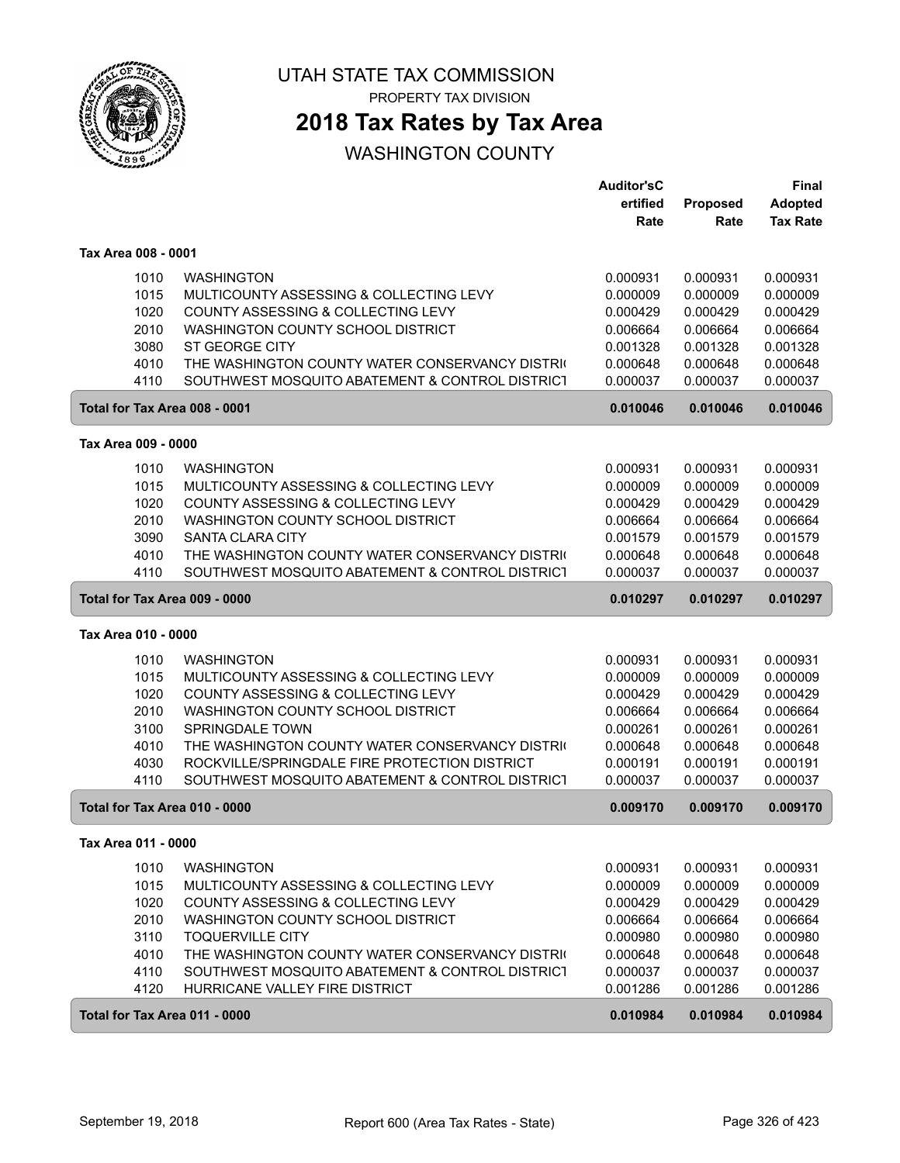

PROPERTY TAX DIVISION

## **2018 Tax Rates by Tax Area**

|                     |                                                 | <b>Auditor'sC</b> |          | Final           |
|---------------------|-------------------------------------------------|-------------------|----------|-----------------|
|                     |                                                 | ertified          | Proposed | <b>Adopted</b>  |
|                     |                                                 | Rate              | Rate     | <b>Tax Rate</b> |
| Tax Area 008 - 0001 |                                                 |                   |          |                 |
| 1010                | <b>WASHINGTON</b>                               | 0.000931          | 0.000931 | 0.000931        |
| 1015                | MULTICOUNTY ASSESSING & COLLECTING LEVY         | 0.000009          | 0.000009 | 0.000009        |
| 1020                | COUNTY ASSESSING & COLLECTING LEVY              | 0.000429          | 0.000429 | 0.000429        |
| 2010                | WASHINGTON COUNTY SCHOOL DISTRICT               | 0.006664          | 0.006664 | 0.006664        |
| 3080                | <b>ST GEORGE CITY</b>                           | 0.001328          | 0.001328 | 0.001328        |
| 4010                | THE WASHINGTON COUNTY WATER CONSERVANCY DISTRIC | 0.000648          | 0.000648 | 0.000648        |
| 4110                | SOUTHWEST MOSQUITO ABATEMENT & CONTROL DISTRICT | 0.000037          | 0.000037 | 0.000037        |
|                     | Total for Tax Area 008 - 0001                   | 0.010046          | 0.010046 | 0.010046        |
| Tax Area 009 - 0000 |                                                 |                   |          |                 |
| 1010                | <b>WASHINGTON</b>                               | 0.000931          | 0.000931 | 0.000931        |
| 1015                | MULTICOUNTY ASSESSING & COLLECTING LEVY         | 0.000009          | 0.000009 | 0.000009        |
| 1020                | COUNTY ASSESSING & COLLECTING LEVY              | 0.000429          | 0.000429 | 0.000429        |
| 2010                | WASHINGTON COUNTY SCHOOL DISTRICT               | 0.006664          | 0.006664 | 0.006664        |
| 3090                | <b>SANTA CLARA CITY</b>                         | 0.001579          | 0.001579 | 0.001579        |
| 4010                | THE WASHINGTON COUNTY WATER CONSERVANCY DISTRIC | 0.000648          | 0.000648 | 0.000648        |
| 4110                | SOUTHWEST MOSQUITO ABATEMENT & CONTROL DISTRICT | 0.000037          | 0.000037 | 0.000037        |
|                     | Total for Tax Area 009 - 0000                   | 0.010297          | 0.010297 | 0.010297        |
| Tax Area 010 - 0000 |                                                 |                   |          |                 |
| 1010                | <b>WASHINGTON</b>                               | 0.000931          | 0.000931 | 0.000931        |
| 1015                | MULTICOUNTY ASSESSING & COLLECTING LEVY         | 0.000009          | 0.000009 | 0.000009        |
| 1020                | COUNTY ASSESSING & COLLECTING LEVY              | 0.000429          | 0.000429 | 0.000429        |
| 2010                | WASHINGTON COUNTY SCHOOL DISTRICT               | 0.006664          | 0.006664 | 0.006664        |
| 3100                | SPRINGDALE TOWN                                 | 0.000261          | 0.000261 | 0.000261        |
| 4010                | THE WASHINGTON COUNTY WATER CONSERVANCY DISTRIC | 0.000648          | 0.000648 | 0.000648        |
| 4030                | ROCKVILLE/SPRINGDALE FIRE PROTECTION DISTRICT   | 0.000191          | 0.000191 | 0.000191        |
| 4110                | SOUTHWEST MOSQUITO ABATEMENT & CONTROL DISTRICT | 0.000037          | 0.000037 | 0.000037        |
|                     | Total for Tax Area 010 - 0000                   | 0.009170          | 0.009170 | 0.009170        |
|                     |                                                 |                   |          |                 |
| 1010                | <b>WASHINGTON</b>                               | 0.000931          | 0.000931 | 0.000931        |
| 1015                | MULTICOUNTY ASSESSING & COLLECTING LEVY         | 0.000009          | 0.000009 | 0.000009        |
| 1020                | COUNTY ASSESSING & COLLECTING LEVY              | 0.000429          | 0.000429 | 0.000429        |
| 2010                | WASHINGTON COUNTY SCHOOL DISTRICT               | 0.006664          | 0.006664 | 0.006664        |
| 3110                | <b>TOQUERVILLE CITY</b>                         | 0.000980          | 0.000980 | 0.000980        |
| 4010                | THE WASHINGTON COUNTY WATER CONSERVANCY DISTRIC | 0.000648          | 0.000648 | 0.000648        |
| 4110                | SOUTHWEST MOSQUITO ABATEMENT & CONTROL DISTRICT | 0.000037          | 0.000037 | 0.000037        |
| 4120                | HURRICANE VALLEY FIRE DISTRICT                  | 0.001286          | 0.001286 | 0.001286        |
|                     | Total for Tax Area 011 - 0000                   | 0.010984          | 0.010984 | 0.010984        |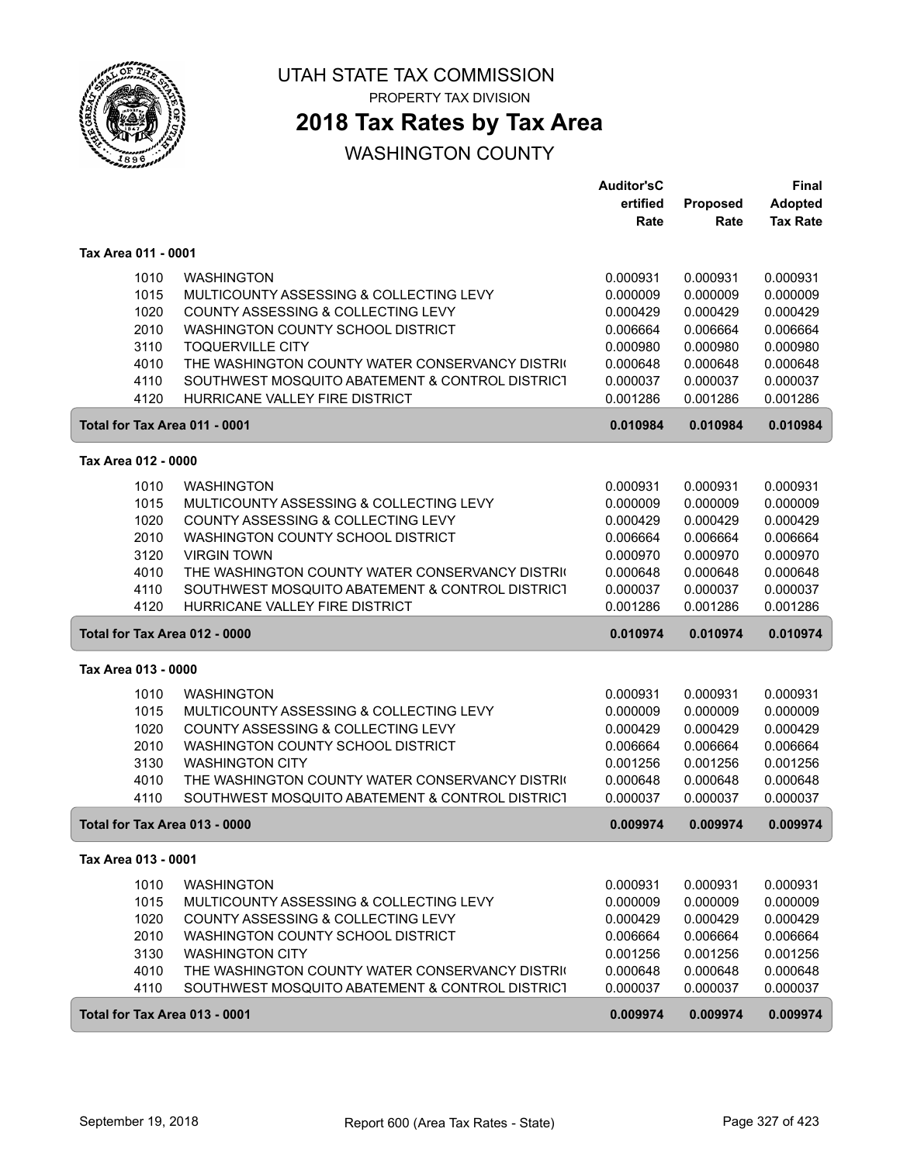

PROPERTY TAX DIVISION

## **2018 Tax Rates by Tax Area**

|                               |                                                 | Auditor'sC |          | Final           |
|-------------------------------|-------------------------------------------------|------------|----------|-----------------|
|                               |                                                 | ertified   | Proposed | <b>Adopted</b>  |
|                               |                                                 | Rate       | Rate     | <b>Tax Rate</b> |
| Tax Area 011 - 0001           |                                                 |            |          |                 |
| 1010                          | <b>WASHINGTON</b>                               | 0.000931   | 0.000931 | 0.000931        |
| 1015                          | MULTICOUNTY ASSESSING & COLLECTING LEVY         | 0.000009   | 0.000009 | 0.000009        |
| 1020                          | COUNTY ASSESSING & COLLECTING LEVY              | 0.000429   | 0.000429 | 0.000429        |
| 2010                          | WASHINGTON COUNTY SCHOOL DISTRICT               | 0.006664   | 0.006664 | 0.006664        |
| 3110                          | <b>TOQUERVILLE CITY</b>                         | 0.000980   | 0.000980 | 0.000980        |
| 4010                          | THE WASHINGTON COUNTY WATER CONSERVANCY DISTRIC | 0.000648   | 0.000648 | 0.000648        |
| 4110                          | SOUTHWEST MOSQUITO ABATEMENT & CONTROL DISTRICT | 0.000037   | 0.000037 | 0.000037        |
| 4120                          | HURRICANE VALLEY FIRE DISTRICT                  | 0.001286   | 0.001286 | 0.001286        |
| Total for Tax Area 011 - 0001 |                                                 | 0.010984   | 0.010984 | 0.010984        |
| Tax Area 012 - 0000           |                                                 |            |          |                 |
| 1010                          | <b>WASHINGTON</b>                               | 0.000931   | 0.000931 | 0.000931        |
| 1015                          | MULTICOUNTY ASSESSING & COLLECTING LEVY         | 0.000009   | 0.000009 | 0.000009        |
| 1020                          | COUNTY ASSESSING & COLLECTING LEVY              | 0.000429   | 0.000429 | 0.000429        |
| 2010                          | WASHINGTON COUNTY SCHOOL DISTRICT               | 0.006664   | 0.006664 | 0.006664        |
| 3120                          | <b>VIRGIN TOWN</b>                              | 0.000970   | 0.000970 | 0.000970        |
| 4010                          | THE WASHINGTON COUNTY WATER CONSERVANCY DISTRIC | 0.000648   | 0.000648 | 0.000648        |
| 4110                          | SOUTHWEST MOSQUITO ABATEMENT & CONTROL DISTRICT | 0.000037   | 0.000037 | 0.000037        |
| 4120                          | HURRICANE VALLEY FIRE DISTRICT                  | 0.001286   | 0.001286 | 0.001286        |
| Total for Tax Area 012 - 0000 |                                                 | 0.010974   | 0.010974 | 0.010974        |
| Tax Area 013 - 0000           |                                                 |            |          |                 |
| 1010                          | <b>WASHINGTON</b>                               | 0.000931   | 0.000931 | 0.000931        |
| 1015                          | MULTICOUNTY ASSESSING & COLLECTING LEVY         | 0.000009   | 0.000009 | 0.000009        |
| 1020                          | COUNTY ASSESSING & COLLECTING LEVY              | 0.000429   | 0.000429 | 0.000429        |
| 2010                          | WASHINGTON COUNTY SCHOOL DISTRICT               | 0.006664   | 0.006664 | 0.006664        |
| 3130                          | <b>WASHINGTON CITY</b>                          | 0.001256   | 0.001256 | 0.001256        |
| 4010                          | THE WASHINGTON COUNTY WATER CONSERVANCY DISTRIC | 0.000648   | 0.000648 | 0.000648        |
| 4110                          | SOUTHWEST MOSQUITO ABATEMENT & CONTROL DISTRICT | 0.000037   | 0.000037 | 0.000037        |
| Total for Tax Area 013 - 0000 |                                                 | 0.009974   | 0.009974 | 0.009974        |
| Tax Area 013 - 0001           |                                                 |            |          |                 |
| 1010                          | <b>WASHINGTON</b>                               | 0.000931   | 0.000931 | 0.000931        |
| 1015                          | MULTICOUNTY ASSESSING & COLLECTING LEVY         | 0.000009   | 0.000009 | 0.000009        |
| 1020                          | COUNTY ASSESSING & COLLECTING LEVY              | 0.000429   | 0.000429 | 0.000429        |
| 2010                          | WASHINGTON COUNTY SCHOOL DISTRICT               | 0.006664   | 0.006664 | 0.006664        |
| 3130                          | <b>WASHINGTON CITY</b>                          | 0.001256   | 0.001256 | 0.001256        |
| 4010                          | THE WASHINGTON COUNTY WATER CONSERVANCY DISTRIC | 0.000648   | 0.000648 | 0.000648        |
| 4110                          | SOUTHWEST MOSQUITO ABATEMENT & CONTROL DISTRICT | 0.000037   | 0.000037 | 0.000037        |
| Total for Tax Area 013 - 0001 |                                                 | 0.009974   | 0.009974 | 0.009974        |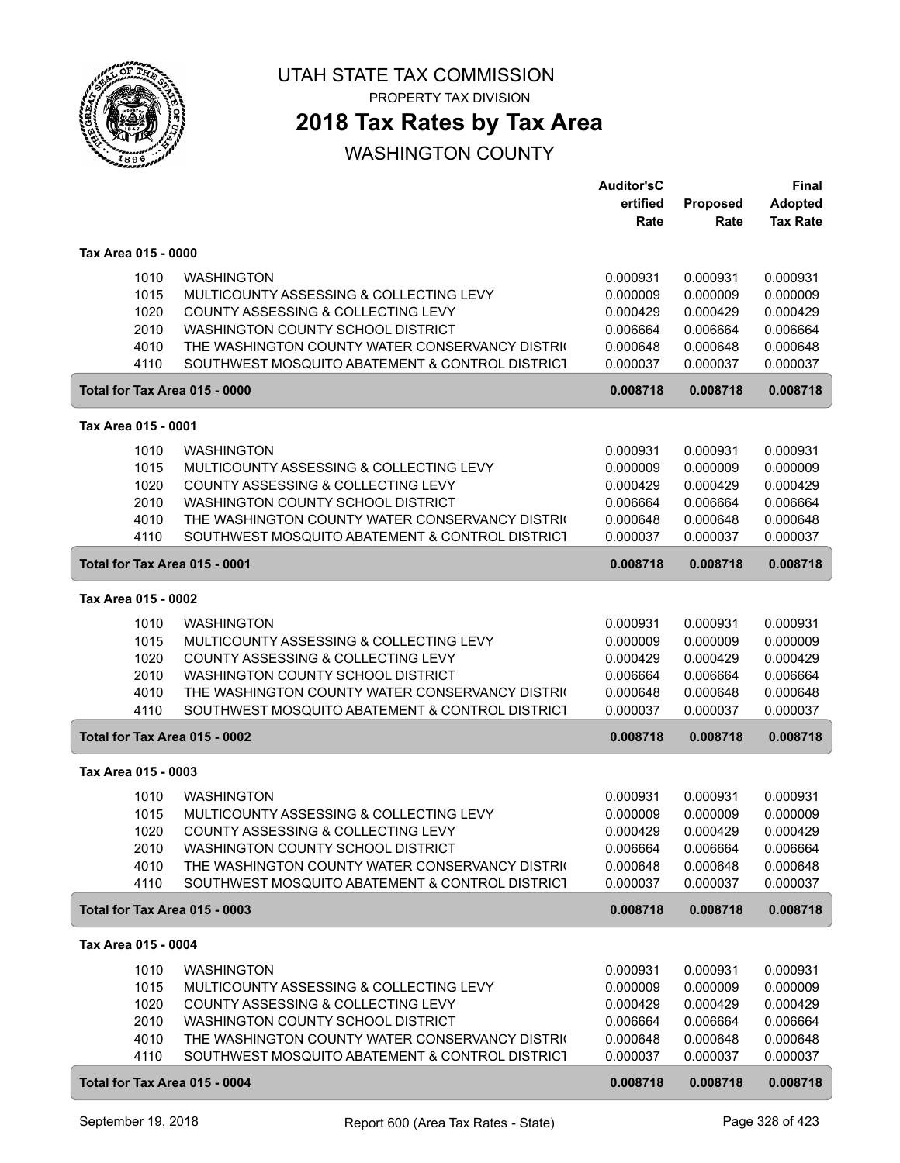

PROPERTY TAX DIVISION

## **2018 Tax Rates by Tax Area**

|                               |                                                                                      | Auditor'sC           |                      | Final                |
|-------------------------------|--------------------------------------------------------------------------------------|----------------------|----------------------|----------------------|
|                               |                                                                                      | ertified             | Proposed             | <b>Adopted</b>       |
|                               |                                                                                      | Rate                 | Rate                 | <b>Tax Rate</b>      |
| Tax Area 015 - 0000           |                                                                                      |                      |                      |                      |
| 1010                          | <b>WASHINGTON</b>                                                                    | 0.000931             | 0.000931             | 0.000931             |
| 1015                          | MULTICOUNTY ASSESSING & COLLECTING LEVY                                              | 0.000009             | 0.000009             | 0.000009             |
| 1020                          | COUNTY ASSESSING & COLLECTING LEVY                                                   | 0.000429             | 0.000429             | 0.000429             |
| 2010                          | WASHINGTON COUNTY SCHOOL DISTRICT                                                    | 0.006664             | 0.006664             | 0.006664             |
| 4010                          | THE WASHINGTON COUNTY WATER CONSERVANCY DISTRIC                                      | 0.000648             | 0.000648             | 0.000648             |
| 4110                          | SOUTHWEST MOSQUITO ABATEMENT & CONTROL DISTRICT                                      | 0.000037             | 0.000037             | 0.000037             |
| Total for Tax Area 015 - 0000 |                                                                                      | 0.008718             | 0.008718             | 0.008718             |
| Tax Area 015 - 0001           |                                                                                      |                      |                      |                      |
| 1010                          | <b>WASHINGTON</b>                                                                    | 0.000931             | 0.000931             | 0.000931             |
| 1015                          | MULTICOUNTY ASSESSING & COLLECTING LEVY                                              | 0.000009             | 0.000009             | 0.000009             |
| 1020                          | COUNTY ASSESSING & COLLECTING LEVY                                                   | 0.000429             | 0.000429             | 0.000429             |
| 2010                          | WASHINGTON COUNTY SCHOOL DISTRICT                                                    | 0.006664             | 0.006664             | 0.006664             |
| 4010                          | THE WASHINGTON COUNTY WATER CONSERVANCY DISTRIC                                      | 0.000648             | 0.000648             | 0.000648             |
| 4110                          | SOUTHWEST MOSQUITO ABATEMENT & CONTROL DISTRICT                                      | 0.000037             | 0.000037             | 0.000037             |
| Total for Tax Area 015 - 0001 |                                                                                      | 0.008718             | 0.008718             | 0.008718             |
| Tax Area 015 - 0002           |                                                                                      |                      |                      |                      |
|                               |                                                                                      |                      |                      |                      |
| 1010                          | <b>WASHINGTON</b>                                                                    | 0.000931             | 0.000931             | 0.000931             |
| 1015                          | MULTICOUNTY ASSESSING & COLLECTING LEVY                                              | 0.000009             | 0.000009             | 0.000009             |
| 1020<br>2010                  | COUNTY ASSESSING & COLLECTING LEVY<br>WASHINGTON COUNTY SCHOOL DISTRICT              | 0.000429             | 0.000429             | 0.000429             |
| 4010                          | THE WASHINGTON COUNTY WATER CONSERVANCY DISTRIC                                      | 0.006664<br>0.000648 | 0.006664<br>0.000648 | 0.006664<br>0.000648 |
| 4110                          | SOUTHWEST MOSQUITO ABATEMENT & CONTROL DISTRICT                                      | 0.000037             | 0.000037             | 0.000037             |
| Total for Tax Area 015 - 0002 |                                                                                      | 0.008718             | 0.008718             | 0.008718             |
|                               |                                                                                      |                      |                      |                      |
| Tax Area 015 - 0003           |                                                                                      |                      |                      |                      |
| 1010                          | <b>WASHINGTON</b>                                                                    | 0.000931             | 0.000931             | 0.000931             |
| 1015                          | MULTICOUNTY ASSESSING & COLLECTING LEVY                                              | 0.000009             | 0.000009             | 0.000009             |
| 1020                          | COUNTY ASSESSING & COLLECTING LEVY                                                   | 0.000429             | 0.000429             | 0.000429             |
| 2010                          | WASHINGTON COUNTY SCHOOL DISTRICT<br>THE WASHINGTON COUNTY WATER CONSERVANCY DISTRIC | 0.006664             | 0.006664             | 0.006664             |
| 4010<br>4110                  | SOUTHWEST MOSQUITO ABATEMENT & CONTROL DISTRICT                                      | 0.000648<br>0.000037 | 0.000648<br>0.000037 | 0.000648<br>0.000037 |
| Total for Tax Area 015 - 0003 |                                                                                      | 0.008718             | 0.008718             | 0.008718             |
|                               |                                                                                      |                      |                      |                      |
| Tax Area 015 - 0004           |                                                                                      |                      |                      |                      |
| 1010                          | <b>WASHINGTON</b>                                                                    | 0.000931             | 0.000931             | 0.000931             |
| 1015                          | MULTICOUNTY ASSESSING & COLLECTING LEVY                                              | 0.000009             | 0.000009             | 0.000009             |
| 1020                          | COUNTY ASSESSING & COLLECTING LEVY                                                   | 0.000429             | 0.000429             | 0.000429             |
| 2010                          | WASHINGTON COUNTY SCHOOL DISTRICT                                                    | 0.006664             | 0.006664             | 0.006664             |
| 4010                          | THE WASHINGTON COUNTY WATER CONSERVANCY DISTRIC                                      | 0.000648             | 0.000648             | 0.000648             |
| 4110                          | SOUTHWEST MOSQUITO ABATEMENT & CONTROL DISTRICT                                      | 0.000037             | 0.000037             | 0.000037             |
| Total for Tax Area 015 - 0004 |                                                                                      | 0.008718             | 0.008718             | 0.008718             |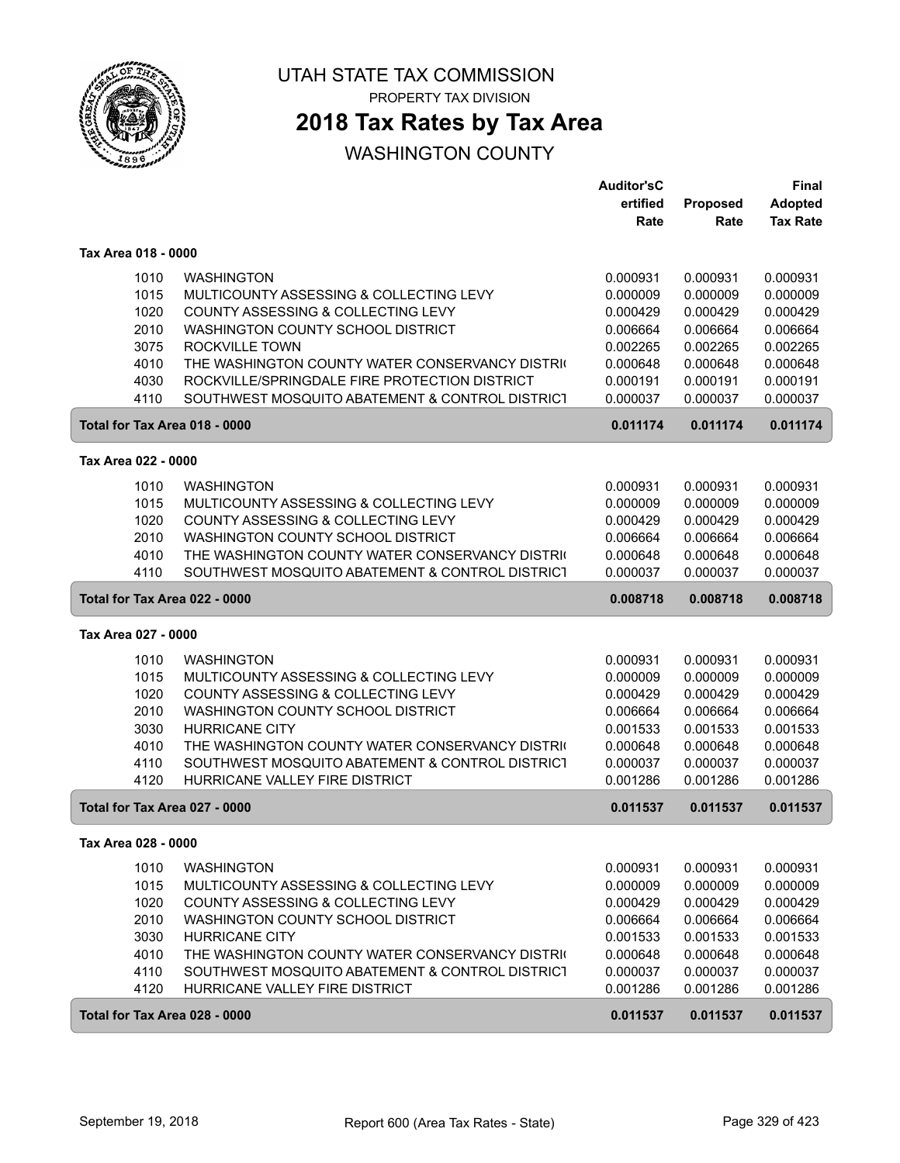

PROPERTY TAX DIVISION

## **2018 Tax Rates by Tax Area**

|                               |                                                 | Auditor'sC |          | <b>Final</b>    |
|-------------------------------|-------------------------------------------------|------------|----------|-----------------|
|                               |                                                 | ertified   | Proposed | <b>Adopted</b>  |
|                               |                                                 | Rate       | Rate     | <b>Tax Rate</b> |
| Tax Area 018 - 0000           |                                                 |            |          |                 |
| 1010                          | <b>WASHINGTON</b>                               | 0.000931   | 0.000931 | 0.000931        |
| 1015                          | MULTICOUNTY ASSESSING & COLLECTING LEVY         | 0.000009   | 0.000009 | 0.000009        |
| 1020                          | COUNTY ASSESSING & COLLECTING LEVY              | 0.000429   | 0.000429 | 0.000429        |
| 2010                          | WASHINGTON COUNTY SCHOOL DISTRICT               | 0.006664   | 0.006664 | 0.006664        |
| 3075                          | ROCKVILLE TOWN                                  | 0.002265   | 0.002265 | 0.002265        |
| 4010                          | THE WASHINGTON COUNTY WATER CONSERVANCY DISTRIC | 0.000648   | 0.000648 | 0.000648        |
| 4030                          | ROCKVILLE/SPRINGDALE FIRE PROTECTION DISTRICT   | 0.000191   | 0.000191 | 0.000191        |
| 4110                          | SOUTHWEST MOSQUITO ABATEMENT & CONTROL DISTRICT | 0.000037   | 0.000037 | 0.000037        |
| Total for Tax Area 018 - 0000 |                                                 | 0.011174   | 0.011174 | 0.011174        |
| Tax Area 022 - 0000           |                                                 |            |          |                 |
| 1010                          | <b>WASHINGTON</b>                               | 0.000931   | 0.000931 | 0.000931        |
| 1015                          | MULTICOUNTY ASSESSING & COLLECTING LEVY         | 0.000009   | 0.000009 | 0.000009        |
| 1020                          | COUNTY ASSESSING & COLLECTING LEVY              | 0.000429   | 0.000429 | 0.000429        |
| 2010                          | WASHINGTON COUNTY SCHOOL DISTRICT               | 0.006664   | 0.006664 | 0.006664        |
| 4010                          | THE WASHINGTON COUNTY WATER CONSERVANCY DISTRIC | 0.000648   | 0.000648 | 0.000648        |
| 4110                          | SOUTHWEST MOSQUITO ABATEMENT & CONTROL DISTRICT | 0.000037   | 0.000037 | 0.000037        |
| Total for Tax Area 022 - 0000 |                                                 | 0.008718   | 0.008718 | 0.008718        |
| Tax Area 027 - 0000           |                                                 |            |          |                 |
| 1010                          | <b>WASHINGTON</b>                               | 0.000931   | 0.000931 | 0.000931        |
| 1015                          | MULTICOUNTY ASSESSING & COLLECTING LEVY         | 0.000009   | 0.000009 | 0.000009        |
| 1020                          | COUNTY ASSESSING & COLLECTING LEVY              | 0.000429   | 0.000429 | 0.000429        |
| 2010                          | WASHINGTON COUNTY SCHOOL DISTRICT               | 0.006664   | 0.006664 | 0.006664        |
| 3030                          | <b>HURRICANE CITY</b>                           | 0.001533   | 0.001533 | 0.001533        |
| 4010                          | THE WASHINGTON COUNTY WATER CONSERVANCY DISTRIC | 0.000648   | 0.000648 | 0.000648        |
| 4110                          | SOUTHWEST MOSQUITO ABATEMENT & CONTROL DISTRICT | 0.000037   | 0.000037 | 0.000037        |
| 4120                          | HURRICANE VALLEY FIRE DISTRICT                  | 0.001286   | 0.001286 | 0.001286        |
| Total for Tax Area 027 - 0000 |                                                 | 0.011537   | 0.011537 | 0.011537        |
| Tax Area 028 - 0000           |                                                 |            |          |                 |
| 1010                          | <b>WASHINGTON</b>                               | 0.000931   | 0.000931 | 0.000931        |
| 1015                          | MULTICOUNTY ASSESSING & COLLECTING LEVY         | 0.000009   | 0.000009 | 0.000009        |
| 1020                          | COUNTY ASSESSING & COLLECTING LEVY              | 0.000429   | 0.000429 | 0.000429        |
| 2010                          | WASHINGTON COUNTY SCHOOL DISTRICT               | 0.006664   | 0.006664 | 0.006664        |
| 3030                          | <b>HURRICANE CITY</b>                           | 0.001533   | 0.001533 | 0.001533        |
| 4010                          | THE WASHINGTON COUNTY WATER CONSERVANCY DISTRIC | 0.000648   | 0.000648 | 0.000648        |
| 4110                          | SOUTHWEST MOSQUITO ABATEMENT & CONTROL DISTRICT | 0.000037   | 0.000037 | 0.000037        |
| 4120                          | HURRICANE VALLEY FIRE DISTRICT                  | 0.001286   | 0.001286 | 0.001286        |
| Total for Tax Area 028 - 0000 |                                                 | 0.011537   | 0.011537 | 0.011537        |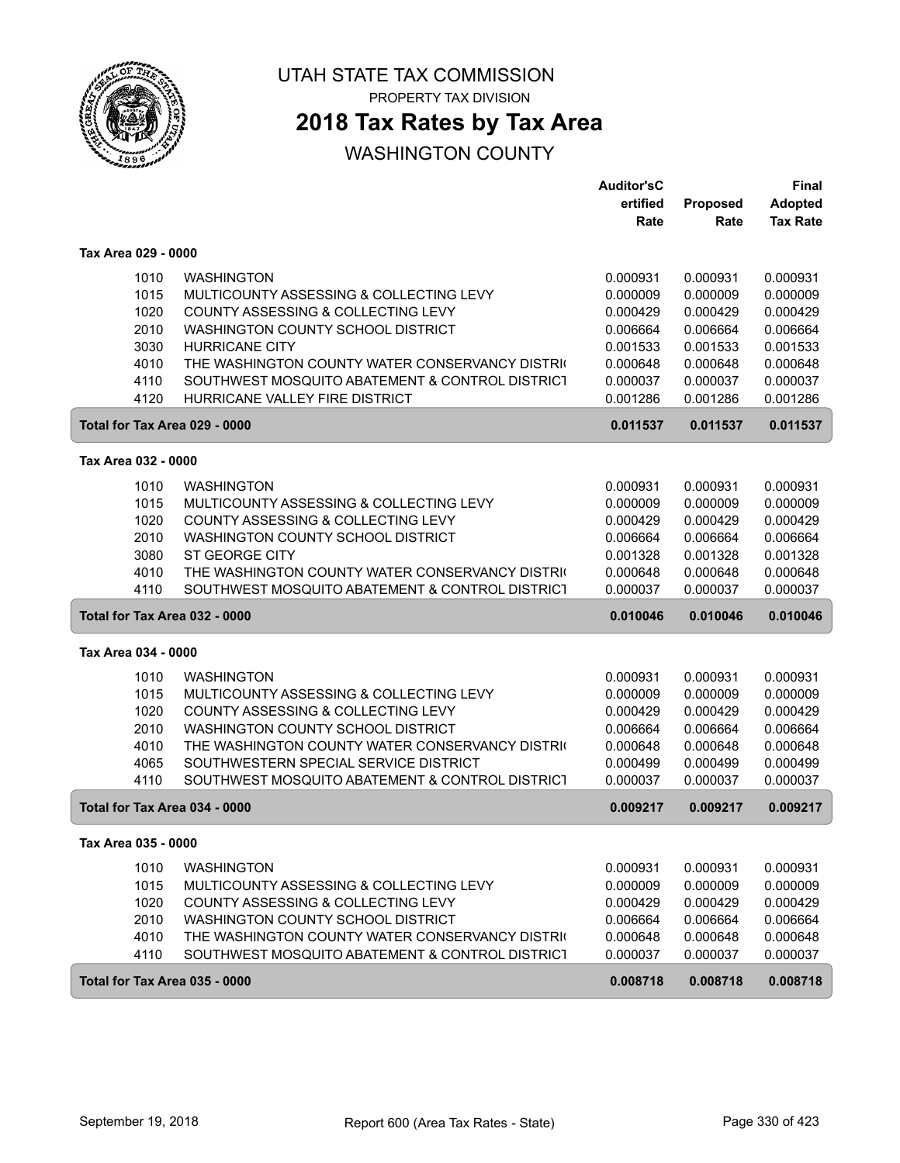

PROPERTY TAX DIVISION

## **2018 Tax Rates by Tax Area**

|                               |                                                 | <b>Auditor'sC</b><br>ertified | Proposed | Final<br><b>Adopted</b> |
|-------------------------------|-------------------------------------------------|-------------------------------|----------|-------------------------|
|                               |                                                 | Rate                          | Rate     | <b>Tax Rate</b>         |
| Tax Area 029 - 0000           |                                                 |                               |          |                         |
| 1010                          | <b>WASHINGTON</b>                               | 0.000931                      | 0.000931 | 0.000931                |
| 1015                          | MULTICOUNTY ASSESSING & COLLECTING LEVY         | 0.000009                      | 0.000009 | 0.000009                |
| 1020                          | COUNTY ASSESSING & COLLECTING LEVY              | 0.000429                      | 0.000429 | 0.000429                |
| 2010                          | WASHINGTON COUNTY SCHOOL DISTRICT               | 0.006664                      | 0.006664 | 0.006664                |
| 3030                          | <b>HURRICANE CITY</b>                           | 0.001533                      | 0.001533 | 0.001533                |
| 4010                          | THE WASHINGTON COUNTY WATER CONSERVANCY DISTRIC | 0.000648                      | 0.000648 | 0.000648                |
| 4110                          | SOUTHWEST MOSQUITO ABATEMENT & CONTROL DISTRICT | 0.000037                      | 0.000037 | 0.000037                |
| 4120                          | HURRICANE VALLEY FIRE DISTRICT                  | 0.001286                      | 0.001286 | 0.001286                |
| Total for Tax Area 029 - 0000 |                                                 | 0.011537                      | 0.011537 | 0.011537                |
| Tax Area 032 - 0000           |                                                 |                               |          |                         |
| 1010                          | <b>WASHINGTON</b>                               | 0.000931                      | 0.000931 | 0.000931                |
| 1015                          | MULTICOUNTY ASSESSING & COLLECTING LEVY         | 0.000009                      | 0.000009 | 0.000009                |
| 1020                          | COUNTY ASSESSING & COLLECTING LEVY              | 0.000429                      | 0.000429 | 0.000429                |
| 2010                          | WASHINGTON COUNTY SCHOOL DISTRICT               | 0.006664                      | 0.006664 | 0.006664                |
| 3080                          | <b>ST GEORGE CITY</b>                           | 0.001328                      | 0.001328 | 0.001328                |
| 4010                          | THE WASHINGTON COUNTY WATER CONSERVANCY DISTRIC | 0.000648                      | 0.000648 | 0.000648                |
| 4110                          | SOUTHWEST MOSQUITO ABATEMENT & CONTROL DISTRICT | 0.000037                      | 0.000037 | 0.000037                |
| Total for Tax Area 032 - 0000 |                                                 | 0.010046                      | 0.010046 | 0.010046                |
| Tax Area 034 - 0000           |                                                 |                               |          |                         |
| 1010                          | <b>WASHINGTON</b>                               | 0.000931                      | 0.000931 | 0.000931                |
| 1015                          | MULTICOUNTY ASSESSING & COLLECTING LEVY         | 0.000009                      | 0.000009 | 0.000009                |
| 1020                          | COUNTY ASSESSING & COLLECTING LEVY              | 0.000429                      | 0.000429 | 0.000429                |
| 2010                          | WASHINGTON COUNTY SCHOOL DISTRICT               | 0.006664                      | 0.006664 | 0.006664                |
| 4010                          | THE WASHINGTON COUNTY WATER CONSERVANCY DISTRIC | 0.000648                      | 0.000648 | 0.000648                |
| 4065                          | SOUTHWESTERN SPECIAL SERVICE DISTRICT           | 0.000499                      | 0.000499 | 0.000499                |
| 4110                          | SOUTHWEST MOSQUITO ABATEMENT & CONTROL DISTRICT | 0.000037                      | 0.000037 | 0.000037                |
| Total for Tax Area 034 - 0000 |                                                 | 0.009217                      | 0.009217 | 0.009217                |
| Tax Area 035 - 0000           |                                                 |                               |          |                         |
| 1010                          | <b>WASHINGTON</b>                               | 0.000931                      | 0.000931 | 0.000931                |
| 1015                          | MULTICOUNTY ASSESSING & COLLECTING LEVY         | 0.000009                      | 0.000009 | 0.000009                |
| 1020                          | COUNTY ASSESSING & COLLECTING LEVY              | 0.000429                      | 0.000429 | 0.000429                |
| 2010                          | WASHINGTON COUNTY SCHOOL DISTRICT               | 0.006664                      | 0.006664 | 0.006664                |
| 4010                          | THE WASHINGTON COUNTY WATER CONSERVANCY DISTRIC | 0.000648                      | 0.000648 | 0.000648                |
| 4110                          | SOUTHWEST MOSQUITO ABATEMENT & CONTROL DISTRICT | 0.000037                      | 0.000037 | 0.000037                |
| Total for Tax Area 035 - 0000 |                                                 | 0.008718                      | 0.008718 | 0.008718                |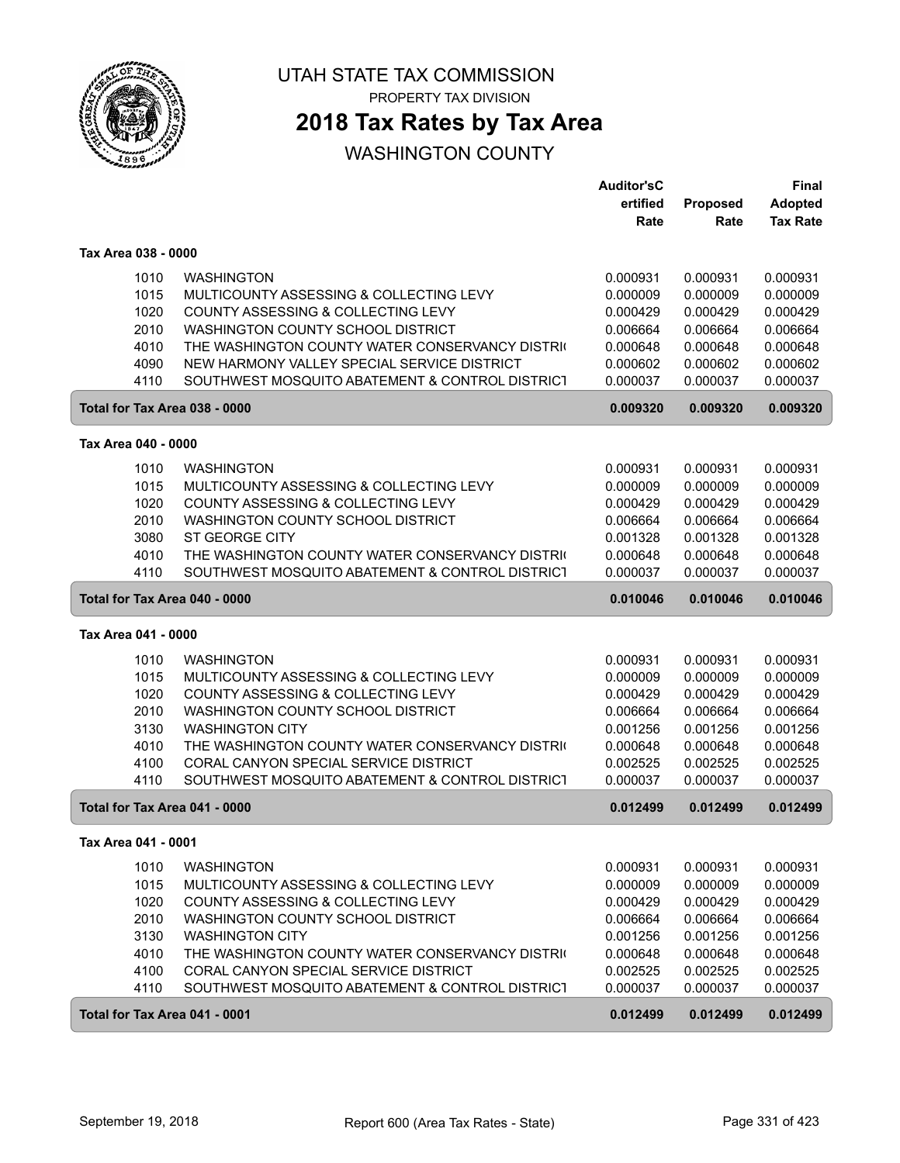

PROPERTY TAX DIVISION

## **2018 Tax Rates by Tax Area**

|                               |                                                 | <b>Auditor'sC</b> |          | Final           |
|-------------------------------|-------------------------------------------------|-------------------|----------|-----------------|
|                               |                                                 | ertified          | Proposed | <b>Adopted</b>  |
|                               |                                                 | Rate              | Rate     | <b>Tax Rate</b> |
| Tax Area 038 - 0000           |                                                 |                   |          |                 |
| 1010                          | <b>WASHINGTON</b>                               | 0.000931          | 0.000931 | 0.000931        |
| 1015                          | MULTICOUNTY ASSESSING & COLLECTING LEVY         | 0.000009          | 0.000009 | 0.000009        |
| 1020                          | COUNTY ASSESSING & COLLECTING LEVY              | 0.000429          | 0.000429 | 0.000429        |
| 2010                          | WASHINGTON COUNTY SCHOOL DISTRICT               | 0.006664          | 0.006664 | 0.006664        |
| 4010                          | THE WASHINGTON COUNTY WATER CONSERVANCY DISTRIC | 0.000648          | 0.000648 | 0.000648        |
| 4090                          | NEW HARMONY VALLEY SPECIAL SERVICE DISTRICT     | 0.000602          | 0.000602 | 0.000602        |
| 4110                          | SOUTHWEST MOSQUITO ABATEMENT & CONTROL DISTRICT | 0.000037          | 0.000037 | 0.000037        |
| Total for Tax Area 038 - 0000 |                                                 | 0.009320          | 0.009320 | 0.009320        |
| Tax Area 040 - 0000           |                                                 |                   |          |                 |
| 1010                          | <b>WASHINGTON</b>                               | 0.000931          | 0.000931 | 0.000931        |
| 1015                          | MULTICOUNTY ASSESSING & COLLECTING LEVY         | 0.000009          | 0.000009 | 0.000009        |
| 1020                          | COUNTY ASSESSING & COLLECTING LEVY              | 0.000429          | 0.000429 | 0.000429        |
| 2010                          | WASHINGTON COUNTY SCHOOL DISTRICT               | 0.006664          | 0.006664 | 0.006664        |
| 3080                          | <b>ST GEORGE CITY</b>                           | 0.001328          | 0.001328 | 0.001328        |
| 4010                          | THE WASHINGTON COUNTY WATER CONSERVANCY DISTRIC | 0.000648          | 0.000648 | 0.000648        |
| 4110                          | SOUTHWEST MOSQUITO ABATEMENT & CONTROL DISTRICT | 0.000037          | 0.000037 | 0.000037        |
| Total for Tax Area 040 - 0000 |                                                 | 0.010046          | 0.010046 | 0.010046        |
| Tax Area 041 - 0000           |                                                 |                   |          |                 |
| 1010                          | <b>WASHINGTON</b>                               | 0.000931          | 0.000931 | 0.000931        |
| 1015                          | MULTICOUNTY ASSESSING & COLLECTING LEVY         | 0.000009          | 0.000009 | 0.000009        |
| 1020                          | COUNTY ASSESSING & COLLECTING LEVY              | 0.000429          | 0.000429 | 0.000429        |
| 2010                          | WASHINGTON COUNTY SCHOOL DISTRICT               | 0.006664          | 0.006664 | 0.006664        |
| 3130                          | <b>WASHINGTON CITY</b>                          | 0.001256          | 0.001256 | 0.001256        |
| 4010                          | THE WASHINGTON COUNTY WATER CONSERVANCY DISTRIC | 0.000648          | 0.000648 | 0.000648        |
| 4100                          | CORAL CANYON SPECIAL SERVICE DISTRICT           | 0.002525          | 0.002525 | 0.002525        |
| 4110                          | SOUTHWEST MOSQUITO ABATEMENT & CONTROL DISTRICT | 0.000037          | 0.000037 | 0.000037        |
| Total for Tax Area 041 - 0000 |                                                 | 0.012499          | 0.012499 | 0.012499        |
| Tax Area 041 - 0001           |                                                 |                   |          |                 |
| 1010                          | <b>WASHINGTON</b>                               | 0.000931          | 0.000931 | 0.000931        |
| 1015                          | MULTICOUNTY ASSESSING & COLLECTING LEVY         | 0.000009          | 0.000009 | 0.000009        |
| 1020                          | COUNTY ASSESSING & COLLECTING LEVY              | 0.000429          | 0.000429 | 0.000429        |
| 2010                          | WASHINGTON COUNTY SCHOOL DISTRICT               | 0.006664          | 0.006664 | 0.006664        |
| 3130                          | <b>WASHINGTON CITY</b>                          | 0.001256          | 0.001256 | 0.001256        |
| 4010                          | THE WASHINGTON COUNTY WATER CONSERVANCY DISTRIC | 0.000648          | 0.000648 | 0.000648        |
| 4100                          | CORAL CANYON SPECIAL SERVICE DISTRICT           | 0.002525          | 0.002525 | 0.002525        |
| 4110                          | SOUTHWEST MOSQUITO ABATEMENT & CONTROL DISTRICT | 0.000037          | 0.000037 | 0.000037        |
| Total for Tax Area 041 - 0001 |                                                 | 0.012499          | 0.012499 | 0.012499        |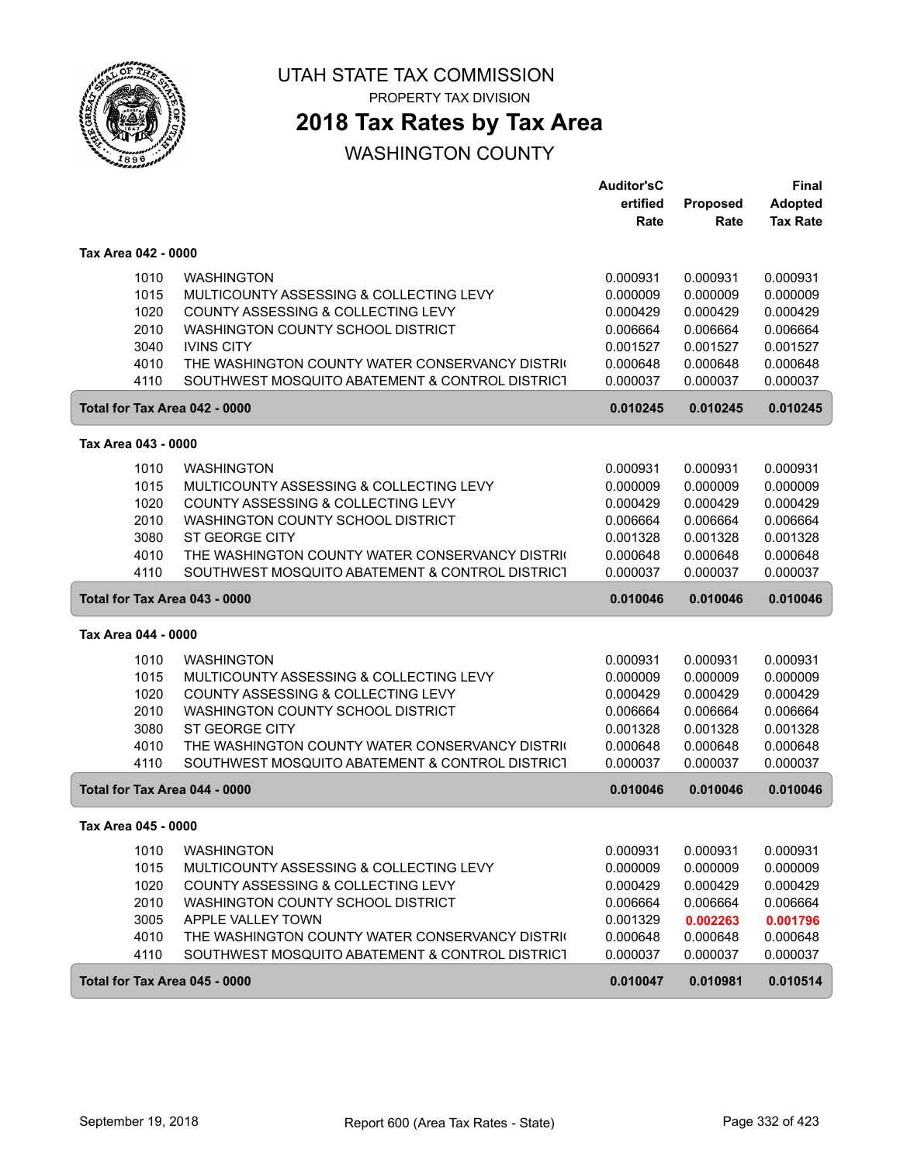

PROPERTY TAX DIVISION

## **2018 Tax Rates by Tax Area**

|                               |                                                 | <b>Auditor'sC</b> |          | Final           |
|-------------------------------|-------------------------------------------------|-------------------|----------|-----------------|
|                               |                                                 | ertified          | Proposed | <b>Adopted</b>  |
|                               |                                                 | Rate              | Rate     | <b>Tax Rate</b> |
| Tax Area 042 - 0000           |                                                 |                   |          |                 |
| 1010                          | <b>WASHINGTON</b>                               | 0.000931          | 0.000931 | 0.000931        |
| 1015                          | MULTICOUNTY ASSESSING & COLLECTING LEVY         | 0.000009          | 0.000009 | 0.000009        |
| 1020                          | COUNTY ASSESSING & COLLECTING LEVY              | 0.000429          | 0.000429 | 0.000429        |
| 2010                          | WASHINGTON COUNTY SCHOOL DISTRICT               | 0.006664          | 0.006664 | 0.006664        |
| 3040                          | <b>IVINS CITY</b>                               | 0.001527          | 0.001527 | 0.001527        |
| 4010                          | THE WASHINGTON COUNTY WATER CONSERVANCY DISTRIC | 0.000648          | 0.000648 | 0.000648        |
| 4110                          | SOUTHWEST MOSQUITO ABATEMENT & CONTROL DISTRICT | 0.000037          | 0.000037 | 0.000037        |
| Total for Tax Area 042 - 0000 |                                                 | 0.010245          | 0.010245 | 0.010245        |
| Tax Area 043 - 0000           |                                                 |                   |          |                 |
| 1010                          | <b>WASHINGTON</b>                               | 0.000931          | 0.000931 | 0.000931        |
| 1015                          | MULTICOUNTY ASSESSING & COLLECTING LEVY         | 0.000009          | 0.000009 | 0.000009        |
| 1020                          | COUNTY ASSESSING & COLLECTING LEVY              | 0.000429          | 0.000429 | 0.000429        |
| 2010                          | WASHINGTON COUNTY SCHOOL DISTRICT               | 0.006664          | 0.006664 | 0.006664        |
| 3080                          | <b>ST GEORGE CITY</b>                           | 0.001328          | 0.001328 | 0.001328        |
| 4010                          | THE WASHINGTON COUNTY WATER CONSERVANCY DISTRIC | 0.000648          | 0.000648 | 0.000648        |
| 4110                          | SOUTHWEST MOSQUITO ABATEMENT & CONTROL DISTRICT | 0.000037          | 0.000037 | 0.000037        |
| Total for Tax Area 043 - 0000 |                                                 | 0.010046          | 0.010046 | 0.010046        |
| Tax Area 044 - 0000           |                                                 |                   |          |                 |
| 1010                          | <b>WASHINGTON</b>                               | 0.000931          | 0.000931 | 0.000931        |
| 1015                          | MULTICOUNTY ASSESSING & COLLECTING LEVY         | 0.000009          | 0.000009 | 0.000009        |
| 1020                          | COUNTY ASSESSING & COLLECTING LEVY              | 0.000429          | 0.000429 | 0.000429        |
| 2010                          | WASHINGTON COUNTY SCHOOL DISTRICT               | 0.006664          | 0.006664 | 0.006664        |
| 3080                          | ST GEORGE CITY                                  | 0.001328          | 0.001328 | 0.001328        |
| 4010                          | THE WASHINGTON COUNTY WATER CONSERVANCY DISTRIC | 0.000648          | 0.000648 | 0.000648        |
| 4110                          | SOUTHWEST MOSQUITO ABATEMENT & CONTROL DISTRICT | 0.000037          | 0.000037 | 0.000037        |
| Total for Tax Area 044 - 0000 |                                                 | 0.010046          | 0.010046 | 0.010046        |
| Tax Area 045 - 0000           |                                                 |                   |          |                 |
| 1010                          | <b>WASHINGTON</b>                               | 0.000931          | 0.000931 | 0.000931        |
| 1015                          | MULTICOUNTY ASSESSING & COLLECTING LEVY         | 0.000009          | 0.000009 | 0.000009        |
| 1020                          | COUNTY ASSESSING & COLLECTING LEVY              | 0.000429          | 0.000429 | 0.000429        |
| 2010                          | WASHINGTON COUNTY SCHOOL DISTRICT               | 0.006664          | 0.006664 | 0.006664        |
| 3005                          | APPLE VALLEY TOWN                               | 0.001329          | 0.002263 | 0.001796        |
| 4010                          | THE WASHINGTON COUNTY WATER CONSERVANCY DISTRIC | 0.000648          | 0.000648 | 0.000648        |
| 4110                          | SOUTHWEST MOSQUITO ABATEMENT & CONTROL DISTRICT | 0.000037          | 0.000037 | 0.000037        |
| Total for Tax Area 045 - 0000 |                                                 | 0.010047          | 0.010981 | 0.010514        |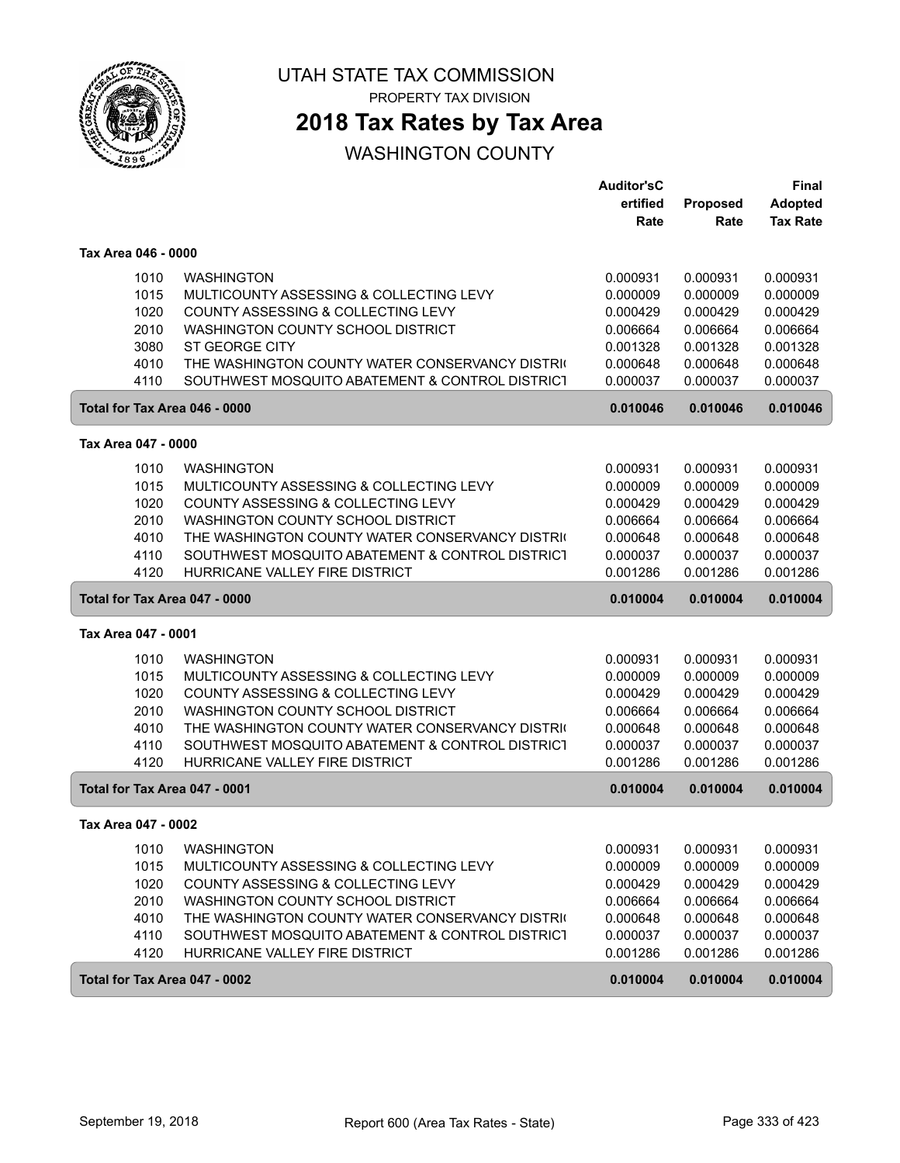

PROPERTY TAX DIVISION

## **2018 Tax Rates by Tax Area**

|                               |                                                                                                    | <b>Auditor'sC</b>    |                      | Final                |
|-------------------------------|----------------------------------------------------------------------------------------------------|----------------------|----------------------|----------------------|
|                               |                                                                                                    | ertified             | Proposed             | <b>Adopted</b>       |
|                               |                                                                                                    | Rate                 | Rate                 | <b>Tax Rate</b>      |
| Tax Area 046 - 0000           |                                                                                                    |                      |                      |                      |
| 1010                          | <b>WASHINGTON</b>                                                                                  | 0.000931             | 0.000931             | 0.000931             |
| 1015                          | MULTICOUNTY ASSESSING & COLLECTING LEVY                                                            | 0.000009             | 0.000009             | 0.000009             |
| 1020                          | COUNTY ASSESSING & COLLECTING LEVY                                                                 | 0.000429             | 0.000429             | 0.000429             |
| 2010                          | WASHINGTON COUNTY SCHOOL DISTRICT                                                                  | 0.006664             | 0.006664             | 0.006664             |
| 3080                          | <b>ST GEORGE CITY</b>                                                                              | 0.001328             | 0.001328             | 0.001328             |
| 4010                          | THE WASHINGTON COUNTY WATER CONSERVANCY DISTRIC                                                    | 0.000648             | 0.000648             | 0.000648             |
| 4110                          | SOUTHWEST MOSQUITO ABATEMENT & CONTROL DISTRICT                                                    | 0.000037             | 0.000037             | 0.000037             |
| Total for Tax Area 046 - 0000 |                                                                                                    | 0.010046             | 0.010046             | 0.010046             |
| Tax Area 047 - 0000           |                                                                                                    |                      |                      |                      |
| 1010                          | <b>WASHINGTON</b>                                                                                  | 0.000931             | 0.000931             | 0.000931             |
| 1015                          | MULTICOUNTY ASSESSING & COLLECTING LEVY                                                            | 0.000009             | 0.000009             | 0.000009             |
| 1020                          | COUNTY ASSESSING & COLLECTING LEVY                                                                 | 0.000429             | 0.000429             | 0.000429             |
| 2010                          | WASHINGTON COUNTY SCHOOL DISTRICT                                                                  | 0.006664             | 0.006664             | 0.006664             |
| 4010                          | THE WASHINGTON COUNTY WATER CONSERVANCY DISTRIC                                                    | 0.000648             | 0.000648             | 0.000648             |
| 4110                          | SOUTHWEST MOSQUITO ABATEMENT & CONTROL DISTRICT                                                    | 0.000037             | 0.000037             | 0.000037             |
| 4120                          | HURRICANE VALLEY FIRE DISTRICT                                                                     | 0.001286             | 0.001286             | 0.001286             |
| Total for Tax Area 047 - 0000 |                                                                                                    | 0.010004             | 0.010004             | 0.010004             |
|                               |                                                                                                    |                      |                      |                      |
| Tax Area 047 - 0001           |                                                                                                    |                      |                      |                      |
|                               | <b>WASHINGTON</b>                                                                                  |                      |                      |                      |
| 1010                          |                                                                                                    | 0.000931             | 0.000931             | 0.000931             |
| 1015                          | MULTICOUNTY ASSESSING & COLLECTING LEVY                                                            | 0.000009<br>0.000429 | 0.000009<br>0.000429 | 0.000009             |
| 1020                          | COUNTY ASSESSING & COLLECTING LEVY                                                                 |                      |                      | 0.000429             |
| 2010                          | WASHINGTON COUNTY SCHOOL DISTRICT                                                                  | 0.006664             | 0.006664             | 0.006664             |
| 4010<br>4110                  | THE WASHINGTON COUNTY WATER CONSERVANCY DISTRIC<br>SOUTHWEST MOSQUITO ABATEMENT & CONTROL DISTRICT | 0.000648<br>0.000037 | 0.000648<br>0.000037 | 0.000648<br>0.000037 |
| 4120                          | HURRICANE VALLEY FIRE DISTRICT                                                                     | 0.001286             | 0.001286             | 0.001286             |
| Total for Tax Area 047 - 0001 |                                                                                                    | 0.010004             | 0.010004             | 0.010004             |
| Tax Area 047 - 0002           |                                                                                                    |                      |                      |                      |
|                               | <b>WASHINGTON</b>                                                                                  |                      |                      |                      |
| 1010                          | MULTICOUNTY ASSESSING & COLLECTING LEVY                                                            | 0.000931<br>0.000009 | 0.000931<br>0.000009 | 0.000931<br>0.000009 |
| 1015<br>1020                  | COUNTY ASSESSING & COLLECTING LEVY                                                                 |                      | 0.000429             | 0.000429             |
|                               | WASHINGTON COUNTY SCHOOL DISTRICT                                                                  | 0.000429             |                      |                      |
| 2010                          |                                                                                                    | 0.006664             | 0.006664             | 0.006664             |
| 4010<br>4110                  | THE WASHINGTON COUNTY WATER CONSERVANCY DISTRIC<br>SOUTHWEST MOSQUITO ABATEMENT & CONTROL DISTRICT | 0.000648             | 0.000648             | 0.000648<br>0.000037 |
| 4120                          | HURRICANE VALLEY FIRE DISTRICT                                                                     | 0.000037<br>0.001286 | 0.000037<br>0.001286 | 0.001286             |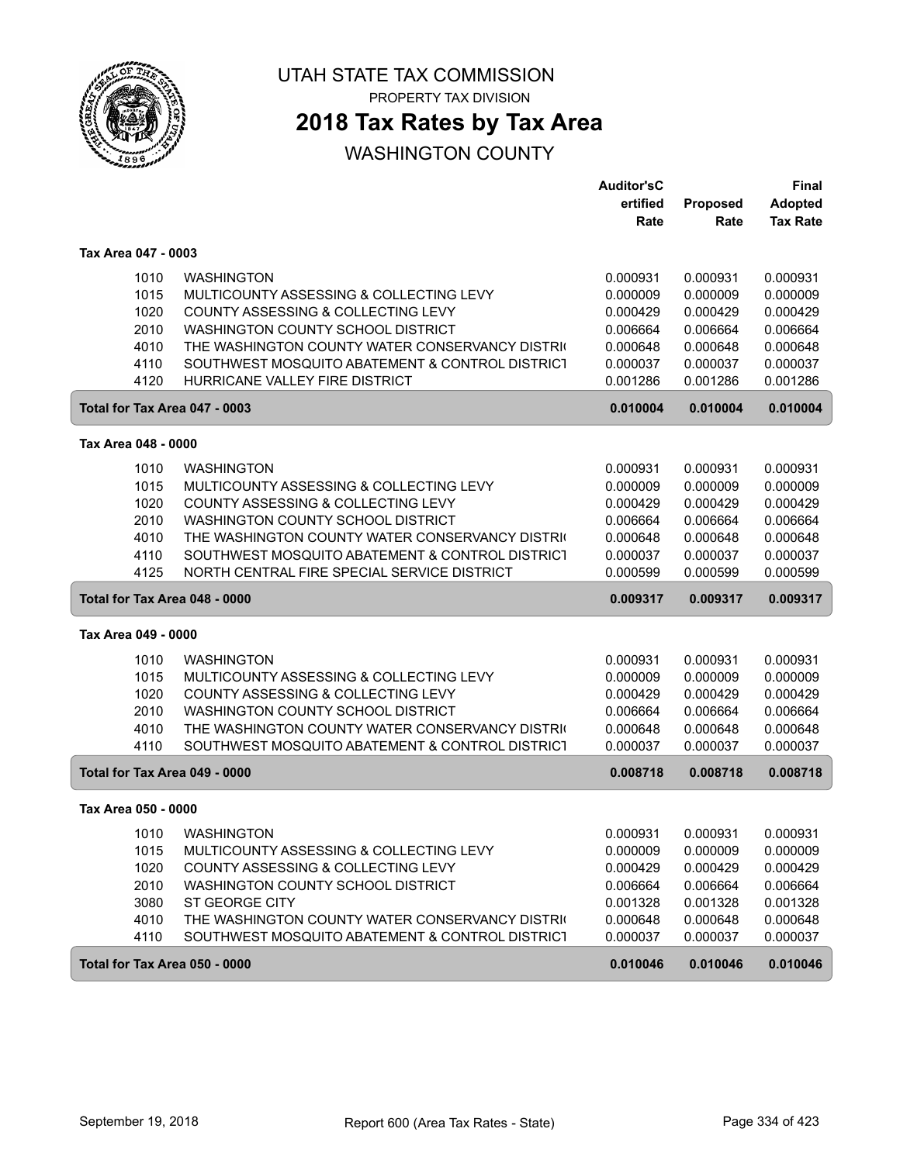

PROPERTY TAX DIVISION

## **2018 Tax Rates by Tax Area**

|                               |                                                 | <b>Auditor'sC</b> |          | Final           |
|-------------------------------|-------------------------------------------------|-------------------|----------|-----------------|
|                               |                                                 | ertified          | Proposed | Adopted         |
|                               |                                                 | Rate              | Rate     | <b>Tax Rate</b> |
| Tax Area 047 - 0003           |                                                 |                   |          |                 |
| 1010                          | <b>WASHINGTON</b>                               | 0.000931          | 0.000931 | 0.000931        |
| 1015                          | MULTICOUNTY ASSESSING & COLLECTING LEVY         | 0.000009          | 0.000009 | 0.000009        |
| 1020                          | COUNTY ASSESSING & COLLECTING LEVY              | 0.000429          | 0.000429 | 0.000429        |
| 2010                          | <b>WASHINGTON COUNTY SCHOOL DISTRICT</b>        | 0.006664          | 0.006664 | 0.006664        |
| 4010                          | THE WASHINGTON COUNTY WATER CONSERVANCY DISTRIC | 0.000648          | 0.000648 | 0.000648        |
| 4110                          | SOUTHWEST MOSQUITO ABATEMENT & CONTROL DISTRICT | 0.000037          | 0.000037 | 0.000037        |
| 4120                          | HURRICANE VALLEY FIRE DISTRICT                  | 0.001286          | 0.001286 | 0.001286        |
| Total for Tax Area 047 - 0003 |                                                 | 0.010004          | 0.010004 | 0.010004        |
| Tax Area 048 - 0000           |                                                 |                   |          |                 |
| 1010                          | <b>WASHINGTON</b>                               | 0.000931          | 0.000931 | 0.000931        |
| 1015                          | MULTICOUNTY ASSESSING & COLLECTING LEVY         | 0.000009          | 0.000009 | 0.000009        |
| 1020                          | COUNTY ASSESSING & COLLECTING LEVY              | 0.000429          | 0.000429 | 0.000429        |
| 2010                          | WASHINGTON COUNTY SCHOOL DISTRICT               | 0.006664          | 0.006664 | 0.006664        |
| 4010                          | THE WASHINGTON COUNTY WATER CONSERVANCY DISTRIC | 0.000648          | 0.000648 | 0.000648        |
| 4110                          | SOUTHWEST MOSQUITO ABATEMENT & CONTROL DISTRICT | 0.000037          | 0.000037 | 0.000037        |
| 4125                          | NORTH CENTRAL FIRE SPECIAL SERVICE DISTRICT     | 0.000599          | 0.000599 | 0.000599        |
| Total for Tax Area 048 - 0000 |                                                 | 0.009317          | 0.009317 | 0.009317        |
| Tax Area 049 - 0000           |                                                 |                   |          |                 |
| 1010                          | <b>WASHINGTON</b>                               | 0.000931          | 0.000931 | 0.000931        |
| 1015                          | MULTICOUNTY ASSESSING & COLLECTING LEVY         | 0.000009          | 0.000009 | 0.000009        |
| 1020                          | COUNTY ASSESSING & COLLECTING LEVY              | 0.000429          | 0.000429 | 0.000429        |
| 2010                          | WASHINGTON COUNTY SCHOOL DISTRICT               | 0.006664          | 0.006664 | 0.006664        |
| 4010                          | THE WASHINGTON COUNTY WATER CONSERVANCY DISTRIC | 0.000648          | 0.000648 | 0.000648        |
| 4110                          | SOUTHWEST MOSQUITO ABATEMENT & CONTROL DISTRICT | 0.000037          | 0.000037 | 0.000037        |
| Total for Tax Area 049 - 0000 |                                                 | 0.008718          | 0.008718 | 0.008718        |
| Tax Area 050 - 0000           |                                                 |                   |          |                 |
| 1010                          | <b>WASHINGTON</b>                               | 0.000931          | 0.000931 | 0.000931        |
| 1015                          | MULTICOUNTY ASSESSING & COLLECTING LEVY         | 0.000009          | 0.000009 | 0.000009        |
| 1020                          | COUNTY ASSESSING & COLLECTING LEVY              | 0.000429          | 0.000429 | 0.000429        |
| 2010                          | WASHINGTON COUNTY SCHOOL DISTRICT               | 0.006664          | 0.006664 | 0.006664        |
| 3080                          | ST GEORGE CITY                                  | 0.001328          | 0.001328 | 0.001328        |
| 4010                          | THE WASHINGTON COUNTY WATER CONSERVANCY DISTRIC | 0.000648          | 0.000648 | 0.000648        |
| 4110                          | SOUTHWEST MOSQUITO ABATEMENT & CONTROL DISTRICT | 0.000037          | 0.000037 | 0.000037        |
| Total for Tax Area 050 - 0000 |                                                 | 0.010046          | 0.010046 | 0.010046        |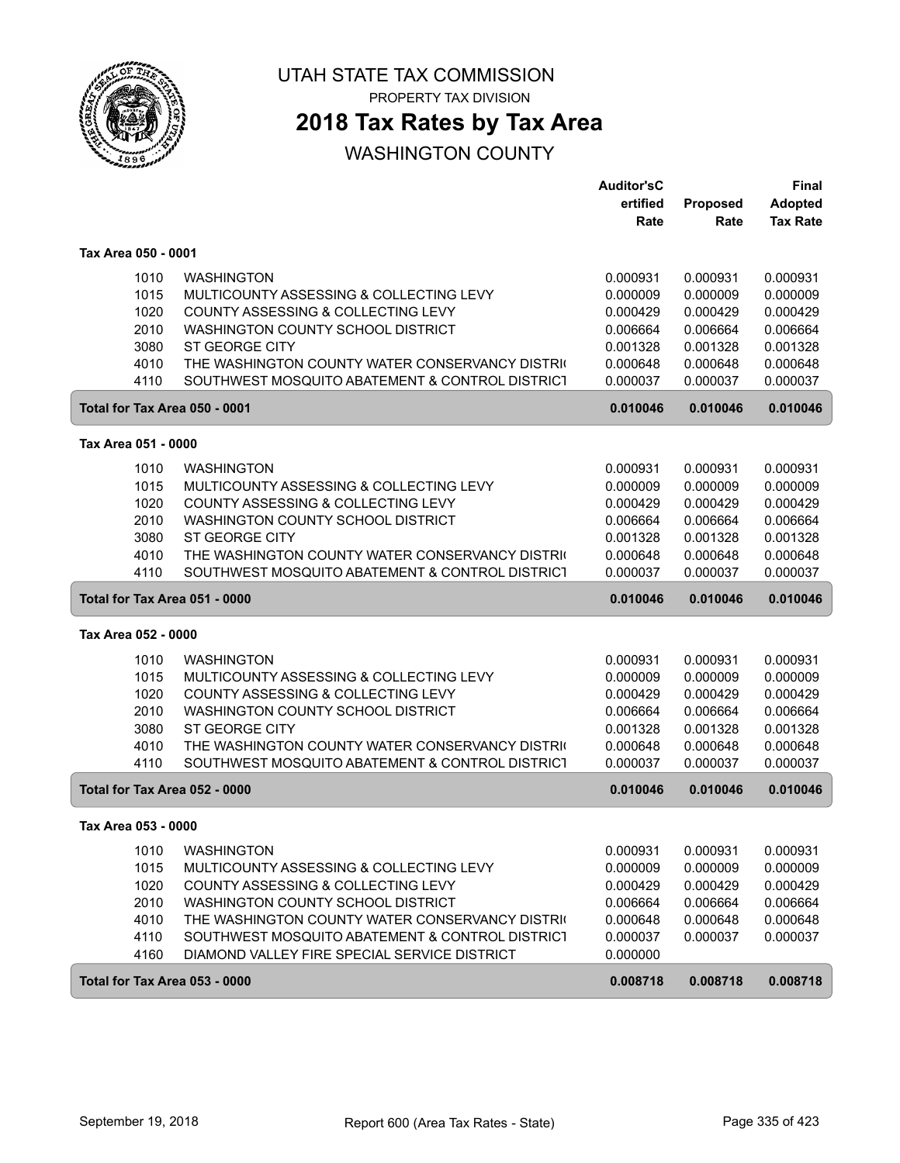

PROPERTY TAX DIVISION

## **2018 Tax Rates by Tax Area**

|                               |                                                                                                    | <b>Auditor'sC</b>    |                      | <b>Final</b>         |
|-------------------------------|----------------------------------------------------------------------------------------------------|----------------------|----------------------|----------------------|
|                               |                                                                                                    | ertified             | Proposed             | <b>Adopted</b>       |
|                               |                                                                                                    | Rate                 | Rate                 | <b>Tax Rate</b>      |
| Tax Area 050 - 0001           |                                                                                                    |                      |                      |                      |
| 1010                          | <b>WASHINGTON</b>                                                                                  | 0.000931             | 0.000931             | 0.000931             |
| 1015                          | MULTICOUNTY ASSESSING & COLLECTING LEVY                                                            | 0.000009             | 0.000009             | 0.000009             |
| 1020                          | COUNTY ASSESSING & COLLECTING LEVY                                                                 | 0.000429             | 0.000429             | 0.000429             |
| 2010                          | WASHINGTON COUNTY SCHOOL DISTRICT                                                                  | 0.006664             | 0.006664             | 0.006664             |
| 3080                          | ST GEORGE CITY                                                                                     | 0.001328             | 0.001328             | 0.001328             |
| 4010                          | THE WASHINGTON COUNTY WATER CONSERVANCY DISTRIC                                                    | 0.000648             | 0.000648             | 0.000648             |
| 4110                          | SOUTHWEST MOSQUITO ABATEMENT & CONTROL DISTRICT                                                    | 0.000037             | 0.000037             | 0.000037             |
| Total for Tax Area 050 - 0001 |                                                                                                    | 0.010046             | 0.010046             | 0.010046             |
| Tax Area 051 - 0000           |                                                                                                    |                      |                      |                      |
| 1010                          | <b>WASHINGTON</b>                                                                                  | 0.000931             | 0.000931             | 0.000931             |
| 1015                          | MULTICOUNTY ASSESSING & COLLECTING LEVY                                                            | 0.000009             | 0.000009             | 0.000009             |
| 1020                          | COUNTY ASSESSING & COLLECTING LEVY                                                                 | 0.000429             | 0.000429             | 0.000429             |
| 2010                          | WASHINGTON COUNTY SCHOOL DISTRICT                                                                  | 0.006664             | 0.006664             | 0.006664             |
| 3080                          | ST GEORGE CITY                                                                                     | 0.001328             | 0.001328             | 0.001328             |
| 4010                          | THE WASHINGTON COUNTY WATER CONSERVANCY DISTRIC                                                    | 0.000648             | 0.000648             | 0.000648             |
| 4110                          | SOUTHWEST MOSQUITO ABATEMENT & CONTROL DISTRICT                                                    | 0.000037             | 0.000037             | 0.000037             |
|                               |                                                                                                    |                      |                      |                      |
| Total for Tax Area 051 - 0000 |                                                                                                    | 0.010046             | 0.010046             | 0.010046             |
| Tax Area 052 - 0000           |                                                                                                    |                      |                      |                      |
|                               |                                                                                                    |                      |                      |                      |
| 1010                          | <b>WASHINGTON</b>                                                                                  | 0.000931             | 0.000931             | 0.000931             |
| 1015                          | MULTICOUNTY ASSESSING & COLLECTING LEVY                                                            | 0.000009             | 0.000009             | 0.000009             |
| 1020                          | COUNTY ASSESSING & COLLECTING LEVY                                                                 | 0.000429             | 0.000429             | 0.000429             |
| 2010                          | WASHINGTON COUNTY SCHOOL DISTRICT                                                                  | 0.006664             | 0.006664             | 0.006664             |
| 3080                          | <b>ST GEORGE CITY</b>                                                                              | 0.001328             | 0.001328             | 0.001328             |
| 4010<br>4110                  | THE WASHINGTON COUNTY WATER CONSERVANCY DISTRIC<br>SOUTHWEST MOSQUITO ABATEMENT & CONTROL DISTRICT | 0.000648<br>0.000037 | 0.000648<br>0.000037 | 0.000648<br>0.000037 |
| Total for Tax Area 052 - 0000 |                                                                                                    | 0.010046             | 0.010046             | 0.010046             |
| Tax Area 053 - 0000           |                                                                                                    |                      |                      |                      |
|                               |                                                                                                    |                      |                      |                      |
| 1010                          | <b>WASHINGTON</b>                                                                                  | 0.000931             | 0.000931             | 0.000931             |
| 1015                          | MULTICOUNTY ASSESSING & COLLECTING LEVY                                                            | 0.000009             | 0.000009             | 0.000009             |
| 1020                          | COUNTY ASSESSING & COLLECTING LEVY                                                                 | 0.000429             | 0.000429             | 0.000429             |
| 2010                          | WASHINGTON COUNTY SCHOOL DISTRICT                                                                  | 0.006664             | 0.006664             | 0.006664             |
| 4010                          | THE WASHINGTON COUNTY WATER CONSERVANCY DISTRIC                                                    | 0.000648             | 0.000648             | 0.000648             |
| 4110<br>4160                  | SOUTHWEST MOSQUITO ABATEMENT & CONTROL DISTRICT<br>DIAMOND VALLEY FIRE SPECIAL SERVICE DISTRICT    | 0.000037<br>0.000000 | 0.000037             | 0.000037             |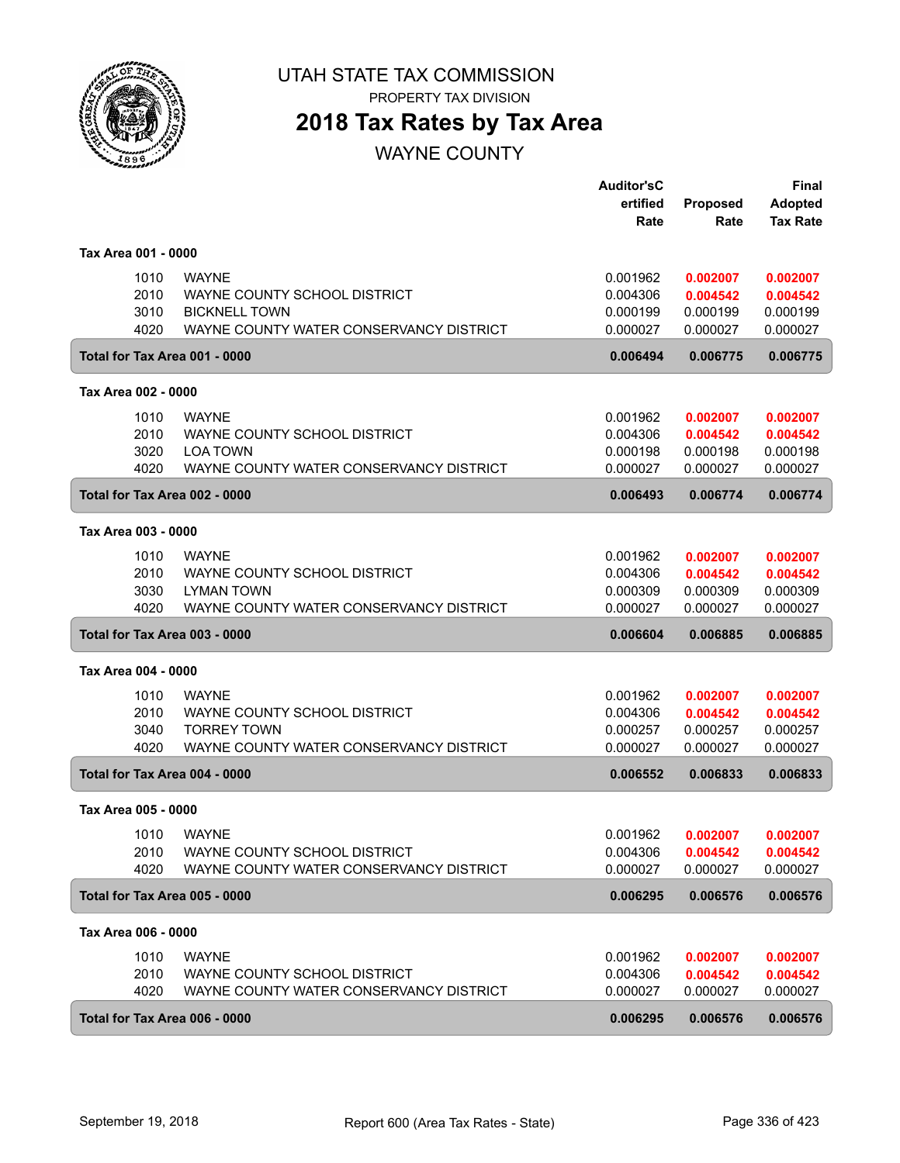

PROPERTY TAX DIVISION

## **2018 Tax Rates by Tax Area**

WAYNE COUNTY

|                     |      |                                         | <b>Auditor'sC</b><br>ertified | <b>Proposed</b>    | <b>Final</b><br><b>Adopted</b> |
|---------------------|------|-----------------------------------------|-------------------------------|--------------------|--------------------------------|
|                     |      |                                         | Rate                          | Rate               | <b>Tax Rate</b>                |
| Tax Area 001 - 0000 |      |                                         |                               |                    |                                |
|                     | 1010 | <b>WAYNE</b>                            | 0.001962                      | 0.002007           | 0.002007                       |
|                     | 2010 | WAYNE COUNTY SCHOOL DISTRICT            | 0.004306                      | 0.004542           | 0.004542                       |
|                     | 3010 | <b>BICKNELL TOWN</b>                    | 0.000199                      | 0.000199           | 0.000199                       |
|                     | 4020 | WAYNE COUNTY WATER CONSERVANCY DISTRICT | 0.000027                      | 0.000027           | 0.000027                       |
|                     |      | Total for Tax Area 001 - 0000           | 0.006494                      | 0.006775           | 0.006775                       |
| Tax Area 002 - 0000 |      |                                         |                               |                    |                                |
|                     | 1010 | <b>WAYNE</b>                            | 0.001962                      | 0.002007           | 0.002007                       |
|                     | 2010 | WAYNE COUNTY SCHOOL DISTRICT            | 0.004306                      | 0.004542           | 0.004542                       |
|                     | 3020 | <b>LOA TOWN</b>                         | 0.000198                      | 0.000198           | 0.000198                       |
|                     | 4020 | WAYNE COUNTY WATER CONSERVANCY DISTRICT | 0.000027                      | 0.000027           | 0.000027                       |
|                     |      | Total for Tax Area 002 - 0000           | 0.006493                      | 0.006774           | 0.006774                       |
| Tax Area 003 - 0000 |      |                                         |                               |                    |                                |
|                     | 1010 | <b>WAYNE</b>                            | 0.001962                      | 0.002007           | 0.002007                       |
|                     | 2010 | WAYNE COUNTY SCHOOL DISTRICT            | 0.004306                      | 0.004542           | 0.004542                       |
|                     | 3030 | <b>LYMAN TOWN</b>                       | 0.000309                      | 0.000309           | 0.000309                       |
|                     | 4020 | WAYNE COUNTY WATER CONSERVANCY DISTRICT | 0.000027                      | 0.000027           | 0.000027                       |
|                     |      | Total for Tax Area 003 - 0000           | 0.006604                      | 0.006885           | 0.006885                       |
| Tax Area 004 - 0000 |      |                                         |                               |                    |                                |
|                     | 1010 | <b>WAYNE</b>                            | 0.001962                      | 0.002007           | 0.002007                       |
|                     | 2010 | WAYNE COUNTY SCHOOL DISTRICT            | 0.004306                      | 0.004542           | 0.004542                       |
|                     | 3040 | <b>TORREY TOWN</b>                      | 0.000257                      | 0.000257           | 0.000257                       |
|                     | 4020 | WAYNE COUNTY WATER CONSERVANCY DISTRICT | 0.000027                      | 0.000027           | 0.000027                       |
|                     |      | Total for Tax Area 004 - 0000           | 0.006552                      | 0.006833           | 0.006833                       |
| Tax Area 005 - 0000 |      |                                         |                               |                    |                                |
|                     |      | 1010 WAYNE                              | 0.001962                      | 0.002007  0.002007 |                                |
|                     | 2010 | WAYNE COUNTY SCHOOL DISTRICT            | 0.004306                      | 0.004542           | 0.004542                       |
|                     | 4020 | WAYNE COUNTY WATER CONSERVANCY DISTRICT | 0.000027                      | 0.000027           | 0.000027                       |
|                     |      | Total for Tax Area 005 - 0000           | 0.006295                      | 0.006576           | 0.006576                       |
| Tax Area 006 - 0000 |      |                                         |                               |                    |                                |
|                     | 1010 | <b>WAYNE</b>                            | 0.001962                      | 0.002007           | 0.002007                       |
|                     | 2010 | WAYNE COUNTY SCHOOL DISTRICT            | 0.004306                      | 0.004542           | 0.004542                       |
|                     | 4020 | WAYNE COUNTY WATER CONSERVANCY DISTRICT | 0.000027                      | 0.000027           | 0.000027                       |
|                     |      | Total for Tax Area 006 - 0000           | 0.006295                      | 0.006576           | 0.006576                       |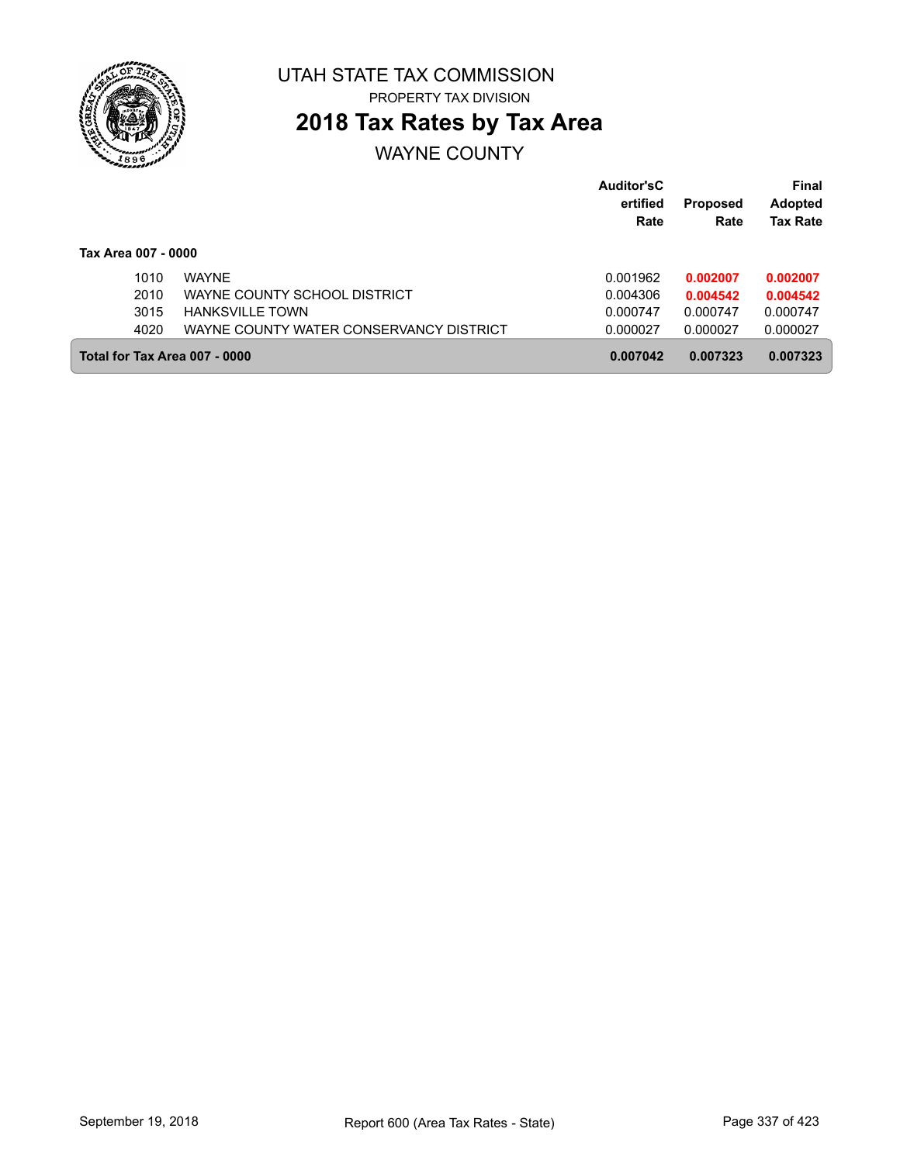

# **2018 Tax Rates by Tax Area**

## WAYNE COUNTY

|                               |                                         | Auditor'sC<br>ertified<br>Rate | <b>Proposed</b><br>Rate | Final<br><b>Adopted</b><br><b>Tax Rate</b> |
|-------------------------------|-----------------------------------------|--------------------------------|-------------------------|--------------------------------------------|
| Tax Area 007 - 0000           |                                         |                                |                         |                                            |
| 1010                          | <b>WAYNE</b>                            | 0.001962                       | 0.002007                | 0.002007                                   |
| 2010                          | WAYNE COUNTY SCHOOL DISTRICT            | 0.004306                       | 0.004542                | 0.004542                                   |
| 3015                          | <b>HANKSVILLE TOWN</b>                  | 0.000747                       | 0.000747                | 0.000747                                   |
| 4020                          | WAYNE COUNTY WATER CONSERVANCY DISTRICT | 0.000027                       | 0.000027                | 0.000027                                   |
| Total for Tax Area 007 - 0000 |                                         | 0.007042                       | 0.007323                | 0.007323                                   |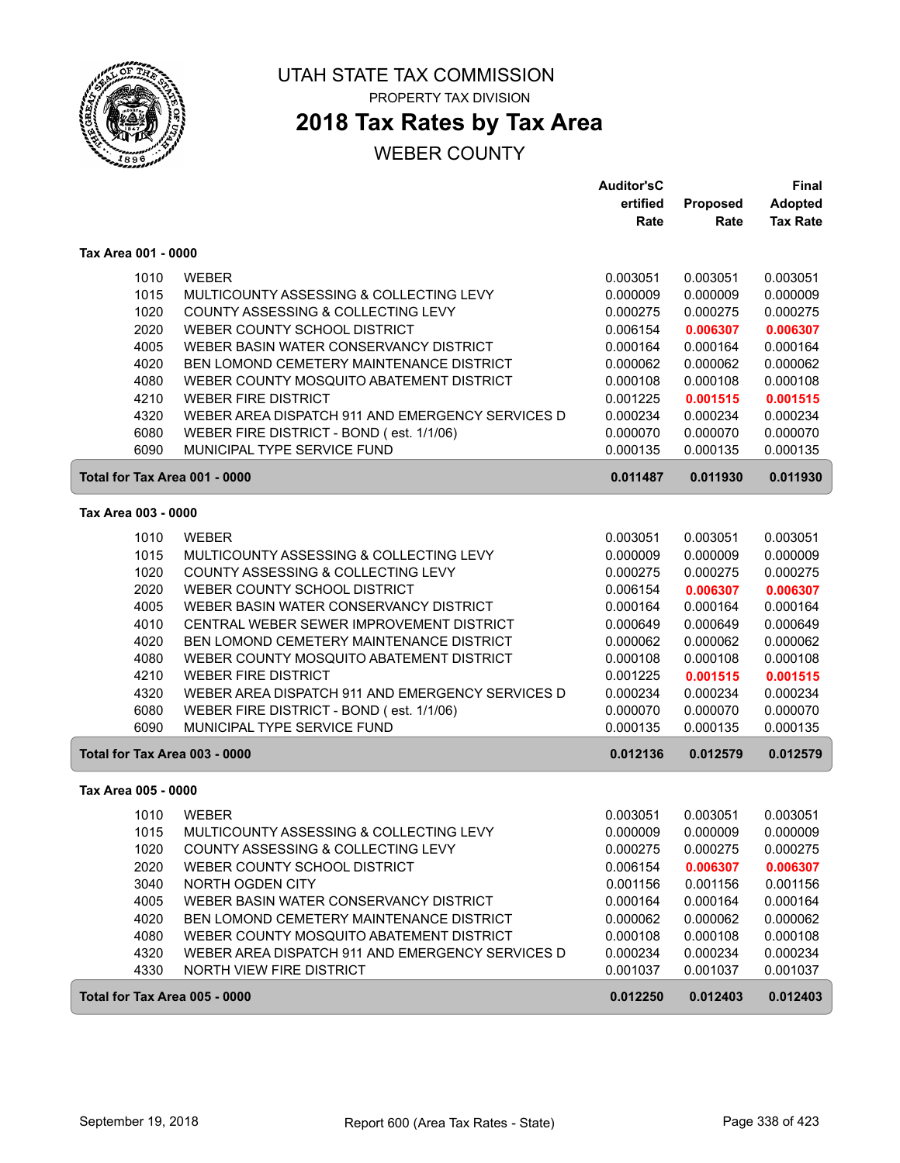

# **2018 Tax Rates by Tax Area**

|                               |                                                  | <b>Auditor'sC</b> |          | Final           |
|-------------------------------|--------------------------------------------------|-------------------|----------|-----------------|
|                               |                                                  | ertified          | Proposed | <b>Adopted</b>  |
|                               |                                                  | Rate              | Rate     | <b>Tax Rate</b> |
| Tax Area 001 - 0000           |                                                  |                   |          |                 |
| 1010                          | <b>WEBER</b>                                     | 0.003051          | 0.003051 | 0.003051        |
| 1015                          | MULTICOUNTY ASSESSING & COLLECTING LEVY          | 0.000009          | 0.000009 | 0.000009        |
| 1020                          | COUNTY ASSESSING & COLLECTING LEVY               | 0.000275          | 0.000275 | 0.000275        |
| 2020                          | WEBER COUNTY SCHOOL DISTRICT                     | 0.006154          | 0.006307 | 0.006307        |
| 4005                          | WEBER BASIN WATER CONSERVANCY DISTRICT           | 0.000164          | 0.000164 | 0.000164        |
| 4020                          | BEN LOMOND CEMETERY MAINTENANCE DISTRICT         | 0.000062          | 0.000062 | 0.000062        |
| 4080                          | WEBER COUNTY MOSQUITO ABATEMENT DISTRICT         | 0.000108          | 0.000108 | 0.000108        |
| 4210                          | <b>WEBER FIRE DISTRICT</b>                       | 0.001225          | 0.001515 | 0.001515        |
| 4320                          | WEBER AREA DISPATCH 911 AND EMERGENCY SERVICES D | 0.000234          | 0.000234 | 0.000234        |
| 6080                          | WEBER FIRE DISTRICT - BOND (est. 1/1/06)         | 0.000070          | 0.000070 | 0.000070        |
| 6090                          | MUNICIPAL TYPE SERVICE FUND                      | 0.000135          | 0.000135 | 0.000135        |
| Total for Tax Area 001 - 0000 |                                                  | 0.011487          | 0.011930 | 0.011930        |
| Tax Area 003 - 0000           |                                                  |                   |          |                 |
| 1010                          | <b>WEBER</b>                                     | 0.003051          | 0.003051 | 0.003051        |
| 1015                          | MULTICOUNTY ASSESSING & COLLECTING LEVY          | 0.000009          | 0.000009 | 0.000009        |
| 1020                          | COUNTY ASSESSING & COLLECTING LEVY               | 0.000275          | 0.000275 | 0.000275        |
| 2020                          | WEBER COUNTY SCHOOL DISTRICT                     | 0.006154          | 0.006307 | 0.006307        |
| 4005                          | WEBER BASIN WATER CONSERVANCY DISTRICT           | 0.000164          | 0.000164 | 0.000164        |
| 4010                          | CENTRAL WEBER SEWER IMPROVEMENT DISTRICT         | 0.000649          | 0.000649 | 0.000649        |
| 4020                          | BEN LOMOND CEMETERY MAINTENANCE DISTRICT         | 0.000062          | 0.000062 | 0.000062        |
| 4080                          | WEBER COUNTY MOSQUITO ABATEMENT DISTRICT         | 0.000108          | 0.000108 | 0.000108        |
| 4210                          | <b>WEBER FIRE DISTRICT</b>                       | 0.001225          | 0.001515 | 0.001515        |
| 4320                          | WEBER AREA DISPATCH 911 AND EMERGENCY SERVICES D | 0.000234          | 0.000234 | 0.000234        |
| 6080                          | WEBER FIRE DISTRICT - BOND (est. 1/1/06)         | 0.000070          | 0.000070 | 0.000070        |
| 6090                          | MUNICIPAL TYPE SERVICE FUND                      | 0.000135          | 0.000135 | 0.000135        |
| Total for Tax Area 003 - 0000 |                                                  | 0.012136          | 0.012579 | 0.012579        |
|                               |                                                  |                   |          |                 |
| Tax Area 005 - 0000           |                                                  |                   |          |                 |
| 1010                          | <b>WEBER</b>                                     | 0.003051          | 0.003051 | 0.003051        |
| 1015                          | MULTICOUNTY ASSESSING & COLLECTING LEVY          | 0.000009          | 0.000009 | 0.000009        |
| 1020                          | COUNTY ASSESSING & COLLECTING LEVY               | 0.000275          | 0.000275 | 0.000275        |
| 2020                          | WEBER COUNTY SCHOOL DISTRICT                     | 0.006154          | 0.006307 | 0.006307        |
| 3040                          | NORTH OGDEN CITY                                 | 0.001156          | 0.001156 | 0.001156        |
| 4005                          | WEBER BASIN WATER CONSERVANCY DISTRICT           | 0.000164          | 0.000164 | 0.000164        |
| 4020                          | BEN LOMOND CEMETERY MAINTENANCE DISTRICT         | 0.000062          | 0.000062 | 0.000062        |
| 4080                          | WEBER COUNTY MOSQUITO ABATEMENT DISTRICT         | 0.000108          | 0.000108 | 0.000108        |
| 4320                          | WEBER AREA DISPATCH 911 AND EMERGENCY SERVICES D | 0.000234          | 0.000234 | 0.000234        |
| 4330                          | NORTH VIEW FIRE DISTRICT                         | 0.001037          | 0.001037 | 0.001037        |
| Total for Tax Area 005 - 0000 |                                                  | 0.012250          | 0.012403 | 0.012403        |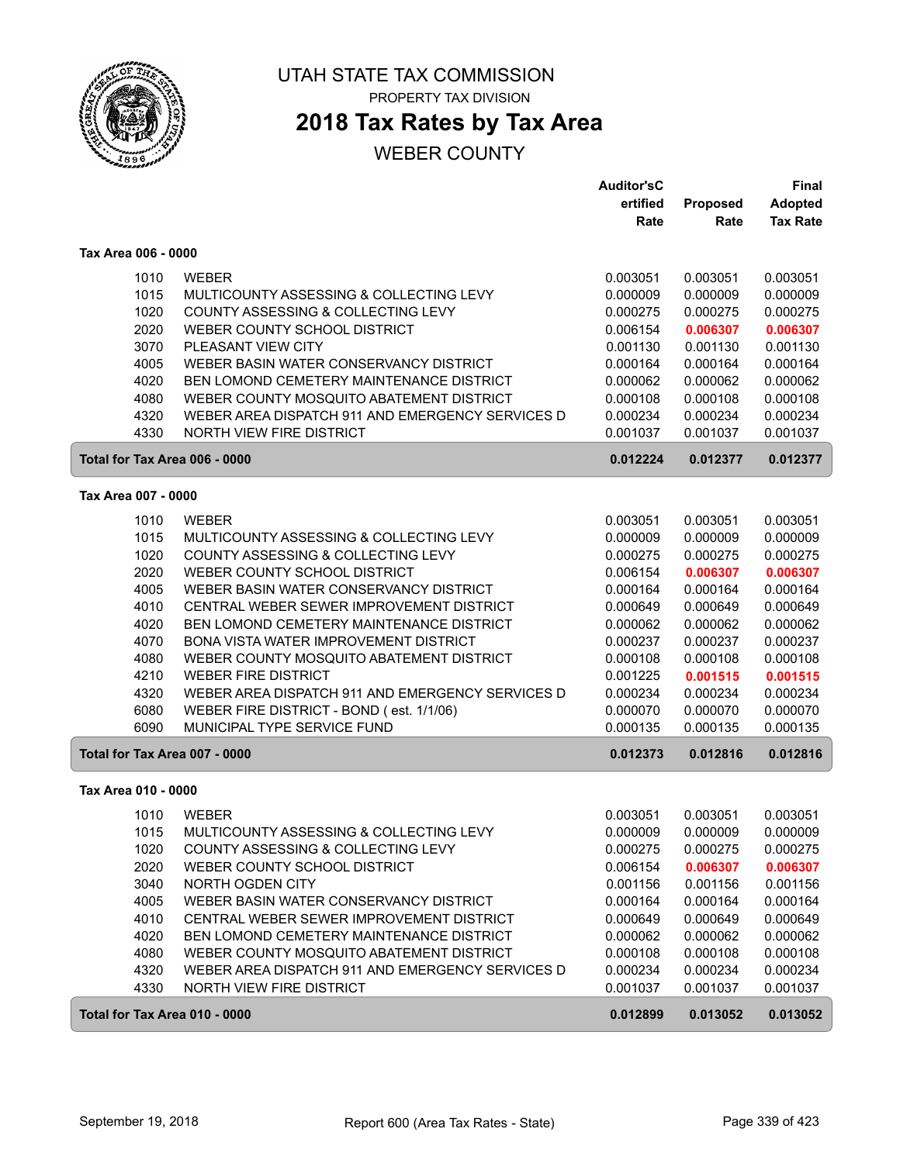

ſ

ſ

ſ

### UTAH STATE TAX COMMISSION PROPERTY TAX DIVISION

## **2018 Tax Rates by Tax Area**

|                               |                                                                                     | <b>Auditor'sC</b><br>ertified | Proposed             | Final<br><b>Adopted</b> |
|-------------------------------|-------------------------------------------------------------------------------------|-------------------------------|----------------------|-------------------------|
|                               |                                                                                     | Rate                          | Rate                 | <b>Tax Rate</b>         |
| Tax Area 006 - 0000           |                                                                                     |                               |                      |                         |
| 1010                          | <b>WEBER</b>                                                                        | 0.003051                      | 0.003051             | 0.003051                |
| 1015                          | MULTICOUNTY ASSESSING & COLLECTING LEVY                                             | 0.000009                      | 0.000009             | 0.000009                |
| 1020                          | COUNTY ASSESSING & COLLECTING LEVY                                                  | 0.000275                      | 0.000275             | 0.000275                |
| 2020                          | WEBER COUNTY SCHOOL DISTRICT                                                        | 0.006154                      | 0.006307             | 0.006307                |
| 3070                          | PLEASANT VIEW CITY                                                                  | 0.001130                      | 0.001130             | 0.001130                |
| 4005                          | WEBER BASIN WATER CONSERVANCY DISTRICT                                              | 0.000164                      | 0.000164             | 0.000164                |
| 4020                          | BEN LOMOND CEMETERY MAINTENANCE DISTRICT                                            | 0.000062                      | 0.000062             | 0.000062                |
| 4080                          | WEBER COUNTY MOSQUITO ABATEMENT DISTRICT                                            | 0.000108                      | 0.000108             | 0.000108                |
| 4320<br>4330                  | WEBER AREA DISPATCH 911 AND EMERGENCY SERVICES D<br><b>NORTH VIEW FIRE DISTRICT</b> | 0.000234<br>0.001037          | 0.000234<br>0.001037 | 0.000234<br>0.001037    |
| Total for Tax Area 006 - 0000 |                                                                                     | 0.012224                      | 0.012377             | 0.012377                |
|                               |                                                                                     |                               |                      |                         |
| Tax Area 007 - 0000           |                                                                                     |                               |                      |                         |
| 1010                          | <b>WEBER</b>                                                                        | 0.003051                      | 0.003051             | 0.003051                |
| 1015                          | MULTICOUNTY ASSESSING & COLLECTING LEVY                                             | 0.000009                      | 0.000009             | 0.000009                |
| 1020                          | COUNTY ASSESSING & COLLECTING LEVY                                                  | 0.000275                      | 0.000275             | 0.000275                |
| 2020                          | WEBER COUNTY SCHOOL DISTRICT                                                        | 0.006154                      | 0.006307             | 0.006307                |
| 4005<br>4010                  | WEBER BASIN WATER CONSERVANCY DISTRICT<br>CENTRAL WEBER SEWER IMPROVEMENT DISTRICT  | 0.000164<br>0.000649          | 0.000164<br>0.000649 | 0.000164<br>0.000649    |
| 4020                          | <b>BEN LOMOND CEMETERY MAINTENANCE DISTRICT</b>                                     | 0.000062                      | 0.000062             | 0.000062                |
| 4070                          | BONA VISTA WATER IMPROVEMENT DISTRICT                                               | 0.000237                      | 0.000237             | 0.000237                |
| 4080                          | WEBER COUNTY MOSQUITO ABATEMENT DISTRICT                                            | 0.000108                      | 0.000108             | 0.000108                |
| 4210                          | <b>WEBER FIRE DISTRICT</b>                                                          | 0.001225                      | 0.001515             | 0.001515                |
| 4320                          | WEBER AREA DISPATCH 911 AND EMERGENCY SERVICES D                                    | 0.000234                      | 0.000234             | 0.000234                |
| 6080                          | WEBER FIRE DISTRICT - BOND (est. 1/1/06)                                            | 0.000070                      | 0.000070             | 0.000070                |
| 6090                          | MUNICIPAL TYPE SERVICE FUND                                                         | 0.000135                      | 0.000135             | 0.000135                |
| Total for Tax Area 007 - 0000 |                                                                                     | 0.012373                      | 0.012816             | 0.012816                |
| Tax Area 010 - 0000           |                                                                                     |                               |                      |                         |
| 1010                          | <b>WEBER</b>                                                                        | 0.003051                      | 0.003051             | 0.003051                |
| 1015                          | MULTICOUNTY ASSESSING & COLLECTING LEVY                                             | 0.000009                      | 0.000009             | 0.000009                |
| 1020                          | COUNTY ASSESSING & COLLECTING LEVY                                                  | 0.000275                      | 0.000275             | 0.000275                |
| 2020                          | WEBER COUNTY SCHOOL DISTRICT                                                        | 0.006154                      | 0.006307             | 0.006307                |
| 3040                          | NORTH OGDEN CITY                                                                    | 0.001156                      | 0.001156             | 0.001156                |
| 4005                          | WEBER BASIN WATER CONSERVANCY DISTRICT                                              | 0.000164                      | 0.000164             | 0.000164                |
| 4010                          | CENTRAL WEBER SEWER IMPROVEMENT DISTRICT                                            | 0.000649                      | 0.000649             | 0.000649                |
| 4020                          | BEN LOMOND CEMETERY MAINTENANCE DISTRICT                                            | 0.000062                      | 0.000062             | 0.000062                |
| 4080                          | WEBER COUNTY MOSQUITO ABATEMENT DISTRICT                                            | 0.000108                      | 0.000108             | 0.000108                |
| 4320                          | WEBER AREA DISPATCH 911 AND EMERGENCY SERVICES D                                    | 0.000234                      | 0.000234             | 0.000234                |
| 4330                          | NORTH VIEW FIRE DISTRICT                                                            | 0.001037                      | 0.001037             | 0.001037                |
| Total for Tax Area 010 - 0000 |                                                                                     | 0.012899                      | 0.013052             | 0.013052                |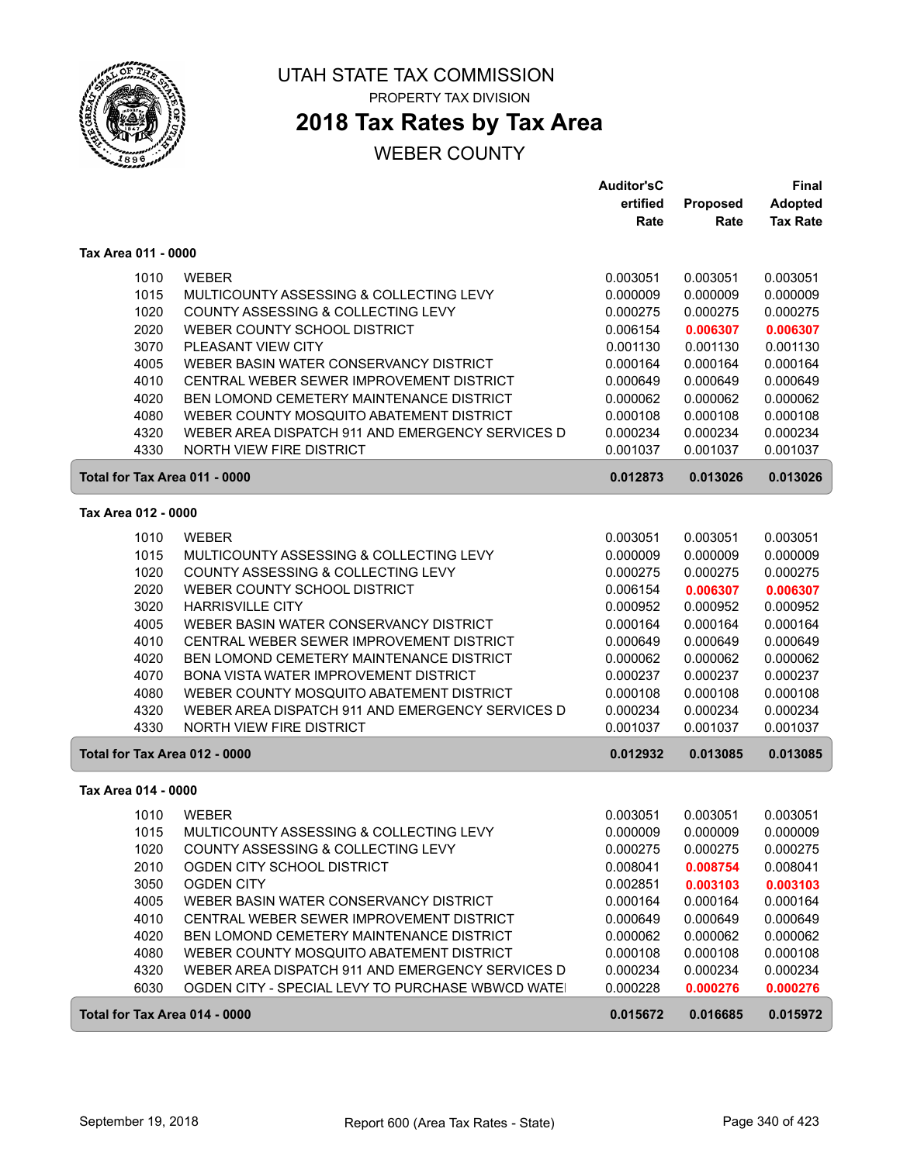

ſ

ſ

ſ

### UTAH STATE TAX COMMISSION PROPERTY TAX DIVISION

# **2018 Tax Rates by Tax Area**

|                               |                                                  | <b>Auditor'sC</b> |                 | <b>Final</b>    |
|-------------------------------|--------------------------------------------------|-------------------|-----------------|-----------------|
|                               |                                                  | ertified          | <b>Proposed</b> | <b>Adopted</b>  |
|                               |                                                  | Rate              | Rate            | <b>Tax Rate</b> |
| Tax Area 011 - 0000           |                                                  |                   |                 |                 |
| 1010                          | <b>WEBER</b>                                     | 0.003051          | 0.003051        | 0.003051        |
| 1015                          | MULTICOUNTY ASSESSING & COLLECTING LEVY          | 0.000009          | 0.000009        | 0.000009        |
| 1020                          | COUNTY ASSESSING & COLLECTING LEVY               | 0.000275          | 0.000275        | 0.000275        |
| 2020                          | WEBER COUNTY SCHOOL DISTRICT                     | 0.006154          | 0.006307        | 0.006307        |
| 3070                          | PLEASANT VIEW CITY                               | 0.001130          | 0.001130        | 0.001130        |
| 4005                          | WEBER BASIN WATER CONSERVANCY DISTRICT           | 0.000164          | 0.000164        | 0.000164        |
| 4010                          | CENTRAL WEBER SEWER IMPROVEMENT DISTRICT         | 0.000649          | 0.000649        | 0.000649        |
| 4020                          | <b>BEN LOMOND CEMETERY MAINTENANCE DISTRICT</b>  | 0.000062          | 0.000062        | 0.000062        |
| 4080                          | WEBER COUNTY MOSQUITO ABATEMENT DISTRICT         | 0.000108          | 0.000108        | 0.000108        |
| 4320                          | WEBER AREA DISPATCH 911 AND EMERGENCY SERVICES D | 0.000234          | 0.000234        | 0.000234        |
| 4330                          | <b>NORTH VIEW FIRE DISTRICT</b>                  | 0.001037          | 0.001037        | 0.001037        |
| Total for Tax Area 011 - 0000 |                                                  | 0.012873          | 0.013026        | 0.013026        |
| Tax Area 012 - 0000           |                                                  |                   |                 |                 |
| 1010                          | <b>WEBER</b>                                     | 0.003051          | 0.003051        | 0.003051        |
| 1015                          | MULTICOUNTY ASSESSING & COLLECTING LEVY          | 0.000009          | 0.000009        | 0.000009        |
| 1020                          | COUNTY ASSESSING & COLLECTING LEVY               | 0.000275          | 0.000275        | 0.000275        |
| 2020                          | WEBER COUNTY SCHOOL DISTRICT                     | 0.006154          | 0.006307        | 0.006307        |
| 3020                          | <b>HARRISVILLE CITY</b>                          | 0.000952          | 0.000952        | 0.000952        |
| 4005                          | WEBER BASIN WATER CONSERVANCY DISTRICT           | 0.000164          | 0.000164        | 0.000164        |
| 4010                          | CENTRAL WEBER SEWER IMPROVEMENT DISTRICT         | 0.000649          | 0.000649        | 0.000649        |
| 4020                          | <b>BEN LOMOND CEMETERY MAINTENANCE DISTRICT</b>  | 0.000062          | 0.000062        | 0.000062        |
| 4070                          | BONA VISTA WATER IMPROVEMENT DISTRICT            | 0.000237          | 0.000237        | 0.000237        |
| 4080                          | WEBER COUNTY MOSQUITO ABATEMENT DISTRICT         | 0.000108          | 0.000108        | 0.000108        |
| 4320                          | WEBER AREA DISPATCH 911 AND EMERGENCY SERVICES D | 0.000234          | 0.000234        | 0.000234        |
| 4330                          | NORTH VIEW FIRE DISTRICT                         | 0.001037          | 0.001037        | 0.001037        |
| Total for Tax Area 012 - 0000 |                                                  | 0.012932          | 0.013085        | 0.013085        |
| Tax Area 014 - 0000           |                                                  |                   |                 |                 |
| 1010                          | <b>WEBER</b>                                     | 0.003051          | 0.003051        | 0.003051        |
| 1015                          | MULTICOUNTY ASSESSING & COLLECTING LEVY          | 0.000009          | 0.000009        | 0.000009        |
| 1020                          | COUNTY ASSESSING & COLLECTING LEVY               | 0.000275          | 0.000275        | 0.000275        |
| 2010                          | OGDEN CITY SCHOOL DISTRICT                       | 0.008041          | 0.008754        | 0.008041        |
| 3050                          | <b>OGDEN CITY</b>                                | 0.002851          | 0.003103        | 0.003103        |
| 4005                          | WEBER BASIN WATER CONSERVANCY DISTRICT           | 0.000164          | 0.000164        | 0.000164        |
| 4010                          | CENTRAL WEBER SEWER IMPROVEMENT DISTRICT         | 0.000649          | 0.000649        | 0.000649        |
| 4020                          | BEN LOMOND CEMETERY MAINTENANCE DISTRICT         | 0.000062          | 0.000062        | 0.000062        |
| 4080                          | WEBER COUNTY MOSQUITO ABATEMENT DISTRICT         | 0.000108          | 0.000108        | 0.000108        |
| 4320                          | WEBER AREA DISPATCH 911 AND EMERGENCY SERVICES D | 0.000234          | 0.000234        | 0.000234        |
| 6030                          | OGDEN CITY - SPECIAL LEVY TO PURCHASE WBWCD WATE | 0.000228          | 0.000276        | 0.000276        |
| Total for Tax Area 014 - 0000 |                                                  | 0.015672          | 0.016685        | 0.015972        |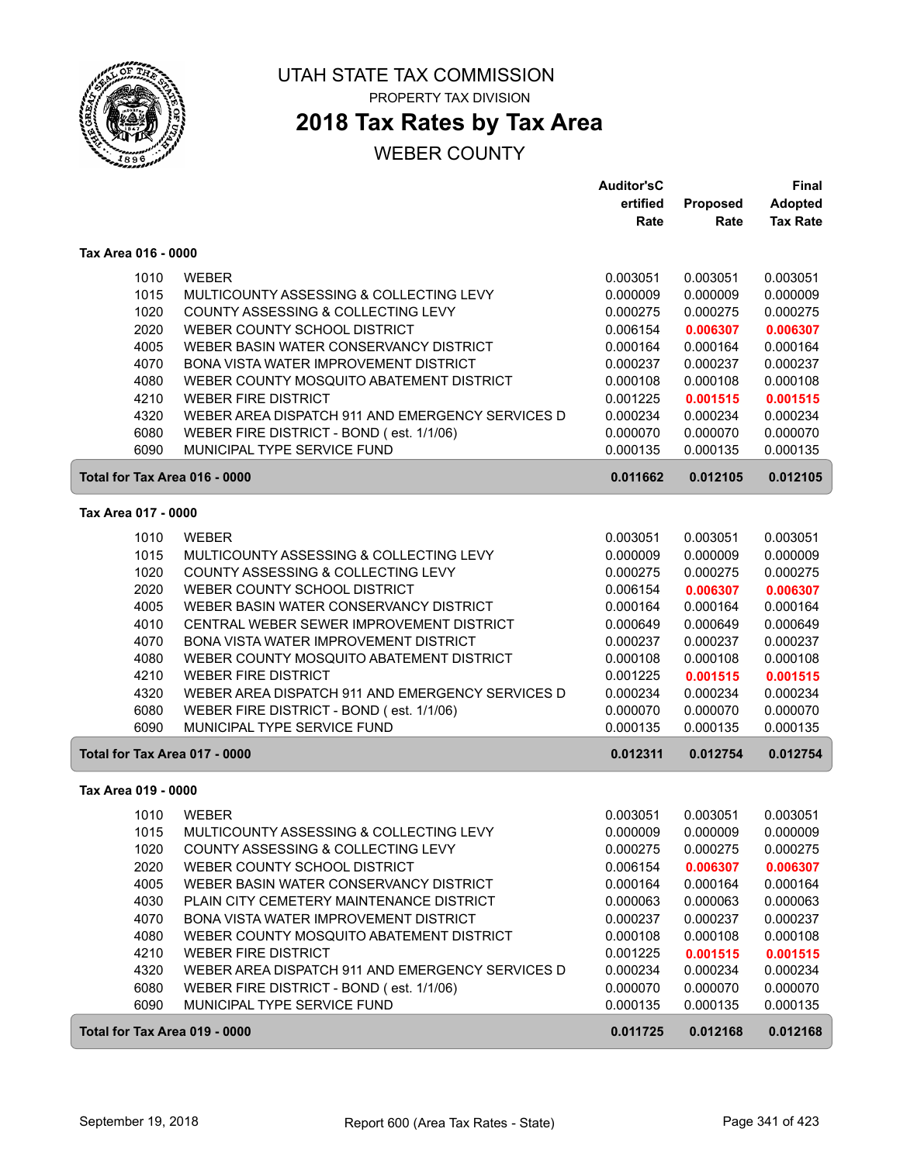

# **2018 Tax Rates by Tax Area**

|                               |                                                  | <b>Auditor'sC</b> |          | Final           |
|-------------------------------|--------------------------------------------------|-------------------|----------|-----------------|
|                               |                                                  | ertified          | Proposed | <b>Adopted</b>  |
|                               |                                                  | Rate              | Rate     | <b>Tax Rate</b> |
| Tax Area 016 - 0000           |                                                  |                   |          |                 |
| 1010                          | <b>WEBER</b>                                     | 0.003051          | 0.003051 | 0.003051        |
| 1015                          | MULTICOUNTY ASSESSING & COLLECTING LEVY          | 0.000009          | 0.000009 | 0.000009        |
| 1020                          | COUNTY ASSESSING & COLLECTING LEVY               | 0.000275          | 0.000275 | 0.000275        |
| 2020                          | WEBER COUNTY SCHOOL DISTRICT                     | 0.006154          | 0.006307 | 0.006307        |
| 4005                          | WEBER BASIN WATER CONSERVANCY DISTRICT           | 0.000164          | 0.000164 | 0.000164        |
| 4070                          | BONA VISTA WATER IMPROVEMENT DISTRICT            | 0.000237          | 0.000237 | 0.000237        |
| 4080                          | WEBER COUNTY MOSQUITO ABATEMENT DISTRICT         | 0.000108          | 0.000108 | 0.000108        |
| 4210                          | <b>WEBER FIRE DISTRICT</b>                       | 0.001225          | 0.001515 | 0.001515        |
| 4320                          | WEBER AREA DISPATCH 911 AND EMERGENCY SERVICES D | 0.000234          | 0.000234 | 0.000234        |
| 6080                          | WEBER FIRE DISTRICT - BOND (est. 1/1/06)         | 0.000070          | 0.000070 | 0.000070        |
| 6090                          | MUNICIPAL TYPE SERVICE FUND                      | 0.000135          | 0.000135 | 0.000135        |
| Total for Tax Area 016 - 0000 |                                                  | 0.011662          | 0.012105 | 0.012105        |
| Tax Area 017 - 0000           |                                                  |                   |          |                 |
| 1010                          | <b>WEBER</b>                                     | 0.003051          | 0.003051 | 0.003051        |
| 1015                          | MULTICOUNTY ASSESSING & COLLECTING LEVY          | 0.000009          | 0.000009 | 0.000009        |
| 1020                          | COUNTY ASSESSING & COLLECTING LEVY               | 0.000275          | 0.000275 | 0.000275        |
| 2020                          | WEBER COUNTY SCHOOL DISTRICT                     | 0.006154          | 0.006307 | 0.006307        |
| 4005                          | WEBER BASIN WATER CONSERVANCY DISTRICT           | 0.000164          | 0.000164 | 0.000164        |
| 4010                          | CENTRAL WEBER SEWER IMPROVEMENT DISTRICT         | 0.000649          | 0.000649 | 0.000649        |
| 4070                          | BONA VISTA WATER IMPROVEMENT DISTRICT            | 0.000237          | 0.000237 | 0.000237        |
| 4080                          | WEBER COUNTY MOSQUITO ABATEMENT DISTRICT         | 0.000108          | 0.000108 | 0.000108        |
| 4210                          | <b>WEBER FIRE DISTRICT</b>                       | 0.001225          | 0.001515 | 0.001515        |
| 4320                          | WEBER AREA DISPATCH 911 AND EMERGENCY SERVICES D | 0.000234          | 0.000234 | 0.000234        |
| 6080                          | WEBER FIRE DISTRICT - BOND (est. 1/1/06)         | 0.000070          | 0.000070 | 0.000070        |
| 6090                          | MUNICIPAL TYPE SERVICE FUND                      | 0.000135          | 0.000135 | 0.000135        |
| Total for Tax Area 017 - 0000 |                                                  | 0.012311          | 0.012754 | 0.012754        |
| Tax Area 019 - 0000           |                                                  |                   |          |                 |
| 1010                          | <b>WEBER</b>                                     | 0.003051          | 0.003051 | 0.003051        |
| 1015                          | MULTICOUNTY ASSESSING & COLLECTING LEVY          | 0.000009          | 0.000009 | 0.000009        |
| 1020                          | COUNTY ASSESSING & COLLECTING LEVY               | 0.000275          | 0.000275 | 0.000275        |
| 2020                          | WEBER COUNTY SCHOOL DISTRICT                     | 0.006154          | 0.006307 | 0.006307        |
| 4005                          | WEBER BASIN WATER CONSERVANCY DISTRICT           | 0.000164          | 0.000164 | 0.000164        |
| 4030                          | PLAIN CITY CEMETERY MAINTENANCE DISTRICT         | 0.000063          | 0.000063 | 0.000063        |
| 4070                          | BONA VISTA WATER IMPROVEMENT DISTRICT            | 0.000237          | 0.000237 | 0.000237        |
| 4080                          | WEBER COUNTY MOSQUITO ABATEMENT DISTRICT         | 0.000108          | 0.000108 | 0.000108        |
| 4210                          | <b>WEBER FIRE DISTRICT</b>                       | 0.001225          | 0.001515 | 0.001515        |
| 4320                          | WEBER AREA DISPATCH 911 AND EMERGENCY SERVICES D | 0.000234          | 0.000234 | 0.000234        |
| 6080                          | WEBER FIRE DISTRICT - BOND (est. 1/1/06)         | 0.000070          | 0.000070 | 0.000070        |
| 6090                          | MUNICIPAL TYPE SERVICE FUND                      | 0.000135          | 0.000135 | 0.000135        |
| Total for Tax Area 019 - 0000 |                                                  | 0.011725          | 0.012168 | 0.012168        |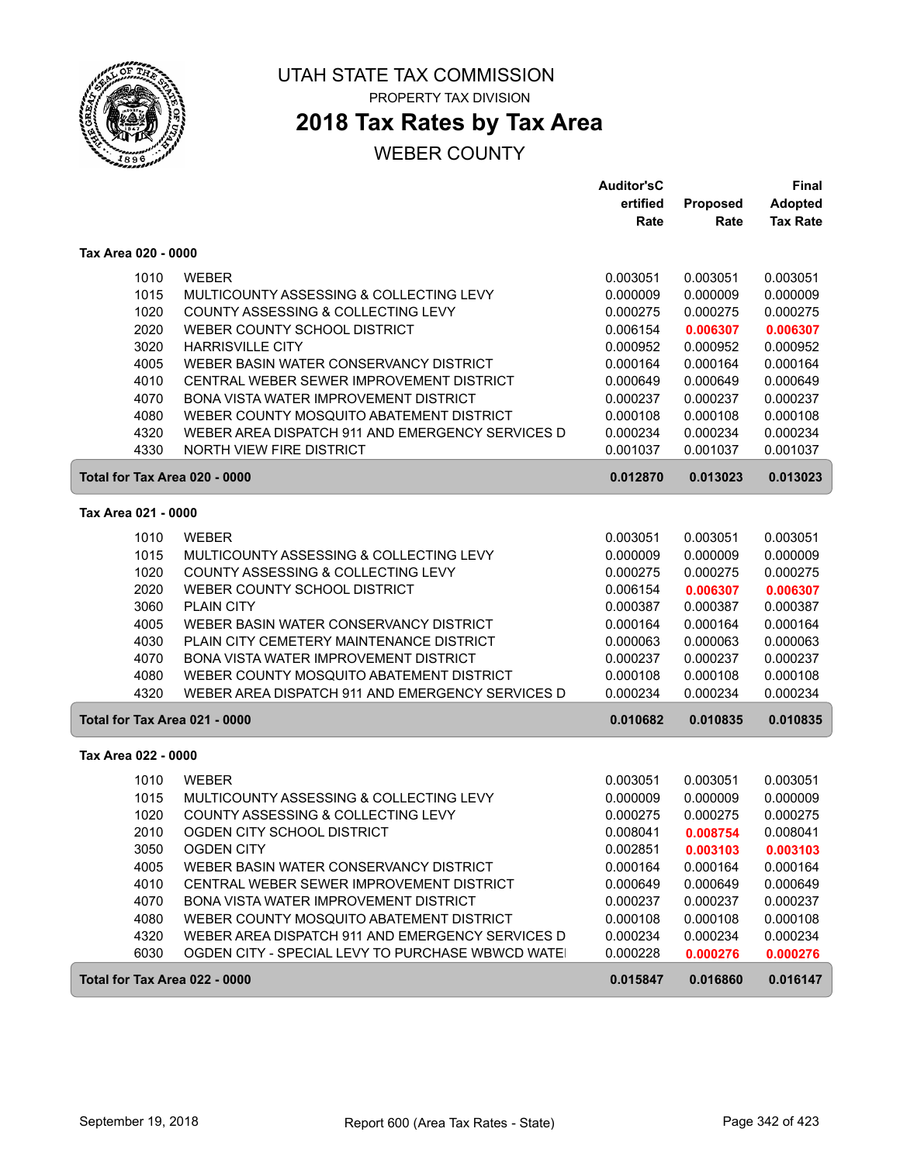

# **2018 Tax Rates by Tax Area**

|                               |                                                  | <b>Auditor'sC</b> |          | Final           |
|-------------------------------|--------------------------------------------------|-------------------|----------|-----------------|
|                               |                                                  | ertified          | Proposed | <b>Adopted</b>  |
|                               |                                                  | Rate              | Rate     | <b>Tax Rate</b> |
| Tax Area 020 - 0000           |                                                  |                   |          |                 |
| 1010                          | <b>WEBER</b>                                     | 0.003051          | 0.003051 | 0.003051        |
| 1015                          | MULTICOUNTY ASSESSING & COLLECTING LEVY          | 0.000009          | 0.000009 | 0.000009        |
| 1020                          | COUNTY ASSESSING & COLLECTING LEVY               | 0.000275          | 0.000275 | 0.000275        |
| 2020                          | WEBER COUNTY SCHOOL DISTRICT                     | 0.006154          | 0.006307 | 0.006307        |
| 3020                          | <b>HARRISVILLE CITY</b>                          | 0.000952          | 0.000952 | 0.000952        |
| 4005                          | WEBER BASIN WATER CONSERVANCY DISTRICT           | 0.000164          | 0.000164 | 0.000164        |
| 4010                          | CENTRAL WEBER SEWER IMPROVEMENT DISTRICT         | 0.000649          | 0.000649 | 0.000649        |
| 4070                          | <b>BONA VISTA WATER IMPROVEMENT DISTRICT</b>     | 0.000237          | 0.000237 | 0.000237        |
| 4080                          | WEBER COUNTY MOSQUITO ABATEMENT DISTRICT         | 0.000108          | 0.000108 | 0.000108        |
| 4320                          | WEBER AREA DISPATCH 911 AND EMERGENCY SERVICES D | 0.000234          | 0.000234 | 0.000234        |
| 4330                          | <b>NORTH VIEW FIRE DISTRICT</b>                  | 0.001037          | 0.001037 | 0.001037        |
| Total for Tax Area 020 - 0000 |                                                  | 0.012870          | 0.013023 | 0.013023        |
| Tax Area 021 - 0000           |                                                  |                   |          |                 |
| 1010                          | <b>WEBER</b>                                     | 0.003051          | 0.003051 | 0.003051        |
| 1015                          | MULTICOUNTY ASSESSING & COLLECTING LEVY          | 0.000009          | 0.000009 | 0.000009        |
| 1020                          | COUNTY ASSESSING & COLLECTING LEVY               | 0.000275          | 0.000275 | 0.000275        |
| 2020                          | WEBER COUNTY SCHOOL DISTRICT                     | 0.006154          | 0.006307 | 0.006307        |
| 3060                          | <b>PLAIN CITY</b>                                | 0.000387          | 0.000387 | 0.000387        |
| 4005                          | WEBER BASIN WATER CONSERVANCY DISTRICT           | 0.000164          | 0.000164 | 0.000164        |
| 4030                          | PLAIN CITY CEMETERY MAINTENANCE DISTRICT         | 0.000063          | 0.000063 | 0.000063        |
| 4070                          | BONA VISTA WATER IMPROVEMENT DISTRICT            | 0.000237          | 0.000237 | 0.000237        |
| 4080                          | WEBER COUNTY MOSQUITO ABATEMENT DISTRICT         | 0.000108          | 0.000108 | 0.000108        |
| 4320                          | WEBER AREA DISPATCH 911 AND EMERGENCY SERVICES D | 0.000234          | 0.000234 | 0.000234        |
| Total for Tax Area 021 - 0000 |                                                  | 0.010682          | 0.010835 | 0.010835        |
| Tax Area 022 - 0000           |                                                  |                   |          |                 |
| 1010                          | <b>WEBER</b>                                     | 0.003051          | 0.003051 | 0.003051        |
| 1015                          | MULTICOUNTY ASSESSING & COLLECTING LEVY          | 0.000009          | 0.000009 | 0.000009        |
| 1020                          | COUNTY ASSESSING & COLLECTING LEVY               | 0.000275          | 0.000275 | 0.000275        |
| 2010                          | OGDEN CITY SCHOOL DISTRICT                       | 0.008041          | 0.008754 | 0.008041        |
| 3050                          | <b>OGDEN CITY</b>                                | 0.002851          | 0.003103 | 0.003103        |
| 4005                          | WEBER BASIN WATER CONSERVANCY DISTRICT           | 0.000164          | 0.000164 | 0.000164        |
| 4010                          | CENTRAL WEBER SEWER IMPROVEMENT DISTRICT         | 0.000649          | 0.000649 | 0.000649        |
| 4070                          | BONA VISTA WATER IMPROVEMENT DISTRICT            | 0.000237          | 0.000237 | 0.000237        |
| 4080                          | WEBER COUNTY MOSQUITO ABATEMENT DISTRICT         | 0.000108          | 0.000108 | 0.000108        |
| 4320                          | WEBER AREA DISPATCH 911 AND EMERGENCY SERVICES D | 0.000234          | 0.000234 | 0.000234        |
| 6030                          | OGDEN CITY - SPECIAL LEVY TO PURCHASE WBWCD WATE | 0.000228          | 0.000276 | 0.000276        |
| Total for Tax Area 022 - 0000 |                                                  | 0.015847          | 0.016860 | 0.016147        |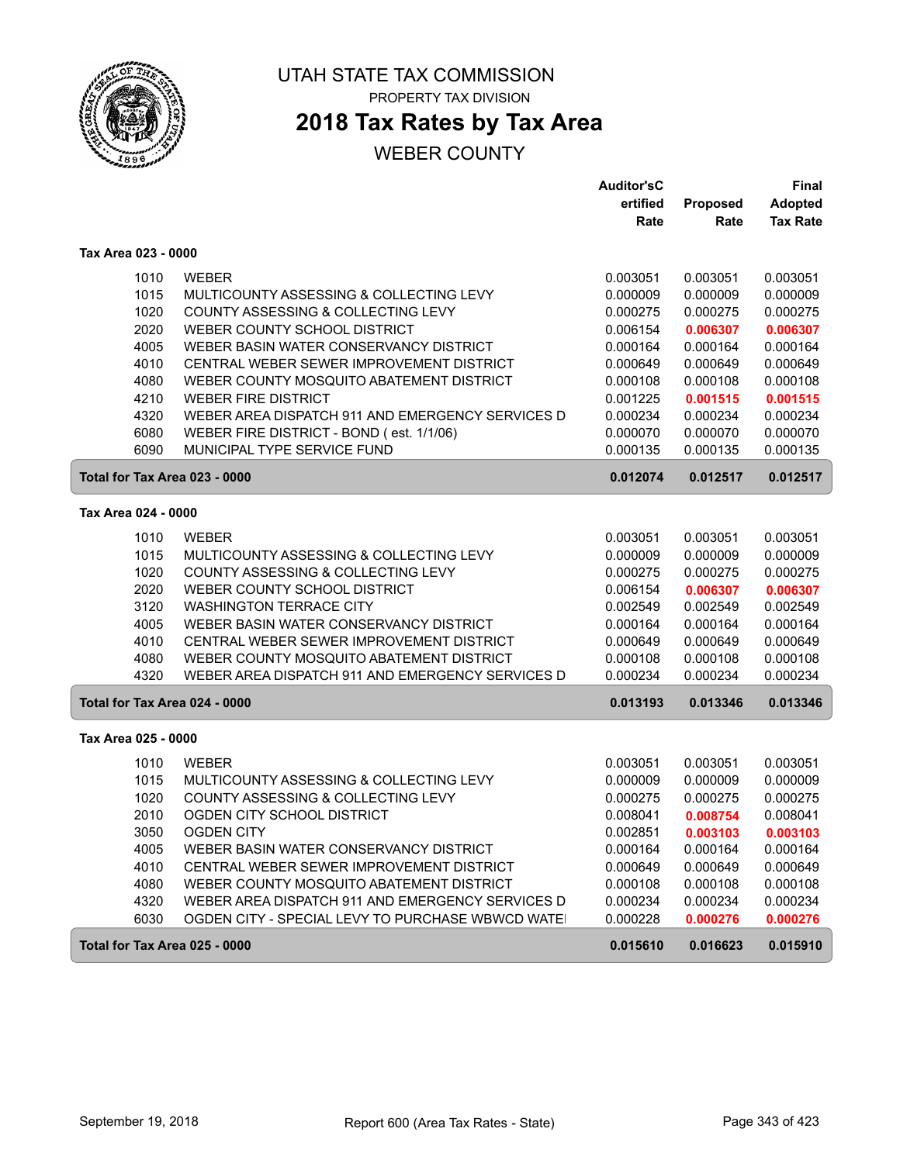

# **2018 Tax Rates by Tax Area**

### WEBER COUNTY

|                               |                                                  | <b>Auditor'sC</b> |          | Final           |
|-------------------------------|--------------------------------------------------|-------------------|----------|-----------------|
|                               |                                                  | ertified          | Proposed | <b>Adopted</b>  |
|                               |                                                  | Rate              | Rate     | <b>Tax Rate</b> |
| Tax Area 023 - 0000           |                                                  |                   |          |                 |
| 1010                          | <b>WEBER</b>                                     | 0.003051          | 0.003051 | 0.003051        |
| 1015                          | MULTICOUNTY ASSESSING & COLLECTING LEVY          | 0.000009          | 0.000009 | 0.000009        |
| 1020                          | COUNTY ASSESSING & COLLECTING LEVY               | 0.000275          | 0.000275 | 0.000275        |
| 2020                          | WEBER COUNTY SCHOOL DISTRICT                     | 0.006154          | 0.006307 | 0.006307        |
| 4005                          | WEBER BASIN WATER CONSERVANCY DISTRICT           | 0.000164          | 0.000164 | 0.000164        |
| 4010                          | CENTRAL WEBER SEWER IMPROVEMENT DISTRICT         | 0.000649          | 0.000649 | 0.000649        |
| 4080                          | WEBER COUNTY MOSQUITO ABATEMENT DISTRICT         | 0.000108          | 0.000108 | 0.000108        |
| 4210                          | <b>WEBER FIRE DISTRICT</b>                       | 0.001225          | 0.001515 | 0.001515        |
| 4320                          | WEBER AREA DISPATCH 911 AND EMERGENCY SERVICES D | 0.000234          | 0.000234 | 0.000234        |
| 6080                          | WEBER FIRE DISTRICT - BOND (est. 1/1/06)         | 0.000070          | 0.000070 | 0.000070        |
| 6090                          | MUNICIPAL TYPE SERVICE FUND                      | 0.000135          | 0.000135 | 0.000135        |
| Total for Tax Area 023 - 0000 |                                                  | 0.012074          | 0.012517 | 0.012517        |
| Tax Area 024 - 0000           |                                                  |                   |          |                 |
| 1010                          | <b>WEBER</b>                                     | 0.003051          | 0.003051 | 0.003051        |
| 1015                          | MULTICOUNTY ASSESSING & COLLECTING LEVY          | 0.000009          | 0.000009 | 0.000009        |
| 1020                          | COUNTY ASSESSING & COLLECTING LEVY               | 0.000275          | 0.000275 | 0.000275        |
| 2020                          | WEBER COUNTY SCHOOL DISTRICT                     | 0.006154          | 0.006307 | 0.006307        |
| 3120                          | <b>WASHINGTON TERRACE CITY</b>                   | 0.002549          | 0.002549 | 0.002549        |
| 4005                          | WEBER BASIN WATER CONSERVANCY DISTRICT           | 0.000164          | 0.000164 | 0.000164        |
| 4010                          | CENTRAL WEBER SEWER IMPROVEMENT DISTRICT         | 0.000649          | 0.000649 | 0.000649        |
| 4080                          | WEBER COUNTY MOSQUITO ABATEMENT DISTRICT         | 0.000108          | 0.000108 | 0.000108        |
| 4320                          | WEBER AREA DISPATCH 911 AND EMERGENCY SERVICES D | 0.000234          | 0.000234 | 0.000234        |
| Total for Tax Area 024 - 0000 |                                                  | 0.013193          | 0.013346 | 0.013346        |
| Tax Area 025 - 0000           |                                                  |                   |          |                 |
| 1010                          | <b>WEBER</b>                                     | 0.003051          | 0.003051 | 0.003051        |
| 1015                          | MULTICOUNTY ASSESSING & COLLECTING LEVY          | 0.000009          | 0.000009 | 0.000009        |
| 1020                          | COUNTY ASSESSING & COLLECTING LEVY               | 0.000275          | 0.000275 | 0.000275        |
| 2010                          | OGDEN CITY SCHOOL DISTRICT                       | 0.008041          | 0.008754 | 0.008041        |
| 3050                          | <b>OGDEN CITY</b>                                | 0.002851          | 0.003103 | 0.003103        |
| 4005                          | WEBER BASIN WATER CONSERVANCY DISTRICT           | 0.000164          | 0.000164 | 0.000164        |
| 4010                          | CENTRAL WEBER SEWER IMPROVEMENT DISTRICT         | 0.000649          | 0.000649 | 0.000649        |
| 4080                          | WEBER COUNTY MOSQUITO ABATEMENT DISTRICT         | 0.000108          | 0.000108 | 0.000108        |
| 4320                          | WEBER AREA DISPATCH 911 AND EMERGENCY SERVICES D | 0.000234          | 0.000234 | 0.000234        |
| 6030                          | OGDEN CITY - SPECIAL LEVY TO PURCHASE WBWCD WATE | 0.000228          | 0.000276 | 0.000276        |
| Total for Tax Area 025 - 0000 |                                                  | 0.015610          | 0.016623 | 0.015910        |

ſ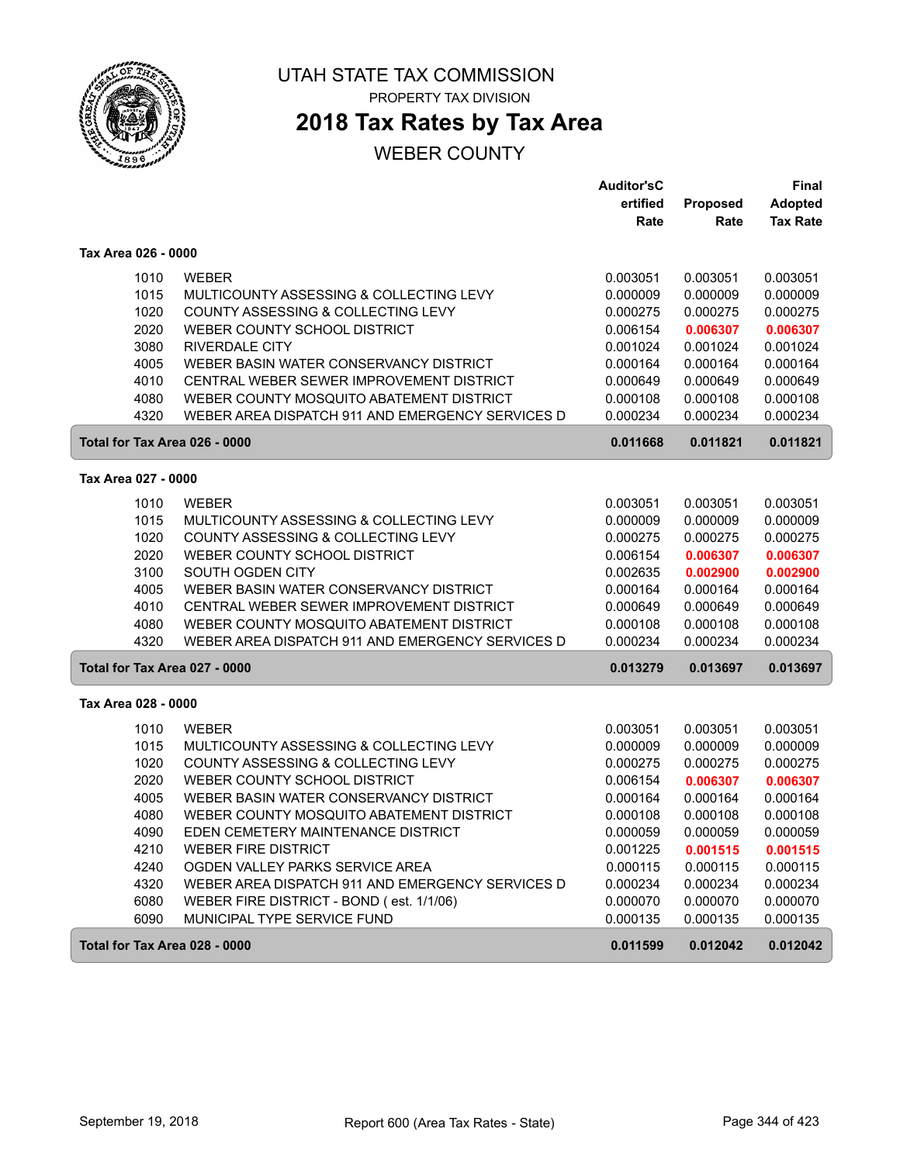

**2018 Tax Rates by Tax Area**

|                               |                                                  | <b>Auditor'sC</b> |          | Final           |
|-------------------------------|--------------------------------------------------|-------------------|----------|-----------------|
|                               |                                                  | ertified          | Proposed | <b>Adopted</b>  |
|                               |                                                  | Rate              | Rate     | <b>Tax Rate</b> |
| Tax Area 026 - 0000           |                                                  |                   |          |                 |
| 1010                          | <b>WEBER</b>                                     | 0.003051          | 0.003051 | 0.003051        |
| 1015                          | MULTICOUNTY ASSESSING & COLLECTING LEVY          | 0.000009          | 0.000009 | 0.000009        |
| 1020                          | COUNTY ASSESSING & COLLECTING LEVY               | 0.000275          | 0.000275 | 0.000275        |
| 2020                          | WEBER COUNTY SCHOOL DISTRICT                     | 0.006154          | 0.006307 | 0.006307        |
| 3080                          | <b>RIVERDALE CITY</b>                            | 0.001024          | 0.001024 | 0.001024        |
| 4005                          | WEBER BASIN WATER CONSERVANCY DISTRICT           | 0.000164          | 0.000164 | 0.000164        |
| 4010                          | CENTRAL WEBER SEWER IMPROVEMENT DISTRICT         | 0.000649          | 0.000649 | 0.000649        |
| 4080                          | WEBER COUNTY MOSQUITO ABATEMENT DISTRICT         | 0.000108          | 0.000108 | 0.000108        |
| 4320                          | WEBER AREA DISPATCH 911 AND EMERGENCY SERVICES D | 0.000234          | 0.000234 | 0.000234        |
| Total for Tax Area 026 - 0000 |                                                  | 0.011668          | 0.011821 | 0.011821        |
| Tax Area 027 - 0000           |                                                  |                   |          |                 |
| 1010                          | <b>WEBER</b>                                     | 0.003051          | 0.003051 | 0.003051        |
| 1015                          | MULTICOUNTY ASSESSING & COLLECTING LEVY          | 0.000009          | 0.000009 | 0.000009        |
| 1020                          | COUNTY ASSESSING & COLLECTING LEVY               | 0.000275          | 0.000275 | 0.000275        |
| 2020                          | WEBER COUNTY SCHOOL DISTRICT                     | 0.006154          | 0.006307 | 0.006307        |
| 3100                          | SOUTH OGDEN CITY                                 | 0.002635          | 0.002900 | 0.002900        |
| 4005                          | WEBER BASIN WATER CONSERVANCY DISTRICT           | 0.000164          | 0.000164 | 0.000164        |
| 4010                          | CENTRAL WEBER SEWER IMPROVEMENT DISTRICT         | 0.000649          | 0.000649 | 0.000649        |
| 4080                          | WEBER COUNTY MOSQUITO ABATEMENT DISTRICT         | 0.000108          | 0.000108 | 0.000108        |
| 4320                          | WEBER AREA DISPATCH 911 AND EMERGENCY SERVICES D | 0.000234          | 0.000234 | 0.000234        |
| Total for Tax Area 027 - 0000 |                                                  | 0.013279          | 0.013697 | 0.013697        |
| Tax Area 028 - 0000           |                                                  |                   |          |                 |
| 1010                          | <b>WEBER</b>                                     | 0.003051          | 0.003051 | 0.003051        |
| 1015                          | MULTICOUNTY ASSESSING & COLLECTING LEVY          | 0.000009          | 0.000009 | 0.000009        |
| 1020                          | COUNTY ASSESSING & COLLECTING LEVY               | 0.000275          | 0.000275 | 0.000275        |
| 2020                          | WEBER COUNTY SCHOOL DISTRICT                     | 0.006154          | 0.006307 | 0.006307        |
| 4005                          | WEBER BASIN WATER CONSERVANCY DISTRICT           | 0.000164          | 0.000164 | 0.000164        |
| 4080                          | WEBER COUNTY MOSQUITO ABATEMENT DISTRICT         | 0.000108          | 0.000108 | 0.000108        |
| 4090                          | EDEN CEMETERY MAINTENANCE DISTRICT               | 0.000059          | 0.000059 | 0.000059        |
| 4210                          | <b>WEBER FIRE DISTRICT</b>                       | 0.001225          | 0.001515 | 0.001515        |
| 4240                          | OGDEN VALLEY PARKS SERVICE AREA                  | 0.000115          | 0.000115 | 0.000115        |
| 4320                          | WEBER AREA DISPATCH 911 AND EMERGENCY SERVICES D | 0.000234          | 0.000234 | 0.000234        |
| 6080                          | WEBER FIRE DISTRICT - BOND (est. 1/1/06)         | 0.000070          | 0.000070 | 0.000070        |
| 6090                          | MUNICIPAL TYPE SERVICE FUND                      | 0.000135          | 0.000135 | 0.000135        |
| Total for Tax Area 028 - 0000 |                                                  | 0.011599          | 0.012042 | 0.012042        |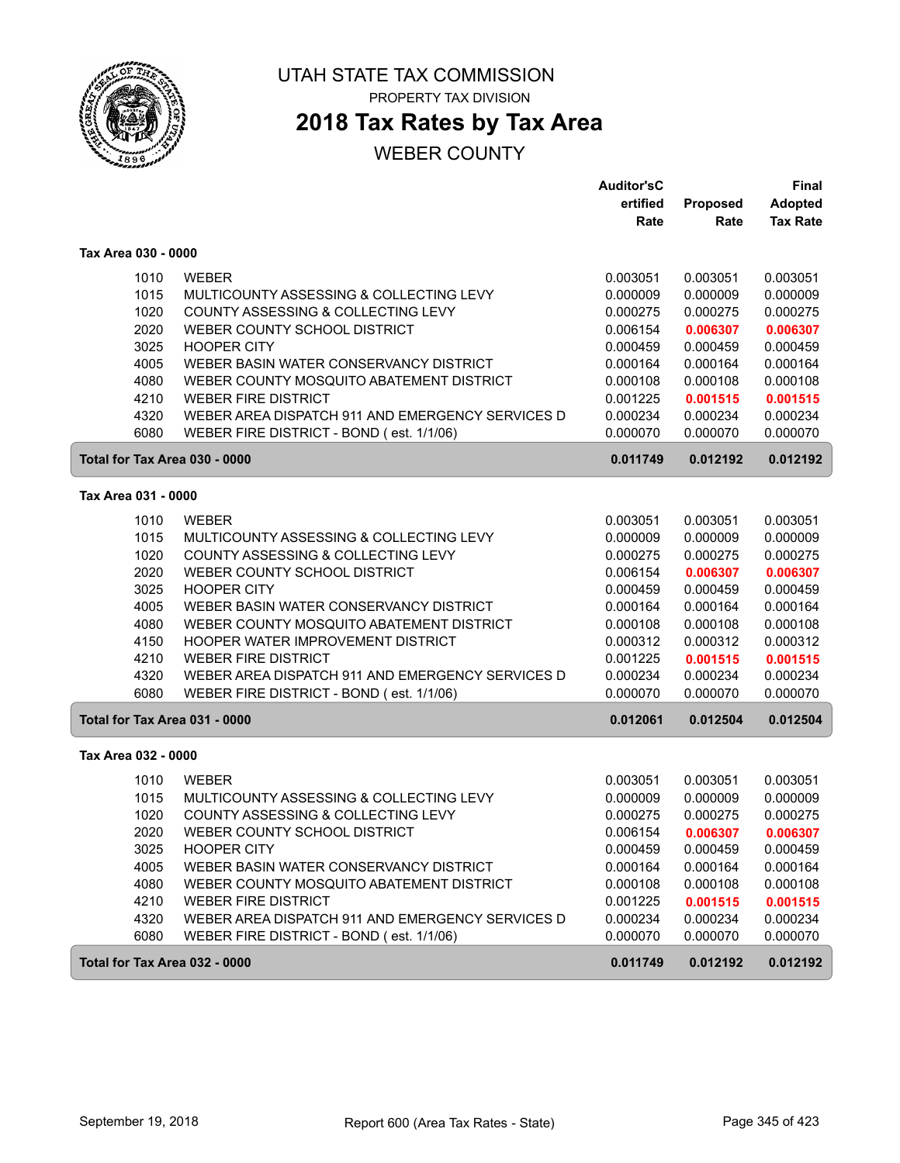

PROPERTY TAX DIVISION

# **2018 Tax Rates by Tax Area**

|                               |                                                  | <b>Auditor'sC</b> |          | Final           |
|-------------------------------|--------------------------------------------------|-------------------|----------|-----------------|
|                               |                                                  | ertified          | Proposed | <b>Adopted</b>  |
|                               |                                                  | Rate              | Rate     | <b>Tax Rate</b> |
| Tax Area 030 - 0000           |                                                  |                   |          |                 |
| 1010                          | <b>WEBER</b>                                     | 0.003051          | 0.003051 | 0.003051        |
| 1015                          | MULTICOUNTY ASSESSING & COLLECTING LEVY          | 0.000009          | 0.000009 | 0.000009        |
| 1020                          | COUNTY ASSESSING & COLLECTING LEVY               | 0.000275          | 0.000275 | 0.000275        |
| 2020                          | WEBER COUNTY SCHOOL DISTRICT                     | 0.006154          | 0.006307 | 0.006307        |
| 3025                          | <b>HOOPER CITY</b>                               | 0.000459          | 0.000459 | 0.000459        |
| 4005                          | WEBER BASIN WATER CONSERVANCY DISTRICT           | 0.000164          | 0.000164 | 0.000164        |
| 4080                          | WEBER COUNTY MOSQUITO ABATEMENT DISTRICT         | 0.000108          | 0.000108 | 0.000108        |
| 4210                          | <b>WEBER FIRE DISTRICT</b>                       | 0.001225          | 0.001515 | 0.001515        |
| 4320                          | WEBER AREA DISPATCH 911 AND EMERGENCY SERVICES D | 0.000234          | 0.000234 | 0.000234        |
| 6080                          | WEBER FIRE DISTRICT - BOND (est. 1/1/06)         | 0.000070          | 0.000070 | 0.000070        |
| Total for Tax Area 030 - 0000 |                                                  | 0.011749          | 0.012192 | 0.012192        |
| Tax Area 031 - 0000           |                                                  |                   |          |                 |
|                               |                                                  |                   |          |                 |
| 1010                          | <b>WEBER</b>                                     | 0.003051          | 0.003051 | 0.003051        |
| 1015                          | MULTICOUNTY ASSESSING & COLLECTING LEVY          | 0.000009          | 0.000009 | 0.000009        |
| 1020                          | COUNTY ASSESSING & COLLECTING LEVY               | 0.000275          | 0.000275 | 0.000275        |
| 2020                          | WEBER COUNTY SCHOOL DISTRICT                     | 0.006154          | 0.006307 | 0.006307        |
| 3025                          | <b>HOOPER CITY</b>                               | 0.000459          | 0.000459 | 0.000459        |
| 4005                          | WEBER BASIN WATER CONSERVANCY DISTRICT           | 0.000164          | 0.000164 | 0.000164        |
| 4080                          | WEBER COUNTY MOSQUITO ABATEMENT DISTRICT         | 0.000108          | 0.000108 | 0.000108        |
| 4150                          | HOOPER WATER IMPROVEMENT DISTRICT                | 0.000312          | 0.000312 | 0.000312        |
| 4210                          | <b>WEBER FIRE DISTRICT</b>                       | 0.001225          | 0.001515 | 0.001515        |
| 4320                          | WEBER AREA DISPATCH 911 AND EMERGENCY SERVICES D | 0.000234          | 0.000234 | 0.000234        |
| 6080                          | WEBER FIRE DISTRICT - BOND (est. 1/1/06)         | 0.000070          | 0.000070 | 0.000070        |
| Total for Tax Area 031 - 0000 |                                                  | 0.012061          | 0.012504 | 0.012504        |
| Tax Area 032 - 0000           |                                                  |                   |          |                 |
| 1010                          | <b>WEBER</b>                                     | 0.003051          | 0.003051 | 0.003051        |
| 1015                          | MULTICOUNTY ASSESSING & COLLECTING LEVY          | 0.000009          | 0.000009 | 0.000009        |
| 1020                          | COUNTY ASSESSING & COLLECTING LEVY               | 0.000275          | 0.000275 | 0.000275        |
| 2020                          | WEBER COUNTY SCHOOL DISTRICT                     | 0.006154          | 0.006307 | 0.006307        |
| 3025                          | <b>HOOPER CITY</b>                               | 0.000459          | 0.000459 | 0.000459        |
| 4005                          | WEBER BASIN WATER CONSERVANCY DISTRICT           | 0.000164          | 0.000164 | 0.000164        |
| 4080                          | WEBER COUNTY MOSQUITO ABATEMENT DISTRICT         | 0.000108          | 0.000108 | 0.000108        |
| 4210                          | <b>WEBER FIRE DISTRICT</b>                       | 0.001225          | 0.001515 | 0.001515        |
| 4320                          | WEBER AREA DISPATCH 911 AND EMERGENCY SERVICES D | 0.000234          | 0.000234 | 0.000234        |
| 6080                          | WEBER FIRE DISTRICT - BOND (est. 1/1/06)         | 0.000070          | 0.000070 | 0.000070        |
| Total for Tax Area 032 - 0000 |                                                  | 0.011749          | 0.012192 | 0.012192        |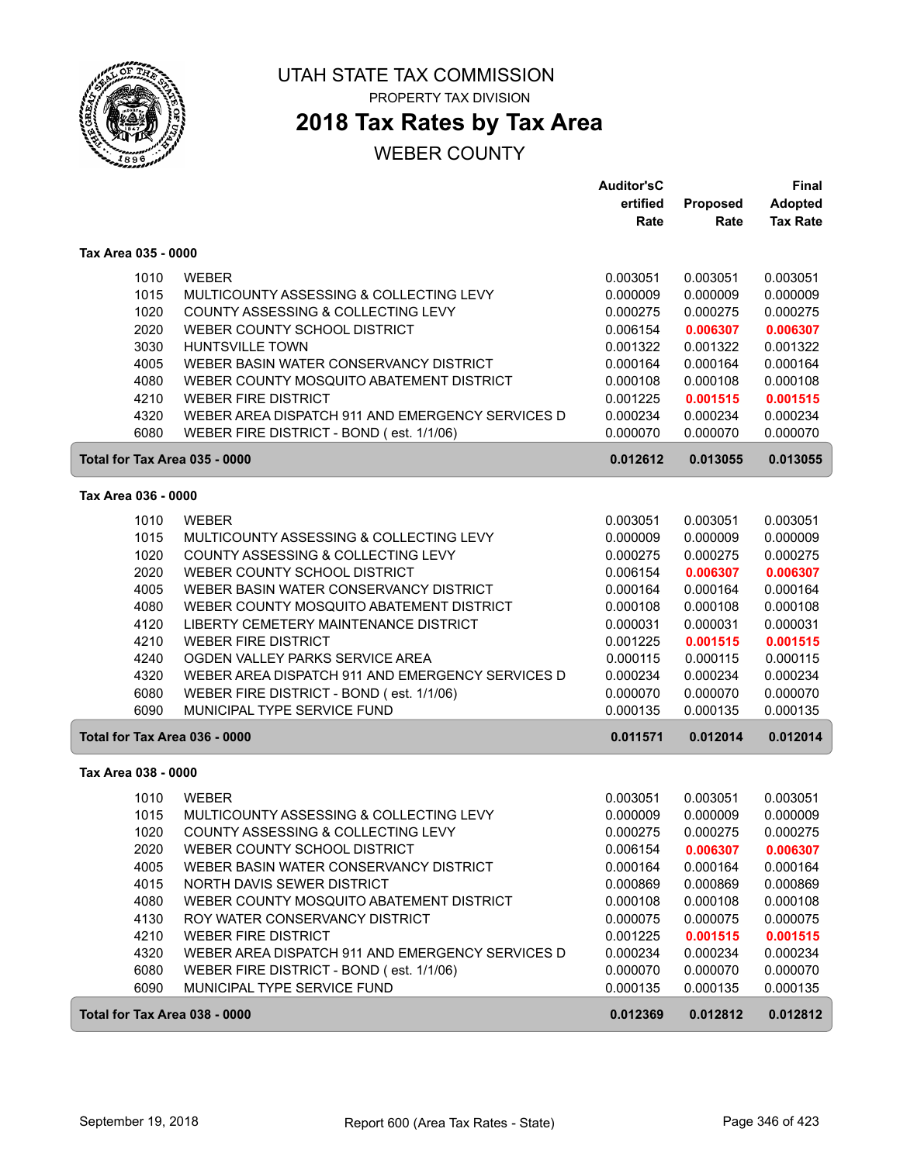

PROPERTY TAX DIVISION

# **2018 Tax Rates by Tax Area**

|                               |                                                                         | <b>Auditor'sC</b>    |                      | Final                |
|-------------------------------|-------------------------------------------------------------------------|----------------------|----------------------|----------------------|
|                               |                                                                         | ertified             | Proposed             | <b>Adopted</b>       |
|                               |                                                                         | Rate                 | Rate                 | <b>Tax Rate</b>      |
| Tax Area 035 - 0000           |                                                                         |                      |                      |                      |
| 1010                          | <b>WEBER</b>                                                            | 0.003051             | 0.003051             | 0.003051             |
| 1015                          | MULTICOUNTY ASSESSING & COLLECTING LEVY                                 | 0.000009             | 0.000009             | 0.000009             |
| 1020                          | COUNTY ASSESSING & COLLECTING LEVY                                      | 0.000275             | 0.000275             | 0.000275             |
| 2020                          | WEBER COUNTY SCHOOL DISTRICT                                            | 0.006154             | 0.006307             | 0.006307             |
| 3030                          | HUNTSVILLE TOWN                                                         | 0.001322             | 0.001322             | 0.001322             |
| 4005                          | WEBER BASIN WATER CONSERVANCY DISTRICT                                  | 0.000164             | 0.000164             | 0.000164             |
| 4080                          | WEBER COUNTY MOSQUITO ABATEMENT DISTRICT                                | 0.000108             | 0.000108             | 0.000108             |
| 4210                          | <b>WEBER FIRE DISTRICT</b>                                              | 0.001225             | 0.001515             | 0.001515             |
| 4320                          | WEBER AREA DISPATCH 911 AND EMERGENCY SERVICES D                        | 0.000234             | 0.000234             | 0.000234             |
| 6080                          | WEBER FIRE DISTRICT - BOND (est. 1/1/06)                                | 0.000070             | 0.000070             | 0.000070             |
| Total for Tax Area 035 - 0000 |                                                                         | 0.012612             | 0.013055             | 0.013055             |
| Tax Area 036 - 0000           |                                                                         |                      |                      |                      |
| 1010                          | <b>WEBER</b>                                                            | 0.003051             | 0.003051             | 0.003051             |
| 1015                          | MULTICOUNTY ASSESSING & COLLECTING LEVY                                 | 0.000009             | 0.000009             | 0.000009             |
| 1020                          | COUNTY ASSESSING & COLLECTING LEVY                                      | 0.000275             | 0.000275             | 0.000275             |
| 2020                          | WEBER COUNTY SCHOOL DISTRICT                                            | 0.006154             | 0.006307             | 0.006307             |
| 4005                          | WEBER BASIN WATER CONSERVANCY DISTRICT                                  | 0.000164             | 0.000164             | 0.000164             |
| 4080                          | WEBER COUNTY MOSQUITO ABATEMENT DISTRICT                                | 0.000108             | 0.000108             | 0.000108             |
| 4120                          | LIBERTY CEMETERY MAINTENANCE DISTRICT                                   | 0.000031             | 0.000031             | 0.000031             |
| 4210                          | <b>WEBER FIRE DISTRICT</b>                                              | 0.001225             | 0.001515             | 0.001515             |
| 4240                          | OGDEN VALLEY PARKS SERVICE AREA                                         | 0.000115             | 0.000115             | 0.000115             |
| 4320                          | WEBER AREA DISPATCH 911 AND EMERGENCY SERVICES D                        | 0.000234             | 0.000234             | 0.000234             |
| 6080                          | WEBER FIRE DISTRICT - BOND (est. 1/1/06)                                | 0.000070             | 0.000070             | 0.000070             |
| 6090                          | MUNICIPAL TYPE SERVICE FUND                                             | 0.000135             | 0.000135             | 0.000135             |
| Total for Tax Area 036 - 0000 |                                                                         | 0.011571             | 0.012014             | 0.012014             |
| Tax Area 038 - 0000           |                                                                         |                      |                      |                      |
|                               |                                                                         |                      |                      |                      |
| 1010                          | <b>WEBER</b>                                                            | 0.003051             | 0.003051             | 0.003051             |
| 1015                          | MULTICOUNTY ASSESSING & COLLECTING LEVY                                 | 0.000009             | 0.000009             | 0.000009             |
| 1020                          | COUNTY ASSESSING & COLLECTING LEVY                                      | 0.000275             | 0.000275             | 0.000275             |
| 2020                          | WEBER COUNTY SCHOOL DISTRICT                                            | 0.006154             | 0.006307             | 0.006307             |
| 4005                          | WEBER BASIN WATER CONSERVANCY DISTRICT                                  | 0.000164             | 0.000164             | 0.000164             |
| 4015                          | NORTH DAVIS SEWER DISTRICT                                              | 0.000869             | 0.000869<br>0.000108 | 0.000869             |
| 4080                          | WEBER COUNTY MOSQUITO ABATEMENT DISTRICT                                | 0.000108             |                      | 0.000108             |
| 4130                          | ROY WATER CONSERVANCY DISTRICT                                          | 0.000075             | 0.000075             | 0.000075             |
| 4210                          | <b>WEBER FIRE DISTRICT</b>                                              | 0.001225             | 0.001515             | 0.001515             |
| 4320                          | WEBER AREA DISPATCH 911 AND EMERGENCY SERVICES D                        | 0.000234             | 0.000234             | 0.000234             |
| 6080<br>6090                  | WEBER FIRE DISTRICT - BOND (est. 1/1/06)<br>MUNICIPAL TYPE SERVICE FUND | 0.000070<br>0.000135 | 0.000070<br>0.000135 | 0.000070<br>0.000135 |
| Total for Tax Area 038 - 0000 |                                                                         | 0.012369             | 0.012812             | 0.012812             |
|                               |                                                                         |                      |                      |                      |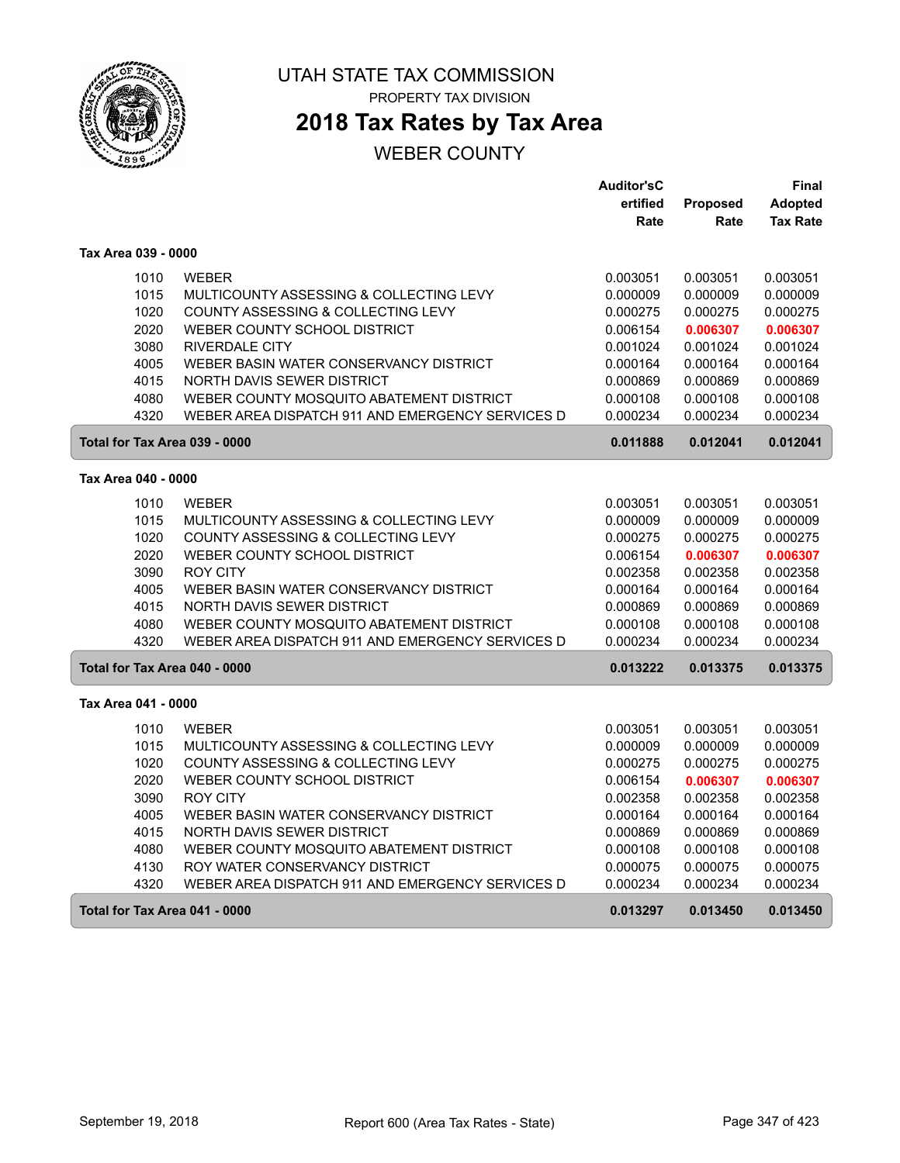

**2018 Tax Rates by Tax Area**

|                               |                                                           | <b>Auditor'sC</b>    |                      | Final                |
|-------------------------------|-----------------------------------------------------------|----------------------|----------------------|----------------------|
|                               |                                                           | ertified             | Proposed             | <b>Adopted</b>       |
|                               |                                                           | Rate                 | Rate                 | <b>Tax Rate</b>      |
| Tax Area 039 - 0000           |                                                           |                      |                      |                      |
| 1010                          | <b>WEBER</b>                                              | 0.003051             | 0.003051             | 0.003051             |
| 1015                          | MULTICOUNTY ASSESSING & COLLECTING LEVY                   | 0.000009             | 0.000009             | 0.000009             |
| 1020                          | COUNTY ASSESSING & COLLECTING LEVY                        | 0.000275             | 0.000275             | 0.000275             |
| 2020                          | WEBER COUNTY SCHOOL DISTRICT                              | 0.006154             | 0.006307             | 0.006307             |
| 3080                          | <b>RIVERDALE CITY</b>                                     | 0.001024             | 0.001024             | 0.001024             |
| 4005                          | WEBER BASIN WATER CONSERVANCY DISTRICT                    | 0.000164             | 0.000164             | 0.000164             |
| 4015                          | NORTH DAVIS SEWER DISTRICT                                | 0.000869             | 0.000869             | 0.000869             |
| 4080                          | WEBER COUNTY MOSQUITO ABATEMENT DISTRICT                  | 0.000108             | 0.000108             | 0.000108             |
| 4320                          | WEBER AREA DISPATCH 911 AND EMERGENCY SERVICES D          | 0.000234             | 0.000234             | 0.000234             |
| Total for Tax Area 039 - 0000 |                                                           | 0.011888             | 0.012041             | 0.012041             |
| Tax Area 040 - 0000           |                                                           |                      |                      |                      |
|                               |                                                           |                      |                      |                      |
| 1010                          | <b>WEBER</b>                                              | 0.003051             | 0.003051             | 0.003051             |
| 1015                          | MULTICOUNTY ASSESSING & COLLECTING LEVY                   | 0.000009             | 0.000009             | 0.000009             |
| 1020                          | COUNTY ASSESSING & COLLECTING LEVY                        | 0.000275             | 0.000275             | 0.000275             |
| 2020<br>3090                  | WEBER COUNTY SCHOOL DISTRICT                              | 0.006154             | 0.006307             | 0.006307             |
| 4005                          | <b>ROY CITY</b><br>WEBER BASIN WATER CONSERVANCY DISTRICT | 0.002358<br>0.000164 | 0.002358<br>0.000164 | 0.002358<br>0.000164 |
| 4015                          | NORTH DAVIS SEWER DISTRICT                                | 0.000869             | 0.000869             | 0.000869             |
| 4080                          | WEBER COUNTY MOSQUITO ABATEMENT DISTRICT                  | 0.000108             | 0.000108             | 0.000108             |
| 4320                          | WEBER AREA DISPATCH 911 AND EMERGENCY SERVICES D          | 0.000234             | 0.000234             | 0.000234             |
| Total for Tax Area 040 - 0000 |                                                           | 0.013222             | 0.013375             | 0.013375             |
|                               |                                                           |                      |                      |                      |
| Tax Area 041 - 0000           |                                                           |                      |                      |                      |
| 1010                          | <b>WEBER</b>                                              | 0.003051             | 0.003051             | 0.003051             |
| 1015                          | MULTICOUNTY ASSESSING & COLLECTING LEVY                   | 0.000009             | 0.000009             | 0.000009             |
| 1020                          | COUNTY ASSESSING & COLLECTING LEVY                        | 0.000275             | 0.000275             | 0.000275             |
| 2020                          | WEBER COUNTY SCHOOL DISTRICT                              | 0.006154             | 0.006307             | 0.006307             |
| 3090                          | <b>ROY CITY</b>                                           | 0.002358             | 0.002358             | 0.002358             |
| 4005                          | WEBER BASIN WATER CONSERVANCY DISTRICT                    | 0.000164             | 0.000164             | 0.000164             |
| 4015                          | NORTH DAVIS SEWER DISTRICT                                | 0.000869             | 0.000869             | 0.000869             |
| 4080                          | WEBER COUNTY MOSQUITO ABATEMENT DISTRICT                  | 0.000108             | 0.000108             | 0.000108             |
| 4130                          | ROY WATER CONSERVANCY DISTRICT                            | 0.000075             | 0.000075             | 0.000075             |
| 4320                          | WEBER AREA DISPATCH 911 AND EMERGENCY SERVICES D          | 0.000234             | 0.000234             | 0.000234             |
| Total for Tax Area 041 - 0000 |                                                           | 0.013297             | 0.013450             | 0.013450             |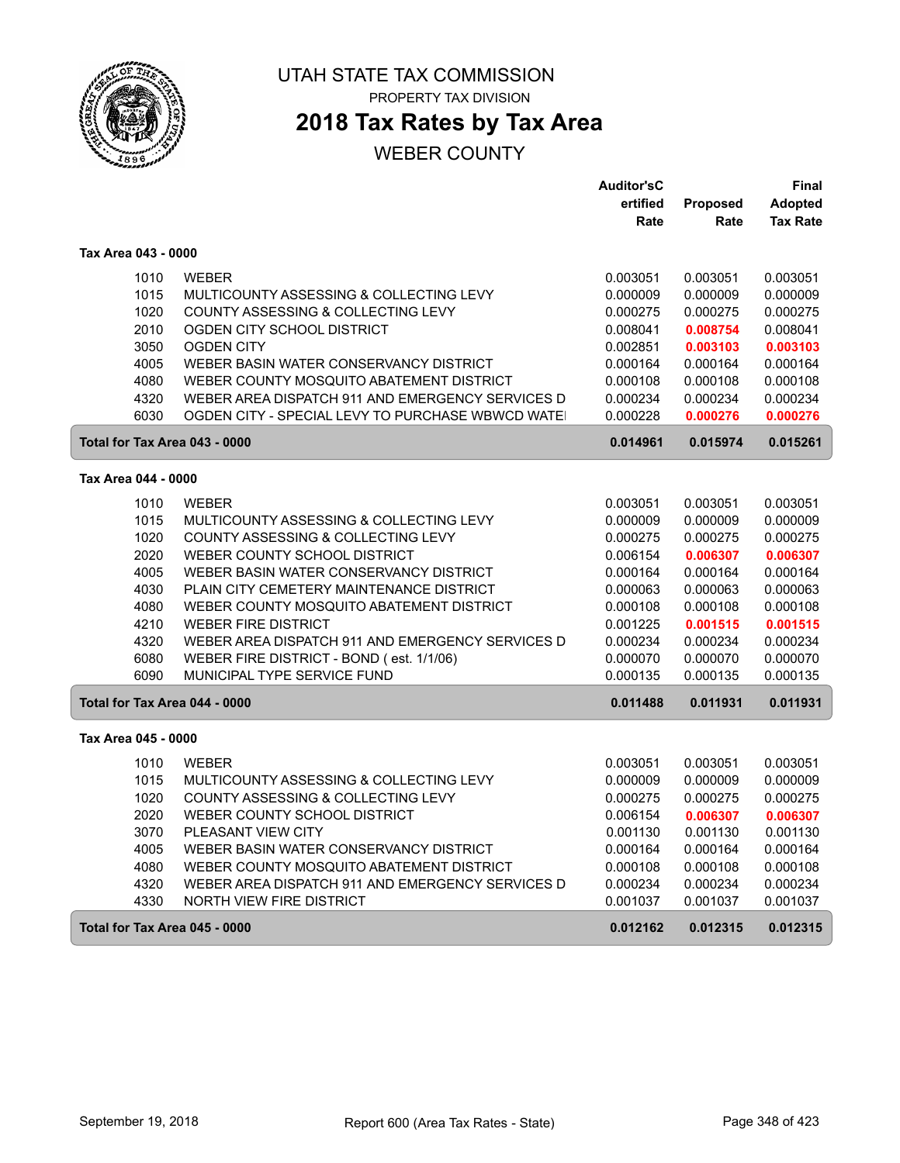

### UTAH STATE TAX COMMISSION PROPERTY TAX DIVISION

# **2018 Tax Rates by Tax Area**

|                               |                                                  | <b>Auditor'sC</b> |                 | Final           |
|-------------------------------|--------------------------------------------------|-------------------|-----------------|-----------------|
|                               |                                                  | ertified          | <b>Proposed</b> | <b>Adopted</b>  |
|                               |                                                  | Rate              | Rate            | <b>Tax Rate</b> |
| Tax Area 043 - 0000           |                                                  |                   |                 |                 |
| 1010                          | <b>WEBER</b>                                     | 0.003051          | 0.003051        | 0.003051        |
| 1015                          | MULTICOUNTY ASSESSING & COLLECTING LEVY          | 0.000009          | 0.000009        | 0.000009        |
| 1020                          | COUNTY ASSESSING & COLLECTING LEVY               | 0.000275          | 0.000275        | 0.000275        |
| 2010                          | OGDEN CITY SCHOOL DISTRICT                       | 0.008041          | 0.008754        | 0.008041        |
| 3050                          | <b>OGDEN CITY</b>                                | 0.002851          | 0.003103        | 0.003103        |
| 4005                          | WEBER BASIN WATER CONSERVANCY DISTRICT           | 0.000164          | 0.000164        | 0.000164        |
| 4080                          | WEBER COUNTY MOSQUITO ABATEMENT DISTRICT         | 0.000108          | 0.000108        | 0.000108        |
| 4320                          | WEBER AREA DISPATCH 911 AND EMERGENCY SERVICES D | 0.000234          | 0.000234        | 0.000234        |
| 6030                          | OGDEN CITY - SPECIAL LEVY TO PURCHASE WBWCD WATE | 0.000228          | 0.000276        | 0.000276        |
| Total for Tax Area 043 - 0000 |                                                  | 0.014961          | 0.015974        | 0.015261        |
| Tax Area 044 - 0000           |                                                  |                   |                 |                 |
| 1010                          | <b>WEBER</b>                                     | 0.003051          | 0.003051        | 0.003051        |
| 1015                          | MULTICOUNTY ASSESSING & COLLECTING LEVY          | 0.000009          | 0.000009        | 0.000009        |
| 1020                          | COUNTY ASSESSING & COLLECTING LEVY               | 0.000275          | 0.000275        | 0.000275        |
| 2020                          | WEBER COUNTY SCHOOL DISTRICT                     | 0.006154          | 0.006307        | 0.006307        |
| 4005                          | WEBER BASIN WATER CONSERVANCY DISTRICT           | 0.000164          | 0.000164        | 0.000164        |
| 4030                          | PLAIN CITY CEMETERY MAINTENANCE DISTRICT         | 0.000063          | 0.000063        | 0.000063        |
| 4080                          | WEBER COUNTY MOSQUITO ABATEMENT DISTRICT         | 0.000108          | 0.000108        | 0.000108        |
| 4210                          | <b>WEBER FIRE DISTRICT</b>                       | 0.001225          | 0.001515        | 0.001515        |
| 4320                          | WEBER AREA DISPATCH 911 AND EMERGENCY SERVICES D | 0.000234          | 0.000234        | 0.000234        |
| 6080                          | WEBER FIRE DISTRICT - BOND (est. 1/1/06)         | 0.000070          | 0.000070        | 0.000070        |
| 6090                          | MUNICIPAL TYPE SERVICE FUND                      | 0.000135          | 0.000135        | 0.000135        |
| Total for Tax Area 044 - 0000 |                                                  | 0.011488          | 0.011931        | 0.011931        |
| Tax Area 045 - 0000           |                                                  |                   |                 |                 |
| 1010                          | <b>WEBER</b>                                     | 0.003051          | 0.003051        | 0.003051        |
| 1015                          | MULTICOUNTY ASSESSING & COLLECTING LEVY          | 0.000009          | 0.000009        | 0.000009        |
| 1020                          | COUNTY ASSESSING & COLLECTING LEVY               | 0.000275          | 0.000275        | 0.000275        |
| 2020                          | WEBER COUNTY SCHOOL DISTRICT                     | 0.006154          | 0.006307        | 0.006307        |
| 3070                          | PLEASANT VIEW CITY                               | 0.001130          | 0.001130        | 0.001130        |
| 4005                          | WEBER BASIN WATER CONSERVANCY DISTRICT           | 0.000164          | 0.000164        | 0.000164        |
| 4080                          | WEBER COUNTY MOSQUITO ABATEMENT DISTRICT         | 0.000108          | 0.000108        | 0.000108        |
| 4320                          | WEBER AREA DISPATCH 911 AND EMERGENCY SERVICES D | 0.000234          | 0.000234        | 0.000234        |
| 4330                          | NORTH VIEW FIRE DISTRICT                         | 0.001037          | 0.001037        | 0.001037        |
| Total for Tax Area 045 - 0000 |                                                  | 0.012162          | 0.012315        | 0.012315        |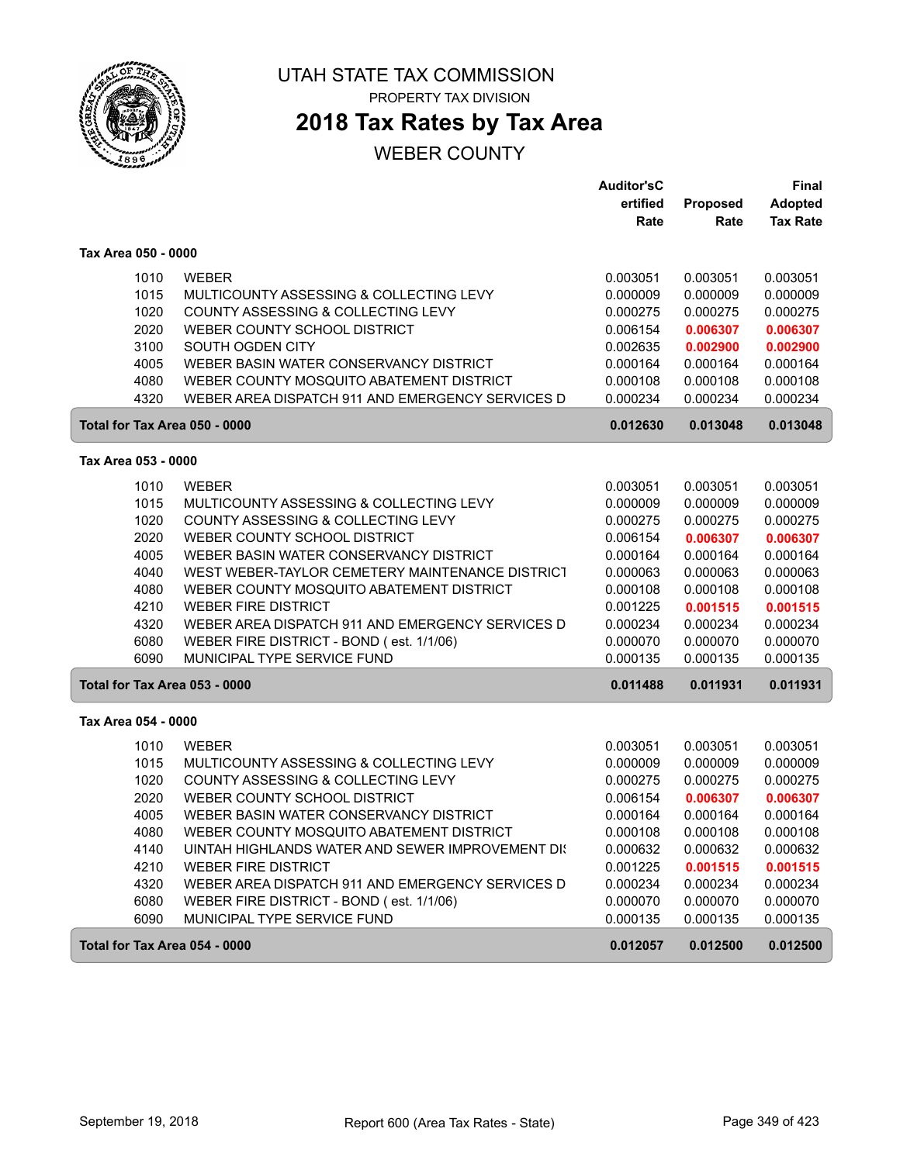

**2018 Tax Rates by Tax Area**

|                               |                                                  | <b>Auditor'sC</b> |          | <b>Final</b>    |
|-------------------------------|--------------------------------------------------|-------------------|----------|-----------------|
|                               |                                                  | ertified          | Proposed | <b>Adopted</b>  |
|                               |                                                  | Rate              | Rate     | <b>Tax Rate</b> |
| Tax Area 050 - 0000           |                                                  |                   |          |                 |
| 1010                          | <b>WEBER</b>                                     | 0.003051          | 0.003051 | 0.003051        |
| 1015                          | MULTICOUNTY ASSESSING & COLLECTING LEVY          | 0.000009          | 0.000009 | 0.000009        |
| 1020                          | COUNTY ASSESSING & COLLECTING LEVY               | 0.000275          | 0.000275 | 0.000275        |
| 2020                          | WEBER COUNTY SCHOOL DISTRICT                     | 0.006154          | 0.006307 | 0.006307        |
| 3100                          | SOUTH OGDEN CITY                                 | 0.002635          | 0.002900 | 0.002900        |
| 4005                          | WEBER BASIN WATER CONSERVANCY DISTRICT           | 0.000164          | 0.000164 | 0.000164        |
| 4080                          | WEBER COUNTY MOSQUITO ABATEMENT DISTRICT         | 0.000108          | 0.000108 | 0.000108        |
| 4320                          | WEBER AREA DISPATCH 911 AND EMERGENCY SERVICES D | 0.000234          | 0.000234 | 0.000234        |
| Total for Tax Area 050 - 0000 |                                                  | 0.012630          | 0.013048 | 0.013048        |
| Tax Area 053 - 0000           |                                                  |                   |          |                 |
| 1010                          | <b>WEBER</b>                                     | 0.003051          | 0.003051 | 0.003051        |
| 1015                          | MULTICOUNTY ASSESSING & COLLECTING LEVY          | 0.000009          | 0.000009 | 0.000009        |
| 1020                          | COUNTY ASSESSING & COLLECTING LEVY               | 0.000275          | 0.000275 | 0.000275        |
| 2020                          | WEBER COUNTY SCHOOL DISTRICT                     | 0.006154          | 0.006307 | 0.006307        |
| 4005                          | WEBER BASIN WATER CONSERVANCY DISTRICT           | 0.000164          | 0.000164 | 0.000164        |
| 4040                          | WEST WEBER-TAYLOR CEMETERY MAINTENANCE DISTRICT  | 0.000063          | 0.000063 | 0.000063        |
| 4080                          | WEBER COUNTY MOSQUITO ABATEMENT DISTRICT         | 0.000108          | 0.000108 | 0.000108        |
| 4210                          | <b>WEBER FIRE DISTRICT</b>                       | 0.001225          | 0.001515 | 0.001515        |
| 4320                          | WEBER AREA DISPATCH 911 AND EMERGENCY SERVICES D | 0.000234          | 0.000234 | 0.000234        |
| 6080                          | WEBER FIRE DISTRICT - BOND (est. 1/1/06)         | 0.000070          | 0.000070 | 0.000070        |
| 6090                          | MUNICIPAL TYPE SERVICE FUND                      | 0.000135          | 0.000135 | 0.000135        |
| Total for Tax Area 053 - 0000 |                                                  | 0.011488          | 0.011931 | 0.011931        |
|                               |                                                  |                   |          |                 |
| Tax Area 054 - 0000           |                                                  |                   |          |                 |
| 1010                          | <b>WEBER</b>                                     | 0.003051          | 0.003051 | 0.003051        |
| 1015                          | MULTICOUNTY ASSESSING & COLLECTING LEVY          | 0.000009          | 0.000009 | 0.000009        |
| 1020                          | COUNTY ASSESSING & COLLECTING LEVY               | 0.000275          | 0.000275 | 0.000275        |
| 2020                          | WEBER COUNTY SCHOOL DISTRICT                     | 0.006154          | 0.006307 | 0.006307        |
| 4005                          | WEBER BASIN WATER CONSERVANCY DISTRICT           | 0.000164          | 0.000164 | 0.000164        |
| 4080                          | WEBER COUNTY MOSQUITO ABATEMENT DISTRICT         | 0.000108          | 0.000108 | 0.000108        |
| 4140                          | UINTAH HIGHLANDS WATER AND SEWER IMPROVEMENT DIS | 0.000632          | 0.000632 | 0.000632        |
| 4210                          | <b>WEBER FIRE DISTRICT</b>                       | 0.001225          | 0.001515 | 0.001515        |
| 4320                          | WEBER AREA DISPATCH 911 AND EMERGENCY SERVICES D | 0.000234          | 0.000234 | 0.000234        |
| 6080                          | WEBER FIRE DISTRICT - BOND (est. 1/1/06)         | 0.000070          | 0.000070 | 0.000070        |
| 6090                          | MUNICIPAL TYPE SERVICE FUND                      | 0.000135          | 0.000135 | 0.000135        |
| Total for Tax Area 054 - 0000 |                                                  | 0.012057          | 0.012500 | 0.012500        |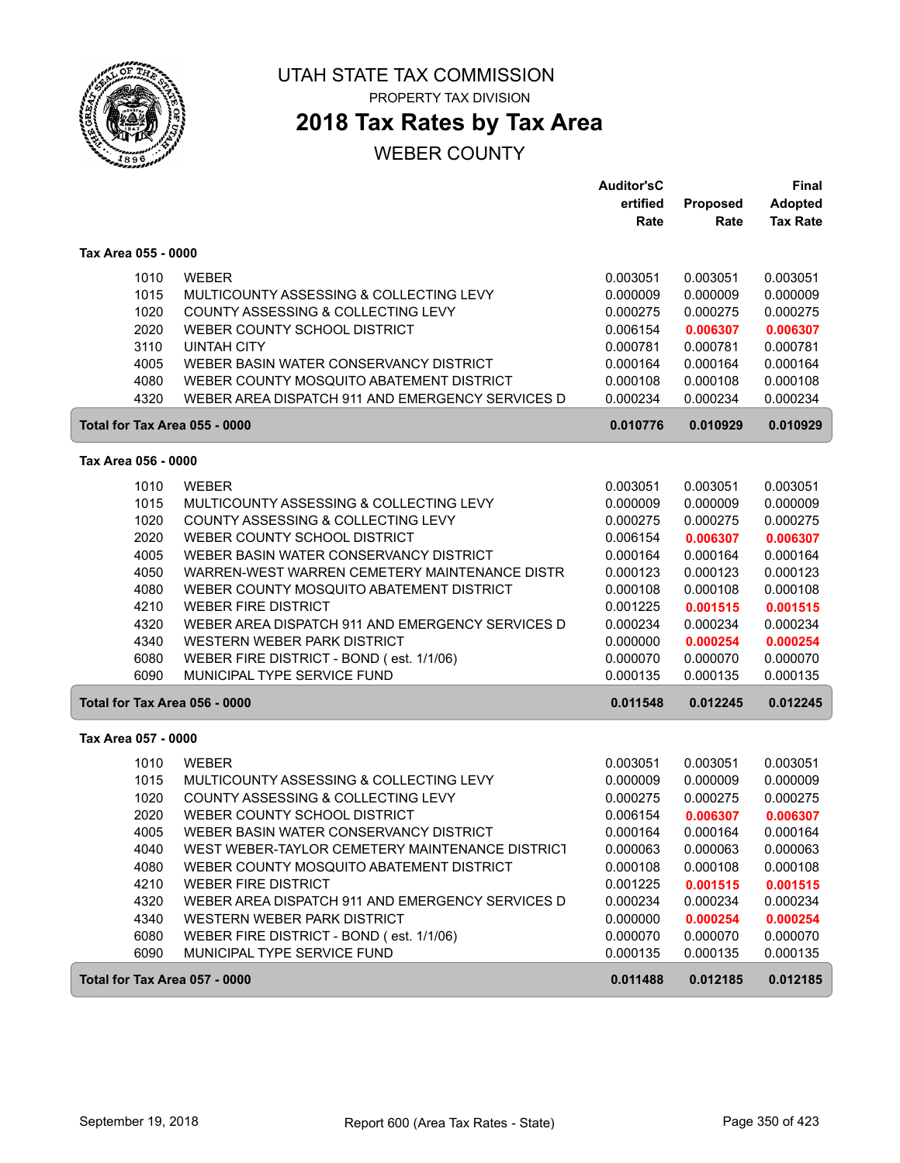

PROPERTY TAX DIVISION

# **2018 Tax Rates by Tax Area**

|                               |                                                                                | <b>Auditor'sC</b><br>ertified | Proposed             | Final<br><b>Adopted</b> |
|-------------------------------|--------------------------------------------------------------------------------|-------------------------------|----------------------|-------------------------|
|                               |                                                                                | Rate                          | Rate                 | <b>Tax Rate</b>         |
| Tax Area 055 - 0000           |                                                                                |                               |                      |                         |
| 1010                          | <b>WEBER</b>                                                                   | 0.003051                      | 0.003051             | 0.003051                |
| 1015                          | MULTICOUNTY ASSESSING & COLLECTING LEVY                                        | 0.000009                      | 0.000009             | 0.000009                |
| 1020                          | COUNTY ASSESSING & COLLECTING LEVY                                             | 0.000275                      | 0.000275             | 0.000275                |
| 2020                          | WEBER COUNTY SCHOOL DISTRICT                                                   | 0.006154                      | 0.006307             | 0.006307                |
| 3110                          | <b>UINTAH CITY</b>                                                             | 0.000781                      | 0.000781             | 0.000781                |
| 4005                          | WEBER BASIN WATER CONSERVANCY DISTRICT                                         | 0.000164                      | 0.000164             | 0.000164                |
| 4080                          | WEBER COUNTY MOSQUITO ABATEMENT DISTRICT                                       | 0.000108                      | 0.000108             | 0.000108                |
| 4320                          | WEBER AREA DISPATCH 911 AND EMERGENCY SERVICES D                               | 0.000234                      | 0.000234             | 0.000234                |
| Total for Tax Area 055 - 0000 |                                                                                | 0.010776                      | 0.010929             | 0.010929                |
| Tax Area 056 - 0000           |                                                                                |                               |                      |                         |
| 1010                          | <b>WEBER</b>                                                                   | 0.003051                      | 0.003051             | 0.003051                |
| 1015                          | MULTICOUNTY ASSESSING & COLLECTING LEVY                                        | 0.000009                      | 0.000009             | 0.000009                |
| 1020                          | COUNTY ASSESSING & COLLECTING LEVY                                             | 0.000275                      | 0.000275             | 0.000275                |
| 2020                          | WEBER COUNTY SCHOOL DISTRICT                                                   | 0.006154                      | 0.006307             | 0.006307                |
| 4005                          | WEBER BASIN WATER CONSERVANCY DISTRICT                                         | 0.000164                      | 0.000164             | 0.000164                |
| 4050                          | WARREN-WEST WARREN CEMETERY MAINTENANCE DISTR                                  | 0.000123                      | 0.000123             | 0.000123                |
| 4080                          | WEBER COUNTY MOSQUITO ABATEMENT DISTRICT                                       | 0.000108                      | 0.000108             | 0.000108                |
| 4210<br>4320                  | <b>WEBER FIRE DISTRICT</b><br>WEBER AREA DISPATCH 911 AND EMERGENCY SERVICES D | 0.001225<br>0.000234          | 0.001515<br>0.000234 | 0.001515<br>0.000234    |
| 4340                          | WESTERN WEBER PARK DISTRICT                                                    | 0.000000                      | 0.000254             | 0.000254                |
| 6080                          | WEBER FIRE DISTRICT - BOND (est. 1/1/06)                                       | 0.000070                      | 0.000070             | 0.000070                |
| 6090                          | MUNICIPAL TYPE SERVICE FUND                                                    | 0.000135                      | 0.000135             | 0.000135                |
| Total for Tax Area 056 - 0000 |                                                                                | 0.011548                      | 0.012245             | 0.012245                |
| Tax Area 057 - 0000           |                                                                                |                               |                      |                         |
| 1010                          | <b>WEBER</b>                                                                   | 0.003051                      | 0.003051             | 0.003051                |
| 1015                          | MULTICOUNTY ASSESSING & COLLECTING LEVY                                        | 0.000009                      | 0.000009             | 0.000009                |
| 1020                          | COUNTY ASSESSING & COLLECTING LEVY                                             | 0.000275                      | 0.000275             | 0.000275                |
| 2020                          | WEBER COUNTY SCHOOL DISTRICT                                                   | 0.006154                      | 0.006307             | 0.006307                |
| 4005                          | WEBER BASIN WATER CONSERVANCY DISTRICT                                         | 0.000164                      | 0.000164             | 0.000164                |
| 4040                          | WEST WEBER-TAYLOR CEMETERY MAINTENANCE DISTRICT                                | 0.000063                      | 0.000063             | 0.000063                |
| 4080                          | WEBER COUNTY MOSQUITO ABATEMENT DISTRICT                                       | 0.000108                      | 0.000108             | 0.000108                |
| 4210                          | <b>WEBER FIRE DISTRICT</b>                                                     | 0.001225                      | 0.001515             | 0.001515                |
| 4320                          | WEBER AREA DISPATCH 911 AND EMERGENCY SERVICES D                               | 0.000234                      | 0.000234             | 0.000234                |
| 4340                          | WESTERN WEBER PARK DISTRICT                                                    | 0.000000                      | 0.000254             | 0.000254                |
| 6080                          | WEBER FIRE DISTRICT - BOND (est. 1/1/06)                                       | 0.000070                      | 0.000070             | 0.000070                |
| 6090                          | MUNICIPAL TYPE SERVICE FUND                                                    | 0.000135                      | 0.000135             | 0.000135                |
| Total for Tax Area 057 - 0000 |                                                                                | 0.011488                      | 0.012185             | 0.012185                |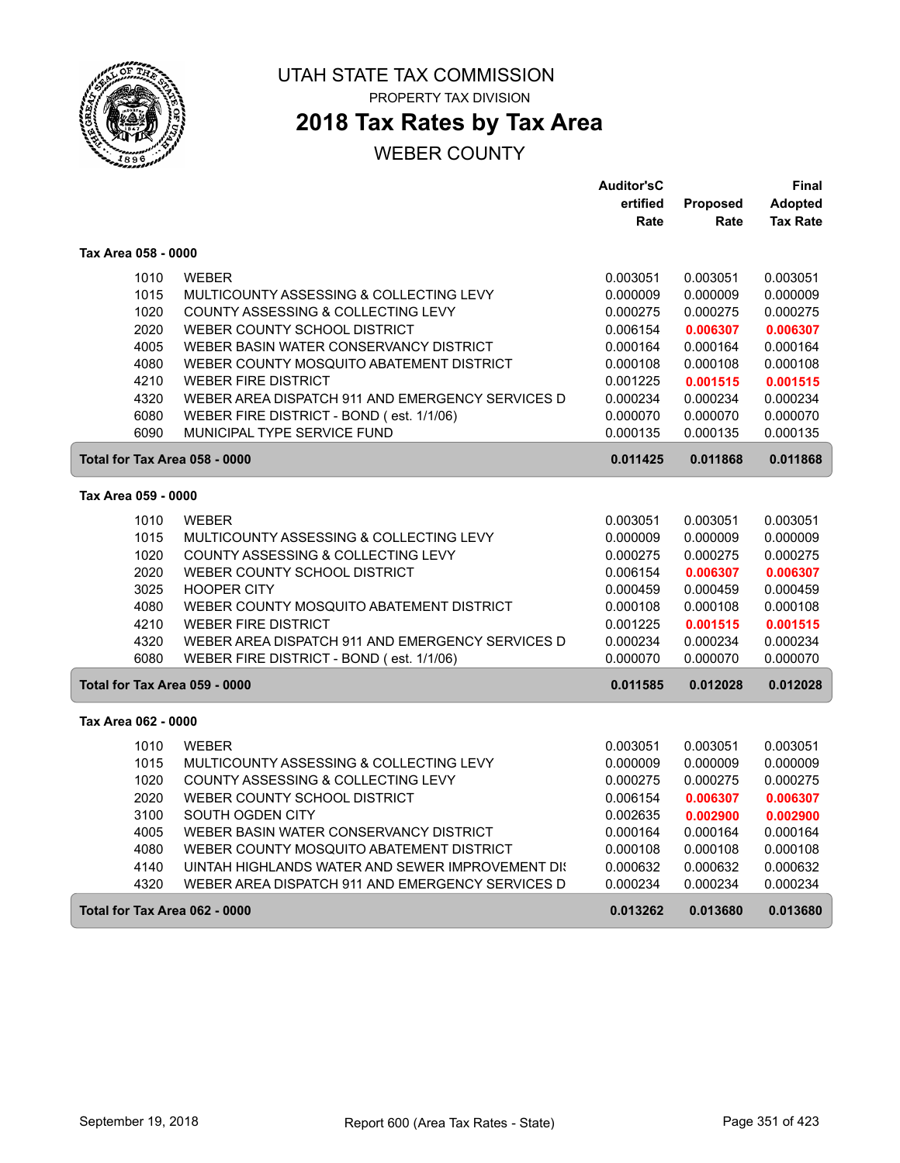

# **2018 Tax Rates by Tax Area**

|                               |                                                   | <b>Auditor'sC</b> |          | Final           |
|-------------------------------|---------------------------------------------------|-------------------|----------|-----------------|
|                               |                                                   | ertified          | Proposed | <b>Adopted</b>  |
|                               |                                                   | Rate              | Rate     | <b>Tax Rate</b> |
| Tax Area 058 - 0000           |                                                   |                   |          |                 |
| 1010                          | <b>WEBER</b>                                      | 0.003051          | 0.003051 | 0.003051        |
| 1015                          | MULTICOUNTY ASSESSING & COLLECTING LEVY           | 0.000009          | 0.000009 | 0.000009        |
| 1020                          | COUNTY ASSESSING & COLLECTING LEVY                | 0.000275          | 0.000275 | 0.000275        |
| 2020                          | WEBER COUNTY SCHOOL DISTRICT                      | 0.006154          | 0.006307 | 0.006307        |
| 4005                          | WEBER BASIN WATER CONSERVANCY DISTRICT            | 0.000164          | 0.000164 | 0.000164        |
| 4080                          | WEBER COUNTY MOSQUITO ABATEMENT DISTRICT          | 0.000108          | 0.000108 | 0.000108        |
| 4210                          | <b>WEBER FIRE DISTRICT</b>                        | 0.001225          | 0.001515 | 0.001515        |
| 4320                          | WEBER AREA DISPATCH 911 AND EMERGENCY SERVICES D  | 0.000234          | 0.000234 | 0.000234        |
| 6080                          | WEBER FIRE DISTRICT - BOND (est. 1/1/06)          | 0.000070          | 0.000070 | 0.000070        |
| 6090                          | MUNICIPAL TYPE SERVICE FUND                       | 0.000135          | 0.000135 | 0.000135        |
| Total for Tax Area 058 - 0000 |                                                   | 0.011425          | 0.011868 | 0.011868        |
| Tax Area 059 - 0000           |                                                   |                   |          |                 |
| 1010                          | <b>WEBER</b>                                      | 0.003051          | 0.003051 | 0.003051        |
| 1015                          | MULTICOUNTY ASSESSING & COLLECTING LEVY           | 0.000009          | 0.000009 | 0.000009        |
| 1020                          | COUNTY ASSESSING & COLLECTING LEVY                | 0.000275          | 0.000275 | 0.000275        |
| 2020                          | WEBER COUNTY SCHOOL DISTRICT                      | 0.006154          | 0.006307 | 0.006307        |
| 3025                          | <b>HOOPER CITY</b>                                | 0.000459          | 0.000459 | 0.000459        |
| 4080                          | WEBER COUNTY MOSQUITO ABATEMENT DISTRICT          | 0.000108          | 0.000108 | 0.000108        |
| 4210                          | <b>WEBER FIRE DISTRICT</b>                        | 0.001225          | 0.001515 | 0.001515        |
| 4320                          | WEBER AREA DISPATCH 911 AND EMERGENCY SERVICES D  | 0.000234          | 0.000234 | 0.000234        |
| 6080                          | WEBER FIRE DISTRICT - BOND (est. 1/1/06)          | 0.000070          | 0.000070 | 0.000070        |
| Total for Tax Area 059 - 0000 |                                                   | 0.011585          | 0.012028 | 0.012028        |
| Tax Area 062 - 0000           |                                                   |                   |          |                 |
| 1010                          | <b>WEBER</b>                                      | 0.003051          | 0.003051 | 0.003051        |
| 1015                          | MULTICOUNTY ASSESSING & COLLECTING LEVY           | 0.000009          | 0.000009 | 0.000009        |
| 1020                          | COUNTY ASSESSING & COLLECTING LEVY                | 0.000275          | 0.000275 | 0.000275        |
| 2020                          | WEBER COUNTY SCHOOL DISTRICT                      | 0.006154          | 0.006307 | 0.006307        |
| 3100                          | <b>SOUTH OGDEN CITY</b>                           | 0.002635          | 0.002900 | 0.002900        |
| 4005                          | WEBER BASIN WATER CONSERVANCY DISTRICT            | 0.000164          | 0.000164 | 0.000164        |
| 4080                          | WEBER COUNTY MOSQUITO ABATEMENT DISTRICT          | 0.000108          | 0.000108 | 0.000108        |
| 4140                          | UINTAH HIGHLANDS WATER AND SEWER IMPROVEMENT DIST | 0.000632          | 0.000632 | 0.000632        |
| 4320                          | WEBER AREA DISPATCH 911 AND EMERGENCY SERVICES D  | 0.000234          | 0.000234 | 0.000234        |
| Total for Tax Area 062 - 0000 |                                                   | 0.013262          | 0.013680 | 0.013680        |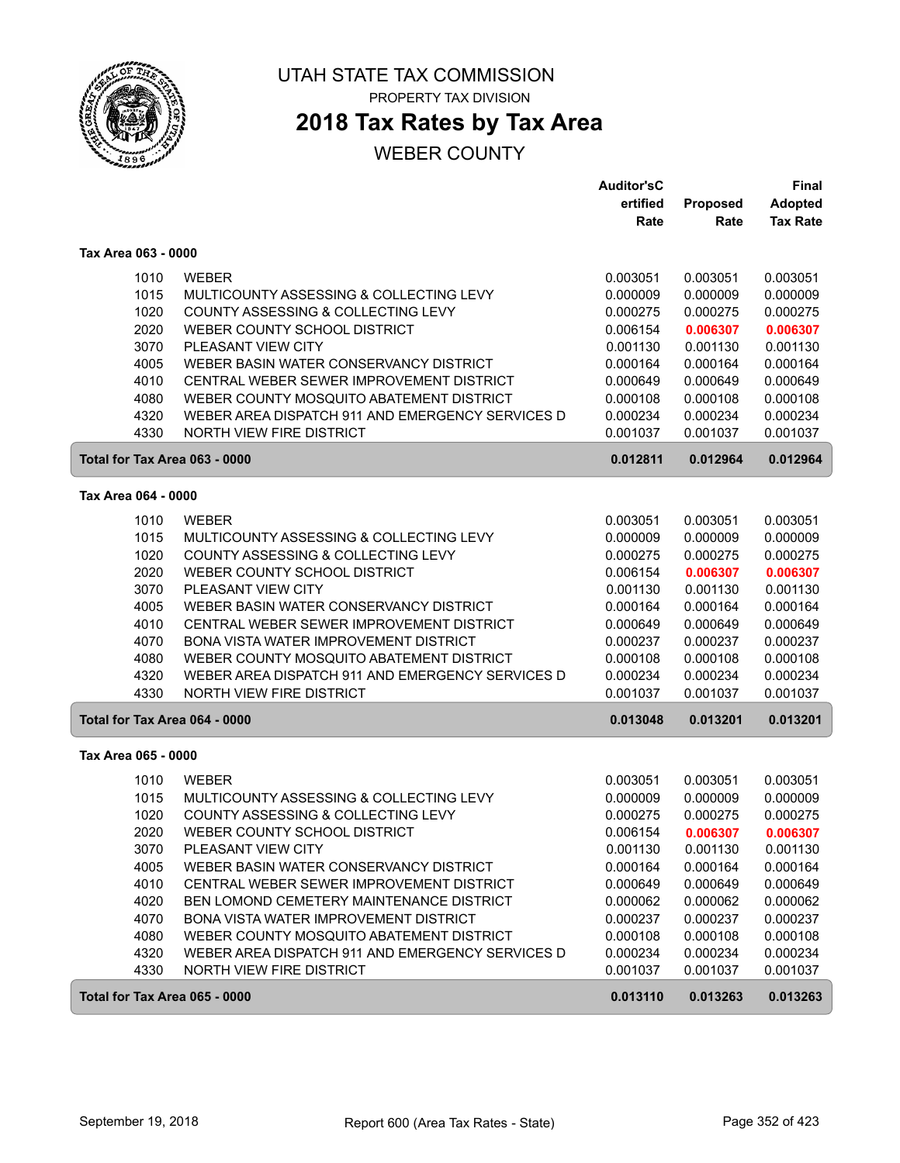

# **2018 Tax Rates by Tax Area**

|                               |                                                  | <b>Auditor'sC</b> |                  | Final                             |
|-------------------------------|--------------------------------------------------|-------------------|------------------|-----------------------------------|
|                               |                                                  | ertified<br>Rate  | Proposed<br>Rate | <b>Adopted</b><br><b>Tax Rate</b> |
|                               |                                                  |                   |                  |                                   |
| Tax Area 063 - 0000           |                                                  |                   |                  |                                   |
| 1010                          | <b>WEBER</b>                                     | 0.003051          | 0.003051         | 0.003051                          |
| 1015                          | MULTICOUNTY ASSESSING & COLLECTING LEVY          | 0.000009          | 0.000009         | 0.000009                          |
| 1020                          | COUNTY ASSESSING & COLLECTING LEVY               | 0.000275          | 0.000275         | 0.000275                          |
| 2020                          | WEBER COUNTY SCHOOL DISTRICT                     | 0.006154          | 0.006307         | 0.006307                          |
| 3070                          | PLEASANT VIEW CITY                               | 0.001130          | 0.001130         | 0.001130                          |
| 4005                          | WEBER BASIN WATER CONSERVANCY DISTRICT           | 0.000164          | 0.000164         | 0.000164                          |
| 4010                          | CENTRAL WEBER SEWER IMPROVEMENT DISTRICT         | 0.000649          | 0.000649         | 0.000649                          |
| 4080                          | WEBER COUNTY MOSQUITO ABATEMENT DISTRICT         | 0.000108          | 0.000108         | 0.000108                          |
| 4320                          | WEBER AREA DISPATCH 911 AND EMERGENCY SERVICES D | 0.000234          | 0.000234         | 0.000234                          |
| 4330                          | <b>NORTH VIEW FIRE DISTRICT</b>                  | 0.001037          | 0.001037         | 0.001037                          |
| Total for Tax Area 063 - 0000 |                                                  | 0.012811          | 0.012964         | 0.012964                          |
| Tax Area 064 - 0000           |                                                  |                   |                  |                                   |
| 1010                          | <b>WEBER</b>                                     | 0.003051          | 0.003051         | 0.003051                          |
| 1015                          | MULTICOUNTY ASSESSING & COLLECTING LEVY          | 0.000009          | 0.000009         | 0.000009                          |
| 1020                          | COUNTY ASSESSING & COLLECTING LEVY               | 0.000275          | 0.000275         | 0.000275                          |
| 2020                          | WEBER COUNTY SCHOOL DISTRICT                     | 0.006154          | 0.006307         | 0.006307                          |
| 3070                          | <b>PLEASANT VIEW CITY</b>                        | 0.001130          | 0.001130         | 0.001130                          |
| 4005                          | WEBER BASIN WATER CONSERVANCY DISTRICT           | 0.000164          | 0.000164         | 0.000164                          |
| 4010                          | CENTRAL WEBER SEWER IMPROVEMENT DISTRICT         | 0.000649          | 0.000649         | 0.000649                          |
| 4070                          | <b>BONA VISTA WATER IMPROVEMENT DISTRICT</b>     | 0.000237          | 0.000237         | 0.000237                          |
| 4080                          | WEBER COUNTY MOSQUITO ABATEMENT DISTRICT         | 0.000108          | 0.000108         | 0.000108                          |
| 4320                          | WEBER AREA DISPATCH 911 AND EMERGENCY SERVICES D | 0.000234          | 0.000234         | 0.000234                          |
| 4330                          | <b>NORTH VIEW FIRE DISTRICT</b>                  | 0.001037          | 0.001037         | 0.001037                          |
| Total for Tax Area 064 - 0000 |                                                  | 0.013048          | 0.013201         | 0.013201                          |
| Tax Area 065 - 0000           |                                                  |                   |                  |                                   |
| 1010                          | <b>WEBER</b>                                     | 0.003051          | 0.003051         | 0.003051                          |
| 1015                          | MULTICOUNTY ASSESSING & COLLECTING LEVY          | 0.000009          | 0.000009         | 0.000009                          |
| 1020                          | COUNTY ASSESSING & COLLECTING LEVY               | 0.000275          | 0.000275         | 0.000275                          |
| 2020                          | WEBER COUNTY SCHOOL DISTRICT                     | 0.006154          | 0.006307         | 0.006307                          |
| 3070                          | PLEASANT VIEW CITY                               | 0.001130          | 0.001130         | 0.001130                          |
| 4005                          | WEBER BASIN WATER CONSERVANCY DISTRICT           | 0.000164          | 0.000164         | 0.000164                          |
| 4010                          | CENTRAL WEBER SEWER IMPROVEMENT DISTRICT         | 0.000649          | 0.000649         | 0.000649                          |
| 4020                          | BEN LOMOND CEMETERY MAINTENANCE DISTRICT         | 0.000062          | 0.000062         | 0.000062                          |
| 4070                          | BONA VISTA WATER IMPROVEMENT DISTRICT            | 0.000237          | 0.000237         | 0.000237                          |
| 4080                          | WEBER COUNTY MOSQUITO ABATEMENT DISTRICT         | 0.000108          | 0.000108         | 0.000108                          |
| 4320                          | WEBER AREA DISPATCH 911 AND EMERGENCY SERVICES D | 0.000234          | 0.000234         | 0.000234                          |
| 4330                          | <b>NORTH VIEW FIRE DISTRICT</b>                  | 0.001037          | 0.001037         | 0.001037                          |
| Total for Tax Area 065 - 0000 |                                                  | 0.013110          | 0.013263         | 0.013263                          |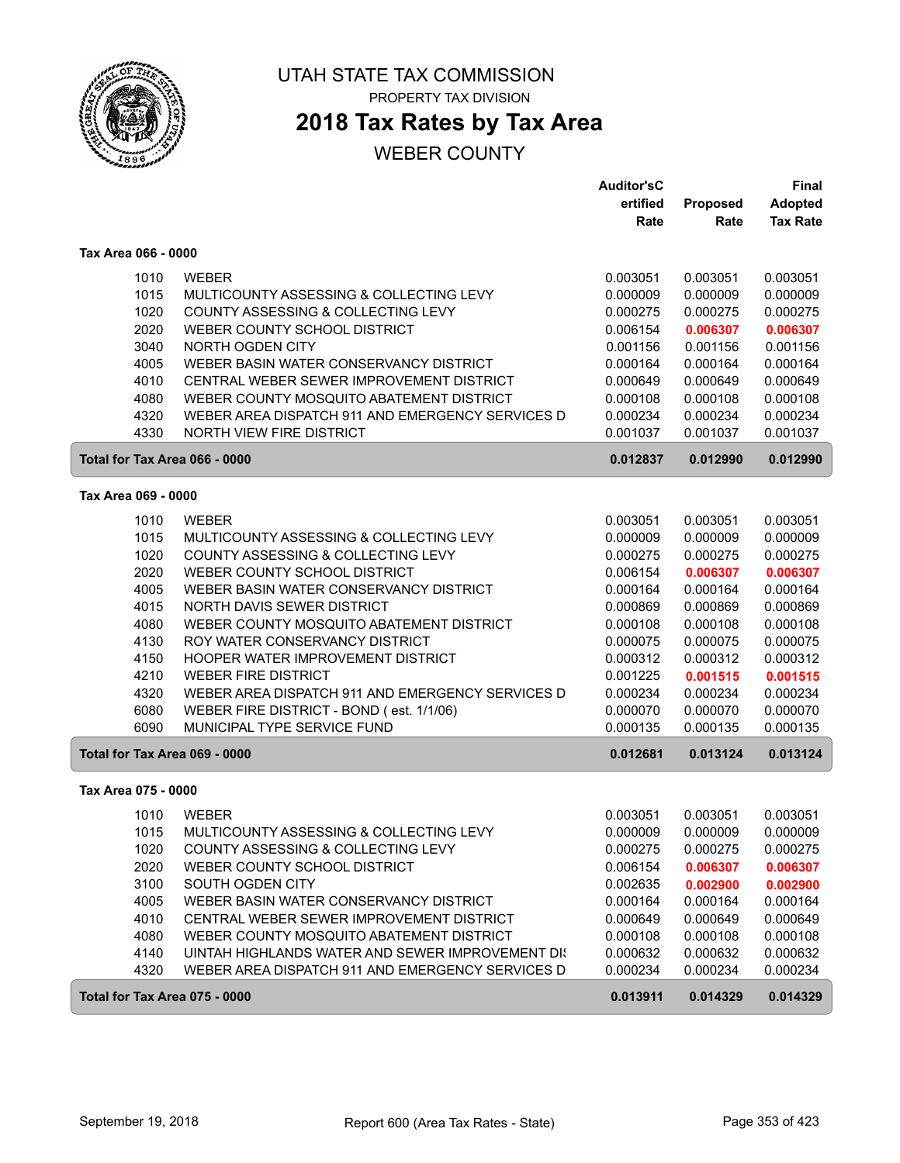

# **2018 Tax Rates by Tax Area**

|                     |                                                  | <b>Auditor'sC</b> |                 | Final           |
|---------------------|--------------------------------------------------|-------------------|-----------------|-----------------|
|                     |                                                  | ertified          | <b>Proposed</b> | <b>Adopted</b>  |
|                     |                                                  | Rate              | Rate            | <b>Tax Rate</b> |
| Tax Area 066 - 0000 |                                                  |                   |                 |                 |
| 1010                | <b>WEBER</b>                                     | 0.003051          | 0.003051        | 0.003051        |
| 1015                | MULTICOUNTY ASSESSING & COLLECTING LEVY          | 0.000009          | 0.000009        | 0.000009        |
| 1020                | COUNTY ASSESSING & COLLECTING LEVY               | 0.000275          | 0.000275        | 0.000275        |
| 2020                | WEBER COUNTY SCHOOL DISTRICT                     | 0.006154          | 0.006307        | 0.006307        |
| 3040                | NORTH OGDEN CITY                                 | 0.001156          | 0.001156        | 0.001156        |
| 4005                | WEBER BASIN WATER CONSERVANCY DISTRICT           | 0.000164          | 0.000164        | 0.000164        |
| 4010                | CENTRAL WEBER SEWER IMPROVEMENT DISTRICT         | 0.000649          | 0.000649        | 0.000649        |
| 4080                | WEBER COUNTY MOSQUITO ABATEMENT DISTRICT         | 0.000108          | 0.000108        | 0.000108        |
| 4320                | WEBER AREA DISPATCH 911 AND EMERGENCY SERVICES D | 0.000234          | 0.000234        | 0.000234        |
| 4330                | NORTH VIEW FIRE DISTRICT                         | 0.001037          | 0.001037        | 0.001037        |
|                     | Total for Tax Area 066 - 0000                    | 0.012837          | 0.012990        | 0.012990        |
| Tax Area 069 - 0000 |                                                  |                   |                 |                 |
| 1010                | <b>WEBER</b>                                     | 0.003051          | 0.003051        | 0.003051        |
| 1015                | MULTICOUNTY ASSESSING & COLLECTING LEVY          | 0.000009          | 0.000009        | 0.000009        |
| 1020                | COUNTY ASSESSING & COLLECTING LEVY               | 0.000275          | 0.000275        | 0.000275        |
| 2020                | WEBER COUNTY SCHOOL DISTRICT                     | 0.006154          | 0.006307        | 0.006307        |
| 4005                | WEBER BASIN WATER CONSERVANCY DISTRICT           | 0.000164          | 0.000164        | 0.000164        |
| 4015                | NORTH DAVIS SEWER DISTRICT                       | 0.000869          | 0.000869        | 0.000869        |
| 4080                | WEBER COUNTY MOSQUITO ABATEMENT DISTRICT         | 0.000108          | 0.000108        | 0.000108        |
| 4130                | ROY WATER CONSERVANCY DISTRICT                   | 0.000075          | 0.000075        | 0.000075        |
| 4150                | HOOPER WATER IMPROVEMENT DISTRICT                | 0.000312          | 0.000312        | 0.000312        |
| 4210                | <b>WEBER FIRE DISTRICT</b>                       | 0.001225          | 0.001515        | 0.001515        |
| 4320                | WEBER AREA DISPATCH 911 AND EMERGENCY SERVICES D | 0.000234          | 0.000234        | 0.000234        |
| 6080                | WEBER FIRE DISTRICT - BOND (est. 1/1/06)         | 0.000070          | 0.000070        | 0.000070        |
| 6090                | MUNICIPAL TYPE SERVICE FUND                      | 0.000135          | 0.000135        | 0.000135        |
|                     | Total for Tax Area 069 - 0000                    | 0.012681          | 0.013124        | 0.013124        |
| Tax Area 075 - 0000 |                                                  |                   |                 |                 |
| 1010                | <b>WEBER</b>                                     | 0.003051          | 0.003051        | 0.003051        |
| 1015                | MULTICOUNTY ASSESSING & COLLECTING LEVY          | 0.000009          | 0.000009        | 0.000009        |
| 1020                | COUNTY ASSESSING & COLLECTING LEVY               | 0.000275          | 0.000275        | 0.000275        |
| 2020                | WEBER COUNTY SCHOOL DISTRICT                     | 0.006154          | 0.006307        | 0.006307        |
| 3100                | <b>SOUTH OGDEN CITY</b>                          | 0.002635          | 0.002900        | 0.002900        |
| 4005                | WEBER BASIN WATER CONSERVANCY DISTRICT           | 0.000164          | 0.000164        | 0.000164        |
| 4010                | CENTRAL WEBER SEWER IMPROVEMENT DISTRICT         | 0.000649          | 0.000649        | 0.000649        |
| 4080                | WEBER COUNTY MOSQUITO ABATEMENT DISTRICT         | 0.000108          | 0.000108        | 0.000108        |
| 4140                | UINTAH HIGHLANDS WATER AND SEWER IMPROVEMENT DIS | 0.000632          | 0.000632        | 0.000632        |
| 4320                | WEBER AREA DISPATCH 911 AND EMERGENCY SERVICES D | 0.000234          | 0.000234        | 0.000234        |
|                     | Total for Tax Area 075 - 0000                    | 0.013911          | 0.014329        | 0.014329        |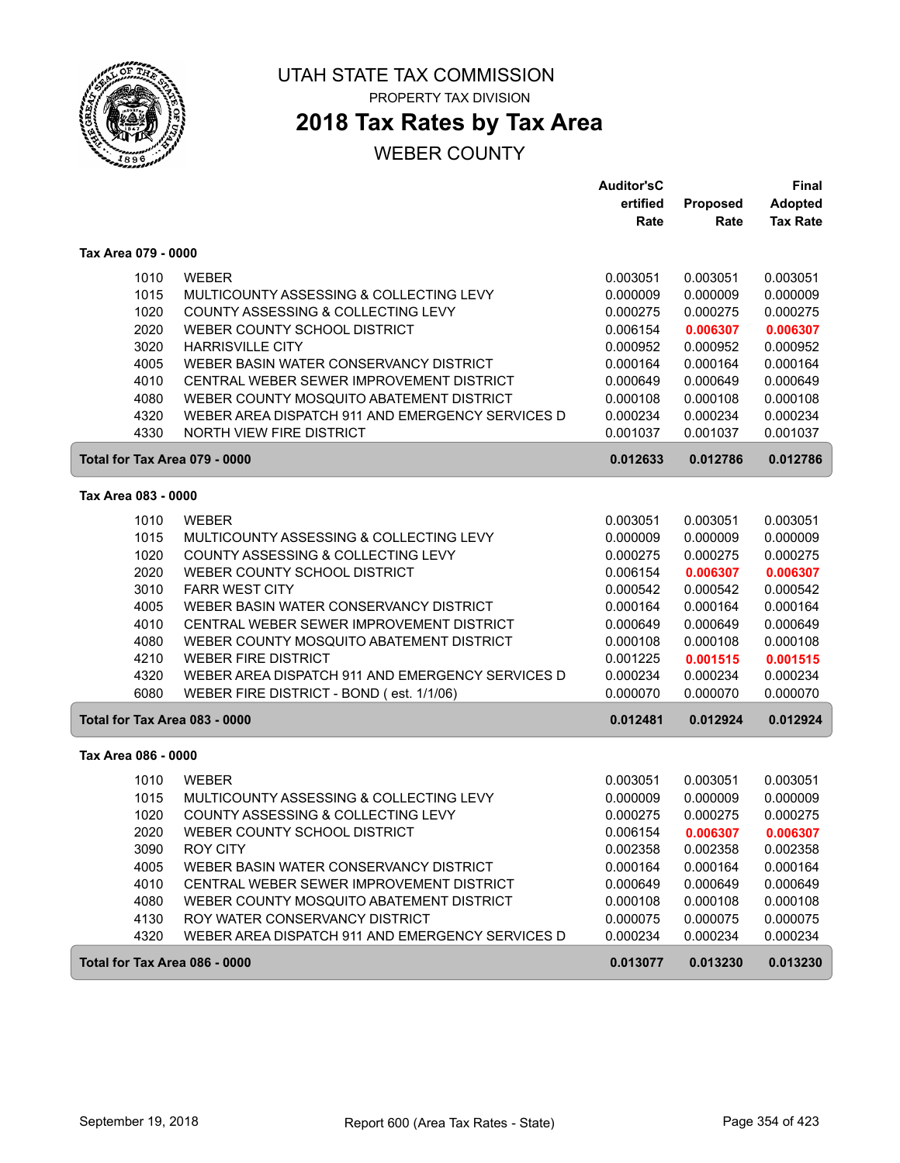

# **2018 Tax Rates by Tax Area**

|                               |                                                  | <b>Auditor'sC</b> |          | Final           |
|-------------------------------|--------------------------------------------------|-------------------|----------|-----------------|
|                               |                                                  | ertified          | Proposed | <b>Adopted</b>  |
|                               |                                                  | Rate              | Rate     | <b>Tax Rate</b> |
| Tax Area 079 - 0000           |                                                  |                   |          |                 |
| 1010                          | <b>WEBER</b>                                     | 0.003051          | 0.003051 | 0.003051        |
| 1015                          | MULTICOUNTY ASSESSING & COLLECTING LEVY          | 0.000009          | 0.000009 | 0.000009        |
| 1020                          | COUNTY ASSESSING & COLLECTING LEVY               | 0.000275          | 0.000275 | 0.000275        |
| 2020                          | WEBER COUNTY SCHOOL DISTRICT                     | 0.006154          | 0.006307 | 0.006307        |
| 3020                          | <b>HARRISVILLE CITY</b>                          | 0.000952          | 0.000952 | 0.000952        |
| 4005                          | WEBER BASIN WATER CONSERVANCY DISTRICT           | 0.000164          | 0.000164 | 0.000164        |
| 4010                          | CENTRAL WEBER SEWER IMPROVEMENT DISTRICT         | 0.000649          | 0.000649 | 0.000649        |
| 4080                          | WEBER COUNTY MOSQUITO ABATEMENT DISTRICT         | 0.000108          | 0.000108 | 0.000108        |
| 4320                          | WEBER AREA DISPATCH 911 AND EMERGENCY SERVICES D | 0.000234          | 0.000234 | 0.000234        |
| 4330                          | NORTH VIEW FIRE DISTRICT                         | 0.001037          | 0.001037 | 0.001037        |
| Total for Tax Area 079 - 0000 |                                                  | 0.012633          | 0.012786 | 0.012786        |
| Tax Area 083 - 0000           |                                                  |                   |          |                 |
| 1010                          | <b>WEBER</b>                                     | 0.003051          | 0.003051 | 0.003051        |
| 1015                          | MULTICOUNTY ASSESSING & COLLECTING LEVY          | 0.000009          | 0.000009 | 0.000009        |
| 1020                          | COUNTY ASSESSING & COLLECTING LEVY               | 0.000275          | 0.000275 | 0.000275        |
| 2020                          | WEBER COUNTY SCHOOL DISTRICT                     | 0.006154          | 0.006307 | 0.006307        |
| 3010                          | <b>FARR WEST CITY</b>                            | 0.000542          | 0.000542 | 0.000542        |
| 4005                          | WEBER BASIN WATER CONSERVANCY DISTRICT           | 0.000164          | 0.000164 | 0.000164        |
| 4010                          | CENTRAL WEBER SEWER IMPROVEMENT DISTRICT         | 0.000649          | 0.000649 | 0.000649        |
| 4080                          | WEBER COUNTY MOSQUITO ABATEMENT DISTRICT         | 0.000108          | 0.000108 | 0.000108        |
| 4210                          | <b>WEBER FIRE DISTRICT</b>                       | 0.001225          | 0.001515 | 0.001515        |
| 4320                          | WEBER AREA DISPATCH 911 AND EMERGENCY SERVICES D | 0.000234          | 0.000234 | 0.000234        |
| 6080                          | WEBER FIRE DISTRICT - BOND (est. 1/1/06)         | 0.000070          | 0.000070 | 0.000070        |
| Total for Tax Area 083 - 0000 |                                                  | 0.012481          | 0.012924 | 0.012924        |
| Tax Area 086 - 0000           |                                                  |                   |          |                 |
| 1010                          | <b>WEBER</b>                                     | 0.003051          | 0.003051 | 0.003051        |
| 1015                          | MULTICOUNTY ASSESSING & COLLECTING LEVY          | 0.000009          | 0.000009 | 0.000009        |
| 1020                          | COUNTY ASSESSING & COLLECTING LEVY               | 0.000275          | 0.000275 | 0.000275        |
| 2020                          | WEBER COUNTY SCHOOL DISTRICT                     | 0.006154          | 0.006307 | 0.006307        |
| 3090                          | <b>ROY CITY</b>                                  | 0.002358          | 0.002358 | 0.002358        |
| 4005                          | WEBER BASIN WATER CONSERVANCY DISTRICT           | 0.000164          | 0.000164 | 0.000164        |
| 4010                          | CENTRAL WEBER SEWER IMPROVEMENT DISTRICT         | 0.000649          | 0.000649 | 0.000649        |
| 4080                          | WEBER COUNTY MOSQUITO ABATEMENT DISTRICT         | 0.000108          | 0.000108 | 0.000108        |
| 4130                          | ROY WATER CONSERVANCY DISTRICT                   | 0.000075          | 0.000075 | 0.000075        |
| 4320                          | WEBER AREA DISPATCH 911 AND EMERGENCY SERVICES D | 0.000234          | 0.000234 | 0.000234        |
| Total for Tax Area 086 - 0000 |                                                  | 0.013077          | 0.013230 | 0.013230        |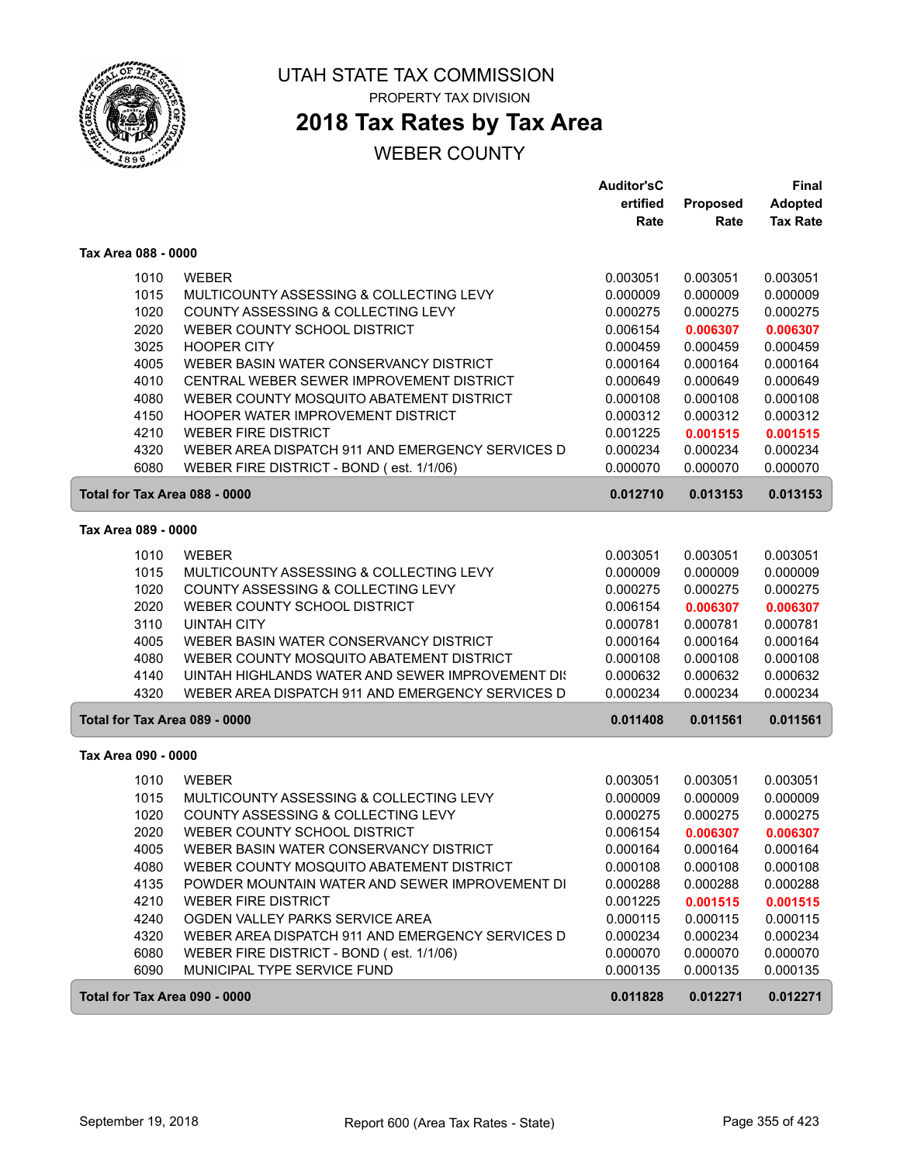

# **2018 Tax Rates by Tax Area**

|                               |                                                  | <b>Auditor'sC</b> |          | Final           |
|-------------------------------|--------------------------------------------------|-------------------|----------|-----------------|
|                               |                                                  | ertified          | Proposed | <b>Adopted</b>  |
|                               |                                                  | Rate              | Rate     | <b>Tax Rate</b> |
| Tax Area 088 - 0000           |                                                  |                   |          |                 |
| 1010                          | <b>WEBER</b>                                     | 0.003051          | 0.003051 | 0.003051        |
| 1015                          | MULTICOUNTY ASSESSING & COLLECTING LEVY          | 0.000009          | 0.000009 | 0.000009        |
| 1020                          | COUNTY ASSESSING & COLLECTING LEVY               | 0.000275          | 0.000275 | 0.000275        |
| 2020                          | WEBER COUNTY SCHOOL DISTRICT                     | 0.006154          | 0.006307 | 0.006307        |
| 3025                          | <b>HOOPER CITY</b>                               | 0.000459          | 0.000459 | 0.000459        |
| 4005                          | WEBER BASIN WATER CONSERVANCY DISTRICT           | 0.000164          | 0.000164 | 0.000164        |
| 4010                          | CENTRAL WEBER SEWER IMPROVEMENT DISTRICT         | 0.000649          | 0.000649 | 0.000649        |
| 4080                          | WEBER COUNTY MOSQUITO ABATEMENT DISTRICT         | 0.000108          | 0.000108 | 0.000108        |
| 4150                          | HOOPER WATER IMPROVEMENT DISTRICT                | 0.000312          | 0.000312 | 0.000312        |
| 4210                          | <b>WEBER FIRE DISTRICT</b>                       | 0.001225          | 0.001515 | 0.001515        |
| 4320                          | WEBER AREA DISPATCH 911 AND EMERGENCY SERVICES D | 0.000234          | 0.000234 | 0.000234        |
| 6080                          | WEBER FIRE DISTRICT - BOND (est. 1/1/06)         | 0.000070          | 0.000070 | 0.000070        |
| Total for Tax Area 088 - 0000 |                                                  | 0.012710          | 0.013153 | 0.013153        |
| Tax Area 089 - 0000           |                                                  |                   |          |                 |
| 1010                          | <b>WEBER</b>                                     | 0.003051          | 0.003051 | 0.003051        |
| 1015                          | MULTICOUNTY ASSESSING & COLLECTING LEVY          | 0.000009          | 0.000009 | 0.000009        |
| 1020                          | COUNTY ASSESSING & COLLECTING LEVY               | 0.000275          | 0.000275 | 0.000275        |
| 2020                          | WEBER COUNTY SCHOOL DISTRICT                     | 0.006154          | 0.006307 | 0.006307        |
| 3110                          | <b>UINTAH CITY</b>                               | 0.000781          | 0.000781 | 0.000781        |
| 4005                          | WEBER BASIN WATER CONSERVANCY DISTRICT           | 0.000164          | 0.000164 | 0.000164        |
| 4080                          | WEBER COUNTY MOSQUITO ABATEMENT DISTRICT         | 0.000108          | 0.000108 | 0.000108        |
| 4140                          | UINTAH HIGHLANDS WATER AND SEWER IMPROVEMENT DIS | 0.000632          | 0.000632 | 0.000632        |
| 4320                          | WEBER AREA DISPATCH 911 AND EMERGENCY SERVICES D | 0.000234          | 0.000234 | 0.000234        |
| Total for Tax Area 089 - 0000 |                                                  | 0.011408          | 0.011561 | 0.011561        |
| Tax Area 090 - 0000           |                                                  |                   |          |                 |
| 1010                          | <b>WEBER</b>                                     | 0.003051          | 0.003051 | 0.003051        |
| 1015                          | MULTICOUNTY ASSESSING & COLLECTING LEVY          | 0.000009          | 0.000009 | 0.000009        |
| 1020                          | COUNTY ASSESSING & COLLECTING LEVY               | 0.000275          | 0.000275 | 0.000275        |
| 2020                          | WEBER COUNTY SCHOOL DISTRICT                     | 0.006154          | 0.006307 | 0.006307        |
| 4005                          | WEBER BASIN WATER CONSERVANCY DISTRICT           | 0.000164          | 0.000164 | 0.000164        |
| 4080                          | WEBER COUNTY MOSQUITO ABATEMENT DISTRICT         | 0.000108          | 0.000108 | 0.000108        |
| 4135                          | POWDER MOUNTAIN WATER AND SEWER IMPROVEMENT DI   | 0.000288          | 0.000288 | 0.000288        |
| 4210                          | <b>WEBER FIRE DISTRICT</b>                       | 0.001225          | 0.001515 | 0.001515        |
| 4240                          | OGDEN VALLEY PARKS SERVICE AREA                  | 0.000115          | 0.000115 | 0.000115        |
| 4320                          | WEBER AREA DISPATCH 911 AND EMERGENCY SERVICES D | 0.000234          | 0.000234 | 0.000234        |
| 6080                          | WEBER FIRE DISTRICT - BOND (est. 1/1/06)         | 0.000070          | 0.000070 | 0.000070        |
| 6090                          | MUNICIPAL TYPE SERVICE FUND                      | 0.000135          | 0.000135 | 0.000135        |
| Total for Tax Area 090 - 0000 |                                                  | 0.011828          | 0.012271 | 0.012271        |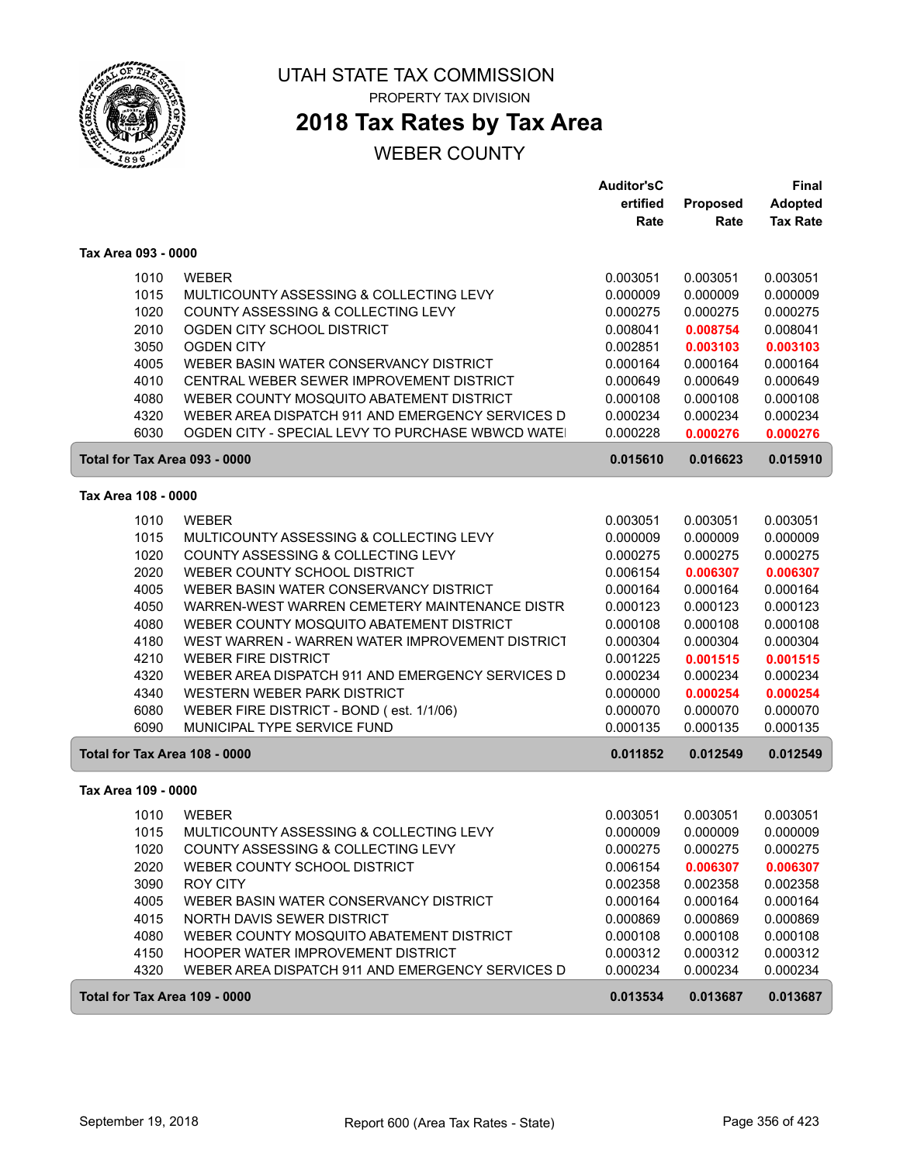

# **2018 Tax Rates by Tax Area**

|                               |                                                                         | <b>Auditor'sC</b><br>ertified | Proposed             | <b>Final</b><br><b>Adopted</b> |
|-------------------------------|-------------------------------------------------------------------------|-------------------------------|----------------------|--------------------------------|
|                               |                                                                         | Rate                          | Rate                 | <b>Tax Rate</b>                |
| Tax Area 093 - 0000           |                                                                         |                               |                      |                                |
| 1010                          | <b>WEBER</b>                                                            | 0.003051                      | 0.003051             | 0.003051                       |
| 1015                          | MULTICOUNTY ASSESSING & COLLECTING LEVY                                 | 0.000009                      | 0.000009             | 0.000009                       |
| 1020                          | COUNTY ASSESSING & COLLECTING LEVY                                      | 0.000275                      | 0.000275             | 0.000275                       |
| 2010                          | OGDEN CITY SCHOOL DISTRICT                                              | 0.008041                      | 0.008754             | 0.008041                       |
| 3050                          | <b>OGDEN CITY</b>                                                       | 0.002851                      | 0.003103             | 0.003103                       |
| 4005                          | WEBER BASIN WATER CONSERVANCY DISTRICT                                  | 0.000164                      | 0.000164             | 0.000164                       |
| 4010                          | CENTRAL WEBER SEWER IMPROVEMENT DISTRICT                                | 0.000649                      | 0.000649             | 0.000649                       |
| 4080                          | WEBER COUNTY MOSQUITO ABATEMENT DISTRICT                                | 0.000108                      | 0.000108             | 0.000108                       |
| 4320                          | WEBER AREA DISPATCH 911 AND EMERGENCY SERVICES D                        | 0.000234                      | 0.000234             | 0.000234                       |
| 6030                          | OGDEN CITY - SPECIAL LEVY TO PURCHASE WBWCD WATE                        | 0.000228                      | 0.000276             | 0.000276                       |
| Total for Tax Area 093 - 0000 |                                                                         | 0.015610                      | 0.016623             | 0.015910                       |
| Tax Area 108 - 0000           |                                                                         |                               |                      |                                |
| 1010                          | <b>WEBER</b>                                                            | 0.003051                      | 0.003051             | 0.003051                       |
| 1015                          | MULTICOUNTY ASSESSING & COLLECTING LEVY                                 | 0.000009                      | 0.000009             | 0.000009                       |
| 1020                          | COUNTY ASSESSING & COLLECTING LEVY                                      | 0.000275                      | 0.000275             | 0.000275                       |
| 2020                          | WEBER COUNTY SCHOOL DISTRICT                                            | 0.006154                      | 0.006307             | 0.006307                       |
| 4005                          | WEBER BASIN WATER CONSERVANCY DISTRICT                                  | 0.000164                      | 0.000164             | 0.000164                       |
| 4050                          | WARREN-WEST WARREN CEMETERY MAINTENANCE DISTR                           | 0.000123                      | 0.000123             | 0.000123                       |
| 4080                          | WEBER COUNTY MOSQUITO ABATEMENT DISTRICT                                | 0.000108                      | 0.000108             | 0.000108                       |
| 4180                          | WEST WARREN - WARREN WATER IMPROVEMENT DISTRICT                         | 0.000304                      | 0.000304             | 0.000304                       |
| 4210                          | <b>WEBER FIRE DISTRICT</b>                                              | 0.001225                      | 0.001515             | 0.001515                       |
| 4320                          | WEBER AREA DISPATCH 911 AND EMERGENCY SERVICES D                        | 0.000234                      | 0.000234             | 0.000234                       |
| 4340                          | WESTERN WEBER PARK DISTRICT                                             | 0.000000                      | 0.000254             | 0.000254                       |
| 6080<br>6090                  | WEBER FIRE DISTRICT - BOND (est. 1/1/06)<br>MUNICIPAL TYPE SERVICE FUND | 0.000070<br>0.000135          | 0.000070<br>0.000135 | 0.000070<br>0.000135           |
|                               |                                                                         |                               |                      |                                |
| Total for Tax Area 108 - 0000 |                                                                         | 0.011852                      | 0.012549             | 0.012549                       |
| Tax Area 109 - 0000           |                                                                         |                               |                      |                                |
| 1010                          | <b>WEBER</b>                                                            | 0.003051                      | 0.003051             | 0.003051                       |
| 1015                          | MULTICOUNTY ASSESSING & COLLECTING LEVY                                 | 0.000009                      | 0.000009             | 0.000009                       |
| 1020                          | COUNTY ASSESSING & COLLECTING LEVY                                      | 0.000275                      | 0.000275             | 0.000275                       |
| 2020                          | WEBER COUNTY SCHOOL DISTRICT                                            | 0.006154                      | 0.006307             | 0.006307                       |
| 3090                          | ROY CITY                                                                | 0.002358                      | 0.002358             | 0.002358                       |
| 4005                          | WEBER BASIN WATER CONSERVANCY DISTRICT                                  | 0.000164                      | 0.000164             | 0.000164                       |
| 4015                          | NORTH DAVIS SEWER DISTRICT                                              | 0.000869                      | 0.000869             | 0.000869                       |
| 4080                          | WEBER COUNTY MOSQUITO ABATEMENT DISTRICT                                | 0.000108                      | 0.000108             | 0.000108                       |
| 4150                          | HOOPER WATER IMPROVEMENT DISTRICT                                       | 0.000312                      | 0.000312             | 0.000312                       |
| 4320                          | WEBER AREA DISPATCH 911 AND EMERGENCY SERVICES D                        | 0.000234                      | 0.000234             | 0.000234                       |
| Total for Tax Area 109 - 0000 |                                                                         | 0.013534                      | 0.013687             | 0.013687                       |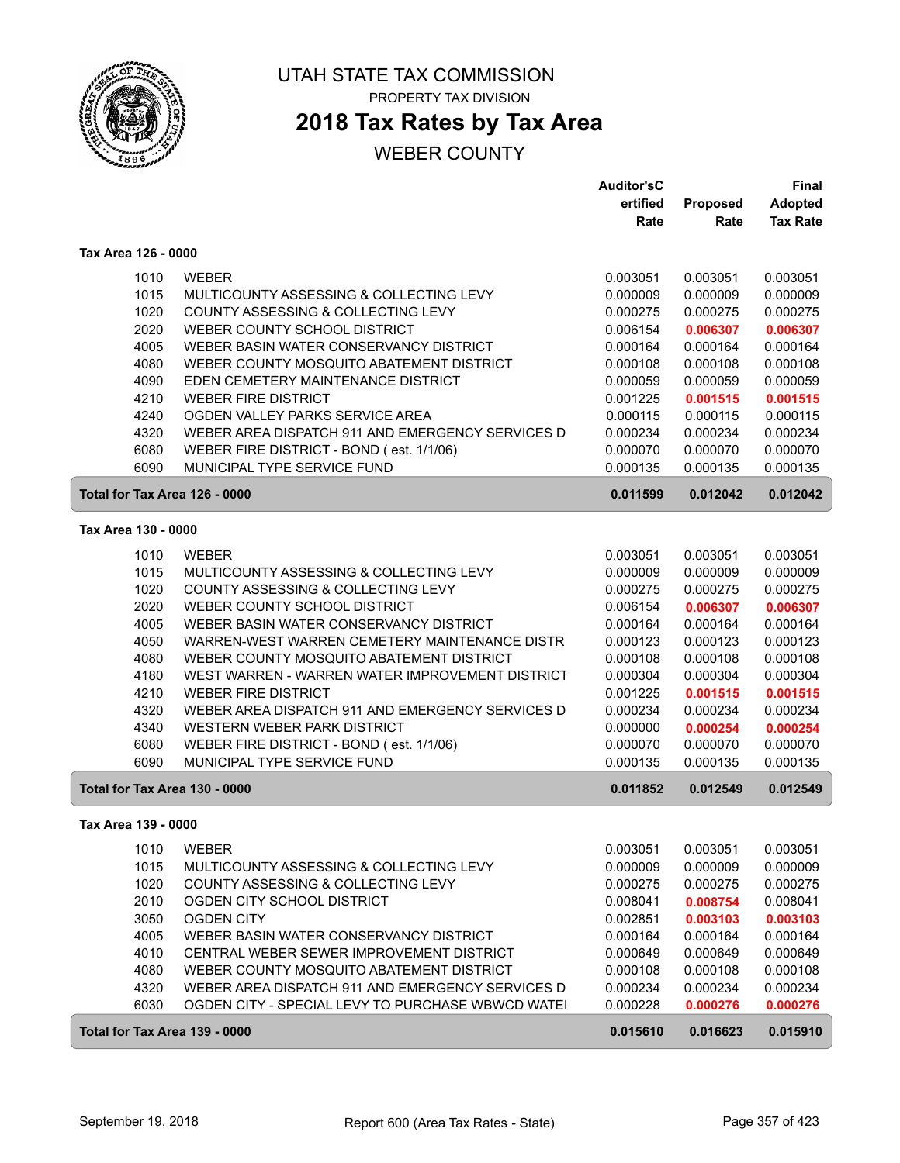

# **2018 Tax Rates by Tax Area**

|                               |                                                                         | <b>Auditor'sC</b>    |                      | <b>Final</b>         |
|-------------------------------|-------------------------------------------------------------------------|----------------------|----------------------|----------------------|
|                               |                                                                         | ertified             | Proposed             | <b>Adopted</b>       |
|                               |                                                                         | Rate                 | Rate                 | <b>Tax Rate</b>      |
| Tax Area 126 - 0000           |                                                                         |                      |                      |                      |
| 1010                          | <b>WEBER</b>                                                            | 0.003051             | 0.003051             | 0.003051             |
| 1015                          | MULTICOUNTY ASSESSING & COLLECTING LEVY                                 | 0.000009             | 0.000009             | 0.000009             |
| 1020                          | COUNTY ASSESSING & COLLECTING LEVY                                      | 0.000275             | 0.000275             | 0.000275             |
| 2020                          | WEBER COUNTY SCHOOL DISTRICT                                            | 0.006154             | 0.006307             | 0.006307             |
| 4005                          | WEBER BASIN WATER CONSERVANCY DISTRICT                                  | 0.000164             | 0.000164             | 0.000164             |
| 4080                          | WEBER COUNTY MOSQUITO ABATEMENT DISTRICT                                | 0.000108             | 0.000108             | 0.000108             |
| 4090                          | EDEN CEMETERY MAINTENANCE DISTRICT                                      | 0.000059             | 0.000059             | 0.000059             |
| 4210                          | <b>WEBER FIRE DISTRICT</b>                                              | 0.001225             | 0.001515             | 0.001515             |
| 4240                          | OGDEN VALLEY PARKS SERVICE AREA                                         | 0.000115             | 0.000115             | 0.000115             |
| 4320                          | WEBER AREA DISPATCH 911 AND EMERGENCY SERVICES D                        | 0.000234             | 0.000234             | 0.000234             |
| 6080                          | WEBER FIRE DISTRICT - BOND (est. 1/1/06)                                | 0.000070             | 0.000070             | 0.000070             |
| 6090                          | MUNICIPAL TYPE SERVICE FUND                                             | 0.000135             | 0.000135             | 0.000135             |
| Total for Tax Area 126 - 0000 |                                                                         | 0.011599             | 0.012042             | 0.012042             |
| Tax Area 130 - 0000           |                                                                         |                      |                      |                      |
|                               |                                                                         |                      |                      |                      |
| 1010                          | <b>WEBER</b>                                                            | 0.003051             | 0.003051             | 0.003051             |
| 1015                          | MULTICOUNTY ASSESSING & COLLECTING LEVY                                 | 0.000009             | 0.000009             | 0.000009             |
| 1020                          | COUNTY ASSESSING & COLLECTING LEVY                                      | 0.000275             | 0.000275             | 0.000275             |
| 2020                          | WEBER COUNTY SCHOOL DISTRICT                                            | 0.006154             | 0.006307             | 0.006307             |
| 4005                          | WEBER BASIN WATER CONSERVANCY DISTRICT                                  | 0.000164             | 0.000164             | 0.000164             |
| 4050                          | WARREN-WEST WARREN CEMETERY MAINTENANCE DISTR                           | 0.000123             | 0.000123             | 0.000123             |
| 4080<br>4180                  | WEBER COUNTY MOSQUITO ABATEMENT DISTRICT                                | 0.000108             | 0.000108             | 0.000108             |
|                               | WEST WARREN - WARREN WATER IMPROVEMENT DISTRICT                         | 0.000304             | 0.000304             | 0.000304             |
| 4210                          | <b>WEBER FIRE DISTRICT</b>                                              | 0.001225             | 0.001515             | 0.001515             |
| 4320                          | WEBER AREA DISPATCH 911 AND EMERGENCY SERVICES D                        | 0.000234             | 0.000234             | 0.000234             |
| 4340                          | WESTERN WEBER PARK DISTRICT                                             | 0.000000             | 0.000254             | 0.000254             |
| 6080<br>6090                  | WEBER FIRE DISTRICT - BOND (est. 1/1/06)<br>MUNICIPAL TYPE SERVICE FUND | 0.000070<br>0.000135 | 0.000070<br>0.000135 | 0.000070<br>0.000135 |
| Total for Tax Area 130 - 0000 |                                                                         | 0.011852             | 0.012549             | 0.012549             |
|                               |                                                                         |                      |                      |                      |
| Tax Area 139 - 0000           |                                                                         |                      |                      |                      |
| 1010                          | WEBER                                                                   | 0.003051             | 0.003051             | 0.003051             |
| 1015                          | MULTICOUNTY ASSESSING & COLLECTING LEVY                                 | 0.000009             | 0.000009             | 0.000009             |
| 1020                          | COUNTY ASSESSING & COLLECTING LEVY                                      | 0.000275             | 0.000275             | 0.000275             |
| 2010                          | OGDEN CITY SCHOOL DISTRICT                                              | 0.008041             | 0.008754             | 0.008041             |
| 3050                          | <b>OGDEN CITY</b>                                                       | 0.002851             | 0.003103             | 0.003103             |
| 4005                          | WEBER BASIN WATER CONSERVANCY DISTRICT                                  | 0.000164             | 0.000164             | 0.000164             |
| 4010                          | CENTRAL WEBER SEWER IMPROVEMENT DISTRICT                                | 0.000649             | 0.000649             | 0.000649             |
| 4080                          | WEBER COUNTY MOSQUITO ABATEMENT DISTRICT                                | 0.000108             | 0.000108             | 0.000108             |
| 4320                          | WEBER AREA DISPATCH 911 AND EMERGENCY SERVICES D                        | 0.000234             | 0.000234             | 0.000234             |
| 6030                          | OGDEN CITY - SPECIAL LEVY TO PURCHASE WBWCD WATE                        | 0.000228             | 0.000276             | 0.000276             |
| Total for Tax Area 139 - 0000 |                                                                         | 0.015610             | 0.016623             | 0.015910             |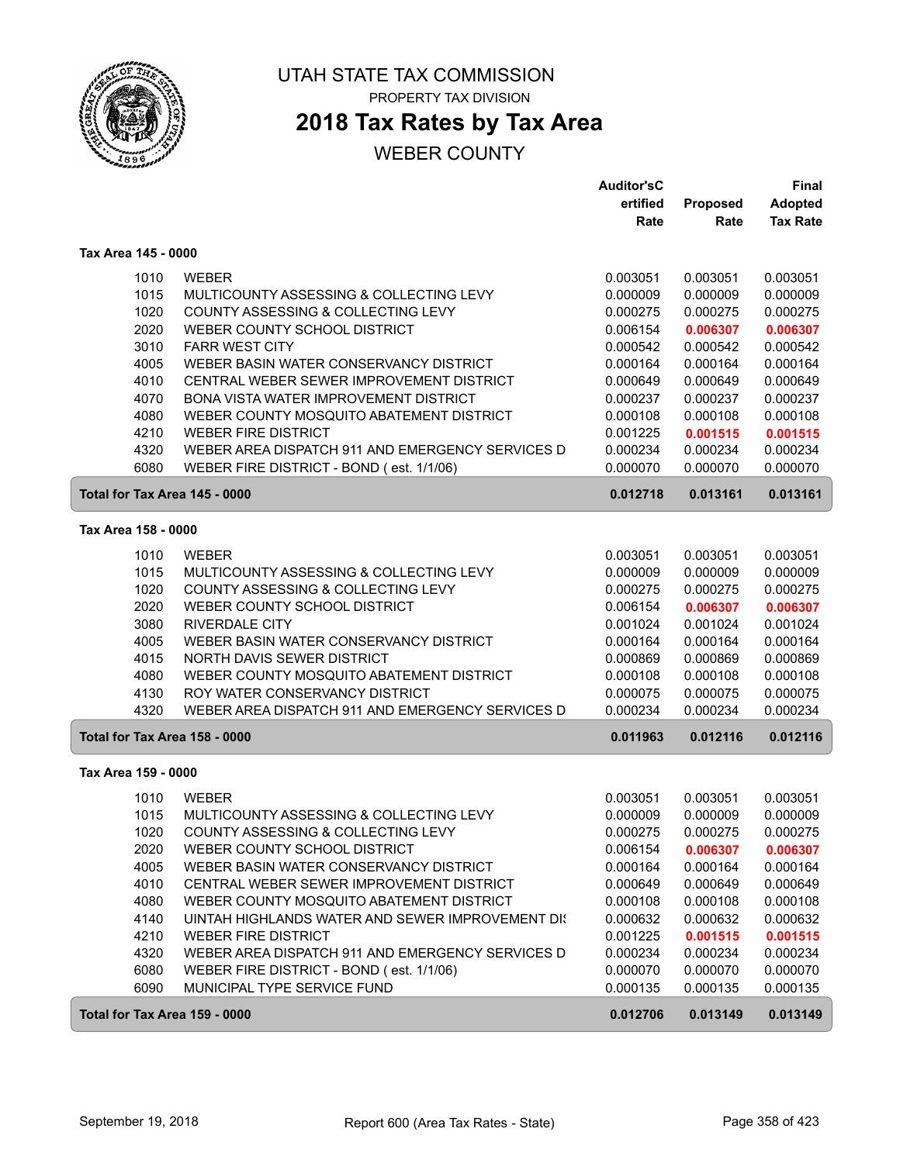

# **2018 Tax Rates by Tax Area**

|                               |                                                         | <b>Auditor'sC</b> |                      | Final                |
|-------------------------------|---------------------------------------------------------|-------------------|----------------------|----------------------|
|                               |                                                         | ertified          | Proposed             | <b>Adopted</b>       |
|                               |                                                         | Rate              | Rate                 | <b>Tax Rate</b>      |
| Tax Area 145 - 0000           |                                                         |                   |                      |                      |
| 1010                          | <b>WEBER</b>                                            | 0.003051          | 0.003051             | 0.003051             |
| 1015                          | MULTICOUNTY ASSESSING & COLLECTING LEVY                 | 0.000009          | 0.000009             | 0.000009             |
| 1020                          | COUNTY ASSESSING & COLLECTING LEVY                      | 0.000275          | 0.000275             | 0.000275             |
| 2020                          | WEBER COUNTY SCHOOL DISTRICT                            | 0.006154          | 0.006307             | 0.006307             |
| 3010                          | <b>FARR WEST CITY</b>                                   | 0.000542          | 0.000542             | 0.000542             |
| 4005                          | WEBER BASIN WATER CONSERVANCY DISTRICT                  | 0.000164          | 0.000164             | 0.000164             |
| 4010                          | CENTRAL WEBER SEWER IMPROVEMENT DISTRICT                | 0.000649          | 0.000649             | 0.000649             |
| 4070                          | BONA VISTA WATER IMPROVEMENT DISTRICT                   | 0.000237          | 0.000237             | 0.000237             |
| 4080                          | WEBER COUNTY MOSQUITO ABATEMENT DISTRICT                | 0.000108          | 0.000108             | 0.000108             |
| 4210                          | <b>WEBER FIRE DISTRICT</b>                              | 0.001225          | 0.001515             | 0.001515             |
| 4320                          | WEBER AREA DISPATCH 911 AND EMERGENCY SERVICES D        | 0.000234          | 0.000234             | 0.000234             |
| 6080                          | WEBER FIRE DISTRICT - BOND (est. 1/1/06)                | 0.000070          | 0.000070             | 0.000070             |
| Total for Tax Area 145 - 0000 |                                                         | 0.012718          | 0.013161             | 0.013161             |
| Tax Area 158 - 0000           |                                                         |                   |                      |                      |
|                               |                                                         | 0.003051          |                      |                      |
| 1010<br>1015                  | <b>WEBER</b><br>MULTICOUNTY ASSESSING & COLLECTING LEVY | 0.000009          | 0.003051<br>0.000009 | 0.003051<br>0.000009 |
| 1020                          | COUNTY ASSESSING & COLLECTING LEVY                      | 0.000275          | 0.000275             | 0.000275             |
| 2020                          | WEBER COUNTY SCHOOL DISTRICT                            | 0.006154          | 0.006307             | 0.006307             |
| 3080                          | <b>RIVERDALE CITY</b>                                   | 0.001024          | 0.001024             | 0.001024             |
| 4005                          | WEBER BASIN WATER CONSERVANCY DISTRICT                  | 0.000164          | 0.000164             | 0.000164             |
| 4015                          | NORTH DAVIS SEWER DISTRICT                              | 0.000869          | 0.000869             | 0.000869             |
| 4080                          | WEBER COUNTY MOSQUITO ABATEMENT DISTRICT                | 0.000108          | 0.000108             | 0.000108             |
| 4130                          | ROY WATER CONSERVANCY DISTRICT                          | 0.000075          | 0.000075             | 0.000075             |
| 4320                          | WEBER AREA DISPATCH 911 AND EMERGENCY SERVICES D        | 0.000234          | 0.000234             | 0.000234             |
| Total for Tax Area 158 - 0000 |                                                         | 0.011963          | 0.012116             | 0.012116             |
|                               |                                                         |                   |                      |                      |
| Tax Area 159 - 0000           |                                                         |                   |                      |                      |
| 1010                          | <b>WEBER</b>                                            | 0.003051          | 0.003051             | 0.003051             |
| 1015                          | MULTICOUNTY ASSESSING & COLLECTING LEVY                 | 0.000009          | 0.000009             | 0.000009             |
| 1020                          | COUNTY ASSESSING & COLLECTING LEVY                      | 0.000275          | 0.000275             | 0.000275             |
| 2020                          | WEBER COUNTY SCHOOL DISTRICT                            | 0.006154          | 0.006307             | 0.006307             |
| 4005                          | WEBER BASIN WATER CONSERVANCY DISTRICT                  | 0.000164          | 0.000164             | 0.000164             |
| 4010                          | CENTRAL WEBER SEWER IMPROVEMENT DISTRICT                | 0.000649          | 0.000649             | 0.000649             |
| 4080                          | WEBER COUNTY MOSQUITO ABATEMENT DISTRICT                | 0.000108          | 0.000108             | 0.000108             |
| 4140                          | UINTAH HIGHLANDS WATER AND SEWER IMPROVEMENT DIS        | 0.000632          | 0.000632             | 0.000632             |
| 4210                          | <b>WEBER FIRE DISTRICT</b>                              | 0.001225          | 0.001515             | 0.001515             |
| 4320                          | WEBER AREA DISPATCH 911 AND EMERGENCY SERVICES D        | 0.000234          | 0.000234             | 0.000234             |
| 6080                          | WEBER FIRE DISTRICT - BOND (est. 1/1/06)                | 0.000070          | 0.000070             | 0.000070             |
| 6090                          | MUNICIPAL TYPE SERVICE FUND                             | 0.000135          | 0.000135             | 0.000135             |
| Total for Tax Area 159 - 0000 |                                                         | 0.012706          | 0.013149             | 0.013149             |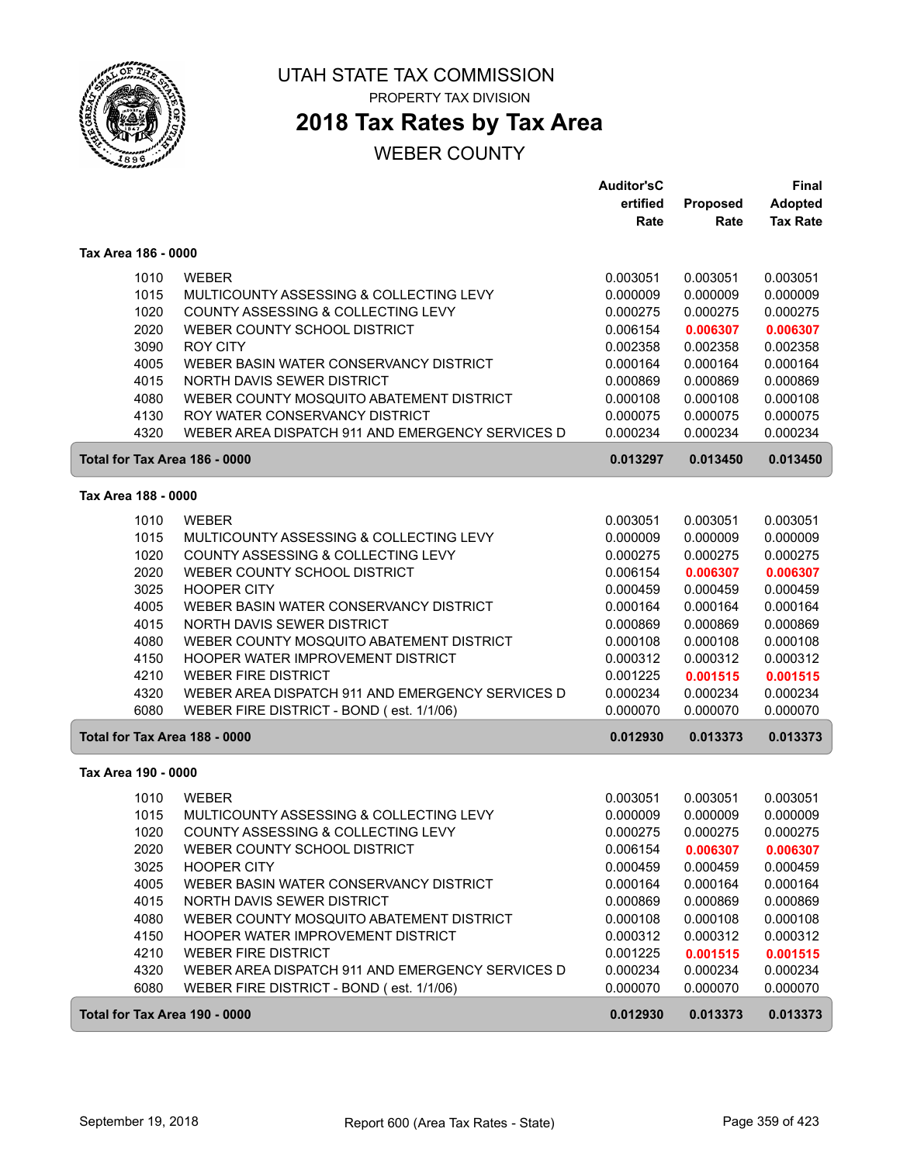

# **2018 Tax Rates by Tax Area**

|                     |                                                  | <b>Auditor'sC</b> |          | Final           |
|---------------------|--------------------------------------------------|-------------------|----------|-----------------|
|                     |                                                  | ertified          | Proposed | <b>Adopted</b>  |
|                     |                                                  | Rate              | Rate     | <b>Tax Rate</b> |
| Tax Area 186 - 0000 |                                                  |                   |          |                 |
| 1010                | <b>WEBER</b>                                     | 0.003051          | 0.003051 | 0.003051        |
| 1015                | MULTICOUNTY ASSESSING & COLLECTING LEVY          | 0.000009          | 0.000009 | 0.000009        |
| 1020                | COUNTY ASSESSING & COLLECTING LEVY               | 0.000275          | 0.000275 | 0.000275        |
| 2020                | WEBER COUNTY SCHOOL DISTRICT                     | 0.006154          | 0.006307 | 0.006307        |
| 3090                | <b>ROY CITY</b>                                  | 0.002358          | 0.002358 | 0.002358        |
| 4005                | WEBER BASIN WATER CONSERVANCY DISTRICT           | 0.000164          | 0.000164 | 0.000164        |
| 4015                | NORTH DAVIS SEWER DISTRICT                       | 0.000869          | 0.000869 | 0.000869        |
| 4080                | WEBER COUNTY MOSQUITO ABATEMENT DISTRICT         | 0.000108          | 0.000108 | 0.000108        |
| 4130                | ROY WATER CONSERVANCY DISTRICT                   | 0.000075          | 0.000075 | 0.000075        |
| 4320                | WEBER AREA DISPATCH 911 AND EMERGENCY SERVICES D | 0.000234          | 0.000234 | 0.000234        |
|                     | Total for Tax Area 186 - 0000                    | 0.013297          | 0.013450 | 0.013450        |
| Tax Area 188 - 0000 |                                                  |                   |          |                 |
| 1010                | <b>WEBER</b>                                     | 0.003051          | 0.003051 | 0.003051        |
| 1015                | MULTICOUNTY ASSESSING & COLLECTING LEVY          | 0.000009          | 0.000009 | 0.000009        |
| 1020                | COUNTY ASSESSING & COLLECTING LEVY               | 0.000275          | 0.000275 | 0.000275        |
| 2020                | WEBER COUNTY SCHOOL DISTRICT                     | 0.006154          | 0.006307 | 0.006307        |
| 3025                | <b>HOOPER CITY</b>                               | 0.000459          | 0.000459 | 0.000459        |
| 4005                | WEBER BASIN WATER CONSERVANCY DISTRICT           | 0.000164          | 0.000164 | 0.000164        |
| 4015                | NORTH DAVIS SEWER DISTRICT                       | 0.000869          | 0.000869 | 0.000869        |
| 4080                | WEBER COUNTY MOSQUITO ABATEMENT DISTRICT         | 0.000108          | 0.000108 | 0.000108        |
| 4150                | HOOPER WATER IMPROVEMENT DISTRICT                | 0.000312          | 0.000312 | 0.000312        |
| 4210                | <b>WEBER FIRE DISTRICT</b>                       | 0.001225          | 0.001515 | 0.001515        |
| 4320                | WEBER AREA DISPATCH 911 AND EMERGENCY SERVICES D | 0.000234          | 0.000234 | 0.000234        |
| 6080                | WEBER FIRE DISTRICT - BOND (est. 1/1/06)         | 0.000070          | 0.000070 | 0.000070        |
|                     | Total for Tax Area 188 - 0000                    | 0.012930          | 0.013373 | 0.013373        |
| Tax Area 190 - 0000 |                                                  |                   |          |                 |
| 1010                | <b>WEBER</b>                                     | 0.003051          | 0.003051 | 0.003051        |
| 1015                | MULTICOUNTY ASSESSING & COLLECTING LEVY          | 0.000009          | 0.000009 | 0.000009        |
| 1020                | COUNTY ASSESSING & COLLECTING LEVY               | 0.000275          | 0.000275 | 0.000275        |
| 2020                | WEBER COUNTY SCHOOL DISTRICT                     | 0.006154          | 0.006307 | 0.006307        |
| 3025                | <b>HOOPER CITY</b>                               | 0.000459          | 0.000459 | 0.000459        |
| 4005                | WEBER BASIN WATER CONSERVANCY DISTRICT           | 0.000164          | 0.000164 | 0.000164        |
| 4015                | NORTH DAVIS SEWER DISTRICT                       | 0.000869          | 0.000869 | 0.000869        |
| 4080                | WEBER COUNTY MOSQUITO ABATEMENT DISTRICT         | 0.000108          | 0.000108 | 0.000108        |
| 4150                | HOOPER WATER IMPROVEMENT DISTRICT                | 0.000312          | 0.000312 | 0.000312        |
| 4210                | <b>WEBER FIRE DISTRICT</b>                       | 0.001225          | 0.001515 | 0.001515        |
| 4320                | WEBER AREA DISPATCH 911 AND EMERGENCY SERVICES D | 0.000234          | 0.000234 | 0.000234        |
| 6080                | WEBER FIRE DISTRICT - BOND (est. 1/1/06)         | 0.000070          | 0.000070 | 0.000070        |
|                     | Total for Tax Area 190 - 0000                    | 0.012930          | 0.013373 | 0.013373        |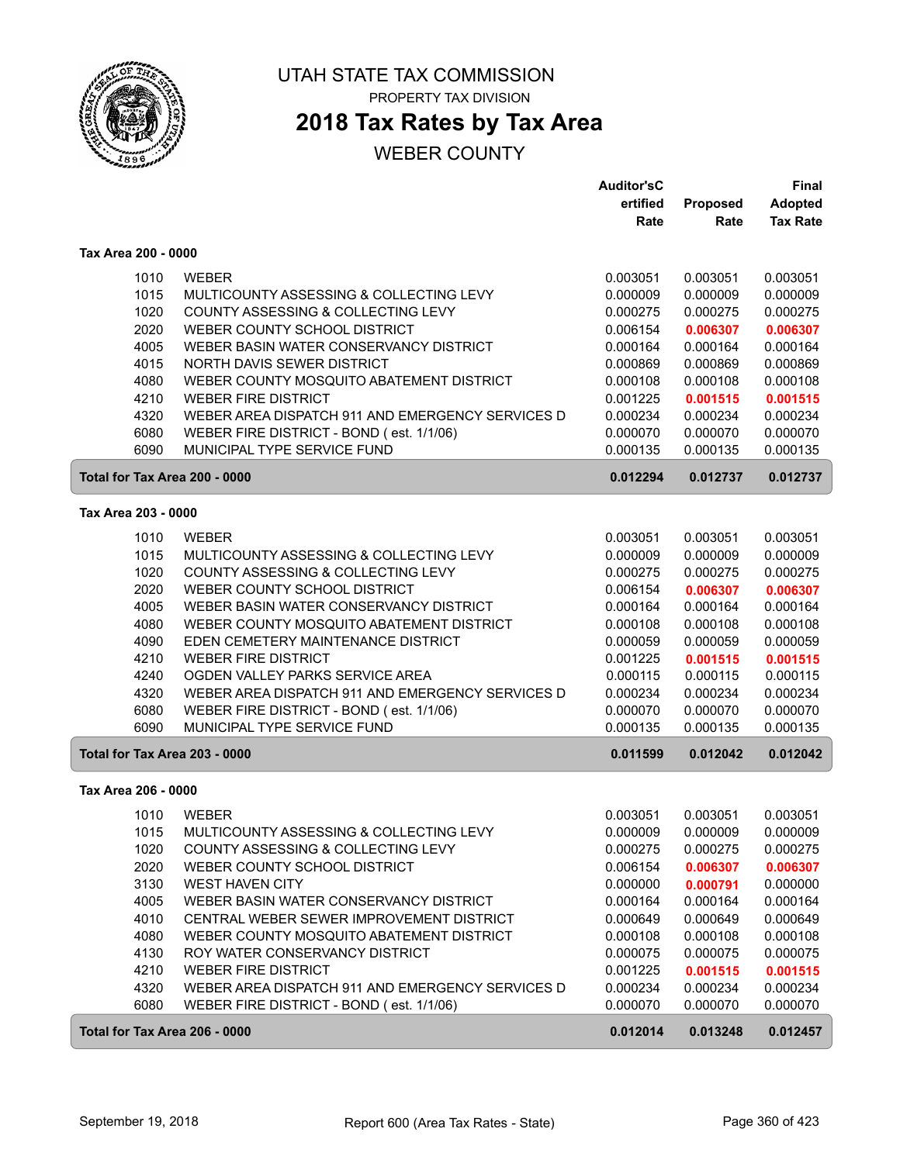

## **2018 Tax Rates by Tax Area**

|                               |                                                  | <b>Auditor'sC</b> |          | Final           |
|-------------------------------|--------------------------------------------------|-------------------|----------|-----------------|
|                               |                                                  | ertified          | Proposed | <b>Adopted</b>  |
|                               |                                                  | Rate              | Rate     | <b>Tax Rate</b> |
| Tax Area 200 - 0000           |                                                  |                   |          |                 |
| 1010                          | <b>WEBER</b>                                     | 0.003051          | 0.003051 | 0.003051        |
| 1015                          | MULTICOUNTY ASSESSING & COLLECTING LEVY          | 0.000009          | 0.000009 | 0.000009        |
| 1020                          | COUNTY ASSESSING & COLLECTING LEVY               | 0.000275          | 0.000275 | 0.000275        |
| 2020                          | WEBER COUNTY SCHOOL DISTRICT                     | 0.006154          | 0.006307 | 0.006307        |
| 4005                          | WEBER BASIN WATER CONSERVANCY DISTRICT           | 0.000164          | 0.000164 | 0.000164        |
| 4015                          | NORTH DAVIS SEWER DISTRICT                       | 0.000869          | 0.000869 | 0.000869        |
| 4080                          | WEBER COUNTY MOSQUITO ABATEMENT DISTRICT         | 0.000108          | 0.000108 | 0.000108        |
| 4210                          | <b>WEBER FIRE DISTRICT</b>                       | 0.001225          | 0.001515 | 0.001515        |
| 4320                          | WEBER AREA DISPATCH 911 AND EMERGENCY SERVICES D | 0.000234          | 0.000234 | 0.000234        |
| 6080                          | WEBER FIRE DISTRICT - BOND (est. 1/1/06)         | 0.000070          | 0.000070 | 0.000070        |
| 6090                          | MUNICIPAL TYPE SERVICE FUND                      | 0.000135          | 0.000135 | 0.000135        |
| Total for Tax Area 200 - 0000 |                                                  | 0.012294          | 0.012737 | 0.012737        |
| Tax Area 203 - 0000           |                                                  |                   |          |                 |
| 1010                          | <b>WEBER</b>                                     | 0.003051          | 0.003051 | 0.003051        |
| 1015                          | MULTICOUNTY ASSESSING & COLLECTING LEVY          | 0.000009          | 0.000009 | 0.000009        |
| 1020                          | COUNTY ASSESSING & COLLECTING LEVY               | 0.000275          | 0.000275 | 0.000275        |
| 2020                          | WEBER COUNTY SCHOOL DISTRICT                     | 0.006154          | 0.006307 | 0.006307        |
| 4005                          | WEBER BASIN WATER CONSERVANCY DISTRICT           | 0.000164          | 0.000164 | 0.000164        |
| 4080                          | WEBER COUNTY MOSQUITO ABATEMENT DISTRICT         | 0.000108          | 0.000108 | 0.000108        |
| 4090                          | EDEN CEMETERY MAINTENANCE DISTRICT               | 0.000059          | 0.000059 | 0.000059        |
| 4210                          | <b>WEBER FIRE DISTRICT</b>                       | 0.001225          | 0.001515 | 0.001515        |
| 4240                          | OGDEN VALLEY PARKS SERVICE AREA                  | 0.000115          | 0.000115 | 0.000115        |
| 4320                          | WEBER AREA DISPATCH 911 AND EMERGENCY SERVICES D | 0.000234          | 0.000234 | 0.000234        |
| 6080                          | WEBER FIRE DISTRICT - BOND (est. 1/1/06)         | 0.000070          | 0.000070 | 0.000070        |
| 6090                          | MUNICIPAL TYPE SERVICE FUND                      | 0.000135          | 0.000135 | 0.000135        |
| Total for Tax Area 203 - 0000 |                                                  | 0.011599          | 0.012042 | 0.012042        |
| Tax Area 206 - 0000           |                                                  |                   |          |                 |
| 1010                          | <b>WEBER</b>                                     | 0.003051          | 0.003051 | 0.003051        |
| 1015                          | MULTICOUNTY ASSESSING & COLLECTING LEVY          | 0.000009          | 0.000009 | 0.000009        |
| 1020                          | COUNTY ASSESSING & COLLECTING LEVY               | 0.000275          | 0.000275 | 0.000275        |
| 2020                          | WEBER COUNTY SCHOOL DISTRICT                     | 0.006154          | 0.006307 | 0.006307        |
| 3130                          | WEST HAVEN CITY                                  | 0.000000          | 0.000791 | 0.000000        |
| 4005                          | WEBER BASIN WATER CONSERVANCY DISTRICT           | 0.000164          | 0.000164 | 0.000164        |
| 4010                          | CENTRAL WEBER SEWER IMPROVEMENT DISTRICT         | 0.000649          | 0.000649 | 0.000649        |
| 4080                          | WEBER COUNTY MOSQUITO ABATEMENT DISTRICT         | 0.000108          | 0.000108 | 0.000108        |
| 4130                          | ROY WATER CONSERVANCY DISTRICT                   | 0.000075          | 0.000075 | 0.000075        |
| 4210                          | <b>WEBER FIRE DISTRICT</b>                       | 0.001225          | 0.001515 | 0.001515        |
| 4320                          | WEBER AREA DISPATCH 911 AND EMERGENCY SERVICES D | 0.000234          | 0.000234 | 0.000234        |
| 6080                          | WEBER FIRE DISTRICT - BOND (est. 1/1/06)         | 0.000070          | 0.000070 | 0.000070        |
| Total for Tax Area 206 - 0000 |                                                  | 0.012014          | 0.013248 | 0.012457        |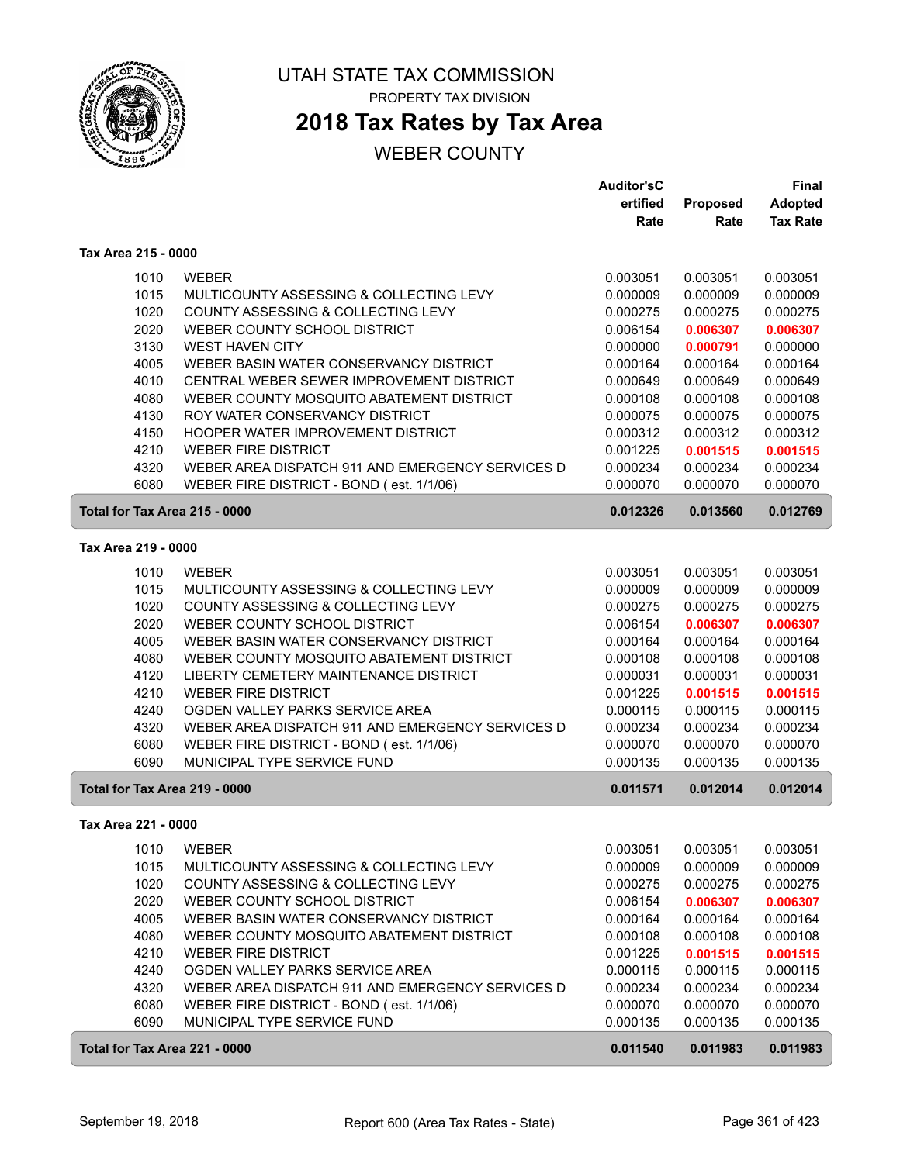

## **2018 Tax Rates by Tax Area**

|                               |                                                  | <b>Auditor'sC</b> |          | <b>Final</b>    |
|-------------------------------|--------------------------------------------------|-------------------|----------|-----------------|
|                               |                                                  | ertified          | Proposed | <b>Adopted</b>  |
|                               |                                                  | Rate              | Rate     | <b>Tax Rate</b> |
| Tax Area 215 - 0000           |                                                  |                   |          |                 |
| 1010                          | <b>WEBER</b>                                     | 0.003051          | 0.003051 | 0.003051        |
| 1015                          | MULTICOUNTY ASSESSING & COLLECTING LEVY          | 0.000009          | 0.000009 | 0.000009        |
| 1020                          | COUNTY ASSESSING & COLLECTING LEVY               | 0.000275          | 0.000275 | 0.000275        |
| 2020                          | WEBER COUNTY SCHOOL DISTRICT                     | 0.006154          | 0.006307 | 0.006307        |
| 3130                          | <b>WEST HAVEN CITY</b>                           | 0.000000          | 0.000791 | 0.000000        |
| 4005                          | WEBER BASIN WATER CONSERVANCY DISTRICT           | 0.000164          | 0.000164 | 0.000164        |
| 4010                          | CENTRAL WEBER SEWER IMPROVEMENT DISTRICT         | 0.000649          | 0.000649 | 0.000649        |
| 4080                          | WEBER COUNTY MOSQUITO ABATEMENT DISTRICT         | 0.000108          | 0.000108 | 0.000108        |
| 4130                          | ROY WATER CONSERVANCY DISTRICT                   | 0.000075          | 0.000075 | 0.000075        |
| 4150                          | HOOPER WATER IMPROVEMENT DISTRICT                | 0.000312          | 0.000312 | 0.000312        |
| 4210                          | <b>WEBER FIRE DISTRICT</b>                       | 0.001225          | 0.001515 | 0.001515        |
| 4320                          | WEBER AREA DISPATCH 911 AND EMERGENCY SERVICES D | 0.000234          | 0.000234 | 0.000234        |
| 6080                          | WEBER FIRE DISTRICT - BOND (est. 1/1/06)         | 0.000070          | 0.000070 | 0.000070        |
| Total for Tax Area 215 - 0000 |                                                  | 0.012326          | 0.013560 | 0.012769        |
| Tax Area 219 - 0000           |                                                  |                   |          |                 |
| 1010                          | <b>WEBER</b>                                     | 0.003051          | 0.003051 | 0.003051        |
| 1015                          | MULTICOUNTY ASSESSING & COLLECTING LEVY          | 0.000009          | 0.000009 | 0.000009        |
| 1020                          | COUNTY ASSESSING & COLLECTING LEVY               | 0.000275          | 0.000275 | 0.000275        |
| 2020                          | WEBER COUNTY SCHOOL DISTRICT                     | 0.006154          | 0.006307 | 0.006307        |
| 4005                          | WEBER BASIN WATER CONSERVANCY DISTRICT           | 0.000164          | 0.000164 | 0.000164        |
| 4080                          | WEBER COUNTY MOSQUITO ABATEMENT DISTRICT         | 0.000108          | 0.000108 | 0.000108        |
| 4120                          | LIBERTY CEMETERY MAINTENANCE DISTRICT            | 0.000031          | 0.000031 | 0.000031        |
| 4210                          | <b>WEBER FIRE DISTRICT</b>                       | 0.001225          | 0.001515 | 0.001515        |
| 4240                          | OGDEN VALLEY PARKS SERVICE AREA                  | 0.000115          | 0.000115 | 0.000115        |
| 4320                          | WEBER AREA DISPATCH 911 AND EMERGENCY SERVICES D | 0.000234          | 0.000234 | 0.000234        |
| 6080                          | WEBER FIRE DISTRICT - BOND (est. 1/1/06)         | 0.000070          | 0.000070 | 0.000070        |
| 6090                          | MUNICIPAL TYPE SERVICE FUND                      | 0.000135          | 0.000135 | 0.000135        |
| Total for Tax Area 219 - 0000 |                                                  | 0.011571          | 0.012014 | 0.012014        |
| Tax Area 221 - 0000           |                                                  |                   |          |                 |
| 1010                          | WEBER                                            | 0.003051          | 0.003051 | 0.003051        |
| 1015                          | MULTICOUNTY ASSESSING & COLLECTING LEVY          | 0.000009          | 0.000009 | 0.000009        |
| 1020                          | COUNTY ASSESSING & COLLECTING LEVY               | 0.000275          | 0.000275 | 0.000275        |
| 2020                          | WEBER COUNTY SCHOOL DISTRICT                     | 0.006154          | 0.006307 | 0.006307        |
| 4005                          | WEBER BASIN WATER CONSERVANCY DISTRICT           | 0.000164          | 0.000164 | 0.000164        |
| 4080                          | WEBER COUNTY MOSQUITO ABATEMENT DISTRICT         | 0.000108          | 0.000108 | 0.000108        |
| 4210                          | <b>WEBER FIRE DISTRICT</b>                       | 0.001225          | 0.001515 | 0.001515        |
| 4240                          | OGDEN VALLEY PARKS SERVICE AREA                  | 0.000115          | 0.000115 | 0.000115        |
| 4320                          | WEBER AREA DISPATCH 911 AND EMERGENCY SERVICES D | 0.000234          | 0.000234 | 0.000234        |
| 6080                          | WEBER FIRE DISTRICT - BOND (est. 1/1/06)         | 0.000070          | 0.000070 | 0.000070        |
| 6090                          | MUNICIPAL TYPE SERVICE FUND                      | 0.000135          | 0.000135 | 0.000135        |
| Total for Tax Area 221 - 0000 |                                                  | 0.011540          | 0.011983 | 0.011983        |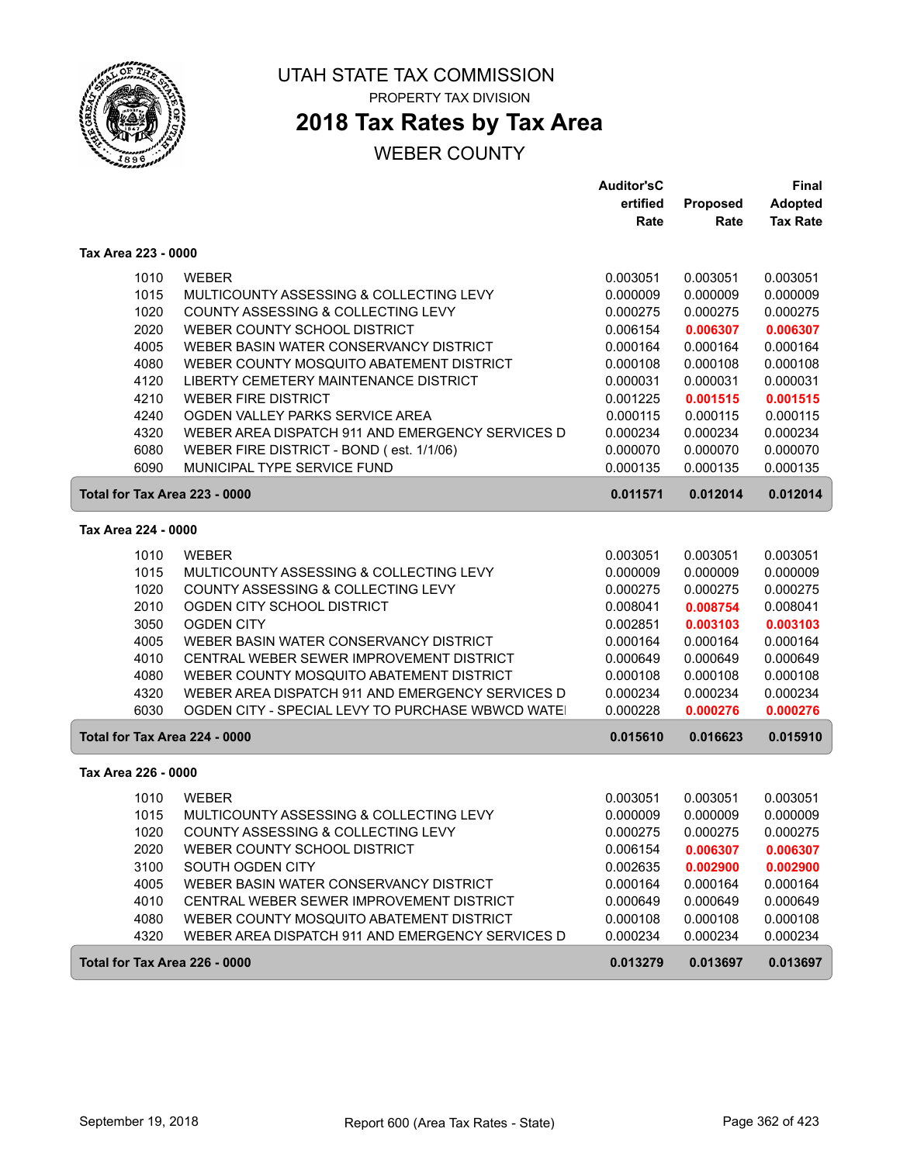

# **2018 Tax Rates by Tax Area**

|                               |                                                  | <b>Auditor'sC</b> |          | Final           |
|-------------------------------|--------------------------------------------------|-------------------|----------|-----------------|
|                               |                                                  | ertified          | Proposed | <b>Adopted</b>  |
|                               |                                                  | Rate              | Rate     | <b>Tax Rate</b> |
| Tax Area 223 - 0000           |                                                  |                   |          |                 |
| 1010                          | <b>WEBER</b>                                     | 0.003051          | 0.003051 | 0.003051        |
| 1015                          | MULTICOUNTY ASSESSING & COLLECTING LEVY          | 0.000009          | 0.000009 | 0.000009        |
| 1020                          | COUNTY ASSESSING & COLLECTING LEVY               | 0.000275          | 0.000275 | 0.000275        |
| 2020                          | WEBER COUNTY SCHOOL DISTRICT                     | 0.006154          | 0.006307 | 0.006307        |
| 4005                          | WEBER BASIN WATER CONSERVANCY DISTRICT           | 0.000164          | 0.000164 | 0.000164        |
| 4080                          | WEBER COUNTY MOSQUITO ABATEMENT DISTRICT         | 0.000108          | 0.000108 | 0.000108        |
| 4120                          | LIBERTY CEMETERY MAINTENANCE DISTRICT            | 0.000031          | 0.000031 | 0.000031        |
| 4210                          | <b>WEBER FIRE DISTRICT</b>                       | 0.001225          | 0.001515 | 0.001515        |
| 4240                          | OGDEN VALLEY PARKS SERVICE AREA                  | 0.000115          | 0.000115 | 0.000115        |
| 4320                          | WEBER AREA DISPATCH 911 AND EMERGENCY SERVICES D | 0.000234          | 0.000234 | 0.000234        |
| 6080                          | WEBER FIRE DISTRICT - BOND (est. 1/1/06)         | 0.000070          | 0.000070 | 0.000070        |
| 6090                          | MUNICIPAL TYPE SERVICE FUND                      | 0.000135          | 0.000135 | 0.000135        |
| Total for Tax Area 223 - 0000 |                                                  | 0.011571          | 0.012014 | 0.012014        |
| Tax Area 224 - 0000           |                                                  |                   |          |                 |
| 1010                          | <b>WEBER</b>                                     | 0.003051          | 0.003051 | 0.003051        |
| 1015                          | MULTICOUNTY ASSESSING & COLLECTING LEVY          | 0.000009          | 0.000009 | 0.000009        |
| 1020                          | COUNTY ASSESSING & COLLECTING LEVY               | 0.000275          | 0.000275 | 0.000275        |
| 2010                          | OGDEN CITY SCHOOL DISTRICT                       | 0.008041          | 0.008754 | 0.008041        |
| 3050                          | <b>OGDEN CITY</b>                                | 0.002851          | 0.003103 | 0.003103        |
| 4005                          | WEBER BASIN WATER CONSERVANCY DISTRICT           | 0.000164          | 0.000164 | 0.000164        |
| 4010                          | CENTRAL WEBER SEWER IMPROVEMENT DISTRICT         | 0.000649          | 0.000649 | 0.000649        |
| 4080                          | WEBER COUNTY MOSQUITO ABATEMENT DISTRICT         | 0.000108          | 0.000108 | 0.000108        |
| 4320                          | WEBER AREA DISPATCH 911 AND EMERGENCY SERVICES D | 0.000234          | 0.000234 | 0.000234        |
| 6030                          | OGDEN CITY - SPECIAL LEVY TO PURCHASE WBWCD WATE | 0.000228          | 0.000276 | 0.000276        |
| Total for Tax Area 224 - 0000 |                                                  | 0.015610          | 0.016623 | 0.015910        |
| Tax Area 226 - 0000           |                                                  |                   |          |                 |
| 1010                          | <b>WEBER</b>                                     | 0.003051          | 0.003051 | 0.003051        |
| 1015                          | MULTICOUNTY ASSESSING & COLLECTING LEVY          | 0.000009          | 0.000009 | 0.000009        |
| 1020                          | COUNTY ASSESSING & COLLECTING LEVY               | 0.000275          | 0.000275 | 0.000275        |
| 2020                          | WEBER COUNTY SCHOOL DISTRICT                     | 0.006154          | 0.006307 | 0.006307        |
| 3100                          | SOUTH OGDEN CITY                                 | 0.002635          | 0.002900 | 0.002900        |
| 4005                          | WEBER BASIN WATER CONSERVANCY DISTRICT           | 0.000164          | 0.000164 | 0.000164        |
| 4010                          | CENTRAL WEBER SEWER IMPROVEMENT DISTRICT         | 0.000649          | 0.000649 | 0.000649        |
| 4080                          | WEBER COUNTY MOSQUITO ABATEMENT DISTRICT         | 0.000108          | 0.000108 | 0.000108        |
| 4320                          | WEBER AREA DISPATCH 911 AND EMERGENCY SERVICES D | 0.000234          | 0.000234 | 0.000234        |
| Total for Tax Area 226 - 0000 |                                                  | 0.013279          | 0.013697 | 0.013697        |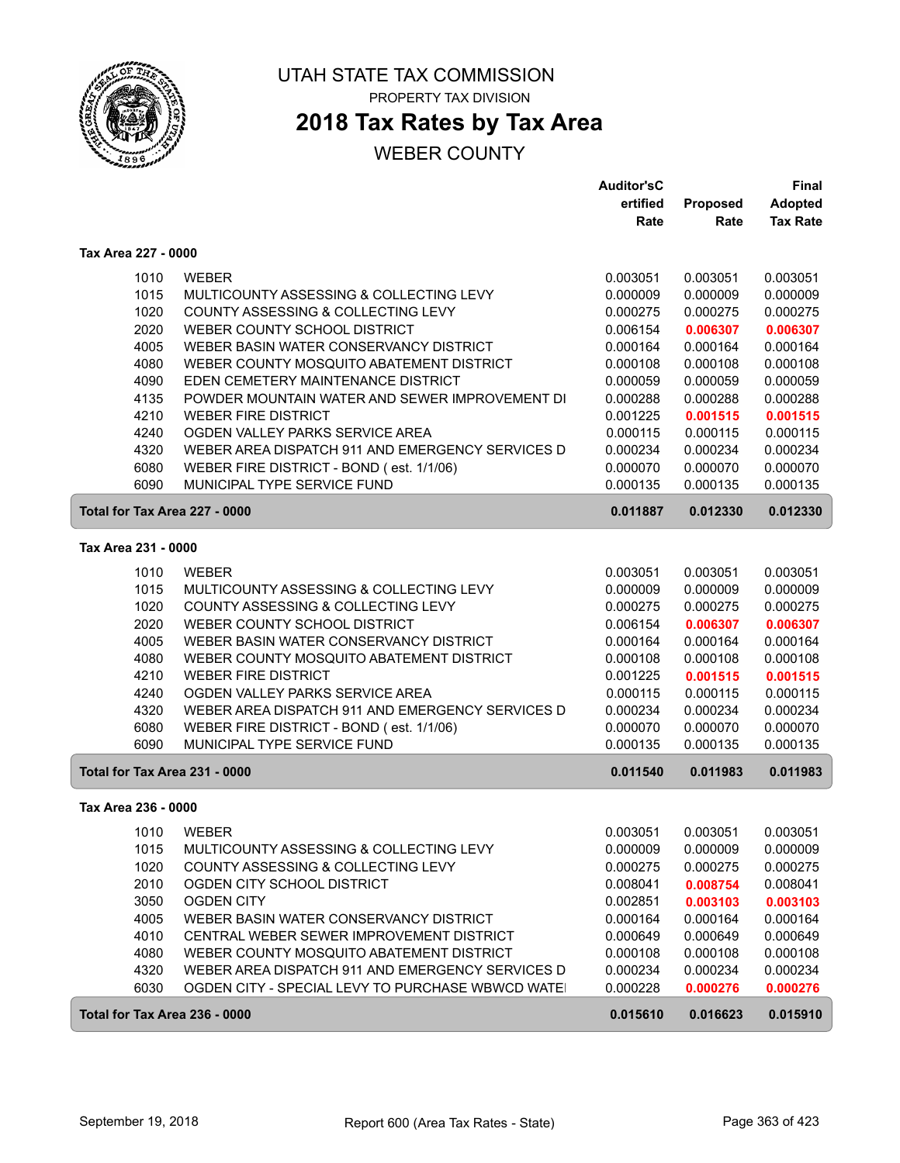

# **2018 Tax Rates by Tax Area**

|                               |                                                   | <b>Auditor'sC</b> |          | Final           |
|-------------------------------|---------------------------------------------------|-------------------|----------|-----------------|
|                               |                                                   | ertified          | Proposed | Adopted         |
|                               |                                                   | Rate              | Rate     | <b>Tax Rate</b> |
| Tax Area 227 - 0000           |                                                   |                   |          |                 |
| 1010                          | <b>WEBER</b>                                      | 0.003051          | 0.003051 | 0.003051        |
| 1015                          | MULTICOUNTY ASSESSING & COLLECTING LEVY           | 0.000009          | 0.000009 | 0.000009        |
| 1020                          | COUNTY ASSESSING & COLLECTING LEVY                | 0.000275          | 0.000275 | 0.000275        |
| 2020                          | WEBER COUNTY SCHOOL DISTRICT                      | 0.006154          | 0.006307 | 0.006307        |
| 4005                          | WEBER BASIN WATER CONSERVANCY DISTRICT            | 0.000164          | 0.000164 | 0.000164        |
| 4080                          | WEBER COUNTY MOSQUITO ABATEMENT DISTRICT          | 0.000108          | 0.000108 | 0.000108        |
| 4090                          | EDEN CEMETERY MAINTENANCE DISTRICT                | 0.000059          | 0.000059 | 0.000059        |
| 4135                          | POWDER MOUNTAIN WATER AND SEWER IMPROVEMENT DI    | 0.000288          | 0.000288 | 0.000288        |
| 4210                          | <b>WEBER FIRE DISTRICT</b>                        | 0.001225          | 0.001515 | 0.001515        |
| 4240                          | OGDEN VALLEY PARKS SERVICE AREA                   | 0.000115          | 0.000115 | 0.000115        |
| 4320                          | WEBER AREA DISPATCH 911 AND EMERGENCY SERVICES D  | 0.000234          | 0.000234 | 0.000234        |
| 6080                          | WEBER FIRE DISTRICT - BOND (est. 1/1/06)          | 0.000070          | 0.000070 | 0.000070        |
| 6090                          | MUNICIPAL TYPE SERVICE FUND                       | 0.000135          | 0.000135 | 0.000135        |
| Total for Tax Area 227 - 0000 |                                                   | 0.011887          | 0.012330 | 0.012330        |
| Tax Area 231 - 0000           |                                                   |                   |          |                 |
| 1010                          | <b>WEBER</b>                                      | 0.003051          | 0.003051 | 0.003051        |
| 1015                          | MULTICOUNTY ASSESSING & COLLECTING LEVY           | 0.000009          | 0.000009 | 0.000009        |
| 1020                          | COUNTY ASSESSING & COLLECTING LEVY                | 0.000275          | 0.000275 | 0.000275        |
| 2020                          | WEBER COUNTY SCHOOL DISTRICT                      | 0.006154          | 0.006307 | 0.006307        |
| 4005                          | WEBER BASIN WATER CONSERVANCY DISTRICT            | 0.000164          | 0.000164 | 0.000164        |
| 4080                          | WEBER COUNTY MOSQUITO ABATEMENT DISTRICT          | 0.000108          | 0.000108 | 0.000108        |
| 4210                          | <b>WEBER FIRE DISTRICT</b>                        | 0.001225          | 0.001515 | 0.001515        |
| 4240                          | OGDEN VALLEY PARKS SERVICE AREA                   | 0.000115          | 0.000115 | 0.000115        |
| 4320                          | WEBER AREA DISPATCH 911 AND EMERGENCY SERVICES D  | 0.000234          | 0.000234 | 0.000234        |
| 6080                          | WEBER FIRE DISTRICT - BOND (est. 1/1/06)          | 0.000070          | 0.000070 | 0.000070        |
| 6090                          | MUNICIPAL TYPE SERVICE FUND                       | 0.000135          | 0.000135 | 0.000135        |
| Total for Tax Area 231 - 0000 |                                                   | 0.011540          | 0.011983 | 0.011983        |
| Tax Area 236 - 0000           |                                                   |                   |          |                 |
| 1010                          | <b>WEBER</b>                                      | 0.003051          | 0.003051 | 0.003051        |
| 1015                          | MULTICOUNTY ASSESSING & COLLECTING LEVY           | 0.000009          | 0.000009 | 0.000009        |
| 1020                          | COUNTY ASSESSING & COLLECTING LEVY                | 0.000275          | 0.000275 | 0.000275        |
| 2010                          | OGDEN CITY SCHOOL DISTRICT                        | 0.008041          | 0.008754 | 0.008041        |
| 3050                          | <b>OGDEN CITY</b>                                 | 0.002851          | 0.003103 | 0.003103        |
| 4005                          | WEBER BASIN WATER CONSERVANCY DISTRICT            | 0.000164          | 0.000164 | 0.000164        |
| 4010                          | CENTRAL WEBER SEWER IMPROVEMENT DISTRICT          | 0.000649          | 0.000649 | 0.000649        |
| 4080                          | WEBER COUNTY MOSQUITO ABATEMENT DISTRICT          | 0.000108          | 0.000108 | 0.000108        |
| 4320                          | WEBER AREA DISPATCH 911 AND EMERGENCY SERVICES D  | 0.000234          | 0.000234 | 0.000234        |
| 6030                          | OGDEN CITY - SPECIAL LEVY TO PURCHASE WBWCD WATEI | 0.000228          | 0.000276 | 0.000276        |
| Total for Tax Area 236 - 0000 |                                                   | 0.015610          | 0.016623 | 0.015910        |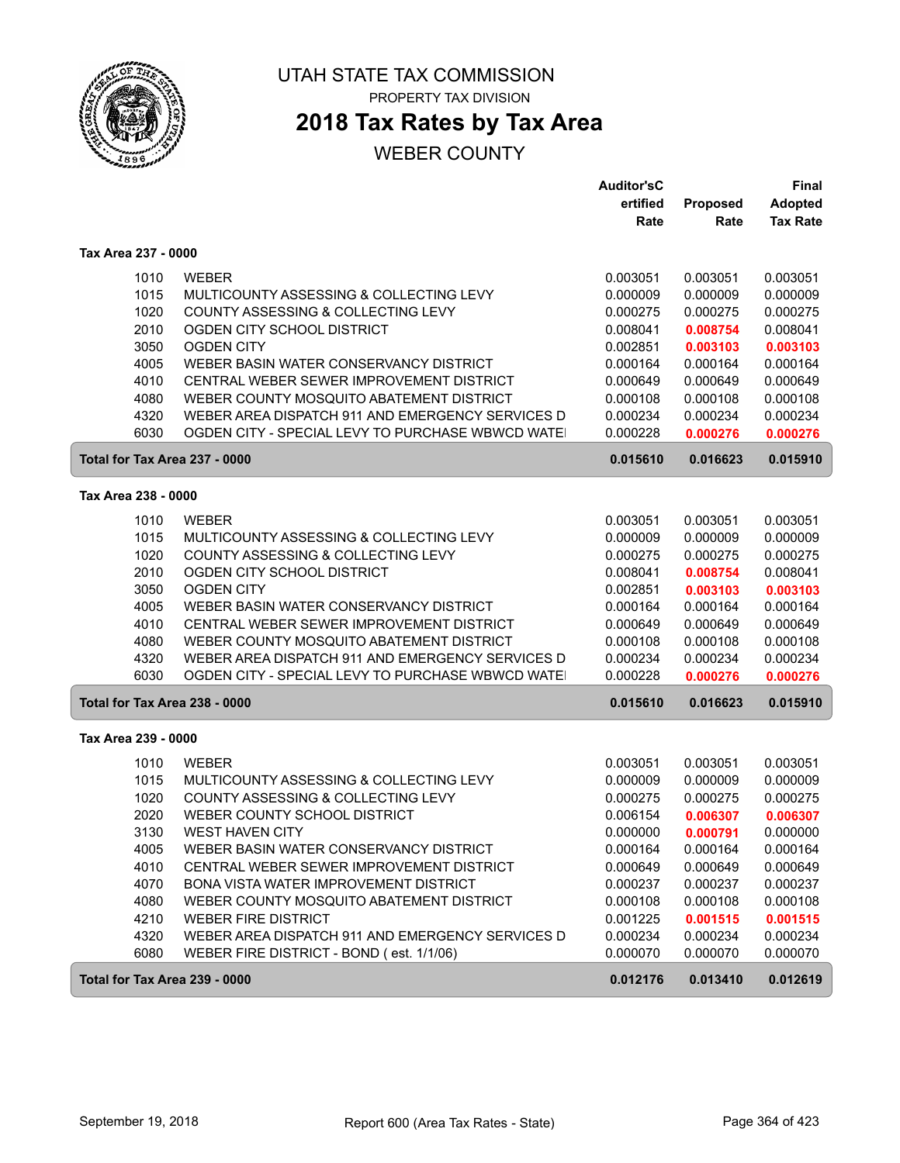

**2018 Tax Rates by Tax Area**

|                               |                                                                                          | <b>Auditor'sC</b><br>ertified<br>Rate | Proposed<br>Rate     | <b>Final</b><br><b>Adopted</b><br><b>Tax Rate</b> |
|-------------------------------|------------------------------------------------------------------------------------------|---------------------------------------|----------------------|---------------------------------------------------|
| Tax Area 237 - 0000           |                                                                                          |                                       |                      |                                                   |
| 1010                          | <b>WEBER</b>                                                                             | 0.003051                              | 0.003051             | 0.003051                                          |
| 1015                          | MULTICOUNTY ASSESSING & COLLECTING LEVY                                                  | 0.000009                              | 0.000009             | 0.000009                                          |
| 1020                          | COUNTY ASSESSING & COLLECTING LEVY                                                       | 0.000275                              | 0.000275             | 0.000275                                          |
| 2010                          | OGDEN CITY SCHOOL DISTRICT                                                               | 0.008041                              | 0.008754             | 0.008041                                          |
| 3050                          | <b>OGDEN CITY</b>                                                                        | 0.002851                              | 0.003103             | 0.003103                                          |
| 4005                          | WEBER BASIN WATER CONSERVANCY DISTRICT                                                   | 0.000164                              | 0.000164             | 0.000164                                          |
| 4010<br>4080                  | CENTRAL WEBER SEWER IMPROVEMENT DISTRICT<br>WEBER COUNTY MOSQUITO ABATEMENT DISTRICT     | 0.000649<br>0.000108                  | 0.000649<br>0.000108 | 0.000649<br>0.000108                              |
| 4320                          | WEBER AREA DISPATCH 911 AND EMERGENCY SERVICES D                                         | 0.000234                              | 0.000234             | 0.000234                                          |
| 6030                          | OGDEN CITY - SPECIAL LEVY TO PURCHASE WBWCD WATE                                         | 0.000228                              | 0.000276             | 0.000276                                          |
| Total for Tax Area 237 - 0000 |                                                                                          | 0.015610                              | 0.016623             | 0.015910                                          |
| Tax Area 238 - 0000           |                                                                                          |                                       |                      |                                                   |
| 1010                          | WEBER                                                                                    | 0.003051                              | 0.003051             | 0.003051                                          |
| 1015                          | MULTICOUNTY ASSESSING & COLLECTING LEVY                                                  | 0.000009                              | 0.000009             | 0.000009                                          |
| 1020                          | COUNTY ASSESSING & COLLECTING LEVY                                                       | 0.000275                              | 0.000275             | 0.000275                                          |
| 2010                          | OGDEN CITY SCHOOL DISTRICT                                                               | 0.008041                              | 0.008754             | 0.008041                                          |
| 3050                          | <b>OGDEN CITY</b>                                                                        | 0.002851                              | 0.003103             | 0.003103                                          |
| 4005                          | WEBER BASIN WATER CONSERVANCY DISTRICT                                                   | 0.000164                              | 0.000164             | 0.000164                                          |
| 4010                          | CENTRAL WEBER SEWER IMPROVEMENT DISTRICT                                                 | 0.000649                              | 0.000649             | 0.000649                                          |
| 4080                          | WEBER COUNTY MOSQUITO ABATEMENT DISTRICT                                                 | 0.000108                              | 0.000108             | 0.000108                                          |
| 4320                          | WEBER AREA DISPATCH 911 AND EMERGENCY SERVICES D                                         | 0.000234                              | 0.000234             | 0.000234                                          |
| 6030                          | OGDEN CITY - SPECIAL LEVY TO PURCHASE WBWCD WATE                                         | 0.000228                              | 0.000276             | 0.000276                                          |
| Total for Tax Area 238 - 0000 |                                                                                          | 0.015610                              | 0.016623             | 0.015910                                          |
| Tax Area 239 - 0000           |                                                                                          |                                       |                      |                                                   |
| 1010                          | <b>WEBER</b>                                                                             | 0.003051                              | 0.003051             | 0.003051                                          |
| 1015                          | MULTICOUNTY ASSESSING & COLLECTING LEVY                                                  | 0.000009                              | 0.000009             | 0.000009                                          |
| 1020                          | COUNTY ASSESSING & COLLECTING LEVY                                                       | 0.000275                              | 0.000275             | 0.000275                                          |
| 2020                          | WEBER COUNTY SCHOOL DISTRICT                                                             | 0.006154                              | 0.006307             | 0.006307                                          |
| 3130                          | <b>WEST HAVEN CITY</b>                                                                   | 0.000000                              | 0.000791             | 0.000000                                          |
| 4005                          | WEBER BASIN WATER CONSERVANCY DISTRICT                                                   | 0.000164                              | 0.000164             | 0.000164                                          |
| 4010<br>4070                  | CENTRAL WEBER SEWER IMPROVEMENT DISTRICT<br><b>BONA VISTA WATER IMPROVEMENT DISTRICT</b> | 0.000649<br>0.000237                  | 0.000649<br>0.000237 | 0.000649<br>0.000237                              |
| 4080                          | WEBER COUNTY MOSQUITO ABATEMENT DISTRICT                                                 | 0.000108                              | 0.000108             | 0.000108                                          |
| 4210                          | <b>WEBER FIRE DISTRICT</b>                                                               | 0.001225                              | 0.001515             | 0.001515                                          |
| 4320                          | WEBER AREA DISPATCH 911 AND EMERGENCY SERVICES D                                         | 0.000234                              | 0.000234             | 0.000234                                          |
| 6080                          | WEBER FIRE DISTRICT - BOND (est. 1/1/06)                                                 | 0.000070                              | 0.000070             | 0.000070                                          |
| Total for Tax Area 239 - 0000 |                                                                                          | 0.012176                              | 0.013410             | 0.012619                                          |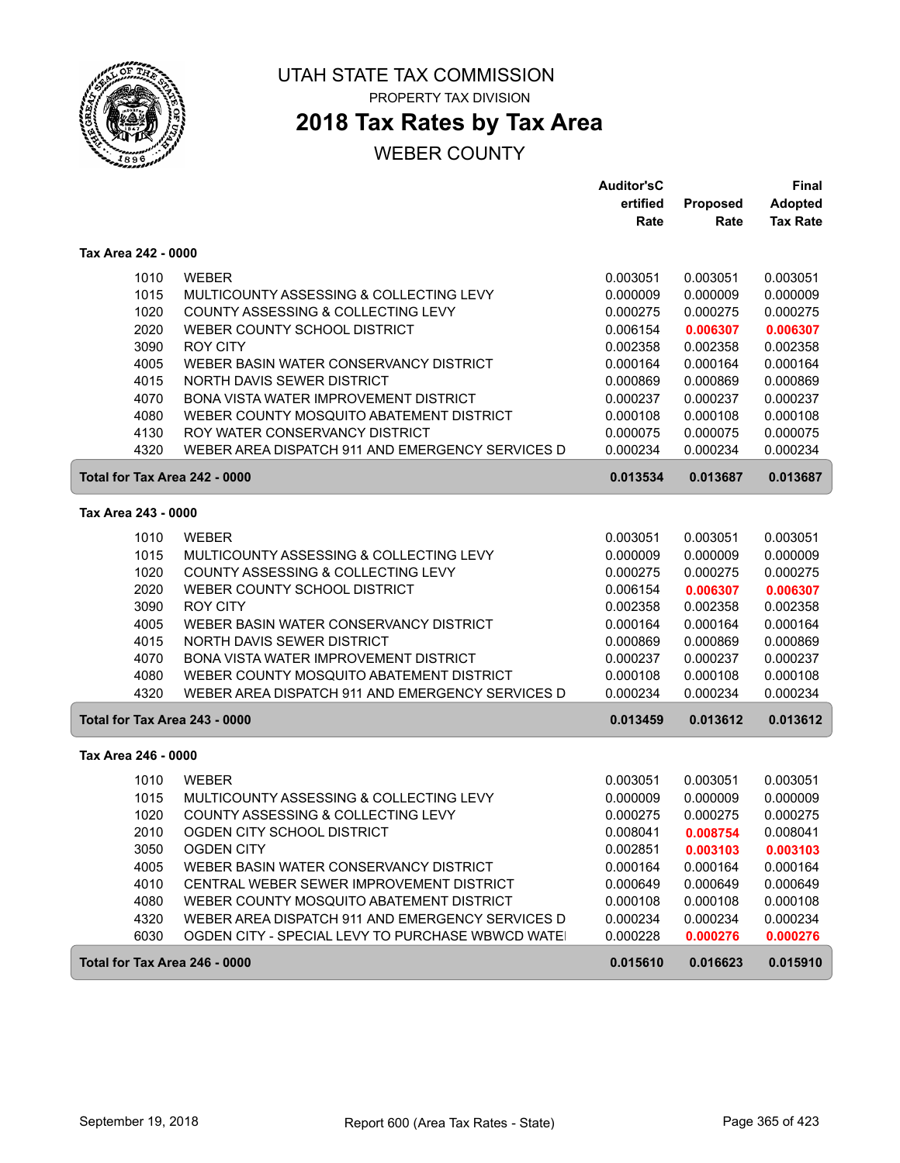

# **2018 Tax Rates by Tax Area**

|                               |                                                   | <b>Auditor'sC</b> |          | <b>Final</b>    |
|-------------------------------|---------------------------------------------------|-------------------|----------|-----------------|
|                               |                                                   | ertified          | Proposed | <b>Adopted</b>  |
|                               |                                                   | Rate              | Rate     | <b>Tax Rate</b> |
| Tax Area 242 - 0000           |                                                   |                   |          |                 |
| 1010                          | <b>WEBER</b>                                      | 0.003051          | 0.003051 | 0.003051        |
| 1015                          | MULTICOUNTY ASSESSING & COLLECTING LEVY           | 0.000009          | 0.000009 | 0.000009        |
| 1020                          | COUNTY ASSESSING & COLLECTING LEVY                | 0.000275          | 0.000275 | 0.000275        |
| 2020                          | WEBER COUNTY SCHOOL DISTRICT                      | 0.006154          | 0.006307 | 0.006307        |
| 3090                          | <b>ROY CITY</b>                                   | 0.002358          | 0.002358 | 0.002358        |
| 4005                          | WEBER BASIN WATER CONSERVANCY DISTRICT            | 0.000164          | 0.000164 | 0.000164        |
| 4015                          | NORTH DAVIS SEWER DISTRICT                        | 0.000869          | 0.000869 | 0.000869        |
| 4070                          | <b>BONA VISTA WATER IMPROVEMENT DISTRICT</b>      | 0.000237          | 0.000237 | 0.000237        |
| 4080                          | WEBER COUNTY MOSQUITO ABATEMENT DISTRICT          | 0.000108          | 0.000108 | 0.000108        |
| 4130                          | ROY WATER CONSERVANCY DISTRICT                    | 0.000075          | 0.000075 | 0.000075        |
| 4320                          | WEBER AREA DISPATCH 911 AND EMERGENCY SERVICES D  | 0.000234          | 0.000234 | 0.000234        |
| Total for Tax Area 242 - 0000 |                                                   | 0.013534          | 0.013687 | 0.013687        |
| Tax Area 243 - 0000           |                                                   |                   |          |                 |
| 1010                          | <b>WEBER</b>                                      | 0.003051          | 0.003051 | 0.003051        |
| 1015                          | MULTICOUNTY ASSESSING & COLLECTING LEVY           | 0.000009          | 0.000009 | 0.000009        |
| 1020                          | COUNTY ASSESSING & COLLECTING LEVY                | 0.000275          | 0.000275 | 0.000275        |
| 2020                          | WEBER COUNTY SCHOOL DISTRICT                      | 0.006154          | 0.006307 | 0.006307        |
| 3090                          | <b>ROY CITY</b>                                   | 0.002358          | 0.002358 | 0.002358        |
| 4005                          | WEBER BASIN WATER CONSERVANCY DISTRICT            | 0.000164          | 0.000164 | 0.000164        |
| 4015                          | NORTH DAVIS SEWER DISTRICT                        | 0.000869          | 0.000869 | 0.000869        |
| 4070                          | BONA VISTA WATER IMPROVEMENT DISTRICT             | 0.000237          | 0.000237 | 0.000237        |
| 4080                          | WEBER COUNTY MOSQUITO ABATEMENT DISTRICT          | 0.000108          | 0.000108 | 0.000108        |
| 4320                          | WEBER AREA DISPATCH 911 AND EMERGENCY SERVICES D  | 0.000234          | 0.000234 | 0.000234        |
| Total for Tax Area 243 - 0000 |                                                   | 0.013459          | 0.013612 | 0.013612        |
| Tax Area 246 - 0000           |                                                   |                   |          |                 |
| 1010                          | <b>WEBER</b>                                      | 0.003051          | 0.003051 | 0.003051        |
| 1015                          | MULTICOUNTY ASSESSING & COLLECTING LEVY           | 0.000009          | 0.000009 | 0.000009        |
| 1020                          | COUNTY ASSESSING & COLLECTING LEVY                | 0.000275          | 0.000275 | 0.000275        |
| 2010                          | OGDEN CITY SCHOOL DISTRICT                        | 0.008041          | 0.008754 | 0.008041        |
| 3050                          | <b>OGDEN CITY</b>                                 | 0.002851          | 0.003103 | 0.003103        |
| 4005                          | WEBER BASIN WATER CONSERVANCY DISTRICT            | 0.000164          | 0.000164 | 0.000164        |
| 4010                          | CENTRAL WEBER SEWER IMPROVEMENT DISTRICT          | 0.000649          | 0.000649 | 0.000649        |
| 4080                          | WEBER COUNTY MOSQUITO ABATEMENT DISTRICT          | 0.000108          | 0.000108 | 0.000108        |
| 4320                          | WEBER AREA DISPATCH 911 AND EMERGENCY SERVICES D  | 0.000234          | 0.000234 | 0.000234        |
| 6030                          | OGDEN CITY - SPECIAL LEVY TO PURCHASE WBWCD WATE! | 0.000228          | 0.000276 | 0.000276        |
| Total for Tax Area 246 - 0000 |                                                   | 0.015610          | 0.016623 | 0.015910        |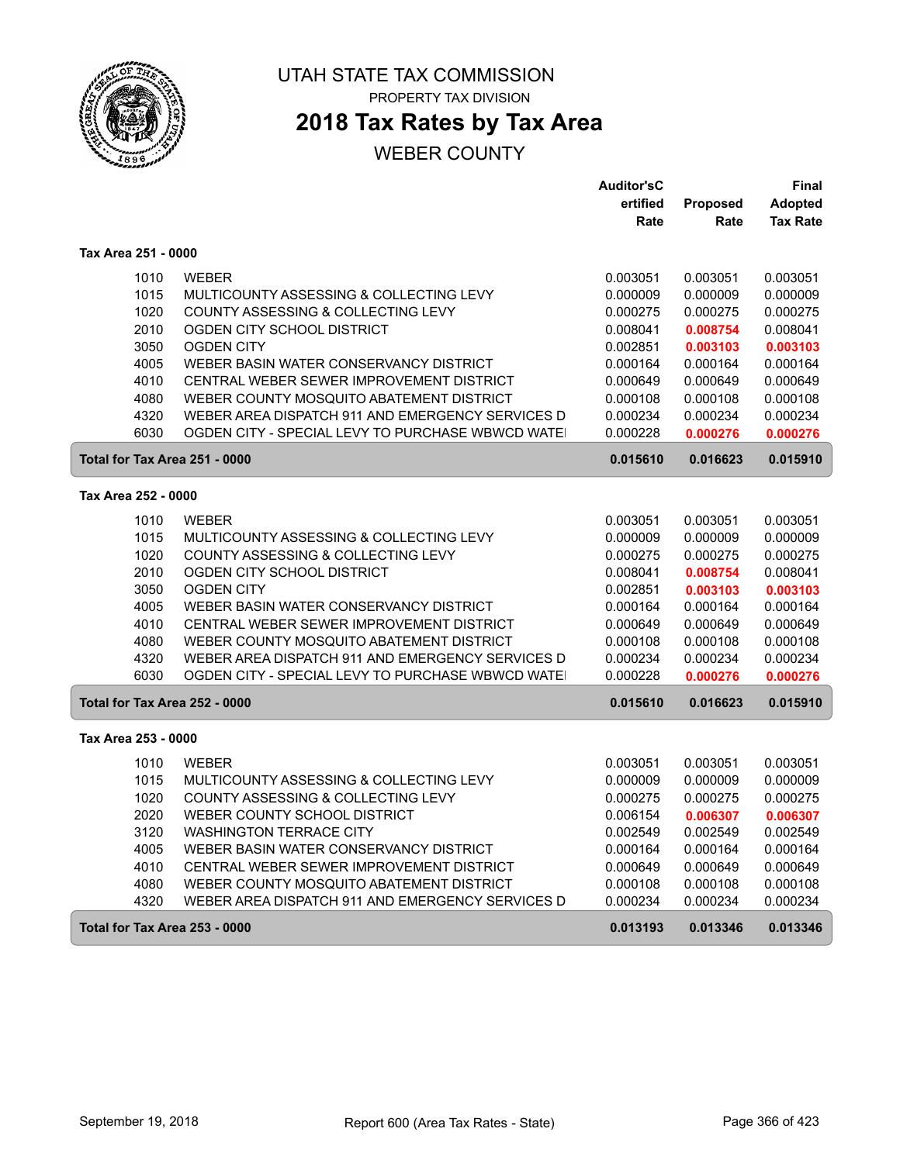

**2018 Tax Rates by Tax Area**

|                               |                                                  | <b>Auditor'sC</b> |          | Final           |
|-------------------------------|--------------------------------------------------|-------------------|----------|-----------------|
|                               |                                                  | ertified          | Proposed | <b>Adopted</b>  |
|                               |                                                  | Rate              | Rate     | <b>Tax Rate</b> |
| Tax Area 251 - 0000           |                                                  |                   |          |                 |
| 1010                          | <b>WEBER</b>                                     | 0.003051          | 0.003051 | 0.003051        |
| 1015                          | MULTICOUNTY ASSESSING & COLLECTING LEVY          | 0.000009          | 0.000009 | 0.000009        |
| 1020                          | COUNTY ASSESSING & COLLECTING LEVY               | 0.000275          | 0.000275 | 0.000275        |
| 2010                          | OGDEN CITY SCHOOL DISTRICT                       | 0.008041          | 0.008754 | 0.008041        |
| 3050                          | <b>OGDEN CITY</b>                                | 0.002851          | 0.003103 | 0.003103        |
| 4005                          | WEBER BASIN WATER CONSERVANCY DISTRICT           | 0.000164          | 0.000164 | 0.000164        |
| 4010                          | CENTRAL WEBER SEWER IMPROVEMENT DISTRICT         | 0.000649          | 0.000649 | 0.000649        |
| 4080                          | WEBER COUNTY MOSQUITO ABATEMENT DISTRICT         | 0.000108          | 0.000108 | 0.000108        |
| 4320                          | WEBER AREA DISPATCH 911 AND EMERGENCY SERVICES D | 0.000234          | 0.000234 | 0.000234        |
| 6030                          | OGDEN CITY - SPECIAL LEVY TO PURCHASE WBWCD WATE | 0.000228          | 0.000276 | 0.000276        |
| Total for Tax Area 251 - 0000 |                                                  | 0.015610          | 0.016623 | 0.015910        |
| Tax Area 252 - 0000           |                                                  |                   |          |                 |
| 1010                          | <b>WEBER</b>                                     | 0.003051          | 0.003051 | 0.003051        |
| 1015                          | MULTICOUNTY ASSESSING & COLLECTING LEVY          | 0.000009          | 0.000009 | 0.000009        |
| 1020                          | COUNTY ASSESSING & COLLECTING LEVY               | 0.000275          | 0.000275 | 0.000275        |
| 2010                          | OGDEN CITY SCHOOL DISTRICT                       | 0.008041          | 0.008754 | 0.008041        |
| 3050                          | <b>OGDEN CITY</b>                                | 0.002851          | 0.003103 | 0.003103        |
| 4005                          | WEBER BASIN WATER CONSERVANCY DISTRICT           | 0.000164          | 0.000164 | 0.000164        |
| 4010                          | CENTRAL WEBER SEWER IMPROVEMENT DISTRICT         | 0.000649          | 0.000649 | 0.000649        |
| 4080                          | WEBER COUNTY MOSQUITO ABATEMENT DISTRICT         | 0.000108          | 0.000108 | 0.000108        |
| 4320                          | WEBER AREA DISPATCH 911 AND EMERGENCY SERVICES D | 0.000234          | 0.000234 | 0.000234        |
| 6030                          | OGDEN CITY - SPECIAL LEVY TO PURCHASE WBWCD WATE | 0.000228          | 0.000276 | 0.000276        |
| Total for Tax Area 252 - 0000 |                                                  | 0.015610          | 0.016623 | 0.015910        |
| Tax Area 253 - 0000           |                                                  |                   |          |                 |
| 1010                          | <b>WEBER</b>                                     | 0.003051          | 0.003051 | 0.003051        |
| 1015                          | MULTICOUNTY ASSESSING & COLLECTING LEVY          | 0.000009          | 0.000009 | 0.000009        |
| 1020                          | COUNTY ASSESSING & COLLECTING LEVY               | 0.000275          | 0.000275 | 0.000275        |
| 2020                          | WEBER COUNTY SCHOOL DISTRICT                     | 0.006154          | 0.006307 | 0.006307        |
| 3120                          | <b>WASHINGTON TERRACE CITY</b>                   | 0.002549          | 0.002549 | 0.002549        |
| 4005                          | WEBER BASIN WATER CONSERVANCY DISTRICT           | 0.000164          | 0.000164 | 0.000164        |
| 4010                          | CENTRAL WEBER SEWER IMPROVEMENT DISTRICT         | 0.000649          | 0.000649 | 0.000649        |
| 4080                          | WEBER COUNTY MOSQUITO ABATEMENT DISTRICT         | 0.000108          | 0.000108 | 0.000108        |
| 4320                          | WEBER AREA DISPATCH 911 AND EMERGENCY SERVICES D | 0.000234          | 0.000234 | 0.000234        |
| Total for Tax Area 253 - 0000 |                                                  | 0.013193          | 0.013346 | 0.013346        |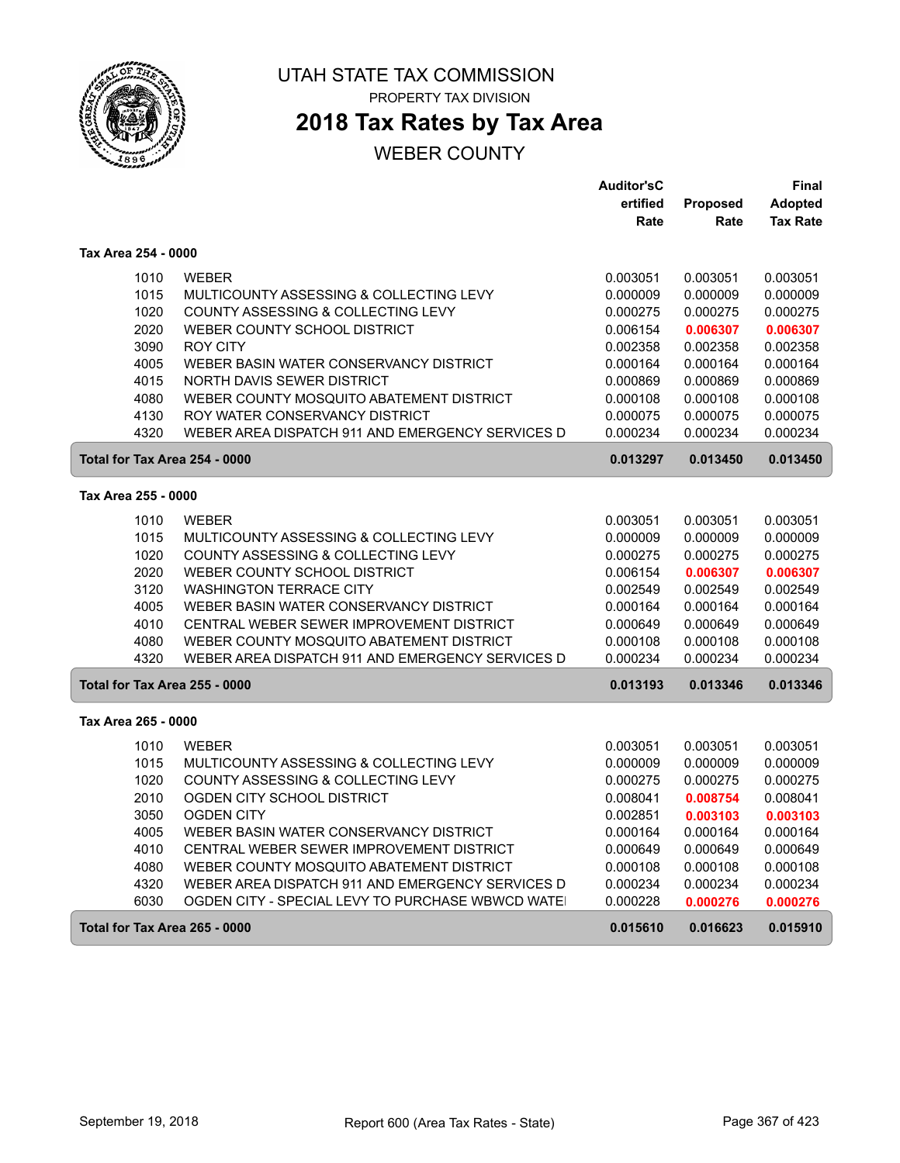

# **2018 Tax Rates by Tax Area**

|                                      |                                                  | <b>Auditor'sC</b> |                 | Final           |
|--------------------------------------|--------------------------------------------------|-------------------|-----------------|-----------------|
|                                      |                                                  | ertified          | <b>Proposed</b> | <b>Adopted</b>  |
|                                      |                                                  | Rate              | Rate            | <b>Tax Rate</b> |
| Tax Area 254 - 0000                  |                                                  |                   |                 |                 |
| 1010                                 | <b>WEBER</b>                                     | 0.003051          | 0.003051        | 0.003051        |
| 1015                                 | MULTICOUNTY ASSESSING & COLLECTING LEVY          | 0.000009          | 0.000009        | 0.000009        |
| 1020                                 | COUNTY ASSESSING & COLLECTING LEVY               | 0.000275          | 0.000275        | 0.000275        |
| 2020                                 | WEBER COUNTY SCHOOL DISTRICT                     | 0.006154          | 0.006307        | 0.006307        |
| 3090                                 | <b>ROY CITY</b>                                  | 0.002358          | 0.002358        | 0.002358        |
| 4005                                 | WEBER BASIN WATER CONSERVANCY DISTRICT           | 0.000164          | 0.000164        | 0.000164        |
| 4015                                 | NORTH DAVIS SEWER DISTRICT                       | 0.000869          | 0.000869        | 0.000869        |
| 4080                                 | WEBER COUNTY MOSQUITO ABATEMENT DISTRICT         | 0.000108          | 0.000108        | 0.000108        |
| 4130                                 | ROY WATER CONSERVANCY DISTRICT                   | 0.000075          | 0.000075        | 0.000075        |
| 4320                                 | WEBER AREA DISPATCH 911 AND EMERGENCY SERVICES D | 0.000234          | 0.000234        | 0.000234        |
| Total for Tax Area 254 - 0000        |                                                  | 0.013297          | 0.013450        | 0.013450        |
| Tax Area 255 - 0000                  |                                                  |                   |                 |                 |
| 1010                                 | <b>WEBER</b>                                     | 0.003051          | 0.003051        | 0.003051        |
| 1015                                 | MULTICOUNTY ASSESSING & COLLECTING LEVY          | 0.000009          | 0.000009        | 0.000009        |
| 1020                                 | COUNTY ASSESSING & COLLECTING LEVY               | 0.000275          | 0.000275        | 0.000275        |
| 2020                                 | WEBER COUNTY SCHOOL DISTRICT                     | 0.006154          | 0.006307        | 0.006307        |
| 3120                                 | <b>WASHINGTON TERRACE CITY</b>                   | 0.002549          | 0.002549        | 0.002549        |
| 4005                                 | WEBER BASIN WATER CONSERVANCY DISTRICT           | 0.000164          | 0.000164        | 0.000164        |
| 4010                                 | CENTRAL WEBER SEWER IMPROVEMENT DISTRICT         | 0.000649          | 0.000649        | 0.000649        |
| 4080                                 | WEBER COUNTY MOSQUITO ABATEMENT DISTRICT         | 0.000108          | 0.000108        | 0.000108        |
| 4320                                 | WEBER AREA DISPATCH 911 AND EMERGENCY SERVICES D | 0.000234          | 0.000234        | 0.000234        |
| Total for Tax Area 255 - 0000        |                                                  | 0.013193          | 0.013346        | 0.013346        |
| Tax Area 265 - 0000                  |                                                  |                   |                 |                 |
| 1010                                 | <b>WEBER</b>                                     | 0.003051          | 0.003051        | 0.003051        |
| 1015                                 | MULTICOUNTY ASSESSING & COLLECTING LEVY          | 0.000009          | 0.000009        | 0.000009        |
| 1020                                 | COUNTY ASSESSING & COLLECTING LEVY               | 0.000275          | 0.000275        | 0.000275        |
| 2010                                 | OGDEN CITY SCHOOL DISTRICT                       | 0.008041          | 0.008754        | 0.008041        |
| 3050                                 | <b>OGDEN CITY</b>                                | 0.002851          | 0.003103        | 0.003103        |
| 4005                                 | WEBER BASIN WATER CONSERVANCY DISTRICT           | 0.000164          | 0.000164        | 0.000164        |
| 4010                                 | CENTRAL WEBER SEWER IMPROVEMENT DISTRICT         | 0.000649          | 0.000649        | 0.000649        |
| 4080                                 | WEBER COUNTY MOSQUITO ABATEMENT DISTRICT         | 0.000108          | 0.000108        | 0.000108        |
| 4320                                 | WEBER AREA DISPATCH 911 AND EMERGENCY SERVICES D | 0.000234          | 0.000234        | 0.000234        |
| 6030                                 | OGDEN CITY - SPECIAL LEVY TO PURCHASE WBWCD WATE | 0.000228          | 0.000276        | 0.000276        |
| <b>Total for Tax Area 265 - 0000</b> |                                                  | 0.015610          | 0.016623        | 0.015910        |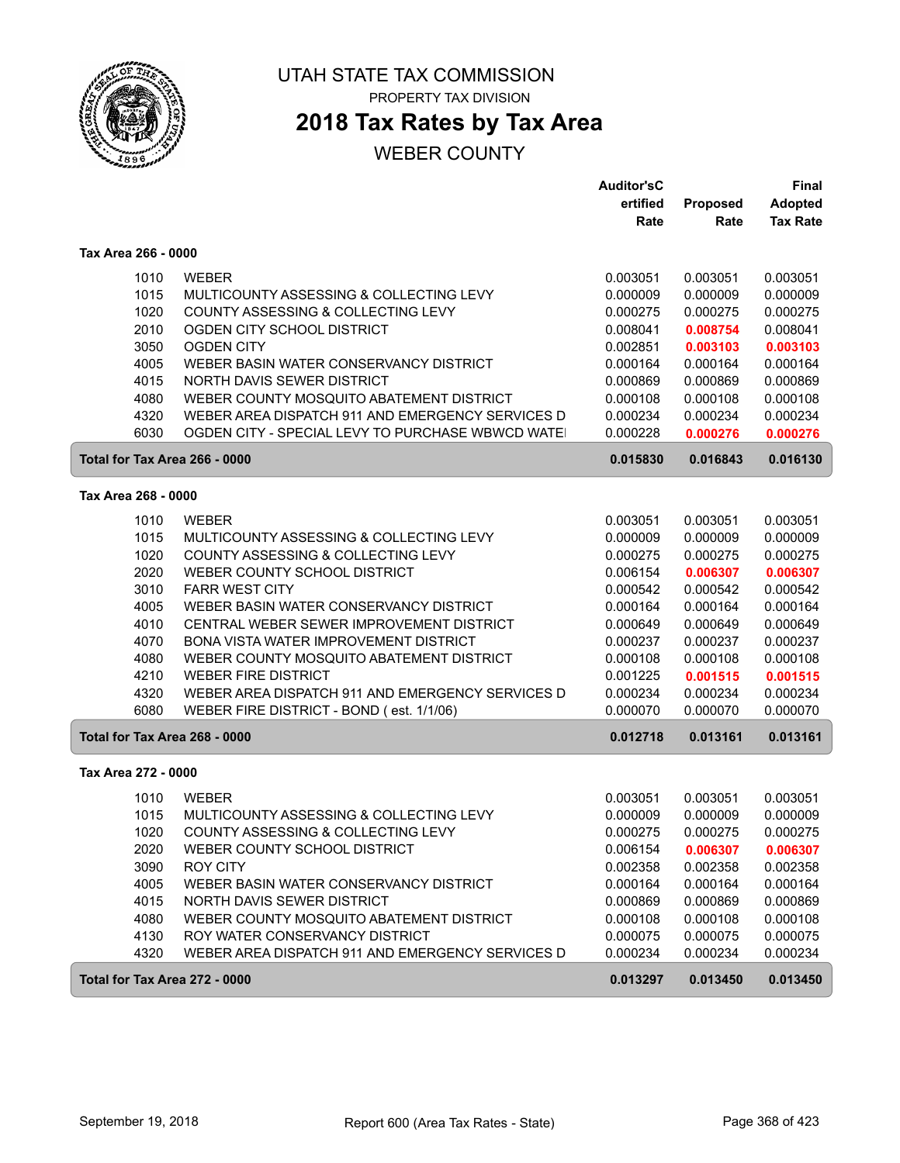

**2018 Tax Rates by Tax Area**

|                               |                                                  | <b>Auditor'sC</b> |          | Final           |
|-------------------------------|--------------------------------------------------|-------------------|----------|-----------------|
|                               |                                                  | ertified          | Proposed | <b>Adopted</b>  |
|                               |                                                  | Rate              | Rate     | <b>Tax Rate</b> |
| Tax Area 266 - 0000           |                                                  |                   |          |                 |
| 1010                          | <b>WEBER</b>                                     | 0.003051          | 0.003051 | 0.003051        |
| 1015                          | MULTICOUNTY ASSESSING & COLLECTING LEVY          | 0.000009          | 0.000009 | 0.000009        |
| 1020                          | COUNTY ASSESSING & COLLECTING LEVY               | 0.000275          | 0.000275 | 0.000275        |
| 2010                          | OGDEN CITY SCHOOL DISTRICT                       | 0.008041          | 0.008754 | 0.008041        |
| 3050                          | <b>OGDEN CITY</b>                                | 0.002851          | 0.003103 | 0.003103        |
| 4005                          | WEBER BASIN WATER CONSERVANCY DISTRICT           | 0.000164          | 0.000164 | 0.000164        |
| 4015                          | NORTH DAVIS SEWER DISTRICT                       | 0.000869          | 0.000869 | 0.000869        |
| 4080                          | WEBER COUNTY MOSQUITO ABATEMENT DISTRICT         | 0.000108          | 0.000108 | 0.000108        |
| 4320                          | WEBER AREA DISPATCH 911 AND EMERGENCY SERVICES D | 0.000234          | 0.000234 | 0.000234        |
| 6030                          | OGDEN CITY - SPECIAL LEVY TO PURCHASE WBWCD WATE | 0.000228          | 0.000276 | 0.000276        |
| Total for Tax Area 266 - 0000 |                                                  | 0.015830          | 0.016843 | 0.016130        |
| Tax Area 268 - 0000           |                                                  |                   |          |                 |
| 1010                          | <b>WEBER</b>                                     | 0.003051          | 0.003051 | 0.003051        |
| 1015                          | MULTICOUNTY ASSESSING & COLLECTING LEVY          | 0.000009          | 0.000009 | 0.000009        |
| 1020                          | COUNTY ASSESSING & COLLECTING LEVY               | 0.000275          | 0.000275 | 0.000275        |
| 2020                          | WEBER COUNTY SCHOOL DISTRICT                     | 0.006154          | 0.006307 | 0.006307        |
| 3010                          | <b>FARR WEST CITY</b>                            | 0.000542          | 0.000542 | 0.000542        |
| 4005                          | WEBER BASIN WATER CONSERVANCY DISTRICT           | 0.000164          | 0.000164 | 0.000164        |
| 4010                          | CENTRAL WEBER SEWER IMPROVEMENT DISTRICT         | 0.000649          | 0.000649 | 0.000649        |
| 4070                          | BONA VISTA WATER IMPROVEMENT DISTRICT            | 0.000237          | 0.000237 | 0.000237        |
| 4080                          | WEBER COUNTY MOSQUITO ABATEMENT DISTRICT         | 0.000108          | 0.000108 | 0.000108        |
| 4210                          | <b>WEBER FIRE DISTRICT</b>                       | 0.001225          | 0.001515 | 0.001515        |
| 4320                          | WEBER AREA DISPATCH 911 AND EMERGENCY SERVICES D | 0.000234          | 0.000234 | 0.000234        |
| 6080                          | WEBER FIRE DISTRICT - BOND (est. 1/1/06)         | 0.000070          | 0.000070 | 0.000070        |
| Total for Tax Area 268 - 0000 |                                                  | 0.012718          | 0.013161 | 0.013161        |
| Tax Area 272 - 0000           |                                                  |                   |          |                 |
| 1010                          | <b>WEBER</b>                                     | 0.003051          | 0.003051 | 0.003051        |
| 1015                          | MULTICOUNTY ASSESSING & COLLECTING LEVY          | 0.000009          | 0.000009 | 0.000009        |
| 1020                          | COUNTY ASSESSING & COLLECTING LEVY               | 0.000275          | 0.000275 | 0.000275        |
| 2020                          | WEBER COUNTY SCHOOL DISTRICT                     | 0.006154          | 0.006307 | 0.006307        |
| 3090                          | <b>ROY CITY</b>                                  | 0.002358          | 0.002358 | 0.002358        |
| 4005                          | WEBER BASIN WATER CONSERVANCY DISTRICT           | 0.000164          | 0.000164 | 0.000164        |
| 4015                          | NORTH DAVIS SEWER DISTRICT                       | 0.000869          | 0.000869 | 0.000869        |
| 4080                          | WEBER COUNTY MOSQUITO ABATEMENT DISTRICT         | 0.000108          | 0.000108 | 0.000108        |
| 4130                          | ROY WATER CONSERVANCY DISTRICT                   | 0.000075          | 0.000075 | 0.000075        |
| 4320                          | WEBER AREA DISPATCH 911 AND EMERGENCY SERVICES D | 0.000234          | 0.000234 | 0.000234        |
| Total for Tax Area 272 - 0000 |                                                  | 0.013297          | 0.013450 | 0.013450        |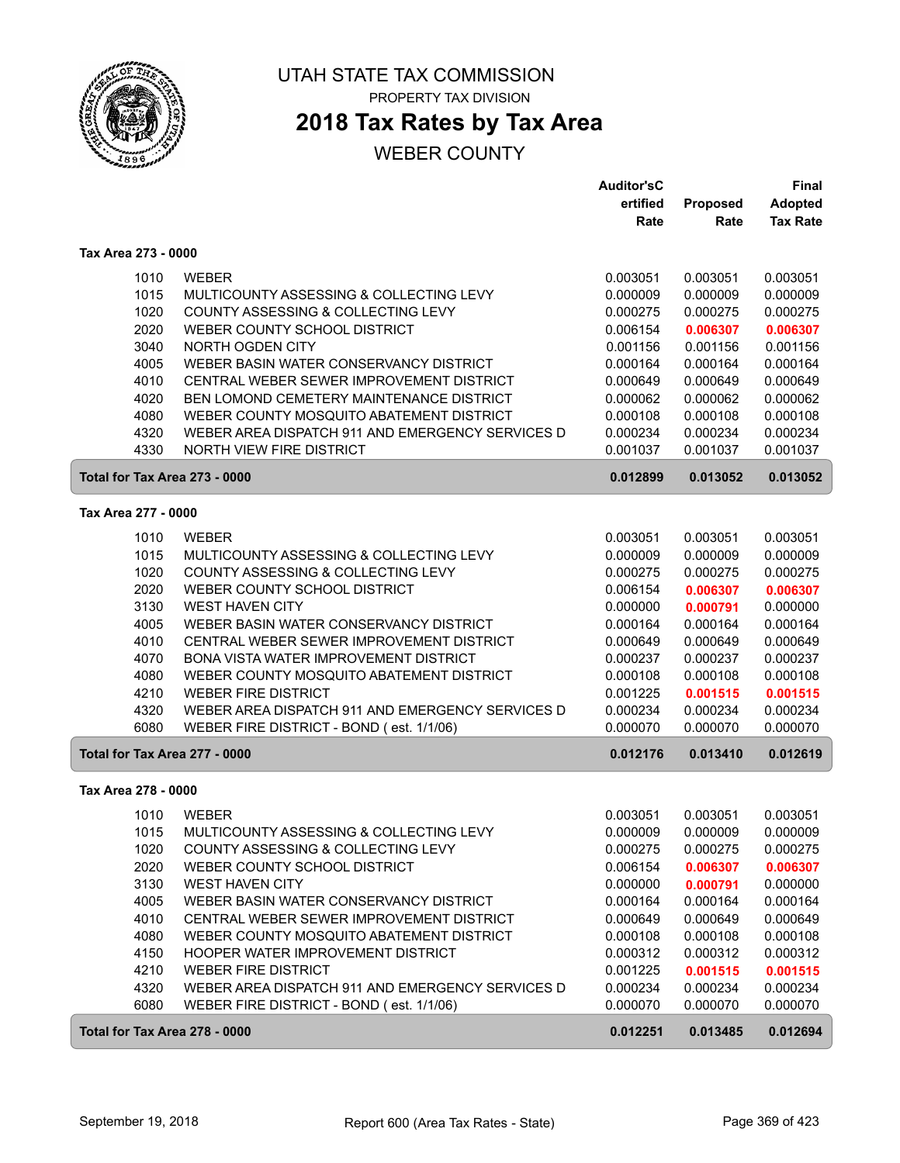

## **2018 Tax Rates by Tax Area**

|                               |                                                  | <b>Auditor'sC</b> |                 | Final           |
|-------------------------------|--------------------------------------------------|-------------------|-----------------|-----------------|
|                               |                                                  | ertified          | <b>Proposed</b> | <b>Adopted</b>  |
|                               |                                                  | Rate              | Rate            | <b>Tax Rate</b> |
| Tax Area 273 - 0000           |                                                  |                   |                 |                 |
| 1010                          | <b>WEBER</b>                                     | 0.003051          | 0.003051        | 0.003051        |
| 1015                          | MULTICOUNTY ASSESSING & COLLECTING LEVY          | 0.000009          | 0.000009        | 0.000009        |
| 1020                          | COUNTY ASSESSING & COLLECTING LEVY               | 0.000275          | 0.000275        | 0.000275        |
| 2020                          | WEBER COUNTY SCHOOL DISTRICT                     | 0.006154          | 0.006307        | 0.006307        |
| 3040                          | NORTH OGDEN CITY                                 | 0.001156          | 0.001156        | 0.001156        |
| 4005                          | WEBER BASIN WATER CONSERVANCY DISTRICT           | 0.000164          | 0.000164        | 0.000164        |
| 4010                          | CENTRAL WEBER SEWER IMPROVEMENT DISTRICT         | 0.000649          | 0.000649        | 0.000649        |
| 4020                          | BEN LOMOND CEMETERY MAINTENANCE DISTRICT         | 0.000062          | 0.000062        | 0.000062        |
| 4080                          | WEBER COUNTY MOSQUITO ABATEMENT DISTRICT         | 0.000108          | 0.000108        | 0.000108        |
| 4320                          | WEBER AREA DISPATCH 911 AND EMERGENCY SERVICES D | 0.000234          | 0.000234        | 0.000234        |
| 4330                          | NORTH VIEW FIRE DISTRICT                         | 0.001037          | 0.001037        | 0.001037        |
|                               |                                                  |                   |                 |                 |
| Total for Tax Area 273 - 0000 |                                                  | 0.012899          | 0.013052        | 0.013052        |
| Tax Area 277 - 0000           |                                                  |                   |                 |                 |
| 1010                          | <b>WEBER</b>                                     | 0.003051          | 0.003051        | 0.003051        |
| 1015                          | MULTICOUNTY ASSESSING & COLLECTING LEVY          | 0.000009          | 0.000009        | 0.000009        |
| 1020                          | COUNTY ASSESSING & COLLECTING LEVY               | 0.000275          | 0.000275        | 0.000275        |
| 2020                          | WEBER COUNTY SCHOOL DISTRICT                     | 0.006154          | 0.006307        | 0.006307        |
| 3130                          | <b>WEST HAVEN CITY</b>                           | 0.000000          | 0.000791        | 0.000000        |
| 4005                          | WEBER BASIN WATER CONSERVANCY DISTRICT           | 0.000164          | 0.000164        | 0.000164        |
| 4010                          | CENTRAL WEBER SEWER IMPROVEMENT DISTRICT         | 0.000649          | 0.000649        | 0.000649        |
| 4070                          | <b>BONA VISTA WATER IMPROVEMENT DISTRICT</b>     | 0.000237          | 0.000237        | 0.000237        |
| 4080                          | WEBER COUNTY MOSQUITO ABATEMENT DISTRICT         | 0.000108          | 0.000108        | 0.000108        |
| 4210                          | <b>WEBER FIRE DISTRICT</b>                       | 0.001225          | 0.001515        | 0.001515        |
| 4320                          | WEBER AREA DISPATCH 911 AND EMERGENCY SERVICES D | 0.000234          | 0.000234        | 0.000234        |
| 6080                          | WEBER FIRE DISTRICT - BOND (est. 1/1/06)         | 0.000070          | 0.000070        | 0.000070        |
| Total for Tax Area 277 - 0000 |                                                  | 0.012176          | 0.013410        | 0.012619        |
| Tax Area 278 - 0000           |                                                  |                   |                 |                 |
|                               |                                                  |                   |                 |                 |
| 1010                          | <b>WEBER</b>                                     | 0.003051          | 0.003051        | 0.003051        |
| 1015                          | MULTICOUNTY ASSESSING & COLLECTING LEVY          | 0.000009          | 0.000009        | 0.000009        |
| 1020                          | COUNTY ASSESSING & COLLECTING LEVY               | 0.000275          | 0.000275        | 0.000275        |
| 2020                          | WEBER COUNTY SCHOOL DISTRICT                     | 0.006154          | 0.006307        | 0.006307        |
| 3130                          | <b>WEST HAVEN CITY</b>                           | 0.000000          | 0.000791        | 0.000000        |
| 4005                          | WEBER BASIN WATER CONSERVANCY DISTRICT           | 0.000164          | 0.000164        | 0.000164        |
| 4010                          | CENTRAL WEBER SEWER IMPROVEMENT DISTRICT         | 0.000649          | 0.000649        | 0.000649        |
| 4080                          | WEBER COUNTY MOSQUITO ABATEMENT DISTRICT         | 0.000108          | 0.000108        | 0.000108        |
| 4150                          | HOOPER WATER IMPROVEMENT DISTRICT                | 0.000312          | 0.000312        | 0.000312        |
| 4210                          | <b>WEBER FIRE DISTRICT</b>                       | 0.001225          | 0.001515        | 0.001515        |
| 4320                          | WEBER AREA DISPATCH 911 AND EMERGENCY SERVICES D | 0.000234          | 0.000234        | 0.000234        |
| 6080                          | WEBER FIRE DISTRICT - BOND (est. 1/1/06)         | 0.000070          | 0.000070        | 0.000070        |
| Total for Tax Area 278 - 0000 |                                                  | 0.012251          | 0.013485        | 0.012694        |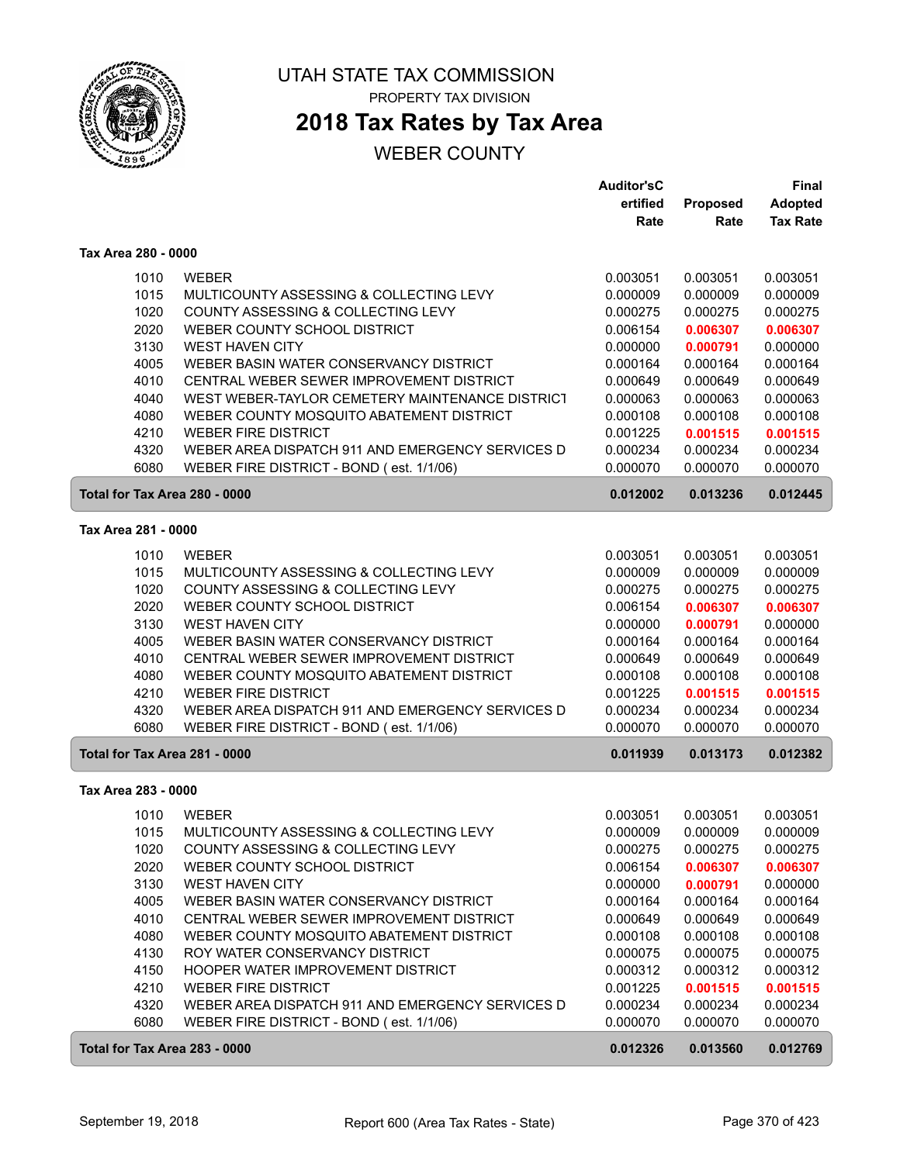

## **2018 Tax Rates by Tax Area**

|                               |                                                  | <b>Auditor'sC</b> |          | <b>Final</b>    |
|-------------------------------|--------------------------------------------------|-------------------|----------|-----------------|
|                               |                                                  | ertified          | Proposed | <b>Adopted</b>  |
|                               |                                                  | Rate              | Rate     | <b>Tax Rate</b> |
| Tax Area 280 - 0000           |                                                  |                   |          |                 |
| 1010                          | <b>WEBER</b>                                     | 0.003051          | 0.003051 | 0.003051        |
| 1015                          | MULTICOUNTY ASSESSING & COLLECTING LEVY          | 0.000009          | 0.000009 | 0.000009        |
| 1020                          | COUNTY ASSESSING & COLLECTING LEVY               | 0.000275          | 0.000275 | 0.000275        |
| 2020                          | WEBER COUNTY SCHOOL DISTRICT                     | 0.006154          | 0.006307 | 0.006307        |
| 3130                          | <b>WEST HAVEN CITY</b>                           | 0.000000          | 0.000791 | 0.000000        |
| 4005                          | WEBER BASIN WATER CONSERVANCY DISTRICT           | 0.000164          | 0.000164 | 0.000164        |
| 4010                          | CENTRAL WEBER SEWER IMPROVEMENT DISTRICT         | 0.000649          | 0.000649 | 0.000649        |
| 4040                          | WEST WEBER-TAYLOR CEMETERY MAINTENANCE DISTRICT  | 0.000063          | 0.000063 | 0.000063        |
| 4080                          | WEBER COUNTY MOSQUITO ABATEMENT DISTRICT         | 0.000108          | 0.000108 | 0.000108        |
| 4210                          | <b>WEBER FIRE DISTRICT</b>                       | 0.001225          | 0.001515 | 0.001515        |
| 4320                          | WEBER AREA DISPATCH 911 AND EMERGENCY SERVICES D | 0.000234          | 0.000234 | 0.000234        |
| 6080                          | WEBER FIRE DISTRICT - BOND (est. 1/1/06)         | 0.000070          | 0.000070 | 0.000070        |
| Total for Tax Area 280 - 0000 |                                                  | 0.012002          | 0.013236 | 0.012445        |
| Tax Area 281 - 0000           |                                                  |                   |          |                 |
| 1010                          | <b>WEBER</b>                                     | 0.003051          | 0.003051 | 0.003051        |
| 1015                          | MULTICOUNTY ASSESSING & COLLECTING LEVY          | 0.000009          | 0.000009 | 0.000009        |
| 1020                          | COUNTY ASSESSING & COLLECTING LEVY               | 0.000275          | 0.000275 | 0.000275        |
| 2020                          | WEBER COUNTY SCHOOL DISTRICT                     | 0.006154          | 0.006307 | 0.006307        |
| 3130                          | <b>WEST HAVEN CITY</b>                           | 0.000000          | 0.000791 | 0.000000        |
| 4005                          | WEBER BASIN WATER CONSERVANCY DISTRICT           | 0.000164          | 0.000164 | 0.000164        |
| 4010                          | CENTRAL WEBER SEWER IMPROVEMENT DISTRICT         | 0.000649          | 0.000649 | 0.000649        |
| 4080                          | WEBER COUNTY MOSQUITO ABATEMENT DISTRICT         | 0.000108          | 0.000108 | 0.000108        |
| 4210                          | <b>WEBER FIRE DISTRICT</b>                       | 0.001225          | 0.001515 | 0.001515        |
| 4320                          | WEBER AREA DISPATCH 911 AND EMERGENCY SERVICES D | 0.000234          | 0.000234 | 0.000234        |
| 6080                          | WEBER FIRE DISTRICT - BOND (est. 1/1/06)         | 0.000070          | 0.000070 | 0.000070        |
| Total for Tax Area 281 - 0000 |                                                  | 0.011939          | 0.013173 | 0.012382        |
| Tax Area 283 - 0000           |                                                  |                   |          |                 |
| 1010                          | <b>WEBER</b>                                     | 0.003051          | 0.003051 | 0.003051        |
| 1015                          | MULTICOUNTY ASSESSING & COLLECTING LEVY          | 0.000009          | 0.000009 | 0.000009        |
| 1020                          | COUNTY ASSESSING & COLLECTING LEVY               | 0.000275          | 0.000275 | 0.000275        |
| 2020                          | WEBER COUNTY SCHOOL DISTRICT                     | 0.006154          | 0.006307 | 0.006307        |
| 3130                          | <b>WEST HAVEN CITY</b>                           | 0.000000          | 0.000791 | 0.000000        |
| 4005                          | WEBER BASIN WATER CONSERVANCY DISTRICT           | 0.000164          | 0.000164 | 0.000164        |
| 4010                          | CENTRAL WEBER SEWER IMPROVEMENT DISTRICT         | 0.000649          | 0.000649 | 0.000649        |
| 4080                          | WEBER COUNTY MOSQUITO ABATEMENT DISTRICT         | 0.000108          | 0.000108 | 0.000108        |
| 4130                          | ROY WATER CONSERVANCY DISTRICT                   | 0.000075          | 0.000075 | 0.000075        |
| 4150                          | HOOPER WATER IMPROVEMENT DISTRICT                | 0.000312          | 0.000312 | 0.000312        |
| 4210                          | <b>WEBER FIRE DISTRICT</b>                       | 0.001225          | 0.001515 | 0.001515        |
| 4320                          | WEBER AREA DISPATCH 911 AND EMERGENCY SERVICES D | 0.000234          | 0.000234 | 0.000234        |
| 6080                          | WEBER FIRE DISTRICT - BOND (est. 1/1/06)         | 0.000070          | 0.000070 | 0.000070        |
| Total for Tax Area 283 - 0000 |                                                  | 0.012326          | 0.013560 | 0.012769        |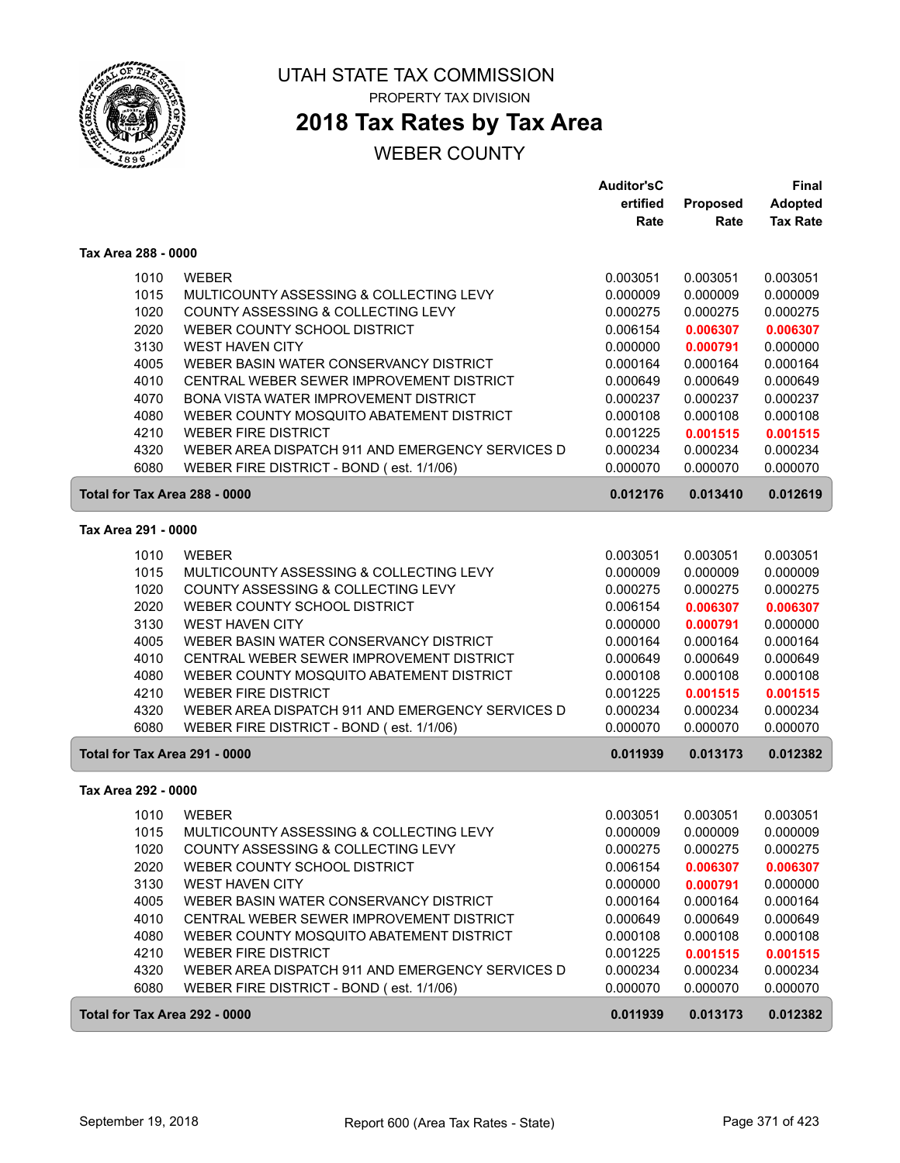

# **2018 Tax Rates by Tax Area**

|                     |                                                                                              | <b>Auditor'sC</b>    |                         | Final                             |
|---------------------|----------------------------------------------------------------------------------------------|----------------------|-------------------------|-----------------------------------|
|                     |                                                                                              | ertified<br>Rate     | <b>Proposed</b><br>Rate | <b>Adopted</b><br><b>Tax Rate</b> |
| Tax Area 288 - 0000 |                                                                                              |                      |                         |                                   |
| 1010                | <b>WEBER</b>                                                                                 | 0.003051             | 0.003051                | 0.003051                          |
| 1015                | MULTICOUNTY ASSESSING & COLLECTING LEVY                                                      | 0.000009             | 0.000009                | 0.000009                          |
| 1020                | COUNTY ASSESSING & COLLECTING LEVY                                                           | 0.000275             | 0.000275                | 0.000275                          |
| 2020                | WEBER COUNTY SCHOOL DISTRICT                                                                 | 0.006154             | 0.006307                | 0.006307                          |
| 3130                | <b>WEST HAVEN CITY</b>                                                                       | 0.000000             | 0.000791                | 0.000000                          |
| 4005                | WEBER BASIN WATER CONSERVANCY DISTRICT                                                       | 0.000164             | 0.000164                | 0.000164                          |
| 4010                | CENTRAL WEBER SEWER IMPROVEMENT DISTRICT                                                     | 0.000649             | 0.000649                | 0.000649                          |
| 4070                | <b>BONA VISTA WATER IMPROVEMENT DISTRICT</b>                                                 | 0.000237             | 0.000237                | 0.000237                          |
| 4080                | WEBER COUNTY MOSQUITO ABATEMENT DISTRICT                                                     | 0.000108             | 0.000108                | 0.000108                          |
| 4210                | <b>WEBER FIRE DISTRICT</b>                                                                   | 0.001225             | 0.001515                | 0.001515                          |
| 4320                | WEBER AREA DISPATCH 911 AND EMERGENCY SERVICES D                                             | 0.000234             | 0.000234                | 0.000234                          |
| 6080                | WEBER FIRE DISTRICT - BOND (est. 1/1/06)                                                     | 0.000070             | 0.000070                | 0.000070                          |
|                     | Total for Tax Area 288 - 0000                                                                | 0.012176             | 0.013410                | 0.012619                          |
| Tax Area 291 - 0000 |                                                                                              |                      |                         |                                   |
| 1010                | <b>WEBER</b>                                                                                 | 0.003051             | 0.003051                | 0.003051                          |
| 1015                | MULTICOUNTY ASSESSING & COLLECTING LEVY                                                      | 0.000009             | 0.000009                | 0.000009                          |
| 1020                | COUNTY ASSESSING & COLLECTING LEVY                                                           | 0.000275             | 0.000275                | 0.000275                          |
| 2020                | WEBER COUNTY SCHOOL DISTRICT                                                                 | 0.006154             | 0.006307                | 0.006307                          |
| 3130                | <b>WEST HAVEN CITY</b>                                                                       | 0.000000             | 0.000791                | 0.000000                          |
| 4005                | WEBER BASIN WATER CONSERVANCY DISTRICT                                                       | 0.000164             | 0.000164                | 0.000164                          |
| 4010                | CENTRAL WEBER SEWER IMPROVEMENT DISTRICT                                                     | 0.000649             | 0.000649                | 0.000649                          |
| 4080                | WEBER COUNTY MOSQUITO ABATEMENT DISTRICT                                                     | 0.000108             | 0.000108                | 0.000108                          |
| 4210                | <b>WEBER FIRE DISTRICT</b>                                                                   | 0.001225             | 0.001515                | 0.001515                          |
| 4320                | WEBER AREA DISPATCH 911 AND EMERGENCY SERVICES D                                             | 0.000234             | 0.000234                | 0.000234                          |
| 6080                | WEBER FIRE DISTRICT - BOND (est. 1/1/06)                                                     | 0.000070             | 0.000070                | 0.000070                          |
|                     | Total for Tax Area 291 - 0000                                                                | 0.011939             | 0.013173                | 0.012382                          |
| Tax Area 292 - 0000 |                                                                                              |                      |                         |                                   |
| 1010                | <b>WEBER</b>                                                                                 | 0.003051             | 0.003051                | 0.003051                          |
| 1015                | MULTICOUNTY ASSESSING & COLLECTING LEVY                                                      | 0.000009             | 0.000009                | 0.000009                          |
| 1020                | COUNTY ASSESSING & COLLECTING LEVY                                                           | 0.000275             | 0.000275                | 0.000275                          |
| 2020                | WEBER COUNTY SCHOOL DISTRICT                                                                 | 0.006154             | 0.006307                | 0.006307                          |
| 3130                | <b>WEST HAVEN CITY</b>                                                                       | 0.000000             | 0.000791                | 0.000000                          |
| 4005                | WEBER BASIN WATER CONSERVANCY DISTRICT                                                       | 0.000164             | 0.000164                | 0.000164                          |
| 4010                | CENTRAL WEBER SEWER IMPROVEMENT DISTRICT                                                     | 0.000649             | 0.000649                | 0.000649                          |
| 4080                | WEBER COUNTY MOSQUITO ABATEMENT DISTRICT                                                     | 0.000108             | 0.000108                | 0.000108                          |
| 4210                | <b>WEBER FIRE DISTRICT</b>                                                                   | 0.001225             | 0.001515                | 0.001515                          |
| 4320<br>6080        | WEBER AREA DISPATCH 911 AND EMERGENCY SERVICES D<br>WEBER FIRE DISTRICT - BOND (est. 1/1/06) | 0.000234<br>0.000070 | 0.000234<br>0.000070    | 0.000234<br>0.000070              |
|                     |                                                                                              |                      |                         |                                   |
|                     | Total for Tax Area 292 - 0000                                                                | 0.011939             | 0.013173                | 0.012382                          |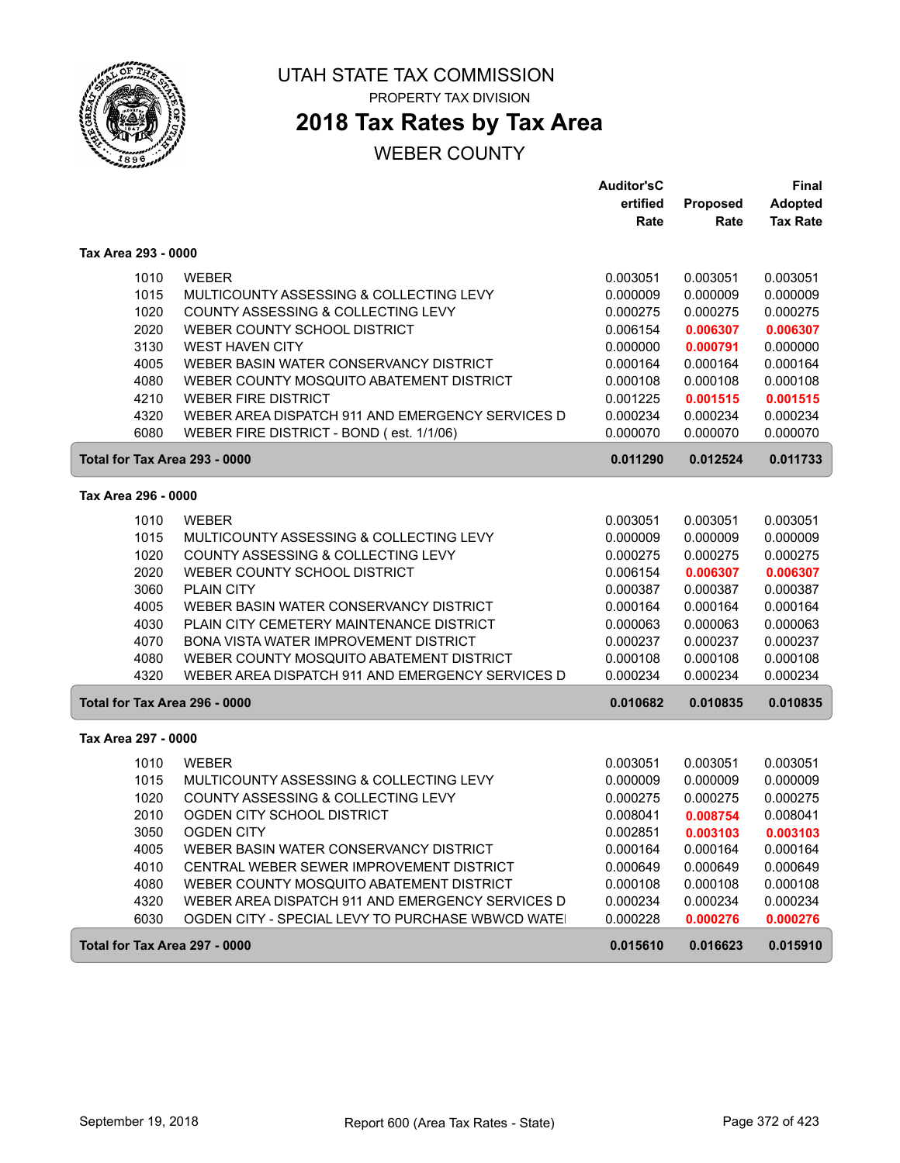

# UTAH STATE TAX COMMISSION

PROPERTY TAX DIVISION

# **2018 Tax Rates by Tax Area**

|                     |                                                   | <b>Auditor'sC</b> |          | <b>Final</b>    |
|---------------------|---------------------------------------------------|-------------------|----------|-----------------|
|                     |                                                   | ertified          | Proposed | <b>Adopted</b>  |
|                     |                                                   | Rate              | Rate     | <b>Tax Rate</b> |
| Tax Area 293 - 0000 |                                                   |                   |          |                 |
| 1010                | <b>WEBER</b>                                      | 0.003051          | 0.003051 | 0.003051        |
| 1015                | MULTICOUNTY ASSESSING & COLLECTING LEVY           | 0.000009          | 0.000009 | 0.000009        |
| 1020                | COUNTY ASSESSING & COLLECTING LEVY                | 0.000275          | 0.000275 | 0.000275        |
| 2020                | WEBER COUNTY SCHOOL DISTRICT                      | 0.006154          | 0.006307 | 0.006307        |
| 3130                | <b>WEST HAVEN CITY</b>                            | 0.000000          | 0.000791 | 0.000000        |
| 4005                | WEBER BASIN WATER CONSERVANCY DISTRICT            | 0.000164          | 0.000164 | 0.000164        |
| 4080                | WEBER COUNTY MOSQUITO ABATEMENT DISTRICT          | 0.000108          | 0.000108 | 0.000108        |
| 4210                | <b>WEBER FIRE DISTRICT</b>                        | 0.001225          | 0.001515 | 0.001515        |
| 4320                | WEBER AREA DISPATCH 911 AND EMERGENCY SERVICES D  | 0.000234          | 0.000234 | 0.000234        |
| 6080                | WEBER FIRE DISTRICT - BOND (est. 1/1/06)          | 0.000070          | 0.000070 | 0.000070        |
|                     | Total for Tax Area 293 - 0000                     | 0.011290          | 0.012524 | 0.011733        |
| Tax Area 296 - 0000 |                                                   |                   |          |                 |
|                     |                                                   |                   |          |                 |
| 1010                | <b>WEBER</b>                                      | 0.003051          | 0.003051 | 0.003051        |
| 1015                | MULTICOUNTY ASSESSING & COLLECTING LEVY           | 0.000009          | 0.000009 | 0.000009        |
| 1020                | COUNTY ASSESSING & COLLECTING LEVY                | 0.000275          | 0.000275 | 0.000275        |
| 2020                | WEBER COUNTY SCHOOL DISTRICT                      | 0.006154          | 0.006307 | 0.006307        |
| 3060                | <b>PLAIN CITY</b>                                 | 0.000387          | 0.000387 | 0.000387        |
| 4005                | WEBER BASIN WATER CONSERVANCY DISTRICT            | 0.000164          | 0.000164 | 0.000164        |
| 4030                | PLAIN CITY CEMETERY MAINTENANCE DISTRICT          | 0.000063          | 0.000063 | 0.000063        |
| 4070                | BONA VISTA WATER IMPROVEMENT DISTRICT             | 0.000237          | 0.000237 | 0.000237        |
| 4080                | WEBER COUNTY MOSQUITO ABATEMENT DISTRICT          | 0.000108          | 0.000108 | 0.000108        |
| 4320                | WEBER AREA DISPATCH 911 AND EMERGENCY SERVICES D  | 0.000234          | 0.000234 | 0.000234        |
|                     | Total for Tax Area 296 - 0000                     | 0.010682          | 0.010835 | 0.010835        |
| Tax Area 297 - 0000 |                                                   |                   |          |                 |
| 1010                | <b>WEBER</b>                                      | 0.003051          | 0.003051 | 0.003051        |
| 1015                | MULTICOUNTY ASSESSING & COLLECTING LEVY           | 0.000009          | 0.000009 | 0.000009        |
| 1020                | COUNTY ASSESSING & COLLECTING LEVY                | 0.000275          | 0.000275 | 0.000275        |
| 2010                | OGDEN CITY SCHOOL DISTRICT                        | 0.008041          | 0.008754 | 0.008041        |
| 3050                | <b>OGDEN CITY</b>                                 | 0.002851          | 0.003103 | 0.003103        |
| 4005                | WEBER BASIN WATER CONSERVANCY DISTRICT            | 0.000164          | 0.000164 | 0.000164        |
| 4010                | CENTRAL WEBER SEWER IMPROVEMENT DISTRICT          | 0.000649          | 0.000649 | 0.000649        |
| 4080                | WEBER COUNTY MOSQUITO ABATEMENT DISTRICT          | 0.000108          | 0.000108 | 0.000108        |
| 4320                | WEBER AREA DISPATCH 911 AND EMERGENCY SERVICES D  | 0.000234          | 0.000234 | 0.000234        |
| 6030                | OGDEN CITY - SPECIAL LEVY TO PURCHASE WBWCD WATE! | 0.000228          | 0.000276 | 0.000276        |
|                     | Total for Tax Area 297 - 0000                     | 0.015610          | 0.016623 | 0.015910        |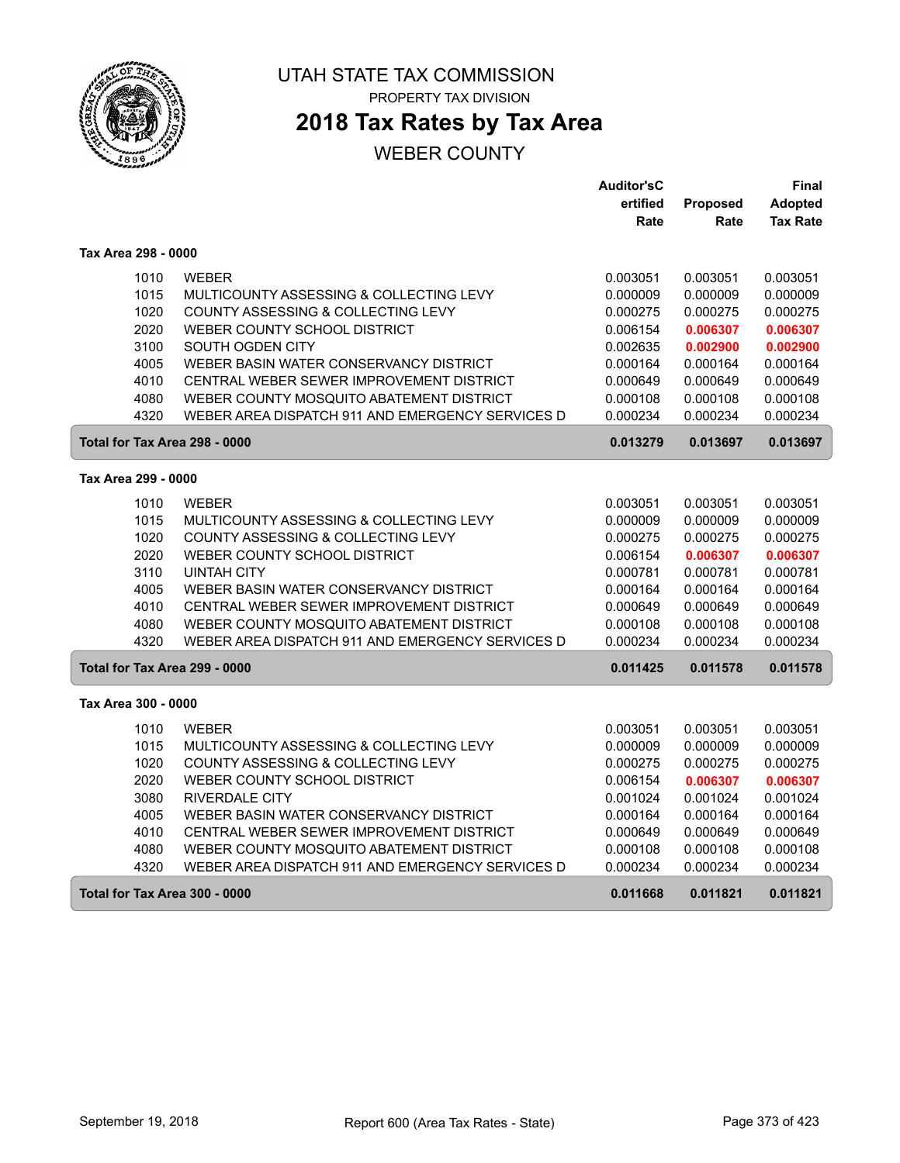

# **2018 Tax Rates by Tax Area**

|                               |                                                  | <b>Auditor'sC</b> |          | Final           |
|-------------------------------|--------------------------------------------------|-------------------|----------|-----------------|
|                               |                                                  | ertified          | Proposed | <b>Adopted</b>  |
|                               |                                                  | Rate              | Rate     | <b>Tax Rate</b> |
| Tax Area 298 - 0000           |                                                  |                   |          |                 |
| 1010                          | <b>WEBER</b>                                     | 0.003051          | 0.003051 | 0.003051        |
| 1015                          | MULTICOUNTY ASSESSING & COLLECTING LEVY          | 0.000009          | 0.000009 | 0.000009        |
| 1020                          | COUNTY ASSESSING & COLLECTING LEVY               | 0.000275          | 0.000275 | 0.000275        |
| 2020                          | WEBER COUNTY SCHOOL DISTRICT                     | 0.006154          | 0.006307 | 0.006307        |
| 3100                          | SOUTH OGDEN CITY                                 | 0.002635          | 0.002900 | 0.002900        |
| 4005                          | WEBER BASIN WATER CONSERVANCY DISTRICT           | 0.000164          | 0.000164 | 0.000164        |
| 4010                          | CENTRAL WEBER SEWER IMPROVEMENT DISTRICT         | 0.000649          | 0.000649 | 0.000649        |
| 4080                          | WEBER COUNTY MOSQUITO ABATEMENT DISTRICT         | 0.000108          | 0.000108 | 0.000108        |
| 4320                          | WEBER AREA DISPATCH 911 AND EMERGENCY SERVICES D | 0.000234          | 0.000234 | 0.000234        |
| Total for Tax Area 298 - 0000 |                                                  | 0.013279          | 0.013697 | 0.013697        |
| Tax Area 299 - 0000           |                                                  |                   |          |                 |
| 1010                          | <b>WEBER</b>                                     | 0.003051          | 0.003051 | 0.003051        |
| 1015                          | MULTICOUNTY ASSESSING & COLLECTING LEVY          | 0.000009          | 0.000009 | 0.000009        |
| 1020                          | COUNTY ASSESSING & COLLECTING LEVY               | 0.000275          | 0.000275 | 0.000275        |
| 2020                          | WEBER COUNTY SCHOOL DISTRICT                     | 0.006154          | 0.006307 | 0.006307        |
| 3110                          | <b>UINTAH CITY</b>                               | 0.000781          | 0.000781 | 0.000781        |
| 4005                          | WEBER BASIN WATER CONSERVANCY DISTRICT           | 0.000164          | 0.000164 | 0.000164        |
| 4010                          | CENTRAL WEBER SEWER IMPROVEMENT DISTRICT         | 0.000649          | 0.000649 | 0.000649        |
| 4080                          | WEBER COUNTY MOSQUITO ABATEMENT DISTRICT         | 0.000108          | 0.000108 | 0.000108        |
| 4320                          | WEBER AREA DISPATCH 911 AND EMERGENCY SERVICES D | 0.000234          | 0.000234 | 0.000234        |
| Total for Tax Area 299 - 0000 |                                                  | 0.011425          | 0.011578 | 0.011578        |
| Tax Area 300 - 0000           |                                                  |                   |          |                 |
| 1010                          | <b>WEBER</b>                                     | 0.003051          | 0.003051 | 0.003051        |
| 1015                          | MULTICOUNTY ASSESSING & COLLECTING LEVY          | 0.000009          | 0.000009 | 0.000009        |
| 1020                          | COUNTY ASSESSING & COLLECTING LEVY               | 0.000275          | 0.000275 | 0.000275        |
| 2020                          | WEBER COUNTY SCHOOL DISTRICT                     | 0.006154          | 0.006307 | 0.006307        |
| 3080                          | <b>RIVERDALE CITY</b>                            | 0.001024          | 0.001024 | 0.001024        |
| 4005                          | WEBER BASIN WATER CONSERVANCY DISTRICT           | 0.000164          | 0.000164 | 0.000164        |
| 4010                          | CENTRAL WEBER SEWER IMPROVEMENT DISTRICT         | 0.000649          | 0.000649 | 0.000649        |
| 4080                          | WEBER COUNTY MOSQUITO ABATEMENT DISTRICT         | 0.000108          | 0.000108 | 0.000108        |
| 4320                          | WEBER AREA DISPATCH 911 AND EMERGENCY SERVICES D | 0.000234          | 0.000234 | 0.000234        |
| Total for Tax Area 300 - 0000 |                                                  | 0.011668          | 0.011821 | 0.011821        |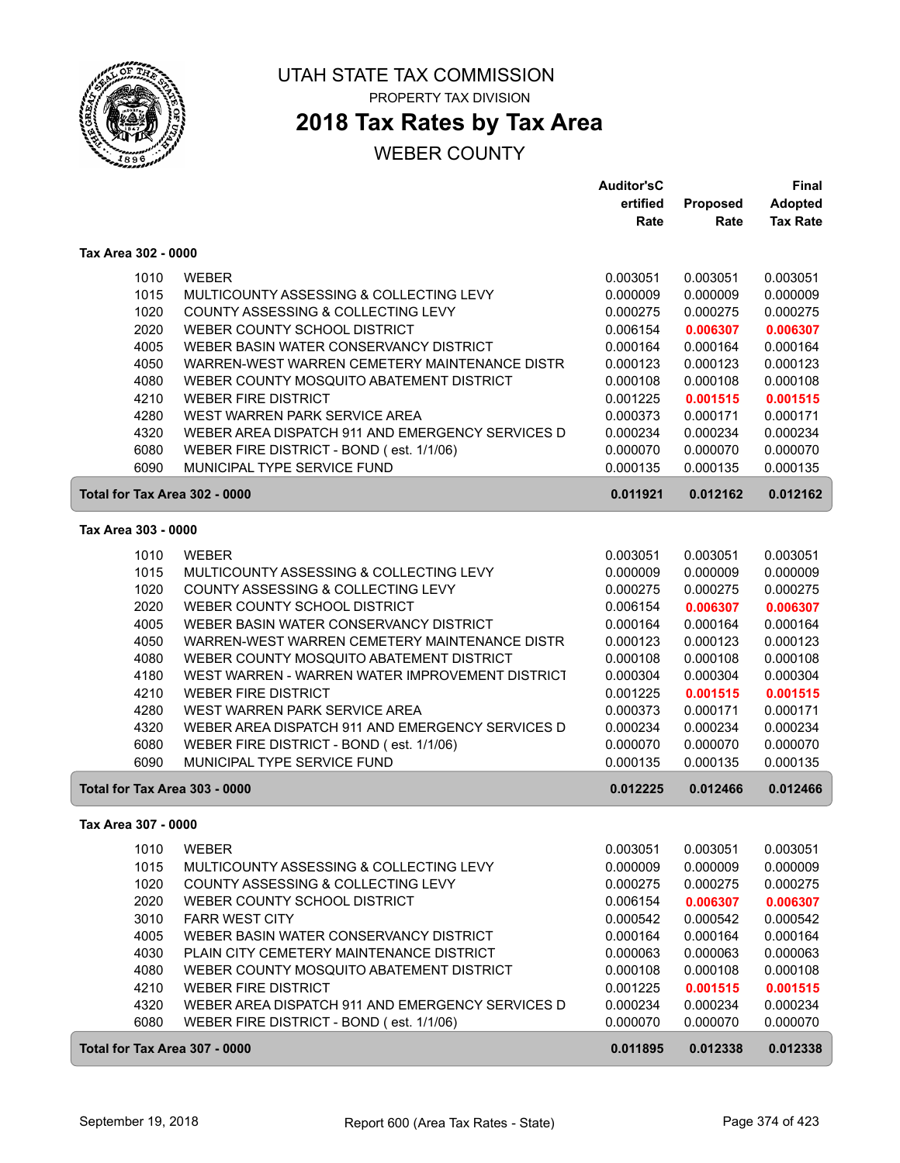

## **2018 Tax Rates by Tax Area**

|                               |                                                                    | <b>Auditor'sC</b>    |                      | <b>Final</b>         |
|-------------------------------|--------------------------------------------------------------------|----------------------|----------------------|----------------------|
|                               |                                                                    | ertified             | Proposed             | <b>Adopted</b>       |
|                               |                                                                    | Rate                 | Rate                 | <b>Tax Rate</b>      |
| Tax Area 302 - 0000           |                                                                    |                      |                      |                      |
| 1010                          | <b>WEBER</b>                                                       | 0.003051             | 0.003051             | 0.003051             |
| 1015                          | MULTICOUNTY ASSESSING & COLLECTING LEVY                            | 0.000009             | 0.000009             | 0.000009             |
| 1020                          |                                                                    |                      |                      |                      |
| 2020                          | COUNTY ASSESSING & COLLECTING LEVY<br>WEBER COUNTY SCHOOL DISTRICT | 0.000275<br>0.006154 | 0.000275             | 0.000275             |
| 4005                          | WEBER BASIN WATER CONSERVANCY DISTRICT                             | 0.000164             | 0.006307<br>0.000164 | 0.006307<br>0.000164 |
| 4050                          | WARREN-WEST WARREN CEMETERY MAINTENANCE DISTR                      | 0.000123             | 0.000123             | 0.000123             |
| 4080                          | WEBER COUNTY MOSQUITO ABATEMENT DISTRICT                           | 0.000108             | 0.000108             | 0.000108             |
| 4210                          | <b>WEBER FIRE DISTRICT</b>                                         | 0.001225             | 0.001515             | 0.001515             |
| 4280                          | WEST WARREN PARK SERVICE AREA                                      | 0.000373             | 0.000171             | 0.000171             |
| 4320                          | WEBER AREA DISPATCH 911 AND EMERGENCY SERVICES D                   | 0.000234             | 0.000234             | 0.000234             |
| 6080                          | WEBER FIRE DISTRICT - BOND (est. 1/1/06)                           | 0.000070             | 0.000070             | 0.000070             |
| 6090                          | MUNICIPAL TYPE SERVICE FUND                                        | 0.000135             | 0.000135             | 0.000135             |
| Total for Tax Area 302 - 0000 |                                                                    | 0.011921             | 0.012162             | 0.012162             |
|                               |                                                                    |                      |                      |                      |
| Tax Area 303 - 0000           |                                                                    |                      |                      |                      |
| 1010                          | <b>WEBER</b>                                                       | 0.003051             | 0.003051             | 0.003051             |
| 1015                          | MULTICOUNTY ASSESSING & COLLECTING LEVY                            | 0.000009             | 0.000009             | 0.000009             |
| 1020                          | COUNTY ASSESSING & COLLECTING LEVY                                 | 0.000275             | 0.000275             | 0.000275             |
| 2020                          | WEBER COUNTY SCHOOL DISTRICT                                       | 0.006154             | 0.006307             | 0.006307             |
| 4005                          | WEBER BASIN WATER CONSERVANCY DISTRICT                             | 0.000164             | 0.000164             | 0.000164             |
| 4050                          | WARREN-WEST WARREN CEMETERY MAINTENANCE DISTR                      | 0.000123             | 0.000123             | 0.000123             |
| 4080                          | WEBER COUNTY MOSQUITO ABATEMENT DISTRICT                           | 0.000108             | 0.000108             | 0.000108             |
| 4180                          | WEST WARREN - WARREN WATER IMPROVEMENT DISTRICT                    | 0.000304             | 0.000304             | 0.000304             |
| 4210                          | <b>WEBER FIRE DISTRICT</b>                                         | 0.001225             | 0.001515             | 0.001515             |
| 4280                          | WEST WARREN PARK SERVICE AREA                                      | 0.000373             | 0.000171             | 0.000171             |
| 4320                          | WEBER AREA DISPATCH 911 AND EMERGENCY SERVICES D                   | 0.000234             | 0.000234             | 0.000234             |
| 6080                          | WEBER FIRE DISTRICT - BOND (est. 1/1/06)                           | 0.000070             | 0.000070             | 0.000070             |
| 6090                          | MUNICIPAL TYPE SERVICE FUND                                        | 0.000135             | 0.000135             | 0.000135             |
| Total for Tax Area 303 - 0000 |                                                                    | 0.012225             | 0.012466             | 0.012466             |
| Tax Area 307 - 0000           |                                                                    |                      |                      |                      |
| 1010                          | WEBER                                                              | 0.003051             | 0.003051             | 0.003051             |
| 1015                          | MULTICOUNTY ASSESSING & COLLECTING LEVY                            | 0.000009             | 0.000009             | 0.000009             |
| 1020                          | COUNTY ASSESSING & COLLECTING LEVY                                 | 0.000275             | 0.000275             | 0.000275             |
| 2020                          | WEBER COUNTY SCHOOL DISTRICT                                       | 0.006154             | 0.006307             | 0.006307             |
| 3010                          | <b>FARR WEST CITY</b>                                              | 0.000542             | 0.000542             | 0.000542             |
| 4005                          | WEBER BASIN WATER CONSERVANCY DISTRICT                             | 0.000164             | 0.000164             | 0.000164             |
| 4030                          | PLAIN CITY CEMETERY MAINTENANCE DISTRICT                           | 0.000063             | 0.000063             | 0.000063             |
| 4080                          | WEBER COUNTY MOSQUITO ABATEMENT DISTRICT                           | 0.000108             | 0.000108             | 0.000108             |
| 4210                          | <b>WEBER FIRE DISTRICT</b>                                         | 0.001225             | 0.001515             | 0.001515             |
| 4320                          | WEBER AREA DISPATCH 911 AND EMERGENCY SERVICES D                   | 0.000234             | 0.000234             | 0.000234             |
| 6080                          | WEBER FIRE DISTRICT - BOND (est. 1/1/06)                           | 0.000070             | 0.000070             | 0.000070             |
| Total for Tax Area 307 - 0000 |                                                                    | 0.011895             | 0.012338             | 0.012338             |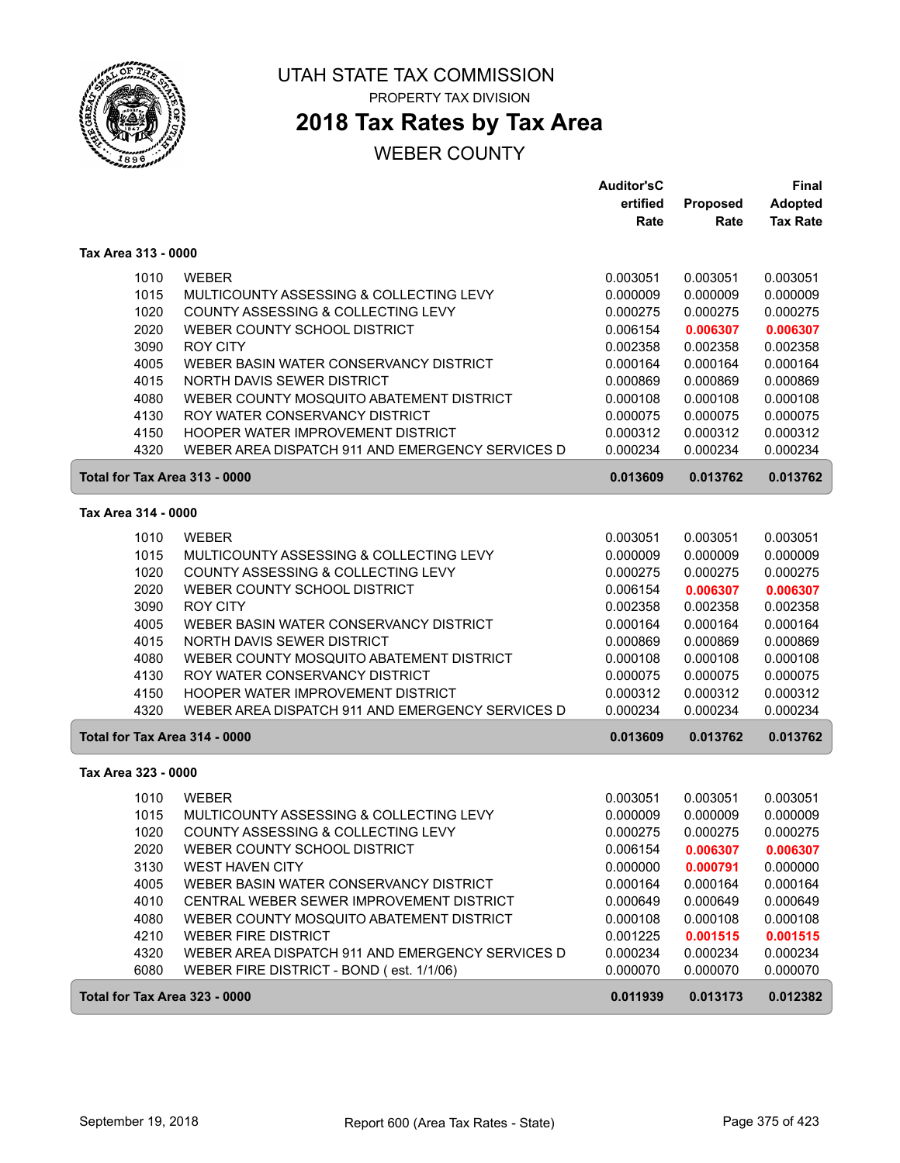

# **2018 Tax Rates by Tax Area**

|                               |                                                  | <b>Auditor'sC</b> |          | <b>Final</b>    |
|-------------------------------|--------------------------------------------------|-------------------|----------|-----------------|
|                               |                                                  | ertified          | Proposed | <b>Adopted</b>  |
|                               |                                                  | Rate              | Rate     | <b>Tax Rate</b> |
| Tax Area 313 - 0000           |                                                  |                   |          |                 |
| 1010                          | <b>WEBER</b>                                     | 0.003051          | 0.003051 | 0.003051        |
| 1015                          | MULTICOUNTY ASSESSING & COLLECTING LEVY          | 0.000009          | 0.000009 | 0.000009        |
| 1020                          | COUNTY ASSESSING & COLLECTING LEVY               | 0.000275          | 0.000275 | 0.000275        |
| 2020                          | WEBER COUNTY SCHOOL DISTRICT                     | 0.006154          | 0.006307 | 0.006307        |
| 3090                          | <b>ROY CITY</b>                                  | 0.002358          | 0.002358 | 0.002358        |
| 4005                          | WEBER BASIN WATER CONSERVANCY DISTRICT           | 0.000164          | 0.000164 | 0.000164        |
| 4015                          | NORTH DAVIS SEWER DISTRICT                       | 0.000869          | 0.000869 | 0.000869        |
| 4080                          | WEBER COUNTY MOSQUITO ABATEMENT DISTRICT         | 0.000108          | 0.000108 | 0.000108        |
| 4130                          | ROY WATER CONSERVANCY DISTRICT                   | 0.000075          | 0.000075 | 0.000075        |
| 4150                          | HOOPER WATER IMPROVEMENT DISTRICT                | 0.000312          | 0.000312 | 0.000312        |
| 4320                          | WEBER AREA DISPATCH 911 AND EMERGENCY SERVICES D | 0.000234          | 0.000234 | 0.000234        |
| Total for Tax Area 313 - 0000 |                                                  | 0.013609          | 0.013762 | 0.013762        |
| Tax Area 314 - 0000           |                                                  |                   |          |                 |
| 1010                          | <b>WEBER</b>                                     | 0.003051          | 0.003051 | 0.003051        |
| 1015                          | MULTICOUNTY ASSESSING & COLLECTING LEVY          | 0.000009          | 0.000009 | 0.000009        |
| 1020                          | COUNTY ASSESSING & COLLECTING LEVY               | 0.000275          | 0.000275 | 0.000275        |
| 2020                          | WEBER COUNTY SCHOOL DISTRICT                     | 0.006154          | 0.006307 | 0.006307        |
| 3090                          | <b>ROY CITY</b>                                  | 0.002358          | 0.002358 | 0.002358        |
| 4005                          | WEBER BASIN WATER CONSERVANCY DISTRICT           | 0.000164          | 0.000164 | 0.000164        |
| 4015                          | NORTH DAVIS SEWER DISTRICT                       | 0.000869          | 0.000869 | 0.000869        |
| 4080                          | WEBER COUNTY MOSQUITO ABATEMENT DISTRICT         | 0.000108          | 0.000108 | 0.000108        |
| 4130                          | ROY WATER CONSERVANCY DISTRICT                   | 0.000075          | 0.000075 | 0.000075        |
| 4150                          | HOOPER WATER IMPROVEMENT DISTRICT                | 0.000312          | 0.000312 | 0.000312        |
| 4320                          | WEBER AREA DISPATCH 911 AND EMERGENCY SERVICES D | 0.000234          | 0.000234 | 0.000234        |
| Total for Tax Area 314 - 0000 |                                                  | 0.013609          | 0.013762 | 0.013762        |
| Tax Area 323 - 0000           |                                                  |                   |          |                 |
| 1010                          | <b>WEBER</b>                                     | 0.003051          | 0.003051 | 0.003051        |
| 1015                          | MULTICOUNTY ASSESSING & COLLECTING LEVY          | 0.000009          | 0.000009 | 0.000009        |
| 1020                          | COUNTY ASSESSING & COLLECTING LEVY               | 0.000275          | 0.000275 | 0.000275        |
| 2020                          | WEBER COUNTY SCHOOL DISTRICT                     | 0.006154          | 0.006307 | 0.006307        |
| 3130                          | <b>WEST HAVEN CITY</b>                           | 0.000000          | 0.000791 | 0.000000        |
| 4005                          | WEBER BASIN WATER CONSERVANCY DISTRICT           | 0.000164          | 0.000164 | 0.000164        |
| 4010                          | CENTRAL WEBER SEWER IMPROVEMENT DISTRICT         | 0.000649          | 0.000649 | 0.000649        |
| 4080                          | WEBER COUNTY MOSQUITO ABATEMENT DISTRICT         | 0.000108          | 0.000108 | 0.000108        |
| 4210                          | <b>WEBER FIRE DISTRICT</b>                       | 0.001225          | 0.001515 | 0.001515        |
| 4320                          | WEBER AREA DISPATCH 911 AND EMERGENCY SERVICES D | 0.000234          | 0.000234 | 0.000234        |
| 6080                          | WEBER FIRE DISTRICT - BOND (est. 1/1/06)         | 0.000070          | 0.000070 | 0.000070        |
| Total for Tax Area 323 - 0000 |                                                  | 0.011939          | 0.013173 | 0.012382        |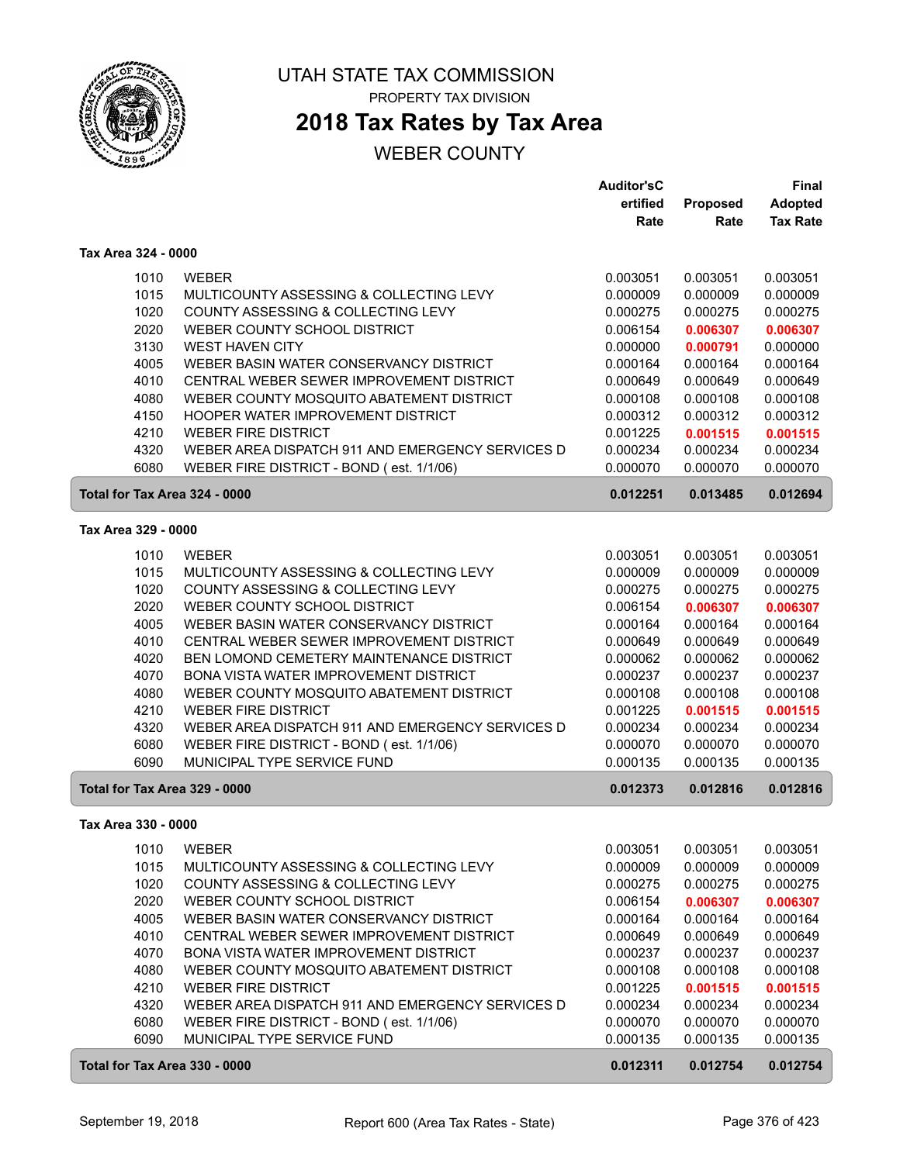

## **2018 Tax Rates by Tax Area**

|                               |                                                                                   | <b>Auditor'sC</b>    |                      | <b>Final</b>         |
|-------------------------------|-----------------------------------------------------------------------------------|----------------------|----------------------|----------------------|
|                               |                                                                                   | ertified             | Proposed             | <b>Adopted</b>       |
|                               |                                                                                   | Rate                 | Rate                 | <b>Tax Rate</b>      |
| Tax Area 324 - 0000           |                                                                                   |                      |                      |                      |
| 1010                          | <b>WEBER</b>                                                                      | 0.003051             | 0.003051             | 0.003051             |
| 1015                          | MULTICOUNTY ASSESSING & COLLECTING LEVY                                           | 0.000009             | 0.000009             | 0.000009             |
| 1020                          | COUNTY ASSESSING & COLLECTING LEVY                                                | 0.000275             | 0.000275             | 0.000275             |
| 2020                          | WEBER COUNTY SCHOOL DISTRICT                                                      | 0.006154             | 0.006307             | 0.006307             |
| 3130                          | <b>WEST HAVEN CITY</b>                                                            | 0.000000             | 0.000791             | 0.000000             |
| 4005                          | WEBER BASIN WATER CONSERVANCY DISTRICT                                            | 0.000164             | 0.000164             | 0.000164             |
| 4010                          | CENTRAL WEBER SEWER IMPROVEMENT DISTRICT                                          | 0.000649             | 0.000649             | 0.000649             |
| 4080                          | WEBER COUNTY MOSQUITO ABATEMENT DISTRICT                                          | 0.000108             | 0.000108             | 0.000108             |
| 4150                          | HOOPER WATER IMPROVEMENT DISTRICT                                                 | 0.000312             | 0.000312             | 0.000312             |
| 4210                          | <b>WEBER FIRE DISTRICT</b>                                                        | 0.001225             | 0.001515             | 0.001515             |
| 4320                          | WEBER AREA DISPATCH 911 AND EMERGENCY SERVICES D                                  | 0.000234             | 0.000234             | 0.000234             |
| 6080                          | WEBER FIRE DISTRICT - BOND (est. 1/1/06)                                          | 0.000070             | 0.000070             | 0.000070             |
| Total for Tax Area 324 - 0000 |                                                                                   | 0.012251             | 0.013485             | 0.012694             |
| Tax Area 329 - 0000           |                                                                                   |                      |                      |                      |
|                               |                                                                                   |                      |                      |                      |
| 1010                          | <b>WEBER</b>                                                                      | 0.003051             | 0.003051             | 0.003051             |
| 1015                          | MULTICOUNTY ASSESSING & COLLECTING LEVY                                           | 0.000009             | 0.000009             | 0.000009             |
| 1020                          | COUNTY ASSESSING & COLLECTING LEVY                                                | 0.000275             | 0.000275             | 0.000275             |
| 2020<br>4005                  | WEBER COUNTY SCHOOL DISTRICT                                                      | 0.006154             | 0.006307             | 0.006307             |
|                               | WEBER BASIN WATER CONSERVANCY DISTRICT                                            | 0.000164             | 0.000164             | 0.000164             |
| 4010                          | CENTRAL WEBER SEWER IMPROVEMENT DISTRICT                                          | 0.000649             | 0.000649             | 0.000649             |
| 4020<br>4070                  | BEN LOMOND CEMETERY MAINTENANCE DISTRICT                                          | 0.000062             | 0.000062             | 0.000062             |
|                               | BONA VISTA WATER IMPROVEMENT DISTRICT<br>WEBER COUNTY MOSQUITO ABATEMENT DISTRICT | 0.000237             | 0.000237             | 0.000237             |
| 4080                          |                                                                                   | 0.000108             | 0.000108             | 0.000108             |
| 4210<br>4320                  | <b>WEBER FIRE DISTRICT</b><br>WEBER AREA DISPATCH 911 AND EMERGENCY SERVICES D    | 0.001225             | 0.001515<br>0.000234 | 0.001515<br>0.000234 |
| 6080                          |                                                                                   | 0.000234<br>0.000070 |                      | 0.000070             |
| 6090                          | WEBER FIRE DISTRICT - BOND (est. 1/1/06)<br>MUNICIPAL TYPE SERVICE FUND           | 0.000135             | 0.000070<br>0.000135 | 0.000135             |
|                               |                                                                                   |                      |                      |                      |
| Total for Tax Area 329 - 0000 |                                                                                   | 0.012373             | 0.012816             | 0.012816             |
| Tax Area 330 - 0000           |                                                                                   |                      |                      |                      |
| 1010                          | WEBER                                                                             | 0.003051             | 0.003051             | 0.003051             |
| 1015                          | MULTICOUNTY ASSESSING & COLLECTING LEVY                                           | 0.000009             | 0.000009             | 0.000009             |
| 1020                          | COUNTY ASSESSING & COLLECTING LEVY                                                | 0.000275             | 0.000275             | 0.000275             |
| 2020                          | WEBER COUNTY SCHOOL DISTRICT                                                      | 0.006154             | 0.006307             | 0.006307             |
| 4005                          | WEBER BASIN WATER CONSERVANCY DISTRICT                                            | 0.000164             | 0.000164             | 0.000164             |
| 4010                          | CENTRAL WEBER SEWER IMPROVEMENT DISTRICT                                          | 0.000649             | 0.000649             | 0.000649             |
| 4070                          | BONA VISTA WATER IMPROVEMENT DISTRICT                                             | 0.000237             | 0.000237             | 0.000237             |
| 4080                          | WEBER COUNTY MOSQUITO ABATEMENT DISTRICT                                          | 0.000108             | 0.000108             | 0.000108             |
| 4210                          | <b>WEBER FIRE DISTRICT</b>                                                        | 0.001225             | 0.001515             | 0.001515             |
| 4320                          | WEBER AREA DISPATCH 911 AND EMERGENCY SERVICES D                                  | 0.000234             | 0.000234             | 0.000234             |
| 6080                          | WEBER FIRE DISTRICT - BOND (est. 1/1/06)                                          | 0.000070             | 0.000070             | 0.000070             |
| 6090                          | MUNICIPAL TYPE SERVICE FUND                                                       | 0.000135             | 0.000135             | 0.000135             |
| Total for Tax Area 330 - 0000 |                                                                                   | 0.012311             | 0.012754             | 0.012754             |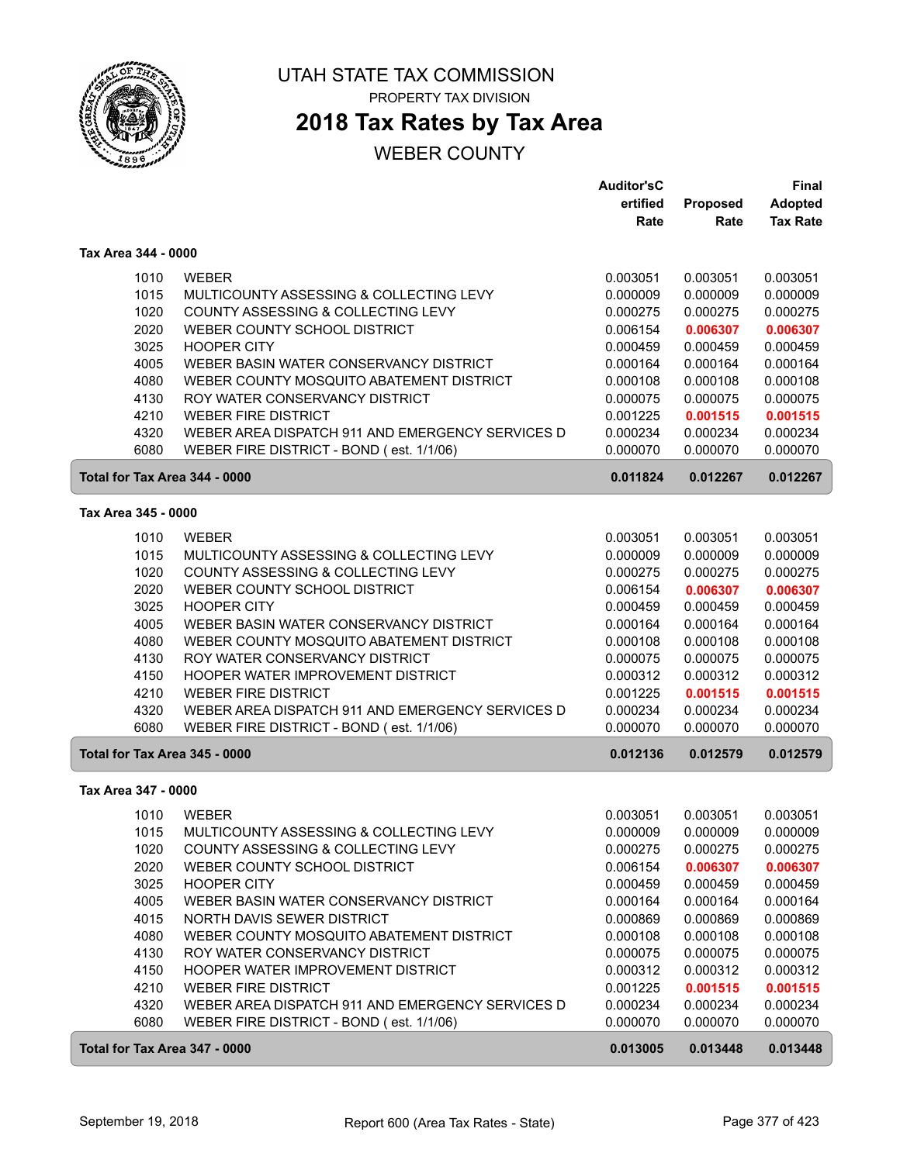

# **2018 Tax Rates by Tax Area**

|                               |                                                                                              | <b>Auditor'sC</b>    |                      | Final                |
|-------------------------------|----------------------------------------------------------------------------------------------|----------------------|----------------------|----------------------|
|                               |                                                                                              | ertified             | Proposed             | Adopted              |
|                               |                                                                                              | Rate                 | Rate                 | <b>Tax Rate</b>      |
| Tax Area 344 - 0000           |                                                                                              |                      |                      |                      |
| 1010                          | <b>WEBER</b>                                                                                 | 0.003051             | 0.003051             | 0.003051             |
| 1015                          | MULTICOUNTY ASSESSING & COLLECTING LEVY                                                      | 0.000009             | 0.000009             | 0.000009             |
| 1020                          | COUNTY ASSESSING & COLLECTING LEVY                                                           | 0.000275             | 0.000275             | 0.000275             |
| 2020                          | WEBER COUNTY SCHOOL DISTRICT                                                                 | 0.006154             | 0.006307             | 0.006307             |
| 3025                          | <b>HOOPER CITY</b>                                                                           | 0.000459             | 0.000459             | 0.000459             |
| 4005                          | WEBER BASIN WATER CONSERVANCY DISTRICT                                                       | 0.000164             | 0.000164             | 0.000164             |
| 4080                          | WEBER COUNTY MOSQUITO ABATEMENT DISTRICT                                                     | 0.000108             | 0.000108             | 0.000108             |
| 4130                          | ROY WATER CONSERVANCY DISTRICT                                                               | 0.000075             | 0.000075             | 0.000075             |
| 4210                          | <b>WEBER FIRE DISTRICT</b>                                                                   | 0.001225             | 0.001515             | 0.001515             |
| 4320                          | WEBER AREA DISPATCH 911 AND EMERGENCY SERVICES D                                             | 0.000234             | 0.000234             | 0.000234             |
| 6080                          | WEBER FIRE DISTRICT - BOND (est. 1/1/06)                                                     | 0.000070             | 0.000070             | 0.000070             |
| Total for Tax Area 344 - 0000 |                                                                                              | 0.011824             | 0.012267             | 0.012267             |
| Tax Area 345 - 0000           |                                                                                              |                      |                      |                      |
| 1010                          | <b>WEBER</b>                                                                                 | 0.003051             | 0.003051             | 0.003051             |
| 1015                          | MULTICOUNTY ASSESSING & COLLECTING LEVY                                                      | 0.000009             | 0.000009             | 0.000009             |
| 1020                          | COUNTY ASSESSING & COLLECTING LEVY                                                           | 0.000275             | 0.000275             | 0.000275             |
| 2020                          | WEBER COUNTY SCHOOL DISTRICT                                                                 | 0.006154             | 0.006307             | 0.006307             |
| 3025                          | <b>HOOPER CITY</b>                                                                           | 0.000459             | 0.000459             | 0.000459             |
| 4005                          | WEBER BASIN WATER CONSERVANCY DISTRICT                                                       | 0.000164             | 0.000164             | 0.000164             |
| 4080                          | WEBER COUNTY MOSQUITO ABATEMENT DISTRICT                                                     | 0.000108             | 0.000108             | 0.000108             |
| 4130                          | ROY WATER CONSERVANCY DISTRICT                                                               | 0.000075             | 0.000075             | 0.000075             |
| 4150                          | HOOPER WATER IMPROVEMENT DISTRICT                                                            | 0.000312             | 0.000312             | 0.000312             |
| 4210                          | <b>WEBER FIRE DISTRICT</b>                                                                   | 0.001225             | 0.001515             | 0.001515             |
| 4320                          | WEBER AREA DISPATCH 911 AND EMERGENCY SERVICES D                                             | 0.000234             | 0.000234             | 0.000234             |
| 6080                          | WEBER FIRE DISTRICT - BOND (est. 1/1/06)                                                     | 0.000070             | 0.000070             | 0.000070             |
| Total for Tax Area 345 - 0000 |                                                                                              | 0.012136             | 0.012579             | 0.012579             |
| Tax Area 347 - 0000           |                                                                                              |                      |                      |                      |
| 1010                          | <b>WEBER</b>                                                                                 | 0.003051             | 0.003051             | 0.003051             |
| 1015                          | MULTICOUNTY ASSESSING & COLLECTING LEVY                                                      | 0.000009             | 0.000009             | 0.000009             |
| 1020                          | COUNTY ASSESSING & COLLECTING LEVY                                                           | 0.000275             | 0.000275             | 0.000275             |
| 2020                          | WEBER COUNTY SCHOOL DISTRICT                                                                 | 0.006154             | 0.006307             | 0.006307             |
| 3025                          | <b>HOOPER CITY</b>                                                                           | 0.000459             | 0.000459             | 0.000459             |
| 4005                          | WEBER BASIN WATER CONSERVANCY DISTRICT                                                       | 0.000164             | 0.000164             | 0.000164             |
| 4015                          | NORTH DAVIS SEWER DISTRICT                                                                   | 0.000869             | 0.000869             | 0.000869             |
| 4080                          | WEBER COUNTY MOSQUITO ABATEMENT DISTRICT                                                     | 0.000108             | 0.000108             | 0.000108             |
| 4130                          | ROY WATER CONSERVANCY DISTRICT                                                               | 0.000075             | 0.000075             | 0.000075             |
| 4150                          | <b>HOOPER WATER IMPROVEMENT DISTRICT</b>                                                     | 0.000312             | 0.000312             | 0.000312             |
| 4210                          | <b>WEBER FIRE DISTRICT</b>                                                                   | 0.001225             | 0.001515             | 0.001515             |
| 4320<br>6080                  | WEBER AREA DISPATCH 911 AND EMERGENCY SERVICES D<br>WEBER FIRE DISTRICT - BOND (est. 1/1/06) | 0.000234<br>0.000070 | 0.000234<br>0.000070 | 0.000234<br>0.000070 |
| Total for Tax Area 347 - 0000 |                                                                                              | 0.013005             | 0.013448             | 0.013448             |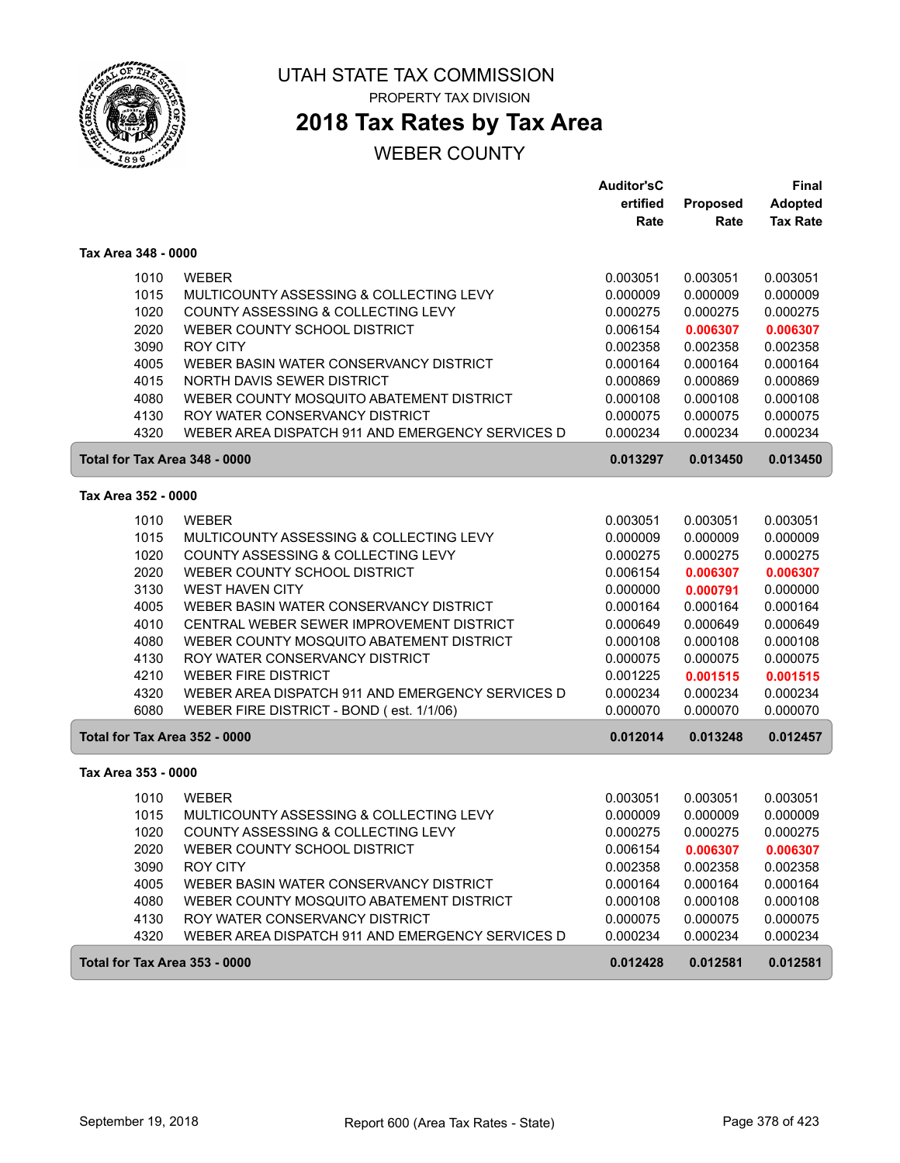

# **2018 Tax Rates by Tax Area**

|                               |                                                         | <b>Auditor'sC</b>    |                      | Final                |
|-------------------------------|---------------------------------------------------------|----------------------|----------------------|----------------------|
|                               |                                                         | ertified             | Proposed             | <b>Adopted</b>       |
|                               |                                                         | Rate                 | Rate                 | <b>Tax Rate</b>      |
| Tax Area 348 - 0000           |                                                         |                      |                      |                      |
| 1010                          | <b>WEBER</b>                                            | 0.003051             | 0.003051             | 0.003051             |
| 1015                          | MULTICOUNTY ASSESSING & COLLECTING LEVY                 | 0.000009             | 0.000009             | 0.000009             |
| 1020                          | COUNTY ASSESSING & COLLECTING LEVY                      | 0.000275             | 0.000275             | 0.000275             |
| 2020                          | WEBER COUNTY SCHOOL DISTRICT                            | 0.006154             | 0.006307             | 0.006307             |
| 3090                          | <b>ROY CITY</b>                                         | 0.002358             | 0.002358             | 0.002358             |
| 4005                          | WEBER BASIN WATER CONSERVANCY DISTRICT                  | 0.000164             | 0.000164             | 0.000164             |
| 4015                          | NORTH DAVIS SEWER DISTRICT                              | 0.000869             | 0.000869             | 0.000869             |
| 4080                          | WEBER COUNTY MOSQUITO ABATEMENT DISTRICT                | 0.000108             | 0.000108             | 0.000108             |
| 4130                          | ROY WATER CONSERVANCY DISTRICT                          | 0.000075             | 0.000075             | 0.000075             |
| 4320                          | WEBER AREA DISPATCH 911 AND EMERGENCY SERVICES D        | 0.000234             | 0.000234             | 0.000234             |
| Total for Tax Area 348 - 0000 |                                                         | 0.013297             | 0.013450             | 0.013450             |
| Tax Area 352 - 0000           |                                                         |                      |                      |                      |
|                               |                                                         |                      |                      |                      |
| 1010<br>1015                  | <b>WEBER</b><br>MULTICOUNTY ASSESSING & COLLECTING LEVY | 0.003051<br>0.000009 | 0.003051<br>0.000009 | 0.003051<br>0.000009 |
| 1020                          | COUNTY ASSESSING & COLLECTING LEVY                      | 0.000275             | 0.000275             | 0.000275             |
| 2020                          | WEBER COUNTY SCHOOL DISTRICT                            | 0.006154             | 0.006307             | 0.006307             |
| 3130                          | <b>WEST HAVEN CITY</b>                                  | 0.000000             | 0.000791             | 0.000000             |
| 4005                          | WEBER BASIN WATER CONSERVANCY DISTRICT                  | 0.000164             | 0.000164             | 0.000164             |
| 4010                          | CENTRAL WEBER SEWER IMPROVEMENT DISTRICT                | 0.000649             | 0.000649             | 0.000649             |
| 4080                          | WEBER COUNTY MOSQUITO ABATEMENT DISTRICT                | 0.000108             | 0.000108             | 0.000108             |
| 4130                          | ROY WATER CONSERVANCY DISTRICT                          | 0.000075             | 0.000075             | 0.000075             |
| 4210                          | <b>WEBER FIRE DISTRICT</b>                              | 0.001225             | 0.001515             | 0.001515             |
| 4320                          | WEBER AREA DISPATCH 911 AND EMERGENCY SERVICES D        | 0.000234             | 0.000234             | 0.000234             |
| 6080                          | WEBER FIRE DISTRICT - BOND (est. 1/1/06)                | 0.000070             | 0.000070             | 0.000070             |
| Total for Tax Area 352 - 0000 |                                                         | 0.012014             | 0.013248             | 0.012457             |
| Tax Area 353 - 0000           |                                                         |                      |                      |                      |
|                               | <b>WEBER</b>                                            |                      | 0.003051             |                      |
| 1010<br>1015                  | MULTICOUNTY ASSESSING & COLLECTING LEVY                 | 0.003051<br>0.000009 | 0.000009             | 0.003051<br>0.000009 |
| 1020                          | COUNTY ASSESSING & COLLECTING LEVY                      | 0.000275             | 0.000275             | 0.000275             |
| 2020                          | WEBER COUNTY SCHOOL DISTRICT                            | 0.006154             | 0.006307             | 0.006307             |
| 3090                          | <b>ROY CITY</b>                                         | 0.002358             | 0.002358             | 0.002358             |
| 4005                          | WEBER BASIN WATER CONSERVANCY DISTRICT                  | 0.000164             | 0.000164             | 0.000164             |
| 4080                          | WEBER COUNTY MOSQUITO ABATEMENT DISTRICT                | 0.000108             | 0.000108             | 0.000108             |
| 4130                          | ROY WATER CONSERVANCY DISTRICT                          | 0.000075             | 0.000075             | 0.000075             |
| 4320                          | WEBER AREA DISPATCH 911 AND EMERGENCY SERVICES D        | 0.000234             | 0.000234             | 0.000234             |
| Total for Tax Area 353 - 0000 |                                                         | 0.012428             | 0.012581             | 0.012581             |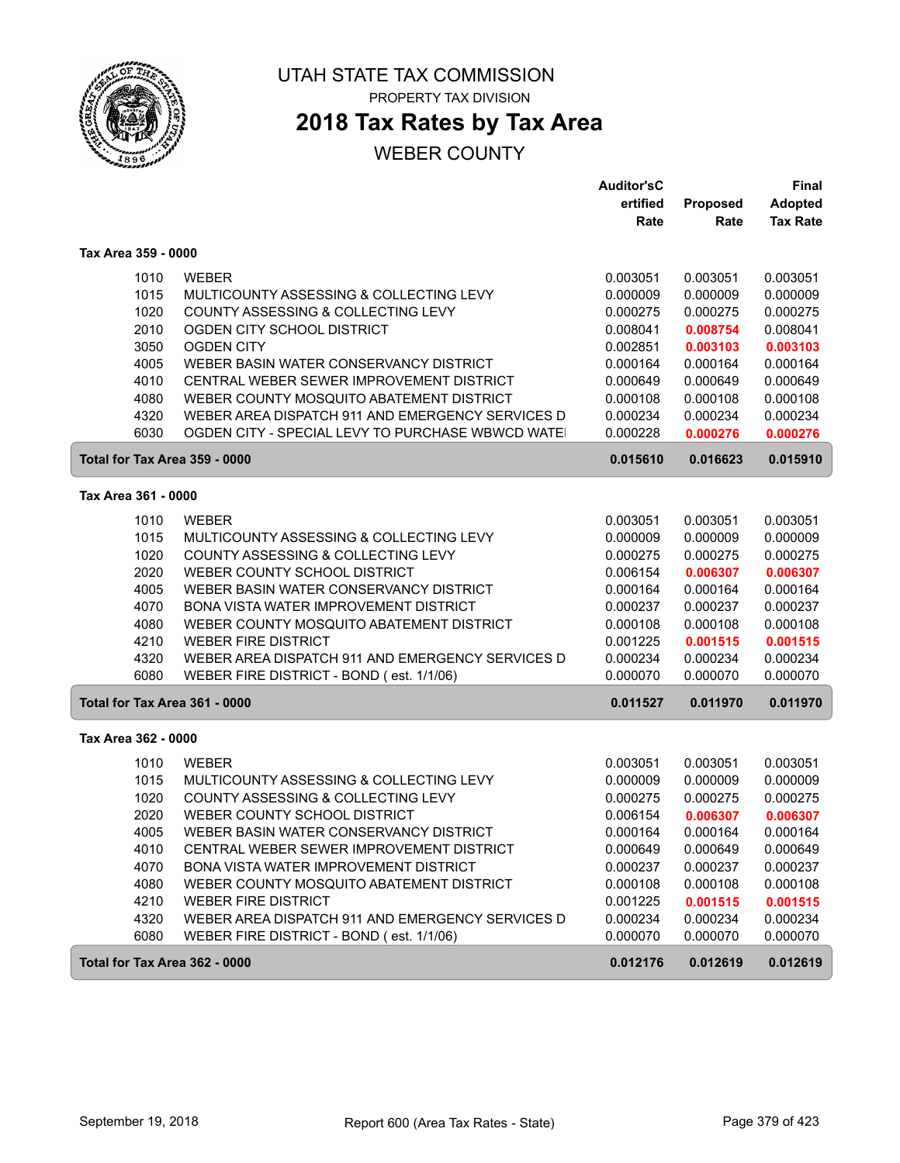

**2018 Tax Rates by Tax Area**

|                               |                                                                    | <b>Auditor'sC</b>    |                      | <b>Final</b>         |
|-------------------------------|--------------------------------------------------------------------|----------------------|----------------------|----------------------|
|                               |                                                                    | ertified             | Proposed             | Adopted              |
|                               |                                                                    | Rate                 | Rate                 | <b>Tax Rate</b>      |
| Tax Area 359 - 0000           |                                                                    |                      |                      |                      |
| 1010                          | <b>WEBER</b>                                                       | 0.003051             | 0.003051             | 0.003051             |
| 1015                          | MULTICOUNTY ASSESSING & COLLECTING LEVY                            | 0.000009             | 0.000009             | 0.000009             |
| 1020                          | COUNTY ASSESSING & COLLECTING LEVY                                 | 0.000275             | 0.000275             | 0.000275             |
| 2010                          | OGDEN CITY SCHOOL DISTRICT                                         | 0.008041             | 0.008754             | 0.008041             |
| 3050                          | <b>OGDEN CITY</b>                                                  | 0.002851             | 0.003103             | 0.003103             |
| 4005                          | WEBER BASIN WATER CONSERVANCY DISTRICT                             | 0.000164             | 0.000164             | 0.000164             |
| 4010                          | CENTRAL WEBER SEWER IMPROVEMENT DISTRICT                           | 0.000649             | 0.000649             | 0.000649             |
| 4080                          | WEBER COUNTY MOSQUITO ABATEMENT DISTRICT                           | 0.000108             | 0.000108             | 0.000108             |
| 4320                          | WEBER AREA DISPATCH 911 AND EMERGENCY SERVICES D                   | 0.000234             | 0.000234             | 0.000234             |
| 6030                          | OGDEN CITY - SPECIAL LEVY TO PURCHASE WBWCD WATE                   | 0.000228             | 0.000276             | 0.000276             |
| Total for Tax Area 359 - 0000 |                                                                    | 0.015610             | 0.016623             | 0.015910             |
| Tax Area 361 - 0000           |                                                                    |                      |                      |                      |
|                               |                                                                    |                      |                      |                      |
| 1010                          | <b>WEBER</b>                                                       | 0.003051             | 0.003051             | 0.003051             |
| 1015                          | MULTICOUNTY ASSESSING & COLLECTING LEVY                            | 0.000009             | 0.000009             | 0.000009             |
| 1020                          | COUNTY ASSESSING & COLLECTING LEVY<br>WEBER COUNTY SCHOOL DISTRICT | 0.000275             | 0.000275             | 0.000275             |
| 2020<br>4005                  | WEBER BASIN WATER CONSERVANCY DISTRICT                             | 0.006154             | 0.006307             | 0.006307             |
| 4070                          | BONA VISTA WATER IMPROVEMENT DISTRICT                              | 0.000164             | 0.000164             | 0.000164<br>0.000237 |
| 4080                          | WEBER COUNTY MOSQUITO ABATEMENT DISTRICT                           | 0.000237<br>0.000108 | 0.000237<br>0.000108 | 0.000108             |
| 4210                          | <b>WEBER FIRE DISTRICT</b>                                         | 0.001225             | 0.001515             | 0.001515             |
| 4320                          | WEBER AREA DISPATCH 911 AND EMERGENCY SERVICES D                   | 0.000234             | 0.000234             | 0.000234             |
| 6080                          | WEBER FIRE DISTRICT - BOND (est. 1/1/06)                           | 0.000070             | 0.000070             | 0.000070             |
| Total for Tax Area 361 - 0000 |                                                                    | 0.011527             | 0.011970             | 0.011970             |
|                               |                                                                    |                      |                      |                      |
| Tax Area 362 - 0000           |                                                                    |                      |                      |                      |
| 1010                          | <b>WEBER</b>                                                       | 0.003051             | 0.003051             | 0.003051             |
| 1015                          | MULTICOUNTY ASSESSING & COLLECTING LEVY                            | 0.000009             | 0.000009             | 0.000009             |
| 1020                          | COUNTY ASSESSING & COLLECTING LEVY                                 | 0.000275             | 0.000275             | 0.000275             |
| 2020                          | WEBER COUNTY SCHOOL DISTRICT                                       | 0.006154             | 0.006307             | 0.006307             |
| 4005                          | WEBER BASIN WATER CONSERVANCY DISTRICT                             | 0.000164             | 0.000164             | 0.000164             |
| 4010                          | CENTRAL WEBER SEWER IMPROVEMENT DISTRICT                           | 0.000649             | 0.000649             | 0.000649             |
| 4070                          | BONA VISTA WATER IMPROVEMENT DISTRICT                              | 0.000237             | 0.000237             | 0.000237             |
| 4080                          | WEBER COUNTY MOSQUITO ABATEMENT DISTRICT                           | 0.000108             | 0.000108             | 0.000108             |
| 4210                          | <b>WEBER FIRE DISTRICT</b>                                         | 0.001225             | 0.001515             | 0.001515             |
| 4320                          | WEBER AREA DISPATCH 911 AND EMERGENCY SERVICES D                   | 0.000234             | 0.000234             | 0.000234             |
| 6080                          | WEBER FIRE DISTRICT - BOND (est. 1/1/06)                           | 0.000070             | 0.000070             | 0.000070             |
| Total for Tax Area 362 - 0000 |                                                                    | 0.012176             | 0.012619             | 0.012619             |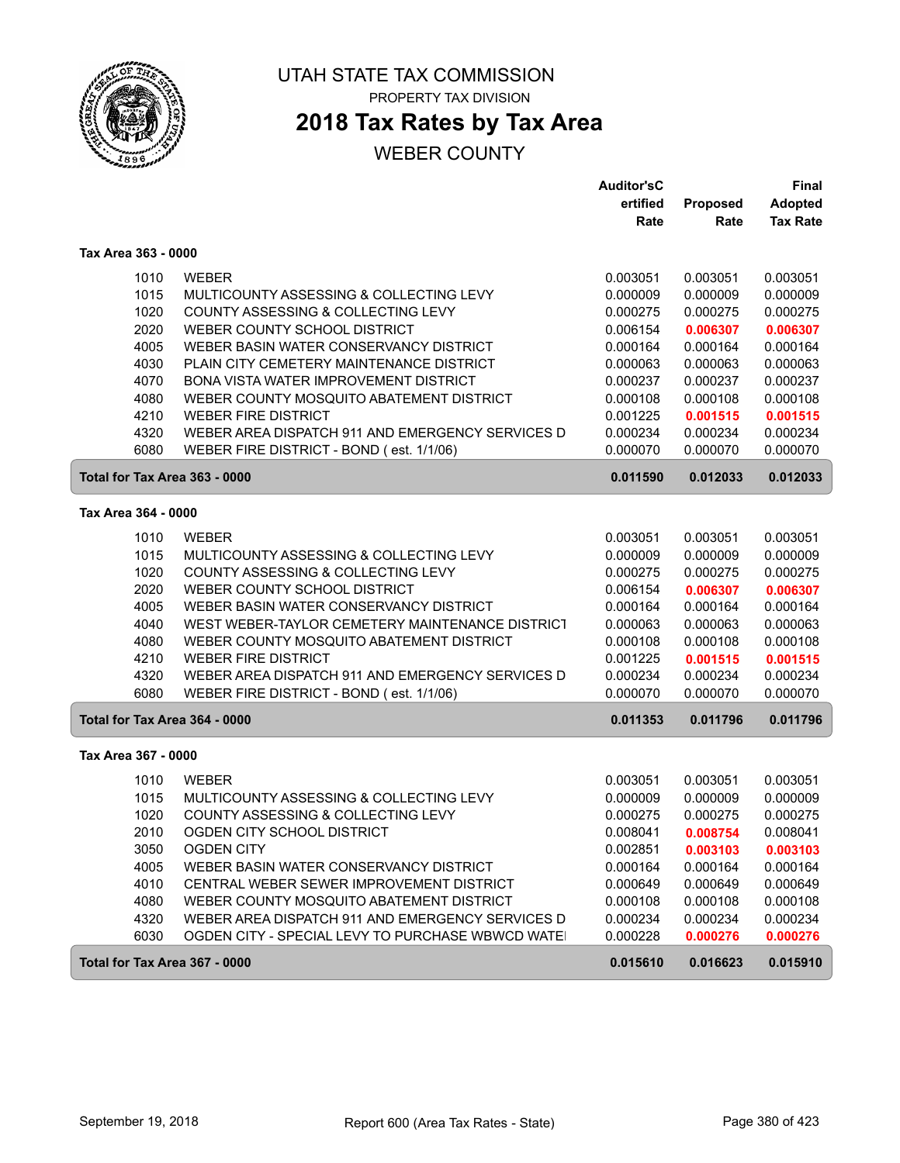

# **2018 Tax Rates by Tax Area**

|                               |                                                                                              | <b>Auditor'sC</b>    |                      | Final                |
|-------------------------------|----------------------------------------------------------------------------------------------|----------------------|----------------------|----------------------|
|                               |                                                                                              | ertified             | Proposed             | <b>Adopted</b>       |
|                               |                                                                                              | Rate                 | Rate                 | <b>Tax Rate</b>      |
| Tax Area 363 - 0000           |                                                                                              |                      |                      |                      |
| 1010                          | <b>WEBER</b>                                                                                 | 0.003051             | 0.003051             | 0.003051             |
| 1015                          | MULTICOUNTY ASSESSING & COLLECTING LEVY                                                      | 0.000009             | 0.000009             | 0.000009             |
| 1020                          | COUNTY ASSESSING & COLLECTING LEVY                                                           | 0.000275             | 0.000275             | 0.000275             |
| 2020                          | WEBER COUNTY SCHOOL DISTRICT                                                                 | 0.006154             | 0.006307             | 0.006307             |
| 4005                          | WEBER BASIN WATER CONSERVANCY DISTRICT                                                       | 0.000164             | 0.000164             | 0.000164             |
| 4030                          | PLAIN CITY CEMETERY MAINTENANCE DISTRICT                                                     | 0.000063             | 0.000063             | 0.000063             |
| 4070                          | <b>BONA VISTA WATER IMPROVEMENT DISTRICT</b>                                                 | 0.000237             | 0.000237             | 0.000237             |
| 4080                          | WEBER COUNTY MOSQUITO ABATEMENT DISTRICT                                                     | 0.000108             | 0.000108             | 0.000108             |
| 4210                          | <b>WEBER FIRE DISTRICT</b>                                                                   | 0.001225             | 0.001515             | 0.001515             |
| 4320                          | WEBER AREA DISPATCH 911 AND EMERGENCY SERVICES D                                             | 0.000234             | 0.000234             | 0.000234             |
| 6080                          | WEBER FIRE DISTRICT - BOND (est. 1/1/06)                                                     | 0.000070             | 0.000070             | 0.000070             |
| Total for Tax Area 363 - 0000 |                                                                                              | 0.011590             | 0.012033             | 0.012033             |
| Tax Area 364 - 0000           |                                                                                              |                      |                      |                      |
| 1010                          | <b>WEBER</b>                                                                                 | 0.003051             | 0.003051             | 0.003051             |
| 1015                          | MULTICOUNTY ASSESSING & COLLECTING LEVY                                                      | 0.000009             | 0.000009             | 0.000009             |
| 1020                          | COUNTY ASSESSING & COLLECTING LEVY                                                           | 0.000275             | 0.000275             | 0.000275             |
| 2020                          | WEBER COUNTY SCHOOL DISTRICT                                                                 | 0.006154             | 0.006307             | 0.006307             |
| 4005                          | WEBER BASIN WATER CONSERVANCY DISTRICT                                                       | 0.000164             | 0.000164             | 0.000164             |
| 4040                          | WEST WEBER-TAYLOR CEMETERY MAINTENANCE DISTRICT                                              | 0.000063             | 0.000063             | 0.000063             |
| 4080                          | WEBER COUNTY MOSQUITO ABATEMENT DISTRICT                                                     | 0.000108             | 0.000108             | 0.000108             |
| 4210                          | <b>WEBER FIRE DISTRICT</b>                                                                   | 0.001225             | 0.001515             | 0.001515             |
| 4320<br>6080                  | WEBER AREA DISPATCH 911 AND EMERGENCY SERVICES D<br>WEBER FIRE DISTRICT - BOND (est. 1/1/06) | 0.000234<br>0.000070 | 0.000234<br>0.000070 | 0.000234<br>0.000070 |
|                               |                                                                                              |                      |                      |                      |
| Total for Tax Area 364 - 0000 |                                                                                              | 0.011353             | 0.011796             | 0.011796             |
| Tax Area 367 - 0000           |                                                                                              |                      |                      |                      |
| 1010                          | <b>WEBER</b>                                                                                 | 0.003051             | 0.003051             | 0.003051             |
| 1015                          | MULTICOUNTY ASSESSING & COLLECTING LEVY                                                      | 0.000009             | 0.000009             | 0.000009             |
| 1020                          | COUNTY ASSESSING & COLLECTING LEVY                                                           | 0.000275             | 0.000275             | 0.000275             |
| 2010                          | OGDEN CITY SCHOOL DISTRICT                                                                   | 0.008041             | 0.008754             | 0.008041             |
| 3050                          | <b>OGDEN CITY</b>                                                                            | 0.002851             | 0.003103             | 0.003103             |
| 4005                          | WEBER BASIN WATER CONSERVANCY DISTRICT                                                       | 0.000164             | 0.000164             | 0.000164             |
| 4010<br>4080                  | CENTRAL WEBER SEWER IMPROVEMENT DISTRICT<br>WEBER COUNTY MOSQUITO ABATEMENT DISTRICT         | 0.000649<br>0.000108 | 0.000649<br>0.000108 | 0.000649<br>0.000108 |
| 4320                          | WEBER AREA DISPATCH 911 AND EMERGENCY SERVICES D                                             | 0.000234             | 0.000234             | 0.000234             |
| 6030                          | OGDEN CITY - SPECIAL LEVY TO PURCHASE WBWCD WATE                                             | 0.000228             | 0.000276             | 0.000276             |
|                               |                                                                                              |                      |                      |                      |
| Total for Tax Area 367 - 0000 |                                                                                              | 0.015610             | 0.016623             | 0.015910             |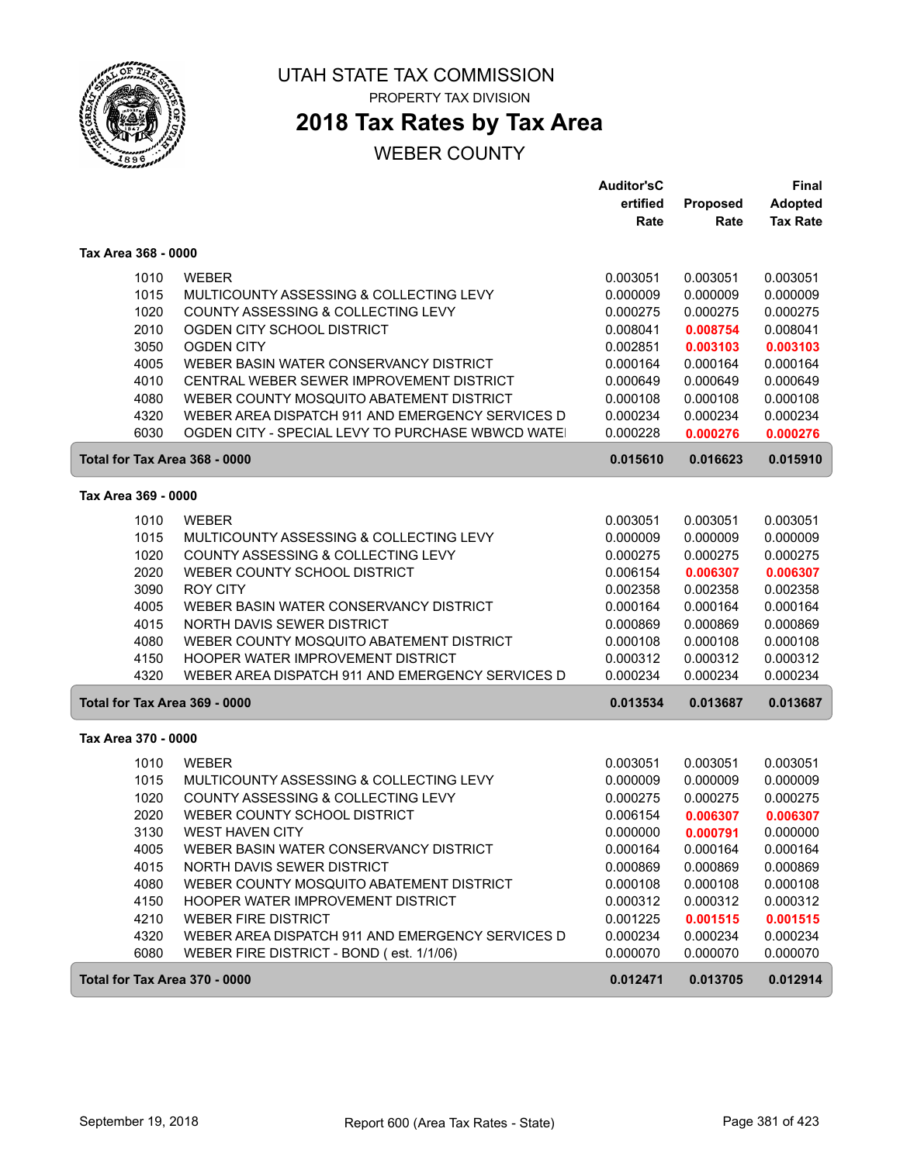

ſ

ſ

### UTAH STATE TAX COMMISSION PROPERTY TAX DIVISION

**2018 Tax Rates by Tax Area**

|                               |                                                   | <b>Auditor'sC</b><br>ertified<br>Rate | Proposed<br>Rate | Final<br>Adopted<br><b>Tax Rate</b> |
|-------------------------------|---------------------------------------------------|---------------------------------------|------------------|-------------------------------------|
| Tax Area 368 - 0000           |                                                   |                                       |                  |                                     |
| 1010                          | <b>WEBER</b>                                      | 0.003051                              | 0.003051         | 0.003051                            |
| 1015                          | MULTICOUNTY ASSESSING & COLLECTING LEVY           | 0.000009                              | 0.000009         | 0.000009                            |
| 1020                          | COUNTY ASSESSING & COLLECTING LEVY                | 0.000275                              | 0.000275         | 0.000275                            |
| 2010                          | OGDEN CITY SCHOOL DISTRICT                        | 0.008041                              | 0.008754         | 0.008041                            |
| 3050                          | <b>OGDEN CITY</b>                                 | 0.002851                              | 0.003103         | 0.003103                            |
| 4005                          | WEBER BASIN WATER CONSERVANCY DISTRICT            | 0.000164                              | 0.000164         | 0.000164                            |
| 4010                          | CENTRAL WEBER SEWER IMPROVEMENT DISTRICT          | 0.000649                              | 0.000649         | 0.000649                            |
| 4080                          | WEBER COUNTY MOSQUITO ABATEMENT DISTRICT          | 0.000108                              | 0.000108         | 0.000108                            |
| 4320                          | WEBER AREA DISPATCH 911 AND EMERGENCY SERVICES D  | 0.000234                              | 0.000234         | 0.000234                            |
| 6030                          | OGDEN CITY - SPECIAL LEVY TO PURCHASE WBWCD WATE! | 0.000228                              | 0.000276         | 0.000276                            |
| Total for Tax Area 368 - 0000 |                                                   | 0.015610                              | 0.016623         | 0.015910                            |
| Tax Area 369 - 0000           |                                                   |                                       |                  |                                     |
| 1010                          | <b>WEBER</b>                                      | 0.003051                              | 0.003051         | 0.003051                            |
| 1015                          | MULTICOUNTY ASSESSING & COLLECTING LEVY           | 0.000009                              | 0.000009         | 0.000009                            |
| 1020                          | COUNTY ASSESSING & COLLECTING LEVY                | 0.000275                              | 0.000275         | 0.000275                            |
| 2020                          | WEBER COUNTY SCHOOL DISTRICT                      | 0.006154                              | 0.006307         | 0.006307                            |
| 3090                          | <b>ROY CITY</b>                                   | 0.002358                              | 0.002358         | 0.002358                            |
| 4005                          | WEBER BASIN WATER CONSERVANCY DISTRICT            | 0.000164                              | 0.000164         | 0.000164                            |
| 4015                          | NORTH DAVIS SEWER DISTRICT                        | 0.000869                              | 0.000869         | 0.000869                            |
| 4080                          | WEBER COUNTY MOSQUITO ABATEMENT DISTRICT          | 0.000108                              | 0.000108         | 0.000108                            |
| 4150                          | HOOPER WATER IMPROVEMENT DISTRICT                 | 0.000312                              | 0.000312         | 0.000312                            |
| 4320                          | WEBER AREA DISPATCH 911 AND EMERGENCY SERVICES D  | 0.000234                              | 0.000234         | 0.000234                            |
| Total for Tax Area 369 - 0000 |                                                   | 0.013534                              | 0.013687         | 0.013687                            |
| Tax Area 370 - 0000           |                                                   |                                       |                  |                                     |
| 1010                          | <b>WEBER</b>                                      | 0.003051                              | 0.003051         | 0.003051                            |
| 1015                          | MULTICOUNTY ASSESSING & COLLECTING LEVY           | 0.000009                              | 0.000009         | 0.000009                            |
| 1020                          | COUNTY ASSESSING & COLLECTING LEVY                | 0.000275                              | 0.000275         | 0.000275                            |
| 2020                          | WEBER COUNTY SCHOOL DISTRICT                      | 0.006154                              | 0.006307         | 0.006307                            |
| 3130                          | <b>WEST HAVEN CITY</b>                            | 0.000000                              | 0.000791         | 0.000000                            |
| 4005                          | WEBER BASIN WATER CONSERVANCY DISTRICT            | 0.000164                              | 0.000164         | 0.000164                            |
| 4015                          | NORTH DAVIS SEWER DISTRICT                        | 0.000869                              | 0.000869         | 0.000869                            |
| 4080                          | WEBER COUNTY MOSQUITO ABATEMENT DISTRICT          | 0.000108                              | 0.000108         | 0.000108                            |
| 4150                          | HOOPER WATER IMPROVEMENT DISTRICT                 | 0.000312                              | 0.000312         | 0.000312                            |
| 4210                          | <b>WEBER FIRE DISTRICT</b>                        | 0.001225                              | 0.001515         | 0.001515                            |
| 4320                          | WEBER AREA DISPATCH 911 AND EMERGENCY SERVICES D  | 0.000234                              | 0.000234         | 0.000234                            |
| 6080                          | WEBER FIRE DISTRICT - BOND (est. 1/1/06)          | 0.000070                              | 0.000070         | 0.000070                            |
| Total for Tax Area 370 - 0000 |                                                   | 0.012471                              | 0.013705         | 0.012914                            |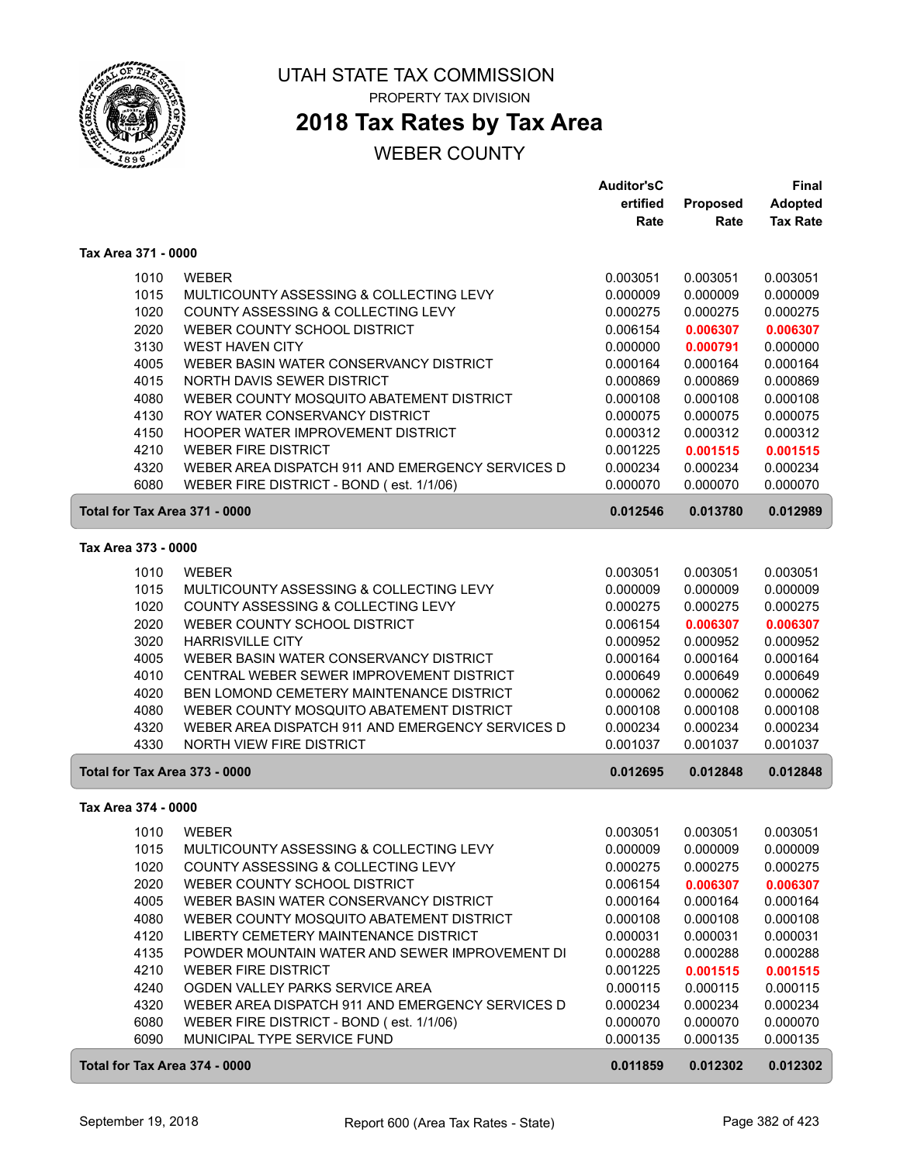

## **2018 Tax Rates by Tax Area**

|                               |                                                  | <b>Auditor'sC</b> |          | Final           |
|-------------------------------|--------------------------------------------------|-------------------|----------|-----------------|
|                               |                                                  | ertified          | Proposed | <b>Adopted</b>  |
|                               |                                                  | Rate              | Rate     | <b>Tax Rate</b> |
| Tax Area 371 - 0000           |                                                  |                   |          |                 |
| 1010                          | <b>WEBER</b>                                     | 0.003051          | 0.003051 | 0.003051        |
| 1015                          | MULTICOUNTY ASSESSING & COLLECTING LEVY          | 0.000009          | 0.000009 | 0.000009        |
| 1020                          | COUNTY ASSESSING & COLLECTING LEVY               | 0.000275          | 0.000275 | 0.000275        |
| 2020                          | WEBER COUNTY SCHOOL DISTRICT                     | 0.006154          | 0.006307 | 0.006307        |
| 3130                          | <b>WEST HAVEN CITY</b>                           | 0.000000          | 0.000791 | 0.000000        |
| 4005                          | WEBER BASIN WATER CONSERVANCY DISTRICT           | 0.000164          | 0.000164 | 0.000164        |
| 4015                          | NORTH DAVIS SEWER DISTRICT                       | 0.000869          | 0.000869 | 0.000869        |
| 4080                          | WEBER COUNTY MOSQUITO ABATEMENT DISTRICT         | 0.000108          | 0.000108 | 0.000108        |
| 4130                          | ROY WATER CONSERVANCY DISTRICT                   | 0.000075          | 0.000075 | 0.000075        |
| 4150                          | HOOPER WATER IMPROVEMENT DISTRICT                | 0.000312          | 0.000312 | 0.000312        |
| 4210                          | <b>WEBER FIRE DISTRICT</b>                       | 0.001225          | 0.001515 | 0.001515        |
| 4320                          | WEBER AREA DISPATCH 911 AND EMERGENCY SERVICES D | 0.000234          | 0.000234 | 0.000234        |
| 6080                          | WEBER FIRE DISTRICT - BOND (est. 1/1/06)         | 0.000070          | 0.000070 | 0.000070        |
| Total for Tax Area 371 - 0000 |                                                  | 0.012546          | 0.013780 | 0.012989        |
| Tax Area 373 - 0000           |                                                  |                   |          |                 |
| 1010                          | <b>WEBER</b>                                     | 0.003051          | 0.003051 | 0.003051        |
| 1015                          | MULTICOUNTY ASSESSING & COLLECTING LEVY          | 0.000009          | 0.000009 | 0.000009        |
| 1020                          | COUNTY ASSESSING & COLLECTING LEVY               | 0.000275          | 0.000275 | 0.000275        |
| 2020                          | WEBER COUNTY SCHOOL DISTRICT                     | 0.006154          | 0.006307 | 0.006307        |
| 3020                          | <b>HARRISVILLE CITY</b>                          | 0.000952          | 0.000952 | 0.000952        |
| 4005                          | WEBER BASIN WATER CONSERVANCY DISTRICT           | 0.000164          | 0.000164 | 0.000164        |
| 4010                          | CENTRAL WEBER SEWER IMPROVEMENT DISTRICT         | 0.000649          | 0.000649 | 0.000649        |
| 4020                          | BEN LOMOND CEMETERY MAINTENANCE DISTRICT         | 0.000062          | 0.000062 | 0.000062        |
| 4080                          | WEBER COUNTY MOSQUITO ABATEMENT DISTRICT         | 0.000108          | 0.000108 | 0.000108        |
| 4320                          | WEBER AREA DISPATCH 911 AND EMERGENCY SERVICES D | 0.000234          | 0.000234 | 0.000234        |
| 4330                          | NORTH VIEW FIRE DISTRICT                         | 0.001037          | 0.001037 | 0.001037        |
| Total for Tax Area 373 - 0000 |                                                  | 0.012695          | 0.012848 | 0.012848        |
| Tax Area 374 - 0000           |                                                  |                   |          |                 |
| 1010                          | WEBER                                            | 0.003051          | 0.003051 | 0.003051        |
| 1015                          | MULTICOUNTY ASSESSING & COLLECTING LEVY          | 0.000009          | 0.000009 | 0.000009        |
| 1020                          | COUNTY ASSESSING & COLLECTING LEVY               | 0.000275          | 0.000275 | 0.000275        |
| 2020                          | WEBER COUNTY SCHOOL DISTRICT                     | 0.006154          | 0.006307 | 0.006307        |
| 4005                          | WEBER BASIN WATER CONSERVANCY DISTRICT           | 0.000164          | 0.000164 | 0.000164        |
| 4080                          | WEBER COUNTY MOSQUITO ABATEMENT DISTRICT         | 0.000108          | 0.000108 | 0.000108        |
| 4120                          | LIBERTY CEMETERY MAINTENANCE DISTRICT            | 0.000031          | 0.000031 | 0.000031        |
| 4135                          | POWDER MOUNTAIN WATER AND SEWER IMPROVEMENT DI   | 0.000288          | 0.000288 | 0.000288        |
| 4210                          | <b>WEBER FIRE DISTRICT</b>                       | 0.001225          | 0.001515 | 0.001515        |
| 4240                          | OGDEN VALLEY PARKS SERVICE AREA                  | 0.000115          | 0.000115 | 0.000115        |
| 4320                          | WEBER AREA DISPATCH 911 AND EMERGENCY SERVICES D | 0.000234          | 0.000234 | 0.000234        |
| 6080                          | WEBER FIRE DISTRICT - BOND (est. 1/1/06)         | 0.000070          | 0.000070 | 0.000070        |
| 6090                          | MUNICIPAL TYPE SERVICE FUND                      | 0.000135          | 0.000135 | 0.000135        |
| Total for Tax Area 374 - 0000 |                                                  | 0.011859          | 0.012302 | 0.012302        |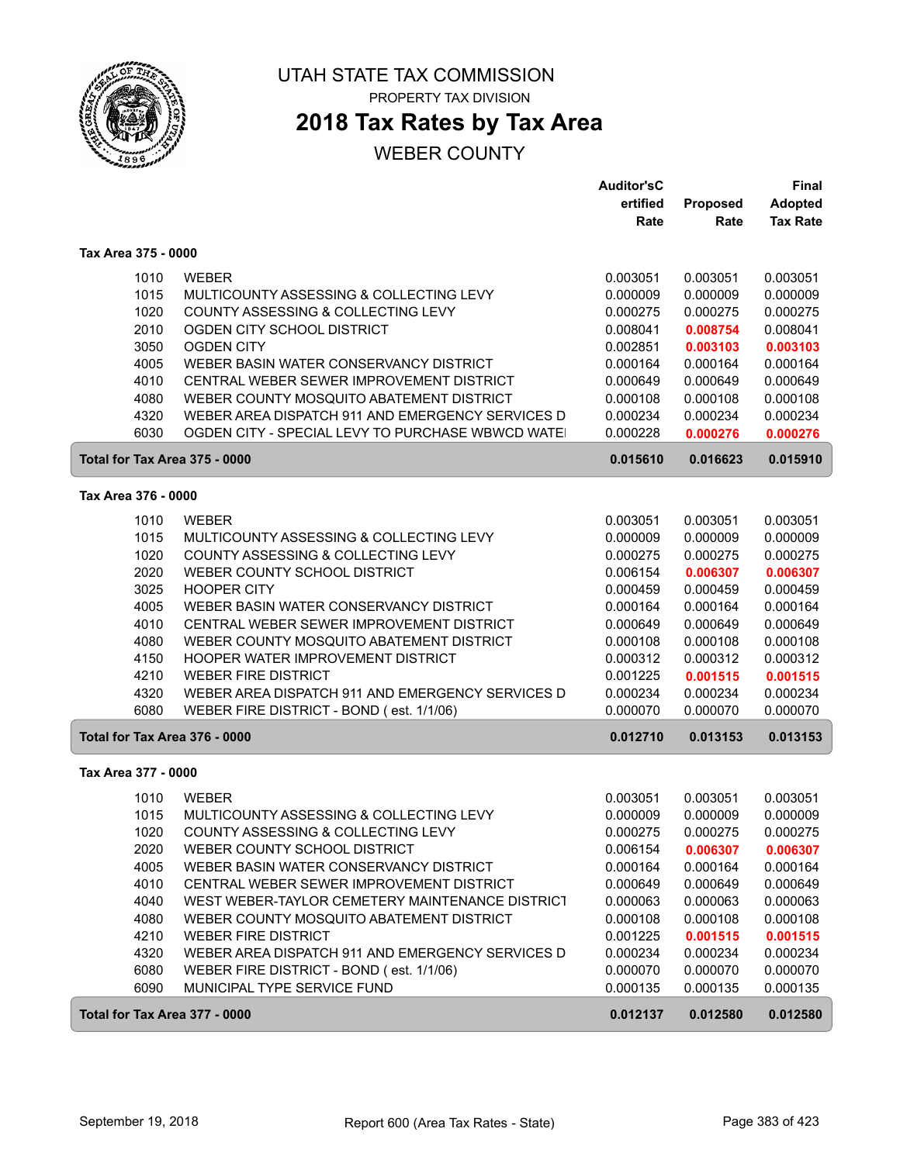

ſ

 $\sqrt{2}$ 

ſ

### UTAH STATE TAX COMMISSION PROPERTY TAX DIVISION

**2018 Tax Rates by Tax Area**

|                               |                                                  | <b>Auditor'sC</b><br>ertified | Proposed | <b>Final</b><br>Adopted |
|-------------------------------|--------------------------------------------------|-------------------------------|----------|-------------------------|
|                               |                                                  | Rate                          | Rate     | <b>Tax Rate</b>         |
| Tax Area 375 - 0000           |                                                  |                               |          |                         |
| 1010                          | <b>WEBER</b>                                     | 0.003051                      | 0.003051 | 0.003051                |
| 1015                          | MULTICOUNTY ASSESSING & COLLECTING LEVY          | 0.000009                      | 0.000009 | 0.000009                |
| 1020                          | COUNTY ASSESSING & COLLECTING LEVY               | 0.000275                      | 0.000275 | 0.000275                |
| 2010                          | OGDEN CITY SCHOOL DISTRICT                       | 0.008041                      | 0.008754 | 0.008041                |
| 3050                          | <b>OGDEN CITY</b>                                | 0.002851                      | 0.003103 | 0.003103                |
| 4005                          | WEBER BASIN WATER CONSERVANCY DISTRICT           | 0.000164                      | 0.000164 | 0.000164                |
| 4010                          | CENTRAL WEBER SEWER IMPROVEMENT DISTRICT         | 0.000649                      | 0.000649 | 0.000649                |
| 4080                          | WEBER COUNTY MOSQUITO ABATEMENT DISTRICT         | 0.000108                      | 0.000108 | 0.000108                |
| 4320                          | WEBER AREA DISPATCH 911 AND EMERGENCY SERVICES D | 0.000234                      | 0.000234 | 0.000234                |
| 6030                          | OGDEN CITY - SPECIAL LEVY TO PURCHASE WBWCD WATE | 0.000228                      | 0.000276 | 0.000276                |
| Total for Tax Area 375 - 0000 |                                                  | 0.015610                      | 0.016623 | 0.015910                |
| Tax Area 376 - 0000           |                                                  |                               |          |                         |
| 1010                          | <b>WEBER</b>                                     | 0.003051                      | 0.003051 | 0.003051                |
| 1015                          | MULTICOUNTY ASSESSING & COLLECTING LEVY          | 0.000009                      | 0.000009 | 0.000009                |
| 1020                          | COUNTY ASSESSING & COLLECTING LEVY               | 0.000275                      | 0.000275 | 0.000275                |
| 2020                          | WEBER COUNTY SCHOOL DISTRICT                     | 0.006154                      | 0.006307 | 0.006307                |
| 3025                          | <b>HOOPER CITY</b>                               | 0.000459                      | 0.000459 | 0.000459                |
| 4005                          | WEBER BASIN WATER CONSERVANCY DISTRICT           | 0.000164                      | 0.000164 | 0.000164                |
| 4010                          | CENTRAL WEBER SEWER IMPROVEMENT DISTRICT         | 0.000649                      | 0.000649 | 0.000649                |
| 4080                          | WEBER COUNTY MOSQUITO ABATEMENT DISTRICT         | 0.000108                      | 0.000108 | 0.000108                |
| 4150                          | HOOPER WATER IMPROVEMENT DISTRICT                | 0.000312                      | 0.000312 | 0.000312                |
| 4210                          | <b>WEBER FIRE DISTRICT</b>                       | 0.001225                      | 0.001515 | 0.001515                |
| 4320                          | WEBER AREA DISPATCH 911 AND EMERGENCY SERVICES D | 0.000234                      | 0.000234 | 0.000234                |
| 6080                          | WEBER FIRE DISTRICT - BOND (est. 1/1/06)         | 0.000070                      | 0.000070 | 0.000070                |
| Total for Tax Area 376 - 0000 |                                                  | 0.012710                      | 0.013153 | 0.013153                |
| Tax Area 377 - 0000           |                                                  |                               |          |                         |
| 1010                          | <b>WEBER</b>                                     | 0.003051                      | 0.003051 | 0.003051                |
| 1015                          | MULTICOUNTY ASSESSING & COLLECTING LEVY          | 0.000009                      | 0.000009 | 0.000009                |
| 1020                          | COUNTY ASSESSING & COLLECTING LEVY               | 0.000275                      | 0.000275 | 0.000275                |
| 2020                          | WEBER COUNTY SCHOOL DISTRICT                     | 0.006154                      | 0.006307 | 0.006307                |
| 4005                          | WEBER BASIN WATER CONSERVANCY DISTRICT           | 0.000164                      | 0.000164 | 0.000164                |
| 4010                          | CENTRAL WEBER SEWER IMPROVEMENT DISTRICT         | 0.000649                      | 0.000649 | 0.000649                |
| 4040                          | WEST WEBER-TAYLOR CEMETERY MAINTENANCE DISTRICT  | 0.000063                      | 0.000063 | 0.000063                |
| 4080                          | WEBER COUNTY MOSQUITO ABATEMENT DISTRICT         | 0.000108                      | 0.000108 | 0.000108                |
| 4210                          | <b>WEBER FIRE DISTRICT</b>                       | 0.001225                      | 0.001515 | 0.001515                |
| 4320                          | WEBER AREA DISPATCH 911 AND EMERGENCY SERVICES D | 0.000234                      | 0.000234 | 0.000234                |
| 6080                          | WEBER FIRE DISTRICT - BOND (est. 1/1/06)         | 0.000070                      | 0.000070 | 0.000070                |
| 6090                          | MUNICIPAL TYPE SERVICE FUND                      | 0.000135                      | 0.000135 | 0.000135                |
| Total for Tax Area 377 - 0000 |                                                  | 0.012137                      | 0.012580 | 0.012580                |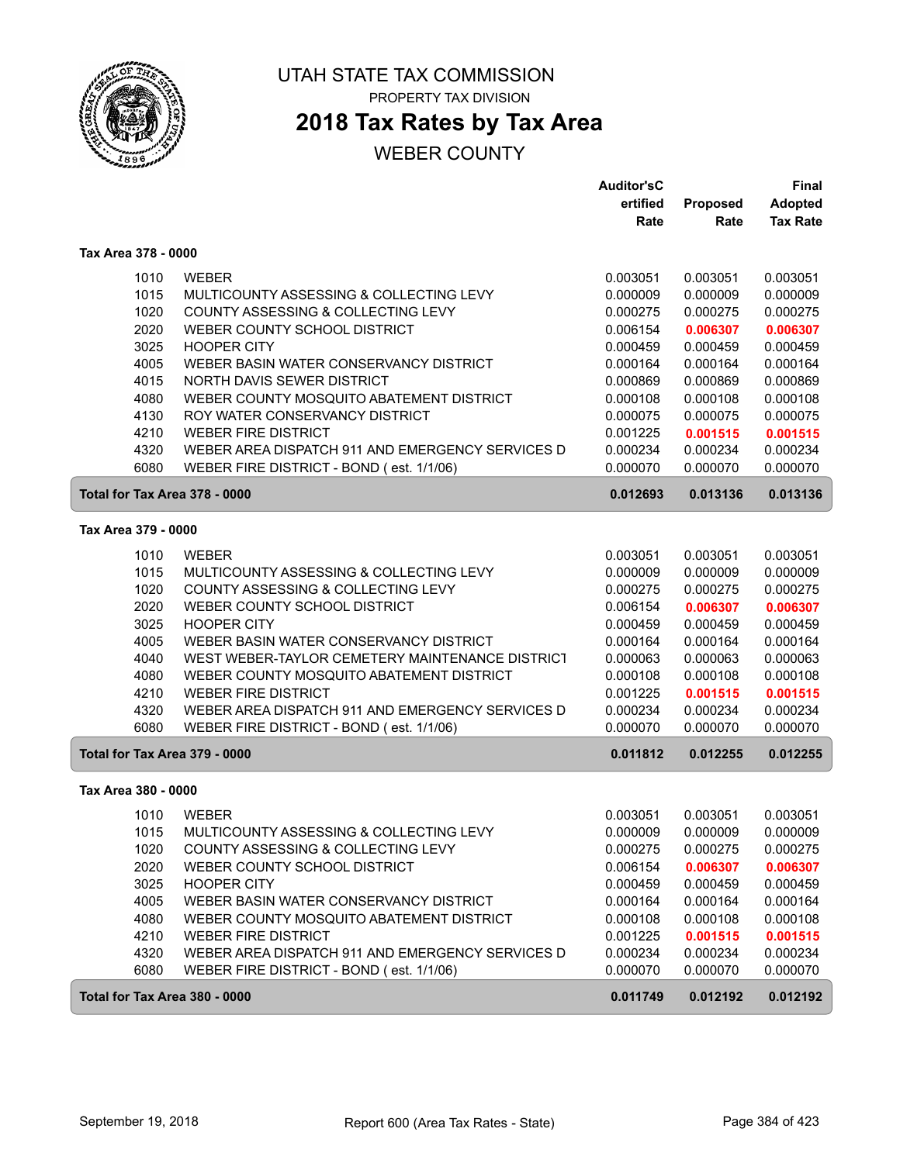

# **2018 Tax Rates by Tax Area**

|                               |                                                  | <b>Auditor'sC</b> |          | Final           |
|-------------------------------|--------------------------------------------------|-------------------|----------|-----------------|
|                               |                                                  | ertified          | Proposed | <b>Adopted</b>  |
|                               |                                                  | Rate              | Rate     | <b>Tax Rate</b> |
| Tax Area 378 - 0000           |                                                  |                   |          |                 |
| 1010                          | <b>WEBER</b>                                     | 0.003051          | 0.003051 | 0.003051        |
| 1015                          | MULTICOUNTY ASSESSING & COLLECTING LEVY          | 0.000009          | 0.000009 | 0.000009        |
| 1020                          | COUNTY ASSESSING & COLLECTING LEVY               | 0.000275          | 0.000275 | 0.000275        |
| 2020                          | WEBER COUNTY SCHOOL DISTRICT                     | 0.006154          | 0.006307 | 0.006307        |
| 3025                          | <b>HOOPER CITY</b>                               | 0.000459          | 0.000459 | 0.000459        |
| 4005                          | WEBER BASIN WATER CONSERVANCY DISTRICT           | 0.000164          | 0.000164 | 0.000164        |
| 4015                          | NORTH DAVIS SEWER DISTRICT                       | 0.000869          | 0.000869 | 0.000869        |
| 4080                          | WEBER COUNTY MOSQUITO ABATEMENT DISTRICT         | 0.000108          | 0.000108 | 0.000108        |
| 4130                          | ROY WATER CONSERVANCY DISTRICT                   | 0.000075          | 0.000075 | 0.000075        |
| 4210                          | <b>WEBER FIRE DISTRICT</b>                       | 0.001225          | 0.001515 | 0.001515        |
| 4320                          | WEBER AREA DISPATCH 911 AND EMERGENCY SERVICES D | 0.000234          | 0.000234 | 0.000234        |
| 6080                          | WEBER FIRE DISTRICT - BOND (est. 1/1/06)         | 0.000070          | 0.000070 | 0.000070        |
| Total for Tax Area 378 - 0000 |                                                  | 0.012693          | 0.013136 | 0.013136        |
| Tax Area 379 - 0000           |                                                  |                   |          |                 |
| 1010                          | <b>WEBER</b>                                     | 0.003051          | 0.003051 | 0.003051        |
| 1015                          | MULTICOUNTY ASSESSING & COLLECTING LEVY          | 0.000009          | 0.000009 | 0.000009        |
| 1020                          | COUNTY ASSESSING & COLLECTING LEVY               | 0.000275          | 0.000275 | 0.000275        |
| 2020                          | WEBER COUNTY SCHOOL DISTRICT                     | 0.006154          | 0.006307 | 0.006307        |
| 3025                          | <b>HOOPER CITY</b>                               | 0.000459          | 0.000459 | 0.000459        |
| 4005                          | WEBER BASIN WATER CONSERVANCY DISTRICT           | 0.000164          | 0.000164 | 0.000164        |
| 4040                          | WEST WEBER-TAYLOR CEMETERY MAINTENANCE DISTRICT  | 0.000063          | 0.000063 | 0.000063        |
| 4080                          | WEBER COUNTY MOSQUITO ABATEMENT DISTRICT         | 0.000108          | 0.000108 | 0.000108        |
| 4210                          | <b>WEBER FIRE DISTRICT</b>                       | 0.001225          | 0.001515 | 0.001515        |
| 4320                          | WEBER AREA DISPATCH 911 AND EMERGENCY SERVICES D | 0.000234          | 0.000234 | 0.000234        |
| 6080                          | WEBER FIRE DISTRICT - BOND (est. 1/1/06)         | 0.000070          | 0.000070 | 0.000070        |
| Total for Tax Area 379 - 0000 |                                                  | 0.011812          | 0.012255 | 0.012255        |
| Tax Area 380 - 0000           |                                                  |                   |          |                 |
| 1010                          | <b>WEBER</b>                                     | 0.003051          | 0.003051 | 0.003051        |
| 1015                          | MULTICOUNTY ASSESSING & COLLECTING LEVY          | 0.000009          | 0.000009 | 0.000009        |
| 1020                          | COUNTY ASSESSING & COLLECTING LEVY               | 0.000275          | 0.000275 | 0.000275        |
| 2020                          | WEBER COUNTY SCHOOL DISTRICT                     | 0.006154          | 0.006307 | 0.006307        |
| 3025                          | <b>HOOPER CITY</b>                               | 0.000459          | 0.000459 | 0.000459        |
| 4005                          | WEBER BASIN WATER CONSERVANCY DISTRICT           | 0.000164          | 0.000164 | 0.000164        |
| 4080                          | WEBER COUNTY MOSQUITO ABATEMENT DISTRICT         | 0.000108          | 0.000108 | 0.000108        |
| 4210                          | <b>WEBER FIRE DISTRICT</b>                       | 0.001225          | 0.001515 | 0.001515        |
| 4320                          | WEBER AREA DISPATCH 911 AND EMERGENCY SERVICES D | 0.000234          | 0.000234 | 0.000234        |
| 6080                          | WEBER FIRE DISTRICT - BOND (est. 1/1/06)         | 0.000070          | 0.000070 | 0.000070        |
| Total for Tax Area 380 - 0000 |                                                  | 0.011749          | 0.012192 | 0.012192        |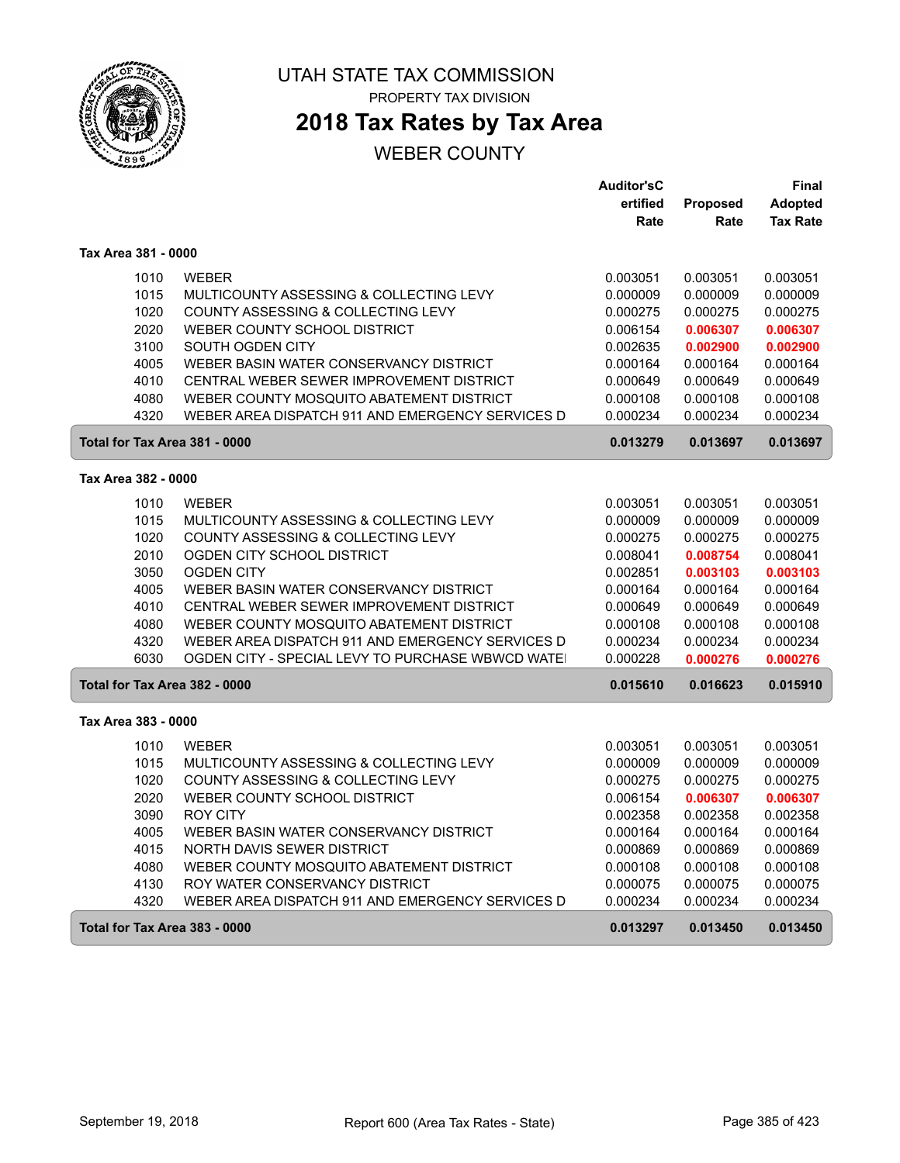

# **2018 Tax Rates by Tax Area**

|                               |                                                  | <b>Auditor'sC</b> |          | Final           |
|-------------------------------|--------------------------------------------------|-------------------|----------|-----------------|
|                               |                                                  | ertified          | Proposed | <b>Adopted</b>  |
|                               |                                                  | Rate              | Rate     | <b>Tax Rate</b> |
| Tax Area 381 - 0000           |                                                  |                   |          |                 |
| 1010                          | <b>WEBER</b>                                     | 0.003051          | 0.003051 | 0.003051        |
| 1015                          | MULTICOUNTY ASSESSING & COLLECTING LEVY          | 0.000009          | 0.000009 | 0.000009        |
| 1020                          | COUNTY ASSESSING & COLLECTING LEVY               | 0.000275          | 0.000275 | 0.000275        |
| 2020                          | WEBER COUNTY SCHOOL DISTRICT                     | 0.006154          | 0.006307 | 0.006307        |
| 3100                          | SOUTH OGDEN CITY                                 | 0.002635          | 0.002900 | 0.002900        |
| 4005                          | WEBER BASIN WATER CONSERVANCY DISTRICT           | 0.000164          | 0.000164 | 0.000164        |
| 4010                          | CENTRAL WEBER SEWER IMPROVEMENT DISTRICT         | 0.000649          | 0.000649 | 0.000649        |
| 4080                          | WEBER COUNTY MOSQUITO ABATEMENT DISTRICT         | 0.000108          | 0.000108 | 0.000108        |
| 4320                          | WEBER AREA DISPATCH 911 AND EMERGENCY SERVICES D | 0.000234          | 0.000234 | 0.000234        |
| Total for Tax Area 381 - 0000 |                                                  | 0.013279          | 0.013697 | 0.013697        |
| Tax Area 382 - 0000           |                                                  |                   |          |                 |
| 1010                          | <b>WEBER</b>                                     | 0.003051          | 0.003051 | 0.003051        |
| 1015                          | MULTICOUNTY ASSESSING & COLLECTING LEVY          | 0.000009          | 0.000009 | 0.000009        |
| 1020                          | COUNTY ASSESSING & COLLECTING LEVY               | 0.000275          | 0.000275 | 0.000275        |
| 2010                          | OGDEN CITY SCHOOL DISTRICT                       | 0.008041          | 0.008754 | 0.008041        |
| 3050                          | <b>OGDEN CITY</b>                                | 0.002851          | 0.003103 | 0.003103        |
| 4005                          | WEBER BASIN WATER CONSERVANCY DISTRICT           | 0.000164          | 0.000164 | 0.000164        |
| 4010                          | CENTRAL WEBER SEWER IMPROVEMENT DISTRICT         | 0.000649          | 0.000649 | 0.000649        |
| 4080                          | WEBER COUNTY MOSQUITO ABATEMENT DISTRICT         | 0.000108          | 0.000108 | 0.000108        |
| 4320                          | WEBER AREA DISPATCH 911 AND EMERGENCY SERVICES D | 0.000234          | 0.000234 | 0.000234        |
| 6030                          | OGDEN CITY - SPECIAL LEVY TO PURCHASE WBWCD WATE | 0.000228          | 0.000276 | 0.000276        |
| Total for Tax Area 382 - 0000 |                                                  | 0.015610          | 0.016623 | 0.015910        |
| Tax Area 383 - 0000           |                                                  |                   |          |                 |
| 1010                          | <b>WEBER</b>                                     | 0.003051          | 0.003051 | 0.003051        |
| 1015                          | MULTICOUNTY ASSESSING & COLLECTING LEVY          | 0.000009          | 0.000009 | 0.000009        |
| 1020                          | COUNTY ASSESSING & COLLECTING LEVY               | 0.000275          | 0.000275 | 0.000275        |
| 2020                          | WEBER COUNTY SCHOOL DISTRICT                     | 0.006154          | 0.006307 | 0.006307        |
| 3090                          | <b>ROY CITY</b>                                  | 0.002358          | 0.002358 | 0.002358        |
| 4005                          | WEBER BASIN WATER CONSERVANCY DISTRICT           | 0.000164          | 0.000164 | 0.000164        |
| 4015                          | NORTH DAVIS SEWER DISTRICT                       | 0.000869          | 0.000869 | 0.000869        |
| 4080                          | WEBER COUNTY MOSQUITO ABATEMENT DISTRICT         | 0.000108          | 0.000108 | 0.000108        |
| 4130                          | ROY WATER CONSERVANCY DISTRICT                   | 0.000075          | 0.000075 | 0.000075        |
| 4320                          | WEBER AREA DISPATCH 911 AND EMERGENCY SERVICES D | 0.000234          | 0.000234 | 0.000234        |
| Total for Tax Area 383 - 0000 |                                                  | 0.013297          | 0.013450 | 0.013450        |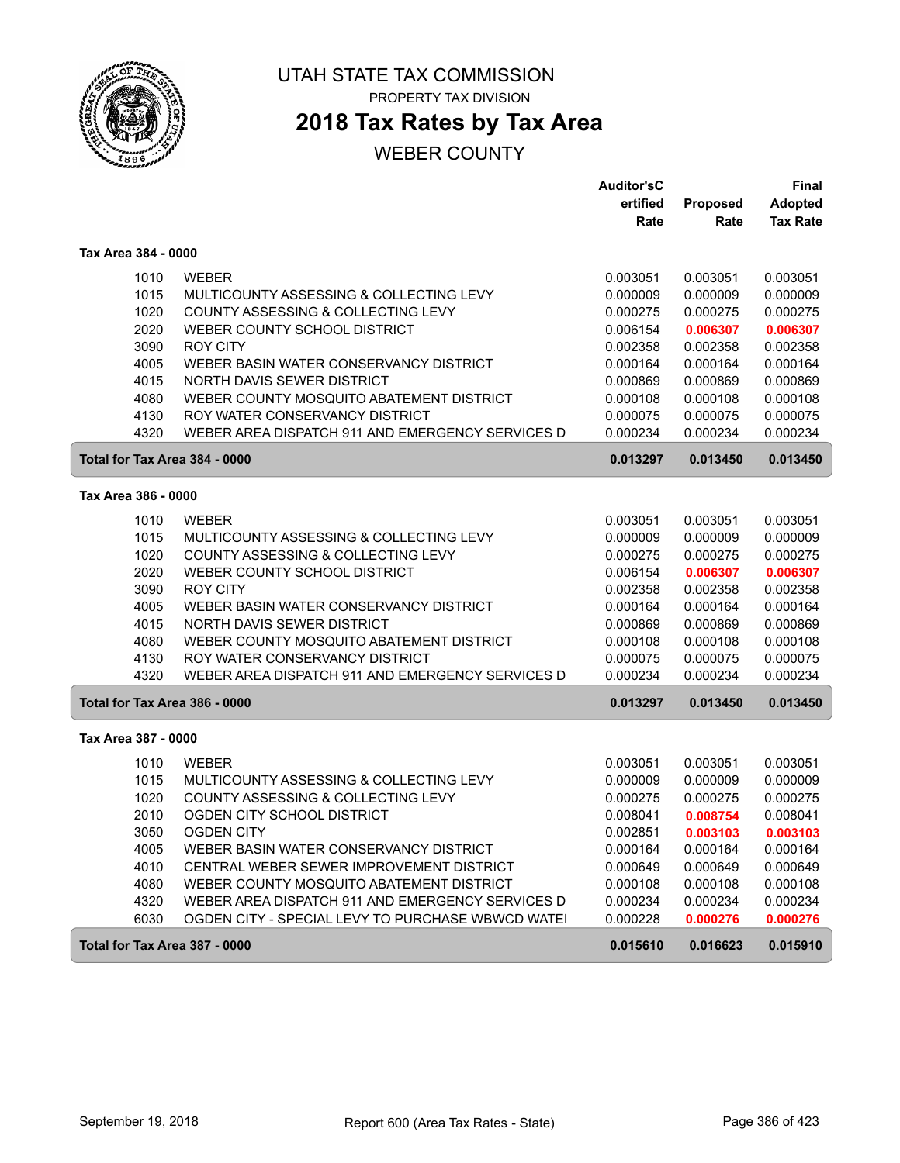

# **2018 Tax Rates by Tax Area**

|                     |              |                                                                    | <b>Auditor'sC</b>    |                      | <b>Final</b>         |
|---------------------|--------------|--------------------------------------------------------------------|----------------------|----------------------|----------------------|
|                     |              |                                                                    | ertified             | Proposed             | <b>Adopted</b>       |
|                     |              |                                                                    | Rate                 | Rate                 | <b>Tax Rate</b>      |
| Tax Area 384 - 0000 |              |                                                                    |                      |                      |                      |
|                     | 1010         | <b>WEBER</b>                                                       | 0.003051             | 0.003051             | 0.003051             |
|                     | 1015         | MULTICOUNTY ASSESSING & COLLECTING LEVY                            | 0.000009             | 0.000009             | 0.000009             |
|                     | 1020         | COUNTY ASSESSING & COLLECTING LEVY                                 | 0.000275             | 0.000275             | 0.000275             |
|                     | 2020         | WEBER COUNTY SCHOOL DISTRICT                                       | 0.006154             | 0.006307             | 0.006307             |
|                     | 3090         | <b>ROY CITY</b>                                                    | 0.002358             | 0.002358             | 0.002358             |
|                     | 4005         | WEBER BASIN WATER CONSERVANCY DISTRICT                             | 0.000164             | 0.000164             | 0.000164             |
|                     | 4015         | NORTH DAVIS SEWER DISTRICT                                         | 0.000869             | 0.000869             | 0.000869             |
|                     | 4080         | WEBER COUNTY MOSQUITO ABATEMENT DISTRICT                           | 0.000108             | 0.000108             | 0.000108             |
|                     | 4130         | ROY WATER CONSERVANCY DISTRICT                                     | 0.000075             | 0.000075             | 0.000075             |
|                     | 4320         | WEBER AREA DISPATCH 911 AND EMERGENCY SERVICES D                   | 0.000234             | 0.000234             | 0.000234             |
|                     |              | Total for Tax Area 384 - 0000                                      | 0.013297             | 0.013450             | 0.013450             |
| Tax Area 386 - 0000 |              |                                                                    |                      |                      |                      |
|                     |              |                                                                    |                      |                      |                      |
|                     | 1010<br>1015 | <b>WEBER</b><br>MULTICOUNTY ASSESSING & COLLECTING LEVY            | 0.003051             | 0.003051             | 0.003051             |
|                     | 1020         |                                                                    | 0.000009             | 0.000009             | 0.000009             |
|                     | 2020         | COUNTY ASSESSING & COLLECTING LEVY<br>WEBER COUNTY SCHOOL DISTRICT | 0.000275<br>0.006154 | 0.000275             | 0.000275             |
|                     | 3090         | <b>ROY CITY</b>                                                    |                      | 0.006307             | 0.006307<br>0.002358 |
|                     | 4005         | WEBER BASIN WATER CONSERVANCY DISTRICT                             | 0.002358<br>0.000164 | 0.002358<br>0.000164 | 0.000164             |
|                     | 4015         | NORTH DAVIS SEWER DISTRICT                                         | 0.000869             | 0.000869             | 0.000869             |
|                     | 4080         | WEBER COUNTY MOSQUITO ABATEMENT DISTRICT                           | 0.000108             | 0.000108             | 0.000108             |
|                     | 4130         | ROY WATER CONSERVANCY DISTRICT                                     | 0.000075             | 0.000075             | 0.000075             |
|                     | 4320         | WEBER AREA DISPATCH 911 AND EMERGENCY SERVICES D                   | 0.000234             | 0.000234             | 0.000234             |
|                     |              | Total for Tax Area 386 - 0000                                      | 0.013297             | 0.013450             | 0.013450             |
| Tax Area 387 - 0000 |              |                                                                    |                      |                      |                      |
|                     | 1010         | <b>WEBER</b>                                                       | 0.003051             | 0.003051             | 0.003051             |
|                     | 1015         | MULTICOUNTY ASSESSING & COLLECTING LEVY                            | 0.000009             | 0.000009             | 0.000009             |
|                     | 1020         | COUNTY ASSESSING & COLLECTING LEVY                                 | 0.000275             | 0.000275             | 0.000275             |
|                     | 2010         | OGDEN CITY SCHOOL DISTRICT                                         | 0.008041             | 0.008754             | 0.008041             |
|                     | 3050         | <b>OGDEN CITY</b>                                                  | 0.002851             | 0.003103             | 0.003103             |
|                     | 4005         | WEBER BASIN WATER CONSERVANCY DISTRICT                             | 0.000164             | 0.000164             | 0.000164             |
|                     | 4010         | CENTRAL WEBER SEWER IMPROVEMENT DISTRICT                           | 0.000649             | 0.000649             | 0.000649             |
|                     | 4080         | WEBER COUNTY MOSQUITO ABATEMENT DISTRICT                           | 0.000108             | 0.000108             | 0.000108             |
|                     | 4320         | WEBER AREA DISPATCH 911 AND EMERGENCY SERVICES D                   | 0.000234             | 0.000234             | 0.000234             |
|                     | 6030         | OGDEN CITY - SPECIAL LEVY TO PURCHASE WBWCD WATE                   | 0.000228             | 0.000276             | 0.000276             |
|                     |              | Total for Tax Area 387 - 0000                                      | 0.015610             | 0.016623             | 0.015910             |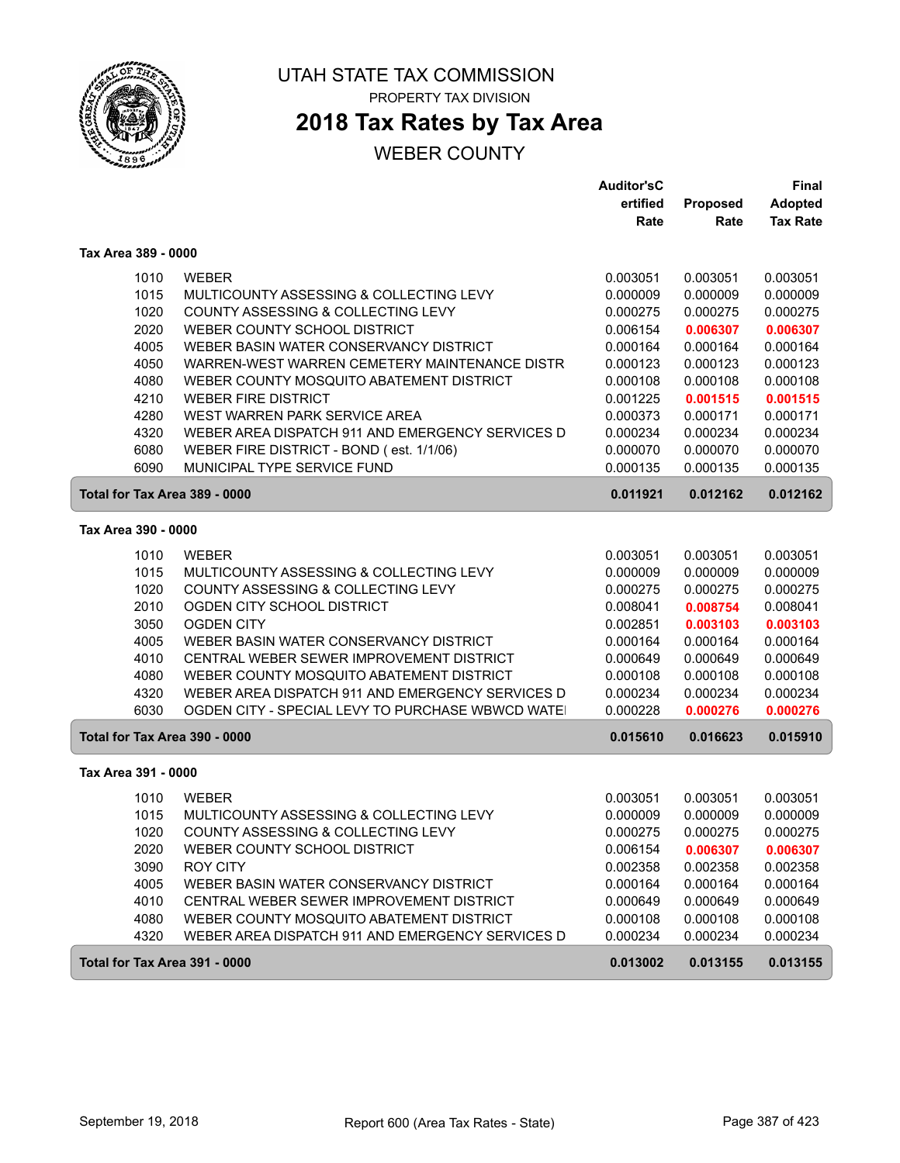

ſ

### UTAH STATE TAX COMMISSION PROPERTY TAX DIVISION

# **2018 Tax Rates by Tax Area**

|                               |                                                   | <b>Auditor'sC</b> |          | Final           |
|-------------------------------|---------------------------------------------------|-------------------|----------|-----------------|
|                               |                                                   | ertified          | Proposed | Adopted         |
|                               |                                                   | Rate              | Rate     | <b>Tax Rate</b> |
| Tax Area 389 - 0000           |                                                   |                   |          |                 |
| 1010                          | <b>WEBER</b>                                      | 0.003051          | 0.003051 | 0.003051        |
| 1015                          | MULTICOUNTY ASSESSING & COLLECTING LEVY           | 0.000009          | 0.000009 | 0.000009        |
| 1020                          | COUNTY ASSESSING & COLLECTING LEVY                | 0.000275          | 0.000275 | 0.000275        |
| 2020                          | WEBER COUNTY SCHOOL DISTRICT                      | 0.006154          | 0.006307 | 0.006307        |
| 4005                          | WEBER BASIN WATER CONSERVANCY DISTRICT            | 0.000164          | 0.000164 | 0.000164        |
| 4050                          | WARREN-WEST WARREN CEMETERY MAINTENANCE DISTR     | 0.000123          | 0.000123 | 0.000123        |
| 4080                          | WEBER COUNTY MOSQUITO ABATEMENT DISTRICT          | 0.000108          | 0.000108 | 0.000108        |
| 4210                          | <b>WEBER FIRE DISTRICT</b>                        | 0.001225          | 0.001515 | 0.001515        |
| 4280                          | WEST WARREN PARK SERVICE AREA                     | 0.000373          | 0.000171 | 0.000171        |
| 4320                          | WEBER AREA DISPATCH 911 AND EMERGENCY SERVICES D  | 0.000234          | 0.000234 | 0.000234        |
| 6080                          | WEBER FIRE DISTRICT - BOND (est. 1/1/06)          | 0.000070          | 0.000070 | 0.000070        |
| 6090                          | MUNICIPAL TYPE SERVICE FUND                       | 0.000135          | 0.000135 | 0.000135        |
| Total for Tax Area 389 - 0000 |                                                   | 0.011921          | 0.012162 | 0.012162        |
| Tax Area 390 - 0000           |                                                   |                   |          |                 |
| 1010                          | <b>WEBER</b>                                      | 0.003051          | 0.003051 | 0.003051        |
| 1015                          | MULTICOUNTY ASSESSING & COLLECTING LEVY           | 0.000009          | 0.000009 | 0.000009        |
| 1020                          | COUNTY ASSESSING & COLLECTING LEVY                | 0.000275          | 0.000275 | 0.000275        |
| 2010                          | OGDEN CITY SCHOOL DISTRICT                        | 0.008041          | 0.008754 | 0.008041        |
| 3050                          | <b>OGDEN CITY</b>                                 | 0.002851          | 0.003103 | 0.003103        |
| 4005                          | WEBER BASIN WATER CONSERVANCY DISTRICT            | 0.000164          | 0.000164 | 0.000164        |
| 4010                          | CENTRAL WEBER SEWER IMPROVEMENT DISTRICT          | 0.000649          | 0.000649 | 0.000649        |
| 4080                          | WEBER COUNTY MOSQUITO ABATEMENT DISTRICT          | 0.000108          | 0.000108 | 0.000108        |
| 4320                          | WEBER AREA DISPATCH 911 AND EMERGENCY SERVICES D  | 0.000234          | 0.000234 | 0.000234        |
| 6030                          | OGDEN CITY - SPECIAL LEVY TO PURCHASE WBWCD WATE! | 0.000228          | 0.000276 | 0.000276        |
| Total for Tax Area 390 - 0000 |                                                   | 0.015610          | 0.016623 | 0.015910        |
| Tax Area 391 - 0000           |                                                   |                   |          |                 |
| 1010                          | <b>WEBER</b>                                      | 0.003051          | 0.003051 | 0.003051        |
| 1015                          | MULTICOUNTY ASSESSING & COLLECTING LEVY           | 0.000009          | 0.000009 | 0.000009        |
| 1020                          | COUNTY ASSESSING & COLLECTING LEVY                | 0.000275          | 0.000275 | 0.000275        |
| 2020                          | WEBER COUNTY SCHOOL DISTRICT                      | 0.006154          | 0.006307 | 0.006307        |
| 3090                          | <b>ROY CITY</b>                                   | 0.002358          | 0.002358 | 0.002358        |
| 4005                          | WEBER BASIN WATER CONSERVANCY DISTRICT            | 0.000164          | 0.000164 | 0.000164        |
| 4010                          | CENTRAL WEBER SEWER IMPROVEMENT DISTRICT          | 0.000649          | 0.000649 | 0.000649        |
| 4080                          | WEBER COUNTY MOSQUITO ABATEMENT DISTRICT          | 0.000108          | 0.000108 | 0.000108        |
| 4320                          | WEBER AREA DISPATCH 911 AND EMERGENCY SERVICES D  | 0.000234          | 0.000234 | 0.000234        |
| Total for Tax Area 391 - 0000 |                                                   | 0.013002          | 0.013155 | 0.013155        |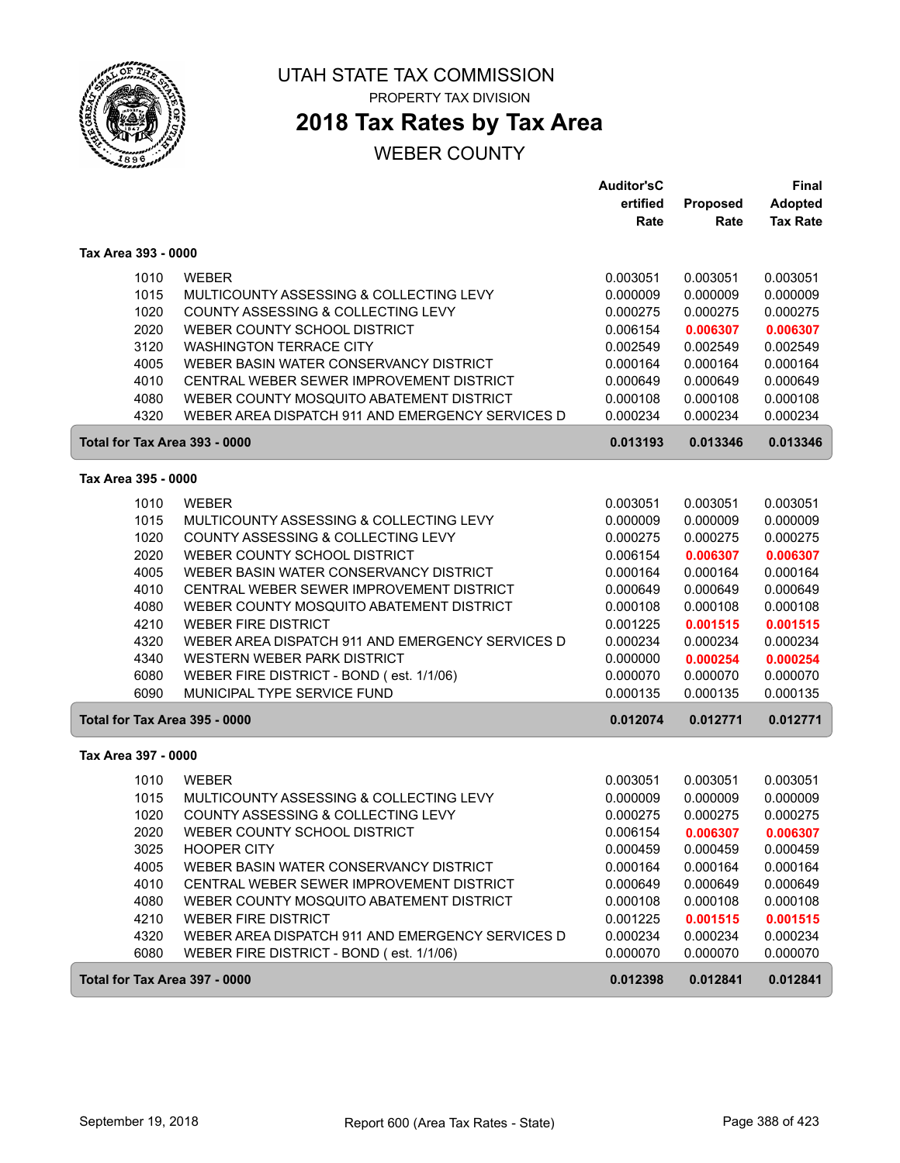

# **2018 Tax Rates by Tax Area**

## WEBER COUNTY

|                               |                                                                        | <b>Auditor'sC</b>    |                      | Final                |
|-------------------------------|------------------------------------------------------------------------|----------------------|----------------------|----------------------|
|                               |                                                                        | ertified             | Proposed             | <b>Adopted</b>       |
|                               |                                                                        | Rate                 | Rate                 | <b>Tax Rate</b>      |
| Tax Area 393 - 0000           |                                                                        |                      |                      |                      |
| 1010                          | <b>WEBER</b>                                                           | 0.003051             | 0.003051             | 0.003051             |
| 1015                          | MULTICOUNTY ASSESSING & COLLECTING LEVY                                | 0.000009             | 0.000009             | 0.000009             |
| 1020                          | COUNTY ASSESSING & COLLECTING LEVY                                     | 0.000275             | 0.000275             | 0.000275             |
| 2020                          | WEBER COUNTY SCHOOL DISTRICT                                           | 0.006154             | 0.006307             | 0.006307             |
| 3120                          | <b>WASHINGTON TERRACE CITY</b>                                         | 0.002549             | 0.002549             | 0.002549             |
| 4005                          | WEBER BASIN WATER CONSERVANCY DISTRICT                                 | 0.000164             | 0.000164             | 0.000164             |
| 4010                          | CENTRAL WEBER SEWER IMPROVEMENT DISTRICT                               | 0.000649             | 0.000649             | 0.000649             |
| 4080                          | WEBER COUNTY MOSQUITO ABATEMENT DISTRICT                               | 0.000108             | 0.000108             | 0.000108             |
| 4320                          | WEBER AREA DISPATCH 911 AND EMERGENCY SERVICES D                       | 0.000234             | 0.000234             | 0.000234             |
| Total for Tax Area 393 - 0000 |                                                                        | 0.013193             | 0.013346             | 0.013346             |
| Tax Area 395 - 0000           |                                                                        |                      |                      |                      |
|                               |                                                                        |                      |                      |                      |
| 1010                          | <b>WEBER</b>                                                           | 0.003051             | 0.003051             | 0.003051             |
| 1015                          | MULTICOUNTY ASSESSING & COLLECTING LEVY                                | 0.000009             | 0.000009             | 0.000009             |
| 1020                          | COUNTY ASSESSING & COLLECTING LEVY                                     | 0.000275             | 0.000275             | 0.000275             |
| 2020                          | WEBER COUNTY SCHOOL DISTRICT                                           | 0.006154             | 0.006307             | 0.006307             |
| 4005                          | WEBER BASIN WATER CONSERVANCY DISTRICT                                 | 0.000164             | 0.000164             | 0.000164             |
| 4010                          | CENTRAL WEBER SEWER IMPROVEMENT DISTRICT                               | 0.000649             | 0.000649             | 0.000649             |
| 4080<br>4210                  | WEBER COUNTY MOSQUITO ABATEMENT DISTRICT<br><b>WEBER FIRE DISTRICT</b> | 0.000108             | 0.000108             | 0.000108             |
| 4320                          | WEBER AREA DISPATCH 911 AND EMERGENCY SERVICES D                       | 0.001225             | 0.001515             | 0.001515<br>0.000234 |
| 4340                          | WESTERN WEBER PARK DISTRICT                                            | 0.000234<br>0.000000 | 0.000234<br>0.000254 | 0.000254             |
| 6080                          | WEBER FIRE DISTRICT - BOND (est. 1/1/06)                               | 0.000070             | 0.000070             | 0.000070             |
| 6090                          | MUNICIPAL TYPE SERVICE FUND                                            | 0.000135             | 0.000135             | 0.000135             |
| Total for Tax Area 395 - 0000 |                                                                        | 0.012074             | 0.012771             | 0.012771             |
|                               |                                                                        |                      |                      |                      |
| Tax Area 397 - 0000           |                                                                        |                      |                      |                      |
| 1010                          | <b>WEBER</b>                                                           | 0.003051             | 0.003051             | 0.003051             |
| 1015                          | MULTICOUNTY ASSESSING & COLLECTING LEVY                                | 0.000009             | 0.000009             | 0.000009             |
| 1020                          | COUNTY ASSESSING & COLLECTING LEVY                                     | 0.000275             | 0.000275             | 0.000275             |
| 2020                          | WEBER COUNTY SCHOOL DISTRICT                                           | 0.006154             | 0.006307             | 0.006307             |
| 3025                          | <b>HOOPER CITY</b>                                                     | 0.000459             | 0.000459             | 0.000459             |
| 4005                          | WEBER BASIN WATER CONSERVANCY DISTRICT                                 | 0.000164             | 0.000164             | 0.000164             |
| 4010                          | CENTRAL WEBER SEWER IMPROVEMENT DISTRICT                               | 0.000649             | 0.000649             | 0.000649             |
| 4080                          | WEBER COUNTY MOSQUITO ABATEMENT DISTRICT                               | 0.000108             | 0.000108             | 0.000108             |
| 4210                          | <b>WEBER FIRE DISTRICT</b>                                             | 0.001225             | 0.001515             | 0.001515             |
| 4320                          | WEBER AREA DISPATCH 911 AND EMERGENCY SERVICES D                       | 0.000234             | 0.000234             | 0.000234             |
| 6080                          | WEBER FIRE DISTRICT - BOND (est. 1/1/06)                               | 0.000070             | 0.000070             | 0.000070             |
| Total for Tax Area 397 - 0000 |                                                                        | 0.012398             | 0.012841             | 0.012841             |

ſ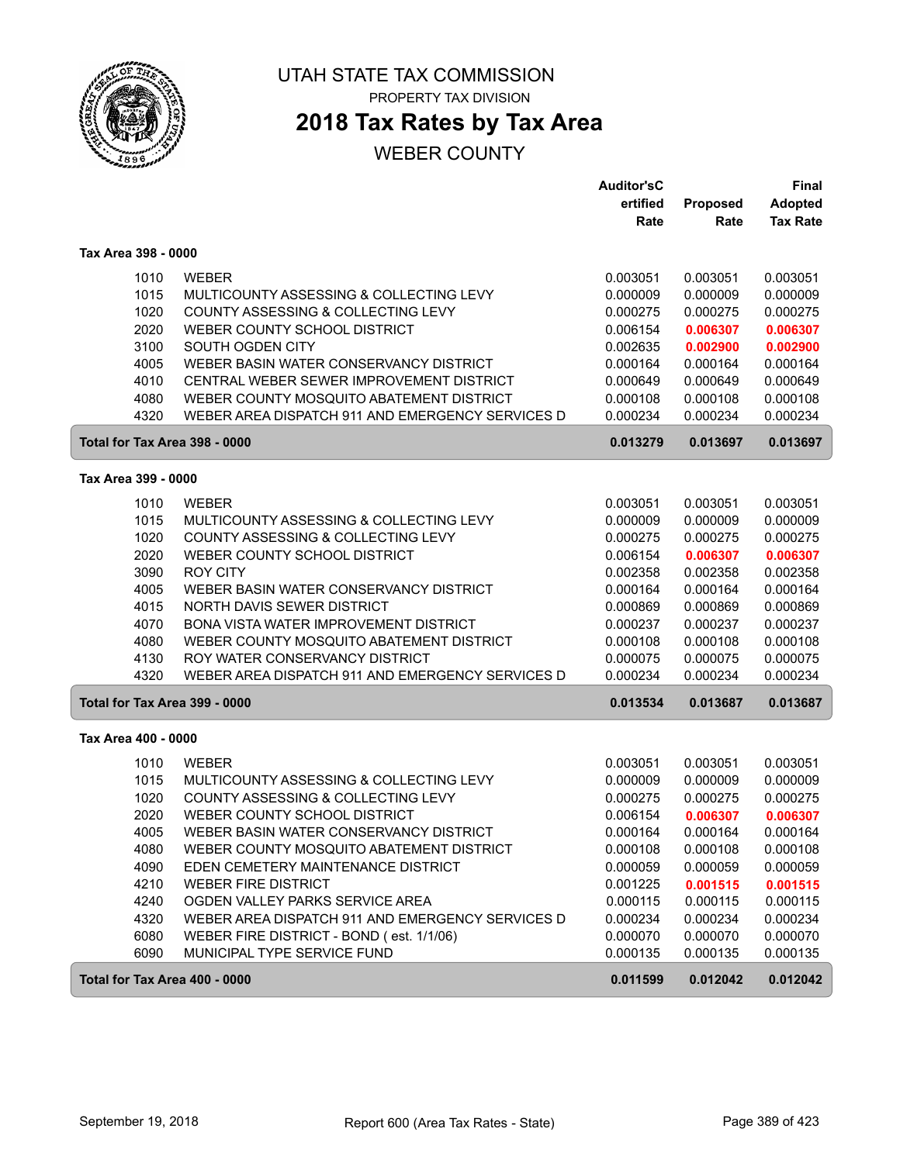

# **2018 Tax Rates by Tax Area**

|                               |                                                  | <b>Auditor'sC</b> |                 | Final           |
|-------------------------------|--------------------------------------------------|-------------------|-----------------|-----------------|
|                               |                                                  | ertified          | <b>Proposed</b> | <b>Adopted</b>  |
|                               |                                                  | Rate              | Rate            | <b>Tax Rate</b> |
| Tax Area 398 - 0000           |                                                  |                   |                 |                 |
| 1010                          | <b>WEBER</b>                                     | 0.003051          | 0.003051        | 0.003051        |
| 1015                          | MULTICOUNTY ASSESSING & COLLECTING LEVY          | 0.000009          | 0.000009        | 0.000009        |
| 1020                          | COUNTY ASSESSING & COLLECTING LEVY               | 0.000275          | 0.000275        | 0.000275        |
| 2020                          | WEBER COUNTY SCHOOL DISTRICT                     | 0.006154          | 0.006307        | 0.006307        |
| 3100                          | SOUTH OGDEN CITY                                 | 0.002635          | 0.002900        | 0.002900        |
| 4005                          | WEBER BASIN WATER CONSERVANCY DISTRICT           | 0.000164          | 0.000164        | 0.000164        |
| 4010                          | CENTRAL WEBER SEWER IMPROVEMENT DISTRICT         | 0.000649          | 0.000649        | 0.000649        |
| 4080                          | WEBER COUNTY MOSQUITO ABATEMENT DISTRICT         | 0.000108          | 0.000108        | 0.000108        |
| 4320                          | WEBER AREA DISPATCH 911 AND EMERGENCY SERVICES D | 0.000234          | 0.000234        | 0.000234        |
| Total for Tax Area 398 - 0000 |                                                  | 0.013279          | 0.013697        | 0.013697        |
| Tax Area 399 - 0000           |                                                  |                   |                 |                 |
| 1010                          | <b>WEBER</b>                                     | 0.003051          | 0.003051        | 0.003051        |
| 1015                          | MULTICOUNTY ASSESSING & COLLECTING LEVY          | 0.000009          | 0.000009        | 0.000009        |
| 1020                          | COUNTY ASSESSING & COLLECTING LEVY               | 0.000275          | 0.000275        | 0.000275        |
| 2020                          | WEBER COUNTY SCHOOL DISTRICT                     | 0.006154          | 0.006307        | 0.006307        |
| 3090                          | <b>ROY CITY</b>                                  | 0.002358          | 0.002358        | 0.002358        |
| 4005                          | WEBER BASIN WATER CONSERVANCY DISTRICT           | 0.000164          | 0.000164        | 0.000164        |
| 4015                          | NORTH DAVIS SEWER DISTRICT                       | 0.000869          | 0.000869        | 0.000869        |
| 4070                          | <b>BONA VISTA WATER IMPROVEMENT DISTRICT</b>     | 0.000237          | 0.000237        | 0.000237        |
| 4080                          | WEBER COUNTY MOSQUITO ABATEMENT DISTRICT         | 0.000108          | 0.000108        | 0.000108        |
| 4130                          | ROY WATER CONSERVANCY DISTRICT                   | 0.000075          | 0.000075        | 0.000075        |
| 4320                          | WEBER AREA DISPATCH 911 AND EMERGENCY SERVICES D | 0.000234          | 0.000234        | 0.000234        |
| Total for Tax Area 399 - 0000 |                                                  | 0.013534          | 0.013687        | 0.013687        |
| Tax Area 400 - 0000           |                                                  |                   |                 |                 |
| 1010                          | <b>WEBER</b>                                     | 0.003051          | 0.003051        | 0.003051        |
| 1015                          | MULTICOUNTY ASSESSING & COLLECTING LEVY          | 0.000009          | 0.000009        | 0.000009        |
| 1020                          | COUNTY ASSESSING & COLLECTING LEVY               | 0.000275          | 0.000275        | 0.000275        |
| 2020                          | WEBER COUNTY SCHOOL DISTRICT                     | 0.006154          | 0.006307        | 0.006307        |
| 4005                          | WEBER BASIN WATER CONSERVANCY DISTRICT           | 0.000164          | 0.000164        | 0.000164        |
| 4080                          | WEBER COUNTY MOSQUITO ABATEMENT DISTRICT         | 0.000108          | 0.000108        | 0.000108        |
| 4090                          | EDEN CEMETERY MAINTENANCE DISTRICT               | 0.000059          | 0.000059        | 0.000059        |
| 4210                          | <b>WEBER FIRE DISTRICT</b>                       | 0.001225          | 0.001515        | 0.001515        |
| 4240                          | OGDEN VALLEY PARKS SERVICE AREA                  | 0.000115          | 0.000115        | 0.000115        |
| 4320                          | WEBER AREA DISPATCH 911 AND EMERGENCY SERVICES D | 0.000234          | 0.000234        | 0.000234        |
| 6080                          | WEBER FIRE DISTRICT - BOND (est. 1/1/06)         | 0.000070          | 0.000070        | 0.000070        |
| 6090                          | MUNICIPAL TYPE SERVICE FUND                      | 0.000135          | 0.000135        | 0.000135        |
| Total for Tax Area 400 - 0000 |                                                  | 0.011599          | 0.012042        | 0.012042        |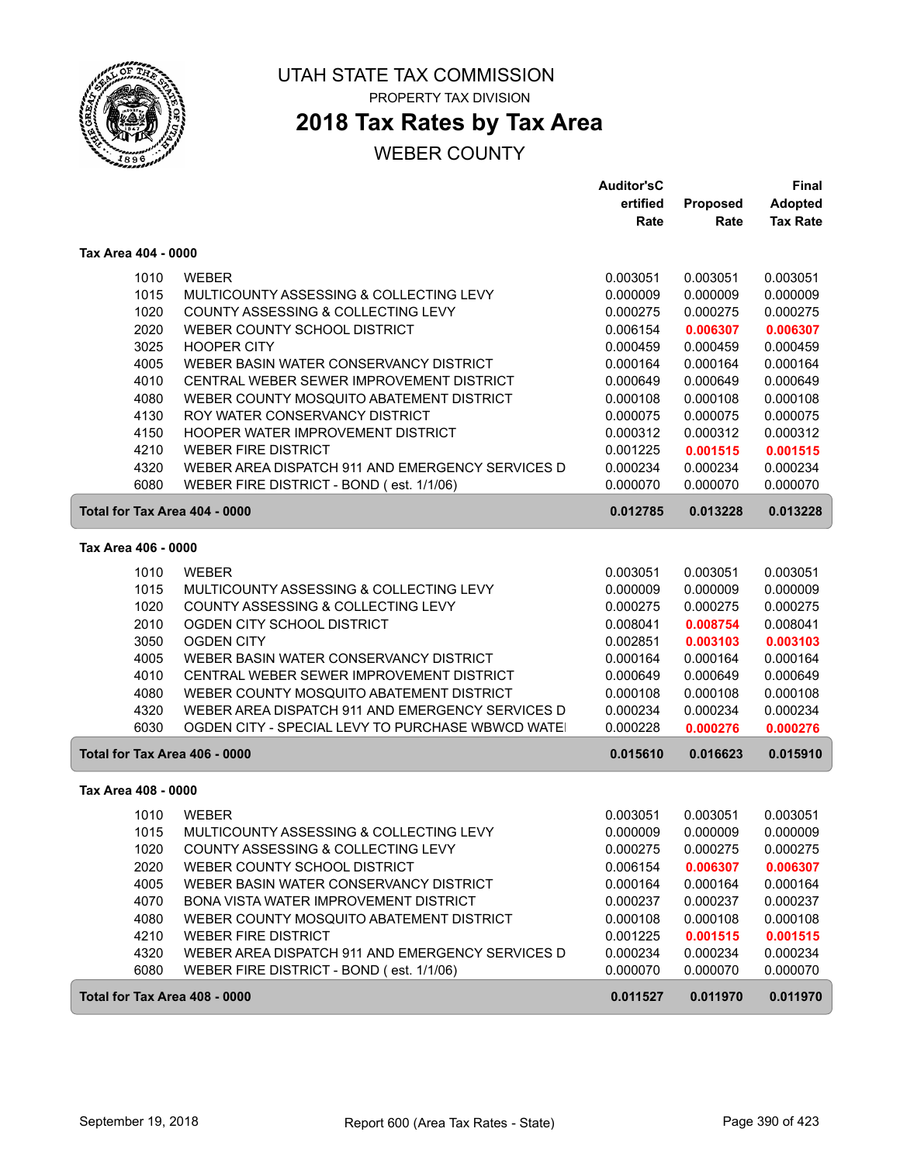

# **2018 Tax Rates by Tax Area**

|                     |                                                          | <b>Auditor'sC</b> |          | Final           |
|---------------------|----------------------------------------------------------|-------------------|----------|-----------------|
|                     |                                                          | ertified          | Proposed | <b>Adopted</b>  |
|                     |                                                          | Rate              | Rate     | <b>Tax Rate</b> |
| Tax Area 404 - 0000 |                                                          |                   |          |                 |
|                     | 1010<br><b>WEBER</b>                                     | 0.003051          | 0.003051 | 0.003051        |
|                     | 1015<br>MULTICOUNTY ASSESSING & COLLECTING LEVY          | 0.000009          | 0.000009 | 0.000009        |
|                     | 1020<br>COUNTY ASSESSING & COLLECTING LEVY               | 0.000275          | 0.000275 | 0.000275        |
|                     | 2020<br>WEBER COUNTY SCHOOL DISTRICT                     | 0.006154          | 0.006307 | 0.006307        |
|                     | 3025<br><b>HOOPER CITY</b>                               | 0.000459          | 0.000459 | 0.000459        |
|                     | 4005<br>WEBER BASIN WATER CONSERVANCY DISTRICT           | 0.000164          | 0.000164 | 0.000164        |
|                     | 4010<br>CENTRAL WEBER SEWER IMPROVEMENT DISTRICT         | 0.000649          | 0.000649 | 0.000649        |
|                     | 4080<br>WEBER COUNTY MOSQUITO ABATEMENT DISTRICT         | 0.000108          | 0.000108 | 0.000108        |
|                     | 4130<br>ROY WATER CONSERVANCY DISTRICT                   | 0.000075          | 0.000075 | 0.000075        |
|                     | 4150<br>HOOPER WATER IMPROVEMENT DISTRICT                | 0.000312          | 0.000312 | 0.000312        |
|                     | 4210<br><b>WEBER FIRE DISTRICT</b>                       | 0.001225          | 0.001515 | 0.001515        |
|                     | 4320<br>WEBER AREA DISPATCH 911 AND EMERGENCY SERVICES D | 0.000234          | 0.000234 | 0.000234        |
|                     | 6080<br>WEBER FIRE DISTRICT - BOND (est. 1/1/06)         | 0.000070          | 0.000070 | 0.000070        |
|                     | Total for Tax Area 404 - 0000                            | 0.012785          | 0.013228 | 0.013228        |
| Tax Area 406 - 0000 |                                                          |                   |          |                 |
|                     | 1010<br><b>WEBER</b>                                     | 0.003051          | 0.003051 | 0.003051        |
|                     | 1015<br>MULTICOUNTY ASSESSING & COLLECTING LEVY          | 0.000009          | 0.000009 | 0.000009        |
|                     | 1020<br>COUNTY ASSESSING & COLLECTING LEVY               | 0.000275          | 0.000275 | 0.000275        |
|                     | 2010<br>OGDEN CITY SCHOOL DISTRICT                       | 0.008041          | 0.008754 | 0.008041        |
|                     | 3050<br><b>OGDEN CITY</b>                                | 0.002851          | 0.003103 | 0.003103        |
|                     | 4005<br>WEBER BASIN WATER CONSERVANCY DISTRICT           | 0.000164          | 0.000164 | 0.000164        |
|                     | 4010<br>CENTRAL WEBER SEWER IMPROVEMENT DISTRICT         | 0.000649          | 0.000649 | 0.000649        |
|                     | 4080<br>WEBER COUNTY MOSQUITO ABATEMENT DISTRICT         | 0.000108          | 0.000108 | 0.000108        |
|                     | 4320<br>WEBER AREA DISPATCH 911 AND EMERGENCY SERVICES D | 0.000234          | 0.000234 | 0.000234        |
|                     | 6030<br>OGDEN CITY - SPECIAL LEVY TO PURCHASE WBWCD WATE | 0.000228          | 0.000276 | 0.000276        |
|                     | Total for Tax Area 406 - 0000                            | 0.015610          | 0.016623 | 0.015910        |
| Tax Area 408 - 0000 |                                                          |                   |          |                 |
|                     | 1010<br><b>WEBER</b>                                     | 0.003051          | 0.003051 | 0.003051        |
|                     | 1015<br>MULTICOUNTY ASSESSING & COLLECTING LEVY          | 0.000009          | 0.000009 | 0.000009        |
|                     | COUNTY ASSESSING & COLLECTING LEVY<br>1020               | 0.000275          | 0.000275 | 0.000275        |
|                     | 2020<br>WEBER COUNTY SCHOOL DISTRICT                     | 0.006154          | 0.006307 | 0.006307        |
|                     | 4005<br>WEBER BASIN WATER CONSERVANCY DISTRICT           | 0.000164          | 0.000164 | 0.000164        |
|                     | 4070<br>BONA VISTA WATER IMPROVEMENT DISTRICT            | 0.000237          | 0.000237 | 0.000237        |
|                     | 4080<br>WEBER COUNTY MOSQUITO ABATEMENT DISTRICT         | 0.000108          | 0.000108 | 0.000108        |
|                     | 4210<br><b>WEBER FIRE DISTRICT</b>                       | 0.001225          | 0.001515 | 0.001515        |
|                     | 4320<br>WEBER AREA DISPATCH 911 AND EMERGENCY SERVICES D | 0.000234          | 0.000234 | 0.000234        |
|                     | 6080<br>WEBER FIRE DISTRICT - BOND (est. 1/1/06)         | 0.000070          | 0.000070 | 0.000070        |
|                     | Total for Tax Area 408 - 0000                            | 0.011527          | 0.011970 | 0.011970        |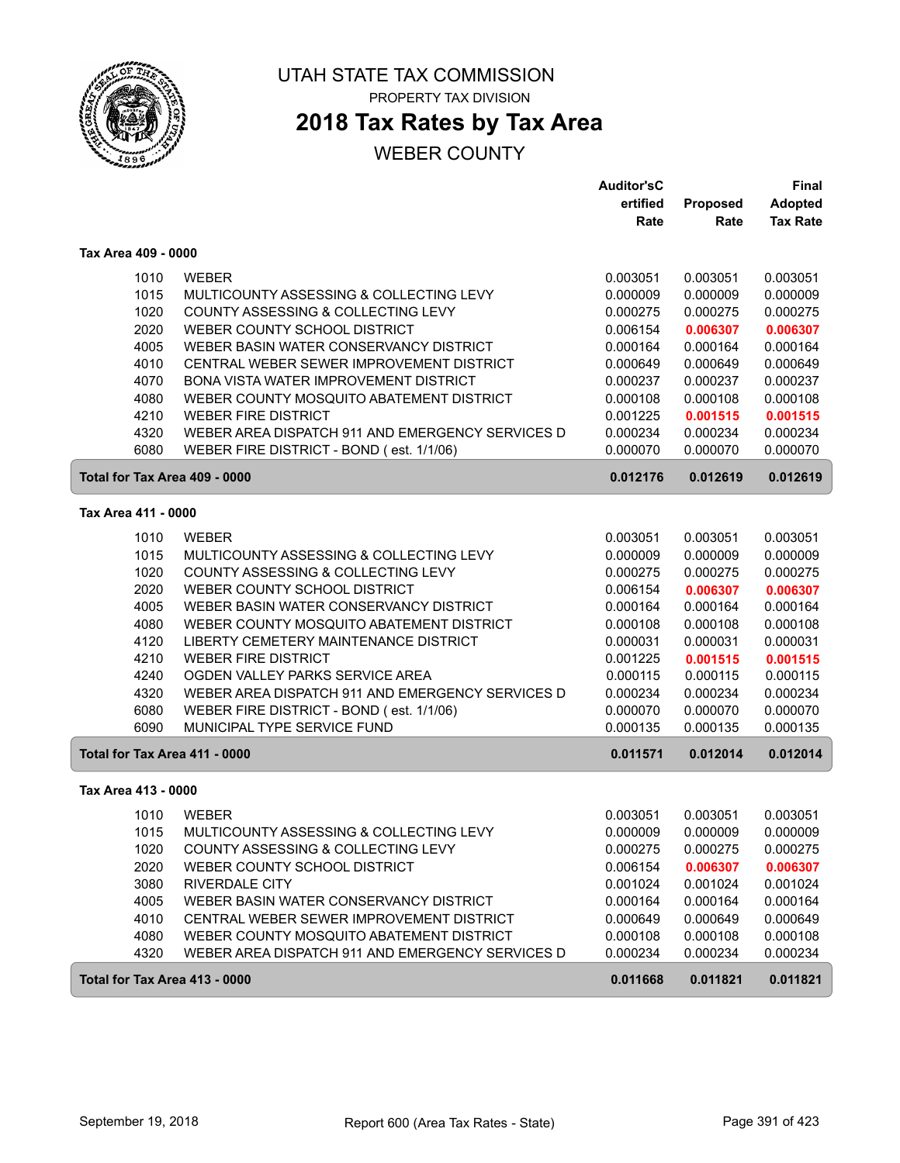

# **2018 Tax Rates by Tax Area**

|                               |                                                                               | <b>Auditor'sC</b>    |                      | Final                |
|-------------------------------|-------------------------------------------------------------------------------|----------------------|----------------------|----------------------|
|                               |                                                                               | ertified             | Proposed             | Adopted              |
|                               |                                                                               | Rate                 | Rate                 | <b>Tax Rate</b>      |
| Tax Area 409 - 0000           |                                                                               |                      |                      |                      |
| 1010                          | <b>WEBER</b>                                                                  | 0.003051             | 0.003051             | 0.003051             |
| 1015                          | MULTICOUNTY ASSESSING & COLLECTING LEVY                                       | 0.000009             | 0.000009             | 0.000009             |
| 1020                          | COUNTY ASSESSING & COLLECTING LEVY                                            | 0.000275             | 0.000275             | 0.000275             |
| 2020                          | WEBER COUNTY SCHOOL DISTRICT                                                  | 0.006154             | 0.006307             | 0.006307             |
| 4005                          | WEBER BASIN WATER CONSERVANCY DISTRICT                                        | 0.000164             | 0.000164             | 0.000164             |
| 4010                          | CENTRAL WEBER SEWER IMPROVEMENT DISTRICT                                      | 0.000649             | 0.000649             | 0.000649             |
| 4070                          | BONA VISTA WATER IMPROVEMENT DISTRICT                                         | 0.000237             | 0.000237             | 0.000237             |
| 4080                          | WEBER COUNTY MOSQUITO ABATEMENT DISTRICT                                      | 0.000108             | 0.000108             | 0.000108             |
| 4210                          | <b>WEBER FIRE DISTRICT</b>                                                    | 0.001225             | 0.001515             | 0.001515             |
| 4320                          | WEBER AREA DISPATCH 911 AND EMERGENCY SERVICES D                              | 0.000234             | 0.000234             | 0.000234             |
| 6080                          | WEBER FIRE DISTRICT - BOND (est. 1/1/06)                                      | 0.000070             | 0.000070             | 0.000070             |
| Total for Tax Area 409 - 0000 |                                                                               | 0.012176             | 0.012619             | 0.012619             |
|                               |                                                                               |                      |                      |                      |
| Tax Area 411 - 0000           |                                                                               |                      |                      |                      |
| 1010                          | <b>WEBER</b>                                                                  | 0.003051             | 0.003051             | 0.003051             |
| 1015                          | MULTICOUNTY ASSESSING & COLLECTING LEVY                                       | 0.000009             | 0.000009             | 0.000009             |
| 1020                          | COUNTY ASSESSING & COLLECTING LEVY                                            | 0.000275             | 0.000275             | 0.000275             |
| 2020                          | WEBER COUNTY SCHOOL DISTRICT                                                  | 0.006154             | 0.006307             | 0.006307             |
| 4005                          | WEBER BASIN WATER CONSERVANCY DISTRICT                                        | 0.000164             | 0.000164             | 0.000164             |
| 4080                          | WEBER COUNTY MOSQUITO ABATEMENT DISTRICT                                      | 0.000108             | 0.000108             | 0.000108             |
| 4120                          | LIBERTY CEMETERY MAINTENANCE DISTRICT                                         | 0.000031             | 0.000031             | 0.000031             |
| 4210                          | <b>WEBER FIRE DISTRICT</b>                                                    | 0.001225             | 0.001515             | 0.001515             |
| 4240                          | OGDEN VALLEY PARKS SERVICE AREA                                               | 0.000115             | 0.000115             | 0.000115             |
| 4320                          | WEBER AREA DISPATCH 911 AND EMERGENCY SERVICES D                              | 0.000234             | 0.000234             | 0.000234             |
| 6080                          | WEBER FIRE DISTRICT - BOND (est. 1/1/06)                                      | 0.000070             | 0.000070             | 0.000070             |
| 6090                          | MUNICIPAL TYPE SERVICE FUND                                                   | 0.000135             | 0.000135             | 0.000135             |
| Total for Tax Area 411 - 0000 |                                                                               | 0.011571             | 0.012014             | 0.012014             |
| Tax Area 413 - 0000           |                                                                               |                      |                      |                      |
| 1010                          | <b>WEBER</b>                                                                  | 0.003051             | 0.003051             | 0.003051             |
| 1015                          |                                                                               | 0.000009             | 0.000009             | 0.000009             |
|                               | MULTICOUNTY ASSESSING & COLLECTING LEVY<br>COUNTY ASSESSING & COLLECTING LEVY |                      |                      |                      |
| 1020                          |                                                                               | 0.000275             | 0.000275             | 0.000275             |
| 2020<br>3080                  | WEBER COUNTY SCHOOL DISTRICT<br><b>RIVERDALE CITY</b>                         | 0.006154             | 0.006307             | 0.006307             |
| 4005                          |                                                                               | 0.001024<br>0.000164 | 0.001024<br>0.000164 | 0.001024<br>0.000164 |
|                               | WEBER BASIN WATER CONSERVANCY DISTRICT                                        |                      |                      |                      |
| 4010                          | CENTRAL WEBER SEWER IMPROVEMENT DISTRICT                                      | 0.000649             | 0.000649             | 0.000649             |
| 4080                          | WEBER COUNTY MOSQUITO ABATEMENT DISTRICT                                      | 0.000108             | 0.000108             | 0.000108             |
| 4320                          | WEBER AREA DISPATCH 911 AND EMERGENCY SERVICES D                              | 0.000234             | 0.000234             | 0.000234             |
| Total for Tax Area 413 - 0000 |                                                                               | 0.011668             | 0.011821             | 0.011821             |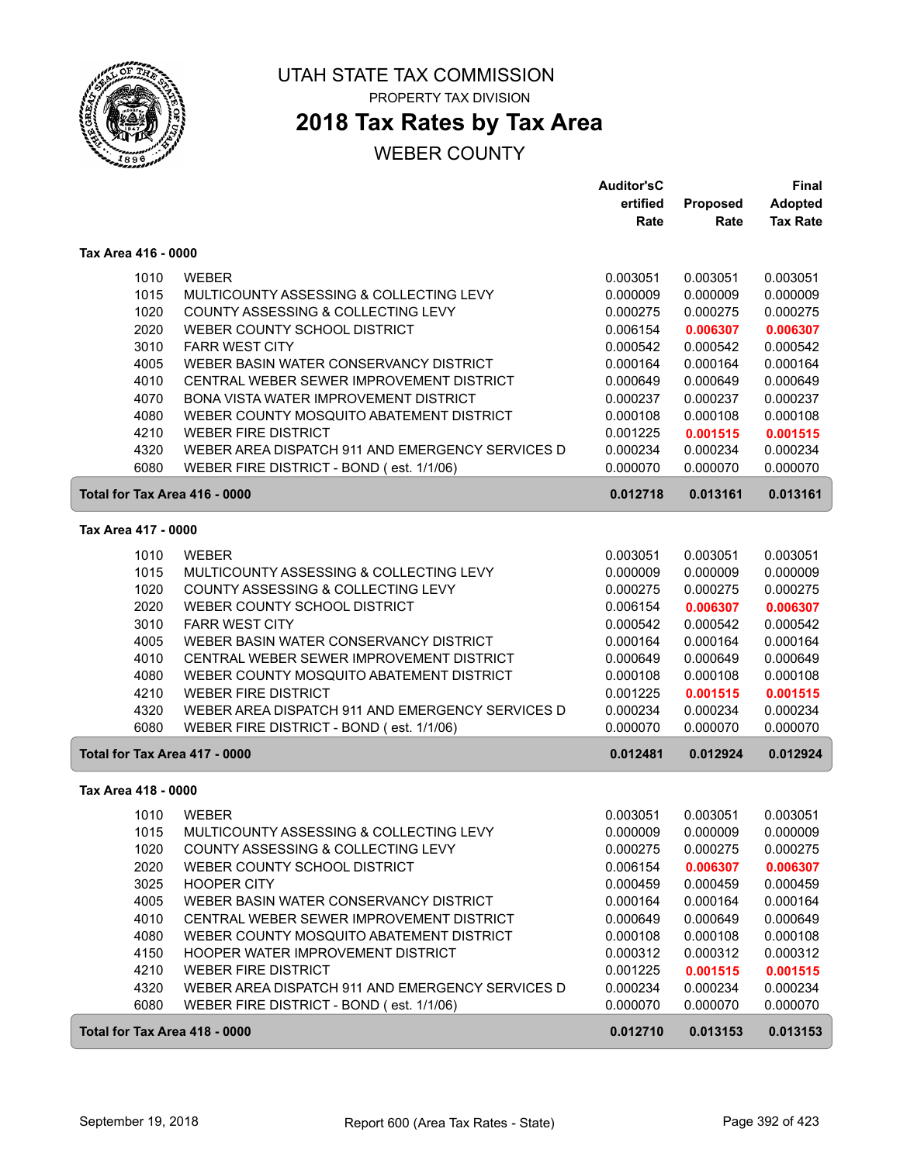

## **2018 Tax Rates by Tax Area**

|                               |                                                  | <b>Auditor'sC</b> |          | Final           |
|-------------------------------|--------------------------------------------------|-------------------|----------|-----------------|
|                               |                                                  | ertified          | Proposed | <b>Adopted</b>  |
|                               |                                                  | Rate              | Rate     | <b>Tax Rate</b> |
| Tax Area 416 - 0000           |                                                  |                   |          |                 |
| 1010                          | <b>WEBER</b>                                     | 0.003051          | 0.003051 | 0.003051        |
| 1015                          | MULTICOUNTY ASSESSING & COLLECTING LEVY          | 0.000009          | 0.000009 | 0.000009        |
| 1020                          | COUNTY ASSESSING & COLLECTING LEVY               | 0.000275          | 0.000275 | 0.000275        |
| 2020                          | WEBER COUNTY SCHOOL DISTRICT                     | 0.006154          | 0.006307 | 0.006307        |
| 3010                          | <b>FARR WEST CITY</b>                            | 0.000542          | 0.000542 | 0.000542        |
| 4005                          | WEBER BASIN WATER CONSERVANCY DISTRICT           | 0.000164          | 0.000164 | 0.000164        |
| 4010                          | CENTRAL WEBER SEWER IMPROVEMENT DISTRICT         | 0.000649          | 0.000649 | 0.000649        |
| 4070                          | BONA VISTA WATER IMPROVEMENT DISTRICT            | 0.000237          | 0.000237 | 0.000237        |
| 4080                          | WEBER COUNTY MOSQUITO ABATEMENT DISTRICT         | 0.000108          | 0.000108 | 0.000108        |
| 4210                          | <b>WEBER FIRE DISTRICT</b>                       | 0.001225          | 0.001515 | 0.001515        |
| 4320                          | WEBER AREA DISPATCH 911 AND EMERGENCY SERVICES D | 0.000234          | 0.000234 | 0.000234        |
| 6080                          | WEBER FIRE DISTRICT - BOND (est. 1/1/06)         | 0.000070          | 0.000070 | 0.000070        |
| Total for Tax Area 416 - 0000 |                                                  | 0.012718          | 0.013161 | 0.013161        |
|                               |                                                  |                   |          |                 |
| Tax Area 417 - 0000           |                                                  |                   |          |                 |
| 1010                          | <b>WEBER</b>                                     | 0.003051          | 0.003051 | 0.003051        |
| 1015                          | MULTICOUNTY ASSESSING & COLLECTING LEVY          | 0.000009          | 0.000009 | 0.000009        |
| 1020                          | COUNTY ASSESSING & COLLECTING LEVY               | 0.000275          | 0.000275 | 0.000275        |
| 2020                          | WEBER COUNTY SCHOOL DISTRICT                     | 0.006154          | 0.006307 | 0.006307        |
| 3010                          | <b>FARR WEST CITY</b>                            | 0.000542          | 0.000542 | 0.000542        |
| 4005                          | WEBER BASIN WATER CONSERVANCY DISTRICT           | 0.000164          | 0.000164 | 0.000164        |
| 4010                          | CENTRAL WEBER SEWER IMPROVEMENT DISTRICT         | 0.000649          | 0.000649 | 0.000649        |
| 4080                          | WEBER COUNTY MOSQUITO ABATEMENT DISTRICT         | 0.000108          | 0.000108 | 0.000108        |
| 4210                          | <b>WEBER FIRE DISTRICT</b>                       | 0.001225          | 0.001515 | 0.001515        |
| 4320                          | WEBER AREA DISPATCH 911 AND EMERGENCY SERVICES D | 0.000234          | 0.000234 | 0.000234        |
| 6080                          | WEBER FIRE DISTRICT - BOND (est. 1/1/06)         | 0.000070          | 0.000070 | 0.000070        |
| Total for Tax Area 417 - 0000 |                                                  | 0.012481          | 0.012924 | 0.012924        |
| Tax Area 418 - 0000           |                                                  |                   |          |                 |
| 1010                          | <b>WEBER</b>                                     | 0.003051          | 0.003051 | 0.003051        |
| 1015                          | MULTICOUNTY ASSESSING & COLLECTING LEVY          | 0.000009          | 0.000009 | 0.000009        |
| 1020                          | COUNTY ASSESSING & COLLECTING LEVY               | 0.000275          | 0.000275 | 0.000275        |
| 2020                          | WEBER COUNTY SCHOOL DISTRICT                     | 0.006154          | 0.006307 | 0.006307        |
| 3025                          | <b>HOOPER CITY</b>                               | 0.000459          | 0.000459 | 0.000459        |
| 4005                          | WEBER BASIN WATER CONSERVANCY DISTRICT           | 0.000164          | 0.000164 | 0.000164        |
| 4010                          | CENTRAL WEBER SEWER IMPROVEMENT DISTRICT         | 0.000649          | 0.000649 | 0.000649        |
| 4080                          | WEBER COUNTY MOSQUITO ABATEMENT DISTRICT         | 0.000108          | 0.000108 | 0.000108        |
| 4150                          | HOOPER WATER IMPROVEMENT DISTRICT                | 0.000312          | 0.000312 | 0.000312        |
| 4210                          | <b>WEBER FIRE DISTRICT</b>                       | 0.001225          | 0.001515 | 0.001515        |
| 4320                          | WEBER AREA DISPATCH 911 AND EMERGENCY SERVICES D | 0.000234          | 0.000234 | 0.000234        |
| 6080                          | WEBER FIRE DISTRICT - BOND (est. 1/1/06)         | 0.000070          | 0.000070 | 0.000070        |
| Total for Tax Area 418 - 0000 |                                                  | 0.012710          | 0.013153 | 0.013153        |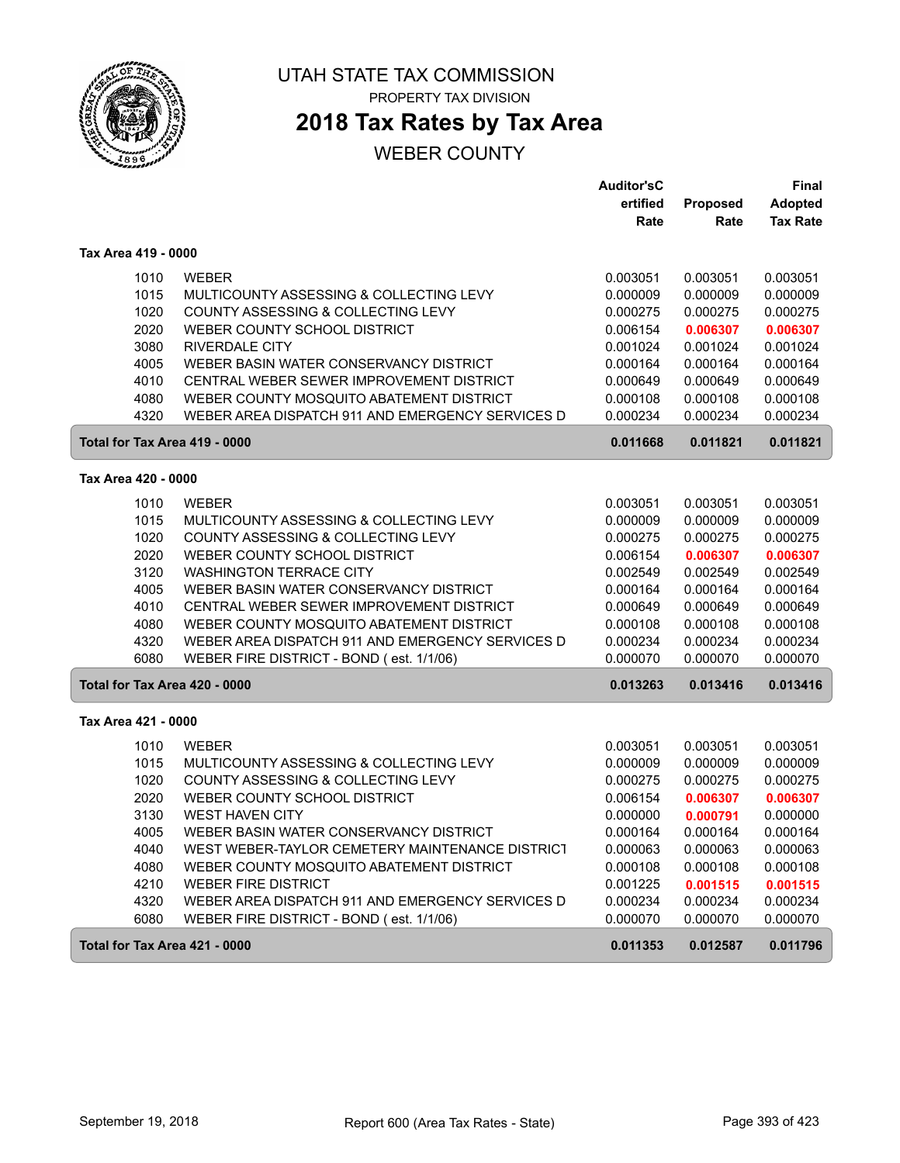

**2018 Tax Rates by Tax Area**

|                               |                                                  | <b>Auditor'sC</b> |                 | Final           |
|-------------------------------|--------------------------------------------------|-------------------|-----------------|-----------------|
|                               |                                                  | ertified          | <b>Proposed</b> | <b>Adopted</b>  |
|                               |                                                  | Rate              | Rate            | <b>Tax Rate</b> |
| Tax Area 419 - 0000           |                                                  |                   |                 |                 |
| 1010                          | <b>WEBER</b>                                     | 0.003051          | 0.003051        | 0.003051        |
| 1015                          | MULTICOUNTY ASSESSING & COLLECTING LEVY          | 0.000009          | 0.000009        | 0.000009        |
| 1020                          | COUNTY ASSESSING & COLLECTING LEVY               | 0.000275          | 0.000275        | 0.000275        |
| 2020                          | WEBER COUNTY SCHOOL DISTRICT                     | 0.006154          | 0.006307        | 0.006307        |
| 3080                          | <b>RIVERDALE CITY</b>                            | 0.001024          | 0.001024        | 0.001024        |
| 4005                          | WEBER BASIN WATER CONSERVANCY DISTRICT           | 0.000164          | 0.000164        | 0.000164        |
| 4010                          | CENTRAL WEBER SEWER IMPROVEMENT DISTRICT         | 0.000649          | 0.000649        | 0.000649        |
| 4080                          | WEBER COUNTY MOSQUITO ABATEMENT DISTRICT         | 0.000108          | 0.000108        | 0.000108        |
| 4320                          | WEBER AREA DISPATCH 911 AND EMERGENCY SERVICES D | 0.000234          | 0.000234        | 0.000234        |
| Total for Tax Area 419 - 0000 |                                                  | 0.011668          | 0.011821        | 0.011821        |
| Tax Area 420 - 0000           |                                                  |                   |                 |                 |
| 1010                          | <b>WEBER</b>                                     | 0.003051          | 0.003051        | 0.003051        |
| 1015                          | MULTICOUNTY ASSESSING & COLLECTING LEVY          | 0.000009          | 0.000009        | 0.000009        |
| 1020                          | COUNTY ASSESSING & COLLECTING LEVY               | 0.000275          | 0.000275        | 0.000275        |
| 2020                          | WEBER COUNTY SCHOOL DISTRICT                     | 0.006154          | 0.006307        | 0.006307        |
| 3120                          | <b>WASHINGTON TERRACE CITY</b>                   | 0.002549          | 0.002549        | 0.002549        |
| 4005                          | WEBER BASIN WATER CONSERVANCY DISTRICT           | 0.000164          | 0.000164        | 0.000164        |
| 4010                          | CENTRAL WEBER SEWER IMPROVEMENT DISTRICT         | 0.000649          | 0.000649        | 0.000649        |
| 4080                          | WEBER COUNTY MOSQUITO ABATEMENT DISTRICT         | 0.000108          | 0.000108        | 0.000108        |
| 4320                          | WEBER AREA DISPATCH 911 AND EMERGENCY SERVICES D | 0.000234          | 0.000234        | 0.000234        |
| 6080                          | WEBER FIRE DISTRICT - BOND (est. 1/1/06)         | 0.000070          | 0.000070        | 0.000070        |
| Total for Tax Area 420 - 0000 |                                                  | 0.013263          | 0.013416        | 0.013416        |
| Tax Area 421 - 0000           |                                                  |                   |                 |                 |
| 1010                          | <b>WEBER</b>                                     | 0.003051          | 0.003051        | 0.003051        |
| 1015                          | MULTICOUNTY ASSESSING & COLLECTING LEVY          | 0.000009          | 0.000009        | 0.000009        |
| 1020                          | COUNTY ASSESSING & COLLECTING LEVY               | 0.000275          | 0.000275        | 0.000275        |
| 2020                          | WEBER COUNTY SCHOOL DISTRICT                     | 0.006154          | 0.006307        | 0.006307        |
| 3130                          | <b>WEST HAVEN CITY</b>                           | 0.000000          | 0.000791        | 0.000000        |
| 4005                          | WEBER BASIN WATER CONSERVANCY DISTRICT           | 0.000164          | 0.000164        | 0.000164        |
| 4040                          | WEST WEBER-TAYLOR CEMETERY MAINTENANCE DISTRICT  | 0.000063          | 0.000063        | 0.000063        |
| 4080                          | WEBER COUNTY MOSQUITO ABATEMENT DISTRICT         | 0.000108          | 0.000108        | 0.000108        |
| 4210                          | <b>WEBER FIRE DISTRICT</b>                       | 0.001225          | 0.001515        | 0.001515        |
| 4320                          | WEBER AREA DISPATCH 911 AND EMERGENCY SERVICES D | 0.000234          | 0.000234        | 0.000234        |
| 6080                          | WEBER FIRE DISTRICT - BOND (est. 1/1/06)         | 0.000070          | 0.000070        | 0.000070        |
| Total for Tax Area 421 - 0000 |                                                  | 0.011353          | 0.012587        | 0.011796        |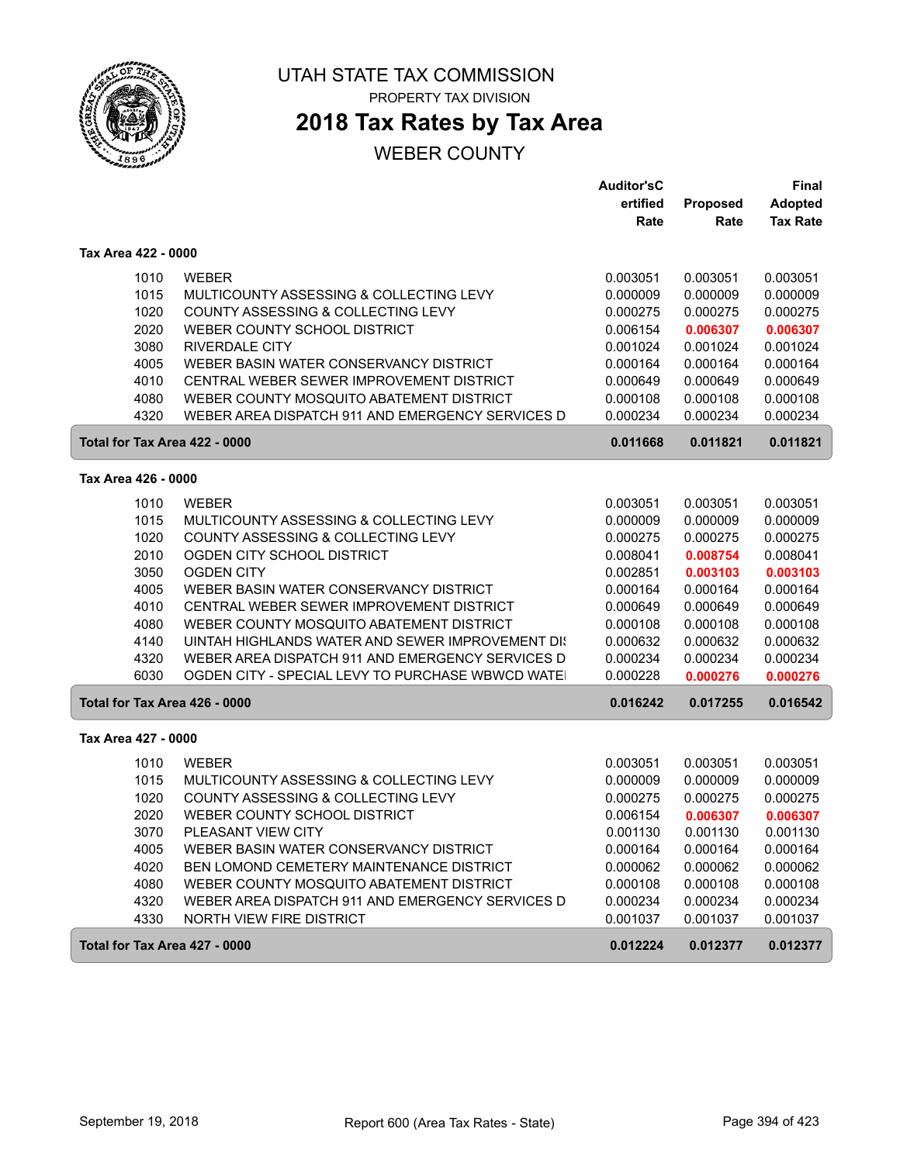

**2018 Tax Rates by Tax Area**

|                               |                                                  | <b>Auditor'sC</b> |                 | <b>Final</b>    |
|-------------------------------|--------------------------------------------------|-------------------|-----------------|-----------------|
|                               |                                                  | ertified          | <b>Proposed</b> | <b>Adopted</b>  |
|                               |                                                  | Rate              | Rate            | <b>Tax Rate</b> |
| Tax Area 422 - 0000           |                                                  |                   |                 |                 |
| 1010                          | <b>WEBER</b>                                     | 0.003051          | 0.003051        | 0.003051        |
| 1015                          | MULTICOUNTY ASSESSING & COLLECTING LEVY          | 0.000009          | 0.000009        | 0.000009        |
| 1020                          | COUNTY ASSESSING & COLLECTING LEVY               | 0.000275          | 0.000275        | 0.000275        |
| 2020                          | WEBER COUNTY SCHOOL DISTRICT                     | 0.006154          | 0.006307        | 0.006307        |
| 3080                          | <b>RIVERDALE CITY</b>                            | 0.001024          | 0.001024        | 0.001024        |
| 4005                          | WEBER BASIN WATER CONSERVANCY DISTRICT           | 0.000164          | 0.000164        | 0.000164        |
| 4010                          | CENTRAL WEBER SEWER IMPROVEMENT DISTRICT         | 0.000649          | 0.000649        | 0.000649        |
| 4080                          | WEBER COUNTY MOSQUITO ABATEMENT DISTRICT         | 0.000108          | 0.000108        | 0.000108        |
| 4320                          | WEBER AREA DISPATCH 911 AND EMERGENCY SERVICES D | 0.000234          | 0.000234        | 0.000234        |
| Total for Tax Area 422 - 0000 |                                                  | 0.011668          | 0.011821        | 0.011821        |
| Tax Area 426 - 0000           |                                                  |                   |                 |                 |
| 1010                          | <b>WEBER</b>                                     | 0.003051          | 0.003051        | 0.003051        |
| 1015                          | MULTICOUNTY ASSESSING & COLLECTING LEVY          | 0.000009          | 0.000009        | 0.000009        |
| 1020                          | COUNTY ASSESSING & COLLECTING LEVY               | 0.000275          | 0.000275        | 0.000275        |
| 2010                          | OGDEN CITY SCHOOL DISTRICT                       | 0.008041          | 0.008754        | 0.008041        |
| 3050                          | <b>OGDEN CITY</b>                                | 0.002851          | 0.003103        | 0.003103        |
| 4005                          | WEBER BASIN WATER CONSERVANCY DISTRICT           | 0.000164          | 0.000164        | 0.000164        |
| 4010                          | CENTRAL WEBER SEWER IMPROVEMENT DISTRICT         | 0.000649          | 0.000649        | 0.000649        |
| 4080                          | WEBER COUNTY MOSQUITO ABATEMENT DISTRICT         | 0.000108          | 0.000108        | 0.000108        |
| 4140                          | UINTAH HIGHLANDS WATER AND SEWER IMPROVEMENT DIS | 0.000632          | 0.000632        | 0.000632        |
| 4320                          | WEBER AREA DISPATCH 911 AND EMERGENCY SERVICES D | 0.000234          | 0.000234        | 0.000234        |
| 6030                          | OGDEN CITY - SPECIAL LEVY TO PURCHASE WBWCD WATE | 0.000228          | 0.000276        | 0.000276        |
| Total for Tax Area 426 - 0000 |                                                  | 0.016242          | 0.017255        | 0.016542        |
| Tax Area 427 - 0000           |                                                  |                   |                 |                 |
| 1010                          | <b>WEBER</b>                                     | 0.003051          | 0.003051        | 0.003051        |
| 1015                          | MULTICOUNTY ASSESSING & COLLECTING LEVY          | 0.000009          | 0.000009        | 0.000009        |
| 1020                          | COUNTY ASSESSING & COLLECTING LEVY               | 0.000275          | 0.000275        | 0.000275        |
| 2020                          | WEBER COUNTY SCHOOL DISTRICT                     | 0.006154          | 0.006307        | 0.006307        |
| 3070                          | PLEASANT VIEW CITY                               | 0.001130          | 0.001130        | 0.001130        |
| 4005                          | WEBER BASIN WATER CONSERVANCY DISTRICT           | 0.000164          | 0.000164        | 0.000164        |
| 4020                          | BEN LOMOND CEMETERY MAINTENANCE DISTRICT         | 0.000062          | 0.000062        | 0.000062        |
| 4080                          | WEBER COUNTY MOSQUITO ABATEMENT DISTRICT         | 0.000108          | 0.000108        | 0.000108        |
| 4320                          | WEBER AREA DISPATCH 911 AND EMERGENCY SERVICES D | 0.000234          | 0.000234        | 0.000234        |
| 4330                          | NORTH VIEW FIRE DISTRICT                         | 0.001037          | 0.001037        | 0.001037        |
| Total for Tax Area 427 - 0000 |                                                  | 0.012224          | 0.012377        | 0.012377        |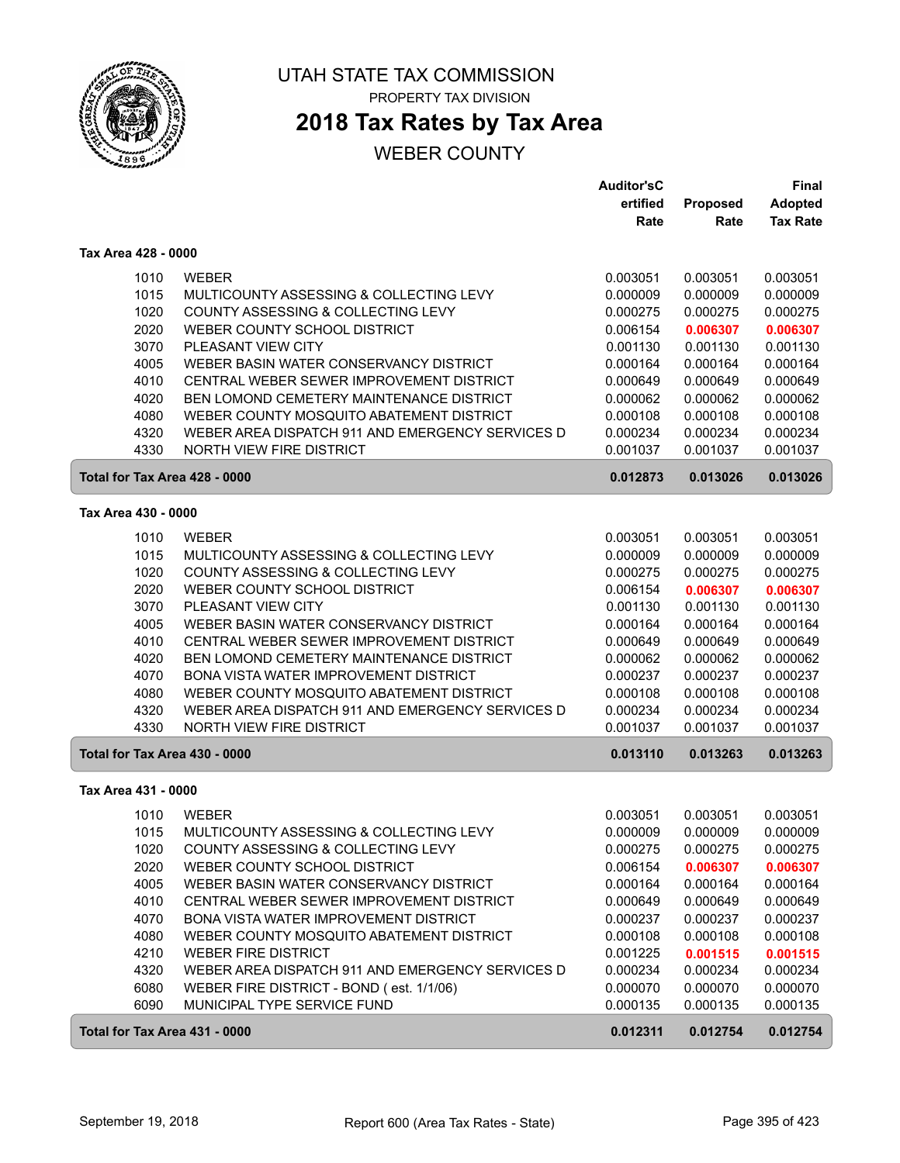

## **2018 Tax Rates by Tax Area**

|                     |                                                  | <b>Auditor'sC</b> |                 | <b>Final</b>    |
|---------------------|--------------------------------------------------|-------------------|-----------------|-----------------|
|                     |                                                  | ertified          | <b>Proposed</b> | <b>Adopted</b>  |
|                     |                                                  | Rate              | Rate            | <b>Tax Rate</b> |
| Tax Area 428 - 0000 |                                                  |                   |                 |                 |
| 1010                | <b>WEBER</b>                                     | 0.003051          | 0.003051        | 0.003051        |
| 1015                | MULTICOUNTY ASSESSING & COLLECTING LEVY          | 0.000009          | 0.000009        | 0.000009        |
| 1020                | COUNTY ASSESSING & COLLECTING LEVY               | 0.000275          | 0.000275        | 0.000275        |
| 2020                | WEBER COUNTY SCHOOL DISTRICT                     | 0.006154          | 0.006307        | 0.006307        |
| 3070                | PLEASANT VIEW CITY                               | 0.001130          | 0.001130        | 0.001130        |
| 4005                | WEBER BASIN WATER CONSERVANCY DISTRICT           | 0.000164          | 0.000164        | 0.000164        |
| 4010                | CENTRAL WEBER SEWER IMPROVEMENT DISTRICT         | 0.000649          | 0.000649        | 0.000649        |
| 4020                | <b>BEN LOMOND CEMETERY MAINTENANCE DISTRICT</b>  | 0.000062          | 0.000062        | 0.000062        |
| 4080                | WEBER COUNTY MOSQUITO ABATEMENT DISTRICT         | 0.000108          | 0.000108        | 0.000108        |
| 4320                | WEBER AREA DISPATCH 911 AND EMERGENCY SERVICES D | 0.000234          | 0.000234        | 0.000234        |
| 4330                | <b>NORTH VIEW FIRE DISTRICT</b>                  | 0.001037          | 0.001037        | 0.001037        |
|                     | Total for Tax Area 428 - 0000                    | 0.012873          | 0.013026        | 0.013026        |
| Tax Area 430 - 0000 |                                                  |                   |                 |                 |
|                     |                                                  |                   |                 |                 |
| 1010                | <b>WEBER</b>                                     | 0.003051          | 0.003051        | 0.003051        |
| 1015                | MULTICOUNTY ASSESSING & COLLECTING LEVY          | 0.000009          | 0.000009        | 0.000009        |
| 1020                | COUNTY ASSESSING & COLLECTING LEVY               | 0.000275          | 0.000275        | 0.000275        |
| 2020                | WEBER COUNTY SCHOOL DISTRICT                     | 0.006154          | 0.006307        | 0.006307        |
| 3070                | PLEASANT VIEW CITY                               | 0.001130          | 0.001130        | 0.001130        |
| 4005                | WEBER BASIN WATER CONSERVANCY DISTRICT           | 0.000164          | 0.000164        | 0.000164        |
| 4010                | CENTRAL WEBER SEWER IMPROVEMENT DISTRICT         | 0.000649          | 0.000649        | 0.000649        |
| 4020                | <b>BEN LOMOND CEMETERY MAINTENANCE DISTRICT</b>  | 0.000062          | 0.000062        | 0.000062        |
| 4070                | BONA VISTA WATER IMPROVEMENT DISTRICT            | 0.000237          | 0.000237        | 0.000237        |
| 4080                | WEBER COUNTY MOSQUITO ABATEMENT DISTRICT         | 0.000108          | 0.000108        | 0.000108        |
| 4320                | WEBER AREA DISPATCH 911 AND EMERGENCY SERVICES D | 0.000234          | 0.000234        | 0.000234        |
| 4330                | NORTH VIEW FIRE DISTRICT                         | 0.001037          | 0.001037        | 0.001037        |
|                     | Total for Tax Area 430 - 0000                    | 0.013110          | 0.013263        | 0.013263        |
| Tax Area 431 - 0000 |                                                  |                   |                 |                 |
| 1010                | <b>WEBER</b>                                     | 0.003051          | 0.003051        | 0.003051        |
| 1015                | MULTICOUNTY ASSESSING & COLLECTING LEVY          | 0.000009          | 0.000009        | 0.000009        |
| 1020                | COUNTY ASSESSING & COLLECTING LEVY               | 0.000275          | 0.000275        | 0.000275        |
| 2020                | WEBER COUNTY SCHOOL DISTRICT                     | 0.006154          | 0.006307        | 0.006307        |
| 4005                | WEBER BASIN WATER CONSERVANCY DISTRICT           | 0.000164          | 0.000164        | 0.000164        |
| 4010                | CENTRAL WEBER SEWER IMPROVEMENT DISTRICT         | 0.000649          | 0.000649        | 0.000649        |
| 4070                | BONA VISTA WATER IMPROVEMENT DISTRICT            | 0.000237          | 0.000237        | 0.000237        |
| 4080                | WEBER COUNTY MOSQUITO ABATEMENT DISTRICT         | 0.000108          | 0.000108        | 0.000108        |
| 4210                | <b>WEBER FIRE DISTRICT</b>                       | 0.001225          | 0.001515        | 0.001515        |
| 4320                | WEBER AREA DISPATCH 911 AND EMERGENCY SERVICES D | 0.000234          | 0.000234        | 0.000234        |
| 6080                | WEBER FIRE DISTRICT - BOND (est. 1/1/06)         | 0.000070          | 0.000070        | 0.000070        |
| 6090                | MUNICIPAL TYPE SERVICE FUND                      | 0.000135          | 0.000135        | 0.000135        |
|                     | Total for Tax Area 431 - 0000                    | 0.012311          | 0.012754        | 0.012754        |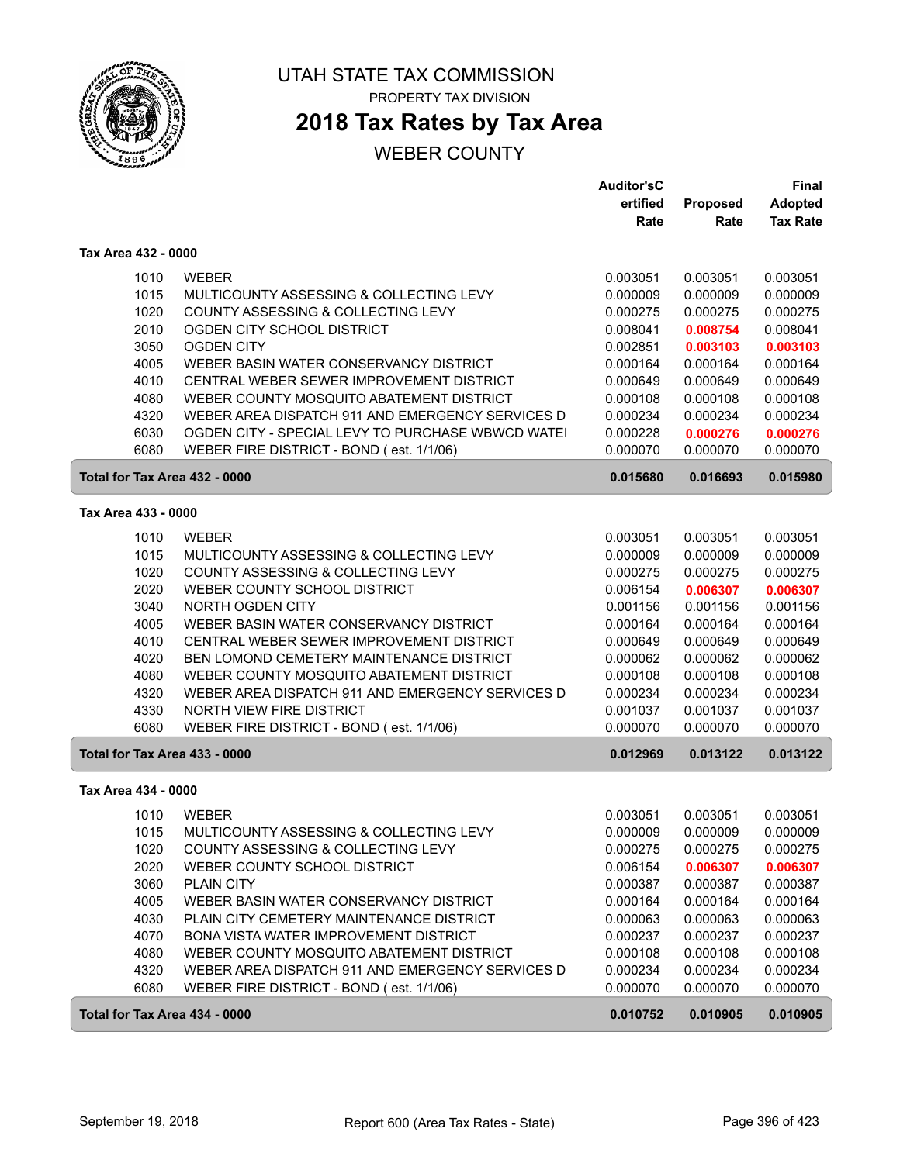

# **2018 Tax Rates by Tax Area**

|                               |                                                   | <b>Auditor'sC</b> |                 | <b>Final</b>    |
|-------------------------------|---------------------------------------------------|-------------------|-----------------|-----------------|
|                               |                                                   | ertified          | <b>Proposed</b> | <b>Adopted</b>  |
|                               |                                                   | Rate              | Rate            | <b>Tax Rate</b> |
| Tax Area 432 - 0000           |                                                   |                   |                 |                 |
| 1010                          | <b>WEBER</b>                                      | 0.003051          | 0.003051        | 0.003051        |
| 1015                          | MULTICOUNTY ASSESSING & COLLECTING LEVY           | 0.000009          | 0.000009        | 0.000009        |
| 1020                          | COUNTY ASSESSING & COLLECTING LEVY                | 0.000275          | 0.000275        | 0.000275        |
| 2010                          | OGDEN CITY SCHOOL DISTRICT                        | 0.008041          | 0.008754        | 0.008041        |
| 3050                          | <b>OGDEN CITY</b>                                 | 0.002851          | 0.003103        | 0.003103        |
| 4005                          | WEBER BASIN WATER CONSERVANCY DISTRICT            | 0.000164          | 0.000164        | 0.000164        |
| 4010                          | CENTRAL WEBER SEWER IMPROVEMENT DISTRICT          | 0.000649          | 0.000649        | 0.000649        |
| 4080                          | WEBER COUNTY MOSQUITO ABATEMENT DISTRICT          | 0.000108          | 0.000108        | 0.000108        |
| 4320                          | WEBER AREA DISPATCH 911 AND EMERGENCY SERVICES D  | 0.000234          | 0.000234        | 0.000234        |
| 6030                          | OGDEN CITY - SPECIAL LEVY TO PURCHASE WBWCD WATEI | 0.000228          | 0.000276        | 0.000276        |
| 6080                          | WEBER FIRE DISTRICT - BOND (est. 1/1/06)          | 0.000070          | 0.000070        | 0.000070        |
| Total for Tax Area 432 - 0000 |                                                   | 0.015680          | 0.016693        | 0.015980        |
| Tax Area 433 - 0000           |                                                   |                   |                 |                 |
| 1010                          | <b>WEBER</b>                                      | 0.003051          | 0.003051        | 0.003051        |
| 1015                          | MULTICOUNTY ASSESSING & COLLECTING LEVY           | 0.000009          | 0.000009        | 0.000009        |
| 1020                          | COUNTY ASSESSING & COLLECTING LEVY                | 0.000275          | 0.000275        | 0.000275        |
| 2020                          | WEBER COUNTY SCHOOL DISTRICT                      | 0.006154          | 0.006307        | 0.006307        |
| 3040                          | NORTH OGDEN CITY                                  | 0.001156          | 0.001156        | 0.001156        |
| 4005                          | WEBER BASIN WATER CONSERVANCY DISTRICT            | 0.000164          | 0.000164        | 0.000164        |
| 4010                          | CENTRAL WEBER SEWER IMPROVEMENT DISTRICT          | 0.000649          | 0.000649        | 0.000649        |
| 4020                          | BEN LOMOND CEMETERY MAINTENANCE DISTRICT          | 0.000062          | 0.000062        | 0.000062        |
| 4080                          | WEBER COUNTY MOSQUITO ABATEMENT DISTRICT          | 0.000108          | 0.000108        | 0.000108        |
| 4320                          | WEBER AREA DISPATCH 911 AND EMERGENCY SERVICES D  | 0.000234          | 0.000234        | 0.000234        |
| 4330                          | NORTH VIEW FIRE DISTRICT                          | 0.001037          | 0.001037        | 0.001037        |
| 6080                          | WEBER FIRE DISTRICT - BOND (est. 1/1/06)          | 0.000070          | 0.000070        | 0.000070        |
| Total for Tax Area 433 - 0000 |                                                   | 0.012969          | 0.013122        | 0.013122        |
| Tax Area 434 - 0000           |                                                   |                   |                 |                 |
| 1010                          | <b>WEBER</b>                                      | 0.003051          | 0.003051        | 0.003051        |
| 1015                          | MULTICOUNTY ASSESSING & COLLECTING LEVY           | 0.000009          | 0.000009        | 0.000009        |
| 1020                          | COUNTY ASSESSING & COLLECTING LEVY                | 0.000275          | 0.000275        | 0.000275        |
| 2020                          | WEBER COUNTY SCHOOL DISTRICT                      | 0.006154          | 0.006307        | 0.006307        |
| 3060                          | PLAIN CITY                                        | 0.000387          | 0.000387        | 0.000387        |
| 4005                          | WEBER BASIN WATER CONSERVANCY DISTRICT            | 0.000164          | 0.000164        | 0.000164        |
| 4030                          | PLAIN CITY CEMETERY MAINTENANCE DISTRICT          | 0.000063          | 0.000063        | 0.000063        |
| 4070                          | BONA VISTA WATER IMPROVEMENT DISTRICT             | 0.000237          | 0.000237        | 0.000237        |
| 4080                          | WEBER COUNTY MOSQUITO ABATEMENT DISTRICT          | 0.000108          | 0.000108        | 0.000108        |
| 4320                          | WEBER AREA DISPATCH 911 AND EMERGENCY SERVICES D  | 0.000234          | 0.000234        | 0.000234        |
| 6080                          | WEBER FIRE DISTRICT - BOND (est. 1/1/06)          | 0.000070          | 0.000070        | 0.000070        |
| Total for Tax Area 434 - 0000 |                                                   | 0.010752          | 0.010905        | 0.010905        |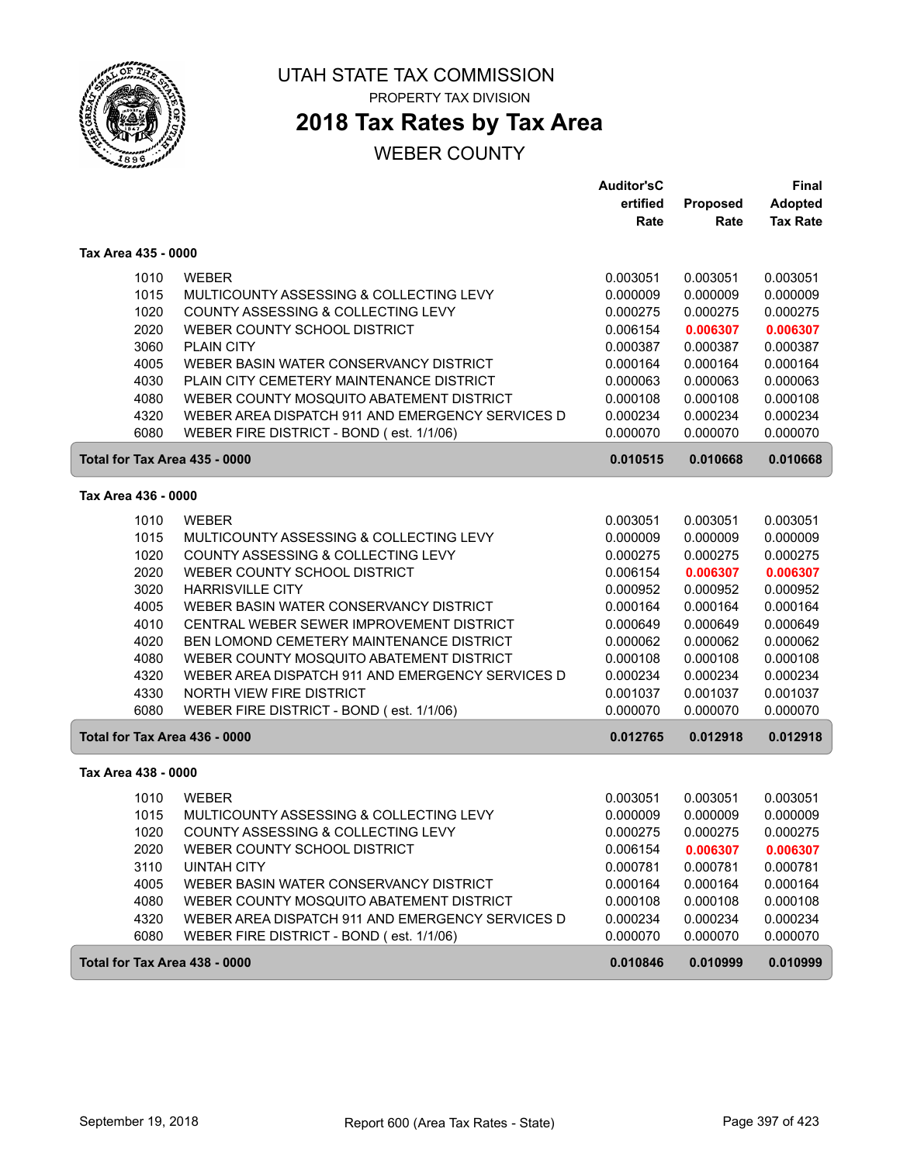

**2018 Tax Rates by Tax Area**

|                               |                                                  | <b>Auditor'sC</b> |          | Final           |
|-------------------------------|--------------------------------------------------|-------------------|----------|-----------------|
|                               |                                                  | ertified          | Proposed | <b>Adopted</b>  |
|                               |                                                  | Rate              | Rate     | <b>Tax Rate</b> |
| Tax Area 435 - 0000           |                                                  |                   |          |                 |
| 1010                          | <b>WEBER</b>                                     | 0.003051          | 0.003051 | 0.003051        |
| 1015                          | MULTICOUNTY ASSESSING & COLLECTING LEVY          | 0.000009          | 0.000009 | 0.000009        |
| 1020                          | COUNTY ASSESSING & COLLECTING LEVY               | 0.000275          | 0.000275 | 0.000275        |
| 2020                          | WEBER COUNTY SCHOOL DISTRICT                     | 0.006154          | 0.006307 | 0.006307        |
| 3060                          | PLAIN CITY                                       | 0.000387          | 0.000387 | 0.000387        |
| 4005                          | WEBER BASIN WATER CONSERVANCY DISTRICT           | 0.000164          | 0.000164 | 0.000164        |
| 4030                          | PLAIN CITY CEMETERY MAINTENANCE DISTRICT         | 0.000063          | 0.000063 | 0.000063        |
| 4080                          | WEBER COUNTY MOSQUITO ABATEMENT DISTRICT         | 0.000108          | 0.000108 | 0.000108        |
| 4320                          | WEBER AREA DISPATCH 911 AND EMERGENCY SERVICES D | 0.000234          | 0.000234 | 0.000234        |
| 6080                          | WEBER FIRE DISTRICT - BOND (est. 1/1/06)         | 0.000070          | 0.000070 | 0.000070        |
| Total for Tax Area 435 - 0000 |                                                  | 0.010515          | 0.010668 | 0.010668        |
| Tax Area 436 - 0000           |                                                  |                   |          |                 |
| 1010                          | <b>WEBER</b>                                     | 0.003051          | 0.003051 | 0.003051        |
| 1015                          | MULTICOUNTY ASSESSING & COLLECTING LEVY          | 0.000009          | 0.000009 | 0.000009        |
| 1020                          | COUNTY ASSESSING & COLLECTING LEVY               | 0.000275          | 0.000275 | 0.000275        |
| 2020                          | WEBER COUNTY SCHOOL DISTRICT                     | 0.006154          | 0.006307 | 0.006307        |
| 3020                          | <b>HARRISVILLE CITY</b>                          | 0.000952          | 0.000952 | 0.000952        |
| 4005                          | WEBER BASIN WATER CONSERVANCY DISTRICT           | 0.000164          | 0.000164 | 0.000164        |
| 4010                          | CENTRAL WEBER SEWER IMPROVEMENT DISTRICT         | 0.000649          | 0.000649 | 0.000649        |
| 4020                          | BEN LOMOND CEMETERY MAINTENANCE DISTRICT         | 0.000062          | 0.000062 | 0.000062        |
| 4080                          | WEBER COUNTY MOSQUITO ABATEMENT DISTRICT         | 0.000108          | 0.000108 | 0.000108        |
| 4320                          | WEBER AREA DISPATCH 911 AND EMERGENCY SERVICES D | 0.000234          | 0.000234 | 0.000234        |
| 4330                          | NORTH VIEW FIRE DISTRICT                         | 0.001037          | 0.001037 | 0.001037        |
| 6080                          | WEBER FIRE DISTRICT - BOND (est. 1/1/06)         | 0.000070          | 0.000070 | 0.000070        |
| Total for Tax Area 436 - 0000 |                                                  | 0.012765          | 0.012918 | 0.012918        |
| Tax Area 438 - 0000           |                                                  |                   |          |                 |
| 1010                          | <b>WEBER</b>                                     | 0.003051          | 0.003051 | 0.003051        |
| 1015                          | MULTICOUNTY ASSESSING & COLLECTING LEVY          | 0.000009          | 0.000009 | 0.000009        |
| 1020                          | COUNTY ASSESSING & COLLECTING LEVY               | 0.000275          | 0.000275 | 0.000275        |
| 2020                          | WEBER COUNTY SCHOOL DISTRICT                     | 0.006154          | 0.006307 | 0.006307        |
| 3110                          | <b>UINTAH CITY</b>                               | 0.000781          | 0.000781 | 0.000781        |
| 4005                          | WEBER BASIN WATER CONSERVANCY DISTRICT           | 0.000164          | 0.000164 | 0.000164        |
| 4080                          | WEBER COUNTY MOSQUITO ABATEMENT DISTRICT         | 0.000108          | 0.000108 | 0.000108        |
| 4320                          | WEBER AREA DISPATCH 911 AND EMERGENCY SERVICES D | 0.000234          | 0.000234 | 0.000234        |
| 6080                          | WEBER FIRE DISTRICT - BOND (est. 1/1/06)         | 0.000070          | 0.000070 | 0.000070        |
| Total for Tax Area 438 - 0000 |                                                  | 0.010846          | 0.010999 | 0.010999        |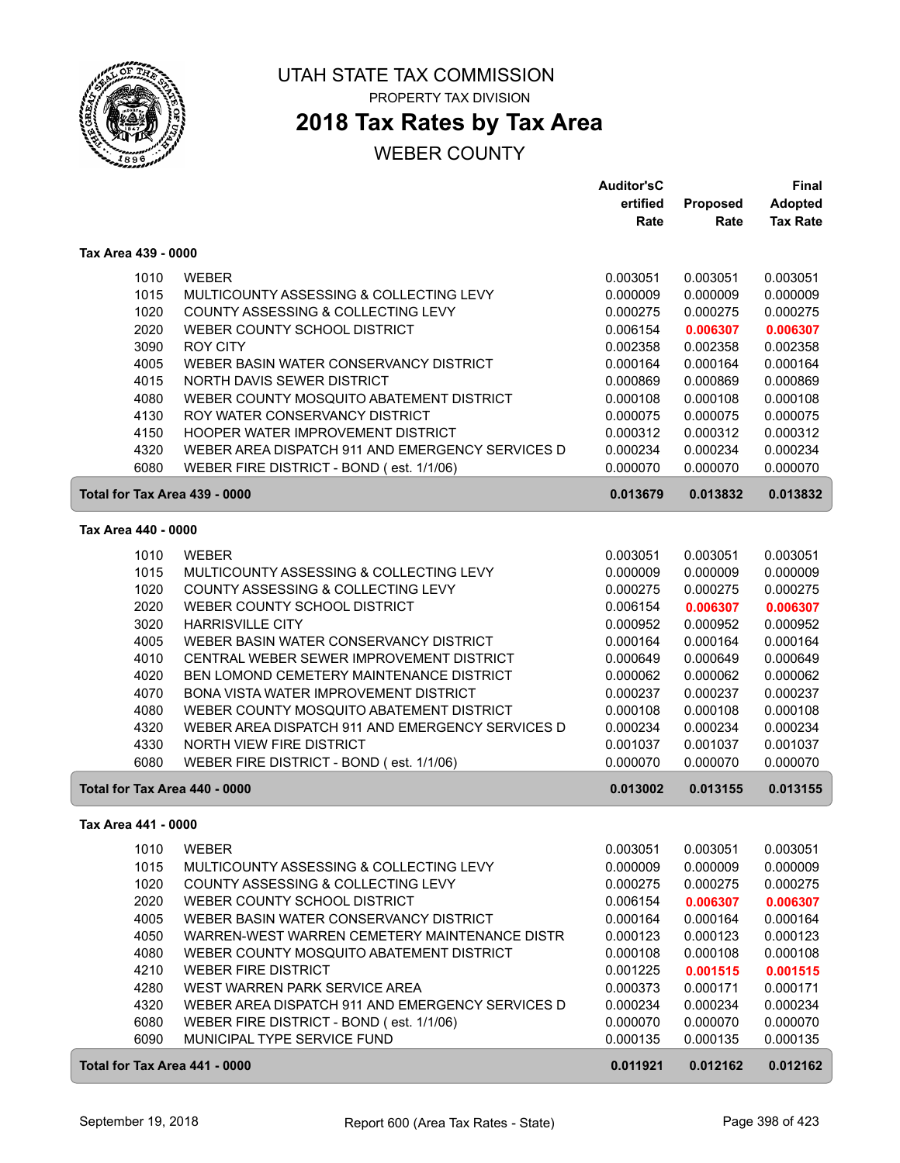

## **2018 Tax Rates by Tax Area**

|                               |                                                                               | <b>Auditor'sC</b>    |                      | <b>Final</b>         |
|-------------------------------|-------------------------------------------------------------------------------|----------------------|----------------------|----------------------|
|                               |                                                                               | ertified             | Proposed             | <b>Adopted</b>       |
|                               |                                                                               | Rate                 | Rate                 | <b>Tax Rate</b>      |
| Tax Area 439 - 0000           |                                                                               |                      |                      |                      |
| 1010                          | <b>WEBER</b>                                                                  | 0.003051             | 0.003051             | 0.003051             |
| 1015                          | MULTICOUNTY ASSESSING & COLLECTING LEVY                                       | 0.000009             | 0.000009             | 0.000009             |
| 1020                          | COUNTY ASSESSING & COLLECTING LEVY                                            | 0.000275             | 0.000275             | 0.000275             |
| 2020                          | WEBER COUNTY SCHOOL DISTRICT                                                  | 0.006154             | 0.006307             | 0.006307             |
| 3090                          | <b>ROY CITY</b>                                                               | 0.002358             | 0.002358             | 0.002358             |
| 4005                          | WEBER BASIN WATER CONSERVANCY DISTRICT                                        | 0.000164             | 0.000164             | 0.000164             |
| 4015                          | NORTH DAVIS SEWER DISTRICT                                                    | 0.000869             | 0.000869             | 0.000869             |
| 4080                          | WEBER COUNTY MOSQUITO ABATEMENT DISTRICT                                      | 0.000108             | 0.000108             | 0.000108             |
| 4130                          | ROY WATER CONSERVANCY DISTRICT                                                | 0.000075             | 0.000075             | 0.000075             |
| 4150                          | <b>HOOPER WATER IMPROVEMENT DISTRICT</b>                                      | 0.000312             | 0.000312             | 0.000312             |
| 4320                          | WEBER AREA DISPATCH 911 AND EMERGENCY SERVICES D                              | 0.000234             | 0.000234             | 0.000234             |
| 6080                          | WEBER FIRE DISTRICT - BOND (est. 1/1/06)                                      | 0.000070             | 0.000070             | 0.000070             |
| Total for Tax Area 439 - 0000 |                                                                               | 0.013679             | 0.013832             | 0.013832             |
| Tax Area 440 - 0000           |                                                                               |                      |                      |                      |
|                               |                                                                               |                      | 0.003051             | 0.003051             |
| 1010                          | <b>WEBER</b>                                                                  | 0.003051             | 0.000009             |                      |
| 1015<br>1020                  | MULTICOUNTY ASSESSING & COLLECTING LEVY<br>COUNTY ASSESSING & COLLECTING LEVY | 0.000009<br>0.000275 | 0.000275             | 0.000009<br>0.000275 |
| 2020                          | WEBER COUNTY SCHOOL DISTRICT                                                  | 0.006154             |                      |                      |
| 3020                          | <b>HARRISVILLE CITY</b>                                                       | 0.000952             | 0.006307<br>0.000952 | 0.006307<br>0.000952 |
| 4005                          | WEBER BASIN WATER CONSERVANCY DISTRICT                                        | 0.000164             | 0.000164             | 0.000164             |
| 4010                          | CENTRAL WEBER SEWER IMPROVEMENT DISTRICT                                      | 0.000649             | 0.000649             | 0.000649             |
| 4020                          | BEN LOMOND CEMETERY MAINTENANCE DISTRICT                                      | 0.000062             | 0.000062             | 0.000062             |
| 4070                          | BONA VISTA WATER IMPROVEMENT DISTRICT                                         | 0.000237             | 0.000237             | 0.000237             |
| 4080                          | WEBER COUNTY MOSQUITO ABATEMENT DISTRICT                                      | 0.000108             | 0.000108             | 0.000108             |
| 4320                          | WEBER AREA DISPATCH 911 AND EMERGENCY SERVICES D                              | 0.000234             | 0.000234             | 0.000234             |
| 4330                          | NORTH VIEW FIRE DISTRICT                                                      | 0.001037             | 0.001037             | 0.001037             |
| 6080                          | WEBER FIRE DISTRICT - BOND (est. 1/1/06)                                      | 0.000070             | 0.000070             | 0.000070             |
| Total for Tax Area 440 - 0000 |                                                                               | 0.013002             | 0.013155             | 0.013155             |
|                               |                                                                               |                      |                      |                      |
| Tax Area 441 - 0000           |                                                                               |                      |                      |                      |
| 1010                          | WEBER                                                                         | 0.003051             | 0.003051             | 0.003051             |
| 1015                          | MULTICOUNTY ASSESSING & COLLECTING LEVY                                       | 0.000009             | 0.000009             | 0.000009             |
| 1020                          | COUNTY ASSESSING & COLLECTING LEVY                                            | 0.000275             | 0.000275             | 0.000275             |
| 2020                          | WEBER COUNTY SCHOOL DISTRICT                                                  | 0.006154             | 0.006307             | 0.006307             |
| 4005                          | WEBER BASIN WATER CONSERVANCY DISTRICT                                        | 0.000164             | 0.000164             | 0.000164             |
| 4050                          | WARREN-WEST WARREN CEMETERY MAINTENANCE DISTR                                 | 0.000123             | 0.000123             | 0.000123             |
| 4080                          | WEBER COUNTY MOSQUITO ABATEMENT DISTRICT                                      | 0.000108             | 0.000108             | 0.000108             |
| 4210                          | <b>WEBER FIRE DISTRICT</b>                                                    | 0.001225             | 0.001515             | 0.001515             |
| 4280                          | WEST WARREN PARK SERVICE AREA                                                 | 0.000373             | 0.000171             | 0.000171             |
| 4320                          | WEBER AREA DISPATCH 911 AND EMERGENCY SERVICES D                              | 0.000234             | 0.000234             | 0.000234             |
| 6080                          | WEBER FIRE DISTRICT - BOND (est. 1/1/06)                                      | 0.000070             | 0.000070             | 0.000070             |
| 6090                          | MUNICIPAL TYPE SERVICE FUND                                                   | 0.000135             | 0.000135             | 0.000135             |
| Total for Tax Area 441 - 0000 |                                                                               | 0.011921             | 0.012162             | 0.012162             |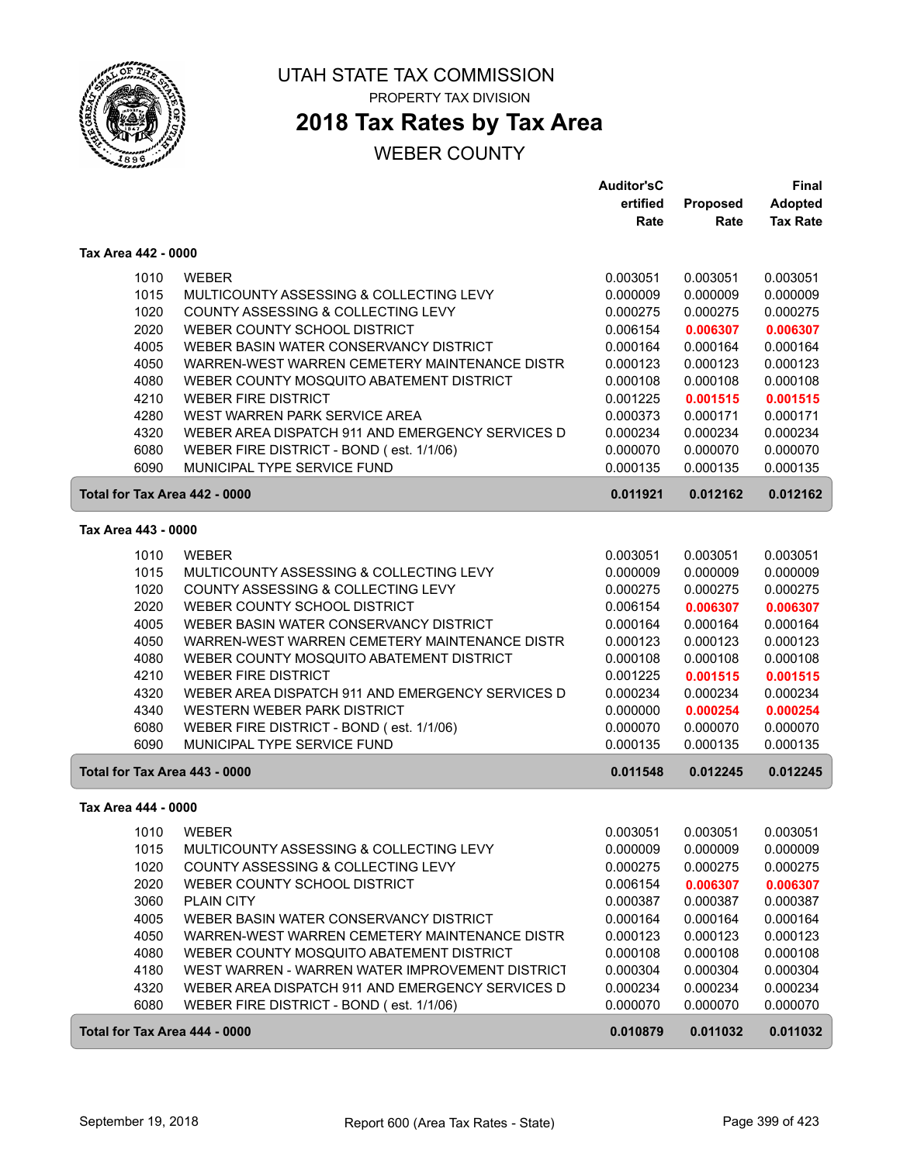

ſ

#### UTAH STATE TAX COMMISSION PROPERTY TAX DIVISION

## **2018 Tax Rates by Tax Area**

|                               |                                                  | <b>Auditor'sC</b> |          | Final           |
|-------------------------------|--------------------------------------------------|-------------------|----------|-----------------|
|                               |                                                  | ertified          | Proposed | <b>Adopted</b>  |
|                               |                                                  | Rate              | Rate     | <b>Tax Rate</b> |
| Tax Area 442 - 0000           |                                                  |                   |          |                 |
| 1010                          | <b>WEBER</b>                                     | 0.003051          | 0.003051 | 0.003051        |
| 1015                          | MULTICOUNTY ASSESSING & COLLECTING LEVY          | 0.000009          | 0.000009 | 0.000009        |
| 1020                          | COUNTY ASSESSING & COLLECTING LEVY               | 0.000275          | 0.000275 | 0.000275        |
| 2020                          | WEBER COUNTY SCHOOL DISTRICT                     | 0.006154          | 0.006307 | 0.006307        |
| 4005                          | WEBER BASIN WATER CONSERVANCY DISTRICT           | 0.000164          | 0.000164 | 0.000164        |
| 4050                          | WARREN-WEST WARREN CEMETERY MAINTENANCE DISTR    | 0.000123          | 0.000123 | 0.000123        |
| 4080                          | WEBER COUNTY MOSQUITO ABATEMENT DISTRICT         | 0.000108          | 0.000108 | 0.000108        |
| 4210                          | <b>WEBER FIRE DISTRICT</b>                       | 0.001225          | 0.001515 | 0.001515        |
| 4280                          | WEST WARREN PARK SERVICE AREA                    | 0.000373          | 0.000171 | 0.000171        |
| 4320                          | WEBER AREA DISPATCH 911 AND EMERGENCY SERVICES D | 0.000234          | 0.000234 | 0.000234        |
| 6080                          | WEBER FIRE DISTRICT - BOND (est. 1/1/06)         | 0.000070          | 0.000070 | 0.000070        |
| 6090                          | MUNICIPAL TYPE SERVICE FUND                      | 0.000135          | 0.000135 | 0.000135        |
| Total for Tax Area 442 - 0000 |                                                  | 0.011921          | 0.012162 | 0.012162        |
| Tax Area 443 - 0000           |                                                  |                   |          |                 |
|                               |                                                  |                   |          |                 |
| 1010                          | <b>WEBER</b>                                     | 0.003051          | 0.003051 | 0.003051        |
| 1015                          | MULTICOUNTY ASSESSING & COLLECTING LEVY          | 0.000009          | 0.000009 | 0.000009        |
| 1020                          | COUNTY ASSESSING & COLLECTING LEVY               | 0.000275          | 0.000275 | 0.000275        |
| 2020                          | WEBER COUNTY SCHOOL DISTRICT                     | 0.006154          | 0.006307 | 0.006307        |
| 4005                          | WEBER BASIN WATER CONSERVANCY DISTRICT           | 0.000164          | 0.000164 | 0.000164        |
| 4050                          | WARREN-WEST WARREN CEMETERY MAINTENANCE DISTR    | 0.000123          | 0.000123 | 0.000123        |
| 4080                          | WEBER COUNTY MOSQUITO ABATEMENT DISTRICT         | 0.000108          | 0.000108 | 0.000108        |
| 4210                          | <b>WEBER FIRE DISTRICT</b>                       | 0.001225          | 0.001515 | 0.001515        |
| 4320                          | WEBER AREA DISPATCH 911 AND EMERGENCY SERVICES D | 0.000234          | 0.000234 | 0.000234        |
| 4340                          | WESTERN WEBER PARK DISTRICT                      | 0.000000          | 0.000254 | 0.000254        |
| 6080                          | WEBER FIRE DISTRICT - BOND (est. 1/1/06)         | 0.000070          | 0.000070 | 0.000070        |
| 6090                          | MUNICIPAL TYPE SERVICE FUND                      | 0.000135          | 0.000135 | 0.000135        |
| Total for Tax Area 443 - 0000 |                                                  | 0.011548          | 0.012245 | 0.012245        |
| Tax Area 444 - 0000           |                                                  |                   |          |                 |
| 1010                          | <b>WEBER</b>                                     | 0.003051          | 0.003051 | 0.003051        |
| 1015                          | MULTICOUNTY ASSESSING & COLLECTING LEVY          | 0.000009          | 0.000009 | 0.000009        |
| 1020                          | COUNTY ASSESSING & COLLECTING LEVY               | 0.000275          | 0.000275 | 0.000275        |
| 2020                          | WEBER COUNTY SCHOOL DISTRICT                     | 0.006154          | 0.006307 | 0.006307        |
| 3060                          | <b>PLAIN CITY</b>                                | 0.000387          | 0.000387 | 0.000387        |
| 4005                          | WEBER BASIN WATER CONSERVANCY DISTRICT           | 0.000164          | 0.000164 | 0.000164        |
| 4050                          | WARREN-WEST WARREN CEMETERY MAINTENANCE DISTR    | 0.000123          | 0.000123 | 0.000123        |
| 4080                          | WEBER COUNTY MOSQUITO ABATEMENT DISTRICT         | 0.000108          | 0.000108 | 0.000108        |
| 4180                          | WEST WARREN - WARREN WATER IMPROVEMENT DISTRICT  | 0.000304          | 0.000304 | 0.000304        |
| 4320                          | WEBER AREA DISPATCH 911 AND EMERGENCY SERVICES D | 0.000234          | 0.000234 | 0.000234        |
| 6080                          | WEBER FIRE DISTRICT - BOND (est. 1/1/06)         | 0.000070          | 0.000070 | 0.000070        |
| Total for Tax Area 444 - 0000 |                                                  | 0.010879          | 0.011032 | 0.011032        |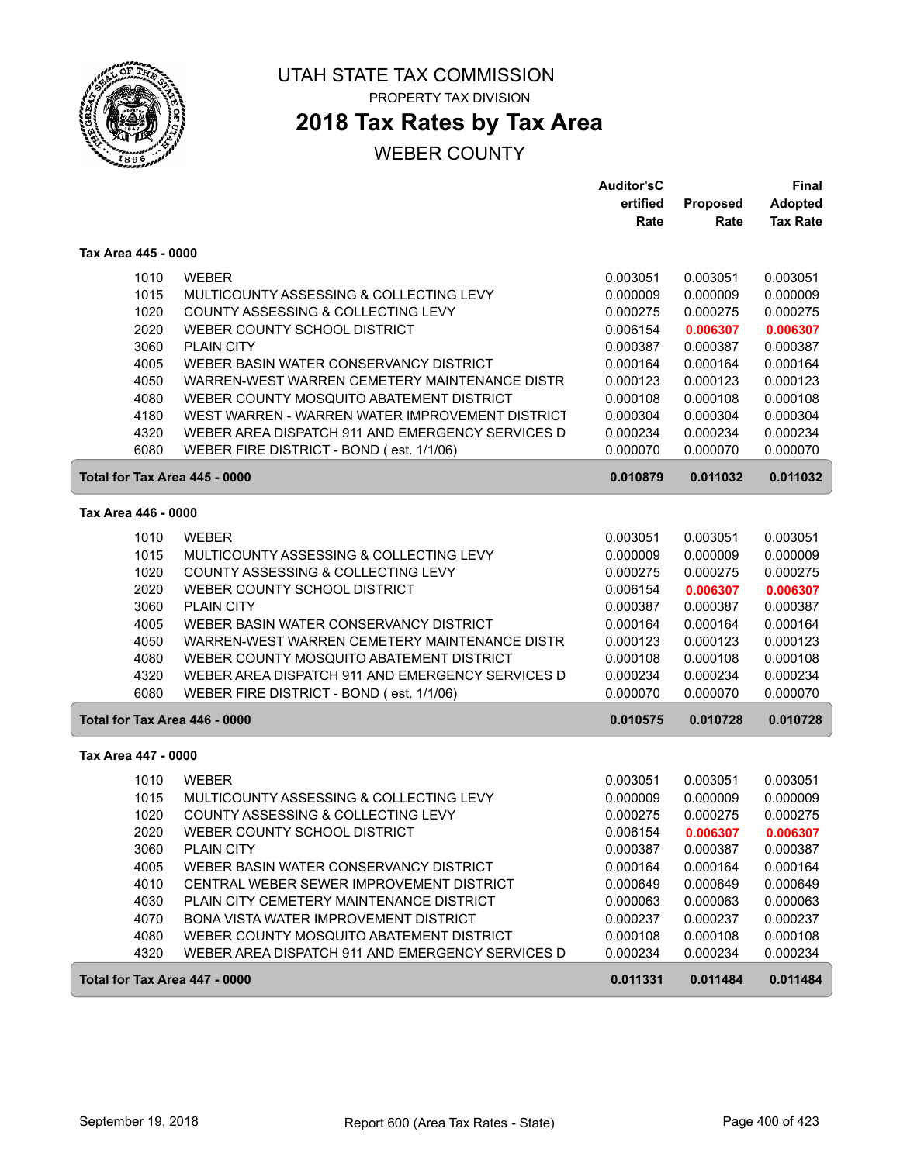

# **2018 Tax Rates by Tax Area**

|                               |                                                  | <b>Auditor'sC</b> |          | <b>Final</b>         |
|-------------------------------|--------------------------------------------------|-------------------|----------|----------------------|
|                               |                                                  | ertified          | Proposed | <b>Adopted</b>       |
|                               |                                                  | Rate              | Rate     | <b>Tax Rate</b>      |
| Tax Area 445 - 0000           |                                                  |                   |          |                      |
| 1010                          | <b>WEBER</b>                                     | 0.003051          | 0.003051 | 0.003051             |
| 1015                          | MULTICOUNTY ASSESSING & COLLECTING LEVY          | 0.000009          | 0.000009 | 0.000009             |
| 1020                          | COUNTY ASSESSING & COLLECTING LEVY               | 0.000275          | 0.000275 | 0.000275             |
| 2020                          | WEBER COUNTY SCHOOL DISTRICT                     | 0.006154          | 0.006307 | 0.006307             |
| 3060                          | PLAIN CITY                                       | 0.000387          | 0.000387 | 0.000387             |
| 4005                          | WEBER BASIN WATER CONSERVANCY DISTRICT           | 0.000164          | 0.000164 | 0.000164             |
| 4050                          | WARREN-WEST WARREN CEMETERY MAINTENANCE DISTR    | 0.000123          | 0.000123 | 0.000123             |
| 4080                          | WEBER COUNTY MOSQUITO ABATEMENT DISTRICT         | 0.000108          | 0.000108 | 0.000108             |
| 4180                          | WEST WARREN - WARREN WATER IMPROVEMENT DISTRICT  | 0.000304          | 0.000304 | 0.000304             |
| 4320                          | WEBER AREA DISPATCH 911 AND EMERGENCY SERVICES D | 0.000234          | 0.000234 | 0.000234             |
| 6080                          | WEBER FIRE DISTRICT - BOND (est. 1/1/06)         | 0.000070          | 0.000070 | 0.000070             |
| Total for Tax Area 445 - 0000 |                                                  | 0.010879          | 0.011032 | 0.011032             |
| Tax Area 446 - 0000           |                                                  |                   |          |                      |
| 1010                          | <b>WEBER</b>                                     | 0.003051          | 0.003051 | 0.003051             |
| 1015                          | MULTICOUNTY ASSESSING & COLLECTING LEVY          | 0.000009          | 0.000009 | 0.000009             |
| 1020                          | COUNTY ASSESSING & COLLECTING LEVY               | 0.000275          | 0.000275 | 0.000275             |
| 2020                          | WEBER COUNTY SCHOOL DISTRICT                     | 0.006154          | 0.006307 |                      |
| 3060                          | <b>PLAIN CITY</b>                                | 0.000387          | 0.000387 | 0.006307<br>0.000387 |
| 4005                          | WEBER BASIN WATER CONSERVANCY DISTRICT           | 0.000164          | 0.000164 | 0.000164             |
| 4050                          | WARREN-WEST WARREN CEMETERY MAINTENANCE DISTR    | 0.000123          | 0.000123 | 0.000123             |
| 4080                          | WEBER COUNTY MOSQUITO ABATEMENT DISTRICT         | 0.000108          | 0.000108 | 0.000108             |
| 4320                          | WEBER AREA DISPATCH 911 AND EMERGENCY SERVICES D | 0.000234          | 0.000234 | 0.000234             |
| 6080                          | WEBER FIRE DISTRICT - BOND (est. 1/1/06)         | 0.000070          | 0.000070 | 0.000070             |
| Total for Tax Area 446 - 0000 |                                                  | 0.010575          | 0.010728 | 0.010728             |
|                               |                                                  |                   |          |                      |
| Tax Area 447 - 0000           |                                                  |                   |          |                      |
| 1010                          | <b>WEBER</b>                                     | 0.003051          | 0.003051 | 0.003051             |
| 1015                          | MULTICOUNTY ASSESSING & COLLECTING LEVY          | 0.000009          | 0.000009 | 0.000009             |
| 1020                          | COUNTY ASSESSING & COLLECTING LEVY               | 0.000275          | 0.000275 | 0.000275             |
| 2020                          | WEBER COUNTY SCHOOL DISTRICT                     | 0.006154          | 0.006307 | 0.006307             |
| 3060                          | <b>PLAIN CITY</b>                                | 0.000387          | 0.000387 | 0.000387             |
| 4005                          | WEBER BASIN WATER CONSERVANCY DISTRICT           | 0.000164          | 0.000164 | 0.000164             |
| 4010                          | CENTRAL WEBER SEWER IMPROVEMENT DISTRICT         | 0.000649          | 0.000649 | 0.000649             |
| 4030                          | PLAIN CITY CEMETERY MAINTENANCE DISTRICT         | 0.000063          | 0.000063 | 0.000063             |
| 4070                          | BONA VISTA WATER IMPROVEMENT DISTRICT            | 0.000237          | 0.000237 | 0.000237             |
| 4080                          | WEBER COUNTY MOSQUITO ABATEMENT DISTRICT         | 0.000108          | 0.000108 | 0.000108             |
| 4320                          | WEBER AREA DISPATCH 911 AND EMERGENCY SERVICES D | 0.000234          | 0.000234 | 0.000234             |
| Total for Tax Area 447 - 0000 |                                                  | 0.011331          | 0.011484 | 0.011484             |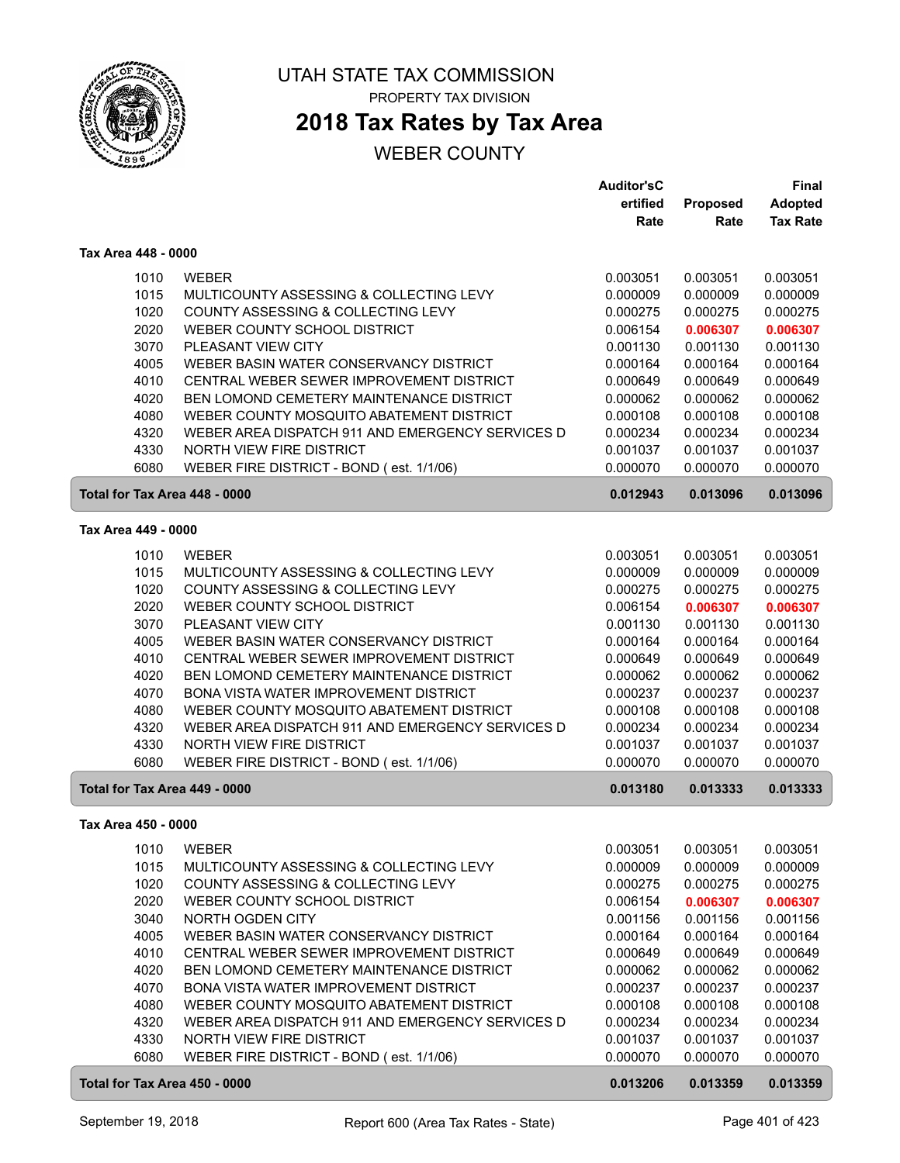

## **2018 Tax Rates by Tax Area**

|                               |                                                  | <b>Auditor'sC</b>    |                      | <b>Final</b>         |
|-------------------------------|--------------------------------------------------|----------------------|----------------------|----------------------|
|                               |                                                  | ertified             | Proposed             | <b>Adopted</b>       |
|                               |                                                  | Rate                 | Rate                 | <b>Tax Rate</b>      |
| Tax Area 448 - 0000           |                                                  |                      |                      |                      |
| 1010                          | <b>WEBER</b>                                     | 0.003051             | 0.003051             | 0.003051             |
| 1015                          | MULTICOUNTY ASSESSING & COLLECTING LEVY          | 0.000009             | 0.000009             | 0.000009             |
| 1020                          | COUNTY ASSESSING & COLLECTING LEVY               | 0.000275             | 0.000275             | 0.000275             |
| 2020                          | WEBER COUNTY SCHOOL DISTRICT                     | 0.006154             |                      |                      |
|                               |                                                  |                      | 0.006307             | 0.006307             |
| 3070                          | PLEASANT VIEW CITY                               | 0.001130             | 0.001130             | 0.001130             |
| 4005                          | WEBER BASIN WATER CONSERVANCY DISTRICT           | 0.000164             | 0.000164             | 0.000164             |
| 4010                          | CENTRAL WEBER SEWER IMPROVEMENT DISTRICT         | 0.000649             | 0.000649             | 0.000649             |
| 4020                          | BEN LOMOND CEMETERY MAINTENANCE DISTRICT         | 0.000062             | 0.000062             | 0.000062             |
| 4080                          | WEBER COUNTY MOSQUITO ABATEMENT DISTRICT         | 0.000108             | 0.000108             | 0.000108             |
| 4320                          | WEBER AREA DISPATCH 911 AND EMERGENCY SERVICES D | 0.000234             | 0.000234             | 0.000234             |
| 4330                          | NORTH VIEW FIRE DISTRICT                         | 0.001037             | 0.001037             | 0.001037             |
| 6080                          | WEBER FIRE DISTRICT - BOND (est. 1/1/06)         | 0.000070             | 0.000070             | 0.000070             |
| Total for Tax Area 448 - 0000 |                                                  | 0.012943             | 0.013096             | 0.013096             |
| Tax Area 449 - 0000           |                                                  |                      |                      |                      |
| 1010                          | <b>WEBER</b>                                     | 0.003051             | 0.003051             | 0.003051             |
| 1015                          | MULTICOUNTY ASSESSING & COLLECTING LEVY          | 0.000009             | 0.000009             | 0.000009             |
| 1020                          | COUNTY ASSESSING & COLLECTING LEVY               | 0.000275             | 0.000275             | 0.000275             |
| 2020                          | WEBER COUNTY SCHOOL DISTRICT                     | 0.006154             | 0.006307             | 0.006307             |
| 3070                          | PLEASANT VIEW CITY                               | 0.001130             | 0.001130             | 0.001130             |
| 4005                          | WEBER BASIN WATER CONSERVANCY DISTRICT           | 0.000164             | 0.000164             | 0.000164             |
| 4010                          | CENTRAL WEBER SEWER IMPROVEMENT DISTRICT         | 0.000649             | 0.000649             | 0.000649             |
| 4020                          | BEN LOMOND CEMETERY MAINTENANCE DISTRICT         | 0.000062             | 0.000062             | 0.000062             |
| 4070                          | BONA VISTA WATER IMPROVEMENT DISTRICT            | 0.000237             | 0.000237             | 0.000237             |
|                               |                                                  |                      |                      |                      |
| 4080                          | WEBER COUNTY MOSQUITO ABATEMENT DISTRICT         | 0.000108             | 0.000108             | 0.000108             |
| 4320                          | WEBER AREA DISPATCH 911 AND EMERGENCY SERVICES D | 0.000234             | 0.000234             | 0.000234             |
| 4330<br>6080                  | NORTH VIEW FIRE DISTRICT                         | 0.001037<br>0.000070 | 0.001037<br>0.000070 | 0.001037<br>0.000070 |
|                               | WEBER FIRE DISTRICT - BOND (est. 1/1/06)         |                      |                      |                      |
| Total for Tax Area 449 - 0000 |                                                  | 0.013180             | 0.013333             | 0.013333             |
| Tax Area 450 - 0000           |                                                  |                      |                      |                      |
| 1010                          | WEBER                                            | 0.003051             | 0.003051             | 0.003051             |
| 1015                          | MULTICOUNTY ASSESSING & COLLECTING LEVY          | 0.000009             | 0.000009             | 0.000009             |
| 1020                          | COUNTY ASSESSING & COLLECTING LEVY               | 0.000275             | 0.000275             | 0.000275             |
| 2020                          | WEBER COUNTY SCHOOL DISTRICT                     | 0.006154             | 0.006307             | 0.006307             |
| 3040                          | NORTH OGDEN CITY                                 | 0.001156             | 0.001156             | 0.001156             |
| 4005                          | WEBER BASIN WATER CONSERVANCY DISTRICT           | 0.000164             | 0.000164             | 0.000164             |
| 4010                          | CENTRAL WEBER SEWER IMPROVEMENT DISTRICT         | 0.000649             | 0.000649             | 0.000649             |
| 4020                          | BEN LOMOND CEMETERY MAINTENANCE DISTRICT         | 0.000062             | 0.000062             | 0.000062             |
| 4070                          | BONA VISTA WATER IMPROVEMENT DISTRICT            | 0.000237             | 0.000237             | 0.000237             |
| 4080                          | WEBER COUNTY MOSQUITO ABATEMENT DISTRICT         | 0.000108             | 0.000108             | 0.000108             |
| 4320                          | WEBER AREA DISPATCH 911 AND EMERGENCY SERVICES D | 0.000234             | 0.000234             | 0.000234             |
| 4330                          | NORTH VIEW FIRE DISTRICT                         | 0.001037             | 0.001037             | 0.001037             |
| 6080                          | WEBER FIRE DISTRICT - BOND (est. 1/1/06)         | 0.000070             | 0.000070             | 0.000070             |
| Total for Tax Area 450 - 0000 |                                                  | 0.013206             | 0.013359             | 0.013359             |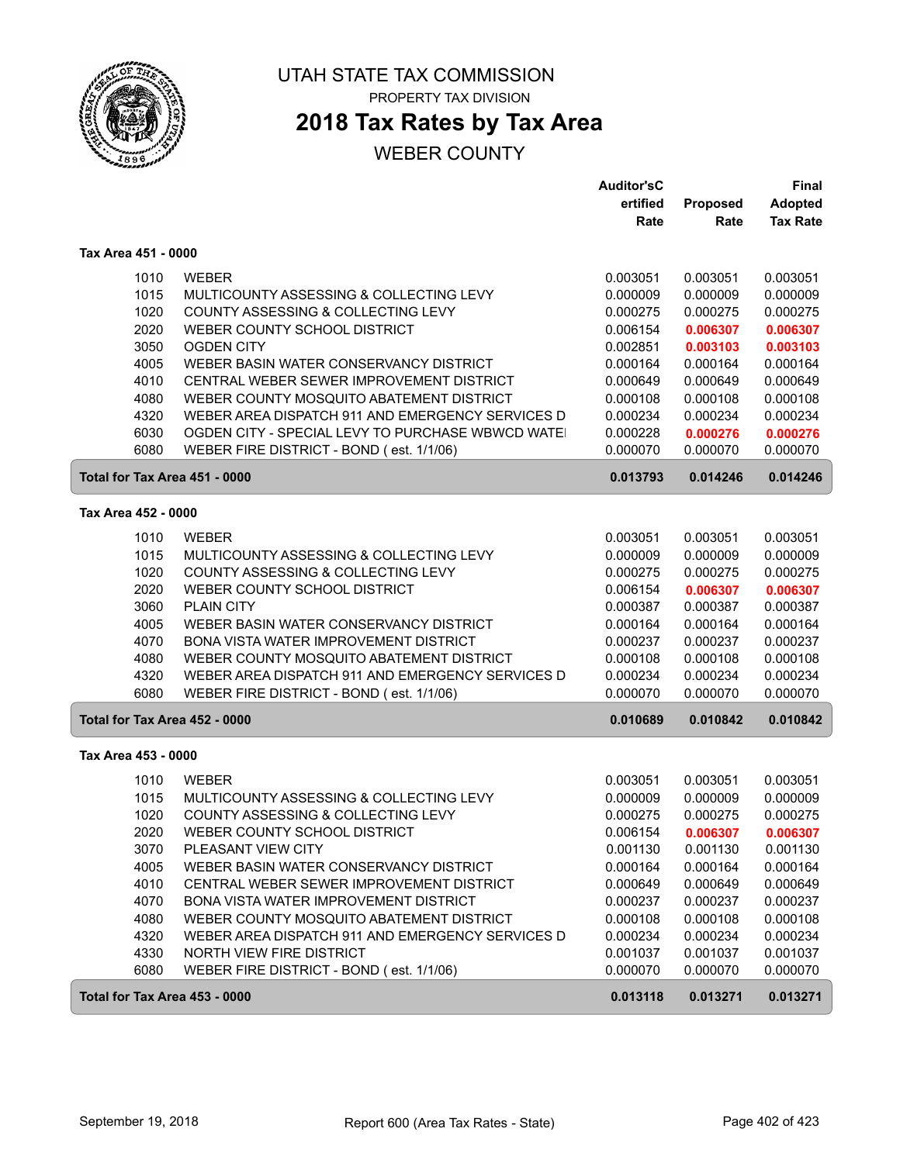

#### UTAH STATE TAX COMMISSION PROPERTY TAX DIVISION

# **2018 Tax Rates by Tax Area**

|                               |                                                  | <b>Auditor'sC</b> |          | Final           |
|-------------------------------|--------------------------------------------------|-------------------|----------|-----------------|
|                               |                                                  | ertified          | Proposed | <b>Adopted</b>  |
|                               |                                                  | Rate              | Rate     | <b>Tax Rate</b> |
| Tax Area 451 - 0000           |                                                  |                   |          |                 |
| 1010                          | <b>WEBER</b>                                     | 0.003051          | 0.003051 | 0.003051        |
| 1015                          | MULTICOUNTY ASSESSING & COLLECTING LEVY          | 0.000009          | 0.000009 | 0.000009        |
| 1020                          | COUNTY ASSESSING & COLLECTING LEVY               | 0.000275          | 0.000275 | 0.000275        |
| 2020                          | WEBER COUNTY SCHOOL DISTRICT                     | 0.006154          | 0.006307 | 0.006307        |
| 3050                          | <b>OGDEN CITY</b>                                | 0.002851          | 0.003103 | 0.003103        |
| 4005                          | WEBER BASIN WATER CONSERVANCY DISTRICT           | 0.000164          | 0.000164 | 0.000164        |
| 4010                          | CENTRAL WEBER SEWER IMPROVEMENT DISTRICT         | 0.000649          | 0.000649 | 0.000649        |
| 4080                          | WEBER COUNTY MOSQUITO ABATEMENT DISTRICT         | 0.000108          | 0.000108 | 0.000108        |
| 4320                          | WEBER AREA DISPATCH 911 AND EMERGENCY SERVICES D | 0.000234          | 0.000234 | 0.000234        |
| 6030                          | OGDEN CITY - SPECIAL LEVY TO PURCHASE WBWCD WATE | 0.000228          | 0.000276 | 0.000276        |
| 6080                          | WEBER FIRE DISTRICT - BOND (est. 1/1/06)         | 0.000070          | 0.000070 | 0.000070        |
| Total for Tax Area 451 - 0000 |                                                  | 0.013793          | 0.014246 | 0.014246        |
| Tax Area 452 - 0000           |                                                  |                   |          |                 |
| 1010                          | <b>WEBER</b>                                     | 0.003051          | 0.003051 | 0.003051        |
| 1015                          | MULTICOUNTY ASSESSING & COLLECTING LEVY          | 0.000009          | 0.000009 | 0.000009        |
| 1020                          | COUNTY ASSESSING & COLLECTING LEVY               | 0.000275          | 0.000275 | 0.000275        |
| 2020                          | WEBER COUNTY SCHOOL DISTRICT                     | 0.006154          | 0.006307 | 0.006307        |
| 3060                          | <b>PLAIN CITY</b>                                | 0.000387          | 0.000387 | 0.000387        |
| 4005                          | WEBER BASIN WATER CONSERVANCY DISTRICT           | 0.000164          | 0.000164 | 0.000164        |
| 4070                          | BONA VISTA WATER IMPROVEMENT DISTRICT            | 0.000237          | 0.000237 | 0.000237        |
| 4080                          | WEBER COUNTY MOSQUITO ABATEMENT DISTRICT         | 0.000108          | 0.000108 | 0.000108        |
| 4320                          | WEBER AREA DISPATCH 911 AND EMERGENCY SERVICES D | 0.000234          | 0.000234 | 0.000234        |
| 6080                          | WEBER FIRE DISTRICT - BOND (est. 1/1/06)         | 0.000070          | 0.000070 | 0.000070        |
| Total for Tax Area 452 - 0000 |                                                  | 0.010689          | 0.010842 | 0.010842        |
| Tax Area 453 - 0000           |                                                  |                   |          |                 |
| 1010                          | <b>WEBER</b>                                     | 0.003051          | 0.003051 | 0.003051        |
| 1015                          | MULTICOUNTY ASSESSING & COLLECTING LEVY          | 0.000009          | 0.000009 | 0.000009        |
| 1020                          | COUNTY ASSESSING & COLLECTING LEVY               | 0.000275          | 0.000275 | 0.000275        |
| 2020                          | WEBER COUNTY SCHOOL DISTRICT                     | 0.006154          | 0.006307 | 0.006307        |
| 3070                          | PLEASANT VIEW CITY                               | 0.001130          | 0.001130 | 0.001130        |
| 4005                          | WEBER BASIN WATER CONSERVANCY DISTRICT           | 0.000164          | 0.000164 | 0.000164        |
| 4010                          | CENTRAL WEBER SEWER IMPROVEMENT DISTRICT         | 0.000649          | 0.000649 | 0.000649        |
| 4070                          | BONA VISTA WATER IMPROVEMENT DISTRICT            | 0.000237          | 0.000237 | 0.000237        |
| 4080                          | WEBER COUNTY MOSQUITO ABATEMENT DISTRICT         | 0.000108          | 0.000108 | 0.000108        |
| 4320                          | WEBER AREA DISPATCH 911 AND EMERGENCY SERVICES D | 0.000234          | 0.000234 | 0.000234        |
| 4330                          | NORTH VIEW FIRE DISTRICT                         | 0.001037          | 0.001037 | 0.001037        |
| 6080                          | WEBER FIRE DISTRICT - BOND (est. 1/1/06)         | 0.000070          | 0.000070 | 0.000070        |
| Total for Tax Area 453 - 0000 |                                                  | 0.013118          | 0.013271 | 0.013271        |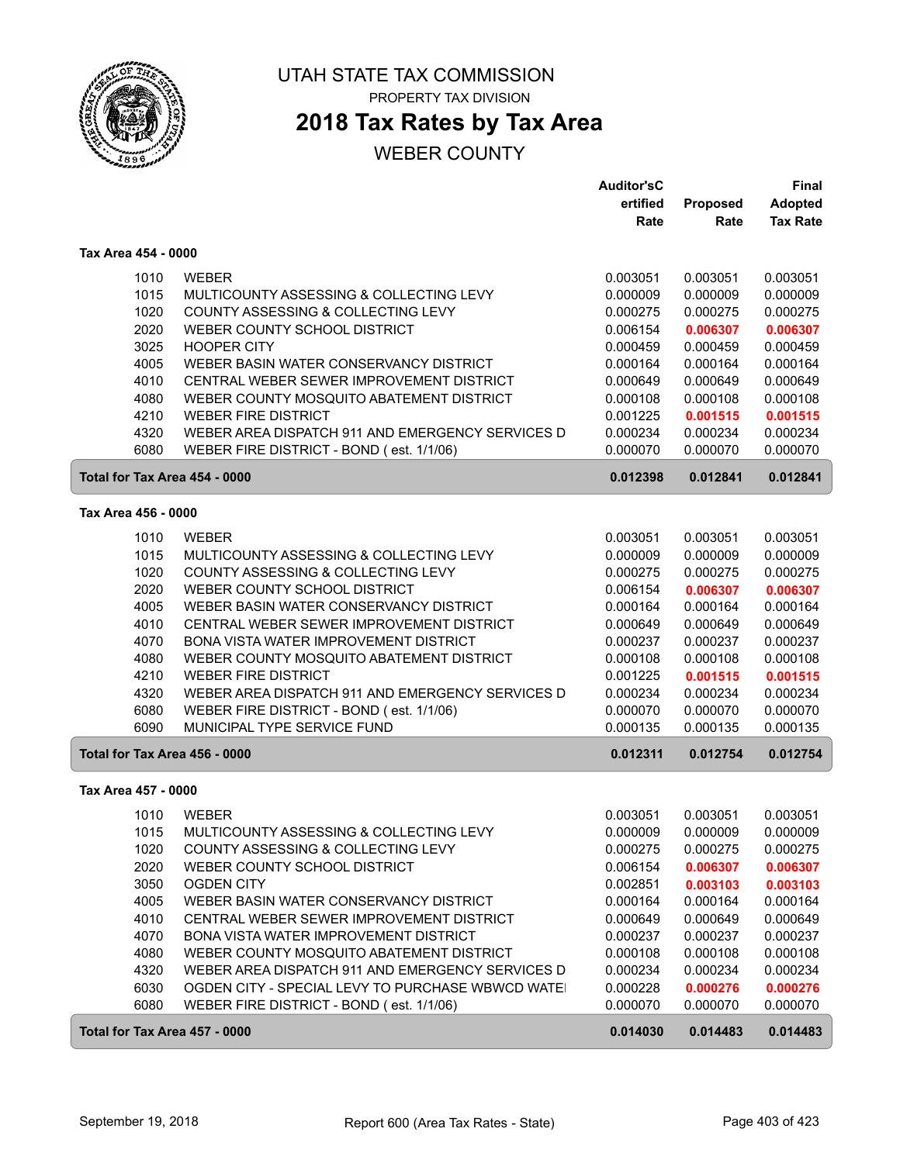

## **2018 Tax Rates by Tax Area**

|                               |                                                   | <b>Auditor'sC</b> |          | Final           |
|-------------------------------|---------------------------------------------------|-------------------|----------|-----------------|
|                               |                                                   | ertified          | Proposed | <b>Adopted</b>  |
|                               |                                                   | Rate              | Rate     | <b>Tax Rate</b> |
| Tax Area 454 - 0000           |                                                   |                   |          |                 |
| 1010                          | <b>WEBER</b>                                      | 0.003051          | 0.003051 | 0.003051        |
| 1015                          | MULTICOUNTY ASSESSING & COLLECTING LEVY           | 0.000009          | 0.000009 | 0.000009        |
| 1020                          | COUNTY ASSESSING & COLLECTING LEVY                | 0.000275          | 0.000275 | 0.000275        |
| 2020                          | WEBER COUNTY SCHOOL DISTRICT                      | 0.006154          | 0.006307 | 0.006307        |
|                               |                                                   |                   |          |                 |
| 3025                          | <b>HOOPER CITY</b>                                | 0.000459          | 0.000459 | 0.000459        |
| 4005                          | WEBER BASIN WATER CONSERVANCY DISTRICT            | 0.000164          | 0.000164 | 0.000164        |
| 4010                          | CENTRAL WEBER SEWER IMPROVEMENT DISTRICT          | 0.000649          | 0.000649 | 0.000649        |
| 4080                          | WEBER COUNTY MOSQUITO ABATEMENT DISTRICT          | 0.000108          | 0.000108 | 0.000108        |
| 4210                          | <b>WEBER FIRE DISTRICT</b>                        | 0.001225          | 0.001515 | 0.001515        |
| 4320                          | WEBER AREA DISPATCH 911 AND EMERGENCY SERVICES D  | 0.000234          | 0.000234 | 0.000234        |
| 6080                          | WEBER FIRE DISTRICT - BOND (est. 1/1/06)          | 0.000070          | 0.000070 | 0.000070        |
| Total for Tax Area 454 - 0000 |                                                   | 0.012398          | 0.012841 | 0.012841        |
| Tax Area 456 - 0000           |                                                   |                   |          |                 |
| 1010                          | <b>WEBER</b>                                      | 0.003051          | 0.003051 | 0.003051        |
| 1015                          | MULTICOUNTY ASSESSING & COLLECTING LEVY           | 0.000009          | 0.000009 | 0.000009        |
| 1020                          | COUNTY ASSESSING & COLLECTING LEVY                | 0.000275          | 0.000275 | 0.000275        |
| 2020                          | WEBER COUNTY SCHOOL DISTRICT                      | 0.006154          | 0.006307 | 0.006307        |
| 4005                          | WEBER BASIN WATER CONSERVANCY DISTRICT            | 0.000164          | 0.000164 | 0.000164        |
| 4010                          | CENTRAL WEBER SEWER IMPROVEMENT DISTRICT          | 0.000649          | 0.000649 | 0.000649        |
| 4070                          | BONA VISTA WATER IMPROVEMENT DISTRICT             | 0.000237          | 0.000237 | 0.000237        |
| 4080                          | WEBER COUNTY MOSQUITO ABATEMENT DISTRICT          | 0.000108          | 0.000108 | 0.000108        |
| 4210                          | <b>WEBER FIRE DISTRICT</b>                        | 0.001225          | 0.001515 | 0.001515        |
| 4320                          | WEBER AREA DISPATCH 911 AND EMERGENCY SERVICES D  | 0.000234          | 0.000234 | 0.000234        |
| 6080                          | WEBER FIRE DISTRICT - BOND (est. 1/1/06)          | 0.000070          | 0.000070 | 0.000070        |
| 6090                          | MUNICIPAL TYPE SERVICE FUND                       | 0.000135          | 0.000135 | 0.000135        |
| Total for Tax Area 456 - 0000 |                                                   | 0.012311          | 0.012754 | 0.012754        |
|                               |                                                   |                   |          |                 |
| Tax Area 457 - 0000           |                                                   |                   |          |                 |
| 1010                          | <b>WEBER</b>                                      | 0.003051          | 0.003051 | 0.003051        |
| 1015                          | MULTICOUNTY ASSESSING & COLLECTING LEVY           | 0.000009          | 0.000009 | 0.000009        |
| 1020                          | COUNTY ASSESSING & COLLECTING LEVY                | 0.000275          | 0.000275 | 0.000275        |
| 2020                          | WEBER COUNTY SCHOOL DISTRICT                      | 0.006154          | 0.006307 | 0.006307        |
| 3050                          | OGDEN CITY                                        | 0.002851          | 0.003103 | 0.003103        |
| 4005                          | WEBER BASIN WATER CONSERVANCY DISTRICT            | 0.000164          | 0.000164 | 0.000164        |
| 4010                          | CENTRAL WEBER SEWER IMPROVEMENT DISTRICT          | 0.000649          | 0.000649 | 0.000649        |
| 4070                          | <b>BONA VISTA WATER IMPROVEMENT DISTRICT</b>      | 0.000237          | 0.000237 | 0.000237        |
| 4080                          | WEBER COUNTY MOSQUITO ABATEMENT DISTRICT          | 0.000108          | 0.000108 | 0.000108        |
| 4320                          | WEBER AREA DISPATCH 911 AND EMERGENCY SERVICES D  | 0.000234          | 0.000234 | 0.000234        |
| 6030                          | OGDEN CITY - SPECIAL LEVY TO PURCHASE WBWCD WATE! | 0.000228          | 0.000276 | 0.000276        |
| 6080                          | WEBER FIRE DISTRICT - BOND (est. 1/1/06)          | 0.000070          | 0.000070 | 0.000070        |
| Total for Tax Area 457 - 0000 |                                                   | 0.014030          | 0.014483 | 0.014483        |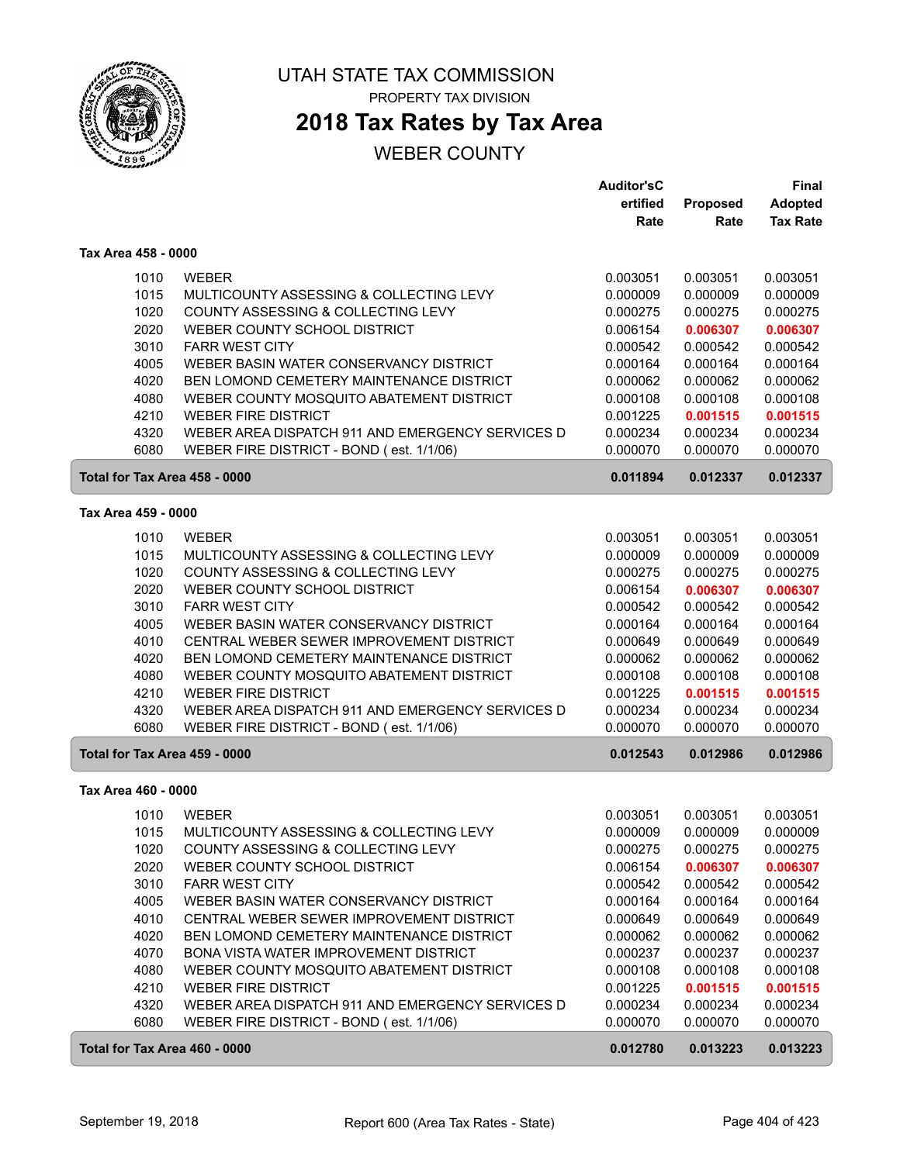

## **2018 Tax Rates by Tax Area**

|                               |                                                                                              | <b>Auditor'sC</b>    |                      | Final                |
|-------------------------------|----------------------------------------------------------------------------------------------|----------------------|----------------------|----------------------|
|                               |                                                                                              | ertified             | Proposed             | <b>Adopted</b>       |
|                               |                                                                                              | Rate                 | Rate                 | <b>Tax Rate</b>      |
| Tax Area 458 - 0000           |                                                                                              |                      |                      |                      |
| 1010                          | <b>WEBER</b>                                                                                 | 0.003051             | 0.003051             | 0.003051             |
| 1015                          | MULTICOUNTY ASSESSING & COLLECTING LEVY                                                      | 0.000009             | 0.000009             | 0.000009             |
| 1020                          | COUNTY ASSESSING & COLLECTING LEVY                                                           | 0.000275             | 0.000275             | 0.000275             |
| 2020                          | WEBER COUNTY SCHOOL DISTRICT                                                                 | 0.006154             | 0.006307             | 0.006307             |
| 3010                          | <b>FARR WEST CITY</b>                                                                        | 0.000542             | 0.000542             | 0.000542             |
| 4005                          | WEBER BASIN WATER CONSERVANCY DISTRICT                                                       | 0.000164             | 0.000164             | 0.000164             |
| 4020                          | BEN LOMOND CEMETERY MAINTENANCE DISTRICT                                                     | 0.000062             | 0.000062             | 0.000062             |
| 4080                          | WEBER COUNTY MOSQUITO ABATEMENT DISTRICT                                                     | 0.000108             | 0.000108             | 0.000108             |
| 4210                          | <b>WEBER FIRE DISTRICT</b>                                                                   | 0.001225             | 0.001515             | 0.001515             |
| 4320                          | WEBER AREA DISPATCH 911 AND EMERGENCY SERVICES D                                             | 0.000234             | 0.000234             | 0.000234             |
| 6080                          | WEBER FIRE DISTRICT - BOND (est. 1/1/06)                                                     | 0.000070             | 0.000070             | 0.000070             |
| Total for Tax Area 458 - 0000 |                                                                                              | 0.011894             | 0.012337             | 0.012337             |
| Tax Area 459 - 0000           |                                                                                              |                      |                      |                      |
| 1010                          | <b>WEBER</b>                                                                                 | 0.003051             | 0.003051             | 0.003051             |
| 1015                          | MULTICOUNTY ASSESSING & COLLECTING LEVY                                                      | 0.000009             | 0.000009             | 0.000009             |
| 1020                          | COUNTY ASSESSING & COLLECTING LEVY                                                           | 0.000275             | 0.000275             | 0.000275             |
| 2020                          | WEBER COUNTY SCHOOL DISTRICT                                                                 | 0.006154             | 0.006307             | 0.006307             |
| 3010                          | <b>FARR WEST CITY</b>                                                                        | 0.000542             | 0.000542             | 0.000542             |
| 4005                          | WEBER BASIN WATER CONSERVANCY DISTRICT                                                       | 0.000164             | 0.000164             | 0.000164             |
| 4010                          | CENTRAL WEBER SEWER IMPROVEMENT DISTRICT                                                     | 0.000649             | 0.000649             | 0.000649             |
| 4020                          | BEN LOMOND CEMETERY MAINTENANCE DISTRICT                                                     | 0.000062             | 0.000062             | 0.000062             |
| 4080                          | WEBER COUNTY MOSQUITO ABATEMENT DISTRICT                                                     | 0.000108             | 0.000108             | 0.000108             |
| 4210                          | <b>WEBER FIRE DISTRICT</b>                                                                   | 0.001225             | 0.001515             | 0.001515             |
| 4320                          | WEBER AREA DISPATCH 911 AND EMERGENCY SERVICES D                                             | 0.000234             | 0.000234             | 0.000234             |
| 6080                          | WEBER FIRE DISTRICT - BOND (est. 1/1/06)                                                     | 0.000070             | 0.000070             | 0.000070             |
| Total for Tax Area 459 - 0000 |                                                                                              | 0.012543             | 0.012986             | 0.012986             |
| Tax Area 460 - 0000           |                                                                                              |                      |                      |                      |
| 1010                          | <b>WEBER</b>                                                                                 | 0.003051             | 0.003051             | 0.003051             |
| 1015                          | MULTICOUNTY ASSESSING & COLLECTING LEVY                                                      | 0.000009             | 0.000009             | 0.000009             |
| 1020                          | COUNTY ASSESSING & COLLECTING LEVY                                                           | 0.000275             | 0.000275             | 0.000275             |
| 2020                          | WEBER COUNTY SCHOOL DISTRICT                                                                 | 0.006154             | 0.006307             | 0.006307             |
| 3010                          | <b>FARR WEST CITY</b>                                                                        | 0.000542             | 0.000542             | 0.000542             |
| 4005                          | WEBER BASIN WATER CONSERVANCY DISTRICT                                                       | 0.000164             | 0.000164             | 0.000164             |
| 4010                          | CENTRAL WEBER SEWER IMPROVEMENT DISTRICT                                                     | 0.000649             | 0.000649             | 0.000649             |
| 4020                          | BEN LOMOND CEMETERY MAINTENANCE DISTRICT                                                     | 0.000062             | 0.000062             | 0.000062             |
| 4070                          | BONA VISTA WATER IMPROVEMENT DISTRICT                                                        | 0.000237             | 0.000237             | 0.000237             |
| 4080                          | WEBER COUNTY MOSQUITO ABATEMENT DISTRICT                                                     | 0.000108             | 0.000108             | 0.000108             |
| 4210                          | <b>WEBER FIRE DISTRICT</b>                                                                   | 0.001225             | 0.001515             | 0.001515             |
| 4320<br>6080                  | WEBER AREA DISPATCH 911 AND EMERGENCY SERVICES D<br>WEBER FIRE DISTRICT - BOND (est. 1/1/06) | 0.000234<br>0.000070 | 0.000234<br>0.000070 | 0.000234<br>0.000070 |
|                               |                                                                                              |                      |                      |                      |
| Total for Tax Area 460 - 0000 |                                                                                              | 0.012780             | 0.013223             | 0.013223             |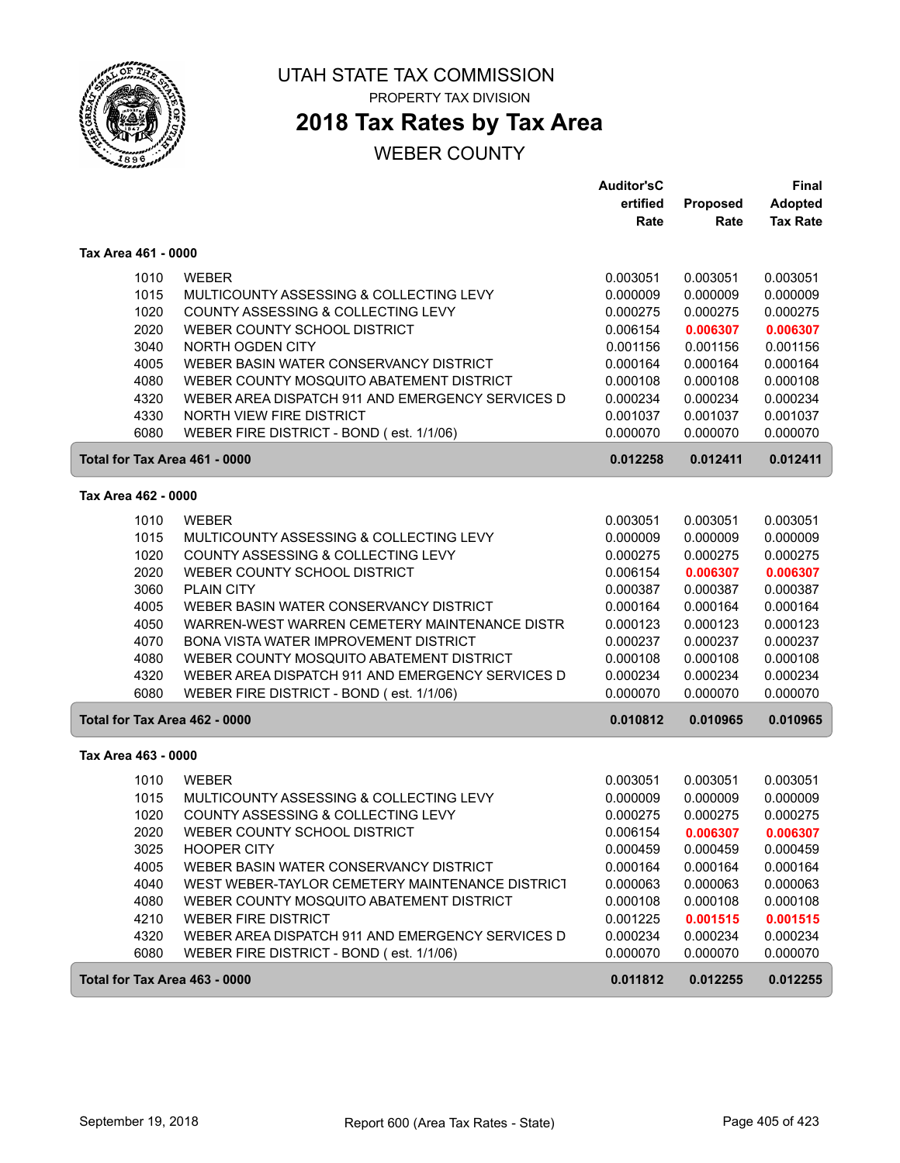

# UTAH STATE TAX COMMISSION

PROPERTY TAX DIVISION

# **2018 Tax Rates by Tax Area**

|                               |                                                  | <b>Auditor'sC</b><br>ertified | Proposed | Final<br><b>Adopted</b> |
|-------------------------------|--------------------------------------------------|-------------------------------|----------|-------------------------|
|                               |                                                  | Rate                          | Rate     | <b>Tax Rate</b>         |
| Tax Area 461 - 0000           |                                                  |                               |          |                         |
| 1010                          | <b>WEBER</b>                                     | 0.003051                      | 0.003051 | 0.003051                |
| 1015                          | MULTICOUNTY ASSESSING & COLLECTING LEVY          | 0.000009                      | 0.000009 | 0.000009                |
| 1020                          | COUNTY ASSESSING & COLLECTING LEVY               | 0.000275                      | 0.000275 | 0.000275                |
| 2020                          | WEBER COUNTY SCHOOL DISTRICT                     | 0.006154                      | 0.006307 | 0.006307                |
| 3040                          | NORTH OGDEN CITY                                 | 0.001156                      | 0.001156 | 0.001156                |
| 4005                          | WEBER BASIN WATER CONSERVANCY DISTRICT           | 0.000164                      | 0.000164 | 0.000164                |
| 4080                          | WEBER COUNTY MOSQUITO ABATEMENT DISTRICT         | 0.000108                      | 0.000108 | 0.000108                |
| 4320                          | WEBER AREA DISPATCH 911 AND EMERGENCY SERVICES D | 0.000234                      | 0.000234 | 0.000234                |
| 4330                          | NORTH VIEW FIRE DISTRICT                         | 0.001037                      | 0.001037 | 0.001037                |
| 6080                          | WEBER FIRE DISTRICT - BOND (est. 1/1/06)         | 0.000070                      | 0.000070 | 0.000070                |
| Total for Tax Area 461 - 0000 |                                                  | 0.012258                      | 0.012411 | 0.012411                |
| Tax Area 462 - 0000           |                                                  |                               |          |                         |
| 1010                          | <b>WEBER</b>                                     | 0.003051                      | 0.003051 | 0.003051                |
| 1015                          | MULTICOUNTY ASSESSING & COLLECTING LEVY          | 0.000009                      | 0.000009 | 0.000009                |
| 1020                          | COUNTY ASSESSING & COLLECTING LEVY               | 0.000275                      | 0.000275 | 0.000275                |
| 2020                          | WEBER COUNTY SCHOOL DISTRICT                     | 0.006154                      | 0.006307 | 0.006307                |
| 3060                          | <b>PLAIN CITY</b>                                | 0.000387                      | 0.000387 | 0.000387                |
| 4005                          | WEBER BASIN WATER CONSERVANCY DISTRICT           | 0.000164                      | 0.000164 | 0.000164                |
| 4050                          | WARREN-WEST WARREN CEMETERY MAINTENANCE DISTR    | 0.000123                      | 0.000123 | 0.000123                |
| 4070                          | BONA VISTA WATER IMPROVEMENT DISTRICT            | 0.000237                      | 0.000237 | 0.000237                |
| 4080                          | WEBER COUNTY MOSQUITO ABATEMENT DISTRICT         | 0.000108                      | 0.000108 | 0.000108                |
| 4320                          | WEBER AREA DISPATCH 911 AND EMERGENCY SERVICES D | 0.000234                      | 0.000234 | 0.000234                |
| 6080                          | WEBER FIRE DISTRICT - BOND (est. 1/1/06)         | 0.000070                      | 0.000070 | 0.000070                |
| Total for Tax Area 462 - 0000 |                                                  | 0.010812                      | 0.010965 | 0.010965                |
| Tax Area 463 - 0000           |                                                  |                               |          |                         |
| 1010                          | <b>WEBER</b>                                     | 0.003051                      | 0.003051 | 0.003051                |
| 1015                          | MULTICOUNTY ASSESSING & COLLECTING LEVY          | 0.000009                      | 0.000009 | 0.000009                |
| 1020                          | COUNTY ASSESSING & COLLECTING LEVY               | 0.000275                      | 0.000275 | 0.000275                |
| 2020                          | WEBER COUNTY SCHOOL DISTRICT                     | 0.006154                      | 0.006307 | 0.006307                |
| 3025                          | <b>HOOPER CITY</b>                               | 0.000459                      | 0.000459 | 0.000459                |
| 4005                          | WEBER BASIN WATER CONSERVANCY DISTRICT           | 0.000164                      | 0.000164 | 0.000164                |
| 4040                          | WEST WEBER-TAYLOR CEMETERY MAINTENANCE DISTRICT  | 0.000063                      | 0.000063 | 0.000063                |
| 4080                          | WEBER COUNTY MOSQUITO ABATEMENT DISTRICT         | 0.000108                      | 0.000108 | 0.000108                |
| 4210                          | <b>WEBER FIRE DISTRICT</b>                       | 0.001225                      | 0.001515 | 0.001515                |
| 4320                          | WEBER AREA DISPATCH 911 AND EMERGENCY SERVICES D | 0.000234                      | 0.000234 | 0.000234                |
| 6080                          | WEBER FIRE DISTRICT - BOND (est. 1/1/06)         | 0.000070                      | 0.000070 | 0.000070                |
| Total for Tax Area 463 - 0000 |                                                  | 0.011812                      | 0.012255 | 0.012255                |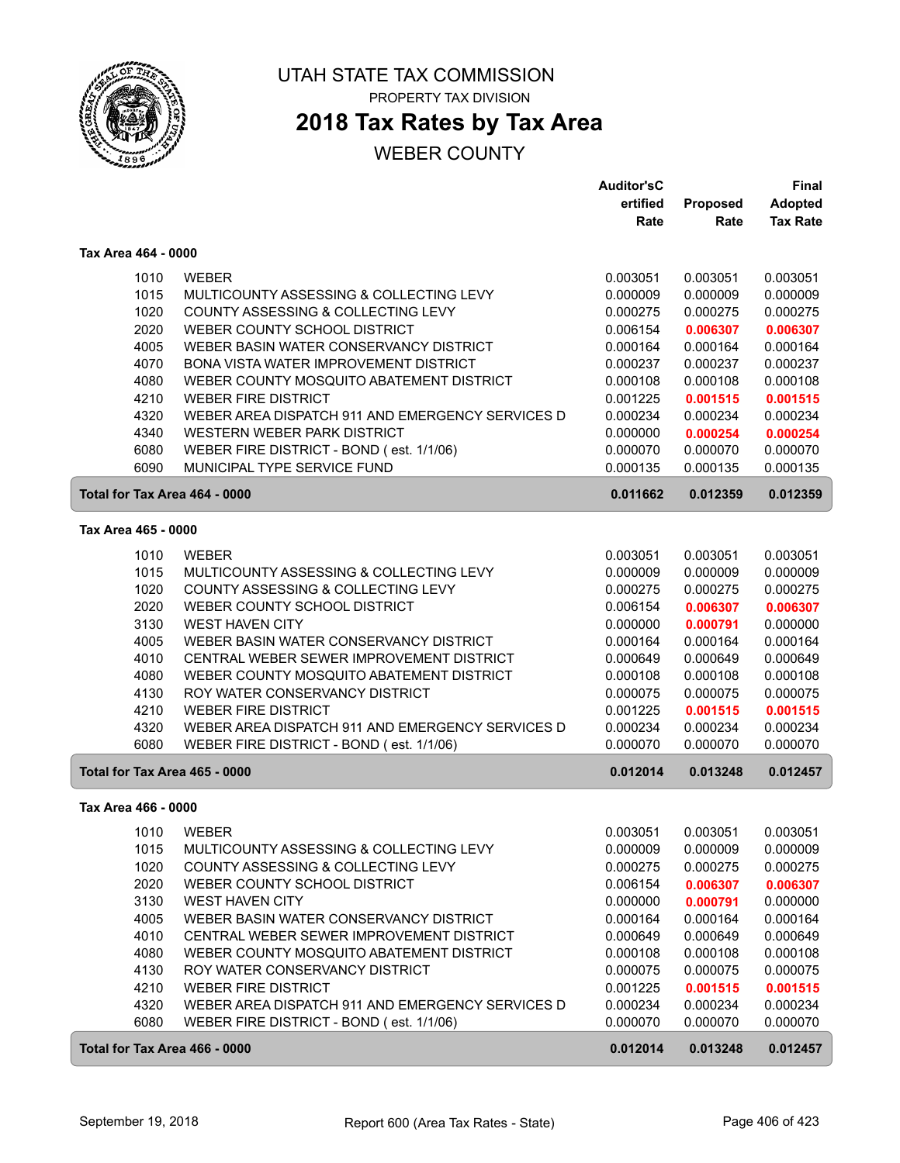

## **2018 Tax Rates by Tax Area**

|                               |                                                  | <b>Auditor'sC</b> |          | Final           |
|-------------------------------|--------------------------------------------------|-------------------|----------|-----------------|
|                               |                                                  | ertified          | Proposed | <b>Adopted</b>  |
|                               |                                                  | Rate              | Rate     | <b>Tax Rate</b> |
| Tax Area 464 - 0000           |                                                  |                   |          |                 |
| 1010                          | <b>WEBER</b>                                     | 0.003051          | 0.003051 | 0.003051        |
| 1015                          | MULTICOUNTY ASSESSING & COLLECTING LEVY          | 0.000009          | 0.000009 | 0.000009        |
| 1020                          | COUNTY ASSESSING & COLLECTING LEVY               | 0.000275          | 0.000275 | 0.000275        |
| 2020                          | WEBER COUNTY SCHOOL DISTRICT                     | 0.006154          | 0.006307 | 0.006307        |
| 4005                          | WEBER BASIN WATER CONSERVANCY DISTRICT           | 0.000164          | 0.000164 | 0.000164        |
| 4070                          | <b>BONA VISTA WATER IMPROVEMENT DISTRICT</b>     | 0.000237          | 0.000237 | 0.000237        |
| 4080                          | WEBER COUNTY MOSQUITO ABATEMENT DISTRICT         | 0.000108          | 0.000108 | 0.000108        |
| 4210                          | <b>WEBER FIRE DISTRICT</b>                       | 0.001225          | 0.001515 | 0.001515        |
| 4320                          | WEBER AREA DISPATCH 911 AND EMERGENCY SERVICES D | 0.000234          | 0.000234 | 0.000234        |
| 4340                          | WESTERN WEBER PARK DISTRICT                      | 0.000000          | 0.000254 | 0.000254        |
| 6080                          | WEBER FIRE DISTRICT - BOND (est. 1/1/06)         | 0.000070          | 0.000070 | 0.000070        |
| 6090                          | MUNICIPAL TYPE SERVICE FUND                      | 0.000135          | 0.000135 | 0.000135        |
| Total for Tax Area 464 - 0000 |                                                  | 0.011662          | 0.012359 | 0.012359        |
| Tax Area 465 - 0000           |                                                  |                   |          |                 |
| 1010                          | <b>WEBER</b>                                     | 0.003051          | 0.003051 | 0.003051        |
| 1015                          | MULTICOUNTY ASSESSING & COLLECTING LEVY          | 0.000009          | 0.000009 | 0.000009        |
| 1020                          | COUNTY ASSESSING & COLLECTING LEVY               | 0.000275          | 0.000275 | 0.000275        |
| 2020                          | WEBER COUNTY SCHOOL DISTRICT                     | 0.006154          | 0.006307 | 0.006307        |
| 3130                          | <b>WEST HAVEN CITY</b>                           | 0.000000          | 0.000791 | 0.000000        |
| 4005                          | WEBER BASIN WATER CONSERVANCY DISTRICT           | 0.000164          | 0.000164 | 0.000164        |
| 4010                          | CENTRAL WEBER SEWER IMPROVEMENT DISTRICT         | 0.000649          | 0.000649 | 0.000649        |
| 4080                          | WEBER COUNTY MOSQUITO ABATEMENT DISTRICT         | 0.000108          | 0.000108 | 0.000108        |
| 4130                          | ROY WATER CONSERVANCY DISTRICT                   | 0.000075          | 0.000075 | 0.000075        |
| 4210                          | <b>WEBER FIRE DISTRICT</b>                       | 0.001225          | 0.001515 | 0.001515        |
| 4320                          | WEBER AREA DISPATCH 911 AND EMERGENCY SERVICES D | 0.000234          | 0.000234 | 0.000234        |
| 6080                          | WEBER FIRE DISTRICT - BOND (est. 1/1/06)         | 0.000070          | 0.000070 | 0.000070        |
| Total for Tax Area 465 - 0000 |                                                  | 0.012014          | 0.013248 | 0.012457        |
| Tax Area 466 - 0000           |                                                  |                   |          |                 |
| 1010                          | <b>WEBER</b>                                     | 0.003051          | 0.003051 | 0.003051        |
| 1015                          | MULTICOUNTY ASSESSING & COLLECTING LEVY          | 0.000009          | 0.000009 | 0.000009        |
| 1020                          | COUNTY ASSESSING & COLLECTING LEVY               | 0.000275          | 0.000275 | 0.000275        |
| 2020                          | WEBER COUNTY SCHOOL DISTRICT                     | 0.006154          | 0.006307 | 0.006307        |
| 3130                          | <b>WEST HAVEN CITY</b>                           | 0.000000          | 0.000791 | 0.000000        |
| 4005                          | WEBER BASIN WATER CONSERVANCY DISTRICT           | 0.000164          | 0.000164 | 0.000164        |
| 4010                          | CENTRAL WEBER SEWER IMPROVEMENT DISTRICT         | 0.000649          | 0.000649 | 0.000649        |
| 4080                          | WEBER COUNTY MOSQUITO ABATEMENT DISTRICT         | 0.000108          | 0.000108 | 0.000108        |
| 4130                          | ROY WATER CONSERVANCY DISTRICT                   | 0.000075          | 0.000075 | 0.000075        |
| 4210                          | <b>WEBER FIRE DISTRICT</b>                       | 0.001225          | 0.001515 | 0.001515        |
| 4320                          | WEBER AREA DISPATCH 911 AND EMERGENCY SERVICES D | 0.000234          | 0.000234 | 0.000234        |
| 6080                          | WEBER FIRE DISTRICT - BOND (est. 1/1/06)         | 0.000070          | 0.000070 | 0.000070        |
| Total for Tax Area 466 - 0000 |                                                  | 0.012014          | 0.013248 | 0.012457        |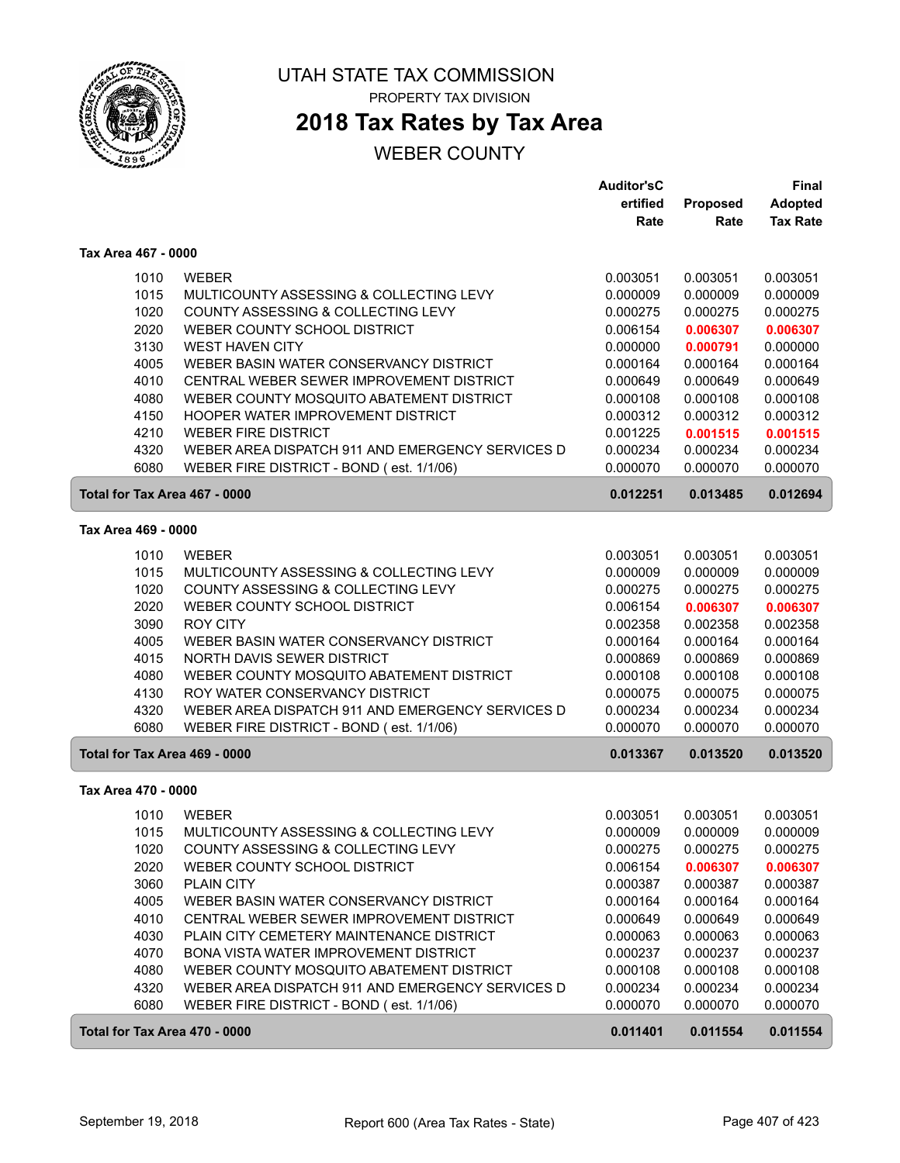

## **2018 Tax Rates by Tax Area**

|                               |                                                  | <b>Auditor'sC</b> |          | Final           |
|-------------------------------|--------------------------------------------------|-------------------|----------|-----------------|
|                               |                                                  | ertified          | Proposed | <b>Adopted</b>  |
|                               |                                                  | Rate              | Rate     | <b>Tax Rate</b> |
| Tax Area 467 - 0000           |                                                  |                   |          |                 |
| 1010                          | <b>WEBER</b>                                     | 0.003051          | 0.003051 | 0.003051        |
| 1015                          | MULTICOUNTY ASSESSING & COLLECTING LEVY          | 0.000009          | 0.000009 | 0.000009        |
| 1020                          | COUNTY ASSESSING & COLLECTING LEVY               | 0.000275          | 0.000275 | 0.000275        |
| 2020                          | WEBER COUNTY SCHOOL DISTRICT                     | 0.006154          | 0.006307 | 0.006307        |
| 3130                          | <b>WEST HAVEN CITY</b>                           | 0.000000          | 0.000791 | 0.000000        |
| 4005                          | WEBER BASIN WATER CONSERVANCY DISTRICT           | 0.000164          | 0.000164 | 0.000164        |
| 4010                          | CENTRAL WEBER SEWER IMPROVEMENT DISTRICT         | 0.000649          | 0.000649 | 0.000649        |
| 4080                          | WEBER COUNTY MOSQUITO ABATEMENT DISTRICT         | 0.000108          | 0.000108 | 0.000108        |
| 4150                          | HOOPER WATER IMPROVEMENT DISTRICT                | 0.000312          | 0.000312 | 0.000312        |
| 4210                          | <b>WEBER FIRE DISTRICT</b>                       | 0.001225          | 0.001515 | 0.001515        |
| 4320                          | WEBER AREA DISPATCH 911 AND EMERGENCY SERVICES D | 0.000234          | 0.000234 | 0.000234        |
| 6080                          | WEBER FIRE DISTRICT - BOND (est. 1/1/06)         | 0.000070          | 0.000070 | 0.000070        |
| Total for Tax Area 467 - 0000 |                                                  | 0.012251          | 0.013485 | 0.012694        |
|                               |                                                  |                   |          |                 |
| Tax Area 469 - 0000           |                                                  |                   |          |                 |
| 1010                          | <b>WEBER</b>                                     | 0.003051          | 0.003051 | 0.003051        |
| 1015                          | MULTICOUNTY ASSESSING & COLLECTING LEVY          | 0.000009          | 0.000009 | 0.000009        |
| 1020                          | COUNTY ASSESSING & COLLECTING LEVY               | 0.000275          | 0.000275 | 0.000275        |
| 2020                          | WEBER COUNTY SCHOOL DISTRICT                     | 0.006154          | 0.006307 | 0.006307        |
| 3090                          | <b>ROY CITY</b>                                  | 0.002358          | 0.002358 | 0.002358        |
| 4005                          | WEBER BASIN WATER CONSERVANCY DISTRICT           | 0.000164          | 0.000164 | 0.000164        |
| 4015                          | NORTH DAVIS SEWER DISTRICT                       | 0.000869          | 0.000869 | 0.000869        |
| 4080                          | WEBER COUNTY MOSQUITO ABATEMENT DISTRICT         | 0.000108          | 0.000108 | 0.000108        |
| 4130                          | ROY WATER CONSERVANCY DISTRICT                   | 0.000075          | 0.000075 | 0.000075        |
| 4320                          | WEBER AREA DISPATCH 911 AND EMERGENCY SERVICES D | 0.000234          | 0.000234 | 0.000234        |
| 6080                          | WEBER FIRE DISTRICT - BOND (est. 1/1/06)         | 0.000070          | 0.000070 | 0.000070        |
| Total for Tax Area 469 - 0000 |                                                  | 0.013367          | 0.013520 | 0.013520        |
| Tax Area 470 - 0000           |                                                  |                   |          |                 |
| 1010                          | <b>WEBER</b>                                     | 0.003051          | 0.003051 | 0.003051        |
| 1015                          | MULTICOUNTY ASSESSING & COLLECTING LEVY          | 0.000009          | 0.000009 | 0.000009        |
| 1020                          | COUNTY ASSESSING & COLLECTING LEVY               | 0.000275          | 0.000275 | 0.000275        |
| 2020                          | WEBER COUNTY SCHOOL DISTRICT                     | 0.006154          | 0.006307 | 0.006307        |
| 3060                          | PLAIN CITY                                       | 0.000387          | 0.000387 | 0.000387        |
| 4005                          | WEBER BASIN WATER CONSERVANCY DISTRICT           | 0.000164          | 0.000164 | 0.000164        |
| 4010                          | CENTRAL WEBER SEWER IMPROVEMENT DISTRICT         | 0.000649          | 0.000649 | 0.000649        |
| 4030                          | PLAIN CITY CEMETERY MAINTENANCE DISTRICT         | 0.000063          | 0.000063 | 0.000063        |
| 4070                          | BONA VISTA WATER IMPROVEMENT DISTRICT            | 0.000237          | 0.000237 | 0.000237        |
| 4080                          | WEBER COUNTY MOSQUITO ABATEMENT DISTRICT         | 0.000108          | 0.000108 | 0.000108        |
| 4320                          | WEBER AREA DISPATCH 911 AND EMERGENCY SERVICES D | 0.000234          | 0.000234 | 0.000234        |
| 6080                          | WEBER FIRE DISTRICT - BOND (est. 1/1/06)         | 0.000070          | 0.000070 | 0.000070        |
| Total for Tax Area 470 - 0000 |                                                  | 0.011401          | 0.011554 | 0.011554        |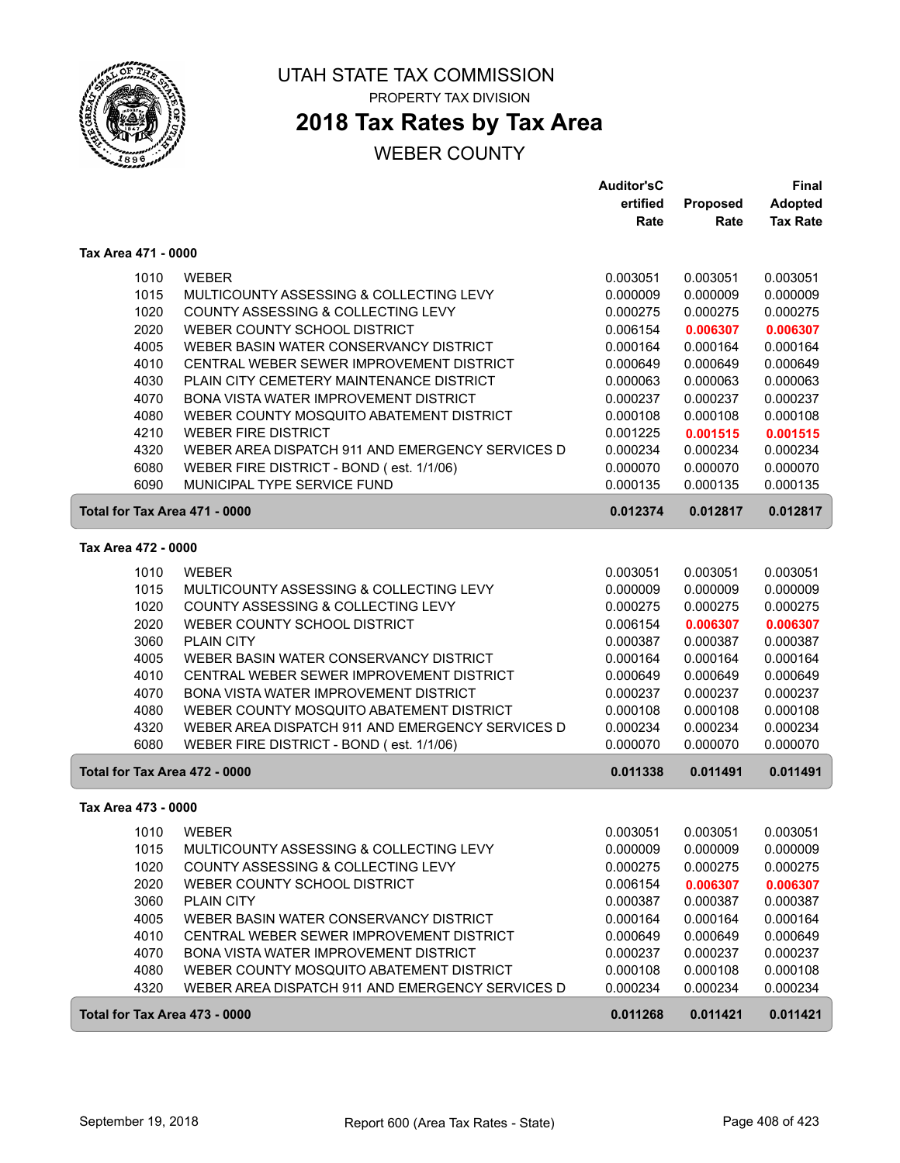

# **2018 Tax Rates by Tax Area**

|                     |                                                  | <b>Auditor'sC</b>    |                      | Final                |
|---------------------|--------------------------------------------------|----------------------|----------------------|----------------------|
|                     |                                                  | ertified             | Proposed             | <b>Adopted</b>       |
|                     |                                                  | Rate                 | Rate                 | <b>Tax Rate</b>      |
| Tax Area 471 - 0000 |                                                  |                      |                      |                      |
| 1010                | <b>WEBER</b>                                     | 0.003051             | 0.003051             | 0.003051             |
| 1015                | MULTICOUNTY ASSESSING & COLLECTING LEVY          | 0.000009             | 0.000009             | 0.000009             |
| 1020                | COUNTY ASSESSING & COLLECTING LEVY               | 0.000275             | 0.000275             | 0.000275             |
| 2020                | WEBER COUNTY SCHOOL DISTRICT                     | 0.006154             | 0.006307             | 0.006307             |
| 4005                | WEBER BASIN WATER CONSERVANCY DISTRICT           | 0.000164             | 0.000164             | 0.000164             |
| 4010                | CENTRAL WEBER SEWER IMPROVEMENT DISTRICT         | 0.000649             | 0.000649             | 0.000649             |
| 4030                | PLAIN CITY CEMETERY MAINTENANCE DISTRICT         | 0.000063             | 0.000063             | 0.000063             |
| 4070                | <b>BONA VISTA WATER IMPROVEMENT DISTRICT</b>     | 0.000237             | 0.000237             | 0.000237             |
| 4080                | WEBER COUNTY MOSQUITO ABATEMENT DISTRICT         | 0.000108             | 0.000108             | 0.000108             |
| 4210                | <b>WEBER FIRE DISTRICT</b>                       | 0.001225             | 0.001515             | 0.001515             |
| 4320                | WEBER AREA DISPATCH 911 AND EMERGENCY SERVICES D | 0.000234             | 0.000234             | 0.000234             |
| 6080                | WEBER FIRE DISTRICT - BOND (est. 1/1/06)         | 0.000070             | 0.000070             | 0.000070             |
| 6090                | MUNICIPAL TYPE SERVICE FUND                      | 0.000135             | 0.000135             | 0.000135             |
|                     | Total for Tax Area 471 - 0000                    | 0.012374             | 0.012817             | 0.012817             |
| Tax Area 472 - 0000 |                                                  |                      |                      |                      |
| 1010                | <b>WEBER</b>                                     | 0.003051             | 0.003051             | 0.003051             |
| 1015                | MULTICOUNTY ASSESSING & COLLECTING LEVY          | 0.000009             | 0.000009             | 0.000009             |
| 1020                | COUNTY ASSESSING & COLLECTING LEVY               | 0.000275             | 0.000275             | 0.000275             |
| 2020                | WEBER COUNTY SCHOOL DISTRICT                     | 0.006154             | 0.006307             | 0.006307             |
| 3060                | <b>PLAIN CITY</b>                                | 0.000387             | 0.000387             | 0.000387             |
| 4005                | WEBER BASIN WATER CONSERVANCY DISTRICT           | 0.000164             | 0.000164             | 0.000164             |
| 4010                | CENTRAL WEBER SEWER IMPROVEMENT DISTRICT         | 0.000649             | 0.000649             | 0.000649             |
| 4070                | BONA VISTA WATER IMPROVEMENT DISTRICT            | 0.000237             | 0.000237             | 0.000237             |
| 4080                | WEBER COUNTY MOSQUITO ABATEMENT DISTRICT         | 0.000108             | 0.000108             | 0.000108             |
| 4320                | WEBER AREA DISPATCH 911 AND EMERGENCY SERVICES D | 0.000234             | 0.000234             | 0.000234             |
| 6080                | WEBER FIRE DISTRICT - BOND (est. 1/1/06)         | 0.000070             | 0.000070             | 0.000070             |
|                     | Total for Tax Area 472 - 0000                    | 0.011338             | 0.011491             | 0.011491             |
| Tax Area 473 - 0000 |                                                  |                      |                      |                      |
| 1010                | <b>WEBER</b>                                     | 0.003051             |                      | 0.003051             |
|                     | MULTICOUNTY ASSESSING & COLLECTING LEVY          |                      | 0.003051<br>0.000009 |                      |
| 1015<br>1020        | COUNTY ASSESSING & COLLECTING LEVY               | 0.000009<br>0.000275 | 0.000275             | 0.000009<br>0.000275 |
| 2020                | WEBER COUNTY SCHOOL DISTRICT                     | 0.006154             | 0.006307             | 0.006307             |
| 3060                | <b>PLAIN CITY</b>                                | 0.000387             | 0.000387             | 0.000387             |
| 4005                | WEBER BASIN WATER CONSERVANCY DISTRICT           | 0.000164             | 0.000164             | 0.000164             |
| 4010                | CENTRAL WEBER SEWER IMPROVEMENT DISTRICT         | 0.000649             | 0.000649             | 0.000649             |
| 4070                | BONA VISTA WATER IMPROVEMENT DISTRICT            | 0.000237             | 0.000237             | 0.000237             |
| 4080                | WEBER COUNTY MOSQUITO ABATEMENT DISTRICT         | 0.000108             | 0.000108             | 0.000108             |
| 4320                | WEBER AREA DISPATCH 911 AND EMERGENCY SERVICES D | 0.000234             | 0.000234             | 0.000234             |
|                     | Total for Tax Area 473 - 0000                    | 0.011268             | 0.011421             | 0.011421             |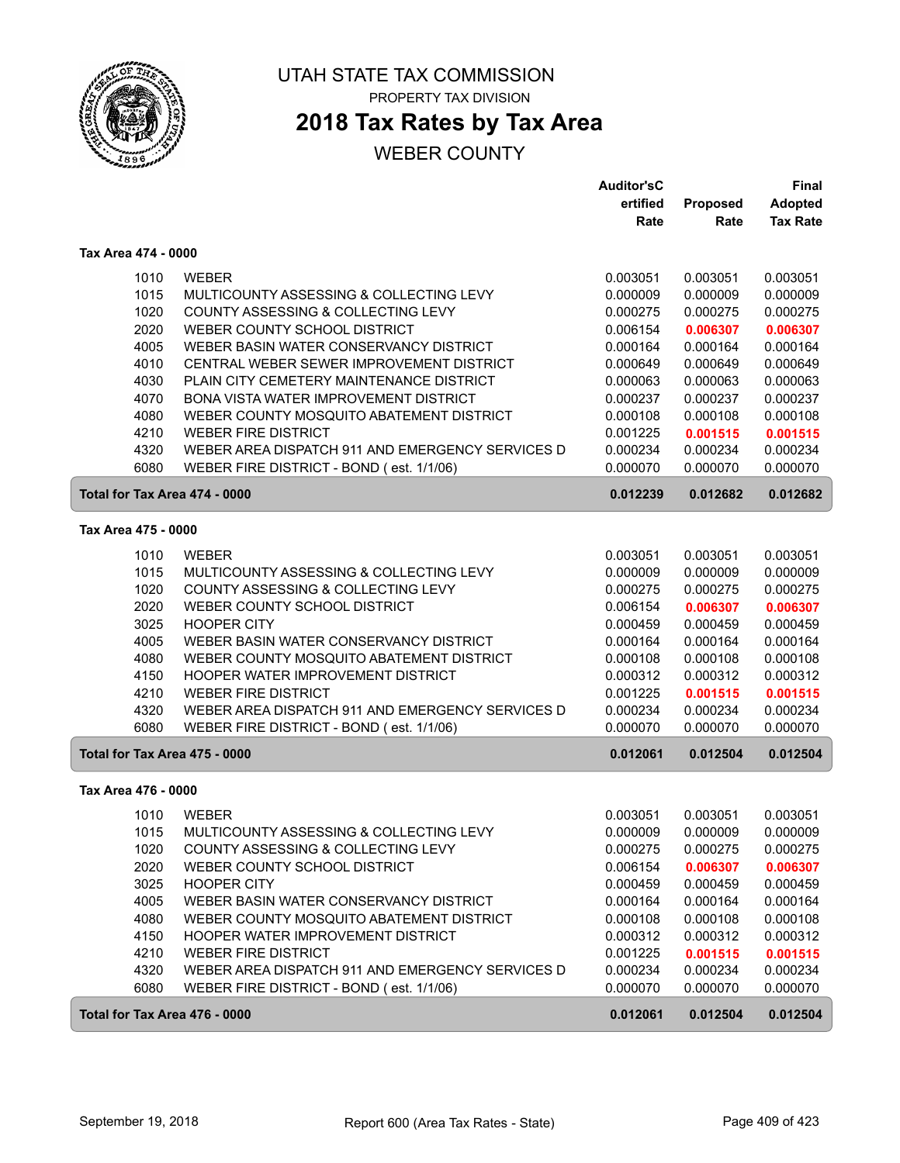

# **2018 Tax Rates by Tax Area**

|                               |                                                  | <b>Auditor'sC</b> |          | <b>Final</b>    |
|-------------------------------|--------------------------------------------------|-------------------|----------|-----------------|
|                               |                                                  | ertified          | Proposed | <b>Adopted</b>  |
|                               |                                                  | Rate              | Rate     | <b>Tax Rate</b> |
| Tax Area 474 - 0000           |                                                  |                   |          |                 |
| 1010                          | <b>WEBER</b>                                     | 0.003051          | 0.003051 | 0.003051        |
| 1015                          | MULTICOUNTY ASSESSING & COLLECTING LEVY          | 0.000009          | 0.000009 | 0.000009        |
| 1020                          | COUNTY ASSESSING & COLLECTING LEVY               | 0.000275          | 0.000275 | 0.000275        |
| 2020                          | WEBER COUNTY SCHOOL DISTRICT                     | 0.006154          | 0.006307 | 0.006307        |
| 4005                          | WEBER BASIN WATER CONSERVANCY DISTRICT           | 0.000164          | 0.000164 | 0.000164        |
| 4010                          | CENTRAL WEBER SEWER IMPROVEMENT DISTRICT         | 0.000649          | 0.000649 | 0.000649        |
| 4030                          | PLAIN CITY CEMETERY MAINTENANCE DISTRICT         | 0.000063          | 0.000063 | 0.000063        |
| 4070                          | BONA VISTA WATER IMPROVEMENT DISTRICT            | 0.000237          | 0.000237 | 0.000237        |
| 4080                          | WEBER COUNTY MOSQUITO ABATEMENT DISTRICT         | 0.000108          | 0.000108 | 0.000108        |
| 4210                          | <b>WEBER FIRE DISTRICT</b>                       | 0.001225          | 0.001515 | 0.001515        |
| 4320                          | WEBER AREA DISPATCH 911 AND EMERGENCY SERVICES D | 0.000234          | 0.000234 | 0.000234        |
| 6080                          | WEBER FIRE DISTRICT - BOND (est. 1/1/06)         | 0.000070          | 0.000070 | 0.000070        |
| Total for Tax Area 474 - 0000 |                                                  | 0.012239          | 0.012682 | 0.012682        |
| Tax Area 475 - 0000           |                                                  |                   |          |                 |
| 1010                          | <b>WEBER</b>                                     | 0.003051          | 0.003051 | 0.003051        |
| 1015                          | MULTICOUNTY ASSESSING & COLLECTING LEVY          | 0.000009          | 0.000009 | 0.000009        |
| 1020                          | COUNTY ASSESSING & COLLECTING LEVY               | 0.000275          | 0.000275 | 0.000275        |
| 2020                          | WEBER COUNTY SCHOOL DISTRICT                     | 0.006154          | 0.006307 | 0.006307        |
| 3025                          | <b>HOOPER CITY</b>                               | 0.000459          | 0.000459 | 0.000459        |
| 4005                          | WEBER BASIN WATER CONSERVANCY DISTRICT           | 0.000164          | 0.000164 | 0.000164        |
| 4080                          | WEBER COUNTY MOSQUITO ABATEMENT DISTRICT         | 0.000108          | 0.000108 | 0.000108        |
| 4150                          | HOOPER WATER IMPROVEMENT DISTRICT                | 0.000312          | 0.000312 | 0.000312        |
| 4210                          | <b>WEBER FIRE DISTRICT</b>                       | 0.001225          | 0.001515 | 0.001515        |
| 4320                          | WEBER AREA DISPATCH 911 AND EMERGENCY SERVICES D | 0.000234          | 0.000234 | 0.000234        |
| 6080                          | WEBER FIRE DISTRICT - BOND (est. 1/1/06)         | 0.000070          | 0.000070 | 0.000070        |
| Total for Tax Area 475 - 0000 |                                                  | 0.012061          | 0.012504 | 0.012504        |
| Tax Area 476 - 0000           |                                                  |                   |          |                 |
| 1010                          | <b>WEBER</b>                                     | 0.003051          | 0.003051 | 0.003051        |
| 1015                          | MULTICOUNTY ASSESSING & COLLECTING LEVY          | 0.000009          | 0.000009 | 0.000009        |
| 1020                          | COUNTY ASSESSING & COLLECTING LEVY               | 0.000275          | 0.000275 | 0.000275        |
| 2020                          | WEBER COUNTY SCHOOL DISTRICT                     | 0.006154          | 0.006307 | 0.006307        |
| 3025                          | <b>HOOPER CITY</b>                               | 0.000459          | 0.000459 | 0.000459        |
| 4005                          | WEBER BASIN WATER CONSERVANCY DISTRICT           | 0.000164          | 0.000164 | 0.000164        |
| 4080                          | WEBER COUNTY MOSQUITO ABATEMENT DISTRICT         | 0.000108          | 0.000108 | 0.000108        |
| 4150                          | HOOPER WATER IMPROVEMENT DISTRICT                | 0.000312          | 0.000312 | 0.000312        |
| 4210                          | <b>WEBER FIRE DISTRICT</b>                       | 0.001225          | 0.001515 | 0.001515        |
| 4320                          | WEBER AREA DISPATCH 911 AND EMERGENCY SERVICES D | 0.000234          | 0.000234 | 0.000234        |
| 6080                          | WEBER FIRE DISTRICT - BOND (est. 1/1/06)         | 0.000070          | 0.000070 | 0.000070        |
| Total for Tax Area 476 - 0000 |                                                  | 0.012061          | 0.012504 | 0.012504        |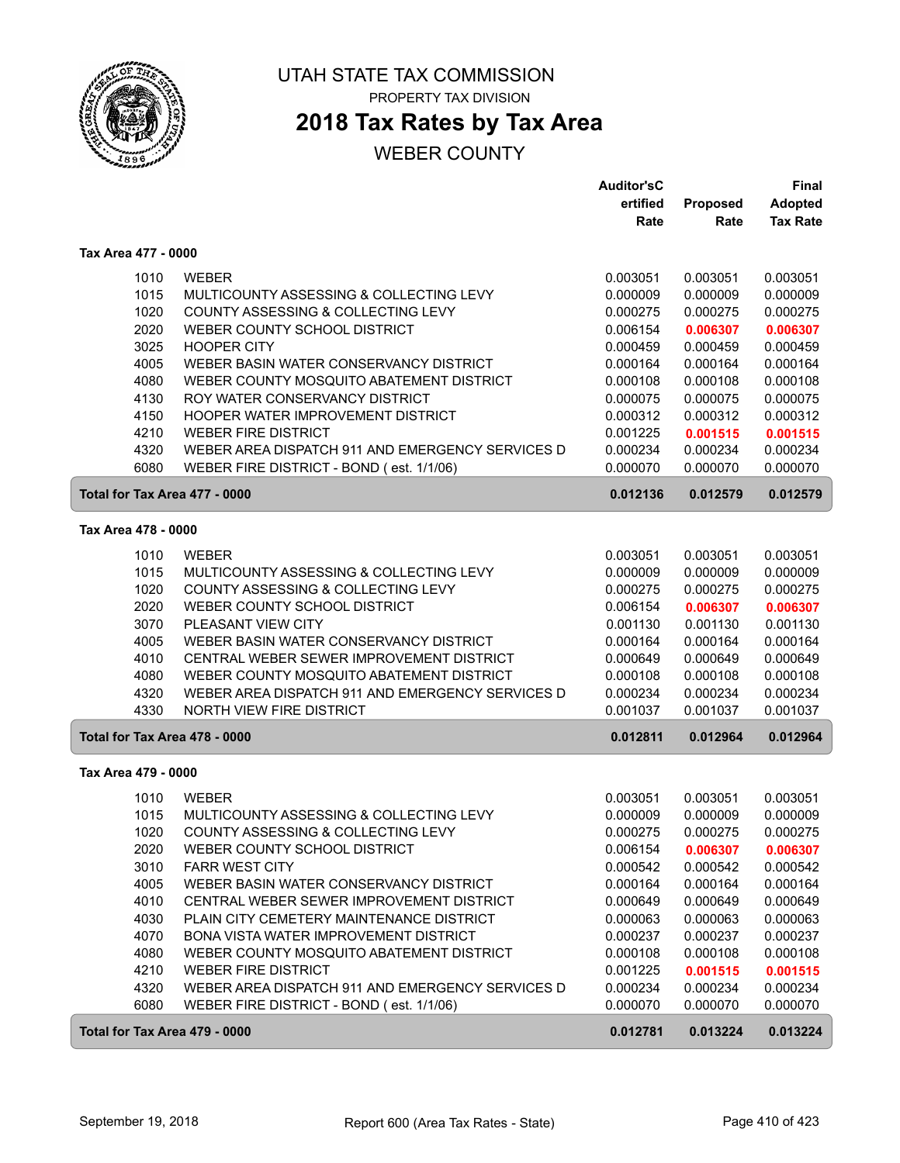

## **2018 Tax Rates by Tax Area**

|                               |                                                  | <b>Auditor'sC</b> |          | Final           |
|-------------------------------|--------------------------------------------------|-------------------|----------|-----------------|
|                               |                                                  | ertified          | Proposed | <b>Adopted</b>  |
|                               |                                                  | Rate              | Rate     | <b>Tax Rate</b> |
| Tax Area 477 - 0000           |                                                  |                   |          |                 |
| 1010                          | <b>WEBER</b>                                     | 0.003051          | 0.003051 | 0.003051        |
| 1015                          | MULTICOUNTY ASSESSING & COLLECTING LEVY          | 0.000009          | 0.000009 | 0.000009        |
| 1020                          | COUNTY ASSESSING & COLLECTING LEVY               | 0.000275          | 0.000275 | 0.000275        |
| 2020                          | WEBER COUNTY SCHOOL DISTRICT                     | 0.006154          | 0.006307 | 0.006307        |
| 3025                          | <b>HOOPER CITY</b>                               | 0.000459          | 0.000459 | 0.000459        |
| 4005                          | WEBER BASIN WATER CONSERVANCY DISTRICT           | 0.000164          | 0.000164 | 0.000164        |
| 4080                          | WEBER COUNTY MOSQUITO ABATEMENT DISTRICT         | 0.000108          | 0.000108 | 0.000108        |
| 4130                          | ROY WATER CONSERVANCY DISTRICT                   | 0.000075          | 0.000075 | 0.000075        |
| 4150                          | HOOPER WATER IMPROVEMENT DISTRICT                | 0.000312          | 0.000312 | 0.000312        |
| 4210                          | <b>WEBER FIRE DISTRICT</b>                       | 0.001225          | 0.001515 | 0.001515        |
| 4320                          | WEBER AREA DISPATCH 911 AND EMERGENCY SERVICES D | 0.000234          | 0.000234 | 0.000234        |
| 6080                          | WEBER FIRE DISTRICT - BOND (est. 1/1/06)         | 0.000070          | 0.000070 | 0.000070        |
| Total for Tax Area 477 - 0000 |                                                  | 0.012136          | 0.012579 | 0.012579        |
| Tax Area 478 - 0000           |                                                  |                   |          |                 |
| 1010                          | <b>WEBER</b>                                     | 0.003051          | 0.003051 | 0.003051        |
| 1015                          | MULTICOUNTY ASSESSING & COLLECTING LEVY          | 0.000009          | 0.000009 | 0.000009        |
| 1020                          | COUNTY ASSESSING & COLLECTING LEVY               | 0.000275          | 0.000275 | 0.000275        |
| 2020                          | WEBER COUNTY SCHOOL DISTRICT                     | 0.006154          | 0.006307 | 0.006307        |
| 3070                          | PLEASANT VIEW CITY                               | 0.001130          | 0.001130 | 0.001130        |
| 4005                          | WEBER BASIN WATER CONSERVANCY DISTRICT           | 0.000164          | 0.000164 | 0.000164        |
| 4010                          | CENTRAL WEBER SEWER IMPROVEMENT DISTRICT         | 0.000649          | 0.000649 | 0.000649        |
| 4080                          | WEBER COUNTY MOSQUITO ABATEMENT DISTRICT         | 0.000108          | 0.000108 | 0.000108        |
| 4320                          | WEBER AREA DISPATCH 911 AND EMERGENCY SERVICES D | 0.000234          | 0.000234 | 0.000234        |
| 4330                          | NORTH VIEW FIRE DISTRICT                         | 0.001037          | 0.001037 | 0.001037        |
| Total for Tax Area 478 - 0000 |                                                  | 0.012811          | 0.012964 | 0.012964        |
| Tax Area 479 - 0000           |                                                  |                   |          |                 |
| 1010                          | <b>WEBER</b>                                     | 0.003051          | 0.003051 | 0.003051        |
| 1015                          | MULTICOUNTY ASSESSING & COLLECTING LEVY          | 0.000009          | 0.000009 | 0.000009        |
| 1020                          | COUNTY ASSESSING & COLLECTING LEVY               | 0.000275          | 0.000275 | 0.000275        |
| 2020                          | WEBER COUNTY SCHOOL DISTRICT                     | 0.006154          | 0.006307 | 0.006307        |
| 3010                          | <b>FARR WEST CITY</b>                            | 0.000542          | 0.000542 | 0.000542        |
| 4005                          | WEBER BASIN WATER CONSERVANCY DISTRICT           | 0.000164          | 0.000164 | 0.000164        |
| 4010                          | CENTRAL WEBER SEWER IMPROVEMENT DISTRICT         | 0.000649          | 0.000649 | 0.000649        |
| 4030                          | PLAIN CITY CEMETERY MAINTENANCE DISTRICT         | 0.000063          | 0.000063 | 0.000063        |
| 4070                          | BONA VISTA WATER IMPROVEMENT DISTRICT            | 0.000237          | 0.000237 | 0.000237        |
| 4080                          | WEBER COUNTY MOSQUITO ABATEMENT DISTRICT         | 0.000108          | 0.000108 | 0.000108        |
| 4210                          | <b>WEBER FIRE DISTRICT</b>                       | 0.001225          | 0.001515 | 0.001515        |
| 4320                          | WEBER AREA DISPATCH 911 AND EMERGENCY SERVICES D | 0.000234          | 0.000234 | 0.000234        |
| 6080                          | WEBER FIRE DISTRICT - BOND (est. 1/1/06)         | 0.000070          | 0.000070 | 0.000070        |
| Total for Tax Area 479 - 0000 |                                                  | 0.012781          | 0.013224 | 0.013224        |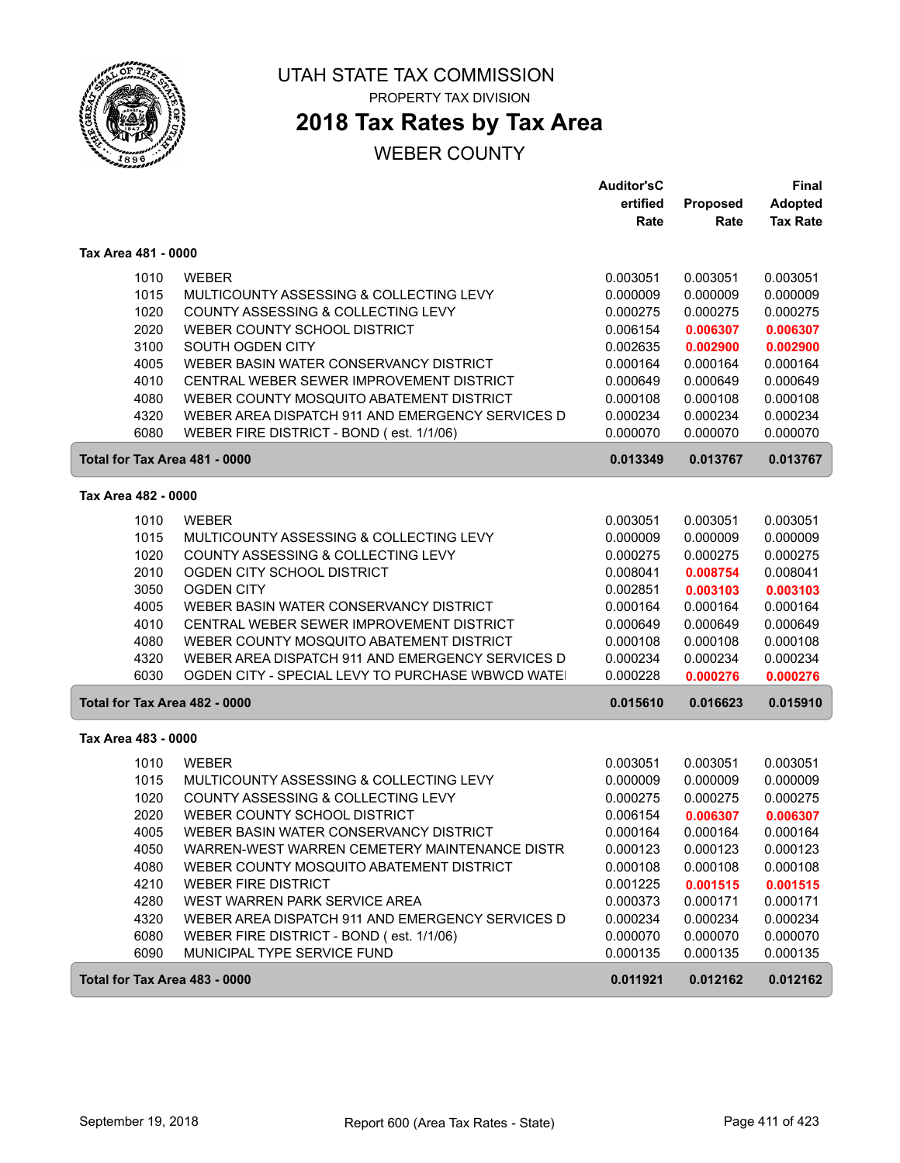

# **2018 Tax Rates by Tax Area**

|                               |                                                  | <b>Auditor'sC</b> |          | Final           |
|-------------------------------|--------------------------------------------------|-------------------|----------|-----------------|
|                               |                                                  | ertified          | Proposed | <b>Adopted</b>  |
|                               |                                                  | Rate              | Rate     | <b>Tax Rate</b> |
| Tax Area 481 - 0000           |                                                  |                   |          |                 |
| 1010                          | <b>WEBER</b>                                     | 0.003051          | 0.003051 | 0.003051        |
| 1015                          | MULTICOUNTY ASSESSING & COLLECTING LEVY          | 0.000009          | 0.000009 | 0.000009        |
| 1020                          | COUNTY ASSESSING & COLLECTING LEVY               | 0.000275          | 0.000275 | 0.000275        |
| 2020                          | WEBER COUNTY SCHOOL DISTRICT                     | 0.006154          | 0.006307 | 0.006307        |
| 3100                          | SOUTH OGDEN CITY                                 | 0.002635          | 0.002900 | 0.002900        |
| 4005                          | WEBER BASIN WATER CONSERVANCY DISTRICT           | 0.000164          | 0.000164 | 0.000164        |
| 4010                          | CENTRAL WEBER SEWER IMPROVEMENT DISTRICT         | 0.000649          | 0.000649 | 0.000649        |
| 4080                          | WEBER COUNTY MOSQUITO ABATEMENT DISTRICT         | 0.000108          | 0.000108 | 0.000108        |
| 4320                          | WEBER AREA DISPATCH 911 AND EMERGENCY SERVICES D | 0.000234          | 0.000234 | 0.000234        |
| 6080                          | WEBER FIRE DISTRICT - BOND (est. 1/1/06)         | 0.000070          | 0.000070 | 0.000070        |
| Total for Tax Area 481 - 0000 |                                                  | 0.013349          | 0.013767 | 0.013767        |
| Tax Area 482 - 0000           |                                                  |                   |          |                 |
| 1010                          | <b>WEBER</b>                                     | 0.003051          | 0.003051 | 0.003051        |
| 1015                          | MULTICOUNTY ASSESSING & COLLECTING LEVY          | 0.000009          | 0.000009 | 0.000009        |
| 1020                          | COUNTY ASSESSING & COLLECTING LEVY               | 0.000275          | 0.000275 | 0.000275        |
| 2010                          | OGDEN CITY SCHOOL DISTRICT                       | 0.008041          | 0.008754 | 0.008041        |
| 3050                          | <b>OGDEN CITY</b>                                | 0.002851          | 0.003103 | 0.003103        |
| 4005                          | WEBER BASIN WATER CONSERVANCY DISTRICT           | 0.000164          | 0.000164 | 0.000164        |
| 4010                          | CENTRAL WEBER SEWER IMPROVEMENT DISTRICT         | 0.000649          | 0.000649 | 0.000649        |
| 4080                          | WEBER COUNTY MOSQUITO ABATEMENT DISTRICT         | 0.000108          | 0.000108 | 0.000108        |
| 4320                          | WEBER AREA DISPATCH 911 AND EMERGENCY SERVICES D | 0.000234          | 0.000234 | 0.000234        |
| 6030                          | OGDEN CITY - SPECIAL LEVY TO PURCHASE WBWCD WATE | 0.000228          | 0.000276 | 0.000276        |
| Total for Tax Area 482 - 0000 |                                                  | 0.015610          | 0.016623 | 0.015910        |
| Tax Area 483 - 0000           |                                                  |                   |          |                 |
| 1010                          | <b>WEBER</b>                                     | 0.003051          | 0.003051 | 0.003051        |
| 1015                          | MULTICOUNTY ASSESSING & COLLECTING LEVY          | 0.000009          | 0.000009 | 0.000009        |
| 1020                          | COUNTY ASSESSING & COLLECTING LEVY               | 0.000275          | 0.000275 | 0.000275        |
| 2020                          | WEBER COUNTY SCHOOL DISTRICT                     | 0.006154          | 0.006307 | 0.006307        |
| 4005                          | WEBER BASIN WATER CONSERVANCY DISTRICT           | 0.000164          | 0.000164 | 0.000164        |
| 4050                          | WARREN-WEST WARREN CEMETERY MAINTENANCE DISTR    | 0.000123          | 0.000123 | 0.000123        |
| 4080                          | WEBER COUNTY MOSQUITO ABATEMENT DISTRICT         | 0.000108          | 0.000108 | 0.000108        |
| 4210                          | <b>WEBER FIRE DISTRICT</b>                       | 0.001225          | 0.001515 | 0.001515        |
| 4280                          | WEST WARREN PARK SERVICE AREA                    | 0.000373          | 0.000171 | 0.000171        |
| 4320                          | WEBER AREA DISPATCH 911 AND EMERGENCY SERVICES D | 0.000234          | 0.000234 | 0.000234        |
| 6080                          | WEBER FIRE DISTRICT - BOND (est. 1/1/06)         | 0.000070          | 0.000070 | 0.000070        |
| 6090                          | MUNICIPAL TYPE SERVICE FUND                      | 0.000135          | 0.000135 | 0.000135        |
| Total for Tax Area 483 - 0000 |                                                  | 0.011921          | 0.012162 | 0.012162        |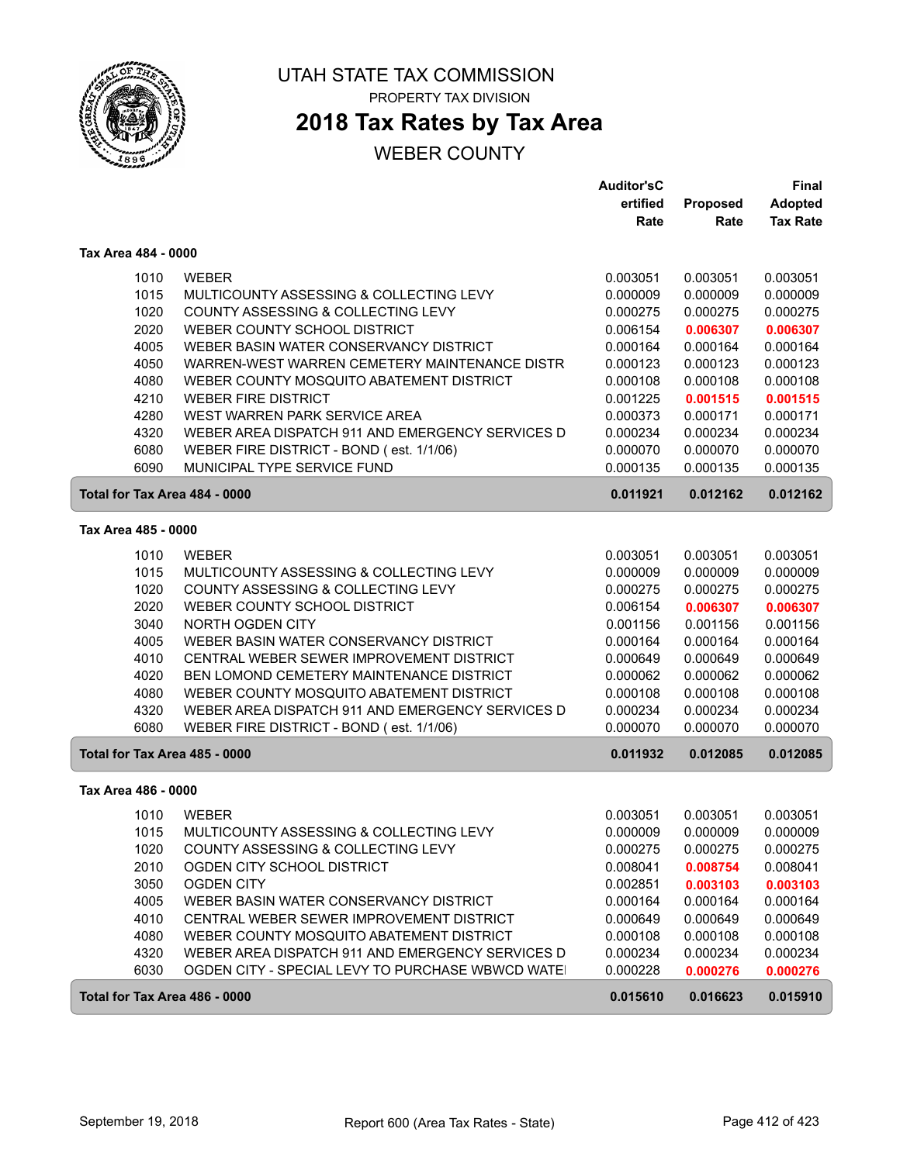

# **2018 Tax Rates by Tax Area**

## WEBER COUNTY

|                               |                                                  | <b>Auditor'sC</b> |                  | <b>Final</b>                      |
|-------------------------------|--------------------------------------------------|-------------------|------------------|-----------------------------------|
|                               |                                                  | ertified<br>Rate  | Proposed<br>Rate | <b>Adopted</b><br><b>Tax Rate</b> |
|                               |                                                  |                   |                  |                                   |
| Tax Area 484 - 0000           |                                                  |                   |                  |                                   |
| 1010                          | <b>WEBER</b>                                     | 0.003051          | 0.003051         | 0.003051                          |
| 1015                          | MULTICOUNTY ASSESSING & COLLECTING LEVY          | 0.000009          | 0.000009         | 0.000009                          |
| 1020                          | COUNTY ASSESSING & COLLECTING LEVY               | 0.000275          | 0.000275         | 0.000275                          |
| 2020                          | WEBER COUNTY SCHOOL DISTRICT                     | 0.006154          | 0.006307         | 0.006307                          |
| 4005                          | WEBER BASIN WATER CONSERVANCY DISTRICT           | 0.000164          | 0.000164         | 0.000164                          |
| 4050                          | WARREN-WEST WARREN CEMETERY MAINTENANCE DISTR    | 0.000123          | 0.000123         | 0.000123                          |
| 4080                          | WEBER COUNTY MOSQUITO ABATEMENT DISTRICT         | 0.000108          | 0.000108         | 0.000108                          |
| 4210                          | <b>WEBER FIRE DISTRICT</b>                       | 0.001225          | 0.001515         | 0.001515                          |
| 4280                          | WEST WARREN PARK SERVICE AREA                    | 0.000373          | 0.000171         | 0.000171                          |
| 4320                          | WEBER AREA DISPATCH 911 AND EMERGENCY SERVICES D | 0.000234          | 0.000234         | 0.000234                          |
| 6080                          | WEBER FIRE DISTRICT - BOND (est. 1/1/06)         | 0.000070          | 0.000070         | 0.000070                          |
| 6090                          | MUNICIPAL TYPE SERVICE FUND                      | 0.000135          | 0.000135         | 0.000135                          |
| Total for Tax Area 484 - 0000 |                                                  | 0.011921          | 0.012162         | 0.012162                          |
| Tax Area 485 - 0000           |                                                  |                   |                  |                                   |
| 1010                          | <b>WEBER</b>                                     | 0.003051          | 0.003051         | 0.003051                          |
| 1015                          | MULTICOUNTY ASSESSING & COLLECTING LEVY          | 0.000009          | 0.000009         | 0.000009                          |
| 1020                          | COUNTY ASSESSING & COLLECTING LEVY               | 0.000275          | 0.000275         | 0.000275                          |
| 2020                          | WEBER COUNTY SCHOOL DISTRICT                     | 0.006154          | 0.006307         | 0.006307                          |
| 3040                          | <b>NORTH OGDEN CITY</b>                          | 0.001156          | 0.001156         | 0.001156                          |
| 4005                          | WEBER BASIN WATER CONSERVANCY DISTRICT           | 0.000164          | 0.000164         | 0.000164                          |
| 4010                          | CENTRAL WEBER SEWER IMPROVEMENT DISTRICT         | 0.000649          | 0.000649         | 0.000649                          |
| 4020                          | BEN LOMOND CEMETERY MAINTENANCE DISTRICT         | 0.000062          | 0.000062         | 0.000062                          |
| 4080                          | WEBER COUNTY MOSQUITO ABATEMENT DISTRICT         | 0.000108          | 0.000108         | 0.000108                          |
| 4320                          | WEBER AREA DISPATCH 911 AND EMERGENCY SERVICES D | 0.000234          | 0.000234         | 0.000234                          |
| 6080                          | WEBER FIRE DISTRICT - BOND (est. 1/1/06)         | 0.000070          | 0.000070         | 0.000070                          |
| Total for Tax Area 485 - 0000 |                                                  | 0.011932          | 0.012085         | 0.012085                          |
| Tax Area 486 - 0000           |                                                  |                   |                  |                                   |
| 1010                          | <b>WEBER</b>                                     | 0.003051          | 0.003051         | 0.003051                          |
| 1015                          | MULTICOUNTY ASSESSING & COLLECTING LEVY          | 0.000009          | 0.000009         | 0.000009                          |
| 1020                          | COUNTY ASSESSING & COLLECTING LEVY               | 0.000275          | 0.000275         | 0.000275                          |
| 2010                          | OGDEN CITY SCHOOL DISTRICT                       | 0.008041          | 0.008754         | 0.008041                          |
| 3050                          | OGDEN CITY                                       | 0.002851          | 0.003103         | 0.003103                          |
| 4005                          | WEBER BASIN WATER CONSERVANCY DISTRICT           | 0.000164          | 0.000164         | 0.000164                          |
| 4010                          | CENTRAL WEBER SEWER IMPROVEMENT DISTRICT         | 0.000649          | 0.000649         | 0.000649                          |
| 4080                          | WEBER COUNTY MOSQUITO ABATEMENT DISTRICT         | 0.000108          | 0.000108         | 0.000108                          |
| 4320                          | WEBER AREA DISPATCH 911 AND EMERGENCY SERVICES D | 0.000234          | 0.000234         | 0.000234                          |
| 6030                          | OGDEN CITY - SPECIAL LEVY TO PURCHASE WBWCD WATE | 0.000228          | 0.000276         | 0.000276                          |
| Total for Tax Area 486 - 0000 |                                                  | 0.015610          | 0.016623         | 0.015910                          |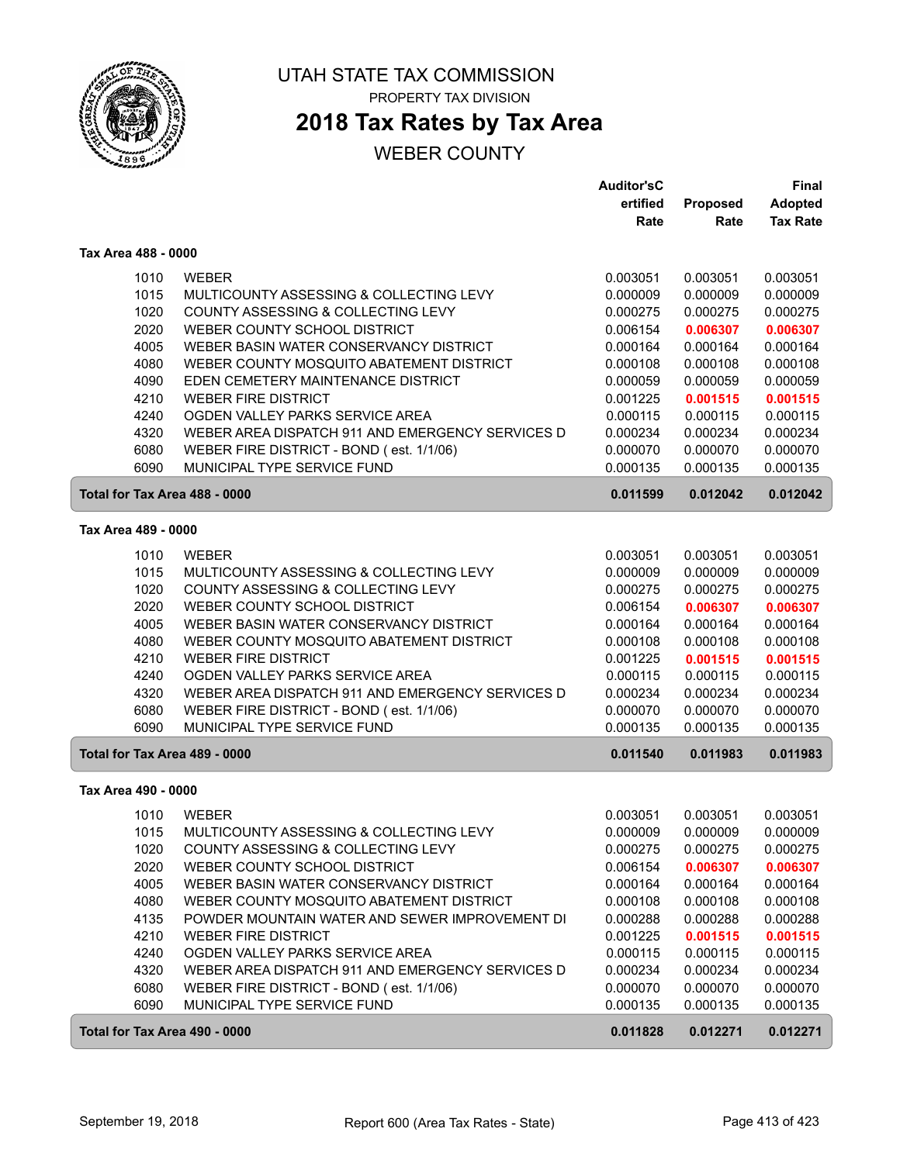

## **2018 Tax Rates by Tax Area**

|                               |                                                  | <b>Auditor'sC</b> |                 | Final           |
|-------------------------------|--------------------------------------------------|-------------------|-----------------|-----------------|
|                               |                                                  | ertified          | <b>Proposed</b> | <b>Adopted</b>  |
|                               |                                                  | Rate              | Rate            | <b>Tax Rate</b> |
| Tax Area 488 - 0000           |                                                  |                   |                 |                 |
| 1010                          | <b>WEBER</b>                                     | 0.003051          | 0.003051        | 0.003051        |
| 1015                          | MULTICOUNTY ASSESSING & COLLECTING LEVY          | 0.000009          | 0.000009        | 0.000009        |
| 1020                          | COUNTY ASSESSING & COLLECTING LEVY               | 0.000275          | 0.000275        | 0.000275        |
| 2020                          | WEBER COUNTY SCHOOL DISTRICT                     | 0.006154          | 0.006307        | 0.006307        |
| 4005                          | WEBER BASIN WATER CONSERVANCY DISTRICT           | 0.000164          | 0.000164        | 0.000164        |
| 4080                          | WEBER COUNTY MOSQUITO ABATEMENT DISTRICT         | 0.000108          | 0.000108        | 0.000108        |
| 4090                          | EDEN CEMETERY MAINTENANCE DISTRICT               | 0.000059          | 0.000059        | 0.000059        |
| 4210                          | <b>WEBER FIRE DISTRICT</b>                       | 0.001225          | 0.001515        | 0.001515        |
| 4240                          | OGDEN VALLEY PARKS SERVICE AREA                  | 0.000115          | 0.000115        | 0.000115        |
| 4320                          | WEBER AREA DISPATCH 911 AND EMERGENCY SERVICES D | 0.000234          | 0.000234        | 0.000234        |
| 6080                          | WEBER FIRE DISTRICT - BOND (est. 1/1/06)         | 0.000070          | 0.000070        | 0.000070        |
| 6090                          | MUNICIPAL TYPE SERVICE FUND                      | 0.000135          | 0.000135        | 0.000135        |
| Total for Tax Area 488 - 0000 |                                                  | 0.011599          | 0.012042        | 0.012042        |
|                               |                                                  |                   |                 |                 |
| Tax Area 489 - 0000           |                                                  |                   |                 |                 |
| 1010                          | <b>WEBER</b>                                     | 0.003051          | 0.003051        | 0.003051        |
| 1015                          | MULTICOUNTY ASSESSING & COLLECTING LEVY          | 0.000009          | 0.000009        | 0.000009        |
| 1020                          | COUNTY ASSESSING & COLLECTING LEVY               | 0.000275          | 0.000275        | 0.000275        |
| 2020                          | WEBER COUNTY SCHOOL DISTRICT                     | 0.006154          | 0.006307        | 0.006307        |
| 4005                          | WEBER BASIN WATER CONSERVANCY DISTRICT           | 0.000164          | 0.000164        | 0.000164        |
| 4080                          | WEBER COUNTY MOSQUITO ABATEMENT DISTRICT         | 0.000108          | 0.000108        | 0.000108        |
| 4210                          | <b>WEBER FIRE DISTRICT</b>                       | 0.001225          | 0.001515        | 0.001515        |
| 4240                          | OGDEN VALLEY PARKS SERVICE AREA                  | 0.000115          | 0.000115        | 0.000115        |
| 4320                          | WEBER AREA DISPATCH 911 AND EMERGENCY SERVICES D | 0.000234          | 0.000234        | 0.000234        |
| 6080                          | WEBER FIRE DISTRICT - BOND (est. 1/1/06)         | 0.000070          | 0.000070        | 0.000070        |
| 6090                          | MUNICIPAL TYPE SERVICE FUND                      | 0.000135          | 0.000135        | 0.000135        |
| Total for Tax Area 489 - 0000 |                                                  | 0.011540          | 0.011983        | 0.011983        |
| Tax Area 490 - 0000           |                                                  |                   |                 |                 |
| 1010                          | <b>WEBER</b>                                     | 0.003051          | 0.003051        | 0.003051        |
| 1015                          | MULTICOUNTY ASSESSING & COLLECTING LEVY          | 0.000009          | 0.000009        | 0.000009        |
| 1020                          | COUNTY ASSESSING & COLLECTING LEVY               | 0.000275          | 0.000275        | 0.000275        |
| 2020                          | WEBER COUNTY SCHOOL DISTRICT                     | 0.006154          | 0.006307        | 0.006307        |
| 4005                          | WEBER BASIN WATER CONSERVANCY DISTRICT           | 0.000164          | 0.000164        | 0.000164        |
| 4080                          | WEBER COUNTY MOSQUITO ABATEMENT DISTRICT         | 0.000108          | 0.000108        | 0.000108        |
| 4135                          | POWDER MOUNTAIN WATER AND SEWER IMPROVEMENT DI   | 0.000288          | 0.000288        | 0.000288        |
| 4210                          | <b>WEBER FIRE DISTRICT</b>                       | 0.001225          | 0.001515        | 0.001515        |
| 4240                          | OGDEN VALLEY PARKS SERVICE AREA                  | 0.000115          | 0.000115        | 0.000115        |
| 4320                          | WEBER AREA DISPATCH 911 AND EMERGENCY SERVICES D | 0.000234          | 0.000234        | 0.000234        |
| 6080                          | WEBER FIRE DISTRICT - BOND (est. 1/1/06)         | 0.000070          | 0.000070        | 0.000070        |
| 6090                          | MUNICIPAL TYPE SERVICE FUND                      | 0.000135          | 0.000135        | 0.000135        |
| Total for Tax Area 490 - 0000 |                                                  | 0.011828          | 0.012271        | 0.012271        |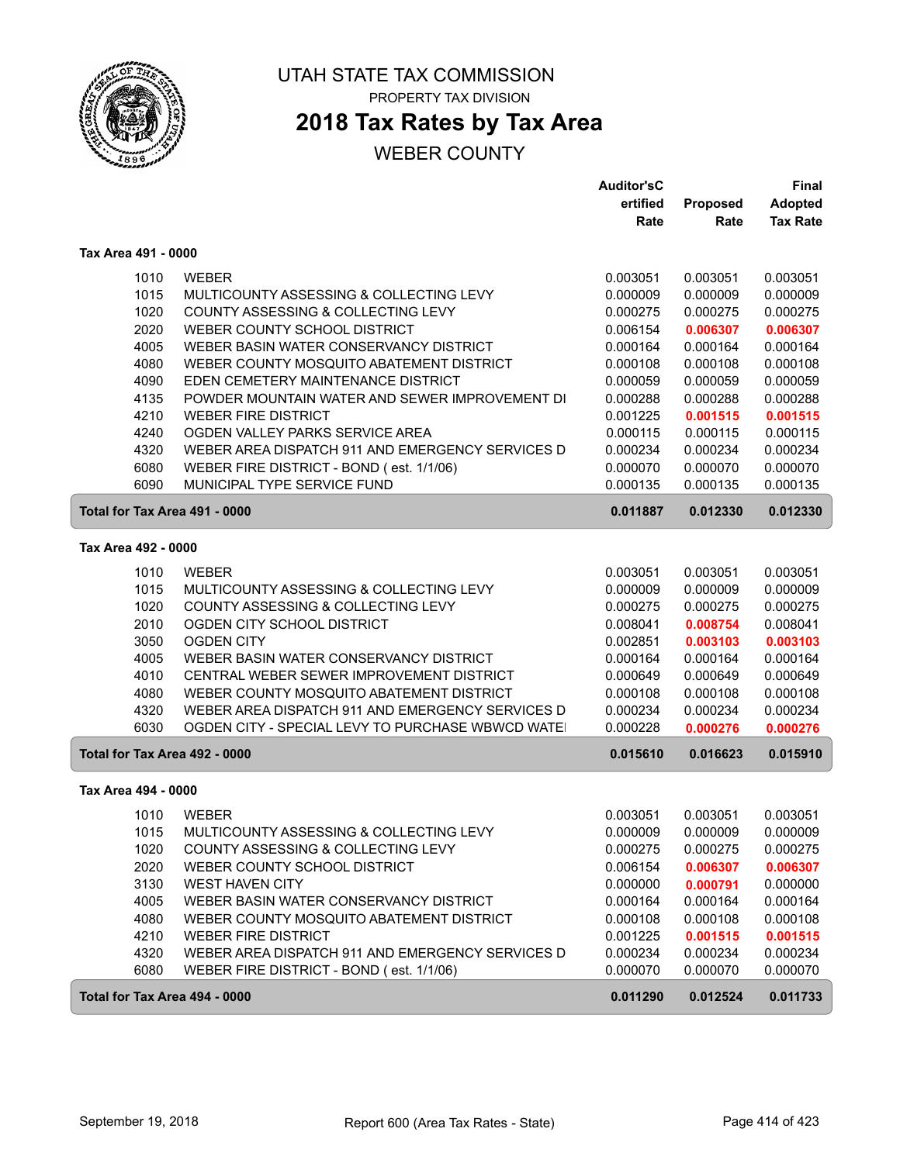

# **2018 Tax Rates by Tax Area**

|                               |                                                  | <b>Auditor'sC</b> |          | <b>Final</b>    |
|-------------------------------|--------------------------------------------------|-------------------|----------|-----------------|
|                               |                                                  | ertified          | Proposed | <b>Adopted</b>  |
|                               |                                                  | Rate              | Rate     | <b>Tax Rate</b> |
| Tax Area 491 - 0000           |                                                  |                   |          |                 |
| 1010                          | <b>WEBER</b>                                     | 0.003051          | 0.003051 | 0.003051        |
| 1015                          | MULTICOUNTY ASSESSING & COLLECTING LEVY          | 0.000009          | 0.000009 | 0.000009        |
| 1020                          | COUNTY ASSESSING & COLLECTING LEVY               | 0.000275          | 0.000275 | 0.000275        |
| 2020                          | WEBER COUNTY SCHOOL DISTRICT                     | 0.006154          | 0.006307 | 0.006307        |
| 4005                          | WEBER BASIN WATER CONSERVANCY DISTRICT           | 0.000164          | 0.000164 | 0.000164        |
| 4080                          | WEBER COUNTY MOSQUITO ABATEMENT DISTRICT         | 0.000108          | 0.000108 | 0.000108        |
| 4090                          | EDEN CEMETERY MAINTENANCE DISTRICT               | 0.000059          | 0.000059 | 0.000059        |
| 4135                          | POWDER MOUNTAIN WATER AND SEWER IMPROVEMENT DI   | 0.000288          | 0.000288 | 0.000288        |
| 4210                          | <b>WEBER FIRE DISTRICT</b>                       | 0.001225          | 0.001515 | 0.001515        |
| 4240                          | OGDEN VALLEY PARKS SERVICE AREA                  | 0.000115          | 0.000115 | 0.000115        |
| 4320                          | WEBER AREA DISPATCH 911 AND EMERGENCY SERVICES D | 0.000234          | 0.000234 | 0.000234        |
| 6080                          | WEBER FIRE DISTRICT - BOND (est. 1/1/06)         | 0.000070          | 0.000070 | 0.000070        |
| 6090                          | MUNICIPAL TYPE SERVICE FUND                      | 0.000135          | 0.000135 | 0.000135        |
| Total for Tax Area 491 - 0000 |                                                  | 0.011887          | 0.012330 | 0.012330        |
| Tax Area 492 - 0000           |                                                  |                   |          |                 |
| 1010                          | <b>WEBER</b>                                     | 0.003051          | 0.003051 | 0.003051        |
| 1015                          | MULTICOUNTY ASSESSING & COLLECTING LEVY          | 0.000009          | 0.000009 | 0.000009        |
| 1020                          | COUNTY ASSESSING & COLLECTING LEVY               | 0.000275          | 0.000275 | 0.000275        |
| 2010                          | OGDEN CITY SCHOOL DISTRICT                       | 0.008041          | 0.008754 | 0.008041        |
| 3050                          | <b>OGDEN CITY</b>                                | 0.002851          | 0.003103 | 0.003103        |
| 4005                          | WEBER BASIN WATER CONSERVANCY DISTRICT           | 0.000164          | 0.000164 | 0.000164        |
| 4010                          | CENTRAL WEBER SEWER IMPROVEMENT DISTRICT         | 0.000649          | 0.000649 | 0.000649        |
| 4080                          | WEBER COUNTY MOSQUITO ABATEMENT DISTRICT         | 0.000108          | 0.000108 | 0.000108        |
| 4320                          | WEBER AREA DISPATCH 911 AND EMERGENCY SERVICES D | 0.000234          | 0.000234 | 0.000234        |
| 6030                          | OGDEN CITY - SPECIAL LEVY TO PURCHASE WBWCD WATE | 0.000228          | 0.000276 | 0.000276        |
| Total for Tax Area 492 - 0000 |                                                  | 0.015610          | 0.016623 | 0.015910        |
| Tax Area 494 - 0000           |                                                  |                   |          |                 |
| 1010                          | <b>WEBER</b>                                     | 0.003051          | 0.003051 | 0.003051        |
| 1015                          | MULTICOUNTY ASSESSING & COLLECTING LEVY          | 0.000009          | 0.000009 | 0.000009        |
| 1020                          | COUNTY ASSESSING & COLLECTING LEVY               | 0.000275          | 0.000275 | 0.000275        |
| 2020                          | WEBER COUNTY SCHOOL DISTRICT                     | 0.006154          | 0.006307 | 0.006307        |
| 3130                          | <b>WEST HAVEN CITY</b>                           | 0.000000          | 0.000791 | 0.000000        |
| 4005                          | WEBER BASIN WATER CONSERVANCY DISTRICT           | 0.000164          | 0.000164 | 0.000164        |
| 4080                          | WEBER COUNTY MOSQUITO ABATEMENT DISTRICT         | 0.000108          | 0.000108 | 0.000108        |
| 4210                          | <b>WEBER FIRE DISTRICT</b>                       | 0.001225          | 0.001515 | 0.001515        |
| 4320                          | WEBER AREA DISPATCH 911 AND EMERGENCY SERVICES D | 0.000234          | 0.000234 | 0.000234        |
| 6080                          | WEBER FIRE DISTRICT - BOND (est. 1/1/06)         | 0.000070          | 0.000070 | 0.000070        |
|                               |                                                  |                   |          |                 |
| Total for Tax Area 494 - 0000 |                                                  | 0.011290          | 0.012524 | 0.011733        |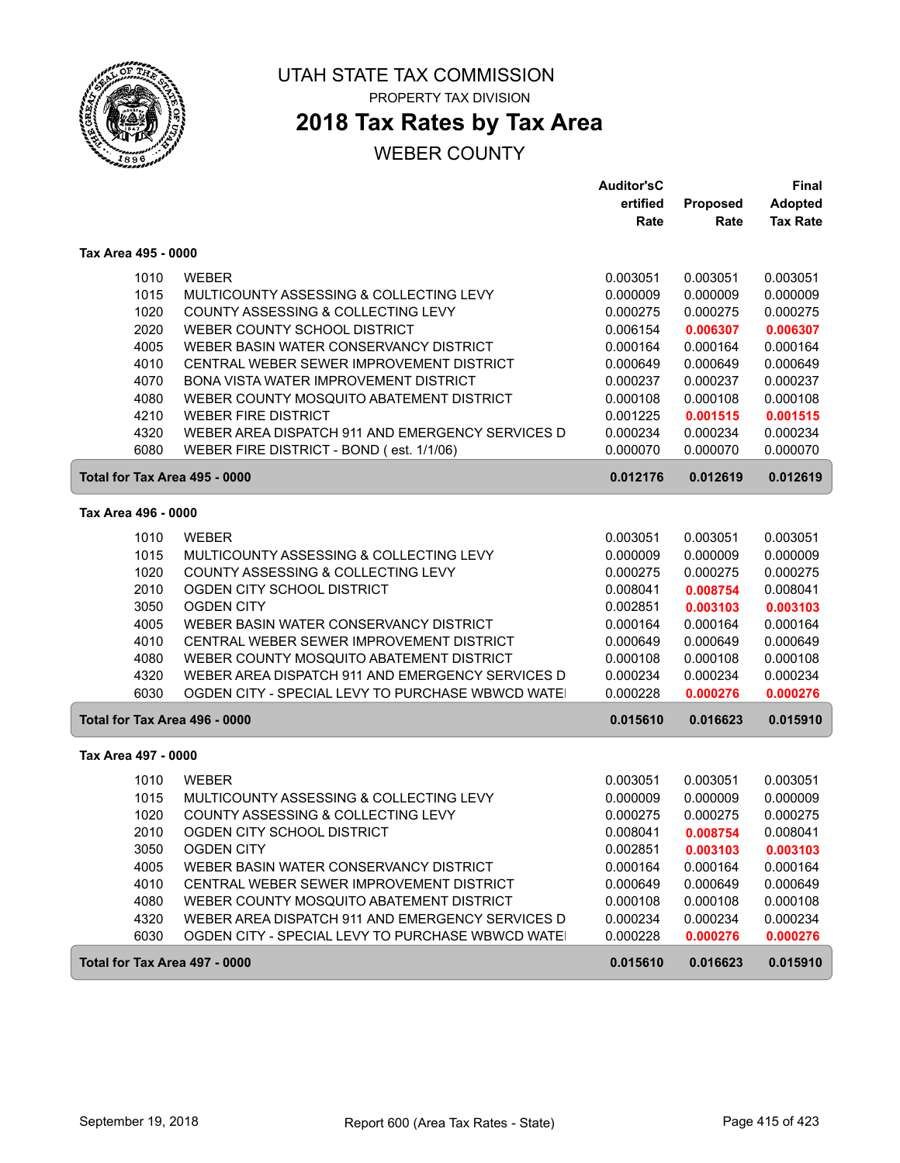

# **2018 Tax Rates by Tax Area**

|                     |                                                   | <b>Auditor'sC</b> |          | Final           |
|---------------------|---------------------------------------------------|-------------------|----------|-----------------|
|                     |                                                   | ertified          | Proposed | <b>Adopted</b>  |
|                     |                                                   | Rate              | Rate     | <b>Tax Rate</b> |
| Tax Area 495 - 0000 |                                                   |                   |          |                 |
| 1010                | <b>WEBER</b>                                      | 0.003051          | 0.003051 | 0.003051        |
| 1015                | MULTICOUNTY ASSESSING & COLLECTING LEVY           | 0.000009          | 0.000009 | 0.000009        |
| 1020                | COUNTY ASSESSING & COLLECTING LEVY                | 0.000275          | 0.000275 | 0.000275        |
| 2020                | WEBER COUNTY SCHOOL DISTRICT                      | 0.006154          | 0.006307 | 0.006307        |
| 4005                | WEBER BASIN WATER CONSERVANCY DISTRICT            | 0.000164          | 0.000164 | 0.000164        |
| 4010                | CENTRAL WEBER SEWER IMPROVEMENT DISTRICT          | 0.000649          | 0.000649 | 0.000649        |
| 4070                | BONA VISTA WATER IMPROVEMENT DISTRICT             | 0.000237          | 0.000237 | 0.000237        |
| 4080                | WEBER COUNTY MOSQUITO ABATEMENT DISTRICT          | 0.000108          | 0.000108 | 0.000108        |
| 4210                | <b>WEBER FIRE DISTRICT</b>                        | 0.001225          | 0.001515 | 0.001515        |
| 4320                | WEBER AREA DISPATCH 911 AND EMERGENCY SERVICES D  | 0.000234          | 0.000234 | 0.000234        |
| 6080                | WEBER FIRE DISTRICT - BOND (est. 1/1/06)          | 0.000070          | 0.000070 | 0.000070        |
|                     | Total for Tax Area 495 - 0000                     | 0.012176          | 0.012619 | 0.012619        |
| Tax Area 496 - 0000 |                                                   |                   |          |                 |
| 1010                | <b>WEBER</b>                                      | 0.003051          | 0.003051 | 0.003051        |
| 1015                | MULTICOUNTY ASSESSING & COLLECTING LEVY           | 0.000009          | 0.000009 | 0.000009        |
| 1020                | COUNTY ASSESSING & COLLECTING LEVY                | 0.000275          | 0.000275 | 0.000275        |
| 2010                | OGDEN CITY SCHOOL DISTRICT                        | 0.008041          | 0.008754 | 0.008041        |
| 3050                | <b>OGDEN CITY</b>                                 | 0.002851          | 0.003103 | 0.003103        |
| 4005                | WEBER BASIN WATER CONSERVANCY DISTRICT            | 0.000164          | 0.000164 | 0.000164        |
| 4010                | CENTRAL WEBER SEWER IMPROVEMENT DISTRICT          | 0.000649          | 0.000649 | 0.000649        |
| 4080                | WEBER COUNTY MOSQUITO ABATEMENT DISTRICT          | 0.000108          | 0.000108 | 0.000108        |
| 4320                | WEBER AREA DISPATCH 911 AND EMERGENCY SERVICES D  | 0.000234          | 0.000234 | 0.000234        |
| 6030                | OGDEN CITY - SPECIAL LEVY TO PURCHASE WBWCD WATE  | 0.000228          | 0.000276 | 0.000276        |
|                     | Total for Tax Area 496 - 0000                     | 0.015610          | 0.016623 | 0.015910        |
| Tax Area 497 - 0000 |                                                   |                   |          |                 |
| 1010                | <b>WEBER</b>                                      | 0.003051          | 0.003051 | 0.003051        |
| 1015                | MULTICOUNTY ASSESSING & COLLECTING LEVY           | 0.000009          | 0.000009 | 0.000009        |
| 1020                | COUNTY ASSESSING & COLLECTING LEVY                | 0.000275          | 0.000275 | 0.000275        |
| 2010                | OGDEN CITY SCHOOL DISTRICT                        | 0.008041          | 0.008754 | 0.008041        |
| 3050                | <b>OGDEN CITY</b>                                 | 0.002851          | 0.003103 | 0.003103        |
| 4005                | WEBER BASIN WATER CONSERVANCY DISTRICT            | 0.000164          | 0.000164 | 0.000164        |
| 4010                | CENTRAL WEBER SEWER IMPROVEMENT DISTRICT          | 0.000649          | 0.000649 | 0.000649        |
| 4080                | WEBER COUNTY MOSQUITO ABATEMENT DISTRICT          | 0.000108          | 0.000108 | 0.000108        |
| 4320                | WEBER AREA DISPATCH 911 AND EMERGENCY SERVICES D  | 0.000234          | 0.000234 | 0.000234        |
| 6030                | OGDEN CITY - SPECIAL LEVY TO PURCHASE WBWCD WATE! | 0.000228          | 0.000276 | 0.000276        |
|                     | Total for Tax Area 497 - 0000                     | 0.015610          | 0.016623 | 0.015910        |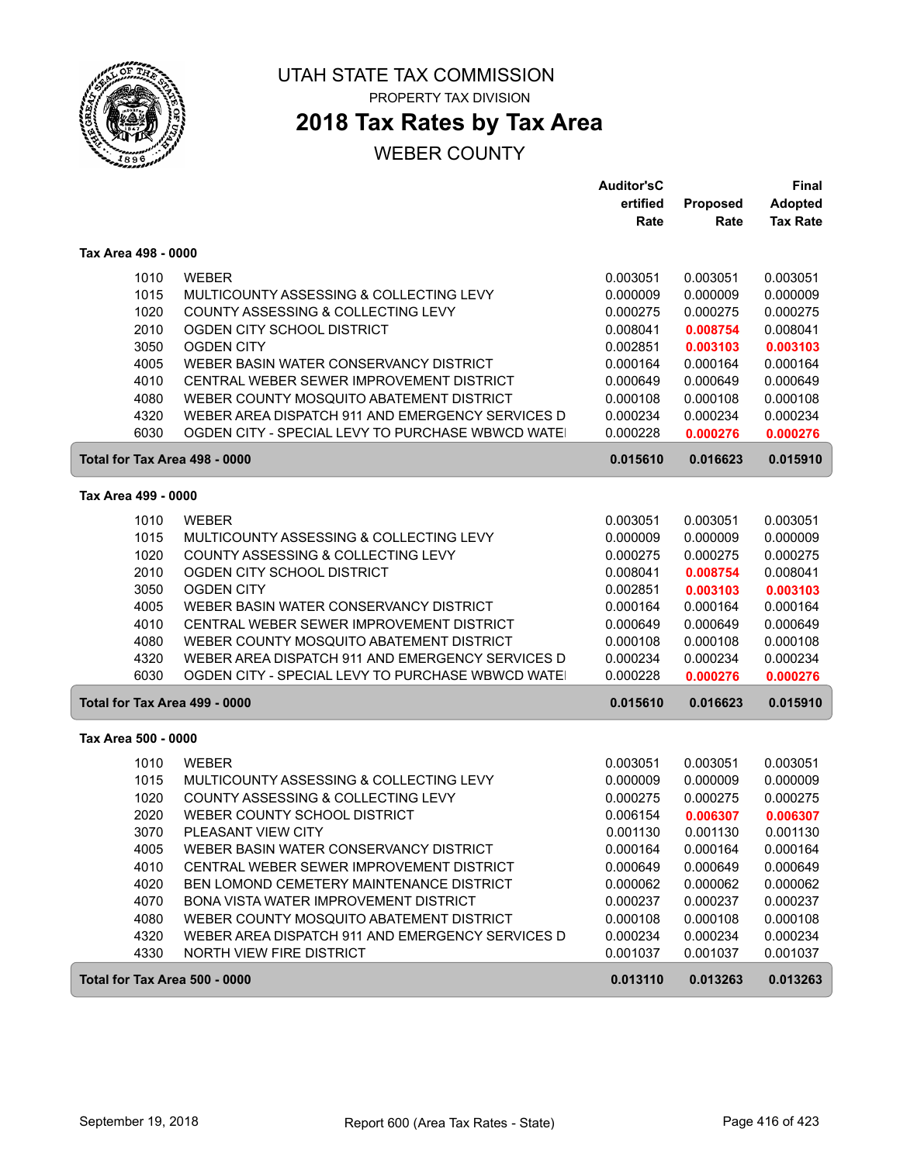

ſ

#### UTAH STATE TAX COMMISSION PROPERTY TAX DIVISION

## **2018 Tax Rates by Tax Area**

|                               |                                                  | <b>Auditor'sC</b> |          | Final           |
|-------------------------------|--------------------------------------------------|-------------------|----------|-----------------|
|                               |                                                  | ertified          | Proposed | <b>Adopted</b>  |
|                               |                                                  | Rate              | Rate     | <b>Tax Rate</b> |
| Tax Area 498 - 0000           |                                                  |                   |          |                 |
| 1010                          | <b>WEBER</b>                                     | 0.003051          | 0.003051 | 0.003051        |
| 1015                          | MULTICOUNTY ASSESSING & COLLECTING LEVY          | 0.000009          | 0.000009 | 0.000009        |
| 1020                          | COUNTY ASSESSING & COLLECTING LEVY               | 0.000275          | 0.000275 | 0.000275        |
| 2010                          | OGDEN CITY SCHOOL DISTRICT                       | 0.008041          | 0.008754 | 0.008041        |
| 3050                          | <b>OGDEN CITY</b>                                | 0.002851          | 0.003103 | 0.003103        |
| 4005                          | WEBER BASIN WATER CONSERVANCY DISTRICT           | 0.000164          | 0.000164 | 0.000164        |
| 4010                          | CENTRAL WEBER SEWER IMPROVEMENT DISTRICT         | 0.000649          | 0.000649 | 0.000649        |
| 4080                          | WEBER COUNTY MOSQUITO ABATEMENT DISTRICT         | 0.000108          | 0.000108 | 0.000108        |
| 4320                          | WEBER AREA DISPATCH 911 AND EMERGENCY SERVICES D | 0.000234          | 0.000234 | 0.000234        |
| 6030                          | OGDEN CITY - SPECIAL LEVY TO PURCHASE WBWCD WATE | 0.000228          | 0.000276 | 0.000276        |
| Total for Tax Area 498 - 0000 |                                                  | 0.015610          | 0.016623 | 0.015910        |
| Tax Area 499 - 0000           |                                                  |                   |          |                 |
| 1010                          | <b>WEBER</b>                                     | 0.003051          | 0.003051 | 0.003051        |
| 1015                          | MULTICOUNTY ASSESSING & COLLECTING LEVY          | 0.000009          | 0.000009 | 0.000009        |
| 1020                          | COUNTY ASSESSING & COLLECTING LEVY               | 0.000275          | 0.000275 | 0.000275        |
| 2010                          | OGDEN CITY SCHOOL DISTRICT                       | 0.008041          | 0.008754 | 0.008041        |
| 3050                          | <b>OGDEN CITY</b>                                | 0.002851          | 0.003103 | 0.003103        |
| 4005                          | WEBER BASIN WATER CONSERVANCY DISTRICT           | 0.000164          | 0.000164 | 0.000164        |
| 4010                          | CENTRAL WEBER SEWER IMPROVEMENT DISTRICT         | 0.000649          | 0.000649 | 0.000649        |
| 4080                          | WEBER COUNTY MOSQUITO ABATEMENT DISTRICT         | 0.000108          | 0.000108 | 0.000108        |
| 4320                          | WEBER AREA DISPATCH 911 AND EMERGENCY SERVICES D | 0.000234          | 0.000234 | 0.000234        |
| 6030                          | OGDEN CITY - SPECIAL LEVY TO PURCHASE WBWCD WATE | 0.000228          | 0.000276 | 0.000276        |
| Total for Tax Area 499 - 0000 |                                                  | 0.015610          | 0.016623 | 0.015910        |
| Tax Area 500 - 0000           |                                                  |                   |          |                 |
| 1010                          | <b>WEBER</b>                                     | 0.003051          | 0.003051 | 0.003051        |
| 1015                          | MULTICOUNTY ASSESSING & COLLECTING LEVY          | 0.000009          | 0.000009 | 0.000009        |
| 1020                          | COUNTY ASSESSING & COLLECTING LEVY               | 0.000275          | 0.000275 | 0.000275        |
| 2020                          | WEBER COUNTY SCHOOL DISTRICT                     | 0.006154          | 0.006307 | 0.006307        |
| 3070                          | PLEASANT VIEW CITY                               | 0.001130          | 0.001130 | 0.001130        |
| 4005                          | WEBER BASIN WATER CONSERVANCY DISTRICT           | 0.000164          | 0.000164 | 0.000164        |
| 4010                          | CENTRAL WEBER SEWER IMPROVEMENT DISTRICT         | 0.000649          | 0.000649 | 0.000649        |
| 4020                          | BEN LOMOND CEMETERY MAINTENANCE DISTRICT         | 0.000062          | 0.000062 | 0.000062        |
| 4070                          | BONA VISTA WATER IMPROVEMENT DISTRICT            | 0.000237          | 0.000237 | 0.000237        |
| 4080                          | WEBER COUNTY MOSQUITO ABATEMENT DISTRICT         | 0.000108          | 0.000108 | 0.000108        |
| 4320                          | WEBER AREA DISPATCH 911 AND EMERGENCY SERVICES D | 0.000234          | 0.000234 | 0.000234        |
| 4330                          | NORTH VIEW FIRE DISTRICT                         | 0.001037          | 0.001037 | 0.001037        |
| Total for Tax Area 500 - 0000 |                                                  | 0.013110          | 0.013263 | 0.013263        |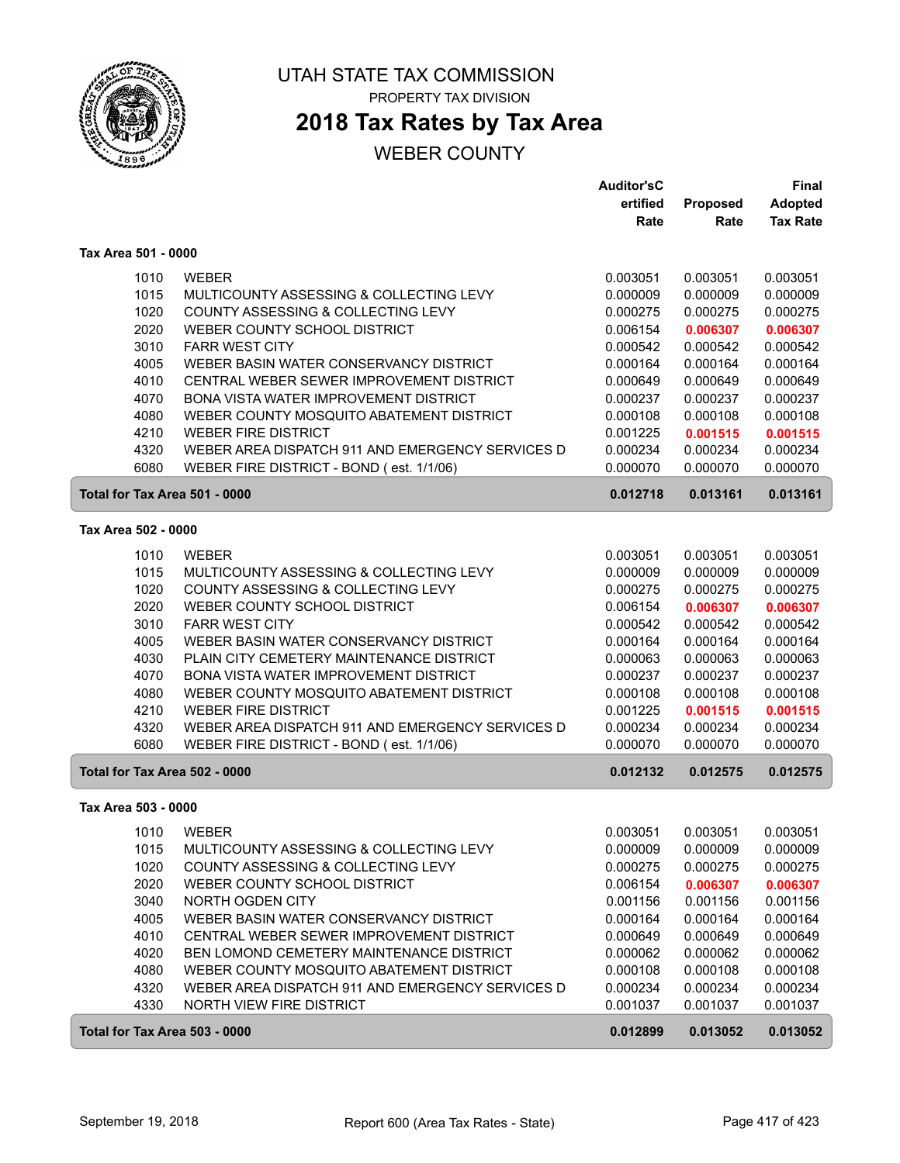

## **2018 Tax Rates by Tax Area**

|                               |                                                  | <b>Auditor'sC</b> |          | <b>Final</b>    |
|-------------------------------|--------------------------------------------------|-------------------|----------|-----------------|
|                               |                                                  | ertified          | Proposed | <b>Adopted</b>  |
|                               |                                                  | Rate              | Rate     | <b>Tax Rate</b> |
| Tax Area 501 - 0000           |                                                  |                   |          |                 |
| 1010                          | <b>WEBER</b>                                     | 0.003051          | 0.003051 | 0.003051        |
| 1015                          | MULTICOUNTY ASSESSING & COLLECTING LEVY          | 0.000009          | 0.000009 | 0.000009        |
| 1020                          | COUNTY ASSESSING & COLLECTING LEVY               | 0.000275          | 0.000275 | 0.000275        |
| 2020                          | WEBER COUNTY SCHOOL DISTRICT                     | 0.006154          | 0.006307 | 0.006307        |
| 3010                          | <b>FARR WEST CITY</b>                            | 0.000542          | 0.000542 | 0.000542        |
| 4005                          | WEBER BASIN WATER CONSERVANCY DISTRICT           | 0.000164          | 0.000164 | 0.000164        |
| 4010                          | CENTRAL WEBER SEWER IMPROVEMENT DISTRICT         | 0.000649          | 0.000649 | 0.000649        |
| 4070                          | BONA VISTA WATER IMPROVEMENT DISTRICT            | 0.000237          | 0.000237 | 0.000237        |
| 4080                          | WEBER COUNTY MOSQUITO ABATEMENT DISTRICT         | 0.000108          | 0.000108 | 0.000108        |
| 4210                          | <b>WEBER FIRE DISTRICT</b>                       | 0.001225          | 0.001515 | 0.001515        |
| 4320                          | WEBER AREA DISPATCH 911 AND EMERGENCY SERVICES D | 0.000234          | 0.000234 | 0.000234        |
| 6080                          | WEBER FIRE DISTRICT - BOND (est. 1/1/06)         | 0.000070          | 0.000070 | 0.000070        |
| Total for Tax Area 501 - 0000 |                                                  | 0.012718          | 0.013161 | 0.013161        |
| Tax Area 502 - 0000           |                                                  |                   |          |                 |
|                               |                                                  |                   |          |                 |
| 1010                          | <b>WEBER</b>                                     | 0.003051          | 0.003051 | 0.003051        |
| 1015                          | MULTICOUNTY ASSESSING & COLLECTING LEVY          | 0.000009          | 0.000009 | 0.000009        |
| 1020                          | COUNTY ASSESSING & COLLECTING LEVY               | 0.000275          | 0.000275 | 0.000275        |
| 2020                          | WEBER COUNTY SCHOOL DISTRICT                     | 0.006154          | 0.006307 | 0.006307        |
| 3010                          | <b>FARR WEST CITY</b>                            | 0.000542          | 0.000542 | 0.000542        |
| 4005                          | WEBER BASIN WATER CONSERVANCY DISTRICT           | 0.000164          | 0.000164 | 0.000164        |
| 4030                          | PLAIN CITY CEMETERY MAINTENANCE DISTRICT         | 0.000063          | 0.000063 | 0.000063        |
| 4070                          | BONA VISTA WATER IMPROVEMENT DISTRICT            | 0.000237          | 0.000237 | 0.000237        |
| 4080                          | WEBER COUNTY MOSQUITO ABATEMENT DISTRICT         | 0.000108          | 0.000108 | 0.000108        |
| 4210                          | <b>WEBER FIRE DISTRICT</b>                       | 0.001225          | 0.001515 | 0.001515        |
| 4320                          | WEBER AREA DISPATCH 911 AND EMERGENCY SERVICES D | 0.000234          | 0.000234 | 0.000234        |
| 6080                          | WEBER FIRE DISTRICT - BOND (est. 1/1/06)         | 0.000070          | 0.000070 | 0.000070        |
| Total for Tax Area 502 - 0000 |                                                  | 0.012132          | 0.012575 | 0.012575        |
| Tax Area 503 - 0000           |                                                  |                   |          |                 |
| 1010                          | <b>WEBER</b>                                     | 0.003051          | 0.003051 | 0.003051        |
| 1015                          | MULTICOUNTY ASSESSING & COLLECTING LEVY          | 0.000009          | 0.000009 | 0.000009        |
| 1020                          | COUNTY ASSESSING & COLLECTING LEVY               | 0.000275          | 0.000275 | 0.000275        |
| 2020                          | WEBER COUNTY SCHOOL DISTRICT                     | 0.006154          | 0.006307 | 0.006307        |
| 3040                          | NORTH OGDEN CITY                                 | 0.001156          | 0.001156 | 0.001156        |
| 4005                          | WEBER BASIN WATER CONSERVANCY DISTRICT           | 0.000164          | 0.000164 | 0.000164        |
| 4010                          | CENTRAL WEBER SEWER IMPROVEMENT DISTRICT         | 0.000649          | 0.000649 | 0.000649        |
| 4020                          | BEN LOMOND CEMETERY MAINTENANCE DISTRICT         | 0.000062          | 0.000062 | 0.000062        |
| 4080                          | WEBER COUNTY MOSQUITO ABATEMENT DISTRICT         | 0.000108          | 0.000108 | 0.000108        |
| 4320                          | WEBER AREA DISPATCH 911 AND EMERGENCY SERVICES D | 0.000234          | 0.000234 | 0.000234        |
| 4330                          | NORTH VIEW FIRE DISTRICT                         | 0.001037          | 0.001037 | 0.001037        |
| Total for Tax Area 503 - 0000 |                                                  | 0.012899          | 0.013052 | 0.013052        |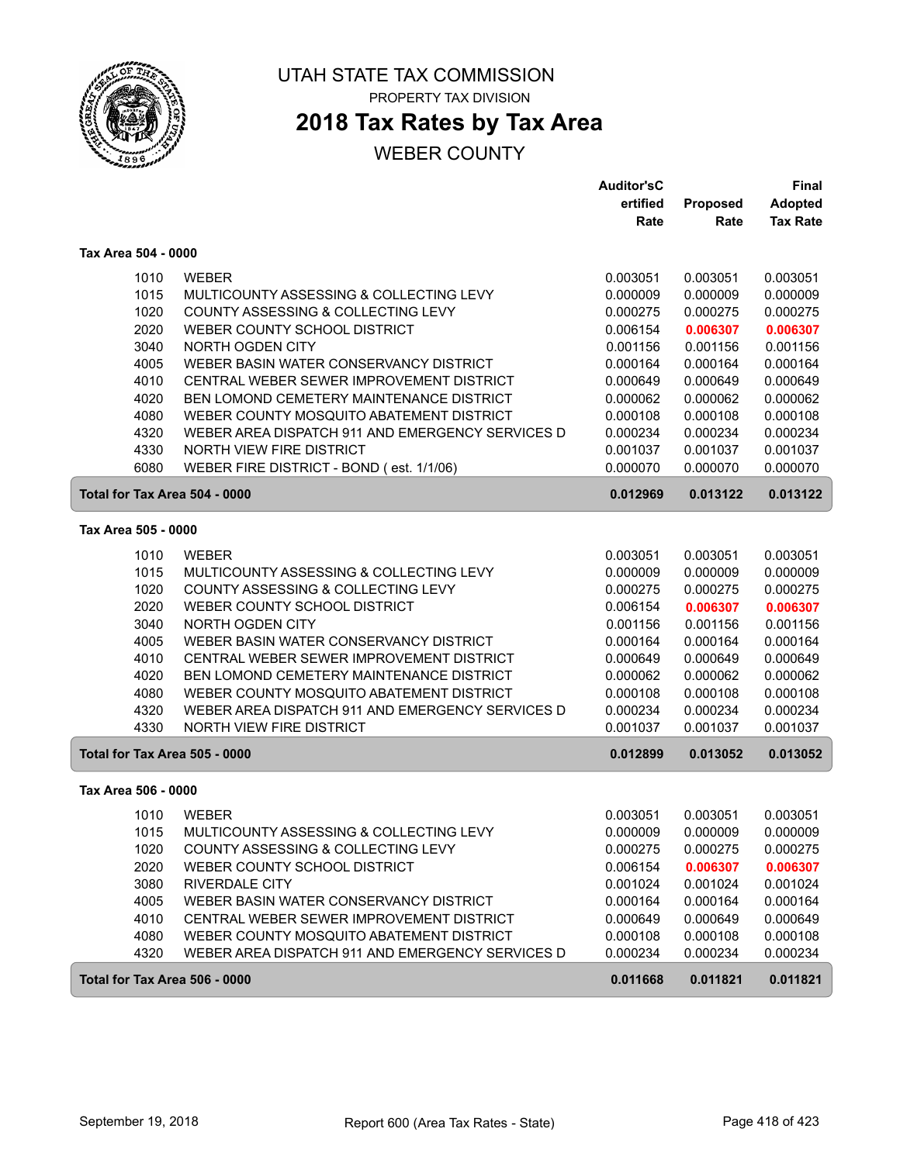

# **2018 Tax Rates by Tax Area**

|                     |                                                  | <b>Auditor'sC</b>    |                      | <b>Final</b>         |
|---------------------|--------------------------------------------------|----------------------|----------------------|----------------------|
|                     |                                                  | ertified             | Proposed             | <b>Adopted</b>       |
|                     |                                                  | Rate                 | Rate                 | <b>Tax Rate</b>      |
| Tax Area 504 - 0000 |                                                  |                      |                      |                      |
| 1010                | <b>WEBER</b>                                     | 0.003051             | 0.003051             | 0.003051             |
| 1015                | MULTICOUNTY ASSESSING & COLLECTING LEVY          | 0.000009             | 0.000009             | 0.000009             |
| 1020                | COUNTY ASSESSING & COLLECTING LEVY               | 0.000275             | 0.000275             | 0.000275             |
| 2020                | WEBER COUNTY SCHOOL DISTRICT                     | 0.006154             | 0.006307             | 0.006307             |
| 3040                | NORTH OGDEN CITY                                 | 0.001156             | 0.001156             | 0.001156             |
| 4005                | WEBER BASIN WATER CONSERVANCY DISTRICT           | 0.000164             | 0.000164             | 0.000164             |
| 4010                | CENTRAL WEBER SEWER IMPROVEMENT DISTRICT         | 0.000649             | 0.000649             | 0.000649             |
| 4020                | BEN LOMOND CEMETERY MAINTENANCE DISTRICT         | 0.000062             | 0.000062             | 0.000062             |
| 4080                | WEBER COUNTY MOSQUITO ABATEMENT DISTRICT         | 0.000108             | 0.000108             | 0.000108             |
| 4320                | WEBER AREA DISPATCH 911 AND EMERGENCY SERVICES D | 0.000234             | 0.000234             | 0.000234             |
| 4330                | NORTH VIEW FIRE DISTRICT                         | 0.001037             | 0.001037             | 0.001037             |
| 6080                | WEBER FIRE DISTRICT - BOND (est. 1/1/06)         | 0.000070             | 0.000070             | 0.000070             |
|                     | Total for Tax Area 504 - 0000                    | 0.012969             | 0.013122             | 0.013122             |
| Tax Area 505 - 0000 |                                                  |                      |                      |                      |
|                     | <b>WEBER</b>                                     |                      |                      |                      |
| 1010<br>1015        | MULTICOUNTY ASSESSING & COLLECTING LEVY          | 0.003051             | 0.003051<br>0.000009 | 0.003051<br>0.000009 |
| 1020                | COUNTY ASSESSING & COLLECTING LEVY               | 0.000009<br>0.000275 | 0.000275             | 0.000275             |
| 2020                | WEBER COUNTY SCHOOL DISTRICT                     | 0.006154             | 0.006307             | 0.006307             |
| 3040                | <b>NORTH OGDEN CITY</b>                          | 0.001156             | 0.001156             | 0.001156             |
| 4005                | WEBER BASIN WATER CONSERVANCY DISTRICT           | 0.000164             | 0.000164             | 0.000164             |
| 4010                | CENTRAL WEBER SEWER IMPROVEMENT DISTRICT         | 0.000649             | 0.000649             | 0.000649             |
| 4020                | BEN LOMOND CEMETERY MAINTENANCE DISTRICT         | 0.000062             | 0.000062             | 0.000062             |
| 4080                | WEBER COUNTY MOSQUITO ABATEMENT DISTRICT         | 0.000108             | 0.000108             | 0.000108             |
| 4320                | WEBER AREA DISPATCH 911 AND EMERGENCY SERVICES D | 0.000234             | 0.000234             | 0.000234             |
| 4330                | NORTH VIEW FIRE DISTRICT                         | 0.001037             | 0.001037             | 0.001037             |
|                     | Total for Tax Area 505 - 0000                    | 0.012899             | 0.013052             | 0.013052             |
| Tax Area 506 - 0000 |                                                  |                      |                      |                      |
|                     |                                                  |                      |                      |                      |
| 1010                | <b>WEBER</b>                                     | 0.003051             | 0.003051             | 0.003051             |
| 1015                | MULTICOUNTY ASSESSING & COLLECTING LEVY          | 0.000009             | 0.000009             | 0.000009             |
| 1020                | COUNTY ASSESSING & COLLECTING LEVY               | 0.000275             | 0.000275             | 0.000275             |
| 2020                | WEBER COUNTY SCHOOL DISTRICT                     | 0.006154             | 0.006307             | 0.006307             |
| 3080                | <b>RIVERDALE CITY</b>                            | 0.001024             | 0.001024             | 0.001024             |
| 4005                | WEBER BASIN WATER CONSERVANCY DISTRICT           | 0.000164             | 0.000164             | 0.000164             |
| 4010                | CENTRAL WEBER SEWER IMPROVEMENT DISTRICT         | 0.000649             | 0.000649             | 0.000649             |
| 4080                | WEBER COUNTY MOSQUITO ABATEMENT DISTRICT         | 0.000108             | 0.000108             | 0.000108             |
| 4320                | WEBER AREA DISPATCH 911 AND EMERGENCY SERVICES D | 0.000234             | 0.000234             | 0.000234             |
|                     | Total for Tax Area 506 - 0000                    | 0.011668             | 0.011821             | 0.011821             |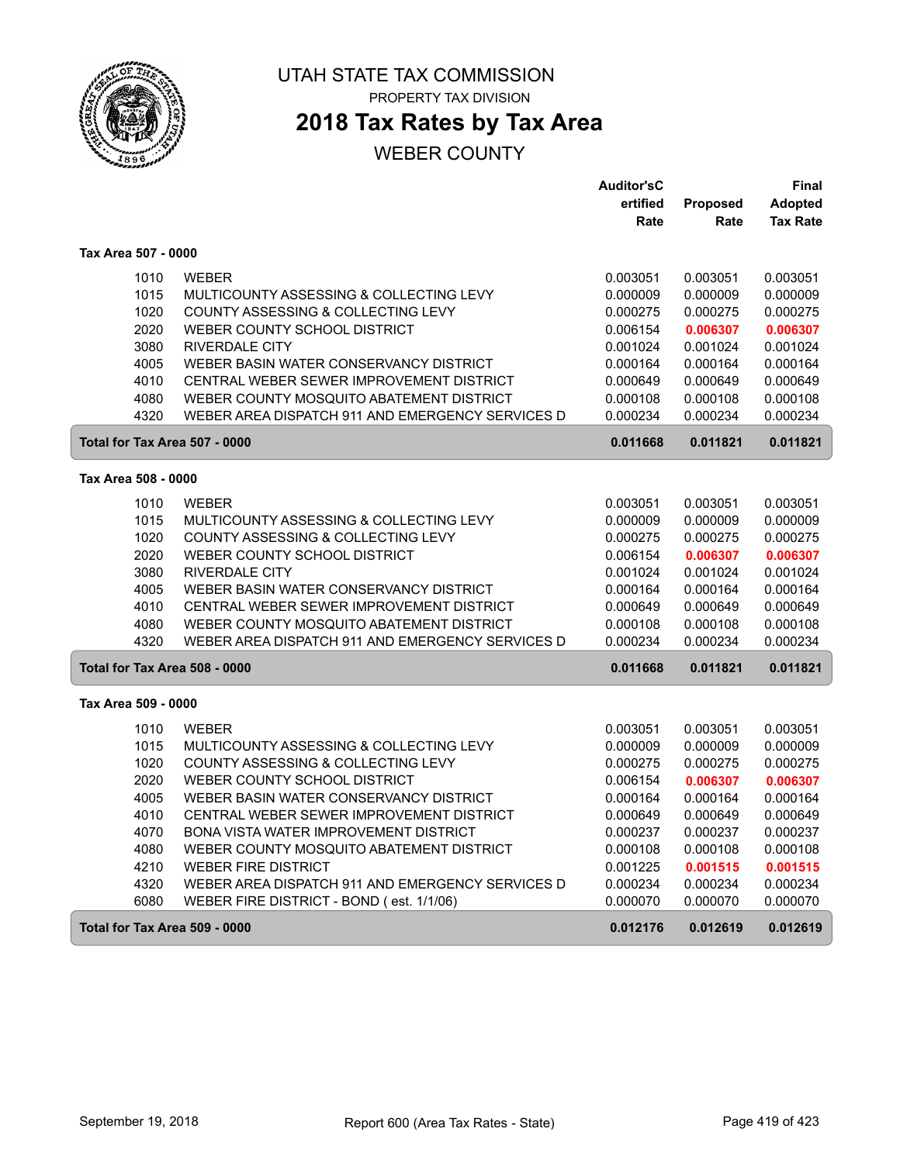

**2018 Tax Rates by Tax Area**

|                               |                                                  | <b>Auditor'sC</b> |          | <b>Final</b>    |
|-------------------------------|--------------------------------------------------|-------------------|----------|-----------------|
|                               |                                                  | ertified          | Proposed | <b>Adopted</b>  |
|                               |                                                  | Rate              | Rate     | <b>Tax Rate</b> |
| Tax Area 507 - 0000           |                                                  |                   |          |                 |
| 1010                          | <b>WEBER</b>                                     | 0.003051          | 0.003051 | 0.003051        |
| 1015                          | MULTICOUNTY ASSESSING & COLLECTING LEVY          | 0.000009          | 0.000009 | 0.000009        |
| 1020                          | COUNTY ASSESSING & COLLECTING LEVY               | 0.000275          | 0.000275 | 0.000275        |
| 2020                          | WEBER COUNTY SCHOOL DISTRICT                     | 0.006154          | 0.006307 | 0.006307        |
| 3080                          | <b>RIVERDALE CITY</b>                            | 0.001024          | 0.001024 | 0.001024        |
| 4005                          | WEBER BASIN WATER CONSERVANCY DISTRICT           | 0.000164          | 0.000164 | 0.000164        |
| 4010                          | CENTRAL WEBER SEWER IMPROVEMENT DISTRICT         | 0.000649          | 0.000649 | 0.000649        |
| 4080                          | WEBER COUNTY MOSQUITO ABATEMENT DISTRICT         | 0.000108          | 0.000108 | 0.000108        |
| 4320                          | WEBER AREA DISPATCH 911 AND EMERGENCY SERVICES D | 0.000234          | 0.000234 | 0.000234        |
| Total for Tax Area 507 - 0000 |                                                  | 0.011668          | 0.011821 | 0.011821        |
| Tax Area 508 - 0000           |                                                  |                   |          |                 |
| 1010                          | <b>WEBER</b>                                     | 0.003051          | 0.003051 | 0.003051        |
| 1015                          | MULTICOUNTY ASSESSING & COLLECTING LEVY          | 0.000009          | 0.000009 | 0.000009        |
| 1020                          | COUNTY ASSESSING & COLLECTING LEVY               | 0.000275          | 0.000275 | 0.000275        |
| 2020                          | WEBER COUNTY SCHOOL DISTRICT                     | 0.006154          | 0.006307 | 0.006307        |
| 3080                          | <b>RIVERDALE CITY</b>                            | 0.001024          | 0.001024 | 0.001024        |
| 4005                          | WEBER BASIN WATER CONSERVANCY DISTRICT           | 0.000164          | 0.000164 | 0.000164        |
| 4010                          | CENTRAL WEBER SEWER IMPROVEMENT DISTRICT         | 0.000649          | 0.000649 | 0.000649        |
| 4080                          | WEBER COUNTY MOSQUITO ABATEMENT DISTRICT         | 0.000108          | 0.000108 | 0.000108        |
| 4320                          | WEBER AREA DISPATCH 911 AND EMERGENCY SERVICES D | 0.000234          | 0.000234 | 0.000234        |
| Total for Tax Area 508 - 0000 |                                                  | 0.011668          | 0.011821 | 0.011821        |
| Tax Area 509 - 0000           |                                                  |                   |          |                 |
| 1010                          | <b>WEBER</b>                                     | 0.003051          | 0.003051 | 0.003051        |
| 1015                          | MULTICOUNTY ASSESSING & COLLECTING LEVY          | 0.000009          | 0.000009 | 0.000009        |
| 1020                          | COUNTY ASSESSING & COLLECTING LEVY               | 0.000275          | 0.000275 | 0.000275        |
| 2020                          | WEBER COUNTY SCHOOL DISTRICT                     | 0.006154          | 0.006307 | 0.006307        |
| 4005                          | WEBER BASIN WATER CONSERVANCY DISTRICT           | 0.000164          | 0.000164 | 0.000164        |
| 4010                          | CENTRAL WEBER SEWER IMPROVEMENT DISTRICT         | 0.000649          | 0.000649 | 0.000649        |
| 4070                          | <b>BONA VISTA WATER IMPROVEMENT DISTRICT</b>     | 0.000237          | 0.000237 | 0.000237        |
| 4080                          | WEBER COUNTY MOSQUITO ABATEMENT DISTRICT         | 0.000108          | 0.000108 | 0.000108        |
| 4210                          | <b>WEBER FIRE DISTRICT</b>                       | 0.001225          | 0.001515 | 0.001515        |
| 4320                          | WEBER AREA DISPATCH 911 AND EMERGENCY SERVICES D | 0.000234          | 0.000234 | 0.000234        |
| 6080                          | WEBER FIRE DISTRICT - BOND (est. 1/1/06)         | 0.000070          | 0.000070 | 0.000070        |
| Total for Tax Area 509 - 0000 |                                                  | 0.012176          | 0.012619 | 0.012619        |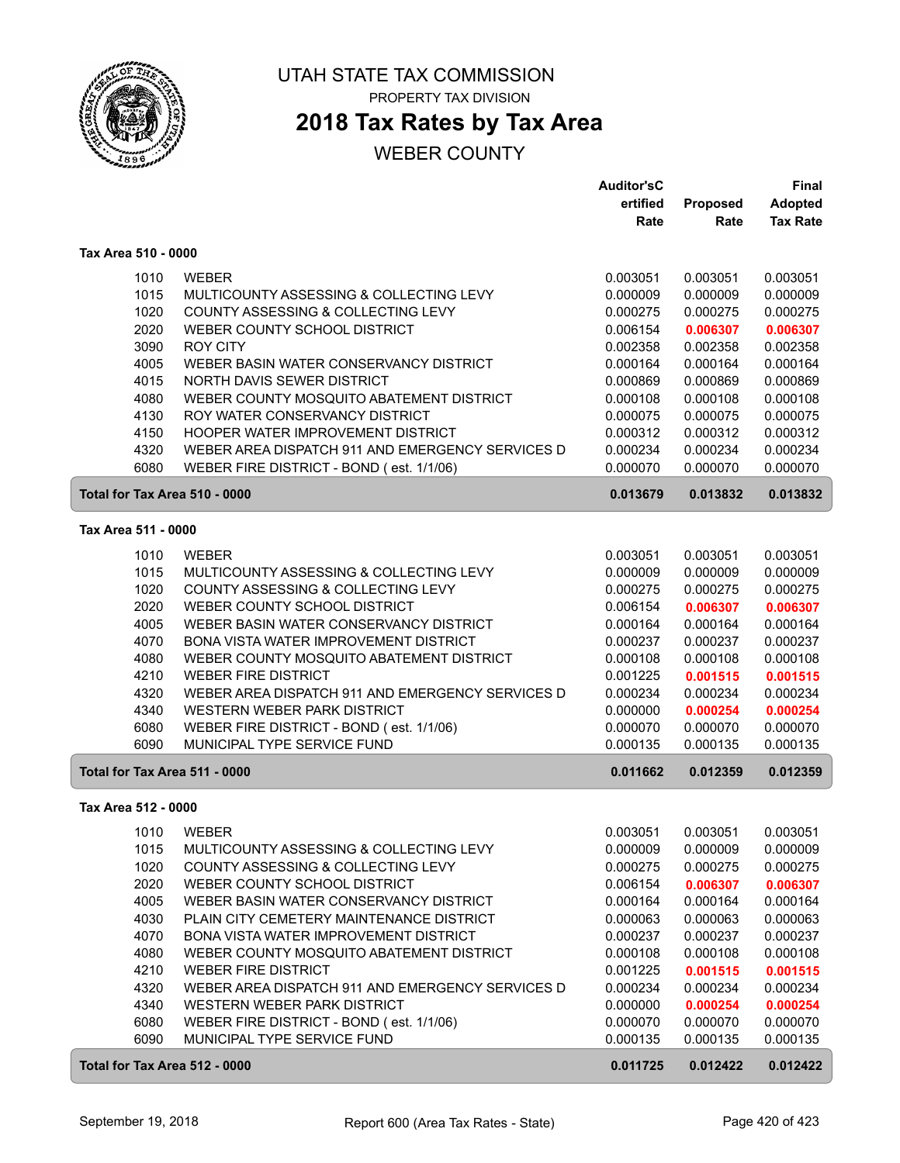

## **2018 Tax Rates by Tax Area**

|                               |                                                  | <b>Auditor'sC</b> |          | <b>Final</b>    |
|-------------------------------|--------------------------------------------------|-------------------|----------|-----------------|
|                               |                                                  | ertified          | Proposed | <b>Adopted</b>  |
|                               |                                                  | Rate              | Rate     | <b>Tax Rate</b> |
| Tax Area 510 - 0000           |                                                  |                   |          |                 |
|                               |                                                  |                   |          |                 |
| 1010                          | <b>WEBER</b>                                     | 0.003051          | 0.003051 | 0.003051        |
| 1015                          | MULTICOUNTY ASSESSING & COLLECTING LEVY          | 0.000009          | 0.000009 | 0.000009        |
| 1020                          | COUNTY ASSESSING & COLLECTING LEVY               | 0.000275          | 0.000275 | 0.000275        |
| 2020                          | WEBER COUNTY SCHOOL DISTRICT                     | 0.006154          | 0.006307 | 0.006307        |
| 3090                          | <b>ROY CITY</b>                                  | 0.002358          | 0.002358 | 0.002358        |
| 4005                          | WEBER BASIN WATER CONSERVANCY DISTRICT           | 0.000164          | 0.000164 | 0.000164        |
| 4015                          | NORTH DAVIS SEWER DISTRICT                       | 0.000869          | 0.000869 | 0.000869        |
| 4080                          | WEBER COUNTY MOSQUITO ABATEMENT DISTRICT         | 0.000108          | 0.000108 | 0.000108        |
| 4130                          | ROY WATER CONSERVANCY DISTRICT                   | 0.000075          | 0.000075 | 0.000075        |
| 4150                          | HOOPER WATER IMPROVEMENT DISTRICT                | 0.000312          | 0.000312 | 0.000312        |
| 4320                          | WEBER AREA DISPATCH 911 AND EMERGENCY SERVICES D | 0.000234          | 0.000234 | 0.000234        |
| 6080                          | WEBER FIRE DISTRICT - BOND (est. 1/1/06)         | 0.000070          | 0.000070 | 0.000070        |
| Total for Tax Area 510 - 0000 |                                                  | 0.013679          | 0.013832 | 0.013832        |
| Tax Area 511 - 0000           |                                                  |                   |          |                 |
| 1010                          | <b>WEBER</b>                                     | 0.003051          | 0.003051 | 0.003051        |
| 1015                          | MULTICOUNTY ASSESSING & COLLECTING LEVY          | 0.000009          | 0.000009 | 0.000009        |
| 1020                          | COUNTY ASSESSING & COLLECTING LEVY               | 0.000275          | 0.000275 | 0.000275        |
| 2020                          | WEBER COUNTY SCHOOL DISTRICT                     | 0.006154          | 0.006307 | 0.006307        |
| 4005                          | WEBER BASIN WATER CONSERVANCY DISTRICT           | 0.000164          | 0.000164 |                 |
| 4070                          | BONA VISTA WATER IMPROVEMENT DISTRICT            |                   | 0.000237 | 0.000164        |
|                               |                                                  | 0.000237          |          | 0.000237        |
| 4080                          | WEBER COUNTY MOSQUITO ABATEMENT DISTRICT         | 0.000108          | 0.000108 | 0.000108        |
| 4210                          | <b>WEBER FIRE DISTRICT</b>                       | 0.001225          | 0.001515 | 0.001515        |
| 4320                          | WEBER AREA DISPATCH 911 AND EMERGENCY SERVICES D | 0.000234          | 0.000234 | 0.000234        |
| 4340                          | WESTERN WEBER PARK DISTRICT                      | 0.000000          | 0.000254 | 0.000254        |
| 6080                          | WEBER FIRE DISTRICT - BOND (est. 1/1/06)         | 0.000070          | 0.000070 | 0.000070        |
| 6090                          | MUNICIPAL TYPE SERVICE FUND                      | 0.000135          | 0.000135 | 0.000135        |
| Total for Tax Area 511 - 0000 |                                                  | 0.011662          | 0.012359 | 0.012359        |
| Tax Area 512 - 0000           |                                                  |                   |          |                 |
|                               | 1010 WEBER                                       | 0.003051          | 0.003051 | 0.003051        |
| 1015                          | MULTICOUNTY ASSESSING & COLLECTING LEVY          | 0.000009          | 0.000009 | 0.000009        |
| 1020                          | COUNTY ASSESSING & COLLECTING LEVY               | 0.000275          | 0.000275 | 0.000275        |
| 2020                          | WEBER COUNTY SCHOOL DISTRICT                     | 0.006154          | 0.006307 | 0.006307        |
| 4005                          | WEBER BASIN WATER CONSERVANCY DISTRICT           | 0.000164          | 0.000164 | 0.000164        |
| 4030                          | PLAIN CITY CEMETERY MAINTENANCE DISTRICT         | 0.000063          | 0.000063 | 0.000063        |
| 4070                          | BONA VISTA WATER IMPROVEMENT DISTRICT            | 0.000237          | 0.000237 | 0.000237        |
| 4080                          | WEBER COUNTY MOSQUITO ABATEMENT DISTRICT         | 0.000108          | 0.000108 | 0.000108        |
| 4210                          | <b>WEBER FIRE DISTRICT</b>                       | 0.001225          | 0.001515 | 0.001515        |
| 4320                          | WEBER AREA DISPATCH 911 AND EMERGENCY SERVICES D | 0.000234          | 0.000234 | 0.000234        |
| 4340                          | WESTERN WEBER PARK DISTRICT                      | 0.000000          | 0.000254 | 0.000254        |
| 6080                          | WEBER FIRE DISTRICT - BOND (est. 1/1/06)         | 0.000070          | 0.000070 | 0.000070        |
| 6090                          | MUNICIPAL TYPE SERVICE FUND                      | 0.000135          | 0.000135 | 0.000135        |
| Total for Tax Area 512 - 0000 |                                                  | 0.011725          | 0.012422 | 0.012422        |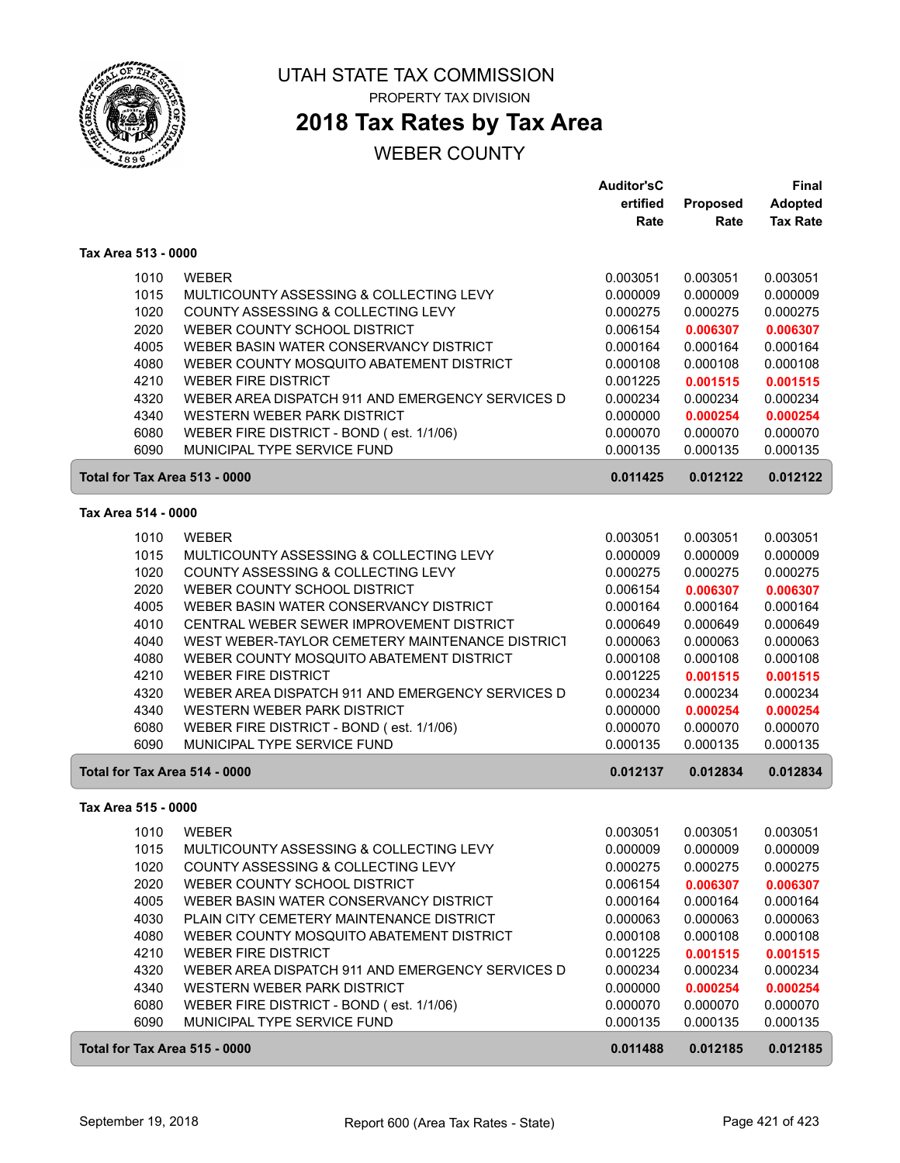

## **2018 Tax Rates by Tax Area**

|                               |                                                  | <b>Auditor'sC</b> |          | Final           |
|-------------------------------|--------------------------------------------------|-------------------|----------|-----------------|
|                               |                                                  | ertified          | Proposed | <b>Adopted</b>  |
|                               |                                                  | Rate              | Rate     | <b>Tax Rate</b> |
| Tax Area 513 - 0000           |                                                  |                   |          |                 |
| 1010                          | <b>WEBER</b>                                     | 0.003051          | 0.003051 | 0.003051        |
| 1015                          | MULTICOUNTY ASSESSING & COLLECTING LEVY          | 0.000009          | 0.000009 | 0.000009        |
| 1020                          | COUNTY ASSESSING & COLLECTING LEVY               | 0.000275          | 0.000275 | 0.000275        |
| 2020                          | WEBER COUNTY SCHOOL DISTRICT                     | 0.006154          | 0.006307 | 0.006307        |
| 4005                          | WEBER BASIN WATER CONSERVANCY DISTRICT           | 0.000164          | 0.000164 | 0.000164        |
| 4080                          | WEBER COUNTY MOSQUITO ABATEMENT DISTRICT         | 0.000108          | 0.000108 | 0.000108        |
| 4210                          | <b>WEBER FIRE DISTRICT</b>                       | 0.001225          | 0.001515 | 0.001515        |
| 4320                          | WEBER AREA DISPATCH 911 AND EMERGENCY SERVICES D | 0.000234          | 0.000234 | 0.000234        |
| 4340                          | WESTERN WEBER PARK DISTRICT                      | 0.000000          | 0.000254 | 0.000254        |
| 6080                          | WEBER FIRE DISTRICT - BOND (est. 1/1/06)         | 0.000070          | 0.000070 | 0.000070        |
| 6090                          | MUNICIPAL TYPE SERVICE FUND                      | 0.000135          | 0.000135 | 0.000135        |
| Total for Tax Area 513 - 0000 |                                                  | 0.011425          | 0.012122 | 0.012122        |
| Tax Area 514 - 0000           |                                                  |                   |          |                 |
| 1010                          | <b>WEBER</b>                                     | 0.003051          | 0.003051 | 0.003051        |
| 1015                          | MULTICOUNTY ASSESSING & COLLECTING LEVY          | 0.000009          | 0.000009 | 0.000009        |
| 1020                          | COUNTY ASSESSING & COLLECTING LEVY               | 0.000275          | 0.000275 | 0.000275        |
| 2020                          | WEBER COUNTY SCHOOL DISTRICT                     | 0.006154          | 0.006307 | 0.006307        |
| 4005                          | WEBER BASIN WATER CONSERVANCY DISTRICT           | 0.000164          | 0.000164 | 0.000164        |
| 4010                          | CENTRAL WEBER SEWER IMPROVEMENT DISTRICT         | 0.000649          | 0.000649 | 0.000649        |
| 4040                          | WEST WEBER-TAYLOR CEMETERY MAINTENANCE DISTRICT  | 0.000063          | 0.000063 | 0.000063        |
| 4080                          | WEBER COUNTY MOSQUITO ABATEMENT DISTRICT         | 0.000108          | 0.000108 | 0.000108        |
| 4210                          | <b>WEBER FIRE DISTRICT</b>                       | 0.001225          | 0.001515 | 0.001515        |
| 4320                          | WEBER AREA DISPATCH 911 AND EMERGENCY SERVICES D | 0.000234          | 0.000234 | 0.000234        |
| 4340                          | WESTERN WEBER PARK DISTRICT                      | 0.000000          | 0.000254 | 0.000254        |
| 6080                          | WEBER FIRE DISTRICT - BOND (est. 1/1/06)         | 0.000070          | 0.000070 | 0.000070        |
| 6090                          | MUNICIPAL TYPE SERVICE FUND                      | 0.000135          | 0.000135 | 0.000135        |
| Total for Tax Area 514 - 0000 |                                                  | 0.012137          | 0.012834 | 0.012834        |
| Tax Area 515 - 0000           |                                                  |                   |          |                 |
| 1010                          | <b>WEBER</b>                                     | 0.003051          | 0.003051 | 0.003051        |
| 1015                          | MULTICOUNTY ASSESSING & COLLECTING LEVY          | 0.000009          | 0.000009 | 0.000009        |
| 1020                          | COUNTY ASSESSING & COLLECTING LEVY               | 0.000275          | 0.000275 | 0.000275        |
| 2020                          | WEBER COUNTY SCHOOL DISTRICT                     | 0.006154          | 0.006307 | 0.006307        |
| 4005                          | WEBER BASIN WATER CONSERVANCY DISTRICT           | 0.000164          | 0.000164 | 0.000164        |
| 4030                          | PLAIN CITY CEMETERY MAINTENANCE DISTRICT         | 0.000063          | 0.000063 | 0.000063        |
| 4080                          | WEBER COUNTY MOSQUITO ABATEMENT DISTRICT         | 0.000108          | 0.000108 | 0.000108        |
| 4210                          | <b>WEBER FIRE DISTRICT</b>                       | 0.001225          | 0.001515 | 0.001515        |
| 4320                          | WEBER AREA DISPATCH 911 AND EMERGENCY SERVICES D | 0.000234          | 0.000234 | 0.000234        |
| 4340                          | WESTERN WEBER PARK DISTRICT                      | 0.000000          | 0.000254 | 0.000254        |
| 6080                          | WEBER FIRE DISTRICT - BOND (est. 1/1/06)         | 0.000070          | 0.000070 | 0.000070        |
| 6090                          | MUNICIPAL TYPE SERVICE FUND                      | 0.000135          | 0.000135 | 0.000135        |
| Total for Tax Area 515 - 0000 |                                                  | 0.011488          | 0.012185 | 0.012185        |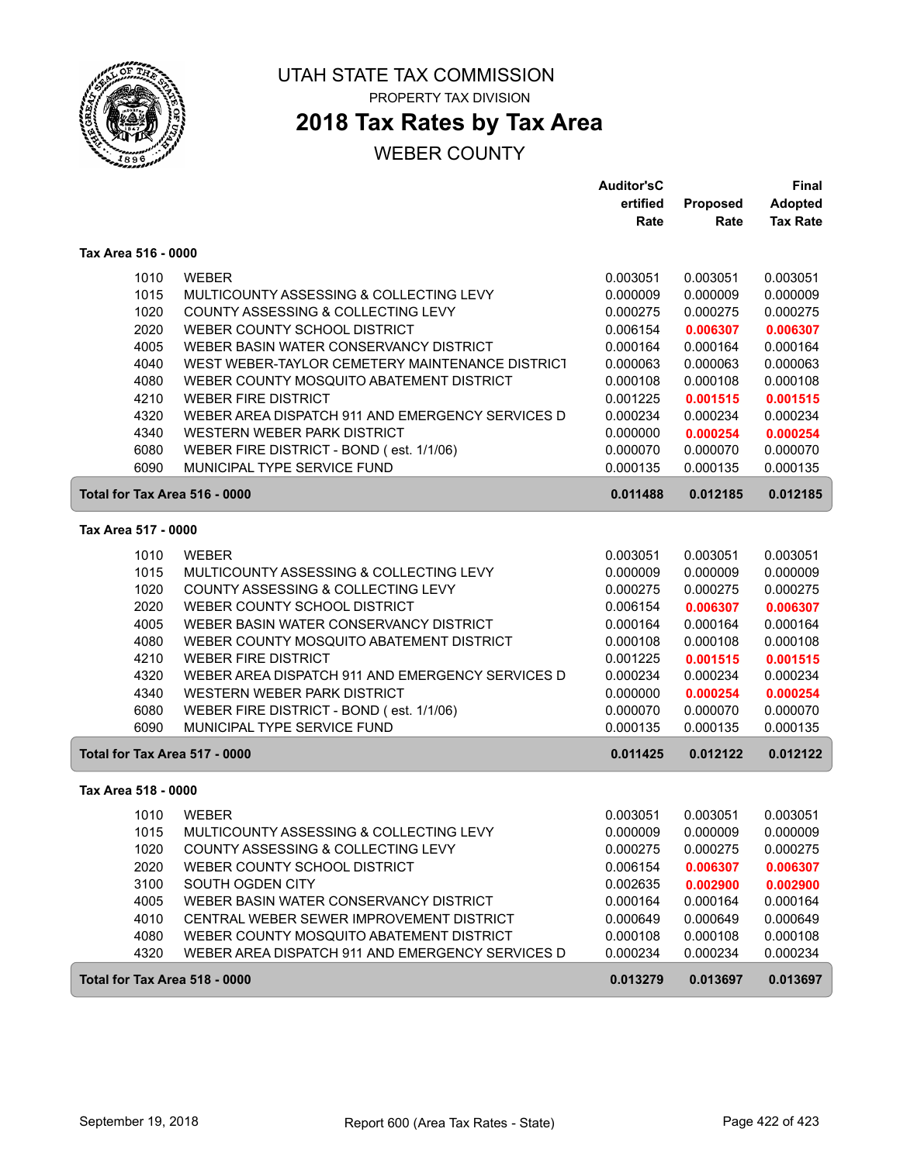

# **2018 Tax Rates by Tax Area**

|                               |                                                                                    | <b>Auditor'sC</b>    |                      | <b>Final</b>         |
|-------------------------------|------------------------------------------------------------------------------------|----------------------|----------------------|----------------------|
|                               |                                                                                    | ertified             | Proposed             | Adopted              |
|                               |                                                                                    | Rate                 | Rate                 | <b>Tax Rate</b>      |
| Tax Area 516 - 0000           |                                                                                    |                      |                      |                      |
| 1010                          | <b>WEBER</b>                                                                       | 0.003051             | 0.003051             | 0.003051             |
| 1015                          | MULTICOUNTY ASSESSING & COLLECTING LEVY                                            | 0.000009             | 0.000009             | 0.000009             |
| 1020                          | COUNTY ASSESSING & COLLECTING LEVY                                                 | 0.000275             | 0.000275             | 0.000275             |
| 2020                          | WEBER COUNTY SCHOOL DISTRICT                                                       | 0.006154             | 0.006307             | 0.006307             |
| 4005                          | WEBER BASIN WATER CONSERVANCY DISTRICT                                             | 0.000164             | 0.000164             | 0.000164             |
| 4040                          | WEST WEBER-TAYLOR CEMETERY MAINTENANCE DISTRICT                                    | 0.000063             | 0.000063             | 0.000063             |
| 4080                          | WEBER COUNTY MOSQUITO ABATEMENT DISTRICT                                           | 0.000108             | 0.000108             | 0.000108             |
| 4210                          | <b>WEBER FIRE DISTRICT</b>                                                         | 0.001225             | 0.001515             | 0.001515             |
| 4320                          | WEBER AREA DISPATCH 911 AND EMERGENCY SERVICES D                                   | 0.000234             | 0.000234             | 0.000234             |
| 4340                          | WESTERN WEBER PARK DISTRICT                                                        | 0.000000             | 0.000254             | 0.000254             |
| 6080                          | WEBER FIRE DISTRICT - BOND (est. 1/1/06)                                           | 0.000070             | 0.000070             | 0.000070             |
| 6090                          | MUNICIPAL TYPE SERVICE FUND                                                        | 0.000135             | 0.000135             | 0.000135             |
| Total for Tax Area 516 - 0000 |                                                                                    | 0.011488             | 0.012185             | 0.012185             |
| Tax Area 517 - 0000           |                                                                                    |                      |                      |                      |
|                               |                                                                                    |                      |                      |                      |
| 1010                          | <b>WEBER</b>                                                                       | 0.003051             | 0.003051             | 0.003051             |
| 1015                          | MULTICOUNTY ASSESSING & COLLECTING LEVY                                            | 0.000009             | 0.000009             | 0.000009             |
| 1020                          | COUNTY ASSESSING & COLLECTING LEVY                                                 | 0.000275             | 0.000275             | 0.000275             |
| 2020<br>4005                  | WEBER COUNTY SCHOOL DISTRICT<br>WEBER BASIN WATER CONSERVANCY DISTRICT             | 0.006154             | 0.006307             | 0.006307             |
| 4080                          | WEBER COUNTY MOSQUITO ABATEMENT DISTRICT                                           | 0.000164<br>0.000108 | 0.000164<br>0.000108 | 0.000164<br>0.000108 |
| 4210                          | <b>WEBER FIRE DISTRICT</b>                                                         | 0.001225             | 0.001515             | 0.001515             |
| 4320                          | WEBER AREA DISPATCH 911 AND EMERGENCY SERVICES D                                   | 0.000234             | 0.000234             | 0.000234             |
| 4340                          | WESTERN WEBER PARK DISTRICT                                                        | 0.000000             | 0.000254             | 0.000254             |
| 6080                          | WEBER FIRE DISTRICT - BOND (est. 1/1/06)                                           | 0.000070             | 0.000070             | 0.000070             |
| 6090                          | MUNICIPAL TYPE SERVICE FUND                                                        | 0.000135             | 0.000135             | 0.000135             |
| Total for Tax Area 517 - 0000 |                                                                                    | 0.011425             | 0.012122             | 0.012122             |
| Tax Area 518 - 0000           |                                                                                    |                      |                      |                      |
|                               |                                                                                    |                      |                      |                      |
| 1010                          | <b>WEBER</b>                                                                       | 0.003051             | 0.003051             | 0.003051             |
| 1015                          | MULTICOUNTY ASSESSING & COLLECTING LEVY                                            | 0.000009             | 0.000009             | 0.000009             |
| 1020                          | COUNTY ASSESSING & COLLECTING LEVY                                                 | 0.000275             | 0.000275             | 0.000275             |
| 2020                          | WEBER COUNTY SCHOOL DISTRICT                                                       | 0.006154             | 0.006307             | 0.006307             |
| 3100                          | SOUTH OGDEN CITY                                                                   | 0.002635             | 0.002900             | 0.002900             |
| 4005<br>4010                  | WEBER BASIN WATER CONSERVANCY DISTRICT<br>CENTRAL WEBER SEWER IMPROVEMENT DISTRICT | 0.000164<br>0.000649 | 0.000164<br>0.000649 | 0.000164<br>0.000649 |
| 4080                          | WEBER COUNTY MOSQUITO ABATEMENT DISTRICT                                           | 0.000108             | 0.000108             |                      |
| 4320                          | WEBER AREA DISPATCH 911 AND EMERGENCY SERVICES D                                   | 0.000234             | 0.000234             | 0.000108<br>0.000234 |
|                               |                                                                                    |                      |                      |                      |
| Total for Tax Area 518 - 0000 |                                                                                    | 0.013279             | 0.013697             | 0.013697             |